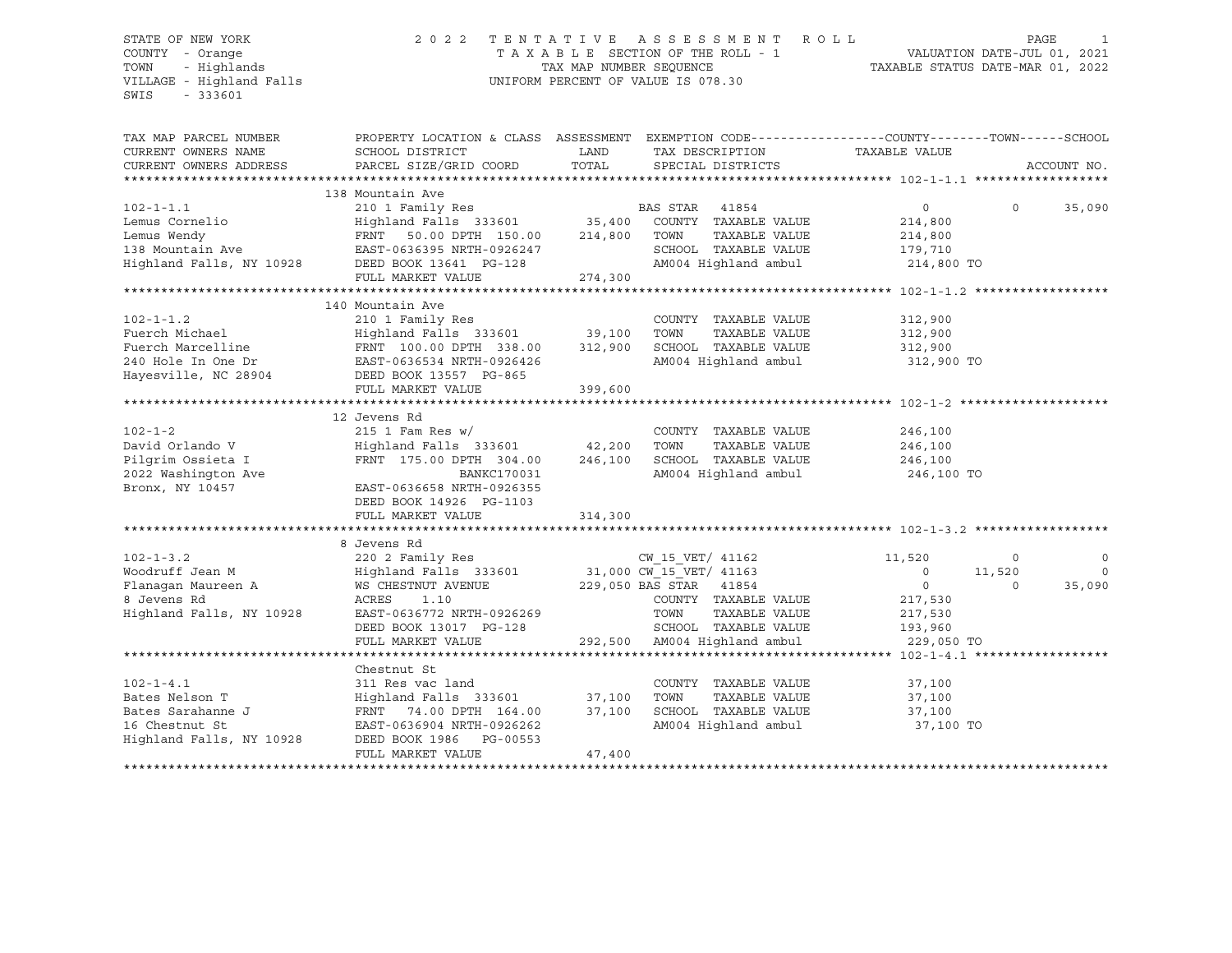VILLAGE - Highland Falls UNIFORM PERCENT OF VALUE IS 078.30 SWIS - 333601

### STATE OF NEW YORK 2 0 2 2 T E N T A T I V E A S S E S S M E N T R O L L PAGE 1 COUNTY - Orange T A X A B L E SECTION OF THE ROLL - 1 VALUATION DATE-JUL 01, 2021 TOWN - Highlands TAX MAP NUMBER SEQUENCE TAXABLE STATUS DATE-MAR 01, 2022

| TAX MAP PARCEL NUMBER<br>CURRENT OWNERS NAME<br>CURRENT OWNERS ADDRESS                               | SCHOOL DISTRICT<br>PARCEL SIZE/GRID COORD                                                                                                                                                | LAND<br>TOTAL     | TAX DESCRIPTION<br>SPECIAL DISTRICTS                                                                                                                       | PROPERTY LOCATION & CLASS ASSESSMENT EXEMPTION CODE----------------COUNTY-------TOWN------SCHOOL<br>TAXABLE VALUE | ACCOUNT NO.        |
|------------------------------------------------------------------------------------------------------|------------------------------------------------------------------------------------------------------------------------------------------------------------------------------------------|-------------------|------------------------------------------------------------------------------------------------------------------------------------------------------------|-------------------------------------------------------------------------------------------------------------------|--------------------|
|                                                                                                      |                                                                                                                                                                                          |                   |                                                                                                                                                            |                                                                                                                   |                    |
| $102 - 1 - 1.1$<br>Lemus Cornelio                                                                    | 138 Mountain Ave<br>210 1 Family Res<br>Highland Falls 333601 35,400                                                                                                                     |                   | BAS STAR<br>41854<br>COUNTY TAXABLE VALUE                                                                                                                  | $\circ$<br>$\Omega$<br>214,800                                                                                    | 35,090             |
| Lemus Wendy<br>138 Mountain Ave                                                                      | FRNT<br>50.00 DPTH 150.00<br>EAST-0636395 NRTH-0926247                                                                                                                                   | 214,800           | TOWN<br>TAXABLE VALUE<br>SCHOOL TAXABLE VALUE                                                                                                              | 214,800<br>179,710                                                                                                |                    |
| Highland Falls, NY 10928                                                                             | DEED BOOK 13641 PG-128<br>FULL MARKET VALUE                                                                                                                                              | 274,300           | AM004 Highland ambul                                                                                                                                       | 214,800 TO                                                                                                        |                    |
|                                                                                                      |                                                                                                                                                                                          |                   |                                                                                                                                                            |                                                                                                                   |                    |
| $102 - 1 - 1.2$<br>Fuerch Michael<br>Fuerch Marcelline<br>240 Hole In One Dr                         | 140 Mountain Ave<br>210 1 Family Res<br>Highland Falls 333601 39,100<br>FRNT 100.00 DPTH 338.00<br>EAST-0636534 NRTH-0926426                                                             | 312,900           | COUNTY TAXABLE VALUE<br>TOWN<br>TAXABLE VALUE<br>SCHOOL TAXABLE VALUE<br>AM004 Highland ambul                                                              | 312,900<br>312,900<br>312,900<br>312,900 TO                                                                       |                    |
| Hayesville, NC 28904                                                                                 | DEED BOOK 13557 PG-865<br>FULL MARKET VALUE                                                                                                                                              | 399,600           |                                                                                                                                                            |                                                                                                                   |                    |
|                                                                                                      |                                                                                                                                                                                          |                   |                                                                                                                                                            |                                                                                                                   |                    |
| $102 - 1 - 2$                                                                                        | 12 Jevens Rd<br>$215$ 1 Fam Res w/                                                                                                                                                       |                   | COUNTY TAXABLE VALUE                                                                                                                                       | 246,100                                                                                                           |                    |
| David Orlando V<br>Pilgrim Ossieta I<br>2022 Washington Ave                                          | Highland Falls 333601<br>FRNT 175.00 DPTH 304.00<br>BANKC170031                                                                                                                          | 42,200<br>246,100 | TOWN<br>TAXABLE VALUE<br>SCHOOL TAXABLE VALUE<br>AM004 Highland ambul                                                                                      | 246,100<br>246,100<br>246,100 TO                                                                                  |                    |
| Bronx, NY 10457                                                                                      | EAST-0636658 NRTH-0926355<br>DEED BOOK 14926 PG-1103<br>FULL MARKET VALUE                                                                                                                | 314,300           |                                                                                                                                                            |                                                                                                                   |                    |
|                                                                                                      |                                                                                                                                                                                          |                   |                                                                                                                                                            |                                                                                                                   |                    |
| $102 - 1 - 3.2$                                                                                      | 8 Jevens Rd<br>220 2 Family Res                                                                                                                                                          |                   | CW 15 VET/ 41162                                                                                                                                           | 11,520<br>$\circ$                                                                                                 | $\mathbf 0$        |
| Woodruff Jean M<br>Flanagan Maureen A<br>8 Jevens Rd<br>Highland Falls, NY 10928                     | Highland Falls 333601<br>WS CHESTNUT AVENUE<br>ACRES<br>1.10<br>EAST-0636772 NRTH-0926269<br>DEED BOOK 13017 PG-128                                                                      |                   | 31,000 CW_15_VET/ 41163<br>229,050 BAS STAR 41854<br>COUNTY TAXABLE VALUE<br>TOWN<br>TAXABLE VALUE<br>SCHOOL TAXABLE VALUE<br>292,500 AM004 Highland ambul | $\circ$<br>11,520<br>$\circ$<br>$\circ$<br>217,530<br>217,530<br>193,960                                          | $\Omega$<br>35,090 |
|                                                                                                      | FULL MARKET VALUE<br>*****************************                                                                                                                                       |                   |                                                                                                                                                            | 229,050 TO<br>$*****102 - 1 - 4.1***$                                                                             |                    |
|                                                                                                      | Chestnut St                                                                                                                                                                              |                   |                                                                                                                                                            |                                                                                                                   |                    |
| $102 - 1 - 4.1$<br>Bates Nelson T<br>Bates Sarahanne J<br>16 Chestnut St<br>Highland Falls, NY 10928 | 311 Res vac land<br>Highland Falls 333601 37,100<br>FRNT 74.00 DPTH 164.00 37,100<br>FRNT 74.00 DPTH 164.00<br>EAST-0636904 NRTH-0926262<br>DEED BOOK 1986 PG-00553<br>FULL MARKET VALUE | 37,100<br>47,400  | COUNTY TAXABLE VALUE<br>TOWN<br>TAXABLE VALUE<br>SCHOOL TAXABLE VALUE<br>AM004 Highland ambul                                                              | 37,100<br>37,100<br>37,100<br>37,100 TO                                                                           |                    |
|                                                                                                      |                                                                                                                                                                                          |                   |                                                                                                                                                            |                                                                                                                   |                    |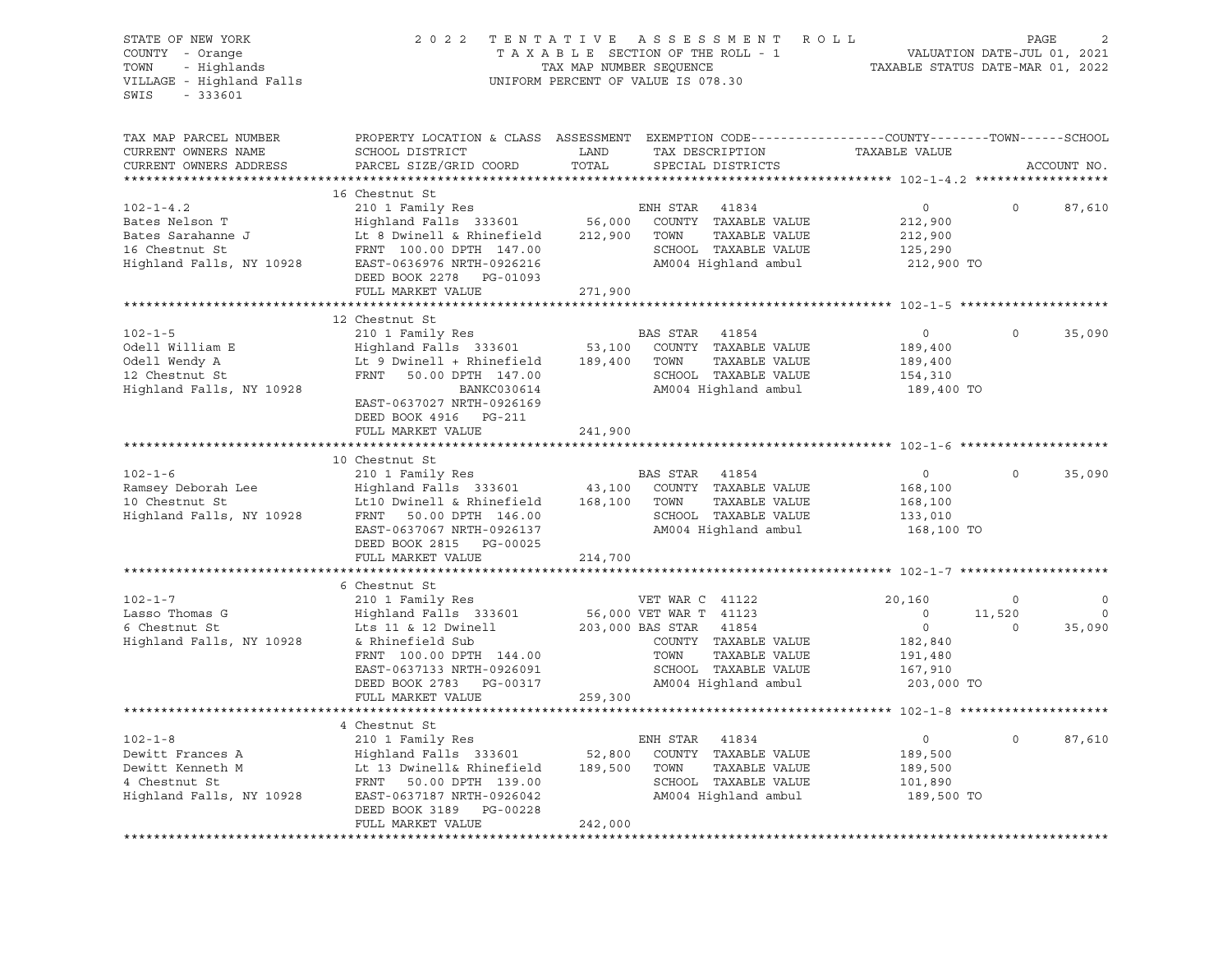| STATE OF NEW YORK<br>COUNTY - Orange<br>- Highlands<br>TOWN<br>VILLAGE - Highland Falls<br>$-333601$<br>SWIS | 2022                                                                                                                                                                                                          | TENTATIVE<br>TAX MAP NUMBER SEQUENCE | A S S E S S M E N T<br>ROLL<br>TAXABLE SECTION OF THE ROLL - 1<br>UNIFORM PERCENT OF VALUE IS 078.30                                                                    | TAXABLE STATUS DATE-MAR 01, 2022                                            | VALUATION DATE-JUL 01, 2021      | PAGE                             |
|--------------------------------------------------------------------------------------------------------------|---------------------------------------------------------------------------------------------------------------------------------------------------------------------------------------------------------------|--------------------------------------|-------------------------------------------------------------------------------------------------------------------------------------------------------------------------|-----------------------------------------------------------------------------|----------------------------------|----------------------------------|
| TAX MAP PARCEL NUMBER<br>CURRENT OWNERS NAME<br>CURRENT OWNERS ADDRESS                                       | PROPERTY LOCATION & CLASS ASSESSMENT EXEMPTION CODE----------------COUNTY-------TOWN-----SCHOOL<br>SCHOOL DISTRICT<br>PARCEL SIZE/GRID COORD                                                                  | LAND<br>TOTAL                        | TAX DESCRIPTION<br>SPECIAL DISTRICTS                                                                                                                                    | TAXABLE VALUE                                                               |                                  | ACCOUNT NO.                      |
| $102 - 1 - 4.2$<br>Bates Nelson T<br>Bates Sarahanne J<br>16 Chestnut St<br>Highland Falls, NY 10928         | 16 Chestnut St<br>210 1 Family Res<br>Highland Falls 333601<br>Lt 8 Dwinell & Rhinefield<br>FRNT 100.00 DPTH 147.00<br>EAST-0636976 NRTH-0926216<br>DEED BOOK 2278 PG-01093<br>FULL MARKET VALUE              | 56,000<br>212,900<br>271,900         | ENH STAR<br>41834<br>COUNTY TAXABLE VALUE<br>TOWN<br>TAXABLE VALUE<br>SCHOOL TAXABLE VALUE<br>AM004 Highland ambul                                                      | $\circ$<br>212,900<br>212,900<br>125,290<br>212,900 TO                      | 0                                | 87,610                           |
|                                                                                                              |                                                                                                                                                                                                               | **************                       |                                                                                                                                                                         |                                                                             |                                  |                                  |
| $102 - 1 - 5$<br>Odell William E<br>Odell Wendy A<br>12 Chestnut St<br>Highland Falls, NY 10928              | 12 Chestnut St<br>210 1 Family Res<br>Highland Falls 333601<br>Lt 9 Dwinell + Rhinefield<br>FRNT<br>50.00 DPTH 147.00<br>BANKC030614<br>EAST-0637027 NRTH-0926169<br>DEED BOOK 4916 PG-211                    | 53,100<br>189,400                    | BAS STAR<br>41854<br>COUNTY TAXABLE VALUE<br>TOWN<br>TAXABLE VALUE<br>SCHOOL TAXABLE VALUE<br>AM004 Highland ambul                                                      | $\circ$<br>189,400<br>189,400<br>154,310<br>189,400 TO                      | $\Omega$                         | 35,090                           |
|                                                                                                              | FULL MARKET VALUE                                                                                                                                                                                             | 241,900                              |                                                                                                                                                                         |                                                                             |                                  |                                  |
| $102 - 1 - 6$<br>Ramsey Deborah Lee<br>10 Chestnut St<br>Highland Falls, NY 10928                            | 10 Chestnut St<br>210 1 Family Res<br>Highland Falls 333601<br>Lt10 Dwinell & Rhinefield<br>FRNT 50.00 DPTH 146.00<br>EAST-0637067 NRTH-0926137<br>DEED BOOK 2815 PG-00025<br>FULL MARKET VALUE               | 43,100<br>168,100<br>214,700         | BAS STAR 41854<br>COUNTY TAXABLE VALUE<br>TOWN<br>TAXABLE VALUE<br>SCHOOL TAXABLE VALUE<br>AM004 Highland ambul                                                         | $\overline{0}$<br>168,100<br>168,100<br>133,010<br>168,100 TO               | $\Omega$                         | 35,090                           |
|                                                                                                              |                                                                                                                                                                                                               |                                      |                                                                                                                                                                         |                                                                             |                                  |                                  |
| $102 - 1 - 7$<br>Lasso Thomas G<br>6 Chestnut St<br>Highland Falls, NY 10928                                 | 6 Chestnut St<br>210 1 Family Res<br>Highland Falls 333601<br>Lts 11 & 12 Dwinell<br>& Rhinefield Sub<br>FRNT 100.00 DPTH 144.00<br>EAST-0637133 NRTH-0926091<br>DEED BOOK 2783 PG-00317<br>FULL MARKET VALUE | 259,300                              | VET WAR C 41122<br>56,000 VET WAR T 41123<br>203,000 BAS STAR<br>41854<br>COUNTY TAXABLE VALUE<br>TOWN<br>TAXABLE VALUE<br>SCHOOL TAXABLE VALUE<br>AM004 Highland ambul | 20,160<br>$\circ$<br>$\circ$<br>182,840<br>191,480<br>167,910<br>203,000 TO | $\mathbf 0$<br>11,520<br>$\circ$ | $\circ$<br>$\mathbf 0$<br>35,090 |
|                                                                                                              |                                                                                                                                                                                                               |                                      |                                                                                                                                                                         |                                                                             |                                  |                                  |
| $102 - 1 - 8$<br>Dewitt Frances A<br>Dewitt Kenneth M<br>4 Chestnut St<br>Highland Falls, NY 10928           | 4 Chestnut St<br>210 1 Family Res<br>Highland Falls 333601<br>Lt 13 Dwinell& Rhinefield<br>FRNT 50.00 DPTH 139.00<br>EAST-0637187 NRTH-0926042<br>DEED BOOK 3189<br>PG-00228<br>FULL MARKET VALUE             | 52,800<br>189,500<br>242,000         | ENH STAR<br>41834<br>COUNTY TAXABLE VALUE<br>TOWN<br>TAXABLE VALUE<br>SCHOOL TAXABLE VALUE<br>AM004 Highland ambul                                                      | $\circ$<br>189,500<br>189,500<br>101,890<br>189,500 TO                      | $\mathsf{O}$                     | 87,610                           |
|                                                                                                              | **********************                                                                                                                                                                                        |                                      |                                                                                                                                                                         |                                                                             |                                  |                                  |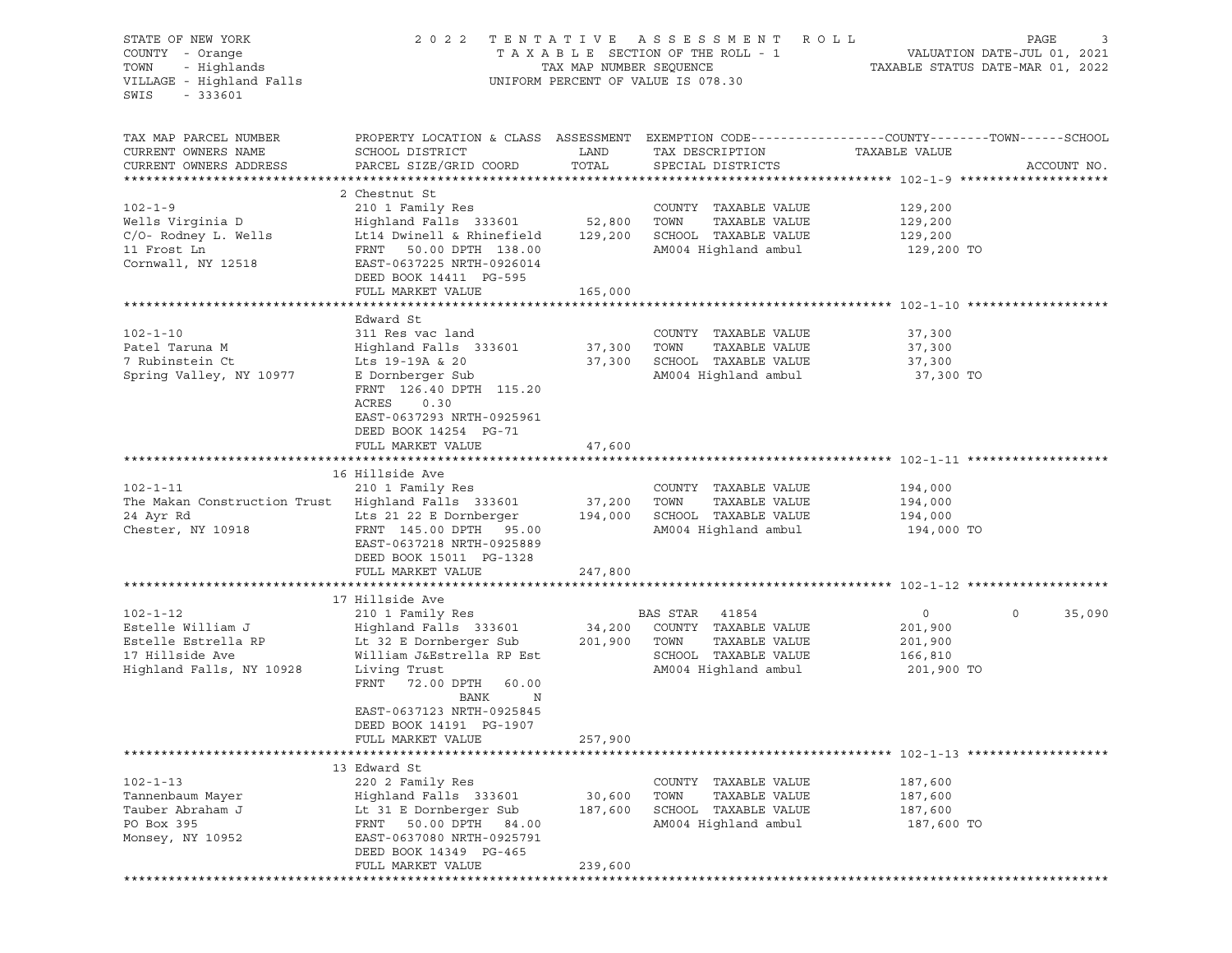| STATE OF NEW YORK<br>COUNTY - Orange<br>- Highlands<br>TOWN<br>VILLAGE - Highland Falls<br>$-333601$<br>SWIS | 2 0 2 2                                                                                                                                                                                              | TENTATIVE<br>TAX MAP NUMBER SEQUENCE | ASSESSMENT ROLL<br>TAXABLE SECTION OF THE ROLL - 1<br>UNIFORM PERCENT OF VALUE IS 078.30                           | VALUATION DATE-JUL 01, 2021<br>TAXABLE STATUS DATE-MAR 01, 2022 | PAGE<br>3         |
|--------------------------------------------------------------------------------------------------------------|------------------------------------------------------------------------------------------------------------------------------------------------------------------------------------------------------|--------------------------------------|--------------------------------------------------------------------------------------------------------------------|-----------------------------------------------------------------|-------------------|
| TAX MAP PARCEL NUMBER<br>CURRENT OWNERS NAME<br>CURRENT OWNERS ADDRESS                                       | PROPERTY LOCATION & CLASS ASSESSMENT EXEMPTION CODE---------------COUNTY-------TOWN------SCHOOL<br>SCHOOL DISTRICT<br>PARCEL SIZE/GRID COORD                                                         | LAND<br>TOTAL                        | TAX DESCRIPTION<br>SPECIAL DISTRICTS                                                                               | TAXABLE VALUE                                                   | ACCOUNT NO.       |
| $102 - 1 - 9$<br>Wells Virginia D<br>$C/O-$ Rodney L. Wells<br>11 Frost Ln<br>Cornwall, NY 12518             | 2 Chestnut St<br>210 1 Family Res<br>Highland Falls 333601 52,800<br>Lt14 Dwinell & Rhinefield<br>FRNT 50.00 DPTH 138.00<br>EAST-0637225 NRTH-0926014<br>DEED BOOK 14411 PG-595<br>FULL MARKET VALUE | 129,200<br>165,000                   | COUNTY TAXABLE VALUE<br>TOWN<br>TAXABLE VALUE<br>SCHOOL TAXABLE VALUE<br>AM004 Highland ambul                      | 129,200<br>129,200<br>129,200<br>129,200 TO                     |                   |
|                                                                                                              |                                                                                                                                                                                                      |                                      |                                                                                                                    |                                                                 |                   |
| $102 - 1 - 10$<br>Patel Taruna M<br>7 Rubinstein Ct<br>Spring Valley, NY 10977                               | Edward St<br>311 Res vac land<br>Highland Falls 333601<br>Lts 19-19A & 20<br>E Dornberger Sub<br>FRNT 126.40 DPTH 115.20<br>ACRES<br>0.30<br>EAST-0637293 NRTH-0925961                               | 37,300<br>37,300                     | COUNTY TAXABLE VALUE<br>TOWN<br>TAXABLE VALUE<br>SCHOOL TAXABLE VALUE<br>AM004 Highland ambul                      | 37,300<br>37,300<br>37,300<br>37,300 TO                         |                   |
|                                                                                                              | DEED BOOK 14254 PG-71<br>FULL MARKET VALUE                                                                                                                                                           | 47,600                               |                                                                                                                    |                                                                 |                   |
| $102 - 1 - 11$<br>The Makan Construction Trust<br>24 Ayr Rd<br>Chester, NY 10918                             | 16 Hillside Ave<br>210 1 Family Res<br>Highland Falls 333601<br>Lts 21 22 E Dornberger<br>FRNT 145.00 DPTH 95.00<br>EAST-0637218 NRTH-0925889<br>DEED BOOK 15011 PG-1328<br>FULL MARKET VALUE        | 37,200<br>194,000<br>247,800         | COUNTY TAXABLE VALUE<br>TOWN<br>TAXABLE VALUE<br>SCHOOL TAXABLE VALUE<br>AM004 Highland ambul                      | 194,000<br>194,000<br>194,000<br>194,000 TO                     |                   |
|                                                                                                              |                                                                                                                                                                                                      |                                      |                                                                                                                    |                                                                 |                   |
| $102 - 1 - 12$<br>Estelle William J<br>Estelle Estrella RP<br>17 Hillside Ave<br>Highland Falls, NY 10928    | 17 Hillside Ave<br>210 1 Family Res<br>Highland Falls 333601<br>Lt 32 E Dornberger Sub<br>William J&Estrella RP Est<br>Living Trust<br>FRNT<br>72.00 DPTH 60.00<br>BANK<br>N                         | 34,200<br>201,900                    | BAS STAR<br>41854<br>COUNTY TAXABLE VALUE<br>TAXABLE VALUE<br>TOWN<br>SCHOOL TAXABLE VALUE<br>AM004 Highland ambul | $\overline{0}$<br>201,900<br>201,900<br>166,810<br>201,900 TO   | $\circ$<br>35,090 |
|                                                                                                              | EAST-0637123 NRTH-0925845<br>DEED BOOK 14191 PG-1907<br>FULL MARKET VALUE                                                                                                                            | 257,900                              |                                                                                                                    |                                                                 |                   |
| $102 - 1 - 13$<br>Tannenbaum Mayer<br>Tauber Abraham J<br>PO Box 395<br>Monsey, NY 10952                     | 13 Edward St<br>220 2 Family Res<br>Highland Falls 333601<br>Lt 31 E Dornberger Sub<br>FRNT<br>50.00 DPTH<br>84.00<br>EAST-0637080 NRTH-0925791<br>DEED BOOK 14349 PG-465<br>FULL MARKET VALUE       | 30,600<br>187,600<br>239,600         | COUNTY<br>TAXABLE VALUE<br>TOWN<br>TAXABLE VALUE<br>SCHOOL TAXABLE VALUE<br>AM004 Highland ambul                   | 187,600<br>187,600<br>187,600<br>187,600 TO                     |                   |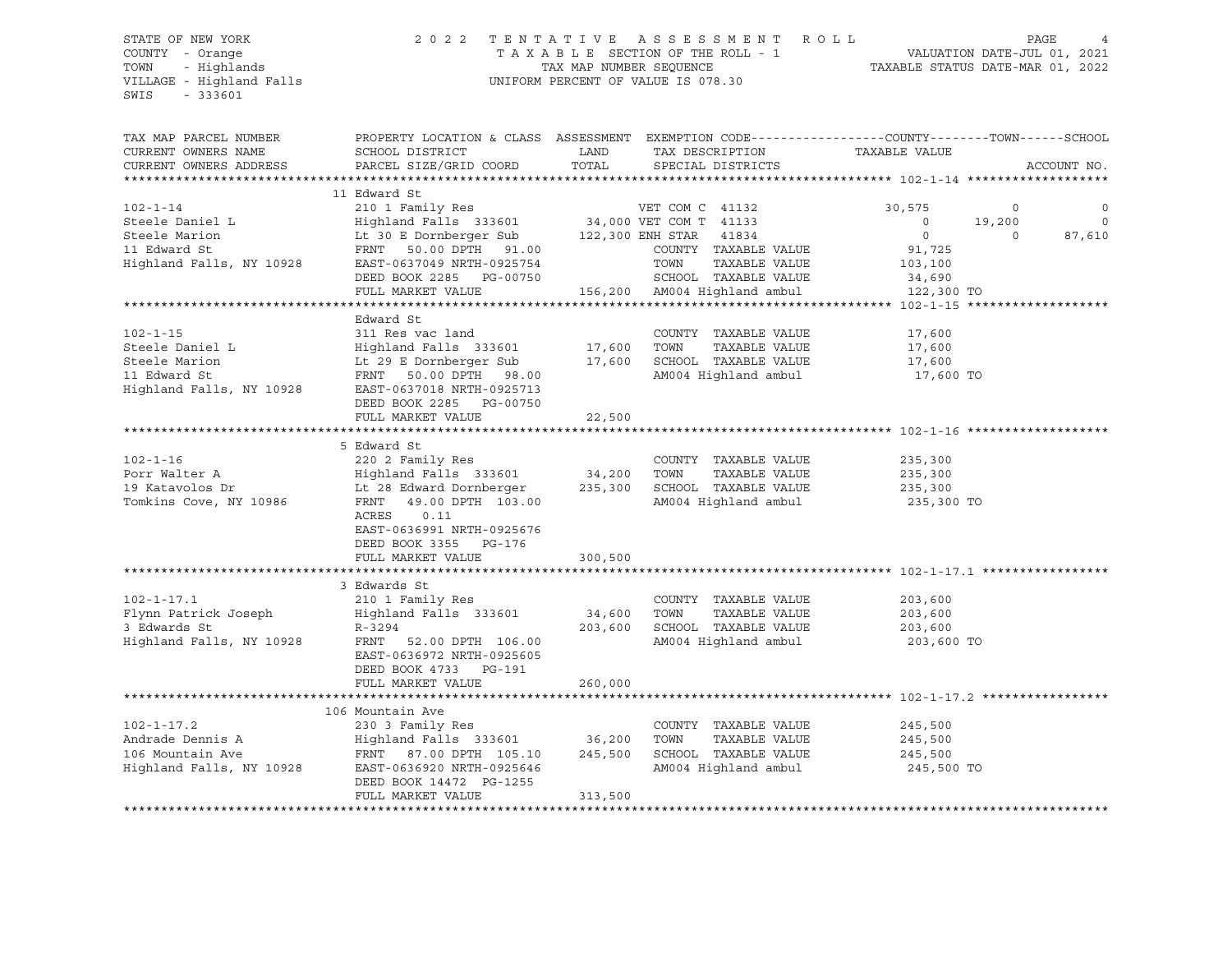VILLAGE - Highland Falls UNIFORM PERCENT OF VALUE IS 078.30 SWIS - 333601

# STATE OF NEW YORK 2 0 2 2 T E N T A T I V E A S S E S S M E N T R O L L PAGE 4 COUNTY - Orange T A X A B L E SECTION OF THE ROLL - 1 VALUATION DATE-JUL 01, 2021 TOWN - Highlands TAX MAP NUMBER SEQUENCE TAXABLE STATUS DATE-MAR 01, 2022

| TAX MAP PARCEL NUMBER<br>CURRENT OWNERS NAME<br>CURRENT OWNERS ADDRESS | PROPERTY LOCATION & CLASS ASSESSMENT EXEMPTION CODE---------------COUNTY-------TOWN------SCHOOL<br>SCHOOL DISTRICT<br>PARCEL SIZE/GRID COORD | LAND<br>TOTAL | TAX DESCRIPTION<br>SPECIAL DISTRICTS | TAXABLE VALUE  | ACCOUNT NO.            |
|------------------------------------------------------------------------|----------------------------------------------------------------------------------------------------------------------------------------------|---------------|--------------------------------------|----------------|------------------------|
|                                                                        |                                                                                                                                              |               |                                      |                |                        |
| $102 - 1 - 14$                                                         | 11 Edward St                                                                                                                                 |               |                                      | 30,575         | $\circ$<br>$\mathbf 0$ |
| Steele Daniel L                                                        |                                                                                                                                              |               |                                      | $\overline{0}$ | 19,200<br>$\circ$      |
| Steele Marion                                                          | Lt 30 E Dornberger Sub 122,300 ENH STAR 41834                                                                                                |               |                                      | $\circ$        | 87,610<br>$\mathbf 0$  |
| 11 Edward St                                                           | FRNT<br>50.00 DPTH 91.00                                                                                                                     |               | COUNTY TAXABLE VALUE                 | 91,725         |                        |
| Highland Falls, NY 10928                                               | EAST-0637049 NRTH-0925754                                                                                                                    |               | TOWN<br>TAXABLE VALUE                | 103,100        |                        |
|                                                                        | DEED BOOK 2285 PG-00750                                                                                                                      |               | SCHOOL TAXABLE VALUE                 | 34,690         |                        |
|                                                                        | FULL MARKET VALUE                                                                                                                            |               | 156,200 AM004 Highland ambul         | 122,300 TO     |                        |
|                                                                        |                                                                                                                                              |               |                                      |                |                        |
|                                                                        |                                                                                                                                              |               |                                      |                |                        |
|                                                                        | Edward St                                                                                                                                    |               |                                      |                |                        |
| $102 - 1 - 15$                                                         | 311 Res vac land                                                                                                                             |               | COUNTY TAXABLE VALUE                 | 17,600         |                        |
| Steele Daniel L                                                        | Highland Falls 333601 17,600 TOWN                                                                                                            |               | TAXABLE VALUE                        | 17,600         |                        |
| Steele Marion                                                          | Lt 29 E Dornberger Sub                                                                                                                       |               | 17,600 SCHOOL TAXABLE VALUE          | 17,600         |                        |
| 11 Edward St                                                           | FRNT 50.00 DPTH 98.00                                                                                                                        |               | AM004 Highland ambul                 | 17,600 TO      |                        |
| Highland Falls, NY 10928                                               | EAST-0637018 NRTH-0925713<br>DEED BOOK 2285 PG-00750                                                                                         |               |                                      |                |                        |
|                                                                        | FULL MARKET VALUE                                                                                                                            | 22,500        |                                      |                |                        |
|                                                                        |                                                                                                                                              |               |                                      |                |                        |
|                                                                        | 5 Edward St                                                                                                                                  |               |                                      |                |                        |
| $102 - 1 - 16$                                                         | 220 2 Family Res                                                                                                                             |               | COUNTY TAXABLE VALUE                 | 235,300        |                        |
|                                                                        |                                                                                                                                              |               | TAXABLE VALUE                        |                |                        |
| Porr Walter A                                                          | Highland Falls 333601<br>Lt 28 Edward Dornberger 235,300 SCHOOL TAXABLE VALUE                                                                | 34,200 TOWN   |                                      | 235,300        |                        |
| 19 Katavolos Dr                                                        |                                                                                                                                              |               |                                      | 235,300        |                        |
| Tomkins Cove, NY 10986                                                 | FRNT<br>49.00 DPTH 103.00<br>ACRES<br>0.11                                                                                                   |               | AM004 Highland ambul                 | 235,300 TO     |                        |
|                                                                        | EAST-0636991 NRTH-0925676                                                                                                                    |               |                                      |                |                        |
|                                                                        | DEED BOOK 3355 PG-176                                                                                                                        |               |                                      |                |                        |
|                                                                        | FULL MARKET VALUE                                                                                                                            | 300,500       |                                      |                |                        |
|                                                                        |                                                                                                                                              |               |                                      |                |                        |
|                                                                        | 3 Edwards St                                                                                                                                 |               |                                      |                |                        |
| $102 - 1 - 17.1$                                                       | 210 1 Family Res                                                                                                                             |               | COUNTY TAXABLE VALUE                 | 203,600        |                        |
| Flynn Patrick Joseph                                                   | Highland Falls 333601                                                                                                                        | 34,600        | TOWN<br>TAXABLE VALUE                | 203,600        |                        |
| 3 Edwards St                                                           | $R - 3294$                                                                                                                                   | 203,600       | SCHOOL TAXABLE VALUE                 | 203,600        |                        |
|                                                                        |                                                                                                                                              |               |                                      |                |                        |
| Highland Falls, NY 10928                                               | FRNT 52.00 DPTH 106.00                                                                                                                       |               | AM004 Highland ambul                 | 203,600 TO     |                        |
|                                                                        | EAST-0636972 NRTH-0925605                                                                                                                    |               |                                      |                |                        |
|                                                                        | DEED BOOK 4733 PG-191                                                                                                                        |               |                                      |                |                        |
|                                                                        | FULL MARKET VALUE                                                                                                                            | 260,000       |                                      |                |                        |
|                                                                        |                                                                                                                                              |               |                                      |                |                        |
|                                                                        | 106 Mountain Ave                                                                                                                             |               |                                      |                |                        |
| $102 - 1 - 17.2$                                                       | 230 3 Family Res                                                                                                                             |               | COUNTY TAXABLE VALUE                 | 245,500        |                        |
| Andrade Dennis A                                                       | Highland Falls 333601                                                                                                                        | 36,200        | TAXABLE VALUE<br>TOWN                | 245,500        |                        |
| 106 Mountain Ave                                                       | FRNT 87.00 DPTH 105.10                                                                                                                       | 245,500       | SCHOOL TAXABLE VALUE                 | 245,500        |                        |
|                                                                        |                                                                                                                                              |               |                                      |                |                        |
| Highland Falls, NY 10928                                               | EAST-0636920 NRTH-0925646                                                                                                                    |               | AM004 Highland ambul                 | 245,500 TO     |                        |
|                                                                        | DEED BOOK 14472 PG-1255                                                                                                                      |               |                                      |                |                        |
|                                                                        | FULL MARKET VALUE                                                                                                                            | 313,500       |                                      |                |                        |
|                                                                        |                                                                                                                                              |               |                                      |                |                        |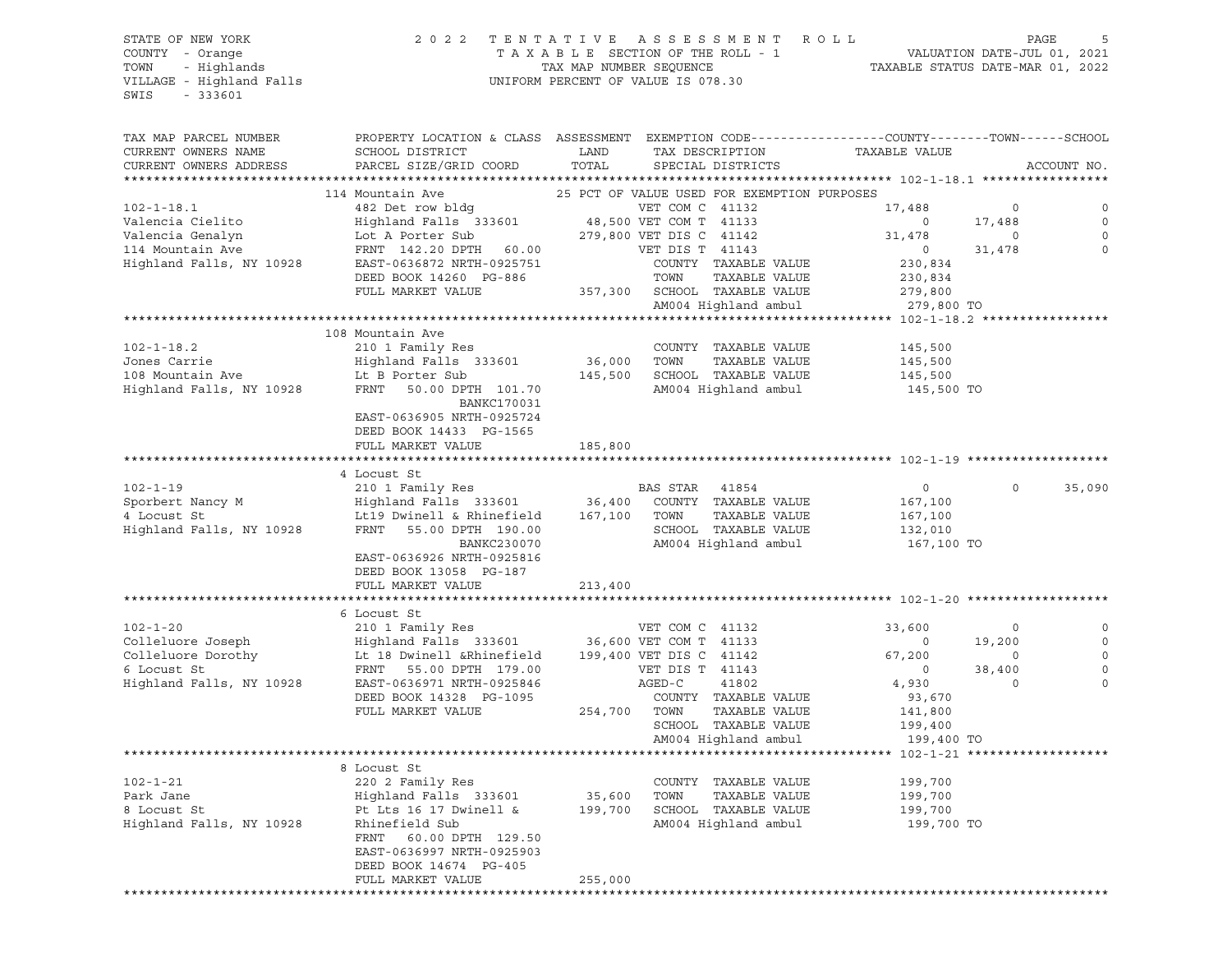STATE OF NEW YORK 2 0 2 2 T E N T A T I V E A S S E S S M E N T R O L L PAGE 5 COUNTY - Orange T A X A B L E SECTION OF THE ROLL - 1 VALUATION DATE-JUL 01, 2021 TOWN - Highlands TAX MAP NUMBER SEQUENCE TAXABLE STATUS DATE-MAR 01, 2022 VILLAGE - Highland Falls UNIFORM PERCENT OF VALUE IS 078.30 SWIS - 333601 TAX MAP PARCEL NUMBER PROPERTY LOCATION & CLASS ASSESSMENT EXEMPTION CODE------------------COUNTY--------TOWN------SCHOOL CURRENT OWNERS NAME SCHOOL DISTRICT LAND TAX DESCRIPTION TAXABLE VALUE CURRENT OWNERS ADDRESS PARCEL SIZE/GRID COORD TOTAL SPECIAL DISTRICTS ACCOUNT NO. \*\*\*\*\*\*\*\*\*\*\*\*\*\*\*\*\*\*\*\*\*\*\*\*\*\*\*\*\*\*\*\*\*\*\*\*\*\*\*\*\*\*\*\*\*\*\*\*\*\*\*\*\*\*\*\*\*\*\*\*\*\*\*\*\*\*\*\*\*\*\*\*\*\*\*\*\*\*\*\*\*\*\*\*\*\*\*\*\*\*\*\*\*\*\*\*\*\*\*\*\*\*\* 102-1-18.1 \*\*\*\*\*\*\*\*\*\*\*\*\*\*\*\*\* 114 Mountain Ave 25 PCT OF VALUE USED FOR EXEMPTION PURPOSES 102-1-18.1 482 Det row bldg VET COM C 41132 17,488 0 0 Valencia Cielito Highland Falls 333601 48,500 VET COM T 41133 0 17,488 0 Valencia Genalyn Lot A Porter Sub 279,800 VET DIS C 41142 31,478 0 0 114 Mountain Ave FRNT 142.20 DPTH 60.00 VET DIS T 41143 0 31,478 0 Highland Falls, NY 10928 EAST-0636872 NRTH-0925751 COUNTY TAXABLE VALUE 230,834 DEED BOOK 14260 PG-886 TOWN TAXABLE VALUE 230,834 FULL MARKET VALUE 357,300 SCHOOL TAXABLE VALUE 279,800 AM004 Highland ambul 279,800 TO \*\*\*\*\*\*\*\*\*\*\*\*\*\*\*\*\*\*\*\*\*\*\*\*\*\*\*\*\*\*\*\*\*\*\*\*\*\*\*\*\*\*\*\*\*\*\*\*\*\*\*\*\*\*\*\*\*\*\*\*\*\*\*\*\*\*\*\*\*\*\*\*\*\*\*\*\*\*\*\*\*\*\*\*\*\*\*\*\*\*\*\*\*\*\*\*\*\*\*\*\*\*\* 102-1-18.2 \*\*\*\*\*\*\*\*\*\*\*\*\*\*\*\*\* 108 Mountain Ave 102-1-18.2 210 1 Family Res COUNTY TAXABLE VALUE 145,500 Jones Carrie Highland Falls 333601 36,000 TOWN TAXABLE VALUE 145,500 108 Mountain Ave Lt B Porter Sub 145,500 SCHOOL TAXABLE VALUE 145,500 Highland Falls, NY 10928 FRNT 50.00 DPTH 101.70 AM004 Highland ambul 145,500 TO BANKC170031 EAST-0636905 NRTH-0925724 DEED BOOK 14433 PG-1565 FULL MARKET VALUE 185,800 \*\*\*\*\*\*\*\*\*\*\*\*\*\*\*\*\*\*\*\*\*\*\*\*\*\*\*\*\*\*\*\*\*\*\*\*\*\*\*\*\*\*\*\*\*\*\*\*\*\*\*\*\*\*\*\*\*\*\*\*\*\*\*\*\*\*\*\*\*\*\*\*\*\*\*\*\*\*\*\*\*\*\*\*\*\*\*\*\*\*\*\*\*\*\*\*\*\*\*\*\*\*\* 102-1-19 \*\*\*\*\*\*\*\*\*\*\*\*\*\*\*\*\*\*\* 4 Locust St 102-1-19 210 1 Family Res BAS STAR 41854 0 0 35,090 Sporbert Nancy M Highland Falls 333601 36,400 COUNTY TAXABLE VALUE 167,100 4 Locust St Letter Communication and Communication of Communication and Letter St Letter St Letter St Letter St<br>167,100 TOWN TAXABLE VALUE 167,100 Highland Falls, NY 10928 FRNT 55.00 DPTH 190.00 SCHOOL TAXABLE VALUE 132,010 BANKC230070 AM004 Highland ambul 167,100 TO EAST-0636926 NRTH-0925816 DEED BOOK 13058 PG-187 FULL MARKET VALUE 213,400 \*\*\*\*\*\*\*\*\*\*\*\*\*\*\*\*\*\*\*\*\*\*\*\*\*\*\*\*\*\*\*\*\*\*\*\*\*\*\*\*\*\*\*\*\*\*\*\*\*\*\*\*\*\*\*\*\*\*\*\*\*\*\*\*\*\*\*\*\*\*\*\*\*\*\*\*\*\*\*\*\*\*\*\*\*\*\*\*\*\*\*\*\*\*\*\*\*\*\*\*\*\*\* 102-1-20 \*\*\*\*\*\*\*\*\*\*\*\*\*\*\*\*\*\*\* 6 Locust St<br>210 1 Family Res 102-1-20 210 1 Family Res VET COM C 41132 33,600 0 0 Colleluore Joseph Highland Falls 333601 36,600 VET COM T 41133 0 19,200 0 Colleluore Dorothy **Let 18 Dwinell &Rhinefield** 199,400 VET DIS C 41142 67,200 0 0 0 6 Locust St FRNT 55.00 DPTH 179.00 VET DIS T 41143 0 38,400 0 Highland Falls, NY 10928 EAST-0636971 NRTH-0925846 AGED-C 41802 4,930 0 0 DEED BOOK 14328 PG-1095 COUNTY TAXABLE VALUE 93,670 FULL MARKET VALUE 254,700 TOWN TAXABLE VALUE 141,800 SCHOOL TAXABLE VALUE 199,400 AM004 Highland ambul 199,400 TO \*\*\*\*\*\*\*\*\*\*\*\*\*\*\*\*\*\*\*\*\*\*\*\*\*\*\*\*\*\*\*\*\*\*\*\*\*\*\*\*\*\*\*\*\*\*\*\*\*\*\*\*\*\*\*\*\*\*\*\*\*\*\*\*\*\*\*\*\*\*\*\*\*\*\*\*\*\*\*\*\*\*\*\*\*\*\*\*\*\*\*\*\*\*\*\*\*\*\*\*\*\*\* 102-1-21 \*\*\*\*\*\*\*\*\*\*\*\*\*\*\*\*\*\*\* 8 Locust St<br>220 2 Family Res 102-1-21 220 2 Family Res COUNTY TAXABLE VALUE 199,700 Park Jane Highland Falls 333601 35,600 TOWN TAXABLE VALUE 199,700 8 Locust St Pt Lts 16 17 Dwinell & 199,700 SCHOOL TAXABLE VALUE 199,700 Highland Falls, NY 10928 Rhinefield Sub AM004 Highland ambul 199,700 TO FRNT 60.00 DPTH 129.50 EAST-0636997 NRTH-0925903 DEED BOOK 14674 PG-405 FULL MARKET VALUE 255,000 \*\*\*\*\*\*\*\*\*\*\*\*\*\*\*\*\*\*\*\*\*\*\*\*\*\*\*\*\*\*\*\*\*\*\*\*\*\*\*\*\*\*\*\*\*\*\*\*\*\*\*\*\*\*\*\*\*\*\*\*\*\*\*\*\*\*\*\*\*\*\*\*\*\*\*\*\*\*\*\*\*\*\*\*\*\*\*\*\*\*\*\*\*\*\*\*\*\*\*\*\*\*\*\*\*\*\*\*\*\*\*\*\*\*\*\*\*\*\*\*\*\*\*\*\*\*\*\*\*\*\*\*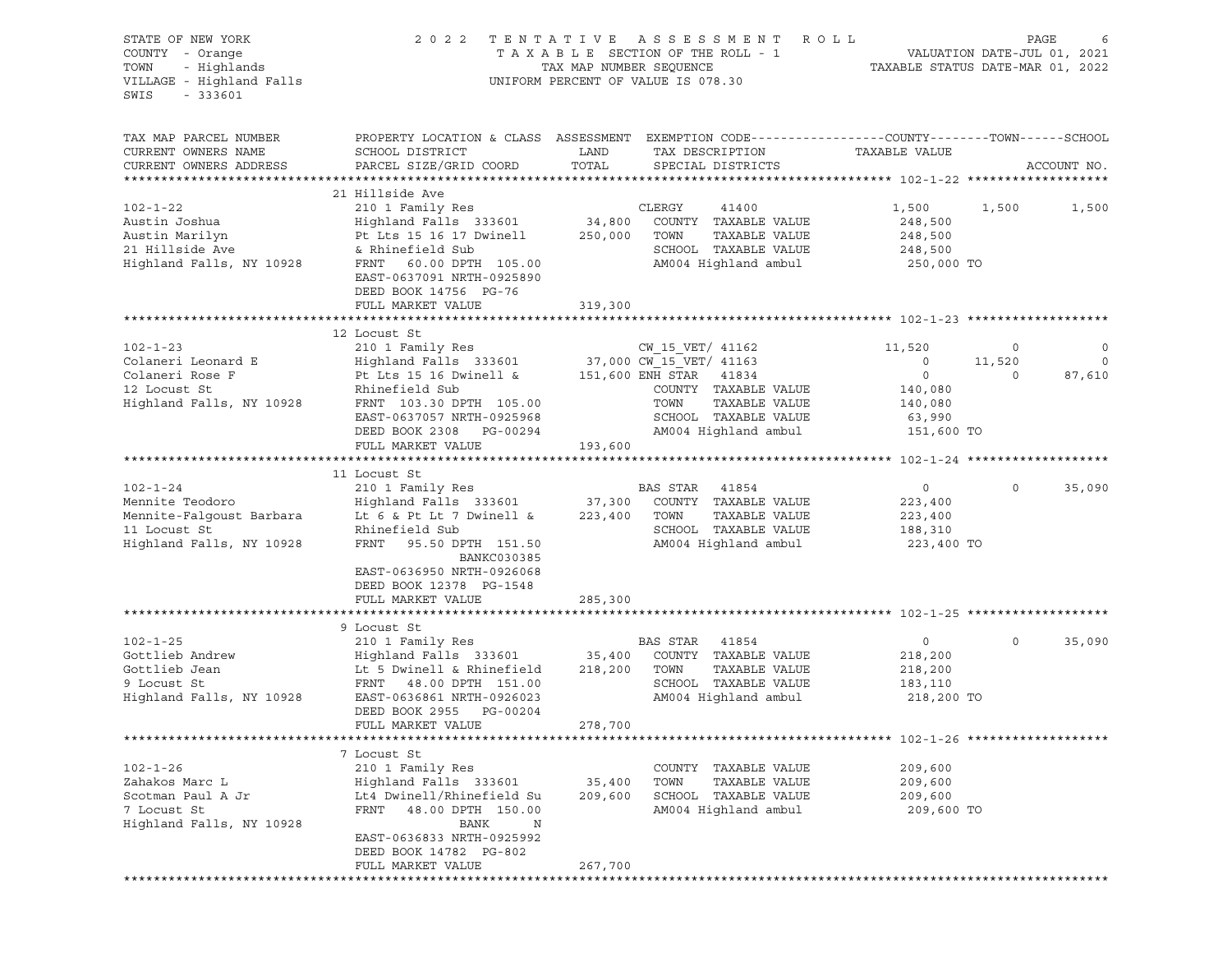| STATE OF NEW YORK<br>COUNTY - Orange<br>TOWN - Highlands<br>VILLAGE - Highland Falls<br>$-333601$<br>SWIS |                                                                                                                                                                                                                                                                                                                   |                   | FENTATIVE ASSESSMENT ROLL PAGE 65 PAGE 67 AXABLE SECTION OF THE ROLL - 1 VALUATION DATE-JUL 01, 2021<br>2022 TENTATIVE ASSESSMENT ROLL<br>UNIFORM PERCENT OF VALUE IS 078.30 |                                                                                          |                               |                                  |
|-----------------------------------------------------------------------------------------------------------|-------------------------------------------------------------------------------------------------------------------------------------------------------------------------------------------------------------------------------------------------------------------------------------------------------------------|-------------------|------------------------------------------------------------------------------------------------------------------------------------------------------------------------------|------------------------------------------------------------------------------------------|-------------------------------|----------------------------------|
| TAX MAP PARCEL NUMBER<br>CURRENT OWNERS NAME<br>CURRENT OWNERS ADDRESS                                    | PROPERTY LOCATION & CLASS ASSESSMENT EXEMPTION CODE----------------COUNTY-------TOWN------SCHOOL<br>SCHOOL DISTRICT<br>PARCEL SIZE/GRID COORD                                                                                                                                                                     | LAND<br>TOTAL     | TAX DESCRIPTION<br>SPECIAL DISTRICTS                                                                                                                                         | TAXABLE VALUE                                                                            |                               | ACCOUNT NO.                      |
|                                                                                                           |                                                                                                                                                                                                                                                                                                                   |                   |                                                                                                                                                                              |                                                                                          |                               |                                  |
| $102 - 1 - 22$<br>Austin Joshua<br>Austin Marilyn                                                         | 21 Hillside Ave<br>EAST-0637091 NRTH-0925890<br>DEED BOOK 14756 PG-76                                                                                                                                                                                                                                             |                   | TAXABLE VALUE<br>SCHOOL TAXABLE VALUE<br>AM004 Highland ambul                                                                                                                | 1,500 1,500<br>248,500<br>248,500<br>248,500<br>250,000 TO                               |                               | 1,500                            |
|                                                                                                           | FULL MARKET VALUE                                                                                                                                                                                                                                                                                                 | 319,300           |                                                                                                                                                                              |                                                                                          |                               |                                  |
|                                                                                                           |                                                                                                                                                                                                                                                                                                                   |                   |                                                                                                                                                                              |                                                                                          |                               |                                  |
|                                                                                                           | EAST-0637057 NRTH-0925968<br>DEED BOOK 2308 PG-00294                                                                                                                                                                                                                                                              |                   | COUNTY TAXABLE VALUE<br>SCHOOL TAXABLE VALUE                                                                                                                                 | 11,520<br>$\overline{0}$<br>$\overline{0}$<br>140,080<br>140,080<br>63,990<br>151,600 TO | $\circ$<br>11,520<br>$\sim$ 0 | $\circ$<br>$\mathbf 0$<br>87,610 |
|                                                                                                           |                                                                                                                                                                                                                                                                                                                   |                   | AM004 Highland ambul                                                                                                                                                         |                                                                                          |                               |                                  |
|                                                                                                           | FULL MARKET VALUE                                                                                                                                                                                                                                                                                                 | 193,600           |                                                                                                                                                                              |                                                                                          |                               |                                  |
|                                                                                                           | 11 Locust St                                                                                                                                                                                                                                                                                                      |                   |                                                                                                                                                                              |                                                                                          |                               |                                  |
| $102 - 1 - 24$                                                                                            | 210 1 Family Res BAS STAR 41854<br>Mennite Teodoro Mente Ealgoust Barbara (1994)<br>Mennite-Falgoust Barbara (1992) Lt 6 & Pt Lt 7 Dwinell & 223,400 TOWN TAXABLE VALUE<br>11 Locust St (19928 FRNT 95.50 DPTH 151.50 MM004 Highland ambul<br>BANKC030385<br>EAST-0636950 NRTH-0926068<br>DEED BOOK 12378 PG-1548 |                   |                                                                                                                                                                              | $\overline{0}$<br>223,400<br>223,400<br>188,310<br>223,400 TO                            | $\Omega$                      | 35,090                           |
|                                                                                                           | FULL MARKET VALUE                                                                                                                                                                                                                                                                                                 | 285,300           |                                                                                                                                                                              |                                                                                          |                               |                                  |
|                                                                                                           |                                                                                                                                                                                                                                                                                                                   |                   |                                                                                                                                                                              |                                                                                          |                               |                                  |
| $102 - 1 - 25$<br>Gottlieb Andrew<br>Gottlieb Jean<br>9 Locust St<br>Highland Falls, NY 10928             | 9 Locust St<br>210 1 Family Res BAS STAR 41854<br>Highland Falls 333601 35,400 COUNTY TAXABLE VALUE<br>Lt 5 Dwinell & Rhinefield 218,200 TOWN TAXABLE VALUE<br>FRNT 48.00 DPTH 151.00 SCHOOL TAXABLE VALUE<br>EAST-0636861 NRTH-0926023<br>DEED BOOK 2955 PG-00204<br>FULL MARKET VALUE                           | 278,700           | AM004 Highland ambul 218,200 TO                                                                                                                                              | $\overline{0}$<br>218,200<br>218,200<br>183,110                                          | $\circ$                       | 35,090                           |
|                                                                                                           |                                                                                                                                                                                                                                                                                                                   |                   |                                                                                                                                                                              |                                                                                          |                               |                                  |
| $102 - 1 - 26$<br>Zahakos Marc L<br>Scotman Paul A Jr<br>7 Locust St<br>Highland Falls, NY 10928          | 7 Locust St<br>210 1 Family Res<br>Highland Falls 333601<br>Lt4 Dwinell/Rhinefield Su<br>FRNT 48.00 DPTH 150.00<br>BANK<br>N<br>EAST-0636833 NRTH-0925992<br>DEED BOOK 14782 PG-802                                                                                                                               | 35,400<br>209,600 | COUNTY TAXABLE VALUE<br>TOWN<br>TAXABLE VALUE<br>SCHOOL TAXABLE VALUE<br>AM004 Highland ambul                                                                                | 209,600<br>209,600<br>209,600<br>209,600 TO                                              |                               |                                  |
|                                                                                                           | FULL MARKET VALUE                                                                                                                                                                                                                                                                                                 | 267,700           |                                                                                                                                                                              |                                                                                          |                               |                                  |
|                                                                                                           |                                                                                                                                                                                                                                                                                                                   |                   |                                                                                                                                                                              |                                                                                          |                               |                                  |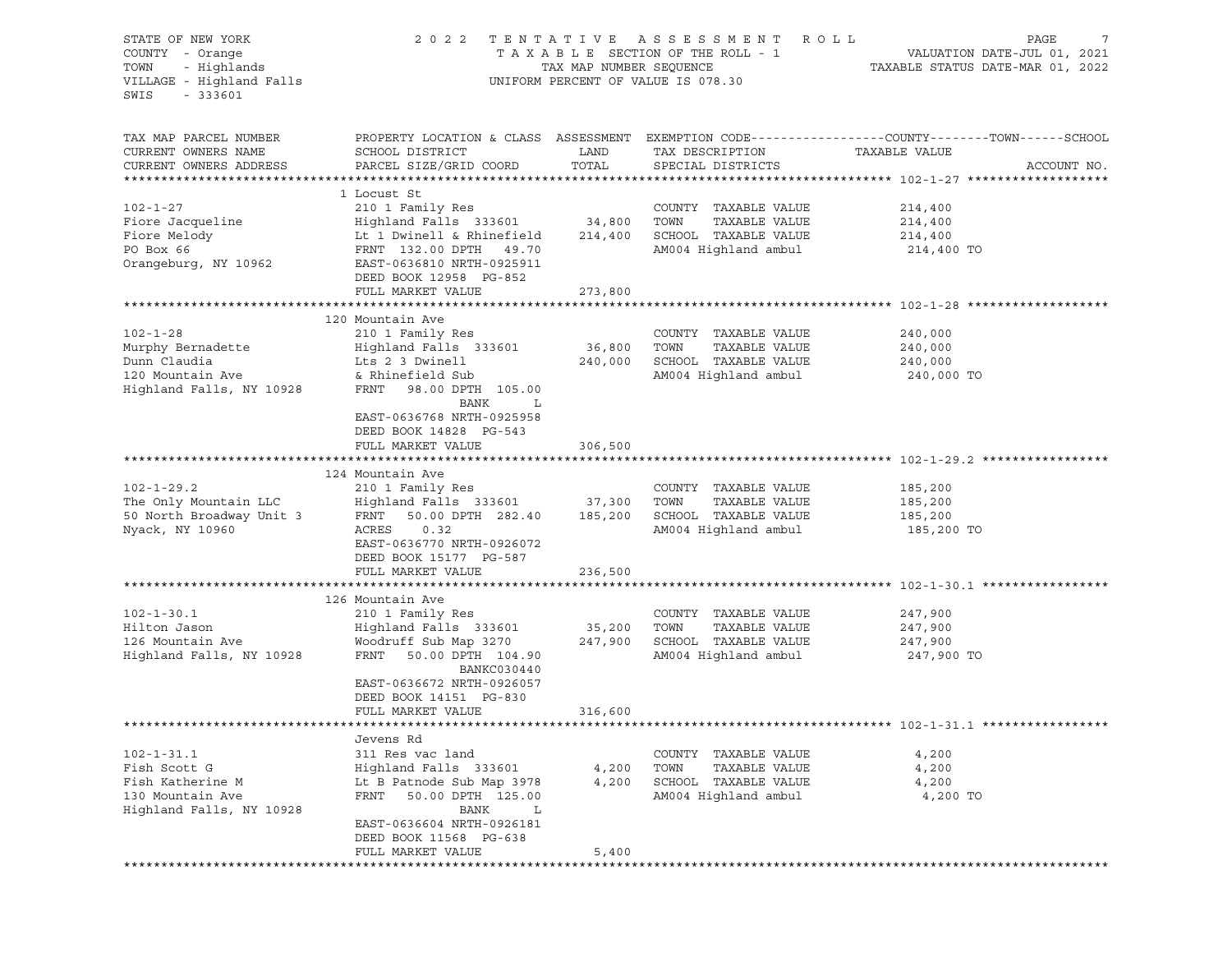| PROPERTY LOCATION & CLASS ASSESSMENT EXEMPTION CODE----------------COUNTY-------TOWN------SCHOOL<br>TAX MAP PARCEL NUMBER<br>CURRENT OWNERS NAME<br>SCHOOL DISTRICT<br>LAND<br>TAXABLE VALUE<br>TAX DESCRIPTION<br>TOTAL<br>CURRENT OWNERS ADDRESS<br>PARCEL SIZE/GRID COORD<br>SPECIAL DISTRICTS<br>ACCOUNT NO.<br>1 Locust St<br>$102 - 1 - 27$<br>210 1 Family Res<br>COUNTY TAXABLE VALUE<br>214,400<br>Highland Falls 333601 34,800<br>Fiore Jacqueline<br>TOWN<br>TAXABLE VALUE<br>214,400<br>SCHOOL TAXABLE VALUE<br>Fiore Melody<br>Lt 1 Dwinell & Rhinefield<br>214,400<br>214,400<br>PO Box 66<br>FRNT 132.00 DPTH 49.70<br>AM004 Highland ambul<br>214,400 TO<br>Orangeburg, NY 10962<br>EAST-0636810 NRTH-0925911<br>DEED BOOK 12958 PG-852<br>FULL MARKET VALUE<br>273,800<br>120 Mountain Ave<br>$102 - 1 - 28$<br>210 1 Family Res<br>COUNTY TAXABLE VALUE<br>240,000<br>Murphy Bernadette<br>Highland Falls 333601<br>36,800<br>TOWN<br>TAXABLE VALUE<br>240,000<br>Dunn Claudia<br>SCHOOL TAXABLE VALUE<br>Lts 2 3 Dwinell<br>240,000<br>240,000<br>120 Mountain Ave<br>& Rhinefield Sub<br>AM004 Highland ambul<br>240,000 TO<br>Highland Falls, NY 10928<br>FRNT<br>98.00 DPTH 105.00<br>BANK<br>L<br>EAST-0636768 NRTH-0925958<br>DEED BOOK 14828 PG-543<br>FULL MARKET VALUE<br>306,500<br>124 Mountain Ave<br>$102 - 1 - 29.2$<br>COUNTY TAXABLE VALUE<br>210 1 Family Res<br>185,200<br>The Only Mountain LLC<br>Highland Falls 333601 37,300<br>TOWN<br>TAXABLE VALUE<br>185,200<br>50.00 DPTH 282.40<br>SCHOOL TAXABLE VALUE<br>50 North Broadway Unit 3<br>185,200<br>FRNT<br>185,200<br>Nyack, NY 10960<br>0.32<br>AM004 Highland ambul<br>ACRES<br>185,200 TO<br>EAST-0636770 NRTH-0926072<br>DEED BOOK 15177 PG-587<br>236,500<br>FULL MARKET VALUE<br>126 Mountain Ave<br>$102 - 1 - 30.1$<br>210 1 Family Res<br>COUNTY TAXABLE VALUE<br>247,900<br>Highland Falls 333601<br>35,200<br>TOWN<br>TAXABLE VALUE<br>Hilton Jason<br>247,900<br>Woodruff Sub Map 3270<br>247,900<br>SCHOOL TAXABLE VALUE<br>126 Mountain Ave<br>247,900<br>FRNT 50.00 DPTH 104.90<br>AM004 Highland ambul<br>Highland Falls, NY 10928<br>247,900 TO<br>BANKC030440<br>EAST-0636672 NRTH-0926057<br>DEED BOOK 14151 PG-830<br>FULL MARKET VALUE<br>316,600<br>Jevens Rd<br>$102 - 1 - 31.1$<br>311 Res vac land<br>TAXABLE VALUE<br>4,200<br>COUNTY<br>Fish Scott G<br>Highland Falls 333601<br>TAXABLE VALUE<br>4,200<br>4,200<br>TOWN<br>Fish Katherine M<br>Lt B Patnode Sub Map 3978<br>SCHOOL<br>4,200<br>TAXABLE VALUE<br>4,200<br>130 Mountain Ave<br>50.00 DPTH 125.00<br>AM004 Highland ambul<br>FRNT<br>4,200 TO<br>Highland Falls, NY 10928<br><b>BANK</b><br>L<br>EAST-0636604 NRTH-0926181<br>DEED BOOK 11568 PG-638<br>FULL MARKET VALUE<br>5,400 | STATE OF NEW YORK<br>COUNTY - Orange<br>- Highlands<br>TOWN<br>VILLAGE - Highland Falls<br>SWIS<br>$-333601$ | 2 0 2 2 | TAX MAP NUMBER SEQUENCE | TENTATIVE ASSESSMENT<br>R O L L<br>TAXABLE SECTION OF THE ROLL - 1<br>UNIFORM PERCENT OF VALUE IS 078.30 | PAGE<br>VALUATION DATE-JUL 01, 2021<br>TAXABLE STATUS DATE-MAR 01, 2022 |
|--------------------------------------------------------------------------------------------------------------------------------------------------------------------------------------------------------------------------------------------------------------------------------------------------------------------------------------------------------------------------------------------------------------------------------------------------------------------------------------------------------------------------------------------------------------------------------------------------------------------------------------------------------------------------------------------------------------------------------------------------------------------------------------------------------------------------------------------------------------------------------------------------------------------------------------------------------------------------------------------------------------------------------------------------------------------------------------------------------------------------------------------------------------------------------------------------------------------------------------------------------------------------------------------------------------------------------------------------------------------------------------------------------------------------------------------------------------------------------------------------------------------------------------------------------------------------------------------------------------------------------------------------------------------------------------------------------------------------------------------------------------------------------------------------------------------------------------------------------------------------------------------------------------------------------------------------------------------------------------------------------------------------------------------------------------------------------------------------------------------------------------------------------------------------------------------------------------------------------------------------------------------------------------------------------------------------------------------------------------------------------------------------------------------------------------------------------------------------------------------------------------------------------------------------------------------------------------------------------------------------------------------------------------------------------------------------------------------------------------------------------------------------|--------------------------------------------------------------------------------------------------------------|---------|-------------------------|----------------------------------------------------------------------------------------------------------|-------------------------------------------------------------------------|
|                                                                                                                                                                                                                                                                                                                                                                                                                                                                                                                                                                                                                                                                                                                                                                                                                                                                                                                                                                                                                                                                                                                                                                                                                                                                                                                                                                                                                                                                                                                                                                                                                                                                                                                                                                                                                                                                                                                                                                                                                                                                                                                                                                                                                                                                                                                                                                                                                                                                                                                                                                                                                                                                                                                                                                          |                                                                                                              |         |                         |                                                                                                          |                                                                         |
|                                                                                                                                                                                                                                                                                                                                                                                                                                                                                                                                                                                                                                                                                                                                                                                                                                                                                                                                                                                                                                                                                                                                                                                                                                                                                                                                                                                                                                                                                                                                                                                                                                                                                                                                                                                                                                                                                                                                                                                                                                                                                                                                                                                                                                                                                                                                                                                                                                                                                                                                                                                                                                                                                                                                                                          |                                                                                                              |         |                         |                                                                                                          |                                                                         |
|                                                                                                                                                                                                                                                                                                                                                                                                                                                                                                                                                                                                                                                                                                                                                                                                                                                                                                                                                                                                                                                                                                                                                                                                                                                                                                                                                                                                                                                                                                                                                                                                                                                                                                                                                                                                                                                                                                                                                                                                                                                                                                                                                                                                                                                                                                                                                                                                                                                                                                                                                                                                                                                                                                                                                                          |                                                                                                              |         |                         |                                                                                                          |                                                                         |
|                                                                                                                                                                                                                                                                                                                                                                                                                                                                                                                                                                                                                                                                                                                                                                                                                                                                                                                                                                                                                                                                                                                                                                                                                                                                                                                                                                                                                                                                                                                                                                                                                                                                                                                                                                                                                                                                                                                                                                                                                                                                                                                                                                                                                                                                                                                                                                                                                                                                                                                                                                                                                                                                                                                                                                          |                                                                                                              |         |                         |                                                                                                          |                                                                         |
|                                                                                                                                                                                                                                                                                                                                                                                                                                                                                                                                                                                                                                                                                                                                                                                                                                                                                                                                                                                                                                                                                                                                                                                                                                                                                                                                                                                                                                                                                                                                                                                                                                                                                                                                                                                                                                                                                                                                                                                                                                                                                                                                                                                                                                                                                                                                                                                                                                                                                                                                                                                                                                                                                                                                                                          |                                                                                                              |         |                         |                                                                                                          |                                                                         |
|                                                                                                                                                                                                                                                                                                                                                                                                                                                                                                                                                                                                                                                                                                                                                                                                                                                                                                                                                                                                                                                                                                                                                                                                                                                                                                                                                                                                                                                                                                                                                                                                                                                                                                                                                                                                                                                                                                                                                                                                                                                                                                                                                                                                                                                                                                                                                                                                                                                                                                                                                                                                                                                                                                                                                                          |                                                                                                              |         |                         |                                                                                                          |                                                                         |
|                                                                                                                                                                                                                                                                                                                                                                                                                                                                                                                                                                                                                                                                                                                                                                                                                                                                                                                                                                                                                                                                                                                                                                                                                                                                                                                                                                                                                                                                                                                                                                                                                                                                                                                                                                                                                                                                                                                                                                                                                                                                                                                                                                                                                                                                                                                                                                                                                                                                                                                                                                                                                                                                                                                                                                          |                                                                                                              |         |                         |                                                                                                          |                                                                         |
|                                                                                                                                                                                                                                                                                                                                                                                                                                                                                                                                                                                                                                                                                                                                                                                                                                                                                                                                                                                                                                                                                                                                                                                                                                                                                                                                                                                                                                                                                                                                                                                                                                                                                                                                                                                                                                                                                                                                                                                                                                                                                                                                                                                                                                                                                                                                                                                                                                                                                                                                                                                                                                                                                                                                                                          |                                                                                                              |         |                         |                                                                                                          |                                                                         |
|                                                                                                                                                                                                                                                                                                                                                                                                                                                                                                                                                                                                                                                                                                                                                                                                                                                                                                                                                                                                                                                                                                                                                                                                                                                                                                                                                                                                                                                                                                                                                                                                                                                                                                                                                                                                                                                                                                                                                                                                                                                                                                                                                                                                                                                                                                                                                                                                                                                                                                                                                                                                                                                                                                                                                                          |                                                                                                              |         |                         |                                                                                                          |                                                                         |
|                                                                                                                                                                                                                                                                                                                                                                                                                                                                                                                                                                                                                                                                                                                                                                                                                                                                                                                                                                                                                                                                                                                                                                                                                                                                                                                                                                                                                                                                                                                                                                                                                                                                                                                                                                                                                                                                                                                                                                                                                                                                                                                                                                                                                                                                                                                                                                                                                                                                                                                                                                                                                                                                                                                                                                          |                                                                                                              |         |                         |                                                                                                          |                                                                         |
|                                                                                                                                                                                                                                                                                                                                                                                                                                                                                                                                                                                                                                                                                                                                                                                                                                                                                                                                                                                                                                                                                                                                                                                                                                                                                                                                                                                                                                                                                                                                                                                                                                                                                                                                                                                                                                                                                                                                                                                                                                                                                                                                                                                                                                                                                                                                                                                                                                                                                                                                                                                                                                                                                                                                                                          |                                                                                                              |         |                         |                                                                                                          |                                                                         |
|                                                                                                                                                                                                                                                                                                                                                                                                                                                                                                                                                                                                                                                                                                                                                                                                                                                                                                                                                                                                                                                                                                                                                                                                                                                                                                                                                                                                                                                                                                                                                                                                                                                                                                                                                                                                                                                                                                                                                                                                                                                                                                                                                                                                                                                                                                                                                                                                                                                                                                                                                                                                                                                                                                                                                                          |                                                                                                              |         |                         |                                                                                                          |                                                                         |
|                                                                                                                                                                                                                                                                                                                                                                                                                                                                                                                                                                                                                                                                                                                                                                                                                                                                                                                                                                                                                                                                                                                                                                                                                                                                                                                                                                                                                                                                                                                                                                                                                                                                                                                                                                                                                                                                                                                                                                                                                                                                                                                                                                                                                                                                                                                                                                                                                                                                                                                                                                                                                                                                                                                                                                          |                                                                                                              |         |                         |                                                                                                          |                                                                         |
|                                                                                                                                                                                                                                                                                                                                                                                                                                                                                                                                                                                                                                                                                                                                                                                                                                                                                                                                                                                                                                                                                                                                                                                                                                                                                                                                                                                                                                                                                                                                                                                                                                                                                                                                                                                                                                                                                                                                                                                                                                                                                                                                                                                                                                                                                                                                                                                                                                                                                                                                                                                                                                                                                                                                                                          |                                                                                                              |         |                         |                                                                                                          |                                                                         |
|                                                                                                                                                                                                                                                                                                                                                                                                                                                                                                                                                                                                                                                                                                                                                                                                                                                                                                                                                                                                                                                                                                                                                                                                                                                                                                                                                                                                                                                                                                                                                                                                                                                                                                                                                                                                                                                                                                                                                                                                                                                                                                                                                                                                                                                                                                                                                                                                                                                                                                                                                                                                                                                                                                                                                                          |                                                                                                              |         |                         |                                                                                                          |                                                                         |
|                                                                                                                                                                                                                                                                                                                                                                                                                                                                                                                                                                                                                                                                                                                                                                                                                                                                                                                                                                                                                                                                                                                                                                                                                                                                                                                                                                                                                                                                                                                                                                                                                                                                                                                                                                                                                                                                                                                                                                                                                                                                                                                                                                                                                                                                                                                                                                                                                                                                                                                                                                                                                                                                                                                                                                          |                                                                                                              |         |                         |                                                                                                          |                                                                         |
|                                                                                                                                                                                                                                                                                                                                                                                                                                                                                                                                                                                                                                                                                                                                                                                                                                                                                                                                                                                                                                                                                                                                                                                                                                                                                                                                                                                                                                                                                                                                                                                                                                                                                                                                                                                                                                                                                                                                                                                                                                                                                                                                                                                                                                                                                                                                                                                                                                                                                                                                                                                                                                                                                                                                                                          |                                                                                                              |         |                         |                                                                                                          |                                                                         |
|                                                                                                                                                                                                                                                                                                                                                                                                                                                                                                                                                                                                                                                                                                                                                                                                                                                                                                                                                                                                                                                                                                                                                                                                                                                                                                                                                                                                                                                                                                                                                                                                                                                                                                                                                                                                                                                                                                                                                                                                                                                                                                                                                                                                                                                                                                                                                                                                                                                                                                                                                                                                                                                                                                                                                                          |                                                                                                              |         |                         |                                                                                                          |                                                                         |
|                                                                                                                                                                                                                                                                                                                                                                                                                                                                                                                                                                                                                                                                                                                                                                                                                                                                                                                                                                                                                                                                                                                                                                                                                                                                                                                                                                                                                                                                                                                                                                                                                                                                                                                                                                                                                                                                                                                                                                                                                                                                                                                                                                                                                                                                                                                                                                                                                                                                                                                                                                                                                                                                                                                                                                          |                                                                                                              |         |                         |                                                                                                          |                                                                         |
|                                                                                                                                                                                                                                                                                                                                                                                                                                                                                                                                                                                                                                                                                                                                                                                                                                                                                                                                                                                                                                                                                                                                                                                                                                                                                                                                                                                                                                                                                                                                                                                                                                                                                                                                                                                                                                                                                                                                                                                                                                                                                                                                                                                                                                                                                                                                                                                                                                                                                                                                                                                                                                                                                                                                                                          |                                                                                                              |         |                         |                                                                                                          |                                                                         |
|                                                                                                                                                                                                                                                                                                                                                                                                                                                                                                                                                                                                                                                                                                                                                                                                                                                                                                                                                                                                                                                                                                                                                                                                                                                                                                                                                                                                                                                                                                                                                                                                                                                                                                                                                                                                                                                                                                                                                                                                                                                                                                                                                                                                                                                                                                                                                                                                                                                                                                                                                                                                                                                                                                                                                                          |                                                                                                              |         |                         |                                                                                                          |                                                                         |
|                                                                                                                                                                                                                                                                                                                                                                                                                                                                                                                                                                                                                                                                                                                                                                                                                                                                                                                                                                                                                                                                                                                                                                                                                                                                                                                                                                                                                                                                                                                                                                                                                                                                                                                                                                                                                                                                                                                                                                                                                                                                                                                                                                                                                                                                                                                                                                                                                                                                                                                                                                                                                                                                                                                                                                          |                                                                                                              |         |                         |                                                                                                          |                                                                         |
|                                                                                                                                                                                                                                                                                                                                                                                                                                                                                                                                                                                                                                                                                                                                                                                                                                                                                                                                                                                                                                                                                                                                                                                                                                                                                                                                                                                                                                                                                                                                                                                                                                                                                                                                                                                                                                                                                                                                                                                                                                                                                                                                                                                                                                                                                                                                                                                                                                                                                                                                                                                                                                                                                                                                                                          |                                                                                                              |         |                         |                                                                                                          |                                                                         |
|                                                                                                                                                                                                                                                                                                                                                                                                                                                                                                                                                                                                                                                                                                                                                                                                                                                                                                                                                                                                                                                                                                                                                                                                                                                                                                                                                                                                                                                                                                                                                                                                                                                                                                                                                                                                                                                                                                                                                                                                                                                                                                                                                                                                                                                                                                                                                                                                                                                                                                                                                                                                                                                                                                                                                                          |                                                                                                              |         |                         |                                                                                                          |                                                                         |
|                                                                                                                                                                                                                                                                                                                                                                                                                                                                                                                                                                                                                                                                                                                                                                                                                                                                                                                                                                                                                                                                                                                                                                                                                                                                                                                                                                                                                                                                                                                                                                                                                                                                                                                                                                                                                                                                                                                                                                                                                                                                                                                                                                                                                                                                                                                                                                                                                                                                                                                                                                                                                                                                                                                                                                          |                                                                                                              |         |                         |                                                                                                          |                                                                         |
|                                                                                                                                                                                                                                                                                                                                                                                                                                                                                                                                                                                                                                                                                                                                                                                                                                                                                                                                                                                                                                                                                                                                                                                                                                                                                                                                                                                                                                                                                                                                                                                                                                                                                                                                                                                                                                                                                                                                                                                                                                                                                                                                                                                                                                                                                                                                                                                                                                                                                                                                                                                                                                                                                                                                                                          |                                                                                                              |         |                         |                                                                                                          |                                                                         |
|                                                                                                                                                                                                                                                                                                                                                                                                                                                                                                                                                                                                                                                                                                                                                                                                                                                                                                                                                                                                                                                                                                                                                                                                                                                                                                                                                                                                                                                                                                                                                                                                                                                                                                                                                                                                                                                                                                                                                                                                                                                                                                                                                                                                                                                                                                                                                                                                                                                                                                                                                                                                                                                                                                                                                                          |                                                                                                              |         |                         |                                                                                                          |                                                                         |
|                                                                                                                                                                                                                                                                                                                                                                                                                                                                                                                                                                                                                                                                                                                                                                                                                                                                                                                                                                                                                                                                                                                                                                                                                                                                                                                                                                                                                                                                                                                                                                                                                                                                                                                                                                                                                                                                                                                                                                                                                                                                                                                                                                                                                                                                                                                                                                                                                                                                                                                                                                                                                                                                                                                                                                          |                                                                                                              |         |                         |                                                                                                          |                                                                         |
|                                                                                                                                                                                                                                                                                                                                                                                                                                                                                                                                                                                                                                                                                                                                                                                                                                                                                                                                                                                                                                                                                                                                                                                                                                                                                                                                                                                                                                                                                                                                                                                                                                                                                                                                                                                                                                                                                                                                                                                                                                                                                                                                                                                                                                                                                                                                                                                                                                                                                                                                                                                                                                                                                                                                                                          |                                                                                                              |         |                         |                                                                                                          |                                                                         |
|                                                                                                                                                                                                                                                                                                                                                                                                                                                                                                                                                                                                                                                                                                                                                                                                                                                                                                                                                                                                                                                                                                                                                                                                                                                                                                                                                                                                                                                                                                                                                                                                                                                                                                                                                                                                                                                                                                                                                                                                                                                                                                                                                                                                                                                                                                                                                                                                                                                                                                                                                                                                                                                                                                                                                                          |                                                                                                              |         |                         |                                                                                                          |                                                                         |
|                                                                                                                                                                                                                                                                                                                                                                                                                                                                                                                                                                                                                                                                                                                                                                                                                                                                                                                                                                                                                                                                                                                                                                                                                                                                                                                                                                                                                                                                                                                                                                                                                                                                                                                                                                                                                                                                                                                                                                                                                                                                                                                                                                                                                                                                                                                                                                                                                                                                                                                                                                                                                                                                                                                                                                          |                                                                                                              |         |                         |                                                                                                          |                                                                         |
|                                                                                                                                                                                                                                                                                                                                                                                                                                                                                                                                                                                                                                                                                                                                                                                                                                                                                                                                                                                                                                                                                                                                                                                                                                                                                                                                                                                                                                                                                                                                                                                                                                                                                                                                                                                                                                                                                                                                                                                                                                                                                                                                                                                                                                                                                                                                                                                                                                                                                                                                                                                                                                                                                                                                                                          |                                                                                                              |         |                         |                                                                                                          |                                                                         |
|                                                                                                                                                                                                                                                                                                                                                                                                                                                                                                                                                                                                                                                                                                                                                                                                                                                                                                                                                                                                                                                                                                                                                                                                                                                                                                                                                                                                                                                                                                                                                                                                                                                                                                                                                                                                                                                                                                                                                                                                                                                                                                                                                                                                                                                                                                                                                                                                                                                                                                                                                                                                                                                                                                                                                                          |                                                                                                              |         |                         |                                                                                                          |                                                                         |
|                                                                                                                                                                                                                                                                                                                                                                                                                                                                                                                                                                                                                                                                                                                                                                                                                                                                                                                                                                                                                                                                                                                                                                                                                                                                                                                                                                                                                                                                                                                                                                                                                                                                                                                                                                                                                                                                                                                                                                                                                                                                                                                                                                                                                                                                                                                                                                                                                                                                                                                                                                                                                                                                                                                                                                          |                                                                                                              |         |                         |                                                                                                          |                                                                         |
|                                                                                                                                                                                                                                                                                                                                                                                                                                                                                                                                                                                                                                                                                                                                                                                                                                                                                                                                                                                                                                                                                                                                                                                                                                                                                                                                                                                                                                                                                                                                                                                                                                                                                                                                                                                                                                                                                                                                                                                                                                                                                                                                                                                                                                                                                                                                                                                                                                                                                                                                                                                                                                                                                                                                                                          |                                                                                                              |         |                         |                                                                                                          |                                                                         |
|                                                                                                                                                                                                                                                                                                                                                                                                                                                                                                                                                                                                                                                                                                                                                                                                                                                                                                                                                                                                                                                                                                                                                                                                                                                                                                                                                                                                                                                                                                                                                                                                                                                                                                                                                                                                                                                                                                                                                                                                                                                                                                                                                                                                                                                                                                                                                                                                                                                                                                                                                                                                                                                                                                                                                                          |                                                                                                              |         |                         |                                                                                                          |                                                                         |
|                                                                                                                                                                                                                                                                                                                                                                                                                                                                                                                                                                                                                                                                                                                                                                                                                                                                                                                                                                                                                                                                                                                                                                                                                                                                                                                                                                                                                                                                                                                                                                                                                                                                                                                                                                                                                                                                                                                                                                                                                                                                                                                                                                                                                                                                                                                                                                                                                                                                                                                                                                                                                                                                                                                                                                          |                                                                                                              |         |                         |                                                                                                          |                                                                         |
|                                                                                                                                                                                                                                                                                                                                                                                                                                                                                                                                                                                                                                                                                                                                                                                                                                                                                                                                                                                                                                                                                                                                                                                                                                                                                                                                                                                                                                                                                                                                                                                                                                                                                                                                                                                                                                                                                                                                                                                                                                                                                                                                                                                                                                                                                                                                                                                                                                                                                                                                                                                                                                                                                                                                                                          |                                                                                                              |         |                         |                                                                                                          |                                                                         |
|                                                                                                                                                                                                                                                                                                                                                                                                                                                                                                                                                                                                                                                                                                                                                                                                                                                                                                                                                                                                                                                                                                                                                                                                                                                                                                                                                                                                                                                                                                                                                                                                                                                                                                                                                                                                                                                                                                                                                                                                                                                                                                                                                                                                                                                                                                                                                                                                                                                                                                                                                                                                                                                                                                                                                                          |                                                                                                              |         |                         |                                                                                                          |                                                                         |
|                                                                                                                                                                                                                                                                                                                                                                                                                                                                                                                                                                                                                                                                                                                                                                                                                                                                                                                                                                                                                                                                                                                                                                                                                                                                                                                                                                                                                                                                                                                                                                                                                                                                                                                                                                                                                                                                                                                                                                                                                                                                                                                                                                                                                                                                                                                                                                                                                                                                                                                                                                                                                                                                                                                                                                          |                                                                                                              |         |                         |                                                                                                          |                                                                         |
|                                                                                                                                                                                                                                                                                                                                                                                                                                                                                                                                                                                                                                                                                                                                                                                                                                                                                                                                                                                                                                                                                                                                                                                                                                                                                                                                                                                                                                                                                                                                                                                                                                                                                                                                                                                                                                                                                                                                                                                                                                                                                                                                                                                                                                                                                                                                                                                                                                                                                                                                                                                                                                                                                                                                                                          |                                                                                                              |         |                         |                                                                                                          |                                                                         |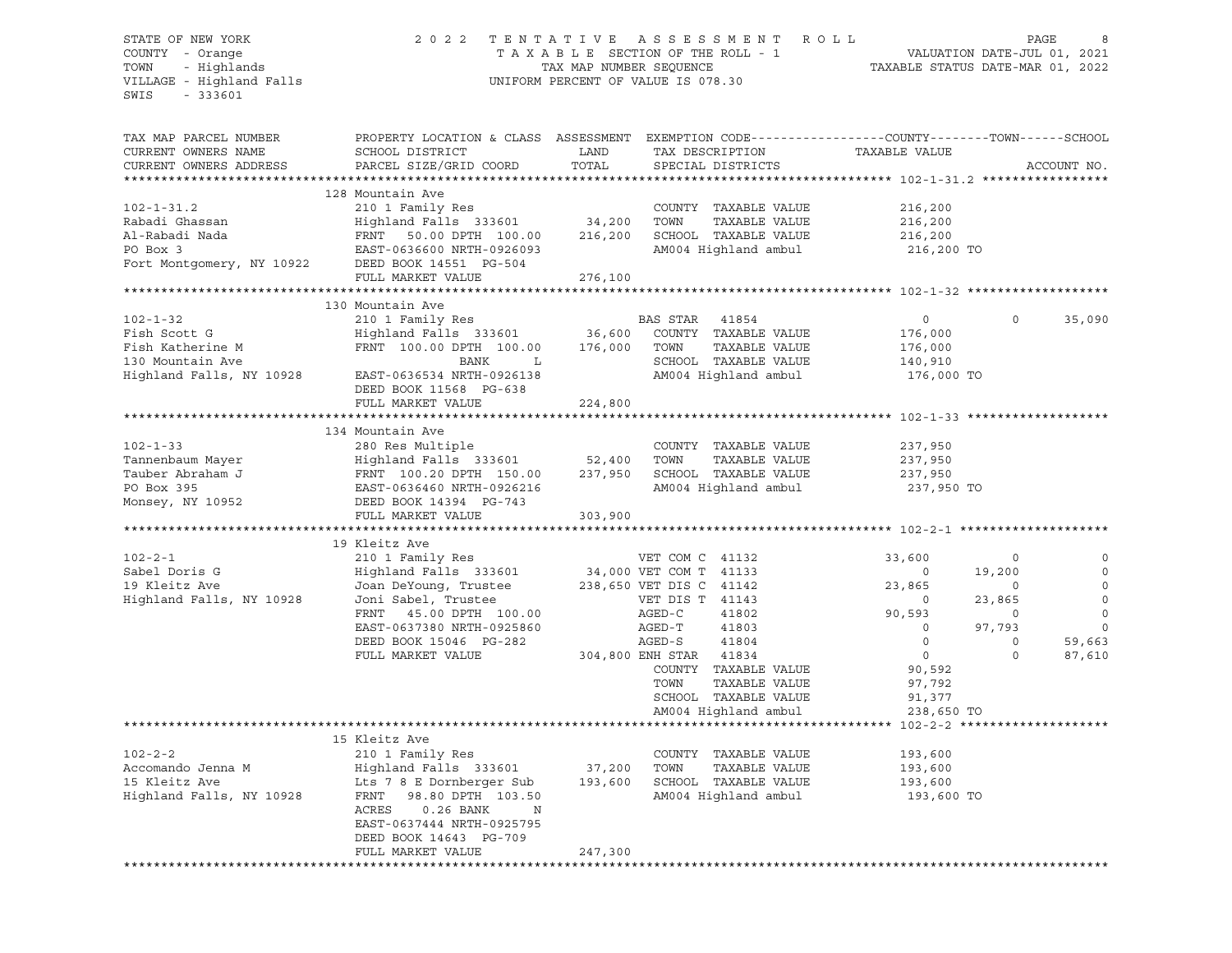### STATE OF NEW YORK 2 0 2 2 T E N T A T I V E A S S E S S M E N T R O L L PAGE 8 COUNTY - Orange T A X A B L E SECTION OF THE ROLL - 1 VALUATION DATE-JUL 01, 2021 TOWN - Highlands TAX MAP NUMBER SEQUENCE TAXABLE STATUS DATE-MAR 01, 2022 VILLAGE - Highland Falls UNIFORM PERCENT OF VALUE IS 078.30

| TAX MAP PARCEL NUMBER                            | PROPERTY LOCATION & CLASS ASSESSMENT EXEMPTION CODE----------------COUNTY-------TOWN------SCHOOL |         |                         |                |             |             |
|--------------------------------------------------|--------------------------------------------------------------------------------------------------|---------|-------------------------|----------------|-------------|-------------|
| CURRENT OWNERS NAME                              | SCHOOL DISTRICT                                                                                  | LAND    | TAX DESCRIPTION         | TAXABLE VALUE  |             |             |
| CURRENT OWNERS ADDRESS                           | PARCEL SIZE/GRID COORD                                                                           | TOTAL   | SPECIAL DISTRICTS       |                |             | ACCOUNT NO. |
|                                                  |                                                                                                  |         |                         |                |             |             |
|                                                  | 128 Mountain Ave                                                                                 |         |                         |                |             |             |
| $102 - 1 - 31.2$                                 | 210 1 Family Res                                                                                 |         | COUNTY TAXABLE VALUE    | 216,200        |             |             |
| Rabadi Ghassan                                   | Highland Falls 333601 34,200                                                                     |         | TOWN<br>TAXABLE VALUE   | 216,200        |             |             |
| Al-Rabadi Nada                                   | FRNT 50.00 DPTH 100.00                                                                           | 216,200 | SCHOOL TAXABLE VALUE    | 216,200        |             |             |
| PO Box 3                                         | EAST-0636600 NRTH-0926093                                                                        |         | AM004 Highland ambul    | 216,200 TO     |             |             |
| Fort Montgomery, NY 10922 DEED BOOK 14551 PG-504 |                                                                                                  |         |                         |                |             |             |
|                                                  | FULL MARKET VALUE                                                                                | 276,100 |                         |                |             |             |
|                                                  |                                                                                                  |         |                         |                |             |             |
|                                                  | 130 Mountain Ave                                                                                 |         |                         |                |             |             |
| $102 - 1 - 32$                                   | 210 1 Family Res                                                                                 |         | BAS STAR 41854          | $\circ$        | $\Omega$    | 35,090      |
| Fish Scott G                                     | Highland Falls 333601                                                                            | 36,600  | COUNTY TAXABLE VALUE    | 176,000        |             |             |
| Fish Katherine M                                 | FRNT 100.00 DPTH 100.00                                                                          | 176,000 | TOWN<br>TAXABLE VALUE   | 176,000        |             |             |
| 130 Mountain Ave                                 | BANK<br>$\mathbf{L}$                                                                             |         | SCHOOL TAXABLE VALUE    | 140,910        |             |             |
| Highland Falls, NY 10928                         | EAST-0636534 NRTH-0926138                                                                        |         | AM004 Highland ambul    | 176,000 TO     |             |             |
|                                                  | DEED BOOK 11568 PG-638                                                                           |         |                         |                |             |             |
|                                                  | FULL MARKET VALUE                                                                                | 224,800 |                         |                |             |             |
|                                                  |                                                                                                  |         |                         |                |             |             |
|                                                  | 134 Mountain Ave                                                                                 |         |                         |                |             |             |
| $102 - 1 - 33$                                   | 280 Res Multiple                                                                                 |         | COUNTY TAXABLE VALUE    | 237,950        |             |             |
| Tannenbaum Mayer                                 | Highland Falls 333601                                                                            | 52,400  | TOWN<br>TAXABLE VALUE   | 237,950        |             |             |
| Tauber Abraham J                                 | FRNT 100.20 DPTH 150.00                                                                          | 237,950 | SCHOOL TAXABLE VALUE    | 237,950        |             |             |
| PO Box 395                                       | EAST-0636460 NRTH-0926216                                                                        |         | AM004 Highland ambul    | 237,950 TO     |             |             |
| Monsey, NY 10952                                 | DEED BOOK 14394 PG-743                                                                           |         |                         |                |             |             |
|                                                  | FULL MARKET VALUE                                                                                | 303,900 |                         |                |             |             |
|                                                  |                                                                                                  |         |                         |                |             |             |
|                                                  | 19 Kleitz Ave                                                                                    |         |                         |                |             |             |
| $102 - 2 - 1$                                    | 210 1 Family Res                                                                                 |         | VET COM C 41132         | 33,600         | 0           | 0           |
| Sabel Doris G                                    | Highland Falls 333601                                                                            |         | 34,000 VET COM T 41133  | $\overline{0}$ | 19,200      | $\mathbf 0$ |
| 19 Kleitz Ave                                    | Joan DeYoung, Trustee                                                                            |         | 238,650 VET DIS C 41142 | 23,865         | $\Omega$    | $\Omega$    |
| Highland Falls, NY 10928                         | Joni Sabel, Trustee                                                                              |         | VET DIS T 41143         | $\overline{0}$ | 23,865      | $\circ$     |
|                                                  | FRNT 45.00 DPTH 100.00                                                                           |         | AGED-C<br>41802         | 90,593         | $\mathbf 0$ | $\circ$     |
|                                                  | EAST-0637380 NRTH-0925860                                                                        |         | AGED-T<br>41803         | $\overline{0}$ | 97,793      | $\Omega$    |
|                                                  | DEED BOOK 15046 PG-282                                                                           |         | AGED-S<br>41804         | $\Omega$       | $\Omega$    | 59,663      |
|                                                  | FULL MARKET VALUE                                                                                |         | 304,800 ENH STAR 41834  | $\circ$        | $\Omega$    | 87,610      |
|                                                  |                                                                                                  |         | COUNTY TAXABLE VALUE    | 90,592         |             |             |
|                                                  |                                                                                                  |         | TOWN<br>TAXABLE VALUE   | 97,792         |             |             |
|                                                  |                                                                                                  |         | SCHOOL TAXABLE VALUE    |                |             |             |
|                                                  |                                                                                                  |         |                         | 91,377         |             |             |
|                                                  |                                                                                                  |         | AM004 Highland ambul    | 238,650 TO     |             |             |
|                                                  | 15 Kleitz Ave                                                                                    |         |                         |                |             |             |
| $102 - 2 - 2$                                    |                                                                                                  |         |                         |                |             |             |
|                                                  | 210 1 Family Res                                                                                 |         | COUNTY TAXABLE VALUE    | 193,600        |             |             |
| Accomando Jenna M                                | Highland Falls 333601                                                                            | 37,200  | TAXABLE VALUE<br>TOWN   | 193,600        |             |             |
| 15 Kleitz Ave                                    | Lts 7 8 E Dornberger Sub                                                                         | 193,600 | SCHOOL TAXABLE VALUE    | 193,600        |             |             |
| Highland Falls, NY 10928                         | 98.80 DPTH 103.50<br>FRNT                                                                        |         | AM004 Highland ambul    | 193,600 TO     |             |             |
|                                                  | ACRES<br>$0.26$ BANK<br>N                                                                        |         |                         |                |             |             |
|                                                  | EAST-0637444 NRTH-0925795                                                                        |         |                         |                |             |             |
|                                                  | DEED BOOK 14643 PG-709                                                                           |         |                         |                |             |             |
|                                                  | FULL MARKET VALUE                                                                                | 247,300 |                         |                |             |             |
|                                                  |                                                                                                  |         |                         |                |             |             |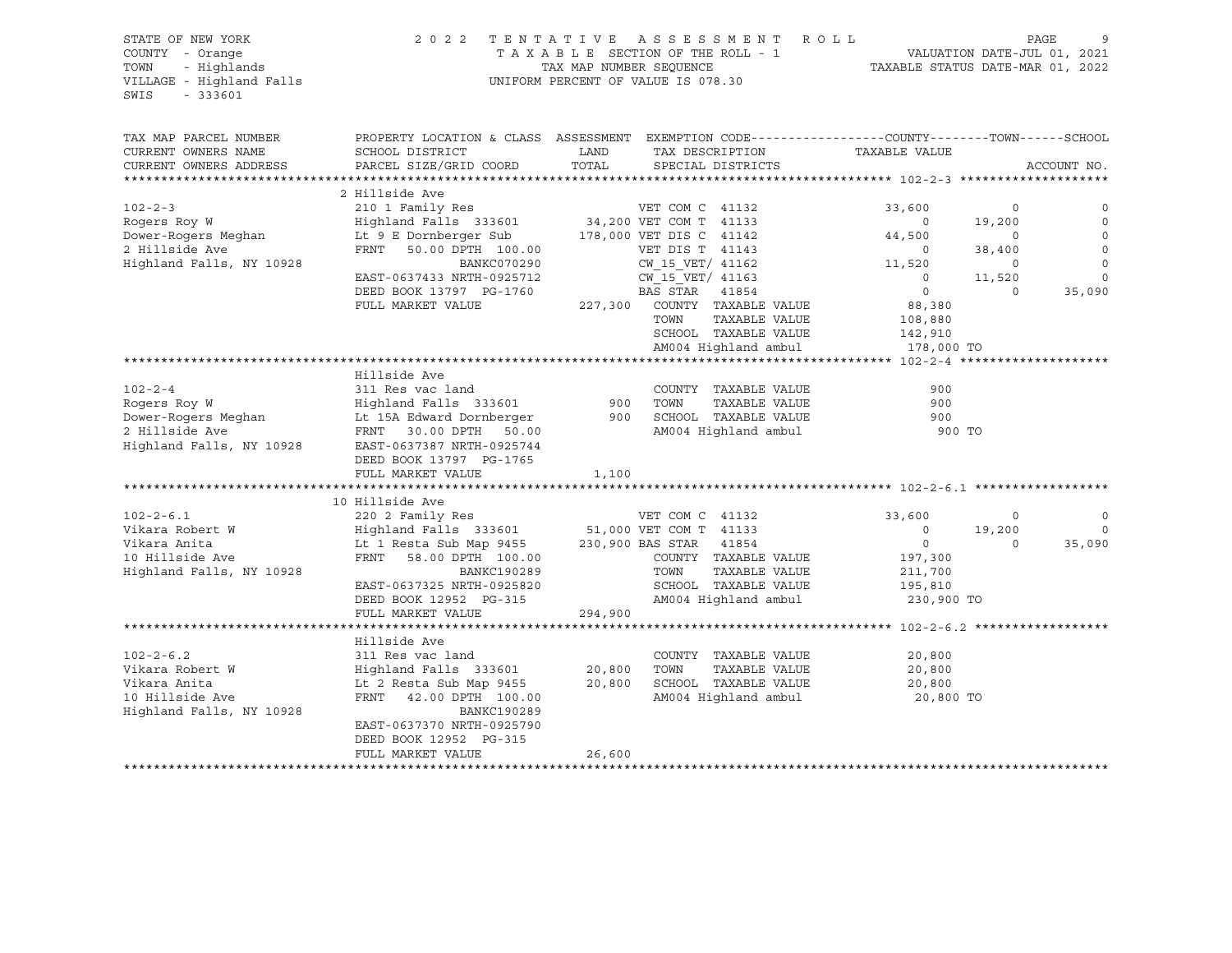### STATE OF NEW YORK 2 0 2 2 T E N T A T I V E A S S E S S M E N T R O L L PAGE 9 COUNTY - Orange T A X A B L E SECTION OF THE ROLL - 1 VALUATION DATE-JUL 01, 2021 TOWN - Highlands TAX MAP NUMBER SEQUENCE TAXABLE STATUS DATE-MAR 01, 2022 VILLAGE - Highland Falls UNIFORM PERCENT OF VALUE IS 078.30

| TAX MAP PARCEL NUMBER<br>CURRENT OWNERS NAME | PROPERTY LOCATION & CLASS ASSESSMENT EXEMPTION CODE----------------COUNTY-------TOWN------SCHOOL<br>SCHOOL DISTRICT | LAND    | TAX DESCRIPTION                               | TAXABLE VALUE  |             |             |
|----------------------------------------------|---------------------------------------------------------------------------------------------------------------------|---------|-----------------------------------------------|----------------|-------------|-------------|
| CURRENT OWNERS ADDRESS                       |                                                                                                                     | TOTAL   | SPECIAL DISTRICTS                             |                |             | ACCOUNT NO. |
|                                              | PARCEL SIZE/GRID COORD                                                                                              |         |                                               |                |             |             |
|                                              | 2 Hillside Ave                                                                                                      |         |                                               |                |             |             |
| $102 - 2 - 3$                                | 210 1 Family Res                                                                                                    |         | VET COM C 41132                               | 33,600         | 0           |             |
| Rogers Roy W                                 | Highland Falls 333601                                                                                               |         | 34,200 VET COM T 41133                        | $\circ$        | 19,200      |             |
| Dower-Rogers Meghan                          | Lt 9 E Dornberger Sub                                                                                               |         | 178,000 VET DIS C 41142                       | 44,500         | $\Omega$    |             |
| 2 Hillside Ave                               | FRNT<br>50.00 DPTH 100.00                                                                                           |         | VET DIS T 41143                               | $\circ$        | 38,400      |             |
| Highland Falls, NY 10928                     | BANKC070290                                                                                                         |         | CW 15 VET/ 41162                              | 11,520         | $\mathbf 0$ | $\mathbf 0$ |
|                                              | EAST-0637433 NRTH-0925712                                                                                           |         | CW 15 VET/ 41163                              | $\overline{0}$ | 11,520      | $\Omega$    |
|                                              | DEED BOOK 13797 PG-1760                                                                                             |         | BAS STAR<br>41854                             | $\circ$        | $\Omega$    | 35,090      |
|                                              | FULL MARKET VALUE                                                                                                   | 227,300 | COUNTY TAXABLE VALUE                          | 88,380         |             |             |
|                                              |                                                                                                                     |         | TAXABLE VALUE<br>TOWN                         | 108,880        |             |             |
|                                              |                                                                                                                     |         | SCHOOL TAXABLE VALUE                          | 142,910        |             |             |
|                                              |                                                                                                                     |         | AM004 Highland ambul                          |                |             |             |
|                                              |                                                                                                                     |         |                                               | 178,000 TO     |             |             |
|                                              | Hillside Ave                                                                                                        |         |                                               |                |             |             |
| $102 - 2 - 4$                                |                                                                                                                     |         |                                               | 900            |             |             |
|                                              | 311 Res vac land                                                                                                    |         | COUNTY TAXABLE VALUE                          |                |             |             |
| Rogers Roy W                                 | Highland Falls 333601                                                                                               | 900     | TOWN<br>TAXABLE VALUE<br>SCHOOL TAXABLE VALUE | 900            |             |             |
| Dower-Rogers Meghan                          | Lt 15A Edward Dornberger                                                                                            | 900     |                                               | 900            |             |             |
| 2 Hillside Ave                               | FRNT 30.00 DPTH<br>50.00                                                                                            |         | AM004 Highland ambul                          | 900 TO         |             |             |
| Highland Falls, NY 10928                     | EAST-0637387 NRTH-0925744                                                                                           |         |                                               |                |             |             |
|                                              | DEED BOOK 13797 PG-1765                                                                                             |         |                                               |                |             |             |
|                                              | FULL MARKET VALUE                                                                                                   | 1,100   |                                               |                |             |             |
|                                              |                                                                                                                     |         |                                               |                |             |             |
|                                              | 10 Hillside Ave                                                                                                     |         |                                               |                |             |             |
| $102 - 2 - 6.1$                              | 220 2 Family Res                                                                                                    |         | VET COM C 41132                               | 33,600         | $\circ$     |             |
| Vikara Robert W                              | Highland Falls 333601                                                                                               |         | 51,000 VET COM T 41133                        | $\circ$        | 19,200      | $\mathbf 0$ |
| Vikara Anita                                 | Lt 1 Resta Sub Map 9455 230,900 BAS STAR 41854                                                                      |         |                                               | $\circ$        | $\Omega$    | 35,090      |
| 10 Hillside Ave                              | FRNT 58.00 DPTH 100.00                                                                                              |         | COUNTY TAXABLE VALUE                          | 197,300        |             |             |
| Highland Falls, NY 10928                     | BANKC190289                                                                                                         |         | TOWN<br>TAXABLE VALUE                         | 211,700        |             |             |
|                                              | EAST-0637325 NRTH-0925820                                                                                           |         | SCHOOL TAXABLE VALUE                          | 195,810        |             |             |
|                                              | DEED BOOK 12952 PG-315                                                                                              |         | AM004 Highland ambul                          | 230,900 TO     |             |             |
|                                              | FULL MARKET VALUE                                                                                                   | 294,900 |                                               |                |             |             |
|                                              |                                                                                                                     |         |                                               |                |             |             |
|                                              | Hillside Ave                                                                                                        |         |                                               |                |             |             |
| $102 - 2 - 6.2$                              | 311 Res vac land                                                                                                    |         | COUNTY TAXABLE VALUE                          | 20,800         |             |             |
| Vikara Robert W                              | Highland Falls 333601                                                                                               | 20,800  | TAXABLE VALUE<br>TOWN                         | 20,800         |             |             |
| Vikara Anita                                 | Lt 2 Resta Sub Map 9455                                                                                             | 20,800  | SCHOOL TAXABLE VALUE                          | 20,800         |             |             |
| 10 Hillside Ave                              | FRNT 42.00 DPTH 100.00                                                                                              |         | AM004 Highland ambul                          | 20,800 TO      |             |             |
| Highland Falls, NY 10928                     | <b>BANKC190289</b>                                                                                                  |         |                                               |                |             |             |
|                                              | EAST-0637370 NRTH-0925790                                                                                           |         |                                               |                |             |             |
|                                              | DEED BOOK 12952 PG-315                                                                                              |         |                                               |                |             |             |
|                                              | FULL MARKET VALUE                                                                                                   | 26,600  |                                               |                |             |             |
|                                              |                                                                                                                     |         |                                               |                |             |             |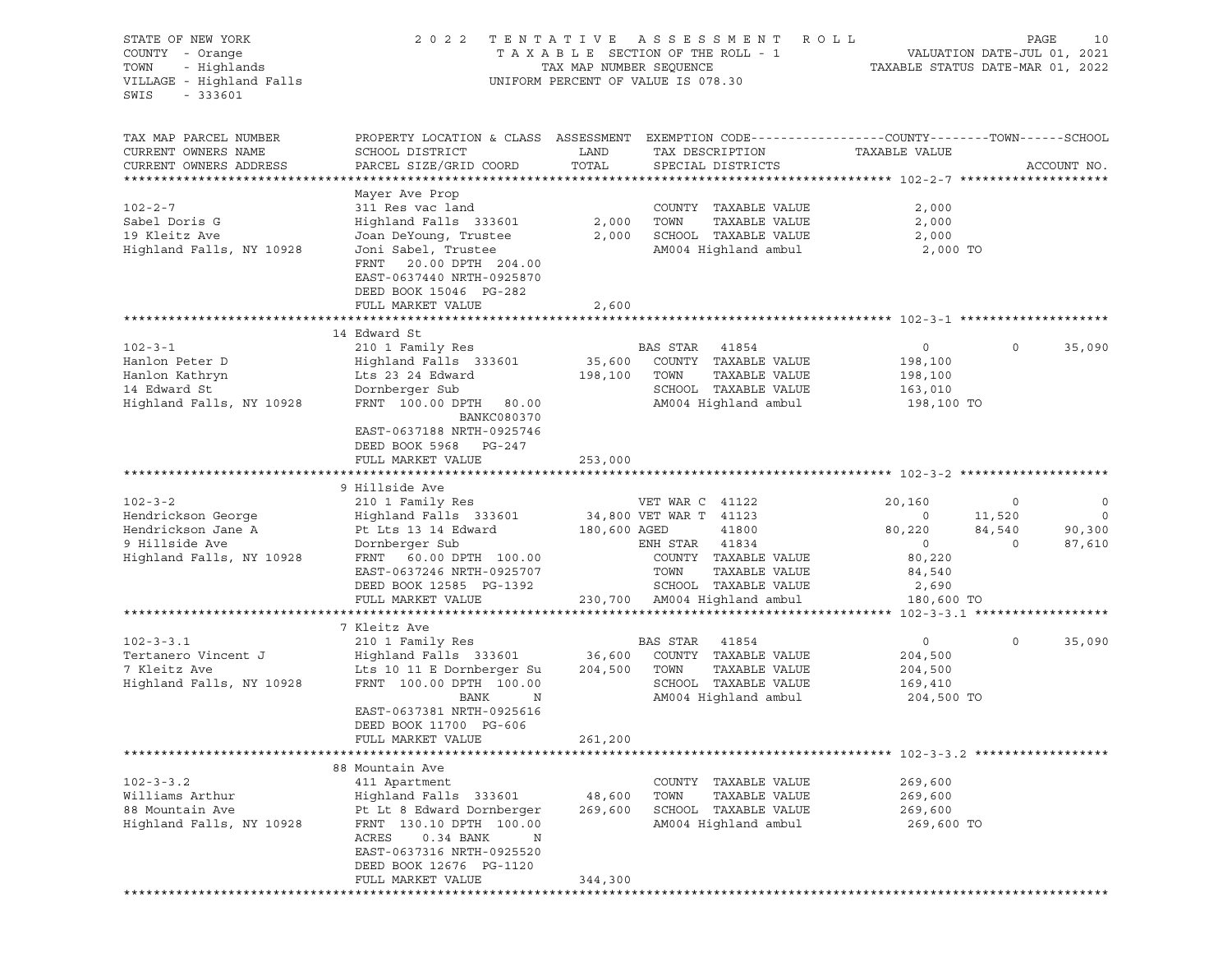| STATE OF NEW YORK<br>COUNTY - Orange<br>- Highlands<br>TOWN<br>VILLAGE - Highland Falls<br>SWIS<br>$-333601$ | 2 0 2 2                                                                                                                   | TAX MAP NUMBER SEQUENCE | TENTATIVE ASSESSMENT ROLL<br>T A X A B L E SECTION OF THE ROLL - 1<br>UNIFORM PERCENT OF VALUE IS 078.30 | VALUATION DATE-JUL 01, 2021<br>TAXABLE STATUS DATE-MAR 01, 2022 | PAGE        | 10                       |
|--------------------------------------------------------------------------------------------------------------|---------------------------------------------------------------------------------------------------------------------------|-------------------------|----------------------------------------------------------------------------------------------------------|-----------------------------------------------------------------|-------------|--------------------------|
| TAX MAP PARCEL NUMBER<br>CURRENT OWNERS NAME                                                                 | PROPERTY LOCATION & CLASS ASSESSMENT EXEMPTION CODE----------------COUNTY-------TOWN-----SCHOOL<br>SCHOOL DISTRICT        | LAND                    | TAX DESCRIPTION                                                                                          | TAXABLE VALUE                                                   |             |                          |
| CURRENT OWNERS ADDRESS                                                                                       | PARCEL SIZE/GRID COORD                                                                                                    | TOTAL                   | SPECIAL DISTRICTS                                                                                        |                                                                 |             | ACCOUNT NO.              |
|                                                                                                              | Mayer Ave Prop                                                                                                            |                         |                                                                                                          |                                                                 |             |                          |
| $102 - 2 - 7$                                                                                                | 311 Res vac land                                                                                                          |                         | COUNTY TAXABLE VALUE                                                                                     | 2,000                                                           |             |                          |
| Sabel Doris G                                                                                                | Highland Falls 333601                                                                                                     | 2,000                   | TOWN<br>TAXABLE VALUE                                                                                    | 2,000                                                           |             |                          |
| 19 Kleitz Ave                                                                                                | Joan DeYoung, Trustee                                                                                                     | 2,000                   | SCHOOL TAXABLE VALUE                                                                                     | 2,000                                                           |             |                          |
| Highland Falls, NY 10928                                                                                     | Joni Sabel, Trustee<br>FRNT 20.00 DPTH 204.00<br>EAST-0637440 NRTH-0925870<br>DEED BOOK 15046 PG-282<br>FULL MARKET VALUE | 2,600                   | AM004 Highland ambul                                                                                     | 2,000 TO                                                        |             |                          |
|                                                                                                              |                                                                                                                           |                         |                                                                                                          |                                                                 |             |                          |
|                                                                                                              | 14 Edward St                                                                                                              |                         |                                                                                                          |                                                                 |             |                          |
| $102 - 3 - 1$                                                                                                | 210 1 Family Res                                                                                                          |                         | BAS STAR 41854                                                                                           | $\circ$                                                         | $\circ$     | 35,090                   |
| Hanlon Peter D                                                                                               | Highland Falls 333601                                                                                                     | 35,600                  | COUNTY TAXABLE VALUE                                                                                     | 198,100                                                         |             |                          |
| Hanlon Kathryn<br>14 Edward St                                                                               | Lts 23 24 Edward                                                                                                          | 198,100                 | TOWN<br>TAXABLE VALUE<br>SCHOOL TAXABLE VALUE                                                            | 198,100<br>163,010                                              |             |                          |
| Highland Falls, NY 10928                                                                                     | Dornberger Sub<br>FRNT 100.00 DPTH 80.00                                                                                  |                         | AM004 Highland ambul                                                                                     | 198,100 TO                                                      |             |                          |
|                                                                                                              | BANKC080370                                                                                                               |                         |                                                                                                          |                                                                 |             |                          |
|                                                                                                              | EAST-0637188 NRTH-0925746                                                                                                 |                         |                                                                                                          |                                                                 |             |                          |
|                                                                                                              | DEED BOOK 5968 PG-247                                                                                                     |                         |                                                                                                          |                                                                 |             |                          |
|                                                                                                              | FULL MARKET VALUE                                                                                                         | 253,000                 |                                                                                                          |                                                                 |             |                          |
|                                                                                                              | 9 Hillside Ave                                                                                                            |                         |                                                                                                          |                                                                 |             |                          |
| $102 - 3 - 2$                                                                                                | 210 1 Family Res                                                                                                          |                         | VET WAR C 41122                                                                                          | 20,160                                                          | $\circ$     | $\circ$                  |
| Hendrickson George                                                                                           | Highland Falls 333601                                                                                                     |                         | 34,800 VET WAR T 41123                                                                                   | $\circ$                                                         | 11,520      | $\overline{\phantom{0}}$ |
| Hendrickson Jane A                                                                                           | Pt Lts 13 14 Edward                                                                                                       | 180,600 AGED            | 41800                                                                                                    | 80,220                                                          | 84,540      | 90,300                   |
| 9 Hillside Ave                                                                                               | Dornberger Sub                                                                                                            |                         | ENH STAR 41834                                                                                           | $\circ$                                                         | $\Omega$    | 87,610                   |
| Highland Falls, NY 10928                                                                                     | FRNT 60.00 DPTH 100.00                                                                                                    |                         | COUNTY TAXABLE VALUE                                                                                     | 80,220                                                          |             |                          |
|                                                                                                              | EAST-0637246 NRTH-0925707                                                                                                 |                         | TOWN<br>TAXABLE VALUE                                                                                    | 84,540                                                          |             |                          |
|                                                                                                              | DEED BOOK 12585 PG-1392                                                                                                   |                         | SCHOOL TAXABLE VALUE                                                                                     | 2,690                                                           |             |                          |
|                                                                                                              | FULL MARKET VALUE                                                                                                         |                         | 230,700 AM004 Highland ambul                                                                             | 180,600 TO                                                      |             |                          |
|                                                                                                              | 7 Kleitz Ave                                                                                                              |                         |                                                                                                          |                                                                 |             |                          |
| $102 - 3 - 3.1$                                                                                              | 210 1 Family Res                                                                                                          |                         | BAS STAR 41854                                                                                           | $\circ$                                                         | $\mathbf 0$ | 35,090                   |
| Tertanero Vincent J                                                                                          | Highland Falls 333601                                                                                                     | 36,600                  | COUNTY TAXABLE VALUE                                                                                     | 204,500                                                         |             |                          |
| 7 Kleitz Ave                                                                                                 | Lts 10 11 E Dornberger Su                                                                                                 | 204,500                 | TOWN<br>TAXABLE VALUE                                                                                    | 204,500                                                         |             |                          |
| Highland Falls, NY 10928                                                                                     | FRNT 100.00 DPTH 100.00                                                                                                   |                         | SCHOOL TAXABLE VALUE                                                                                     | 169,410                                                         |             |                          |
|                                                                                                              | BANK<br>N                                                                                                                 |                         | AM004 Highland ambul                                                                                     | 204,500 TO                                                      |             |                          |
|                                                                                                              | EAST-0637381 NRTH-0925616                                                                                                 |                         |                                                                                                          |                                                                 |             |                          |
|                                                                                                              | DEED BOOK 11700 PG-606<br>FULL MARKET VALUE                                                                               | 261,200                 |                                                                                                          |                                                                 |             |                          |
|                                                                                                              |                                                                                                                           |                         |                                                                                                          |                                                                 |             |                          |
|                                                                                                              | 88 Mountain Ave                                                                                                           |                         |                                                                                                          |                                                                 |             |                          |
| $102 - 3 - 3.2$                                                                                              | 411 Apartment                                                                                                             |                         | TAXABLE VALUE<br>COUNTY                                                                                  | 269,600                                                         |             |                          |
| Williams Arthur                                                                                              | Highland Falls 333601                                                                                                     | 48,600                  | TOWN<br>TAXABLE VALUE                                                                                    | 269,600                                                         |             |                          |
| 88 Mountain Ave                                                                                              | Pt Lt 8 Edward Dornberger                                                                                                 | 269,600                 | SCHOOL TAXABLE VALUE                                                                                     | 269,600                                                         |             |                          |
| Highland Falls, NY 10928                                                                                     | FRNT 130.10 DPTH 100.00                                                                                                   |                         | AM004 Highland ambul                                                                                     | 269,600 TO                                                      |             |                          |
|                                                                                                              | ACRES<br>0.34 BANK<br>N<br>EAST-0637316 NRTH-0925520                                                                      |                         |                                                                                                          |                                                                 |             |                          |
|                                                                                                              | DEED BOOK 12676 PG-1120                                                                                                   |                         |                                                                                                          |                                                                 |             |                          |
|                                                                                                              | FULL MARKET VALUE                                                                                                         | 344,300                 |                                                                                                          |                                                                 |             |                          |
|                                                                                                              |                                                                                                                           |                         |                                                                                                          |                                                                 |             |                          |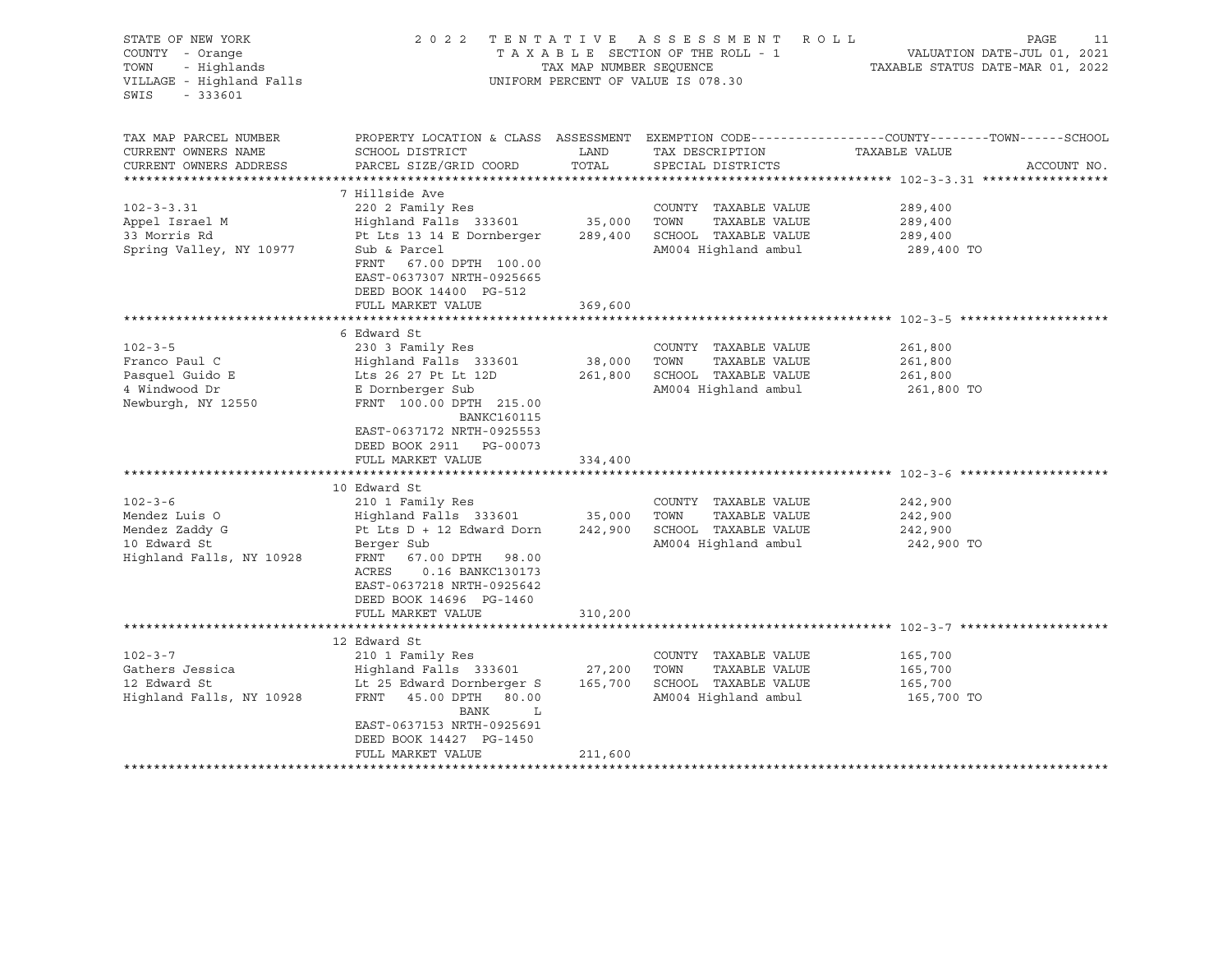| STATE OF NEW YORK<br>COUNTY - Orange<br>- Highlands<br>TOWN<br>VILLAGE - Highland Falls<br>SWIS<br>$-333601$                                                                             | 2 0 2 2                                                                                                                                                                                                                                                                                                                                                                                                                                                    | TAX MAP NUMBER SEQUENCE                           | TENTATIVE ASSESSMENT<br>R O L L<br>TAXABLE SECTION OF THE ROLL - 1<br>UNIFORM PERCENT OF VALUE IS 078.30                                                                                       | PAGE<br>11<br>VALUATION DATE-JUL 01, 2021<br>TAXABLE STATUS DATE-MAR 01, 2022                                                    |
|------------------------------------------------------------------------------------------------------------------------------------------------------------------------------------------|------------------------------------------------------------------------------------------------------------------------------------------------------------------------------------------------------------------------------------------------------------------------------------------------------------------------------------------------------------------------------------------------------------------------------------------------------------|---------------------------------------------------|------------------------------------------------------------------------------------------------------------------------------------------------------------------------------------------------|----------------------------------------------------------------------------------------------------------------------------------|
| TAX MAP PARCEL NUMBER<br>CURRENT OWNERS NAME<br>CURRENT OWNERS ADDRESS                                                                                                                   | SCHOOL DISTRICT<br>PARCEL SIZE/GRID COORD                                                                                                                                                                                                                                                                                                                                                                                                                  | LAND<br>TOTAL                                     | TAX DESCRIPTION<br>SPECIAL DISTRICTS                                                                                                                                                           | PROPERTY LOCATION & CLASS ASSESSMENT EXEMPTION CODE----------------COUNTY-------TOWN------SCHOOL<br>TAXABLE VALUE<br>ACCOUNT NO. |
| $102 - 3 - 3.31$<br>Appel Israel M<br>33 Morris Rd<br>Spring Valley, NY 10977                                                                                                            | 7 Hillside Ave<br>220 2 Family Res<br>Highland Falls 333601<br>Pt Lts 13 14 E Dornberger<br>Sub & Parcel<br>FRNT 67.00 DPTH 100.00<br>EAST-0637307 NRTH-0925665<br>DEED BOOK 14400 PG-512<br>FULL MARKET VALUE                                                                                                                                                                                                                                             | 35,000<br>289,400<br>369,600                      | COUNTY TAXABLE VALUE<br>TOWN<br>TAXABLE VALUE<br>SCHOOL TAXABLE VALUE<br>AM004 Highland ambul                                                                                                  | 289,400<br>289,400<br>289,400<br>289,400 TO                                                                                      |
|                                                                                                                                                                                          |                                                                                                                                                                                                                                                                                                                                                                                                                                                            |                                                   |                                                                                                                                                                                                |                                                                                                                                  |
| $102 - 3 - 5$<br>Franco Paul C<br>Pasquel Guido E<br>4 Windwood Dr<br>Newburgh, NY 12550<br>$102 - 3 - 6$<br>Mendez Luis O<br>Mendez Zaddy G<br>10 Edward St<br>Highland Falls, NY 10928 | 6 Edward St<br>230 3 Family Res<br>Highland Falls 333601<br>Lts 26 27 Pt Lt 12D<br>E Dornberger Sub<br>FRNT 100.00 DPTH 215.00<br><b>BANKC160115</b><br>EAST-0637172 NRTH-0925553<br>DEED BOOK 2911 PG-00073<br>FULL MARKET VALUE<br>10 Edward St<br>210 1 Family Res<br>Highland Falls 333601<br>Pt Lts D + 12 Edward Dorn<br>Berger Sub<br>FRNT<br>67.00 DPTH 98.00<br>ACRES<br>0.16 BANKC130173<br>EAST-0637218 NRTH-0925642<br>DEED BOOK 14696 PG-1460 | 38,000<br>261,800<br>334,400<br>35,000<br>242,900 | COUNTY TAXABLE VALUE<br>TOWN<br>TAXABLE VALUE<br>SCHOOL TAXABLE VALUE<br>AM004 Highland ambul<br>COUNTY TAXABLE VALUE<br>TOWN<br>TAXABLE VALUE<br>SCHOOL TAXABLE VALUE<br>AM004 Highland ambul | 261,800<br>261,800<br>261,800<br>261,800 TO<br>242,900<br>242,900<br>242,900<br>242,900 TO                                       |
|                                                                                                                                                                                          | FULL MARKET VALUE                                                                                                                                                                                                                                                                                                                                                                                                                                          | 310,200                                           |                                                                                                                                                                                                |                                                                                                                                  |
| $102 - 3 - 7$<br>Gathers Jessica<br>12 Edward St<br>Highland Falls, NY 10928                                                                                                             | 12 Edward St<br>210 1 Family Res<br>Highland Falls 333601<br>Lt 25 Edward Dornberger S<br>FRNT<br>45.00 DPTH 80.00<br>BANK<br>L<br>EAST-0637153 NRTH-0925691<br>DEED BOOK 14427 PG-1450<br>FULL MARKET VALUE<br>***************************                                                                                                                                                                                                                | 27,200<br>165,700<br>211,600                      | COUNTY TAXABLE VALUE<br>TAXABLE VALUE<br>TOWN<br>SCHOOL TAXABLE VALUE<br>AM004 Highland ambul                                                                                                  | 165,700<br>165,700<br>165,700<br>165,700 TO                                                                                      |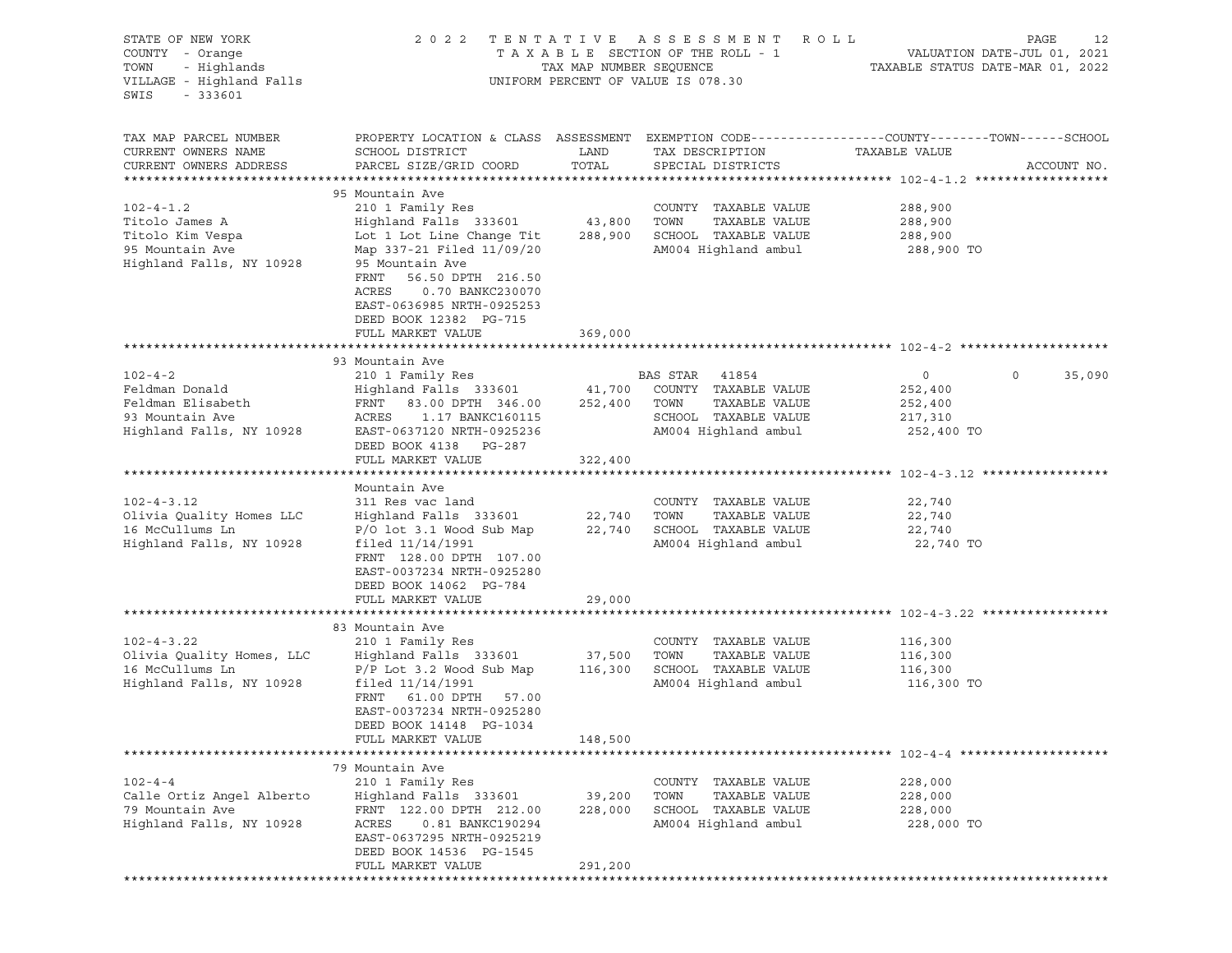| STATE OF NEW YORK<br>COUNTY - Orange<br>TOWN<br>- Highlands<br>VILLAGE - Highland Falls<br>SWIS<br>$-333601$ | 2 0 2 2                                                                                                                                                                                                                                                                         | TENTATIVE<br>TAX MAP NUMBER SEQUENCE | ASSESSMENT<br>TAXABLE SECTION OF THE ROLL - 1<br>UNIFORM PERCENT OF VALUE IS 078.30                             | R O L L<br>VALUATION DATE-JUL 01, 2021<br>TAXABLE STATUS DATE-MAR 01, 2022 | PAGE<br>12        |
|--------------------------------------------------------------------------------------------------------------|---------------------------------------------------------------------------------------------------------------------------------------------------------------------------------------------------------------------------------------------------------------------------------|--------------------------------------|-----------------------------------------------------------------------------------------------------------------|----------------------------------------------------------------------------|-------------------|
| TAX MAP PARCEL NUMBER<br>CURRENT OWNERS NAME<br>CURRENT OWNERS ADDRESS                                       | PROPERTY LOCATION & CLASS ASSESSMENT EXEMPTION CODE----------------COUNTY-------TOWN------SCHOOL<br>SCHOOL DISTRICT<br>PARCEL SIZE/GRID COORD                                                                                                                                   | LAND<br>TOTAL                        | TAX DESCRIPTION<br>SPECIAL DISTRICTS                                                                            | TAXABLE VALUE                                                              | ACCOUNT NO.       |
| $102 - 4 - 1.2$<br>Titolo James A<br>Titolo Kim Vespa<br>95 Mountain Ave<br>Highland Falls, NY 10928         | 95 Mountain Ave<br>210 1 Family Res<br>Highland Falls 333601<br>Lot 1 Lot Line Change Tit<br>Map 337-21 Filed 11/09/20<br>95 Mountain Ave<br>FRNT<br>56.50 DPTH 216.50<br>ACRES<br>0.70 BANKC230070<br>EAST-0636985 NRTH-0925253<br>DEED BOOK 12382 PG-715<br>FULL MARKET VALUE | 43,800<br>288,900<br>369,000         | COUNTY TAXABLE VALUE<br>TOWN<br>TAXABLE VALUE<br>SCHOOL TAXABLE VALUE<br>AM004 Highland ambul                   | 288,900<br>288,900<br>288,900<br>288,900 TO                                |                   |
|                                                                                                              |                                                                                                                                                                                                                                                                                 |                                      |                                                                                                                 |                                                                            |                   |
| $102 - 4 - 2$<br>Feldman Donald<br>Feldman Elisabeth<br>93 Mountain Ave<br>Highland Falls, NY 10928          | 93 Mountain Ave<br>210 1 Family Res<br>Highland Falls 333601<br>FRNT<br>83.00 DPTH 346.00<br>ACRES<br>1.17 BANKC160115<br>EAST-0637120 NRTH-0925236<br>DEED BOOK 4138 PG-287<br>FULL MARKET VALUE                                                                               | 41,700<br>252,400<br>322,400         | BAS STAR 41854<br>COUNTY TAXABLE VALUE<br>TOWN<br>TAXABLE VALUE<br>SCHOOL TAXABLE VALUE<br>AM004 Highland ambul | $\circ$<br>252,400<br>252,400<br>217,310<br>252,400 TO                     | $\circ$<br>35,090 |
|                                                                                                              |                                                                                                                                                                                                                                                                                 |                                      |                                                                                                                 |                                                                            |                   |
| $102 - 4 - 3.12$<br>Olivia Quality Homes LLC<br>16 McCullums Ln<br>Highland Falls, NY 10928                  | Mountain Ave<br>311 Res vac land<br>Highland Falls 333601<br>P/O lot 3.1 Wood Sub Map<br>filed $11/14/1991$<br>FRNT 128.00 DPTH 107.00<br>EAST-0037234 NRTH-0925280<br>DEED BOOK 14062 PG-784                                                                                   | 22,740<br>22,740                     | COUNTY TAXABLE VALUE<br>TOWN<br>TAXABLE VALUE<br>SCHOOL TAXABLE VALUE<br>AM004 Highland ambul                   | 22,740<br>22,740<br>22,740<br>22,740 TO                                    |                   |
|                                                                                                              | FULL MARKET VALUE                                                                                                                                                                                                                                                               | 29,000                               |                                                                                                                 |                                                                            |                   |
| $102 - 4 - 3.22$<br>Olivia Quality Homes, LLC<br>16 McCullums Ln<br>Highland Falls, NY 10928                 | 83 Mountain Ave<br>210 1 Family Res<br>Highland Falls 333601<br>$P/P$ Lot 3.2 Wood Sub Map<br>filed $11/14/1991$<br>FRNT 61.00 DPTH 57.00<br>EAST-0037234 NRTH-0925280<br>DEED BOOK 14148 PG-1034                                                                               | 37,500<br>116,300                    | COUNTY TAXABLE VALUE<br>TOWN<br>TAXABLE VALUE<br>SCHOOL TAXABLE VALUE<br>AM004 Highland ambul                   | 116,300<br>116,300<br>116,300<br>116,300 TO                                |                   |
|                                                                                                              | FULL MARKET VALUE                                                                                                                                                                                                                                                               | 148,500                              |                                                                                                                 |                                                                            |                   |
|                                                                                                              |                                                                                                                                                                                                                                                                                 |                                      |                                                                                                                 |                                                                            |                   |
| $102 - 4 - 4$<br>Calle Ortiz Angel Alberto<br>79 Mountain Ave<br>Highland Falls, NY 10928                    | 79 Mountain Ave<br>210 1 Family Res<br>Highland Falls 333601<br>FRNT 122.00 DPTH 212.00<br>0.81 BANKC190294<br>ACRES<br>EAST-0637295 NRTH-0925219<br>DEED BOOK 14536 PG-1545                                                                                                    | 39,200<br>228,000                    | COUNTY TAXABLE VALUE<br>TOWN<br>TAXABLE VALUE<br>SCHOOL TAXABLE VALUE<br>AM004 Highland ambul                   | 228,000<br>228,000<br>228,000<br>228,000 TO                                |                   |
|                                                                                                              | FULL MARKET VALUE                                                                                                                                                                                                                                                               | 291,200                              |                                                                                                                 |                                                                            |                   |
|                                                                                                              |                                                                                                                                                                                                                                                                                 |                                      |                                                                                                                 |                                                                            |                   |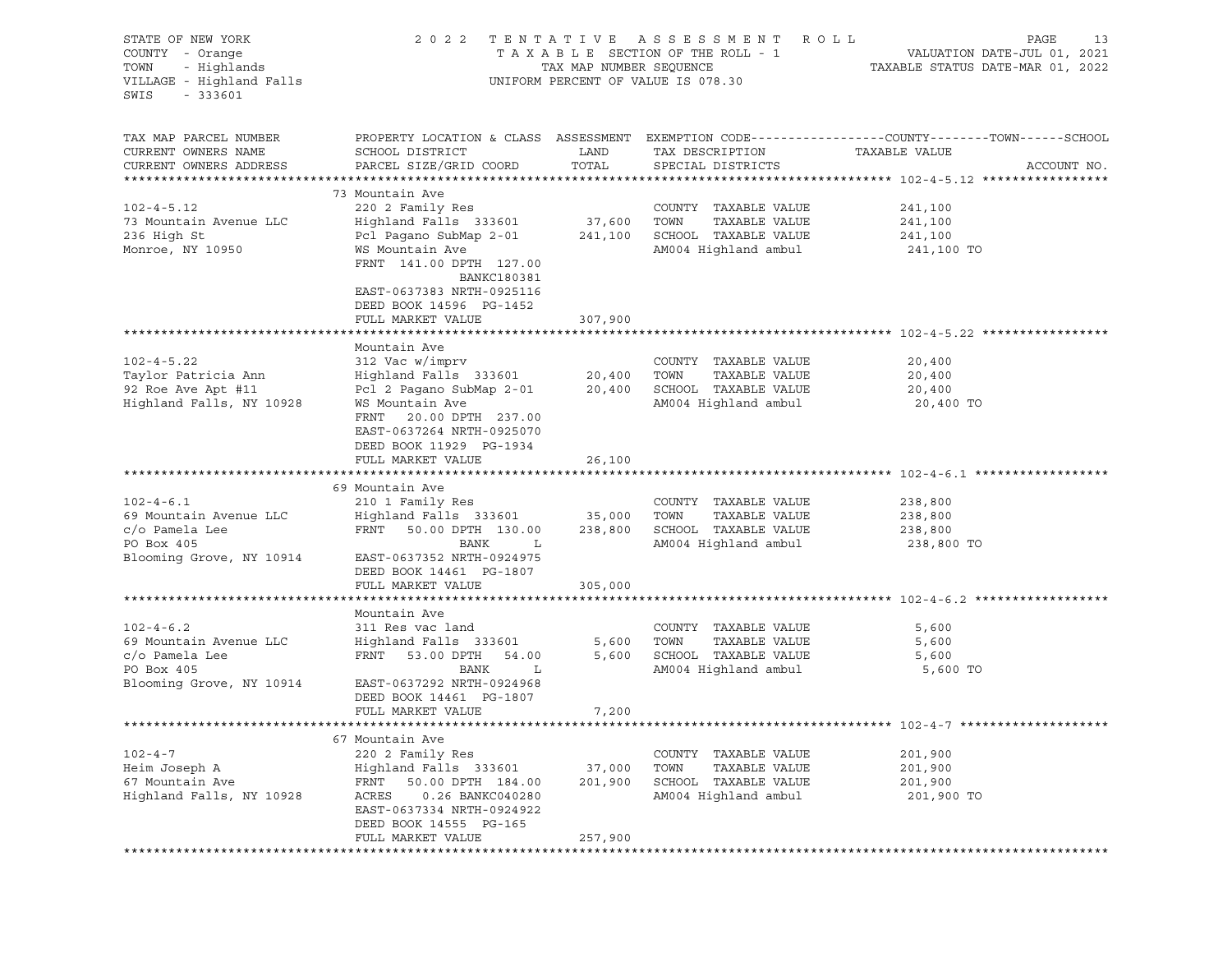| STATE OF NEW YORK<br>COUNTY - Orange<br>TOWN<br>- Highlands<br>VILLAGE - Highland Falls<br>SWIS<br>$-333601$ | 2 0 2 2                                                                                                                                             | TAX MAP NUMBER SEQUENCE | TENTATIVE ASSESSMENT ROLL<br>TAXABLE SECTION OF THE ROLL - 1<br>UNIFORM PERCENT OF VALUE IS 078.30  | PAGE<br>13<br>VALUATION DATE-JUL 01, 2021<br>TAXABLE STATUS DATE-MAR 01, 2022                                                   |
|--------------------------------------------------------------------------------------------------------------|-----------------------------------------------------------------------------------------------------------------------------------------------------|-------------------------|-----------------------------------------------------------------------------------------------------|---------------------------------------------------------------------------------------------------------------------------------|
| TAX MAP PARCEL NUMBER<br>CURRENT OWNERS NAME<br>CURRENT OWNERS ADDRESS                                       | SCHOOL DISTRICT<br>PARCEL SIZE/GRID COORD                                                                                                           | LAND<br>TOTAL           | TAX DESCRIPTION<br>SPECIAL DISTRICTS                                                                | PROPERTY LOCATION & CLASS ASSESSMENT EXEMPTION CODE----------------COUNTY-------TOWN-----SCHOOL<br>TAXABLE VALUE<br>ACCOUNT NO. |
|                                                                                                              | 73 Mountain Ave                                                                                                                                     |                         |                                                                                                     |                                                                                                                                 |
| $102 - 4 - 5.12$<br>73 Mountain Avenue LLC<br>236 High St<br>Monroe, NY 10950                                | 220 2 Family Res<br>Highland Falls 333601<br>Pcl Pagano SubMap 2-01<br>WS Mountain Ave<br>FRNT 141.00 DPTH 127.00                                   | 37,600<br>241,100       | COUNTY TAXABLE VALUE<br>TAXABLE VALUE<br>TOWN<br>SCHOOL TAXABLE VALUE<br>AM004 Highland ambul       | 241,100<br>241,100<br>241,100<br>241,100 TO                                                                                     |
|                                                                                                              | <b>BANKC180381</b><br>EAST-0637383 NRTH-0925116<br>DEED BOOK 14596 PG-1452<br>FULL MARKET VALUE                                                     | 307,900                 |                                                                                                     |                                                                                                                                 |
|                                                                                                              |                                                                                                                                                     |                         |                                                                                                     |                                                                                                                                 |
| $102 - 4 - 5.22$<br>Taylor Patricia Ann<br>92 Roe Ave Apt #11<br>Highland Falls, NY 10928                    | Mountain Ave<br>312 Vac w/imprv<br>Highland Falls 333601<br>Pcl 2 Pagano SubMap 2-01<br>WS Mountain Ave<br>FRNT<br>20.00 DPTH 237.00                | 20,400<br>20,400        | COUNTY TAXABLE VALUE<br>TOWN<br>TAXABLE VALUE<br>SCHOOL TAXABLE VALUE<br>AM004 Highland ambul       | 20,400<br>20,400<br>20,400<br>20,400 TO                                                                                         |
|                                                                                                              | EAST-0637264 NRTH-0925070<br>DEED BOOK 11929 PG-1934<br>FULL MARKET VALUE                                                                           | 26,100                  |                                                                                                     |                                                                                                                                 |
|                                                                                                              | 69 Mountain Ave                                                                                                                                     |                         |                                                                                                     |                                                                                                                                 |
| $102 - 4 - 6.1$<br>69 Mountain Avenue LLC<br>c/o Pamela Lee<br>PO Box 405<br>Blooming Grove, NY 10914        | 210 1 Family Res<br>Highland Falls 333601<br>FRNT<br>50.00 DPTH 130.00<br>BANK<br>L<br>EAST-0637352 NRTH-0924975<br>DEED BOOK 14461 PG-1807         | 35,000<br>238,800       | COUNTY TAXABLE VALUE<br>TOWN<br>TAXABLE VALUE<br>SCHOOL TAXABLE VALUE<br>AM004 Highland ambul       | 238,800<br>238,800<br>238,800<br>238,800 TO                                                                                     |
|                                                                                                              | FULL MARKET VALUE                                                                                                                                   | 305,000                 |                                                                                                     |                                                                                                                                 |
|                                                                                                              |                                                                                                                                                     |                         |                                                                                                     |                                                                                                                                 |
| $102 - 4 - 6.2$<br>69 Mountain Avenue LLC<br>c/o Pamela Lee<br>PO Box 405<br>Blooming Grove, NY 10914        | Mountain Ave<br>311 Res vac land<br>Highland Falls 333601<br>FRNT<br>53.00 DPTH<br>54.00<br>BANK<br>L<br>EAST-0637292 NRTH-0924968                  | 5,600<br>5,600          | COUNTY TAXABLE VALUE<br>TOWN<br>TAXABLE VALUE<br>SCHOOL TAXABLE VALUE<br>AM004 Highland ambul       | 5,600<br>5,600<br>5,600<br>5,600 TO                                                                                             |
|                                                                                                              | DEED BOOK 14461 PG-1807                                                                                                                             |                         |                                                                                                     |                                                                                                                                 |
|                                                                                                              | FULL MARKET VALUE                                                                                                                                   | 7,200                   |                                                                                                     |                                                                                                                                 |
|                                                                                                              |                                                                                                                                                     |                         |                                                                                                     |                                                                                                                                 |
| $102 - 4 - 7$<br>Heim Joseph A<br>67 Mountain Ave<br>Highland Falls, NY 10928                                | 67 Mountain Ave<br>220 2 Family Res<br>Highland Falls 333601<br>FRNT<br>50.00 DPTH 184.00<br>ACRES<br>0.26 BANKC040280<br>EAST-0637334 NRTH-0924922 | 37,000<br>201,900       | TAXABLE VALUE<br>COUNTY<br>TOWN<br>TAXABLE VALUE<br>SCHOOL<br>TAXABLE VALUE<br>AM004 Highland ambul | 201,900<br>201,900<br>201,900<br>201,900 TO                                                                                     |
|                                                                                                              | DEED BOOK 14555 PG-165<br>FULL MARKET VALUE                                                                                                         | 257,900                 |                                                                                                     |                                                                                                                                 |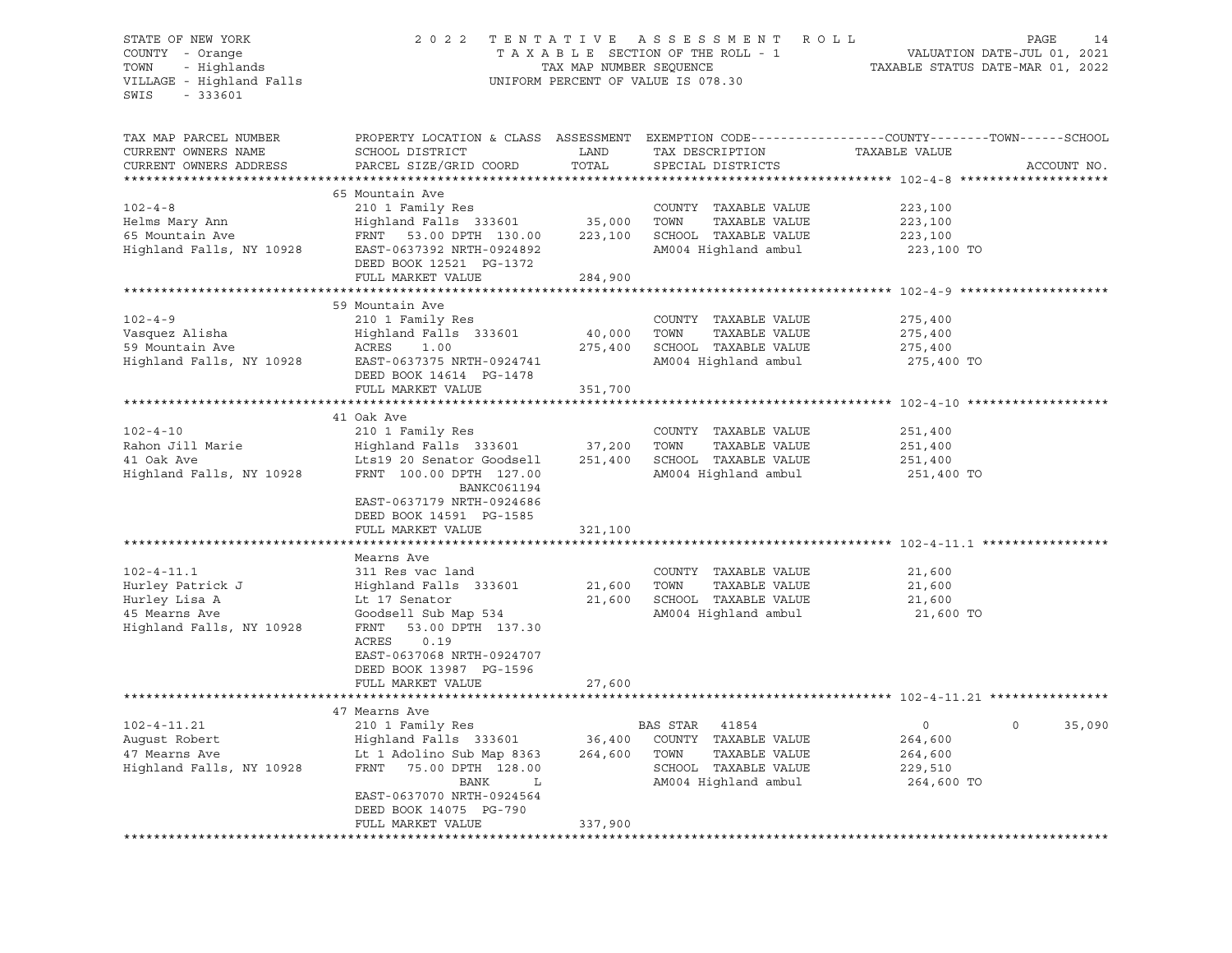### STATE OF NEW YORK 2 0 2 2 T E N T A T I V E A S S E S S M E N T R O L L PAGE 14 COUNTY - Orange T A X A B L E SECTION OF THE ROLL - 1 VALUATION DATE-JUL 01, 2021 TOWN - Highlands TAX MAP NUMBER SEQUENCE TAXABLE STATUS DATE-MAR 01, 2022 VILLAGE - Highland Falls UNIFORM PERCENT OF VALUE IS 078.30

| TAX MAP PARCEL NUMBER    | PROPERTY LOCATION & CLASS ASSESSMENT EXEMPTION CODE----------------COUNTY-------TOWN-----SCHOOL |         |                       |                |                    |
|--------------------------|-------------------------------------------------------------------------------------------------|---------|-----------------------|----------------|--------------------|
| CURRENT OWNERS NAME      | SCHOOL DISTRICT                                                                                 | LAND    | TAX DESCRIPTION       | TAXABLE VALUE  |                    |
| CURRENT OWNERS ADDRESS   | PARCEL SIZE/GRID COORD                                                                          | TOTAL   | SPECIAL DISTRICTS     |                | ACCOUNT NO.        |
|                          |                                                                                                 |         |                       |                |                    |
|                          | 65 Mountain Ave                                                                                 |         |                       |                |                    |
| $102 - 4 - 8$            | 210 1 Family Res                                                                                |         | COUNTY TAXABLE VALUE  | 223,100        |                    |
| Helms Mary Ann           | Highland Falls 333601                                                                           | 35,000  | TOWN<br>TAXABLE VALUE | 223,100        |                    |
| 65 Mountain Ave          | FRNT 53.00 DPTH 130.00                                                                          | 223,100 | SCHOOL TAXABLE VALUE  | 223,100        |                    |
| Highland Falls, NY 10928 | EAST-0637392 NRTH-0924892<br>DEED BOOK 12521 PG-1372                                            |         | AM004 Highland ambul  | 223,100 TO     |                    |
|                          | FULL MARKET VALUE                                                                               | 284,900 |                       |                |                    |
|                          |                                                                                                 |         |                       |                |                    |
|                          | 59 Mountain Ave                                                                                 |         |                       |                |                    |
| $102 - 4 - 9$            | 210 1 Family Res                                                                                |         | COUNTY TAXABLE VALUE  | 275,400        |                    |
| Vasquez Alisha           | Highland Falls 333601                                                                           | 40,000  | TOWN<br>TAXABLE VALUE | 275,400        |                    |
| 59 Mountain Ave          | ACRES<br>1.00                                                                                   | 275,400 | SCHOOL TAXABLE VALUE  | 275,400        |                    |
| Highland Falls, NY 10928 | EAST-0637375 NRTH-0924741                                                                       |         | AM004 Highland ambul  | 275,400 TO     |                    |
|                          | DEED BOOK 14614 PG-1478                                                                         |         |                       |                |                    |
|                          | FULL MARKET VALUE                                                                               | 351,700 |                       |                |                    |
|                          |                                                                                                 |         |                       |                |                    |
|                          | 41 Oak Ave                                                                                      |         |                       |                |                    |
| $102 - 4 - 10$           | 210 1 Family Res                                                                                |         | COUNTY TAXABLE VALUE  | 251,400        |                    |
| Rahon Jill Marie         | Highland Falls 333601                                                                           | 37,200  | TOWN<br>TAXABLE VALUE | 251,400        |                    |
| 41 Oak Ave               | Lts19 20 Senator Goodsell                                                                       | 251,400 | SCHOOL TAXABLE VALUE  | 251,400        |                    |
| Highland Falls, NY 10928 | FRNT 100.00 DPTH 127.00                                                                         |         | AM004 Highland ambul  | 251,400 TO     |                    |
|                          | BANKC061194                                                                                     |         |                       |                |                    |
|                          | EAST-0637179 NRTH-0924686                                                                       |         |                       |                |                    |
|                          | DEED BOOK 14591 PG-1585                                                                         |         |                       |                |                    |
|                          | FULL MARKET VALUE                                                                               | 321,100 |                       |                |                    |
|                          |                                                                                                 |         |                       |                |                    |
|                          | Mearns Ave                                                                                      |         |                       |                |                    |
| $102 - 4 - 11.1$         | 311 Res vac land                                                                                |         | COUNTY TAXABLE VALUE  | 21,600         |                    |
| Hurley Patrick J         | Highland Falls 333601                                                                           | 21,600  | TOWN<br>TAXABLE VALUE | 21,600         |                    |
| Hurley Lisa A            | Lt 17 Senator                                                                                   | 21,600  | SCHOOL TAXABLE VALUE  | 21,600         |                    |
| 45 Mearns Ave            |                                                                                                 |         | AM004 Highland ambul  |                |                    |
| Highland Falls, NY 10928 | Goodsell Sub Map 534<br>FRNT<br>53.00 DPTH 137.30                                               |         |                       | 21,600 TO      |                    |
|                          | ACRES<br>0.19                                                                                   |         |                       |                |                    |
|                          |                                                                                                 |         |                       |                |                    |
|                          | EAST-0637068 NRTH-0924707                                                                       |         |                       |                |                    |
|                          | DEED BOOK 13987 PG-1596                                                                         |         |                       |                |                    |
|                          | FULL MARKET VALUE                                                                               | 27,600  |                       |                |                    |
|                          |                                                                                                 |         |                       |                |                    |
|                          | 47 Mearns Ave                                                                                   |         |                       |                |                    |
| $102 - 4 - 11.21$        | 210 1 Family Res                                                                                |         | BAS STAR 41854        | $\overline{0}$ | 35,090<br>$\Omega$ |
| August Robert            | Highland Falls 333601                                                                           | 36,400  | COUNTY TAXABLE VALUE  | 264,600        |                    |
| 47 Mearns Ave            | Lt 1 Adolino Sub Map 8363                                                                       | 264,600 | TOWN<br>TAXABLE VALUE | 264,600        |                    |
| Highland Falls, NY 10928 | 75.00 DPTH 128.00<br>FRNT                                                                       |         | SCHOOL TAXABLE VALUE  | 229,510        |                    |
|                          | BANK<br>L                                                                                       |         | AM004 Highland ambul  | 264,600 TO     |                    |
|                          | EAST-0637070 NRTH-0924564                                                                       |         |                       |                |                    |
|                          | DEED BOOK 14075 PG-790                                                                          |         |                       |                |                    |
|                          | FULL MARKET VALUE                                                                               | 337,900 |                       |                |                    |
|                          |                                                                                                 |         |                       |                |                    |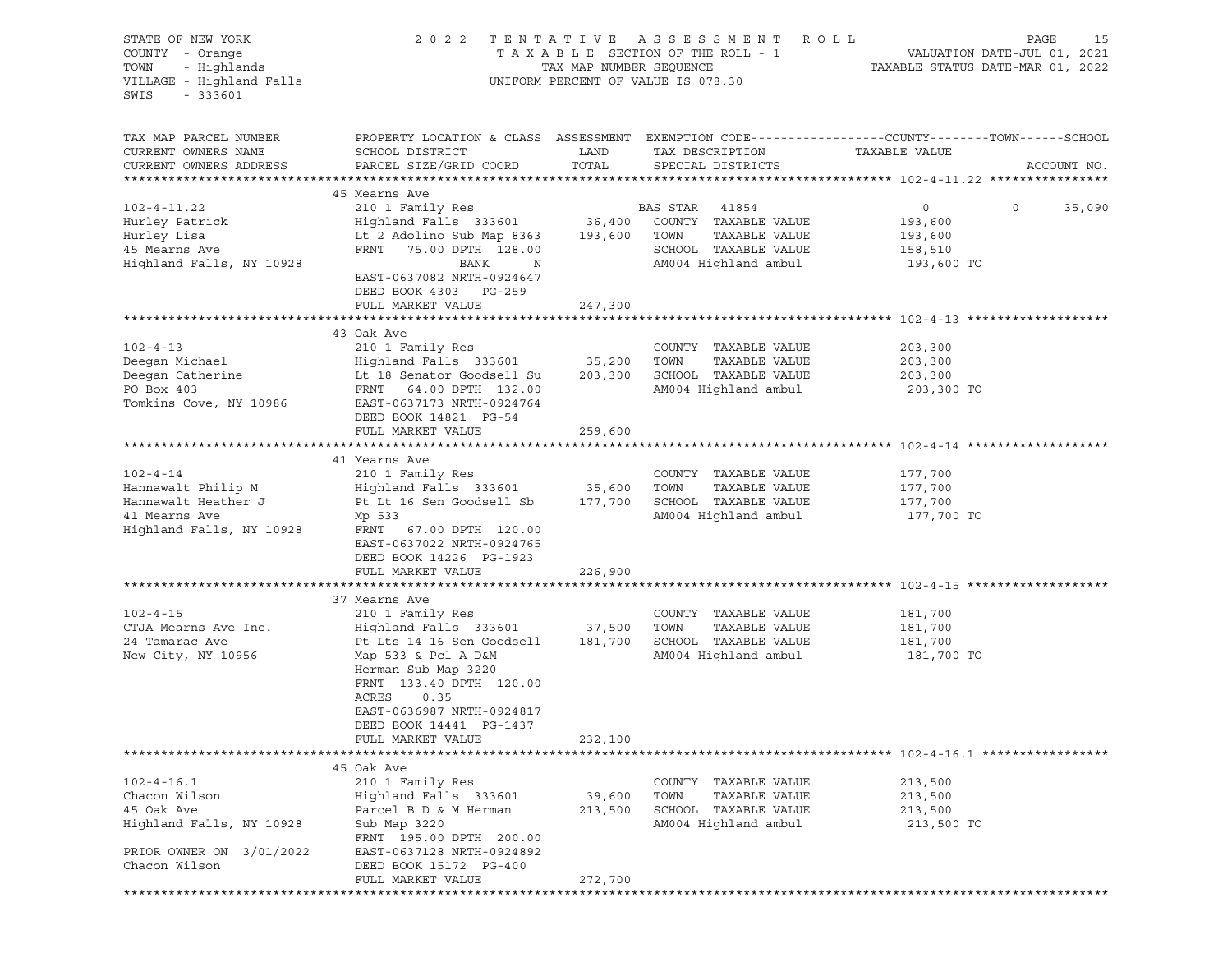| STATE OF NEW YORK<br>COUNTY - Orange<br>TOWN<br>- Highlands<br>VILLAGE - Highland Falls<br>$-333601$<br>SWIS             | 2 0 2 2                                                                                                                                                                                                                                                               |                              | TENTATIVE ASSESSMENT ROLL<br>UNIFORM PERCENT OF VALUE IS 078.30                                         | PAGE<br>VALUATION DATE-JUL 01, 2021<br>TAXABLE STATUS DATE-MAR 01, 2022                                                         | 15 |
|--------------------------------------------------------------------------------------------------------------------------|-----------------------------------------------------------------------------------------------------------------------------------------------------------------------------------------------------------------------------------------------------------------------|------------------------------|---------------------------------------------------------------------------------------------------------|---------------------------------------------------------------------------------------------------------------------------------|----|
| TAX MAP PARCEL NUMBER<br>CURRENT OWNERS NAME<br>CURRENT OWNERS ADDRESS                                                   | SCHOOL DISTRICT<br>PARCEL SIZE/GRID COORD                                                                                                                                                                                                                             | LAND<br>TOTAL                | TAX DESCRIPTION<br>SPECIAL DISTRICTS                                                                    | PROPERTY LOCATION & CLASS ASSESSMENT EXEMPTION CODE----------------COUNTY-------TOWN-----SCHOOL<br>TAXABLE VALUE<br>ACCOUNT NO. |    |
| $102 - 4 - 11.22$<br>Hurley Patrick<br>Hurley Lisa<br>45 Mearns Ave<br>Highland Falls, NY 10928                          | 45 Mearns Ave<br>210 1 Family Res<br>Highland Falls 333601 36,400 COUNTY<br>Lt 2 Adolino Sub Map 8363 193,600 TOWN<br>FRNT 75.00 DPTH 128.00<br>BANK<br>$\mathbb N$<br>EAST-0637082 NRTH-0924647<br>DEED BOOK 4303 PG-259                                             |                              | BAS STAR 41854<br>COUNTY TAXABLE VALUE<br>TAXABLE VALUE<br>SCHOOL TAXABLE VALUE<br>AM004 Highland ambul | $0 \qquad \qquad$<br>$\circ$<br>35,090<br>193,600<br>193,600<br>158,510<br>193,600 TO                                           |    |
|                                                                                                                          | FULL MARKET VALUE                                                                                                                                                                                                                                                     | 247,300                      |                                                                                                         |                                                                                                                                 |    |
| $102 - 4 - 13$<br>Deegan Michael<br>Deegan Catherine<br>PO Box 403<br>Tomkins Cove, NY 10986                             | 43 Oak Ave<br>210 1 Family Res<br>Highland Falls 333601 35,200<br>Lt 18 Senator Goodsell Su<br>FRNT 64.00 DPTH 132.00<br>EAST-0637173 NRTH-0924764<br>DEED BOOK 14821 PG-54<br>FULL MARKET VALUE                                                                      | 203,300<br>259,600           | COUNTY TAXABLE VALUE<br>TOWN<br>TAXABLE VALUE<br>SCHOOL TAXABLE VALUE<br>AM004 Highland ambul           | 203,300<br>203,300<br>203,300<br>203,300 TO                                                                                     |    |
|                                                                                                                          |                                                                                                                                                                                                                                                                       |                              |                                                                                                         |                                                                                                                                 |    |
| $102 - 4 - 14$<br>Hannawalt Philip M<br>Hannawalt Heather J<br>41 Mearns Ave<br>Highland Falls, NY 10928                 | 41 Mearns Ave<br>210 1 Family Res<br>Highland Falls 333601 35,600<br>Pt Lt 16 Sen Goodsell Sb 177,700<br>Mp 533<br>FRNT 67.00 DPTH 120.00<br>EAST-0637022 NRTH-0924765<br>DEED BOOK 14226 PG-1923<br>FULL MARKET VALUE                                                | 226,900                      | COUNTY TAXABLE VALUE<br>TOWN<br>TAXABLE VALUE<br>SCHOOL TAXABLE VALUE<br>AM004 Highland ambul           | 177,700<br>177,700<br>177,700<br>177,700 TO                                                                                     |    |
|                                                                                                                          |                                                                                                                                                                                                                                                                       |                              |                                                                                                         |                                                                                                                                 |    |
| $102 - 4 - 15$<br>CTJA Mearns Ave Inc.<br>24 Tamarac Ave<br>New City, NY 10956                                           | 37 Mearns Ave<br>210 1 Family Res<br>Highland Falls 333601 37,500<br>Pt Lts 14 16 Sen Goodsell<br>Map 533 & Pcl A D&M<br>Herman Sub Map 3220<br>FRNT 133.40 DPTH 120.00<br>ACRES<br>0.35<br>EAST-0636987 NRTH-0924817<br>DEED BOOK 14441 PG-1437<br>FULL MARKET VALUE | 181,700<br>232,100           | COUNTY TAXABLE VALUE<br>TOWN<br>TAXABLE VALUE<br>SCHOOL TAXABLE VALUE<br>AM004 Highland ambul           | 181,700<br>181,700<br>181,700<br>181,700 TO                                                                                     |    |
|                                                                                                                          |                                                                                                                                                                                                                                                                       |                              |                                                                                                         |                                                                                                                                 |    |
| $102 - 4 - 16.1$<br>Chacon Wilson<br>45 Oak Ave<br>Highland Falls, NY 10928<br>PRIOR OWNER ON 3/01/2022<br>Chacon Wilson | 45 Oak Ave<br>210 1 Family Res<br>Highland Falls 333601<br>Parcel B D & M Herman<br>Sub Map 3220<br>FRNT 195.00 DPTH 200.00<br>EAST-0637128 NRTH-0924892<br>DEED BOOK 15172 PG-400<br>FULL MARKET VALUE                                                               | 39,600<br>213,500<br>272,700 | TAXABLE VALUE<br>COUNTY<br>TOWN<br>TAXABLE VALUE<br>SCHOOL<br>TAXABLE VALUE<br>AM004 Highland ambul     | 213,500<br>213,500<br>213,500<br>213,500 TO                                                                                     |    |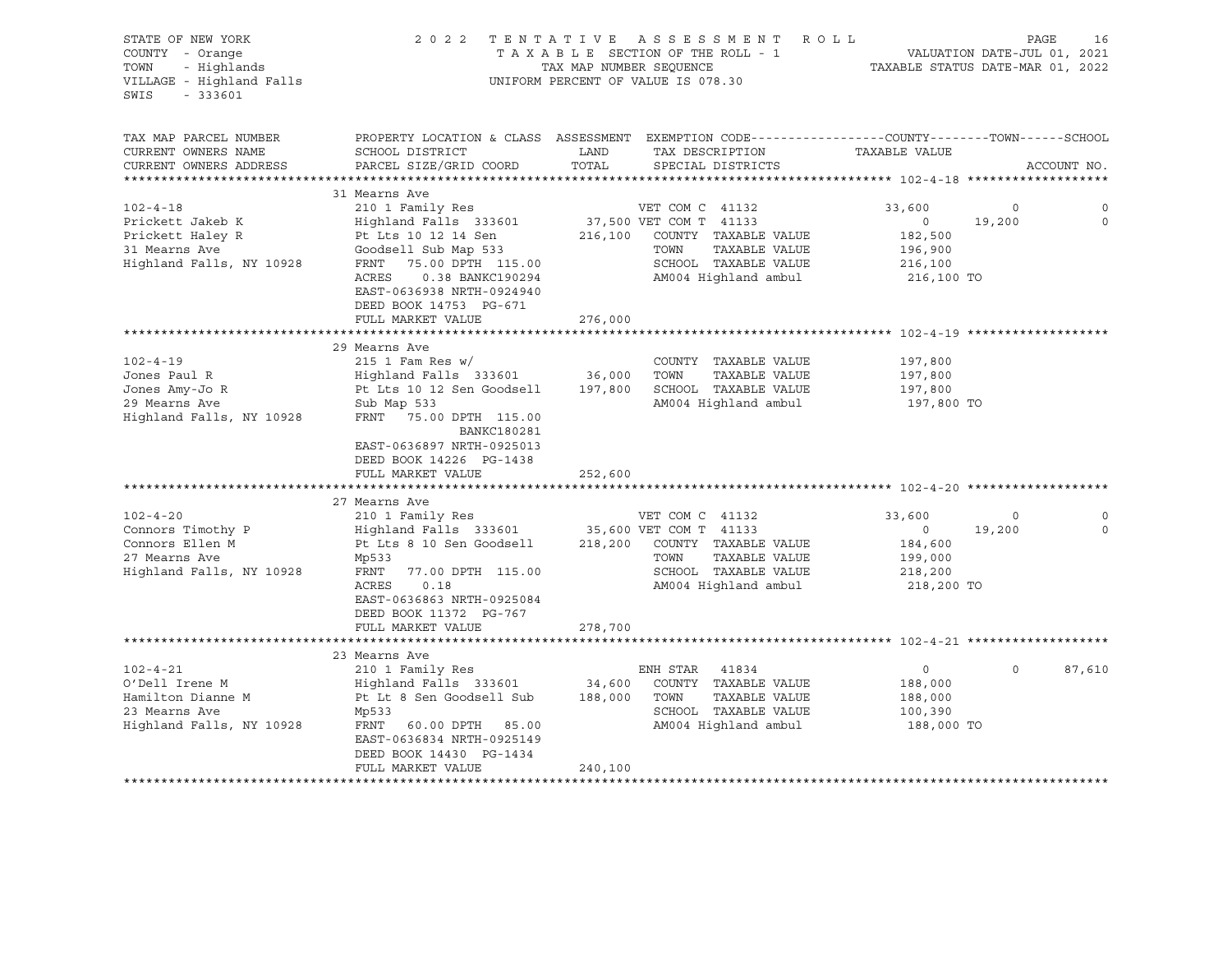| STATE OF NEW YORK<br>COUNTY - Orange                                 |                                                                                                                     | 2022 TENTATIVE ASSESSMENT ROLL<br>TAXABLE SECTION OF THE ROLL - 1                                                         |                                                                 | PAGE<br>16                   |
|----------------------------------------------------------------------|---------------------------------------------------------------------------------------------------------------------|---------------------------------------------------------------------------------------------------------------------------|-----------------------------------------------------------------|------------------------------|
| TOWN<br>- Highlands<br>VILLAGE - Highland Falls<br>$-333601$<br>SWIS |                                                                                                                     | TAX MAP NUMBER SEQUENCE<br>UNIFORM PERCENT OF VALUE IS 078.30                                                             | VALUATION DATE-JUL 01, 2021<br>TAXABLE STATUS DATE-MAR 01, 2022 |                              |
| TAX MAP PARCEL NUMBER<br>CURRENT OWNERS NAME                         | SCHOOL DISTRICT                                                                                                     | PROPERTY LOCATION & CLASS ASSESSMENT EXEMPTION CODE---------------COUNTY-------TOWN-----SCHOOL<br>LAND<br>TAX DESCRIPTION | TAXABLE VALUE                                                   |                              |
| CURRENT OWNERS ADDRESS                                               | PARCEL SIZE/GRID COORD                                                                                              | TOTAL<br>SPECIAL DISTRICTS                                                                                                |                                                                 | ACCOUNT NO.                  |
|                                                                      |                                                                                                                     |                                                                                                                           |                                                                 |                              |
| $102 - 4 - 18$                                                       | 31 Mearns Ave                                                                                                       |                                                                                                                           |                                                                 |                              |
|                                                                      | 210 1 Family Res                                                                                                    | VET COM C 41132                                                                                                           | 33,600                                                          | $\circ$<br>19,200<br>$\circ$ |
| Prickett Jakeb K                                                     | Highland Falls 333601                                                                                               | 37,500 VET COM T 41133                                                                                                    | $\circ$                                                         |                              |
| Prickett Haley R<br>31 Mearns Ave                                    | Pt Lts 10 12 14 Sen<br>Goodsell Sub Map 533                                                                         | 216,100 COUNTY TAXABLE VALUE<br>TOWN<br>TAXABLE VALUE                                                                     | 182,500                                                         |                              |
| Highland Falls, NY 10928                                             |                                                                                                                     | SCHOOL TAXABLE VALUE                                                                                                      | 196,900                                                         |                              |
|                                                                      | FRNT 75.00 DPTH 115.00<br>ACRES<br>0.38 BANKC190294                                                                 | AM004 Highland ambul                                                                                                      | 216,100<br>216,100 TO                                           |                              |
|                                                                      | EAST-0636938 NRTH-0924940<br>DEED BOOK 14753 PG-671                                                                 |                                                                                                                           |                                                                 |                              |
|                                                                      | FULL MARKET VALUE                                                                                                   | 276,000                                                                                                                   |                                                                 |                              |
|                                                                      |                                                                                                                     |                                                                                                                           |                                                                 |                              |
|                                                                      | 29 Mearns Ave                                                                                                       |                                                                                                                           |                                                                 |                              |
| $102 - 4 - 19$                                                       | $215$ 1 Fam Res w/                                                                                                  | COUNTY TAXABLE VALUE                                                                                                      | 197,800                                                         |                              |
| Jones Paul R                                                         | Highland Falls 333601 36,000                                                                                        | TOWN<br>TAXABLE VALUE                                                                                                     | 197,800                                                         |                              |
| Jones Amy-Jo R                                                       | Pt Lts 10 12 Sen Goodsell                                                                                           | 197,800 SCHOOL TAXABLE VALUE                                                                                              | 197,800                                                         |                              |
| 29 Mearns Ave<br>Highland Falls, NY 10928                            | Sub Map 533<br>FRNT 75.00 DPTH 115.00<br><b>BANKC180281</b><br>EAST-0636897 NRTH-0925013<br>DEED BOOK 14226 PG-1438 | AM004 Highland ambul                                                                                                      | 197,800 TO                                                      |                              |
|                                                                      | FULL MARKET VALUE                                                                                                   | 252,600                                                                                                                   |                                                                 |                              |
|                                                                      |                                                                                                                     |                                                                                                                           |                                                                 |                              |
|                                                                      | 27 Mearns Ave                                                                                                       |                                                                                                                           |                                                                 |                              |
| $102 - 4 - 20$                                                       | 210 1 Family Res                                                                                                    | VET COM C 41132                                                                                                           | 33,600                                                          | $\circ$<br>0                 |
| Connors Timothy P                                                    |                                                                                                                     | Highland Falls 333601 35,600 VET COM T 41133                                                                              | $\circ$                                                         | $\circ$<br>19,200            |
| Connors Ellen M                                                      | Pt Lts 8 10 Sen Goodsell                                                                                            | 218,200 COUNTY TAXABLE VALUE                                                                                              | 184,600                                                         |                              |
| 27 Mearns Ave                                                        | Mp533                                                                                                               | TOWN<br>TAXABLE VALUE                                                                                                     | 199,000                                                         |                              |
| Highland Falls, NY 10928                                             | 77.00 DPTH 115.00<br>FRNT                                                                                           | SCHOOL TAXABLE VALUE                                                                                                      | 218,200                                                         |                              |
|                                                                      | ACRES<br>0.18<br>EAST-0636863 NRTH-0925084<br>DEED BOOK 11372 PG-767                                                | AM004 Highland ambul                                                                                                      | 218,200 TO                                                      |                              |
|                                                                      | FULL MARKET VALUE                                                                                                   | 278,700                                                                                                                   |                                                                 |                              |
|                                                                      |                                                                                                                     |                                                                                                                           |                                                                 |                              |
| $102 - 4 - 21$<br>O'Dell Irene M                                     | 23 Mearns Ave<br>210 1 Family Res<br>Highland Falls 333601                                                          | ENH STAR 41834<br>34,600<br>COUNTY TAXABLE VALUE                                                                          | $\circ$<br>188,000                                              | 87,610<br>$\Omega$           |
| Hamilton Dianne M                                                    | Pt Lt 8 Sen Goodsell Sub                                                                                            | 188,000 TOWN<br>TAXABLE VALUE                                                                                             | 188,000                                                         |                              |
| 23 Mearns Ave<br>Highland Falls, NY 10928                            | Mp533<br>FRNT 60.00 DPTH 85.00<br>EAST-0636834 NRTH-0925149                                                         | SCHOOL TAXABLE VALUE<br>AM004 Highland ambul                                                                              | 100,390<br>188,000 TO                                           |                              |
|                                                                      | DEED BOOK 14430 PG-1434<br>FULL MARKET VALUE                                                                        | 240,100                                                                                                                   |                                                                 |                              |
|                                                                      |                                                                                                                     |                                                                                                                           |                                                                 |                              |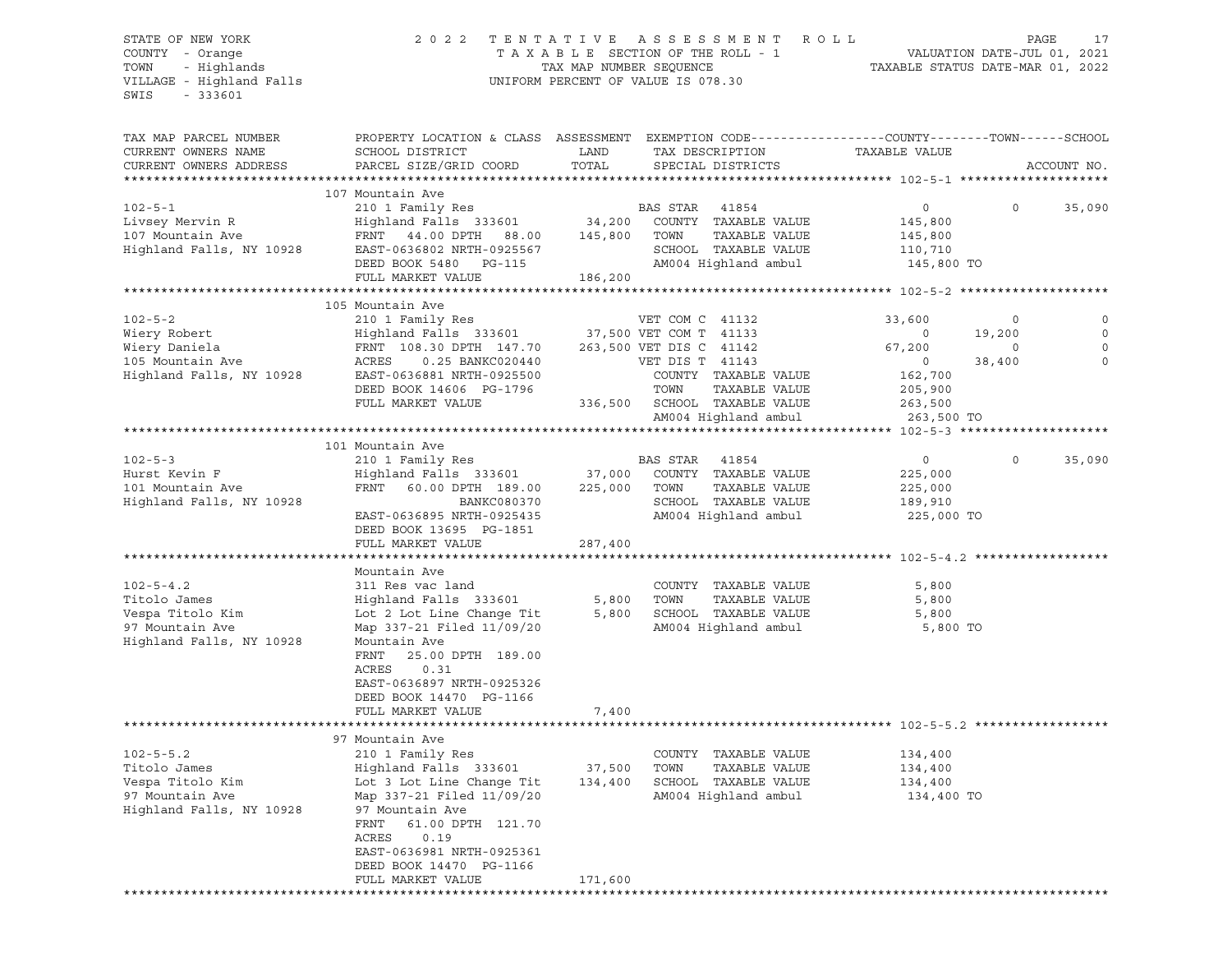VILLAGE - Highland Falls UNIFORM PERCENT OF VALUE IS 078.30 SWIS - 333601

## STATE OF NEW YORK 2 0 2 2 T E N T A T I V E A S S E S S M E N T R O L L PAGE 17 COUNTY - Orange T A X A B L E SECTION OF THE ROLL - 1 VALUATION DATE-JUL 01, 2021 TOWN - Highlands TAX MAP NUMBER SEQUENCE TAXABLE STATUS DATE-MAR 01, 2022

| TAX MAP PARCEL NUMBER    | PROPERTY LOCATION & CLASS ASSESSMENT EXEMPTION CODE---------------COUNTY-------TOWN-----SCHOOL |              |                                                  |                |         |             |
|--------------------------|------------------------------------------------------------------------------------------------|--------------|--------------------------------------------------|----------------|---------|-------------|
| CURRENT OWNERS NAME      | SCHOOL DISTRICT                                                                                | LAND         | TAX DESCRIPTION                                  | TAXABLE VALUE  |         |             |
| CURRENT OWNERS ADDRESS   | PARCEL SIZE/GRID COORD                                                                         | TOTAL        | SPECIAL DISTRICTS                                |                |         | ACCOUNT NO. |
| ***********************  |                                                                                                |              |                                                  |                |         |             |
| $102 - 5 - 1$            | 107 Mountain Ave<br>210 1 Family Res                                                           |              | BAS STAR<br>41854                                | $\circ$        | $\circ$ | 35,090      |
| Livsey Mervin R          | Highland Falls 333601                                                                          |              | 34,200 COUNTY TAXABLE VALUE                      | 145,800        |         |             |
| 107 Mountain Ave         | FRNT 44.00 DPTH 88.00                                                                          | 145,800 TOWN | TAXABLE VALUE                                    | 145,800        |         |             |
| Highland Falls, NY 10928 | EAST-0636802 NRTH-0925567                                                                      |              | SCHOOL TAXABLE VALUE                             | 110,710        |         |             |
|                          | DEED BOOK 5480 PG-115                                                                          |              | AM004 Highland ambul                             | 145,800 TO     |         |             |
|                          | FULL MARKET VALUE                                                                              | 186,200      |                                                  |                |         |             |
|                          |                                                                                                |              |                                                  |                |         |             |
|                          | 105 Mountain Ave                                                                               |              |                                                  |                |         |             |
| $102 - 5 - 2$            | 210 1 Family Res                                                                               |              | VET COM C 41132                                  | 33,600         | $\circ$ |             |
| Wiery Robert             | Highland Falls 333601 37,500 VET COM T 41133                                                   |              |                                                  | $\circ$        | 19,200  | $\circ$     |
| Wiery Daniela            | FRNT 108.30 DPTH 147.70                                                                        |              | 263,500 VET DIS C 41142                          | 67,200         | 0       |             |
| 105 Mountain Ave         | ACRES<br>0.25 BANKC020440                                                                      |              | VET DIS T 41143                                  | $\sim$ 0       | 38,400  | $\mathbf 0$ |
| Highland Falls, NY 10928 | EAST-0636881 NRTH-0925500                                                                      |              | COUNTY TAXABLE VALUE                             | 162,700        |         |             |
|                          | DEED BOOK 14606 PG-1796                                                                        |              | TOWN<br>TAXABLE VALUE                            | 205,900        |         |             |
|                          | FULL MARKET VALUE                                                                              |              | 336,500 SCHOOL TAXABLE VALUE                     | 263,500        |         |             |
|                          |                                                                                                |              | AM004 Highland ambul                             | 263,500 TO     |         |             |
|                          |                                                                                                |              |                                                  |                |         |             |
|                          | 101 Mountain Ave                                                                               |              |                                                  |                |         |             |
| $102 - 5 - 3$            | 210 1 Family Res                                                                               |              | BAS STAR 41854                                   | $\overline{0}$ | $\circ$ | 35,090      |
| Hurst Kevin F            | Highland Falls 333601                                                                          |              | 37,000 COUNTY TAXABLE VALUE                      | 225,000        |         |             |
| 101 Mountain Ave         | 60.00 DPTH 189.00<br>FRNT                                                                      | 225,000 TOWN | TAXABLE VALUE                                    | 225,000        |         |             |
| Highland Falls, NY 10928 | BANKC080370                                                                                    |              | SCHOOL TAXABLE VALUE                             | 189,910        |         |             |
|                          | EAST-0636895 NRTH-0925435                                                                      |              | AM004 Highland ambul                             | 225,000 TO     |         |             |
|                          | DEED BOOK 13695 PG-1851                                                                        |              |                                                  |                |         |             |
|                          | FULL MARKET VALUE                                                                              | 287,400      |                                                  |                |         |             |
|                          |                                                                                                |              |                                                  |                |         |             |
|                          | Mountain Ave                                                                                   |              |                                                  |                |         |             |
| $102 - 5 - 4.2$          | 311 Res vac land                                                                               |              | COUNTY TAXABLE VALUE                             | 5,800          |         |             |
| Titolo James             | Highland Falls 333601                                                                          |              | 5,800 TOWN<br>TAXABLE VALUE                      | 5,800          |         |             |
| Vespa Titolo Kim         | Lot 2 Lot Line Change Tit                                                                      |              | 5,800 SCHOOL TAXABLE VALUE                       | 5,800          |         |             |
| 97 Mountain Ave          | Map 337-21 Filed 11/09/20                                                                      |              | AM004 Highland ambul                             | 5,800 TO       |         |             |
| Highland Falls, NY 10928 | Mountain Ave                                                                                   |              |                                                  |                |         |             |
|                          | 25.00 DPTH 189.00<br>FRNT                                                                      |              |                                                  |                |         |             |
|                          | ACRES<br>0.31                                                                                  |              |                                                  |                |         |             |
|                          | EAST-0636897 NRTH-0925326                                                                      |              |                                                  |                |         |             |
|                          | DEED BOOK 14470 PG-1166                                                                        |              |                                                  |                |         |             |
|                          | FULL MARKET VALUE                                                                              | 7,400        |                                                  |                |         |             |
|                          |                                                                                                |              | ********************************** 102-5-5.2 *** |                |         |             |
|                          | 97 Mountain Ave                                                                                |              |                                                  |                |         |             |
| $102 - 5 - 5.2$          | 210 1 Family Res                                                                               |              | COUNTY TAXABLE VALUE                             | 134,400        |         |             |
| Titolo James             | Highland Falls 333601 37,500                                                                   |              | TOWN<br>TAXABLE VALUE                            | 134,400        |         |             |
| Vespa Titolo Kim         | Lot 3 Lot Line Change Tit                                                                      |              | 134,400 SCHOOL TAXABLE VALUE                     | 134,400        |         |             |
| 97 Mountain Ave          | Map 337-21 Filed 11/09/20                                                                      |              | AM004 Highland ambul                             | 134,400 TO     |         |             |
| Highland Falls, NY 10928 | 97 Mountain Ave                                                                                |              |                                                  |                |         |             |
|                          | FRNT<br>61.00 DPTH 121.70                                                                      |              |                                                  |                |         |             |
|                          | ACRES<br>0.19                                                                                  |              |                                                  |                |         |             |
|                          | EAST-0636981 NRTH-0925361                                                                      |              |                                                  |                |         |             |
|                          | DEED BOOK 14470 PG-1166                                                                        |              |                                                  |                |         |             |
|                          | FULL MARKET VALUE                                                                              | 171,600      |                                                  |                |         |             |
|                          |                                                                                                |              |                                                  |                |         |             |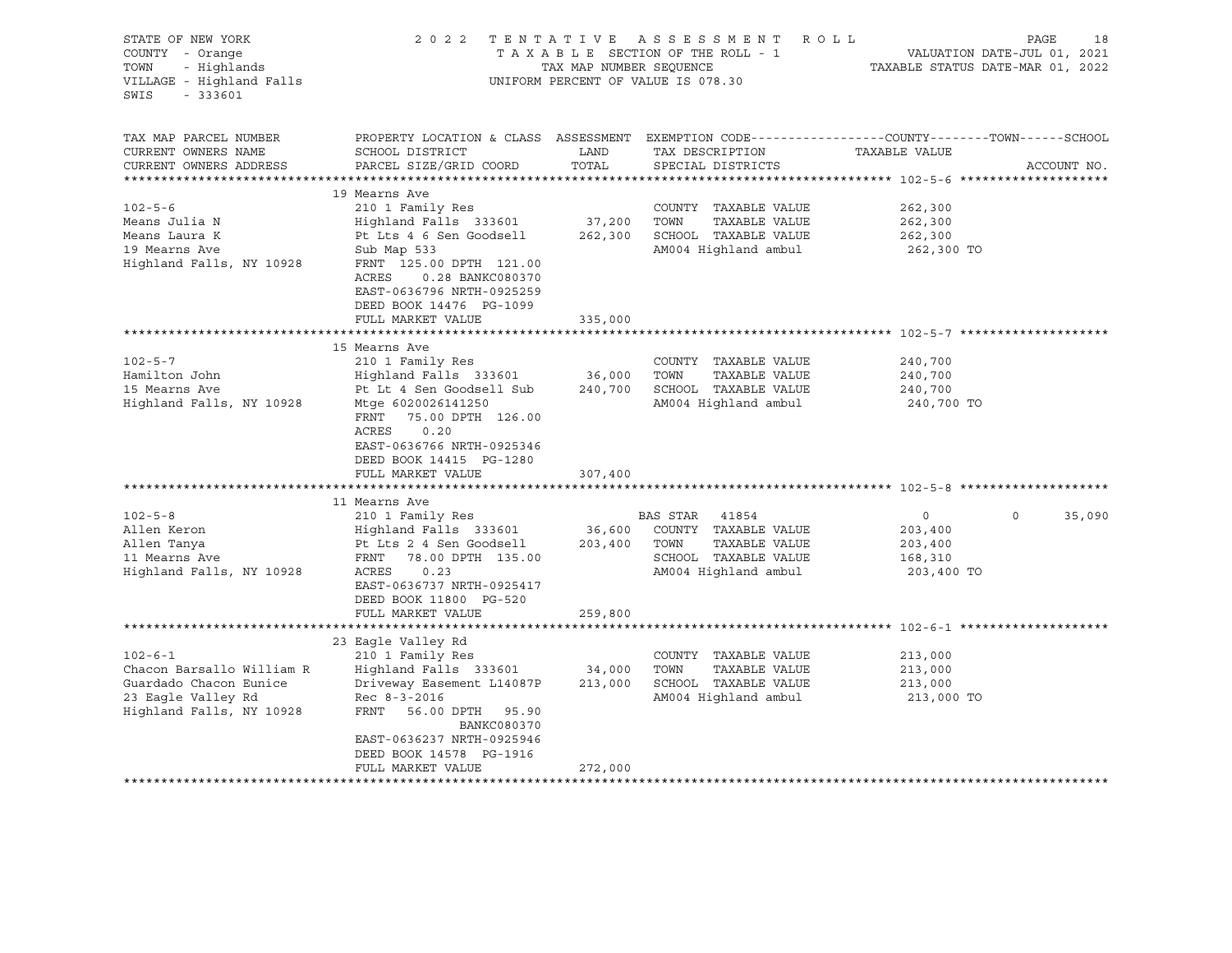| STATE OF NEW YORK<br>COUNTY - Orange<br>- Highlands<br>TOWN<br>VILLAGE - Highland Falls<br>SWIS<br>$-333601$           |                                                                                                                                                                                                                                         | TAX MAP NUMBER SEQUENCE      | 2022 TENTATIVE ASSESSMENT<br>TAXABLE SECTION OF THE ROLL - 1<br>UNIFORM PERCENT OF VALUE IS 078.30              | R O L L<br>VALUATION DATE-JUL 01, 2021<br>TAXABLE STATUS DATE-MAR 01, 2022 | PAGE<br>18  |
|------------------------------------------------------------------------------------------------------------------------|-----------------------------------------------------------------------------------------------------------------------------------------------------------------------------------------------------------------------------------------|------------------------------|-----------------------------------------------------------------------------------------------------------------|----------------------------------------------------------------------------|-------------|
| TAX MAP PARCEL NUMBER<br>CURRENT OWNERS NAME<br>CURRENT OWNERS ADDRESS                                                 | PROPERTY LOCATION & CLASS ASSESSMENT EXEMPTION CODE----------------COUNTY-------TOWN-----SCHOOL<br>SCHOOL DISTRICT<br>PARCEL SIZE/GRID COORD                                                                                            | LAND<br>TOTAL                | TAX DESCRIPTION<br>SPECIAL DISTRICTS                                                                            | TAXABLE VALUE                                                              | ACCOUNT NO. |
| $102 - 5 - 6$<br>Means Julia N<br>Means Laura K<br>19 Mearns Ave<br>Highland Falls, NY 10928                           | 19 Mearns Ave<br>210 1 Family Res<br>Highland Falls 333601<br>Pt Lts 4 6 Sen Goodsell<br>Sub Map 533<br>FRNT 125.00 DPTH 121.00<br>ACRES<br>0.28 BANKC080370<br>EAST-0636796 NRTH-0925259<br>DEED BOOK 14476 PG-1099                    | 37,200<br>262,300            | COUNTY TAXABLE VALUE<br>TAXABLE VALUE<br>TOWN<br>SCHOOL TAXABLE VALUE<br>AM004 Highland ambul                   | 262,300<br>262,300<br>262,300<br>262,300 TO                                |             |
|                                                                                                                        | FULL MARKET VALUE                                                                                                                                                                                                                       | 335,000                      |                                                                                                                 |                                                                            |             |
| $102 - 5 - 7$<br>Hamilton John<br>15 Mearns Ave<br>Highland Falls, NY 10928                                            | 15 Mearns Ave<br>210 1 Family Res<br>Highland Falls 333601<br>Pt Lt 4 Sen Goodsell Sub<br>Mtqe 6020026141250<br>75.00 DPTH 126.00<br>FRNT<br>ACRES<br>0.20<br>EAST-0636766 NRTH-0925346<br>DEED BOOK 14415 PG-1280<br>FULL MARKET VALUE | 36,000<br>240,700<br>307,400 | COUNTY TAXABLE VALUE<br>TOWN<br>TAXABLE VALUE<br>SCHOOL TAXABLE VALUE<br>AM004 Highland ambul                   | 240,700<br>240,700<br>240,700<br>240,700 TO                                |             |
|                                                                                                                        |                                                                                                                                                                                                                                         |                              |                                                                                                                 |                                                                            |             |
| $102 - 5 - 8$<br>Allen Keron<br>Allen Tanya<br>11 Mearns Ave<br>Highland Falls, NY 10928                               | 11 Mearns Ave<br>210 1 Family Res<br>Highland Falls 333601<br>Pt Lts 2 4 Sen Goodsell<br>FRNT 78.00 DPTH 135.00<br>ACRES<br>0.23<br>EAST-0636737 NRTH-0925417<br>DEED BOOK 11800 PG-520<br>FULL MARKET VALUE                            | 36,600<br>203,400<br>259,800 | BAS STAR 41854<br>COUNTY TAXABLE VALUE<br>TOWN<br>TAXABLE VALUE<br>SCHOOL TAXABLE VALUE<br>AM004 Highland ambul | $\mathsf{O}$<br>$\circ$<br>203,400<br>203,400<br>168,310<br>203,400 TO     | 35,090      |
|                                                                                                                        |                                                                                                                                                                                                                                         |                              |                                                                                                                 |                                                                            |             |
| $102 - 6 - 1$<br>Chacon Barsallo William R<br>Guardado Chacon Eunice<br>23 Eagle Valley Rd<br>Highland Falls, NY 10928 | 23 Eagle Valley Rd<br>210 1 Family Res<br>Highland Falls 333601<br>Driveway Easement L14087P<br>$Rec 8-3-2016$<br>FRNT<br>56.00 DPTH 95.90<br><b>BANKC080370</b><br>EAST-0636237 NRTH-0925946                                           | 34,000<br>213,000            | COUNTY TAXABLE VALUE<br>TOWN<br>TAXABLE VALUE<br>SCHOOL TAXABLE VALUE<br>AM004 Highland ambul                   | 213,000<br>213,000<br>213,000<br>213,000 TO                                |             |
|                                                                                                                        | DEED BOOK 14578 PG-1916<br>FULL MARKET VALUE                                                                                                                                                                                            | 272,000                      | ***********************************                                                                             |                                                                            |             |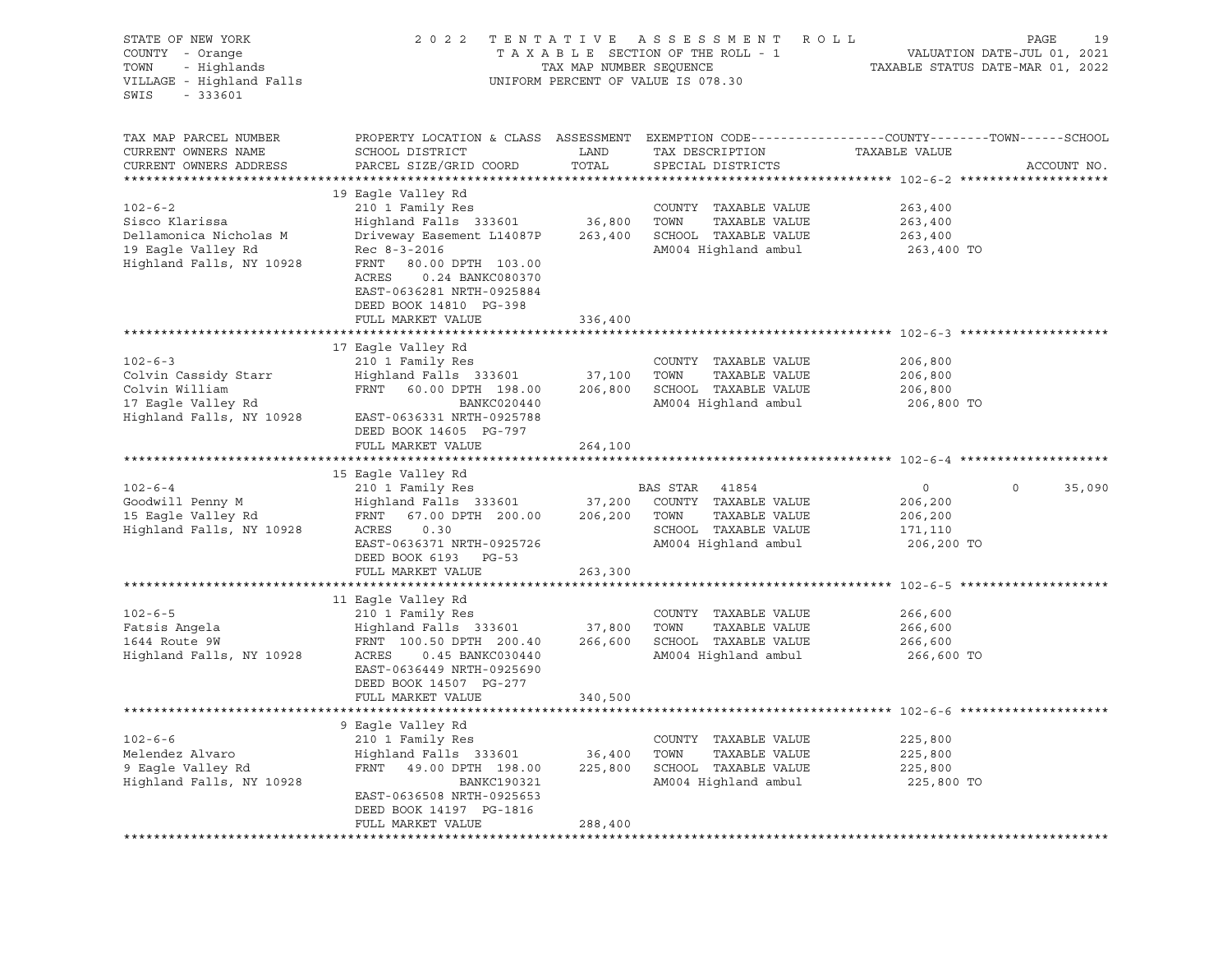| STATE OF NEW YORK<br>COUNTY - Orange<br>- Highlands<br>TOWN<br>VILLAGE - Highland Falls<br>$-333601$<br>SWIS | 2 0 2 2                                                                                                                                                                                                                       | TENTATIVE<br>TAX MAP NUMBER SEQUENCE | A S S E S S M E N T<br>R O L L<br>TAXABLE SECTION OF THE ROLL - 1<br>UNIFORM PERCENT OF VALUE IS 078.30         | VALUATION DATE-JUL 01, 2021<br>TAXABLE STATUS DATE-MAR 01, 2022               | PAGE<br>19  |
|--------------------------------------------------------------------------------------------------------------|-------------------------------------------------------------------------------------------------------------------------------------------------------------------------------------------------------------------------------|--------------------------------------|-----------------------------------------------------------------------------------------------------------------|-------------------------------------------------------------------------------|-------------|
| TAX MAP PARCEL NUMBER<br>CURRENT OWNERS NAME<br>CURRENT OWNERS ADDRESS<br>***********************            | PROPERTY LOCATION & CLASS ASSESSMENT<br>SCHOOL DISTRICT<br>PARCEL SIZE/GRID COORD                                                                                                                                             | LAND<br>TOTAL                        | TAX DESCRIPTION<br>SPECIAL DISTRICTS                                                                            | EXEMPTION CODE-----------------COUNTY-------TOWN------SCHOOL<br>TAXABLE VALUE | ACCOUNT NO. |
| $102 - 6 - 2$<br>Sisco Klarissa<br>Dellamonica Nicholas M<br>19 Eagle Valley Rd<br>Highland Falls, NY 10928  | 19 Eagle Valley Rd<br>210 1 Family Res<br>Highland Falls 333601<br>Driveway Easement L14087P<br>Rec 8-3-2016<br>FRNT<br>80.00 DPTH 103.00<br>ACRES<br>0.24 BANKC080370<br>EAST-0636281 NRTH-0925884<br>DEED BOOK 14810 PG-398 | 36,800<br>263,400                    | COUNTY TAXABLE VALUE<br>TAXABLE VALUE<br>TOWN<br>SCHOOL TAXABLE VALUE<br>AM004 Highland ambul                   | 263,400<br>263,400<br>263,400<br>263,400 TO                                   |             |
|                                                                                                              | FULL MARKET VALUE                                                                                                                                                                                                             | 336,400<br>**************            | $*************************************** 102-6-3$ **                                                            |                                                                               |             |
| $102 - 6 - 3$<br>Colvin Cassidy Starr<br>Colvin William<br>17 Eagle Valley Rd<br>Highland Falls, NY 10928    | 17 Eagle Valley Rd<br>210 1 Family Res<br>Highland Falls 333601<br>FRNT 60.00 DPTH 198.00<br>BANKC020440<br>EAST-0636331 NRTH-0925788<br>DEED BOOK 14605 PG-797<br>FULL MARKET VALUE                                          | 37,100<br>206,800<br>264,100         | COUNTY TAXABLE VALUE<br>TOWN<br>TAXABLE VALUE<br>SCHOOL TAXABLE VALUE<br>AM004 Highland ambul                   | 206,800<br>206,800<br>206,800<br>206,800 TO                                   |             |
|                                                                                                              |                                                                                                                                                                                                                               |                                      |                                                                                                                 |                                                                               |             |
| $102 - 6 - 4$<br>Goodwill Penny M<br>15 Eagle Valley Rd<br>Highland Falls, NY 10928                          | 15 Eagle Valley Rd<br>210 1 Family Res<br>Highland Falls 333601<br>FRNT 67.00 DPTH 200.00<br>ACRES<br>0.30<br>EAST-0636371 NRTH-0925726<br>DEED BOOK 6193 PG-53                                                               | 37,200<br>206,200                    | BAS STAR 41854<br>COUNTY TAXABLE VALUE<br>TOWN<br>TAXABLE VALUE<br>SCHOOL TAXABLE VALUE<br>AM004 Highland ambul | $\circ$<br>$\Omega$<br>206,200<br>206,200<br>171,110<br>206,200 TO            | 35,090      |
|                                                                                                              | FULL MARKET VALUE                                                                                                                                                                                                             | 263,300                              |                                                                                                                 |                                                                               |             |
| $102 - 6 - 5$<br>Fatsis Angela<br>1644 Route 9W<br>Highland Falls, NY 10928                                  | 11 Eagle Valley Rd<br>210 1 Family Res<br>Highland Falls 333601<br>FRNT 100.50 DPTH 200.40<br>ACRES<br>0.45 BANKC030440<br>EAST-0636449 NRTH-0925690<br>DEED BOOK 14507 PG-277<br>FULL MARKET VALUE                           | 37,800<br>340,500                    | COUNTY TAXABLE VALUE<br>TOWN<br>TAXABLE VALUE<br>266,600 SCHOOL TAXABLE VALUE<br>AM004 Highland ambul           | 266,600<br>266,600<br>266,600<br>266,600 TO                                   |             |
|                                                                                                              |                                                                                                                                                                                                                               |                                      |                                                                                                                 |                                                                               |             |
| $102 - 6 - 6$<br>Melendez Alvaro<br>9 Eagle Valley Rd<br>Highland Falls, NY 10928                            | 9 Eagle Valley Rd<br>210 1 Family Res<br>Highland Falls 333601<br>FRNT 49.00 DPTH 198.00<br>BANKC190321<br>EAST-0636508 NRTH-0925653<br>DEED BOOK 14197 PG-1816                                                               | 36,400<br>225,800                    | COUNTY TAXABLE VALUE<br>TOWN<br>TAXABLE VALUE<br>SCHOOL TAXABLE VALUE<br>AM004 Highland ambul                   | 225,800<br>225,800<br>225,800<br>225,800 TO                                   |             |
|                                                                                                              | FULL MARKET VALUE                                                                                                                                                                                                             | 288,400                              |                                                                                                                 |                                                                               |             |
|                                                                                                              |                                                                                                                                                                                                                               |                                      |                                                                                                                 |                                                                               |             |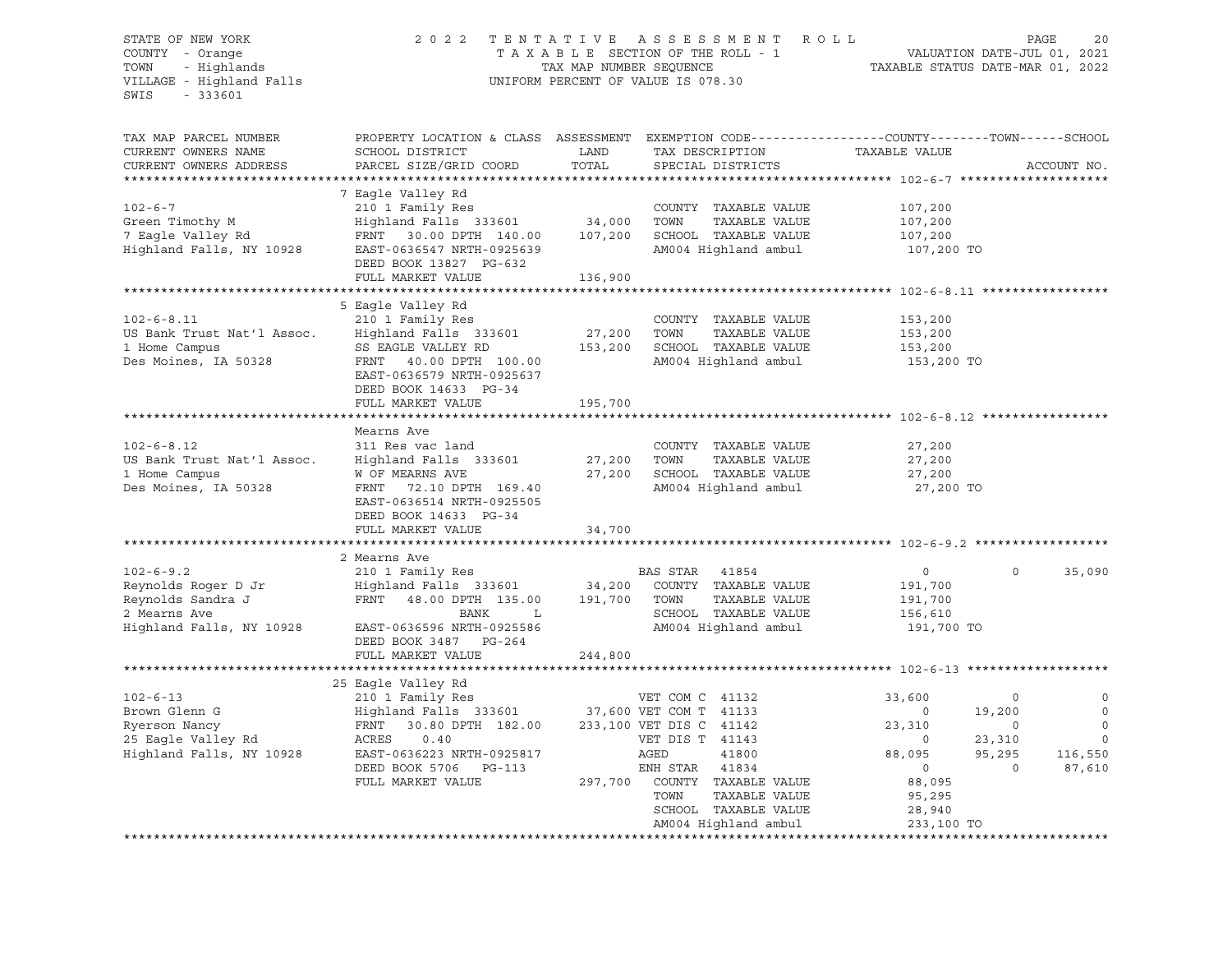### STATE OF NEW YORK 2 0 2 2 T E N T A T I V E A S S E S S M E N T R O L L PAGE 20 COUNTY - Orange T A X A B L E SECTION OF THE ROLL - 1 VALUATION DATE-JUL 01, 2021 TOWN - Highlands TAX MAP NUMBER SEQUENCE TAXABLE STATUS DATE-MAR 01, 2022 VILLAGE - Highland Falls UNIFORM PERCENT OF VALUE IS 078.30

| TAX MAP PARCEL NUMBER<br>CURRENT OWNERS NAME<br>CURRENT OWNERS ADDRESS                                  | PROPERTY LOCATION & CLASS ASSESSMENT<br>SCHOOL DISTRICT<br>PARCEL SIZE/GRID COORD                                                                                               | LAND<br>TOTAL              | EXEMPTION CODE-----------------COUNTY-------TOWN------SCHOOL<br>TAX DESCRIPTION<br>SPECIAL DISTRICTS               | TAXABLE VALUE                                                 |                                 | ACCOUNT NO.                       |
|---------------------------------------------------------------------------------------------------------|---------------------------------------------------------------------------------------------------------------------------------------------------------------------------------|----------------------------|--------------------------------------------------------------------------------------------------------------------|---------------------------------------------------------------|---------------------------------|-----------------------------------|
|                                                                                                         |                                                                                                                                                                                 |                            |                                                                                                                    |                                                               |                                 |                                   |
| $102 - 6 - 7$<br>Green Timothy M<br>7 Eagle Valley Rd<br>Highland Falls, NY 10928                       | 7 Eagle Valley Rd<br>210 1 Family Res<br>Highland Falls 333601<br>FRNT 30.00 DPTH 140.00<br>EAST-0636547 NRTH-0925639<br>DEED BOOK 13827 PG-632                                 | 34,000<br>107,200          | COUNTY TAXABLE VALUE<br>TOWN<br>TAXABLE VALUE<br>SCHOOL TAXABLE VALUE<br>AM004 Highland ambul                      | 107,200<br>107,200<br>107,200<br>107,200 TO                   |                                 |                                   |
|                                                                                                         | FULL MARKET VALUE                                                                                                                                                               | 136,900                    |                                                                                                                    |                                                               |                                 |                                   |
|                                                                                                         |                                                                                                                                                                                 |                            |                                                                                                                    |                                                               |                                 |                                   |
| $102 - 6 - 8.11$<br>US Bank Trust Nat'l Assoc.<br>1 Home Campus<br>Des Moines, IA 50328                 | 5 Eagle Valley Rd<br>210 1 Family Res<br>Highland Falls 333601<br>SS EAGLE VALLEY RD<br>FRNT 40.00 DPTH 100.00<br>EAST-0636579 NRTH-0925637<br>DEED BOOK 14633 PG-34            | 27,200<br>153,200          | COUNTY TAXABLE VALUE<br>TOWN<br>TAXABLE VALUE<br>SCHOOL TAXABLE VALUE<br>AM004 Highland ambul                      | 153,200<br>153,200<br>153,200<br>153,200 TO                   |                                 |                                   |
|                                                                                                         | FULL MARKET VALUE                                                                                                                                                               | 195,700                    |                                                                                                                    |                                                               |                                 |                                   |
|                                                                                                         |                                                                                                                                                                                 |                            |                                                                                                                    |                                                               |                                 |                                   |
| $102 - 6 - 8.12$<br>US Bank Trust Nat'l Assoc.<br>1 Home Campus<br>Des Moines, IA 50328                 | Mearns Ave<br>311 Res vac land<br>Highland Falls 333601<br>W OF MEARNS AVE<br>FRNT 72.10 DPTH 169.40<br>EAST-0636514 NRTH-0925505<br>DEED BOOK 14633 PG-34<br>FULL MARKET VALUE | 27,200<br>27,200<br>34,700 | COUNTY TAXABLE VALUE<br>TOWN<br>TAXABLE VALUE<br>SCHOOL TAXABLE VALUE<br>AM004 Highland ambul                      | 27,200<br>27,200<br>27,200<br>27,200 TO                       |                                 |                                   |
|                                                                                                         |                                                                                                                                                                                 |                            |                                                                                                                    |                                                               |                                 |                                   |
| $102 - 6 - 9.2$<br>Reynolds Roger D Jr<br>Reynolds Sandra J<br>2 Mearns Ave<br>Highland Falls, NY 10928 | 2 Mearns Ave<br>210 1 Family Res<br>Highland Falls 333601<br>FRNT 48.00 DPTH 135.00<br>BANK<br>$\mathbf{L}$<br>EAST-0636596 NRTH-0925586<br>DEED BOOK 3487 PG-264               | 34,200<br>191,700          | BAS STAR<br>41854<br>COUNTY TAXABLE VALUE<br>TOWN<br>TAXABLE VALUE<br>SCHOOL TAXABLE VALUE<br>AM004 Highland ambul | $\overline{0}$<br>191,700<br>191,700<br>156,610<br>191,700 TO | $\Omega$                        | 35,090                            |
|                                                                                                         | FULL MARKET VALUE                                                                                                                                                               | 244,800                    |                                                                                                                    |                                                               |                                 |                                   |
| $102 - 6 - 13$<br>Brown Glenn G<br>Ryerson Nancy                                                        | 25 Eagle Valley Rd<br>210 1 Family Res<br>Highland Falls 333601 37,600 VET COM T 41133<br>FRNT 30.80 DPTH 182.00                                                                |                            | VET COM C 41132<br>233,100 VET DIS C 41142                                                                         | 33,600<br>$\overline{0}$<br>23,310                            | 0<br>19,200<br>$\circ$          | $\circ$<br>$\mathbf 0$<br>$\circ$ |
| 25 Eagle Valley Rd<br>Highland Falls, NY 10928                                                          | ACRES<br>0.40<br>EAST-0636223 NRTH-0925817<br>DEED BOOK 5706 PG-113<br>FULL MARKET VALUE                                                                                        | 297,700                    | VET DIS T 41143<br>AGED<br>41800<br>ENH STAR<br>41834<br>COUNTY TAXABLE VALUE<br>TOWN<br>TAXABLE VALUE             | $\circ$<br>88,095<br>$\circ$<br>88,095<br>95,295              | 23,310<br>95,295<br>$\mathbf 0$ | $\mathbf 0$<br>116,550<br>87,610  |
|                                                                                                         |                                                                                                                                                                                 |                            | SCHOOL TAXABLE VALUE<br>AM004 Highland ambul                                                                       | 28,940<br>233,100 TO                                          |                                 |                                   |
|                                                                                                         |                                                                                                                                                                                 |                            |                                                                                                                    |                                                               |                                 |                                   |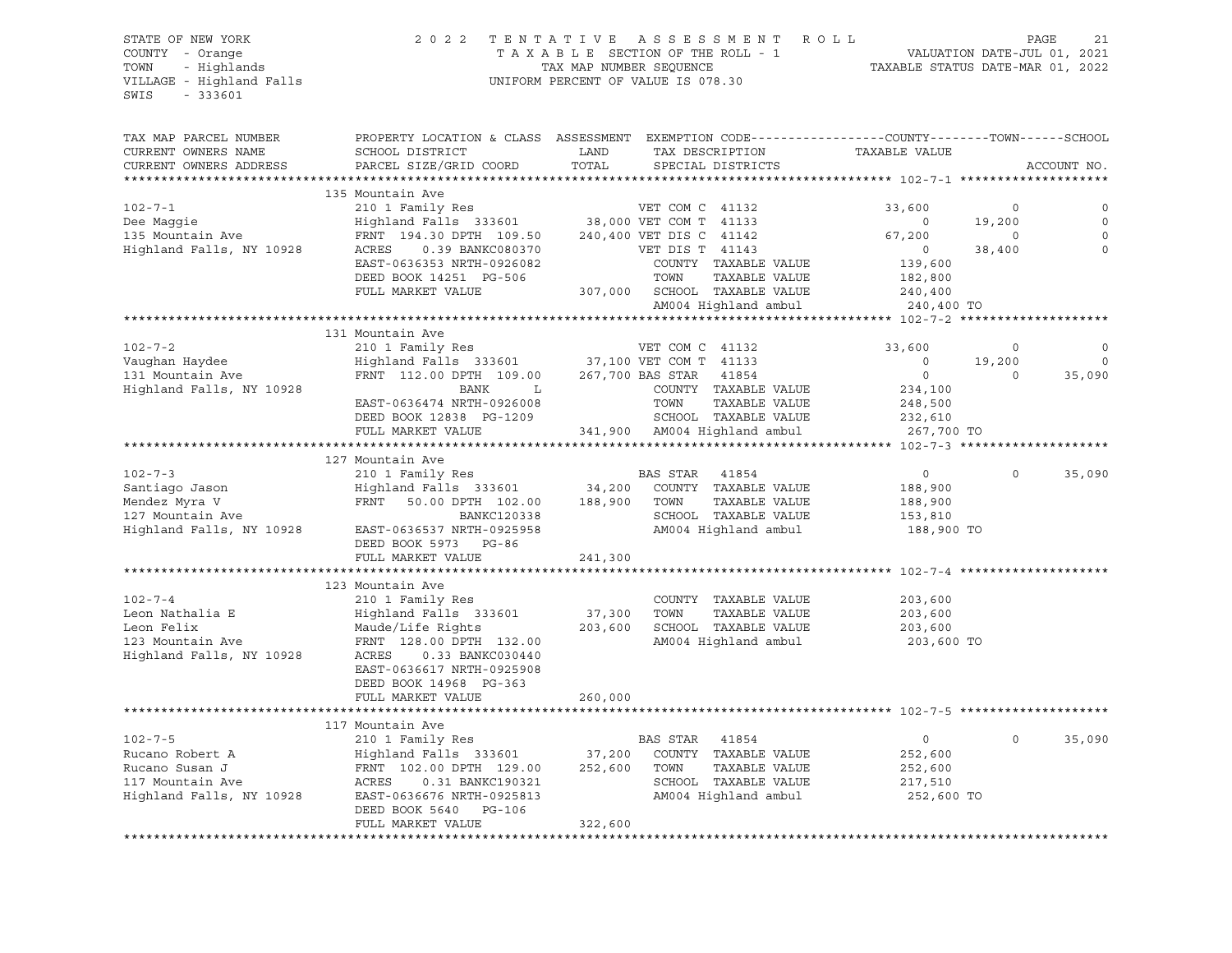### STATE OF NEW YORK 2 0 2 2 T E N T A T I V E A S S E S S M E N T R O L L PAGE 21 COUNTY - Orange T A X A B L E SECTION OF THE ROLL - 1 VALUATION DATE-JUL 01, 2021 TOWN - Highlands TAX MAP NUMBER SEQUENCE TAXABLE STATUS DATE-MAR 01, 2022 VILLAGE - Highland Falls UNIFORM PERCENT OF VALUE IS 078.30

| TAX MAP PARCEL NUMBER    |                                                                                                 |         |                              |                |          |             |
|--------------------------|-------------------------------------------------------------------------------------------------|---------|------------------------------|----------------|----------|-------------|
|                          | PROPERTY LOCATION & CLASS ASSESSMENT EXEMPTION CODE----------------COUNTY-------TOWN-----SCHOOL |         | TAX DESCRIPTION              |                |          |             |
| CURRENT OWNERS NAME      | SCHOOL DISTRICT                                                                                 | LAND    |                              | TAXABLE VALUE  |          |             |
| CURRENT OWNERS ADDRESS   | PARCEL SIZE/GRID COORD                                                                          | TOTAL   | SPECIAL DISTRICTS            |                |          | ACCOUNT NO. |
|                          |                                                                                                 |         |                              |                |          |             |
|                          | 135 Mountain Ave                                                                                |         |                              |                |          |             |
| $102 - 7 - 1$            | 210 1 Family Res<br>Highland Falls 333601 38,000 VET COM T 41133                                |         | VET COM C 41132              | 33,600         | $\circ$  | $\circ$     |
| Dee Maqqie               |                                                                                                 |         |                              | $\circ$        | 19,200   | $\circ$     |
| 135 Mountain Ave         | FRNT 194.30 DPTH 109.50                                                                         |         | 240,400 VET DIS C 41142      | 67,200         | $\Omega$ | $\Omega$    |
| Highland Falls, NY 10928 | ACRES<br>0.39 BANKC080370                                                                       |         | VET DIS T 41143              | $\circ$        | 38,400   | $\Omega$    |
|                          | EAST-0636353 NRTH-0926082                                                                       |         | COUNTY TAXABLE VALUE         | 139,600        |          |             |
|                          | DEED BOOK 14251 PG-506                                                                          |         | TOWN<br>TAXABLE VALUE        | 182,800        |          |             |
|                          | FULL MARKET VALUE                                                                               |         | 307,000 SCHOOL TAXABLE VALUE | 240,400        |          |             |
|                          |                                                                                                 |         | AM004 Highland ambul         | 240,400 TO     |          |             |
|                          |                                                                                                 |         |                              |                |          |             |
|                          | 131 Mountain Ave                                                                                |         |                              |                |          |             |
| $102 - 7 - 2$            | 210 1 Family Res                                                                                |         | VET COM C 41132              | 33,600         | 0        | 0           |
| Vaughan Haydee           | Highland Falls 333601 37,100 VET COM T 41133                                                    |         |                              | $\circ$        | 19,200   | $\mathbf 0$ |
| 131 Mountain Ave         | FRNT 112.00 DPTH 109.00                                                                         |         | 267,700 BAS STAR<br>41854    | $\overline{0}$ | $\Omega$ | 35,090      |
| Highland Falls, NY 10928 | BANK<br>L                                                                                       |         | COUNTY TAXABLE VALUE         | 234,100        |          |             |
|                          | EAST-0636474 NRTH-0926008                                                                       |         | TOWN<br>TAXABLE VALUE        | 248,500        |          |             |
|                          | DEED BOOK 12838 PG-1209                                                                         |         | SCHOOL TAXABLE VALUE         | 232,610        |          |             |
|                          | FULL MARKET VALUE                                                                               |         | 341,900 AM004 Highland ambul | 267,700 TO     |          |             |
|                          |                                                                                                 |         |                              |                |          |             |
|                          | 127 Mountain Ave                                                                                |         |                              |                |          |             |
| $102 - 7 - 3$            | 210 1 Family Res                                                                                |         | BAS STAR<br>41854            | $\overline{0}$ | $\Omega$ | 35,090      |
| Santiago Jason           | Highland Falls 333601 34,200                                                                    |         | COUNTY TAXABLE VALUE         | 188,900        |          |             |
| Mendez Myra V            | FRNT 50.00 DPTH 102.00                                                                          | 188,900 | TOWN<br>TAXABLE VALUE        | 188,900        |          |             |
| 127 Mountain Ave         | BANKC120338                                                                                     |         | SCHOOL TAXABLE VALUE         | 153,810        |          |             |
| Highland Falls, NY 10928 | EAST-0636537 NRTH-0925958                                                                       |         | AM004 Highland ambul         | 188,900 TO     |          |             |
|                          | DEED BOOK 5973 PG-86                                                                            |         |                              |                |          |             |
|                          | FULL MARKET VALUE                                                                               | 241,300 |                              |                |          |             |
|                          |                                                                                                 |         |                              |                |          |             |
|                          | 123 Mountain Ave                                                                                |         |                              |                |          |             |
| $102 - 7 - 4$            | 210 1 Family Res                                                                                |         | COUNTY TAXABLE VALUE         | 203,600        |          |             |
| Leon Nathalia E          | Highland Falls 333601                                                                           | 37,300  | TAXABLE VALUE<br>TOWN        | 203,600        |          |             |
| Leon Felix               | Maude/Life Rights                                                                               | 203,600 | SCHOOL TAXABLE VALUE         | 203,600        |          |             |
| 123 Mountain Ave         | FRNT 128.00 DPTH 132.00                                                                         |         | AM004 Highland ambul         | 203,600 TO     |          |             |
| Highland Falls, NY 10928 | ACRES<br>0.33 BANKC030440                                                                       |         |                              |                |          |             |
|                          | EAST-0636617 NRTH-0925908                                                                       |         |                              |                |          |             |
|                          |                                                                                                 |         |                              |                |          |             |
|                          | DEED BOOK 14968 PG-363                                                                          |         |                              |                |          |             |
|                          | FULL MARKET VALUE<br>************************                                                   | 260,000 |                              |                |          |             |
|                          |                                                                                                 |         |                              |                |          |             |
|                          | 117 Mountain Ave                                                                                |         |                              |                |          |             |
| $102 - 7 - 5$            | 210 1 Family Res                                                                                |         | BAS STAR<br>41854            | $\circ$        | $\circ$  | 35,090      |
| Rucano Robert A          | Highland Falls 333601                                                                           | 37,200  | COUNTY TAXABLE VALUE         | 252,600        |          |             |
| Rucano Susan J           | FRNT 102.00 DPTH 129.00                                                                         | 252,600 | TOWN<br>TAXABLE VALUE        | 252,600        |          |             |
| 117 Mountain Ave         | 0.31 BANKC190321<br>ACRES                                                                       |         | SCHOOL TAXABLE VALUE         | 217,510        |          |             |
| Highland Falls, NY 10928 | EAST-0636676 NRTH-0925813                                                                       |         | AM004 Highland ambul         | 252,600 TO     |          |             |
|                          | DEED BOOK 5640<br>PG-106                                                                        |         |                              |                |          |             |
|                          | FULL MARKET VALUE                                                                               | 322,600 |                              |                |          |             |
|                          |                                                                                                 |         |                              |                |          |             |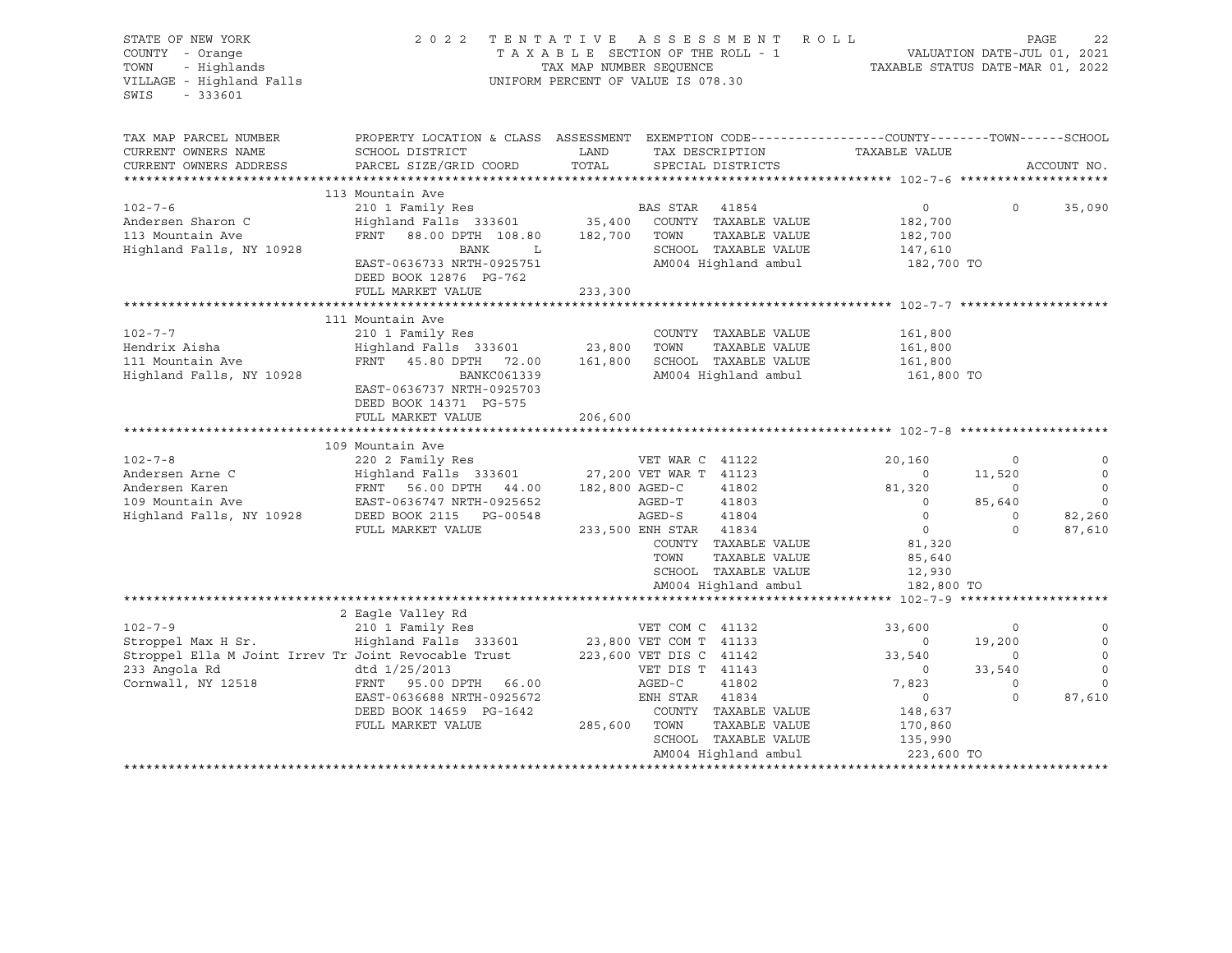| STATE OF NEW YORK<br>COUNTY - Orange<br>TOWN<br>- Highlands<br>VILLAGE - Highland Falls<br>SWIS<br>$-333601$                       |                                                                                                                                                                                       | TAX MAP NUMBER SEQUENCE | 2022 TENTATIVE ASSESSMENT ROLL<br>TAXABLE SECTION OF THE ROLL - 1<br>UNIFORM PERCENT OF VALUE IS 078.30                                                                                                             | VALUATION DATE-JUL 01, 2021<br>TAXABLE STATUS DATE-MAR 01, 2022                                                               |                                                                     | PAGE<br>22                                         |
|------------------------------------------------------------------------------------------------------------------------------------|---------------------------------------------------------------------------------------------------------------------------------------------------------------------------------------|-------------------------|---------------------------------------------------------------------------------------------------------------------------------------------------------------------------------------------------------------------|-------------------------------------------------------------------------------------------------------------------------------|---------------------------------------------------------------------|----------------------------------------------------|
| TAX MAP PARCEL NUMBER<br>CURRENT OWNERS NAME                                                                                       | PROPERTY LOCATION & CLASS ASSESSMENT EXEMPTION CODE---------------COUNTY-------TOWN-----SCHOOL<br>SCHOOL DISTRICT                                                                     | LAND                    | TAX DESCRIPTION                                                                                                                                                                                                     | TAXABLE VALUE                                                                                                                 |                                                                     |                                                    |
| CURRENT OWNERS ADDRESS                                                                                                             | PARCEL SIZE/GRID COORD                                                                                                                                                                | TOTAL                   | SPECIAL DISTRICTS                                                                                                                                                                                                   |                                                                                                                               |                                                                     | ACCOUNT NO.                                        |
|                                                                                                                                    | 113 Mountain Ave                                                                                                                                                                      |                         |                                                                                                                                                                                                                     |                                                                                                                               |                                                                     |                                                    |
| $102 - 7 - 6$<br>Andersen Sharon C<br>113 Mountain Ave<br>Highland Falls, NY 10928                                                 | 210 1 Family Res<br>Highland Falls 333601<br>FRNT 88.00 DPTH 108.80<br>BANK<br>L<br>EAST-0636733 NRTH-0925751<br>DEED BOOK 12876 PG-762                                               | 35,400<br>182,700       | BAS STAR 41854<br>COUNTY TAXABLE VALUE<br>TOWN<br>TAXABLE VALUE<br>SCHOOL TAXABLE VALUE<br>AM004 Highland ambul                                                                                                     | $\circ$<br>182,700<br>182,700<br>147,610<br>182,700 TO                                                                        | $\mathsf{O}$                                                        | 35,090                                             |
|                                                                                                                                    | FULL MARKET VALUE                                                                                                                                                                     | 233,300                 |                                                                                                                                                                                                                     |                                                                                                                               |                                                                     |                                                    |
|                                                                                                                                    |                                                                                                                                                                                       |                         |                                                                                                                                                                                                                     |                                                                                                                               |                                                                     |                                                    |
| $102 - 7 - 7$<br>Hendrix Aisha<br>111 Mountain Ave<br>Highland Falls, NY 10928                                                     | 111 Mountain Ave<br>210 1 Family Res<br>Highland Falls 333601<br>FRNT 45.80 DPTH 72.00<br>BANKC061339<br>EAST-0636737 NRTH-0925703<br>DEED BOOK 14371 PG-575                          | 23,800<br>161,800       | COUNTY TAXABLE VALUE<br>TOWN<br>TAXABLE VALUE<br>SCHOOL TAXABLE VALUE<br>AM004 Highland ambul                                                                                                                       | 161,800<br>161,800<br>161,800<br>161,800 TO                                                                                   |                                                                     |                                                    |
|                                                                                                                                    | FULL MARKET VALUE                                                                                                                                                                     | 206,600                 |                                                                                                                                                                                                                     |                                                                                                                               |                                                                     |                                                    |
|                                                                                                                                    | 109 Mountain Ave                                                                                                                                                                      |                         |                                                                                                                                                                                                                     |                                                                                                                               |                                                                     |                                                    |
| $102 - 7 - 8$<br>Andersen Arne C<br>Andersen Karen<br>109 Mountain Ave<br>Highland Falls, NY 10928                                 | 220 2 Family Res<br>Highland Falls 333601<br>FRNT 56.00 DPTH 44.00 182,800 AGED-C<br>EAST-0636747 NRTH-0925652<br>DEED BOOK 2115 PG-00548<br>FULL MARKET VALUE                        |                         | VET WAR C 41122<br>27,200 VET WAR T 41123<br>41802<br>41803<br>AGED-T<br>AGED-S<br>41804<br>233,500 ENH STAR 41834<br>COUNTY TAXABLE VALUE<br>TOWN<br>TAXABLE VALUE<br>SCHOOL TAXABLE VALUE<br>AM004 Highland ambul | 20,160<br>$\circ$<br>81,320<br>$\Omega$<br>$\overline{0}$<br>$\overline{0}$<br>81,320<br>85,640<br>12,930<br>182,800 TO       | $\Omega$<br>11,520<br>$\Omega$<br>85,640<br>$\mathbf 0$<br>$\Omega$ | $\circ$<br>$\circ$<br>$\Omega$<br>82,260<br>87,610 |
|                                                                                                                                    |                                                                                                                                                                                       |                         |                                                                                                                                                                                                                     |                                                                                                                               |                                                                     |                                                    |
| $102 - 7 - 9$<br>Stroppel Max H Sr.<br>Stroppel Ella M Joint Irrev Tr Joint Revocable Trust<br>233 Angola Rd<br>Cornwall, NY 12518 | 2 Eagle Valley Rd<br>210 1 Family Res<br>Highland Falls 333601<br>dtd 1/25/2013<br>FRNT 95.00 DPTH 66.00<br>EAST-0636688 NRTH-0925672<br>DEED BOOK 14659 PG-1642<br>FULL MARKET VALUE | 285,600 TOWN            | VET COM C 41132<br>23,800 VET COM T 41133<br>223,600 VET DIS C 41142<br>VET DIS T 41143<br>AGED-C<br>41802<br>ENH STAR<br>41834<br>COUNTY TAXABLE VALUE<br>TAXABLE VALUE<br>SCHOOL TAXABLE VALUE                    | 33,600<br>$\overline{\phantom{0}}$<br>33,540<br>$\circ$<br>7,823<br>$\overline{\phantom{0}}$<br>148,637<br>170,860<br>135,990 | $\circ$<br>19,200<br>$\Omega$<br>33,540<br>$\circ$<br>$\Omega$      | $\circ$<br>$\mathbf 0$<br>87,610                   |
|                                                                                                                                    |                                                                                                                                                                                       |                         | AM004 Highland ambul                                                                                                                                                                                                | 223,600 TO<br>************************                                                                                        |                                                                     |                                                    |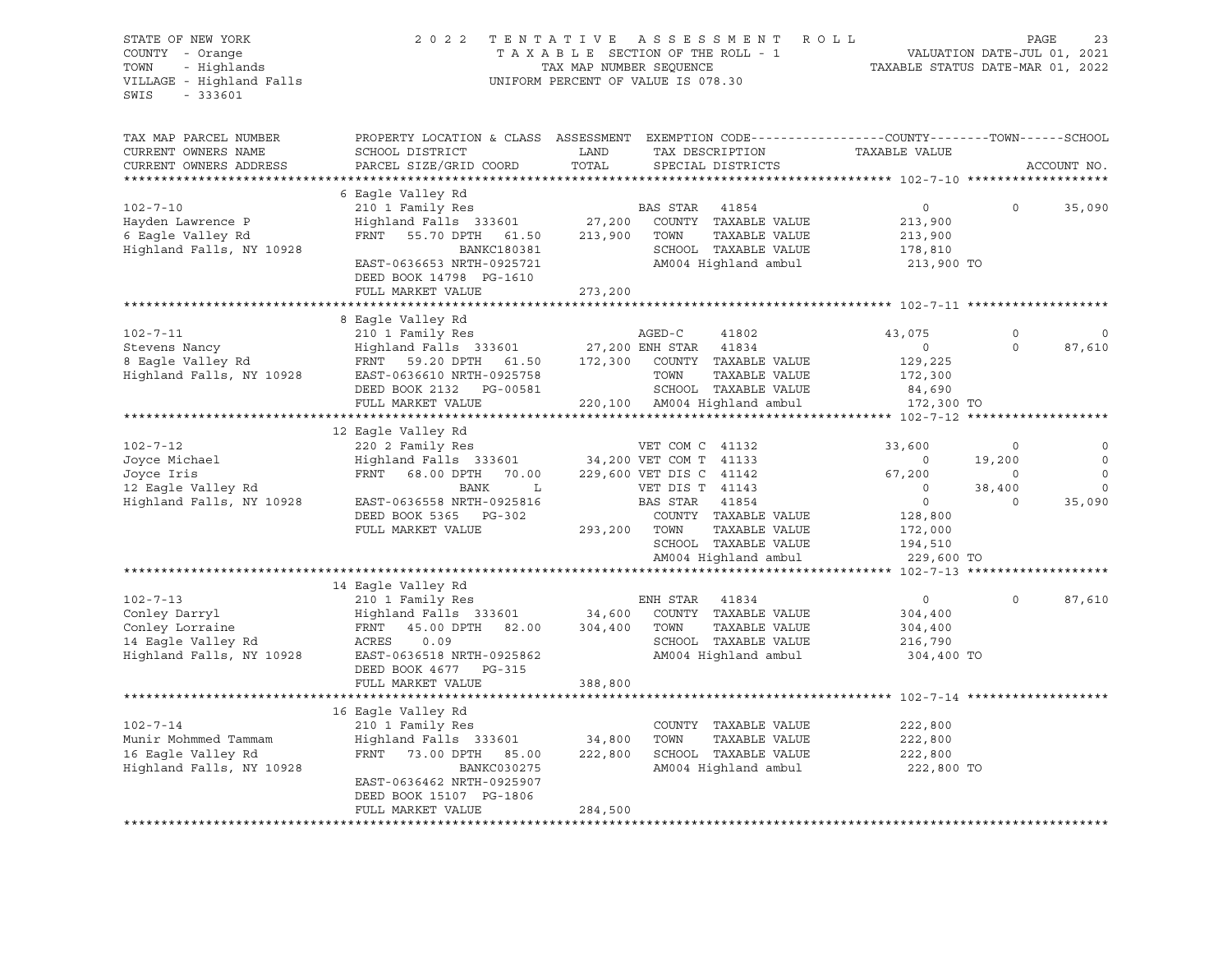| STATE OF NEW YORK<br>COUNTY - Orange<br>- Highlands<br>TOWN<br>VILLAGE - Highland Falls<br>$-333601$<br>SWIS | 2 0 2 2                                   | TENTATIVE<br>TAX MAP NUMBER SEQUENCE | ASSESSMENT<br>ROLL<br>TAXABLE SECTION OF THE ROLL - 1<br>UNIFORM PERCENT OF VALUE IS 078.30                                              | TAXABLE STATUS DATE-MAR 01, 2022 | VALUATION DATE-JUL 01, 2021 | PAGE<br>23  |
|--------------------------------------------------------------------------------------------------------------|-------------------------------------------|--------------------------------------|------------------------------------------------------------------------------------------------------------------------------------------|----------------------------------|-----------------------------|-------------|
| TAX MAP PARCEL NUMBER<br>CURRENT OWNERS NAME<br>CURRENT OWNERS ADDRESS                                       | SCHOOL DISTRICT<br>PARCEL SIZE/GRID COORD | LAND<br>TOTAL                        | PROPERTY LOCATION & CLASS ASSESSMENT EXEMPTION CODE----------------COUNTY-------TOWN------SCHOOL<br>TAX DESCRIPTION<br>SPECIAL DISTRICTS | TAXABLE VALUE                    |                             | ACCOUNT NO. |
| **********************                                                                                       |                                           |                                      |                                                                                                                                          |                                  |                             |             |
|                                                                                                              | 6 Eagle Valley Rd                         |                                      |                                                                                                                                          |                                  |                             |             |
| $102 - 7 - 10$                                                                                               | 210 1 Family Res                          |                                      | BAS STAR<br>41854                                                                                                                        | $\overline{0}$                   | $\circ$                     | 35,090      |
| Hayden Lawrence P                                                                                            | Highland Falls 333601                     | 27,200                               | COUNTY TAXABLE VALUE                                                                                                                     | 213,900                          |                             |             |
| 6 Eagle Valley Rd                                                                                            | FRNT 55.70 DPTH 61.50                     | 213,900                              | TOWN<br>TAXABLE VALUE                                                                                                                    | 213,900                          |                             |             |
| Highland Falls, NY 10928                                                                                     | <b>BANKC180381</b>                        |                                      | SCHOOL TAXABLE VALUE                                                                                                                     | 178,810                          |                             |             |
|                                                                                                              | EAST-0636653 NRTH-0925721                 |                                      | AM004 Highland ambul                                                                                                                     | 213,900 TO                       |                             |             |
|                                                                                                              | DEED BOOK 14798 PG-1610                   |                                      |                                                                                                                                          |                                  |                             |             |
|                                                                                                              | FULL MARKET VALUE                         | 273,200                              |                                                                                                                                          |                                  |                             |             |
|                                                                                                              |                                           |                                      |                                                                                                                                          |                                  |                             |             |
| $102 - 7 - 11$                                                                                               | 8 Eagle Valley Rd                         |                                      | AGED-C                                                                                                                                   | 43,075                           | $\Omega$                    |             |
| Stevens Nancy                                                                                                | 210 1 Family Res<br>Highland Falls 333601 | 27,200 ENH STAR                      | 41802<br>41834                                                                                                                           | $\circ$                          | $\Omega$                    | 87,610      |
| 8 Eagle Valley Rd                                                                                            | FRNT 59.20 DPTH 61.50                     | 172,300                              | COUNTY TAXABLE VALUE                                                                                                                     | 129,225                          |                             |             |
| Highland Falls, NY 10928                                                                                     | EAST-0636610 NRTH-0925758                 |                                      | TOWN<br>TAXABLE VALUE                                                                                                                    | 172,300                          |                             |             |
|                                                                                                              | DEED BOOK 2132    PG-00581                |                                      | SCHOOL TAXABLE VALUE                                                                                                                     | 84,690                           |                             |             |
|                                                                                                              | FULL MARKET VALUE                         |                                      | 220,100 AM004 Highland ambul                                                                                                             | 172,300 TO                       |                             |             |
|                                                                                                              |                                           |                                      |                                                                                                                                          |                                  |                             |             |
|                                                                                                              | 12 Eagle Valley Rd                        |                                      |                                                                                                                                          |                                  |                             |             |
| $102 - 7 - 12$                                                                                               | 220 2 Family Res                          |                                      | VET COM C 41132                                                                                                                          | 33,600                           | 0                           |             |
| Joyce Michael                                                                                                | Highland Falls 333601                     |                                      | 34,200 VET COM T 41133                                                                                                                   | $\circ$                          | 19,200                      |             |
| Joyce Iris                                                                                                   | FRNT 68.00 DPTH<br>70.00                  |                                      | 229,600 VET DIS C 41142                                                                                                                  | 67,200                           | $\circ$                     |             |
| 12 Eagle Valley Rd                                                                                           | BANK<br>L                                 |                                      | VET DIS T 41143                                                                                                                          | $\circ$                          | 38,400                      | $\Omega$    |
| Highland Falls, NY 10928                                                                                     | EAST-0636558 NRTH-0925816                 |                                      | BAS STAR<br>41854                                                                                                                        | $\circ$                          | $\Omega$                    | 35,090      |
|                                                                                                              | DEED BOOK 5365 PG-302                     |                                      | COUNTY TAXABLE VALUE                                                                                                                     | 128,800                          |                             |             |
|                                                                                                              | FULL MARKET VALUE                         | 293,200 TOWN                         | TAXABLE VALUE                                                                                                                            | 172,000                          |                             |             |
|                                                                                                              |                                           |                                      | SCHOOL TAXABLE VALUE                                                                                                                     | 194,510                          |                             |             |
|                                                                                                              |                                           |                                      | AM004 Highland ambul                                                                                                                     | 229,600 TO                       |                             |             |
|                                                                                                              |                                           |                                      |                                                                                                                                          |                                  |                             |             |
| $102 - 7 - 13$                                                                                               | 14 Eagle Valley Rd<br>210 1 Family Res    |                                      | ENH STAR<br>41834                                                                                                                        | $\circ$                          | $\cap$                      | 87,610      |
| Conley Darryl                                                                                                | Highland Falls 333601 34,600              |                                      | COUNTY TAXABLE VALUE                                                                                                                     | 304,400                          |                             |             |
| Conley Lorraine                                                                                              | FRNT<br>45.00 DPTH<br>82.00               | 304,400                              | TOWN<br>TAXABLE VALUE                                                                                                                    | 304,400                          |                             |             |
| 14 Eagle Valley Rd                                                                                           | ACRES<br>0.09                             |                                      | SCHOOL TAXABLE VALUE                                                                                                                     | 216,790                          |                             |             |
| Highland Falls, NY 10928                                                                                     | EAST-0636518 NRTH-0925862                 |                                      | AM004 Highland ambul                                                                                                                     | 304,400 TO                       |                             |             |
|                                                                                                              | DEED BOOK 4677 PG-315                     |                                      |                                                                                                                                          |                                  |                             |             |
|                                                                                                              | FULL MARKET VALUE                         | 388,800                              |                                                                                                                                          |                                  |                             |             |
|                                                                                                              |                                           |                                      |                                                                                                                                          |                                  |                             |             |
|                                                                                                              | 16 Eagle Valley Rd                        |                                      |                                                                                                                                          |                                  |                             |             |
| $102 - 7 - 14$                                                                                               | 210 1 Family Res                          |                                      | COUNTY TAXABLE VALUE                                                                                                                     | 222,800                          |                             |             |
| Munir Mohmmed Tammam                                                                                         | Highland Falls 333601                     | 34,800                               | TOWN<br>TAXABLE VALUE                                                                                                                    | 222,800                          |                             |             |
| 16 Eagle Valley Rd                                                                                           | FRNT<br>73.00 DPTH 85.00                  | 222,800                              | SCHOOL TAXABLE VALUE                                                                                                                     | 222,800                          |                             |             |
| Highland Falls, NY 10928                                                                                     | BANKC030275                               |                                      | AM004 Highland ambul                                                                                                                     | 222,800 TO                       |                             |             |
|                                                                                                              | EAST-0636462 NRTH-0925907                 |                                      |                                                                                                                                          |                                  |                             |             |
|                                                                                                              | DEED BOOK 15107 PG-1806                   |                                      |                                                                                                                                          |                                  |                             |             |
|                                                                                                              | FULL MARKET VALUE                         | 284,500                              |                                                                                                                                          |                                  |                             |             |
|                                                                                                              | ***************************               |                                      |                                                                                                                                          |                                  |                             |             |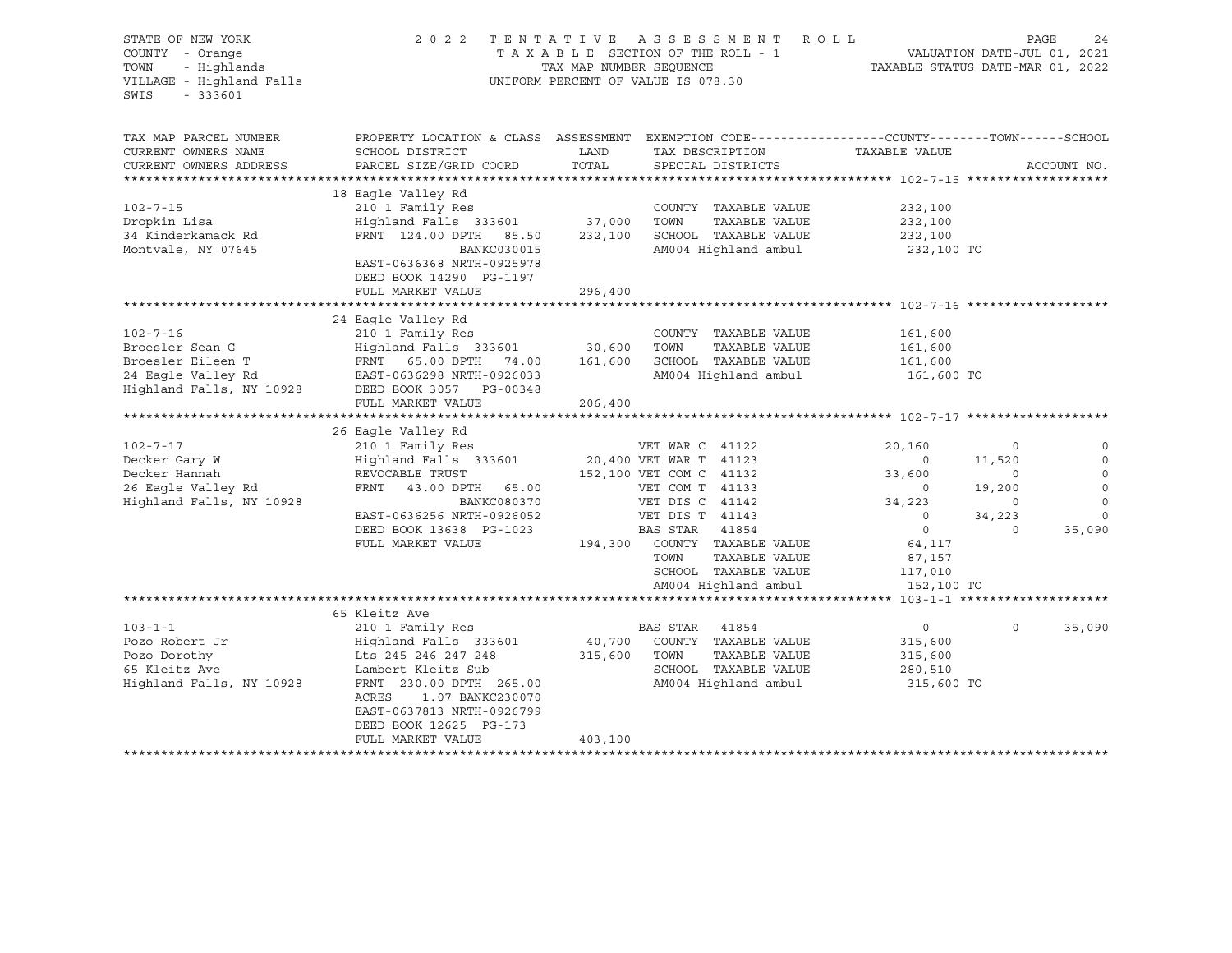| STATE OF NEW YORK<br>COUNTY - Orange<br>TOWN<br>- Highlands<br>VILLAGE - Highland Falls<br>$-333601$<br>SWIS                                                                                                   | 2022 TENTATIVE                                                                                                                                                                                                                                                                                                                                                                          | TAX MAP NUMBER SEQUENCE | A S S E S S M E N T<br>TAXABLE SECTION OF THE ROLL - 1<br>UNIFORM PERCENT OF VALUE IS 078.30                                                                                                                                                                                                                                                                | R O L L<br>VALUATION DATE-JUL 01, 2021<br>TAXABLE STATUS DATE-MAR 01, 2022                                                                                  | PAGE<br>24                                                                                                                 |
|----------------------------------------------------------------------------------------------------------------------------------------------------------------------------------------------------------------|-----------------------------------------------------------------------------------------------------------------------------------------------------------------------------------------------------------------------------------------------------------------------------------------------------------------------------------------------------------------------------------------|-------------------------|-------------------------------------------------------------------------------------------------------------------------------------------------------------------------------------------------------------------------------------------------------------------------------------------------------------------------------------------------------------|-------------------------------------------------------------------------------------------------------------------------------------------------------------|----------------------------------------------------------------------------------------------------------------------------|
| TAX MAP PARCEL NUMBER<br>CURRENT OWNERS NAME<br>CURRENT OWNERS ADDRESS                                                                                                                                         | PROPERTY LOCATION & CLASS ASSESSMENT EXEMPTION CODE----------------COUNTY-------TOWN-----SCHOOL<br>SCHOOL DISTRICT<br>PARCEL SIZE/GRID COORD                                                                                                                                                                                                                                            | LAND<br>TOTAL           | TAX DESCRIPTION<br>SPECIAL DISTRICTS                                                                                                                                                                                                                                                                                                                        | TAXABLE VALUE                                                                                                                                               | ACCOUNT NO.                                                                                                                |
| ***********************                                                                                                                                                                                        |                                                                                                                                                                                                                                                                                                                                                                                         |                         |                                                                                                                                                                                                                                                                                                                                                             |                                                                                                                                                             |                                                                                                                            |
| $102 - 7 - 15$<br>Dropkin Lisa<br>34 Kinderkamack Rd<br>Montvale, NY 07645                                                                                                                                     | 18 Eagle Valley Rd<br>210 1 Family Res<br>Highland Falls 333601 37,000<br>FRNT 124.00 DPTH 85.50<br>BANKC030015<br>EAST-0636368 NRTH-0925978                                                                                                                                                                                                                                            | 232,100                 | COUNTY TAXABLE VALUE<br>TOWN<br>TAXABLE VALUE<br>SCHOOL TAXABLE VALUE<br>AM004 Highland ambul                                                                                                                                                                                                                                                               | 232,100<br>232,100<br>232,100<br>232,100 TO                                                                                                                 |                                                                                                                            |
|                                                                                                                                                                                                                | DEED BOOK 14290 PG-1197                                                                                                                                                                                                                                                                                                                                                                 |                         |                                                                                                                                                                                                                                                                                                                                                             |                                                                                                                                                             |                                                                                                                            |
|                                                                                                                                                                                                                | FULL MARKET VALUE                                                                                                                                                                                                                                                                                                                                                                       | 296,400                 |                                                                                                                                                                                                                                                                                                                                                             |                                                                                                                                                             |                                                                                                                            |
|                                                                                                                                                                                                                |                                                                                                                                                                                                                                                                                                                                                                                         |                         |                                                                                                                                                                                                                                                                                                                                                             |                                                                                                                                                             |                                                                                                                            |
| $102 - 7 - 16$<br>Broesler Sean G<br>Broesler Eileen T<br>24 Eagle Valley Rd<br>Highland Falls, NY 10928<br>$102 - 7 - 17$<br>Decker Gary W<br>Decker Hannah<br>26 Eagle Valley Rd<br>Highland Falls, NY 10928 | 24 Eagle Valley Rd<br>210 1 Family Res<br>Highland Falls 333601 30,600<br>FRNT 65.00 DPTH 74.00<br>EAST-0636298 NRTH-0926033<br>DEED BOOK 3057 PG-00348<br>FULL MARKET VALUE<br>26 Eagle Valley Rd<br>210 1 Family Res<br>Highland Falls 333601<br>REVOCABLE TRUST<br>FRNT 43.00 DPTH 65.00<br>BANKC080370<br>EAST-0636256 NRTH-0926052<br>DEED BOOK 13638 PG-1023<br>FULL MARKET VALUE | 161,600<br>206,400      | COUNTY TAXABLE VALUE<br>TAXABLE VALUE<br>TOWN<br>SCHOOL TAXABLE VALUE<br>AM004 Highland ambul<br>VET WAR C 41122<br>20,400 VET WAR T 41123<br>20,400 VET WAR T 41123<br>152,100 VET COM C 41132<br>VET COM T 41133<br>VET DIS C 41142<br>VET DIS T 41143<br>BAS STAR 41854<br>194,300 COUNTY TAXABLE VALUE<br>TOWN<br>TAXABLE VALUE<br>SCHOOL TAXABLE VALUE | 161,600<br>161,600<br>161,600<br>161,600 TO<br>20,160<br>$\circ$<br>33,600<br>$\overline{0}$<br>34,223<br>$\circ$<br>$\circ$<br>64,117<br>87,157<br>117,010 | 0<br>$\mathbf 0$<br>11,520<br>$\mathbf 0$<br>$\circ$<br>19,200<br>$\Omega$<br>$\circ$<br>34,223<br>0<br>$\Omega$<br>35,090 |
|                                                                                                                                                                                                                |                                                                                                                                                                                                                                                                                                                                                                                         |                         | AM004 Highland ambul                                                                                                                                                                                                                                                                                                                                        | 152,100 TO                                                                                                                                                  |                                                                                                                            |
|                                                                                                                                                                                                                |                                                                                                                                                                                                                                                                                                                                                                                         |                         |                                                                                                                                                                                                                                                                                                                                                             |                                                                                                                                                             |                                                                                                                            |
| $103 - 1 - 1$<br>Pozo Robert Jr<br>Pozo Dorothy<br>65 Kleitz Ave<br>Highland Falls, NY 10928                                                                                                                   | 65 Kleitz Ave<br>210 1 Family Res<br>Highland Falls 333601<br>Lts 245 246 247 248<br>Lambert Kleitz Sub<br>FRNT 230.00 DPTH 265.00<br>ACRES<br>1.07 BANKC230070<br>EAST-0637813 NRTH-0926799<br>DEED BOOK 12625 PG-173<br>FULL MARKET VALUE                                                                                                                                             | 315,600<br>403,100      | BAS STAR 41854<br>40,700 COUNTY TAXABLE VALUE<br>TOWN<br>TAXABLE VALUE<br>SCHOOL TAXABLE VALUE<br>AM004 Highland ambul                                                                                                                                                                                                                                      | $\circ$<br>315,600<br>315,600<br>280,510<br>315,600 TO                                                                                                      | $\circ$<br>35,090                                                                                                          |
|                                                                                                                                                                                                                |                                                                                                                                                                                                                                                                                                                                                                                         |                         |                                                                                                                                                                                                                                                                                                                                                             |                                                                                                                                                             |                                                                                                                            |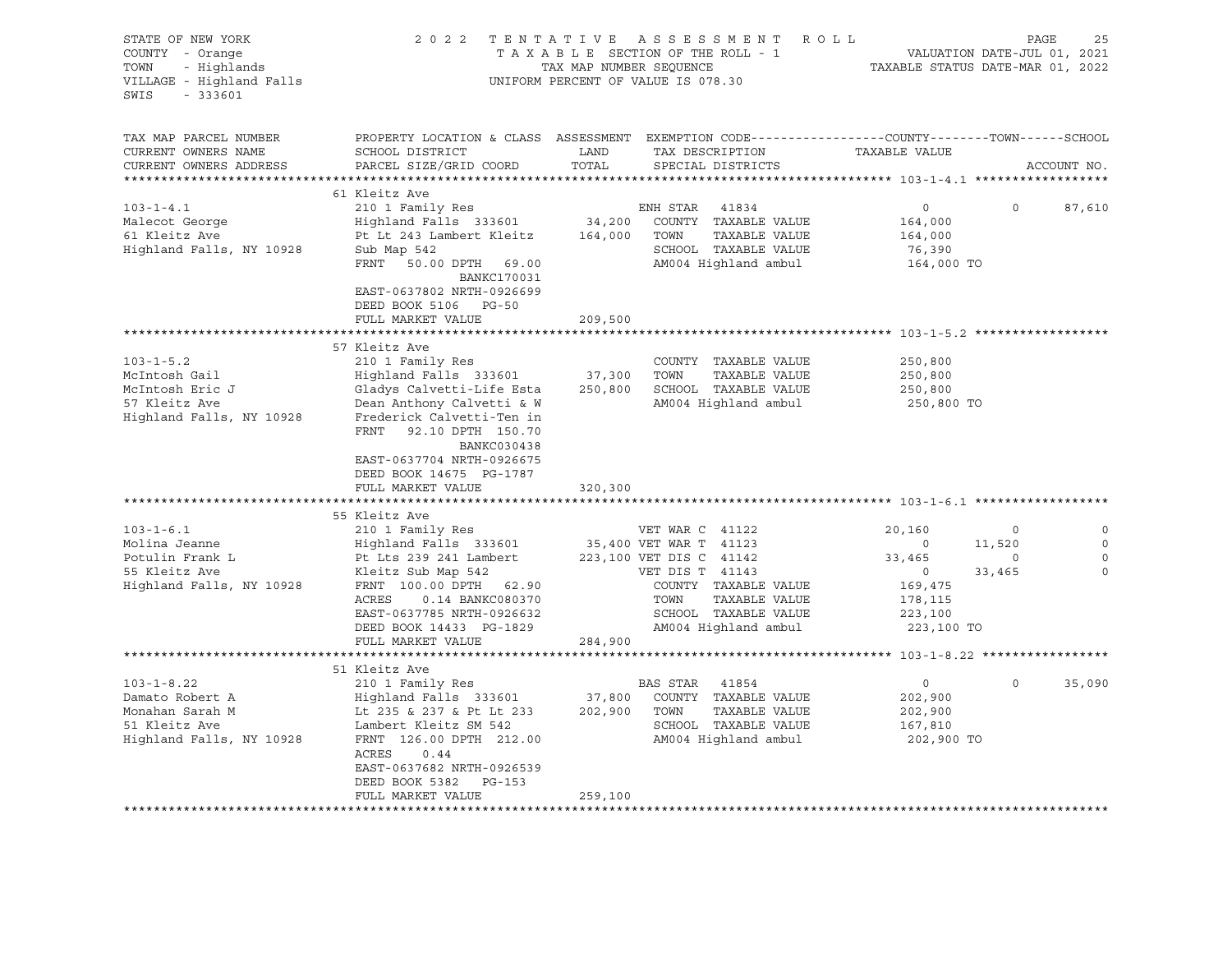| STATE OF NEW YORK<br>COUNTY - Orange<br>TOWN<br>- Highlands<br>VILLAGE - Highland Falls<br>SWIS<br>$-333601$                                                                                         |                                                                                                                                                                                                                                                                                                                                                                                                                                                                                                                           | TAX MAP NUMBER SEQUENCE      | 2022 TENTATIVE ASSESSMENT ROLL<br>TAXABLE SECTION OF THE ROLL - 1<br>UNIFORM PERCENT OF VALUE IS 078.30                                                                                                                                                                                           | VALUATION DATE-JUL 01, 2021<br>TAXABLE STATUS DATE-MAR 01, 2022                                                                              |                                        | PAGE<br>25       |
|------------------------------------------------------------------------------------------------------------------------------------------------------------------------------------------------------|---------------------------------------------------------------------------------------------------------------------------------------------------------------------------------------------------------------------------------------------------------------------------------------------------------------------------------------------------------------------------------------------------------------------------------------------------------------------------------------------------------------------------|------------------------------|---------------------------------------------------------------------------------------------------------------------------------------------------------------------------------------------------------------------------------------------------------------------------------------------------|----------------------------------------------------------------------------------------------------------------------------------------------|----------------------------------------|------------------|
| TAX MAP PARCEL NUMBER<br>CURRENT OWNERS NAME<br>CURRENT OWNERS ADDRESS                                                                                                                               | PROPERTY LOCATION & CLASS ASSESSMENT EXEMPTION CODE----------------COUNTY-------TOWN------SCHOOL<br>SCHOOL DISTRICT<br>PARCEL SIZE/GRID COORD                                                                                                                                                                                                                                                                                                                                                                             | LAND<br>TOTAL                | TAX DESCRIPTION<br>SPECIAL DISTRICTS                                                                                                                                                                                                                                                              | TAXABLE VALUE                                                                                                                                |                                        | ACCOUNT NO.      |
|                                                                                                                                                                                                      | 61 Kleitz Ave                                                                                                                                                                                                                                                                                                                                                                                                                                                                                                             |                              |                                                                                                                                                                                                                                                                                                   |                                                                                                                                              |                                        |                  |
| $103 - 1 - 4.1$<br>Malecot George<br>61 Kleitz Ave<br>Highland Falls, NY 10928                                                                                                                       | 210 1 Family Res<br>Highland Falls 333601 34,200 COUNTY TAXABLE VALUE<br>Pt Lt 243 Lambert Kleitz 164,000 TOWN TAXABLE VALUE<br>Sub Map 542<br>FRNT 50.00 DPTH 69.00<br>BANKC170031<br>EAST-0637802 NRTH-0926699                                                                                                                                                                                                                                                                                                          |                              | ENH STAR 41834<br>TAXABLE VALUE<br>SCHOOL TAXABLE VALUE<br>AM004 Highland ambul                                                                                                                                                                                                                   | $\overline{0}$<br>164,000<br>164,000<br>76,390<br>164,000 TO                                                                                 | $\Omega$                               | 87,610           |
|                                                                                                                                                                                                      | DEED BOOK 5106 PG-50                                                                                                                                                                                                                                                                                                                                                                                                                                                                                                      |                              |                                                                                                                                                                                                                                                                                                   |                                                                                                                                              |                                        |                  |
|                                                                                                                                                                                                      | FULL MARKET VALUE                                                                                                                                                                                                                                                                                                                                                                                                                                                                                                         | 209,500                      |                                                                                                                                                                                                                                                                                                   |                                                                                                                                              |                                        |                  |
| $103 - 1 - 5.2$<br>McIntosh Gail<br>McIntosh Eric J<br>57 Kleitz Ave<br>Highland Falls, NY 10928<br>$103 - 1 - 6.1$<br>Molina Jeanne<br>Potulin Frank L<br>55 Kleitz Ave<br>Highland Falls, NY 10928 | 57 Kleitz Ave<br>210 1 Family Res<br>Highland Falls 333601<br>Gladys Calvetti-Life Esta<br>Dean Anthony Calvetti & W<br>Frederick Calvetti-Ten in<br>FRNT 92.10 DPTH 150.70<br>BANKC030438<br>EAST-0637704 NRTH-0926675<br>DEED BOOK 14675 PG-1787<br>FULL MARKET VALUE<br>55 Kleitz Ave<br>210 1 Family Res<br>Highland Falls 333601<br>Pt Lts 239 241 Lambert<br>Kleitz Sub Map 542<br>FRNT 100.00 DPTH 62.90<br>ACRES<br>0.14 BANKC080370<br>EAST-0637785 NRTH-0926632<br>DEED BOOK 14433 PG-1829<br>FULL MARKET VALUE | 37,300<br>320,300<br>284,900 | COUNTY TAXABLE VALUE<br>TOWN<br>TAXABLE VALUE<br>250,800 SCHOOL TAXABLE VALUE<br>AM004 Highland ambul<br>VET WAR C 41122<br>35,400 VET WAR T 41123<br>223,100 VET DIS C 41142<br>VET DIS T 41143<br>COUNTY TAXABLE VALUE<br>TOWN<br>TAXABLE VALUE<br>SCHOOL TAXABLE VALUE<br>AM004 Highland ambul | 250,800<br>250,800<br>250,800<br>250,800 TO<br>20,160<br>$\sim$ 0<br>33,465<br>$\overline{0}$<br>169,475<br>178,115<br>223,100<br>223,100 TO | $\circ$<br>11,520<br>$\circ$<br>33,465 | 0<br>$\mathbf 0$ |
|                                                                                                                                                                                                      |                                                                                                                                                                                                                                                                                                                                                                                                                                                                                                                           |                              |                                                                                                                                                                                                                                                                                                   |                                                                                                                                              |                                        |                  |
| $103 - 1 - 8.22$<br>Damato Robert A<br>Monahan Sarah M<br>51 Kleitz Ave<br>Highland Falls, NY 10928                                                                                                  | 51 Kleitz Ave<br>210 1 Family Res<br>Highland Falls 333601<br>Lt 235 & 237 & Pt Lt 233<br>Lambert Kleitz SM 542<br>FRNT 126.00 DPTH 212.00<br>ACRES<br>0.44<br>EAST-0637682 NRTH-0926539<br>DEED BOOK 5382 PG-153<br>FULL MARKET VALUE                                                                                                                                                                                                                                                                                    | 259,100                      | BAS STAR 41854<br>37,800 COUNTY TAXABLE VALUE<br>202,900 TOWN<br>TAXABLE VALUE<br>SCHOOL TAXABLE VALUE<br>AM004 Highland ambul                                                                                                                                                                    | $\circ$<br>202,900<br>202,900<br>167,810<br>202,900 TO                                                                                       | $\circ$                                | 35,090           |
|                                                                                                                                                                                                      |                                                                                                                                                                                                                                                                                                                                                                                                                                                                                                                           |                              |                                                                                                                                                                                                                                                                                                   |                                                                                                                                              |                                        |                  |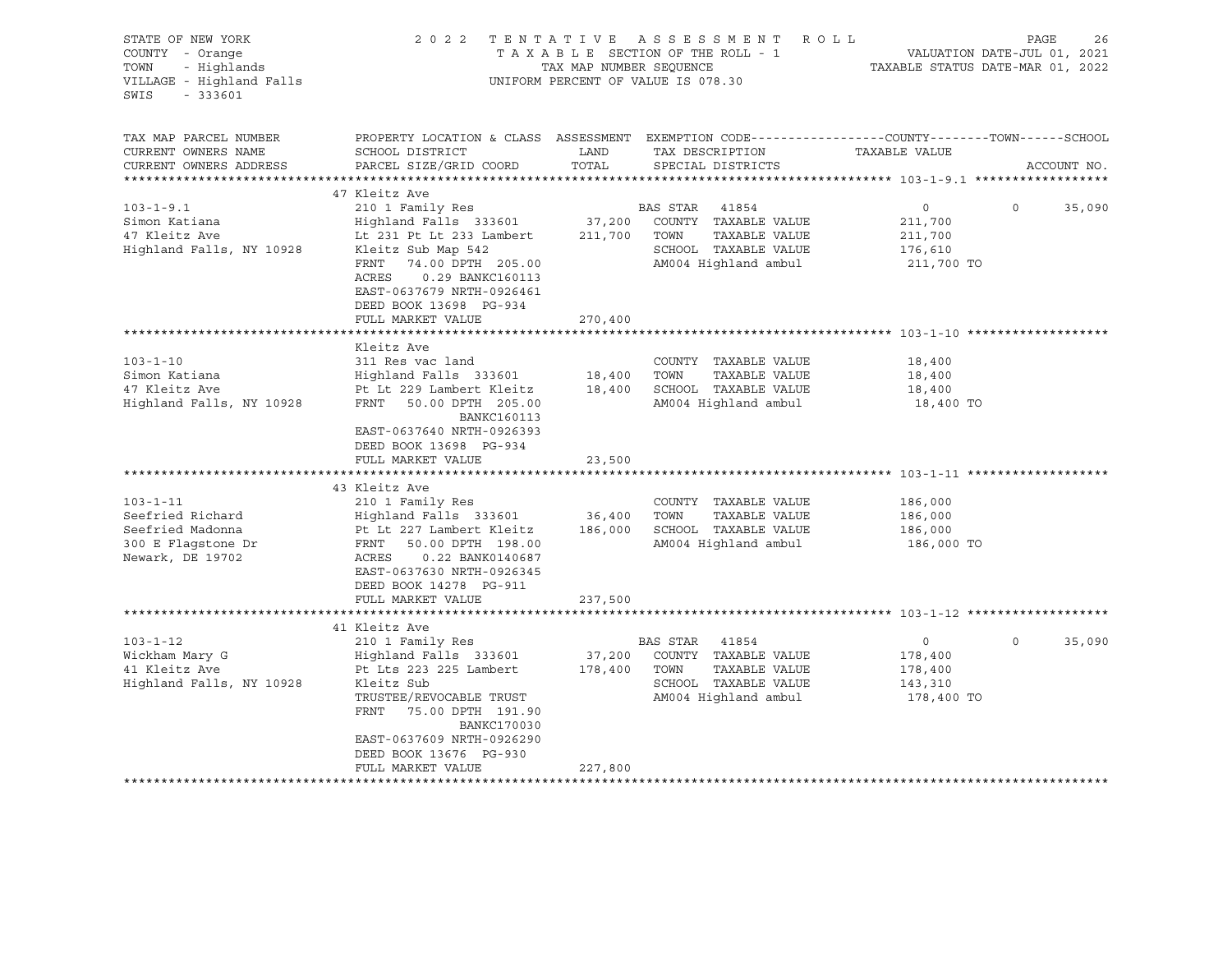| STATE OF NEW YORK<br>COUNTY - Orange<br>TOWN<br>- Highlands<br>VILLAGE - Highland Falls<br>$-333601$<br>SWIS                                                                     | 2 0 2 2                                                                                                                                                                                                                                                                                                                                                                                                                 | TAX MAP NUMBER SEQUENCE                         | TENTATIVE ASSESSMENT<br>ROLL<br>TAXABLE SECTION OF THE ROLL - 1<br>UNIFORM PERCENT OF VALUE IS 078.30                                                                                          |                                                                                        | PAGE<br>26<br>VALUATION DATE-JUL 01, 2021<br>TAXABLE STATUS DATE-MAR 01, 2022 |
|----------------------------------------------------------------------------------------------------------------------------------------------------------------------------------|-------------------------------------------------------------------------------------------------------------------------------------------------------------------------------------------------------------------------------------------------------------------------------------------------------------------------------------------------------------------------------------------------------------------------|-------------------------------------------------|------------------------------------------------------------------------------------------------------------------------------------------------------------------------------------------------|----------------------------------------------------------------------------------------|-------------------------------------------------------------------------------|
| TAX MAP PARCEL NUMBER<br>CURRENT OWNERS NAME<br>CURRENT OWNERS ADDRESS                                                                                                           | PROPERTY LOCATION & CLASS ASSESSMENT EXEMPTION CODE---------------COUNTY-------TOWN-----SCHOOL<br>SCHOOL DISTRICT<br>PARCEL SIZE/GRID COORD                                                                                                                                                                                                                                                                             | LAND<br>TOTAL                                   | TAX DESCRIPTION<br>SPECIAL DISTRICTS                                                                                                                                                           | TAXABLE VALUE                                                                          | ACCOUNT NO.                                                                   |
|                                                                                                                                                                                  |                                                                                                                                                                                                                                                                                                                                                                                                                         |                                                 |                                                                                                                                                                                                |                                                                                        |                                                                               |
| $103 - 1 - 9.1$<br>Simon Katiana<br>47 Kleitz Ave<br>Highland Falls, NY 10928                                                                                                    | 47 Kleitz Ave<br>210 1 Family Res<br>Highland Falls 333601<br>Lt 231 Pt Lt 233 Lambert<br>Kleitz Sub Map 542<br>FRNT<br>74.00 DPTH 205.00<br>0.29 BANKC160113<br>ACRES<br>EAST-0637679 NRTH-0926461                                                                                                                                                                                                                     | 37,200<br>211,700                               | BAS STAR<br>41854<br>COUNTY TAXABLE VALUE<br>TOWN<br>TAXABLE VALUE<br>SCHOOL TAXABLE VALUE<br>AM004 Highland ambul                                                                             | $\circ$<br>211,700<br>211,700<br>176,610<br>211,700 TO                                 | $\Omega$<br>35,090                                                            |
|                                                                                                                                                                                  | DEED BOOK 13698 PG-934<br>FULL MARKET VALUE                                                                                                                                                                                                                                                                                                                                                                             | 270,400                                         |                                                                                                                                                                                                |                                                                                        |                                                                               |
|                                                                                                                                                                                  |                                                                                                                                                                                                                                                                                                                                                                                                                         |                                                 |                                                                                                                                                                                                |                                                                                        |                                                                               |
| $103 - 1 - 10$<br>Simon Katiana<br>47 Kleitz Ave<br>Highland Falls, NY 10928<br>$103 - 1 - 11$<br>Seefried Richard<br>Seefried Madonna<br>300 E Flagstone Dr<br>Newark, DE 19702 | Kleitz Ave<br>311 Res vac land<br>Highland Falls 333601<br>Pt Lt 229 Lambert Kleitz<br>FRNT 50.00 DPTH 205.00<br><b>BANKC160113</b><br>EAST-0637640 NRTH-0926393<br>DEED BOOK 13698 PG-934<br>FULL MARKET VALUE<br>43 Kleitz Ave<br>210 1 Family Res<br>Highland Falls 333601<br>Pt Lt 227 Lambert Kleitz<br>FRNT 50.00 DPTH 198.00<br>ACRES<br>0.22 BANK0140687<br>EAST-0637630 NRTH-0926345<br>DEED BOOK 14278 PG-911 | 18,400<br>18,400<br>23,500<br>36,400<br>186,000 | COUNTY TAXABLE VALUE<br>TOWN<br>TAXABLE VALUE<br>SCHOOL TAXABLE VALUE<br>AM004 Highland ambul<br>COUNTY TAXABLE VALUE<br>TOWN<br>TAXABLE VALUE<br>SCHOOL TAXABLE VALUE<br>AM004 Highland ambul | 18,400<br>18,400<br>18,400<br>18,400 TO<br>186,000<br>186,000<br>186,000<br>186,000 TO |                                                                               |
|                                                                                                                                                                                  | FULL MARKET VALUE                                                                                                                                                                                                                                                                                                                                                                                                       | 237,500                                         |                                                                                                                                                                                                |                                                                                        |                                                                               |
| $103 - 1 - 12$<br>Wickham Mary G<br>41 Kleitz Ave<br>Highland Falls, NY 10928                                                                                                    | 41 Kleitz Ave<br>210 1 Family Res<br>Highland Falls 333601<br>Pt Lts 223 225 Lambert<br>Kleitz Sub<br>TRUSTEE/REVOCABLE TRUST<br>FRNT<br>75.00 DPTH 191.90<br><b>BANKC170030</b><br>EAST-0637609 NRTH-0926290<br>DEED BOOK 13676 PG-930                                                                                                                                                                                 | 37,200<br>178,400                               | BAS STAR<br>41854<br>COUNTY TAXABLE VALUE<br>TOWN<br>TAXABLE VALUE<br>SCHOOL TAXABLE VALUE<br>AM004 Highland ambul                                                                             | $\circ$<br>178,400<br>178,400<br>143,310<br>178,400 TO                                 | $\mathbf 0$<br>35,090                                                         |
|                                                                                                                                                                                  | FULL MARKET VALUE<br>**********************                                                                                                                                                                                                                                                                                                                                                                             | 227,800                                         |                                                                                                                                                                                                |                                                                                        |                                                                               |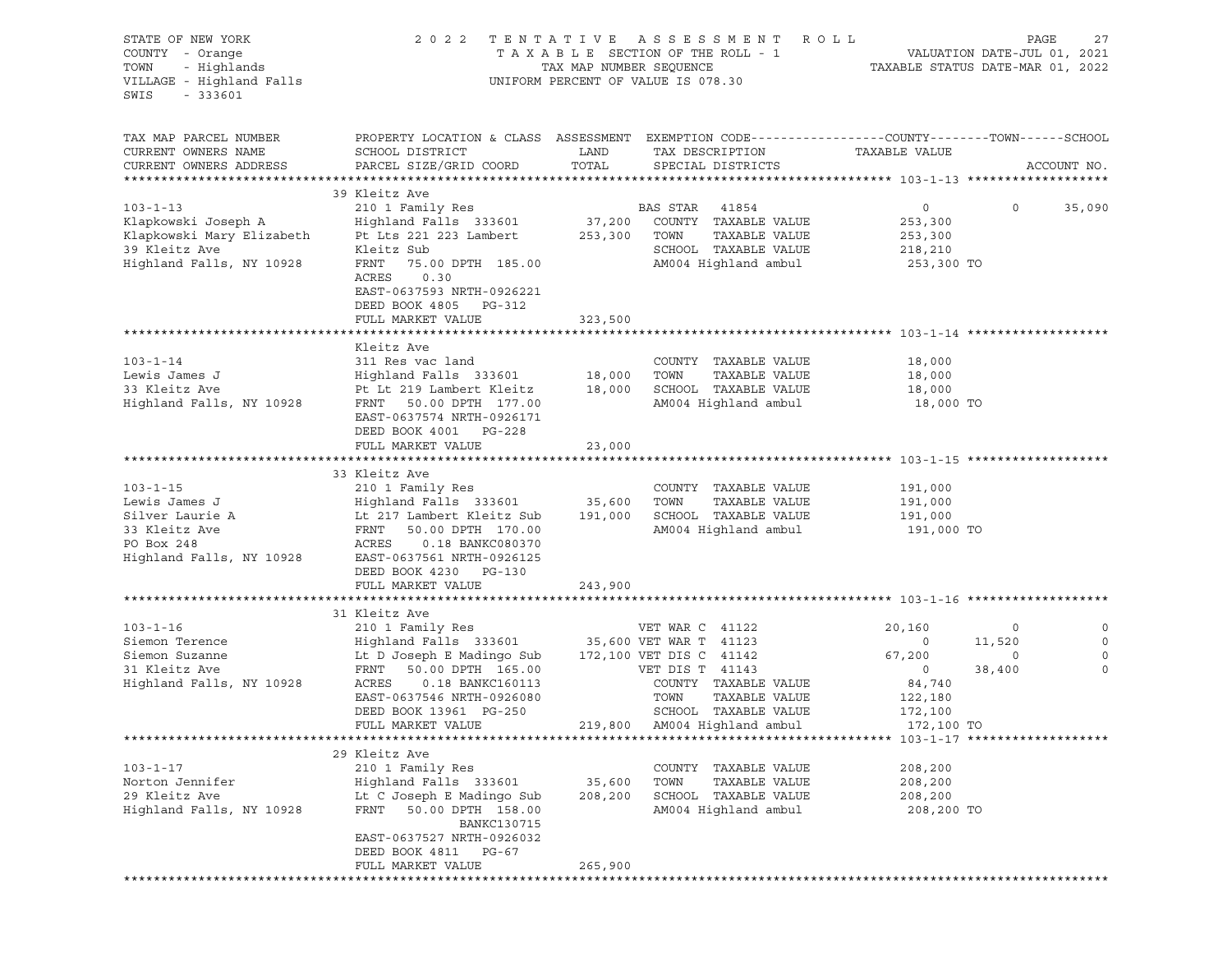| STATE OF NEW YORK<br>COUNTY - Orange<br>TOWN<br>- Highlands<br>VILLAGE - Highland Falls<br>$-333601$<br>SWIS    | 2022                                                                                                                                                                                                                          | TENTATIVE<br>TAX MAP NUMBER SEQUENCE | A S S E S S M E N T<br>TAXABLE SECTION OF THE ROLL - 1<br>UNIFORM PERCENT OF VALUE IS 078.30                                                                                             | R O L L<br>TAXABLE STATUS DATE-MAR 01, 2022                                          | PAGE<br>VALUATION DATE-JUL 01, 2021 | 27                         |
|-----------------------------------------------------------------------------------------------------------------|-------------------------------------------------------------------------------------------------------------------------------------------------------------------------------------------------------------------------------|--------------------------------------|------------------------------------------------------------------------------------------------------------------------------------------------------------------------------------------|--------------------------------------------------------------------------------------|-------------------------------------|----------------------------|
| TAX MAP PARCEL NUMBER<br>CURRENT OWNERS NAME<br>CURRENT OWNERS ADDRESS                                          | PROPERTY LOCATION & CLASS ASSESSMENT EXEMPTION CODE----------------COUNTY-------TOWN-----SCHOOL<br>SCHOOL DISTRICT<br>PARCEL SIZE/GRID COORD                                                                                  | LAND<br>TOTAL                        | TAX DESCRIPTION<br>SPECIAL DISTRICTS                                                                                                                                                     | TAXABLE VALUE                                                                        |                                     | ACCOUNT NO.                |
| $103 - 1 - 13$<br>Klapkowski Joseph A<br>Klapkowski Mary Elizabeth<br>39 Kleitz Ave<br>Highland Falls, NY 10928 | 39 Kleitz Ave<br>210 1 Family Res<br>Highland Falls 333601<br>Pt Lts 221 223 Lambert<br>Kleitz Sub<br>FRNT<br>75.00 DPTH 185.00<br>ACRES<br>0.30<br>EAST-0637593 NRTH-0926221<br>DEED BOOK 4805 PG-312<br>FULL MARKET VALUE   | 37,200<br>253,300<br>323,500         | BAS STAR<br>41854<br>COUNTY TAXABLE VALUE<br>TOWN<br>TAXABLE VALUE<br>SCHOOL TAXABLE VALUE<br>AM004 Highland ambul                                                                       | $\circ$<br>253,300<br>253,300<br>218,210<br>253,300 TO                               | $\circ$                             | 35,090                     |
|                                                                                                                 |                                                                                                                                                                                                                               |                                      |                                                                                                                                                                                          |                                                                                      |                                     |                            |
| $103 - 1 - 14$<br>Lewis James J<br>33 Kleitz Ave<br>Highland Falls, NY 10928                                    | Kleitz Ave<br>311 Res vac land<br>Highland Falls 333601<br>Pt Lt 219 Lambert Kleitz<br>FRNT<br>50.00 DPTH 177.00<br>EAST-0637574 NRTH-0926171<br>DEED BOOK 4001 PG-228<br>FULL MARKET VALUE                                   | 18,000<br>18,000<br>23,000           | COUNTY TAXABLE VALUE<br>TOWN<br>TAXABLE VALUE<br>SCHOOL TAXABLE VALUE<br>AM004 Highland ambul                                                                                            | 18,000<br>18,000<br>18,000<br>18,000 TO                                              |                                     |                            |
|                                                                                                                 |                                                                                                                                                                                                                               |                                      |                                                                                                                                                                                          |                                                                                      |                                     |                            |
| $103 - 1 - 15$<br>Lewis James J<br>Silver Laurie A<br>33 Kleitz Ave<br>PO Box 248<br>Highland Falls, NY 10928   | 33 Kleitz Ave<br>210 1 Family Res<br>Highland Falls 333601<br>Lt 217 Lambert Kleitz Sub<br>FRNT<br>50.00 DPTH 170.00<br>ACRES<br>0.18 BANKC080370<br>EAST-0637561 NRTH-0926125<br>DEED BOOK 4230 PG-130<br>FULL MARKET VALUE  | 35,600<br>191,000<br>243,900         | COUNTY TAXABLE VALUE<br>TOWN<br>TAXABLE VALUE<br>SCHOOL TAXABLE VALUE<br>AM004 Highland ambul                                                                                            | 191,000<br>191,000<br>191,000<br>191,000 TO                                          |                                     |                            |
|                                                                                                                 |                                                                                                                                                                                                                               |                                      |                                                                                                                                                                                          |                                                                                      |                                     |                            |
| $103 - 1 - 16$<br>Siemon Terence<br>Siemon Suzanne<br>31 Kleitz Ave<br>Highland Falls, NY 10928                 | 31 Kleitz Ave<br>210 1 Family Res<br>Highland Falls 333601<br>Lt D Joseph E Madingo Sub<br>FRNT<br>50.00 DPTH 165.00<br>ACRES<br>0.18 BANKC160113<br>EAST-0637546 NRTH-0926080<br>DEED BOOK 13961 PG-250<br>FULL MARKET VALUE | 219,800                              | VET WAR C 41122<br>35,600 VET WAR T 41123<br>172,100 VET DIS C 41142<br>VET DIS T 41143<br>COUNTY TAXABLE VALUE<br>TOWN<br>TAXABLE VALUE<br>SCHOOL TAXABLE VALUE<br>AM004 Highland ambul | 20,160<br>$\circ$<br>67,200<br>$\circ$<br>84,740<br>122,180<br>172,100<br>172,100 TO | $\circ$<br>11,520<br>0<br>38,400    | 0<br>0<br>0<br>$\mathbf 0$ |
|                                                                                                                 |                                                                                                                                                                                                                               |                                      |                                                                                                                                                                                          |                                                                                      |                                     |                            |
| $103 - 1 - 17$<br>Norton Jennifer<br>29 Kleitz Ave<br>Highland Falls, NY 10928                                  | 29 Kleitz Ave<br>210 1 Family Res<br>Highland Falls 333601<br>Lt C Joseph E Madingo Sub<br>FRNT<br>50.00 DPTH 158.00<br>BANKC130715<br>EAST-0637527 NRTH-0926032<br>DEED BOOK 4811<br>PG-67<br>FULL MARKET VALUE              | 35,600<br>208,200<br>265,900         | COUNTY TAXABLE VALUE<br>TOWN<br>TAXABLE VALUE<br>SCHOOL TAXABLE VALUE<br>AM004 Highland ambul                                                                                            | 208,200<br>208,200<br>208,200<br>208,200 TO                                          |                                     |                            |
|                                                                                                                 |                                                                                                                                                                                                                               |                                      |                                                                                                                                                                                          |                                                                                      |                                     |                            |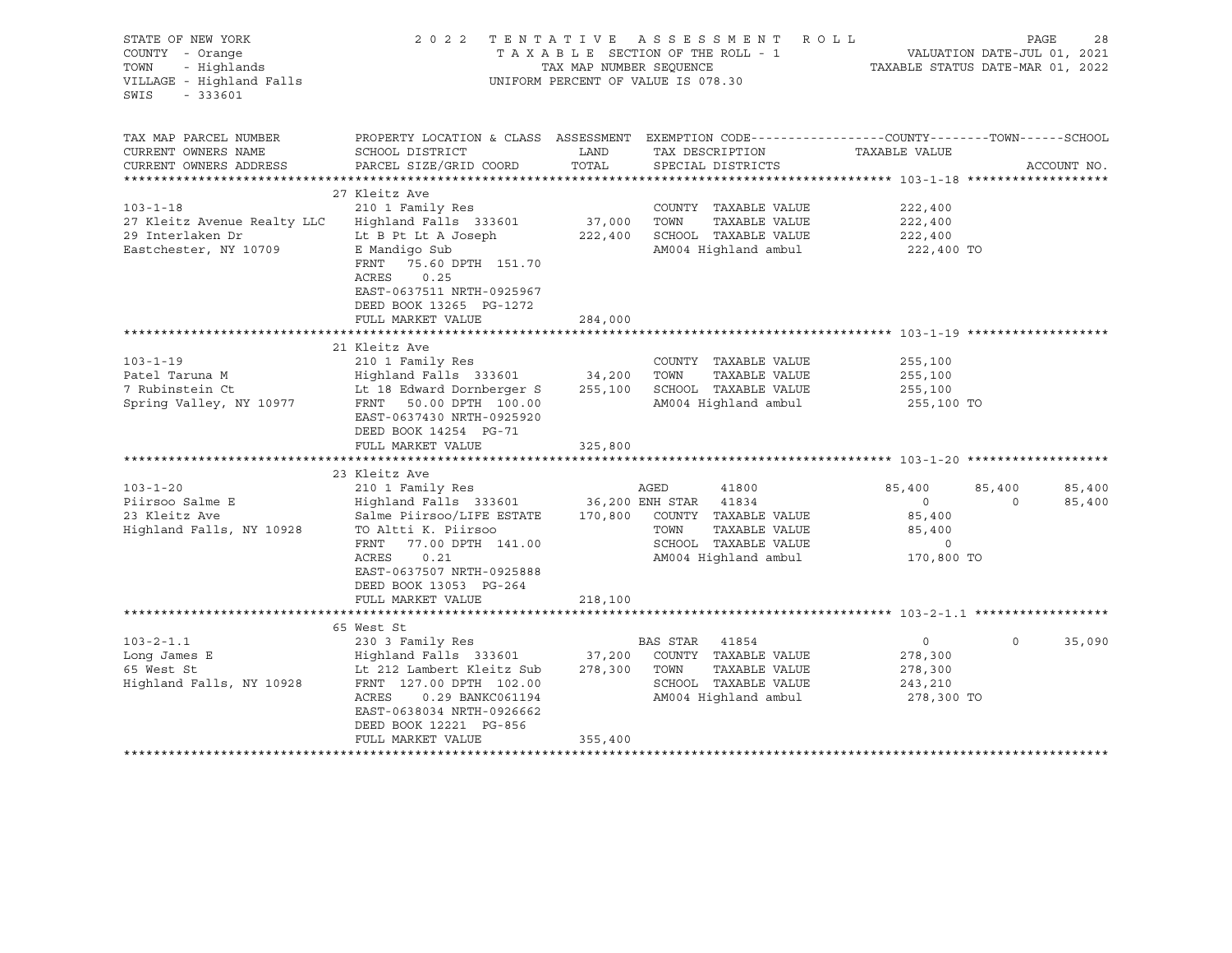| STATE OF NEW YORK<br>COUNTY - Orange<br>TOWN<br>- Highlands<br>VILLAGE - Highland Falls<br>SWIS<br>$-333601$                                                     |                                                                                                                                                                                                                                                                                                                                                                                             | TAX MAP NUMBER SEQUENCE      | 2022 TENTATIVE ASSESSMENT ROLL<br>TAXABLE SECTION OF THE ROLL - 1<br>UNIFORM PERCENT OF VALUE IS 078.30                                                                                                                 | TAXABLE STATUS DATE-MAR 01, 2022                                                                                     | PAGE<br>28<br>VALUATION DATE-JUL 01, 2021 |
|------------------------------------------------------------------------------------------------------------------------------------------------------------------|---------------------------------------------------------------------------------------------------------------------------------------------------------------------------------------------------------------------------------------------------------------------------------------------------------------------------------------------------------------------------------------------|------------------------------|-------------------------------------------------------------------------------------------------------------------------------------------------------------------------------------------------------------------------|----------------------------------------------------------------------------------------------------------------------|-------------------------------------------|
| TAX MAP PARCEL NUMBER<br>CURRENT OWNERS NAME<br>CURRENT OWNERS ADDRESS                                                                                           | PROPERTY LOCATION & CLASS ASSESSMENT EXEMPTION CODE---------------COUNTY-------TOWN-----SCHOOL<br>SCHOOL DISTRICT<br>PARCEL SIZE/GRID COORD                                                                                                                                                                                                                                                 | LAND<br>TOTAL                | TAX DESCRIPTION<br>SPECIAL DISTRICTS                                                                                                                                                                                    | TAXABLE VALUE                                                                                                        | ACCOUNT NO.                               |
|                                                                                                                                                                  | 27 Kleitz Ave                                                                                                                                                                                                                                                                                                                                                                               |                              |                                                                                                                                                                                                                         |                                                                                                                      |                                           |
| $103 - 1 - 18$<br>27 Kleitz Avenue Realty LLC<br>29 Interlaken Dr<br>Eastchester, NY 10709                                                                       | 210 1 Family Res<br>Highland Falls 333601<br>Lt B Pt Lt A Joseph<br>E Mandigo Sub<br>FRNT<br>75.60 DPTH 151.70<br>ACRES<br>0.25<br>EAST-0637511 NRTH-0925967                                                                                                                                                                                                                                | 37,000<br>222,400            | COUNTY TAXABLE VALUE<br>TOWN<br>TAXABLE VALUE<br>SCHOOL TAXABLE VALUE<br>AM004 Highland ambul                                                                                                                           | 222,400<br>222,400<br>222,400<br>222,400 TO                                                                          |                                           |
|                                                                                                                                                                  | DEED BOOK 13265 PG-1272<br>FULL MARKET VALUE                                                                                                                                                                                                                                                                                                                                                | 284,000                      |                                                                                                                                                                                                                         |                                                                                                                      |                                           |
|                                                                                                                                                                  |                                                                                                                                                                                                                                                                                                                                                                                             |                              |                                                                                                                                                                                                                         |                                                                                                                      |                                           |
|                                                                                                                                                                  | 21 Kleitz Ave                                                                                                                                                                                                                                                                                                                                                                               |                              |                                                                                                                                                                                                                         |                                                                                                                      |                                           |
| $103 - 1 - 19$<br>Patel Taruna M<br>7 Rubinstein Ct<br>Spring Valley, NY 10977<br>$103 - 1 - 20$<br>Piirsoo Salme E<br>23 Kleitz Ave<br>Highland Falls, NY 10928 | 210 1 Family Res<br>Highland Falls 333601<br>Lt 18 Edward Dornberger S<br>FRNT 50.00 DPTH 100.00<br>EAST-0637430 NRTH-0925920<br>DEED BOOK 14254 PG-71<br>FULL MARKET VALUE<br>23 Kleitz Ave<br>210 1 Family Res<br>Highland Falls 333601 36,200 ENH STAR 41834<br>Salme Piirsoo/LIFE ESTATE<br>TO Altti K. Piirsoo<br>FRNT 77.00 DPTH 141.00<br>ACRES<br>0.21<br>EAST-0637507 NRTH-0925888 | 34,200<br>255,100<br>325,800 | COUNTY TAXABLE VALUE<br>TOWN<br>TAXABLE VALUE<br>SCHOOL TAXABLE VALUE<br>AM004 Highland ambul<br>AGED<br>41800<br>170,800 COUNTY TAXABLE VALUE<br>TOWN<br>TAXABLE VALUE<br>SCHOOL TAXABLE VALUE<br>AM004 Highland ambul | 255,100<br>255,100<br>255,100<br>255,100 TO<br>85,400<br>$\circ$<br>85,400<br>85,400<br>$\overline{0}$<br>170,800 TO | 85,400<br>85,400<br>85,400<br>$\Omega$    |
|                                                                                                                                                                  | DEED BOOK 13053 PG-264<br>FULL MARKET VALUE                                                                                                                                                                                                                                                                                                                                                 | 218,100                      |                                                                                                                                                                                                                         |                                                                                                                      |                                           |
| $103 - 2 - 1.1$<br>Long James E<br>65 West St<br>Highland Falls, NY 10928                                                                                        | 65 West St<br>230 3 Family Res<br>Highland Falls 333601 37,200<br>Lt 212 Lambert Kleitz Sub<br>FRNT 127.00 DPTH 102.00<br>ACRES<br>0.29 BANKC061194<br>EAST-0638034 NRTH-0926662<br>DEED BOOK 12221 PG-856<br>FULL MARKET VALUE                                                                                                                                                             | 278,300<br>355,400           | BAS STAR 41854<br>COUNTY TAXABLE VALUE<br>TOWN<br>TAXABLE VALUE<br>SCHOOL TAXABLE VALUE<br>AM004 Highland ambul                                                                                                         | $\overline{0}$<br>278,300<br>278,300<br>243,210<br>278,300 TO                                                        | 35,090<br>$\Omega$                        |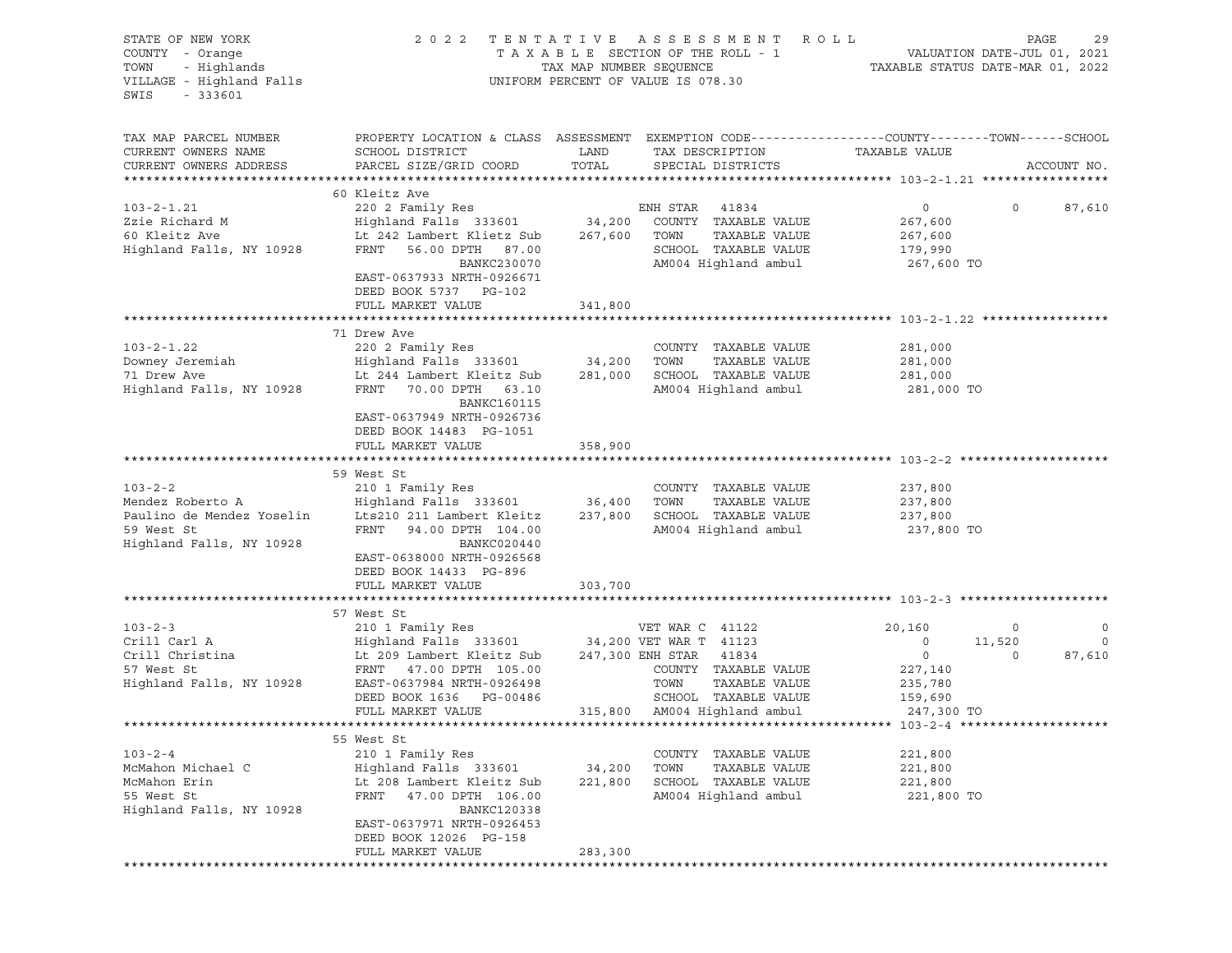| STATE OF NEW YORK<br>COUNTY - Orange<br>TOWN - Highlands<br>VILLAGE - Highland Falls<br>$-333601$<br>SWIS |                                                                                                                                                                                                                                                                                                                                                |                              | 2022 TENTATIVE ASSESSMENT ROLL<br>UNIFORM PERCENT OF VALUE IS 078.30                          |                                                                    | $\texttt{PAGE}$<br>29                                                          |
|-----------------------------------------------------------------------------------------------------------|------------------------------------------------------------------------------------------------------------------------------------------------------------------------------------------------------------------------------------------------------------------------------------------------------------------------------------------------|------------------------------|-----------------------------------------------------------------------------------------------|--------------------------------------------------------------------|--------------------------------------------------------------------------------|
| TAX MAP PARCEL NUMBER<br>CURRENT OWNERS NAME<br>CURRENT OWNERS ADDRESS                                    | PROPERTY LOCATION & CLASS ASSESSMENT EXEMPTION CODE----------------COUNTY-------TOWN------SCHOOL<br>SCHOOL DISTRICT<br>PARCEL SIZE/GRID COORD TOTAL SPECIAL DISTRICTS                                                                                                                                                                          | LAND                         | TAX DESCRIPTION                                                                               | TAXABLE VALUE                                                      | ACCOUNT NO.                                                                    |
|                                                                                                           |                                                                                                                                                                                                                                                                                                                                                |                              |                                                                                               |                                                                    |                                                                                |
|                                                                                                           | 60 Kleitz Ave<br>00 11 220 2 Family Res<br>220 2 Family Res<br>220 2 Family Res<br>220 2 Family Res<br>220 2 Family Res<br>220 2 Family Res<br>220 2 Family Res<br>24,200 COUNTY TAXABLE VALUE<br>267,600<br>267,600 ENRIC 267,600<br>267,600<br>267,600<br>267,600<br>26<br>BANKC230070<br>EAST-0637933 NRTH-0926671<br>DEED BOOK 5737 PG-102 |                              | AM004 Highland ambul 267,600 TO                                                               | $\overline{0}$                                                     | 0 87,610                                                                       |
|                                                                                                           | FULL MARKET VALUE                                                                                                                                                                                                                                                                                                                              | 341,800                      |                                                                                               |                                                                    |                                                                                |
|                                                                                                           | 103-2-1.22<br>Downey Jeremiah (103-2-1.22)<br>220 2 Family Res<br>Highland Falls 333601 34,200 TOWN TAXABLE VALUE<br>71 Drew Ave Lt 244 Lambert Kleitz Sub 281,000 SCHOOL TAXABLE VALUE<br>Highland Falls, NY 10928 FRNT 70.00 DPTH 63.1<br>BANKC160115<br>EAST-0637949 NRTH-0926736<br>DEED BOOK 14483 PG-1051                                |                              | TAXABLE VALUE 281,000<br>AM004 Highland ambul 281,000 TO                                      | 281,000<br>281,000                                                 |                                                                                |
|                                                                                                           | FULL MARKET VALUE                                                                                                                                                                                                                                                                                                                              | 358,900                      |                                                                                               |                                                                    |                                                                                |
| $103 - 2 - 2$<br>Highland Falls, NY 10928                                                                 | 59 West St<br>210 1 Family Res<br>BANKC020440<br>EAST-0638000 NRTH-0926568<br>DEED BOOK 14433 PG-896                                                                                                                                                                                                                                           |                              | COUNTY TAXABLE VALUE<br>TAXABLE VALUE 237,800                                                 | 237,800                                                            |                                                                                |
|                                                                                                           | FULL MARKET VALUE                                                                                                                                                                                                                                                                                                                              | 303,700                      |                                                                                               |                                                                    |                                                                                |
|                                                                                                           | 57 West St<br>103-2-3<br>Crill Carl A<br>210 1 Family Res<br>Crill Christina<br>210 1 Family Res<br>247,300 EXT WAR T<br>247,300 EXT TAXABLE VALUE<br>247,300 EXT TAXABLE VALUE<br>247,300 EXT TAXABLE VALUE<br>247,300 EXT TAXABLE VALUE<br>247,300 EXT TAXABLE<br>FULL MARKET VALUE                                                          |                              | COUNTY TAXABLE VALUE 227,140<br>SCHOOL TAXABLE VALUE 159,690<br>315,800 AM004 Highland ambul  | 20,160<br>$0 \t 11,520$<br>$\overline{0}$<br>235,780<br>247,300 TO | $\circ$<br>$\overline{\phantom{0}}$<br>$\mathbf 0$<br>87,610<br>$\overline{0}$ |
|                                                                                                           |                                                                                                                                                                                                                                                                                                                                                |                              |                                                                                               |                                                                    |                                                                                |
| $103 - 2 - 4$<br>McMahon Michael C<br>McMahon Erin<br>55 West St<br>Highland Falls, NY 10928              | 55 West St<br>210 1 Family Res<br>Highland Falls 333601<br>Lt 208 Lambert Kleitz Sub<br>47.00 DPTH 106.00<br>FRNT<br><b>BANKC120338</b><br>EAST-0637971 NRTH-0926453<br>DEED BOOK 12026 PG-158<br>FULL MARKET VALUE                                                                                                                            | 34,200<br>221,800<br>283,300 | COUNTY TAXABLE VALUE<br>TAXABLE VALUE<br>TOWN<br>SCHOOL TAXABLE VALUE<br>AM004 Highland ambul | 221,800<br>221,800<br>221,800<br>221,800 TO                        |                                                                                |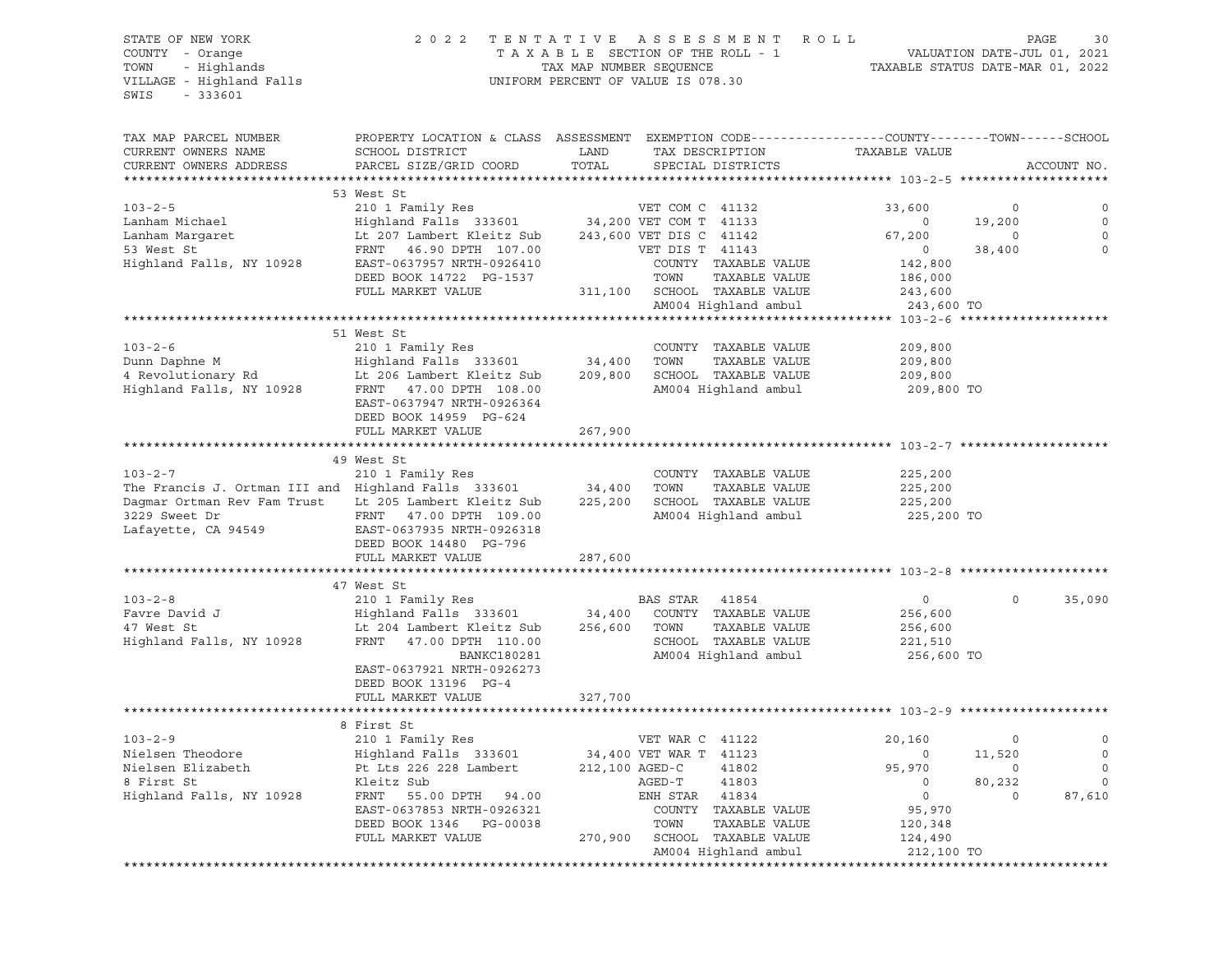#### STATE OF NEW YORK 2 0 2 2 T E N T A T I V E A S S E S S M E N T R O L L PAGE 30 COUNTY - Orange T A X A B L E SECTION OF THE ROLL - 1 VALUATION DATE-JUL 01, 2021 TOWN - Highlands TAX MAP NUMBER SEQUENCE TAXABLE STATUS DATE-MAR 01, 2022 UNIFORM PERCENT OF VALUE IS 078.30

| TAX MAP PARCEL NUMBER                                 | PROPERTY LOCATION & CLASS ASSESSMENT EXEMPTION CODE----------------COUNTY-------TOWN-----SCHOOL |                |                                                     |                       |          |             |
|-------------------------------------------------------|-------------------------------------------------------------------------------------------------|----------------|-----------------------------------------------------|-----------------------|----------|-------------|
| CURRENT OWNERS NAME                                   | SCHOOL DISTRICT                                                                                 | LAND           | TAX DESCRIPTION                                     | TAXABLE VALUE         |          |             |
| CURRENT OWNERS ADDRESS                                | PARCEL SIZE/GRID COORD                                                                          | TOTAL          | SPECIAL DISTRICTS                                   |                       |          | ACCOUNT NO. |
|                                                       |                                                                                                 |                |                                                     |                       |          |             |
|                                                       | 53 West St                                                                                      |                |                                                     |                       |          |             |
| $103 - 2 - 5$                                         | 210 1 Family Res                                                                                |                | VET COM C 41132                                     | 33,600                | $\Omega$ | $\circ$     |
| Lanham Michael                                        | Highland Falls 333601 34,200 VET COM T 41133                                                    |                |                                                     | $\circ$               | 19,200   | $\circ$     |
| Lanham Margaret                                       | Lt 207 Lambert Kleitz Sub                                                                       |                | 243,600 VET DIS C 41142                             | 67,200                | $\circ$  | $\mathbf 0$ |
| 53 West St                                            | FRNT 46.90 DPTH 107.00                                                                          |                | VET DIS T 41143                                     | $\overline{0}$        | 38,400   | $\Omega$    |
| Highland Falls, NY 10928                              | EAST-0637957 NRTH-0926410                                                                       |                | COUNTY TAXABLE VALUE                                | 142,800               |          |             |
|                                                       | DEED BOOK 14722 PG-1537                                                                         |                | TOWN<br>TAXABLE VALUE                               | 186,000               |          |             |
|                                                       | FULL MARKET VALUE                                                                               |                | 311,100 SCHOOL TAXABLE VALUE                        | 243,600               |          |             |
|                                                       |                                                                                                 |                | AM004 Highland ambul                                | 243,600 TO            |          |             |
|                                                       |                                                                                                 |                |                                                     |                       |          |             |
|                                                       | 51 West St                                                                                      |                |                                                     |                       |          |             |
| $103 - 2 - 6$                                         | 210 1 Family Res                                                                                |                | COUNTY TAXABLE VALUE                                | 209,800               |          |             |
| Dunn Daphne M                                         | Highland Falls 333601 34,400                                                                    |                | TOWN<br>TAXABLE VALUE                               | 209,800               |          |             |
| 4 Revolutionary Rd                                    | Highland Falls<br>Lt 206 Lambert Kleitz Sub<br>Die Steitz Sub                                   | 209,800        | SCHOOL TAXABLE VALUE                                | 209,800               |          |             |
| Highland Falls, NY 10928                              | FRNT 47.00 DPTH 108.00                                                                          |                | AM004 Highland ambul                                | 209,800 TO            |          |             |
|                                                       | EAST-0637947 NRTH-0926364                                                                       |                |                                                     |                       |          |             |
|                                                       | DEED BOOK 14959 PG-624                                                                          |                |                                                     |                       |          |             |
|                                                       | FULL MARKET VALUE                                                                               | 267,900        |                                                     |                       |          |             |
|                                                       |                                                                                                 |                |                                                     |                       |          |             |
|                                                       | 49 West St                                                                                      |                |                                                     |                       |          |             |
| $103 - 2 - 7$                                         | 210 1 Family Res                                                                                |                | COUNTY TAXABLE VALUE                                | 225,200               |          |             |
| The Francis J. Ortman III and Highland Falls 333601   |                                                                                                 | 34,400         | TOWN<br>TAXABLE VALUE                               | 225,200               |          |             |
| Dagmar Ortman Rev Fam Trust Lt 205 Lambert Kleitz Sub |                                                                                                 | 225,200        | SCHOOL TAXABLE VALUE                                | 225,200               |          |             |
| 3229 Sweet Dr                                         | FRNT 47.00 DPTH 109.00                                                                          |                | AM004 Highland ambul                                | 225,200 TO            |          |             |
| Lafayette, CA 94549                                   | EAST-0637935 NRTH-0926318                                                                       |                |                                                     |                       |          |             |
|                                                       | DEED BOOK 14480 PG-796                                                                          |                |                                                     |                       |          |             |
|                                                       | FULL MARKET VALUE                                                                               | 287,600        |                                                     |                       |          |             |
|                                                       |                                                                                                 |                |                                                     |                       |          |             |
|                                                       | 47 West St                                                                                      |                |                                                     |                       |          |             |
| $103 - 2 - 8$                                         | 210 1 Family Res                                                                                |                | BAS STAR 41854                                      | $\circ$               | $\circ$  | 35,090      |
| Favre David J                                         | Highland Falls 333601 34,400                                                                    |                | COUNTY TAXABLE VALUE                                | 256,600               |          |             |
| 47 West St                                            | Lt 204 Lambert Kleitz Sub                                                                       | 256,600        | TAXABLE VALUE<br>TOWN                               | 256,600               |          |             |
| Highland Falls, NY 10928                              | FRNT 47.00 DPTH 110.00                                                                          |                | SCHOOL TAXABLE VALUE                                | 221,510               |          |             |
|                                                       | <b>BANKC180281</b>                                                                              |                | AM004 Highland ambul                                | 256,600 TO            |          |             |
|                                                       | EAST-0637921 NRTH-0926273                                                                       |                |                                                     |                       |          |             |
|                                                       | DEED BOOK 13196 PG-4                                                                            |                |                                                     |                       |          |             |
|                                                       | FULL MARKET VALUE                                                                               | 327,700        |                                                     |                       |          |             |
|                                                       | ************************                                                                        | *************  | ******************************** 103-2-9 ********** |                       |          |             |
|                                                       | 8 First St                                                                                      |                |                                                     |                       |          |             |
| $103 - 2 - 9$                                         | 210 1 Family Res                                                                                |                | VET WAR C 41122                                     | 20,160                | $\circ$  | $\mathbf 0$ |
| Nielsen Theodore                                      | Highland Falls 333601 34,400 VET WAR T 41123                                                    |                |                                                     | $\circ$               | 11,520   | $\mathbf 0$ |
| Nielsen Elizabeth                                     | Pt Lts 226 228 Lambert                                                                          | 212,100 AGED-C | 41802                                               | 95,970                | $\circ$  | $\Omega$    |
| 8 First St                                            | Kleitz Sub                                                                                      |                | AGED-T<br>41803                                     | $\circ$               | 80,232   | $\mathbf 0$ |
| Highland Falls, NY 10928                              |                                                                                                 |                | ENH STAR 41834                                      | $\overline{0}$        | $\circ$  |             |
|                                                       | FRNT 55.00 DPTH 94.00<br>EAST-0637853 NRTH-0926321                                              |                | COUNTY TAXABLE VALUE                                | 95,970                |          | 87,610      |
|                                                       | DEED BOOK 1346 PG-00038                                                                         |                | TOWN<br>TAXABLE VALUE                               |                       |          |             |
|                                                       | FULL MARKET VALUE                                                                               |                | 270,900 SCHOOL TAXABLE VALUE                        | 120,348               |          |             |
|                                                       |                                                                                                 |                | AM004 Highland ambul                                | 124,490<br>212,100 TO |          |             |
|                                                       |                                                                                                 |                |                                                     |                       |          |             |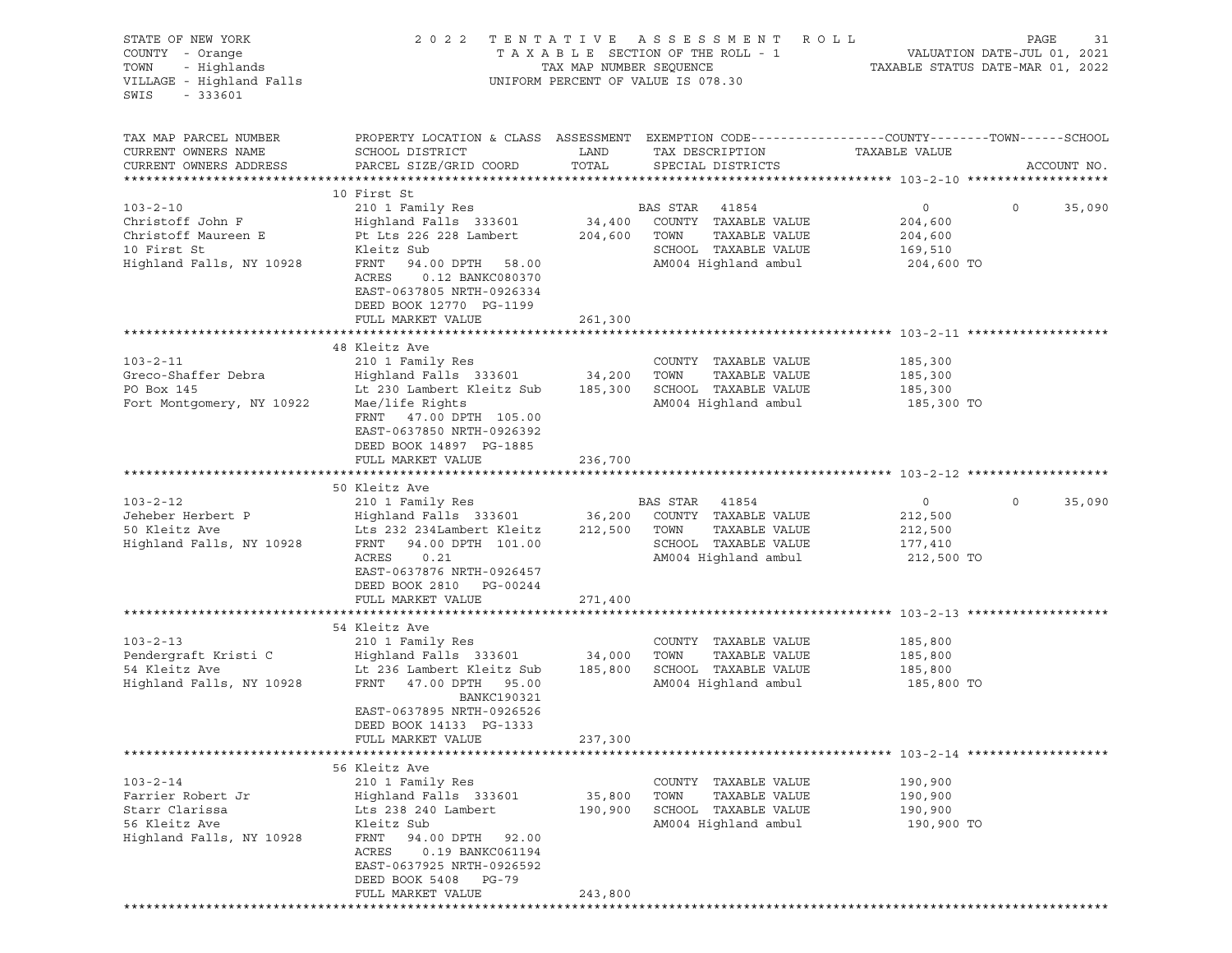| STATE OF NEW YORK<br>COUNTY - Orange            | 2 0 2 2                                                                                         | TENTATIVE               | A S S E S S M E N T<br>TAXABLE SECTION OF THE ROLL - 1 | R O L L            | PAGE<br>31<br>VALUATION DATE-JUL 01, 2021 |
|-------------------------------------------------|-------------------------------------------------------------------------------------------------|-------------------------|--------------------------------------------------------|--------------------|-------------------------------------------|
| - Highlands<br>TOWN<br>VILLAGE - Highland Falls |                                                                                                 | TAX MAP NUMBER SEQUENCE | UNIFORM PERCENT OF VALUE IS 078.30                     |                    | TAXABLE STATUS DATE-MAR 01, 2022          |
| $-333601$<br>SWIS                               |                                                                                                 |                         |                                                        |                    |                                           |
| TAX MAP PARCEL NUMBER                           | PROPERTY LOCATION & CLASS ASSESSMENT EXEMPTION CODE---------------COUNTY-------TOWN------SCHOOL |                         |                                                        |                    |                                           |
| CURRENT OWNERS NAME                             | SCHOOL DISTRICT                                                                                 | LAND                    | TAX DESCRIPTION                                        | TAXABLE VALUE      |                                           |
| CURRENT OWNERS ADDRESS                          | PARCEL SIZE/GRID COORD                                                                          | TOTAL                   | SPECIAL DISTRICTS                                      |                    | ACCOUNT NO.                               |
|                                                 | 10 First St                                                                                     |                         |                                                        |                    |                                           |
| $103 - 2 - 10$                                  | 210 1 Family Res                                                                                |                         | BAS STAR 41854                                         | $\circ$            | $\circ$<br>35,090                         |
| Christoff John F                                | Highland Falls 333601                                                                           | 34,400                  | COUNTY TAXABLE VALUE                                   | 204,600            |                                           |
| Christoff Maureen E                             | Pt Lts 226 228 Lambert                                                                          | 204,600                 | TOWN<br>TAXABLE VALUE                                  | 204,600            |                                           |
| 10 First St                                     | Kleitz Sub                                                                                      |                         | SCHOOL TAXABLE VALUE                                   | 169,510            |                                           |
| Highland Falls, NY 10928                        | FRNT<br>94.00 DPTH 58.00                                                                        |                         | AM004 Highland ambul                                   | 204,600 TO         |                                           |
|                                                 | ACRES<br>0.12 BANKC080370<br>EAST-0637805 NRTH-0926334                                          |                         |                                                        |                    |                                           |
|                                                 | DEED BOOK 12770 PG-1199                                                                         |                         |                                                        |                    |                                           |
|                                                 | FULL MARKET VALUE                                                                               | 261,300                 |                                                        |                    |                                           |
|                                                 | 48 Kleitz Ave                                                                                   |                         |                                                        |                    |                                           |
| $103 - 2 - 11$                                  | 210 1 Family Res                                                                                |                         | COUNTY TAXABLE VALUE                                   | 185,300            |                                           |
| Greco-Shaffer Debra                             | Highland Falls 333601                                                                           | 34,200                  | TAXABLE VALUE<br>TOWN                                  | 185,300            |                                           |
| PO Box 145                                      | Lt 230 Lambert Kleitz Sub                                                                       | 185,300                 | SCHOOL TAXABLE VALUE                                   | 185,300            |                                           |
| Fort Montgomery, NY 10922                       | Mae/life Rights                                                                                 |                         | AM004 Highland ambul                                   | 185,300 TO         |                                           |
|                                                 | FRNT 47.00 DPTH 105.00                                                                          |                         |                                                        |                    |                                           |
|                                                 | EAST-0637850 NRTH-0926392                                                                       |                         |                                                        |                    |                                           |
|                                                 | DEED BOOK 14897 PG-1885                                                                         |                         |                                                        |                    |                                           |
|                                                 | FULL MARKET VALUE                                                                               | 236,700                 |                                                        |                    |                                           |
|                                                 |                                                                                                 |                         |                                                        |                    |                                           |
|                                                 | 50 Kleitz Ave                                                                                   |                         |                                                        |                    |                                           |
| $103 - 2 - 12$<br>Jeheber Herbert P             | 210 1 Family Res                                                                                |                         | BAS STAR<br>41854<br>COUNTY TAXABLE VALUE              | $\circ$            | $\circ$<br>35,090                         |
| 50 Kleitz Ave                                   | Highland Falls 333601<br>Lts 232 234Lambert Kleitz                                              | 36,200<br>212,500       | TAXABLE VALUE<br>TOWN                                  | 212,500<br>212,500 |                                           |
| Highland Falls, NY 10928                        | FRNT<br>94.00 DPTH 101.00                                                                       |                         | SCHOOL TAXABLE VALUE                                   | 177,410            |                                           |
|                                                 | ACRES<br>0.21                                                                                   |                         | AM004 Highland ambul                                   | 212,500 TO         |                                           |
|                                                 | EAST-0637876 NRTH-0926457                                                                       |                         |                                                        |                    |                                           |
|                                                 | DEED BOOK 2810 PG-00244                                                                         |                         |                                                        |                    |                                           |
|                                                 | FULL MARKET VALUE                                                                               | 271,400                 |                                                        |                    |                                           |
|                                                 |                                                                                                 |                         |                                                        |                    |                                           |
|                                                 | 54 Kleitz Ave                                                                                   |                         |                                                        |                    |                                           |
| $103 - 2 - 13$                                  | 210 1 Family Res                                                                                |                         | COUNTY TAXABLE VALUE                                   | 185,800            |                                           |
| Pendergraft Kristi C                            | Highland Falls 333601                                                                           | 34,000                  | TAXABLE VALUE<br>TOWN                                  | 185,800            |                                           |
| 54 Kleitz Ave                                   | Lt 236 Lambert Kleitz Sub                                                                       | 185,800                 | SCHOOL TAXABLE VALUE                                   | 185,800            |                                           |
| Highland Falls, NY 10928                        | FRNT<br>47.00 DPTH 95.00<br><b>BANKC190321</b>                                                  |                         | AM004 Highland ambul                                   | 185,800 TO         |                                           |
|                                                 | EAST-0637895 NRTH-0926526                                                                       |                         |                                                        |                    |                                           |
|                                                 | DEED BOOK 14133 PG-1333                                                                         |                         |                                                        |                    |                                           |
|                                                 | FULL MARKET VALUE                                                                               | 237,300                 |                                                        |                    |                                           |
|                                                 |                                                                                                 |                         |                                                        |                    |                                           |
|                                                 | 56 Kleitz Ave                                                                                   |                         |                                                        |                    |                                           |
| $103 - 2 - 14$<br>Farrier Robert Jr             | 210 1 Family Res                                                                                |                         | COUNTY TAXABLE VALUE<br>TOWN                           | 190,900            |                                           |
| Starr Clarissa                                  | Highland Falls 333601<br>Lts 238 240 Lambert                                                    | 35,800<br>190,900       | TAXABLE VALUE<br>SCHOOL TAXABLE VALUE                  | 190,900<br>190,900 |                                           |
| 56 Kleitz Ave                                   | Kleitz Sub                                                                                      |                         | AM004 Highland ambul                                   | 190,900 TO         |                                           |
| Highland Falls, NY 10928                        | FRNT<br>94.00 DPTH<br>92.00                                                                     |                         |                                                        |                    |                                           |
|                                                 | ACRES<br>0.19 BANKC061194                                                                       |                         |                                                        |                    |                                           |
|                                                 | EAST-0637925 NRTH-0926592                                                                       |                         |                                                        |                    |                                           |
|                                                 | DEED BOOK 5408<br>PG-79                                                                         |                         |                                                        |                    |                                           |
|                                                 | FULL MARKET VALUE                                                                               | 243,800                 |                                                        |                    |                                           |
|                                                 |                                                                                                 |                         |                                                        |                    |                                           |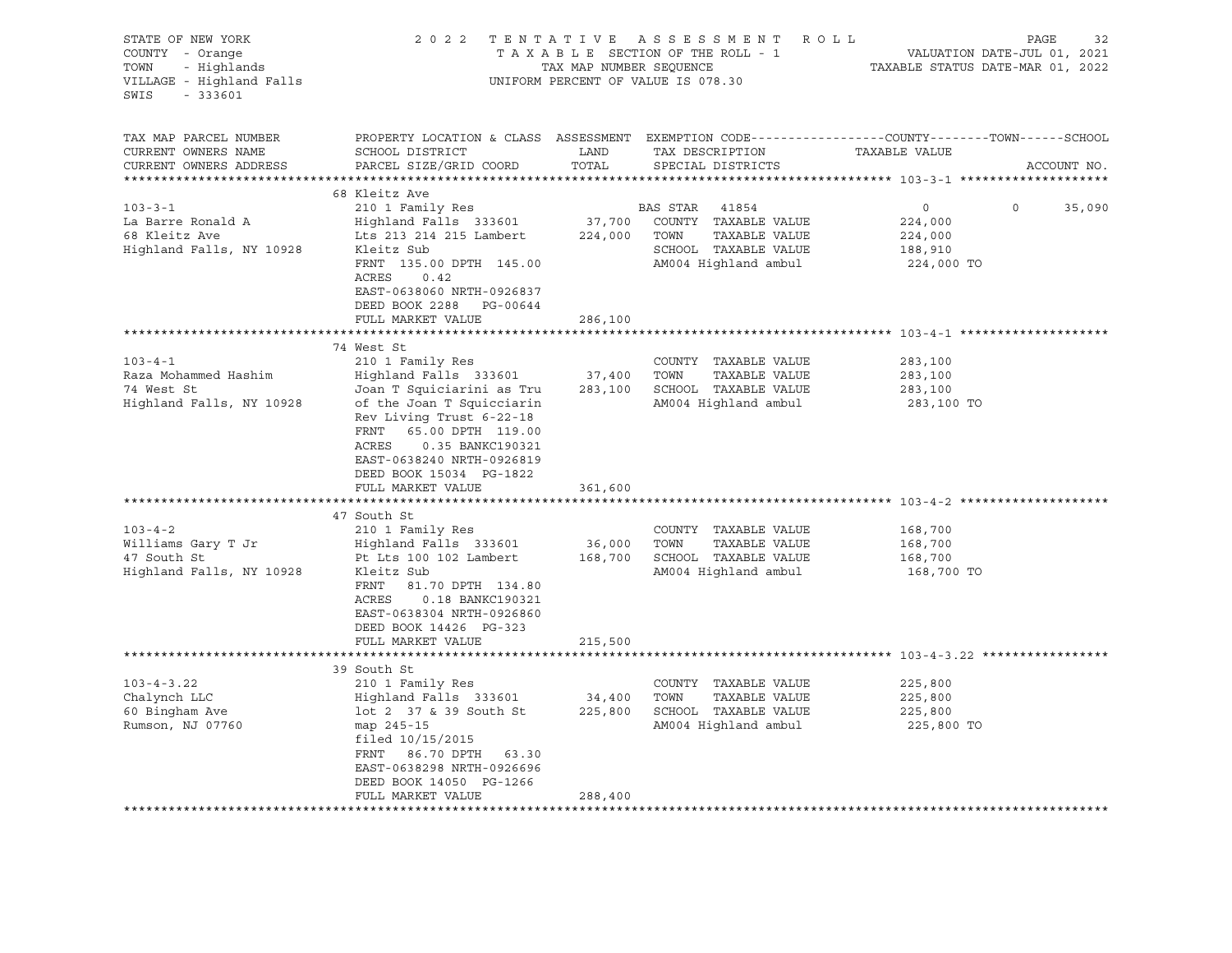| STATE OF NEW YORK                                               |                                                               |                         | 2022 TENTATIVE ASSESSMENT ROLL     | PAGE                                                                                                              | 32          |
|-----------------------------------------------------------------|---------------------------------------------------------------|-------------------------|------------------------------------|-------------------------------------------------------------------------------------------------------------------|-------------|
| COUNTY - Orange                                                 |                                                               |                         | TAXABLE SECTION OF THE ROLL - 1    | VALUATION DATE-JUL 01, 2021                                                                                       |             |
| COUNTY - Orange<br>TOWN - Highlands<br>VILLAGE - Highland Falls |                                                               | TAX MAP NUMBER SEQUENCE |                                    | TAXABLE STATUS DATE-MAR 01, 2022                                                                                  |             |
|                                                                 |                                                               |                         | UNIFORM PERCENT OF VALUE IS 078.30 |                                                                                                                   |             |
| SWIS<br>$-333601$                                               |                                                               |                         |                                    |                                                                                                                   |             |
|                                                                 |                                                               |                         |                                    |                                                                                                                   |             |
| TAX MAP PARCEL NUMBER                                           |                                                               |                         |                                    |                                                                                                                   |             |
| CURRENT OWNERS NAME                                             | SCHOOL DISTRICT                                               | LAND                    | TAX DESCRIPTION                    | PROPERTY LOCATION & CLASS ASSESSMENT EXEMPTION CODE----------------COUNTY-------TOWN------SCHOOL<br>TAXABLE VALUE |             |
|                                                                 |                                                               | TOTAL                   |                                    |                                                                                                                   |             |
| CURRENT OWNERS ADDRESS                                          | PARCEL SIZE/GRID COORD                                        |                         | SPECIAL DISTRICTS                  |                                                                                                                   | ACCOUNT NO. |
|                                                                 |                                                               |                         |                                    |                                                                                                                   |             |
|                                                                 | 68 Kleitz Ave                                                 |                         |                                    | $\Omega$                                                                                                          |             |
| $103 - 3 - 1$                                                   | 210 1 Family Res                                              |                         | BAS STAR 41854                     | $\overline{0}$                                                                                                    | 35,090      |
| La Barre Ronald A                                               | Highland Falls 333601<br>Lts 213 214 215 Lambert 224,000 TOWN |                         | 37,700 COUNTY TAXABLE VALUE        | 224,000                                                                                                           |             |
| 68 Kleitz Ave                                                   |                                                               |                         | TAXABLE VALUE                      | 224,000                                                                                                           |             |
| Highland Falls, NY 10928                                        | Kleitz Sub                                                    |                         | SCHOOL TAXABLE VALUE               | 188,910                                                                                                           |             |
|                                                                 | FRNT 135.00 DPTH 145.00                                       |                         | AM004 Highland ambul               | 224,000 TO                                                                                                        |             |
|                                                                 | ACRES<br>0.42                                                 |                         |                                    |                                                                                                                   |             |
|                                                                 | EAST-0638060 NRTH-0926837                                     |                         |                                    |                                                                                                                   |             |
|                                                                 | DEED BOOK 2288 PG-00644                                       |                         |                                    |                                                                                                                   |             |
|                                                                 | FULL MARKET VALUE                                             | 286,100                 |                                    |                                                                                                                   |             |
|                                                                 |                                                               |                         |                                    |                                                                                                                   |             |
|                                                                 | 74 West St                                                    |                         |                                    |                                                                                                                   |             |
| $103 - 4 - 1$                                                   | 210 1 Family Res                                              |                         | COUNTY TAXABLE VALUE               | 283,100                                                                                                           |             |
| Raza Mohammed Hashim                                            | Highland Falls 333601                                         | 37,400 TOWN             | TAXABLE VALUE                      | 283,100                                                                                                           |             |
| 74 West St                                                      | Joan T Squiciarini as Tru                                     |                         | 283,100 SCHOOL TAXABLE VALUE       | 283,100                                                                                                           |             |
| Highland Falls, NY 10928                                        | of the Joan T Squicciarin                                     |                         | AM004 Highland ambul               | 283,100 TO                                                                                                        |             |
|                                                                 | Rev Living Trust 6-22-18                                      |                         |                                    |                                                                                                                   |             |
|                                                                 | FRNT<br>65.00 DPTH 119.00                                     |                         |                                    |                                                                                                                   |             |
|                                                                 | ACRES<br>0.35 BANKC190321                                     |                         |                                    |                                                                                                                   |             |
|                                                                 | EAST-0638240 NRTH-0926819                                     |                         |                                    |                                                                                                                   |             |
|                                                                 | DEED BOOK 15034 PG-1822                                       |                         |                                    |                                                                                                                   |             |
|                                                                 | FULL MARKET VALUE                                             | 361,600                 |                                    |                                                                                                                   |             |
|                                                                 |                                                               |                         |                                    |                                                                                                                   |             |
|                                                                 | 47 South St                                                   |                         |                                    |                                                                                                                   |             |
| $103 - 4 - 2$                                                   | 210 1 Family Res                                              |                         | COUNTY TAXABLE VALUE               | 168,700                                                                                                           |             |
| Williams Gary T Jr                                              | Highland Falls 333601                                         | 36,000 TOWN             | TAXABLE VALUE                      | 168,700                                                                                                           |             |
| $T$ Jr<br>47 South St                                           | Pt Lts 100 102 Lambert 168,700 SCHOOL TAXABLE VALUE           |                         |                                    | 168,700                                                                                                           |             |
| Highland Falls, NY 10928                                        | Kleitz Sub                                                    |                         | AM004 Highland ambul               | 168,700 TO                                                                                                        |             |
|                                                                 | FRNT<br>81.70 DPTH 134.80                                     |                         |                                    |                                                                                                                   |             |
|                                                                 | ACRES<br>0.18 BANKC190321                                     |                         |                                    |                                                                                                                   |             |
|                                                                 | EAST-0638304 NRTH-0926860                                     |                         |                                    |                                                                                                                   |             |
|                                                                 | DEED BOOK 14426 PG-323                                        |                         |                                    |                                                                                                                   |             |
|                                                                 | FULL MARKET VALUE                                             | 215,500                 |                                    |                                                                                                                   |             |
|                                                                 |                                                               |                         |                                    |                                                                                                                   |             |
|                                                                 | 39 South St                                                   |                         |                                    |                                                                                                                   |             |
| $103 - 4 - 3.22$                                                | 210 1 Family Res                                              |                         | COUNTY TAXABLE VALUE               | 225,800                                                                                                           |             |
| Chalynch LLC                                                    |                                                               | 34,400 TOWN             | TAXABLE VALUE                      | 225,800                                                                                                           |             |
| 60 Bingham Ave                                                  | Highland Falls 333601<br>lot 2 37 & 39 South St               |                         | 225,800 SCHOOL TAXABLE VALUE       | 225,800                                                                                                           |             |
|                                                                 |                                                               |                         | AM004 Highland ambul               | 225,800 TO                                                                                                        |             |
| Rumson, NJ 07760                                                | map 245-15                                                    |                         |                                    |                                                                                                                   |             |
|                                                                 | filed 10/15/2015                                              |                         |                                    |                                                                                                                   |             |
|                                                                 | FRNT 86.70 DPTH 63.30                                         |                         |                                    |                                                                                                                   |             |
|                                                                 | EAST-0638298 NRTH-0926696                                     |                         |                                    |                                                                                                                   |             |
|                                                                 | DEED BOOK 14050 PG-1266                                       |                         |                                    |                                                                                                                   |             |
|                                                                 | FULL MARKET VALUE                                             | 288,400                 |                                    |                                                                                                                   |             |
|                                                                 |                                                               |                         |                                    |                                                                                                                   |             |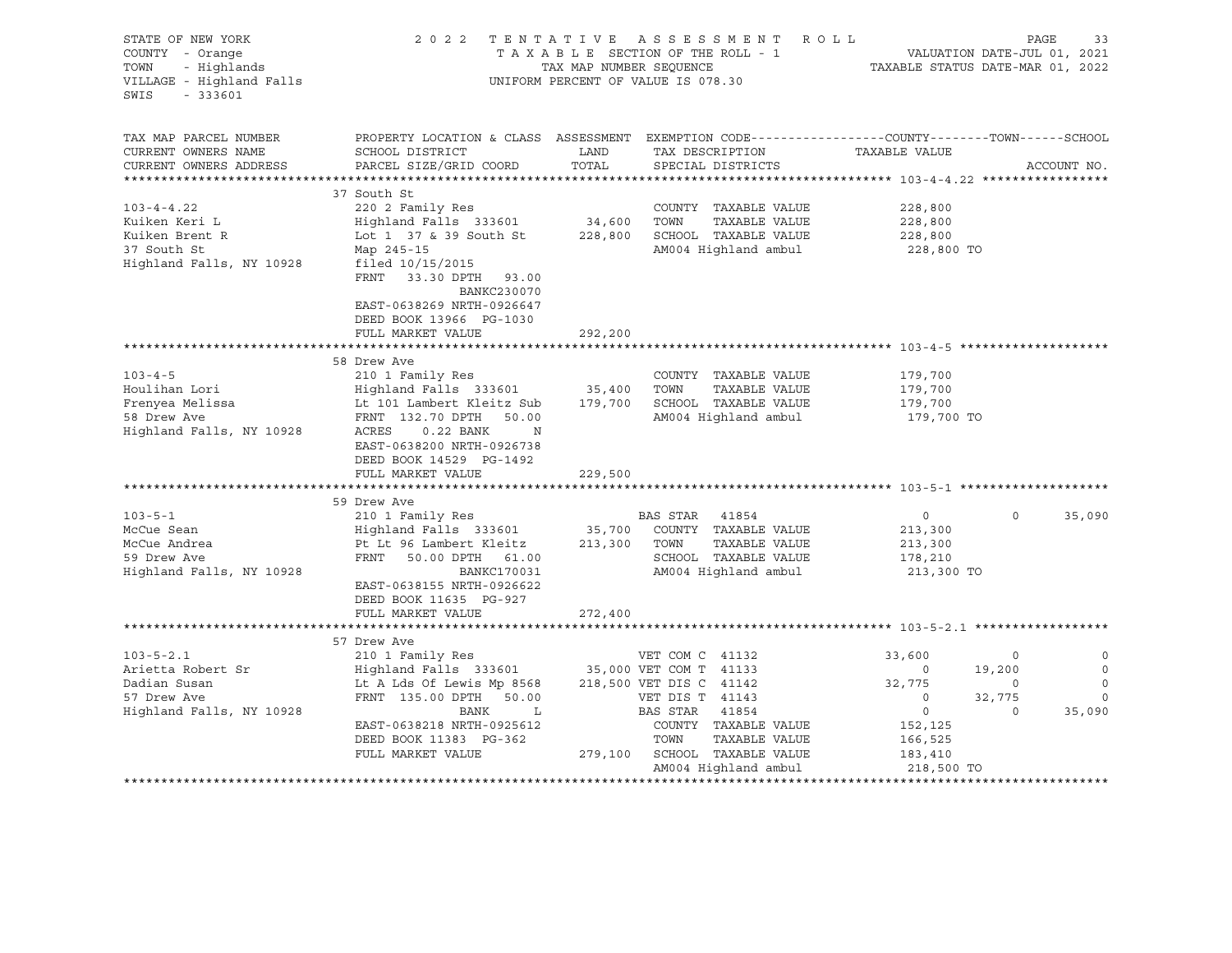| STATE OF NEW YORK<br>COUNTY - Orange<br>- Highlands<br>TOWN<br>VILLAGE - Highland Falls<br>$-333601$<br>SWIS                                                                           |                                                                                                                                                                                                                                                                                                                                                                                                                                             | TAX MAP NUMBER SEQUENCE                                      | 2022 TENTATIVE ASSESSMENT ROLL<br>TAXABLE SECTION OF THE ROLL - 1<br>UNIFORM PERCENT OF VALUE IS 078.30                                                                                                               | TAXABLE STATUS DATE-MAR 01, 2022                                                                      | PAGE<br>VALUATION DATE-JUL 01, 2021         | 33                                               |
|----------------------------------------------------------------------------------------------------------------------------------------------------------------------------------------|---------------------------------------------------------------------------------------------------------------------------------------------------------------------------------------------------------------------------------------------------------------------------------------------------------------------------------------------------------------------------------------------------------------------------------------------|--------------------------------------------------------------|-----------------------------------------------------------------------------------------------------------------------------------------------------------------------------------------------------------------------|-------------------------------------------------------------------------------------------------------|---------------------------------------------|--------------------------------------------------|
| TAX MAP PARCEL NUMBER<br>CURRENT OWNERS NAME<br>CURRENT OWNERS ADDRESS                                                                                                                 | PROPERTY LOCATION & CLASS ASSESSMENT EXEMPTION CODE----------------COUNTY-------TOWN------SCHOOL<br>SCHOOL DISTRICT<br>PARCEL SIZE/GRID COORD                                                                                                                                                                                                                                                                                               | LAND<br>TOTAL                                                | TAX DESCRIPTION<br>SPECIAL DISTRICTS                                                                                                                                                                                  | TAXABLE VALUE                                                                                         |                                             | ACCOUNT NO.                                      |
|                                                                                                                                                                                        | 37 South St                                                                                                                                                                                                                                                                                                                                                                                                                                 |                                                              |                                                                                                                                                                                                                       |                                                                                                       |                                             |                                                  |
| $103 - 4 - 4.22$<br>Kuiken Keri L<br>Kuiken Brent R<br>37 South St<br>Highland Falls, NY 10928                                                                                         | 220 2 Family Res<br>Highland Falls 333601<br>Lot 1 37 & 39 South St<br>Map 245-15<br>filed $10/15/2015$<br>FRNT<br>33.30 DPTH 93.00<br>BANKC230070<br>EAST-0638269 NRTH-0926647<br>DEED BOOK 13966 PG-1030                                                                                                                                                                                                                                  | 34,600<br>228,800                                            | COUNTY TAXABLE VALUE<br>TOWN<br>TAXABLE VALUE<br>SCHOOL TAXABLE VALUE<br>AM004 Highland ambul                                                                                                                         | 228,800<br>228,800<br>228,800<br>228,800 TO                                                           |                                             |                                                  |
|                                                                                                                                                                                        | FULL MARKET VALUE                                                                                                                                                                                                                                                                                                                                                                                                                           | 292,200                                                      |                                                                                                                                                                                                                       |                                                                                                       |                                             |                                                  |
|                                                                                                                                                                                        |                                                                                                                                                                                                                                                                                                                                                                                                                                             |                                                              |                                                                                                                                                                                                                       |                                                                                                       |                                             |                                                  |
| $103 - 4 - 5$<br>Houlihan Lori<br>Frenyea Melissa<br>58 Drew Ave<br>Highland Falls, NY 10928<br>$103 - 5 - 1$<br>McCue Sean<br>McCue Andrea<br>59 Drew Ave<br>Highland Falls, NY 10928 | 58 Drew Ave<br>210 1 Family Res<br>Highland Falls 333601<br>Lt 101 Lambert Kleitz Sub<br>FRNT 132.70 DPTH 50.00<br>$0.22$ BANK<br>ACRES<br>N<br>EAST-0638200 NRTH-0926738<br>DEED BOOK 14529 PG-1492<br>FULL MARKET VALUE<br>59 Drew Ave<br>210 1 Family Res<br>Highland Falls 333601<br>Pt Lt 96 Lambert Kleitz<br>FRNT 50.00 DPTH 61.00<br><b>BANKC170031</b><br>EAST-0638155 NRTH-0926622<br>DEED BOOK 11635 PG-927<br>FULL MARKET VALUE | 35,400<br>179,700<br>229,500<br>35,700<br>213,300<br>272,400 | COUNTY TAXABLE VALUE<br>TOWN<br>TAXABLE VALUE<br>SCHOOL TAXABLE VALUE<br>AM004 Highland ambul<br>BAS STAR 41854<br>COUNTY TAXABLE VALUE<br>TAXABLE VALUE<br>TOWN<br>SCHOOL TAXABLE VALUE<br>AM004 Highland ambul      | 179,700<br>179,700<br>179,700<br>179,700 TO<br>$\circ$<br>213,300<br>213,300<br>178,210<br>213,300 TO | $\mathsf{O}$                                | 35,090                                           |
|                                                                                                                                                                                        |                                                                                                                                                                                                                                                                                                                                                                                                                                             |                                                              |                                                                                                                                                                                                                       |                                                                                                       |                                             |                                                  |
| $103 - 5 - 2.1$<br>Arietta Robert Sr<br>Dadian Susan<br>57 Drew Ave<br>Highland Falls, NY 10928                                                                                        | 57 Drew Ave<br>210 1 Family Res<br>Highland Falls 333601<br>Lt A Lds Of Lewis Mp 8568<br>FRNT 135.00 DPTH 50.00<br>BANK<br>L<br>EAST-0638218 NRTH-0925612<br>DEED BOOK 11383 PG-362<br>FULL MARKET VALUE                                                                                                                                                                                                                                    |                                                              | VET COM C 41132<br>35,000 VET COM T 41133<br>218,500 VET DIS C 41142<br>VET DIS T 41143<br>BAS STAR<br>41854<br>COUNTY TAXABLE VALUE<br>TOWN<br>TAXABLE VALUE<br>279,100 SCHOOL TAXABLE VALUE<br>AM004 Highland ambul | 33,600<br>$\circ$<br>32,775<br>$\circ$<br>$\circ$<br>152,125<br>166,525<br>183,410<br>218,500 TO      | 0<br>19,200<br>$\circ$<br>32,775<br>$\circ$ | 0<br>$\circ$<br>$\circ$<br>$\mathbf 0$<br>35,090 |
|                                                                                                                                                                                        |                                                                                                                                                                                                                                                                                                                                                                                                                                             |                                                              |                                                                                                                                                                                                                       |                                                                                                       |                                             |                                                  |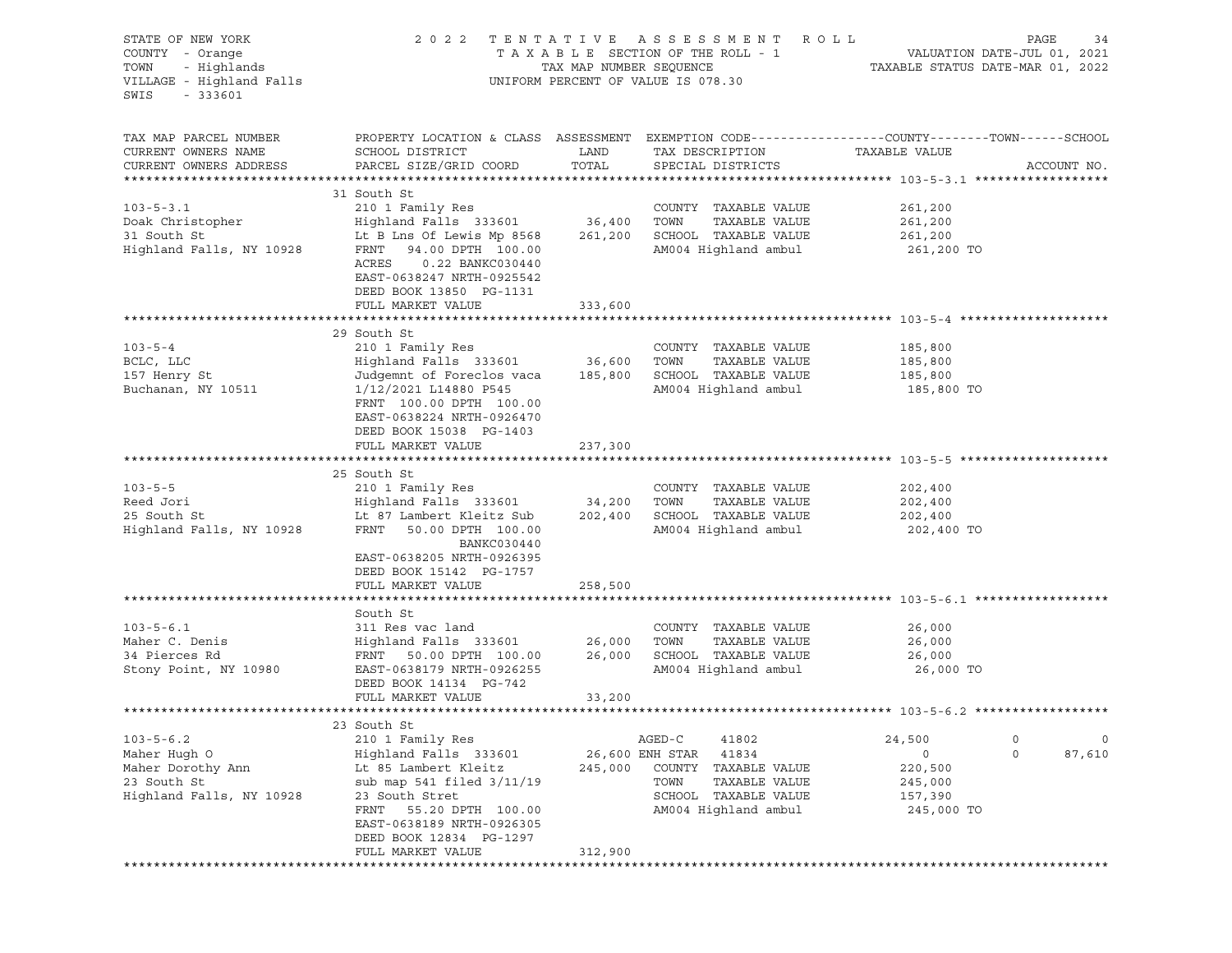| STATE OF NEW YORK<br>COUNTY - Orange<br>TOWN - Highlands<br>VILLAGE - Highlands<br>VILLAGE - Highland Falls<br>SWIS<br>$-333601$ |                                                                                                                                                                                                                                                                                                                                                                                                                                                                     |                    | 2022 TENTATIVE ASSESSMENT ROLL<br>TAXABLE SECTION OF THE ROLL - 1 VALUATION DATE-JUL 01, 2021<br>TAX MAP NUMBER SEQUENCE TAXABLE STATUS DATE-MAR 01, 2022<br>UNIFORM PERCENT OF VALUE IS 078.30 |                                                            | PAGE<br>34                        |
|----------------------------------------------------------------------------------------------------------------------------------|---------------------------------------------------------------------------------------------------------------------------------------------------------------------------------------------------------------------------------------------------------------------------------------------------------------------------------------------------------------------------------------------------------------------------------------------------------------------|--------------------|-------------------------------------------------------------------------------------------------------------------------------------------------------------------------------------------------|------------------------------------------------------------|-----------------------------------|
| TAX MAP PARCEL NUMBER<br>CURRENT OWNERS NAME<br>CURRENT OWNERS ADDRESS                                                           | PROPERTY LOCATION & CLASS ASSESSMENT EXEMPTION CODE---------------COUNTY-------TOWN------SCHOOL<br>SCHOOL DISTRICT<br>PARCEL SIZE/GRID COORD                                                                                                                                                                                                                                                                                                                        | LAND<br>TOTAL      | TAX DESCRIPTION<br>SPECIAL DISTRICTS                                                                                                                                                            | TAXABLE VALUE                                              | ACCOUNT NO.                       |
| $103 - 5 - 3.1$<br>Doak Christopher<br>31 South St                                                                               | 31 South St<br>210 1 Family Res<br>210 1 ramily Res<br>Highland Falls 333601 36,400 TOWN<br>31 South St<br>31 South St<br>31 South St<br>31 South St<br>31 South St<br>31 South St<br>31 South St<br>31 South St<br>31 South St<br>31 South St<br>3261,200<br>3261,200<br>3261,200<br>3261,200<br>3261,200<br>3261,200<br>3261,200<br>3261,200<br>3261,200<br>ACRES   0.22 BANKC030440<br>EAST-0638247 NRTH-0925542<br>DEED BOOK 13850 PG-1131<br>FULL MARKET VALUE | 333,600            | COUNTY TAXABLE VALUE                                                                                                                                                                            | 261,200<br>261,200<br>261,200<br>261,200 TO                |                                   |
|                                                                                                                                  |                                                                                                                                                                                                                                                                                                                                                                                                                                                                     |                    |                                                                                                                                                                                                 |                                                            |                                   |
| $103 - 5 - 4$<br>BCLC, LLC<br>157 Henry St<br>Buchanan, NY 10511                                                                 | 29 South St<br>Judgemnt of Foreclos vaca 185,800 SCHOOL TAXABLE VALUE<br>1/12/2021 L14880 P545<br>FRNT 100.00 DPTH 100.00<br>EAST-0638224 NRTH-0926470<br>DEED BOOK 15038 PG-1403                                                                                                                                                                                                                                                                                   |                    | COUNTY TAXABLE VALUE<br>TAXABLE VALUE<br>AM004 Highland ambul                                                                                                                                   | 185,800<br>185,800<br>185,800<br>185,800 TO                |                                   |
|                                                                                                                                  | FULL MARKET VALUE                                                                                                                                                                                                                                                                                                                                                                                                                                                   | 237,300            |                                                                                                                                                                                                 |                                                            |                                   |
|                                                                                                                                  |                                                                                                                                                                                                                                                                                                                                                                                                                                                                     |                    |                                                                                                                                                                                                 |                                                            |                                   |
| $103 - 5 - 5$<br>Reed Jori<br>25 South St<br>Highland Falls, NY 10928                                                            | 25 South St<br>210 1 Family Res<br>Highland Falls 333601 34,200 TOWN<br>Lt 87 Lambert Kleitz Sub 202,400 SCHOOL TAXABLE VALUE<br>FRNT 50.00 DPTH 100.00<br>BANKC030440<br>EAST-0638205 NRTH-0926395<br>DEED BOOK 15142 PG-1757                                                                                                                                                                                                                                      |                    | COUNTY TAXABLE VALUE<br>TAXABLE VALUE<br>AM004 Highland ambul                                                                                                                                   | 202,400<br>202,400<br>202,400<br>202,400 TO                |                                   |
|                                                                                                                                  | FULL MARKET VALUE                                                                                                                                                                                                                                                                                                                                                                                                                                                   | 258,500            |                                                                                                                                                                                                 |                                                            |                                   |
| $103 - 5 - 6.1$<br>Maher C. Denis<br>34 Pierces Rd<br>Stony Point, NY 10980                                                      | South St<br>FRNT 50.00 DPTH 100.00<br>EAST-0638179 NRTH-0926255<br>DEED BOOK 14134 PG-742<br>FULL MARKET VALUE                                                                                                                                                                                                                                                                                                                                                      | 33,200             | COUNTY TAXABLE VALUE<br>TAXABLE VALUE<br>26,000 SCHOOL TAXABLE VALUE 26,000<br>AM004 Highland ambul                                                                                             | 26,000<br>26,000<br>26,000 TO                              |                                   |
|                                                                                                                                  |                                                                                                                                                                                                                                                                                                                                                                                                                                                                     |                    |                                                                                                                                                                                                 |                                                            |                                   |
| $103 - 5 - 6.2$<br>Maher Hugh O<br>Maher Dorothy Ann<br>23 South St<br>Highland Falls, NY 10928                                  | 23 South St<br>210 1 Family Res<br>Highland Falls 333601<br>Lt 85 Lambert Kleitz<br>sub map 541 filed 3/11/19<br>23 South Stret<br>55.20 DPTH 100.00<br>FRNT<br>EAST-0638189 NRTH-0926305<br>DEED BOOK 12834 PG-1297<br>FULL MARKET VALUE                                                                                                                                                                                                                           | 245,000<br>312,900 | AGED-C<br>41802<br>26,600 ENH STAR<br>41834<br>COUNTY<br>TAXABLE VALUE<br>TOWN<br>TAXABLE VALUE<br>SCHOOL<br>TAXABLE VALUE<br>AM004 Highland ambul                                              | 24,500<br>0<br>220,500<br>245,000<br>157,390<br>245,000 TO | $\circ$<br>0<br>$\circ$<br>87,610 |
|                                                                                                                                  |                                                                                                                                                                                                                                                                                                                                                                                                                                                                     |                    |                                                                                                                                                                                                 |                                                            |                                   |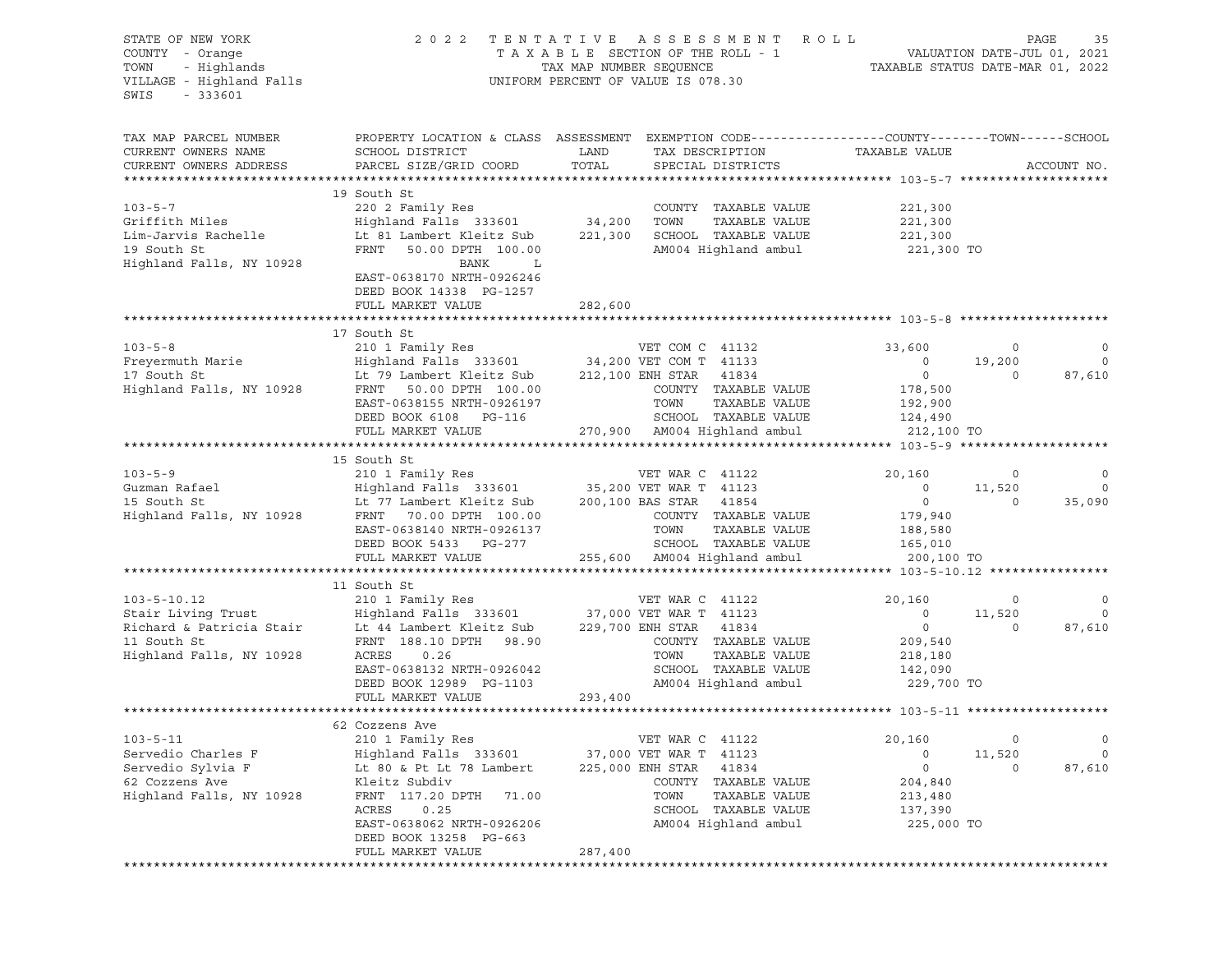| STATE OF NEW YORK<br>COUNTY - Orange<br>- Highlands<br>TOWN<br>VILLAGE - Highland Falls<br>SWIS<br>$-333601$ | 2 0 2 2                                                                                                                                                                                                                               | TENTATIVE ASSESSMENT ROLL<br>TAXABLE SECTION OF THE ROLL - 1 VALUATION DATE-JUL 01, 2021<br>TAX MAP NUMBER SEQUENCE TAXABLE STATUS DATE-MAR 01, 2022<br>UNIFORM PERCENT OF VALUE IS 078.30 |                                                                                                                                                                                     |                                                                                    |                                               | PAGE<br>35                                 |
|--------------------------------------------------------------------------------------------------------------|---------------------------------------------------------------------------------------------------------------------------------------------------------------------------------------------------------------------------------------|--------------------------------------------------------------------------------------------------------------------------------------------------------------------------------------------|-------------------------------------------------------------------------------------------------------------------------------------------------------------------------------------|------------------------------------------------------------------------------------|-----------------------------------------------|--------------------------------------------|
| TAX MAP PARCEL NUMBER<br>CURRENT OWNERS NAME<br>CURRENT OWNERS ADDRESS                                       | PROPERTY LOCATION & CLASS ASSESSMENT EXEMPTION CODE---------------COUNTY-------TOWN------SCHOOL<br>SCHOOL DISTRICT<br>PARCEL SIZE/GRID COORD                                                                                          | LAND<br>TOTAL                                                                                                                                                                              | TAX DESCRIPTION<br>SPECIAL DISTRICTS                                                                                                                                                | TAXABLE VALUE                                                                      |                                               | ACCOUNT NO.                                |
| $103 - 5 - 7$<br>Griffith Miles<br>Lim-Jarvis Rachelle<br>19 South St<br>Highland Falls, NY 10928            | 19 South St<br>220 2 Family Res<br>Highland Falls 333601 34,200<br>Lt 81 Lambert Kleitz Sub 221,300<br>FRNT<br>50.00 DPTH 100.00<br>BANK<br>$\mathbf{L}$<br>EAST-0638170 NRTH-0926246<br>DEED BOOK 14338 PG-1257<br>FULL MARKET VALUE | 282,600                                                                                                                                                                                    | COUNTY TAXABLE VALUE<br>TOWN<br>TAXABLE VALUE<br>SCHOOL TAXABLE VALUE<br>AM004 Highland ambul 221,300 TO                                                                            | 221,300<br>221,300<br>221,300                                                      |                                               |                                            |
|                                                                                                              |                                                                                                                                                                                                                                       |                                                                                                                                                                                            |                                                                                                                                                                                     |                                                                                    |                                               |                                            |
| $103 - 5 - 8$<br>Highland Falls, NY 10928                                                                    | 17 South St<br>210 1 Family Res<br>FRNT 50.00 DPTH 100.00<br>EAST-0638155 NRTH-0926197<br>DEED BOOK 6108 PG-116<br>FULL MARKET VALUE                                                                                                  |                                                                                                                                                                                            | VET COM C 41132<br>COUNTY TAXABLE VALUE<br>TOWN<br>TAXABLE VALUE<br>SCHOOL TAXABLE VALUE<br>270,900 AM004 Highland ambul                                                            | 33,600<br>$\overline{0}$<br>$\circ$<br>178,500<br>192,900<br>124,490<br>212,100 TO | $\circ$<br>19,200<br>$\circ$                  | $\circ$<br>$\circ$<br>87,610               |
|                                                                                                              |                                                                                                                                                                                                                                       |                                                                                                                                                                                            |                                                                                                                                                                                     |                                                                                    |                                               |                                            |
|                                                                                                              | 15 South St<br>EAST-0638140 NRTH-0926137<br>DEED BOOK 5433 PG-277<br>FULL MARKET VALUE                                                                                                                                                |                                                                                                                                                                                            | COUNTY TAXABLE VALUE<br>TOWN<br>TAXABLE VALUE<br>SCHOOL TAXABLE VALUE<br>255,600 AM004 Highland ambul                                                                               | 20,160<br>$\circ$<br>$\overline{0}$<br>179,940<br>188,580<br>165,010<br>200,100 TO | $\circ$<br>11,520<br>$\circ$                  | $\circ$<br>$\overline{0}$<br>35,090        |
|                                                                                                              |                                                                                                                                                                                                                                       |                                                                                                                                                                                            |                                                                                                                                                                                     |                                                                                    |                                               |                                            |
| $103 - 5 - 10.12$                                                                                            | 11 South St<br>210 1 Family Res<br>EAST-0638132 NRTH-0926042<br>DEED BOOK 12989 PG-1103<br>FULL MARKET VALUE                                                                                                                          | 293,400                                                                                                                                                                                    | VET WAR C 41122<br>COUNTY TAXABLE VALUE<br>TAXABLE VALUE<br>SCHOOL TAXABLE VALUE<br>AM004 Highland ambul                                                                            | 20,160<br>$\circ$<br>$\overline{0}$<br>209,540<br>218,180<br>142,090<br>229,700 TO | $\overline{\phantom{0}}$<br>11,520<br>$\circ$ | $\overline{0}$<br>$\overline{0}$<br>87,610 |
|                                                                                                              |                                                                                                                                                                                                                                       |                                                                                                                                                                                            |                                                                                                                                                                                     |                                                                                    |                                               |                                            |
| $103 - 5 - 11$<br>Servedio Charles F<br>Servedio Sylvia F<br>62 Cozzens Ave<br>Highland Falls, NY 10928      | 62 Cozzens Ave<br>210 1 Family Res<br>Highland Falls 333601<br>Lt 80 & Pt Lt 78 Lambert<br>Kleitz Subdiv<br>FRNT 117.20 DPTH<br>71.00<br>0.25<br>ACRES<br>EAST-0638062 NRTH-0926206<br>DEED BOOK 13258 PG-663<br>FULL MARKET VALUE    | 287,400                                                                                                                                                                                    | VET WAR C<br>41122<br>37,000 VET WAR T<br>41123<br>225,000 ENH STAR<br>41834<br>COUNTY<br>TAXABLE VALUE<br>TOWN<br>TAXABLE VALUE<br>SCHOOL<br>TAXABLE VALUE<br>AM004 Highland ambul | 20,160<br>0<br>0<br>204,840<br>213,480<br>137,390<br>225,000 TO                    | 0<br>11,520<br>0                              | 0<br>0<br>87,610                           |
| ***************                                                                                              |                                                                                                                                                                                                                                       |                                                                                                                                                                                            |                                                                                                                                                                                     |                                                                                    |                                               |                                            |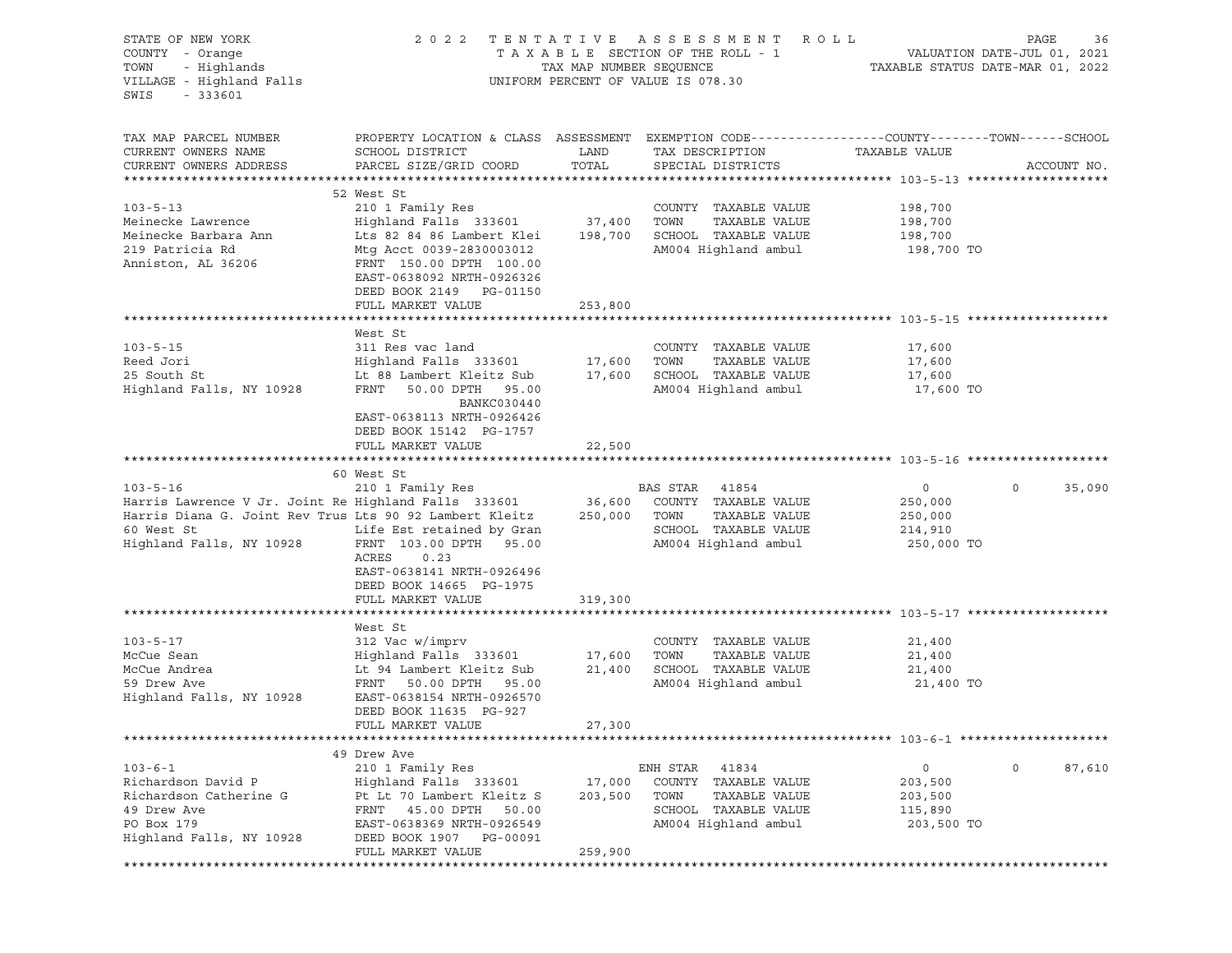| STATE OF NEW YORK<br>COUNTY - Orange<br>TOWN - Highlands<br>VILLAGE - Highland Falls<br>SWIS<br>$-333601$ |                                                                                                                                              |               | 2022 TENTATIVE ASSESSMENT ROLL<br>TAXABLE SECTION OF THE ROLL - 1<br>TAX MAP NUMBER SEQUENCE TAXABLE STATUS DATE-MAR 01, 2022<br>UNIFORM PERCENT OF VALUE IS 078.30 |                       | PAGE<br>36        |
|-----------------------------------------------------------------------------------------------------------|----------------------------------------------------------------------------------------------------------------------------------------------|---------------|---------------------------------------------------------------------------------------------------------------------------------------------------------------------|-----------------------|-------------------|
| TAX MAP PARCEL NUMBER<br>CURRENT OWNERS NAME<br>CURRENT OWNERS ADDRESS                                    | PROPERTY LOCATION & CLASS ASSESSMENT EXEMPTION CODE---------------COUNTY-------TOWN------SCHOOL<br>SCHOOL DISTRICT<br>PARCEL SIZE/GRID COORD | LAND<br>TOTAL | TAX DESCRIPTION<br>SPECIAL DISTRICTS                                                                                                                                | TAXABLE VALUE         | ACCOUNT NO.       |
|                                                                                                           |                                                                                                                                              |               |                                                                                                                                                                     |                       |                   |
|                                                                                                           | 52 West St                                                                                                                                   |               |                                                                                                                                                                     |                       |                   |
| $103 - 5 - 13$                                                                                            | 210 1 Family Res                                                                                                                             |               | COUNTY TAXABLE VALUE                                                                                                                                                | 198,700               |                   |
| Meinecke Lawrence<br>Meinecke Barbara Ann                                                                 | Highland Falls 333601 37,400 TOWN<br>Lts 82 84 86 Lambert Klei 198,700 SCHOOL TAXABLE VALUE                                                  |               | TAXABLE VALUE                                                                                                                                                       | 198,700               |                   |
| 219 Patricia Rd                                                                                           | Mtg Acct 0039-2830003012                                                                                                                     |               | AM004 Highland ambul                                                                                                                                                | 198,700<br>198,700 TO |                   |
| Anniston, AL 36206                                                                                        | FRNT 150.00 DPTH 100.00<br>EAST-0638092 NRTH-0926326<br>DEED BOOK 2149 PG-01150                                                              |               |                                                                                                                                                                     |                       |                   |
|                                                                                                           | FULL MARKET VALUE                                                                                                                            | 253,800       |                                                                                                                                                                     |                       |                   |
|                                                                                                           |                                                                                                                                              |               |                                                                                                                                                                     |                       |                   |
| $103 - 5 - 15$                                                                                            | West St<br>311 Res vac land                                                                                                                  |               | COUNTY TAXABLE VALUE                                                                                                                                                | 17,600                |                   |
| Reed Jori                                                                                                 | Highland Falls 333601 17,600                                                                                                                 |               | TOWN<br>TAXABLE VALUE                                                                                                                                               | 17,600                |                   |
| 25 South St                                                                                               | Lt 88 Lambert Kleitz Sub 17,600                                                                                                              |               | SCHOOL TAXABLE VALUE                                                                                                                                                | 17,600                |                   |
| Highland Falls, NY 10928                                                                                  | FRNT 50.00 DPTH 95.00<br>BANKC030440<br>EAST-0638113 NRTH-0926426                                                                            |               | AM004 Highland ambul                                                                                                                                                | 17,600 TO             |                   |
|                                                                                                           | DEED BOOK 15142 PG-1757                                                                                                                      |               |                                                                                                                                                                     |                       |                   |
|                                                                                                           | FULL MARKET VALUE                                                                                                                            | 22,500        |                                                                                                                                                                     |                       |                   |
|                                                                                                           | 60 West St                                                                                                                                   |               |                                                                                                                                                                     |                       |                   |
| $103 - 5 - 16$                                                                                            | 210 1 Family Res                                                                                                                             |               | BAS STAR 41854                                                                                                                                                      | $\overline{0}$        | 35,090<br>$\circ$ |
| Harris Lawrence V Jr. Joint Re Highland Falls 333601 36,600 COUNTY TAXABLE VALUE                          |                                                                                                                                              |               |                                                                                                                                                                     | 250,000               |                   |
| Harris Diana G. Joint Rev Trus Lts 90 92 Lambert Kleitz 250,000 TOWN                                      |                                                                                                                                              |               | TAXABLE VALUE                                                                                                                                                       | 250,000               |                   |
| 60 West St                                                                                                | Life Est retained by Gran                                                                                                                    |               | SCHOOL TAXABLE VALUE                                                                                                                                                | 214,910               |                   |
| Highland Falls, NY 10928                                                                                  | FRNT 103.00 DPTH 95.00<br>ACRES<br>0.23<br>EAST-0638141 NRTH-0926496<br>DEED BOOK 14665 PG-1975                                              |               | AM004 Highland ambul                                                                                                                                                | 250,000 TO            |                   |
|                                                                                                           | FULL MARKET VALUE                                                                                                                            | 319,300       |                                                                                                                                                                     |                       |                   |
|                                                                                                           |                                                                                                                                              |               |                                                                                                                                                                     |                       |                   |
| $103 - 5 - 17$                                                                                            | West St<br>312 Vac w/imprv                                                                                                                   |               | COUNTY TAXABLE VALUE                                                                                                                                                | 21,400                |                   |
| McCue Sean                                                                                                | Highland Falls 333601                                                                                                                        | 17,600        | TAXABLE VALUE<br>TOWN                                                                                                                                               | 21,400                |                   |
| McCue Andrea                                                                                              | Lt 94 Lambert Kleitz Sub                                                                                                                     | 21,400        | SCHOOL TAXABLE VALUE                                                                                                                                                | 21,400                |                   |
| 59 Drew Ave                                                                                               | FRNT 50.00 DPTH 95.00                                                                                                                        |               | AM004 Highland ambul                                                                                                                                                | 21,400 TO             |                   |
| Highland Falls, NY 10928                                                                                  | EAST-0638154 NRTH-0926570<br>DEED BOOK 11635 PG-927                                                                                          |               |                                                                                                                                                                     |                       |                   |
|                                                                                                           | FULL MARKET VALUE                                                                                                                            | 27,300        |                                                                                                                                                                     |                       |                   |
|                                                                                                           | 49 Drew Ave                                                                                                                                  |               |                                                                                                                                                                     |                       |                   |
| $103 - 6 - 1$                                                                                             | 210 1 Family Res                                                                                                                             |               | ENH STAR<br>41834                                                                                                                                                   | 0                     | $\circ$<br>87,610 |
| Richardson David P                                                                                        | Highland Falls 333601                                                                                                                        | 17,000        | COUNTY<br>TAXABLE VALUE                                                                                                                                             | 203,500               |                   |
| Richardson Catherine G                                                                                    | Pt Lt 70 Lambert Kleitz S                                                                                                                    | 203,500       | TOWN<br>TAXABLE VALUE                                                                                                                                               | 203,500               |                   |
| 49 Drew Ave                                                                                               | 45.00 DPTH<br>FRNT<br>50.00                                                                                                                  |               | SCHOOL TAXABLE VALUE                                                                                                                                                | 115,890               |                   |
| PO Box 179                                                                                                | EAST-0638369 NRTH-0926549                                                                                                                    |               | AM004 Highland ambul                                                                                                                                                | 203,500 TO            |                   |
| Highland Falls, NY 10928                                                                                  | DEED BOOK 1907 PG-00091<br>FULL MARKET VALUE                                                                                                 |               |                                                                                                                                                                     |                       |                   |
|                                                                                                           |                                                                                                                                              | 259,900       |                                                                                                                                                                     |                       |                   |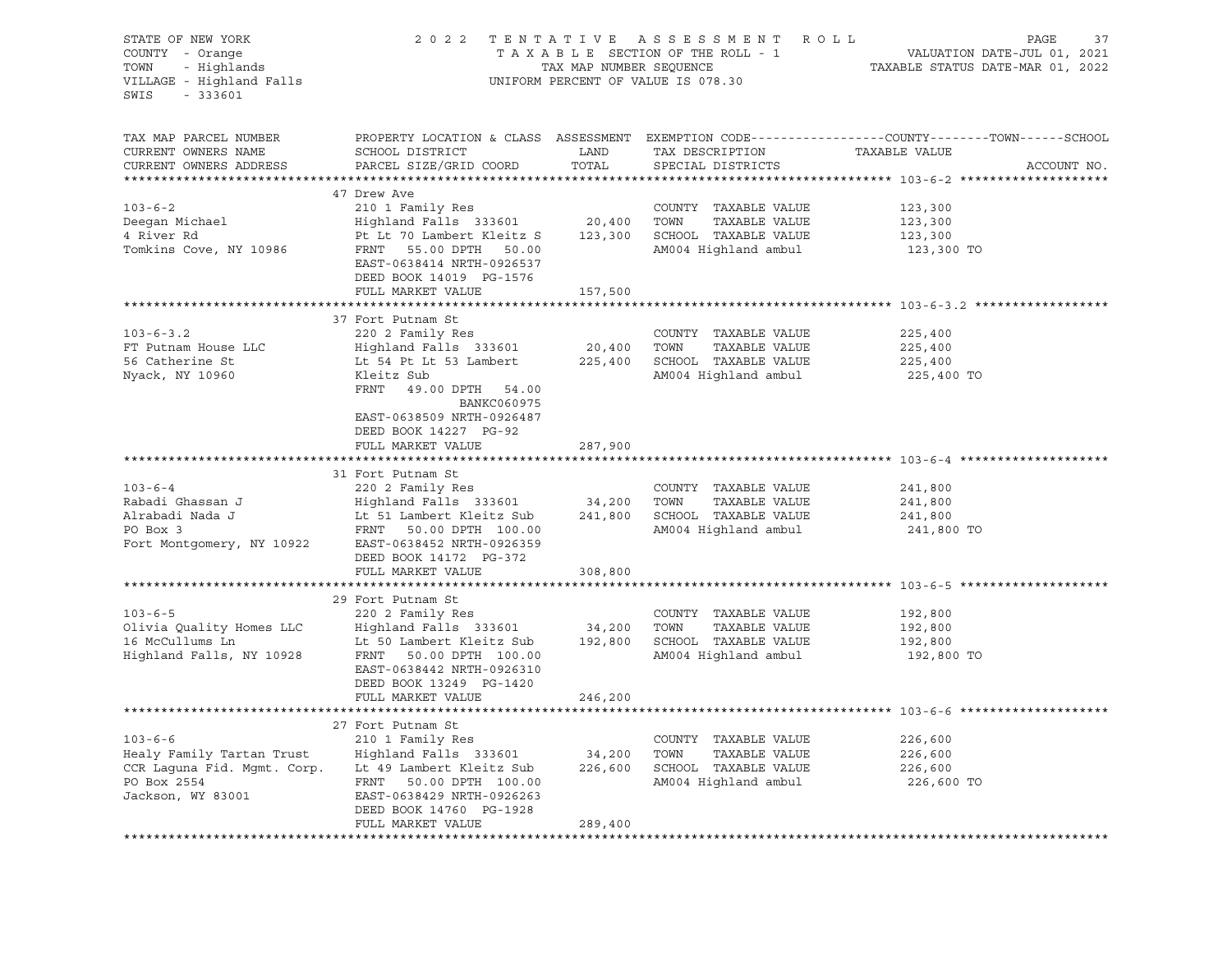| STATE OF NEW YORK<br>COUNTY - Orange<br>TOWN - Highlands<br>VILLAGE - Highland Falls<br>$-333601$<br>SWIS     |                                                                                                                                                                                    |                   | 2022 TENTATIVE ASSESSMENT ROLL<br>UNIFORM PERCENT OF VALUE IS 078.30                                  | PAGE<br>37<br>TAXABLE SECTION OF THE ROLL - 1<br>TAXABLE SECTION OF THE ROLL - 1<br>TAXABLE STATUS DATE-MAR 01, 2022            |
|---------------------------------------------------------------------------------------------------------------|------------------------------------------------------------------------------------------------------------------------------------------------------------------------------------|-------------------|-------------------------------------------------------------------------------------------------------|---------------------------------------------------------------------------------------------------------------------------------|
| TAX MAP PARCEL NUMBER<br>CURRENT OWNERS NAME<br>CURRENT OWNERS ADDRESS                                        | SCHOOL DISTRICT<br>PARCEL SIZE/GRID COORD                                                                                                                                          | LAND<br>TOTAL     | TAX DESCRIPTION<br>SPECIAL DISTRICTS                                                                  | PROPERTY LOCATION & CLASS ASSESSMENT EXEMPTION CODE----------------COUNTY-------TOWN-----SCHOOL<br>TAXABLE VALUE<br>ACCOUNT NO. |
|                                                                                                               | 47 Drew Ave                                                                                                                                                                        |                   |                                                                                                       |                                                                                                                                 |
| $103 - 6 - 2$<br>Deeqan Michael<br>4 River Rd<br>Tomkins Cove, NY 10986                                       | 210 1 Family Res<br>Highland Falls 333601<br>Pt Lt 70 Lambert Kleitz S<br>FRNT 55.00 DPTH 50.00<br>EAST-0638414 NRTH-0926537<br>DEED BOOK 14019 PG-1576                            | 20,400            | COUNTY TAXABLE VALUE<br>TOWN<br>TAXABLE VALUE<br>123,300 SCHOOL TAXABLE VALUE<br>AM004 Highland ambul | 123,300<br>123,300<br>123,300<br>123,300 TO                                                                                     |
|                                                                                                               | FULL MARKET VALUE                                                                                                                                                                  | 157,500           |                                                                                                       |                                                                                                                                 |
| $103 - 6 - 3.2$<br>FT Putnam House LLC<br>56 Catherine St<br>Nyack, NY 10960                                  | 37 Fort Putnam St<br>220 2 Family Res<br>Highland Falls 333601<br>Lt 54 Pt Lt 53 Lambert<br>Kleitz Sub<br>FRNT 49.00 DPTH 54.00<br>BANKC060975<br>EAST-0638509 NRTH-0926487        | 20,400<br>225,400 | COUNTY TAXABLE VALUE<br>TAXABLE VALUE<br>TOWN<br>SCHOOL TAXABLE VALUE<br>AM004 Highland ambul         | 225,400<br>225,400<br>225,400<br>225,400 TO                                                                                     |
|                                                                                                               | DEED BOOK 14227 PG-92<br>FULL MARKET VALUE                                                                                                                                         | 287,900           |                                                                                                       |                                                                                                                                 |
| $103 - 6 - 4$<br>Rabadi Ghassan J<br>Alrabadi Nada J<br>PO Box 3<br>Fort Montgomery, NY 10922                 | 31 Fort Putnam St<br>220 2 Family Res<br>Highland Falls 333601 34,200<br>Lt 51 Lambert Kleitz Sub<br>FRNT 50.00 DPTH 100.00<br>EAST-0638452 NRTH-0926359<br>DEED BOOK 14172 PG-372 |                   | COUNTY TAXABLE VALUE<br>TOWN<br>TAXABLE VALUE<br>241,800 SCHOOL TAXABLE VALUE<br>AM004 Highland ambul | 241,800<br>241,800<br>241,800<br>241,800 TO                                                                                     |
|                                                                                                               | FULL MARKET VALUE                                                                                                                                                                  | 308,800           |                                                                                                       |                                                                                                                                 |
|                                                                                                               |                                                                                                                                                                                    |                   |                                                                                                       |                                                                                                                                 |
| $103 - 6 - 5$<br>Olivia Quality Homes LLC<br>16 McCullums Ln<br>Highland Falls, NY 10928                      | 29 Fort Putnam St<br>220 2 Family Res<br>Highland Falls 333601<br>Lt 50 Lambert Kleitz Sub<br>FRNT 50.00 DPTH 100.00<br>EAST-0638442 NRTH-0926310<br>DEED BOOK 13249 PG-1420       | 34,200            | COUNTY TAXABLE VALUE<br>TOWN<br>TAXABLE VALUE<br>192,800 SCHOOL TAXABLE VALUE<br>AM004 Highland ambul | 192,800<br>192,800<br>192,800<br>192,800 TO                                                                                     |
|                                                                                                               | FULL MARKET VALUE                                                                                                                                                                  | 246,200           |                                                                                                       |                                                                                                                                 |
|                                                                                                               | 27 Fort Putnam St                                                                                                                                                                  |                   |                                                                                                       |                                                                                                                                 |
| $103 - 6 - 6$<br>Healy Family Tartan Trust<br>CCR Laguna Fid. Mgmt. Corp.<br>PO Box 2554<br>Jackson, WY 83001 | 210 1 Family Res<br>Highland Falls 333601<br>Lt 49 Lambert Kleitz Sub<br>FRNT 50.00 DPTH 100.00<br>EAST-0638429 NRTH-0926263<br>DEED BOOK 14760 PG-1928                            | 34,200<br>226,600 | COUNTY TAXABLE VALUE<br>TAXABLE VALUE<br>TOWN<br>SCHOOL TAXABLE VALUE<br>AM004 Highland ambul         | 226,600<br>226,600<br>226,600<br>226,600 TO                                                                                     |
|                                                                                                               | FULL MARKET VALUE                                                                                                                                                                  | 289,400           |                                                                                                       |                                                                                                                                 |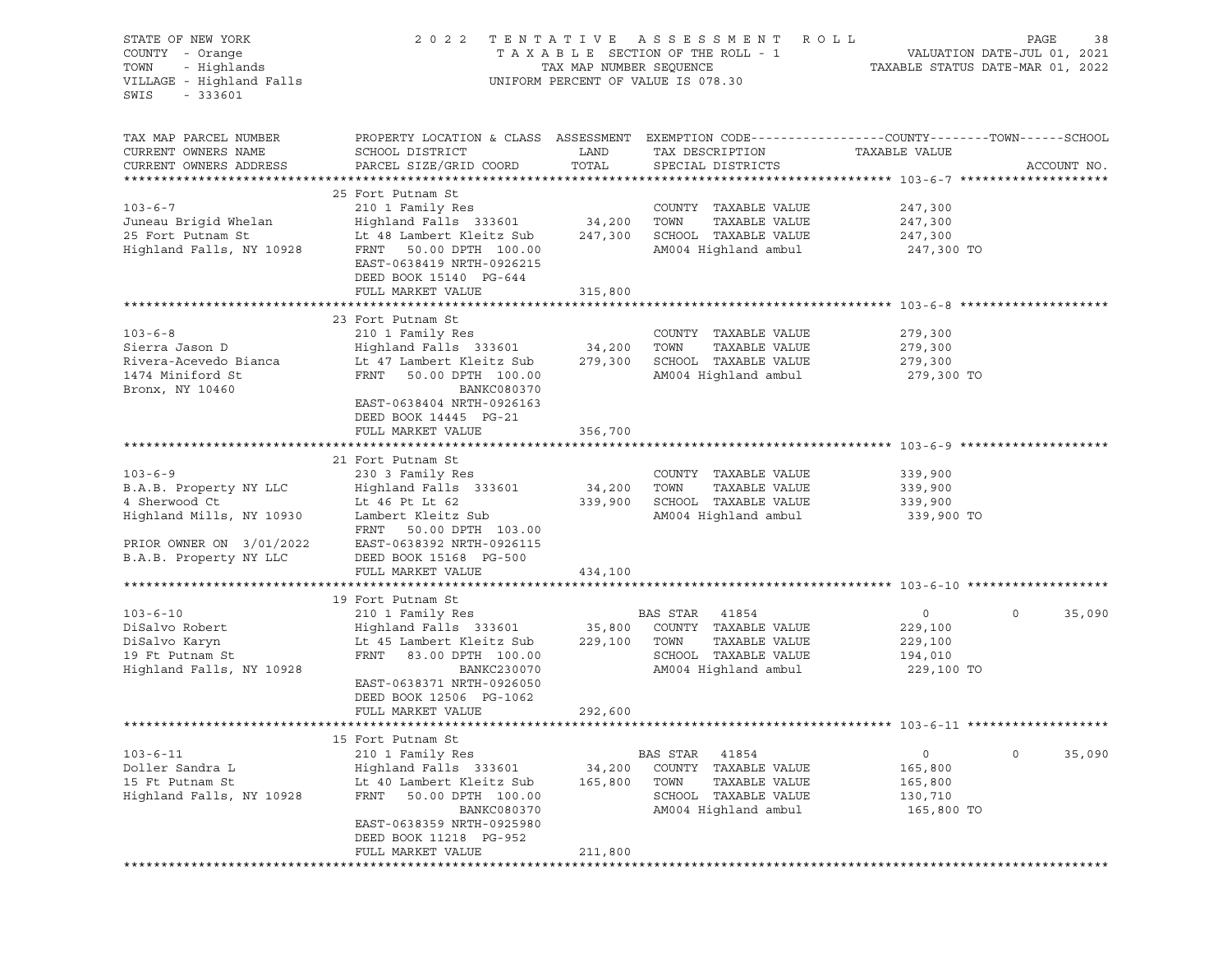| STATE OF NEW YORK<br>COUNTY - Orange<br>- Highlands<br>TOWN<br>VILLAGE - Highland Falls<br>SWIS<br>$-333601$                               |                                                                                                                                                                                                                     | TAX MAP NUMBER SEQUENCE      | 2022 TENTATIVE ASSESSMENT ROLL<br>TAXABLE SECTION OF THE ROLL - 1<br>UNIFORM PERCENT OF VALUE IS 078.30               | VALUATION DATE-JUL 01, 2021<br>TAXABLE STATUS DATE-MAR 01, 2022 | PAGE<br>38        |
|--------------------------------------------------------------------------------------------------------------------------------------------|---------------------------------------------------------------------------------------------------------------------------------------------------------------------------------------------------------------------|------------------------------|-----------------------------------------------------------------------------------------------------------------------|-----------------------------------------------------------------|-------------------|
| TAX MAP PARCEL NUMBER<br>CURRENT OWNERS NAME<br>CURRENT OWNERS ADDRESS                                                                     | PROPERTY LOCATION & CLASS ASSESSMENT EXEMPTION CODE---------------COUNTY-------TOWN------SCHOOL<br>SCHOOL DISTRICT<br>PARCEL SIZE/GRID COORD                                                                        | LAND<br>TOTAL                | TAX DESCRIPTION<br>SPECIAL DISTRICTS                                                                                  | TAXABLE VALUE                                                   | ACCOUNT NO.       |
| $103 - 6 - 7$<br>Juneau Brigid Whelan<br>25 Fort Putnam St<br>Highland Falls, NY 10928                                                     | 25 Fort Putnam St<br>210 1 Family Res<br>Highland Falls 333601<br>Lt 48 Lambert Kleitz Sub<br>FRNT<br>50.00 DPTH 100.00<br>EAST-0638419 NRTH-0926215<br>DEED BOOK 15140 PG-644<br>FULL MARKET VALUE                 | 34,200<br>247,300<br>315,800 | COUNTY TAXABLE VALUE<br>TAXABLE VALUE<br>TOWN<br>SCHOOL TAXABLE VALUE<br>AM004 Highland ambul                         | 247,300<br>247,300<br>247,300<br>247,300 TO                     |                   |
|                                                                                                                                            |                                                                                                                                                                                                                     |                              |                                                                                                                       |                                                                 |                   |
| $103 - 6 - 8$<br>Sierra Jason D<br>Rivera-Acevedo Bianca<br>1474 Miniford St<br>Bronx, NY 10460                                            | 23 Fort Putnam St<br>210 1 Family Res<br>Highland Falls 333601<br>Lt 47 Lambert Kleitz Sub<br>FRNT<br>50.00 DPTH 100.00<br>BANKC080370<br>EAST-0638404 NRTH-0926163<br>DEED BOOK 14445 PG-21                        | 34,200<br>279,300            | COUNTY TAXABLE VALUE<br>TOWN<br>TAXABLE VALUE<br>SCHOOL TAXABLE VALUE<br>AM004 Highland ambul                         | 279,300<br>279,300<br>279,300<br>279,300 TO                     |                   |
|                                                                                                                                            | FULL MARKET VALUE                                                                                                                                                                                                   | 356,700                      |                                                                                                                       |                                                                 |                   |
| $103 - 6 - 9$<br>B.A.B. Property NY LLC<br>4 Sherwood Ct<br>Highland Mills, NY 10930<br>PRIOR OWNER ON 3/01/2022<br>B.A.B. Property NY LLC | 21 Fort Putnam St<br>230 3 Family Res<br>Highland Falls 333601<br>Lt 46 Pt Lt 62<br>Lambert Kleitz Sub<br>FRNT 50.00 DPTH 103.00<br>EAST-0638392 NRTH-0926115<br>DEED BOOK 15168 PG-500<br>FULL MARKET VALUE        | 34,200<br>339,900<br>434,100 | COUNTY TAXABLE VALUE<br>TAXABLE VALUE<br>TOWN<br>SCHOOL TAXABLE VALUE<br>AM004 Highland ambul                         | 339,900<br>339,900<br>339,900<br>339,900 TO                     |                   |
|                                                                                                                                            |                                                                                                                                                                                                                     |                              |                                                                                                                       |                                                                 |                   |
| $103 - 6 - 10$<br>DiSalvo Robert<br>DiSalvo Karyn<br>19 Ft Putnam St<br>Highland Falls, NY 10928                                           | 19 Fort Putnam St<br>210 1 Family Res<br>Highland Falls 333601<br>Lt 45 Lambert Kleitz Sub<br>FRNT<br>83.00 DPTH 100.00<br>BANKC230070<br>EAST-0638371 NRTH-0926050<br>DEED BOOK 12506 PG-1062<br>FULL MARKET VALUE | 35,800<br>229,100<br>292,600 | BAS STAR 41854<br>COUNTY TAXABLE VALUE<br>TOWN<br>TAXABLE VALUE<br>SCHOOL TAXABLE VALUE<br>AM004 Highland ambul       | $\circ$<br>229,100<br>229,100<br>194,010<br>229,100 TO          | 35,090<br>$\circ$ |
|                                                                                                                                            |                                                                                                                                                                                                                     |                              |                                                                                                                       |                                                                 |                   |
| $103 - 6 - 11$<br>Doller Sandra L<br>15 Ft Putnam St<br>Highland Falls, NY 10928                                                           | 15 Fort Putnam St<br>210 1 Family Res<br>Highland Falls 333601<br>Lt 40 Lambert Kleitz Sub<br>FRNT<br>50.00 DPTH 100.00<br>BANKC080370<br>EAST-0638359 NRTH-0925980<br>DEED BOOK 11218 PG-952<br>FULL MARKET VALUE  | 34,200<br>165,800<br>211,800 | BAS STAR<br>41854<br>COUNTY<br>TAXABLE VALUE<br>TOWN<br>TAXABLE VALUE<br>SCHOOL TAXABLE VALUE<br>AM004 Highland ambul | 0<br>165,800<br>165,800<br>130,710<br>165,800 TO                | 0<br>35,090       |
|                                                                                                                                            |                                                                                                                                                                                                                     |                              |                                                                                                                       |                                                                 |                   |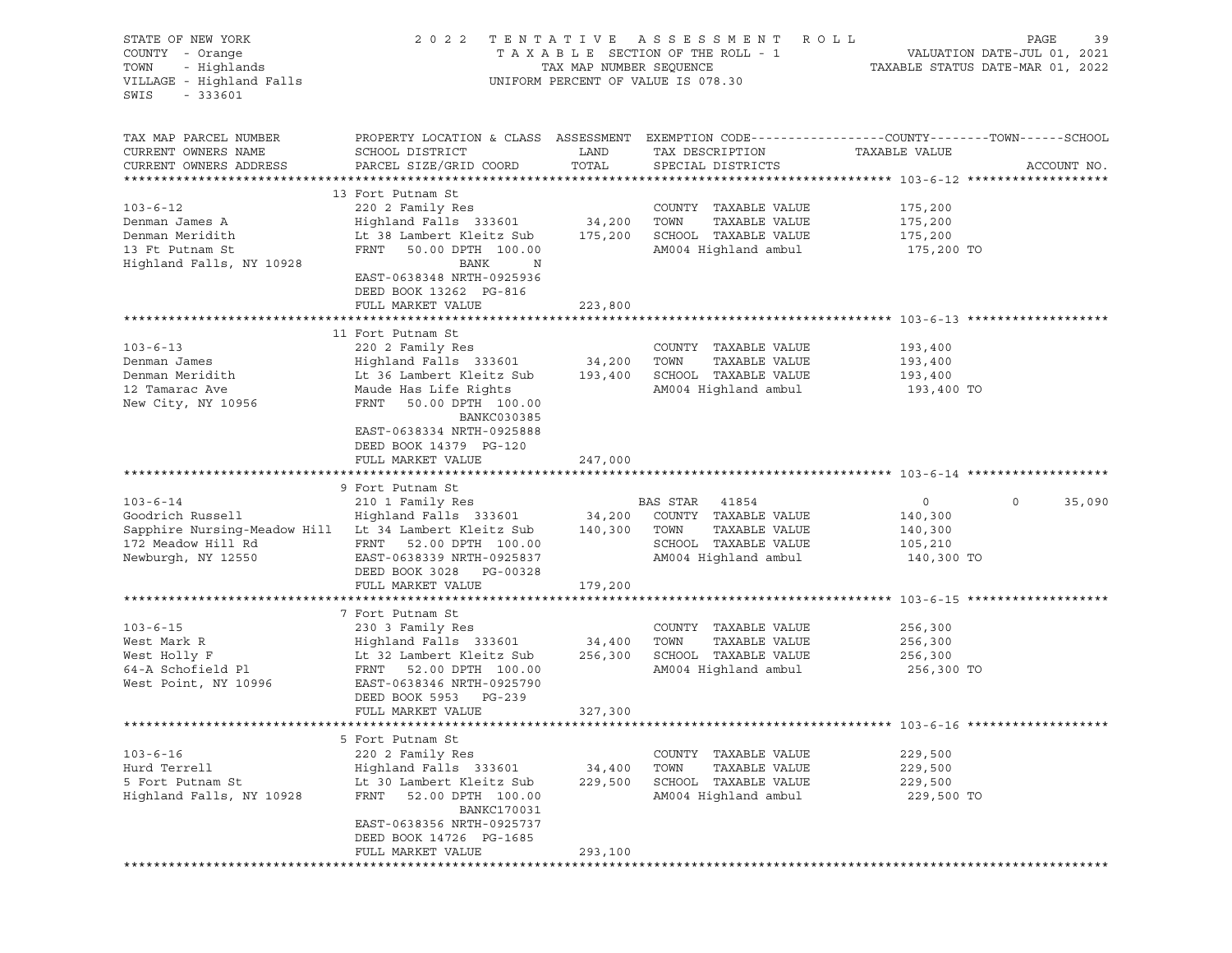| STATE OF NEW YORK<br>COUNTY - Orange<br>TOWN<br>- Highlands<br>VILLAGE - Highland Falls<br>SWIS<br>$-333601$                                                                                                         | 2022                                                                                                                                                                                                                                            |                             | TENTATIVE ASSESSMENT ROLL<br>T A X A B L E SECTION OF THE ROLL - 1<br>TAX MAP NUMBER SEQUENCE T.<br>UNIFORM PERCENT OF VALUE IS 078.30 | PAGE<br>39<br>VALUATION DATE-JUL 01, 2021<br>TAXABLE STATUS DATE-MAR 01, 2022                                                   |
|----------------------------------------------------------------------------------------------------------------------------------------------------------------------------------------------------------------------|-------------------------------------------------------------------------------------------------------------------------------------------------------------------------------------------------------------------------------------------------|-----------------------------|----------------------------------------------------------------------------------------------------------------------------------------|---------------------------------------------------------------------------------------------------------------------------------|
| TAX MAP PARCEL NUMBER<br>CURRENT OWNERS NAME<br>CURRENT OWNERS ADDRESS                                                                                                                                               | SCHOOL DISTRICT<br>PARCEL SIZE/GRID COORD                                                                                                                                                                                                       | LAND<br>TOTAL               | TAX DESCRIPTION<br>SPECIAL DISTRICTS                                                                                                   | PROPERTY LOCATION & CLASS ASSESSMENT EXEMPTION CODE----------------COUNTY-------TOWN-----SCHOOL<br>TAXABLE VALUE<br>ACCOUNT NO. |
| $103 - 6 - 12$<br>Denman James A<br>Denman Meridith<br>13 Ft Putnam St<br>Highland Falls, NY 10928                                                                                                                   | 13 Fort Putnam St<br>220 2 Family Res<br>Highland Falls 333601<br>Lt 38 Lambert Kleitz Sub 175,200<br>FRNT 50.00 DPTH 100.00<br>BANK<br>$\mathbf N$<br>EAST-0638348 NRTH-0925936<br>DEED BOOK 13262 PG-816<br>FULL MARKET VALUE                 | 34,200 TOWN<br>223,800      | COUNTY TAXABLE VALUE<br>TAXABLE VALUE<br>SCHOOL TAXABLE VALUE<br>AM004 Highland ambul                                                  | 175,200<br>175,200<br>175,200<br>175,200 TO                                                                                     |
|                                                                                                                                                                                                                      |                                                                                                                                                                                                                                                 |                             |                                                                                                                                        |                                                                                                                                 |
| $103 - 6 - 13$<br>Denman James<br>Denman Meridith<br>12 Tamarac Ave<br>New City, NY 10956                                                                                                                            | 11 Fort Putnam St<br>220 2 Family Res<br>220 2 Family Res<br>Highland Falls   333601                  34,200<br>Lt 36 Lambert Kleitz Sub 193,400<br>Maude Has Life Rights<br>FRNT 50.00 DPTH 100.00<br>BANKC030385<br>EAST-0638334 NRTH-0925888 |                             | COUNTY TAXABLE VALUE<br>TOWN<br>TAXABLE VALUE<br>SCHOOL TAXABLE VALUE<br>AM004 Highland ambul                                          | 193,400<br>193,400<br>193,400<br>193,400 TO                                                                                     |
|                                                                                                                                                                                                                      | DEED BOOK 14379 PG-120<br>FULL MARKET VALUE                                                                                                                                                                                                     | 247,000                     |                                                                                                                                        |                                                                                                                                 |
|                                                                                                                                                                                                                      | 9 Fort Putnam St                                                                                                                                                                                                                                |                             |                                                                                                                                        |                                                                                                                                 |
| $103 - 6 - 14$<br>Goodrich Russell Mighland Falls 333601 34,200 COUNTY TAXABLE VALUE<br>Sapphire Nursing-Meadow Hill Lt 34 Lambert Kleitz Sub 140,300 TOWN TAXABLE VALUE<br>172 Meadow Hill Rd<br>Newburgh, NY 12550 | 210 1 Family Res<br>FRNT 52.00 DPTH 100.00<br>EAST-0638339 NRTH-0925837                                                                                                                                                                         |                             | BAS STAR 41854<br>SCHOOL TAXABLE VALUE<br>AM004 Highland ambul                                                                         | 35,090<br>$\overline{0}$<br>$\circ$<br>140,300<br>140,300<br>105,210<br>140,300 TO                                              |
|                                                                                                                                                                                                                      | DEED BOOK 3028 PG-00328                                                                                                                                                                                                                         |                             |                                                                                                                                        |                                                                                                                                 |
|                                                                                                                                                                                                                      | FULL MARKET VALUE                                                                                                                                                                                                                               | 179,200                     |                                                                                                                                        |                                                                                                                                 |
|                                                                                                                                                                                                                      |                                                                                                                                                                                                                                                 |                             |                                                                                                                                        |                                                                                                                                 |
| $103 - 6 - 15$<br>West Mark R<br>West Holly F<br>64-A Schofield Pl<br>West Point, NY 10996                                                                                                                           | 7 Fort Putnam St<br>230 3 Family Res<br>Highland Falls 333601 34,400<br>Lt 32 Lambert Kleitz Sub 256,300<br>FRNT 52.00 DPTH 100.00<br>EAST-0638346 NRTH-0925790<br>DEED BOOK 5953 PG-239                                                        |                             | COUNTY TAXABLE VALUE<br>TOWN<br>TAXABLE VALUE<br>SCHOOL TAXABLE VALUE<br>AM004 Highland ambul                                          | 256,300<br>256,300<br>256,300<br>256,300 TO                                                                                     |
|                                                                                                                                                                                                                      | FULL MARKET VALUE                                                                                                                                                                                                                               | 327,300                     |                                                                                                                                        |                                                                                                                                 |
|                                                                                                                                                                                                                      | 5 Fort Putnam St                                                                                                                                                                                                                                |                             |                                                                                                                                        |                                                                                                                                 |
| $103 - 6 - 16$<br>Hurd Terrell<br>5 Fort Putnam St<br>Highland Falls, NY 10928                                                                                                                                       | 220 2 Family Res<br>Highland Falls 333601<br>Lt 30 Lambert Kleitz Sub<br>52.00 DPTH 100.00<br>FRNT<br><b>BANKC170031</b><br>EAST-0638356 NRTH-0925737                                                                                           | 34,400<br>229,500           | COUNTY TAXABLE VALUE<br>TOWN<br>TAXABLE VALUE<br>SCHOOL TAXABLE VALUE<br>AM004 Highland ambul                                          | 229,500<br>229,500<br>229,500<br>229,500 TO                                                                                     |
|                                                                                                                                                                                                                      | DEED BOOK 14726 PG-1685<br>FULL MARKET VALUE<br>****************                                                                                                                                                                                | 293,100<br>**************** |                                                                                                                                        |                                                                                                                                 |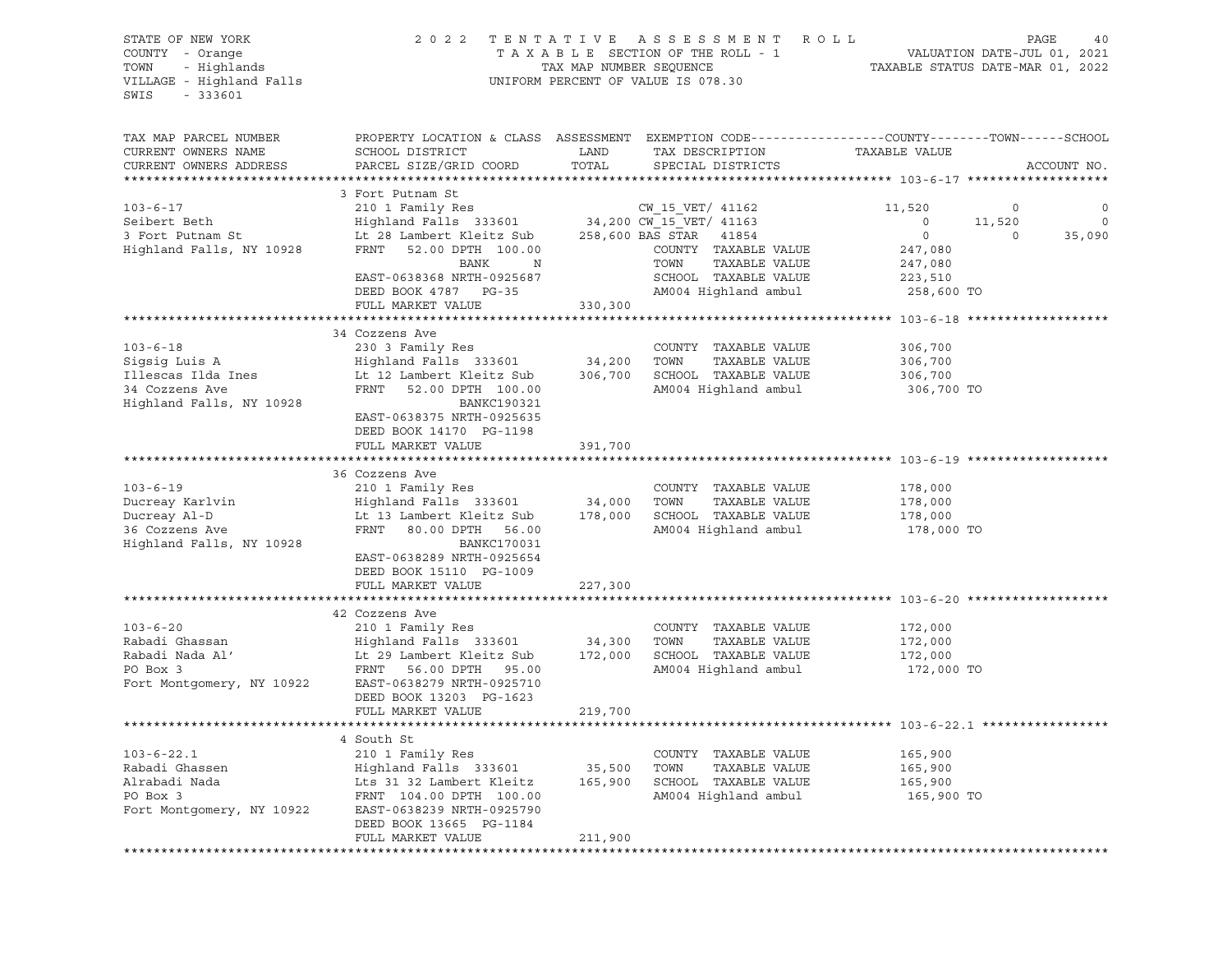| STATE OF NEW YORK<br>COUNTY - Orange<br>TOWN<br>- Highlands<br>VILLAGE - Highland Falls<br>$-333601$<br>SWIS | 2 0 2 2                                                                                         | TENTATIVE ASSESSMENT<br>TAXABLE SECTION OF THE ROLL - 1<br>TAX MAP NUMBER SEQUENCE<br>UNIFORM PERCENT OF VALUE IS 078.30 | ROLL                                  | VALUATION DATE-JUL 01, 2021<br>TAXABLE STATUS DATE-MAR 01, 2022 | PAGE<br>40        |
|--------------------------------------------------------------------------------------------------------------|-------------------------------------------------------------------------------------------------|--------------------------------------------------------------------------------------------------------------------------|---------------------------------------|-----------------------------------------------------------------|-------------------|
| TAX MAP PARCEL NUMBER                                                                                        | PROPERTY LOCATION & CLASS ASSESSMENT EXEMPTION CODE---------------COUNTY-------TOWN------SCHOOL |                                                                                                                          |                                       |                                                                 |                   |
| CURRENT OWNERS NAME<br>CURRENT OWNERS ADDRESS                                                                | SCHOOL DISTRICT<br>PARCEL SIZE/GRID COORD                                                       | LAND<br>TOTAL                                                                                                            | TAX DESCRIPTION<br>SPECIAL DISTRICTS  | TAXABLE VALUE                                                   | ACCOUNT NO.       |
|                                                                                                              |                                                                                                 |                                                                                                                          |                                       |                                                                 |                   |
|                                                                                                              | 3 Fort Putnam St                                                                                |                                                                                                                          |                                       |                                                                 |                   |
| $103 - 6 - 17$                                                                                               | 210 1 Family Res                                                                                |                                                                                                                          | CW 15 VET/ 41162                      | 11,520                                                          | 0<br>0            |
| Seibert Beth                                                                                                 | Highland Falls 333601 34,200 CW_15_VET/ 41163                                                   |                                                                                                                          |                                       | 11,520<br>$\circ$                                               | $\circ$           |
| 3 Fort Putnam St                                                                                             | Lt 28 Lambert Kleitz Sub                                                                        | 258,600 BAS STAR 41854                                                                                                   |                                       | $\circ$                                                         | 35,090<br>$\circ$ |
| Highland Falls, NY 10928                                                                                     | FRNT<br>52.00 DPTH 100.00                                                                       |                                                                                                                          | COUNTY TAXABLE VALUE                  | 247,080                                                         |                   |
|                                                                                                              | BANK<br>$_{\rm N}$                                                                              | TOWN                                                                                                                     | TAXABLE VALUE                         | 247,080                                                         |                   |
|                                                                                                              | EAST-0638368 NRTH-0925687                                                                       |                                                                                                                          | SCHOOL TAXABLE VALUE                  | 223,510                                                         |                   |
|                                                                                                              | DEED BOOK 4787 PG-35                                                                            |                                                                                                                          | AM004 Highland ambul                  | 258,600 TO                                                      |                   |
|                                                                                                              | FULL MARKET VALUE                                                                               | 330,300                                                                                                                  |                                       |                                                                 |                   |
|                                                                                                              | 34 Cozzens Ave                                                                                  |                                                                                                                          |                                       |                                                                 |                   |
| $103 - 6 - 18$                                                                                               | 230 3 Family Res                                                                                |                                                                                                                          | COUNTY TAXABLE VALUE                  | 306,700                                                         |                   |
| Sigsig Luis A                                                                                                | Highland Falls 333601                                                                           | 34,200<br>TOWN                                                                                                           | TAXABLE VALUE                         | 306,700                                                         |                   |
| Illescas Ilda Ines                                                                                           | Lt 12 Lambert Kleitz Sub                                                                        | 306,700                                                                                                                  | SCHOOL TAXABLE VALUE                  | 306,700                                                         |                   |
| 34 Cozzens Ave                                                                                               | FRNT<br>52.00 DPTH 100.00                                                                       |                                                                                                                          | AM004 Highland ambul                  | 306,700 TO                                                      |                   |
| Highland Falls, NY 10928                                                                                     | <b>BANKC190321</b>                                                                              |                                                                                                                          |                                       |                                                                 |                   |
|                                                                                                              | EAST-0638375 NRTH-0925635                                                                       |                                                                                                                          |                                       |                                                                 |                   |
|                                                                                                              | DEED BOOK 14170 PG-1198                                                                         |                                                                                                                          |                                       |                                                                 |                   |
|                                                                                                              | FULL MARKET VALUE                                                                               | 391,700                                                                                                                  |                                       |                                                                 |                   |
|                                                                                                              | 36 Cozzens Ave                                                                                  |                                                                                                                          |                                       |                                                                 |                   |
| $103 - 6 - 19$                                                                                               | 210 1 Family Res                                                                                |                                                                                                                          | COUNTY TAXABLE VALUE                  | 178,000                                                         |                   |
| Ducreay Karlvin                                                                                              | Highland Falls 333601                                                                           | 34,000<br>TOWN                                                                                                           | TAXABLE VALUE                         | 178,000                                                         |                   |
| Ducreay Al-D                                                                                                 | Lt 13 Lambert Kleitz Sub                                                                        | 178,000                                                                                                                  | SCHOOL TAXABLE VALUE                  | 178,000                                                         |                   |
| 36 Cozzens Ave                                                                                               | FRNT<br>80.00 DPTH 56.00                                                                        |                                                                                                                          | AM004 Highland ambul                  | 178,000 TO                                                      |                   |
| Highland Falls, NY 10928                                                                                     | <b>BANKC170031</b>                                                                              |                                                                                                                          |                                       |                                                                 |                   |
|                                                                                                              | EAST-0638289 NRTH-0925654                                                                       |                                                                                                                          |                                       |                                                                 |                   |
|                                                                                                              | DEED BOOK 15110 PG-1009                                                                         |                                                                                                                          |                                       |                                                                 |                   |
|                                                                                                              | FULL MARKET VALUE                                                                               | 227,300                                                                                                                  |                                       |                                                                 |                   |
|                                                                                                              |                                                                                                 |                                                                                                                          |                                       |                                                                 |                   |
| $103 - 6 - 20$                                                                                               | 42 Cozzens Ave                                                                                  |                                                                                                                          |                                       |                                                                 |                   |
| Rabadi Ghassan                                                                                               | 210 1 Family Res                                                                                | 34,300<br>TOWN                                                                                                           | COUNTY TAXABLE VALUE<br>TAXABLE VALUE | 172,000<br>172,000                                              |                   |
| Rabadi Nada Al'                                                                                              | Highland Falls 333601<br>Lt 29 Lambert Kleitz Sub                                               | 172,000                                                                                                                  | SCHOOL TAXABLE VALUE                  | 172,000                                                         |                   |
| PO Box 3                                                                                                     | FRNT 56.00 DPTH 95.00                                                                           |                                                                                                                          | AM004 Highland ambul                  | 172,000 TO                                                      |                   |
| Fort Montgomery, NY 10922                                                                                    | EAST-0638279 NRTH-0925710                                                                       |                                                                                                                          |                                       |                                                                 |                   |
|                                                                                                              | DEED BOOK 13203 PG-1623                                                                         |                                                                                                                          |                                       |                                                                 |                   |
|                                                                                                              | FULL MARKET VALUE                                                                               | 219,700                                                                                                                  |                                       |                                                                 |                   |
|                                                                                                              |                                                                                                 |                                                                                                                          |                                       |                                                                 |                   |
|                                                                                                              | 4 South St                                                                                      |                                                                                                                          |                                       |                                                                 |                   |
| $103 - 6 - 22.1$                                                                                             | 210 1 Family Res                                                                                |                                                                                                                          | COUNTY<br>TAXABLE VALUE               | 165,900                                                         |                   |
| Rabadi Ghassen                                                                                               | Highland Falls 333601                                                                           | 35,500<br>TOWN                                                                                                           | TAXABLE VALUE                         | 165,900                                                         |                   |
| Alrabadi Nada                                                                                                | Lts 31 32 Lambert Kleitz                                                                        | 165,900                                                                                                                  | SCHOOL<br>TAXABLE VALUE               | 165,900                                                         |                   |
| PO Box 3                                                                                                     | FRNT 104.00 DPTH 100.00                                                                         |                                                                                                                          | AM004 Highland ambul                  | 165,900 TO                                                      |                   |
| Fort Montgomery, NY 10922                                                                                    | EAST-0638239 NRTH-0925790                                                                       |                                                                                                                          |                                       |                                                                 |                   |
|                                                                                                              | DEED BOOK 13665 PG-1184                                                                         |                                                                                                                          |                                       |                                                                 |                   |
|                                                                                                              | FULL MARKET VALUE                                                                               | 211,900                                                                                                                  |                                       |                                                                 |                   |
|                                                                                                              |                                                                                                 |                                                                                                                          |                                       |                                                                 |                   |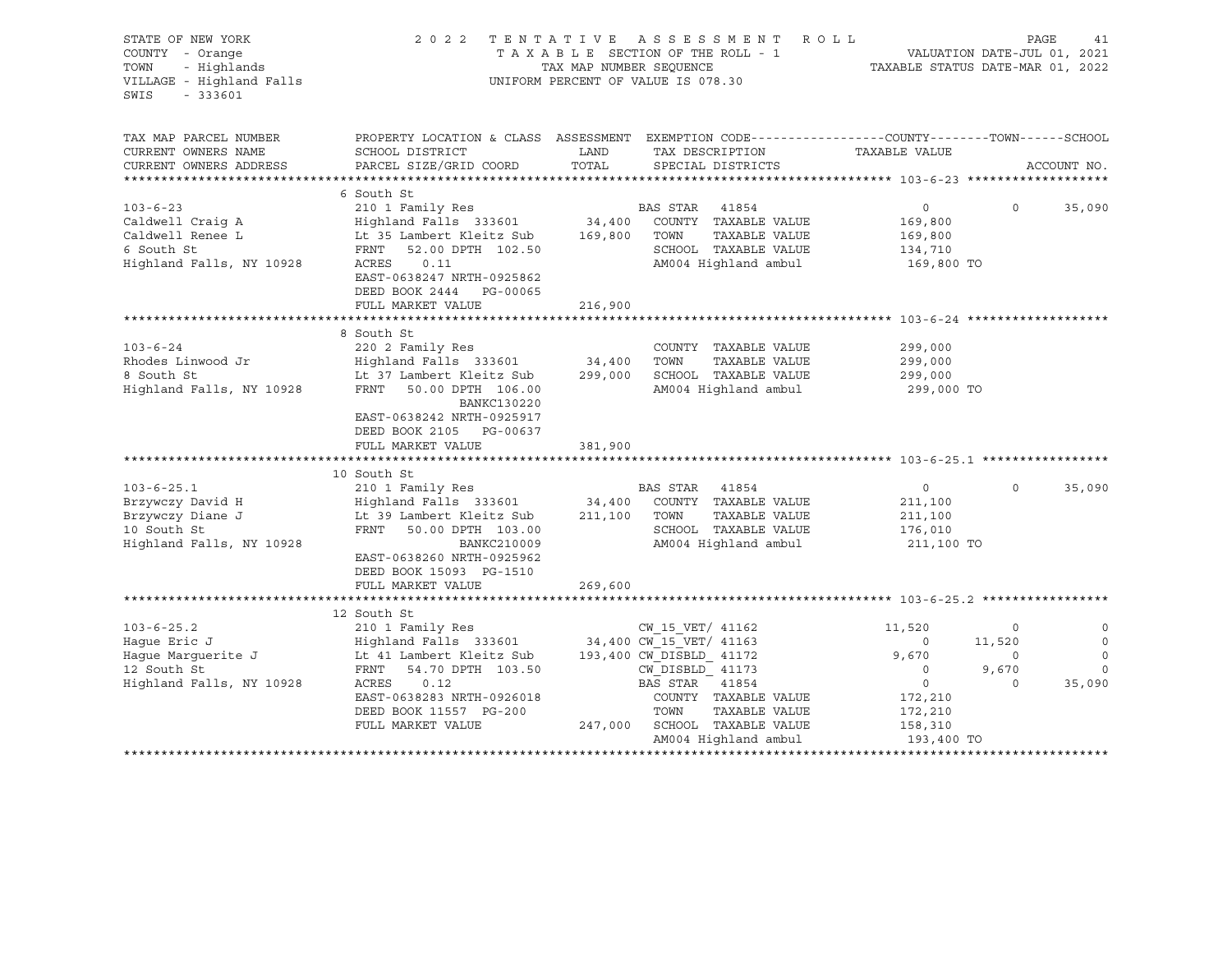| STATE OF NEW YORK<br>COUNTY - Orange<br>- Highlands<br>TOWN<br>VILLAGE - Highland Falls<br>SWIS<br>$-333601$                                                                         | 2 0 2 2                                                                                                                                                                                                                                                                                                                                                                                              | TENTATIVE ASSESSMENT<br>R O L L<br>TAXABLE SECTION OF THE ROLL - 1<br>TAX MAP NUMBER SEQUENCE<br>UNIFORM PERCENT OF VALUE IS 078.30                                                                                                                                                           | PAGE<br>VALUATION DATE-JUL 01, 2021<br>TAXABLE STATUS DATE-MAR 01, 2022                                                                                        | 41                            |
|--------------------------------------------------------------------------------------------------------------------------------------------------------------------------------------|------------------------------------------------------------------------------------------------------------------------------------------------------------------------------------------------------------------------------------------------------------------------------------------------------------------------------------------------------------------------------------------------------|-----------------------------------------------------------------------------------------------------------------------------------------------------------------------------------------------------------------------------------------------------------------------------------------------|----------------------------------------------------------------------------------------------------------------------------------------------------------------|-------------------------------|
| TAX MAP PARCEL NUMBER<br>CURRENT OWNERS NAME<br>CURRENT OWNERS ADDRESS                                                                                                               | SCHOOL DISTRICT<br>PARCEL SIZE/GRID COORD                                                                                                                                                                                                                                                                                                                                                            | PROPERTY LOCATION & CLASS ASSESSMENT EXEMPTION CODE---------------COUNTY-------TOWN-----SCHOOL<br>LAND<br>TAX DESCRIPTION<br>TOTAL<br>SPECIAL DISTRICTS                                                                                                                                       | TAXABLE VALUE<br>ACCOUNT NO.                                                                                                                                   |                               |
|                                                                                                                                                                                      |                                                                                                                                                                                                                                                                                                                                                                                                      |                                                                                                                                                                                                                                                                                               |                                                                                                                                                                |                               |
| $103 - 6 - 23$<br>Caldwell Craig A<br>Caldwell Renee L<br>6 South St<br>Highland Falls, NY 10928                                                                                     | 6 South St<br>210 1 Family Res<br>Highland Falls 333601<br>Lt 35 Lambert Kleitz Sub<br>FRNT<br>52.00 DPTH 102.50<br>ACRES<br>0.11<br>EAST-0638247 NRTH-0925862<br>DEED BOOK 2444 PG-00065                                                                                                                                                                                                            | BAS STAR 41854<br>34,400 COUNTY TAXABLE VALUE<br>TOWN<br>TAXABLE VALUE<br>169,800<br>SCHOOL TAXABLE VALUE<br>AM004 Highland ambul                                                                                                                                                             | $\circ$<br>$\Omega$<br>35,090<br>169,800<br>169,800<br>134,710<br>169,800 TO                                                                                   |                               |
|                                                                                                                                                                                      | FULL MARKET VALUE                                                                                                                                                                                                                                                                                                                                                                                    | 216,900                                                                                                                                                                                                                                                                                       |                                                                                                                                                                |                               |
| $103 - 6 - 24$<br>Rhodes Linwood Jr<br>8 South St<br>Highland Falls, NY 10928<br>$103 - 6 - 25.1$<br>Brzywczy David H<br>Brzywczy Diane J<br>10 South St<br>Highland Falls, NY 10928 | 8 South St<br>220 2 Family Res<br>Highland Falls 333601<br>Lt 37 Lambert Kleitz Sub<br>FRNT<br>50.00 DPTH 106.00<br>BANKC130220<br>EAST-0638242 NRTH-0925917<br>DEED BOOK 2105 PG-00637<br>FULL MARKET VALUE<br>10 South St<br>210 1 Family Res<br>Lt 39 Lambert Kleitz Sub<br>FRNT<br>50.00 DPTH 103.00<br>BANKC210009<br>EAST-0638260 NRTH-0925962<br>DEED BOOK 15093 PG-1510<br>FULL MARKET VALUE | COUNTY TAXABLE VALUE<br>34,400<br>TOWN<br>TAXABLE VALUE<br>299,000 SCHOOL TAXABLE VALUE<br>AM004 Highland ambul<br>381,900<br>BAS STAR 41854<br>Highland Falls 333601 34,400 COUNTY TAXABLE VALUE<br>211,100 TOWN<br>TAXABLE VALUE<br>SCHOOL TAXABLE VALUE<br>AM004 Highland ambul<br>269,600 | 299,000<br>299,000<br>299,000<br>299,000 TO<br>$\overline{0}$<br>$\Omega$<br>35,090<br>211,100<br>211,100<br>176,010<br>211,100 TO                             |                               |
|                                                                                                                                                                                      |                                                                                                                                                                                                                                                                                                                                                                                                      |                                                                                                                                                                                                                                                                                               |                                                                                                                                                                |                               |
| $103 - 6 - 25.2$<br>Haque Eric J<br>Haque Marquerite J<br>12 South St<br>Highland Falls, NY 10928                                                                                    | 12 South St<br>210 1 Family Res<br>Highland Falls 333601<br>FRNT<br>54.70 DPTH 103.50<br>ACRES<br>0.12<br>EAST-0638283 NRTH-0926018<br>DEED BOOK 11557 PG-200<br>FULL MARKET VALUE                                                                                                                                                                                                                   | CW 15 VET/ 41162<br>34,400 CW_15_VET/ 41163<br>Lt 41 Lambert Kleitz Sub 193,400 CW DISBLD 41172<br>CW DISBLD 41173<br>BAS STAR 41854<br>COUNTY TAXABLE VALUE<br>TOWN<br>TAXABLE VALUE<br>247,000 SCHOOL TAXABLE VALUE<br>AM004 Highland ambul                                                 | 11,520<br>$\circ$<br>$\circ$<br>11,520<br>9,670<br>$\circ$<br>9,670<br>$\circ$<br>$\circ$<br>$\Omega$<br>35,090<br>172,210<br>172,210<br>158,310<br>193,400 TO | $\circ$<br>$\circ$<br>$\circ$ |
|                                                                                                                                                                                      |                                                                                                                                                                                                                                                                                                                                                                                                      |                                                                                                                                                                                                                                                                                               |                                                                                                                                                                |                               |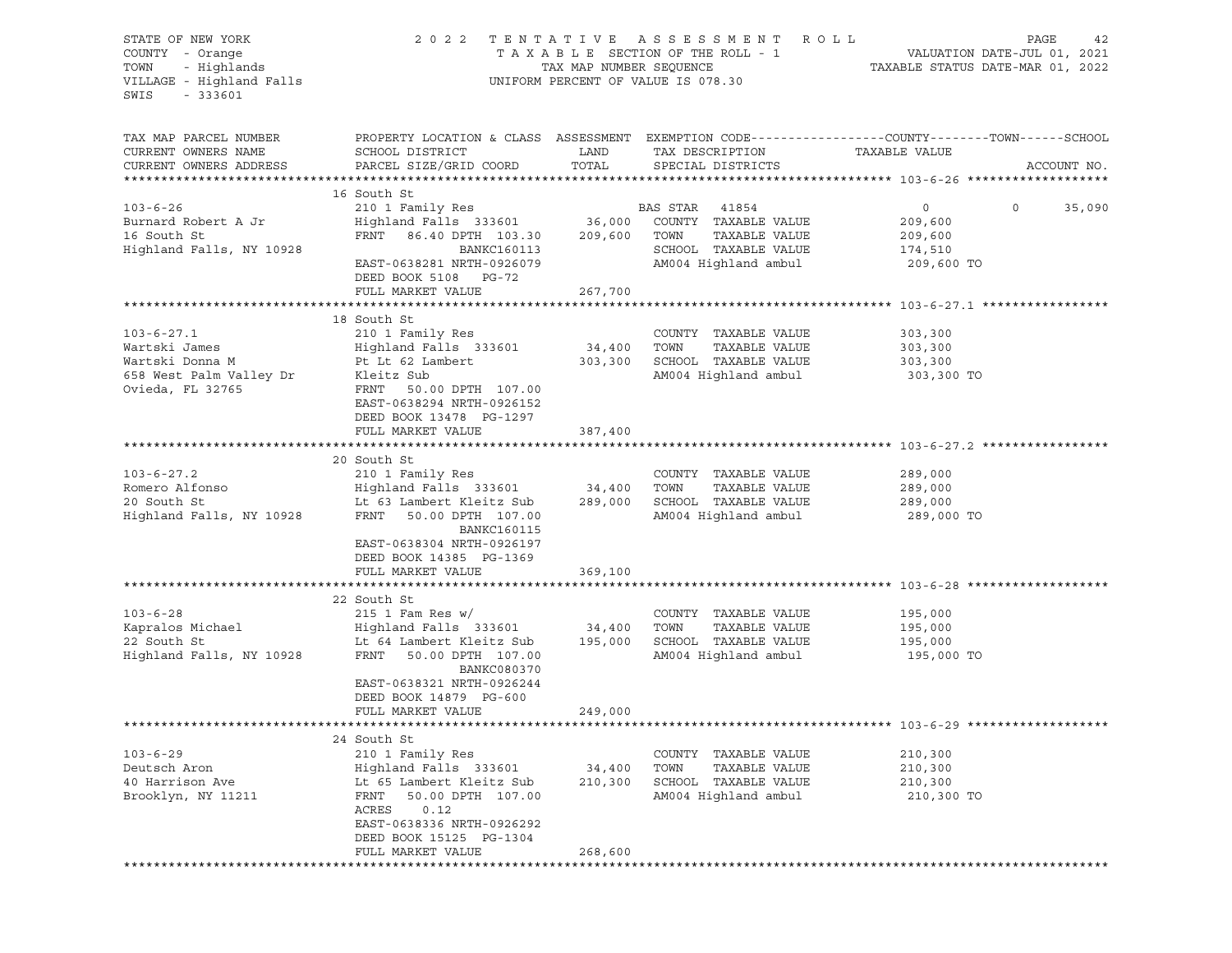| STATE OF NEW YORK<br>COUNTY - Orange<br>TOWN - Highlands<br>VILLAGE - Highland Falls<br>$-333601$<br>SWIS |                                                                                                                                                                                                                                                                                                                                                                               |                              | 2022 TENTATIVE ASSESSMENT ROLL<br>UNIFORM PERCENT OF VALUE IS 078.30                          | PAGE<br>42                                                                                                                     |
|-----------------------------------------------------------------------------------------------------------|-------------------------------------------------------------------------------------------------------------------------------------------------------------------------------------------------------------------------------------------------------------------------------------------------------------------------------------------------------------------------------|------------------------------|-----------------------------------------------------------------------------------------------|--------------------------------------------------------------------------------------------------------------------------------|
| TAX MAP PARCEL NUMBER<br>CURRENT OWNERS NAME<br>CURRENT OWNERS ADDRESS                                    | SCHOOL DISTRICT<br>PARCEL SIZE/GRID COORD                                                                                                                                                                                                                                                                                                                                     | LAND<br>TOTAL                | TAX DESCRIPTION<br>SPECIAL DISTRICTS                                                          | PROPERTY LOCATION & CLASS ASSESSMENT EXEMPTION CODE---------------COUNTY-------TOWN-----SCHOOL<br>TAXABLE VALUE<br>ACCOUNT NO. |
| $103 - 6 - 26$<br>Burnard Robert A Jr<br>16 South St<br>Highland Falls, NY 10928                          | 16 South St<br>FRNT 86.40 DPTH 103.30 209,600 TOWN<br><b>BANKC160113</b><br>EAST-0638281 NRTH-0926079<br>DEED BOOK 5108 PG-72<br>FULL MARKET VALUE                                                                                                                                                                                                                            | 267,700                      | TAXABLE VALUE<br>SCHOOL TAXABLE VALUE 174,510<br>AM004 Highland ambul 209,600 TO              | $\overline{0}$<br>35,090<br>209,600                                                                                            |
|                                                                                                           |                                                                                                                                                                                                                                                                                                                                                                               |                              |                                                                                               |                                                                                                                                |
| $103 - 6 - 27.1$<br>Wartski James<br>Wartski Donna M<br>658 West Palm Valley Dr<br>Ovieda, FL 32765       | 18 South St<br>210 1 Family Res<br>Kleitz Sub<br>FRNT 50.00 DPTH 107.00<br>EAST-0638294 NRTH-0926152<br>DEED BOOK 13478 PG-1297<br>FULL MARKET VALUE                                                                                                                                                                                                                          | 387,400                      | COUNTY TAXABLE VALUE<br>AM004 Highland ambul                                                  | 303, 300<br>303,300 TO                                                                                                         |
|                                                                                                           |                                                                                                                                                                                                                                                                                                                                                                               |                              |                                                                                               |                                                                                                                                |
| $103 - 6 - 27.2$                                                                                          | 20 South St<br>210 1 Family Res<br>103-6-27.2 210 1 Family Res COUNTY TAXABLE VALUE<br>Romero Alfonso Highland Falls 333601 34,400 TOWN TAXABLE VALUE<br>20 South St Lt 63 Lambert Kleitz Sub 289,000 SCHOOL TAXABLE VALUE<br>Highland Falls, NY 10928 FRNT 50.00 DPTH 107<br><b>BANKC160115</b><br>EAST-0638304 NRTH-0926197<br>DEED BOOK 14385 PG-1369<br>FULL MARKET VALUE | 369,100                      | AM004 Highland ambul                                                                          | 289,000<br>289,000<br>289,000<br>289,000 TO                                                                                    |
|                                                                                                           |                                                                                                                                                                                                                                                                                                                                                                               |                              |                                                                                               |                                                                                                                                |
| $103 - 6 - 28$                                                                                            | 22 South St<br>$215$ 1 Fam Res w/<br>BANKC080370<br>EAST-0638321 NRTH-0926244<br>DEED BOOK 14879 PG-600<br>FULL MARKET VALUE                                                                                                                                                                                                                                                  | 249,000                      | COUNTY TAXABLE VALUE 195,000                                                                  | 195,000 TO                                                                                                                     |
|                                                                                                           |                                                                                                                                                                                                                                                                                                                                                                               |                              |                                                                                               |                                                                                                                                |
| $103 - 6 - 29$<br>Deutsch Aron<br>40 Harrison Ave<br>Brooklyn, NY 11211                                   | 24 South St<br>210 1 Family Res<br>Highland Falls 333601<br>Lt 65 Lambert Kleitz Sub<br>50.00 DPTH 107.00<br>FRNT<br>0.12<br>ACRES<br>EAST-0638336 NRTH-0926292<br>DEED BOOK 15125 PG-1304<br>FULL MARKET VALUE                                                                                                                                                               | 34,400<br>210,300<br>268,600 | COUNTY TAXABLE VALUE<br>TAXABLE VALUE<br>TOWN<br>SCHOOL TAXABLE VALUE<br>AM004 Highland ambul | 210,300<br>210,300<br>210,300<br>210,300 TO                                                                                    |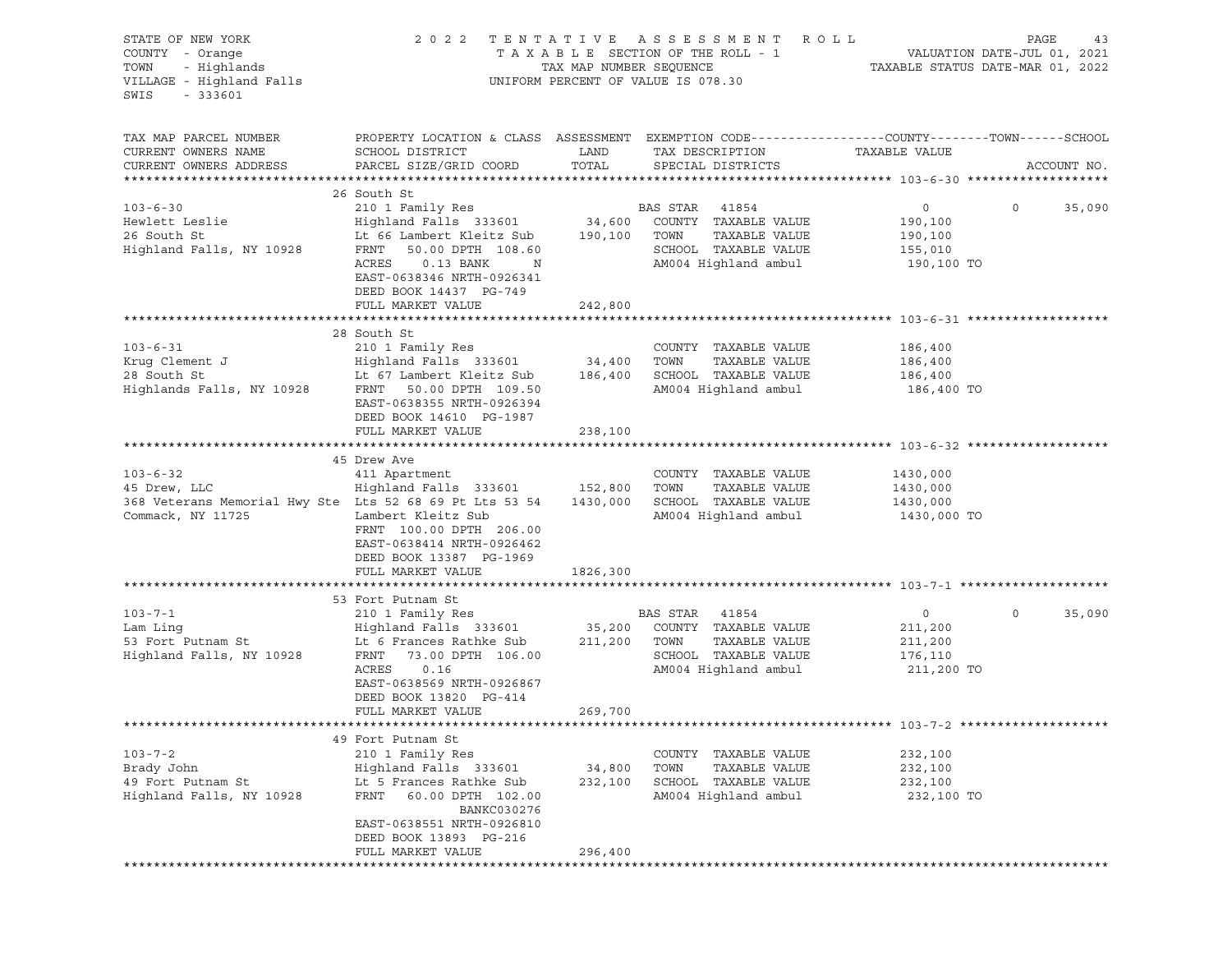| STATE OF NEW YORK<br>COUNTY - Orange<br>TOWN - Highlands<br>VILLAGE - Highland Falls<br>SWIS<br>$-333601$                                                                                                                                                                        |                                                                                                                                                                                                                                                                                             |                   | 2022 TENTATIVE ASSESSMENT ROLL<br>T A X A B L E SECTION OF THE ROLL - 1 VALUATION DATE-JUL 01, 2021<br>TAX MAP NUMBER SEQUENCE TAXABLE STATUS DATE-MAR 01, 2022<br>UNIFORM PERCENT OF VALUE IS 078.30 |                                                               | PAGE<br>43        |
|----------------------------------------------------------------------------------------------------------------------------------------------------------------------------------------------------------------------------------------------------------------------------------|---------------------------------------------------------------------------------------------------------------------------------------------------------------------------------------------------------------------------------------------------------------------------------------------|-------------------|-------------------------------------------------------------------------------------------------------------------------------------------------------------------------------------------------------|---------------------------------------------------------------|-------------------|
| TAX MAP PARCEL NUMBER<br>CURRENT OWNERS NAME<br>CURRENT OWNERS ADDRESS                                                                                                                                                                                                           | PROPERTY LOCATION & CLASS ASSESSMENT EXEMPTION CODE----------------COUNTY-------TOWN------SCHOOL<br>SCHOOL DISTRICT<br>PARCEL SIZE/GRID COORD                                                                                                                                               | LAND<br>TOTAL     | TAX DESCRIPTION<br>SPECIAL DISTRICTS                                                                                                                                                                  | TAXABLE VALUE                                                 | ACCOUNT NO.       |
| $103 - 6 - 30$<br>Hewlett Leslie<br>26 South St<br>Highland Falls, NY 10928                                                                                                                                                                                                      | 26 South St<br>210 1 Family Res<br>Highland Falls 333601 34,600 COUNTY TAXABLE VALUE<br>Lt 66 Lambert Kleitz Sub 190,100 TOWN TAXABLE VALUE<br>FRNT<br>50.00 DPTH 108.60<br>ACRES<br>$0.13$ BANK<br>$\mathbb N$<br>EAST-0638346 NRTH-0926341<br>DEED BOOK 14437 PG-749<br>FULL MARKET VALUE | 242,800           | BAS STAR 41854<br>SCHOOL TAXABLE VALUE<br>AM004 Highland ambul                                                                                                                                        | $\overline{0}$<br>190,100<br>190,100<br>155,010<br>190,100 TO | $\circ$<br>35,090 |
| $103 - 6 - 31$<br>Example 28 South St<br>28 South St<br>28 South St<br>28 South St<br>28 South St<br>28 South St<br>28 South St<br>29 South St<br>29 South St<br>29 South St<br>29 South St<br>29 South St<br>29 South St<br>29 South St<br>29 South St<br>29 South St<br>29 Sen | 28 South St<br>210 1 Family Res                                                                                                                                                                                                                                                             |                   | COUNTY TAXABLE VALUE<br>TOWN<br>TAXABLE VALUE<br>SCHOOL TAXABLE VALUE                                                                                                                                 | 186,400<br>186,400<br>186,400                                 |                   |
|                                                                                                                                                                                                                                                                                  | EAST-0638355 NRTH-0926394<br>DEED BOOK 14610 PG-1987<br>FULL MARKET VALUE                                                                                                                                                                                                                   | 238,100           | AM004 Highland ambul                                                                                                                                                                                  | 186,400 TO                                                    |                   |
| $103 - 6 - 32$<br>45 Drew, LLC<br>368 Veterans Memorial Hwy Ste Lts 52 68 69 Pt Lts 53 54<br>Commack, NY 11725                                                                                                                                                                   | 45 Drew Ave<br>411 Apartment<br>Highland Falls 333601 152,800 TOWN<br>Lambert Kleitz Sub<br>FRNT 100.00 DPTH 206.00<br>EAST-0638414 NRTH-0926462<br>DEED BOOK 13387 PG-1969<br>FULL MARKET VALUE                                                                                            | 1826,300          | COUNTY TAXABLE VALUE<br>TAXABLE VALUE<br>1430,000 SCHOOL TAXABLE VALUE<br>AM004 Highland ambul                                                                                                        | 1430,000<br>1430,000<br>1430,000<br>1430,000 TO               |                   |
|                                                                                                                                                                                                                                                                                  |                                                                                                                                                                                                                                                                                             |                   |                                                                                                                                                                                                       |                                                               |                   |
| $103 - 7 - 1$<br>Highland Falls, NY 10928                                                                                                                                                                                                                                        | 53 Fort Putnam St<br>210 1 Family Res<br>Highland Falls 333601 35,200 COUNTY TAXABLE VALUE<br>Lt 6 Frances Rathke Sub 211,200 TOWN<br>FRNT 73.00 DPTH 106.00<br>ACRES<br>0.16<br>EAST-0638569 NRTH-0926867<br>DEED BOOK 13820 PG-414<br>FULL MARKET VALUE                                   | 269,700           | BAS STAR 41854<br>TAXABLE VALUE<br>SCHOOL TAXABLE VALUE<br>AM004 Highland ambul                                                                                                                       | $\overline{0}$<br>211,200<br>211,200<br>176,110<br>211,200 TO | $\circ$<br>35,090 |
|                                                                                                                                                                                                                                                                                  |                                                                                                                                                                                                                                                                                             |                   |                                                                                                                                                                                                       |                                                               |                   |
| $103 - 7 - 2$<br>Brady John<br>49 Fort Putnam St<br>Highland Falls, NY 10928                                                                                                                                                                                                     | 49 Fort Putnam St<br>210 1 Family Res<br>Highland Falls 333601<br>Lt 5 Frances Rathke Sub<br><b>FRNT</b><br>60.00 DPTH 102.00<br>BANKC030276<br>EAST-0638551 NRTH-0926810<br>DEED BOOK 13893 PG-216                                                                                         | 34,800<br>232,100 | TAXABLE VALUE<br>COUNTY<br>TOWN<br>TAXABLE VALUE<br>SCHOOL TAXABLE VALUE<br>AM004 Highland ambul                                                                                                      | 232,100<br>232,100<br>232,100<br>232,100 TO                   |                   |
|                                                                                                                                                                                                                                                                                  | FULL MARKET VALUE                                                                                                                                                                                                                                                                           | 296,400           |                                                                                                                                                                                                       |                                                               |                   |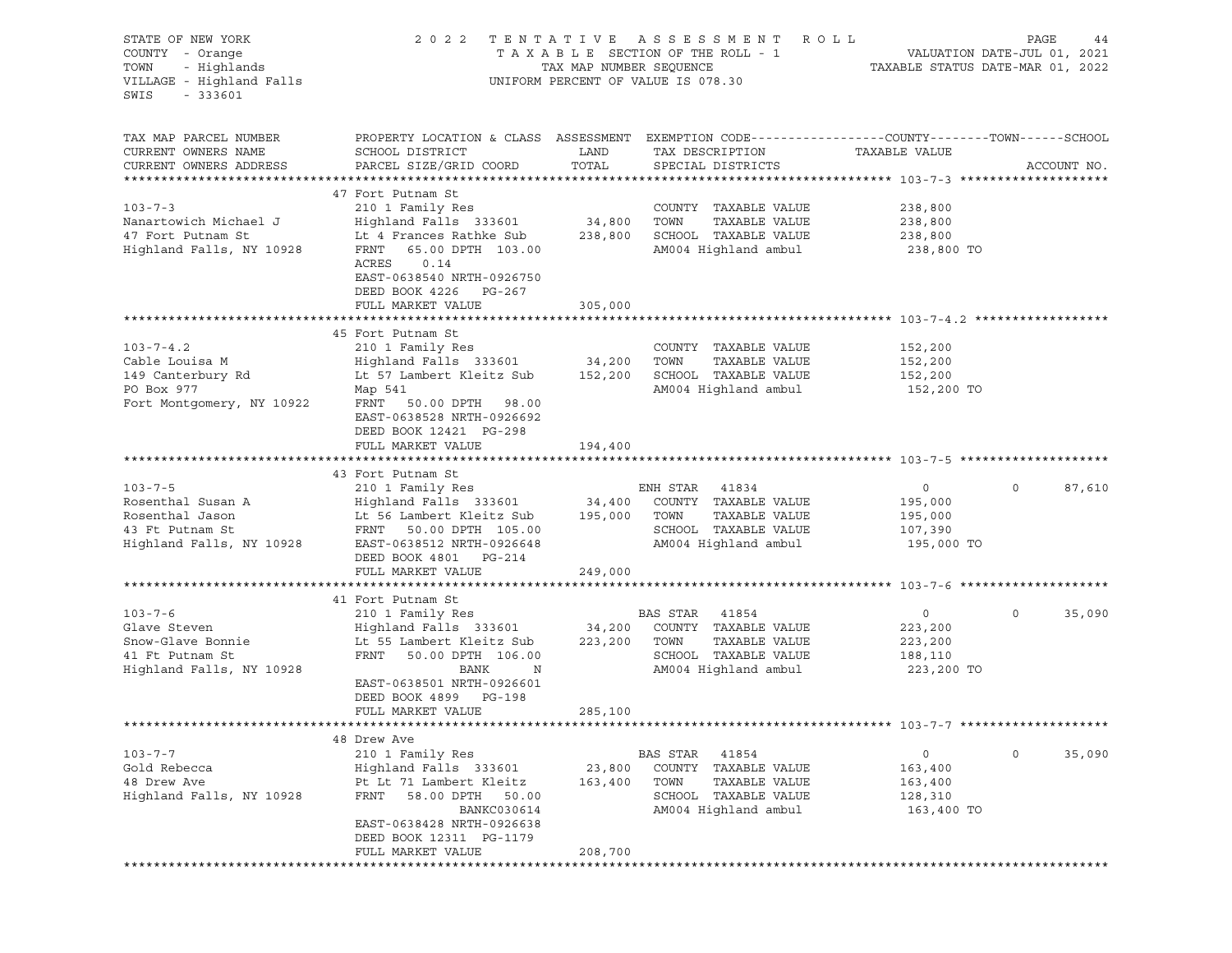| PAGE<br>VALUATION DATE-JUL 01, 2021<br>TAXABLE STATUS DATE-MAR 01, 2022                                         |
|-----------------------------------------------------------------------------------------------------------------|
| PROPERTY LOCATION & CLASS ASSESSMENT EXEMPTION CODE----------------COUNTY-------TOWN------SCHOOL<br>ACCOUNT NO. |
|                                                                                                                 |
|                                                                                                                 |
|                                                                                                                 |
|                                                                                                                 |
|                                                                                                                 |
| 87,610                                                                                                          |
|                                                                                                                 |
| 35,090                                                                                                          |
|                                                                                                                 |
| 35,090                                                                                                          |
|                                                                                                                 |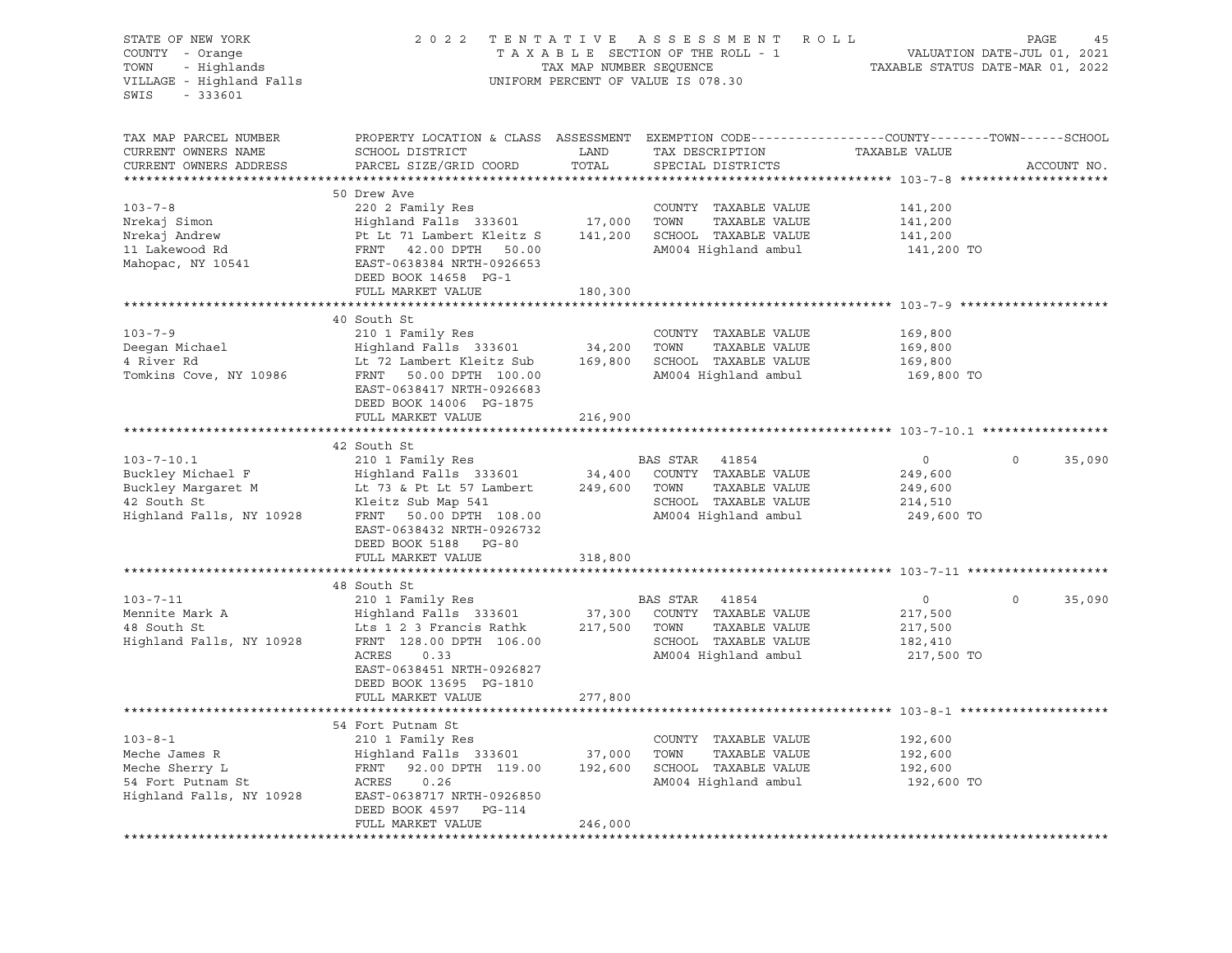| STATE OF NEW YORK<br>COUNTY - Orange<br>- Highlands<br>TOWN<br>VILLAGE - Highland Falls<br>$-333601$<br>SWIS | 2 0 2 2                                                                                                                                      | TAX MAP NUMBER SEQUENCE | TENTATIVE ASSESSMENT ROLL<br>TAXABLE SECTION OF THE ROLL - 1<br>UNIFORM PERCENT OF VALUE IS 078.30 | 45 PAGE<br>VALUATION DATE-JUL 01, 2021<br>TAXABLE STATUS DATE-MAR 01 01000 |                    |
|--------------------------------------------------------------------------------------------------------------|----------------------------------------------------------------------------------------------------------------------------------------------|-------------------------|----------------------------------------------------------------------------------------------------|----------------------------------------------------------------------------|--------------------|
| TAX MAP PARCEL NUMBER<br>CURRENT OWNERS NAME<br>CURRENT OWNERS ADDRESS                                       | PROPERTY LOCATION & CLASS ASSESSMENT EXEMPTION CODE---------------COUNTY-------TOWN------SCHOOL<br>SCHOOL DISTRICT<br>PARCEL SIZE/GRID COORD | LAND<br>TOTAL           | TAX DESCRIPTION<br>SPECIAL DISTRICTS                                                               | TAXABLE VALUE                                                              | ACCOUNT NO.        |
|                                                                                                              |                                                                                                                                              |                         |                                                                                                    |                                                                            |                    |
| $103 - 7 - 8$                                                                                                | 50 Drew Ave<br>220 2 Family Res                                                                                                              |                         | COUNTY TAXABLE VALUE                                                                               | 141,200                                                                    |                    |
| Nrekaj Simon                                                                                                 | Highland Falls 333601                                                                                                                        | 17,000                  | TOWN<br>TAXABLE VALUE                                                                              | 141,200                                                                    |                    |
| Nrekaj Andrew                                                                                                | Pt Lt 71 Lambert Kleitz S                                                                                                                    | 141,200                 | SCHOOL TAXABLE VALUE                                                                               | 141,200                                                                    |                    |
| 11 Lakewood Rd                                                                                               | FRNT 42.00 DPTH 50.00                                                                                                                        |                         | AM004 Highland ambul                                                                               | 141,200 TO                                                                 |                    |
| Mahopac, NY 10541                                                                                            | EAST-0638384 NRTH-0926653                                                                                                                    |                         |                                                                                                    |                                                                            |                    |
|                                                                                                              | DEED BOOK 14658 PG-1                                                                                                                         |                         |                                                                                                    |                                                                            |                    |
|                                                                                                              | FULL MARKET VALUE                                                                                                                            | 180,300                 |                                                                                                    |                                                                            |                    |
|                                                                                                              |                                                                                                                                              |                         |                                                                                                    | ************************* 103-7-9 **********                               |                    |
|                                                                                                              | 40 South St                                                                                                                                  |                         |                                                                                                    |                                                                            |                    |
| $103 - 7 - 9$                                                                                                | 210 1 Family Res                                                                                                                             |                         | COUNTY TAXABLE VALUE                                                                               | 169,800                                                                    |                    |
| Deegan Michael                                                                                               | Highland Falls 333601                                                                                                                        | 34,200                  | TOWN<br>TAXABLE VALUE                                                                              | 169,800                                                                    |                    |
| 4 River Rd                                                                                                   | Lt 72 Lambert Kleitz Sub                                                                                                                     | 169,800                 | SCHOOL TAXABLE VALUE                                                                               | 169,800                                                                    |                    |
| Tomkins Cove, NY 10986                                                                                       | FRNT 50.00 DPTH 100.00<br>EAST-0638417 NRTH-0926683<br>DEED BOOK 14006 PG-1875<br>FULL MARKET VALUE                                          | 216,900                 | AM004 Highland ambul                                                                               | 169,800 TO                                                                 |                    |
|                                                                                                              |                                                                                                                                              |                         |                                                                                                    |                                                                            |                    |
|                                                                                                              | 42 South St                                                                                                                                  |                         |                                                                                                    |                                                                            |                    |
| $103 - 7 - 10.1$                                                                                             | 210 1 Family Res                                                                                                                             |                         | BAS STAR 41854                                                                                     | $\circ$                                                                    | $\Omega$<br>35,090 |
| Buckley Michael F                                                                                            | Highland Falls 333601                                                                                                                        | 34,400                  | COUNTY TAXABLE VALUE                                                                               | 249,600                                                                    |                    |
|                                                                                                              | Lt 73 & Pt Lt 57 Lambert                                                                                                                     | 249,600 TOWN            | TAXABLE VALUE                                                                                      | 249,600                                                                    |                    |
| Buckley Margaret M<br>42 South St                                                                            | Kleitz Sub Map 541                                                                                                                           |                         | SCHOOL TAXABLE VALUE                                                                               | 214,510                                                                    |                    |
| Highland Falls, NY 10928                                                                                     | FRNT 50.00 DPTH 108.00<br>EAST-0638432 NRTH-0926732<br>DEED BOOK 5188 PG-80                                                                  |                         | AM004 Highland ambul                                                                               | 249,600 TO                                                                 |                    |
|                                                                                                              | FULL MARKET VALUE                                                                                                                            | 318,800                 |                                                                                                    |                                                                            |                    |
|                                                                                                              | 48 South St                                                                                                                                  |                         |                                                                                                    |                                                                            |                    |
| $103 - 7 - 11$                                                                                               | 210 1 Family Res                                                                                                                             |                         | BAS STAR<br>41854                                                                                  | $\overline{0}$                                                             | 0<br>35,090        |
| Mennite Mark A                                                                                               | Highland Falls 333601                                                                                                                        |                         | 37,300 COUNTY TAXABLE VALUE                                                                        | 217,500                                                                    |                    |
| 48 South St                                                                                                  | Lts 1 2 3 Francis Rathk                                                                                                                      | 217,500 TOWN            | TAXABLE VALUE                                                                                      | 217,500                                                                    |                    |
| Highland Falls, NY 10928                                                                                     | FRNT 128.00 DPTH 106.00                                                                                                                      |                         | SCHOOL TAXABLE VALUE                                                                               | 182,410                                                                    |                    |
|                                                                                                              | ACRES<br>0.33                                                                                                                                |                         | AM004 Highland ambul                                                                               | 217,500 TO                                                                 |                    |
|                                                                                                              | EAST-0638451 NRTH-0926827<br>DEED BOOK 13695 PG-1810<br>FULL MARKET VALUE                                                                    | 277,800                 |                                                                                                    |                                                                            |                    |
|                                                                                                              |                                                                                                                                              |                         |                                                                                                    |                                                                            |                    |
|                                                                                                              | 54 Fort Putnam St                                                                                                                            |                         |                                                                                                    |                                                                            |                    |
| $103 - 8 - 1$                                                                                                | 210 1 Family Res                                                                                                                             |                         | COUNTY TAXABLE VALUE                                                                               | 192,600                                                                    |                    |
| Meche James R                                                                                                | Highland Falls 333601 37,000                                                                                                                 |                         | TOWN<br>TAXABLE VALUE                                                                              | 192,600                                                                    |                    |
| Meche Sherry L                                                                                               | 92.00 DPTH 119.00<br>FRNT                                                                                                                    | 192,600                 | SCHOOL TAXABLE VALUE                                                                               | 192,600                                                                    |                    |
| 54 Fort Putnam St                                                                                            | ACRES<br>0.26                                                                                                                                |                         | AM004 Highland ambul                                                                               | 192,600 TO                                                                 |                    |
| Highland Falls, NY 10928                                                                                     | EAST-0638717 NRTH-0926850                                                                                                                    |                         |                                                                                                    |                                                                            |                    |
|                                                                                                              | DEED BOOK 4597<br>PG-114                                                                                                                     |                         |                                                                                                    |                                                                            |                    |
|                                                                                                              | FULL MARKET VALUE                                                                                                                            | 246,000                 |                                                                                                    |                                                                            |                    |
|                                                                                                              |                                                                                                                                              |                         |                                                                                                    |                                                                            |                    |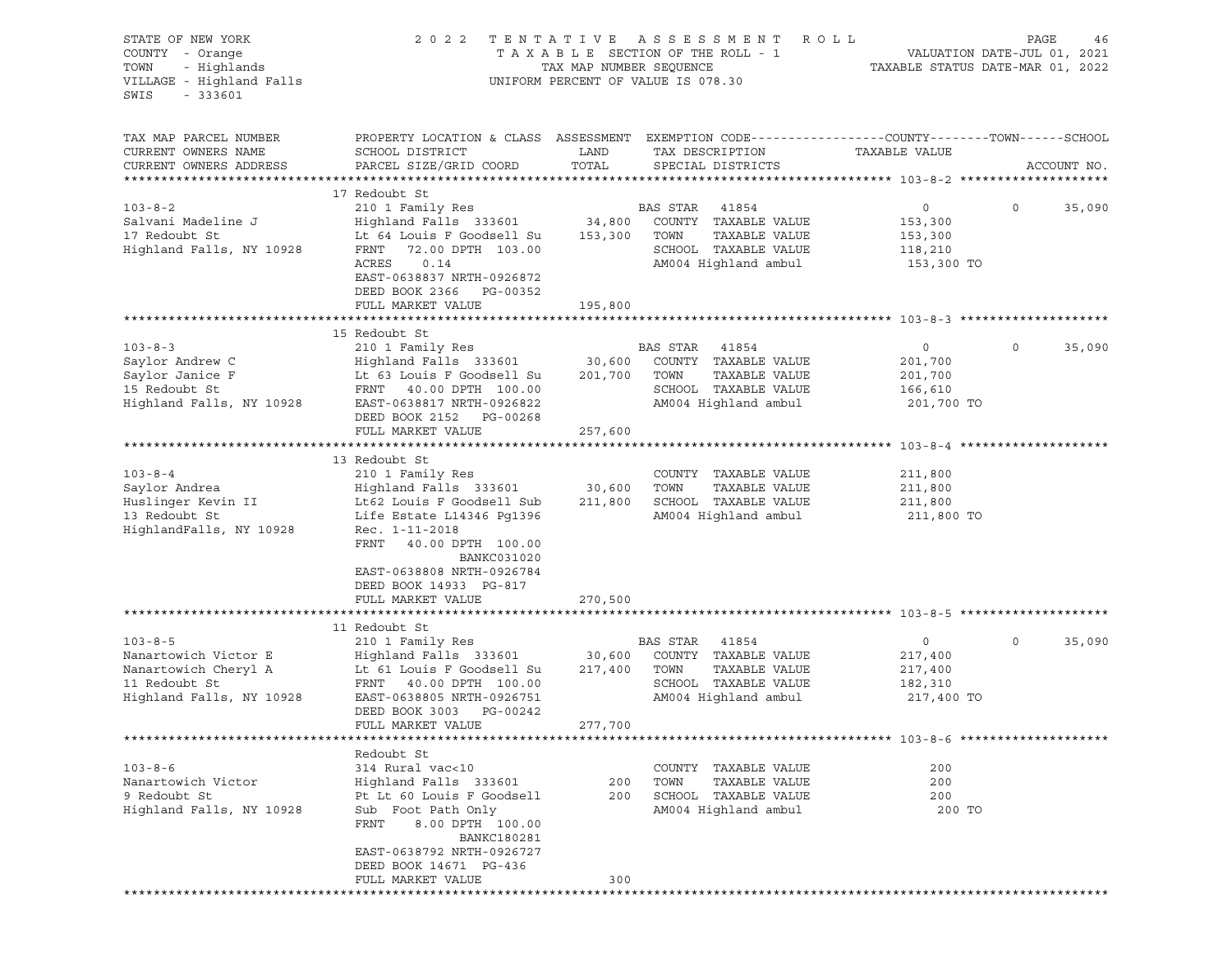| STATE OF NEW YORK<br>COUNTY - Orange<br>TOWN<br>- Highlands<br>VILLAGE - Highland Falls<br>$-333601$<br>SWIS | 2 0 2 2                                                                                                                                                                                                                                       | TENTATIVE<br>TAX MAP NUMBER SEQUENCE | A S S E S S M E N T<br>R O L L<br>TAXABLE SECTION OF THE ROLL - 1<br>UNIFORM PERCENT OF VALUE IS 078.30            | TAXABLE STATUS DATE-MAR 01, 2022                              | PAGE<br>46<br>VALUATION DATE-JUL 01, 2021 |
|--------------------------------------------------------------------------------------------------------------|-----------------------------------------------------------------------------------------------------------------------------------------------------------------------------------------------------------------------------------------------|--------------------------------------|--------------------------------------------------------------------------------------------------------------------|---------------------------------------------------------------|-------------------------------------------|
| TAX MAP PARCEL NUMBER<br>CURRENT OWNERS NAME<br>CURRENT OWNERS ADDRESS                                       | PROPERTY LOCATION & CLASS ASSESSMENT EXEMPTION CODE---------------COUNTY-------TOWN------SCHOOL<br>SCHOOL DISTRICT<br>PARCEL SIZE/GRID COORD                                                                                                  | LAND<br>TOTAL                        | TAX DESCRIPTION<br>SPECIAL DISTRICTS                                                                               | TAXABLE VALUE                                                 | ACCOUNT NO.                               |
| $103 - 8 - 2$<br>Salvani Madeline J<br>17 Redoubt St<br>Highland Falls, NY 10928                             | 17 Redoubt St<br>210 1 Family Res<br>Highland Falls 333601 34,800<br>Lt 64 Louis F Goodsell Su<br>FRNT<br>72.00 DPTH 103.00<br>ACRES<br>0.14<br>EAST-0638837 NRTH-0926872<br>DEED BOOK 2366 PG-00352<br>FULL MARKET VALUE                     | 153,300<br>195,800                   | BAS STAR 41854<br>COUNTY TAXABLE VALUE<br>TOWN<br>TAXABLE VALUE<br>SCHOOL TAXABLE VALUE<br>AM004 Highland ambul    | $\overline{0}$<br>153,300<br>153,300<br>118,210<br>153,300 TO | $\circ$<br>35,090                         |
|                                                                                                              |                                                                                                                                                                                                                                               |                                      |                                                                                                                    |                                                               |                                           |
| $103 - 8 - 3$<br>Saylor Andrew C<br>Saylor Janice F<br>15 Redoubt St<br>Highland Falls, NY 10928             | 15 Redoubt St<br>210 1 Family Res<br>Highland Falls 333601<br>Lt 63 Louis F Goodsell Su<br>FRNT 40.00 DPTH 100.00<br>EAST-0638817 NRTH-0926822<br>DEED BOOK 2152 PG-00268<br>FULL MARKET VALUE                                                | 30,600<br>201,700<br>257,600         | BAS STAR 41854<br>COUNTY TAXABLE VALUE<br>TOWN<br>TAXABLE VALUE<br>SCHOOL TAXABLE VALUE<br>AM004 Highland ambul    | $\circ$<br>201,700<br>201,700<br>166,610<br>201,700 TO        | $\circ$<br>35,090                         |
|                                                                                                              |                                                                                                                                                                                                                                               |                                      |                                                                                                                    |                                                               |                                           |
| $103 - 8 - 4$<br>Saylor Andrea<br>Huslinger Kevin II<br>13 Redoubt St<br>HighlandFalls, NY 10928             | 13 Redoubt St<br>210 1 Family Res<br>Highland Falls 333601<br>Lt62 Louis F Goodsell Sub<br>Life Estate L14346 Pg1396<br>Rec. 1-11-2018<br>FRNT 40.00 DPTH 100.00<br><b>BANKC031020</b><br>EAST-0638808 NRTH-0926784<br>DEED BOOK 14933 PG-817 | 30,600<br>211,800                    | COUNTY TAXABLE VALUE<br>TOWN<br>TAXABLE VALUE<br>SCHOOL TAXABLE VALUE<br>AM004 Highland ambul                      | 211,800<br>211,800<br>211,800<br>211,800 TO                   |                                           |
|                                                                                                              | FULL MARKET VALUE                                                                                                                                                                                                                             | 270,500                              |                                                                                                                    |                                                               |                                           |
| $103 - 8 - 5$<br>Nanartowich Victor E<br>Nanartowich Cheryl A<br>11 Redoubt St<br>Highland Falls, NY 10928   | 11 Redoubt St<br>210 1 Family Res<br>Highland Falls 333601<br>Lt 61 Louis F Goodsell Su<br>FRNT 40.00 DPTH 100.00<br>EAST-0638805 NRTH-0926751<br>DEED BOOK 3003 PG-00242<br>FULL MARKET VALUE                                                | 30,600<br>217,400<br>277,700         | BAS STAR<br>41854<br>COUNTY TAXABLE VALUE<br>TOWN<br>TAXABLE VALUE<br>SCHOOL TAXABLE VALUE<br>AM004 Highland ambul | $\circ$<br>217,400<br>217,400<br>182,310<br>217,400 TO        | 35,090<br>$\circ$                         |
|                                                                                                              |                                                                                                                                                                                                                                               |                                      |                                                                                                                    |                                                               |                                           |
| $103 - 8 - 6$<br>Nanartowich Victor<br>9 Redoubt St<br>Highland Falls, NY 10928                              | Redoubt St<br>314 Rural vac<10<br>Highland Falls 333601<br>Pt Lt 60 Louis F Goodsell<br>Sub Foot Path Only<br>8.00 DPTH 100.00<br>FRNT<br><b>BANKC180281</b><br>EAST-0638792 NRTH-0926727<br>DEED BOOK 14671 PG-436<br>FULL MARKET VALUE      | 200<br>200<br>300                    | COUNTY TAXABLE VALUE<br>TAXABLE VALUE<br>TOWN<br>SCHOOL TAXABLE VALUE<br>AM004 Highland ambul                      | 200<br>200<br>200<br>200 TO                                   |                                           |
|                                                                                                              |                                                                                                                                                                                                                                               |                                      |                                                                                                                    |                                                               |                                           |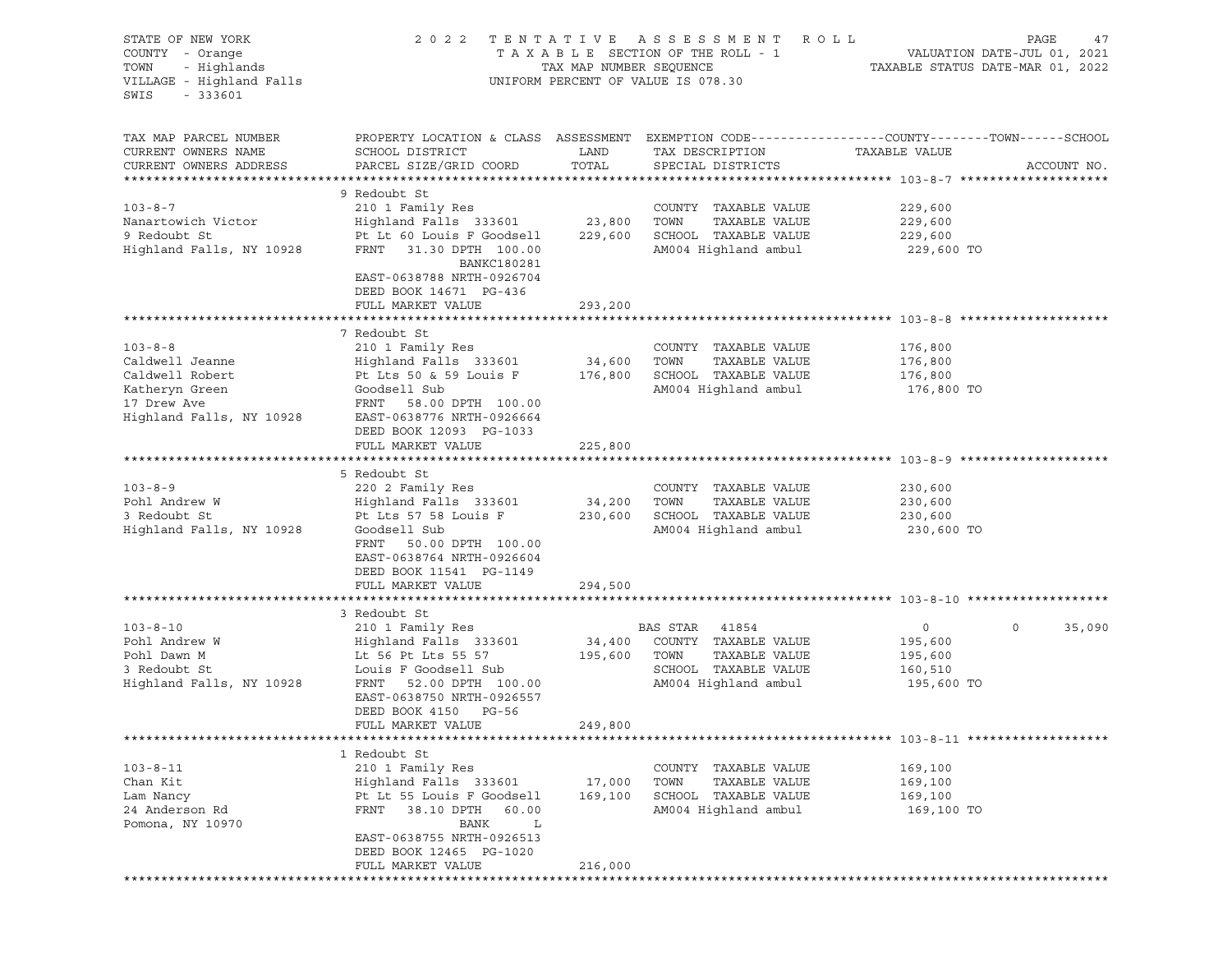| STATE OF NEW YORK<br>COUNTY - Orange | 2 0 2 2                                                                                         |                         | TENTATIVE ASSESSMENT ROLL<br>TAXABLE SECTION OF THE ROLL - 1 |                | PAGE<br>47                                                      |
|--------------------------------------|-------------------------------------------------------------------------------------------------|-------------------------|--------------------------------------------------------------|----------------|-----------------------------------------------------------------|
| TOWN<br>- Highlands                  |                                                                                                 | TAX MAP NUMBER SEQUENCE |                                                              |                | VALUATION DATE-JUL 01, 2021<br>TAXABLE STATUS DATE-MAR 01, 2022 |
| VILLAGE - Highland Falls             |                                                                                                 |                         | UNIFORM PERCENT OF VALUE IS 078.30                           |                |                                                                 |
| $-333601$<br>SWIS                    |                                                                                                 |                         |                                                              |                |                                                                 |
|                                      |                                                                                                 |                         |                                                              |                |                                                                 |
| TAX MAP PARCEL NUMBER                | PROPERTY LOCATION & CLASS ASSESSMENT EXEMPTION CODE----------------COUNTY-------TOWN-----SCHOOL |                         |                                                              |                |                                                                 |
| CURRENT OWNERS NAME                  | SCHOOL DISTRICT                                                                                 | LAND                    | TAX DESCRIPTION                                              | TAXABLE VALUE  |                                                                 |
| CURRENT OWNERS ADDRESS               | PARCEL SIZE/GRID COORD                                                                          | TOTAL                   | SPECIAL DISTRICTS                                            |                | ACCOUNT NO.                                                     |
|                                      |                                                                                                 |                         |                                                              |                |                                                                 |
|                                      | 9 Redoubt St                                                                                    |                         |                                                              |                |                                                                 |
| $103 - 8 - 7$                        | 210 1 Family Res                                                                                |                         | COUNTY TAXABLE VALUE                                         | 229,600        |                                                                 |
| Nanartowich Victor                   | Highland Falls 333601                                                                           | 23,800                  | TOWN<br>TAXABLE VALUE                                        | 229,600        |                                                                 |
| 9 Redoubt St                         | Pt Lt 60 Louis F Goodsell                                                                       | 229,600                 | SCHOOL TAXABLE VALUE                                         | 229,600        |                                                                 |
| Highland Falls, NY 10928             | FRNT<br>31.30 DPTH 100.00                                                                       |                         | AM004 Highland ambul                                         | 229,600 TO     |                                                                 |
|                                      | BANKC180281                                                                                     |                         |                                                              |                |                                                                 |
|                                      | EAST-0638788 NRTH-0926704                                                                       |                         |                                                              |                |                                                                 |
|                                      | DEED BOOK 14671 PG-436                                                                          |                         |                                                              |                |                                                                 |
|                                      | FULL MARKET VALUE                                                                               | 293,200                 |                                                              |                |                                                                 |
|                                      | 7 Redoubt St                                                                                    |                         |                                                              |                |                                                                 |
| $103 - 8 - 8$                        | 210 1 Family Res                                                                                |                         | COUNTY TAXABLE VALUE                                         | 176,800        |                                                                 |
| Caldwell Jeanne                      | Highland Falls 333601                                                                           | 34,600                  | TAXABLE VALUE<br>TOWN                                        | 176,800        |                                                                 |
| Caldwell Robert                      | Pt Lts 50 & 59 Louis F                                                                          | 176,800                 | SCHOOL TAXABLE VALUE                                         | 176,800        |                                                                 |
| Katheryn Green                       | Goodsell Sub                                                                                    |                         | AM004 Highland ambul                                         | 176,800 TO     |                                                                 |
| 17 Drew Ave                          | FRNT 58.00 DPTH 100.00                                                                          |                         |                                                              |                |                                                                 |
| Highland Falls, NY 10928             | EAST-0638776 NRTH-0926664                                                                       |                         |                                                              |                |                                                                 |
|                                      | DEED BOOK 12093 PG-1033                                                                         |                         |                                                              |                |                                                                 |
|                                      | FULL MARKET VALUE                                                                               | 225,800                 |                                                              |                |                                                                 |
|                                      |                                                                                                 |                         |                                                              |                |                                                                 |
|                                      | 5 Redoubt St                                                                                    |                         |                                                              |                |                                                                 |
| $103 - 8 - 9$                        | 220 2 Family Res                                                                                |                         | COUNTY TAXABLE VALUE                                         | 230,600        |                                                                 |
| Pohl Andrew W                        | Highland Falls 333601                                                                           | 34,200                  | TOWN<br>TAXABLE VALUE                                        | 230,600        |                                                                 |
| 3 Redoubt St                         | Pt Lts 57 58 Louis F                                                                            | 230,600                 | SCHOOL TAXABLE VALUE                                         | 230,600        |                                                                 |
| Highland Falls, NY 10928             | Goodsell Sub                                                                                    |                         | AM004 Highland ambul                                         | 230,600 TO     |                                                                 |
|                                      | FRNT 50.00 DPTH 100.00                                                                          |                         |                                                              |                |                                                                 |
|                                      | EAST-0638764 NRTH-0926604                                                                       |                         |                                                              |                |                                                                 |
|                                      | DEED BOOK 11541 PG-1149                                                                         |                         |                                                              |                |                                                                 |
|                                      | FULL MARKET VALUE                                                                               | 294,500                 |                                                              |                |                                                                 |
|                                      |                                                                                                 |                         |                                                              |                |                                                                 |
|                                      | 3 Redoubt St                                                                                    |                         |                                                              |                |                                                                 |
| $103 - 8 - 10$                       | 210 1 Family Res                                                                                |                         | BAS STAR 41854                                               | $\overline{0}$ | $\mathbf 0$<br>35,090                                           |
| Pohl Andrew W                        | Highland Falls 333601                                                                           | 34,400                  | COUNTY TAXABLE VALUE                                         | 195,600        |                                                                 |
| Pohl Dawn M                          | Lt 56 Pt Lts 55 57                                                                              | 195,600                 | TOWN<br>TAXABLE VALUE                                        | 195,600        |                                                                 |
| 3 Redoubt St                         | Louis F Goodsell Sub                                                                            |                         | SCHOOL TAXABLE VALUE                                         | 160,510        |                                                                 |
| Highland Falls, NY 10928             | FRNT 52.00 DPTH 100.00                                                                          |                         | AM004 Highland ambul                                         | 195,600 TO     |                                                                 |
|                                      | EAST-0638750 NRTH-0926557                                                                       |                         |                                                              |                |                                                                 |
|                                      | DEED BOOK 4150 PG-56                                                                            |                         |                                                              |                |                                                                 |
|                                      | FULL MARKET VALUE                                                                               | 249,800                 |                                                              |                |                                                                 |
|                                      | 1 Redoubt St                                                                                    |                         |                                                              |                |                                                                 |
| $103 - 8 - 11$                       | 210 1 Family Res                                                                                |                         | COUNTY TAXABLE VALUE                                         | 169,100        |                                                                 |
| Chan Kit                             | Highland Falls 333601                                                                           | 17,000                  | TAXABLE VALUE<br>TOWN                                        | 169,100        |                                                                 |
| Lam Nancy                            | Pt Lt 55 Louis F Goodsell                                                                       | 169,100                 | SCHOOL TAXABLE VALUE                                         | 169,100        |                                                                 |
| 24 Anderson Rd                       | FRNT<br>38.10 DPTH 60.00                                                                        |                         | AM004 Highland ambul                                         | 169,100 TO     |                                                                 |
| Pomona, NY 10970                     | BANK<br>L                                                                                       |                         |                                                              |                |                                                                 |
|                                      | EAST-0638755 NRTH-0926513                                                                       |                         |                                                              |                |                                                                 |
|                                      | DEED BOOK 12465 PG-1020                                                                         |                         |                                                              |                |                                                                 |
|                                      | FULL MARKET VALUE                                                                               | 216,000                 |                                                              |                |                                                                 |
|                                      |                                                                                                 |                         |                                                              |                |                                                                 |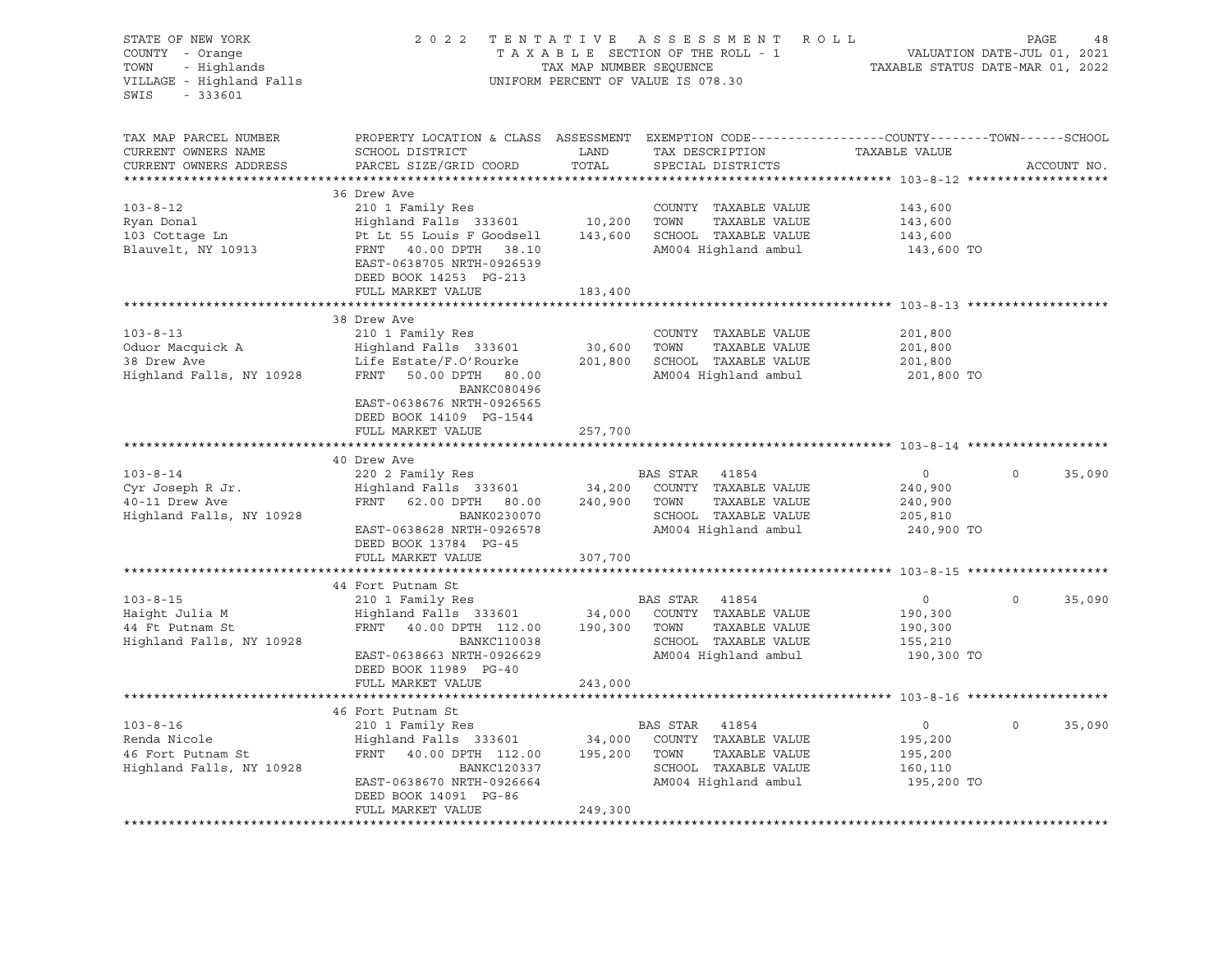| STATE OF NEW YORK<br>COUNTY - Orange<br>- Highlands<br>TOWN<br>VILLAGE - Highland Falls<br>$-333601$<br>SWIS | 2 0 2 2                                                                                                                                      | TAX MAP NUMBER SEQUENCE | TENTATIVE ASSESSMENT ROLL<br>TAXABLE SECTION OF THE ROLL - 1<br>UNIFORM PERCENT OF VALUE IS 078.30 |                    | PAGE<br>48<br>VALUATION DATE-JUL 01, 2021<br>TAXABLE STATUS DATE-MAR 01, 2022 |
|--------------------------------------------------------------------------------------------------------------|----------------------------------------------------------------------------------------------------------------------------------------------|-------------------------|----------------------------------------------------------------------------------------------------|--------------------|-------------------------------------------------------------------------------|
| TAX MAP PARCEL NUMBER<br>CURRENT OWNERS NAME<br>CURRENT OWNERS ADDRESS                                       | PROPERTY LOCATION & CLASS ASSESSMENT EXEMPTION CODE----------------COUNTY-------TOWN-----SCHOOL<br>SCHOOL DISTRICT<br>PARCEL SIZE/GRID COORD | LAND<br>TOTAL           | TAX DESCRIPTION<br>SPECIAL DISTRICTS                                                               | TAXABLE VALUE      | ACCOUNT NO.                                                                   |
|                                                                                                              | 36 Drew Ave                                                                                                                                  |                         |                                                                                                    |                    |                                                                               |
| $103 - 8 - 12$                                                                                               | 210 1 Family Res                                                                                                                             |                         | COUNTY TAXABLE VALUE                                                                               | 143,600            |                                                                               |
| Ryan Donal                                                                                                   | Highland Falls 333601 10,200                                                                                                                 |                         | TOWN<br>TAXABLE VALUE                                                                              | 143,600            |                                                                               |
| 103 Cottage Ln                                                                                               | Pt Lt 55 Louis F Goodsell                                                                                                                    | 143,600                 | SCHOOL TAXABLE VALUE                                                                               | 143,600            |                                                                               |
| Blauvelt, NY 10913                                                                                           | FRNT 40.00 DPTH 38.10<br>EAST-0638705 NRTH-0926539<br>DEED BOOK 14253 PG-213                                                                 |                         | AM004 Highland ambul                                                                               | 143,600 TO         |                                                                               |
|                                                                                                              | FULL MARKET VALUE                                                                                                                            | 183,400                 |                                                                                                    |                    |                                                                               |
|                                                                                                              |                                                                                                                                              |                         |                                                                                                    |                    |                                                                               |
|                                                                                                              | 38 Drew Ave                                                                                                                                  |                         |                                                                                                    |                    |                                                                               |
| $103 - 8 - 13$<br>Oduor Macquick A                                                                           | 210 1 Family Res<br>Highland Falls 333601                                                                                                    | 30,600                  | COUNTY TAXABLE VALUE<br>TOWN<br>TAXABLE VALUE                                                      | 201,800<br>201,800 |                                                                               |
| 38 Drew Ave                                                                                                  | Life Estate/F.O'Rourke                                                                                                                       | 201,800                 | SCHOOL TAXABLE VALUE                                                                               | 201,800            |                                                                               |
| Highland Falls, NY 10928                                                                                     | FRNT 50.00 DPTH 80.00<br>BANKC080496<br>EAST-0638676 NRTH-0926565                                                                            |                         | AM004 Highland ambul                                                                               | 201,800 TO         |                                                                               |
|                                                                                                              | DEED BOOK 14109 PG-1544                                                                                                                      |                         |                                                                                                    |                    |                                                                               |
|                                                                                                              | FULL MARKET VALUE                                                                                                                            | 257,700                 |                                                                                                    |                    |                                                                               |
|                                                                                                              |                                                                                                                                              |                         |                                                                                                    |                    |                                                                               |
|                                                                                                              | 40 Drew Ave                                                                                                                                  |                         |                                                                                                    |                    |                                                                               |
| $103 - 8 - 14$                                                                                               | 220 2 Family Res                                                                                                                             |                         | BAS STAR<br>41854                                                                                  | $\circ$            | $\Omega$<br>35,090                                                            |
| Cyr Joseph R Jr.                                                                                             | Highland Falls 333601                                                                                                                        | 34,200                  | COUNTY TAXABLE VALUE                                                                               | 240,900            |                                                                               |
| 40-11 Drew Ave                                                                                               | FRNT 62.00 DPTH 80.00                                                                                                                        | 240,900                 | TOWN<br>TAXABLE VALUE                                                                              | 240,900            |                                                                               |
| Highland Falls, NY 10928                                                                                     | BANK0230070                                                                                                                                  |                         | SCHOOL TAXABLE VALUE                                                                               | 205,810            |                                                                               |
|                                                                                                              | EAST-0638628 NRTH-0926578                                                                                                                    |                         | AM004 Highland ambul                                                                               | 240,900 TO         |                                                                               |
|                                                                                                              | DEED BOOK 13784 PG-45<br>FULL MARKET VALUE                                                                                                   |                         |                                                                                                    |                    |                                                                               |
|                                                                                                              |                                                                                                                                              | 307,700                 |                                                                                                    |                    |                                                                               |
|                                                                                                              | 44 Fort Putnam St                                                                                                                            |                         |                                                                                                    |                    |                                                                               |
| $103 - 8 - 15$                                                                                               | 210 1 Family Res                                                                                                                             |                         | BAS STAR<br>41854                                                                                  | $\overline{0}$     | $\circ$<br>35,090                                                             |
| Haight Julia M                                                                                               | Highland Falls 333601 34,000                                                                                                                 |                         | COUNTY TAXABLE VALUE                                                                               | 190,300            |                                                                               |
| 44 Ft Putnam St                                                                                              | FRNT 40.00 DPTH 112.00                                                                                                                       | 190,300                 | TAXABLE VALUE<br>TOWN                                                                              | 190,300            |                                                                               |
| Highland Falls, NY 10928                                                                                     | <b>BANKC110038</b>                                                                                                                           |                         | SCHOOL TAXABLE VALUE                                                                               | 155,210            |                                                                               |
|                                                                                                              | EAST-0638663 NRTH-0926629                                                                                                                    |                         | AM004 Highland ambul                                                                               | 190,300 TO         |                                                                               |
|                                                                                                              | DEED BOOK 11989 PG-40                                                                                                                        |                         |                                                                                                    |                    |                                                                               |
|                                                                                                              | FULL MARKET VALUE                                                                                                                            | 243,000                 |                                                                                                    |                    |                                                                               |
|                                                                                                              |                                                                                                                                              |                         |                                                                                                    |                    |                                                                               |
|                                                                                                              | 46 Fort Putnam St                                                                                                                            |                         |                                                                                                    |                    | $\Omega$                                                                      |
| $103 - 8 - 16$                                                                                               | 210 1 Family Res                                                                                                                             |                         | BAS STAR<br>41854<br>COUNTY TAXABLE VALUE                                                          | $\circ$            | 35,090                                                                        |
| Renda Nicole<br>46 Fort Putnam St                                                                            | Highland Falls 333601 34,000<br>FRNT 40.00 DPTH 112.00                                                                                       | 195,200                 | TOWN<br>TAXABLE VALUE                                                                              | 195,200<br>195,200 |                                                                               |
| Highland Falls, NY 10928                                                                                     | BANKC120337                                                                                                                                  |                         | SCHOOL TAXABLE VALUE                                                                               | 160,110            |                                                                               |
|                                                                                                              | EAST-0638670 NRTH-0926664                                                                                                                    |                         | AM004 Highland ambul                                                                               | 195,200 TO         |                                                                               |
|                                                                                                              | DEED BOOK 14091 PG-86                                                                                                                        |                         |                                                                                                    |                    |                                                                               |
|                                                                                                              | FULL MARKET VALUE                                                                                                                            | 249,300                 |                                                                                                    |                    |                                                                               |
|                                                                                                              |                                                                                                                                              |                         |                                                                                                    |                    |                                                                               |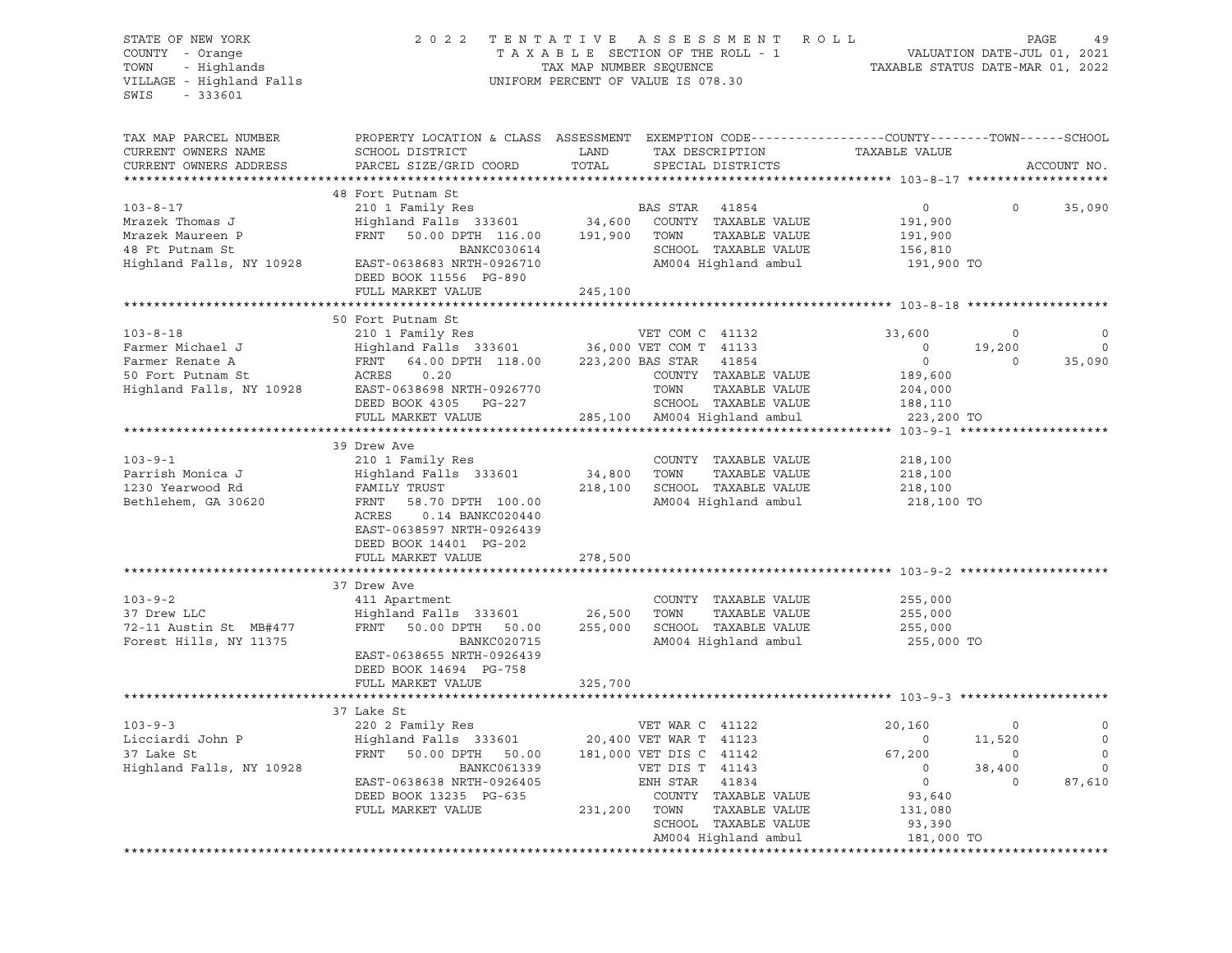| STATE OF NEW YORK        | 2 0 2 2                     | TENTATIVE ASSESSMENT<br>R O L L                                                                 |                             | PAGE<br>49  |
|--------------------------|-----------------------------|-------------------------------------------------------------------------------------------------|-----------------------------|-------------|
| COUNTY - Orange          |                             | TAXABLE SECTION OF THE ROLL - 1                                                                 | VALUATION DATE-JUL 01, 2021 |             |
| TOWN<br>- Highlands      | TAX MAP NUMBER SEQUENCE     | TAXABLE STATUS DATE-MAR 01, 2022                                                                |                             |             |
| VILLAGE - Highland Falls |                             | UNIFORM PERCENT OF VALUE IS 078.30                                                              |                             |             |
| $-333601$<br>SWIS        |                             |                                                                                                 |                             |             |
|                          |                             |                                                                                                 |                             |             |
| TAX MAP PARCEL NUMBER    |                             | PROPERTY LOCATION & CLASS ASSESSMENT EXEMPTION CODE---------------COUNTY-------TOWN------SCHOOL |                             |             |
| CURRENT OWNERS NAME      | SCHOOL DISTRICT             | LAND<br>TAX DESCRIPTION                                                                         | TAXABLE VALUE               |             |
| CURRENT OWNERS ADDRESS   | PARCEL SIZE/GRID COORD      | TOTAL<br>SPECIAL DISTRICTS                                                                      |                             | ACCOUNT NO. |
|                          |                             |                                                                                                 |                             |             |
|                          | 48 Fort Putnam St           |                                                                                                 |                             |             |
| $103 - 8 - 17$           | 210 1 Family Res            | BAS STAR 41854                                                                                  | $\circ$<br>$\circ$          | 35,090      |
| Mrazek Thomas J          |                             | Highland Falls 333601 34,600 COUNTY TAXABLE VALUE                                               | 191,900                     |             |
| Mrazek Maureen P         | FRNT<br>50.00 DPTH 116.00   | 191,900<br>TOWN<br>TAXABLE VALUE                                                                | 191,900                     |             |
| 48 Ft Putnam St          | BANKC030614                 | SCHOOL TAXABLE VALUE                                                                            | 156,810                     |             |
| Highland Falls, NY 10928 | EAST-0638683 NRTH-0926710   | AM004 Highland ambul                                                                            | 191,900 TO                  |             |
|                          | DEED BOOK 11556 PG-890      |                                                                                                 |                             |             |
|                          | FULL MARKET VALUE           | 245,100                                                                                         |                             |             |
|                          |                             |                                                                                                 |                             |             |
|                          |                             |                                                                                                 |                             |             |
|                          | 50 Fort Putnam St           |                                                                                                 |                             |             |
| $103 - 8 - 18$           | 210 1 Family Res            | VET COM C 41132                                                                                 | 33,600<br>$\circ$           | 0           |
| Farmer Michael J         | Highland Falls 333601       | 36,000 VET COM T 41133                                                                          | 19,200<br>$\circ$           | $\mathbf 0$ |
| Farmer Renate A          | FRNT<br>64.00 DPTH 118.00   | 223,200 BAS STAR 41854                                                                          | $\circ$<br>$\mathbf 0$      | 35,090      |
| 50 Fort Putnam St        | 0.20<br>ACRES               | COUNTY TAXABLE VALUE                                                                            | 189,600                     |             |
| Highland Falls, NY 10928 | EAST-0638698 NRTH-0926770   | TOWN<br>TAXABLE VALUE                                                                           | 204,000                     |             |
|                          | DEED BOOK 4305 PG-227       | SCHOOL TAXABLE VALUE                                                                            | 188,110                     |             |
|                          | FULL MARKET VALUE           | 285,100 AM004 Highland ambul                                                                    | 223,200 TO                  |             |
|                          |                             |                                                                                                 |                             |             |
|                          | 39 Drew Ave                 |                                                                                                 |                             |             |
| $103 - 9 - 1$            | 210 1 Family Res            | COUNTY TAXABLE VALUE                                                                            | 218,100                     |             |
| Parrish Monica J         | Highland Falls 333601       | 34,800<br>TAXABLE VALUE<br>TOWN                                                                 | 218,100                     |             |
| 1230 Yearwood Rd         | FAMILY TRUST                | SCHOOL TAXABLE VALUE<br>218,100                                                                 | 218,100                     |             |
| Bethlehem, GA 30620      | FRNT<br>58.70 DPTH 100.00   | AM004 Highland ambul                                                                            | 218,100 TO                  |             |
|                          | ACRES<br>0.14 BANKC020440   |                                                                                                 |                             |             |
|                          | EAST-0638597 NRTH-0926439   |                                                                                                 |                             |             |
|                          | DEED BOOK 14401 PG-202      |                                                                                                 |                             |             |
|                          |                             |                                                                                                 |                             |             |
|                          | FULL MARKET VALUE           | 278,500                                                                                         |                             |             |
|                          |                             |                                                                                                 |                             |             |
|                          | 37 Drew Ave                 |                                                                                                 |                             |             |
| $103 - 9 - 2$            | 411 Apartment               | COUNTY TAXABLE VALUE                                                                            | 255,000                     |             |
| 37 Drew LLC              | Highland Falls 333601       | 26,500<br>TOWN<br>TAXABLE VALUE                                                                 | 255,000                     |             |
| 72-11 Austin St MB#477   | FRNT<br>50.00 DPTH 50.00    | 255,000<br>SCHOOL TAXABLE VALUE                                                                 | 255,000                     |             |
| Forest Hills, NY 11375   | <b>BANKC020715</b>          | AM004 Highland ambul                                                                            | 255,000 TO                  |             |
|                          | EAST-0638655 NRTH-0926439   |                                                                                                 |                             |             |
|                          | DEED BOOK 14694 PG-758      |                                                                                                 |                             |             |
|                          | FULL MARKET VALUE           | 325,700                                                                                         |                             |             |
|                          |                             |                                                                                                 |                             |             |
|                          | 37 Lake St                  |                                                                                                 |                             |             |
| $103 - 9 - 3$            | 220 2 Family Res            | VET WAR C 41122                                                                                 | 20,160<br>0                 | $\mathbf 0$ |
| Licciardi John P         | Highland Falls 333601       | 20,400 VET WAR T 41123                                                                          | 0<br>11,520                 | 0           |
| 37 Lake St               | FRNT<br>50.00 DPTH<br>50.00 | 181,000 VET DIS C<br>41142                                                                      | 67,200<br>0                 | 0           |
| Highland Falls, NY 10928 | BANKC061339                 | VET DIS T<br>41143                                                                              | 38,400<br>0                 | 0           |
|                          | EAST-0638638 NRTH-0926405   | ENH STAR<br>41834                                                                               | $\mathbf 0$<br>$\circ$      | 87,610      |
|                          | DEED BOOK 13235 PG-635      | COUNTY TAXABLE VALUE                                                                            | 93,640                      |             |
|                          | FULL MARKET VALUE           | TOWN<br>TAXABLE VALUE<br>231,200                                                                | 131,080                     |             |
|                          |                             | SCHOOL TAXABLE VALUE                                                                            | 93,390                      |             |
|                          |                             | AM004 Highland ambul                                                                            | 181,000 TO                  |             |
|                          |                             |                                                                                                 |                             |             |
|                          |                             |                                                                                                 |                             |             |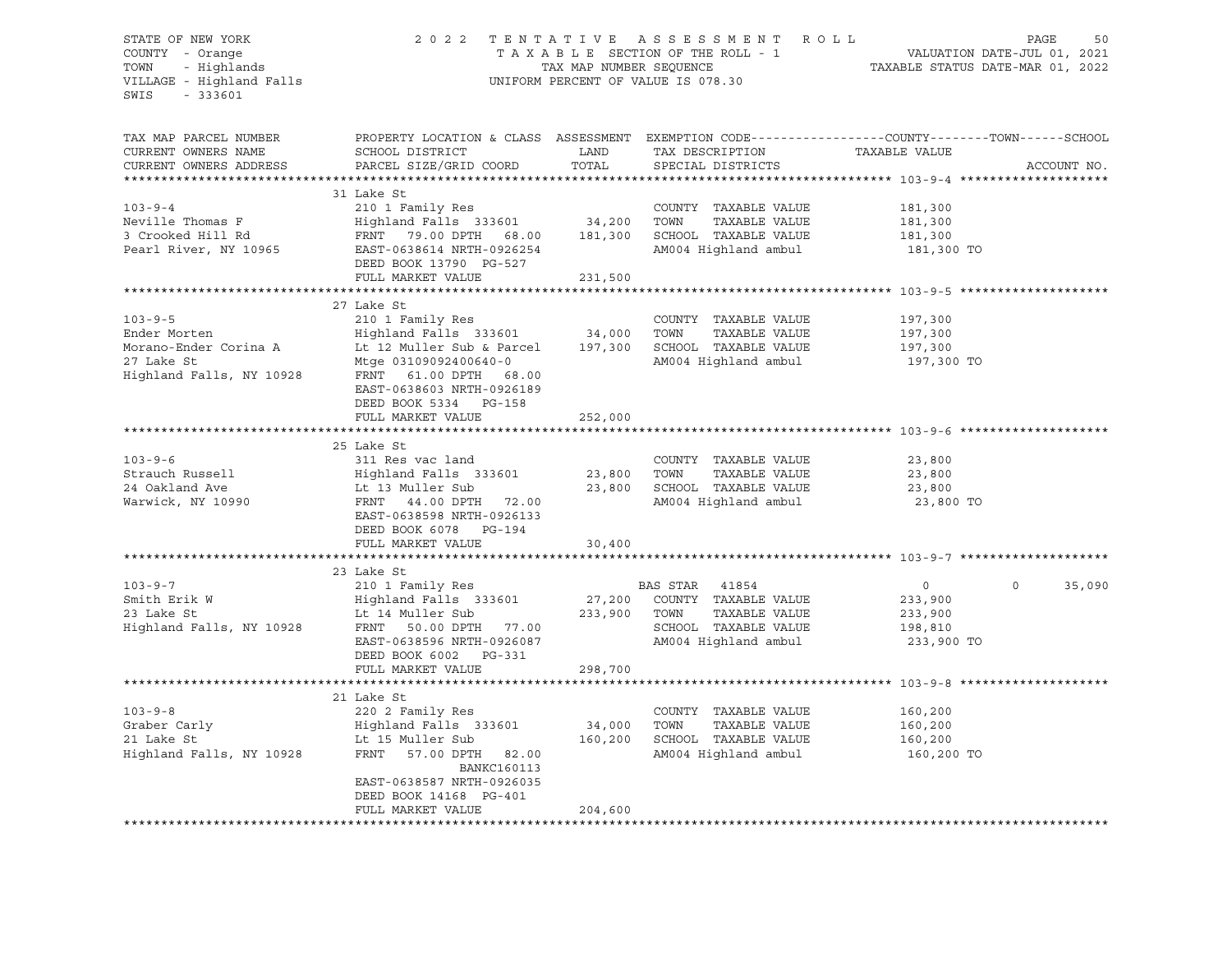# STATE OF NEW YORK 2 0 2 2 T E N T A T I V E A S S E S S M E N T R O L L PAGE 50 COUNTY - Orange T A X A B L E SECTION OF THE ROLL - 1 VALUATION DATE-JUL 01, 2021 TOWN - Highlands TAX MAP NUMBER SEQUENCE TAXABLE STATUS DATE-MAR 01, 2022 VILLAGE - Highland Falls UNIFORM PERCENT OF VALUE IS 078.30

| TAX MAP PARCEL NUMBER<br>CURRENT OWNERS NAME<br>CURRENT OWNERS ADDRESS | PROPERTY LOCATION & CLASS ASSESSMENT EXEMPTION CODE----------------COUNTY-------TOWN-----SCHOOL<br>SCHOOL DISTRICT<br>PARCEL SIZE/GRID COORD | LAND<br>TOTAL | TAX DESCRIPTION<br>SPECIAL DISTRICTS | TAXABLE VALUE  | ACCOUNT NO.       |
|------------------------------------------------------------------------|----------------------------------------------------------------------------------------------------------------------------------------------|---------------|--------------------------------------|----------------|-------------------|
|                                                                        |                                                                                                                                              |               |                                      |                |                   |
|                                                                        | 31 Lake St                                                                                                                                   |               |                                      |                |                   |
| $103 - 9 - 4$                                                          | 210 1 Family Res                                                                                                                             |               | COUNTY TAXABLE VALUE                 | 181,300        |                   |
| Neville Thomas F                                                       | Highland Falls 333601 34,200                                                                                                                 |               | TOWN<br>TAXABLE VALUE                | 181,300        |                   |
| 3 Crooked Hill Rd                                                      | FRNT 79.00 DPTH 68.00                                                                                                                        | 181,300       | SCHOOL TAXABLE VALUE                 | 181,300        |                   |
| Pearl River, NY 10965                                                  | EAST-0638614 NRTH-0926254<br>DEED BOOK 13790 PG-527                                                                                          |               | AM004 Highland ambul                 | 181,300 TO     |                   |
|                                                                        | FULL MARKET VALUE                                                                                                                            | 231,500       |                                      |                |                   |
|                                                                        |                                                                                                                                              |               |                                      |                |                   |
|                                                                        | 27 Lake St                                                                                                                                   |               |                                      |                |                   |
| $103 - 9 - 5$                                                          | 210 1 Family Res                                                                                                                             |               | COUNTY TAXABLE VALUE                 | 197,300        |                   |
| Ender Morten                                                           | Highland Falls 333601 34,000                                                                                                                 |               | TOWN<br>TAXABLE VALUE                | 197,300        |                   |
| Morano-Ender Corina A                                                  | Lt 12 Muller Sub & Parcel                                                                                                                    | 197,300       | SCHOOL TAXABLE VALUE                 | 197,300        |                   |
| 27 Lake St                                                             | Mtge 03109092400640-0                                                                                                                        |               | AM004 Highland ambul                 | 197,300 TO     |                   |
| Highland Falls, NY 10928                                               | FRNT 61.00 DPTH 68.00<br>EAST-0638603 NRTH-0926189<br>DEED BOOK 5334 PG-158                                                                  |               |                                      |                |                   |
|                                                                        | FULL MARKET VALUE                                                                                                                            | 252,000       |                                      |                |                   |
|                                                                        |                                                                                                                                              |               |                                      |                |                   |
|                                                                        | 25 Lake St                                                                                                                                   |               |                                      |                |                   |
| $103 - 9 - 6$                                                          | 311 Res vac land                                                                                                                             |               | COUNTY TAXABLE VALUE                 | 23,800         |                   |
| Strauch Russell                                                        | Highland Falls 333601                                                                                                                        | 23,800        | TOWN<br>TAXABLE VALUE                | 23,800         |                   |
| 24 Oakland Ave                                                         | Lt 13 Muller Sub                                                                                                                             | 23,800        | SCHOOL TAXABLE VALUE                 | 23,800         |                   |
| Warwick, NY 10990                                                      | FRNT 44.00 DPTH 72.00                                                                                                                        |               | AM004 Highland ambul                 | 23,800 TO      |                   |
|                                                                        | EAST-0638598 NRTH-0926133<br>DEED BOOK 6078 PG-194                                                                                           |               |                                      |                |                   |
|                                                                        | FULL MARKET VALUE                                                                                                                            | 30,400        |                                      |                |                   |
|                                                                        |                                                                                                                                              |               |                                      |                |                   |
|                                                                        | 23 Lake St                                                                                                                                   |               |                                      |                |                   |
| $103 - 9 - 7$                                                          | 210 1 Family Res                                                                                                                             |               | BAS STAR 41854                       | $\overline{0}$ | $\circ$<br>35,090 |
| Smith Erik W                                                           | Highland Falls 333601                                                                                                                        |               | 27,200 COUNTY TAXABLE VALUE          | 233,900        |                   |
| 23 Lake St                                                             | Lt 14 Muller Sub                                                                                                                             |               | 233,900 TOWN<br>TAXABLE VALUE        | 233,900        |                   |
| Highland Falls, NY 10928                                               | FRNT 50.00 DPTH 77.00                                                                                                                        |               | SCHOOL TAXABLE VALUE                 | 198,810        |                   |
|                                                                        | EAST-0638596 NRTH-0926087                                                                                                                    |               | AM004 Highland ambul                 | 233,900 TO     |                   |
|                                                                        | DEED BOOK 6002 PG-331                                                                                                                        |               |                                      |                |                   |
|                                                                        | FULL MARKET VALUE                                                                                                                            | 298,700       |                                      |                |                   |
|                                                                        |                                                                                                                                              |               |                                      |                |                   |
|                                                                        | 21 Lake St                                                                                                                                   |               |                                      |                |                   |
| $103 - 9 - 8$                                                          | 220 2 Family Res                                                                                                                             |               | COUNTY TAXABLE VALUE                 | 160,200        |                   |
| Graber Carly                                                           | Highland Falls 333601                                                                                                                        | 34,000        | TOWN<br>TAXABLE VALUE                | 160,200        |                   |
| 21 Lake St                                                             | Lt 15 Muller Sub                                                                                                                             | 160,200       | SCHOOL TAXABLE VALUE                 | 160,200        |                   |
| Highland Falls, NY 10928                                               | FRNT 57.00 DPTH 82.00<br><b>BANKC160113</b>                                                                                                  |               | AM004 Highland ambul                 | 160,200 TO     |                   |
|                                                                        | EAST-0638587 NRTH-0926035<br>DEED BOOK 14168 PG-401                                                                                          |               |                                      |                |                   |
|                                                                        | FULL MARKET VALUE                                                                                                                            | 204,600       |                                      |                |                   |
|                                                                        |                                                                                                                                              |               |                                      |                |                   |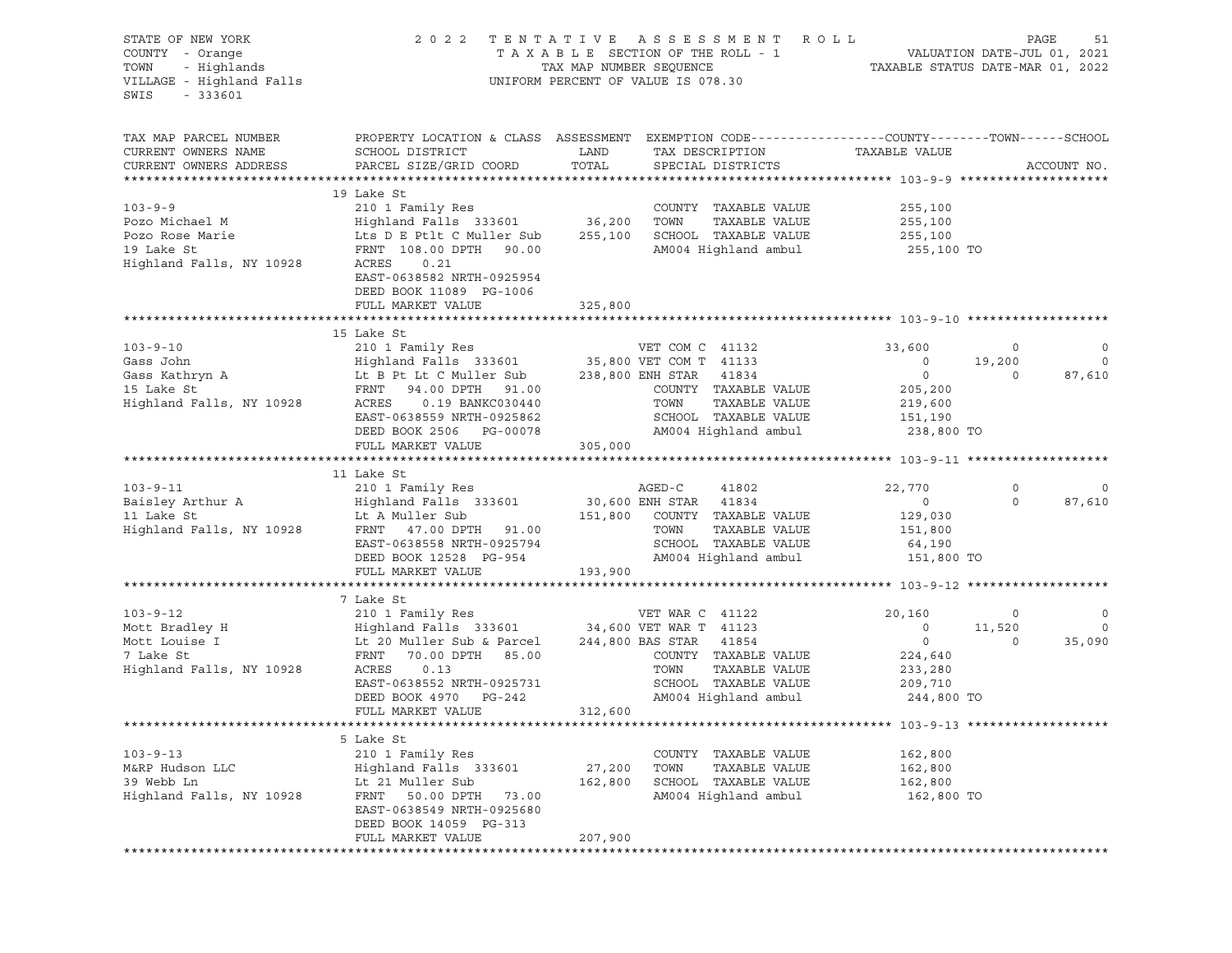| STATE OF NEW YORK<br>COUNTY - Orange<br>- Highlands<br>TOWN<br>VILLAGE - Highland Falls<br>SWIS<br>$-333601$ | 2 0 2 2                                                                                                                                                                                                       |                            | TENTATIVE ASSESSMENT ROLL<br>UNIFORM PERCENT OF VALUE IS 078.30                                                                               |                                                                                              | PAGE                         | 51                           |
|--------------------------------------------------------------------------------------------------------------|---------------------------------------------------------------------------------------------------------------------------------------------------------------------------------------------------------------|----------------------------|-----------------------------------------------------------------------------------------------------------------------------------------------|----------------------------------------------------------------------------------------------|------------------------------|------------------------------|
| TAX MAP PARCEL NUMBER<br>CURRENT OWNERS NAME<br>CURRENT OWNERS ADDRESS                                       | PROPERTY LOCATION & CLASS ASSESSMENT EXEMPTION CODE----------------COUNTY-------TOWN-----SCHOOL<br>SCHOOL DISTRICT<br>PARCEL SIZE/GRID COORD                                                                  | LAND<br>TOTAL              | TAX DESCRIPTION<br>SPECIAL DISTRICTS                                                                                                          | TAXABLE VALUE                                                                                |                              | ACCOUNT NO.                  |
|                                                                                                              | 19 Lake St                                                                                                                                                                                                    |                            |                                                                                                                                               |                                                                                              |                              |                              |
| $103 - 9 - 9$<br>Pozo Michael M<br>Pozo Rose Marie<br>19 Lake St<br>Highland Falls, NY 10928                 | 210 1 Family Res<br>Highland Falls 333601 36,200<br>Lts D E Ptlt C Muller Sub<br>FRNT 108.00 DPTH 90.00<br>ACRES<br>0.21<br>EAST-0638582 NRTH-0925954                                                         | 255,100                    | COUNTY TAXABLE VALUE<br>TOWN<br>TAXABLE VALUE<br>SCHOOL TAXABLE VALUE<br>AM004 Highland ambul                                                 | 255,100<br>255,100<br>255,100<br>255,100 TO                                                  |                              |                              |
|                                                                                                              | DEED BOOK 11089 PG-1006                                                                                                                                                                                       |                            |                                                                                                                                               |                                                                                              |                              |                              |
|                                                                                                              | FULL MARKET VALUE                                                                                                                                                                                             | 325,800                    |                                                                                                                                               |                                                                                              |                              |                              |
|                                                                                                              | 15 Lake St                                                                                                                                                                                                    |                            |                                                                                                                                               |                                                                                              |                              |                              |
| $103 - 9 - 10$<br>Gass John<br>Gass Kathryn A<br>15 Lake St<br>15 Lake St<br>Highland Falls, NY 10928        | 210 1 Family Res<br>Highland Falls 333601 35,800 VET COM T 41133<br>Lt B Pt Lt C Muller Sub<br>FRNT 94.00 DPTH 91.00<br>ACRES<br>0.19 BANKC030440<br>EAST-0638559 NRTH-0925862<br>DEED BOOK 2506 PG-00078     |                            | VET COM C 41132<br>238,800 ENH STAR<br>41834<br>COUNTY TAXABLE VALUE<br>TOWN<br>TAXABLE VALUE<br>SCHOOL TAXABLE VALUE<br>AM004 Highland ambul | 33,600<br>$\circ$<br>$\circ$<br>205,200<br>219,600<br>151,190<br>238,800 TO                  | $\circ$<br>19,200<br>$\circ$ | 0<br>$\circ$<br>87,610       |
|                                                                                                              | FULL MARKET VALUE                                                                                                                                                                                             | 305,000                    |                                                                                                                                               |                                                                                              |                              |                              |
|                                                                                                              |                                                                                                                                                                                                               |                            |                                                                                                                                               |                                                                                              |                              |                              |
| $103 - 9 - 11$<br>Baisley Arthur A<br>11 Lake St<br>Highland Falls, NY 10928                                 | 11 Lake St<br>210 1 Family Res<br>Highland Falls 333601<br>Lt A Muller Sub<br>FRNT 47.00 DPTH 91.00<br>EAST-0638558 NRTH-0925794<br>DEED BOOK 12528 PG-954<br>FULL MARKET VALUE                               | 30,600 ENH STAR<br>193,900 | AGED-C<br>41802<br>41834<br>151,800 COUNTY TAXABLE VALUE<br>TOWN<br>TAXABLE VALUE<br>SCHOOL TAXABLE VALUE<br>AM004 Highland ambul             | 22,770<br>$\circ$<br>129,030<br>151,800<br>64,190<br>151,800 TO                              | 0<br>$\circ$                 | $\circ$<br>87,610            |
|                                                                                                              |                                                                                                                                                                                                               |                            |                                                                                                                                               |                                                                                              |                              |                              |
| $103 - 9 - 12$<br>Mott Bradley H<br>Mott Louise I<br>7 Lake St<br>Highland Falls, NY 10928                   | 7 Lake St<br>210 1 Family Res<br>Highland Falls 333601 34,600 VET WAR T 41123<br>Lt 20 Muller Sub & Parcel<br>70.00 DPTH 85.00<br>FRNT<br>ACRES<br>0.13<br>EAST-0638552 NRTH-0925731<br>DEED BOOK 4970 PG-242 |                            | VET WAR C 41122<br>244,800 BAS STAR<br>41854<br>COUNTY TAXABLE VALUE<br>TOWN<br>TAXABLE VALUE<br>SCHOOL TAXABLE VALUE<br>AM004 Highland ambul | 20,160<br>$\circ$<br>$\overline{\phantom{0}}$<br>224,640<br>233,280<br>209,710<br>244,800 TO | $\circ$<br>11,520<br>$\circ$ | $\circ$<br>$\circ$<br>35,090 |
|                                                                                                              | FULL MARKET VALUE                                                                                                                                                                                             | 312,600                    |                                                                                                                                               |                                                                                              |                              |                              |
|                                                                                                              |                                                                                                                                                                                                               |                            |                                                                                                                                               |                                                                                              |                              |                              |
| $103 - 9 - 13$<br>M&RP Hudson LLC<br>39 Webb Ln<br>Highland Falls, NY 10928                                  | 5 Lake St<br>210 1 Family Res<br>Highland Falls 333601<br>Lt 21 Muller Sub<br>FRNT<br>50.00 DPTH<br>73.00<br>EAST-0638549 NRTH-0925680<br>DEED BOOK 14059 PG-313                                              | 27,200<br>162,800          | COUNTY<br>TAXABLE VALUE<br>TOWN<br>TAXABLE VALUE<br>SCHOOL TAXABLE VALUE<br>AM004 Highland ambul                                              | 162,800<br>162,800<br>162,800<br>162,800 TO                                                  |                              |                              |
|                                                                                                              | FULL MARKET VALUE                                                                                                                                                                                             | 207,900                    |                                                                                                                                               |                                                                                              |                              |                              |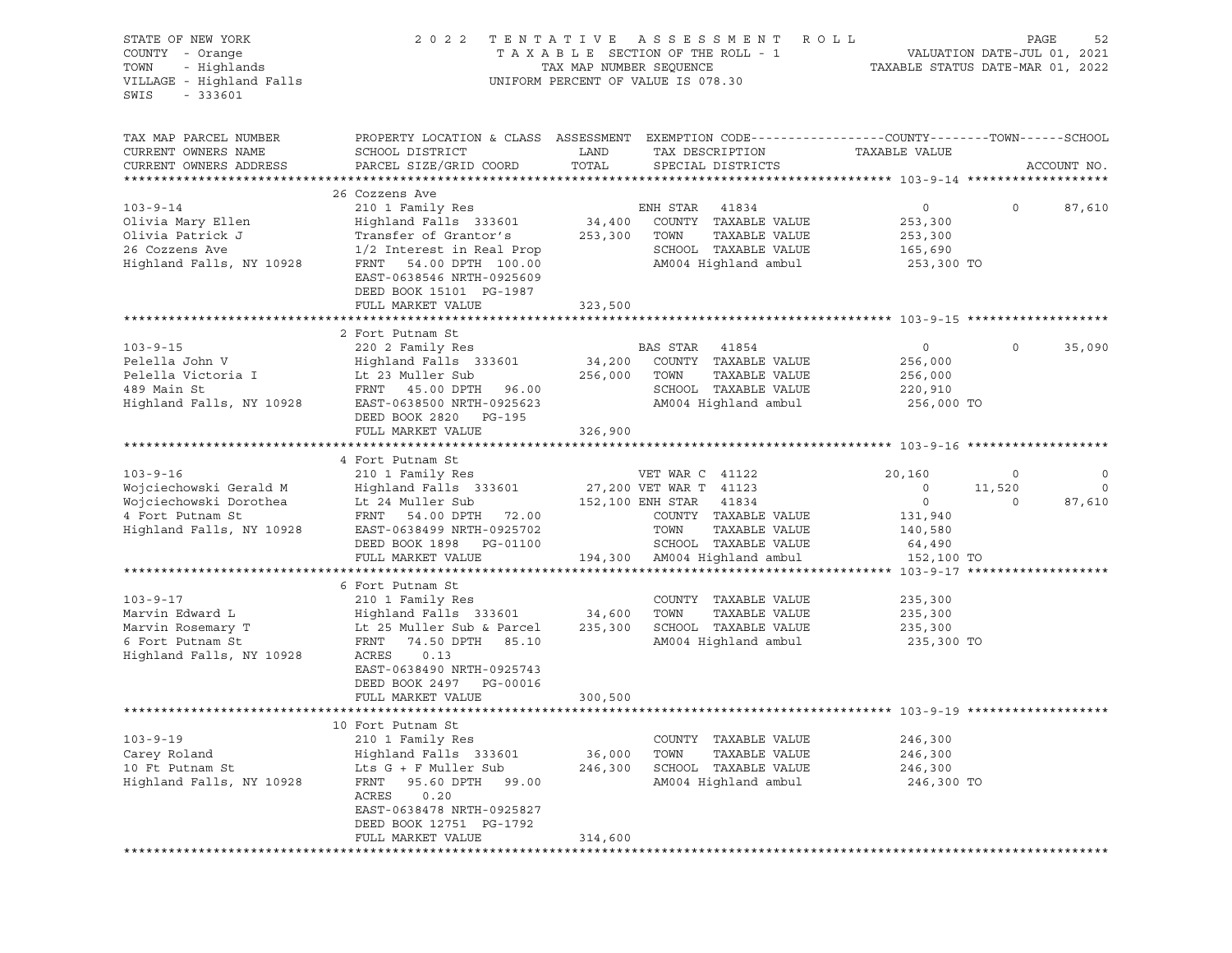| STATE OF NEW YORK<br>COUNTY - Orange<br>TOWN<br>- Highlands<br>VILLAGE - Highland Falls<br>$-333601$<br>SWIS | 2 0 2 2                                                                                                                                                             | TAX MAP NUMBER SEQUENCE | TENTATIVE ASSESSMENT<br>R O L L<br>TAXABLE SECTION OF THE ROLL - 1<br>UNIFORM PERCENT OF VALUE IS 078.30           | TAXABLE STATUS DATE-MAR 01, 2022                 | VALUATION DATE-JUL 01, 2021 | 52<br>PAGE            |
|--------------------------------------------------------------------------------------------------------------|---------------------------------------------------------------------------------------------------------------------------------------------------------------------|-------------------------|--------------------------------------------------------------------------------------------------------------------|--------------------------------------------------|-----------------------------|-----------------------|
| TAX MAP PARCEL NUMBER<br>CURRENT OWNERS NAME<br>CURRENT OWNERS ADDRESS                                       | PROPERTY LOCATION & CLASS ASSESSMENT EXEMPTION CODE---------------COUNTY-------TOWN-----SCHOOL<br>SCHOOL DISTRICT<br>PARCEL SIZE/GRID COORD                         | LAND<br>TOTAL           | TAX DESCRIPTION<br>SPECIAL DISTRICTS                                                                               | TAXABLE VALUE                                    |                             | ACCOUNT NO.           |
|                                                                                                              |                                                                                                                                                                     |                         |                                                                                                                    |                                                  |                             |                       |
|                                                                                                              | 26 Cozzens Ave                                                                                                                                                      |                         |                                                                                                                    |                                                  |                             |                       |
| $103 - 9 - 14$<br>Olivia Mary Ellen<br>Olivia Patrick J                                                      | 210 1 Family Res<br>Highland Falls 333601<br>Transfer of Grantor's                                                                                                  | 34,400<br>253,300       | ENH STAR<br>41834<br>COUNTY TAXABLE VALUE<br>TAXABLE VALUE<br>TOWN                                                 | 0<br>253,300<br>253,300                          | $\circ$                     | 87,610                |
| 26 Cozzens Ave<br>Highland Falls, NY 10928                                                                   | 1/2 Interest in Real Prop<br>FRNT<br>54.00 DPTH 100.00<br>EAST-0638546 NRTH-0925609<br>DEED BOOK 15101 PG-1987                                                      |                         | SCHOOL TAXABLE VALUE<br>AM004 Highland ambul                                                                       | 165,690<br>253,300 TO                            |                             |                       |
|                                                                                                              | FULL MARKET VALUE                                                                                                                                                   | 323,500                 |                                                                                                                    |                                                  |                             |                       |
|                                                                                                              |                                                                                                                                                                     |                         |                                                                                                                    |                                                  |                             |                       |
| $103 - 9 - 15$<br>Pelella John V<br>Pelella Victoria I<br>489 Main St<br>Highland Falls, NY 10928            | 2 Fort Putnam St<br>220 2 Family Res<br>Highland Falls 333601<br>Lt 23 Muller Sub<br>FRNT 45.00 DPTH<br>96.00<br>EAST-0638500 NRTH-0925623<br>DEED BOOK 2820 PG-195 | 34,200<br>256,000       | BAS STAR<br>41854<br>COUNTY TAXABLE VALUE<br>TOWN<br>TAXABLE VALUE<br>SCHOOL TAXABLE VALUE<br>AM004 Highland ambul | 0<br>256,000<br>256,000<br>220,910<br>256,000 TO | $\mathbf 0$                 | 35,090                |
|                                                                                                              | FULL MARKET VALUE                                                                                                                                                   | 326,900                 |                                                                                                                    |                                                  |                             |                       |
|                                                                                                              |                                                                                                                                                                     |                         |                                                                                                                    |                                                  |                             |                       |
|                                                                                                              | 4 Fort Putnam St                                                                                                                                                    |                         |                                                                                                                    |                                                  |                             |                       |
| $103 - 9 - 16$                                                                                               | 210 1 Family Res                                                                                                                                                    |                         | VET WAR C 41122                                                                                                    | 20,160                                           | 0                           | 0                     |
| Wojciechowski Gerald M<br>Wojciechowski Dorothea                                                             | Highland Falls 333601<br>Lt 24 Muller Sub                                                                                                                           |                         | 27,200 VET WAR T 41123<br>152,100 ENH STAR<br>41834                                                                | $\circ$<br>0                                     | 11,520<br>$\circ$           | $\mathbf 0$<br>87,610 |
| 4 Fort Putnam St<br>Highland Falls, NY 10928                                                                 | FRNT 54.00 DPTH 72.00<br>EAST-0638499 NRTH-0925702<br>DEED BOOK 1898 PG-01100<br>FULL MARKET VALUE                                                                  |                         | COUNTY TAXABLE VALUE<br>TAXABLE VALUE<br>TOWN<br>SCHOOL TAXABLE VALUE<br>194,300 AM004 Highland ambul              | 131,940<br>140,580<br>64,490<br>152,100 TO       |                             |                       |
|                                                                                                              |                                                                                                                                                                     |                         |                                                                                                                    |                                                  |                             |                       |
| $103 - 9 - 17$<br>Marvin Edward L<br>Marvin Rosemary T<br>6 Fort Putnam St                                   | 6 Fort Putnam St<br>210 1 Family Res<br>Highland Falls 333601<br>Lt 25 Muller Sub & Parcel<br>FRNT<br>74.50 DPTH 85.10<br>ACRES<br>0.13                             | 34,600<br>235,300       | COUNTY TAXABLE VALUE<br>TOWN<br>TAXABLE VALUE<br>SCHOOL TAXABLE VALUE<br>AM004 Highland ambul                      | 235,300<br>235,300<br>235,300<br>235,300 TO      |                             |                       |
| Highland Falls, NY 10928                                                                                     | EAST-0638490 NRTH-0925743<br>DEED BOOK 2497 PG-00016<br>FULL MARKET VALUE                                                                                           | 300,500                 |                                                                                                                    |                                                  |                             |                       |
|                                                                                                              |                                                                                                                                                                     |                         |                                                                                                                    |                                                  |                             |                       |
| $103 - 9 - 19$<br>Carey Roland<br>10 Ft Putnam St<br>Highland Falls, NY 10928                                | 10 Fort Putnam St<br>210 1 Family Res<br>Highland Falls 333601<br>Lts G + F Muller Sub<br>95.60 DPTH<br>FRNT<br>99.00<br>ACRES<br>0.20<br>EAST-0638478 NRTH-0925827 | 36,000<br>246,300       | COUNTY<br>TAXABLE VALUE<br>TOWN<br>TAXABLE VALUE<br>SCHOOL TAXABLE VALUE<br>AM004 Highland ambul                   | 246,300<br>246,300<br>246,300<br>246,300 TO      |                             |                       |
|                                                                                                              | DEED BOOK 12751 PG-1792<br>FULL MARKET VALUE                                                                                                                        | 314,600                 |                                                                                                                    |                                                  |                             |                       |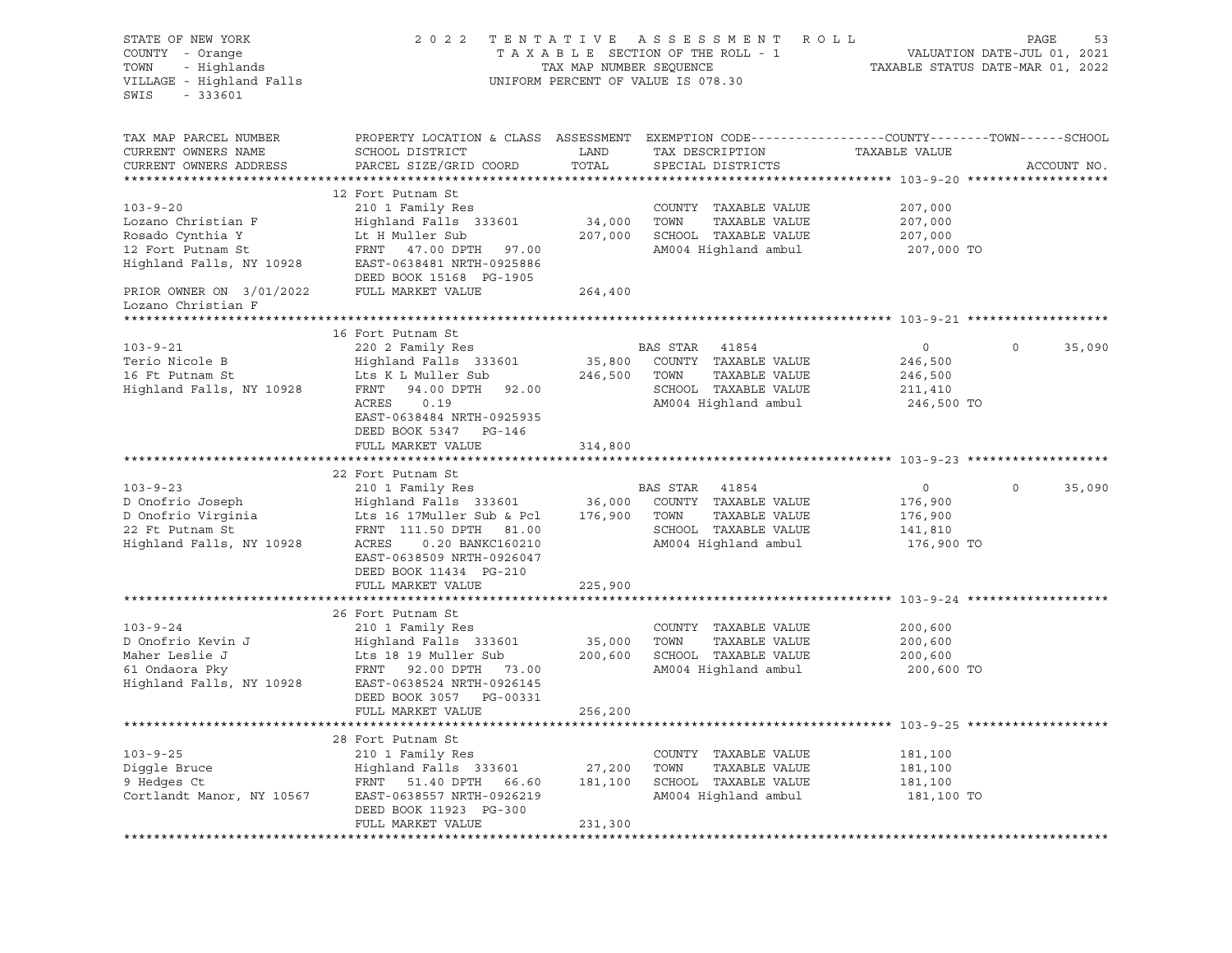| STATE OF NEW YORK<br>COUNTY - Orange<br>- Highlands<br>TOWN<br>VILLAGE - Highland Falls<br>SWIS<br>$-333601$ | 2 0 2 2                                                                                                                                            | TAX MAP NUMBER SEQUENCE | TENTATIVE ASSESSMENT ROLL<br>TAXABLE SECTION OF THE ROLL - 1<br>UNIFORM PERCENT OF VALUE IS 078.30   |                                             | PAGE<br>53<br>VALUATION DATE-JUL 01, 2021<br>TAXABLE STATUS DATE-MAR 01, 2022 |
|--------------------------------------------------------------------------------------------------------------|----------------------------------------------------------------------------------------------------------------------------------------------------|-------------------------|------------------------------------------------------------------------------------------------------|---------------------------------------------|-------------------------------------------------------------------------------|
| TAX MAP PARCEL NUMBER<br>CURRENT OWNERS NAME<br>CURRENT OWNERS ADDRESS                                       | PROPERTY LOCATION & CLASS ASSESSMENT<br>SCHOOL DISTRICT<br>PARCEL SIZE/GRID COORD                                                                  | LAND<br>TOTAL           | EXEMPTION CODE-----------------COUNTY-------TOWN------SCHOOL<br>TAX DESCRIPTION<br>SPECIAL DISTRICTS | TAXABLE VALUE                               | ACCOUNT NO.                                                                   |
|                                                                                                              |                                                                                                                                                    |                         |                                                                                                      |                                             |                                                                               |
| $103 - 9 - 20$<br>Lozano Christian F<br>Rosado Cynthia Y<br>12 Fort Putnam St                                | 12 Fort Putnam St<br>210 1 Family Res<br>Highland Falls 333601<br>Lt H Muller Sub<br>FRNT 47.00 DPTH 97.00                                         | 34,000<br>207,000       | COUNTY TAXABLE VALUE<br>TOWN<br>TAXABLE VALUE<br>SCHOOL TAXABLE VALUE<br>AM004 Highland ambul        | 207,000<br>207,000<br>207,000<br>207,000 TO |                                                                               |
| Highland Falls, NY 10928<br>PRIOR OWNER ON $3/01/2022$<br>Lozano Christian F                                 | EAST-0638481 NRTH-0925886<br>DEED BOOK 15168 PG-1905<br>FULL MARKET VALUE                                                                          | 264,400                 |                                                                                                      |                                             |                                                                               |
|                                                                                                              |                                                                                                                                                    |                         |                                                                                                      |                                             |                                                                               |
| $103 - 9 - 21$                                                                                               | 16 Fort Putnam St<br>220 2 Family Res                                                                                                              |                         | BAS STAR<br>41854                                                                                    | $\circ$                                     | $\mathbf 0$<br>35,090                                                         |
| Terio Nicole B<br>16 Ft Putnam St                                                                            | Highland Falls 333601<br>Lts K L Muller Sub                                                                                                        | 35,800<br>246,500       | COUNTY TAXABLE VALUE<br>TAXABLE VALUE<br>TOWN                                                        | 246,500<br>246,500                          |                                                                               |
| Highland Falls, NY 10928                                                                                     | FRNT<br>94.00 DPTH<br>92.00<br>ACRES<br>0.19<br>EAST-0638484 NRTH-0925935<br>DEED BOOK 5347 PG-146                                                 |                         | SCHOOL TAXABLE VALUE<br>AM004 Highland ambul                                                         | 211,410<br>246,500 TO                       |                                                                               |
|                                                                                                              | FULL MARKET VALUE                                                                                                                                  | 314,800                 |                                                                                                      |                                             |                                                                               |
|                                                                                                              |                                                                                                                                                    |                         |                                                                                                      |                                             |                                                                               |
|                                                                                                              | 22 Fort Putnam St                                                                                                                                  |                         |                                                                                                      |                                             |                                                                               |
| $103 - 9 - 23$                                                                                               | 210 1 Family Res                                                                                                                                   |                         | BAS STAR<br>41854                                                                                    | $\circ$                                     | 35,090<br>0                                                                   |
| D Onofrio Joseph                                                                                             | Highland Falls 333601                                                                                                                              | 36,000                  | COUNTY TAXABLE VALUE                                                                                 | 176,900                                     |                                                                               |
| D Onofrio Virginia                                                                                           | Lts 16 17Muller Sub & Pcl                                                                                                                          | 176,900                 | TOWN<br>TAXABLE VALUE                                                                                | 176,900                                     |                                                                               |
| 22 Ft Putnam St<br>Highland Falls, NY 10928                                                                  | FRNT 111.50 DPTH 81.00<br>ACRES<br>0.20 BANKC160210<br>EAST-0638509 NRTH-0926047<br>DEED BOOK 11434 PG-210                                         |                         | SCHOOL TAXABLE VALUE<br>AM004 Highland ambul                                                         | 141,810<br>176,900 TO                       |                                                                               |
|                                                                                                              | FULL MARKET VALUE                                                                                                                                  | 225,900                 |                                                                                                      |                                             |                                                                               |
|                                                                                                              | 26 Fort Putnam St                                                                                                                                  |                         |                                                                                                      |                                             |                                                                               |
| $103 - 9 - 24$<br>D Onofrio Kevin J<br>Maher Leslie J<br>61 Ondaora Pky<br>Highland Falls, NY 10928          | 210 1 Family Res<br>Highland Falls 333601<br>Lts 18 19 Muller Sub<br>FRNT 92.00 DPTH 73.00<br>EAST-0638524 NRTH-0926145<br>DEED BOOK 3057 PG-00331 | 35,000<br>200,600       | COUNTY TAXABLE VALUE<br>TOWN<br>TAXABLE VALUE<br>SCHOOL TAXABLE VALUE<br>AM004 Highland ambul        | 200,600<br>200,600<br>200,600<br>200,600 TO |                                                                               |
|                                                                                                              | FULL MARKET VALUE                                                                                                                                  | 256,200                 |                                                                                                      |                                             |                                                                               |
|                                                                                                              |                                                                                                                                                    |                         |                                                                                                      |                                             |                                                                               |
|                                                                                                              | 28 Fort Putnam St                                                                                                                                  |                         |                                                                                                      |                                             |                                                                               |
| $103 - 9 - 25$                                                                                               | 210 1 Family Res                                                                                                                                   |                         | COUNTY<br>TAXABLE VALUE                                                                              | 181,100                                     |                                                                               |
| Diggle Bruce                                                                                                 | Highland Falls 333601                                                                                                                              | 27,200                  | TOWN<br>TAXABLE VALUE                                                                                | 181,100                                     |                                                                               |
| 9 Hedges Ct                                                                                                  | FRNT<br>51.40 DPTH<br>66.60                                                                                                                        | 181,100                 | SCHOOL TAXABLE VALUE                                                                                 | 181,100                                     |                                                                               |
| Cortlandt Manor, NY 10567                                                                                    | EAST-0638557 NRTH-0926219<br>DEED BOOK 11923 PG-300                                                                                                |                         | AM004 Highland ambul                                                                                 | 181,100 TO                                  |                                                                               |
|                                                                                                              | FULL MARKET VALUE<br>************************                                                                                                      | 231,300                 |                                                                                                      |                                             |                                                                               |
|                                                                                                              |                                                                                                                                                    |                         |                                                                                                      |                                             |                                                                               |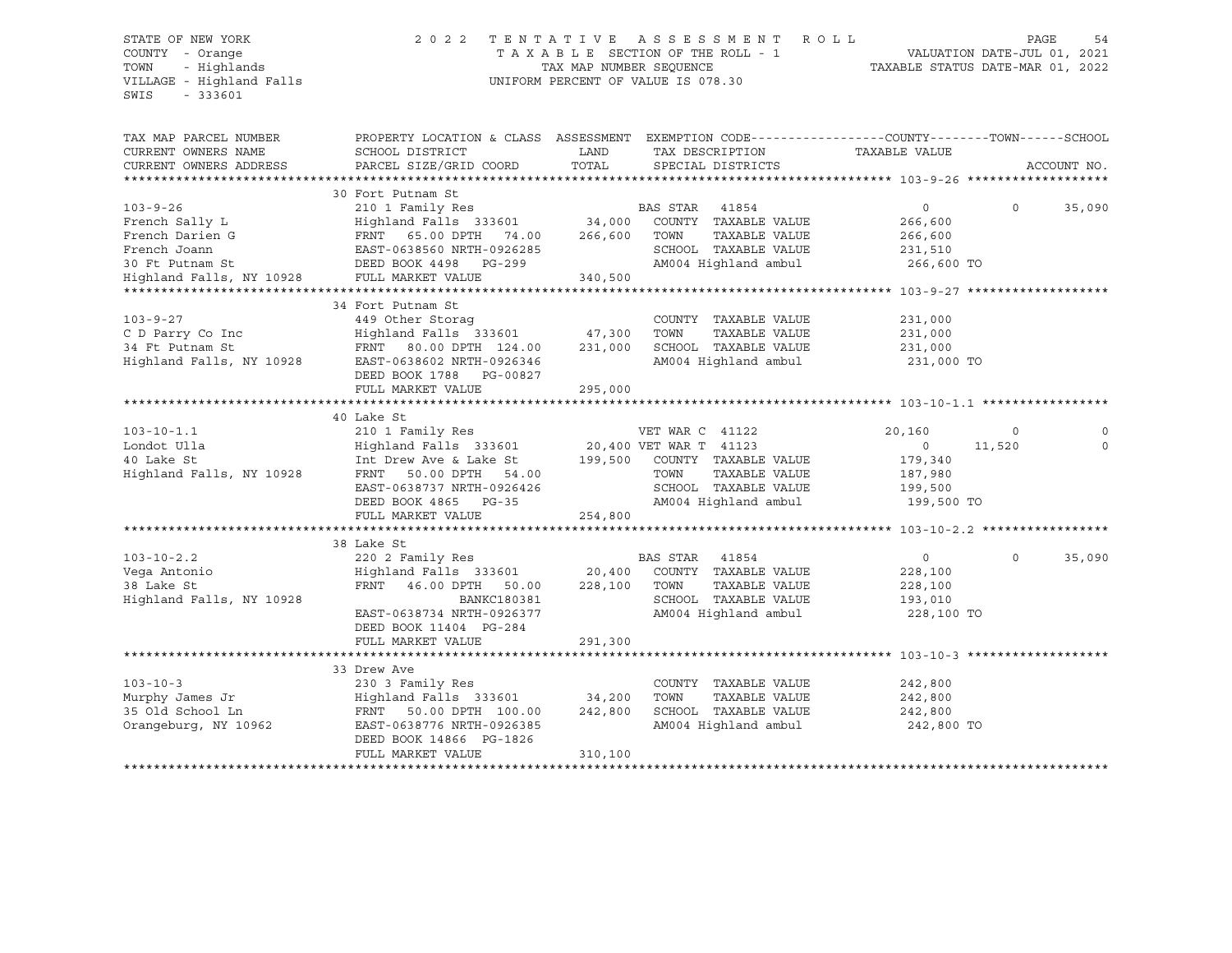# STATE OF NEW YORK 2 0 2 2 T E N T A T I V E A S S E S S M E N T R O L L PAGE 54 COUNTY - Orange T A X A B L E SECTION OF THE ROLL - 1 VALUATION DATE-JUL 01, 2021 TOWN - Highlands TAX MAP NUMBER SEQUENCE TAXABLE STATUS DATE-MAR 01, 2022 VILLAGE - Highland Falls UNIFORM PERCENT OF VALUE IS 078.30

| TAX MAP PARCEL NUMBER    | PROPERTY LOCATION & CLASS ASSESSMENT EXEMPTION CODE----------------COUNTY-------TOWN-----SCHOOL |         |                                                |                       |          |             |
|--------------------------|-------------------------------------------------------------------------------------------------|---------|------------------------------------------------|-----------------------|----------|-------------|
| CURRENT OWNERS NAME      | SCHOOL DISTRICT                                                                                 | LAND    | TAX DESCRIPTION TAXABLE VALUE                  |                       |          |             |
| CURRENT OWNERS ADDRESS   | PARCEL SIZE/GRID COORD                                                                          | TOTAL   | SPECIAL DISTRICTS                              |                       |          | ACCOUNT NO. |
|                          |                                                                                                 |         |                                                |                       |          |             |
|                          | 30 Fort Putnam St                                                                               |         |                                                |                       |          |             |
| $103 - 9 - 26$           | 210 1 Family Res                                                                                |         | BAS STAR<br>41854                              | $\mathbf{0}$          | $\Omega$ | 35,090      |
| French Sally L           | Highland Falls 333601 34,000                                                                    |         | COUNTY TAXABLE VALUE                           | 266,600               |          |             |
| French Darien G          | FRNT 65.00 DPTH<br>74.00                                                                        | 266,600 | TAXABLE VALUE<br>TOWN                          | 266,600               |          |             |
| French Joann             | EAST-0638560 NRTH-0926285                                                                       |         | SCHOOL TAXABLE VALUE                           | 231,510               |          |             |
|                          | DEED BOOK 4498 PG-299                                                                           |         | AM004 Highland ambul                           | 266,600 TO            |          |             |
|                          |                                                                                                 | 340,500 |                                                |                       |          |             |
|                          |                                                                                                 |         |                                                |                       |          |             |
|                          | 34 Fort Putnam St                                                                               |         |                                                |                       |          |             |
| $103 - 9 - 27$           | 449 Other Storaq                                                                                |         | COUNTY TAXABLE VALUE                           | 231,000               |          |             |
| C D Parry Co Inc         | Highland Falls 333601 47,300                                                                    |         | TOWN<br>TAXABLE VALUE                          | 231,000               |          |             |
| 34 Ft Putnam St          | FRNT 80.00 DPTH 124.00                                                                          | 231,000 | SCHOOL TAXABLE VALUE                           | 231,000               |          |             |
| Highland Falls, NY 10928 | EAST-0638602 NRTH-0926346                                                                       |         | AM004 Highland ambul                           | 231,000 TO            |          |             |
|                          | DEED BOOK 1788 PG-00827                                                                         |         |                                                |                       |          |             |
|                          | FULL MARKET VALUE                                                                               | 295,000 |                                                |                       |          |             |
|                          |                                                                                                 |         |                                                |                       |          |             |
|                          | 40 Lake St                                                                                      |         |                                                |                       |          |             |
| $103 - 10 - 1.1$         | 210 1 Family Res                                                                                |         | VET WAR C 41122                                | 20,160                |          |             |
| Londot Ulla              | Highland Falls 333601                                                                           |         |                                                | $\circ$               | 11,520   | $\Omega$    |
| 40 Lake St               | Int Drew Ave & Lake St                                                                          | 199,500 | 20,400 VET WAR T 41123<br>COUNTY TAXABLE VALUE | 179,340               |          |             |
| Highland Falls, NY 10928 | 50.00 DPTH 54.00<br>FRNT                                                                        |         | TOWN<br>TAXABLE VALUE                          | 187,980               |          |             |
|                          | EAST-0638737 NRTH-0926426                                                                       |         | SCHOOL TAXABLE VALUE                           | 199,500               |          |             |
|                          | DEED BOOK 4865 PG-35                                                                            |         | AM004 Highland ambul                           | 199,500 TO            |          |             |
|                          | FULL MARKET VALUE                                                                               | 254,800 |                                                |                       |          |             |
|                          |                                                                                                 |         |                                                |                       |          |             |
|                          | 38 Lake St                                                                                      |         |                                                |                       |          |             |
| $103 - 10 - 2.2$         | 220 2 Family Res                                                                                |         | BAS STAR<br>41854                              | $\circ$               | $\circ$  | 35,090      |
| Vega Antonio             | Highland Falls 333601 20,400                                                                    |         | COUNTY TAXABLE VALUE                           | 228,100               |          |             |
| 38 Lake St               | FRNT<br>46.00 DPTH 50.00                                                                        | 228,100 | TAXABLE VALUE<br>TOWN                          | 228,100               |          |             |
| Highland Falls, NY 10928 | BANKC180381                                                                                     |         | SCHOOL TAXABLE VALUE                           |                       |          |             |
|                          | EAST-0638734 NRTH-0926377                                                                       |         | AM004 Highland ambul                           | 193,010<br>228,100 TO |          |             |
|                          | DEED BOOK 11404 PG-284                                                                          |         |                                                |                       |          |             |
|                          | FULL MARKET VALUE                                                                               |         |                                                |                       |          |             |
|                          |                                                                                                 | 291,300 |                                                |                       |          |             |
|                          |                                                                                                 |         |                                                |                       |          |             |
|                          | 33 Drew Ave                                                                                     |         |                                                |                       |          |             |
| $103 - 10 - 3$           | 230 3 Family Res                                                                                |         | COUNTY TAXABLE VALUE                           | 242,800               |          |             |
| Murphy James Jr          | Highland Falls 333601                                                                           | 34,200  | TOWN<br>TAXABLE VALUE                          | 242,800               |          |             |
| 35 Old School Ln         | FRNT<br>50.00 DPTH 100.00                                                                       | 242,800 | SCHOOL TAXABLE VALUE                           | 242,800               |          |             |
| Orangeburg, NY 10962     | EAST-0638776 NRTH-0926385                                                                       |         | AM004 Highland ambul                           | 242,800 TO            |          |             |
|                          | DEED BOOK 14866 PG-1826                                                                         |         |                                                |                       |          |             |
|                          | FULL MARKET VALUE                                                                               | 310,100 |                                                |                       |          |             |
|                          |                                                                                                 |         |                                                |                       |          |             |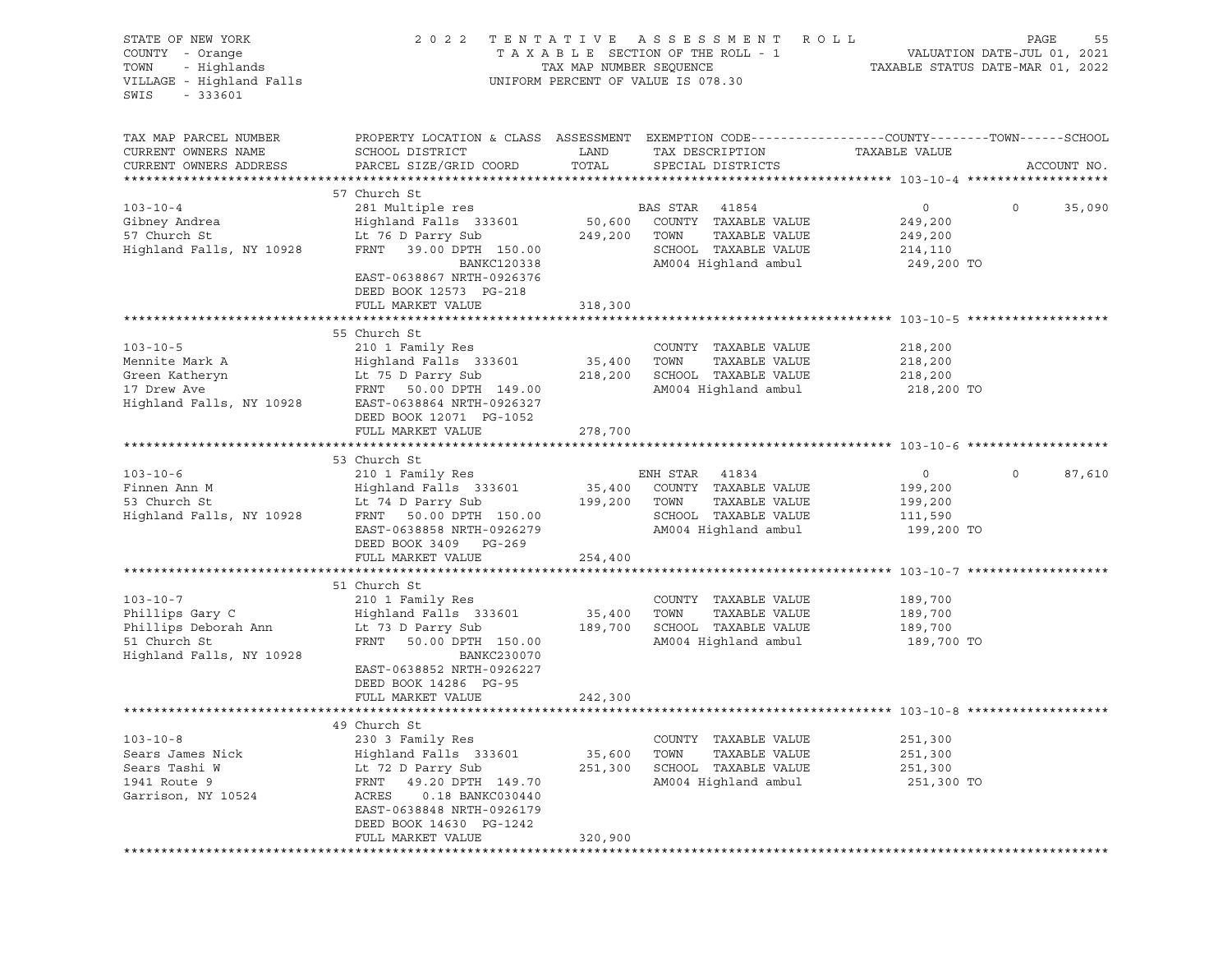| STATE OF NEW YORK<br>COUNTY - Orange<br>- Highlands<br>TOWN<br>VILLAGE - Highland Falls<br>SWIS<br>$-333601$ |                                                                                                                                                                            | TAX MAP NUMBER SEQUENCE | 2022 TENTATIVE ASSESSMENT ROLL<br>TAXABLE SECTION OF THE ROLL - 1<br>UNIFORM PERCENT OF VALUE IS 078.30 | VALUATION DATE-JUL 01, 2021<br>TAXABLE STATUS DATE-MAR 01, 2022 | PAGE<br>55             |
|--------------------------------------------------------------------------------------------------------------|----------------------------------------------------------------------------------------------------------------------------------------------------------------------------|-------------------------|---------------------------------------------------------------------------------------------------------|-----------------------------------------------------------------|------------------------|
| TAX MAP PARCEL NUMBER<br>CURRENT OWNERS NAME<br>CURRENT OWNERS ADDRESS                                       | PROPERTY LOCATION & CLASS ASSESSMENT EXEMPTION CODE----------------COUNTY-------TOWN------SCHOOL<br>SCHOOL DISTRICT<br>PARCEL SIZE/GRID COORD                              | LAND<br>TOTAL           | TAX DESCRIPTION<br>SPECIAL DISTRICTS                                                                    | TAXABLE VALUE                                                   | ACCOUNT NO.            |
|                                                                                                              | 57 Church St                                                                                                                                                               |                         |                                                                                                         |                                                                 |                        |
| $103 - 10 - 4$<br>Gibney Andrea<br>57 Church St<br>Highland Falls, NY 10928                                  | 281 Multiple res<br>Highland Falls 333601<br>Lt 76 D Parry Sub<br>FRNT 39.00 DPTH 150.00<br><b>BANKC120338</b>                                                             | 50,600<br>249,200 TOWN  | BAS STAR 41854<br>COUNTY TAXABLE VALUE<br>TAXABLE VALUE<br>SCHOOL TAXABLE VALUE<br>AM004 Highland ambul | $\overline{0}$<br>249,200<br>249,200<br>214,110<br>249,200 TO   | $\circ$<br>35,090      |
|                                                                                                              | EAST-0638867 NRTH-0926376<br>DEED BOOK 12573 PG-218<br>FULL MARKET VALUE                                                                                                   | 318,300                 |                                                                                                         |                                                                 |                        |
|                                                                                                              |                                                                                                                                                                            |                         |                                                                                                         |                                                                 |                        |
| $103 - 10 - 5$<br>Mennite Mark A<br>Green Katheryn<br>17 Drew Ave<br>Highland Falls, NY 10928                | 55 Church St<br>210 1 Family Res<br>Highland Falls 333601 35,400<br>Lt 75 D Parry Sub<br>FRNT<br>50.00 DPTH 149.00<br>EAST-0638864 NRTH-0926327<br>DEED BOOK 12071 PG-1052 | 218,200                 | COUNTY TAXABLE VALUE<br>TOWN<br>TAXABLE VALUE<br>SCHOOL TAXABLE VALUE<br>AM004 Highland ambul           | 218,200<br>218,200<br>218,200<br>218,200 TO                     |                        |
|                                                                                                              | FULL MARKET VALUE                                                                                                                                                          | 278,700                 |                                                                                                         |                                                                 |                        |
|                                                                                                              |                                                                                                                                                                            |                         |                                                                                                         |                                                                 |                        |
|                                                                                                              | 53 Church St                                                                                                                                                               |                         |                                                                                                         |                                                                 |                        |
| $103 - 10 - 6$                                                                                               | 210 1 Family Res                                                                                                                                                           |                         | ENH STAR 41834                                                                                          | $\circ$                                                         | $\mathsf{O}$<br>87,610 |
| Finnen Ann M<br>$\frac{1}{2}$                                                                                | Highland Falls 333601                                                                                                                                                      | 199,200 TOWN            | 35,400 COUNTY TAXABLE VALUE                                                                             | 199,200                                                         |                        |
| 53 Church St<br>Highland Falls, NY 10928                                                                     | Lt 74 D Parry Sub<br>FRNT 50.00 DPTH<br>FRNT 50.00 DPTH 150.00                                                                                                             |                         | TAXABLE VALUE<br>SCHOOL TAXABLE VALUE                                                                   | 199,200<br>111,590                                              |                        |
|                                                                                                              | EAST-0638858 NRTH-0926279<br>DEED BOOK 3409 PG-269                                                                                                                         |                         | AM004 Highland ambul                                                                                    | 199,200 TO                                                      |                        |
|                                                                                                              | FULL MARKET VALUE                                                                                                                                                          | 254,400                 |                                                                                                         |                                                                 |                        |
|                                                                                                              | 51 Church St                                                                                                                                                               |                         |                                                                                                         |                                                                 |                        |
| $103 - 10 - 7$<br>Phillips Gary C<br>Phillips Deborah Ann<br>51 Church St<br>Highland Falls, NY 10928        | 210 1 Family Res<br>Highland Falls 333601<br>Lt 73 D Parry Sub<br>FRNT<br>50.00 DPTH 150.00<br>BANKC230070<br>EAST-0638852 NRTH-0926227                                    | 35,400<br>189,700       | COUNTY TAXABLE VALUE<br>TOWN<br>TAXABLE VALUE<br>SCHOOL TAXABLE VALUE<br>AM004 Highland ambul           | 189,700<br>189,700<br>189,700<br>189,700 TO                     |                        |
|                                                                                                              | DEED BOOK 14286 PG-95                                                                                                                                                      |                         |                                                                                                         |                                                                 |                        |
|                                                                                                              | FULL MARKET VALUE                                                                                                                                                          | 242,300                 |                                                                                                         |                                                                 |                        |
|                                                                                                              | 49 Church St                                                                                                                                                               |                         |                                                                                                         |                                                                 |                        |
| $103 - 10 - 8$<br>Sears James Nick<br>Sears Tashi W<br>1941 Route 9<br>Garrison, NY 10524                    | 230 3 Family Res<br>Highland Falls 333601<br>Lt 72 D Parry Sub<br>FRNT<br>49.20 DPTH 149.70<br>ACRES<br>0.18 BANKC030440<br>EAST-0638848 NRTH-0926179                      | 35,600<br>251,300       | COUNTY TAXABLE VALUE<br>TOWN<br>TAXABLE VALUE<br>SCHOOL TAXABLE VALUE<br>AM004 Highland ambul           | 251,300<br>251,300<br>251,300<br>251,300 TO                     |                        |
|                                                                                                              | DEED BOOK 14630 PG-1242<br>FULL MARKET VALUE                                                                                                                               | 320,900                 |                                                                                                         |                                                                 |                        |
|                                                                                                              |                                                                                                                                                                            |                         |                                                                                                         |                                                                 |                        |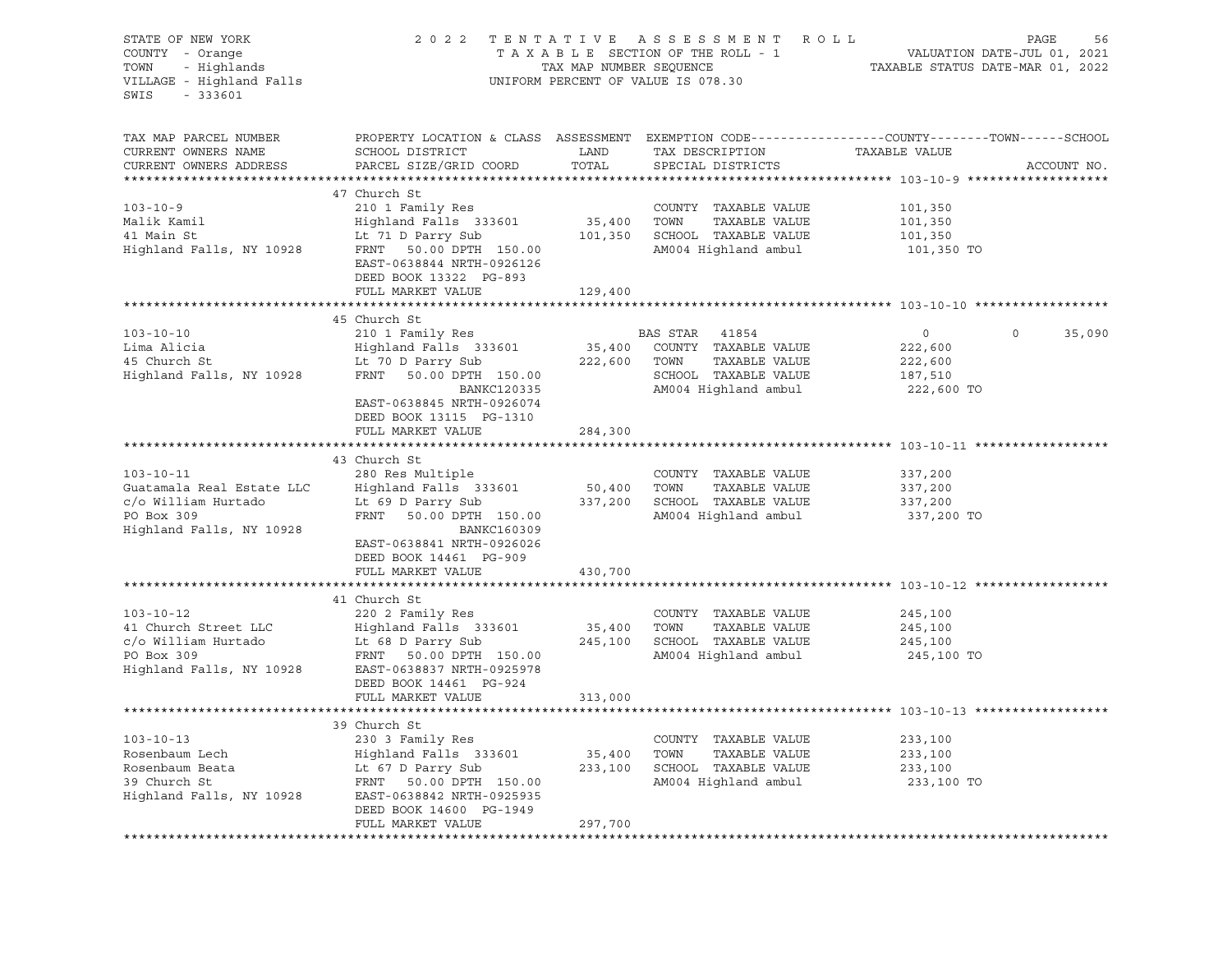| STATE OF NEW YORK<br>COUNTY - Orange<br>- Highlands<br>TOWN<br>VILLAGE - Highland Falls<br>SWIS<br>$-333601$  | 2 0 2 2                                                                                                                                                                                                                                                                                                                                                       |                              | TENTATIVE ASSESSMENT ROLL<br>UNIFORM PERCENT OF VALUE IS 078.30                                  | PAGE<br>56                                                                                                     |
|---------------------------------------------------------------------------------------------------------------|---------------------------------------------------------------------------------------------------------------------------------------------------------------------------------------------------------------------------------------------------------------------------------------------------------------------------------------------------------------|------------------------------|--------------------------------------------------------------------------------------------------|----------------------------------------------------------------------------------------------------------------|
| TAX MAP PARCEL NUMBER<br>CURRENT OWNERS NAME<br>CURRENT OWNERS ADDRESS                                        | SCHOOL DISTRICT<br>PARCEL SIZE/GRID COORD TOTAL                                                                                                                                                                                                                                                                                                               | LAND                         | TAX DESCRIPTION TAXABLE VALUE<br>SPECIAL DISTRICTS                                               | PROPERTY LOCATION & CLASS ASSESSMENT EXEMPTION CODE---------------COUNTY-------TOWN------SCHOOL<br>ACCOUNT NO. |
|                                                                                                               |                                                                                                                                                                                                                                                                                                                                                               |                              |                                                                                                  |                                                                                                                |
|                                                                                                               | 47 Church St<br>103-10-9<br>Malik Kamil Main St (101,350 Highland Falls 333601 Highland Falls 333601 Highland Falls 333601 Highland Falls (101,350 Highland Falls (101,350 Highland Falls (101,350 Highland Falls (101,350 Highland Falls (101,3<br>EAST-0638844 NRTH-0926126<br>DEED BOOK 13322 PG-893                                                       |                              |                                                                                                  | 101,350 TO                                                                                                     |
|                                                                                                               | FULL MARKET VALUE                                                                                                                                                                                                                                                                                                                                             | 129,400                      |                                                                                                  |                                                                                                                |
| $103 - 10 - 10$<br>Lima Alicia<br>45 Church St                                                                | 45 Church St<br>210 1 Family Res<br>EAS STAR 41854<br>Highland Falls 333601 35,400 COUNTY TAXABLE VALUE<br>Lt 70 D Parry Sub 222,600 TOWN TAXABLE VALUE<br>Highland Falls, NY 10928 FRNT 50.00 DPTH 150.00                                                                                                                                                    |                              | SCHOOL TAXABLE VALUE 187,510                                                                     | $\overline{0}$<br>35,090<br>$\overline{0}$<br>222,600<br>222,600                                               |
|                                                                                                               | BANKC120335<br>EAST-0638845 NRTH-0926074<br>DEED BOOK 13115 PG-1310<br>FULL MARKET VALUE<br>43 Church St                                                                                                                                                                                                                                                      | 284,300                      | AM004 Highland ambul                                                                             | 222,600 TO                                                                                                     |
| $103 - 10 - 11$<br>Guatamala Real Estate LLC<br>c/o William Hurtado<br>PO Box 309<br>Highland Falls, NY 10928 | 280 Res Multiple<br>Highland Falls 333601 50,400<br>Lt 69 D Parry Sub 337,200<br>FRNT 50.00 DPTH 150.00<br>BANKC160309<br>EAST-0638841 NRTH-0926026<br>DEED BOOK 14461 PG-909                                                                                                                                                                                 |                              | COUNTY TAXABLE VALUE<br>TOWN<br>SCHOOL TAXABLE VALUE<br>AM004 Highland ambul 337,200 TO          | 337,200<br>TAXABLE VALUE 337,200<br>337,200                                                                    |
|                                                                                                               | FULL MARKET VALUE                                                                                                                                                                                                                                                                                                                                             | 430,700                      |                                                                                                  |                                                                                                                |
| $103 - 10 - 12$                                                                                               | 41 Church St<br>220 2 Family Res<br>41 Church Street LLC<br>$\begin{array}{ccc}\n1.333601 & 35,400 \\ 0.0 \text{ William Hurtado} & \text{Lt} & 68 \text{ D Parry Sub} \\ 0.0 \text{ Box } 309 & \text{FRNT} & 50.00 \text{ DPTH} & 150.00\n\end{array}$<br>Highland Falls, NY 10928 EAST-0638837 NRTH-0925978<br>DEED BOOK 14461 PG-924<br>FULL MARKET VALUE | 313,000                      | COUNTY TAXABLE VALUE<br>TOWN<br>SCHOOL TAXABLE VALUE<br>AM004 Highland ambul 245,100 TO          | 245,100<br>TAXABLE VALUE 245,100<br>245,100                                                                    |
|                                                                                                               |                                                                                                                                                                                                                                                                                                                                                               |                              |                                                                                                  |                                                                                                                |
| $103 - 10 - 13$<br>Rosenbaum Lech<br>Rosenbaum Beata<br>39 Church St<br>Highland Falls, NY 10928              | 39 Church St<br>230 3 Family Res<br>Highland Falls 333601<br>Lt 67 D Parry Sub<br>FRNT<br>50.00 DPTH 150.00<br>EAST-0638842 NRTH-0925935<br>DEED BOOK 14600 PG-1949<br>FULL MARKET VALUE                                                                                                                                                                      | 35,400<br>233,100<br>297,700 | TAXABLE VALUE<br>COUNTY<br>TOWN<br>TAXABLE VALUE<br>SCHOOL TAXABLE VALUE<br>AM004 Highland ambul | 233,100<br>233,100<br>233,100<br>233,100 TO                                                                    |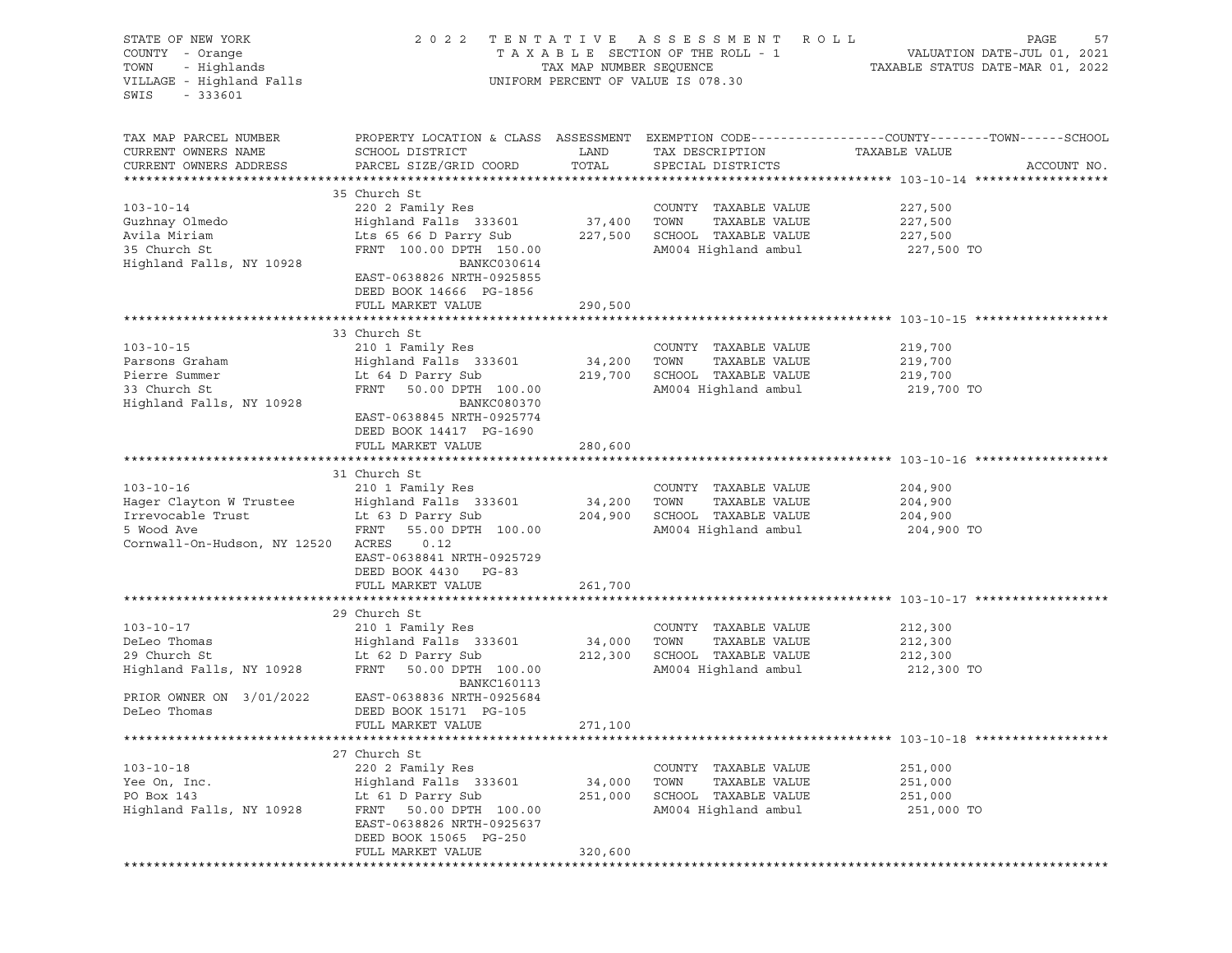| STATE OF NEW YORK<br>COUNTY - Orange<br>- Highlands<br>TOWN<br>VILLAGE - Highland Falls<br>SWIS<br>$-333601$                                                                                                                                                              | 2 0 2 2                                                                                                                                                                                                                                |                              | TENTATIVE ASSESSMENT ROLL<br>UNIFORM PERCENT OF VALUE IS 078.30                                       | PAGE<br>57                                                                                                      |
|---------------------------------------------------------------------------------------------------------------------------------------------------------------------------------------------------------------------------------------------------------------------------|----------------------------------------------------------------------------------------------------------------------------------------------------------------------------------------------------------------------------------------|------------------------------|-------------------------------------------------------------------------------------------------------|-----------------------------------------------------------------------------------------------------------------|
| TAX MAP PARCEL NUMBER<br>CURRENT OWNERS NAME<br>CURRENT OWNERS ADDRESS                                                                                                                                                                                                    | SCHOOL DISTRICT<br>PARCEL SIZE/GRID COORD                                                                                                                                                                                              | LAND<br>TOTAL                | TAX DESCRIPTION TAXABLE VALUE<br>SPECIAL DISTRICTS                                                    | PROPERTY LOCATION & CLASS ASSESSMENT EXEMPTION CODE----------------COUNTY-------TOWN------SCHOOL<br>ACCOUNT NO. |
| $103 - 10 - 14$<br>Guzhnay Olmedo<br>Avila Miriam<br>35 Church St<br>Highland Falls, NY 10928                                                                                                                                                                             | 35 Church St<br>220 2 Family Res<br>Highland Falls 333601<br>Lts 65 66 D Parry Sub 227,500 SCHOOL TAXABLE VALUE<br>FRNT 100.00 DPTH 150.00<br>BANKC030614<br>EAST-0638826 NRTH-0925855<br>DEED BOOK 14666 PG-1856<br>FULL MARKET VALUE | 37,400 TOWN<br>290,500       | COUNTY TAXABLE VALUE<br>TAXABLE VALUE<br>AM004 Highland ambul                                         | 227,500<br>227,500<br>227,500<br>227,500 TO                                                                     |
|                                                                                                                                                                                                                                                                           |                                                                                                                                                                                                                                        |                              |                                                                                                       |                                                                                                                 |
| $103 - 10 - 15$<br>Parsons Graham<br>Pierre Summer<br>33 Church St<br>Highland Falls, NY 10928                                                                                                                                                                            | 33 Church St<br>210 1 Family Res<br>Highland Falls 333601<br>Lt 64 D Parry Sub 219,700 SCHOOL TAXABLE VALUE<br>FRNT 50.00 DPTH 100.00<br>BANKC080370<br>EAST-0638845 NRTH-0925774<br>DEED BOOK 14417 PG-1690                           | 34,200                       | COUNTY TAXABLE VALUE<br>TOWN<br>TAXABLE VALUE<br>AM004 Highland ambul                                 | 219,700<br>219,700<br>219,700<br>219,700 TO                                                                     |
|                                                                                                                                                                                                                                                                           | FULL MARKET VALUE                                                                                                                                                                                                                      | 280,600                      |                                                                                                       |                                                                                                                 |
|                                                                                                                                                                                                                                                                           |                                                                                                                                                                                                                                        |                              |                                                                                                       |                                                                                                                 |
| 103-10-16 210 1 Family Res COUNTY TAXABLE VALUE<br>Hager Clayton W Trustee Highland Falls 333601 34,200 TOWN TAXABLE VALUE<br>Irrevocable Trust Lt 63 D Parry Sub 204,900 SCHOOL TAXABLE VALUE<br>5 Wood Ave FRNT 55.00 DPTH 100.00<br>Cornwall-On-Hudson, NY 12520 ACRES | 31 Church St<br>0.12<br>EAST-0638841 NRTH-0925729<br>DEED BOOK 4430 PG-83                                                                                                                                                              |                              |                                                                                                       | 204,900<br>204,900<br>204,900<br>204,900 TO                                                                     |
|                                                                                                                                                                                                                                                                           | FULL MARKET VALUE                                                                                                                                                                                                                      | 261,700                      |                                                                                                       |                                                                                                                 |
|                                                                                                                                                                                                                                                                           |                                                                                                                                                                                                                                        |                              |                                                                                                       |                                                                                                                 |
| $103 - 10 - 17$<br>DeLeo Thomas<br>29 Church St<br>Highland Falls, NY 10928<br>PRIOR OWNER ON 3/01/2022<br>DeLeo Thomas                                                                                                                                                   | 29 Church St<br>210 1 Family Res<br>Highland Falls 333601<br>Lt 62 D Parry Sub 212,300<br>FRNT 50.00 DPTH 100.00<br>BANKC160113<br>EAST-0638836 NRTH-0925684<br>DEED BOOK 15171 PG-105                                                 | 34,000                       | COUNTY TAXABLE VALUE<br>TOWN<br>TAXABLE VALUE<br>SCHOOL TAXABLE VALUE 212,300<br>AM004 Highland ambul | 212,300<br>212,300<br>212,300 TO                                                                                |
|                                                                                                                                                                                                                                                                           | FULL MARKET VALUE                                                                                                                                                                                                                      | 271,100                      |                                                                                                       |                                                                                                                 |
|                                                                                                                                                                                                                                                                           |                                                                                                                                                                                                                                        |                              |                                                                                                       |                                                                                                                 |
| $103 - 10 - 18$<br>Yee On, Inc.<br>PO Box 143<br>Highland Falls, NY 10928                                                                                                                                                                                                 | 27 Church St<br>220 2 Family Res<br>Highland Falls 333601<br>Lt 61 D Parry Sub<br>FRNT 50.00 DPTH 100.00<br>EAST-0638826 NRTH-0925637<br>DEED BOOK 15065 PG-250<br>FULL MARKET VALUE                                                   | 34,000<br>251,000<br>320,600 | COUNTY TAXABLE VALUE<br>TOWN<br>TAXABLE VALUE<br>SCHOOL TAXABLE VALUE<br>AM004 Highland ambul         | 251,000<br>251,000<br>251,000<br>251,000 TO                                                                     |
|                                                                                                                                                                                                                                                                           |                                                                                                                                                                                                                                        |                              |                                                                                                       |                                                                                                                 |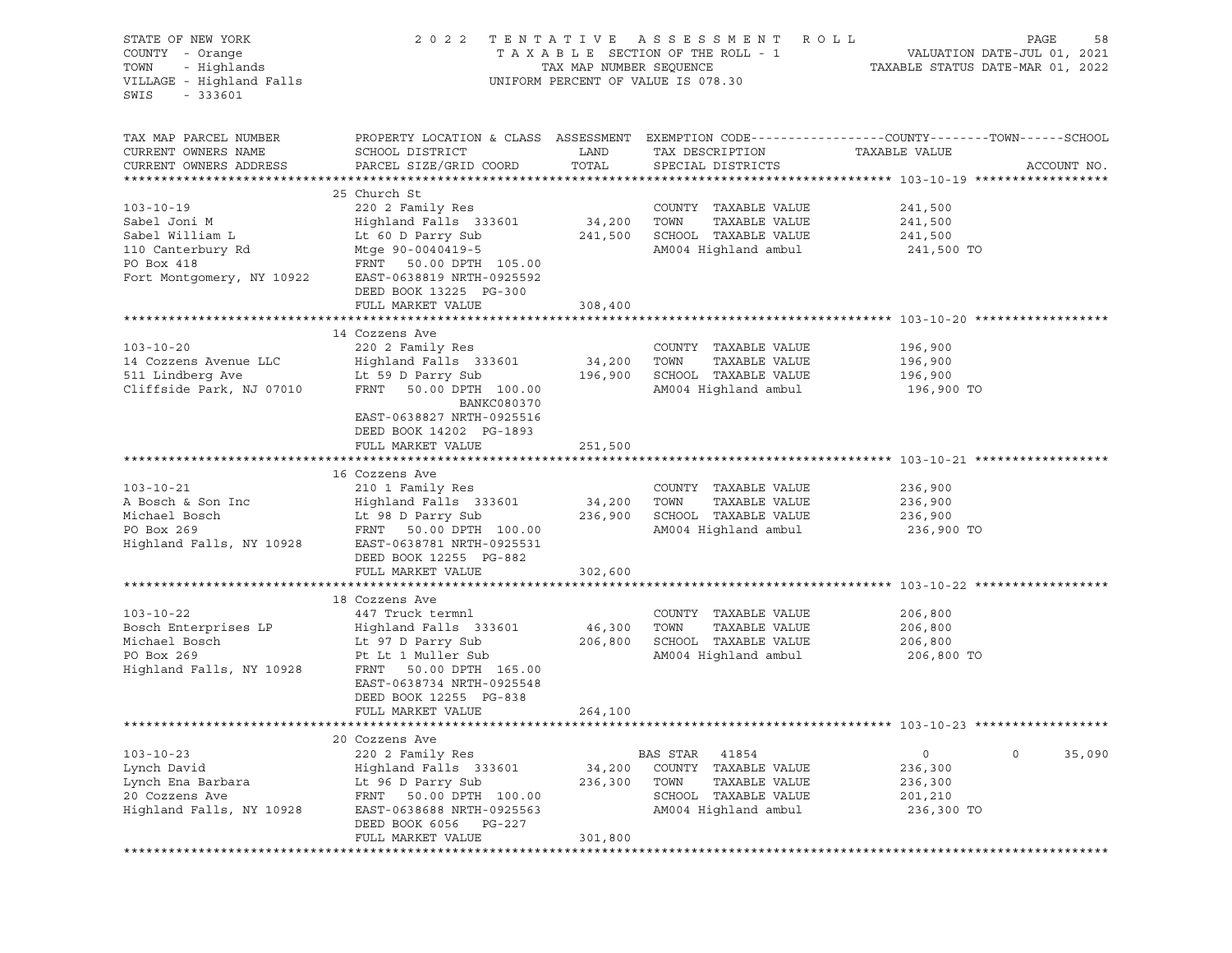| STATE OF NEW YORK<br>COUNTY - Orange<br>- Highlands<br>TOWN<br>VILLAGE - Highland Falls<br>SWIS<br>$-333601$       |                                                                                                                                                                                         | TAX MAP NUMBER SEQUENCE | 2022 TENTATIVE ASSESSMENT ROLL<br>UNIFORM PERCENT OF VALUE IS 078.30                          | PAGE<br>58<br>TAXABLE SECTION OF THE ROLL - 1 VALUATION DATE-JUL 01, 2021<br>TAXABLE STATUS DATE-MAR 01, 2022                   |
|--------------------------------------------------------------------------------------------------------------------|-----------------------------------------------------------------------------------------------------------------------------------------------------------------------------------------|-------------------------|-----------------------------------------------------------------------------------------------|---------------------------------------------------------------------------------------------------------------------------------|
| TAX MAP PARCEL NUMBER<br>CURRENT OWNERS NAME<br>CURRENT OWNERS ADDRESS                                             | SCHOOL DISTRICT<br>PARCEL SIZE/GRID COORD                                                                                                                                               | LAND<br>TOTAL           | TAX DESCRIPTION<br>SPECIAL DISTRICTS                                                          | PROPERTY LOCATION & CLASS ASSESSMENT EXEMPTION CODE----------------COUNTY-------TOWN-----SCHOOL<br>TAXABLE VALUE<br>ACCOUNT NO. |
|                                                                                                                    | 25 Church St                                                                                                                                                                            |                         |                                                                                               |                                                                                                                                 |
| $103 - 10 - 19$<br>Sabel Joni M<br>Sabel William L<br>110 Canterbury Rd<br>PO Box 418<br>Fort Montgomery, NY 10922 | 220 2 Family Res<br>Highland Falls 333601<br>Lt 60 D Parry Sub<br>Mtge 90-0040419-5<br>FRNT 50.00 DPTH 105.00<br>EAST-0638819 NRTH-0925592                                              | 34,200 TOWN             | COUNTY TAXABLE VALUE<br>TAXABLE VALUE<br>241,500 SCHOOL TAXABLE VALUE<br>AM004 Highland ambul | 241,500<br>241,500<br>241,500<br>241,500 TO                                                                                     |
|                                                                                                                    | DEED BOOK 13225 PG-300                                                                                                                                                                  |                         |                                                                                               |                                                                                                                                 |
|                                                                                                                    | FULL MARKET VALUE                                                                                                                                                                       | 308,400                 |                                                                                               |                                                                                                                                 |
| $103 - 10 - 20$<br>14 Cozzens Avenue LLC<br>511 Lindberg Ave<br>Cliffside Park, NJ 07010                           | 14 Cozzens Ave<br>220 2 Family Res<br>Highland Falls 333601<br>Lt 59 D Parry Sub<br>FRNT 50.00 DPTH 100.00<br>BANKC080370                                                               | 34,200<br>196,900       | COUNTY TAXABLE VALUE<br>TOWN<br>TAXABLE VALUE<br>SCHOOL TAXABLE VALUE<br>AM004 Highland ambul | 196,900<br>196,900<br>196,900<br>196,900 TO                                                                                     |
|                                                                                                                    | EAST-0638827 NRTH-0925516<br>DEED BOOK 14202 PG-1893<br>FULL MARKET VALUE                                                                                                               | 251,500                 |                                                                                               |                                                                                                                                 |
|                                                                                                                    | 16 Cozzens Ave                                                                                                                                                                          |                         |                                                                                               |                                                                                                                                 |
| $103 - 10 - 21$<br>A Bosch & Son Inc<br>Michael Bosch<br>PO Box 269<br>Highland Falls, NY 10928                    | 210 1 Family Res<br>Highland Falls 333601<br>Lt 98 D Parry Sub<br>FRNT 50.00 DPTH 100.00<br>EAST-0638781 NRTH-0925531<br>DEED BOOK 12255 PG-882                                         | 34,200 TOWN             | COUNTY TAXABLE VALUE<br>TAXABLE VALUE<br>236,900 SCHOOL TAXABLE VALUE<br>AM004 Highland ambul | 236,900<br>236,900<br>236,900<br>236,900 TO                                                                                     |
|                                                                                                                    | FULL MARKET VALUE                                                                                                                                                                       | 302,600                 |                                                                                               |                                                                                                                                 |
|                                                                                                                    |                                                                                                                                                                                         |                         |                                                                                               |                                                                                                                                 |
| $103 - 10 - 22$<br>Bosch Enterprises LP<br>Michael Bosch<br>PO Box 269<br>Highland Falls, NY 10928                 | 18 Cozzens Ave<br>447 Truck termnl<br>Highland Falls 333601<br>Lt 97 D Parry Sub<br>Pt Lt 1 Muller Sub<br>FRNT 50.00 DPTH 165.00<br>EAST-0638734 NRTH-0925548<br>DEED BOOK 12255 PG-838 | 46,300<br>206,800       | COUNTY TAXABLE VALUE<br>TOWN<br>TAXABLE VALUE<br>SCHOOL TAXABLE VALUE<br>AM004 Highland ambul | 206,800<br>206,800<br>206,800<br>206,800 TO                                                                                     |
|                                                                                                                    | FULL MARKET VALUE                                                                                                                                                                       | 264,100                 |                                                                                               |                                                                                                                                 |
|                                                                                                                    |                                                                                                                                                                                         |                         |                                                                                               |                                                                                                                                 |
|                                                                                                                    | 20 Cozzens Ave                                                                                                                                                                          |                         |                                                                                               |                                                                                                                                 |
| $103 - 10 - 23$                                                                                                    | 220 2 Family Res                                                                                                                                                                        |                         | BAS STAR<br>41854                                                                             | $\circ$<br>35,090<br>0                                                                                                          |
| Lynch David<br>Lynch Ena Barbara                                                                                   | Highland Falls 333601<br>Lt 96 D Parry Sub                                                                                                                                              | 34,200<br>236,300       | COUNTY<br>TAXABLE VALUE<br>TOWN<br>TAXABLE VALUE                                              | 236,300<br>236,300                                                                                                              |
| 20 Cozzens Ave                                                                                                     | FRNT<br>50.00 DPTH 100.00                                                                                                                                                               |                         | SCHOOL TAXABLE VALUE                                                                          | 201,210                                                                                                                         |
| Highland Falls, NY 10928                                                                                           | EAST-0638688 NRTH-0925563<br>DEED BOOK 6056<br>PG-227<br>FULL MARKET VALUE                                                                                                              | 301,800                 | AM004 Highland ambul                                                                          | 236,300 TO                                                                                                                      |
|                                                                                                                    |                                                                                                                                                                                         |                         |                                                                                               |                                                                                                                                 |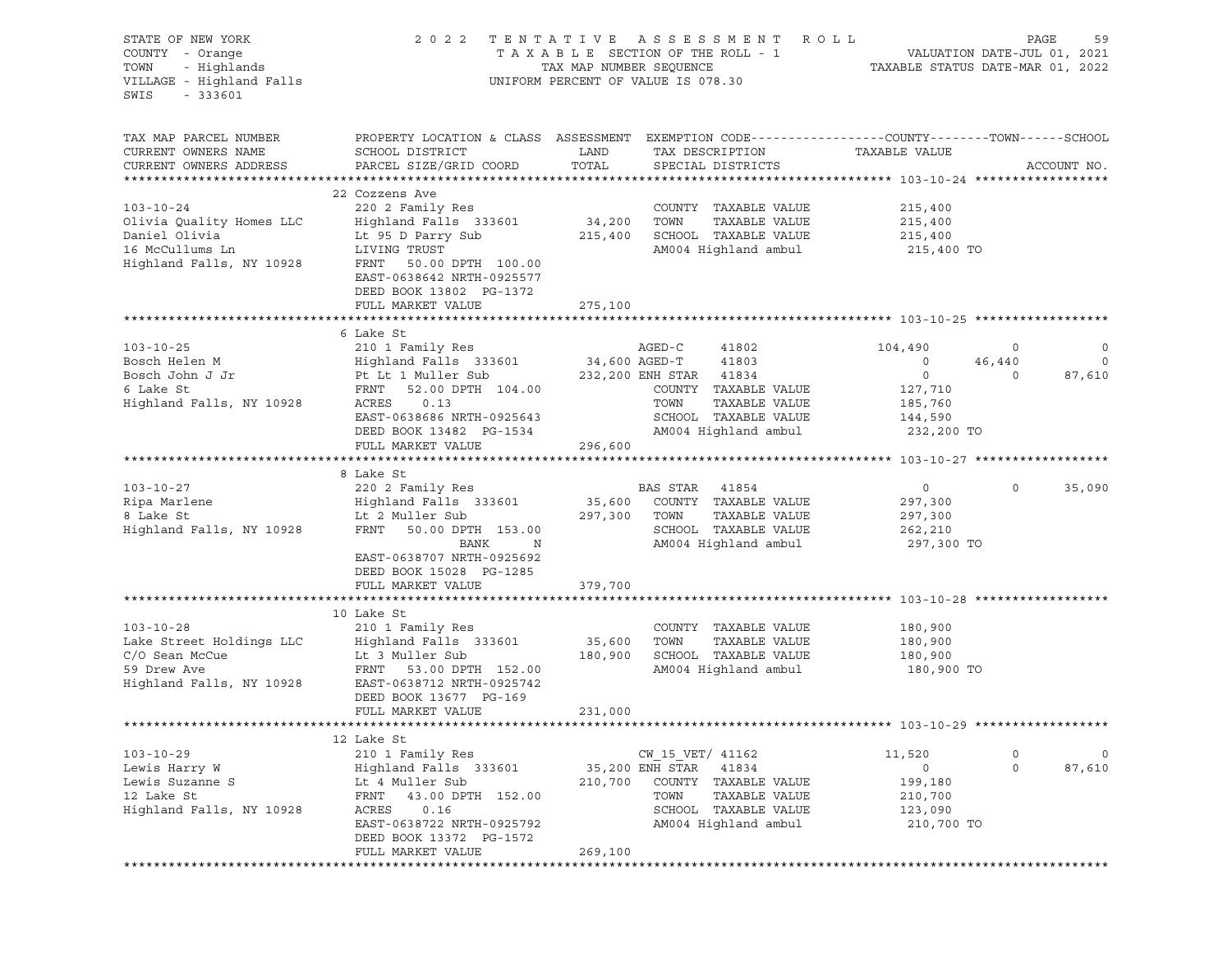| STATE OF NEW YORK<br>COUNTY - Orange<br>TOWN - Highlands<br>VILLAGE - Highland Falls<br>SWIS<br>$-333601$ |                                                                                                                                                                                                       |                              | 2022 TENTATIVE ASSESSMENT ROLL<br>UNIFORM PERCENT OF VALUE IS 078.30                                                                             | TAXABLE SECTION OF THE ROLL - 1<br>TAXABLE SECTION OF THE ROLL - 1<br>TAXABLE STATUS DATE-MAR 01, 2022 | PAGE<br>59                                              |
|-----------------------------------------------------------------------------------------------------------|-------------------------------------------------------------------------------------------------------------------------------------------------------------------------------------------------------|------------------------------|--------------------------------------------------------------------------------------------------------------------------------------------------|--------------------------------------------------------------------------------------------------------|---------------------------------------------------------|
| TAX MAP PARCEL NUMBER<br>CURRENT OWNERS NAME<br>CURRENT OWNERS ADDRESS                                    | PROPERTY LOCATION & CLASS ASSESSMENT EXEMPTION CODE----------------COUNTY-------TOWN------SCHOOL<br>SCHOOL DISTRICT<br>PARCEL SIZE/GRID COORD                                                         | LAND<br>TOTAL                | TAX DESCRIPTION<br>SPECIAL DISTRICTS                                                                                                             | TAXABLE VALUE                                                                                          | ACCOUNT NO.                                             |
| $103 - 10 - 24$<br>Aighland Fall<br>Lt 95 D Parry<br>Highland Falls, NY 10928<br>FRNT 50 00               | 22 Cozzens Ave<br>220 2 Family Res<br>Highland Falls 333601 34,200 TOWN<br>Lt 95 D Parry Sub<br>FRNT 50.00 DPTH 100.00<br>EAST-0638642 NRTH-0925577<br>DEED BOOK 13802 PG-1372<br>FULL MARKET VALUE   | 275,100                      | COUNTY TAXABLE VALUE<br>TAXABLE VALUE<br>215,400 SCHOOL TAXABLE VALUE                                                                            | 215,400<br>215,400<br>SCHOOL TAXABLE VALUE 215,400<br>AM004 Highland ambul 215,400 TO                  |                                                         |
|                                                                                                           |                                                                                                                                                                                                       |                              |                                                                                                                                                  |                                                                                                        |                                                         |
| $103 - 10 - 25$                                                                                           | 6 Lake St<br>210 1 Family Res<br>EAST-0638686 NRTH-0925643<br>DEED BOOK 13482 PG-1534                                                                                                                 |                              | AGED-C<br>41802<br>COUNTY TAXABLE VALUE<br>TAXABLE VALUE<br>SCHOOL TAXABLE VALUE<br>AM004 Highland ambul                                         | 104,490<br>$\circ$<br>0<br>127,710<br>185,760<br>144,590<br>232,200 TO                                 | $\circ$<br>0<br>$\circ$<br>46,440<br>87,610<br>$\Omega$ |
|                                                                                                           | FULL MARKET VALUE                                                                                                                                                                                     | 296,600                      |                                                                                                                                                  |                                                                                                        |                                                         |
|                                                                                                           |                                                                                                                                                                                                       |                              |                                                                                                                                                  |                                                                                                        |                                                         |
| $103 - 10 - 27$<br>Highland Falls, NY 10928                                                               | 8 Lake St<br>220 2 Family Res<br>Ripa Marlene<br>8 Lake St<br>8 Lake St<br>2 Muller Sub<br>FRNT<br>50.00 DPTH 153.00<br>BANK<br>$\mathbb N$<br>EAST-0638707 NRTH-0925692<br>DEED BOOK 15028 PG-1285   | 297,300 TOWN                 | BAS STAR 41854<br>35,600 COUNTY TAXABLE VALUE<br>TAXABLE VALUE<br>SCHOOL TAXABLE VALUE<br>AM004 Highland ambul                                   | $0 \qquad \qquad$<br>297,300<br>297,300<br>262,210<br>297,300 TO                                       | $\Omega$<br>35,090                                      |
|                                                                                                           | FULL MARKET VALUE                                                                                                                                                                                     | 379,700                      |                                                                                                                                                  |                                                                                                        |                                                         |
| $103 - 10 - 28$<br>Lake Street Holdings LLC<br>C/O Sean McCue<br>59 Drew Ave<br>Highland Falls, NY 10928  | 10 Lake St<br>210 1 Family Res<br>DEED BOOK 13677 PG-169<br>FULL MARKET VALUE                                                                                                                         | 35,600<br>180,900<br>231,000 | COUNTY TAXABLE VALUE<br>TOWN<br>TAXABLE VALUE<br>SCHOOL TAXABLE VALUE                                                                            | 180,900<br>180,900<br>180,900<br>AM004 Highland ambul 180,900 TO                                       |                                                         |
|                                                                                                           |                                                                                                                                                                                                       |                              |                                                                                                                                                  |                                                                                                        |                                                         |
| $103 - 10 - 29$<br>Lewis Harry W<br>Lewis Suzanne S<br>12 Lake St<br>Highland Falls, NY 10928             | 12 Lake St<br>210 1 Family Res<br>Highland Falls 333601<br>Lt 4 Muller Sub<br>FRNT<br>43.00 DPTH 152.00<br>0.16<br>ACRES<br>EAST-0638722 NRTH-0925792<br>DEED BOOK 13372 PG-1572<br>FULL MARKET VALUE | 210,700<br>269,100           | CW 15 VET/ 41162<br>35,200 ENH STAR<br>41834<br>COUNTY<br>TAXABLE VALUE<br>TOWN<br>TAXABLE VALUE<br>SCHOOL TAXABLE VALUE<br>AM004 Highland ambul | 11,520<br>0<br>199,180<br>210,700<br>123,090<br>210,700 TO                                             | 0<br>0<br>$\circ$<br>87,610                             |
|                                                                                                           |                                                                                                                                                                                                       | ***********************      |                                                                                                                                                  |                                                                                                        |                                                         |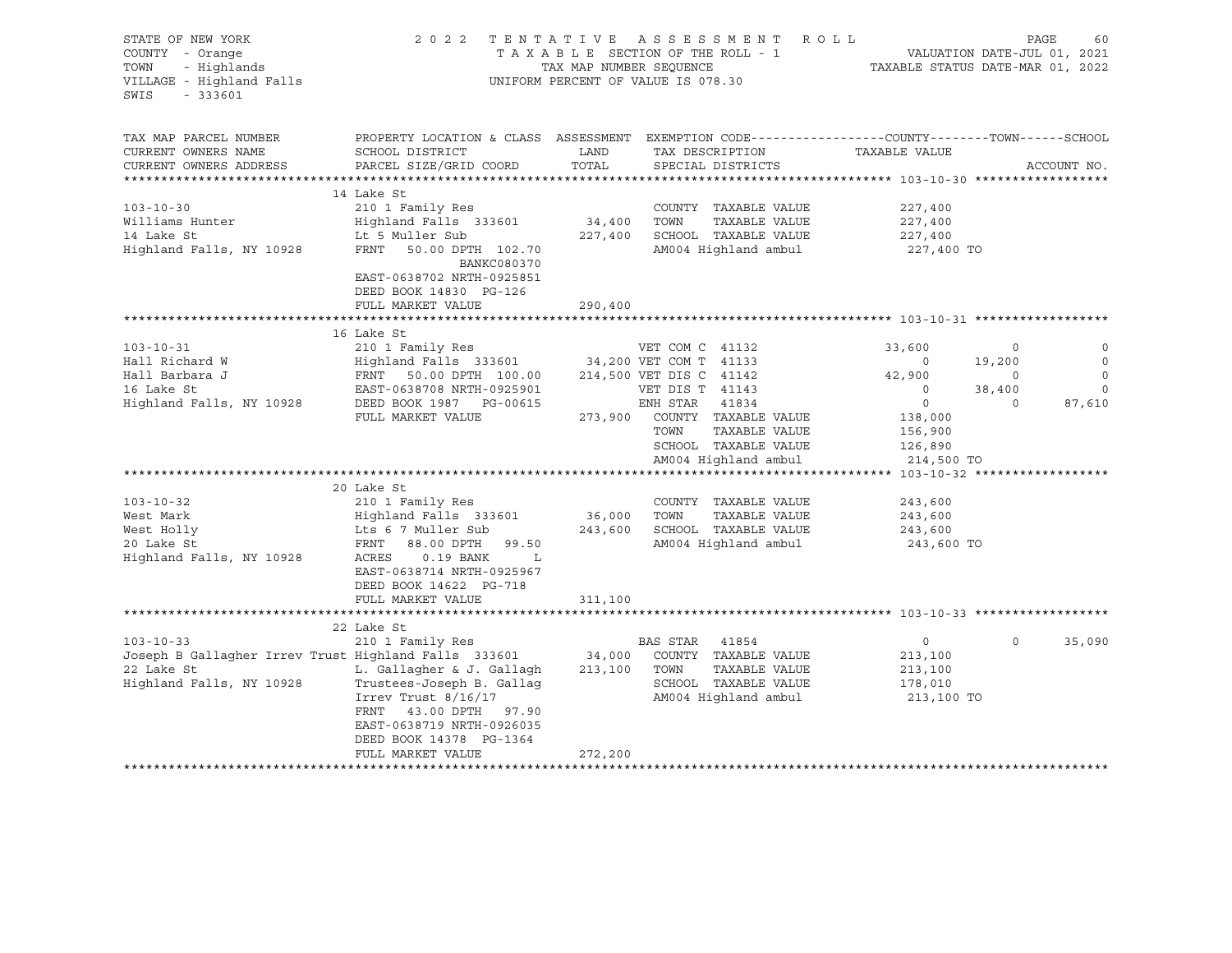| STATE OF NEW YORK<br>COUNTY - Orange<br>- Highlands<br>TOWN<br>VILLAGE - Highland Falls<br>$-333601$<br>SWIS      | 2 0 2 2                                                                                                                                                                                                                       | TAX MAP NUMBER SEQUENCE      | TENTATIVE ASSESSMENT ROLL<br>T A X A B L E SECTION OF THE ROLL - 1<br>UNIFORM PERCENT OF VALUE IS 078.30                                                                                                   | VALUATION DATE-JUL 01, 2021<br>TAXABLE STATUS DATE-MAR 01, 2022                                                |                                                 | PAGE<br>60                                       |
|-------------------------------------------------------------------------------------------------------------------|-------------------------------------------------------------------------------------------------------------------------------------------------------------------------------------------------------------------------------|------------------------------|------------------------------------------------------------------------------------------------------------------------------------------------------------------------------------------------------------|----------------------------------------------------------------------------------------------------------------|-------------------------------------------------|--------------------------------------------------|
| TAX MAP PARCEL NUMBER<br>CURRENT OWNERS NAME<br>CURRENT OWNERS ADDRESS<br>**********************                  | PROPERTY LOCATION & CLASS ASSESSMENT EXEMPTION CODE----------------COUNTY-------TOWN-----SCHOOL<br>SCHOOL DISTRICT<br>PARCEL SIZE/GRID COORD                                                                                  | LAND<br>TOTAL                | TAX DESCRIPTION<br>SPECIAL DISTRICTS                                                                                                                                                                       | TAXABLE VALUE                                                                                                  |                                                 | ACCOUNT NO.                                      |
| $103 - 10 - 30$<br>Williams Hunter<br>14 Lake St<br>Highland Falls, NY 10928                                      | 14 Lake St<br>210 1 Family Res<br>Highland Falls 333601<br>Lt 5 Muller Sub<br>FRNT<br>50.00 DPTH 102.70<br>BANKC080370<br>EAST-0638702 NRTH-0925851<br>DEED BOOK 14830 PG-126<br>FULL MARKET VALUE                            | 34,400<br>227,400<br>290,400 | COUNTY TAXABLE VALUE<br>TOWN<br>TAXABLE VALUE<br>SCHOOL TAXABLE VALUE<br>AM004 Highland ambul                                                                                                              | 227,400<br>227,400<br>227,400<br>227,400 TO                                                                    |                                                 |                                                  |
| $103 - 10 - 31$<br>Hall Richard W<br>Hall Barbara J<br>16 Lake St<br>Highland Falls, NY 10928                     | 16 Lake St<br>210 1 Family Res<br>Highland Falls 333601<br>FRNT 50.00 DPTH 100.00<br>EAST-0638708 NRTH-0925901<br>DEED BOOK 1987 PG-00615<br>FULL MARKET VALUE                                                                | 273,900                      | VET COM C 41132<br>34,200 VET COM T 41133<br>214,500 VET DIS C 41142<br>VET DIS T 41143<br>ENH STAR 41834<br>COUNTY TAXABLE VALUE<br>TAXABLE VALUE<br>TOWN<br>SCHOOL TAXABLE VALUE<br>AM004 Highland ambul | 33,600<br>$\overline{0}$<br>42,900<br>$\circ$<br>$\overline{0}$<br>138,000<br>156,900<br>126,890<br>214,500 TO | 0<br>19,200<br>$\circ$<br>38,400<br>$\mathbf 0$ | 0<br>$\circ$<br>$\circ$<br>$\mathbf 0$<br>87,610 |
| $103 - 10 - 32$<br>West Mark<br>West Holly<br>20 Lake St<br>Highland Falls, NY 10928                              | 20 Lake St<br>210 1 Family Res<br>Highland Falls 333601<br>Lts 6 7 Muller Sub<br>FRNT<br>88.00 DPTH 99.50<br>$0.19$ BANK<br>ACRES<br>$\mathbf{L}$<br>EAST-0638714 NRTH-0925967<br>DEED BOOK 14622 PG-718<br>FULL MARKET VALUE | 36,000<br>243,600<br>311,100 | COUNTY TAXABLE VALUE<br>TAXABLE VALUE<br>TOWN<br>SCHOOL TAXABLE VALUE<br>AM004 Highland ambul                                                                                                              | 243,600<br>243,600<br>243,600<br>243,600 TO                                                                    |                                                 |                                                  |
| $103 - 10 - 33$<br>Joseph B Gallagher Irrev Trust Highland Falls 333601<br>22 Lake St<br>Highland Falls, NY 10928 | 22 Lake St<br>210 1 Family Res<br>L. Gallagher & J. Gallagh<br>Trustees-Joseph B. Gallaq<br>Irrev Trust $8/16/17$<br>FRNT 43.00 DPTH 97.90<br>EAST-0638719 NRTH-0926035<br>DEED BOOK 14378 PG-1364<br>FULL MARKET VALUE       | 34,000<br>213,100<br>272,200 | BAS STAR 41854<br>COUNTY TAXABLE VALUE<br>TOWN<br>TAXABLE VALUE<br>SCHOOL TAXABLE VALUE<br>AM004 Highland ambul                                                                                            | $\overline{0}$<br>213,100<br>213,100<br>178,010<br>213,100 TO                                                  | $\circ$                                         | 35,090                                           |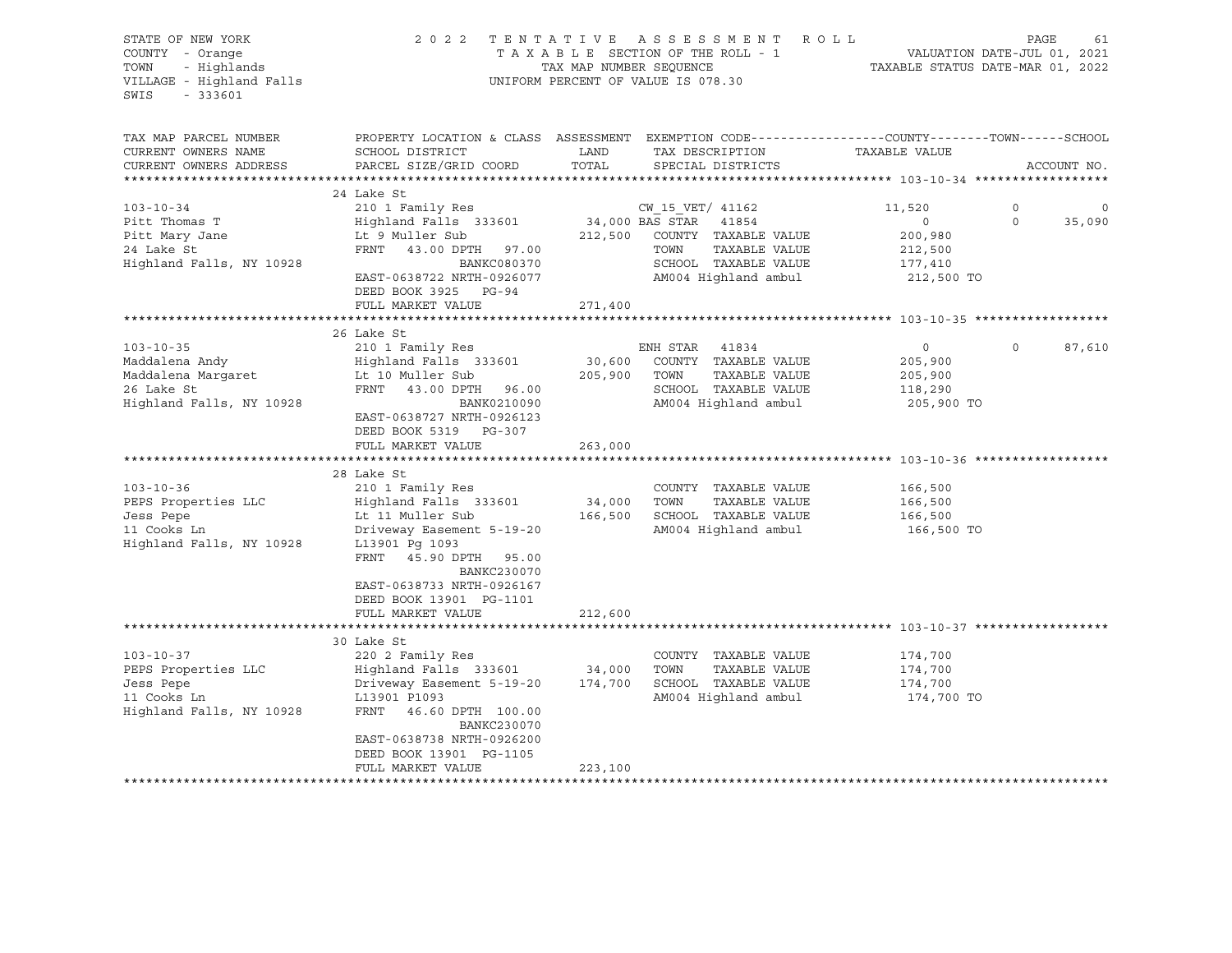| STATE OF NEW YORK                              | 2 0 2 2                      |         | TENTATIVE ASSESSMENT ROLL          |                                                                                                 | PAGE<br>61  |
|------------------------------------------------|------------------------------|---------|------------------------------------|-------------------------------------------------------------------------------------------------|-------------|
| COUNTY - Orange                                |                              |         | TAXABLE SECTION OF THE ROLL - 1    | VALUATION DATE-JUL 01, 2021                                                                     |             |
| - Highlands<br>TOWN<br>TAX MAP NUMBER SEQUENCE |                              |         | TAXABLE STATUS DATE-MAR 01, 2022   |                                                                                                 |             |
| VILLAGE - Highland Falls                       |                              |         | UNIFORM PERCENT OF VALUE IS 078.30 |                                                                                                 |             |
| SWIS<br>$-333601$                              |                              |         |                                    |                                                                                                 |             |
|                                                |                              |         |                                    |                                                                                                 |             |
|                                                |                              |         |                                    |                                                                                                 |             |
| TAX MAP PARCEL NUMBER                          |                              |         |                                    | PROPERTY LOCATION & CLASS ASSESSMENT EXEMPTION CODE---------------COUNTY-------TOWN------SCHOOL |             |
| CURRENT OWNERS NAME                            | SCHOOL DISTRICT              | LAND    | TAX DESCRIPTION                    | TAXABLE VALUE                                                                                   |             |
| CURRENT OWNERS ADDRESS                         | PARCEL SIZE/GRID COORD       | TOTAL   | SPECIAL DISTRICTS                  |                                                                                                 | ACCOUNT NO. |
|                                                |                              |         |                                    |                                                                                                 |             |
|                                                | 24 Lake St                   |         |                                    |                                                                                                 |             |
| $103 - 10 - 34$                                | 210 1 Family Res             |         | CW 15 VET/ 41162                   | 11,520<br>0                                                                                     | $\circ$     |
| Pitt Thomas T                                  | Highland Falls 333601        |         | $34,000$ BAS STAR $41854$          | $\overline{0}$<br>$\Omega$                                                                      | 35,090      |
| Pitt Mary Jane                                 | Lt 9 Muller Sub              |         | 212,500 COUNTY TAXABLE VALUE       | 200,980                                                                                         |             |
| 24 Lake St                                     | FRNT 43.00 DPTH 97.00        |         | TAXABLE VALUE<br>TOWN              | 212,500                                                                                         |             |
| Highland Falls, NY 10928                       | BANKC080370                  |         | SCHOOL TAXABLE VALUE               | 177,410                                                                                         |             |
|                                                | EAST-0638722 NRTH-0926077    |         | AM004 Highland ambul               | 212,500 TO                                                                                      |             |
|                                                | DEED BOOK 3925 PG-94         |         |                                    |                                                                                                 |             |
|                                                | FULL MARKET VALUE            | 271,400 |                                    |                                                                                                 |             |
|                                                |                              |         |                                    |                                                                                                 |             |
|                                                | 26 Lake St                   |         |                                    |                                                                                                 |             |
| $103 - 10 - 35$                                | 210 1 Family Res             |         | ENH STAR 41834                     | $\circ$<br>$\circ$                                                                              | 87,610      |
| Maddalena Andy                                 | Highland Falls 333601        | 30,600  | COUNTY TAXABLE VALUE               | 205,900                                                                                         |             |
| Maddalena Margaret                             | Lt 10 Muller Sub             |         | 205,900 TOWN<br>TAXABLE VALUE      | 205,900                                                                                         |             |
| 26 Lake St                                     | FRNT 43.00 DPTH 96.00        |         | SCHOOL TAXABLE VALUE               | 118,290                                                                                         |             |
| Highland Falls, NY 10928                       | BANK0210090                  |         | AM004 Highland ambul               | 205,900 TO                                                                                      |             |
|                                                | EAST-0638727 NRTH-0926123    |         |                                    |                                                                                                 |             |
|                                                | DEED BOOK 5319 PG-307        |         |                                    |                                                                                                 |             |
|                                                | FULL MARKET VALUE            | 263,000 |                                    |                                                                                                 |             |
|                                                |                              |         |                                    |                                                                                                 |             |
|                                                | 28 Lake St                   |         |                                    |                                                                                                 |             |
| $103 - 10 - 36$                                | 210 1 Family Res             |         | COUNTY TAXABLE VALUE               | 166,500                                                                                         |             |
|                                                | Highland Falls 333601 34,000 |         | TOWN<br>TAXABLE VALUE              | 166,500                                                                                         |             |
| PEPS Properties LLC                            | Lt 11 Muller Sub             | 166,500 | SCHOOL TAXABLE VALUE               |                                                                                                 |             |
| Jess Pepe                                      |                              |         |                                    | 166,500                                                                                         |             |
| 11 Cooks Ln                                    | Driveway Easement 5-19-20    |         | AM004 Highland ambul               | 166,500 TO                                                                                      |             |
| Highland Falls, NY 10928                       | L13901 Pq 1093               |         |                                    |                                                                                                 |             |
|                                                | FRNT 45.90 DPTH 95.00        |         |                                    |                                                                                                 |             |
|                                                | BANKC230070                  |         |                                    |                                                                                                 |             |
|                                                | EAST-0638733 NRTH-0926167    |         |                                    |                                                                                                 |             |
|                                                | DEED BOOK 13901 PG-1101      |         |                                    |                                                                                                 |             |
|                                                | FULL MARKET VALUE            | 212,600 |                                    |                                                                                                 |             |
|                                                |                              |         |                                    |                                                                                                 |             |
|                                                | 30 Lake St                   |         |                                    |                                                                                                 |             |
| $103 - 10 - 37$                                | 220 2 Family Res             |         | COUNTY TAXABLE VALUE               | 174,700                                                                                         |             |
| PEPS Properties LLC                            | Highland Falls 333601 34,000 |         | TOWN<br>TAXABLE VALUE              | 174,700                                                                                         |             |
| Jess Pepe                                      | Driveway Easement 5-19-20    | 174,700 | SCHOOL TAXABLE VALUE               | 174,700                                                                                         |             |
| 11 Cooks Ln                                    | L13901 P1093                 |         | AM004 Highland ambul               | 174,700 TO                                                                                      |             |
| Highland Falls, NY 10928                       | FRNT 46.60 DPTH 100.00       |         |                                    |                                                                                                 |             |
|                                                | BANKC230070                  |         |                                    |                                                                                                 |             |
|                                                | EAST-0638738 NRTH-0926200    |         |                                    |                                                                                                 |             |
|                                                | DEED BOOK 13901 PG-1105      |         |                                    |                                                                                                 |             |
|                                                | FULL MARKET VALUE            | 223,100 |                                    |                                                                                                 |             |
|                                                |                              |         |                                    |                                                                                                 |             |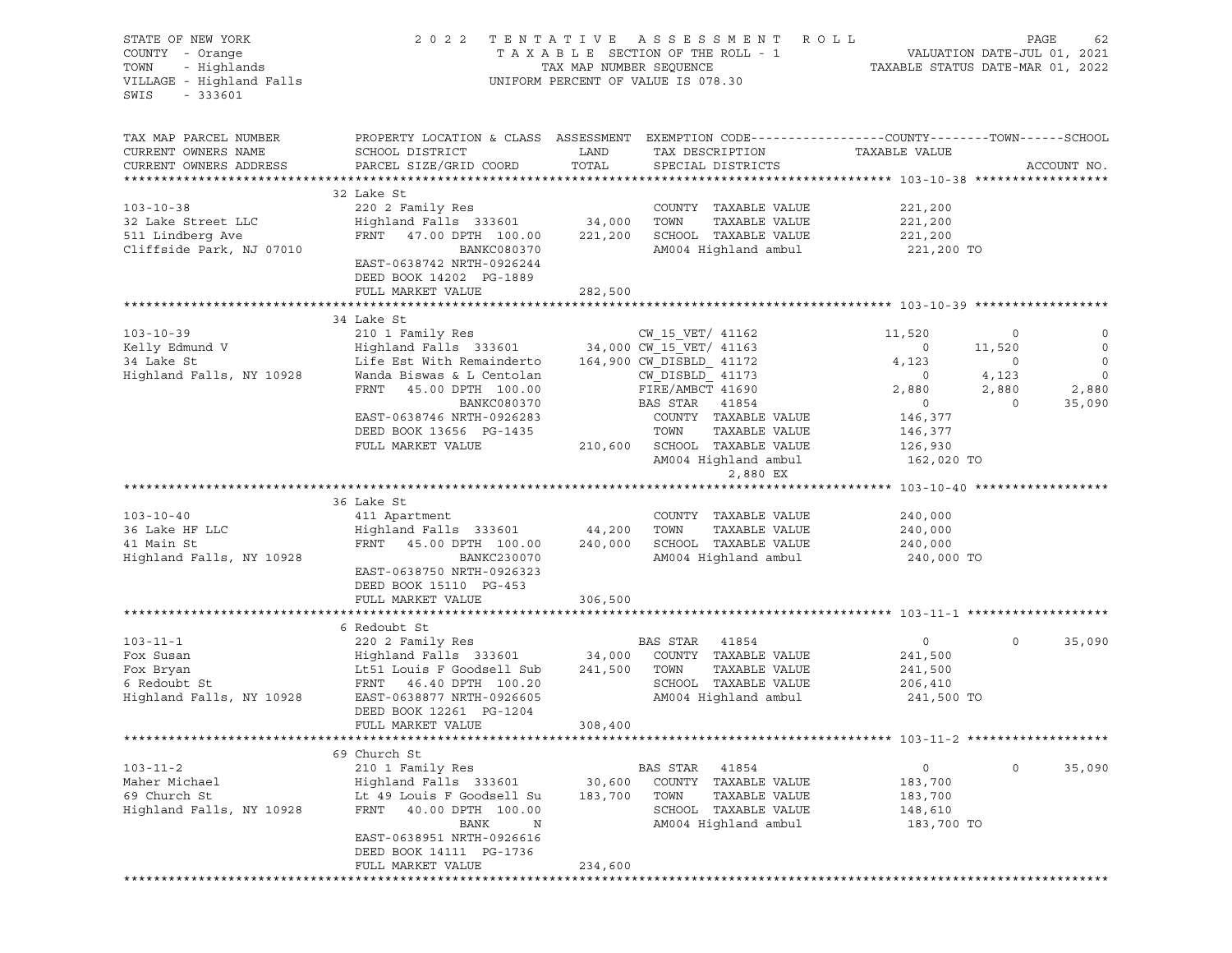| STATE OF NEW YORK<br>COUNTY - Orange<br>TOWN<br>- Highlands<br>VILLAGE - Highland Falls<br>SWIS<br>$-333601$ | 2022                                                                                                                                                                                                          |                              | TENTATIVE ASSESSMENT ROLL<br>UNIFORM PERCENT OF VALUE IS 078.30                                                    |                                                               |                                       | PAGE<br>62                            |
|--------------------------------------------------------------------------------------------------------------|---------------------------------------------------------------------------------------------------------------------------------------------------------------------------------------------------------------|------------------------------|--------------------------------------------------------------------------------------------------------------------|---------------------------------------------------------------|---------------------------------------|---------------------------------------|
| TAX MAP PARCEL NUMBER<br>CURRENT OWNERS NAME<br>CURRENT OWNERS ADDRESS                                       | PROPERTY LOCATION & CLASS ASSESSMENT EXEMPTION CODE----------------COUNTY-------TOWN------SCHOOL<br>SCHOOL DISTRICT<br>PARCEL SIZE/GRID COORD                                                                 | LAND<br>TOTAL                | TAX DESCRIPTION TAXABLE VALUE<br>SPECIAL DISTRICTS                                                                 |                                                               |                                       | ACCOUNT NO.                           |
| $103 - 10 - 38$<br>32 Lake Street LLC<br>511 Lindberg Ave<br>Cliffside Park, NJ 07010                        | 32 Lake St<br>220 2 Family Res<br>Highland Falls 333601 34,000 TOWN<br>FRNT 47.00 DPTH 100.00<br>BANKC080370<br>EAST-0638742 NRTH-0926244<br>DEED BOOK 14202 PG-1889<br>FULL MARKET VALUE                     | 221,200<br>282,500           | COUNTY TAXABLE VALUE<br>TAXABLE VALUE<br>SCHOOL TAXABLE VALUE<br>AM004 Highland ambul                              | 221,200<br>221,200<br>221,200<br>221,200 TO                   |                                       |                                       |
|                                                                                                              |                                                                                                                                                                                                               |                              |                                                                                                                    |                                                               |                                       |                                       |
| $103 - 10 - 39$<br>Kelly Edmund V                                                                            | 34 Lake St<br>210 1 Family Res<br>Highland Falls 333601 34,000 CW 15 VET/ 41163                                                                                                                               |                              | CW 15 VET/ 41162                                                                                                   | 11,520<br>$\circ$                                             | $\circ$<br>11,520                     | $\circ$<br>$\overline{0}$             |
| 34 Lake St<br>Highland Falls, NY 10928                                                                       | Life Est With Remainderto<br>Wanda Biswas & L Centolan<br>FRNT 45.00 DPTH 100.00<br>BANKC080370<br>EAST-0638746 NRTH-0926283                                                                                  |                              | 164,900 CW DISBLD 41172<br>CW DISBLD 41173<br>FIRE/AMBCT 41690<br>BAS STAR 41854<br>COUNTY TAXABLE VALUE           | 4,123<br>$\overline{0}$<br>2,880<br>$\overline{0}$<br>146,377 | $\circ$<br>4,123<br>2,880<br>$\Omega$ | $\circ$<br>$\circ$<br>2,880<br>35,090 |
|                                                                                                              | DEED BOOK 13656 PG-1435<br>FULL MARKET VALUE                                                                                                                                                                  |                              | TAXABLE VALUE<br>TOWN<br>210,600 SCHOOL TAXABLE VALUE<br>AM004 Highland ambul<br>2,880 EX                          | 146,377<br>126,930<br>162,020 TO                              |                                       |                                       |
|                                                                                                              |                                                                                                                                                                                                               |                              |                                                                                                                    |                                                               |                                       |                                       |
| $103 - 10 - 40$<br>36 Lake HF LLC<br>41 Main St<br>Highland Falls, NY 10928                                  | 36 Lake St<br>411 Apartment<br>Highland Falls 333601 44,200 TOWN<br>FRNT 45.00 DPTH 100.00<br>BANKC230070<br>EAST-0638750 NRTH-0926323<br>DEED BOOK 15110 PG-453<br>FULL MARKET VALUE                         | 240,000<br>306,500           | COUNTY TAXABLE VALUE<br>TAXABLE VALUE<br>SCHOOL TAXABLE VALUE<br>AM004 Highland ambul                              | 240,000<br>240,000<br>240,000<br>240,000 TO                   |                                       |                                       |
|                                                                                                              |                                                                                                                                                                                                               |                              |                                                                                                                    |                                                               |                                       |                                       |
| $103 - 11 - 1$<br>Fox Susan<br>Fox Bryan<br>6 Redoubt St<br>Highland Falls, NY 10928                         | 6 Redoubt St<br>220 2 Family Res<br>Highland Falls 333601 34,000<br>Lt51 Louis F Goodsell Sub<br>FRNT 46.40 DPTH 100.20<br>EAST-0638877 NRTH-0926605<br>DEED BOOK 12261 PG-1204<br>FULL MARKET VALUE          | 241,500 TOWN<br>308,400      | BAS STAR 41854<br>COUNTY TAXABLE VALUE<br>TAXABLE VALUE<br>SCHOOL TAXABLE VALUE<br>AM004 Highland ambul            | $\overline{0}$<br>241,500<br>241,500<br>206,410<br>241,500 TO | $\circ$                               | 35,090                                |
|                                                                                                              |                                                                                                                                                                                                               |                              |                                                                                                                    |                                                               |                                       |                                       |
| $103 - 11 - 2$<br>Maher Michael<br>69 Church St<br>Highland Falls, NY 10928                                  | 69 Church St<br>210 1 Family Res<br>Highland Falls 333601<br>Lt 49 Louis F Goodsell Su<br>FRNT<br>40.00 DPTH 100.00<br>BANK<br>N<br>EAST-0638951 NRTH-0926616<br>DEED BOOK 14111 PG-1736<br>FULL MARKET VALUE | 30,600<br>183,700<br>234,600 | BAS STAR<br>41854<br>COUNTY TAXABLE VALUE<br>TOWN<br>TAXABLE VALUE<br>SCHOOL TAXABLE VALUE<br>AM004 Highland ambul | 0<br>183,700<br>183,700<br>148,610<br>183,700 TO              | $\circ$                               | 35,090                                |
|                                                                                                              |                                                                                                                                                                                                               |                              |                                                                                                                    |                                                               |                                       |                                       |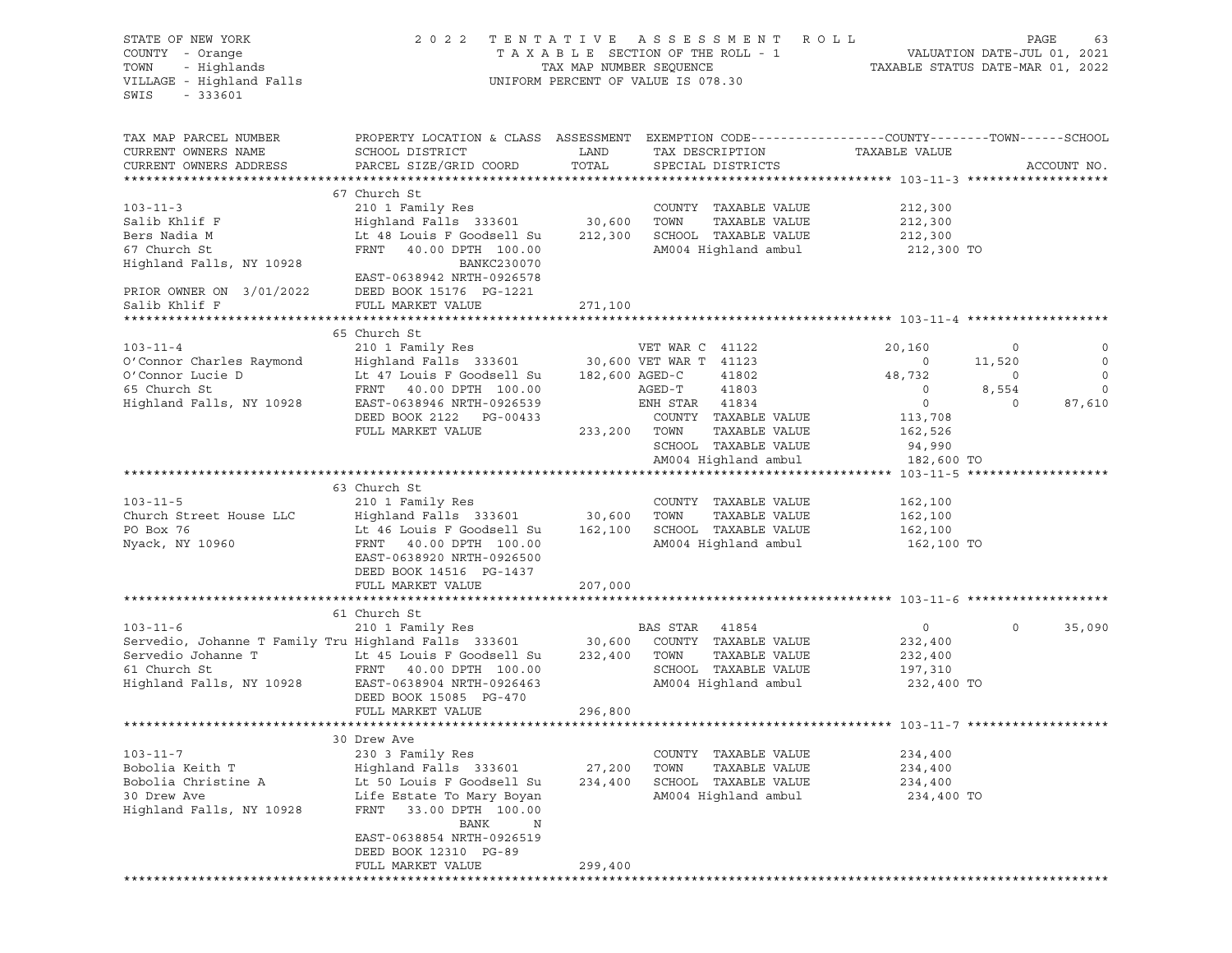| STATE OF NEW YORK<br>COUNTY - Orange<br>- Highlands<br>TOWN<br>VILLAGE - Highland Falls<br>SWIS<br>$-333601$                             | 2 0 2 2                                                                                                                                                                                                            | TAX MAP NUMBER SEQUENCE      | TENTATIVE ASSESSMENT ROLL<br>T A X A B L E SECTION OF THE ROLL - 1<br>TAX MAP NUMBER SEQUENCE T<br>UNIFORM PERCENT OF VALUE IS 078.30 | TAXABLE STATUS DATE-MAR 01, 2022                                         | PAGE<br>VALUATION DATE-JUL 01, 2021 | 63                                         |
|------------------------------------------------------------------------------------------------------------------------------------------|--------------------------------------------------------------------------------------------------------------------------------------------------------------------------------------------------------------------|------------------------------|---------------------------------------------------------------------------------------------------------------------------------------|--------------------------------------------------------------------------|-------------------------------------|--------------------------------------------|
| TAX MAP PARCEL NUMBER<br>CURRENT OWNERS NAME<br>CURRENT OWNERS ADDRESS                                                                   | PROPERTY LOCATION & CLASS ASSESSMENT EXEMPTION CODE---------------COUNTY-------TOWN------SCHOOL<br>SCHOOL DISTRICT<br>PARCEL SIZE/GRID COORD                                                                       | LAND<br>TOTAL                | TAX DESCRIPTION<br>SPECIAL DISTRICTS                                                                                                  | TAXABLE VALUE                                                            |                                     | ACCOUNT NO.                                |
| $103 - 11 - 3$<br>Salib Khlif F<br>Bers Nadia M<br>67 Church St<br>Highland Falls, NY 10928<br>PRIOR OWNER ON 3/01/2022<br>Salib Khlif F | 67 Church St<br>210 1 Family Res<br>Highland Falls 333601<br>Lt 48 Louis F Goodsell Su<br>FRNT<br>40.00 DPTH 100.00<br>BANKC230070<br>EAST-0638942 NRTH-0926578<br>DEED BOOK 15176 PG-1221<br>FULL MARKET VALUE    | 30,600<br>212,300<br>271,100 | COUNTY TAXABLE VALUE<br>TOWN<br>TAXABLE VALUE<br>SCHOOL TAXABLE VALUE<br>AM004 Highland ambul                                         | 212,300<br>212,300<br>212,300<br>212,300 TO                              |                                     |                                            |
| ********************                                                                                                                     |                                                                                                                                                                                                                    |                              |                                                                                                                                       |                                                                          |                                     |                                            |
| $103 - 11 - 4$<br>O'Connor Charles Raymond<br>O'Connor Lucie D<br>65 Church St                                                           | 65 Church St<br>210 1 Family Res<br>Highland Falls 333601<br>Lt 47 Louis F Goodsell Su<br>FRNT 40.00 DPTH 100.00                                                                                                   | 182,600 AGED-C               | VET WAR C 41122<br>30,600 VET WAR T 41123<br>41802<br>41803<br>AGED-T                                                                 | 20,160<br>$\overline{\phantom{0}}$<br>48,732<br>$\overline{\phantom{0}}$ | 0<br>11,520<br>$\circ$<br>8,554     | 0<br>$\mathbf 0$<br>$\circ$<br>$\mathbf 0$ |
| Highland Falls, NY 10928                                                                                                                 | EAST-0638946 NRTH-0926539<br>DEED BOOK 2122 PG-00433<br>FULL MARKET VALUE                                                                                                                                          | 233,200                      | ENH STAR 41834<br>COUNTY TAXABLE VALUE<br>TOWN<br>TAXABLE VALUE<br>SCHOOL TAXABLE VALUE<br>AM004 Highland ambul                       | $\circ$<br>113,708<br>162,526<br>94,990<br>182,600 TO                    | $\Omega$                            | 87,610                                     |
|                                                                                                                                          |                                                                                                                                                                                                                    |                              |                                                                                                                                       |                                                                          |                                     |                                            |
| $103 - 11 - 5$<br>Church Street House LLC<br>PO Box 76<br>Nyack, NY 10960                                                                | 63 Church St<br>210 1 Family Res<br>Highland Falls 333601<br>Lt 46 Louis F Goodsell Su<br>FRNT 40.00 DPTH 100.00<br>EAST-0638920 NRTH-0926500<br>DEED BOOK 14516 PG-1437                                           | 30,600<br>162,100            | COUNTY TAXABLE VALUE<br>TOWN<br>TAXABLE VALUE<br>SCHOOL TAXABLE VALUE<br>AM004 Highland ambul                                         | 162,100<br>162,100<br>162,100<br>162,100 TO                              |                                     |                                            |
|                                                                                                                                          | FULL MARKET VALUE                                                                                                                                                                                                  | 207,000                      |                                                                                                                                       |                                                                          |                                     |                                            |
|                                                                                                                                          |                                                                                                                                                                                                                    |                              |                                                                                                                                       |                                                                          |                                     |                                            |
| $103 - 11 - 6$<br>Servedio, Johanne T Family Tru Highland Falls 333601<br>Servedio Johanne T<br>61 Church St<br>Highland Falls, NY 10928 | 61 Church St<br>210 1 Family Res<br>Lt 45 Louis F Goodsell Su<br>FRNT 40.00 DPTH 100.00<br>EAST-0638904 NRTH-0926463<br>DEED BOOK 15085 PG-470<br>FULL MARKET VALUE                                                | 30,600<br>232,400<br>296,800 | BAS STAR<br>41854<br>COUNTY TAXABLE VALUE<br>TAXABLE VALUE<br>TOWN<br>SCHOOL TAXABLE VALUE<br>AM004 Highland ambul                    | $\overline{0}$<br>232,400<br>232,400<br>197,310<br>232,400 TO            | $\circ$                             | 35,090                                     |
|                                                                                                                                          |                                                                                                                                                                                                                    |                              |                                                                                                                                       |                                                                          |                                     |                                            |
| $103 - 11 - 7$<br>Bobolia Keith T<br>Bobolia Christine A<br>30 Drew Ave<br>Highland Falls, NY 10928                                      | 30 Drew Ave<br>230 3 Family Res<br>Highland Falls 333601<br>Lt 50 Louis F Goodsell Su<br>Life Estate To Mary Boyan<br>FRNT<br>33.00 DPTH 100.00<br>BANK<br>N<br>EAST-0638854 NRTH-0926519<br>DEED BOOK 12310 PG-89 | 27,200<br>234,400            | COUNTY TAXABLE VALUE<br>TOWN<br>TAXABLE VALUE<br>SCHOOL TAXABLE VALUE<br>AM004 Highland ambul                                         | 234,400<br>234,400<br>234,400<br>234,400 TO                              |                                     |                                            |
|                                                                                                                                          | FULL MARKET VALUE                                                                                                                                                                                                  | 299,400                      |                                                                                                                                       |                                                                          |                                     |                                            |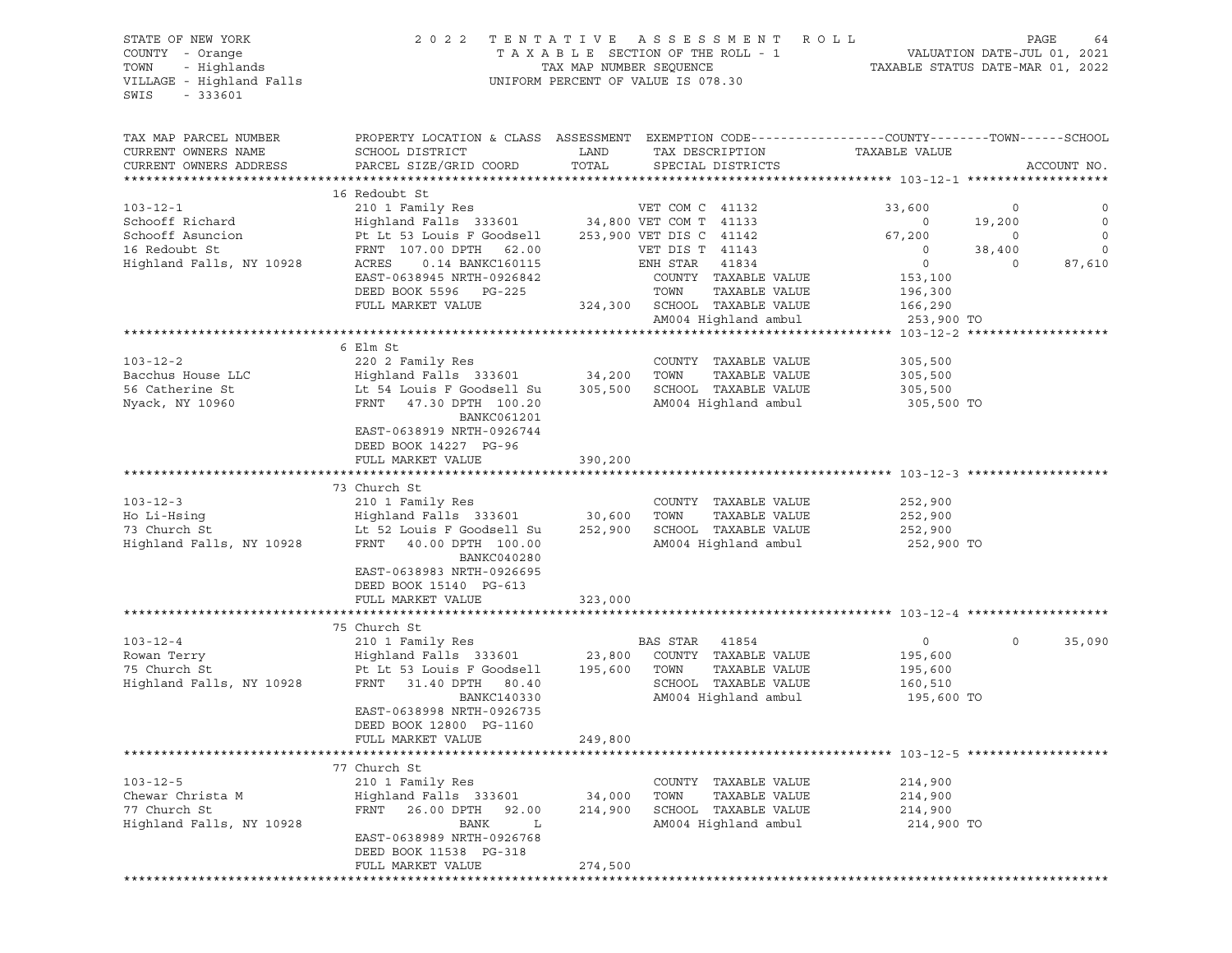# STATE OF NEW YORK 2 0 2 2 T E N T A T I V E A S S E S S M E N T R O L L PAGE 64 COUNTY - Orange T A X A B L E SECTION OF THE ROLL - 1 VALUATION DATE-JUL 01, 2021 TOWN - Highlands TAX MAP NUMBER SEQUENCE TAXABLE STATUS DATE-MAR 01, 2022 VILLAGE - Highland Falls UNIFORM PERCENT OF VALUE IS 078.30

|                                              | PROPERTY LOCATION & CLASS ASSESSMENT EXEMPTION CODE----------------COUNTY-------TOWN------SCHOOL                      |         |                                       |                                            |          |              |
|----------------------------------------------|-----------------------------------------------------------------------------------------------------------------------|---------|---------------------------------------|--------------------------------------------|----------|--------------|
| TAX MAP PARCEL NUMBER<br>CURRENT OWNERS NAME | SCHOOL DISTRICT                                                                                                       | LAND    |                                       | TAXABLE VALUE                              |          |              |
| CURRENT OWNERS ADDRESS                       | PARCEL SIZE/GRID COORD                                                                                                | TOTAL   | TAX DESCRIPTION<br>SPECIAL DISTRICTS  |                                            |          | ACCOUNT NO.  |
|                                              |                                                                                                                       |         |                                       |                                            |          |              |
|                                              | 16 Redoubt St                                                                                                         |         |                                       |                                            |          |              |
| $103 - 12 - 1$                               | 210 1 Family Res<br>Highland Falls 333601 34,800 VET COM T 41133<br>Pt Lt 53 Louis F Goodsell 253,900 VET DIS C 41142 |         |                                       | 33,600                                     | $\circ$  | 0            |
| Schooff Richard                              |                                                                                                                       |         |                                       | $\overline{\phantom{0}}$                   | 19,200   | $\circ$      |
| Schooff Asuncion                             |                                                                                                                       |         | 253,900 VET DIS C 41142               | 67,200                                     | $\circ$  | $\mathbf{0}$ |
| 16 Redoubt St                                | FRNT 107.00 DPTH 62.00                                                                                                |         | VET DIS T 41143                       |                                            | 38,400   | $\mathbf 0$  |
| Highland Falls, NY 10928                     | ACRES<br>0.14 BANKC160115                                                                                             |         | ENH STAR<br>41834                     | $\overline{\phantom{a}}$<br>$\overline{0}$ | $\Omega$ | 87,610       |
|                                              | EAST-0638945 NRTH-0926842                                                                                             |         | COUNTY TAXABLE VALUE                  | 153,100                                    |          |              |
|                                              | DEED BOOK 5596 PG-225                                                                                                 |         | TOWN<br>TAXABLE VALUE                 | 196,300                                    |          |              |
|                                              | FULL MARKET VALUE                                                                                                     |         | 324,300 SCHOOL TAXABLE VALUE          | 166,290                                    |          |              |
|                                              |                                                                                                                       |         | AM004 Highland ambul                  | 253,900 TO                                 |          |              |
|                                              |                                                                                                                       |         |                                       |                                            |          |              |
|                                              | 6 Elm St                                                                                                              |         |                                       |                                            |          |              |
| $103 - 12 - 2$                               | 220 2 Family Res                                                                                                      |         | COUNTY TAXABLE VALUE                  | 305,500                                    |          |              |
| Bacchus House LLC                            |                                                                                                                       |         | TAXABLE VALUE<br>TOWN                 | 305,500                                    |          |              |
| 56 Catherine St                              | Highland Falls 333601 34,200<br>Lt 54 Louis F Goodsell Su 305,500                                                     |         | SCHOOL TAXABLE VALUE                  | 305,500                                    |          |              |
|                                              | FRNT 47.30 DPTH 100.20                                                                                                |         | AM004 Highland ambul                  | 305,500 TO                                 |          |              |
| Nyack, NY 10960                              | BANKC061201                                                                                                           |         |                                       |                                            |          |              |
|                                              | EAST-0638919 NRTH-0926744                                                                                             |         |                                       |                                            |          |              |
|                                              |                                                                                                                       |         |                                       |                                            |          |              |
|                                              | DEED BOOK 14227 PG-96                                                                                                 |         |                                       |                                            |          |              |
|                                              | FULL MARKET VALUE                                                                                                     | 390,200 |                                       |                                            |          |              |
|                                              | 73 Church St                                                                                                          |         |                                       |                                            |          |              |
| $103 - 12 - 3$                               | 210 1 Family Res                                                                                                      |         | COUNTY TAXABLE VALUE                  | 252,900                                    |          |              |
|                                              |                                                                                                                       | 30,600  | TAXABLE VALUE<br>TOWN                 | 252,900                                    |          |              |
|                                              | Lt 52 Louis F Goodsell Su 252,900 SCHOOL TAXABLE VALUE                                                                |         |                                       | 252,900                                    |          |              |
|                                              | Ho Li-Hsing<br>73 Church St<br>73 Church St<br>10928 FRNT 40.00 DPTH 100.00                                           |         | AM004 Highland ambul                  |                                            |          |              |
|                                              | BANKC040280                                                                                                           |         |                                       | 252,900 TO                                 |          |              |
|                                              | EAST-0638983 NRTH-0926695                                                                                             |         |                                       |                                            |          |              |
|                                              | DEED BOOK 15140 PG-613                                                                                                |         |                                       |                                            |          |              |
|                                              | FULL MARKET VALUE                                                                                                     | 323,000 |                                       |                                            |          |              |
|                                              |                                                                                                                       |         |                                       |                                            |          |              |
|                                              | 75 Church St                                                                                                          |         |                                       |                                            |          |              |
| $103 - 12 - 4$                               | 210 1 Family Res                                                                                                      |         | BAS STAR 41854                        | 0                                          | $\Omega$ | 35,090       |
| Rowan Terry                                  | Highland Falls 333601 23,800                                                                                          |         | COUNTY TAXABLE VALUE                  | 195,600                                    |          |              |
| 75 Church St                                 | Pt Lt 53 Louis F Goodsell                                                                                             | 195,600 | TOWN<br>TAXABLE VALUE                 | 195,600                                    |          |              |
| Highland Falls, NY 10928                     | FRNT 31.40 DPTH 80.40                                                                                                 |         | SCHOOL TAXABLE VALUE                  | 160,510                                    |          |              |
|                                              | BANKC140330                                                                                                           |         | AM004 Highland ambul                  | 195,600 TO                                 |          |              |
|                                              | EAST-0638998 NRTH-0926735                                                                                             |         |                                       |                                            |          |              |
|                                              | DEED BOOK 12800 PG-1160                                                                                               |         |                                       |                                            |          |              |
|                                              | FULL MARKET VALUE                                                                                                     | 249,800 |                                       |                                            |          |              |
|                                              |                                                                                                                       |         |                                       |                                            |          |              |
|                                              | 77 Church St                                                                                                          |         |                                       |                                            |          |              |
| $103 - 12 - 5$                               |                                                                                                                       |         |                                       | 214,900                                    |          |              |
| Chewar Christa M                             | 210 1 Family Res                                                                                                      |         | COUNTY TAXABLE VALUE<br>TAXABLE VALUE | 214,900                                    |          |              |
| 77 Church St                                 | Highland Falls 333601 34,000 TOWN<br>FRNT 26.00 DPTH 92.00 214,900 SCHOOL                                             |         | 214,900 SCHOOL TAXABLE VALUE          | 214,900                                    |          |              |
|                                              | BANK L                                                                                                                |         | AM004 Highland ambul                  | 214,900 TO                                 |          |              |
| Highland Falls, NY 10928                     |                                                                                                                       |         |                                       |                                            |          |              |
|                                              | EAST-0638989 NRTH-0926768<br>DEED BOOK 11538 PG-318                                                                   |         |                                       |                                            |          |              |
|                                              | FULL MARKET VALUE                                                                                                     | 274,500 |                                       |                                            |          |              |
|                                              |                                                                                                                       |         |                                       |                                            |          |              |
|                                              |                                                                                                                       |         |                                       |                                            |          |              |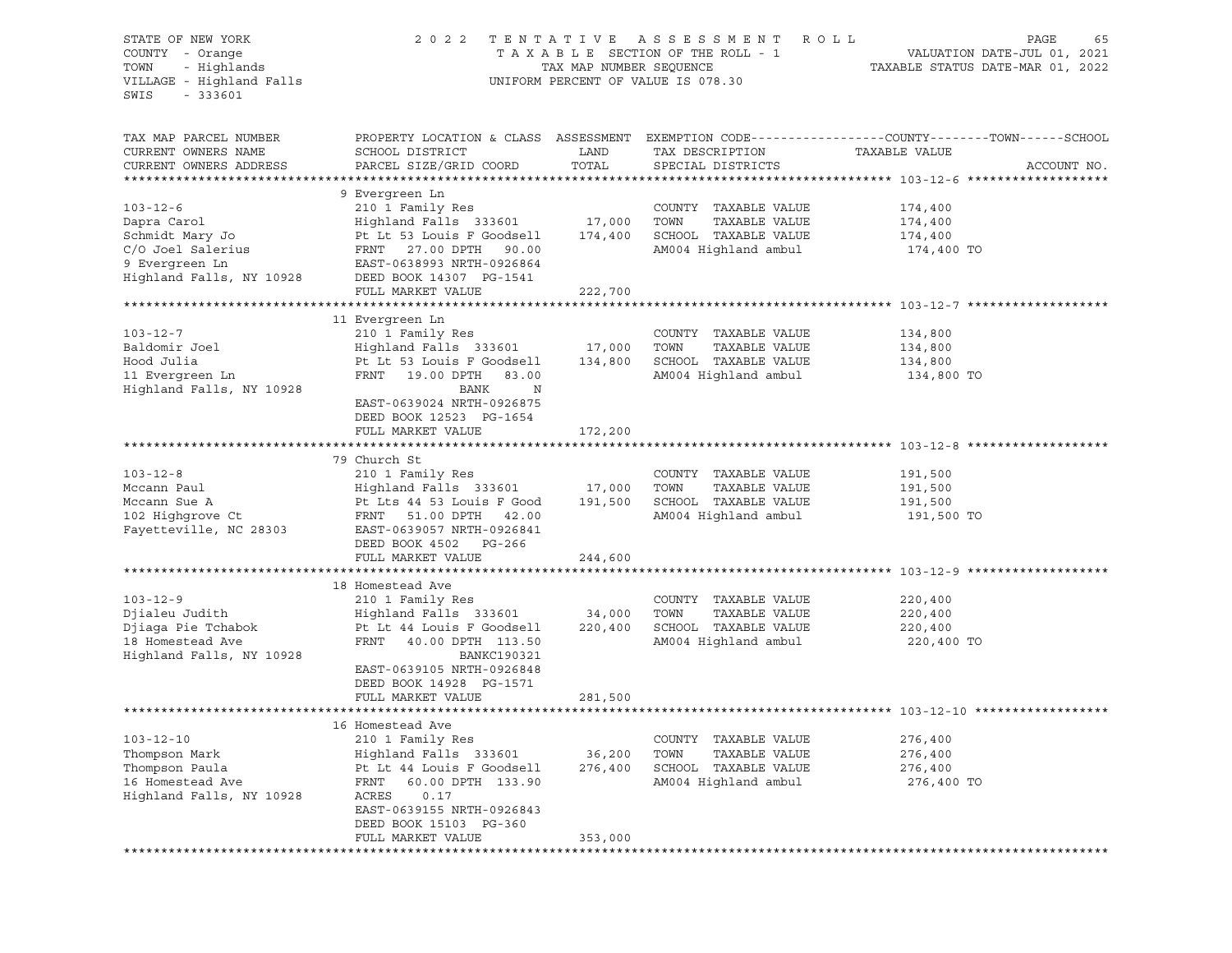| STATE OF NEW YORK<br>COUNTY - Orange<br>TOWN<br>- Highlands<br>VILLAGE - Highland Falls<br>$-333601$<br>SWIS        | ASSESSMENT ROLL<br>2 0 2 2<br>TENTATIVE<br>TAXABLE SECTION OF THE ROLL - 1<br>TAX MAP NUMBER SEQUENCE<br>UNIFORM PERCENT OF VALUE IS 078.30                                                                          |                              |                                                                                                     | PAGE<br>65<br>VALUATION DATE-JUL 01, 2021<br>TAXABLE STATUS DATE-MAR 01, 2022                                                   |  |  |
|---------------------------------------------------------------------------------------------------------------------|----------------------------------------------------------------------------------------------------------------------------------------------------------------------------------------------------------------------|------------------------------|-----------------------------------------------------------------------------------------------------|---------------------------------------------------------------------------------------------------------------------------------|--|--|
| TAX MAP PARCEL NUMBER<br>CURRENT OWNERS NAME<br>CURRENT OWNERS ADDRESS                                              | SCHOOL DISTRICT<br>PARCEL SIZE/GRID COORD                                                                                                                                                                            | LAND<br>TOTAL                | TAX DESCRIPTION<br>SPECIAL DISTRICTS                                                                | PROPERTY LOCATION & CLASS ASSESSMENT EXEMPTION CODE----------------COUNTY-------TOWN-----SCHOOL<br>TAXABLE VALUE<br>ACCOUNT NO. |  |  |
| $103 - 12 - 6$<br>Dapra Carol<br>Schmidt Mary Jo<br>C/O Joel Salerius<br>9 Evergreen Ln<br>Highland Falls, NY 10928 | 9 Evergreen Ln<br>210 1 Family Res<br>Highland Falls 333601 17,000<br>Pt Lt 53 Louis F Goodsell<br>FRNT 27.00 DPTH 90.00<br>EAST-0638993 NRTH-0926864<br>DEED BOOK 14307 PG-1541<br>FULL MARKET VALUE                | 174,400<br>222,700           | COUNTY TAXABLE VALUE<br>TOWN<br>TAXABLE VALUE<br>SCHOOL TAXABLE VALUE<br>AM004 Highland ambul       | 174,400<br>174,400<br>174,400<br>174,400 TO                                                                                     |  |  |
|                                                                                                                     |                                                                                                                                                                                                                      |                              |                                                                                                     |                                                                                                                                 |  |  |
| $103 - 12 - 7$<br>Baldomir Joel<br>Hood Julia<br>11 Evergreen Ln<br>Highland Falls, NY 10928                        | 11 Evergreen Ln<br>210 1 Family Res<br>Highland Falls 333601<br>Pt Lt 53 Louis F Goodsell<br>FRNT<br>19.00 DPTH 83.00<br>N<br>BANK<br>EAST-0639024 NRTH-0926875<br>DEED BOOK 12523 PG-1654                           | 17,000<br>134,800            | COUNTY TAXABLE VALUE<br>TOWN<br>TAXABLE VALUE<br>SCHOOL TAXABLE VALUE<br>AM004 Highland ambul       | 134,800<br>134,800<br>134,800<br>134,800 TO                                                                                     |  |  |
|                                                                                                                     | FULL MARKET VALUE                                                                                                                                                                                                    | 172,200                      |                                                                                                     |                                                                                                                                 |  |  |
|                                                                                                                     |                                                                                                                                                                                                                      |                              |                                                                                                     |                                                                                                                                 |  |  |
| $103 - 12 - 8$<br>Mccann Paul<br>Mccann Sue A<br>102 Highgrove Ct<br>Fayetteville, NC 28303                         | 79 Church St<br>210 1 Family Res<br>Highland Falls 333601<br>Pt Lts 44 53 Louis F Good<br>FRNT 51.00 DPTH 42.00<br>EAST-0639057 NRTH-0926841<br>DEED BOOK 4502 PG-266<br>FULL MARKET VALUE                           | 17,000<br>191,500<br>244,600 | COUNTY TAXABLE VALUE<br>TAXABLE VALUE<br>TOWN<br>SCHOOL TAXABLE VALUE<br>AM004 Highland ambul       | 191,500<br>191,500<br>191,500<br>191,500 TO                                                                                     |  |  |
|                                                                                                                     | 18 Homestead Ave                                                                                                                                                                                                     |                              |                                                                                                     |                                                                                                                                 |  |  |
| $103 - 12 - 9$<br>Djialeu Judith<br>Djiaga Pie Tchabok<br>18 Homestead Ave<br>Highland Falls, NY 10928              | 210 1 Family Res<br>Highland Falls 333601<br>Pt Lt 44 Louis F Goodsell<br>FRNT<br>40.00 DPTH 113.50<br><b>BANKC190321</b><br>EAST-0639105 NRTH-0926848<br>DEED BOOK 14928 PG-1571                                    | 34,000<br>220,400            | COUNTY TAXABLE VALUE<br>TOWN<br>TAXABLE VALUE<br>SCHOOL TAXABLE VALUE<br>AM004 Highland ambul       | 220,400<br>220,400<br>220,400<br>220,400 TO                                                                                     |  |  |
|                                                                                                                     | FULL MARKET VALUE                                                                                                                                                                                                    | 281,500                      |                                                                                                     |                                                                                                                                 |  |  |
|                                                                                                                     |                                                                                                                                                                                                                      |                              |                                                                                                     |                                                                                                                                 |  |  |
| $103 - 12 - 10$<br>Thompson Mark<br>Thompson Paula<br>16 Homestead Ave<br>Highland Falls, NY 10928                  | 16 Homestead Ave<br>210 1 Family Res<br>Highland Falls 333601<br>Pt Lt 44 Louis F Goodsell<br>60.00 DPTH 133.90<br>FRNT<br>ACRES<br>0.17<br>EAST-0639155 NRTH-0926843<br>DEED BOOK 15103 PG-360<br>FULL MARKET VALUE | 36,200<br>276,400<br>353,000 | COUNTY<br>TAXABLE VALUE<br>TOWN<br>TAXABLE VALUE<br>SCHOOL<br>TAXABLE VALUE<br>AM004 Highland ambul | 276,400<br>276,400<br>276,400<br>276,400 TO                                                                                     |  |  |
|                                                                                                                     |                                                                                                                                                                                                                      |                              |                                                                                                     |                                                                                                                                 |  |  |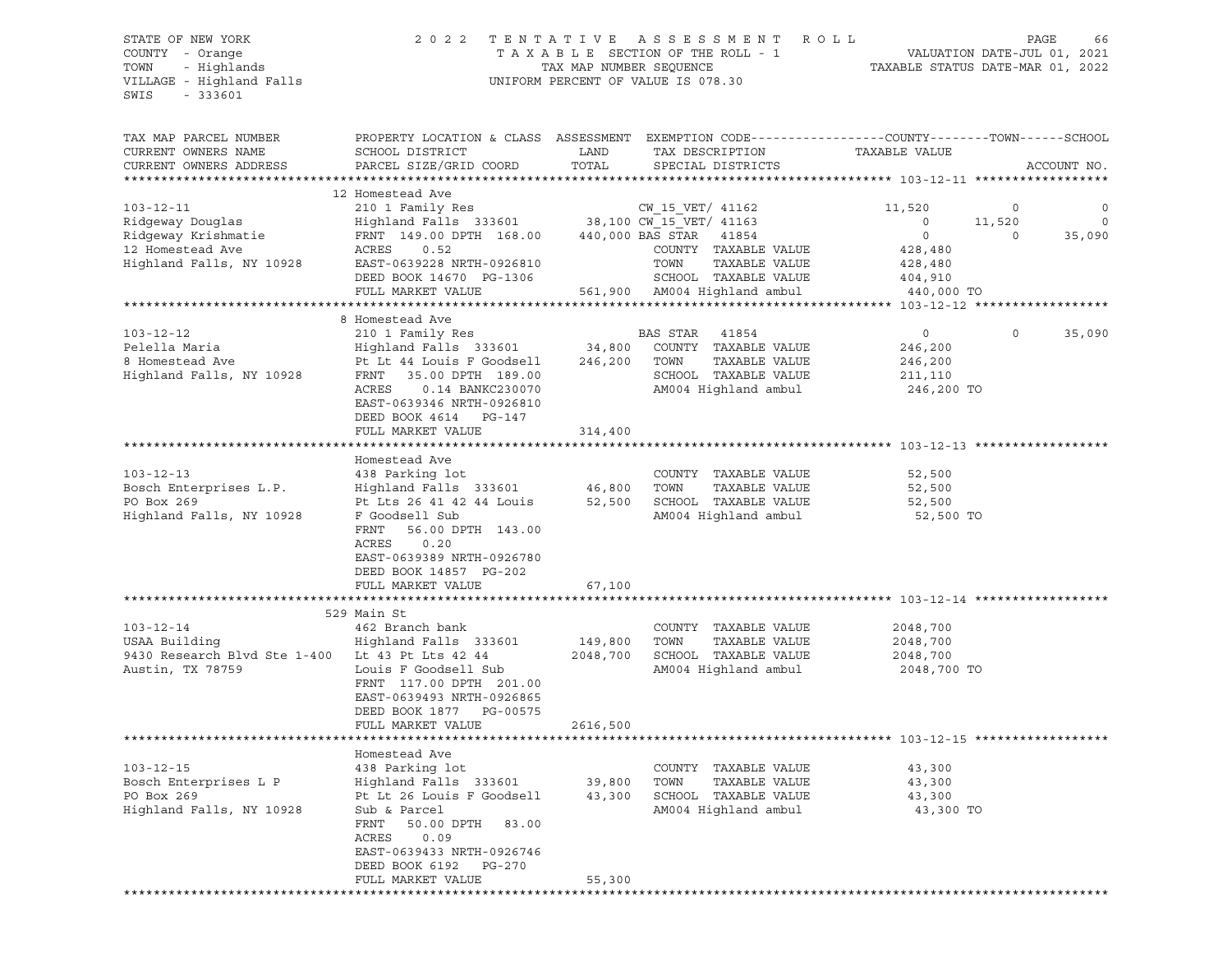# STATE OF NEW YORK 2 0 2 2 T E N T A T I V E A S S E S S M E N T R O L L PAGE 66 COUNTY - Orange T A X A B L E SECTION OF THE ROLL - 1 VALUATION DATE-JUL 01, 2021 TOWN - Highlands TAX MAP NUMBER SEQUENCE TAXABLE STATUS DATE-MAR 01, 2022 UNIFORM PERCENT OF VALUE IS 078.30

TAX MAP PARCEL NUMBER PROPERTY LOCATION & CLASS ASSESSMENT EXEMPTION CODE------------------COUNTY--------TOWN------SCHOOL CURRENT OWNERS NAME SCHOOL DISTRICT LAND TAX DESCRIPTION TAXABLE VALUE CURRENT OWNERS ADDRESS PARCEL SIZE/GRID COORD TOTAL SPECIAL DISTRICTS ACCOUNT NO. \*\*\*\*\*\*\*\*\*\*\*\*\*\*\*\*\*\*\*\*\*\*\*\*\*\*\*\*\*\*\*\*\*\*\*\*\*\*\*\*\*\*\*\*\*\*\*\*\*\*\*\*\*\*\*\*\*\*\*\*\*\*\*\*\*\*\*\*\*\*\*\*\*\*\*\*\*\*\*\*\*\*\*\*\*\*\*\*\*\*\*\*\*\*\*\*\*\*\*\*\*\*\* 103-12-11 \*\*\*\*\*\*\*\*\*\*\*\*\*\*\*\*\*\* 12 Homestead Ave 103-12-11 210 1 Family Res CW\_15\_VET/ 41162 11,520 0 0 Ridgeway Douglas Highland Falls 333601 38,100 CW\_15\_VET/ 41163 0 11,520 0 Ridgeway Krishmatie FRNT 149.00 DPTH 168.00 440,000 BAS STAR 41854 0 0 35,090 12 Homestead Ave ACRES 0.52 COUNTY TAXABLE VALUE 428,480 Highland Falls, NY 10928 EAST-0639228 NRTH-0926810 TOWN TAXABLE VALUE 428,480 DEED BOOK 14670 PG-1306 SCHOOL TAXABLE VALUE 404,910 FULL MARKET VALUE 561,900 AM004 Highland ambul 440,000 TO \*\*\*\*\*\*\*\*\*\*\*\*\*\*\*\*\*\*\*\*\*\*\*\*\*\*\*\*\*\*\*\*\*\*\*\*\*\*\*\*\*\*\*\*\*\*\*\*\*\*\*\*\*\*\*\*\*\*\*\*\*\*\*\*\*\*\*\*\*\*\*\*\*\*\*\*\*\*\*\*\*\*\*\*\*\*\*\*\*\*\*\*\*\*\*\*\*\*\*\*\*\*\* 103-12-12 \*\*\*\*\*\*\*\*\*\*\*\*\*\*\*\*\*\* 8 Homestead Ave 103-12-12 210 1 Family Res BAS STAR 41854 0 0 35,090 Pelella Maria Highland Falls 333601 34,800 COUNTY TAXABLE VALUE 246,200 8 Homestead Ave and the second and the second control of the matter of the second ave and the Lt 44 Louis F Ave<br>8 Homestead Ave Pt Lt 44 Louis F Goodsell 246,200 TOWN TAXABLE VALUE 246,200<br>8 SCHOOL TAXABLE VALUE 211.110 Highland Falls, NY 10928 FRNT 35.00 DPTH 189.00 SCHOOL TAXABLE VALUE ACRES 0.14 BANKC230070 AM004 Highland ambul 246,200 TO EAST-0639346 NRTH-0926810 DEED BOOK 4614 PG-147 FULL MARKET VALUE 314,400 \*\*\*\*\*\*\*\*\*\*\*\*\*\*\*\*\*\*\*\*\*\*\*\*\*\*\*\*\*\*\*\*\*\*\*\*\*\*\*\*\*\*\*\*\*\*\*\*\*\*\*\*\*\*\*\*\*\*\*\*\*\*\*\*\*\*\*\*\*\*\*\*\*\*\*\*\*\*\*\*\*\*\*\*\*\*\*\*\*\*\*\*\*\*\*\*\*\*\*\*\*\*\* 103-12-13 \*\*\*\*\*\*\*\*\*\*\*\*\*\*\*\*\*\* Homestead Ave 103-12-13 438 Parking lot COUNTY TAXABLE VALUE 52,500 Bosch Enterprises L.P. Highland Falls 333601 46,800 TOWN TAXABLE VALUE 52,500 PO Box 269 **PE LES 26 41 42 44 Louis** 52,500 SCHOOL TAXABLE VALUE 52,500 Highland Falls, NY 10928 F Goodsell Sub AM004 Highland ambul 52,500 TO FRNT 56.00 DPTH 143.00 ACRES 0.20 EAST-0639389 NRTH-0926780 DEED BOOK 14857 PG-202 FULL MARKET VALUE 67,100 \*\*\*\*\*\*\*\*\*\*\*\*\*\*\*\*\*\*\*\*\*\*\*\*\*\*\*\*\*\*\*\*\*\*\*\*\*\*\*\*\*\*\*\*\*\*\*\*\*\*\*\*\*\*\*\*\*\*\*\*\*\*\*\*\*\*\*\*\*\*\*\*\*\*\*\*\*\*\*\*\*\*\*\*\*\*\*\*\*\*\*\*\*\*\*\*\*\*\*\*\*\*\* 103-12-14 \*\*\*\*\*\*\*\*\*\*\*\*\*\*\*\*\*\* 529 Main St 103-12-14 462 Branch bank COUNTY TAXABLE VALUE 2048,700 USAA Building Highland Falls 333601 149,800 TOWN TAXABLE VALUE 2048,700 9430 Research Blvd Ste 1-400 Lt 43 Pt Lts 42 44 2048,700 SCHOOL TAXABLE VALUE 2048,700 Austin, TX 78759 Louis F Goodsell Sub AM004 Highland ambul 2048,700 TO FRNT 117.00 DPTH 201.00 EAST-0639493 NRTH-0926865 DEED BOOK 1877 PG-00575 FULL MARKET VALUE 2616,500 \*\*\*\*\*\*\*\*\*\*\*\*\*\*\*\*\*\*\*\*\*\*\*\*\*\*\*\*\*\*\*\*\*\*\*\*\*\*\*\*\*\*\*\*\*\*\*\*\*\*\*\*\*\*\*\*\*\*\*\*\*\*\*\*\*\*\*\*\*\*\*\*\*\*\*\*\*\*\*\*\*\*\*\*\*\*\*\*\*\*\*\*\*\*\*\*\*\*\*\*\*\*\* 103-12-15 \*\*\*\*\*\*\*\*\*\*\*\*\*\*\*\*\*\* Homestead Ave 103-12-15 438 Parking lot COUNTY TAXABLE VALUE 43,300 Bosch Enterprises L P Highland Falls 333601 39,800 TOWN TAXABLE VALUE 43,300 PO Box 269 Published Box 269 Pt Lt 26 Louis F Goodsell 43,300 SCHOOL TAXABLE VALUE 43,300 PO Box 269 Pt Lt 26 Louis F Goodsell 43,300 SCHOOL TAXABLE VALUE 43,300 Highland Falls, NY 10928 Sub & Parcel AM004 Highland ambul 43,300 TO FRNT 50.00 DPTH 83.00 ACRES 0.09 EAST-0639433 NRTH-0926746 DEED BOOK 6192 PG-270 FULL MARKET VALUE 55,300 \*\*\*\*\*\*\*\*\*\*\*\*\*\*\*\*\*\*\*\*\*\*\*\*\*\*\*\*\*\*\*\*\*\*\*\*\*\*\*\*\*\*\*\*\*\*\*\*\*\*\*\*\*\*\*\*\*\*\*\*\*\*\*\*\*\*\*\*\*\*\*\*\*\*\*\*\*\*\*\*\*\*\*\*\*\*\*\*\*\*\*\*\*\*\*\*\*\*\*\*\*\*\*\*\*\*\*\*\*\*\*\*\*\*\*\*\*\*\*\*\*\*\*\*\*\*\*\*\*\*\*\*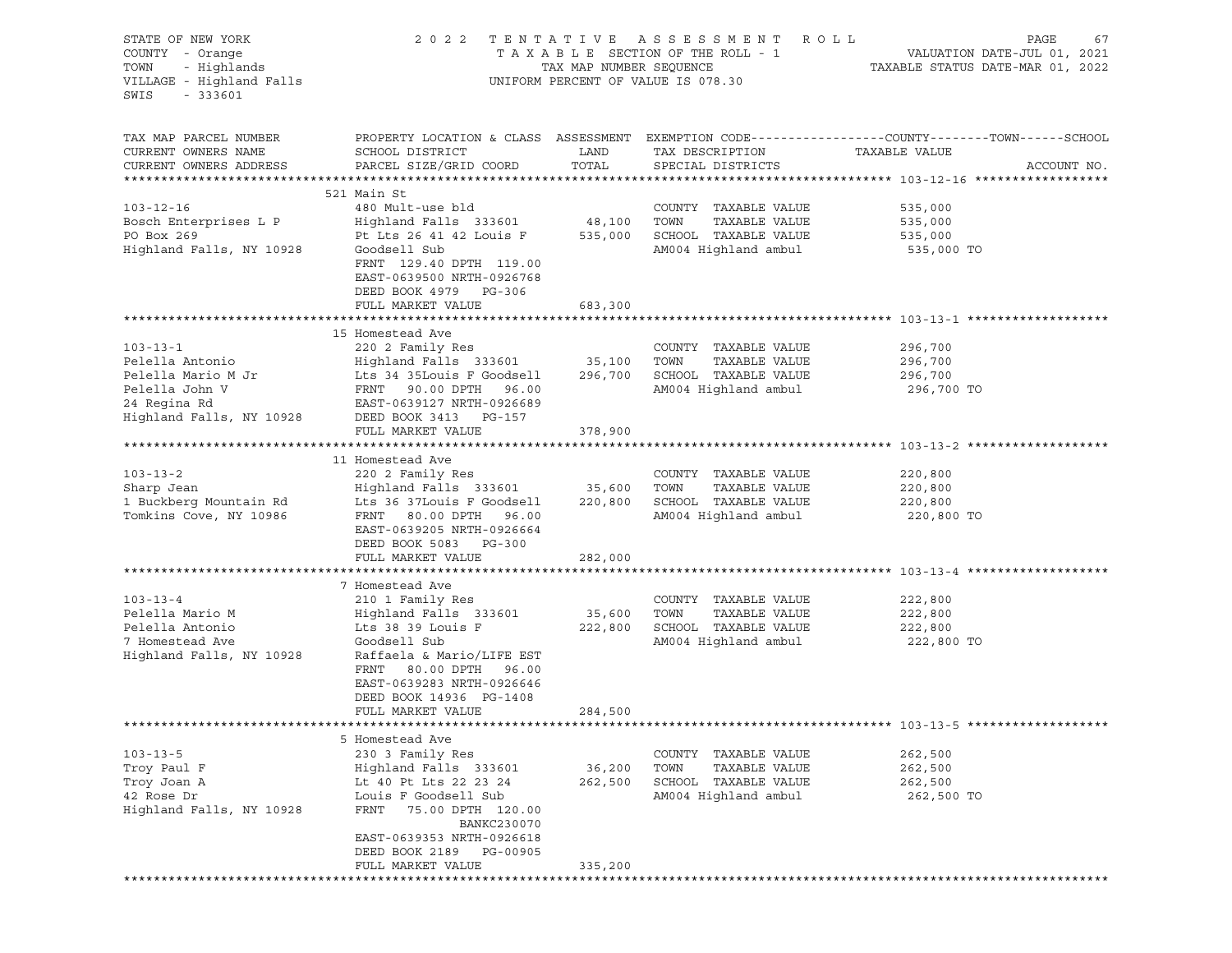| STATE OF NEW YORK<br>COUNTY - Orange<br>TOWN<br>- Highlands<br>VILLAGE - Highland Falls<br>SWIS<br>$-333601$ | 2 0 2 2                                                                                                       | TAX MAP NUMBER SEQUENCE | TENTATIVE ASSESSMENT ROLL<br>TAXABLE SECTION OF THE ROLL - 1<br>UNIFORM PERCENT OF VALUE IS 078.30 | PAGE<br>67<br>67<br>VALUATION DATE-JUL 01, 2021<br>TAXABLE STATUS DATE-MAR 01 0000                                |
|--------------------------------------------------------------------------------------------------------------|---------------------------------------------------------------------------------------------------------------|-------------------------|----------------------------------------------------------------------------------------------------|-------------------------------------------------------------------------------------------------------------------|
| TAX MAP PARCEL NUMBER<br>CURRENT OWNERS NAME                                                                 | SCHOOL DISTRICT                                                                                               | LAND                    | TAX DESCRIPTION                                                                                    | PROPERTY LOCATION & CLASS ASSESSMENT EXEMPTION CODE----------------COUNTY-------TOWN------SCHOOL<br>TAXABLE VALUE |
| CURRENT OWNERS ADDRESS                                                                                       | PARCEL SIZE/GRID COORD                                                                                        | TOTAL                   | SPECIAL DISTRICTS                                                                                  | ACCOUNT NO.                                                                                                       |
|                                                                                                              | 521 Main St                                                                                                   |                         |                                                                                                    |                                                                                                                   |
| $103 - 12 - 16$                                                                                              | 480 Mult-use bld                                                                                              |                         | COUNTY TAXABLE VALUE                                                                               | 535,000                                                                                                           |
| Bosch Enterprises L P                                                                                        | Highland Falls 333601 48,100                                                                                  |                         | TOWN<br>TAXABLE VALUE                                                                              | 535,000                                                                                                           |
| PO Box 269                                                                                                   | Pt Lts 26 41 42 Louis F 535,000                                                                               |                         | SCHOOL TAXABLE VALUE                                                                               | 535,000                                                                                                           |
| Highland Falls, NY 10928                                                                                     | Goodsell Sub                                                                                                  |                         | AM004 Highland ambul                                                                               | 535,000 TO                                                                                                        |
|                                                                                                              | FRNT 129.40 DPTH 119.00<br>EAST-0639500 NRTH-0926768<br>DEED BOOK 4979 PG-306                                 |                         |                                                                                                    |                                                                                                                   |
|                                                                                                              | FULL MARKET VALUE                                                                                             | 683,300                 |                                                                                                    |                                                                                                                   |
|                                                                                                              | 15 Homestead Ave                                                                                              |                         |                                                                                                    |                                                                                                                   |
| $103 - 13 - 1$                                                                                               | 220 2 Family Res                                                                                              |                         | COUNTY TAXABLE VALUE                                                                               | 296,700                                                                                                           |
| Pelella Antonio                                                                                              | Highland Falls 333601 35,100                                                                                  |                         | TAXABLE VALUE<br>TOWN                                                                              | 296,700                                                                                                           |
| Pelella Mario M Jr                                                                                           | Lts 34 35Louis F Goodsell                                                                                     | 296,700                 | SCHOOL TAXABLE VALUE                                                                               | 296,700                                                                                                           |
| Pelella John V                                                                                               | FRNT 90.00 DPTH 96.00                                                                                         |                         | AM004 Highland ambul                                                                               | 296,700 TO                                                                                                        |
| 24 Regina Rd                                                                                                 | EAST-0639127 NRTH-0926689                                                                                     |                         |                                                                                                    |                                                                                                                   |
| Highland Falls, NY 10928                                                                                     | DEED BOOK 3413 PG-157                                                                                         |                         |                                                                                                    |                                                                                                                   |
|                                                                                                              | FULL MARKET VALUE                                                                                             | 378,900                 |                                                                                                    |                                                                                                                   |
|                                                                                                              |                                                                                                               |                         |                                                                                                    |                                                                                                                   |
|                                                                                                              | 11 Homestead Ave                                                                                              |                         |                                                                                                    |                                                                                                                   |
| $103 - 13 - 2$                                                                                               | 220 2 Family Res                                                                                              |                         | COUNTY TAXABLE VALUE                                                                               | 220,800                                                                                                           |
| Sharp Jean                                                                                                   | Highland Falls 333601 35,600                                                                                  |                         | TOWN<br>TAXABLE VALUE                                                                              | 220,800                                                                                                           |
| 1 Buckberg Mountain Rd                                                                                       | Lts 36 37Louis F Goodsell                                                                                     | 220,800                 | SCHOOL TAXABLE VALUE                                                                               | 220,800                                                                                                           |
| Tomkins Cove, NY 10986                                                                                       | FRNT 80.00 DPTH 96.00<br>EAST-0639205 NRTH-0926664<br>DEED BOOK 5083 PG-300                                   |                         | AM004 Highland ambul                                                                               | 220,800 TO                                                                                                        |
|                                                                                                              | FULL MARKET VALUE                                                                                             | 282,000                 |                                                                                                    |                                                                                                                   |
|                                                                                                              |                                                                                                               |                         |                                                                                                    |                                                                                                                   |
| $103 - 13 - 4$                                                                                               | 7 Homestead Ave<br>210 1 Family Res                                                                           |                         | COUNTY TAXABLE VALUE                                                                               | 222,800                                                                                                           |
| Pelella Mario M                                                                                              | Highland Falls 333601                                                                                         | 35,600                  | TOWN<br>TAXABLE VALUE                                                                              | 222,800                                                                                                           |
| Pelella Antonio                                                                                              | Lts 38 39 Louis F                                                                                             | 222,800                 | SCHOOL TAXABLE VALUE                                                                               | 222,800                                                                                                           |
| 7 Homestead Ave                                                                                              | Goodsell Sub                                                                                                  |                         | AM004 Highland ambul                                                                               | 222,800 TO                                                                                                        |
| Highland Falls, NY 10928                                                                                     | Raffaela & Mario/LIFE EST<br>FRNT<br>80.00 DPTH 96.00<br>EAST-0639283 NRTH-0926646<br>DEED BOOK 14936 PG-1408 |                         |                                                                                                    |                                                                                                                   |
|                                                                                                              | FULL MARKET VALUE                                                                                             | 284,500                 |                                                                                                    |                                                                                                                   |
|                                                                                                              | 5 Homestead Ave                                                                                               |                         |                                                                                                    |                                                                                                                   |
| $103 - 13 - 5$                                                                                               | 230 3 Family Res                                                                                              |                         | COUNTY<br>TAXABLE VALUE                                                                            | 262,500                                                                                                           |
| Troy Paul F                                                                                                  | Highland Falls 333601                                                                                         | 36,200                  | TOWN<br>TAXABLE VALUE                                                                              | 262,500                                                                                                           |
| Troy Joan A                                                                                                  | Lt 40 Pt Lts 22 23 24                                                                                         | 262,500                 | SCHOOL<br>TAXABLE VALUE                                                                            | 262,500                                                                                                           |
| 42 Rose Dr                                                                                                   | Louis F Goodsell Sub                                                                                          |                         | AM004 Highland ambul                                                                               | 262,500 TO                                                                                                        |
| Highland Falls, NY 10928                                                                                     | FRNT<br>75.00 DPTH 120.00<br>BANKC230070<br>EAST-0639353 NRTH-0926618                                         |                         |                                                                                                    |                                                                                                                   |
|                                                                                                              | DEED BOOK 2189<br>PG-00905                                                                                    |                         |                                                                                                    |                                                                                                                   |
|                                                                                                              | FULL MARKET VALUE                                                                                             | 335,200                 |                                                                                                    |                                                                                                                   |
|                                                                                                              |                                                                                                               |                         |                                                                                                    |                                                                                                                   |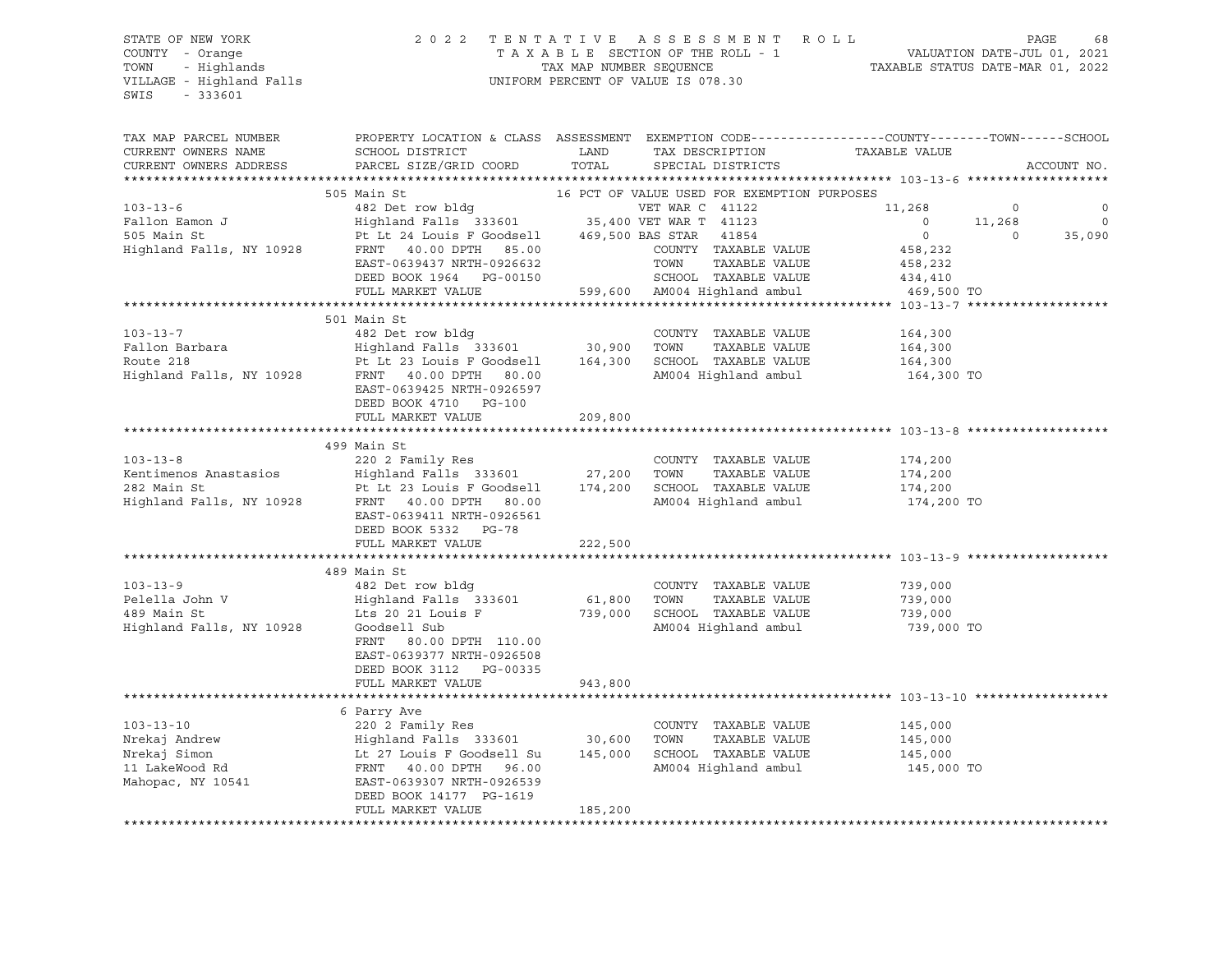### STATE OF NEW YORK 2 0 2 2 T E N T A T I V E A S S E S S M E N T R O L L PAGE 68 COUNTY - Orange T A X A B L E SECTION OF THE ROLL - 1 VALUATION DATE-JUL 01, 2021 TOWN - Highlands TAX MAP NUMBER SEQUENCE TAXABLE STATUS DATE-MAR 01, 2022 VILLAGE - Highland Falls UNIFORM PERCENT OF VALUE IS 078.30

| TAX MAP PARCEL NUMBER                                                                                                                                                                                                                                | PROPERTY LOCATION & CLASS ASSESSMENT EXEMPTION CODE----------------COUNTY-------TOWN------SCHOOL                                                                                                           |         |                                                                 |                    |                |             |
|------------------------------------------------------------------------------------------------------------------------------------------------------------------------------------------------------------------------------------------------------|------------------------------------------------------------------------------------------------------------------------------------------------------------------------------------------------------------|---------|-----------------------------------------------------------------|--------------------|----------------|-------------|
| CURRENT OWNERS NAME                                                                                                                                                                                                                                  | SCHOOL DISTRICT                                                                                                                                                                                            | LAND    | TAX DESCRIPTION                                                 | TAXABLE VALUE      |                |             |
| CURRENT OWNERS ADDRESS                                                                                                                                                                                                                               | PARCEL SIZE/GRID COORD                                                                                                                                                                                     | TOTAL   | SPECIAL DISTRICTS                                               |                    |                | ACCOUNT NO. |
|                                                                                                                                                                                                                                                      |                                                                                                                                                                                                            |         |                                                                 |                    |                |             |
|                                                                                                                                                                                                                                                      | 505 Main St                                                                                                                                                                                                |         | 16 PCT OF VALUE USED FOR EXEMPTION PURPOSES                     |                    |                |             |
| 103-13-6<br>Fallon Eamon J<br>482 Det row bldg<br>482 Det row bldg<br>482 Det row bldg<br>482 Det row bldg<br>469,500 BAS STAR 7 41123<br>35,400 VET WAR C 41123<br>90 VET WAR T 41123<br>469,500 BAS STAR 41854<br>469,500 BAS STAR 41854<br>469,50 |                                                                                                                                                                                                            |         | VET WAR C 41122                                                 | 11,268             | $\circ$        | $\circ$     |
|                                                                                                                                                                                                                                                      |                                                                                                                                                                                                            |         |                                                                 | $\sim$ 0           | 11,268         | $\circ$     |
|                                                                                                                                                                                                                                                      |                                                                                                                                                                                                            |         |                                                                 | $\overline{0}$     | $\overline{0}$ | 35,090      |
|                                                                                                                                                                                                                                                      |                                                                                                                                                                                                            |         | COUNTY TAXABLE VALUE                                            | 458,232            |                |             |
|                                                                                                                                                                                                                                                      |                                                                                                                                                                                                            |         | TAXABLE VALUE                                                   | 458,232            |                |             |
|                                                                                                                                                                                                                                                      |                                                                                                                                                                                                            |         | SCHOOL TAXABLE VALUE                                            | 434,410            |                |             |
|                                                                                                                                                                                                                                                      | FULL MARKET VALUE 599,600 AM004 Highland ambul                                                                                                                                                             |         |                                                                 | 469,500 TO         |                |             |
|                                                                                                                                                                                                                                                      |                                                                                                                                                                                                            |         |                                                                 |                    |                |             |
|                                                                                                                                                                                                                                                      | 501 Main St                                                                                                                                                                                                |         |                                                                 |                    |                |             |
| $103 - 13 - 7$                                                                                                                                                                                                                                       | 482 Det row bldg                                                                                                                                                                                           |         | COUNTY TAXABLE VALUE                                            | 164,300            |                |             |
| Fallon Barbara<br>Route 218                                                                                                                                                                                                                          | Highland Falls 333601 30,900 TOWN TAXABLE VALUE<br>Pt Lt 23 Louis F Goodsell 164,300 SCHOOL TAXABLE VALUE                                                                                                  |         |                                                                 | 164,300<br>164,300 |                |             |
| Route 218                                                                                                                                                                                                                                            |                                                                                                                                                                                                            |         |                                                                 |                    |                |             |
| Highland Falls, NY 10928                                                                                                                                                                                                                             | FRNT 40.00 DPTH 80.00                                                                                                                                                                                      |         | AM004 Highland ambul 164,300 TO                                 |                    |                |             |
|                                                                                                                                                                                                                                                      | EAST-0639425 NRTH-0926597                                                                                                                                                                                  |         |                                                                 |                    |                |             |
|                                                                                                                                                                                                                                                      | DEED BOOK 4710 PG-100                                                                                                                                                                                      |         |                                                                 |                    |                |             |
|                                                                                                                                                                                                                                                      | FULL MARKET VALUE                                                                                                                                                                                          | 209,800 |                                                                 |                    |                |             |
|                                                                                                                                                                                                                                                      |                                                                                                                                                                                                            |         |                                                                 |                    |                |             |
|                                                                                                                                                                                                                                                      | 499 Main St                                                                                                                                                                                                |         |                                                                 |                    |                |             |
| $103 - 13 - 8$                                                                                                                                                                                                                                       | 220 2 Family Res                                                                                                                                                                                           |         | COUNTY TAXABLE VALUE                                            | 174,200            |                |             |
|                                                                                                                                                                                                                                                      |                                                                                                                                                                                                            |         |                                                                 | 174,200            |                |             |
|                                                                                                                                                                                                                                                      |                                                                                                                                                                                                            |         | SCHOOL TAXABLE VALUE 174,200<br>AM004 Highland ambul 174,200 TO |                    |                |             |
| Exercise 220 2 Family Research 27, 200 TOWN TAXABLE VALUE<br>282 Main St 27, 200 TOWN TAXABLE VALUE<br>282 Main St 23 Louis F Goodsell 27, 200 SCHOOL TAXABLE VALUE<br>282 Main St 23 Louis F Goodsell 274, 200 SCHOOL TAXABLE VALUE<br>29           |                                                                                                                                                                                                            |         |                                                                 |                    |                |             |
|                                                                                                                                                                                                                                                      | EAST-0639411 NRTH-0926561                                                                                                                                                                                  |         |                                                                 |                    |                |             |
|                                                                                                                                                                                                                                                      | DEED BOOK 5332 PG-78                                                                                                                                                                                       |         |                                                                 |                    |                |             |
|                                                                                                                                                                                                                                                      | FULL MARKET VALUE                                                                                                                                                                                          | 222,500 |                                                                 |                    |                |             |
|                                                                                                                                                                                                                                                      |                                                                                                                                                                                                            |         |                                                                 |                    |                |             |
|                                                                                                                                                                                                                                                      | 489 Main St                                                                                                                                                                                                |         |                                                                 |                    |                |             |
|                                                                                                                                                                                                                                                      |                                                                                                                                                                                                            |         |                                                                 |                    |                |             |
|                                                                                                                                                                                                                                                      |                                                                                                                                                                                                            |         |                                                                 |                    |                |             |
|                                                                                                                                                                                                                                                      |                                                                                                                                                                                                            |         |                                                                 |                    |                |             |
|                                                                                                                                                                                                                                                      |                                                                                                                                                                                                            |         |                                                                 | 739,000 TO         |                |             |
|                                                                                                                                                                                                                                                      | FRNT 80.00 DPTH 110.00                                                                                                                                                                                     |         |                                                                 |                    |                |             |
|                                                                                                                                                                                                                                                      | EAST-0639377 NRTH-0926508                                                                                                                                                                                  |         |                                                                 |                    |                |             |
|                                                                                                                                                                                                                                                      | DEED BOOK 3112 PG-00335                                                                                                                                                                                    |         |                                                                 |                    |                |             |
|                                                                                                                                                                                                                                                      | FULL MARKET VALUE                                                                                                                                                                                          | 943,800 |                                                                 |                    |                |             |
|                                                                                                                                                                                                                                                      |                                                                                                                                                                                                            |         |                                                                 |                    |                |             |
|                                                                                                                                                                                                                                                      | 6 Parry Ave                                                                                                                                                                                                |         |                                                                 |                    |                |             |
| $103 - 13 - 10$                                                                                                                                                                                                                                      |                                                                                                                                                                                                            |         |                                                                 |                    |                |             |
| Nrekaj Andrew                                                                                                                                                                                                                                        |                                                                                                                                                                                                            |         |                                                                 |                    |                |             |
| Nrekaj Simon                                                                                                                                                                                                                                         | 220 2 Family Res<br>Highland Falls 333601 30,600 TOWN TAXABLE VALUE 145,000<br>Lt 27 Louis F Goodsell Su 145,000 SCHOOL TAXABLE VALUE 145,000<br>RENT 40.00 DPTH 96.00 2000 9 AM004 Highland ambul 145,000 |         |                                                                 |                    |                |             |
| 11 LakeWood Rd<br>Mahopac, NY 10541 EAST-0639307 NRTH-0926539                                                                                                                                                                                        |                                                                                                                                                                                                            |         |                                                                 | 145,000 TO         |                |             |
|                                                                                                                                                                                                                                                      |                                                                                                                                                                                                            |         |                                                                 |                    |                |             |
|                                                                                                                                                                                                                                                      | DEED BOOK 14177 PG-1619                                                                                                                                                                                    |         |                                                                 |                    |                |             |
|                                                                                                                                                                                                                                                      | FULL MARKET VALUE                                                                                                                                                                                          | 185,200 |                                                                 |                    |                |             |
|                                                                                                                                                                                                                                                      |                                                                                                                                                                                                            |         |                                                                 |                    |                |             |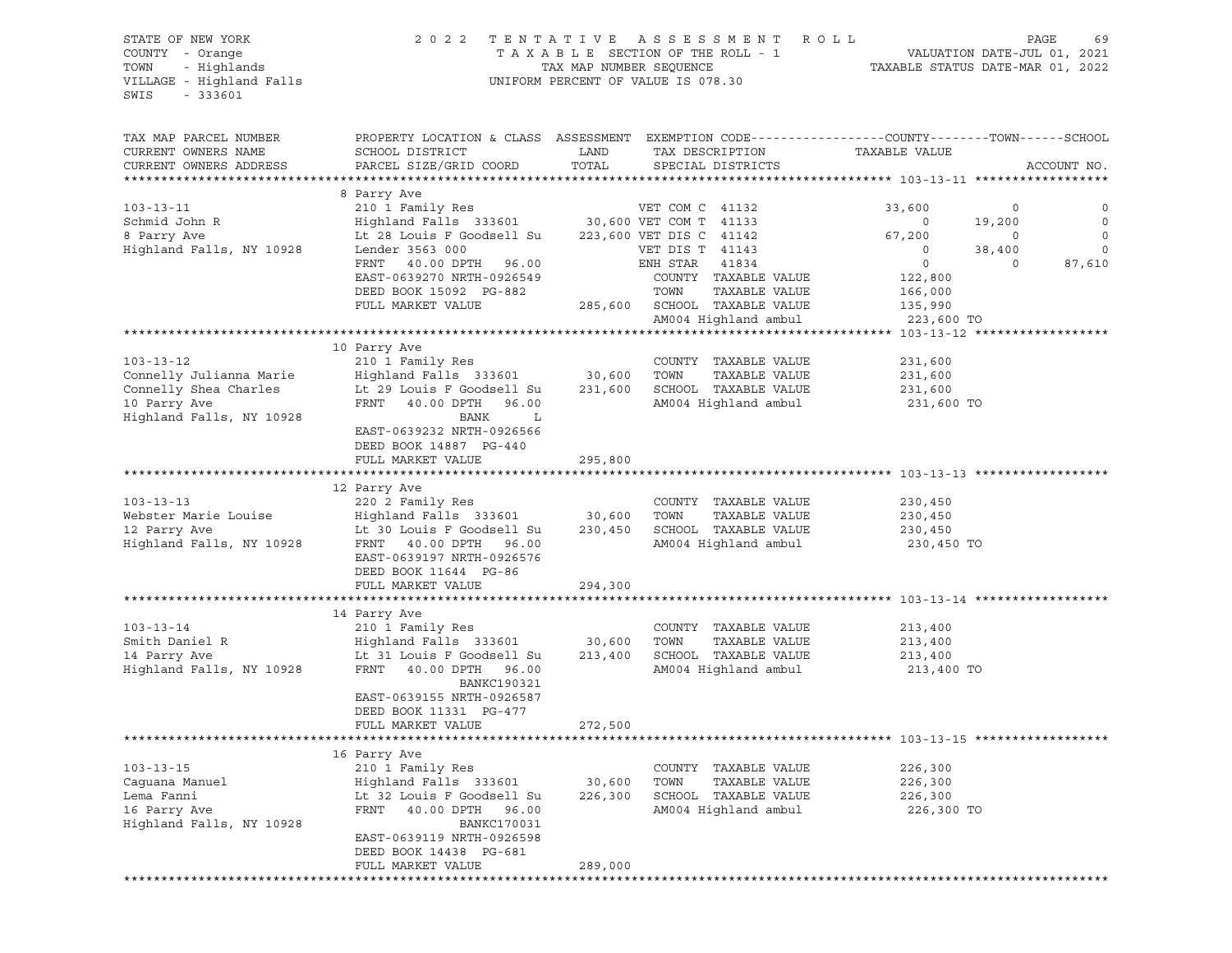# STATE OF NEW YORK 2 0 2 2 T E N T A T I V E A S S E S S M E N T R O L L PAGE 69 COUNTY - Orange T A X A B L E SECTION OF THE ROLL - 1 VALUATION DATE-JUL 01, 2021 TOWN - Highlands TAX MAP NUMBER SEQUENCE TAXABLE STATUS DATE-MAR 01, 2022 VILLAGE - Highland Falls UNIFORM PERCENT OF VALUE IS 078.30

TAX MAP PARCEL NUMBER PROPERTY LOCATION & CLASS ASSESSMENT EXEMPTION CODE------------------COUNTY--------TOWN------SCHOOL CURRENT OWNERS NAME SCHOOL DISTRICT LAND TAX DESCRIPTION TAXABLE VALUE CURRENT OWNERS ADDRESS PARCEL SIZE/GRID COORD TOTAL SPECIAL DISTRICTS ACCOUNT NO. \*\*\*\*\*\*\*\*\*\*\*\*\*\*\*\*\*\*\*\*\*\*\*\*\*\*\*\*\*\*\*\*\*\*\*\*\*\*\*\*\*\*\*\*\*\*\*\*\*\*\*\*\*\*\*\*\*\*\*\*\*\*\*\*\*\*\*\*\*\*\*\*\*\*\*\*\*\*\*\*\*\*\*\*\*\*\*\*\*\*\*\*\*\*\*\*\*\*\*\*\*\*\* 103-13-11 \*\*\*\*\*\*\*\*\*\*\*\*\*\*\*\*\*\* 8 Parry Ave 103-13-11 210 1 Family Res VET COM C 41132 33,600 0 0 Schmid John R Highland Falls 333601 30,600 VET COM T 41133 0 19,200 0 8 Parry Ave Lt 28 Louis F Goodsell Su 223,600 VET DIS C 41142 67,200 0 0 Highland Falls, NY 10928 Lender 3563 000 VET DIS T 41143 0 38,400 0 FRNT 40.00 DPTH 96.00 ENH STAR 41834 0 0 87,610 EAST-0639270 NRTH-0926549 COUNTY TAXABLE VALUE 122,800 DEED BOOK 15092 PG-882 TOWN TAXABLE VALUE 166,000 FULL MARKET VALUE 285,600 SCHOOL TAXABLE VALUE 135,990 AM004 Highland ambul 223,600 TO \*\*\*\*\*\*\*\*\*\*\*\*\*\*\*\*\*\*\*\*\*\*\*\*\*\*\*\*\*\*\*\*\*\*\*\*\*\*\*\*\*\*\*\*\*\*\*\*\*\*\*\*\*\*\*\*\*\*\*\*\*\*\*\*\*\*\*\*\*\*\*\*\*\*\*\*\*\*\*\*\*\*\*\*\*\*\*\*\*\*\*\*\*\*\*\*\*\*\*\*\*\*\* 103-13-12 \*\*\*\*\*\*\*\*\*\*\*\*\*\*\*\*\*\* 10 Parry Ave 103-13-12 210 1 Family Res COUNTY TAXABLE VALUE 231,600 Connelly Julianna Marie Highland Falls 333601 30,600 TOWN TAXABLE VALUE 231,600 Connelly Shea Charles Lt 29 Louis F Goodsell Su 231,600 SCHOOL TAXABLE VALUE 231,600 10 Parry Ave FRNT 40.00 DPTH 96.00 AM004 Highland ambul 231,600 TO Highland Falls, NY 10928 BANK L EAST-0639232 NRTH-0926566 DEED BOOK 14887 PG-440 FULL MARKET VALUE 295,800 \*\*\*\*\*\*\*\*\*\*\*\*\*\*\*\*\*\*\*\*\*\*\*\*\*\*\*\*\*\*\*\*\*\*\*\*\*\*\*\*\*\*\*\*\*\*\*\*\*\*\*\*\*\*\*\*\*\*\*\*\*\*\*\*\*\*\*\*\*\*\*\*\*\*\*\*\*\*\*\*\*\*\*\*\*\*\*\*\*\*\*\*\*\*\*\*\*\*\*\*\*\*\* 103-13-13 \*\*\*\*\*\*\*\*\*\*\*\*\*\*\*\*\*\* 12 Parry Ave 103-13-13 220 2 Family Res COUNTY TAXABLE VALUE 230,450 Webster Marie Louise Highland Falls 333601 30,600 TOWN TAXABLE VALUE 230,450 12 Parry Ave Lt 30 Louis F Goodsell Su 230,450 SCHOOL TAXABLE VALUE 230,450 Highland Falls, NY 10928 FRNT 40.00 DPTH 96.00 AM004 Highland ambul 230,450 TO EAST-0639197 NRTH-0926576 DEED BOOK 11644 PG-86 FULL MARKET VALUE 294,300 \*\*\*\*\*\*\*\*\*\*\*\*\*\*\*\*\*\*\*\*\*\*\*\*\*\*\*\*\*\*\*\*\*\*\*\*\*\*\*\*\*\*\*\*\*\*\*\*\*\*\*\*\*\*\*\*\*\*\*\*\*\*\*\*\*\*\*\*\*\*\*\*\*\*\*\*\*\*\*\*\*\*\*\*\*\*\*\*\*\*\*\*\*\*\*\*\*\*\*\*\*\*\* 103-13-14 \*\*\*\*\*\*\*\*\*\*\*\*\*\*\*\*\*\* 14 Parry Ave 103-13-14 210 1 Family Res COUNTY TAXABLE VALUE 213,400 Smith Daniel R Highland Falls 333601 30,600 TOWN TAXABLE VALUE 213,400 14 Parry Ave Lt 31 Louis F Goodsell Su 213,400 SCHOOL TAXABLE VALUE 213,400 Highland Falls, NY 10928 FRNT 40.00 DPTH 96.00 AM004 Highland ambul 213,400 TO BANKC190321 EAST-0639155 NRTH-0926587 DEED BOOK 11331 PG-477 FULL MARKET VALUE 272,500 \*\*\*\*\*\*\*\*\*\*\*\*\*\*\*\*\*\*\*\*\*\*\*\*\*\*\*\*\*\*\*\*\*\*\*\*\*\*\*\*\*\*\*\*\*\*\*\*\*\*\*\*\*\*\*\*\*\*\*\*\*\*\*\*\*\*\*\*\*\*\*\*\*\*\*\*\*\*\*\*\*\*\*\*\*\*\*\*\*\*\*\*\*\*\*\*\*\*\*\*\*\*\* 103-13-15 \*\*\*\*\*\*\*\*\*\*\*\*\*\*\*\*\*\* 16 Parry Ave 103-13-15 16 210 1 Pami 103-13-15 210 1 Family Res COUNTY TAXABLE VALUE 226,300 Caguana Manuel Highland Falls 333601 30,600 TOWN TAXABLE VALUE 226,300 Lema Fanni Lt 32 Louis F Goodsell Su 226,300 SCHOOL TAXABLE VALUE 226,300 16 Parry Ave FRNT 40.00 DPTH 96.00 AM004 Highland ambul 226,300 TO Highland Falls, NY 10928 BANKC170031 EAST-0639119 NRTH-0926598 DEED BOOK 14438 PG-681 FULL MARKET VALUE 289,000 \*\*\*\*\*\*\*\*\*\*\*\*\*\*\*\*\*\*\*\*\*\*\*\*\*\*\*\*\*\*\*\*\*\*\*\*\*\*\*\*\*\*\*\*\*\*\*\*\*\*\*\*\*\*\*\*\*\*\*\*\*\*\*\*\*\*\*\*\*\*\*\*\*\*\*\*\*\*\*\*\*\*\*\*\*\*\*\*\*\*\*\*\*\*\*\*\*\*\*\*\*\*\*\*\*\*\*\*\*\*\*\*\*\*\*\*\*\*\*\*\*\*\*\*\*\*\*\*\*\*\*\*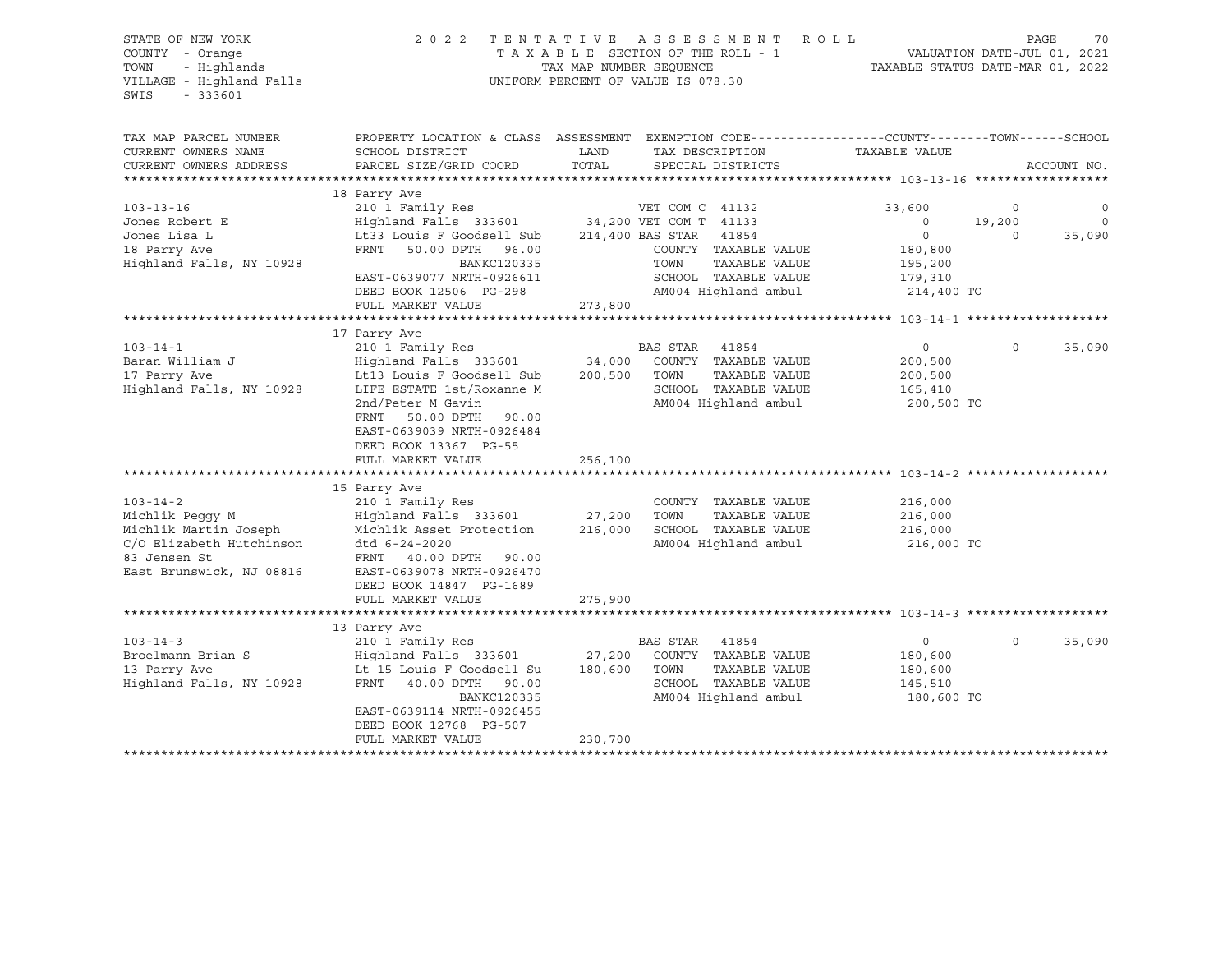| STATE OF NEW YORK<br>COUNTY - Orange<br>- Highlands<br>TOWN<br>VILLAGE - Highland Falls<br>SWIS<br>$-333601$                                                                                                        | 2 0 2 2                                                                                                                                                                                                                                                                                                                                                                                                                                                         | TAX MAP NUMBER SEQUENCE                                      | TENTATIVE ASSESSMENT<br>R O L L<br>TAXABLE SECTION OF THE ROLL - 1<br>UNIFORM PERCENT OF VALUE IS 078.30                                                                                                            | TAXABLE STATUS DATE-MAR 01, 2022                                                                      | PAGE<br>VALUATION DATE-JUL 01, 2021 | 70                         |
|---------------------------------------------------------------------------------------------------------------------------------------------------------------------------------------------------------------------|-----------------------------------------------------------------------------------------------------------------------------------------------------------------------------------------------------------------------------------------------------------------------------------------------------------------------------------------------------------------------------------------------------------------------------------------------------------------|--------------------------------------------------------------|---------------------------------------------------------------------------------------------------------------------------------------------------------------------------------------------------------------------|-------------------------------------------------------------------------------------------------------|-------------------------------------|----------------------------|
| TAX MAP PARCEL NUMBER<br>CURRENT OWNERS NAME<br>CURRENT OWNERS ADDRESS                                                                                                                                              | SCHOOL DISTRICT<br>PARCEL SIZE/GRID COORD                                                                                                                                                                                                                                                                                                                                                                                                                       | LAND<br>TOTAL                                                | PROPERTY LOCATION & CLASS ASSESSMENT EXEMPTION CODE----------------COUNTY-------TOWN-----SCHOOL<br>TAX DESCRIPTION<br>SPECIAL DISTRICTS                                                                             | TAXABLE VALUE                                                                                         |                                     | ACCOUNT NO.                |
| $103 - 13 - 16$<br>Jones Robert E<br>Jones Lisa L<br>18 Parry Ave                                                                                                                                                   | 18 Parry Ave<br>210 1 Family Res<br>Highland Falls 333601 34,200 VET COM T 41133<br>Lt33 Louis F Goodsell Sub<br>FRNT<br>50.00 DPTH 96.00                                                                                                                                                                                                                                                                                                                       |                                                              | VET COM C 41132<br>214,400 BAS STAR<br>41854<br>COUNTY TAXABLE VALUE                                                                                                                                                | 33,600<br>$\circ$<br>$\overline{0}$<br>180,800                                                        | 0<br>19,200<br>$\circ$              | 0<br>$\mathbf 0$<br>35,090 |
| Highland Falls, NY 10928                                                                                                                                                                                            | BANKC120335<br>EAST-0639077 NRTH-0926611<br>DEED BOOK 12506 PG-298<br>FULL MARKET VALUE                                                                                                                                                                                                                                                                                                                                                                         | 273,800                                                      | TAXABLE VALUE<br>TOWN<br>SCHOOL TAXABLE VALUE<br>AM004 Highland ambul                                                                                                                                               | 195,200<br>179,310<br>214,400 TO                                                                      |                                     |                            |
|                                                                                                                                                                                                                     |                                                                                                                                                                                                                                                                                                                                                                                                                                                                 |                                                              |                                                                                                                                                                                                                     |                                                                                                       |                                     |                            |
| $103 - 14 - 1$<br>Baran William J<br>17 Parry Ave<br>Highland Falls, NY 10928<br>$103 - 14 - 2$<br>Michlik Peggy M<br>Michlik Martin Joseph<br>C/O Elizabeth Hutchinson<br>83 Jensen St<br>East Brunswick, NJ 08816 | 17 Parry Ave<br>210 1 Family Res<br>Highland Falls 333601<br>Lt13 Louis F Goodsell Sub<br>LIFE ESTATE 1st/Roxanne M<br>2nd/Peter M Gavin<br>FRNT<br>50.00 DPTH 90.00<br>EAST-0639039 NRTH-0926484<br>DEED BOOK 13367 PG-55<br>FULL MARKET VALUE<br>15 Parry Ave<br>210 1 Family Res<br>Highland Falls 333601<br>Michlik Asset Protection<br>dtd 6-24-2020<br>FRNT 40.00 DPTH 90.00<br>EAST-0639078 NRTH-0926470<br>DEED BOOK 14847 PG-1689<br>FULL MARKET VALUE | 34,000<br>200,500<br>256,100<br>27,200<br>216,000<br>275,900 | BAS STAR<br>41854<br>COUNTY TAXABLE VALUE<br>TOWN<br>TAXABLE VALUE<br>SCHOOL TAXABLE VALUE<br>AM004 Highland ambul<br>COUNTY TAXABLE VALUE<br>TOWN<br>TAXABLE VALUE<br>SCHOOL TAXABLE VALUE<br>AM004 Highland ambul | $\circ$<br>200,500<br>200,500<br>165,410<br>200,500 TO<br>216,000<br>216,000<br>216,000<br>216,000 TO | $\Omega$                            | 35,090                     |
|                                                                                                                                                                                                                     |                                                                                                                                                                                                                                                                                                                                                                                                                                                                 |                                                              |                                                                                                                                                                                                                     |                                                                                                       |                                     |                            |
| $103 - 14 - 3$<br>Broelmann Brian S<br>13 Parry Ave<br>Highland Falls, NY 10928                                                                                                                                     | 13 Parry Ave<br>210 1 Family Res<br>Highland Falls 333601<br>Lt 15 Louis F Goodsell Su<br>FRNT<br>40.00 DPTH 90.00<br>BANKC120335<br>EAST-0639114 NRTH-0926455<br>DEED BOOK 12768 PG-507<br>FULL MARKET VALUE                                                                                                                                                                                                                                                   | 27,200<br>180,600<br>230,700                                 | BAS STAR 41854<br>COUNTY TAXABLE VALUE<br>TOWN<br>TAXABLE VALUE<br>SCHOOL TAXABLE VALUE<br>AM004 Highland ambul                                                                                                     | $\circ$<br>180,600<br>180,600<br>145,510<br>180,600 TO                                                | $\Omega$                            | 35,090                     |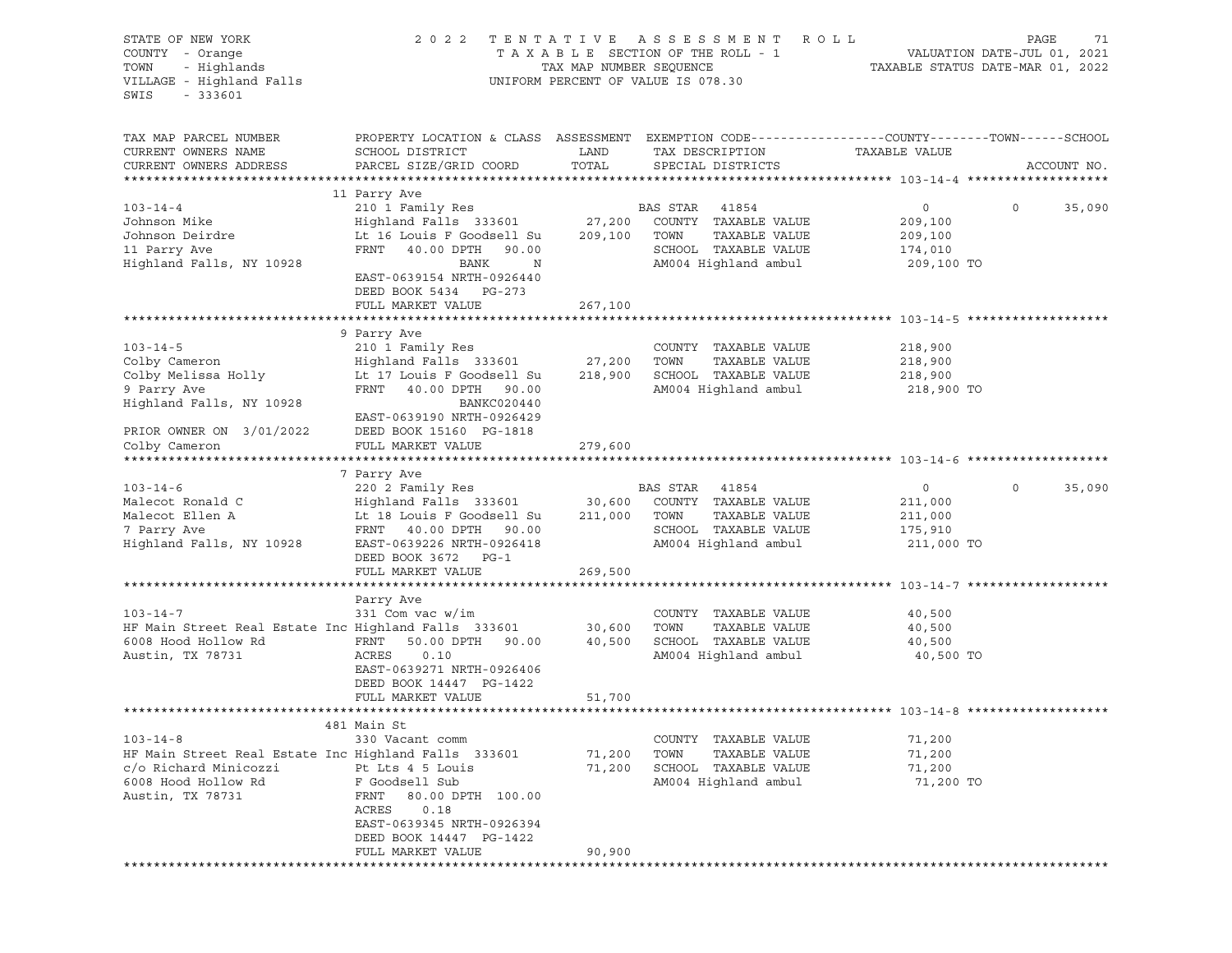| STATE OF NEW YORK<br>COUNTY - Orange<br>- Highlands<br>TOWN<br>VILLAGE - Highland Falls<br>$-333601$<br>SWIS                               | 2 0 2 2                                                                                                                                                                                                                               | TENTATIVE<br>TAX MAP NUMBER SEQUENCE | A S S E S S M E N T<br>R O L L<br>TAXABLE SECTION OF THE ROLL - 1<br>UNIFORM PERCENT OF VALUE IS 078.30 | VALUATION DATE-JUL 01, 2021<br>TAXABLE STATUS DATE-MAR 01, 2022 | PAGE<br>71        |
|--------------------------------------------------------------------------------------------------------------------------------------------|---------------------------------------------------------------------------------------------------------------------------------------------------------------------------------------------------------------------------------------|--------------------------------------|---------------------------------------------------------------------------------------------------------|-----------------------------------------------------------------|-------------------|
| TAX MAP PARCEL NUMBER<br>CURRENT OWNERS NAME<br>CURRENT OWNERS ADDRESS                                                                     | PROPERTY LOCATION & CLASS ASSESSMENT EXEMPTION CODE---------------COUNTY-------TOWN------SCHOOL<br>SCHOOL DISTRICT<br>PARCEL SIZE/GRID COORD                                                                                          | LAND<br>TOTAL                        | TAX DESCRIPTION<br>SPECIAL DISTRICTS                                                                    | TAXABLE VALUE                                                   | ACCOUNT NO.       |
|                                                                                                                                            |                                                                                                                                                                                                                                       |                                      |                                                                                                         |                                                                 |                   |
| $103 - 14 - 4$<br>Johnson Mike<br>Johnson Deirdre<br>11 Parry Ave<br>Highland Falls, NY 10928                                              | 11 Parry Ave<br>210 1 Family Res<br>Highland Falls 333601 27,200 COUNTY TAXABLE VALUE<br>Lt 16 Louis F Goodsell Su 209,100 TOWN<br>FRNT 40.00 DPTH 90.00<br>BANK<br>$\mathbb N$<br>EAST-0639154 NRTH-0926440<br>DEED BOOK 5434 PG-273 |                                      | BAS STAR 41854<br>TAXABLE VALUE<br>SCHOOL TAXABLE VALUE<br>AM004 Highland ambul                         | $\overline{0}$<br>209,100<br>209,100<br>174,010<br>209,100 TO   | 35,090<br>$\circ$ |
|                                                                                                                                            | FULL MARKET VALUE                                                                                                                                                                                                                     | 267,100                              |                                                                                                         |                                                                 |                   |
| $103 - 14 - 5$<br>Colby Cameron<br>Colby Melissa Holly<br>9 Parry Ave<br>Highland Falls, NY 10928                                          | 9 Parry Ave<br>210 1 Family Res<br>Highland Falls 333601 27,200<br>Lt 17 Louis F Goodsell Su<br>FRNT 40.00 DPTH 90.00<br>BANKC020440<br>EAST-0639190 NRTH-0926429                                                                     | 218,900                              | COUNTY TAXABLE VALUE<br>TOWN<br>TAXABLE VALUE<br>SCHOOL TAXABLE VALUE<br>AM004 Highland ambul           | 218,900<br>218,900<br>218,900<br>218,900 TO                     |                   |
| PRIOR OWNER ON 3/01/2022<br>Colby Cameron                                                                                                  | DEED BOOK 15160 PG-1818<br>FULL MARKET VALUE                                                                                                                                                                                          | 279,600                              |                                                                                                         |                                                                 |                   |
| $103 - 14 - 6$<br>Malecot Ronald C<br>Malecot Ellen A<br>7 Parry Ave<br>Highland Falls, NY 10928                                           | 7 Parry Ave<br>220 2 Family Res<br>Highland Falls 333601 30,600 COUNTY TAXABLE VALUE<br>Lt 18 Louis F Goodsell Su<br>FRNT 40.00 DPTH 90.00<br>EAST-0639226 NRTH-0926418<br>DEED BOOK 3672 PG-1<br>FULL MARKET VALUE                   | 269,500                              | BAS STAR 41854<br>211,000 TOWN<br>TAXABLE VALUE<br>SCHOOL TAXABLE VALUE<br>AM004 Highland ambul         | $\overline{0}$<br>211,000<br>211,000<br>175,910<br>211,000 TO   | $\circ$<br>35,090 |
|                                                                                                                                            |                                                                                                                                                                                                                                       |                                      |                                                                                                         |                                                                 |                   |
| $103-14-7$ COUNT!<br>HF Main Street Real Estate Inc Highland Falls 333601 30,600 TOWN<br>6008 Hood Hollow Rd<br>Austin, TX 78731           | Parry Ave<br>FRNT<br>50.00 DPTH 90.00<br>ACRES<br>0.10<br>EAST-0639271 NRTH-0926406<br>DEED BOOK 14447 PG-1422<br>FULL MARKET VALUE                                                                                                   | 40,500<br>51,700                     | COUNTY TAXABLE VALUE<br>TAXABLE VALUE<br>SCHOOL TAXABLE VALUE<br>AM004 Highland ambul                   | 40,500<br>40,500<br>40,500<br>40,500 TO                         |                   |
|                                                                                                                                            |                                                                                                                                                                                                                                       |                                      |                                                                                                         |                                                                 |                   |
| $103 - 14 - 8$<br>HF Main Street Real Estate Inc Highland Falls 333601<br>c/o Richard Minicozzi<br>6008 Hood Hollow Rd<br>Austin, TX 78731 | 481 Main St<br>330 Vacant comm<br>Pt Lts 4 5 Louis<br>F Goodsell Sub<br>FRNT<br>80.00 DPTH 100.00<br>ACRES<br>0.18<br>EAST-0639345 NRTH-0926394<br>DEED BOOK 14447 PG-1422<br>FULL MARKET VALUE                                       | 71,200<br>71,200<br>90,900           | COUNTY TAXABLE VALUE<br>TOWN<br>TAXABLE VALUE<br>SCHOOL TAXABLE VALUE<br>AM004 Highland ambul           | 71,200<br>71,200<br>71,200<br>71,200 TO                         |                   |
|                                                                                                                                            |                                                                                                                                                                                                                                       |                                      |                                                                                                         |                                                                 |                   |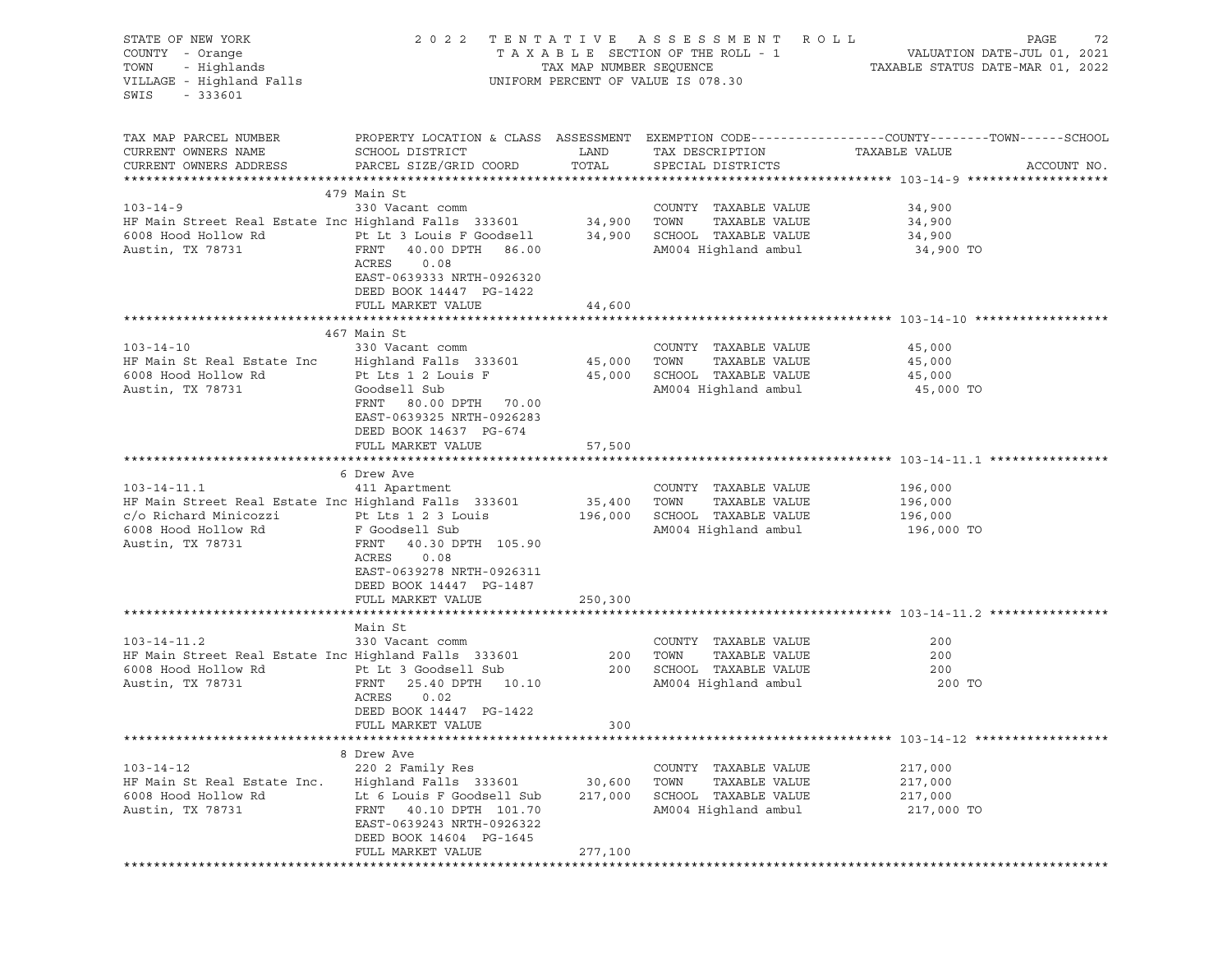| STATE OF NEW YORK<br>COUNTY - Orange<br>- Highlands<br>TOWN<br>VILLAGE - Highland Falls<br>SWIS<br>$-333601$ |                                                                                                                      | TAX MAP NUMBER SEQUENCE | 2022 TENTATIVE ASSESSMENT ROLL<br>TAXABLE SECTION OF THE ROLL - 1<br>UNIFORM PERCENT OF VALUE IS 078.30 | PAGE<br>72<br>VALUATION DATE-JUL 01, 2021<br>TAXABLE STATUS DATE-MAR 01, 2022                                                   |
|--------------------------------------------------------------------------------------------------------------|----------------------------------------------------------------------------------------------------------------------|-------------------------|---------------------------------------------------------------------------------------------------------|---------------------------------------------------------------------------------------------------------------------------------|
| TAX MAP PARCEL NUMBER<br>CURRENT OWNERS NAME<br>CURRENT OWNERS ADDRESS                                       | SCHOOL DISTRICT<br>PARCEL SIZE/GRID COORD                                                                            | LAND<br>TOTAL           | TAX DESCRIPTION<br>SPECIAL DISTRICTS                                                                    | PROPERTY LOCATION & CLASS ASSESSMENT EXEMPTION CODE---------------COUNTY-------TOWN------SCHOOL<br>TAXABLE VALUE<br>ACCOUNT NO. |
|                                                                                                              | 479 Main St                                                                                                          |                         |                                                                                                         |                                                                                                                                 |
| $103 - 14 - 9$                                                                                               | 330 Vacant comm                                                                                                      |                         | COUNTY TAXABLE VALUE                                                                                    | 34,900                                                                                                                          |
| HF Main Street Real Estate Inc Highland Falls 333601 34,900                                                  |                                                                                                                      |                         | TAXABLE VALUE<br>TOWN                                                                                   | 34,900                                                                                                                          |
| 6008 Hood Hollow Rd                                                                                          | Pt Lt 3 Louis F Goodsell                                                                                             | 34,900                  | SCHOOL TAXABLE VALUE                                                                                    | 34,900                                                                                                                          |
| Austin, TX 78731                                                                                             | FRNT 40.00 DPTH 86.00<br>ACRES<br>0.08<br>EAST-0639333 NRTH-0926320<br>DEED BOOK 14447 PG-1422                       |                         | AM004 Highland ambul                                                                                    | 34,900 TO                                                                                                                       |
|                                                                                                              | FULL MARKET VALUE                                                                                                    | 44,600                  |                                                                                                         |                                                                                                                                 |
|                                                                                                              |                                                                                                                      |                         |                                                                                                         |                                                                                                                                 |
| $103 - 14 - 10$                                                                                              | 467 Main St<br>330 Vacant comm                                                                                       |                         | COUNTY TAXABLE VALUE                                                                                    | 45,000                                                                                                                          |
| HF Main St Real Estate Inc                                                                                   | Highland Falls 333601                                                                                                | 45,000                  | TOWN<br>TAXABLE VALUE                                                                                   | 45,000                                                                                                                          |
| 6008 Hood Hollow Rd                                                                                          | Pt Lts 1 2 Louis F                                                                                                   | 45,000                  | SCHOOL TAXABLE VALUE                                                                                    | 45,000                                                                                                                          |
| Austin, TX 78731                                                                                             | Goodsell Sub<br>FRNT 80.00 DPTH 70.00<br>EAST-0639325 NRTH-0926283<br>DEED BOOK 14637 PG-674                         |                         | AM004 Highland ambul                                                                                    | 45,000 TO                                                                                                                       |
|                                                                                                              | FULL MARKET VALUE                                                                                                    | 57,500                  |                                                                                                         |                                                                                                                                 |
|                                                                                                              | 6 Drew Ave                                                                                                           |                         |                                                                                                         |                                                                                                                                 |
| $103 - 14 - 11.1$                                                                                            | 411 Apartment                                                                                                        |                         | COUNTY TAXABLE VALUE                                                                                    | 196,000                                                                                                                         |
| HF Main Street Real Estate Inc Highland Falls 333601                                                         |                                                                                                                      | 35,400                  | TAXABLE VALUE<br>TOWN                                                                                   | 196,000                                                                                                                         |
| $c/o$ Richard Minicozzi Pt Lts 1 2 3 Louis                                                                   |                                                                                                                      | 196,000                 | SCHOOL TAXABLE VALUE                                                                                    | 196,000                                                                                                                         |
| 6008 Hood Hollow Rd<br>Austin, TX 78731                                                                      | F Goodsell Sub<br>FRNT<br>40.30 DPTH 105.90<br>ACRES<br>0.08<br>EAST-0639278 NRTH-0926311<br>DEED BOOK 14447 PG-1487 |                         | AM004 Highland ambul                                                                                    | 196,000 TO                                                                                                                      |
|                                                                                                              | FULL MARKET VALUE                                                                                                    | 250,300                 |                                                                                                         |                                                                                                                                 |
|                                                                                                              |                                                                                                                      |                         |                                                                                                         |                                                                                                                                 |
| $103 - 14 - 11.2$                                                                                            | Main St<br>330 Vacant comm                                                                                           |                         | COUNTY TAXABLE VALUE                                                                                    | 200                                                                                                                             |
| HF Main Street Real Estate Inc Highland Falls 333601                                                         |                                                                                                                      | 200                     | TOWN<br>TAXABLE VALUE                                                                                   | 200                                                                                                                             |
| 6008 Hood Hollow Rd                                                                                          | Pt Lt 3 Goodsell Sub                                                                                                 | 200                     | SCHOOL TAXABLE VALUE                                                                                    | 200                                                                                                                             |
| Austin, TX 78731                                                                                             | FRNT 25.40 DPTH 10.10<br>ACRES<br>0.02<br>DEED BOOK 14447 PG-1422                                                    |                         | AM004 Highland ambul                                                                                    | 200 TO                                                                                                                          |
|                                                                                                              | FULL MARKET VALUE                                                                                                    | 300                     |                                                                                                         |                                                                                                                                 |
|                                                                                                              |                                                                                                                      |                         |                                                                                                         |                                                                                                                                 |
|                                                                                                              | 8 Drew Ave                                                                                                           |                         |                                                                                                         |                                                                                                                                 |
| $103 - 14 - 12$                                                                                              | 220 2 Family Res                                                                                                     |                         | COUNTY TAXABLE VALUE                                                                                    | 217,000                                                                                                                         |
| HF Main St Real Estate Inc.                                                                                  | Highland Falls 333601                                                                                                | 30,600                  | TOWN<br>TAXABLE VALUE                                                                                   | 217,000                                                                                                                         |
| 6008 Hood Hollow Rd<br>Austin, TX 78731                                                                      | Lt 6 Louis F Goodsell Sub<br>FRNT 40.10 DPTH 101.70                                                                  | 217,000                 | SCHOOL TAXABLE VALUE<br>AM004 Highland ambul                                                            | 217,000<br>217,000 TO                                                                                                           |
|                                                                                                              | EAST-0639243 NRTH-0926322<br>DEED BOOK 14604 PG-1645<br>FULL MARKET VALUE                                            | 277,100                 |                                                                                                         |                                                                                                                                 |
|                                                                                                              |                                                                                                                      |                         |                                                                                                         |                                                                                                                                 |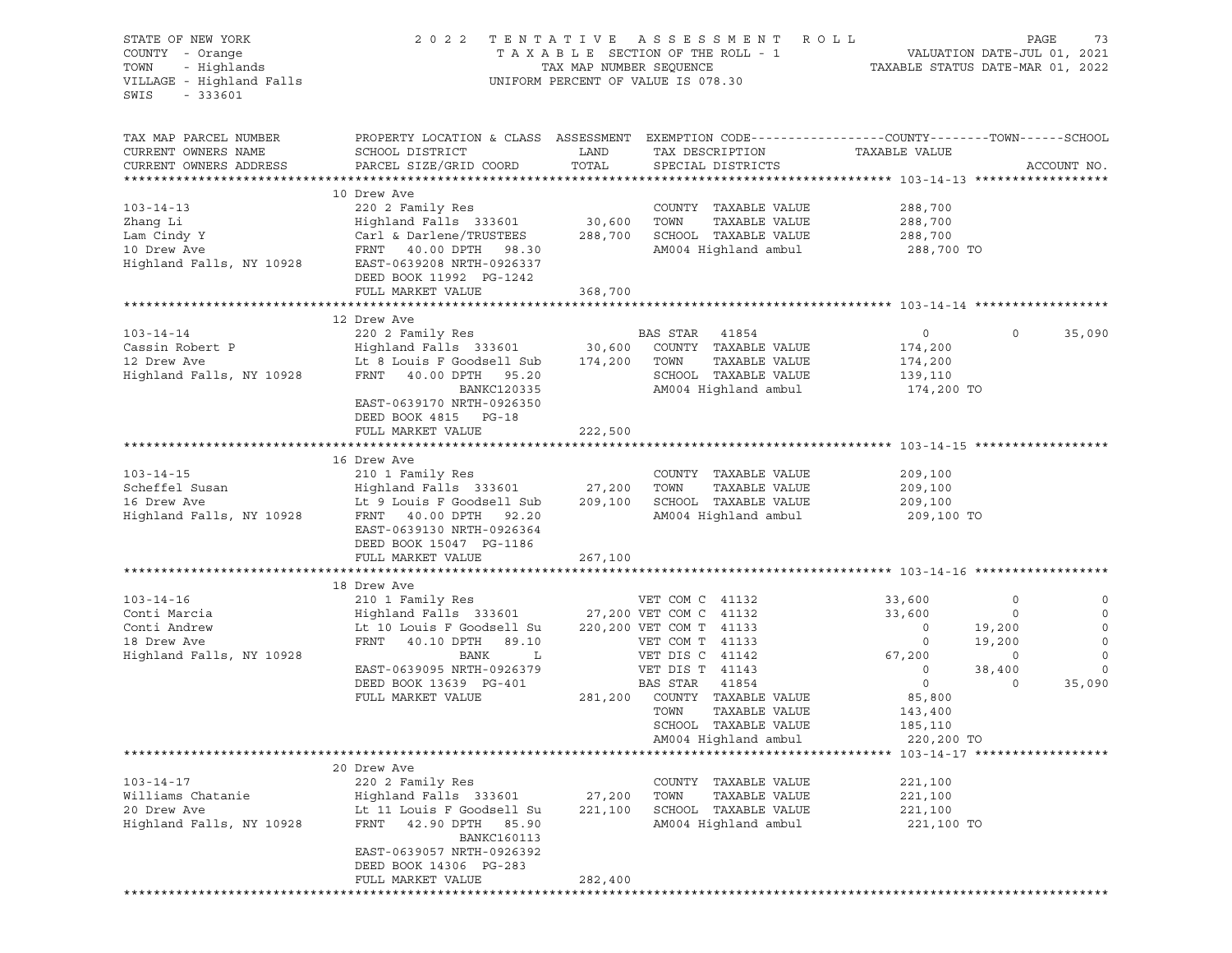| STATE OF NEW YORK<br>COUNTY - Orange<br>- Highlands<br>TOWN<br>VILLAGE - Highland Falls<br>SWIS<br>$-333601$ | 2 0 2 2                                                                                                                                                                                                             |                              | TENTATIVE ASSESSMENT ROLL<br>T A X A B L E SECTION OF THE ROLL - 1<br>TAX MAP NUMBER SEQUENCE TI<br>UNIFORM PERCENT OF VALUE IS 078.30                                                                                                              | VALUATION DATE-JUL 01, 2021<br>TAXABLE STATUS DATE-MAR 01, 2022                                                                                     |                                                                  | PAGE<br>73                                                                     |
|--------------------------------------------------------------------------------------------------------------|---------------------------------------------------------------------------------------------------------------------------------------------------------------------------------------------------------------------|------------------------------|-----------------------------------------------------------------------------------------------------------------------------------------------------------------------------------------------------------------------------------------------------|-----------------------------------------------------------------------------------------------------------------------------------------------------|------------------------------------------------------------------|--------------------------------------------------------------------------------|
| TAX MAP PARCEL NUMBER<br>CURRENT OWNERS NAME<br>CURRENT OWNERS ADDRESS                                       | PROPERTY LOCATION & CLASS ASSESSMENT EXEMPTION CODE----------------COUNTY-------TOWN------SCHOOL<br>SCHOOL DISTRICT<br>PARCEL SIZE/GRID COORD                                                                       | LAND<br>TOTAL                | TAX DESCRIPTION<br>SPECIAL DISTRICTS                                                                                                                                                                                                                | TAXABLE VALUE                                                                                                                                       |                                                                  | ACCOUNT NO.                                                                    |
|                                                                                                              |                                                                                                                                                                                                                     |                              |                                                                                                                                                                                                                                                     |                                                                                                                                                     |                                                                  |                                                                                |
| $103 - 14 - 13$<br>Zhang Li<br>Lam Cindy Y<br>10 Drew Ave<br>Highland Falls, NY 10928                        | 10 Drew Ave<br>220 2 Family Res<br>Highland Falls 333601<br>Carl & Darlene/TRUSTEES 288,700 SCHOOL TAXABLE VALUE<br>FRNT 40.00 DPTH 98.30<br>EAST-0639208 NRTH-0926337                                              | 30,600 TOWN                  | COUNTY TAXABLE VALUE<br>TAXABLE VALUE<br>AM004 Highland ambul                                                                                                                                                                                       | 288,700<br>288,700<br>288,700<br>288,700 TO                                                                                                         |                                                                  |                                                                                |
|                                                                                                              | DEED BOOK 11992 PG-1242                                                                                                                                                                                             |                              |                                                                                                                                                                                                                                                     |                                                                                                                                                     |                                                                  |                                                                                |
|                                                                                                              | FULL MARKET VALUE                                                                                                                                                                                                   | 368,700                      |                                                                                                                                                                                                                                                     |                                                                                                                                                     |                                                                  |                                                                                |
|                                                                                                              |                                                                                                                                                                                                                     |                              |                                                                                                                                                                                                                                                     |                                                                                                                                                     |                                                                  |                                                                                |
| $103 - 14 - 14$<br>Cassin Robert P<br>12 Drew Ave<br>Highland Falls, NY 10928                                | 12 Drew Ave<br>220 2 Family Res<br>Highland Falls 333601 30,600 COUNTY TAXABLE VALUE<br>Lt 8 Louis F Goodsell Sub 174,200 TOWN TAXABLE VALUE<br>FRNT 40.00 DPTH 95.20<br>BANKC120335                                |                              | BAS STAR 41854<br>SCHOOL TAXABLE VALUE<br>AM004 Highland ambul                                                                                                                                                                                      | $\overline{0}$<br>174,200<br>174,200<br>139,110<br>174,200 TO                                                                                       | $\circ$                                                          | 35,090                                                                         |
|                                                                                                              | EAST-0639170 NRTH-0926350<br>DEED BOOK 4815 PG-18<br>FULL MARKET VALUE                                                                                                                                              | 222,500                      |                                                                                                                                                                                                                                                     |                                                                                                                                                     |                                                                  |                                                                                |
|                                                                                                              | 16 Drew Ave                                                                                                                                                                                                         |                              |                                                                                                                                                                                                                                                     |                                                                                                                                                     |                                                                  |                                                                                |
| $103 - 14 - 15$<br>Scheffel Susan<br>16 Drow Ave<br>16 Drew Ave<br>Highland Falls, NY 10928                  | 210 1 Family Res<br>Highland Falls 333601 27,200<br>It 9 Louis E Coodsoll Sub 1909-100<br>Lt 9 Louis F Goodsell Sub<br>FRNT 40.00 DPTH 92.20<br>EAST-0639130 NRTH-0926364<br>DEED BOOK 15047 PG-1186                | 209,100                      | COUNTY TAXABLE VALUE<br>TOWN<br>TAXABLE VALUE<br>SCHOOL TAXABLE VALUE<br>AM004 Highland ambul                                                                                                                                                       | 209,100<br>209,100<br>209,100<br>209,100 TO                                                                                                         |                                                                  |                                                                                |
|                                                                                                              | FULL MARKET VALUE                                                                                                                                                                                                   | 267,100                      |                                                                                                                                                                                                                                                     |                                                                                                                                                     |                                                                  |                                                                                |
|                                                                                                              |                                                                                                                                                                                                                     |                              |                                                                                                                                                                                                                                                     |                                                                                                                                                     |                                                                  |                                                                                |
| $103 - 14 - 16$<br>Conti Marcia<br>Conti Andrew<br>18 Drew Ave<br>Highland Falls, NY 10928                   | 18 Drew Ave<br>210 1 Family Res<br>Highland Falls 333601<br>Lt 10 Louis F Goodsell Su<br>FRNT 40.10 DPTH 89.10<br>BANK<br>$\mathbf{L}$<br>EAST-0639095 NRTH-0926379<br>DEED BOOK 13639 PG-401<br>FULL MARKET VALUE  | 281,200                      | VET COM C 41132<br>27,200 VET COM C 41132<br>220,200 VET COM T 41133<br>VET COM T 41133<br>VET DIS C 41142<br>VET DIS T 41143<br>BAS STAR<br>41854<br>COUNTY TAXABLE VALUE<br>TOWN<br>TAXABLE VALUE<br>SCHOOL TAXABLE VALUE<br>AM004 Highland ambul | 33,600<br>33,600<br>$\circ$<br>$\overline{\phantom{0}}$<br>67,200<br>$\overline{0}$<br>$\overline{0}$<br>85,800<br>143,400<br>185,110<br>220,200 TO | 0<br>$\circ$<br>19,200<br>19,200<br>$\circ$<br>38,400<br>$\circ$ | 0<br>$\circ$<br>$\mathbf 0$<br>$\circ$<br>$\mathbf 0$<br>$\mathbf 0$<br>35,090 |
|                                                                                                              |                                                                                                                                                                                                                     |                              |                                                                                                                                                                                                                                                     |                                                                                                                                                     |                                                                  |                                                                                |
| $103 - 14 - 17$<br>Williams Chatanie<br>20 Drew Ave<br>Highland Falls, NY 10928                              | 20 Drew Ave<br>220 2 Family Res<br>Highland Falls 333601<br>Lt 11 Louis F Goodsell Su<br>FRNT<br>42.90 DPTH 85.90<br><b>BANKC160113</b><br>EAST-0639057 NRTH-0926392<br>DEED BOOK 14306 PG-283<br>FULL MARKET VALUE | 27,200<br>221,100<br>282,400 | COUNTY TAXABLE VALUE<br>TOWN<br>TAXABLE VALUE<br>SCHOOL TAXABLE VALUE<br>AM004 Highland ambul                                                                                                                                                       | 221,100<br>221,100<br>221,100<br>221,100 TO                                                                                                         |                                                                  |                                                                                |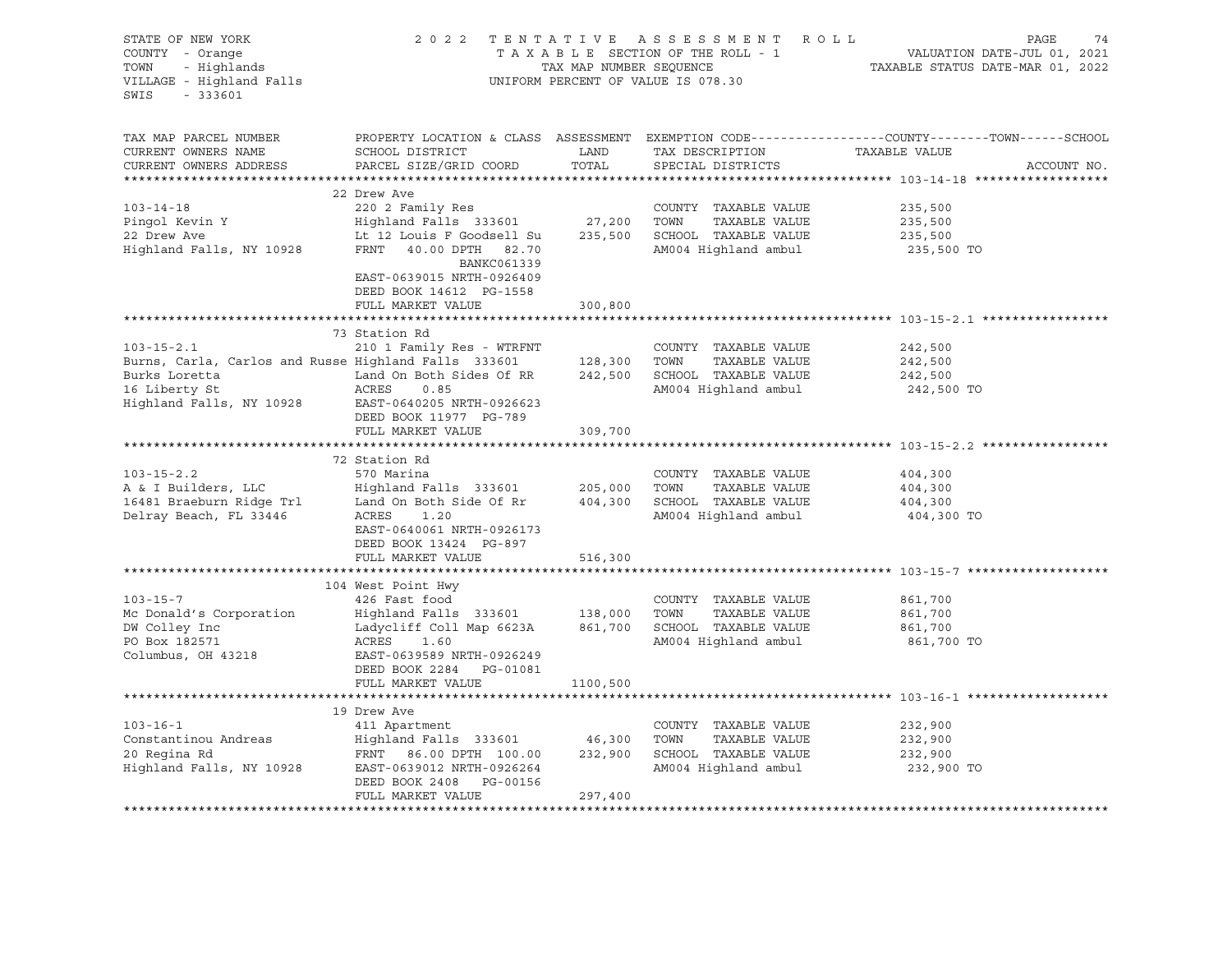| STATE OF NEW YORK<br>COUNTY - Orange<br>- Highlands<br>TOWN<br>VILLAGE - Highland Falls<br>$-333601$<br>SWIS                           |                                                                                                                                                                           | TAX MAP NUMBER SEQUENCE      | 2022 TENTATIVE ASSESSMENT ROLL<br>TAXABLE SECTION OF THE ROLL - 1<br>UNIFORM PERCENT OF VALUE IS 078.30       | PAGE<br>74<br>VALUATION DATE-JUL 01, 2021<br>TAXABLE STATUS DATE-MAR 01, 2022                                                  |
|----------------------------------------------------------------------------------------------------------------------------------------|---------------------------------------------------------------------------------------------------------------------------------------------------------------------------|------------------------------|---------------------------------------------------------------------------------------------------------------|--------------------------------------------------------------------------------------------------------------------------------|
| TAX MAP PARCEL NUMBER<br>CURRENT OWNERS NAME<br>CURRENT OWNERS ADDRESS<br>**********************                                       | SCHOOL DISTRICT<br>PARCEL SIZE/GRID COORD                                                                                                                                 | LAND<br>TOTAL                | TAX DESCRIPTION<br>SPECIAL DISTRICTS                                                                          | PROPERTY LOCATION & CLASS ASSESSMENT EXEMPTION CODE---------------COUNTY-------TOWN-----SCHOOL<br>TAXABLE VALUE<br>ACCOUNT NO. |
|                                                                                                                                        | 22 Drew Ave                                                                                                                                                               |                              |                                                                                                               |                                                                                                                                |
| $103 - 14 - 18$<br>Pingol Kevin Y<br>22 Drew Ave<br>Highland Falls, NY 10928                                                           | 220 2 Family Res<br>Highland Falls 333601 27,200<br>Lt 12 Louis F Goodsell Su<br>FRNT 40.00 DPTH 82.70<br>BANKC061339<br>EAST-0639015 NRTH-0926409                        | 235,500                      | COUNTY TAXABLE VALUE<br>TOWN<br>TAXABLE VALUE<br>SCHOOL TAXABLE VALUE<br>AM004 Highland ambul                 | 235,500<br>235,500<br>235,500<br>235,500 TO                                                                                    |
|                                                                                                                                        | DEED BOOK 14612 PG-1558                                                                                                                                                   |                              |                                                                                                               |                                                                                                                                |
|                                                                                                                                        | FULL MARKET VALUE                                                                                                                                                         | 300,800                      |                                                                                                               |                                                                                                                                |
|                                                                                                                                        |                                                                                                                                                                           |                              |                                                                                                               |                                                                                                                                |
| $103 - 15 - 2.1$<br>Burns, Carla, Carlos and Russe Highland Falls 333601<br>Burks Loretta<br>16 Liberty St<br>Highland Falls, NY 10928 | 73 Station Rd<br>210 1 Family Res - WTRFNT<br>Land On Both Sides Of RR<br>ACRES<br>0.85<br>EAST-0640205 NRTH-0926623                                                      |                              | COUNTY TAXABLE VALUE<br>128,300 TOWN<br>TAXABLE VALUE<br>242,500 SCHOOL TAXABLE VALUE<br>AM004 Highland ambul | 242,500<br>242,500<br>242,500<br>242,500 TO                                                                                    |
|                                                                                                                                        | DEED BOOK 11977 PG-789<br>FULL MARKET VALUE                                                                                                                               | 309,700                      |                                                                                                               |                                                                                                                                |
|                                                                                                                                        | 72 Station Rd                                                                                                                                                             |                              |                                                                                                               |                                                                                                                                |
| $103 - 15 - 2.2$<br>A & I Builders, LLC<br>16481 Braeburn Ridge Trl<br>Delray Beach, FL 33446                                          | 570 Marina<br>Highland Falls 333601<br>Land On Both Side Of Rr<br>ACRES<br>1.20<br>EAST-0640061 NRTH-0926173<br>DEED BOOK 13424 PG-897<br>FULL MARKET VALUE               | 205,000<br>516,300           | COUNTY TAXABLE VALUE<br>TOWN<br>TAXABLE VALUE<br>404,300 SCHOOL TAXABLE VALUE<br>AM004 Highland ambul         | 404,300<br>404,300<br>404,300<br>404,300 TO                                                                                    |
|                                                                                                                                        |                                                                                                                                                                           |                              |                                                                                                               |                                                                                                                                |
| $103 - 15 - 7$<br>Mc Donald's Corporation<br>DW Colley Inc<br>PO Box 182571<br>Columbus, OH 43218                                      | 104 West Point Hwy<br>426 Fast food<br>Highland Falls 333601 138,000<br>Ladycliff Coll Map 6623A<br>ACRES<br>1.60<br>EAST-0639589 NRTH-0926249<br>DEED BOOK 2284 PG-01081 |                              | COUNTY TAXABLE VALUE<br>TOWN<br>TAXABLE VALUE<br>861,700 SCHOOL TAXABLE VALUE<br>AM004 Highland ambul         | 861,700<br>861,700<br>861,700<br>861,700 TO                                                                                    |
|                                                                                                                                        | FULL MARKET VALUE                                                                                                                                                         | 1100,500                     |                                                                                                               |                                                                                                                                |
|                                                                                                                                        |                                                                                                                                                                           |                              |                                                                                                               |                                                                                                                                |
| $103 - 16 - 1$<br>Constantinou Andreas<br>20 Regina Rd<br>Highland Falls, NY 10928                                                     | 19 Drew Ave<br>411 Apartment<br>Highland Falls 333601<br>FRNT 86.00 DPTH 100.00<br>EAST-0639012 NRTH-0926264<br>DEED BOOK 2408 PG-00156<br>FULL MARKET VALUE              | 46,300<br>232,900<br>297,400 | COUNTY TAXABLE VALUE<br>TOWN<br>TAXABLE VALUE<br>SCHOOL TAXABLE VALUE<br>AM004 Highland ambul                 | 232,900<br>232,900<br>232,900<br>232,900 TO                                                                                    |
|                                                                                                                                        |                                                                                                                                                                           |                              |                                                                                                               |                                                                                                                                |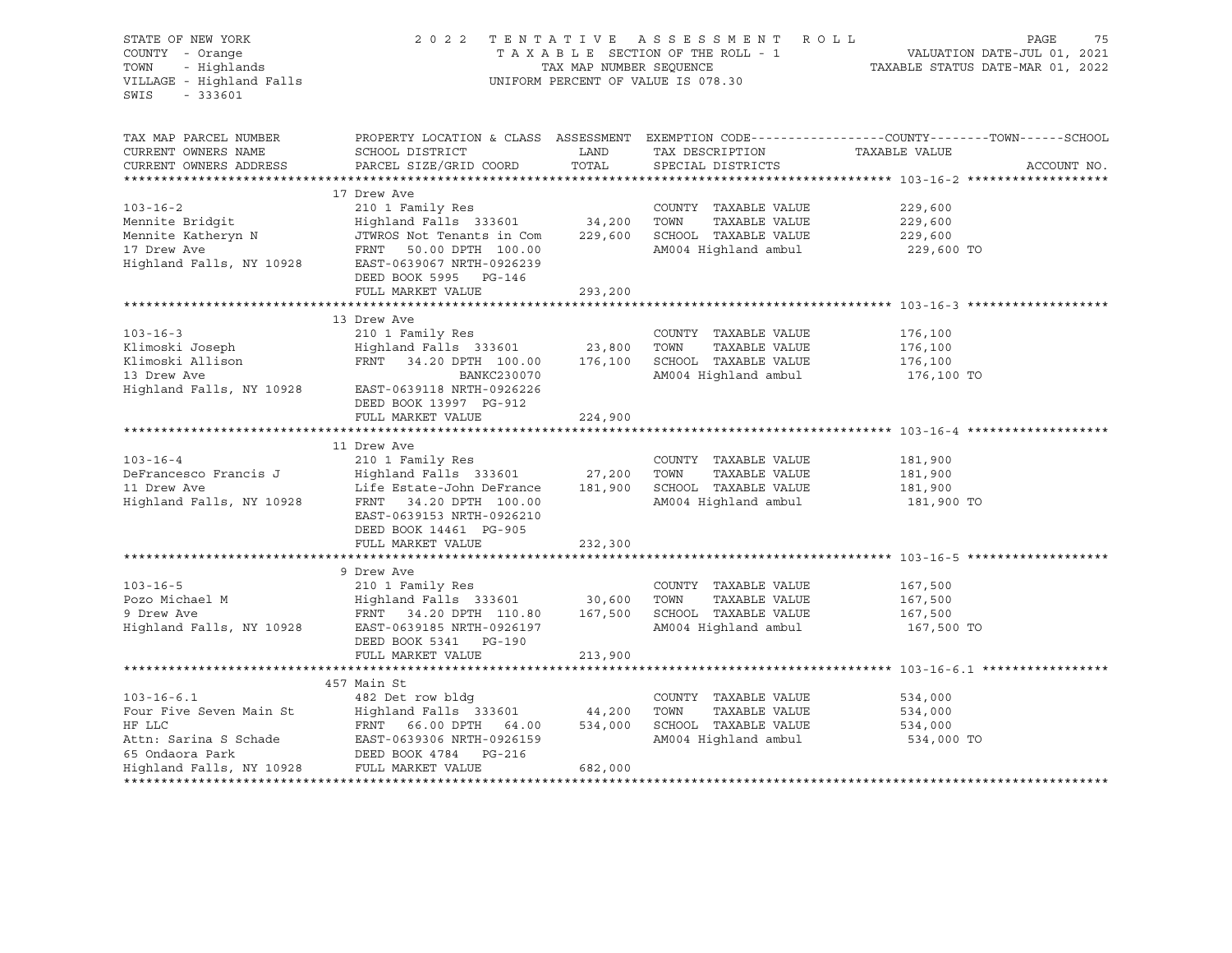| STATE OF NEW YORK<br>COUNTY - Orange<br>COUNTY - Orange<br>TOWN - Highlands<br>VILLAGE - Highland Falls<br>$-333601$<br>SWIS     |                                                                                                                                                                                             | TAX MAP NUMBER SEQUENCE | 2022 TENTATIVE ASSESSMENT ROLL<br>TAXABLE SECTION OF THE ROLL - 1<br>UNIFORM PERCENT OF VALUE IS 078.30 | PAGE<br>75<br>VALUATION DATE-JUL 01, 2021<br>TAXABLE STATUS DATE-MAR 01, 2022                                                    |
|----------------------------------------------------------------------------------------------------------------------------------|---------------------------------------------------------------------------------------------------------------------------------------------------------------------------------------------|-------------------------|---------------------------------------------------------------------------------------------------------|----------------------------------------------------------------------------------------------------------------------------------|
| TAX MAP PARCEL NUMBER<br>CURRENT OWNERS NAME<br>CURRENT OWNERS ADDRESS                                                           | SCHOOL DISTRICT<br>PARCEL SIZE/GRID COORD                                                                                                                                                   | LAND<br>TOTAL           | TAX DESCRIPTION<br>SPECIAL DISTRICTS                                                                    | PROPERTY LOCATION & CLASS ASSESSMENT EXEMPTION CODE----------------COUNTY-------TOWN------SCHOOL<br>TAXABLE VALUE<br>ACCOUNT NO. |
|                                                                                                                                  |                                                                                                                                                                                             |                         |                                                                                                         |                                                                                                                                  |
| $103 - 16 - 2$<br>Mennite Bridgit<br>Mennite Katheryn N<br>17 Drew Ave<br>17 Drew Ave<br>17 Drew Ave<br>Highland Falls, NY 10928 | 17 Drew Ave<br>210 1 Family Res<br>Highland Falls 333601 34,200 TOWN<br>JTWROS Not Tenants in Com<br>FRNT 50.00 DPTH 100.00<br>EAST-0639067 NRTH-0926239<br>DEED BOOK 5995 PG-146           |                         | COUNTY TAXABLE VALUE<br>TAXABLE VALUE<br>229,600 SCHOOL TAXABLE VALUE<br>AM004 Highland ambul           | 229,600<br>229,600<br>229,600<br>229,600 TO                                                                                      |
|                                                                                                                                  | FULL MARKET VALUE                                                                                                                                                                           | 293,200                 |                                                                                                         |                                                                                                                                  |
|                                                                                                                                  |                                                                                                                                                                                             |                         |                                                                                                         |                                                                                                                                  |
| $103 - 16 - 3$<br>Klimoski Joseph<br>Klimoski Allison<br>Highland Falls, NY 10928                                                | 13 Drew Ave<br>210 1 Family Res<br>Highland Falls 333601 23,800<br>FRNT 34.20 DPTH 100.00<br>BANKC230070<br>EAST-0639118 NRTH-0926226                                                       | 176,100                 | COUNTY TAXABLE VALUE<br>TOWN<br>TAXABLE VALUE<br>SCHOOL TAXABLE VALUE<br>AM004 Highland ambul           | 176,100<br>176,100<br>176,100<br>176,100 TO                                                                                      |
|                                                                                                                                  | DEED BOOK 13997 PG-912<br>FULL MARKET VALUE                                                                                                                                                 | 224,900                 |                                                                                                         |                                                                                                                                  |
|                                                                                                                                  |                                                                                                                                                                                             |                         |                                                                                                         |                                                                                                                                  |
| $103 - 16 - 4$<br>DeFrancesco Francis J<br>11 Drew Ave<br>Highland Falls, NY 10928                                               | 11 Drew Ave<br>210 1 Family Res<br>Highland Falls 333601<br>Life Estate-John DeFrance<br>FRNT 34.20 DPTH 100.00<br>EAST-0639153 NRTH-0926210<br>DEED BOOK 14461 PG-905<br>FULL MARKET VALUE | 27,200<br>232,300       | COUNTY TAXABLE VALUE<br>TOWN<br>TAXABLE VALUE<br>181,900 SCHOOL TAXABLE VALUE<br>AM004 Highland ambul   | 181,900<br>181,900<br>181,900<br>181,900 TO                                                                                      |
|                                                                                                                                  |                                                                                                                                                                                             |                         |                                                                                                         |                                                                                                                                  |
| $103 - 16 - 5$                                                                                                                   | 9 Drew Ave<br>210 1 Family Res<br>Highland Falls 333601 30,600<br>1907,600 ERNT 34.20 DPTH 110.80 167,500<br>Highland Falls, NY 10928 EAST-0639185 NRTH-0006107<br>DEED BOOK 5341 PG-190    |                         | COUNTY TAXABLE VALUE<br>TOWN<br>TAXABLE VALUE<br>SCHOOL TAXABLE VALUE<br>AM004 Highland ambul           | 167,500<br>167,500<br>167,500<br>167,500 TO                                                                                      |
|                                                                                                                                  | FULL MARKET VALUE                                                                                                                                                                           | 213,900                 |                                                                                                         |                                                                                                                                  |
|                                                                                                                                  |                                                                                                                                                                                             |                         |                                                                                                         |                                                                                                                                  |
| $103 - 16 - 6.1$<br>Four Five Seven Main St<br>HF LLC                                                                            | 457 Main St<br>482 Det row bldg<br>Highland Falls 333601 44,200<br>FRNT 66.00 DPTH 64.00 534,000<br>EAST-0639306 NRTH-0926159                                                               | 682,000                 | COUNTY TAXABLE VALUE<br>TOWN<br>TAXABLE VALUE<br>SCHOOL TAXABLE VALUE<br>AM004 Highland ambul           | 534,000<br>534,000<br>534,000<br>534,000 TO                                                                                      |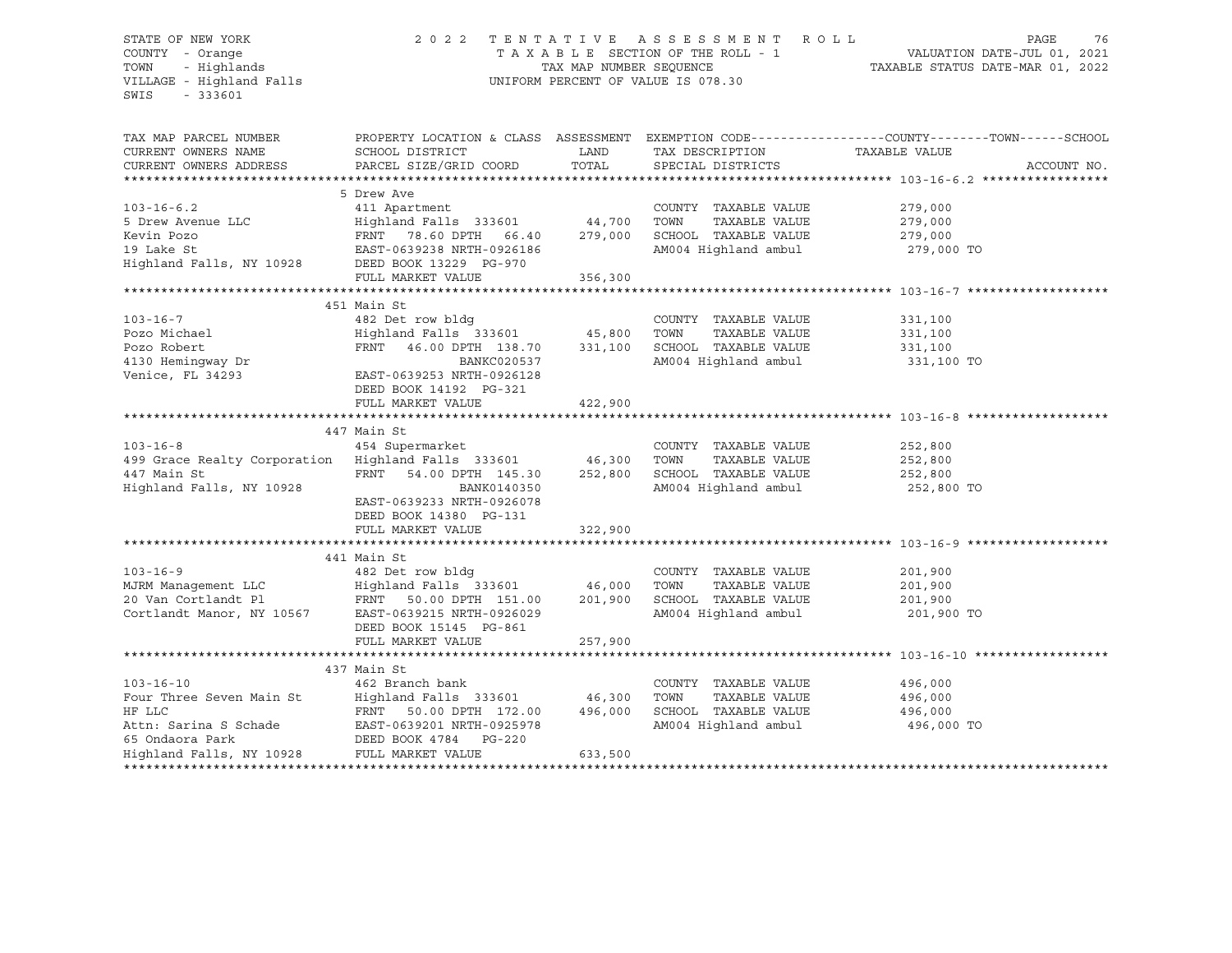## STATE OF NEW YORK 2 0 2 2 T E N T A T I V E A S S E S S M E N T R O L L PAGE 76 COUNTY - Orange T A X A B L E SECTION OF THE ROLL - 1 VALUATION DATE-JUL 01, 2021 TOWN - Highlands TAX MAP NUMBER SEQUENCE TAXABLE STATUS DATE-MAR 01, 2022 VILLAGE - Highland Falls UNIFORM PERCENT OF VALUE IS 078.30

| TAX MAP PARCEL NUMBER<br>CURRENT OWNERS NAME<br>CURRENT OWNERS ADDRESS                                                                                                                               | SCHOOL DISTRICT<br>PARCEL SIZE/GRID COORD                                  | LAND<br>TOTAL | TAX DESCRIPTION TAXABLE VALUE<br>SPECIAL DISTRICTS | PROPERTY LOCATION & CLASS ASSESSMENT EXEMPTION CODE----------------COUNTY-------TOWN------SCHOOL<br>ACCOUNT NO. |
|------------------------------------------------------------------------------------------------------------------------------------------------------------------------------------------------------|----------------------------------------------------------------------------|---------------|----------------------------------------------------|-----------------------------------------------------------------------------------------------------------------|
|                                                                                                                                                                                                      |                                                                            |               |                                                    |                                                                                                                 |
|                                                                                                                                                                                                      | 5 Drew Ave                                                                 |               |                                                    |                                                                                                                 |
| $103 - 16 - 6.2$                                                                                                                                                                                     | 411 Apartment                                                              |               | COUNTY TAXABLE VALUE                               | 279,000                                                                                                         |
|                                                                                                                                                                                                      |                                                                            |               | TAXABLE VALUE<br>TOWN                              |                                                                                                                 |
|                                                                                                                                                                                                      |                                                                            |               | SCHOOL TAXABLE VALUE                               | 279,000<br>279,000                                                                                              |
|                                                                                                                                                                                                      |                                                                            |               | AM004 Highland ambul 279,000 TO                    |                                                                                                                 |
|                                                                                                                                                                                                      |                                                                            |               |                                                    |                                                                                                                 |
|                                                                                                                                                                                                      | FULL MARKET VALUE                                                          | 356,300       |                                                    |                                                                                                                 |
|                                                                                                                                                                                                      |                                                                            |               |                                                    |                                                                                                                 |
|                                                                                                                                                                                                      | 451 Main St                                                                |               |                                                    |                                                                                                                 |
| $103 - 16 - 7$                                                                                                                                                                                       | 482 Det row bldg                                                           |               | COUNTY TAXABLE VALUE                               | 331,100                                                                                                         |
| Pozo Michael                                                                                                                                                                                         |                                                                            |               | TAXABLE VALUE                                      |                                                                                                                 |
|                                                                                                                                                                                                      | Highland Falls 333601 45,800 TOWN<br>FRNT 46.00 DPTH 138.70 331,100 SCHOOL |               | SCHOOL TAXABLE VALUE                               | 331,100<br>331,100                                                                                              |
|                                                                                                                                                                                                      | BANKC020537                                                                |               | AM004 Highland ambul 331,100 TO                    |                                                                                                                 |
| Le Robert<br>130 Hemingway Dr<br>Venice, FL 34293                                                                                                                                                    | EAST-0639253 NRTH-0926128                                                  |               |                                                    |                                                                                                                 |
|                                                                                                                                                                                                      | DEED BOOK 14192 PG-321                                                     |               |                                                    |                                                                                                                 |
|                                                                                                                                                                                                      | FULL MARKET VALUE                                                          | 422,900       |                                                    |                                                                                                                 |
|                                                                                                                                                                                                      |                                                                            |               |                                                    |                                                                                                                 |
|                                                                                                                                                                                                      | 447 Main St                                                                |               |                                                    |                                                                                                                 |
| $103 - 16 - 8$                                                                                                                                                                                       | 454 Supermarket                                                            |               | COUNTY TAXABLE VALUE                               | $252,800$<br>$252,000$                                                                                          |
| 499 Grace Realty Corporation Highland Falls 333601 46,300 TOWN                                                                                                                                       |                                                                            |               | TAXABLE VALUE                                      |                                                                                                                 |
| 447 Main St                                                                                                                                                                                          | FRNT 54.00 DPTH 145.30 252,800                                             |               | SCHOOL TAXABLE VALUE 252,800                       |                                                                                                                 |
| Highland Falls, NY 10928                                                                                                                                                                             | BANK0140350                                                                |               | AM004 Highland ambul                               | 252,800 TO                                                                                                      |
|                                                                                                                                                                                                      | EAST-0639233 NRTH-0926078                                                  |               |                                                    |                                                                                                                 |
|                                                                                                                                                                                                      | DEED BOOK 14380 PG-131                                                     |               |                                                    |                                                                                                                 |
|                                                                                                                                                                                                      | FULL MARKET VALUE                                                          | 322,900       |                                                    |                                                                                                                 |
|                                                                                                                                                                                                      |                                                                            |               |                                                    |                                                                                                                 |
|                                                                                                                                                                                                      | 441 Main St                                                                |               |                                                    |                                                                                                                 |
| $103 - 16 - 9$                                                                                                                                                                                       | 482 Det row bldg                                                           |               | COUNTY TAXABLE VALUE                               | 201,900                                                                                                         |
|                                                                                                                                                                                                      |                                                                            |               | TOWN<br>TAXABLE VALUE                              | 201,900                                                                                                         |
| MJRM Management LLC (1991)<br>20 Van Cortlandt Pl (1991)<br>20 Van Cortlandt Pl (1996)<br>201,900<br>201,900<br>201,900<br>201,900<br>202,900<br>202,900<br>202,900<br>202,900<br>202,900<br>202,900 |                                                                            |               | SCHOOL TAXABLE VALUE                               | 201,900                                                                                                         |
|                                                                                                                                                                                                      |                                                                            |               | AM004 Highland ambul                               | 201,900 TO                                                                                                      |
|                                                                                                                                                                                                      | DEED BOOK 15145 PG-861                                                     |               |                                                    |                                                                                                                 |
|                                                                                                                                                                                                      | FULL MARKET VALUE                                                          | 257,900       |                                                    |                                                                                                                 |
|                                                                                                                                                                                                      |                                                                            |               |                                                    |                                                                                                                 |
|                                                                                                                                                                                                      | 437 Main St                                                                |               |                                                    |                                                                                                                 |
| $103 - 16 - 10$                                                                                                                                                                                      | 462 Branch bank                                                            |               | COUNTY TAXABLE VALUE                               | 496,000                                                                                                         |
| Four Three Seven Main St                                                                                                                                                                             | Highland Falls 333601 46,300                                               |               | TOWN<br>TAXABLE VALUE                              | 496,000                                                                                                         |
|                                                                                                                                                                                                      | FRNT 50.00 DPTH 172.00 496,000                                             |               | SCHOOL TAXABLE VALUE                               |                                                                                                                 |
|                                                                                                                                                                                                      |                                                                            |               | AM004 Highland ambul                               | 496,000<br>496,000 TO                                                                                           |
| HF LLC<br>Attn: Sarina S Schade EAST-0639201 NRTH-0925978<br>65 Ondaora Park DEED BOOK 4784 PG-220<br>Highland Falls, NY 10928 FULL MARKET VALUE                                                     |                                                                            |               |                                                    |                                                                                                                 |
|                                                                                                                                                                                                      |                                                                            | 633,500       |                                                    |                                                                                                                 |
|                                                                                                                                                                                                      |                                                                            |               |                                                    |                                                                                                                 |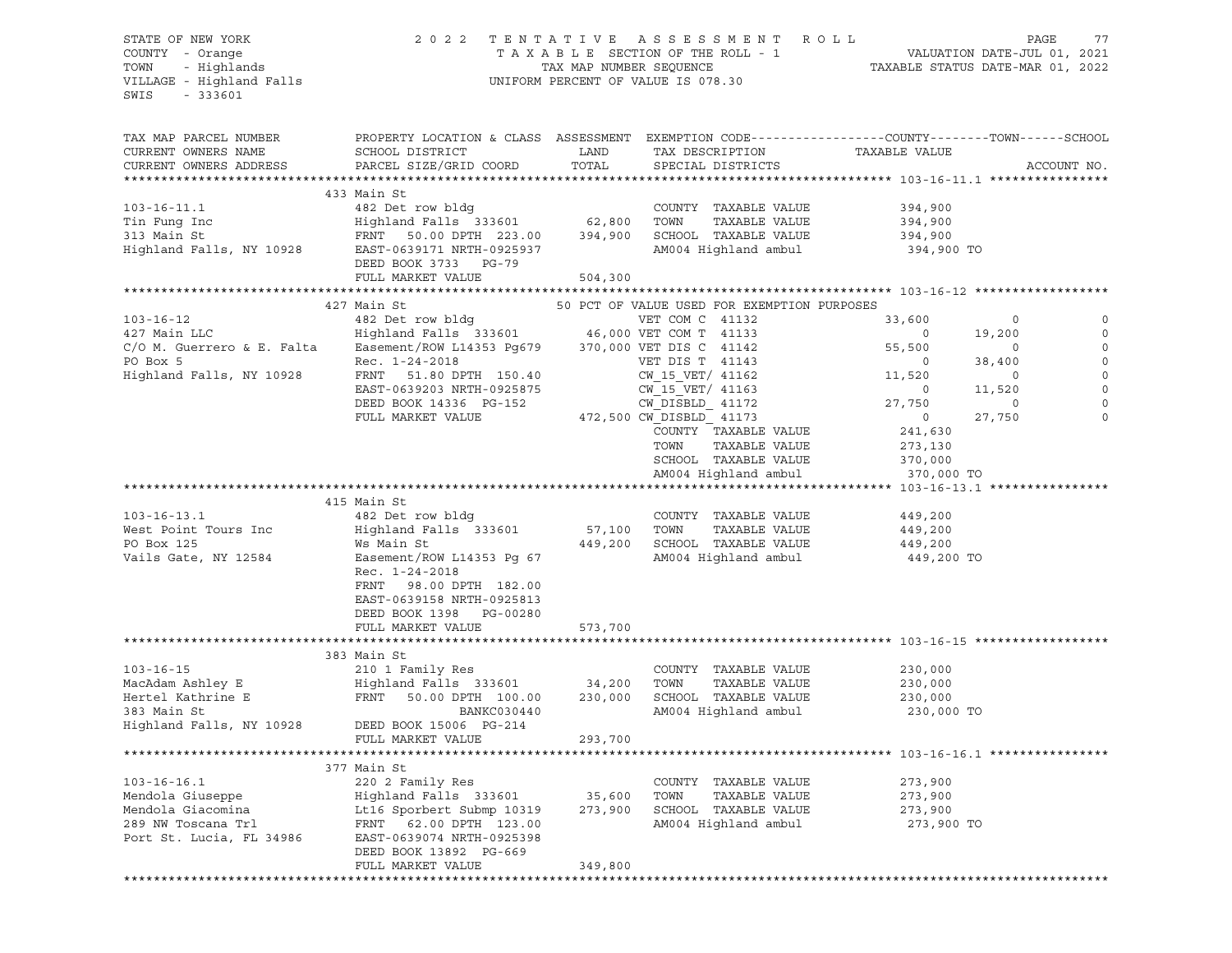| STATE OF NEW YORK          | 2 0 2 2                                                                                         |                         | TENTATIVE ASSESSMENT                        | R O L L        | PAGE<br>77                       |
|----------------------------|-------------------------------------------------------------------------------------------------|-------------------------|---------------------------------------------|----------------|----------------------------------|
| COUNTY - Orange            |                                                                                                 |                         | TAXABLE SECTION OF THE ROLL - 1             |                | VALUATION DATE-JUL 01, 2021      |
| TOWN<br>- Highlands        |                                                                                                 | TAX MAP NUMBER SEQUENCE |                                             |                | TAXABLE STATUS DATE-MAR 01, 2022 |
| VILLAGE - Highland Falls   |                                                                                                 |                         | UNIFORM PERCENT OF VALUE IS 078.30          |                |                                  |
| SWIS<br>$-333601$          |                                                                                                 |                         |                                             |                |                                  |
|                            |                                                                                                 |                         |                                             |                |                                  |
| TAX MAP PARCEL NUMBER      | PROPERTY LOCATION & CLASS ASSESSMENT EXEMPTION CODE----------------COUNTY-------TOWN-----SCHOOL |                         |                                             |                |                                  |
| CURRENT OWNERS NAME        | SCHOOL DISTRICT                                                                                 | LAND                    | TAX DESCRIPTION                             | TAXABLE VALUE  |                                  |
| CURRENT OWNERS ADDRESS     | PARCEL SIZE/GRID COORD                                                                          | TOTAL                   | SPECIAL DISTRICTS                           |                | ACCOUNT NO.                      |
|                            |                                                                                                 |                         |                                             |                |                                  |
|                            | 433 Main St                                                                                     |                         |                                             |                |                                  |
| $103 - 16 - 11.1$          | 482 Det row bldg                                                                                |                         | COUNTY TAXABLE VALUE                        | 394,900        |                                  |
| Tin Fung Inc               | Highland Falls 333601                                                                           | 62,800                  | TOWN<br>TAXABLE VALUE                       | 394,900        |                                  |
| 313 Main St                | FRNT 50.00 DPTH 223.00                                                                          | 394,900                 | SCHOOL TAXABLE VALUE                        | 394,900        |                                  |
| Highland Falls, NY 10928   | EAST-0639171 NRTH-0925937                                                                       |                         | AM004 Highland ambul                        | 394,900 TO     |                                  |
|                            | DEED BOOK 3733 PG-79                                                                            |                         |                                             |                |                                  |
|                            | FULL MARKET VALUE                                                                               | 504,300                 |                                             |                |                                  |
|                            |                                                                                                 |                         |                                             |                |                                  |
|                            | 427 Main St                                                                                     |                         | 50 PCT OF VALUE USED FOR EXEMPTION PURPOSES |                |                                  |
| $103 - 16 - 12$            | 482 Det row bldg                                                                                |                         | VET COM C 41132                             | 33,600         | 0<br>0                           |
| 427 Main LLC               | Highland Falls 333601 46,000 VET COM T 41133                                                    |                         |                                             | $\overline{0}$ | $\mathbf 0$<br>19,200            |
| C/O M. Guerrero & E. Falta | Easement/ROW L14353 Pg679 370,000 VET DIS C 41142                                               |                         |                                             | 55,500         | $\circ$<br>0                     |
| PO Box 5                   | Rec. 1-24-2018                                                                                  |                         | VET DIS T 41143                             | $\overline{0}$ | $\mathbb O$<br>38,400            |
| Highland Falls, NY 10928   | FRNT 51.80 DPTH 150.40                                                                          |                         | CW 15 VET/ 41162                            | 11,520         | $\mathsf O$<br>$\circ$           |
|                            | EAST-0639203 NRTH-0925875                                                                       |                         | CW 15 VET/ 41163                            | $\overline{0}$ | 11,520<br>$\mathbf 0$            |
|                            | DEED BOOK 14336 PG-152                                                                          |                         | CW DISBLD 41172                             | 27,750         | $\mathbf 0$<br>$\circ$           |
|                            | FULL MARKET VALUE                                                                               |                         | 472,500 CW DISBLD 41173                     | $\circ$        | $\mathbf 0$<br>27,750            |
|                            |                                                                                                 |                         | COUNTY TAXABLE VALUE                        | 241,630        |                                  |
|                            |                                                                                                 |                         | TAXABLE VALUE<br>TOWN                       | 273,130        |                                  |
|                            |                                                                                                 |                         | SCHOOL TAXABLE VALUE                        | 370,000        |                                  |
|                            |                                                                                                 |                         | AM004 Highland ambul                        | 370,000 TO     |                                  |
|                            |                                                                                                 |                         |                                             |                |                                  |
|                            | 415 Main St                                                                                     |                         |                                             |                |                                  |
| $103 - 16 - 13.1$          | 482 Det row bldg                                                                                |                         | COUNTY TAXABLE VALUE                        | 449,200        |                                  |
| West Point Tours Inc       | Highland Falls 333601                                                                           | 57,100                  | TOWN<br>TAXABLE VALUE                       | 449,200        |                                  |
| PO Box 125                 | Ws Main St                                                                                      | 449,200                 | SCHOOL TAXABLE VALUE                        | 449,200        |                                  |
| Vails Gate, NY 12584       | Easement/ROW L14353 Pg 67                                                                       |                         | AM004 Highland ambul                        | 449,200 TO     |                                  |
|                            | Rec. 1-24-2018                                                                                  |                         |                                             |                |                                  |
|                            | FRNT 98.00 DPTH 182.00                                                                          |                         |                                             |                |                                  |
|                            | EAST-0639158 NRTH-0925813                                                                       |                         |                                             |                |                                  |
|                            | DEED BOOK 1398 PG-00280                                                                         |                         |                                             |                |                                  |
|                            | FULL MARKET VALUE                                                                               | 573,700                 |                                             |                |                                  |
|                            | 383 Main St                                                                                     |                         |                                             |                |                                  |
| $103 - 16 - 15$            | 210 1 Family Res                                                                                |                         | COUNTY TAXABLE VALUE                        | 230,000        |                                  |
| MacAdam Ashley E           | Highland Falls 333601                                                                           | 34,200                  | TOWN<br>TAXABLE VALUE                       | 230,000        |                                  |
| Hertel Kathrine E          | FRNT<br>50.00 DPTH 100.00                                                                       | 230,000                 | SCHOOL TAXABLE VALUE                        | 230,000        |                                  |
| 383 Main St                | BANKC030440                                                                                     |                         | AM004 Highland ambul                        | 230,000 TO     |                                  |
| Highland Falls, NY 10928   | DEED BOOK 15006 PG-214                                                                          |                         |                                             |                |                                  |
|                            | FULL MARKET VALUE                                                                               | 293,700                 |                                             |                |                                  |
|                            |                                                                                                 |                         |                                             |                |                                  |
|                            | 377 Main St                                                                                     |                         |                                             |                |                                  |
| $103 - 16 - 16.1$          | 220 2 Family Res                                                                                |                         | TAXABLE VALUE<br>COUNTY                     | 273,900        |                                  |
| Mendola Giuseppe           | Highland Falls 333601                                                                           | 35,600                  | TAXABLE VALUE<br>TOWN                       | 273,900        |                                  |
| Mendola Giacomina          | Lt16 Sporbert Submp 10319                                                                       | 273,900                 | SCHOOL<br>TAXABLE VALUE                     | 273,900        |                                  |
| 289 NW Toscana Trl         | FRNT<br>62.00 DPTH 123.00                                                                       |                         | AM004 Highland ambul                        | 273,900 TO     |                                  |
| Port St. Lucia, FL 34986   | EAST-0639074 NRTH-0925398                                                                       |                         |                                             |                |                                  |
|                            | DEED BOOK 13892 PG-669                                                                          |                         |                                             |                |                                  |
|                            | FULL MARKET VALUE                                                                               | 349,800                 |                                             |                |                                  |
|                            |                                                                                                 |                         |                                             |                |                                  |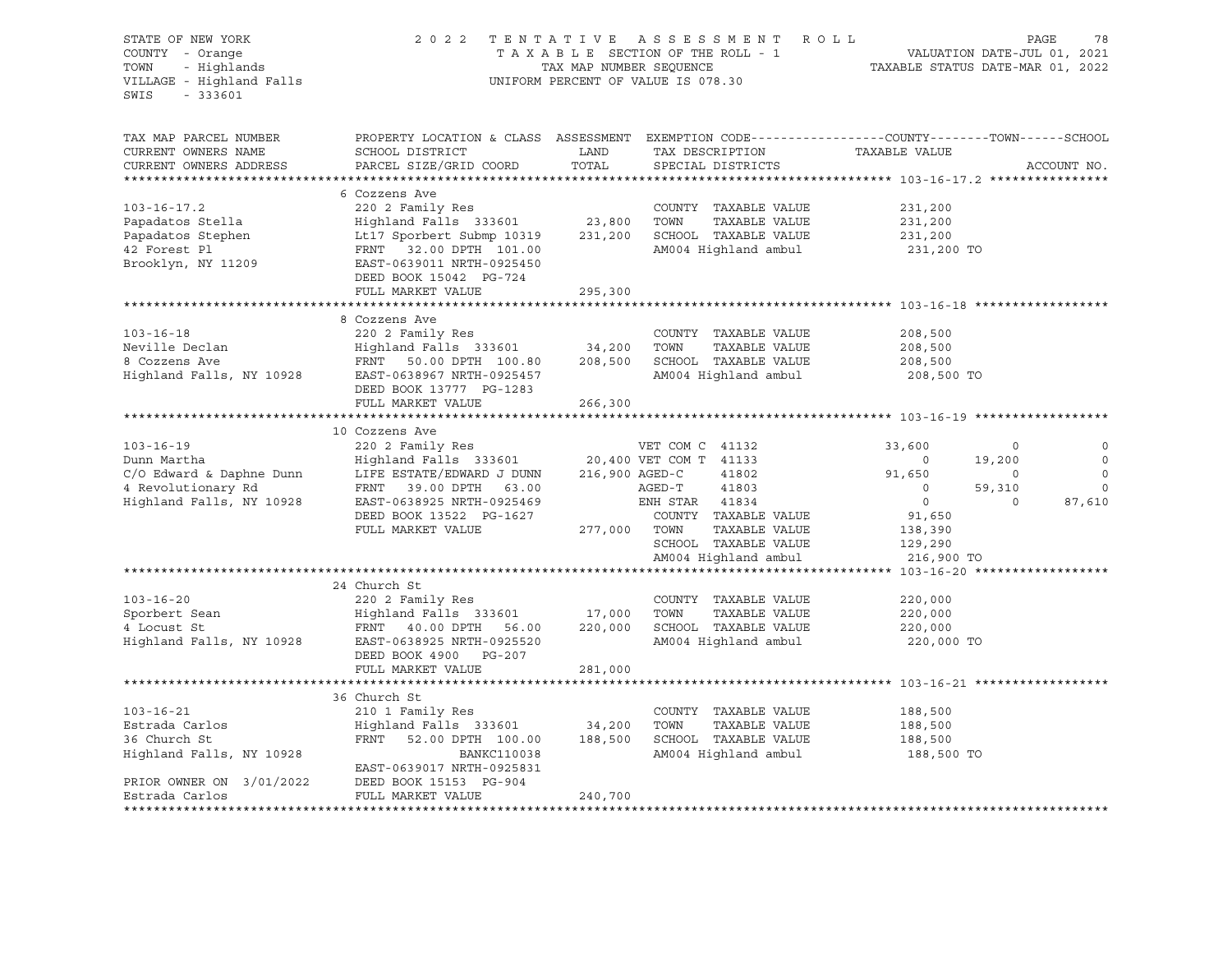| STATE OF NEW YORK<br>COUNTY - Orange<br>COUNTY - Orange<br>TOWN - Highlands<br>VILLAGE - Highland Falls<br>$-333601$<br>SWIS |                                                                                                                                                          |                        | 2022 TENTATIVE ASSESSMENT ROLL<br>TAXABLE SECTION OF THE ROLL - 1 VALUATION DATE-JUL 01, 2021<br>TAX MAP NUMBER SEQUENCE TAXABLE STATUS DATE-MAR 01, 2022<br>UNIFORM PERCENT OF VALUE IS 078.30 |                                  | PAGE<br>78                   |
|------------------------------------------------------------------------------------------------------------------------------|----------------------------------------------------------------------------------------------------------------------------------------------------------|------------------------|-------------------------------------------------------------------------------------------------------------------------------------------------------------------------------------------------|----------------------------------|------------------------------|
| TAX MAP PARCEL NUMBER<br>CURRENT OWNERS NAME<br>CURRENT OWNERS ADDRESS                                                       | PROPERTY LOCATION & CLASS ASSESSMENT EXEMPTION CODE---------------COUNTY-------TOWN------SCHOOL<br>SCHOOL DISTRICT<br>PARCEL SIZE/GRID COORD             | LAND<br>TOTAL          | TAX DESCRIPTION<br>SPECIAL DISTRICTS                                                                                                                                                            | TAXABLE VALUE                    | ACCOUNT NO.                  |
|                                                                                                                              |                                                                                                                                                          |                        |                                                                                                                                                                                                 |                                  |                              |
|                                                                                                                              | 6 Cozzens Ave                                                                                                                                            |                        |                                                                                                                                                                                                 |                                  |                              |
| $103 - 16 - 17.2$<br>Papadatos Stella                                                                                        | 220 2 Family Res                                                                                                                                         |                        | COUNTY TAXABLE VALUE                                                                                                                                                                            | 231,200<br>231,200               |                              |
| Papadatos Stephen                                                                                                            |                                                                                                                                                          |                        |                                                                                                                                                                                                 | 231,200                          |                              |
| 42 Forest Pl                                                                                                                 | Highland Falls 333601 23,800 TOWN TAXABLE VALUE<br>Lt17 Sporbert Submp 10319 231,200 SCHOOL TAXABLE VALUE<br>FRNT 32.00 DPTH 101.00 AM004 Highland ambul |                        | AM004 Highland ambul                                                                                                                                                                            | 231,200 TO                       |                              |
| Brooklyn, NY 11209                                                                                                           | EAST-0639011 NRTH-0925450<br>DEED BOOK 15042 PG-724                                                                                                      |                        |                                                                                                                                                                                                 |                                  |                              |
|                                                                                                                              | FULL MARKET VALUE                                                                                                                                        | 295,300                |                                                                                                                                                                                                 |                                  |                              |
|                                                                                                                              |                                                                                                                                                          |                        |                                                                                                                                                                                                 |                                  |                              |
|                                                                                                                              | 8 Cozzens Ave                                                                                                                                            |                        |                                                                                                                                                                                                 |                                  |                              |
| $103 - 16 - 18$                                                                                                              | 220 2 Family Res                                                                                                                                         |                        | COUNTY TAXABLE VALUE<br>TOWN                                                                                                                                                                    | 208,500                          |                              |
|                                                                                                                              |                                                                                                                                                          |                        | TAXABLE VALUE<br>208,500 SCHOOL TAXABLE VALUE                                                                                                                                                   | 208,500<br>200,500<br>208,500    |                              |
|                                                                                                                              | DEED BOOK 13777 PG-1283                                                                                                                                  |                        | AM004 Highland ambul                                                                                                                                                                            | 208,500 TO                       |                              |
|                                                                                                                              | FULL MARKET VALUE                                                                                                                                        | 266,300                |                                                                                                                                                                                                 |                                  |                              |
|                                                                                                                              |                                                                                                                                                          |                        |                                                                                                                                                                                                 |                                  |                              |
|                                                                                                                              | 10 Cozzens Ave                                                                                                                                           |                        |                                                                                                                                                                                                 |                                  |                              |
| $103 - 16 - 19$                                                                                                              | 220 2 Family Res                                                                                                                                         |                        | VET COM C 41132                                                                                                                                                                                 | 33,600                           | $\circ$<br>$\circ$           |
| Dunn Martha                                                                                                                  | Highland Falls 333601                                                                                                                                    |                        | 20,400 VET COM T 41133                                                                                                                                                                          | $\sim$ 0                         | $\mathbb O$<br>19,200        |
| C/O Edward & Daphne Dunn                                                                                                     | LIFE ESTATE/EDWARD J DUNN<br>FRNT 39.00 DPTH 63.00                                                                                                       |                        | 216,900 AGED-C<br>41802<br>$AGED-T$ 41803                                                                                                                                                       | 91,650                           | $\circ$<br>$\circ$           |
| 4 Revolutionary Rd                                                                                                           | EAST-0638925 NRTH-0925469                                                                                                                                |                        | ENH STAR 41834                                                                                                                                                                                  | $\overline{0}$<br>$\overline{0}$ | 59,310<br>$\circ$<br>$\circ$ |
| Highland Falls, NY 10928                                                                                                     | DEED BOOK 13522 PG-1627                                                                                                                                  |                        | COUNTY TAXABLE VALUE                                                                                                                                                                            | 91,650                           | 87,610                       |
|                                                                                                                              | FULL MARKET VALUE                                                                                                                                        | COUNT:<br>277,000 TOWN | TAXABLE VALUE                                                                                                                                                                                   | 138,390                          |                              |
|                                                                                                                              |                                                                                                                                                          |                        | SCHOOL TAXABLE VALUE                                                                                                                                                                            | 129,290                          |                              |
|                                                                                                                              |                                                                                                                                                          |                        | AM004 Highland ambul                                                                                                                                                                            | 216,900 TO                       |                              |
|                                                                                                                              |                                                                                                                                                          |                        |                                                                                                                                                                                                 |                                  |                              |
|                                                                                                                              | 24 Church St                                                                                                                                             |                        |                                                                                                                                                                                                 |                                  |                              |
| $103 - 16 - 20$                                                                                                              | 220 2 Family Res                                                                                                                                         |                        | COUNTY TAXABLE VALUE                                                                                                                                                                            | 220,000                          |                              |
|                                                                                                                              |                                                                                                                                                          |                        | TAXABLE VALUE                                                                                                                                                                                   | 220,000                          |                              |
|                                                                                                                              |                                                                                                                                                          |                        | 220,000 SCHOOL TAXABLE VALUE                                                                                                                                                                    | 220,000                          |                              |
|                                                                                                                              | DEED BOOK 4900 PG-207                                                                                                                                    |                        | AM004 Highland ambul                                                                                                                                                                            | 220,000 TO                       |                              |
|                                                                                                                              | FULL MARKET VALUE                                                                                                                                        | 281,000                |                                                                                                                                                                                                 |                                  |                              |
|                                                                                                                              | 36 Church St                                                                                                                                             |                        |                                                                                                                                                                                                 |                                  |                              |
| $103 - 16 - 21$                                                                                                              | 210 1 Family Res                                                                                                                                         |                        | COUNTY TAXABLE VALUE                                                                                                                                                                            | 188,500                          |                              |
| Estrada Carlos                                                                                                               |                                                                                                                                                          |                        | TOWN<br>TAXABLE VALUE                                                                                                                                                                           | 188,500                          |                              |
| 36 Church St                                                                                                                 | Highland Falls 333601 34,200<br>FRNT 52.00 DPTH 100.00 188,500                                                                                           |                        | SCHOOL TAXABLE VALUE                                                                                                                                                                            | 188,500                          |                              |
| Highland Falls, NY 10928                                                                                                     | <b>BANKC110038</b>                                                                                                                                       |                        | AM004 Highland ambul                                                                                                                                                                            | 188,500 TO                       |                              |
|                                                                                                                              | EAST-0639017 NRTH-0925831                                                                                                                                |                        |                                                                                                                                                                                                 |                                  |                              |
| PRIOR OWNER ON 3/01/2022                                                                                                     | DEED BOOK 15153 PG-904                                                                                                                                   |                        |                                                                                                                                                                                                 |                                  |                              |
| Estrada Carlos                                                                                                               | FULL MARKET VALUE                                                                                                                                        | 240,700                |                                                                                                                                                                                                 |                                  |                              |
|                                                                                                                              |                                                                                                                                                          |                        |                                                                                                                                                                                                 |                                  |                              |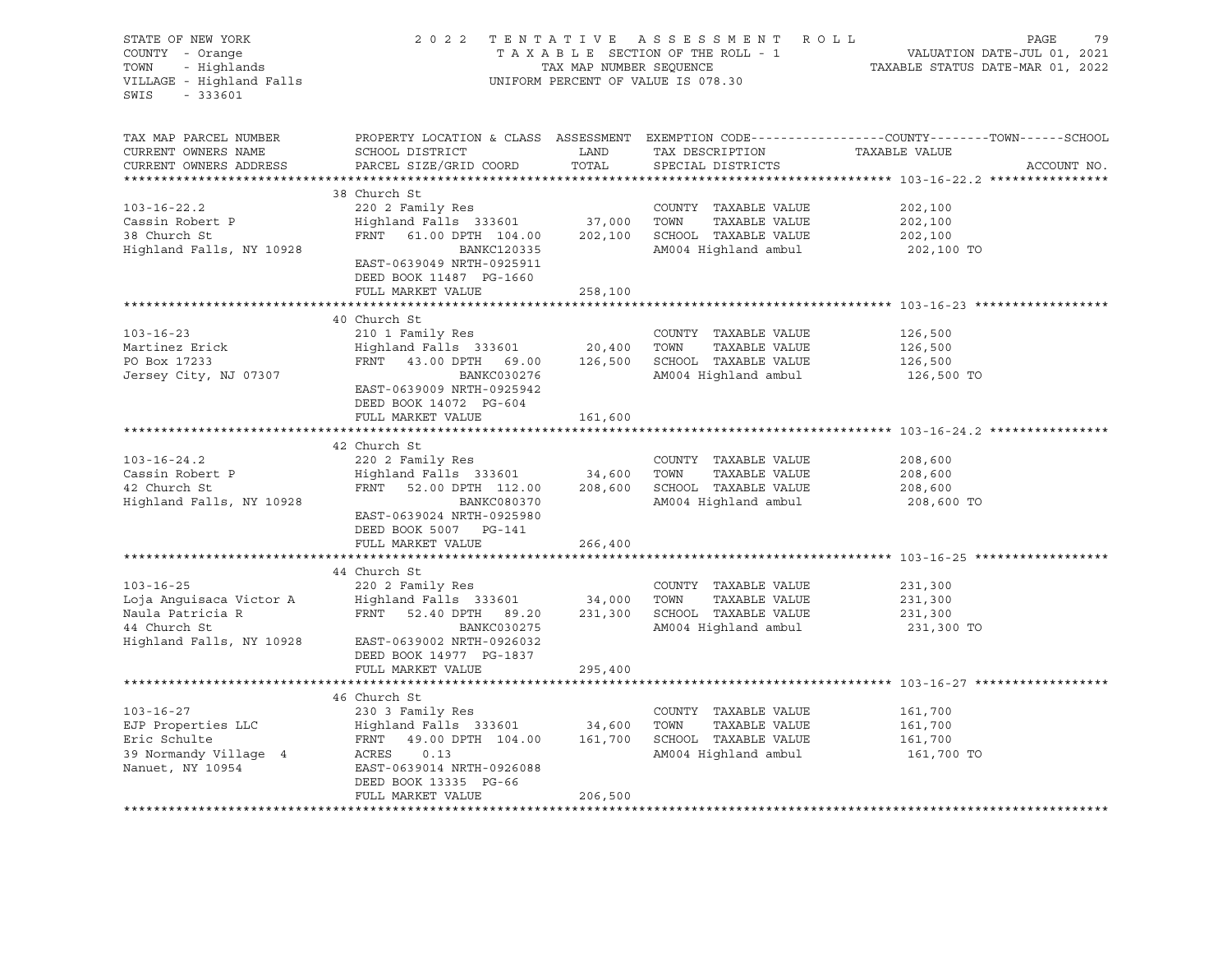| STATE OF NEW YORK 2022<br>COUNTY - Orange<br>TOWN - Highlands<br>VILLAGE - Highland Falls<br>SWIS - 333601 |                                                                                                                                                                                                                                                                                                                                                                                                      |                                                     | 2022 TENTATIVE ASSESSMENT ROLL<br>UNIFORM PERCENT OF VALUE IS 078.30 | PAGE<br>79                                                                                                    |
|------------------------------------------------------------------------------------------------------------|------------------------------------------------------------------------------------------------------------------------------------------------------------------------------------------------------------------------------------------------------------------------------------------------------------------------------------------------------------------------------------------------------|-----------------------------------------------------|----------------------------------------------------------------------|---------------------------------------------------------------------------------------------------------------|
| TAX MAP PARCEL NUMBER<br>CURRENT OWNERS NAME<br>CURRENT OWNERS ADDRESS                                     | SCHOOL DISTRICT<br>PARCEL SIZE/GRID COORD                                                                                                                                                                                                                                                                                                                                                            | <b>EXAMPLE THE STATE OF STATE OF STATE</b><br>TOTAL | TAX DESCRIPTION TAXABLE VALUE<br>SPECIAL DISTRICTS                   | PROPERTY LOCATION & CLASS ASSESSMENT EXEMPTION CODE---------------COUNTY-------TOWN-----SCHOOL<br>ACCOUNT NO. |
| $103 - 16 - 22.2$<br>Cassin Robert P<br>38 Church St<br>38 Church St<br>Highland Falls, NY 10928           | 38 Church St<br>220 2 Family Res<br>$220$ $2$ $2$ $2$ $3$ $33601$<br>$220$ $20$ $37,000$<br>$37,000$<br>$37,000$<br>$37,000$<br>$37,000$<br>$37,000$<br>$37,000$<br>$37,000$<br>$37,000$<br>$37,000$<br>$37,000$<br>$37,000$<br>$37,000$<br>$37,000$<br>$37,000$<br>$37,000$<br>$37,000$<br>$37,000$<br><br>BANKC120335<br>EAST-0639049 NRTH-0925911<br>DEED BOOK 11487 PG-1660<br>FULL MARKET VALUE | 258,100                                             | COUNTY TAXABLE VALUE<br>AM004 Highland ambul                         | 202,100<br>202,100<br>202,100<br>202,100 TO                                                                   |
|                                                                                                            |                                                                                                                                                                                                                                                                                                                                                                                                      |                                                     |                                                                      |                                                                                                               |
| $103 - 16 - 23$<br>Martinez Erick<br>PO Box 17233<br>Jersey City, NJ 07307                                 | 40 Church St<br>210 1 Family Res<br>Example of Family Reserves 20,400 TOWN<br>FRNT 43.00 DPTH 69.00 126,500 SCHOOL TAXABLE VALUE<br>BANKC030276<br>EAST-0639009 NRTH-0925942<br>DEED BOOK 14072 PG-604                                                                                                                                                                                               |                                                     | COUNTY TAXABLE VALUE<br>AM004 Highland ambul                         | 126,500<br>126,500<br>126,500<br>126,500 TO                                                                   |
|                                                                                                            | FULL MARKET VALUE                                                                                                                                                                                                                                                                                                                                                                                    | 161,600                                             |                                                                      |                                                                                                               |
|                                                                                                            |                                                                                                                                                                                                                                                                                                                                                                                                      |                                                     |                                                                      | ********************************* 103-16-24.2 *********                                                       |
| $103 - 16 - 24.2$<br>Highland Falls, NY 10928                                                              | 42 Church St<br>220 2 Family Res<br>BANKC080370<br>EAST-0639024 NRTH-0925980<br>DEED BOOK 5007 PG-141<br>FULL MARKET VALUE                                                                                                                                                                                                                                                                           | 266,400                                             | COUNTY TAXABLE VALUE<br>AM004 Highland ambul                         | 208,600<br>208,600<br>208,600<br>208,600 TO                                                                   |
|                                                                                                            |                                                                                                                                                                                                                                                                                                                                                                                                      |                                                     |                                                                      |                                                                                                               |
| $103 - 16 - 25$<br>44 Church St                                                                            | 44 Church St<br>220 2 Family Res<br>BANKC030275<br>Highland Falls, NY 10928 EAST-0639002 NRTH-0926032<br>DEED BOOK 14977 PG-1837<br>FULL MARKET VALUE                                                                                                                                                                                                                                                | 295,400                                             | COUNTY TAXABLE VALUE<br>AM004 Highland ambul                         | 231,300<br>231,300<br>231,300<br>231,300 TO                                                                   |
|                                                                                                            |                                                                                                                                                                                                                                                                                                                                                                                                      |                                                     |                                                                      |                                                                                                               |
| $103 - 16 - 27$<br>Nanuet, NY 10954                                                                        | 46 Church St<br>230 3 Family Res<br>103-16-27 230 3 Family Res<br>EJP Properties LLC Highland Falls 333601 34,600 TOWN TAXABLE VALUE<br>Eric Schulte FRNT 49.00 DPTH 104.00 161,700 SCHOOL TAXABLE VALUE<br>39 Normandy Village 4 ACRES 0.13 AM004 Highland ambul<br>Nanue<br>DEED BOOK 13335 PG-66<br>FULL MARKET VALUE                                                                             | 206,500                                             | COUNTY TAXABLE VALUE<br>AM004 Highland ambul                         | 161,700<br>161,700<br>161,700<br>161,700 TO                                                                   |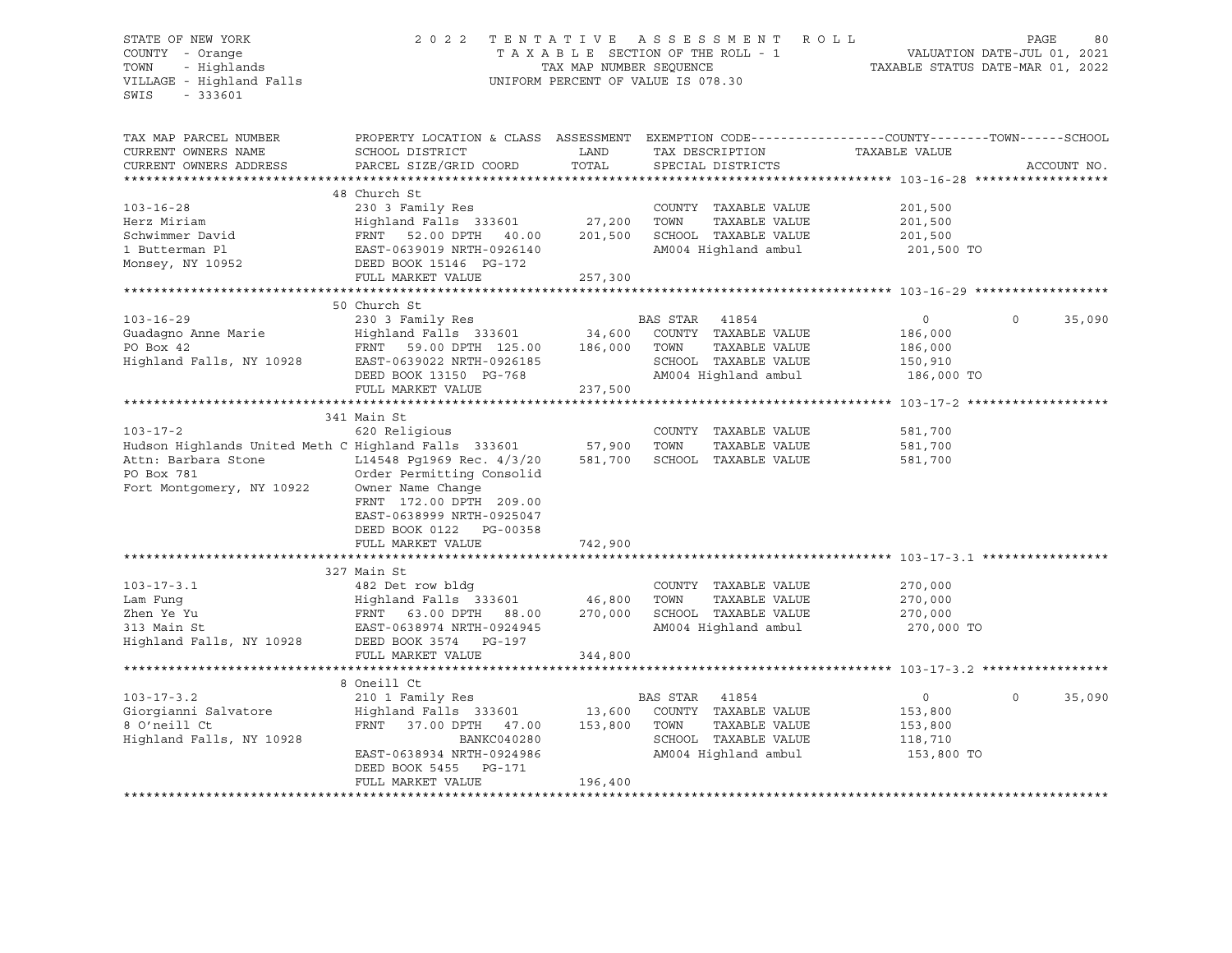## STATE OF NEW YORK 2 0 2 2 T E N T A T I V E A S S E S S M E N T R O L L PAGE 80 COUNTY - Orange T A X A B L E SECTION OF THE ROLL - 1 VALUATION DATE-JUL 01, 2021 TOWN - Highlands TAX MAP NUMBER SEQUENCE TAXABLE STATUS DATE-MAR 01, 2022 VILLAGE - Highland Falls UNIFORM PERCENT OF VALUE IS 078.30

| TAX MAP PARCEL NUMBER                                       | PROPERTY LOCATION & CLASS ASSESSMENT EXEMPTION CODE----------------COUNTY-------TOWN------SCHOOL |         |                |                                 |         |            |             |             |
|-------------------------------------------------------------|--------------------------------------------------------------------------------------------------|---------|----------------|---------------------------------|---------|------------|-------------|-------------|
| CURRENT OWNERS NAME                                         | SCHOOL DISTRICT                                                                                  | LAND    |                | TAX DESCRIPTION TAXABLE VALUE   |         |            |             |             |
| CURRENT OWNERS ADDRESS                                      | PARCEL SIZE/GRID COORD                                                                           | TOTAL   |                | SPECIAL DISTRICTS               |         |            |             | ACCOUNT NO. |
|                                                             |                                                                                                  |         |                |                                 |         |            |             |             |
|                                                             | 48 Church St                                                                                     |         |                |                                 |         |            |             |             |
| $103 - 16 - 28$                                             | 230 3 Family Res                                                                                 |         |                | COUNTY TAXABLE VALUE            |         | 201,500    |             |             |
| Herz Miriam                                                 | Highland Falls 333601 27,200                                                                     |         | TOWN           | TAXABLE VALUE                   |         | 201,500    |             |             |
| Schwimmer David                                             | FRNT 52.00 DPTH 40.00                                                                            | 201,500 |                | SCHOOL TAXABLE VALUE            |         | 201,500    |             |             |
| 1 Butterman Pl                                              | EAST-0639019 NRTH-0926140                                                                        |         |                | AM004 Highland ambul 201,500 TO |         |            |             |             |
| Monsey, NY 10952                                            | DEED BOOK 15146 PG-172                                                                           |         |                |                                 |         |            |             |             |
|                                                             | FULL MARKET VALUE                                                                                | 257,300 |                |                                 |         |            |             |             |
|                                                             |                                                                                                  |         |                |                                 |         |            |             |             |
|                                                             | 50 Church St                                                                                     |         |                |                                 |         |            |             |             |
| $103 - 16 - 29$                                             | 230 3 Family Res                                                                                 |         | BAS STAR 41854 |                                 |         | $\circ$    | $\circ$     | 35,090      |
| Guadagno Anne Marie                                         | Highland Falls 333601 34,600                                                                     |         |                | COUNTY TAXABLE VALUE            |         | 186,000    |             |             |
| PO Box 42                                                   | FRNT 59.00 DPTH 125.00 186,000                                                                   |         | TOWN           | TAXABLE VALUE                   |         | 186,000    |             |             |
| Highland Falls, NY 10928                                    | EAST-0639022 NRTH-0926185                                                                        |         |                | SCHOOL TAXABLE VALUE            |         | 150,910    |             |             |
|                                                             | DEED BOOK 13150 PG-768                                                                           |         |                | AM004 Highland ambul            |         | 186,000 TO |             |             |
|                                                             | FULL MARKET VALUE                                                                                | 237,500 |                |                                 |         |            |             |             |
|                                                             |                                                                                                  |         |                |                                 |         |            |             |             |
|                                                             | 341 Main St                                                                                      |         |                |                                 |         |            |             |             |
| $103 - 17 - 2$                                              | 620 Religious                                                                                    |         |                | COUNTY TAXABLE VALUE            |         | 581,700    |             |             |
| Hudson Highlands United Meth C Highland Falls 333601 57,900 |                                                                                                  |         | TOWN           | TAXABLE VALUE                   |         | 581,700    |             |             |
| Attn: Barbara Stone                                         | L14548 Pg1969 Rec. 4/3/20                                                                        | 581,700 |                | SCHOOL TAXABLE VALUE            | 581,700 |            |             |             |
| PO Box 781                                                  | Order Permitting Consolid                                                                        |         |                |                                 |         |            |             |             |
| Fort Montgomery, NY 10922                                   | Owner Name Change                                                                                |         |                |                                 |         |            |             |             |
|                                                             | FRNT 172.00 DPTH 209.00                                                                          |         |                |                                 |         |            |             |             |
|                                                             | EAST-0638999 NRTH-0925047                                                                        |         |                |                                 |         |            |             |             |
|                                                             | DEED BOOK 0122 PG-00358                                                                          |         |                |                                 |         |            |             |             |
|                                                             | FULL MARKET VALUE                                                                                | 742,900 |                |                                 |         |            |             |             |
|                                                             |                                                                                                  |         |                |                                 |         |            |             |             |
|                                                             | 327 Main St                                                                                      |         |                |                                 |         |            |             |             |
| $103 - 17 - 3.1$                                            | 482 Det row bldg                                                                                 |         |                | COUNTY TAXABLE VALUE            |         | 270,000    |             |             |
| Lam Funq                                                    | Highland Falls 333601 46,800                                                                     |         | TOWN           | TAXABLE VALUE                   |         | 270,000    |             |             |
| Zhen Ye Yu                                                  | FRNT 63.00 DPTH 88.00 270,000                                                                    |         |                | SCHOOL TAXABLE VALUE            |         | 270,000    |             |             |
| 313 Main St                                                 | EAST-0638974 NRTH-0924945                                                                        |         |                | AM004 Highland ambul            |         | 270,000 TO |             |             |
| Highland Falls, NY 10928                                    | DEED BOOK 3574 PG-197                                                                            |         |                |                                 |         |            |             |             |
|                                                             | FULL MARKET VALUE                                                                                | 344,800 |                |                                 |         |            |             |             |
|                                                             |                                                                                                  |         |                |                                 |         |            |             |             |
|                                                             | 8 Oneill Ct                                                                                      |         |                |                                 |         |            |             |             |
| $103 - 17 - 3.2$                                            | 210 1 Family Res                                                                                 |         | BAS STAR 41854 |                                 |         | $\circ$    | $\mathbf 0$ | 35,090      |
| Giorgianni Salvatore                                        | Highland Falls 333601 13,600 COUNTY TAXABLE VALUE                                                |         |                |                                 |         | 153,800    |             |             |
| 8 O'neill Ct                                                | FRNT 37.00 DPTH 47.00                                                                            | 153,800 | TOWN           | TAXABLE VALUE                   |         | 153,800    |             |             |
| Highland Falls, NY 10928                                    | BANKC040280                                                                                      |         |                | SCHOOL TAXABLE VALUE            |         | 118,710    |             |             |
|                                                             | EAST-0638934 NRTH-0924986                                                                        |         |                | AM004 Highland ambul            |         | 153,800 TO |             |             |
|                                                             | DEED BOOK 5455 PG-171                                                                            |         |                |                                 |         |            |             |             |
|                                                             | FULL MARKET VALUE                                                                                | 196,400 |                |                                 |         |            |             |             |
|                                                             |                                                                                                  |         |                |                                 |         |            |             |             |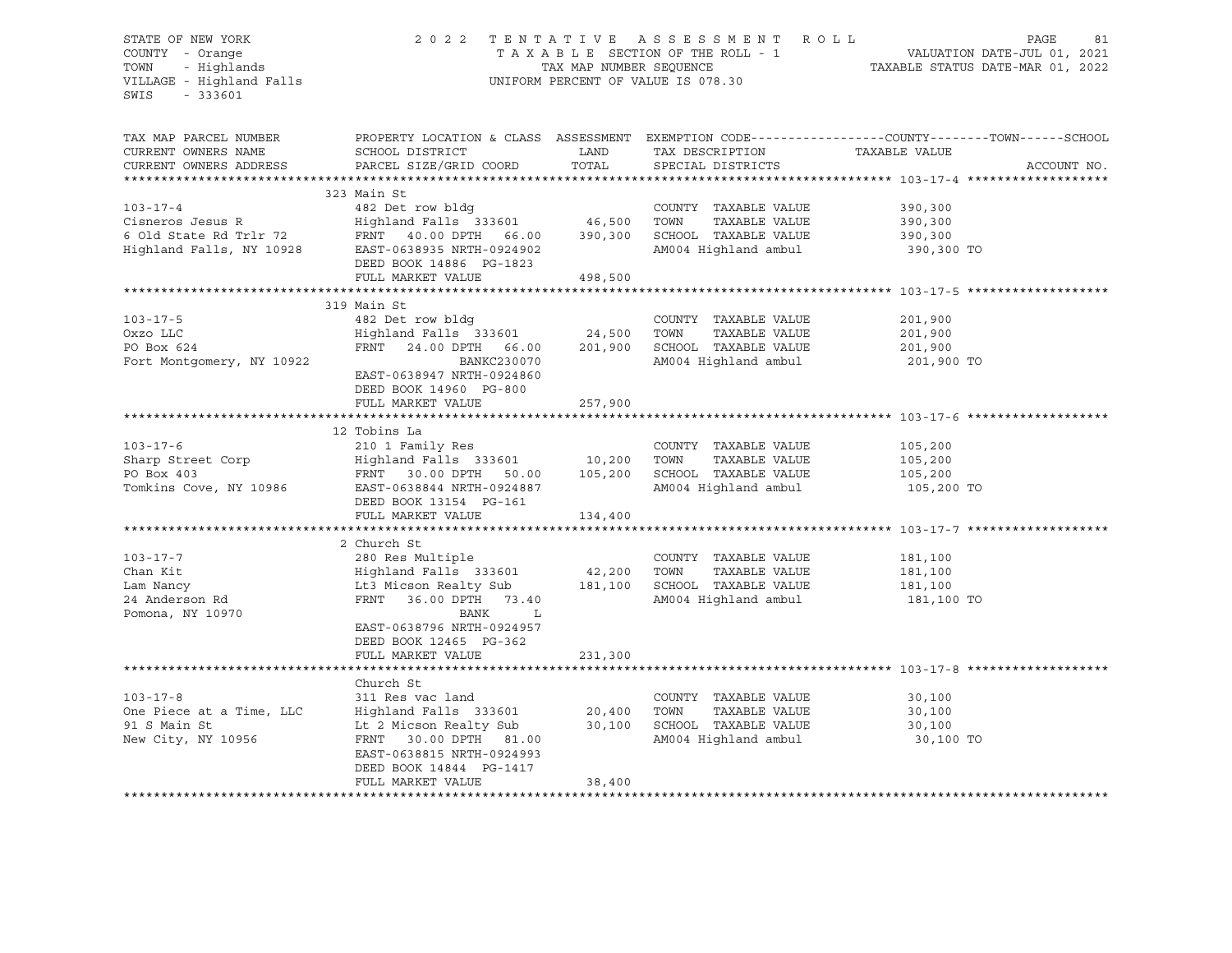## STATE OF NEW YORK 2 0 2 2 T E N T A T I V E A S S E S S M E N T R O L L PAGE 81 COUNTY - Orange T A X A B L E SECTION OF THE ROLL - 1 VALUATION DATE-JUL 01, 2021 TOWN - Highlands TAX MAP NUMBER SEQUENCE TAXABLE STATUS DATE-MAR 01, 2022 VILLAGE - Highland Falls UNIFORM PERCENT OF VALUE IS 078.30

| TAX MAP PARCEL NUMBER               |                                                                                                  |         |                                 | PROPERTY LOCATION & CLASS ASSESSMENT EXEMPTION CODE----------------COUNTY-------TOWN-----SCHOOL |
|-------------------------------------|--------------------------------------------------------------------------------------------------|---------|---------------------------------|-------------------------------------------------------------------------------------------------|
| CURRENT OWNERS NAME                 | SCHOOL DISTRICT                                                                                  | LAND    | TAX DESCRIPTION TAXABLE VALUE   |                                                                                                 |
| CURRENT OWNERS ADDRESS              | PARCEL SIZE/GRID COORD                                                                           | TOTAL   | SPECIAL DISTRICTS               | ACCOUNT NO.                                                                                     |
|                                     |                                                                                                  |         |                                 |                                                                                                 |
|                                     | 323 Main St                                                                                      |         |                                 |                                                                                                 |
| $103 - 17 - 4$                      | 482 Det row bldg                                                                                 |         | COUNTY TAXABLE VALUE            | 390,300                                                                                         |
|                                     |                                                                                                  |         | TOWN<br>TAXABLE VALUE           | 390,300                                                                                         |
|                                     | Cisneros Jesus R<br>6 Old State Rd Trlr 72 FRNT 40.00 DPTH 66.00 390,300                         |         | SCHOOL TAXABLE VALUE            | 390,300                                                                                         |
|                                     | Highland Falls, NY 10928 EAST-0638935 NRTH-0924902                                               |         | AM004 Highland ambul 390,300 TO |                                                                                                 |
|                                     | DEED BOOK 14886 PG-1823                                                                          |         |                                 |                                                                                                 |
|                                     | FULL MARKET VALUE                                                                                | 498,500 |                                 |                                                                                                 |
|                                     |                                                                                                  |         |                                 |                                                                                                 |
|                                     | 319 Main St                                                                                      |         |                                 |                                                                                                 |
| $103 - 17 - 5$                      | 482 Det row bldg                                                                                 |         | COUNTY TAXABLE VALUE            | 201,900                                                                                         |
| Oxzo LLC                            | Highland Falls 333601 24,500                                                                     |         | TAXABLE VALUE<br>TOWN           | 201,900                                                                                         |
| PO Box 624                          | FRNT 24.00 DPTH 66.00 201,900                                                                    |         | SCHOOL TAXABLE VALUE            | 201,900                                                                                         |
| Fort Montgomery, NY 10922           | BANKC230070                                                                                      |         | AM004 Highland ambul            | 201,900 TO                                                                                      |
|                                     | EAST-0638947 NRTH-0924860                                                                        |         |                                 |                                                                                                 |
|                                     | DEED BOOK 14960 PG-800                                                                           |         |                                 |                                                                                                 |
|                                     | FULL MARKET VALUE                                                                                | 257,900 |                                 |                                                                                                 |
|                                     |                                                                                                  |         |                                 |                                                                                                 |
|                                     | 12 Tobins La                                                                                     |         |                                 |                                                                                                 |
| $103 - 17 - 6$                      | 210 1 Family Res                                                                                 |         | COUNTY TAXABLE VALUE            | 105,200                                                                                         |
|                                     |                                                                                                  |         | TOWN<br>TAXABLE VALUE           | 105,200                                                                                         |
|                                     | Print Sharp Street Corp<br>Enarp Street Corp<br>FRNT 30.00 DPTH 50.00 105,200<br>PO Box 403      |         | SCHOOL TAXABLE VALUE            | 105,200                                                                                         |
|                                     | Tomkins Cove, NY 10986 EAST-0638844 NRTH-0924887                                                 |         | AM004 Highland ambul 105,200 TO |                                                                                                 |
|                                     | DEED BOOK 13154 PG-161                                                                           |         |                                 |                                                                                                 |
|                                     | FULL MARKET VALUE                                                                                | 134,400 |                                 |                                                                                                 |
|                                     |                                                                                                  |         |                                 |                                                                                                 |
|                                     | 2 Church St                                                                                      |         |                                 |                                                                                                 |
| $103 - 17 - 7$                      | 280 Res Multiple<br>Highland Falls 333601 42,200 TOWN                                            |         | COUNTY TAXABLE VALUE            | 181,100                                                                                         |
| Chan Kit                            |                                                                                                  |         | TAXABLE VALUE                   | 181,100                                                                                         |
| عمد wancy<br>24 Anderson Rd<br>Pers | Lt3 Micson Realty Sub 181,100 SCHOOL TAXABLE VALUE<br>FRNT 36.00 DPTH 73.40 AM004 Highland ambul |         |                                 | 181,100                                                                                         |
|                                     |                                                                                                  |         |                                 | 181,100 TO                                                                                      |
| Pomona, NY 10970                    | BANK L                                                                                           |         |                                 |                                                                                                 |
|                                     | EAST-0638796 NRTH-0924957                                                                        |         |                                 |                                                                                                 |
|                                     | DEED BOOK 12465 PG-362                                                                           |         |                                 |                                                                                                 |
|                                     | FULL MARKET VALUE                                                                                | 231,300 |                                 |                                                                                                 |
|                                     |                                                                                                  |         |                                 |                                                                                                 |
|                                     | Church St                                                                                        |         |                                 |                                                                                                 |
| $103 - 17 - 8$                      | 311 Res vac land                                                                                 |         | COUNTY TAXABLE VALUE            | 30,100                                                                                          |
| One Piece at a Time, LLC            | Highland Falls $333601$ $20,400$<br>Lt 2 Micson Realty Sub $30,100$                              |         | TOWN<br>TAXABLE VALUE           | 30,100                                                                                          |
| 91 S Main St                        |                                                                                                  |         | SCHOOL TAXABLE VALUE            | 30,100                                                                                          |
| New City, NY 10956                  | FRNT 30.00 DPTH 81.00                                                                            |         | AM004 Highland ambul            | 30,100 TO                                                                                       |
|                                     | EAST-0638815 NRTH-0924993                                                                        |         |                                 |                                                                                                 |
|                                     | DEED BOOK 14844 PG-1417                                                                          |         |                                 |                                                                                                 |
|                                     | FULL MARKET VALUE                                                                                | 38,400  |                                 |                                                                                                 |
|                                     |                                                                                                  |         |                                 |                                                                                                 |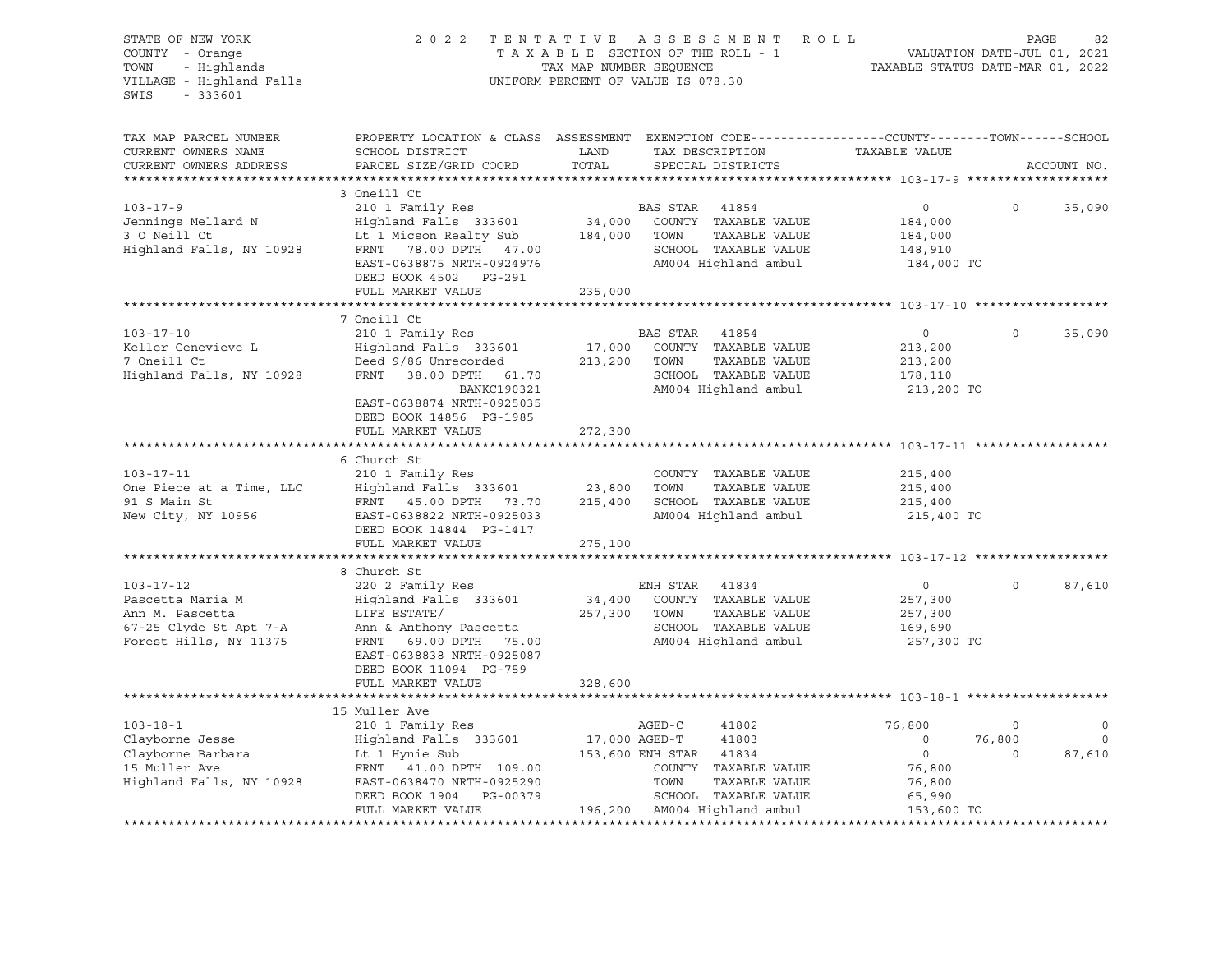| STATE OF NEW YORK<br>COUNTY - Orange<br>- Highlands<br>TOWN<br>VILLAGE - Highland Falls<br>$-333601$<br>SWIS           |                                                                                                                                                                                                                | TAX MAP NUMBER SEQUENCE | 2022 TENTATIVE ASSESSMENT ROLL<br>TAXABLE SECTION OF THE ROLL - 1<br>UNIFORM PERCENT OF VALUE IS 078.30                                                     | VALUATION DATE-JUL 01, 2021<br>TAXABLE STATUS DATE-MAR 01, 2022                        | PAGE                             | 82                                   |
|------------------------------------------------------------------------------------------------------------------------|----------------------------------------------------------------------------------------------------------------------------------------------------------------------------------------------------------------|-------------------------|-------------------------------------------------------------------------------------------------------------------------------------------------------------|----------------------------------------------------------------------------------------|----------------------------------|--------------------------------------|
| TAX MAP PARCEL NUMBER<br>CURRENT OWNERS NAME<br>CURRENT OWNERS ADDRESS                                                 | PROPERTY LOCATION & CLASS ASSESSMENT EXEMPTION CODE----------------COUNTY-------TOWN-----SCHOOL<br>SCHOOL DISTRICT<br>PARCEL SIZE/GRID COORD                                                                   | LAND<br>TOTAL           | TAX DESCRIPTION<br>SPECIAL DISTRICTS                                                                                                                        | TAXABLE VALUE                                                                          |                                  | ACCOUNT NO.                          |
|                                                                                                                        |                                                                                                                                                                                                                |                         |                                                                                                                                                             |                                                                                        |                                  |                                      |
| $103 - 17 - 9$<br>Jennings Mellard N<br>3 O Neill Ct<br>3 O Neill Ct<br>Highland Falls, NY 10928 FRNT 78.00 DPTH 47.00 | 3 Oneill Ct<br>210 1 Family Res<br>Highland Falls 333601<br>Lt 1 Micson Realty Sub<br>EAST-0638875 NRTH-0924976<br>DEED BOOK 4502 PG-291                                                                       |                         | BAS STAR 41854<br>34,000 COUNTY TAXABLE VALUE<br>184,000 TOWN<br>TAXABLE VALUE<br>SCHOOL TAXABLE VALUE<br>AM004 Highland ambul                              | $\overline{0}$<br>184,000<br>184,000<br>148,910<br>184,000 TO                          | $\Omega$                         | 35,090                               |
|                                                                                                                        | FULL MARKET VALUE                                                                                                                                                                                              | 235,000                 |                                                                                                                                                             |                                                                                        |                                  |                                      |
|                                                                                                                        | ****************************<br>7 Oneill Ct                                                                                                                                                                    |                         |                                                                                                                                                             |                                                                                        |                                  |                                      |
| $103 - 17 - 10$<br>Keller Genevieve L<br>7 Oneill Ct<br>Highland Falls, NY 10928                                       | 210 1 Family Res<br>Highland Falls 333601<br>Deed 9/86 Unrecorded<br>FRNT 38.00 DPTH 61.70<br>BANKC190321<br>EAST-0638874 NRTH-0925035<br>DEED BOOK 14856 PG-1985                                              | 17,000<br>213,200 TOWN  | BAS STAR<br>41854<br>COUNTY TAXABLE VALUE<br>TAXABLE VALUE<br>SCHOOL TAXABLE VALUE<br>AM004 Highland ambul                                                  | $\overline{0}$<br>213,200<br>213,200<br>178,110<br>213,200 TO                          | $\Omega$                         | 35,090                               |
|                                                                                                                        | FULL MARKET VALUE                                                                                                                                                                                              | 272,300                 |                                                                                                                                                             |                                                                                        |                                  |                                      |
|                                                                                                                        |                                                                                                                                                                                                                |                         |                                                                                                                                                             |                                                                                        |                                  |                                      |
| $103 - 17 - 11$<br>One Piece at a Time, LLC<br>91 S Main St<br>New City, NY 10956                                      | 6 Church St<br>210 1 Family Res<br>Highland Falls   333601<br>FRNT    45.00 DPTH    73.70<br>EAST-0638822 NRTH-0925033<br>DEED BOOK 14844 PG-1417<br>FULL MARKET VALUE                                         | 23,800<br>275,100       | COUNTY TAXABLE VALUE<br>TOWN<br>TAXABLE VALUE<br>215,400 SCHOOL TAXABLE VALUE<br>AM004 Highland ambul                                                       | 215,400<br>215,400<br>215,400<br>215,400 TO                                            |                                  |                                      |
|                                                                                                                        |                                                                                                                                                                                                                |                         |                                                                                                                                                             |                                                                                        |                                  |                                      |
| $103 - 17 - 12$<br>Pascetta Maria M<br>Ann M. Pascetta<br>67-25 Clyde St Apt 7-A<br>Forest Hills, NY 11375             | 8 Church St<br>220 2 Family Res<br>Highland Falls 333601<br>LIFE ESTATE/<br>Ann & Anthony Pascetta<br>FRNT 69.00 DPTH 75.00<br>EAST-0638838 NRTH-0925087<br>DEED BOOK 11094 PG-759                             | 34,400<br>257,300 TOWN  | ENH STAR<br>41834<br>COUNTY TAXABLE VALUE<br>TAXABLE VALUE<br>SCHOOL TAXABLE VALUE<br>AM004 Highland ambul                                                  | $\circ$<br>257,300<br>257,300<br>169,690<br>257,300 TO                                 | $\Omega$                         | 87,610                               |
|                                                                                                                        | FULL MARKET VALUE                                                                                                                                                                                              | 328,600                 |                                                                                                                                                             |                                                                                        |                                  |                                      |
|                                                                                                                        |                                                                                                                                                                                                                |                         |                                                                                                                                                             |                                                                                        |                                  |                                      |
| $103 - 18 - 1$<br>Clayborne Jesse<br>Clayborne Barbara<br>15 Muller Ave<br>Highland Falls, NY 10928                    | 15 Muller Ave<br>210 1 Family Res<br>Highland Falls<br>Lt 1 Hynie Sub<br>-----<br>Highland Falls 333601<br>FRNT 41.00 DPTH 109.00<br>EAST-0638470 NRTH-0925290<br>DEED BOOK 1904 PG-00379<br>FULL MARKET VALUE | 17,000 AGED-T           | AGED-C<br>41802<br>41803<br>153,600 ENH STAR 41834<br>COUNTY TAXABLE VALUE<br>TOWN<br>TAXABLE VALUE<br>SCHOOL TAXABLE VALUE<br>196,200 AM004 Highland ambul | 76,800<br>$\overline{0}$<br>$\overline{0}$<br>76,800<br>76,800<br>65,990<br>153,600 TO | $\mathbf 0$<br>76,800<br>$\circ$ | $\mathbf 0$<br>$\mathbf 0$<br>87,610 |
|                                                                                                                        |                                                                                                                                                                                                                |                         |                                                                                                                                                             |                                                                                        |                                  |                                      |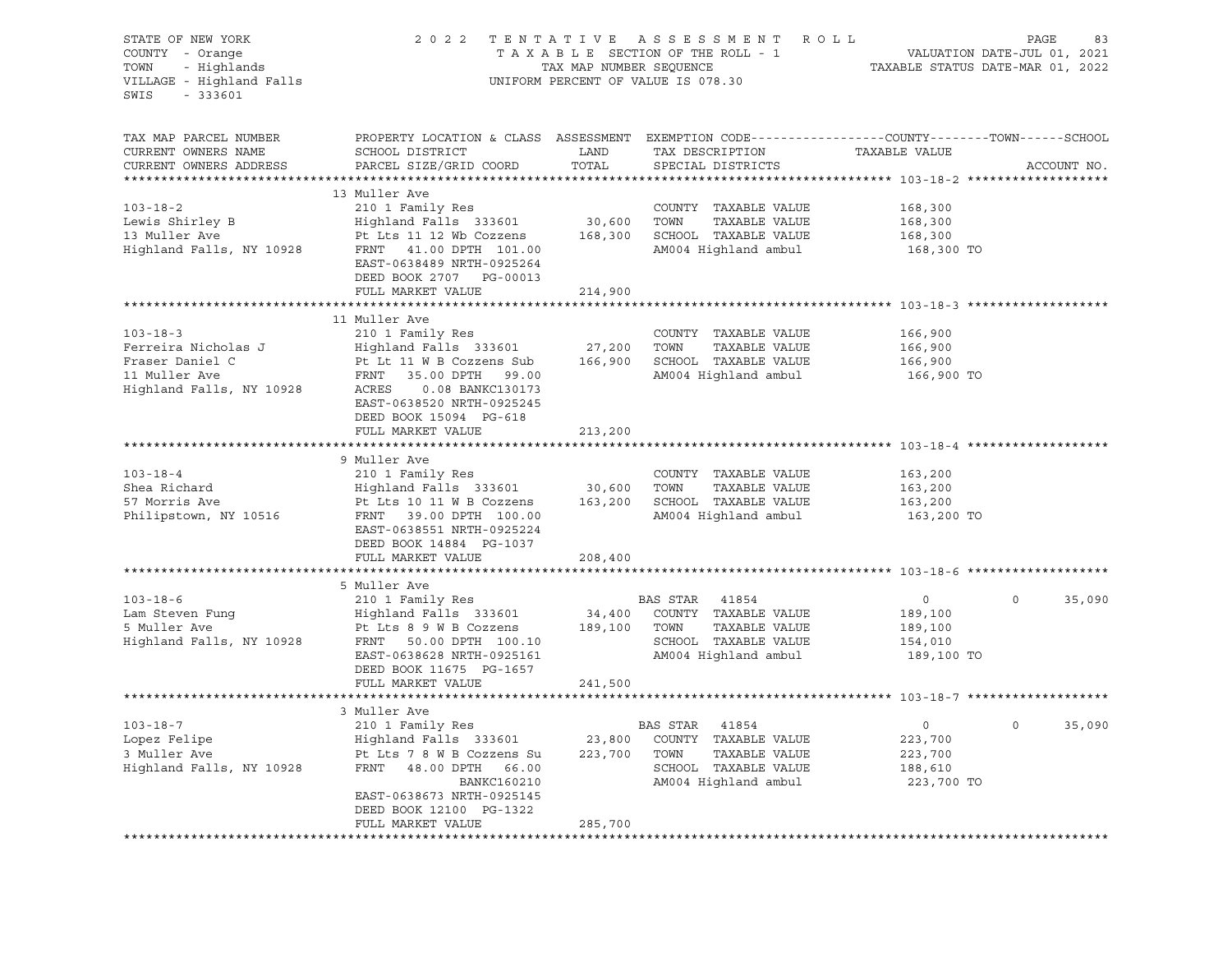| STATE OF NEW YORK<br>COUNTY - Orange<br>TOWN - Highlands<br>VILLAGE - Highland Falls<br>SWIS<br>$-333601$ |                                                                                                                                               |                | 2022 TENTATIVE ASSESSMENT ROLL<br>TAXABLE SECTION OF THE ROLL - 1<br>TAXABLE SECTION OF THE ROLL - 1<br>TAXABLE STATUS DATE-MAR 01, 2022<br>UNIFORM PERCENT OF VALUE IS 078.30 |                       | PAGE<br>83         |
|-----------------------------------------------------------------------------------------------------------|-----------------------------------------------------------------------------------------------------------------------------------------------|----------------|--------------------------------------------------------------------------------------------------------------------------------------------------------------------------------|-----------------------|--------------------|
| TAX MAP PARCEL NUMBER<br>CURRENT OWNERS NAME<br>CURRENT OWNERS ADDRESS                                    | PROPERTY LOCATION & CLASS ASSESSMENT EXEMPTION CODE----------------COUNTY-------TOWN------SCHOOL<br>SCHOOL DISTRICT<br>PARCEL SIZE/GRID COORD | LAND<br>TOTAL  | TAX DESCRIPTION<br>SPECIAL DISTRICTS                                                                                                                                           | TAXABLE VALUE         | ACCOUNT NO.        |
| *************************                                                                                 |                                                                                                                                               |                |                                                                                                                                                                                |                       |                    |
|                                                                                                           | 13 Muller Ave                                                                                                                                 |                |                                                                                                                                                                                |                       |                    |
| $103 - 18 - 2$                                                                                            | 210 1 Family Res                                                                                                                              |                | COUNTY TAXABLE VALUE                                                                                                                                                           | 168,300               |                    |
|                                                                                                           | Pt Lts 11 12 Wb Cozzens                                                                                                                       | 30,600         | TOWN<br>TAXABLE VALUE<br>168,300 SCHOOL TAXABLE VALUE                                                                                                                          | 168,300               |                    |
|                                                                                                           | EAST-0638489 NRTH-0925264<br>DEED BOOK 2707 PG-00013                                                                                          |                | AM004 Highland ambul                                                                                                                                                           | 168,300<br>168,300 TO |                    |
|                                                                                                           | FULL MARKET VALUE                                                                                                                             | 214,900        |                                                                                                                                                                                |                       |                    |
|                                                                                                           |                                                                                                                                               | ************** |                                                                                                                                                                                |                       |                    |
|                                                                                                           | 11 Muller Ave                                                                                                                                 |                |                                                                                                                                                                                |                       |                    |
| $103 - 18 - 3$                                                                                            | 210 1 Family Res                                                                                                                              |                | COUNTY TAXABLE VALUE                                                                                                                                                           | 166,900               |                    |
|                                                                                                           |                                                                                                                                               | 27,200         | TOWN<br>TAXABLE VALUE                                                                                                                                                          | 166,900               |                    |
|                                                                                                           |                                                                                                                                               |                | 166,900 SCHOOL TAXABLE VALUE<br>AM004 Highland ambul                                                                                                                           | 166,900<br>166,900 TO |                    |
|                                                                                                           | EAST-0638520 NRTH-0925245<br>DEED BOOK 15094 PG-618                                                                                           |                |                                                                                                                                                                                |                       |                    |
|                                                                                                           | FULL MARKET VALUE                                                                                                                             | 213,200        |                                                                                                                                                                                |                       |                    |
|                                                                                                           | 9 Muller Ave                                                                                                                                  |                |                                                                                                                                                                                |                       |                    |
| $103 - 18 - 4$                                                                                            | 210 1 Family Res                                                                                                                              |                | COUNTY TAXABLE VALUE                                                                                                                                                           | 163,200               |                    |
| Shea Richard                                                                                              |                                                                                                                                               | 30,600         | TOWN<br>TAXABLE VALUE                                                                                                                                                          | 163,200               |                    |
| 57 Morris Ave                                                                                             | Highland Falls 333601<br>Dt Ita 10.11 W.B.Correna<br>Pt Lts 10 11 W B Cozzens                                                                 |                | 163,200 SCHOOL TAXABLE VALUE                                                                                                                                                   | 163,200               |                    |
| Philipstown, NY 10516                                                                                     | FRNT 39.00 DPTH 100.00<br>EAST-0638551 NRTH-0925224<br>DEED BOOK 14884 PG-1037<br>FULL MARKET VALUE                                           | 208,400        | AM004 Highland ambul                                                                                                                                                           | 163,200 TO            |                    |
|                                                                                                           |                                                                                                                                               |                |                                                                                                                                                                                |                       |                    |
|                                                                                                           | 5 Muller Ave                                                                                                                                  |                |                                                                                                                                                                                |                       |                    |
| $103 - 18 - 6$                                                                                            | 210 1 Family Res                                                                                                                              |                | BAS STAR 41854                                                                                                                                                                 | $\overline{0}$        | $\circ$<br>35,090  |
| Lam Steven Fung<br>1995 - Ave                                                                             | Highland Falls 333601<br>Pt Lts 8 9 W B Cozzens                                                                                               |                | 34,400 COUNTY TAXABLE VALUE                                                                                                                                                    | 189,100               |                    |
|                                                                                                           | Pt Lts 8 9 W B Cozzens                                                                                                                        |                | TAXABLE VALUE<br>189,100 TOWN                                                                                                                                                  | 189,100               |                    |
| Highland Falls, NY 10928 FRNT 50.00 DPTH 100.10                                                           |                                                                                                                                               |                | SCHOOL TAXABLE VALUE                                                                                                                                                           | 154,010               |                    |
|                                                                                                           | EAST-0638628 NRTH-0925161<br>DEED BOOK 11675 PG-1657<br>FULL MARKET VALUE                                                                     | 241,500        | AM004 Highland ambul                                                                                                                                                           | 189,100 TO            |                    |
|                                                                                                           |                                                                                                                                               |                |                                                                                                                                                                                |                       |                    |
|                                                                                                           | 3 Muller Ave                                                                                                                                  |                |                                                                                                                                                                                |                       |                    |
| $103 - 18 - 7$                                                                                            | 210 1 Family Res                                                                                                                              |                | BAS STAR 41854                                                                                                                                                                 | $\overline{0}$        | $\Omega$<br>35,090 |
|                                                                                                           |                                                                                                                                               |                | COUNTY TAXABLE VALUE                                                                                                                                                           | 223,700               |                    |
|                                                                                                           |                                                                                                                                               | 223,700 TOWN   | TAXABLE VALUE                                                                                                                                                                  | 223,700               |                    |
|                                                                                                           |                                                                                                                                               |                | SCHOOL TAXABLE VALUE                                                                                                                                                           | 188,610               |                    |
|                                                                                                           | <b>BANKC160210</b>                                                                                                                            |                | AM004 Highland ambul                                                                                                                                                           | 223,700 TO            |                    |
|                                                                                                           | EAST-0638673 NRTH-0925145                                                                                                                     |                |                                                                                                                                                                                |                       |                    |
|                                                                                                           | DEED BOOK 12100 PG-1322                                                                                                                       |                |                                                                                                                                                                                |                       |                    |
|                                                                                                           | FULL MARKET VALUE                                                                                                                             | 285,700        |                                                                                                                                                                                |                       |                    |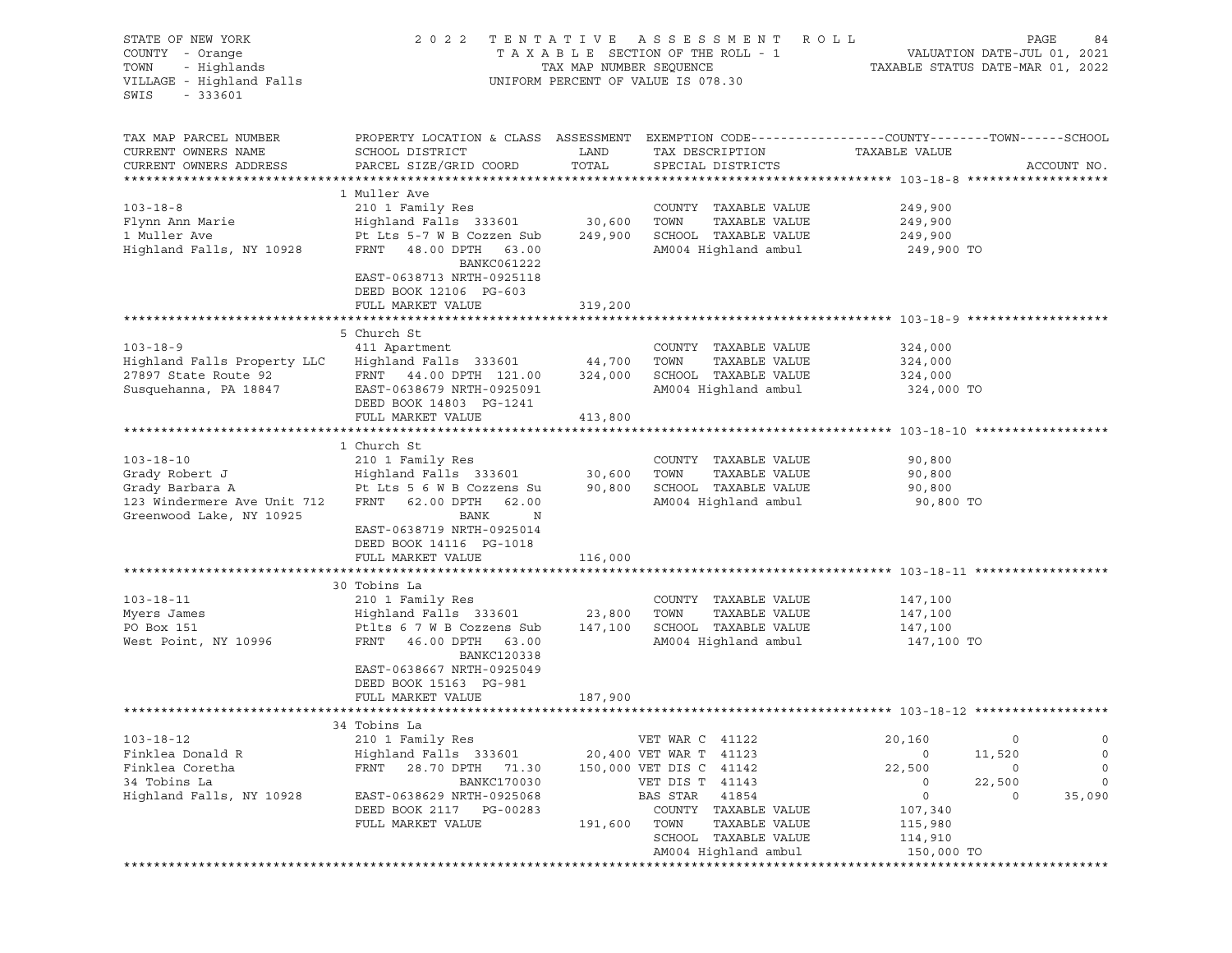| STATE OF NEW YORK           | 2 0 2 2                      |                         | TENTATIVE ASSESSMENT                           | R O L L                                                                                         | PAGE<br>84  |
|-----------------------------|------------------------------|-------------------------|------------------------------------------------|-------------------------------------------------------------------------------------------------|-------------|
| COUNTY - Orange             |                              |                         | TAXABLE SECTION OF THE ROLL - 1                | VALUATION DATE-JUL 01, 2021                                                                     |             |
| - Highlands<br>TOWN         |                              | TAX MAP NUMBER SEQUENCE |                                                | TAXABLE STATUS DATE-MAR 01, 2022                                                                |             |
| VILLAGE - Highland Falls    |                              |                         | UNIFORM PERCENT OF VALUE IS 078.30             |                                                                                                 |             |
| $-333601$<br>SWIS           |                              |                         |                                                |                                                                                                 |             |
|                             |                              |                         |                                                |                                                                                                 |             |
|                             |                              |                         |                                                |                                                                                                 |             |
| TAX MAP PARCEL NUMBER       |                              |                         |                                                | PROPERTY LOCATION & CLASS ASSESSMENT EXEMPTION CODE---------------COUNTY-------TOWN------SCHOOL |             |
| CURRENT OWNERS NAME         | SCHOOL DISTRICT              | LAND                    | TAX DESCRIPTION                                | TAXABLE VALUE                                                                                   |             |
| CURRENT OWNERS ADDRESS      | PARCEL SIZE/GRID COORD       | TOTAL                   | SPECIAL DISTRICTS                              |                                                                                                 | ACCOUNT NO. |
|                             |                              |                         |                                                |                                                                                                 |             |
|                             | 1 Muller Ave                 |                         |                                                |                                                                                                 |             |
| $103 - 18 - 8$              | 210 1 Family Res             |                         | COUNTY TAXABLE VALUE                           | 249,900                                                                                         |             |
| Flynn Ann Marie             | Highland Falls 333601 30,600 |                         | TOWN<br>TAXABLE VALUE                          | 249,900                                                                                         |             |
| 1 Muller Ave                | Pt Lts 5-7 W B Cozzen Sub    | 249,900                 | SCHOOL TAXABLE VALUE                           | 249,900                                                                                         |             |
|                             |                              |                         |                                                |                                                                                                 |             |
| Highland Falls, NY 10928    | FRNT 48.00 DPTH 63.00        |                         | AM004 Highland ambul                           | 249,900 TO                                                                                      |             |
|                             | BANKC061222                  |                         |                                                |                                                                                                 |             |
|                             | EAST-0638713 NRTH-0925118    |                         |                                                |                                                                                                 |             |
|                             | DEED BOOK 12106 PG-603       |                         |                                                |                                                                                                 |             |
|                             | FULL MARKET VALUE            | 319,200                 |                                                |                                                                                                 |             |
|                             |                              |                         |                                                |                                                                                                 |             |
|                             | 5 Church St                  |                         |                                                |                                                                                                 |             |
| $103 - 18 - 9$              | 411 Apartment                |                         | COUNTY TAXABLE VALUE                           | 324,000                                                                                         |             |
| Highland Falls Property LLC | Highland Falls 333601 44,700 |                         | TAXABLE VALUE<br>TOWN                          | 324,000                                                                                         |             |
| 27897 State Route 92        | FRNT 44.00 DPTH 121.00       | 324,000                 | SCHOOL TAXABLE VALUE                           | 324,000                                                                                         |             |
| Susquehanna, PA 18847       | EAST-0638679 NRTH-0925091    |                         | AM004 Highland ambul                           | 324,000 TO                                                                                      |             |
|                             | DEED BOOK 14803 PG-1241      |                         |                                                |                                                                                                 |             |
|                             | FULL MARKET VALUE            | 413,800                 |                                                |                                                                                                 |             |
|                             |                              |                         |                                                |                                                                                                 |             |
|                             |                              |                         |                                                |                                                                                                 |             |
|                             | 1 Church St                  |                         |                                                |                                                                                                 |             |
| $103 - 18 - 10$             | 210 1 Family Res             |                         | COUNTY TAXABLE VALUE                           | 90,800                                                                                          |             |
| Grady Robert J              | Highland Falls 333601        | 30,600                  | TAXABLE VALUE<br>TOWN                          | 90,800                                                                                          |             |
| Grady Barbara A             | Pt Lts 5 6 W B Cozzens Su    | 90,800                  | SCHOOL TAXABLE VALUE                           | 90,800                                                                                          |             |
| 123 Windermere Ave Unit 712 | FRNT 62.00 DPTH 62.00        |                         | AM004 Highland ambul                           | 90,800 TO                                                                                       |             |
| Greenwood Lake, NY 10925    | BANK<br>$\mathbf N$          |                         |                                                |                                                                                                 |             |
|                             | EAST-0638719 NRTH-0925014    |                         |                                                |                                                                                                 |             |
|                             | DEED BOOK 14116 PG-1018      |                         |                                                |                                                                                                 |             |
|                             | FULL MARKET VALUE            | 116,000                 |                                                |                                                                                                 |             |
|                             |                              |                         |                                                |                                                                                                 |             |
|                             | 30 Tobins La                 |                         |                                                |                                                                                                 |             |
| $103 - 18 - 11$             | 210 1 Family Res             |                         | COUNTY TAXABLE VALUE                           | 147,100                                                                                         |             |
| Myers James                 | Highland Falls 333601 23,800 |                         | TOWN<br>TAXABLE VALUE                          | 147,100                                                                                         |             |
|                             |                              |                         |                                                |                                                                                                 |             |
| PO Box 151                  | Ptlts 6 7 W B Cozzens Sub    | 147,100                 | SCHOOL TAXABLE VALUE                           | 147,100                                                                                         |             |
| West Point, NY 10996        | FRNT 46.00 DPTH 63.00        |                         | AM004 Highland ambul                           | 147,100 TO                                                                                      |             |
|                             | <b>BANKC120338</b>           |                         |                                                |                                                                                                 |             |
|                             | EAST-0638667 NRTH-0925049    |                         |                                                |                                                                                                 |             |
|                             | DEED BOOK 15163 PG-981       |                         |                                                |                                                                                                 |             |
|                             | FULL MARKET VALUE            | 187,900                 |                                                |                                                                                                 |             |
|                             |                              |                         |                                                |                                                                                                 |             |
|                             | 34 Tobins La                 |                         |                                                |                                                                                                 |             |
| $103 - 18 - 12$             | 210 1 Family Res             |                         | VET WAR C<br>41122                             | 20,160<br>0                                                                                     | 0           |
| Finklea Donald R            | Highland Falls 333601        |                         | 20,400 VET WAR T<br>41123                      | 11,520<br>0                                                                                     | 0           |
| Finklea Coretha             | FRNT<br>28.70 DPTH<br>71.30  |                         | 150,000 VET DIS C<br>41142                     | 22,500<br>0                                                                                     | 0           |
| 34 Tobins La                | <b>BANKC170030</b>           |                         | VET DIS T 41143                                | 22,500<br>0                                                                                     | 0           |
| Highland Falls, NY 10928    | EAST-0638629 NRTH-0925068    |                         | 41854<br>BAS STAR                              | $\mathbf 0$<br>0                                                                                | 35,090      |
|                             | PG-00283                     |                         | COUNTY TAXABLE VALUE                           |                                                                                                 |             |
|                             | DEED BOOK 2117               |                         |                                                | 107,340                                                                                         |             |
|                             | FULL MARKET VALUE            | 191,600                 | TOWN<br>TAXABLE VALUE                          | 115,980                                                                                         |             |
|                             |                              |                         | SCHOOL<br>TAXABLE VALUE                        | 114,910                                                                                         |             |
|                             |                              |                         | AM004 Highland ambul<br>********************** | 150,000 TO                                                                                      |             |
|                             |                              |                         |                                                | ********************************                                                                |             |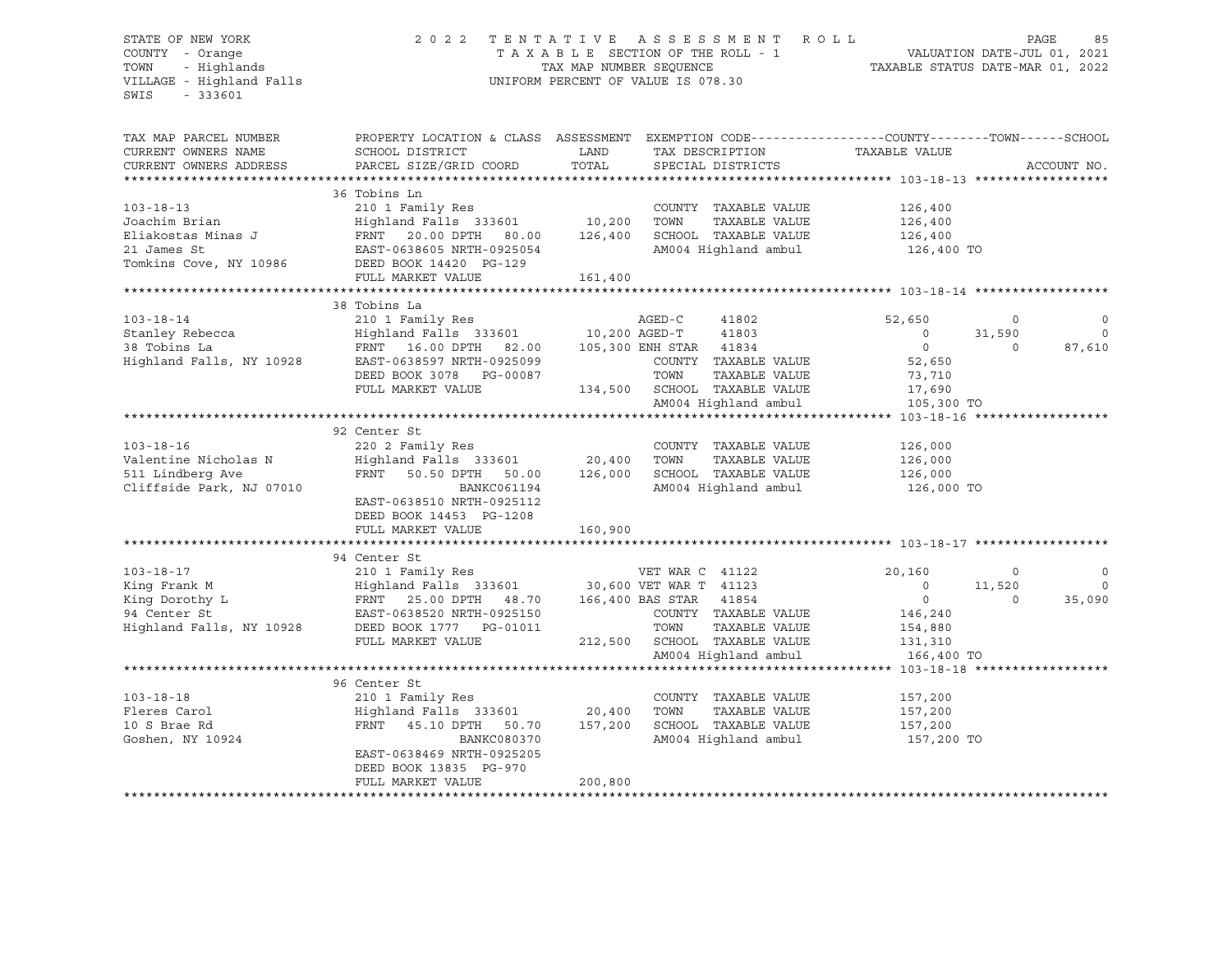## STATE OF NEW YORK 2 0 2 2 T E N T A T I V E A S S E S S M E N T R O L L PAGE 85 COUNTY - Orange T A X A B L E SECTION OF THE ROLL - 1 VALUATION DATE-JUL 01, 2021 TOWN - Highlands TAX MAP NUMBER SEQUENCE TAXABLE STATUS DATE-MAR 01, 2022 VILLAGE - Highland Falls UNIFORM PERCENT OF VALUE IS 078.30

| PROPERTY LOCATION & CLASS ASSESSMENT<br>EXEMPTION CODE-----------------COUNTY-------TOWN------SCHOOL<br>CURRENT OWNERS NAME<br>SCHOOL DISTRICT<br>LAND<br>TAX DESCRIPTION TAXABLE VALUE<br>TOTAL<br>CURRENT OWNERS ADDRESS<br>PARCEL SIZE/GRID COORD<br>SPECIAL DISTRICTS<br>ACCOUNT NO.<br>36 Tobins Ln<br>$103 - 18 - 13$<br>210 1 Family Res<br>Highland Falls 333601 10,200<br>COUNTY TAXABLE VALUE<br>126,400<br>TAXABLE VALUE<br>Joachim Brian<br>TOWN<br>126,400<br>FRNT 20.00 DPTH 80.00 126,400<br>EAST-0638605 NRTH-0925054<br>SCHOOL TAXABLE VALUE 126,400<br>Eliakostas Minas J<br>AM004 Highland ambul<br>21 James St<br>EAST-0638605 NRTH-0925054<br>126,400 TO<br>FULL MARKET VALUE<br>161,400<br>38 Tobins La<br>210 1 Family Res<br>AGED-C<br>$103 - 18 - 14$<br>41802<br>52,650<br>$\circ$<br>0<br>Highland Falls 333601 10,200 AGED-T 41803<br>FRNT 16.00 DPTH 82.00 105,300 ENH STAR 41834<br>$\Omega$<br>Stanley Rebecca<br>$\overline{\phantom{0}}$<br>31,590<br>38 Tobins La<br>$\overline{0}$<br>$\Omega$<br>87,610<br>Highland Falls, NY 10928 EAST-0638597 NRTH-0925099<br>COUNTY TAXABLE VALUE<br>52,650<br>DEED BOOK 3078 PG-00087<br>TOWN<br>TAXABLE VALUE<br>73,710<br>134,500 SCHOOL TAXABLE VALUE<br>FULL MARKET VALUE<br>17,690<br>AM004 Highland ambul<br>105,300 TO<br>92 Center St<br>$103 - 18 - 16$<br>220 2 Family Res<br>COUNTY TAXABLE VALUE<br>126,000<br>Valentine Nicholas N<br>Highland Falls 333601 20,400<br>FRNT 50.50 DPTH 50.00 126,000<br>TOWN<br>TAXABLE VALUE<br>126,000<br>511 Lindberg Ave<br>SCHOOL TAXABLE VALUE<br>126,000<br>Cliffside Park, NJ 07010<br>AM004 Highland ambul 126,000 TO<br>BANKC061194<br>EAST-0638510 NRTH-0925112<br>DEED BOOK 14453 PG-1208<br>FULL MARKET VALUE<br>160,900<br>94 Center St<br>$103 - 18 - 17$<br>210 1 Family Res<br>VET WAR C 41122<br>20,160<br>$\mathbf 0$<br>0<br>King Frank M<br>$\overline{0}$<br>11,520<br>$\Omega$<br>King Dorothy L<br>$\overline{0}$<br>35,090<br>$\Omega$<br>COUNTY TAXABLE VALUE<br>146,240<br>154,880<br>TOWN<br>TAXABLE VALUE<br>212,500 SCHOOL TAXABLE VALUE 131,310<br>FULL MARKET VALUE<br>AM004 Highland ambul<br>166,400 TO<br>96 Center St<br>$103 - 18 - 18$<br>210 1 Family Res<br>COUNTY TAXABLE VALUE<br>157,200<br>Highland Falls 333601 20,400<br>TAXABLE VALUE<br>Fleres Carol<br>TOWN<br>157,200<br>FRNT 45.10 DPTH 50.70<br>10 S Brae Rd<br>157,200<br>SCHOOL TAXABLE VALUE<br>157,200<br>AM004 Highland ambul 157,200 TO<br>Goshen, NY 10924<br>BANKC080370<br>EAST-0638469 NRTH-0925205<br>DEED BOOK 13835 PG-970<br>200,800<br>FULL MARKET VALUE | TAX MAP PARCEL NUMBER |  |  |  |
|--------------------------------------------------------------------------------------------------------------------------------------------------------------------------------------------------------------------------------------------------------------------------------------------------------------------------------------------------------------------------------------------------------------------------------------------------------------------------------------------------------------------------------------------------------------------------------------------------------------------------------------------------------------------------------------------------------------------------------------------------------------------------------------------------------------------------------------------------------------------------------------------------------------------------------------------------------------------------------------------------------------------------------------------------------------------------------------------------------------------------------------------------------------------------------------------------------------------------------------------------------------------------------------------------------------------------------------------------------------------------------------------------------------------------------------------------------------------------------------------------------------------------------------------------------------------------------------------------------------------------------------------------------------------------------------------------------------------------------------------------------------------------------------------------------------------------------------------------------------------------------------------------------------------------------------------------------------------------------------------------------------------------------------------------------------------------------------------------------------------------------------------------------------------------------------------------------------------------------------------------------------------------------------------------------------------------------------------------------------------------------------------------------------------------------------------------------------------------------------------------------------------------------------------------------------------------------------------------|-----------------------|--|--|--|
|                                                                                                                                                                                                                                                                                                                                                                                                                                                                                                                                                                                                                                                                                                                                                                                                                                                                                                                                                                                                                                                                                                                                                                                                                                                                                                                                                                                                                                                                                                                                                                                                                                                                                                                                                                                                                                                                                                                                                                                                                                                                                                                                                                                                                                                                                                                                                                                                                                                                                                                                                                                                  |                       |  |  |  |
|                                                                                                                                                                                                                                                                                                                                                                                                                                                                                                                                                                                                                                                                                                                                                                                                                                                                                                                                                                                                                                                                                                                                                                                                                                                                                                                                                                                                                                                                                                                                                                                                                                                                                                                                                                                                                                                                                                                                                                                                                                                                                                                                                                                                                                                                                                                                                                                                                                                                                                                                                                                                  |                       |  |  |  |
|                                                                                                                                                                                                                                                                                                                                                                                                                                                                                                                                                                                                                                                                                                                                                                                                                                                                                                                                                                                                                                                                                                                                                                                                                                                                                                                                                                                                                                                                                                                                                                                                                                                                                                                                                                                                                                                                                                                                                                                                                                                                                                                                                                                                                                                                                                                                                                                                                                                                                                                                                                                                  |                       |  |  |  |
|                                                                                                                                                                                                                                                                                                                                                                                                                                                                                                                                                                                                                                                                                                                                                                                                                                                                                                                                                                                                                                                                                                                                                                                                                                                                                                                                                                                                                                                                                                                                                                                                                                                                                                                                                                                                                                                                                                                                                                                                                                                                                                                                                                                                                                                                                                                                                                                                                                                                                                                                                                                                  |                       |  |  |  |
|                                                                                                                                                                                                                                                                                                                                                                                                                                                                                                                                                                                                                                                                                                                                                                                                                                                                                                                                                                                                                                                                                                                                                                                                                                                                                                                                                                                                                                                                                                                                                                                                                                                                                                                                                                                                                                                                                                                                                                                                                                                                                                                                                                                                                                                                                                                                                                                                                                                                                                                                                                                                  |                       |  |  |  |
|                                                                                                                                                                                                                                                                                                                                                                                                                                                                                                                                                                                                                                                                                                                                                                                                                                                                                                                                                                                                                                                                                                                                                                                                                                                                                                                                                                                                                                                                                                                                                                                                                                                                                                                                                                                                                                                                                                                                                                                                                                                                                                                                                                                                                                                                                                                                                                                                                                                                                                                                                                                                  |                       |  |  |  |
|                                                                                                                                                                                                                                                                                                                                                                                                                                                                                                                                                                                                                                                                                                                                                                                                                                                                                                                                                                                                                                                                                                                                                                                                                                                                                                                                                                                                                                                                                                                                                                                                                                                                                                                                                                                                                                                                                                                                                                                                                                                                                                                                                                                                                                                                                                                                                                                                                                                                                                                                                                                                  |                       |  |  |  |
|                                                                                                                                                                                                                                                                                                                                                                                                                                                                                                                                                                                                                                                                                                                                                                                                                                                                                                                                                                                                                                                                                                                                                                                                                                                                                                                                                                                                                                                                                                                                                                                                                                                                                                                                                                                                                                                                                                                                                                                                                                                                                                                                                                                                                                                                                                                                                                                                                                                                                                                                                                                                  |                       |  |  |  |
|                                                                                                                                                                                                                                                                                                                                                                                                                                                                                                                                                                                                                                                                                                                                                                                                                                                                                                                                                                                                                                                                                                                                                                                                                                                                                                                                                                                                                                                                                                                                                                                                                                                                                                                                                                                                                                                                                                                                                                                                                                                                                                                                                                                                                                                                                                                                                                                                                                                                                                                                                                                                  |                       |  |  |  |
|                                                                                                                                                                                                                                                                                                                                                                                                                                                                                                                                                                                                                                                                                                                                                                                                                                                                                                                                                                                                                                                                                                                                                                                                                                                                                                                                                                                                                                                                                                                                                                                                                                                                                                                                                                                                                                                                                                                                                                                                                                                                                                                                                                                                                                                                                                                                                                                                                                                                                                                                                                                                  |                       |  |  |  |
|                                                                                                                                                                                                                                                                                                                                                                                                                                                                                                                                                                                                                                                                                                                                                                                                                                                                                                                                                                                                                                                                                                                                                                                                                                                                                                                                                                                                                                                                                                                                                                                                                                                                                                                                                                                                                                                                                                                                                                                                                                                                                                                                                                                                                                                                                                                                                                                                                                                                                                                                                                                                  |                       |  |  |  |
|                                                                                                                                                                                                                                                                                                                                                                                                                                                                                                                                                                                                                                                                                                                                                                                                                                                                                                                                                                                                                                                                                                                                                                                                                                                                                                                                                                                                                                                                                                                                                                                                                                                                                                                                                                                                                                                                                                                                                                                                                                                                                                                                                                                                                                                                                                                                                                                                                                                                                                                                                                                                  |                       |  |  |  |
|                                                                                                                                                                                                                                                                                                                                                                                                                                                                                                                                                                                                                                                                                                                                                                                                                                                                                                                                                                                                                                                                                                                                                                                                                                                                                                                                                                                                                                                                                                                                                                                                                                                                                                                                                                                                                                                                                                                                                                                                                                                                                                                                                                                                                                                                                                                                                                                                                                                                                                                                                                                                  |                       |  |  |  |
|                                                                                                                                                                                                                                                                                                                                                                                                                                                                                                                                                                                                                                                                                                                                                                                                                                                                                                                                                                                                                                                                                                                                                                                                                                                                                                                                                                                                                                                                                                                                                                                                                                                                                                                                                                                                                                                                                                                                                                                                                                                                                                                                                                                                                                                                                                                                                                                                                                                                                                                                                                                                  |                       |  |  |  |
|                                                                                                                                                                                                                                                                                                                                                                                                                                                                                                                                                                                                                                                                                                                                                                                                                                                                                                                                                                                                                                                                                                                                                                                                                                                                                                                                                                                                                                                                                                                                                                                                                                                                                                                                                                                                                                                                                                                                                                                                                                                                                                                                                                                                                                                                                                                                                                                                                                                                                                                                                                                                  |                       |  |  |  |
|                                                                                                                                                                                                                                                                                                                                                                                                                                                                                                                                                                                                                                                                                                                                                                                                                                                                                                                                                                                                                                                                                                                                                                                                                                                                                                                                                                                                                                                                                                                                                                                                                                                                                                                                                                                                                                                                                                                                                                                                                                                                                                                                                                                                                                                                                                                                                                                                                                                                                                                                                                                                  |                       |  |  |  |
|                                                                                                                                                                                                                                                                                                                                                                                                                                                                                                                                                                                                                                                                                                                                                                                                                                                                                                                                                                                                                                                                                                                                                                                                                                                                                                                                                                                                                                                                                                                                                                                                                                                                                                                                                                                                                                                                                                                                                                                                                                                                                                                                                                                                                                                                                                                                                                                                                                                                                                                                                                                                  |                       |  |  |  |
|                                                                                                                                                                                                                                                                                                                                                                                                                                                                                                                                                                                                                                                                                                                                                                                                                                                                                                                                                                                                                                                                                                                                                                                                                                                                                                                                                                                                                                                                                                                                                                                                                                                                                                                                                                                                                                                                                                                                                                                                                                                                                                                                                                                                                                                                                                                                                                                                                                                                                                                                                                                                  |                       |  |  |  |
|                                                                                                                                                                                                                                                                                                                                                                                                                                                                                                                                                                                                                                                                                                                                                                                                                                                                                                                                                                                                                                                                                                                                                                                                                                                                                                                                                                                                                                                                                                                                                                                                                                                                                                                                                                                                                                                                                                                                                                                                                                                                                                                                                                                                                                                                                                                                                                                                                                                                                                                                                                                                  |                       |  |  |  |
|                                                                                                                                                                                                                                                                                                                                                                                                                                                                                                                                                                                                                                                                                                                                                                                                                                                                                                                                                                                                                                                                                                                                                                                                                                                                                                                                                                                                                                                                                                                                                                                                                                                                                                                                                                                                                                                                                                                                                                                                                                                                                                                                                                                                                                                                                                                                                                                                                                                                                                                                                                                                  |                       |  |  |  |
|                                                                                                                                                                                                                                                                                                                                                                                                                                                                                                                                                                                                                                                                                                                                                                                                                                                                                                                                                                                                                                                                                                                                                                                                                                                                                                                                                                                                                                                                                                                                                                                                                                                                                                                                                                                                                                                                                                                                                                                                                                                                                                                                                                                                                                                                                                                                                                                                                                                                                                                                                                                                  |                       |  |  |  |
|                                                                                                                                                                                                                                                                                                                                                                                                                                                                                                                                                                                                                                                                                                                                                                                                                                                                                                                                                                                                                                                                                                                                                                                                                                                                                                                                                                                                                                                                                                                                                                                                                                                                                                                                                                                                                                                                                                                                                                                                                                                                                                                                                                                                                                                                                                                                                                                                                                                                                                                                                                                                  |                       |  |  |  |
|                                                                                                                                                                                                                                                                                                                                                                                                                                                                                                                                                                                                                                                                                                                                                                                                                                                                                                                                                                                                                                                                                                                                                                                                                                                                                                                                                                                                                                                                                                                                                                                                                                                                                                                                                                                                                                                                                                                                                                                                                                                                                                                                                                                                                                                                                                                                                                                                                                                                                                                                                                                                  |                       |  |  |  |
|                                                                                                                                                                                                                                                                                                                                                                                                                                                                                                                                                                                                                                                                                                                                                                                                                                                                                                                                                                                                                                                                                                                                                                                                                                                                                                                                                                                                                                                                                                                                                                                                                                                                                                                                                                                                                                                                                                                                                                                                                                                                                                                                                                                                                                                                                                                                                                                                                                                                                                                                                                                                  |                       |  |  |  |
|                                                                                                                                                                                                                                                                                                                                                                                                                                                                                                                                                                                                                                                                                                                                                                                                                                                                                                                                                                                                                                                                                                                                                                                                                                                                                                                                                                                                                                                                                                                                                                                                                                                                                                                                                                                                                                                                                                                                                                                                                                                                                                                                                                                                                                                                                                                                                                                                                                                                                                                                                                                                  |                       |  |  |  |
|                                                                                                                                                                                                                                                                                                                                                                                                                                                                                                                                                                                                                                                                                                                                                                                                                                                                                                                                                                                                                                                                                                                                                                                                                                                                                                                                                                                                                                                                                                                                                                                                                                                                                                                                                                                                                                                                                                                                                                                                                                                                                                                                                                                                                                                                                                                                                                                                                                                                                                                                                                                                  |                       |  |  |  |
|                                                                                                                                                                                                                                                                                                                                                                                                                                                                                                                                                                                                                                                                                                                                                                                                                                                                                                                                                                                                                                                                                                                                                                                                                                                                                                                                                                                                                                                                                                                                                                                                                                                                                                                                                                                                                                                                                                                                                                                                                                                                                                                                                                                                                                                                                                                                                                                                                                                                                                                                                                                                  |                       |  |  |  |
|                                                                                                                                                                                                                                                                                                                                                                                                                                                                                                                                                                                                                                                                                                                                                                                                                                                                                                                                                                                                                                                                                                                                                                                                                                                                                                                                                                                                                                                                                                                                                                                                                                                                                                                                                                                                                                                                                                                                                                                                                                                                                                                                                                                                                                                                                                                                                                                                                                                                                                                                                                                                  |                       |  |  |  |
|                                                                                                                                                                                                                                                                                                                                                                                                                                                                                                                                                                                                                                                                                                                                                                                                                                                                                                                                                                                                                                                                                                                                                                                                                                                                                                                                                                                                                                                                                                                                                                                                                                                                                                                                                                                                                                                                                                                                                                                                                                                                                                                                                                                                                                                                                                                                                                                                                                                                                                                                                                                                  |                       |  |  |  |
|                                                                                                                                                                                                                                                                                                                                                                                                                                                                                                                                                                                                                                                                                                                                                                                                                                                                                                                                                                                                                                                                                                                                                                                                                                                                                                                                                                                                                                                                                                                                                                                                                                                                                                                                                                                                                                                                                                                                                                                                                                                                                                                                                                                                                                                                                                                                                                                                                                                                                                                                                                                                  |                       |  |  |  |
|                                                                                                                                                                                                                                                                                                                                                                                                                                                                                                                                                                                                                                                                                                                                                                                                                                                                                                                                                                                                                                                                                                                                                                                                                                                                                                                                                                                                                                                                                                                                                                                                                                                                                                                                                                                                                                                                                                                                                                                                                                                                                                                                                                                                                                                                                                                                                                                                                                                                                                                                                                                                  |                       |  |  |  |
|                                                                                                                                                                                                                                                                                                                                                                                                                                                                                                                                                                                                                                                                                                                                                                                                                                                                                                                                                                                                                                                                                                                                                                                                                                                                                                                                                                                                                                                                                                                                                                                                                                                                                                                                                                                                                                                                                                                                                                                                                                                                                                                                                                                                                                                                                                                                                                                                                                                                                                                                                                                                  |                       |  |  |  |
|                                                                                                                                                                                                                                                                                                                                                                                                                                                                                                                                                                                                                                                                                                                                                                                                                                                                                                                                                                                                                                                                                                                                                                                                                                                                                                                                                                                                                                                                                                                                                                                                                                                                                                                                                                                                                                                                                                                                                                                                                                                                                                                                                                                                                                                                                                                                                                                                                                                                                                                                                                                                  |                       |  |  |  |
|                                                                                                                                                                                                                                                                                                                                                                                                                                                                                                                                                                                                                                                                                                                                                                                                                                                                                                                                                                                                                                                                                                                                                                                                                                                                                                                                                                                                                                                                                                                                                                                                                                                                                                                                                                                                                                                                                                                                                                                                                                                                                                                                                                                                                                                                                                                                                                                                                                                                                                                                                                                                  |                       |  |  |  |
|                                                                                                                                                                                                                                                                                                                                                                                                                                                                                                                                                                                                                                                                                                                                                                                                                                                                                                                                                                                                                                                                                                                                                                                                                                                                                                                                                                                                                                                                                                                                                                                                                                                                                                                                                                                                                                                                                                                                                                                                                                                                                                                                                                                                                                                                                                                                                                                                                                                                                                                                                                                                  |                       |  |  |  |
|                                                                                                                                                                                                                                                                                                                                                                                                                                                                                                                                                                                                                                                                                                                                                                                                                                                                                                                                                                                                                                                                                                                                                                                                                                                                                                                                                                                                                                                                                                                                                                                                                                                                                                                                                                                                                                                                                                                                                                                                                                                                                                                                                                                                                                                                                                                                                                                                                                                                                                                                                                                                  |                       |  |  |  |
|                                                                                                                                                                                                                                                                                                                                                                                                                                                                                                                                                                                                                                                                                                                                                                                                                                                                                                                                                                                                                                                                                                                                                                                                                                                                                                                                                                                                                                                                                                                                                                                                                                                                                                                                                                                                                                                                                                                                                                                                                                                                                                                                                                                                                                                                                                                                                                                                                                                                                                                                                                                                  |                       |  |  |  |
|                                                                                                                                                                                                                                                                                                                                                                                                                                                                                                                                                                                                                                                                                                                                                                                                                                                                                                                                                                                                                                                                                                                                                                                                                                                                                                                                                                                                                                                                                                                                                                                                                                                                                                                                                                                                                                                                                                                                                                                                                                                                                                                                                                                                                                                                                                                                                                                                                                                                                                                                                                                                  |                       |  |  |  |
|                                                                                                                                                                                                                                                                                                                                                                                                                                                                                                                                                                                                                                                                                                                                                                                                                                                                                                                                                                                                                                                                                                                                                                                                                                                                                                                                                                                                                                                                                                                                                                                                                                                                                                                                                                                                                                                                                                                                                                                                                                                                                                                                                                                                                                                                                                                                                                                                                                                                                                                                                                                                  |                       |  |  |  |
|                                                                                                                                                                                                                                                                                                                                                                                                                                                                                                                                                                                                                                                                                                                                                                                                                                                                                                                                                                                                                                                                                                                                                                                                                                                                                                                                                                                                                                                                                                                                                                                                                                                                                                                                                                                                                                                                                                                                                                                                                                                                                                                                                                                                                                                                                                                                                                                                                                                                                                                                                                                                  |                       |  |  |  |
|                                                                                                                                                                                                                                                                                                                                                                                                                                                                                                                                                                                                                                                                                                                                                                                                                                                                                                                                                                                                                                                                                                                                                                                                                                                                                                                                                                                                                                                                                                                                                                                                                                                                                                                                                                                                                                                                                                                                                                                                                                                                                                                                                                                                                                                                                                                                                                                                                                                                                                                                                                                                  |                       |  |  |  |
|                                                                                                                                                                                                                                                                                                                                                                                                                                                                                                                                                                                                                                                                                                                                                                                                                                                                                                                                                                                                                                                                                                                                                                                                                                                                                                                                                                                                                                                                                                                                                                                                                                                                                                                                                                                                                                                                                                                                                                                                                                                                                                                                                                                                                                                                                                                                                                                                                                                                                                                                                                                                  |                       |  |  |  |
|                                                                                                                                                                                                                                                                                                                                                                                                                                                                                                                                                                                                                                                                                                                                                                                                                                                                                                                                                                                                                                                                                                                                                                                                                                                                                                                                                                                                                                                                                                                                                                                                                                                                                                                                                                                                                                                                                                                                                                                                                                                                                                                                                                                                                                                                                                                                                                                                                                                                                                                                                                                                  |                       |  |  |  |
|                                                                                                                                                                                                                                                                                                                                                                                                                                                                                                                                                                                                                                                                                                                                                                                                                                                                                                                                                                                                                                                                                                                                                                                                                                                                                                                                                                                                                                                                                                                                                                                                                                                                                                                                                                                                                                                                                                                                                                                                                                                                                                                                                                                                                                                                                                                                                                                                                                                                                                                                                                                                  |                       |  |  |  |
|                                                                                                                                                                                                                                                                                                                                                                                                                                                                                                                                                                                                                                                                                                                                                                                                                                                                                                                                                                                                                                                                                                                                                                                                                                                                                                                                                                                                                                                                                                                                                                                                                                                                                                                                                                                                                                                                                                                                                                                                                                                                                                                                                                                                                                                                                                                                                                                                                                                                                                                                                                                                  |                       |  |  |  |
|                                                                                                                                                                                                                                                                                                                                                                                                                                                                                                                                                                                                                                                                                                                                                                                                                                                                                                                                                                                                                                                                                                                                                                                                                                                                                                                                                                                                                                                                                                                                                                                                                                                                                                                                                                                                                                                                                                                                                                                                                                                                                                                                                                                                                                                                                                                                                                                                                                                                                                                                                                                                  |                       |  |  |  |
|                                                                                                                                                                                                                                                                                                                                                                                                                                                                                                                                                                                                                                                                                                                                                                                                                                                                                                                                                                                                                                                                                                                                                                                                                                                                                                                                                                                                                                                                                                                                                                                                                                                                                                                                                                                                                                                                                                                                                                                                                                                                                                                                                                                                                                                                                                                                                                                                                                                                                                                                                                                                  |                       |  |  |  |
|                                                                                                                                                                                                                                                                                                                                                                                                                                                                                                                                                                                                                                                                                                                                                                                                                                                                                                                                                                                                                                                                                                                                                                                                                                                                                                                                                                                                                                                                                                                                                                                                                                                                                                                                                                                                                                                                                                                                                                                                                                                                                                                                                                                                                                                                                                                                                                                                                                                                                                                                                                                                  |                       |  |  |  |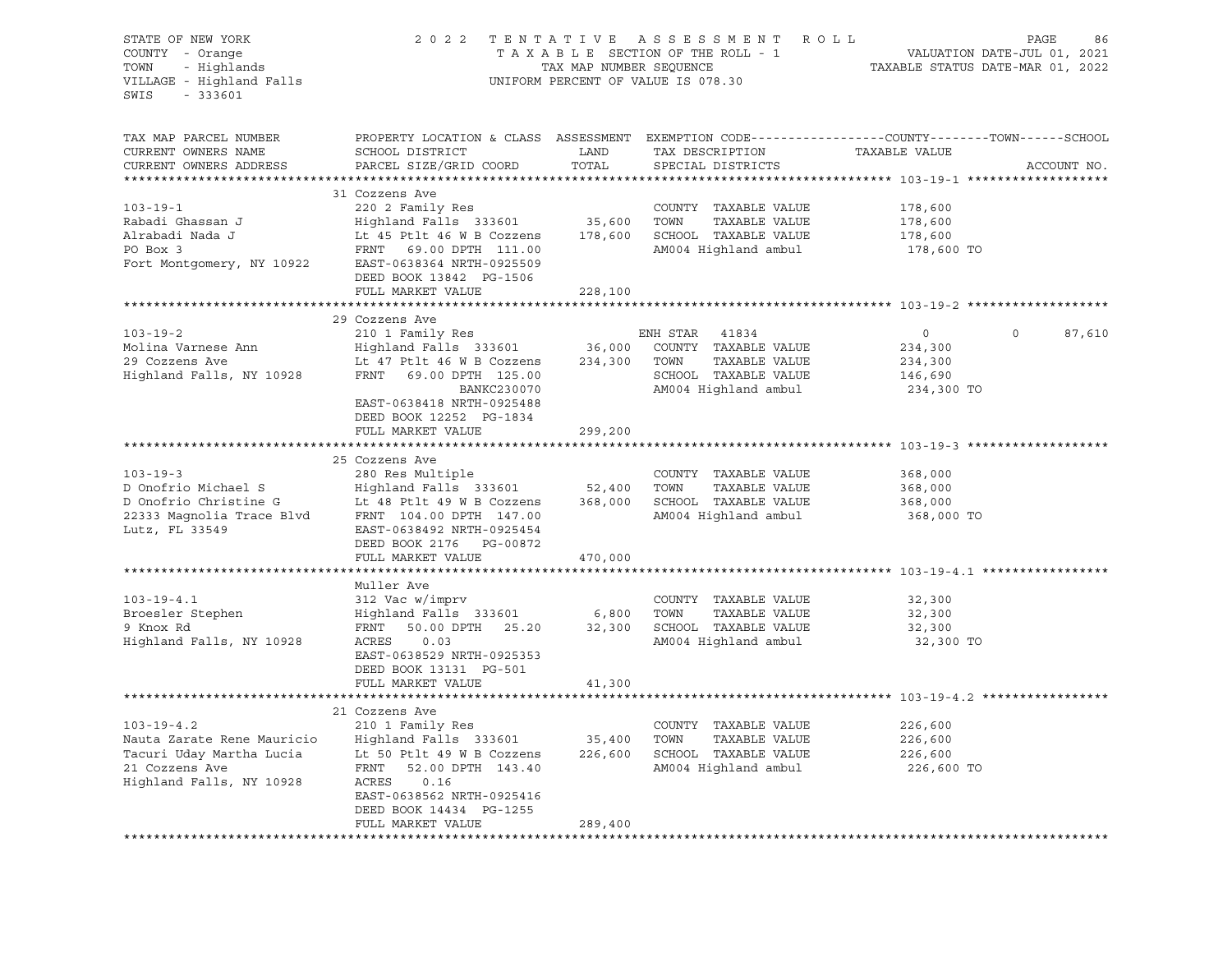| PROPERTY LOCATION & CLASS ASSESSMENT EXEMPTION CODE---------------COUNTY-------TOWN-----SCHOOL<br>TAX MAP PARCEL NUMBER<br>TAX DESCRIPTION<br>TAXABLE VALUE<br>CURRENT OWNERS NAME<br>SCHOOL DISTRICT<br>LAND<br>TOTAL<br>CURRENT OWNERS ADDRESS<br>PARCEL SIZE/GRID COORD<br>SPECIAL DISTRICTS<br>ACCOUNT NO.<br>***********************<br>31 Cozzens Ave<br>220 2 Family Res<br>$103 - 19 - 1$<br>COUNTY TAXABLE VALUE<br>178,600<br>35,600 TOWN<br>Highland Falls 333601<br>TAXABLE VALUE<br>Rabadi Ghassan J<br>178,600<br>Alrabadi Nada J<br>Lt 45 Ptlt 46 W B Cozzens<br>178,600 SCHOOL TAXABLE VALUE<br>178,600<br>AM004 Highland ambul<br>PO Box 3<br>FRNT 69.00 DPTH 111.00<br>178,600 TO<br>Fort Montgomery, NY 10922 EAST-0638364 NRTH-0925509<br>DEED BOOK 13842 PG-1506<br>FULL MARKET VALUE<br>228,100<br>29 Cozzens Ave<br>$103 - 19 - 2$<br>$\Omega$<br>210 1 Family Res<br>ENH STAR 41834<br>$\circ$<br>87,610<br>Highland Falls 333601 36,000 COUNTY TAXABLE VALUE<br>Molina Varnese Ann<br>234,300<br>Lt 47 Ptlt 46 W B Cozzens<br>234,300 TOWN<br>TAXABLE VALUE<br>29 Cozzens Ave<br>234,300<br>Highland Falls, NY 10928<br>FRNT 69.00 DPTH 125.00<br>SCHOOL TAXABLE VALUE<br>146,690<br>AM004 Highland ambul<br>BANKC230070<br>234,300 TO<br>EAST-0638418 NRTH-0925488<br>DEED BOOK 12252 PG-1834<br>FULL MARKET VALUE<br>299,200<br>25 Cozzens Ave<br>$103 - 19 - 3$<br>280 Res Multiple<br>COUNTY TAXABLE VALUE<br>368,000<br>D Onofrio Michael S<br>Highland Falls 333601<br>52,400<br>TOWN<br>TAXABLE VALUE<br>368,000<br>D Onofrio Michael S<br>D Onofrio Christine G<br>Lt 48 Ptlt 49 W B Cozzens<br>22333 Magnolia Trace Blvd<br>FRNT 104.00 DPTH 1045454<br>TRNT DOLEAL<br>368,000 SCHOOL TAXABLE VALUE<br>Lt 48 Ptlt 49 W B Cozzens<br>368,000<br>AM004 Highland ambul<br>368,000 TO<br>Lutz, FL 33549<br>EAST-0638492 NRTH-0925454<br>DEED BOOK 2176 PG-00872<br>FULL MARKET VALUE<br>470,000<br>Muller Ave<br>312 Vac w/imprv<br>$103 - 19 - 4.1$<br>COUNTY TAXABLE VALUE<br>32,300<br>$\frac{1}{2}$ $\frac{1}{2}$ $\frac{1}{2}$ $\frac{1}{2}$ $\frac{1}{2}$ $\frac{1}{2}$ $\frac{1}{2}$ $\frac{1}{2}$ $\frac{1}{2}$ $\frac{1}{2}$ $\frac{1}{2}$ $\frac{1}{2}$ $\frac{1}{2}$ $\frac{1}{2}$ $\frac{1}{2}$ $\frac{1}{2}$ $\frac{1}{2}$ $\frac{1}{2}$ $\frac{1}{2}$ $\frac{1}{2}$ $\frac{1}{2}$ $\frac{1}{2}$<br>Broesler Stephen<br>TOWN<br>TAXABLE VALUE<br>32,300<br>9 Knox Rd<br>FRNT 50.00 DPTH 25.20<br>32,300 SCHOOL TAXABLE VALUE<br>32,300<br>Highland Falls, NY 10928<br>AM004 Highland ambul<br>ACRES<br>32,300 TO<br>0.03<br>EAST-0638529 NRTH-0925353<br>DEED BOOK 13131 PG-501<br>FULL MARKET VALUE<br>41,300<br>21 Cozzens Ave<br>$103 - 19 - 4.2$<br>210 1 Family Res<br>COUNTY TAXABLE VALUE<br>226,600<br>Nauta Zarate Rene Mauricio<br>35,400<br>TOWN<br>TAXABLE VALUE<br>Highland Falls 333601<br>226,600<br>Tacuri Uday Martha Lucia<br>226,600 SCHOOL TAXABLE VALUE<br>226,600<br>Lt 50 Ptlt 49 W B Cozzens<br>AM004 Highland ambul<br>226,600 TO<br>21 Cozzens Ave<br>FRNT 52.00 DPTH 143.40<br>Highland Falls, NY 10928<br>ACRES<br>0.16 | STATE OF NEW YORK<br>COUNTY - Orange<br>TOWN - Highlands<br>VILLAGE - Highland Falls<br>SWIS<br>$-333601$<br>SWIS | TAX MAP NUMBER SEQUENCE | 2022 TENTATIVE ASSESSMENT ROLL<br>TAXABLE SECTION OF THE ROLL - 1<br>UNIFORM PERCENT OF VALUE IS 078.30 | PAGE<br>86<br>VALUATION DATE-JUL 01, 2021<br>TAXABLE STATUS DATE-MAR 01, 2022 |
|------------------------------------------------------------------------------------------------------------------------------------------------------------------------------------------------------------------------------------------------------------------------------------------------------------------------------------------------------------------------------------------------------------------------------------------------------------------------------------------------------------------------------------------------------------------------------------------------------------------------------------------------------------------------------------------------------------------------------------------------------------------------------------------------------------------------------------------------------------------------------------------------------------------------------------------------------------------------------------------------------------------------------------------------------------------------------------------------------------------------------------------------------------------------------------------------------------------------------------------------------------------------------------------------------------------------------------------------------------------------------------------------------------------------------------------------------------------------------------------------------------------------------------------------------------------------------------------------------------------------------------------------------------------------------------------------------------------------------------------------------------------------------------------------------------------------------------------------------------------------------------------------------------------------------------------------------------------------------------------------------------------------------------------------------------------------------------------------------------------------------------------------------------------------------------------------------------------------------------------------------------------------------------------------------------------------------------------------------------------------------------------------------------------------------------------------------------------------------------------------------------------------------------------------------------------------------------------------------------------------------------------------------------------------------------------------------------------------------------------------------------------------------------------------------------------------------------------------------------------------------------------------------------------------------------------------------------------------------------------------------------------------------------------------------------------------------------------------|-------------------------------------------------------------------------------------------------------------------|-------------------------|---------------------------------------------------------------------------------------------------------|-------------------------------------------------------------------------------|
|                                                                                                                                                                                                                                                                                                                                                                                                                                                                                                                                                                                                                                                                                                                                                                                                                                                                                                                                                                                                                                                                                                                                                                                                                                                                                                                                                                                                                                                                                                                                                                                                                                                                                                                                                                                                                                                                                                                                                                                                                                                                                                                                                                                                                                                                                                                                                                                                                                                                                                                                                                                                                                                                                                                                                                                                                                                                                                                                                                                                                                                                                                |                                                                                                                   |                         |                                                                                                         |                                                                               |
|                                                                                                                                                                                                                                                                                                                                                                                                                                                                                                                                                                                                                                                                                                                                                                                                                                                                                                                                                                                                                                                                                                                                                                                                                                                                                                                                                                                                                                                                                                                                                                                                                                                                                                                                                                                                                                                                                                                                                                                                                                                                                                                                                                                                                                                                                                                                                                                                                                                                                                                                                                                                                                                                                                                                                                                                                                                                                                                                                                                                                                                                                                |                                                                                                                   |                         |                                                                                                         |                                                                               |
|                                                                                                                                                                                                                                                                                                                                                                                                                                                                                                                                                                                                                                                                                                                                                                                                                                                                                                                                                                                                                                                                                                                                                                                                                                                                                                                                                                                                                                                                                                                                                                                                                                                                                                                                                                                                                                                                                                                                                                                                                                                                                                                                                                                                                                                                                                                                                                                                                                                                                                                                                                                                                                                                                                                                                                                                                                                                                                                                                                                                                                                                                                |                                                                                                                   |                         |                                                                                                         |                                                                               |
|                                                                                                                                                                                                                                                                                                                                                                                                                                                                                                                                                                                                                                                                                                                                                                                                                                                                                                                                                                                                                                                                                                                                                                                                                                                                                                                                                                                                                                                                                                                                                                                                                                                                                                                                                                                                                                                                                                                                                                                                                                                                                                                                                                                                                                                                                                                                                                                                                                                                                                                                                                                                                                                                                                                                                                                                                                                                                                                                                                                                                                                                                                |                                                                                                                   |                         |                                                                                                         |                                                                               |
|                                                                                                                                                                                                                                                                                                                                                                                                                                                                                                                                                                                                                                                                                                                                                                                                                                                                                                                                                                                                                                                                                                                                                                                                                                                                                                                                                                                                                                                                                                                                                                                                                                                                                                                                                                                                                                                                                                                                                                                                                                                                                                                                                                                                                                                                                                                                                                                                                                                                                                                                                                                                                                                                                                                                                                                                                                                                                                                                                                                                                                                                                                |                                                                                                                   |                         |                                                                                                         |                                                                               |
|                                                                                                                                                                                                                                                                                                                                                                                                                                                                                                                                                                                                                                                                                                                                                                                                                                                                                                                                                                                                                                                                                                                                                                                                                                                                                                                                                                                                                                                                                                                                                                                                                                                                                                                                                                                                                                                                                                                                                                                                                                                                                                                                                                                                                                                                                                                                                                                                                                                                                                                                                                                                                                                                                                                                                                                                                                                                                                                                                                                                                                                                                                |                                                                                                                   |                         |                                                                                                         |                                                                               |
|                                                                                                                                                                                                                                                                                                                                                                                                                                                                                                                                                                                                                                                                                                                                                                                                                                                                                                                                                                                                                                                                                                                                                                                                                                                                                                                                                                                                                                                                                                                                                                                                                                                                                                                                                                                                                                                                                                                                                                                                                                                                                                                                                                                                                                                                                                                                                                                                                                                                                                                                                                                                                                                                                                                                                                                                                                                                                                                                                                                                                                                                                                |                                                                                                                   |                         |                                                                                                         |                                                                               |
|                                                                                                                                                                                                                                                                                                                                                                                                                                                                                                                                                                                                                                                                                                                                                                                                                                                                                                                                                                                                                                                                                                                                                                                                                                                                                                                                                                                                                                                                                                                                                                                                                                                                                                                                                                                                                                                                                                                                                                                                                                                                                                                                                                                                                                                                                                                                                                                                                                                                                                                                                                                                                                                                                                                                                                                                                                                                                                                                                                                                                                                                                                |                                                                                                                   |                         |                                                                                                         |                                                                               |
|                                                                                                                                                                                                                                                                                                                                                                                                                                                                                                                                                                                                                                                                                                                                                                                                                                                                                                                                                                                                                                                                                                                                                                                                                                                                                                                                                                                                                                                                                                                                                                                                                                                                                                                                                                                                                                                                                                                                                                                                                                                                                                                                                                                                                                                                                                                                                                                                                                                                                                                                                                                                                                                                                                                                                                                                                                                                                                                                                                                                                                                                                                |                                                                                                                   |                         |                                                                                                         |                                                                               |
|                                                                                                                                                                                                                                                                                                                                                                                                                                                                                                                                                                                                                                                                                                                                                                                                                                                                                                                                                                                                                                                                                                                                                                                                                                                                                                                                                                                                                                                                                                                                                                                                                                                                                                                                                                                                                                                                                                                                                                                                                                                                                                                                                                                                                                                                                                                                                                                                                                                                                                                                                                                                                                                                                                                                                                                                                                                                                                                                                                                                                                                                                                |                                                                                                                   |                         |                                                                                                         |                                                                               |
|                                                                                                                                                                                                                                                                                                                                                                                                                                                                                                                                                                                                                                                                                                                                                                                                                                                                                                                                                                                                                                                                                                                                                                                                                                                                                                                                                                                                                                                                                                                                                                                                                                                                                                                                                                                                                                                                                                                                                                                                                                                                                                                                                                                                                                                                                                                                                                                                                                                                                                                                                                                                                                                                                                                                                                                                                                                                                                                                                                                                                                                                                                |                                                                                                                   |                         |                                                                                                         |                                                                               |
|                                                                                                                                                                                                                                                                                                                                                                                                                                                                                                                                                                                                                                                                                                                                                                                                                                                                                                                                                                                                                                                                                                                                                                                                                                                                                                                                                                                                                                                                                                                                                                                                                                                                                                                                                                                                                                                                                                                                                                                                                                                                                                                                                                                                                                                                                                                                                                                                                                                                                                                                                                                                                                                                                                                                                                                                                                                                                                                                                                                                                                                                                                |                                                                                                                   |                         |                                                                                                         |                                                                               |
|                                                                                                                                                                                                                                                                                                                                                                                                                                                                                                                                                                                                                                                                                                                                                                                                                                                                                                                                                                                                                                                                                                                                                                                                                                                                                                                                                                                                                                                                                                                                                                                                                                                                                                                                                                                                                                                                                                                                                                                                                                                                                                                                                                                                                                                                                                                                                                                                                                                                                                                                                                                                                                                                                                                                                                                                                                                                                                                                                                                                                                                                                                |                                                                                                                   |                         |                                                                                                         |                                                                               |
|                                                                                                                                                                                                                                                                                                                                                                                                                                                                                                                                                                                                                                                                                                                                                                                                                                                                                                                                                                                                                                                                                                                                                                                                                                                                                                                                                                                                                                                                                                                                                                                                                                                                                                                                                                                                                                                                                                                                                                                                                                                                                                                                                                                                                                                                                                                                                                                                                                                                                                                                                                                                                                                                                                                                                                                                                                                                                                                                                                                                                                                                                                |                                                                                                                   |                         |                                                                                                         |                                                                               |
|                                                                                                                                                                                                                                                                                                                                                                                                                                                                                                                                                                                                                                                                                                                                                                                                                                                                                                                                                                                                                                                                                                                                                                                                                                                                                                                                                                                                                                                                                                                                                                                                                                                                                                                                                                                                                                                                                                                                                                                                                                                                                                                                                                                                                                                                                                                                                                                                                                                                                                                                                                                                                                                                                                                                                                                                                                                                                                                                                                                                                                                                                                |                                                                                                                   |                         |                                                                                                         |                                                                               |
|                                                                                                                                                                                                                                                                                                                                                                                                                                                                                                                                                                                                                                                                                                                                                                                                                                                                                                                                                                                                                                                                                                                                                                                                                                                                                                                                                                                                                                                                                                                                                                                                                                                                                                                                                                                                                                                                                                                                                                                                                                                                                                                                                                                                                                                                                                                                                                                                                                                                                                                                                                                                                                                                                                                                                                                                                                                                                                                                                                                                                                                                                                |                                                                                                                   |                         |                                                                                                         |                                                                               |
|                                                                                                                                                                                                                                                                                                                                                                                                                                                                                                                                                                                                                                                                                                                                                                                                                                                                                                                                                                                                                                                                                                                                                                                                                                                                                                                                                                                                                                                                                                                                                                                                                                                                                                                                                                                                                                                                                                                                                                                                                                                                                                                                                                                                                                                                                                                                                                                                                                                                                                                                                                                                                                                                                                                                                                                                                                                                                                                                                                                                                                                                                                |                                                                                                                   |                         |                                                                                                         |                                                                               |
|                                                                                                                                                                                                                                                                                                                                                                                                                                                                                                                                                                                                                                                                                                                                                                                                                                                                                                                                                                                                                                                                                                                                                                                                                                                                                                                                                                                                                                                                                                                                                                                                                                                                                                                                                                                                                                                                                                                                                                                                                                                                                                                                                                                                                                                                                                                                                                                                                                                                                                                                                                                                                                                                                                                                                                                                                                                                                                                                                                                                                                                                                                |                                                                                                                   |                         |                                                                                                         |                                                                               |
|                                                                                                                                                                                                                                                                                                                                                                                                                                                                                                                                                                                                                                                                                                                                                                                                                                                                                                                                                                                                                                                                                                                                                                                                                                                                                                                                                                                                                                                                                                                                                                                                                                                                                                                                                                                                                                                                                                                                                                                                                                                                                                                                                                                                                                                                                                                                                                                                                                                                                                                                                                                                                                                                                                                                                                                                                                                                                                                                                                                                                                                                                                |                                                                                                                   |                         |                                                                                                         |                                                                               |
|                                                                                                                                                                                                                                                                                                                                                                                                                                                                                                                                                                                                                                                                                                                                                                                                                                                                                                                                                                                                                                                                                                                                                                                                                                                                                                                                                                                                                                                                                                                                                                                                                                                                                                                                                                                                                                                                                                                                                                                                                                                                                                                                                                                                                                                                                                                                                                                                                                                                                                                                                                                                                                                                                                                                                                                                                                                                                                                                                                                                                                                                                                |                                                                                                                   |                         |                                                                                                         |                                                                               |
|                                                                                                                                                                                                                                                                                                                                                                                                                                                                                                                                                                                                                                                                                                                                                                                                                                                                                                                                                                                                                                                                                                                                                                                                                                                                                                                                                                                                                                                                                                                                                                                                                                                                                                                                                                                                                                                                                                                                                                                                                                                                                                                                                                                                                                                                                                                                                                                                                                                                                                                                                                                                                                                                                                                                                                                                                                                                                                                                                                                                                                                                                                |                                                                                                                   |                         |                                                                                                         |                                                                               |
|                                                                                                                                                                                                                                                                                                                                                                                                                                                                                                                                                                                                                                                                                                                                                                                                                                                                                                                                                                                                                                                                                                                                                                                                                                                                                                                                                                                                                                                                                                                                                                                                                                                                                                                                                                                                                                                                                                                                                                                                                                                                                                                                                                                                                                                                                                                                                                                                                                                                                                                                                                                                                                                                                                                                                                                                                                                                                                                                                                                                                                                                                                |                                                                                                                   |                         |                                                                                                         |                                                                               |
|                                                                                                                                                                                                                                                                                                                                                                                                                                                                                                                                                                                                                                                                                                                                                                                                                                                                                                                                                                                                                                                                                                                                                                                                                                                                                                                                                                                                                                                                                                                                                                                                                                                                                                                                                                                                                                                                                                                                                                                                                                                                                                                                                                                                                                                                                                                                                                                                                                                                                                                                                                                                                                                                                                                                                                                                                                                                                                                                                                                                                                                                                                |                                                                                                                   |                         |                                                                                                         |                                                                               |
|                                                                                                                                                                                                                                                                                                                                                                                                                                                                                                                                                                                                                                                                                                                                                                                                                                                                                                                                                                                                                                                                                                                                                                                                                                                                                                                                                                                                                                                                                                                                                                                                                                                                                                                                                                                                                                                                                                                                                                                                                                                                                                                                                                                                                                                                                                                                                                                                                                                                                                                                                                                                                                                                                                                                                                                                                                                                                                                                                                                                                                                                                                |                                                                                                                   |                         |                                                                                                         |                                                                               |
|                                                                                                                                                                                                                                                                                                                                                                                                                                                                                                                                                                                                                                                                                                                                                                                                                                                                                                                                                                                                                                                                                                                                                                                                                                                                                                                                                                                                                                                                                                                                                                                                                                                                                                                                                                                                                                                                                                                                                                                                                                                                                                                                                                                                                                                                                                                                                                                                                                                                                                                                                                                                                                                                                                                                                                                                                                                                                                                                                                                                                                                                                                |                                                                                                                   |                         |                                                                                                         |                                                                               |
|                                                                                                                                                                                                                                                                                                                                                                                                                                                                                                                                                                                                                                                                                                                                                                                                                                                                                                                                                                                                                                                                                                                                                                                                                                                                                                                                                                                                                                                                                                                                                                                                                                                                                                                                                                                                                                                                                                                                                                                                                                                                                                                                                                                                                                                                                                                                                                                                                                                                                                                                                                                                                                                                                                                                                                                                                                                                                                                                                                                                                                                                                                |                                                                                                                   |                         |                                                                                                         |                                                                               |
|                                                                                                                                                                                                                                                                                                                                                                                                                                                                                                                                                                                                                                                                                                                                                                                                                                                                                                                                                                                                                                                                                                                                                                                                                                                                                                                                                                                                                                                                                                                                                                                                                                                                                                                                                                                                                                                                                                                                                                                                                                                                                                                                                                                                                                                                                                                                                                                                                                                                                                                                                                                                                                                                                                                                                                                                                                                                                                                                                                                                                                                                                                |                                                                                                                   |                         |                                                                                                         |                                                                               |
|                                                                                                                                                                                                                                                                                                                                                                                                                                                                                                                                                                                                                                                                                                                                                                                                                                                                                                                                                                                                                                                                                                                                                                                                                                                                                                                                                                                                                                                                                                                                                                                                                                                                                                                                                                                                                                                                                                                                                                                                                                                                                                                                                                                                                                                                                                                                                                                                                                                                                                                                                                                                                                                                                                                                                                                                                                                                                                                                                                                                                                                                                                |                                                                                                                   |                         |                                                                                                         |                                                                               |
|                                                                                                                                                                                                                                                                                                                                                                                                                                                                                                                                                                                                                                                                                                                                                                                                                                                                                                                                                                                                                                                                                                                                                                                                                                                                                                                                                                                                                                                                                                                                                                                                                                                                                                                                                                                                                                                                                                                                                                                                                                                                                                                                                                                                                                                                                                                                                                                                                                                                                                                                                                                                                                                                                                                                                                                                                                                                                                                                                                                                                                                                                                |                                                                                                                   |                         |                                                                                                         |                                                                               |
|                                                                                                                                                                                                                                                                                                                                                                                                                                                                                                                                                                                                                                                                                                                                                                                                                                                                                                                                                                                                                                                                                                                                                                                                                                                                                                                                                                                                                                                                                                                                                                                                                                                                                                                                                                                                                                                                                                                                                                                                                                                                                                                                                                                                                                                                                                                                                                                                                                                                                                                                                                                                                                                                                                                                                                                                                                                                                                                                                                                                                                                                                                |                                                                                                                   |                         |                                                                                                         |                                                                               |
|                                                                                                                                                                                                                                                                                                                                                                                                                                                                                                                                                                                                                                                                                                                                                                                                                                                                                                                                                                                                                                                                                                                                                                                                                                                                                                                                                                                                                                                                                                                                                                                                                                                                                                                                                                                                                                                                                                                                                                                                                                                                                                                                                                                                                                                                                                                                                                                                                                                                                                                                                                                                                                                                                                                                                                                                                                                                                                                                                                                                                                                                                                |                                                                                                                   |                         |                                                                                                         |                                                                               |
|                                                                                                                                                                                                                                                                                                                                                                                                                                                                                                                                                                                                                                                                                                                                                                                                                                                                                                                                                                                                                                                                                                                                                                                                                                                                                                                                                                                                                                                                                                                                                                                                                                                                                                                                                                                                                                                                                                                                                                                                                                                                                                                                                                                                                                                                                                                                                                                                                                                                                                                                                                                                                                                                                                                                                                                                                                                                                                                                                                                                                                                                                                |                                                                                                                   |                         |                                                                                                         |                                                                               |
|                                                                                                                                                                                                                                                                                                                                                                                                                                                                                                                                                                                                                                                                                                                                                                                                                                                                                                                                                                                                                                                                                                                                                                                                                                                                                                                                                                                                                                                                                                                                                                                                                                                                                                                                                                                                                                                                                                                                                                                                                                                                                                                                                                                                                                                                                                                                                                                                                                                                                                                                                                                                                                                                                                                                                                                                                                                                                                                                                                                                                                                                                                |                                                                                                                   |                         |                                                                                                         |                                                                               |
|                                                                                                                                                                                                                                                                                                                                                                                                                                                                                                                                                                                                                                                                                                                                                                                                                                                                                                                                                                                                                                                                                                                                                                                                                                                                                                                                                                                                                                                                                                                                                                                                                                                                                                                                                                                                                                                                                                                                                                                                                                                                                                                                                                                                                                                                                                                                                                                                                                                                                                                                                                                                                                                                                                                                                                                                                                                                                                                                                                                                                                                                                                |                                                                                                                   |                         |                                                                                                         |                                                                               |
|                                                                                                                                                                                                                                                                                                                                                                                                                                                                                                                                                                                                                                                                                                                                                                                                                                                                                                                                                                                                                                                                                                                                                                                                                                                                                                                                                                                                                                                                                                                                                                                                                                                                                                                                                                                                                                                                                                                                                                                                                                                                                                                                                                                                                                                                                                                                                                                                                                                                                                                                                                                                                                                                                                                                                                                                                                                                                                                                                                                                                                                                                                |                                                                                                                   |                         |                                                                                                         |                                                                               |
|                                                                                                                                                                                                                                                                                                                                                                                                                                                                                                                                                                                                                                                                                                                                                                                                                                                                                                                                                                                                                                                                                                                                                                                                                                                                                                                                                                                                                                                                                                                                                                                                                                                                                                                                                                                                                                                                                                                                                                                                                                                                                                                                                                                                                                                                                                                                                                                                                                                                                                                                                                                                                                                                                                                                                                                                                                                                                                                                                                                                                                                                                                |                                                                                                                   |                         |                                                                                                         |                                                                               |
|                                                                                                                                                                                                                                                                                                                                                                                                                                                                                                                                                                                                                                                                                                                                                                                                                                                                                                                                                                                                                                                                                                                                                                                                                                                                                                                                                                                                                                                                                                                                                                                                                                                                                                                                                                                                                                                                                                                                                                                                                                                                                                                                                                                                                                                                                                                                                                                                                                                                                                                                                                                                                                                                                                                                                                                                                                                                                                                                                                                                                                                                                                |                                                                                                                   |                         |                                                                                                         |                                                                               |
|                                                                                                                                                                                                                                                                                                                                                                                                                                                                                                                                                                                                                                                                                                                                                                                                                                                                                                                                                                                                                                                                                                                                                                                                                                                                                                                                                                                                                                                                                                                                                                                                                                                                                                                                                                                                                                                                                                                                                                                                                                                                                                                                                                                                                                                                                                                                                                                                                                                                                                                                                                                                                                                                                                                                                                                                                                                                                                                                                                                                                                                                                                |                                                                                                                   |                         |                                                                                                         |                                                                               |
| EAST-0638562 NRTH-0925416                                                                                                                                                                                                                                                                                                                                                                                                                                                                                                                                                                                                                                                                                                                                                                                                                                                                                                                                                                                                                                                                                                                                                                                                                                                                                                                                                                                                                                                                                                                                                                                                                                                                                                                                                                                                                                                                                                                                                                                                                                                                                                                                                                                                                                                                                                                                                                                                                                                                                                                                                                                                                                                                                                                                                                                                                                                                                                                                                                                                                                                                      |                                                                                                                   |                         |                                                                                                         |                                                                               |
| DEED BOOK 14434 PG-1255                                                                                                                                                                                                                                                                                                                                                                                                                                                                                                                                                                                                                                                                                                                                                                                                                                                                                                                                                                                                                                                                                                                                                                                                                                                                                                                                                                                                                                                                                                                                                                                                                                                                                                                                                                                                                                                                                                                                                                                                                                                                                                                                                                                                                                                                                                                                                                                                                                                                                                                                                                                                                                                                                                                                                                                                                                                                                                                                                                                                                                                                        |                                                                                                                   |                         |                                                                                                         |                                                                               |
| FULL MARKET VALUE<br>289,400                                                                                                                                                                                                                                                                                                                                                                                                                                                                                                                                                                                                                                                                                                                                                                                                                                                                                                                                                                                                                                                                                                                                                                                                                                                                                                                                                                                                                                                                                                                                                                                                                                                                                                                                                                                                                                                                                                                                                                                                                                                                                                                                                                                                                                                                                                                                                                                                                                                                                                                                                                                                                                                                                                                                                                                                                                                                                                                                                                                                                                                                   |                                                                                                                   |                         |                                                                                                         |                                                                               |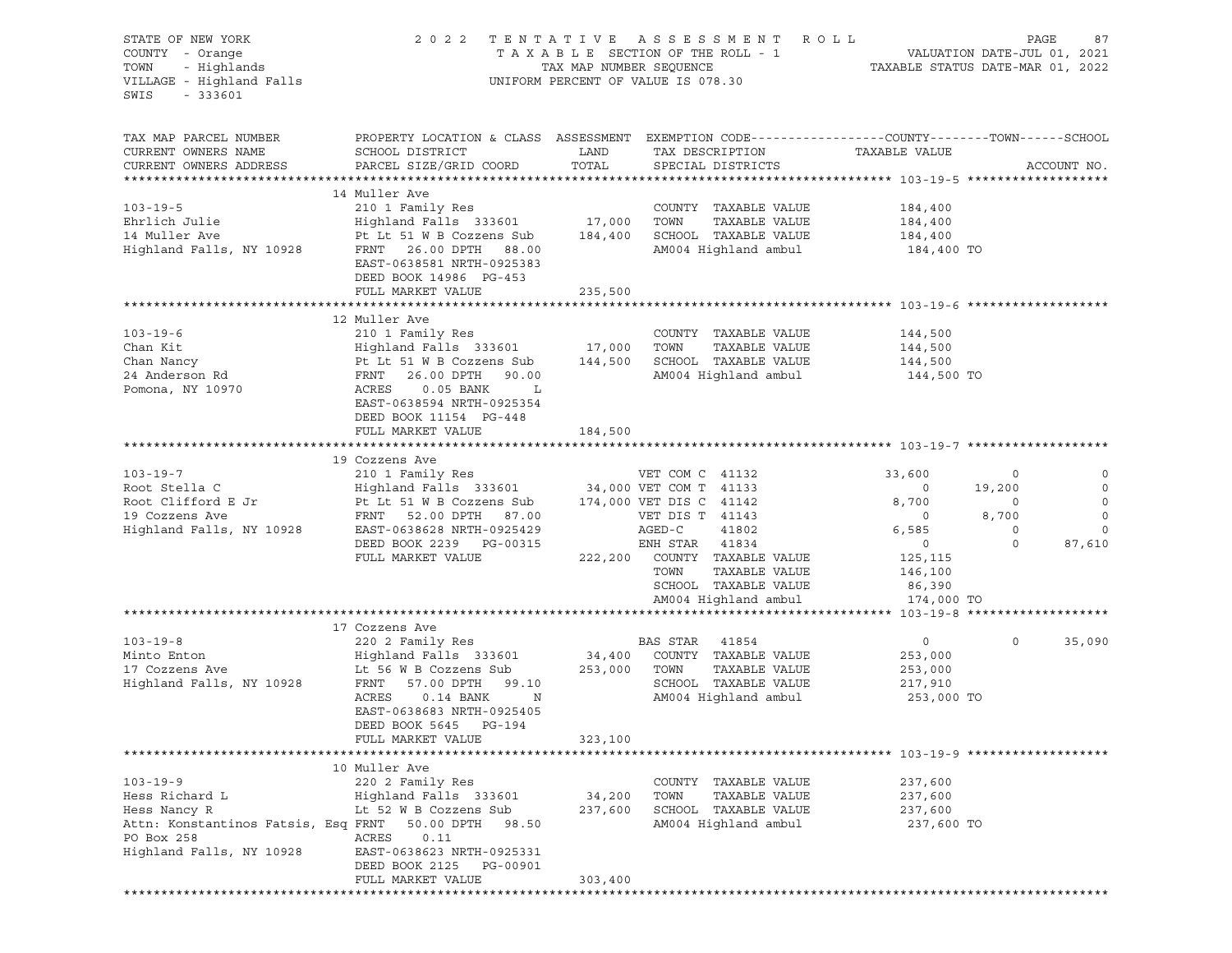| STATE OF NEW YORK<br>COUNTY - Orange<br>- Highlands<br>TOWN<br>VILLAGE - Highland Falls<br>SWIS<br>$-333601$ | 2022                                                                                                                                                                                                                                                       |               | TENTATIVE ASSESSMENT ROLL<br>UNIFORM PERCENT OF VALUE IS 078.30 |                          | PAGE<br>87             |
|--------------------------------------------------------------------------------------------------------------|------------------------------------------------------------------------------------------------------------------------------------------------------------------------------------------------------------------------------------------------------------|---------------|-----------------------------------------------------------------|--------------------------|------------------------|
| TAX MAP PARCEL NUMBER<br>CURRENT OWNERS NAME<br>CURRENT OWNERS ADDRESS                                       | PROPERTY LOCATION & CLASS ASSESSMENT EXEMPTION CODE----------------COUNTY-------TOWN------SCHOOL<br>SCHOOL DISTRICT<br>PARCEL SIZE/GRID COORD                                                                                                              | LAND<br>TOTAL | TAX DESCRIPTION TAXABLE VALUE<br>SPECIAL DISTRICTS              |                          | ACCOUNT NO.            |
|                                                                                                              | 14 Muller Ave                                                                                                                                                                                                                                              |               |                                                                 |                          |                        |
| $103 - 19 - 5$                                                                                               | 210 1 Family Res                                                                                                                                                                                                                                           |               | COUNTY TAXABLE VALUE                                            | 184,400                  |                        |
| Ehrlich Julie                                                                                                | Highland Falls 333601 17,000 TOWN                                                                                                                                                                                                                          |               | TAXABLE VALUE                                                   | 184,400                  |                        |
|                                                                                                              |                                                                                                                                                                                                                                                            |               |                                                                 | 184,400                  |                        |
|                                                                                                              | EAST-0638581 NRTH-0925383<br>DEED BOOK 14986 PG-453                                                                                                                                                                                                        |               |                                                                 | 184,400 TO               |                        |
|                                                                                                              | FULL MARKET VALUE                                                                                                                                                                                                                                          | 235,500       |                                                                 |                          |                        |
|                                                                                                              |                                                                                                                                                                                                                                                            |               |                                                                 |                          |                        |
|                                                                                                              | 12 Muller Ave                                                                                                                                                                                                                                              |               |                                                                 |                          |                        |
| $103 - 19 - 6$                                                                                               | 210 1 Family Res                                                                                                                                                                                                                                           |               | COUNTY TAXABLE VALUE                                            | 144,500                  |                        |
| Chan Kit                                                                                                     |                                                                                                                                                                                                                                                            |               |                                                                 | 144,500                  |                        |
| Chan Nancy<br>24 Anderson Rd                                                                                 |                                                                                                                                                                                                                                                            |               |                                                                 | 144,500                  |                        |
| Pomona, NY 10970                                                                                             | Highland Falls 333601 17,000 TOWN TAXABLE VALUE<br>Pt Lt 51 W B Cozzens Sub 144,500 SCHOOL TAXABLE VALUE<br>FRNT 26.00 DPTH 90.00 AM004 Highland ambul<br>ACRES 0.05 FANW<br>ACRES<br>$0.05$ BANK L<br>EAST-0638594 NRTH-0925354<br>DEED BOOK 11154 PG-448 |               | AM004 Highland ambul 144,500 TO                                 |                          |                        |
|                                                                                                              | FULL MARKET VALUE                                                                                                                                                                                                                                          | 184,500       |                                                                 |                          |                        |
|                                                                                                              | 19 Cozzens Ave                                                                                                                                                                                                                                             |               |                                                                 |                          |                        |
| $103 - 19 - 7$                                                                                               | 210 1 Family Res                                                                                                                                                                                                                                           |               | VET COM C 41132                                                 | 33,600                   | $\circ$<br>0           |
|                                                                                                              | Root Stella C<br>Root Clifford E Jr<br>Root Clifford E Jr<br>Pt Lt 51 W B Cozzens Sub<br>Tra,000 VET COM T 41133<br>174,000 VET DIS C 41142<br>19 Cozzens Ave<br>FRNT 52.00 DPTH 87.00<br>VET DIS T 41143<br>Highland Falls, NY 10928<br>EAST-0638         |               |                                                                 | $\overline{\phantom{0}}$ | $\mathbf 0$<br>19,200  |
|                                                                                                              |                                                                                                                                                                                                                                                            |               |                                                                 | 8,700                    | $\mathbf 0$<br>$\circ$ |
|                                                                                                              |                                                                                                                                                                                                                                                            |               |                                                                 | $\overline{\phantom{0}}$ | 8,700<br>$\mathbf 0$   |
|                                                                                                              |                                                                                                                                                                                                                                                            |               |                                                                 | 6,585                    | $\circ$<br>$\circ$     |
|                                                                                                              | DEED BOOK 2239 PG-00315                                                                                                                                                                                                                                    |               | ENH STAR 41834                                                  | $\overline{0}$           | $\circ$<br>87,610      |
|                                                                                                              | FULL MARKET VALUE                                                                                                                                                                                                                                          |               | 222,200 COUNTY TAXABLE VALUE                                    | 125,115                  |                        |
|                                                                                                              |                                                                                                                                                                                                                                                            |               | TOWN<br>TAXABLE VALUE                                           | 146,100                  |                        |
|                                                                                                              |                                                                                                                                                                                                                                                            |               | SCHOOL TAXABLE VALUE                                            | 86,390                   |                        |
|                                                                                                              |                                                                                                                                                                                                                                                            |               | AM004 Highland ambul                                            | 174,000 TO               |                        |
|                                                                                                              |                                                                                                                                                                                                                                                            |               |                                                                 |                          |                        |
|                                                                                                              | 17 Cozzens Ave                                                                                                                                                                                                                                             |               |                                                                 |                          |                        |
| $103 - 19 - 8$                                                                                               | 220 2 Family Res                                                                                                                                                                                                                                           |               | BAS STAR 41854                                                  | $\overline{0}$           | $\circ$<br>35,090      |
|                                                                                                              | $\begin{array}{cccccccccc} \text{Minto Enton} & \text{Frighland Fals} & 333601 & 34,400 & \text{COUNTY} & \text{TAXABLE VALUE} \\ 17 & \text{Cozzens Ave} & \text{Lt 56 W B Cozzens Sub} & 253,000 & \text{TOWN} & \text{TAXABLE VALUE} \end{array}$       |               | TAXABLE VALUE                                                   | 253,000                  |                        |
|                                                                                                              | Highland Falls, NY 10928 FRNT 57.00 DPTH 99.10                                                                                                                                                                                                             |               | SCHOOL TAXABLE VALUE 217,910                                    | 253,000                  |                        |
|                                                                                                              | ACRES<br>$0.14$ BANK<br>$\mathbf N$<br>EAST-0638683 NRTH-0925405<br>DEED BOOK 5645 PG-194                                                                                                                                                                  |               | AM004 Highland ambul                                            | 253,000 TO               |                        |
|                                                                                                              | FULL MARKET VALUE                                                                                                                                                                                                                                          | 323,100       |                                                                 |                          |                        |
|                                                                                                              |                                                                                                                                                                                                                                                            |               |                                                                 |                          |                        |
|                                                                                                              | 10 Muller Ave                                                                                                                                                                                                                                              |               |                                                                 |                          |                        |
| $103 - 19 - 9$<br>Hess Richard L                                                                             | 220 2 Family Res<br>Highland Falls 333601                                                                                                                                                                                                                  | 34,200        | COUNTY<br>TAXABLE VALUE<br>TOWN<br>TAXABLE VALUE                | 237,600<br>237,600       |                        |
| Hess Nancy R                                                                                                 | Lt 52 W B Cozzens Sub                                                                                                                                                                                                                                      | 237,600       | SCHOOL TAXABLE VALUE                                            | 237,600                  |                        |
| Attn: Konstantinos Fatsis, Esq FRNT                                                                          | 50.00 DPTH<br>98.50                                                                                                                                                                                                                                        |               | AM004 Highland ambul                                            | 237,600 TO               |                        |
| PO Box 258                                                                                                   | ACRES<br>0.11                                                                                                                                                                                                                                              |               |                                                                 |                          |                        |
| Highland Falls, NY 10928                                                                                     | EAST-0638623 NRTH-0925331                                                                                                                                                                                                                                  |               |                                                                 |                          |                        |
|                                                                                                              | DEED BOOK 2125<br>PG-00901                                                                                                                                                                                                                                 |               |                                                                 |                          |                        |
|                                                                                                              | FULL MARKET VALUE                                                                                                                                                                                                                                          | 303,400       |                                                                 |                          |                        |
|                                                                                                              |                                                                                                                                                                                                                                                            |               |                                                                 |                          |                        |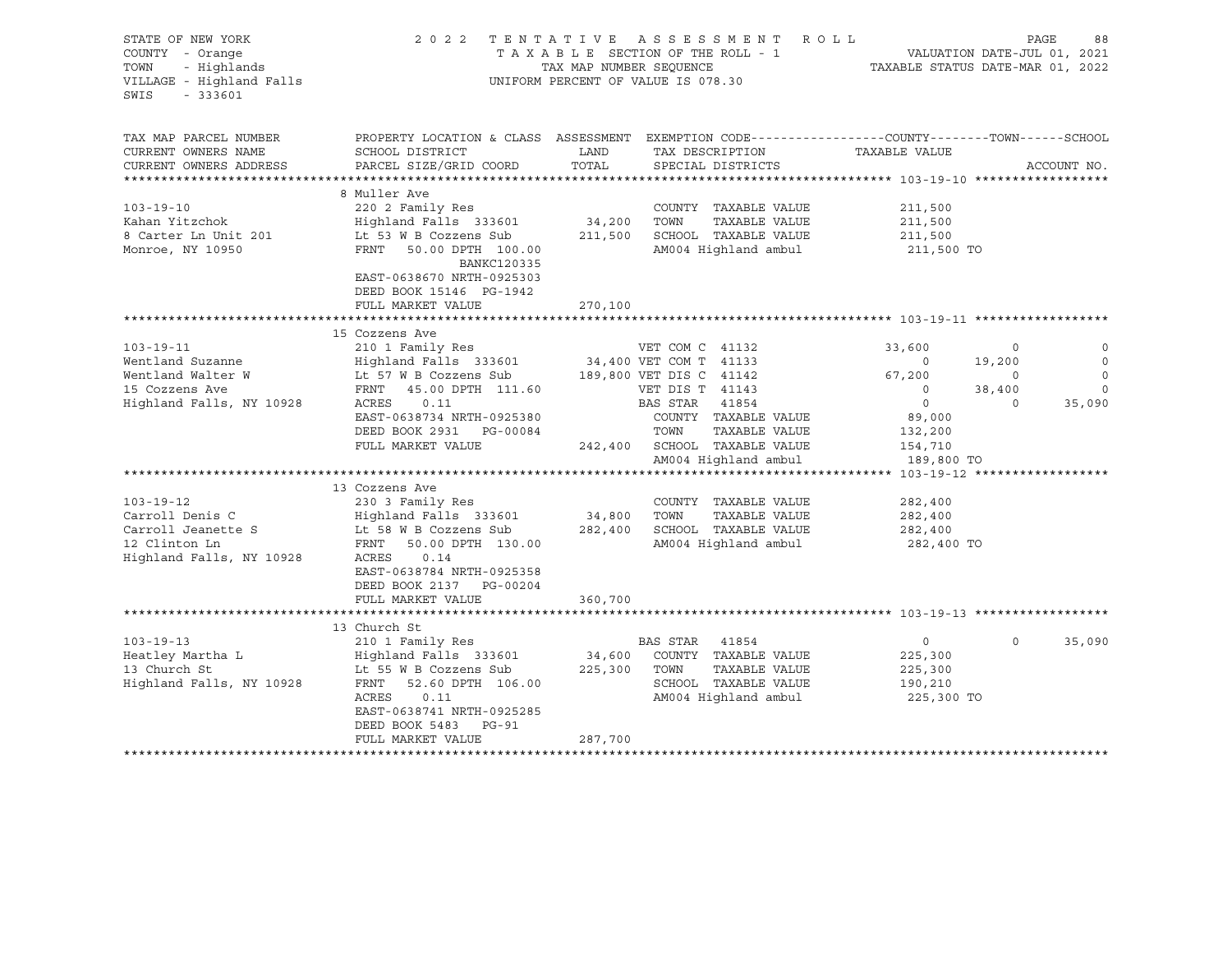| STATE OF NEW YORK<br>COUNTY - Orange<br>$-333601$<br>SWIS              | 2022                                                                                                                                                                      | TENTATIVE<br>TAXABLE SECTION OF THE ROLL - 1<br>TAX MAP NUMBER SEQUENCE<br>UNIFORM PERCENT OF VALUE IS 078.30 |                                           | ASSESSMENT ROLL                       | TAXABLE STATUS DATE-MAR 01, 2022 |             | PAGE<br>88<br>VALUATION DATE-JUL 01, 2021 |
|------------------------------------------------------------------------|---------------------------------------------------------------------------------------------------------------------------------------------------------------------------|---------------------------------------------------------------------------------------------------------------|-------------------------------------------|---------------------------------------|----------------------------------|-------------|-------------------------------------------|
| TAX MAP PARCEL NUMBER<br>CURRENT OWNERS NAME<br>CURRENT OWNERS ADDRESS | PROPERTY LOCATION & CLASS ASSESSMENT EXEMPTION CODE---------------COUNTY-------TOWN------SCHOOL<br>SCHOOL DISTRICT<br>PARCEL SIZE/GRID COORD<br>************************* | LAND<br>TOTAL                                                                                                 | TAX DESCRIPTION                           | SPECIAL DISTRICTS                     | TAXABLE VALUE                    |             | ACCOUNT NO.                               |
| *********************                                                  |                                                                                                                                                                           |                                                                                                               |                                           |                                       |                                  |             |                                           |
|                                                                        | 8 Muller Ave                                                                                                                                                              |                                                                                                               |                                           |                                       |                                  |             |                                           |
| $103 - 19 - 10$<br>Kahan Yitzchok                                      | 220 2 Family Res                                                                                                                                                          | 34,200                                                                                                        | TOWN                                      | COUNTY TAXABLE VALUE<br>TAXABLE VALUE | 211,500                          |             |                                           |
| 8 Carter Ln Unit 201                                                   | Highland Falls 333601<br>Lt 53 W B Cozzens Sub                                                                                                                            | 211,500                                                                                                       |                                           | SCHOOL TAXABLE VALUE                  | 211,500<br>211,500               |             |                                           |
| Monroe, NY 10950                                                       | FRNT 50.00 DPTH 100.00<br>BANKC120335<br>EAST-0638670 NRTH-0925303                                                                                                        |                                                                                                               |                                           | AM004 Highland ambul                  | 211,500 TO                       |             |                                           |
|                                                                        | DEED BOOK 15146 PG-1942                                                                                                                                                   |                                                                                                               |                                           |                                       |                                  |             |                                           |
|                                                                        | FULL MARKET VALUE                                                                                                                                                         | 270,100                                                                                                       |                                           |                                       |                                  |             |                                           |
|                                                                        |                                                                                                                                                                           |                                                                                                               |                                           |                                       |                                  |             |                                           |
|                                                                        | 15 Cozzens Ave                                                                                                                                                            |                                                                                                               |                                           |                                       |                                  |             |                                           |
| $103 - 19 - 11$<br>Wentland Suzanne                                    | 210 1 Family Res<br>Highland Falls 333601                                                                                                                                 |                                                                                                               | VET COM C 41132<br>34,400 VET COM T 41133 |                                       | 33,600<br>$\circ$                | 0<br>19,200 | 0<br>$\mathbf 0$                          |
| Wentland Walter W                                                      | Lt 57 W B Cozzens Sub                                                                                                                                                     |                                                                                                               | 189,800 VET DIS C 41142                   |                                       | 67,200                           | $\circ$     | $\mathbf{0}$                              |
| 15 Cozzens Ave                                                         | FRNT 45.00 DPTH 111.60                                                                                                                                                    |                                                                                                               | VET DIS T 41143                           |                                       | $\circ$                          | 38,400      | $\mathbb O$                               |
| Highland Falls, NY 10928                                               | ACRES<br>0.11                                                                                                                                                             |                                                                                                               | BAS STAR 41854                            |                                       | $\overline{0}$                   | $\mathbf 0$ | 35,090                                    |
|                                                                        | EAST-0638734 NRTH-0925380                                                                                                                                                 |                                                                                                               |                                           | COUNTY TAXABLE VALUE                  | 89,000                           |             |                                           |
|                                                                        | DEED BOOK 2931 PG-00084                                                                                                                                                   |                                                                                                               | TOWN                                      | TAXABLE VALUE                         | 132,200                          |             |                                           |
|                                                                        | FULL MARKET VALUE                                                                                                                                                         | 242,400                                                                                                       |                                           | SCHOOL TAXABLE VALUE                  | 154,710                          |             |                                           |
|                                                                        |                                                                                                                                                                           |                                                                                                               |                                           | AM004 Highland ambul                  | 189,800 TO                       |             |                                           |
|                                                                        |                                                                                                                                                                           |                                                                                                               |                                           |                                       |                                  |             |                                           |
|                                                                        | 13 Cozzens Ave                                                                                                                                                            |                                                                                                               |                                           |                                       |                                  |             |                                           |
| $103 - 19 - 12$                                                        | 230 3 Family Res                                                                                                                                                          |                                                                                                               |                                           | COUNTY TAXABLE VALUE                  | 282,400                          |             |                                           |
| Carroll Denis C                                                        | Highland Falls 333601                                                                                                                                                     | 34,800                                                                                                        | TOWN                                      | TAXABLE VALUE                         | 282,400                          |             |                                           |
| Carroll Jeanette S                                                     | Lt 58 W B Cozzens Sub                                                                                                                                                     | 282,400                                                                                                       |                                           | SCHOOL TAXABLE VALUE                  | 282,400                          |             |                                           |
| 12 Clinton Ln                                                          | FRNT<br>50.00 DPTH 130.00                                                                                                                                                 |                                                                                                               |                                           | AM004 Highland ambul                  | 282,400 TO                       |             |                                           |
| Highland Falls, NY 10928                                               | ACRES<br>0.14<br>EAST-0638784 NRTH-0925358<br>DEED BOOK 2137 PG-00204                                                                                                     |                                                                                                               |                                           |                                       |                                  |             |                                           |
|                                                                        | FULL MARKET VALUE                                                                                                                                                         | 360,700                                                                                                       |                                           |                                       |                                  |             |                                           |
|                                                                        |                                                                                                                                                                           |                                                                                                               |                                           |                                       |                                  |             |                                           |
|                                                                        | 13 Church St                                                                                                                                                              |                                                                                                               |                                           |                                       |                                  |             |                                           |
| $103 - 19 - 13$                                                        | 210 1 Family Res                                                                                                                                                          |                                                                                                               | BAS STAR 41854                            |                                       | $\overline{0}$                   | $\Omega$    | 35,090                                    |
| Heatley Martha L                                                       | Highland Falls 333601                                                                                                                                                     | 34,600                                                                                                        |                                           | COUNTY TAXABLE VALUE                  | 225,300                          |             |                                           |
| 13 Church St                                                           | Lt 55 W B Cozzens Sub                                                                                                                                                     | 225,300                                                                                                       | TOWN                                      | TAXABLE VALUE                         | 225,300                          |             |                                           |
| Highland Falls, NY 10928                                               | FRNT<br>52.60 DPTH 106.00                                                                                                                                                 |                                                                                                               |                                           | SCHOOL TAXABLE VALUE                  | 190,210                          |             |                                           |
|                                                                        | ACRES<br>0.11                                                                                                                                                             |                                                                                                               |                                           | AM004 Highland ambul                  | 225,300 TO                       |             |                                           |
|                                                                        | EAST-0638741 NRTH-0925285                                                                                                                                                 |                                                                                                               |                                           |                                       |                                  |             |                                           |
|                                                                        | DEED BOOK 5483 PG-91                                                                                                                                                      |                                                                                                               |                                           |                                       |                                  |             |                                           |
|                                                                        | FULL MARKET VALUE<br>**********************                                                                                                                               | 287,700                                                                                                       |                                           |                                       |                                  |             |                                           |
|                                                                        |                                                                                                                                                                           |                                                                                                               |                                           |                                       |                                  |             |                                           |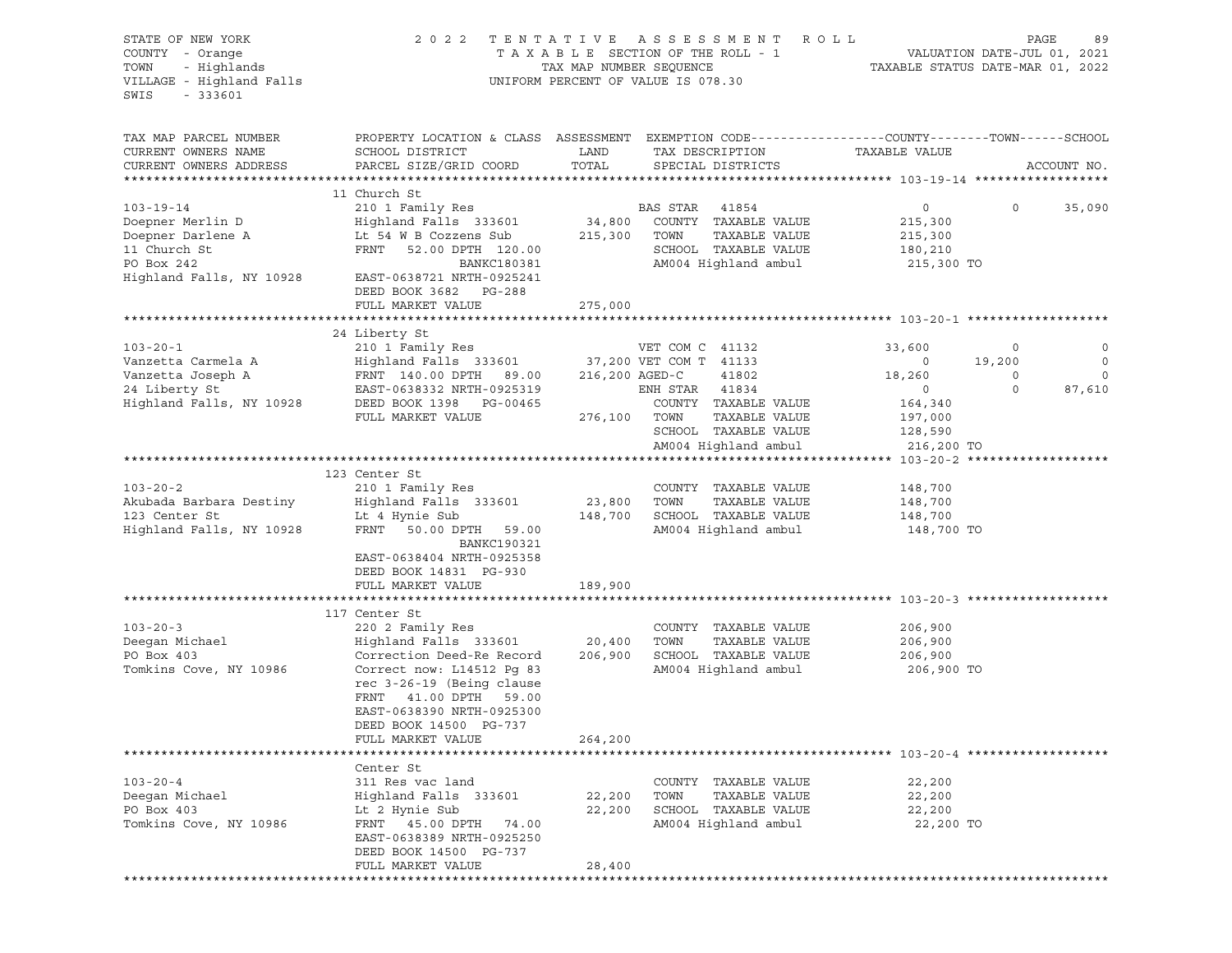| STATE OF NEW YORK<br>COUNTY - Orange<br>- Highlands<br>TOWN<br>VILLAGE - Highland Falls<br>SWIS<br>$-333601$ | 2 0 2 2                                                                                                             |              | TENTATIVE ASSESSMENT ROLL<br>UNIFORM PERCENT OF VALUE IS 078.30 |                          | PAGE<br>89            |
|--------------------------------------------------------------------------------------------------------------|---------------------------------------------------------------------------------------------------------------------|--------------|-----------------------------------------------------------------|--------------------------|-----------------------|
| TAX MAP PARCEL NUMBER<br>CURRENT OWNERS NAME                                                                 | PROPERTY LOCATION & CLASS ASSESSMENT EXEMPTION CODE----------------COUNTY-------TOWN------SCHOOL<br>SCHOOL DISTRICT | LAND         | TAX DESCRIPTION TAXABLE VALUE                                   |                          |                       |
| CURRENT OWNERS ADDRESS                                                                                       | PARCEL SIZE/GRID COORD                                                                                              | TOTAL        | SPECIAL DISTRICTS                                               |                          | ACCOUNT NO.           |
|                                                                                                              | 11 Church St                                                                                                        |              |                                                                 |                          |                       |
| $103 - 19 - 14$                                                                                              | 210 1 Family Res                                                                                                    |              | BAS STAR 41854                                                  | $\overline{0}$           | $\circ$<br>35,090     |
| Doepner Merlin D                                                                                             | Highland Falls 333601 34,800 COUNTY TAXABLE VALUE                                                                   |              |                                                                 | 215,300                  |                       |
| Doepner Darlene A<br>11 Church St                                                                            | Lt 54 W B Cozzens Sub 215,300 TOWN                                                                                  |              | TAXABLE VALUE                                                   | 215,300                  |                       |
|                                                                                                              | FRNT 52.00 DPTH 120.00                                                                                              |              | SCHOOL TAXABLE VALUE                                            | 180,210                  |                       |
| PO Box 242                                                                                                   | BANKC180381                                                                                                         |              | AM004 Highland ambul                                            | 215,300 TO               |                       |
| Highland Falls, NY 10928                                                                                     | EAST-0638721 NRTH-0925241                                                                                           |              |                                                                 |                          |                       |
|                                                                                                              | DEED BOOK 3682 PG-288                                                                                               |              |                                                                 |                          |                       |
|                                                                                                              | FULL MARKET VALUE                                                                                                   | 275,000      |                                                                 |                          |                       |
|                                                                                                              | 24 Liberty St                                                                                                       |              |                                                                 |                          |                       |
| $103 - 20 - 1$                                                                                               | 210 1 Family Res                                                                                                    |              | VET COM C 41132                                                 | 33,600                   | 0<br>$\circ$          |
| Vanzetta Carmela A                                                                                           | Highland Falls 333601 37,200 VET COM T 41133                                                                        |              |                                                                 | $\overline{\phantom{0}}$ | $\circ$<br>19,200     |
| Vanzetta Joseph A                                                                                            | FRNT 140.00 DPTH 89.00<br>TRAT 0600000 NPTH 0005010                                                                 |              | 216,200 AGED-C<br>41802                                         | 18,260                   | $\circ$<br>$\circ$    |
| $\frac{1}{2}$<br>24 Liberty St                                                                               | EAST-0638332 NRTH-0925319                                                                                           |              | ENH STAR 41834                                                  | $\overline{0}$           | $\mathbf 0$<br>87,610 |
| Highland Falls, NY 10928                                                                                     | DEED BOOK 1398 PG-00465                                                                                             |              | COUNTY TAXABLE VALUE                                            | 164,340                  |                       |
|                                                                                                              | FULL MARKET VALUE                                                                                                   | 276,100 TOWN | TAXABLE VALUE                                                   | 197,000                  |                       |
|                                                                                                              |                                                                                                                     |              | SCHOOL TAXABLE VALUE                                            | 128,590                  |                       |
|                                                                                                              |                                                                                                                     |              | AM004 Highland ambul                                            | 216,200 TO               |                       |
|                                                                                                              | 123 Center St                                                                                                       |              |                                                                 |                          |                       |
| $103 - 20 - 2$                                                                                               | 210 1 Family Res                                                                                                    |              | COUNTY TAXABLE VALUE                                            | 148,700                  |                       |
| Akubada Barbara Destiny                                                                                      | Highland Falls 333601                                                                                               | 23,800 TOWN  | TAXABLE VALUE                                                   | 148,700                  |                       |
| 123 Center St                                                                                                | Lt 4 Hynie Sub                                                                                                      |              | 148,700 SCHOOL TAXABLE VALUE                                    | 148,700                  |                       |
| Highland Falls, NY 10928                                                                                     | FRNT 50.00 DPTH 59.00<br>BANKC190321                                                                                |              | AM004 Highland ambul                                            | 148,700 TO               |                       |
|                                                                                                              | EAST-0638404 NRTH-0925358<br>DEED BOOK 14831 PG-930                                                                 |              |                                                                 |                          |                       |
|                                                                                                              | FULL MARKET VALUE                                                                                                   | 189,900      |                                                                 |                          |                       |
|                                                                                                              | 117 Center St                                                                                                       |              |                                                                 |                          |                       |
| $103 - 20 - 3$                                                                                               | 220 2 Family Res                                                                                                    |              | COUNTY TAXABLE VALUE                                            | 206,900                  |                       |
| Deegan Michael                                                                                               | Highland Falls 333601 20,400                                                                                        |              | TAXABLE VALUE<br>TOWN                                           | 206,900                  |                       |
| PO Box 403                                                                                                   | Correction Deed-Re Record                                                                                           | 206,900      | SCHOOL TAXABLE VALUE                                            | 206,900                  |                       |
| Tomkins Cove, NY 10986                                                                                       | Correct now: L14512 Pg 83                                                                                           |              | AM004 Highland ambul                                            | 206,900 TO               |                       |
|                                                                                                              | rec 3-26-19 (Being clause                                                                                           |              |                                                                 |                          |                       |
|                                                                                                              | FRNT 41.00 DPTH 59.00                                                                                               |              |                                                                 |                          |                       |
|                                                                                                              | EAST-0638390 NRTH-0925300                                                                                           |              |                                                                 |                          |                       |
|                                                                                                              | DEED BOOK 14500 PG-737                                                                                              |              |                                                                 |                          |                       |
|                                                                                                              | FULL MARKET VALUE                                                                                                   | 264,200      |                                                                 |                          |                       |
|                                                                                                              |                                                                                                                     |              |                                                                 |                          |                       |
| $103 - 20 - 4$                                                                                               | Center St<br>311 Res vac land                                                                                       |              | COUNTY<br>TAXABLE VALUE                                         |                          |                       |
| Deegan Michael                                                                                               | Highland Falls 333601                                                                                               | 22,200       | TOWN<br>TAXABLE VALUE                                           | 22,200<br>22,200         |                       |
| PO Box 403                                                                                                   | Lt 2 Hynie Sub                                                                                                      | 22,200       | SCHOOL TAXABLE VALUE                                            | 22,200                   |                       |
| Tomkins Cove, NY 10986                                                                                       | FRNT 45.00 DPTH<br>74.00                                                                                            |              | AM004 Highland ambul                                            | 22,200 TO                |                       |
|                                                                                                              | EAST-0638389 NRTH-0925250                                                                                           |              |                                                                 |                          |                       |
|                                                                                                              | DEED BOOK 14500 PG-737                                                                                              |              |                                                                 |                          |                       |
|                                                                                                              | FULL MARKET VALUE                                                                                                   | 28,400       |                                                                 |                          |                       |
|                                                                                                              |                                                                                                                     |              |                                                                 |                          |                       |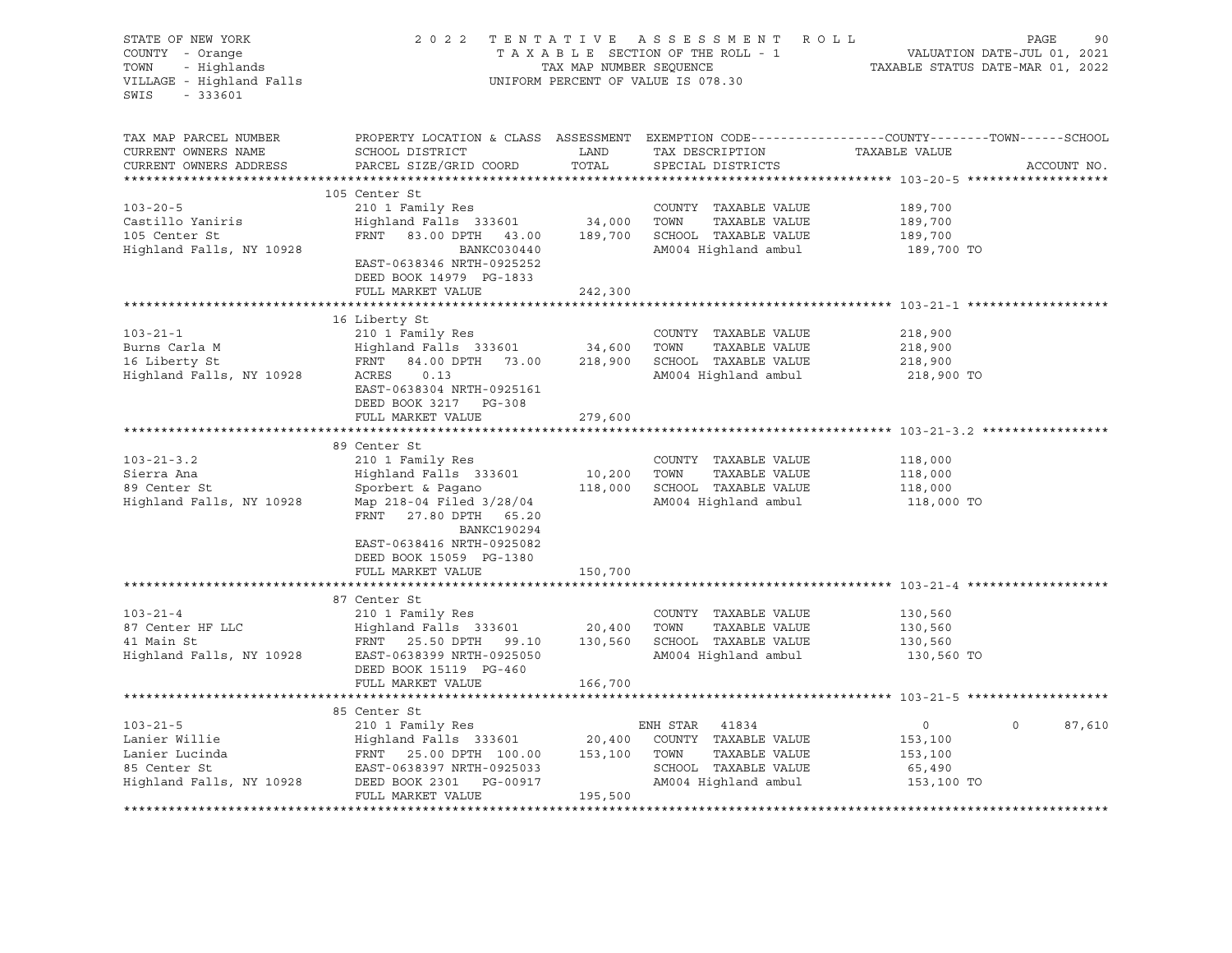| STATE OF NEW YORK<br>COUNTY - Orange<br>TOWN<br>- Highlands<br>VILLAGE - Highland Falls<br>SWIS<br>$-333601$ |                                                                                                                                                                                                                   |               | 2022 TENTATIVE ASSESSMENT ROLL<br>T A X A B L E SECTION OF THE ROLL - 1<br>T A X A B L E SECTION OF THE ROLL - 1<br>TAXABLE STATUS DATE-MAR 01, 2022<br>UNIFORM PERCENT OF VALUE IS 078.30 |                                                              | PAGE<br>90        |
|--------------------------------------------------------------------------------------------------------------|-------------------------------------------------------------------------------------------------------------------------------------------------------------------------------------------------------------------|---------------|--------------------------------------------------------------------------------------------------------------------------------------------------------------------------------------------|--------------------------------------------------------------|-------------------|
| TAX MAP PARCEL NUMBER<br>CURRENT OWNERS NAME<br>CURRENT OWNERS ADDRESS                                       | PROPERTY LOCATION & CLASS ASSESSMENT EXEMPTION CODE----------------COUNTY-------TOWN------SCHOOL<br>SCHOOL DISTRICT<br>PARCEL SIZE/GRID COORD                                                                     | LAND<br>TOTAL | TAX DESCRIPTION<br>SPECIAL DISTRICTS                                                                                                                                                       | TAXABLE VALUE                                                | ACCOUNT NO.       |
|                                                                                                              | 105 Center St                                                                                                                                                                                                     |               |                                                                                                                                                                                            |                                                              |                   |
| $103 - 20 - 5$<br>Castillo Yaniris<br>105 Center St<br>Highland Falls, NY 10928                              | 210 1 Family Res<br>Highland Falls 333601 34,000 TOWN<br>FRNT 83.00 DPTH 43.00 189,700 SCHOOL TAXABLE VALUE<br>BANKC030440<br>EAST-0638346 NRTH-0925252<br>DEED BOOK 14979 PG-1833                                |               | COUNTY TAXABLE VALUE<br>TAXABLE VALUE<br>AM004 Highland ambul                                                                                                                              | 189,700<br>189,700<br>189,700<br>189,700 TO                  |                   |
|                                                                                                              | FULL MARKET VALUE                                                                                                                                                                                                 | 242,300       |                                                                                                                                                                                            |                                                              |                   |
|                                                                                                              |                                                                                                                                                                                                                   |               |                                                                                                                                                                                            |                                                              |                   |
| $103 - 21 - 1$<br>Burns Carla M<br>16 Liberty St<br>16 Liberty St<br>Highland Falls, NY 10928                | 16 Liberty St<br>210 1 Family Res<br>Highland Falls 333601 34,600<br>FRNT<br>ACRES<br>0.13<br>EAST-0638304 NRTH-0925161                                                                                           |               | COUNTY TAXABLE VALUE<br>TOWN<br>TAXABLE VALUE<br>84.00 DPTH 73.00 218,900 SCHOOL TAXABLE VALUE<br>AM004 Highland ambul                                                                     | 218,900<br>218,900<br>218,900<br>218,900 TO                  |                   |
|                                                                                                              | DEED BOOK 3217 PG-308<br>FULL MARKET VALUE                                                                                                                                                                        | 279,600       |                                                                                                                                                                                            |                                                              |                   |
|                                                                                                              |                                                                                                                                                                                                                   |               |                                                                                                                                                                                            |                                                              |                   |
| $103 - 21 - 3.2$<br>Sierra Ana<br>89 Center St<br>Highland Falls, NY 10928                                   | 89 Center St<br>210 1 Family Res<br>Highland Falls 333601<br>Sporbert & Pagano<br>Map 218-04 Filed 3/28/04<br>FRNT 27.80 DPTH 65.20<br><b>BANKC190294</b><br>EAST-0638416 NRTH-0925082<br>DEED BOOK 15059 PG-1380 | 10,200 TOWN   | COUNTY TAXABLE VALUE<br>TAXABLE VALUE<br>118,000 SCHOOL TAXABLE VALUE<br>AM004 Highland ambul                                                                                              | 118,000<br>118,000<br>118,000<br>118,000 TO                  |                   |
|                                                                                                              | FULL MARKET VALUE                                                                                                                                                                                                 | 150,700       |                                                                                                                                                                                            |                                                              |                   |
| $103 - 21 - 4$<br>87 Center HF LLC<br>11 Main St                                                             | 87 Center St<br>210 1 Family Res<br>Highland Falls 333601 20,400 TOWN<br>FRNT 25.50 DPTH 99.10 130,560 SCHOOL TAXABLE VALUE<br>Highland Falls, NY 10928 EAST-0638399 NRTH-0925050<br>DEED BOOK 15119 PG-460       |               | COUNTY TAXABLE VALUE<br>TAXABLE VALUE<br>AM004 Highland ambul                                                                                                                              | 130,560<br>130,560<br>130,560<br>130,560 TO                  |                   |
|                                                                                                              | FULL MARKET VALUE                                                                                                                                                                                                 | 166,700       |                                                                                                                                                                                            |                                                              |                   |
|                                                                                                              |                                                                                                                                                                                                                   |               |                                                                                                                                                                                            |                                                              |                   |
| $103 - 21 - 5$<br>Lanier Willie<br>Lanier Lucinda<br>SE Center St                                            | 85 Center St<br>FRNT 25.00 DPTH 100.00 153,100 TOWN<br>FRNT 25.00 PLASE - 0025033<br>EAST-0638397 NRTH-0925033<br>Highland Falls, NY 10928 DEED BOOK 2301 PG-00917<br>FULL MARKET VALUE                           | 195,500       | TAXABLE VALUE<br>SCHOOL TAXABLE VALUE<br>AM004 Highland ambul                                                                                                                              | $\overline{0}$<br>153,100<br>153,100<br>65,490<br>153,100 TO | $\circ$<br>87,610 |
|                                                                                                              |                                                                                                                                                                                                                   |               |                                                                                                                                                                                            |                                                              |                   |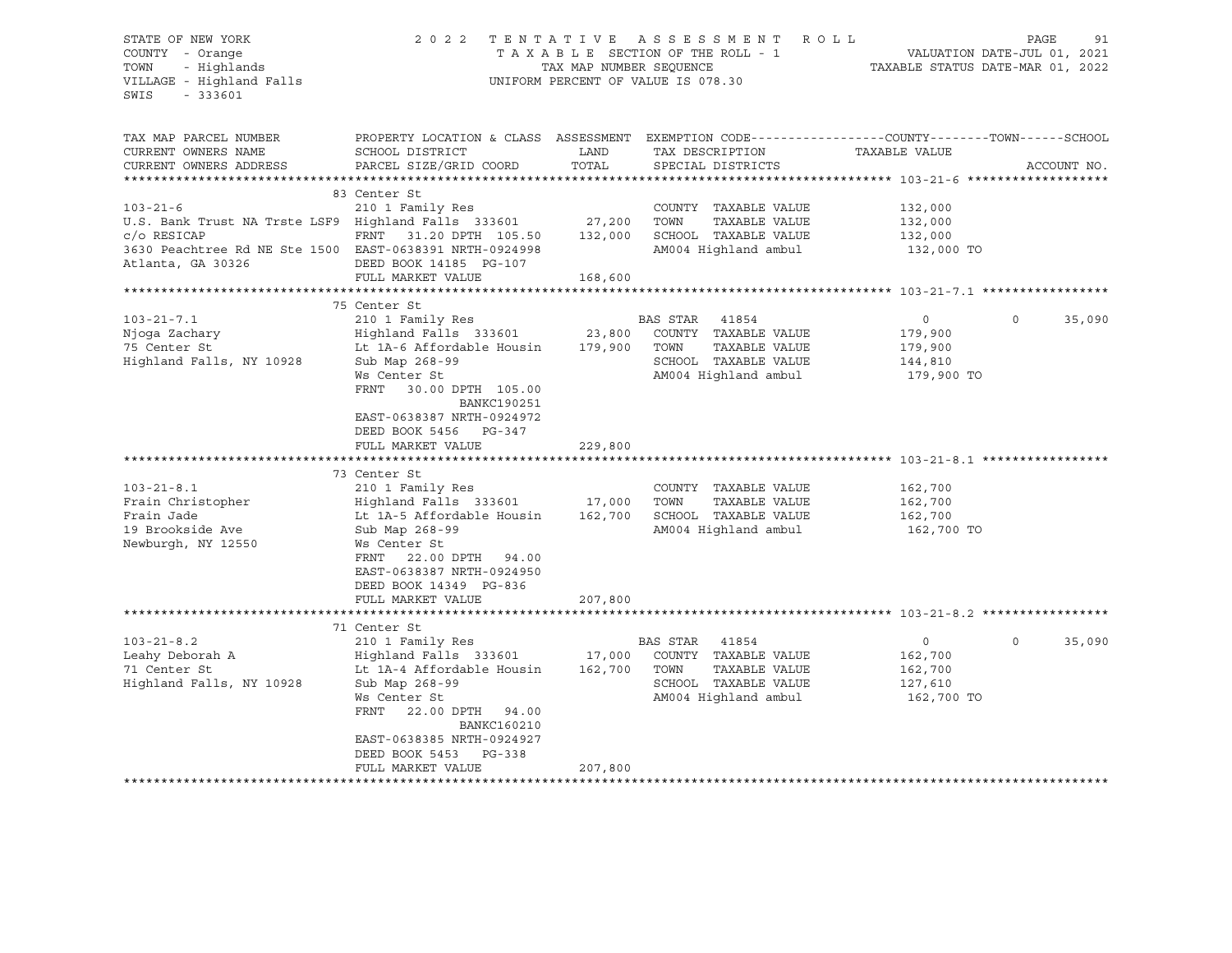## STATE OF NEW YORK 2 0 2 2 T E N T A T I V E A S S E S S M E N T R O L L PAGE 91 COUNTY - Orange T A X A B L E SECTION OF THE ROLL - 1 VALUATION DATE-JUL 01, 2021 TOWN - Highlands TAX MAP NUMBER SEQUENCE TAXABLE STATUS DATE-MAR 01, 2022 VILLAGE - Highland Falls UNIFORM PERCENT OF VALUE IS 078.30

| TAX MAP PARCEL NUMBER                                   | PROPERTY LOCATION & CLASS ASSESSMENT EXEMPTION CODE---------------COUNTY-------TOWN------SCHOOL |         |                             |               |          |             |
|---------------------------------------------------------|-------------------------------------------------------------------------------------------------|---------|-----------------------------|---------------|----------|-------------|
| CURRENT OWNERS NAME                                     | SCHOOL DISTRICT                                                                                 | LAND    | TAX DESCRIPTION             | TAXABLE VALUE |          |             |
| CURRENT OWNERS ADDRESS                                  | PARCEL SIZE/GRID COORD                                                                          | TOTAL   | SPECIAL DISTRICTS           |               |          | ACCOUNT NO. |
|                                                         |                                                                                                 |         |                             |               |          |             |
|                                                         | 83 Center St                                                                                    |         |                             |               |          |             |
| $103 - 21 - 6$                                          | 210 1 Family Res                                                                                |         | COUNTY TAXABLE VALUE        | 132,000       |          |             |
| U.S. Bank Trust NA Trste LSF9 Highland Falls 333601     |                                                                                                 | 27,200  | TAXABLE VALUE<br>TOWN       | 132,000       |          |             |
| $c$ / $\circ$ RESICAP                                   | FRNT 31.20 DPTH 105.50                                                                          | 132,000 | SCHOOL TAXABLE VALUE        | 132,000       |          |             |
| 3630 Peachtree Rd NE Ste 1500 EAST-0638391 NRTH-0924998 |                                                                                                 |         | AM004 Highland ambul        | 132,000 TO    |          |             |
| Atlanta, GA 30326                                       | DEED BOOK 14185 PG-107                                                                          |         |                             |               |          |             |
|                                                         | FULL MARKET VALUE                                                                               | 168,600 |                             |               |          |             |
|                                                         |                                                                                                 |         |                             |               |          |             |
|                                                         | 75 Center St                                                                                    |         |                             |               |          |             |
| $103 - 21 - 7.1$                                        | 210 1 Family Res                                                                                |         | BAS STAR<br>41854           | $\circ$       | $\circ$  | 35,090      |
| Njoqa Zachary                                           | Highland Falls 333601                                                                           | 23,800  | COUNTY TAXABLE VALUE        | 179,900       |          |             |
| 75 Center St                                            | Lt 1A-6 Affordable Housin                                                                       | 179,900 | TOWN<br>TAXABLE VALUE       | 179,900       |          |             |
| Highland Falls, NY 10928                                | Sub Map 268-99                                                                                  |         | SCHOOL TAXABLE VALUE        | 144,810       |          |             |
|                                                         | Ws Center St                                                                                    |         | AM004 Highland ambul        | 179,900 TO    |          |             |
|                                                         | FRNT<br>30.00 DPTH 105.00                                                                       |         |                             |               |          |             |
|                                                         | <b>BANKC190251</b>                                                                              |         |                             |               |          |             |
|                                                         | EAST-0638387 NRTH-0924972                                                                       |         |                             |               |          |             |
|                                                         | DEED BOOK 5456 PG-347                                                                           |         |                             |               |          |             |
|                                                         | FULL MARKET VALUE                                                                               | 229,800 |                             |               |          |             |
|                                                         |                                                                                                 |         |                             |               |          |             |
|                                                         | 73 Center St                                                                                    |         |                             |               |          |             |
| $103 - 21 - 8.1$                                        | 210 1 Family Res                                                                                |         | COUNTY TAXABLE VALUE        | 162,700       |          |             |
| Frain Christopher                                       | Highland Falls 333601 17,000                                                                    |         | TOWN<br>TAXABLE VALUE       | 162,700       |          |             |
| Frain Jade                                              | Lt 1A-5 Affordable Housin                                                                       | 162,700 | SCHOOL TAXABLE VALUE        | 162,700       |          |             |
| 19 Brookside Ave                                        | Sub Map 268-99                                                                                  |         | AM004 Highland ambul        | 162,700 TO    |          |             |
| Newburgh, NY 12550                                      | Ws Center St                                                                                    |         |                             |               |          |             |
|                                                         | FRNT<br>22.00 DPTH 94.00                                                                        |         |                             |               |          |             |
|                                                         | EAST-0638387 NRTH-0924950                                                                       |         |                             |               |          |             |
|                                                         | DEED BOOK 14349 PG-836                                                                          |         |                             |               |          |             |
|                                                         | FULL MARKET VALUE                                                                               | 207,800 |                             |               |          |             |
|                                                         |                                                                                                 |         |                             |               |          |             |
|                                                         | 71 Center St                                                                                    |         |                             |               |          |             |
| $103 - 21 - 8.2$                                        | 210 1 Family Res                                                                                |         | BAS STAR<br>41854           | $\circ$       | $\Omega$ | 35,090      |
| Leahy Deborah A                                         | Highland Falls 333601                                                                           |         | 17,000 COUNTY TAXABLE VALUE | 162,700       |          |             |
| 71 Center St                                            | Lt 1A-4 Affordable Housin                                                                       | 162,700 | TOWN<br>TAXABLE VALUE       | 162,700       |          |             |
| Highland Falls, NY 10928                                | Sub Map 268-99                                                                                  |         | SCHOOL TAXABLE VALUE        | 127,610       |          |             |
|                                                         | Ws Center St                                                                                    |         | AM004 Highland ambul        | 162,700 TO    |          |             |
|                                                         | FRNT<br>22.00 DPTH 94.00                                                                        |         |                             |               |          |             |
|                                                         | <b>BANKC160210</b>                                                                              |         |                             |               |          |             |
|                                                         | EAST-0638385 NRTH-0924927                                                                       |         |                             |               |          |             |
|                                                         | DEED BOOK 5453<br>PG-338                                                                        |         |                             |               |          |             |
|                                                         | FULL MARKET VALUE                                                                               | 207,800 |                             |               |          |             |
|                                                         |                                                                                                 |         |                             |               |          |             |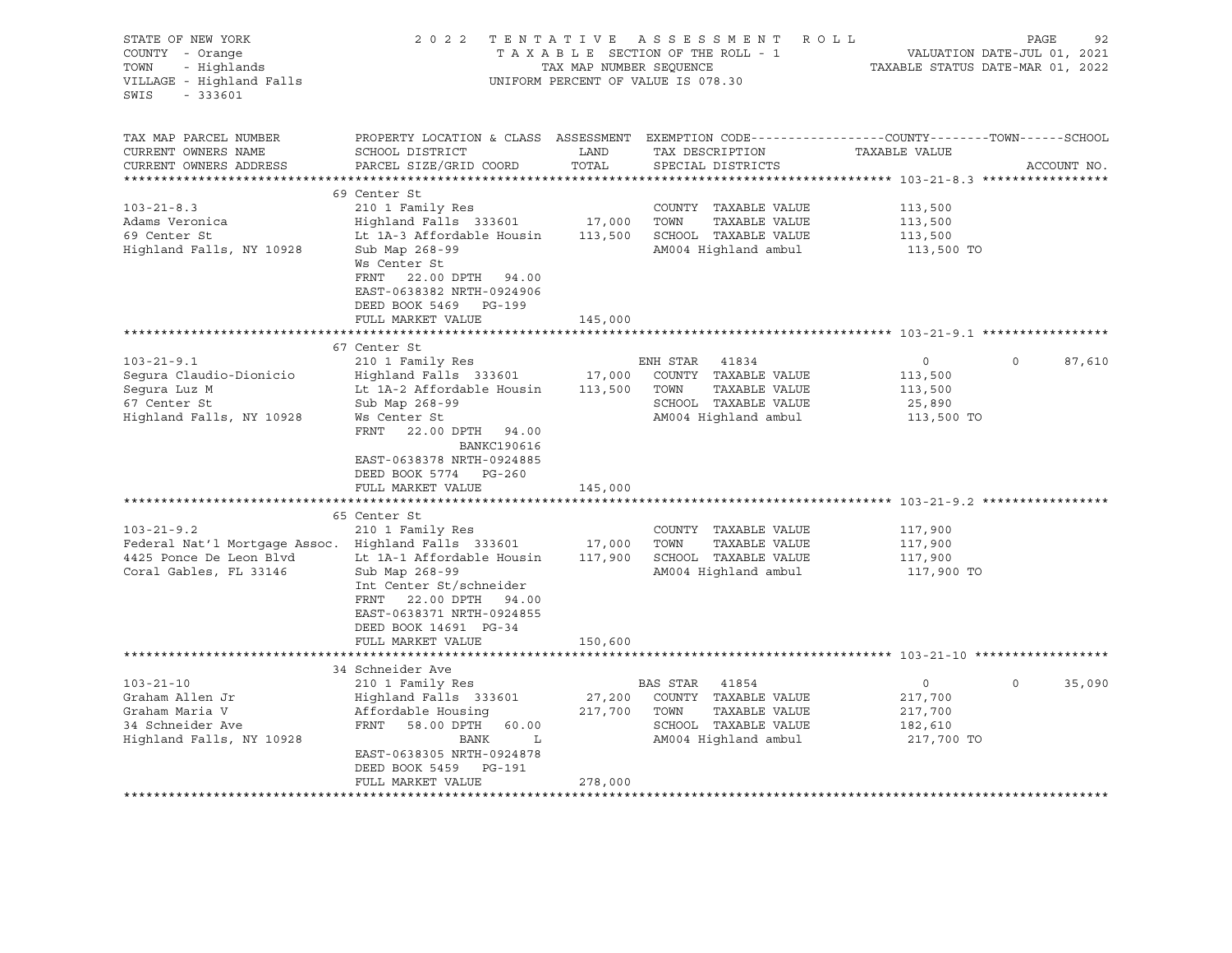| STATE OF NEW YORK<br>COUNTY - Orange<br>- Highlands<br>TOWN<br>VILLAGE - Highland Falls<br>SWIS<br>$-333601$                                                                                                                            |                                                                                                                                                                                                                                                                                                                                                                                                                                                                         | TAX MAP NUMBER SEQUENCE                                      | 2022 TENTATIVE ASSESSMENT ROLL<br>TAXABLE SECTION OF THE ROLL - 1<br>UNIFORM PERCENT OF VALUE IS 078.30                                                                                                                                                               | VALUATION DATE-JUL 01, 2021<br>TAXABLE STATUS DATE-MAR 01, 2022                                      | PAGE     | 92          |
|-----------------------------------------------------------------------------------------------------------------------------------------------------------------------------------------------------------------------------------------|-------------------------------------------------------------------------------------------------------------------------------------------------------------------------------------------------------------------------------------------------------------------------------------------------------------------------------------------------------------------------------------------------------------------------------------------------------------------------|--------------------------------------------------------------|-----------------------------------------------------------------------------------------------------------------------------------------------------------------------------------------------------------------------------------------------------------------------|------------------------------------------------------------------------------------------------------|----------|-------------|
| TAX MAP PARCEL NUMBER<br>CURRENT OWNERS NAME<br>CURRENT OWNERS ADDRESS                                                                                                                                                                  | PROPERTY LOCATION & CLASS ASSESSMENT EXEMPTION CODE----------------COUNTY-------TOWN-----SCHOOL<br>SCHOOL DISTRICT<br>PARCEL SIZE/GRID COORD                                                                                                                                                                                                                                                                                                                            | LAND<br>TOTAL                                                | TAX DESCRIPTION<br>SPECIAL DISTRICTS                                                                                                                                                                                                                                  | TAXABLE VALUE                                                                                        |          | ACCOUNT NO. |
| $103 - 21 - 8.3$<br>Adams Veronica<br>69 Center St<br>Highland Falls, NY 10928                                                                                                                                                          | 69 Center St<br>210 1 Family Res<br>Highland Falls 333601<br>Lt 1A-3 Affordable Housin<br>Sub Map 268-99<br>Ws Center St<br>FRNT 22.00 DPTH 94.00<br>EAST-0638382 NRTH-0924906<br>DEED BOOK 5469 PG-199<br>FULL MARKET VALUE                                                                                                                                                                                                                                            | 17,000<br>113,500<br>145,000                                 | COUNTY TAXABLE VALUE<br>TOWN<br>TAXABLE VALUE<br>SCHOOL TAXABLE VALUE<br>AM004 Highland ambul                                                                                                                                                                         | 113,500<br>113,500<br>113,500<br>113,500 TO                                                          |          |             |
|                                                                                                                                                                                                                                         |                                                                                                                                                                                                                                                                                                                                                                                                                                                                         |                                                              |                                                                                                                                                                                                                                                                       |                                                                                                      |          |             |
| $103 - 21 - 9.1$<br>Segura Claudio-Dionicio<br>Sequra Luz M<br>67 Center St<br>Highland Falls, NY 10928<br>$103 - 21 - 9.2$<br>Federal Nat'l Mortgage Assoc. Highland Falls 333601<br>4425 Ponce De Leon Blvd<br>Coral Gables, FL 33146 | 67 Center St<br>210 1 Family Res<br>Highland Falls 333601<br>Lt 1A-2 Affordable Housin<br>Sub Map 268-99<br>Ws Center St<br>FRNT<br>22.00 DPTH 94.00<br><b>BANKC190616</b><br>EAST-0638378 NRTH-0924885<br>DEED BOOK 5774 PG-260<br>FULL MARKET VALUE<br>65 Center St<br>210 1 Family Res<br>Lt 1A-1 Affordable Housin<br>Sub Map 268-99<br>Int Center St/schneider<br>FRNT 22.00 DPTH 94.00<br>EAST-0638371 NRTH-0924855<br>DEED BOOK 14691 PG-34<br>FULL MARKET VALUE | 17,000<br>113,500<br>145,000<br>17,000<br>117,900<br>150,600 | ENH STAR<br>41834<br>COUNTY TAXABLE VALUE<br>TAXABLE VALUE<br>TOWN<br>SCHOOL TAXABLE VALUE<br>AM004 Highland ambul<br>******************************** 103-21-9.2 **<br>COUNTY TAXABLE VALUE<br>TOWN<br>TAXABLE VALUE<br>SCHOOL TAXABLE VALUE<br>AM004 Highland ambul | $\circ$<br>113,500<br>113,500<br>25,890<br>113,500 TO<br>117,900<br>117,900<br>117,900<br>117,900 TO | $\Omega$ | 87,610      |
|                                                                                                                                                                                                                                         |                                                                                                                                                                                                                                                                                                                                                                                                                                                                         |                                                              |                                                                                                                                                                                                                                                                       |                                                                                                      |          |             |
| $103 - 21 - 10$<br>Graham Allen Jr<br>Graham Maria V<br>34 Schneider Ave<br>Highland Falls, NY 10928                                                                                                                                    | 34 Schneider Ave<br>210 1 Family Res<br>Highland Falls 333601<br>Affordable Housing<br>FRNT<br>58.00 DPTH 60.00<br>BANK<br>L<br>EAST-0638305 NRTH-0924878<br>DEED BOOK 5459 PG-191<br>FULL MARKET VALUE                                                                                                                                                                                                                                                                 | 27,200<br>217,700<br>278,000                                 | BAS STAR 41854<br>COUNTY TAXABLE VALUE<br>TOWN<br>TAXABLE VALUE<br>SCHOOL TAXABLE VALUE<br>AM004 Highland ambul                                                                                                                                                       | $\circ$<br>217,700<br>217,700<br>182,610<br>217,700 TO                                               | $\circ$  | 35,090      |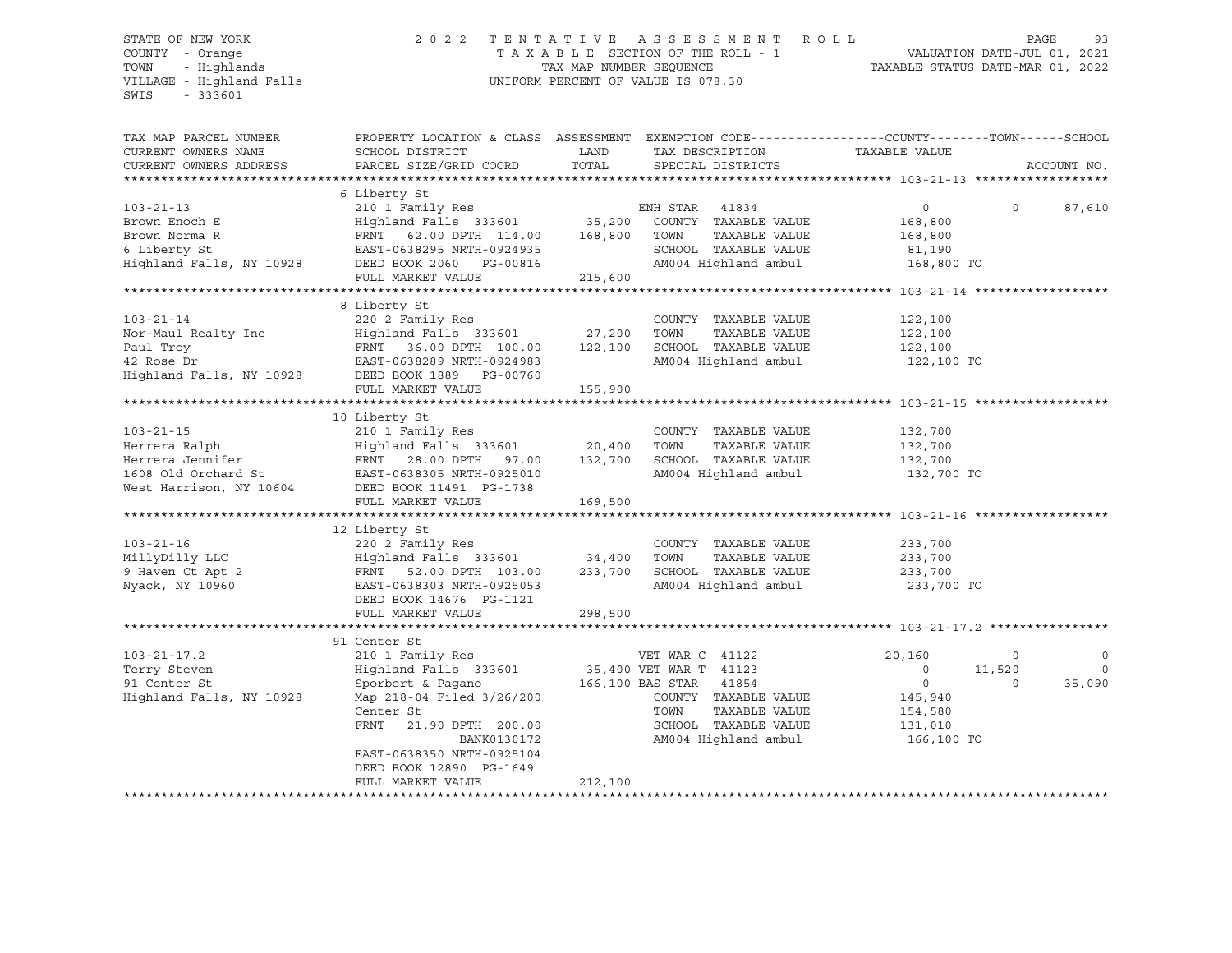## STATE OF NEW YORK 2 0 2 2 T E N T A T I V E A S S E S S M E N T R O L L PAGE 93 COUNTY - Orange T A X A B L E SECTION OF THE ROLL - 1 VALUATION DATE-JUL 01, 2021 TOWN - Highlands TAX MAP NUMBER SEQUENCE TAXABLE STATUS DATE-MAR 01, 2022 VILLAGE - Highland Falls UNIFORM PERCENT OF VALUE IS 078.30

| TAX MAP PARCEL NUMBER<br>CURRENT OWNERS NAME<br>CURRENT OWNERS ADDRESS                        | PROPERTY LOCATION & CLASS ASSESSMENT EXEMPTION CODE----------------COUNTY-------TOWN------SCHOOL<br>SCHOOL DISTRICT<br>PARCEL SIZE/GRID COORD                                                                                                                            | LAND<br>TOTAL      | TAX DESCRIPTION<br>SPECIAL DISTRICTS                                                                                                       | TAXABLE VALUE                                                                      |                              | ACCOUNT NO.            |
|-----------------------------------------------------------------------------------------------|--------------------------------------------------------------------------------------------------------------------------------------------------------------------------------------------------------------------------------------------------------------------------|--------------------|--------------------------------------------------------------------------------------------------------------------------------------------|------------------------------------------------------------------------------------|------------------------------|------------------------|
| $103 - 21 - 13$<br>Brown Enoch E<br>Brown Norma R<br>6 Liberty St<br>Highland Falls, NY 10928 | 6 Liberty St<br>FRNT 62.00 DPTH 114.00 168,800<br>EAST-0638295 NRTH-0924935<br>DEED BOOK 2060 PG-00816<br>FULL MARKET VALUE                                                                                                                                              | 215,600            | ENH STAR 41834<br>COUNTY TAXABLE VALUE<br>TOWN<br>TAXABLE VALUE<br>SCHOOL TAXABLE VALUE<br>AM004 Highland ambul 168,800 TO                 | $0 \qquad \qquad$<br>168,800<br>168,800<br>81,190                                  | $\Omega$                     | 87,610                 |
| $103 - 21 - 14$<br>Nor-Maul Realty Inc<br>Paul Troy                                           | 8 Liberty St<br>220 2 Family Res<br>42 Rose Dr<br>Highland Falls, NY 10928 DEED BOOK 1889 PG-00760<br>FULL MARKET VALUE                                                                                                                                                  | 155,900            | COUNTY TAXABLE VALUE<br>TOWN<br>TAXABLE VALUE<br>SCHOOL TAXABLE VALUE<br>AM004 Highland ambul                                              | 122,100<br>122,100<br>122,100<br>122,100 TO                                        |                              |                        |
| $103 - 21 - 15$<br>Herrera Ralph<br>Herrera Jennifer                                          | 10 Liberty St<br>210 1 Family Res<br>Highland Falls 333601 20,400<br>FRNT 28.00 DPTH 97.00<br>1608 Old Orchard St EAST-0638305 NRTH-0925010<br>West Harrison, NY 10604 DEED BOOK 11491 PG-1738<br>FULL MARKET VALUE                                                      | 132,700<br>169,500 | COUNTY TAXABLE VALUE<br>TOWN<br>TAXABLE VALUE<br>SCHOOL TAXABLE VALUE<br>AM004 Highland ambul                                              | 132,700<br>132,700<br>132,700<br>132,700 TO                                        |                              |                        |
| $103 - 21 - 16$<br>MillyDilly LLC<br>9 Haven Ct Apt 2<br>Nyack, NY 10960                      | 12 Liberty St<br>220 2 Family Res<br>Highland Falls 333601 34,400 TOWN<br>FRNT 52.00 DPTH 103.00<br>EAST-0638303 NRTH-0925053<br>DEED BOOK 14676 PG-1121<br>FULL MARKET VALUE                                                                                            | 233,700<br>298,500 | COUNTY TAXABLE VALUE<br>TAXABLE VALUE<br>SCHOOL TAXABLE VALUE<br>AM004 Highland ambul                                                      | 233,700<br>233,700<br>233,700<br>233,700 TO                                        |                              |                        |
| $103 - 21 - 17.2$<br>Terry Steven<br>91 Center St<br>Highland Falls, NY 10928                 | 91 Center St<br>210 1 Family Res<br>Highland Falls 333601 35,400 VET WAR T 41123<br>Sporbert & Pagano<br>Map 218-04 Filed 3/26/200<br>Center St<br>FRNT<br>21.90 DPTH 200.00<br>BANK0130172<br>EAST-0638350 NRTH-0925104<br>DEED BOOK 12890 PG-1649<br>FULL MARKET VALUE | 212,100            | VET WAR C 41122<br>166,100 BAS STAR 41854<br>COUNTY TAXABLE VALUE<br>TOWN<br>TAXABLE VALUE<br>SCHOOL TAXABLE VALUE<br>AM004 Highland ambul | 20,160<br>$\circ$<br>$\overline{0}$<br>145,940<br>154,580<br>131,010<br>166,100 TO | $\circ$<br>11,520<br>$\circ$ | 0<br>$\circ$<br>35,090 |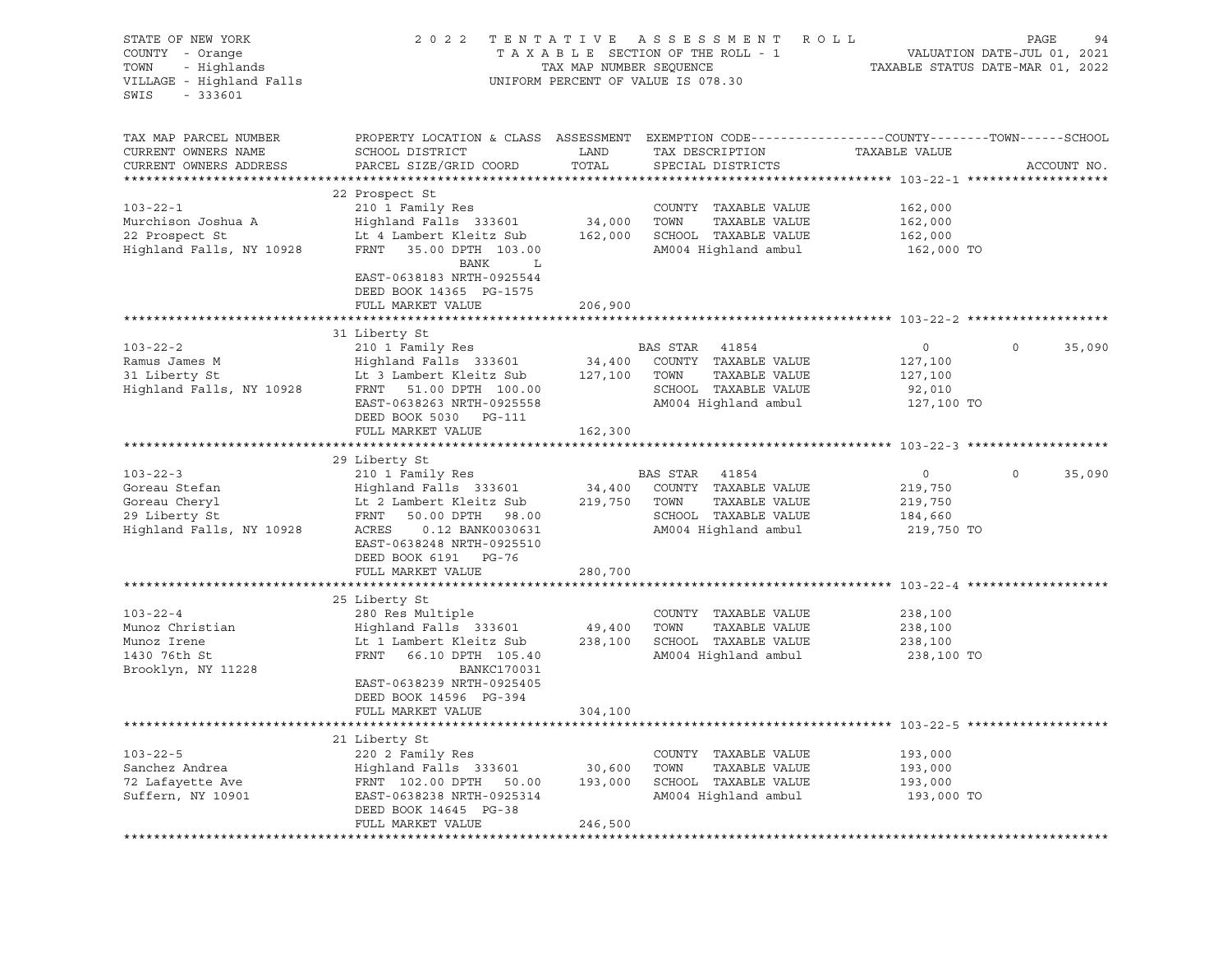| STATE OF NEW YORK<br>COUNTY - Orange<br>- Highlands<br>TOWN<br>VILLAGE - Highland Falls<br>SWIS<br>$-333601$ | 2 0 2 2                                                                                                                                      | TAX MAP NUMBER SEQUENCE | TENTATIVE ASSESSMENT ROLL<br>TAXABLE SECTION OF THE ROLL - 1<br>UNIFORM PERCENT OF VALUE IS 078.30 |                | PAGE<br>94<br>VALUATION DATE-JUL 01, 2021<br>TAXABLE STATUS DATE-MAR 01, 2022 |
|--------------------------------------------------------------------------------------------------------------|----------------------------------------------------------------------------------------------------------------------------------------------|-------------------------|----------------------------------------------------------------------------------------------------|----------------|-------------------------------------------------------------------------------|
| TAX MAP PARCEL NUMBER<br>CURRENT OWNERS NAME<br>CURRENT OWNERS ADDRESS                                       | PROPERTY LOCATION & CLASS ASSESSMENT EXEMPTION CODE---------------COUNTY-------TOWN------SCHOOL<br>SCHOOL DISTRICT<br>PARCEL SIZE/GRID COORD | LAND<br>TOTAL           | TAX DESCRIPTION<br>SPECIAL DISTRICTS                                                               | TAXABLE VALUE  | ACCOUNT NO.                                                                   |
|                                                                                                              | 22 Prospect St                                                                                                                               |                         |                                                                                                    |                |                                                                               |
| $103 - 22 - 1$                                                                                               | 210 1 Family Res                                                                                                                             |                         | COUNTY TAXABLE VALUE                                                                               | 162,000        |                                                                               |
| Murchison Joshua A                                                                                           | Highland Falls 333601                                                                                                                        | 34,000                  | TAXABLE VALUE<br>TOWN                                                                              | 162,000        |                                                                               |
| 22 Prospect St                                                                                               | Lt 4 Lambert Kleitz Sub                                                                                                                      | 162,000                 | SCHOOL TAXABLE VALUE                                                                               | 162,000        |                                                                               |
| Highland Falls, NY 10928                                                                                     | FRNT<br>35.00 DPTH 103.00<br>BANK<br>L                                                                                                       |                         | AM004 Highland ambul                                                                               | 162,000 TO     |                                                                               |
|                                                                                                              | EAST-0638183 NRTH-0925544<br>DEED BOOK 14365 PG-1575                                                                                         |                         |                                                                                                    |                |                                                                               |
|                                                                                                              | FULL MARKET VALUE                                                                                                                            | 206,900                 |                                                                                                    |                |                                                                               |
|                                                                                                              | 31 Liberty St                                                                                                                                |                         |                                                                                                    |                |                                                                               |
| $103 - 22 - 2$                                                                                               | 210 1 Family Res                                                                                                                             |                         | BAS STAR<br>41854                                                                                  | $\overline{0}$ | 35,090<br>$\circ$                                                             |
| Ramus James M                                                                                                | Highland Falls 333601                                                                                                                        | 34,400                  | COUNTY TAXABLE VALUE                                                                               | 127,100        |                                                                               |
| 31 Liberty St                                                                                                | Lt 3 Lambert Kleitz Sub 127,100                                                                                                              |                         | TAXABLE VALUE<br>TOWN                                                                              | 127,100        |                                                                               |
| Highland Falls, NY 10928                                                                                     | FRNT<br>51.00 DPTH 100.00                                                                                                                    |                         | SCHOOL TAXABLE VALUE                                                                               | 92,010         |                                                                               |
|                                                                                                              | EAST-0638263 NRTH-0925558                                                                                                                    |                         | AM004 Highland ambul                                                                               | 127,100 TO     |                                                                               |
|                                                                                                              | DEED BOOK 5030 PG-111                                                                                                                        |                         |                                                                                                    |                |                                                                               |
|                                                                                                              | FULL MARKET VALUE                                                                                                                            | 162,300                 |                                                                                                    |                |                                                                               |
|                                                                                                              | 29 Liberty St                                                                                                                                |                         |                                                                                                    |                |                                                                               |
| $103 - 22 - 3$                                                                                               | 210 1 Family Res                                                                                                                             |                         | BAS STAR 41854                                                                                     | $\circ$        | $\circ$<br>35,090                                                             |
| Goreau Stefan                                                                                                | Highland Falls 333601                                                                                                                        | 34,400                  | COUNTY TAXABLE VALUE                                                                               | 219,750        |                                                                               |
| Goreau Cheryl                                                                                                | Lt 2 Lambert Kleitz Sub                                                                                                                      | 219,750                 | TAXABLE VALUE<br>TOWN                                                                              | 219,750        |                                                                               |
| 29 Liberty St                                                                                                | FRNT<br>50.00 DPTH 98.00                                                                                                                     |                         | SCHOOL TAXABLE VALUE                                                                               | 184,660        |                                                                               |
| Highland Falls, NY 10928                                                                                     | ACRES<br>0.12 BANK0030631                                                                                                                    |                         | AM004 Highland ambul                                                                               | 219,750 TO     |                                                                               |
|                                                                                                              | EAST-0638248 NRTH-0925510                                                                                                                    |                         |                                                                                                    |                |                                                                               |
|                                                                                                              | DEED BOOK 6191 PG-76                                                                                                                         |                         |                                                                                                    |                |                                                                               |
|                                                                                                              | FULL MARKET VALUE                                                                                                                            | 280,700                 |                                                                                                    |                |                                                                               |
|                                                                                                              |                                                                                                                                              |                         |                                                                                                    |                |                                                                               |
|                                                                                                              | 25 Liberty St                                                                                                                                |                         |                                                                                                    |                |                                                                               |
| $103 - 22 - 4$                                                                                               | 280 Res Multiple                                                                                                                             |                         | COUNTY TAXABLE VALUE                                                                               | 238,100        |                                                                               |
| Munoz Christian                                                                                              | Highland Falls 333601                                                                                                                        | 49,400                  | TOWN<br>TAXABLE VALUE                                                                              | 238,100        |                                                                               |
| Munoz Irene                                                                                                  | Lt 1 Lambert Kleitz Sub                                                                                                                      | 238,100                 | SCHOOL TAXABLE VALUE                                                                               | 238,100        |                                                                               |
| 1430 76th St                                                                                                 | FRNT<br>66.10 DPTH 105.40                                                                                                                    |                         | AM004 Highland ambul                                                                               | 238,100 TO     |                                                                               |
| Brooklyn, NY 11228                                                                                           | <b>BANKC170031</b>                                                                                                                           |                         |                                                                                                    |                |                                                                               |
|                                                                                                              | EAST-0638239 NRTH-0925405<br>DEED BOOK 14596 PG-394                                                                                          |                         |                                                                                                    |                |                                                                               |
|                                                                                                              | FULL MARKET VALUE                                                                                                                            | 304,100                 |                                                                                                    |                |                                                                               |
|                                                                                                              |                                                                                                                                              |                         |                                                                                                    |                |                                                                               |
|                                                                                                              | 21 Liberty St                                                                                                                                |                         |                                                                                                    |                |                                                                               |
| $103 - 22 - 5$                                                                                               | 220 2 Family Res                                                                                                                             |                         | COUNTY<br>TAXABLE VALUE                                                                            | 193,000        |                                                                               |
| Sanchez Andrea                                                                                               | Highland Falls 333601                                                                                                                        | 30,600                  | TOWN<br>TAXABLE VALUE                                                                              | 193,000        |                                                                               |
| 72 Lafayette Ave                                                                                             | FRNT 102.00 DPTH<br>50.00                                                                                                                    | 193,000                 | SCHOOL TAXABLE VALUE                                                                               | 193,000        |                                                                               |
| Suffern, NY 10901                                                                                            | EAST-0638238 NRTH-0925314                                                                                                                    |                         | AM004 Highland ambul                                                                               | 193,000 TO     |                                                                               |
|                                                                                                              | DEED BOOK 14645 PG-38<br>FULL MARKET VALUE                                                                                                   | 246,500                 |                                                                                                    |                |                                                                               |
|                                                                                                              |                                                                                                                                              |                         |                                                                                                    |                |                                                                               |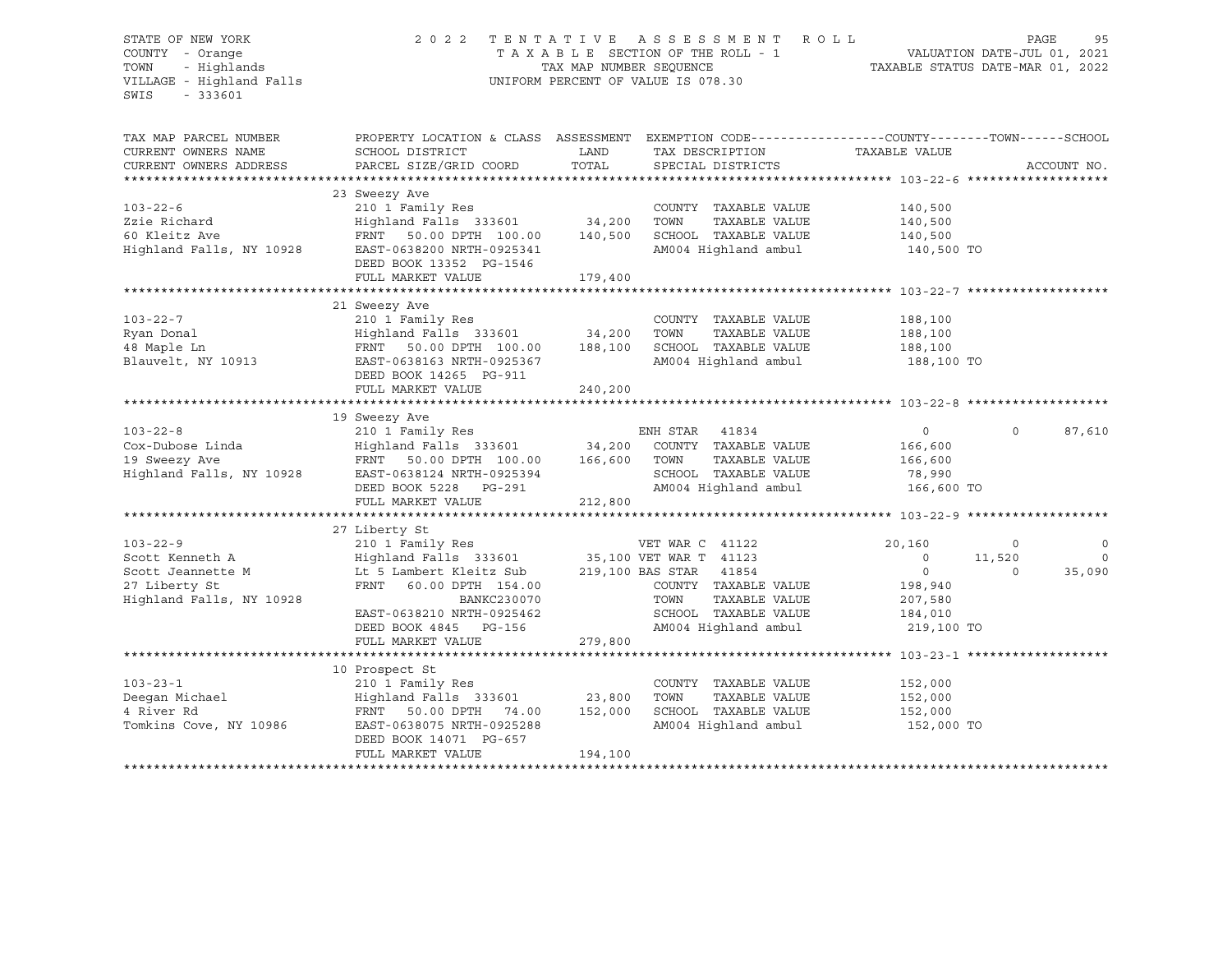## STATE OF NEW YORK 2 0 2 2 T E N T A T I V E A S S E S S M E N T R O L L PAGE 95 COUNTY - Orange T A X A B L E SECTION OF THE ROLL - 1 VALUATION DATE-JUL 01, 2021 TOWN - Highlands TAX MAP NUMBER SEQUENCE TAXABLE STATUS DATE-MAR 01, 2022 VILLAGE - Highland Falls UNIFORM PERCENT OF VALUE IS 078.30

| TAX MAP PARCEL NUMBER<br>CURRENT OWNERS NAME<br>CURRENT OWNERS ADDRESS                              | PROPERTY LOCATION & CLASS ASSESSMENT<br>SCHOOL DISTRICT<br>PARCEL SIZE/GRID COORD                                                                                                                                                                          | LAND<br>TOTAL      | EXEMPTION CODE-----------------COUNTY--------TOWN------SCHOOL<br>TAX DESCRIPTION TAXABLE VALUE<br>SPECIAL DISTRICTS |                                                                                    |                               | ACCOUNT NO.                  |
|-----------------------------------------------------------------------------------------------------|------------------------------------------------------------------------------------------------------------------------------------------------------------------------------------------------------------------------------------------------------------|--------------------|---------------------------------------------------------------------------------------------------------------------|------------------------------------------------------------------------------------|-------------------------------|------------------------------|
| $103 - 22 - 6$<br>Zzie Richard<br>60 Kleitz Ave<br>Highland Falls, NY 10928                         | 23 Sweezy Ave<br>210 1 Family Res<br>Highland Falls 333601 34,200<br>FRNT 50.00 DPTH 100.00<br>EAST-0638200 NRTH-0925341<br>DEED BOOK 13352 PG-1546<br>FULL MARKET VALUE                                                                                   | 140,500<br>179,400 | COUNTY TAXABLE VALUE<br>TOWN<br>TAXABLE VALUE<br>SCHOOL TAXABLE VALUE<br>AM004 Highland ambul                       | 140,500<br>140,500<br>140,500<br>140,500 TO                                        |                               |                              |
| $103 - 22 - 7$<br>Ryan Donal<br>48 Maple Ln<br>Blauvelt, NY 10913                                   | 21 Sweezy Ave<br>210 1 Family Res<br>Highland Falls 333601 34,200<br>FRNT 50.00 DPTH 100.00 188,100<br>EAST-0638163 NRTH-0925367<br>DEED BOOK 14265 PG-911<br>FULL MARKET VALUE                                                                            | 240,200            | COUNTY TAXABLE VALUE<br>TOWN<br>TAXABLE VALUE<br>SCHOOL TAXABLE VALUE<br>AM004 Highland ambul                       | 188,100<br>188,100<br>188,100<br>188,100 TO                                        |                               |                              |
| $103 - 22 - 8$<br>Cox-Dubose Linda<br>19 Sweezy Ave<br>Highland Falls, NY 10928                     | 19 Sweezy Ave<br>210 1 Family Res<br>Highland Falls 333601 34,200<br>FRNT 50.00 DPTH 100.00<br>EAST-0638124 NRTH-0925394<br>DEED BOOK 5228 PG-291<br>FULL MARKET VALUE                                                                                     | 166,600<br>212,800 | ENH STAR<br>41834<br>COUNTY TAXABLE VALUE<br>TOWN<br>TAXABLE VALUE<br>SCHOOL TAXABLE VALUE<br>AM004 Highland ambul  | $\Omega$<br>166,600<br>166,600<br>78,990<br>166,600 TO                             | $\Omega$                      | 87,610                       |
|                                                                                                     | ************************************                                                                                                                                                                                                                       |                    | *************************                                                                                           | ******************** 103-22-9 ********                                             |                               |                              |
| $103 - 22 - 9$<br>Scott Kenneth A<br>Scott Jeannette M<br>27 Liberty St<br>Highland Falls, NY 10928 | 27 Liberty St<br>210 1 Family Res<br>Highland Falls 333601 35,100 VET WAR T 41123<br>Lt 5 Lambert Kleitz Sub 219,100 BAS STAR 41854<br>FRNT<br>60.00 DPTH 154.00<br>BANKC230070<br>EAST-0638210 NRTH-0925462<br>DEED BOOK 4845 PG-156<br>FULL MARKET VALUE | 279,800            | VET WAR C 41122<br>COUNTY TAXABLE VALUE<br>TOWN<br>TAXABLE VALUE<br>SCHOOL TAXABLE VALUE<br>AM004 Highland ambul    | 20,160<br>$\circ$<br>$\overline{0}$<br>198,940<br>207,580<br>184,010<br>219,100 TO | $\circ$<br>11,520<br>$\Omega$ | $\circ$<br>$\circ$<br>35,090 |
|                                                                                                     |                                                                                                                                                                                                                                                            |                    |                                                                                                                     |                                                                                    |                               |                              |
| $103 - 23 - 1$<br>Deeqan Michael<br>4 River Rd<br>Tomkins Cove, NY 10986                            | 10 Prospect St<br>210 1 Family Res<br>Highland Falls 333601 23,800<br>FRNT 50.00 DPTH 74.00<br>EAST-0638075 NRTH-0925288<br>DEED BOOK 14071 PG-657<br>FULL MARKET VALUE                                                                                    | 152,000<br>194,100 | COUNTY TAXABLE VALUE<br>TOWN<br>TAXABLE VALUE<br>SCHOOL TAXABLE VALUE<br>AM004 Highland ambul                       | 152,000<br>152,000<br>152,000<br>152,000 TO                                        |                               |                              |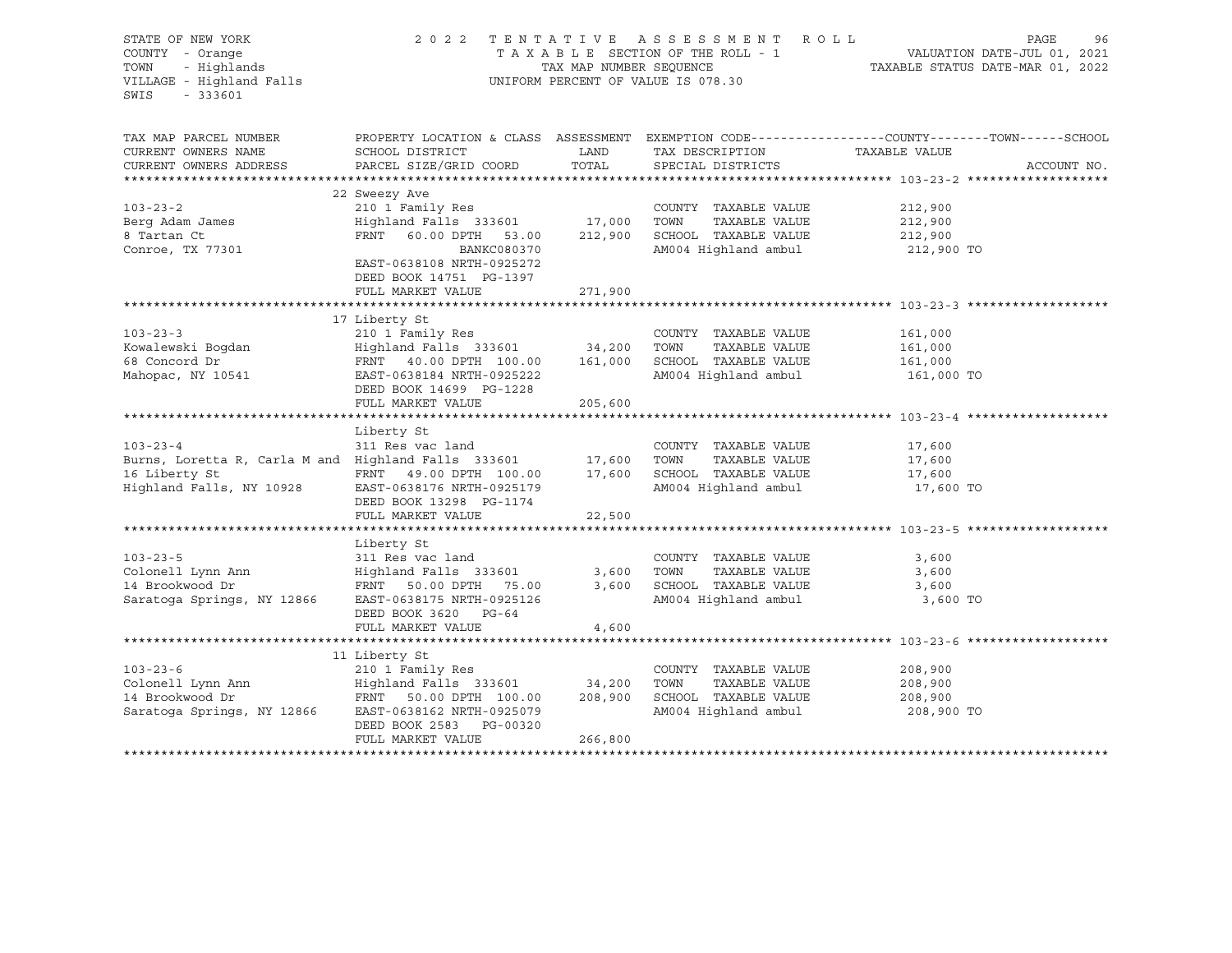| STATE OF NEW YORK<br>COUNTY - Orange<br>COUNTY - Orange<br>TOWN - Highlands<br>VILLAGE - Highland Falls<br>SWIS<br>$-333601$ |                                                                                                                                                                                  | TAX MAP NUMBER SEQUENCE | 2022 TENTATIVE ASSESSMENT ROLL<br>TAXABLE SECTION OF THE ROLL - 1<br>UNIFORM PERCENT OF VALUE IS 078.30 | PAGE<br>96<br>VALUATION DATE-JUL 01, 2021<br>TAXABLE STATUS DATE-MAR 01, 2022                                                   |
|------------------------------------------------------------------------------------------------------------------------------|----------------------------------------------------------------------------------------------------------------------------------------------------------------------------------|-------------------------|---------------------------------------------------------------------------------------------------------|---------------------------------------------------------------------------------------------------------------------------------|
| TAX MAP PARCEL NUMBER<br>CURRENT OWNERS NAME<br>CURRENT OWNERS ADDRESS                                                       | SCHOOL DISTRICT<br>PARCEL SIZE/GRID COORD                                                                                                                                        | LAND<br>TOTAL           | TAX DESCRIPTION<br>SPECIAL DISTRICTS                                                                    | PROPERTY LOCATION & CLASS ASSESSMENT EXEMPTION CODE----------------COUNTY-------TOWN-----SCHOOL<br>TAXABLE VALUE<br>ACCOUNT NO. |
| $103 - 23 - 2$<br>Berg Adam James<br>8 Tartan Ct<br>Conroe, TX 77301                                                         | 22 Sweezy Ave<br>210 1 Family Res<br>Highland Falls 333601 17,000 TOWN<br>FRNT 60.00 DPTH 53.00<br>BANKC080370<br>EAST-0638108 NRTH-0925272<br>DEED BOOK 14751 PG-1397           | 212,900                 | COUNTY TAXABLE VALUE<br>TAXABLE VALUE<br>SCHOOL TAXABLE VALUE<br>AM004 Highland ambul                   | 212,900<br>212,900<br>212,900<br>212,900 TO                                                                                     |
|                                                                                                                              | FULL MARKET VALUE                                                                                                                                                                | 271,900                 |                                                                                                         |                                                                                                                                 |
| $103 - 23 - 3$<br>Kowalewski Boqdan<br>68 Concord Dr<br>Mahopac, NY 10541                                                    | 17 Liberty St<br>210 1 Family Res<br>Highland Falls 333601 34,200<br>FRNT 40.00 DPTH 100.00 161,000<br>EAST-0638184 NRTH-0925222<br>DEED BOOK 14699 PG-1228<br>FULL MARKET VALUE | 205,600                 | COUNTY TAXABLE VALUE<br>TOWN<br>TAXABLE VALUE<br>SCHOOL TAXABLE VALUE<br>AM004 Highland ambul           | 161,000<br>161,000<br>161,000<br>161,000 TO                                                                                     |
| $103 - 23 - 4$<br>Burns, Loretta R, Carla M and Highland Falls 333601<br>16 Liberty St<br>Highland Falls, NY 10928           | Liberty St<br>311 Res vac land<br>FRNT 49.00 DPTH 100.00<br>EAST-0638176 NRTH-0925179<br>DEED BOOK 13298 PG-1174<br>FULL MARKET VALUE                                            | 17,600<br>22,500        | COUNTY TAXABLE VALUE<br>TOWN<br>TAXABLE VALUE<br>17,600 SCHOOL TAXABLE VALUE<br>AM004 Highland ambul    | 17,600<br>17,600<br>17,600<br>17,600 TO                                                                                         |
|                                                                                                                              | ********************                                                                                                                                                             | *************           |                                                                                                         | ******************************** 103-23-5 *******                                                                               |
| $103 - 23 - 5$<br>Colonell Lynn Ann<br>14 Brookwood Dr<br>Saratoga Springs, NY 12866                                         | Liberty St<br>311 Res vac land<br>Highland Falls 333601<br>FRNT 50.00 DPTH 75.00<br>EAST-0638175 NRTH-0925126<br>DEED BOOK 3620 PG-64<br>FULL MARKET VALUE                       | 3,600<br>3,600<br>4,600 | COUNTY TAXABLE VALUE<br>TOWN<br>TAXABLE VALUE<br>SCHOOL TAXABLE VALUE<br>AM004 Highland ambul           | 3,600<br>3,600<br>3,600<br>3,600 TO                                                                                             |
|                                                                                                                              |                                                                                                                                                                                  |                         |                                                                                                         |                                                                                                                                 |
| $103 - 23 - 6$<br>Saratoga Springs, NY 12866                                                                                 | 11 Liberty St<br>210 1 Family Res<br>Highland Falls 333601 34,200<br>EAST-0638162 NRTH-0925079<br>DEED BOOK 2583 PG-00320<br>FULL MARKET VALUE                                   | 208,900<br>266,800      | COUNTY TAXABLE VALUE<br>TAXABLE VALUE<br>TOWN<br>SCHOOL TAXABLE VALUE<br>AM004 Highland ambul           | 208,900<br>208,900<br>208,900<br>208,900 TO                                                                                     |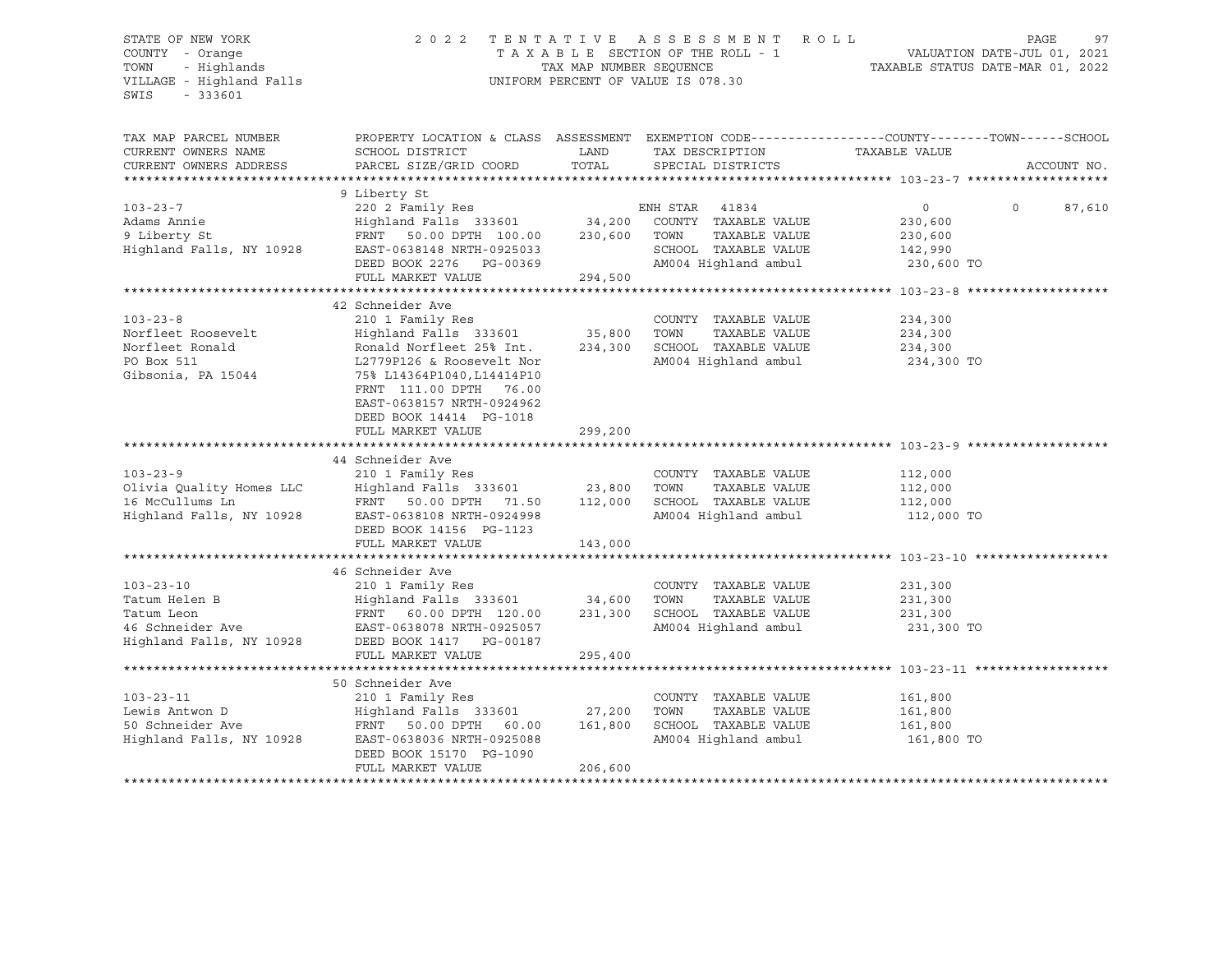| STATE OF NEW YORK                                                  | 2 0 2 2                                                       |                                                                 | TENTATIVE ASSESSMENT ROLL<br>TAXABLE SECTION OF THE ROLL - 1 | PAGE                                                                                            | 97          |
|--------------------------------------------------------------------|---------------------------------------------------------------|-----------------------------------------------------------------|--------------------------------------------------------------|-------------------------------------------------------------------------------------------------|-------------|
| COUNTY - Orange<br>- Highlands<br>TOWN<br>VILLAGE - Highland Falls | TAX MAP NUMBER SEOUENCE<br>UNIFORM PERCENT OF VALUE IS 078.30 | VALUATION DATE-JUL 01, 2021<br>TAXABLE STATUS DATE-MAR 01, 2022 |                                                              |                                                                                                 |             |
| SWIS<br>$-333601$                                                  |                                                               |                                                                 |                                                              |                                                                                                 |             |
| TAX MAP PARCEL NUMBER                                              |                                                               |                                                                 |                                                              | PROPERTY LOCATION & CLASS ASSESSMENT EXEMPTION CODE----------------COUNTY-------TOWN-----SCHOOL |             |
| CURRENT OWNERS NAME                                                | SCHOOL DISTRICT                                               | LAND                                                            | TAX DESCRIPTION                                              | TAXABLE VALUE                                                                                   |             |
| CURRENT OWNERS ADDRESS                                             | PARCEL SIZE/GRID COORD                                        | TOTAL                                                           | SPECIAL DISTRICTS                                            |                                                                                                 | ACCOUNT NO. |
| *************************                                          | 9 Liberty St                                                  |                                                                 |                                                              |                                                                                                 |             |
| $103 - 23 - 7$                                                     | 220 2 Family Res                                              |                                                                 | ENH STAR 41834                                               | $\overline{0}$<br>$\Omega$                                                                      | 87,610      |
| Adams Annie                                                        | Highland Falls 333601                                         | 34,200                                                          | COUNTY TAXABLE VALUE                                         | 230,600                                                                                         |             |
| 9 Liberty St                                                       | FRNT 50.00 DPTH 100.00                                        |                                                                 | 230,600 TOWN<br>TAXABLE VALUE                                | 230,600                                                                                         |             |
| Highland Falls, NY 10928                                           | EAST-0638148 NRTH-0925033                                     |                                                                 | SCHOOL TAXABLE VALUE                                         | 142,990                                                                                         |             |
|                                                                    | DEED BOOK 2276 PG-00369                                       |                                                                 | AM004 Highland ambul                                         | 230,600 TO                                                                                      |             |
|                                                                    | FULL MARKET VALUE                                             | 294,500                                                         |                                                              |                                                                                                 |             |
|                                                                    |                                                               |                                                                 |                                                              |                                                                                                 |             |
| $103 - 23 - 8$                                                     | 42 Schneider Ave<br>210 1 Family Res                          |                                                                 | COUNTY TAXABLE VALUE                                         | 234,300                                                                                         |             |
| Norfleet Roosevelt                                                 | Highland Falls 333601                                         | 35,800                                                          | TOWN<br>TAXABLE VALUE                                        | 234,300                                                                                         |             |
| Norfleet Ronald                                                    | Ronald Norfleet 25% Int.                                      | 234,300                                                         | SCHOOL TAXABLE VALUE                                         | 234,300                                                                                         |             |
| PO Box 511                                                         | L2779P126 & Roosevelt Nor                                     |                                                                 | AM004 Highland ambul                                         | 234,300 TO                                                                                      |             |
| Gibsonia, PA 15044                                                 | 75% L14364P1040, L14414P10                                    |                                                                 |                                                              |                                                                                                 |             |
|                                                                    | FRNT 111.00 DPTH 76.00                                        |                                                                 |                                                              |                                                                                                 |             |
|                                                                    | EAST-0638157 NRTH-0924962                                     |                                                                 |                                                              |                                                                                                 |             |
|                                                                    | DEED BOOK 14414 PG-1018                                       |                                                                 |                                                              |                                                                                                 |             |
|                                                                    | FULL MARKET VALUE                                             | 299,200                                                         |                                                              |                                                                                                 |             |
|                                                                    | 44 Schneider Ave                                              |                                                                 |                                                              |                                                                                                 |             |
| $103 - 23 - 9$                                                     | 210 1 Family Res                                              |                                                                 | COUNTY TAXABLE VALUE                                         | 112,000                                                                                         |             |
| Olivia Quality Homes LLC                                           | Highland Falls 333601                                         | 23,800                                                          | TAXABLE VALUE<br>TOWN                                        | 112,000                                                                                         |             |
| 16 McCullums Ln                                                    | FRNT 50.00 DPTH 71.50                                         | 112,000                                                         | SCHOOL TAXABLE VALUE                                         | 112,000                                                                                         |             |
| Highland Falls, NY 10928                                           | EAST-0638108 NRTH-0924998                                     |                                                                 | AM004 Highland ambul                                         | 112,000 TO                                                                                      |             |
|                                                                    | DEED BOOK 14156 PG-1123                                       |                                                                 |                                                              |                                                                                                 |             |
|                                                                    | FULL MARKET VALUE                                             | 143,000                                                         |                                                              |                                                                                                 |             |
|                                                                    | 46 Schneider Ave                                              |                                                                 |                                                              |                                                                                                 |             |
| $103 - 23 - 10$                                                    | 210 1 Family Res                                              |                                                                 | COUNTY TAXABLE VALUE                                         | 231,300                                                                                         |             |
| Tatum Helen B                                                      | Highland Falls 333601 34,600                                  |                                                                 | TOWN<br>TAXABLE VALUE                                        | 231,300                                                                                         |             |
| Tatum Leon                                                         | FRNT 60.00 DPTH 120.00                                        | 231,300                                                         | SCHOOL TAXABLE VALUE                                         | 231,300                                                                                         |             |
| 46 Schneider Ave                                                   | EAST-0638078 NRTH-0925057                                     |                                                                 | AM004 Highland ambul                                         | 231,300 TO                                                                                      |             |
| Highland Falls, NY 10928                                           | DEED BOOK 1417 PG-00187                                       |                                                                 |                                                              |                                                                                                 |             |
|                                                                    | FULL MARKET VALUE                                             | 295,400                                                         |                                                              |                                                                                                 |             |
|                                                                    |                                                               | **************                                                  |                                                              |                                                                                                 |             |
|                                                                    | 50 Schneider Ave                                              |                                                                 |                                                              |                                                                                                 |             |
| $103 - 23 - 11$                                                    | 210 1 Family Res                                              |                                                                 | COUNTY TAXABLE VALUE                                         | 161,800                                                                                         |             |
| Lewis Antwon D<br>50 Schneider Ave                                 | Highland Falls 333601                                         | 27,200<br>161,800                                               | TOWN<br>TAXABLE VALUE<br>SCHOOL TAXABLE VALUE                | 161,800                                                                                         |             |
| Highland Falls, NY 10928                                           | FRNT 50.00 DPTH 60.00<br>EAST-0638036 NRTH-0925088            |                                                                 | AM004 Highland ambul                                         | 161,800<br>161,800 TO                                                                           |             |
|                                                                    | DEED BOOK 15170 PG-1090                                       |                                                                 |                                                              |                                                                                                 |             |
|                                                                    | FULL MARKET VALUE                                             | 206,600                                                         |                                                              |                                                                                                 |             |
|                                                                    |                                                               |                                                                 |                                                              |                                                                                                 |             |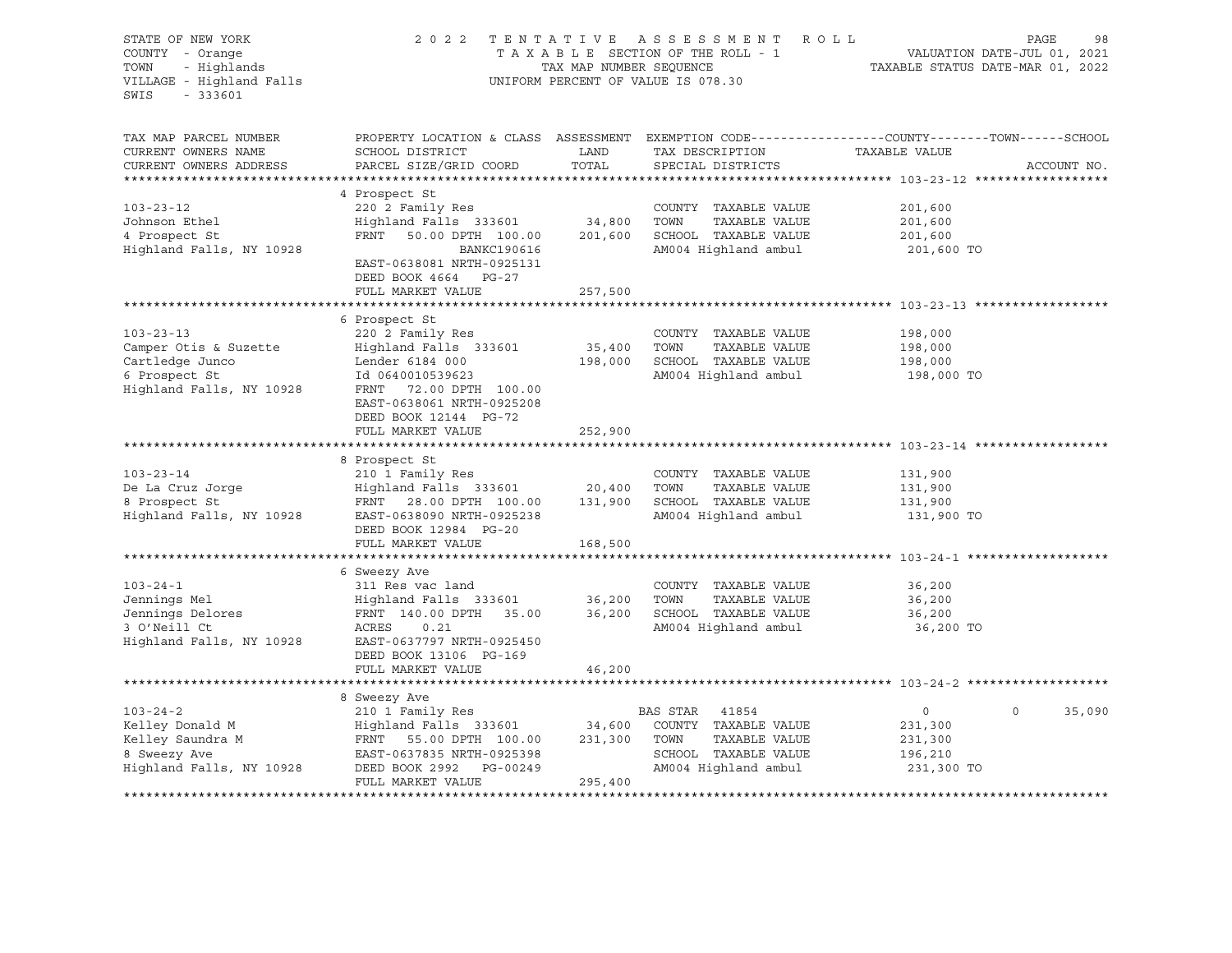| STATE OF NEW YORK<br>COUNTY - Orange<br>- Highlands<br>TOWN<br>VILLAGE - Highland Falls<br>$-333601$<br>SWIS |                                                                                                                                                                         | TAX MAP NUMBER SEQUENCE | 2022 TENTATIVE ASSESSMENT ROLL<br>TAXABLE SECTION OF THE ROLL - 1<br>UNIFORM PERCENT OF VALUE IS 078.30            | PAGE<br>VALUATION DATE-JUL 01, 2021<br>TAXABLE STATUS DATE-MAR 01, 2022                                           | 98          |
|--------------------------------------------------------------------------------------------------------------|-------------------------------------------------------------------------------------------------------------------------------------------------------------------------|-------------------------|--------------------------------------------------------------------------------------------------------------------|-------------------------------------------------------------------------------------------------------------------|-------------|
| TAX MAP PARCEL NUMBER<br>CURRENT OWNERS NAME<br>CURRENT OWNERS ADDRESS                                       | SCHOOL DISTRICT<br>PARCEL SIZE/GRID COORD                                                                                                                               | LAND<br>TOTAL           | TAX DESCRIPTION<br>SPECIAL DISTRICTS                                                                               | PROPERTY LOCATION & CLASS ASSESSMENT EXEMPTION CODE----------------COUNTY-------TOWN------SCHOOL<br>TAXABLE VALUE | ACCOUNT NO. |
| $103 - 23 - 12$<br>Johnson Ethel<br>4 Prospect St<br>Highland Falls, NY 10928                                | 4 Prospect St<br>220 2 Family Res<br>Highland Falls 333601<br>FRNT 50.00 DPTH 100.00<br>BANKC190616<br>EAST-0638081 NRTH-0925131<br>DEED BOOK 4664 PG-27                | 34,800<br>201,600       | COUNTY TAXABLE VALUE<br>TAXABLE VALUE<br>TOWN<br>SCHOOL TAXABLE VALUE<br>AM004 Highland ambul                      | 201,600<br>201,600<br>201,600<br>201,600 TO                                                                       |             |
|                                                                                                              | FULL MARKET VALUE                                                                                                                                                       | 257,500                 |                                                                                                                    |                                                                                                                   |             |
| $103 - 23 - 13$                                                                                              | 6 Prospect St<br>220 2 Family Res                                                                                                                                       |                         | COUNTY TAXABLE VALUE                                                                                               | 198,000                                                                                                           |             |
| Camper Otis & Suzette<br>Cartledge Junco<br>6 Prospect St<br>Highland Falls, NY 10928                        | Highland Falls 333601<br>Lender 6184 000<br>Id 0640010539623<br>FRNT 72.00 DPTH 100.00<br>EAST-0638061 NRTH-0925208<br>DEED BOOK 12144 PG-72                            | 35,400<br>198,000       | TOWN<br>TAXABLE VALUE<br>SCHOOL TAXABLE VALUE<br>AM004 Highland ambul                                              | 198,000<br>198,000<br>198,000 TO                                                                                  |             |
|                                                                                                              | FULL MARKET VALUE                                                                                                                                                       | 252,900                 |                                                                                                                    |                                                                                                                   |             |
|                                                                                                              |                                                                                                                                                                         |                         |                                                                                                                    |                                                                                                                   |             |
| $103 - 23 - 14$<br>De La Cruz Jorge<br>8 Prospect St<br>Highland Falls, NY 10928                             | 8 Prospect St<br>210 1 Family Res<br>Highland Falls 333601 20,400<br>FRNT 28.00 DPTH 100.00<br>EAST-0638090 NRTH-0925238<br>DEED BOOK 12984 PG-20                       | 131,900                 | COUNTY TAXABLE VALUE<br>TAXABLE VALUE<br>TOWN<br>SCHOOL TAXABLE VALUE<br>AM004 Highland ambul                      | 131,900<br>131,900<br>131,900<br>131,900 TO                                                                       |             |
|                                                                                                              | FULL MARKET VALUE                                                                                                                                                       | 168,500                 |                                                                                                                    |                                                                                                                   |             |
|                                                                                                              |                                                                                                                                                                         |                         |                                                                                                                    |                                                                                                                   |             |
| $103 - 24 - 1$<br>Jennings Mel<br>Jennings Delores<br>3 O'Neill Ct<br>Highland Falls, NY 10928               | 6 Sweezy Ave<br>311 Res vac land<br>Highland Falls 333601<br>FRNT 140.00 DPTH 35.00<br>ACRES<br>0.21<br>EAST-0637797 NRTH-0925450<br>DEED BOOK 13106 PG-169             | 36,200<br>36,200        | COUNTY TAXABLE VALUE<br>TOWN<br>TAXABLE VALUE<br>SCHOOL TAXABLE VALUE<br>AM004 Highland ambul                      | 36,200<br>36,200<br>36,200<br>36,200 TO                                                                           |             |
|                                                                                                              | FULL MARKET VALUE                                                                                                                                                       | 46,200                  |                                                                                                                    |                                                                                                                   |             |
|                                                                                                              |                                                                                                                                                                         |                         |                                                                                                                    |                                                                                                                   |             |
| $103 - 24 - 2$<br>Kelley Donald M<br>Kelley Saundra M<br>8 Sweezy Ave<br>Highland Falls, NY 10928            | 8 Sweezy Ave<br>210 1 Family Res<br>Highland Falls 333601 34,600<br>FRNT 55.00 DPTH 100.00<br>EAST-0637835 NRTH-0925398<br>DEED BOOK 2992 PG-00249<br>FULL MARKET VALUE | 231,300<br>295,400      | BAS STAR<br>41854<br>COUNTY TAXABLE VALUE<br>TOWN<br>TAXABLE VALUE<br>SCHOOL TAXABLE VALUE<br>AM004 Highland ambul | $\circ$<br>$\circ$<br>231,300<br>231,300<br>196,210<br>231,300 TO                                                 | 35,090      |
|                                                                                                              |                                                                                                                                                                         |                         |                                                                                                                    |                                                                                                                   |             |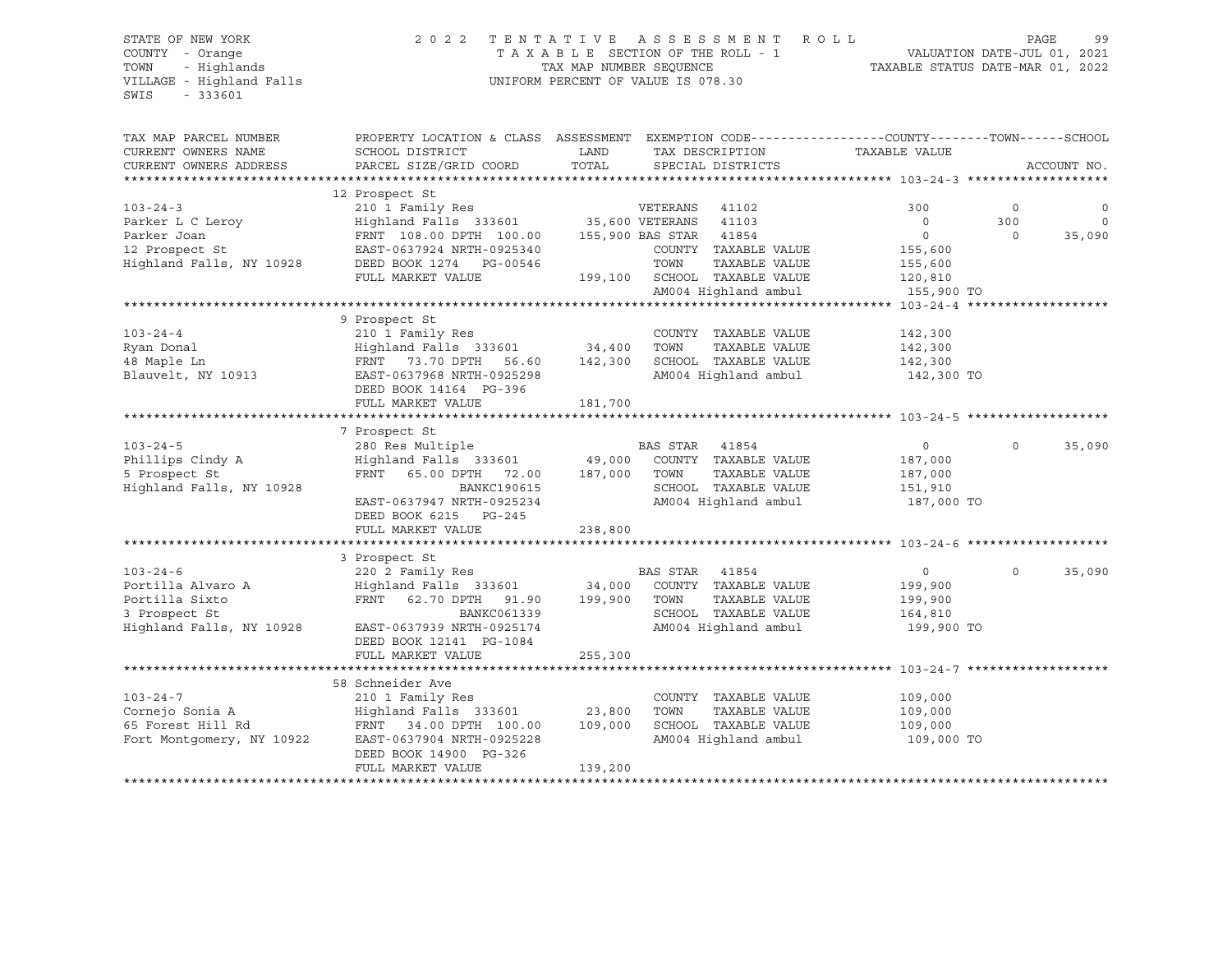## STATE OF NEW YORK 2 0 2 2 T E N T A T I V E A S S E S S M E N T R O L L PAGE 99 COUNTY - Orange T A X A B L E SECTION OF THE ROLL - 1 VALUATION DATE-JUL 01, 2021 TOWN - Highlands TAX MAP NUMBER SEQUENCE TAXABLE STATUS DATE-MAR 01, 2022 VILLAGE - Highland Falls UNIFORM PERCENT OF VALUE IS 078.30

| SCHOOL DISTRICT<br>LAND<br>CURRENT OWNERS NAME<br>TAX DESCRIPTION<br>TAXABLE VALUE<br>TOTAL<br>CURRENT OWNERS ADDRESS<br>PARCEL SIZE/GRID COORD<br>SPECIAL DISTRICTS<br>ACCOUNT NO.<br>12 Prospect St<br>$103 - 24 - 3$<br>300<br>$\circ$<br>$\circ$<br>300<br>Parker L C Leroy<br>Parker Joan<br>FRNT 108.00 DPTH 100.00<br>155,900 BAS STAR 41854<br>$\circ$<br>$\Omega$<br>35,090<br>12 Prospect St<br>EAST-0637924 NRTH-0925340<br>COUNTY TAXABLE VALUE<br>155,600<br>Highland Falls, NY 10928<br>TOWN<br>TAXABLE VALUE<br>DEED BOOK 1274 PG-00546<br>155,600<br>199,100 SCHOOL TAXABLE VALUE<br>FULL MARKET VALUE<br>120,810 |
|-----------------------------------------------------------------------------------------------------------------------------------------------------------------------------------------------------------------------------------------------------------------------------------------------------------------------------------------------------------------------------------------------------------------------------------------------------------------------------------------------------------------------------------------------------------------------------------------------------------------------------------|
|                                                                                                                                                                                                                                                                                                                                                                                                                                                                                                                                                                                                                                   |
|                                                                                                                                                                                                                                                                                                                                                                                                                                                                                                                                                                                                                                   |
|                                                                                                                                                                                                                                                                                                                                                                                                                                                                                                                                                                                                                                   |
|                                                                                                                                                                                                                                                                                                                                                                                                                                                                                                                                                                                                                                   |
|                                                                                                                                                                                                                                                                                                                                                                                                                                                                                                                                                                                                                                   |
|                                                                                                                                                                                                                                                                                                                                                                                                                                                                                                                                                                                                                                   |
|                                                                                                                                                                                                                                                                                                                                                                                                                                                                                                                                                                                                                                   |
|                                                                                                                                                                                                                                                                                                                                                                                                                                                                                                                                                                                                                                   |
|                                                                                                                                                                                                                                                                                                                                                                                                                                                                                                                                                                                                                                   |
|                                                                                                                                                                                                                                                                                                                                                                                                                                                                                                                                                                                                                                   |
| AM004 Highland ambul<br>155,900 TO                                                                                                                                                                                                                                                                                                                                                                                                                                                                                                                                                                                                |
|                                                                                                                                                                                                                                                                                                                                                                                                                                                                                                                                                                                                                                   |
| 9 Prospect St                                                                                                                                                                                                                                                                                                                                                                                                                                                                                                                                                                                                                     |
| $103 - 24 - 4$<br>210 1 Family Res<br>COUNTY TAXABLE VALUE<br>142,300                                                                                                                                                                                                                                                                                                                                                                                                                                                                                                                                                             |
| Ryan Donal<br>Highland Falls 333601 34,400<br>TOWN<br>TAXABLE VALUE<br>142,300                                                                                                                                                                                                                                                                                                                                                                                                                                                                                                                                                    |
| 48 Maple Ln<br>FRNT 73.70 DPTH<br>56.60<br>142,300<br>SCHOOL TAXABLE VALUE<br>142,300                                                                                                                                                                                                                                                                                                                                                                                                                                                                                                                                             |
| Blauvelt, NY 10913<br>EAST-0637968 NRTH-0925298<br>AM004 Highland ambul<br>142,300 TO                                                                                                                                                                                                                                                                                                                                                                                                                                                                                                                                             |
| DEED BOOK 14164 PG-396                                                                                                                                                                                                                                                                                                                                                                                                                                                                                                                                                                                                            |
| FULL MARKET VALUE<br>181,700                                                                                                                                                                                                                                                                                                                                                                                                                                                                                                                                                                                                      |
|                                                                                                                                                                                                                                                                                                                                                                                                                                                                                                                                                                                                                                   |
| 7 Prospect St                                                                                                                                                                                                                                                                                                                                                                                                                                                                                                                                                                                                                     |
| $103 - 24 - 5$<br>280 Res Multiple<br>BAS STAR<br>35,090<br>41854<br>$\overline{0}$<br>$\Omega$                                                                                                                                                                                                                                                                                                                                                                                                                                                                                                                                   |
| Highland Falls 333601<br>COUNTY TAXABLE VALUE<br>Phillips Cindy A<br>49,000<br>187,000                                                                                                                                                                                                                                                                                                                                                                                                                                                                                                                                            |
| FRNT 65.00 DPTH 72.00<br>187,000<br>TAXABLE VALUE<br>5 Prospect St<br>TOWN<br>187,000                                                                                                                                                                                                                                                                                                                                                                                                                                                                                                                                             |
| Highland Falls, NY 10928<br><b>BANKC190615</b><br>SCHOOL TAXABLE VALUE<br>151,910                                                                                                                                                                                                                                                                                                                                                                                                                                                                                                                                                 |
| AM004 Highland ambul<br>EAST-0637947 NRTH-0925234<br>187,000 TO                                                                                                                                                                                                                                                                                                                                                                                                                                                                                                                                                                   |
| DEED BOOK 6215 PG-245                                                                                                                                                                                                                                                                                                                                                                                                                                                                                                                                                                                                             |
| FULL MARKET VALUE<br>238,800                                                                                                                                                                                                                                                                                                                                                                                                                                                                                                                                                                                                      |
|                                                                                                                                                                                                                                                                                                                                                                                                                                                                                                                                                                                                                                   |
| 3 Prospect St                                                                                                                                                                                                                                                                                                                                                                                                                                                                                                                                                                                                                     |
| $103 - 24 - 6$<br>220 2 Family Res<br>BAS STAR<br>$\overline{0}$<br>$\Omega$<br>35,090<br>41854                                                                                                                                                                                                                                                                                                                                                                                                                                                                                                                                   |
| Portilla Alvaro A<br>199,900                                                                                                                                                                                                                                                                                                                                                                                                                                                                                                                                                                                                      |
| Highland Falls 333601 34,000 COUNTY TAXABLE VALUE<br>FRNT 62.70 DPTH 91.90 199.900 TOWN TAXABLE VALUE<br>FRNT 62.70 DPTH 91.90<br>199,900<br>Portilla Sixto<br>TOWN<br>TAXABLE VALUE<br>199,900                                                                                                                                                                                                                                                                                                                                                                                                                                   |
| 3 Prospect St<br>SCHOOL TAXABLE VALUE<br>BANKC061339<br>164,810                                                                                                                                                                                                                                                                                                                                                                                                                                                                                                                                                                   |
| Highland Falls, NY 10928<br>AM004 Highland ambul<br>EAST-0637939 NRTH-0925174<br>199,900 TO                                                                                                                                                                                                                                                                                                                                                                                                                                                                                                                                       |
| DEED BOOK 12141 PG-1084                                                                                                                                                                                                                                                                                                                                                                                                                                                                                                                                                                                                           |
| 255,300<br>FULL MARKET VALUE                                                                                                                                                                                                                                                                                                                                                                                                                                                                                                                                                                                                      |
|                                                                                                                                                                                                                                                                                                                                                                                                                                                                                                                                                                                                                                   |
| 58 Schneider Ave                                                                                                                                                                                                                                                                                                                                                                                                                                                                                                                                                                                                                  |
| $103 - 24 - 7$<br>210 1 Family Res<br>COUNTY TAXABLE VALUE<br>109,000                                                                                                                                                                                                                                                                                                                                                                                                                                                                                                                                                             |
| Cornejo Sonia A<br>23,800<br>Highland Falls 333601<br>TOWN<br>TAXABLE VALUE<br>109,000                                                                                                                                                                                                                                                                                                                                                                                                                                                                                                                                            |
| SCHOOL TAXABLE VALUE<br>65 Forest Hill Rd<br>FRNT 34.00 DPTH 100.00<br>109,000<br>109,000                                                                                                                                                                                                                                                                                                                                                                                                                                                                                                                                         |
| AM004 Highland ambul<br>Fort Montgomery, NY 10922<br>EAST-0637904 NRTH-0925228<br>109,000 TO                                                                                                                                                                                                                                                                                                                                                                                                                                                                                                                                      |
| DEED BOOK 14900 PG-326                                                                                                                                                                                                                                                                                                                                                                                                                                                                                                                                                                                                            |
| 139,200<br>FULL MARKET VALUE                                                                                                                                                                                                                                                                                                                                                                                                                                                                                                                                                                                                      |
|                                                                                                                                                                                                                                                                                                                                                                                                                                                                                                                                                                                                                                   |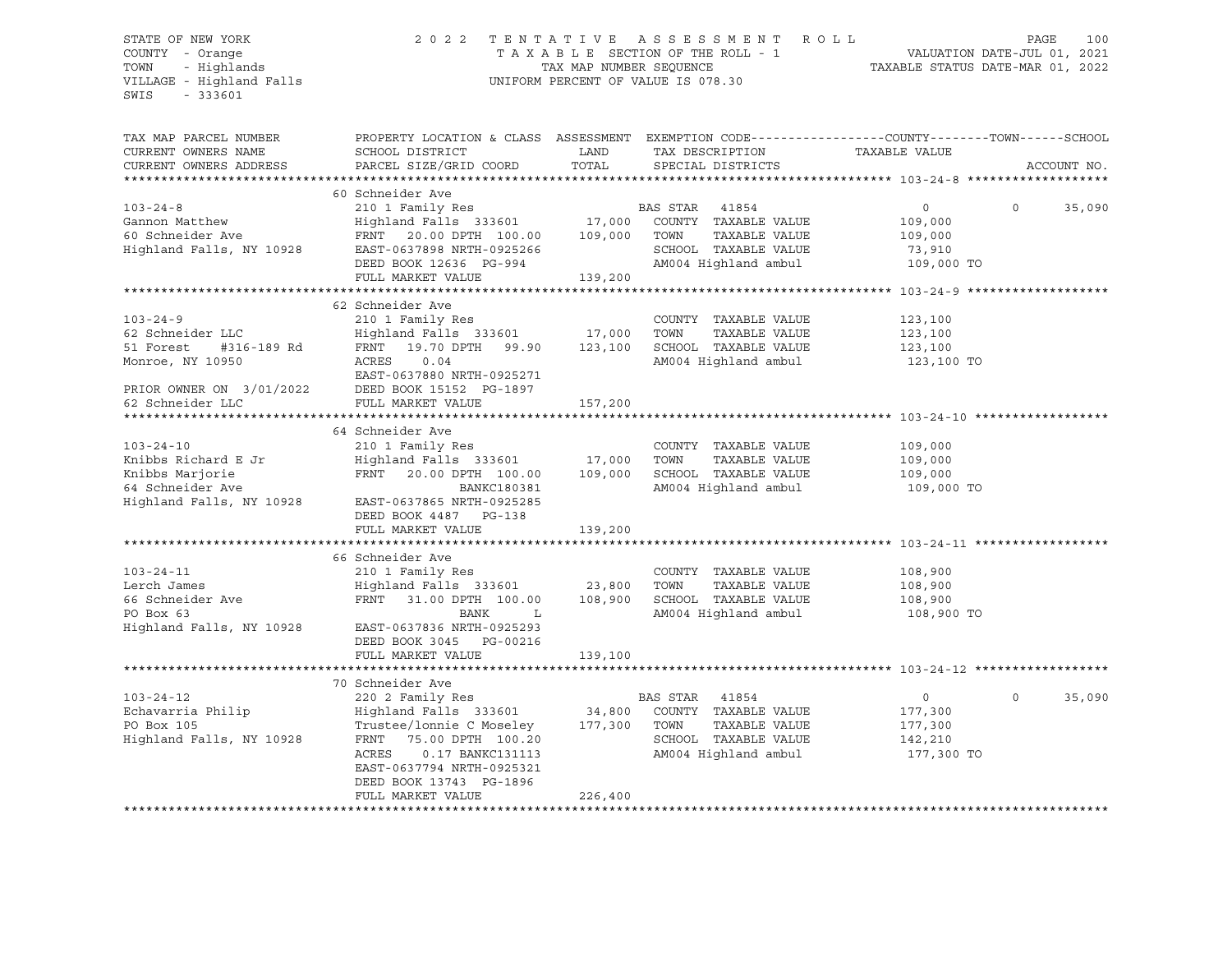VILLAGE - Highland Falls UNIFORM PERCENT OF VALUE IS 078.30 SWIS - 333601

# STATE OF NEW YORK 2 0 2 2 T E N T A T I V E A S S E S S M E N T R O L L PAGE 100 COUNTY - Orange T A X A B L E SECTION OF THE ROLL - 1 VALUATION DATE-JUL 01, 2021 TOWN - Highlands TAX MAP NUMBER SEQUENCE TAXABLE STATUS DATE-MAR 01, 2022

| TAX MAP PARCEL NUMBER<br>CURRENT OWNERS NAME<br>CURRENT OWNERS ADDRESS | PROPERTY LOCATION & CLASS ASSESSMENT EXEMPTION CODE----------------COUNTY-------TOWN------SCHOOL<br>SCHOOL DISTRICT<br>PARCEL SIZE/GRID COORD | LAND<br>TOTAL | TAX DESCRIPTION<br>SPECIAL DISTRICTS | TAXABLE VALUE | ACCOUNT NO.        |
|------------------------------------------------------------------------|-----------------------------------------------------------------------------------------------------------------------------------------------|---------------|--------------------------------------|---------------|--------------------|
|                                                                        |                                                                                                                                               |               |                                      |               |                    |
|                                                                        | 60 Schneider Ave                                                                                                                              |               |                                      |               |                    |
| $103 - 24 - 8$                                                         |                                                                                                                                               |               | BAS STAR 41854                       | $\circ$       | $\Omega$<br>35,090 |
| Gannon Matthew                                                         | 210 1 Family Res<br>Highland Falls 333601 17,000                                                                                              |               | COUNTY TAXABLE VALUE                 | 109,000       |                    |
| 60 Schneider Ave                                                       | FRNT 20.00 DPTH 100.00 109,000                                                                                                                |               | TAXABLE VALUE<br>TOWN                | 109,000       |                    |
| Highland Falls, NY 10928                                               | EAST-0637898 NRTH-0925266                                                                                                                     |               | SCHOOL TAXABLE VALUE                 | 73,910        |                    |
|                                                                        |                                                                                                                                               |               | AM004 Highland ambul                 |               |                    |
|                                                                        | DEED BOOK 12636 PG-994                                                                                                                        |               |                                      | 109,000 TO    |                    |
|                                                                        | FULL MARKET VALUE                                                                                                                             | 139,200       |                                      |               |                    |
|                                                                        |                                                                                                                                               |               |                                      |               |                    |
|                                                                        | 62 Schneider Ave                                                                                                                              |               |                                      |               |                    |
| $103 - 24 - 9$                                                         | 210 1 Family Res                                                                                                                              |               | COUNTY TAXABLE VALUE                 | 123,100       |                    |
| 62 Schneider LLC                                                       | Highland Falls 333601                                                                                                                         | 17,000        | TAXABLE VALUE<br>TOWN                | 123,100       |                    |
| 51 Forest<br>#316-189 Rd                                               | FRNT 19.70 DPTH 99.90                                                                                                                         | 123,100       | SCHOOL TAXABLE VALUE                 | 123,100       |                    |
| Monroe, NY 10950                                                       | ACRES<br>0.04                                                                                                                                 |               | AM004 Highland ambul                 | 123,100 TO    |                    |
|                                                                        | EAST-0637880 NRTH-0925271                                                                                                                     |               |                                      |               |                    |
| PRIOR OWNER ON 3/01/2022                                               | DEED BOOK 15152 PG-1897                                                                                                                       |               |                                      |               |                    |
| 62 Schneider LLC                                                       | FULL MARKET VALUE                                                                                                                             | 157,200       |                                      |               |                    |
|                                                                        |                                                                                                                                               |               |                                      |               |                    |
|                                                                        | 64 Schneider Ave                                                                                                                              |               |                                      |               |                    |
| $103 - 24 - 10$                                                        | 210 1 Family Res                                                                                                                              |               | COUNTY TAXABLE VALUE                 | 109,000       |                    |
| Knibbs Richard E Jr                                                    | Highland Falls 333601 17,000                                                                                                                  |               | TAXABLE VALUE<br>TOWN                | 109,000       |                    |
| Knibbs Marjorie                                                        | FRNT<br>20.00 DPTH 100.00 109,000                                                                                                             |               | SCHOOL TAXABLE VALUE                 | 109,000       |                    |
| 64 Schneider Ave                                                       | BANKC180381                                                                                                                                   |               | AM004 Highland ambul                 | 109,000 TO    |                    |
| Highland Falls, NY 10928                                               | EAST-0637865 NRTH-0925285                                                                                                                     |               |                                      |               |                    |
|                                                                        | DEED BOOK 4487 PG-138                                                                                                                         |               |                                      |               |                    |
|                                                                        | FULL MARKET VALUE                                                                                                                             | 139,200       |                                      |               |                    |
|                                                                        |                                                                                                                                               |               |                                      |               |                    |
|                                                                        | 66 Schneider Ave                                                                                                                              |               |                                      |               |                    |
| $103 - 24 - 11$                                                        | 210 1 Family Res                                                                                                                              |               | COUNTY TAXABLE VALUE                 | 108,900       |                    |
| Lerch James                                                            | Highland Falls 333601                                                                                                                         | 23,800        | TOWN<br>TAXABLE VALUE                | 108,900       |                    |
| 66 Schneider Ave                                                       | FRNT<br>31.00 DPTH 100.00                                                                                                                     | 108,900       | SCHOOL TAXABLE VALUE                 | 108,900       |                    |
| PO Box 63                                                              | <b>BANK</b><br>L                                                                                                                              |               | AM004 Highland ambul                 | 108,900 TO    |                    |
| Highland Falls, NY 10928                                               | EAST-0637836 NRTH-0925293                                                                                                                     |               |                                      |               |                    |
|                                                                        | DEED BOOK 3045 PG-00216                                                                                                                       |               |                                      |               |                    |
|                                                                        | FULL MARKET VALUE                                                                                                                             | 139,100       |                                      |               |                    |
|                                                                        |                                                                                                                                               |               |                                      |               |                    |
|                                                                        |                                                                                                                                               |               |                                      |               |                    |
|                                                                        | 70 Schneider Ave                                                                                                                              |               |                                      |               | $\Omega$           |
| $103 - 24 - 12$                                                        | 220 2 Family Res                                                                                                                              |               | BAS STAR<br>41854                    | $\circ$       | 35,090             |
| Echavarria Philip                                                      | Highland Falls 333601                                                                                                                         | 34,800        | COUNTY TAXABLE VALUE                 | 177,300       |                    |
| PO Box 105                                                             | Trustee/lonnie C Moseley 177,300                                                                                                              |               | TOWN<br>TAXABLE VALUE                | 177,300       |                    |
| Highland Falls, NY 10928                                               | FRNT<br>75.00 DPTH 100.20                                                                                                                     |               | SCHOOL TAXABLE VALUE                 | 142,210       |                    |
|                                                                        | ACRES<br>0.17 BANKC131113                                                                                                                     |               | AM004 Highland ambul                 | 177,300 TO    |                    |
|                                                                        | EAST-0637794 NRTH-0925321                                                                                                                     |               |                                      |               |                    |
|                                                                        | DEED BOOK 13743 PG-1896                                                                                                                       |               |                                      |               |                    |
|                                                                        | FULL MARKET VALUE                                                                                                                             | 226,400       |                                      |               |                    |
|                                                                        |                                                                                                                                               |               |                                      |               |                    |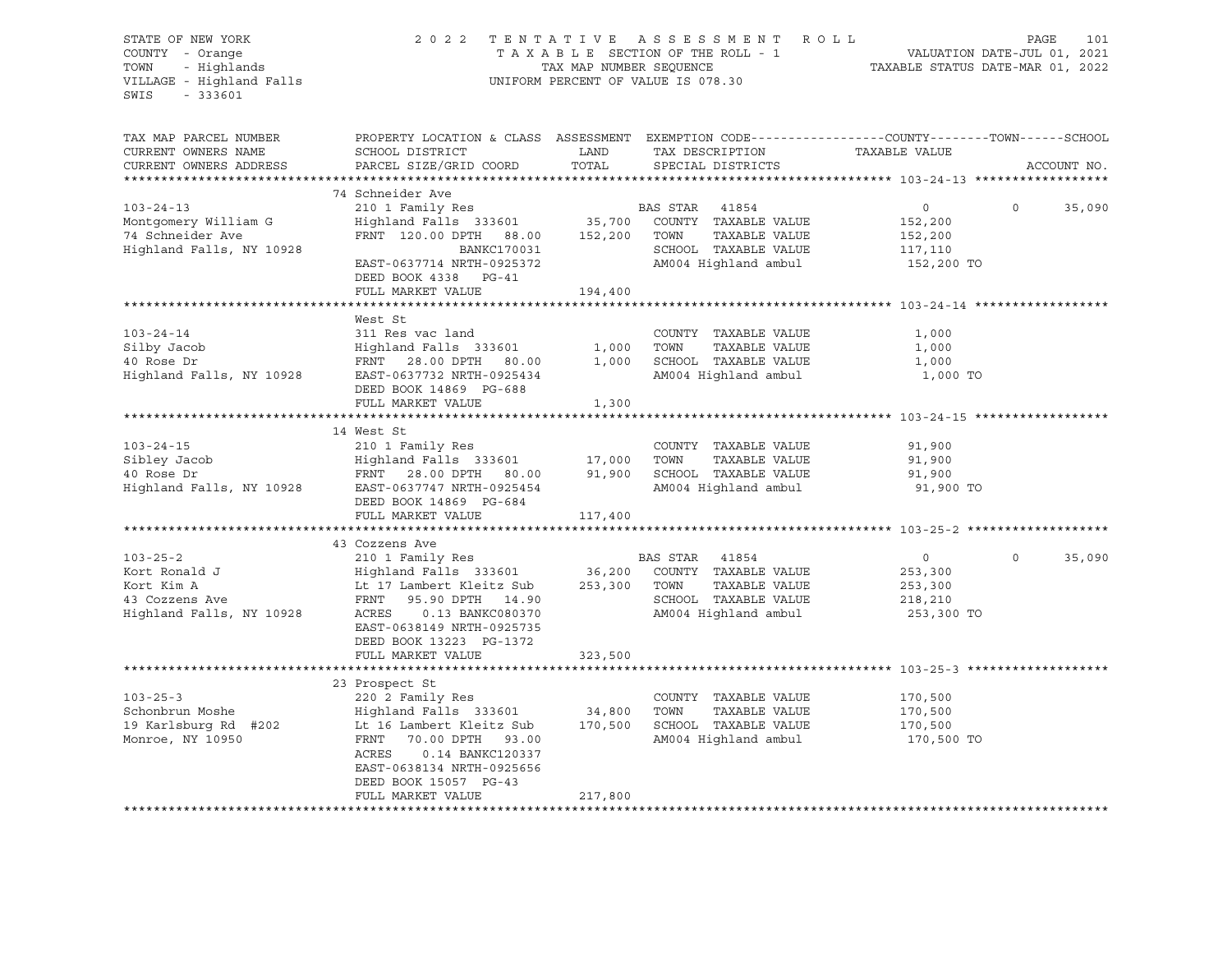| STATE OF NEW YORK<br>COUNTY - Orange<br>COUNTY - Orange<br>TOWN - Highlands<br>VILLAGE - Highland Falls<br>SWIS<br>$-333601$ |                                                                                                                                                                                                                               | TAX MAP NUMBER SEQUENCE | 2022 TENTATIVE ASSESSMENT ROLL<br>TAXABLE SECTION OF THE ROLL - 1<br>UNIFORM PERCENT OF VALUE IS 078.30 | 1<br>1 VALUATION DATE-JUL 01, 2021<br>TAXABLE STATUS DATE-MAR 01, 2022 | PAGE     | 101         |
|------------------------------------------------------------------------------------------------------------------------------|-------------------------------------------------------------------------------------------------------------------------------------------------------------------------------------------------------------------------------|-------------------------|---------------------------------------------------------------------------------------------------------|------------------------------------------------------------------------|----------|-------------|
| TAX MAP PARCEL NUMBER<br>CURRENT OWNERS NAME<br>CURRENT OWNERS ADDRESS                                                       | PROPERTY LOCATION & CLASS ASSESSMENT EXEMPTION CODE----------------COUNTY-------TOWN------SCHOOL<br>SCHOOL DISTRICT<br>PARCEL SIZE/GRID COORD                                                                                 | LAND<br>TOTAL           | TAX DESCRIPTION TAXABLE VALUE<br>SPECIAL DISTRICTS                                                      |                                                                        |          | ACCOUNT NO. |
|                                                                                                                              | 74 Schneider Ave                                                                                                                                                                                                              |                         |                                                                                                         |                                                                        |          |             |
| $103 - 24 - 13$<br>Montgomery William G<br>74 Schneider Ave<br>Highland Falls, NY 10928                                      | 210 1 Family Res<br>Highland Falls 333601 35,700 COUNTY TAXABLE VALUE<br>FRNT 120.00 DPTH 88.00 152,200 TOWN TAXABLE VALUE<br>BANKC170031<br>EAST-0637714 NRTH-0925372<br>DEED BOOK 4338 PG-41                                |                         | BAS STAR 41854<br>TAXABLE VALUE<br>SCHOOL TAXABLE VALUE<br>AM004 Highland ambul                         | $\overline{0}$<br>152,200<br>152,200<br>117,110<br>152,200 TO          | $\circ$  | 35,090      |
|                                                                                                                              | FULL MARKET VALUE                                                                                                                                                                                                             | 194,400                 |                                                                                                         |                                                                        |          |             |
| $103 - 24 - 14$<br>Silby Jacob<br>40 Rose Dr<br>Highland Falls, NY 10928                                                     | West St<br>311 Res vac land<br>Highland Falls 333601 1,000 TOWN TAXABLE VALUE<br>FRNT 28.00 DPTH 80.00 1,000 SCHOOL TAXABLE VALUE<br>EAST-0637732 NRTH-0925434<br>DEED BOOK 14869 PG-688<br>FULL MARKET VALUE                 | 1,300                   | COUNTY TAXABLE VALUE<br>AM004 Highland ambul                                                            | 1,000<br>1,000<br>1,000<br>1,000 TO                                    |          |             |
|                                                                                                                              |                                                                                                                                                                                                                               |                         |                                                                                                         |                                                                        |          |             |
|                                                                                                                              | DEED BOOK 14869 PG-684                                                                                                                                                                                                        |                         |                                                                                                         | 91,900<br>91,900<br>91,900<br>91,900 TO                                |          |             |
|                                                                                                                              | FULL MARKET VALUE                                                                                                                                                                                                             | 117,400                 |                                                                                                         |                                                                        |          |             |
|                                                                                                                              | 43 Cozzens Ave                                                                                                                                                                                                                |                         |                                                                                                         |                                                                        |          |             |
| $103 - 25 - 2$<br>Kort Ronald J<br>Kort Kim A<br>43 Cozzens Ave<br>Highland Falls, NY 10928                                  | 210 1 Family Res<br>Highland Falls 333601 36,200 COUNTY TAXABLE VALUE<br>Lt 17 Lambert Kleitz Sub<br>FRNT<br>95.90 DPTH 14.90<br>ACRES<br>0.13 BANKC080370<br>EAST-0638149 NRTH-0925735<br>DEED BOOK 13223 PG-1372            |                         | TAXABLE VALUE<br>253,300 TOWN<br>SCHOOL TAXABLE VALUE<br>AM004 Highland ambul                           | $0 \qquad \qquad$<br>253,300<br>253,300<br>218,210<br>253,300 TO       | $\Omega$ | 35,090      |
|                                                                                                                              | FULL MARKET VALUE                                                                                                                                                                                                             | 323,500                 |                                                                                                         |                                                                        |          |             |
|                                                                                                                              | 23 Prospect St                                                                                                                                                                                                                |                         |                                                                                                         |                                                                        |          |             |
| $103 - 25 - 3$<br>Schonbrun Moshe<br>19 Karlsburg Rd #202<br>Monroe, NY 10950                                                | 220 2 Family Res<br>Highland Falls 333601 34,800 TOWN<br>Lt 16 Lambert Kleitz Sub 170,500 SCHOOL TAXABLE VALUE<br>FRNT<br>70.00 DPTH 93.00<br>ACRES<br>0.14 BANKC120337<br>EAST-0638134 NRTH-0925656<br>DEED BOOK 15057 PG-43 |                         | COUNTY TAXABLE VALUE<br>TAXABLE VALUE<br>AM004 Highland ambul                                           | 170,500<br>170,500<br>170,500<br>170,500 TO                            |          |             |
|                                                                                                                              | FULL MARKET VALUE                                                                                                                                                                                                             | 217,800                 |                                                                                                         |                                                                        |          |             |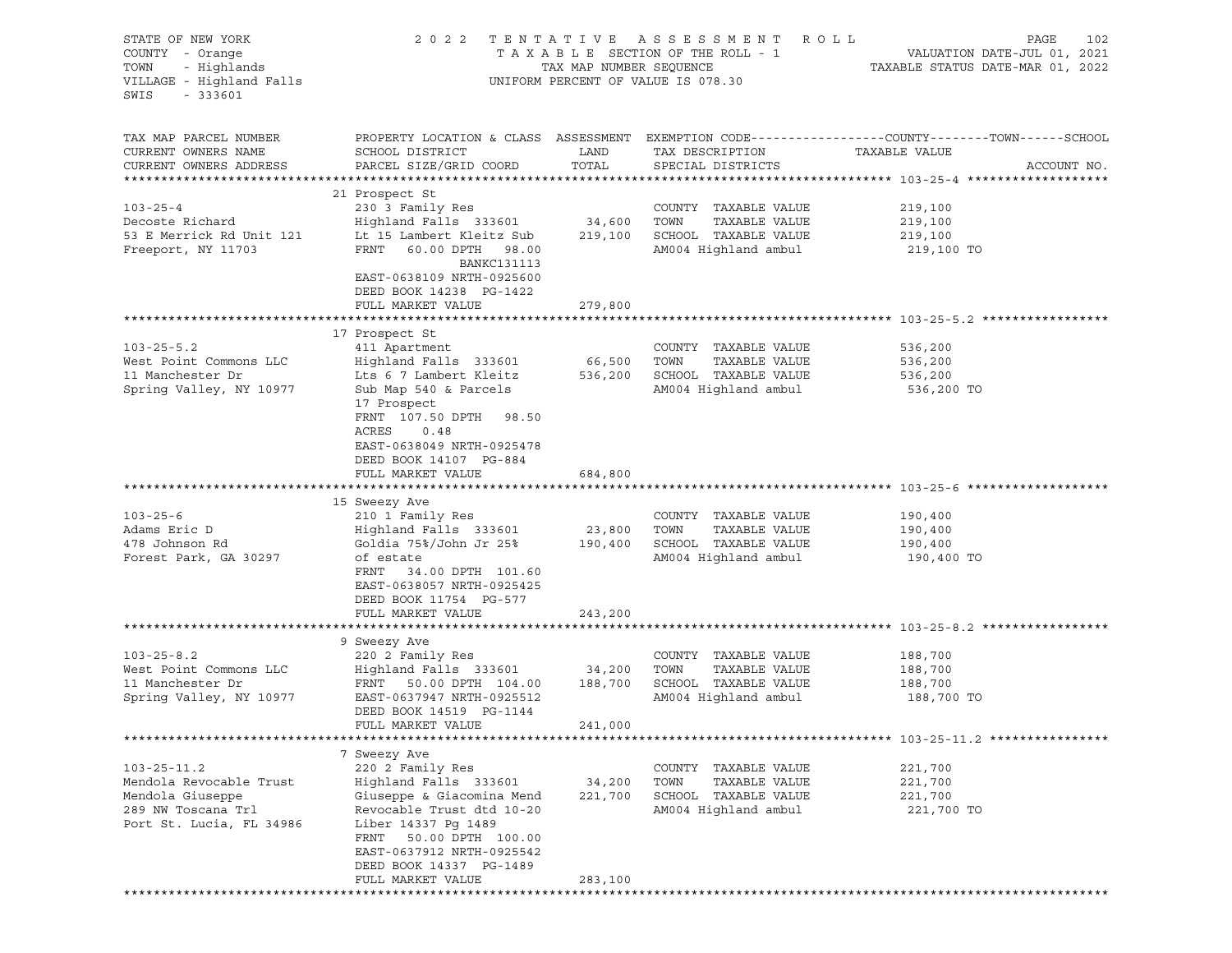| STATE OF NEW YORK<br>COUNTY - Orange<br>- Highlands<br>TOWN<br>VILLAGE - Highland Falls<br>SWIS<br>$-333601$       | 2 0 2 2                                                                                                                                                                                                                                                   | TAX MAP NUMBER SEQUENCE | TENTATIVE ASSESSMENT ROLL<br>TAXABLE SECTION OF THE ROLL - 1<br>UNIFORM PERCENT OF VALUE IS 078.30 | PAGE<br>102<br>VALUATION DATE-JUL 01, 2021<br>TAXABLE STATUS DATE-MAR 01, 2022                                                   |
|--------------------------------------------------------------------------------------------------------------------|-----------------------------------------------------------------------------------------------------------------------------------------------------------------------------------------------------------------------------------------------------------|-------------------------|----------------------------------------------------------------------------------------------------|----------------------------------------------------------------------------------------------------------------------------------|
| TAX MAP PARCEL NUMBER<br>CURRENT OWNERS NAME<br>CURRENT OWNERS ADDRESS                                             | SCHOOL DISTRICT<br>PARCEL SIZE/GRID COORD                                                                                                                                                                                                                 | LAND<br>TOTAL           | TAX DESCRIPTION<br>SPECIAL DISTRICTS                                                               | PROPERTY LOCATION & CLASS ASSESSMENT EXEMPTION CODE----------------COUNTY-------TOWN------SCHOOL<br>TAXABLE VALUE<br>ACCOUNT NO. |
| $103 - 25 - 4$<br>Decoste Richard<br>53 E Merrick Rd Unit 121 Lt 15 Lambert Kleitz Sub<br>Freeport, NY 11703       | 21 Prospect St<br>230 3 Family Res<br>Highland Falls 333601 34,600 TOWN<br>FRNT 60.00 DPTH 98.00<br><b>BANKC131113</b><br>EAST-0638109 NRTH-0925600<br>DEED BOOK 14238 PG-1422                                                                            |                         | COUNTY TAXABLE VALUE<br>TAXABLE VALUE<br>219,100 SCHOOL TAXABLE VALUE<br>AM004 Highland ambul      | 219,100<br>219,100<br>219,100<br>219,100 TO                                                                                      |
|                                                                                                                    | FULL MARKET VALUE                                                                                                                                                                                                                                         | 279,800                 |                                                                                                    |                                                                                                                                  |
| $103 - 25 - 5.2$<br>West Point Commons LLC<br>11 Manchester Dr<br>Spring Valley, NY 10977                          | 17 Prospect St<br>411 Apartment<br>Highland Falls 333601<br>Lts 6 7 Lambert Kleitz 536,200<br>Sub Map 540 & Parcels<br>17 Prospect<br>FRNT 107.50 DPTH 98.50<br>ACRES<br>0.48<br>EAST-0638049 NRTH-0925478<br>DEED BOOK 14107 PG-884<br>FULL MARKET VALUE | 66,500<br>684,800       | COUNTY TAXABLE VALUE<br>TOWN<br>TAXABLE VALUE<br>SCHOOL TAXABLE VALUE<br>AM004 Highland ambul      | 536,200<br>536,200<br>536,200<br>536,200 TO                                                                                      |
|                                                                                                                    |                                                                                                                                                                                                                                                           |                         |                                                                                                    |                                                                                                                                  |
| $103 - 25 - 6$<br>Adams Eric D<br>478 Johnson Rd<br>Forest Park, GA 30297                                          | 15 Sweezy Ave<br>210 1 Family Res<br>Highland Falls 333601<br>Goldia 75%/John Jr 25% 190,400<br>of estate<br>FRNT 34.00 DPTH 101.60<br>EAST-0638057 NRTH-0925425<br>DEED BOOK 11754 PG-577<br>FULL MARKET VALUE                                           | 23,800<br>243,200       | COUNTY TAXABLE VALUE<br>TOWN<br>TAXABLE VALUE<br>SCHOOL TAXABLE VALUE<br>AM004 Highland ambul      | 190,400<br>190,400<br>190,400<br>190,400 TO                                                                                      |
|                                                                                                                    |                                                                                                                                                                                                                                                           |                         |                                                                                                    |                                                                                                                                  |
| $103 - 25 - 8.2$<br>West Point Commons LLC<br>11 Manchester Dr<br>Spring Valley, NY 10977                          | 9 Sweezy Ave<br>220 2 Family Res<br>Highland Falls 333601<br>FRNT 50.00 DPTH 104.00 188,700<br>EAST-0637947 NRTH-0925512<br>DEED BOOK 14519 PG-1144<br>FULL MARKET VALUE                                                                                  | 34,200<br>241,000       | COUNTY TAXABLE VALUE<br>TAXABLE VALUE<br>TOWN<br>SCHOOL TAXABLE VALUE<br>AM004 Highland ambul      | 188,700<br>188,700<br>188,700<br>188,700 TO                                                                                      |
|                                                                                                                    |                                                                                                                                                                                                                                                           |                         |                                                                                                    |                                                                                                                                  |
| $103 - 25 - 11.2$<br>Mendola Revocable Trust<br>Mendola Giuseppe<br>289 NW Toscana Trl<br>Port St. Lucia, FL 34986 | 7 Sweezy Ave<br>220 2 Family Res<br>Highland Falls 333601<br>Giuseppe & Giacomina Mend<br>Revocable Trust dtd 10-20<br>Liber 14337 Pg 1489<br>FRNT<br>50.00 DPTH 100.00<br>EAST-0637912 NRTH-0925542<br>DEED BOOK 14337 PG-1489                           | 34,200<br>221,700       | COUNTY TAXABLE VALUE<br>TOWN<br>TAXABLE VALUE<br>SCHOOL TAXABLE VALUE<br>AM004 Highland ambul      | 221,700<br>221,700<br>221,700<br>221,700 TO                                                                                      |
|                                                                                                                    | FULL MARKET VALUE                                                                                                                                                                                                                                         | 283,100                 |                                                                                                    |                                                                                                                                  |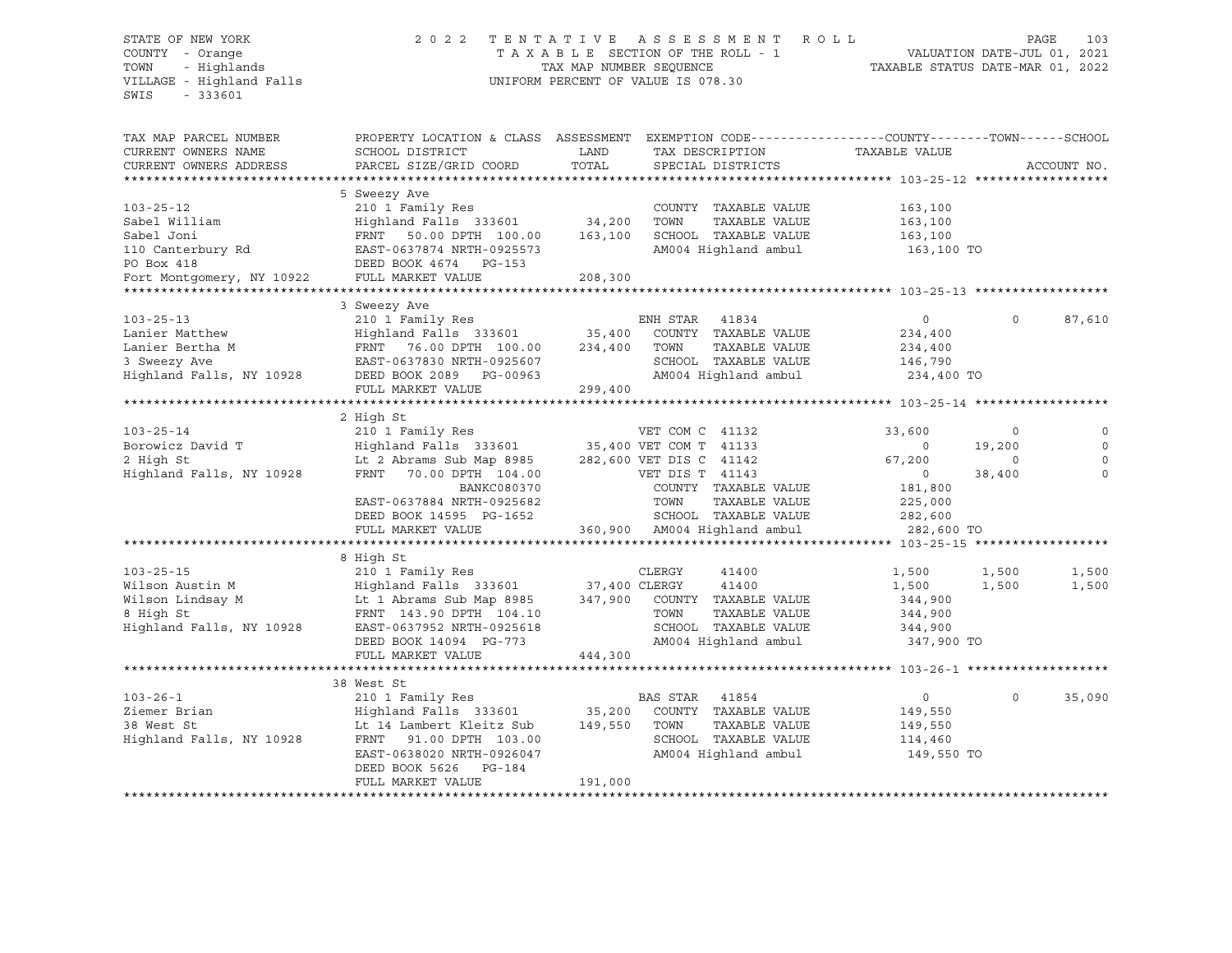## STATE OF NEW YORK 2 0 2 2 T E N T A T I V E A S S E S S M E N T R O L L PAGE 103 COUNTY - Orange T A X A B L E SECTION OF THE ROLL - 1 VALUATION DATE-JUL 01, 2021 TOWN - Highlands TAX MAP NUMBER SEQUENCE TAXABLE STATUS DATE-MAR 01, 2022 VILLAGE - Highland Falls UNIFORM PERCENT OF VALUE IS 078.30

| TAX MAP PARCEL NUMBER<br>CURRENT OWNERS NAME<br>CURRENT OWNERS ADDRESS                                                                                                                                                                                                                                               | PROPERTY LOCATION & CLASS ASSESSMENT<br>SCHOOL DISTRICT<br>PARCEL SIZE/GRID COORD                                                                                                                                                                       | LAND<br>TOTAL | EXEMPTION CODE-----------------COUNTY--------TOWN------SCHOOL<br>TAX DESCRIPTION<br>SPECIAL DISTRICTS              | TAXABLE VALUE                                                              |                                            | ACCOUNT NO.                                     |
|----------------------------------------------------------------------------------------------------------------------------------------------------------------------------------------------------------------------------------------------------------------------------------------------------------------------|---------------------------------------------------------------------------------------------------------------------------------------------------------------------------------------------------------------------------------------------------------|---------------|--------------------------------------------------------------------------------------------------------------------|----------------------------------------------------------------------------|--------------------------------------------|-------------------------------------------------|
| $103 - 25 - 12$<br>Sabel William<br>Sabel Joni<br>110 Canterbury Rd<br>PO Box 418<br>PO Box 418<br>Fort Montgomery, NY 10922 FULL MARKET VALUE                                                                                                                                                                       | 5 Sweezy Ave<br>210 1 Family Res<br>Highland Falls 333601 34,200<br>FRNT 50.00 DPTH 100.00 163,100<br>EAST-0637874 NRTH-0925573<br>DEED BOOK 4674 PG-153                                                                                                | 208,300       | COUNTY TAXABLE VALUE<br>TOWN<br>TAXABLE VALUE<br>SCHOOL TAXABLE VALUE<br>AM004 Highland ambul                      | 163,100<br>163,100<br>163,100<br>163,100 TO                                |                                            |                                                 |
| $103 - 25 - 13$<br>LO3-25-15<br>Lanier Matthew<br>- The M                                                                                                                                                                                                                                                            | 3 Sweezy Ave<br>210 1 Family Res<br>FULL MARKET VALUE                                                                                                                                                                                                   | 299,400       | ENH STAR<br>41834<br>SCHOOL TAXABLE VALUE 146,790<br>AM004 Highland ambul                                          | $\circ$<br>234,400<br>234,400<br>234,400 TO                                | $\Omega$                                   | 87,610                                          |
| $103 - 25 - 14$<br>Borowicz David T<br>2 High St<br>Highland Falls, NY 10928                                                                                                                                                                                                                                         | 2 High St<br>210 1 Family Res<br>Highland Falls 333601 35,400 VET COM T 41133<br>Lt 2 Abrams Sub Map 8985 282,600 VET DIS C 41142<br>FRNT 70.00 DPTH 104.00<br>BANKC080370<br>EAST-0637884 NRTH-0925682<br>DEED BOOK 14595 PG-1652<br>FULL MARKET VALUE |               | VET COM C 41132<br>VET DIS T 41143<br>COUNTY TAXABLE VALUE<br>TOWN<br>TAXABLE VALUE                                | 33,600<br>$\overline{0}$<br>67,200<br>$\overline{0}$<br>181,800<br>225,000 | $\circ$<br>19,200<br>$\mathbf 0$<br>38,400 | $\mathbf 0$<br>$\Omega$<br>$\Omega$<br>$\Omega$ |
| 103-25-15<br>Wilson Austin M<br>Wilson Lindsay M<br>Wilson Lindsay M<br>M<br>Wilson Lindsay M<br>M<br>M<br>CLERGY<br>M<br>M<br>M<br>CLERGY<br>210 1 Family Res<br>210 1 Family Res<br>233601<br>27,400 CLERGY<br>247,900 COUNTY TAXABLE VALUE<br>TAXABLE VALUE<br>T<br>EXAMPLE 2018 110928 EAST-0637952 NRTH-0925618 | DEED BOOK 14094 PG-773<br>FULL MARKET VALUE                                                                                                                                                                                                             | 444,300       | TAXABLE VALUE<br>SCHOOL TAXABLE VALUE<br>AM004 Highland ambul 347,900 TO                                           | 1,500<br>1,500<br>344,900<br>344,900<br>344,900                            | 1,500<br>1,500                             | 1,500<br>1,500                                  |
| $103 - 26 - 1$<br>Ziemer Brian<br>38 West St<br>Highland Falls, NY 10928                                                                                                                                                                                                                                             | 38 West St<br>210 1 Family Res<br>Highland Falls 333601 35,200<br>Lt 14 Lambert Kleitz Sub 149,550<br>FRNT 91.00 DPTH 103.00<br>EAST-0638020 NRTH-0926047<br>DEED BOOK 5626<br>PG-184<br>FULL MARKET VALUE                                              | 191,000       | BAS STAR<br>41854<br>COUNTY TAXABLE VALUE<br>TOWN<br>TAXABLE VALUE<br>SCHOOL TAXABLE VALUE<br>AM004 Highland ambul | $\circ$<br>149,550<br>149,550<br>114,460<br>149,550 TO                     | $\mathbf 0$                                | 35,090                                          |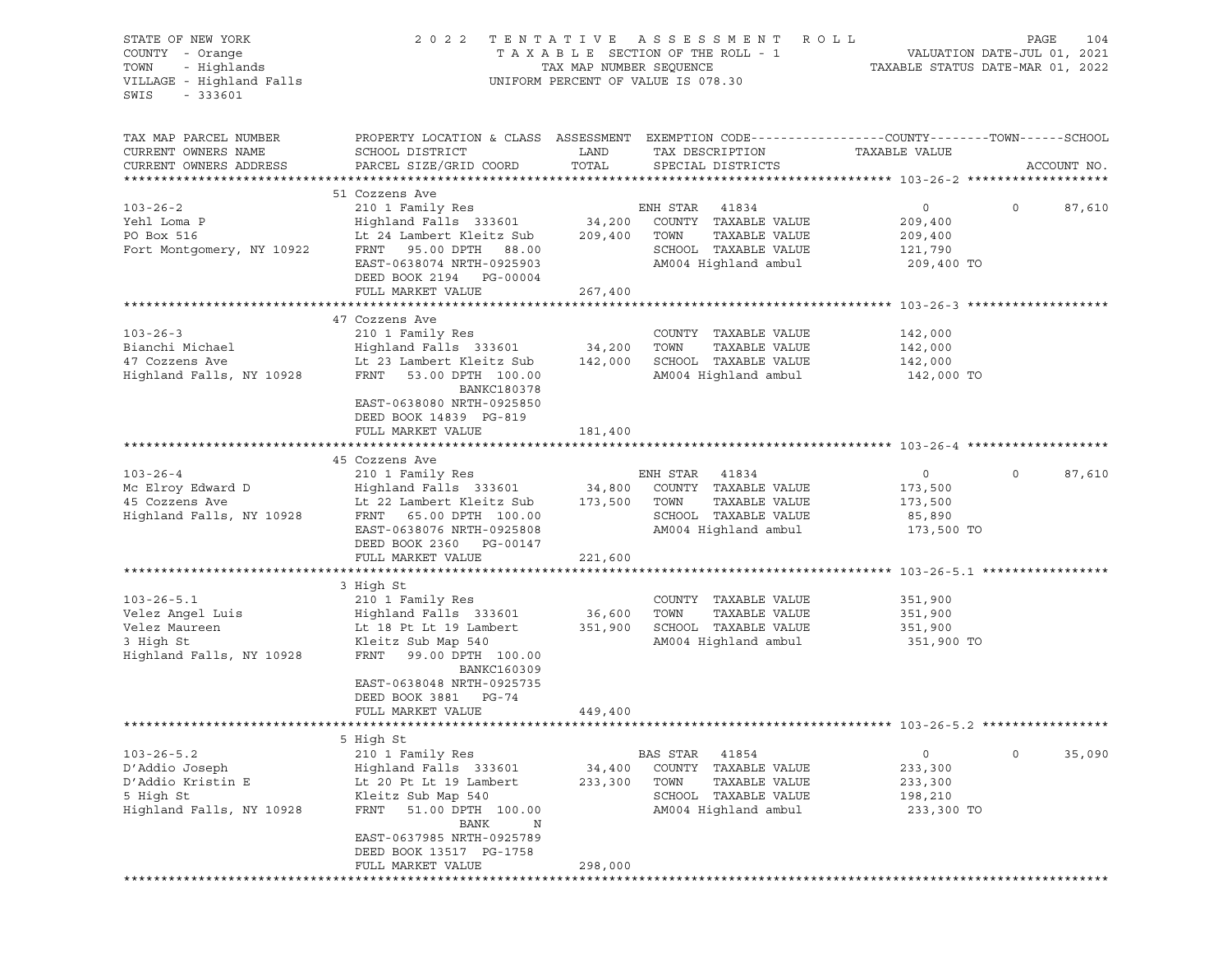| STATE OF NEW YORK<br>COUNTY - Orange<br>TOWN - Highlands<br>VILLAGE - Highland Falls | 2022 TENTATIVE ASSESSMENT ROLL                                                                                                                                                                                                                       | PAGE<br>104<br>T A X A B L E SECTION OF THE ROLL - 1 VALUATION DATE-JUL 01, 2021<br>TAX MAP NUMBER SEQUENCE TAXABLE STATUS DATE-MAR 01, 2022 |                                 |                    |                             |
|--------------------------------------------------------------------------------------|------------------------------------------------------------------------------------------------------------------------------------------------------------------------------------------------------------------------------------------------------|----------------------------------------------------------------------------------------------------------------------------------------------|---------------------------------|--------------------|-----------------------------|
| SWIS<br>$-333601$                                                                    |                                                                                                                                                                                                                                                      | UNIFORM PERCENT OF VALUE IS 078.30                                                                                                           |                                 |                    |                             |
| TAX MAP PARCEL NUMBER                                                                | PROPERTY LOCATION & CLASS ASSESSMENT EXEMPTION CODE---------------COUNTY-------TOWN-----SCHOOL                                                                                                                                                       |                                                                                                                                              |                                 |                    |                             |
| CURRENT OWNERS NAME                                                                  | SCHOOL DISTRICT                                                                                                                                                                                                                                      | LAND                                                                                                                                         | TAX DESCRIPTION                 | TAXABLE VALUE      |                             |
| CURRENT OWNERS ADDRESS                                                               | PARCEL SIZE/GRID COORD                                                                                                                                                                                                                               | TOTAL                                                                                                                                        | SPECIAL DISTRICTS               |                    | ACCOUNT NO.                 |
|                                                                                      | 51 Cozzens Ave                                                                                                                                                                                                                                       |                                                                                                                                              |                                 |                    |                             |
| $103 - 26 - 2$                                                                       | 210 1 Family Res<br>Highland Falls 333601 34,200 COUNTY TAXABLE VALUE<br>Lt 24 Lambert Kleitz Sub 209,400 TOWN TAXABLE VALUE                                                                                                                         |                                                                                                                                              |                                 | $\overline{0}$     | $0 \qquad \qquad$<br>87,610 |
| Yehl Loma P                                                                          |                                                                                                                                                                                                                                                      |                                                                                                                                              |                                 | 209,400            |                             |
| PO Box 516                                                                           |                                                                                                                                                                                                                                                      |                                                                                                                                              |                                 | 209,400            |                             |
| Fort Montgomery, NY 10922                                                            | FRNT 95.00 DPTH 88.00                                                                                                                                                                                                                                |                                                                                                                                              | SCHOOL TAXABLE VALUE            | 121,790            |                             |
|                                                                                      | EAST-0638074 NRTH-0925903<br>DEED BOOK 2194 PG-00004                                                                                                                                                                                                 |                                                                                                                                              | AM004 Highland ambul            | 209,400 TO         |                             |
|                                                                                      | FULL MARKET VALUE                                                                                                                                                                                                                                    | 267,400                                                                                                                                      |                                 |                    |                             |
|                                                                                      |                                                                                                                                                                                                                                                      |                                                                                                                                              |                                 |                    |                             |
|                                                                                      | 103-26-3<br>210 1 Family Res<br>210 1 Family Res<br>210 1 Family Res<br>210 1 Family Res<br>210 1 Family Res<br>210 1 Family Res<br>210 23 Lambert Rieitz Sub<br>23 Lambert Kleitz Sub<br>23 Lambert Kleitz Sub<br>23 Lambert Kleitz Sub<br>23 Lambe |                                                                                                                                              |                                 |                    |                             |
|                                                                                      |                                                                                                                                                                                                                                                      |                                                                                                                                              |                                 | 142,000<br>142,000 |                             |
|                                                                                      |                                                                                                                                                                                                                                                      |                                                                                                                                              |                                 | 142,000            |                             |
|                                                                                      |                                                                                                                                                                                                                                                      |                                                                                                                                              | AM004 Highland ambul            | 142,000 TO         |                             |
|                                                                                      | BANKC180378<br>EAST-0638080 NRTH-0925850<br>DEED BOOK 14839 PG-819                                                                                                                                                                                   |                                                                                                                                              |                                 |                    |                             |
|                                                                                      | FULL MARKET VALUE                                                                                                                                                                                                                                    | 181,400                                                                                                                                      |                                 |                    |                             |
|                                                                                      |                                                                                                                                                                                                                                                      |                                                                                                                                              |                                 |                    |                             |
|                                                                                      | 45 Cozzens Ave                                                                                                                                                                                                                                       |                                                                                                                                              |                                 |                    |                             |
|                                                                                      |                                                                                                                                                                                                                                                      |                                                                                                                                              |                                 | $0 \qquad \qquad$  | $\circ$<br>87,610           |
|                                                                                      |                                                                                                                                                                                                                                                      |                                                                                                                                              |                                 | 173,500            |                             |
|                                                                                      |                                                                                                                                                                                                                                                      |                                                                                                                                              |                                 | 173,500            |                             |
|                                                                                      |                                                                                                                                                                                                                                                      |                                                                                                                                              | AM004 Highland ambul 173,500 TO | 85,890             |                             |
|                                                                                      | EAST-0638076 NRTH-0925808<br>DEED BOOK 2360 PG-00147                                                                                                                                                                                                 |                                                                                                                                              |                                 |                    |                             |
|                                                                                      | FULL MARKET VALUE                                                                                                                                                                                                                                    | 221,600                                                                                                                                      |                                 |                    |                             |
|                                                                                      |                                                                                                                                                                                                                                                      |                                                                                                                                              |                                 |                    |                             |
|                                                                                      | 3 High St                                                                                                                                                                                                                                            |                                                                                                                                              |                                 |                    |                             |
| $103 - 26 - 5.1$                                                                     | 210 1 Family Res                                                                                                                                                                                                                                     |                                                                                                                                              | COUNTY TAXABLE VALUE            | 351,900            |                             |
| Velez Angel Luis                                                                     | Highland Falls 333601 36,600                                                                                                                                                                                                                         |                                                                                                                                              | TOWN<br>TAXABLE VALUE           | 351,900            |                             |
| Velez Maureen                                                                        | Lt 18 Pt Lt 19 Lambert                                                                                                                                                                                                                               |                                                                                                                                              | 351,900 SCHOOL TAXABLE VALUE    | 351,900            |                             |
| 3 High St                                                                            | Kleitz Sub Map 540                                                                                                                                                                                                                                   |                                                                                                                                              | AM004 Highland ambul 351,900 TO |                    |                             |
| Highland Falls, NY 10928                                                             | FRNT 99.00 DPTH 100.00<br>BANKC160309                                                                                                                                                                                                                |                                                                                                                                              |                                 |                    |                             |
|                                                                                      | EAST-0638048 NRTH-0925735<br>DEED BOOK 3881 PG-74                                                                                                                                                                                                    |                                                                                                                                              |                                 |                    |                             |
|                                                                                      | FULL MARKET VALUE                                                                                                                                                                                                                                    | 449,400                                                                                                                                      |                                 |                    |                             |
|                                                                                      | 5 High St                                                                                                                                                                                                                                            |                                                                                                                                              |                                 |                    |                             |
| $103 - 26 - 5.2$                                                                     | 210 1 Family Res                                                                                                                                                                                                                                     |                                                                                                                                              | BAS STAR<br>41854               | 0                  | 0<br>35,090                 |
| D'Addio Joseph                                                                       | Highland Falls 333601                                                                                                                                                                                                                                | 34,400                                                                                                                                       | COUNTY<br>TAXABLE VALUE         | 233,300            |                             |
| D'Addio Kristin E                                                                    | Lt 20 Pt Lt 19 Lambert                                                                                                                                                                                                                               | 233,300                                                                                                                                      | TOWN<br>TAXABLE VALUE           | 233,300            |                             |
| 5 High St                                                                            | Kleitz Sub Map 540                                                                                                                                                                                                                                   |                                                                                                                                              | SCHOOL<br>TAXABLE VALUE         | 198,210            |                             |
| Highland Falls, NY 10928                                                             | FRNT<br>51.00 DPTH 100.00<br>BANK<br>Ν                                                                                                                                                                                                               |                                                                                                                                              | AM004 Highland ambul            | 233,300 TO         |                             |
|                                                                                      | EAST-0637985 NRTH-0925789                                                                                                                                                                                                                            |                                                                                                                                              |                                 |                    |                             |
|                                                                                      | DEED BOOK 13517 PG-1758                                                                                                                                                                                                                              |                                                                                                                                              |                                 |                    |                             |
|                                                                                      | FULL MARKET VALUE                                                                                                                                                                                                                                    | 298,000                                                                                                                                      |                                 |                    |                             |
|                                                                                      |                                                                                                                                                                                                                                                      |                                                                                                                                              |                                 |                    |                             |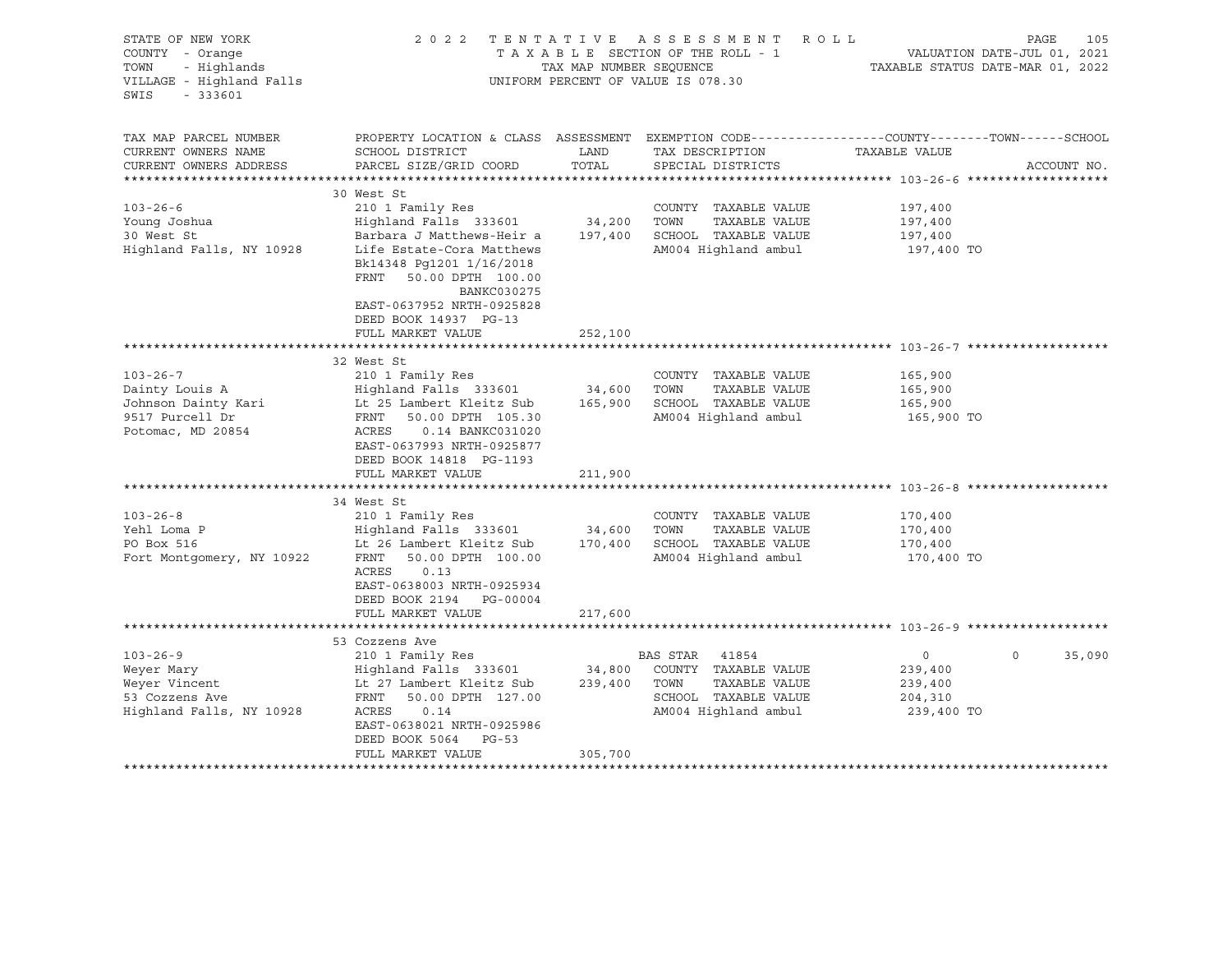| STATE OF NEW YORK<br>COUNTY - Orange<br>- Highlands<br>TOWN<br>VILLAGE - Highland Falls<br>$-333601$<br>SWIS |                                                                                                                                                                                                                                                        | TAX MAP NUMBER SEQUENCE      | 2022 TENTATIVE ASSESSMENT ROLL<br>TAXABLE SECTION OF THE ROLL - 1<br>UNIFORM PERCENT OF VALUE IS 078.30         | VALUATION DATE-JUL 01, 2021<br>TAXABLE STATUS DATE-MAR 01, 2022 | PAGE<br>105        |
|--------------------------------------------------------------------------------------------------------------|--------------------------------------------------------------------------------------------------------------------------------------------------------------------------------------------------------------------------------------------------------|------------------------------|-----------------------------------------------------------------------------------------------------------------|-----------------------------------------------------------------|--------------------|
| TAX MAP PARCEL NUMBER<br>CURRENT OWNERS NAME<br>CURRENT OWNERS ADDRESS                                       | PROPERTY LOCATION & CLASS ASSESSMENT EXEMPTION CODE---------------COUNTY-------TOWN------SCHOOL<br>SCHOOL DISTRICT<br>PARCEL SIZE/GRID COORD                                                                                                           | LAND<br>TOTAL                | TAX DESCRIPTION<br>SPECIAL DISTRICTS                                                                            | TAXABLE VALUE                                                   | ACCOUNT NO.        |
| $103 - 26 - 6$<br>Young Joshua<br>30 West St<br>Highland Falls, NY 10928                                     | 30 West St<br>210 1 Family Res<br>Highland Falls 333601<br>Barbara J Matthews-Heir a<br>Life Estate-Cora Matthews<br>Bk14348 Pg1201 1/16/2018<br>50.00 DPTH 100.00<br>FRNT<br><b>BANKC030275</b><br>EAST-0637952 NRTH-0925828<br>DEED BOOK 14937 PG-13 | 34,200<br>197,400            | COUNTY TAXABLE VALUE<br>TOWN<br>TAXABLE VALUE<br>SCHOOL TAXABLE VALUE<br>AM004 Highland ambul                   | 197,400<br>197,400<br>197,400<br>197,400 TO                     |                    |
|                                                                                                              | FULL MARKET VALUE                                                                                                                                                                                                                                      | 252,100                      |                                                                                                                 |                                                                 |                    |
| $103 - 26 - 7$<br>Dainty Louis A<br>Johnson Dainty Kari<br>9517 Purcell Dr<br>Potomac, MD 20854              | 32 West St<br>210 1 Family Res<br>Highland Falls 333601<br>Lt 25 Lambert Kleitz Sub<br>FRNT<br>50.00 DPTH 105.30<br>ACRES<br>0.14 BANKC031020<br>EAST-0637993 NRTH-0925877<br>DEED BOOK 14818 PG-1193<br>FULL MARKET VALUE                             | 34,600<br>165,900<br>211,900 | COUNTY TAXABLE VALUE<br>TAXABLE VALUE<br>TOWN<br>SCHOOL TAXABLE VALUE<br>AM004 Highland ambul                   | 165,900<br>165,900<br>165,900<br>165,900 TO                     |                    |
| $103 - 26 - 8$<br>Yehl Loma P<br>PO Box 516<br>Fort Montgomery, NY 10922                                     | 34 West St<br>210 1 Family Res<br>Highland Falls 333601<br>Lt 26 Lambert Kleitz Sub<br>FRNT<br>50.00 DPTH 100.00<br>ACRES<br>0.13<br>EAST-0638003 NRTH-0925934<br>DEED BOOK 2194 PG-00004<br>FULL MARKET VALUE                                         | 34,600<br>170,400<br>217,600 | COUNTY TAXABLE VALUE<br>TOWN<br>TAXABLE VALUE<br>SCHOOL TAXABLE VALUE<br>AM004 Highland ambul                   | 170,400<br>170,400<br>170,400<br>170,400 TO                     |                    |
|                                                                                                              | 53 Cozzens Ave                                                                                                                                                                                                                                         |                              |                                                                                                                 |                                                                 |                    |
| $103 - 26 - 9$<br>Weyer Mary<br>Weyer Vincent<br>53 Cozzens Ave<br>Highland Falls, NY 10928                  | 210 1 Family Res<br>Highland Falls 333601 34,800<br>Lt 27 Lambert Kleitz Sub<br>FRNT<br>50.00 DPTH 127.00<br>ACRES<br>0.14<br>EAST-0638021 NRTH-0925986<br>DEED BOOK 5064 PG-53<br>FULL MARKET VALUE                                                   | 239,400<br>305,700           | BAS STAR 41854<br>COUNTY TAXABLE VALUE<br>TOWN<br>TAXABLE VALUE<br>SCHOOL TAXABLE VALUE<br>AM004 Highland ambul | $\overline{0}$<br>239,400<br>239,400<br>204,310<br>239,400 TO   | $\Omega$<br>35,090 |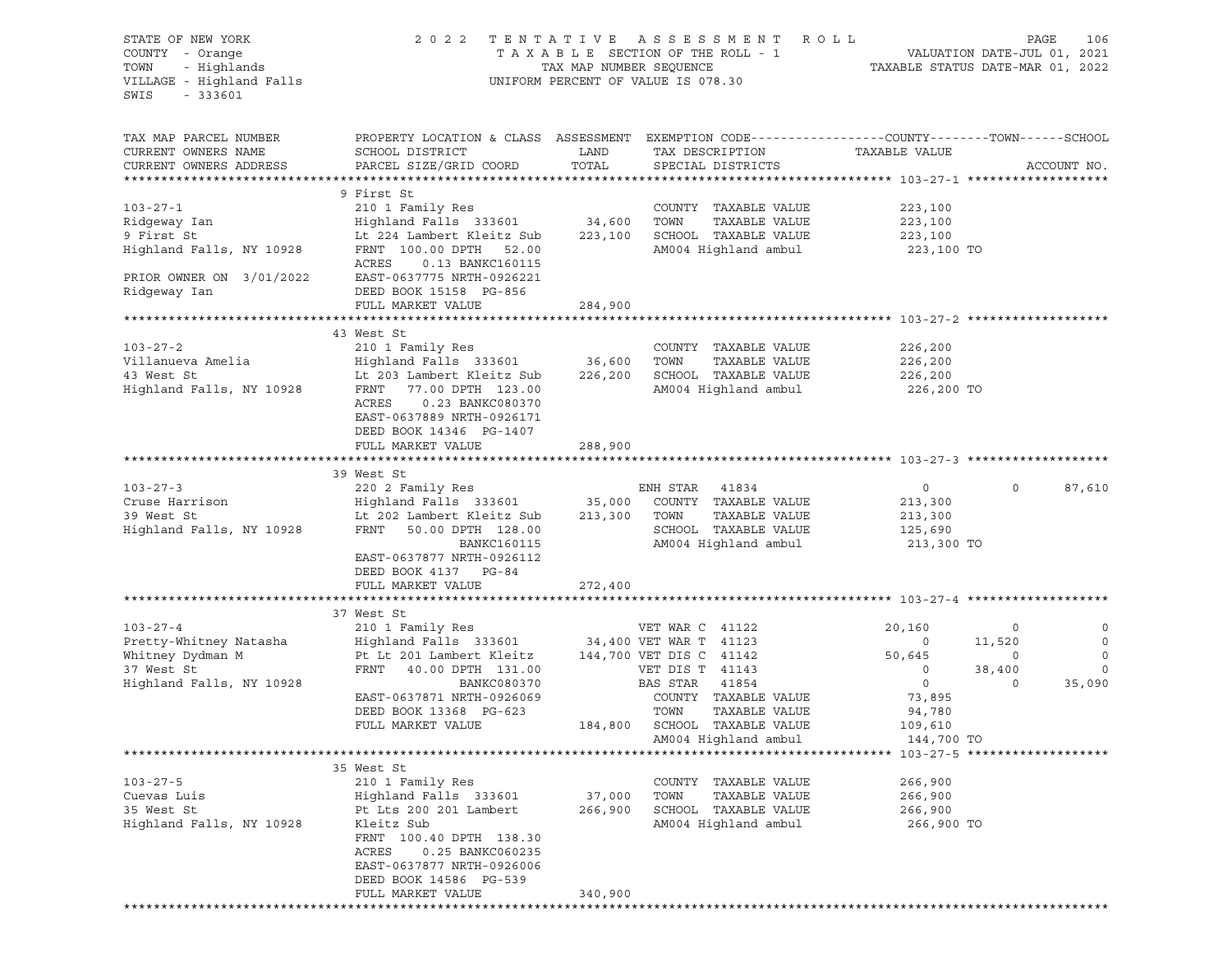| STATE OF NEW YORK<br>COUNTY - Orange<br>TOWN - Highlands<br>VILLAGE - Highland Falls<br>SWIS<br>$-333601$                                                                                                                                         |                                                                                                                                                                                                                                     |                              | 2022 TENTATIVE ASSESSMENT ROLL<br>TAXABLE SECTION OF THE ROLL - 1 VALUATION DATE-JUL 01, 2021<br>TAX MAP NUMBER SEQUENCE TAXABLE STATUS DATE-MAR 01, 2022<br>UNIFORM PERCENT OF VALUE IS 078.30 |                                                                                                       |                                                          | PAGE<br>106                                                      |
|---------------------------------------------------------------------------------------------------------------------------------------------------------------------------------------------------------------------------------------------------|-------------------------------------------------------------------------------------------------------------------------------------------------------------------------------------------------------------------------------------|------------------------------|-------------------------------------------------------------------------------------------------------------------------------------------------------------------------------------------------|-------------------------------------------------------------------------------------------------------|----------------------------------------------------------|------------------------------------------------------------------|
| TAX MAP PARCEL NUMBER<br>CURRENT OWNERS NAME<br>CURRENT OWNERS ADDRESS                                                                                                                                                                            | PROPERTY LOCATION & CLASS ASSESSMENT EXEMPTION CODE---------------COUNTY-------TOWN-----SCHOOL<br>SCHOOL DISTRICT<br>PARCEL SIZE/GRID COORD                                                                                         | LAND<br>TOTAL                | TAX DESCRIPTION<br>SPECIAL DISTRICTS                                                                                                                                                            | TAXABLE VALUE                                                                                         |                                                          | ACCOUNT NO.                                                      |
| $103 - 27 - 1$<br>PRIOR OWNER ON 3/01/2022<br>Ridgeway Ian                                                                                                                                                                                        | 9 First St<br>210 1 Family Res<br>ACRES<br>0.13 BANKC160115<br>EAST-0637775 NRTH-0926221<br>DEED BOOK 15158 PG-856<br>FULL MARKET VALUE                                                                                             | 284,900                      | COUNTY TAXABLE VALUE<br>SCHOOL TAXABLE VALUE 223,100<br>AM004 Highland ambul 223,100 TO                                                                                                         | 223,100<br>223,100                                                                                    |                                                          |                                                                  |
|                                                                                                                                                                                                                                                   |                                                                                                                                                                                                                                     |                              |                                                                                                                                                                                                 |                                                                                                       |                                                          |                                                                  |
| Highland Falls, NY 10928                                                                                                                                                                                                                          | 43 West St<br>Lt 203 Lambert Kleitz Sub 226,200 SCHOOL TAXABLE VALUE<br>FRNT 77.00 DPTH 123.00<br>ACRES<br>0.23 BANKC080370<br>EAST-0637889 NRTH-0926171<br>DEED BOOK 14346 PG-1407                                                 |                              | COUNTY TAXABLE VALUE<br>TOWN<br>TAXABLE VALUE<br>AM004 Highland ambul 226,200 TO                                                                                                                | 226,200<br>226,200<br>226,200                                                                         |                                                          |                                                                  |
|                                                                                                                                                                                                                                                   | FULL MARKET VALUE                                                                                                                                                                                                                   | 288,900                      |                                                                                                                                                                                                 |                                                                                                       |                                                          |                                                                  |
|                                                                                                                                                                                                                                                   | 39 West St                                                                                                                                                                                                                          |                              |                                                                                                                                                                                                 |                                                                                                       |                                                          |                                                                  |
| $103 - 27 - 3$<br>ENH STAK 41834<br>Cruse Harrison (Enghland Falls 333601) 35,000 COUNTY TAXABLE VALUE<br>39 West St Lt 202 Lambert Kleitz Sub 213,300 TOWN TAXABLE VALUE<br>Highland Falls, NY 10928 FRNT 50.00 DPTH 128.00 SCHOOL TAXABLE VALUE | 220 2 Family Res<br>BANKC160115<br>EAST-0637877 NRTH-0926112<br>DEED BOOK 4137 PG-84                                                                                                                                                |                              | ENH STAR 41834<br>AM004 Highland ambul                                                                                                                                                          | $\overline{0}$<br>213,300<br>213,300<br>125,690<br>213,300 TO                                         | $\Omega$                                                 | 87,610                                                           |
|                                                                                                                                                                                                                                                   | FULL MARKET VALUE                                                                                                                                                                                                                   | 272,400                      |                                                                                                                                                                                                 |                                                                                                       |                                                          |                                                                  |
|                                                                                                                                                                                                                                                   |                                                                                                                                                                                                                                     |                              |                                                                                                                                                                                                 |                                                                                                       |                                                          |                                                                  |
| Whitney Dydman M<br>37 West St<br>37 West St<br>Highland Falls, NY 10928                                                                                                                                                                          | 37 West St<br>Pt Lt 201 Lambert Kleitz 144,700 VET DIS C 41142<br>FRNT 40.00 DPTH 131.00<br>BANKC080370<br>EAST-0637871 NRTH-0926069<br>DEED BOOK 13368 PG-623<br>FULL MARKET VALUE                                                 |                              | VET DIS T 41143<br>BAS STAR 41854<br>COUNTY TAXABLE VALUE<br>TOWN<br>TAXABLE VALUE<br>184,800 SCHOOL TAXABLE VALUE                                                                              | 20,160<br>$\overline{0}$<br>50,645<br>$\overline{0}$<br>$\overline{0}$<br>73,895<br>94,780<br>109,610 | $\overline{0}$<br>11,520<br>$\circ$<br>38,400<br>$\circ$ | $\circ$<br>$\overline{0}$<br>$\overline{0}$<br>$\circ$<br>35,090 |
|                                                                                                                                                                                                                                                   |                                                                                                                                                                                                                                     |                              | AM004 Highland ambul                                                                                                                                                                            | 144,700 TO                                                                                            |                                                          |                                                                  |
| $103 - 27 - 5$<br>Cuevas Luis<br>35 West St<br>Highland Falls, NY 10928                                                                                                                                                                           | 35 West St<br>210 1 Family Res<br>Highland Falls 333601<br>Pt Lts 200 201 Lambert<br>Kleitz Sub<br>FRNT 100.40 DPTH 138.30<br>ACRES<br>0.25 BANKC060235<br>EAST-0637877 NRTH-0926006<br>DEED BOOK 14586 PG-539<br>FULL MARKET VALUE | 37,000<br>266,900<br>340,900 | COUNTY TAXABLE VALUE<br>TOWN<br>TAXABLE VALUE<br>SCHOOL TAXABLE VALUE<br>AM004 Highland ambul                                                                                                   | 266,900<br>266,900<br>266,900<br>266,900 TO                                                           |                                                          |                                                                  |
|                                                                                                                                                                                                                                                   |                                                                                                                                                                                                                                     |                              |                                                                                                                                                                                                 |                                                                                                       |                                                          |                                                                  |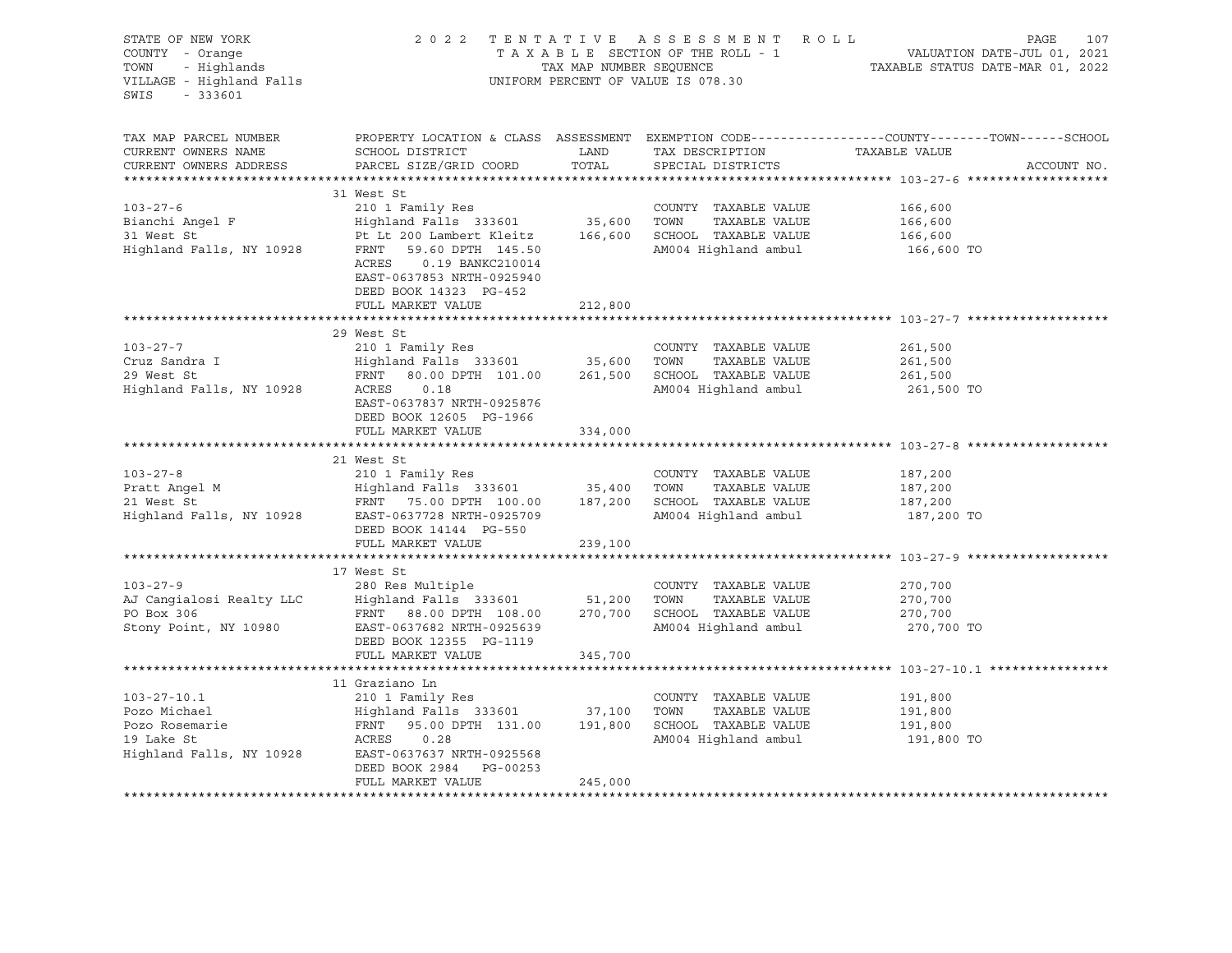| STATE OF NEW YORK<br>COUNTY - Orange<br>TOWN - Highlands<br>VILLAGE - Highland Falls<br>$-333601$<br>SWIS |                                                                                                                                                                                                                                                                                                                            |                      | 2022 TENTATIVE ASSESSMENT ROLL<br>UNIFORM PERCENT OF VALUE IS 078.30 | PAGE<br>107<br>T A X A B L E SECTION OF THE ROLL - 1 WALUATION DATE-JUL 01, 2021<br>TAX MAP NUMBER SEQUENCE TAXABLE STATUS DATE-MAR 01, 2022 |
|-----------------------------------------------------------------------------------------------------------|----------------------------------------------------------------------------------------------------------------------------------------------------------------------------------------------------------------------------------------------------------------------------------------------------------------------------|----------------------|----------------------------------------------------------------------|----------------------------------------------------------------------------------------------------------------------------------------------|
| TAX MAP PARCEL NUMBER<br>CURRENT OWNERS NAME<br>CURRENT OWNERS ADDRESS                                    | SCHOOL DISTRICT<br>PARCEL SIZE/GRID COORD                                                                                                                                                                                                                                                                                  | <b>LAND</b><br>TOTAL | TAX DESCRIPTION<br>SPECIAL DISTRICTS                                 | PROPERTY LOCATION & CLASS ASSESSMENT EXEMPTION CODE----------------COUNTY-------TOWN------SCHOOL<br>TAXABLE VALUE<br>ACCOUNT NO.             |
| $103 - 27 - 6$                                                                                            | 31 West St<br>210 1 Family Res<br>ACRES   0.19 BANKC210014<br>EAST-0637853 NRTH-0925940<br>DEED BOOK 14323 PG-452<br>FULL MARKET VALUE                                                                                                                                                                                     | 212,800              | COUNTY TAXABLE VALUE<br>AM004 Highland ambul 166,600 TO              | 166,600<br>166,600<br>166,600                                                                                                                |
|                                                                                                           |                                                                                                                                                                                                                                                                                                                            |                      |                                                                      |                                                                                                                                              |
| $103 - 27 - 7$                                                                                            | 29 West St<br>210 1 Family Res<br>EAST-0637837 NRTH-0925876<br>DEED BOOK 12605 PG-1966<br>FULL MARKET VALUE                                                                                                                                                                                                                | 334,000              | COUNTY TAXABLE VALUE                                                 | 261,500<br>261,500<br>$201,500$<br>$261,500$<br>261,500 TO                                                                                   |
|                                                                                                           |                                                                                                                                                                                                                                                                                                                            |                      |                                                                      |                                                                                                                                              |
| $103 - 27 - 8$                                                                                            | 21 West St<br>210 1 Family Res<br>Pratt Angel M (2008) Highland Falls 333601 (2008) 35,400 TOWN TAXABLE VALUE 187,200<br>21 West St FRNT 75.00 DPTH 100.00 187,200 SCHOOL TAXABLE VALUE 187,200<br>21 West St FRNT 75.00 DPTH 100.00 187,200 SCHOOL TAXABLE VALUE 187,<br>DEED BOOK 14144 PG-550                           |                      | COUNTY TAXABLE VALUE                                                 | 187,200<br>187,200 TO                                                                                                                        |
|                                                                                                           | FULL MARKET VALUE                                                                                                                                                                                                                                                                                                          | 239,100              |                                                                      |                                                                                                                                              |
|                                                                                                           | 17 West St<br>280 Res Multiple COUNTY TAXABLE VALUE<br>AJ Cangialosi Realty LLC Highland Falls 333601 51,200 TOWN TAXABLE VALUE<br>PO Box 306 FRNT 88.00 DPTH 108.00 270,700 SCHOOL TAXABLE VALUE<br>Stony Point, NY 10980 EAST-0637682 NRTH-09256<br>DEED BOOK 12355 PG-1119<br>FULL MARKET VALUE                         | 345,700              |                                                                      | 270,700<br>270,700<br>270,700<br>270,700 TO                                                                                                  |
|                                                                                                           |                                                                                                                                                                                                                                                                                                                            |                      |                                                                      |                                                                                                                                              |
| $103 - 27 - 10.1$                                                                                         | 11 Graziano Ln<br>210 1 Family Res<br>Pozo Michael Highland Falls 333601 37,100 TOWN TAXABLE VALUE<br>Pozo Rosemarie FRNT 95.00 DPTH 131.00 191,800 SCHOOL TAXABLE VALUE<br>19 Lake St ACRES 0.28 AM004 Highland ambul<br>Highland Falls, NY 10928 EAST 0.28 AM004 Highlan<br>DEED BOOK 2984 PG-00253<br>FULL MARKET VALUE | 245,000              | COUNTY TAXABLE VALUE                                                 | 191,800<br>191,800<br>191,800<br>191,800 TO                                                                                                  |
|                                                                                                           |                                                                                                                                                                                                                                                                                                                            |                      |                                                                      |                                                                                                                                              |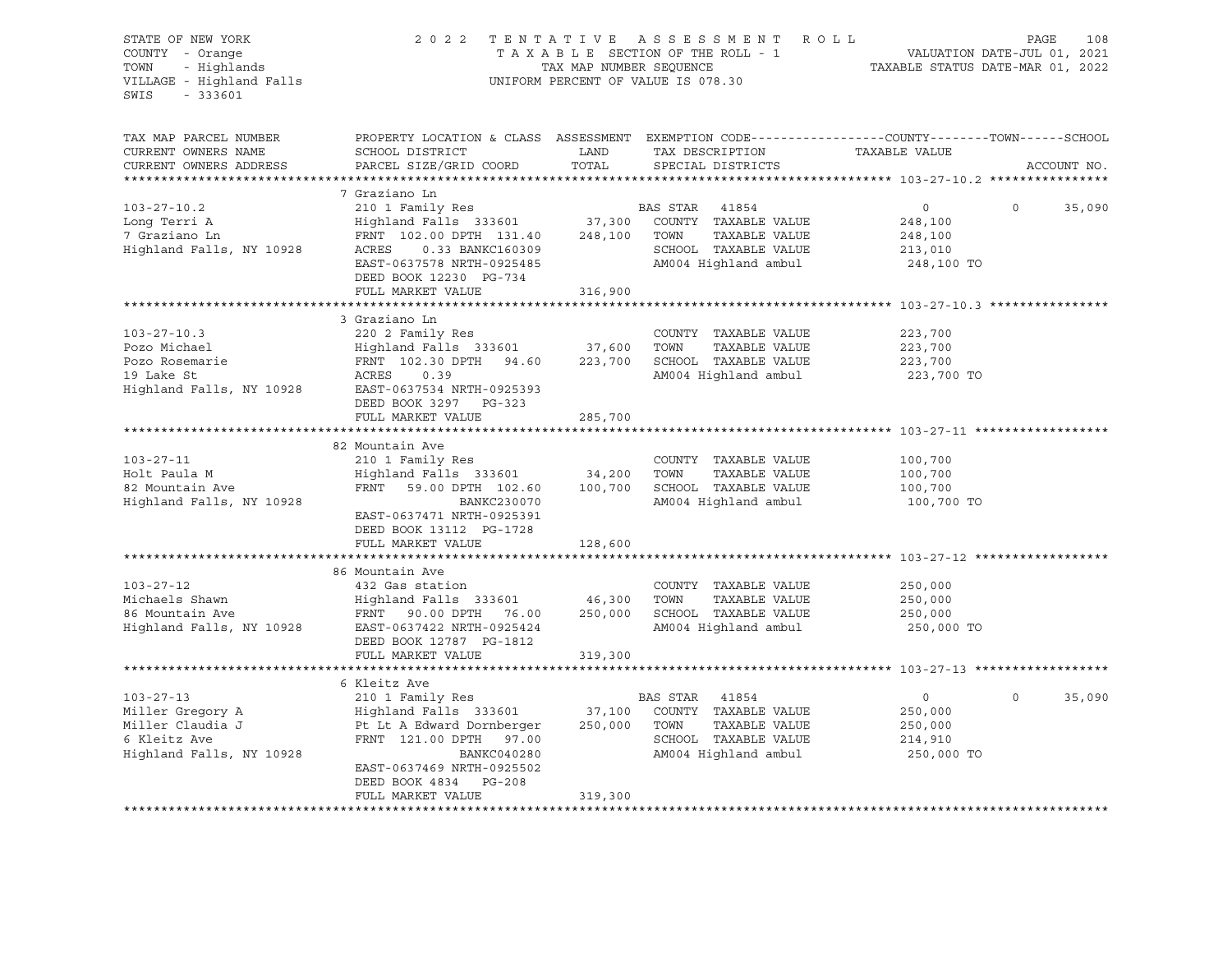| STATE OF NEW YORK<br>COUNTY - Orange<br>COUNTY - Orange<br>TOWN - Highlands<br>VILLAGE - Highland Falls<br>SWIS<br>$-333601$ |                                                                                                                                              |               | 2022 TENTATIVE ASSESSMENT ROLL<br>TAXABLE SECTION OF THE ROLL - 1 VALUATION DATE-JUL 01, 2021<br>TAX MAP NUMBER SEQUENCE TAXABLE STATUS DATE-MAR 01, 2022<br>UNIFORM PERCENT OF VALUE IS 078.30 |                           | PAGE<br>108       |
|------------------------------------------------------------------------------------------------------------------------------|----------------------------------------------------------------------------------------------------------------------------------------------|---------------|-------------------------------------------------------------------------------------------------------------------------------------------------------------------------------------------------|---------------------------|-------------------|
| TAX MAP PARCEL NUMBER<br>CURRENT OWNERS NAME<br>CURRENT OWNERS ADDRESS                                                       | PROPERTY LOCATION & CLASS ASSESSMENT EXEMPTION CODE---------------COUNTY-------TOWN------SCHOOL<br>SCHOOL DISTRICT<br>PARCEL SIZE/GRID COORD | LAND<br>TOTAL | TAX DESCRIPTION<br>SPECIAL DISTRICTS                                                                                                                                                            | TAXABLE VALUE             | ACCOUNT NO.       |
|                                                                                                                              |                                                                                                                                              |               |                                                                                                                                                                                                 |                           |                   |
|                                                                                                                              | 7 Graziano Ln                                                                                                                                |               |                                                                                                                                                                                                 |                           |                   |
| $103 - 27 - 10.2$<br>Long Terri A                                                                                            | 210 1 Family Res<br>Highland Falls 333601 37,300 COUNTY TAXABLE VALUE                                                                        |               | BAS STAR 41854                                                                                                                                                                                  | $\overline{0}$<br>248,100 | 35,090<br>$\circ$ |
| 7 Graziano Ln                                                                                                                | FRNT 102.00 DPTH 131.40 248,100 TOWN                                                                                                         |               | TAXABLE VALUE                                                                                                                                                                                   | 248,100                   |                   |
| Highland Falls, NY 10928                                                                                                     | FRNT 102.00 DPTH 131.40 248,10<br>ACRES 0.33 BANKC160309                                                                                     |               | SCHOOL TAXABLE VALUE                                                                                                                                                                            | 213,010                   |                   |
|                                                                                                                              | EAST-0637578 NRTH-0925485                                                                                                                    |               | AM004 Highland ambul                                                                                                                                                                            | 248,100 TO                |                   |
|                                                                                                                              | DEED BOOK 12230 PG-734                                                                                                                       |               |                                                                                                                                                                                                 |                           |                   |
|                                                                                                                              | FULL MARKET VALUE                                                                                                                            | 316,900       |                                                                                                                                                                                                 |                           |                   |
|                                                                                                                              |                                                                                                                                              |               |                                                                                                                                                                                                 |                           |                   |
|                                                                                                                              | 3 Graziano Ln                                                                                                                                |               |                                                                                                                                                                                                 |                           |                   |
| $103 - 27 - 10.3$                                                                                                            | 220 2 Family Res                                                                                                                             |               | COUNTY TAXABLE VALUE                                                                                                                                                                            | 223,700                   |                   |
| Pozo Michael                                                                                                                 |                                                                                                                                              |               | TOWN<br>TAXABLE VALUE<br>223,700 SCHOOL TAXABLE VALUE                                                                                                                                           | 223,700<br>223,700        |                   |
| Pozo Rosemarie<br>10 Iolea St<br>19 Lake St                                                                                  | Highland Falls 333601 37,600<br>FRNT 102.30 DPTH 94.60 223,700<br>ACRES 0.39                                                                 |               | AM004 Highland ambul                                                                                                                                                                            | 223,700 TO                |                   |
| Highland Falls, NY 10928                                                                                                     | EAST-0637534 NRTH-0925393                                                                                                                    |               |                                                                                                                                                                                                 |                           |                   |
|                                                                                                                              | DEED BOOK 3297 PG-323                                                                                                                        |               |                                                                                                                                                                                                 |                           |                   |
|                                                                                                                              | FULL MARKET VALUE                                                                                                                            | 285,700       |                                                                                                                                                                                                 |                           |                   |
|                                                                                                                              |                                                                                                                                              |               |                                                                                                                                                                                                 |                           |                   |
|                                                                                                                              | 82 Mountain Ave                                                                                                                              |               |                                                                                                                                                                                                 |                           |                   |
| $103 - 27 - 11$                                                                                                              | 210 1 Family Res                                                                                                                             |               | COUNTY TAXABLE VALUE                                                                                                                                                                            | 100,700                   |                   |
| Holt Paula M<br>82 Mountain Ave                                                                                              | $\texttt{Highland} \texttt{False}$ 333601 34,200 TOWN TAXABLE VALUE<br>FRNT 59.00 DPTH 102.60 100,700 SCHOOL TAXABLE VALUE                   |               |                                                                                                                                                                                                 | 100,700<br>100,700        |                   |
| Highland Falls, NY 10928                                                                                                     | BANKC230070                                                                                                                                  |               | AM004 Highland ambul                                                                                                                                                                            | 100,700 TO                |                   |
|                                                                                                                              | EAST-0637471 NRTH-0925391<br>DEED BOOK 13112 PG-1728                                                                                         |               |                                                                                                                                                                                                 |                           |                   |
|                                                                                                                              | FULL MARKET VALUE                                                                                                                            | 128,600       |                                                                                                                                                                                                 |                           |                   |
|                                                                                                                              |                                                                                                                                              |               |                                                                                                                                                                                                 |                           |                   |
| $103 - 27 - 12$                                                                                                              | 86 Mountain Ave<br>432 Gas station                                                                                                           |               | COUNTY TAXABLE VALUE                                                                                                                                                                            | 250,000                   |                   |
|                                                                                                                              |                                                                                                                                              |               | TAXABLE VALUE                                                                                                                                                                                   | 250,000                   |                   |
|                                                                                                                              |                                                                                                                                              |               |                                                                                                                                                                                                 | 250,000                   |                   |
|                                                                                                                              |                                                                                                                                              |               | AM004 Highland ambul                                                                                                                                                                            | 250,000 TO                |                   |
|                                                                                                                              | DEED BOOK 12787 PG-1812                                                                                                                      |               |                                                                                                                                                                                                 |                           |                   |
|                                                                                                                              | FULL MARKET VALUE                                                                                                                            | 319,300       |                                                                                                                                                                                                 |                           |                   |
|                                                                                                                              |                                                                                                                                              |               |                                                                                                                                                                                                 |                           |                   |
|                                                                                                                              | 6 Kleitz Ave                                                                                                                                 |               |                                                                                                                                                                                                 |                           |                   |
| 103-27-13<br>Miller Gregory A<br>Claudia J                                                                                   | 210 1 Family Res                                                                                                                             |               | BAS STAR 41854                                                                                                                                                                                  | $\overline{0}$            | $\circ$<br>35,090 |
|                                                                                                                              | Highland Falls 333601 37,100 COUNTY TAXABLE VALUE<br>Pt Lt A Edward Dornberger 250,000 TOWN                                                  |               |                                                                                                                                                                                                 | 250,000                   |                   |
| 6 Kleitz Ave                                                                                                                 |                                                                                                                                              |               | TAXABLE VALUE<br>SCHOOL TAXABLE VALUE                                                                                                                                                           | 250,000                   |                   |
| Highland Falls, NY 10928                                                                                                     | FRNT 121.00 DPTH 97.00<br>BANKC040280                                                                                                        |               | AM004 Highland ambul                                                                                                                                                                            | 214,910<br>250,000 TO     |                   |
|                                                                                                                              | EAST-0637469 NRTH-0925502                                                                                                                    |               |                                                                                                                                                                                                 |                           |                   |
|                                                                                                                              | DEED BOOK 4834 PG-208                                                                                                                        |               |                                                                                                                                                                                                 |                           |                   |
|                                                                                                                              | FULL MARKET VALUE                                                                                                                            | 319,300       |                                                                                                                                                                                                 |                           |                   |
|                                                                                                                              |                                                                                                                                              |               |                                                                                                                                                                                                 |                           |                   |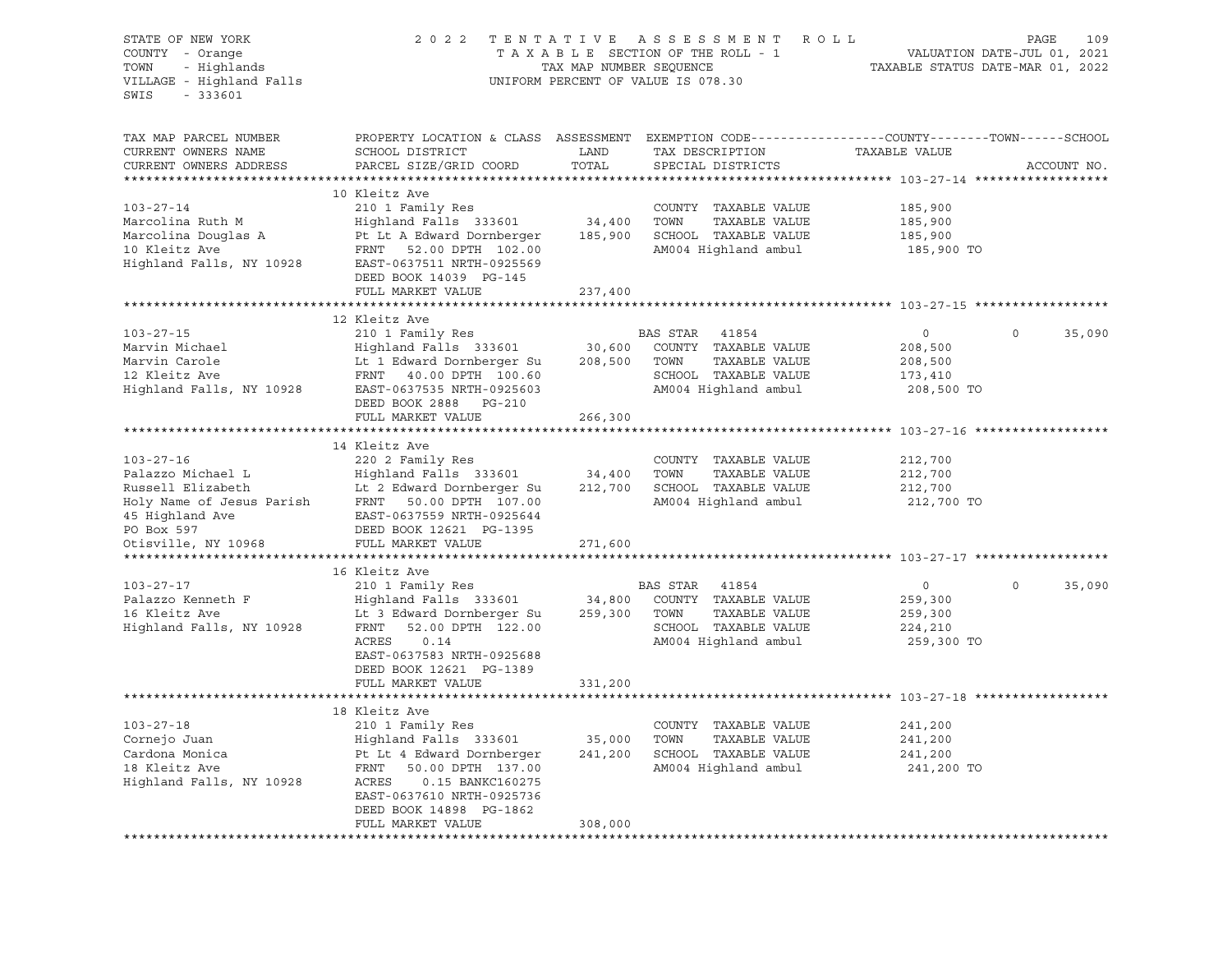| STATE OF NEW YORK<br>COUNTY - Orange<br>- Highlands<br>TOWN<br>VILLAGE - Highland Falls<br>SWIS<br>$-333601$ | 2 0 2 2                                                                                                                                      | TENTATIVE<br>TAX MAP NUMBER SEQUENCE | ASSESSMENT ROLL<br>TAXABLE SECTION OF THE ROLL - 1<br>UNIFORM PERCENT OF VALUE IS 078.30 | TAXABLE STATUS DATE-MAR 01, 2022                  | PAGE<br>109<br>VALUATION DATE-JUL 01, 2021 |
|--------------------------------------------------------------------------------------------------------------|----------------------------------------------------------------------------------------------------------------------------------------------|--------------------------------------|------------------------------------------------------------------------------------------|---------------------------------------------------|--------------------------------------------|
| TAX MAP PARCEL NUMBER<br>CURRENT OWNERS NAME<br>CURRENT OWNERS ADDRESS                                       | PROPERTY LOCATION & CLASS ASSESSMENT EXEMPTION CODE----------------COUNTY-------TOWN-----SCHOOL<br>SCHOOL DISTRICT<br>PARCEL SIZE/GRID COORD | LAND<br>TOTAL                        | TAX DESCRIPTION<br>SPECIAL DISTRICTS                                                     | TAXABLE VALUE                                     | ACCOUNT NO.                                |
|                                                                                                              |                                                                                                                                              |                                      |                                                                                          |                                                   |                                            |
|                                                                                                              | 10 Kleitz Ave                                                                                                                                |                                      |                                                                                          |                                                   |                                            |
| $103 - 27 - 14$                                                                                              | 210 1 Family Res                                                                                                                             |                                      | COUNTY TAXABLE VALUE<br>TOWN                                                             | 185,900                                           |                                            |
| Marcolina Ruth M<br>Marcolina Douglas A                                                                      | Highland Falls 333601<br>Pt Lt A Edward Dornberger                                                                                           | 34,400<br>185,900                    | TAXABLE VALUE<br>SCHOOL TAXABLE VALUE                                                    | 185,900<br>185,900                                |                                            |
| 10 Kleitz Ave                                                                                                | FRNT<br>52.00 DPTH 102.00                                                                                                                    |                                      | AM004 Highland ambul                                                                     | 185,900 TO                                        |                                            |
| Highland Falls, NY 10928                                                                                     | EAST-0637511 NRTH-0925569                                                                                                                    |                                      |                                                                                          |                                                   |                                            |
|                                                                                                              | DEED BOOK 14039 PG-145                                                                                                                       |                                      |                                                                                          |                                                   |                                            |
|                                                                                                              | FULL MARKET VALUE                                                                                                                            | 237,400                              |                                                                                          |                                                   |                                            |
|                                                                                                              |                                                                                                                                              |                                      |                                                                                          | ********************** 103-27-15 **************** |                                            |
|                                                                                                              | 12 Kleitz Ave                                                                                                                                |                                      |                                                                                          |                                                   |                                            |
| $103 - 27 - 15$                                                                                              | 210 1 Family Res<br>Highland Falls 333601                                                                                                    |                                      | BAS STAR<br>41854                                                                        | $\circ$                                           | $\circ$<br>35,090                          |
| Marvin Michael<br>Marvin Carole                                                                              | Lt 1 Edward Dornberger Su                                                                                                                    | 30,600<br>208,500                    | COUNTY TAXABLE VALUE<br>TOWN<br>TAXABLE VALUE                                            | 208,500<br>208,500                                |                                            |
| 12 Kleitz Ave                                                                                                | FRNT 40.00 DPTH 100.60                                                                                                                       |                                      | SCHOOL TAXABLE VALUE                                                                     | 173,410                                           |                                            |
| Highland Falls, NY 10928                                                                                     | EAST-0637535 NRTH-0925603                                                                                                                    |                                      | AM004 Highland ambul                                                                     | 208,500 TO                                        |                                            |
|                                                                                                              | DEED BOOK 2888 PG-210                                                                                                                        |                                      |                                                                                          |                                                   |                                            |
|                                                                                                              | FULL MARKET VALUE                                                                                                                            | 266,300                              |                                                                                          |                                                   |                                            |
|                                                                                                              |                                                                                                                                              |                                      |                                                                                          |                                                   |                                            |
|                                                                                                              | 14 Kleitz Ave                                                                                                                                |                                      |                                                                                          |                                                   |                                            |
| $103 - 27 - 16$                                                                                              | 220 2 Family Res                                                                                                                             |                                      | COUNTY TAXABLE VALUE                                                                     | 212,700                                           |                                            |
| Palazzo Michael L                                                                                            | Highland Falls 333601                                                                                                                        | 34,400                               | TOWN<br>TAXABLE VALUE                                                                    | 212,700                                           |                                            |
| Russell Elizabeth                                                                                            | Lt 2 Edward Dornberger Su                                                                                                                    | 212,700                              | SCHOOL TAXABLE VALUE                                                                     | 212,700                                           |                                            |
| Holy Name of Jesus Parish                                                                                    | FRNT 50.00 DPTH 107.00                                                                                                                       |                                      | AM004 Highland ambul                                                                     | 212,700 TO                                        |                                            |
| 45 Highland Ave                                                                                              | EAST-0637559 NRTH-0925644                                                                                                                    |                                      |                                                                                          |                                                   |                                            |
| PO Box 597                                                                                                   | DEED BOOK 12621 PG-1395                                                                                                                      |                                      |                                                                                          |                                                   |                                            |
| Otisville, NY 10968<br>********************                                                                  | FULL MARKET VALUE                                                                                                                            | 271,600                              |                                                                                          |                                                   |                                            |
|                                                                                                              |                                                                                                                                              |                                      |                                                                                          |                                                   |                                            |
| $103 - 27 - 17$                                                                                              | 16 Kleitz Ave<br>210 1 Family Res                                                                                                            |                                      | BAS STAR<br>41854                                                                        | $\circ$                                           | $\Omega$<br>35,090                         |
| Palazzo Kenneth F                                                                                            | Highland Falls 333601                                                                                                                        | 34,800                               | COUNTY TAXABLE VALUE                                                                     | 259,300                                           |                                            |
| 16 Kleitz Ave                                                                                                | Lt 3 Edward Dornberger Su                                                                                                                    | 259,300                              | TOWN<br>TAXABLE VALUE                                                                    | 259,300                                           |                                            |
| Highland Falls, NY 10928                                                                                     | 52.00 DPTH 122.00<br>FRNT                                                                                                                    |                                      | SCHOOL TAXABLE VALUE                                                                     | 224,210                                           |                                            |
|                                                                                                              | ACRES<br>0.14                                                                                                                                |                                      | AM004 Highland ambul                                                                     | 259,300 TO                                        |                                            |
|                                                                                                              | EAST-0637583 NRTH-0925688                                                                                                                    |                                      |                                                                                          |                                                   |                                            |
|                                                                                                              | DEED BOOK 12621 PG-1389                                                                                                                      |                                      |                                                                                          |                                                   |                                            |
|                                                                                                              | FULL MARKET VALUE                                                                                                                            | 331,200                              |                                                                                          |                                                   |                                            |
|                                                                                                              |                                                                                                                                              | *************                        |                                                                                          |                                                   |                                            |
|                                                                                                              | 18 Kleitz Ave                                                                                                                                |                                      |                                                                                          |                                                   |                                            |
| $103 - 27 - 18$                                                                                              | 210 1 Family Res                                                                                                                             |                                      | COUNTY TAXABLE VALUE                                                                     | 241,200                                           |                                            |
| Cornejo Juan                                                                                                 | Highland Falls 333601                                                                                                                        | 35,000                               | TOWN<br>TAXABLE VALUE                                                                    | 241,200                                           |                                            |
| Cardona Monica                                                                                               | Pt Lt 4 Edward Dornberger                                                                                                                    | 241,200                              | SCHOOL TAXABLE VALUE                                                                     | 241,200                                           |                                            |
| 18 Kleitz Ave                                                                                                | FRNT<br>50.00 DPTH 137.00                                                                                                                    |                                      | AM004 Highland ambul                                                                     | 241,200 TO                                        |                                            |
| Highland Falls, NY 10928                                                                                     | ACRES<br>0.15 BANKC160275                                                                                                                    |                                      |                                                                                          |                                                   |                                            |
|                                                                                                              | EAST-0637610 NRTH-0925736                                                                                                                    |                                      |                                                                                          |                                                   |                                            |
|                                                                                                              | DEED BOOK 14898 PG-1862                                                                                                                      |                                      |                                                                                          |                                                   |                                            |
|                                                                                                              | FULL MARKET VALUE                                                                                                                            | 308,000                              |                                                                                          |                                                   |                                            |
|                                                                                                              |                                                                                                                                              |                                      |                                                                                          |                                                   |                                            |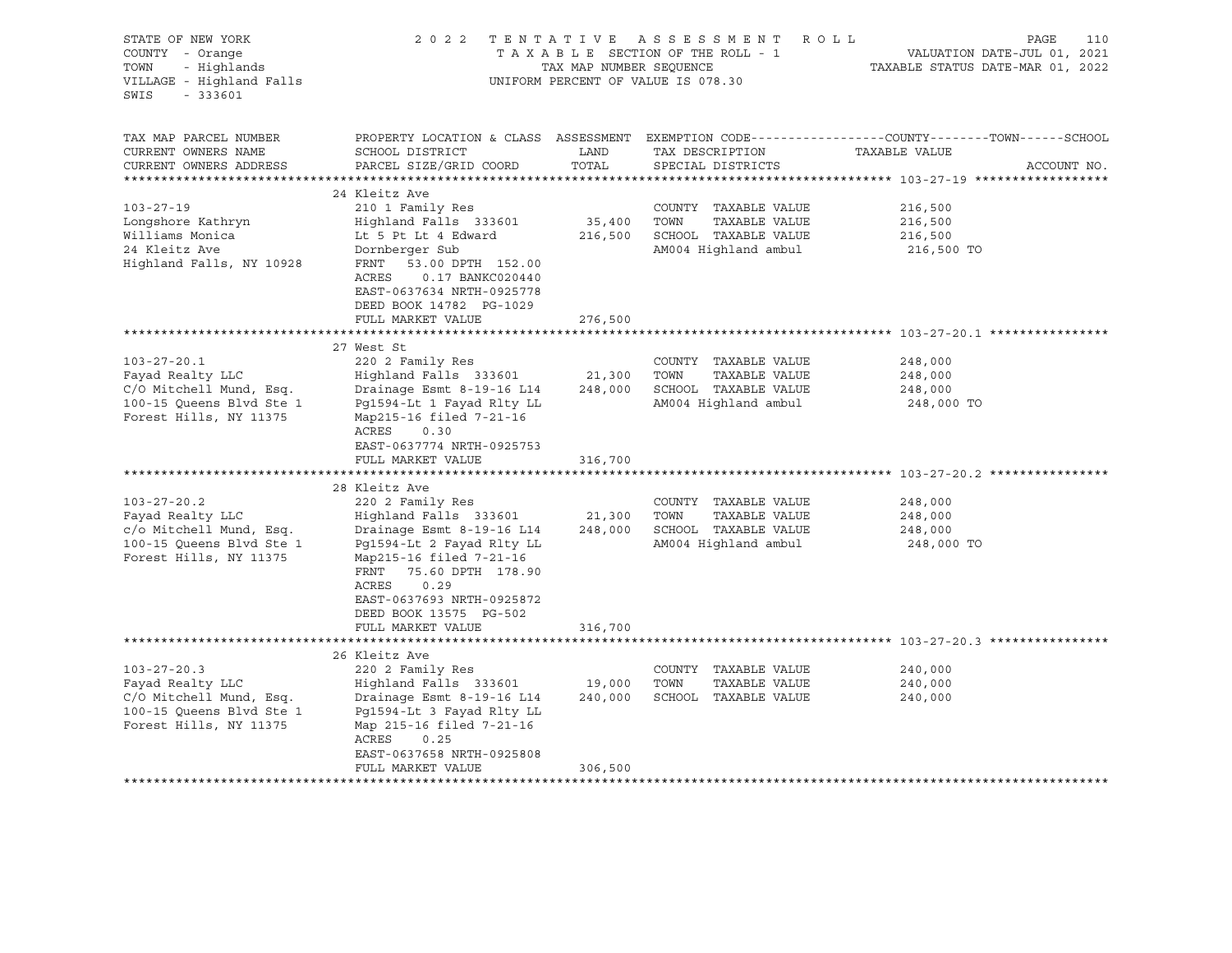| STATE OF NEW YORK<br>COUNTY - Orange<br>- Highlands<br>TOWN<br>VILLAGE - Highland Falls<br>SWIS<br>$-333601$                                                                                                                                     |                                                                                                                                                                                                                                                                                                                                                                                                                                                                      | TAX MAP NUMBER SEQUENCE                     | 2022 TENTATIVE ASSESSMENT ROLL<br>TAXABLE SECTION OF THE ROLL - 1<br>UNIFORM PERCENT OF VALUE IS 078.30                                                                                                                                         | PAGE<br>110<br>VALUATION DATE-JUL 01, 2021<br>TAXABLE STATUS DATE-MAR 01, 2022                                                  |
|--------------------------------------------------------------------------------------------------------------------------------------------------------------------------------------------------------------------------------------------------|----------------------------------------------------------------------------------------------------------------------------------------------------------------------------------------------------------------------------------------------------------------------------------------------------------------------------------------------------------------------------------------------------------------------------------------------------------------------|---------------------------------------------|-------------------------------------------------------------------------------------------------------------------------------------------------------------------------------------------------------------------------------------------------|---------------------------------------------------------------------------------------------------------------------------------|
| TAX MAP PARCEL NUMBER<br>CURRENT OWNERS NAME<br>CURRENT OWNERS ADDRESS                                                                                                                                                                           | SCHOOL DISTRICT<br>PARCEL SIZE/GRID COORD                                                                                                                                                                                                                                                                                                                                                                                                                            | LAND<br>TOTAL                               | TAX DESCRIPTION<br>SPECIAL DISTRICTS                                                                                                                                                                                                            | PROPERTY LOCATION & CLASS ASSESSMENT EXEMPTION CODE----------------COUNTY-------TOWN-----SCHOOL<br>TAXABLE VALUE<br>ACCOUNT NO. |
|                                                                                                                                                                                                                                                  |                                                                                                                                                                                                                                                                                                                                                                                                                                                                      |                                             |                                                                                                                                                                                                                                                 |                                                                                                                                 |
| $103 - 27 - 19$<br>Longshore Kathryn<br>Williams Monica<br>24 Kleitz Ave<br>Highland Falls, NY 10928                                                                                                                                             | 24 Kleitz Ave<br>210 1 Family Res<br>Highland Falls 333601<br>Lt 5 Pt Lt 4 Edward<br>Dornberger Sub<br>FRNT<br>53.00 DPTH 152.00<br>ACRES<br>0.17 BANKC020440<br>EAST-0637634 NRTH-0925778<br>DEED BOOK 14782 PG-1029                                                                                                                                                                                                                                                | 35,400                                      | COUNTY TAXABLE VALUE<br>TOWN<br>TAXABLE VALUE<br>216,500 SCHOOL TAXABLE VALUE<br>AM004 Highland ambul                                                                                                                                           | 216,500<br>216,500<br>216,500<br>216,500 TO                                                                                     |
|                                                                                                                                                                                                                                                  | FULL MARKET VALUE                                                                                                                                                                                                                                                                                                                                                                                                                                                    | 276,500                                     |                                                                                                                                                                                                                                                 |                                                                                                                                 |
|                                                                                                                                                                                                                                                  |                                                                                                                                                                                                                                                                                                                                                                                                                                                                      |                                             |                                                                                                                                                                                                                                                 |                                                                                                                                 |
| $103 - 27 - 20.1$<br>Fayad Realty LLC<br>C/O Mitchell Mund, Esq.<br>100-15 Queens Blvd Ste 1<br>Forest Hills, NY 11375<br>$103 - 27 - 20.2$<br>Fayad Realty LLC<br>c/o Mitchell Mund, Esq.<br>100-15 Queens Blvd Ste 1<br>Forest Hills, NY 11375 | 27 West St<br>220 2 Family Res<br>Highland Falls 333601<br>Drainage Esmt 8-19-16 L14<br>Pg1594-Lt 1 Fayad Rlty LL<br>Map215-16 filed 7-21-16<br>ACRES<br>0.30<br>EAST-0637774 NRTH-0925753<br>FULL MARKET VALUE<br>28 Kleitz Ave<br>220 2 Family Res<br>Highland Falls 333601<br>Drainage Esmt 8-19-16 L14<br>Pg1594-Lt 2 Fayad Rlty LL<br>Map215-16 filed 7-21-16<br>FRNT 75.60 DPTH 178.90<br>ACRES<br>0.29<br>EAST-0637693 NRTH-0925872<br>DEED BOOK 13575 PG-502 | 21,300 TOWN<br>316,700<br>21,300<br>248,000 | COUNTY TAXABLE VALUE<br>TAXABLE VALUE<br>248,000 SCHOOL TAXABLE VALUE<br>AM004 Highland ambul<br>********************************* 103-27-20.2<br>COUNTY TAXABLE VALUE<br>TOWN<br>TAXABLE VALUE<br>SCHOOL TAXABLE VALUE<br>AM004 Highland ambul | 248,000<br>248,000<br>248,000<br>248,000 TO<br>248,000<br>248,000<br>248,000<br>248,000 TO                                      |
|                                                                                                                                                                                                                                                  | FULL MARKET VALUE                                                                                                                                                                                                                                                                                                                                                                                                                                                    | 316,700                                     |                                                                                                                                                                                                                                                 |                                                                                                                                 |
| $103 - 27 - 20.3$<br>Fayad Realty LLC<br>C/O Mitchell Mund, Esq.<br>100-15 Queens Blvd Ste 1<br>Forest Hills, NY 11375                                                                                                                           | 26 Kleitz Ave<br>220 2 Family Res<br>Highland Falls 333601 19,000<br>Drainage Esmt 8-19-16 L14<br>Pg1594-Lt 3 Fayad Rlty LL<br>Map 215-16 filed 7-21-16<br>ACRES 0.25<br>EAST-0637658 NRTH-0925808<br>FULL MARKET VALUE                                                                                                                                                                                                                                              | 240,000<br>306,500                          | COUNTY TAXABLE VALUE<br>TOWN<br>TAXABLE VALUE<br>SCHOOL TAXABLE VALUE                                                                                                                                                                           | 240,000<br>240,000<br>240,000                                                                                                   |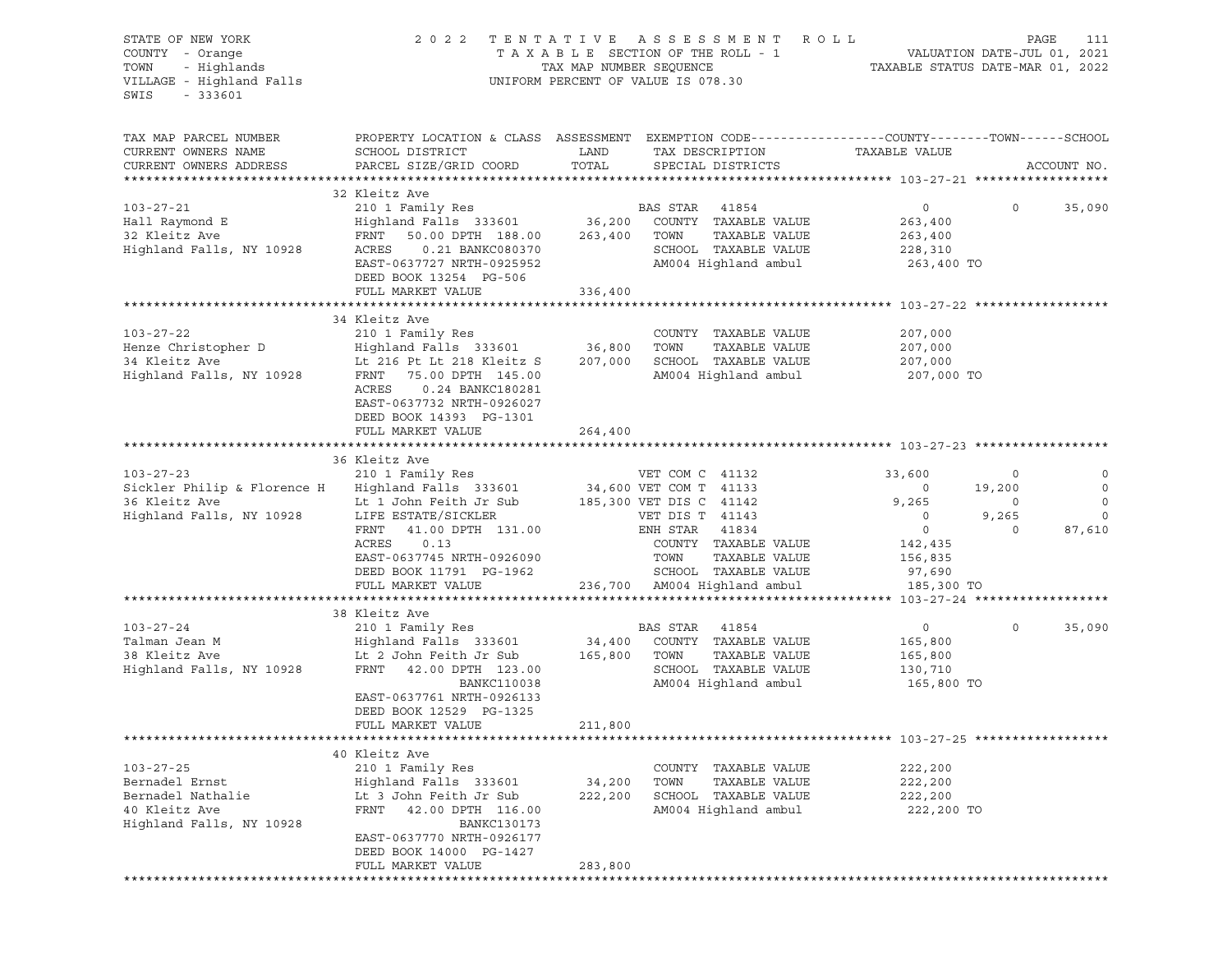| STATE OF NEW YORK                                                                                                      | 2022 TENTATIVE ASSESSMENT ROLL                                                                                      | PAGE<br>111   |                                    |                    |                   |                |
|------------------------------------------------------------------------------------------------------------------------|---------------------------------------------------------------------------------------------------------------------|---------------|------------------------------------|--------------------|-------------------|----------------|
| COUNTY - Orange<br>TOWN - Highlands<br>VILLAGE - Highland Falls<br>$-333601$<br>SWIS                                   |                                                                                                                     |               | UNIFORM PERCENT OF VALUE IS 078.30 |                    |                   |                |
| TAX MAP PARCEL NUMBER<br>CURRENT OWNERS NAME                                                                           | PROPERTY LOCATION & CLASS ASSESSMENT EXEMPTION CODE----------------COUNTY-------TOWN------SCHOOL<br>SCHOOL DISTRICT | LAND          | TAX DESCRIPTION                    | TAXABLE VALUE      |                   |                |
| CURRENT OWNERS ADDRESS                                                                                                 | PARCEL SIZE/GRID COORD                                                                                              | TOTAL         | SPECIAL DISTRICTS                  |                    |                   | ACCOUNT NO.    |
|                                                                                                                        | 32 Kleitz Ave                                                                                                       |               |                                    |                    |                   |                |
| 103-27-21                                                                                                              | 210 1 Family Res                                                                                                    |               | BAS STAR 41854                     | $\overline{0}$     | $0 \qquad \qquad$ | 35,090         |
| Hall Raymond E                                                                                                         | Highland Falls 333601 36,200 COUNTY TAXABLE VALUE<br>FRNT 50.00 DPTH 188.00 263,400 TOWN TAXABLE VALUE              |               |                                    | 263,400            |                   |                |
| 32 Kleitz Ave                                                                                                          |                                                                                                                     |               |                                    | 263,400            |                   |                |
| Highland Falls, NY 10928                                                                                               |                                                                                                                     |               | SCHOOL TAXABLE VALUE               | 228,310            |                   |                |
|                                                                                                                        | EAST-0637727 NRTH-0925952<br>DEED BOOK 13254 PG-506                                                                 |               | AM004 Highland ambul               | 263,400 TO         |                   |                |
|                                                                                                                        | FULL MARKET VALUE                                                                                                   | 336,400       |                                    |                    |                   |                |
|                                                                                                                        |                                                                                                                     |               |                                    |                    |                   |                |
|                                                                                                                        | 34 Kleitz Ave                                                                                                       |               |                                    |                    |                   |                |
| $103 - 27 - 22$                                                                                                        | 210 1 Family Res<br>Highland Falls  333601                                                                          | $36,800$ TOWN | COUNTY TAXABLE VALUE               | 207,000            |                   |                |
| Henze Christopher D                                                                                                    |                                                                                                                     |               | TAXABLE VALUE                      | 207,000<br>207,000 |                   |                |
|                                                                                                                        |                                                                                                                     |               | AM004 Highland ambul               | 207,000 TO         |                   |                |
|                                                                                                                        | ACRES<br>0.24 BANKC180281<br>EAST-0637732 NRTH-0926027<br>DEED BOOK 14393 PG-1301<br>FULL MARKET VALUE              | 264,400       |                                    |                    |                   |                |
|                                                                                                                        |                                                                                                                     |               |                                    |                    |                   |                |
|                                                                                                                        | 36 Kleitz Ave                                                                                                       |               |                                    |                    |                   |                |
|                                                                                                                        |                                                                                                                     |               |                                    | 33,600             | $\circ$           | $\overline{0}$ |
| 103-27-23 210 1 Family Res WET COM C 41132<br>Sickler Philip & Florence H Highland Falls 333601 34,600 VET COM T 41133 |                                                                                                                     |               |                                    | $\overline{0}$     | 19,200            | $\overline{0}$ |
|                                                                                                                        |                                                                                                                     |               |                                    | 9,265              | $\overline{0}$    | $\circ$        |
|                                                                                                                        |                                                                                                                     |               |                                    | $\overline{0}$     | 9,265             | $\mathbf 0$    |
|                                                                                                                        | FRNT 41.00 DPTH 131.00                                                                                              |               | ENH STAR 41834                     | $\overline{0}$     | $\Omega$          | 87,610         |
|                                                                                                                        | ACRES<br>0.13                                                                                                       |               | COUNTY TAXABLE VALUE               | 142,435            |                   |                |
|                                                                                                                        | EAST-0637745 NRTH-0926090                                                                                           |               | TOWN<br>TAXABLE VALUE              | 156,835            |                   |                |
|                                                                                                                        | DEED BOOK 11791 PG-1962                                                                                             |               | SCHOOL TAXABLE VALUE               | 97,690             |                   |                |
|                                                                                                                        | FULL MARKET VALUE                                                                                                   |               | 236,700 AM004 Highland ambul       | 185,300 TO         |                   |                |
|                                                                                                                        | 38 Kleitz Ave                                                                                                       |               |                                    |                    |                   |                |
| $103 - 27 - 24$                                                                                                        | 210 1 Family Res                                                                                                    |               | BAS STAR 41854                     | $\overline{0}$     | $\circ$           | 35,090         |
|                                                                                                                        |                                                                                                                     |               | 34,400 COUNTY TAXABLE VALUE        | 165,800            |                   |                |
|                                                                                                                        |                                                                                                                     | 165,800 TOWN  | TAXABLE VALUE                      | 165,800            |                   |                |
| Highland Falls, NY 10928                                                                                               | FRNT 42.00 DPTH 123.00                                                                                              |               | SCHOOL TAXABLE VALUE               | 130,710            |                   |                |
|                                                                                                                        | BANKC110038                                                                                                         |               | AM004 Highland ambul               | 165,800 TO         |                   |                |
|                                                                                                                        | EAST-0637761 NRTH-0926133                                                                                           |               |                                    |                    |                   |                |
|                                                                                                                        | DEED BOOK 12529 PG-1325                                                                                             |               |                                    |                    |                   |                |
|                                                                                                                        | FULL MARKET VALUE                                                                                                   | 211,800       |                                    |                    |                   |                |
|                                                                                                                        |                                                                                                                     |               |                                    |                    |                   |                |
|                                                                                                                        | 40 Kleitz Ave                                                                                                       |               |                                    |                    |                   |                |
| $103 - 27 - 25$                                                                                                        | 210 1 Family Res                                                                                                    |               | COUNTY TAXABLE VALUE               | 222,200            |                   |                |
| Bernadel Ernst                                                                                                         | Highland Falls 333601                                                                                               | 34,200        | TAXABLE VALUE<br>TOWN              | 222,200            |                   |                |
| Bernadel Nathalie<br>40 Kleitz Ave                                                                                     | Lt 3 John Feith Jr Sub<br>FRNT                                                                                      | 222,200       | SCHOOL TAXABLE VALUE               | 222,200            |                   |                |
| Highland Falls, NY 10928                                                                                               | 42.00 DPTH 116.00<br><b>BANKC130173</b>                                                                             |               | AM004 Highland ambul               | 222,200 TO         |                   |                |
|                                                                                                                        | EAST-0637770 NRTH-0926177                                                                                           |               |                                    |                    |                   |                |
|                                                                                                                        | DEED BOOK 14000 PG-1427                                                                                             |               |                                    |                    |                   |                |
|                                                                                                                        | FULL MARKET VALUE                                                                                                   | 283,800       |                                    |                    |                   |                |
|                                                                                                                        |                                                                                                                     |               |                                    |                    |                   |                |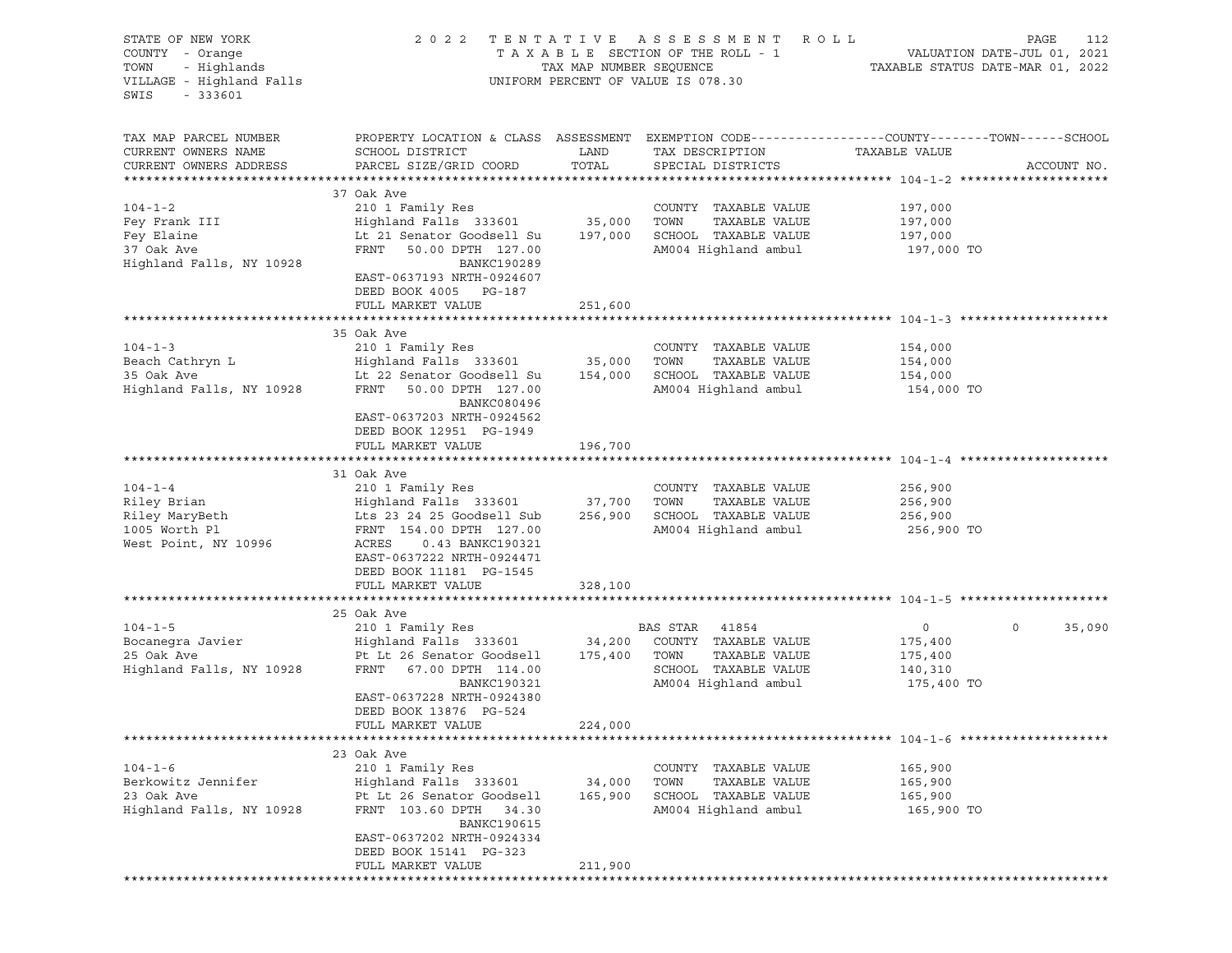| STATE OF NEW YORK<br>COUNTY - Orange<br>- Highlands<br>TOWN<br>VILLAGE - Highland Falls<br>SWIS<br>$-333601$ | 2 0 2 2                                                                                                                                                                                                                                                                                                                                                                                           |                   | TENTATIVE ASSESSMENT ROLL<br>UNIFORM PERCENT OF VALUE IS 078.30                                                 |                                                               | PAGE<br>112           |
|--------------------------------------------------------------------------------------------------------------|---------------------------------------------------------------------------------------------------------------------------------------------------------------------------------------------------------------------------------------------------------------------------------------------------------------------------------------------------------------------------------------------------|-------------------|-----------------------------------------------------------------------------------------------------------------|---------------------------------------------------------------|-----------------------|
| TAX MAP PARCEL NUMBER<br>CURRENT OWNERS NAME<br>CURRENT OWNERS ADDRESS                                       | PROPERTY LOCATION & CLASS ASSESSMENT EXEMPTION CODE----------------COUNTY-------TOWN------SCHOOL<br>SCHOOL DISTRICT<br>PARCEL SIZE/GRID COORD                                                                                                                                                                                                                                                     | LAND<br>TOTAL     | TAX DESCRIPTION<br>SPECIAL DISTRICTS                                                                            | TAXABLE VALUE                                                 | ACCOUNT NO.           |
|                                                                                                              |                                                                                                                                                                                                                                                                                                                                                                                                   |                   |                                                                                                                 |                                                               |                       |
| $104 - 1 - 2$<br>Fey Frank III<br>Fey Elaine<br>37 Oak Ave<br>Highland Falls, NY 10928                       | 37 Oak Ave<br>210 1 Family Res<br>Highland Falls 333601 35,000<br>Lt 21 Senator Goodsell Su<br>FRNT<br>50.00 DPTH 127.00<br>BANKC190289<br>EAST-0637193 NRTH-0924607<br>DEED BOOK 4005 PG-187                                                                                                                                                                                                     | 197,000           | COUNTY TAXABLE VALUE<br>TAXABLE VALUE<br>TOWN<br>SCHOOL TAXABLE VALUE<br>AM004 Highland ambul                   | 197,000<br>197,000<br>197,000<br>197,000 TO                   |                       |
|                                                                                                              | FULL MARKET VALUE                                                                                                                                                                                                                                                                                                                                                                                 | 251,600           |                                                                                                                 |                                                               |                       |
|                                                                                                              |                                                                                                                                                                                                                                                                                                                                                                                                   |                   |                                                                                                                 |                                                               |                       |
| $104 - 1 - 3$<br>Beach Cathryn L<br>35 Oak Ave<br>Highland Falls, NY 10928                                   | 35 Oak Ave<br>210 1 Family Res<br>Highland Falls 333601<br>Lt 22 Senator Goodsell Su<br>FRNT 50.00 DPTH 127.00<br>BANKC080496<br>EAST-0637203 NRTH-0924562                                                                                                                                                                                                                                        | 35,000<br>154,000 | COUNTY TAXABLE VALUE<br>TOWN<br>TAXABLE VALUE<br>SCHOOL TAXABLE VALUE<br>AM004 Highland ambul                   | 154,000<br>154,000<br>154,000<br>154,000 TO                   |                       |
|                                                                                                              | DEED BOOK 12951 PG-1949<br>FULL MARKET VALUE                                                                                                                                                                                                                                                                                                                                                      | 196,700           |                                                                                                                 |                                                               |                       |
|                                                                                                              | 31 Oak Ave                                                                                                                                                                                                                                                                                                                                                                                        |                   |                                                                                                                 |                                                               |                       |
| $104 - 1 - 4$<br>Riley Brian<br>1005 Worth Pl<br>West Point, NY 10996                                        | 210 1 Family Res<br>Highland Falls 333601<br>Riley MaryBeth The Same Care and South Sub<br>1005 Worth Pl Sub Report The Conduction of the Conduction of the Conduction of the Conduction of the Conduction<br>1005 Worth Pl Subset of The Report of the Conduction of the Conduct<br>FRNT 154.00 DPTH 127.00<br>ACRES<br>0.43 BANKC190321<br>EAST-0637222 NRTH-0924471<br>DEED BOOK 11181 PG-1545 | 37,700<br>256,900 | COUNTY TAXABLE VALUE<br>TOWN<br>TAXABLE VALUE<br>SCHOOL TAXABLE VALUE<br>AM004 Highland ambul                   | 256,900<br>256,900<br>256,900<br>256,900 TO                   |                       |
|                                                                                                              | FULL MARKET VALUE                                                                                                                                                                                                                                                                                                                                                                                 | 328,100           |                                                                                                                 |                                                               |                       |
|                                                                                                              |                                                                                                                                                                                                                                                                                                                                                                                                   |                   |                                                                                                                 |                                                               |                       |
| $104 - 1 - 5$<br>Bocanegra Javier<br>11 Ali Ave<br>Highland Falls, NY 10928                                  | 25 Oak Ave<br>210 1 Family Res<br>Highland Falls 333601 34,200<br>Pt Lt 26 Senator Goodsell 175,400<br>FRNT 67.00 DPTH 114.00<br>BANKC190321<br>EAST-0637228 NRTH-0924380<br>DEED BOOK 13876 PG-524<br>FULL MARKET VALUE                                                                                                                                                                          | 224,000           | BAS STAR 41854<br>COUNTY TAXABLE VALUE<br>TOWN<br>TAXABLE VALUE<br>SCHOOL TAXABLE VALUE<br>AM004 Highland ambul | $\overline{0}$<br>175,400<br>175,400<br>140,310<br>175,400 TO | $\mathbf 0$<br>35,090 |
|                                                                                                              |                                                                                                                                                                                                                                                                                                                                                                                                   |                   |                                                                                                                 |                                                               |                       |
| $104 - 1 - 6$<br>Berkowitz Jennifer<br>23 Oak Ave<br>Highland Falls, NY 10928                                | 23 Oak Ave<br>210 1 Family Res<br>Highland Falls 333601<br>Pt Lt 26 Senator Goodsell<br>FRNT 103.60 DPTH 34.30<br><b>BANKC190615</b><br>EAST-0637202 NRTH-0924334<br>DEED BOOK 15141 PG-323                                                                                                                                                                                                       | 34,000<br>165,900 | COUNTY TAXABLE VALUE<br>TOWN<br>TAXABLE VALUE<br>SCHOOL TAXABLE VALUE<br>AM004 Highland ambul                   | 165,900<br>165,900<br>165,900<br>165,900 TO                   |                       |
|                                                                                                              | FULL MARKET VALUE                                                                                                                                                                                                                                                                                                                                                                                 | 211,900           |                                                                                                                 |                                                               |                       |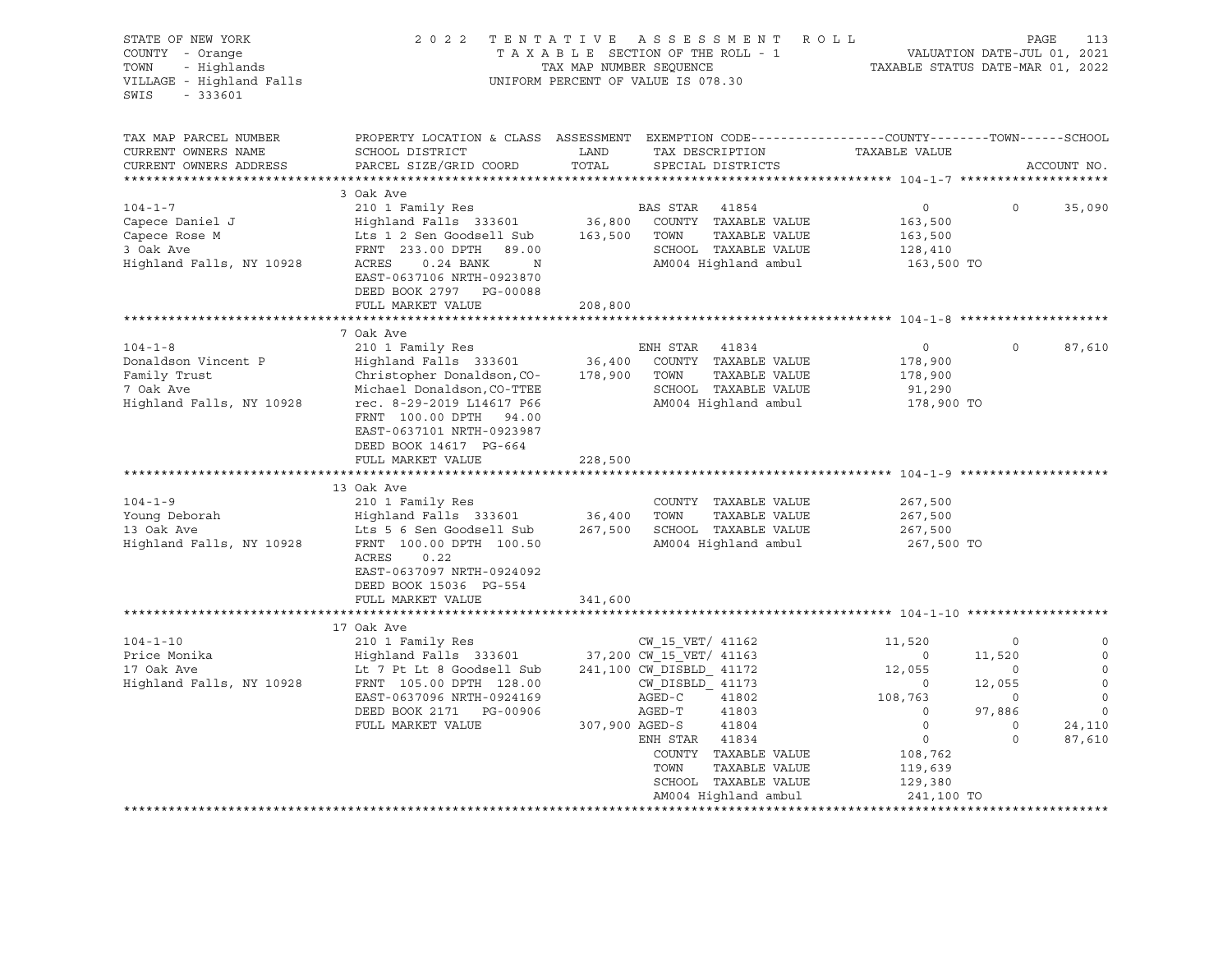| STATE OF NEW YORK<br>COUNTY - Orange<br>COUNTY - Orange<br>TOWN - Highlands<br>VILLAGE - Highland Falls<br>SWIS<br>$-333601$ | 2022 TENTATIVE ASSESSMENT ROLL                                                                                                              | TAXABLE SECTION OF THE ROLL - 1<br>TAX MAP NUMBER SEQUENCE<br>UNIFORM PERCENT OF VALUE IS 078.30 |                          |                                       | TAXABLE STATUS DATE-MAR 01, 2022 |                          | 113<br>PAGE<br>VALUATION DATE-JUL 01, 2021 |
|------------------------------------------------------------------------------------------------------------------------------|---------------------------------------------------------------------------------------------------------------------------------------------|--------------------------------------------------------------------------------------------------|--------------------------|---------------------------------------|----------------------------------|--------------------------|--------------------------------------------|
| TAX MAP PARCEL NUMBER<br>CURRENT OWNERS NAME<br>CURRENT OWNERS ADDRESS                                                       | PROPERTY LOCATION & CLASS ASSESSMENT EXEMPTION CODE---------------COUNTY-------TOWN-----SCHOOL<br>SCHOOL DISTRICT<br>PARCEL SIZE/GRID COORD | LAND<br>TOTAL                                                                                    |                          | TAX DESCRIPTION<br>SPECIAL DISTRICTS  | TAXABLE VALUE                    |                          | ACCOUNT NO.                                |
|                                                                                                                              |                                                                                                                                             |                                                                                                  |                          |                                       |                                  |                          |                                            |
| $104 - 1 - 7$                                                                                                                | 3 Oak Ave                                                                                                                                   |                                                                                                  |                          |                                       |                                  | $\circ$                  |                                            |
| Capece Daniel J                                                                                                              | 210 1 Family Res<br>Highland Falls 333601                                                                                                   |                                                                                                  | BAS STAR 41854           | 36,800 COUNTY TAXABLE VALUE           | $\circ$<br>163,500               |                          | 35,090                                     |
| Capece Rose M                                                                                                                | Lts 1 2 Sen Goodsell Sub                                                                                                                    | 163,500                                                                                          | TOWN                     | TAXABLE VALUE                         | 163,500                          |                          |                                            |
| 3 Oak Ave                                                                                                                    | FRNT 233.00 DPTH 89.00                                                                                                                      |                                                                                                  |                          | SCHOOL TAXABLE VALUE                  | 128,410                          |                          |                                            |
| Highland Falls, NY 10928                                                                                                     | ACRES<br>$\, {\rm N}$<br>$0.24$ BANK<br>EAST-0637106 NRTH-0923870<br>DEED BOOK 2797 PG-00088                                                |                                                                                                  |                          | AM004 Highland ambul                  | 163,500 TO                       |                          |                                            |
|                                                                                                                              | FULL MARKET VALUE<br>********************************                                                                                       | 208,800                                                                                          |                          |                                       |                                  |                          |                                            |
|                                                                                                                              | 7 Oak Ave                                                                                                                                   |                                                                                                  |                          |                                       |                                  |                          |                                            |
| $104 - 1 - 8$                                                                                                                | 210 1 Family Res                                                                                                                            |                                                                                                  | ENH STAR                 | 41834                                 | $\circ$                          | $\circ$                  | 87,610                                     |
| Donaldson Vincent P                                                                                                          | Highland Falls 333601                                                                                                                       |                                                                                                  |                          | 36,400 COUNTY TAXABLE VALUE           | 178,900                          |                          |                                            |
| Family Trust                                                                                                                 | Christopher Donaldson, CO-                                                                                                                  | 178,900                                                                                          | TOWN                     | TAXABLE VALUE                         | 178,900                          |                          |                                            |
| 7 Oak Ave                                                                                                                    | Michael Donaldson, CO-TTEE                                                                                                                  |                                                                                                  |                          | SCHOOL TAXABLE VALUE                  | 91,290                           |                          |                                            |
| Highland Falls, NY 10928                                                                                                     | rec. 8-29-2019 L14617 P66<br>FRNT 100.00 DPTH 94.00<br>EAST-0637101 NRTH-0923987<br>DEED BOOK 14617 PG-664<br>FULL MARKET VALUE             | 228,500                                                                                          |                          | AM004 Highland ambul                  | 178,900 TO                       |                          |                                            |
|                                                                                                                              |                                                                                                                                             |                                                                                                  |                          |                                       |                                  |                          |                                            |
|                                                                                                                              | 13 Oak Ave                                                                                                                                  |                                                                                                  |                          |                                       |                                  |                          |                                            |
| $104 - 1 - 9$                                                                                                                | 210 1 Family Res                                                                                                                            |                                                                                                  |                          | COUNTY TAXABLE VALUE                  | 267,500                          |                          |                                            |
| Young Deborah                                                                                                                | Highland Falls 333601                                                                                                                       | 36,400                                                                                           | TOWN                     | TAXABLE VALUE                         | 267,500                          |                          |                                            |
| 13 Oak Ave                                                                                                                   | Lts 5 6 Sen Goodsell Sub                                                                                                                    |                                                                                                  |                          | 267,500 SCHOOL TAXABLE VALUE          | 267,500                          |                          |                                            |
| Highland Falls, NY 10928                                                                                                     | FRNT 100.00 DPTH 100.50<br>ACRES<br>0.22<br>EAST-0637097 NRTH-0924092<br>DEED BOOK 15036 PG-554<br>FULL MARKET VALUE                        | 341,600                                                                                          |                          | AM004 Highland ambul                  | 267,500 TO                       |                          |                                            |
|                                                                                                                              |                                                                                                                                             |                                                                                                  |                          |                                       |                                  |                          |                                            |
|                                                                                                                              | 17 Oak Ave                                                                                                                                  |                                                                                                  |                          |                                       |                                  |                          |                                            |
| $104 - 1 - 10$                                                                                                               | 210 1 Family Res                                                                                                                            |                                                                                                  | CW 15 VET/ 41162         |                                       | 11,520                           | $\circ$                  |                                            |
| Price Monika                                                                                                                 | Highland Falls 333601                                                                                                                       |                                                                                                  | 37,200 CW_15_VET/ 41163  |                                       | $\overline{\phantom{0}}$         | 11,520                   |                                            |
| 17 Oak Ave                                                                                                                   | Lt 7 Pt Lt 8 Goodsell Sub                                                                                                                   |                                                                                                  | 241,100 CW_DISBLD_ 41172 |                                       | 12,055                           | $\circ$                  | 0                                          |
| Highland Falls, NY 10928                                                                                                     | FRNT 105.00 DPTH 128.00                                                                                                                     |                                                                                                  | CW DISBLD 41173          |                                       | $\circ$                          | 12,055                   | $\mathbb O$                                |
|                                                                                                                              | EAST-0637096 NRTH-0924169                                                                                                                   |                                                                                                  | AGED-C                   | 41802                                 | 108,763                          | $\overline{\phantom{0}}$ | $\mathbf 0$                                |
|                                                                                                                              | DEED BOOK 2171 PG-00906                                                                                                                     |                                                                                                  | AGED-T                   | 41803                                 | $\circ$                          | 97,886                   | $\mathbf 0$                                |
|                                                                                                                              | FULL MARKET VALUE                                                                                                                           | 307,900 AGED-S                                                                                   |                          | 41804                                 | $\circ$                          | 0                        | 24,110                                     |
|                                                                                                                              |                                                                                                                                             |                                                                                                  | ENH STAR 41834           |                                       | $\overline{0}$                   | $\circ$                  | 87,610                                     |
|                                                                                                                              |                                                                                                                                             |                                                                                                  |                          | COUNTY TAXABLE VALUE                  | 108,762                          |                          |                                            |
|                                                                                                                              |                                                                                                                                             |                                                                                                  | TOWN                     | TAXABLE VALUE<br>SCHOOL TAXABLE VALUE | 119,639<br>129,380               |                          |                                            |
|                                                                                                                              |                                                                                                                                             |                                                                                                  |                          | AM004 Highland ambul                  | 241,100 TO                       |                          |                                            |
|                                                                                                                              |                                                                                                                                             |                                                                                                  |                          |                                       |                                  |                          |                                            |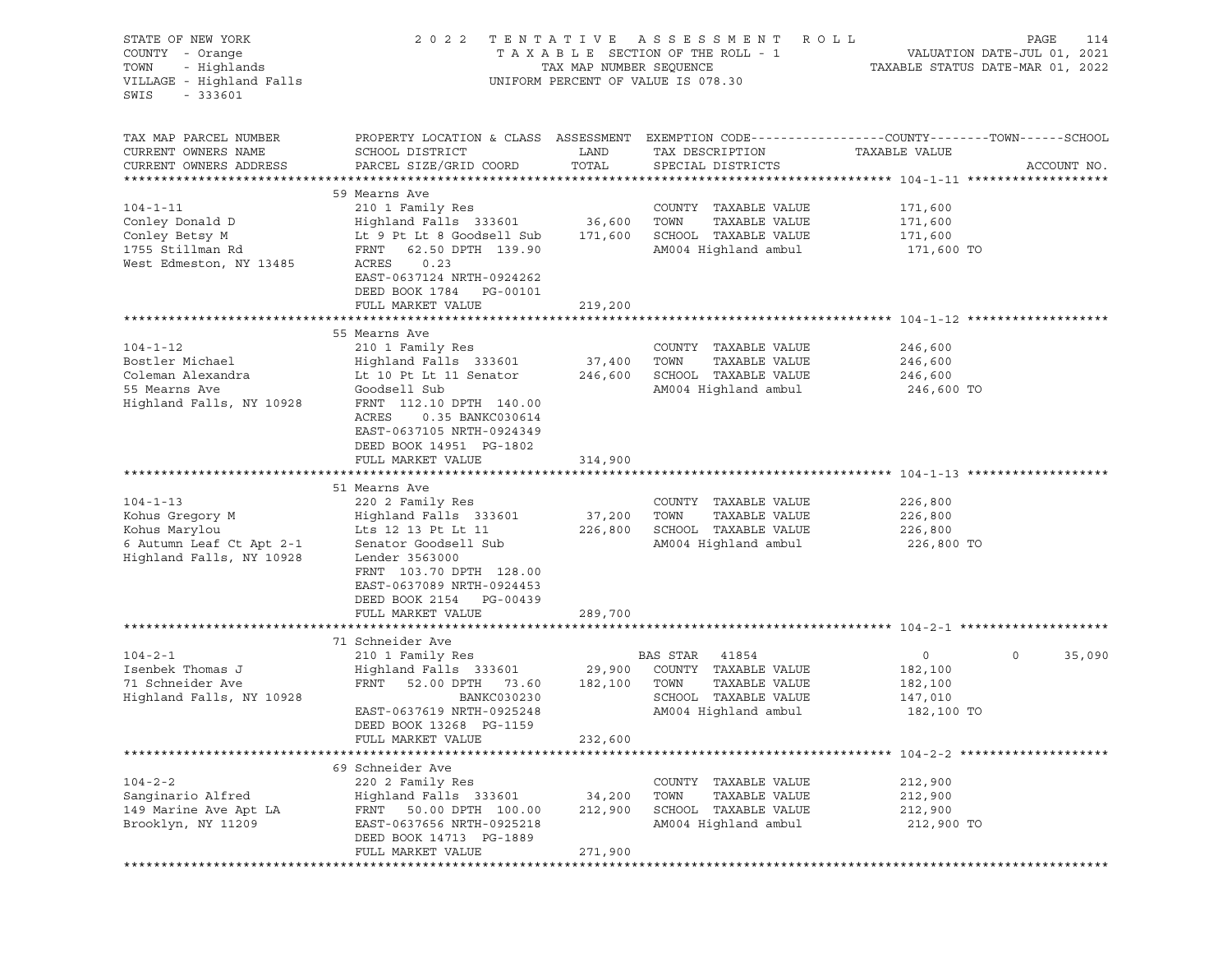| STATE OF NEW YORK<br>COUNTY - Orange<br>- Highlands<br>TOWN<br>VILLAGE - Highland Falls<br>SWIS<br>$-333601$ | 2 0 2 2                                                                                                                                                                                                         | TAX MAP NUMBER SEQUENCE      | TENTATIVE ASSESSMENT ROLL<br>TAXABLE SECTION OF THE ROLL - 1<br>UNIFORM PERCENT OF VALUE IS 078.30                 | TAXABLE STATUS DATE-MAR 01, 2022                              | PAGE<br>114<br>VALUATION DATE-JUL 01, 2021 |
|--------------------------------------------------------------------------------------------------------------|-----------------------------------------------------------------------------------------------------------------------------------------------------------------------------------------------------------------|------------------------------|--------------------------------------------------------------------------------------------------------------------|---------------------------------------------------------------|--------------------------------------------|
| TAX MAP PARCEL NUMBER<br>CURRENT OWNERS NAME<br>CURRENT OWNERS ADDRESS                                       | PROPERTY LOCATION & CLASS ASSESSMENT EXEMPTION CODE---------------COUNTY-------TOWN------SCHOOL<br>SCHOOL DISTRICT<br>PARCEL SIZE/GRID COORD                                                                    | LAND<br>TOTAL                | TAX DESCRIPTION<br>SPECIAL DISTRICTS                                                                               | TAXABLE VALUE                                                 | ACCOUNT NO.                                |
| $104 - 1 - 11$<br>Conley Donald D<br>Conley Betsy M<br>1755 Stillman Rd<br>West Edmeston, NY 13485           | 59 Mearns Ave<br>210 1 Family Res<br>Highland Falls 333601<br>Lt 9 Pt Lt 8 Goodsell Sub<br>FRNT 62.50 DPTH 139.90<br>ACRES<br>0.23<br>EAST-0637124 NRTH-0924262<br>DEED BOOK 1784 PG-00101<br>FULL MARKET VALUE | 36,600<br>171,600<br>219,200 | COUNTY TAXABLE VALUE<br>TOWN<br>TAXABLE VALUE<br>SCHOOL TAXABLE VALUE<br>AM004 Highland ambul                      | 171,600<br>171,600<br>171,600<br>171,600 TO                   |                                            |
|                                                                                                              |                                                                                                                                                                                                                 | *************                |                                                                                                                    | ******************************* 104-1-12 *******************  |                                            |
| $104 - 1 - 12$<br>Bostler Michael<br>Coleman Alexandra<br>55 Mearns Ave<br>Highland Falls, NY 10928          | 55 Mearns Ave<br>210 1 Family Res<br>Highland Falls 333601<br>Lt 10 Pt Lt 11 Senator 246,600<br>Goodsell Sub<br>FRNT 112.10 DPTH 140.00<br>ACRES<br>0.35 BANKC030614<br>EAST-0637105 NRTH-0924349               | 37,400                       | COUNTY TAXABLE VALUE<br>TAXABLE VALUE<br>TOWN<br>SCHOOL TAXABLE VALUE<br>AM004 Highland ambul                      | 246,600<br>246,600<br>246,600<br>246,600 TO                   |                                            |
|                                                                                                              | DEED BOOK 14951 PG-1802<br>FULL MARKET VALUE                                                                                                                                                                    | 314,900                      |                                                                                                                    |                                                               |                                            |
|                                                                                                              |                                                                                                                                                                                                                 |                              |                                                                                                                    |                                                               |                                            |
| $104 - 1 - 13$<br>Kohus Gregory M<br>Kohus Marylou<br>6 Autumn Leaf Ct Apt 2-1<br>Highland Falls, NY 10928   | 51 Mearns Ave<br>220 2 Family Res<br>Highland Falls 333601<br>Lts 12 13 Pt Lt 11<br>Senator Goodsell Sub<br>Lender 3563000<br>FRNT 103.70 DPTH 128.00<br>EAST-0637089 NRTH-0924453<br>DEED BOOK 2154 PG-00439   | 37,200<br>226,800            | COUNTY TAXABLE VALUE<br>TAXABLE VALUE<br>TOWN<br>SCHOOL TAXABLE VALUE<br>AM004 Highland ambul                      | 226,800<br>226,800<br>226,800<br>226,800 TO                   |                                            |
|                                                                                                              | FULL MARKET VALUE                                                                                                                                                                                               | 289,700                      |                                                                                                                    |                                                               |                                            |
|                                                                                                              | 71 Schneider Ave                                                                                                                                                                                                |                              |                                                                                                                    |                                                               |                                            |
| $104 - 2 - 1$<br>Isenbek Thomas J<br>71 Schneider Ave<br>Highland Falls, NY 10928                            | 210 1 Family Res<br>Highland Falls 333601<br>52.00 DPTH 73.60 182,100<br>FRNT<br>BANKC030230<br>EAST-0637619 NRTH-0925248<br>DEED BOOK 13268 PG-1159                                                            | 29,900                       | BAS STAR<br>41854<br>COUNTY TAXABLE VALUE<br>TAXABLE VALUE<br>TOWN<br>SCHOOL TAXABLE VALUE<br>AM004 Highland ambul | $\overline{0}$<br>182,100<br>182,100<br>147,010<br>182,100 TO | 35,090<br>0                                |
|                                                                                                              | FULL MARKET VALUE                                                                                                                                                                                               | 232,600                      |                                                                                                                    |                                                               |                                            |
| $104 - 2 - 2$<br>Sanginario Alfred<br>149 Marine Ave Apt LA<br>Brooklyn, NY 11209                            | 69 Schneider Ave<br>220 2 Family Res<br>Highland Falls 333601<br>FRNT<br>50.00 DPTH 100.00<br>EAST-0637656 NRTH-0925218<br>DEED BOOK 14713 PG-1889<br>FULL MARKET VALUE                                         | 34,200<br>212,900<br>271,900 | COUNTY<br>TAXABLE VALUE<br>TOWN<br>TAXABLE VALUE<br>SCHOOL TAXABLE VALUE<br>AM004 Highland ambul                   | 212,900<br>212,900<br>212,900<br>212,900 TO                   |                                            |
|                                                                                                              |                                                                                                                                                                                                                 |                              |                                                                                                                    |                                                               |                                            |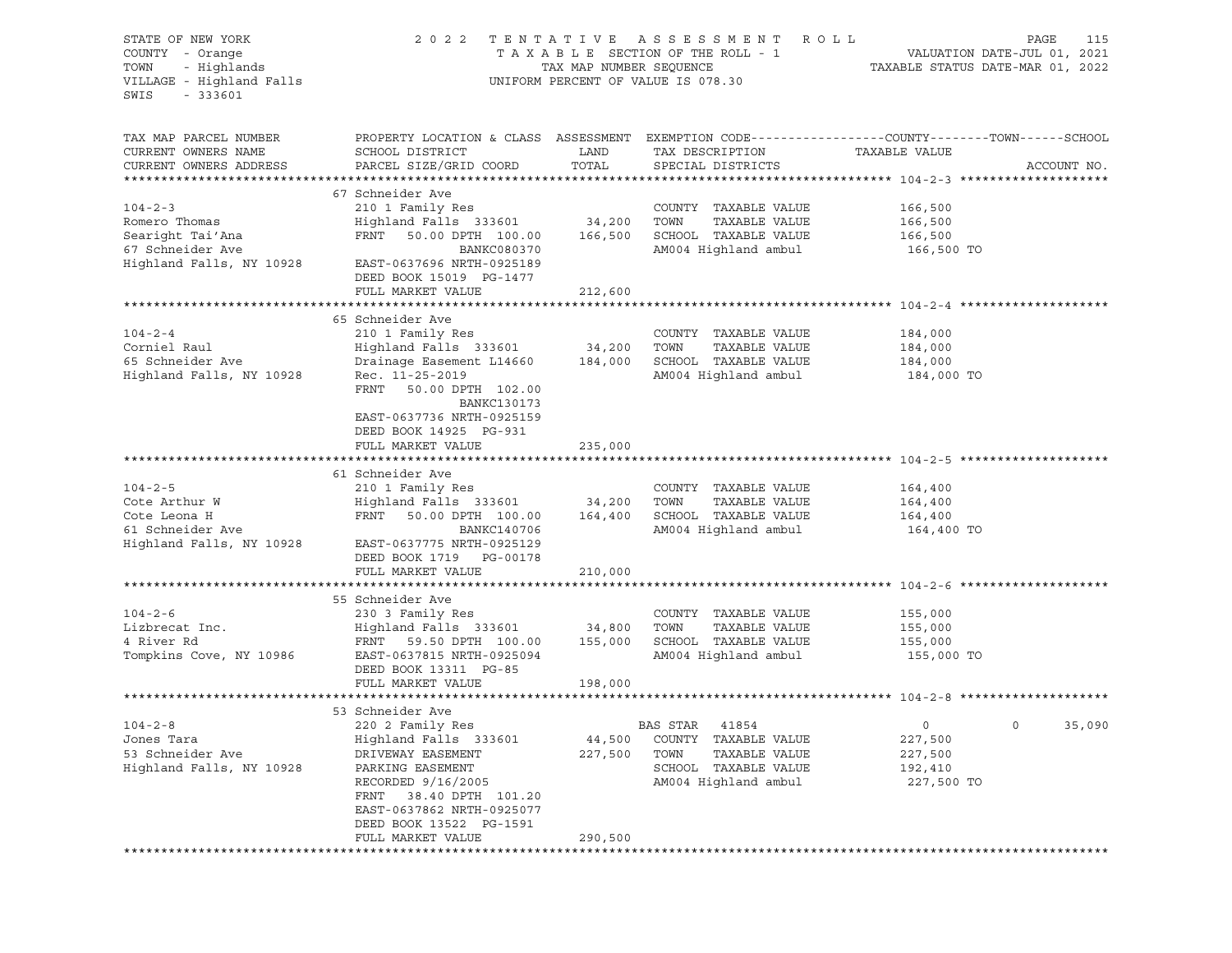| STATE OF NEW YORK<br>COUNTY - Orange<br>- Highlands<br>TOWN<br>VILLAGE - Highland Falls<br>SWIS<br>$-333601$ | 2 0 2 2                                                                                                                                       | TAX MAP NUMBER SEQUENCE | TENTATIVE ASSESSMENT<br>TAXABLE SECTION OF THE ROLL - 1<br>UNIFORM PERCENT OF VALUE IS 078.30 | R O L L<br>TAXABLE STATUS DATE-MAR 01, 2022 | PAGE<br>115<br>VALUATION DATE-JUL 01, 2021 |
|--------------------------------------------------------------------------------------------------------------|-----------------------------------------------------------------------------------------------------------------------------------------------|-------------------------|-----------------------------------------------------------------------------------------------|---------------------------------------------|--------------------------------------------|
| TAX MAP PARCEL NUMBER<br>CURRENT OWNERS NAME<br>CURRENT OWNERS ADDRESS                                       | PROPERTY LOCATION & CLASS ASSESSMENT EXEMPTION CODE----------------COUNTY-------TOWN------SCHOOL<br>SCHOOL DISTRICT<br>PARCEL SIZE/GRID COORD | LAND<br>TOTAL           | TAX DESCRIPTION<br>SPECIAL DISTRICTS                                                          | TAXABLE VALUE                               | ACCOUNT NO.                                |
|                                                                                                              |                                                                                                                                               |                         |                                                                                               |                                             |                                            |
|                                                                                                              | 67 Schneider Ave                                                                                                                              |                         |                                                                                               |                                             |                                            |
| $104 - 2 - 3$                                                                                                | 210 1 Family Res                                                                                                                              |                         | COUNTY TAXABLE VALUE                                                                          | 166,500                                     |                                            |
| Romero Thomas<br>Searight Tai'Ana                                                                            | Highland Falls 333601                                                                                                                         | 34,200                  | TAXABLE VALUE<br>TOWN<br>SCHOOL TAXABLE VALUE                                                 | 166,500                                     |                                            |
| 67 Schneider Ave                                                                                             | FRNT 50.00 DPTH 100.00<br>BANKC080370                                                                                                         | 166,500                 |                                                                                               | 166,500                                     |                                            |
| Highland Falls, NY 10928                                                                                     | EAST-0637696 NRTH-0925189<br>DEED BOOK 15019 PG-1477                                                                                          |                         | AM004 Highland ambul                                                                          | 166,500 TO                                  |                                            |
|                                                                                                              | FULL MARKET VALUE                                                                                                                             | 212,600                 |                                                                                               |                                             |                                            |
|                                                                                                              |                                                                                                                                               |                         |                                                                                               |                                             |                                            |
|                                                                                                              | 65 Schneider Ave                                                                                                                              |                         |                                                                                               |                                             |                                            |
| $104 - 2 - 4$<br>Corniel Raul                                                                                | 210 1 Family Res<br>Highland Falls 333601                                                                                                     | 34,200                  | COUNTY TAXABLE VALUE<br>TOWN<br>TAXABLE VALUE                                                 | 184,000<br>184,000                          |                                            |
| 65 Schneider Ave                                                                                             | Drainage Easement L14660                                                                                                                      | 184,000                 | SCHOOL TAXABLE VALUE                                                                          | 184,000                                     |                                            |
| Highland Falls, NY 10928                                                                                     | Rec. 11-25-2019                                                                                                                               |                         | AM004 Highland ambul                                                                          | 184,000 TO                                  |                                            |
|                                                                                                              | FRNT 50.00 DPTH 102.00<br>BANKC130173                                                                                                         |                         |                                                                                               |                                             |                                            |
|                                                                                                              | EAST-0637736 NRTH-0925159<br>DEED BOOK 14925 PG-931<br>FULL MARKET VALUE                                                                      | 235,000                 |                                                                                               |                                             |                                            |
|                                                                                                              |                                                                                                                                               |                         |                                                                                               |                                             |                                            |
|                                                                                                              | 61 Schneider Ave                                                                                                                              |                         |                                                                                               |                                             |                                            |
| $104 - 2 - 5$                                                                                                | 210 1 Family Res                                                                                                                              |                         | COUNTY TAXABLE VALUE                                                                          | 164,400                                     |                                            |
| Cote Arthur W                                                                                                | Highland Falls 333601                                                                                                                         | 34,200                  | TAXABLE VALUE<br>TOWN                                                                         | 164,400                                     |                                            |
| Cote Leona H                                                                                                 | FRNT<br>50.00 DPTH 100.00                                                                                                                     | 164,400                 | SCHOOL TAXABLE VALUE                                                                          | 164,400                                     |                                            |
| 61 Schneider Ave                                                                                             | BANKC140706                                                                                                                                   |                         | AM004 Highland ambul                                                                          | 164,400 TO                                  |                                            |
| Highland Falls, NY 10928                                                                                     | EAST-0637775 NRTH-0925129<br>DEED BOOK 1719 PG-00178                                                                                          |                         |                                                                                               |                                             |                                            |
|                                                                                                              | FULL MARKET VALUE                                                                                                                             | 210,000                 |                                                                                               |                                             |                                            |
|                                                                                                              | 55 Schneider Ave                                                                                                                              |                         |                                                                                               |                                             |                                            |
| $104 - 2 - 6$                                                                                                | 230 3 Family Res                                                                                                                              |                         | COUNTY TAXABLE VALUE                                                                          | 155,000                                     |                                            |
| Lizbrecat Inc.                                                                                               | Highland Falls 333601                                                                                                                         | 34,800                  | TOWN<br>TAXABLE VALUE                                                                         | 155,000                                     |                                            |
| 4 River Rd                                                                                                   | FRNT 59.50 DPTH 100.00                                                                                                                        | 155,000                 | SCHOOL TAXABLE VALUE                                                                          | 155,000                                     |                                            |
| Tompkins Cove, NY 10986                                                                                      | EAST-0637815 NRTH-0925094                                                                                                                     |                         | AM004 Highland ambul                                                                          | 155,000 TO                                  |                                            |
|                                                                                                              | DEED BOOK 13311 PG-85<br>FULL MARKET VALUE                                                                                                    | 198,000                 |                                                                                               |                                             |                                            |
|                                                                                                              |                                                                                                                                               |                         |                                                                                               |                                             |                                            |
|                                                                                                              | 53 Schneider Ave                                                                                                                              |                         |                                                                                               |                                             |                                            |
| $104 - 2 - 8$                                                                                                | 220 2 Family Res                                                                                                                              |                         | BAS STAR 41854                                                                                | $\circ$                                     | 35,090                                     |
| Jones Tara                                                                                                   | Highland Falls 333601                                                                                                                         | 44,500                  | COUNTY TAXABLE VALUE                                                                          | 227,500                                     |                                            |
| 53 Schneider Ave                                                                                             | DRIVEWAY EASEMENT                                                                                                                             | 227,500                 | TOWN<br>TAXABLE VALUE                                                                         | 227,500                                     |                                            |
| Highland Falls, NY 10928                                                                                     | PARKING EASEMENT                                                                                                                              |                         | SCHOOL TAXABLE VALUE                                                                          | 192,410                                     |                                            |
|                                                                                                              | RECORDED 9/16/2005                                                                                                                            |                         | AM004 Highland ambul                                                                          | 227,500 TO                                  |                                            |
|                                                                                                              | FRNT<br>38.40 DPTH 101.20                                                                                                                     |                         |                                                                                               |                                             |                                            |
|                                                                                                              | EAST-0637862 NRTH-0925077<br>DEED BOOK 13522 PG-1591                                                                                          |                         |                                                                                               |                                             |                                            |
|                                                                                                              | FULL MARKET VALUE                                                                                                                             | 290,500                 |                                                                                               |                                             |                                            |
|                                                                                                              |                                                                                                                                               |                         |                                                                                               |                                             |                                            |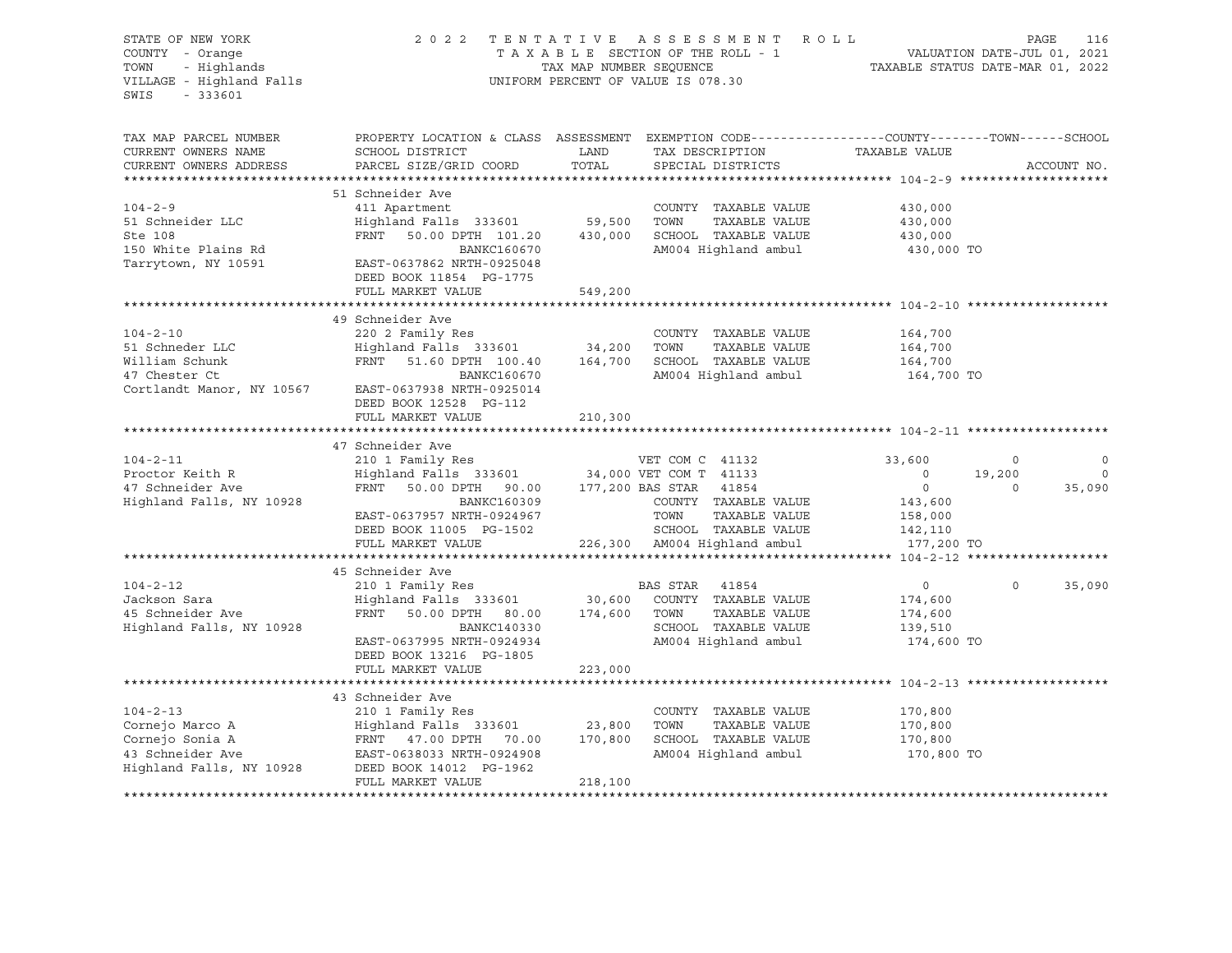| STATE OF NEW YORK<br>COUNTY - Orange<br>- Highlands<br>TOWN<br>VILLAGE - Highland Falls<br>SWIS<br>$-333601$ | 2 0 2 2                                                                                                                                      | TAX MAP NUMBER SEQUENCE | TENTATIVE ASSESSMENT<br>TAXABLE SECTION OF THE ROLL - 1<br>UNIFORM PERCENT OF VALUE IS 078.30 | R O L L<br>TAXABLE STATUS DATE-MAR 01, 2022 | PAGE<br>VALUATION DATE-JUL 01, 2021 | 116         |
|--------------------------------------------------------------------------------------------------------------|----------------------------------------------------------------------------------------------------------------------------------------------|-------------------------|-----------------------------------------------------------------------------------------------|---------------------------------------------|-------------------------------------|-------------|
| TAX MAP PARCEL NUMBER<br>CURRENT OWNERS NAME<br>CURRENT OWNERS ADDRESS                                       | PROPERTY LOCATION & CLASS ASSESSMENT EXEMPTION CODE---------------COUNTY-------TOWN------SCHOOL<br>SCHOOL DISTRICT<br>PARCEL SIZE/GRID COORD | LAND<br>TOTAL           | TAX DESCRIPTION<br>SPECIAL DISTRICTS                                                          | TAXABLE VALUE                               |                                     | ACCOUNT NO. |
|                                                                                                              |                                                                                                                                              |                         |                                                                                               |                                             |                                     |             |
| $104 - 2 - 9$<br>51 Schneider LLC                                                                            | 51 Schneider Ave<br>411 Apartment<br>Highland Falls 333601                                                                                   | 59,500                  | COUNTY TAXABLE VALUE<br>TOWN<br>TAXABLE VALUE                                                 | 430,000<br>430,000                          |                                     |             |
| Ste 108<br>150 White Plains Rd                                                                               | FRNT 50.00 DPTH 101.20<br>BANKC160670                                                                                                        | 430,000                 | SCHOOL TAXABLE VALUE<br>AM004 Highland ambul                                                  | 430,000<br>430,000 TO                       |                                     |             |
| Tarrytown, NY 10591                                                                                          | EAST-0637862 NRTH-0925048<br>DEED BOOK 11854 PG-1775<br>FULL MARKET VALUE                                                                    | 549,200                 |                                                                                               |                                             |                                     |             |
|                                                                                                              |                                                                                                                                              |                         |                                                                                               |                                             |                                     |             |
| $104 - 2 - 10$                                                                                               | 49 Schneider Ave<br>220 2 Family Res                                                                                                         |                         | COUNTY TAXABLE VALUE                                                                          | 164,700                                     |                                     |             |
| 51 Schneder LLC                                                                                              | Highland Falls 333601                                                                                                                        | 34,200                  | TOWN<br>TAXABLE VALUE                                                                         | 164,700                                     |                                     |             |
| William Schunk                                                                                               | FRNT 51.60 DPTH 100.40                                                                                                                       | 164,700                 | SCHOOL TAXABLE VALUE                                                                          | 164,700                                     |                                     |             |
| 47 Chester Ct<br>Cortlandt Manor, NY 10567                                                                   | BANKC160670<br>EAST-0637938 NRTH-0925014<br>DEED BOOK 12528 PG-112                                                                           |                         | AM004 Highland ambul                                                                          | 164,700 TO                                  |                                     |             |
|                                                                                                              | FULL MARKET VALUE                                                                                                                            | 210,300                 |                                                                                               |                                             |                                     |             |
|                                                                                                              | 47 Schneider Ave                                                                                                                             |                         |                                                                                               |                                             |                                     |             |
| $104 - 2 - 11$                                                                                               | 210 1 Family Res                                                                                                                             |                         | VET COM C 41132                                                                               | 33,600                                      | $\circ$                             | $\circ$     |
| Proctor Keith R                                                                                              | Highland Falls 333601                                                                                                                        |                         | 34,000 VET COM T 41133                                                                        | $\Omega$                                    | 19,200                              | $\Omega$    |
| 47 Schneider Ave                                                                                             | FRNT 50.00 DPTH<br>90.00                                                                                                                     |                         | 177,200 BAS STAR<br>41854                                                                     | $\overline{0}$                              | $\circ$                             | 35,090      |
| Highland Falls, NY 10928                                                                                     | BANKC160309                                                                                                                                  |                         | COUNTY TAXABLE VALUE                                                                          | 143,600                                     |                                     |             |
|                                                                                                              | EAST-0637957 NRTH-0924967                                                                                                                    |                         | TOWN<br>TAXABLE VALUE                                                                         | 158,000                                     |                                     |             |
|                                                                                                              | DEED BOOK 11005 PG-1502                                                                                                                      |                         | SCHOOL TAXABLE VALUE                                                                          | 142,110                                     |                                     |             |
|                                                                                                              | FULL MARKET VALUE                                                                                                                            |                         | 226,300 AM004 Highland ambul                                                                  | 177,200 TO                                  |                                     |             |
|                                                                                                              | 45 Schneider Ave                                                                                                                             |                         |                                                                                               |                                             |                                     |             |
| $104 - 2 - 12$                                                                                               | 210 1 Family Res                                                                                                                             |                         | BAS STAR<br>41854                                                                             | $\circ$                                     | $\Omega$                            | 35,090      |
| Jackson Sara                                                                                                 | Highland Falls 333601                                                                                                                        | 30,600                  | COUNTY TAXABLE VALUE                                                                          | 174,600                                     |                                     |             |
| 45 Schneider Ave                                                                                             | FRNT 50.00 DPTH 80.00                                                                                                                        | 174,600                 | TAXABLE VALUE<br>TOWN                                                                         | 174,600                                     |                                     |             |
| Highland Falls, NY 10928                                                                                     | BANKC140330                                                                                                                                  |                         | SCHOOL TAXABLE VALUE                                                                          | 139,510                                     |                                     |             |
|                                                                                                              | EAST-0637995 NRTH-0924934                                                                                                                    |                         | AM004 Highland ambul                                                                          | 174,600 TO                                  |                                     |             |
|                                                                                                              | DEED BOOK 13216 PG-1805                                                                                                                      |                         |                                                                                               |                                             |                                     |             |
|                                                                                                              | FULL MARKET VALUE                                                                                                                            | 223,000                 |                                                                                               |                                             |                                     |             |
|                                                                                                              |                                                                                                                                              |                         |                                                                                               |                                             |                                     |             |
| $104 - 2 - 13$                                                                                               | 43 Schneider Ave                                                                                                                             |                         |                                                                                               |                                             |                                     |             |
| Cornejo Marco A                                                                                              | 210 1 Family Res<br>Highland Falls 333601                                                                                                    | 23,800                  | COUNTY TAXABLE VALUE<br>TOWN<br>TAXABLE VALUE                                                 | 170,800<br>170,800                          |                                     |             |
| Cornejo Sonia A                                                                                              | FRNT 47.00 DPTH 70.00                                                                                                                        | 170,800                 | SCHOOL TAXABLE VALUE                                                                          | 170,800                                     |                                     |             |
| 43 Schneider Ave                                                                                             | EAST-0638033 NRTH-0924908                                                                                                                    |                         | AM004 Highland ambul                                                                          | 170,800 TO                                  |                                     |             |
| Highland Falls, NY 10928                                                                                     | DEED BOOK 14012 PG-1962                                                                                                                      |                         |                                                                                               |                                             |                                     |             |
|                                                                                                              | FULL MARKET VALUE                                                                                                                            | 218,100                 |                                                                                               |                                             |                                     |             |
|                                                                                                              |                                                                                                                                              |                         |                                                                                               |                                             |                                     |             |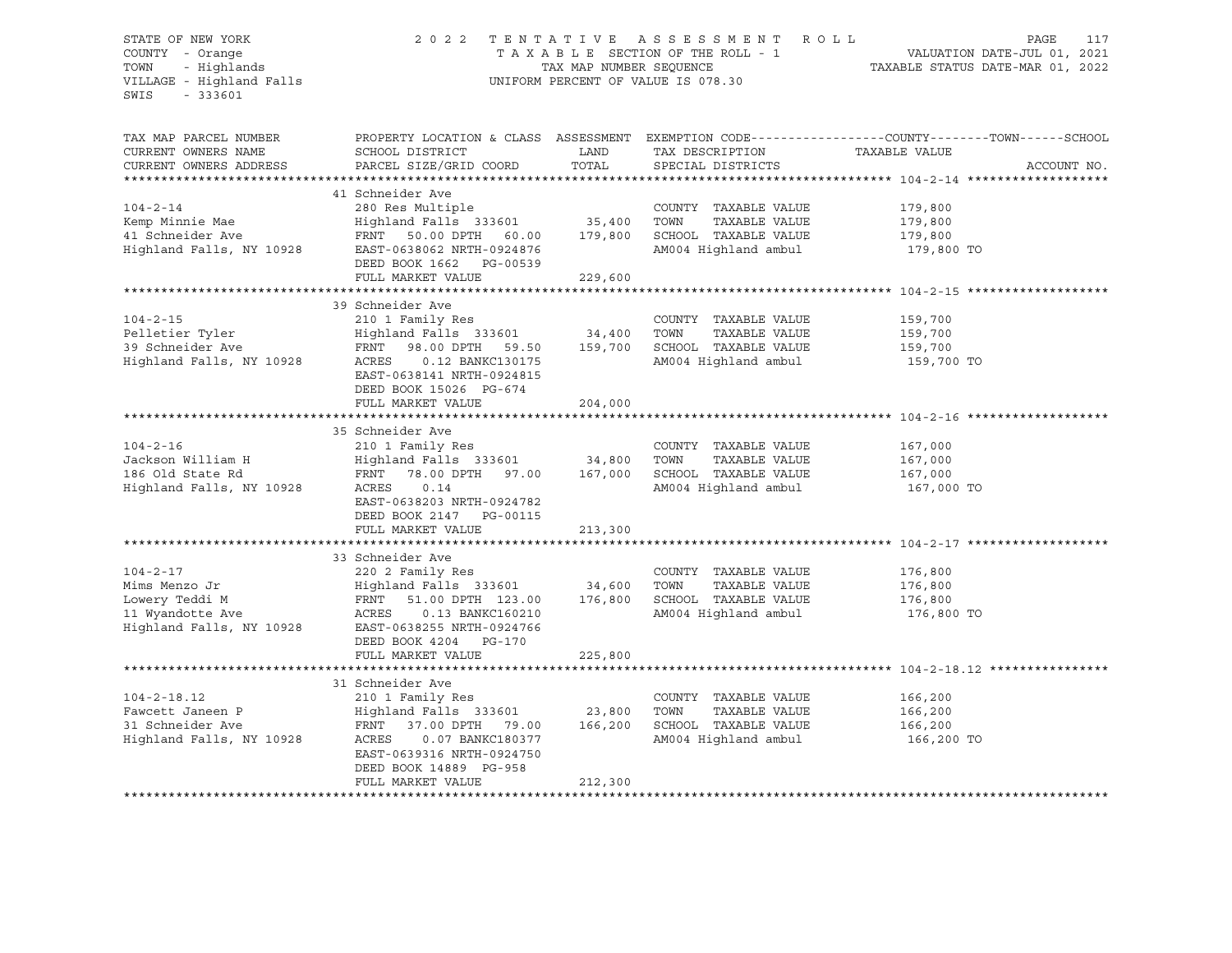#### STATE OF NEW YORK 2 0 2 2 T E N T A T I V E A S S E S S M E N T R O L L PAGE 117 COUNTY - Orange T A X A B L E SECTION OF THE ROLL - 1 VALUATION DATE-JUL 01, 2021 TOWN - Highlands TAX MAP NUMBER SEQUENCE TAXABLE STATUS DATE-MAR 01, 2022 VILLAGE - Highland Falls UNIFORM PERCENT OF VALUE IS 078.30

| TAX MAP PARCEL NUMBER<br>CURRENT OWNERS NAME<br>CURRENT OWNERS ADDRESS                            | PROPERTY LOCATION & CLASS ASSESSMENT<br>SCHOOL DISTRICT<br>PARCEL SIZE/GRID COORD                                                                                                                  | LAND<br>TOTAL                | TAX DESCRIPTION<br>SPECIAL DISTRICTS                                                          | EXEMPTION CODE-----------------COUNTY-------TOWN------SCHOOL<br>TAXABLE VALUE<br>ACCOUNT NO. |
|---------------------------------------------------------------------------------------------------|----------------------------------------------------------------------------------------------------------------------------------------------------------------------------------------------------|------------------------------|-----------------------------------------------------------------------------------------------|----------------------------------------------------------------------------------------------|
| $104 - 2 - 14$<br>Kemp Minnie Mae<br>41 Schneider Ave<br>Highland Falls, NY 10928                 | 41 Schneider Ave<br>280 Res Multiple<br>Highland Falls 333601 35,400<br>50.00 DPTH 60.00 179,800<br>FRNT<br>EAST-0638062 NRTH-0924876<br>DEED BOOK 1662 PG-00539<br>FULL MARKET VALUE              | 229,600                      | COUNTY TAXABLE VALUE<br>TOWN<br>TAXABLE VALUE<br>SCHOOL TAXABLE VALUE<br>AM004 Highland ambul | 179,800<br>179,800<br>179,800<br>179,800 TO                                                  |
|                                                                                                   | 39 Schneider Ave                                                                                                                                                                                   |                              |                                                                                               |                                                                                              |
| $104 - 2 - 15$<br>Pelletier Tyler<br>39 Schneider Ave<br>Highland Falls, NY 10928                 | 210 1 Family Res<br>Highland Falls 333601<br>FRNT<br>98.00 DPTH 59.50<br>ACRES<br>0.12 BANKC130175<br>EAST-0638141 NRTH-0924815<br>DEED BOOK 15026 PG-674                                          | 34,400<br>159,700            | COUNTY TAXABLE VALUE<br>TAXABLE VALUE<br>TOWN<br>SCHOOL TAXABLE VALUE<br>AM004 Highland ambul | 159,700<br>159,700<br>159,700<br>159,700 TO                                                  |
|                                                                                                   | FULL MARKET VALUE                                                                                                                                                                                  | 204,000                      |                                                                                               |                                                                                              |
| $104 - 2 - 16$<br>Jackson William H<br>186 Old State Rd<br>Highland Falls, NY 10928               | 35 Schneider Ave<br>210 1 Family Res<br>Highland Falls 333601 34,800<br>FRNT 78.00 DPTH 97.00<br>ACRES<br>0.14<br>EAST-0638203 NRTH-0924782<br>DEED BOOK 2147 PG-00115<br>FULL MARKET VALUE        | 167,000<br>213,300           | COUNTY TAXABLE VALUE<br>TOWN<br>TAXABLE VALUE<br>SCHOOL TAXABLE VALUE<br>AM004 Highland ambul | 167,000<br>167,000<br>167,000<br>167,000 TO                                                  |
| $104 - 2 - 17$<br>Mims Menzo Jr<br>Lowery Teddi M<br>11 Wyandotte Ave<br>Highland Falls, NY 10928 | 33 Schneider Ave<br>220 2 Family Res<br>Highland Falls 333601<br>FRNT<br>51.00 DPTH 123.00<br>ACRES<br>0.13 BANKC160210<br>EAST-0638255 NRTH-0924766<br>DEED BOOK 4204 PG-170<br>FULL MARKET VALUE | 34,600<br>176,800<br>225,800 | COUNTY TAXABLE VALUE<br>TAXABLE VALUE<br>TOWN<br>SCHOOL TAXABLE VALUE<br>AM004 Highland ambul | 176,800<br>176,800<br>176,800<br>176,800 TO                                                  |
|                                                                                                   | 31 Schneider Ave                                                                                                                                                                                   |                              |                                                                                               |                                                                                              |
| $104 - 2 - 18.12$<br>Fawcett Janeen P<br>31 Schneider Ave<br>Highland Falls, NY 10928             | 210 1 Family Res<br>Highland Falls 333601<br>FRNT<br>37.00 DPTH 79.00<br>ACRES<br>0.07 BANKC180377<br>EAST-0639316 NRTH-0924750<br>DEED BOOK 14889 PG-958<br>FULL MARKET VALUE                     | 23,800<br>166,200<br>212,300 | COUNTY TAXABLE VALUE<br>TAXABLE VALUE<br>TOWN<br>SCHOOL TAXABLE VALUE<br>AM004 Highland ambul | 166,200<br>166,200<br>166,200<br>166,200 TO                                                  |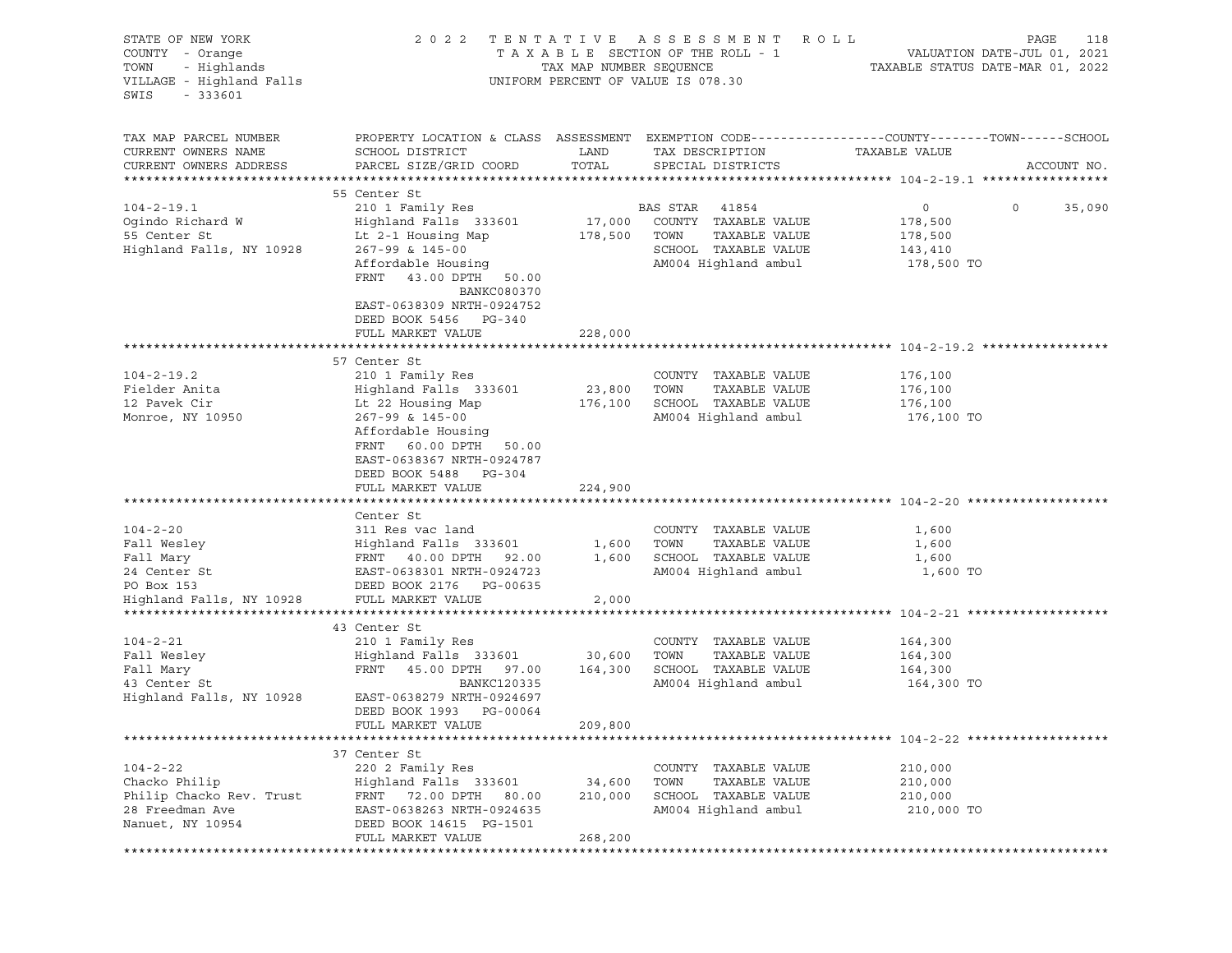| STATE OF NEW YORK<br>COUNTY - Orange<br>- Highlands<br>TOWN<br>VILLAGE - Highland Falls<br>SWIS<br>$-333601$ | 2 0 2 2                                                                                                                                                                              | TAX MAP NUMBER SEQUENCE      | TENTATIVE ASSESSMENT ROLL<br>TAXABLE SECTION OF THE ROLL - 1<br>UNIFORM PERCENT OF VALUE IS 078.30                 | PAGE<br>118<br>VALUATION DATE-JUL 01, 2021<br>TAXABLE STATUS DATE-MAR 01, 2022                                                  |
|--------------------------------------------------------------------------------------------------------------|--------------------------------------------------------------------------------------------------------------------------------------------------------------------------------------|------------------------------|--------------------------------------------------------------------------------------------------------------------|---------------------------------------------------------------------------------------------------------------------------------|
| TAX MAP PARCEL NUMBER<br>CURRENT OWNERS NAME<br>CURRENT OWNERS ADDRESS                                       | SCHOOL DISTRICT<br>PARCEL SIZE/GRID COORD                                                                                                                                            | LAND<br>TOTAL                | TAX DESCRIPTION<br>SPECIAL DISTRICTS                                                                               | PROPERTY LOCATION & CLASS ASSESSMENT EXEMPTION CODE----------------COUNTY-------TOWN-----SCHOOL<br>TAXABLE VALUE<br>ACCOUNT NO. |
|                                                                                                              | 55 Center St                                                                                                                                                                         |                              |                                                                                                                    |                                                                                                                                 |
| $104 - 2 - 19.1$<br>Ogindo Richard W<br>55 Center St<br>Highland Falls, NY 10928                             | 210 1 Family Res<br>Highland Falls 333601<br>Lt 2-1 Housing Map<br>267-99 & 145-00<br>Affordable Housing<br>FRNT 43.00 DPTH 50.00<br><b>BANKC080370</b><br>EAST-0638309 NRTH-0924752 | 17,000<br>178,500            | BAS STAR<br>41854<br>COUNTY TAXABLE VALUE<br>TAXABLE VALUE<br>TOWN<br>SCHOOL TAXABLE VALUE<br>AM004 Highland ambul | $\circ$<br>$\circ$<br>35,090<br>178,500<br>178,500<br>143,410<br>178,500 TO                                                     |
|                                                                                                              | DEED BOOK 5456 PG-340                                                                                                                                                                |                              |                                                                                                                    |                                                                                                                                 |
|                                                                                                              | FULL MARKET VALUE                                                                                                                                                                    | 228,000                      |                                                                                                                    |                                                                                                                                 |
|                                                                                                              | 57 Center St                                                                                                                                                                         |                              |                                                                                                                    |                                                                                                                                 |
| $104 - 2 - 19.2$<br>Fielder Anita<br>12 Pavek Cir<br>Monroe, NY 10950                                        | 210 1 Family Res<br>Highland Falls 333601<br>Lt 22 Housing Map<br>267-99 & 145-00<br>Affordable Housing<br>FRNT 60.00 DPTH 50.00<br>EAST-0638367 NRTH-0924787                        | 23,800<br>176,100            | COUNTY TAXABLE VALUE<br>TOWN<br>TAXABLE VALUE<br>SCHOOL TAXABLE VALUE<br>AM004 Highland ambul                      | 176,100<br>176,100<br>176,100<br>176,100 TO                                                                                     |
|                                                                                                              | DEED BOOK 5488 PG-304<br>FULL MARKET VALUE                                                                                                                                           | 224,900                      |                                                                                                                    |                                                                                                                                 |
|                                                                                                              | Center St                                                                                                                                                                            |                              |                                                                                                                    |                                                                                                                                 |
| $104 - 2 - 20$<br>Fall Wesley<br>Fall Mary<br>24 Center St<br>PO Box 153                                     | 311 Res vac land<br>Highland Falls 333601<br>FRNT 40.00 DPTH 92.00<br>EAST-0638301 NRTH-0924723<br>DEED BOOK 2176 PG-00635                                                           | 1,600<br>1,600               | COUNTY TAXABLE VALUE<br>TOWN<br>TAXABLE VALUE<br>SCHOOL TAXABLE VALUE<br>AM004 Highland ambul                      | 1,600<br>1,600<br>1,600<br>1,600 TO                                                                                             |
| Highland Falls, NY 10928                                                                                     | FULL MARKET VALUE                                                                                                                                                                    | 2,000                        |                                                                                                                    |                                                                                                                                 |
| $104 - 2 - 21$<br>Fall Wesley<br>Fall Mary<br>43 Center St                                                   | 43 Center St<br>210 1 Family Res<br>Highland Falls 333601<br>FRNT 45.00 DPTH 97.00<br>BANKC120335                                                                                    | 30,600<br>164,300            | COUNTY TAXABLE VALUE<br>TAXABLE VALUE<br>TOWN<br>SCHOOL TAXABLE VALUE<br>AM004 Highland ambul                      | 164,300<br>164,300<br>164,300<br>164,300 TO                                                                                     |
| Highland Falls, NY 10928                                                                                     | EAST-0638279 NRTH-0924697<br>DEED BOOK 1993 PG-00064<br>FULL MARKET VALUE                                                                                                            | 209,800                      |                                                                                                                    |                                                                                                                                 |
|                                                                                                              |                                                                                                                                                                                      |                              |                                                                                                                    |                                                                                                                                 |
| $104 - 2 - 22$<br>Chacko Philip<br>Philip Chacko Rev. Trust<br>28 Freedman Ave<br>Nanuet, NY 10954           | 37 Center St<br>220 2 Family Res<br>Highland Falls 333601<br>FRNT 72.00 DPTH 80.00<br>EAST-0638263 NRTH-0924635<br>DEED BOOK 14615 PG-1501<br>FULL MARKET VALUE                      | 34,600<br>210,000<br>268,200 | COUNTY TAXABLE VALUE<br>TOWN<br>TAXABLE VALUE<br>SCHOOL TAXABLE VALUE<br>AM004 Highland ambul                      | 210,000<br>210,000<br>210,000<br>210,000 TO                                                                                     |
|                                                                                                              |                                                                                                                                                                                      |                              |                                                                                                                    |                                                                                                                                 |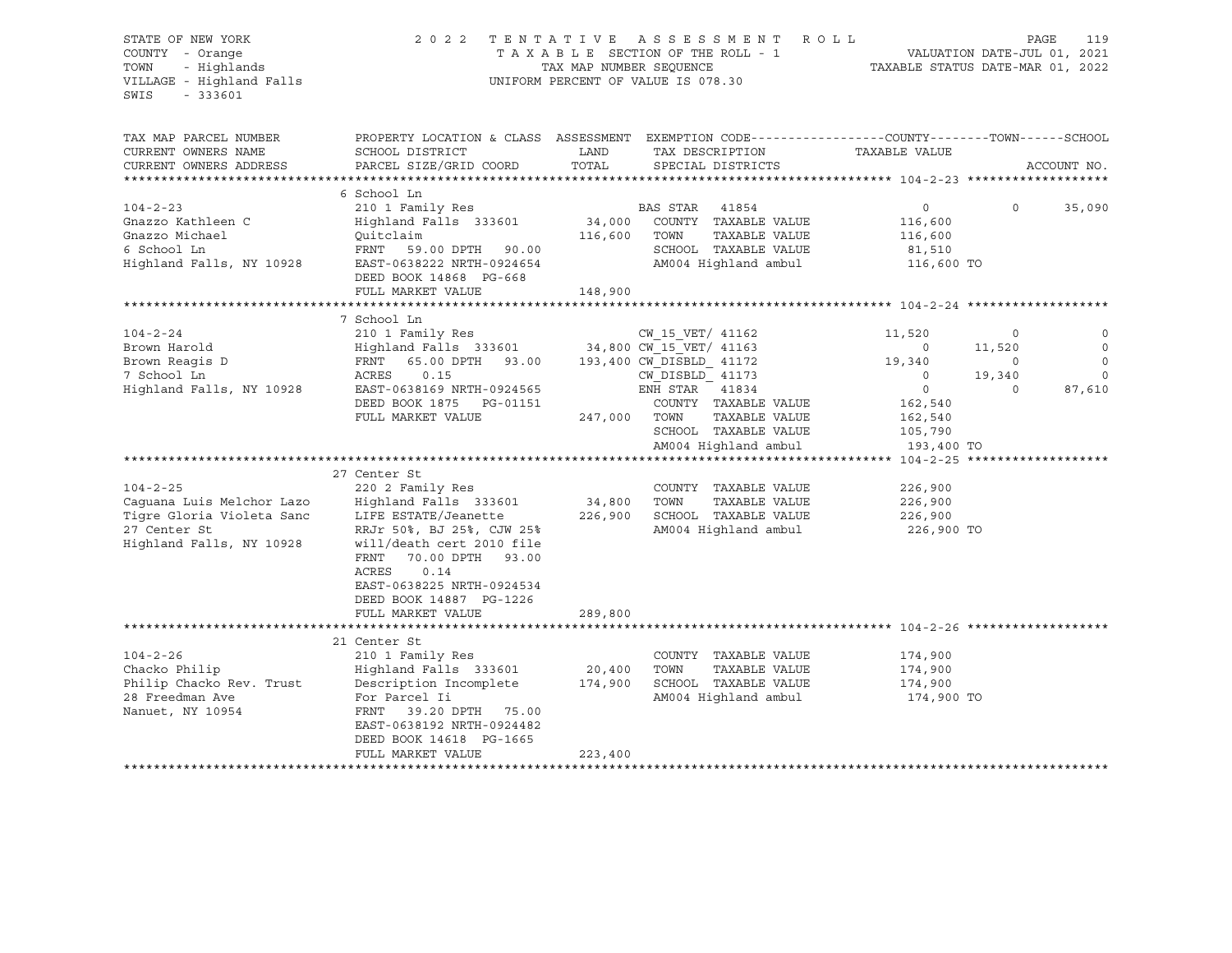| STATE OF NEW YORK<br>COUNTY - Orange<br>TOWN<br>- Highlands<br>VILLAGE - Highland Falls<br>SWIS<br>$-333601$ | 2 0 2 2                                                                                                                        | TAX MAP NUMBER SEQUENCE | TENTATIVE ASSESSMENT ROLL<br>TAXABLE SECTION OF THE ROLL - 1<br>UNIFORM PERCENT OF VALUE IS 078.30                 | TAXABLE STATUS DATE-MAR 01, 2022 | VALUATION DATE-JUL 01, 2021 | 119<br>PAGE            |
|--------------------------------------------------------------------------------------------------------------|--------------------------------------------------------------------------------------------------------------------------------|-------------------------|--------------------------------------------------------------------------------------------------------------------|----------------------------------|-----------------------------|------------------------|
|                                                                                                              |                                                                                                                                |                         |                                                                                                                    |                                  |                             |                        |
| TAX MAP PARCEL NUMBER<br>CURRENT OWNERS NAME                                                                 | SCHOOL DISTRICT                                                                                                                | LAND                    | PROPERTY LOCATION & CLASS ASSESSMENT EXEMPTION CODE----------------COUNTY-------TOWN-----SCHOOL<br>TAX DESCRIPTION | TAXABLE VALUE                    |                             |                        |
| CURRENT OWNERS ADDRESS                                                                                       | PARCEL SIZE/GRID COORD                                                                                                         | TOTAL                   | SPECIAL DISTRICTS                                                                                                  |                                  |                             | ACCOUNT NO.            |
|                                                                                                              | 6 School Ln                                                                                                                    |                         |                                                                                                                    |                                  |                             |                        |
| $104 - 2 - 23$                                                                                               | 210 1 Family Res                                                                                                               |                         | BAS STAR 41854                                                                                                     | $\circ$                          | $\Omega$                    | 35,090                 |
| Gnazzo Kathleen C                                                                                            | Highland Falls 333601                                                                                                          |                         | 34,000 COUNTY TAXABLE VALUE                                                                                        | 116,600                          |                             |                        |
| Gnazzo Michael                                                                                               | Ouitclaim                                                                                                                      | 116,600                 | TOWN<br>TAXABLE VALUE                                                                                              | 116,600                          |                             |                        |
| 6 School Ln                                                                                                  | FRNT 59.00 DPTH 90.00                                                                                                          |                         | SCHOOL TAXABLE VALUE                                                                                               | 81,510                           |                             |                        |
| Highland Falls, NY 10928                                                                                     | EAST-0638222 NRTH-0924654                                                                                                      |                         | AM004 Highland ambul                                                                                               | 116,600 TO                       |                             |                        |
|                                                                                                              | DEED BOOK 14868 PG-668                                                                                                         |                         |                                                                                                                    |                                  |                             |                        |
|                                                                                                              | FULL MARKET VALUE                                                                                                              | 148,900                 |                                                                                                                    |                                  |                             |                        |
|                                                                                                              |                                                                                                                                |                         |                                                                                                                    |                                  |                             |                        |
|                                                                                                              | 7 School Ln                                                                                                                    |                         |                                                                                                                    |                                  |                             |                        |
| $104 - 2 - 24$                                                                                               | 210 1 Family Res<br>Highland Falls 333601                                                                                      |                         | CW_15_vbi/<br>34,800 CW_15_VET/ 41163<br>221172 CM DISBLD                                                          | 11,520                           | $\circ$                     |                        |
| Brown Harold<br>Brown Reagis D                                                                               | 65.00 DPTH 93.00 193,400 CW DISBLD 41172<br>FRNT                                                                               |                         |                                                                                                                    | $\sim$ 0<br>19,340               | 11,520<br>$\mathbf 0$       | $\circ$<br>$\mathbf 0$ |
| 7 School Ln                                                                                                  | ACRES<br>0.15                                                                                                                  |                         | CW DISBLD 41173                                                                                                    | $\overline{0}$                   | 19,340                      | $\mathbf 0$            |
| Highland Falls, NY 10928                                                                                     | EAST-0638169 NRTH-0924565                                                                                                      |                         | ENH STAR 41834                                                                                                     | $\overline{0}$                   | $\circ$                     | 87,610                 |
|                                                                                                              | DEED BOOK 1875 PG-01151                                                                                                        |                         | COUNTY TAXABLE VALUE                                                                                               | 162,540                          |                             |                        |
|                                                                                                              | FULL MARKET VALUE                                                                                                              | 247,000                 | TAXABLE VALUE<br>TOWN                                                                                              | 162,540                          |                             |                        |
|                                                                                                              |                                                                                                                                |                         | SCHOOL TAXABLE VALUE                                                                                               | 105,790                          |                             |                        |
|                                                                                                              |                                                                                                                                |                         | AM004 Highland ambul                                                                                               | 193,400 TO                       |                             |                        |
|                                                                                                              |                                                                                                                                |                         |                                                                                                                    |                                  |                             |                        |
|                                                                                                              | 27 Center St                                                                                                                   |                         |                                                                                                                    |                                  |                             |                        |
| $104 - 2 - 25$                                                                                               | 220 2 Family Res                                                                                                               |                         | COUNTY TAXABLE VALUE<br>TOWN                                                                                       | 226,900                          |                             |                        |
| Caquana Luis Melchor Lazo<br>Tigre Gloria Violeta Sanc                                                       | Highland Falls 333601<br>LIFE ESTATE/Jeanette                                                                                  | 34,800<br>226,900       | TAXABLE VALUE<br>SCHOOL TAXABLE VALUE                                                                              | 226,900<br>226,900               |                             |                        |
| 27 Center St                                                                                                 | RRJr 50%, BJ 25%, CJW 25%                                                                                                      |                         | AM004 Highland ambul                                                                                               | 226,900 TO                       |                             |                        |
| Highland Falls, NY 10928                                                                                     | will/death cert 2010 file<br>FRNT<br>70.00 DPTH 93.00<br>ACRES<br>0.14<br>EAST-0638225 NRTH-0924534<br>DEED BOOK 14887 PG-1226 |                         |                                                                                                                    |                                  |                             |                        |
|                                                                                                              | FULL MARKET VALUE                                                                                                              | 289,800                 |                                                                                                                    |                                  |                             |                        |
|                                                                                                              |                                                                                                                                |                         |                                                                                                                    |                                  |                             |                        |
|                                                                                                              | 21 Center St                                                                                                                   |                         |                                                                                                                    |                                  |                             |                        |
| $104 - 2 - 26$                                                                                               | 210 1 Family Res                                                                                                               |                         | COUNTY TAXABLE VALUE                                                                                               | 174,900                          |                             |                        |
| Chacko Philip                                                                                                | Highland Falls 333601                                                                                                          | 20,400                  | TOWN<br>TAXABLE VALUE                                                                                              | 174,900                          |                             |                        |
| Philip Chacko Rev. Trust                                                                                     | Description Incomplete                                                                                                         | 174,900                 | SCHOOL TAXABLE VALUE                                                                                               | 174,900                          |                             |                        |
| 28 Freedman Ave<br>Nanuet, NY 10954                                                                          | For Parcel Ii<br>FRNT 39.20 DPTH 75.00<br>EAST-0638192 NRTH-0924482<br>DEED BOOK 14618 PG-1665                                 |                         | AM004 Highland ambul                                                                                               | 174,900 TO                       |                             |                        |
|                                                                                                              | FULL MARKET VALUE                                                                                                              | 223,400                 |                                                                                                                    |                                  |                             |                        |
|                                                                                                              |                                                                                                                                |                         |                                                                                                                    |                                  |                             |                        |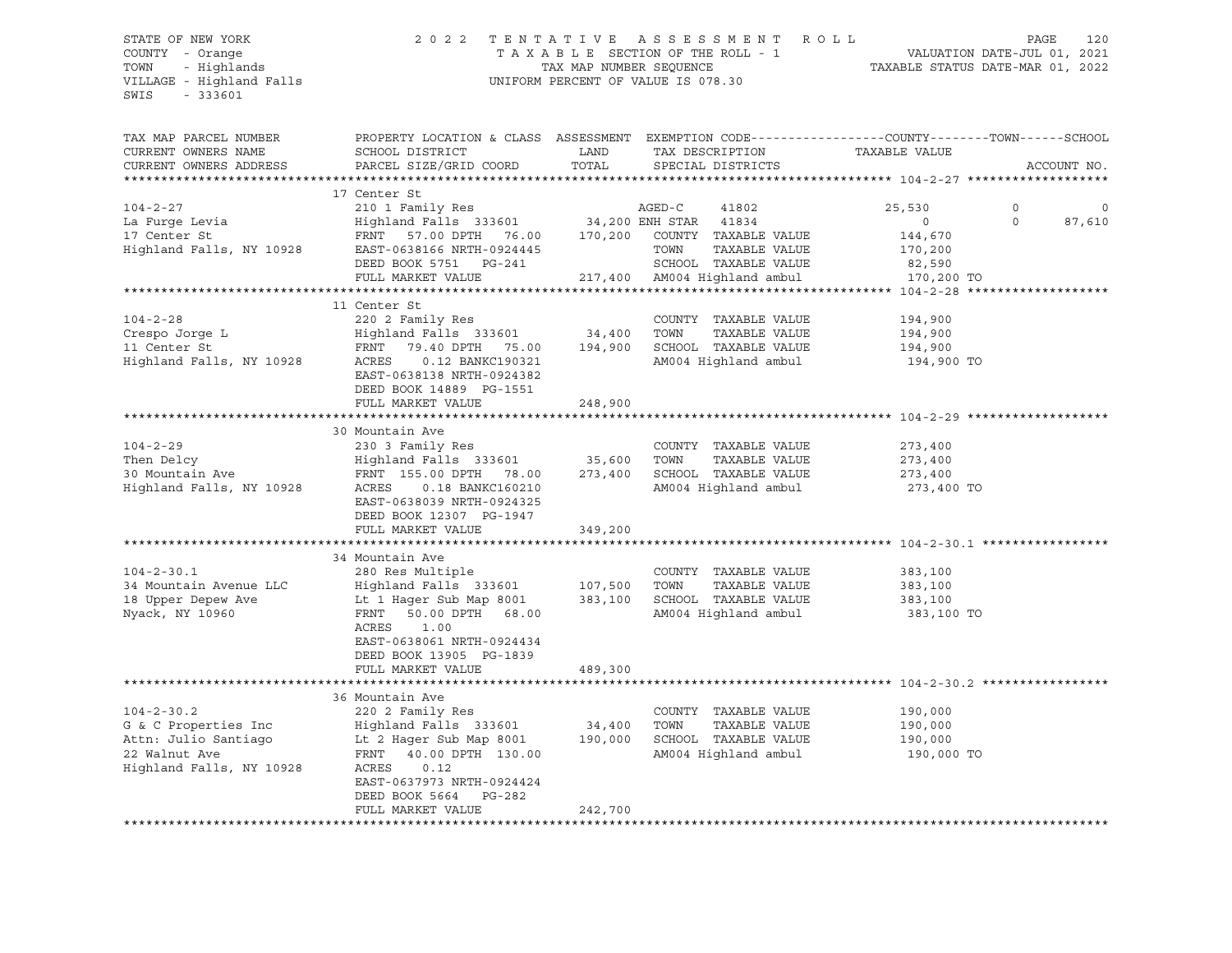#### STATE OF NEW YORK 2 0 2 2 T E N T A T I V E A S S E S S M E N T R O L L PAGE 120 COUNTY - Orange T A X A B L E SECTION OF THE ROLL - 1 VALUATION DATE-JUL 01, 2021 TOWN - Highlands TAX MAP NUMBER SEQUENCE TAXABLE STATUS DATE-MAR 01, 2022 VILLAGE - Highland Falls UNIFORM PERCENT OF VALUE IS 078.30

| TAX MAP PARCEL NUMBER    | PROPERTY LOCATION & CLASS ASSESSMENT EXEMPTION CODE----------------COUNTY-------TOWN------SCHOOL |         |                                               |               |                    |
|--------------------------|--------------------------------------------------------------------------------------------------|---------|-----------------------------------------------|---------------|--------------------|
| CURRENT OWNERS NAME      | SCHOOL DISTRICT                                                                                  | LAND    | TAX DESCRIPTION                               | TAXABLE VALUE |                    |
| CURRENT OWNERS ADDRESS   | PARCEL SIZE/GRID COORD                                                                           | TOTAL   | SPECIAL DISTRICTS                             |               | ACCOUNT NO.        |
|                          |                                                                                                  |         |                                               |               |                    |
|                          | 17 Center St                                                                                     |         |                                               |               |                    |
| $104 - 2 - 27$           | 210 1 Family Res                                                                                 |         | AGED-C<br>41802                               | 25,530        | $\mathbf 0$<br>0   |
| La Furqe Levia           | Highland Falls 333601                                                                            |         | 34,200 ENH STAR<br>41834                      | $\circ$       | $\Omega$<br>87,610 |
| 17 Center St             | FRNT 57.00 DPTH<br>76.00                                                                         | 170,200 | COUNTY TAXABLE VALUE                          | 144,670       |                    |
| Highland Falls, NY 10928 | EAST-0638166 NRTH-0924445                                                                        |         | TOWN<br>TAXABLE VALUE                         | 170,200       |                    |
|                          | DEED BOOK 5751 PG-241                                                                            |         | SCHOOL TAXABLE VALUE                          | 82,590        |                    |
|                          | FULL MARKET VALUE                                                                                |         | 217,400 AM004 Highland ambul                  | 170,200 TO    |                    |
|                          |                                                                                                  |         |                                               |               |                    |
|                          | 11 Center St                                                                                     |         |                                               |               |                    |
| $104 - 2 - 28$           | 220 2 Family Res                                                                                 |         | COUNTY TAXABLE VALUE                          | 194,900       |                    |
| Crespo Jorge L           | Highland Falls 333601                                                                            | 34,400  | TOWN<br>TAXABLE VALUE                         | 194,900       |                    |
| 11 Center St             | FRNT 79.40 DPTH 75.00                                                                            | 194,900 | SCHOOL TAXABLE VALUE                          | 194,900       |                    |
| Highland Falls, NY 10928 | ACRES<br>0.12 BANKC190321                                                                        |         | AM004 Highland ambul                          | 194,900 TO    |                    |
|                          | EAST-0638138 NRTH-0924382                                                                        |         |                                               |               |                    |
|                          | DEED BOOK 14889 PG-1551                                                                          |         |                                               |               |                    |
|                          | FULL MARKET VALUE                                                                                | 248,900 |                                               |               |                    |
|                          |                                                                                                  |         |                                               |               |                    |
|                          | 30 Mountain Ave                                                                                  |         |                                               |               |                    |
| $104 - 2 - 29$           | 230 3 Family Res                                                                                 |         | COUNTY TAXABLE VALUE                          | 273,400       |                    |
| Then Delcy               | Highland Falls 333601                                                                            | 35,600  | TOWN<br>TAXABLE VALUE<br>SCHOOL TAXABLE VALUE | 273,400       |                    |
| 30 Mountain Ave          | FRNT 155.00 DPTH 78.00                                                                           | 273,400 |                                               | 273,400       |                    |
| Highland Falls, NY 10928 | ACRES<br>0.18 BANKC160210<br>EAST-0638039 NRTH-0924325                                           |         | AM004 Highland ambul                          | 273,400 TO    |                    |
|                          | DEED BOOK 12307 PG-1947                                                                          |         |                                               |               |                    |
|                          | FULL MARKET VALUE                                                                                | 349,200 |                                               |               |                    |
|                          |                                                                                                  |         |                                               |               |                    |
|                          | 34 Mountain Ave                                                                                  |         |                                               |               |                    |
| $104 - 2 - 30.1$         | 280 Res Multiple                                                                                 |         | COUNTY TAXABLE VALUE                          | 383,100       |                    |
| 34 Mountain Avenue LLC   | Highland Falls 333601                                                                            | 107,500 | TAXABLE VALUE<br>TOWN                         | 383,100       |                    |
| 18 Upper Depew Ave       | Lt 1 Hager Sub Map 8001                                                                          | 383,100 | SCHOOL TAXABLE VALUE                          | 383,100       |                    |
| Nyack, NY 10960          | FRNT 50.00 DPTH 68.00                                                                            |         | AM004 Highland ambul                          | 383,100 TO    |                    |
|                          | ACRES<br>1.00                                                                                    |         |                                               |               |                    |
|                          | EAST-0638061 NRTH-0924434                                                                        |         |                                               |               |                    |
|                          | DEED BOOK 13905 PG-1839                                                                          |         |                                               |               |                    |
|                          | FULL MARKET VALUE                                                                                | 489,300 |                                               |               |                    |
|                          |                                                                                                  |         |                                               |               |                    |
|                          | 36 Mountain Ave                                                                                  |         |                                               |               |                    |
| $104 - 2 - 30.2$         | 220 2 Family Res                                                                                 |         | COUNTY TAXABLE VALUE                          | 190,000       |                    |
| G & C Properties Inc     | Highland Falls 333601                                                                            | 34,400  | TOWN<br>TAXABLE VALUE                         | 190,000       |                    |
| Attn: Julio Santiago     | Lt 2 Hager Sub Map 8001                                                                          | 190,000 | SCHOOL TAXABLE VALUE                          | 190,000       |                    |
| 22 Walnut Ave            | FRNT 40.00 DPTH 130.00                                                                           |         | AM004 Highland ambul                          | 190,000 TO    |                    |
| Highland Falls, NY 10928 | ACRES<br>0.12                                                                                    |         |                                               |               |                    |
|                          | EAST-0637973 NRTH-0924424                                                                        |         |                                               |               |                    |
|                          | DEED BOOK 5664<br>PG-282                                                                         |         |                                               |               |                    |
|                          | FULL MARKET VALUE                                                                                | 242,700 |                                               |               |                    |
|                          |                                                                                                  |         |                                               |               |                    |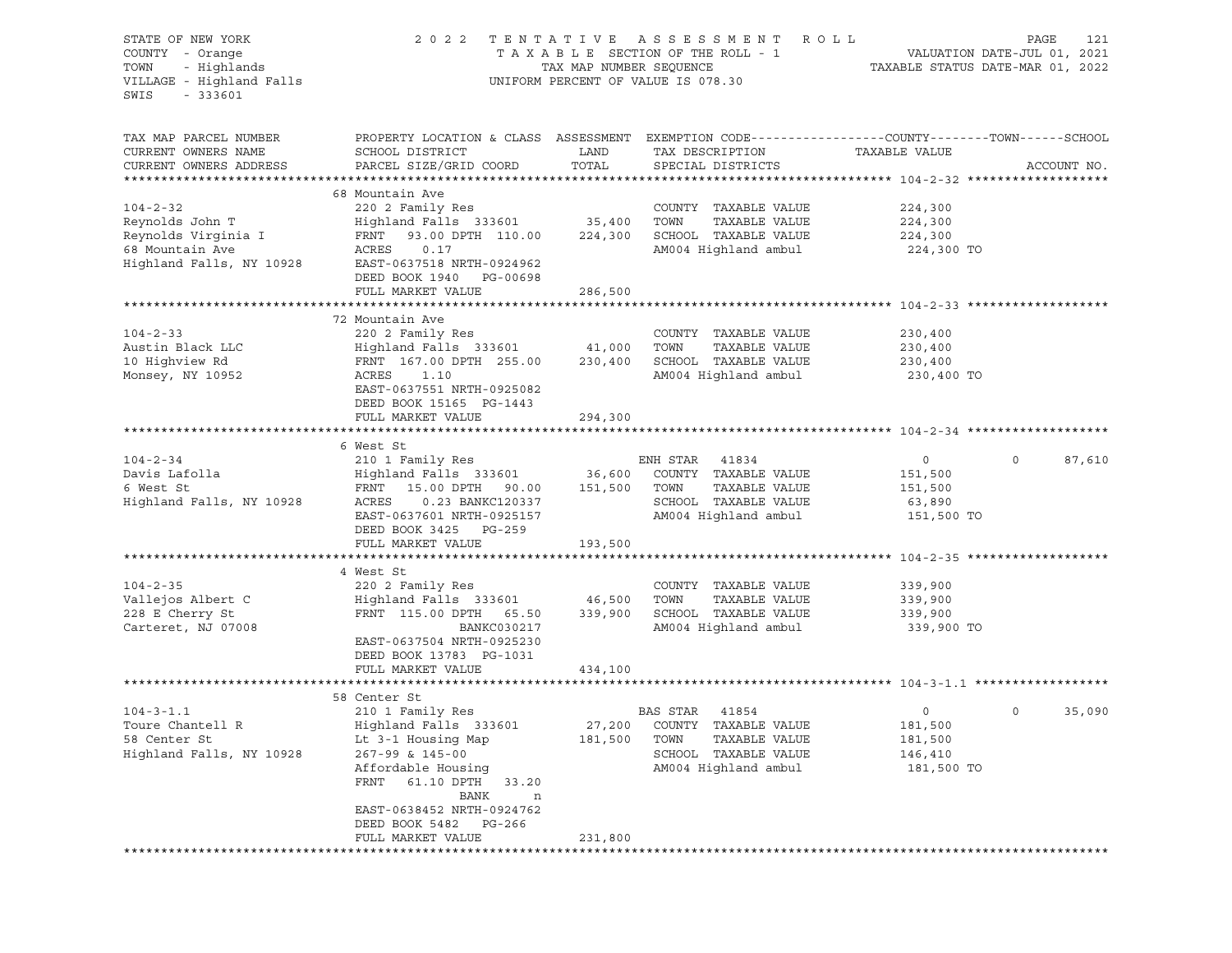| STATE OF NEW YORK<br>COUNTY - Orange<br>- Highlands<br>TOWN<br>VILLAGE - Highland Falls<br>SWIS<br>$-333601$ |                                                                                                                                                                                                                                                        |               | 2022 TENTATIVE ASSESSMENT ROLL<br>UNIFORM PERCENT OF VALUE IS 078.30                                            |                                                        | PAGE<br>121        |
|--------------------------------------------------------------------------------------------------------------|--------------------------------------------------------------------------------------------------------------------------------------------------------------------------------------------------------------------------------------------------------|---------------|-----------------------------------------------------------------------------------------------------------------|--------------------------------------------------------|--------------------|
| TAX MAP PARCEL NUMBER<br>CURRENT OWNERS NAME<br>CURRENT OWNERS ADDRESS                                       | PROPERTY LOCATION & CLASS ASSESSMENT EXEMPTION CODE---------------COUNTY-------TOWN-----SCHOOL<br>SCHOOL DISTRICT<br>PARCEL SIZE/GRID COORD                                                                                                            | LAND<br>TOTAL | TAX DESCRIPTION<br>SPECIAL DISTRICTS                                                                            | TAXABLE VALUE                                          | ACCOUNT NO.        |
| $104 - 2 - 32$<br>Reynolds John T<br>Reynolds Virginia I<br>68 Mountain Ave<br>Highland Falls, NY 10928      | 68 Mountain Ave<br>220 2 Family Res<br>Highland Falls 333601 35,400<br>93.00 DPTH 110.00 224,300<br>FRNT<br>ACRES<br>0.17<br>EAST-0637518 NRTH-0924962<br>DEED BOOK 1940 PG-00698<br>FULL MARKET VALUE                                                 | 286,500       | COUNTY TAXABLE VALUE<br>TOWN<br>TAXABLE VALUE<br>SCHOOL TAXABLE VALUE<br>AM004 Highland ambul                   | 224,300<br>224,300<br>224,300<br>224,300 TO            |                    |
| $104 - 2 - 33$<br>Austin Black LLC<br>10 Highview Rd<br>Monsey, NY 10952                                     | 72 Mountain Ave<br>220 2 Family Res<br>Highland Falls 333601 41,000 TOWN<br>FRNT 167.00 DPTH 255.00 230,400 SCHOOL TAXABLE VALUE<br>ACRES<br>1.10<br>EAST-0637551 NRTH-0925082                                                                         |               | COUNTY TAXABLE VALUE<br>TAXABLE VALUE<br>AM004 Highland ambul                                                   | 230,400<br>230,400<br>230,400<br>230,400 TO            |                    |
|                                                                                                              | DEED BOOK 15165 PG-1443<br>FULL MARKET VALUE                                                                                                                                                                                                           | 294,300       |                                                                                                                 |                                                        |                    |
|                                                                                                              | 6 West St                                                                                                                                                                                                                                              |               |                                                                                                                 |                                                        |                    |
| $104 - 2 - 34$<br>Davis Lafolla<br>6 West St<br>Highland Falls, NY 10928                                     | 210 1 Family Res<br>Highland Falls 333601 36,600<br>FRNT 15.00 DPTH 90.00 151,500<br>ACRES<br>0.23 BANKC120337<br>EAST-0637601 NRTH-0925157<br>DEED BOOK 3425 PG-259<br>FULL MARKET VALUE                                                              | 193,500       | ENH STAR 41834<br>COUNTY TAXABLE VALUE<br>TOWN<br>TAXABLE VALUE<br>SCHOOL TAXABLE VALUE<br>AM004 Highland ambul | $\circ$<br>151,500<br>151,500<br>63,890<br>151,500 TO  | $\Omega$<br>87,610 |
|                                                                                                              |                                                                                                                                                                                                                                                        |               |                                                                                                                 |                                                        |                    |
| $104 - 2 - 35$<br>Vallejos Albert C<br>228 E Cherry St<br>Carteret, NJ 07008                                 | 4 West St<br>220 2 Family Res<br>Highland Falls 333601 46,500<br>FRNT 115.00 DPTH 65.50 339,900<br>BANKC030217<br>EAST-0637504 NRTH-0925230<br>DEED BOOK 13783 PG-1031<br>FULL MARKET VALUE                                                            | 434,100       | COUNTY TAXABLE VALUE<br>TOWN<br>TAXABLE VALUE<br>SCHOOL TAXABLE VALUE<br>AM004 Highland ambul                   | 339,900<br>339,900<br>339,900<br>339,900 TO            |                    |
|                                                                                                              |                                                                                                                                                                                                                                                        |               |                                                                                                                 |                                                        |                    |
| $104 - 3 - 1.1$<br>Toure Chantell R<br>58 Center St<br>Highland Falls, NY 10928                              | 58 Center St<br>210 1 Family Res<br>Highland Falls 333601 27,200 COUNTY TAXABLE VALUE<br>Lt 3-1 Housing Map<br>267-99 & 145-00<br>Affordable Housing<br>61.10 DPTH<br>FRNT<br>33.20<br>BANK<br>n<br>EAST-0638452 NRTH-0924762<br>DEED BOOK 5482 PG-266 | 181,500       | BAS STAR<br>41854<br>TAXABLE VALUE<br>TOWN<br>SCHOOL TAXABLE VALUE<br>AM004 Highland ambul                      | $\circ$<br>181,500<br>181,500<br>146,410<br>181,500 TO | $\Omega$<br>35,090 |
|                                                                                                              | FULL MARKET VALUE                                                                                                                                                                                                                                      | 231,800       |                                                                                                                 |                                                        |                    |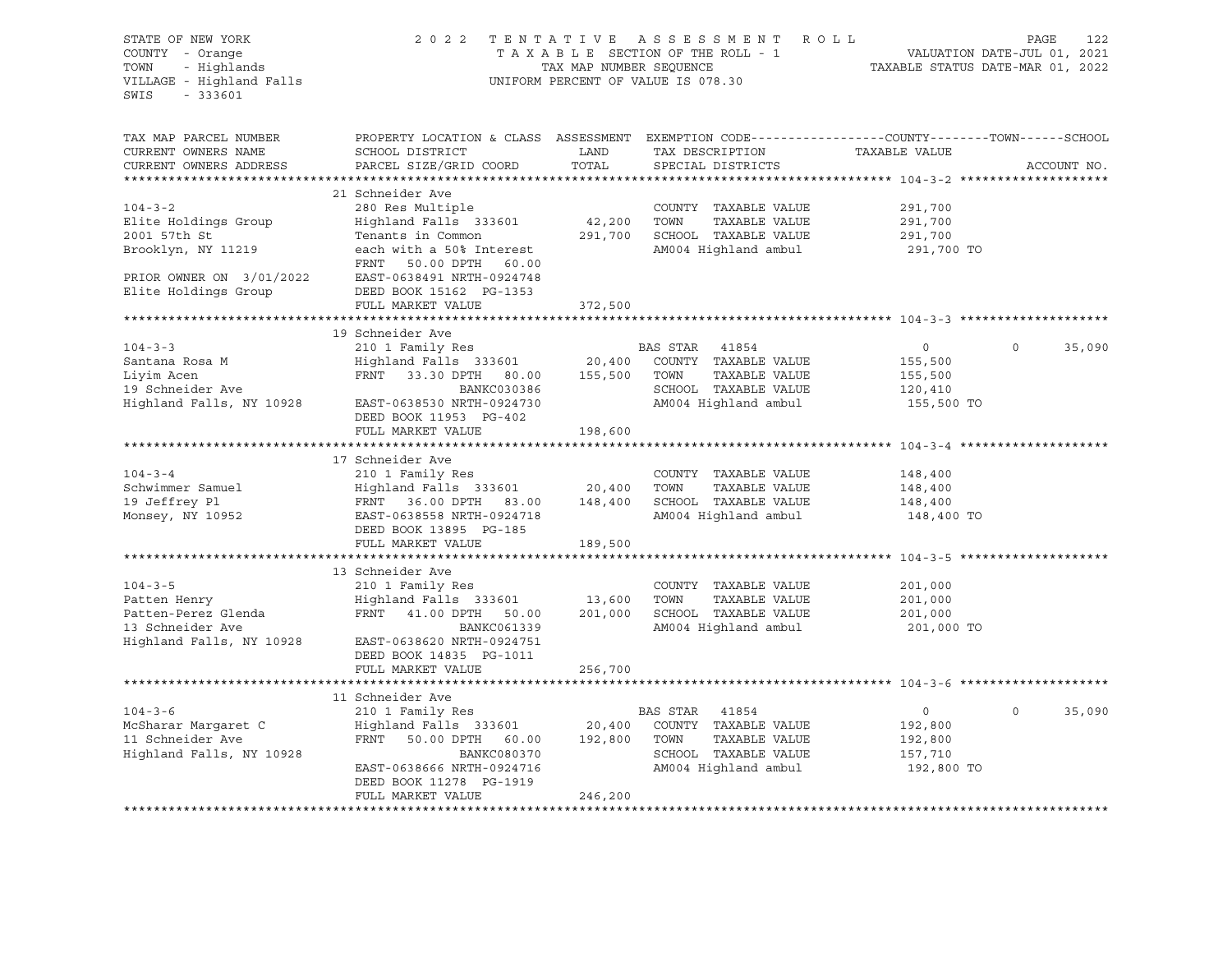| STATE OF NEW YORK<br>COUNTY - Orange<br>TOWN<br>- Highlands<br>VILLAGE - Highland Falls<br>SWIS<br>$-333601$ |                                                                                                                                                     | TAX MAP NUMBER SEQUENCE | 2022 TENTATIVE ASSESSMENT ROLL<br>TAXABLE SECTION OF THE ROLL - 1<br>UNIFORM PERCENT OF VALUE IS 078.30 |                                             |                    |
|--------------------------------------------------------------------------------------------------------------|-----------------------------------------------------------------------------------------------------------------------------------------------------|-------------------------|---------------------------------------------------------------------------------------------------------|---------------------------------------------|--------------------|
| TAX MAP PARCEL NUMBER<br>CURRENT OWNERS NAME<br>CURRENT OWNERS ADDRESS                                       | PROPERTY LOCATION & CLASS ASSESSMENT EXEMPTION CODE----------------COUNTY-------TOWN-----SCHOOL<br>SCHOOL DISTRICT<br>PARCEL SIZE/GRID COORD        | LAND<br>TOTAL           | TAX DESCRIPTION<br>SPECIAL DISTRICTS                                                                    | TAXABLE VALUE                               | ACCOUNT NO.        |
|                                                                                                              | 21 Schneider Ave                                                                                                                                    |                         |                                                                                                         |                                             |                    |
| $104 - 3 - 2$<br>Elite Holdings Group<br>2001 57th St<br>Brooklyn, NY 11219<br>PRIOR OWNER ON 3/01/2022      | 280 Res Multiple<br>Highland Falls 333601<br>Tenants in Common<br>each with a 50% Interest<br>FRNT<br>50.00 DPTH 60.00<br>EAST-0638491 NRTH-0924748 | 42,200 TOWN             | COUNTY TAXABLE VALUE<br>TAXABLE VALUE<br>291,700 SCHOOL TAXABLE VALUE<br>AM004 Highland ambul           | 291,700<br>291,700<br>291,700<br>291,700 TO |                    |
| Elite Holdings Group                                                                                         | DEED BOOK 15162 PG-1353                                                                                                                             |                         |                                                                                                         |                                             |                    |
|                                                                                                              | FULL MARKET VALUE                                                                                                                                   | 372,500                 |                                                                                                         |                                             |                    |
|                                                                                                              |                                                                                                                                                     |                         |                                                                                                         |                                             |                    |
| $104 - 3 - 3$<br>Santana Rosa M                                                                              | 19 Schneider Ave                                                                                                                                    |                         |                                                                                                         | $\overline{0}$<br>155,500                   | $\Omega$<br>35,090 |
| Liyim Acen                                                                                                   | FRNT 33.30 DPTH 80.00 155,500 TOWN                                                                                                                  |                         | TAXABLE VALUE                                                                                           | 155,500                                     |                    |
| 19 Schneider Ave                                                                                             | BANKC030386                                                                                                                                         |                         | SCHOOL TAXABLE VALUE                                                                                    | 120,410                                     |                    |
| Highland Falls, NY 10928                                                                                     | EAST-0638530 NRTH-0924730<br>DEED BOOK 11953 PG-402<br>FULL MARKET VALUE                                                                            | 198,600                 | AM004 Highland ambul                                                                                    | 155,500 TO                                  |                    |
|                                                                                                              |                                                                                                                                                     |                         |                                                                                                         |                                             |                    |
|                                                                                                              | 17 Schneider Ave                                                                                                                                    |                         |                                                                                                         |                                             |                    |
| $104 - 3 - 4$                                                                                                | 210 1 Family Res                                                                                                                                    |                         | COUNTY TAXABLE VALUE                                                                                    | 148,400                                     |                    |
| Schwimmer Samuel                                                                                             | $\frac{1}{20}$ , $\frac{1}{20}$ , $\frac{1}{20}$ , $\frac{1}{20}$ , $\frac{1}{20}$ , $\frac{1}{20}$ , $\frac{1}{20}$                                |                         | TAXABLE VALUE<br>TOWN                                                                                   | 148,400                                     |                    |
| 19 Jeffrey Pl                                                                                                | FRNT 36.00 DPTH 83.00                                                                                                                               |                         | 148,400 SCHOOL TAXABLE VALUE                                                                            | 148,400                                     |                    |
| Monsey, NY 10952                                                                                             | EAST-0638558 NRTH-0924718<br>DEED BOOK 13895 PG-185                                                                                                 |                         | AM004 Highland ambul                                                                                    | 148,400 TO                                  |                    |
|                                                                                                              | FULL MARKET VALUE                                                                                                                                   | 189,500                 |                                                                                                         |                                             |                    |
|                                                                                                              | 13 Schneider Ave                                                                                                                                    |                         |                                                                                                         |                                             |                    |
| $104 - 3 - 5$                                                                                                | 210 1 Family Res                                                                                                                                    |                         | COUNTY TAXABLE VALUE                                                                                    | 201,000                                     |                    |
| Patten Henry                                                                                                 | Highland Falls 333601 13,600                                                                                                                        |                         | TOWN<br>TAXABLE VALUE                                                                                   | 201,000                                     |                    |
| Patten-Perez Glenda                                                                                          | FRNT 41.00 DPTH 50.00                                                                                                                               | 201,000                 | SCHOOL TAXABLE VALUE                                                                                    | 201,000                                     |                    |
| 13 Schneider Ave<br>Highland Falls, NY 10928                                                                 | BANKC061339<br>EAST-0638620 NRTH-0924751<br>DEED BOOK 14835 PG-1011<br>FULL MARKET VALUE                                                            | 256,700                 | AM004 Highland ambul                                                                                    | 201,000 TO                                  |                    |
|                                                                                                              |                                                                                                                                                     |                         |                                                                                                         |                                             |                    |
|                                                                                                              | 11 Schneider Ave                                                                                                                                    |                         |                                                                                                         |                                             |                    |
| $104 - 3 - 6$                                                                                                | 210 1 Family Res                                                                                                                                    |                         | BAS STAR 41854                                                                                          | 0                                           | $\Omega$<br>35,090 |
| McSharar Margaret C                                                                                          | Highland Falls 333601 20,400 COUNTY TAXABLE VALUE                                                                                                   |                         |                                                                                                         | 192,800                                     |                    |
| 11 Schneider Ave                                                                                             | FRNT 50.00 DPTH 60.00                                                                                                                               |                         | 192,800 TOWN<br>TAXABLE VALUE                                                                           | 192,800                                     |                    |
| Highland Falls, NY 10928                                                                                     | BANKC080370                                                                                                                                         |                         | SCHOOL TAXABLE VALUE                                                                                    | 157,710                                     |                    |
|                                                                                                              | EAST-0638666 NRTH-0924716<br>DEED BOOK 11278 PG-1919<br>FULL MARKET VALUE                                                                           | 246,200                 | AM004 Highland ambul                                                                                    | 192,800 TO                                  |                    |
|                                                                                                              |                                                                                                                                                     |                         |                                                                                                         |                                             |                    |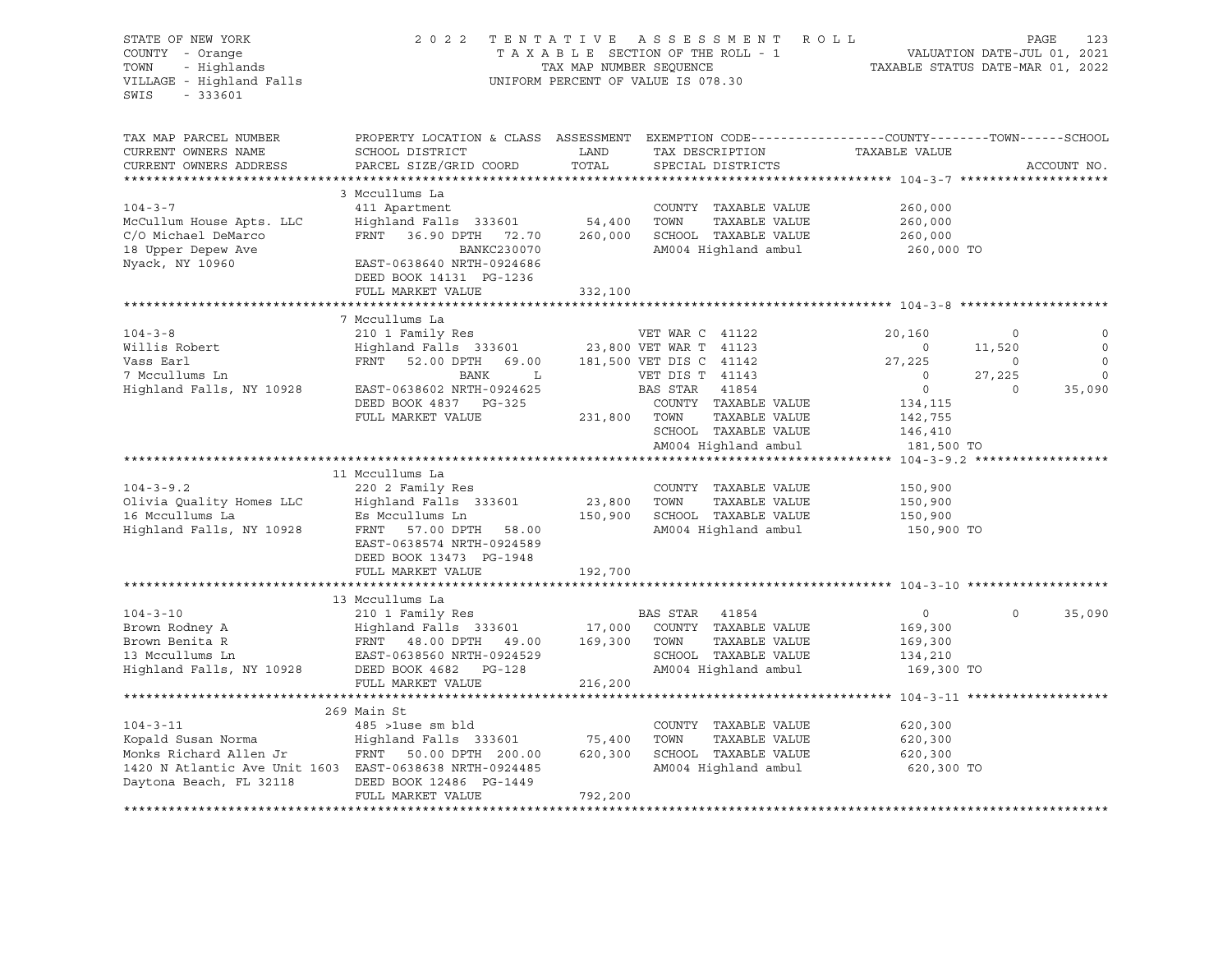| STATE OF NEW YORK<br>COUNTY - Orange<br>- Highlands<br>TOWN<br>VILLAGE - Highland Falls<br>$-333601$<br>SWIS                                         | 2022 TENTATIVE ASSESSMENT ROLL                                                                                                                                                                                 | TAX MAP NUMBER SEQUENCE      | TAXABLE SECTION OF THE ROLL - 1<br>UNIFORM PERCENT OF VALUE IS 078.30                                                                                                    | VALUATION DATE-JUL 01, 2021<br>TAXABLE STATUS DATE-MAR 01, 2022                                                       |                                                           | PAGE        | 123                                                        |
|------------------------------------------------------------------------------------------------------------------------------------------------------|----------------------------------------------------------------------------------------------------------------------------------------------------------------------------------------------------------------|------------------------------|--------------------------------------------------------------------------------------------------------------------------------------------------------------------------|-----------------------------------------------------------------------------------------------------------------------|-----------------------------------------------------------|-------------|------------------------------------------------------------|
| TAX MAP PARCEL NUMBER<br>CURRENT OWNERS NAME<br>CURRENT OWNERS ADDRESS<br>**********************                                                     | PROPERTY LOCATION & CLASS ASSESSMENT EXEMPTION CODE----------------COUNTY-------TOWN------SCHOOL<br>SCHOOL DISTRICT<br>PARCEL SIZE/GRID COORD                                                                  | LAND<br>TOTAL                | TAX DESCRIPTION<br>SPECIAL DISTRICTS                                                                                                                                     | TAXABLE VALUE                                                                                                         |                                                           | ACCOUNT NO. |                                                            |
| $104 - 3 - 7$<br>McCullum House Apts. LLC<br>C/O Michael DeMarco<br>18 Upper Depew Ave<br>Nyack, NY 10960                                            | 3 Mccullums La<br>411 Apartment<br>Highland Falls 333601 54,400<br>FRNT 36.90 DPTH 72.70<br>BANKC230070<br>EAST-0638640 NRTH-0924686<br>DEED BOOK 14131 PG-1236<br>FULL MARKET VALUE                           | 260,000<br>332,100           | COUNTY TAXABLE VALUE<br>TOWN<br>TAXABLE VALUE<br>SCHOOL TAXABLE VALUE<br>AM004 Highland ambul                                                                            | 260,000<br>260,000<br>260,000<br>260,000 TO                                                                           |                                                           |             |                                                            |
|                                                                                                                                                      |                                                                                                                                                                                                                |                              |                                                                                                                                                                          |                                                                                                                       |                                                           |             |                                                            |
| $104 - 3 - 8$<br>Willis Robert<br>Vass Earl<br>7 Mccullums Ln<br>Highland Falls, NY 10928                                                            | 7 Mccullums La<br>210 1 Family Res<br>Highland Falls 333601 23,800 VET WAR T 41123<br>FRNT 52.00 DPTH 69.00<br>BANK<br>$\mathbf{L}$<br>EAST-0638602 NRTH-0924625<br>DEED BOOK 4837 PG-325<br>FULL MARKET VALUE | 231,800 TOWN                 | VET WAR C 41122<br>181,500 VET DIS C 41142<br>VET DIS T 41143<br>BAS STAR 41854<br>COUNTY TAXABLE VALUE<br>TAXABLE VALUE<br>SCHOOL TAXABLE VALUE<br>AM004 Highland ambul | 20,160<br>$\overline{0}$<br>27,225<br>$\overline{0}$<br>$\overline{0}$<br>134,115<br>142,755<br>146,410<br>181,500 TO | $\circ$<br>11,520<br>$\overline{0}$<br>27,225<br>$\Omega$ |             | $\circ$<br>$\circ$<br>$\mathbf 0$<br>$\mathbf 0$<br>35,090 |
|                                                                                                                                                      |                                                                                                                                                                                                                |                              |                                                                                                                                                                          |                                                                                                                       |                                                           |             |                                                            |
| $104 - 3 - 9.2$<br>Olivia Quality Homes LLC<br>16 Mccullums La<br>Highland Falls, NY 10928<br>Highland Falls, NY 10928                               | 11 Mccullums La<br>220 2 Family Res<br>Highland Falls 333601<br>Es Mccullums Ln<br>FRNT 57.00 DPTH 58.00<br>EAST-0638574 NRTH-0924589<br>DEED BOOK 13473 PG-1948                                               | 23,800                       | COUNTY TAXABLE VALUE<br>TOWN<br>TAXABLE VALUE<br>150,900 SCHOOL TAXABLE VALUE<br>AM004 Highland ambul                                                                    | 150,900<br>150,900<br>150,900<br>150,900 TO                                                                           |                                                           |             |                                                            |
|                                                                                                                                                      | FULL MARKET VALUE                                                                                                                                                                                              | 192,700                      |                                                                                                                                                                          |                                                                                                                       |                                                           |             |                                                            |
| $104 - 3 - 10$<br>Brown Rodney A<br>Brown Benita R<br>13 Mccullums Ln<br>Highland Falls, NY 10928                                                    | 13 Mccullums La<br>210 1 Family Res<br>Highland Falls 333601 17,000<br>FRNT 48.00 DPTH 49.00 169,300<br>EAST-0638560 NRTH-0924529<br>DEED BOOK 4682 PG-128<br>FULL MARKET VALUE                                | 216,200                      | BAS STAR 41854<br>17,000 COUNTY TAXABLE VALUE<br>TOWN<br>TAXABLE VALUE<br>SCHOOL TAXABLE VALUE<br>AM004 Highland ambul                                                   | $\overline{0}$<br>169,300<br>169,300<br>134,210<br>169,300 TO                                                         | $\Omega$                                                  |             | 35,090                                                     |
|                                                                                                                                                      |                                                                                                                                                                                                                |                              |                                                                                                                                                                          |                                                                                                                       |                                                           |             |                                                            |
| $104 - 3 - 11$<br>Kopald Susan Norma<br>Monks Richard Allen Jr<br>1420 N Atlantic Ave Unit 1603 EAST-0638638 NRTH-0924485<br>Daytona Beach, FL 32118 | 269 Main St<br>485 >luse sm bld<br>Highland Falls 333601<br>FRNT 50.00 DPTH 200.00<br>DEED BOOK 12486 PG-1449<br>FULL MARKET VALUE                                                                             | 75,400<br>620,300<br>792,200 | COUNTY TAXABLE VALUE<br>TOWN<br>TAXABLE VALUE<br>SCHOOL TAXABLE VALUE<br>AM004 Highland ambul                                                                            | 620,300<br>620,300<br>620,300<br>620,300 TO                                                                           |                                                           |             |                                                            |
|                                                                                                                                                      |                                                                                                                                                                                                                |                              |                                                                                                                                                                          |                                                                                                                       |                                                           |             |                                                            |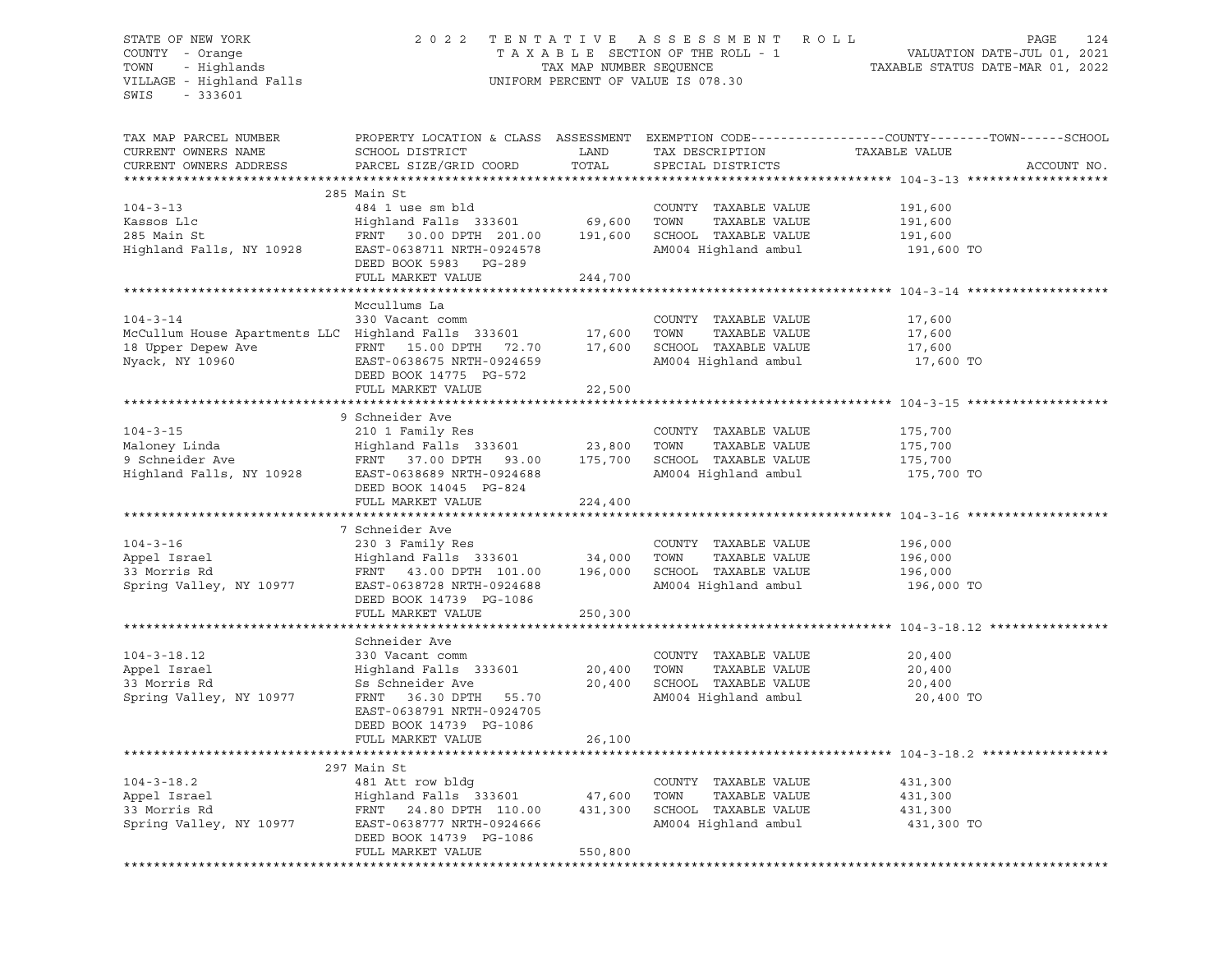#### STATE OF NEW YORK 2 0 2 2 T E N T A T I V E A S S E S S M E N T R O L L PAGE 124 COUNTY - Orange T A X A B L E SECTION OF THE ROLL - 1 VALUATION DATE-JUL 01, 2021 TOWN - Highlands TAX MAP NUMBER SEQUENCE TAXABLE STATUS DATE-MAR 01, 2022 VILLAGE - Highland Falls UNIFORM PERCENT OF VALUE IS 078.30

| TAX MAP PARCEL NUMBER                               | PROPERTY LOCATION & CLASS ASSESSMENT EXEMPTION CODE----------------COUNTY-------TOWN------SCHOOL |               |                                                              |               |             |
|-----------------------------------------------------|--------------------------------------------------------------------------------------------------|---------------|--------------------------------------------------------------|---------------|-------------|
| CURRENT OWNERS NAME                                 | SCHOOL DISTRICT                                                                                  | LAND          | TAX DESCRIPTION                                              | TAXABLE VALUE |             |
|                                                     |                                                                                                  |               |                                                              |               |             |
| CURRENT OWNERS ADDRESS                              | PARCEL SIZE/GRID COORD                                                                           | TOTAL         | SPECIAL DISTRICTS                                            |               | ACCOUNT NO. |
|                                                     |                                                                                                  |               |                                                              |               |             |
|                                                     | 285 Main St                                                                                      |               |                                                              |               |             |
| $104 - 3 - 13$                                      | 484 1 use sm bld                                                                                 |               | COUNTY TAXABLE VALUE                                         | 191,600       |             |
| Kassos Llc                                          | Highland Falls 333601                                                                            | 69,600        | TOWN<br>TAXABLE VALUE                                        | 191,600       |             |
| 285 Main St                                         | FRNT 30.00 DPTH 201.00                                                                           | 191,600       | SCHOOL TAXABLE VALUE                                         | 191,600       |             |
| Highland Falls, NY 10928                            | EAST-0638711 NRTH-0924578                                                                        |               | AM004 Highland ambul                                         | 191,600 TO    |             |
|                                                     | DEED BOOK 5983 PG-289                                                                            |               |                                                              |               |             |
|                                                     | FULL MARKET VALUE                                                                                | 244,700       |                                                              |               |             |
|                                                     |                                                                                                  |               |                                                              |               |             |
|                                                     | Mccullums La                                                                                     |               |                                                              |               |             |
| $104 - 3 - 14$                                      | 330 Vacant comm                                                                                  |               | COUNTY TAXABLE VALUE                                         | 17,600        |             |
| McCullum House Apartments LLC Highland Falls 333601 |                                                                                                  | 17,600        | TOWN<br>TAXABLE VALUE                                        | 17,600        |             |
| 18 Upper Depew Ave                                  | FRNT 15.00 DPTH 72.70                                                                            | 17,600        | SCHOOL TAXABLE VALUE                                         | 17,600        |             |
|                                                     | EAST-0638675 NRTH-0924659                                                                        |               | AM004 Highland ambul                                         |               |             |
| Nyack, NY 10960                                     |                                                                                                  |               |                                                              | 17,600 TO     |             |
|                                                     | DEED BOOK 14775 PG-572                                                                           |               |                                                              |               |             |
|                                                     | FULL MARKET VALUE                                                                                | 22,500        |                                                              |               |             |
|                                                     |                                                                                                  |               | ******************************* 104-3-15 **********          |               |             |
|                                                     | 9 Schneider Ave                                                                                  |               |                                                              |               |             |
| $104 - 3 - 15$                                      | 210 1 Family Res                                                                                 |               | COUNTY TAXABLE VALUE                                         | 175,700       |             |
| Maloney Linda                                       | Highland Falls 333601                                                                            | 23,800        | TOWN<br>TAXABLE VALUE                                        | 175,700       |             |
| 9 Schneider Ave                                     | FRNT 37.00 DPTH 93.00                                                                            | 175,700       | SCHOOL TAXABLE VALUE                                         | 175,700       |             |
| Highland Falls, NY 10928                            | EAST-0638689 NRTH-0924688                                                                        |               | AM004 Highland ambul                                         | 175,700 TO    |             |
|                                                     | DEED BOOK 14045 PG-824                                                                           |               |                                                              |               |             |
|                                                     | FULL MARKET VALUE                                                                                | 224,400       |                                                              |               |             |
|                                                     | **************************                                                                       | ************* | ******************************* 104-3-16 ******************* |               |             |
|                                                     | 7 Schneider Ave                                                                                  |               |                                                              |               |             |
| $104 - 3 - 16$                                      | 230 3 Family Res                                                                                 |               | COUNTY TAXABLE VALUE                                         | 196,000       |             |
| Appel Israel                                        | Highland Falls 333601                                                                            | 34,000        | TOWN<br>TAXABLE VALUE                                        | 196,000       |             |
| 33 Morris Rd                                        | FRNT 43.00 DPTH 101.00                                                                           | 196,000       | SCHOOL TAXABLE VALUE                                         | 196,000       |             |
|                                                     |                                                                                                  |               |                                                              |               |             |
| Spring Valley, NY 10977                             | EAST-0638728 NRTH-0924688                                                                        |               | AM004 Highland ambul                                         | 196,000 TO    |             |
|                                                     | DEED BOOK 14739 PG-1086                                                                          |               |                                                              |               |             |
|                                                     | FULL MARKET VALUE                                                                                | 250,300       |                                                              |               |             |
|                                                     |                                                                                                  |               |                                                              |               |             |
|                                                     | Schneider Ave                                                                                    |               |                                                              |               |             |
| $104 - 3 - 18.12$                                   | 330 Vacant comm                                                                                  |               | COUNTY TAXABLE VALUE                                         | 20,400        |             |
| Appel Israel                                        | Highland Falls 333601                                                                            | 20,400        | TOWN<br>TAXABLE VALUE                                        | 20,400        |             |
| 33 Morris Rd                                        | Ss Schneider Ave                                                                                 | 20,400        | SCHOOL TAXABLE VALUE                                         | 20,400        |             |
| Spring Valley, NY 10977                             | FRNT 36.30 DPTH 55.70                                                                            |               | AM004 Highland ambul                                         | 20,400 TO     |             |
|                                                     | EAST-0638791 NRTH-0924705                                                                        |               |                                                              |               |             |
|                                                     | DEED BOOK 14739 PG-1086                                                                          |               |                                                              |               |             |
|                                                     | FULL MARKET VALUE                                                                                | 26,100        |                                                              |               |             |
|                                                     |                                                                                                  |               |                                                              |               |             |
|                                                     | 297 Main St                                                                                      |               |                                                              |               |             |
| $104 - 3 - 18.2$                                    | 481 Att row bldg                                                                                 |               | COUNTY TAXABLE VALUE                                         | 431,300       |             |
| Appel Israel                                        | Highland Falls 333601                                                                            | 47,600        | TOWN<br>TAXABLE VALUE                                        | 431,300       |             |
|                                                     |                                                                                                  |               |                                                              |               |             |
| 33 Morris Rd                                        | FRNT 24.80 DPTH 110.00                                                                           | 431,300       | SCHOOL TAXABLE VALUE                                         | 431,300       |             |
| Spring Valley, NY 10977                             | EAST-0638777 NRTH-0924666                                                                        |               | AM004 Highland ambul                                         | 431,300 TO    |             |
|                                                     | DEED BOOK 14739 PG-1086                                                                          |               |                                                              |               |             |
|                                                     | FULL MARKET VALUE                                                                                | 550,800       |                                                              |               |             |
|                                                     |                                                                                                  |               |                                                              |               |             |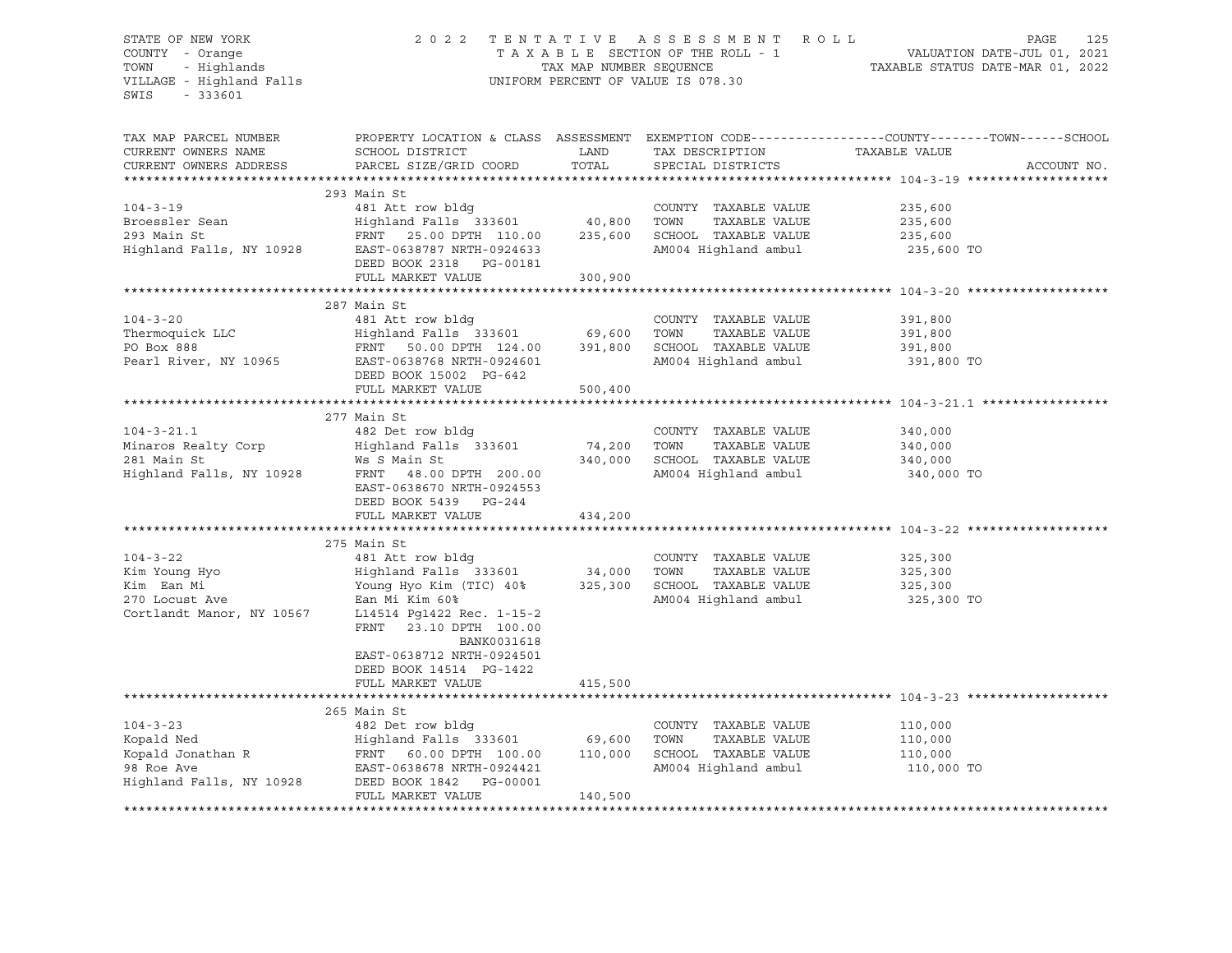#### STATE OF NEW YORK 2 0 2 2 T E N T A T I V E A S S E S S M E N T R O L L PAGE 125 COUNTY - Orange T A X A B L E SECTION OF THE ROLL - 1 VALUATION DATE-JUL 01, 2021 TOWN - Highlands TAX MAP NUMBER SEQUENCE TAXABLE STATUS DATE-MAR 01, 2022 VILLAGE - Highland Falls UNIFORM PERCENT OF VALUE IS 078.30

| TAX MAP PARCEL NUMBER<br>CURRENT OWNERS NAME<br>CURRENT OWNERS ADDRESS                       | SCHOOL DISTRICT<br>PARCEL SIZE/GRID COORD                                                                                                                                                                                                                                                                                                                                                 | LAND<br>TOTAL | TAX DESCRIPTION TAXABLE VALUE<br>SPECIAL DISTRICTS                                                    | PROPERTY LOCATION & CLASS ASSESSMENT EXEMPTION CODE---------------COUNTY-------TOWN------SCHOOL<br>ACCOUNT NO. |
|----------------------------------------------------------------------------------------------|-------------------------------------------------------------------------------------------------------------------------------------------------------------------------------------------------------------------------------------------------------------------------------------------------------------------------------------------------------------------------------------------|---------------|-------------------------------------------------------------------------------------------------------|----------------------------------------------------------------------------------------------------------------|
| $104 - 3 - 19$<br>Broessler Sean<br>293 Main St                                              | 293 Main St<br>481 Att row bldg<br>Highland Falls 333601 40,800<br>FRNT 25.00 DPTH 110.00 235,600<br>DEED BOOK 2318 PG-00181<br>FULL MARKET VALUE                                                                                                                                                                                                                                         | 300,900       | COUNTY TAXABLE VALUE<br>TOWN<br>TAXABLE VALUE<br>SCHOOL TAXABLE VALUE<br>AM004 Highland ambul         | 235,600<br>235,600<br>235,600<br>235,600<br>235,600 TO                                                         |
| $104 - 3 - 20$<br>Thermoquick LLC<br>PO Box 888<br>Pearl River, NY 10965                     | 287 Main St<br>481 Att row bldg<br>Highland Falls 333601 69,600<br>FRNT 50.00 DPTH 124.00 391,800<br>EAST-0638768 NRTH-0924601<br>DEED BOOK 15002 PG-642<br>FULL MARKET VALUE                                                                                                                                                                                                             | 500,400       | COUNTY TAXABLE VALUE<br>TOWN<br>TAXABLE VALUE<br>SCHOOL TAXABLE VALUE 391,800<br>AM004 Highland ambul | 391,800<br>391,800<br>391,800<br>391,800 TO                                                                    |
|                                                                                              | 277 Main St<br>Minaros Realty Corp<br>Minaros Realty Corp<br>281 Main St Mighland Falls 333601<br>281 Main St Ms S Main St<br>281 Main St Ms S Main St<br>281 Main St Ms S Main St<br>281 Main St<br>281 Main St<br>281 Main St<br>281 Main St<br>281 Main St<br>28<br>Highland Falls 333601 74,200 TOWN<br>Ws S Main St 340,000 SCHOO<br>FRNT 48.00 DPTH 200.00<br>DEED BOOK 5439 PG-244 |               | COUNTY TAXABLE VALUE<br>TAXABLE VALUE<br>SCHOOL TAXABLE VALUE 340,000<br>AM004 Highland ambul         | 340,000<br>340,000<br>340,000 TO                                                                               |
|                                                                                              | FULL MARKET VALUE                                                                                                                                                                                                                                                                                                                                                                         | 434,200       |                                                                                                       |                                                                                                                |
| $104 - 3 - 22$<br>Kim Young Hyo<br>Kim Ean Mi<br>270 Locust Ave<br>Cortlandt Manor, NY 10567 | 275 Main St<br>481 Att row bldg<br>Highland Falls 333601 34,000<br>Young Hyo Kim (TIC) 40%<br>Ean Mi Kim 60%<br>L14514 Pq1422 Rec. 1-15-2<br>FRNT 23.10 DPTH 100.00<br>BANK0031618<br>EAST-0638712 NRTH-0924501<br>DEED BOOK 14514 PG-1422                                                                                                                                                | 325,300       | COUNTY TAXABLE VALUE<br>TOWN<br>SCHOOL TAXABLE VALUE<br>AM004 Highland ambul                          | 325,300<br>TAXABLE VALUE 325,300<br>325, 300<br>325,300 TO                                                     |
|                                                                                              | FULL MARKET VALUE                                                                                                                                                                                                                                                                                                                                                                         | 415,500       |                                                                                                       |                                                                                                                |
| Highland Falls, NY 10928                                                                     | 265 Main St<br>Example 1892 Det row bldg<br>Eighland Falls 333601 69,600<br>Kopald Jonathan R<br>FRNT 60.00 DPTH 100.00 110,000<br>EAST-0638678 NPTH 000000<br>Highland -<br>DEED BOOK 1842    PG-00001<br>FULL MARKET VALUE                                                                                                                                                              | 140,500       | COUNTY TAXABLE VALUE<br>TOWN<br>TAXABLE VALUE<br>SCHOOL TAXABLE VALUE<br>AM004 Highland ambul         | 110,000<br>110,000<br>110,000<br>110,000 TO                                                                    |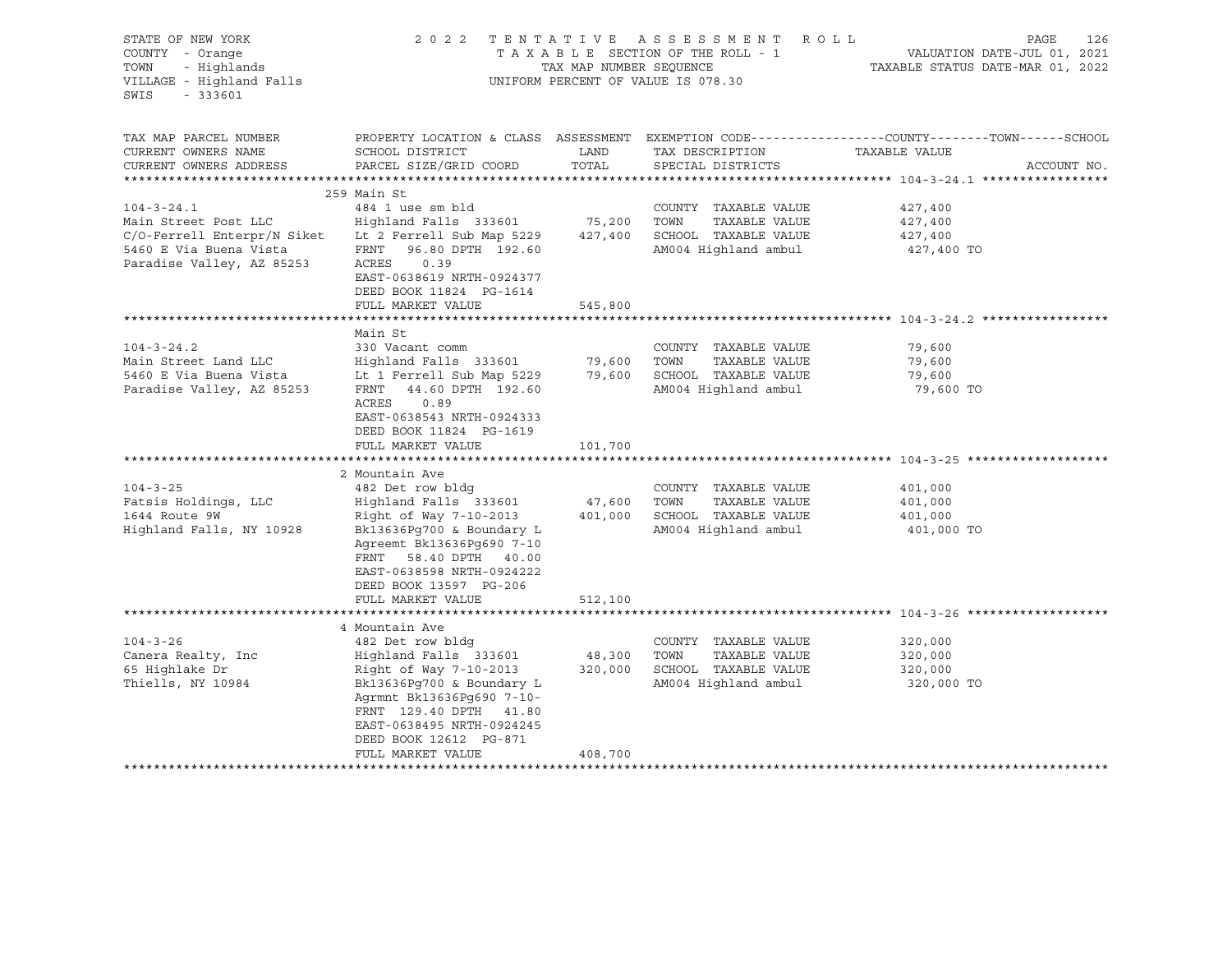| STATE OF NEW YORK<br>COUNTY - Orange<br>TOWN<br>- Highlands<br>VILLAGE - Highland Falls<br>SWIS<br>$-333601$                   |                                                                                                                                                                                                                                                       | TAX MAP NUMBER SEQUENCE      | 2022 TENTATIVE ASSESSMENT ROLL<br>TAXABLE SECTION OF THE ROLL - 1<br>UNIFORM PERCENT OF VALUE IS 078.30                          | PAGE<br>126<br>VALUATION DATE-JUL 01, 2021<br>TAXABLE STATUS DATE-MAR 01, 2022                                                  |
|--------------------------------------------------------------------------------------------------------------------------------|-------------------------------------------------------------------------------------------------------------------------------------------------------------------------------------------------------------------------------------------------------|------------------------------|----------------------------------------------------------------------------------------------------------------------------------|---------------------------------------------------------------------------------------------------------------------------------|
| TAX MAP PARCEL NUMBER<br>CURRENT OWNERS NAME<br>CURRENT OWNERS ADDRESS                                                         | SCHOOL DISTRICT<br>PARCEL SIZE/GRID COORD                                                                                                                                                                                                             | LAND<br>TOTAL                | TAX DESCRIPTION<br>SPECIAL DISTRICTS                                                                                             | PROPERTY LOCATION & CLASS ASSESSMENT EXEMPTION CODE---------------COUNTY-------TOWN------SCHOOL<br>TAXABLE VALUE<br>ACCOUNT NO. |
|                                                                                                                                | 259 Main St                                                                                                                                                                                                                                           |                              |                                                                                                                                  |                                                                                                                                 |
| $104 - 3 - 24.1$<br>Main Street Post LLC<br>C/O-Ferrell Enterpr/N Siket<br>5460 E Via Buena Vista<br>Paradise Valley, AZ 85253 | 484 1 use sm bld<br>Highland Falls 333601<br>Lt 2 Ferrell Sub Map 5229<br>FRNT<br>96.80 DPTH 192.60<br>ACRES<br>0.39<br>EAST-0638619 NRTH-0924377<br>DEED BOOK 11824 PG-1614                                                                          | 75,200                       | COUNTY TAXABLE VALUE<br>TOWN<br>TAXABLE VALUE<br>427,400 SCHOOL TAXABLE VALUE<br>AM004 Highland ambul                            | 427,400<br>427,400<br>427,400<br>427,400 TO                                                                                     |
|                                                                                                                                | FULL MARKET VALUE                                                                                                                                                                                                                                     | 545,800                      |                                                                                                                                  |                                                                                                                                 |
|                                                                                                                                |                                                                                                                                                                                                                                                       |                              |                                                                                                                                  |                                                                                                                                 |
| $104 - 3 - 24.2$<br>Main Street Land LLC<br>5460 E Via Buena Vista<br>Paradise Valley, AZ 85253                                | Main St<br>330 Vacant comm<br>Highland Falls 333601<br>Lt 1 Ferrell Sub Map 5229<br>FRNT 44.60 DPTH 192.60<br>ACRES<br>0.89<br>EAST-0638543 NRTH-0924333<br>DEED BOOK 11824 PG-1619<br>FULL MARKET VALUE                                              | 79,600<br>101,700            | COUNTY TAXABLE VALUE<br>TAXABLE VALUE<br>TOWN<br>79,600 SCHOOL TAXABLE VALUE<br>AM004 Highland ambul                             | 79,600<br>79,600<br>79,600<br>79,600 TO                                                                                         |
|                                                                                                                                | *************************                                                                                                                                                                                                                             | *************                |                                                                                                                                  | ******************************** 104-3-25 **********                                                                            |
| $104 - 3 - 25$<br>Fatsis Holdings, LLC<br>1644 Route 9W<br>Highland Falls, NY 10928                                            | 2 Mountain Ave<br>482 Det row bldg<br>Highland Falls 333601<br>Right of Way 7-10-2013<br>Bk13636Pg700 & Boundary L<br>Agreemt Bk13636Pq690 7-10<br>FRNT 58.40 DPTH 40.00<br>EAST-0638598 NRTH-0924222<br>DEED BOOK 13597 PG-206<br>FULL MARKET VALUE  | 47,600<br>401,000<br>512,100 | COUNTY TAXABLE VALUE<br>TOWN<br>TAXABLE VALUE<br>SCHOOL TAXABLE VALUE<br>AM004 Highland ambul                                    | 401,000<br>401,000<br>401,000<br>401,000 TO                                                                                     |
|                                                                                                                                |                                                                                                                                                                                                                                                       |                              |                                                                                                                                  |                                                                                                                                 |
| $104 - 3 - 26$<br>Canera Realty, Inc<br>65 Highlake Dr<br>Thiells, NY 10984                                                    | 4 Mountain Ave<br>482 Det row bldg<br>Highland Falls 333601<br>Right of Way 7-10-2013<br>Bk13636Pg700 & Boundary L<br>Agrmnt Bk13636Pq690 7-10-<br>FRNT 129.40 DPTH 41.80<br>EAST-0638495 NRTH-0924245<br>DEED BOOK 12612 PG-871<br>FULL MARKET VALUE | 48,300<br>320,000<br>408,700 | COUNTY TAXABLE VALUE<br>TOWN<br>TAXABLE VALUE<br>SCHOOL TAXABLE VALUE<br>AM004 Highland ambul<br>******************************* | 320,000<br>320,000<br>320,000<br>320,000 TO                                                                                     |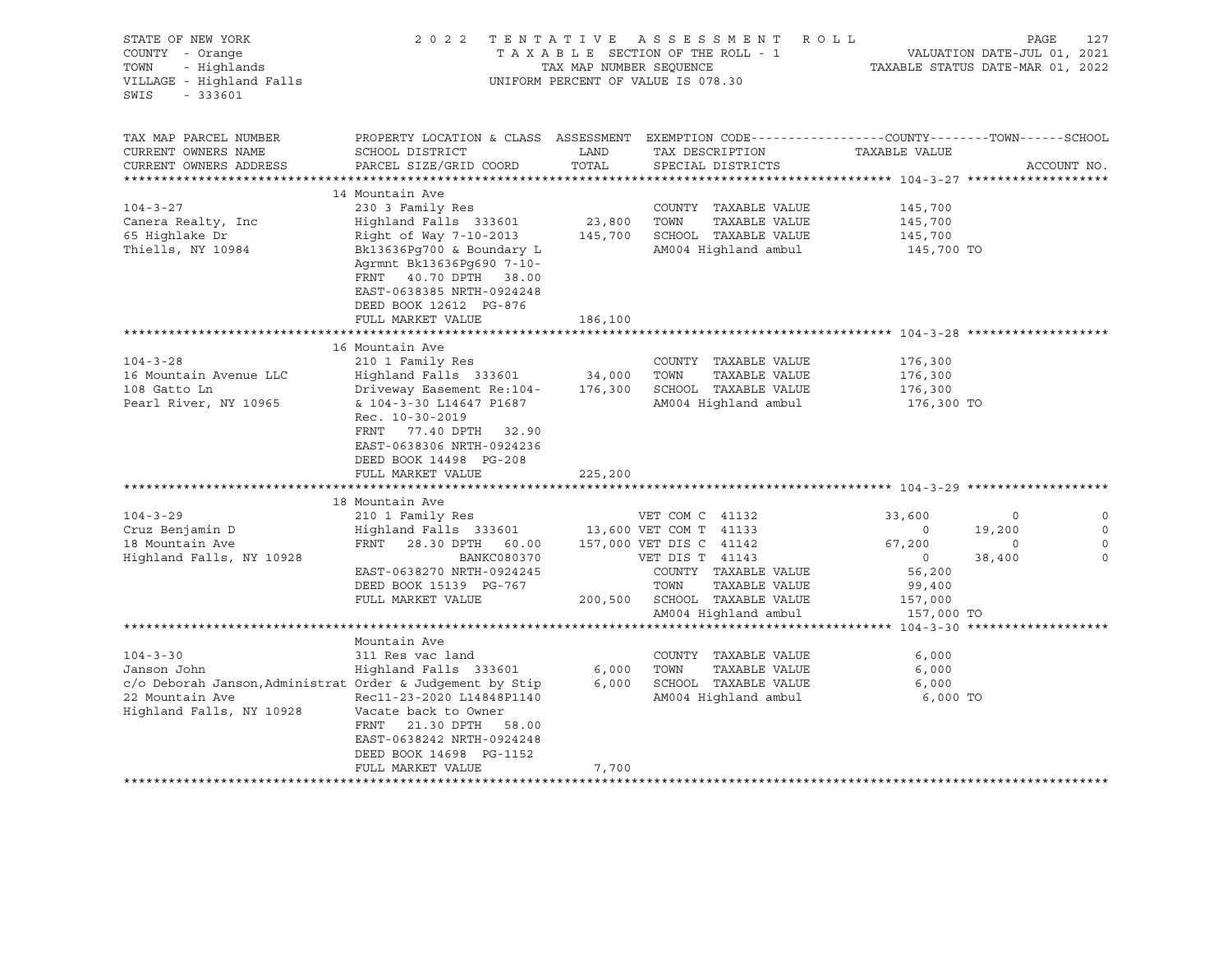| STATE OF NEW YORK<br>COUNTY - Orange<br>TOWN<br>- Highlands<br>VILLAGE - Highland Falls<br>SWIS<br>$-333601$                              |                                                                                                                                                                                                                                              | TAX MAP NUMBER SEQUENCE      | 2022 TENTATIVE ASSESSMENT ROLL<br>TAXABLE SECTION OF THE ROLL - 1<br>UNIFORM PERCENT OF VALUE IS 078.30                                                                                          | TAXABLE STATUS DATE-MAR 01, 2022                                                                     | PAGE<br>VALUATION DATE-JUL 01, 2021 | 127                             |
|-------------------------------------------------------------------------------------------------------------------------------------------|----------------------------------------------------------------------------------------------------------------------------------------------------------------------------------------------------------------------------------------------|------------------------------|--------------------------------------------------------------------------------------------------------------------------------------------------------------------------------------------------|------------------------------------------------------------------------------------------------------|-------------------------------------|---------------------------------|
| TAX MAP PARCEL NUMBER<br>CURRENT OWNERS NAME<br>CURRENT OWNERS ADDRESS                                                                    | PROPERTY LOCATION & CLASS ASSESSMENT EXEMPTION CODE----------------COUNTY-------TOWN------SCHOOL<br>SCHOOL DISTRICT<br>PARCEL SIZE/GRID COORD                                                                                                | LAND<br>TOTAL                | TAX DESCRIPTION<br>SPECIAL DISTRICTS                                                                                                                                                             | TAXABLE VALUE                                                                                        |                                     | ACCOUNT NO.                     |
|                                                                                                                                           |                                                                                                                                                                                                                                              |                              |                                                                                                                                                                                                  |                                                                                                      |                                     |                                 |
| $104 - 3 - 27$<br>Canera Realty, Inc<br>65 Highlake Dr<br>Thiells, NY 10984                                                               | 14 Mountain Ave<br>230 3 Family Res<br>Highland Falls 333601<br>Right of Way 7-10-2013<br>Bk13636Pg700 & Boundary L<br>Agrmnt Bk13636Pq690 7-10-<br>FRNT 40.70 DPTH 38.00<br>EAST-0638385 NRTH-0924248                                       | 23,800<br>145,700            | COUNTY TAXABLE VALUE<br>TAXABLE VALUE<br>TOWN<br>SCHOOL TAXABLE VALUE<br>AM004 Highland ambul                                                                                                    | 145,700<br>145,700<br>145,700<br>145,700 TO                                                          |                                     |                                 |
|                                                                                                                                           | DEED BOOK 12612 PG-876<br>FULL MARKET VALUE                                                                                                                                                                                                  | 186,100                      |                                                                                                                                                                                                  |                                                                                                      |                                     |                                 |
| $104 - 3 - 28$<br>16 Mountain Avenue LLC<br>108 Gatto Ln<br>Pearl River, NY 10965                                                         | 16 Mountain Ave<br>210 1 Family Res<br>Highland Falls 333601<br>Driveway Easement Re:104-<br>& 104-3-30 L14647 P1687<br>Rec. 10-30-2019<br>FRNT 77.40 DPTH 32.90<br>EAST-0638306 NRTH-0924236<br>DEED BOOK 14498 PG-208<br>FULL MARKET VALUE | 34,000<br>176,300<br>225,200 | COUNTY TAXABLE VALUE<br>TOWN<br>TAXABLE VALUE<br>SCHOOL TAXABLE VALUE<br>AM004 Highland ambul                                                                                                    | 176,300<br>176,300<br>176,300<br>176,300 TO                                                          |                                     |                                 |
|                                                                                                                                           | 18 Mountain Ave                                                                                                                                                                                                                              |                              |                                                                                                                                                                                                  |                                                                                                      |                                     |                                 |
| $104 - 3 - 29$<br>Cruz Benjamin D<br>18 Mountain Ave<br>Highland Falls, NY 10928                                                          | 210 1 Family Res<br>Highland Falls 333601<br>FRNT 28.30 DPTH 60.00<br>BANKC080370<br>EAST-0638270 NRTH-0924245<br>DEED BOOK 15139 PG-767<br>FULL MARKET VALUE                                                                                |                              | VET COM C 41132<br>13,600 VET COM T 41133<br>157,000 VET DIS C 41142<br>VET DIS T 41143<br>COUNTY TAXABLE VALUE<br>TOWN<br>TAXABLE VALUE<br>200,500 SCHOOL TAXABLE VALUE<br>AM004 Highland ambul | 33,600<br>$\overline{\phantom{0}}$<br>67,200<br>$\circ$<br>56,200<br>99,400<br>157,000<br>157,000 TO | 0<br>19,200<br>0<br>38,400          | 0<br>$\mathbf 0$<br>0<br>$\cap$ |
|                                                                                                                                           |                                                                                                                                                                                                                                              |                              |                                                                                                                                                                                                  |                                                                                                      |                                     |                                 |
| $104 - 3 - 30$<br>Janson John<br>c/o Deborah Janson, Administrat Order & Judgement by Stip<br>22 Mountain Ave<br>Highland Falls, NY 10928 | Mountain Ave<br>311 Res vac land<br>Highland Falls 333601<br>Rec11-23-2020 L14848P1140<br>Vacate back to Owner<br>FRNT 21.30 DPTH 58.00<br>EAST-0638242 NRTH-0924248<br>DEED BOOK 14698 PG-1152<br>FULL MARKET VALUE                         | 6,000<br>6,000<br>7,700      | COUNTY TAXABLE VALUE<br>TAXABLE VALUE<br>TOWN<br>SCHOOL TAXABLE VALUE<br>AM004 Highland ambul                                                                                                    | 6,000<br>6,000<br>6,000<br>6,000 TO                                                                  |                                     |                                 |
|                                                                                                                                           |                                                                                                                                                                                                                                              |                              |                                                                                                                                                                                                  |                                                                                                      |                                     |                                 |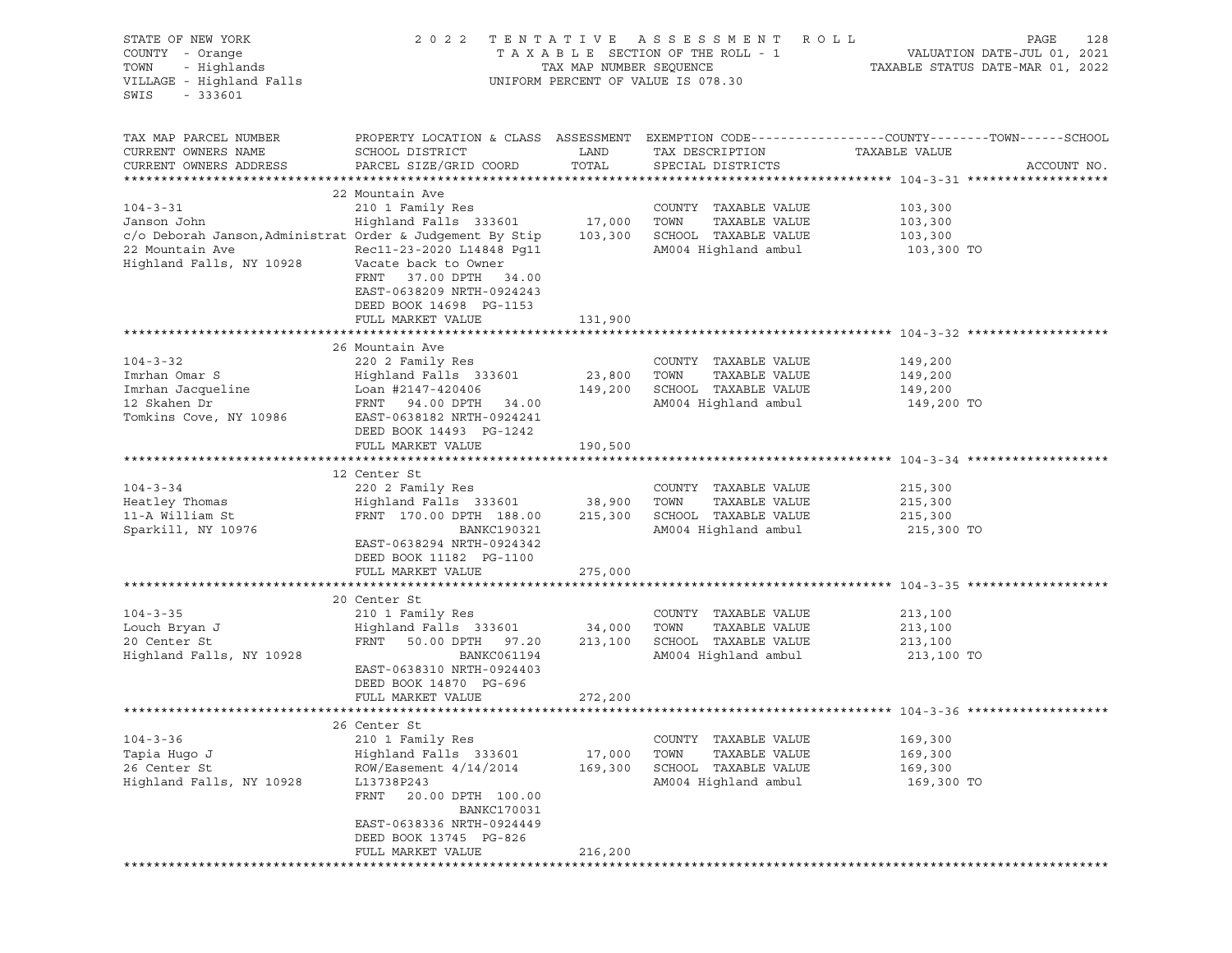| STATE OF NEW YORK<br>COUNTY - Orange<br>- Highlands<br>TOWN<br>VILLAGE - Highland Falls<br>$-333601$<br>SWIS                              | 2 0 2 2                                                                                                                                                                                                     | TENTATIVE<br>TAX MAP NUMBER SEQUENCE | ASSESSMENT ROLL<br>TAXABLE SECTION OF THE ROLL - 1<br>UNIFORM PERCENT OF VALUE IS 078.30            | PAGE<br>128<br>VALUATION DATE-JUL 01, 2021<br>TAXABLE STATUS DATE-MAR 01, 2022                                                   |
|-------------------------------------------------------------------------------------------------------------------------------------------|-------------------------------------------------------------------------------------------------------------------------------------------------------------------------------------------------------------|--------------------------------------|-----------------------------------------------------------------------------------------------------|----------------------------------------------------------------------------------------------------------------------------------|
| TAX MAP PARCEL NUMBER<br>CURRENT OWNERS NAME<br>CURRENT OWNERS ADDRESS                                                                    | SCHOOL DISTRICT<br>PARCEL SIZE/GRID COORD                                                                                                                                                                   | LAND<br>TOTAL                        | TAX DESCRIPTION<br>SPECIAL DISTRICTS                                                                | PROPERTY LOCATION & CLASS ASSESSMENT EXEMPTION CODE----------------COUNTY-------TOWN------SCHOOL<br>TAXABLE VALUE<br>ACCOUNT NO. |
| $104 - 3 - 31$<br>Janson John<br>c/o Deborah Janson, Administrat Order & Judgement By Stip<br>22 Mountain Ave<br>Highland Falls, NY 10928 | 22 Mountain Ave<br>210 1 Family Res<br>Highland Falls 333601 17,000<br>Rec11-23-2020 L14848 Pq11<br>Vacate back to Owner<br>FRNT 37.00 DPTH 34.00<br>EAST-0638209 NRTH-0924243<br>DEED BOOK 14698 PG-1153   | 103,300                              | COUNTY TAXABLE VALUE<br>TOWN<br>TAXABLE VALUE<br>SCHOOL TAXABLE VALUE<br>AM004 Highland ambul       | 103,300<br>103,300<br>103,300<br>103,300 TO                                                                                      |
|                                                                                                                                           | FULL MARKET VALUE                                                                                                                                                                                           | 131,900                              |                                                                                                     |                                                                                                                                  |
| $104 - 3 - 32$<br>Imrhan Omar S<br>Imrhan Jacqueline<br>12 Skahen Dr<br>Tomkins Cove, NY 10986                                            | 26 Mountain Ave<br>220 2 Family Res<br>Highland Falls 333601<br>Loan #2147-420406<br>FRNT 94.00 DPTH 34.00<br>EAST-0638182 NRTH-0924241                                                                     | 23,800<br>149,200                    | COUNTY TAXABLE VALUE<br>TOWN<br>TAXABLE VALUE<br>SCHOOL TAXABLE VALUE<br>AM004 Highland ambul       | 149,200<br>149,200<br>149,200<br>149,200 TO                                                                                      |
|                                                                                                                                           | DEED BOOK 14493 PG-1242<br>FULL MARKET VALUE                                                                                                                                                                | 190,500                              |                                                                                                     |                                                                                                                                  |
|                                                                                                                                           |                                                                                                                                                                                                             |                                      |                                                                                                     |                                                                                                                                  |
| $104 - 3 - 34$<br>Heatley Thomas<br>11-A William St<br>Sparkill, NY 10976                                                                 | 12 Center St<br>220 2 Family Res<br>Highland Falls 333601 38,900<br>FRNT 170.00 DPTH 188.00<br>BANKC190321<br>EAST-0638294 NRTH-0924342<br>DEED BOOK 11182 PG-1100                                          | 215,300                              | COUNTY TAXABLE VALUE<br>TOWN<br>TAXABLE VALUE<br>SCHOOL TAXABLE VALUE<br>AM004 Highland ambul       | 215,300<br>215,300<br>215,300<br>215,300 TO                                                                                      |
|                                                                                                                                           | FULL MARKET VALUE                                                                                                                                                                                           | 275,000                              |                                                                                                     |                                                                                                                                  |
| $104 - 3 - 35$<br>Louch Bryan J<br>20 Center St<br>Highland Falls, NY 10928                                                               | 20 Center St<br>210 1 Family Res<br>Highland Falls 333601<br>FRNT<br>50.00 DPTH 97.20<br>BANKC061194<br>EAST-0638310 NRTH-0924403<br>DEED BOOK 14870 PG-696<br>FULL MARKET VALUE                            | 34,000<br>213,100<br>272,200         | COUNTY TAXABLE VALUE<br>TOWN<br>TAXABLE VALUE<br>SCHOOL TAXABLE VALUE<br>AM004 Highland ambul       | 213,100<br>213,100<br>213,100<br>213,100 TO                                                                                      |
|                                                                                                                                           |                                                                                                                                                                                                             |                                      |                                                                                                     |                                                                                                                                  |
| $104 - 3 - 36$<br>Tapia Hugo J<br>26 Center St<br>Highland Falls, NY 10928                                                                | 26 Center St<br>210 1 Family Res<br>Highland Falls 333601<br>ROW/Easement 4/14/2014<br>L13738P243<br>FRNT<br>20.00 DPTH 100.00<br><b>BANKC170031</b><br>EAST-0638336 NRTH-0924449<br>DEED BOOK 13745 PG-826 | 17,000<br>169,300                    | TAXABLE VALUE<br>COUNTY<br>TOWN<br>TAXABLE VALUE<br>SCHOOL<br>TAXABLE VALUE<br>AM004 Highland ambul | 169,300<br>169,300<br>169,300<br>169,300 TO                                                                                      |
|                                                                                                                                           | FULL MARKET VALUE                                                                                                                                                                                           | 216,200                              |                                                                                                     |                                                                                                                                  |
|                                                                                                                                           |                                                                                                                                                                                                             |                                      |                                                                                                     |                                                                                                                                  |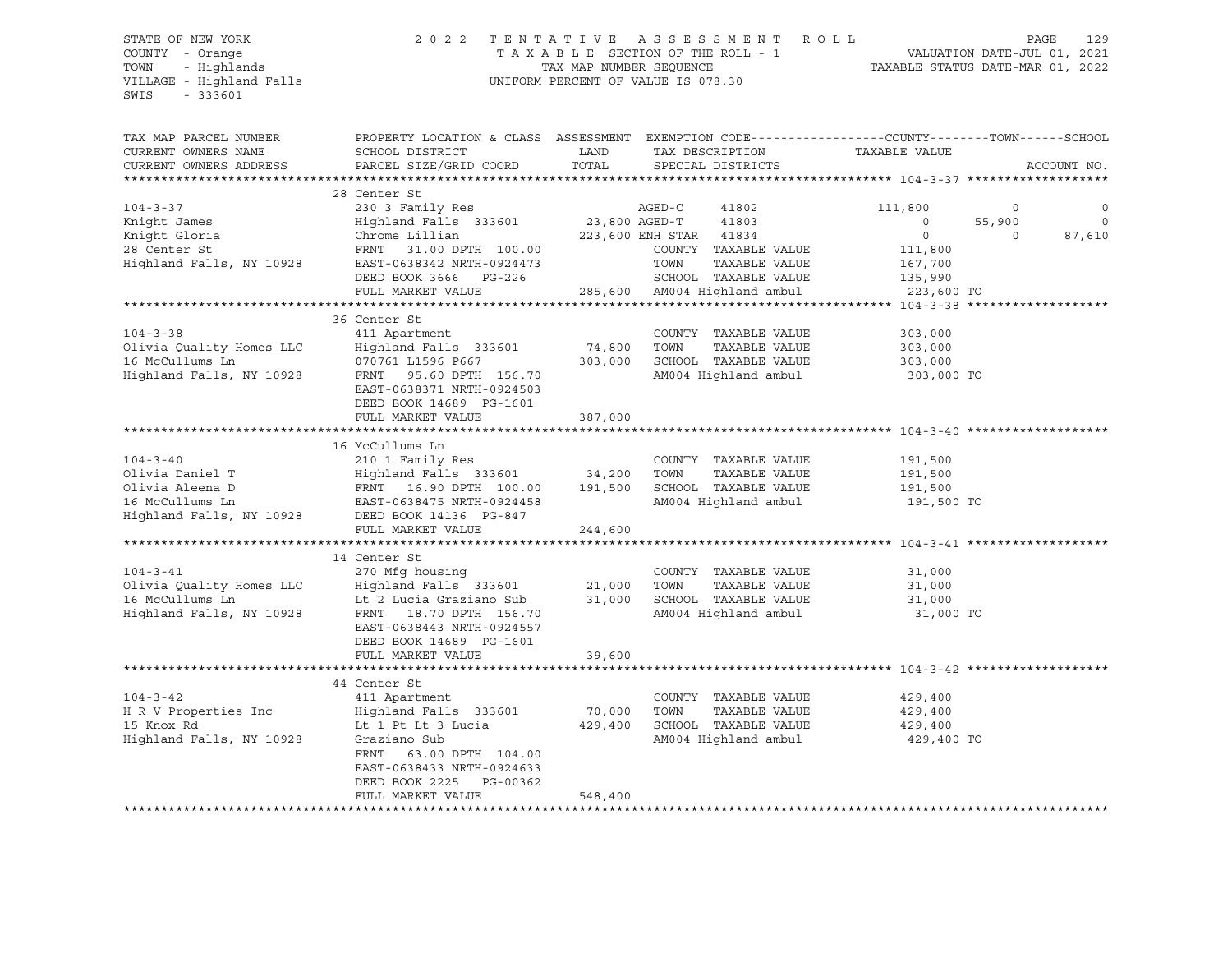VILLAGE - Highland Falls UNIFORM PERCENT OF VALUE IS 078.30 SWIS - 333601

## STATE OF NEW YORK 2 0 2 2 T E N T A T I V E A S S E S S M E N T R O L L PAGE 129 COUNTY - Orange T A X A B L E SECTION OF THE ROLL - 1 VALUATION DATE-JUL 01, 2021 TOWN - Highlands TAX MAP NUMBER SEQUENCE TAXABLE STATUS DATE-MAR 01, 2022

| TAX MAP PARCEL NUMBER<br>CURRENT OWNERS NAME<br>CURRENT OWNERS ADDRESS | PROPERTY LOCATION & CLASS ASSESSMENT<br>SCHOOL DISTRICT<br>PARCEL SIZE/GRID COORD                    | LAND<br>TOTAL            | TAX DESCRIPTION<br>SPECIAL DISTRICTS | EXEMPTION CODE-----------------COUNTY-------TOWN-----SCHOOL<br>TAXABLE VALUE | ACCOUNT NO.        |
|------------------------------------------------------------------------|------------------------------------------------------------------------------------------------------|--------------------------|--------------------------------------|------------------------------------------------------------------------------|--------------------|
|                                                                        |                                                                                                      |                          |                                      |                                                                              |                    |
| $104 - 3 - 37$<br>Knight James                                         | 28 Center St<br>230 3 Family Res<br>Highland Falls 333601                                            | 23,800 AGED-T            | AGED-C<br>41802<br>41803             | 111,800<br>$\circ$<br>55,900<br>$\Omega$                                     | $\circ$<br>$\circ$ |
| Knight Gloria                                                          | Chrome Lillian                                                                                       |                          | 223,600 ENH STAR 41834               | $\circ$<br>$\Omega$                                                          | 87,610             |
|                                                                        |                                                                                                      |                          |                                      |                                                                              |                    |
| 28 Center St                                                           | FRNT 31.00 DPTH 100.00                                                                               |                          | COUNTY TAXABLE VALUE                 | 111,800                                                                      |                    |
| Highland Falls, NY 10928                                               | EAST-0638342 NRTH-0924473                                                                            |                          | TOWN<br>TAXABLE VALUE                | 167,700                                                                      |                    |
|                                                                        | DEED BOOK 3666<br>PG-226                                                                             |                          | SCHOOL TAXABLE VALUE                 | 135,990                                                                      |                    |
|                                                                        | FULL MARKET VALUE                                                                                    |                          | 285,600 AM004 Highland ambul         | 223,600 TO                                                                   |                    |
|                                                                        |                                                                                                      |                          |                                      |                                                                              |                    |
|                                                                        | 36 Center St                                                                                         |                          |                                      |                                                                              |                    |
| $104 - 3 - 38$                                                         | 411 Apartment                                                                                        |                          | COUNTY TAXABLE VALUE                 | 303,000                                                                      |                    |
| Olivia Quality Homes LLC                                               | Highland Falls 333601                                                                                | 74,800                   | TOWN<br>TAXABLE VALUE                | 303,000                                                                      |                    |
| 16 McCullums Ln                                                        | 070761 L1596 P667                                                                                    | 303,000                  | SCHOOL TAXABLE VALUE                 | 303,000                                                                      |                    |
| Highland Falls, NY 10928                                               | FRNT 95.60 DPTH 156.70                                                                               |                          | AM004 Highland ambul                 | 303,000 TO                                                                   |                    |
|                                                                        | EAST-0638371 NRTH-0924503<br>DEED BOOK 14689 PG-1601                                                 |                          |                                      |                                                                              |                    |
|                                                                        | FULL MARKET VALUE                                                                                    | 387,000<br>************* |                                      |                                                                              |                    |
|                                                                        | ********************************                                                                     |                          |                                      |                                                                              |                    |
|                                                                        | 16 McCullums Ln                                                                                      |                          |                                      |                                                                              |                    |
| $104 - 3 - 40$                                                         | 210 1 Family Res                                                                                     |                          | COUNTY TAXABLE VALUE                 | 191,500                                                                      |                    |
| Olivia Daniel T                                                        | Highland Falls 333601                                                                                | 34,200                   | TOWN<br>TAXABLE VALUE                | 191,500                                                                      |                    |
| Olivia Aleena D                                                        | FRNT 16.90 DPTH 100.00                                                                               | 191,500                  | SCHOOL TAXABLE VALUE                 | 191,500                                                                      |                    |
| 16 McCullums Ln                                                        | EAST-0638475 NRTH-0924458                                                                            |                          | AM004 Highland ambul                 | 191,500 TO                                                                   |                    |
| Highland Falls, NY 10928                                               | DEED BOOK 14136 PG-847                                                                               |                          |                                      |                                                                              |                    |
|                                                                        | FULL MARKET VALUE                                                                                    | 244,600                  |                                      |                                                                              |                    |
|                                                                        |                                                                                                      |                          |                                      |                                                                              |                    |
|                                                                        | 14 Center St                                                                                         |                          |                                      |                                                                              |                    |
| $104 - 3 - 41$                                                         | 270 Mfg housing                                                                                      |                          | COUNTY TAXABLE VALUE                 | 31,000                                                                       |                    |
| Olivia Quality Homes LLC                                               | Highland Falls 333601                                                                                | 21,000                   | TOWN<br>TAXABLE VALUE                | 31,000                                                                       |                    |
| 16 McCullums Ln                                                        | Lt 2 Lucia Graziano Sub                                                                              | 31,000                   | SCHOOL TAXABLE VALUE                 | 31,000                                                                       |                    |
| Highland Falls, NY 10928                                               | FRNT 18.70 DPTH 156.70                                                                               |                          | AM004 Highland ambul                 | 31,000 TO                                                                    |                    |
|                                                                        | EAST-0638443 NRTH-0924557                                                                            |                          |                                      |                                                                              |                    |
|                                                                        | DEED BOOK 14689 PG-1601                                                                              |                          |                                      |                                                                              |                    |
|                                                                        | FULL MARKET VALUE                                                                                    | 39,600                   |                                      |                                                                              |                    |
|                                                                        |                                                                                                      |                          |                                      |                                                                              |                    |
|                                                                        | 44 Center St                                                                                         |                          |                                      |                                                                              |                    |
|                                                                        |                                                                                                      |                          |                                      |                                                                              |                    |
| $104 - 3 - 42$                                                         | 411 Apartment                                                                                        |                          | COUNTY TAXABLE VALUE                 | 429,400                                                                      |                    |
| H R V Properties Inc                                                   | Highland Falls 333601                                                                                | 70,000                   | TOWN<br>TAXABLE VALUE                | 429,400                                                                      |                    |
| 15 Knox Rd                                                             | Lt 1 Pt Lt 3 Lucia                                                                                   | 429,400                  | SCHOOL TAXABLE VALUE                 | 429,400                                                                      |                    |
| Highland Falls, NY 10928                                               | Graziano Sub<br>FRNT<br>63.00 DPTH 104.00<br>EAST-0638433 NRTH-0924633<br>DEED BOOK 2225<br>PG-00362 |                          | AM004 Highland ambul                 | 429,400 TO                                                                   |                    |
|                                                                        | FULL MARKET VALUE                                                                                    | 548,400                  |                                      |                                                                              |                    |
|                                                                        |                                                                                                      |                          |                                      |                                                                              |                    |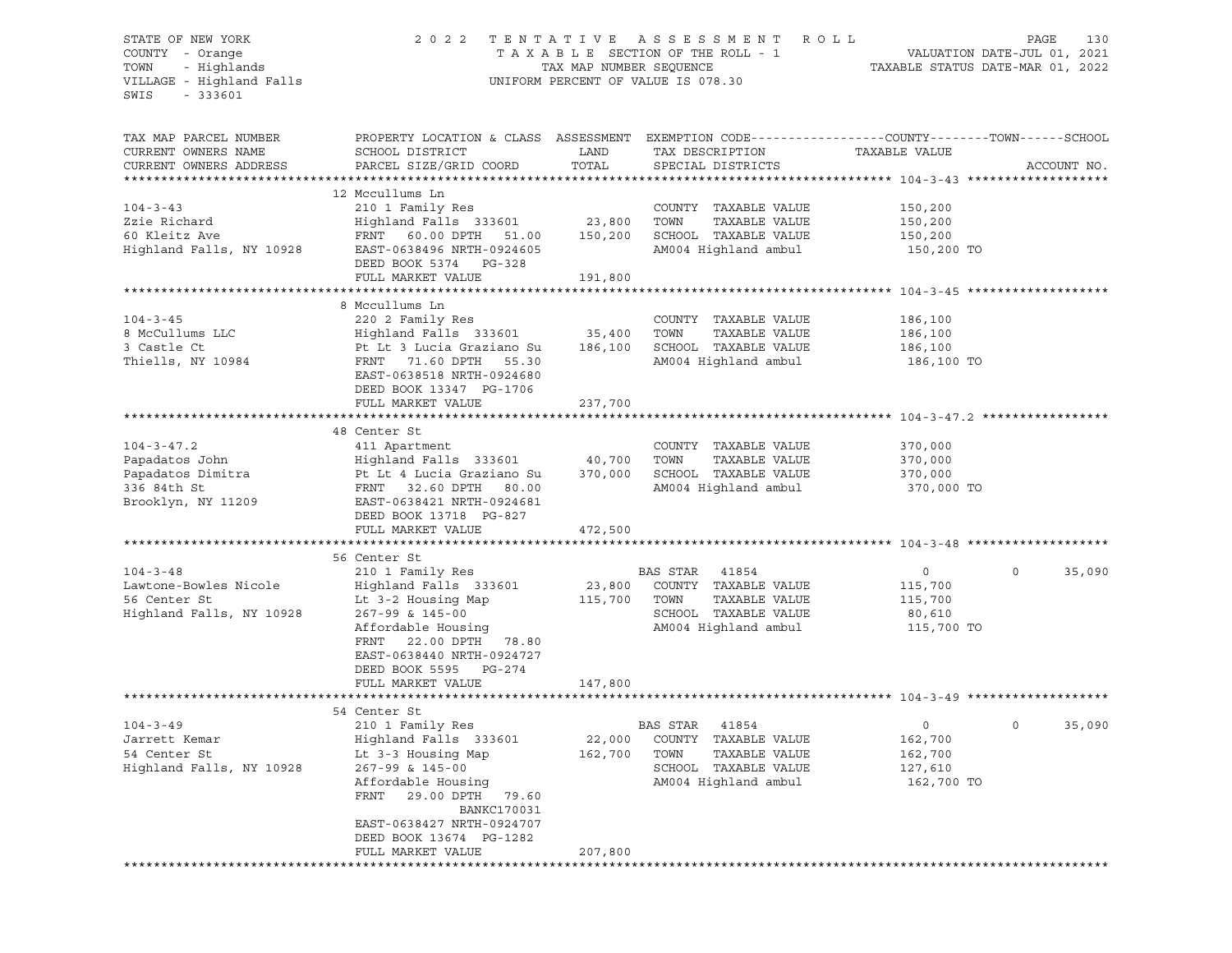#### STATE OF NEW YORK 2 0 2 2 T E N T A T I V E A S S E S S M E N T R O L L PAGE 130 COUNTY - Orange T A X A B L E SECTION OF THE ROLL - 1 VALUATION DATE-JUL 01, 2021 TOWN - Highlands TAX MAP NUMBER SEQUENCE TAXABLE STATUS DATE-MAR 01, 2022 VILLAGE - Highland Falls UNIFORM PERCENT OF VALUE IS 078.30

| TAX MAP PARCEL NUMBER<br>CURRENT OWNERS NAME<br>CURRENT OWNERS ADDRESS                                                                                  | PROPERTY LOCATION & CLASS ASSESSMENT EXEMPTION CODE----------------COUNTY-------TOWN------SCHOOL<br>SCHOOL DISTRICT<br>PARCEL SIZE/GRID COORD                                                                                                                               | LAND<br>TOTAL                                     | TAX DESCRIPTION<br>SPECIAL DISTRICTS                                                                                                                             | TAXABLE VALUE                                                                | ACCOUNT NO.       |
|---------------------------------------------------------------------------------------------------------------------------------------------------------|-----------------------------------------------------------------------------------------------------------------------------------------------------------------------------------------------------------------------------------------------------------------------------|---------------------------------------------------|------------------------------------------------------------------------------------------------------------------------------------------------------------------|------------------------------------------------------------------------------|-------------------|
| *************************                                                                                                                               |                                                                                                                                                                                                                                                                             |                                                   |                                                                                                                                                                  |                                                                              | ****************  |
| $104 - 3 - 43$<br>Zzie Richard<br>60 Kleitz Ave<br>Highland Falls, NY 10928                                                                             | 12 Mccullums Ln<br>210 1 Family Res<br>Highland Falls 333601<br>FRNT 60.00 DPTH 51.00<br>EAST-0638496 NRTH-0924605<br>DEED BOOK 5374 PG-328<br>FULL MARKET VALUE                                                                                                            | 23,800<br>150,200<br>191,800                      | COUNTY TAXABLE VALUE<br>TOWN<br>TAXABLE VALUE<br>SCHOOL TAXABLE VALUE<br>AM004 Highland ambul                                                                    | 150,200<br>150,200<br>150,200<br>150,200 TO                                  |                   |
|                                                                                                                                                         |                                                                                                                                                                                                                                                                             |                                                   |                                                                                                                                                                  |                                                                              |                   |
| $104 - 3 - 45$<br>8 McCullums LLC<br>3 Castle Ct<br>Thiells, NY 10984                                                                                   | 8 Mccullums Ln<br>220 2 Family Res<br>Highland Falls 333601<br>Pt Lt 3 Lucia Graziano Su<br>FRNT 71.60 DPTH 55.30<br>EAST-0638518 NRTH-0924680<br>DEED BOOK 13347 PG-1706                                                                                                   | 35,400<br>186,100                                 | COUNTY TAXABLE VALUE<br>TAXABLE VALUE<br>TOWN<br>SCHOOL TAXABLE VALUE<br>AM004 Highland ambul                                                                    | 186,100<br>186,100<br>186,100<br>186,100 TO                                  |                   |
|                                                                                                                                                         | FULL MARKET VALUE                                                                                                                                                                                                                                                           | 237,700                                           |                                                                                                                                                                  |                                                                              |                   |
|                                                                                                                                                         |                                                                                                                                                                                                                                                                             |                                                   |                                                                                                                                                                  |                                                                              |                   |
| $104 - 3 - 47.2$<br>Papadatos John<br>Papadatos Dimitra<br>336 84th St<br>Brooklyn, NY 11209<br>$104 - 3 - 48$<br>Lawtone-Bowles Nicole<br>56 Center St | 48 Center St<br>411 Apartment<br>Highland Falls 333601<br>Pt Lt 4 Lucia Graziano Su<br>FRNT 32.60 DPTH 80.00<br>EAST-0638421 NRTH-0924681<br>DEED BOOK 13718 PG-827<br>FULL MARKET VALUE<br>56 Center St<br>210 1 Family Res<br>Highland Falls 333601<br>Lt 3-2 Housing Map | 40,700<br>370,000<br>472,500<br>23,800<br>115,700 | COUNTY TAXABLE VALUE<br>TOWN<br>TAXABLE VALUE<br>SCHOOL TAXABLE VALUE<br>AM004 Highland ambul<br>BAS STAR 41854<br>COUNTY TAXABLE VALUE<br>TOWN<br>TAXABLE VALUE | 370,000<br>370,000<br>370,000<br>370,000 TO<br>$\circ$<br>115,700<br>115,700 | $\circ$<br>35,090 |
| Highland Falls, NY 10928                                                                                                                                | 267-99 & 145-00<br>Affordable Housing<br>FRNT<br>22.00 DPTH 78.80<br>EAST-0638440 NRTH-0924727<br>DEED BOOK 5595 PG-274<br>FULL MARKET VALUE                                                                                                                                | 147,800                                           | SCHOOL TAXABLE VALUE<br>AM004 Highland ambul                                                                                                                     | 80,610<br>115,700 TO                                                         |                   |
|                                                                                                                                                         | 54 Center St                                                                                                                                                                                                                                                                |                                                   |                                                                                                                                                                  |                                                                              |                   |
| $104 - 3 - 49$<br>Jarrett Kemar<br>54 Center St<br>Highland Falls, NY 10928                                                                             | 210 1 Family Res<br>Highland Falls 333601<br>Lt 3-3 Housing Map<br>267-99 & 145-00<br>Affordable Housing<br>FRNT<br>29.00 DPTH 79.60<br><b>BANKC170031</b><br>EAST-0638427 NRTH-0924707                                                                                     | 22,000<br>162,700                                 | BAS STAR<br>41854<br>COUNTY TAXABLE VALUE<br>TOWN<br>TAXABLE VALUE<br>SCHOOL TAXABLE VALUE<br>AM004 Highland ambul                                               | $\circ$<br>162,700<br>162,700<br>127,610<br>162,700 TO                       | 35,090<br>$\circ$ |
|                                                                                                                                                         | DEED BOOK 13674 PG-1282<br>FULL MARKET VALUE<br>**********************************                                                                                                                                                                                          | 207,800                                           |                                                                                                                                                                  |                                                                              |                   |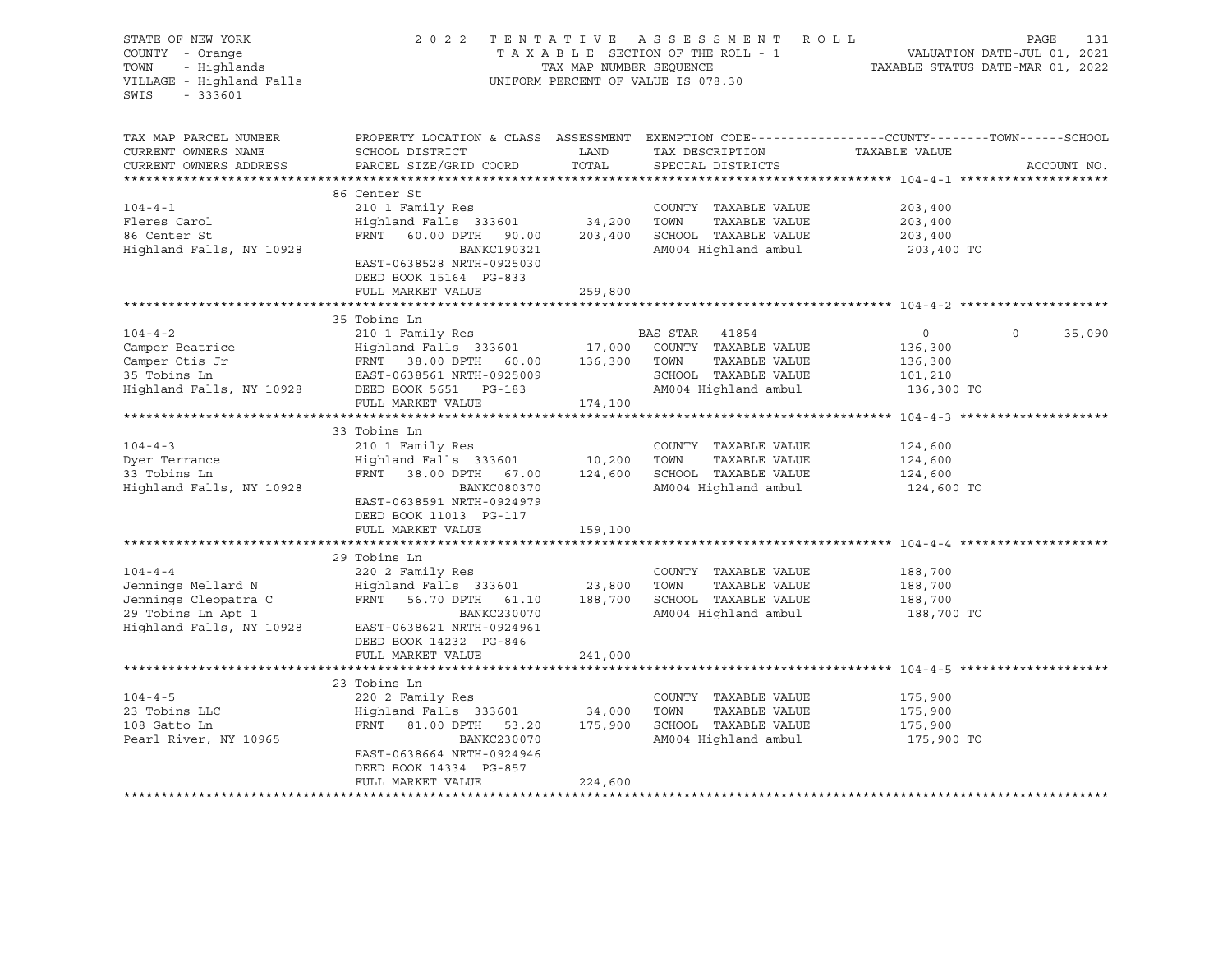| STATE OF NEW YORK<br>COUNTY - Orange<br>TOWN<br>- Highlands<br>VILLAGE - Highland Falls<br>$-333601$<br>SWIS | 2 0 2 2                                                                                                                                                                                            | TAX MAP NUMBER SEQUENCE | TENTATIVE ASSESSMENT ROLL<br>TAXABLE SECTION OF THE ROLL - 1<br>UNIFORM PERCENT OF VALUE IS 078.30 | PAGE 131<br>VALUATION DATE-JUL 01, 2021<br>TAXABLE STATIIS DATE 115 |                    |
|--------------------------------------------------------------------------------------------------------------|----------------------------------------------------------------------------------------------------------------------------------------------------------------------------------------------------|-------------------------|----------------------------------------------------------------------------------------------------|---------------------------------------------------------------------|--------------------|
| TAX MAP PARCEL NUMBER<br>CURRENT OWNERS NAME<br>CURRENT OWNERS ADDRESS                                       | PROPERTY LOCATION & CLASS ASSESSMENT EXEMPTION CODE---------------COUNTY-------TOWN-----SCHOOL<br>SCHOOL DISTRICT<br>PARCEL SIZE/GRID COORD                                                        | LAND<br>TOTAL           | TAX DESCRIPTION<br>SPECIAL DISTRICTS                                                               | TAXABLE VALUE                                                       | ACCOUNT NO.        |
|                                                                                                              | 86 Center St                                                                                                                                                                                       |                         |                                                                                                    |                                                                     |                    |
| $104 - 4 - 1$                                                                                                | 210 1 Family Res                                                                                                                                                                                   |                         | COUNTY TAXABLE VALUE                                                                               | 203,400                                                             |                    |
| Fleres Carol                                                                                                 | Highland Falls 333601 34,200                                                                                                                                                                       |                         | TOWN<br>TAXABLE VALUE                                                                              | 203,400                                                             |                    |
| 86 Center St                                                                                                 | FRNT 60.00 DPTH 90.00 203,400                                                                                                                                                                      |                         | SCHOOL TAXABLE VALUE                                                                               | 203,400                                                             |                    |
| Highland Falls, NY 10928                                                                                     | BANKC190321<br>EAST-0638528 NRTH-0925030<br>DEED BOOK 15164 PG-833                                                                                                                                 |                         | AM004 Highland ambul                                                                               | 203,400 TO                                                          |                    |
|                                                                                                              | FULL MARKET VALUE                                                                                                                                                                                  | 259,800                 |                                                                                                    |                                                                     |                    |
|                                                                                                              | 35 Tobins Ln                                                                                                                                                                                       |                         |                                                                                                    |                                                                     |                    |
| $104 - 4 - 2$                                                                                                | 210 1 Family Res                                                                                                                                                                                   |                         | BAS STAR 41854                                                                                     | $\circ$                                                             | $\Omega$<br>35,090 |
| Camper Beatrice                                                                                              | Highland Falls 333601                                                                                                                                                                              |                         | 17,000 COUNTY TAXABLE VALUE                                                                        | 136,300                                                             |                    |
|                                                                                                              |                                                                                                                                                                                                    |                         |                                                                                                    | 136,300                                                             |                    |
|                                                                                                              |                                                                                                                                                                                                    |                         | SCHOOL TAXABLE VALUE                                                                               | 101,210                                                             |                    |
|                                                                                                              | Camper Otis Jr (FRNT 38.00 DPTH 60.00 136,300 TOWN TAXABLE VALUE (Amper Otis Jr (FRNT 38.00 DPTH 60.00 136,300 TOWN TAXABLE VALUE (35 Tobins Ln EAST-0638561 NRTH-0925009 SCHOOL TAXABLE VALUE (4) |                         | AM004 Highland ambul                                                                               | 136,300 TO                                                          |                    |
|                                                                                                              | FULL MARKET VALUE                                                                                                                                                                                  | 174,100                 |                                                                                                    |                                                                     |                    |
|                                                                                                              |                                                                                                                                                                                                    |                         |                                                                                                    |                                                                     |                    |
|                                                                                                              | 33 Tobins Ln                                                                                                                                                                                       |                         |                                                                                                    |                                                                     |                    |
| $104 - 4 - 3$                                                                                                | 210 1 Family Res                                                                                                                                                                                   |                         | COUNTY TAXABLE VALUE                                                                               | 124,600                                                             |                    |
| Dyer Terrance                                                                                                | Highland Falls 333601 10,200                                                                                                                                                                       |                         | TOWN<br>TAXABLE VALUE                                                                              | 124,600                                                             |                    |
| 33 Tobins Ln                                                                                                 | FRNT 38.00 DPTH 67.00                                                                                                                                                                              | 124,600                 | SCHOOL TAXABLE VALUE                                                                               | 124,600                                                             |                    |
| Highland Falls, NY 10928                                                                                     | BANKC080370<br>EAST-0638591 NRTH-0924979<br>DEED BOOK 11013 PG-117                                                                                                                                 |                         | AM004 Highland ambul                                                                               | 124,600 TO                                                          |                    |
|                                                                                                              | FULL MARKET VALUE                                                                                                                                                                                  | 159,100                 |                                                                                                    |                                                                     |                    |
|                                                                                                              | 29 Tobins Ln                                                                                                                                                                                       |                         |                                                                                                    |                                                                     |                    |
| $104 - 4 - 4$                                                                                                | 220 2 Family Res                                                                                                                                                                                   |                         | COUNTY TAXABLE VALUE                                                                               | 188,700                                                             |                    |
| Jennings Mellard N                                                                                           | Highland Falls 333601 23,800                                                                                                                                                                       |                         | TOWN<br>TAXABLE VALUE                                                                              | 188,700                                                             |                    |
| Jennings Cleopatra C<br>29 Tobins Ln Apt 1                                                                   | FRNT 56.70 DPTH 61.10                                                                                                                                                                              |                         | 188,700 SCHOOL TAXABLE VALUE                                                                       | 188,700                                                             |                    |
| 29 Tobins Ln Apt 1                                                                                           | BANKC230070                                                                                                                                                                                        |                         | AM004 Highland ambul                                                                               | 188,700 TO                                                          |                    |
| Highland Falls, NY 10928                                                                                     | EAST-0638621 NRTH-0924961<br>DEED BOOK 14232 PG-846<br>FULL MARKET VALUE                                                                                                                           | 241,000                 |                                                                                                    |                                                                     |                    |
|                                                                                                              |                                                                                                                                                                                                    |                         |                                                                                                    |                                                                     |                    |
|                                                                                                              | 23 Tobins Ln                                                                                                                                                                                       |                         |                                                                                                    |                                                                     |                    |
| $104 - 4 - 5$                                                                                                | 220 2 Family Res                                                                                                                                                                                   |                         | COUNTY TAXABLE VALUE                                                                               | 175,900                                                             |                    |
| 23 Tobins LLC                                                                                                |                                                                                                                                                                                                    |                         | TOWN<br>TAXABLE VALUE                                                                              | 175,900                                                             |                    |
| 108 Gatto Ln                                                                                                 | Highland Falls 333601 34,000<br>FRNT 81.00 DPTH 53.20 175,900                                                                                                                                      |                         | SCHOOL TAXABLE VALUE                                                                               | 175,900                                                             |                    |
| Pearl River, NY 10965                                                                                        | BANKC230070                                                                                                                                                                                        |                         | AM004 Highland ambul                                                                               | 175,900 TO                                                          |                    |
|                                                                                                              | EAST-0638664 NRTH-0924946                                                                                                                                                                          |                         |                                                                                                    |                                                                     |                    |
|                                                                                                              | DEED BOOK 14334 PG-857                                                                                                                                                                             |                         |                                                                                                    |                                                                     |                    |
|                                                                                                              | FULL MARKET VALUE                                                                                                                                                                                  | 224,600                 |                                                                                                    |                                                                     |                    |
|                                                                                                              |                                                                                                                                                                                                    |                         |                                                                                                    |                                                                     |                    |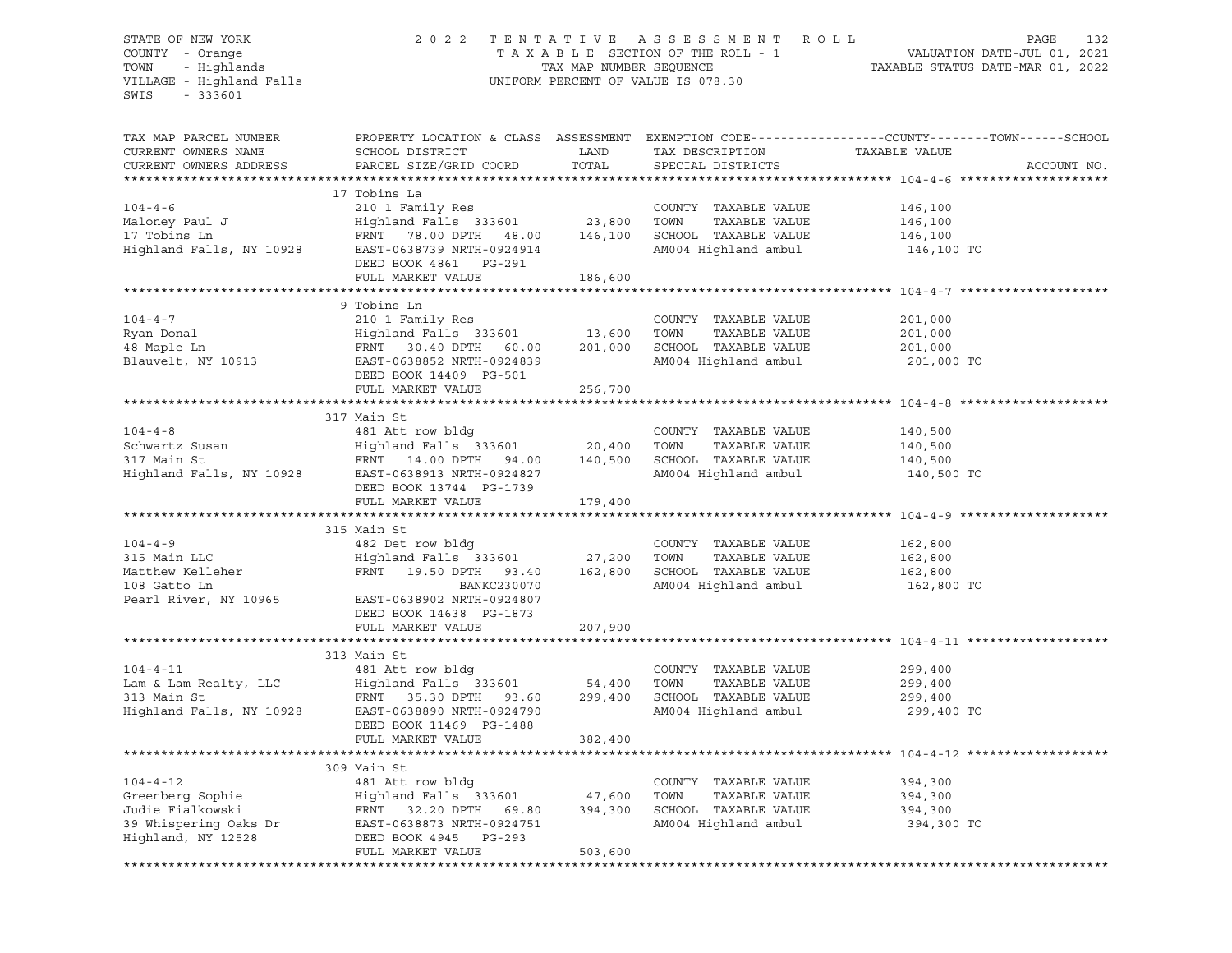#### STATE OF NEW YORK 2 0 2 2 T E N T A T I V E A S S E S S M E N T R O L L PAGE 132 COUNTY - Orange T A X A B L E SECTION OF THE ROLL - 1 VALUATION DATE-JUL 01, 2021 TOWN - Highlands TAX MAP NUMBER SEQUENCE TAXABLE STATUS DATE-MAR 01, 2022 VILLAGE - Highland Falls UNIFORM PERCENT OF VALUE IS 078.30

TAX MAP PARCEL NUMBER PROPERTY LOCATION & CLASS ASSESSMENT EXEMPTION CODE------------------COUNTY--------TOWN------SCHOOL CURRENT OWNERS NAME SCHOOL DISTRICT LAND TAX DESCRIPTION TAXABLE VALUE CURRENT OWNERS ADDRESS PARCEL SIZE/GRID COORD TOTAL SPECIAL DISTRICTS ACCOUNT NO. \*\*\*\*\*\*\*\*\*\*\*\*\*\*\*\*\*\*\*\*\*\*\*\*\*\*\*\*\*\*\*\*\*\*\*\*\*\*\*\*\*\*\*\*\*\*\*\*\*\*\*\*\*\*\*\*\*\*\*\*\*\*\*\*\*\*\*\*\*\*\*\*\*\*\*\*\*\*\*\*\*\*\*\*\*\*\*\*\*\*\*\*\*\*\*\*\*\*\*\*\*\*\* 104-4-6 \*\*\*\*\*\*\*\*\*\*\*\*\*\*\*\*\*\*\*\* 17 Tobins La 104-4-6 210 1 Family Res COUNTY TAXABLE VALUE 146,100 Maloney Paul J Highland Falls 333601 23,800 TOWN TAXABLE VALUE 146,100 17 Tobins Ln FRNT 78.00 DPTH 48.00 146,100 SCHOOL TAXABLE VALUE 146,100 Highland Falls, NY 10928 EAST-0638739 NRTH-0924914 AM004 Highland ambul 146,100 TO DEED BOOK 4861 PG-291 FULL MARKET VALUE 186,600 \*\*\*\*\*\*\*\*\*\*\*\*\*\*\*\*\*\*\*\*\*\*\*\*\*\*\*\*\*\*\*\*\*\*\*\*\*\*\*\*\*\*\*\*\*\*\*\*\*\*\*\*\*\*\*\*\*\*\*\*\*\*\*\*\*\*\*\*\*\*\*\*\*\*\*\*\*\*\*\*\*\*\*\*\*\*\*\*\*\*\*\*\*\*\*\*\*\*\*\*\*\*\* 104-4-7 \*\*\*\*\*\*\*\*\*\*\*\*\*\*\*\*\*\*\*\* 9 Tobins Ln 104-4-7 210 1 Family Res COUNTY TAXABLE VALUE 201,000 Ryan Donal Highland Falls 333601 13,600 TOWN TAXABLE VALUE 201,000 48 Maple Ln FRNT 30.40 DPTH 60.00 201,000 SCHOOL TAXABLE VALUE 201,000 Blauvelt, NY 10913 EAST-0638852 NRTH-0924839 AM004 Highland ambul 201,000 TO DEED BOOK 14409 PG-501 FULL MARKET VALUE 256,700 \*\*\*\*\*\*\*\*\*\*\*\*\*\*\*\*\*\*\*\*\*\*\*\*\*\*\*\*\*\*\*\*\*\*\*\*\*\*\*\*\*\*\*\*\*\*\*\*\*\*\*\*\*\*\*\*\*\*\*\*\*\*\*\*\*\*\*\*\*\*\*\*\*\*\*\*\*\*\*\*\*\*\*\*\*\*\*\*\*\*\*\*\*\*\*\*\*\*\*\*\*\*\* 104-4-8 \*\*\*\*\*\*\*\*\*\*\*\*\*\*\*\*\*\*\*\* 317 Main St 104-4-8 481 Att row bldg COUNTY TAXABLE VALUE 140,500 Schwartz Susan Highland Falls 333601 20,400 TOWN TAXABLE VALUE 140,500 317 Main St FRNT 14.00 DPTH 94.00 140,500 SCHOOL TAXABLE VALUE 140,500 Highland Falls, NY 10928 EAST-0638913 NRTH-0924827 AM004 Highland ambul 140,500 TO DEED BOOK 13744 PG-1739 FULL MARKET VALUE 179,400 \*\*\*\*\*\*\*\*\*\*\*\*\*\*\*\*\*\*\*\*\*\*\*\*\*\*\*\*\*\*\*\*\*\*\*\*\*\*\*\*\*\*\*\*\*\*\*\*\*\*\*\*\*\*\*\*\*\*\*\*\*\*\*\*\*\*\*\*\*\*\*\*\*\*\*\*\*\*\*\*\*\*\*\*\*\*\*\*\*\*\*\*\*\*\*\*\*\*\*\*\*\*\* 104-4-9 \*\*\*\*\*\*\*\*\*\*\*\*\*\*\*\*\*\*\*\* 315 Main St 104-4-9 482 Det row bldg COUNTY TAXABLE VALUE 162,800 315 Main LLC Highland Falls 333601 27,200 TOWN TAXABLE VALUE 162,800 Matthew Kelleher FRNT 19.50 DPTH 93.40 162,800 SCHOOL TAXABLE VALUE 162,800 108 Gatto Lin Bankc230070 Matthew Kelleher 162,800 FRNT 19.50 DPTH 93.40 162,800 SCHOOL TAXABLE VALUE 162,800<br>162,800 TO BANKC230070 AM004 Highland ambul 162,800 TO Pearl River, NY 10965 EAST-0638902 NRTH-0924807 DEED BOOK 14638 PG-1873 FULL MARKET VALUE 207,900 \*\*\*\*\*\*\*\*\*\*\*\*\*\*\*\*\*\*\*\*\*\*\*\*\*\*\*\*\*\*\*\*\*\*\*\*\*\*\*\*\*\*\*\*\*\*\*\*\*\*\*\*\*\*\*\*\*\*\*\*\*\*\*\*\*\*\*\*\*\*\*\*\*\*\*\*\*\*\*\*\*\*\*\*\*\*\*\*\*\*\*\*\*\*\*\*\*\*\*\*\*\*\* 104-4-11 \*\*\*\*\*\*\*\*\*\*\*\*\*\*\*\*\*\*\* 313 Main St 104-4-11 481 Att row bldg COUNTY TAXABLE VALUE 299,400 Lam & Lam Realty, LLC Highland Falls 333601 54,400 TOWN TAXABLE VALUE 299,400 313 Main St FRNT 35.30 DPTH 93.60 299,400 SCHOOL TAXABLE VALUE 299,400 Highland Falls, NY 10928 EAST-0638890 NRTH-0924790 AM004 Highland ambul 299,400 TO DEED BOOK 11469 PG-1488 FULL MARKET VALUE 382,400 \*\*\*\*\*\*\*\*\*\*\*\*\*\*\*\*\*\*\*\*\*\*\*\*\*\*\*\*\*\*\*\*\*\*\*\*\*\*\*\*\*\*\*\*\*\*\*\*\*\*\*\*\*\*\*\*\*\*\*\*\*\*\*\*\*\*\*\*\*\*\*\*\*\*\*\*\*\*\*\*\*\*\*\*\*\*\*\*\*\*\*\*\*\*\*\*\*\*\*\*\*\*\* 104-4-12 \*\*\*\*\*\*\*\*\*\*\*\*\*\*\*\*\*\*\* 309 Main St 104-4-12 481 Att row bldg COUNTY TAXABLE VALUE 394,300 Greenberg Sophie Highland Falls 333601 47,600 TOWN TAXABLE VALUE 394,300 Judie Fialkowski FRNT 32.20 DPTH 69.80 394,300 SCHOOL TAXABLE VALUE 394,300 39 Whispering Oaks Dr EAST-0638873 NRTH-0924751 AM004 Highland ambul 394,300 TO Highland, NY 12528 DEED BOOK 4945 PG-293 FULL MARKET VALUE 503,600 \*\*\*\*\*\*\*\*\*\*\*\*\*\*\*\*\*\*\*\*\*\*\*\*\*\*\*\*\*\*\*\*\*\*\*\*\*\*\*\*\*\*\*\*\*\*\*\*\*\*\*\*\*\*\*\*\*\*\*\*\*\*\*\*\*\*\*\*\*\*\*\*\*\*\*\*\*\*\*\*\*\*\*\*\*\*\*\*\*\*\*\*\*\*\*\*\*\*\*\*\*\*\*\*\*\*\*\*\*\*\*\*\*\*\*\*\*\*\*\*\*\*\*\*\*\*\*\*\*\*\*\*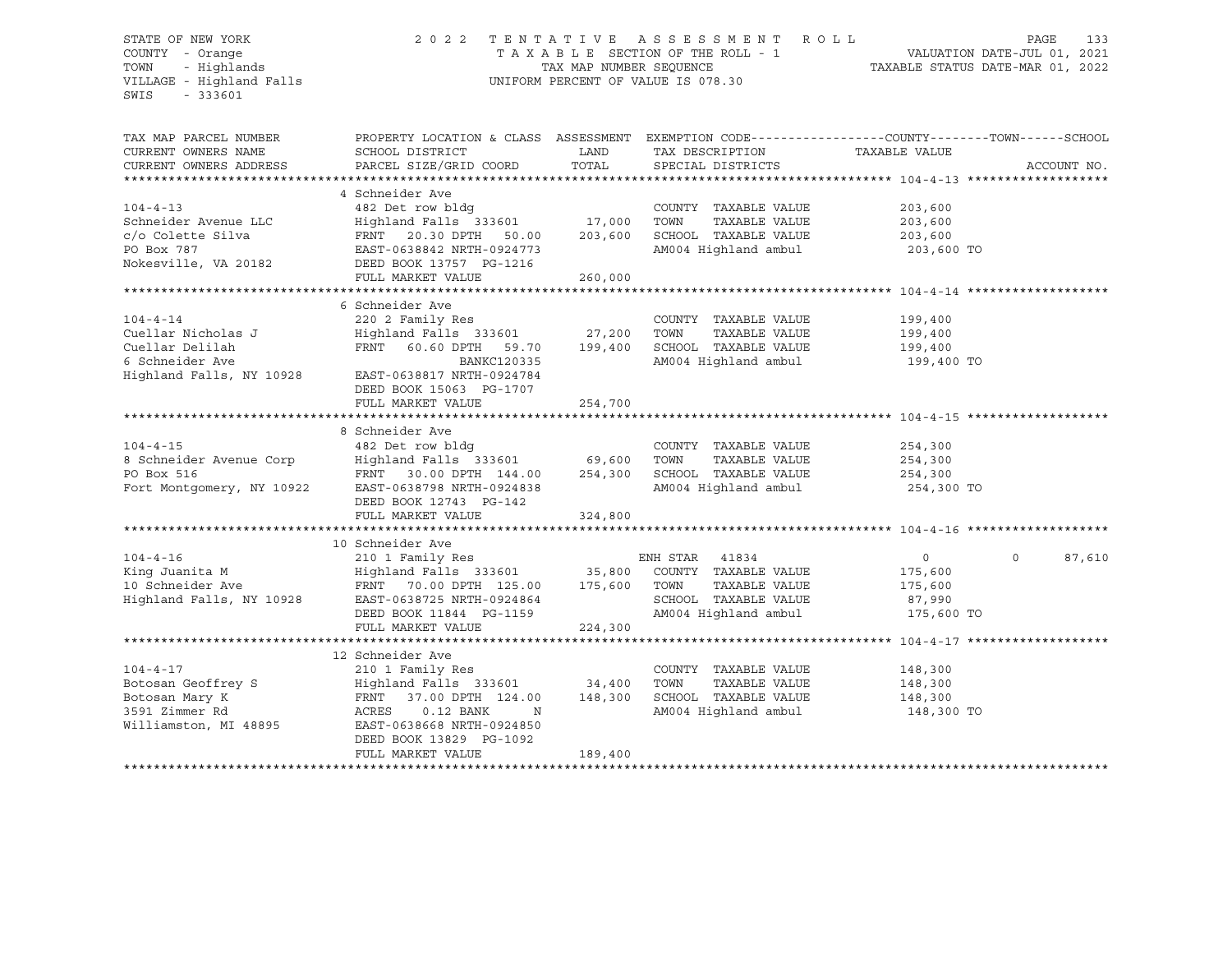#### STATE OF NEW YORK 2 0 2 2 T E N T A T I V E A S S E S S M E N T R O L L PAGE 133 COUNTY - Orange T A X A B L E SECTION OF THE ROLL - 1 VALUATION DATE-JUL 01, 2021 TOWN - Highlands TAX MAP NUMBER SEQUENCE TAXABLE STATUS DATE-MAR 01, 2022 VILLAGE - Highland Falls UNIFORM PERCENT OF VALUE IS 078.30

| TAX MAP PARCEL NUMBER<br>CURRENT OWNERS NAME<br>CURRENT OWNERS ADDRESS | PROPERTY LOCATION & CLASS ASSESSMENT<br>SCHOOL DISTRICT<br>PARCEL SIZE/GRID COORD | LAND<br>TOTAL | EXEMPTION CODE-----------------COUNTY-------TOWN------SCHOOL<br>TAX DESCRIPTION<br>SPECIAL DISTRICTS | TAXABLE VALUE | ACCOUNT NO.        |
|------------------------------------------------------------------------|-----------------------------------------------------------------------------------|---------------|------------------------------------------------------------------------------------------------------|---------------|--------------------|
|                                                                        |                                                                                   |               |                                                                                                      |               |                    |
| $104 - 4 - 13$                                                         | 4 Schneider Ave<br>482 Det row bldg                                               |               | COUNTY TAXABLE VALUE                                                                                 | 203,600       |                    |
| Schneider Avenue LLC                                                   | Highland Falls 333601                                                             | 17,000        | TAXABLE VALUE<br>TOWN                                                                                | 203,600       |                    |
| c/o Colette Silva                                                      | FRNT 20.30 DPTH<br>50.00                                                          | 203,600       | SCHOOL TAXABLE VALUE                                                                                 | 203,600       |                    |
| PO Box 787                                                             | EAST-0638842 NRTH-0924773                                                         |               | AM004 Highland ambul                                                                                 | 203,600 TO    |                    |
| Nokesville, VA 20182                                                   | DEED BOOK 13757 PG-1216<br>FULL MARKET VALUE                                      | 260,000       |                                                                                                      |               |                    |
|                                                                        |                                                                                   |               |                                                                                                      |               |                    |
|                                                                        | 6 Schneider Ave                                                                   |               |                                                                                                      |               |                    |
| $104 - 4 - 14$                                                         | 220 2 Family Res                                                                  |               | COUNTY TAXABLE VALUE                                                                                 | 199,400       |                    |
| Cuellar Nicholas J                                                     | Highland Falls 333601                                                             | 27,200        | TOWN<br>TAXABLE VALUE                                                                                | 199,400       |                    |
| Cuellar Delilah                                                        | FRNT 60.60 DPTH 59.70                                                             | 199,400       | SCHOOL TAXABLE VALUE                                                                                 | 199,400       |                    |
| 6 Schneider Ave                                                        | BANKC120335                                                                       |               | AM004 Highland ambul                                                                                 | 199,400 TO    |                    |
| Highland Falls, NY 10928                                               | EAST-0638817 NRTH-0924784<br>DEED BOOK 15063 PG-1707                              |               |                                                                                                      |               |                    |
|                                                                        | FULL MARKET VALUE                                                                 | 254,700       |                                                                                                      |               |                    |
|                                                                        |                                                                                   |               |                                                                                                      |               |                    |
|                                                                        | 8 Schneider Ave                                                                   |               |                                                                                                      |               |                    |
| $104 - 4 - 15$                                                         | 482 Det row bldg                                                                  |               | COUNTY TAXABLE VALUE                                                                                 | 254,300       |                    |
| 8 Schneider Avenue Corp                                                | Highland Falls 333601 69,600                                                      |               | TOWN<br>TAXABLE VALUE                                                                                | 254,300       |                    |
| PO Box 516                                                             | FRNT 30.00 DPTH 144.00                                                            | 254,300       | SCHOOL TAXABLE VALUE                                                                                 | 254,300       |                    |
| Fort Montgomery, NY 10922                                              | EAST-0638798 NRTH-0924838<br>DEED BOOK 12743 PG-142                               |               | AM004 Highland ambul                                                                                 | 254,300 TO    |                    |
|                                                                        | FULL MARKET VALUE                                                                 | 324,800       |                                                                                                      |               |                    |
|                                                                        | 10 Schneider Ave                                                                  |               |                                                                                                      |               |                    |
| $104 - 4 - 16$                                                         | 210 1 Family Res                                                                  |               | ENH STAR 41834                                                                                       | $\circ$       | $\Omega$<br>87,610 |
| King Juanita M                                                         | Highland Falls 333601 35,800                                                      |               | COUNTY TAXABLE VALUE                                                                                 | 175,600       |                    |
| 10 Schneider Ave                                                       | FRNT 70.00 DPTH 125.00                                                            | 175,600       | TAXABLE VALUE<br>TOWN                                                                                | 175,600       |                    |
| Highland Falls, NY 10928                                               | EAST-0638725 NRTH-0924864                                                         |               | SCHOOL TAXABLE VALUE                                                                                 | 87,990        |                    |
|                                                                        |                                                                                   |               |                                                                                                      | 175,600 TO    |                    |
|                                                                        | DEED BOOK 11844 PG-1159                                                           |               | AM004 Highland ambul                                                                                 |               |                    |
|                                                                        | FULL MARKET VALUE                                                                 | 224,300       |                                                                                                      |               |                    |
|                                                                        |                                                                                   |               |                                                                                                      |               |                    |
| $104 - 4 - 17$                                                         | 12 Schneider Ave                                                                  |               |                                                                                                      |               |                    |
|                                                                        | 210 1 Family Res                                                                  |               | COUNTY TAXABLE VALUE                                                                                 | 148,300       |                    |
| Botosan Geoffrey S                                                     | Highland Falls 333601                                                             | 34,400        | TAXABLE VALUE<br>TOWN                                                                                | 148,300       |                    |
| Botosan Mary K                                                         | FRNT 37.00 DPTH 124.00                                                            | 148,300       | SCHOOL TAXABLE VALUE                                                                                 | 148,300       |                    |
| 3591 Zimmer Rd<br>Williamston, MI 48895                                | ACRES<br>$0.12$ BANK<br>N<br>EAST-0638668 NRTH-0924850<br>DEED BOOK 13829 PG-1092 |               | AM004 Highland ambul                                                                                 | 148,300 TO    |                    |
|                                                                        | FULL MARKET VALUE                                                                 | 189,400       |                                                                                                      |               |                    |
|                                                                        |                                                                                   |               |                                                                                                      |               |                    |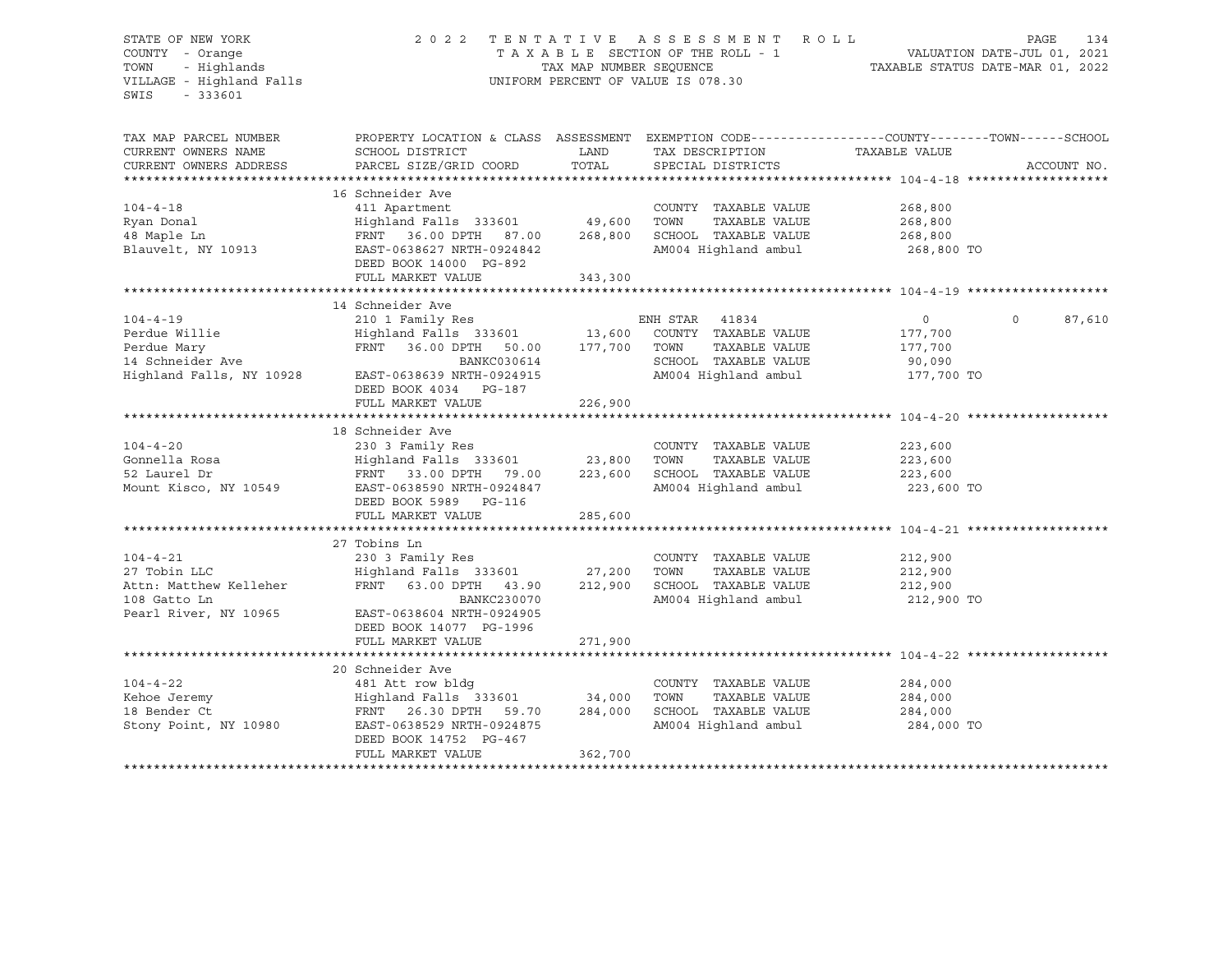#### STATE OF NEW YORK 2 0 2 2 T E N T A T I V E A S S E S S M E N T R O L L PAGE 134 COUNTY - Orange T A X A B L E SECTION OF THE ROLL - 1 VALUATION DATE-JUL 01, 2021 TOWN - Highlands TAX MAP NUMBER SEQUENCE TAXABLE STATUS DATE-MAR 01, 2022 UNIFORM PERCENT OF VALUE IS 078.30

TAX MAP PARCEL NUMBER PROPERTY LOCATION & CLASS ASSESSMENT EXEMPTION CODE------------------COUNTY--------TOWN------SCHOOL CURRENT OWNERS NAME SCHOOL DISTRICT A LAND TAX DESCRIPTION TAXABLE VALUE CURRENT OWNERS ADDRESS PARCEL SIZE/GRID COORD TOTAL SPECIAL DISTRICTS ACCOUNT NO. \*\*\*\*\*\*\*\*\*\*\*\*\*\*\*\*\*\*\*\*\*\*\*\*\*\*\*\*\*\*\*\*\*\*\*\*\*\*\*\*\*\*\*\*\*\*\*\*\*\*\*\*\*\*\*\*\*\*\*\*\*\*\*\*\*\*\*\*\*\*\*\*\*\*\*\*\*\*\*\*\*\*\*\*\*\*\*\*\*\*\*\*\*\*\*\*\*\*\*\*\*\*\* 104-4-18 \*\*\*\*\*\*\*\*\*\*\*\*\*\*\*\*\*\*\* 16 Schneider Ave 104-4-18 411 Apartment COUNTY TAXABLE VALUE 268,800 Ryan Donal Highland Falls 333601 49,600 TOWN TAXABLE VALUE 268,800 48 Maple Ln FRNT 36.00 DPTH 87.00 268,800 SCHOOL TAXABLE VALUE 268,800 Blauvelt, NY 10913 EAST-0638627 NRTH-0924842 AM004 Highland ambul 268,800 TO DEED BOOK 14000 PG-892 FULL MARKET VALUE 343,300 \*\*\*\*\*\*\*\*\*\*\*\*\*\*\*\*\*\*\*\*\*\*\*\*\*\*\*\*\*\*\*\*\*\*\*\*\*\*\*\*\*\*\*\*\*\*\*\*\*\*\*\*\*\*\*\*\*\*\*\*\*\*\*\*\*\*\*\*\*\*\*\*\*\*\*\*\*\*\*\*\*\*\*\*\*\*\*\*\*\*\*\*\*\*\*\*\*\*\*\*\*\*\* 104-4-19 \*\*\*\*\*\*\*\*\*\*\*\*\*\*\*\*\*\*\* 14 Schneider Ave 104-4-19 210 1 Family Res ENH STAR 41834 0 0 87,610 Perdue Willie Highland Falls 333601 13,600 COUNTY TAXABLE VALUE 177,700 Perdue Mary FRNT 36.00 DPTH 50.00 177,700 TOWN TAXABLE VALUE 177,700 14 BANKC030614 SCHOOL TAXABLE VALUE 90,090<br>177,700 EAST-0638639 NRTH-0924915 AM004 Highland ambul 177,700 TO Highland Falls, NY 10928 EAST-0638639 NRTH-0924915 AM004 Highland ambul 177,700 TO DEED BOOK 4034 PG-187 FULL MARKET VALUE 226,900 \*\*\*\*\*\*\*\*\*\*\*\*\*\*\*\*\*\*\*\*\*\*\*\*\*\*\*\*\*\*\*\*\*\*\*\*\*\*\*\*\*\*\*\*\*\*\*\*\*\*\*\*\*\*\*\*\*\*\*\*\*\*\*\*\*\*\*\*\*\*\*\*\*\*\*\*\*\*\*\*\*\*\*\*\*\*\*\*\*\*\*\*\*\*\*\*\*\*\*\*\*\*\* 104-4-20 \*\*\*\*\*\*\*\*\*\*\*\*\*\*\*\*\*\*\* 18 Schneider Ave 104-4-20 230 3 Family Res COUNTY TAXABLE VALUE 223,600 Gonnella Rosa Highland Falls 333601 23,800 TOWN TAXABLE VALUE 223,600 52 Laurel Dr FRNT 33.00 DPTH 79.00 223,600 SCHOOL TAXABLE VALUE 223,600 EAST-0638590 NRTH-0924847 AM004 Highland ambul 223,600 TO DEED BOOK 5989 PG-116 FULL MARKET VALUE 285,600 \*\*\*\*\*\*\*\*\*\*\*\*\*\*\*\*\*\*\*\*\*\*\*\*\*\*\*\*\*\*\*\*\*\*\*\*\*\*\*\*\*\*\*\*\*\*\*\*\*\*\*\*\*\*\*\*\*\*\*\*\*\*\*\*\*\*\*\*\*\*\*\*\*\*\*\*\*\*\*\*\*\*\*\*\*\*\*\*\*\*\*\*\*\*\*\*\*\*\*\*\*\*\* 104-4-21 \*\*\*\*\*\*\*\*\*\*\*\*\*\*\*\*\*\*\* 27 Tobins Ln<br>230 3 Family Res 104-4-21 230 3 Family Res COUNTY TAXABLE VALUE 212,900 27 Tobin LLC Highland Falls 333601 27,200 TOWN TAXABLE VALUE 212,900 Attn: Matthew Kelleher FRNT 63.00 DPTH 43.90 212,900 SCHOOL TAXABLE VALUE 212,900 108 Gatto Ln BANKC230070 AM004 Highland ambul 212,900 TO Pearl River, NY 10965 EAST-0638604 NRTH-0924905 DEED BOOK 14077 PG-1996 FULL MARKET VALUE 271,900 \*\*\*\*\*\*\*\*\*\*\*\*\*\*\*\*\*\*\*\*\*\*\*\*\*\*\*\*\*\*\*\*\*\*\*\*\*\*\*\*\*\*\*\*\*\*\*\*\*\*\*\*\*\*\*\*\*\*\*\*\*\*\*\*\*\*\*\*\*\*\*\*\*\*\*\*\*\*\*\*\*\*\*\*\*\*\*\*\*\*\*\*\*\*\*\*\*\*\*\*\*\*\* 104-4-22 \*\*\*\*\*\*\*\*\*\*\*\*\*\*\*\*\*\*\* 20 Schneider Ave 104-4-22 481 Att row bldg COUNTY TAXABLE VALUE 284,000 Kehoe Jeremy Highland Falls 333601 34,000 TOWN TAXABLE VALUE 284,000 18 Bender Ct FRNT 26.30 DPTH 59.70 284,000 SCHOOL TAXABLE VALUE 284,000 Stony Point, NY 10980 EAST-0638529 NRTH-0924875 AM004 Highland ambul 284,000 TO DEED BOOK 14752 PG-467 FULL MARKET VALUE 362,700 \*\*\*\*\*\*\*\*\*\*\*\*\*\*\*\*\*\*\*\*\*\*\*\*\*\*\*\*\*\*\*\*\*\*\*\*\*\*\*\*\*\*\*\*\*\*\*\*\*\*\*\*\*\*\*\*\*\*\*\*\*\*\*\*\*\*\*\*\*\*\*\*\*\*\*\*\*\*\*\*\*\*\*\*\*\*\*\*\*\*\*\*\*\*\*\*\*\*\*\*\*\*\*\*\*\*\*\*\*\*\*\*\*\*\*\*\*\*\*\*\*\*\*\*\*\*\*\*\*\*\*\*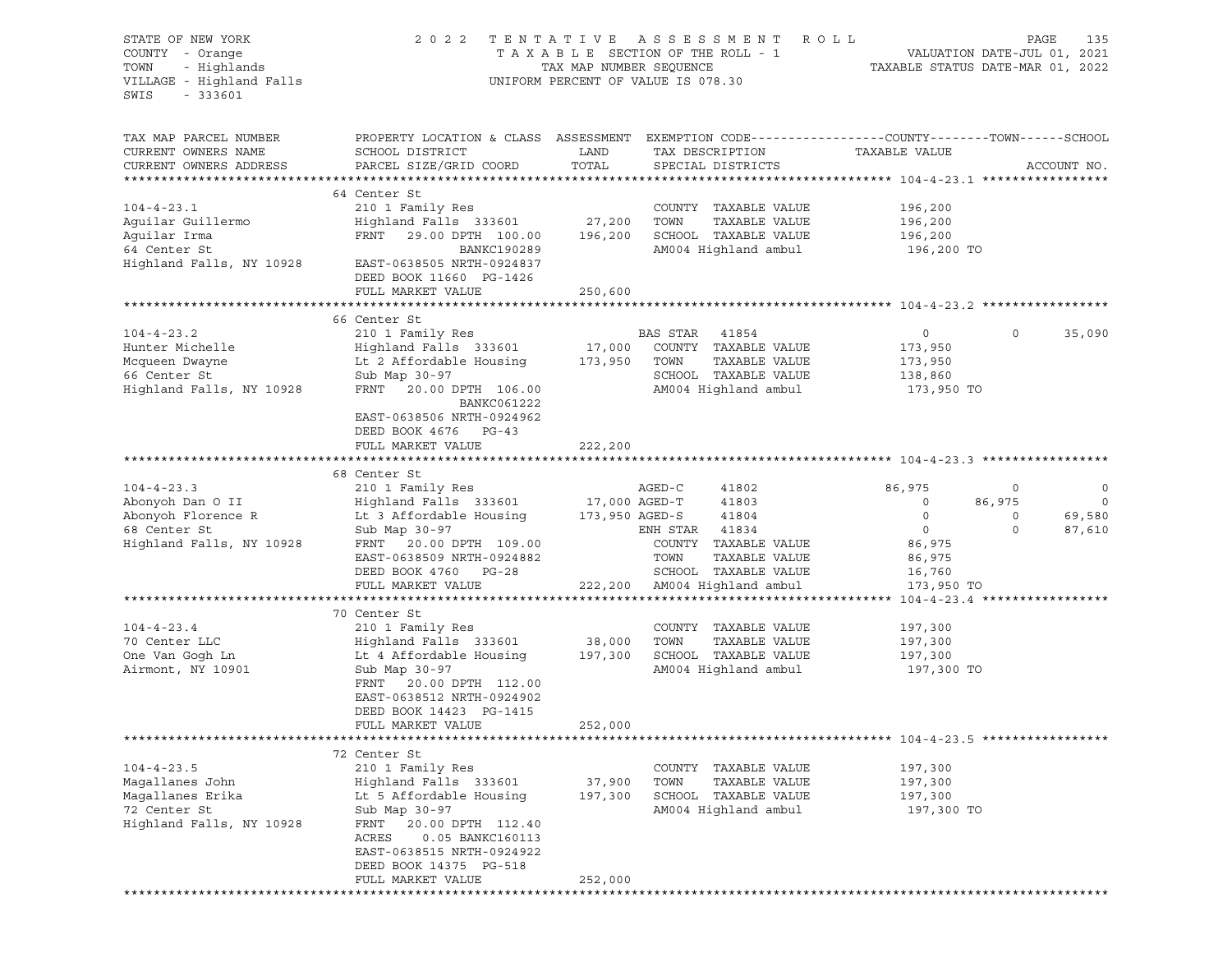| STATE OF NEW YORK<br>COUNTY - Orange<br>TOWN<br>- Highlands<br>VILLAGE - Highland Falls<br>SWIS<br>$-333601$ | 2 0 2 2                                                                                                                            |         | TENTATIVE ASSESSMENT ROLL<br>T A X A B L E SECTION OF THE ROLL - 1<br>TAX MAP NUMBER SEQUENCE T<br>UNIFORM PERCENT OF VALUE IS 078.30 | PAGE<br>135<br>VALUATION DATE-JUL 01, 2021<br>TAXABLE STATUS DATE-MAR 01, 2022                   |
|--------------------------------------------------------------------------------------------------------------|------------------------------------------------------------------------------------------------------------------------------------|---------|---------------------------------------------------------------------------------------------------------------------------------------|--------------------------------------------------------------------------------------------------|
| TAX MAP PARCEL NUMBER                                                                                        |                                                                                                                                    |         |                                                                                                                                       | PROPERTY LOCATION & CLASS ASSESSMENT EXEMPTION CODE----------------COUNTY-------TOWN------SCHOOL |
| CURRENT OWNERS NAME                                                                                          | SCHOOL DISTRICT                                                                                                                    | LAND    | TAX DESCRIPTION TAXABLE VALUE                                                                                                         |                                                                                                  |
| CURRENT OWNERS ADDRESS                                                                                       | PARCEL SIZE/GRID COORD                                                                                                             | TOTAL   | SPECIAL DISTRICTS                                                                                                                     | ACCOUNT NO.                                                                                      |
|                                                                                                              |                                                                                                                                    |         |                                                                                                                                       |                                                                                                  |
|                                                                                                              | 64 Center St                                                                                                                       |         |                                                                                                                                       |                                                                                                  |
| $104 - 4 - 23.1$                                                                                             | 210 1 Family Res                                                                                                                   |         | COUNTY TAXABLE VALUE                                                                                                                  | 196,200                                                                                          |
| Aguilar Guillermo                                                                                            | Highland Falls 333601                                                                                                              | 27,200  | TAXABLE VALUE<br>TOWN                                                                                                                 | 196,200                                                                                          |
| Aguilar Irma                                                                                                 | FRNT 29.00 DPTH 100.00                                                                                                             | 196,200 | SCHOOL TAXABLE VALUE                                                                                                                  | 196,200                                                                                          |
| 64 Center St                                                                                                 | BANKC190289                                                                                                                        |         | AM004 Highland ambul                                                                                                                  | 196,200 TO                                                                                       |
| Highland Falls, NY 10928                                                                                     | EAST-0638505 NRTH-0924837<br>DEED BOOK 11660 PG-1426                                                                               |         |                                                                                                                                       |                                                                                                  |
|                                                                                                              | FULL MARKET VALUE                                                                                                                  | 250,600 |                                                                                                                                       |                                                                                                  |
|                                                                                                              |                                                                                                                                    |         |                                                                                                                                       |                                                                                                  |
|                                                                                                              | 66 Center St                                                                                                                       |         |                                                                                                                                       |                                                                                                  |
| $104 - 4 - 23.2$                                                                                             | 210 1 Family Res                                                                                                                   |         | BAS STAR 41854                                                                                                                        | 35,090<br>$\overline{0}$<br>$\circ$                                                              |
| Hunter Michelle                                                                                              |                                                                                                                                    |         |                                                                                                                                       | 173,950                                                                                          |
| Mcqueen Dwayne                                                                                               | Highland Falls 333601 17,000 COUNTY TAXABLE VALUE<br>Lt 2 Affordable Housing 173,950 TOWN TAXABLE VALUE<br>Lt 2 Affordable Housing |         |                                                                                                                                       | 173,950                                                                                          |
| 66 Center St                                                                                                 | Sub Map 30-97                                                                                                                      |         | SCHOOL TAXABLE VALUE                                                                                                                  | 138,860                                                                                          |
| Highland Falls, NY 10928                                                                                     | FRNT 20.00 DPTH 106.00                                                                                                             |         | AM004 Highland ambul                                                                                                                  | 173,950 TO                                                                                       |
|                                                                                                              | BANKC061222                                                                                                                        |         |                                                                                                                                       |                                                                                                  |
|                                                                                                              | EAST-0638506 NRTH-0924962                                                                                                          |         |                                                                                                                                       |                                                                                                  |
|                                                                                                              | DEED BOOK 4676 PG-43                                                                                                               |         |                                                                                                                                       |                                                                                                  |
|                                                                                                              | FULL MARKET VALUE                                                                                                                  | 222,200 |                                                                                                                                       |                                                                                                  |
|                                                                                                              |                                                                                                                                    |         |                                                                                                                                       |                                                                                                  |
| $104 - 4 - 23.3$                                                                                             | 68 Center St<br>210 1 Family Res                                                                                                   |         | AGED-C<br>41802                                                                                                                       | 86,975<br>$\circ$<br>$\circ$                                                                     |
| Abonyoh Dan O II                                                                                             | Highland Falls 333601                                                                                                              |         | 17,000 AGED-T<br>41803                                                                                                                | $\overline{0}$<br>86,975<br>$\overline{\phantom{0}}$                                             |
| Abonyoh Florence R                                                                                           | Lt 3 Affordable Housing 173,950 AGED-S                                                                                             |         | 41804                                                                                                                                 | 69,580<br>$\circ$<br>$\circ$                                                                     |
| 68 Center St                                                                                                 | Sub Map 30-97                                                                                                                      |         | ENH STAR 41834                                                                                                                        | $\overline{0}$<br>$\Omega$<br>87,610                                                             |
| Highland Falls, NY 10928                                                                                     | FRNT 20.00 DPTH 109.00                                                                                                             |         | COUNTY TAXABLE VALUE                                                                                                                  | 86,975                                                                                           |
|                                                                                                              | EAST-0638509 NRTH-0924882                                                                                                          |         | TOWN<br>TAXABLE VALUE                                                                                                                 | 86,975                                                                                           |
|                                                                                                              | DEED BOOK 4760 PG-28                                                                                                               |         | SCHOOL TAXABLE VALUE                                                                                                                  | 16,760                                                                                           |
|                                                                                                              | FULL MARKET VALUE                                                                                                                  |         | 222,200 AM004 Highland ambul                                                                                                          | 173,950 TO                                                                                       |
|                                                                                                              |                                                                                                                                    |         |                                                                                                                                       |                                                                                                  |
|                                                                                                              | 70 Center St                                                                                                                       |         |                                                                                                                                       |                                                                                                  |
| $104 - 4 - 23.4$                                                                                             | 210 1 Family Res                                                                                                                   |         | COUNTY TAXABLE VALUE                                                                                                                  | 197,300                                                                                          |
| 70 Center LLC                                                                                                | Highland Falls 333601                                                                                                              | 38,000  | TAXABLE VALUE<br>TOWN                                                                                                                 | 197,300                                                                                          |
| One Van Gogh Ln                                                                                              | Lt 4 Affordable Housing 197,300                                                                                                    |         | SCHOOL TAXABLE VALUE                                                                                                                  | 197,300                                                                                          |
| Airmont, NY 10901                                                                                            | Sub Map 30-97                                                                                                                      |         | AM004 Highland ambul                                                                                                                  | 197,300 TO                                                                                       |
|                                                                                                              | FRNT 20.00 DPTH 112.00                                                                                                             |         |                                                                                                                                       |                                                                                                  |
|                                                                                                              | EAST-0638512 NRTH-0924902                                                                                                          |         |                                                                                                                                       |                                                                                                  |
|                                                                                                              | DEED BOOK 14423 PG-1415<br>FULL MARKET VALUE                                                                                       | 252,000 |                                                                                                                                       |                                                                                                  |
|                                                                                                              |                                                                                                                                    |         |                                                                                                                                       |                                                                                                  |
|                                                                                                              | 72 Center St                                                                                                                       |         |                                                                                                                                       |                                                                                                  |
| $104 - 4 - 23.5$                                                                                             | 210 1 Family Res                                                                                                                   |         | COUNTY TAXABLE VALUE                                                                                                                  | 197,300                                                                                          |
| Magallanes John                                                                                              | Highland Falls 333601                                                                                                              | 37,900  | TOWN<br>TAXABLE VALUE                                                                                                                 | 197,300                                                                                          |
| Magallanes Erika                                                                                             | Lt 5 Affordable Housing                                                                                                            | 197,300 | SCHOOL TAXABLE VALUE                                                                                                                  | 197,300                                                                                          |
| 72 Center St                                                                                                 | Sub Map 30-97                                                                                                                      |         | AM004 Highland ambul                                                                                                                  | 197,300 TO                                                                                       |
| Highland Falls, NY 10928                                                                                     | FRNT<br>20.00 DPTH 112.40                                                                                                          |         |                                                                                                                                       |                                                                                                  |
|                                                                                                              | ACRES<br>0.05 BANKC160113                                                                                                          |         |                                                                                                                                       |                                                                                                  |
|                                                                                                              | EAST-0638515 NRTH-0924922                                                                                                          |         |                                                                                                                                       |                                                                                                  |
|                                                                                                              | DEED BOOK 14375 PG-518                                                                                                             |         |                                                                                                                                       |                                                                                                  |
|                                                                                                              | FULL MARKET VALUE                                                                                                                  | 252,000 |                                                                                                                                       |                                                                                                  |
|                                                                                                              |                                                                                                                                    |         |                                                                                                                                       |                                                                                                  |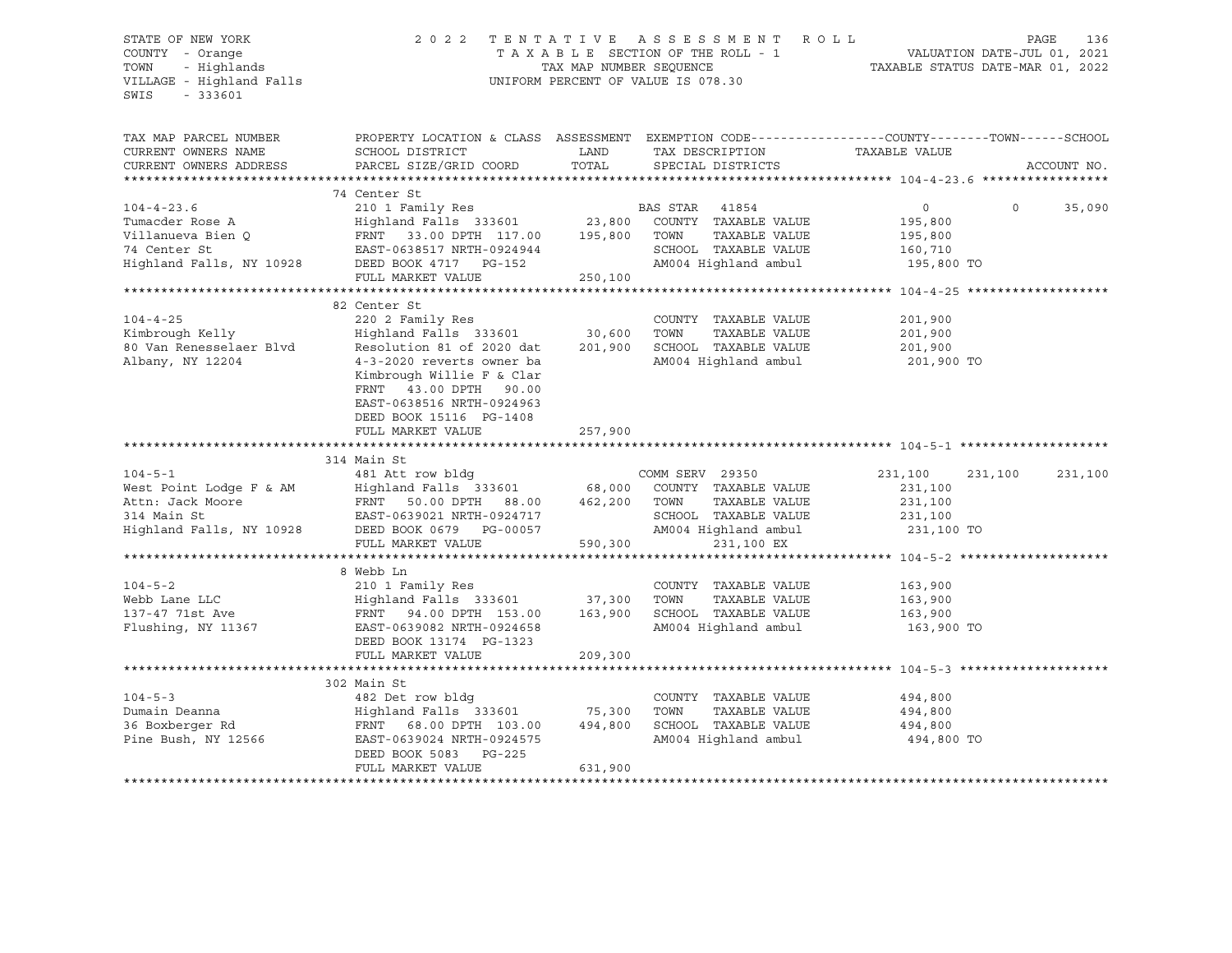### STATE OF NEW YORK 2 0 2 2 T E N T A T I V E A S S E S S M E N T R O L L PAGE 136 COUNTY - Orange T A X A B L E SECTION OF THE ROLL - 1 VALUATION DATE-JUL 01, 2021 TRIF OF NEW YORK A SERISM ENGLY THE ROLL STATE OF NEW YORK A SAME A SAME A SAME A SAME A SAME A SAME A SAME A SAME A SAME A SAME A SAME A SAME A SAME A SAME A SAME A SAME A SAME A SAME A SAME A SAME A SAME A SAME AND MULTA UNIFORM PERCENT OF VALUE IS 078.30

TAX MAP PARCEL NUMBER PROPERTY LOCATION & CLASS ASSESSMENT EXEMPTION CODE----------------COUNTY-------TOWN-----SCHOOL CURRENT OWNERS NAME SCHOOL DISTRICT LAND TAX DESCRIPTION TAXABLE VALUE CURRENT OWNERS ADDRESS PARCEL SIZE/GRID COORD TOTAL SPECIAL DISTRICTS ACCOUNT NO. \*\*\*\*\*\*\*\*\*\*\*\*\*\*\*\*\*\*\*\*\*\*\*\*\*\*\*\*\*\*\*\*\*\*\*\*\*\*\*\*\*\*\*\*\*\*\*\*\*\*\*\*\*\*\*\*\*\*\*\*\*\*\*\*\*\*\*\*\*\*\*\*\*\*\*\*\*\*\*\*\*\*\*\*\*\*\*\*\*\*\*\*\*\*\*\*\*\*\*\*\*\*\* 104-4-23.6 \*\*\*\*\*\*\*\*\*\*\*\*\*\*\*\*\* 74 Center St 104-4-23.6 210 1 Family Res BAS STAR 41854 0 0 35,090 Tumacder Rose A Highland Falls 333601 23,800 COUNTY TAXABLE VALUE 195,800 Villanueva Bien Q FRNT 33.00 DPTH 117.00 195,800 TOWN TAXABLE VALUE 195,800 74 Center St EAST-0638517 NRTH-0924944 SCHOOL TAXABLE VALUE 160,710 Highland Falls, NY 10928 DEED BOOK 4717 PG-152 AM004 Highland ambul 195,800 TO FULL MARKET VALUE 250,100 \*\*\*\*\*\*\*\*\*\*\*\*\*\*\*\*\*\*\*\*\*\*\*\*\*\*\*\*\*\*\*\*\*\*\*\*\*\*\*\*\*\*\*\*\*\*\*\*\*\*\*\*\*\*\*\*\*\*\*\*\*\*\*\*\*\*\*\*\*\*\*\*\*\*\*\*\*\*\*\*\*\*\*\*\*\*\*\*\*\*\*\*\*\*\*\*\*\*\*\*\*\*\* 104-4-25 \*\*\*\*\*\*\*\*\*\*\*\*\*\*\*\*\*\*\* 82 Center St 104-4-25 220 2 Family Res COUNTY TAXABLE VALUE 201,900 Kimbrough Kelly Highland Falls 333601 30,600 TOWN TAXABLE VALUE 201,900 80 Van Renesselaer Blvd Resolution 81 of 2020 dat 201,900 SCHOOL TAXABLE VALUE 201,900 Albany, NY 12204 4-3-2020 reverts owner ba AM004 Highland ambul 201,900 TO Kimbrough Willie F & Clar FRNT 43.00 DPTH 90.00 EAST-0638516 NRTH-0924963 DEED BOOK 15116 PG-1408 FULL MARKET VALUE 257,900 \*\*\*\*\*\*\*\*\*\*\*\*\*\*\*\*\*\*\*\*\*\*\*\*\*\*\*\*\*\*\*\*\*\*\*\*\*\*\*\*\*\*\*\*\*\*\*\*\*\*\*\*\*\*\*\*\*\*\*\*\*\*\*\*\*\*\*\*\*\*\*\*\*\*\*\*\*\*\*\*\*\*\*\*\*\*\*\*\*\*\*\*\*\*\*\*\*\*\*\*\*\*\* 104-5-1 \*\*\*\*\*\*\*\*\*\*\*\*\*\*\*\*\*\*\*\* 314 Main St 104-5-1 481 Att row bldg COMM SERV 29350 231,100 231,100 231,100 West Point Lodge F & AM Highland Falls 333601 68,000 COUNTY TAXABLE VALUE 231,100 Attn: Jack Moore FRNT 50.00 DPTH 88.00 462,200 TOWN TAXABLE VALUE 231,100 314 Main St EAST-0639021 NRTH-0924717 SCHOOL TAXABLE VALUE 231,100 Highland Falls, NY 10928 DEED BOOK 0679 PG-00057 AM004 Highland ambul 231,100 TO FULL MARKET VALUE 590,300 231,100 EX \*\*\*\*\*\*\*\*\*\*\*\*\*\*\*\*\*\*\*\*\*\*\*\*\*\*\*\*\*\*\*\*\*\*\*\*\*\*\*\*\*\*\*\*\*\*\*\*\*\*\*\*\*\*\*\*\*\*\*\*\*\*\*\*\*\*\*\*\*\*\*\*\*\*\*\*\*\*\*\*\*\*\*\*\*\*\*\*\*\*\*\*\*\*\*\*\*\*\*\*\*\*\* 104-5-2 \*\*\*\*\*\*\*\*\*\*\*\*\*\*\*\*\*\*\*\* 8 Webb Ln 104-5-2 210 1 Family Res COUNTY TAXABLE VALUE 163,900 Webb Lane LLC Highland Falls 333601 37,300 TOWN TAXABLE VALUE 163,900 137-47 71st Ave FRNT 94.00 DPTH 153.00 163,900 SCHOOL TAXABLE VALUE 163,900 Flushing, NY 11367 EAST-0639082 NRTH-0924658 AM004 Highland ambul 163,900 TO DEED BOOK 13174 PG-1323 FULL MARKET VALUE 209,300 \*\*\*\*\*\*\*\*\*\*\*\*\*\*\*\*\*\*\*\*\*\*\*\*\*\*\*\*\*\*\*\*\*\*\*\*\*\*\*\*\*\*\*\*\*\*\*\*\*\*\*\*\*\*\*\*\*\*\*\*\*\*\*\*\*\*\*\*\*\*\*\*\*\*\*\*\*\*\*\*\*\*\*\*\*\*\*\*\*\*\*\*\*\*\*\*\*\*\*\*\*\*\* 104-5-3 \*\*\*\*\*\*\*\*\*\*\*\*\*\*\*\*\*\*\*\* 302 Main St 104-5-3 482 Det row bldg COUNTY TAXABLE VALUE 494,800 Dumain Deanna Highland Falls 333601 75,300 TOWN TAXABLE VALUE 494,800 36 Boxberger Rd FRNT 68.00 DPTH 103.00 494,800 SCHOOL TAXABLE VALUE 494,800 Pine Bush, NY 12566 EAST-0639024 NRTH-0924575 AM004 Highland ambul 494,800 TO DEED BOOK 5083 PG-225 FULL MARKET VALUE 631,900 \*\*\*\*\*\*\*\*\*\*\*\*\*\*\*\*\*\*\*\*\*\*\*\*\*\*\*\*\*\*\*\*\*\*\*\*\*\*\*\*\*\*\*\*\*\*\*\*\*\*\*\*\*\*\*\*\*\*\*\*\*\*\*\*\*\*\*\*\*\*\*\*\*\*\*\*\*\*\*\*\*\*\*\*\*\*\*\*\*\*\*\*\*\*\*\*\*\*\*\*\*\*\*\*\*\*\*\*\*\*\*\*\*\*\*\*\*\*\*\*\*\*\*\*\*\*\*\*\*\*\*\*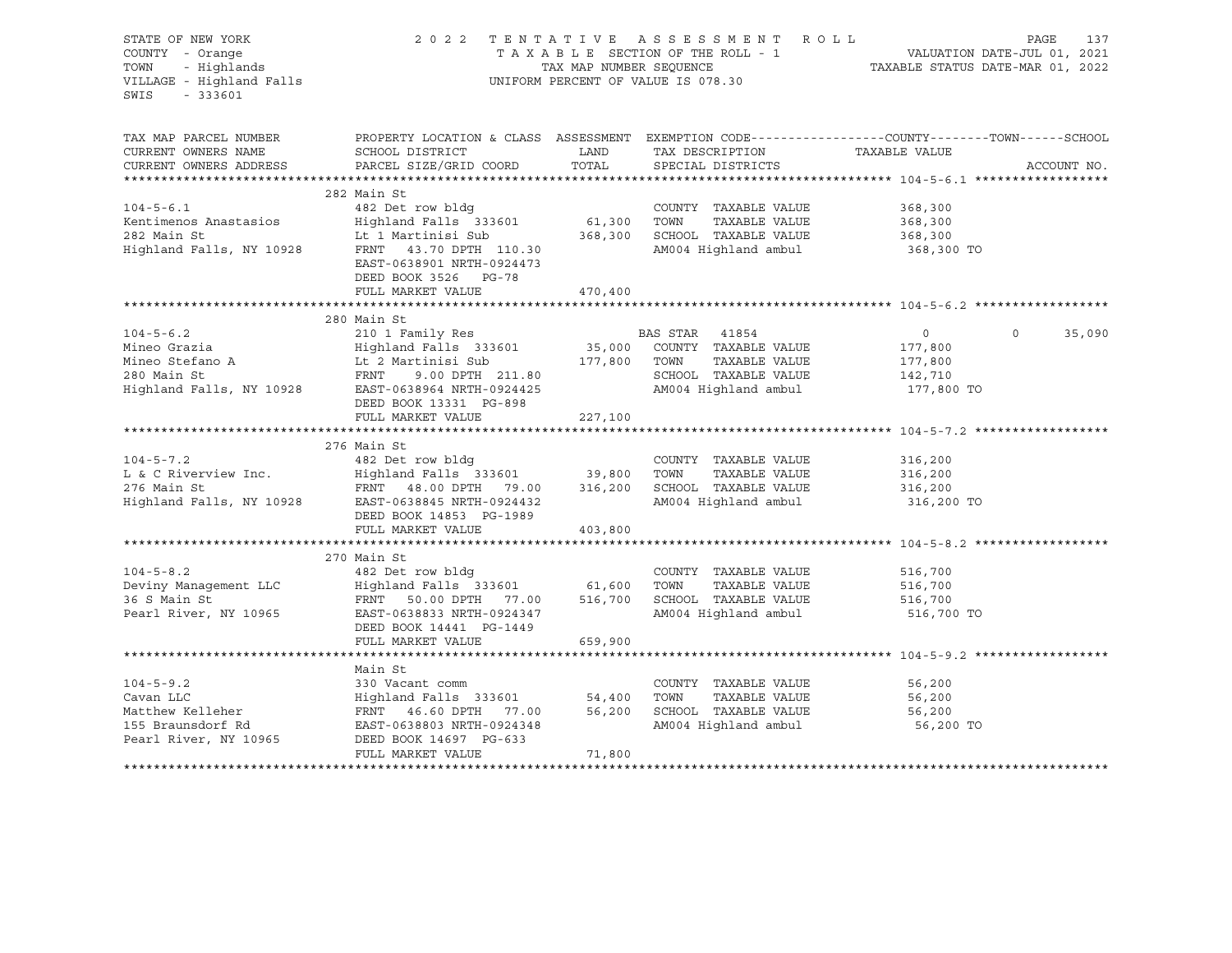| COUNTY - Orange<br>TOWN - Highlands<br>VILLAGE - Highland Falls                                                        |                                                 |                                                                                                                                                                                                                                                                                                          |                                                                                                            | PAGE<br>137                                                                                                                                                                                                                                                                                                                                                                                                                                                                                                                                                                                                                                                                                                                                |
|------------------------------------------------------------------------------------------------------------------------|-------------------------------------------------|----------------------------------------------------------------------------------------------------------------------------------------------------------------------------------------------------------------------------------------------------------------------------------------------------------|------------------------------------------------------------------------------------------------------------|--------------------------------------------------------------------------------------------------------------------------------------------------------------------------------------------------------------------------------------------------------------------------------------------------------------------------------------------------------------------------------------------------------------------------------------------------------------------------------------------------------------------------------------------------------------------------------------------------------------------------------------------------------------------------------------------------------------------------------------------|
| SCHOOL DISTRICT                                                                                                        |                                                 | TAX DESCRIPTION<br>SPECIAL DISTRICTS                                                                                                                                                                                                                                                                     |                                                                                                            | ACCOUNT NO.                                                                                                                                                                                                                                                                                                                                                                                                                                                                                                                                                                                                                                                                                                                                |
| 282 Main St<br>482 Det row bldg<br>EAST-0638901 NRTH-0924473<br>DEED BOOK 3526 PG-78                                   |                                                 | COUNTY TAXABLE VALUE                                                                                                                                                                                                                                                                                     | 368,300<br>368,300<br>368,300<br>368,300 TO                                                                |                                                                                                                                                                                                                                                                                                                                                                                                                                                                                                                                                                                                                                                                                                                                            |
|                                                                                                                        |                                                 |                                                                                                                                                                                                                                                                                                          |                                                                                                            |                                                                                                                                                                                                                                                                                                                                                                                                                                                                                                                                                                                                                                                                                                                                            |
| 280 Main St<br>DEED BOOK 13331 PG-898                                                                                  |                                                 |                                                                                                                                                                                                                                                                                                          | $\overline{0}$<br>177,800<br>177,800<br>142,710                                                            | 35,090<br>$\circ$                                                                                                                                                                                                                                                                                                                                                                                                                                                                                                                                                                                                                                                                                                                          |
|                                                                                                                        |                                                 |                                                                                                                                                                                                                                                                                                          |                                                                                                            |                                                                                                                                                                                                                                                                                                                                                                                                                                                                                                                                                                                                                                                                                                                                            |
| 482 Det row bldg<br>DEED BOOK 14853 PG-1989<br>FULL MARKET VALUE                                                       | 403,800                                         | COUNTY TAXABLE VALUE                                                                                                                                                                                                                                                                                     | 316,200<br>$316,200$<br>$316,200$<br>316,200<br>316,200 TO                                                 |                                                                                                                                                                                                                                                                                                                                                                                                                                                                                                                                                                                                                                                                                                                                            |
|                                                                                                                        |                                                 |                                                                                                                                                                                                                                                                                                          |                                                                                                            |                                                                                                                                                                                                                                                                                                                                                                                                                                                                                                                                                                                                                                                                                                                                            |
| 482 Det row bldg<br>Deviny Management LLC<br>36 S Main St<br>EAST-0638833 NRTH-0924347<br>DEED BOOK 14441 PG-1449      |                                                 | COUNTY TAXABLE VALUE<br>TAXABLE VALUE                                                                                                                                                                                                                                                                    | 516,700<br>516,700<br>516,700<br>516,700 TO                                                                |                                                                                                                                                                                                                                                                                                                                                                                                                                                                                                                                                                                                                                                                                                                                            |
| FULL MARKET VALUE                                                                                                      | 659,900                                         |                                                                                                                                                                                                                                                                                                          |                                                                                                            |                                                                                                                                                                                                                                                                                                                                                                                                                                                                                                                                                                                                                                                                                                                                            |
| Main St<br>330 Vacant comm<br>co braunsdort Rd<br>Pearl River, NY 10965<br>DEED BOOK 14697 PG-633<br>FULL MARKET VALUE | 54,400<br>56,200<br>71,800                      | COUNTY TAXABLE VALUE<br>TOWN<br>TAXABLE VALUE                                                                                                                                                                                                                                                            | 56,200<br>56,200<br>56,200<br>56,200 TO                                                                    |                                                                                                                                                                                                                                                                                                                                                                                                                                                                                                                                                                                                                                                                                                                                            |
|                                                                                                                        | FULL MARKET VALUE<br>276 Main St<br>270 Main St | <b>EXAMPLE THE STATE OF STATE OF STATE OF STATE OF STATE OF STATE OF STATE OF STATE OF STATE OF STATE</b><br>PARCEL SIZE/GRID COORD<br>FRNT 43.70 DPTH 110.30<br>470,400<br>210 1 Family Res<br>FULL MARKET VALUE 227,100<br>Highland Falls 333601<br>FRNT 46.60 DPTH 77.00<br>EAST-0638803 NRTH-0924348 | UNIFORM PERCENT OF VALUE IS 078.30<br>LAND<br>TOTAL<br>BAS STAR 41854<br>Highland Falls 333601 61,600 TOWN | 2022 TENTATIVE ASSESSMENT ROLL<br>T A X A B L E SECTION OF THE ROLL - 1 WALUATION DATE-JUL 01, 2021<br>TAX MAP NUMBER SEQUENCE TAXABLE STATUS DATE-MAR 01, 2022<br>PROPERTY LOCATION & CLASS ASSESSMENT EXEMPTION CODE----------------COUNTY-------TOWN------SCHOOL<br>TAXABLE VALUE<br>AM004 Highland ambul<br>Mineo Grazia<br>Mineo Grazia<br>Mineo Stefano A (12 Martinisi Sub 177,800 COUNTY TAXABLE VALUE<br>280 Main St FRNT 9.00 DPTH 211.80 SCHOOL TAXABLE VALUE<br>Highland Falls, NY 10928 EAST-0638964 NRTH-0924425 AM004 Highland ambul<br>R<br>TAXABLE VALUE<br>AM004 Highland ambul 177,800 TO<br>FRNT 50.00 DPTH 77.00 516,700 SCHOOL TAXABLE VALUE<br>AM004 Highland ambul<br>SCHOOL TAXABLE VALUE<br>AM004 Highland ambul |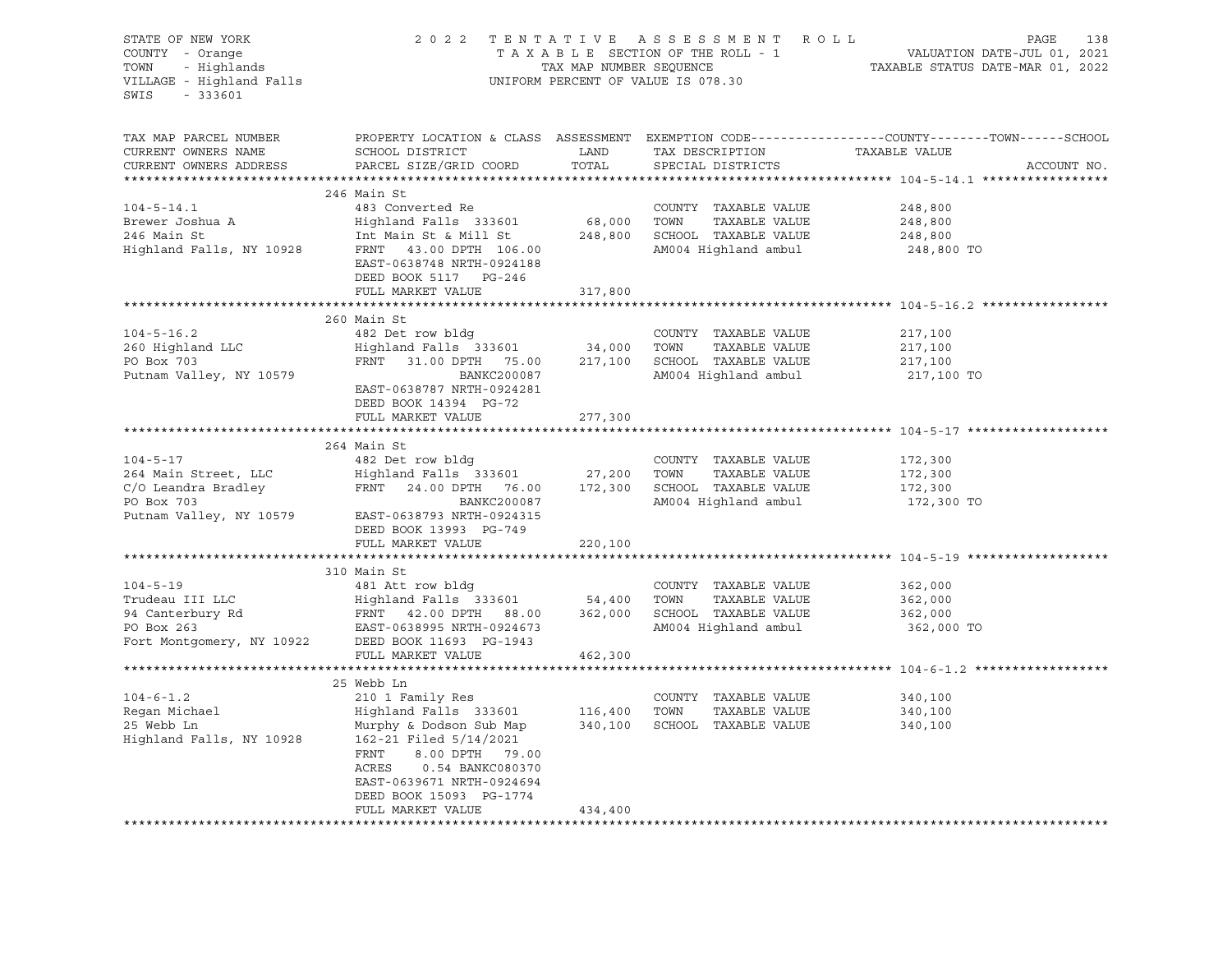| STATE OF NEW YORK<br>COUNTY - Orange<br>- Highlands<br>TOWN<br>VILLAGE - Highland Falls<br>$-333601$<br>SWIS |                                                                              |               | 2022 TENTATIVE ASSESSMENT ROLL<br>UNIFORM PERCENT OF VALUE IS 078.30 | PAGE<br>138<br>T A X A B L E SECTION OF THE ROLL - 1<br>TA X A B L E SECTION OF THE ROLL - 1<br>TAXABLE STATUS DATE-MAR 01, 2022 |
|--------------------------------------------------------------------------------------------------------------|------------------------------------------------------------------------------|---------------|----------------------------------------------------------------------|----------------------------------------------------------------------------------------------------------------------------------|
| TAX MAP PARCEL NUMBER<br>CURRENT OWNERS NAME<br>CURRENT OWNERS ADDRESS                                       | SCHOOL DISTRICT<br>PARCEL SIZE/GRID COORD                                    | LAND<br>TOTAL | TAX DESCRIPTION TAXABLE VALUE<br>SPECIAL DISTRICTS                   | PROPERTY LOCATION & CLASS ASSESSMENT EXEMPTION CODE----------------COUNTY-------TOWN------SCHOOL<br>ACCOUNT NO.                  |
|                                                                                                              | 246 Main St                                                                  |               |                                                                      |                                                                                                                                  |
| $104 - 5 - 14.1$                                                                                             | 483 Converted Re                                                             |               | COUNTY TAXABLE VALUE                                                 | 248,800                                                                                                                          |
| $104 - 5 - 12$<br>Brewer Joshua A                                                                            | Highland Falls 333601                                                        | 68,000        | TOWN<br>TAXABLE VALUE                                                | 248,800                                                                                                                          |
|                                                                                                              | Int Main St & Mill St                                                        |               | 248,800 SCHOOL TAXABLE VALUE                                         | 248,800                                                                                                                          |
| Highland Falls, NY 10928                                                                                     | FRNT 43.00 DPTH 106.00<br>EAST-0638748 NRTH-0924188<br>DEED BOOK 5117 PG-246 |               | AM004 Highland ambul                                                 | 248,800 TO                                                                                                                       |
|                                                                                                              | FULL MARKET VALUE                                                            | 317,800       |                                                                      |                                                                                                                                  |
|                                                                                                              |                                                                              |               |                                                                      |                                                                                                                                  |
|                                                                                                              | 260 Main St                                                                  |               |                                                                      |                                                                                                                                  |
| $104 - 5 - 16.2$<br>260 Highland LLC                                                                         | 482 Det row bldg<br>Highland Falls  333601                                   | 34,000        | COUNTY TAXABLE VALUE<br>TOWN                                         | 217,100                                                                                                                          |
| PO Box 703                                                                                                   | FRNT 31.00 DPTH 75.00                                                        |               | TAXABLE VALUE<br>217,100 SCHOOL TAXABLE VALUE                        | 217,100<br>217,100                                                                                                               |
| Putnam Valley, NY 10579                                                                                      | BANKC200087                                                                  |               | AM004 Highland ambul                                                 | 217,100 TO                                                                                                                       |
|                                                                                                              | EAST-0638787 NRTH-0924281<br>DEED BOOK 14394 PG-72                           |               |                                                                      |                                                                                                                                  |
|                                                                                                              | FULL MARKET VALUE                                                            | 277,300       |                                                                      |                                                                                                                                  |
|                                                                                                              |                                                                              |               |                                                                      |                                                                                                                                  |
|                                                                                                              | 264 Main St                                                                  |               |                                                                      |                                                                                                                                  |
| $104 - 5 - 17$                                                                                               | 482 Det row bldg<br>Highland Falls 333601 27,200                             |               | COUNTY TAXABLE VALUE                                                 | 172,300                                                                                                                          |
| 264 Main Street, LLC                                                                                         |                                                                              |               | TOWN<br>TAXABLE VALUE                                                | 172,300                                                                                                                          |
| C/O Leandra Bradley                                                                                          | FRNT 24.00 DPTH 76.00                                                        |               | 172,300 SCHOOL TAXABLE VALUE                                         | 172,300                                                                                                                          |
| PO Box 703                                                                                                   | BANKC200087<br>EAST-0638793 NRTH-0924315                                     |               | AM004 Highland ambul                                                 | 172,300 TO                                                                                                                       |
| Putnam Valley, NY 10579                                                                                      | DEED BOOK 13993 PG-749                                                       |               |                                                                      |                                                                                                                                  |
|                                                                                                              | FULL MARKET VALUE                                                            | 220,100       |                                                                      |                                                                                                                                  |
|                                                                                                              | ******************************                                               |               |                                                                      | ***************************** 104-5-19 ********                                                                                  |
|                                                                                                              | 310 Main St                                                                  |               |                                                                      |                                                                                                                                  |
| $104 - 5 - 19$                                                                                               | 481 Att row bldg                                                             |               | COUNTY TAXABLE VALUE                                                 | 362,000                                                                                                                          |
| Trudeau III LLC                                                                                              | Highland Falls 333601 54,400                                                 |               | TOWN<br>TAXABLE VALUE                                                | 362,000                                                                                                                          |
| 94 Canterbury Rd                                                                                             | Highland Falls   333601<br>FRNT    42.00 DPTH    88.00                       | 362,000       | SCHOOL TAXABLE VALUE                                                 | 362,000                                                                                                                          |
| PO Box 263                                                                                                   | EAST-0638995 NRTH-0924673                                                    |               | AM004 Highland ambul                                                 | 362,000 TO                                                                                                                       |
| Fort Montgomery, NY 10922                                                                                    | DEED BOOK 11693 PG-1943<br>FULL MARKET VALUE                                 | 462,300       |                                                                      |                                                                                                                                  |
|                                                                                                              |                                                                              |               |                                                                      | ************************ 104-6-1.2                                                                                               |
|                                                                                                              | 25 Webb Ln                                                                   |               |                                                                      |                                                                                                                                  |
| $104 - 6 - 1.2$                                                                                              | 210 1 Family Res                                                             |               | COUNTY TAXABLE VALUE                                                 | 340,100                                                                                                                          |
| r.<br>Regan Michael                                                                                          | Highland Falls 333601                                                        | 116,400       | TOWN<br>TAXABLE VALUE                                                | 340,100                                                                                                                          |
| 25 Webb Ln                                                                                                   | Murphy & Dodson Sub Map                                                      | 340,100       | SCHOOL TAXABLE VALUE                                                 | 340,100                                                                                                                          |
| Highland Falls, NY 10928                                                                                     | 162-21 Filed 5/14/2021                                                       |               |                                                                      |                                                                                                                                  |
|                                                                                                              | FRNT<br>8.00 DPTH 79.00                                                      |               |                                                                      |                                                                                                                                  |
|                                                                                                              | ACRES<br>0.54 BANKC080370                                                    |               |                                                                      |                                                                                                                                  |
|                                                                                                              | EAST-0639671 NRTH-0924694                                                    |               |                                                                      |                                                                                                                                  |
|                                                                                                              | DEED BOOK 15093 PG-1774                                                      |               |                                                                      |                                                                                                                                  |
|                                                                                                              | FULL MARKET VALUE                                                            | 434,400       | ***********************************                                  |                                                                                                                                  |
|                                                                                                              |                                                                              |               |                                                                      |                                                                                                                                  |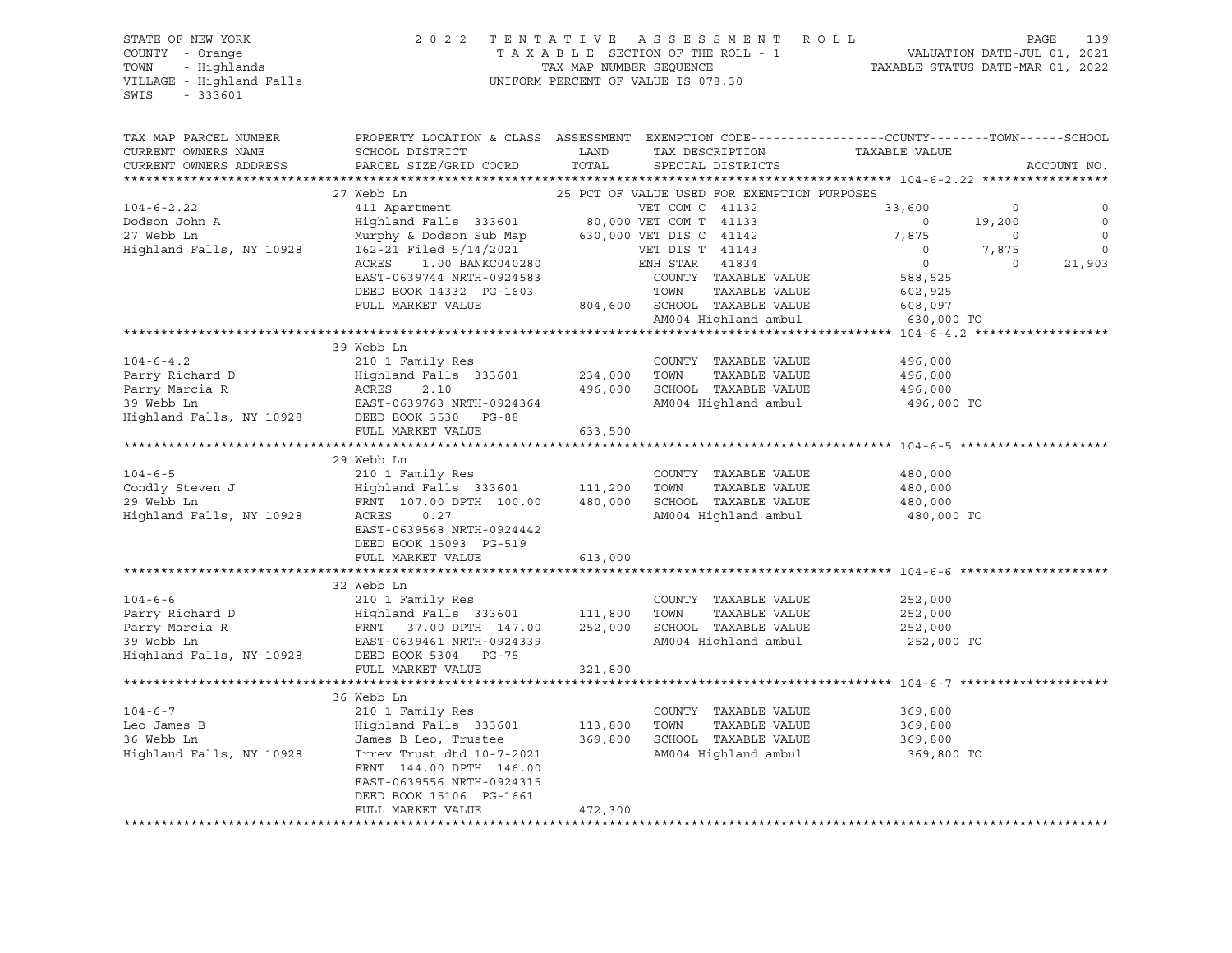#### STATE OF NEW YORK 2 0 2 2 T E N T A T I V E A S S E S S M E N T R O L L PAGE 139 COUNTY - Orange T A X A B L E SECTION OF THE ROLL - 1 VALUATION DATE-JUL 01, 2021 TOWN - Highlands TAX MAP NUMBER SEQUENCE TAXABLE STATUS DATE-MAR 01, 2022 VILLAGE - Highland Falls UNIFORM PERCENT OF VALUE IS 078.30

| TAX MAP PARCEL NUMBER<br>CURRENT OWNERS NAME  | PROPERTY LOCATION & CLASS ASSESSMENT EXEMPTION CODE----------------COUNTY-------TOWN-----SCHOOL<br>SCHOOL DISTRICT                                                                                                                                                           | LAND         | TAX DESCRIPTION                             | ---YINDE<br>TAXABLE VALUE |         |             |
|-----------------------------------------------|------------------------------------------------------------------------------------------------------------------------------------------------------------------------------------------------------------------------------------------------------------------------------|--------------|---------------------------------------------|---------------------------|---------|-------------|
| CURRENT OWNERS ADDRESS                        | PARCEL SIZE/GRID COORD                                                                                                                                                                                                                                                       | TOTAL        | SPECIAL DISTRICTS                           |                           |         | ACCOUNT NO. |
|                                               | 27 Webb Ln                                                                                                                                                                                                                                                                   |              | 25 PCT OF VALUE USED FOR EXEMPTION PURPOSES |                           |         |             |
| $104 - 6 - 2.22$                              | 411 Apartment                                                                                                                                                                                                                                                                |              | VET COM C 41132                             | 33,600                    | $\circ$ |             |
| Dodson John A                                 | Highland Falls 333601 80,000 VET COM T 41133                                                                                                                                                                                                                                 |              |                                             | $\overline{0}$            | 19,200  | $\circ$     |
| 27 Webb Ln                                    | Murphy & Dodson Sub Map 630,000 VET DIS C 41142                                                                                                                                                                                                                              |              |                                             | 7,875                     | $\circ$ | $\circ$     |
| Highland Falls, NY 10928                      | 162-21 Filed 5/14/2021                                                                                                                                                                                                                                                       |              | VET DIS T 41143                             | $\overline{\phantom{0}}$  | 7,875   | $\mathbf 0$ |
|                                               | ACRES<br>1.00 BANKC040280                                                                                                                                                                                                                                                    |              | ENH STAR 41834                              | $\circ$                   | $\circ$ | 21,903      |
|                                               | EAST-0639744 NRTH-0924583                                                                                                                                                                                                                                                    |              | COUNTY TAXABLE VALUE                        | 588,525                   |         |             |
|                                               | DEED BOOK 14332 PG-1603                                                                                                                                                                                                                                                      |              | TOWN<br>TAXABLE VALUE                       | 602,925                   |         |             |
|                                               | FULL MARKET VALUE                                                                                                                                                                                                                                                            |              | 804,600 SCHOOL TAXABLE VALUE                | 608,097                   |         |             |
|                                               |                                                                                                                                                                                                                                                                              |              | AM004 Highland ambul                        | 630,000 TO                |         |             |
|                                               |                                                                                                                                                                                                                                                                              |              |                                             |                           |         |             |
|                                               | 39 Webb Ln                                                                                                                                                                                                                                                                   |              |                                             |                           |         |             |
| $104 - 6 - 4.2$                               | 210 1 Family Res                                                                                                                                                                                                                                                             |              | COUNTY TAXABLE VALUE                        | 496,000                   |         |             |
|                                               | Parry Richard D<br>Parry Marcia R<br>234,000<br>234,000<br>234,000<br>234,000<br>234,000<br>234,000<br>234,000<br>234,000<br>234,000<br>234,000<br>234,000<br>234,000<br>234,000<br>234,000<br>234,000<br>234,000<br>234,000<br>234,000<br>234,000<br>234,000<br>234,000<br> | 234,000 TOWN | TAXABLE VALUE                               | 496,000                   |         |             |
|                                               |                                                                                                                                                                                                                                                                              |              | 496,000 SCHOOL TAXABLE VALUE 496,000        |                           |         |             |
|                                               |                                                                                                                                                                                                                                                                              |              | AM004 Highland ambul                        | 496,000 TO                |         |             |
|                                               |                                                                                                                                                                                                                                                                              | 633,500      |                                             |                           |         |             |
|                                               | FULL MARKET VALUE                                                                                                                                                                                                                                                            |              |                                             |                           |         |             |
|                                               | 29 Webb Ln                                                                                                                                                                                                                                                                   |              |                                             |                           |         |             |
| $104 - 6 - 5$                                 | 210 1 Family Res                                                                                                                                                                                                                                                             |              | COUNTY TAXABLE VALUE                        | 480,000                   |         |             |
| Condly Steven J                               | Highland Falls 333601 111,200 TOWN                                                                                                                                                                                                                                           |              | TAXABLE VALUE                               | 480,000                   |         |             |
| 29 Webb Ln                                    | FRNT 107.00 DPTH 100.00 480,000                                                                                                                                                                                                                                              |              | SCHOOL TAXABLE VALUE                        | 480,000                   |         |             |
| Highland Falls, NY 10928                      | ACRES<br>0.27                                                                                                                                                                                                                                                                |              | AM004 Highland ambul                        | 480,000 TO                |         |             |
|                                               | EAST-0639568 NRTH-0924442                                                                                                                                                                                                                                                    |              |                                             |                           |         |             |
|                                               | DEED BOOK 15093 PG-519                                                                                                                                                                                                                                                       |              |                                             |                           |         |             |
|                                               | FULL MARKET VALUE                                                                                                                                                                                                                                                            | 613,000      |                                             |                           |         |             |
|                                               |                                                                                                                                                                                                                                                                              |              |                                             |                           |         |             |
|                                               | 32 Webb Ln                                                                                                                                                                                                                                                                   |              |                                             |                           |         |             |
| $104 - 6 - 6$                                 | 210 1 Family Res                                                                                                                                                                                                                                                             |              | COUNTY TAXABLE VALUE                        | 252,000                   |         |             |
|                                               | Highland Falls 333601 111,800 TOWN                                                                                                                                                                                                                                           |              | TAXABLE VALUE                               | 252,000                   |         |             |
|                                               | Parry Richard D<br>Parry Marcia R<br>39 Webb Ln<br>39 Webb Ln<br>39 Webb Ln<br>29 Webb Ln<br>29 Webb Ln<br>20 20 20 20 20 20 2010 2021339<br>2021 2021339<br>2021 2021339<br>2021 2021339                                                                                    |              | 252,000 SCHOOL TAXABLE VALUE 252,000        |                           |         |             |
| Highland Falls, NY 10928 DEED BOOK 5304 PG-75 |                                                                                                                                                                                                                                                                              |              | AM004 Highland ambul                        | 252,000 TO                |         |             |
|                                               |                                                                                                                                                                                                                                                                              |              |                                             |                           |         |             |
|                                               | FULL MARKET VALUE                                                                                                                                                                                                                                                            | 321,800      |                                             |                           |         |             |
|                                               | 36 Webb Ln                                                                                                                                                                                                                                                                   |              |                                             |                           |         |             |
| $104 - 6 - 7$                                 | 210 1 Family Res                                                                                                                                                                                                                                                             |              | COUNTY TAXABLE VALUE                        | 369,800                   |         |             |
| Leo James B                                   | Highland Falls 333601                                                                                                                                                                                                                                                        | 113,800 TOWN | TAXABLE VALUE                               | 369,800                   |         |             |
| 36 Webb Ln                                    | James B Leo, Trustee 369,800                                                                                                                                                                                                                                                 |              | SCHOOL TAXABLE VALUE                        | 369,800                   |         |             |
| Highland Falls, NY 10928                      | Irrev Trust dtd 10-7-2021                                                                                                                                                                                                                                                    |              | AM004 Highland ambul                        | 369,800 TO                |         |             |
|                                               | FRNT 144.00 DPTH 146.00                                                                                                                                                                                                                                                      |              |                                             |                           |         |             |
|                                               | EAST-0639556 NRTH-0924315                                                                                                                                                                                                                                                    |              |                                             |                           |         |             |
|                                               | DEED BOOK 15106 PG-1661                                                                                                                                                                                                                                                      |              |                                             |                           |         |             |
|                                               | FULL MARKET VALUE                                                                                                                                                                                                                                                            | 472,300      |                                             |                           |         |             |
|                                               |                                                                                                                                                                                                                                                                              |              |                                             |                           |         |             |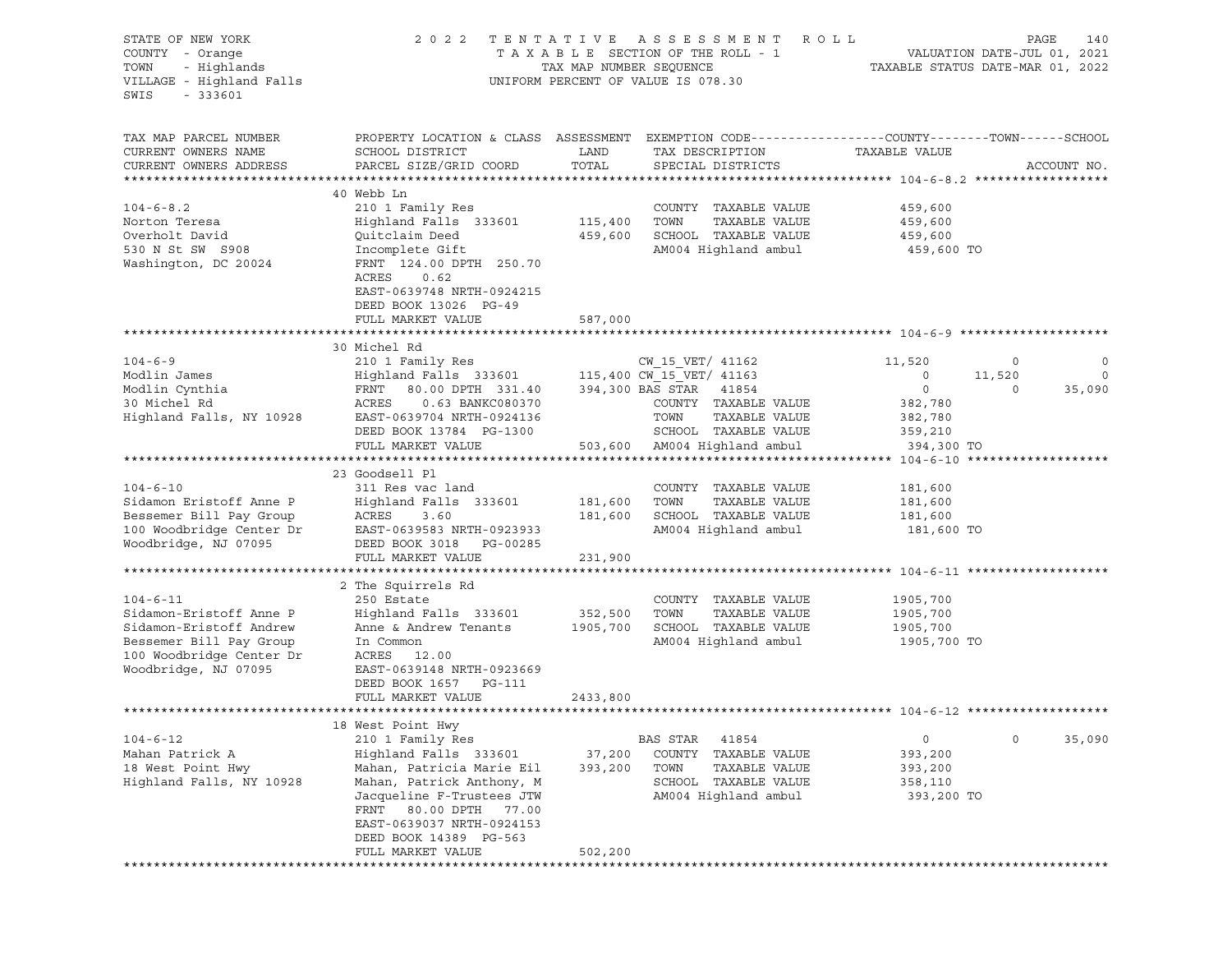| STATE OF NEW YORK<br>COUNTY - Orange<br>TOWN<br>- Highlands<br>VILLAGE - Highland Falls<br>SWIS<br>$-333601$                                        | 2022 TENTATIVE                                                                                                                                                                                                                                                   | TAX MAP NUMBER SEQUENCE       | A S S E S S M E N T<br>R O L L<br>TAXABLE SECTION OF THE ROLL - 1<br>UNIFORM PERCENT OF VALUE IS 078.30                                  |                                                                             | PAGE<br>140<br>VALUATION DATE-JUL 01, 2021<br>TAXABLE STATUS DATE-MAR 01, 2022 |                   |
|-----------------------------------------------------------------------------------------------------------------------------------------------------|------------------------------------------------------------------------------------------------------------------------------------------------------------------------------------------------------------------------------------------------------------------|-------------------------------|------------------------------------------------------------------------------------------------------------------------------------------|-----------------------------------------------------------------------------|--------------------------------------------------------------------------------|-------------------|
| TAX MAP PARCEL NUMBER<br>CURRENT OWNERS NAME<br>CURRENT OWNERS ADDRESS                                                                              | SCHOOL DISTRICT<br>PARCEL SIZE/GRID COORD                                                                                                                                                                                                                        | LAND<br>TOTAL                 | PROPERTY LOCATION & CLASS ASSESSMENT EXEMPTION CODE----------------COUNTY-------TOWN------SCHOOL<br>TAX DESCRIPTION<br>SPECIAL DISTRICTS | TAXABLE VALUE                                                               | ACCOUNT NO.                                                                    |                   |
| $104 - 6 - 8.2$<br>Norton Teresa<br>Overholt David<br>530 N St SW S908<br>Washington, DC 20024                                                      | 40 Webb Ln<br>210 1 Family Res<br>Highland Falls 333601<br>Quitclaim Deed<br>Incomplete Gift<br>FRNT 124.00 DPTH 250.70<br>ACRES<br>0.62<br>EAST-0639748 NRTH-0924215<br>DEED BOOK 13026 PG-49                                                                   | 115,400<br>459,600            | COUNTY TAXABLE VALUE<br>TOWN<br>TAXABLE VALUE<br>SCHOOL TAXABLE VALUE<br>AM004 Highland ambul                                            | 459,600<br>459,600<br>459,600<br>459,600 TO                                 |                                                                                |                   |
|                                                                                                                                                     | FULL MARKET VALUE                                                                                                                                                                                                                                                | 587,000                       |                                                                                                                                          |                                                                             |                                                                                |                   |
| $104 - 6 - 9$<br>Modlin James<br>Modlin Cynthia<br>30 Michel Rd<br>Highland Falls, NY 10928                                                         | 30 Michel Rd<br>210 1 Family Res<br>Highland Falls 333601 115,400 CW 15 VET/ 41163<br>80.00 DPTH 331.40 394,300 BAS STAR 41854<br>FRNT<br>ACRES<br>0.63 BANKC080370<br>EAST-0639704 NRTH-0924136<br>DEED BOOK 13784 PG-1300<br>FULL MARKET VALUE                 |                               | CW 15 VET/ 41162<br>COUNTY TAXABLE VALUE<br>TAXABLE VALUE<br>TOWN<br>SCHOOL TAXABLE VALUE<br>503,600 AM004 Highland ambul                | 11,520<br>$\circ$<br>$\circ$<br>382,780<br>382,780<br>359,210<br>394,300 TO | $\circ$<br>11,520<br>35,090<br>0                                               | 0<br>$\mathbf{0}$ |
| $104 - 6 - 10$<br>Sidamon Eristoff Anne P<br>Bessemer Bill Pay Group<br>100 Woodbridge Center Dr<br>Woodbridge, NJ 07095                            | 23 Goodsell Pl<br>311 Res vac land<br>Highland Falls 333601<br>ACRES<br>3.60<br>EAST-0639583 NRTH-0923933<br>DEED BOOK 3018 PG-00285<br>FULL MARKET VALUE                                                                                                        | 181,600<br>181,600<br>231,900 | COUNTY TAXABLE VALUE<br>TOWN<br>TAXABLE VALUE<br>SCHOOL TAXABLE VALUE<br>AM004 Highland ambul                                            | 181,600<br>181,600<br>181,600<br>181,600 TO                                 |                                                                                |                   |
| $104 - 6 - 11$<br>Sidamon-Eristoff Anne P<br>Sidamon-Eristoff Andrew<br>Bessemer Bill Pay Group<br>100 Woodbridge Center Dr<br>Woodbridge, NJ 07095 | 2 The Squirrels Rd<br>250 Estate<br>Highland Falls 333601 352,500<br>Anne & Andrew Tenants<br>In Common<br>ACRES 12.00<br>EAST-0639148 NRTH-0923669<br>DEED BOOK 1657 PG-111<br>FULL MARKET VALUE                                                                | 1905,700<br>2433,800          | COUNTY TAXABLE VALUE<br>TOWN<br>TAXABLE VALUE<br>SCHOOL TAXABLE VALUE<br>AM004 Highland ambul                                            | 1905,700<br>1905,700<br>1905,700<br>1905,700 TO                             |                                                                                |                   |
| $104 - 6 - 12$<br>Mahan Patrick A<br>18 West Point Hwy<br>Highland Falls, NY 10928                                                                  | 18 West Point Hwy<br>210 1 Family Res<br>Highland Falls 333601<br>Mahan, Patricia Marie Eil<br>Mahan, Patrick Anthony, M<br>Jacqueline F-Trustees JTW<br>80.00 DPTH<br>FRNT<br>77.00<br>EAST-0639037 NRTH-0924153<br>DEED BOOK 14389 PG-563<br>FULL MARKET VALUE | 37,200<br>393,200<br>502,200  | BAS STAR<br>41854<br>TAXABLE VALUE<br>COUNTY<br>TOWN<br>TAXABLE VALUE<br>SCHOOL TAXABLE VALUE<br>AM004 Highland ambul                    | $\circ$<br>393,200<br>393,200<br>358,110<br>393,200 TO                      | $\circ$<br>35,090                                                              |                   |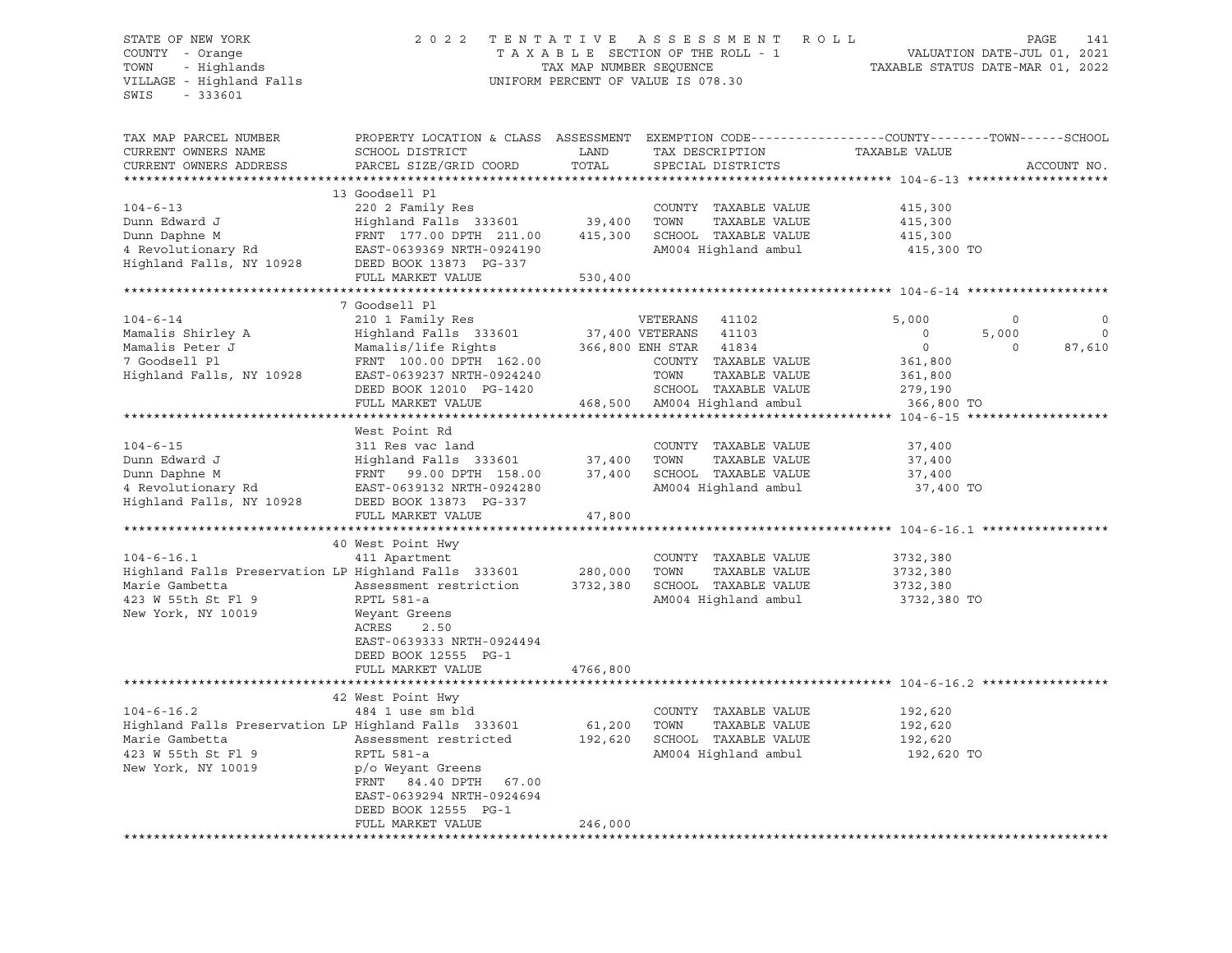#### STATE OF NEW YORK 2 0 2 2 T E N T A T I V E A S S E S S M E N T R O L L PAGE 141 COUNTY - Orange T A X A B L E SECTION OF THE ROLL - 1 VALUATION DATE-JUL 01, 2021 TOWN - Highlands TAX MAP NUMBER SEQUENCE TAXABLE STATUS DATE-MAR 01, 2022 VILLAGE - Highland Falls UNIFORM PERCENT OF VALUE IS 078.30

| TAX MAP PARCEL NUMBER<br>CURRENT OWNERS NAME                 | PROPERTY LOCATION & CLASS ASSESSMENT EXEMPTION CODE----------------COUNTY-------TOWN------SCHOOL<br>SCHOOL DISTRICT | LAND                    |                        | TAX DESCRIPTION              | TAXABLE VALUE                           |          |              |
|--------------------------------------------------------------|---------------------------------------------------------------------------------------------------------------------|-------------------------|------------------------|------------------------------|-----------------------------------------|----------|--------------|
| CURRENT OWNERS ADDRESS                                       | PARCEL SIZE/GRID COORD                                                                                              | TOTAL                   |                        | SPECIAL DISTRICTS            |                                         |          | ACCOUNT NO.  |
|                                                              |                                                                                                                     |                         |                        |                              |                                         |          |              |
| $104 - 6 - 13$                                               | 13 Goodsell Pl<br>220 2 Family Res                                                                                  |                         |                        | COUNTY TAXABLE VALUE         | 415,300                                 |          |              |
| Dunn Edward J                                                | Highland Falls 333601                                                                                               | 39,400                  | TOWN                   | TAXABLE VALUE                | 415,300                                 |          |              |
| Dunn Daphne M                                                | FRNT 177.00 DPTH 211.00                                                                                             | 415,300                 |                        | SCHOOL TAXABLE VALUE         | 415,300                                 |          |              |
| 4 Revolutionary Rd<br>Highland Falls, NY 10928               | EAST-0639369 NRTH-0924190<br>DEED BOOK 13873 PG-337                                                                 |                         |                        | AM004 Highland ambul         | 415,300 TO                              |          |              |
|                                                              | FULL MARKET VALUE<br>********************                                                                           | 530,400<br>************ |                        |                              |                                         |          |              |
|                                                              |                                                                                                                     |                         |                        |                              | ********************** 104-6-14 ******* |          |              |
|                                                              | 7 Goodsell Pl                                                                                                       |                         |                        |                              |                                         |          |              |
| $104 - 6 - 14$                                               | 210 1 Family Res                                                                                                    |                         | VETERANS               | 41102                        | 5,000                                   | $\circ$  | $\Omega$     |
| Mamalis Shirley A                                            | Highland Falls 333601                                                                                               |                         | 37,400 VETERANS 41103  |                              | $\mathbf 0$                             | 5,000    | $\mathbf{0}$ |
| Mamalis Peter J                                              | Mamalis/life Rights                                                                                                 |                         | 366,800 ENH STAR 41834 |                              | $\circ$                                 | $\Omega$ | 87,610       |
| 7 Goodsell Pl                                                | FRNT 100.00 DPTH 162.00                                                                                             |                         |                        | COUNTY TAXABLE VALUE         | 361,800                                 |          |              |
| Highland Falls, NY 10928                                     | EAST-0639237 NRTH-0924240                                                                                           |                         | TOWN                   | TAXABLE VALUE                | 361,800                                 |          |              |
|                                                              | DEED BOOK 12010 PG-1420                                                                                             |                         |                        | SCHOOL TAXABLE VALUE         | 279,190                                 |          |              |
|                                                              | FULL MARKET VALUE                                                                                                   |                         |                        | 468,500 AM004 Highland ambul | 366,800 TO                              |          |              |
|                                                              |                                                                                                                     |                         |                        |                              |                                         |          |              |
|                                                              | West Point Rd                                                                                                       |                         |                        |                              |                                         |          |              |
| $104 - 6 - 15$                                               | 311 Res vac land                                                                                                    |                         |                        | COUNTY TAXABLE VALUE         | 37,400                                  |          |              |
| Dunn Edward J                                                | Highland Falls 333601                                                                                               | 37,400                  | TOWN                   | TAXABLE VALUE                | 37,400                                  |          |              |
| Dunn Daphne M                                                | FRNT 99.00 DPTH 158.00                                                                                              | 37,400                  |                        | SCHOOL TAXABLE VALUE         | 37,400                                  |          |              |
| 4 Revolutionary Rd                                           | EAST-0639132 NRTH-0924280                                                                                           |                         |                        | AM004 Highland ambul         | 37,400 TO                               |          |              |
| Highland Falls, NY 10928                                     | DEED BOOK 13873 PG-337                                                                                              |                         |                        |                              |                                         |          |              |
|                                                              | FULL MARKET VALUE                                                                                                   | 47,800                  |                        |                              |                                         |          |              |
|                                                              |                                                                                                                     |                         |                        |                              |                                         |          |              |
|                                                              | 40 West Point Hwy                                                                                                   |                         |                        |                              |                                         |          |              |
| $104 - 6 - 16.1$                                             | 411 Apartment                                                                                                       |                         |                        | COUNTY TAXABLE VALUE         | 3732,380                                |          |              |
| Highland Falls Preservation LP Highland Falls 333601 280,000 |                                                                                                                     |                         | TOWN                   | TAXABLE VALUE                | 3732,380                                |          |              |
| Marie Gambetta                                               | Assessment restriction                                                                                              | 3732,380                |                        | SCHOOL TAXABLE VALUE         | 3732,380                                |          |              |
| 423 W 55th St Fl 9                                           | RPTL 581-a                                                                                                          |                         |                        | AM004 Highland ambul         | 3732,380 TO                             |          |              |
| New York, NY 10019                                           | Weyant Greens                                                                                                       |                         |                        |                              |                                         |          |              |
|                                                              | ACRES<br>2.50                                                                                                       |                         |                        |                              |                                         |          |              |
|                                                              | EAST-0639333 NRTH-0924494                                                                                           |                         |                        |                              |                                         |          |              |
|                                                              | DEED BOOK 12555 PG-1                                                                                                |                         |                        |                              |                                         |          |              |
|                                                              | FULL MARKET VALUE                                                                                                   | 4766,800                |                        |                              |                                         |          |              |
|                                                              |                                                                                                                     |                         |                        |                              |                                         |          |              |
|                                                              | 42 West Point Hwy                                                                                                   |                         |                        |                              |                                         |          |              |
| $104 - 6 - 16.2$                                             | 484 1 use sm bld                                                                                                    |                         |                        | COUNTY TAXABLE VALUE         | 192,620                                 |          |              |
| Highland Falls Preservation LP Highland Falls 333601         |                                                                                                                     | 61,200                  | TOWN                   | TAXABLE VALUE                | 192,620                                 |          |              |
| Marie Gambetta                                               | Assessment restricted                                                                                               | 192,620                 |                        | SCHOOL TAXABLE VALUE         | 192,620                                 |          |              |
| 423 W 55th St Fl 9                                           | RPTL 581-a                                                                                                          |                         |                        | AM004 Highland ambul         | 192,620 TO                              |          |              |
| New York, NY 10019                                           | p/o Weyant Greens                                                                                                   |                         |                        |                              |                                         |          |              |
|                                                              | FRNT 84.40 DPTH 67.00                                                                                               |                         |                        |                              |                                         |          |              |
|                                                              | EAST-0639294 NRTH-0924694                                                                                           |                         |                        |                              |                                         |          |              |
|                                                              | DEED BOOK 12555 PG-1                                                                                                |                         |                        |                              |                                         |          |              |
|                                                              | FULL MARKET VALUE                                                                                                   | 246,000                 |                        |                              |                                         |          |              |
|                                                              |                                                                                                                     |                         |                        |                              |                                         |          |              |
|                                                              |                                                                                                                     |                         |                        |                              |                                         |          |              |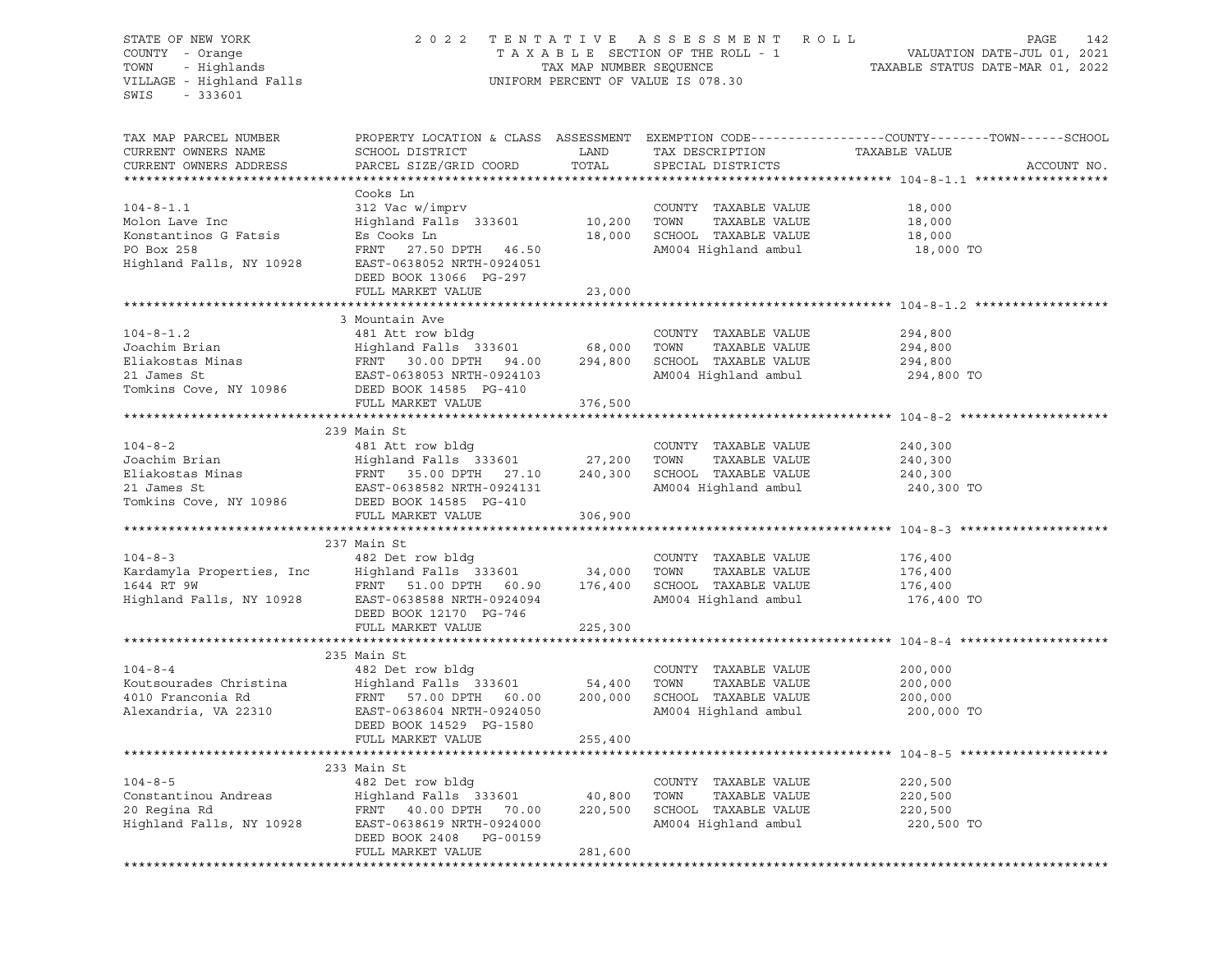VILLAGE - Highland Falls UNIFORM PERCENT OF VALUE IS 078.30 SWIS - 333601

# STATE OF NEW YORK 2 0 2 2 T E N T A T I V E A S S E S S M E N T R O L L PAGE 142 COUNTY - Orange T A X A B L E SECTION OF THE ROLL - 1 VALUATION DATE-JUL 01, 2021 TOWN - Highlands TAX MAP NUMBER SEQUENCE TAXABLE STATUS DATE-MAR 01, 2022

| TAX MAP PARCEL NUMBER<br>CURRENT OWNERS NAME<br>CURRENT OWNERS ADDRESS                               | PROPERTY LOCATION & CLASS ASSESSMENT EXEMPTION CODE---------------COUNTY-------TOWN------SCHOOL<br>SCHOOL DISTRICT<br>PARCEL SIZE/GRID COORD                                                                                                                                                                           | LAND<br>TOTAL | TAX DESCRIPTION TAXABLE VALUE SPECIAL DISTRICTS                                                     |                                             | ACCOUNT NO. |
|------------------------------------------------------------------------------------------------------|------------------------------------------------------------------------------------------------------------------------------------------------------------------------------------------------------------------------------------------------------------------------------------------------------------------------|---------------|-----------------------------------------------------------------------------------------------------|---------------------------------------------|-------------|
| $104 - 8 - 1.1$<br>Molon Lave Inc<br>Konstantinos G Fatsis<br>PO Box 258<br>Highland Falls, NY 10928 | Cooks Ln<br>312 Vac w/imprv<br>Highland Falls 333601 10,200 TOWN<br>Es Cooks Ln<br>FRNT 27.50 DPTH 46.50<br>EAST-0638052 NRTH-0924051<br>DEED BOOK 13066 PG-297<br>FULL MARKET VALUE                                                                                                                                   | 23,000        | COUNTY TAXABLE VALUE 18,000<br>TAXABLE VALUE<br>18,000 SCHOOL TAXABLE VALUE<br>AM004 Highland ambul | 18,000<br>18,000<br>18,000 TO               |             |
|                                                                                                      |                                                                                                                                                                                                                                                                                                                        |               |                                                                                                     |                                             |             |
| $104 - 8 - 1.2$                                                                                      | 3 Mountain Ave<br>481 Att row bldg<br>FULL MARKET VALUE                                                                                                                                                                                                                                                                | 376,500       | COUNTY TAXABLE VALUE<br>AM004 Highland ambul                                                        | 294,800<br>294,800<br>294,800<br>294,800 TO |             |
|                                                                                                      |                                                                                                                                                                                                                                                                                                                        |               |                                                                                                     |                                             |             |
| $104 - 8 - 2$<br>Tomkins Cove, NY 10986                                                              | 239 Main St<br>DEED BOOK 14585 PG-410                                                                                                                                                                                                                                                                                  |               | COUNTY TAXABLE VALUE                                                                                | 240,300<br>240,300<br>240,300<br>240,300 TO |             |
|                                                                                                      | FULL MARKET VALUE                                                                                                                                                                                                                                                                                                      | 306,900       |                                                                                                     |                                             |             |
|                                                                                                      |                                                                                                                                                                                                                                                                                                                        |               |                                                                                                     |                                             |             |
| $104 - 8 - 3$                                                                                        | 237 Main St<br>482 Det row bldg<br>EXAMPLE VALUE MANABLE VALUE (COUNTY TAXABLE VALUE MORTLES) And Highland Falls 333601 34,000 TOWN TAXABLE VALUE<br>1644 RT 9W FRNT 51.00 DPTH 60.90 176,400 SCHOOL TAXABLE VALUE<br>Highland Falls, NY 10928 EAST-0638588 NRTH-092409<br>DEED BOOK 12170 PG-746<br>FULL MARKET VALUE | 225,300       | COUNTY TAXABLE VALUE                                                                                | 176,400<br>176,400<br>176,400<br>176,400 TO |             |
|                                                                                                      |                                                                                                                                                                                                                                                                                                                        |               |                                                                                                     |                                             |             |
| $104 - 8 - 4$                                                                                        | 235 Main St<br>482 Det row bldg<br>Example 2010 Franconia Rd Falls 333601 54,400 TOWN TAXABLE VALUE<br>4010 Franconia Rd FRNT 57.00 DPTH 60.00 200,000 SCHOOL TAXABLE VALUE<br>Alexandria, VA 22310 EAST-0638604 NRTH-0924050 AM004 Highland ambul<br>DEED BOOK 14529 P<br>DEED BOOK 14529 PG-1580                     |               | COUNTY TAXABLE VALUE<br>AM004 Highland ambul                                                        | 200,000<br>200,000<br>200,000<br>200,000 TO |             |
|                                                                                                      | FULL MARKET VALUE                                                                                                                                                                                                                                                                                                      | 255,400       |                                                                                                     |                                             |             |
| $104 - 8 - 5$                                                                                        | 233 Main St<br>482 Det row bldg<br>Constantinou Andreas<br>20 Regina Rd<br>20 Regina Rd<br>32 Bend PRNT 40.00 DPTH 70.00 220,500<br>320,500<br>220,500<br>320,500<br>220,500<br>220,500<br>220,500<br>DEED BOOK 2408 PG-00159<br>FULL MARKET VALUE                                                                     | 281,600       | COUNTY TAXABLE VALUE<br>TOWN<br>TAXABLE VALUE<br>SCHOOL TAXABLE VALUE<br>AM004 Highland ambul       | 220,500<br>220,500<br>220,500<br>220,500 TO |             |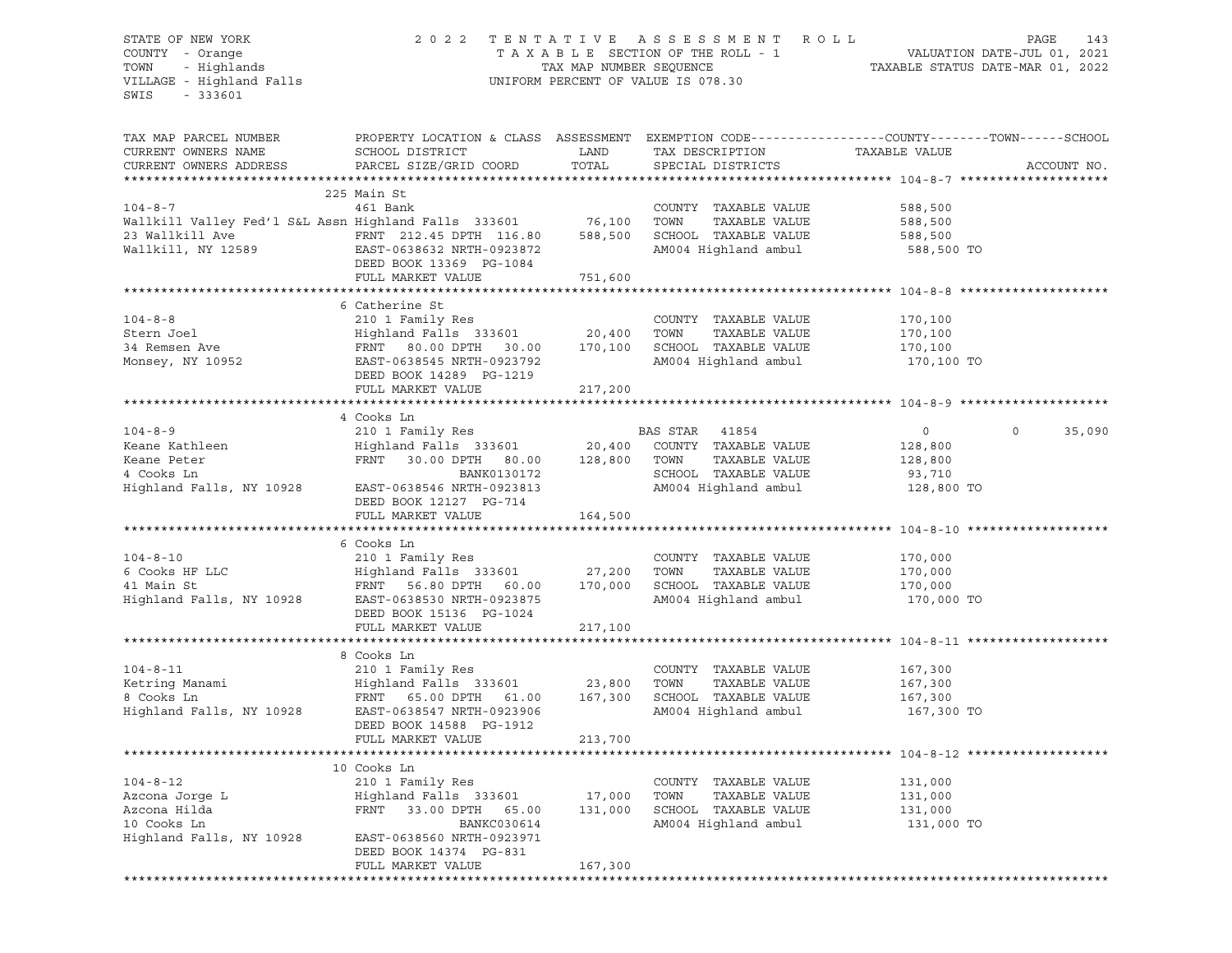#### STATE OF NEW YORK 2 0 2 2 T E N T A T I V E A S S E S S M E N T R O L L PAGE 143 COUNTY - Orange T A X A B L E SECTION OF THE ROLL - 1 VALUATION DATE-JUL 01, 2021 TOWN - Highlands TAX MAP NUMBER SEQUENCE TAXABLE STATUS DATE-MAR 01, 2022 VILLAGE - Highland Falls UNIFORM PERCENT OF VALUE IS 078.30

| TAX MAP PARCEL NUMBER<br>CURRENT OWNERS NAME<br>CURRENT OWNERS ADDRESS                                      | PROPERTY LOCATION & CLASS ASSESSMENT EXEMPTION CODE----------------COUNTY-------TOWN------SCHOOL<br>SCHOOL DISTRICT<br>PARCEL SIZE/GRID COORD                                       | LAND<br>TOTAL      | TAX DESCRIPTION<br>SPECIAL DISTRICTS                                                          | TAXABLE VALUE                                         | ACCOUNT NO.        |
|-------------------------------------------------------------------------------------------------------------|-------------------------------------------------------------------------------------------------------------------------------------------------------------------------------------|--------------------|-----------------------------------------------------------------------------------------------|-------------------------------------------------------|--------------------|
| $104 - 8 - 7$<br>Wallkill Valley Fed'l S&L Assn Highland Falls 333601 76,100                                | 225 Main St<br>461 Bank<br>DEED BOOK 13369 PG-1084<br>FULL MARKET VALUE                                                                                                             | 751,600            | COUNTY TAXABLE VALUE<br>TOWN<br>TAXABLE VALUE<br>SCHOOL TAXABLE VALUE<br>AM004 Highland ambul | 588,500<br>588,500<br>588,500<br>588,500 TO           |                    |
| $104 - 8 - 8$<br>Stern Joel<br>34 Remsen Ave<br>Monsey, NY 10952                                            | 6 Catherine St<br>210 1 Family Res<br>Highland Falls 333601 20,400<br>EAST-0638545 NRTH-0923792<br>DEED BOOK 14289 PG-1219<br>FULL MARKET VALUE                                     | 217,200            | COUNTY TAXABLE VALUE<br>TOWN<br>TAXABLE VALUE<br>SCHOOL TAXABLE VALUE<br>AM004 Highland ambul | 170,100<br>170,100<br>170,100<br>170,100 TO           |                    |
|                                                                                                             |                                                                                                                                                                                     |                    |                                                                                               |                                                       |                    |
| $104 - 8 - 9$<br>Keane Kathleen<br>Keane Peter<br>4 Cooks Ln<br>Highland Falls, NY 10928                    | 4 Cooks Ln<br>FRNT 30.00 DPTH 80.00 128,800 TOWN<br>BANK0130172<br>NRTH-0923813<br>EAST-0638546 NRTH-0923813<br>DEED BOOK 12127 PG-714<br>FULL MARKET VALUE                         | 164,500            | TAXABLE VALUE<br>SCHOOL TAXABLE VALUE<br>AM004 Highland ambul                                 | $\circ$<br>128,800<br>128,800<br>93,710<br>128,800 TO | $\Omega$<br>35,090 |
|                                                                                                             |                                                                                                                                                                                     |                    |                                                                                               |                                                       |                    |
| $104 - 8 - 10$<br>6 Cooks HF LLC                                                                            | 6 Cooks Ln<br>210 1 Family Res<br>Highland Falls 333601 27,200 TOWN<br>DEED BOOK 15136 PG-1024                                                                                      | 217,100            | COUNTY TAXABLE VALUE<br>TAXABLE VALUE<br>170,000 SCHOOL TAXABLE VALUE<br>AM004 Highland ambul | 170,000<br>170,000<br>170,000<br>170,000 TO           |                    |
|                                                                                                             | FULL MARKET VALUE                                                                                                                                                                   |                    |                                                                                               |                                                       |                    |
| $104 - 8 - 11$                                                                                              | 8 Cooks Ln<br>210 1 Family Res<br>DEED BOOK 14588 PG-1912<br>FULL MARKET VALUE                                                                                                      | 213,700            | COUNTY TAXABLE VALUE                                                                          | 167,300<br>167,300<br>167,300<br>167,300 TO           |                    |
|                                                                                                             |                                                                                                                                                                                     |                    |                                                                                               |                                                       |                    |
| $104 - 8 - 12$<br>Azcona Jorge L<br>Azcona Hilda<br>Azcona Hilda<br>10 Cooks Ln<br>Highland Falls, NY 10928 | 10 Cooks Ln<br>210 1 Family Res<br>Highland Falls 333601 17,000<br>FRNT 33.00 DPTH 65.00<br>BANKC030614<br>EAST-0638560 NRTH-0923971<br>DEED BOOK 14374 PG-831<br>FULL MARKET VALUE | 131,000<br>167,300 | COUNTY TAXABLE VALUE<br>TOWN<br>TAXABLE VALUE<br>SCHOOL TAXABLE VALUE<br>AM004 Highland ambul | 131,000<br>131,000<br>131,000<br>131,000 TO           |                    |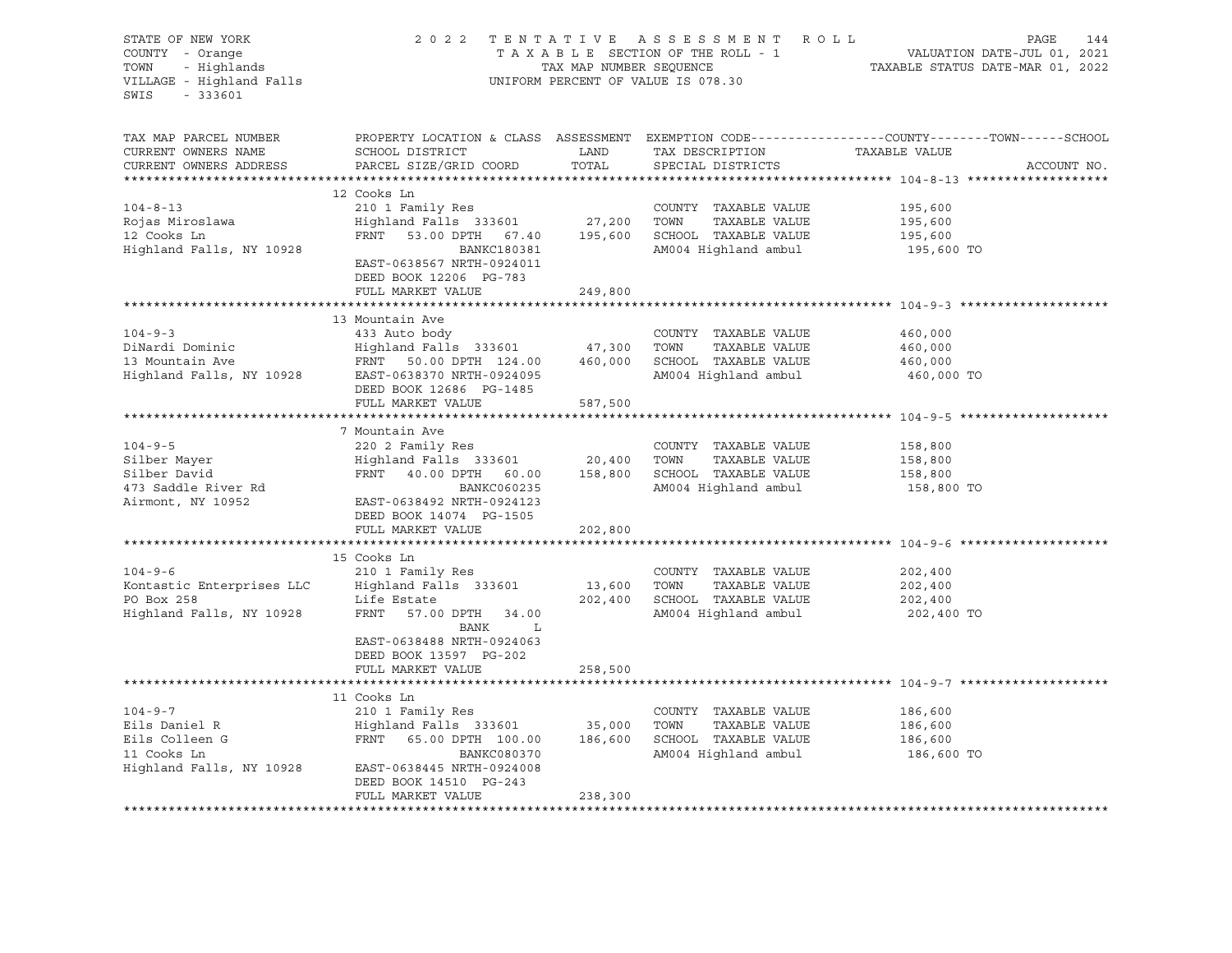| STATE OF NEW YORK<br>STATE OF NEW YORK<br>COUNTY - Orange<br>TOWN - Highlands<br>VILLAGE - Highland Falls<br>$-333601$<br>SWIS |                                                                                                                                                                                                                                                                                                                                                                                     |               | UNIFORM PERCENT OF VALUE IS 078.30                 | 2022 TENTATIVE ASSESSMENT ROLL PAGE 144<br>TAXABLE SECTION OF THE ROLL - 1 VALUATION DATE-JUL 01, 2021<br>TAX MAP NUMBER SEQUENCE TAXABLE STATUS DATE-MAR 01, 2022 |
|--------------------------------------------------------------------------------------------------------------------------------|-------------------------------------------------------------------------------------------------------------------------------------------------------------------------------------------------------------------------------------------------------------------------------------------------------------------------------------------------------------------------------------|---------------|----------------------------------------------------|--------------------------------------------------------------------------------------------------------------------------------------------------------------------|
| TAX MAP PARCEL NUMBER<br>CURRENT OWNERS NAME<br>CURRENT OWNERS ADDRESS                                                         | SCHOOL DISTRICT<br>PARCEL SIZE/GRID COORD                                                                                                                                                                                                                                                                                                                                           | LAND<br>TOTAL | TAX DESCRIPTION TAXABLE VALUE<br>SPECIAL DISTRICTS | PROPERTY LOCATION & CLASS ASSESSMENT EXEMPTION CODE----------------COUNTY-------TOWN------SCHOOL<br>ACCOUNT NO.                                                    |
|                                                                                                                                | 12 Cooks Ln                                                                                                                                                                                                                                                                                                                                                                         |               |                                                    |                                                                                                                                                                    |
| $104 - 8 - 13$                                                                                                                 | 210 1 Family Res                                                                                                                                                                                                                                                                                                                                                                    |               | COUNTY TAXABLE VALUE                               | 195,600                                                                                                                                                            |
| Rojas Miroslawa<br>12 Cooks Ln                                                                                                 |                                                                                                                                                                                                                                                                                                                                                                                     |               |                                                    | 195,600<br>195,600                                                                                                                                                 |
| 12 Cooks Ln                                                                                                                    | 210 1 Family Res<br>Highland Falls 333601 27,200 TOWN TAXABLE VALUE<br>FRNT 53.00 DPTH 67.40 195,600 SCHOOL TAXABLE VALUE                                                                                                                                                                                                                                                           |               |                                                    |                                                                                                                                                                    |
| Highland Falls, NY 10928                                                                                                       | BANKC180381<br>EAST-0638567 NRTH-0924011<br>DEED BOOK 12206 PG-783<br>FULL MARKET VALUE                                                                                                                                                                                                                                                                                             | 249,800       | AM004 Highland ambul                               | 195,600 TO                                                                                                                                                         |
|                                                                                                                                |                                                                                                                                                                                                                                                                                                                                                                                     |               |                                                    |                                                                                                                                                                    |
|                                                                                                                                | 13 Mountain Ave                                                                                                                                                                                                                                                                                                                                                                     |               |                                                    |                                                                                                                                                                    |
| $104 - 9 - 3$                                                                                                                  | 433 Auto body                                                                                                                                                                                                                                                                                                                                                                       |               | COUNTY TAXABLE VALUE                               | 460,000                                                                                                                                                            |
|                                                                                                                                |                                                                                                                                                                                                                                                                                                                                                                                     |               |                                                    | 460,000<br>460,000                                                                                                                                                 |
|                                                                                                                                |                                                                                                                                                                                                                                                                                                                                                                                     |               |                                                    |                                                                                                                                                                    |
|                                                                                                                                | DiNardi Dominic (Dinardi Dominic (Dinardi Dominic (Dinardi Dominic (Dinardi Highland Falls 333601 (Dinardi Highland Falls 13 Mountain Ave (DINARE PRINT 124.00 (DINARE PRINT 124.00 (DINARE PRINT 124.00 (DINARE PRINT 124.00<br>DEED BOOK 12686 PG-1485<br>ETH.L. MARKET VALUE 587,500                                                                                             |               | AM004 Highland ambul                               | 460,000 TO                                                                                                                                                         |
|                                                                                                                                |                                                                                                                                                                                                                                                                                                                                                                                     |               |                                                    |                                                                                                                                                                    |
|                                                                                                                                | 7 Mountain Ave                                                                                                                                                                                                                                                                                                                                                                      |               |                                                    |                                                                                                                                                                    |
| $104 - 9 - 5$                                                                                                                  | 220 2 Family Res                                                                                                                                                                                                                                                                                                                                                                    |               | COUNTY TAXABLE VALUE                               |                                                                                                                                                                    |
|                                                                                                                                | $\begin{array}{ccccccccc}\n\text{220} & \text{20} & \text{210} & \text{220} & \text{220} & \text{20,400} & \text{58,800} \\ \text{Highland Falls} & 333601 & & 20,400 & \text{TOWN} & \text{TXABLE VALUE} & & 158,800 \\ \text{FRNT} & 40.00 & \text{DPTH} & 60.00 & & 158,800 & & \text{SCHOOL TAXABLE VALUE} & & 158,800 \\ \text{TRNT} & 40.00 & \text{DPTH} & 60.00 & & 158,80$ |               |                                                    | 158,800<br>158,800                                                                                                                                                 |
|                                                                                                                                |                                                                                                                                                                                                                                                                                                                                                                                     |               |                                                    |                                                                                                                                                                    |
|                                                                                                                                | BANKC060235                                                                                                                                                                                                                                                                                                                                                                         |               | AM004 Highland ambul                               | 158,800 TO                                                                                                                                                         |
| Silber Mayer<br>Silber David<br>473 Saddle River Rd<br>Airmont, NY 10952                                                       | BANKC060235<br>EAST-0638492 NRTH-0924123<br>DEED BOOK 14074 PG-1505                                                                                                                                                                                                                                                                                                                 |               |                                                    |                                                                                                                                                                    |
|                                                                                                                                | FULL MARKET VALUE                                                                                                                                                                                                                                                                                                                                                                   | 202,800       |                                                    |                                                                                                                                                                    |
|                                                                                                                                | 15 Cooks Ln                                                                                                                                                                                                                                                                                                                                                                         |               |                                                    |                                                                                                                                                                    |
|                                                                                                                                |                                                                                                                                                                                                                                                                                                                                                                                     |               |                                                    | 202,400                                                                                                                                                            |
|                                                                                                                                |                                                                                                                                                                                                                                                                                                                                                                                     |               |                                                    | 202,400                                                                                                                                                            |
|                                                                                                                                |                                                                                                                                                                                                                                                                                                                                                                                     |               |                                                    | 202,400                                                                                                                                                            |
|                                                                                                                                | 104-9-6 210 1 Family Res<br>Kontastic Enterprises LLC Highland Falls 333601 13,600 TOWN TAXABLE VALUE<br>PO Box 258 Life Estate 202,400 SCHOOL TAXABLE VALUE<br>Highland Falls, NY 10928 FRNT 57.00 DPTH 34.00 AM004 Highland ambul<br>BANK L                                                                                                                                       |               |                                                    | 202,400 TO                                                                                                                                                         |
|                                                                                                                                | EAST-0638488 NRTH-0924063<br>DEED BOOK 13597 PG-202                                                                                                                                                                                                                                                                                                                                 |               |                                                    |                                                                                                                                                                    |
|                                                                                                                                | FULL MARKET VALUE                                                                                                                                                                                                                                                                                                                                                                   | 258,500       |                                                    |                                                                                                                                                                    |
|                                                                                                                                |                                                                                                                                                                                                                                                                                                                                                                                     |               |                                                    |                                                                                                                                                                    |
|                                                                                                                                | 11 Cooks Ln                                                                                                                                                                                                                                                                                                                                                                         |               |                                                    |                                                                                                                                                                    |
| $104 - 9 - 7$                                                                                                                  | 210 1 Family Res                                                                                                                                                                                                                                                                                                                                                                    |               | COUNTY TAXABLE VALUE                               | 186,600                                                                                                                                                            |
|                                                                                                                                | Eils Daniel R<br>Eils Olleen G<br>Eils Colleen G<br>Eils Colleen G<br>Eils Colleen G<br>Eils Colleen G<br>ERNT 65.00 DPTH 100.00<br>BANKC080370<br>BANKC080370<br>BANKC080370                                                                                                                                                                                                       |               |                                                    | TAXABLE VALUE $\begin{array}{ccc} - & - & , \\ - & \sqrt{10} & 186,600 \\ \text{maxarix} & \text{value} & 186,600 \\ \end{array}$                                  |
|                                                                                                                                | BANKC080370                                                                                                                                                                                                                                                                                                                                                                         |               | AM004 Highland ambul                               | 186,600 TO                                                                                                                                                         |
|                                                                                                                                | Highland Falls, NY 10928 EAST-0638445 NRTH-0924008                                                                                                                                                                                                                                                                                                                                  |               |                                                    |                                                                                                                                                                    |
|                                                                                                                                | DEED BOOK 14510 PG-243                                                                                                                                                                                                                                                                                                                                                              |               |                                                    |                                                                                                                                                                    |
|                                                                                                                                | FULL MARKET VALUE                                                                                                                                                                                                                                                                                                                                                                   | 238,300       |                                                    |                                                                                                                                                                    |
|                                                                                                                                |                                                                                                                                                                                                                                                                                                                                                                                     |               |                                                    |                                                                                                                                                                    |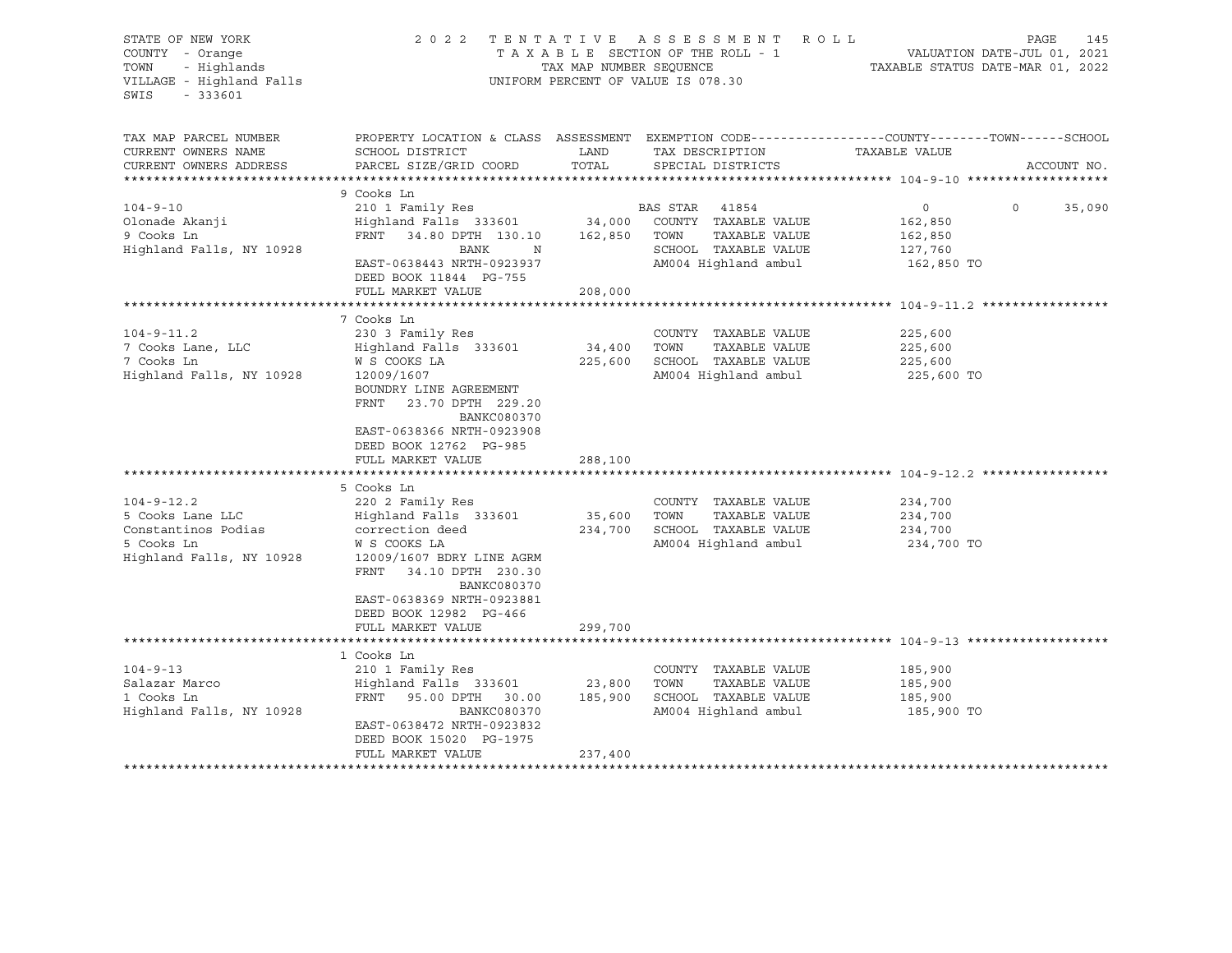| STATE OF NEW YORK<br>COUNTY - Orange<br>- Highlands<br>TOWN<br>VILLAGE - Highland Falls<br>$-333601$<br>SWIS |                                                                                                                                                                                                                                                | TAX MAP NUMBER SEQUENCE | 2022 TENTATIVE ASSESSMENT ROLL<br>TAXABLE SECTION OF THE ROLL - 1<br>UNIFORM PERCENT OF VALUE IS 078.30 | TAXABLE STATUS DATE-MAR 01, 2022                       | PAGE<br>145<br>VALUATION DATE-JUL 01, 2021 |
|--------------------------------------------------------------------------------------------------------------|------------------------------------------------------------------------------------------------------------------------------------------------------------------------------------------------------------------------------------------------|-------------------------|---------------------------------------------------------------------------------------------------------|--------------------------------------------------------|--------------------------------------------|
| TAX MAP PARCEL NUMBER<br>CURRENT OWNERS NAME<br>CURRENT OWNERS ADDRESS                                       | PROPERTY LOCATION & CLASS ASSESSMENT EXEMPTION CODE---------------COUNTY-------TOWN------SCHOOL<br>SCHOOL DISTRICT<br>PARCEL SIZE/GRID COORD                                                                                                   | LAND<br>TOTAL           | TAX DESCRIPTION<br>SPECIAL DISTRICTS                                                                    | TAXABLE VALUE                                          | ACCOUNT NO.                                |
| $104 - 9 - 10$<br>Olonade Akanji<br>9 Cooks Ln<br>Highland Falls, NY 10928                                   | 9 Cooks Ln<br>210 1 Family Res<br>Highland Falls 333601 34,000 COUNTY TAXABLE VALUE<br>FRNT 34.80 DPTH 130.10<br>BANK<br>$\mathbb N$<br>EAST-0638443 NRTH-0923937<br>DEED BOOK 11844 PG-755<br>FULL MARKET VALUE                               | 162,850 TOWN<br>208,000 | BAS STAR 41854<br>TAXABLE VALUE<br>SCHOOL TAXABLE VALUE<br>AM004 Highland ambul                         | $\circ$<br>162,850<br>162,850<br>127,760<br>162,850 TO | $\Omega$<br>35,090                         |
|                                                                                                              |                                                                                                                                                                                                                                                |                         |                                                                                                         |                                                        |                                            |
| $104 - 9 - 11.2$<br>7 Cooks Lane, LLC<br>7 Cooks Ln<br>Highland Falls, NY 10928                              | 7 Cooks Ln<br>230 3 Family Res<br>Highland Falls 333601<br>W S COOKS LA<br>12009/1607<br>BOUNDRY LINE AGREEMENT<br>FRNT<br>23.70 DPTH 229.20<br><b>BANKC080370</b><br>EAST-0638366 NRTH-0923908<br>DEED BOOK 12762 PG-985<br>FULL MARKET VALUE | 34,400 TOWN<br>288,100  | COUNTY TAXABLE VALUE<br>TAXABLE VALUE<br>225,600 SCHOOL TAXABLE VALUE<br>AM004 Highland ambul           | 225,600<br>225,600<br>225,600<br>225,600 TO            |                                            |
|                                                                                                              |                                                                                                                                                                                                                                                |                         |                                                                                                         |                                                        |                                            |
| $104 - 9 - 12.2$<br>5 Cooks Lane LLC<br>Constantinos Podias<br>5 Cooks Ln<br>Highland Falls, NY 10928        | 5 Cooks Ln<br>220 2 Family Res<br>Highland Falls 333601<br>correction deed<br>W S COOKS LA<br>12009/1607 BDRY LINE AGRM<br>FRNT 34.10 DPTH 230.30<br><b>BANKC080370</b><br>EAST-0638369 NRTH-0923881<br>DEED BOOK 12982 PG-466                 | 35,600                  | COUNTY TAXABLE VALUE<br>TOWN<br>TAXABLE VALUE<br>234,700 SCHOOL TAXABLE VALUE<br>AM004 Highland ambul   | 234,700<br>234,700<br>234,700<br>234,700 TO            |                                            |
|                                                                                                              | FULL MARKET VALUE                                                                                                                                                                                                                              | 299,700                 |                                                                                                         |                                                        |                                            |
|                                                                                                              |                                                                                                                                                                                                                                                |                         |                                                                                                         |                                                        |                                            |
| $104 - 9 - 13$<br>Salazar Marco<br>1 Cooks Ln<br>Highland Falls, NY 10928                                    | 1 Cooks Ln<br>210 1 Family Res<br>Highland Falls 333601<br>FRNT<br>95.00 DPTH 30.00<br>BANKC080370<br>EAST-0638472 NRTH-0923832<br>DEED BOOK 15020 PG-1975<br>FULL MARKET VALUE                                                                | 23,800<br>237,400       | COUNTY TAXABLE VALUE<br>TOWN<br>TAXABLE VALUE<br>185,900 SCHOOL TAXABLE VALUE<br>AM004 Highland ambul   | 185,900<br>185,900<br>185,900<br>185,900 TO            |                                            |
|                                                                                                              |                                                                                                                                                                                                                                                |                         |                                                                                                         |                                                        |                                            |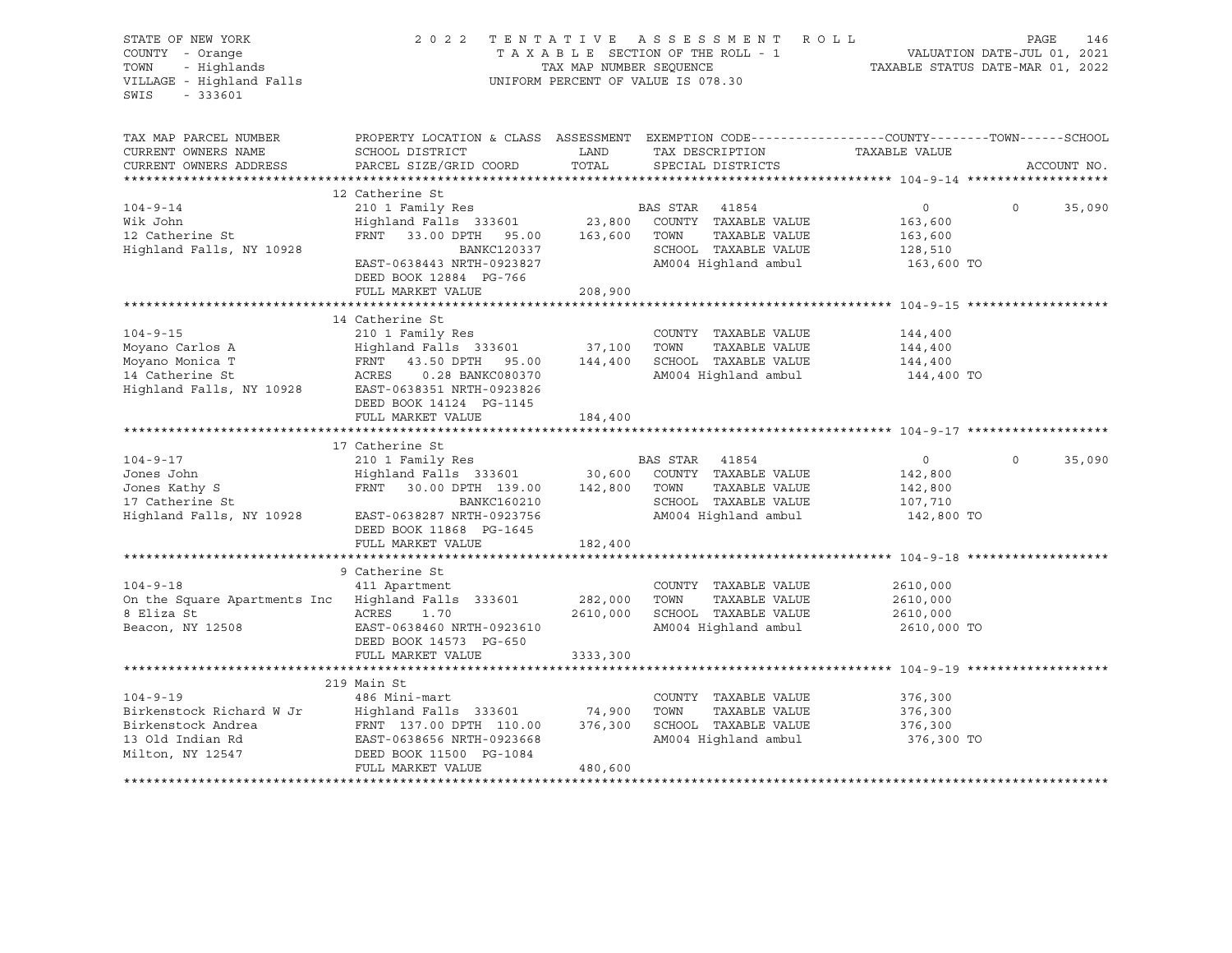| STATE OF NEW YORK<br>COUNTY - Orange                                 | 2 0 2 2                                                                                         |                         | TENTATIVE ASSESSMENT<br>R O L L<br>TAXABLE SECTION OF THE ROLL - 1 |                    | 146<br>PAGE<br>VALUATION DATE-JUL 01, 2021 |
|----------------------------------------------------------------------|-------------------------------------------------------------------------------------------------|-------------------------|--------------------------------------------------------------------|--------------------|--------------------------------------------|
| - Highlands<br>TOWN<br>VILLAGE - Highland Falls<br>$-333601$<br>SWIS |                                                                                                 | TAX MAP NUMBER SEQUENCE | UNIFORM PERCENT OF VALUE IS 078.30                                 |                    | TAXABLE STATUS DATE-MAR 01, 2022           |
| TAX MAP PARCEL NUMBER                                                | PROPERTY LOCATION & CLASS ASSESSMENT EXEMPTION CODE----------------COUNTY-------TOWN-----SCHOOL |                         |                                                                    |                    |                                            |
| CURRENT OWNERS NAME                                                  | SCHOOL DISTRICT                                                                                 | LAND                    | TAX DESCRIPTION                                                    | TAXABLE VALUE      |                                            |
| CURRENT OWNERS ADDRESS                                               | PARCEL SIZE/GRID COORD                                                                          | TOTAL                   | SPECIAL DISTRICTS                                                  |                    | ACCOUNT NO.                                |
|                                                                      | 12 Catherine St                                                                                 |                         |                                                                    |                    |                                            |
| $104 - 9 - 14$                                                       | 210 1 Family Res                                                                                |                         | BAS STAR 41854                                                     | $\circ$            | $\Omega$<br>35,090                         |
| Wik John                                                             | Highland Falls 333601 23,800                                                                    |                         | COUNTY TAXABLE VALUE                                               | 163,600            |                                            |
| 12 Catherine St                                                      | FRNT 33.00 DPTH 95.00                                                                           | 163,600 TOWN            | TAXABLE VALUE                                                      | 163,600            |                                            |
| Highland Falls, NY 10928                                             | BANKC120337                                                                                     |                         | SCHOOL TAXABLE VALUE                                               | 128,510            |                                            |
|                                                                      | EAST-0638443 NRTH-0923827<br>DEED BOOK 12884 PG-766                                             |                         | AM004 Highland ambul                                               | 163,600 TO         |                                            |
|                                                                      | FULL MARKET VALUE                                                                               | 208,900                 |                                                                    |                    |                                            |
|                                                                      | 14 Catherine St                                                                                 |                         |                                                                    |                    |                                            |
| $104 - 9 - 15$                                                       | 210 1 Family Res                                                                                |                         | COUNTY TAXABLE VALUE                                               | 144,400            |                                            |
| Moyano Carlos A                                                      | Highland Falls 333601                                                                           | 37,100                  | TAXABLE VALUE<br>TOWN                                              | 144,400            |                                            |
| Moyano Monica T                                                      | FRNT 43.50 DPTH 95.00                                                                           | 144,400                 | SCHOOL TAXABLE VALUE                                               | 144,400            |                                            |
| 14 Catherine St                                                      | ACRES<br>0.28 BANKC080370                                                                       |                         | AM004 Highland ambul                                               | 144,400 TO         |                                            |
| Highland Falls, NY 10928                                             | EAST-0638351 NRTH-0923826<br>DEED BOOK 14124 PG-1145                                            |                         |                                                                    |                    |                                            |
|                                                                      | FULL MARKET VALUE                                                                               | 184,400                 |                                                                    |                    |                                            |
|                                                                      |                                                                                                 |                         |                                                                    |                    |                                            |
|                                                                      | 17 Catherine St                                                                                 |                         |                                                                    |                    |                                            |
| $104 - 9 - 17$                                                       | 210 1 Family Res                                                                                |                         | BAS STAR<br>41854                                                  | $\circ$            | $\mathbf 0$<br>35,090                      |
| Jones John                                                           | Highland Falls 333601                                                                           | 30,600                  | COUNTY TAXABLE VALUE                                               | 142,800            |                                            |
| Jones Kathy S                                                        | FRNT 30.00 DPTH 139.00                                                                          | 142,800 TOWN            | TAXABLE VALUE                                                      | 142,800            |                                            |
| 17 Catherine St<br>Highland Falls, NY 10928                          | <b>BANKC160210</b>                                                                              |                         | SCHOOL TAXABLE VALUE                                               | 107,710            |                                            |
|                                                                      | EAST-0638287 NRTH-0923756<br>DEED BOOK 11868 PG-1645                                            |                         | AM004 Highland ambul                                               | 142,800 TO         |                                            |
|                                                                      | FULL MARKET VALUE                                                                               | 182,400                 |                                                                    |                    |                                            |
|                                                                      | 9 Catherine St                                                                                  |                         |                                                                    |                    |                                            |
| $104 - 9 - 18$                                                       | 411 Apartment                                                                                   |                         | COUNTY TAXABLE VALUE                                               | 2610,000           |                                            |
| On the Square Apartments Inc Highland Falls 333601                   |                                                                                                 | 282,000                 | TOWN<br>TAXABLE VALUE                                              | 2610,000           |                                            |
| 8 Eliza St                                                           | ACRES<br>1.70                                                                                   | 2610,000                | SCHOOL TAXABLE VALUE                                               | 2610,000           |                                            |
| Beacon, NY 12508                                                     | EAST-0638460 NRTH-0923610                                                                       |                         | AM004 Highland ambul                                               | 2610,000 TO        |                                            |
|                                                                      | DEED BOOK 14573 PG-650                                                                          |                         |                                                                    |                    |                                            |
|                                                                      | FULL MARKET VALUE                                                                               | 3333,300                |                                                                    |                    |                                            |
|                                                                      |                                                                                                 |                         |                                                                    |                    |                                            |
|                                                                      | 219 Main St                                                                                     |                         |                                                                    |                    |                                            |
| $104 - 9 - 19$                                                       | 486 Mini-mart                                                                                   |                         | COUNTY TAXABLE VALUE                                               | 376,300            |                                            |
| Birkenstock Richard W Jr<br>Birkenstock Andrea                       | Highland Falls 333601<br>FRNT 137.00 DPTH 110.00                                                | 74,900<br>376,300       | TOWN<br>TAXABLE VALUE<br>SCHOOL TAXABLE VALUE                      | 376,300<br>376,300 |                                            |
| 13 Old Indian Rd                                                     | EAST-0638656 NRTH-0923668                                                                       |                         | AM004 Highland ambul                                               | 376,300 TO         |                                            |
| Milton, NY 12547                                                     | DEED BOOK 11500 PG-1084                                                                         |                         |                                                                    |                    |                                            |
|                                                                      | FULL MARKET VALUE                                                                               | 480,600                 |                                                                    |                    |                                            |
|                                                                      |                                                                                                 |                         |                                                                    |                    |                                            |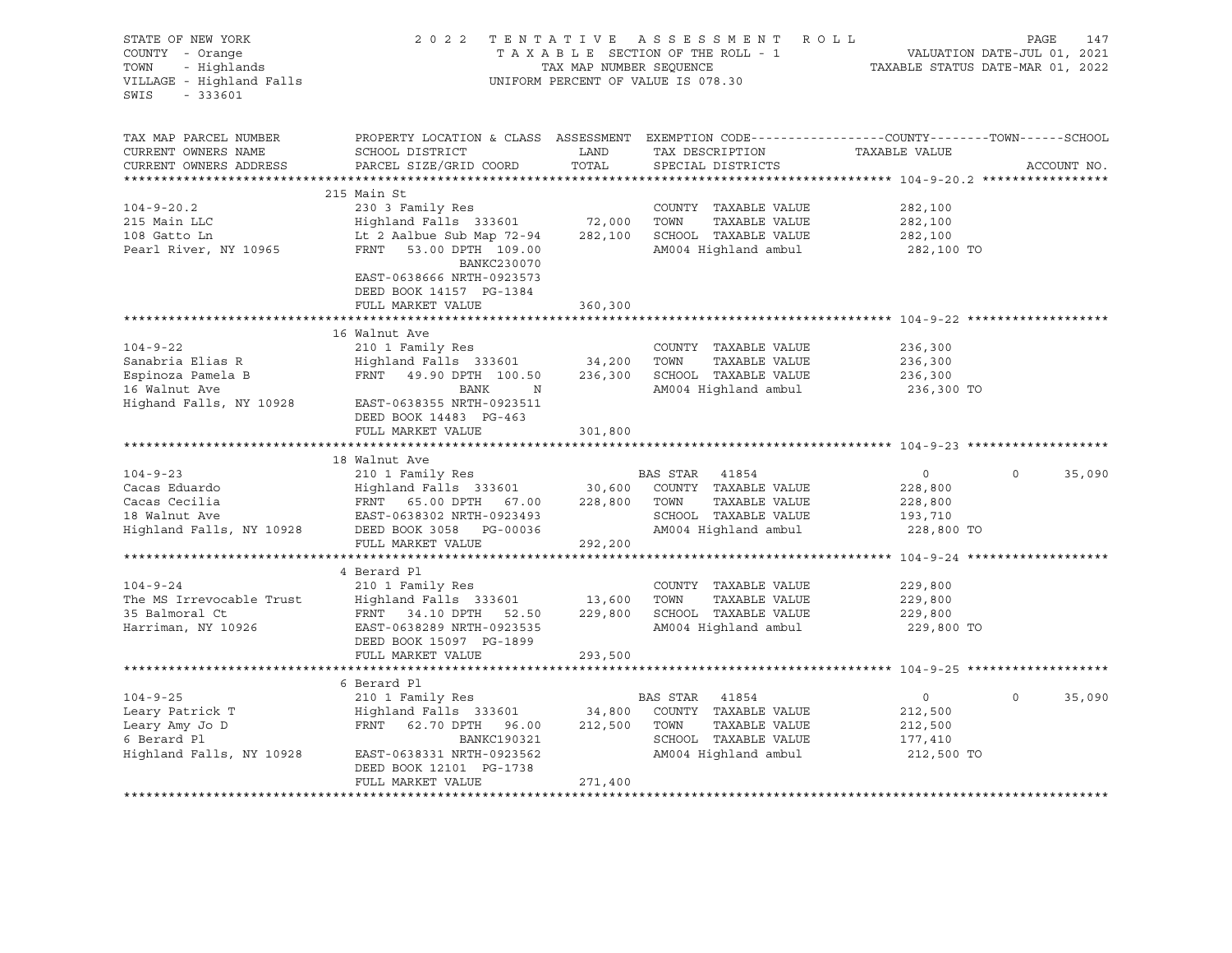| STATE OF NEW YORK<br>COUNTY - Orange<br>- Highlands<br>TOWN<br>VILLAGE - Highland Falls<br>$-333601$<br>SWIS |                                                                                                                                               | TAX MAP NUMBER SEQUENCE | 2022 TENTATIVE ASSESSMENT ROLL<br>TAXABLE SECTION OF THE ROLL - 1<br>UNIFORM PERCENT OF VALUE IS 078.30 |                                             | PAGE<br>147<br>VALUATION DATE-JUL 01, 2021<br>TAXABLE STATUS DATE-MAR 01, 2022 |
|--------------------------------------------------------------------------------------------------------------|-----------------------------------------------------------------------------------------------------------------------------------------------|-------------------------|---------------------------------------------------------------------------------------------------------|---------------------------------------------|--------------------------------------------------------------------------------|
| TAX MAP PARCEL NUMBER<br>CURRENT OWNERS NAME<br>CURRENT OWNERS ADDRESS                                       | PROPERTY LOCATION & CLASS ASSESSMENT EXEMPTION CODE----------------COUNTY-------TOWN------SCHOOL<br>SCHOOL DISTRICT<br>PARCEL SIZE/GRID COORD | LAND<br>TOTAL           | TAX DESCRIPTION<br>SPECIAL DISTRICTS                                                                    | TAXABLE VALUE                               | ACCOUNT NO.                                                                    |
|                                                                                                              |                                                                                                                                               |                         |                                                                                                         |                                             |                                                                                |
| $104 - 9 - 20.2$<br>215 Main LLC<br>108 Gatto Ln<br>Pearl River, NY 10965                                    | 215 Main St<br>230 3 Family Res<br>Highland Falls 333601<br>Lt 2 Aalbue Sub Map 72-94<br>53.00 DPTH 109.00<br>FRNT<br>BANKC230070             | 72,000<br>282,100       | COUNTY TAXABLE VALUE<br>TOWN<br>TAXABLE VALUE<br>SCHOOL TAXABLE VALUE<br>AM004 Highland ambul           | 282,100<br>282,100<br>282,100<br>282,100 TO |                                                                                |
|                                                                                                              | EAST-0638666 NRTH-0923573<br>DEED BOOK 14157 PG-1384                                                                                          |                         |                                                                                                         |                                             |                                                                                |
|                                                                                                              | FULL MARKET VALUE                                                                                                                             | 360,300                 |                                                                                                         |                                             |                                                                                |
|                                                                                                              |                                                                                                                                               |                         |                                                                                                         |                                             |                                                                                |
|                                                                                                              | 16 Walnut Ave                                                                                                                                 |                         |                                                                                                         |                                             |                                                                                |
| $104 - 9 - 22$                                                                                               | 210 1 Family Res                                                                                                                              |                         | COUNTY TAXABLE VALUE                                                                                    | 236,300                                     |                                                                                |
| -<br>Sanabria Elias R<br>Espinoza Pamela B                                                                   | Highland Falls 333601 34,200                                                                                                                  |                         | TOWN<br>TAXABLE VALUE                                                                                   | 236,300                                     |                                                                                |
|                                                                                                              | FRNT 49.90 DPTH 100.50                                                                                                                        | 236,300                 | SCHOOL TAXABLE VALUE                                                                                    | 236,300                                     |                                                                                |
| 16 Walnut Ave                                                                                                | BANK N                                                                                                                                        |                         | AM004 Highland ambul                                                                                    | 236,300 TO                                  |                                                                                |
| Highand Falls, NY 10928                                                                                      | EAST-0638355 NRTH-0923511                                                                                                                     |                         |                                                                                                         |                                             |                                                                                |
|                                                                                                              | DEED BOOK 14483 PG-463<br>FULL MARKET VALUE                                                                                                   | 301,800                 |                                                                                                         |                                             |                                                                                |
|                                                                                                              |                                                                                                                                               |                         |                                                                                                         |                                             |                                                                                |
|                                                                                                              | 18 Walnut Ave                                                                                                                                 |                         |                                                                                                         |                                             |                                                                                |
| $104 - 9 - 23$                                                                                               | 210 1 Family Res                                                                                                                              |                         | BAS STAR 41854                                                                                          | $\overline{0}$                              | $\Omega$<br>35,090                                                             |
| Cacas Eduardo                                                                                                | Highland Falls 333601 30,600<br>Highland Falls 333601<br>FRNT 65.00 DPTH 67.00<br>EAST-0638302 NRTH-0923493                                   |                         | COUNTY TAXABLE VALUE                                                                                    | 228,800                                     |                                                                                |
| Cacas Cecilia                                                                                                |                                                                                                                                               | 228,800                 | TAXABLE VALUE<br>TOWN                                                                                   | 228,800                                     |                                                                                |
| 18 Walnut Ave                                                                                                |                                                                                                                                               |                         | SCHOOL TAXABLE VALUE                                                                                    | 193,710                                     |                                                                                |
| Highland Falls, NY 10928 DEED BOOK 3058 PG-00036                                                             |                                                                                                                                               |                         | AM004 Highland ambul                                                                                    | 228,800 TO                                  |                                                                                |
|                                                                                                              | FULL MARKET VALUE                                                                                                                             | 292,200                 |                                                                                                         |                                             |                                                                                |
|                                                                                                              | 4 Berard Pl                                                                                                                                   |                         |                                                                                                         |                                             |                                                                                |
| $104 - 9 - 24$                                                                                               | 210 1 Family Res                                                                                                                              |                         | COUNTY TAXABLE VALUE                                                                                    | 229,800                                     |                                                                                |
| The MS Irrevocable Trust                                                                                     | Highland Falls 333601                                                                                                                         | 13,600                  | TOWN<br>TAXABLE VALUE                                                                                   | 229,800                                     |                                                                                |
| 35 Balmoral Ct                                                                                               | FRNT 34.10 DPTH 52.50                                                                                                                         | 229,800                 | SCHOOL TAXABLE VALUE                                                                                    | 229,800                                     |                                                                                |
| Harriman, NY 10926                                                                                           | EAST-0638289 NRTH-0923535<br>DEED BOOK 15097 PG-1899<br>FULL MARKET VALUE                                                                     | 293,500                 | AM004 Highland ambul                                                                                    | 229,800 TO                                  |                                                                                |
|                                                                                                              |                                                                                                                                               |                         |                                                                                                         |                                             |                                                                                |
|                                                                                                              | 6 Berard Pl                                                                                                                                   |                         |                                                                                                         |                                             |                                                                                |
| $104 - 9 - 25$                                                                                               |                                                                                                                                               |                         | BAS STAR<br>41854                                                                                       | $\overline{0}$                              | $\circ$<br>35,090                                                              |
| Leary Patrick T                                                                                              | 210 1 Family Res<br>Highland Falls  333601                                                                                                    | 34,800                  | COUNTY TAXABLE VALUE                                                                                    | 212,500                                     |                                                                                |
| Leary Amy Jo D                                                                                               | 62.70 DPTH 96.00<br>FRNT                                                                                                                      | 212,500                 | TOWN<br>TAXABLE VALUE                                                                                   | 212,500                                     |                                                                                |
| 6 Berard Pl                                                                                                  | BANKC190321                                                                                                                                   |                         | SCHOOL TAXABLE VALUE                                                                                    | 177,410                                     |                                                                                |
| Highland Falls, NY 10928                                                                                     | EAST-0638331 NRTH-0923562                                                                                                                     |                         | AM004 Highland ambul                                                                                    | 212,500 TO                                  |                                                                                |
|                                                                                                              | DEED BOOK 12101 PG-1738<br>FULL MARKET VALUE                                                                                                  | 271,400                 |                                                                                                         |                                             |                                                                                |
|                                                                                                              |                                                                                                                                               |                         |                                                                                                         |                                             |                                                                                |
|                                                                                                              |                                                                                                                                               |                         |                                                                                                         |                                             |                                                                                |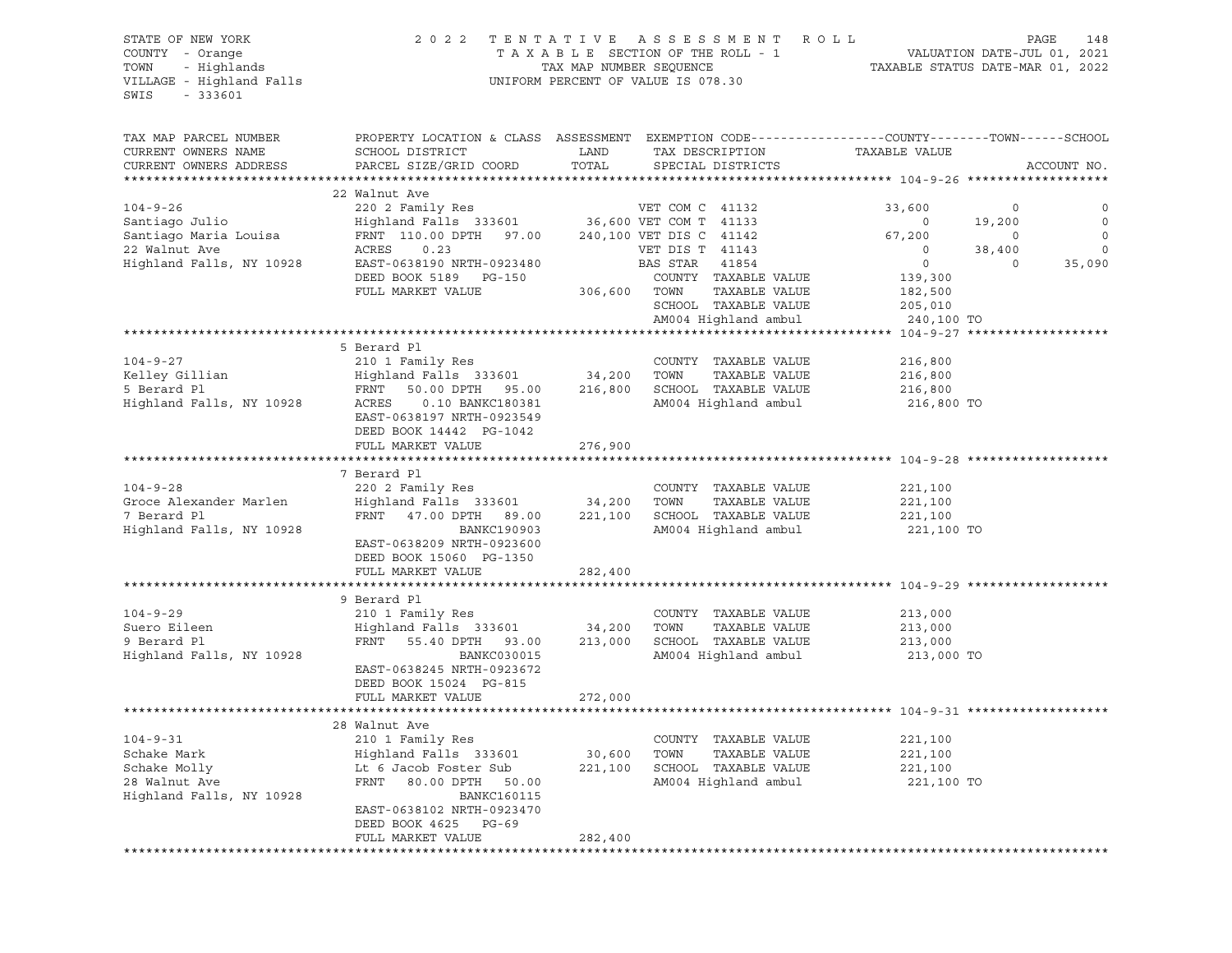#### STATE OF NEW YORK 2 0 2 2 T E N T A T I V E A S S E S S M E N T R O L L PAGE 148 COUNTY - Orange T A X A B L E SECTION OF THE ROLL - 1 VALUATION DATE-JUL 01, 2021 TOWN - Highlands TAX MAP NUMBER SEQUENCE TAXABLE STATUS DATE-MAR 01, 2022 UNIFORM PERCENT OF VALUE IS 078.30

| TAX MAP PARCEL NUMBER    | PROPERTY LOCATION & CLASS ASSESSMENT EXEMPTION CODE----------------COUNTY-------TOWN-----SCHOOL |              |                         |                      |               |          |             |
|--------------------------|-------------------------------------------------------------------------------------------------|--------------|-------------------------|----------------------|---------------|----------|-------------|
| CURRENT OWNERS NAME      | SCHOOL DISTRICT                                                                                 | LAND         |                         | TAX DESCRIPTION      | TAXABLE VALUE |          |             |
| CURRENT OWNERS ADDRESS   | PARCEL SIZE/GRID COORD                                                                          | TOTAL        |                         | SPECIAL DISTRICTS    |               |          | ACCOUNT NO. |
|                          |                                                                                                 |              |                         |                      |               |          |             |
|                          | 22 Walnut Ave                                                                                   |              |                         |                      |               |          |             |
| $104 - 9 - 26$           | 220 2 Family Res                                                                                |              | VET COM C 41132         |                      | 33,600        | $\circ$  | 0           |
| Santiago Julio           | Highland Falls 333601 36,600 VET COM T 41133                                                    |              |                         |                      | $\circ$       | 19,200   | $\circ$     |
| Santiago Maria Louisa    | FRNT 110.00 DPTH 97.00                                                                          |              | 240,100 VET DIS C 41142 |                      | 67,200        | $\circ$  | $\circ$     |
| 22 Walnut Ave            | 0.23<br>ACRES                                                                                   |              | VET DIS T 41143         |                      | $\circ$       | 38,400   | $\circ$     |
| Highland Falls, NY 10928 | EAST-0638190 NRTH-0923480                                                                       |              | BAS STAR 41854          |                      | $\circ$       | $\Omega$ | 35,090      |
|                          | DEED BOOK 5189 PG-150                                                                           |              |                         | COUNTY TAXABLE VALUE | 139,300       |          |             |
|                          | FULL MARKET VALUE                                                                               | 306,600 TOWN |                         | TAXABLE VALUE        | 182,500       |          |             |
|                          |                                                                                                 |              |                         | SCHOOL TAXABLE VALUE | 205,010       |          |             |
|                          |                                                                                                 |              |                         | AM004 Highland ambul | 240,100 TO    |          |             |
|                          |                                                                                                 |              |                         |                      |               |          |             |
|                          | 5 Berard Pl                                                                                     |              |                         |                      |               |          |             |
| $104 - 9 - 27$           | 210 1 Family Res                                                                                |              |                         | COUNTY TAXABLE VALUE | 216,800       |          |             |
| Kelley Gillian           | Highland Falls 333601 34,200                                                                    |              | TOWN                    | TAXABLE VALUE        | 216,800       |          |             |
| 5 Berard Pl              | FRNT 50.00 DPTH 95.00                                                                           | 216,800      |                         | SCHOOL TAXABLE VALUE | 216,800       |          |             |
| Highland Falls, NY 10928 | ACRES<br>0.10 BANKC180381                                                                       |              |                         | AM004 Highland ambul | 216,800 TO    |          |             |
|                          | EAST-0638197 NRTH-0923549                                                                       |              |                         |                      |               |          |             |
|                          | DEED BOOK 14442 PG-1042                                                                         |              |                         |                      |               |          |             |
|                          | FULL MARKET VALUE                                                                               | 276,900      |                         |                      |               |          |             |
|                          |                                                                                                 |              |                         |                      |               |          |             |
|                          | 7 Berard Pl                                                                                     |              |                         |                      |               |          |             |
| $104 - 9 - 28$           | 220 2 Family Res                                                                                |              |                         | COUNTY TAXABLE VALUE | 221,100       |          |             |
| Groce Alexander Marlen   | Highland Falls 333601                                                                           | 34,200       | TOWN                    | TAXABLE VALUE        | 221,100       |          |             |
| 7 Berard Pl              | FRNT 47.00 DPTH 89.00                                                                           | 221,100      |                         | SCHOOL TAXABLE VALUE | 221,100       |          |             |
| Highland Falls, NY 10928 | BANKC190903                                                                                     |              |                         | AM004 Highland ambul | 221,100 TO    |          |             |
|                          | EAST-0638209 NRTH-0923600                                                                       |              |                         |                      |               |          |             |
|                          | DEED BOOK 15060 PG-1350                                                                         |              |                         |                      |               |          |             |
|                          | FULL MARKET VALUE                                                                               | 282,400      |                         |                      |               |          |             |
|                          |                                                                                                 |              |                         |                      |               |          |             |
|                          | 9 Berard Pl                                                                                     |              |                         |                      |               |          |             |
| $104 - 9 - 29$           | 210 1 Family Res                                                                                |              |                         | COUNTY TAXABLE VALUE | 213,000       |          |             |
| Suero Eileen             | Highland Falls 333601                                                                           | 34,200       | TOWN                    | TAXABLE VALUE        | 213,000       |          |             |
| 9 Berard Pl              | FRNT 55.40 DPTH 93.00                                                                           | 213,000      |                         | SCHOOL TAXABLE VALUE | 213,000       |          |             |
| Highland Falls, NY 10928 | BANKC030015                                                                                     |              |                         | AM004 Highland ambul | 213,000 TO    |          |             |
|                          | EAST-0638245 NRTH-0923672                                                                       |              |                         |                      |               |          |             |
|                          | DEED BOOK 15024 PG-815                                                                          |              |                         |                      |               |          |             |
|                          | FULL MARKET VALUE                                                                               | 272,000      |                         |                      |               |          |             |
|                          |                                                                                                 |              |                         |                      |               |          |             |
|                          | 28 Walnut Ave                                                                                   |              |                         |                      |               |          |             |
| $104 - 9 - 31$           | 210 1 Family Res                                                                                |              |                         | COUNTY TAXABLE VALUE | 221,100       |          |             |
| Schake Mark              | Highland Falls 333601                                                                           | 30,600       | TOWN                    | TAXABLE VALUE        | 221,100       |          |             |
| Schake Molly             | Lt 6 Jacob Foster Sub                                                                           | 221,100      |                         | SCHOOL TAXABLE VALUE | 221,100       |          |             |
| 28 Walnut Ave            | FRNT 80.00 DPTH 50.00                                                                           |              |                         | AM004 Highland ambul | 221,100 TO    |          |             |
| Highland Falls, NY 10928 | <b>BANKC160115</b>                                                                              |              |                         |                      |               |          |             |
|                          | EAST-0638102 NRTH-0923470                                                                       |              |                         |                      |               |          |             |
|                          | DEED BOOK 4625 PG-69                                                                            |              |                         |                      |               |          |             |
|                          | FULL MARKET VALUE                                                                               | 282,400      |                         |                      |               |          |             |
|                          |                                                                                                 |              |                         |                      |               |          |             |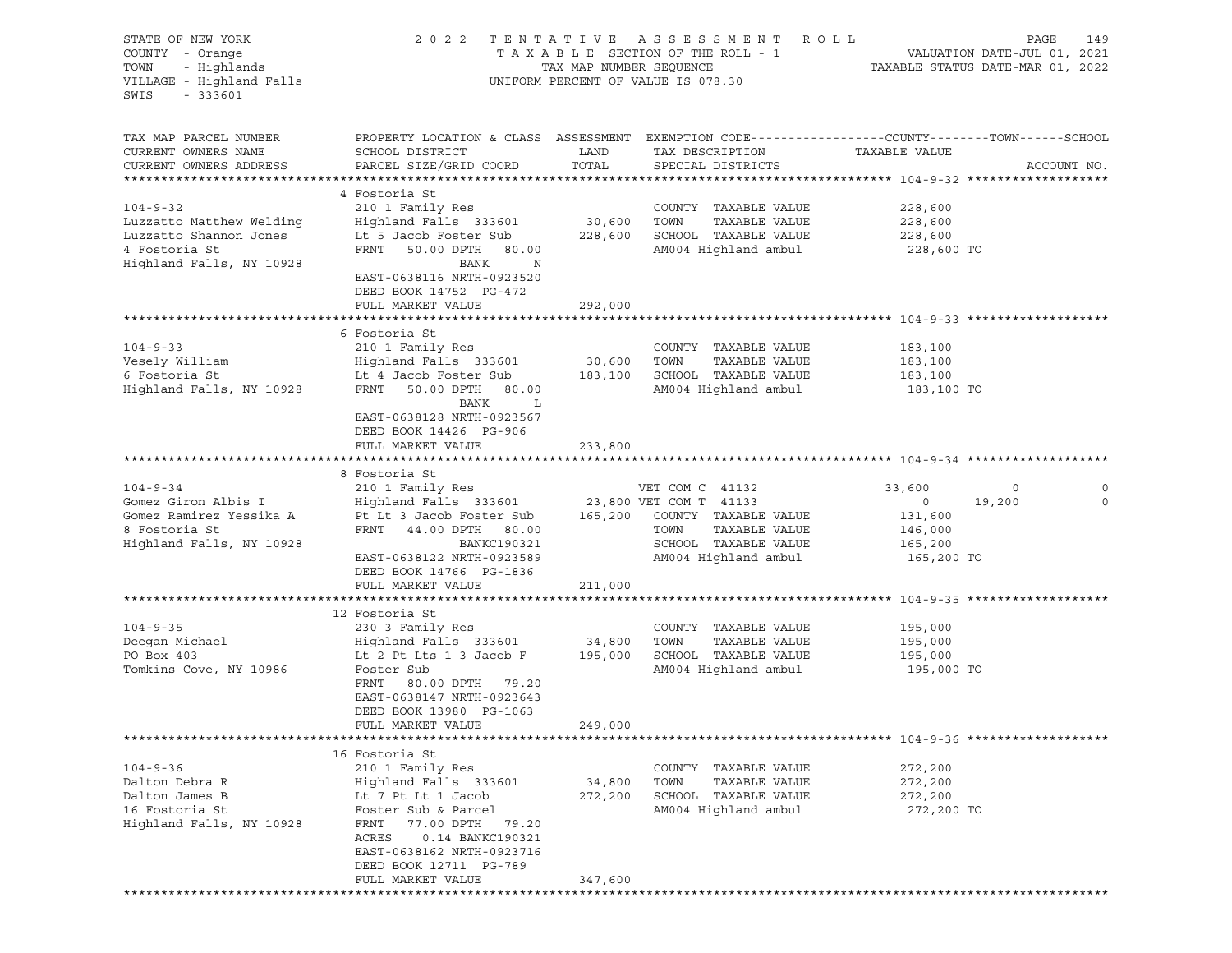| STATE OF NEW YORK<br>COUNTY - Orange<br>TOWN<br>- Highlands<br>VILLAGE - Highland Falls<br>SWIS<br>$-333601$ |                                                                                                                                               | TAX MAP NUMBER SEQUENCE | 2022 TENTATIVE ASSESSMENT ROLL<br>TAXABLE SECTION OF THE ROLL - 1<br>UNIFORM PERCENT OF VALUE IS 078.30 |                    | PAGE<br>149<br>VALUATION DATE-JUL 01, 2021<br>TAXABLE STATUS DATE-MAR 01, 2022 |
|--------------------------------------------------------------------------------------------------------------|-----------------------------------------------------------------------------------------------------------------------------------------------|-------------------------|---------------------------------------------------------------------------------------------------------|--------------------|--------------------------------------------------------------------------------|
| TAX MAP PARCEL NUMBER<br>CURRENT OWNERS NAME<br>CURRENT OWNERS ADDRESS                                       | PROPERTY LOCATION & CLASS ASSESSMENT EXEMPTION CODE----------------COUNTY-------TOWN------SCHOOL<br>SCHOOL DISTRICT<br>PARCEL SIZE/GRID COORD | LAND<br>TOTAL           | TAX DESCRIPTION<br>SPECIAL DISTRICTS                                                                    | TAXABLE VALUE      | ACCOUNT NO.                                                                    |
|                                                                                                              |                                                                                                                                               |                         |                                                                                                         |                    |                                                                                |
|                                                                                                              | 4 Fostoria St                                                                                                                                 |                         |                                                                                                         |                    |                                                                                |
| $104 - 9 - 32$                                                                                               | 210 1 Family Res                                                                                                                              |                         | COUNTY TAXABLE VALUE                                                                                    | 228,600            |                                                                                |
| Luzzatto Matthew Welding                                                                                     | Highland Falls 333601                                                                                                                         | 30,600                  | TAXABLE VALUE<br>TOWN                                                                                   | 228,600            |                                                                                |
| Luzzatto Shannon Jones                                                                                       | Lt 5 Jacob Foster Sub                                                                                                                         | 228,600                 | SCHOOL TAXABLE VALUE                                                                                    | 228,600            |                                                                                |
| 4 Fostoria St<br>Highland Falls, NY 10928                                                                    | FRNT<br>50.00 DPTH 80.00<br>BANK<br>N                                                                                                         |                         | AM004 Highland ambul                                                                                    | 228,600 TO         |                                                                                |
|                                                                                                              | EAST-0638116 NRTH-0923520<br>DEED BOOK 14752 PG-472<br>FULL MARKET VALUE                                                                      | 292,000                 |                                                                                                         |                    |                                                                                |
|                                                                                                              |                                                                                                                                               |                         |                                                                                                         |                    |                                                                                |
|                                                                                                              | 6 Fostoria St                                                                                                                                 |                         |                                                                                                         |                    |                                                                                |
| $104 - 9 - 33$                                                                                               | 210 1 Family Res                                                                                                                              |                         | COUNTY TAXABLE VALUE                                                                                    | 183,100            |                                                                                |
| Vesely William                                                                                               | Highland Falls 333601                                                                                                                         | 30,600                  | TAXABLE VALUE<br>TOWN                                                                                   | 183,100            |                                                                                |
| 6 Fostoria St                                                                                                | Lt 4 Jacob Foster Sub                                                                                                                         | 183,100                 | SCHOOL TAXABLE VALUE                                                                                    | 183,100            |                                                                                |
| Highland Falls, NY 10928                                                                                     | FRNT<br>50.00 DPTH 80.00                                                                                                                      |                         | AM004 Highland ambul                                                                                    | 183,100 TO         |                                                                                |
|                                                                                                              | BANK<br>L<br>EAST-0638128 NRTH-0923567                                                                                                        |                         |                                                                                                         |                    |                                                                                |
|                                                                                                              | DEED BOOK 14426 PG-906                                                                                                                        |                         |                                                                                                         |                    |                                                                                |
|                                                                                                              | FULL MARKET VALUE                                                                                                                             | 233,800                 |                                                                                                         |                    |                                                                                |
|                                                                                                              |                                                                                                                                               |                         |                                                                                                         |                    |                                                                                |
|                                                                                                              | 8 Fostoria St                                                                                                                                 |                         |                                                                                                         |                    |                                                                                |
| $104 - 9 - 34$                                                                                               | 210 1 Family Res                                                                                                                              |                         | VET COM C 41132                                                                                         | 33,600             | 0<br>0                                                                         |
| Gomez Giron Albis I<br>Gomez Ramirez Yessika A                                                               | Highland Falls 333601<br>Pt Lt 3 Jacob Foster Sub                                                                                             |                         | 23,800 VET COM T 41133<br>165,200 COUNTY TAXABLE VALUE                                                  | $\circ$<br>131,600 | 19,200<br>$\circ$                                                              |
| 8 Fostoria St                                                                                                | FRNT 44.00 DPTH 80.00                                                                                                                         |                         | TAXABLE VALUE<br>TOWN                                                                                   | 146,000            |                                                                                |
| Highland Falls, NY 10928                                                                                     | BANKC190321                                                                                                                                   |                         | SCHOOL TAXABLE VALUE                                                                                    | 165,200            |                                                                                |
|                                                                                                              | EAST-0638122 NRTH-0923589                                                                                                                     |                         | AM004 Highland ambul                                                                                    | 165,200 TO         |                                                                                |
|                                                                                                              | DEED BOOK 14766 PG-1836                                                                                                                       |                         |                                                                                                         |                    |                                                                                |
|                                                                                                              | FULL MARKET VALUE                                                                                                                             | 211,000                 |                                                                                                         |                    |                                                                                |
|                                                                                                              | 12 Fostoria St                                                                                                                                |                         |                                                                                                         |                    |                                                                                |
| $104 - 9 - 35$                                                                                               | 230 3 Family Res                                                                                                                              |                         | COUNTY TAXABLE VALUE                                                                                    | 195,000            |                                                                                |
| Deegan Michael                                                                                               | Highland Falls 333601                                                                                                                         | 34,800                  | TOWN<br>TAXABLE VALUE                                                                                   | 195,000            |                                                                                |
| PO Box 403                                                                                                   | Lt 2 Pt Lts 1 3 Jacob F                                                                                                                       | 195,000                 | SCHOOL TAXABLE VALUE                                                                                    | 195,000            |                                                                                |
| Tomkins Cove, NY 10986                                                                                       | Foster Sub                                                                                                                                    |                         | AM004 Highland ambul                                                                                    | 195,000 TO         |                                                                                |
|                                                                                                              | FRNT<br>80.00 DPTH 79.20                                                                                                                      |                         |                                                                                                         |                    |                                                                                |
|                                                                                                              | EAST-0638147 NRTH-0923643                                                                                                                     |                         |                                                                                                         |                    |                                                                                |
|                                                                                                              | DEED BOOK 13980 PG-1063                                                                                                                       |                         |                                                                                                         |                    |                                                                                |
|                                                                                                              | FULL MARKET VALUE                                                                                                                             | 249,000                 |                                                                                                         |                    |                                                                                |
|                                                                                                              | 16 Fostoria St                                                                                                                                |                         |                                                                                                         |                    |                                                                                |
| $104 - 9 - 36$                                                                                               | 210 1 Family Res                                                                                                                              |                         | COUNTY TAXABLE VALUE                                                                                    | 272,200            |                                                                                |
| Dalton Debra R                                                                                               | Highland Falls 333601                                                                                                                         | 34,800                  | TOWN<br>TAXABLE VALUE                                                                                   | 272,200            |                                                                                |
| Dalton James B                                                                                               | Lt 7 Pt Lt 1 Jacob                                                                                                                            | 272,200                 | SCHOOL TAXABLE VALUE                                                                                    | 272,200            |                                                                                |
| 16 Fostoria St                                                                                               | Foster Sub & Parcel                                                                                                                           |                         | AM004 Highland ambul                                                                                    | 272,200 TO         |                                                                                |
| Highland Falls, NY 10928                                                                                     | FRNT<br>77.00 DPTH<br>79.20                                                                                                                   |                         |                                                                                                         |                    |                                                                                |
|                                                                                                              | ACRES<br>0.14 BANKC190321                                                                                                                     |                         |                                                                                                         |                    |                                                                                |
|                                                                                                              | EAST-0638162 NRTH-0923716<br>DEED BOOK 12711 PG-789                                                                                           |                         |                                                                                                         |                    |                                                                                |
|                                                                                                              | FULL MARKET VALUE                                                                                                                             | 347,600                 |                                                                                                         |                    |                                                                                |
|                                                                                                              |                                                                                                                                               |                         |                                                                                                         |                    |                                                                                |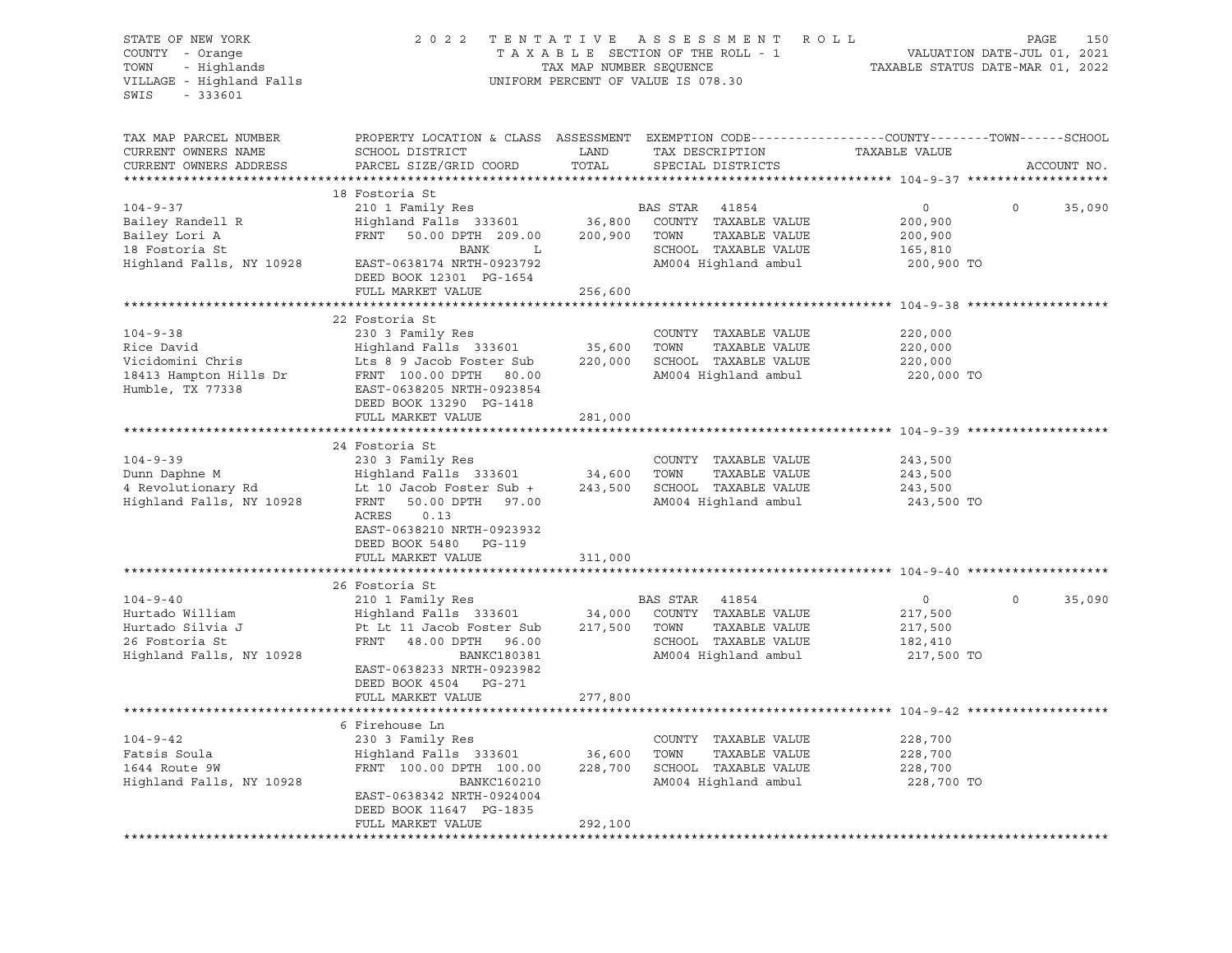| STATE OF NEW YORK<br>COUNTY - Orange<br>TOWN<br>- Highlands<br>VILLAGE - Highland Falls<br>SWIS<br>$-333601$ | 2022 TENTATIVE                                                                                                                                                                             | TAX MAP NUMBER SEQUENCE | R O L L<br>ASSESSMENT<br>TAXABLE SECTION OF THE ROLL - 1<br>UNIFORM PERCENT OF VALUE IS 078.30                     | TAXABLE STATUS DATE-MAR 01, 2022                       | 150<br>PAGE<br>VALUATION DATE-JUL 01, 2021 |
|--------------------------------------------------------------------------------------------------------------|--------------------------------------------------------------------------------------------------------------------------------------------------------------------------------------------|-------------------------|--------------------------------------------------------------------------------------------------------------------|--------------------------------------------------------|--------------------------------------------|
| TAX MAP PARCEL NUMBER<br>CURRENT OWNERS NAME<br>CURRENT OWNERS ADDRESS                                       | PROPERTY LOCATION & CLASS ASSESSMENT EXEMPTION CODE---------------COUNTY-------TOWN-----SCHOOL<br>SCHOOL DISTRICT<br>PARCEL SIZE/GRID COORD                                                | LAND<br>TOTAL           | TAX DESCRIPTION<br>SPECIAL DISTRICTS                                                                               | TAXABLE VALUE                                          | ACCOUNT NO.                                |
|                                                                                                              | 18 Fostoria St                                                                                                                                                                             |                         |                                                                                                                    |                                                        |                                            |
| $104 - 9 - 37$<br>Bailey Randell R<br>Bailey Lori A<br>18 Fostoria St<br>Highland Falls, NY 10928            | 210 1 Family Res<br>Highland Falls 333601<br>FRNT 50.00 DPTH 209.00<br>BANK<br>$\mathbf{L}$<br>EAST-0638174 NRTH-0923792<br>DEED BOOK 12301 PG-1654                                        | 36,800<br>200,900       | BAS STAR<br>41854<br>COUNTY TAXABLE VALUE<br>TOWN<br>TAXABLE VALUE<br>SCHOOL TAXABLE VALUE<br>AM004 Highland ambul | $\circ$<br>200,900<br>200,900<br>165,810<br>200,900 TO | $\Omega$<br>35,090                         |
|                                                                                                              | FULL MARKET VALUE                                                                                                                                                                          | 256,600                 |                                                                                                                    |                                                        |                                            |
| $104 - 9 - 38$<br>Rice David<br>Vicidomini Chris<br>18413 Hampton Hills Dr<br>Humble, TX 77338               | 22 Fostoria St<br>230 3 Family Res<br>Highland Falls 333601<br>Lts 8 9 Jacob Foster Sub<br>FRNT 100.00 DPTH 80.00<br>EAST-0638205 NRTH-0923854<br>DEED BOOK 13290 PG-1418                  | 35,600                  | COUNTY TAXABLE VALUE<br>TAXABLE VALUE<br>TOWN<br>220,000 SCHOOL TAXABLE VALUE<br>AM004 Highland ambul              | 220,000<br>220,000<br>220,000<br>220,000 TO            |                                            |
|                                                                                                              | FULL MARKET VALUE                                                                                                                                                                          | 281,000                 |                                                                                                                    |                                                        |                                            |
|                                                                                                              |                                                                                                                                                                                            |                         |                                                                                                                    |                                                        |                                            |
| $104 - 9 - 39$<br>Dunn Daphne M<br>4 Revolutionary Rd<br>Highland Falls, NY 10928                            | 24 Fostoria St<br>230 3 Family Res<br>Highland Falls 333601<br>Lt 10 Jacob Foster Sub +<br>FRNT<br>50.00 DPTH 97.00<br>ACRES<br>0.13<br>EAST-0638210 NRTH-0923932<br>DEED BOOK 5480 PG-119 | 34,600                  | COUNTY TAXABLE VALUE<br>TOWN<br>TAXABLE VALUE<br>243,500 SCHOOL TAXABLE VALUE<br>AM004 Highland ambul              | 243,500<br>243,500<br>243,500<br>243,500 TO            |                                            |
|                                                                                                              | FULL MARKET VALUE<br>**************************                                                                                                                                            | 311,000                 |                                                                                                                    |                                                        |                                            |
| $104 - 9 - 40$                                                                                               | 26 Fostoria St<br>210 1 Family Res                                                                                                                                                         |                         | BAS STAR<br>41854                                                                                                  | $\circ$                                                | 35,090<br>$\circ$                          |
| Hurtado William<br>Hurtado Silvia J<br>26 Fostoria St<br>Highland Falls, NY 10928                            | Highland Falls 333601<br>Pt Lt 11 Jacob Foster Sub<br>FRNT 48.00 DPTH 96.00<br>BANKC180381<br>EAST-0638233 NRTH-0923982<br>DEED BOOK 4504 PG-271                                           | 34,000<br>217,500       | COUNTY TAXABLE VALUE<br>TOWN<br>TAXABLE VALUE<br>SCHOOL TAXABLE VALUE<br>AM004 Highland ambul                      | 217,500<br>217,500<br>182,410<br>217,500 TO            |                                            |
|                                                                                                              | FULL MARKET VALUE                                                                                                                                                                          | 277,800                 |                                                                                                                    |                                                        |                                            |
|                                                                                                              | 6 Firehouse Ln                                                                                                                                                                             |                         |                                                                                                                    |                                                        |                                            |
| $104 - 9 - 42$<br>Fatsis Soula<br>1644 Route 9W<br>Highland Falls, NY 10928                                  | 230 3 Family Res<br>Highland Falls 333601<br>FRNT 100.00 DPTH 100.00<br>BANKC160210<br>EAST-0638342 NRTH-0924004<br>DEED BOOK 11647 PG-1835                                                | 36,600<br>228,700       | COUNTY TAXABLE VALUE<br>TOWN<br>TAXABLE VALUE<br>SCHOOL TAXABLE VALUE<br>AM004 Highland ambul                      | 228,700<br>228,700<br>228,700<br>228,700 TO            |                                            |
|                                                                                                              | FULL MARKET VALUE                                                                                                                                                                          | 292,100                 |                                                                                                                    |                                                        |                                            |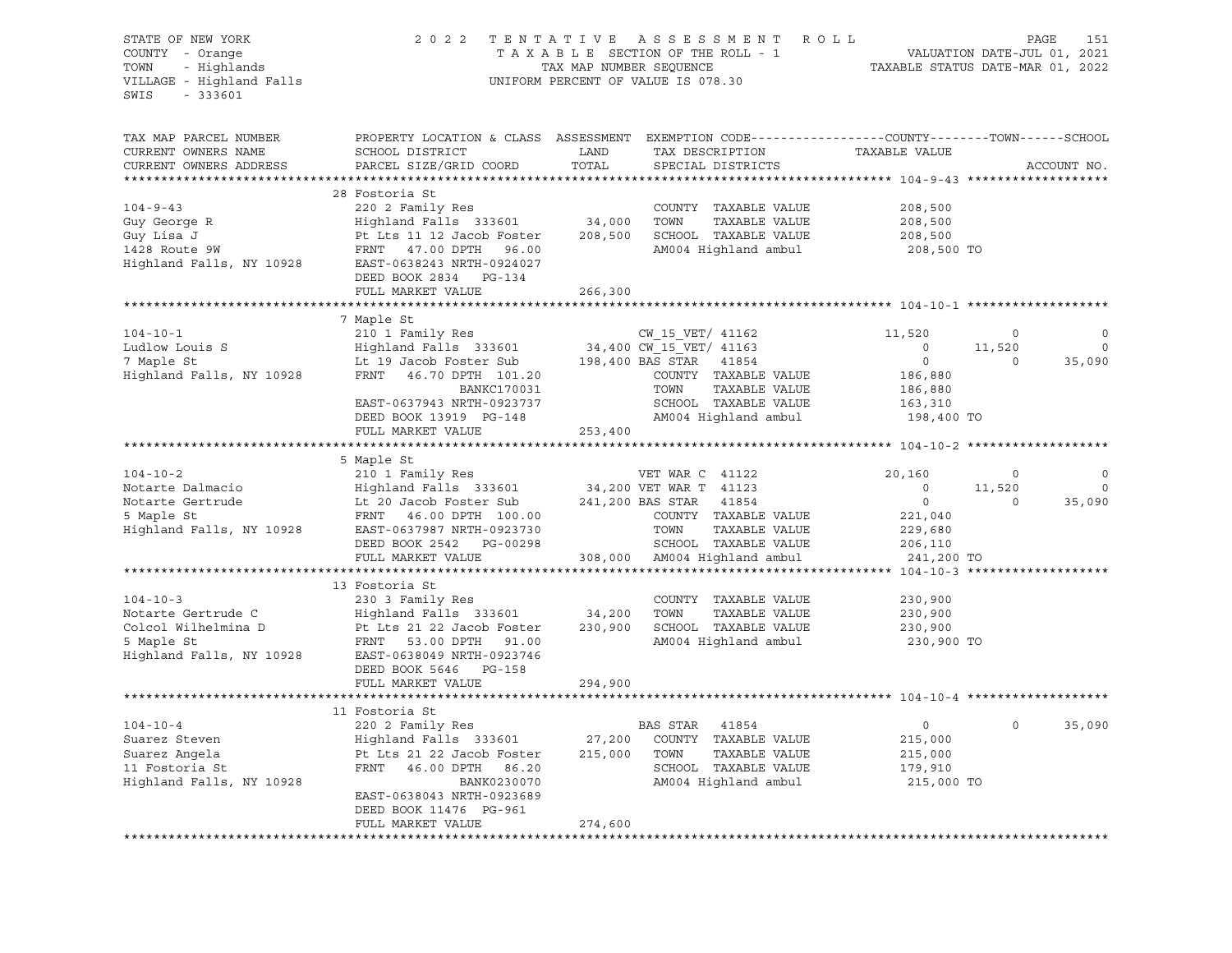| TAX MAP PARCEL NUMBER<br>PROPERTY LOCATION & CLASS ASSESSMENT EXEMPTION CODE---------------COUNTY-------TOWN------SCHOOL<br>CURRENT OWNERS NAME<br>SCHOOL DISTRICT<br>LAND<br>TAX DESCRIPTION<br>TAXABLE VALUE<br>TOTAL<br>CURRENT OWNERS ADDRESS<br>PARCEL SIZE/GRID COORD<br>ACCOUNT NO.<br>SPECIAL DISTRICTS<br>28 Fostoria St<br>$104 - 9 - 43$<br>220 2 Family Res<br>COUNTY TAXABLE VALUE<br>208,500<br>Highland Falls 333601<br>34,000<br>TOWN<br>TAXABLE VALUE<br>Guy George R<br>208,500<br>208,500<br>Guy Lisa J<br>Pt Lts 11 12 Jacob Foster<br>SCHOOL TAXABLE VALUE<br>208,500<br>AM004 Highland ambul<br>1428 Route 9W<br>FRNT 47.00 DPTH 96.00<br>208,500 TO<br>Highland Falls, NY 10928<br>EAST-0638243 NRTH-0924027<br>DEED BOOK 2834 PG-134<br>FULL MARKET VALUE<br>266,300<br>************************ 104-10-1 ************<br>7 Maple St<br>$104 - 10 - 1$<br>210 1 Family Res<br>CW 15 VET/ 41162<br>11,520<br>$\mathbf 0$<br>0<br>34,400 CW 15 VET/ 41163<br>$\mathbf 0$<br>Ludlow Louis S<br>Highland Falls 333601<br>$\overline{0}$<br>11,520<br>Lt 19 Jacob Foster Sub 198,400 BAS STAR<br>35,090<br>7 Maple St<br>41854<br>$\overline{0}$<br>$\Omega$<br>Highland Falls, NY 10928<br>FRNT 46.70 DPTH 101.20<br>COUNTY TAXABLE VALUE<br>186,880<br>TAXABLE VALUE<br>BANKC170031<br>TOWN<br>186,880<br>EAST-0637943 NRTH-0923737<br>SCHOOL TAXABLE VALUE<br>163,310<br>AM004 Highland ambul<br>DEED BOOK 13919 PG-148<br>198,400 TO<br>253,400<br>FULL MARKET VALUE<br>5 Maple St<br>$104 - 10 - 2$<br>210 1 Family Res<br>VET WAR C 41122<br>20,160<br>$\circ$<br>0<br>Notarte Dalmacio<br>Highland Falls 333601<br>34,200 VET WAR T 41123<br>$\Omega$<br>11,520<br>$\overline{0}$<br>Lt 20 Jacob Foster Sub<br>Notarte Gertrude<br>241,200 BAS STAR<br>41854<br>$\overline{0}$<br>$\circ$<br>35,090<br>5 Maple St<br>FRNT 46.00 DPTH 100.00<br>COUNTY TAXABLE VALUE<br>221,040<br>Highland Falls, NY 10928<br>EAST-0637987 NRTH-0923730<br>TOWN<br>TAXABLE VALUE<br>229,680<br>DEED BOOK 2542 PG-00298<br>SCHOOL TAXABLE VALUE<br>206,110<br>308,000 AM004 Highland ambul<br>FULL MARKET VALUE<br>241,200 TO<br>13 Fostoria St<br>$104 - 10 - 3$<br>230 3 Family Res<br>COUNTY TAXABLE VALUE<br>230,900<br>34,200<br>Notarte Gertrude C<br>Highland Falls 333601<br>TOWN<br>TAXABLE VALUE<br>230,900<br>Colcol Wilhelmina D<br>230,900 SCHOOL TAXABLE VALUE<br>Pt Lts 21 22 Jacob Foster<br>230,900<br>AM004 Highland ambul<br>5 Maple St<br>FRNT 53.00 DPTH 91.00<br>230,900 TO<br>Highland Falls, NY 10928<br>EAST-0638049 NRTH-0923746<br>DEED BOOK 5646 PG-158<br>FULL MARKET VALUE<br>294,900<br>11 Fostoria St<br>$104 - 10 - 4$<br>220 2 Family Res<br>BAS STAR<br>$\circ$<br>$\Omega$<br>35,090<br>41854<br>COUNTY TAXABLE VALUE<br>Highland Falls 333601<br>27,200<br>215,000<br>Suarez Steven<br>Suarez Angela<br>Pt Lts 21 22 Jacob Foster<br>215,000<br>TOWN<br>TAXABLE VALUE<br>215,000<br>FRNT 46.00 DPTH 86.20<br>SCHOOL TAXABLE VALUE<br>11 Fostoria St<br>179,910<br>Highland Falls, NY 10928<br>AM004 Highland ambul<br>215,000 TO<br>BANK0230070<br>EAST-0638043 NRTH-0923689<br>DEED BOOK 11476 PG-961<br>274,600<br>FULL MARKET VALUE | STATE OF NEW YORK<br>COUNTY - Orange<br>- Highlands<br>TOWN<br>VILLAGE - Highland Falls<br>SWIS<br>- 333601 | TAX MAP NUMBER SEQUENCE | 2022 TENTATIVE ASSESSMENT ROLL<br>TAXABLE SECTION OF THE ROLL - 1<br>UNIFORM PERCENT OF VALUE IS 078.30 | VALUATION DATE-JUL 01, 2021<br>TAXABLE STATUS DATE-MAR 01, 2022 | PAGE<br>151 |
|--------------------------------------------------------------------------------------------------------------------------------------------------------------------------------------------------------------------------------------------------------------------------------------------------------------------------------------------------------------------------------------------------------------------------------------------------------------------------------------------------------------------------------------------------------------------------------------------------------------------------------------------------------------------------------------------------------------------------------------------------------------------------------------------------------------------------------------------------------------------------------------------------------------------------------------------------------------------------------------------------------------------------------------------------------------------------------------------------------------------------------------------------------------------------------------------------------------------------------------------------------------------------------------------------------------------------------------------------------------------------------------------------------------------------------------------------------------------------------------------------------------------------------------------------------------------------------------------------------------------------------------------------------------------------------------------------------------------------------------------------------------------------------------------------------------------------------------------------------------------------------------------------------------------------------------------------------------------------------------------------------------------------------------------------------------------------------------------------------------------------------------------------------------------------------------------------------------------------------------------------------------------------------------------------------------------------------------------------------------------------------------------------------------------------------------------------------------------------------------------------------------------------------------------------------------------------------------------------------------------------------------------------------------------------------------------------------------------------------------------------------------------------------------------------------------------------------------------------------------------------------------------------------------------------------------------------------------------------------------------------------------------------------------------------------------------------------------------------------------------------------------------------------------------------------------|-------------------------------------------------------------------------------------------------------------|-------------------------|---------------------------------------------------------------------------------------------------------|-----------------------------------------------------------------|-------------|
|                                                                                                                                                                                                                                                                                                                                                                                                                                                                                                                                                                                                                                                                                                                                                                                                                                                                                                                                                                                                                                                                                                                                                                                                                                                                                                                                                                                                                                                                                                                                                                                                                                                                                                                                                                                                                                                                                                                                                                                                                                                                                                                                                                                                                                                                                                                                                                                                                                                                                                                                                                                                                                                                                                                                                                                                                                                                                                                                                                                                                                                                                                                                                                                      |                                                                                                             |                         |                                                                                                         |                                                                 |             |
|                                                                                                                                                                                                                                                                                                                                                                                                                                                                                                                                                                                                                                                                                                                                                                                                                                                                                                                                                                                                                                                                                                                                                                                                                                                                                                                                                                                                                                                                                                                                                                                                                                                                                                                                                                                                                                                                                                                                                                                                                                                                                                                                                                                                                                                                                                                                                                                                                                                                                                                                                                                                                                                                                                                                                                                                                                                                                                                                                                                                                                                                                                                                                                                      |                                                                                                             |                         |                                                                                                         |                                                                 |             |
|                                                                                                                                                                                                                                                                                                                                                                                                                                                                                                                                                                                                                                                                                                                                                                                                                                                                                                                                                                                                                                                                                                                                                                                                                                                                                                                                                                                                                                                                                                                                                                                                                                                                                                                                                                                                                                                                                                                                                                                                                                                                                                                                                                                                                                                                                                                                                                                                                                                                                                                                                                                                                                                                                                                                                                                                                                                                                                                                                                                                                                                                                                                                                                                      |                                                                                                             |                         |                                                                                                         |                                                                 |             |
|                                                                                                                                                                                                                                                                                                                                                                                                                                                                                                                                                                                                                                                                                                                                                                                                                                                                                                                                                                                                                                                                                                                                                                                                                                                                                                                                                                                                                                                                                                                                                                                                                                                                                                                                                                                                                                                                                                                                                                                                                                                                                                                                                                                                                                                                                                                                                                                                                                                                                                                                                                                                                                                                                                                                                                                                                                                                                                                                                                                                                                                                                                                                                                                      |                                                                                                             |                         |                                                                                                         |                                                                 |             |
|                                                                                                                                                                                                                                                                                                                                                                                                                                                                                                                                                                                                                                                                                                                                                                                                                                                                                                                                                                                                                                                                                                                                                                                                                                                                                                                                                                                                                                                                                                                                                                                                                                                                                                                                                                                                                                                                                                                                                                                                                                                                                                                                                                                                                                                                                                                                                                                                                                                                                                                                                                                                                                                                                                                                                                                                                                                                                                                                                                                                                                                                                                                                                                                      |                                                                                                             |                         |                                                                                                         |                                                                 |             |
|                                                                                                                                                                                                                                                                                                                                                                                                                                                                                                                                                                                                                                                                                                                                                                                                                                                                                                                                                                                                                                                                                                                                                                                                                                                                                                                                                                                                                                                                                                                                                                                                                                                                                                                                                                                                                                                                                                                                                                                                                                                                                                                                                                                                                                                                                                                                                                                                                                                                                                                                                                                                                                                                                                                                                                                                                                                                                                                                                                                                                                                                                                                                                                                      |                                                                                                             |                         |                                                                                                         |                                                                 |             |
|                                                                                                                                                                                                                                                                                                                                                                                                                                                                                                                                                                                                                                                                                                                                                                                                                                                                                                                                                                                                                                                                                                                                                                                                                                                                                                                                                                                                                                                                                                                                                                                                                                                                                                                                                                                                                                                                                                                                                                                                                                                                                                                                                                                                                                                                                                                                                                                                                                                                                                                                                                                                                                                                                                                                                                                                                                                                                                                                                                                                                                                                                                                                                                                      |                                                                                                             |                         |                                                                                                         |                                                                 |             |
|                                                                                                                                                                                                                                                                                                                                                                                                                                                                                                                                                                                                                                                                                                                                                                                                                                                                                                                                                                                                                                                                                                                                                                                                                                                                                                                                                                                                                                                                                                                                                                                                                                                                                                                                                                                                                                                                                                                                                                                                                                                                                                                                                                                                                                                                                                                                                                                                                                                                                                                                                                                                                                                                                                                                                                                                                                                                                                                                                                                                                                                                                                                                                                                      |                                                                                                             |                         |                                                                                                         |                                                                 |             |
|                                                                                                                                                                                                                                                                                                                                                                                                                                                                                                                                                                                                                                                                                                                                                                                                                                                                                                                                                                                                                                                                                                                                                                                                                                                                                                                                                                                                                                                                                                                                                                                                                                                                                                                                                                                                                                                                                                                                                                                                                                                                                                                                                                                                                                                                                                                                                                                                                                                                                                                                                                                                                                                                                                                                                                                                                                                                                                                                                                                                                                                                                                                                                                                      |                                                                                                             |                         |                                                                                                         |                                                                 |             |
|                                                                                                                                                                                                                                                                                                                                                                                                                                                                                                                                                                                                                                                                                                                                                                                                                                                                                                                                                                                                                                                                                                                                                                                                                                                                                                                                                                                                                                                                                                                                                                                                                                                                                                                                                                                                                                                                                                                                                                                                                                                                                                                                                                                                                                                                                                                                                                                                                                                                                                                                                                                                                                                                                                                                                                                                                                                                                                                                                                                                                                                                                                                                                                                      |                                                                                                             |                         |                                                                                                         |                                                                 |             |
|                                                                                                                                                                                                                                                                                                                                                                                                                                                                                                                                                                                                                                                                                                                                                                                                                                                                                                                                                                                                                                                                                                                                                                                                                                                                                                                                                                                                                                                                                                                                                                                                                                                                                                                                                                                                                                                                                                                                                                                                                                                                                                                                                                                                                                                                                                                                                                                                                                                                                                                                                                                                                                                                                                                                                                                                                                                                                                                                                                                                                                                                                                                                                                                      |                                                                                                             |                         |                                                                                                         |                                                                 |             |
|                                                                                                                                                                                                                                                                                                                                                                                                                                                                                                                                                                                                                                                                                                                                                                                                                                                                                                                                                                                                                                                                                                                                                                                                                                                                                                                                                                                                                                                                                                                                                                                                                                                                                                                                                                                                                                                                                                                                                                                                                                                                                                                                                                                                                                                                                                                                                                                                                                                                                                                                                                                                                                                                                                                                                                                                                                                                                                                                                                                                                                                                                                                                                                                      |                                                                                                             |                         |                                                                                                         |                                                                 |             |
|                                                                                                                                                                                                                                                                                                                                                                                                                                                                                                                                                                                                                                                                                                                                                                                                                                                                                                                                                                                                                                                                                                                                                                                                                                                                                                                                                                                                                                                                                                                                                                                                                                                                                                                                                                                                                                                                                                                                                                                                                                                                                                                                                                                                                                                                                                                                                                                                                                                                                                                                                                                                                                                                                                                                                                                                                                                                                                                                                                                                                                                                                                                                                                                      |                                                                                                             |                         |                                                                                                         |                                                                 |             |
|                                                                                                                                                                                                                                                                                                                                                                                                                                                                                                                                                                                                                                                                                                                                                                                                                                                                                                                                                                                                                                                                                                                                                                                                                                                                                                                                                                                                                                                                                                                                                                                                                                                                                                                                                                                                                                                                                                                                                                                                                                                                                                                                                                                                                                                                                                                                                                                                                                                                                                                                                                                                                                                                                                                                                                                                                                                                                                                                                                                                                                                                                                                                                                                      |                                                                                                             |                         |                                                                                                         |                                                                 |             |
|                                                                                                                                                                                                                                                                                                                                                                                                                                                                                                                                                                                                                                                                                                                                                                                                                                                                                                                                                                                                                                                                                                                                                                                                                                                                                                                                                                                                                                                                                                                                                                                                                                                                                                                                                                                                                                                                                                                                                                                                                                                                                                                                                                                                                                                                                                                                                                                                                                                                                                                                                                                                                                                                                                                                                                                                                                                                                                                                                                                                                                                                                                                                                                                      |                                                                                                             |                         |                                                                                                         |                                                                 |             |
|                                                                                                                                                                                                                                                                                                                                                                                                                                                                                                                                                                                                                                                                                                                                                                                                                                                                                                                                                                                                                                                                                                                                                                                                                                                                                                                                                                                                                                                                                                                                                                                                                                                                                                                                                                                                                                                                                                                                                                                                                                                                                                                                                                                                                                                                                                                                                                                                                                                                                                                                                                                                                                                                                                                                                                                                                                                                                                                                                                                                                                                                                                                                                                                      |                                                                                                             |                         |                                                                                                         |                                                                 |             |
|                                                                                                                                                                                                                                                                                                                                                                                                                                                                                                                                                                                                                                                                                                                                                                                                                                                                                                                                                                                                                                                                                                                                                                                                                                                                                                                                                                                                                                                                                                                                                                                                                                                                                                                                                                                                                                                                                                                                                                                                                                                                                                                                                                                                                                                                                                                                                                                                                                                                                                                                                                                                                                                                                                                                                                                                                                                                                                                                                                                                                                                                                                                                                                                      |                                                                                                             |                         |                                                                                                         |                                                                 |             |
|                                                                                                                                                                                                                                                                                                                                                                                                                                                                                                                                                                                                                                                                                                                                                                                                                                                                                                                                                                                                                                                                                                                                                                                                                                                                                                                                                                                                                                                                                                                                                                                                                                                                                                                                                                                                                                                                                                                                                                                                                                                                                                                                                                                                                                                                                                                                                                                                                                                                                                                                                                                                                                                                                                                                                                                                                                                                                                                                                                                                                                                                                                                                                                                      |                                                                                                             |                         |                                                                                                         |                                                                 |             |
|                                                                                                                                                                                                                                                                                                                                                                                                                                                                                                                                                                                                                                                                                                                                                                                                                                                                                                                                                                                                                                                                                                                                                                                                                                                                                                                                                                                                                                                                                                                                                                                                                                                                                                                                                                                                                                                                                                                                                                                                                                                                                                                                                                                                                                                                                                                                                                                                                                                                                                                                                                                                                                                                                                                                                                                                                                                                                                                                                                                                                                                                                                                                                                                      |                                                                                                             |                         |                                                                                                         |                                                                 |             |
|                                                                                                                                                                                                                                                                                                                                                                                                                                                                                                                                                                                                                                                                                                                                                                                                                                                                                                                                                                                                                                                                                                                                                                                                                                                                                                                                                                                                                                                                                                                                                                                                                                                                                                                                                                                                                                                                                                                                                                                                                                                                                                                                                                                                                                                                                                                                                                                                                                                                                                                                                                                                                                                                                                                                                                                                                                                                                                                                                                                                                                                                                                                                                                                      |                                                                                                             |                         |                                                                                                         |                                                                 |             |
|                                                                                                                                                                                                                                                                                                                                                                                                                                                                                                                                                                                                                                                                                                                                                                                                                                                                                                                                                                                                                                                                                                                                                                                                                                                                                                                                                                                                                                                                                                                                                                                                                                                                                                                                                                                                                                                                                                                                                                                                                                                                                                                                                                                                                                                                                                                                                                                                                                                                                                                                                                                                                                                                                                                                                                                                                                                                                                                                                                                                                                                                                                                                                                                      |                                                                                                             |                         |                                                                                                         |                                                                 |             |
|                                                                                                                                                                                                                                                                                                                                                                                                                                                                                                                                                                                                                                                                                                                                                                                                                                                                                                                                                                                                                                                                                                                                                                                                                                                                                                                                                                                                                                                                                                                                                                                                                                                                                                                                                                                                                                                                                                                                                                                                                                                                                                                                                                                                                                                                                                                                                                                                                                                                                                                                                                                                                                                                                                                                                                                                                                                                                                                                                                                                                                                                                                                                                                                      |                                                                                                             |                         |                                                                                                         |                                                                 |             |
|                                                                                                                                                                                                                                                                                                                                                                                                                                                                                                                                                                                                                                                                                                                                                                                                                                                                                                                                                                                                                                                                                                                                                                                                                                                                                                                                                                                                                                                                                                                                                                                                                                                                                                                                                                                                                                                                                                                                                                                                                                                                                                                                                                                                                                                                                                                                                                                                                                                                                                                                                                                                                                                                                                                                                                                                                                                                                                                                                                                                                                                                                                                                                                                      |                                                                                                             |                         |                                                                                                         |                                                                 |             |
|                                                                                                                                                                                                                                                                                                                                                                                                                                                                                                                                                                                                                                                                                                                                                                                                                                                                                                                                                                                                                                                                                                                                                                                                                                                                                                                                                                                                                                                                                                                                                                                                                                                                                                                                                                                                                                                                                                                                                                                                                                                                                                                                                                                                                                                                                                                                                                                                                                                                                                                                                                                                                                                                                                                                                                                                                                                                                                                                                                                                                                                                                                                                                                                      |                                                                                                             |                         |                                                                                                         |                                                                 |             |
|                                                                                                                                                                                                                                                                                                                                                                                                                                                                                                                                                                                                                                                                                                                                                                                                                                                                                                                                                                                                                                                                                                                                                                                                                                                                                                                                                                                                                                                                                                                                                                                                                                                                                                                                                                                                                                                                                                                                                                                                                                                                                                                                                                                                                                                                                                                                                                                                                                                                                                                                                                                                                                                                                                                                                                                                                                                                                                                                                                                                                                                                                                                                                                                      |                                                                                                             |                         |                                                                                                         |                                                                 |             |
|                                                                                                                                                                                                                                                                                                                                                                                                                                                                                                                                                                                                                                                                                                                                                                                                                                                                                                                                                                                                                                                                                                                                                                                                                                                                                                                                                                                                                                                                                                                                                                                                                                                                                                                                                                                                                                                                                                                                                                                                                                                                                                                                                                                                                                                                                                                                                                                                                                                                                                                                                                                                                                                                                                                                                                                                                                                                                                                                                                                                                                                                                                                                                                                      |                                                                                                             |                         |                                                                                                         |                                                                 |             |
|                                                                                                                                                                                                                                                                                                                                                                                                                                                                                                                                                                                                                                                                                                                                                                                                                                                                                                                                                                                                                                                                                                                                                                                                                                                                                                                                                                                                                                                                                                                                                                                                                                                                                                                                                                                                                                                                                                                                                                                                                                                                                                                                                                                                                                                                                                                                                                                                                                                                                                                                                                                                                                                                                                                                                                                                                                                                                                                                                                                                                                                                                                                                                                                      |                                                                                                             |                         |                                                                                                         |                                                                 |             |
|                                                                                                                                                                                                                                                                                                                                                                                                                                                                                                                                                                                                                                                                                                                                                                                                                                                                                                                                                                                                                                                                                                                                                                                                                                                                                                                                                                                                                                                                                                                                                                                                                                                                                                                                                                                                                                                                                                                                                                                                                                                                                                                                                                                                                                                                                                                                                                                                                                                                                                                                                                                                                                                                                                                                                                                                                                                                                                                                                                                                                                                                                                                                                                                      |                                                                                                             |                         |                                                                                                         |                                                                 |             |
|                                                                                                                                                                                                                                                                                                                                                                                                                                                                                                                                                                                                                                                                                                                                                                                                                                                                                                                                                                                                                                                                                                                                                                                                                                                                                                                                                                                                                                                                                                                                                                                                                                                                                                                                                                                                                                                                                                                                                                                                                                                                                                                                                                                                                                                                                                                                                                                                                                                                                                                                                                                                                                                                                                                                                                                                                                                                                                                                                                                                                                                                                                                                                                                      |                                                                                                             |                         |                                                                                                         |                                                                 |             |
|                                                                                                                                                                                                                                                                                                                                                                                                                                                                                                                                                                                                                                                                                                                                                                                                                                                                                                                                                                                                                                                                                                                                                                                                                                                                                                                                                                                                                                                                                                                                                                                                                                                                                                                                                                                                                                                                                                                                                                                                                                                                                                                                                                                                                                                                                                                                                                                                                                                                                                                                                                                                                                                                                                                                                                                                                                                                                                                                                                                                                                                                                                                                                                                      |                                                                                                             |                         |                                                                                                         |                                                                 |             |
|                                                                                                                                                                                                                                                                                                                                                                                                                                                                                                                                                                                                                                                                                                                                                                                                                                                                                                                                                                                                                                                                                                                                                                                                                                                                                                                                                                                                                                                                                                                                                                                                                                                                                                                                                                                                                                                                                                                                                                                                                                                                                                                                                                                                                                                                                                                                                                                                                                                                                                                                                                                                                                                                                                                                                                                                                                                                                                                                                                                                                                                                                                                                                                                      |                                                                                                             |                         |                                                                                                         |                                                                 |             |
|                                                                                                                                                                                                                                                                                                                                                                                                                                                                                                                                                                                                                                                                                                                                                                                                                                                                                                                                                                                                                                                                                                                                                                                                                                                                                                                                                                                                                                                                                                                                                                                                                                                                                                                                                                                                                                                                                                                                                                                                                                                                                                                                                                                                                                                                                                                                                                                                                                                                                                                                                                                                                                                                                                                                                                                                                                                                                                                                                                                                                                                                                                                                                                                      |                                                                                                             |                         |                                                                                                         |                                                                 |             |
|                                                                                                                                                                                                                                                                                                                                                                                                                                                                                                                                                                                                                                                                                                                                                                                                                                                                                                                                                                                                                                                                                                                                                                                                                                                                                                                                                                                                                                                                                                                                                                                                                                                                                                                                                                                                                                                                                                                                                                                                                                                                                                                                                                                                                                                                                                                                                                                                                                                                                                                                                                                                                                                                                                                                                                                                                                                                                                                                                                                                                                                                                                                                                                                      |                                                                                                             |                         |                                                                                                         |                                                                 |             |
|                                                                                                                                                                                                                                                                                                                                                                                                                                                                                                                                                                                                                                                                                                                                                                                                                                                                                                                                                                                                                                                                                                                                                                                                                                                                                                                                                                                                                                                                                                                                                                                                                                                                                                                                                                                                                                                                                                                                                                                                                                                                                                                                                                                                                                                                                                                                                                                                                                                                                                                                                                                                                                                                                                                                                                                                                                                                                                                                                                                                                                                                                                                                                                                      |                                                                                                             |                         |                                                                                                         |                                                                 |             |
|                                                                                                                                                                                                                                                                                                                                                                                                                                                                                                                                                                                                                                                                                                                                                                                                                                                                                                                                                                                                                                                                                                                                                                                                                                                                                                                                                                                                                                                                                                                                                                                                                                                                                                                                                                                                                                                                                                                                                                                                                                                                                                                                                                                                                                                                                                                                                                                                                                                                                                                                                                                                                                                                                                                                                                                                                                                                                                                                                                                                                                                                                                                                                                                      |                                                                                                             |                         |                                                                                                         |                                                                 |             |
|                                                                                                                                                                                                                                                                                                                                                                                                                                                                                                                                                                                                                                                                                                                                                                                                                                                                                                                                                                                                                                                                                                                                                                                                                                                                                                                                                                                                                                                                                                                                                                                                                                                                                                                                                                                                                                                                                                                                                                                                                                                                                                                                                                                                                                                                                                                                                                                                                                                                                                                                                                                                                                                                                                                                                                                                                                                                                                                                                                                                                                                                                                                                                                                      |                                                                                                             |                         |                                                                                                         |                                                                 |             |
|                                                                                                                                                                                                                                                                                                                                                                                                                                                                                                                                                                                                                                                                                                                                                                                                                                                                                                                                                                                                                                                                                                                                                                                                                                                                                                                                                                                                                                                                                                                                                                                                                                                                                                                                                                                                                                                                                                                                                                                                                                                                                                                                                                                                                                                                                                                                                                                                                                                                                                                                                                                                                                                                                                                                                                                                                                                                                                                                                                                                                                                                                                                                                                                      |                                                                                                             |                         |                                                                                                         |                                                                 |             |
|                                                                                                                                                                                                                                                                                                                                                                                                                                                                                                                                                                                                                                                                                                                                                                                                                                                                                                                                                                                                                                                                                                                                                                                                                                                                                                                                                                                                                                                                                                                                                                                                                                                                                                                                                                                                                                                                                                                                                                                                                                                                                                                                                                                                                                                                                                                                                                                                                                                                                                                                                                                                                                                                                                                                                                                                                                                                                                                                                                                                                                                                                                                                                                                      |                                                                                                             |                         |                                                                                                         |                                                                 |             |
|                                                                                                                                                                                                                                                                                                                                                                                                                                                                                                                                                                                                                                                                                                                                                                                                                                                                                                                                                                                                                                                                                                                                                                                                                                                                                                                                                                                                                                                                                                                                                                                                                                                                                                                                                                                                                                                                                                                                                                                                                                                                                                                                                                                                                                                                                                                                                                                                                                                                                                                                                                                                                                                                                                                                                                                                                                                                                                                                                                                                                                                                                                                                                                                      |                                                                                                             |                         |                                                                                                         |                                                                 |             |
|                                                                                                                                                                                                                                                                                                                                                                                                                                                                                                                                                                                                                                                                                                                                                                                                                                                                                                                                                                                                                                                                                                                                                                                                                                                                                                                                                                                                                                                                                                                                                                                                                                                                                                                                                                                                                                                                                                                                                                                                                                                                                                                                                                                                                                                                                                                                                                                                                                                                                                                                                                                                                                                                                                                                                                                                                                                                                                                                                                                                                                                                                                                                                                                      |                                                                                                             |                         |                                                                                                         |                                                                 |             |
|                                                                                                                                                                                                                                                                                                                                                                                                                                                                                                                                                                                                                                                                                                                                                                                                                                                                                                                                                                                                                                                                                                                                                                                                                                                                                                                                                                                                                                                                                                                                                                                                                                                                                                                                                                                                                                                                                                                                                                                                                                                                                                                                                                                                                                                                                                                                                                                                                                                                                                                                                                                                                                                                                                                                                                                                                                                                                                                                                                                                                                                                                                                                                                                      |                                                                                                             |                         |                                                                                                         |                                                                 |             |
|                                                                                                                                                                                                                                                                                                                                                                                                                                                                                                                                                                                                                                                                                                                                                                                                                                                                                                                                                                                                                                                                                                                                                                                                                                                                                                                                                                                                                                                                                                                                                                                                                                                                                                                                                                                                                                                                                                                                                                                                                                                                                                                                                                                                                                                                                                                                                                                                                                                                                                                                                                                                                                                                                                                                                                                                                                                                                                                                                                                                                                                                                                                                                                                      |                                                                                                             |                         |                                                                                                         |                                                                 |             |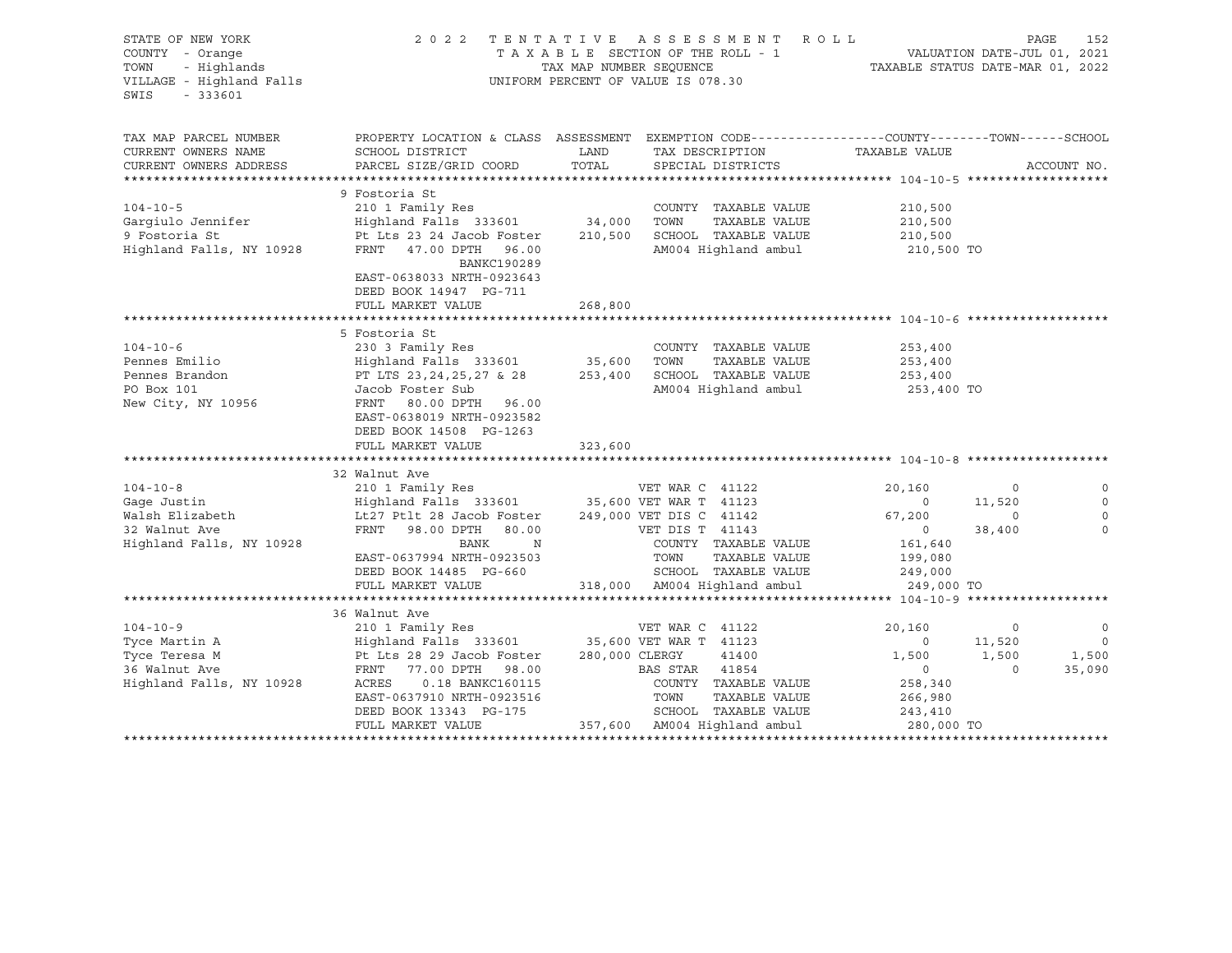| STATE OF NEW YORK<br>COUNTY - Orange<br>TOWN - Highlands<br>VILLAGE - Highland Falls<br>$-333601$<br>SWIS |                                                                                                    |                | 2022 TENTATIVE ASSESSMENT ROLL<br>UNIFORM PERCENT OF VALUE IS 078.30 |                       |                | PAGE<br>152              |
|-----------------------------------------------------------------------------------------------------------|----------------------------------------------------------------------------------------------------|----------------|----------------------------------------------------------------------|-----------------------|----------------|--------------------------|
| TAX MAP PARCEL NUMBER                                                                                     | PROPERTY LOCATION & CLASS ASSESSMENT EXEMPTION CODE----------------COUNTY-------TOWN------SCHOOL   |                |                                                                      |                       |                |                          |
| CURRENT OWNERS NAME                                                                                       | SCHOOL DISTRICT                                                                                    | LAND           | TAX DESCRIPTION                                                      | TAXABLE VALUE         |                |                          |
| CURRENT OWNERS ADDRESS                                                                                    | PARCEL SIZE/GRID COORD                                                                             | TOTAL          | SPECIAL DISTRICTS                                                    |                       |                | ACCOUNT NO.              |
|                                                                                                           |                                                                                                    |                |                                                                      |                       |                |                          |
|                                                                                                           | 9 Fostoria St                                                                                      |                |                                                                      |                       |                |                          |
| $104 - 10 - 5$                                                                                            |                                                                                                    |                | COUNTY TAXABLE VALUE                                                 | 210,500               |                |                          |
| Garqiulo Jennifer                                                                                         | Pt Lts 23 24 Jacob Foster 210,500 SCHOOL TAXABLE VALUE                                             |                | TAXABLE VALUE                                                        | 210,500               |                |                          |
| 9 Fostoria St<br>Highland Falls, NY 10928                                                                 | FRNT 47.00 DPTH 96.00<br>BANKC190289<br>EAST-0638033 NRTH-0923643<br>DEED BOOK 14947 PG-711        |                | AM004 Highland ambul                                                 | 210,500<br>210,500 TO |                |                          |
|                                                                                                           | FULL MARKET VALUE                                                                                  | 268,800        |                                                                      |                       |                |                          |
|                                                                                                           |                                                                                                    |                |                                                                      |                       |                |                          |
|                                                                                                           | 5 Fostoria St                                                                                      |                |                                                                      |                       |                |                          |
| $104 - 10 - 6$                                                                                            | 230 3 Family Res                                                                                   |                | COUNTY TAXABLE VALUE                                                 | 253,400               |                |                          |
| Pennes Emilio                                                                                             | Highland Falls 333601 35,600 TOWN                                                                  |                | TAXABLE VALUE                                                        | 253,400               |                |                          |
| Pennes L.<br>Pennes Brandon                                                                               | PT LTS 23,24,25,27 & 28<br>Jacob Foster Sub                                                        |                | 253,400 SCHOOL TAXABLE VALUE                                         | 253,400               |                |                          |
| PO Box 101<br>New City, NY 10956                                                                          | FRNT 80.00 DPTH 96.00<br>EAST-0638019 NRTH-0923582<br>DEED BOOK 14508 PG-1263<br>FULL MARKET VALUE | 323,600        | AM004 Highland ambul                                                 | 253,400 TO            |                |                          |
|                                                                                                           |                                                                                                    |                |                                                                      |                       |                |                          |
|                                                                                                           | 32 Walnut Ave                                                                                      |                |                                                                      |                       |                |                          |
| $104 - 10 - 8$                                                                                            | 210 1 Family Res                                                                                   |                | VET WAR C 41122                                                      | 20,160                | $\circ$        | $\circ$                  |
| Gaqe Justin                                                                                               | Highland Falls 333601 35,600 VET WAR T 41123                                                       |                |                                                                      | $\overline{0}$        | 11,520         | $\mathbf 0$              |
| Walsh Elizabeth<br>22 Walnut Ave                                                                          | Lt27 Ptlt 28 Jacob Foster                                                                          |                | 249,000 VET DIS C 41142                                              | 67,200                | $\mathbf 0$    | $\circ$                  |
|                                                                                                           | FRNT 98.00 DPTH 80.00                                                                              |                | VET DIS T 41143                                                      | $\overline{0}$        | 38,400         | $\Omega$                 |
| Highland Falls, NY 10928                                                                                  | BANK N                                                                                             |                | COUNTY TAXABLE VALUE                                                 | 161,640               |                |                          |
|                                                                                                           | EAST-0637994 NRTH-0923503                                                                          |                | TOWN<br>TAXABLE VALUE                                                | 199,080               |                |                          |
|                                                                                                           | DEED BOOK 14485 PG-660                                                                             |                | SCHOOL TAXABLE VALUE                                                 | 249,000               |                |                          |
|                                                                                                           | FULL MARKET VALUE                                                                                  |                | 318,000 AM004 Highland ambul                                         | 249,000 TO            |                |                          |
|                                                                                                           | 36 Walnut Ave                                                                                      |                |                                                                      |                       |                |                          |
| $104 - 10 - 9$                                                                                            | 210 1 Family Res                                                                                   |                | VET WAR C 41122                                                      | 20,160                | $\circ$        | $\overline{0}$           |
| Tyce Martin A                                                                                             | Highland Falls 333601 35,600 VET WAR T 41123                                                       |                |                                                                      | $\overline{0}$        | 11,520         | $\overline{\phantom{0}}$ |
| Tyce Teresa M                                                                                             | Pt Lts 28 29 Jacob Foster                                                                          | 280,000 CLERGY | 41400                                                                | 1,500                 | 1,500          | 1,500                    |
| 36 Walnut Ave                                                                                             | FRNT 77.00 DPTH 98.00                                                                              |                | BAS STAR 41854                                                       | $\overline{0}$        | $\overline{0}$ | 35,090                   |
| Highland Falls, NY 10928                                                                                  | ACRES<br>0.18 BANKC160115                                                                          |                | COUNTY TAXABLE VALUE                                                 | 258,340               |                |                          |
|                                                                                                           | EAST-0637910 NRTH-0923516                                                                          |                | TOWN<br>TAXABLE VALUE                                                | 266,980               |                |                          |
|                                                                                                           | DEED BOOK 13343 PG-175                                                                             |                | SCHOOL TAXABLE VALUE                                                 | 243,410               |                |                          |
|                                                                                                           | FULL MARKET VALUE                                                                                  |                | 357,600 AM004 Highland ambul                                         | 280,000 TO            |                |                          |
|                                                                                                           |                                                                                                    |                |                                                                      |                       |                |                          |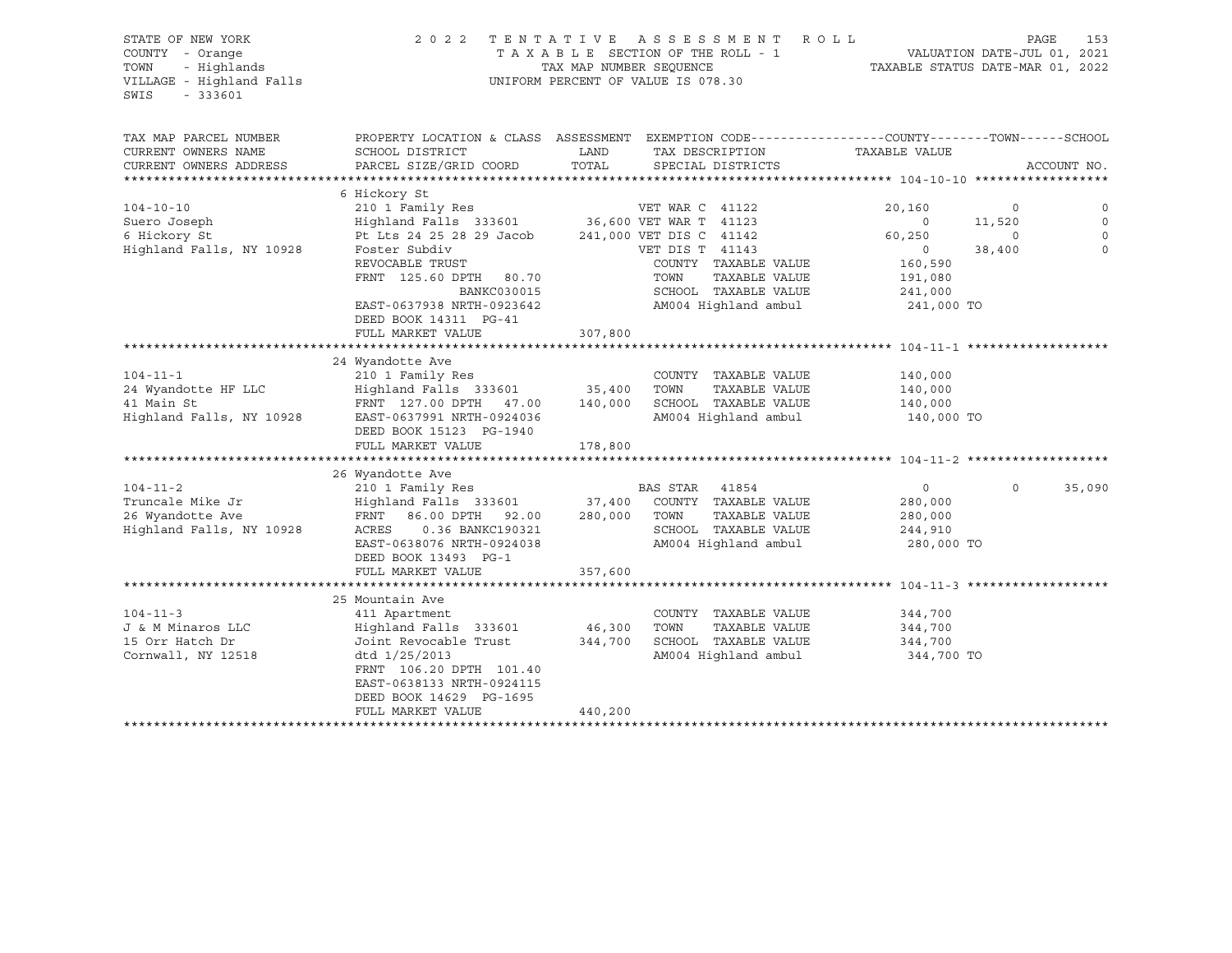STATE OF NEW YORK 2 0 2 2 T E N T A T I V E A S S E S S M E N T R O L L PAGE 153 COUNTY - Orange T A X A B L E SECTION OF THE ROLL - 1 VALUATION DATE-JUL 01, 2021 TRIM THE ROLL STATE OF NEW YORK A SUBACTERY OF THE ROLL STATE OF NEW YORK A SUBACTE OUNLY - Orange TAX A B L E SECTION OF THE ROLL - 1<br>TOWN - Highlands TAX MAP NUMBER SEQUENCE TAXABLE STATUS DATE-MAR 01, 2022<br>VILLAGE - Hig UNIFORM PERCENT OF VALUE IS 078.30 SWIS - 333601 TAX MAP PARCEL NUMBER PROPERTY LOCATION & CLASS ASSESSMENT EXEMPTION CODE----------------COUNTY-------TOWN-----SCHOOL CURRENT OWNERS NAME SCHOOL DISTRICT TAX DAND TAX DESCRIPTION TAXABLE VALUE CURRENT OWNERS ADDRESS PARCEL SIZE/GRID COORD TOTAL SPECIAL DISTRICTS ACCOUNT NO. \*\*\*\*\*\*\*\*\*\*\*\*\*\*\*\*\*\*\*\*\*\*\*\*\*\*\*\*\*\*\*\*\*\*\*\*\*\*\*\*\*\*\*\*\*\*\*\*\*\*\*\*\*\*\*\*\*\*\*\*\*\*\*\*\*\*\*\*\*\*\*\*\*\*\*\*\*\*\*\*\*\*\*\*\*\*\*\*\*\*\*\*\*\*\*\*\*\*\*\*\*\*\* 104-10-10 \*\*\*\*\*\*\*\*\*\*\*\*\*\*\*\*\*\* 6 Hickory St 104-10-10 210 1 Family Res VET WAR C 41122 20,160 0 0 Suero Joseph Highland Falls 333601 36,600 VET WAR T 41123 0 11,520 0 6 Hickory St Pt Lts 24 25 28 29 Jacob 241,000 VET DIS C 41142 60,250 0 0 Highland Falls, NY 10928 Foster Subdiv VET DIS T 41143 0 38,400 0 REVOCABLE TRUST TAND COUNTY TAXABLE VALUE 160,590 FRNT 125.60 DPTH 80.70 TOWN TAXABLE VALUE 191,080 BANKC030015 SCHOOL TAXABLE VALUE 241,000 BANKC030015 SCHOOL TAXABLE VALUE 241,000<br>EAST-0637938 NRTH-0923642 AM004 Highland ambul 241,000 TO AM004 Highland ambul DEED BOOK 14311 PG-41 FULL MARKET VALUE 307,800 \*\*\*\*\*\*\*\*\*\*\*\*\*\*\*\*\*\*\*\*\*\*\*\*\*\*\*\*\*\*\*\*\*\*\*\*\*\*\*\*\*\*\*\*\*\*\*\*\*\*\*\*\*\*\*\*\*\*\*\*\*\*\*\*\*\*\*\*\*\*\*\*\*\*\*\*\*\*\*\*\*\*\*\*\*\*\*\*\*\*\*\*\*\*\*\*\*\*\*\*\*\*\* 104-11-1 \*\*\*\*\*\*\*\*\*\*\*\*\*\*\*\*\*\*\* 24 Wyandotte Ave 104-11-1 210 1 Family Res COUNTY TAXABLE VALUE 140,000 24 Wyandotte HF LLC Highland Falls 333601 35,400 TOWN TAXABLE VALUE 140,000 41 Main St FRNT 127.00 DPTH 47.00 140,000 SCHOOL TAXABLE VALUE 140,000 Highland Falls, NY 10928 EAST-0637991 NRTH-0924036 AM004 Highland ambul 140,000 TO DEED BOOK 15123 PG-1940 FULL MARKET VALUE 178,800 \*\*\*\*\*\*\*\*\*\*\*\*\*\*\*\*\*\*\*\*\*\*\*\*\*\*\*\*\*\*\*\*\*\*\*\*\*\*\*\*\*\*\*\*\*\*\*\*\*\*\*\*\*\*\*\*\*\*\*\*\*\*\*\*\*\*\*\*\*\*\*\*\*\*\*\*\*\*\*\*\*\*\*\*\*\*\*\*\*\*\*\*\*\*\*\*\*\*\*\*\*\*\* 104-11-2 \*\*\*\*\*\*\*\*\*\*\*\*\*\*\*\*\*\*\* 26 Wyandotte Ave 104-11-2 210 1 Family Res BAS STAR 41854 0 0 35,090 Truncale Mike Jr Highland Falls 333601 37,400 COUNTY TAXABLE VALUE 280,000 26 Wyandotte Ave FRNT 86.00 DPTH 92.00 280,000 TOWN TAXABLE VALUE 280,000 Highland Falls, NY 10928 ACRES 0.36 BANKC190321 SCHOOL TAXABLE VALUE 244,910 EAST-0638076 NRTH-0924038 AM004 Highland ambul 280,000 TO DEED BOOK 13493 PG-1 FULL MARKET VALUE 357,600 \*\*\*\*\*\*\*\*\*\*\*\*\*\*\*\*\*\*\*\*\*\*\*\*\*\*\*\*\*\*\*\*\*\*\*\*\*\*\*\*\*\*\*\*\*\*\*\*\*\*\*\*\*\*\*\*\*\*\*\*\*\*\*\*\*\*\*\*\*\*\*\*\*\*\*\*\*\*\*\*\*\*\*\*\*\*\*\*\*\*\*\*\*\*\*\*\*\*\*\*\*\*\* 104-11-3 \*\*\*\*\*\*\*\*\*\*\*\*\*\*\*\*\*\*\* 25 Mountain Ave 104-11-3 411 Apartment COUNTY TAXABLE VALUE 344,700 J & M Minaros LLC Highland Falls 333601 46,300 TOWN TAXABLE VALUE 344,700 15 Orr Hatch Dr Joint Revocable Trust 344,700 SCHOOL TAXABLE VALUE 344,700 Cornwall, NY 12518 dtd 1/25/2013 AM004 Highland ambul 344,700 TO FRNT 106.20 DPTH 101.40 EAST-0638133 NRTH-0924115 DEED BOOK 14629 PG-1695 FULL MARKET VALUE 440,200 \*\*\*\*\*\*\*\*\*\*\*\*\*\*\*\*\*\*\*\*\*\*\*\*\*\*\*\*\*\*\*\*\*\*\*\*\*\*\*\*\*\*\*\*\*\*\*\*\*\*\*\*\*\*\*\*\*\*\*\*\*\*\*\*\*\*\*\*\*\*\*\*\*\*\*\*\*\*\*\*\*\*\*\*\*\*\*\*\*\*\*\*\*\*\*\*\*\*\*\*\*\*\*\*\*\*\*\*\*\*\*\*\*\*\*\*\*\*\*\*\*\*\*\*\*\*\*\*\*\*\*\*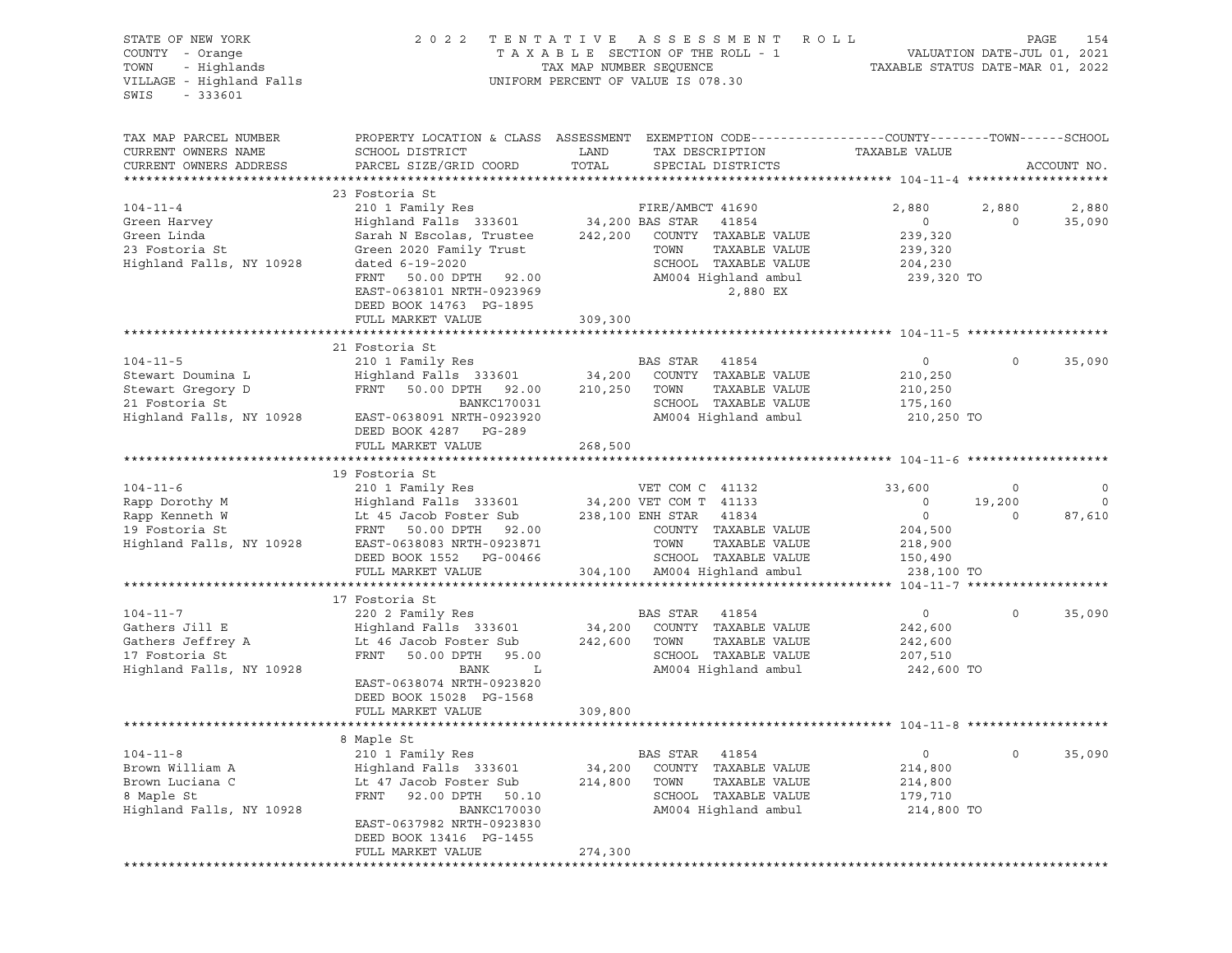STATE OF NEW YORK 2 0 2 2 T E N T A T I V E A S S E S S M E N T R O L L PAGE 154 COUNTY - Orange T A X A B L E SECTION OF THE ROLL - 1 VALUATION DATE-JUL 01, 2021 TOWN - Highlands TAX MAP NUMBER SEQUENCE TAXABLE STATUS DATE-MAR 01, 2022 UNIFORM PERCENT OF VALUE IS 078.30 SWIS - 333601 TAX MAP PARCEL NUMBER PROPERTY LOCATION & CLASS ASSESSMENT EXEMPTION CODE------------------COUNTY--------TOWN------SCHOOL CURRENT OWNERS NAME SCHOOL DISTRICT LAND TAX DESCRIPTION TAXABLE VALUE CURRENT OWNERS ADDRESS PARCEL SIZE/GRID COORD TOTAL SPECIAL DISTRICTS ACCOUNT NO. \*\*\*\*\*\*\*\*\*\*\*\*\*\*\*\*\*\*\*\*\*\*\*\*\*\*\*\*\*\*\*\*\*\*\*\*\*\*\*\*\*\*\*\*\*\*\*\*\*\*\*\*\*\*\*\*\*\*\*\*\*\*\*\*\*\*\*\*\*\*\*\*\*\*\*\*\*\*\*\*\*\*\*\*\*\*\*\*\*\*\*\*\*\*\*\*\*\*\*\*\*\*\* 104-11-4 \*\*\*\*\*\*\*\*\*\*\*\*\*\*\*\*\*\*\* 23 Fostoria St 104-11-4 210 1 Family Res FIRE/AMBCT 41690 2,880 2,880 2,880 Green Harvey Highland Falls 333601 34,200 BAS STAR 41854 0 0 35,090 Green Linda Sarah N Escolas, Trustee 242,200 COUNTY TAXABLE VALUE 239,320 23 Fostoria St Green Harvey (Fighland Falls 333601 Marshall St Green Linda (Sarah N Escolas, Trustee (Sarah M 242,200 COUNTY TAXABLE VALUE (Sarah 239,320 COUNTY TAXABLE VALUE (Sarah 239,320 COUNTY TAXABLE VALUE (Sarah 239, Highland Falls, NY 10928 dated 6-19-2020 SCHOOL TAXABLE VALUE 204,230 FRNT 50.00 DPTH 92.00 AM004 Highland ambul 239,320 TO EAST-0638101 NRTH-0923969 2,880 EX DEED BOOK 14763 PG-1895 FULL MARKET VALUE 309,300 \*\*\*\*\*\*\*\*\*\*\*\*\*\*\*\*\*\*\*\*\*\*\*\*\*\*\*\*\*\*\*\*\*\*\*\*\*\*\*\*\*\*\*\*\*\*\*\*\*\*\*\*\*\*\*\*\*\*\*\*\*\*\*\*\*\*\*\*\*\*\*\*\*\*\*\*\*\*\*\*\*\*\*\*\*\*\*\*\*\*\*\*\*\*\*\*\*\*\*\*\*\*\* 104-11-5 \*\*\*\*\*\*\*\*\*\*\*\*\*\*\*\*\*\*\* 21 Fostoria St 104-11-5 210 1 Family Res BAS STAR 41854 0 0 35,090 Stewart Doumina L Highland Falls 333601 34,200 COUNTY TAXABLE VALUE 210,250 Stewart Gregory D FRNT 50.00 DPTH 92.00 210,250 TOWN TAXABLE VALUE 210,250 21 Fostoria St BANKC170031 SCHOOL TAXABLE VALUE 175,160 Highland Falls, NY 10928 EAST-0638091 NRTH-0923920 AM004 Highland ambul 210,250 TO DEED BOOK 4287 PG-289 FULL MARKET VALUE 268,500 \*\*\*\*\*\*\*\*\*\*\*\*\*\*\*\*\*\*\*\*\*\*\*\*\*\*\*\*\*\*\*\*\*\*\*\*\*\*\*\*\*\*\*\*\*\*\*\*\*\*\*\*\*\*\*\*\*\*\*\*\*\*\*\*\*\*\*\*\*\*\*\*\*\*\*\*\*\*\*\*\*\*\*\*\*\*\*\*\*\*\*\*\*\*\*\*\*\*\*\*\*\*\* 104-11-6 \*\*\*\*\*\*\*\*\*\*\*\*\*\*\*\*\*\*\* 19 Fostoria St 104-11-6 210 1 Family Res VET COM C 41132 33,600 0 0 Rapp Dorothy M Highland Falls 333601 34,200 VET COM T 41133 0 19,200 0 Rapp Kenneth W Lt 45 Jacob Foster Sub 238,100 ENH STAR 41834 0 0 87,610 19 Fostoria St FRNT 50.00 DPTH 92.00 COUNTY TAXABLE VALUE 204,500 Highland Falls, NY 10928 EAST-0638083 NRTH-0923871 TOWN TAXABLE VALUE 218,900 DEED BOOK 1552 PG-00466 SCHOOL TAXABLE VALUE 150,490 FULL MARKET VALUE 304,100 AM004 Highland ambul 238,100 TO \*\*\*\*\*\*\*\*\*\*\*\*\*\*\*\*\*\*\*\*\*\*\*\*\*\*\*\*\*\*\*\*\*\*\*\*\*\*\*\*\*\*\*\*\*\*\*\*\*\*\*\*\*\*\*\*\*\*\*\*\*\*\*\*\*\*\*\*\*\*\*\*\*\*\*\*\*\*\*\*\*\*\*\*\*\*\*\*\*\*\*\*\*\*\*\*\*\*\*\*\*\*\* 104-11-7 \*\*\*\*\*\*\*\*\*\*\*\*\*\*\*\*\*\*\* 17 Fostoria St 104-11-7 220 2 Family Res BAS STAR 41854 0 0 35,090 Gathers Jill E Highland Falls 333601 34,200 COUNTY TAXABLE VALUE 242,600 Gathers Jeffrey A Lt 46 Jacob Foster Sub 242,600 TOWN TAXABLE VALUE 242,600 17 Fostoria St<br>
17 Fostoria St<br>
117 Fostoria St<br>
1207,510<br>
117 Fostoria St<br>
1207,510<br>
1207,510 Highland Falls, NY 10928 BANK L AM004 Highland ambul 242,600 TO EAST-0638074 NRTH-0923820 DEED BOOK 15028 PG-1568 FULL MARKET VALUE 309,800 \*\*\*\*\*\*\*\*\*\*\*\*\*\*\*\*\*\*\*\*\*\*\*\*\*\*\*\*\*\*\*\*\*\*\*\*\*\*\*\*\*\*\*\*\*\*\*\*\*\*\*\*\*\*\*\*\*\*\*\*\*\*\*\*\*\*\*\*\*\*\*\*\*\*\*\*\*\*\*\*\*\*\*\*\*\*\*\*\*\*\*\*\*\*\*\*\*\*\*\*\*\*\* 104-11-8 \*\*\*\*\*\*\*\*\*\*\*\*\*\*\*\*\*\*\* 8 Maple St 104-11-8 210 1 Family Res BAS STAR 41854 0 0 35,090 Brown William A Highland Falls 333601 34,200 COUNTY TAXABLE VALUE 214,800 Brown Luciana C Lt 47 Jacob Foster Sub 214,800 TOWN TAXABLE VALUE 214,800 8 Maple St FRNT 92.00 DPTH 50.10 SCHOOL TAXABLE VALUE 179,710 Highland Falls, NY 10928 BANKC170030 AM004 Highland ambul 214,800 TO EAST-0637982 NRTH-0923830 DEED BOOK 13416 PG-1455 FULL MARKET VALUE 274,300 \*\*\*\*\*\*\*\*\*\*\*\*\*\*\*\*\*\*\*\*\*\*\*\*\*\*\*\*\*\*\*\*\*\*\*\*\*\*\*\*\*\*\*\*\*\*\*\*\*\*\*\*\*\*\*\*\*\*\*\*\*\*\*\*\*\*\*\*\*\*\*\*\*\*\*\*\*\*\*\*\*\*\*\*\*\*\*\*\*\*\*\*\*\*\*\*\*\*\*\*\*\*\*\*\*\*\*\*\*\*\*\*\*\*\*\*\*\*\*\*\*\*\*\*\*\*\*\*\*\*\*\*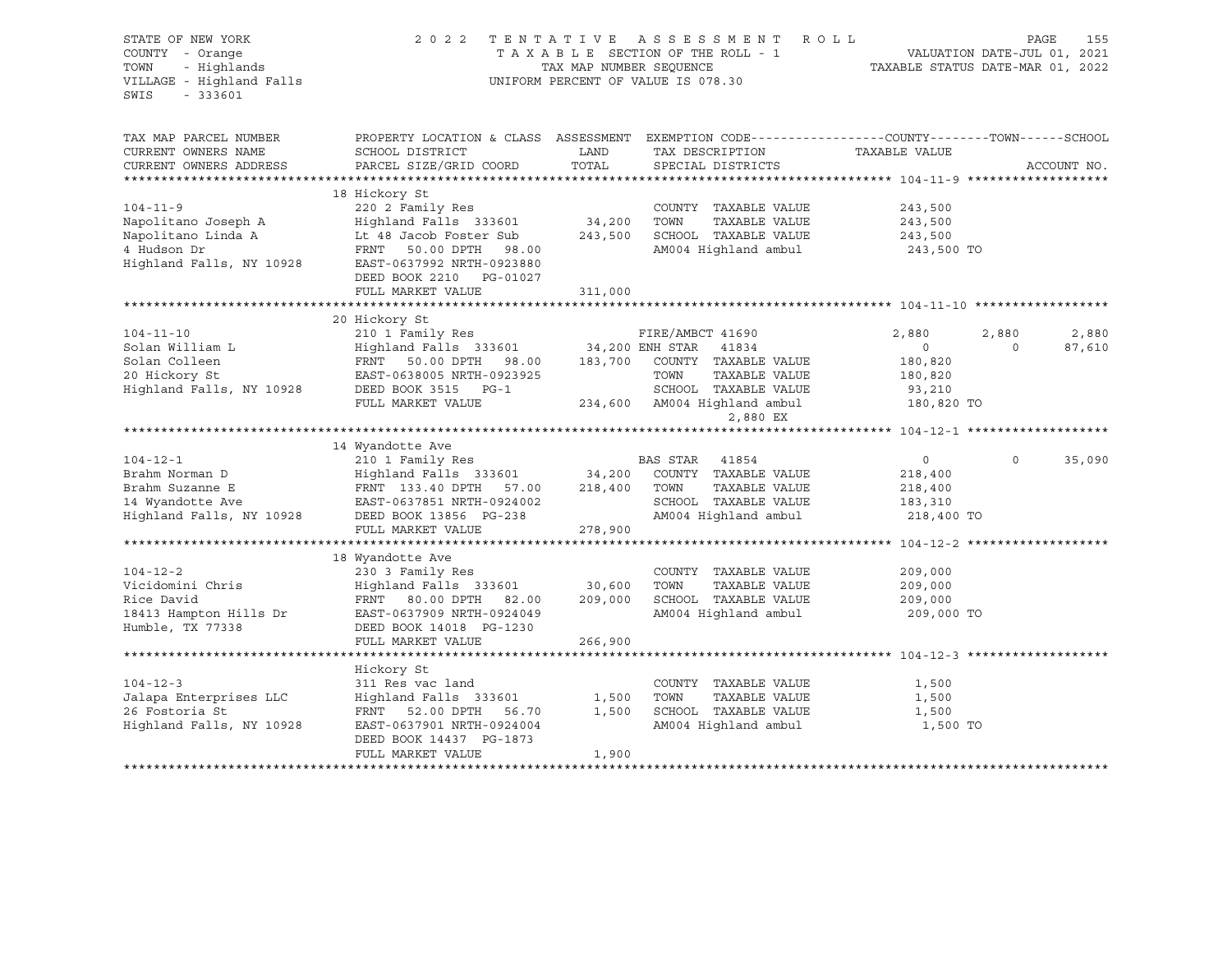| STATE OF NEW YORK<br>COUNTY - Orange<br>- Highlands<br>TOWN<br>VILLAGE - Highland Falls<br>SWIS<br>$-333601$ | 2 0 2 2                                                                                                             | TENTATIVE<br>TAX MAP NUMBER SEQUENCE | ASSESSMENT<br>TAXABLE SECTION OF THE ROLL - 1<br>UNIFORM PERCENT OF VALUE IS 078.30 | ROLL<br>TAXABLE STATUS DATE-MAR 01, 2022 |          | PAGE<br>155<br>VALUATION DATE-JUL 01, 2021 |
|--------------------------------------------------------------------------------------------------------------|---------------------------------------------------------------------------------------------------------------------|--------------------------------------|-------------------------------------------------------------------------------------|------------------------------------------|----------|--------------------------------------------|
| TAX MAP PARCEL NUMBER<br>CURRENT OWNERS NAME                                                                 | PROPERTY LOCATION & CLASS ASSESSMENT EXEMPTION CODE----------------COUNTY-------TOWN------SCHOOL<br>SCHOOL DISTRICT | LAND                                 | TAX DESCRIPTION                                                                     | TAXABLE VALUE                            |          |                                            |
| CURRENT OWNERS ADDRESS                                                                                       | PARCEL SIZE/GRID COORD                                                                                              | TOTAL                                | SPECIAL DISTRICTS                                                                   |                                          |          | ACCOUNT NO.                                |
|                                                                                                              |                                                                                                                     |                                      |                                                                                     |                                          |          |                                            |
|                                                                                                              | 18 Hickory St                                                                                                       |                                      |                                                                                     |                                          |          |                                            |
| $104 - 11 - 9$                                                                                               | 220 2 Family Res                                                                                                    |                                      | COUNTY TAXABLE VALUE                                                                | 243,500                                  |          |                                            |
| Napolitano Joseph A                                                                                          | Highland Falls 333601                                                                                               | 34,200                               | TOWN<br>TAXABLE VALUE                                                               | 243,500                                  |          |                                            |
| Napolitano Linda A                                                                                           | Lt 48 Jacob Foster Sub                                                                                              | 243,500                              | SCHOOL TAXABLE VALUE                                                                | 243,500                                  |          |                                            |
| 4 Hudson Dr<br>Highland Falls, NY 10928                                                                      | FRNT<br>50.00 DPTH 98.00<br>EAST-0637992 NRTH-0923880<br>DEED BOOK 2210 PG-01027                                    |                                      | AM004 Highland ambul                                                                | 243,500 TO                               |          |                                            |
|                                                                                                              | FULL MARKET VALUE                                                                                                   | 311,000                              |                                                                                     |                                          |          |                                            |
|                                                                                                              |                                                                                                                     |                                      |                                                                                     |                                          |          |                                            |
|                                                                                                              | 20 Hickory St                                                                                                       |                                      |                                                                                     |                                          |          |                                            |
| $104 - 11 - 10$                                                                                              | 210 1 Family Res                                                                                                    |                                      | FIRE/AMBCT 41690                                                                    | 2,880                                    | 2,880    | 2,880                                      |
| Solan William L                                                                                              | Highland Falls 333601                                                                                               |                                      | 34,200 ENH STAR 41834                                                               | $\circ$                                  | $\Omega$ | 87,610                                     |
| Solan Colleen                                                                                                | FRNT 50.00 DPTH 98.00                                                                                               | 183,700                              | COUNTY TAXABLE VALUE                                                                | 180,820                                  |          |                                            |
| 20 Hickory St                                                                                                | EAST-0638005 NRTH-0923925                                                                                           |                                      | TOWN<br>TAXABLE VALUE                                                               | 180,820                                  |          |                                            |
| Highland Falls, NY 10928                                                                                     | DEED BOOK 3515 PG-1                                                                                                 |                                      | SCHOOL TAXABLE VALUE                                                                | 93,210                                   |          |                                            |
|                                                                                                              | FULL MARKET VALUE                                                                                                   |                                      | 234,600 AM004 Highland ambul                                                        | 180,820 TO                               |          |                                            |
|                                                                                                              |                                                                                                                     |                                      | 2,880 EX                                                                            |                                          |          |                                            |
|                                                                                                              | 14 Wyandotte Ave                                                                                                    |                                      |                                                                                     |                                          |          |                                            |
| $104 - 12 - 1$                                                                                               | 210 1 Family Res                                                                                                    |                                      | BAS STAR 41854                                                                      | $\circ$                                  | $\Omega$ | 35,090                                     |
| Brahm Norman D                                                                                               | Highland Falls 333601                                                                                               | 34,200                               | COUNTY TAXABLE VALUE                                                                | 218,400                                  |          |                                            |
| Brahm Suzanne E                                                                                              | FRNT 133.40 DPTH 57.00                                                                                              | 218,400                              | TOWN<br>TAXABLE VALUE                                                               | 218,400                                  |          |                                            |
| 14 Wyandotte Ave                                                                                             | EAST-0637851 NRTH-0924002                                                                                           |                                      | SCHOOL TAXABLE VALUE                                                                | 183,310                                  |          |                                            |
| Highland Falls, NY 10928                                                                                     | DEED BOOK 13856 PG-238                                                                                              |                                      | AM004 Highland ambul                                                                | 218,400 TO                               |          |                                            |
|                                                                                                              | FULL MARKET VALUE                                                                                                   | 278,900                              |                                                                                     |                                          |          |                                            |
|                                                                                                              |                                                                                                                     |                                      |                                                                                     |                                          |          |                                            |
|                                                                                                              | 18 Wyandotte Ave                                                                                                    |                                      |                                                                                     |                                          |          |                                            |
| $104 - 12 - 2$                                                                                               | 230 3 Family Res                                                                                                    |                                      | COUNTY TAXABLE VALUE                                                                | 209,000                                  |          |                                            |
| Vicidomini Chris                                                                                             | Highland Falls 333601                                                                                               | 30,600                               | TOWN<br>TAXABLE VALUE                                                               | 209,000                                  |          |                                            |
| Rice David                                                                                                   | FRNT 80.00 DPTH 82.00                                                                                               | 209,000                              | SCHOOL TAXABLE VALUE                                                                | 209,000                                  |          |                                            |
| 18413 Hampton Hills Dr                                                                                       | EAST-0637909 NRTH-0924049                                                                                           |                                      | AM004 Highland ambul                                                                | 209,000 TO                               |          |                                            |
| Humble, TX 77338                                                                                             | DEED BOOK 14018 PG-1230                                                                                             |                                      |                                                                                     |                                          |          |                                            |
|                                                                                                              | FULL MARKET VALUE                                                                                                   | 266,900                              |                                                                                     |                                          |          |                                            |
|                                                                                                              | Hickory St                                                                                                          |                                      |                                                                                     |                                          |          |                                            |
| $104 - 12 - 3$                                                                                               | 311 Res vac land                                                                                                    |                                      | COUNTY TAXABLE VALUE                                                                | 1,500                                    |          |                                            |
| Jalapa Enterprises LLC                                                                                       | Highland Falls 333601                                                                                               | 1,500                                | TOWN<br>TAXABLE VALUE                                                               | 1,500                                    |          |                                            |
| 26 Fostoria St                                                                                               | FRNT 52.00 DPTH<br>56.70                                                                                            | 1,500                                | SCHOOL TAXABLE VALUE                                                                | 1,500                                    |          |                                            |
| Highland Falls, NY 10928                                                                                     | EAST-0637901 NRTH-0924004                                                                                           |                                      | AM004 Highland ambul                                                                | 1,500 TO                                 |          |                                            |
|                                                                                                              | DEED BOOK 14437 PG-1873                                                                                             |                                      |                                                                                     |                                          |          |                                            |
|                                                                                                              | FULL MARKET VALUE                                                                                                   | 1,900                                |                                                                                     |                                          |          |                                            |
|                                                                                                              |                                                                                                                     |                                      |                                                                                     |                                          |          |                                            |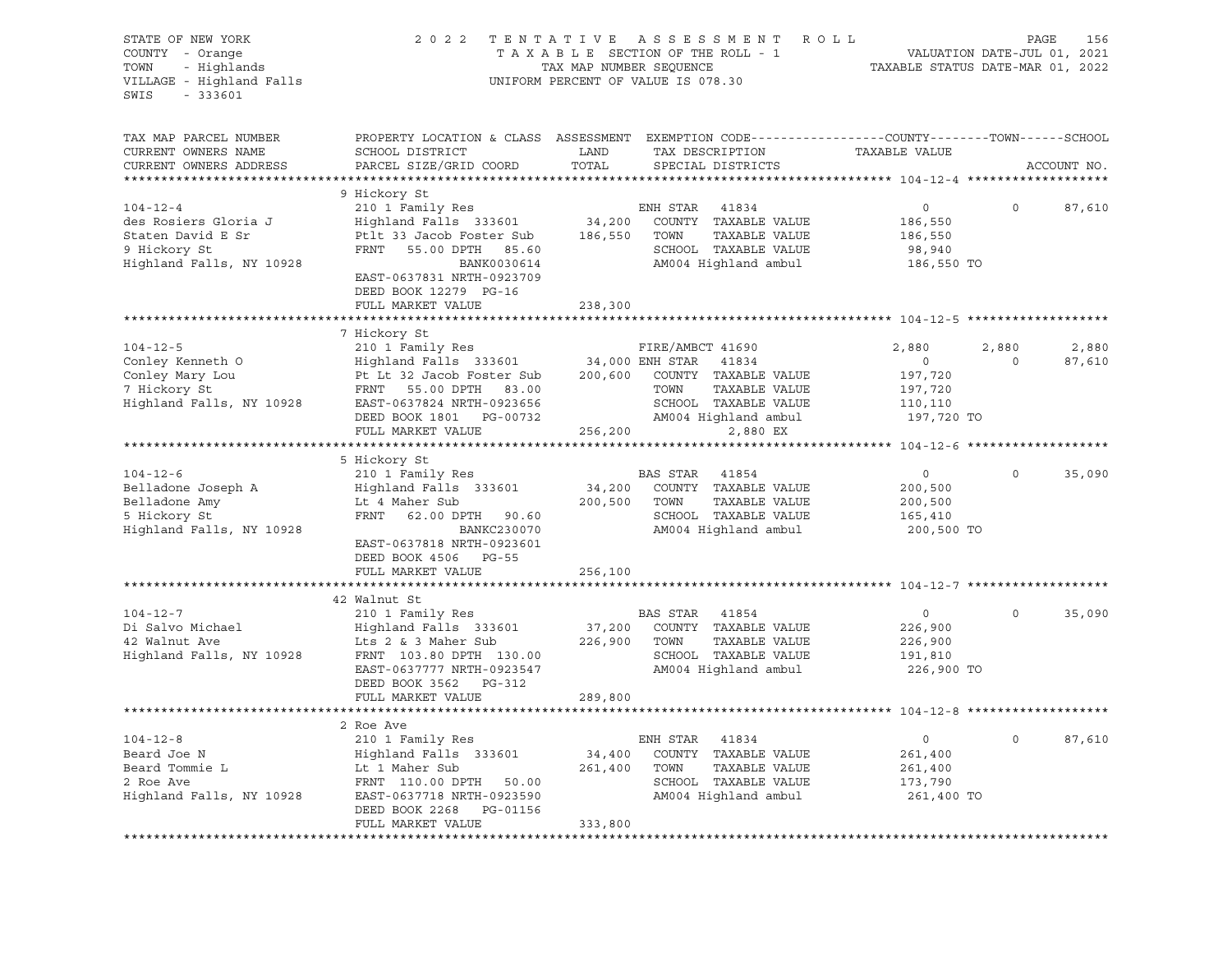| STATE OF NEW YORK<br>COUNTY - Orange<br>- Highlands<br>TOWN<br>VILLAGE - Highland Falls<br>$-333601$<br>SWIS | 2022                                                                                                    | TAX MAP NUMBER SEQUENCE | TENTATIVE ASSESSMENT ROLL<br>TAXABLE SECTION OF THE ROLL - 1<br>UNIFORM PERCENT OF VALUE IS 078.30                                      | VALUATION DATE-JUL 01, 2021<br>TAXABLE STATUS DATE-MAR 01, 2022 |              | PAGE<br>156 |
|--------------------------------------------------------------------------------------------------------------|---------------------------------------------------------------------------------------------------------|-------------------------|-----------------------------------------------------------------------------------------------------------------------------------------|-----------------------------------------------------------------|--------------|-------------|
| TAX MAP PARCEL NUMBER<br>CURRENT OWNERS NAME<br>CURRENT OWNERS ADDRESS                                       | SCHOOL DISTRICT<br>PARCEL SIZE/GRID COORD                                                               | LAND<br>TOTAL           | PROPERTY LOCATION & CLASS ASSESSMENT EXEMPTION CODE---------------COUNTY-------TOWN------SCHOOL<br>TAX DESCRIPTION<br>SPECIAL DISTRICTS | TAXABLE VALUE                                                   |              | ACCOUNT NO. |
|                                                                                                              | 9 Hickory St                                                                                            |                         |                                                                                                                                         |                                                                 |              |             |
| $104 - 12 - 4$                                                                                               | 210 1 Family Res                                                                                        |                         | ENH STAR<br>41834                                                                                                                       | $\circ$                                                         | $\Omega$     | 87,610      |
| des Rosiers Gloria J                                                                                         | Highland Falls 333601                                                                                   |                         | 34,200 COUNTY TAXABLE VALUE                                                                                                             | 186,550                                                         |              |             |
| Staten David E Sr                                                                                            | Ptlt 33 Jacob Foster Sub                                                                                | 186,550                 | TOWN<br>TAXABLE VALUE                                                                                                                   | 186,550                                                         |              |             |
| 9 Hickory St                                                                                                 | FRNT 55.00 DPTH 85.60                                                                                   |                         | SCHOOL TAXABLE VALUE                                                                                                                    | 98,940                                                          |              |             |
| Highland Falls, NY 10928                                                                                     | BANK0030614<br>EAST-0637831 NRTH-0923709<br>DEED BOOK 12279 PG-16                                       |                         | AM004 Highland ambul                                                                                                                    | 186,550 TO                                                      |              |             |
|                                                                                                              | FULL MARKET VALUE                                                                                       | 238,300                 |                                                                                                                                         |                                                                 |              |             |
|                                                                                                              | 7 Hickory St                                                                                            |                         |                                                                                                                                         |                                                                 |              |             |
| $104 - 12 - 5$                                                                                               | 210 1 Family Res                                                                                        |                         | FIRE/AMBCT 41690                                                                                                                        | 2,880                                                           | 2,880        | 2,880       |
| Conley Kenneth O                                                                                             | Highland Falls 333601 34,000 ENH STAR                                                                   |                         | 41834                                                                                                                                   | $\overline{0}$                                                  | $\Omega$     | 87,610      |
| Conley Mary Lou                                                                                              | 91,000 EXA DR AT ARABLE VALUE Pt Lt 32 Jacob Foster Sub<br>FRNT 55.00 DPTH 200,600 COUNTY TAXABLE VALUE |                         |                                                                                                                                         | 197,720                                                         |              |             |
| 7 Hickory St                                                                                                 | FRNT 55.00 DPTH 83.00                                                                                   |                         | TOWN<br>TAXABLE VALUE                                                                                                                   | 197,720                                                         |              |             |
|                                                                                                              | Highland Falls, NY 10928 EAST-0637824 NRTH-0923656                                                      |                         | SCHOOL TAXABLE VALUE                                                                                                                    | 110,110                                                         |              |             |
|                                                                                                              | DEED BOOK 1801 PG-00732                                                                                 |                         | SCHOOL TAXABLE VALUE<br>AM004 Highland ambul                                                                                            | 197,720 TO                                                      |              |             |
|                                                                                                              | FULL MARKET VALUE                                                                                       | 256,200                 | 2,880 EX                                                                                                                                |                                                                 |              |             |
|                                                                                                              |                                                                                                         |                         |                                                                                                                                         |                                                                 |              |             |
| $104 - 12 - 6$                                                                                               | 5 Hickory St<br>210 1 Family Res                                                                        |                         | BAS STAR 41854                                                                                                                          | $\circ$                                                         | $\Omega$     | 35,090      |
| Belladone Joseph A                                                                                           | Highland Falls 333601                                                                                   |                         | 34,200 COUNTY TAXABLE VALUE                                                                                                             | 200,500                                                         |              |             |
| Belladone Amy                                                                                                | Lt 4 Maher Sub                                                                                          | 200,500                 | TAXABLE VALUE<br>TOWN                                                                                                                   | 200,500                                                         |              |             |
| 5 Hickory St                                                                                                 | FRNT 62.00 DPTH 90.60                                                                                   |                         | SCHOOL TAXABLE VALUE                                                                                                                    | 165,410                                                         |              |             |
| Highland Falls, NY 10928                                                                                     | BANKC230070                                                                                             |                         | AM004 Highland ambul                                                                                                                    | 200,500 TO                                                      |              |             |
|                                                                                                              | EAST-0637818 NRTH-0923601                                                                               |                         |                                                                                                                                         |                                                                 |              |             |
|                                                                                                              | DEED BOOK 4506 PG-55                                                                                    |                         |                                                                                                                                         |                                                                 |              |             |
|                                                                                                              | FULL MARKET VALUE                                                                                       | 256,100                 |                                                                                                                                         |                                                                 |              |             |
|                                                                                                              |                                                                                                         |                         |                                                                                                                                         |                                                                 |              |             |
|                                                                                                              | 42 Walnut St                                                                                            |                         |                                                                                                                                         |                                                                 |              |             |
| $104 - 12 - 7$                                                                                               | 210 1 Family Res                                                                                        |                         | BAS STAR 41854                                                                                                                          | $\overline{0}$                                                  | $\mathbf 0$  | 35,090      |
| Di Salvo Michael                                                                                             | Highland Falls 333601                                                                                   |                         | 37,200 COUNTY TAXABLE VALUE                                                                                                             | 226,900                                                         |              |             |
| 42 Walnut Ave                                                                                                | Lts 2 & 3 Maher Sub<br>FRNT 103.80 DPTH 130.00                                                          |                         | 226,900 TOWN<br>TAXABLE VALUE<br>SCHOOL TAXABLE VALUE                                                                                   | 226,900                                                         |              |             |
| Highland Falls, NY 10928                                                                                     | EAST-0637777 NRTH-0923547                                                                               |                         | AM004 Highland ambul                                                                                                                    | 191,810<br>226,900 TO                                           |              |             |
|                                                                                                              | DEED BOOK 3562 PG-312                                                                                   |                         |                                                                                                                                         |                                                                 |              |             |
|                                                                                                              | FULL MARKET VALUE                                                                                       | 289,800                 |                                                                                                                                         |                                                                 |              |             |
|                                                                                                              |                                                                                                         |                         |                                                                                                                                         |                                                                 |              |             |
|                                                                                                              | 2 Roe Ave                                                                                               |                         |                                                                                                                                         |                                                                 |              |             |
| $104 - 12 - 8$                                                                                               | 210 1 Family Res                                                                                        |                         | ENH STAR<br>41834                                                                                                                       | $\circ$                                                         | $\mathsf{O}$ | 87,610      |
| Beard Joe N                                                                                                  | Highland Falls 333601                                                                                   | 34,400                  | COUNTY TAXABLE VALUE                                                                                                                    | 261,400                                                         |              |             |
| Beard Tommie L                                                                                               | Lt 1 Maher Sub                                                                                          | 261,400                 | TAXABLE VALUE<br>TOWN                                                                                                                   | 261,400                                                         |              |             |
| 2 Roe Ave                                                                                                    | FRNT 110.00 DPTH 50.00                                                                                  |                         | SCHOOL TAXABLE VALUE                                                                                                                    | 173,790                                                         |              |             |
| Highland Falls, NY 10928                                                                                     | EAST-0637718 NRTH-0923590                                                                               |                         | AM004 Highland ambul                                                                                                                    | 261,400 TO                                                      |              |             |
|                                                                                                              | DEED BOOK 2268<br>PG-01156                                                                              |                         |                                                                                                                                         |                                                                 |              |             |
|                                                                                                              | FULL MARKET VALUE                                                                                       | 333,800                 |                                                                                                                                         |                                                                 |              |             |
|                                                                                                              |                                                                                                         |                         |                                                                                                                                         |                                                                 |              |             |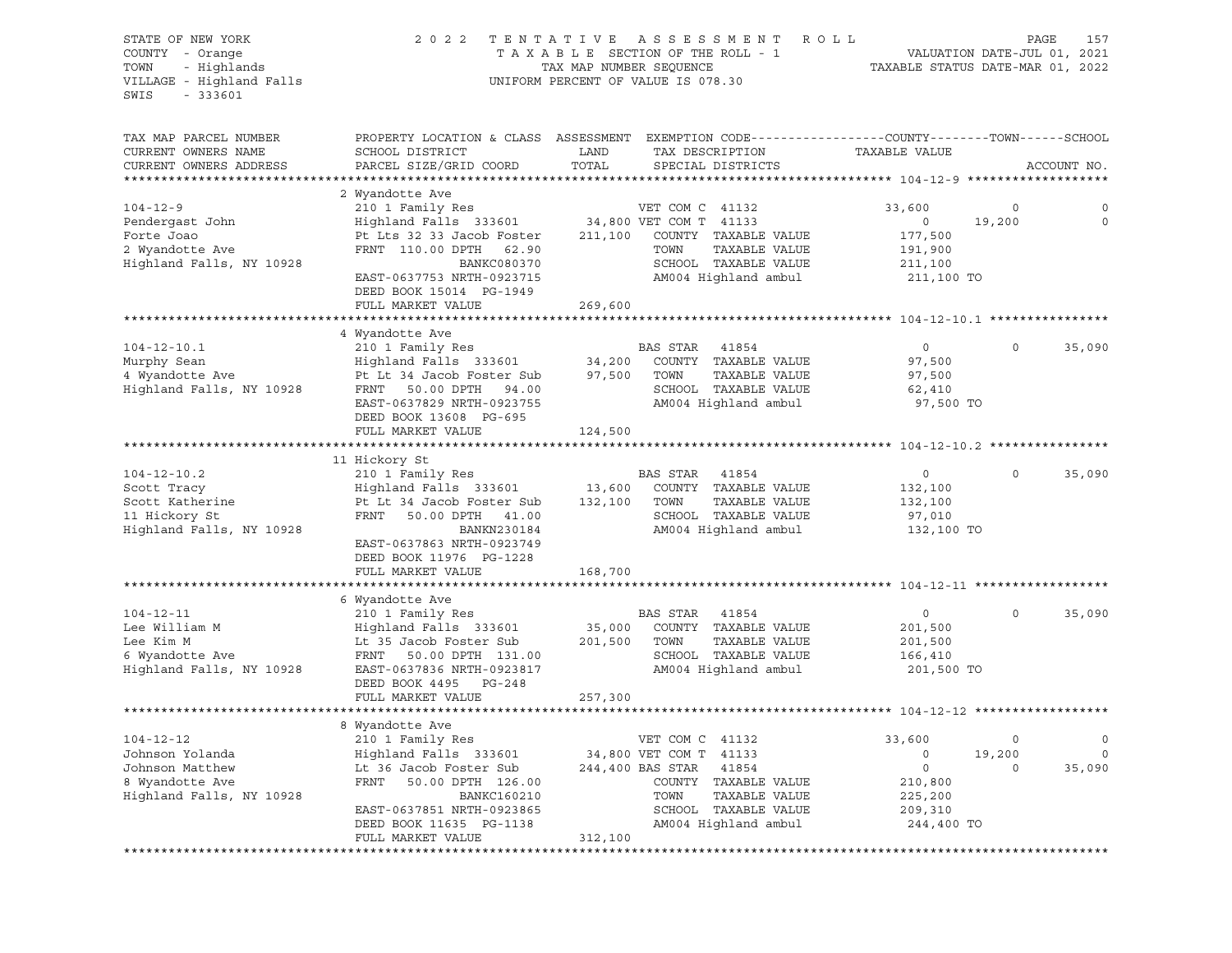| STATE OF NEW YORK<br>COUNTY - Orange<br>TOWN<br>- Highlands<br>VILLAGE - Highland Falls<br>SWIS<br>$-333601$ | 2 0 2 2                                              | A S S E S S M E N T<br>TENTATIVE<br>TAXABLE SECTION OF THE ROLL - 1<br>TAX MAP NUMBER SEQUENCE<br>UNIFORM PERCENT OF VALUE IS 078.30 | ROLL<br>VALUATION DATE-JUL 01, 2021<br>TAXABLE STATUS DATE-MAR 01, 2022 | 157<br>PAGE |
|--------------------------------------------------------------------------------------------------------------|------------------------------------------------------|--------------------------------------------------------------------------------------------------------------------------------------|-------------------------------------------------------------------------|-------------|
| TAX MAP PARCEL NUMBER<br>CURRENT OWNERS NAME                                                                 | SCHOOL DISTRICT                                      | PROPERTY LOCATION & CLASS ASSESSMENT EXEMPTION CODE---------------COUNTY-------TOWN------SCHOOL<br>LAND<br>TAX DESCRIPTION           | TAXABLE VALUE                                                           |             |
| CURRENT OWNERS ADDRESS                                                                                       | PARCEL SIZE/GRID COORD                               | TOTAL<br>SPECIAL DISTRICTS                                                                                                           |                                                                         | ACCOUNT NO. |
|                                                                                                              |                                                      |                                                                                                                                      |                                                                         |             |
|                                                                                                              | 2 Wyandotte Ave                                      |                                                                                                                                      |                                                                         |             |
| $104 - 12 - 9$                                                                                               | 210 1 Family Res                                     | VET COM C 41132                                                                                                                      | 33,600<br>0                                                             | 0           |
| Pendergast John                                                                                              | Highland Falls 333601                                | 34,800 VET COM T 41133                                                                                                               | 19,200<br>$\circ$                                                       | $\mathbf 0$ |
| Forte Joao<br>2 Wyandotte Ave                                                                                | Pt Lts 32 33 Jacob Foster<br>FRNT 110.00 DPTH 62.90  | 211,100<br>COUNTY TAXABLE VALUE<br>TAXABLE VALUE<br>TOWN                                                                             | 177,500                                                                 |             |
| Highland Falls, NY 10928                                                                                     | BANKC080370                                          | SCHOOL TAXABLE VALUE                                                                                                                 | 191,900<br>211,100                                                      |             |
|                                                                                                              | EAST-0637753 NRTH-0923715                            | AM004 Highland ambul                                                                                                                 | 211,100 TO                                                              |             |
|                                                                                                              | DEED BOOK 15014 PG-1949                              |                                                                                                                                      |                                                                         |             |
|                                                                                                              | FULL MARKET VALUE                                    | 269,600                                                                                                                              |                                                                         |             |
|                                                                                                              |                                                      |                                                                                                                                      |                                                                         |             |
|                                                                                                              | 4 Wyandotte Ave                                      |                                                                                                                                      |                                                                         |             |
| $104 - 12 - 10.1$                                                                                            | 210 1 Family Res                                     | BAS STAR<br>41854                                                                                                                    | $\circ$<br>$\mathbf 0$                                                  | 35,090      |
| Murphy Sean<br>4 Wyandotte Ave                                                                               | Highland Falls 333601<br>Pt Lt 34 Jacob Foster Sub   | COUNTY TAXABLE VALUE<br>34,200<br>97,500<br>TOWN<br>TAXABLE VALUE                                                                    | 97,500<br>97,500                                                        |             |
| Highland Falls, NY 10928                                                                                     | FRNT 50.00 DPTH 94.00                                | SCHOOL TAXABLE VALUE                                                                                                                 | 62,410                                                                  |             |
|                                                                                                              | EAST-0637829 NRTH-0923755                            | AM004 Highland ambul                                                                                                                 | 97,500 TO                                                               |             |
|                                                                                                              | DEED BOOK 13608 PG-695                               |                                                                                                                                      |                                                                         |             |
|                                                                                                              | FULL MARKET VALUE                                    | 124,500                                                                                                                              |                                                                         |             |
|                                                                                                              |                                                      |                                                                                                                                      |                                                                         |             |
|                                                                                                              | 11 Hickory St                                        |                                                                                                                                      |                                                                         |             |
| $104 - 12 - 10.2$                                                                                            | 210 1 Family Res<br>Highland Falls 333601            | BAS STAR<br>41854<br>COUNTY TAXABLE VALUE                                                                                            | $\circ$<br>0                                                            | 35,090      |
| Scott Tracy<br>Scott Katherine                                                                               | Pt Lt 34 Jacob Foster Sub                            | 13,600<br>132,100<br>TAXABLE VALUE<br>TOWN                                                                                           | 132,100<br>132,100                                                      |             |
| 11 Hickory St                                                                                                | 50.00 DPTH 41.00<br>FRNT                             | SCHOOL TAXABLE VALUE                                                                                                                 | 97,010                                                                  |             |
| Highland Falls, NY 10928                                                                                     | BANKN230184                                          | AM004 Highland ambul                                                                                                                 | 132,100 TO                                                              |             |
|                                                                                                              | EAST-0637863 NRTH-0923749<br>DEED BOOK 11976 PG-1228 |                                                                                                                                      |                                                                         |             |
|                                                                                                              | FULL MARKET VALUE                                    | 168,700                                                                                                                              |                                                                         |             |
|                                                                                                              |                                                      |                                                                                                                                      |                                                                         |             |
| $104 - 12 - 11$                                                                                              | 6 Wyandotte Ave<br>210 1 Family Res                  | BAS STAR<br>41854                                                                                                                    | 0<br>$\circ$                                                            | 35,090      |
| Lee William M                                                                                                | Highland Falls 333601                                | 35,000<br>COUNTY TAXABLE VALUE                                                                                                       | 201,500                                                                 |             |
| Lee Kim M                                                                                                    | Lt 35 Jacob Foster Sub                               | TAXABLE VALUE<br>201,500<br>TOWN                                                                                                     | 201,500                                                                 |             |
| 6 Wyandotte Ave                                                                                              | FRNT<br>50.00 DPTH 131.00                            | SCHOOL TAXABLE VALUE                                                                                                                 | 166,410                                                                 |             |
| Highland Falls, NY 10928                                                                                     | EAST-0637836 NRTH-0923817                            | AM004 Highland ambul                                                                                                                 | 201,500 TO                                                              |             |
|                                                                                                              | DEED BOOK 4495 PG-248                                |                                                                                                                                      |                                                                         |             |
|                                                                                                              | FULL MARKET VALUE                                    | 257,300                                                                                                                              |                                                                         |             |
|                                                                                                              | 8 Wyandotte Ave                                      |                                                                                                                                      |                                                                         |             |
| $104 - 12 - 12$                                                                                              | 210 1 Family Res                                     | VET COM C 41132                                                                                                                      | 0<br>33,600                                                             | 0           |
| Johnson Yolanda                                                                                              | Highland Falls 333601                                | 34,800 VET COM T<br>41133                                                                                                            | 19,200<br>0                                                             | 0           |
| Johnson Matthew                                                                                              | Lt 36 Jacob Foster Sub                               | 244,400 BAS STAR<br>41854                                                                                                            | 0<br>0                                                                  | 35,090      |
| 8 Wyandotte Ave                                                                                              | FRNT<br>50.00 DPTH 126.00                            | TAXABLE VALUE<br>COUNTY                                                                                                              | 210,800                                                                 |             |
| Highland Falls, NY 10928                                                                                     | BANKC160210                                          | TOWN<br>TAXABLE VALUE                                                                                                                | 225,200                                                                 |             |
|                                                                                                              | EAST-0637851 NRTH-0923865                            | SCHOOL<br>TAXABLE VALUE                                                                                                              | 209,310                                                                 |             |
|                                                                                                              | DEED BOOK 11635 PG-1138                              | AM004 Highland ambul                                                                                                                 | 244,400 TO                                                              |             |
|                                                                                                              | FULL MARKET VALUE                                    | 312,100                                                                                                                              |                                                                         |             |
|                                                                                                              |                                                      |                                                                                                                                      |                                                                         |             |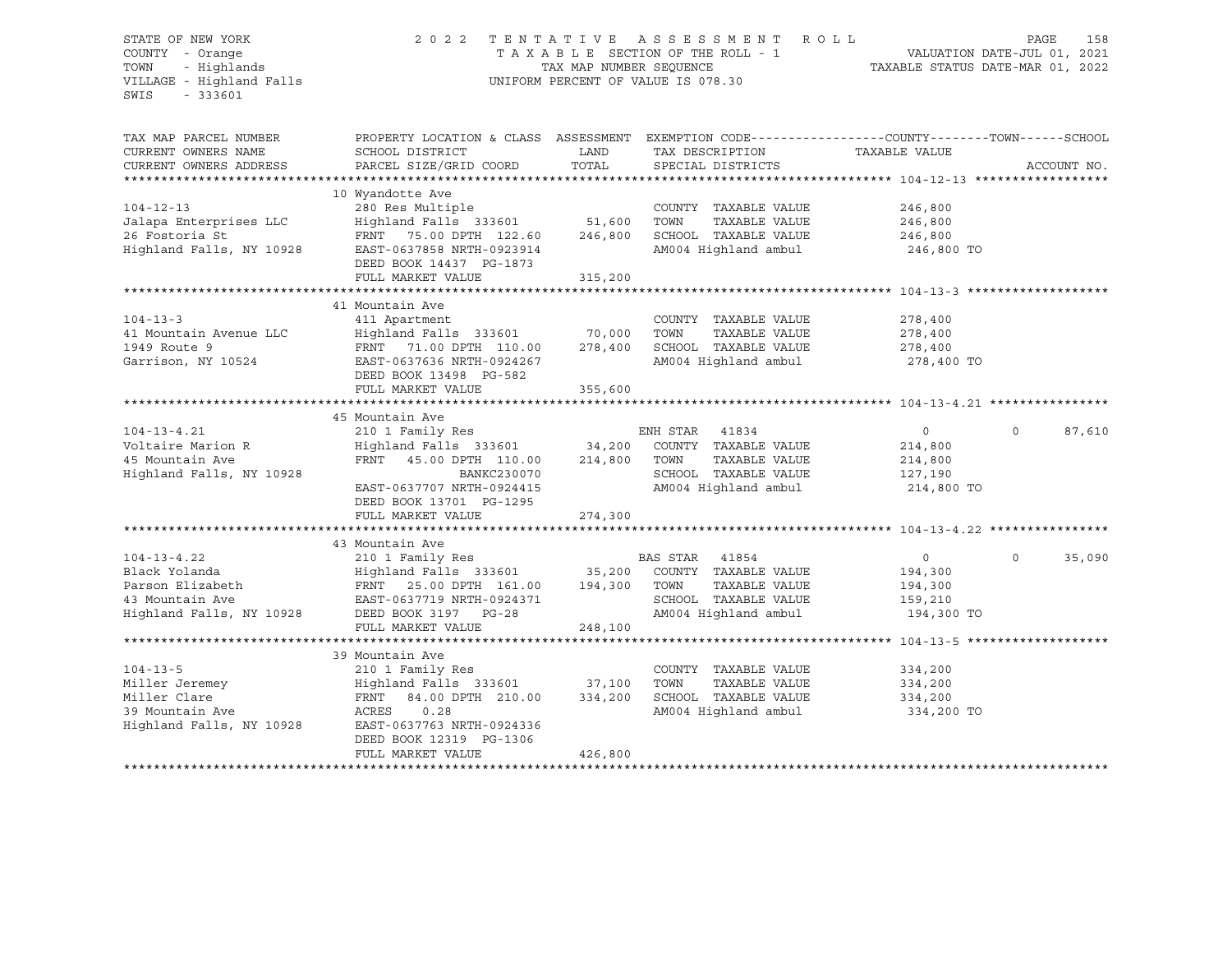### STATE OF NEW YORK 2 0 2 2 T E N T A T I V E A S S E S S M E N T R O L L PAGE 158 COUNTY - Orange T A X A B L E SECTION OF THE ROLL - 1 VALUATION DATE-JUL 01, 2021 TOWN - Highlands TAX MAP NUMBER SEQUENCE TAXABLE STATUS DATE-MAR 01, 2022 VILLAGE - Highland Falls UNIFORM PERCENT OF VALUE IS 078.30

| TAX MAP PARCEL NUMBER<br>CURRENT OWNERS NAME<br>CURRENT OWNERS ADDRESS | PROPERTY LOCATION & CLASS ASSESSMENT<br>SCHOOL DISTRICT<br>PARCEL SIZE/GRID COORD | LAND<br>TOTAL | EXEMPTION CODE-----------------COUNTY-------TOWN------SCHOOL<br>TAX DESCRIPTION<br>SPECIAL DISTRICTS | TAXABLE VALUE | ACCOUNT NO.           |
|------------------------------------------------------------------------|-----------------------------------------------------------------------------------|---------------|------------------------------------------------------------------------------------------------------|---------------|-----------------------|
|                                                                        |                                                                                   |               |                                                                                                      |               |                       |
| $104 - 12 - 13$                                                        | 10 Wyandotte Ave<br>280 Res Multiple                                              |               | COUNTY TAXABLE VALUE                                                                                 | 246,800       |                       |
| Jalapa Enterprises LLC                                                 | Highland Falls 333601 51,600                                                      |               | TAXABLE VALUE<br>TOWN                                                                                | 246,800       |                       |
| 26 Fostoria St                                                         | FRNT 75.00 DPTH 122.60                                                            | 246,800       | SCHOOL TAXABLE VALUE                                                                                 | 246,800       |                       |
| Highland Falls, NY 10928                                               | EAST-0637858 NRTH-0923914<br>DEED BOOK 14437 PG-1873                              |               | AM004 Highland ambul                                                                                 | 246,800 TO    |                       |
|                                                                        | FULL MARKET VALUE                                                                 | 315,200       |                                                                                                      |               |                       |
|                                                                        |                                                                                   |               |                                                                                                      |               |                       |
|                                                                        | 41 Mountain Ave                                                                   |               |                                                                                                      |               |                       |
| $104 - 13 - 3$                                                         | 411 Apartment                                                                     |               | COUNTY TAXABLE VALUE                                                                                 | 278,400       |                       |
| 41 Mountain Avenue LLC                                                 | Highland Falls 333601 70,000                                                      |               | TOWN<br>TAXABLE VALUE                                                                                | 278,400       |                       |
| 1949 Route 9                                                           | FRNT 71.00 DPTH 110.00                                                            | 278,400       | SCHOOL TAXABLE VALUE                                                                                 | 278,400       |                       |
| Garrison, NY 10524                                                     | EAST-0637636 NRTH-0924267                                                         |               | AM004 Highland ambul 278,400 TO                                                                      |               |                       |
|                                                                        | DEED BOOK 13498 PG-582                                                            |               |                                                                                                      |               |                       |
|                                                                        | FULL MARKET VALUE                                                                 | 355,600       |                                                                                                      |               |                       |
|                                                                        |                                                                                   |               |                                                                                                      |               |                       |
|                                                                        | 45 Mountain Ave                                                                   |               |                                                                                                      |               |                       |
| $104 - 13 - 4.21$                                                      | 210 1 Family Res                                                                  |               | ENH STAR 41834                                                                                       | $\circ$       | 87,610<br>$\Omega$    |
| Voltaire Marion R                                                      | Highland Falls 333601 34,200                                                      |               | COUNTY TAXABLE VALUE                                                                                 | 214,800       |                       |
| 45 Mountain Ave                                                        | FRNT 45.00 DPTH 110.00                                                            | 214,800       | TOWN<br>TAXABLE VALUE                                                                                | 214,800       |                       |
| Highland Falls, NY 10928                                               | BANKC230070                                                                       |               | SCHOOL TAXABLE VALUE                                                                                 | 127,190       |                       |
|                                                                        | EAST-0637707 NRTH-0924415                                                         |               | AM004 Highland ambul                                                                                 | 214,800 TO    |                       |
|                                                                        | DEED BOOK 13701 PG-1295                                                           |               |                                                                                                      |               |                       |
|                                                                        | FULL MARKET VALUE                                                                 | 274,300       |                                                                                                      |               |                       |
|                                                                        |                                                                                   |               |                                                                                                      |               |                       |
|                                                                        | 43 Mountain Ave                                                                   |               |                                                                                                      |               |                       |
| $104 - 13 - 4.22$                                                      | 210 1 Family Res                                                                  |               | BAS STAR 41854                                                                                       | $\circ$       | $\mathbf 0$<br>35,090 |
| Black Yolanda                                                          | Highland Falls 333601 35,200                                                      |               | COUNTY TAXABLE VALUE                                                                                 | 194,300       |                       |
| Parson Elizabeth                                                       | FRNT 25.00 DPTH 161.00                                                            | 194,300       | TAXABLE VALUE<br>TOWN                                                                                | 194,300       |                       |
| 43 Mountain Ave                                                        | EAST-0637719 NRTH-0924371                                                         |               | SCHOOL TAXABLE VALUE                                                                                 | 159,210       |                       |
| Highland Falls, NY 10928                                               | DEED BOOK 3197 PG-28                                                              |               | AM004 Highland ambul                                                                                 | 194,300 TO    |                       |
|                                                                        | FULL MARKET VALUE                                                                 | 248,100       |                                                                                                      |               |                       |
|                                                                        |                                                                                   |               |                                                                                                      |               |                       |
|                                                                        | 39 Mountain Ave                                                                   |               |                                                                                                      |               |                       |
| $104 - 13 - 5$                                                         | 210 1 Family Res                                                                  |               | COUNTY TAXABLE VALUE                                                                                 | 334,200       |                       |
| Miller Jeremey                                                         | Highland Falls 333601 37,100                                                      |               | TOWN<br>TAXABLE VALUE                                                                                | 334,200       |                       |
| Miller Clare                                                           | FRNT 84.00 DPTH 210.00                                                            | 334,200       | SCHOOL TAXABLE VALUE                                                                                 | 334,200       |                       |
| 39 Mountain Ave                                                        | ACRES<br>0.28                                                                     |               | AM004 Highland ambul                                                                                 | 334,200 TO    |                       |
| Highland Falls, NY 10928                                               | EAST-0637763 NRTH-0924336                                                         |               |                                                                                                      |               |                       |
|                                                                        | DEED BOOK 12319 PG-1306                                                           |               |                                                                                                      |               |                       |
|                                                                        | FULL MARKET VALUE                                                                 | 426,800       |                                                                                                      |               |                       |
|                                                                        |                                                                                   |               |                                                                                                      |               |                       |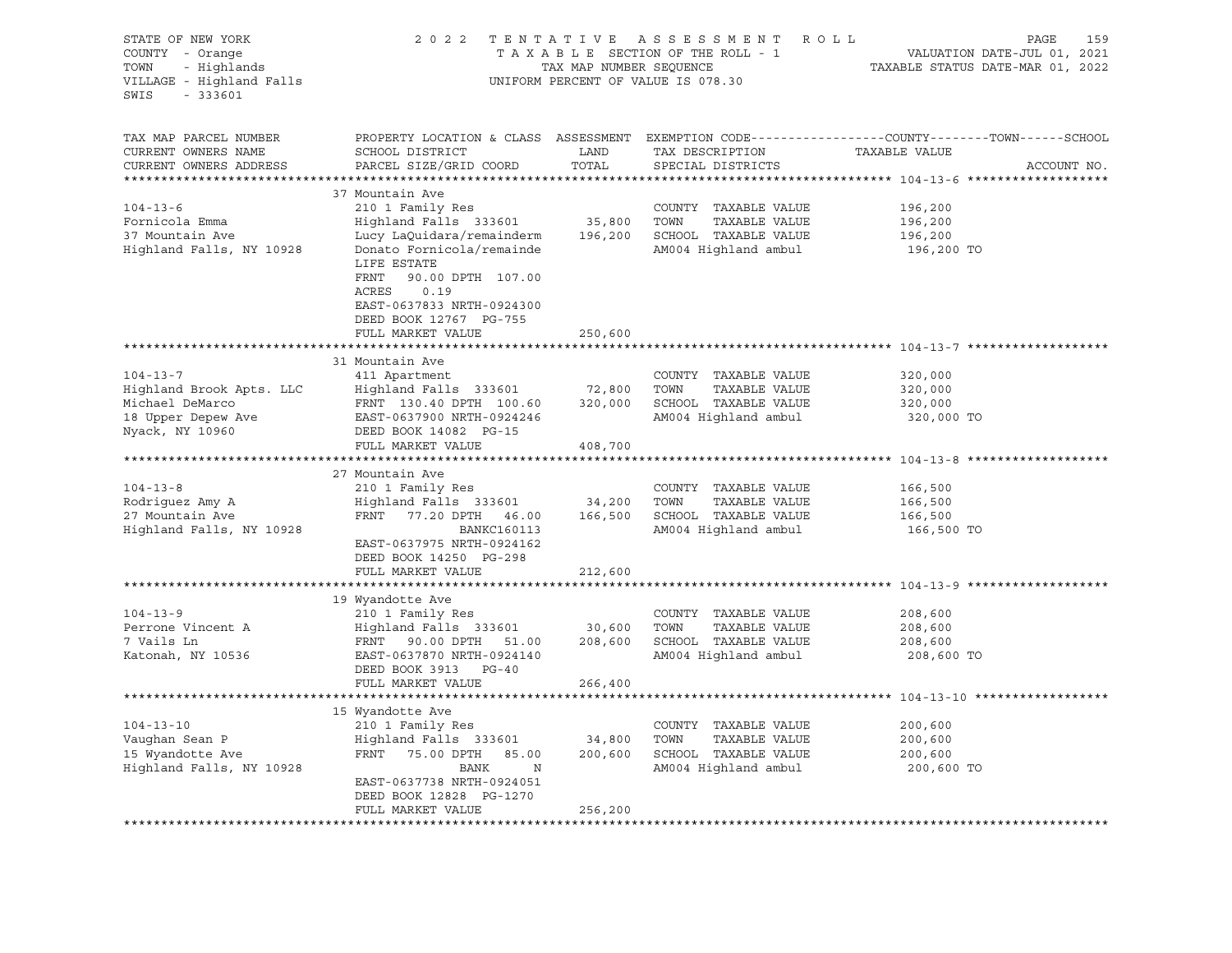| STATE OF NEW YORK<br>COUNTY - Orange<br>TOWN<br>- Highlands<br>VILLAGE - Highland Falls<br>$-333601$<br>SWIS | 2 0 2 2                                                                                                                | TAX MAP NUMBER SEQUENCE | TENTATIVE ASSESSMENT ROLL<br>TAXABLE SECTION OF THE ROLL - 1<br>UNIFORM PERCENT OF VALUE IS 078.30 | PAGE<br>159<br>VALUATION DATE-JUL 01, 2021<br>TAXABLE STATUS DATE-MAR 01, 2022                                                 |
|--------------------------------------------------------------------------------------------------------------|------------------------------------------------------------------------------------------------------------------------|-------------------------|----------------------------------------------------------------------------------------------------|--------------------------------------------------------------------------------------------------------------------------------|
| TAX MAP PARCEL NUMBER<br>CURRENT OWNERS NAME<br>CURRENT OWNERS ADDRESS                                       | SCHOOL DISTRICT<br>PARCEL SIZE/GRID COORD                                                                              | LAND<br>TOTAL           | TAX DESCRIPTION<br>SPECIAL DISTRICTS                                                               | PROPERTY LOCATION & CLASS ASSESSMENT EXEMPTION CODE---------------COUNTY-------TOWN-----SCHOOL<br>TAXABLE VALUE<br>ACCOUNT NO. |
|                                                                                                              |                                                                                                                        |                         |                                                                                                    |                                                                                                                                |
|                                                                                                              | 37 Mountain Ave                                                                                                        |                         |                                                                                                    |                                                                                                                                |
| $104 - 13 - 6$                                                                                               | 210 1 Family Res                                                                                                       |                         | COUNTY TAXABLE VALUE                                                                               | 196,200                                                                                                                        |
| Fornicola Emma                                                                                               | Highland Falls 333601                                                                                                  | 35,800                  | TOWN<br>TAXABLE VALUE                                                                              | 196,200                                                                                                                        |
| 37 Mountain Ave<br>Highland Falls, NY 10928                                                                  | Lucy LaQuidara/remainderm<br>Donato Fornicola/remainde<br>LIFE ESTATE                                                  |                         | 196,200 SCHOOL TAXABLE VALUE<br>AM004 Highland ambul                                               | 196,200<br>196,200 TO                                                                                                          |
|                                                                                                              | FRNT<br>90.00 DPTH 107.00<br>ACRES<br>0.19<br>EAST-0637833 NRTH-0924300<br>DEED BOOK 12767 PG-755<br>FULL MARKET VALUE | 250,600                 |                                                                                                    |                                                                                                                                |
|                                                                                                              | *****************************                                                                                          |                         |                                                                                                    | ******************************** 104-13-7 ********                                                                             |
|                                                                                                              | 31 Mountain Ave                                                                                                        |                         |                                                                                                    |                                                                                                                                |
| $104 - 13 - 7$                                                                                               | 411 Apartment                                                                                                          |                         | COUNTY TAXABLE VALUE                                                                               | 320,000                                                                                                                        |
| Highland Brook Apts. LLC                                                                                     | Highland Falls 333601                                                                                                  | 72,800                  | TOWN<br>TAXABLE VALUE                                                                              | 320,000                                                                                                                        |
| Michael DeMarco                                                                                              | FRNT 130.40 DPTH 100.60                                                                                                | 320,000                 | SCHOOL TAXABLE VALUE                                                                               | 320,000                                                                                                                        |
| 18 Upper Depew Ave<br>Nyack, NY 10960                                                                        | EAST-0637900 NRTH-0924246<br>DEED BOOK 14082 PG-15                                                                     |                         | AM004 Highland ambul                                                                               | 320,000 TO                                                                                                                     |
| **********************                                                                                       | FULL MARKET VALUE                                                                                                      | 408,700                 | ********************************* 104-13-8                                                         |                                                                                                                                |
|                                                                                                              | 27 Mountain Ave                                                                                                        |                         |                                                                                                    |                                                                                                                                |
| $104 - 13 - 8$                                                                                               | 210 1 Family Res                                                                                                       |                         | COUNTY TAXABLE VALUE                                                                               | 166,500                                                                                                                        |
| Rodriguez Amy A                                                                                              | Highland Falls 333601                                                                                                  | 34,200                  | TOWN<br>TAXABLE VALUE                                                                              | 166,500                                                                                                                        |
| 27 Mountain Ave                                                                                              | FRNT 77.20 DPTH 46.00                                                                                                  | 166,500                 | SCHOOL TAXABLE VALUE                                                                               | 166,500                                                                                                                        |
| Highland Falls, NY 10928                                                                                     | BANKC160113                                                                                                            |                         | AM004 Highland ambul                                                                               | 166,500 TO                                                                                                                     |
|                                                                                                              | EAST-0637975 NRTH-0924162<br>DEED BOOK 14250 PG-298                                                                    |                         |                                                                                                    |                                                                                                                                |
|                                                                                                              | FULL MARKET VALUE                                                                                                      | 212,600                 |                                                                                                    |                                                                                                                                |
|                                                                                                              |                                                                                                                        |                         |                                                                                                    |                                                                                                                                |
|                                                                                                              | 19 Wyandotte Ave                                                                                                       |                         |                                                                                                    |                                                                                                                                |
| $104 - 13 - 9$                                                                                               | 210 1 Family Res                                                                                                       |                         | COUNTY TAXABLE VALUE                                                                               | 208,600                                                                                                                        |
| Perrone Vincent A                                                                                            | Highland Falls 333601                                                                                                  | 30,600                  | TOWN<br>TAXABLE VALUE                                                                              | 208,600                                                                                                                        |
| 7 Vails Ln                                                                                                   | FRNT 90.00 DPTH 51.00                                                                                                  |                         | 208,600 SCHOOL TAXABLE VALUE                                                                       | 208,600                                                                                                                        |
| Katonah, NY 10536                                                                                            | EAST-0637870 NRTH-0924140<br>DEED BOOK 3913 PG-40                                                                      |                         | AM004 Highland ambul                                                                               | 208,600 TO                                                                                                                     |
|                                                                                                              | FULL MARKET VALUE                                                                                                      | 266,400                 |                                                                                                    |                                                                                                                                |
|                                                                                                              | 15 Wyandotte Ave                                                                                                       |                         |                                                                                                    |                                                                                                                                |
| $104 - 13 - 10$                                                                                              | 210 1 Family Res                                                                                                       |                         | COUNTY TAXABLE VALUE                                                                               | 200,600                                                                                                                        |
| Vaughan Sean P                                                                                               | Highland Falls 333601 34,800                                                                                           |                         | TOWN<br>TAXABLE VALUE                                                                              | 200,600                                                                                                                        |
| 15 Wyandotte Ave                                                                                             | FRNT 75.00 DPTH 85.00                                                                                                  | 200,600                 | SCHOOL TAXABLE VALUE                                                                               | 200,600                                                                                                                        |
| Highland Falls, NY 10928                                                                                     | N<br>BANK                                                                                                              |                         | AM004 Highland ambul                                                                               | 200,600 TO                                                                                                                     |
|                                                                                                              | EAST-0637738 NRTH-0924051                                                                                              |                         |                                                                                                    |                                                                                                                                |
|                                                                                                              | DEED BOOK 12828 PG-1270                                                                                                |                         |                                                                                                    |                                                                                                                                |
|                                                                                                              | FULL MARKET VALUE                                                                                                      | 256,200                 |                                                                                                    |                                                                                                                                |
|                                                                                                              |                                                                                                                        |                         |                                                                                                    |                                                                                                                                |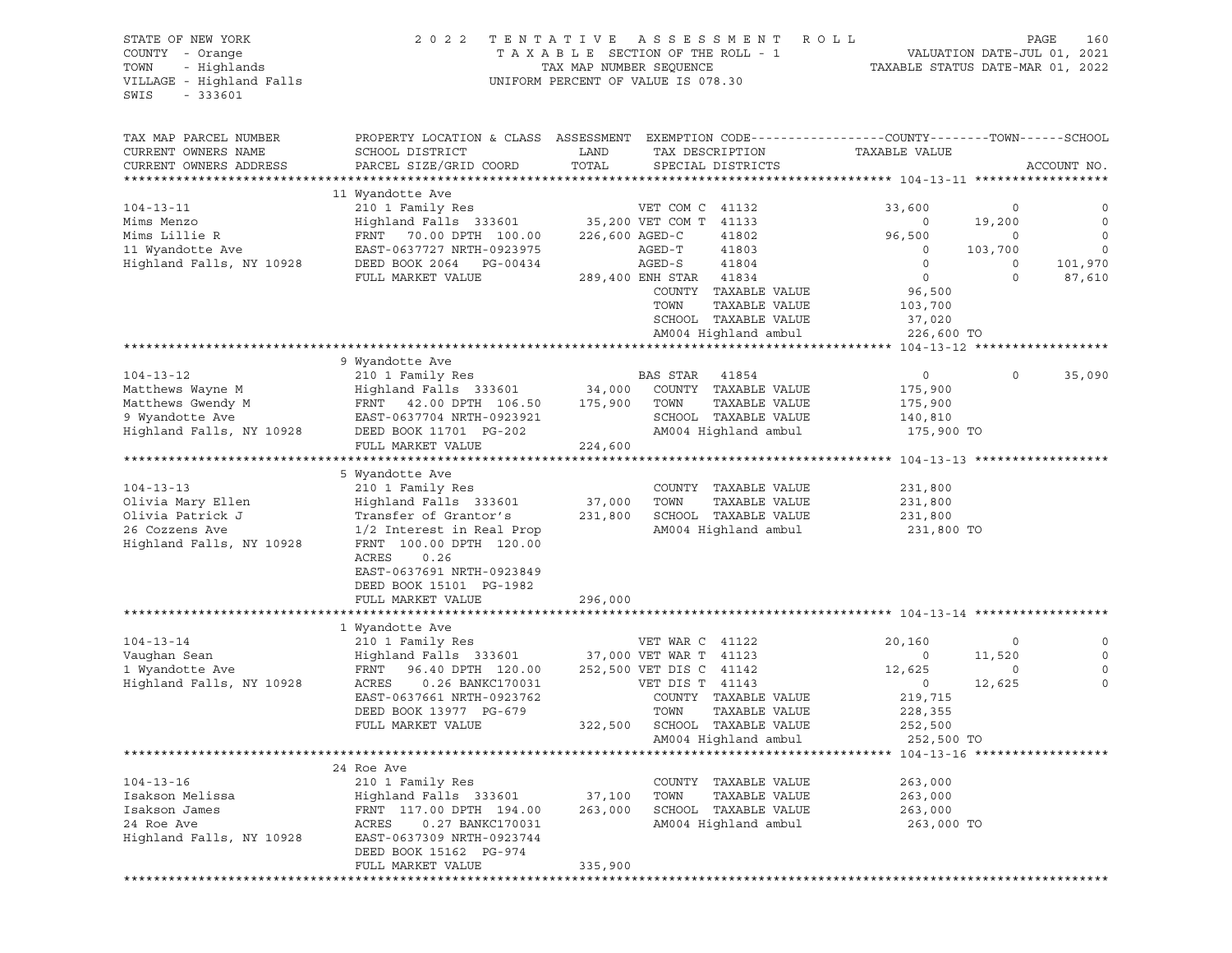VILLAGE - Highland Falls UNIFORM PERCENT OF VALUE IS 078.30 SWIS - 333601

## STATE OF NEW YORK 2 0 2 2 T E N T A T I V E A S S E S S M E N T R O L L PAGE 160 COUNTY - Orange T A X A B L E SECTION OF THE ROLL - 1 VALUATION DATE-JUL 01, 2021 TOWN - Highlands TAX MAP NUMBER SEQUENCE TAXABLE STATUS DATE-MAR 01, 2022

TAX MAP PARCEL NUMBER PROPERTY LOCATION & CLASS ASSESSMENT EXEMPTION CODE----------------COUNTY-------TOWN-----SCHOOL CURRENT OWNERS NAME SCHOOL DISTRICT LAND TAX DESCRIPTION TAXABLE VALUE CURRENT OWNERS ADDRESS PARCEL SIZE/GRID COORD TOTAL SPECIAL DISTRICTS ACCOUNT NO. \*\*\*\*\*\*\*\*\*\*\*\*\*\*\*\*\*\*\*\*\*\*\*\*\*\*\*\*\*\*\*\*\*\*\*\*\*\*\*\*\*\*\*\*\*\*\*\*\*\*\*\*\*\*\*\*\*\*\*\*\*\*\*\*\*\*\*\*\*\*\*\*\*\*\*\*\*\*\*\*\*\*\*\*\*\*\*\*\*\*\*\*\*\*\*\*\*\*\*\*\*\*\* 104-13-11 \*\*\*\*\*\*\*\*\*\*\*\*\*\*\*\*\*\* 11 Wyandotte Ave 104-13-11 210 1 Family Res VET COM C 41132 33,600 0 0 Mims Menzo Highland Falls 333601 35,200 VET COM T 41133 0 19,200 0 Mims Lillie R FRNT 70.00 DPTH 100.00 226,600 AGED-C 41802 96,500 0 0 11 Wyandotte Ave EAST-0637727 NRTH-0923975 AGED-T 41803 0 103,700 0 Highland Falls, NY 10928 DEED BOOK 2064 PG-00434 AGED-S 41804 0 0 101,970 FULL MARKET VALUE 289,400 ENH STAR 41834 0 0 87,610 COUNTY TAXABLE VALUE 96,500 TOWN TAXABLE VALUE 103,700 SCHOOL TAXABLE VALUE 37,020 AM004 Highland ambul 226,600 TO \*\*\*\*\*\*\*\*\*\*\*\*\*\*\*\*\*\*\*\*\*\*\*\*\*\*\*\*\*\*\*\*\*\*\*\*\*\*\*\*\*\*\*\*\*\*\*\*\*\*\*\*\*\*\*\*\*\*\*\*\*\*\*\*\*\*\*\*\*\*\*\*\*\*\*\*\*\*\*\*\*\*\*\*\*\*\*\*\*\*\*\*\*\*\*\*\*\*\*\*\*\*\* 104-13-12 \*\*\*\*\*\*\*\*\*\*\*\*\*\*\*\*\*\* 9 Wyandotte Ave 104-13-12 210 1 Family Res BAS STAR 41854 0 0 35,090 Matthews Wayne M Highland Falls 333601 34,000 COUNTY TAXABLE VALUE 175,900 Matthews Gwendy M FRNT 42.00 DPTH 106.50 175,900 TOWN TAXABLE VALUE 175,900 9 Wyandotte Ave EAST-0637704 NRTH-0923921 SCHOOL TAXABLE VALUE 140,810 Highland Falls, NY 10928 DEED BOOK 11701 PG-202 AM004 Highland ambul 175,900 TO FULL MARKET VALUE 224,600 \*\*\*\*\*\*\*\*\*\*\*\*\*\*\*\*\*\*\*\*\*\*\*\*\*\*\*\*\*\*\*\*\*\*\*\*\*\*\*\*\*\*\*\*\*\*\*\*\*\*\*\*\*\*\*\*\*\*\*\*\*\*\*\*\*\*\*\*\*\*\*\*\*\*\*\*\*\*\*\*\*\*\*\*\*\*\*\*\*\*\*\*\*\*\*\*\*\*\*\*\*\*\* 104-13-13 \*\*\*\*\*\*\*\*\*\*\*\*\*\*\*\*\*\* 5 Wyandotte Ave 104-13-13 210 1 Family Res COUNTY TAXABLE VALUE 231,800 Olivia Mary Ellen Highland Falls 333601 37,000 TOWN TAXABLE VALUE 231,800 Olivia Patrick J Transfer of Grantor's 231,800 SCHOOL TAXABLE VALUE 231,800 26 Cozzens Ave 1/2 Interest in Real Prop AM004 Highland ambul 231,800 TO Highland Falls, NY 10928 FRNT 100.00 DPTH 120.00 ACRES 0.26 EAST-0637691 NRTH-0923849 DEED BOOK 15101 PG-1982 FULL MARKET VALUE 296,000 \*\*\*\*\*\*\*\*\*\*\*\*\*\*\*\*\*\*\*\*\*\*\*\*\*\*\*\*\*\*\*\*\*\*\*\*\*\*\*\*\*\*\*\*\*\*\*\*\*\*\*\*\*\*\*\*\*\*\*\*\*\*\*\*\*\*\*\*\*\*\*\*\*\*\*\*\*\*\*\*\*\*\*\*\*\*\*\*\*\*\*\*\*\*\*\*\*\*\*\*\*\*\* 104-13-14 \*\*\*\*\*\*\*\*\*\*\*\*\*\*\*\*\*\* 1 Wyandotte Ave 104-13-14 210 1 Family Res VET WAR C 41122 20,160 0 0 Vaughan Sean Highland Falls 333601 37,000 VET WAR T 41123 0 11,520 0 1 Wyandotte Ave FRNT 96.40 DPTH 120.00 252,500 VET DIS C 41142 12,625 0 0 Highland Falls, NY 10928 ACRES 0.26 BANKC170031 VET DIS T 41143 0 12,625 0 EAST-0637661 NRTH-0923762 COUNTY TAXABLE VALUE 219,715 DEED BOOK 13977 PG-679 TOWN TAXABLE VALUE 228,355 FULL MARKET VALUE 322,500 SCHOOL TAXABLE VALUE 252,500 AM004 Highland ambul 252,500 TO \*\*\*\*\*\*\*\*\*\*\*\*\*\*\*\*\*\*\*\*\*\*\*\*\*\*\*\*\*\*\*\*\*\*\*\*\*\*\*\*\*\*\*\*\*\*\*\*\*\*\*\*\*\*\*\*\*\*\*\*\*\*\*\*\*\*\*\*\*\*\*\*\*\*\*\*\*\*\*\*\*\*\*\*\*\*\*\*\*\*\*\*\*\*\*\*\*\*\*\*\*\*\* 104-13-16 \*\*\*\*\*\*\*\*\*\*\*\*\*\*\*\*\*\* 24 Roe Ave 104-13-16 210 1 Family Res COUNTY TAXABLE VALUE 263,000 Isakson Melissa Highland Falls 333601 37,100 TOWN TAXABLE VALUE 263,000 Isakson James FRNT 117.00 DPTH 194.00 263,000 SCHOOL TAXABLE VALUE 263,000 24 Roe Ave ACRES 0.27 BANKC170031 AM004 Highland ambul 263,000 TO Highland Falls, NY 10928 EAST-0637309 NRTH-0923744 DEED BOOK 15162 PG-974 FULL MARKET VALUE 335,900 \*\*\*\*\*\*\*\*\*\*\*\*\*\*\*\*\*\*\*\*\*\*\*\*\*\*\*\*\*\*\*\*\*\*\*\*\*\*\*\*\*\*\*\*\*\*\*\*\*\*\*\*\*\*\*\*\*\*\*\*\*\*\*\*\*\*\*\*\*\*\*\*\*\*\*\*\*\*\*\*\*\*\*\*\*\*\*\*\*\*\*\*\*\*\*\*\*\*\*\*\*\*\*\*\*\*\*\*\*\*\*\*\*\*\*\*\*\*\*\*\*\*\*\*\*\*\*\*\*\*\*\*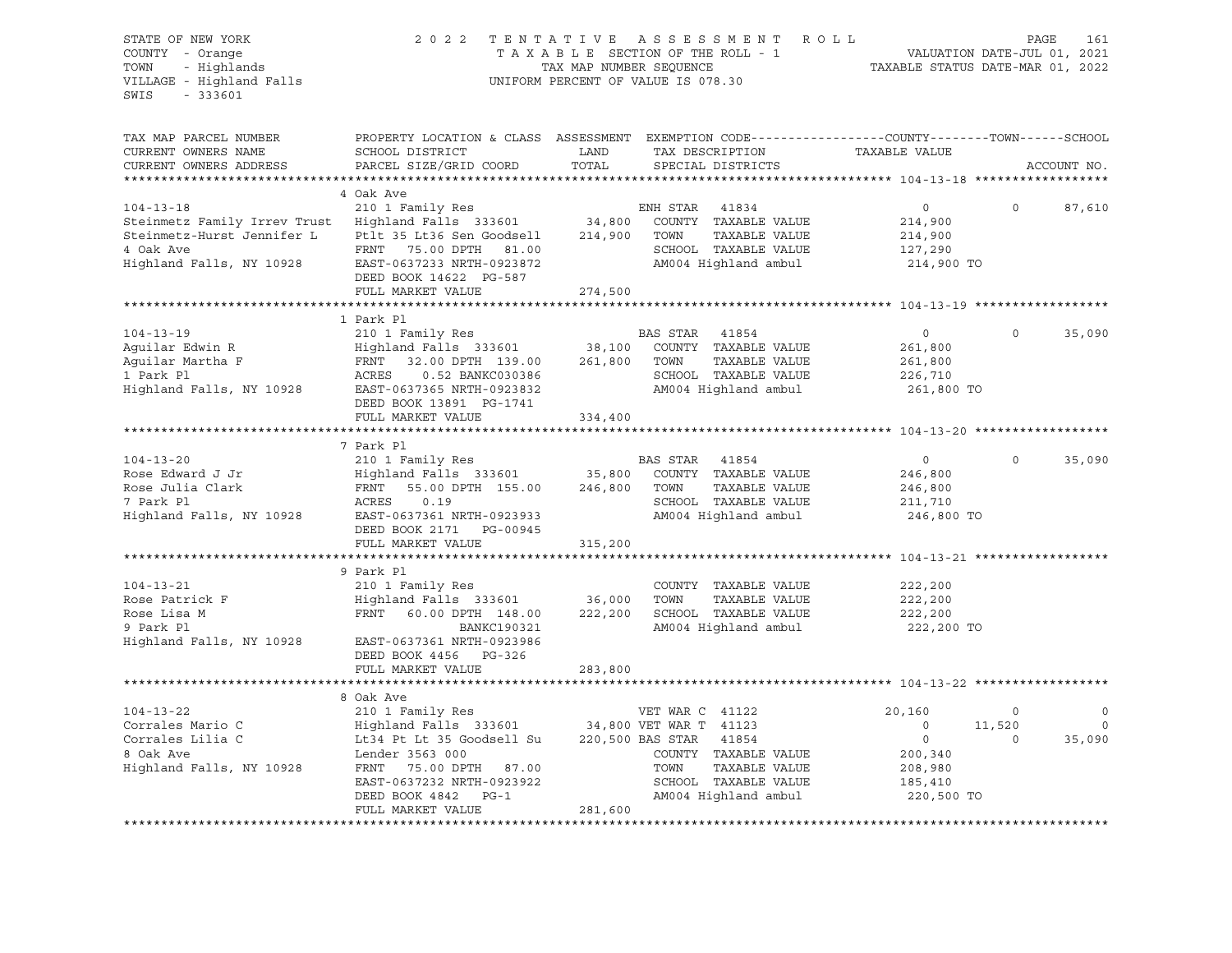| STATE OF NEW YORK<br>COUNTY - Orange<br>- Highlands<br>TOWN<br>VILLAGE - Highland Falls<br>$-333601$<br>SWIS | 2 0 2 2                                                                                                                                      | TENTATIVE<br>TAX MAP NUMBER SEQUENCE | A S S E S S M E N T<br>TAXABLE SECTION OF THE ROLL - 1<br>UNIFORM PERCENT OF VALUE IS 078.30 | R O L L<br>VALUATION DATE-JUL 01, 2021<br>TAXABLE STATUS DATE-MAR 01, 2022 |             | PAGE<br>161  |
|--------------------------------------------------------------------------------------------------------------|----------------------------------------------------------------------------------------------------------------------------------------------|--------------------------------------|----------------------------------------------------------------------------------------------|----------------------------------------------------------------------------|-------------|--------------|
| TAX MAP PARCEL NUMBER<br>CURRENT OWNERS NAME<br>CURRENT OWNERS ADDRESS<br>************************           | PROPERTY LOCATION & CLASS ASSESSMENT EXEMPTION CODE----------------COUNTY-------TOWN-----SCHOOL<br>SCHOOL DISTRICT<br>PARCEL SIZE/GRID COORD | LAND<br>TOTAL                        | TAX DESCRIPTION<br>SPECIAL DISTRICTS                                                         | TAXABLE VALUE                                                              |             | ACCOUNT NO.  |
|                                                                                                              | 4 Oak Ave                                                                                                                                    |                                      |                                                                                              |                                                                            |             |              |
| $104 - 13 - 18$                                                                                              | 210 1 Family Res                                                                                                                             |                                      | ENH STAR<br>41834                                                                            | $\circ$                                                                    | $\circ$     | 87,610       |
| Steinmetz Family Irrev Trust                                                                                 | Highland Falls 333601                                                                                                                        | 34,800                               | COUNTY TAXABLE VALUE                                                                         | 214,900                                                                    |             |              |
| Steinmetz-Hurst Jennifer L                                                                                   | Ptlt 35 Lt36 Sen Goodsell                                                                                                                    | 214,900                              | TOWN<br>TAXABLE VALUE                                                                        | 214,900                                                                    |             |              |
| 4 Oak Ave                                                                                                    | 75.00 DPTH 81.00<br>FRNT                                                                                                                     |                                      | SCHOOL TAXABLE VALUE                                                                         | 127,290                                                                    |             |              |
| Highland Falls, NY 10928                                                                                     | EAST-0637233 NRTH-0923872                                                                                                                    |                                      | AM004 Highland ambul                                                                         | 214,900 TO                                                                 |             |              |
|                                                                                                              | DEED BOOK 14622 PG-587                                                                                                                       |                                      |                                                                                              |                                                                            |             |              |
|                                                                                                              | FULL MARKET VALUE                                                                                                                            | 274,500                              |                                                                                              |                                                                            |             |              |
|                                                                                                              |                                                                                                                                              |                                      |                                                                                              |                                                                            |             |              |
|                                                                                                              | 1 Park Pl                                                                                                                                    |                                      |                                                                                              |                                                                            | $\Omega$    |              |
| $104 - 13 - 19$                                                                                              | 210 1 Family Res                                                                                                                             |                                      | BAS STAR<br>41854<br>COUNTY TAXABLE VALUE                                                    | $\circ$                                                                    |             | 35,090       |
| Aguilar Edwin R<br>Aguilar Martha F                                                                          | Highland Falls 333601<br>FRNT<br>32.00 DPTH 139.00                                                                                           | 38,100<br>261,800                    | TOWN<br>TAXABLE VALUE                                                                        | 261,800<br>261,800                                                         |             |              |
| 1 Park Pl                                                                                                    | ACRES<br>0.52 BANKC030386                                                                                                                    |                                      | SCHOOL TAXABLE VALUE                                                                         | 226,710                                                                    |             |              |
| Highland Falls, NY 10928                                                                                     | EAST-0637365 NRTH-0923832                                                                                                                    |                                      | AM004 Highland ambul                                                                         | 261,800 TO                                                                 |             |              |
|                                                                                                              | DEED BOOK 13891 PG-1741                                                                                                                      |                                      |                                                                                              |                                                                            |             |              |
|                                                                                                              | FULL MARKET VALUE                                                                                                                            | 334,400                              |                                                                                              |                                                                            |             |              |
|                                                                                                              | **************************                                                                                                                   |                                      |                                                                                              |                                                                            |             |              |
|                                                                                                              | 7 Park Pl                                                                                                                                    |                                      |                                                                                              |                                                                            |             |              |
| $104 - 13 - 20$                                                                                              | 210 1 Family Res                                                                                                                             |                                      | BAS STAR<br>41854                                                                            | $\circ$                                                                    | $\circ$     | 35,090       |
| Rose Edward J Jr                                                                                             | Highland Falls 333601                                                                                                                        | 35,800                               | COUNTY TAXABLE VALUE                                                                         | 246,800                                                                    |             |              |
| Rose Julia Clark                                                                                             | FRNT<br>55.00 DPTH 155.00                                                                                                                    | 246,800                              | TOWN<br>TAXABLE VALUE                                                                        | 246,800                                                                    |             |              |
| 7 Park Pl                                                                                                    | ACRES<br>0.19                                                                                                                                |                                      | SCHOOL TAXABLE VALUE                                                                         | 211,710                                                                    |             |              |
| Highland Falls, NY 10928                                                                                     | EAST-0637361 NRTH-0923933                                                                                                                    |                                      | AM004 Highland ambul                                                                         | 246,800 TO                                                                 |             |              |
|                                                                                                              | DEED BOOK 2171 PG-00945<br>FULL MARKET VALUE                                                                                                 | 315,200                              |                                                                                              |                                                                            |             |              |
|                                                                                                              |                                                                                                                                              |                                      |                                                                                              |                                                                            |             |              |
|                                                                                                              | 9 Park Pl                                                                                                                                    |                                      |                                                                                              |                                                                            |             |              |
| $104 - 13 - 21$                                                                                              | 210 1 Family Res                                                                                                                             |                                      | COUNTY TAXABLE VALUE                                                                         | 222,200                                                                    |             |              |
| Rose Patrick F                                                                                               | Highland Falls 333601                                                                                                                        | 36,000                               | TOWN<br>TAXABLE VALUE                                                                        | 222,200                                                                    |             |              |
| Rose Lisa M                                                                                                  | FRNT 60.00 DPTH 148.00                                                                                                                       | 222,200                              | SCHOOL TAXABLE VALUE                                                                         | 222,200                                                                    |             |              |
| 9 Park Pl                                                                                                    | <b>BANKC190321</b>                                                                                                                           |                                      | AM004 Highland ambul                                                                         | 222,200 TO                                                                 |             |              |
| Highland Falls, NY 10928                                                                                     | EAST-0637361 NRTH-0923986                                                                                                                    |                                      |                                                                                              |                                                                            |             |              |
|                                                                                                              | DEED BOOK 4456 PG-326                                                                                                                        |                                      |                                                                                              |                                                                            |             |              |
| ***********************                                                                                      | FULL MARKET VALUE<br>*****************************                                                                                           | 283,800<br>**************            |                                                                                              |                                                                            |             |              |
|                                                                                                              | 8 Oak Ave                                                                                                                                    |                                      |                                                                                              |                                                                            |             |              |
| $104 - 13 - 22$                                                                                              | 210 1 Family Res                                                                                                                             |                                      | VET WAR C 41122                                                                              | 20,160                                                                     | $\mathsf O$ | $\mathsf{O}$ |
| Corrales Mario C                                                                                             | Highland Falls 333601                                                                                                                        |                                      | 34,800 VET WAR T 41123                                                                       | $\circ$                                                                    | 11,520      | $\mathbf 0$  |
| Corrales Lilia C                                                                                             | Lt34 Pt Lt 35 Goodsell Su                                                                                                                    |                                      | 220,500 BAS STAR<br>41854                                                                    | $\circ$                                                                    | $\circ$     | 35,090       |
| 8 Oak Ave                                                                                                    | Lender 3563 000                                                                                                                              |                                      | COUNTY TAXABLE VALUE                                                                         | 200,340                                                                    |             |              |
| Highland Falls, NY 10928                                                                                     | FRNT 75.00 DPTH 87.00                                                                                                                        |                                      | TAXABLE VALUE<br>TOWN                                                                        | 208,980                                                                    |             |              |
|                                                                                                              | EAST-0637232 NRTH-0923922                                                                                                                    |                                      | SCHOOL TAXABLE VALUE                                                                         | 185,410                                                                    |             |              |
|                                                                                                              | DEED BOOK 4842<br>$PG-1$                                                                                                                     |                                      | AM004 Highland ambul                                                                         | 220,500 TO                                                                 |             |              |
|                                                                                                              | FULL MARKET VALUE                                                                                                                            | 281,600                              |                                                                                              |                                                                            |             |              |
|                                                                                                              |                                                                                                                                              |                                      |                                                                                              |                                                                            |             |              |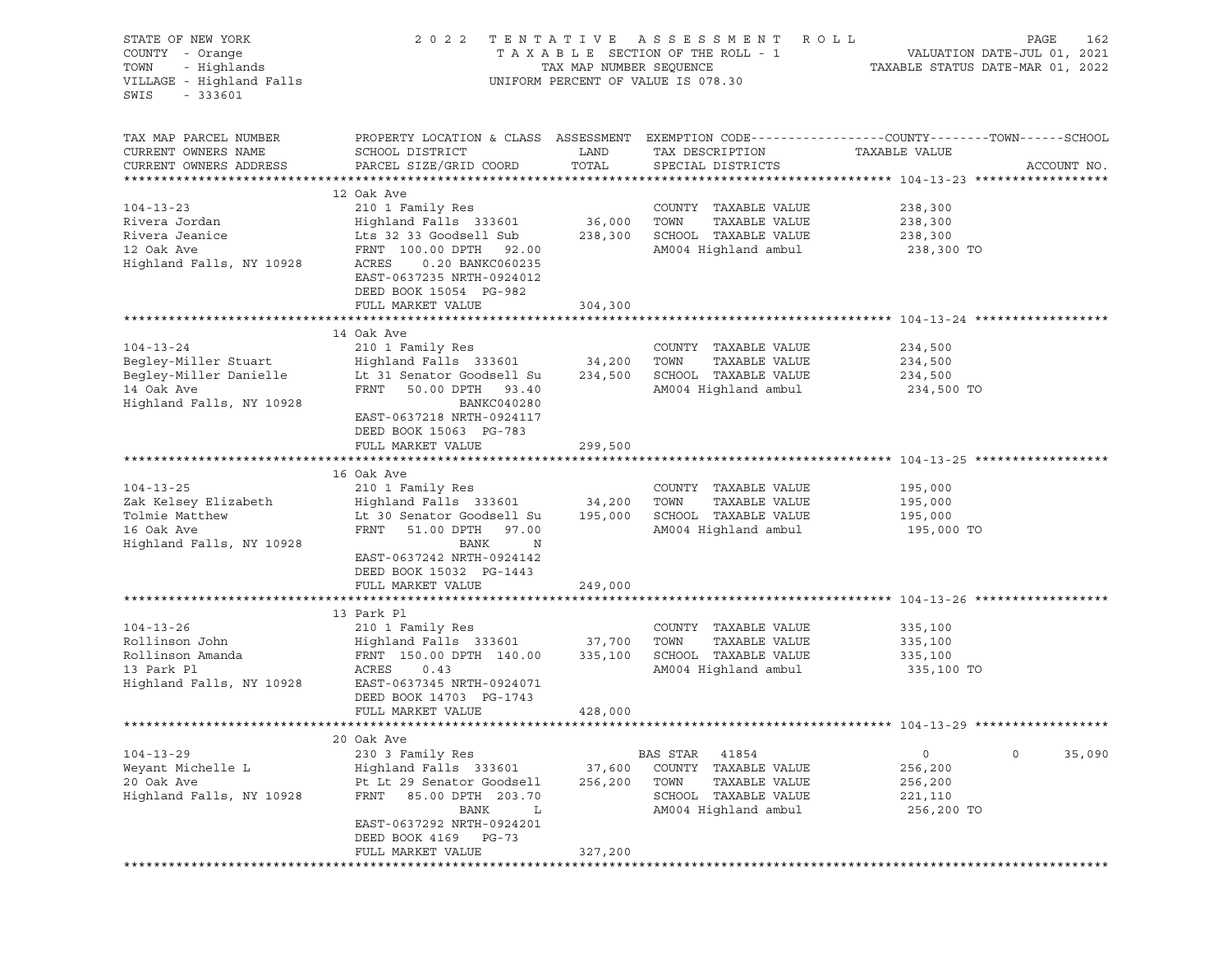| STATE OF NEW YORK<br>COUNTY - Orange<br>- Highlands<br>TOWN<br>VILLAGE - Highland Falls<br>SWIS<br>$-333601$ |                                                                                                                                                                                                                      |                        | 2022 TENTATIVE ASSESSMENT ROLL<br>UNIFORM PERCENT OF VALUE IS 078.30                                               |                                                                   | PAGE<br>162 |
|--------------------------------------------------------------------------------------------------------------|----------------------------------------------------------------------------------------------------------------------------------------------------------------------------------------------------------------------|------------------------|--------------------------------------------------------------------------------------------------------------------|-------------------------------------------------------------------|-------------|
| TAX MAP PARCEL NUMBER<br>CURRENT OWNERS NAME<br>CURRENT OWNERS ADDRESS                                       | PROPERTY LOCATION & CLASS ASSESSMENT EXEMPTION CODE----------------COUNTY-------TOWN------SCHOOL<br>SCHOOL DISTRICT<br>PARCEL SIZE/GRID COORD                                                                        | LAND<br>TOTAL          | TAX DESCRIPTION<br>SPECIAL DISTRICTS                                                                               | TAXABLE VALUE                                                     | ACCOUNT NO. |
| $104 - 13 - 23$<br>Rivera Jordan<br>Rivera Jeanice<br>12 Oak Ave<br>Highland Falls, NY 10928                 | 12 Oak Ave<br>210 1 Family Res<br>Highland Falls 333601<br>Lts 32 33 Goodsell Sub<br>FRNT 100.00 DPTH 92.00<br>ACRES<br>0.20 BANKC060235<br>EAST-0637235 NRTH-0924012<br>DEED BOOK 15054 PG-982<br>FULL MARKET VALUE | 36,000 TOWN<br>304,300 | COUNTY TAXABLE VALUE<br>TAXABLE VALUE<br>238,300 SCHOOL TAXABLE VALUE<br>AM004 Highland ambul                      | 238,300<br>238,300<br>238,300<br>238,300 TO                       |             |
|                                                                                                              |                                                                                                                                                                                                                      |                        |                                                                                                                    |                                                                   |             |
| $104 - 13 - 24$<br>Begley-Miller Stuart<br>Begley-Miller Danielle<br>14 Oak Ave<br>Highland Falls, NY 10928  | 14 Oak Ave<br>210 1 Family Res<br>Highland Falls 333601<br>Lt 31 Senator Goodsell Su<br>FRNT 50.00 DPTH 93.40<br>BANKC040280<br>EAST-0637218 NRTH-0924117<br>DEED BOOK 15063 PG-783                                  | 34,200 TOWN            | COUNTY TAXABLE VALUE<br>TAXABLE VALUE<br>234,500 SCHOOL TAXABLE VALUE<br>AM004 Highland ambul                      | 234,500<br>234,500<br>234,500<br>234,500 TO                       |             |
|                                                                                                              | FULL MARKET VALUE                                                                                                                                                                                                    | 299,500                |                                                                                                                    |                                                                   |             |
|                                                                                                              |                                                                                                                                                                                                                      |                        |                                                                                                                    |                                                                   |             |
| $104 - 13 - 25$<br>Zak Kelsey Elizabeth<br>Tolmie Matthew<br>16 Oak Ave<br>Highland Falls, NY 10928          | 16 Oak Ave<br>210 1 Family Res<br>-<br>Highland Falls 333601<br>Lt 30 Senator Goodsell Su<br>FRNT<br>51.00 DPTH 97.00<br>BANK<br>$_{\rm N}$<br>EAST-0637242 NRTH-0924142<br>DEED BOOK 15032 PG-1443                  | 34,200 TOWN            | COUNTY TAXABLE VALUE<br>TAXABLE VALUE<br>195,000 SCHOOL TAXABLE VALUE<br>AM004 Highland ambul                      | 195,000<br>195,000<br>195,000<br>195,000 TO                       |             |
|                                                                                                              | FULL MARKET VALUE                                                                                                                                                                                                    | 249,000                |                                                                                                                    |                                                                   |             |
|                                                                                                              |                                                                                                                                                                                                                      |                        |                                                                                                                    |                                                                   |             |
| $104 - 13 - 26$<br>Rollinson John<br>Rollinson Amanda<br>13 Park Pl<br>Highland Falls, NY 10928              | 13 Park Pl<br>210 1 Family Res<br>Highland Falls 333601 37,700 TOWN<br>FRNT 150.00 DPTH 140.00<br>ACRES<br>0.43<br>EAST-0637345 NRTH-0924071<br>DEED BOOK 14703 PG-1743<br>FULL MARKET VALUE                         | 335,100                | COUNTY TAXABLE VALUE<br>TAXABLE VALUE<br>SCHOOL TAXABLE VALUE<br>AM004 Highland ambul                              | 335,100<br>335,100<br>335,100<br>335,100 TO                       |             |
|                                                                                                              |                                                                                                                                                                                                                      | 428,000                |                                                                                                                    |                                                                   |             |
| $104 - 13 - 29$<br>Weyant Michelle L<br>20 Oak Ave<br>Highland Falls, NY 10928                               | 20 Oak Ave<br>230 3 Family Res<br>Highland Falls 333601<br>Pt Lt 29 Senator Goodsell<br>FRNT<br>85.00 DPTH 203.70<br>BANK<br>L<br>EAST-0637292 NRTH-0924201<br>DEED BOOK 4169 PG-73                                  | 37,600<br>256,200      | BAS STAR<br>41854<br>COUNTY TAXABLE VALUE<br>TOWN<br>TAXABLE VALUE<br>SCHOOL TAXABLE VALUE<br>AM004 Highland ambul | $\circ$<br>$\circ$<br>256,200<br>256,200<br>221,110<br>256,200 TO | 35,090      |
|                                                                                                              | FULL MARKET VALUE<br>****************                                                                                                                                                                                | 327,200                | *************************************                                                                              |                                                                   |             |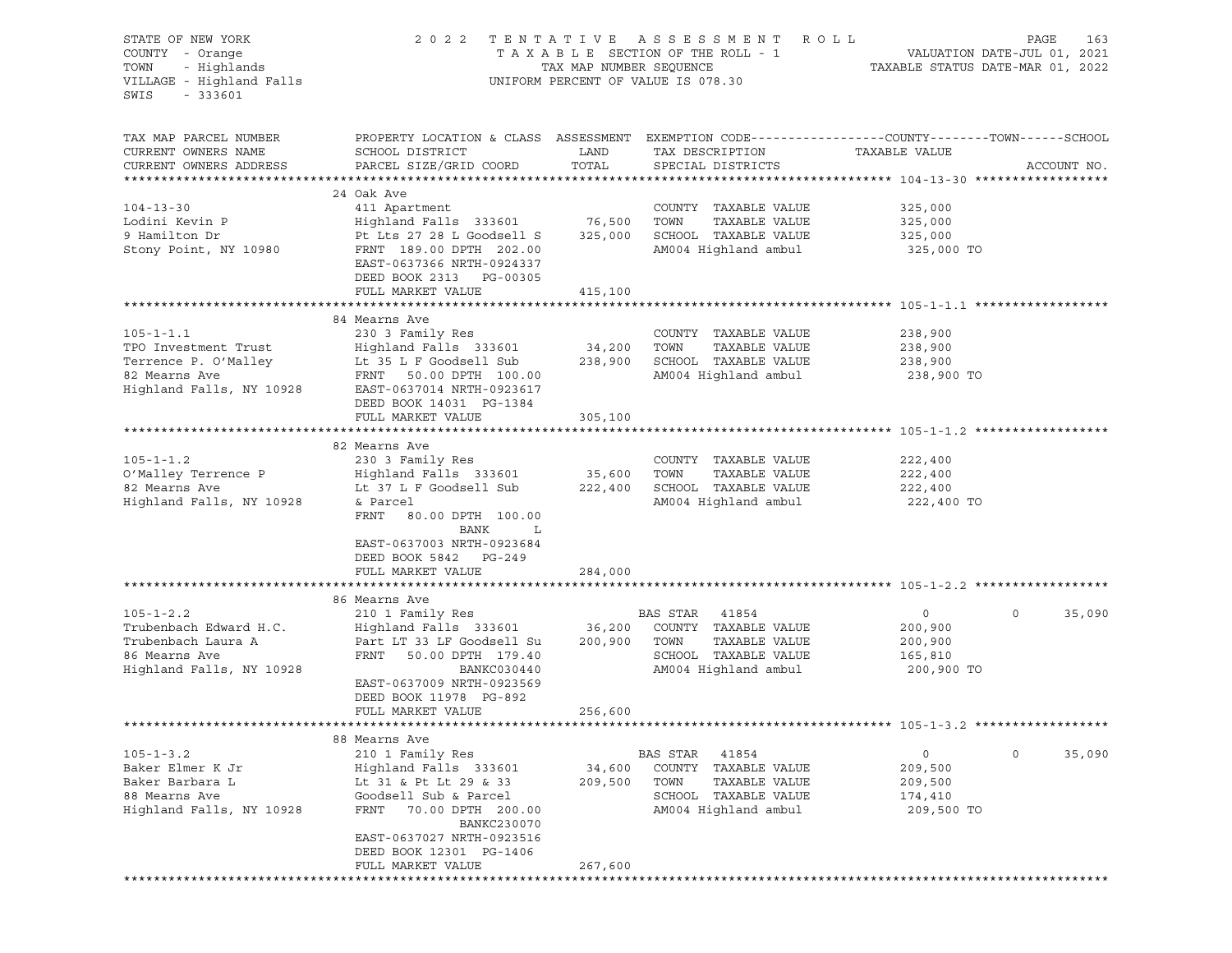| STATE OF NEW YORK<br>COUNTY - Orange<br>- Highlands<br>TOWN<br>VILLAGE - Highland Falls<br>SWIS<br>$-333601$                           |                                                                                                                                                                                                                              |                        | 2022 TENTATIVE ASSESSMENT ROLL<br>T A X A B L E SECTION OF THE ROLL - 1 WALUATION DATE-JUL 01, 2021 TAX MAP NUMBER SEQUENCE TAXABLE STATUS DATE-MAR 01, 2022<br>UNIFORM PERCENT OF VALUE IS 078.30 |                                                               | PAGE<br>163       |
|----------------------------------------------------------------------------------------------------------------------------------------|------------------------------------------------------------------------------------------------------------------------------------------------------------------------------------------------------------------------------|------------------------|----------------------------------------------------------------------------------------------------------------------------------------------------------------------------------------------------|---------------------------------------------------------------|-------------------|
| TAX MAP PARCEL NUMBER<br>CURRENT OWNERS NAME<br>CURRENT OWNERS ADDRESS                                                                 | PROPERTY LOCATION & CLASS ASSESSMENT EXEMPTION CODE----------------COUNTY-------TOWN-----SCHOOL<br>SCHOOL DISTRICT<br>PARCEL SIZE/GRID COORD                                                                                 | LAND<br>TOTAL          | TAX DESCRIPTION<br>SPECIAL DISTRICTS                                                                                                                                                               | TAXABLE VALUE                                                 | ACCOUNT NO.       |
| $104 - 13 - 30$<br>Lodini Kevin P<br>9 Hamilton Dr<br>Stony Point, NY 10980                                                            | 24 Oak Ave<br>411 Apartment<br>Highland Falls 333601 76,500<br>Pt Lts 27 28 L Goodsell S<br>FRNT 189.00 DPTH 202.00<br>EAST-0637366 NRTH-0924337<br>DEED BOOK 2313 PG-00305<br>FULL MARKET VALUE                             | 325,000<br>415,100     | COUNTY TAXABLE VALUE<br>TOWN<br>TAXABLE VALUE<br>SCHOOL TAXABLE VALUE<br>AM004 Highland ambul                                                                                                      | 325,000<br>325,000<br>325,000<br>325,000 TO                   |                   |
|                                                                                                                                        |                                                                                                                                                                                                                              |                        |                                                                                                                                                                                                    |                                                               |                   |
| $105 - 1 - 1.1$<br>TPO Investment Trust<br>Terrence P. O'Malley<br>82 Mearns Ave<br>Highland Falls, NY 10928 EAST-0637014 NRTH-0923617 | 84 Mearns Ave<br>230 3 Family Res<br>Highland Falls 333601<br>Lt 35 L F Goodsell Sub<br>FRNT 50.00 DPTH 100.00                                                                                                               | 34,200 TOWN<br>238,900 | COUNTY TAXABLE VALUE<br>TAXABLE VALUE<br>SCHOOL TAXABLE VALUE<br>AM004 Highland ambul                                                                                                              | 238,900<br>238,900<br>238,900<br>238,900 TO                   |                   |
|                                                                                                                                        | DEED BOOK 14031 PG-1384<br>FULL MARKET VALUE                                                                                                                                                                                 | 305,100                |                                                                                                                                                                                                    |                                                               |                   |
|                                                                                                                                        |                                                                                                                                                                                                                              |                        |                                                                                                                                                                                                    |                                                               |                   |
| $105 - 1 - 1.2$<br>O'Malley Terrence P<br>82 Mearns Ave<br>Highland Falls, NY 10928                                                    | 82 Mearns Ave<br>230 3 Family Res<br>Highland Falls 333601 35,600<br>Lt 37 L F Goodsell Sub<br>& Parcel<br>FRNT<br>80.00 DPTH 100.00<br>BANK<br>L<br>EAST-0637003 NRTH-0923684<br>DEED BOOK 5842 PG-249<br>FULL MARKET VALUE | 222,400<br>284,000     | COUNTY TAXABLE VALUE<br>TOWN<br>TAXABLE VALUE<br>SCHOOL TAXABLE VALUE<br>AM004 Highland ambul                                                                                                      | 222,400<br>222,400<br>222,400<br>222,400 TO                   |                   |
|                                                                                                                                        |                                                                                                                                                                                                                              |                        |                                                                                                                                                                                                    |                                                               |                   |
| $105 - 1 - 2.2$<br>Trubenbach Edward H.C.<br>Trubenbach Laura A<br>86 Mearns Ave<br>Highland Falls, NY 10928                           | 86 Mearns Ave<br>210 1 Family Res<br>Highland Falls 333601 36,200 COUNTY TAXABLE VALUE<br>Part LT 33 LF Goodsell Su<br>FRNT<br>50.00 DPTH 179.40<br>BANKC030440<br>EAST-0637009 NRTH-0923569<br>DEED BOOK 11978 PG-892       | 200,900                | BAS STAR 41854<br>TAXABLE VALUE<br>TOWN<br>SCHOOL TAXABLE VALUE<br>AM004 Highland ambul                                                                                                            | $\overline{0}$<br>200,900<br>200,900<br>165,810<br>200,900 TO | $\circ$<br>35,090 |
|                                                                                                                                        | FULL MARKET VALUE                                                                                                                                                                                                            | 256,600                |                                                                                                                                                                                                    |                                                               |                   |
|                                                                                                                                        |                                                                                                                                                                                                                              |                        |                                                                                                                                                                                                    |                                                               |                   |
| $105 - 1 - 3.2$<br>Baker Elmer K Jr<br>Baker Barbara L<br>88 Mearns Ave<br>Highland Falls, NY 10928                                    | 88 Mearns Ave<br>210 1 Family Res<br>Highland Falls 333601<br>Lt 31 & Pt Lt 29 & 33<br>Goodsell Sub & Parcel<br>FRNT<br>70.00 DPTH 200.00<br>BANKC230070<br>EAST-0637027 NRTH-0923516<br>DEED BOOK 12301 PG-1406             | 34,600<br>209,500      | BAS STAR<br>41854<br>COUNTY<br>TAXABLE VALUE<br>TOWN<br>TAXABLE VALUE<br>SCHOOL<br>TAXABLE VALUE<br>AM004 Highland ambul                                                                           | 0<br>209,500<br>209,500<br>174,410<br>209,500 TO              | 35,090<br>$\circ$ |
|                                                                                                                                        | FULL MARKET VALUE<br>*********************                                                                                                                                                                                   | 267,600                |                                                                                                                                                                                                    |                                                               |                   |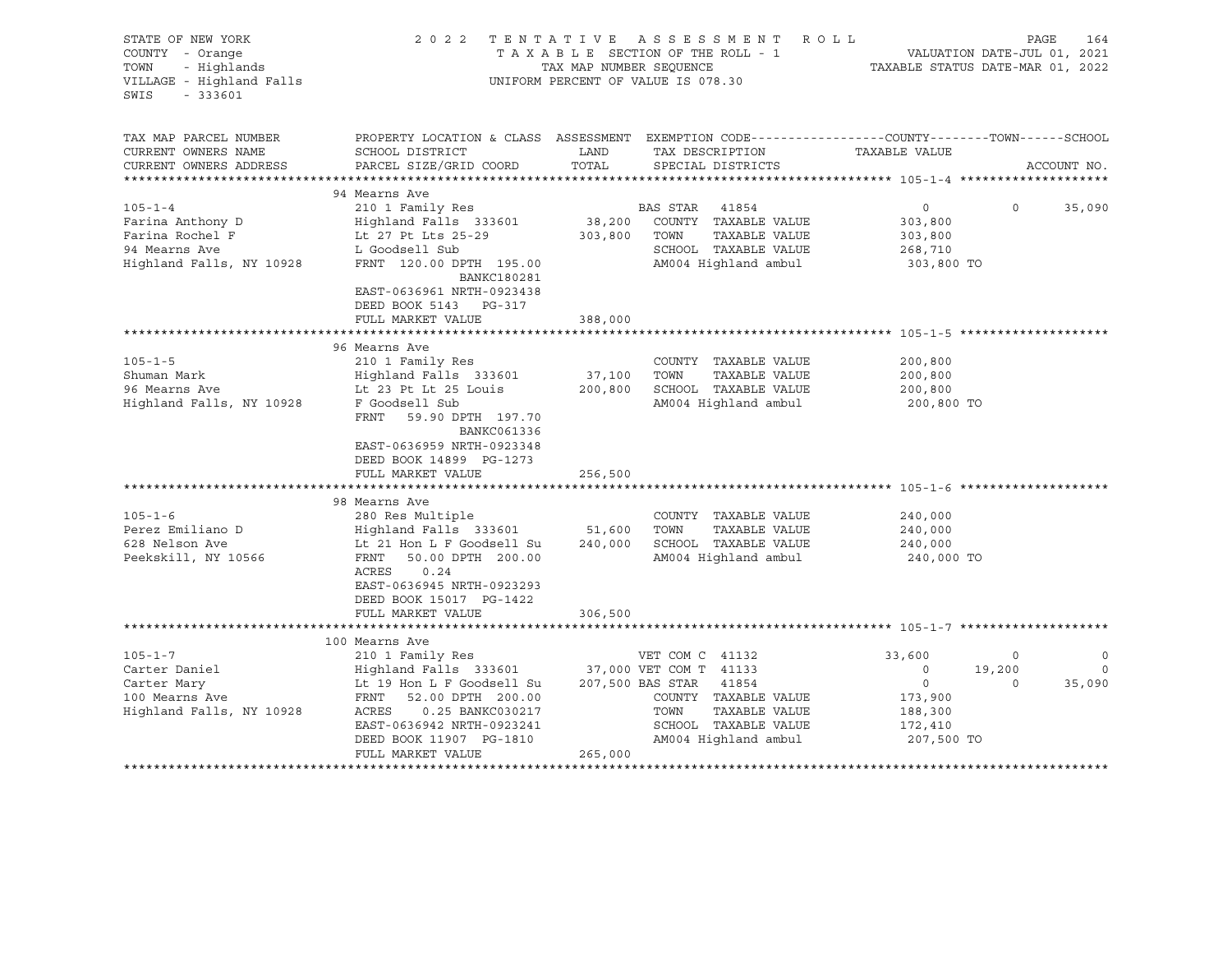| STATE OF NEW YORK<br>COUNTY - Orange<br>- Highlands<br>TOWN<br>VILLAGE - Highland Falls<br>SWIS<br>$-333601$ | 2022 TENTATIVE                                                                                                                                                                                                                       | TAX MAP NUMBER SEQUENCE      | A S S E S S M E N T<br>ROLL<br>TAXABLE SECTION OF THE ROLL - 1<br>UNIFORM PERCENT OF VALUE IS 078.30                                       | VALUATION DATE-JUL 01, 2021<br>TAXABLE STATUS DATE-MAR 01, 2022                    | PAGE                         | 164                              |
|--------------------------------------------------------------------------------------------------------------|--------------------------------------------------------------------------------------------------------------------------------------------------------------------------------------------------------------------------------------|------------------------------|--------------------------------------------------------------------------------------------------------------------------------------------|------------------------------------------------------------------------------------|------------------------------|----------------------------------|
| TAX MAP PARCEL NUMBER<br>CURRENT OWNERS NAME<br>CURRENT OWNERS ADDRESS                                       | PROPERTY LOCATION & CLASS ASSESSMENT EXEMPTION CODE---------------COUNTY-------TOWN-----SCHOOL<br>SCHOOL DISTRICT<br>PARCEL SIZE/GRID COORD                                                                                          | LAND<br>TOTAL                | TAX DESCRIPTION<br>SPECIAL DISTRICTS                                                                                                       | TAXABLE VALUE                                                                      |                              | ACCOUNT NO.                      |
|                                                                                                              |                                                                                                                                                                                                                                      |                              |                                                                                                                                            |                                                                                    |                              |                                  |
| $105 - 1 - 4$<br>Farina Anthony D<br>Farina Rochel F<br>94 Mearns Ave<br>Highland Falls, NY 10928            | 94 Mearns Ave<br>210 1 Family Res<br>Highland Falls 333601<br>Lt 27 Pt Lts 25-29<br>L Goodsell Sub<br>FRNT 120.00 DPTH 195.00<br>BANKC180281<br>EAST-0636961 NRTH-0923438<br>DEED BOOK 5143 PG-317                                   | 38,200<br>303,800            | BAS STAR 41854<br>COUNTY TAXABLE VALUE<br>TAXABLE VALUE<br>TOWN<br>SCHOOL TAXABLE VALUE<br>AM004 Highland ambul                            | $\circ$<br>303,800<br>303,800<br>268,710<br>303,800 TO                             | $\circ$                      | 35,090                           |
|                                                                                                              | FULL MARKET VALUE                                                                                                                                                                                                                    | 388,000                      |                                                                                                                                            |                                                                                    |                              |                                  |
|                                                                                                              |                                                                                                                                                                                                                                      |                              |                                                                                                                                            |                                                                                    |                              |                                  |
| $105 - 1 - 5$<br>Shuman Mark<br>96 Mearns Ave<br>Highland Falls, NY 10928                                    | 96 Mearns Ave<br>210 1 Family Res<br>Highland Falls 333601<br>Lt 23 Pt Lt 25 Louis<br>F Goodsell Sub<br>FRNT<br>59.90 DPTH 197.70<br>BANKC061336<br>EAST-0636959 NRTH-0923348<br>DEED BOOK 14899 PG-1273<br>FULL MARKET VALUE        | 37,100<br>200,800<br>256,500 | COUNTY TAXABLE VALUE<br>TAXABLE VALUE<br>TOWN<br>SCHOOL TAXABLE VALUE<br>AM004 Highland ambul                                              | 200,800<br>200,800<br>200,800<br>200,800 TO                                        |                              |                                  |
|                                                                                                              |                                                                                                                                                                                                                                      |                              |                                                                                                                                            |                                                                                    |                              |                                  |
| $105 - 1 - 6$<br>Perez Emiliano D<br>628 Nelson Ave<br>Peekskill, NY 10566                                   | 98 Mearns Ave<br>280 Res Multiple<br>Highland Falls 333601 51,600<br>Lt 21 Hon L F Goodsell Su<br>FRNT<br>50.00 DPTH 200.00<br>0.24<br>ACRES<br>EAST-0636945 NRTH-0923293<br>DEED BOOK 15017 PG-1422                                 |                              | COUNTY TAXABLE VALUE<br>TOWN<br>TAXABLE VALUE<br>240,000 SCHOOL TAXABLE VALUE<br>AM004 Highland ambul                                      | 240,000<br>240,000<br>240,000<br>240,000 TO                                        |                              |                                  |
|                                                                                                              | FULL MARKET VALUE                                                                                                                                                                                                                    | 306,500                      |                                                                                                                                            |                                                                                    |                              |                                  |
|                                                                                                              | 100 Mearns Ave                                                                                                                                                                                                                       |                              |                                                                                                                                            |                                                                                    |                              |                                  |
| $105 - 1 - 7$<br>Carter Daniel<br>Carter Mary<br>100 Mearns Ave<br>Highland Falls, NY 10928                  | 210 1 Family Res<br>Highland Falls 333601 37,000 VET COM T 41133<br>Lt 19 Hon L F Goodsell Su<br>FRNT<br>52.00 DPTH 200.00<br>ACRES<br>0.25 BANKC030217<br>EAST-0636942 NRTH-0923241<br>DEED BOOK 11907 PG-1810<br>FULL MARKET VALUE | 265,000                      | VET COM C 41132<br>207,500 BAS STAR 41854<br>COUNTY TAXABLE VALUE<br>TAXABLE VALUE<br>TOWN<br>SCHOOL TAXABLE VALUE<br>AM004 Highland ambul | 33,600<br>$\circ$<br>$\overline{0}$<br>173,900<br>188,300<br>172,410<br>207,500 TO | $\circ$<br>19,200<br>$\circ$ | $\mathbf 0$<br>$\circ$<br>35,090 |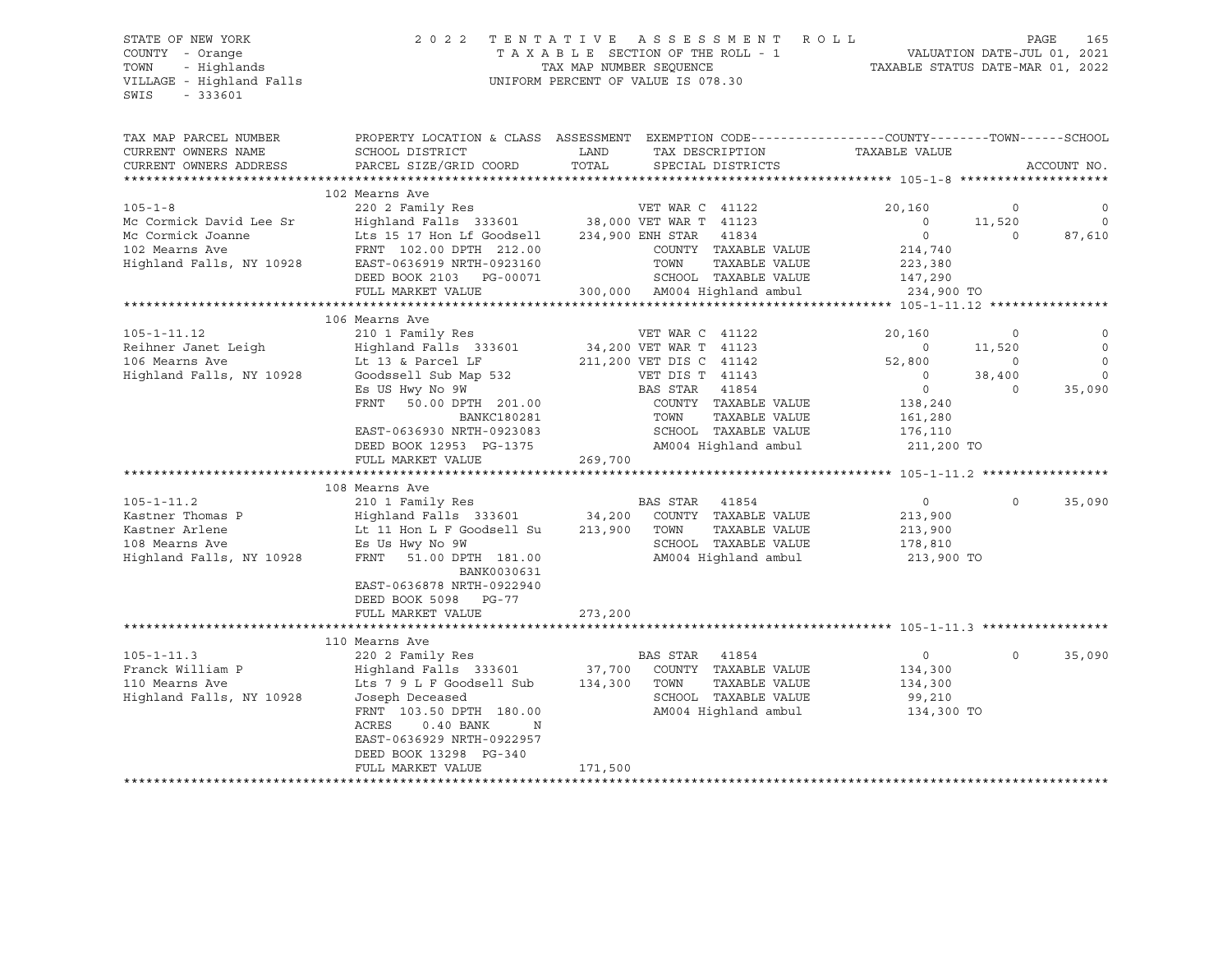VILLAGE - Highland Falls UNIFORM PERCENT OF VALUE IS 078.30 SWIS - 333601

## STATE OF NEW YORK 2 0 2 2 T E N T A T I V E A S S E S S M E N T R O L L PAGE 165 COUNTY - Orange T A X A B L E SECTION OF THE ROLL - 1 VALUATION DATE-JUL 01, 2021 TOWN - Highlands TAX MAP NUMBER SEQUENCE TAXABLE STATUS DATE-MAR 01, 2022

| TAX MAP PARCEL NUMBER<br>CURRENT OWNERS NAME<br>CURRENT OWNERS ADDRESS | PROPERTY LOCATION & CLASS ASSESSMENT EXEMPTION CODE----------------COUNTY-------TOWN------SCHOOL<br>SCHOOL DISTRICT<br>PARCEL SIZE/GRID COORD | LAND<br>TOTAL                                         | TAX DESCRIPTION<br>SPECIAL DISTRICTS | TAXABLE VALUE      |             | ACCOUNT NO. |
|------------------------------------------------------------------------|-----------------------------------------------------------------------------------------------------------------------------------------------|-------------------------------------------------------|--------------------------------------|--------------------|-------------|-------------|
|                                                                        |                                                                                                                                               |                                                       |                                      |                    |             |             |
|                                                                        | 102 Mearns Ave                                                                                                                                |                                                       |                                      |                    |             |             |
| $105 - 1 - 8$                                                          | 220 2 Family Res                                                                                                                              | VET WAR C 41122<br>38,000 VET WAR T 41123             |                                      | 20,160             | $\circ$     | $\mathbf 0$ |
| Mc Cormick David Lee Sr                                                | Highland Falls 333601                                                                                                                         |                                                       |                                      | $\circ$            | 11,520      | $\circ$     |
| Mc Cormick Joanne<br>102 Mearns Ave                                    | Lts 15 17 Hon Lf Goodsell                                                                                                                     | 234,900 ENH STAR                                      | 41834<br>COUNTY TAXABLE VALUE        | $\circ$            | $\Omega$    | 87,610      |
| Highland Falls, NY 10928                                               | FRNT 102.00 DPTH 212.00<br>EAST-0636919 NRTH-0923160                                                                                          | TOWN                                                  | TAXABLE VALUE                        | 214,740            |             |             |
|                                                                        | DEED BOOK 2103 PG-00071                                                                                                                       |                                                       | SCHOOL TAXABLE VALUE                 | 223,380<br>147,290 |             |             |
|                                                                        | FULL MARKET VALUE                                                                                                                             |                                                       | 300,000 AM004 Highland ambul         | 234,900 TO         |             |             |
|                                                                        |                                                                                                                                               |                                                       |                                      |                    |             |             |
|                                                                        | 106 Mearns Ave                                                                                                                                |                                                       |                                      |                    |             |             |
| $105 - 1 - 11.12$                                                      | 210 1 Family Res                                                                                                                              |                                                       | VET WAR C 41122                      | 20,160             | $\mathbf 0$ |             |
| Reihner Janet Leigh                                                    | Highland Falls 333601                                                                                                                         | 34,200 VET WAR T   41123<br>211.200 VET DIS C   41142 |                                      | $\overline{0}$     | 11,520      | $\circ$     |
| 106 Mearns Ave                                                         | Lt 13 & Parcel LF                                                                                                                             | 211,200 VET DIS C 41142                               |                                      | 52,800             | $\circ$     | $\mathbf 0$ |
| Highland Falls, NY 10928                                               | Goodssell Sub Map 532                                                                                                                         |                                                       | VET DIS T 41143                      | $\overline{0}$     | 38,400      | $\mathbf 0$ |
|                                                                        | Es US Hwy No 9W                                                                                                                               | BAS STAR                                              | 41854                                | $\overline{0}$     | $\Omega$    | 35,090      |
|                                                                        | <b>FRNT</b><br>50.00 DPTH 201.00                                                                                                              |                                                       | COUNTY TAXABLE VALUE                 | 138,240            |             |             |
|                                                                        | BANKC180281                                                                                                                                   | TOWN                                                  | TAXABLE VALUE                        | 161,280            |             |             |
|                                                                        | EAST-0636930 NRTH-0923083                                                                                                                     |                                                       | SCHOOL TAXABLE VALUE                 | 176,110            |             |             |
|                                                                        | DEED BOOK 12953 PG-1375                                                                                                                       |                                                       | AM004 Highland ambul                 | 211,200 TO         |             |             |
|                                                                        | FULL MARKET VALUE                                                                                                                             | 269,700                                               |                                      |                    |             |             |
|                                                                        |                                                                                                                                               |                                                       |                                      |                    |             |             |
|                                                                        | 108 Mearns Ave                                                                                                                                |                                                       |                                      |                    |             |             |
| $105 - 1 - 11.2$                                                       | 210 1 Family Res                                                                                                                              | BAS STAR                                              | 41854                                | $\overline{0}$     | $\Omega$    | 35,090      |
| Kastner Thomas P                                                       | Highland Falls 333601 34,200                                                                                                                  |                                                       | COUNTY TAXABLE VALUE                 | 213,900            |             |             |
| Kastner Arlene                                                         | Lt 11 Hon L F Goodsell Su                                                                                                                     | 213,900<br>TOWN                                       | TAXABLE VALUE                        | 213,900            |             |             |
| 108 Mearns Ave                                                         | Es Us Hwy No 9W                                                                                                                               |                                                       | SCHOOL TAXABLE VALUE                 | 178,810            |             |             |
| Highland Falls, NY 10928                                               | FRNT<br>51.00 DPTH 181.00<br>BANK0030631                                                                                                      |                                                       | AM004 Highland ambul                 | 213,900 TO         |             |             |
|                                                                        | EAST-0636878 NRTH-0922940                                                                                                                     |                                                       |                                      |                    |             |             |
|                                                                        | DEED BOOK 5098 PG-77                                                                                                                          |                                                       |                                      |                    |             |             |
|                                                                        | FULL MARKET VALUE                                                                                                                             | 273,200                                               |                                      |                    |             |             |
|                                                                        |                                                                                                                                               |                                                       |                                      |                    |             |             |
|                                                                        | 110 Mearns Ave                                                                                                                                |                                                       |                                      |                    |             |             |
| $105 - 1 - 11.3$                                                       | 220 2 Family Res                                                                                                                              |                                                       | BAS STAR 41854                       | $\overline{0}$     | $\mathbf 0$ | 35,090      |
| Franck William P                                                       | Highland Falls 333601 37,700                                                                                                                  |                                                       | COUNTY TAXABLE VALUE                 | 134,300            |             |             |
| 110 Mearns Ave                                                         | Lts 7 9 L F Goodsell Sub                                                                                                                      | 134,300<br>TOWN                                       | TAXABLE VALUE                        | 134,300            |             |             |
| Highland Falls, NY 10928                                               | Joseph Deceased                                                                                                                               |                                                       | SCHOOL TAXABLE VALUE                 | 99,210             |             |             |
|                                                                        | FRNT 103.50 DPTH 180.00                                                                                                                       |                                                       | AM004 Highland ambul                 | 134,300 TO         |             |             |
|                                                                        | ACRES<br>$0.40$ BANK<br>N                                                                                                                     |                                                       |                                      |                    |             |             |
|                                                                        | EAST-0636929 NRTH-0922957                                                                                                                     |                                                       |                                      |                    |             |             |
|                                                                        | DEED BOOK 13298 PG-340                                                                                                                        |                                                       |                                      |                    |             |             |
|                                                                        | FULL MARKET VALUE                                                                                                                             | 171,500                                               |                                      |                    |             |             |
|                                                                        |                                                                                                                                               |                                                       |                                      |                    |             |             |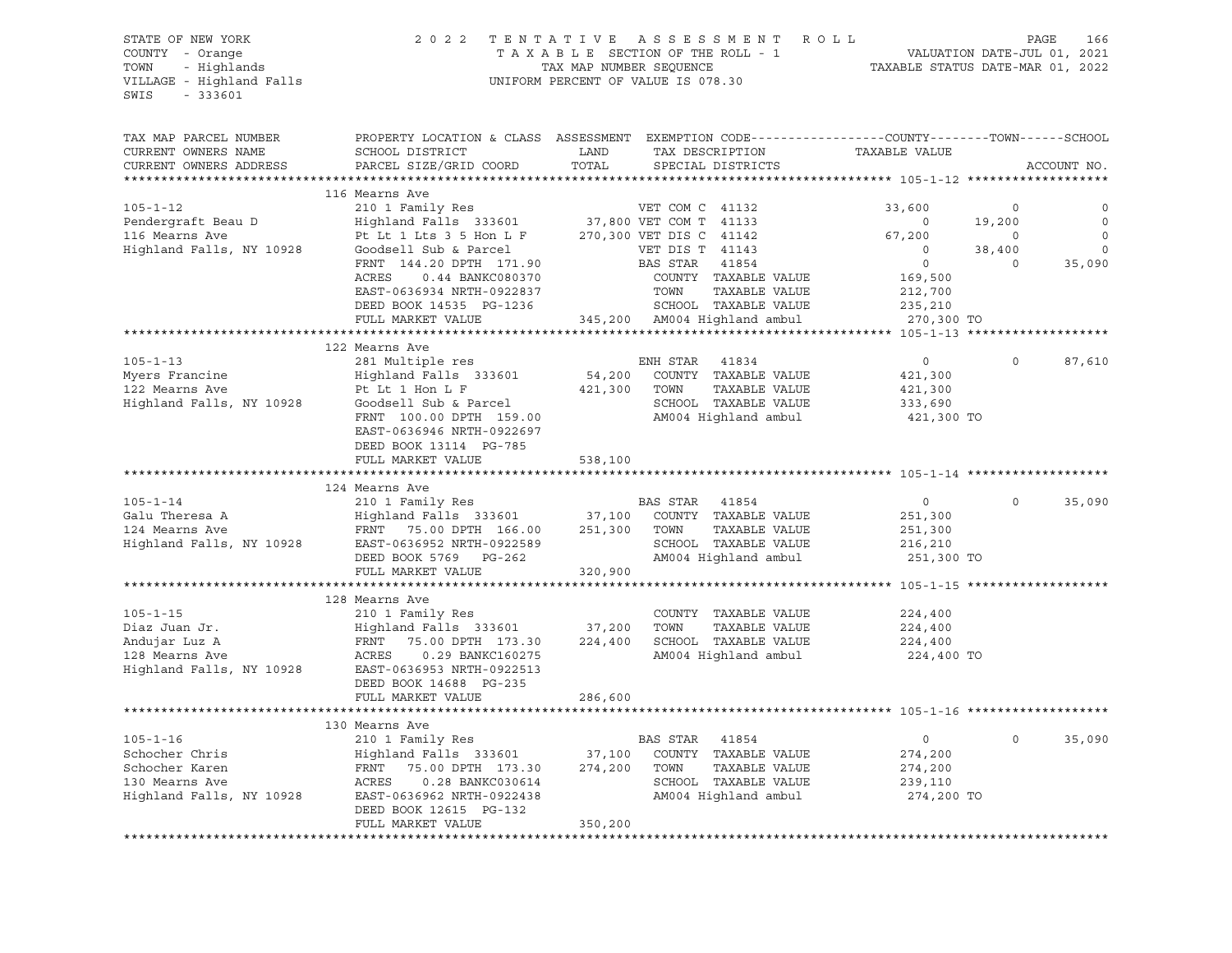### STATE OF NEW YORK 2 0 2 2 T E N T A T I V E A S S E S S M E N T R O L L PAGE 166 COUNTY - Orange T A X A B L E SECTION OF THE ROLL - 1 VALUATION DATE-JUL 01, 2021 TOWN - Highlands TAX MAP NUMBER SEQUENCE TAXABLE STATUS DATE-MAR 01, 2022 VILLAGE - Highland Falls UNIFORM PERCENT OF VALUE IS 078.30

| TAX MAP PARCEL NUMBER<br>CURRENT OWNERS NAME<br>CURRENT OWNERS ADDRESS | PROPERTY LOCATION & CLASS ASSESSMENT<br>SCHOOL DISTRICT<br>PARCEL SIZE/GRID COORD | LAND<br>TOTAL     | EXEMPTION CODE-----------------COUNTY-------TOWN------SCHOOL<br>TAX DESCRIPTION<br>SPECIAL DISTRICTS | TAXABLE VALUE         | ACCOUNT NO.            |
|------------------------------------------------------------------------|-----------------------------------------------------------------------------------|-------------------|------------------------------------------------------------------------------------------------------|-----------------------|------------------------|
| *************************                                              |                                                                                   |                   |                                                                                                      |                       |                        |
| $105 - 1 - 12$                                                         | 116 Mearns Ave<br>210 1 Family Res                                                |                   | VET COM C 41132                                                                                      | 33,600                | $\circ$<br>0           |
| Pendergraft Beau D                                                     | Highland Falls 333601                                                             |                   | 37,800 VET COM T 41133                                                                               | $\circ$               | $\mathbf 0$<br>19,200  |
| 116 Mearns Ave                                                         | Pt Lt 1 Lts 3 5 Hon L F                                                           |                   | 270,300 VET DIS C 41142                                                                              | 67,200                | $\mathbf 0$<br>$\circ$ |
| Highland Falls, NY 10928                                               | Goodsell Sub & Parcel                                                             |                   | VET DIS T 41143                                                                                      | $\circ$               | $\circ$<br>38,400      |
|                                                                        | FRNT 144.20 DPTH 171.90                                                           |                   | BAS STAR<br>41854                                                                                    | $\circ$               | 35,090<br>$\Omega$     |
|                                                                        | ACRES<br>0.44 BANKC080370                                                         |                   | COUNTY TAXABLE VALUE                                                                                 | 169,500               |                        |
|                                                                        | EAST-0636934 NRTH-0922837                                                         |                   | TOWN<br>TAXABLE VALUE                                                                                | 212,700               |                        |
|                                                                        | DEED BOOK 14535 PG-1236                                                           |                   | SCHOOL TAXABLE VALUE                                                                                 | 235,210               |                        |
|                                                                        | FULL MARKET VALUE                                                                 |                   | 345,200 AM004 Highland ambul                                                                         | 270,300 TO            |                        |
|                                                                        |                                                                                   |                   |                                                                                                      |                       |                        |
|                                                                        | 122 Mearns Ave                                                                    |                   |                                                                                                      |                       |                        |
| $105 - 1 - 13$                                                         | 281 Multiple res                                                                  |                   | ENH STAR<br>41834                                                                                    | $\overline{0}$        | $\Omega$<br>87,610     |
| Myers Francine                                                         | Highland Falls 333601                                                             | 54,200            | COUNTY TAXABLE VALUE                                                                                 | 421,300               |                        |
| 122 Mearns Ave                                                         | Pt Lt 1 Hon L F                                                                   | 421,300           | TOWN<br>TAXABLE VALUE                                                                                | 421,300               |                        |
| Highland Falls, NY 10928                                               | Goodsell Sub & Parcel                                                             |                   | SCHOOL TAXABLE VALUE                                                                                 | 333,690               |                        |
|                                                                        | FRNT 100.00 DPTH 159.00                                                           |                   | AM004 Highland ambul                                                                                 | 421,300 TO            |                        |
|                                                                        | EAST-0636946 NRTH-0922697                                                         |                   |                                                                                                      |                       |                        |
|                                                                        | DEED BOOK 13114 PG-785                                                            |                   |                                                                                                      |                       |                        |
|                                                                        | FULL MARKET VALUE                                                                 | 538,100           |                                                                                                      |                       |                        |
|                                                                        |                                                                                   |                   |                                                                                                      |                       |                        |
| $105 - 1 - 14$                                                         | 124 Mearns Ave                                                                    |                   |                                                                                                      |                       | $\Omega$               |
| Galu Theresa A                                                         | 210 1 Family Res                                                                  |                   | BAS STAR<br>41854                                                                                    | $\circ$               | 35,090                 |
| 124 Mearns Ave                                                         | Highland Falls 333601                                                             | 37,100<br>251,300 | COUNTY TAXABLE VALUE<br>TAXABLE VALUE<br>TOWN                                                        | 251,300               |                        |
| Highland Falls, NY 10928                                               | FRNT 75.00 DPTH 166.00<br>EAST-0636952 NRTH-0922589                               |                   | SCHOOL TAXABLE VALUE                                                                                 | 251,300               |                        |
|                                                                        | DEED BOOK 5769 PG-262                                                             |                   | AM004 Highland ambul                                                                                 | 216,210<br>251,300 TO |                        |
|                                                                        | FULL MARKET VALUE                                                                 | 320,900           |                                                                                                      |                       |                        |
|                                                                        |                                                                                   |                   |                                                                                                      |                       |                        |
|                                                                        | 128 Mearns Ave                                                                    |                   |                                                                                                      |                       |                        |
| $105 - 1 - 15$                                                         | 210 1 Family Res                                                                  |                   | COUNTY TAXABLE VALUE                                                                                 | 224,400               |                        |
| Diaz Juan Jr.                                                          | Highland Falls 333601                                                             | 37,200            | TOWN<br>TAXABLE VALUE                                                                                | 224,400               |                        |
| Andujar Luz A                                                          | FRNT<br>75.00 DPTH 173.30                                                         | 224,400           | SCHOOL TAXABLE VALUE                                                                                 | 224,400               |                        |
| 128 Mearns Ave                                                         | ACRES<br>0.29 BANKC160275                                                         |                   | AM004 Highland ambul                                                                                 | 224,400 TO            |                        |
| Highland Falls, NY 10928                                               | EAST-0636953 NRTH-0922513                                                         |                   |                                                                                                      |                       |                        |
|                                                                        | DEED BOOK 14688 PG-235                                                            |                   |                                                                                                      |                       |                        |
|                                                                        | FULL MARKET VALUE                                                                 | 286,600           |                                                                                                      |                       |                        |
|                                                                        |                                                                                   |                   |                                                                                                      |                       |                        |
|                                                                        | 130 Mearns Ave                                                                    |                   |                                                                                                      |                       |                        |
| $105 - 1 - 16$                                                         | 210 1 Family Res                                                                  |                   | BAS STAR<br>41854                                                                                    | $\circ$               | $\Omega$<br>35,090     |
| Schocher Chris                                                         | Highland Falls 333601                                                             | 37,100            | COUNTY TAXABLE VALUE                                                                                 | 274,200               |                        |
| Schocher Karen                                                         | FRNT<br>75.00 DPTH 173.30                                                         | 274,200           | TOWN<br>TAXABLE VALUE                                                                                | 274,200               |                        |
| 130 Mearns Ave                                                         | ACRES<br>0.28 BANKC030614                                                         |                   | SCHOOL TAXABLE VALUE                                                                                 | 239,110               |                        |
| Highland Falls, NY 10928                                               | EAST-0636962 NRTH-0922438                                                         |                   | AM004 Highland ambul                                                                                 | 274,200 TO            |                        |
|                                                                        | DEED BOOK 12615 PG-132                                                            |                   |                                                                                                      |                       |                        |
|                                                                        | FULL MARKET VALUE                                                                 | 350,200           |                                                                                                      |                       |                        |
|                                                                        |                                                                                   |                   |                                                                                                      |                       |                        |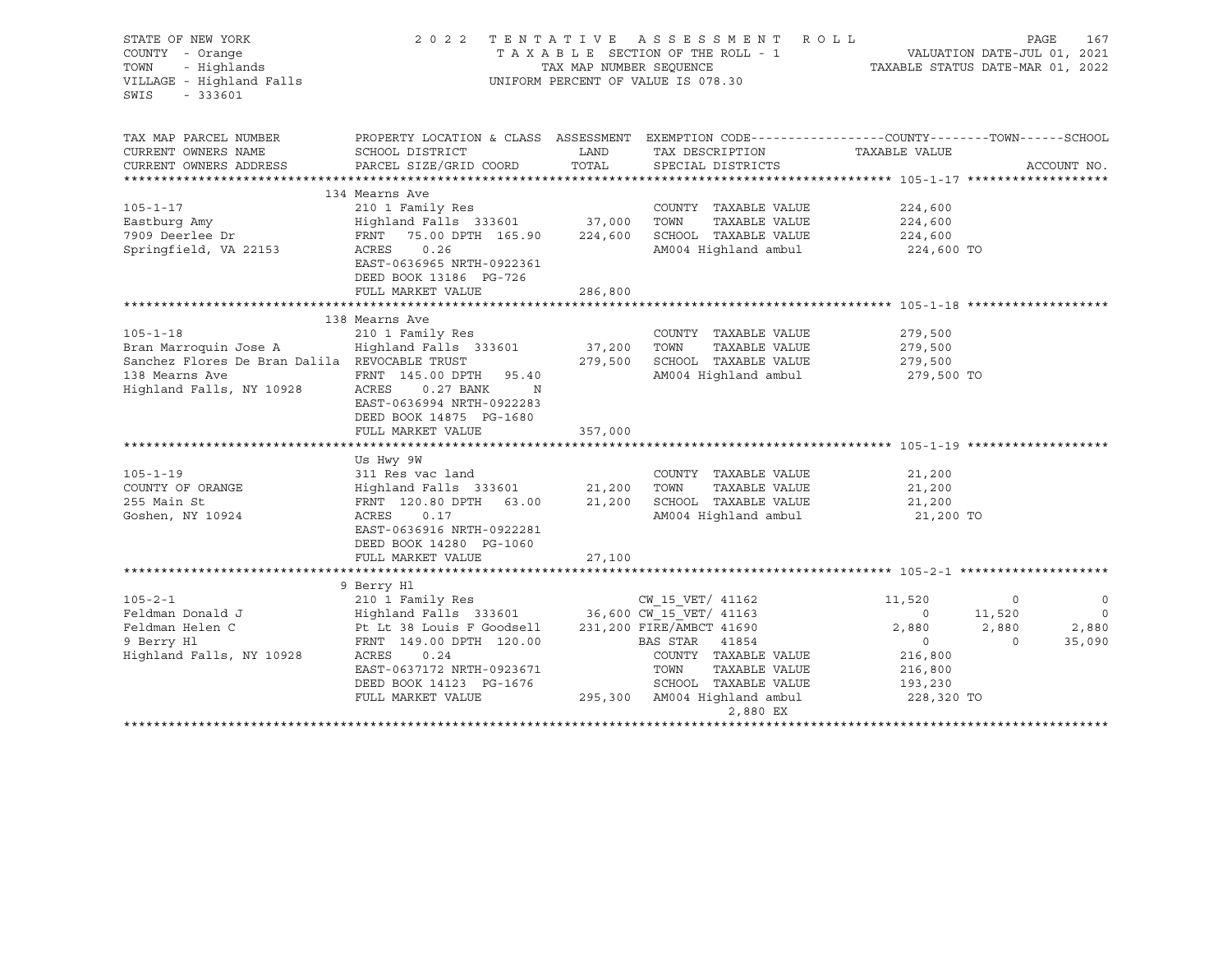| STATE OF NEW YORK<br>COUNTY - Orange<br>- Highlands<br>TOWN<br>VILLAGE - Highland Falls<br>SWIS<br>$-333601$                           | 2022                                                                                                                                                                                                                                                                                                                            | TAX MAP NUMBER SEQUENCE           | TENTATIVE ASSESSMENT ROLL<br>TAXABLE SECTION OF THE ROLL - 1<br>UNIFORM PERCENT OF VALUE IS 078.30                                                      |                                                                                             | PAGE<br>167<br>VALUATION DATE-JUL 01, 2021<br>TAXABLE STATUS DATE-MAR 01, 2022             |
|----------------------------------------------------------------------------------------------------------------------------------------|---------------------------------------------------------------------------------------------------------------------------------------------------------------------------------------------------------------------------------------------------------------------------------------------------------------------------------|-----------------------------------|---------------------------------------------------------------------------------------------------------------------------------------------------------|---------------------------------------------------------------------------------------------|--------------------------------------------------------------------------------------------|
| TAX MAP PARCEL NUMBER<br>CURRENT OWNERS NAME<br>CURRENT OWNERS ADDRESS                                                                 | SCHOOL DISTRICT<br>PARCEL SIZE/GRID COORD                                                                                                                                                                                                                                                                                       | LAND<br>TOTAL                     | PROPERTY LOCATION & CLASS ASSESSMENT EXEMPTION CODE----------------COUNTY-------TOWN-----SCHOOL<br>TAX DESCRIPTION<br>SPECIAL DISTRICTS                 | TAXABLE VALUE                                                                               | ACCOUNT NO.                                                                                |
| $105 - 1 - 17$<br>Eastburg Amy<br>7909 Deerlee Dr<br>Springfield, VA 22153                                                             | 134 Mearns Ave<br>210 1 Family Res<br>Highland Falls 333601 37,000<br>FRNT<br>75.00 DPTH 165.90<br>ACRES<br>0.26<br>EAST-0636965 NRTH-0922361<br>DEED BOOK 13186 PG-726<br>FULL MARKET VALUE                                                                                                                                    | 224,600<br>286,800                | COUNTY TAXABLE VALUE<br>TOWN<br>TAXABLE VALUE<br>SCHOOL TAXABLE VALUE<br>AM004 Highland ambul                                                           | 224,600<br>224,600<br>224,600<br>224,600 TO                                                 |                                                                                            |
| $105 - 1 - 18$<br>Bran Marroquin Jose A<br>Sanchez Flores De Bran Dalila REVOCABLE TRUST<br>138 Mearns Ave<br>Highland Falls, NY 10928 | 138 Mearns Ave<br>210 1 Family Res<br>Highland Falls 333601<br>FRNT 145.00 DPTH<br>95.40<br>ACRES<br>0.27 BANK<br>EAST-0636994 NRTH-0922283<br>DEED BOOK 14875 PG-1680<br>FULL MARKET VALUE                                                                                                                                     | 37,200<br>279,500<br>N<br>357,000 | COUNTY TAXABLE VALUE<br>TOWN<br>TAXABLE VALUE<br>SCHOOL TAXABLE VALUE<br>AM004 Highland ambul                                                           | 279,500<br>279,500<br>279,500<br>279,500 TO                                                 |                                                                                            |
| $105 - 1 - 19$<br>COUNTY OF ORANGE<br>255 Main St<br>Goshen, NY 10924                                                                  | Us Hwy 9W<br>311 Res vac land<br>Highland Falls 333601<br>FRNT 120.80 DPTH<br>63.00<br>ACRES<br>0.17<br>EAST-0636916 NRTH-0922281<br>DEED BOOK 14280 PG-1060<br>FULL MARKET VALUE                                                                                                                                               | 21,200<br>21,200<br>27,100        | COUNTY TAXABLE VALUE<br>TAXABLE VALUE<br>TOWN<br>SCHOOL TAXABLE VALUE<br>AM004 Highland ambul                                                           | 21,200<br>21,200<br>21,200<br>21,200 TO                                                     |                                                                                            |
| $105 - 2 - 1$<br>Feldman Donald J<br>Feldman Helen C<br>9 Berry Hl<br>Highland Falls, NY 10928                                         | 9 Berry Hl<br>210 1 Family Res<br>Exercise 12.10 1 1 and 12.10 1 1 and 13.163 1 and 14.163 11.163 11.163 11.163 11.163 11.163 11.163 11.163 11.1<br>Pt Lt 38 Louis F Goodsell 231,200 FIRE/AMBCT 41690<br>FRNT 149.00 DPTH 120.00<br>ACRES<br>0.24<br>EAST-0637172 NRTH-0923671<br>DEED BOOK 14123 PG-1676<br>FULL MARKET VALUE |                                   | CW 15 VET/ 41162<br>BAS STAR 41854<br>COUNTY TAXABLE VALUE<br>TOWN<br>TAXABLE VALUE<br>SCHOOL TAXABLE VALUE<br>295,300 AM004 Highland ambul<br>2,880 EX | 11,520<br>$\circ$<br>2,880<br>$\overline{0}$<br>216,800<br>216,800<br>193,230<br>228,320 TO | $\mathbf 0$<br>$\circ$<br>$\overline{0}$<br>11,520<br>2,880<br>2,880<br>35,090<br>$\Omega$ |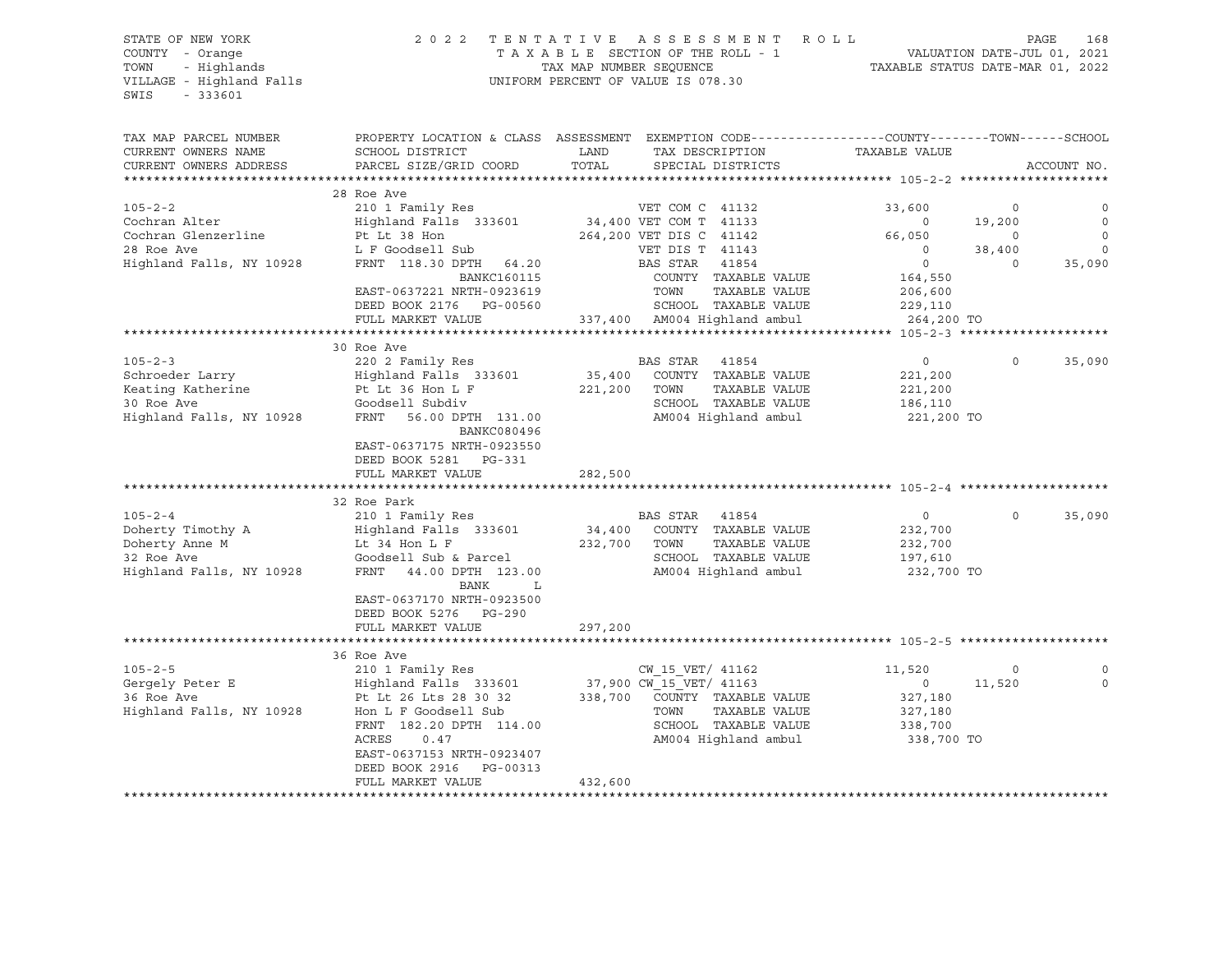VILLAGE - Highland Falls UNIFORM PERCENT OF VALUE IS 078.30 SWIS - 333601

# STATE OF NEW YORK 2 0 2 2 T E N T A T I V E A S S E S S M E N T R O L L PAGE 168 COUNTY - Orange T A X A B L E SECTION OF THE ROLL - 1 VALUATION DATE-JUL 01, 2021 TOWN - Highlands TAX MAP NUMBER SEQUENCE TAXABLE STATUS DATE-MAR 01, 2022

| TAX MAP PARCEL NUMBER<br>CURRENT OWNERS NAME | PROPERTY LOCATION & CLASS ASSESSMENT EXEMPTION CODE----------------COUNTY-------TOWN------SCHOOL<br>SCHOOL DISTRICT | LAND    | TAX DESCRIPTION                        | TAXABLE VALUE      |          |             |
|----------------------------------------------|---------------------------------------------------------------------------------------------------------------------|---------|----------------------------------------|--------------------|----------|-------------|
| CURRENT OWNERS ADDRESS                       | PARCEL SIZE/GRID COORD                                                                                              | TOTAL   | SPECIAL DISTRICTS                      |                    |          | ACCOUNT NO. |
|                                              |                                                                                                                     |         |                                        |                    |          |             |
|                                              | 28 Roe Ave                                                                                                          |         |                                        |                    |          |             |
| $105 - 2 - 2$                                | 210 1 Family Res                                                                                                    |         | VET COM C 41132                        | 33,600             | $\circ$  |             |
| Cochran Alter                                | Highland Falls 333601                                                                                               |         | 34,400 VET COM T 41133                 | $\Omega$           | 19,200   | $\Omega$    |
| Cochran Glenzerline                          | Pt Lt 38 Hon                                                                                                        |         | 264,200 VET DIS C 41142                | 66,050             | $\circ$  | $\mathbf 0$ |
| 28 Roe Ave                                   | L F Goodsell Sub                                                                                                    |         | VET DIS T 41143                        | $\Omega$           | 38,400   | $\Omega$    |
| Highland Falls, NY 10928                     | FRNT 118.30 DPTH 64.20                                                                                              |         | BAS STAR<br>41854                      | $\circ$            | $\Omega$ | 35,090      |
|                                              | <b>BANKC160115</b>                                                                                                  |         | COUNTY TAXABLE VALUE                   | 164,550            |          |             |
|                                              | EAST-0637221 NRTH-0923619                                                                                           |         | TOWN<br>TAXABLE VALUE                  | 206,600            |          |             |
|                                              | DEED BOOK 2176 PG-00560                                                                                             |         | SCHOOL TAXABLE VALUE                   | 229,110            |          |             |
|                                              | FULL MARKET VALUE                                                                                                   |         | 337,400 AM004 Highland ambul           | 264,200 TO         |          |             |
|                                              |                                                                                                                     |         |                                        |                    |          |             |
|                                              | 30 Roe Ave                                                                                                          |         |                                        |                    |          |             |
| $105 - 2 - 3$                                | 220 2 Family Res                                                                                                    |         | BAS STAR 41854                         | $\overline{0}$     | $\circ$  | 35,090      |
| Schroeder Larry                              | Highland Falls 333601                                                                                               | 35,400  | COUNTY TAXABLE VALUE                   | 221,200            |          |             |
| Keating Katherine                            | Pt Lt 36 Hon L F                                                                                                    | 221,200 | TOWN<br>TAXABLE VALUE                  | 221,200            |          |             |
| 30 Roe Ave                                   | Goodsell Subdiv                                                                                                     |         | SCHOOL TAXABLE VALUE                   | 186,110            |          |             |
| Highland Falls, NY 10928                     | FRNT<br>56.00 DPTH 131.00<br>BANKC080496                                                                            |         | AM004 Highland ambul                   | 221,200 TO         |          |             |
|                                              | EAST-0637175 NRTH-0923550                                                                                           |         |                                        |                    |          |             |
|                                              | DEED BOOK 5281 PG-331                                                                                               |         |                                        |                    |          |             |
|                                              | FULL MARKET VALUE                                                                                                   | 282,500 |                                        |                    |          |             |
|                                              |                                                                                                                     |         |                                        |                    |          |             |
| $105 - 2 - 4$                                | 32 Roe Park                                                                                                         |         |                                        |                    | $\Omega$ |             |
| Doherty Timothy A                            | 210 1 Family Res                                                                                                    | 34,400  | BAS STAR 41854<br>COUNTY TAXABLE VALUE | $\circ$<br>232,700 |          | 35,090      |
| Doherty Anne M                               | Highland Falls 333601<br>Lt 34 Hon L F                                                                              | 232,700 | TOWN<br>TAXABLE VALUE                  | 232,700            |          |             |
| 32 Roe Ave                                   | Goodsell Sub & Parcel                                                                                               |         | SCHOOL TAXABLE VALUE                   | 197,610            |          |             |
| Highland Falls, NY 10928                     | FRNT<br>44.00 DPTH 123.00                                                                                           |         | AM004 Highland ambul                   | 232,700 TO         |          |             |
|                                              | BANK<br>L                                                                                                           |         |                                        |                    |          |             |
|                                              | EAST-0637170 NRTH-0923500                                                                                           |         |                                        |                    |          |             |
|                                              | DEED BOOK 5276 PG-290                                                                                               |         |                                        |                    |          |             |
|                                              | FULL MARKET VALUE                                                                                                   | 297,200 |                                        |                    |          |             |
|                                              |                                                                                                                     |         |                                        |                    |          |             |
|                                              | 36 Roe Ave                                                                                                          |         |                                        |                    |          |             |
| $105 - 2 - 5$                                | 210 1 Family Res                                                                                                    |         | CW 15 VET/ 41162                       | 11,520             | $\circ$  | $\Omega$    |
| Gergely Peter E                              | Highland Falls 333601                                                                                               |         | 37,900 CW 15 VET/ 41163                | $\circ$            | 11,520   | $\Omega$    |
| 36 Roe Ave                                   | Pt Lt 26 Lts 28 30 32                                                                                               | 338,700 | COUNTY TAXABLE VALUE                   | 327,180            |          |             |
| Highland Falls, NY 10928                     | Hon L F Goodsell Sub                                                                                                |         | TAXABLE VALUE<br>TOWN                  | 327,180            |          |             |
|                                              | FRNT 182.20 DPTH 114.00                                                                                             |         | SCHOOL TAXABLE VALUE                   | 338,700            |          |             |
|                                              | ACRES<br>0.47                                                                                                       |         | AM004 Highland ambul                   | 338,700 TO         |          |             |
|                                              | EAST-0637153 NRTH-0923407                                                                                           |         |                                        |                    |          |             |
|                                              | DEED BOOK 2916<br>PG-00313                                                                                          |         |                                        |                    |          |             |
|                                              | FULL MARKET VALUE                                                                                                   | 432,600 |                                        |                    |          |             |
|                                              |                                                                                                                     |         |                                        |                    |          |             |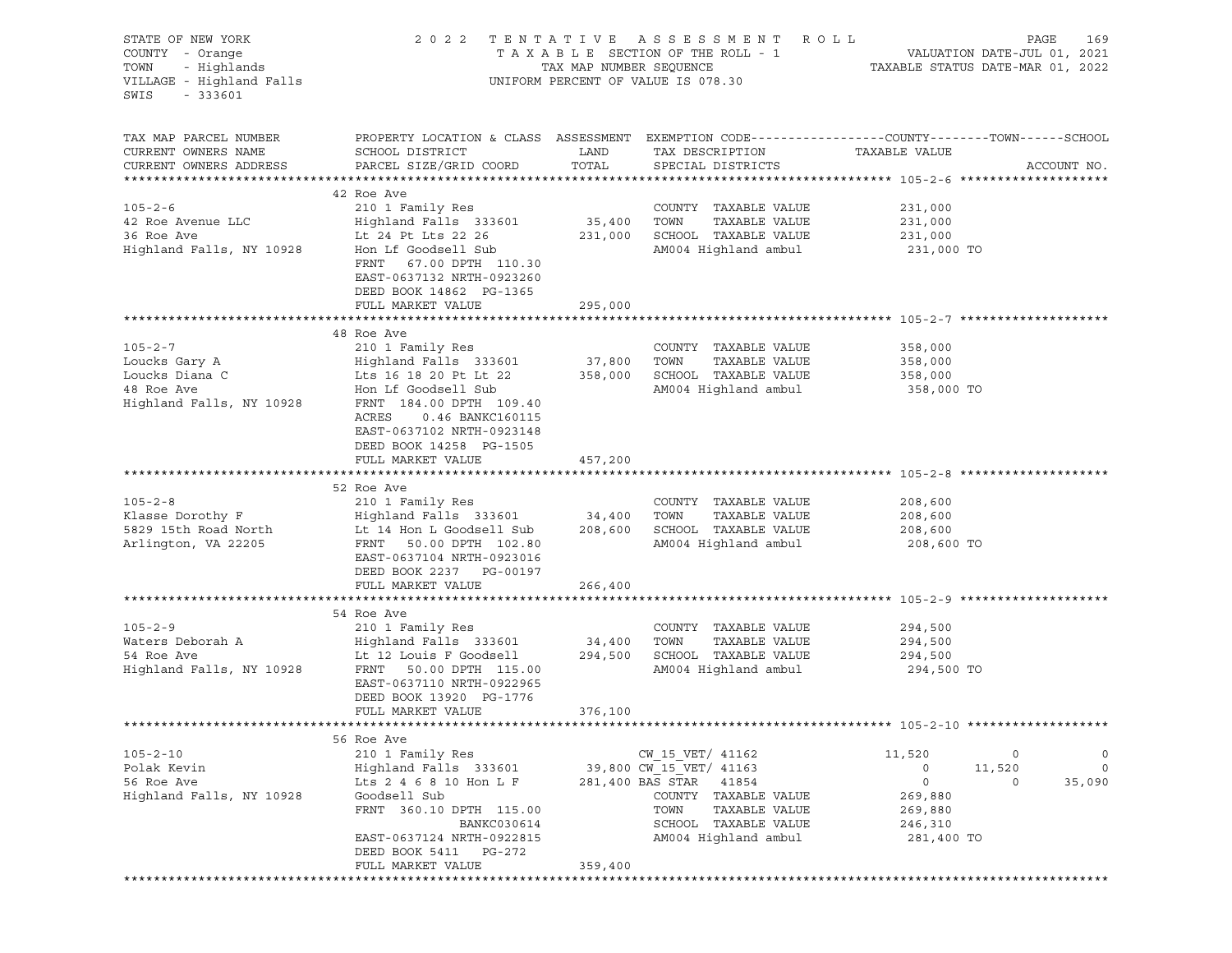| STATE OF NEW YORK<br>COUNTY - Orange<br>TOWN<br>- Highlands<br>VILLAGE - Highland Falls<br>SWIS<br>$-333601$ |                                                                                                                                                                                                                                                      |                              | 2022 TENTATIVE ASSESSMENT ROLL<br>UNIFORM PERCENT OF VALUE IS 078.30                                                                                                      |                                                                           | PAGE<br>169                                              |
|--------------------------------------------------------------------------------------------------------------|------------------------------------------------------------------------------------------------------------------------------------------------------------------------------------------------------------------------------------------------------|------------------------------|---------------------------------------------------------------------------------------------------------------------------------------------------------------------------|---------------------------------------------------------------------------|----------------------------------------------------------|
| TAX MAP PARCEL NUMBER<br>CURRENT OWNERS NAME<br>CURRENT OWNERS ADDRESS                                       | PROPERTY LOCATION & CLASS ASSESSMENT EXEMPTION CODE----------------COUNTY-------TOWN-----SCHOOL<br>SCHOOL DISTRICT<br>PARCEL SIZE/GRID COORD                                                                                                         | LAND<br>TOTAL                | TAX DESCRIPTION<br>SPECIAL DISTRICTS                                                                                                                                      | TAXABLE VALUE                                                             | ACCOUNT NO.                                              |
| $105 - 2 - 6$<br>42 Roe Avenue LLC<br>36 Roe Ave<br>Highland Falls, NY 10928                                 | 42 Roe Ave<br>210 1 Family Res<br>Highland Falls 333601<br>Lt 24 Pt Lts 22 26<br>Hon Lf Goodsell Sub<br>FRNT 67.00 DPTH 110.30<br>EAST-0637132 NRTH-0923260<br>DEED BOOK 14862 PG-1365                                                               | 35,400 TOWN                  | COUNTY TAXABLE VALUE<br>TAXABLE VALUE<br>231,000 SCHOOL TAXABLE VALUE<br>AM004 Highland ambul                                                                             | 231,000<br>231,000<br>231,000<br>231,000 TO                               |                                                          |
|                                                                                                              | FULL MARKET VALUE                                                                                                                                                                                                                                    | 295,000                      |                                                                                                                                                                           |                                                                           |                                                          |
| $105 - 2 - 7$<br>Loucks Gary A<br>Loucks Diana C<br>48 Roe Ave<br>Highland Falls, NY 10928                   | 48 Roe Ave<br>210 1 Family Res<br>Highland Falls 333601<br>Lts 16 18 20 Pt Lt 22 358,000<br>Hon Lf Goodsell Sub<br>FRNT 184.00 DPTH 109.40<br>ACRES<br>0.46 BANKC160115<br>EAST-0637102 NRTH-0923148<br>DEED BOOK 14258 PG-1505<br>FULL MARKET VALUE | 37,800<br>457,200            | COUNTY TAXABLE VALUE<br>TOWN<br>TAXABLE VALUE<br>SCHOOL TAXABLE VALUE<br>AM004 Highland ambul                                                                             | 358,000<br>358,000<br>358,000<br>358,000 TO                               |                                                          |
|                                                                                                              |                                                                                                                                                                                                                                                      |                              |                                                                                                                                                                           |                                                                           |                                                          |
| $105 - 2 - 8$<br>Klasse Dorothy F<br>5829 15th Road North<br>Arlington, VA 22205                             | 52 Roe Ave<br>210 1 Family Res<br>Highland Falls $333601$ $34,400$<br>Lt 14 Hon L Goodsell Sub $208,600$<br>Lt 14 Hon L Goodsell Sub<br>FRNT 50.00 DPTH 102.80<br>EAST-0637104 NRTH-0923016<br>DEED BOOK 2237 PG-00197<br>FULL MARKET VALUE          | 266,400                      | COUNTY TAXABLE VALUE<br>TAXABLE VALUE<br>TOWN<br>SCHOOL TAXABLE VALUE<br>AM004 Highland ambul 208,600 TO                                                                  | 208,600<br>208,600<br>208,600                                             |                                                          |
|                                                                                                              |                                                                                                                                                                                                                                                      |                              |                                                                                                                                                                           |                                                                           |                                                          |
| $105 - 2 - 9$<br>Waters Deborah A<br>54 Roe Ave<br>Highland Falls, NY 10928                                  | 54 Roe Ave<br>210 1 Family Res<br>Highland Falls 333601<br>Lt 12 Louis F Goodsell<br>FRNT 50.00 DPTH 115.00<br>EAST-0637110 NRTH-0922965<br>DEED BOOK 13920 PG-1776<br>FULL MARKET VALUE                                                             | 34,400<br>294,500<br>376,100 | COUNTY TAXABLE VALUE<br>TOWN<br>TAXABLE VALUE<br>SCHOOL TAXABLE VALUE<br>AM004 Highland ambul                                                                             | 294,500<br>294,500<br>294,500<br>294,500 TO                               |                                                          |
|                                                                                                              |                                                                                                                                                                                                                                                      |                              |                                                                                                                                                                           |                                                                           |                                                          |
| $105 - 2 - 10$<br>Polak Kevin<br>56 Roe Ave<br>Highland Falls, NY 10928                                      | 56 Roe Ave<br>210 1 Family Res<br>Highland Falls 333601<br>Lts 2 4 6 8 10 Hon L F<br>Goodsell Sub<br>FRNT 360.10 DPTH 115.00<br>BANKC030614<br>EAST-0637124 NRTH-0922815<br>DEED BOOK 5411<br>PG-272<br>FULL MARKET VALUE                            | 359,400                      | CW 15 VET/ 41162<br>39,800 CW 15 VET/ 41163<br>281,400 BAS STAR<br>41854<br>COUNTY TAXABLE VALUE<br>TOWN<br>TAXABLE VALUE<br>SCHOOL TAXABLE VALUE<br>AM004 Highland ambul | 11,520<br>0<br>$\mathbf 0$<br>269,880<br>269,880<br>246,310<br>281,400 TO | 0<br>0<br>11,520<br>$\mathbf 0$<br>$\mathbf 0$<br>35,090 |
|                                                                                                              | ******************                                                                                                                                                                                                                                   |                              |                                                                                                                                                                           |                                                                           |                                                          |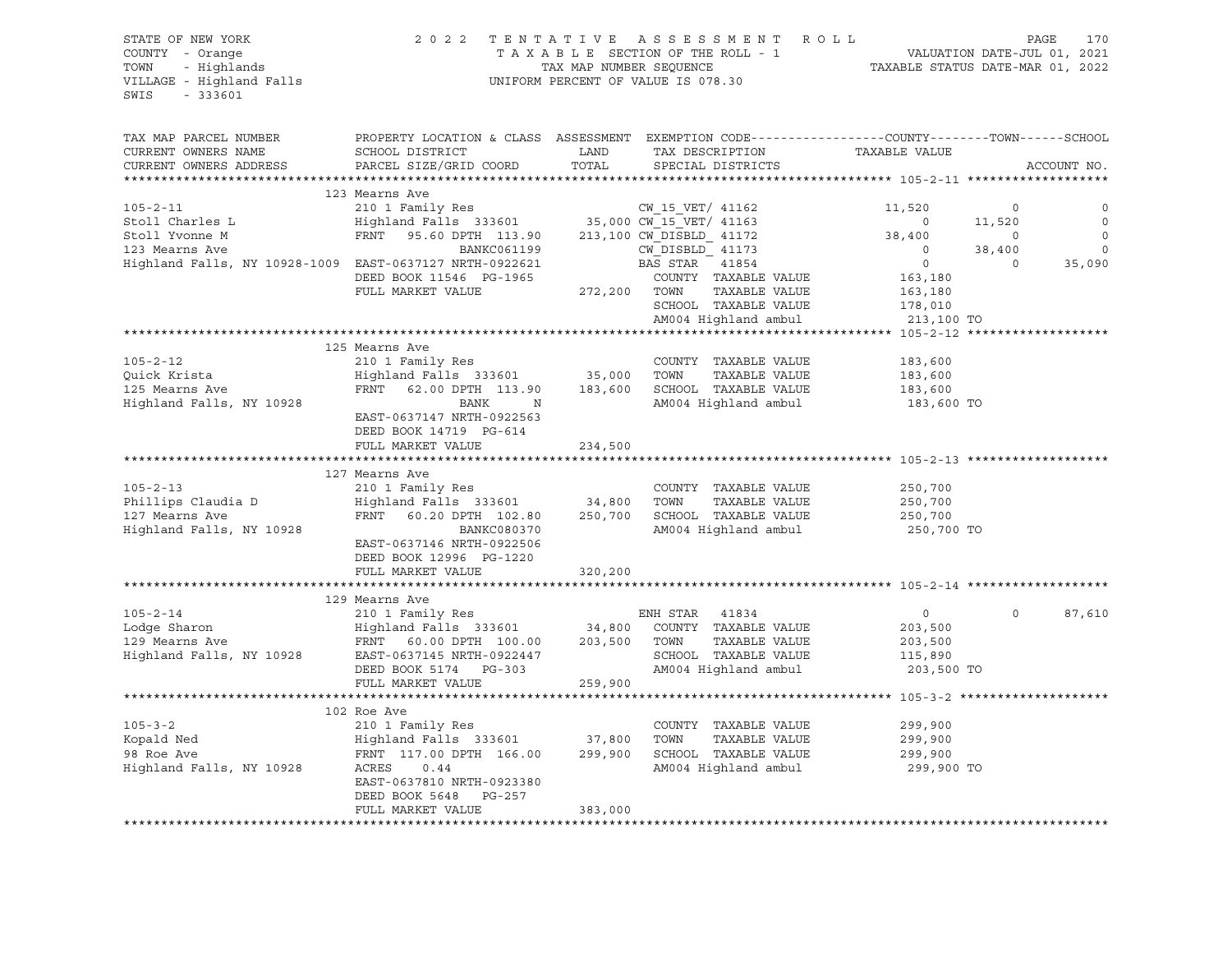| STATE OF NEW YORK<br>COUNTY - Orange<br>TOWN - Highlands<br>VILLAGE - Highland Falls<br>$-333601$<br>SWIS                                                                                                                              | 2022 TENTATIVE ASSESSMENT ROLL                                                                                                                 | UNIFORM PERCENT OF VALUE IS 078.30 |                |                                      | T A X A B L E SECTION OF THE ROLL - 1 VALUATION DATE-JUL 01, 2021<br>TAX MAP NUMBER SEQUENCE TAXABLE STATUS DATE-MAR 01, 2022 |                   | PAGE<br>170              |
|----------------------------------------------------------------------------------------------------------------------------------------------------------------------------------------------------------------------------------------|------------------------------------------------------------------------------------------------------------------------------------------------|------------------------------------|----------------|--------------------------------------|-------------------------------------------------------------------------------------------------------------------------------|-------------------|--------------------------|
| TAX MAP PARCEL NUMBER<br>CURRENT OWNERS NAME<br>CURRENT OWNERS ADDRESS                                                                                                                                                                 | PROPERTY LOCATION & CLASS ASSESSMENT EXEMPTION CODE---------------COUNTY-------TOWN------SCHOOL<br>SCHOOL DISTRICT<br>PARCEL SIZE/GRID COORD   | LAND<br>TOTAL                      |                | TAX DESCRIPTION<br>SPECIAL DISTRICTS | TAXABLE VALUE                                                                                                                 |                   | ACCOUNT NO.              |
|                                                                                                                                                                                                                                        |                                                                                                                                                |                                    |                |                                      |                                                                                                                               |                   |                          |
|                                                                                                                                                                                                                                        | 123 Mearns Ave                                                                                                                                 |                                    |                |                                      |                                                                                                                               |                   |                          |
| $105 - 2 - 11$                                                                                                                                                                                                                         |                                                                                                                                                |                                    |                |                                      |                                                                                                                               | $\circ$           |                          |
| Stoll Charles L<br>$\frac{1}{1092}$ $\frac{1}{1092}$                                                                                                                                                                                   |                                                                                                                                                |                                    |                |                                      |                                                                                                                               | 11,520            | $\circ$                  |
| Stoll Yvonne M                                                                                                                                                                                                                         |                                                                                                                                                |                                    |                |                                      |                                                                                                                               | $\overline{0}$    | $\circ$                  |
| 123 Mearns Ave                                                                                                                                                                                                                         |                                                                                                                                                |                                    |                |                                      |                                                                                                                               | 38,400<br>$\circ$ | $\overline{\phantom{0}}$ |
| Highland Falls, NY 10928-1009 EAST-0637127 NRTH-0922621                                                                                                                                                                                | DEED BOOK 11546 PG-1965                                                                                                                        |                                    |                | COUNTY TAXABLE VALUE                 | 163,180                                                                                                                       |                   | 35,090                   |
|                                                                                                                                                                                                                                        | FULL MARKET VALUE                                                                                                                              | 272,200 TOWN                       |                | TAXABLE VALUE                        | 163,180                                                                                                                       |                   |                          |
|                                                                                                                                                                                                                                        |                                                                                                                                                |                                    |                | SCHOOL TAXABLE VALUE                 | 178,010                                                                                                                       |                   |                          |
|                                                                                                                                                                                                                                        |                                                                                                                                                |                                    |                | AM004 Highland ambul                 | 213,100 TO                                                                                                                    |                   |                          |
|                                                                                                                                                                                                                                        |                                                                                                                                                |                                    |                |                                      | ************** 105-2-12 ********************                                                                                  |                   |                          |
|                                                                                                                                                                                                                                        | 125 Mearns Ave                                                                                                                                 |                                    |                |                                      |                                                                                                                               |                   |                          |
| $105 - 2 - 12$                                                                                                                                                                                                                         | 210 1 Family Res                                                                                                                               |                                    |                | COUNTY TAXABLE VALUE                 | 183,600                                                                                                                       |                   |                          |
|                                                                                                                                                                                                                                        |                                                                                                                                                |                                    |                |                                      | 183,600                                                                                                                       |                   |                          |
| Quick Krista<br>125 Mearns Ave                                                                                                                                                                                                         | Highland Falls 333601               35,000    TOWN       TAXABLE VALUE<br>FRNT    62.00 DPTH   113.90        183,600    SCHOOL   TAXABLE VALUE |                                    |                |                                      | 183,600                                                                                                                       |                   |                          |
| Highland Falls, NY 10928                                                                                                                                                                                                               | BANK<br>$\mathbb N$                                                                                                                            |                                    |                | AM004 Highland ambul                 | 183,600 TO                                                                                                                    |                   |                          |
|                                                                                                                                                                                                                                        | EAST-0637147 NRTH-0922563                                                                                                                      |                                    |                |                                      |                                                                                                                               |                   |                          |
|                                                                                                                                                                                                                                        | DEED BOOK 14719 PG-614                                                                                                                         |                                    |                |                                      |                                                                                                                               |                   |                          |
|                                                                                                                                                                                                                                        | FULL MARKET VALUE                                                                                                                              | 234,500                            |                |                                      |                                                                                                                               |                   |                          |
|                                                                                                                                                                                                                                        |                                                                                                                                                |                                    |                |                                      |                                                                                                                               |                   |                          |
|                                                                                                                                                                                                                                        | 127 Mearns Ave                                                                                                                                 |                                    |                |                                      |                                                                                                                               |                   |                          |
| $105 - 2 - 13$                                                                                                                                                                                                                         | 210 1 Family Res                                                                                                                               |                                    |                | COUNTY TAXABLE VALUE                 | 250,700                                                                                                                       |                   |                          |
| Phillips Claudia D<br>107 Mearns Ave                                                                                                                                                                                                   | Highland Falls 333601 34,800 TOWN                                                                                                              |                                    |                | TAXABLE VALUE                        | 250,700<br>250,700                                                                                                            |                   |                          |
|                                                                                                                                                                                                                                        | FRNT 60.20 DPTH 102.80                                                                                                                         |                                    |                | 250,700 SCHOOL TAXABLE VALUE         |                                                                                                                               |                   |                          |
| Highland Falls, NY 10928                                                                                                                                                                                                               | BANKC080370                                                                                                                                    |                                    |                | AM004 Highland ambul                 | 250,700 TO                                                                                                                    |                   |                          |
|                                                                                                                                                                                                                                        | EAST-0637146 NRTH-0922506                                                                                                                      |                                    |                |                                      |                                                                                                                               |                   |                          |
|                                                                                                                                                                                                                                        | DEED BOOK 12996 PG-1220<br>FULL MARKET VALUE                                                                                                   |                                    |                |                                      |                                                                                                                               |                   |                          |
|                                                                                                                                                                                                                                        |                                                                                                                                                | 320,200                            |                |                                      |                                                                                                                               |                   |                          |
|                                                                                                                                                                                                                                        | 129 Mearns Ave                                                                                                                                 |                                    |                |                                      |                                                                                                                               |                   |                          |
| $105 - 2 - 14$                                                                                                                                                                                                                         | 210 1 Family Res                                                                                                                               |                                    | ENH STAR 41834 |                                      | $\overline{0}$                                                                                                                | $\circ$           | 87,610                   |
|                                                                                                                                                                                                                                        | Highland Falls 333601 34,800 COUNTY TAXABLE VALUE                                                                                              |                                    |                |                                      | 203,500                                                                                                                       |                   |                          |
|                                                                                                                                                                                                                                        |                                                                                                                                                |                                    |                | TAXABLE VALUE                        | 203,500                                                                                                                       |                   |                          |
|                                                                                                                                                                                                                                        |                                                                                                                                                |                                    |                | SCHOOL TAXABLE VALUE                 | 115,890                                                                                                                       |                   |                          |
| 105-2-14 210 1 raming NCC 203,500 COUNTY<br>129 Mearns Ave FRNT 60.00 DPTH 100.00 203,500 TOWN<br>129 Mearns Ave FRNT 60.00 DPTH 100.00 203,500 TOWN<br>139 Mearns Ave EAST-0637145 NRTH-0922447 SCHOOL<br>16 MRRD BOOK 5174 PG-303 AM |                                                                                                                                                |                                    |                | AM004 Highland ambul                 | 203,500 TO                                                                                                                    |                   |                          |
|                                                                                                                                                                                                                                        | FULL MARKET VALUE                                                                                                                              | 259,900                            |                |                                      |                                                                                                                               |                   |                          |
|                                                                                                                                                                                                                                        |                                                                                                                                                |                                    |                |                                      |                                                                                                                               |                   |                          |
|                                                                                                                                                                                                                                        | 102 Roe Ave                                                                                                                                    |                                    |                |                                      |                                                                                                                               |                   |                          |
| $105 - 3 - 2$                                                                                                                                                                                                                          | 210 1 Family Res                                                                                                                               |                                    |                | COUNTY TAXABLE VALUE                 | 299,900                                                                                                                       |                   |                          |
|                                                                                                                                                                                                                                        |                                                                                                                                                |                                    |                |                                      | 299,900                                                                                                                       |                   |                          |
|                                                                                                                                                                                                                                        |                                                                                                                                                |                                    |                |                                      | 299,900                                                                                                                       |                   |                          |
|                                                                                                                                                                                                                                        |                                                                                                                                                |                                    |                |                                      | AM004 Highland ambul 299,900 TO                                                                                               |                   |                          |
|                                                                                                                                                                                                                                        | EAST-0637810 NRTH-0923380                                                                                                                      |                                    |                |                                      |                                                                                                                               |                   |                          |
|                                                                                                                                                                                                                                        | DEED BOOK 5648 PG-257                                                                                                                          |                                    |                |                                      |                                                                                                                               |                   |                          |
|                                                                                                                                                                                                                                        | FULL MARKET VALUE                                                                                                                              | 383,000                            |                |                                      |                                                                                                                               |                   |                          |
|                                                                                                                                                                                                                                        |                                                                                                                                                |                                    |                |                                      |                                                                                                                               |                   |                          |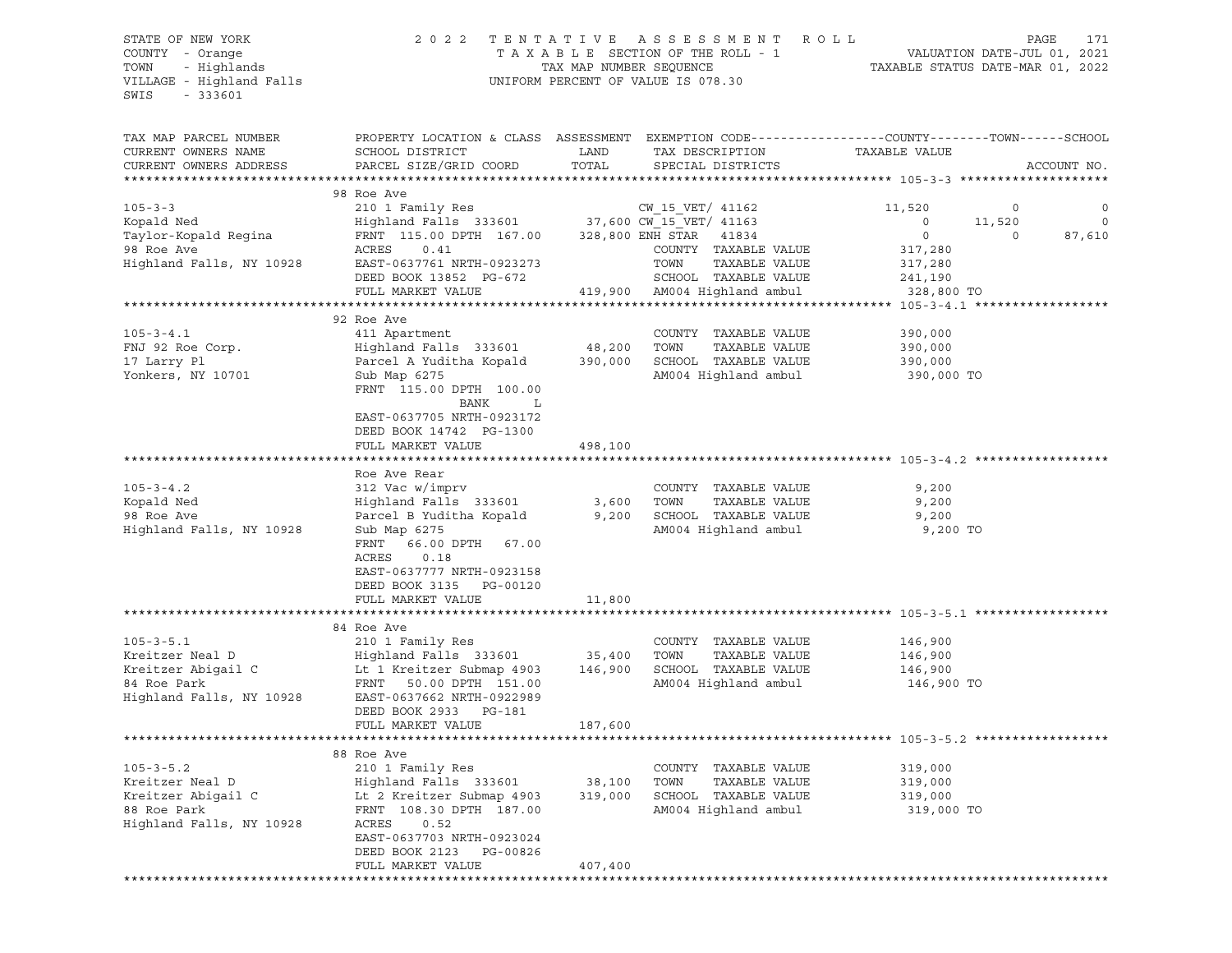### STATE OF NEW YORK 2 0 2 2 T E N T A T I V E A S S E S S M E N T R O L L PAGE 171 COUNTY - Orange T A X A B L E SECTION OF THE ROLL - 1 VALUATION DATE-JUL 01, 2021 TOWN - Highlands TAX MAP NUMBER SEQUENCE TAXABLE STATUS DATE-MAR 01, 2022 VILLAGE - Highland Falls UNIFORM PERCENT OF VALUE IS 078.30

| TAX MAP PARCEL NUMBER              | PROPERTY LOCATION & CLASS ASSESSMENT EXEMPTION CODE----------------COUNTY-------TOWN-----SCHOOL |                |                                                |                             |          |             |
|------------------------------------|-------------------------------------------------------------------------------------------------|----------------|------------------------------------------------|-----------------------------|----------|-------------|
| CURRENT OWNERS NAME                | SCHOOL DISTRICT                                                                                 | LAND           | TAX DESCRIPTION                                | TAXABLE VALUE               |          |             |
| CURRENT OWNERS ADDRESS             | PARCEL SIZE/GRID COORD                                                                          | TOTAL          | SPECIAL DISTRICTS                              |                             |          | ACCOUNT NO. |
|                                    |                                                                                                 |                |                                                |                             |          |             |
|                                    | 98 Roe Ave                                                                                      |                |                                                |                             |          |             |
| $105 - 3 - 3$                      | 210 1 Family Res                                                                                |                | CW 15 VET/ 41162                               | 11,520                      | 0        | 0           |
| Kopald Ned                         | Highland Falls 333601                                                                           |                | 37,600 CW_15_VET/ 41163                        | $\mathbf 0$<br>$\mathbf{0}$ | 11,520   | $\circ$     |
| Taylor-Kopald Reqina<br>98 Roe Ave | FRNT 115.00 DPTH 167.00<br>0.41<br>ACRES                                                        |                | 328,800 ENH STAR 41834<br>COUNTY TAXABLE VALUE | 317,280                     | $\Omega$ | 87,610      |
| Highland Falls, NY 10928           | EAST-0637761 NRTH-0923273                                                                       |                | TOWN<br>TAXABLE VALUE                          | 317,280                     |          |             |
|                                    | DEED BOOK 13852 PG-672                                                                          |                | SCHOOL TAXABLE VALUE                           | 241,190                     |          |             |
|                                    | FULL MARKET VALUE                                                                               |                | 419,900 AM004 Highland ambul                   | 328,800 TO                  |          |             |
|                                    |                                                                                                 |                |                                                |                             |          |             |
|                                    | 92 Roe Ave                                                                                      |                |                                                |                             |          |             |
| $105 - 3 - 4.1$                    | 411 Apartment                                                                                   |                | COUNTY TAXABLE VALUE                           | 390,000                     |          |             |
| FNJ 92 Roe Corp.                   | Highland Falls 333601                                                                           | 48,200         | TOWN<br>TAXABLE VALUE                          | 390,000                     |          |             |
| 17 Larry Pl                        | Parcel A Yuditha Kopald                                                                         | 390,000        | SCHOOL TAXABLE VALUE                           | 390,000                     |          |             |
| Yonkers, NY 10701                  | Sub Map 6275                                                                                    |                | AM004 Highland ambul                           | 390,000 TO                  |          |             |
|                                    | FRNT 115.00 DPTH 100.00                                                                         |                |                                                |                             |          |             |
|                                    | BANK<br>L                                                                                       |                |                                                |                             |          |             |
|                                    | EAST-0637705 NRTH-0923172                                                                       |                |                                                |                             |          |             |
|                                    | DEED BOOK 14742 PG-1300                                                                         |                |                                                |                             |          |             |
|                                    | FULL MARKET VALUE                                                                               | 498,100        |                                                |                             |          |             |
|                                    |                                                                                                 |                |                                                |                             |          |             |
|                                    | Roe Ave Rear                                                                                    |                |                                                |                             |          |             |
| $105 - 3 - 4.2$                    | 312 Vac w/imprv                                                                                 |                | COUNTY TAXABLE VALUE                           | 9,200                       |          |             |
| Kopald Ned<br>98 Roe Ave           | Highland Falls 333601<br>Parcel B Yuditha Kopald                                                | 3,600<br>9,200 | TOWN<br>TAXABLE VALUE<br>SCHOOL TAXABLE VALUE  | 9,200                       |          |             |
| Highland Falls, NY 10928           | Sub Map 6275                                                                                    |                | AM004 Highland ambul                           | 9,200<br>9,200 TO           |          |             |
|                                    | FRNT 66.00 DPTH 67.00                                                                           |                |                                                |                             |          |             |
|                                    | 0.18<br>ACRES                                                                                   |                |                                                |                             |          |             |
|                                    | EAST-0637777 NRTH-0923158                                                                       |                |                                                |                             |          |             |
|                                    | DEED BOOK 3135 PG-00120                                                                         |                |                                                |                             |          |             |
|                                    | FULL MARKET VALUE                                                                               | 11,800         |                                                |                             |          |             |
|                                    | *******************                                                                             |                | ****************************** 105-3-5.1 **    |                             |          |             |
|                                    | 84 Roe Ave                                                                                      |                |                                                |                             |          |             |
| $105 - 3 - 5.1$                    | 210 1 Family Res                                                                                |                | COUNTY TAXABLE VALUE                           | 146,900                     |          |             |
| Kreitzer Neal D                    | Highland Falls 333601                                                                           | 35,400         | TOWN<br>TAXABLE VALUE                          | 146,900                     |          |             |
| Kreitzer Abigail C                 | Lt 1 Kreitzer Submap 4903                                                                       | 146,900        | SCHOOL TAXABLE VALUE                           | 146,900                     |          |             |
| 84 Roe Park                        | FRNT 50.00 DPTH 151.00                                                                          |                | AM004 Highland ambul                           | 146,900 TO                  |          |             |
| Highland Falls, NY 10928           | EAST-0637662 NRTH-0922989                                                                       |                |                                                |                             |          |             |
|                                    | DEED BOOK 2933 PG-181                                                                           |                |                                                |                             |          |             |
|                                    | FULL MARKET VALUE                                                                               | 187,600        |                                                |                             |          |             |
|                                    | 88 Roe Ave                                                                                      |                |                                                |                             |          |             |
| $105 - 3 - 5.2$                    | 210 1 Family Res                                                                                |                | COUNTY TAXABLE VALUE                           | 319,000                     |          |             |
| Kreitzer Neal D                    | Highland Falls 333601                                                                           | 38,100         | TOWN<br>TAXABLE VALUE                          | 319,000                     |          |             |
| Kreitzer Abigail C                 | Lt 2 Kreitzer Submap 4903                                                                       | 319,000        | SCHOOL TAXABLE VALUE                           | 319,000                     |          |             |
| 88 Roe Park                        | FRNT 108.30 DPTH 187.00                                                                         |                | AM004 Highland ambul                           | 319,000 TO                  |          |             |
| Highland Falls, NY 10928           | ACRES<br>0.52                                                                                   |                |                                                |                             |          |             |
|                                    | EAST-0637703 NRTH-0923024                                                                       |                |                                                |                             |          |             |
|                                    | DEED BOOK 2123<br>PG-00826                                                                      |                |                                                |                             |          |             |
|                                    | FULL MARKET VALUE                                                                               | 407,400        |                                                |                             |          |             |
|                                    | **********************************                                                              |                |                                                |                             |          |             |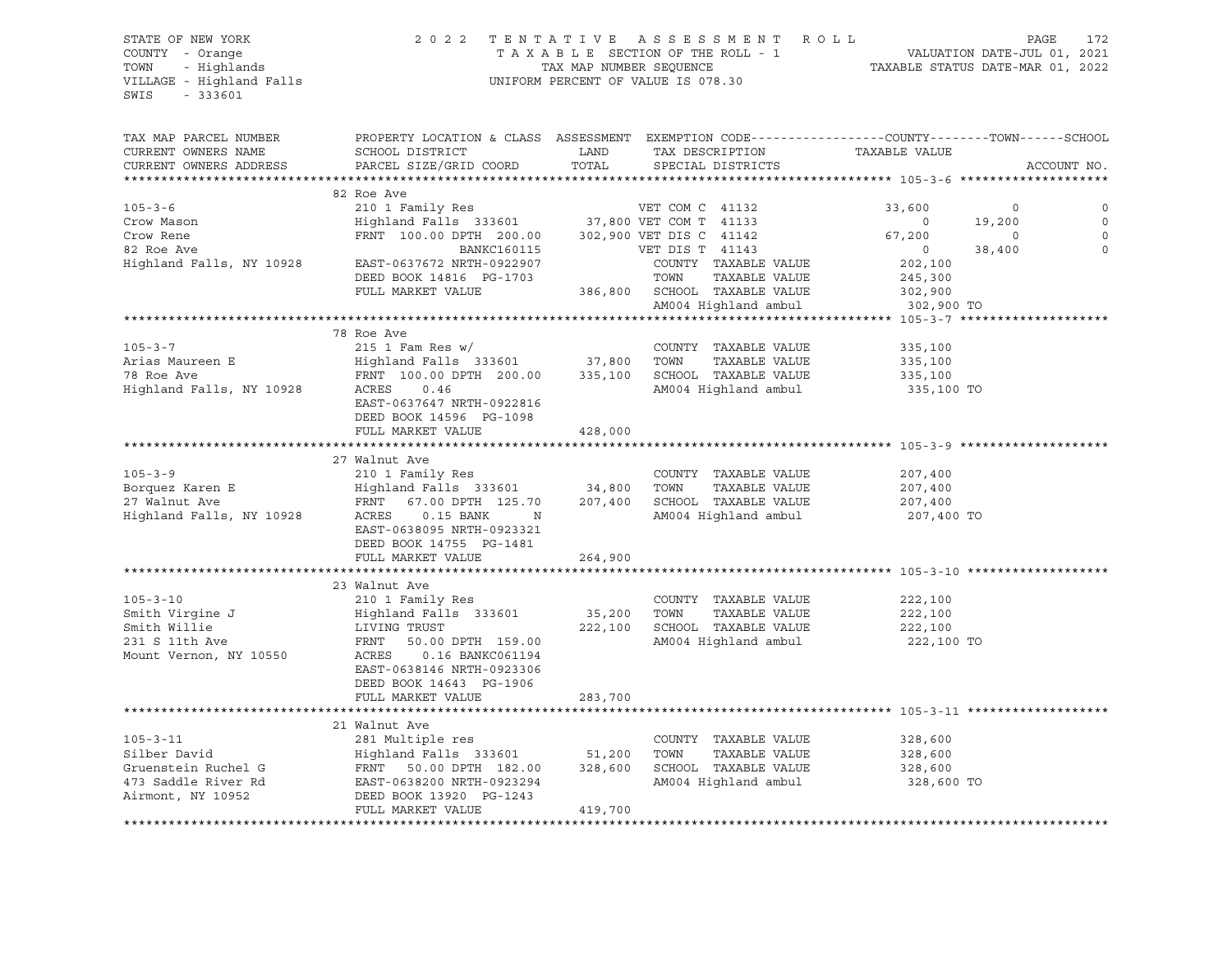## STATE OF NEW YORK 2 0 2 2 T E N T A T I V E A S S E S S M E N T R O L L PAGE 172 COUNTY - Orange T A X A B L E SECTION OF THE ROLL - 1 VALUATION DATE-JUL 01, 2021 TRIF OF NEW YORK A SERISM ENGLY COUNTY - Orange (2001) 2022 TENTATIVE ASSESSMENT ROLL (2011) PAGE 172<br>
TAXABLE SECTION OF THE ROLL - 1 (2021) VALUATION DATE-JUL 01, 2021<br>
TOWN - Highlands (2022) TAXABLE STATUS DATE-MAR 01, UNIFORM PERCENT OF VALUE IS 078.30

TAX MAP PARCEL NUMBER PROPERTY LOCATION & CLASS ASSESSMENT EXEMPTION CODE----------------COUNTY-------TOWN-----SCHOOL CURRENT OWNERS NAME SCHOOL DISTRICT LAND TAX DESCRIPTION TAXABLE VALUE CURRENT OWNERS ADDRESS PARCEL SIZE/GRID COORD TOTAL SPECIAL DISTRICTS ACCOUNT NO. \*\*\*\*\*\*\*\*\*\*\*\*\*\*\*\*\*\*\*\*\*\*\*\*\*\*\*\*\*\*\*\*\*\*\*\*\*\*\*\*\*\*\*\*\*\*\*\*\*\*\*\*\*\*\*\*\*\*\*\*\*\*\*\*\*\*\*\*\*\*\*\*\*\*\*\*\*\*\*\*\*\*\*\*\*\*\*\*\*\*\*\*\*\*\*\*\*\*\*\*\*\*\* 105-3-6 \*\*\*\*\*\*\*\*\*\*\*\*\*\*\*\*\*\*\*\* 82 Roe Ave 105-3-6 210 1 Family Res VET COM C 41132 33,600 0 0 Crow Mason Highland Falls 333601 37,800 VET COM T 41133 0 19,200 0 Crow Rene FRNT 100.00 DPTH 200.00 302,900 VET DIS C 41142 67,200 0 0 82 Roe Ave BANKC160115 VET DIS T 41143 0 38,400 0 Highland Falls, NY 10928 EAST-0637672 NRTH-0922907 COUNTY TAXABLE VALUE 202,100 DEED BOOK 14816 PG-1703 TOWN TAXABLE VALUE 245,300 FULL MARKET VALUE 386,800 SCHOOL TAXABLE VALUE 302,900 AM004 Highland ambul 302,900 TO \*\*\*\*\*\*\*\*\*\*\*\*\*\*\*\*\*\*\*\*\*\*\*\*\*\*\*\*\*\*\*\*\*\*\*\*\*\*\*\*\*\*\*\*\*\*\*\*\*\*\*\*\*\*\*\*\*\*\*\*\*\*\*\*\*\*\*\*\*\*\*\*\*\*\*\*\*\*\*\*\*\*\*\*\*\*\*\*\*\*\*\*\*\*\*\*\*\*\*\*\*\*\* 105-3-7 \*\*\*\*\*\*\*\*\*\*\*\*\*\*\*\*\*\*\*\* 78 Roe Ave 105-3-7 215 1 Fam Res w/ COUNTY TAXABLE VALUE 335,100 Arias Maureen E Highland Falls 333601 37,800 TOWN TAXABLE VALUE 335,100 78 Roe Ave FRNT 100.00 DPTH 200.00 335,100 SCHOOL TAXABLE VALUE 335,100 Highland Falls, NY 10928 ACRES 0.46 AM004 Highland ambul 335,100 TO EAST-0637647 NRTH-0922816 DEED BOOK 14596 PG-1098 FULL MARKET VALUE 428,000 \*\*\*\*\*\*\*\*\*\*\*\*\*\*\*\*\*\*\*\*\*\*\*\*\*\*\*\*\*\*\*\*\*\*\*\*\*\*\*\*\*\*\*\*\*\*\*\*\*\*\*\*\*\*\*\*\*\*\*\*\*\*\*\*\*\*\*\*\*\*\*\*\*\*\*\*\*\*\*\*\*\*\*\*\*\*\*\*\*\*\*\*\*\*\*\*\*\*\*\*\*\*\* 105-3-9 \*\*\*\*\*\*\*\*\*\*\*\*\*\*\*\*\*\*\*\* 27 Walnut Ave 105-3-9 210 1 Family Res COUNTY TAXABLE VALUE 207,400 Borquez Karen E Highland Falls 333601 34,800 TOWN TAXABLE VALUE 207,400 27 Walnut Ave FRNT 67.00 DPTH 125.70 207,400 SCHOOL TAXABLE VALUE 207,400 Highland Falls, NY 10928 ACRES 0.15 BANK N AM004 Highland ambul 207,400 TO EAST-0638095 NRTH-0923321 DEED BOOK 14755 PG-1481 FULL MARKET VALUE 264,900 \*\*\*\*\*\*\*\*\*\*\*\*\*\*\*\*\*\*\*\*\*\*\*\*\*\*\*\*\*\*\*\*\*\*\*\*\*\*\*\*\*\*\*\*\*\*\*\*\*\*\*\*\*\*\*\*\*\*\*\*\*\*\*\*\*\*\*\*\*\*\*\*\*\*\*\*\*\*\*\*\*\*\*\*\*\*\*\*\*\*\*\*\*\*\*\*\*\*\*\*\*\*\* 105-3-10 \*\*\*\*\*\*\*\*\*\*\*\*\*\*\*\*\*\*\* 23 Walnut Ave 105-3-10 210 1 Family Res COUNTY TAXABLE VALUE 222,100 Smith Virgine J Highland Falls 333601 35,200 TOWN TAXABLE VALUE 222,100 Smith Willie LIVING TRUST 222,100 SCHOOL TAXABLE VALUE 222,100 231 S 11th Ave FRNT 50.00 DPTH 159.00 AM004 Highland ambul 222,100 TO ACRES 0.16 BANKC061194 EAST-0638146 NRTH-0923306 DEED BOOK 14643 PG-1906 FULL MARKET VALUE 283,700 \*\*\*\*\*\*\*\*\*\*\*\*\*\*\*\*\*\*\*\*\*\*\*\*\*\*\*\*\*\*\*\*\*\*\*\*\*\*\*\*\*\*\*\*\*\*\*\*\*\*\*\*\*\*\*\*\*\*\*\*\*\*\*\*\*\*\*\*\*\*\*\*\*\*\*\*\*\*\*\*\*\*\*\*\*\*\*\*\*\*\*\*\*\*\*\*\*\*\*\*\*\*\* 105-3-11 \*\*\*\*\*\*\*\*\*\*\*\*\*\*\*\*\*\*\* 21 Walnut Ave 105-3-11 281 Multiple res COUNTY TAXABLE VALUE 328,600 Silber David Highland Falls 333601 51,200 TOWN TAXABLE VALUE 328,600 Gruenstein Ruchel G FRNT 50.00 DPTH 182.00 328,600 SCHOOL TAXABLE VALUE 328,600 473 Saddle River Rd EAST-0638200 NRTH-0923294 AM004 Highland ambul 328,600 TO Airmont, NY 10952 DEED BOOK 13920 PG-1243 FULL MARKET VALUE 419,700 \*\*\*\*\*\*\*\*\*\*\*\*\*\*\*\*\*\*\*\*\*\*\*\*\*\*\*\*\*\*\*\*\*\*\*\*\*\*\*\*\*\*\*\*\*\*\*\*\*\*\*\*\*\*\*\*\*\*\*\*\*\*\*\*\*\*\*\*\*\*\*\*\*\*\*\*\*\*\*\*\*\*\*\*\*\*\*\*\*\*\*\*\*\*\*\*\*\*\*\*\*\*\*\*\*\*\*\*\*\*\*\*\*\*\*\*\*\*\*\*\*\*\*\*\*\*\*\*\*\*\*\*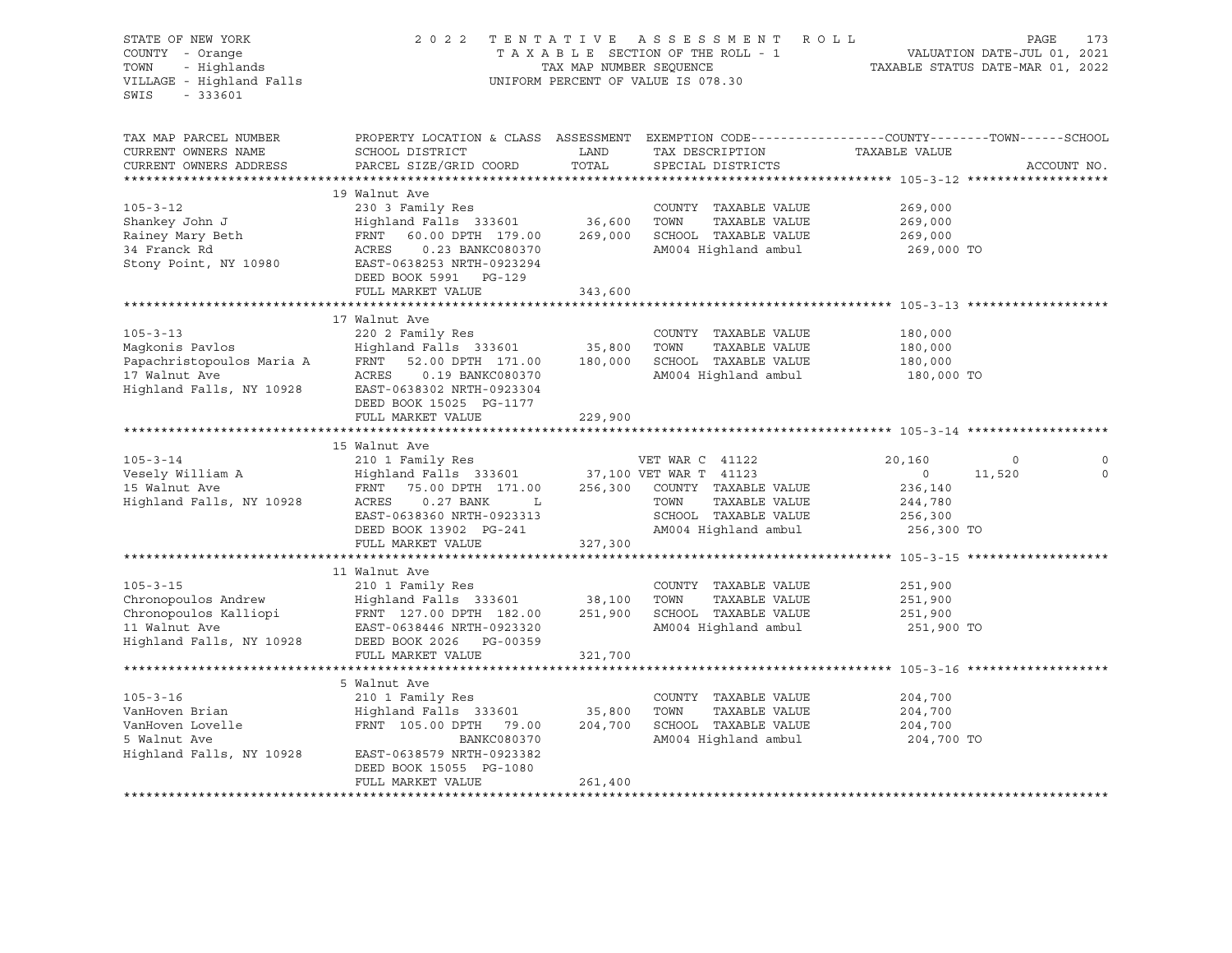| STATE OF NEW YORK<br>COUNTY - Orange<br>- Highlands<br>TOWN<br>VILLAGE - Highland Falls<br>$-333601$<br>SWIS                 | 2 0 2 2                                                                                                                                                                                                                 | TAX MAP NUMBER SEQUENCE      | TENTATIVE ASSESSMENT ROLL<br>TAXABLE SECTION OF THE ROLL - 1<br>UNIFORM PERCENT OF VALUE IS 078.30                       |                                                                  | PAGE<br>173<br>VALUATION DATE-JUL 01, 2021<br>TAXABLE STATUS DATE-MAR 01, 2022 |
|------------------------------------------------------------------------------------------------------------------------------|-------------------------------------------------------------------------------------------------------------------------------------------------------------------------------------------------------------------------|------------------------------|--------------------------------------------------------------------------------------------------------------------------|------------------------------------------------------------------|--------------------------------------------------------------------------------|
| TAX MAP PARCEL NUMBER<br>CURRENT OWNERS NAME<br>CURRENT OWNERS ADDRESS                                                       | PROPERTY LOCATION & CLASS ASSESSMENT EXEMPTION CODE----------------COUNTY-------TOWN-----SCHOOL<br>SCHOOL DISTRICT<br>PARCEL SIZE/GRID COORD                                                                            | LAND<br>TOTAL                | TAX DESCRIPTION<br>SPECIAL DISTRICTS                                                                                     | TAXABLE VALUE                                                    | ACCOUNT NO.                                                                    |
|                                                                                                                              |                                                                                                                                                                                                                         |                              |                                                                                                                          |                                                                  |                                                                                |
| $105 - 3 - 12$<br>Shankey John J<br>Rainey Mary Beth<br>34 Franck Rd<br>Stony Point, NY 10980                                | 19 Walnut Ave<br>230 3 Family Res<br>Highland Falls 333601 36,600<br>FRNT<br>60.00 DPTH 179.00<br>ACRES<br>0.23 BANKC080370<br>EAST-0638253 NRTH-0923294<br>DEED BOOK 5991 PG-129                                       | 269,000                      | COUNTY TAXABLE VALUE<br>TAXABLE VALUE<br>TOWN<br>SCHOOL TAXABLE VALUE<br>AM004 Highland ambul                            | 269,000<br>269,000<br>269,000<br>269,000 TO                      |                                                                                |
|                                                                                                                              | FULL MARKET VALUE                                                                                                                                                                                                       | 343,600                      |                                                                                                                          |                                                                  |                                                                                |
| $105 - 3 - 13$<br>Maqkonis Pavlos<br>Papachristopoulos Maria A<br>17 Walnut Ave<br>Highland Falls, NY 10928                  | 17 Walnut Ave<br>220 2 Family Res<br>Highland Falls 333601<br>FRNT<br>52.00 DPTH 171.00<br>ACRES<br>0.19 BANKC080370<br>EAST-0638302 NRTH-0923304<br>DEED BOOK 15025 PG-1177                                            | 35,800<br>180,000            | COUNTY TAXABLE VALUE<br>TOWN<br>TAXABLE VALUE<br>SCHOOL TAXABLE VALUE<br>AM004 Highland ambul                            | 180,000<br>180,000<br>180,000<br>180,000 TO                      |                                                                                |
|                                                                                                                              | FULL MARKET VALUE                                                                                                                                                                                                       | 229,900                      |                                                                                                                          |                                                                  |                                                                                |
| $105 - 3 - 14$<br>Vesely William A<br>15 Walnut Ave<br>Highland Falls, NY 10928                                              | 15 Walnut Ave<br>210 1 Family Res<br>Highland Falls 333601 37,100 VET WAR T 41123<br>FRNT<br>75.00 DPTH 171.00<br>ACRES<br>$0.27$ BANK<br>L<br>EAST-0638360 NRTH-0923313<br>DEED BOOK 13902 PG-241<br>FULL MARKET VALUE | 327,300                      | VET WAR C 41122<br>256,300 COUNTY TAXABLE VALUE<br>TOWN<br>TAXABLE VALUE<br>SCHOOL TAXABLE VALUE<br>AM004 Highland ambul | 20,160<br>$\circ$<br>236,140<br>244,780<br>256,300<br>256,300 TO | $\circ$<br>0<br>11,520<br>$\Omega$                                             |
|                                                                                                                              |                                                                                                                                                                                                                         |                              |                                                                                                                          |                                                                  |                                                                                |
| $105 - 3 - 15$<br>Chronopoulos Andrew<br>Chronopoulos Kalliopi<br>11 Walnut Ave<br>11 Walnut Ave<br>Highland Falls, NY 10928 | 11 Walnut Ave<br>210 1 Family Res<br>Highland Falls 333601 38,100<br>FRNT 127.00 DPTH 182.00<br>EAST-0638446 NRTH-0923320<br>DEED BOOK 2026 PG-00359<br>FULL MARKET VALUE                                               | 251,900<br>321,700           | COUNTY TAXABLE VALUE<br>TOWN<br>TAXABLE VALUE<br>SCHOOL TAXABLE VALUE<br>AM004 Highland ambul                            | 251,900<br>251,900<br>251,900<br>251,900 TO                      |                                                                                |
|                                                                                                                              |                                                                                                                                                                                                                         |                              |                                                                                                                          |                                                                  |                                                                                |
| $105 - 3 - 16$<br>VanHoven Brian<br>VanHoven Lovelle<br>5 Walnut Ave<br>Highland Falls, NY 10928                             | 5 Walnut Ave<br>210 1 Family Res<br>Highland Falls 333601<br>FRNT 105.00 DPTH 79.00<br>BANKC080370<br>EAST-0638579 NRTH-0923382<br>DEED BOOK 15055 PG-1080<br>FULL MARKET VALUE                                         | 35,800<br>204,700<br>261,400 | COUNTY TAXABLE VALUE<br>TOWN<br>TAXABLE VALUE<br>SCHOOL TAXABLE VALUE<br>AM004 Highland ambul                            | 204,700<br>204,700<br>204,700<br>204,700 TO                      |                                                                                |
|                                                                                                                              |                                                                                                                                                                                                                         |                              |                                                                                                                          |                                                                  |                                                                                |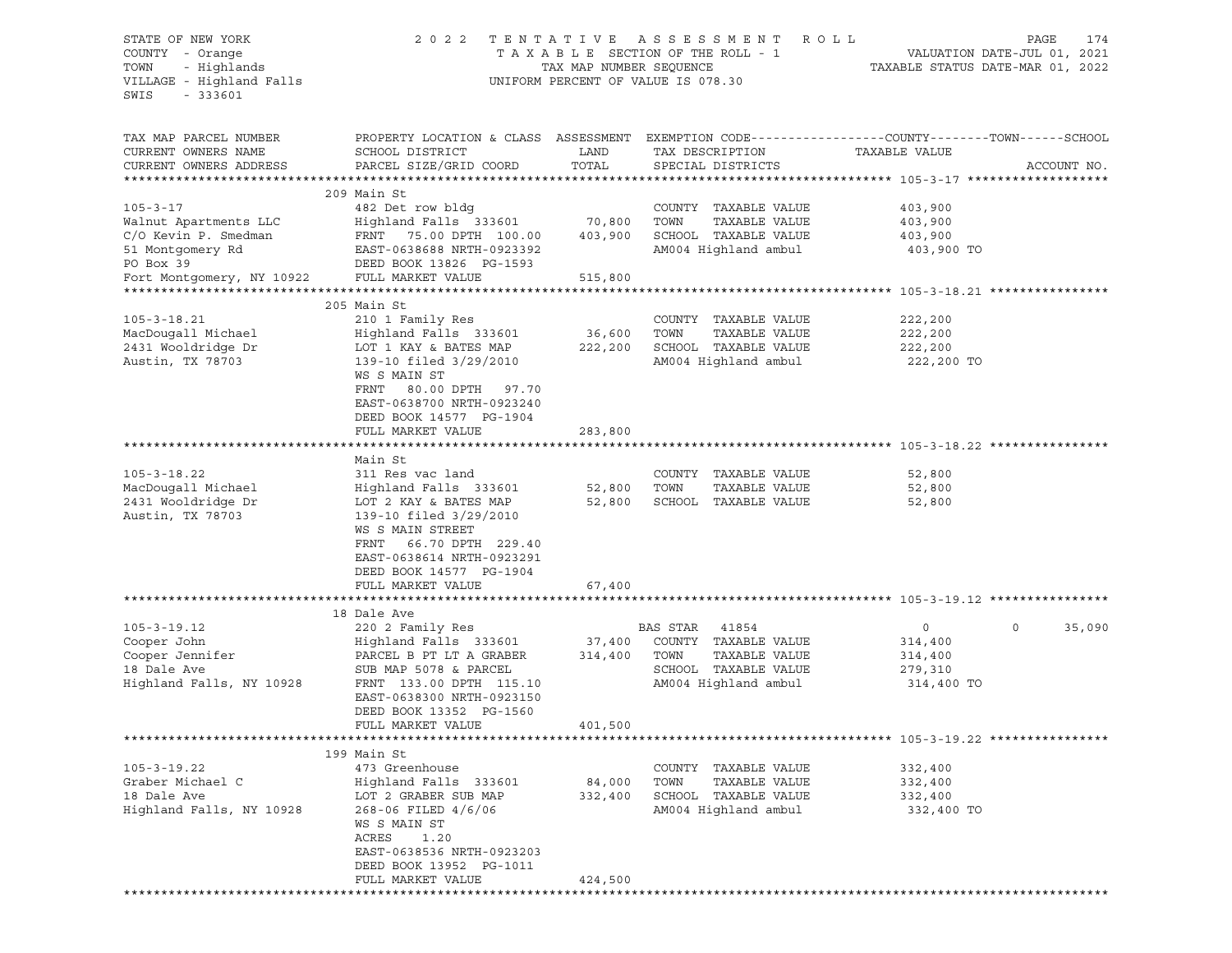STATE OF NEW YORK 2 0 2 2 T E N T A T I V E A S S E S S M E N T R O L L PAGE 174 COUNTY - Orange T A X A B L E SECTION OF THE ROLL - 1 TOWN - Highlands TAX MAP NUMBER SEQUENCE TAXABLE STATUS DATE-MAR 01, 2022 UNIFORM PERCENT OF VALUE IS 078.30 SWIS - 333601 TAX MAP PARCEL NUMBER PROPERTY LOCATION & CLASS ASSESSMENT EXEMPTION CODE-----------------COUNTY-------TOWN------SCHOOL CURRENT OWNERS NAME SCHOOL DISTRICT LAND TAX DESCRIPTION CURRENT OWNERS NAME SCHOOL DISTRICT LAND TAX DESCRIPTION TAXABLE VALUE CURRENT OWNERS ADDRESS PARCEL SIZE/GRID COORD TOTAL SPECIAL DISTRICTS ACCOUNT NO. \*\*\*\*\*\*\*\*\*\*\*\*\*\*\*\*\*\*\*\*\*\*\*\*\*\*\*\*\*\*\*\*\*\*\*\*\*\*\*\*\*\*\*\*\*\*\*\*\*\*\*\*\*\*\*\*\*\*\*\*\*\*\*\*\*\*\*\*\*\*\*\*\*\*\*\*\*\*\*\*\*\*\*\*\*\*\*\*\*\*\*\*\*\*\*\*\*\*\*\*\*\*\* 105-3-17 \*\*\*\*\*\*\*\*\*\*\*\*\*\*\*\*\*\*\* 209 Main St 105-3-17 482 Det row bldg COUNTY TAXABLE VALUE 403,900 Walnut Apartments LLC Highland Falls 333601 70,800 TOWN TAXABLE VALUE 403,900 C/O Kevin P. Smedman FRNT 75.00 DPTH 100.00 403,900 SCHOOL TAXABLE VALUE 403,900 51 Montgomery Rd EAST-0638688 NRTH-0923392 AM004 Highland ambul 403,900 TO PO Box 39 PO Box 39 PO Box 39 PO Box 39 PO BOOK 13826 PG-1593 Fort Montgomery, NY 10922 FULL MARKET VALUE 515,800 \*\*\*\*\*\*\*\*\*\*\*\*\*\*\*\*\*\*\*\*\*\*\*\*\*\*\*\*\*\*\*\*\*\*\*\*\*\*\*\*\*\*\*\*\*\*\*\*\*\*\*\*\*\*\*\*\*\*\*\*\*\*\*\*\*\*\*\*\*\*\*\*\*\*\*\*\*\*\*\*\*\*\*\*\*\*\*\*\*\*\*\*\*\*\*\*\*\*\*\*\*\*\* 105-3-18.21 \*\*\*\*\*\*\*\*\*\*\*\*\*\*\*\* 205 Main St 205 Main St 205 - 3 - 18.21 210 1 Fa 105-3-18.21 210 1 Family Res COUNTY TAXABLE VALUE 222,200 MacDougall Michael Highland Falls 333601 36,600 TOWN TAXABLE VALUE 222,200 2431 Wooldridge Dr LOT 1 KAY & BATES MAP 222,200 SCHOOL TAXABLE VALUE 222,200 Austin, TX 78703 139-10 filed 3/29/2010 AM004 Highland ambul 222,200 TO WS S MAIN ST FRNT 80.00 DPTH 97.70 EAST-0638700 NRTH-0923240 DEED BOOK 14577 PG-1904 FULL MARKET VALUE 283,800 \*\*\*\*\*\*\*\*\*\*\*\*\*\*\*\*\*\*\*\*\*\*\*\*\*\*\*\*\*\*\*\*\*\*\*\*\*\*\*\*\*\*\*\*\*\*\*\*\*\*\*\*\*\*\*\*\*\*\*\*\*\*\*\*\*\*\*\*\*\*\*\*\*\*\*\*\*\*\*\*\*\*\*\*\*\*\*\*\*\*\*\*\*\*\*\*\*\*\*\*\*\*\* 105-3-18.22 \*\*\*\*\*\*\*\*\*\*\*\*\*\*\*\* Main St 105-3-18.22 311 Res vac land COUNTY TAXABLE VALUE 52,800 MacDougall Michael Highland Falls 333601 52,800 TOWN TAXABLE VALUE 52,800 2431 Wooldridge Dr LOT 2 KAY & BATES MAP 52,800 SCHOOL TAXABLE VALUE 52,800 Austin, TX 78703 139-10 filed  $3/29/2010$  WS S MAIN STREET FRNT 66.70 DPTH 229.40 EAST-0638614 NRTH-0923291 DEED BOOK 14577 PG-1904 FULL MARKET VALUE 67,400 \*\*\*\*\*\*\*\*\*\*\*\*\*\*\*\*\*\*\*\*\*\*\*\*\*\*\*\*\*\*\*\*\*\*\*\*\*\*\*\*\*\*\*\*\*\*\*\*\*\*\*\*\*\*\*\*\*\*\*\*\*\*\*\*\*\*\*\*\*\*\*\*\*\*\*\*\*\*\*\*\*\*\*\*\*\*\*\*\*\*\*\*\*\*\*\*\*\*\*\*\*\*\* 105-3-19.12 \*\*\*\*\*\*\*\*\*\*\*\*\*\*\*\* 18 Dale Ave 105-3-19.12 220 2 Family Res BAS STAR 41854 0 0 35,090 Cooper John Highland Falls 333601 37,400 COUNTY TAXABLE VALUE 314,400 Cooper Jennifer PARCEL B PT LT A GRABER 314,400 TOWN TAXABLE VALUE 314,400 18 Dale Ave SUB MAP 5078 & PARCEL SCHOOL TAXABLE VALUE 279,310 Highland Falls, NY 10928 FRNT 133.00 DPTH 115.10 AM004 Highland ambul 314,400 TO EAST-0638300 NRTH-0923150 DEED BOOK 13352 PG-1560 FULL MARKET VALUE 401,500 \*\*\*\*\*\*\*\*\*\*\*\*\*\*\*\*\*\*\*\*\*\*\*\*\*\*\*\*\*\*\*\*\*\*\*\*\*\*\*\*\*\*\*\*\*\*\*\*\*\*\*\*\*\*\*\*\*\*\*\*\*\*\*\*\*\*\*\*\*\*\*\*\*\*\*\*\*\*\*\*\*\*\*\*\*\*\*\*\*\*\*\*\*\*\*\*\*\*\*\*\*\*\* 105-3-19.22 \*\*\*\*\*\*\*\*\*\*\*\*\*\*\*\* 199 Main St 105-3-19.22 473 Greenhouse COUNTY TAXABLE VALUE 332,400 Graber Michael C Highland Falls 333601 84,000 TOWN TAXABLE VALUE 332,400 18 Dale Ave LOT 2 GRABER SUB MAP 332,400 SCHOOL TAXABLE VALUE 332,400 Highland Falls, NY 10928 268-06 FILED 4/6/06 AM004 Highland ambul 332,400 TO WS S MAIN ST ACRES 1.20 EAST-0638536 NRTH-0923203 DEED BOOK 13952 PG-1011 FULL MARKET VALUE 424,500 \*\*\*\*\*\*\*\*\*\*\*\*\*\*\*\*\*\*\*\*\*\*\*\*\*\*\*\*\*\*\*\*\*\*\*\*\*\*\*\*\*\*\*\*\*\*\*\*\*\*\*\*\*\*\*\*\*\*\*\*\*\*\*\*\*\*\*\*\*\*\*\*\*\*\*\*\*\*\*\*\*\*\*\*\*\*\*\*\*\*\*\*\*\*\*\*\*\*\*\*\*\*\*\*\*\*\*\*\*\*\*\*\*\*\*\*\*\*\*\*\*\*\*\*\*\*\*\*\*\*\*\*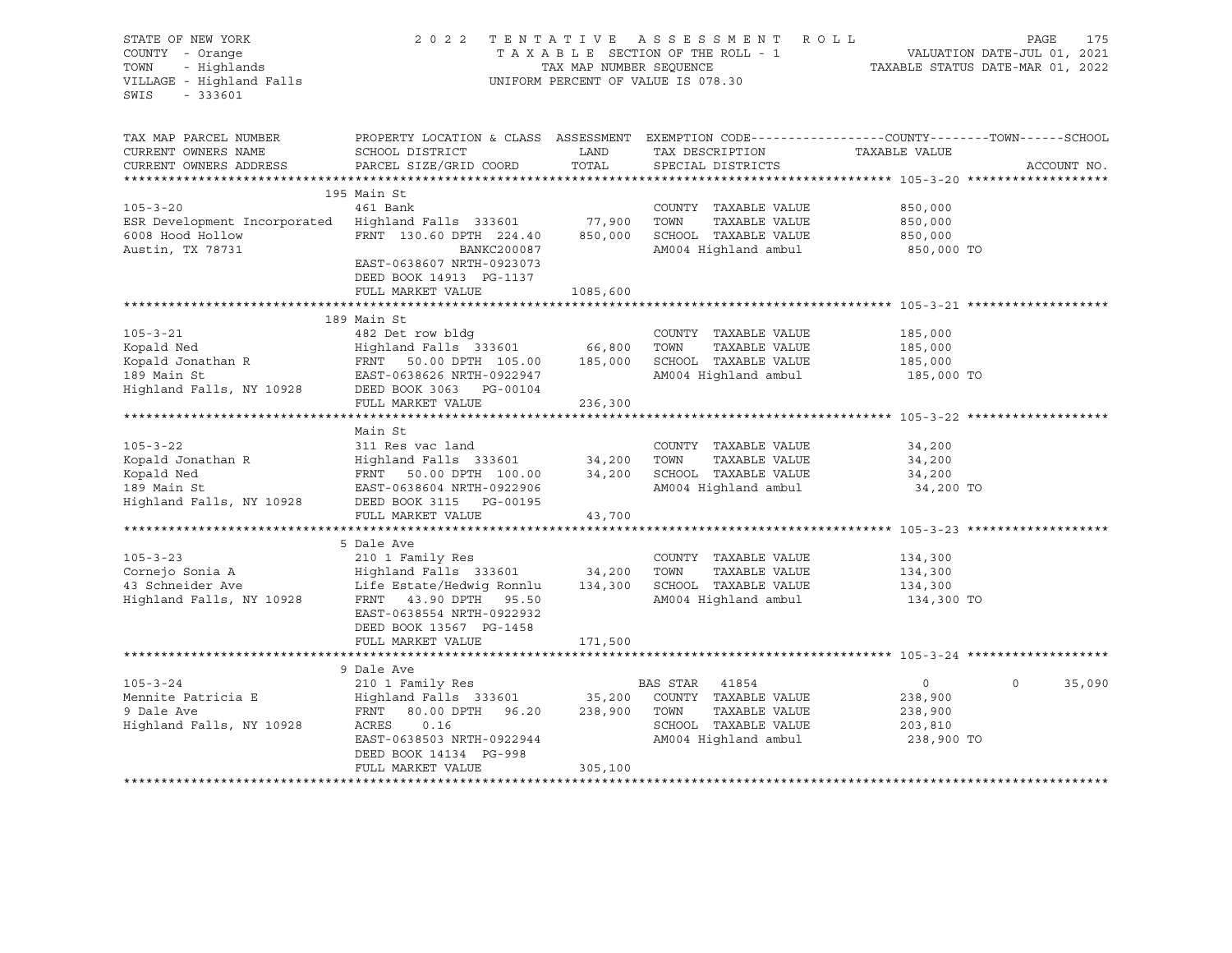| STATE OF NEW YORK<br>COUNTY - Orange                                                                                                                                                           |                                                                                                |                         | 2022 TENTATIVE ASSESSMENT ROLL<br>TAXABLE SECTION OF THE ROLL - 1 | 1 VALUATION DATE-JUL 01, 2021<br>TAXABLE STATUS DATE-MAR 01, 2022 | PAGE<br>175       |
|------------------------------------------------------------------------------------------------------------------------------------------------------------------------------------------------|------------------------------------------------------------------------------------------------|-------------------------|-------------------------------------------------------------------|-------------------------------------------------------------------|-------------------|
| COUNTY - Orange<br>TOWN - Highlands<br>VILLAGE - Highland Falls<br>$-333601$<br>SWIS                                                                                                           |                                                                                                | TAX MAP NUMBER SEQUENCE | UNIFORM PERCENT OF VALUE IS 078.30                                |                                                                   |                   |
| TAX MAP PARCEL NUMBER                                                                                                                                                                          | PROPERTY LOCATION & CLASS ASSESSMENT EXEMPTION CODE---------------COUNTY-------TOWN-----SCHOOL |                         |                                                                   |                                                                   |                   |
| CURRENT OWNERS NAME<br>CURRENT OWNERS ADDRESS                                                                                                                                                  | SCHOOL DISTRICT<br>PARCEL SIZE/GRID COORD                                                      | LAND<br>TOTAL           | TAX DESCRIPTION<br>SPECIAL DISTRICTS                              | TAXABLE VALUE                                                     | ACCOUNT NO.       |
|                                                                                                                                                                                                |                                                                                                |                         |                                                                   |                                                                   |                   |
| $105 - 3 - 20$                                                                                                                                                                                 | 195 Main St<br>461 Bank                                                                        |                         |                                                                   |                                                                   |                   |
| ESR Development Incorporated Highland Falls 333601                                                                                                                                             |                                                                                                | 77,900                  | COUNTY TAXABLE VALUE<br>TOWN<br>TAXABLE VALUE                     | 850,000<br>850,000                                                |                   |
| 6008 Hood Hollow                                                                                                                                                                               | FRNT 130.60 DPTH 224.40                                                                        | 850,000                 | SCHOOL TAXABLE VALUE                                              | 850,000                                                           |                   |
| Austin, TX 78731                                                                                                                                                                               | BANKC200087                                                                                    |                         | AM004 Highland ambul                                              | 850,000 TO                                                        |                   |
|                                                                                                                                                                                                | EAST-0638607 NRTH-0923073<br>DEED BOOK 14913 PG-1137                                           |                         |                                                                   |                                                                   |                   |
|                                                                                                                                                                                                | FULL MARKET VALUE                                                                              | 1085,600                |                                                                   |                                                                   |                   |
|                                                                                                                                                                                                |                                                                                                |                         |                                                                   |                                                                   |                   |
|                                                                                                                                                                                                | 189 Main St                                                                                    |                         |                                                                   |                                                                   |                   |
| $105 - 3 - 21$                                                                                                                                                                                 | 482 Det row bldg                                                                               |                         | COUNTY TAXABLE VALUE                                              | 185,000                                                           |                   |
|                                                                                                                                                                                                |                                                                                                |                         | TOWN<br>TAXABLE VALUE                                             | 185,000                                                           |                   |
|                                                                                                                                                                                                |                                                                                                |                         | SCHOOL TAXABLE VALUE                                              | 185,000                                                           |                   |
|                                                                                                                                                                                                |                                                                                                |                         | AM004 Highland ambul                                              | 185,000 TO                                                        |                   |
| 1991 - 2001<br>Kopald Jonathan R (1991 - 1991 - 1991 - 1992)<br>Highland Falls 333601 (1992)<br>185,000 EAST-0638626 NTH-0922947<br>Highland Falls, NY 10928 (1982)<br>DEED BOOK 3063 PG-00104 |                                                                                                |                         |                                                                   |                                                                   |                   |
|                                                                                                                                                                                                | FULL MARKET VALUE                                                                              | 236,300                 |                                                                   |                                                                   |                   |
|                                                                                                                                                                                                | Main St                                                                                        |                         |                                                                   |                                                                   |                   |
| $105 - 3 - 22$                                                                                                                                                                                 | 311 Res vac land                                                                               |                         | COUNTY TAXABLE VALUE                                              | 34,200                                                            |                   |
| Kopald Jonathan R                                                                                                                                                                              |                                                                                                |                         | TOWN<br>TAXABLE VALUE                                             | 34,200                                                            |                   |
| Kopald Ned                                                                                                                                                                                     | Highland Falls 333601 34,200<br>FRNT 50.00 DPTH 100.00 34,200                                  |                         | SCHOOL TAXABLE VALUE                                              | 34,200                                                            |                   |
| 189 Main St                                                                                                                                                                                    | EAST-0638604 NRTH-0922906                                                                      |                         | AM004 Highland ambul                                              | 34,200 TO                                                         |                   |
| Highland Falls, NY 10928                                                                                                                                                                       | DEED BOOK 3115 PG-00195                                                                        |                         |                                                                   |                                                                   |                   |
|                                                                                                                                                                                                | FULL MARKET VALUE                                                                              | 43,700                  |                                                                   |                                                                   |                   |
|                                                                                                                                                                                                | ****************************                                                                   | ************            | ******************************** 105-3-23 *********               |                                                                   |                   |
|                                                                                                                                                                                                | 5 Dale Ave                                                                                     |                         |                                                                   |                                                                   |                   |
| $105 - 3 - 23$                                                                                                                                                                                 | 210 1 Family Res                                                                               |                         | COUNTY TAXABLE VALUE                                              | 134,300                                                           |                   |
|                                                                                                                                                                                                |                                                                                                |                         | TOWN<br>TAXABLE VALUE                                             | 134,300                                                           |                   |
| Cornejo Sonia A<br>43 Schneider Ave                                                                                                                                                            | Highland Falls 333601 34,200<br>Life Estate/Hedwig Ronnlu 134,300                              |                         | SCHOOL TAXABLE VALUE                                              | 134,300                                                           |                   |
| Highland Falls, NY 10928 FRNT 43.90 DPTH 95.50                                                                                                                                                 | EAST-0638554 NRTH-0922932<br>DEED BOOK 13567 PG-1458                                           | 171,500                 | AM004 Highland ambul                                              | 134,300 TO                                                        |                   |
|                                                                                                                                                                                                | FULL MARKET VALUE                                                                              |                         |                                                                   |                                                                   |                   |
|                                                                                                                                                                                                | 9 Dale Ave                                                                                     |                         |                                                                   |                                                                   |                   |
| $105 - 3 - 24$                                                                                                                                                                                 | 210 1 Family Res                                                                               |                         | BAS STAR 41854                                                    | $\overline{0}$                                                    | $\circ$<br>35,090 |
| Mennite Patricia E                                                                                                                                                                             | Highland Falls 333601 35,200 COUNTY TAXABLE VALUE                                              |                         |                                                                   | 238,900                                                           |                   |
| 9 Dale Ave                                                                                                                                                                                     | 80.00 DPTH 96.20 238,900 TOWN<br>FRNT                                                          |                         | TAXABLE VALUE                                                     | 238,900                                                           |                   |
| Highland Falls, NY 10928                                                                                                                                                                       | ACRES<br>0.16                                                                                  |                         | SCHOOL TAXABLE VALUE                                              | 203,810                                                           |                   |
|                                                                                                                                                                                                | EAST-0638503 NRTH-0922944                                                                      |                         | AM004 Highland ambul                                              | 238,900 TO                                                        |                   |
|                                                                                                                                                                                                | DEED BOOK 14134 PG-998                                                                         |                         |                                                                   |                                                                   |                   |
|                                                                                                                                                                                                | FULL MARKET VALUE                                                                              | 305,100                 |                                                                   |                                                                   |                   |
|                                                                                                                                                                                                |                                                                                                |                         |                                                                   |                                                                   |                   |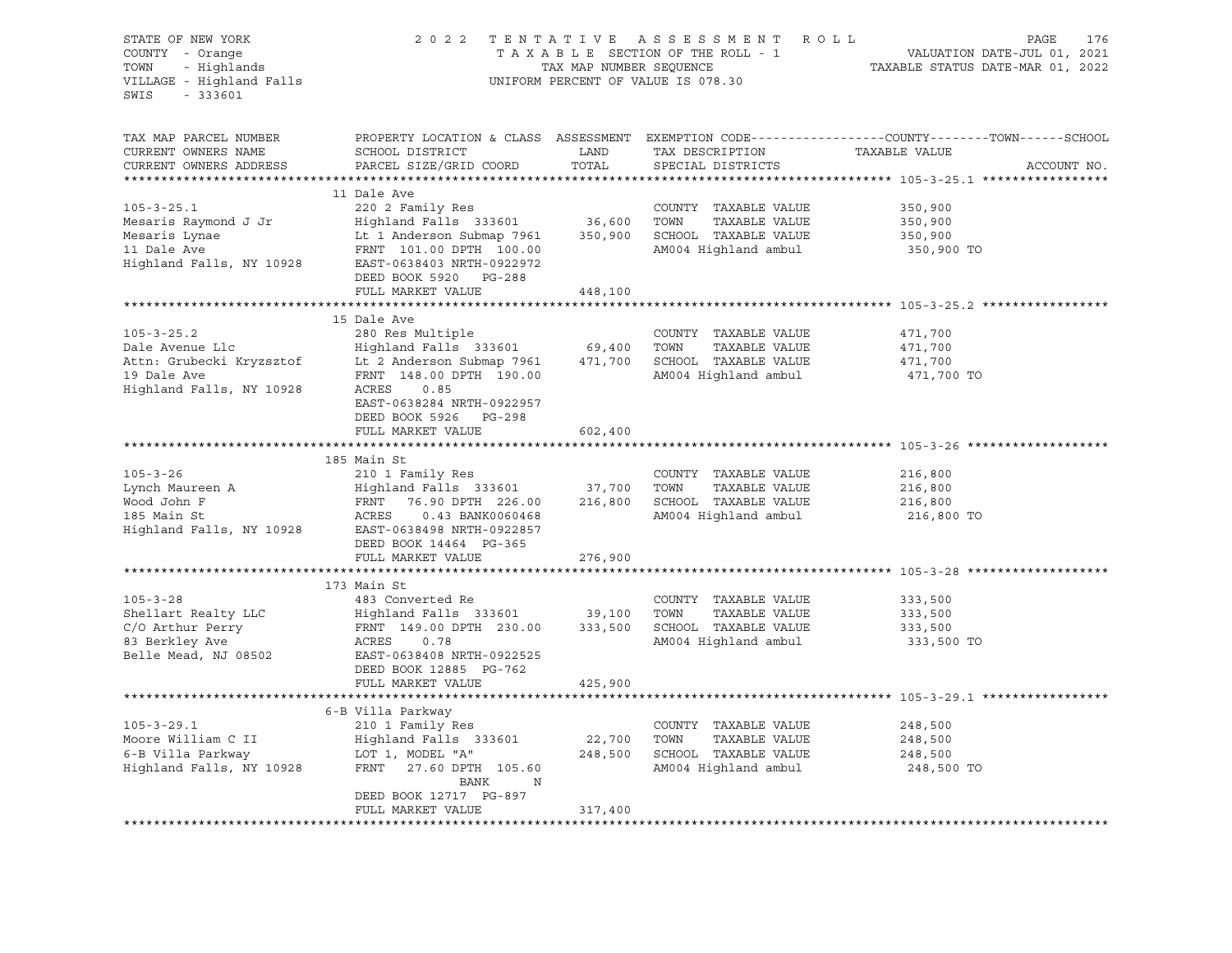| STATE OF NEW YORK<br>COUNTY - Orange<br>TOWN<br>- Highlands<br>VILLAGE - Highland Falls<br>$-333601$<br>SWIS                                                                                                                                                                                                                                                |                                                        | TAX MAP NUMBER SEQUENCE | 2022 TENTATIVE ASSESSMENT ROLL<br>TAXABLE SECTION OF THE ROLL - 1<br>UNIFORM PERCENT OF VALUE IS 078.30 | PAGE<br>176<br>VALUATION DATE-JUL 01, 2021<br>TAXABLE STATUS DATE-MAR 01, 2022                                                 |
|-------------------------------------------------------------------------------------------------------------------------------------------------------------------------------------------------------------------------------------------------------------------------------------------------------------------------------------------------------------|--------------------------------------------------------|-------------------------|---------------------------------------------------------------------------------------------------------|--------------------------------------------------------------------------------------------------------------------------------|
| TAX MAP PARCEL NUMBER<br>CURRENT OWNERS NAME<br>CURRENT OWNERS ADDRESS                                                                                                                                                                                                                                                                                      | SCHOOL DISTRICT<br>PARCEL SIZE/GRID COORD              | LAND<br>TOTAL           | TAX DESCRIPTION<br>SPECIAL DISTRICTS                                                                    | PROPERTY LOCATION & CLASS ASSESSMENT EXEMPTION CODE---------------COUNTY-------TOWN-----SCHOOL<br>TAXABLE VALUE<br>ACCOUNT NO. |
|                                                                                                                                                                                                                                                                                                                                                             | 11 Dale Ave                                            |                         |                                                                                                         |                                                                                                                                |
| $105 - 3 - 25.1$                                                                                                                                                                                                                                                                                                                                            | 220 2 Family Res                                       |                         | COUNTY TAXABLE VALUE                                                                                    | 350,900                                                                                                                        |
| Mesaris Raymond J Jr                                                                                                                                                                                                                                                                                                                                        | Highland Falls 333601 36,600                           |                         | TOWN<br>TAXABLE VALUE                                                                                   | 350,900                                                                                                                        |
| Mesaris Lynae                                                                                                                                                                                                                                                                                                                                               | Lt 1 Anderson Submap 7961 350,900 SCHOOL TAXABLE VALUE |                         |                                                                                                         | 350,900                                                                                                                        |
| $\frac{1}{2} \sum_{i=1}^n \frac{1}{2} \sum_{j=1}^n \frac{1}{2} \sum_{j=1}^n \frac{1}{2} \sum_{j=1}^n \frac{1}{2} \sum_{j=1}^n \frac{1}{2} \sum_{j=1}^n \frac{1}{2} \sum_{j=1}^n \frac{1}{2} \sum_{j=1}^n \frac{1}{2} \sum_{j=1}^n \frac{1}{2} \sum_{j=1}^n \frac{1}{2} \sum_{j=1}^n \frac{1}{2} \sum_{j=1}^n \frac{1}{2} \sum_{j=1}^n \frac{1}{2} \sum_{j=$ |                                                        |                         | AM004 Highland ambul                                                                                    | 350,900 TO                                                                                                                     |
|                                                                                                                                                                                                                                                                                                                                                             |                                                        |                         |                                                                                                         |                                                                                                                                |
|                                                                                                                                                                                                                                                                                                                                                             | DEED BOOK 5920 PG-288                                  |                         |                                                                                                         |                                                                                                                                |
|                                                                                                                                                                                                                                                                                                                                                             | FULL MARKET VALUE                                      | 448,100                 |                                                                                                         |                                                                                                                                |
|                                                                                                                                                                                                                                                                                                                                                             |                                                        |                         |                                                                                                         |                                                                                                                                |
|                                                                                                                                                                                                                                                                                                                                                             | 15 Dale Ave                                            |                         |                                                                                                         |                                                                                                                                |
| $105 - 3 - 25.2$                                                                                                                                                                                                                                                                                                                                            | 280 Res Multiple<br>Highland Falls 333601 69,400       |                         | COUNTY TAXABLE VALUE                                                                                    | 471,700                                                                                                                        |
| Dale Avenue Llc                                                                                                                                                                                                                                                                                                                                             |                                                        |                         | TOWN<br>TAXABLE VALUE                                                                                   | 471,700                                                                                                                        |
| Attn: Grubecki Kryzsztof                                                                                                                                                                                                                                                                                                                                    | Lt 2 Anderson Submap 7961 471,700 SCHOOL TAXABLE VALUE |                         | AM004 Highland ambul                                                                                    | 471,700                                                                                                                        |
| 19 Dale Ave<br>Highland Falls, NY 10928                                                                                                                                                                                                                                                                                                                     | FRNT 148.00 DPTH 190.00<br>ACRES<br>0.85               |                         |                                                                                                         | 471,700 TO                                                                                                                     |
|                                                                                                                                                                                                                                                                                                                                                             | EAST-0638284 NRTH-0922957                              |                         |                                                                                                         |                                                                                                                                |
|                                                                                                                                                                                                                                                                                                                                                             | DEED BOOK 5926 PG-298                                  |                         |                                                                                                         |                                                                                                                                |
|                                                                                                                                                                                                                                                                                                                                                             | FULL MARKET VALUE                                      | 602,400                 |                                                                                                         |                                                                                                                                |
|                                                                                                                                                                                                                                                                                                                                                             |                                                        |                         |                                                                                                         |                                                                                                                                |
|                                                                                                                                                                                                                                                                                                                                                             | 185 Main St                                            |                         |                                                                                                         |                                                                                                                                |
| $105 - 3 - 26$                                                                                                                                                                                                                                                                                                                                              | 210 1 Family Res                                       |                         | COUNTY TAXABLE VALUE                                                                                    | 216,800                                                                                                                        |
| Lynch Maureen A                                                                                                                                                                                                                                                                                                                                             | Highland Falls 333601                                  | 37,700                  | TOWN<br>TAXABLE VALUE                                                                                   | 216,800                                                                                                                        |
| Wood John F                                                                                                                                                                                                                                                                                                                                                 | FRNT 76.90 DPTH 226.00                                 |                         | 216,800 SCHOOL TAXABLE VALUE                                                                            | 216,800                                                                                                                        |
| 185 Main St                                                                                                                                                                                                                                                                                                                                                 | ACRES<br>0.43 BANK0060468                              |                         | AM004 Highland ambul                                                                                    | 216,800 TO                                                                                                                     |
| Highland Falls, NY 10928                                                                                                                                                                                                                                                                                                                                    | EAST-0638498 NRTH-0922857                              |                         |                                                                                                         |                                                                                                                                |
|                                                                                                                                                                                                                                                                                                                                                             | DEED BOOK 14464 PG-365                                 |                         |                                                                                                         |                                                                                                                                |
|                                                                                                                                                                                                                                                                                                                                                             | FULL MARKET VALUE                                      | 276,900                 |                                                                                                         |                                                                                                                                |
|                                                                                                                                                                                                                                                                                                                                                             |                                                        |                         |                                                                                                         |                                                                                                                                |
|                                                                                                                                                                                                                                                                                                                                                             | 173 Main St                                            |                         |                                                                                                         |                                                                                                                                |
| $105 - 3 - 28$<br>Shellart Realty LLC                                                                                                                                                                                                                                                                                                                       | 483 Converted Re<br>Highland Falls 333601 39,100       |                         | COUNTY TAXABLE VALUE<br>TOWN<br>TAXABLE VALUE                                                           | 333,500<br>333,500                                                                                                             |
| C/O Arthur Perry                                                                                                                                                                                                                                                                                                                                            | FRNT 149.00 DPTH 230.00                                |                         | 333,500 SCHOOL TAXABLE VALUE                                                                            | 333,500                                                                                                                        |
| 83 Berkley Ave                                                                                                                                                                                                                                                                                                                                              | ACRES 0.78                                             |                         | AM004 Highland ambul                                                                                    | 333,500 TO                                                                                                                     |
| Belle Mead, NJ 08502                                                                                                                                                                                                                                                                                                                                        | EAST-0638408 NRTH-0922525                              |                         |                                                                                                         |                                                                                                                                |
|                                                                                                                                                                                                                                                                                                                                                             | DEED BOOK 12885 PG-762                                 |                         |                                                                                                         |                                                                                                                                |
|                                                                                                                                                                                                                                                                                                                                                             | FULL MARKET VALUE                                      | 425,900                 |                                                                                                         |                                                                                                                                |
|                                                                                                                                                                                                                                                                                                                                                             |                                                        |                         |                                                                                                         |                                                                                                                                |
|                                                                                                                                                                                                                                                                                                                                                             | 6-B Villa Parkway                                      |                         |                                                                                                         |                                                                                                                                |
| $105 - 3 - 29.1$                                                                                                                                                                                                                                                                                                                                            | 210 1 Family Res                                       |                         | COUNTY TAXABLE VALUE                                                                                    | 248,500                                                                                                                        |
| Moore William C II                                                                                                                                                                                                                                                                                                                                          | Highland Falls 333601                                  | 22,700                  | TAXABLE VALUE<br>TOWN                                                                                   | 248,500                                                                                                                        |
| 6-B Villa Parkway                                                                                                                                                                                                                                                                                                                                           | LOT 1, MODEL "A"                                       | 248,500                 | SCHOOL TAXABLE VALUE                                                                                    | 248,500                                                                                                                        |
| Highland Falls, NY 10928                                                                                                                                                                                                                                                                                                                                    | FRNT 27.60 DPTH 105.60                                 |                         | AM004 Highland ambul                                                                                    | 248,500 TO                                                                                                                     |
|                                                                                                                                                                                                                                                                                                                                                             | BANK<br>$\mathbb N$                                    |                         |                                                                                                         |                                                                                                                                |
|                                                                                                                                                                                                                                                                                                                                                             | DEED BOOK 12717 PG-897                                 |                         |                                                                                                         |                                                                                                                                |
|                                                                                                                                                                                                                                                                                                                                                             | FULL MARKET VALUE<br>***********************           | 317,400                 |                                                                                                         |                                                                                                                                |
|                                                                                                                                                                                                                                                                                                                                                             |                                                        |                         |                                                                                                         |                                                                                                                                |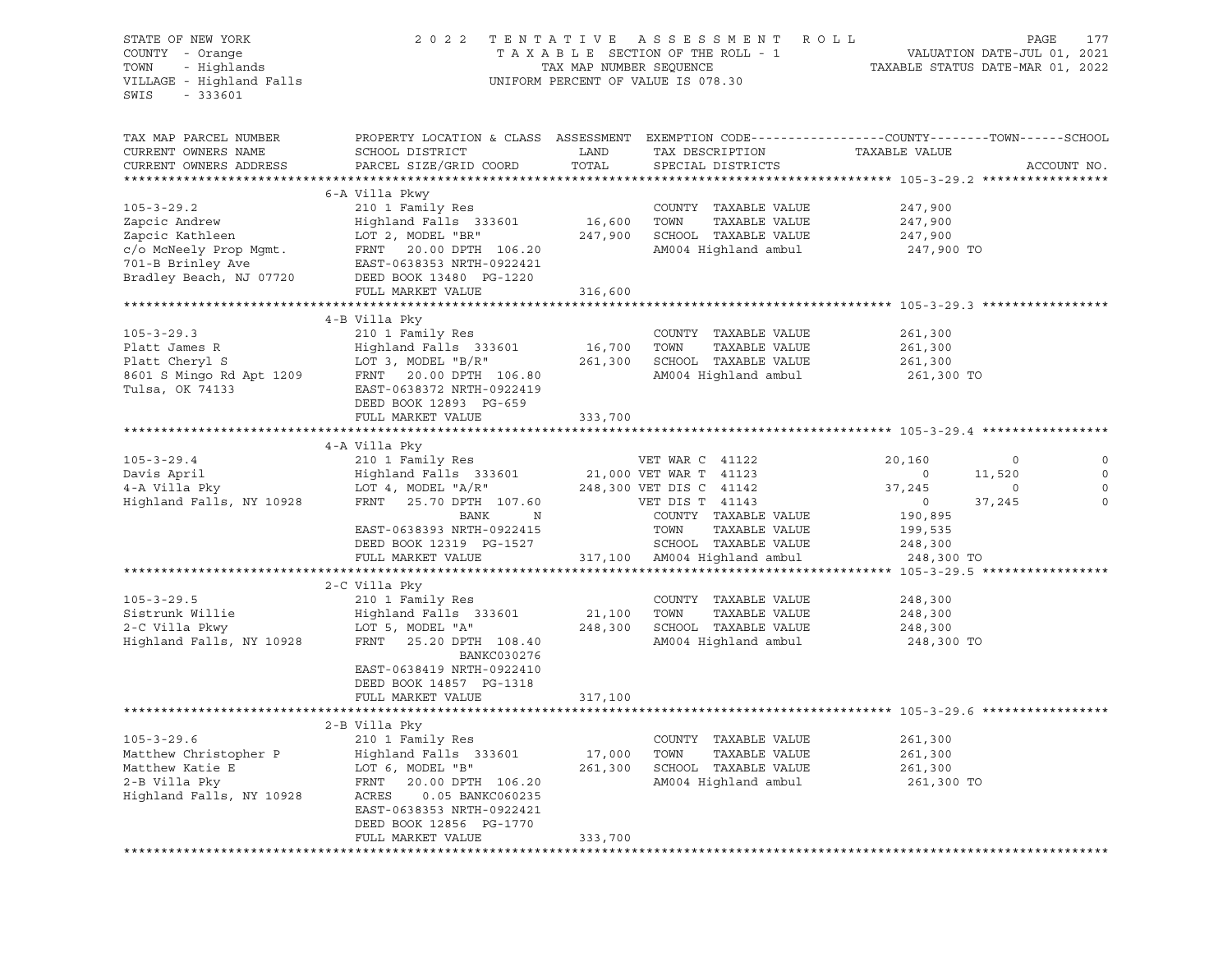| STATE OF NEW YORK<br>COUNTY - Orange<br>$-333601$<br>SWIS                                                 | 2022 TENTATIVE ASSESSMENT ROLL<br>TAXABLE SECTION OF THE ROLL - 1<br>COUNTY - Orange<br>TOWN - Highlands<br>VILLAGE - Highland Falls<br>TAX MAP NUMBER SEQUENCE<br>UNIFORM PERCENT OF VALUE IS 078.30 |                   |                                                                                                          | PAGE<br>177<br>VALUATION DATE-JUL 01, 2021<br>TAXABLE STATUS DATE-MAR 01, 2022                  |                                                      |  |
|-----------------------------------------------------------------------------------------------------------|-------------------------------------------------------------------------------------------------------------------------------------------------------------------------------------------------------|-------------------|----------------------------------------------------------------------------------------------------------|-------------------------------------------------------------------------------------------------|------------------------------------------------------|--|
| TAX MAP PARCEL NUMBER<br>CURRENT OWNERS NAME<br>CURRENT OWNERS ADDRESS                                    | PROPERTY LOCATION & CLASS ASSESSMENT EXEMPTION CODE---------------COUNTY-------TOWN------SCHOOL<br>SCHOOL DISTRICT<br>PARCEL SIZE/GRID COORD                                                          | LAND<br>TOTAL     | TAX DESCRIPTION<br>SPECIAL DISTRICTS                                                                     | TAXABLE VALUE                                                                                   | ACCOUNT NO.                                          |  |
|                                                                                                           |                                                                                                                                                                                                       |                   |                                                                                                          |                                                                                                 |                                                      |  |
| $105 - 3 - 29.2$<br>Zapcic Andrew<br>Zapcic Kathleen<br>c/o McNeely Prop Mgmt.<br>701-B Brinley Ave       | 6-A Villa Pkwy<br>210 1 Family Res<br>Highland Falls 333601<br>LOT 2, MODEL "BR"<br>FRNT 20.00 DPTH 106.20<br>EAST-0638353 NRTH-0922421                                                               | 16,600 TOWN       | COUNTY TAXABLE VALUE<br>TAXABLE VALUE<br>247,900 SCHOOL TAXABLE VALUE<br>AM004 Highland ambul 247,900 TO | 247,900<br>247,900<br>247,900                                                                   |                                                      |  |
|                                                                                                           | Bradley Beach, NJ 07720 DEED BOOK 13480 PG-1220                                                                                                                                                       |                   |                                                                                                          |                                                                                                 |                                                      |  |
|                                                                                                           | FULL MARKET VALUE                                                                                                                                                                                     | 316,600           |                                                                                                          |                                                                                                 |                                                      |  |
|                                                                                                           |                                                                                                                                                                                                       |                   |                                                                                                          |                                                                                                 |                                                      |  |
| $105 - 3 - 29.3$<br>Platt James R<br>$8601$ S Mingo Rd Apt 1209<br>Tulsa. OK 74122<br>Tulsa, OK 74133     | 4-B Villa Pky<br>210 1 Family Res<br>Highland Falls 333601<br>LOT 3, MODEL "B/R" 261,300 SCHOOL TAXABLE VALUE<br>FRNT 20.00 DPTH 106.80<br>EAST-0638372 NRTH-0922419                                  | 16,700            | COUNTY TAXABLE VALUE<br>TOWN<br>TAXABLE VALUE<br>AM004 Highland ambul                                    | 261,300<br>261,300<br>261,300<br>261,300 TO                                                     |                                                      |  |
|                                                                                                           | DEED BOOK 12893 PG-659<br>FULL MARKET VALUE                                                                                                                                                           | 333,700           |                                                                                                          |                                                                                                 |                                                      |  |
|                                                                                                           | 4-A Villa Pky                                                                                                                                                                                         |                   |                                                                                                          |                                                                                                 |                                                      |  |
| $105 - 3 - 29.4$<br>Davis April<br>4-A Villa Pky<br>Highland Falls, NY 10928                              | 210 1 Family Res<br>Highland Falls 333601<br>LOT 4, MODEL "A/R"<br>LOT 4, MODEL "A/R"<br>ALLOT 20 DPTH 107.60                                                                                         |                   | VET WAR C 41122<br>21,000 VET WAR T 41123<br>248,300 VET DIS C 41142                                     | 20,160<br>$\overline{0}$<br>$\sim$ 0<br>11,520<br>37,245<br>$\circ$<br>37,245<br>$\overline{0}$ | $\circ$<br>$\mathbf 0$<br>$\mathbf 0$<br>$\mathbf 0$ |  |
|                                                                                                           | FRNT 25.70 DPTH 107.60 VET DIS T 41143<br>N<br>BANK<br>EAST-0638393 NRTH-0922415<br>DEED BOOK 12319 PG-1527<br>FULL MARKET VALUE                                                                      |                   | COUNTY TAXABLE VALUE<br>TAXABLE VALUE<br>TOWN<br>SCHOOL TAXABLE VALUE<br>317,100   AM004 Highland ambul  | 190,895<br>199,535<br>248,300<br>248,300 TO                                                     |                                                      |  |
|                                                                                                           |                                                                                                                                                                                                       |                   |                                                                                                          |                                                                                                 |                                                      |  |
| $105 - 3 - 29.5$<br>Sistrunk Willie<br>2-C Villa Pkwy<br>Highland Falls, NY 10928                         | 2-C Villa Pky<br>210 1 Family Res<br>Highland Falls 333601<br>LOT 5, MODEL "A"<br>FRNT 25.20 DPTH 108.40<br>BANKC030276<br>EAST-0638419 NRTH-0922410<br>DEED BOOK 14857 PG-1318                       | 21,100<br>248,300 | COUNTY TAXABLE VALUE<br>TOWN<br>TAXABLE VALUE<br>SCHOOL TAXABLE VALUE<br>AM004 Highland ambul 248,300 TO | 248,300<br>248,300<br>248,300                                                                   |                                                      |  |
|                                                                                                           | FULL MARKET VALUE                                                                                                                                                                                     | 317,100           |                                                                                                          |                                                                                                 |                                                      |  |
|                                                                                                           |                                                                                                                                                                                                       |                   |                                                                                                          |                                                                                                 |                                                      |  |
| $105 - 3 - 29.6$<br>Matthew Christopher P<br>Matthew Katie E<br>2-B Villa Pky<br>Highland Falls, NY 10928 | 2-B Villa Pky<br>210 1 Family Res<br>Highland Falls 333601<br>LOT 6, MODEL "B"<br>FRNT<br>20.00 DPTH 106.20<br>ACRES<br>0.05 BANKC060235<br>EAST-0638353 NRTH-0922421                                 | 17,000<br>261,300 | COUNTY TAXABLE VALUE<br>TOWN<br>TAXABLE VALUE<br>TAXABLE VALUE<br>SCHOOL<br>AM004 Highland ambul         | 261,300<br>261,300<br>261,300<br>261,300 TO                                                     |                                                      |  |
|                                                                                                           | DEED BOOK 12856 PG-1770<br>FULL MARKET VALUE                                                                                                                                                          | 333,700           |                                                                                                          |                                                                                                 |                                                      |  |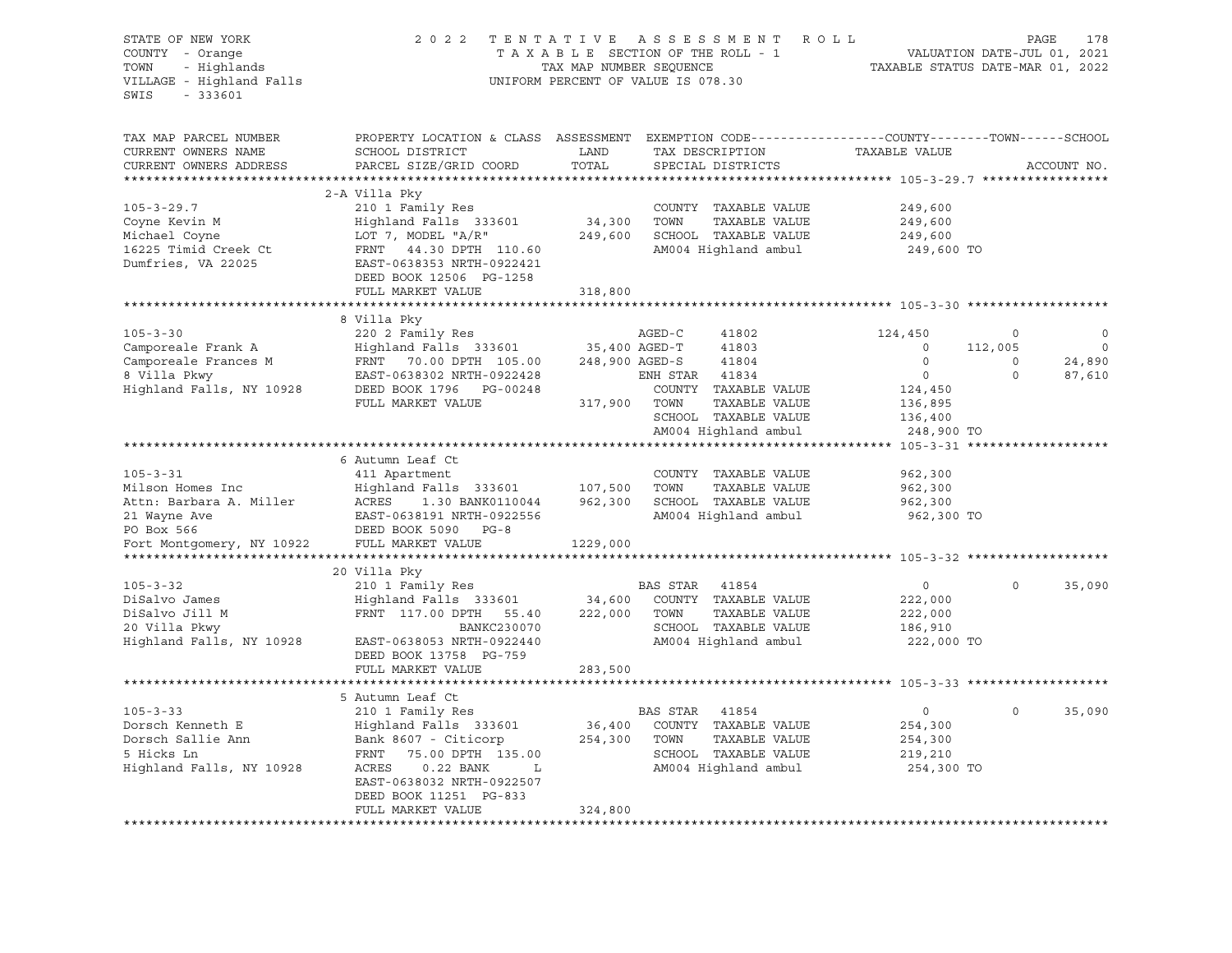| STATE OF NEW YORK<br>COUNTY - Orange<br>TOWN<br>- Highlands<br>VILLAGE - Highland Falls<br>SWIS<br>$-333601$ | 2 0 2 2                                                                                                                                                            | TENTATIVE ASSESSMENT<br>TAXABLE SECTION OF THE ROLL - 1<br>TAX MAP NUMBER SEQUENCE<br>UNIFORM PERCENT OF VALUE IS 078.30 |                |                                                                                       | R O L L<br>TAXABLE STATUS DATE-MAR 01, 2022 | VALUATION DATE-JUL 01, 2021 | PAGE<br>178      |
|--------------------------------------------------------------------------------------------------------------|--------------------------------------------------------------------------------------------------------------------------------------------------------------------|--------------------------------------------------------------------------------------------------------------------------|----------------|---------------------------------------------------------------------------------------|---------------------------------------------|-----------------------------|------------------|
| TAX MAP PARCEL NUMBER<br>CURRENT OWNERS NAME<br>CURRENT OWNERS ADDRESS                                       | PROPERTY LOCATION & CLASS ASSESSMENT EXEMPTION CODE----------------COUNTY-------TOWN------SCHOOL<br>SCHOOL DISTRICT<br>PARCEL SIZE/GRID COORD                      | LAND<br>TOTAL                                                                                                            |                | TAX DESCRIPTION<br>SPECIAL DISTRICTS                                                  | TAXABLE VALUE                               |                             | ACCOUNT NO.      |
|                                                                                                              |                                                                                                                                                                    |                                                                                                                          |                |                                                                                       |                                             |                             |                  |
| $105 - 3 - 29.7$<br>Coyne Kevin M<br>Michael Coyne<br>16225 Timid Creek Ct<br>Dumfries, VA 22025             | 2-A Villa Pky<br>210 1 Family Res<br>Highland Falls 333601<br>LOT 7, MODEL "A/R"<br>FRNT 44.30 DPTH 110.60<br>EAST-0638353 NRTH-0922421<br>DEED BOOK 12506 PG-1258 | 34,300<br>249,600                                                                                                        | TOWN           | COUNTY TAXABLE VALUE<br>TAXABLE VALUE<br>SCHOOL TAXABLE VALUE<br>AM004 Highland ambul | 249,600<br>249,600<br>249,600<br>249,600 TO |                             |                  |
|                                                                                                              | FULL MARKET VALUE                                                                                                                                                  | 318,800                                                                                                                  |                |                                                                                       |                                             |                             |                  |
|                                                                                                              |                                                                                                                                                                    |                                                                                                                          |                |                                                                                       |                                             |                             |                  |
| $105 - 3 - 30$                                                                                               | 8 Villa Pky<br>220 2 Family Res<br>Highland Falls 333601                                                                                                           | $35,400$ AGED-T                                                                                                          | AGED-C         | 41802                                                                                 | 124,450                                     | $\circ$                     | $\circ$          |
| Camporeale Frank A                                                                                           |                                                                                                                                                                    | 248,900 AGED-S                                                                                                           |                | 41803<br>41804                                                                        | $\circ$<br>$\Omega$                         | 112,005<br>$\Omega$         | 0                |
| Camporeale Frances M<br>8 Villa Pkwy                                                                         | FRNT 70.00 DPTH 105.00<br>EAST-0638302 NRTH-0922428                                                                                                                |                                                                                                                          | ENH STAR 41834 |                                                                                       | $\overline{0}$                              | $\circ$                     | 24,890<br>87,610 |
| Highland Falls, NY 10928                                                                                     | DEED BOOK 1796 PG-00248                                                                                                                                            |                                                                                                                          |                | COUNTY TAXABLE VALUE                                                                  | 124,450                                     |                             |                  |
|                                                                                                              | FULL MARKET VALUE                                                                                                                                                  | 317,900 TOWN                                                                                                             |                | TAXABLE VALUE                                                                         | 136,895                                     |                             |                  |
|                                                                                                              |                                                                                                                                                                    |                                                                                                                          |                | SCHOOL TAXABLE VALUE                                                                  | 136,400                                     |                             |                  |
|                                                                                                              |                                                                                                                                                                    |                                                                                                                          |                | AM004 Highland ambul                                                                  | 248,900 TO                                  |                             |                  |
|                                                                                                              |                                                                                                                                                                    |                                                                                                                          |                |                                                                                       |                                             |                             |                  |
|                                                                                                              | 6 Autumn Leaf Ct                                                                                                                                                   |                                                                                                                          |                |                                                                                       |                                             |                             |                  |
| $105 - 3 - 31$                                                                                               | 411 Apartment                                                                                                                                                      |                                                                                                                          |                | COUNTY TAXABLE VALUE                                                                  | 962,300                                     |                             |                  |
| Milson Homes Inc<br>Attn: Barbara A. Miller                                                                  | Highland Falls 333601                                                                                                                                              | 107,500<br>962,300                                                                                                       | TOWN           | TAXABLE VALUE<br>SCHOOL TAXABLE VALUE                                                 | 962,300                                     |                             |                  |
| 21 Wayne Ave                                                                                                 | <b>ACRES</b><br>1.30 BANK0110044<br>EAST-0638191 NRTH-0922556                                                                                                      |                                                                                                                          |                | AM004 Highland ambul                                                                  | 962,300<br>962,300 TO                       |                             |                  |
| PO Box 566                                                                                                   | DEED BOOK 5090 PG-8                                                                                                                                                |                                                                                                                          |                |                                                                                       |                                             |                             |                  |
| Fort Montgomery, NY 10922                                                                                    | FULL MARKET VALUE                                                                                                                                                  | 1229,000                                                                                                                 |                |                                                                                       |                                             |                             |                  |
|                                                                                                              |                                                                                                                                                                    |                                                                                                                          |                |                                                                                       |                                             |                             |                  |
| $105 - 3 - 32$                                                                                               | 20 Villa Pky<br>210 1 Family Res                                                                                                                                   |                                                                                                                          | BAS STAR       | 41854                                                                                 | $\circ$                                     | $\Omega$                    | 35,090           |
| DiSalvo James                                                                                                | Highland Falls 333601                                                                                                                                              | 34,600                                                                                                                   |                | COUNTY TAXABLE VALUE                                                                  | 222,000                                     |                             |                  |
| DiSalvo Jill M                                                                                               | FRNT 117.00 DPTH 55.40                                                                                                                                             | 222,000                                                                                                                  | TOWN           | TAXABLE VALUE                                                                         | 222,000                                     |                             |                  |
| 20 Villa Pkwy                                                                                                | BANKC230070                                                                                                                                                        |                                                                                                                          |                | SCHOOL TAXABLE VALUE                                                                  | 186,910                                     |                             |                  |
| Highland Falls, NY 10928                                                                                     | EAST-0638053 NRTH-0922440<br>DEED BOOK 13758 PG-759                                                                                                                |                                                                                                                          |                | AM004 Highland ambul                                                                  | 222,000 TO                                  |                             |                  |
|                                                                                                              | FULL MARKET VALUE                                                                                                                                                  | 283,500                                                                                                                  |                |                                                                                       |                                             |                             |                  |
|                                                                                                              |                                                                                                                                                                    | *************                                                                                                            |                |                                                                                       |                                             |                             |                  |
| $105 - 3 - 33$                                                                                               | 5 Autumn Leaf Ct<br>210 1 Family Res                                                                                                                               |                                                                                                                          | BAS STAR       | 41854                                                                                 | $\circ$                                     | $\circ$                     | 35,090           |
| Dorsch Kenneth E                                                                                             | Highland Falls 333601                                                                                                                                              | 36,400                                                                                                                   |                | COUNTY TAXABLE VALUE                                                                  | 254,300                                     |                             |                  |
| Dorsch Sallie Ann                                                                                            | Bank 8607 - Citicorp                                                                                                                                               | 254,300                                                                                                                  | TOWN           | TAXABLE VALUE                                                                         | 254,300                                     |                             |                  |
| 5 Hicks Ln                                                                                                   | FRNT<br>75.00 DPTH 135.00                                                                                                                                          |                                                                                                                          |                | SCHOOL TAXABLE VALUE                                                                  | 219,210                                     |                             |                  |
| Highland Falls, NY 10928                                                                                     | ACRES<br>$0.22$ BANK<br>$-L$                                                                                                                                       |                                                                                                                          |                | AM004 Highland ambul                                                                  | 254,300 TO                                  |                             |                  |
|                                                                                                              | EAST-0638032 NRTH-0922507                                                                                                                                          |                                                                                                                          |                |                                                                                       |                                             |                             |                  |
|                                                                                                              | DEED BOOK 11251 PG-833                                                                                                                                             |                                                                                                                          |                |                                                                                       |                                             |                             |                  |
|                                                                                                              | FULL MARKET VALUE                                                                                                                                                  | 324,800                                                                                                                  |                |                                                                                       |                                             |                             |                  |
|                                                                                                              |                                                                                                                                                                    |                                                                                                                          |                |                                                                                       |                                             |                             |                  |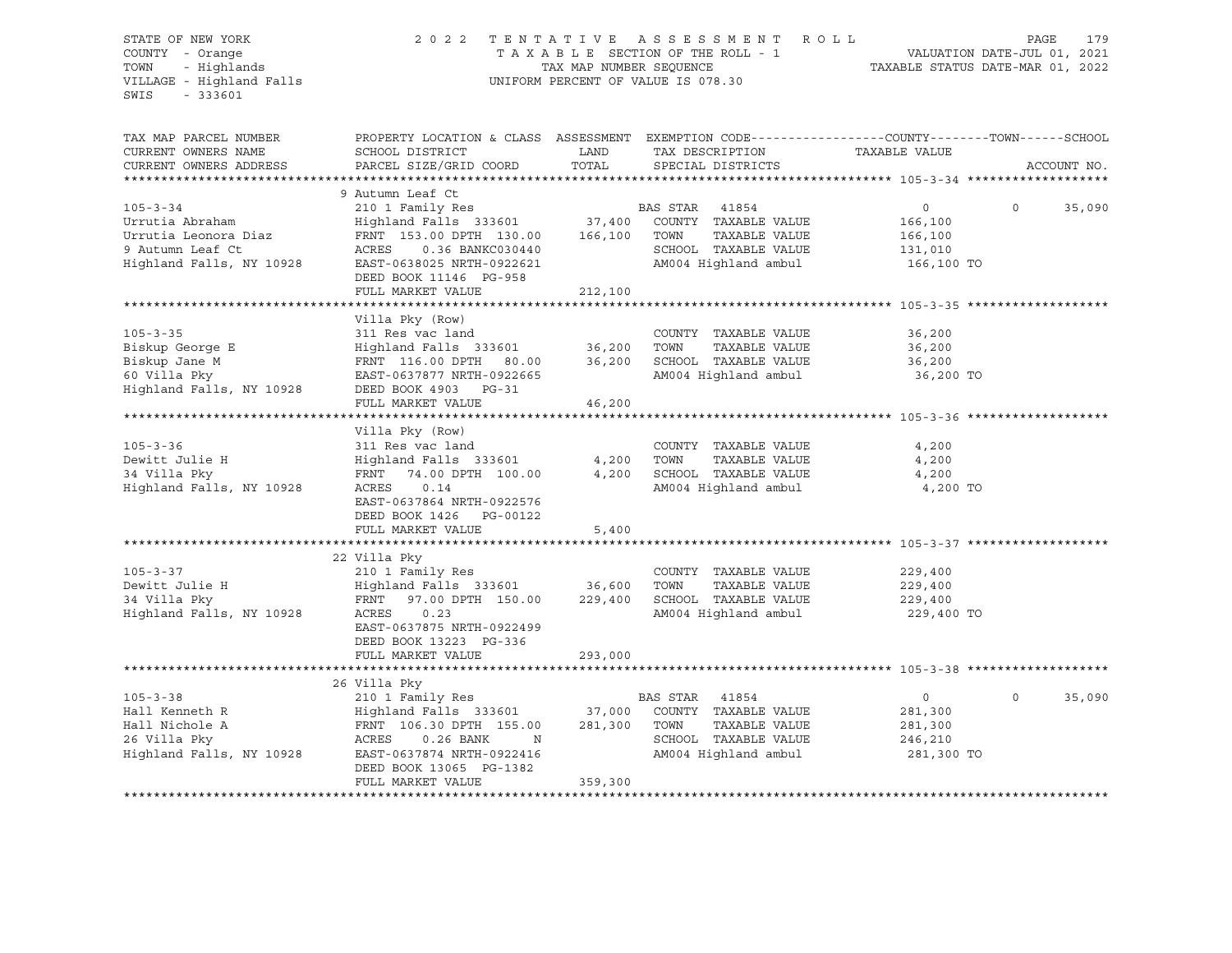### STATE OF NEW YORK 2 0 2 2 T E N T A T I V E A S S E S S M E N T R O L L PAGE 179 COUNTY - Orange T A X A B L E SECTION OF THE ROLL - 1 VALUATION DATE-JUL 01, 2021 TOWN - Highlands TAX MAP NUMBER SEQUENCE TAXABLE STATUS DATE-MAR 01, 2022 VILLAGE - Highland Falls UNIFORM PERCENT OF VALUE IS 078.30

| TAX MAP PARCEL NUMBER<br>CURRENT OWNERS NAME<br>CURRENT OWNERS ADDRESS                                    | PROPERTY LOCATION & CLASS ASSESSMENT EXEMPTION CODE----------------COUNTY-------TOWN------SCHOOL<br>SCHOOL DISTRICT<br>PARCEL SIZE/GRID COORD                                                                              | LAND<br>TOTAL      | TAX DESCRIPTION<br>SPECIAL DISTRICTS                                                          | TAXABLE VALUE                                          | ACCOUNT NO.        |
|-----------------------------------------------------------------------------------------------------------|----------------------------------------------------------------------------------------------------------------------------------------------------------------------------------------------------------------------------|--------------------|-----------------------------------------------------------------------------------------------|--------------------------------------------------------|--------------------|
| $105 - 3 - 34$<br>Urrutia Abraham<br>Urrutia Leonora Diaz<br>9 Autumn Leaf Ct<br>Highland Falls, NY 10928 | 9 Autumn Leaf Ct<br>FRNT 153.00 DPTH 130.00 166,100 TOWN<br>ACRES<br>0.36 BANKC030440<br>EAST-0638025 NRTH-0922621<br>DEED BOOK 11146 PG-958<br>FULL MARKET VALUE                                                          | 212,100            | TAXABLE VALUE<br>SCHOOL TAXABLE VALUE<br>AM004 Highland ambul 166,100 TO                      | $\overline{0}$<br>166,100<br>166,100<br>131,010        | $\Omega$<br>35,090 |
| $105 - 3 - 35$<br>Biskup George E<br>Biskup Jane M<br>60 Villa Pky<br>Highland Falls, NY 10928            | Villa Pky (Row)<br>311 Res vac land<br>Highland Falls 333601 36,200<br>FRNT 116.00 DPTH 80.00 36,200<br>EAST-0637877 NRTH-0922665<br>DEED BOOK 4903 PG-31<br>FULL MARKET VALUE                                             | 46,200             | COUNTY TAXABLE VALUE<br>TOWN<br>TAXABLE VALUE<br>SCHOOL TAXABLE VALUE<br>AM004 Highland ambul | 36,200<br>36,200<br>36,200<br>36,200 TO                |                    |
| $105 - 3 - 36$<br>Dewitt Julie H<br>34 Villa Pky<br>Highland Falls, NY 10928                              | Villa Pky (Row)<br>311 Res vac land<br>Highland Falls 333601 4,200 TOWN<br>FRNT 74.00 DPTH 100.00<br>ACRES<br>0.14<br>EAST-0637864 NRTH-0922576<br>DEED BOOK 1426 PG-00122<br>FULL MARKET VALUE                            | 4,200<br>5,400     | COUNTY TAXABLE VALUE<br>TAXABLE VALUE<br>SCHOOL TAXABLE VALUE<br>AM004 Highland ambul         | 4,200<br>4,200<br>4,200<br>4,200 TO                    |                    |
| $105 - 3 - 37$<br>Dewitt Julie H<br>34 Villa Pky<br>Highland Falls, NY 10928                              | 22 Villa Pky<br>210 1 Family Res<br>Highland Falls 333601 36,600 TOWN<br>FRNT 97.00 DPTH 150.00 229,400<br>ACRES<br>0.23<br>EAST-0637875 NRTH-0922499<br>DEED BOOK 13223 PG-336<br>FULL MARKET VALUE                       | 293,000            | COUNTY TAXABLE VALUE<br>TAXABLE VALUE<br>SCHOOL TAXABLE VALUE<br>AM004 Highland ambul         | 229,400<br>229,400<br>229,400<br>229,400 TO            |                    |
| $105 - 3 - 38$<br>Hall Kenneth R<br>Hall Nichole A<br>26 Villa Pky<br>Highland Falls, NY 10928            | 26 Villa Pky<br>210 1 Family Res<br>Highland Falls 333601 37,000 COUNTY TAXABLE VALUE<br>FRNT 106.30 DPTH 155.00<br>ACRES<br>$0.26$ BANK<br>N<br>EAST-0637874 NRTH-0922416<br>DEED BOOK 13065 PG-1382<br>FULL MARKET VALUE | 281,300<br>359,300 | BAS STAR 41854<br>TOWN<br>TAXABLE VALUE<br>SCHOOL TAXABLE VALUE<br>AM004 Highland ambul       | $\circ$<br>281,300<br>281,300<br>246,210<br>281,300 TO | $\circ$<br>35,090  |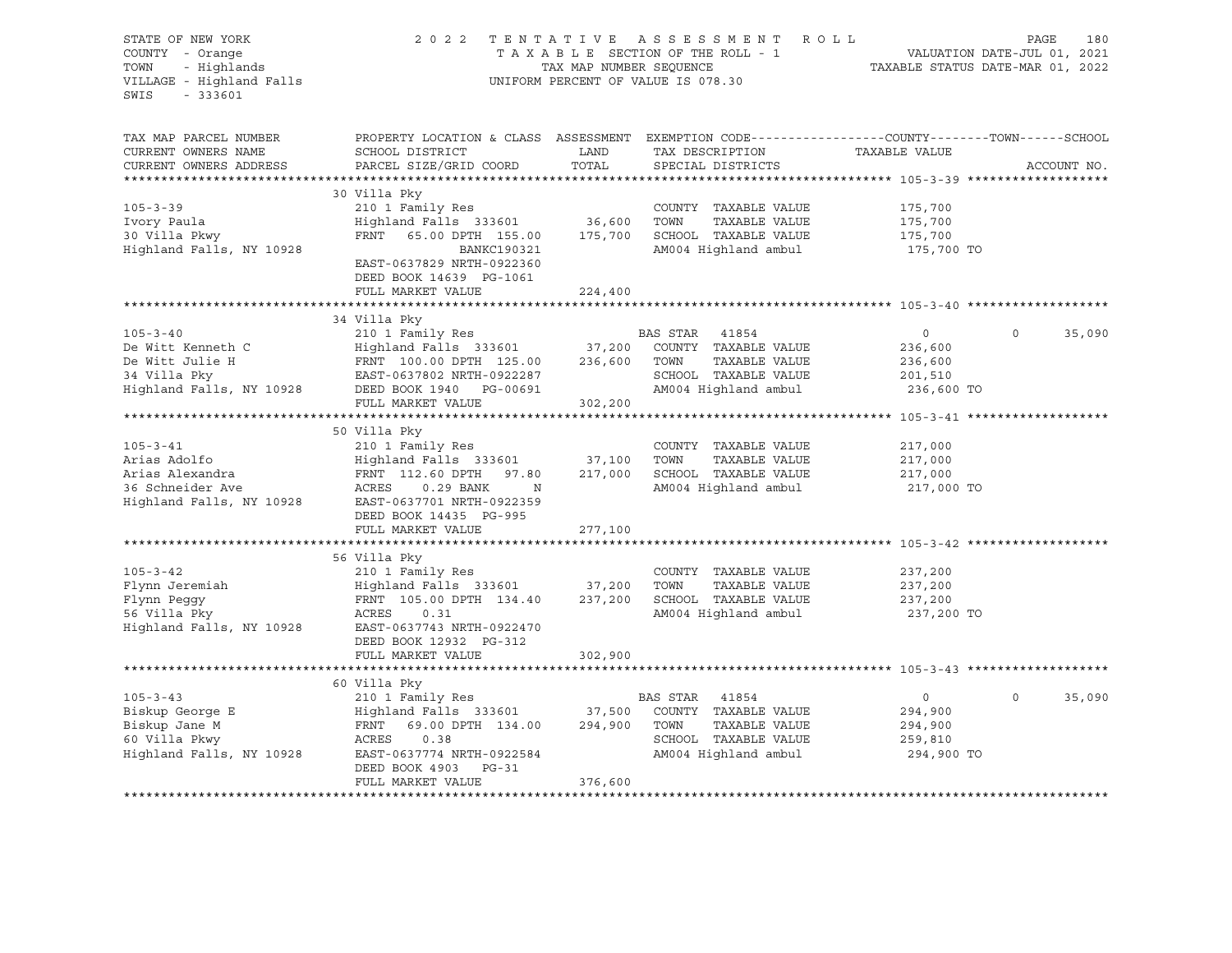| STATE OF NEW YORK<br>COUNTY - Orange<br>TOWN<br>- Highlands<br>VILLAGE - Highland Falls<br>$-333601$<br>SWIS | 2 0 2 2                                                                                                                                                                                      | TAX MAP NUMBER SEQUENCE      | TENTATIVE ASSESSMENT ROLL<br>TAXABLE SECTION OF THE ROLL - 1<br>UNIFORM PERCENT OF VALUE IS 078.30 |                                                               | PAGE<br>180<br>VALUATION DATE-JUL 01, 2021<br>TAXABLE STATUS DATE-MAR 01, 2022 |
|--------------------------------------------------------------------------------------------------------------|----------------------------------------------------------------------------------------------------------------------------------------------------------------------------------------------|------------------------------|----------------------------------------------------------------------------------------------------|---------------------------------------------------------------|--------------------------------------------------------------------------------|
| TAX MAP PARCEL NUMBER<br>CURRENT OWNERS NAME<br>CURRENT OWNERS ADDRESS                                       | PROPERTY LOCATION & CLASS ASSESSMENT EXEMPTION CODE----------------COUNTY-------TOWN------SCHOOL<br>SCHOOL DISTRICT<br>PARCEL SIZE/GRID COORD                                                | LAND<br>TOTAL                | TAX DESCRIPTION<br>SPECIAL DISTRICTS                                                               | TAXABLE VALUE                                                 | ACCOUNT NO.                                                                    |
| $105 - 3 - 39$<br>Ivory Paula<br>30 Villa Pkwy<br>Highland Falls, NY 10928                                   | 30 Villa Pky<br>210 1 Family Res<br>Highland Falls 333601 36,600<br>FRNT 65.00 DPTH 155.00<br>BANKC190321<br>EAST-0637829 NRTH-0922360<br>DEED BOOK 14639 PG-1061<br>FULL MARKET VALUE       | 175,700                      | COUNTY TAXABLE VALUE<br>TOWN<br>TAXABLE VALUE<br>SCHOOL TAXABLE VALUE<br>AM004 Highland ambul      | 175,700<br>175,700<br>175,700<br>175,700 TO                   |                                                                                |
|                                                                                                              |                                                                                                                                                                                              | 224,400                      |                                                                                                    |                                                               |                                                                                |
| $105 - 3 - 40$<br>De Witt Kenneth C                                                                          | 34 Villa Pky<br>210 1 Family Res<br>Highland Falls 333601                                                                                                                                    | 37,200                       | BAS STAR 41854<br>COUNTY TAXABLE VALUE                                                             | $\circ$<br>236,600                                            | $\Omega$<br>35,090                                                             |
|                                                                                                              | De Witt Julie H FRNT 100.00 DPTH 125.00 236,600<br>34 Villa Pky BAST-0637802 NRTH-0922287<br>Highland Falls, NY 10928 DEED BOOK 1940 PG-00691                                                |                              | TAXABLE VALUE<br>TOWN<br>SCHOOL TAXABLE VALUE<br>AM004 Highland ambul                              | 236,600<br>201,510<br>236,600 TO                              |                                                                                |
|                                                                                                              | FULL MARKET VALUE                                                                                                                                                                            | 302,200                      |                                                                                                    |                                                               |                                                                                |
| $105 - 3 - 41$<br>Arias Adolfo<br>Arias Alexandra<br>36 Schneider Ave<br>Highland Falls, NY 10928            | 50 Villa Pky<br>210 1 Family Res<br>Highland Falls 333601<br>FRNT 112.60 DPTH 97.80<br>$0.29$ BANK<br>ACRES<br>N<br>EAST-0637701 NRTH-0922359<br>DEED BOOK 14435 PG-995<br>FULL MARKET VALUE | 37,100<br>217,000<br>277,100 | COUNTY TAXABLE VALUE<br>TOWN<br>TAXABLE VALUE<br>SCHOOL TAXABLE VALUE<br>AM004 Highland ambul      | 217,000<br>217,000<br>217,000<br>217,000 TO                   |                                                                                |
|                                                                                                              |                                                                                                                                                                                              |                              |                                                                                                    |                                                               |                                                                                |
| $105 - 3 - 42$<br>Flynn Jeremiah<br>Flynn Peggy<br>56 Villa Pky<br>Highland Falls, NY 10928                  | 56 Villa Pky<br>210 1 Family Res<br>Highland Falls 333601 37,200<br>FRNT 105.00 DPTH 134.40<br>ACRES<br>0.31<br>EAST-0637743 NRTH-0922470<br>DEED BOOK 12932 PG-312<br>FULL MARKET VALUE     | 237,200<br>302,900           | COUNTY TAXABLE VALUE<br>TOWN<br>TAXABLE VALUE<br>SCHOOL TAXABLE VALUE<br>AM004 Highland ambul      | 237,200<br>237,200<br>237,200<br>237,200 TO                   |                                                                                |
|                                                                                                              |                                                                                                                                                                                              |                              |                                                                                                    |                                                               |                                                                                |
| $105 - 3 - 43$<br>Highland Falls, NY 10928                                                                   | 60 Villa Pky<br>210 1 Family Res<br>Highland Falls 333601 37,500 COUNTY TAXABLE VALUE<br>EAST-0637774 NRTH-0922584<br>DEED BOOK 4903<br>$PG-31$<br>FULL MARKET VALUE                         | 294,900 TOWN<br>376,600      | BAS STAR 41854<br>TAXABLE VALUE<br>SCHOOL TAXABLE VALUE<br>AM004 Highland ambul                    | $\overline{0}$<br>294,900<br>294,900<br>259,810<br>294,900 TO | $\Omega$<br>35,090                                                             |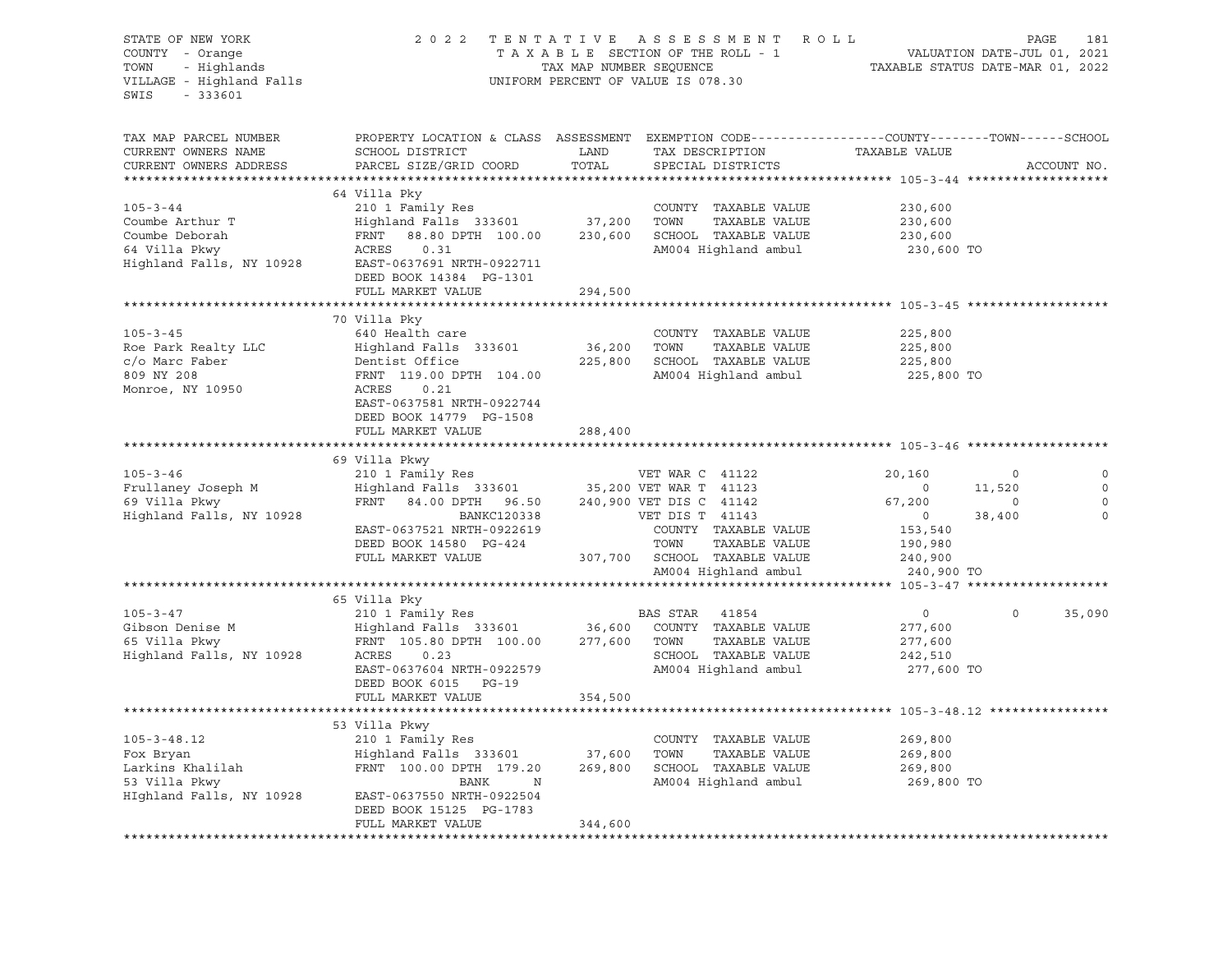| STATE OF NEW YORK 2 0<br>COUNTY - Orange<br>TOWN - Highlands<br>VILLAGE - Highland Falls<br>SWIS - 333601 |                                                                                                                                                                                                                                                       |         | TENTATIVE ASSESSMENT ROLL<br>TAXABLE SECTION OF THE ROLL - 1 VALUATION DATE-JUL 01, 2021<br>TAX MAP NUMBER SEQUENCE TAXABLE STATUS DATE-MAR 01, 2022<br>2022 TENTATIVE ASSESSMENT ROLL<br>UNIFORM PERCENT OF VALUE IS 078.30 |                                                               |             |              |
|-----------------------------------------------------------------------------------------------------------|-------------------------------------------------------------------------------------------------------------------------------------------------------------------------------------------------------------------------------------------------------|---------|------------------------------------------------------------------------------------------------------------------------------------------------------------------------------------------------------------------------------|---------------------------------------------------------------|-------------|--------------|
| TAX MAP PARCEL NUMBER<br>CURRENT OWNERS NAME<br>CURRENT OWNERS ADDRESS                                    | PROPERTY LOCATION & CLASS ASSESSMENT EXEMPTION CODE---------------COUNTY-------TOWN------SCHOOL                                                                                                                                                       |         | TAX DESCRIPTION TAXABLE VALUE SPECIAL DISTRICTS<br>SPECIAL DISTRICTS                                                                                                                                                         |                                                               | ACCOUNT NO. |              |
|                                                                                                           | 64 Villa Pky                                                                                                                                                                                                                                          |         |                                                                                                                                                                                                                              |                                                               |             |              |
| $105 - 3 - 44$                                                                                            | 210 1 Family Res<br>Highland Falls 333601 37,200 TOWN TAXABLE VALUE                                                                                                                                                                                   |         | COUNTY TAXABLE VALUE 230,600                                                                                                                                                                                                 |                                                               |             |              |
|                                                                                                           |                                                                                                                                                                                                                                                       |         |                                                                                                                                                                                                                              | 230,600                                                       |             |              |
|                                                                                                           | FRNT 88.80 DPTH 100.00 230,600 SCHOOL TAXABLE VALUE                                                                                                                                                                                                   |         |                                                                                                                                                                                                                              | 230,600                                                       |             |              |
|                                                                                                           |                                                                                                                                                                                                                                                       |         | AM004 Highland ambul 230,600 TO                                                                                                                                                                                              |                                                               |             |              |
|                                                                                                           |                                                                                                                                                                                                                                                       |         |                                                                                                                                                                                                                              |                                                               |             |              |
|                                                                                                           | DEED BOOK 14384 PG-1301                                                                                                                                                                                                                               |         |                                                                                                                                                                                                                              |                                                               |             |              |
|                                                                                                           | FULL MARKET VALUE                                                                                                                                                                                                                                     | 294,500 |                                                                                                                                                                                                                              |                                                               |             |              |
|                                                                                                           | 70 Villa Pky                                                                                                                                                                                                                                          |         |                                                                                                                                                                                                                              |                                                               |             |              |
| $105 - 3 - 45$                                                                                            | 640 Health care                                                                                                                                                                                                                                       |         | COUNTY TAXABLE VALUE                                                                                                                                                                                                         | 225,800                                                       |             |              |
|                                                                                                           |                                                                                                                                                                                                                                                       |         | TAXABLE VALUE                                                                                                                                                                                                                |                                                               |             |              |
|                                                                                                           |                                                                                                                                                                                                                                                       |         |                                                                                                                                                                                                                              | 225,800<br>225,800                                            |             |              |
|                                                                                                           |                                                                                                                                                                                                                                                       |         | AM004 Highland ambul                                                                                                                                                                                                         | 225,800 TO                                                    |             |              |
|                                                                                                           |                                                                                                                                                                                                                                                       |         |                                                                                                                                                                                                                              |                                                               |             |              |
|                                                                                                           | EAST-0637581 NRTH-0922744                                                                                                                                                                                                                             |         |                                                                                                                                                                                                                              |                                                               |             |              |
|                                                                                                           | DEED BOOK 14779 PG-1508                                                                                                                                                                                                                               |         |                                                                                                                                                                                                                              |                                                               |             |              |
|                                                                                                           | FULL MARKET VALUE                                                                                                                                                                                                                                     | 288,400 |                                                                                                                                                                                                                              |                                                               |             |              |
|                                                                                                           | 69 Villa Pkwy                                                                                                                                                                                                                                         |         |                                                                                                                                                                                                                              |                                                               |             |              |
|                                                                                                           | 105-3-46<br>Frullaney Joseph M<br>210 1 Family Res<br>Frullaney Joseph M<br>210 1 Family Res<br>210 1 Family Res<br>210 1 Family Res<br>210 10 Family Res<br>210 10 Family Res<br>210 10 Family Res<br>210 10 Family Res<br>210 10 Family Res<br>210  |         |                                                                                                                                                                                                                              |                                                               |             | $\mathbb O$  |
|                                                                                                           |                                                                                                                                                                                                                                                       |         |                                                                                                                                                                                                                              |                                                               |             | $\circ$      |
|                                                                                                           |                                                                                                                                                                                                                                                       |         |                                                                                                                                                                                                                              |                                                               |             | $\circ$      |
|                                                                                                           |                                                                                                                                                                                                                                                       |         |                                                                                                                                                                                                                              |                                                               |             | $\mathbf{0}$ |
|                                                                                                           |                                                                                                                                                                                                                                                       |         |                                                                                                                                                                                                                              |                                                               |             |              |
|                                                                                                           |                                                                                                                                                                                                                                                       |         |                                                                                                                                                                                                                              |                                                               |             |              |
|                                                                                                           |                                                                                                                                                                                                                                                       |         |                                                                                                                                                                                                                              |                                                               |             |              |
|                                                                                                           |                                                                                                                                                                                                                                                       |         | AM004 Highland ambul                                                                                                                                                                                                         | $153,540$ $190,980$ $240,900$ $240$ $240$ $240$<br>240,900 TO |             |              |
|                                                                                                           |                                                                                                                                                                                                                                                       |         |                                                                                                                                                                                                                              |                                                               |             |              |
|                                                                                                           | 65 Villa Pky                                                                                                                                                                                                                                          |         |                                                                                                                                                                                                                              | $\overline{0}$                                                | $\circ$     | 35,090       |
|                                                                                                           | 105-3-47<br>Gibson Denise M<br>Gibson Denise M<br>Highland Falls 333601<br>Highland Falls 333601<br>Highland Falls, NY 10928<br>Highland Falls, NY 10928<br>Highland Falls, NY 10928<br>$ACRES$ 0.23<br>PRNT 105.80 DPTH 100.00<br>277,600 TOWN TAXAB |         |                                                                                                                                                                                                                              | 277,600                                                       |             |              |
|                                                                                                           |                                                                                                                                                                                                                                                       |         |                                                                                                                                                                                                                              | 277,600                                                       |             |              |
|                                                                                                           |                                                                                                                                                                                                                                                       |         |                                                                                                                                                                                                                              | 242,510                                                       |             |              |
|                                                                                                           |                                                                                                                                                                                                                                                       |         | AM004 Highland ambul                                                                                                                                                                                                         | 277,600 TO                                                    |             |              |
|                                                                                                           |                                                                                                                                                                                                                                                       |         |                                                                                                                                                                                                                              |                                                               |             |              |
|                                                                                                           | FULL MARKET VALUE                                                                                                                                                                                                                                     | 354,500 |                                                                                                                                                                                                                              |                                                               |             |              |
|                                                                                                           |                                                                                                                                                                                                                                                       |         |                                                                                                                                                                                                                              |                                                               |             |              |
|                                                                                                           | 53 Villa Pkwy                                                                                                                                                                                                                                         |         |                                                                                                                                                                                                                              |                                                               |             |              |
|                                                                                                           |                                                                                                                                                                                                                                                       |         |                                                                                                                                                                                                                              | 269,800<br>269,800                                            |             |              |
|                                                                                                           | 105-3-48.12 210 1 Family Res COUNTY TAXABLE VALUE<br>Fox Bryan Highland Falls 333601 37,600 TOWN TAXABLE VALUE<br>Larkins Khalilah FRNT 100.00 DPTH 179.20 269,800 SCHOOL TAXABLE VALUE<br>53 Villa Pkwy BANK N AM004 Highland ambul                  |         |                                                                                                                                                                                                                              |                                                               |             |              |
|                                                                                                           |                                                                                                                                                                                                                                                       |         |                                                                                                                                                                                                                              | 269,800                                                       |             |              |
|                                                                                                           | BANK N                                                                                                                                                                                                                                                |         | AM004 Highland ambul 269,800 TO                                                                                                                                                                                              |                                                               |             |              |
|                                                                                                           | HIghland Falls, NY 10928 EAST-0637550 NRTH-0922504                                                                                                                                                                                                    |         |                                                                                                                                                                                                                              |                                                               |             |              |
|                                                                                                           | DEED BOOK 15125 PG-1783<br>FULL MARKET VALUE                                                                                                                                                                                                          | 344,600 |                                                                                                                                                                                                                              |                                                               |             |              |
|                                                                                                           |                                                                                                                                                                                                                                                       |         |                                                                                                                                                                                                                              |                                                               |             |              |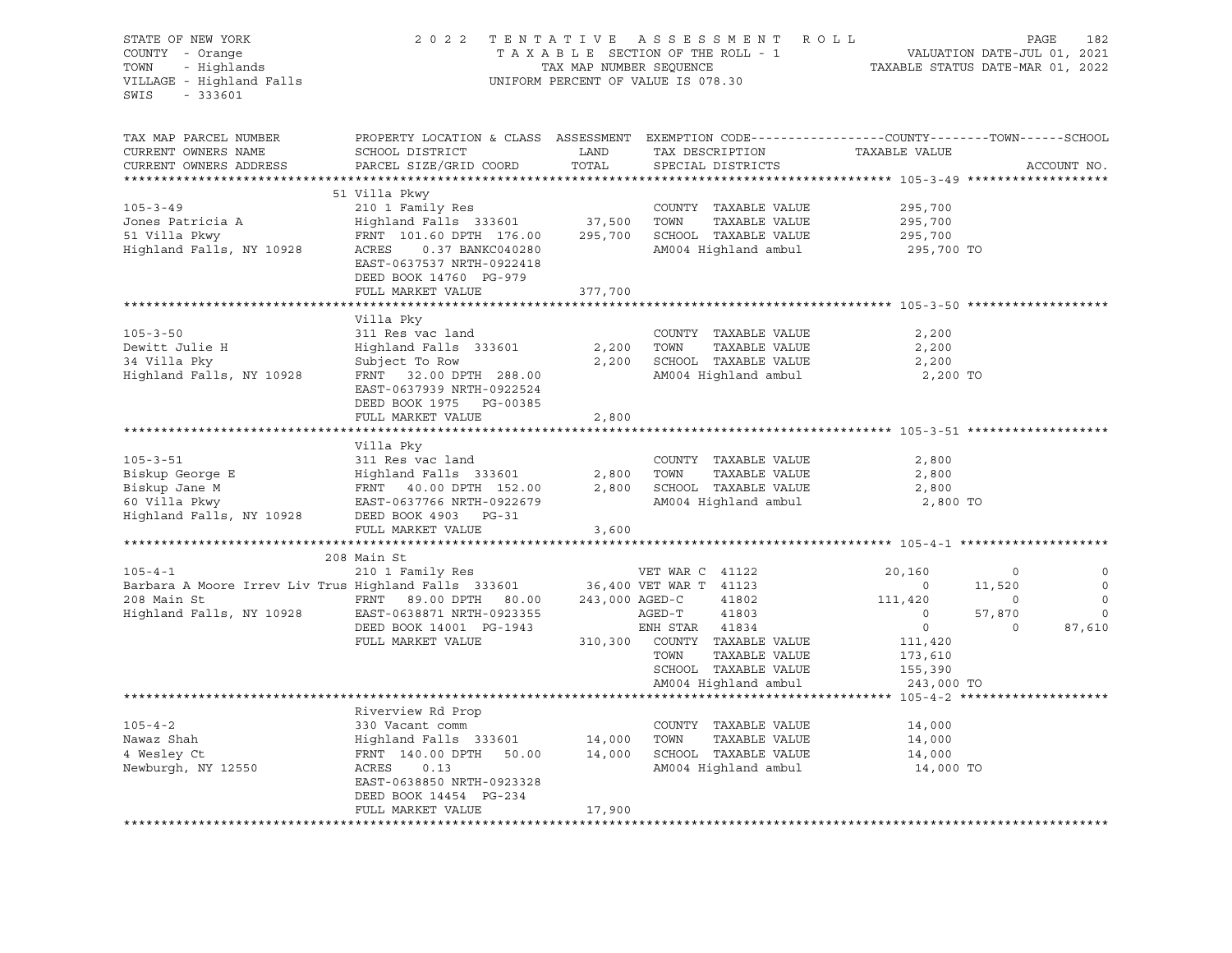| STATE OF NEW YORK<br>COUNTY - Orange<br>TOWN - Highlands<br>VILLAGE - Highland Falls<br>$-333601$<br>SWIS |                                                                                                                                              |                | 2022 TENTATIVE ASSESSMENT ROLL<br>UNIFORM PERCENT OF VALUE IS 078.30                                |                                     |          | PAGE<br>182 |
|-----------------------------------------------------------------------------------------------------------|----------------------------------------------------------------------------------------------------------------------------------------------|----------------|-----------------------------------------------------------------------------------------------------|-------------------------------------|----------|-------------|
| TAX MAP PARCEL NUMBER<br>CURRENT OWNERS NAME<br>CURRENT OWNERS ADDRESS                                    | PROPERTY LOCATION & CLASS ASSESSMENT EXEMPTION CODE---------------COUNTY-------TOWN------SCHOOL<br>SCHOOL DISTRICT<br>PARCEL SIZE/GRID COORD | LAND<br>TOTAL  | TAX DESCRIPTION<br>SPECIAL DISTRICTS                                                                | TAXABLE VALUE                       |          | ACCOUNT NO. |
|                                                                                                           |                                                                                                                                              |                |                                                                                                     |                                     |          |             |
|                                                                                                           | 51 Villa Pkwy                                                                                                                                |                |                                                                                                     |                                     |          |             |
| $105 - 3 - 49$<br>Jones Patricia A                                                                        | 210 1 Family Res<br>Highland Falls 333601                                                                                                    | 37,500         | COUNTY TAXABLE VALUE<br>TOWN<br>TAXABLE VALUE                                                       | 295,700<br>295,700                  |          |             |
| 51 Villa Pkwy                                                                                             | FRNT 101.60 DPTH 176.00                                                                                                                      |                | 295,700 SCHOOL TAXABLE VALUE                                                                        | 295,700                             |          |             |
| Highland Falls, NY 10928                                                                                  | ACRES<br>0.37 BANKC040280<br>EAST-0637537 NRTH-0922418<br>DEED BOOK 14760 PG-979                                                             |                | AM004 Highland ambul                                                                                | 295,700 TO                          |          |             |
|                                                                                                           | FULL MARKET VALUE                                                                                                                            | 377,700        |                                                                                                     |                                     |          |             |
|                                                                                                           |                                                                                                                                              |                |                                                                                                     |                                     |          |             |
| $105 - 3 - 50$<br>Dewitt Julie H<br>34 Villa Pky<br>Highland Falls, NY 10928                              | Villa Pky<br>311 Res vac land<br>Highland Falls 333601<br>Subject To Row<br>FRNT 32.00 DPTH 288.00<br>EAST-0637939 NRTH-0922524              | 2,200          | COUNTY TAXABLE VALUE<br>TOWN<br>TAXABLE VALUE<br>2,200 SCHOOL TAXABLE VALUE<br>AM004 Highland ambul | 2,200<br>2,200<br>2,200<br>2,200 TO |          |             |
|                                                                                                           | DEED BOOK 1975 PG-00385<br>FULL MARKET VALUE                                                                                                 | 2,800          |                                                                                                     |                                     |          |             |
|                                                                                                           |                                                                                                                                              |                |                                                                                                     |                                     |          |             |
|                                                                                                           | Villa Pky                                                                                                                                    |                |                                                                                                     |                                     |          |             |
| $105 - 3 - 51$                                                                                            | 311 Res vac land                                                                                                                             |                | COUNTY TAXABLE VALUE                                                                                | 2,800                               |          |             |
| Biskup George E                                                                                           |                                                                                                                                              | 2,800          | TOWN<br>TAXABLE VALUE                                                                               | 2,800                               |          |             |
| Biskup Jane M                                                                                             | Highland Falls 333601<br>FRNT 40.00 DPTH 152.00<br>EAST-0637766 NRTH-0922679                                                                 | 2,800          | SCHOOL TAXABLE VALUE                                                                                | 2,800                               |          |             |
| 60 Villa Pkwy<br>Highland Falls, NY 10928                                                                 | EAST-0637766 NRTH-0922679<br>DEED BOOK 4903 PG-31<br>FULL MARKET VALUE                                                                       | 3,600          | AM004 Highland ambul                                                                                | 2,800 TO                            |          |             |
|                                                                                                           |                                                                                                                                              |                |                                                                                                     |                                     |          |             |
|                                                                                                           | 208 Main St                                                                                                                                  |                |                                                                                                     |                                     |          |             |
| $105 - 4 - 1$                                                                                             | 210 1 Family Res                                                                                                                             |                | VET WAR C 41122                                                                                     | 20,160                              | $\circ$  | 0           |
| Barbara A Moore Irrev Liv Trus Highland Falls 333601 36,400 VET WAR T 41123                               |                                                                                                                                              |                |                                                                                                     | $\overline{0}$                      | 11,520   | $\circ$     |
| 208 Main St                                                                                               | FRNT 89.00 DPTH 80.00                                                                                                                        | 243,000 AGED-C | 41802                                                                                               | 111,420                             | $\sim$ 0 | $\circ$     |
| Highland Falls, NY 10928 EAST-0638871 NRTH-0923355                                                        |                                                                                                                                              |                | 41803<br>AGED-T                                                                                     | $\overline{0}$                      | 57,870   | $\circ$     |
|                                                                                                           | DEED BOOK 14001 PG-1943                                                                                                                      |                | ENH STAR 41834                                                                                      | $\overline{0}$                      | $\circ$  | 87,610      |
|                                                                                                           | FULL MARKET VALUE                                                                                                                            |                | 310,300 COUNTY TAXABLE VALUE<br>TOWN<br>TAXABLE VALUE                                               | 111,420                             |          |             |
|                                                                                                           |                                                                                                                                              |                | SCHOOL TAXABLE VALUE                                                                                | 173,610<br>155,390                  |          |             |
|                                                                                                           |                                                                                                                                              |                | AM004 Highland ambul                                                                                | 243,000 TO                          |          |             |
|                                                                                                           |                                                                                                                                              |                |                                                                                                     |                                     |          |             |
|                                                                                                           | Riverview Rd Prop                                                                                                                            |                |                                                                                                     |                                     |          |             |
| $105 - 4 - 2$                                                                                             | 330 Vacant comm                                                                                                                              |                | COUNTY TAXABLE VALUE                                                                                | 14,000                              |          |             |
| Nawaz Shah                                                                                                | Highland Falls 333601            14,000   TOWN     TAXABLE VALUE<br>FRNT  140.00 DPTH   50.00        14,000    SCHOOL  TAXABLE VALUE         |                |                                                                                                     | 14,000                              |          |             |
| 4 Wesley Ct                                                                                               |                                                                                                                                              |                |                                                                                                     | 14,000                              |          |             |
| Newburgh, NY 12550                                                                                        | ACRES<br>0.13<br>EAST-0638850 NRTH-0923328<br>DEED BOOK 14454 PG-234                                                                         |                | AM004 Highland ambul                                                                                | 14,000 TO                           |          |             |
|                                                                                                           | FULL MARKET VALUE                                                                                                                            | 17,900         |                                                                                                     |                                     |          |             |
|                                                                                                           |                                                                                                                                              |                |                                                                                                     |                                     |          |             |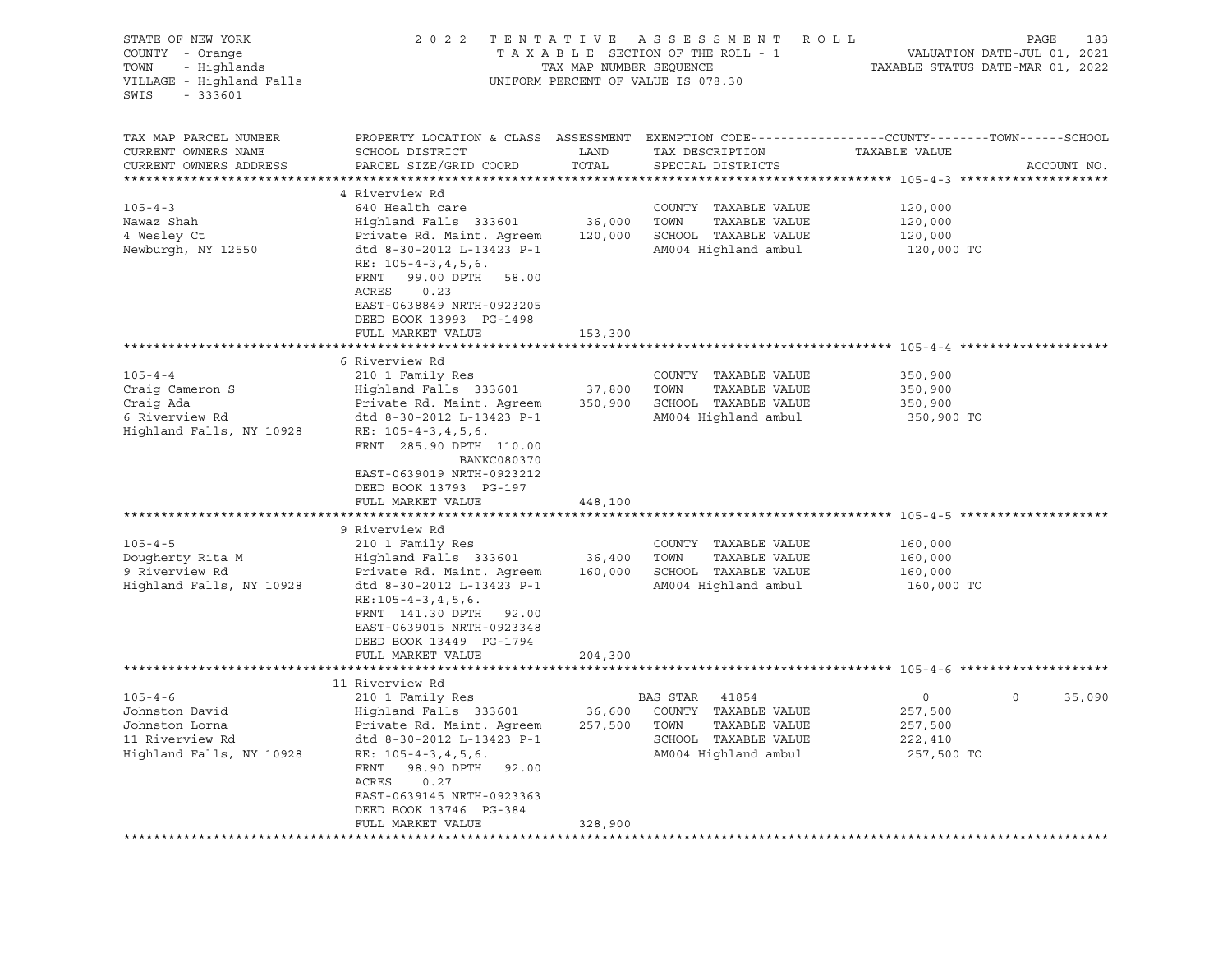| STATE OF NEW YORK<br>COUNTY - Orange<br>- Highlands<br>TOWN<br>VILLAGE - Highland Falls<br>SWIS<br>- 333601 | 2 0 2 2                                                                                                                                                                                                                                                                                                                                   | TAX MAP NUMBER SEQUENCE | TENTATIVE ASSESSMENT ROLL<br>T A X A B L E SECTION OF THE ROLL - 1<br>UNIFORM PERCENT OF VALUE IS 078.30 | VALUATION DATE-JUL 01, 2021<br>TAXABLE STATUS DATE-MAR 01, 2022 | PAGE<br>183 |
|-------------------------------------------------------------------------------------------------------------|-------------------------------------------------------------------------------------------------------------------------------------------------------------------------------------------------------------------------------------------------------------------------------------------------------------------------------------------|-------------------------|----------------------------------------------------------------------------------------------------------|-----------------------------------------------------------------|-------------|
| TAX MAP PARCEL NUMBER<br>CURRENT OWNERS NAME<br>CURRENT OWNERS ADDRESS                                      | PROPERTY LOCATION & CLASS ASSESSMENT EXEMPTION CODE----------------COUNTY-------TOWN-----SCHOOL<br>SCHOOL DISTRICT<br>PARCEL SIZE/GRID COORD                                                                                                                                                                                              | LAND<br>TOTAL           | TAX DESCRIPTION<br>SPECIAL DISTRICTS                                                                     | TAXABLE VALUE                                                   | ACCOUNT NO. |
| $105 - 4 - 3$<br>Nawaz Shah<br>4 Wesley Ct<br>Newburgh, NY 12550                                            | 4 Riverview Rd<br>640 Health care<br>Highland Falls 333601<br>Private Rd. Maint. Agreem 120,000 SCHOOL TAXABLE VALUE<br>dtd 8-30-2012 L-13423 P-1<br>RE: $105 - 4 - 3$ , 4, 5, 6.<br>FRNT<br>99.00 DPTH 58.00<br>ACRES<br>0.23<br>EAST-0638849 NRTH-0923205<br>DEED BOOK 13993 PG-1498<br>FULL MARKET VALUE                               | 36,000 TOWN<br>153,300  | COUNTY TAXABLE VALUE<br>TAXABLE VALUE<br>AM004 Highland ambul                                            | 120,000<br>120,000<br>120,000<br>120,000 TO                     |             |
| $105 - 4 - 4$<br>Craig Cameron S<br>Craig Ada<br>6 Riverview Rd<br>Highland Falls, NY 10928                 | 6 Riverview Rd<br>210 1 Family Res<br>Highland Falls 333601<br>Private Rd. Maint. Agreem 350,900 SCHOOL TAXABLE VALUE<br>dtd 8-30-2012 L-13423 P-1<br>RE: $105 - 4 - 3$ , 4, 5, 6.                                                                                                                                                        | 37,800                  | COUNTY TAXABLE VALUE<br>TAXABLE VALUE<br>TOWN<br>AM004 Highland ambul                                    | 350,900<br>350,900<br>350,900<br>350,900 TO                     |             |
|                                                                                                             | FRNT 285.90 DPTH 110.00<br><b>BANKC080370</b><br>EAST-0639019 NRTH-0923212<br>DEED BOOK 13793 PG-197<br>FULL MARKET VALUE                                                                                                                                                                                                                 | 448,100                 |                                                                                                          |                                                                 |             |
| $105 - 4 - 5$<br>Dougherty Rita M<br>9 Riverview Rd<br>Highland Falls, NY 10928                             | 9 Riverview Rd<br>210 1 Family Res<br>Highland Falls 333601<br>Private Rd. Maint. Agreem 160,000 SCHOOL TAXABLE VALUE<br>dtd 8-30-2012 L-13423 P-1<br>$RE: 105 - 4 - 3, 4, 5, 6.$<br>FRNT 141.30 DPTH 92.00<br>EAST-0639015 NRTH-0923348<br>DEED BOOK 13449 PG-1794<br>FULL MARKET VALUE                                                  | 36,400<br>204,300       | COUNTY TAXABLE VALUE<br>TAXABLE VALUE<br>TOWN<br>AM004 Highland ambul                                    | 160,000<br>160,000<br>160,000<br>160,000 TO                     |             |
|                                                                                                             |                                                                                                                                                                                                                                                                                                                                           |                         |                                                                                                          |                                                                 |             |
| $105 - 4 - 6$<br>Johnston David<br>Johnston Lorna<br>11 Riverview Rd<br>Highland Falls, NY 10928            | 11 Riverview Rd<br>210 1 Family Res<br>Highland Falls 333601 36,600 COUNTY TAXABLE VALUE<br>Private Rd. Maint. Agreem 257,500 TOWN TAXABLE VALUE<br>dtd 8-30-2012 L-13423 P-1<br>RE: $105 - 4 - 3$ , 4, 5, 6.<br>98.90 DPTH<br>FRNT<br>92.00<br>ACRES<br>0.27<br>EAST-0639145 NRTH-0923363<br>DEED BOOK 13746 PG-384<br>FULL MARKET VALUE | 328,900                 | BAS STAR 41854<br>SCHOOL TAXABLE VALUE<br>AM004 Highland ambul                                           | 0<br>0<br>257,500<br>257,500<br>222,410<br>257,500 TO           | 35,090      |
|                                                                                                             |                                                                                                                                                                                                                                                                                                                                           |                         |                                                                                                          |                                                                 |             |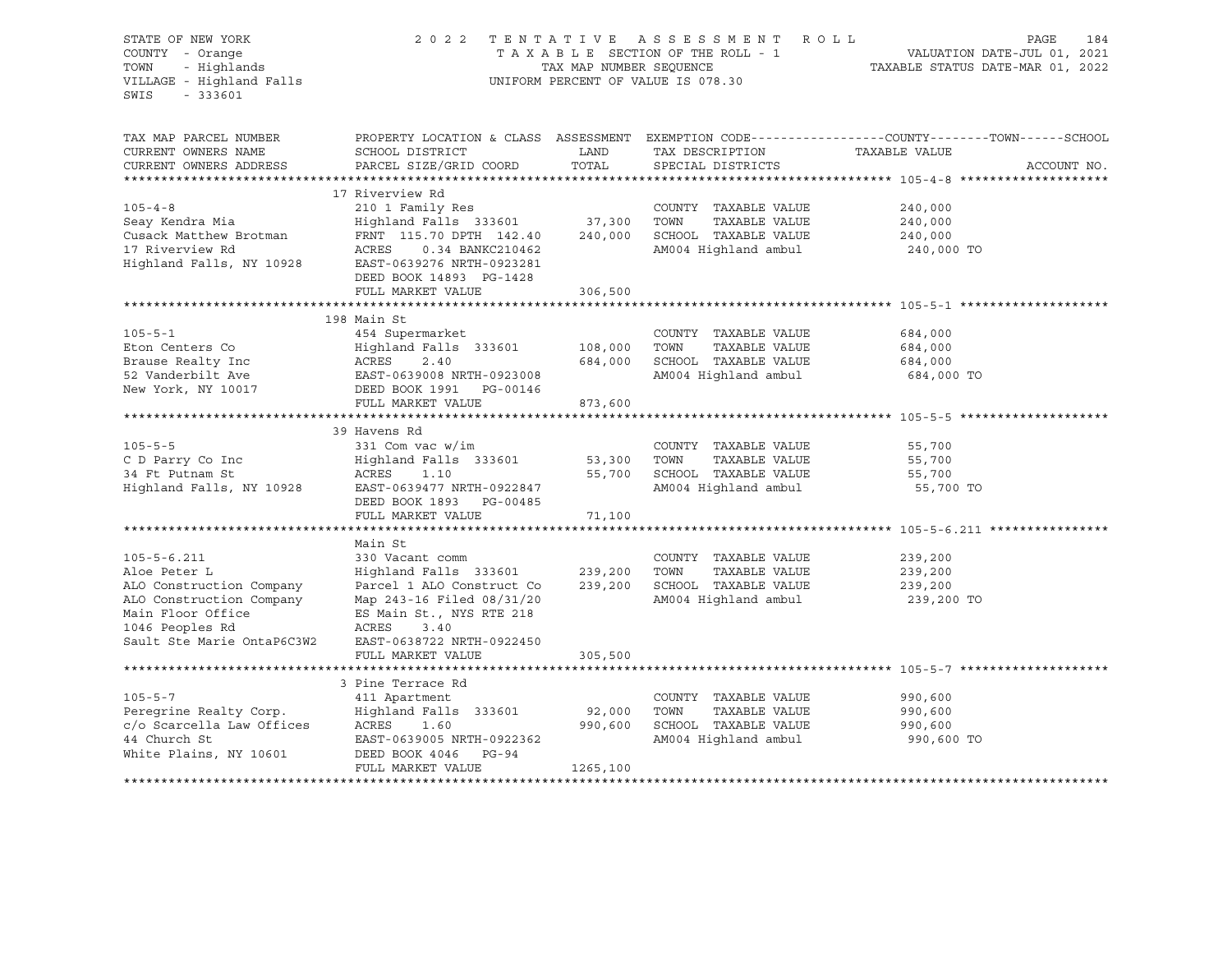| STATE OF NEW YORK<br>COUNTY - Orange<br>- Highlands<br>TOWN<br>VILLAGE - Highland Falls<br>SWIS<br>$-333601$ | 2 0 2 2                                                | TAX MAP NUMBER SEQUENCE | TENTATIVE ASSESSMENT ROLL<br>TAXABLE SECTION OF THE ROLL - 1<br>UNIFORM PERCENT OF VALUE IS 078.30 | PAGE<br>184<br>VALUATION DATE-JUL 01, 2021<br>TAXABLE STATUS DATE-MAR 01, 2022                                   |
|--------------------------------------------------------------------------------------------------------------|--------------------------------------------------------|-------------------------|----------------------------------------------------------------------------------------------------|------------------------------------------------------------------------------------------------------------------|
| TAX MAP PARCEL NUMBER<br>CURRENT OWNERS NAME                                                                 | SCHOOL DISTRICT                                        | LAND                    | TAX DESCRIPTION                                                                                    | PROPERTY LOCATION & CLASS ASSESSMENT EXEMPTION CODE----------------COUNTY-------TOWN-----SCHOOL<br>TAXABLE VALUE |
| CURRENT OWNERS ADDRESS                                                                                       | PARCEL SIZE/GRID COORD                                 | TOTAL                   | SPECIAL DISTRICTS                                                                                  | ACCOUNT NO.                                                                                                      |
|                                                                                                              | 17 Riverview Rd                                        |                         |                                                                                                    |                                                                                                                  |
| $105 - 4 - 8$                                                                                                | 210 1 Family Res                                       |                         | COUNTY TAXABLE VALUE                                                                               | 240,000                                                                                                          |
| Seay Kendra Mia                                                                                              | Highland Falls 333601                                  | 37,300                  | TOWN<br>TAXABLE VALUE                                                                              | 240,000                                                                                                          |
| Cusack Matthew Brotman                                                                                       | FRNT 115.70 DPTH 142.40                                | 240,000                 | SCHOOL TAXABLE VALUE                                                                               | 240,000                                                                                                          |
| 17 Riverview Rd                                                                                              | ACRES<br>0.34 BANKC210462                              |                         | AM004 Highland ambul                                                                               | 240,000 TO                                                                                                       |
| Highland Falls, NY 10928                                                                                     | EAST-0639276 NRTH-0923281                              |                         |                                                                                                    |                                                                                                                  |
|                                                                                                              | DEED BOOK 14893 PG-1428                                |                         |                                                                                                    |                                                                                                                  |
|                                                                                                              | FULL MARKET VALUE                                      | 306,500                 |                                                                                                    |                                                                                                                  |
|                                                                                                              |                                                        |                         |                                                                                                    |                                                                                                                  |
|                                                                                                              | 198 Main St                                            |                         |                                                                                                    |                                                                                                                  |
| $105 - 5 - 1$                                                                                                | 454 Supermarket                                        |                         | COUNTY TAXABLE VALUE                                                                               | 684,000                                                                                                          |
| Eton Centers Co                                                                                              | Highland Falls 333601                                  | 108,000                 | TOWN<br>TAXABLE VALUE                                                                              | 684,000                                                                                                          |
| Brause Realty Inc                                                                                            | ACRES<br>2.40                                          | 684,000                 | SCHOOL TAXABLE VALUE                                                                               | 684,000                                                                                                          |
| 52 Vanderbilt Ave                                                                                            | EAST-0639008 NRTH-0923008                              |                         | AM004 Highland ambul                                                                               | 684,000 TO                                                                                                       |
| New York, NY 10017                                                                                           | DEED BOOK 1991    PG-00146                             |                         |                                                                                                    |                                                                                                                  |
|                                                                                                              | FULL MARKET VALUE                                      | 873,600                 |                                                                                                    |                                                                                                                  |
|                                                                                                              | 39 Havens Rd                                           |                         |                                                                                                    |                                                                                                                  |
| $105 - 5 - 5$                                                                                                | 331 Com vac $w/im$                                     |                         | COUNTY TAXABLE VALUE                                                                               | 55,700                                                                                                           |
| C D Parry Co Inc                                                                                             | Highland Falls 333601                                  | 53,300                  | TOWN<br>TAXABLE VALUE                                                                              | 55,700                                                                                                           |
| 34 Ft Putnam St                                                                                              | ACRES<br>1.10                                          | 55,700                  | SCHOOL TAXABLE VALUE                                                                               | 55,700                                                                                                           |
| Highland Falls, NY 10928                                                                                     | EAST-0639477 NRTH-0922847                              |                         | AM004 Highland ambul                                                                               | 55,700 TO                                                                                                        |
|                                                                                                              | DEED BOOK 1893 PG-00485                                |                         |                                                                                                    |                                                                                                                  |
|                                                                                                              | FULL MARKET VALUE                                      | 71,100                  |                                                                                                    |                                                                                                                  |
|                                                                                                              |                                                        |                         |                                                                                                    |                                                                                                                  |
|                                                                                                              | Main St                                                |                         |                                                                                                    |                                                                                                                  |
| $105 - 5 - 6.211$                                                                                            | 330 Vacant comm                                        |                         | COUNTY TAXABLE VALUE                                                                               | 239,200                                                                                                          |
| Aloe Peter L                                                                                                 | Highland Falls 333601                                  | 239,200<br>239,200      | TOWN<br>TAXABLE VALUE                                                                              | 239,200                                                                                                          |
| ALO Construction Company<br>ALO Construction Company                                                         | Parcel 1 ALO Construct Co<br>Map 243-16 Filed 08/31/20 |                         | SCHOOL TAXABLE VALUE<br>AM004 Highland ambul                                                       | 239,200<br>239,200 TO                                                                                            |
| Main Floor Office                                                                                            | ES Main St., NYS RTE 218                               |                         |                                                                                                    |                                                                                                                  |
| 1046 Peoples Rd                                                                                              | ACRES<br>3.40                                          |                         |                                                                                                    |                                                                                                                  |
| Sault Ste Marie OntaP6C3W2                                                                                   | EAST-0638722 NRTH-0922450                              |                         |                                                                                                    |                                                                                                                  |
|                                                                                                              | FULL MARKET VALUE                                      | 305,500                 |                                                                                                    |                                                                                                                  |
| ************************                                                                                     |                                                        |                         |                                                                                                    |                                                                                                                  |
|                                                                                                              | 3 Pine Terrace Rd                                      |                         |                                                                                                    |                                                                                                                  |
| $105 - 5 - 7$                                                                                                | 411 Apartment                                          |                         | COUNTY TAXABLE VALUE                                                                               | 990,600                                                                                                          |
| Peregrine Realty Corp.                                                                                       | Highland Falls 333601                                  | 92,000                  | TOWN<br>TAXABLE VALUE                                                                              | 990,600                                                                                                          |
| c/o Scarcella Law Offices                                                                                    | ACRES 1.60                                             | 990,600                 | SCHOOL TAXABLE VALUE                                                                               | 990,600                                                                                                          |
| 44 Church St                                                                                                 | EAST-0639005 NRTH-0922362                              |                         | AM004 Highland ambul                                                                               | 990,600 TO                                                                                                       |
| White Plains, NY 10601                                                                                       | DEED BOOK 4046<br>PG-94                                |                         |                                                                                                    |                                                                                                                  |
|                                                                                                              | FULL MARKET VALUE                                      | 1265,100                |                                                                                                    |                                                                                                                  |
|                                                                                                              |                                                        |                         |                                                                                                    |                                                                                                                  |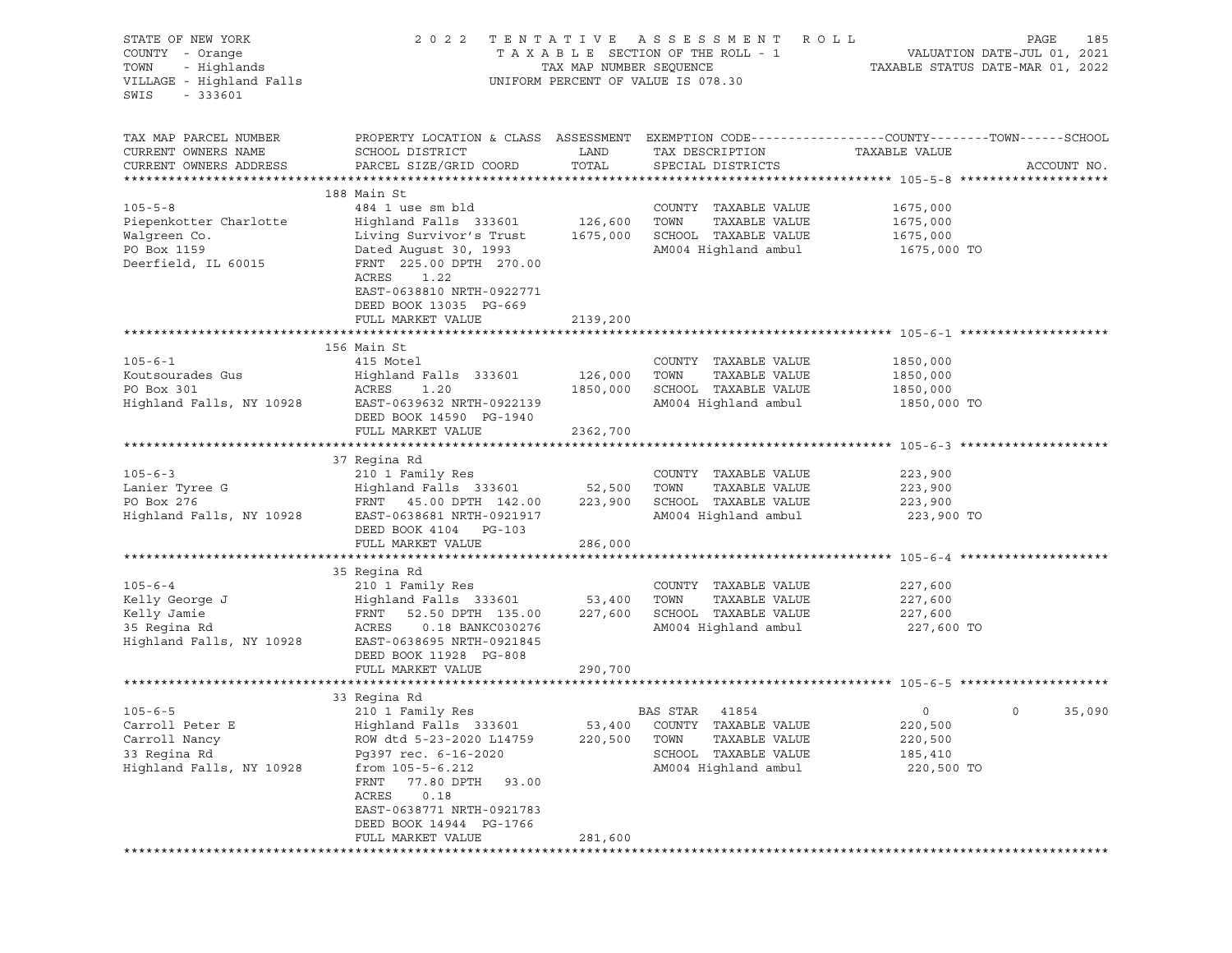| STATE OF NEW YORK<br>COUNTY - Orange<br>- Highlands<br>TOWN<br>VILLAGE - Highland Falls<br>SWIS<br>$-333601$ |                                                                                                                                                                                                                                                                | TAX MAP NUMBER SEQUENCE | 2022 TENTATIVE ASSESSMENT<br>R O L L<br>TAXABLE SECTION OF THE ROLL - 1<br>UNIFORM PERCENT OF VALUE IS 078.30                | VALUATION DATE-JUL 01, 2021<br>TAXABLE STATUS DATE-MAR 01, 2022 | PAGE<br>185       |
|--------------------------------------------------------------------------------------------------------------|----------------------------------------------------------------------------------------------------------------------------------------------------------------------------------------------------------------------------------------------------------------|-------------------------|------------------------------------------------------------------------------------------------------------------------------|-----------------------------------------------------------------|-------------------|
| TAX MAP PARCEL NUMBER<br>CURRENT OWNERS NAME<br>CURRENT OWNERS ADDRESS                                       | PROPERTY LOCATION & CLASS ASSESSMENT EXEMPTION CODE----------------COUNTY-------TOWN-----SCHOOL<br>SCHOOL DISTRICT<br>PARCEL SIZE/GRID COORD                                                                                                                   | LAND<br>TOTAL           | TAX DESCRIPTION<br>SPECIAL DISTRICTS                                                                                         | TAXABLE VALUE                                                   | ACCOUNT NO.       |
|                                                                                                              | 188 Main St                                                                                                                                                                                                                                                    |                         |                                                                                                                              |                                                                 |                   |
| $105 - 5 - 8$<br>Piepenkotter Charlotte<br>Walgreen Co.<br>PO Box 1159<br>Deerfield, IL 60015                | 484 1 use sm bld<br>Highland Falls 333601 126,600<br>Living Survivor's Trust<br>Dated August 30, 1993<br>FRNT 225.00 DPTH 270.00<br>ACRES<br>1.22<br>EAST-0638810 NRTH-0922771<br>DEED BOOK 13035 PG-669                                                       | 1675,000                | COUNTY TAXABLE VALUE<br>TOWN<br>TAXABLE VALUE<br>SCHOOL TAXABLE VALUE<br>AM004 Highland ambul                                | 1675,000<br>1675,000<br>1675,000<br>1675,000 TO                 |                   |
|                                                                                                              | FULL MARKET VALUE                                                                                                                                                                                                                                              | 2139,200                |                                                                                                                              |                                                                 |                   |
|                                                                                                              | 156 Main St                                                                                                                                                                                                                                                    |                         |                                                                                                                              |                                                                 |                   |
| $105 - 6 - 1$<br>Koutsourades Gus<br>PO Box 301<br>Highland Falls, NY 10928                                  | 415 Motel<br>Highland Falls 333601<br>ACRES<br>1.20<br>EAST-0639632 NRTH-0922139<br>DEED BOOK 14590 PG-1940                                                                                                                                                    | 126,000<br>1850,000     | COUNTY TAXABLE VALUE<br>TOWN<br>TAXABLE VALUE<br>SCHOOL TAXABLE VALUE<br>AM004 Highland ambul                                | 1850,000<br>1850,000<br>1850,000<br>1850,000 TO                 |                   |
|                                                                                                              | FULL MARKET VALUE                                                                                                                                                                                                                                              | 2362,700                |                                                                                                                              |                                                                 |                   |
|                                                                                                              | 37 Regina Rd                                                                                                                                                                                                                                                   |                         |                                                                                                                              |                                                                 |                   |
| $105 - 6 - 3$<br>Lanier Tyree G<br>PO Box 276<br>Highland Falls, NY 10928                                    | 210 1 Family Res<br>Highland Falls 333601 52,500<br>FRNT 45.00 DPTH 142.00 223,900<br>EAST-0638681 NRTH-0921917<br>DEED BOOK 4104 PG-103                                                                                                                       |                         | COUNTY TAXABLE VALUE<br>TOWN<br>TAXABLE VALUE<br>SCHOOL TAXABLE VALUE<br>AM004 Highland ambul                                | 223,900<br>223,900<br>223,900<br>223,900 TO                     |                   |
|                                                                                                              | FULL MARKET VALUE                                                                                                                                                                                                                                              | 286,000                 |                                                                                                                              |                                                                 |                   |
| $105 - 6 - 4$<br>Kelly George J                                                                              | 35 Regina Rd<br>210 1 Family Res<br>Highland Falls 333601                                                                                                                                                                                                      | 53,400                  | COUNTY TAXABLE VALUE<br>TOWN<br>TAXABLE VALUE                                                                                | 227,600<br>227,600                                              |                   |
| Kelly Jamie<br>35 Regina Rd<br>Highland Falls, NY 10928                                                      | FRNT<br>52.50 DPTH 135.00<br>ACRES   0.18 BANKC030276<br>EAST-0638695 NRTH-0921845<br>DEED BOOK 11928 PG-808<br>FULL MARKET VALUE                                                                                                                              | 227,600<br>290,700      | SCHOOL TAXABLE VALUE<br>AM004 Highland ambul                                                                                 | 227,600<br>227,600 TO                                           |                   |
|                                                                                                              |                                                                                                                                                                                                                                                                |                         |                                                                                                                              |                                                                 |                   |
| $105 - 6 - 5$<br>Carroll Peter E<br>Carroll Nancy<br>33 Regina Rd<br>Highland Falls, NY 10928                | 33 Regina Rd<br>210 1 Family Res<br>Highland Falls 333601<br>ROW dtd 5-23-2020 L14759<br>Pg397 rec. 6-16-2020<br>from 105-5-6.212<br>77.80 DPTH<br>FRNT<br>93.00<br>ACRES<br>0.18<br>EAST-0638771 NRTH-0921783<br>DEED BOOK 14944 PG-1766<br>FULL MARKET VALUE | 220,500                 | BAS STAR<br>41854<br>53,400 COUNTY TAXABLE VALUE<br>TOWN<br>TAXABLE VALUE<br>TAXABLE VALUE<br>SCHOOL<br>AM004 Highland ambul | $\circ$<br>220,500<br>220,500<br>185,410<br>220,500 TO          | $\circ$<br>35,090 |
|                                                                                                              |                                                                                                                                                                                                                                                                | 281,600                 |                                                                                                                              |                                                                 |                   |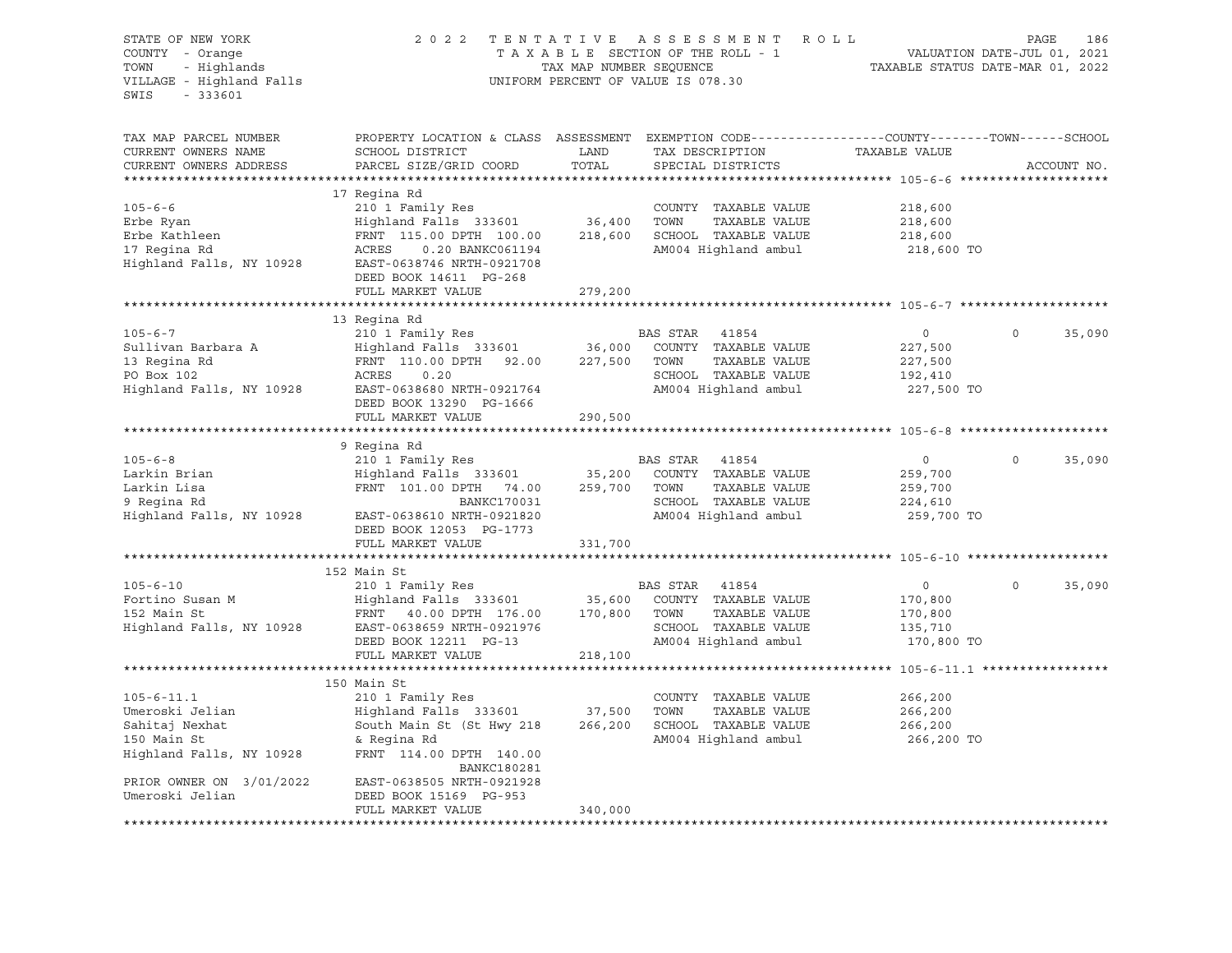| STATE OF NEW YORK<br>COUNTY - Orange<br>- Highlands<br>TOWN<br>VILLAGE - Highland Falls<br>$-333601$<br>SWIS | 2022                                                                                                                                         | TAX MAP NUMBER SEQUENCE | TENTATIVE ASSESSMENT<br>ROLL<br>TAXABLE SECTION OF THE ROLL - 1<br>UNIFORM PERCENT OF VALUE IS 078.30 | TAXABLE STATUS DATE-MAR 01, 2022 | PAGE<br>186<br>VALUATION DATE-JUL 01, 2021 |
|--------------------------------------------------------------------------------------------------------------|----------------------------------------------------------------------------------------------------------------------------------------------|-------------------------|-------------------------------------------------------------------------------------------------------|----------------------------------|--------------------------------------------|
| TAX MAP PARCEL NUMBER<br>CURRENT OWNERS NAME<br>CURRENT OWNERS ADDRESS                                       | PROPERTY LOCATION & CLASS ASSESSMENT EXEMPTION CODE----------------COUNTY-------TOWN-----SCHOOL<br>SCHOOL DISTRICT<br>PARCEL SIZE/GRID COORD | LAND<br>TOTAL           | TAX DESCRIPTION<br>SPECIAL DISTRICTS                                                                  | TAXABLE VALUE                    | ACCOUNT NO.                                |
|                                                                                                              |                                                                                                                                              |                         |                                                                                                       |                                  |                                            |
|                                                                                                              | 17 Regina Rd                                                                                                                                 |                         |                                                                                                       |                                  |                                            |
| $105 - 6 - 6$                                                                                                | 210 1 Family Res                                                                                                                             |                         | COUNTY TAXABLE VALUE                                                                                  | 218,600                          |                                            |
| Erbe Ryan                                                                                                    | Highland Falls 333601                                                                                                                        | 36,400                  | TOWN<br>TAXABLE VALUE                                                                                 | 218,600                          |                                            |
| Erbe Kathleen                                                                                                | FRNT 115.00 DPTH 100.00                                                                                                                      | 218,600                 | SCHOOL TAXABLE VALUE                                                                                  | 218,600                          |                                            |
| 17 Regina Rd                                                                                                 | ACRES<br>0.20 BANKC061194                                                                                                                    |                         | AM004 Highland ambul                                                                                  | 218,600 TO                       |                                            |
| Highland Falls, NY 10928                                                                                     | EAST-0638746 NRTH-0921708                                                                                                                    |                         |                                                                                                       |                                  |                                            |
|                                                                                                              | DEED BOOK 14611 PG-268                                                                                                                       |                         |                                                                                                       |                                  |                                            |
|                                                                                                              | FULL MARKET VALUE                                                                                                                            | 279,200                 |                                                                                                       |                                  |                                            |
|                                                                                                              |                                                                                                                                              |                         |                                                                                                       |                                  |                                            |
|                                                                                                              | 13 Regina Rd                                                                                                                                 |                         |                                                                                                       |                                  | $\circ$                                    |
| $105 - 6 - 7$<br>Sullivan Barbara A                                                                          | 210 1 Family Res                                                                                                                             |                         | BAS STAR<br>41854<br>COUNTY TAXABLE VALUE                                                             | $\circ$                          | 35,090                                     |
| 13 Regina Rd                                                                                                 | Highland Falls 333601<br>FRNT 110.00 DPTH 92.00                                                                                              | 36,000<br>227,500       | TOWN<br>TAXABLE VALUE                                                                                 | 227,500                          |                                            |
| PO Box 102                                                                                                   | ACRES<br>0.20                                                                                                                                |                         | SCHOOL TAXABLE VALUE                                                                                  | 227,500<br>192,410               |                                            |
| Highland Falls, NY 10928                                                                                     | EAST-0638680 NRTH-0921764                                                                                                                    |                         | AM004 Highland ambul                                                                                  | 227,500 TO                       |                                            |
|                                                                                                              | DEED BOOK 13290 PG-1666                                                                                                                      |                         |                                                                                                       |                                  |                                            |
|                                                                                                              | FULL MARKET VALUE                                                                                                                            | 290,500                 |                                                                                                       |                                  |                                            |
|                                                                                                              |                                                                                                                                              |                         |                                                                                                       |                                  |                                            |
|                                                                                                              | 9 Regina Rd                                                                                                                                  |                         |                                                                                                       |                                  |                                            |
| $105 - 6 - 8$                                                                                                | 210 1 Family Res                                                                                                                             |                         | BAS STAR<br>41854                                                                                     | $\circ$                          | $\circ$<br>35,090                          |
| Larkin Brian                                                                                                 | Highland Falls 333601                                                                                                                        | 35,200                  | COUNTY TAXABLE VALUE                                                                                  | 259,700                          |                                            |
| Larkin Lisa                                                                                                  | FRNT 101.00 DPTH 74.00                                                                                                                       | 259,700                 | TOWN<br>TAXABLE VALUE                                                                                 | 259,700                          |                                            |
| 9 Regina Rd                                                                                                  | BANKC170031                                                                                                                                  |                         | SCHOOL TAXABLE VALUE                                                                                  | 224,610                          |                                            |
| Highland Falls, NY 10928                                                                                     | EAST-0638610 NRTH-0921820                                                                                                                    |                         | AM004 Highland ambul                                                                                  | 259,700 TO                       |                                            |
|                                                                                                              | DEED BOOK 12053 PG-1773                                                                                                                      |                         |                                                                                                       |                                  |                                            |
|                                                                                                              | FULL MARKET VALUE                                                                                                                            | 331,700                 |                                                                                                       |                                  |                                            |
|                                                                                                              |                                                                                                                                              |                         |                                                                                                       |                                  |                                            |
|                                                                                                              | 152 Main St                                                                                                                                  |                         |                                                                                                       |                                  |                                            |
| $105 - 6 - 10$                                                                                               | 210 1 Family Res                                                                                                                             |                         | BAS STAR<br>41854                                                                                     | $\circ$                          | $\circ$<br>35,090                          |
| Fortino Susan M<br>152 Main St                                                                               | Highland Falls 333601<br>FRNT 40.00 DPTH 176.00                                                                                              | 35,600<br>170,800       | COUNTY TAXABLE VALUE<br>TOWN<br>TAXABLE VALUE                                                         | 170,800                          |                                            |
| Highland Falls, NY 10928                                                                                     | EAST-0638659 NRTH-0921976                                                                                                                    |                         | SCHOOL TAXABLE VALUE                                                                                  | 170,800<br>135,710               |                                            |
|                                                                                                              | DEED BOOK 12211 PG-13                                                                                                                        |                         | AM004 Highland ambul                                                                                  | 170,800 TO                       |                                            |
|                                                                                                              | FULL MARKET VALUE                                                                                                                            | 218,100                 |                                                                                                       |                                  |                                            |
|                                                                                                              |                                                                                                                                              |                         |                                                                                                       |                                  |                                            |
|                                                                                                              | 150 Main St                                                                                                                                  |                         |                                                                                                       |                                  |                                            |
| $105 - 6 - 11.1$                                                                                             | 210 1 Family Res                                                                                                                             |                         | COUNTY TAXABLE VALUE                                                                                  | 266,200                          |                                            |
| Umeroski Jelian                                                                                              | Highland Falls 333601                                                                                                                        | 37,500                  | TOWN<br>TAXABLE VALUE                                                                                 | 266,200                          |                                            |
| Sahitaj Nexhat                                                                                               | South Main St (St Hwy 218                                                                                                                    | 266,200                 | SCHOOL TAXABLE VALUE                                                                                  | 266,200                          |                                            |
| 150 Main St                                                                                                  | & Regina Rd                                                                                                                                  |                         | AM004 Highland ambul                                                                                  | 266,200 TO                       |                                            |
| Highland Falls, NY 10928                                                                                     | FRNT 114.00 DPTH 140.00<br>BANKC180281                                                                                                       |                         |                                                                                                       |                                  |                                            |
| PRIOR OWNER ON 3/01/2022                                                                                     | EAST-0638505 NRTH-0921928                                                                                                                    |                         |                                                                                                       |                                  |                                            |
| Umeroski Jelian                                                                                              | DEED BOOK 15169 PG-953                                                                                                                       |                         |                                                                                                       |                                  |                                            |
|                                                                                                              | FULL MARKET VALUE                                                                                                                            | 340,000                 |                                                                                                       |                                  |                                            |
| ***************************                                                                                  | ******************************                                                                                                               |                         |                                                                                                       |                                  |                                            |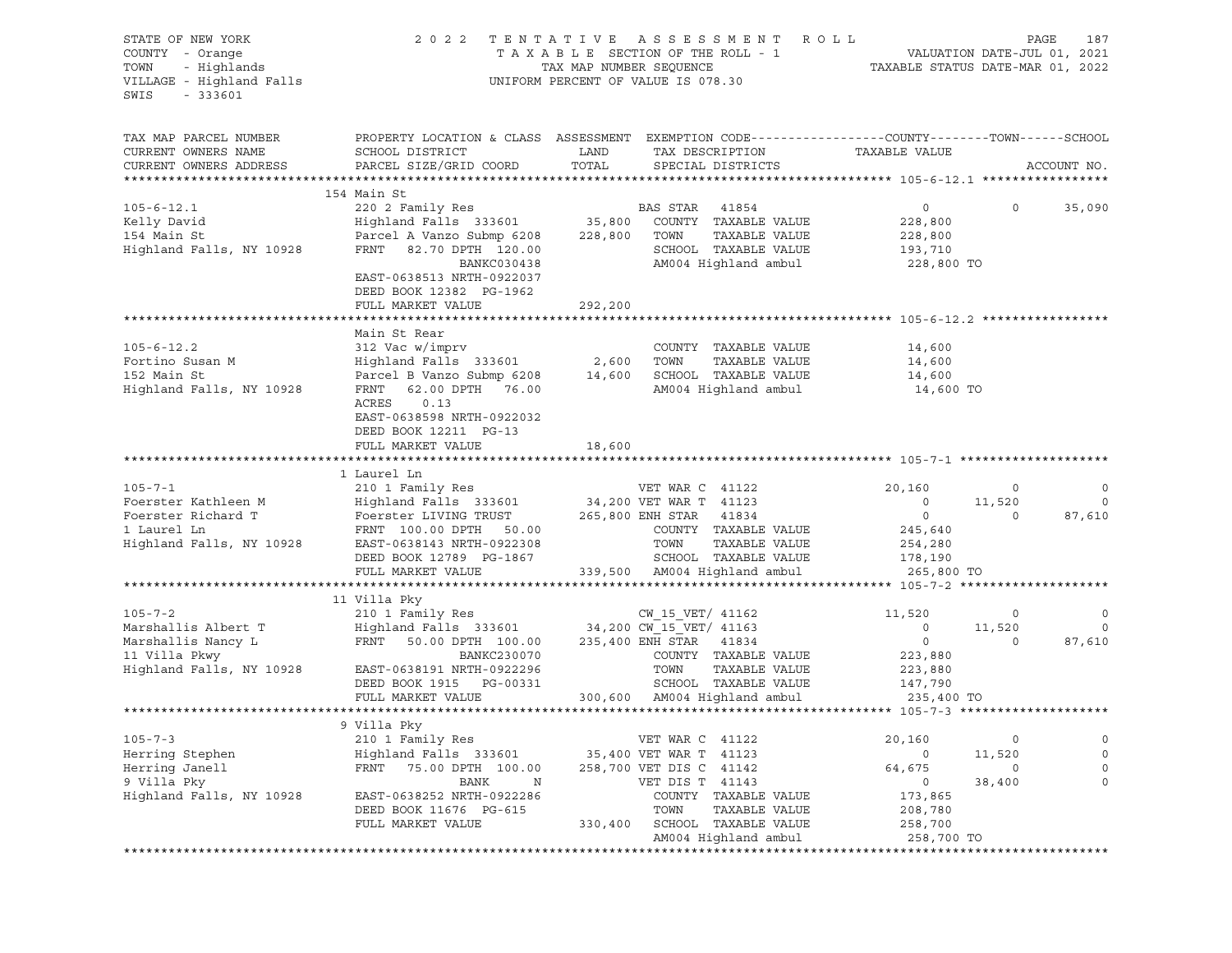| STATE OF NEW YORK<br>COUNTY - Orange<br>TOWN - Highlands<br>VILLAGE - Highland Falls<br>$-333601$<br>SWIS |                                                                                                                                                                                                                                                                       |               | 2022 TENTATIVE ASSESSMENT ROLL<br>T A X A B L E SECTION OF THE ROLL - 1 VALUATION DATE-JUL 01, 2021<br>TAX MAP NUMBER SEQUENCE TAXABLE STATUS DATE-MAR 01, 2022<br>UNIFORM PERCENT OF VALUE IS 078.30 |                                                                                |                               | PAGE<br>187                  |
|-----------------------------------------------------------------------------------------------------------|-----------------------------------------------------------------------------------------------------------------------------------------------------------------------------------------------------------------------------------------------------------------------|---------------|-------------------------------------------------------------------------------------------------------------------------------------------------------------------------------------------------------|--------------------------------------------------------------------------------|-------------------------------|------------------------------|
| TAX MAP PARCEL NUMBER<br>CURRENT OWNERS NAME<br>CURRENT OWNERS ADDRESS                                    | PROPERTY LOCATION & CLASS ASSESSMENT EXEMPTION CODE---------------COUNTY-------TOWN------SCHOOL<br>SCHOOL DISTRICT<br>PARCEL SIZE/GRID COORD                                                                                                                          | LAND<br>TOTAL | TAX DESCRIPTION<br>SPECIAL DISTRICTS                                                                                                                                                                  | TAXABLE VALUE                                                                  |                               | ACCOUNT NO.                  |
|                                                                                                           | 154 Main St                                                                                                                                                                                                                                                           |               |                                                                                                                                                                                                       |                                                                                |                               |                              |
| $105 - 6 - 12.1$<br>Kelly David<br>154 Main St<br>Highland Falls, NY 10928                                | 220 2 Family Res<br>Highland Falls 333601 35,800 COUNTY TAXABLE VALUE<br>Parcel A Vanzo Submp 6208 228,800 TOWN<br>FRNT 82.70 DPTH 120.00<br>BANKC030438<br>EAST-0638513 NRTH-0922037<br>DEED BOOK 12382 PG-1962                                                      |               | TAXABLE VALUE<br>SCHOOL TAXABLE VALUE<br>AM004 Highland ambul                                                                                                                                         | $\overline{0}$<br>228,800<br>228,800<br>193,710<br>228,800 TO                  | $\overline{0}$                | 35,090                       |
|                                                                                                           | FULL MARKET VALUE                                                                                                                                                                                                                                                     | 292,200       |                                                                                                                                                                                                       |                                                                                |                               |                              |
| $105 - 6 - 12.2$<br>Fortino Susan M<br>152 Main St<br>Highland Falls, NY 10928                            | Main St Rear<br>312 Vac w/imprv<br>$Highland$ Falls 333601 2,600 TOWN<br>Parcel B Vanzo Submp 6208 14,600 SCHOOL TAXABLE VALUE<br>FRNT 62.00 DPTH 76.00 AM004 Highland ambul<br>ACRES 0.13<br>EAST-0638598 NRTH-0922032<br>DEED BOOK 12211 PG-13<br>FULL MARKET VALUE | 18,600        | COUNTY TAXABLE VALUE<br>TAXABLE VALUE<br>AM004 Highland ambul                                                                                                                                         | 14,600<br>14,600<br>14,600<br>14,600 TO                                        |                               |                              |
|                                                                                                           |                                                                                                                                                                                                                                                                       |               |                                                                                                                                                                                                       |                                                                                |                               |                              |
| $105 - 7 - 1$<br>Foerster Kathleen M<br>Foerster Richard T<br>1 Laurel Ln<br>Highland Falls, NY 10928     | 1 Laurel Ln<br>210 1 Family Res<br>Highland Falls 333601 34,200 VET WAR T 41123<br>Foerster LIVING TRUST 265,800 ENH STAR 41834<br>FRNT 100.00 DPTH 50.00 COUNTY TAXABLE<br>EAST-0638143 NRTH-0922308<br>DEED BOOK 12789 PG-1867<br>FULL MARKET VALUE                 |               | VET WAR C 41122<br>COUNTY TAXABLE VALUE<br>TAXABLE VALUE<br>TOWN<br>SCHOOL TAXABLE VALUE 178,190<br>339,500 AM004 Highland ambul                                                                      | 20,160<br>$\overline{0}$<br>$\overline{0}$<br>245,640<br>254,280<br>265,800 TO | $\sim$ 0<br>11,520<br>$\circ$ | $\circ$<br>$\circ$<br>87,610 |
|                                                                                                           | 11 Villa Pky                                                                                                                                                                                                                                                          |               |                                                                                                                                                                                                       |                                                                                |                               |                              |
| $105 - 7 - 2$<br>Marshallis Albert T<br>Marshallis Nancy L<br>11 Villa Pkwy<br>Highland Falls, NY 10928   | 11 viima ray<br>210 1 Family Res<br>Highland Falls 333601 34,200 CW_15_VET/ 41163<br>FRNT 50.00 DPTH 100.00 235,400 ENH STAR 41834<br>BANKC230070<br>BANKC230070<br>EAST-0638191 NRTH-0922296<br>DEED BOOK 1915 PG-00331                                              |               | COUNTY TAXABLE VALUE<br>TOWN<br>TAXABLE VALUE<br>TOWN IMAGLE VALUE<br>SCHOOL TAXABLE VALUE                                                                                                            | 11,520<br>$\circ$<br>$\overline{0}$<br>223,880<br>223,880<br>147,790           | $\circ$<br>11,520<br>$\circ$  | $\circ$<br>$\circ$<br>87,610 |
|                                                                                                           | FULL MARKET VALUE                                                                                                                                                                                                                                                     |               | 300,600 AM004 Highland ambul                                                                                                                                                                          | 235,400 TO                                                                     |                               |                              |
|                                                                                                           |                                                                                                                                                                                                                                                                       |               |                                                                                                                                                                                                       |                                                                                |                               |                              |
| $105 - 7 - 3$<br>Herring Stephen<br>Herring Janell<br>9 Villa Pky<br>Highland Falls, NY 10928             | 9 Villa Pky<br>210 1 Family Res<br>Highland Falls 333601<br>FRNT<br>75.00 DPTH 100.00<br>BANK<br>N<br>EAST-0638252 NRTH-0922286<br>DEED BOOK 11676 PG-615<br>FULL MARKET VALUE                                                                                        | 330,400       | VET WAR C 41122<br>35,400 VET WAR T 41123<br>258,700 VET DIS C 41142<br>VET DIS T 41143<br>COUNTY TAXABLE VALUE<br>TOWN<br>TAXABLE VALUE<br>SCHOOL TAXABLE VALUE                                      | 20,160<br>$\circ$<br>64,675<br>0<br>173,865<br>208,780<br>258,700              | 0<br>11,520<br>0<br>38,400    | 0<br>0<br>0                  |
|                                                                                                           |                                                                                                                                                                                                                                                                       |               | AM004 Highland ambul                                                                                                                                                                                  | 258,700 TO                                                                     |                               |                              |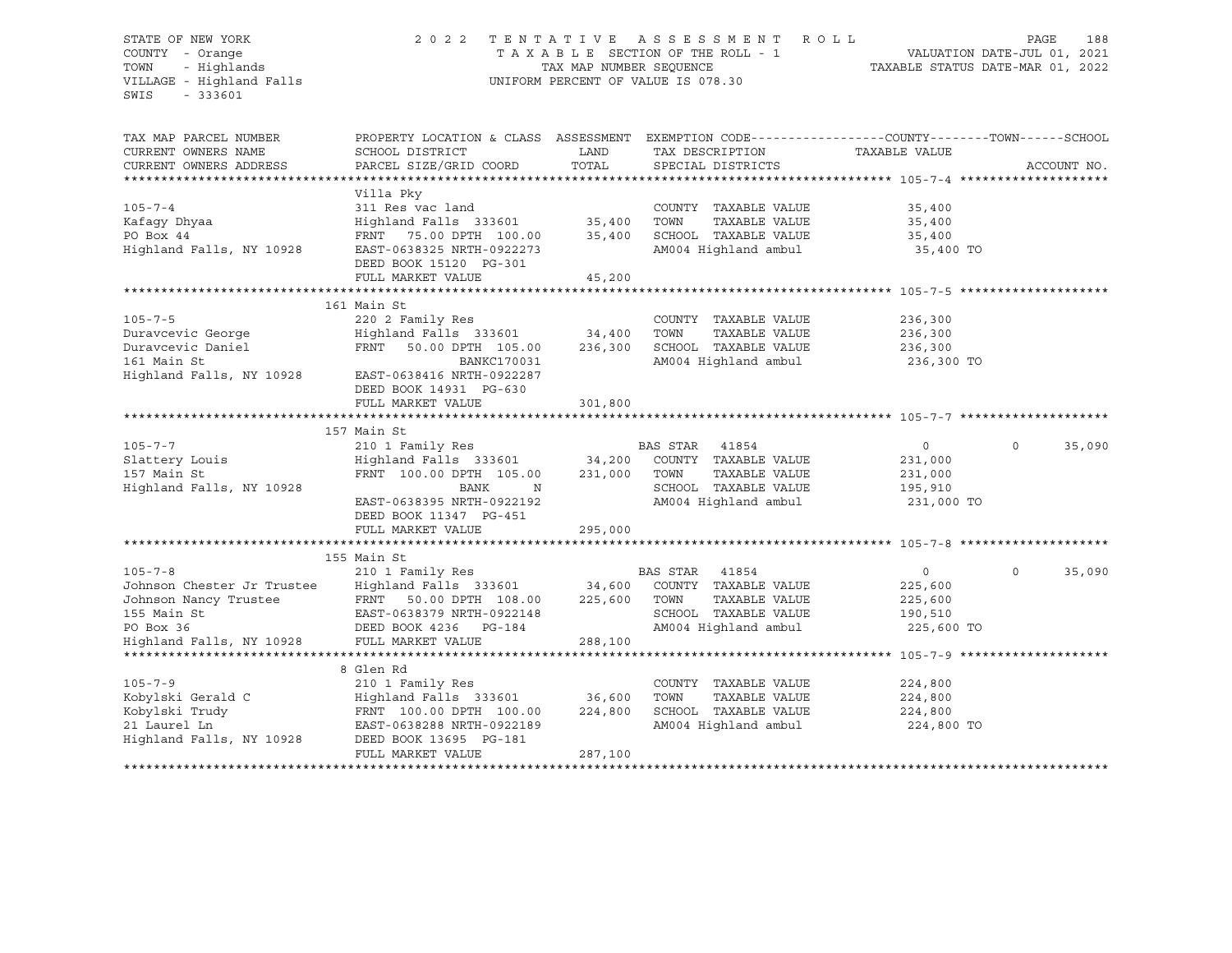SWIS - 333601

#### STATE OF NEW YORK 2 0 2 2 T E N T A T I V E A S S E S S M E N T R O L L PAGE 188 COUNTY - Orange T A X A B L E SECTION OF THE ROLL - 1 VALUATION DATE-JUL 01, 2021 TOWN - Highlands TAX MAP NUMBER SEQUENCE TAXABLE STATUS DATE-MAR 01, 2022 UNIFORM PERCENT OF VALUE IS 078.30

TAX MAP PARCEL NUMBER PROPERTY LOCATION & CLASS ASSESSMENT EXEMPTION CODE----------------COUNTY-------TOWN-----SCHOOL CURRENT OWNERS NAME SCHOOL DISTRICT LAND TAX DESCRIPTION TAXABLE VALUE CURRENT OWNERS ADDRESS PARCEL SIZE/GRID COORD TOTAL SPECIAL DISTRICTS ACCOUNT NO. \*\*\*\*\*\*\*\*\*\*\*\*\*\*\*\*\*\*\*\*\*\*\*\*\*\*\*\*\*\*\*\*\*\*\*\*\*\*\*\*\*\*\*\*\*\*\*\*\*\*\*\*\*\*\*\*\*\*\*\*\*\*\*\*\*\*\*\*\*\*\*\*\*\*\*\*\*\*\*\*\*\*\*\*\*\*\*\*\*\*\*\*\*\*\*\*\*\*\*\*\*\*\* 105-7-4 \*\*\*\*\*\*\*\*\*\*\*\*\*\*\*\*\*\*\*\* Villa Pky 105-7-4 311 Res vac land COUNTY TAXABLE VALUE 35,400 Kafagy Dhyaa Highland Falls 333601 35,400 TOWN TAXABLE VALUE 35,400 PO Box 44 FRNT 75.00 DPTH 100.00 35,400 SCHOOL TAXABLE VALUE 35,400 Highland Falls, NY 10928 EAST-0638325 NRTH-0922273 AM004 Highland ambul 35,400 TO DEED BOOK 15120 PG-301 FULL MARKET VALUE 45,200 \*\*\*\*\*\*\*\*\*\*\*\*\*\*\*\*\*\*\*\*\*\*\*\*\*\*\*\*\*\*\*\*\*\*\*\*\*\*\*\*\*\*\*\*\*\*\*\*\*\*\*\*\*\*\*\*\*\*\*\*\*\*\*\*\*\*\*\*\*\*\*\*\*\*\*\*\*\*\*\*\*\*\*\*\*\*\*\*\*\*\*\*\*\*\*\*\*\*\*\*\*\*\* 105-7-5 \*\*\*\*\*\*\*\*\*\*\*\*\*\*\*\*\*\*\*\* 161 Main St 105-7-5 220 2 Family Res COUNTY TAXABLE VALUE 236,300 Duravcevic George Highland Falls 333601 34,400 TOWN TAXABLE VALUE 236,300 Duravcevic Daniel FRNT 50.00 DPTH 105.00 236,300 SCHOOL TAXABLE VALUE 236,300 161 Main St BANKC170031 AM004 Highland ambul 236,300 TO Highland Falls, NY 10928 EAST-0638416 NRTH-0922287 DEED BOOK 14931 PG-630 FULL MARKET VALUE 301,800 \*\*\*\*\*\*\*\*\*\*\*\*\*\*\*\*\*\*\*\*\*\*\*\*\*\*\*\*\*\*\*\*\*\*\*\*\*\*\*\*\*\*\*\*\*\*\*\*\*\*\*\*\*\*\*\*\*\*\*\*\*\*\*\*\*\*\*\*\*\*\*\*\*\*\*\*\*\*\*\*\*\*\*\*\*\*\*\*\*\*\*\*\*\*\*\*\*\*\*\*\*\*\* 105-7-7 \*\*\*\*\*\*\*\*\*\*\*\*\*\*\*\*\*\*\*\* 157 Main St 105-7-7 210 1 Family Res BAS STAR 41854 0 0 35,090 Slattery Louis Highland Falls 333601 34,200 COUNTY TAXABLE VALUE 231,000 157 Main St 100.00 DPTH 105.00 231,000 TOWN TAXABLE VALUE 231,000<br>FRNT 100.00 DPTH 105.00 231,000 TOWN TAXABLE VALUE 231,000<br>EANK N SCHOOL TAXABLE VALUE 195,910 Highland Falls, NY 10928 BANK N SCHOOL TAXABLE VALUE 195,910 EAST-0638395 NRTH-0922192 AM004 Highland ambul 231,000 TO DEED BOOK 11347 PG-451 FULL MARKET VALUE 295,000 \*\*\*\*\*\*\*\*\*\*\*\*\*\*\*\*\*\*\*\*\*\*\*\*\*\*\*\*\*\*\*\*\*\*\*\*\*\*\*\*\*\*\*\*\*\*\*\*\*\*\*\*\*\*\*\*\*\*\*\*\*\*\*\*\*\*\*\*\*\*\*\*\*\*\*\*\*\*\*\*\*\*\*\*\*\*\*\*\*\*\*\*\*\*\*\*\*\*\*\*\*\*\* 105-7-8 \*\*\*\*\*\*\*\*\*\*\*\*\*\*\*\*\*\*\*\* 155 Main St 105-7-8 210 1 Family Res BAS STAR 41854 0 0 35,090 Johnson Chester Jr Trustee Highland Falls 333601 34,600 COUNTY TAXABLE VALUE 225,600 Johnson Nancy Trustee FRNT 50.00 DPTH 108.00 225,600 TOWN TAXABLE VALUE 225,600 155, EAST-0638379 NRTH-0922148 SCHOOL TAXABLE VALUE 190,510<br>1555 Main Strah DC-184 و 2000 MM004 Highland ambul PO Box 36 DEED BOOK 4236 PG-184 AM004 Highland ambul 225,600 TO Highland Falls, NY 10928 FULL MARKET VALUE 288,100 \*\*\*\*\*\*\*\*\*\*\*\*\*\*\*\*\*\*\*\*\*\*\*\*\*\*\*\*\*\*\*\*\*\*\*\*\*\*\*\*\*\*\*\*\*\*\*\*\*\*\*\*\*\*\*\*\*\*\*\*\*\*\*\*\*\*\*\*\*\*\*\*\*\*\*\*\*\*\*\*\*\*\*\*\*\*\*\*\*\*\*\*\*\*\*\*\*\*\*\*\*\*\* 105-7-9 \*\*\*\*\*\*\*\*\*\*\*\*\*\*\*\*\*\*\*\* 8 Glen Rd<br>210 1 Family Res 105-7-9 210 1 Family Res COUNTY TAXABLE VALUE 224,800 Kobylski Gerald C Highland Falls 333601 36,600 TOWN TAXABLE VALUE 224,800 Kobylski Trudy FRNT 100.00 DPTH 100.00 224,800 SCHOOL TAXABLE VALUE 224,800 21 Laurel Ln EAST-0638288 NRTH-0922189 AM004 Highland ambul 224,800 TO Highland Falls, NY 10928 DEED BOOK 13695 PG-181 FULL MARKET VALUE 287,100 \*\*\*\*\*\*\*\*\*\*\*\*\*\*\*\*\*\*\*\*\*\*\*\*\*\*\*\*\*\*\*\*\*\*\*\*\*\*\*\*\*\*\*\*\*\*\*\*\*\*\*\*\*\*\*\*\*\*\*\*\*\*\*\*\*\*\*\*\*\*\*\*\*\*\*\*\*\*\*\*\*\*\*\*\*\*\*\*\*\*\*\*\*\*\*\*\*\*\*\*\*\*\*\*\*\*\*\*\*\*\*\*\*\*\*\*\*\*\*\*\*\*\*\*\*\*\*\*\*\*\*\*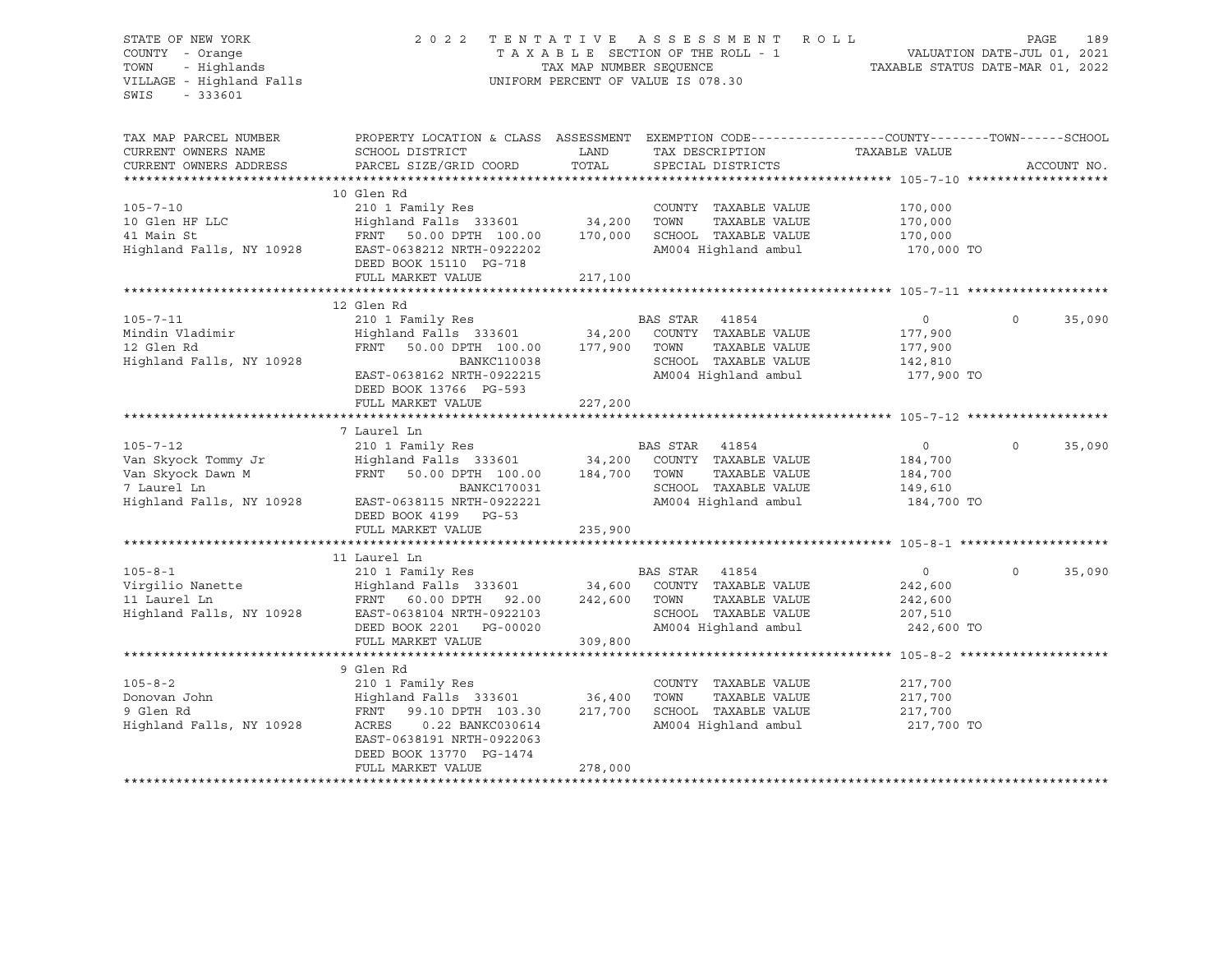SWIS - 333601

### STATE OF NEW YORK 2 0 2 2 T E N T A T I V E A S S E S S M E N T R O L L PAGE 189 COUNTY - Orange T A X A B L E SECTION OF THE ROLL - 1 VALUATION DATE-JUL 01, 2021 TOWN - Highlands TAX MAP NUMBER SEQUENCE TAXABLE STATUS DATE-MAR 01, 2022 VILLAGE - Highland Falls UNIFORM PERCENT OF VALUE IS 078.30

| TAX MAP PARCEL NUMBER<br>CURRENT OWNERS NAME<br>CURRENT OWNERS ADDRESS                                | PROPERTY LOCATION & CLASS ASSESSMENT EXEMPTION CODE----------------COUNTY-------TOWN------SCHOOL<br>SCHOOL DISTRICT<br>PARCEL SIZE/GRID COORD                                              | LAND<br>TOTAL                | TAX DESCRIPTION TAXABLE VALUE<br>SPECIAL DISTRICTS                                                                        |                                                               | ACCOUNT NO.        |
|-------------------------------------------------------------------------------------------------------|--------------------------------------------------------------------------------------------------------------------------------------------------------------------------------------------|------------------------------|---------------------------------------------------------------------------------------------------------------------------|---------------------------------------------------------------|--------------------|
| $105 - 7 - 10$<br>10 Glen HF LLC<br>41 Main St<br>Highland Falls, NY 10928                            | 10 Glen Rd<br>210 1 Family Res<br>Highland Falls 333601<br>FRNT 50.00 DPTH 100.00<br>EAST-0638212 NRTH-0922202<br>DEED BOOK 15110 PG-718<br>FULL MARKET VALUE                              | 34,200<br>170,000<br>217,100 | COUNTY TAXABLE VALUE<br>TOWN<br>TAXABLE VALUE<br>SCHOOL TAXABLE VALUE<br>AM004 Highland ambul                             | 170,000<br>170,000<br>170,000<br>170,000 TO                   |                    |
|                                                                                                       | 12 Glen Rd                                                                                                                                                                                 |                              |                                                                                                                           |                                                               |                    |
| $105 - 7 - 11$<br>Mindin Vladimir<br>12 Glen Rd<br>Highland Falls, NY 10928                           | 210 1 Family Res<br>Highland Falls 333601 34,200<br>FRNT<br>50.00 DPTH 100.00<br><b>BANKC110038</b><br>EAST-0638162 NRTH-0922215<br>DEED BOOK 13766 PG-593<br>FULL MARKET VALUE            | 177,900<br>227,200           | BAS STAR<br>41854<br>COUNTY TAXABLE VALUE<br>TAXABLE VALUE<br>TOWN<br>SCHOOL TAXABLE VALUE<br>AM004 Highland ambul        | $\overline{0}$<br>177,900<br>177,900<br>142,810<br>177,900 TO | 35,090<br>$\Omega$ |
|                                                                                                       | 7 Laurel Ln                                                                                                                                                                                |                              |                                                                                                                           |                                                               |                    |
| $105 - 7 - 12$<br>Van Skyock Tommy Jr<br>Van Skyock Dawn M<br>7 Laurel Ln<br>Highland Falls, NY 10928 | 210 1 Family Res<br>Highland Falls 333601 34,200<br>FRNT<br>50.00 DPTH 100.00<br>BANKC170031<br>EAST-0638115 NRTH-0922221<br>DEED BOOK 4199 PG-53<br>FULL MARKET VALUE                     | 184,700<br>235,900           | <b>BAS STAR</b><br>41854<br>COUNTY TAXABLE VALUE<br>TOWN<br>TAXABLE VALUE<br>SCHOOL TAXABLE VALUE<br>AM004 Highland ambul | $\overline{0}$<br>184,700<br>184,700<br>149,610<br>184,700 TO | 35,090<br>$\circ$  |
|                                                                                                       | 11 Laurel Ln                                                                                                                                                                               |                              |                                                                                                                           |                                                               |                    |
| $105 - 8 - 1$<br>Virgilio Nanette<br>11 Laurel Ln<br>Highland Falls, NY 10928                         | 210 1 Family Res<br>Highland Falls 333601 34,600<br>FRNT 60.00 DPTH 92.00<br>EAST-0638104 NRTH-0922103<br>DEED BOOK 2201 PG-00020<br>FULL MARKET VALUE                                     | 242,600<br>309,800           | BAS STAR 41854<br>COUNTY TAXABLE VALUE<br>TOWN<br>TAXABLE VALUE<br>SCHOOL TAXABLE VALUE<br>AM004 Highland ambul           | $\circ$<br>242,600<br>242,600<br>207,510<br>242,600 TO        | $\circ$<br>35,090  |
|                                                                                                       |                                                                                                                                                                                            |                              |                                                                                                                           |                                                               |                    |
| $105 - 8 - 2$<br>Donovan John<br>9 Glen Rd<br>Highland Falls, NY 10928                                | 9 Glen Rd<br>210 1 Family Res<br>Highland Falls 333601<br>FRNT 99.10 DPTH 103.30<br>0.22 BANKC030614<br>ACRES<br>EAST-0638191 NRTH-0922063<br>DEED BOOK 13770 PG-1474<br>FULL MARKET VALUE | 36,400<br>217,700<br>278,000 | COUNTY TAXABLE VALUE<br>TAXABLE VALUE<br>TOWN<br>SCHOOL TAXABLE VALUE<br>AM004 Highland ambul                             | 217,700<br>217,700<br>217,700<br>217,700 TO                   |                    |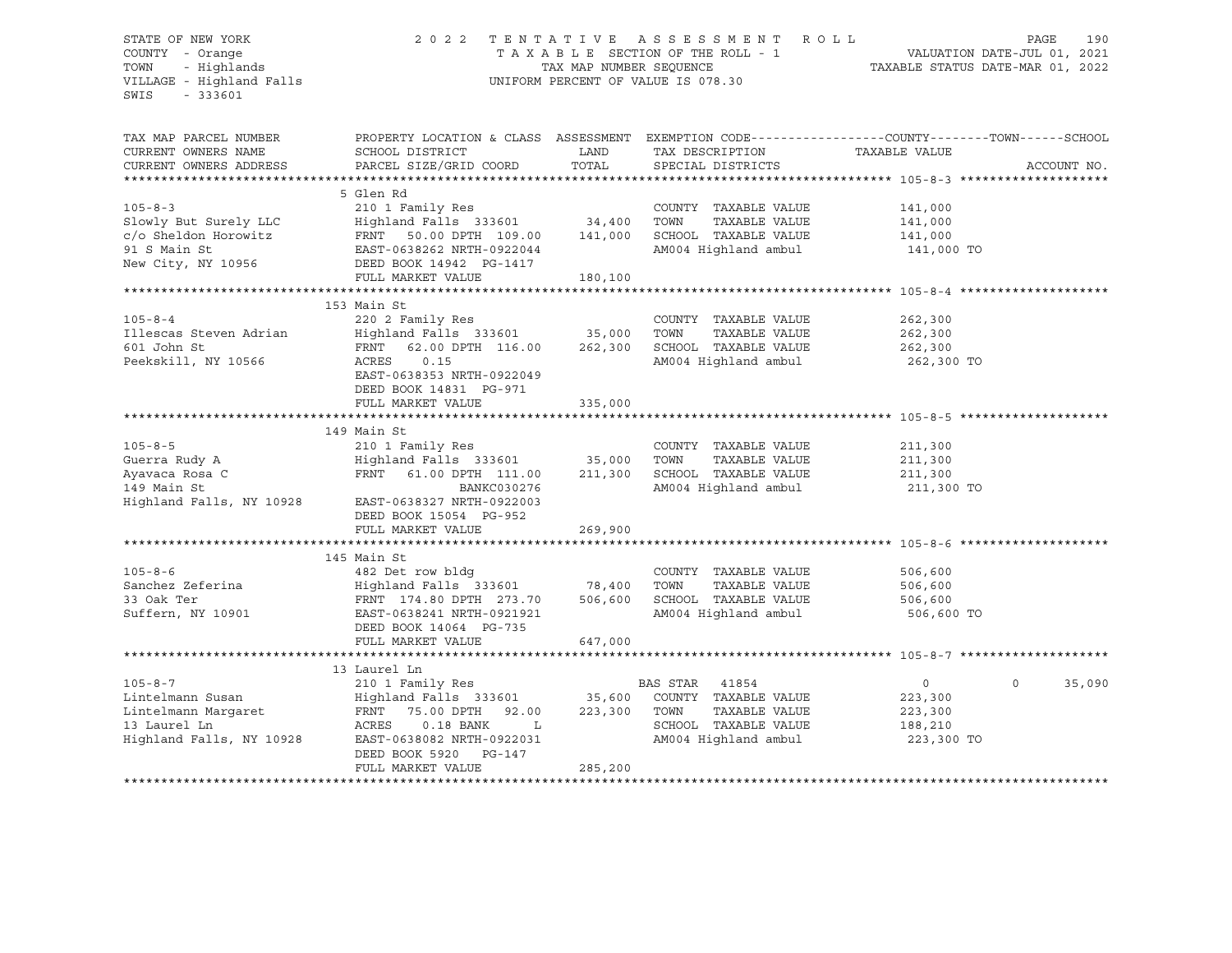SWIS - 333601

### STATE OF NEW YORK 2 0 2 2 T E N T A T I V E A S S E S S M E N T R O L L PAGE 190 COUNTY - Orange T A X A B L E SECTION OF THE ROLL - 1 VALUATION DATE-JUL 01, 2021 TOWN - Highlands TAX MAP NUMBER SEQUENCE TAXABLE STATUS DATE-MAR 01, 2022 VILLAGE - Highland Falls UNIFORM PERCENT OF VALUE IS 078.30

| TOTAL<br>PARCEL SIZE/GRID COORD<br>SPECIAL DISTRICTS<br>CURRENT OWNERS ADDRESS<br>ACCOUNT NO.<br>5 Glen Rd<br>$105 - 8 - 3$<br>210 1 Family Res<br>COUNTY TAXABLE VALUE<br>141,000<br>Highland Falls 333601 34,400<br>Slowly But Surely LLC<br>TAXABLE VALUE<br>TOWN<br>141,000<br>FRNT 50.00 DPTH 109.00 141,000<br>c/o Sheldon Horowitz<br>SCHOOL TAXABLE VALUE<br>141,000<br>91 S Main St<br>AM004 Highland ambul<br>EAST-0638262 NRTH-0922044<br>141,000 TO<br>New City, NY 10956<br>DEED BOOK 14942    PG-1417<br>FULL MARKET VALUE<br>180,100<br>153 Main St<br>$105 - 8 - 4$<br>220 2 Family Res<br>COUNTY TAXABLE VALUE<br>262,300<br>Highland Falls 333601 35,000<br>Illescas Steven Adrian<br>TOWN<br>TAXABLE VALUE<br>262,300<br>601 John St<br>SCHOOL TAXABLE VALUE<br>FRNT 62.00 DPTH 116.00 262,300<br>262,300<br>Peekskill, NY 10566<br>ACRES<br>0.15<br>AM004 Highland ambul<br>262,300 TO<br>EAST-0638353 NRTH-0922049<br>DEED BOOK 14831 PG-971<br>FULL MARKET VALUE<br>335,000<br>149 Main St<br>$105 - 8 - 5$<br>210 1 Family Res<br>COUNTY TAXABLE VALUE<br>211,300 |
|------------------------------------------------------------------------------------------------------------------------------------------------------------------------------------------------------------------------------------------------------------------------------------------------------------------------------------------------------------------------------------------------------------------------------------------------------------------------------------------------------------------------------------------------------------------------------------------------------------------------------------------------------------------------------------------------------------------------------------------------------------------------------------------------------------------------------------------------------------------------------------------------------------------------------------------------------------------------------------------------------------------------------------------------------------------------------------------|
|                                                                                                                                                                                                                                                                                                                                                                                                                                                                                                                                                                                                                                                                                                                                                                                                                                                                                                                                                                                                                                                                                          |
|                                                                                                                                                                                                                                                                                                                                                                                                                                                                                                                                                                                                                                                                                                                                                                                                                                                                                                                                                                                                                                                                                          |
|                                                                                                                                                                                                                                                                                                                                                                                                                                                                                                                                                                                                                                                                                                                                                                                                                                                                                                                                                                                                                                                                                          |
|                                                                                                                                                                                                                                                                                                                                                                                                                                                                                                                                                                                                                                                                                                                                                                                                                                                                                                                                                                                                                                                                                          |
|                                                                                                                                                                                                                                                                                                                                                                                                                                                                                                                                                                                                                                                                                                                                                                                                                                                                                                                                                                                                                                                                                          |
|                                                                                                                                                                                                                                                                                                                                                                                                                                                                                                                                                                                                                                                                                                                                                                                                                                                                                                                                                                                                                                                                                          |
|                                                                                                                                                                                                                                                                                                                                                                                                                                                                                                                                                                                                                                                                                                                                                                                                                                                                                                                                                                                                                                                                                          |
|                                                                                                                                                                                                                                                                                                                                                                                                                                                                                                                                                                                                                                                                                                                                                                                                                                                                                                                                                                                                                                                                                          |
|                                                                                                                                                                                                                                                                                                                                                                                                                                                                                                                                                                                                                                                                                                                                                                                                                                                                                                                                                                                                                                                                                          |
|                                                                                                                                                                                                                                                                                                                                                                                                                                                                                                                                                                                                                                                                                                                                                                                                                                                                                                                                                                                                                                                                                          |
|                                                                                                                                                                                                                                                                                                                                                                                                                                                                                                                                                                                                                                                                                                                                                                                                                                                                                                                                                                                                                                                                                          |
|                                                                                                                                                                                                                                                                                                                                                                                                                                                                                                                                                                                                                                                                                                                                                                                                                                                                                                                                                                                                                                                                                          |
|                                                                                                                                                                                                                                                                                                                                                                                                                                                                                                                                                                                                                                                                                                                                                                                                                                                                                                                                                                                                                                                                                          |
|                                                                                                                                                                                                                                                                                                                                                                                                                                                                                                                                                                                                                                                                                                                                                                                                                                                                                                                                                                                                                                                                                          |
|                                                                                                                                                                                                                                                                                                                                                                                                                                                                                                                                                                                                                                                                                                                                                                                                                                                                                                                                                                                                                                                                                          |
|                                                                                                                                                                                                                                                                                                                                                                                                                                                                                                                                                                                                                                                                                                                                                                                                                                                                                                                                                                                                                                                                                          |
|                                                                                                                                                                                                                                                                                                                                                                                                                                                                                                                                                                                                                                                                                                                                                                                                                                                                                                                                                                                                                                                                                          |
|                                                                                                                                                                                                                                                                                                                                                                                                                                                                                                                                                                                                                                                                                                                                                                                                                                                                                                                                                                                                                                                                                          |
|                                                                                                                                                                                                                                                                                                                                                                                                                                                                                                                                                                                                                                                                                                                                                                                                                                                                                                                                                                                                                                                                                          |
|                                                                                                                                                                                                                                                                                                                                                                                                                                                                                                                                                                                                                                                                                                                                                                                                                                                                                                                                                                                                                                                                                          |
| $\frac{210}{100}$ $\frac{1}{200}$ $\frac{1}{200}$ $\frac{1}{200}$ $\frac{1}{200}$ $\frac{1}{200}$ $\frac{1}{200}$ $\frac{1}{200}$ $\frac{1}{200}$ $\frac{1}{200}$ $\frac{1}{200}$ $\frac{1}{200}$ $\frac{1}{200}$ $\frac{1}{200}$ $\frac{1}{200}$ $\frac{1}{200}$ $\frac{1}{200}$ $\frac{1}{200}$ $\frac$<br>Guerra Rudy A<br>TOWN<br>TAXABLE VALUE<br>211,300                                                                                                                                                                                                                                                                                                                                                                                                                                                                                                                                                                                                                                                                                                                           |
| Ayavaca Rosa C<br>FRNT 61.00 DPTH 111.00 211,300<br>SCHOOL TAXABLE VALUE 211,300                                                                                                                                                                                                                                                                                                                                                                                                                                                                                                                                                                                                                                                                                                                                                                                                                                                                                                                                                                                                         |
| 149 Main St<br>BANKC030276<br>AM004 Highland ambul<br>211,300 TO                                                                                                                                                                                                                                                                                                                                                                                                                                                                                                                                                                                                                                                                                                                                                                                                                                                                                                                                                                                                                         |
| Highland Falls, NY 10928 EAST-0638327 NRTH-0922003                                                                                                                                                                                                                                                                                                                                                                                                                                                                                                                                                                                                                                                                                                                                                                                                                                                                                                                                                                                                                                       |
| DEED BOOK 15054 PG-952                                                                                                                                                                                                                                                                                                                                                                                                                                                                                                                                                                                                                                                                                                                                                                                                                                                                                                                                                                                                                                                                   |
| FULL MARKET VALUE<br>269,900                                                                                                                                                                                                                                                                                                                                                                                                                                                                                                                                                                                                                                                                                                                                                                                                                                                                                                                                                                                                                                                             |
|                                                                                                                                                                                                                                                                                                                                                                                                                                                                                                                                                                                                                                                                                                                                                                                                                                                                                                                                                                                                                                                                                          |
| 145 Main St                                                                                                                                                                                                                                                                                                                                                                                                                                                                                                                                                                                                                                                                                                                                                                                                                                                                                                                                                                                                                                                                              |
| $105 - 8 - 6$<br>482 Det row bldg<br>COUNTY TAXABLE VALUE<br>506,600                                                                                                                                                                                                                                                                                                                                                                                                                                                                                                                                                                                                                                                                                                                                                                                                                                                                                                                                                                                                                     |
| Highland Falls 333601 78,400<br>FRNT 174.80 DPTH 273.70 506,600<br>Sanchez Zeferina<br>TOWN<br>TAXABLE VALUE<br>506,600                                                                                                                                                                                                                                                                                                                                                                                                                                                                                                                                                                                                                                                                                                                                                                                                                                                                                                                                                                  |
| SCHOOL TAXABLE VALUE<br>33 Oak Ter<br>506,600                                                                                                                                                                                                                                                                                                                                                                                                                                                                                                                                                                                                                                                                                                                                                                                                                                                                                                                                                                                                                                            |
| AM004 Highland ambul<br>Suffern, NY 10901<br>506,600 TO<br>EAST-0638241 NRTH-0921921                                                                                                                                                                                                                                                                                                                                                                                                                                                                                                                                                                                                                                                                                                                                                                                                                                                                                                                                                                                                     |
| DEED BOOK 14064 PG-735                                                                                                                                                                                                                                                                                                                                                                                                                                                                                                                                                                                                                                                                                                                                                                                                                                                                                                                                                                                                                                                                   |
| FULL MARKET VALUE<br>647,000                                                                                                                                                                                                                                                                                                                                                                                                                                                                                                                                                                                                                                                                                                                                                                                                                                                                                                                                                                                                                                                             |
|                                                                                                                                                                                                                                                                                                                                                                                                                                                                                                                                                                                                                                                                                                                                                                                                                                                                                                                                                                                                                                                                                          |
| 13 Laurel Ln                                                                                                                                                                                                                                                                                                                                                                                                                                                                                                                                                                                                                                                                                                                                                                                                                                                                                                                                                                                                                                                                             |
| $105 - 8 - 7$<br>35,090<br>210 1 Family Res<br>BAS STAR 41854<br>$\overline{0}$<br>$\Omega$                                                                                                                                                                                                                                                                                                                                                                                                                                                                                                                                                                                                                                                                                                                                                                                                                                                                                                                                                                                              |
| Highland Falls 333601 35,600 COUNTY TAXABLE VALUE<br>Lintelmann Susan<br>223,300                                                                                                                                                                                                                                                                                                                                                                                                                                                                                                                                                                                                                                                                                                                                                                                                                                                                                                                                                                                                         |
| Lintelmann Margaret<br>223,300<br>FRNT 75.00 DPTH 92.00<br>TOWN<br>TAXABLE VALUE<br>223,300                                                                                                                                                                                                                                                                                                                                                                                                                                                                                                                                                                                                                                                                                                                                                                                                                                                                                                                                                                                              |
| SCHOOL TAXABLE VALUE<br>13 Laurel Ln<br>ACRES 0.18 BANK<br>L<br>188,210                                                                                                                                                                                                                                                                                                                                                                                                                                                                                                                                                                                                                                                                                                                                                                                                                                                                                                                                                                                                                  |
| Highland Falls, NY 10928<br>AM004 Highland ambul<br>223,300 TO<br>EAST-0638082 NRTH-0922031<br>DEED BOOK 5920 PG-147                                                                                                                                                                                                                                                                                                                                                                                                                                                                                                                                                                                                                                                                                                                                                                                                                                                                                                                                                                     |
| 285,200<br>FULL MARKET VALUE                                                                                                                                                                                                                                                                                                                                                                                                                                                                                                                                                                                                                                                                                                                                                                                                                                                                                                                                                                                                                                                             |
|                                                                                                                                                                                                                                                                                                                                                                                                                                                                                                                                                                                                                                                                                                                                                                                                                                                                                                                                                                                                                                                                                          |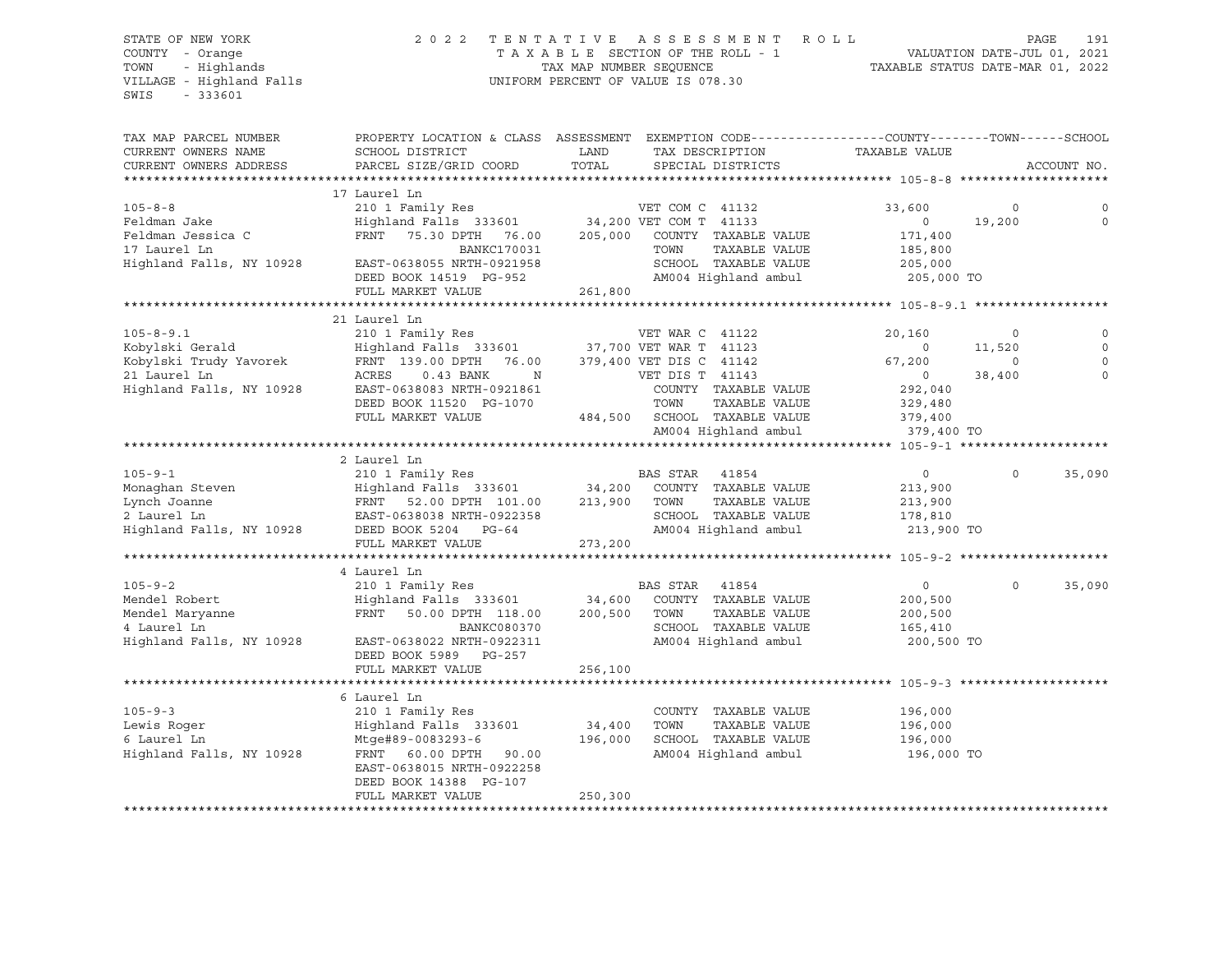### STATE OF NEW YORK 2 0 2 2 T E N T A T I V E A S S E S S M E N T R O L L PAGE 191 COUNTY - Orange T A X A B L E SECTION OF THE ROLL - 1 VALUATION DATE-JUL 01, 2021 TOWN - Highlands TAX MAP NUMBER SEQUENCE TAXABLE STATUS DATE-MAR 01, 2022

| TAX MAP PARCEL NUMBER    | PROPERTY LOCATION & CLASS ASSESSMENT EXEMPTION CODE----------------COUNTY-------TOWN------SCHOOL                                                                                                                                                                                                                                                                          |         |                              |                |             |             |
|--------------------------|---------------------------------------------------------------------------------------------------------------------------------------------------------------------------------------------------------------------------------------------------------------------------------------------------------------------------------------------------------------------------|---------|------------------------------|----------------|-------------|-------------|
| CURRENT OWNERS NAME      | SCHOOL DISTRICT                                                                                                                                                                                                                                                                                                                                                           | LAND    | TAX DESCRIPTION              | TAXABLE VALUE  |             |             |
| CURRENT OWNERS ADDRESS   | PARCEL SIZE/GRID COORD                                                                                                                                                                                                                                                                                                                                                    | TOTAL   | SPECIAL DISTRICTS            |                |             | ACCOUNT NO. |
| *******************      |                                                                                                                                                                                                                                                                                                                                                                           |         |                              |                |             |             |
|                          | 17 Laurel Ln                                                                                                                                                                                                                                                                                                                                                              |         |                              |                |             |             |
| $105 - 8 - 8$            |                                                                                                                                                                                                                                                                                                                                                                           |         |                              | 33,600         | $\mathbf 0$ |             |
| Feldman Jake             |                                                                                                                                                                                                                                                                                                                                                                           |         |                              | $\overline{0}$ | 19,200      | $\mathbf 0$ |
| Feldman Jessica C        | FRNT                                                                                                                                                                                                                                                                                                                                                                      |         |                              | 171,400        |             |             |
|                          |                                                                                                                                                                                                                                                                                                                                                                           |         |                              |                |             |             |
| 17 Laurel Ln             | BANKC170031                                                                                                                                                                                                                                                                                                                                                               |         | TOWN<br>TAXABLE VALUE        | 185,800        |             |             |
| Highland Falls, NY 10928 | EAST-0638055 NRTH-0921958                                                                                                                                                                                                                                                                                                                                                 |         | SCHOOL TAXABLE VALUE         | 205,000        |             |             |
|                          | DEED BOOK 14519 PG-952                                                                                                                                                                                                                                                                                                                                                    |         | AM004 Highland ambul         | 205,000 TO     |             |             |
|                          | FULL MARKET VALUE                                                                                                                                                                                                                                                                                                                                                         | 261,800 |                              |                |             |             |
|                          |                                                                                                                                                                                                                                                                                                                                                                           |         |                              |                |             |             |
|                          | 21 Laurel Ln                                                                                                                                                                                                                                                                                                                                                              |         |                              |                |             |             |
| $105 - 8 - 9.1$          | 210 1 Family Res                                                                                                                                                                                                                                                                                                                                                          |         | VET WAR C 41122              | 20,160         | $\circ$     | $\mathbf 0$ |
| Kobylski Gerald          | Highland Falls 333601 37,700 VET WAR T 41123                                                                                                                                                                                                                                                                                                                              |         |                              | $\circ$        | 11,520      | $\circ$     |
| Kobylski Trudy Yavorek   | FRNT 139.00 DPTH 76.00 379,400 VET DIS C 41142                                                                                                                                                                                                                                                                                                                            |         |                              | 67,200         | $\Omega$    | $\Omega$    |
| 21 Laurel Ln             | ACRES<br>$0.43$ BANK<br>$\mathbb N$                                                                                                                                                                                                                                                                                                                                       |         | VET DIS T 41143              | $\overline{0}$ | 38,400      | $\Omega$    |
| Highland Falls, NY 10928 | EAST-0638083 NRTH-0921861                                                                                                                                                                                                                                                                                                                                                 |         | COUNTY TAXABLE VALUE         | 292,040        |             |             |
|                          | DEED BOOK 11520 PG-1070                                                                                                                                                                                                                                                                                                                                                   |         | TOWN<br>TAXABLE VALUE        | 329,480        |             |             |
|                          | FULL MARKET VALUE                                                                                                                                                                                                                                                                                                                                                         |         | 484,500 SCHOOL TAXABLE VALUE | 379,400        |             |             |
|                          |                                                                                                                                                                                                                                                                                                                                                                           |         | AM004 Highland ambul         | 379,400 TO     |             |             |
|                          |                                                                                                                                                                                                                                                                                                                                                                           |         |                              |                |             |             |
|                          | 2 Laurel Ln                                                                                                                                                                                                                                                                                                                                                               |         |                              |                |             |             |
| $105 - 9 - 1$            | 210 1 Family Res                                                                                                                                                                                                                                                                                                                                                          |         | BAS STAR 41854               | $\circ$        | $\Omega$    | 35,090      |
| Monaghan Steven          | Highland Falls 333601 34,200                                                                                                                                                                                                                                                                                                                                              |         | COUNTY TAXABLE VALUE         | 213,900        |             |             |
| Lynch Joanne             |                                                                                                                                                                                                                                                                                                                                                                           | 213,900 | TAXABLE VALUE<br>TOWN        | 213,900        |             |             |
| 2 Laurel Ln              | FRNT 52.00 DPTH 101.00<br>EAST-0638038 NRTH-0922358                                                                                                                                                                                                                                                                                                                       |         | SCHOOL TAXABLE VALUE         | 178,810        |             |             |
| Highland Falls, NY 10928 | DEED BOOK 5204 PG-64                                                                                                                                                                                                                                                                                                                                                      |         | AM004 Highland ambul         | 213,900 TO     |             |             |
|                          | FULL MARKET VALUE                                                                                                                                                                                                                                                                                                                                                         | 273,200 |                              |                |             |             |
|                          |                                                                                                                                                                                                                                                                                                                                                                           |         |                              |                |             |             |
|                          | 4 Laurel Ln                                                                                                                                                                                                                                                                                                                                                               |         |                              |                |             |             |
| $105 - 9 - 2$            | 210 1 Family Res                                                                                                                                                                                                                                                                                                                                                          |         | BAS STAR 41854               | $\circ$        | $\Omega$    | 35,090      |
| Mendel Robert            | $\frac{210 \text{ T}}{210 \text{ N}}$ $\frac{1}{210 \text{ N}}$ $\frac{1}{210 \text{ N}}$ $\frac{1}{210 \text{ N}}$ $\frac{1}{210 \text{ N}}$ $\frac{1}{210 \text{ N}}$ $\frac{1}{210 \text{ N}}$ $\frac{1}{210 \text{ N}}$ $\frac{1}{210 \text{ N}}$ $\frac{1}{210 \text{ N}}$ $\frac{1}{210 \text{ N}}$ $\frac{1}{210 \text{ N}}$ $\frac{1}{210 \text{ N}}$ $\frac{1}{$ |         | COUNTY TAXABLE VALUE         | 200,500        |             |             |
|                          | FRNT                                                                                                                                                                                                                                                                                                                                                                      |         |                              |                |             |             |
| Mendel Maryanne          | 50.00 DPTH 118.00 200,500                                                                                                                                                                                                                                                                                                                                                 |         | TAXABLE VALUE<br>TOWN        | 200,500        |             |             |
| 4 Laurel Ln              | BANKC080370                                                                                                                                                                                                                                                                                                                                                               |         | SCHOOL TAXABLE VALUE         | 165,410        |             |             |
| Highland Falls, NY 10928 | EAST-0638022 NRTH-0922311                                                                                                                                                                                                                                                                                                                                                 |         | AM004 Highland ambul         | 200,500 TO     |             |             |
|                          | DEED BOOK 5989 PG-257                                                                                                                                                                                                                                                                                                                                                     |         |                              |                |             |             |
|                          | FULL MARKET VALUE                                                                                                                                                                                                                                                                                                                                                         | 256,100 |                              |                |             |             |
|                          |                                                                                                                                                                                                                                                                                                                                                                           |         |                              |                |             |             |
|                          | 6 Laurel Ln                                                                                                                                                                                                                                                                                                                                                               |         |                              |                |             |             |
| $105 - 9 - 3$            | 210 1 Family Res                                                                                                                                                                                                                                                                                                                                                          |         | COUNTY TAXABLE VALUE         | 196,000        |             |             |
| Lewis Roger              | Highland Falls 333601                                                                                                                                                                                                                                                                                                                                                     | 34,400  | TOWN<br>TAXABLE VALUE        | 196,000        |             |             |
| 6 Laurel Ln              | Mtge#89-0083293-6                                                                                                                                                                                                                                                                                                                                                         | 196,000 | SCHOOL TAXABLE VALUE         | 196,000        |             |             |
| Highland Falls, NY 10928 | FRNT 60.00 DPTH 90.00                                                                                                                                                                                                                                                                                                                                                     |         | AM004 Highland ambul         | 196,000 TO     |             |             |
|                          | EAST-0638015 NRTH-0922258                                                                                                                                                                                                                                                                                                                                                 |         |                              |                |             |             |
|                          | DEED BOOK 14388 PG-107                                                                                                                                                                                                                                                                                                                                                    |         |                              |                |             |             |
|                          | FULL MARKET VALUE                                                                                                                                                                                                                                                                                                                                                         | 250,300 |                              |                |             |             |
|                          |                                                                                                                                                                                                                                                                                                                                                                           |         |                              |                |             |             |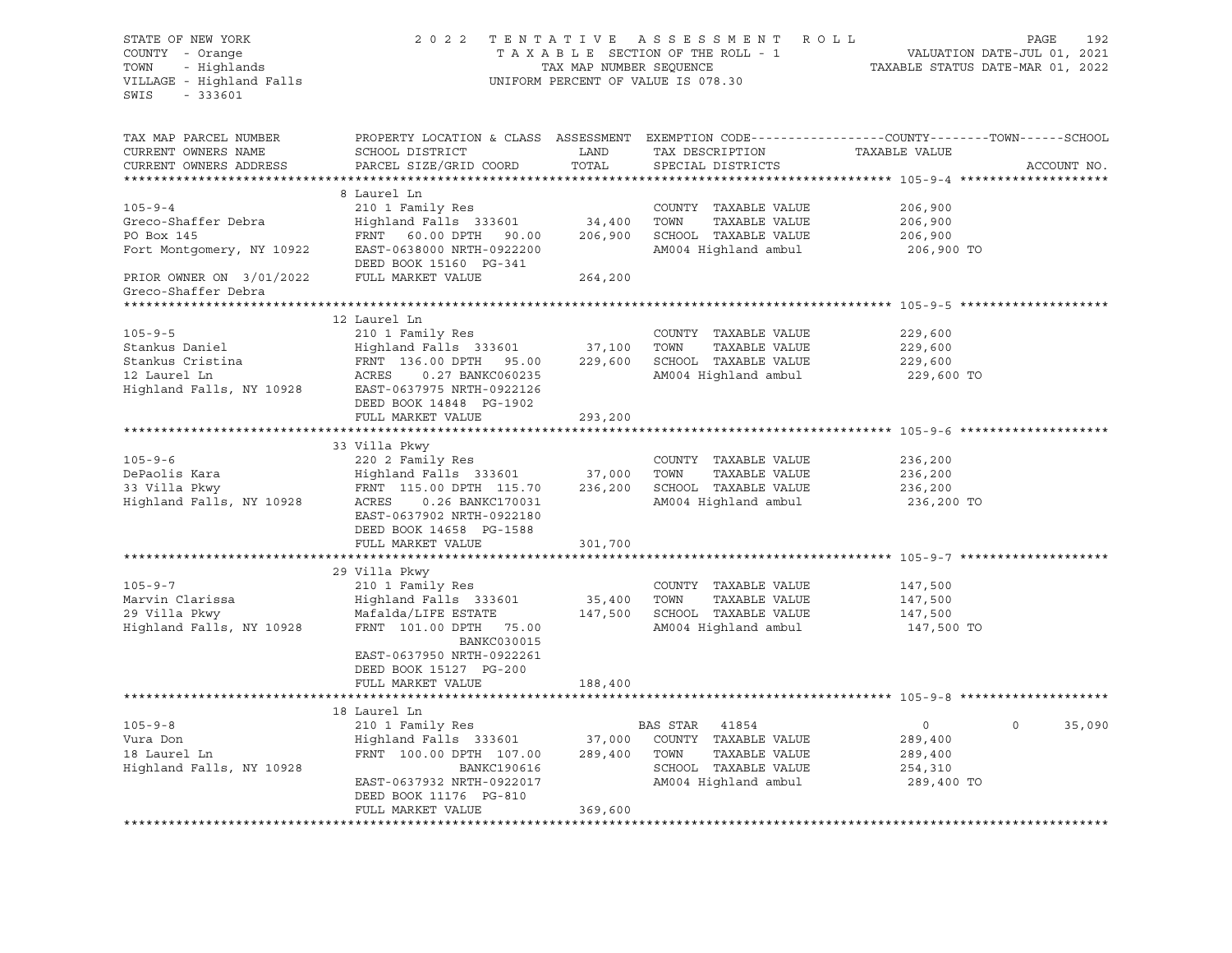| STATE OF NEW YORK<br>COUNTY - Orange                                                 |                                                                                                                                                                                                                                                                                                                     |                         | 2022 TENTATIVE ASSESSMENT ROLL<br>TAXABLE SECTION OF THE ROLL - 1 | VALUATION DATE-JUL 01, 2021                                     | PAGE<br>192 |
|--------------------------------------------------------------------------------------|---------------------------------------------------------------------------------------------------------------------------------------------------------------------------------------------------------------------------------------------------------------------------------------------------------------------|-------------------------|-------------------------------------------------------------------|-----------------------------------------------------------------|-------------|
| - Unit - Unange<br>TOWN - Highlands<br>VILLAGE - Highland Falls<br>$-333601$<br>SWIS |                                                                                                                                                                                                                                                                                                                     | TAX MAP NUMBER SEQUENCE | UNIFORM PERCENT OF VALUE IS 078.30                                | VALUATION DATE-JUL 01, 2021<br>TAXABLE STATUS DATE-MAR 01, 2022 |             |
| TAX MAP PARCEL NUMBER<br>CURRENT OWNERS NAME<br>CURRENT OWNERS ADDRESS               | PROPERTY LOCATION & CLASS ASSESSMENT EXEMPTION CODE---------------COUNTY-------TOWN-----SCHOOL<br>SCHOOL DISTRICT<br>PARCEL SIZE/GRID COORD                                                                                                                                                                         | LAND<br>TOTAL           | TAX DESCRIPTION<br>SPECIAL DISTRICTS                              | TAXABLE VALUE                                                   | ACCOUNT NO. |
|                                                                                      | 8 Laurel Ln                                                                                                                                                                                                                                                                                                         |                         |                                                                   |                                                                 |             |
| $105 - 9 - 4$                                                                        | 210 1 Family Res                                                                                                                                                                                                                                                                                                    |                         | COUNTY TAXABLE VALUE                                              | 206,900                                                         |             |
| Greco-Shaffer Debra                                                                  | $\frac{1}{2}$ $\frac{1}{2}$ $\frac{1}{2}$ $\frac{1}{2}$ $\frac{1}{2}$ $\frac{1}{2}$ $\frac{1}{2}$ $\frac{1}{2}$ $\frac{1}{2}$ $\frac{1}{2}$ $\frac{1}{2}$ $\frac{1}{2}$ $\frac{1}{2}$ $\frac{1}{2}$ $\frac{1}{2}$ $\frac{1}{2}$ $\frac{1}{2}$ $\frac{1}{2}$ $\frac{1}{2}$ $\frac{1}{2}$ $\frac{1}{2}$ $\frac{1}{2}$ |                         | TOWN<br>TAXABLE VALUE                                             | 206,900                                                         |             |
| PO Box 145                                                                           | FRNT 60.00 DPTH 90.00                                                                                                                                                                                                                                                                                               |                         | 206,900 SCHOOL TAXABLE VALUE                                      | 206,900                                                         |             |
|                                                                                      | Fort Montgomery, NY 10922 EAST-0638000 NRTH-0922200<br>DEED BOOK 15160 PG-341                                                                                                                                                                                                                                       |                         | AM004 Highland ambul                                              | 206,900 TO                                                      |             |
| PRIOR OWNER ON $3/01/2022$ FULL MARKET VALUE<br>Greco-Shaffer Debra                  |                                                                                                                                                                                                                                                                                                                     | 264,200                 |                                                                   |                                                                 |             |
|                                                                                      |                                                                                                                                                                                                                                                                                                                     |                         |                                                                   |                                                                 |             |
| $105 - 9 - 5$                                                                        | 12 Laurel Ln                                                                                                                                                                                                                                                                                                        |                         | COUNTY TAXABLE VALUE                                              | 229,600                                                         |             |
| Stankus Daniel                                                                       | 210 1 Family Res<br>Highland Falls 333601 37,100 TOWN                                                                                                                                                                                                                                                               |                         | TAXABLE VALUE                                                     | 229,600                                                         |             |
| Stankus Cristina                                                                     | FRNT 136.00 DPTH 95.00                                                                                                                                                                                                                                                                                              |                         | 229,600 SCHOOL TAXABLE VALUE                                      | 229,600                                                         |             |
| 12 Laurel Ln                                                                         | ACRES<br>0.27 BANKC060235                                                                                                                                                                                                                                                                                           |                         | AM004 Highland ambul                                              | 229,600 TO                                                      |             |
|                                                                                      | Highland Falls, NY 10928 EAST-0637975 NRTH-0922126<br>DEED BOOK 14848 PG-1902                                                                                                                                                                                                                                       |                         |                                                                   |                                                                 |             |
|                                                                                      | FULL MARKET VALUE                                                                                                                                                                                                                                                                                                   | 293,200                 |                                                                   |                                                                 |             |
|                                                                                      |                                                                                                                                                                                                                                                                                                                     |                         |                                                                   |                                                                 |             |
| $105 - 9 - 6$                                                                        | 33 Villa Pkwy<br>220 2 Family Res                                                                                                                                                                                                                                                                                   |                         |                                                                   |                                                                 |             |
|                                                                                      | Highland Falls 333601 37,000                                                                                                                                                                                                                                                                                        |                         | COUNTY TAXABLE VALUE<br>TOWN<br>TAXABLE VALUE                     | 236,200<br>236,200                                              |             |
|                                                                                      |                                                                                                                                                                                                                                                                                                                     | 236,200                 | SCHOOL TAXABLE VALUE                                              | 236,200                                                         |             |
|                                                                                      | EAST-0637902 NRTH-0922180<br>DEED BOOK 14658 PG-1588                                                                                                                                                                                                                                                                |                         | AM004 Highland ambul                                              | 236,200 TO                                                      |             |
|                                                                                      | FULL MARKET VALUE                                                                                                                                                                                                                                                                                                   | 301,700                 |                                                                   |                                                                 |             |
|                                                                                      |                                                                                                                                                                                                                                                                                                                     | ************            |                                                                   | ***************************** 105-9-7 ********                  |             |
| $105 - 9 - 7$                                                                        | 29 Villa Pkwy<br>210 1 Family Res                                                                                                                                                                                                                                                                                   |                         | COUNTY TAXABLE VALUE                                              | 147,500                                                         |             |
| Marvin Clarissa                                                                      | Highland Falls 333601                                                                                                                                                                                                                                                                                               | 35,400                  | TOWN<br>TAXABLE VALUE                                             | 147,500                                                         |             |
| 29 Villa Pkwy                                                                        | Mafalda/LIFE ESTATE                                                                                                                                                                                                                                                                                                 | 147,500                 | SCHOOL TAXABLE VALUE                                              | 147,500                                                         |             |
| Highland Falls, NY 10928                                                             | FRNT 101.00 DPTH 75.00<br><b>BANKC030015</b><br>EAST-0637950 NRTH-0922261<br>DEED BOOK 15127 PG-200                                                                                                                                                                                                                 |                         | AM004 Highland ambul                                              | 147,500 TO                                                      |             |
|                                                                                      | FULL MARKET VALUE                                                                                                                                                                                                                                                                                                   | 188,400                 |                                                                   |                                                                 |             |
|                                                                                      |                                                                                                                                                                                                                                                                                                                     |                         |                                                                   |                                                                 |             |
|                                                                                      | 18 Laurel Ln                                                                                                                                                                                                                                                                                                        |                         |                                                                   |                                                                 |             |
| $105 - 9 - 8$                                                                        | 210 1 Family Res                                                                                                                                                                                                                                                                                                    |                         | BAS STAR 41854                                                    | $\overline{0}$<br>$\Omega$                                      | 35,090      |
| Vura Don                                                                             | Highland Falls 333601 37,000                                                                                                                                                                                                                                                                                        |                         | COUNTY TAXABLE VALUE                                              | 289,400                                                         |             |
| 18 Laurel Ln                                                                         | FRNT 100.00 DPTH 107.00                                                                                                                                                                                                                                                                                             | 289,400                 | TOWN<br>TAXABLE VALUE                                             | 289,400                                                         |             |
| Highland Falls, NY 10928                                                             | BANKC190616<br>EAST-0637932 NRTH-0922017                                                                                                                                                                                                                                                                            |                         | SCHOOL TAXABLE VALUE<br>AM004 Highland ambul                      | 254,310<br>289,400 TO                                           |             |
|                                                                                      | DEED BOOK 11176 PG-810<br>FULL MARKET VALUE                                                                                                                                                                                                                                                                         | 369,600                 |                                                                   |                                                                 |             |
|                                                                                      |                                                                                                                                                                                                                                                                                                                     |                         |                                                                   |                                                                 |             |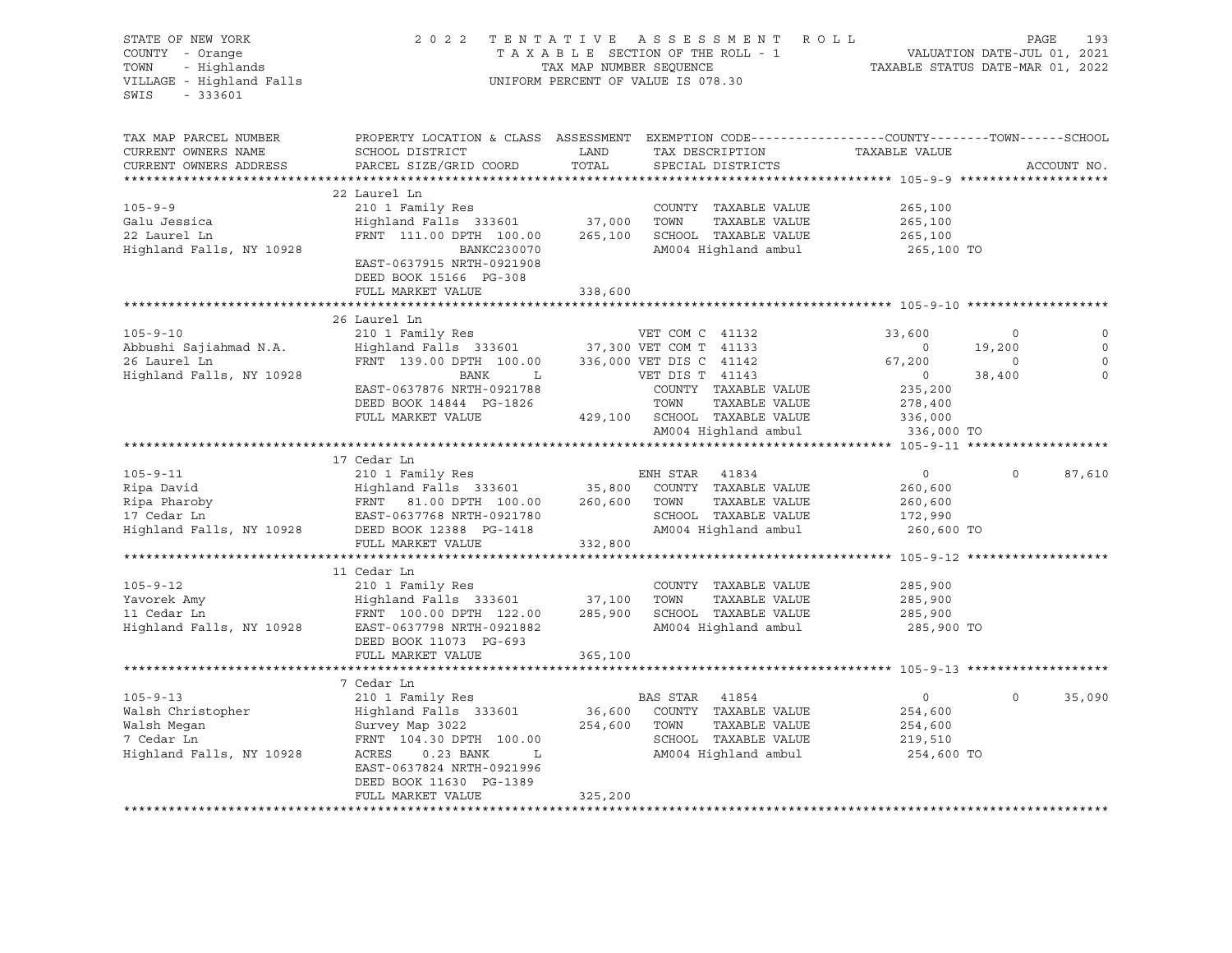| STATE OF NEW YORK<br>COUNTY - Orange<br>- Highlands<br>TOWN<br>VILLAGE - Highland Falls<br>SWIS<br>$-333601$ |                                                                                                                                                                                                                                                                                                                      |                      | 2022 TENTATIVE ASSESSMENT ROLL<br>TAXABLE SECTION OF THE ROLL - 1 VALUATION DATE-JUL 01, 2021<br>TAX MAP NUMBER SEQUENCE TAXABLE STATUS DATE-MAR 01, 2022<br>UNIFORM PERCENT OF VALUE IS 078.30 |                                                                                       | 193<br>PAGE                                                                                                            |
|--------------------------------------------------------------------------------------------------------------|----------------------------------------------------------------------------------------------------------------------------------------------------------------------------------------------------------------------------------------------------------------------------------------------------------------------|----------------------|-------------------------------------------------------------------------------------------------------------------------------------------------------------------------------------------------|---------------------------------------------------------------------------------------|------------------------------------------------------------------------------------------------------------------------|
| TAX MAP PARCEL NUMBER<br>CURRENT OWNERS NAME<br>CURRENT OWNERS ADDRESS                                       | PROPERTY LOCATION & CLASS ASSESSMENT EXEMPTION CODE----------------COUNTY-------TOWN------SCHOOL<br>SCHOOL DISTRICT<br>PARCEL SIZE/GRID COORD                                                                                                                                                                        | <b>LAND</b><br>TOTAL | TAX DESCRIPTION TAXABLE VALUE<br>SPECIAL DISTRICTS                                                                                                                                              |                                                                                       | ACCOUNT NO.                                                                                                            |
| $105 - 9 - 9$<br>Galu Jessica<br>22 Laurel Ln<br>Highland Falls, NY 10928                                    | 22 Laurel Ln<br>210 1 Family Res<br>Extra 1 Family Neb<br>Highland Falls 333601 37,000 TOWN TAXABLE VALUE<br>FRNT 111.00 DPTH 100.00 265,100 SCHOOL TAXABLE VALUE<br>BANKC230070<br>EAST-0637915 NRTH-0921908<br>DEED BOOK 15166 PG-308<br>FULL MARKET VALUE                                                         | 338,600              | COUNTY TAXABLE VALUE<br>TAXABLE VALUE<br>AM004 Highland ambul                                                                                                                                   | 265,100<br>265,100<br>265,100<br>265,100 TO                                           |                                                                                                                        |
|                                                                                                              |                                                                                                                                                                                                                                                                                                                      |                      |                                                                                                                                                                                                 |                                                                                       |                                                                                                                        |
| $105 - 9 - 10$<br>Abbushi Sajiahmad N.A.<br>26 Laurel Ln<br>Highland Falls, NY 10928                         | 26 Laurel Ln<br>210 1 Family Res<br>210 1 Family Res<br>Highland Falls 333601 37,300 VET COM T 41133<br>FRNT 139.00 DPTH 100.00 336,000 VET DIS C 41142<br>EAST-0637876 NRTH-0921788<br>DEED BOOK 14844 PG-1826<br>FULL MARKET VALUE                                                                                 |                      | VET COM C 41132<br>BANK L VET DIS T 41143<br>COUNTY TAXABLE VALUE<br>TOWN     TAXABLE VALUE<br>429,100 SCHOOL TAXABLE VALUE                                                                     | 33,600<br>$\overline{0}$<br>67,200<br>$\overline{0}$<br>235,200<br>278,400<br>336,000 | $\mathbf{0}$<br>$\overline{\phantom{0}}$<br>$\mathbb O$<br>19,200<br>$\mathbf 0$<br>$\sim$ 0<br>38,400<br>$\mathbf{0}$ |
|                                                                                                              |                                                                                                                                                                                                                                                                                                                      |                      | AM004 Highland ambul                                                                                                                                                                            | 336,000 TO                                                                            |                                                                                                                        |
|                                                                                                              |                                                                                                                                                                                                                                                                                                                      |                      |                                                                                                                                                                                                 |                                                                                       |                                                                                                                        |
|                                                                                                              | 17 Cedar Ln                                                                                                                                                                                                                                                                                                          |                      |                                                                                                                                                                                                 |                                                                                       |                                                                                                                        |
|                                                                                                              | 105-9-11 210 1 Family Res<br>Ripa David Highland Falls 333601 35,800 COUNTY TAXABLE VALUE<br>Ripa Pharoby FRNT 81.00 DPTH 100.00 260,600 TOWN TAXABLE VALUE<br>17 Cedar Ln EAST-0637768 NRTH-0921780 SCHOOL TAXABLE VALUE<br>Highland<br>FULL MARKET VALUE                                                           | 332,800              | SCHOOL TAXABLE VALUE<br>AM004 Highland ambul                                                                                                                                                    | $\overline{0}$<br>260,600<br>260,600<br>172,990<br>260,600 TO                         | $\circ$<br>87,610                                                                                                      |
|                                                                                                              |                                                                                                                                                                                                                                                                                                                      |                      |                                                                                                                                                                                                 |                                                                                       |                                                                                                                        |
| $105 - 9 - 12$                                                                                               | 11 Cedar Ln<br>210 1 Family Res<br>Xavorek Amy Highland Falls 333601 37,100 TOWN TAXABLE VALUE<br>11 Cedar Ln RNA FRNT 100.00 DPTH 122.00 285,900 SCHOOL TAXABLE VALUE<br>37,100 TOWN TAXABLE VALUE<br>285,900 SCHOOL TAXABLE VALUE<br>AM004 Highland ambul<br>DEED BOOK 11073 PG-693<br>FULL MARKET VALUE           | 365,100              | COUNTY TAXABLE VALUE<br>TAXABLE VALUE<br>AM004 Highland ambul                                                                                                                                   | 285,900<br>285,900<br>285,900<br>285,900 TO                                           |                                                                                                                        |
|                                                                                                              |                                                                                                                                                                                                                                                                                                                      |                      |                                                                                                                                                                                                 |                                                                                       |                                                                                                                        |
| $105 - 9 - 13$                                                                                               | 7 Cedar Ln<br>210 1 Family Res<br>Walsh Christopher Mighland Falls 333601 36,600 COUNTY<br>Walsh Megan Survey Map 3022 254,600 TOWN<br>7 Cedar Ln FRNT 104.30 DPTH 100.00 SCHOOL<br>Highland Falls, NY 10928 ACRES 0.23 BANK L AM004 Hi<br>EAST-0637824 NRTH-0921996<br>DEED BOOK 11630 PG-1389<br>FULL MARKET VALUE | 325,200              | BAS STAR 41854<br>36,600 COUNTY TAXABLE VALUE<br>TAXABLE VALUE<br>SCHOOL TAXABLE VALUE<br>AM004 Highland ambul                                                                                  | $\overline{0}$<br>254,600<br>254,600<br>219,510<br>254,600 TO                         | 35,090<br>$\mathbf 0$                                                                                                  |
|                                                                                                              |                                                                                                                                                                                                                                                                                                                      |                      |                                                                                                                                                                                                 |                                                                                       |                                                                                                                        |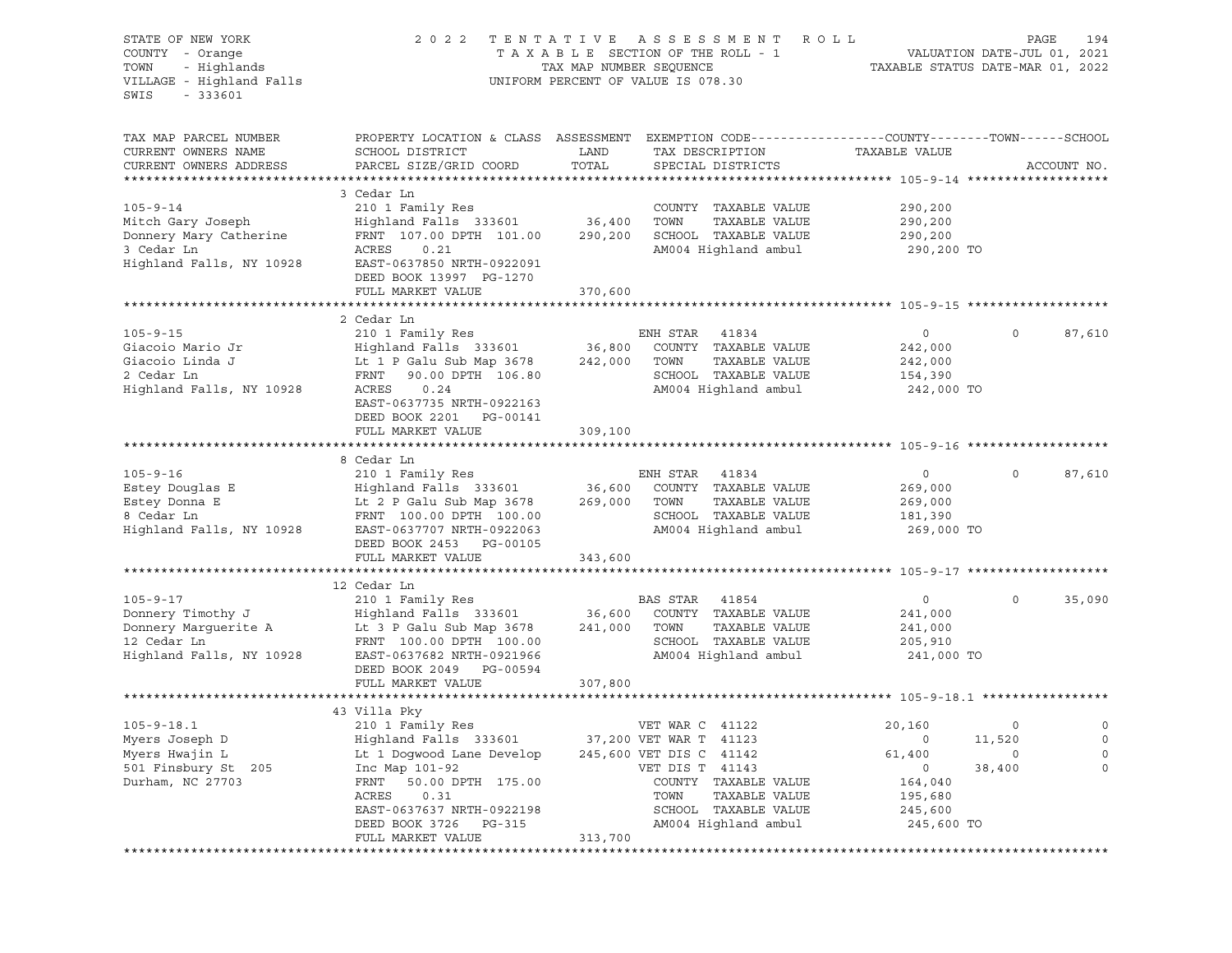| TAX MAP PARCEL NUMBER<br>PROPERTY LOCATION & CLASS ASSESSMENT EXEMPTION CODE----------------COUNTY-------TOWN------SCHOOL<br>CURRENT OWNERS NAME<br>SCHOOL DISTRICT<br>LAND<br>TAXABLE VALUE<br>TAX DESCRIPTION<br>CURRENT OWNERS ADDRESS<br>PARCEL SIZE/GRID COORD<br>TOTAL<br>SPECIAL DISTRICTS<br>3 Cedar Ln<br>$105 - 9 - 14$<br>210 1 Family Res<br>COUNTY TAXABLE VALUE<br>290,200<br>Highland Falls 333601<br>36,400<br>TOWN<br>TAXABLE VALUE<br>Mitch Gary Joseph<br>290,200<br>FRNT 107.00 DPTH 101.00<br>SCHOOL TAXABLE VALUE<br>Donnery Mary Catherine<br>290,200<br>290,200<br>3 Cedar Ln<br>ACRES<br>AM004 Highland ambul<br>0.21<br>290,200 TO<br>Highland Falls, NY 10928<br>EAST-0637850 NRTH-0922091<br>DEED BOOK 13997 PG-1270<br>FULL MARKET VALUE<br>370,600<br>2 Cedar Ln<br>$105 - 9 - 15$<br>210 1 Family Res<br>ENH STAR<br>41834<br>$\circ$<br>0<br>COUNTY TAXABLE VALUE<br>Giacoio Mario Jr<br>Highland Falls 333601<br>36,800<br>242,000<br>Giacoio Linda J<br>TAXABLE VALUE<br>Lt 1 P Galu Sub Map 3678<br>242,000<br>TOWN<br>242,000<br>2 Cedar Ln<br>SCHOOL TAXABLE VALUE<br>FRNT<br>90.00 DPTH 106.80<br>154,390<br>Highland Falls, NY 10928<br>ACRES<br>AM004 Highland ambul<br>0.24<br>242,000 TO<br>EAST-0637735 NRTH-0922163<br>DEED BOOK 2201 PG-00141<br>309,100<br>FULL MARKET VALUE<br>8 Cedar Ln<br>$105 - 9 - 16$<br>ENH STAR<br>$\circ$<br>210 1 Family Res<br>41834<br>$\circ$<br>Estey Douglas E<br>36,600<br>COUNTY TAXABLE VALUE<br>Highland Falls 333601<br>269,000<br>Estey Donna E<br>TAXABLE VALUE<br>Lt 2 P Galu Sub Map 3678<br>269,000<br>TOWN<br>269,000<br>SCHOOL TAXABLE VALUE<br>8 Cedar Ln<br>FRNT 100.00 DPTH 100.00<br>181,390<br>Highland Falls, NY 10928<br>AM004 Highland ambul<br>EAST-0637707 NRTH-0922063<br>269,000 TO<br>DEED BOOK 2453 PG-00105<br>343,600<br>FULL MARKET VALUE<br>12 Cedar Ln<br>$105 - 9 - 17$<br>BAS STAR<br>41854<br>210 1 Family Res<br>$\circ$<br>$\circ$<br>36,600<br>COUNTY TAXABLE VALUE<br>Donnery Timothy J<br>Highland Falls 333601<br>241,000<br>TOWN<br>TAXABLE VALUE<br>Donnery Marguerite A<br>Lt 3 P Galu Sub Map 3678<br>241,000<br>241,000<br>12 Cedar Ln<br>SCHOOL TAXABLE VALUE<br>FRNT 100.00 DPTH 100.00<br>205,910<br>Highland Falls, NY 10928<br>AM004 Highland ambul<br>EAST-0637682 NRTH-0921966<br>241,000 TO<br>DEED BOOK 2049 PG-00594<br>FULL MARKET VALUE<br>307,800<br>43 Villa Pky<br>$105 - 9 - 18.1$<br>210 1 Family Res<br>VET WAR C 41122<br>20,160<br>$\circ$<br>Highland Falls 333601<br>Myers Joseph D<br>37,200 VET WAR T 41123<br>0<br>11,520<br>Myers Hwajin L<br>Lt 1 Dogwood Lane Develop<br>245,600 VET DIS C 41142<br>61,400<br>0<br>501 Finsbury St 205<br>Inc Map 101-92<br>38,400<br>VET DIS T 41143<br>0<br>Durham, NC 27703<br>FRNT<br>50.00 DPTH 175.00<br>COUNTY TAXABLE VALUE<br>164,040<br>ACRES<br>0.31<br>TOWN<br>TAXABLE VALUE<br>195,680<br>EAST-0637637 NRTH-0922198<br>SCHOOL TAXABLE VALUE<br>245,600<br>AM004 Highland ambul<br>245,600 TO<br>DEED BOOK 3726<br>PG-315 | STATE OF NEW YORK<br>COUNTY - Orange<br>- Highlands<br>TOWN<br>VILLAGE - Highland Falls<br>SWIS<br>$-333601$ | 2 0 2 2           | TAX MAP NUMBER SEQUENCE | TENTATIVE ASSESSMENT<br>ROLL<br>TAXABLE SECTION OF THE ROLL - 1<br>UNIFORM PERCENT OF VALUE IS 078.30 | TAXABLE STATUS DATE-MAR 01, 2022 | VALUATION DATE-JUL 01, 2021 | 194<br>PAGE      |
|------------------------------------------------------------------------------------------------------------------------------------------------------------------------------------------------------------------------------------------------------------------------------------------------------------------------------------------------------------------------------------------------------------------------------------------------------------------------------------------------------------------------------------------------------------------------------------------------------------------------------------------------------------------------------------------------------------------------------------------------------------------------------------------------------------------------------------------------------------------------------------------------------------------------------------------------------------------------------------------------------------------------------------------------------------------------------------------------------------------------------------------------------------------------------------------------------------------------------------------------------------------------------------------------------------------------------------------------------------------------------------------------------------------------------------------------------------------------------------------------------------------------------------------------------------------------------------------------------------------------------------------------------------------------------------------------------------------------------------------------------------------------------------------------------------------------------------------------------------------------------------------------------------------------------------------------------------------------------------------------------------------------------------------------------------------------------------------------------------------------------------------------------------------------------------------------------------------------------------------------------------------------------------------------------------------------------------------------------------------------------------------------------------------------------------------------------------------------------------------------------------------------------------------------------------------------------------------------------------------------------------------------------------------------------------------------------------------------------------------------------------------------------------------------------------------------------------------------------------------------------------------------------------------------------------------------------------------------------------------------------------------------------|--------------------------------------------------------------------------------------------------------------|-------------------|-------------------------|-------------------------------------------------------------------------------------------------------|----------------------------------|-----------------------------|------------------|
|                                                                                                                                                                                                                                                                                                                                                                                                                                                                                                                                                                                                                                                                                                                                                                                                                                                                                                                                                                                                                                                                                                                                                                                                                                                                                                                                                                                                                                                                                                                                                                                                                                                                                                                                                                                                                                                                                                                                                                                                                                                                                                                                                                                                                                                                                                                                                                                                                                                                                                                                                                                                                                                                                                                                                                                                                                                                                                                                                                                                                              |                                                                                                              |                   |                         |                                                                                                       |                                  |                             | ACCOUNT NO.      |
|                                                                                                                                                                                                                                                                                                                                                                                                                                                                                                                                                                                                                                                                                                                                                                                                                                                                                                                                                                                                                                                                                                                                                                                                                                                                                                                                                                                                                                                                                                                                                                                                                                                                                                                                                                                                                                                                                                                                                                                                                                                                                                                                                                                                                                                                                                                                                                                                                                                                                                                                                                                                                                                                                                                                                                                                                                                                                                                                                                                                                              |                                                                                                              |                   |                         |                                                                                                       |                                  |                             |                  |
|                                                                                                                                                                                                                                                                                                                                                                                                                                                                                                                                                                                                                                                                                                                                                                                                                                                                                                                                                                                                                                                                                                                                                                                                                                                                                                                                                                                                                                                                                                                                                                                                                                                                                                                                                                                                                                                                                                                                                                                                                                                                                                                                                                                                                                                                                                                                                                                                                                                                                                                                                                                                                                                                                                                                                                                                                                                                                                                                                                                                                              |                                                                                                              |                   |                         |                                                                                                       |                                  |                             |                  |
|                                                                                                                                                                                                                                                                                                                                                                                                                                                                                                                                                                                                                                                                                                                                                                                                                                                                                                                                                                                                                                                                                                                                                                                                                                                                                                                                                                                                                                                                                                                                                                                                                                                                                                                                                                                                                                                                                                                                                                                                                                                                                                                                                                                                                                                                                                                                                                                                                                                                                                                                                                                                                                                                                                                                                                                                                                                                                                                                                                                                                              |                                                                                                              |                   |                         |                                                                                                       |                                  |                             | 87,610           |
|                                                                                                                                                                                                                                                                                                                                                                                                                                                                                                                                                                                                                                                                                                                                                                                                                                                                                                                                                                                                                                                                                                                                                                                                                                                                                                                                                                                                                                                                                                                                                                                                                                                                                                                                                                                                                                                                                                                                                                                                                                                                                                                                                                                                                                                                                                                                                                                                                                                                                                                                                                                                                                                                                                                                                                                                                                                                                                                                                                                                                              |                                                                                                              |                   |                         |                                                                                                       |                                  |                             |                  |
|                                                                                                                                                                                                                                                                                                                                                                                                                                                                                                                                                                                                                                                                                                                                                                                                                                                                                                                                                                                                                                                                                                                                                                                                                                                                                                                                                                                                                                                                                                                                                                                                                                                                                                                                                                                                                                                                                                                                                                                                                                                                                                                                                                                                                                                                                                                                                                                                                                                                                                                                                                                                                                                                                                                                                                                                                                                                                                                                                                                                                              |                                                                                                              |                   |                         |                                                                                                       |                                  |                             | 87,610           |
|                                                                                                                                                                                                                                                                                                                                                                                                                                                                                                                                                                                                                                                                                                                                                                                                                                                                                                                                                                                                                                                                                                                                                                                                                                                                                                                                                                                                                                                                                                                                                                                                                                                                                                                                                                                                                                                                                                                                                                                                                                                                                                                                                                                                                                                                                                                                                                                                                                                                                                                                                                                                                                                                                                                                                                                                                                                                                                                                                                                                                              |                                                                                                              |                   |                         |                                                                                                       |                                  |                             |                  |
|                                                                                                                                                                                                                                                                                                                                                                                                                                                                                                                                                                                                                                                                                                                                                                                                                                                                                                                                                                                                                                                                                                                                                                                                                                                                                                                                                                                                                                                                                                                                                                                                                                                                                                                                                                                                                                                                                                                                                                                                                                                                                                                                                                                                                                                                                                                                                                                                                                                                                                                                                                                                                                                                                                                                                                                                                                                                                                                                                                                                                              |                                                                                                              |                   |                         |                                                                                                       |                                  |                             | 35,090           |
|                                                                                                                                                                                                                                                                                                                                                                                                                                                                                                                                                                                                                                                                                                                                                                                                                                                                                                                                                                                                                                                                                                                                                                                                                                                                                                                                                                                                                                                                                                                                                                                                                                                                                                                                                                                                                                                                                                                                                                                                                                                                                                                                                                                                                                                                                                                                                                                                                                                                                                                                                                                                                                                                                                                                                                                                                                                                                                                                                                                                                              |                                                                                                              |                   |                         |                                                                                                       |                                  |                             |                  |
|                                                                                                                                                                                                                                                                                                                                                                                                                                                                                                                                                                                                                                                                                                                                                                                                                                                                                                                                                                                                                                                                                                                                                                                                                                                                                                                                                                                                                                                                                                                                                                                                                                                                                                                                                                                                                                                                                                                                                                                                                                                                                                                                                                                                                                                                                                                                                                                                                                                                                                                                                                                                                                                                                                                                                                                                                                                                                                                                                                                                                              |                                                                                                              |                   |                         |                                                                                                       |                                  |                             |                  |
|                                                                                                                                                                                                                                                                                                                                                                                                                                                                                                                                                                                                                                                                                                                                                                                                                                                                                                                                                                                                                                                                                                                                                                                                                                                                                                                                                                                                                                                                                                                                                                                                                                                                                                                                                                                                                                                                                                                                                                                                                                                                                                                                                                                                                                                                                                                                                                                                                                                                                                                                                                                                                                                                                                                                                                                                                                                                                                                                                                                                                              |                                                                                                              |                   |                         |                                                                                                       |                                  |                             | 0<br>0<br>0<br>0 |
|                                                                                                                                                                                                                                                                                                                                                                                                                                                                                                                                                                                                                                                                                                                                                                                                                                                                                                                                                                                                                                                                                                                                                                                                                                                                                                                                                                                                                                                                                                                                                                                                                                                                                                                                                                                                                                                                                                                                                                                                                                                                                                                                                                                                                                                                                                                                                                                                                                                                                                                                                                                                                                                                                                                                                                                                                                                                                                                                                                                                                              |                                                                                                              | FULL MARKET VALUE | 313,700                 |                                                                                                       |                                  |                             |                  |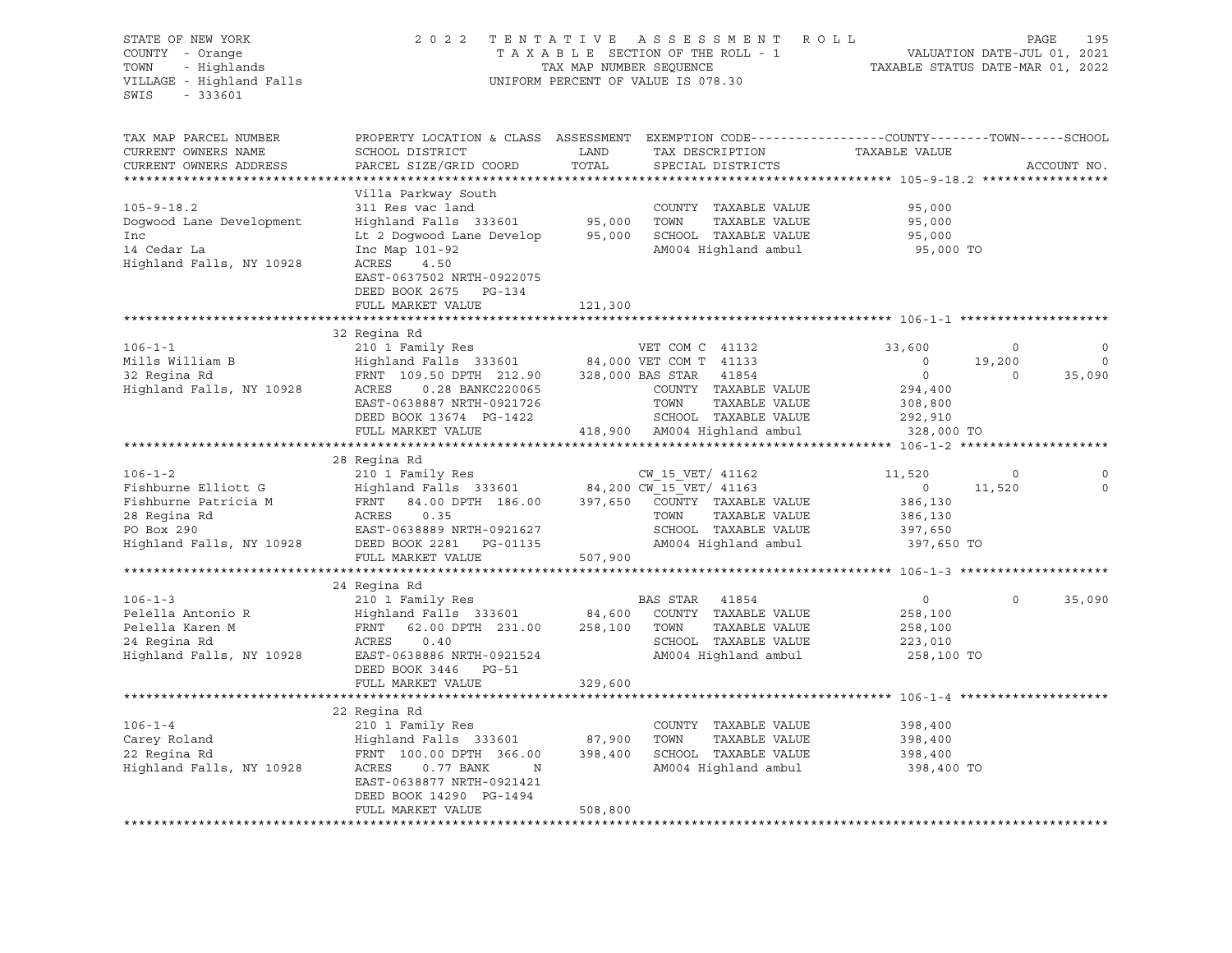| STATE OF NEW YORK<br>COUNTY - Orange<br>COUNTY - Orange<br>TOWN - Highlands<br>VILLAGE - Highland Falls<br>SWIS<br>$-333601$ | 2 0 2 2                                                                                                                                     | TAX MAP NUMBER SEQUENCE | TENTATIVE ASSESSMENT ROLL<br>TAXABLE SECTION OF THE ROLL - 1<br>UNIFORM PERCENT OF VALUE IS 078.30 | 195<br>VALUATION DATE-JUL 01, 2021<br>TAXABLE STATUS DATE-MAR 01 2022 |         | PAGE<br>195 |
|------------------------------------------------------------------------------------------------------------------------------|---------------------------------------------------------------------------------------------------------------------------------------------|-------------------------|----------------------------------------------------------------------------------------------------|-----------------------------------------------------------------------|---------|-------------|
| TAX MAP PARCEL NUMBER<br>CURRENT OWNERS NAME<br>CURRENT OWNERS ADDRESS                                                       | PROPERTY LOCATION & CLASS ASSESSMENT EXEMPTION CODE---------------COUNTY-------TOWN-----SCHOOL<br>SCHOOL DISTRICT<br>PARCEL SIZE/GRID COORD | LAND<br>TOTAL           | TAX DESCRIPTION<br>SPECIAL DISTRICTS                                                               | TAXABLE VALUE                                                         |         | ACCOUNT NO. |
| *************************                                                                                                    |                                                                                                                                             |                         |                                                                                                    |                                                                       |         |             |
| $105 - 9 - 18.2$                                                                                                             | Villa Parkway South                                                                                                                         |                         | COUNTY TAXABLE VALUE                                                                               | 95,000                                                                |         |             |
| Doqwood Lane Development                                                                                                     | 311 Res vac land<br>Highland Falls 333601 95,000                                                                                            |                         | TOWN<br>TAXABLE VALUE                                                                              | 95,000                                                                |         |             |
| Inc                                                                                                                          | Lt 2 Dogwood Lane Develop 95,000 SCHOOL TAXABLE VALUE                                                                                       |                         |                                                                                                    | 95,000                                                                |         |             |
| 14 Cedar La                                                                                                                  | Inc Map 101-92                                                                                                                              |                         | AM004 Highland ambul                                                                               | 95,000 TO                                                             |         |             |
| Highland Falls, NY 10928                                                                                                     | ACRES<br>4.50                                                                                                                               |                         |                                                                                                    |                                                                       |         |             |
|                                                                                                                              | EAST-0637502 NRTH-0922075                                                                                                                   |                         |                                                                                                    |                                                                       |         |             |
|                                                                                                                              | DEED BOOK 2675 PG-134<br>FULL MARKET VALUE                                                                                                  |                         |                                                                                                    |                                                                       |         |             |
|                                                                                                                              |                                                                                                                                             | 121,300                 |                                                                                                    |                                                                       |         |             |
|                                                                                                                              | 32 Regina Rd                                                                                                                                |                         |                                                                                                    |                                                                       |         |             |
| $106 - 1 - 1$                                                                                                                | 210 1 Family Res                                                                                                                            |                         | VET COM C 41132                                                                                    | 33,600                                                                | $\circ$ | 0           |
|                                                                                                                              |                                                                                                                                             |                         |                                                                                                    | $\overline{0}$                                                        | 19,200  | $\mathbf 0$ |
|                                                                                                                              |                                                                                                                                             |                         |                                                                                                    | $\overline{0}$                                                        | $\circ$ | 35,090      |
|                                                                                                                              |                                                                                                                                             |                         | COUNTY TAXABLE VALUE                                                                               | 294,400                                                               |         |             |
|                                                                                                                              | EAST-0638887 NRTH-0921726<br>DEED BOOK 13674 PG-1422                                                                                        |                         | TOWN<br>TAXABLE VALUE<br>SCHOOL TAXABLE VALUE                                                      | 308,800<br>292,910                                                    |         |             |
|                                                                                                                              | FULL MARKET VALUE                                                                                                                           |                         | 418,900 AM004 Highland ambul                                                                       | 328,000 TO                                                            |         |             |
|                                                                                                                              |                                                                                                                                             |                         |                                                                                                    |                                                                       |         |             |
|                                                                                                                              | 28 Regina Rd                                                                                                                                |                         |                                                                                                    |                                                                       |         |             |
| $106 - 1 - 2$                                                                                                                |                                                                                                                                             |                         |                                                                                                    | 11,520                                                                | $\circ$ |             |
| Fishburne Elliott G                                                                                                          |                                                                                                                                             |                         |                                                                                                    | $\overline{0}$                                                        | 11,520  | $\circ$     |
| Fishburne Patricia M                                                                                                         | FRNT                                                                                                                                        |                         | 84.00 DPTH $186.00$ $397,650$ $\overline{C}\overline{C}\overline{U}\overline{V}$ TY TAXABLE VALUE  | 386,130                                                               |         |             |
| 28 Regina Rd<br>PO Box 290                                                                                                   | ACRES<br>0.35                                                                                                                               |                         | TAXABLE VALUE<br>TOWN<br>SCHOOL TAXABLE VALUE                                                      | 386,130                                                               |         |             |
| Highland Falls, NY 10928                                                                                                     | EAST-0638889 NRTH-0921627<br>DEED BOOK 2281 PG-01135                                                                                        |                         | AM004 Highland ambul                                                                               | 397,650<br>397,650 TO                                                 |         |             |
|                                                                                                                              | FULL MARKET VALUE                                                                                                                           | 507,900                 |                                                                                                    |                                                                       |         |             |
|                                                                                                                              |                                                                                                                                             |                         |                                                                                                    |                                                                       |         |             |
|                                                                                                                              | 24 Regina Rd                                                                                                                                |                         |                                                                                                    |                                                                       |         |             |
| $106 - 1 - 3$                                                                                                                | 210 1 Family Res                                                                                                                            |                         | BAS STAR 41854                                                                                     | $0 \qquad \qquad$                                                     | $\circ$ | 35,090      |
| Pelella Antonio R                                                                                                            | Highland Falls 333601 84,600                                                                                                                |                         | COUNTY TAXABLE VALUE                                                                               | 258,100                                                               |         |             |
| Pelella Karen M                                                                                                              | 62.00 DPTH 231.00 258,100 TOWN<br>FRNT                                                                                                      |                         | TAXABLE VALUE                                                                                      | 258,100                                                               |         |             |
| 24 Regina Rd<br>Highland Falls, NY 10928                                                                                     | ACRES<br>0.40<br>EAST-0638886 NRTH-0921524                                                                                                  |                         | SCHOOL TAXABLE VALUE<br>AM004 Highland ambul                                                       | 223,010<br>258,100 TO                                                 |         |             |
|                                                                                                                              | DEED BOOK 3446 PG-51                                                                                                                        |                         |                                                                                                    |                                                                       |         |             |
|                                                                                                                              | FULL MARKET VALUE                                                                                                                           | 329,600                 |                                                                                                    |                                                                       |         |             |
|                                                                                                                              |                                                                                                                                             |                         |                                                                                                    |                                                                       |         |             |
|                                                                                                                              | 22 Regina Rd                                                                                                                                |                         |                                                                                                    |                                                                       |         |             |
| $106 - 1 - 4$                                                                                                                | 210 1 Family Res                                                                                                                            |                         | COUNTY TAXABLE VALUE                                                                               | 398,400                                                               |         |             |
|                                                                                                                              |                                                                                                                                             |                         | TAXABLE VALUE<br>TOWN                                                                              | 398,400                                                               |         |             |
|                                                                                                                              |                                                                                                                                             |                         | SCHOOL TAXABLE VALUE<br>AM004 Highland ambul                                                       | 398,400<br>398,400 TO                                                 |         |             |
|                                                                                                                              | EAST-0638877 NRTH-0921421                                                                                                                   |                         |                                                                                                    |                                                                       |         |             |
|                                                                                                                              | DEED BOOK 14290 PG-1494                                                                                                                     |                         |                                                                                                    |                                                                       |         |             |
|                                                                                                                              | FULL MARKET VALUE                                                                                                                           | 508,800                 |                                                                                                    |                                                                       |         |             |
|                                                                                                                              |                                                                                                                                             |                         |                                                                                                    |                                                                       |         |             |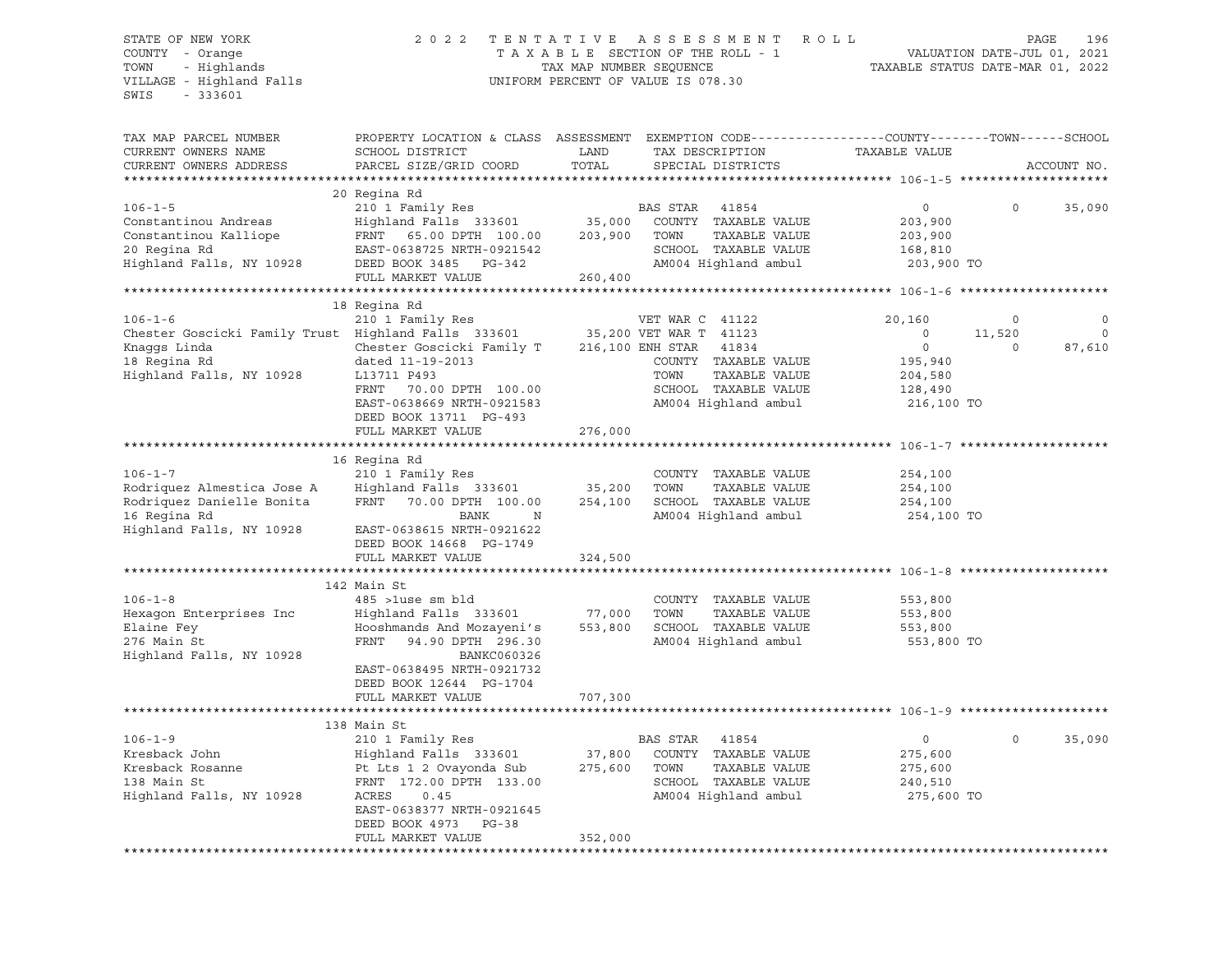## STATE OF NEW YORK 2 0 2 2 T E N T A T I V E A S S E S S M E N T R O L L PAGE 196 COUNTY - Orange T A X A B L E SECTION OF THE ROLL - 1 VALUATION DATE-JUL 01, 2021 TOWN - Highlands TAX MAP NUMBER SEQUENCE TAXABLE STATUS DATE-MAR 01, 2022

| TAX MAP PARCEL NUMBER                                                      | PROPERTY LOCATION & CLASS ASSESSMENT EXEMPTION CODE----------------COUNTY-------TOWN------SCHOOL |         |                           |                                                     |          |             |
|----------------------------------------------------------------------------|--------------------------------------------------------------------------------------------------|---------|---------------------------|-----------------------------------------------------|----------|-------------|
| CURRENT OWNERS NAME                                                        | SCHOOL DISTRICT                                                                                  | LAND    | TAX DESCRIPTION           | TAXABLE VALUE                                       |          |             |
| CURRENT OWNERS ADDRESS                                                     | PARCEL SIZE/GRID COORD                                                                           | TOTAL   | SPECIAL DISTRICTS         |                                                     |          | ACCOUNT NO. |
|                                                                            |                                                                                                  |         |                           |                                                     |          |             |
|                                                                            | 20 Regina Rd                                                                                     |         |                           |                                                     |          |             |
| $106 - 1 - 5$                                                              | 210 1 Family Res                                                                                 |         | BAS STAR<br>41854         | $\circ$                                             | $\Omega$ | 35,090      |
| Constantinou Andreas                                                       | Highland Falls 333601                                                                            | 35,000  | COUNTY TAXABLE VALUE      | 203,900                                             |          |             |
| Constantinou Kalliope                                                      | FRNT 65.00 DPTH 100.00                                                                           | 203,900 | TOWN<br>TAXABLE VALUE     | 203,900                                             |          |             |
| 20 Regina Rd                                                               | EAST-0638725 NRTH-0921542                                                                        |         | SCHOOL TAXABLE VALUE      | 168,810                                             |          |             |
| Highland Falls, NY 10928                                                   | DEED BOOK 3485 PG-342                                                                            |         | AM004 Highland ambul      | 203,900 TO                                          |          |             |
|                                                                            | FULL MARKET VALUE                                                                                | 260,400 |                           |                                                     |          |             |
|                                                                            |                                                                                                  |         |                           | ********************** 106-1-6 ******************** |          |             |
|                                                                            | 18 Regina Rd                                                                                     |         |                           |                                                     |          |             |
| $106 - 1 - 6$                                                              | 210 1 Family Res                                                                                 |         | VET WAR C 41122           | 20,160                                              | $\circ$  |             |
| Chester Goscicki Family Trust Highland Falls 333601 35,200 VET WAR T 41123 |                                                                                                  |         |                           | $\circ$                                             | 11,520   | $\mathbf 0$ |
| Knaqqs Linda                                                               | Chester Goscicki Family T                                                                        |         | 216,100 ENH STAR<br>41834 | $\circ$                                             | $\Omega$ | 87,610      |
| 18 Regina Rd                                                               | dated 11-19-2013                                                                                 |         | COUNTY TAXABLE VALUE      | 195,940                                             |          |             |
| Highland Falls, NY 10928                                                   | L13711 P493                                                                                      |         | TOWN<br>TAXABLE VALUE     | 204,580                                             |          |             |
|                                                                            | FRNT<br>70.00 DPTH 100.00                                                                        |         | SCHOOL TAXABLE VALUE      | 128,490                                             |          |             |
|                                                                            | EAST-0638669 NRTH-0921583                                                                        |         | AM004 Highland ambul      | 216,100 TO                                          |          |             |
|                                                                            | DEED BOOK 13711 PG-493                                                                           |         |                           |                                                     |          |             |
|                                                                            | FULL MARKET VALUE                                                                                | 276,000 |                           |                                                     |          |             |
|                                                                            |                                                                                                  |         |                           |                                                     |          |             |
|                                                                            | 16 Regina Rd                                                                                     |         |                           |                                                     |          |             |
| $106 - 1 - 7$                                                              | 210 1 Family Res                                                                                 |         | COUNTY TAXABLE VALUE      | 254,100                                             |          |             |
| Rodriquez Almestica Jose A                                                 | Highland Falls 333601                                                                            | 35,200  | TOWN<br>TAXABLE VALUE     | 254,100                                             |          |             |
| Rodriquez Danielle Bonita                                                  | FRNT 70.00 DPTH 100.00                                                                           | 254,100 | SCHOOL TAXABLE VALUE      | 254,100                                             |          |             |
| 16 Regina Rd                                                               | N<br>BANK                                                                                        |         | AM004 Highland ambul      | 254,100 TO                                          |          |             |
| Highland Falls, NY 10928                                                   | EAST-0638615 NRTH-0921622                                                                        |         |                           |                                                     |          |             |
|                                                                            |                                                                                                  |         |                           |                                                     |          |             |
|                                                                            | DEED BOOK 14668 PG-1749                                                                          |         |                           |                                                     |          |             |
|                                                                            | FULL MARKET VALUE                                                                                | 324,500 |                           |                                                     |          |             |
|                                                                            |                                                                                                  |         |                           |                                                     |          |             |
|                                                                            | 142 Main St                                                                                      |         |                           |                                                     |          |             |
| $106 - 1 - 8$                                                              | 485 >luse sm bld                                                                                 |         | COUNTY TAXABLE VALUE      | 553,800                                             |          |             |
| Hexagon Enterprises Inc                                                    | Highland Falls 333601                                                                            | 77,000  | TOWN<br>TAXABLE VALUE     | 553,800                                             |          |             |
| Elaine Fey                                                                 | Hooshmands And Mozayeni's                                                                        | 553,800 | SCHOOL TAXABLE VALUE      | 553,800                                             |          |             |
| 276 Main St                                                                | FRNT 94.90 DPTH 296.30                                                                           |         | AM004 Highland ambul      | 553,800 TO                                          |          |             |
| Highland Falls, NY 10928                                                   | BANKC060326                                                                                      |         |                           |                                                     |          |             |
|                                                                            | EAST-0638495 NRTH-0921732                                                                        |         |                           |                                                     |          |             |
|                                                                            | DEED BOOK 12644 PG-1704                                                                          |         |                           |                                                     |          |             |
|                                                                            | FULL MARKET VALUE                                                                                | 707,300 |                           |                                                     |          |             |
|                                                                            |                                                                                                  |         |                           |                                                     |          |             |
|                                                                            | 138 Main St                                                                                      |         |                           |                                                     |          |             |
| $106 - 1 - 9$                                                              | 210 1 Family Res                                                                                 |         | BAS STAR<br>41854         | $\circ$                                             | $\circ$  | 35,090      |
| Kresback John                                                              | Highland Falls 333601                                                                            | 37,800  | COUNTY TAXABLE VALUE      | 275,600                                             |          |             |
| Kresback Rosanne                                                           | Pt Lts 1 2 Ovayonda Sub                                                                          | 275,600 | TOWN<br>TAXABLE VALUE     | 275,600                                             |          |             |
| 138 Main St                                                                | FRNT 172.00 DPTH 133.00                                                                          |         | SCHOOL TAXABLE VALUE      | 240,510                                             |          |             |
| Highland Falls, NY 10928                                                   | ACRES<br>0.45                                                                                    |         | AM004 Highland ambul      | 275,600 TO                                          |          |             |
|                                                                            | EAST-0638377 NRTH-0921645                                                                        |         |                           |                                                     |          |             |
|                                                                            | DEED BOOK 4973<br>PG-38                                                                          |         |                           |                                                     |          |             |
|                                                                            | FULL MARKET VALUE                                                                                | 352,000 |                           |                                                     |          |             |
|                                                                            |                                                                                                  |         |                           |                                                     |          |             |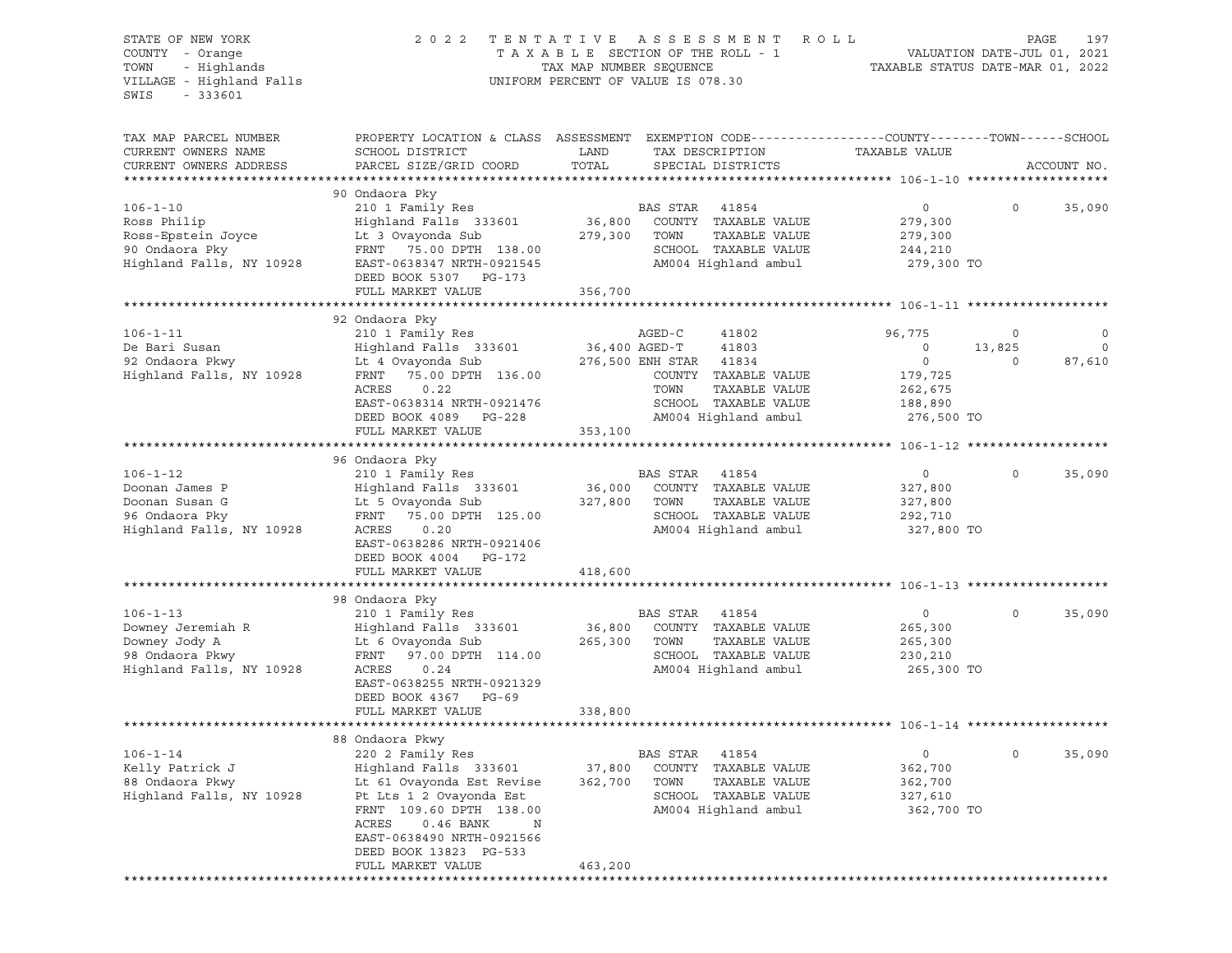| - Highlands<br>TOWN<br>TAX MAP NUMBER SEQUENCE<br>TAXABLE STATUS DATE-MAR 01, 2022<br>VILLAGE - Highland Falls<br>UNIFORM PERCENT OF VALUE IS 078.30<br>$-333601$<br>SWIS<br>PROPERTY LOCATION & CLASS ASSESSMENT EXEMPTION CODE---------------COUNTY-------TOWN------SCHOOL<br>TAX MAP PARCEL NUMBER<br>LAND<br>CURRENT OWNERS NAME<br>SCHOOL DISTRICT<br>TAX DESCRIPTION<br>TAXABLE VALUE<br>PARCEL SIZE/GRID COORD<br>TOTAL<br>CURRENT OWNERS ADDRESS<br>SPECIAL DISTRICTS<br>ACCOUNT NO.<br>90 Ondaora Pky<br>210 1 Family Res<br>BAS STAR 41854<br>$106 - 1 - 10$<br>$\overline{0}$<br>$\circ$<br>35,090<br>36,800 COUNTY TAXABLE VALUE<br>Highland Falls 333601<br>Ross Philip<br>279,300<br>Ross-Epstein Joyce<br>Lt 3 Ovayonda Sub<br>279,300 TOWN<br>TAXABLE VALUE<br>279,300<br>90 Ondaora Pky<br>FRNT 75.00 DPTH 138.00<br>SCHOOL TAXABLE VALUE<br>244,210<br>Highland Falls, NY 10928<br>AM004 Highland ambul<br>EAST-0638347 NRTH-0921545<br>279,300 TO<br>DEED BOOK 5307 PG-173<br>FULL MARKET VALUE<br>356,700<br>92 Ondaora Pky<br>210 1 Family Res<br>$106 - 1 - 11$<br>AGED-C<br>41802<br>96,775<br>0<br>0<br>Highland Falls 333601<br>36,400 AGED-T<br>$\mathbf 0$<br>De Bari Susan<br>41803<br>$\circ$<br>13,825<br>92 Ondaora Pkwy<br>Lt 4 Ovayonda Sub<br>$\circ$<br>276,500 ENH STAR 41834<br>$\Omega$<br>87,610<br>Highland Falls, NY 10928<br>FRNT 75.00 DPTH 136.00<br>COUNTY TAXABLE VALUE<br>179,725<br>TOWN<br>ACRES<br>0.22<br>TAXABLE VALUE<br>262,675<br>EAST-0638314 NRTH-0921476<br>SCHOOL TAXABLE VALUE<br>188,890<br>AM004 Highland ambul<br>DEED BOOK 4089 PG-228<br>276,500 TO<br>353,100<br>FULL MARKET VALUE<br>96 Ondaora Pky<br>$106 - 1 - 12$<br>210 1 Family Res<br>35,090<br>BAS STAR 41854<br>$\overline{0}$<br>$\Omega$<br>Doonan James P<br>Highland Falls 333601<br>36,000 COUNTY TAXABLE VALUE<br>327,800<br>Doonan Susan G<br>Lt 5 Ovayonda Sub<br>327,800 TOWN<br>TAXABLE VALUE<br>327,800<br>96 Ondaora Pky<br>75.00 DPTH 125.00<br>SCHOOL TAXABLE VALUE<br>FRNT<br>292,710<br>Highland Falls, NY 10928<br>AM004 Highland ambul<br>ACRES<br>0.20<br>327,800 TO<br>EAST-0638286 NRTH-0921406<br>DEED BOOK 4004 PG-172<br>FULL MARKET VALUE<br>418,600<br>98 Ondaora Pky<br>$106 - 1 - 13$<br>210 1 Family Res<br>35,090<br>BAS STAR<br>41854<br>$0 \qquad \qquad$<br>$\circ$<br>Downey Jeremiah R<br>Highland Falls 333601<br>36,800<br>COUNTY TAXABLE VALUE<br>265,300<br>www.ey Jody A<br>98 Ondaora Pkwy<br>Uisla<br>Lt 6 Ovayonda Sub<br>265,300<br>TOWN<br>TAXABLE VALUE<br>265,300<br>SCHOOL TAXABLE VALUE<br>FRNT<br>97.00 DPTH 114.00<br>230,210<br>Highland Falls, NY 10928<br>AM004 Highland ambul<br>ACRES<br>0.24<br>265,300 TO<br>EAST-0638255 NRTH-0921329<br>DEED BOOK 4367 PG-69<br>FULL MARKET VALUE<br>338,800<br>88 Ondaora Pkwy<br>35,090<br>$106 - 1 - 14$<br>220 2 Family Res<br>BAS STAR<br>41854<br>0<br>0<br>Kelly Patrick J<br>Highland Falls 333601<br>37,800<br>COUNTY<br>TAXABLE VALUE<br>362,700<br>88 Ondaora Pkwy<br>Lt 61 Ovayonda Est Revise<br>362,700<br>TOWN<br>TAXABLE VALUE<br>362,700<br>Highland Falls, NY 10928<br>Pt Lts 1 2 Ovayonda Est<br>SCHOOL<br>TAXABLE VALUE<br>327,610<br>FRNT 109.60 DPTH 138.00<br>AM004 Highland ambul<br>362,700 TO<br>ACRES<br>0.46 BANK<br>N<br>EAST-0638490 NRTH-0921566<br>DEED BOOK 13823 PG-533<br>463,200<br>FULL MARKET VALUE | STATE OF NEW YORK<br>COUNTY - Orange | 2 0 2 2             | TENTATIVE | A S S E S S M E N T<br>TAXABLE SECTION OF THE ROLL - 1 | R O L L | PAGE<br>197<br>VALUATION DATE-JUL 01, 2021 |
|-------------------------------------------------------------------------------------------------------------------------------------------------------------------------------------------------------------------------------------------------------------------------------------------------------------------------------------------------------------------------------------------------------------------------------------------------------------------------------------------------------------------------------------------------------------------------------------------------------------------------------------------------------------------------------------------------------------------------------------------------------------------------------------------------------------------------------------------------------------------------------------------------------------------------------------------------------------------------------------------------------------------------------------------------------------------------------------------------------------------------------------------------------------------------------------------------------------------------------------------------------------------------------------------------------------------------------------------------------------------------------------------------------------------------------------------------------------------------------------------------------------------------------------------------------------------------------------------------------------------------------------------------------------------------------------------------------------------------------------------------------------------------------------------------------------------------------------------------------------------------------------------------------------------------------------------------------------------------------------------------------------------------------------------------------------------------------------------------------------------------------------------------------------------------------------------------------------------------------------------------------------------------------------------------------------------------------------------------------------------------------------------------------------------------------------------------------------------------------------------------------------------------------------------------------------------------------------------------------------------------------------------------------------------------------------------------------------------------------------------------------------------------------------------------------------------------------------------------------------------------------------------------------------------------------------------------------------------------------------------------------------------------------------------------------------------------------------------------------------------------------------------------------------------------------------------------------------------------------------------------------------------------------------------------------------------------------------------------------------------|--------------------------------------|---------------------|-----------|--------------------------------------------------------|---------|--------------------------------------------|
|                                                                                                                                                                                                                                                                                                                                                                                                                                                                                                                                                                                                                                                                                                                                                                                                                                                                                                                                                                                                                                                                                                                                                                                                                                                                                                                                                                                                                                                                                                                                                                                                                                                                                                                                                                                                                                                                                                                                                                                                                                                                                                                                                                                                                                                                                                                                                                                                                                                                                                                                                                                                                                                                                                                                                                                                                                                                                                                                                                                                                                                                                                                                                                                                                                                                                                                                                                   |                                      |                     |           |                                                        |         |                                            |
|                                                                                                                                                                                                                                                                                                                                                                                                                                                                                                                                                                                                                                                                                                                                                                                                                                                                                                                                                                                                                                                                                                                                                                                                                                                                                                                                                                                                                                                                                                                                                                                                                                                                                                                                                                                                                                                                                                                                                                                                                                                                                                                                                                                                                                                                                                                                                                                                                                                                                                                                                                                                                                                                                                                                                                                                                                                                                                                                                                                                                                                                                                                                                                                                                                                                                                                                                                   |                                      |                     |           |                                                        |         |                                            |
|                                                                                                                                                                                                                                                                                                                                                                                                                                                                                                                                                                                                                                                                                                                                                                                                                                                                                                                                                                                                                                                                                                                                                                                                                                                                                                                                                                                                                                                                                                                                                                                                                                                                                                                                                                                                                                                                                                                                                                                                                                                                                                                                                                                                                                                                                                                                                                                                                                                                                                                                                                                                                                                                                                                                                                                                                                                                                                                                                                                                                                                                                                                                                                                                                                                                                                                                                                   |                                      |                     |           |                                                        |         |                                            |
|                                                                                                                                                                                                                                                                                                                                                                                                                                                                                                                                                                                                                                                                                                                                                                                                                                                                                                                                                                                                                                                                                                                                                                                                                                                                                                                                                                                                                                                                                                                                                                                                                                                                                                                                                                                                                                                                                                                                                                                                                                                                                                                                                                                                                                                                                                                                                                                                                                                                                                                                                                                                                                                                                                                                                                                                                                                                                                                                                                                                                                                                                                                                                                                                                                                                                                                                                                   |                                      |                     |           |                                                        |         |                                            |
|                                                                                                                                                                                                                                                                                                                                                                                                                                                                                                                                                                                                                                                                                                                                                                                                                                                                                                                                                                                                                                                                                                                                                                                                                                                                                                                                                                                                                                                                                                                                                                                                                                                                                                                                                                                                                                                                                                                                                                                                                                                                                                                                                                                                                                                                                                                                                                                                                                                                                                                                                                                                                                                                                                                                                                                                                                                                                                                                                                                                                                                                                                                                                                                                                                                                                                                                                                   |                                      |                     |           |                                                        |         |                                            |
|                                                                                                                                                                                                                                                                                                                                                                                                                                                                                                                                                                                                                                                                                                                                                                                                                                                                                                                                                                                                                                                                                                                                                                                                                                                                                                                                                                                                                                                                                                                                                                                                                                                                                                                                                                                                                                                                                                                                                                                                                                                                                                                                                                                                                                                                                                                                                                                                                                                                                                                                                                                                                                                                                                                                                                                                                                                                                                                                                                                                                                                                                                                                                                                                                                                                                                                                                                   |                                      |                     |           |                                                        |         |                                            |
|                                                                                                                                                                                                                                                                                                                                                                                                                                                                                                                                                                                                                                                                                                                                                                                                                                                                                                                                                                                                                                                                                                                                                                                                                                                                                                                                                                                                                                                                                                                                                                                                                                                                                                                                                                                                                                                                                                                                                                                                                                                                                                                                                                                                                                                                                                                                                                                                                                                                                                                                                                                                                                                                                                                                                                                                                                                                                                                                                                                                                                                                                                                                                                                                                                                                                                                                                                   |                                      |                     |           |                                                        |         |                                            |
|                                                                                                                                                                                                                                                                                                                                                                                                                                                                                                                                                                                                                                                                                                                                                                                                                                                                                                                                                                                                                                                                                                                                                                                                                                                                                                                                                                                                                                                                                                                                                                                                                                                                                                                                                                                                                                                                                                                                                                                                                                                                                                                                                                                                                                                                                                                                                                                                                                                                                                                                                                                                                                                                                                                                                                                                                                                                                                                                                                                                                                                                                                                                                                                                                                                                                                                                                                   |                                      |                     |           |                                                        |         |                                            |
|                                                                                                                                                                                                                                                                                                                                                                                                                                                                                                                                                                                                                                                                                                                                                                                                                                                                                                                                                                                                                                                                                                                                                                                                                                                                                                                                                                                                                                                                                                                                                                                                                                                                                                                                                                                                                                                                                                                                                                                                                                                                                                                                                                                                                                                                                                                                                                                                                                                                                                                                                                                                                                                                                                                                                                                                                                                                                                                                                                                                                                                                                                                                                                                                                                                                                                                                                                   |                                      |                     |           |                                                        |         |                                            |
|                                                                                                                                                                                                                                                                                                                                                                                                                                                                                                                                                                                                                                                                                                                                                                                                                                                                                                                                                                                                                                                                                                                                                                                                                                                                                                                                                                                                                                                                                                                                                                                                                                                                                                                                                                                                                                                                                                                                                                                                                                                                                                                                                                                                                                                                                                                                                                                                                                                                                                                                                                                                                                                                                                                                                                                                                                                                                                                                                                                                                                                                                                                                                                                                                                                                                                                                                                   |                                      |                     |           |                                                        |         |                                            |
|                                                                                                                                                                                                                                                                                                                                                                                                                                                                                                                                                                                                                                                                                                                                                                                                                                                                                                                                                                                                                                                                                                                                                                                                                                                                                                                                                                                                                                                                                                                                                                                                                                                                                                                                                                                                                                                                                                                                                                                                                                                                                                                                                                                                                                                                                                                                                                                                                                                                                                                                                                                                                                                                                                                                                                                                                                                                                                                                                                                                                                                                                                                                                                                                                                                                                                                                                                   |                                      |                     |           |                                                        |         |                                            |
|                                                                                                                                                                                                                                                                                                                                                                                                                                                                                                                                                                                                                                                                                                                                                                                                                                                                                                                                                                                                                                                                                                                                                                                                                                                                                                                                                                                                                                                                                                                                                                                                                                                                                                                                                                                                                                                                                                                                                                                                                                                                                                                                                                                                                                                                                                                                                                                                                                                                                                                                                                                                                                                                                                                                                                                                                                                                                                                                                                                                                                                                                                                                                                                                                                                                                                                                                                   |                                      |                     |           |                                                        |         |                                            |
|                                                                                                                                                                                                                                                                                                                                                                                                                                                                                                                                                                                                                                                                                                                                                                                                                                                                                                                                                                                                                                                                                                                                                                                                                                                                                                                                                                                                                                                                                                                                                                                                                                                                                                                                                                                                                                                                                                                                                                                                                                                                                                                                                                                                                                                                                                                                                                                                                                                                                                                                                                                                                                                                                                                                                                                                                                                                                                                                                                                                                                                                                                                                                                                                                                                                                                                                                                   |                                      |                     |           |                                                        |         |                                            |
|                                                                                                                                                                                                                                                                                                                                                                                                                                                                                                                                                                                                                                                                                                                                                                                                                                                                                                                                                                                                                                                                                                                                                                                                                                                                                                                                                                                                                                                                                                                                                                                                                                                                                                                                                                                                                                                                                                                                                                                                                                                                                                                                                                                                                                                                                                                                                                                                                                                                                                                                                                                                                                                                                                                                                                                                                                                                                                                                                                                                                                                                                                                                                                                                                                                                                                                                                                   |                                      |                     |           |                                                        |         |                                            |
|                                                                                                                                                                                                                                                                                                                                                                                                                                                                                                                                                                                                                                                                                                                                                                                                                                                                                                                                                                                                                                                                                                                                                                                                                                                                                                                                                                                                                                                                                                                                                                                                                                                                                                                                                                                                                                                                                                                                                                                                                                                                                                                                                                                                                                                                                                                                                                                                                                                                                                                                                                                                                                                                                                                                                                                                                                                                                                                                                                                                                                                                                                                                                                                                                                                                                                                                                                   |                                      |                     |           |                                                        |         |                                            |
|                                                                                                                                                                                                                                                                                                                                                                                                                                                                                                                                                                                                                                                                                                                                                                                                                                                                                                                                                                                                                                                                                                                                                                                                                                                                                                                                                                                                                                                                                                                                                                                                                                                                                                                                                                                                                                                                                                                                                                                                                                                                                                                                                                                                                                                                                                                                                                                                                                                                                                                                                                                                                                                                                                                                                                                                                                                                                                                                                                                                                                                                                                                                                                                                                                                                                                                                                                   |                                      |                     |           |                                                        |         |                                            |
|                                                                                                                                                                                                                                                                                                                                                                                                                                                                                                                                                                                                                                                                                                                                                                                                                                                                                                                                                                                                                                                                                                                                                                                                                                                                                                                                                                                                                                                                                                                                                                                                                                                                                                                                                                                                                                                                                                                                                                                                                                                                                                                                                                                                                                                                                                                                                                                                                                                                                                                                                                                                                                                                                                                                                                                                                                                                                                                                                                                                                                                                                                                                                                                                                                                                                                                                                                   |                                      |                     |           |                                                        |         |                                            |
|                                                                                                                                                                                                                                                                                                                                                                                                                                                                                                                                                                                                                                                                                                                                                                                                                                                                                                                                                                                                                                                                                                                                                                                                                                                                                                                                                                                                                                                                                                                                                                                                                                                                                                                                                                                                                                                                                                                                                                                                                                                                                                                                                                                                                                                                                                                                                                                                                                                                                                                                                                                                                                                                                                                                                                                                                                                                                                                                                                                                                                                                                                                                                                                                                                                                                                                                                                   |                                      |                     |           |                                                        |         |                                            |
|                                                                                                                                                                                                                                                                                                                                                                                                                                                                                                                                                                                                                                                                                                                                                                                                                                                                                                                                                                                                                                                                                                                                                                                                                                                                                                                                                                                                                                                                                                                                                                                                                                                                                                                                                                                                                                                                                                                                                                                                                                                                                                                                                                                                                                                                                                                                                                                                                                                                                                                                                                                                                                                                                                                                                                                                                                                                                                                                                                                                                                                                                                                                                                                                                                                                                                                                                                   |                                      |                     |           |                                                        |         |                                            |
|                                                                                                                                                                                                                                                                                                                                                                                                                                                                                                                                                                                                                                                                                                                                                                                                                                                                                                                                                                                                                                                                                                                                                                                                                                                                                                                                                                                                                                                                                                                                                                                                                                                                                                                                                                                                                                                                                                                                                                                                                                                                                                                                                                                                                                                                                                                                                                                                                                                                                                                                                                                                                                                                                                                                                                                                                                                                                                                                                                                                                                                                                                                                                                                                                                                                                                                                                                   |                                      |                     |           |                                                        |         |                                            |
|                                                                                                                                                                                                                                                                                                                                                                                                                                                                                                                                                                                                                                                                                                                                                                                                                                                                                                                                                                                                                                                                                                                                                                                                                                                                                                                                                                                                                                                                                                                                                                                                                                                                                                                                                                                                                                                                                                                                                                                                                                                                                                                                                                                                                                                                                                                                                                                                                                                                                                                                                                                                                                                                                                                                                                                                                                                                                                                                                                                                                                                                                                                                                                                                                                                                                                                                                                   |                                      |                     |           |                                                        |         |                                            |
|                                                                                                                                                                                                                                                                                                                                                                                                                                                                                                                                                                                                                                                                                                                                                                                                                                                                                                                                                                                                                                                                                                                                                                                                                                                                                                                                                                                                                                                                                                                                                                                                                                                                                                                                                                                                                                                                                                                                                                                                                                                                                                                                                                                                                                                                                                                                                                                                                                                                                                                                                                                                                                                                                                                                                                                                                                                                                                                                                                                                                                                                                                                                                                                                                                                                                                                                                                   |                                      |                     |           |                                                        |         |                                            |
|                                                                                                                                                                                                                                                                                                                                                                                                                                                                                                                                                                                                                                                                                                                                                                                                                                                                                                                                                                                                                                                                                                                                                                                                                                                                                                                                                                                                                                                                                                                                                                                                                                                                                                                                                                                                                                                                                                                                                                                                                                                                                                                                                                                                                                                                                                                                                                                                                                                                                                                                                                                                                                                                                                                                                                                                                                                                                                                                                                                                                                                                                                                                                                                                                                                                                                                                                                   |                                      |                     |           |                                                        |         |                                            |
|                                                                                                                                                                                                                                                                                                                                                                                                                                                                                                                                                                                                                                                                                                                                                                                                                                                                                                                                                                                                                                                                                                                                                                                                                                                                                                                                                                                                                                                                                                                                                                                                                                                                                                                                                                                                                                                                                                                                                                                                                                                                                                                                                                                                                                                                                                                                                                                                                                                                                                                                                                                                                                                                                                                                                                                                                                                                                                                                                                                                                                                                                                                                                                                                                                                                                                                                                                   |                                      |                     |           |                                                        |         |                                            |
|                                                                                                                                                                                                                                                                                                                                                                                                                                                                                                                                                                                                                                                                                                                                                                                                                                                                                                                                                                                                                                                                                                                                                                                                                                                                                                                                                                                                                                                                                                                                                                                                                                                                                                                                                                                                                                                                                                                                                                                                                                                                                                                                                                                                                                                                                                                                                                                                                                                                                                                                                                                                                                                                                                                                                                                                                                                                                                                                                                                                                                                                                                                                                                                                                                                                                                                                                                   |                                      |                     |           |                                                        |         |                                            |
|                                                                                                                                                                                                                                                                                                                                                                                                                                                                                                                                                                                                                                                                                                                                                                                                                                                                                                                                                                                                                                                                                                                                                                                                                                                                                                                                                                                                                                                                                                                                                                                                                                                                                                                                                                                                                                                                                                                                                                                                                                                                                                                                                                                                                                                                                                                                                                                                                                                                                                                                                                                                                                                                                                                                                                                                                                                                                                                                                                                                                                                                                                                                                                                                                                                                                                                                                                   |                                      |                     |           |                                                        |         |                                            |
|                                                                                                                                                                                                                                                                                                                                                                                                                                                                                                                                                                                                                                                                                                                                                                                                                                                                                                                                                                                                                                                                                                                                                                                                                                                                                                                                                                                                                                                                                                                                                                                                                                                                                                                                                                                                                                                                                                                                                                                                                                                                                                                                                                                                                                                                                                                                                                                                                                                                                                                                                                                                                                                                                                                                                                                                                                                                                                                                                                                                                                                                                                                                                                                                                                                                                                                                                                   |                                      |                     |           |                                                        |         |                                            |
|                                                                                                                                                                                                                                                                                                                                                                                                                                                                                                                                                                                                                                                                                                                                                                                                                                                                                                                                                                                                                                                                                                                                                                                                                                                                                                                                                                                                                                                                                                                                                                                                                                                                                                                                                                                                                                                                                                                                                                                                                                                                                                                                                                                                                                                                                                                                                                                                                                                                                                                                                                                                                                                                                                                                                                                                                                                                                                                                                                                                                                                                                                                                                                                                                                                                                                                                                                   |                                      |                     |           |                                                        |         |                                            |
|                                                                                                                                                                                                                                                                                                                                                                                                                                                                                                                                                                                                                                                                                                                                                                                                                                                                                                                                                                                                                                                                                                                                                                                                                                                                                                                                                                                                                                                                                                                                                                                                                                                                                                                                                                                                                                                                                                                                                                                                                                                                                                                                                                                                                                                                                                                                                                                                                                                                                                                                                                                                                                                                                                                                                                                                                                                                                                                                                                                                                                                                                                                                                                                                                                                                                                                                                                   |                                      |                     |           |                                                        |         |                                            |
|                                                                                                                                                                                                                                                                                                                                                                                                                                                                                                                                                                                                                                                                                                                                                                                                                                                                                                                                                                                                                                                                                                                                                                                                                                                                                                                                                                                                                                                                                                                                                                                                                                                                                                                                                                                                                                                                                                                                                                                                                                                                                                                                                                                                                                                                                                                                                                                                                                                                                                                                                                                                                                                                                                                                                                                                                                                                                                                                                                                                                                                                                                                                                                                                                                                                                                                                                                   |                                      |                     |           |                                                        |         |                                            |
|                                                                                                                                                                                                                                                                                                                                                                                                                                                                                                                                                                                                                                                                                                                                                                                                                                                                                                                                                                                                                                                                                                                                                                                                                                                                                                                                                                                                                                                                                                                                                                                                                                                                                                                                                                                                                                                                                                                                                                                                                                                                                                                                                                                                                                                                                                                                                                                                                                                                                                                                                                                                                                                                                                                                                                                                                                                                                                                                                                                                                                                                                                                                                                                                                                                                                                                                                                   |                                      |                     |           |                                                        |         |                                            |
|                                                                                                                                                                                                                                                                                                                                                                                                                                                                                                                                                                                                                                                                                                                                                                                                                                                                                                                                                                                                                                                                                                                                                                                                                                                                                                                                                                                                                                                                                                                                                                                                                                                                                                                                                                                                                                                                                                                                                                                                                                                                                                                                                                                                                                                                                                                                                                                                                                                                                                                                                                                                                                                                                                                                                                                                                                                                                                                                                                                                                                                                                                                                                                                                                                                                                                                                                                   |                                      |                     |           |                                                        |         |                                            |
|                                                                                                                                                                                                                                                                                                                                                                                                                                                                                                                                                                                                                                                                                                                                                                                                                                                                                                                                                                                                                                                                                                                                                                                                                                                                                                                                                                                                                                                                                                                                                                                                                                                                                                                                                                                                                                                                                                                                                                                                                                                                                                                                                                                                                                                                                                                                                                                                                                                                                                                                                                                                                                                                                                                                                                                                                                                                                                                                                                                                                                                                                                                                                                                                                                                                                                                                                                   |                                      |                     |           |                                                        |         |                                            |
|                                                                                                                                                                                                                                                                                                                                                                                                                                                                                                                                                                                                                                                                                                                                                                                                                                                                                                                                                                                                                                                                                                                                                                                                                                                                                                                                                                                                                                                                                                                                                                                                                                                                                                                                                                                                                                                                                                                                                                                                                                                                                                                                                                                                                                                                                                                                                                                                                                                                                                                                                                                                                                                                                                                                                                                                                                                                                                                                                                                                                                                                                                                                                                                                                                                                                                                                                                   |                                      |                     |           |                                                        |         |                                            |
|                                                                                                                                                                                                                                                                                                                                                                                                                                                                                                                                                                                                                                                                                                                                                                                                                                                                                                                                                                                                                                                                                                                                                                                                                                                                                                                                                                                                                                                                                                                                                                                                                                                                                                                                                                                                                                                                                                                                                                                                                                                                                                                                                                                                                                                                                                                                                                                                                                                                                                                                                                                                                                                                                                                                                                                                                                                                                                                                                                                                                                                                                                                                                                                                                                                                                                                                                                   |                                      |                     |           |                                                        |         |                                            |
|                                                                                                                                                                                                                                                                                                                                                                                                                                                                                                                                                                                                                                                                                                                                                                                                                                                                                                                                                                                                                                                                                                                                                                                                                                                                                                                                                                                                                                                                                                                                                                                                                                                                                                                                                                                                                                                                                                                                                                                                                                                                                                                                                                                                                                                                                                                                                                                                                                                                                                                                                                                                                                                                                                                                                                                                                                                                                                                                                                                                                                                                                                                                                                                                                                                                                                                                                                   |                                      |                     |           |                                                        |         |                                            |
|                                                                                                                                                                                                                                                                                                                                                                                                                                                                                                                                                                                                                                                                                                                                                                                                                                                                                                                                                                                                                                                                                                                                                                                                                                                                                                                                                                                                                                                                                                                                                                                                                                                                                                                                                                                                                                                                                                                                                                                                                                                                                                                                                                                                                                                                                                                                                                                                                                                                                                                                                                                                                                                                                                                                                                                                                                                                                                                                                                                                                                                                                                                                                                                                                                                                                                                                                                   |                                      |                     |           |                                                        |         |                                            |
|                                                                                                                                                                                                                                                                                                                                                                                                                                                                                                                                                                                                                                                                                                                                                                                                                                                                                                                                                                                                                                                                                                                                                                                                                                                                                                                                                                                                                                                                                                                                                                                                                                                                                                                                                                                                                                                                                                                                                                                                                                                                                                                                                                                                                                                                                                                                                                                                                                                                                                                                                                                                                                                                                                                                                                                                                                                                                                                                                                                                                                                                                                                                                                                                                                                                                                                                                                   |                                      |                     |           |                                                        |         |                                            |
|                                                                                                                                                                                                                                                                                                                                                                                                                                                                                                                                                                                                                                                                                                                                                                                                                                                                                                                                                                                                                                                                                                                                                                                                                                                                                                                                                                                                                                                                                                                                                                                                                                                                                                                                                                                                                                                                                                                                                                                                                                                                                                                                                                                                                                                                                                                                                                                                                                                                                                                                                                                                                                                                                                                                                                                                                                                                                                                                                                                                                                                                                                                                                                                                                                                                                                                                                                   |                                      |                     |           |                                                        |         |                                            |
|                                                                                                                                                                                                                                                                                                                                                                                                                                                                                                                                                                                                                                                                                                                                                                                                                                                                                                                                                                                                                                                                                                                                                                                                                                                                                                                                                                                                                                                                                                                                                                                                                                                                                                                                                                                                                                                                                                                                                                                                                                                                                                                                                                                                                                                                                                                                                                                                                                                                                                                                                                                                                                                                                                                                                                                                                                                                                                                                                                                                                                                                                                                                                                                                                                                                                                                                                                   |                                      |                     |           |                                                        |         |                                            |
|                                                                                                                                                                                                                                                                                                                                                                                                                                                                                                                                                                                                                                                                                                                                                                                                                                                                                                                                                                                                                                                                                                                                                                                                                                                                                                                                                                                                                                                                                                                                                                                                                                                                                                                                                                                                                                                                                                                                                                                                                                                                                                                                                                                                                                                                                                                                                                                                                                                                                                                                                                                                                                                                                                                                                                                                                                                                                                                                                                                                                                                                                                                                                                                                                                                                                                                                                                   |                                      |                     |           |                                                        |         |                                            |
|                                                                                                                                                                                                                                                                                                                                                                                                                                                                                                                                                                                                                                                                                                                                                                                                                                                                                                                                                                                                                                                                                                                                                                                                                                                                                                                                                                                                                                                                                                                                                                                                                                                                                                                                                                                                                                                                                                                                                                                                                                                                                                                                                                                                                                                                                                                                                                                                                                                                                                                                                                                                                                                                                                                                                                                                                                                                                                                                                                                                                                                                                                                                                                                                                                                                                                                                                                   |                                      |                     |           |                                                        |         |                                            |
|                                                                                                                                                                                                                                                                                                                                                                                                                                                                                                                                                                                                                                                                                                                                                                                                                                                                                                                                                                                                                                                                                                                                                                                                                                                                                                                                                                                                                                                                                                                                                                                                                                                                                                                                                                                                                                                                                                                                                                                                                                                                                                                                                                                                                                                                                                                                                                                                                                                                                                                                                                                                                                                                                                                                                                                                                                                                                                                                                                                                                                                                                                                                                                                                                                                                                                                                                                   |                                      |                     |           |                                                        |         |                                            |
|                                                                                                                                                                                                                                                                                                                                                                                                                                                                                                                                                                                                                                                                                                                                                                                                                                                                                                                                                                                                                                                                                                                                                                                                                                                                                                                                                                                                                                                                                                                                                                                                                                                                                                                                                                                                                                                                                                                                                                                                                                                                                                                                                                                                                                                                                                                                                                                                                                                                                                                                                                                                                                                                                                                                                                                                                                                                                                                                                                                                                                                                                                                                                                                                                                                                                                                                                                   |                                      |                     |           |                                                        |         |                                            |
|                                                                                                                                                                                                                                                                                                                                                                                                                                                                                                                                                                                                                                                                                                                                                                                                                                                                                                                                                                                                                                                                                                                                                                                                                                                                                                                                                                                                                                                                                                                                                                                                                                                                                                                                                                                                                                                                                                                                                                                                                                                                                                                                                                                                                                                                                                                                                                                                                                                                                                                                                                                                                                                                                                                                                                                                                                                                                                                                                                                                                                                                                                                                                                                                                                                                                                                                                                   |                                      |                     |           |                                                        |         |                                            |
|                                                                                                                                                                                                                                                                                                                                                                                                                                                                                                                                                                                                                                                                                                                                                                                                                                                                                                                                                                                                                                                                                                                                                                                                                                                                                                                                                                                                                                                                                                                                                                                                                                                                                                                                                                                                                                                                                                                                                                                                                                                                                                                                                                                                                                                                                                                                                                                                                                                                                                                                                                                                                                                                                                                                                                                                                                                                                                                                                                                                                                                                                                                                                                                                                                                                                                                                                                   |                                      |                     |           |                                                        |         |                                            |
|                                                                                                                                                                                                                                                                                                                                                                                                                                                                                                                                                                                                                                                                                                                                                                                                                                                                                                                                                                                                                                                                                                                                                                                                                                                                                                                                                                                                                                                                                                                                                                                                                                                                                                                                                                                                                                                                                                                                                                                                                                                                                                                                                                                                                                                                                                                                                                                                                                                                                                                                                                                                                                                                                                                                                                                                                                                                                                                                                                                                                                                                                                                                                                                                                                                                                                                                                                   |                                      |                     |           |                                                        |         |                                            |
|                                                                                                                                                                                                                                                                                                                                                                                                                                                                                                                                                                                                                                                                                                                                                                                                                                                                                                                                                                                                                                                                                                                                                                                                                                                                                                                                                                                                                                                                                                                                                                                                                                                                                                                                                                                                                                                                                                                                                                                                                                                                                                                                                                                                                                                                                                                                                                                                                                                                                                                                                                                                                                                                                                                                                                                                                                                                                                                                                                                                                                                                                                                                                                                                                                                                                                                                                                   |                                      |                     |           |                                                        |         |                                            |
|                                                                                                                                                                                                                                                                                                                                                                                                                                                                                                                                                                                                                                                                                                                                                                                                                                                                                                                                                                                                                                                                                                                                                                                                                                                                                                                                                                                                                                                                                                                                                                                                                                                                                                                                                                                                                                                                                                                                                                                                                                                                                                                                                                                                                                                                                                                                                                                                                                                                                                                                                                                                                                                                                                                                                                                                                                                                                                                                                                                                                                                                                                                                                                                                                                                                                                                                                                   |                                      |                     |           |                                                        |         |                                            |
|                                                                                                                                                                                                                                                                                                                                                                                                                                                                                                                                                                                                                                                                                                                                                                                                                                                                                                                                                                                                                                                                                                                                                                                                                                                                                                                                                                                                                                                                                                                                                                                                                                                                                                                                                                                                                                                                                                                                                                                                                                                                                                                                                                                                                                                                                                                                                                                                                                                                                                                                                                                                                                                                                                                                                                                                                                                                                                                                                                                                                                                                                                                                                                                                                                                                                                                                                                   |                                      | ******************* |           |                                                        |         |                                            |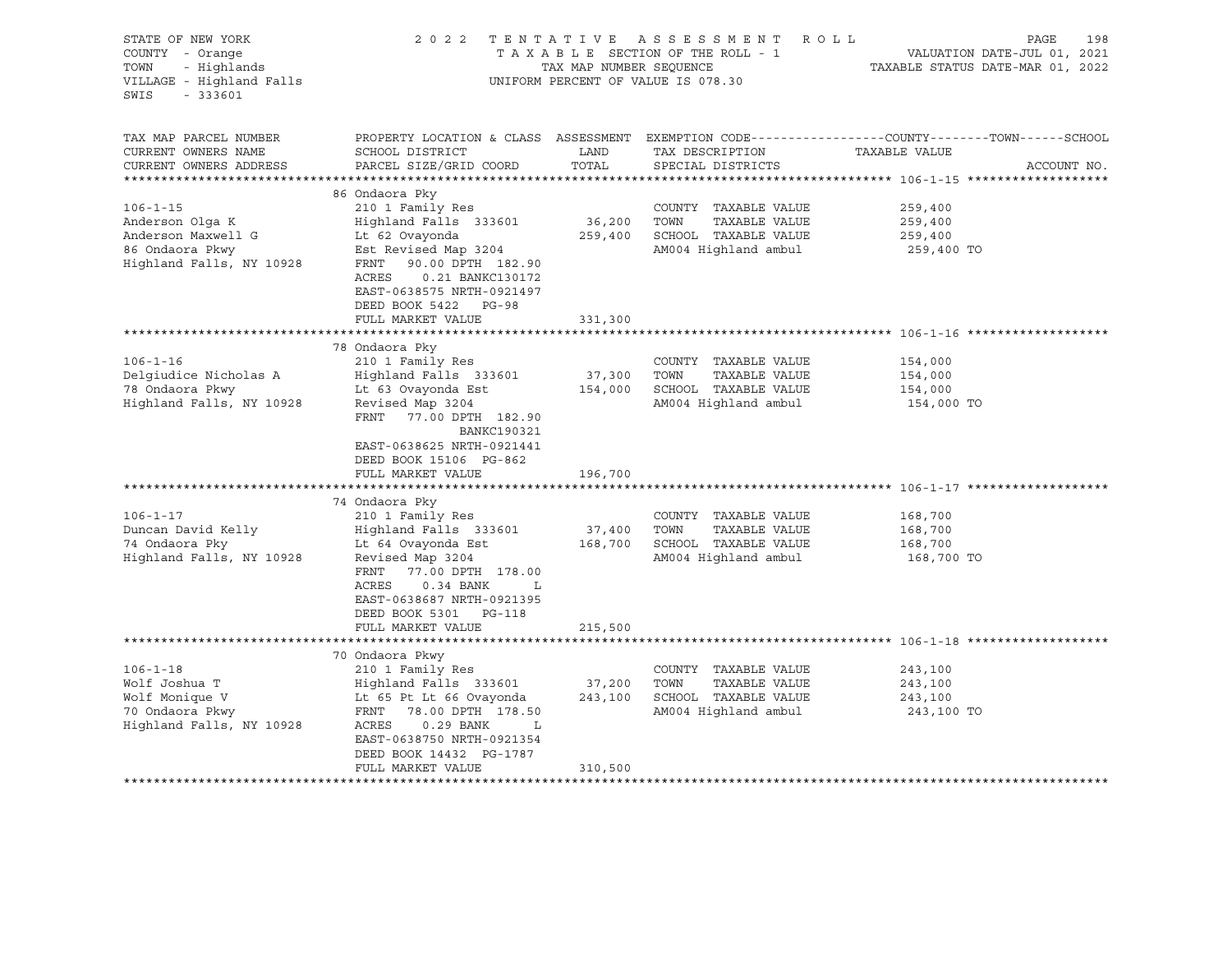| STATE OF NEW YORK<br>COUNTY - Orange<br>TOWN<br>- Highlands<br>VILLAGE - Highland Falls<br>$-333601$<br>SWIS |                                                                                                                                                                                                                                        | TAX MAP NUMBER SEQUENCE      | 2022 TENTATIVE ASSESSMENT ROLL<br>TAXABLE SECTION OF THE ROLL - 1<br>UNIFORM PERCENT OF VALUE IS 078.30 | PAGE<br>VALUATION DATE-JUL 01, 2021<br>TAXABLE STATUS DATE-MAR 01, 2022                                                         | 198 |
|--------------------------------------------------------------------------------------------------------------|----------------------------------------------------------------------------------------------------------------------------------------------------------------------------------------------------------------------------------------|------------------------------|---------------------------------------------------------------------------------------------------------|---------------------------------------------------------------------------------------------------------------------------------|-----|
| TAX MAP PARCEL NUMBER<br>CURRENT OWNERS NAME<br>CURRENT OWNERS ADDRESS                                       | SCHOOL DISTRICT<br>PARCEL SIZE/GRID COORD                                                                                                                                                                                              | LAND<br>TOTAL                | TAX DESCRIPTION<br>SPECIAL DISTRICTS                                                                    | PROPERTY LOCATION & CLASS ASSESSMENT EXEMPTION CODE---------------COUNTY-------TOWN------SCHOOL<br>TAXABLE VALUE<br>ACCOUNT NO. |     |
|                                                                                                              |                                                                                                                                                                                                                                        |                              |                                                                                                         |                                                                                                                                 |     |
| $106 - 1 - 15$<br>Anderson Olga K<br>Anderson Maxwell G<br>86 Ondaora Pkwy<br>Highland Falls, NY 10928       | 86 Ondaora Pky<br>210 1 Family Res<br>Highland Falls 333601<br>Lt 62 Ovayonda<br>Est Revised Map 3204<br>90.00 DPTH 182.90<br>FRNT<br>0.21 BANKC130172<br>ACRES<br>EAST-0638575 NRTH-0921497                                           | 36,200 TOWN                  | COUNTY TAXABLE VALUE<br>TAXABLE VALUE<br>259,400 SCHOOL TAXABLE VALUE<br>AM004 Highland ambul           | 259,400<br>259,400<br>259,400<br>259,400 TO                                                                                     |     |
|                                                                                                              | DEED BOOK 5422 PG-98<br>FULL MARKET VALUE                                                                                                                                                                                              | 331,300                      |                                                                                                         |                                                                                                                                 |     |
|                                                                                                              | 78 Ondaora Pky                                                                                                                                                                                                                         |                              |                                                                                                         |                                                                                                                                 |     |
| $106 - 1 - 16$<br>Delqiudice Nicholas A<br>78 Ondaora Pkwy<br>Highland Falls, NY 10928                       | 210 1 Family Res<br>Highland Falls 333601<br>Lt 63 Ovayonda Est<br>Revised Map 3204<br>FRNT 77.00 DPTH 182.90<br>BANKC190321                                                                                                           | 37,300 TOWN                  | COUNTY TAXABLE VALUE<br>TAXABLE VALUE<br>154,000 SCHOOL TAXABLE VALUE<br>AM004 Highland ambul           | 154,000<br>154,000<br>154,000<br>154,000 TO                                                                                     |     |
|                                                                                                              | EAST-0638625 NRTH-0921441<br>DEED BOOK 15106 PG-862<br>FULL MARKET VALUE                                                                                                                                                               | 196,700                      |                                                                                                         |                                                                                                                                 |     |
|                                                                                                              |                                                                                                                                                                                                                                        |                              |                                                                                                         |                                                                                                                                 |     |
| $106 - 1 - 17$<br>Duncan David Kelly<br>74 Ondaora Pky<br>Highland Falls, NY 10928                           | 74 Ondaora Pky<br>210 1 Family Res<br>Highland Falls 333601<br>Lt 64 Ovayonda Est<br>Revised Map 3204<br>FRNT 77.00 DPTH 178.00<br>ACRES<br>$0.34$ BANK<br>L<br>EAST-0638687 NRTH-0921395<br>DEED BOOK 5301 PG-118                     | 37,400                       | COUNTY TAXABLE VALUE<br>TAXABLE VALUE<br>TOWN<br>168,700 SCHOOL TAXABLE VALUE<br>AM004 Highland ambul   | 168,700<br>168,700<br>168,700<br>168,700 TO                                                                                     |     |
|                                                                                                              | FULL MARKET VALUE                                                                                                                                                                                                                      | 215,500                      |                                                                                                         |                                                                                                                                 |     |
| $106 - 1 - 18$<br>Wolf Joshua T<br>Wolf Monique V<br>70 Ondaora Pkwy<br>Highland Falls, NY 10928             | 70 Ondaora Pkwy<br>210 1 Family Res<br>Highland Falls 333601<br>Lt 65 Pt Lt 66 Ovayonda<br>FRNT 78.00 DPTH 178.50<br>ACRES<br>$0.29$ BANK<br>$\mathbb{L}$<br>EAST-0638750 NRTH-0921354<br>DEED BOOK 14432 PG-1787<br>FULL MARKET VALUE | 37,200<br>243,100<br>310,500 | COUNTY TAXABLE VALUE<br>TOWN<br>TAXABLE VALUE<br>SCHOOL TAXABLE VALUE<br>AM004 Highland ambul           | 243,100<br>243,100<br>243,100<br>243,100 TO                                                                                     |     |
|                                                                                                              |                                                                                                                                                                                                                                        |                              | ****************************                                                                            |                                                                                                                                 |     |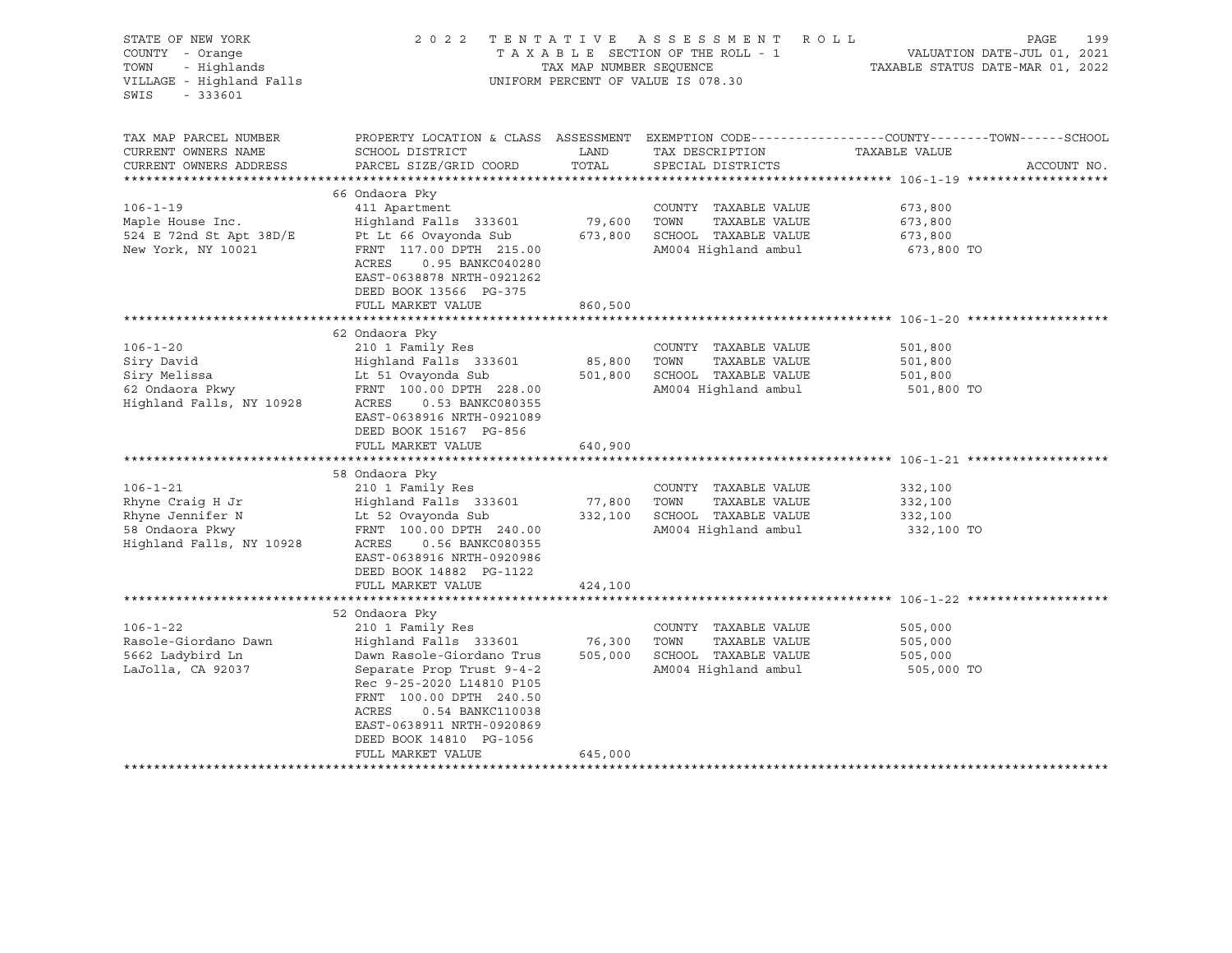| STATE OF NEW YORK<br>COUNTY - Orange<br>- Highlands<br>TOWN<br>VILLAGE - Highland Falls<br>SWIS<br>$-333601$                                                             | 2022 TENTATIVE                                                                                                                                                                                                                                                                                                                                                           | TAX MAP NUMBER SEQUENCE                                             | A S S E S S M E N T<br>ROLL<br>TAXABLE SECTION OF THE ROLL - 1<br>UNIFORM PERCENT OF VALUE IS 078.30                                                                                           | PAGE<br>199<br>VALUATION DATE-JUL 01, 2021<br>TAXABLE STATUS DATE-MAR 01, 2022                                                   |
|--------------------------------------------------------------------------------------------------------------------------------------------------------------------------|--------------------------------------------------------------------------------------------------------------------------------------------------------------------------------------------------------------------------------------------------------------------------------------------------------------------------------------------------------------------------|---------------------------------------------------------------------|------------------------------------------------------------------------------------------------------------------------------------------------------------------------------------------------|----------------------------------------------------------------------------------------------------------------------------------|
| TAX MAP PARCEL NUMBER<br>CURRENT OWNERS NAME<br>CURRENT OWNERS ADDRESS                                                                                                   | SCHOOL DISTRICT<br>PARCEL SIZE/GRID COORD                                                                                                                                                                                                                                                                                                                                | LAND<br>TOTAL                                                       | TAX DESCRIPTION<br>SPECIAL DISTRICTS                                                                                                                                                           | PROPERTY LOCATION & CLASS ASSESSMENT EXEMPTION CODE----------------COUNTY-------TOWN------SCHOOL<br>TAXABLE VALUE<br>ACCOUNT NO. |
| ***********************                                                                                                                                                  |                                                                                                                                                                                                                                                                                                                                                                          |                                                                     |                                                                                                                                                                                                |                                                                                                                                  |
| $106 - 1 - 19$<br>Maple House Inc.<br>524 E 72nd St Apt 38D/E<br>New York, NY 10021                                                                                      | 66 Ondaora Pky<br>411 Apartment<br>Highland Falls 333601<br>Pt Lt 66 Ovayonda Sub<br>FRNT 117.00 DPTH 215.00<br>ACRES<br>0.95 BANKC040280<br>EAST-0638878 NRTH-0921262                                                                                                                                                                                                   | 79,600<br>673,800                                                   | COUNTY TAXABLE VALUE<br>TOWN<br>TAXABLE VALUE<br>SCHOOL TAXABLE VALUE<br>AM004 Highland ambul                                                                                                  | 673,800<br>673,800<br>673,800<br>673,800 TO                                                                                      |
|                                                                                                                                                                          | DEED BOOK 13566 PG-375                                                                                                                                                                                                                                                                                                                                                   |                                                                     |                                                                                                                                                                                                |                                                                                                                                  |
|                                                                                                                                                                          | FULL MARKET VALUE                                                                                                                                                                                                                                                                                                                                                        | 860,500                                                             |                                                                                                                                                                                                |                                                                                                                                  |
| $106 - 1 - 20$<br>Siry David<br>Siry Melissa<br>62 Ondaora Pkwy<br>Highland Falls, NY 10928<br>$106 - 1 - 21$<br>Rhyne Craig H Jr<br>Rhyne Jennifer N<br>58 Ondaora Pkwy | 62 Ondaora Pky<br>210 1 Family Res<br>Highland Falls 333601<br>Lt 51 Ovayonda Sub<br>FRNT 100.00 DPTH 228.00<br>ACRES<br>0.53 BANKC080355<br>EAST-0638916 NRTH-0921089<br>DEED BOOK 15167 PG-856<br>FULL MARKET VALUE<br>*******************************<br>58 Ondaora Pky<br>210 1 Family Res<br>Highland Falls 333601<br>Lt 52 Ovayonda Sub<br>FRNT 100.00 DPTH 240.00 | 85,800<br>501,800<br>640,900<br>**************<br>77,800<br>332,100 | COUNTY TAXABLE VALUE<br>TAXABLE VALUE<br>TOWN<br>SCHOOL TAXABLE VALUE<br>AM004 Highland ambul<br>COUNTY TAXABLE VALUE<br>TOWN<br>TAXABLE VALUE<br>SCHOOL TAXABLE VALUE<br>AM004 Highland ambul | 501,800<br>501,800<br>501,800<br>501,800 TO<br>332,100<br>332,100<br>332,100<br>332,100 TO                                       |
| Highland Falls, NY 10928                                                                                                                                                 | ACRES<br>0.56 BANKC080355<br>EAST-0638916 NRTH-0920986<br>DEED BOOK 14882 PG-1122<br>FULL MARKET VALUE<br>*************************                                                                                                                                                                                                                                      | 424,100                                                             |                                                                                                                                                                                                |                                                                                                                                  |
| $106 - 1 - 22$<br>Rasole-Giordano Dawn<br>5662 Ladybird Ln<br>LaJolla, CA 92037                                                                                          | 52 Ondaora Pky<br>210 1 Family Res<br>Highland Falls 333601<br>Dawn Rasole-Giordano Trus<br>Separate Prop Trust 9-4-2<br>Rec 9-25-2020 L14810 P105<br>FRNT 100.00 DPTH 240.50<br>ACRES<br>0.54 BANKC110038<br>EAST-0638911 NRTH-0920869<br>DEED BOOK 14810 PG-1056<br>FULL MARKET VALUE<br>********************                                                          | 76,300<br>505,000<br>645,000                                        | COUNTY TAXABLE VALUE<br>TOWN<br>TAXABLE VALUE<br>SCHOOL TAXABLE VALUE<br>AM004 Highland ambul                                                                                                  | ************************ 106-1-22 ****<br>505,000<br>505,000<br>505,000<br>505,000 TO                                            |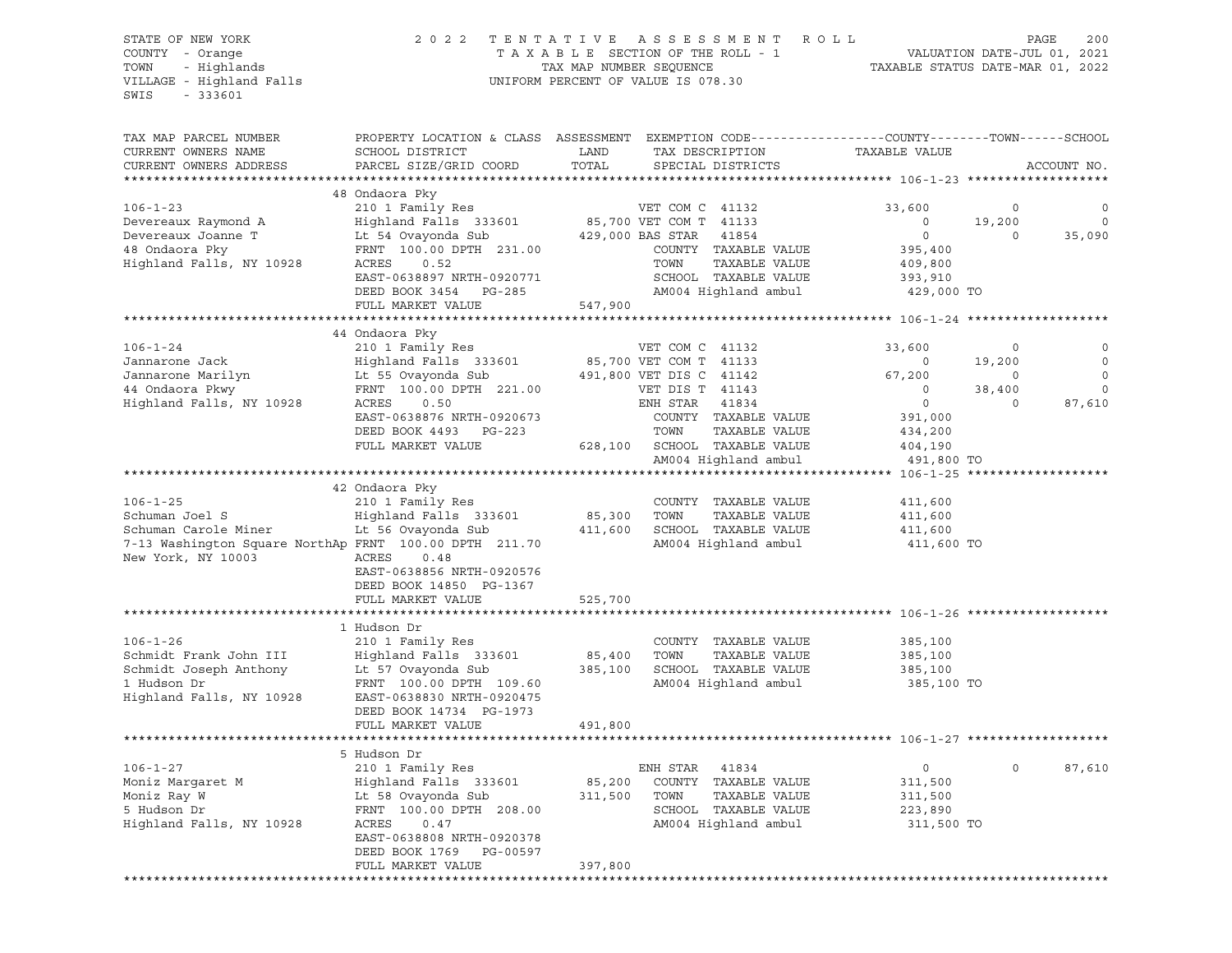### STATE OF NEW YORK 2 0 2 2 T E N T A T I V E A S S E S S M E N T R O L L PAGE 200 COUNTY - Orange T A X A B L E SECTION OF THE ROLL - 1 VALUATION DATE-JUL 01, 2021 TOWN - Highlands TAX MAP NUMBER SEQUENCE TAXABLE STATUS DATE-MAR 01, 2022

| TAX MAP PARCEL NUMBER                                                                                                                                | PROPERTY LOCATION & CLASS ASSESSMENT EXEMPTION CODE---------------COUNTY-------TOWN-----SCHOOL                       |             |                                                                      |                                  |             |                          |
|------------------------------------------------------------------------------------------------------------------------------------------------------|----------------------------------------------------------------------------------------------------------------------|-------------|----------------------------------------------------------------------|----------------------------------|-------------|--------------------------|
| CURRENT OWNERS NAME                                                                                                                                  | SCHOOL DISTRICT                                                                                                      | LAND        | TAX DESCRIPTION                                                      | TAXABLE VALUE                    |             |                          |
| CURRENT OWNERS ADDRESS                                                                                                                               | PARCEL SIZE/GRID COORD                                                                                               | TOTAL       | SPECIAL DISTRICTS                                                    |                                  |             | ACCOUNT NO.              |
|                                                                                                                                                      |                                                                                                                      |             |                                                                      |                                  |             |                          |
|                                                                                                                                                      | 48 Ondaora Pky                                                                                                       |             |                                                                      |                                  |             |                          |
| $106 - 1 - 23$                                                                                                                                       | 210 1 Family Res                                                                                                     |             | VET COM C 41132                                                      | 33,600                           | $\circ$     | $\circ$                  |
| Devereaux Raymond A                                                                                                                                  | Exp 1 ruminy RCS<br>Highland Falls 333601 85,700 VET COM T 41133<br>Lt 54 Ovayonda Sub 429,000 BAS STAR 41854        |             |                                                                      | $\overline{0}$                   | 19,200      | $\overline{\phantom{0}}$ |
| Devereaux Joanne T                                                                                                                                   | Lt 54 Ovayonda Sub<br>FRNT  100.00 DPTH  231.00                                                                      |             |                                                                      | $\overline{0}$                   | $\circ$     | 35,090                   |
| 48 Ondaora Pky                                                                                                                                       | FRNT 100.00 DPTH 231.00                                                                                              |             | COUNTY TAXABLE VALUE                                                 | 395,400                          |             |                          |
| Highland Falls, NY 10928                                                                                                                             | ACRES<br>0.52                                                                                                        |             | TAXABLE VALUE<br>TOWN                                                | 409,800                          |             |                          |
|                                                                                                                                                      | EAST-0638897 NRTH-0920771                                                                                            |             | SCHOOL TAXABLE VALUE<br>SCHOOL TAXABLE VALUE<br>AM004 Highland ambul | 393,910                          |             |                          |
|                                                                                                                                                      | DEED BOOK 3454 PG-285                                                                                                |             | AM004 Highland ambul 429,000 TO                                      |                                  |             |                          |
|                                                                                                                                                      | FULL MARKET VALUE                                                                                                    | 547,900     |                                                                      |                                  |             |                          |
|                                                                                                                                                      |                                                                                                                      |             |                                                                      |                                  |             |                          |
|                                                                                                                                                      |                                                                                                                      |             |                                                                      |                                  |             |                          |
|                                                                                                                                                      |                                                                                                                      |             |                                                                      | 33,600                           | $\Omega$    | 0                        |
|                                                                                                                                                      |                                                                                                                      |             |                                                                      | $\overline{0}$                   | 19,200      | $\overline{0}$           |
|                                                                                                                                                      |                                                                                                                      |             |                                                                      | 67,200                           |             | $\overline{0}$           |
|                                                                                                                                                      |                                                                                                                      |             |                                                                      | $(19,200)$<br>0 38,400<br>0 30.1 |             | 0                        |
|                                                                                                                                                      |                                                                                                                      |             |                                                                      |                                  |             | 87,610                   |
|                                                                                                                                                      | EAST-0638876 NRTH-0920673                                                                                            |             | COUNTY TAXABLE VALUE<br>TOWN     TAXABLE VALUE                       | 391,000                          |             |                          |
|                                                                                                                                                      | DEED BOOK 4493 PG-223                                                                                                |             |                                                                      | 434,200                          |             |                          |
|                                                                                                                                                      | FULL MARKET VALUE                                                                                                    |             | 628,100 SCHOOL TAXABLE VALUE                                         | 404,190                          |             |                          |
|                                                                                                                                                      |                                                                                                                      |             | AM004 Highland ambul                                                 | 491,800 TO                       |             |                          |
|                                                                                                                                                      |                                                                                                                      |             |                                                                      |                                  |             |                          |
|                                                                                                                                                      | 42 Ondaora Pky                                                                                                       |             |                                                                      |                                  |             |                          |
| $106 - 1 - 25$                                                                                                                                       | 210 1 Family Res                                                                                                     |             | COUNTY TAXABLE VALUE                                                 | 411,600                          |             |                          |
| Schuman Joel S<br>Schuman Carole Miner Library 2012 - The Conduct of the Conduct of Schuman Carole Miner Library Library 2014 - Schuman Carole Miner | Highland Falls 333601                                                                                                | 85,300 TOWN | TAXABLE VALUE                                                        | 411,600                          |             |                          |
|                                                                                                                                                      |                                                                                                                      |             |                                                                      | 411,600                          |             |                          |
| 7-13 Washington Square NorthAp FRNT 100.00 DPTH 211.70                                                                                               |                                                                                                                      |             | AM004 Highland ambul                                                 | 411,600 TO                       |             |                          |
| New York, NY 10003                                                                                                                                   | ACRES<br>0.48                                                                                                        |             |                                                                      |                                  |             |                          |
|                                                                                                                                                      | EAST-0638856 NRTH-0920576                                                                                            |             |                                                                      |                                  |             |                          |
|                                                                                                                                                      | DEED BOOK 14850 PG-1367<br>FULL MARKET VALUE                                                                         |             |                                                                      |                                  |             |                          |
|                                                                                                                                                      |                                                                                                                      | 525,700     |                                                                      |                                  |             |                          |
|                                                                                                                                                      | 1 Hudson Dr                                                                                                          |             |                                                                      |                                  |             |                          |
| $106 - 1 - 26$                                                                                                                                       | 210 1 Family Res                                                                                                     |             | COUNTY TAXABLE VALUE                                                 | 385,100                          |             |                          |
| Schmidt Frank John III                                                                                                                               | Highland Falls 333601                                                                                                | 85,400 TOWN | TAXABLE VALUE                                                        | 385,100                          |             |                          |
| Schmidt Joseph Anthony                                                                                                                               |                                                                                                                      |             | 385,100 SCHOOL TAXABLE VALUE                                         | 385,100                          |             |                          |
| 1 Hudson Dr                                                                                                                                          | Lt 57 Ovayonda Sub<br>————————————————————<br>FRNT 100.00 DPTH 109.60                                                |             | AM004 Highland ambul 385,100 TO                                      |                                  |             |                          |
| Highland Falls, NY 10928                                                                                                                             | EAST-0638830 NRTH-0920475                                                                                            |             |                                                                      |                                  |             |                          |
|                                                                                                                                                      | DEED BOOK 14734 PG-1973                                                                                              |             |                                                                      |                                  |             |                          |
|                                                                                                                                                      | FULL MARKET VALUE                                                                                                    | 491,800     |                                                                      |                                  |             |                          |
|                                                                                                                                                      |                                                                                                                      |             |                                                                      |                                  |             |                          |
|                                                                                                                                                      | 5 Hudson Dr                                                                                                          |             |                                                                      |                                  |             |                          |
| $106 - 1 - 27$                                                                                                                                       | 210 1 Family Res                                                                                                     |             | ENH STAR 41834                                                       | $\circ$                          | $\mathbf 0$ | 87,610                   |
| Moniz Marqaret M                                                                                                                                     |                                                                                                                      |             | 85,200 COUNTY TAXABLE VALUE                                          | 311,500                          |             |                          |
| Moniz Ray W                                                                                                                                          | ENR SIAR 41634<br>Highland Falls 333601 85,200 COUNTY TAXABLE VALUE<br>Lt 58 Ovayonda Sub 311,500 TOWN TAXABLE VALUE |             |                                                                      | 311,500                          |             |                          |
| 5 Hudson Dr                                                                                                                                          | FRNT 100.00 DPTH 208.00<br>ACRES 0.47                                                                                |             | SCHOOL TAXABLE VALUE                                                 | 223,890                          |             |                          |
| Highland Falls, NY 10928                                                                                                                             |                                                                                                                      |             | AM004 Highland ambul                                                 | 311,500 TO                       |             |                          |
|                                                                                                                                                      | EAST-0638808 NRTH-0920378                                                                                            |             |                                                                      |                                  |             |                          |
|                                                                                                                                                      | DEED BOOK 1769 PG-00597                                                                                              |             |                                                                      |                                  |             |                          |
|                                                                                                                                                      | FULL MARKET VALUE                                                                                                    | 397,800     |                                                                      |                                  |             |                          |
|                                                                                                                                                      |                                                                                                                      |             |                                                                      |                                  |             |                          |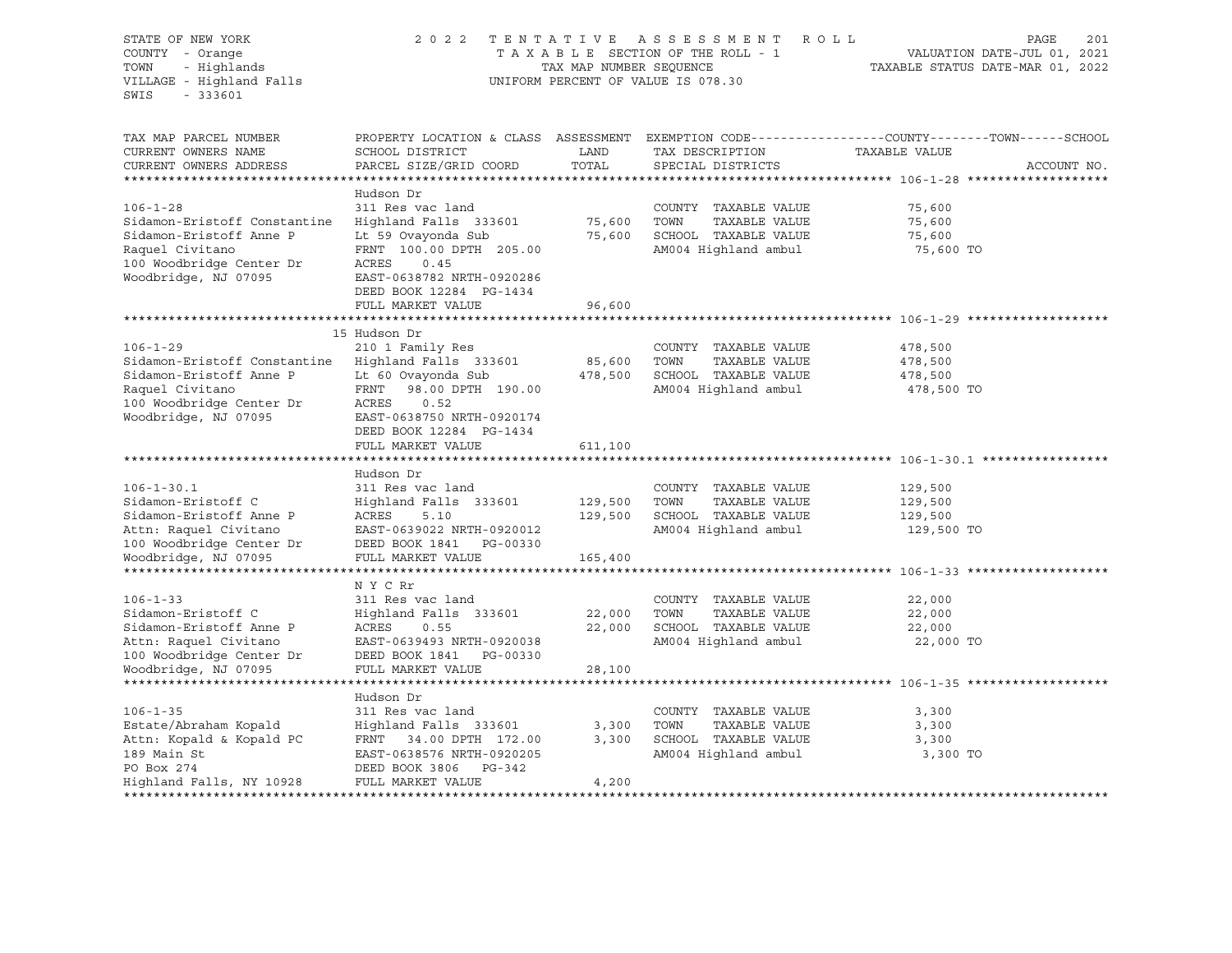STATE OF NEW YORK 2012 2022 TENTATIVE ASSESSMENT ROLL PAGE 201 COUNTY - Orange T A X A B L E SECTION OF THE ROLL - 1 VALUATION DATE-JUL 01, 2021 TOWN - Highlands TAX MAP NUMBER SEQUENCE TAXABLE STATUS DATE-MAR 01, 2022 UNIFORM PERCENT OF VALUE IS 078.30 SWIS - 333601 TAX MAP PARCEL NUMBER PROPERTY LOCATION & CLASS ASSESSMENT EXEMPTION CODE----------------COUNTY-------TOWN-----SCHOOL CURRENT OWNERS NAME SCHOOL DISTRICT LAND TAX DESCRIPTION TAXABLE VALUE CURRENT OWNERS ADDRESS PARCEL SIZE/GRID COORD TOTAL SPECIAL DISTRICTS ACCOUNT NO. \*\*\*\*\*\*\*\*\*\*\*\*\*\*\*\*\*\*\*\*\*\*\*\*\*\*\*\*\*\*\*\*\*\*\*\*\*\*\*\*\*\*\*\*\*\*\*\*\*\*\*\*\*\*\*\*\*\*\*\*\*\*\*\*\*\*\*\*\*\*\*\*\*\*\*\*\*\*\*\*\*\*\*\*\*\*\*\*\*\*\*\*\*\*\*\*\*\*\*\*\*\*\* 106-1-28 \*\*\*\*\*\*\*\*\*\*\*\*\*\*\*\*\*\*\* Hudson Dr 106-1-28 311 Res vac land COUNTY TAXABLE VALUE 75,600 Sidamon-Eristoff Constantine Highland Falls 333601 75,600 TOWN TAXABLE VALUE 75,600 Sidamon-Eristoff Anne P Lt 59 Ovayonda Sub 75,600 SCHOOL TAXABLE VALUE 75,600 Raquel Civitano 6 FRNT 100.00 DPTH 205.00 AM004 Highland ambul 75,600 TO 100 Woodbridge Center Dr ACRES 0.45 Woodbridge, NJ 07095 EAST-0638782 NRTH-0920286 DEED BOOK 12284 PG-1434 FULL MARKET VALUE 96,600 \*\*\*\*\*\*\*\*\*\*\*\*\*\*\*\*\*\*\*\*\*\*\*\*\*\*\*\*\*\*\*\*\*\*\*\*\*\*\*\*\*\*\*\*\*\*\*\*\*\*\*\*\*\*\*\*\*\*\*\*\*\*\*\*\*\*\*\*\*\*\*\*\*\*\*\*\*\*\*\*\*\*\*\*\*\*\*\*\*\*\*\*\*\*\*\*\*\*\*\*\*\*\* 106-1-29 \*\*\*\*\*\*\*\*\*\*\*\*\*\*\*\*\*\*\* 15 Hudson Dr 106-1-29 210 1 Family Res COUNTY TAXABLE VALUE 478,500 Sidamon-Eristoff Constantine Highland Falls 333601 85,600 TOWN TAXABLE VALUE 478,500 Sidamon-Eristoff Anne P Lt 60 Ovayonda Sub 478,500 SCHOOL TAXABLE VALUE 478,500 Raquel Civitano 6 FRNT 98.00 DPTH 190.00 AM004 Highland ambul 478,500 TO 100 Woodbridge Center Dr ACRES 0.52 Woodbridge, NJ 07095 EAST-0638750 NRTH-0920174 DEED BOOK 12284 PG-1434 FULL MARKET VALUE 611,100 \*\*\*\*\*\*\*\*\*\*\*\*\*\*\*\*\*\*\*\*\*\*\*\*\*\*\*\*\*\*\*\*\*\*\*\*\*\*\*\*\*\*\*\*\*\*\*\*\*\*\*\*\*\*\*\*\*\*\*\*\*\*\*\*\*\*\*\*\*\*\*\*\*\*\*\*\*\*\*\*\*\*\*\*\*\*\*\*\*\*\*\*\*\*\*\*\*\*\*\*\*\*\* 106-1-30.1 \*\*\*\*\*\*\*\*\*\*\*\*\*\*\*\*\* Hudson Dr 106-1-30.1 311 Res vac land COUNTY TAXABLE VALUE 129,500 Sidamon-Eristoff C Highland Falls 333601 129,500 TOWN TAXABLE VALUE 129,500 Sidamon-Eristoff Anne P ACRES 5.10 129,500 SCHOOL TAXABLE VALUE 129,500 Attn: Raquel Civitano EAST-0639022 NRTH-0920012 AM004 Highland ambul 129,500 TO 100 Woodbridge Center Dr DEED BOOK 1841 PG-00330 Woodbridge, NJ 07095 FULL MARKET VALUE 165,400 \*\*\*\*\*\*\*\*\*\*\*\*\*\*\*\*\*\*\*\*\*\*\*\*\*\*\*\*\*\*\*\*\*\*\*\*\*\*\*\*\*\*\*\*\*\*\*\*\*\*\*\*\*\*\*\*\*\*\*\*\*\*\*\*\*\*\*\*\*\*\*\*\*\*\*\*\*\*\*\*\*\*\*\*\*\*\*\*\*\*\*\*\*\*\*\*\*\*\*\*\*\*\* 106-1-33 \*\*\*\*\*\*\*\*\*\*\*\*\*\*\*\*\*\*\* N Y C Rr 106-1-33 311 Res vac land COUNTY TAXABLE VALUE 22,000 Sidamon-Eristoff C Highland Falls 333601 22,000 TOWN TAXABLE VALUE 22,000 Sidamon-Eristoff Anne P ACRES 0.55 22,000 SCHOOL TAXABLE VALUE 22,000 Attn: Raquel Civitano EAST-0639493 NRTH-0920038 AM004 Highland ambul 22,000 TO DEED BOOK 1841 PG-00330 Woodbridge, NJ 07095 FULL MARKET VALUE 28,100 \*\*\*\*\*\*\*\*\*\*\*\*\*\*\*\*\*\*\*\*\*\*\*\*\*\*\*\*\*\*\*\*\*\*\*\*\*\*\*\*\*\*\*\*\*\*\*\*\*\*\*\*\*\*\*\*\*\*\*\*\*\*\*\*\*\*\*\*\*\*\*\*\*\*\*\*\*\*\*\*\*\*\*\*\*\*\*\*\*\*\*\*\*\*\*\*\*\*\*\*\*\*\* 106-1-35 \*\*\*\*\*\*\*\*\*\*\*\*\*\*\*\*\*\*\* Hudson Dr 106-1-35 311 Res vac land COUNTY TAXABLE VALUE 3,300 Estate/Abraham Kopald Highland Falls 333601 3,300 TOWN TAXABLE VALUE 3,300 Attn: Kopald & Kopald PC FRNT 34.00 DPTH 172.00 3,300 SCHOOL TAXABLE VALUE 3,300 189 Main St EAST-0638576 NRTH-0920205 AM004 Highland ambul 3,300 TO DEED BOOK 3806 PG-342 Highland Falls, NY 10928 FULL MARKET VALUE 4,200 \*\*\*\*\*\*\*\*\*\*\*\*\*\*\*\*\*\*\*\*\*\*\*\*\*\*\*\*\*\*\*\*\*\*\*\*\*\*\*\*\*\*\*\*\*\*\*\*\*\*\*\*\*\*\*\*\*\*\*\*\*\*\*\*\*\*\*\*\*\*\*\*\*\*\*\*\*\*\*\*\*\*\*\*\*\*\*\*\*\*\*\*\*\*\*\*\*\*\*\*\*\*\*\*\*\*\*\*\*\*\*\*\*\*\*\*\*\*\*\*\*\*\*\*\*\*\*\*\*\*\*\*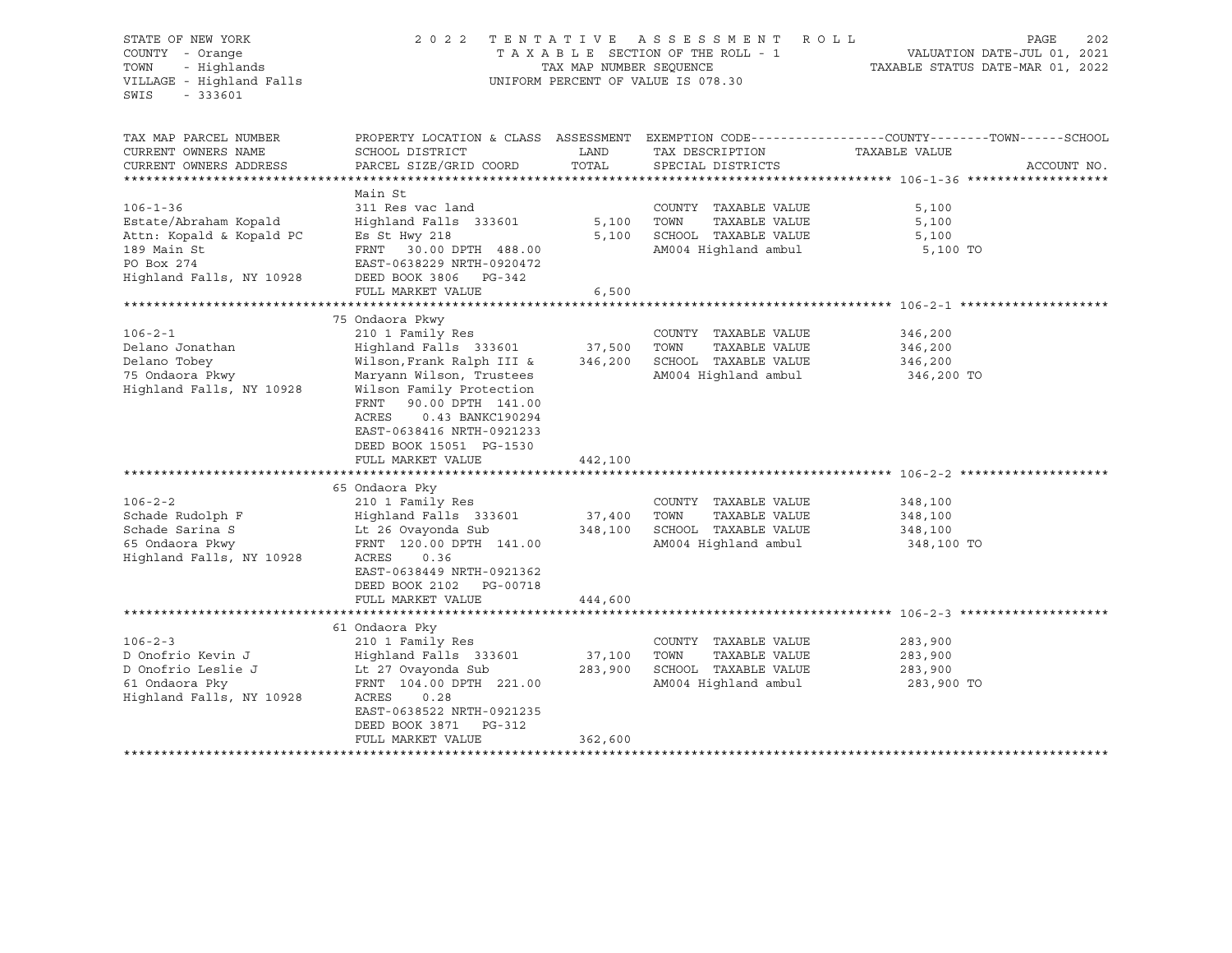| STATE OF NEW YORK<br>COUNTY - Orange<br>TOWN<br>- Highlands<br>VILLAGE - Highland Falls<br>SWIS<br>$-333601$                                                                                           | 2 0 2 2                                                                                                                                                                                                                                                                                                                                                                                                                                                                                                       | TAX MAP NUMBER SEQUENCE                            | TENTATIVE ASSESSMENT ROLL<br>TAXABLE SECTION OF THE ROLL - 1<br>UNIFORM PERCENT OF VALUE IS 078.30                                                                                             | PAGE<br>VALUATION DATE-JUL 01, 2021<br>TAXABLE STATUS DATE-MAR 01, 2022                                                          | 202 |
|--------------------------------------------------------------------------------------------------------------------------------------------------------------------------------------------------------|---------------------------------------------------------------------------------------------------------------------------------------------------------------------------------------------------------------------------------------------------------------------------------------------------------------------------------------------------------------------------------------------------------------------------------------------------------------------------------------------------------------|----------------------------------------------------|------------------------------------------------------------------------------------------------------------------------------------------------------------------------------------------------|----------------------------------------------------------------------------------------------------------------------------------|-----|
| TAX MAP PARCEL NUMBER<br>CURRENT OWNERS NAME<br>CURRENT OWNERS ADDRESS                                                                                                                                 | SCHOOL DISTRICT<br>PARCEL SIZE/GRID COORD                                                                                                                                                                                                                                                                                                                                                                                                                                                                     | LAND<br>TOTAL                                      | TAX DESCRIPTION<br>SPECIAL DISTRICTS                                                                                                                                                           | PROPERTY LOCATION & CLASS ASSESSMENT EXEMPTION CODE----------------COUNTY-------TOWN------SCHOOL<br>TAXABLE VALUE<br>ACCOUNT NO. |     |
| $106 - 1 - 36$<br>Estate/Abraham Kopald<br>Attn: Kopald & Kopald PC<br>189 Main St<br>PO Box 274<br>Highland Falls, NY 10928                                                                           | Main St<br>311 Res vac land<br>Highland Falls 333601<br>Es St Hwy 218<br>FRNT 30.00 DPTH 488.00<br>EAST-0638229 NRTH-0920472<br>DEED BOOK 3806 PG-342                                                                                                                                                                                                                                                                                                                                                         | 5,100<br>5,100                                     | COUNTY TAXABLE VALUE<br>TOWN<br>TAXABLE VALUE<br>SCHOOL TAXABLE VALUE<br>AM004 Highland ambul                                                                                                  | 5,100<br>5,100<br>5,100<br>5,100 TO                                                                                              |     |
|                                                                                                                                                                                                        | FULL MARKET VALUE                                                                                                                                                                                                                                                                                                                                                                                                                                                                                             | 6,500                                              |                                                                                                                                                                                                |                                                                                                                                  |     |
| $106 - 2 - 1$<br>Delano Jonathan<br>Delano Tobey<br>75 Ondaora Pkwy<br>Highland Falls, NY 10928<br>$106 - 2 - 2$<br>Schade Rudolph F<br>Schade Sarina S<br>65 Ondaora Pkwy<br>Highland Falls, NY 10928 | 75 Ondaora Pkwy<br>210 1 Family Res<br>Highland Falls 333601 37,500<br>Wilson, Frank Ralph III &<br>Maryann Wilson, Trustees<br>Wilson Family Protection<br>FRNT<br>90.00 DPTH 141.00<br>ACRES<br>0.43 BANKC190294<br>EAST-0638416 NRTH-0921233<br>DEED BOOK 15051 PG-1530<br>FULL MARKET VALUE<br>65 Ondaora Pky<br>210 1 Family Res<br>Highland Falls 333601<br>Lt 26 Ovayonda Sub<br>FRNT 120.00 DPTH 141.00<br>ACRES<br>0.36<br>EAST-0638449 NRTH-0921362<br>DEED BOOK 2102 PG-00718<br>FULL MARKET VALUE | 346,200<br>442,100<br>37,400<br>348,100<br>444,600 | COUNTY TAXABLE VALUE<br>TOWN<br>TAXABLE VALUE<br>SCHOOL TAXABLE VALUE<br>AM004 Highland ambul<br>COUNTY TAXABLE VALUE<br>TOWN<br>TAXABLE VALUE<br>SCHOOL TAXABLE VALUE<br>AM004 Highland ambul | 346,200<br>346,200<br>346,200<br>346,200 TO<br>348,100<br>348,100<br>348,100<br>348,100 TO                                       |     |
|                                                                                                                                                                                                        | 61 Ondaora Pky                                                                                                                                                                                                                                                                                                                                                                                                                                                                                                |                                                    |                                                                                                                                                                                                |                                                                                                                                  |     |
| $106 - 2 - 3$<br>D Onofrio Kevin J<br>D Onofrio Leslie J<br>61 Ondaora Pky<br>Highland Falls, NY 10928                                                                                                 | 210 1 Family Res<br>Highland Falls 333601<br>Lt 27 Ovayonda Sub<br>FRNT 104.00 DPTH 221.00<br>ACRES<br>0.28<br>EAST-0638522 NRTH-0921235<br>DEED BOOK 3871<br>PG-312<br>FULL MARKET VALUE                                                                                                                                                                                                                                                                                                                     | 37,100<br>283,900<br>362,600                       | COUNTY TAXABLE VALUE<br>TOWN<br>TAXABLE VALUE<br>SCHOOL TAXABLE VALUE<br>AM004 Highland ambul                                                                                                  | 283,900<br>283,900<br>283,900<br>283,900 TO                                                                                      |     |
|                                                                                                                                                                                                        |                                                                                                                                                                                                                                                                                                                                                                                                                                                                                                               |                                                    | **************************************                                                                                                                                                         |                                                                                                                                  |     |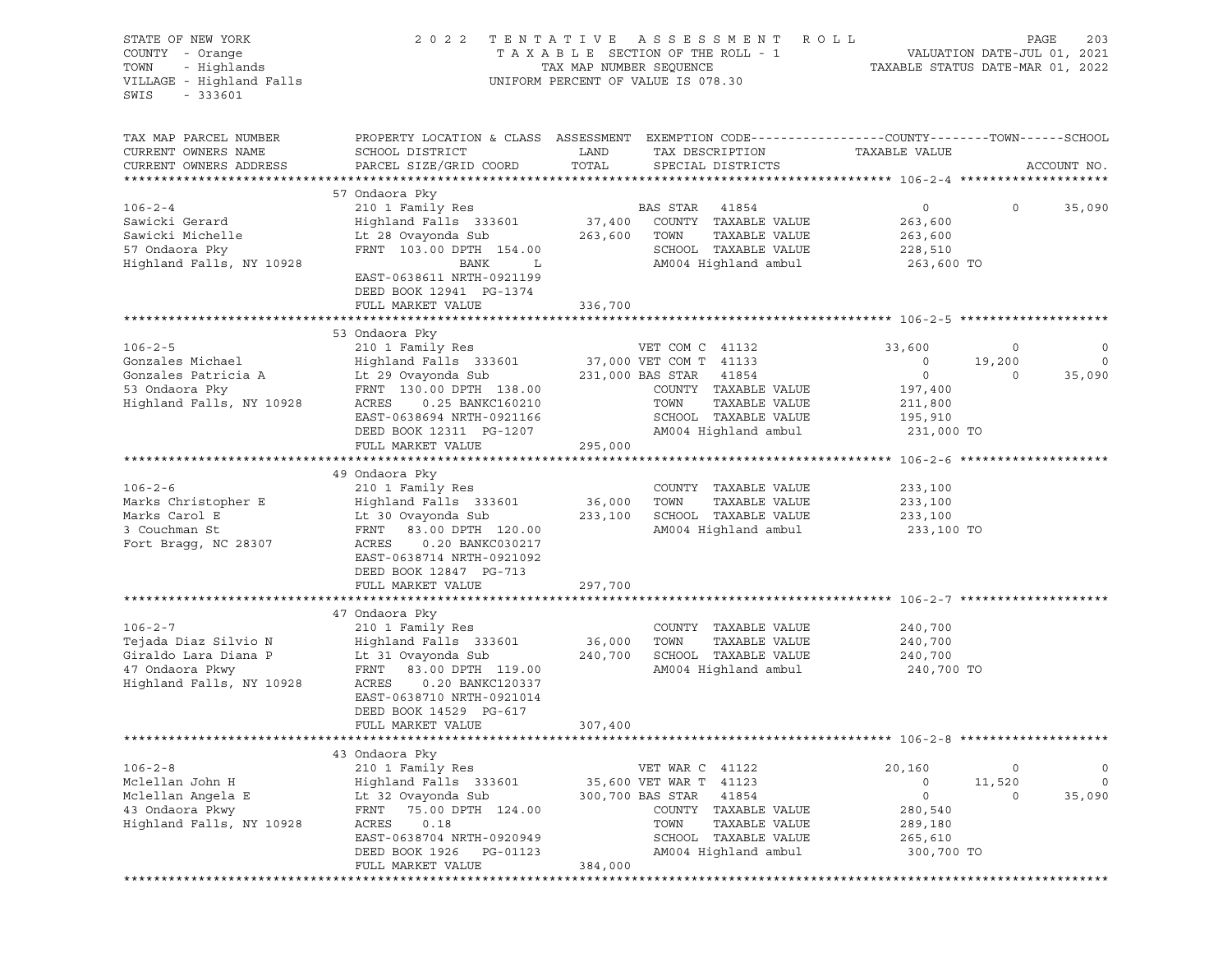| STATE OF NEW YORK<br>COUNTY - Orange<br>TOWN - Highlands<br>VILLAGE - Highland Falls<br>SWIS<br>$-333601$ |                                                                                                                    |               | 2022 TENTATIVE ASSESSMENT ROLL<br>T A X A B L E SECTION OF THE ROLL - 1<br>TAX A B L E SECTION OF THE ROLL - 1<br>TAX MAP NUMBER SEQUENCE TAXABLE STATUS DATE-MAR 01, 2022<br>UNIFORM PERCENT OF VALUE IS 078.30 |                       |                   | PAGE<br>203    |
|-----------------------------------------------------------------------------------------------------------|--------------------------------------------------------------------------------------------------------------------|---------------|------------------------------------------------------------------------------------------------------------------------------------------------------------------------------------------------------------------|-----------------------|-------------------|----------------|
| TAX MAP PARCEL NUMBER<br>CURRENT OWNERS NAME                                                              | PROPERTY LOCATION & CLASS ASSESSMENT EXEMPTION CODE----------------COUNTY-------TOWN-----SCHOOL<br>SCHOOL DISTRICT | LAND<br>TOTAL | TAX DESCRIPTION                                                                                                                                                                                                  | TAXABLE VALUE         |                   |                |
| CURRENT OWNERS ADDRESS                                                                                    | PARCEL SIZE/GRID COORD                                                                                             |               | SPECIAL DISTRICTS                                                                                                                                                                                                |                       |                   | ACCOUNT NO.    |
|                                                                                                           | 57 Ondaora Pky                                                                                                     |               |                                                                                                                                                                                                                  |                       |                   |                |
| $106 - 2 - 4$                                                                                             | 210 1 Family Res BAS STAR 41854                                                                                    |               |                                                                                                                                                                                                                  | $\overline{0}$        | $0 \qquad \qquad$ | 35,090         |
| Sawicki Gerard                                                                                            | Highland Falls 333601 37,400 COUNTY TAXABLE VALUE                                                                  |               |                                                                                                                                                                                                                  | 263,600               |                   |                |
| Sawicki Michelle<br>57 Ondaora Pky                                                                        | Lt 28 Ovayonda Sub                                                                                                 | 263,600 TOWN  | TAXABLE VALUE                                                                                                                                                                                                    | 263,600               |                   |                |
| 57 Ondaora Pky                                                                                            | FRNT 103.00 DPTH 154.00                                                                                            |               | SCHOOL TAXABLE VALUE                                                                                                                                                                                             | 228,510               |                   |                |
| Highland Falls, NY 10928                                                                                  | $\mathbf{L}$<br>BANK<br>EAST-0638611 NRTH-0921199<br>DEED BOOK 12941 PG-1374                                       |               | AM004 Highland ambul                                                                                                                                                                                             | 263,600 TO            |                   |                |
|                                                                                                           | FULL MARKET VALUE                                                                                                  | 336,700       |                                                                                                                                                                                                                  |                       |                   |                |
|                                                                                                           |                                                                                                                    |               |                                                                                                                                                                                                                  |                       |                   |                |
| $106 - 2 - 5$                                                                                             | 53 Ondaora Pky<br>210 1 Family Res                                                                                 |               | VET COM C 41132                                                                                                                                                                                                  | 33,600                | $\overline{0}$    | $\circ$        |
| Gonzales Michael                                                                                          | Highland Falls 333601 37,000 VET COM T 41133                                                                       |               |                                                                                                                                                                                                                  | $\overline{0}$        | 19,200            | $\overline{0}$ |
| Gonzales Patricia A                                                                                       | Lt 29 Ovayonda Sub 231,000 BAS STAR 41854                                                                          |               |                                                                                                                                                                                                                  | $\overline{0}$        | $\circ$           | 35,090         |
| 53 Ondaora Pky                                                                                            | FRNT 130.00 DPTH 138.00                                                                                            |               | COUNTY TAXABLE VALUE                                                                                                                                                                                             | 197,400               |                   |                |
| Highland Falls, NY 10928                                                                                  | ACRES 0.25 BANKC160210                                                                                             |               | TOWN<br>TAXABLE VALUE                                                                                                                                                                                            | 211,800               |                   |                |
|                                                                                                           | EAST-0638694 NRTH-0921166                                                                                          |               | SCHOOL TAXABLE VALUE                                                                                                                                                                                             | 195,910               |                   |                |
|                                                                                                           | DEED BOOK 12311 PG-1207                                                                                            |               | AM004 Highland ambul                                                                                                                                                                                             | 231,000 TO            |                   |                |
|                                                                                                           | FULL MARKET VALUE                                                                                                  | 295,000       |                                                                                                                                                                                                                  |                       |                   |                |
|                                                                                                           |                                                                                                                    |               |                                                                                                                                                                                                                  |                       |                   |                |
|                                                                                                           | 49 Ondaora Pky                                                                                                     |               |                                                                                                                                                                                                                  |                       |                   |                |
| $106 - 2 - 6$                                                                                             | 210 1 Family Res                                                                                                   |               | COUNTY TAXABLE VALUE                                                                                                                                                                                             | 233,100               |                   |                |
| Marks Christopher E<br>Marks Carol E                                                                      | Highland Falls 333601                                                                                              | 36,000 TOWN   | TAXABLE VALUE<br>233,100 SCHOOL TAXABLE VALUE                                                                                                                                                                    | 233,100<br>233,100    |                   |                |
| 3 Couchman St                                                                                             | Lt 30 Ovayonda Sub<br>ERNE - 83 88 RPEL 128 88<br>FRNT 83.00 DPTH 120.00                                           |               | AM004 Highland ambul                                                                                                                                                                                             | 233,100 TO            |                   |                |
| Fort Bragg, NC 28307                                                                                      | ACRES<br>0.20 BANKC030217<br>EAST-0638714 NRTH-0921092<br>DEED BOOK 12847 PG-713                                   |               |                                                                                                                                                                                                                  |                       |                   |                |
|                                                                                                           | FULL MARKET VALUE                                                                                                  | 297,700       |                                                                                                                                                                                                                  |                       |                   |                |
|                                                                                                           |                                                                                                                    |               |                                                                                                                                                                                                                  |                       |                   |                |
|                                                                                                           | 47 Ondaora Pky                                                                                                     |               |                                                                                                                                                                                                                  |                       |                   |                |
| $106 - 2 - 7$                                                                                             | 210 1 Family Res                                                                                                   |               | COUNTY TAXABLE VALUE                                                                                                                                                                                             | 240,700               |                   |                |
| Tejada Diaz Silvio N                                                                                      | Highland Falls 333601 36,000                                                                                       |               | TAXABLE VALUE<br>TOWN                                                                                                                                                                                            | 240,700               |                   |                |
| Giraldo Lara Diana P<br>47 Ondaora Pkwy                                                                   | Lt 31 Ovayonda Sub<br>FRNT 83.00 DPTH 119.00                                                                       | 240,700       | SCHOOL TAXABLE VALUE<br>AM004 Highland ambul                                                                                                                                                                     | 240,700<br>240,700 TO |                   |                |
| Highland Falls, NY 10928                                                                                  | ACRES 0.20 BANKC120337<br>EAST-0638710 NRTH-0921014<br>DEED BOOK 14529 PG-617<br>FULL MARKET VALUE                 | 307,400       |                                                                                                                                                                                                                  |                       |                   |                |
|                                                                                                           |                                                                                                                    |               |                                                                                                                                                                                                                  |                       |                   |                |
|                                                                                                           | 43 Ondaora Pky                                                                                                     |               |                                                                                                                                                                                                                  |                       |                   |                |
| $106 - 2 - 8$                                                                                             | 210 1 Family Res                                                                                                   |               | VET WAR C 41122                                                                                                                                                                                                  | 20,160                | $\circ$           | $\overline{0}$ |
| Mclellan John H                                                                                           | Highland Falls 333601                                                                                              |               | 35,600 VET WAR T 41123                                                                                                                                                                                           | $\circ$               | 11,520            | $\circ$        |
| Mclellan Angela E                                                                                         | Lt 32 Ovayonda Sub                                                                                                 |               | 300,700 BAS STAR 41854                                                                                                                                                                                           | $\circ$               | $\circ$           | 35,090         |
| 43 Ondaora Pkwy                                                                                           | FRNT 75.00 DPTH 124.00                                                                                             |               | COUNTY TAXABLE VALUE                                                                                                                                                                                             | 280,540               |                   |                |
| Highland Falls, NY 10928                                                                                  | ACRES<br>0.18                                                                                                      |               | TOWN<br>TAXABLE VALUE                                                                                                                                                                                            | 289,180               |                   |                |
|                                                                                                           | EAST-0638704 NRTH-0920949<br>DEED BOOK 1926 PG-01123                                                               |               | SCHOOL TAXABLE VALUE<br>AM004 Highland ambul                                                                                                                                                                     | 265,610<br>300,700 TO |                   |                |
|                                                                                                           | FULL MARKET VALUE                                                                                                  | 384,000       |                                                                                                                                                                                                                  |                       |                   |                |
|                                                                                                           |                                                                                                                    |               |                                                                                                                                                                                                                  |                       |                   |                |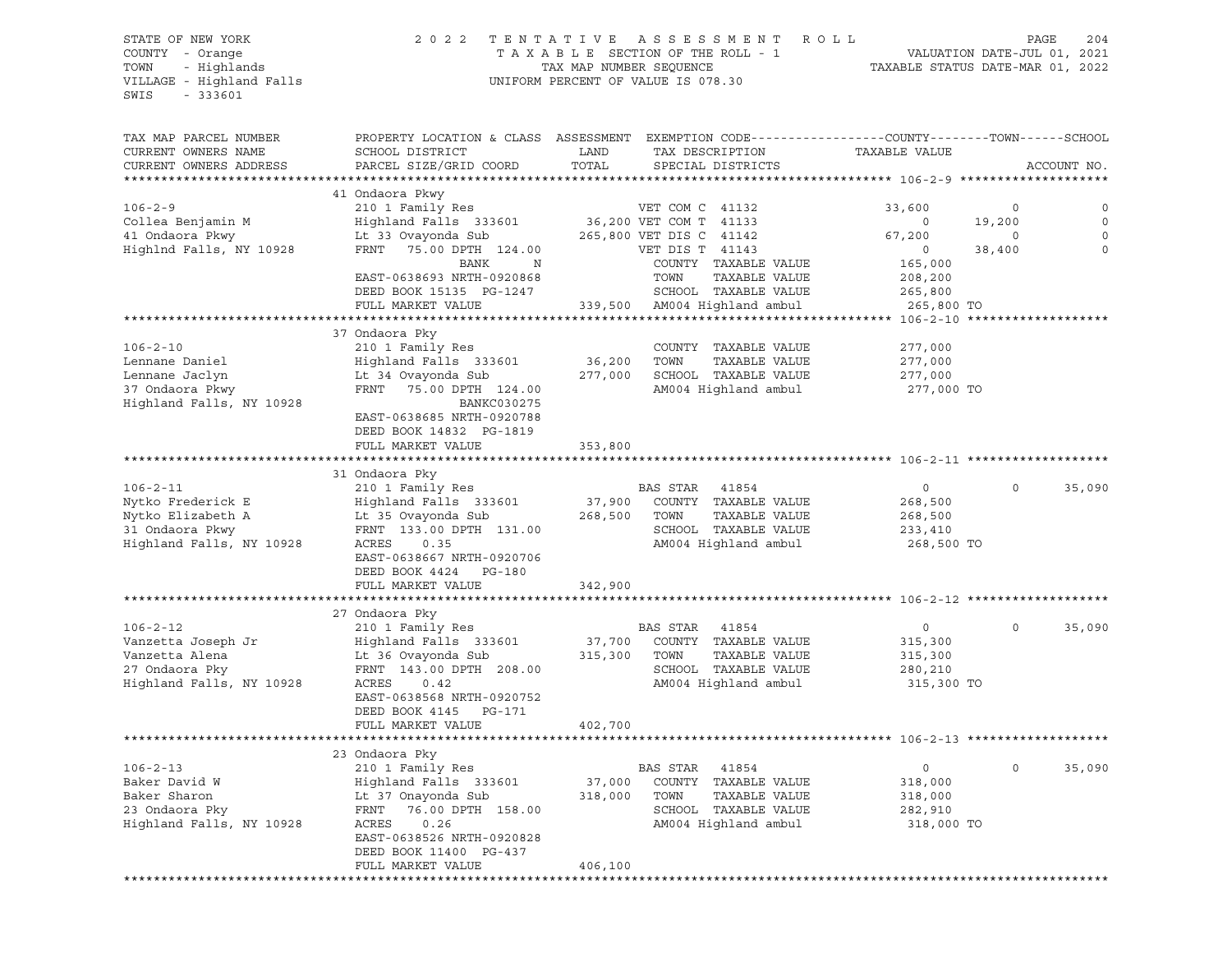# STATE OF NEW YORK 2 0 2 2 T E N T A T I V E A S S E S S M E N T R O L L PAGE 204 COUNTY - Orange T A X A B L E SECTION OF THE ROLL - 1 VALUATION DATE-JUL 01, 2021 TOWN - Highlands TAX MAP NUMBER SEQUENCE TAXABLE STATUS DATE-MAR 01, 2022

| TAX MAP PARCEL NUMBER                             |                                                                                                                      |         |                         |               |              |             |
|---------------------------------------------------|----------------------------------------------------------------------------------------------------------------------|---------|-------------------------|---------------|--------------|-------------|
| CURRENT OWNERS NAME                               | PROPERTY LOCATION & CLASS ASSESSMENT EXEMPTION CODE-----------------COUNTY-------TOWN------SCHOOL<br>SCHOOL DISTRICT | LAND    |                         | TAXABLE VALUE |              |             |
|                                                   |                                                                                                                      | TOTAL   | TAX DESCRIPTION         |               |              | ACCOUNT NO. |
| CURRENT OWNERS ADDRESS<br>*********************** | PARCEL SIZE/GRID COORD                                                                                               |         | SPECIAL DISTRICTS       |               |              |             |
|                                                   |                                                                                                                      |         |                         |               |              |             |
|                                                   | 41 Ondaora Pkwy                                                                                                      |         |                         |               |              |             |
| $106 - 2 - 9$                                     | 210 1 Family Res                                                                                                     |         | VET COM C 41132         | 33,600        | $\circ$      | $\Omega$    |
| Collea Benjamin M                                 | Highland Falls 333601                                                                                                |         | 36,200 VET COM T 41133  | $\mathbf 0$   | 19,200       | $\circ$     |
| 41 Ondaora Pkwy                                   | Lt 33 Ovayonda Sub                                                                                                   |         | 265,800 VET DIS C 41142 | 67,200        | $\Omega$     | $\Omega$    |
| Highlnd Falls, NY 10928                           | FRNT<br>75.00 DPTH 124.00                                                                                            |         | VET DIS T 41143         | $\circ$       | 38,400       | $\Omega$    |
|                                                   | BANK<br>N                                                                                                            |         | COUNTY TAXABLE VALUE    | 165,000       |              |             |
|                                                   | EAST-0638693 NRTH-0920868                                                                                            |         | TOWN<br>TAXABLE VALUE   | 208,200       |              |             |
|                                                   | DEED BOOK 15135 PG-1247                                                                                              |         | SCHOOL TAXABLE VALUE    | 265,800       |              |             |
|                                                   | FULL MARKET VALUE                                                                                                    | 339,500 | AM004 Highland ambul    | 265,800 TO    |              |             |
|                                                   |                                                                                                                      |         |                         |               |              |             |
|                                                   | 37 Ondaora Pky                                                                                                       |         |                         |               |              |             |
| $106 - 2 - 10$                                    | 210 1 Family Res                                                                                                     |         | COUNTY TAXABLE VALUE    | 277,000       |              |             |
| Lennane Daniel                                    | Highland Falls 333601                                                                                                | 36,200  | TOWN<br>TAXABLE VALUE   | 277,000       |              |             |
| Lennane Jaclyn                                    | Lt 34 Ovayonda Sub                                                                                                   | 277,000 | SCHOOL TAXABLE VALUE    | 277,000       |              |             |
| 37 Ondaora Pkwy                                   | FRNT 75.00 DPTH 124.00                                                                                               |         | AM004 Highland ambul    | 277,000 TO    |              |             |
| Highland Falls, NY 10928                          | BANKC030275                                                                                                          |         |                         |               |              |             |
|                                                   | EAST-0638685 NRTH-0920788                                                                                            |         |                         |               |              |             |
|                                                   | DEED BOOK 14832 PG-1819                                                                                              |         |                         |               |              |             |
|                                                   | FULL MARKET VALUE                                                                                                    | 353,800 |                         |               |              |             |
|                                                   |                                                                                                                      |         |                         |               |              |             |
|                                                   | 31 Ondaora Pky                                                                                                       |         |                         |               |              |             |
| $106 - 2 - 11$                                    | 210 1 Family Res                                                                                                     |         | BAS STAR<br>41854       | $\mathsf{O}$  | $\Omega$     | 35,090      |
| Nytko Frederick E                                 | Highland Falls 333601                                                                                                | 37,900  | COUNTY TAXABLE VALUE    | 268,500       |              |             |
| Nytko Elizabeth A                                 | Lt 35 Ovayonda Sub                                                                                                   | 268,500 | TOWN<br>TAXABLE VALUE   | 268,500       |              |             |
| 31 Ondaora Pkwy                                   | FRNT 133.00 DPTH 131.00                                                                                              |         | SCHOOL TAXABLE VALUE    | 233,410       |              |             |
| Highland Falls, NY 10928                          | 0.35<br>ACRES                                                                                                        |         | AM004 Highland ambul    | 268,500 TO    |              |             |
|                                                   | EAST-0638667 NRTH-0920706                                                                                            |         |                         |               |              |             |
|                                                   | DEED BOOK 4424<br>PG-180                                                                                             |         |                         |               |              |             |
|                                                   | FULL MARKET VALUE                                                                                                    | 342,900 |                         |               |              |             |
|                                                   |                                                                                                                      |         |                         |               |              |             |
|                                                   | 27 Ondaora Pky                                                                                                       |         |                         |               |              |             |
| $106 - 2 - 12$                                    | 210 1 Family Res                                                                                                     |         | BAS STAR 41854          | 0             | $\circ$      | 35,090      |
| Vanzetta Joseph Jr                                | Highland Falls 333601                                                                                                | 37,700  | COUNTY TAXABLE VALUE    | 315,300       |              |             |
| Vanzetta Alena                                    | Lt 36 Ovayonda Sub                                                                                                   | 315,300 | TOWN<br>TAXABLE VALUE   | 315,300       |              |             |
| 27 Ondaora Pky                                    | FRNT 143.00 DPTH 208.00                                                                                              |         | SCHOOL TAXABLE VALUE    | 280,210       |              |             |
| Highland Falls, NY 10928                          | ACRES<br>0.42                                                                                                        |         | AM004 Highland ambul    | 315,300 TO    |              |             |
|                                                   | EAST-0638568 NRTH-0920752                                                                                            |         |                         |               |              |             |
|                                                   | DEED BOOK 4145<br>PG-171                                                                                             |         |                         |               |              |             |
|                                                   |                                                                                                                      |         |                         |               |              |             |
|                                                   | FULL MARKET VALUE                                                                                                    | 402,700 |                         |               |              |             |
|                                                   |                                                                                                                      |         |                         |               |              |             |
|                                                   | 23 Ondaora Pky                                                                                                       |         |                         |               |              |             |
| $106 - 2 - 13$                                    | 210 1 Family Res                                                                                                     |         | BAS STAR<br>41854       | 0             | $\mathsf{O}$ | 35,090      |
| Baker David W                                     | Highland Falls 333601                                                                                                | 37,000  | COUNTY TAXABLE VALUE    | 318,000       |              |             |
| Baker Sharon                                      | Lt 37 Onayonda Sub                                                                                                   | 318,000 | TAXABLE VALUE<br>TOWN   | 318,000       |              |             |
| 23 Ondaora Pky                                    | FRNT<br>76.00 DPTH 158.00                                                                                            |         | SCHOOL TAXABLE VALUE    | 282,910       |              |             |
| Highland Falls, NY 10928                          | ACRES<br>0.26                                                                                                        |         | AM004 Highland ambul    | 318,000 TO    |              |             |
|                                                   | EAST-0638526 NRTH-0920828                                                                                            |         |                         |               |              |             |
|                                                   | DEED BOOK 11400 PG-437                                                                                               |         |                         |               |              |             |
|                                                   | FULL MARKET VALUE                                                                                                    | 406,100 |                         |               |              |             |
|                                                   |                                                                                                                      |         |                         |               |              |             |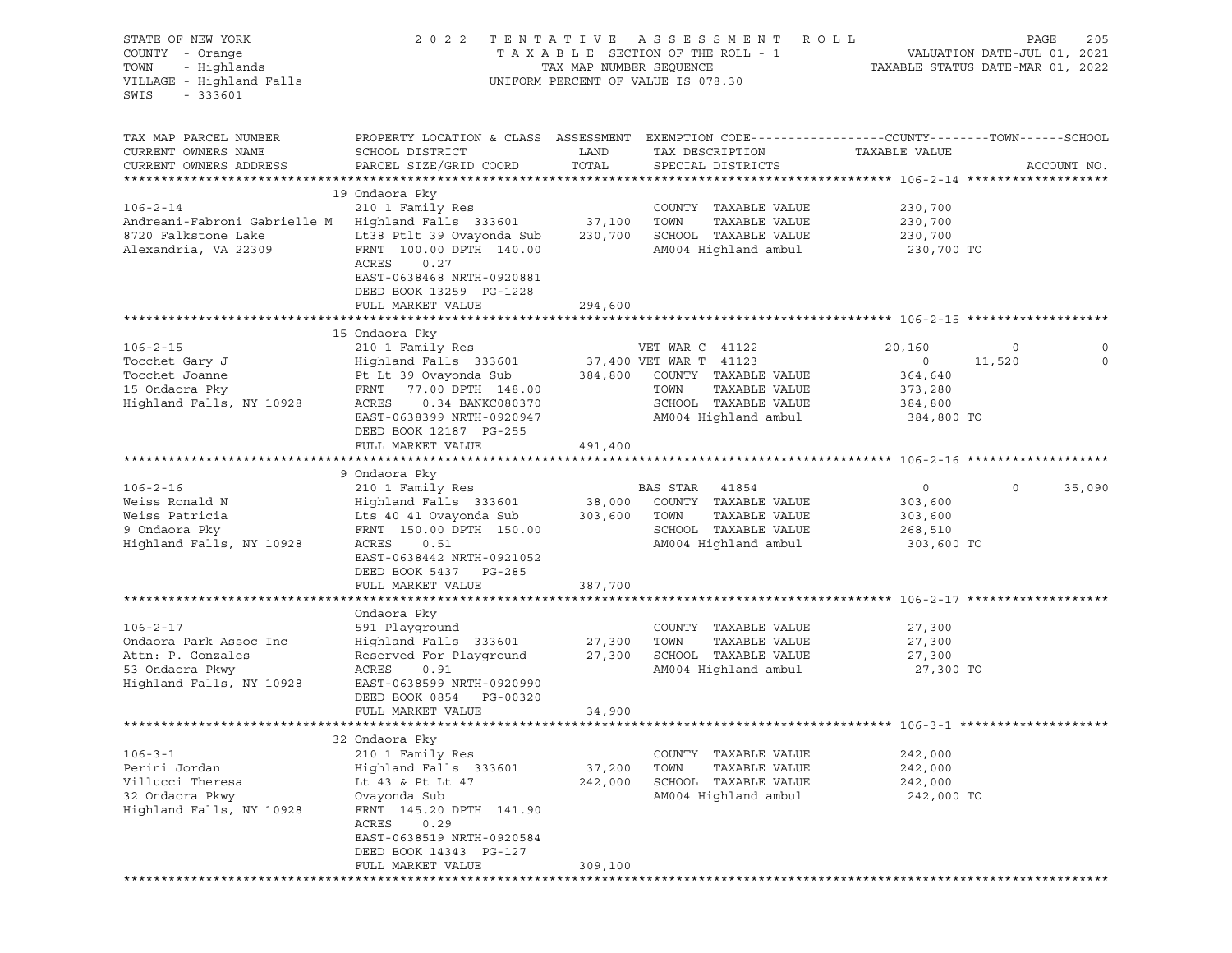| STATE OF NEW YORK<br>COUNTY - Orange<br>TOWN<br>- Highlands<br>VILLAGE - Highland Falls<br>SWIS<br>$-333601$        | 2 0 2 2                                                                                                                                                                                                                 | TAX MAP NUMBER SEQUENCE      | TENTATIVE ASSESSMENT ROLL<br>TAXABLE SECTION OF THE ROLL - 1<br>UNIFORM PERCENT OF VALUE IS 078.30                                         |                                                                  | PAGE<br>205<br>VALUATION DATE-JUL 01, 2021<br>TAXABLE STATUS DATE-MAR 01, 2022 |
|---------------------------------------------------------------------------------------------------------------------|-------------------------------------------------------------------------------------------------------------------------------------------------------------------------------------------------------------------------|------------------------------|--------------------------------------------------------------------------------------------------------------------------------------------|------------------------------------------------------------------|--------------------------------------------------------------------------------|
| TAX MAP PARCEL NUMBER<br>CURRENT OWNERS NAME<br>CURRENT OWNERS ADDRESS                                              | PROPERTY LOCATION & CLASS ASSESSMENT EXEMPTION CODE----------------COUNTY-------TOWN------SCHOOL<br>SCHOOL DISTRICT<br>PARCEL SIZE/GRID COORD                                                                           | LAND<br>TOTAL                | TAX DESCRIPTION<br>SPECIAL DISTRICTS                                                                                                       | TAXABLE VALUE                                                    | ACCOUNT NO.                                                                    |
| $106 - 2 - 14$<br>Andreani-Fabroni Gabrielle M Highland Falls 333601<br>8720 Falkstone Lake<br>Alexandria, VA 22309 | 19 Ondaora Pky<br>210 1 Family Res<br>Lt38 Ptlt 39 Ovayonda Sub<br>FRNT 100.00 DPTH 140.00<br>ACRES<br>0.27<br>EAST-0638468 NRTH-0920881<br>DEED BOOK 13259 PG-1228<br>FULL MARKET VALUE                                | 37,100<br>230,700<br>294,600 | COUNTY TAXABLE VALUE<br>TAXABLE VALUE<br>TOWN<br>SCHOOL TAXABLE VALUE<br>AM004 Highland ambul                                              | 230,700<br>230,700<br>230,700<br>230,700 TO                      |                                                                                |
|                                                                                                                     |                                                                                                                                                                                                                         |                              |                                                                                                                                            |                                                                  |                                                                                |
| $106 - 2 - 15$<br>Tocchet Gary J<br>Tocchet Joanne<br>15 Ondaora Pky<br>Highland Falls, NY 10928                    | 15 Ondaora Pky<br>210 1 Family Res<br>Highland Falls 333601<br>Pt Lt 39 Ovayonda Sub<br>FRNT 77.00 DPTH 148.00<br>ACRES<br>0.34 BANKC080370<br>EAST-0638399 NRTH-0920947<br>DEED BOOK 12187 PG-255                      | 384,800                      | VET WAR C 41122<br>37,400 VET WAR T 41123<br>COUNTY TAXABLE VALUE<br>TOWN<br>TAXABLE VALUE<br>SCHOOL TAXABLE VALUE<br>AM004 Highland ambul | 20,160<br>$\circ$<br>364,640<br>373,280<br>384,800<br>384,800 TO | 0<br>0<br>11,520<br>0                                                          |
|                                                                                                                     | FULL MARKET VALUE                                                                                                                                                                                                       | 491,400                      |                                                                                                                                            |                                                                  |                                                                                |
|                                                                                                                     |                                                                                                                                                                                                                         |                              |                                                                                                                                            |                                                                  |                                                                                |
| $106 - 2 - 16$<br>Weiss Ronald N<br>Weiss Patricia<br>9 Ondaora Pky<br>Highland Falls, NY 10928                     | 9 Ondaora Pky<br>210 1 Family Res<br>Highland Falls 333601<br>Lts 40 41 Ovayonda Sub<br>FRNT 150.00 DPTH 150.00<br>ACRES<br>0.51<br>EAST-0638442 NRTH-0921052<br>DEED BOOK 5437 PG-285                                  | 38,000<br>303,600            | BAS STAR 41854<br>COUNTY TAXABLE VALUE<br>TAXABLE VALUE<br>TOWN<br>SCHOOL TAXABLE VALUE<br>AM004 Highland ambul                            | $\circ$<br>303,600<br>303,600<br>268,510<br>303,600 TO           | 0<br>35,090                                                                    |
|                                                                                                                     | FULL MARKET VALUE                                                                                                                                                                                                       | 387,700                      |                                                                                                                                            |                                                                  |                                                                                |
| $106 - 2 - 17$<br>Ondaora Park Assoc Inc<br>Attn: P. Gonzales<br>53 Ondaora Pkwy<br>Highland Falls, NY 10928        | Ondaora Pky<br>591 Playground<br>Highland Falls 333601<br>Reserved For Playground<br>ACRES<br>0.91<br>EAST-0638599 NRTH-0920990<br>DEED BOOK 0854<br>PG-00320<br>FULL MARKET VALUE                                      | 27,300<br>27,300<br>34,900   | COUNTY TAXABLE VALUE<br>TOWN<br>TAXABLE VALUE<br>SCHOOL TAXABLE VALUE<br>AM004 Highland ambul                                              | 27,300<br>27,300<br>27,300<br>27,300 TO                          |                                                                                |
|                                                                                                                     |                                                                                                                                                                                                                         |                              |                                                                                                                                            |                                                                  |                                                                                |
| $106 - 3 - 1$<br>Perini Jordan<br>Villucci Theresa<br>32 Ondaora Pkwy<br>Highland Falls, NY 10928                   | 32 Ondaora Pky<br>210 1 Family Res<br>Highland Falls 333601<br>Lt 43 & Pt Lt 47<br>Ovayonda Sub<br>FRNT 145.20 DPTH 141.90<br>ACRES<br>0.29<br>EAST-0638519 NRTH-0920584<br>DEED BOOK 14343 PG-127<br>FULL MARKET VALUE | 37,200<br>242,000<br>309,100 | TAXABLE VALUE<br>COUNTY<br>TOWN<br>TAXABLE VALUE<br>SCHOOL<br>TAXABLE VALUE<br>AM004 Highland ambul                                        | 242,000<br>242,000<br>242,000<br>242,000 TO                      |                                                                                |
|                                                                                                                     |                                                                                                                                                                                                                         |                              |                                                                                                                                            |                                                                  |                                                                                |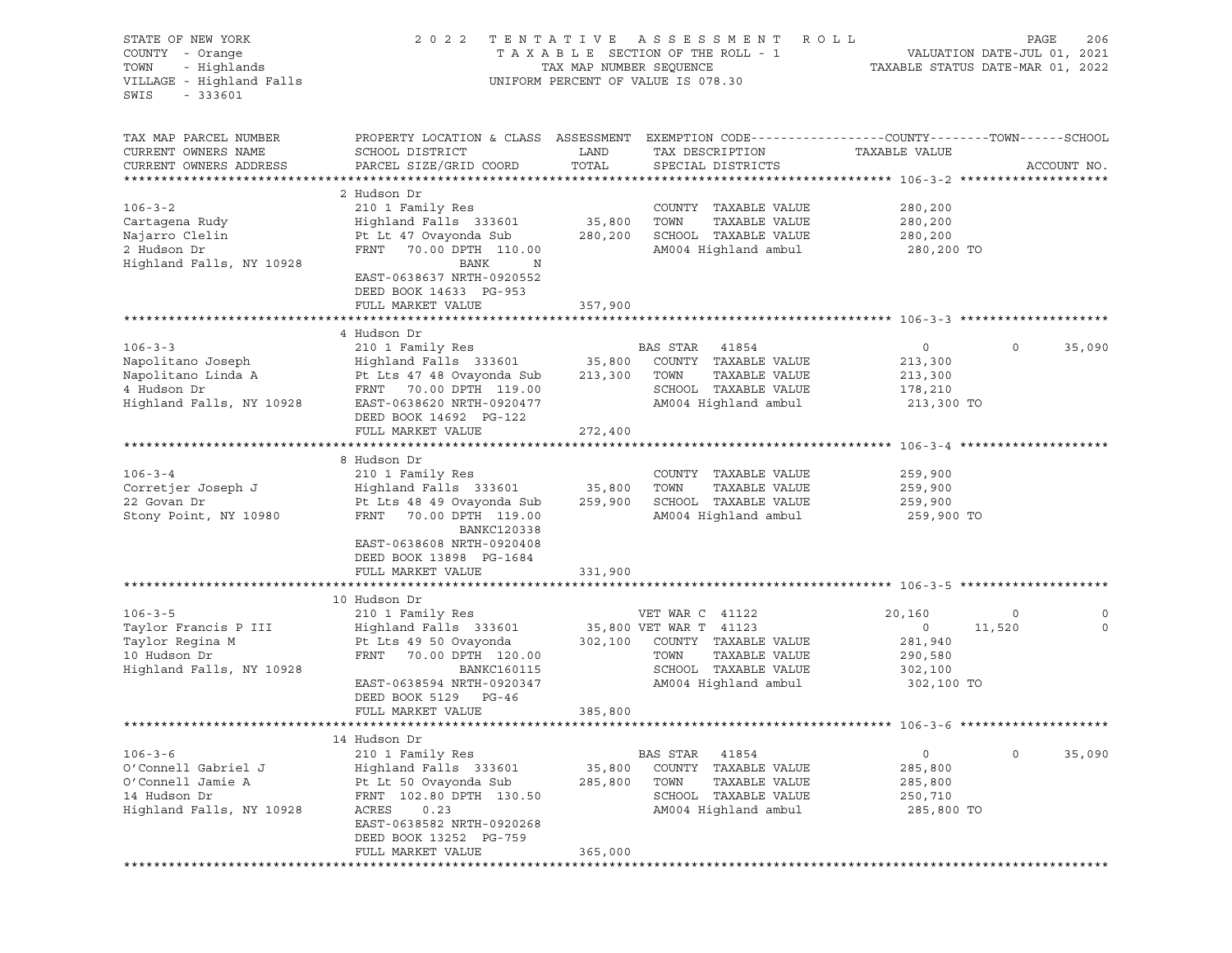| PROPERTY LOCATION & CLASS ASSESSMENT EXEMPTION CODE----------------COUNTY-------TOWN------SCHOOL<br>TAX MAP PARCEL NUMBER<br>CURRENT OWNERS NAME<br>SCHOOL DISTRICT<br>LAND<br>TAXABLE VALUE<br>TAX DESCRIPTION<br>PARCEL SIZE/GRID COORD<br>TOTAL<br>CURRENT OWNERS ADDRESS<br>SPECIAL DISTRICTS<br>ACCOUNT NO.<br>2 Hudson Dr<br>$106 - 3 - 2$<br>210 1 Family Res<br>COUNTY TAXABLE VALUE<br>280,200<br>Highland Falls 333601<br>35,800<br>TOWN<br>TAXABLE VALUE<br>Cartagena Rudy<br>280,200<br>SCHOOL TAXABLE VALUE<br>Najarro Clelin<br>Pt Lt 47 Ovayonda Sub<br>280,200<br>280,200<br>AM004 Highland ambul<br>2 Hudson Dr<br>FRNT 70.00 DPTH 110.00<br>280,200 TO<br>Highland Falls, NY 10928<br>BANK<br>$\mathbb N$<br>EAST-0638637 NRTH-0920552<br>DEED BOOK 14633 PG-953<br>FULL MARKET VALUE<br>357,900<br>4 Hudson Dr<br>$106 - 3 - 3$<br>210 1 Family Res<br>BAS STAR 41854<br>$\circ$<br>$\circ$<br>Highland Falls 333601 35,800<br>Napolitano Joseph<br>COUNTY TAXABLE VALUE<br>213,300<br>TAXABLE VALUE<br>Napolitano Linda A<br>Pt Lts 47 48 Ovayonda Sub 213,300<br>TOWN<br>213,300<br>SCHOOL TAXABLE VALUE<br>4 Hudson Dr<br>FRNT 70.00 DPTH 119.00<br>178,210<br>Highland Falls, NY 10928<br>AM004 Highland ambul<br>EAST-0638620 NRTH-0920477<br>213,300 TO<br>DEED BOOK 14692 PG-122<br>FULL MARKET VALUE<br>272,400<br>8 Hudson Dr<br>$106 - 3 - 4$<br>210 1 Family Res<br>COUNTY TAXABLE VALUE<br>259,900<br>TAXABLE VALUE<br>Corretjer Joseph J<br>Highland Falls 333601<br>35,800<br>TOWN<br>259,900<br>SCHOOL TAXABLE VALUE<br>22 Govan Dr<br>Pt Lts 48 49 Ovayonda Sub<br>259,900<br>259,900<br>Stony Point, NY 10980<br>FRNT 70.00 DPTH 119.00<br>AM004 Highland ambul<br>259,900 TO<br><b>BANKC120338</b><br>EAST-0638608 NRTH-0920408<br>DEED BOOK 13898 PG-1684<br>331,900<br>FULL MARKET VALUE<br>10 Hudson Dr<br>$106 - 3 - 5$<br>210 1 Family Res<br>VET WAR C 41122<br>20,160<br>0<br>Taylor Francis P III<br>Highland Falls 333601<br>35,800 VET WAR T 41123<br>$\circ$<br>11,520<br>Pt Lts 49 50 Ovayonda<br>Taylor Regina M<br>302,100 COUNTY TAXABLE VALUE<br>281,940<br>TAXABLE VALUE<br>10 Hudson Dr<br>FRNT 70.00 DPTH 120.00<br>TOWN<br>290,580<br>SCHOOL TAXABLE VALUE<br>Highland Falls, NY 10928<br>BANKC160115<br>302,100<br>AM004 Highland ambul<br>EAST-0638594 NRTH-0920347<br>302,100 TO<br>DEED BOOK 5129 PG-46<br>385,800<br>FULL MARKET VALUE<br>14 Hudson Dr<br>$106 - 3 - 6$<br>210 1 Family Res<br><b>BAS STAR</b><br>41854<br>0<br>$\circ$<br>TAXABLE VALUE<br>O'Connell Gabriel J<br>Highland Falls 333601<br>35,800<br>COUNTY<br>285,800 | STATE OF NEW YORK<br>COUNTY - Orange<br>- Highlands<br>TOWN<br>VILLAGE - Highland Falls<br>SWIS<br>$-333601$ | 2 0 2 2 | TENTATIVE<br>TAX MAP NUMBER SEQUENCE | A S S E S S M E N T<br>R O L L<br>TAXABLE SECTION OF THE ROLL - 1<br>UNIFORM PERCENT OF VALUE IS 078.30 | PAGE<br>206<br>VALUATION DATE-JUL 01, 2021<br>TAXABLE STATUS DATE-MAR 01, 2022 |
|-------------------------------------------------------------------------------------------------------------------------------------------------------------------------------------------------------------------------------------------------------------------------------------------------------------------------------------------------------------------------------------------------------------------------------------------------------------------------------------------------------------------------------------------------------------------------------------------------------------------------------------------------------------------------------------------------------------------------------------------------------------------------------------------------------------------------------------------------------------------------------------------------------------------------------------------------------------------------------------------------------------------------------------------------------------------------------------------------------------------------------------------------------------------------------------------------------------------------------------------------------------------------------------------------------------------------------------------------------------------------------------------------------------------------------------------------------------------------------------------------------------------------------------------------------------------------------------------------------------------------------------------------------------------------------------------------------------------------------------------------------------------------------------------------------------------------------------------------------------------------------------------------------------------------------------------------------------------------------------------------------------------------------------------------------------------------------------------------------------------------------------------------------------------------------------------------------------------------------------------------------------------------------------------------------------------------------------------------------------------------------------------------------------------------------------------------------------------------------------------------------------------------------------------------------------------------------------------------------|--------------------------------------------------------------------------------------------------------------|---------|--------------------------------------|---------------------------------------------------------------------------------------------------------|--------------------------------------------------------------------------------|
|                                                                                                                                                                                                                                                                                                                                                                                                                                                                                                                                                                                                                                                                                                                                                                                                                                                                                                                                                                                                                                                                                                                                                                                                                                                                                                                                                                                                                                                                                                                                                                                                                                                                                                                                                                                                                                                                                                                                                                                                                                                                                                                                                                                                                                                                                                                                                                                                                                                                                                                                                                                                       |                                                                                                              |         |                                      |                                                                                                         |                                                                                |
|                                                                                                                                                                                                                                                                                                                                                                                                                                                                                                                                                                                                                                                                                                                                                                                                                                                                                                                                                                                                                                                                                                                                                                                                                                                                                                                                                                                                                                                                                                                                                                                                                                                                                                                                                                                                                                                                                                                                                                                                                                                                                                                                                                                                                                                                                                                                                                                                                                                                                                                                                                                                       |                                                                                                              |         |                                      |                                                                                                         |                                                                                |
|                                                                                                                                                                                                                                                                                                                                                                                                                                                                                                                                                                                                                                                                                                                                                                                                                                                                                                                                                                                                                                                                                                                                                                                                                                                                                                                                                                                                                                                                                                                                                                                                                                                                                                                                                                                                                                                                                                                                                                                                                                                                                                                                                                                                                                                                                                                                                                                                                                                                                                                                                                                                       |                                                                                                              |         |                                      |                                                                                                         |                                                                                |
|                                                                                                                                                                                                                                                                                                                                                                                                                                                                                                                                                                                                                                                                                                                                                                                                                                                                                                                                                                                                                                                                                                                                                                                                                                                                                                                                                                                                                                                                                                                                                                                                                                                                                                                                                                                                                                                                                                                                                                                                                                                                                                                                                                                                                                                                                                                                                                                                                                                                                                                                                                                                       |                                                                                                              |         |                                      |                                                                                                         |                                                                                |
|                                                                                                                                                                                                                                                                                                                                                                                                                                                                                                                                                                                                                                                                                                                                                                                                                                                                                                                                                                                                                                                                                                                                                                                                                                                                                                                                                                                                                                                                                                                                                                                                                                                                                                                                                                                                                                                                                                                                                                                                                                                                                                                                                                                                                                                                                                                                                                                                                                                                                                                                                                                                       |                                                                                                              |         |                                      |                                                                                                         |                                                                                |
|                                                                                                                                                                                                                                                                                                                                                                                                                                                                                                                                                                                                                                                                                                                                                                                                                                                                                                                                                                                                                                                                                                                                                                                                                                                                                                                                                                                                                                                                                                                                                                                                                                                                                                                                                                                                                                                                                                                                                                                                                                                                                                                                                                                                                                                                                                                                                                                                                                                                                                                                                                                                       |                                                                                                              |         |                                      |                                                                                                         |                                                                                |
|                                                                                                                                                                                                                                                                                                                                                                                                                                                                                                                                                                                                                                                                                                                                                                                                                                                                                                                                                                                                                                                                                                                                                                                                                                                                                                                                                                                                                                                                                                                                                                                                                                                                                                                                                                                                                                                                                                                                                                                                                                                                                                                                                                                                                                                                                                                                                                                                                                                                                                                                                                                                       |                                                                                                              |         |                                      |                                                                                                         |                                                                                |
|                                                                                                                                                                                                                                                                                                                                                                                                                                                                                                                                                                                                                                                                                                                                                                                                                                                                                                                                                                                                                                                                                                                                                                                                                                                                                                                                                                                                                                                                                                                                                                                                                                                                                                                                                                                                                                                                                                                                                                                                                                                                                                                                                                                                                                                                                                                                                                                                                                                                                                                                                                                                       |                                                                                                              |         |                                      |                                                                                                         |                                                                                |
|                                                                                                                                                                                                                                                                                                                                                                                                                                                                                                                                                                                                                                                                                                                                                                                                                                                                                                                                                                                                                                                                                                                                                                                                                                                                                                                                                                                                                                                                                                                                                                                                                                                                                                                                                                                                                                                                                                                                                                                                                                                                                                                                                                                                                                                                                                                                                                                                                                                                                                                                                                                                       |                                                                                                              |         |                                      |                                                                                                         |                                                                                |
|                                                                                                                                                                                                                                                                                                                                                                                                                                                                                                                                                                                                                                                                                                                                                                                                                                                                                                                                                                                                                                                                                                                                                                                                                                                                                                                                                                                                                                                                                                                                                                                                                                                                                                                                                                                                                                                                                                                                                                                                                                                                                                                                                                                                                                                                                                                                                                                                                                                                                                                                                                                                       |                                                                                                              |         |                                      |                                                                                                         |                                                                                |
|                                                                                                                                                                                                                                                                                                                                                                                                                                                                                                                                                                                                                                                                                                                                                                                                                                                                                                                                                                                                                                                                                                                                                                                                                                                                                                                                                                                                                                                                                                                                                                                                                                                                                                                                                                                                                                                                                                                                                                                                                                                                                                                                                                                                                                                                                                                                                                                                                                                                                                                                                                                                       |                                                                                                              |         |                                      |                                                                                                         | 35,090                                                                         |
|                                                                                                                                                                                                                                                                                                                                                                                                                                                                                                                                                                                                                                                                                                                                                                                                                                                                                                                                                                                                                                                                                                                                                                                                                                                                                                                                                                                                                                                                                                                                                                                                                                                                                                                                                                                                                                                                                                                                                                                                                                                                                                                                                                                                                                                                                                                                                                                                                                                                                                                                                                                                       |                                                                                                              |         |                                      |                                                                                                         |                                                                                |
|                                                                                                                                                                                                                                                                                                                                                                                                                                                                                                                                                                                                                                                                                                                                                                                                                                                                                                                                                                                                                                                                                                                                                                                                                                                                                                                                                                                                                                                                                                                                                                                                                                                                                                                                                                                                                                                                                                                                                                                                                                                                                                                                                                                                                                                                                                                                                                                                                                                                                                                                                                                                       |                                                                                                              |         |                                      |                                                                                                         |                                                                                |
|                                                                                                                                                                                                                                                                                                                                                                                                                                                                                                                                                                                                                                                                                                                                                                                                                                                                                                                                                                                                                                                                                                                                                                                                                                                                                                                                                                                                                                                                                                                                                                                                                                                                                                                                                                                                                                                                                                                                                                                                                                                                                                                                                                                                                                                                                                                                                                                                                                                                                                                                                                                                       |                                                                                                              |         |                                      |                                                                                                         |                                                                                |
|                                                                                                                                                                                                                                                                                                                                                                                                                                                                                                                                                                                                                                                                                                                                                                                                                                                                                                                                                                                                                                                                                                                                                                                                                                                                                                                                                                                                                                                                                                                                                                                                                                                                                                                                                                                                                                                                                                                                                                                                                                                                                                                                                                                                                                                                                                                                                                                                                                                                                                                                                                                                       |                                                                                                              |         |                                      |                                                                                                         |                                                                                |
|                                                                                                                                                                                                                                                                                                                                                                                                                                                                                                                                                                                                                                                                                                                                                                                                                                                                                                                                                                                                                                                                                                                                                                                                                                                                                                                                                                                                                                                                                                                                                                                                                                                                                                                                                                                                                                                                                                                                                                                                                                                                                                                                                                                                                                                                                                                                                                                                                                                                                                                                                                                                       |                                                                                                              |         |                                      |                                                                                                         |                                                                                |
|                                                                                                                                                                                                                                                                                                                                                                                                                                                                                                                                                                                                                                                                                                                                                                                                                                                                                                                                                                                                                                                                                                                                                                                                                                                                                                                                                                                                                                                                                                                                                                                                                                                                                                                                                                                                                                                                                                                                                                                                                                                                                                                                                                                                                                                                                                                                                                                                                                                                                                                                                                                                       |                                                                                                              |         |                                      |                                                                                                         |                                                                                |
|                                                                                                                                                                                                                                                                                                                                                                                                                                                                                                                                                                                                                                                                                                                                                                                                                                                                                                                                                                                                                                                                                                                                                                                                                                                                                                                                                                                                                                                                                                                                                                                                                                                                                                                                                                                                                                                                                                                                                                                                                                                                                                                                                                                                                                                                                                                                                                                                                                                                                                                                                                                                       |                                                                                                              |         |                                      |                                                                                                         |                                                                                |
|                                                                                                                                                                                                                                                                                                                                                                                                                                                                                                                                                                                                                                                                                                                                                                                                                                                                                                                                                                                                                                                                                                                                                                                                                                                                                                                                                                                                                                                                                                                                                                                                                                                                                                                                                                                                                                                                                                                                                                                                                                                                                                                                                                                                                                                                                                                                                                                                                                                                                                                                                                                                       |                                                                                                              |         |                                      |                                                                                                         |                                                                                |
|                                                                                                                                                                                                                                                                                                                                                                                                                                                                                                                                                                                                                                                                                                                                                                                                                                                                                                                                                                                                                                                                                                                                                                                                                                                                                                                                                                                                                                                                                                                                                                                                                                                                                                                                                                                                                                                                                                                                                                                                                                                                                                                                                                                                                                                                                                                                                                                                                                                                                                                                                                                                       |                                                                                                              |         |                                      |                                                                                                         |                                                                                |
|                                                                                                                                                                                                                                                                                                                                                                                                                                                                                                                                                                                                                                                                                                                                                                                                                                                                                                                                                                                                                                                                                                                                                                                                                                                                                                                                                                                                                                                                                                                                                                                                                                                                                                                                                                                                                                                                                                                                                                                                                                                                                                                                                                                                                                                                                                                                                                                                                                                                                                                                                                                                       |                                                                                                              |         |                                      |                                                                                                         |                                                                                |
|                                                                                                                                                                                                                                                                                                                                                                                                                                                                                                                                                                                                                                                                                                                                                                                                                                                                                                                                                                                                                                                                                                                                                                                                                                                                                                                                                                                                                                                                                                                                                                                                                                                                                                                                                                                                                                                                                                                                                                                                                                                                                                                                                                                                                                                                                                                                                                                                                                                                                                                                                                                                       |                                                                                                              |         |                                      |                                                                                                         |                                                                                |
|                                                                                                                                                                                                                                                                                                                                                                                                                                                                                                                                                                                                                                                                                                                                                                                                                                                                                                                                                                                                                                                                                                                                                                                                                                                                                                                                                                                                                                                                                                                                                                                                                                                                                                                                                                                                                                                                                                                                                                                                                                                                                                                                                                                                                                                                                                                                                                                                                                                                                                                                                                                                       |                                                                                                              |         |                                      |                                                                                                         |                                                                                |
|                                                                                                                                                                                                                                                                                                                                                                                                                                                                                                                                                                                                                                                                                                                                                                                                                                                                                                                                                                                                                                                                                                                                                                                                                                                                                                                                                                                                                                                                                                                                                                                                                                                                                                                                                                                                                                                                                                                                                                                                                                                                                                                                                                                                                                                                                                                                                                                                                                                                                                                                                                                                       |                                                                                                              |         |                                      |                                                                                                         |                                                                                |
|                                                                                                                                                                                                                                                                                                                                                                                                                                                                                                                                                                                                                                                                                                                                                                                                                                                                                                                                                                                                                                                                                                                                                                                                                                                                                                                                                                                                                                                                                                                                                                                                                                                                                                                                                                                                                                                                                                                                                                                                                                                                                                                                                                                                                                                                                                                                                                                                                                                                                                                                                                                                       |                                                                                                              |         |                                      |                                                                                                         |                                                                                |
|                                                                                                                                                                                                                                                                                                                                                                                                                                                                                                                                                                                                                                                                                                                                                                                                                                                                                                                                                                                                                                                                                                                                                                                                                                                                                                                                                                                                                                                                                                                                                                                                                                                                                                                                                                                                                                                                                                                                                                                                                                                                                                                                                                                                                                                                                                                                                                                                                                                                                                                                                                                                       |                                                                                                              |         |                                      |                                                                                                         |                                                                                |
|                                                                                                                                                                                                                                                                                                                                                                                                                                                                                                                                                                                                                                                                                                                                                                                                                                                                                                                                                                                                                                                                                                                                                                                                                                                                                                                                                                                                                                                                                                                                                                                                                                                                                                                                                                                                                                                                                                                                                                                                                                                                                                                                                                                                                                                                                                                                                                                                                                                                                                                                                                                                       |                                                                                                              |         |                                      |                                                                                                         | 0                                                                              |
|                                                                                                                                                                                                                                                                                                                                                                                                                                                                                                                                                                                                                                                                                                                                                                                                                                                                                                                                                                                                                                                                                                                                                                                                                                                                                                                                                                                                                                                                                                                                                                                                                                                                                                                                                                                                                                                                                                                                                                                                                                                                                                                                                                                                                                                                                                                                                                                                                                                                                                                                                                                                       |                                                                                                              |         |                                      |                                                                                                         | $\mathbf 0$                                                                    |
|                                                                                                                                                                                                                                                                                                                                                                                                                                                                                                                                                                                                                                                                                                                                                                                                                                                                                                                                                                                                                                                                                                                                                                                                                                                                                                                                                                                                                                                                                                                                                                                                                                                                                                                                                                                                                                                                                                                                                                                                                                                                                                                                                                                                                                                                                                                                                                                                                                                                                                                                                                                                       |                                                                                                              |         |                                      |                                                                                                         |                                                                                |
|                                                                                                                                                                                                                                                                                                                                                                                                                                                                                                                                                                                                                                                                                                                                                                                                                                                                                                                                                                                                                                                                                                                                                                                                                                                                                                                                                                                                                                                                                                                                                                                                                                                                                                                                                                                                                                                                                                                                                                                                                                                                                                                                                                                                                                                                                                                                                                                                                                                                                                                                                                                                       |                                                                                                              |         |                                      |                                                                                                         |                                                                                |
|                                                                                                                                                                                                                                                                                                                                                                                                                                                                                                                                                                                                                                                                                                                                                                                                                                                                                                                                                                                                                                                                                                                                                                                                                                                                                                                                                                                                                                                                                                                                                                                                                                                                                                                                                                                                                                                                                                                                                                                                                                                                                                                                                                                                                                                                                                                                                                                                                                                                                                                                                                                                       |                                                                                                              |         |                                      |                                                                                                         |                                                                                |
|                                                                                                                                                                                                                                                                                                                                                                                                                                                                                                                                                                                                                                                                                                                                                                                                                                                                                                                                                                                                                                                                                                                                                                                                                                                                                                                                                                                                                                                                                                                                                                                                                                                                                                                                                                                                                                                                                                                                                                                                                                                                                                                                                                                                                                                                                                                                                                                                                                                                                                                                                                                                       |                                                                                                              |         |                                      |                                                                                                         |                                                                                |
|                                                                                                                                                                                                                                                                                                                                                                                                                                                                                                                                                                                                                                                                                                                                                                                                                                                                                                                                                                                                                                                                                                                                                                                                                                                                                                                                                                                                                                                                                                                                                                                                                                                                                                                                                                                                                                                                                                                                                                                                                                                                                                                                                                                                                                                                                                                                                                                                                                                                                                                                                                                                       |                                                                                                              |         |                                      |                                                                                                         |                                                                                |
|                                                                                                                                                                                                                                                                                                                                                                                                                                                                                                                                                                                                                                                                                                                                                                                                                                                                                                                                                                                                                                                                                                                                                                                                                                                                                                                                                                                                                                                                                                                                                                                                                                                                                                                                                                                                                                                                                                                                                                                                                                                                                                                                                                                                                                                                                                                                                                                                                                                                                                                                                                                                       |                                                                                                              |         |                                      |                                                                                                         |                                                                                |
|                                                                                                                                                                                                                                                                                                                                                                                                                                                                                                                                                                                                                                                                                                                                                                                                                                                                                                                                                                                                                                                                                                                                                                                                                                                                                                                                                                                                                                                                                                                                                                                                                                                                                                                                                                                                                                                                                                                                                                                                                                                                                                                                                                                                                                                                                                                                                                                                                                                                                                                                                                                                       |                                                                                                              |         |                                      |                                                                                                         |                                                                                |
|                                                                                                                                                                                                                                                                                                                                                                                                                                                                                                                                                                                                                                                                                                                                                                                                                                                                                                                                                                                                                                                                                                                                                                                                                                                                                                                                                                                                                                                                                                                                                                                                                                                                                                                                                                                                                                                                                                                                                                                                                                                                                                                                                                                                                                                                                                                                                                                                                                                                                                                                                                                                       |                                                                                                              |         |                                      |                                                                                                         | 35,090                                                                         |
| O'Connell Jamie A<br>Pt Lt 50 Ovayonda Sub<br>285,800<br>TOWN<br>TAXABLE VALUE<br>285,800                                                                                                                                                                                                                                                                                                                                                                                                                                                                                                                                                                                                                                                                                                                                                                                                                                                                                                                                                                                                                                                                                                                                                                                                                                                                                                                                                                                                                                                                                                                                                                                                                                                                                                                                                                                                                                                                                                                                                                                                                                                                                                                                                                                                                                                                                                                                                                                                                                                                                                             |                                                                                                              |         |                                      |                                                                                                         |                                                                                |
| 14 Hudson Dr<br>FRNT 102.80 DPTH 130.50<br>SCHOOL<br>TAXABLE VALUE<br>250,710                                                                                                                                                                                                                                                                                                                                                                                                                                                                                                                                                                                                                                                                                                                                                                                                                                                                                                                                                                                                                                                                                                                                                                                                                                                                                                                                                                                                                                                                                                                                                                                                                                                                                                                                                                                                                                                                                                                                                                                                                                                                                                                                                                                                                                                                                                                                                                                                                                                                                                                         |                                                                                                              |         |                                      |                                                                                                         |                                                                                |
| Highland Falls, NY 10928<br>ACRES<br>0.23<br>AM004 Highland ambul<br>285,800 TO                                                                                                                                                                                                                                                                                                                                                                                                                                                                                                                                                                                                                                                                                                                                                                                                                                                                                                                                                                                                                                                                                                                                                                                                                                                                                                                                                                                                                                                                                                                                                                                                                                                                                                                                                                                                                                                                                                                                                                                                                                                                                                                                                                                                                                                                                                                                                                                                                                                                                                                       |                                                                                                              |         |                                      |                                                                                                         |                                                                                |
| EAST-0638582 NRTH-0920268                                                                                                                                                                                                                                                                                                                                                                                                                                                                                                                                                                                                                                                                                                                                                                                                                                                                                                                                                                                                                                                                                                                                                                                                                                                                                                                                                                                                                                                                                                                                                                                                                                                                                                                                                                                                                                                                                                                                                                                                                                                                                                                                                                                                                                                                                                                                                                                                                                                                                                                                                                             |                                                                                                              |         |                                      |                                                                                                         |                                                                                |
| DEED BOOK 13252 PG-759                                                                                                                                                                                                                                                                                                                                                                                                                                                                                                                                                                                                                                                                                                                                                                                                                                                                                                                                                                                                                                                                                                                                                                                                                                                                                                                                                                                                                                                                                                                                                                                                                                                                                                                                                                                                                                                                                                                                                                                                                                                                                                                                                                                                                                                                                                                                                                                                                                                                                                                                                                                |                                                                                                              |         |                                      |                                                                                                         |                                                                                |
| FULL MARKET VALUE<br>365,000                                                                                                                                                                                                                                                                                                                                                                                                                                                                                                                                                                                                                                                                                                                                                                                                                                                                                                                                                                                                                                                                                                                                                                                                                                                                                                                                                                                                                                                                                                                                                                                                                                                                                                                                                                                                                                                                                                                                                                                                                                                                                                                                                                                                                                                                                                                                                                                                                                                                                                                                                                          |                                                                                                              |         |                                      |                                                                                                         |                                                                                |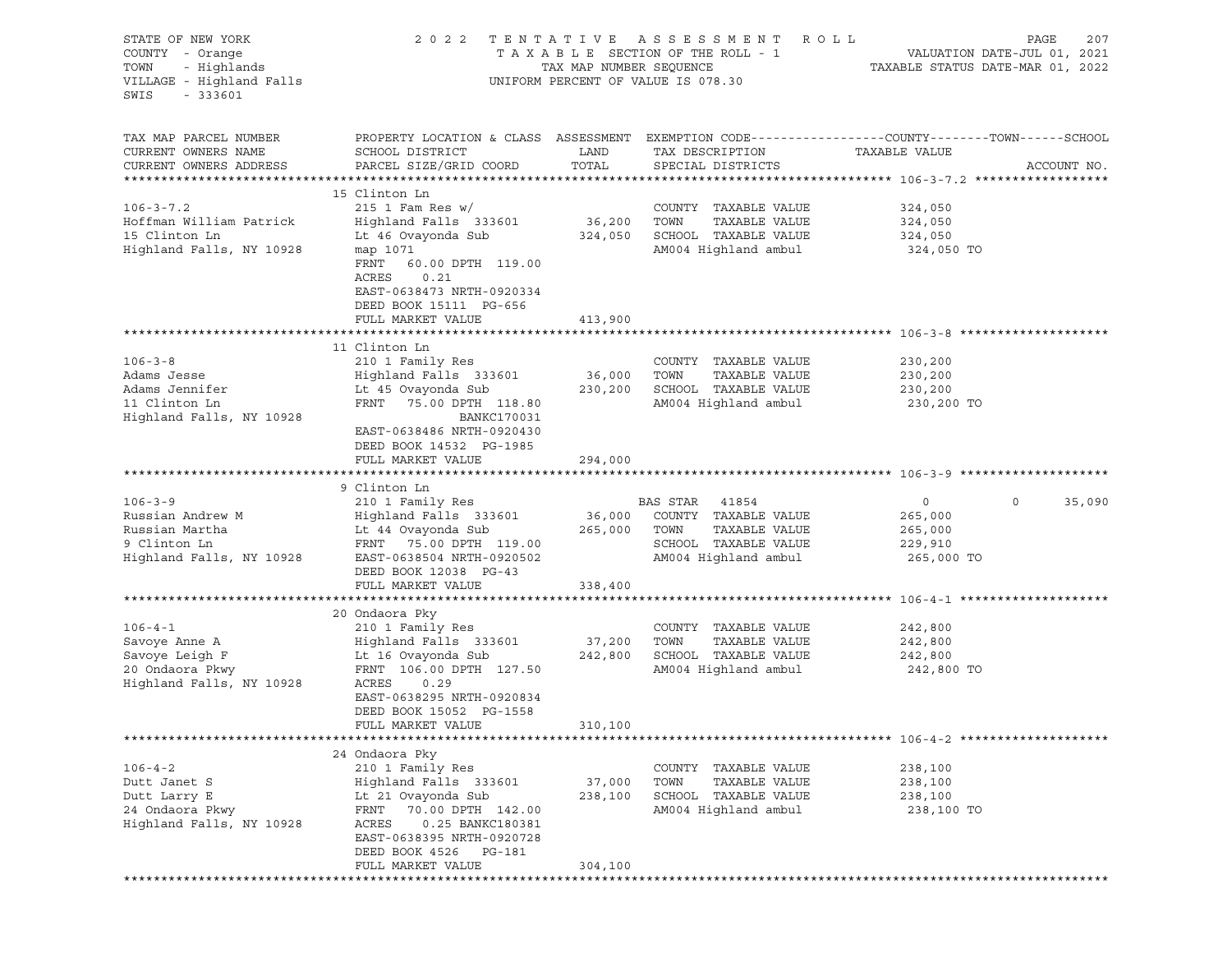| STATE OF NEW YORK<br>COUNTY - Orange<br>TOWN<br>- Highlands<br>VILLAGE - Highland Falls<br>SWIS<br>$-333601$ | 2 0 2 2                                                                                                                                                                                                             | TAX MAP NUMBER SEQUENCE      | TENTATIVE ASSESSMENT<br>TAXABLE SECTION OF THE ROLL - 1<br>UNIFORM PERCENT OF VALUE IS 078.30                   | ROLL<br>PAGE<br>207<br>VALUATION DATE-JUL 01, 2021<br>TAXABLE STATUS DATE-MAR 01, 2022                                          |
|--------------------------------------------------------------------------------------------------------------|---------------------------------------------------------------------------------------------------------------------------------------------------------------------------------------------------------------------|------------------------------|-----------------------------------------------------------------------------------------------------------------|---------------------------------------------------------------------------------------------------------------------------------|
| TAX MAP PARCEL NUMBER<br>CURRENT OWNERS NAME<br>CURRENT OWNERS ADDRESS                                       | SCHOOL DISTRICT<br>PARCEL SIZE/GRID COORD                                                                                                                                                                           | LAND<br>TOTAL                | TAX DESCRIPTION<br>SPECIAL DISTRICTS                                                                            | PROPERTY LOCATION & CLASS ASSESSMENT EXEMPTION CODE---------------COUNTY-------TOWN------SCHOOL<br>TAXABLE VALUE<br>ACCOUNT NO. |
|                                                                                                              |                                                                                                                                                                                                                     |                              |                                                                                                                 |                                                                                                                                 |
| $106 - 3 - 7.2$<br>Hoffman William Patrick<br>15 Clinton Ln<br>Highland Falls, NY 10928                      | 15 Clinton Ln<br>$215$ 1 Fam Res w/<br>Highland Falls 333601<br>Lt 46 Ovayonda Sub<br>map 1071<br>FRNT<br>60.00 DPTH 119.00<br>ACRES<br>0.21<br>EAST-0638473 NRTH-0920334<br>DEED BOOK 15111 PG-656                 | 36,200<br>324,050            | COUNTY TAXABLE VALUE<br>TAXABLE VALUE<br>TOWN<br>SCHOOL TAXABLE VALUE<br>AM004 Highland ambul                   | 324,050<br>324,050<br>324,050<br>324,050 TO                                                                                     |
|                                                                                                              | FULL MARKET VALUE                                                                                                                                                                                                   | 413,900                      |                                                                                                                 |                                                                                                                                 |
|                                                                                                              |                                                                                                                                                                                                                     |                              |                                                                                                                 |                                                                                                                                 |
| $106 - 3 - 8$<br>Adams Jesse<br>Adams Jennifer<br>11 Clinton Ln<br>Highland Falls, NY 10928                  | 11 Clinton Ln<br>210 1 Family Res<br>Highland Falls 333601<br>Lt 45 Ovayonda Sub<br>FRNT 75.00 DPTH 118.80<br>BANKC170031<br>EAST-0638486 NRTH-0920430                                                              | 36,000<br>230,200            | COUNTY TAXABLE VALUE<br>TAXABLE VALUE<br>TOWN<br>SCHOOL TAXABLE VALUE<br>AM004 Highland ambul                   | 230,200<br>230,200<br>230,200<br>230,200 TO                                                                                     |
|                                                                                                              | DEED BOOK 14532 PG-1985                                                                                                                                                                                             |                              |                                                                                                                 |                                                                                                                                 |
|                                                                                                              | FULL MARKET VALUE                                                                                                                                                                                                   | 294,000                      |                                                                                                                 |                                                                                                                                 |
|                                                                                                              | 9 Clinton Ln                                                                                                                                                                                                        |                              |                                                                                                                 |                                                                                                                                 |
| $106 - 3 - 9$<br>Russian Andrew M<br>Russian Martha<br>9 Clinton Ln<br>Highland Falls, NY 10928              | 210 1 Family Res<br>Highland Falls 333601<br>Lt 44 Ovayonda Sub<br>FRNT 75.00 DPTH 119.00<br>EAST-0638504 NRTH-0920502<br>DEED BOOK 12038 PG-43                                                                     | 36,000<br>265,000            | BAS STAR 41854<br>COUNTY TAXABLE VALUE<br>TOWN<br>TAXABLE VALUE<br>SCHOOL TAXABLE VALUE<br>AM004 Highland ambul | $\overline{0}$<br>0<br>35,090<br>265,000<br>265,000<br>229,910<br>265,000 TO                                                    |
|                                                                                                              | FULL MARKET VALUE                                                                                                                                                                                                   | 338,400                      |                                                                                                                 |                                                                                                                                 |
| $106 - 4 - 1$<br>Savoye Anne A<br>Savoye Leigh F<br>20 Ondaora Pkwy<br>Highland Falls, NY 10928              | 20 Ondaora Pky<br>210 1 Family Res<br>Highland Falls 333601<br>Lt 16 Ovayonda Sub<br>FRNT 106.00 DPTH 127.50<br>ACRES<br>0.29<br>EAST-0638295 NRTH-0920834<br>DEED BOOK 15052 PG-1558<br>FULL MARKET VALUE          | 37,200<br>242,800<br>310,100 | COUNTY TAXABLE VALUE<br>TOWN<br>TAXABLE VALUE<br>SCHOOL TAXABLE VALUE<br>AM004 Highland ambul                   | 242,800<br>242,800<br>242,800<br>242,800 TO                                                                                     |
|                                                                                                              |                                                                                                                                                                                                                     |                              |                                                                                                                 |                                                                                                                                 |
| $106 - 4 - 2$<br>Dutt Janet S<br>Dutt Larry E<br>24 Ondaora Pkwy<br>Highland Falls, NY 10928                 | 24 Ondaora Pky<br>210 1 Family Res<br>Highland Falls 333601<br>Lt 21 Ovayonda Sub<br>FRNT 70.00 DPTH 142.00<br>ACRES<br>0.25 BANKC180381<br>EAST-0638395 NRTH-0920728<br>DEED BOOK 4526 PG-181<br>FULL MARKET VALUE | 37,000<br>238,100<br>304,100 | COUNTY TAXABLE VALUE<br>TAXABLE VALUE<br>TOWN<br>SCHOOL TAXABLE VALUE<br>AM004 Highland ambul                   | 238,100<br>238,100<br>238,100<br>238,100 TO                                                                                     |
|                                                                                                              |                                                                                                                                                                                                                     |                              |                                                                                                                 |                                                                                                                                 |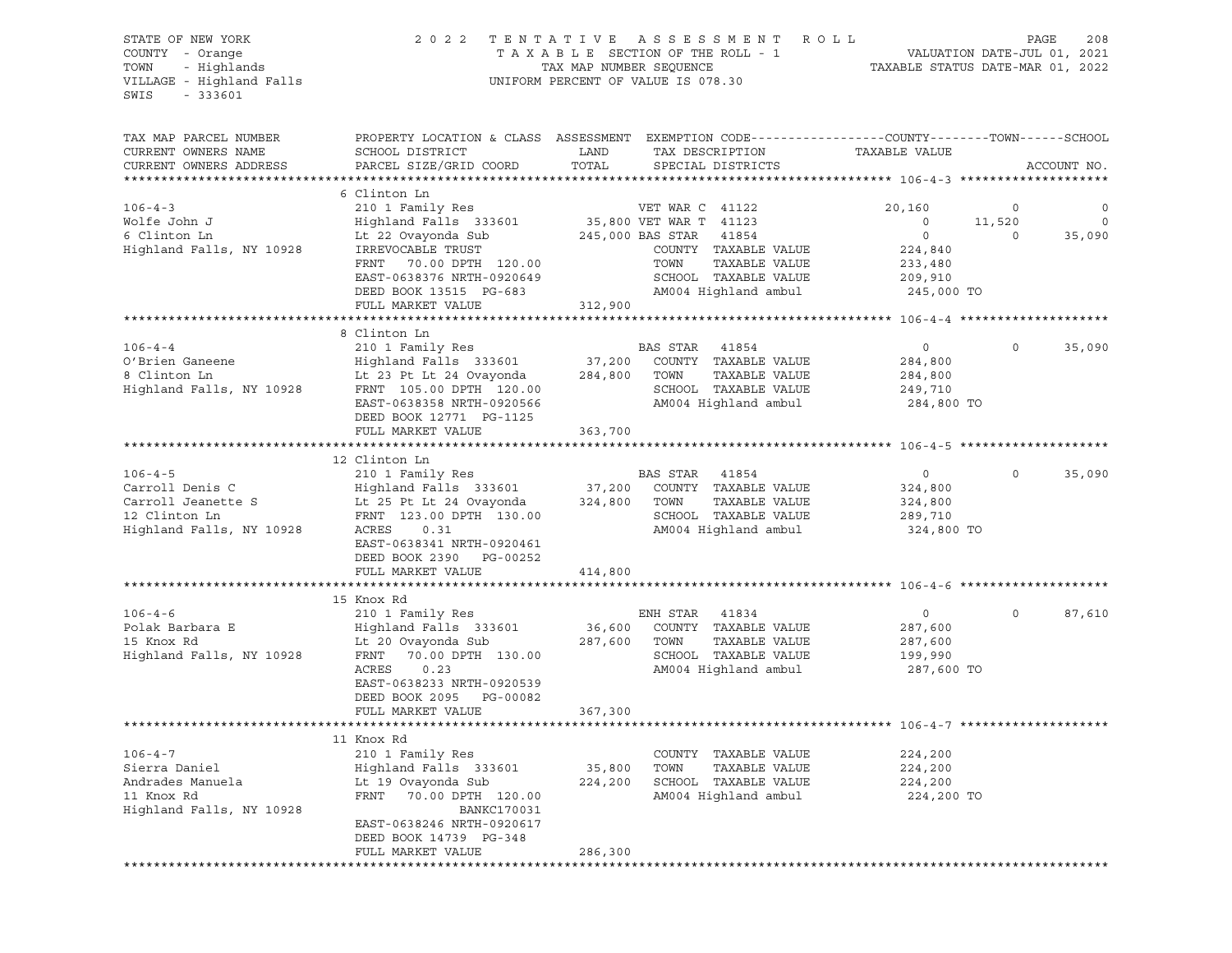## STATE OF NEW YORK 2 0 2 2 T E N T A T I V E A S S E S S M E N T R O L L PAGE 208 COUNTY - Orange T A X A B L E SECTION OF THE ROLL - 1 VALUATION DATE-JUL 01, 2021 TOWN - Highlands TAX MAP NUMBER SEQUENCE TAXABLE STATUS DATE-MAR 01, 2022

| TAX MAP PARCEL NUMBER    | PROPERTY LOCATION & CLASS ASSESSMENT EXEMPTION CODE----------------COUNTY-------TOWN-----SCHOOL |         |                           |                    |         |             |
|--------------------------|-------------------------------------------------------------------------------------------------|---------|---------------------------|--------------------|---------|-------------|
| CURRENT OWNERS NAME      | SCHOOL DISTRICT                                                                                 | LAND    | TAX DESCRIPTION           | TAXABLE VALUE      |         |             |
| CURRENT OWNERS ADDRESS   | PARCEL SIZE/GRID COORD                                                                          | TOTAL   | SPECIAL DISTRICTS         |                    |         | ACCOUNT NO. |
|                          |                                                                                                 |         |                           |                    |         |             |
|                          | 6 Clinton Ln                                                                                    |         |                           |                    |         |             |
| $106 - 4 - 3$            | 210 1 Family Res                                                                                |         | VET WAR C 41122           | 20,160             | $\circ$ |             |
| Wolfe John J             | Highland Falls 333601                                                                           |         | 35,800 VET WAR T 41123    | $\circ$            | 11,520  | $\circ$     |
| 6 Clinton Ln             | Lt 22 Ovayonda Sub                                                                              |         | 245,000 BAS STAR<br>41854 | $\circ$            | $\circ$ | 35,090      |
| Highland Falls, NY 10928 | IRREVOCABLE TRUST                                                                               |         | COUNTY TAXABLE VALUE      | 224,840            |         |             |
|                          | FRNT 70.00 DPTH 120.00                                                                          |         | TOWN<br>TAXABLE VALUE     | 233,480            |         |             |
|                          | EAST-0638376 NRTH-0920649                                                                       |         | SCHOOL TAXABLE VALUE      | 209,910            |         |             |
|                          | DEED BOOK 13515 PG-683                                                                          |         | AM004 Highland ambul      | 245,000 TO         |         |             |
|                          | FULL MARKET VALUE                                                                               | 312,900 |                           |                    |         |             |
|                          |                                                                                                 |         |                           |                    |         |             |
|                          | 8 Clinton Ln                                                                                    |         |                           |                    |         |             |
| $106 - 4 - 4$            | 210 1 Family Res                                                                                |         | BAS STAR<br>41854         | $\circ$            | 0       | 35,090      |
| O'Brien Ganeene          | Highland Falls 333601                                                                           | 37,200  | COUNTY TAXABLE VALUE      | 284,800            |         |             |
| 8 Clinton Ln             | Lt 23 Pt Lt 24 Ovayonda                                                                         | 284,800 | TOWN<br>TAXABLE VALUE     | 284,800            |         |             |
| Highland Falls, NY 10928 | FRNT 105.00 DPTH 120.00                                                                         |         | SCHOOL TAXABLE VALUE      | 249,710            |         |             |
|                          | EAST-0638358 NRTH-0920566                                                                       |         | AM004 Highland ambul      | 284,800 TO         |         |             |
|                          | DEED BOOK 12771 PG-1125                                                                         |         |                           |                    |         |             |
|                          | FULL MARKET VALUE                                                                               | 363,700 |                           |                    |         |             |
|                          |                                                                                                 |         |                           |                    |         |             |
|                          | 12 Clinton Ln                                                                                   |         |                           |                    |         |             |
| $106 - 4 - 5$            | 210 1 Family Res                                                                                |         | BAS STAR 41854            | $\circ$            | 0       | 35,090      |
| Carroll Denis C          | Highland Falls 333601                                                                           | 37,200  | COUNTY TAXABLE VALUE      | 324,800            |         |             |
| Carroll Jeanette S       | Lt 25 Pt Lt 24 Ovayonda                                                                         | 324,800 | TOWN<br>TAXABLE VALUE     | 324,800            |         |             |
| 12 Clinton Ln            | FRNT 123.00 DPTH 130.00                                                                         |         | SCHOOL TAXABLE VALUE      | 289,710            |         |             |
| Highland Falls, NY 10928 | ACRES<br>0.31                                                                                   |         | AM004 Highland ambul      | 324,800 TO         |         |             |
|                          | EAST-0638341 NRTH-0920461                                                                       |         |                           |                    |         |             |
|                          | DEED BOOK 2390 PG-00252                                                                         |         |                           |                    |         |             |
|                          | FULL MARKET VALUE                                                                               | 414,800 |                           |                    |         |             |
|                          |                                                                                                 |         |                           |                    |         |             |
|                          | 15 Knox Rd                                                                                      |         |                           |                    |         |             |
| $106 - 4 - 6$            | 210 1 Family Res                                                                                |         | ENH STAR<br>41834         | $\circ$            | 0       | 87,610      |
| Polak Barbara E          | Highland Falls 333601                                                                           | 36,600  | COUNTY TAXABLE VALUE      | 287,600            |         |             |
| 15 Knox Rd               | Lt 20 Ovayonda Sub                                                                              | 287,600 | TOWN<br>TAXABLE VALUE     | 287,600            |         |             |
| Highland Falls, NY 10928 | 70.00 DPTH 130.00<br>FRNT                                                                       |         | SCHOOL TAXABLE VALUE      | 199,990            |         |             |
|                          | ACRES<br>0.23                                                                                   |         | AM004 Highland ambul      | 287,600 TO         |         |             |
|                          | EAST-0638233 NRTH-0920539                                                                       |         |                           |                    |         |             |
|                          | DEED BOOK 2095 PG-00082                                                                         |         |                           |                    |         |             |
|                          | FULL MARKET VALUE                                                                               | 367,300 |                           |                    |         |             |
|                          |                                                                                                 |         |                           |                    |         |             |
| $106 - 4 - 7$            | 11 Knox Rd                                                                                      |         | COUNTY TAXABLE VALUE      |                    |         |             |
| Sierra Daniel            | 210 1 Family Res<br>Highland Falls 333601                                                       | 35,800  | TOWN<br>TAXABLE VALUE     | 224,200<br>224,200 |         |             |
| Andrades Manuela         |                                                                                                 | 224,200 | SCHOOL TAXABLE VALUE      |                    |         |             |
| 11 Knox Rd               | Lt 19 Ovayonda Sub<br>FRNT 70.00 DPTH 120.00                                                    |         | AM004 Highland ambul      | 224,200            |         |             |
| Highland Falls, NY 10928 | <b>BANKC170031</b>                                                                              |         |                           | 224,200 TO         |         |             |
|                          | EAST-0638246 NRTH-0920617                                                                       |         |                           |                    |         |             |
|                          | DEED BOOK 14739 PG-348                                                                          |         |                           |                    |         |             |
|                          | FULL MARKET VALUE                                                                               | 286,300 |                           |                    |         |             |
|                          |                                                                                                 |         |                           |                    |         |             |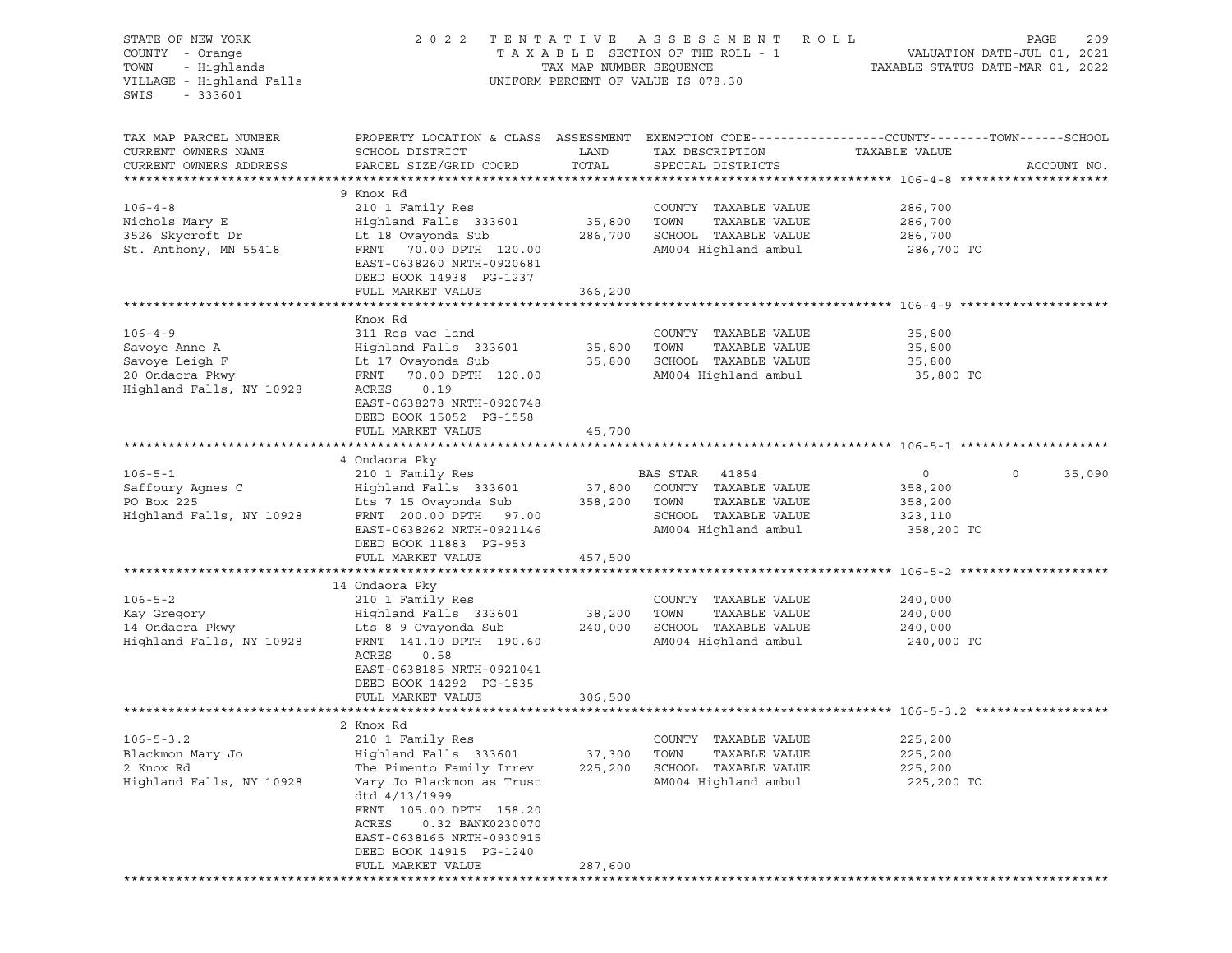| STATE OF NEW YORK<br>COUNTY - Orange<br>- Highlands<br>TOWN<br>VILLAGE - Highland Falls<br>SWIS<br>$-333601$ |                                                                                                                                   |         | 2022 TENTATIVE ASSESSMENT ROLL<br>UNIFORM PERCENT OF VALUE IS 078.30 |                    | PAGE<br>209            |
|--------------------------------------------------------------------------------------------------------------|-----------------------------------------------------------------------------------------------------------------------------------|---------|----------------------------------------------------------------------|--------------------|------------------------|
| TAX MAP PARCEL NUMBER<br>CURRENT OWNERS NAME                                                                 | PROPERTY LOCATION & CLASS ASSESSMENT EXEMPTION CODE----------------COUNTY-------TOWN------SCHOOL<br>SCHOOL DISTRICT               | LAND    | TAX DESCRIPTION                                                      | TAXABLE VALUE      |                        |
| CURRENT OWNERS ADDRESS                                                                                       | PARCEL SIZE/GRID COORD                                                                                                            | TOTAL   | SPECIAL DISTRICTS                                                    |                    | ACCOUNT NO.            |
|                                                                                                              | 9 Knox Rd                                                                                                                         |         |                                                                      |                    |                        |
| $106 - 4 - 8$                                                                                                | 210 1 Family Res                                                                                                                  |         | COUNTY TAXABLE VALUE                                                 | 286,700            |                        |
| Nichols Mary E                                                                                               | Highland Falls 333601 35,800 TOWN                                                                                                 |         | TAXABLE VALUE                                                        | 286,700            |                        |
| 3526 Skycroft Dr                                                                                             | Lt 18 Ovayonda Sub                                                                                                                |         | 286,700 SCHOOL TAXABLE VALUE                                         | 286,700            |                        |
| St. Anthony, MN 55418                                                                                        | FRNT 70.00 DPTH 120.00<br>EAST-0638260 NRTH-0920681<br>DEED BOOK 14938 PG-1237                                                    |         | AM004 Highland ambul 286,700 TO                                      |                    |                        |
|                                                                                                              | FULL MARKET VALUE                                                                                                                 | 366,200 |                                                                      |                    |                        |
|                                                                                                              | Knox Rd                                                                                                                           |         |                                                                      |                    |                        |
| $106 - 4 - 9$                                                                                                | 311 Res vac land                                                                                                                  |         | COUNTY TAXABLE VALUE                                                 | 35,800             |                        |
|                                                                                                              |                                                                                                                                   |         |                                                                      | 35,800             |                        |
|                                                                                                              |                                                                                                                                   |         |                                                                      | 35,800             |                        |
|                                                                                                              |                                                                                                                                   |         |                                                                      | 35,800 TO          |                        |
| Highland Falls, NY 10928                                                                                     | ACRES<br>0.19<br>EAST-0638278 NRTH-0920748<br>DEED BOOK 15052 PG-1558                                                             |         |                                                                      |                    |                        |
|                                                                                                              | FULL MARKET VALUE 45,700                                                                                                          |         |                                                                      |                    |                        |
|                                                                                                              |                                                                                                                                   |         |                                                                      |                    |                        |
|                                                                                                              | 4 Ondaora Pky                                                                                                                     |         |                                                                      |                    |                        |
| $106 - 5 - 1$                                                                                                | 210 1 Family Res                                                                                                                  |         | BAS STAR 41854                                                       | $\overline{0}$     | $\mathsf{O}$<br>35,090 |
| Saffoury Agnes C                                                                                             | Highland Falls 333601 37,800 COUNTY<br>Lts 7 15 Ovayonda Sub 358,200 TOWN<br>FRNT 200.00 DPTH 97.00 SCHOOL                        |         | 37,800 COUNTY TAXABLE VALUE                                          | 358,200            |                        |
| PO Box 225<br>Highland Falls, NY 10928                                                                       | FRNT 200.00 DPTH 97.00                                                                                                            |         | TAXABLE VALUE<br>SCHOOL TAXABLE VALUE                                | 358,200<br>323,110 |                        |
|                                                                                                              | EAST-0638262 NRTH-0921146<br>DEED BOOK 11883 PG-953                                                                               |         | AM004 Highland ambul                                                 | 358,200 TO         |                        |
|                                                                                                              | FULL MARKET VALUE                                                                                                                 | 457,500 |                                                                      |                    |                        |
|                                                                                                              |                                                                                                                                   |         |                                                                      |                    |                        |
| $106 - 5 - 2$                                                                                                | 14 Ondaora Pky                                                                                                                    |         |                                                                      |                    |                        |
|                                                                                                              | 210 1 Family Res<br>Highland Falls 333601 38,200                                                                                  |         | COUNTY TAXABLE VALUE<br>TOWN<br>TAXABLE VALUE                        | 240,000<br>240,000 |                        |
|                                                                                                              | Lts 8 9 Ovayonda Sub 240,000 SCHOOL TAXABLE VALUE                                                                                 |         |                                                                      | 240,000            |                        |
| a a a a ann anns an 14 Ondaora Pkwy<br>Highland Falls ann an 19<br>Highland Falls, NY 10928                  | FRNT 141.10 DPTH 190.60                                                                                                           |         | AM004 Highland ambul 240,000 TO                                      |                    |                        |
|                                                                                                              | ACRES<br>0.58<br>EAST-0638185 NRTH-0921041<br>DEED BOOK 14292 PG-1835                                                             |         |                                                                      |                    |                        |
|                                                                                                              | FULL MARKET VALUE                                                                                                                 | 306,500 |                                                                      |                    |                        |
|                                                                                                              |                                                                                                                                   |         |                                                                      |                    |                        |
| $106 - 5 - 3.2$                                                                                              | 2 Knox Rd<br>210 1 Family Res                                                                                                     |         | COUNTY TAXABLE VALUE                                                 | 225,200            |                        |
| Blackmon Mary Jo                                                                                             | Highland Falls 333601                                                                                                             | 37,300  | TOWN<br>TAXABLE VALUE                                                | 225,200            |                        |
| 2 Knox Rd                                                                                                    | The Pimento Family Irrev                                                                                                          | 225,200 | SCHOOL TAXABLE VALUE                                                 | 225,200            |                        |
| Highland Falls, NY 10928                                                                                     | Mary Jo Blackmon as Trust<br>dtd $4/13/1999$                                                                                      |         | AM004 Highland ambul                                                 | 225,200 TO         |                        |
|                                                                                                              | FRNT 105.00 DPTH 158.20<br>ACRES<br>0.32 BANK0230070<br>EAST-0638165 NRTH-0930915<br>DEED BOOK 14915 PG-1240<br>FULL MARKET VALUE | 287,600 |                                                                      |                    |                        |
|                                                                                                              |                                                                                                                                   |         |                                                                      |                    |                        |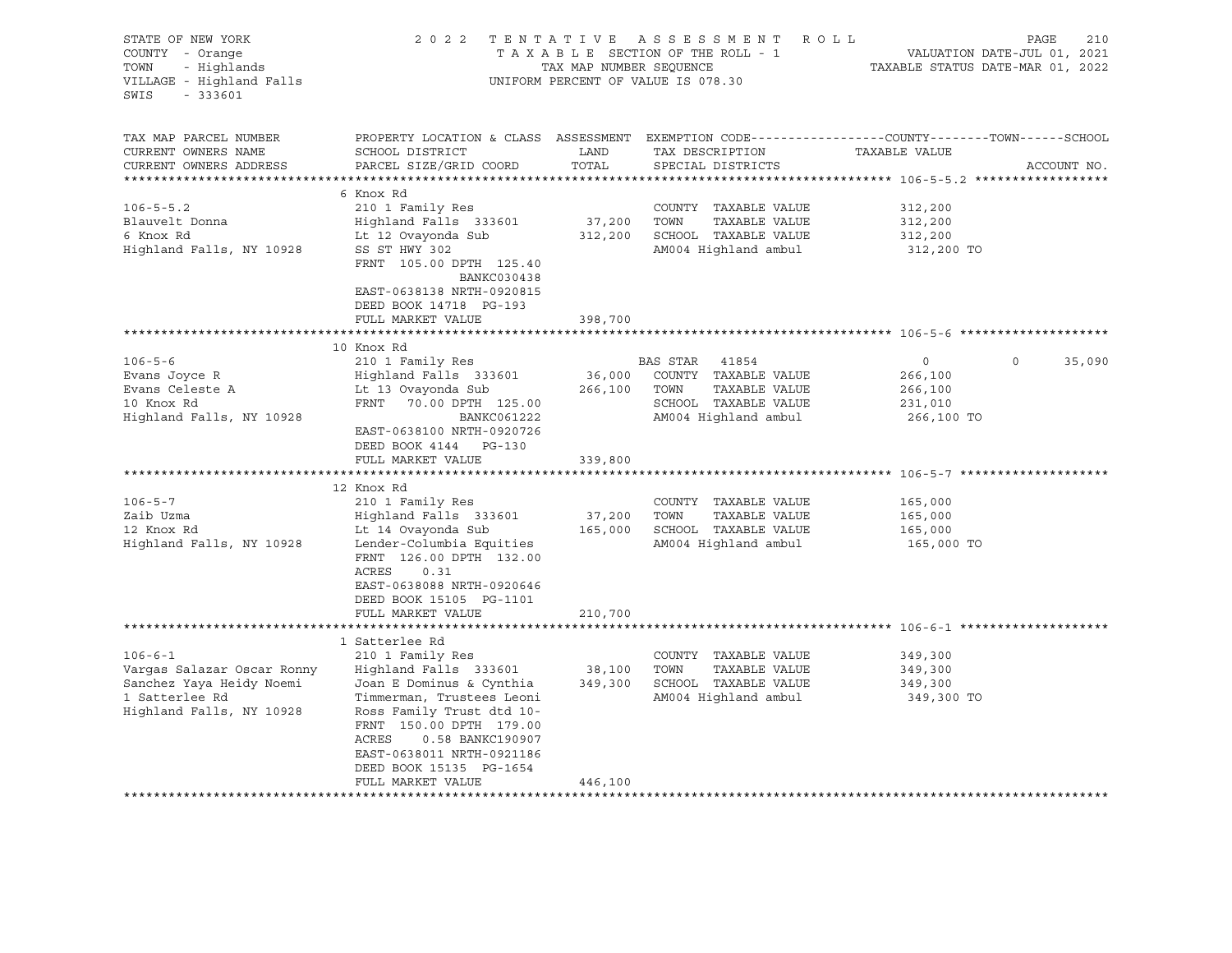| STATE OF NEW YORK<br>COUNTY - Orange<br>- Highlands<br>TOWN<br>VILLAGE - Highland Falls<br>$-333601$<br>SWIS                                                        | 2 0 2 2                                                                                                                                                                                                                                                                                                           | TAX MAP NUMBER SEQUENCE                           | TENTATIVE ASSESSMENT<br>TAXABLE SECTION OF THE ROLL - 1<br>UNIFORM PERCENT OF VALUE IS 078.30                                                                                                                       | ROLL                                                                                                       | PAGE<br>210<br>VALUATION DATE-JUL 01, 2021<br>TAXABLE STATUS DATE-MAR 01, 2022 |
|---------------------------------------------------------------------------------------------------------------------------------------------------------------------|-------------------------------------------------------------------------------------------------------------------------------------------------------------------------------------------------------------------------------------------------------------------------------------------------------------------|---------------------------------------------------|---------------------------------------------------------------------------------------------------------------------------------------------------------------------------------------------------------------------|------------------------------------------------------------------------------------------------------------|--------------------------------------------------------------------------------|
| TAX MAP PARCEL NUMBER<br>CURRENT OWNERS NAME<br>CURRENT OWNERS ADDRESS                                                                                              | PROPERTY LOCATION & CLASS ASSESSMENT EXEMPTION CODE----------------COUNTY-------TOWN-----SCHOOL<br>SCHOOL DISTRICT<br>PARCEL SIZE/GRID COORD                                                                                                                                                                      | LAND<br>TOTAL                                     | TAX DESCRIPTION<br>SPECIAL DISTRICTS                                                                                                                                                                                | TAXABLE VALUE                                                                                              | ACCOUNT NO.                                                                    |
| $106 - 5 - 5.2$<br>Blauvelt Donna<br>6 Knox Rd<br>Highland Falls, NY 10928                                                                                          | 6 Knox Rd<br>210 1 Family Res<br>Highland Falls 333601<br>Lt 12 Ovayonda Sub<br>SS ST HWY 302<br>FRNT 105.00 DPTH 125.40<br>BANKC030438<br>EAST-0638138 NRTH-0920815<br>DEED BOOK 14718 PG-193<br>FULL MARKET VALUE                                                                                               | 37,200<br>312,200<br>398,700                      | COUNTY TAXABLE VALUE<br>TAXABLE VALUE<br>TOWN<br>SCHOOL TAXABLE VALUE<br>AM004 Highland ambul                                                                                                                       | 312,200<br>312,200<br>312,200<br>312,200 TO                                                                |                                                                                |
|                                                                                                                                                                     | ***********************                                                                                                                                                                                                                                                                                           |                                                   |                                                                                                                                                                                                                     |                                                                                                            |                                                                                |
| $106 - 5 - 6$<br>Evans Joyce R<br>Evans Celeste A<br>10 Knox Rd<br>Highland Falls, NY 10928<br>$106 - 5 - 7$<br>Zaib Uzma<br>12 Knox Rd<br>Highland Falls, NY 10928 | 10 Knox Rd<br>210 1 Family Res<br>Highland Falls 333601<br>Lt 13 Ovayonda Sub<br>FRNT<br>70.00 DPTH 125.00<br>BANKC061222<br>EAST-0638100 NRTH-0920726<br>DEED BOOK 4144 PG-130<br>FULL MARKET VALUE<br>12 Knox Rd<br>210 1 Family Res<br>Highland Falls 333601<br>Lt 14 Ovayonda Sub<br>Lender-Columbia Equities | 36,000<br>266,100<br>339,800<br>37,200<br>165,000 | BAS STAR<br>41854<br>COUNTY TAXABLE VALUE<br>TAXABLE VALUE<br>TOWN<br>SCHOOL TAXABLE VALUE<br>AM004 Highland ambul<br>COUNTY TAXABLE VALUE<br>TOWN<br>TAXABLE VALUE<br>SCHOOL TAXABLE VALUE<br>AM004 Highland ambul | $\mathbf{0}$<br>266,100<br>266,100<br>231,010<br>266,100 TO<br>165,000<br>165,000<br>165,000<br>165,000 TO | 35,090<br>$\circ$                                                              |
|                                                                                                                                                                     | FRNT 126.00 DPTH 132.00<br>ACRES<br>0.31<br>EAST-0638088 NRTH-0920646<br>DEED BOOK 15105 PG-1101<br>FULL MARKET VALUE                                                                                                                                                                                             | 210,700                                           |                                                                                                                                                                                                                     |                                                                                                            |                                                                                |
|                                                                                                                                                                     | 1 Satterlee Rd                                                                                                                                                                                                                                                                                                    |                                                   |                                                                                                                                                                                                                     |                                                                                                            |                                                                                |
| $106 - 6 - 1$<br>Vargas Salazar Oscar Ronny<br>Sanchez Yaya Heidy Noemi<br>1 Satterlee Rd<br>Highland Falls, NY 10928                                               | 210 1 Family Res<br>Highland Falls 333601<br>Joan E Dominus & Cynthia<br>Timmerman, Trustees Leoni<br>Ross Family Trust dtd 10-<br>FRNT 150.00 DPTH 179.00<br>0.58 BANKC190907<br>ACRES<br>EAST-0638011 NRTH-0921186<br>DEED BOOK 15135 PG-1654                                                                   | 38,100<br>349,300                                 | COUNTY TAXABLE VALUE<br>TOWN<br>TAXABLE VALUE<br>SCHOOL TAXABLE VALUE<br>AM004 Highland ambul                                                                                                                       | 349,300<br>349,300<br>349,300<br>349,300 TO                                                                |                                                                                |
|                                                                                                                                                                     | FULL MARKET VALUE                                                                                                                                                                                                                                                                                                 | 446,100                                           |                                                                                                                                                                                                                     |                                                                                                            |                                                                                |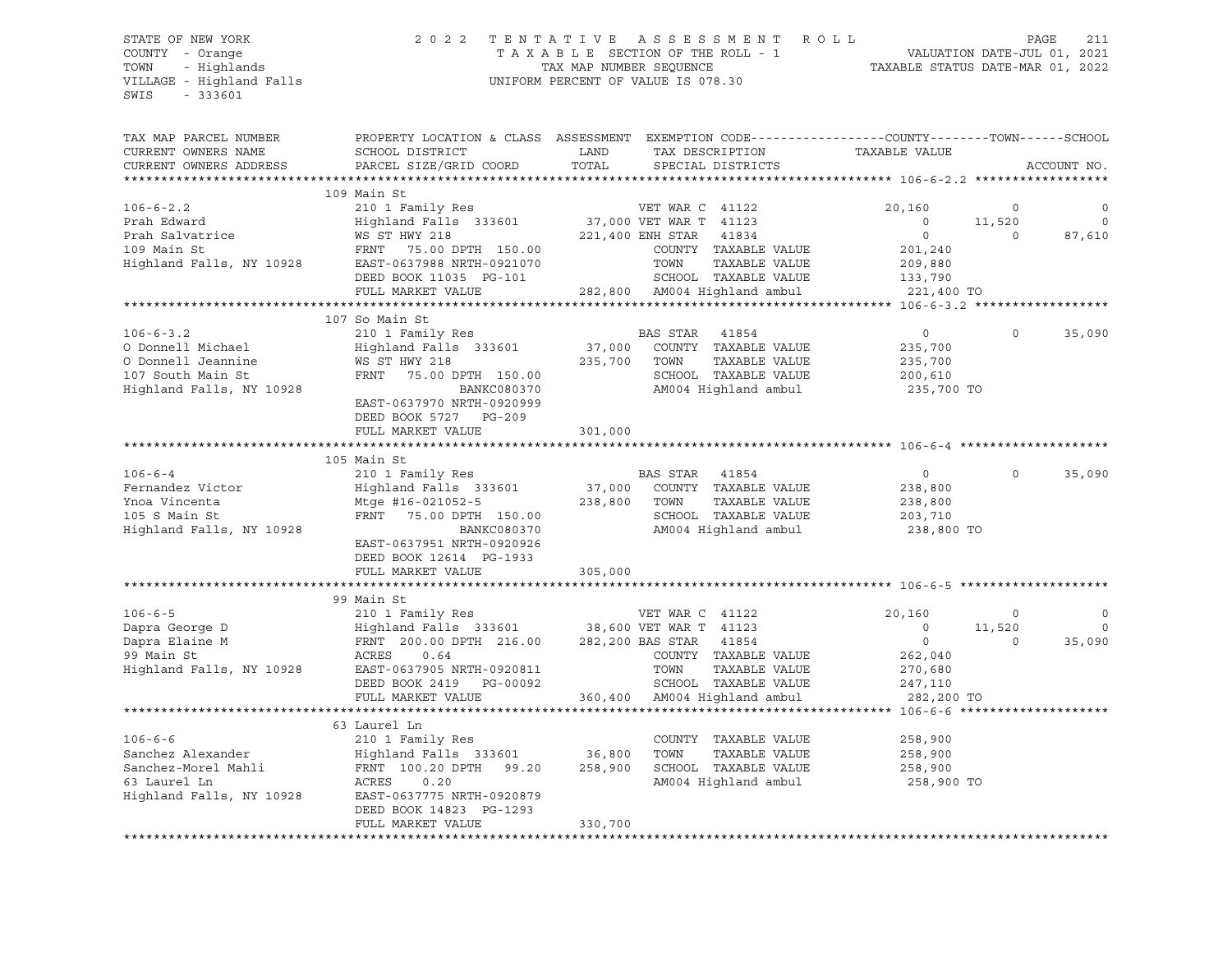## STATE OF NEW YORK 2 0 2 2 T E N T A T I V E A S S E S S M E N T R O L L PAGE 211 COUNTY - Orange T A X A B L E SECTION OF THE ROLL - 1 VALUATION DATE-JUL 01, 2021 TOWN - Highlands TAX MAP NUMBER SEQUENCE TAXABLE STATUS DATE-MAR 01, 2022

TAX MAP PARCEL NUMBER PROPERTY LOCATION & CLASS ASSESSMENT EXEMPTION CODE------------------COUNTY--------TOWN------SCHOOL

| CURRENT OWNERS NAME            | SCHOOL DISTRICT                              | LAND    | TAX DESCRIPTION                           | TAXABLE VALUE     |                   |              |
|--------------------------------|----------------------------------------------|---------|-------------------------------------------|-------------------|-------------------|--------------|
| CURRENT OWNERS ADDRESS         | PARCEL SIZE/GRID COORD                       | TOTAL   | SPECIAL DISTRICTS                         |                   |                   | ACCOUNT NO.  |
|                                | 109 Main St                                  |         |                                           |                   |                   |              |
| $106 - 6 - 2.2$<br>Prah Edward | 210 1 Family Res<br>Highland Falls 333601    |         | VET WAR C 41122<br>37,000 VET WAR T 41123 | 20,160<br>$\circ$ | $\circ$<br>11,520 | 0<br>$\circ$ |
| Prah Salvatrice                | WS ST HWY 218                                |         | 221,400 ENH STAR<br>41834                 | $\circ$           | $\Omega$          | 87,610       |
| 109 Main St                    | FRNT 75.00 DPTH 150.00                       |         | COUNTY TAXABLE VALUE                      | 201,240           |                   |              |
| Highland Falls, NY 10928       | EAST-0637988 NRTH-0921070                    |         | TOWN<br>TAXABLE VALUE                     | 209,880           |                   |              |
|                                | DEED BOOK 11035 PG-101                       |         | SCHOOL TAXABLE VALUE                      | 133,790           |                   |              |
|                                | FULL MARKET VALUE                            |         | 282,800 AM004 Highland ambul              | 221,400 TO        |                   |              |
|                                |                                              |         |                                           |                   |                   |              |
|                                | 107 So Main St                               |         |                                           |                   |                   |              |
| $106 - 6 - 3.2$                | 210 1 Family Res                             |         | BAS STAR<br>41854                         | $\overline{0}$    | $\circ$           | 35,090       |
| O Donnell Michael              | Highland Falls 333601                        |         | 37,000 COUNTY TAXABLE VALUE               | 235,700           |                   |              |
| O Donnell Jeannine             | WS ST HWY 218                                | 235,700 | TOWN<br>TAXABLE VALUE                     | 235,700           |                   |              |
| 107 South Main St              | FRNT<br>75.00 DPTH 150.00                    |         | SCHOOL TAXABLE VALUE                      | 200,610           |                   |              |
| Highland Falls, NY 10928       | BANKC080370<br>EAST-0637970 NRTH-0920999     |         | AM004 Highland ambul                      | 235,700 TO        |                   |              |
|                                | DEED BOOK 5727 PG-209                        |         |                                           |                   |                   |              |
|                                | FULL MARKET VALUE                            | 301,000 |                                           |                   |                   |              |
|                                |                                              |         |                                           |                   |                   |              |
| $106 - 6 - 4$                  | 105 Main St                                  |         |                                           |                   | $\Omega$          |              |
|                                | 210 1 Family Res                             |         | <b>BAS STAR</b><br>41854                  | $\circ$           |                   | 35,090       |
| Fernandez Victor               | Highland Falls 333601                        | 37,000  | COUNTY TAXABLE VALUE                      | 238,800           |                   |              |
| Ynoa Vincenta                  | Mtge #16-021052-5                            | 238,800 | TOWN<br>TAXABLE VALUE                     | 238,800           |                   |              |
| 105 S Main St                  | FRNT 75.00 DPTH 150.00                       |         | SCHOOL TAXABLE VALUE                      | 203,710           |                   |              |
| Highland Falls, NY 10928       | BANKC080370<br>EAST-0637951 NRTH-0920926     |         | AM004 Highland ambul                      | 238,800 TO        |                   |              |
|                                | DEED BOOK 12614 PG-1933                      |         |                                           |                   |                   |              |
|                                | FULL MARKET VALUE                            | 305,000 |                                           |                   |                   |              |
|                                | 99 Main St                                   |         |                                           |                   |                   |              |
| $106 - 6 - 5$                  | 210 1 Family Res                             |         | VET WAR C 41122                           | 20,160            | $\circ$           | $\circ$      |
| Dapra George D                 | Highland Falls 333601 38,600 VET WAR T 41123 |         |                                           | $\Omega$          | 11,520            | $\circ$      |
| Dapra Elaine M                 | FRNT 200.00 DPTH 216.00                      |         | 282,200 BAS STAR 41854                    | $\overline{0}$    | $\Omega$          | 35,090       |
| 99 Main St                     | ACRES<br>0.64                                |         | COUNTY TAXABLE VALUE                      | 262,040           |                   |              |
| Highland Falls, NY 10928       | EAST-0637905 NRTH-0920811                    |         | TOWN<br>TAXABLE VALUE                     | 270,680           |                   |              |
|                                | DEED BOOK 2419 PG-00092                      |         | SCHOOL TAXABLE VALUE                      | 247,110           |                   |              |
|                                | FULL MARKET VALUE                            |         | 360,400 AM004 Highland ambul              | 282,200 TO        |                   |              |
|                                |                                              |         |                                           |                   |                   |              |
|                                | 63 Laurel Ln                                 |         |                                           |                   |                   |              |
| $106 - 6 - 6$                  | 210 1 Family Res                             |         | COUNTY TAXABLE VALUE                      | 258,900           |                   |              |
| Sanchez Alexander              | Highland Falls 333601 36,800                 |         | TAXABLE VALUE<br>TOWN                     | 258,900           |                   |              |
| Sanchez-Morel Mahli            | FRNT 100.20 DPTH 99.20                       | 258,900 | SCHOOL TAXABLE VALUE                      | 258,900           |                   |              |
| 63 Laurel Ln                   | ACRES<br>0.20                                |         | AM004 Highland ambul                      | 258,900 TO        |                   |              |
| Highland Falls, NY 10928       | EAST-0637775 NRTH-0920879                    |         |                                           |                   |                   |              |
|                                | DEED BOOK 14823 PG-1293                      |         |                                           |                   |                   |              |
|                                | FULL MARKET VALUE                            | 330,700 |                                           |                   |                   |              |
|                                |                                              |         |                                           |                   |                   |              |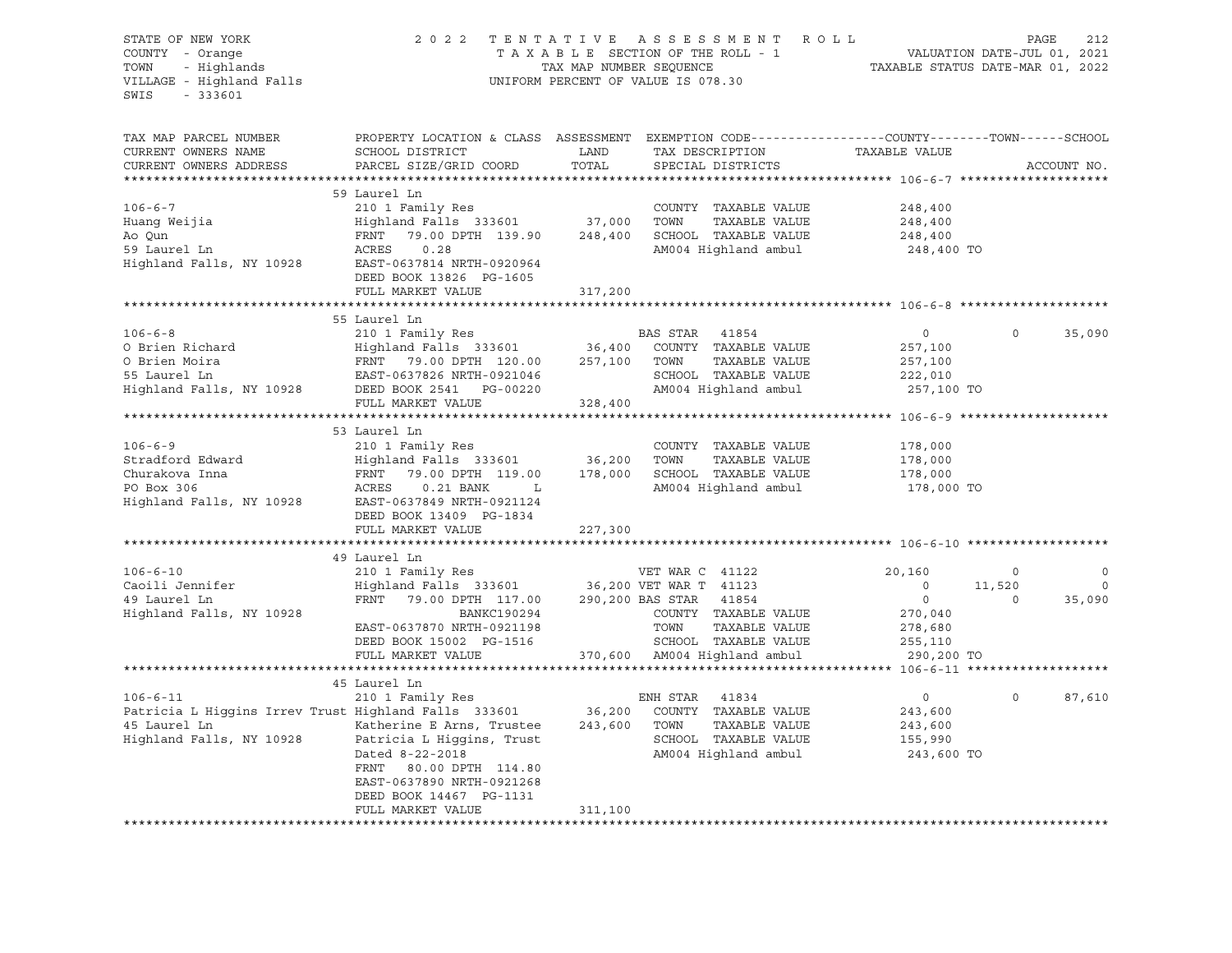| STATE OF NEW YORK<br>COUNTY - Orange<br>TOWN - Highlands<br>VILLAGE - Highland Falls<br>SWIS<br>$-333601$ |                                                                                                                                               |               | 2022 TENTATIVE ASSESSMENT ROLL<br>TAXABLE SECTION OF THE ROLL - 1 VALUATION DATE-JUL 01, 2021<br>TAXABLE SECTION OF THE ROLL - 1 VALUATION DATE-JUL 01, 2021<br>TAXABLE STATUS DATE-MAR 01, 2022<br>UNIFORM PERCENT OF VALUE IS 078.30     |                    |                          | PAGE<br>212                                |
|-----------------------------------------------------------------------------------------------------------|-----------------------------------------------------------------------------------------------------------------------------------------------|---------------|--------------------------------------------------------------------------------------------------------------------------------------------------------------------------------------------------------------------------------------------|--------------------|--------------------------|--------------------------------------------|
| TAX MAP PARCEL NUMBER<br>CURRENT OWNERS NAME<br>CURRENT OWNERS ADDRESS                                    | PROPERTY LOCATION & CLASS ASSESSMENT EXEMPTION CODE----------------COUNTY-------TOWN------SCHOOL<br>SCHOOL DISTRICT<br>PARCEL SIZE/GRID COORD | LAND<br>TOTAL | TAX DESCRIPTION TAXABLE VALUE<br>SPECIAL DISTRICTS                                                                                                                                                                                         |                    |                          | ACCOUNT NO.                                |
|                                                                                                           | 59 Laurel Ln                                                                                                                                  |               |                                                                                                                                                                                                                                            |                    |                          |                                            |
| $106 - 6 - 7$                                                                                             |                                                                                                                                               |               | COUNTY TAXABLE VALUE                                                                                                                                                                                                                       | 248,400            |                          |                                            |
|                                                                                                           | 210 1 Family Res<br>Highland Falls 333601 37,000                                                                                              |               | TOWN<br>TAXABLE VALUE                                                                                                                                                                                                                      | 248,400            |                          |                                            |
|                                                                                                           | FRNT 79.00 DPTH 139.90                                                                                                                        | 248,400       | SCHOOL TAXABLE VALUE                                                                                                                                                                                                                       | 248,400            |                          |                                            |
|                                                                                                           |                                                                                                                                               |               | AM004 Highland ambul                                                                                                                                                                                                                       | 248,400 TO         |                          |                                            |
|                                                                                                           |                                                                                                                                               |               |                                                                                                                                                                                                                                            |                    |                          |                                            |
|                                                                                                           | DEED BOOK 13826 PG-1605                                                                                                                       |               |                                                                                                                                                                                                                                            |                    |                          |                                            |
|                                                                                                           | FULL MARKET VALUE                                                                                                                             | 317,200       |                                                                                                                                                                                                                                            |                    |                          |                                            |
|                                                                                                           | 55 Laurel Ln                                                                                                                                  |               |                                                                                                                                                                                                                                            |                    |                          |                                            |
| $106 - 6 - 8$                                                                                             | 210 1 Family Res $B^2$<br>Highland Falls 333601 36,400                                                                                        |               | BAS STAR 41854                                                                                                                                                                                                                             | $\overline{0}$     | $\circ$                  | 35,090                                     |
|                                                                                                           |                                                                                                                                               |               | COUNTY TAXABLE VALUE                                                                                                                                                                                                                       | 257,100            |                          |                                            |
|                                                                                                           |                                                                                                                                               |               | TAXABLE VALUE<br>257,100 TOWN                                                                                                                                                                                                              | 257,100            |                          |                                            |
|                                                                                                           |                                                                                                                                               |               | SCHOOL TAXABLE VALUE                                                                                                                                                                                                                       | 222,010            |                          |                                            |
|                                                                                                           |                                                                                                                                               |               | AM004 Highland ambul                                                                                                                                                                                                                       | 257,100 TO         |                          |                                            |
|                                                                                                           | FULL MARKET VALUE                                                                                                                             | 328,400       |                                                                                                                                                                                                                                            |                    |                          |                                            |
|                                                                                                           |                                                                                                                                               |               |                                                                                                                                                                                                                                            |                    |                          |                                            |
| $106 - 6 - 9$                                                                                             | 53 Laurel Ln<br>210 1 Family Res                                                                                                              |               | COUNTY TAXABLE VALUE                                                                                                                                                                                                                       | 178,000            |                          |                                            |
|                                                                                                           |                                                                                                                                               |               | TOWN<br>TAXABLE VALUE                                                                                                                                                                                                                      |                    |                          |                                            |
|                                                                                                           |                                                                                                                                               |               | 178,000 SCHOOL TAXABLE VALUE                                                                                                                                                                                                               | 178,000<br>178,000 |                          |                                            |
|                                                                                                           |                                                                                                                                               |               | AM004 Highland ambul                                                                                                                                                                                                                       | 178,000 TO         |                          |                                            |
|                                                                                                           |                                                                                                                                               |               |                                                                                                                                                                                                                                            |                    |                          |                                            |
|                                                                                                           | DEED BOOK 13409 PG-1834                                                                                                                       |               |                                                                                                                                                                                                                                            |                    |                          |                                            |
|                                                                                                           | FULL MARKET VALUE                                                                                                                             | 227,300       |                                                                                                                                                                                                                                            |                    |                          |                                            |
|                                                                                                           |                                                                                                                                               |               |                                                                                                                                                                                                                                            |                    |                          |                                            |
| $106 - 6 - 10$                                                                                            | 49 Laurel Ln<br>210 1 Family Res                                                                                                              |               |                                                                                                                                                                                                                                            |                    |                          |                                            |
|                                                                                                           | Highland Falls 333601 36,200 VET WAR T 41123                                                                                                  |               | VET WAR C 41122                                                                                                                                                                                                                            | 20,160<br>$\Omega$ | $\overline{0}$<br>11,520 | $\overline{\phantom{0}}$<br>$\overline{0}$ |
| 106-6-10<br>Caoili Jennifer<br>Caoili Jennifer                                                            | 79.00 DPTH 117.00 290,200 BAS STAR 41854<br>FRNT                                                                                              |               |                                                                                                                                                                                                                                            | $\overline{0}$     | $\circ$                  | 35,090                                     |
| Highland Falls, NY 10928                                                                                  | BANKC190294                                                                                                                                   |               | COUNTY TAXABLE VALUE                                                                                                                                                                                                                       | 270,040            |                          |                                            |
|                                                                                                           | EAST-0637870 NRTH-0921198                                                                                                                     |               |                                                                                                                                                                                                                                            |                    |                          |                                            |
|                                                                                                           | DEED BOOK 15002 PG-1516                                                                                                                       |               |                                                                                                                                                                                                                                            |                    |                          |                                            |
|                                                                                                           | FULL MARKET VALUE                                                                                                                             |               |                                                                                                                                                                                                                                            | 290,200 TO         |                          |                                            |
|                                                                                                           |                                                                                                                                               |               | 370,600 M004 Highland ambul<br>than Highland ambul<br>370,600 AM004 Highland ambul<br>than the contract of the contract of the contract of the contract of the contract of the contract of the contra<br>than the contract of the contract |                    |                          |                                            |
|                                                                                                           | 45 Laurel Ln                                                                                                                                  |               |                                                                                                                                                                                                                                            |                    |                          |                                            |
| $106 - 6 - 11$                                                                                            | 210 1 Family Res                                                                                                                              |               | ENH STAR 41834                                                                                                                                                                                                                             | $\overline{0}$     | $\Omega$                 | 87,610                                     |
|                                                                                                           | Patricia L Higgins Irrev Trust Highland Falls 333601                                                                                          |               | 36,200 COUNTY TAXABLE VALUE                                                                                                                                                                                                                | 243,600            |                          |                                            |
| 45 Laurel Ln                                                                                              | Katherine E Arns, Trustee 243,600 TOWN<br>Highland Falls, NY 10928 Patricia L Higgins, Trust                                                  |               | TAXABLE VALUE<br>SCHOOL TAXABLE VALUE                                                                                                                                                                                                      | 243,600<br>155,990 |                          |                                            |
|                                                                                                           | Dated 8-22-2018                                                                                                                               |               | AM004 Highland ambul                                                                                                                                                                                                                       | 243,600 TO         |                          |                                            |
|                                                                                                           | FRNT 80.00 DPTH 114.80                                                                                                                        |               |                                                                                                                                                                                                                                            |                    |                          |                                            |
|                                                                                                           | EAST-0637890 NRTH-0921268                                                                                                                     |               |                                                                                                                                                                                                                                            |                    |                          |                                            |
|                                                                                                           | DEED BOOK 14467 PG-1131                                                                                                                       |               |                                                                                                                                                                                                                                            |                    |                          |                                            |
|                                                                                                           | FULL MARKET VALUE                                                                                                                             | 311,100       |                                                                                                                                                                                                                                            |                    |                          |                                            |
|                                                                                                           |                                                                                                                                               |               |                                                                                                                                                                                                                                            |                    |                          |                                            |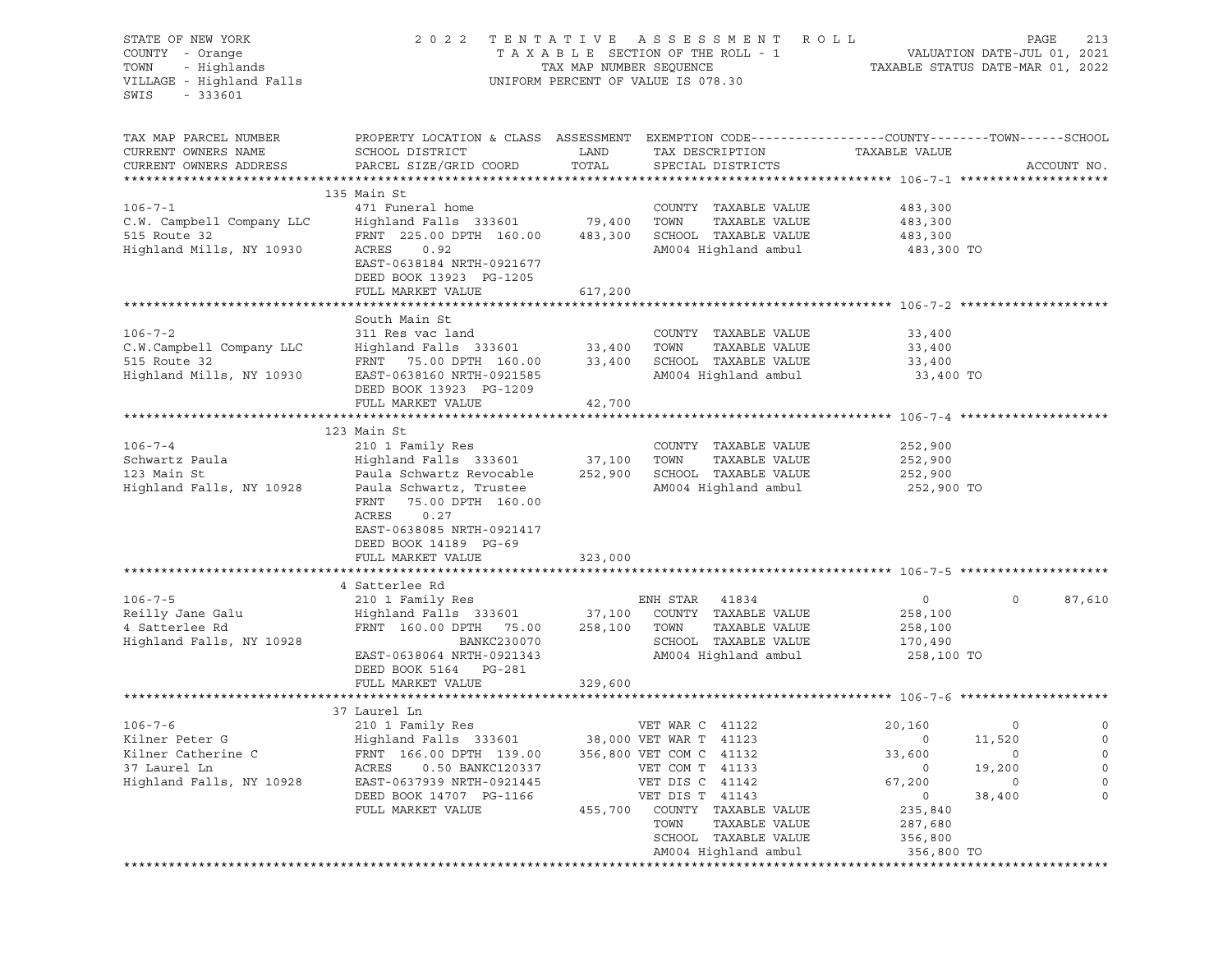| STATE OF NEW YORK<br>COUNTY - Orange<br>TOWN<br>- Highlands<br>VILLAGE - Highland Falls<br>SWIS<br>$-333601$ | 2 0 2 2                                                                                                             | TAX MAP NUMBER SEQUENCE | TENTATIVE ASSESSMENT<br>TAXABLE SECTION OF THE ROLL - 1<br>UNIFORM PERCENT OF VALUE IS 078.30 | <b>ROLL</b><br>VALUATION DATE-JUL 01, 2021<br>TAXABLE STATUS DATE-MAR 01, 2022 | PAGE        | 213         |
|--------------------------------------------------------------------------------------------------------------|---------------------------------------------------------------------------------------------------------------------|-------------------------|-----------------------------------------------------------------------------------------------|--------------------------------------------------------------------------------|-------------|-------------|
| TAX MAP PARCEL NUMBER<br>CURRENT OWNERS NAME                                                                 | PROPERTY LOCATION & CLASS ASSESSMENT EXEMPTION CODE----------------COUNTY-------TOWN------SCHOOL<br>SCHOOL DISTRICT | LAND                    | TAX DESCRIPTION                                                                               | TAXABLE VALUE                                                                  |             |             |
| CURRENT OWNERS ADDRESS                                                                                       | PARCEL SIZE/GRID COORD                                                                                              | TOTAL                   | SPECIAL DISTRICTS                                                                             |                                                                                |             | ACCOUNT NO. |
|                                                                                                              |                                                                                                                     |                         |                                                                                               |                                                                                |             |             |
|                                                                                                              | 135 Main St                                                                                                         |                         |                                                                                               |                                                                                |             |             |
| $106 - 7 - 1$                                                                                                | 471 Funeral home                                                                                                    |                         | COUNTY TAXABLE VALUE<br>TOWN<br>TAXABLE VALUE                                                 | 483,300                                                                        |             |             |
| C.W. Campbell Company LLC<br>515 Route 32                                                                    | Highland Falls 333601<br>FRNT 225.00 DPTH 160.00                                                                    | 79,400<br>483,300       | SCHOOL TAXABLE VALUE                                                                          | 483,300<br>483,300                                                             |             |             |
| Highland Mills, NY 10930                                                                                     | ACRES<br>0.92                                                                                                       |                         | AM004 Highland ambul                                                                          | 483,300 TO                                                                     |             |             |
|                                                                                                              | EAST-0638184 NRTH-0921677                                                                                           |                         |                                                                                               |                                                                                |             |             |
|                                                                                                              | DEED BOOK 13923 PG-1205                                                                                             |                         |                                                                                               |                                                                                |             |             |
|                                                                                                              | FULL MARKET VALUE                                                                                                   | 617,200                 |                                                                                               |                                                                                |             |             |
|                                                                                                              |                                                                                                                     |                         |                                                                                               |                                                                                |             |             |
|                                                                                                              | South Main St                                                                                                       |                         |                                                                                               |                                                                                |             |             |
| $106 - 7 - 2$                                                                                                | 311 Res vac land                                                                                                    |                         | COUNTY TAXABLE VALUE<br>TOWN<br>TAXABLE VALUE                                                 | 33,400                                                                         |             |             |
| C.W.Campbell Company LLC<br>515 Route 32                                                                     | Highland Falls 333601<br>FRNT 75.00 DPTH 160.00                                                                     | 33,400<br>33,400        | SCHOOL TAXABLE VALUE                                                                          | 33,400<br>33,400                                                               |             |             |
| Highland Mills, NY 10930                                                                                     | EAST-0638160 NRTH-0921585                                                                                           |                         | AM004 Highland ambul                                                                          | 33,400 TO                                                                      |             |             |
|                                                                                                              | DEED BOOK 13923 PG-1209                                                                                             |                         |                                                                                               |                                                                                |             |             |
|                                                                                                              | FULL MARKET VALUE                                                                                                   | 42,700                  |                                                                                               |                                                                                |             |             |
|                                                                                                              |                                                                                                                     |                         |                                                                                               |                                                                                |             |             |
|                                                                                                              | 123 Main St                                                                                                         |                         |                                                                                               |                                                                                |             |             |
| $106 - 7 - 4$                                                                                                | 210 1 Family Res                                                                                                    |                         | COUNTY TAXABLE VALUE                                                                          | 252,900                                                                        |             |             |
| Schwartz Paula                                                                                               | Highland Falls 333601                                                                                               | 37,100                  | TOWN<br>TAXABLE VALUE                                                                         | 252,900                                                                        |             |             |
| 123 Main St<br>Highland Falls, NY 10928                                                                      | Paula Schwartz Revocable<br>Paula Schwartz, Trustee                                                                 | 252,900                 | SCHOOL TAXABLE VALUE<br>AM004 Highland ambul                                                  | 252,900<br>252,900 TO                                                          |             |             |
|                                                                                                              | FRNT<br>75.00 DPTH 160.00                                                                                           |                         |                                                                                               |                                                                                |             |             |
|                                                                                                              | ACRES<br>0.27                                                                                                       |                         |                                                                                               |                                                                                |             |             |
|                                                                                                              | EAST-0638085 NRTH-0921417                                                                                           |                         |                                                                                               |                                                                                |             |             |
|                                                                                                              | DEED BOOK 14189 PG-69                                                                                               |                         |                                                                                               |                                                                                |             |             |
|                                                                                                              | FULL MARKET VALUE                                                                                                   | 323,000                 |                                                                                               |                                                                                |             |             |
|                                                                                                              |                                                                                                                     |                         |                                                                                               |                                                                                |             |             |
|                                                                                                              | 4 Satterlee Rd                                                                                                      |                         |                                                                                               |                                                                                | $\mathbf 0$ |             |
| $106 - 7 - 5$<br>Reilly Jane Galu                                                                            | 210 1 Family Res<br>Highland Falls 333601                                                                           | 37,100                  | ENH STAR 41834<br>COUNTY TAXABLE VALUE                                                        | $\circ$<br>258,100                                                             |             | 87,610      |
| 4 Satterlee Rd                                                                                               | FRNT 160.00 DPTH 75.00                                                                                              | 258,100                 | TOWN<br>TAXABLE VALUE                                                                         | 258,100                                                                        |             |             |
| Highland Falls, NY 10928                                                                                     | BANKC230070                                                                                                         |                         | SCHOOL TAXABLE VALUE                                                                          | 170,490                                                                        |             |             |
|                                                                                                              | EAST-0638064 NRTH-0921343                                                                                           |                         | AM004 Highland ambul                                                                          | 258,100 TO                                                                     |             |             |
|                                                                                                              | DEED BOOK 5164 PG-281                                                                                               |                         |                                                                                               |                                                                                |             |             |
|                                                                                                              | FULL MARKET VALUE                                                                                                   | 329,600                 |                                                                                               |                                                                                |             |             |
|                                                                                                              |                                                                                                                     |                         |                                                                                               |                                                                                |             |             |
|                                                                                                              | 37 Laurel Ln                                                                                                        |                         |                                                                                               |                                                                                |             |             |
| $106 - 7 - 6$                                                                                                | 210 1 Family Res                                                                                                    |                         | VET WAR C 41122                                                                               | 20,160                                                                         | 0           | $\circ$     |
| Kilner Peter G<br>Kilner Catherine C                                                                         | Highland Falls 333601<br>FRNT 166.00 DPTH 139.00                                                                    |                         | 38,000 VET WAR T 41123<br>356,800 VET COM C 41132                                             | 0<br>33,600                                                                    | 11,520<br>0 | 0<br>0      |
| 37 Laurel Ln                                                                                                 | 0.50 BANKC120337<br>ACRES                                                                                           |                         | VET COM T 41133                                                                               | 0                                                                              | 19,200      | 0           |
| Highland Falls, NY 10928                                                                                     | EAST-0637939 NRTH-0921445                                                                                           |                         | VET DIS C 41142                                                                               | 67,200                                                                         | 0           | 0           |
|                                                                                                              | DEED BOOK 14707 PG-1166                                                                                             |                         | VET DIS T 41143                                                                               | 0                                                                              | 38,400      | 0           |
|                                                                                                              | FULL MARKET VALUE                                                                                                   | 455,700                 | COUNTY TAXABLE VALUE                                                                          | 235,840                                                                        |             |             |
|                                                                                                              |                                                                                                                     |                         | TOWN<br>TAXABLE VALUE                                                                         | 287,680                                                                        |             |             |
|                                                                                                              |                                                                                                                     |                         | SCHOOL TAXABLE VALUE                                                                          | 356,800                                                                        |             |             |
|                                                                                                              |                                                                                                                     |                         | AM004 Highland ambul                                                                          | 356,800 TO                                                                     |             |             |
|                                                                                                              |                                                                                                                     |                         |                                                                                               |                                                                                |             |             |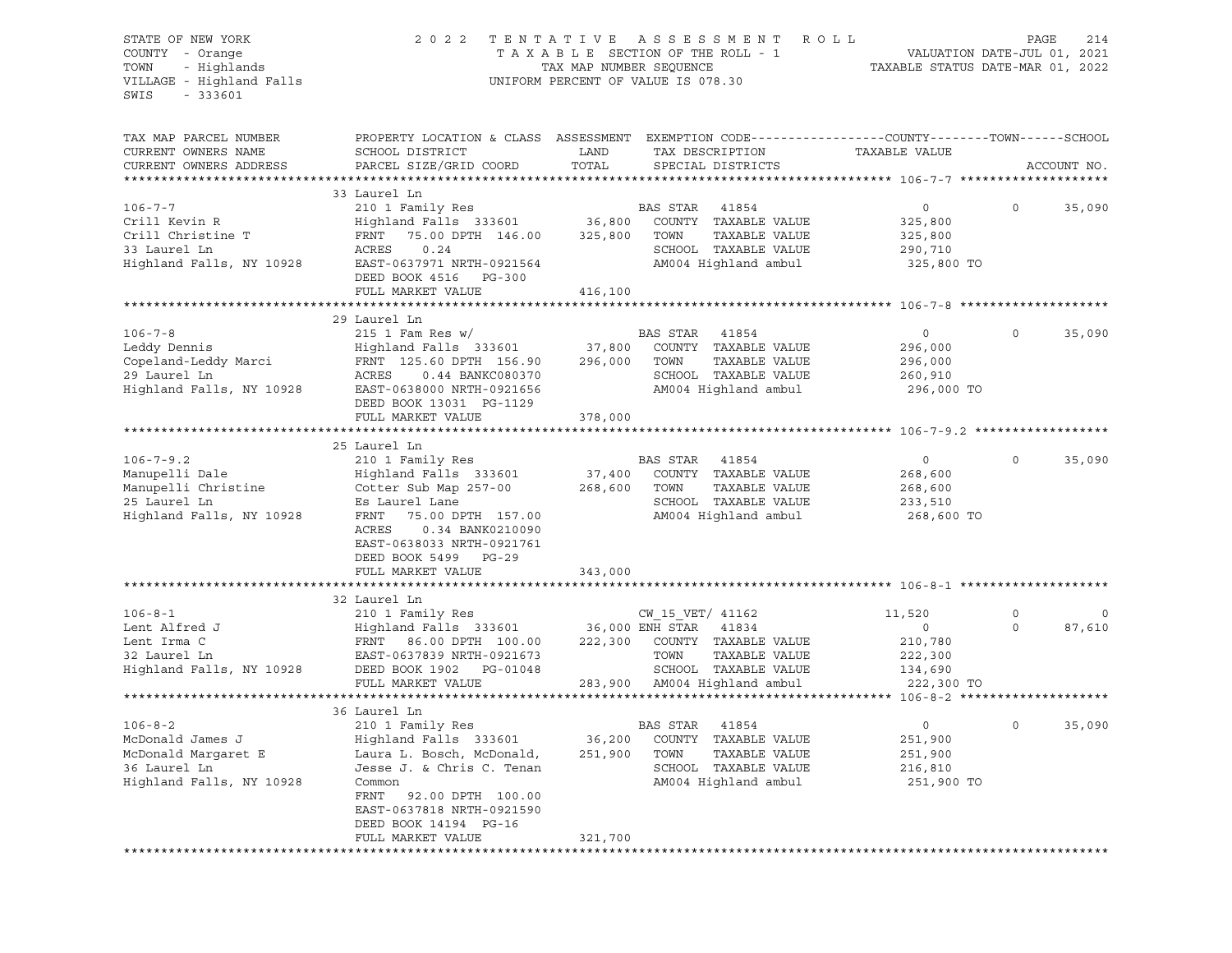| STATE OF NEW YORK<br>COUNTY - Orange<br>TOWN<br>- Highlands<br>VILLAGE - Highland Falls<br>$-333601$<br>SWIS | 2 0 2 2                                                                                                                                                                                                                  | TENTATIVE<br>TAX MAP NUMBER SEQUENCE | A S S E S S M E N T<br>R O L L<br>TAXABLE SECTION OF THE ROLL - 1<br>UNIFORM PERCENT OF VALUE IS 078.30                                            | TAXABLE STATUS DATE-MAR 01, 2022                                 | PAGE<br>214<br>VALUATION DATE-JUL 01, 2021 |
|--------------------------------------------------------------------------------------------------------------|--------------------------------------------------------------------------------------------------------------------------------------------------------------------------------------------------------------------------|--------------------------------------|----------------------------------------------------------------------------------------------------------------------------------------------------|------------------------------------------------------------------|--------------------------------------------|
| TAX MAP PARCEL NUMBER<br>CURRENT OWNERS NAME<br>CURRENT OWNERS ADDRESS                                       | SCHOOL DISTRICT<br>PARCEL SIZE/GRID COORD                                                                                                                                                                                | LAND<br>TOTAL                        | PROPERTY LOCATION & CLASS ASSESSMENT EXEMPTION CODE---------------COUNTY-------TOWN------SCHOOL<br>TAX DESCRIPTION<br>SPECIAL DISTRICTS            | TAXABLE VALUE                                                    | ACCOUNT NO.                                |
|                                                                                                              | 33 Laurel Ln                                                                                                                                                                                                             |                                      |                                                                                                                                                    |                                                                  |                                            |
| $106 - 7 - 7$<br>Crill Kevin R<br>Crill Christine T<br>33 Laurel Ln<br>Highland Falls, NY 10928              | 210 1 Family Res<br>Highland Falls 333601<br>FRNT<br>75.00 DPTH 146.00<br>ACRES<br>0.24<br>EAST-0637971 NRTH-0921564<br>DEED BOOK 4516 PG-300<br>FULL MARKET VALUE                                                       | 36,800<br>325,800<br>416,100         | BAS STAR<br>41854<br>COUNTY TAXABLE VALUE<br>TOWN<br>TAXABLE VALUE<br>SCHOOL TAXABLE VALUE<br>AM004 Highland ambul                                 | $\circ$<br>325,800<br>325,800<br>290,710<br>325,800 TO           | $\circ$<br>35,090                          |
|                                                                                                              |                                                                                                                                                                                                                          |                                      |                                                                                                                                                    |                                                                  |                                            |
| $106 - 7 - 8$<br>Leddy Dennis<br>Copeland-Leddy Marci<br>29 Laurel Ln<br>Highland Falls, NY 10928            | 29 Laurel Ln<br>215 1 Fam Res $w/$<br>Highland Falls 333601<br>FRNT 125.60 DPTH 156.90<br><b>ACRES</b><br>0.44 BANKC080370<br>EAST-0638000 NRTH-0921656<br>DEED BOOK 13031 PG-1129<br>FULL MARKET VALUE                  | 37,800<br>296,000<br>378,000         | BAS STAR<br>41854<br>COUNTY TAXABLE VALUE<br>TAXABLE VALUE<br>TOWN<br>SCHOOL TAXABLE VALUE<br>AM004 Highland ambul                                 | $\circ$<br>296,000<br>296,000<br>260,910<br>296,000 TO           | $\circ$<br>35,090                          |
|                                                                                                              | 25 Laurel Ln                                                                                                                                                                                                             |                                      |                                                                                                                                                    |                                                                  |                                            |
| $106 - 7 - 9.2$<br>Manupelli Dale<br>Manupelli Christine<br>25 Laurel Ln<br>Highland Falls, NY 10928         | 210 1 Family Res<br>Highland Falls 333601<br>Cotter Sub Map 257-00<br>Es Laurel Lane<br>FRNT<br>75.00 DPTH 157.00<br>ACRES<br>0.34 BANK0210090<br>EAST-0638033 NRTH-0921761<br>DEED BOOK 5499 PG-29<br>FULL MARKET VALUE | 37,400<br>268,600<br>343,000         | BAS STAR<br>41854<br>COUNTY TAXABLE VALUE<br>TOWN<br>TAXABLE VALUE<br>SCHOOL TAXABLE VALUE<br>AM004 Highland ambul                                 | $\circ$<br>268,600<br>268,600<br>233,510<br>268,600 TO           | 35,090<br>0                                |
|                                                                                                              |                                                                                                                                                                                                                          |                                      |                                                                                                                                                    |                                                                  |                                            |
|                                                                                                              | 32 Laurel Ln                                                                                                                                                                                                             |                                      |                                                                                                                                                    |                                                                  |                                            |
| $106 - 8 - 1$<br>Lent Alfred J<br>Lent Irma C<br>32 Laurel Ln<br>Highland Falls, NY 10928                    | 210 1 Family Res<br>Highland Falls 333601<br>FRNT 86.00 DPTH 100.00<br>EAST-0637839 NRTH-0921673<br>DEED BOOK 1902 PG-01048<br>FULL MARKET VALUE                                                                         | 222,300                              | CW 15 VET/ 41162<br>36,000 ENH STAR 41834<br>COUNTY TAXABLE VALUE<br>TOWN<br>TAXABLE VALUE<br>SCHOOL TAXABLE VALUE<br>283,900 AM004 Highland ambul | 11,520<br>$\circ$<br>210,780<br>222,300<br>134,690<br>222,300 TO | $\mathbf 0$<br>0<br>87,610<br>0            |
|                                                                                                              |                                                                                                                                                                                                                          |                                      |                                                                                                                                                    |                                                                  |                                            |
| $106 - 8 - 2$<br>McDonald James J<br>McDonald Margaret E<br>36 Laurel Ln<br>Highland Falls, NY 10928         | 36 Laurel Ln<br>210 1 Family Res<br>Highland Falls 333601<br>Laura L. Bosch, McDonald,<br>Jesse J. & Chris C. Tenan<br>Common<br>92.00 DPTH 100.00<br>FRNT<br>EAST-0637818 NRTH-0921590<br>DEED BOOK 14194 PG-16         | 36,200<br>251,900                    | BAS STAR<br>41854<br>COUNTY<br>TAXABLE VALUE<br>TOWN<br>TAXABLE VALUE<br>SCHOOL<br>TAXABLE VALUE<br>AM004 Highland ambul                           | 0<br>251,900<br>251,900<br>216,810<br>251,900 TO                 | 35,090<br>0                                |
|                                                                                                              | FULL MARKET VALUE                                                                                                                                                                                                        | 321,700                              |                                                                                                                                                    |                                                                  |                                            |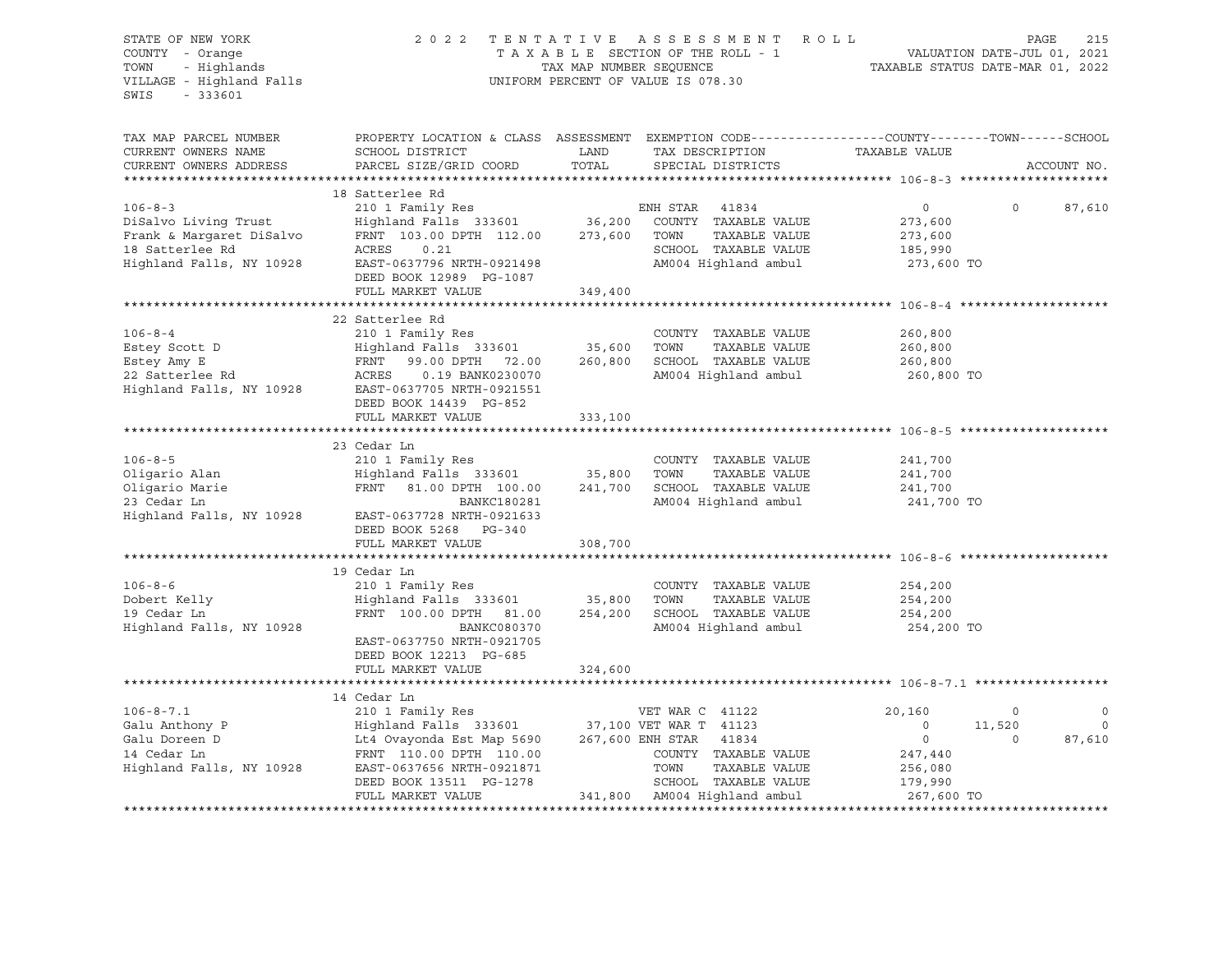| STATE OF NEW YORK<br>COUNTY - Orange<br>COUNTY - Orange<br>TOWN - Highlands<br>VILLAGE - Highland Falls<br>$-333601$<br>SWIS | 2022 TENTATIVE ASSESSMENT ROLL<br>T A X A B L E SECTION OF THE ROLL - 1 VALUATION DATE-JUL 01, 2021<br>TAX MAP NUMBER SEQUENCE TAXABLE STATUS DATE-MAR 01, 2022<br>UNIFORM PERCENT OF VALUE IS 078.30                                                                                                                                                                                                                                                                                                            |         |                                       | 215<br>PAGE                           |                |                |
|------------------------------------------------------------------------------------------------------------------------------|------------------------------------------------------------------------------------------------------------------------------------------------------------------------------------------------------------------------------------------------------------------------------------------------------------------------------------------------------------------------------------------------------------------------------------------------------------------------------------------------------------------|---------|---------------------------------------|---------------------------------------|----------------|----------------|
| TAX MAP PARCEL NUMBER<br>CURRENT OWNERS NAME<br>CURRENT OWNERS ADDRESS                                                       | PROPERTY LOCATION & CLASS ASSESSMENT EXEMPTION CODE----------------COUNTY-------TOWN------SCHOOL                                                                                                                                                                                                                                                                                                                                                                                                                 |         |                                       |                                       |                | ACCOUNT NO.    |
|                                                                                                                              | $\begin{tabular}{lllllllllllll} \multicolumn{3}{c}{\begin{tabular}{l} \multicolumn{3}{c}{\begin{tabular}{l} \multicolumn{3}{c}{\begin{tabular}{l} \multicolumn{3}{c}{\begin{tabular}{l} \multicolumn{3}{c}{\begin{tabular}{l} \multicolumn{3}{c}{\begin{tabular}{l} \multicolumn{3}{c}{\begin{tabular}{l} \multicolumn{3}{c}{\begin{tabular}{l} \multicolumn{3}{c}{\begin{tabular}{l} \multicolumn{3}{c}{\begin{tabular}{l} \multicolumn{3}{c}{\begin{tabular}{l} \multicolumn{3}{c}{\begin{tabular}{l} \multic$ |         |                                       |                                       |                |                |
|                                                                                                                              |                                                                                                                                                                                                                                                                                                                                                                                                                                                                                                                  |         |                                       | $\overline{0}$                        | $\circ$        | 87,610         |
|                                                                                                                              |                                                                                                                                                                                                                                                                                                                                                                                                                                                                                                                  |         |                                       | 273,600                               |                |                |
|                                                                                                                              |                                                                                                                                                                                                                                                                                                                                                                                                                                                                                                                  |         |                                       | 273,600<br>185,990                    |                |                |
|                                                                                                                              |                                                                                                                                                                                                                                                                                                                                                                                                                                                                                                                  |         |                                       |                                       |                |                |
|                                                                                                                              | ACRES 0.21<br>EAST-0637796 NRTH-0921498 M004 Highland ambul<br>EAST-0637796 NRTH-0921498 M004 Highland ambul                                                                                                                                                                                                                                                                                                                                                                                                     |         |                                       | 273,600 TO                            |                |                |
|                                                                                                                              |                                                                                                                                                                                                                                                                                                                                                                                                                                                                                                                  | 349,400 |                                       |                                       |                |                |
|                                                                                                                              | FULL MARKET VALUE                                                                                                                                                                                                                                                                                                                                                                                                                                                                                                |         |                                       |                                       |                |                |
|                                                                                                                              | 22 Satterlee Rd                                                                                                                                                                                                                                                                                                                                                                                                                                                                                                  |         |                                       |                                       |                |                |
| $106 - 8 - 4$                                                                                                                | 210 1 Family Res                                                                                                                                                                                                                                                                                                                                                                                                                                                                                                 |         | COUNTY TAXABLE VALUE                  | 260,800                               |                |                |
|                                                                                                                              |                                                                                                                                                                                                                                                                                                                                                                                                                                                                                                                  |         |                                       |                                       |                |                |
|                                                                                                                              |                                                                                                                                                                                                                                                                                                                                                                                                                                                                                                                  |         |                                       |                                       |                |                |
|                                                                                                                              | Estey Scott D<br>Estey Scott D<br>Estey Amy E<br>Estey Amy E<br>Estey Amy E<br>Estey Amy E<br>Estey Amy E<br>Estey Amy E<br>Estey Amy E<br>Estey Amy E<br>ACRES<br>ACRES<br>ACRES<br>ACRES<br>ACRES<br>ACRES<br>ACRES<br>ACRES<br>ACRES<br>ACRES<br>ACRES<br>ACRES<br>ACRE                                                                                                                                                                                                                                       |         |                                       | 260,800 TO                            |                |                |
|                                                                                                                              | DEED BOOK 14439 PG-852                                                                                                                                                                                                                                                                                                                                                                                                                                                                                           |         |                                       |                                       |                |                |
|                                                                                                                              | FULL MARKET VALUE 333,100                                                                                                                                                                                                                                                                                                                                                                                                                                                                                        |         |                                       |                                       |                |                |
|                                                                                                                              |                                                                                                                                                                                                                                                                                                                                                                                                                                                                                                                  |         |                                       |                                       |                |                |
|                                                                                                                              | 23 Cedar Ln                                                                                                                                                                                                                                                                                                                                                                                                                                                                                                      |         |                                       |                                       |                |                |
|                                                                                                                              |                                                                                                                                                                                                                                                                                                                                                                                                                                                                                                                  |         |                                       |                                       |                |                |
|                                                                                                                              |                                                                                                                                                                                                                                                                                                                                                                                                                                                                                                                  |         |                                       |                                       |                |                |
|                                                                                                                              |                                                                                                                                                                                                                                                                                                                                                                                                                                                                                                                  |         |                                       | 241,700 TO                            |                |                |
|                                                                                                                              | Highland Falls, NY 10928 EAST-0637728 NRTH-0921633                                                                                                                                                                                                                                                                                                                                                                                                                                                               |         |                                       |                                       |                |                |
|                                                                                                                              | DEED BOOK 5268 PG-340                                                                                                                                                                                                                                                                                                                                                                                                                                                                                            |         |                                       |                                       |                |                |
|                                                                                                                              | FULL MARKET VALUE                                                                                                                                                                                                                                                                                                                                                                                                                                                                                                | 308,700 |                                       |                                       |                |                |
|                                                                                                                              |                                                                                                                                                                                                                                                                                                                                                                                                                                                                                                                  |         |                                       |                                       |                |                |
| $106 - 8 - 6$                                                                                                                | 19 Cedar Ln                                                                                                                                                                                                                                                                                                                                                                                                                                                                                                      |         |                                       |                                       |                |                |
|                                                                                                                              | 210 1 Family Res                                                                                                                                                                                                                                                                                                                                                                                                                                                                                                 |         | COUNTY TAXABLE VALUE<br>TAXABLE VALUE | 254,200                               |                |                |
| Dobert Kelly<br>19 Cedar Ln<br>19 Cedar Ln                                                                                   | Highland Falls 333601 35,800 TOWN TAXABLE VALUE<br>FRNT 100.00 DPTH 81.00 254,200 SCHOOL TAXABLE VALUE                                                                                                                                                                                                                                                                                                                                                                                                           |         |                                       | 254,200<br>254,200                    |                |                |
| Highland Falls, NY 10928                                                                                                     | BANKC080370                                                                                                                                                                                                                                                                                                                                                                                                                                                                                                      |         | AM004 Highland ambul                  | 254,200 TO                            |                |                |
|                                                                                                                              | EAST-0637750 NRTH-0921705                                                                                                                                                                                                                                                                                                                                                                                                                                                                                        |         |                                       |                                       |                |                |
|                                                                                                                              | DEED BOOK 12213 PG-685                                                                                                                                                                                                                                                                                                                                                                                                                                                                                           |         |                                       |                                       |                |                |
|                                                                                                                              | FULL MARKET VALUE                                                                                                                                                                                                                                                                                                                                                                                                                                                                                                | 324,600 |                                       |                                       |                |                |
|                                                                                                                              |                                                                                                                                                                                                                                                                                                                                                                                                                                                                                                                  |         |                                       |                                       |                |                |
|                                                                                                                              |                                                                                                                                                                                                                                                                                                                                                                                                                                                                                                                  |         |                                       | 20,160                                | $\overline{0}$ | $\overline{0}$ |
|                                                                                                                              |                                                                                                                                                                                                                                                                                                                                                                                                                                                                                                                  |         |                                       |                                       | 11,520         | $\overline{0}$ |
|                                                                                                                              |                                                                                                                                                                                                                                                                                                                                                                                                                                                                                                                  |         |                                       | $\begin{array}{c} 0 \\ 0 \end{array}$ | $\circ$        | 87,610         |
|                                                                                                                              |                                                                                                                                                                                                                                                                                                                                                                                                                                                                                                                  |         |                                       | 247,440                               |                |                |
|                                                                                                                              |                                                                                                                                                                                                                                                                                                                                                                                                                                                                                                                  |         | TAXABLE VALUE                         |                                       |                |                |
|                                                                                                                              | $\begin{tabular}{lllllllllllllllllllllll} \multicolumn{3}{c }{106-8-7.1} & 14\text{ Cedar Ln} & \text{VET WAR C} & 41122\\ \text{Galu Anthony P} & \text{Highland Falls} & 333601 & 37,100 VET WAR T} & 41123\\ \text{Galu Doreen D} & \text{Lt4 Ovayonda Est Map 5690} & 267,600 ENH STR & 41834\\ \text{14 Cedar Ln} & \text{FRNT} & 110.00 DPTH & 110.00\\ \text{Highland Falls, NY 10928} & \text{EAST-06$<br>DEED BOOK 13511 PG-1278 SCHOOL TAXABLE VALUE<br>FULL MARKET VALUE 341,800 AM004 Highland ambul |         |                                       | 256,080<br>179,990<br>267,600 TO      |                |                |
|                                                                                                                              |                                                                                                                                                                                                                                                                                                                                                                                                                                                                                                                  |         |                                       |                                       |                |                |
|                                                                                                                              |                                                                                                                                                                                                                                                                                                                                                                                                                                                                                                                  |         |                                       |                                       |                |                |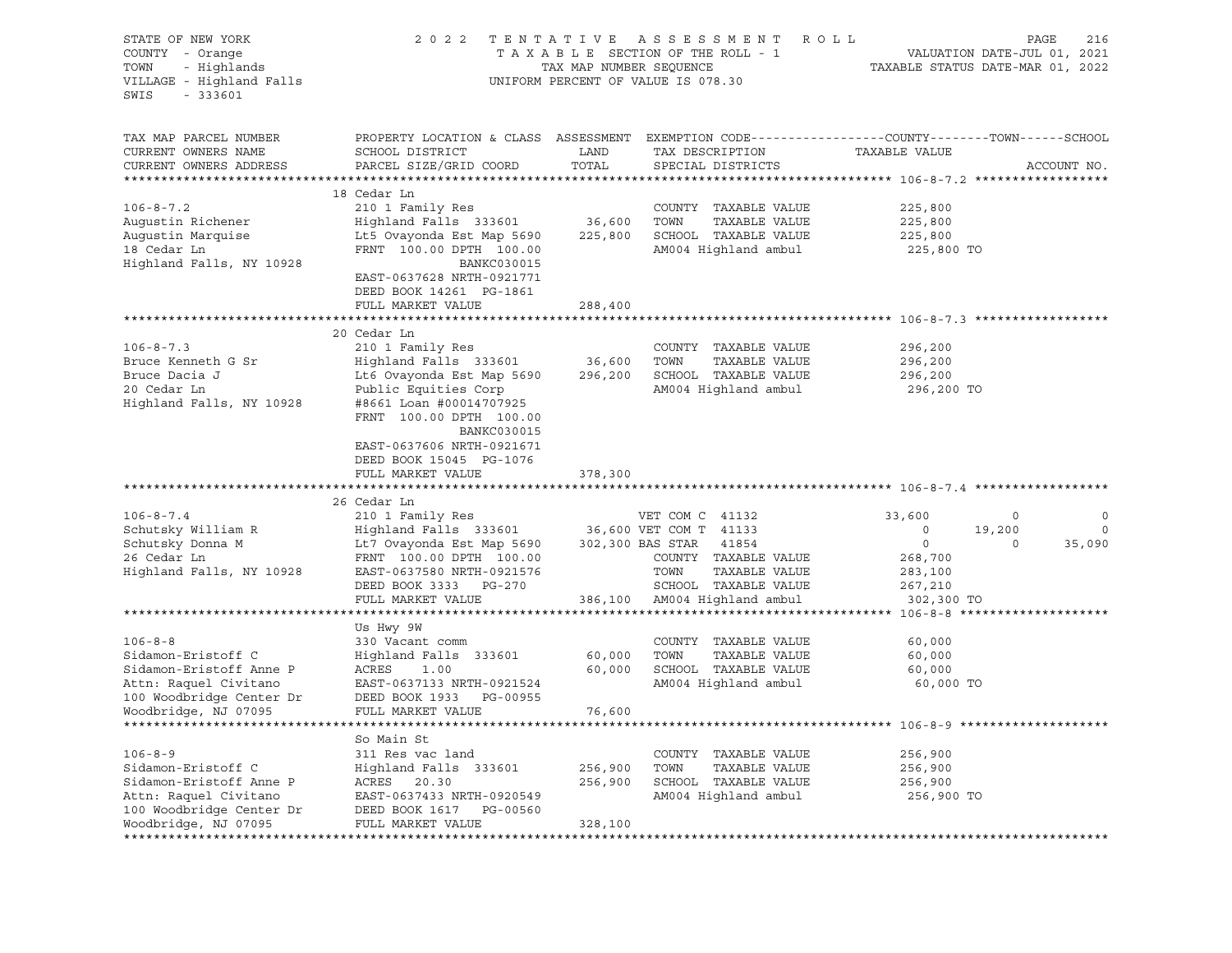| STATE OF NEW YORK<br>COUNTY - Orange<br>- Highlands<br>TOWN<br>VILLAGE - Highland Falls<br>SWIS<br>$-333601$ | 2 0 2 2                                                                                                                                      | TAX MAP NUMBER SEQUENCE | TENTATIVE ASSESSMENT ROLL<br>TAXABLE SECTION OF THE ROLL - 1<br>UNIFORM PERCENT OF VALUE IS 078.30 | TAXABLE STATUS DATE-MAR 01, 2022 | PAGE<br>216<br>VALUATION DATE-JUL 01, 2021 |
|--------------------------------------------------------------------------------------------------------------|----------------------------------------------------------------------------------------------------------------------------------------------|-------------------------|----------------------------------------------------------------------------------------------------|----------------------------------|--------------------------------------------|
| TAX MAP PARCEL NUMBER<br>CURRENT OWNERS NAME<br>CURRENT OWNERS ADDRESS                                       | PROPERTY LOCATION & CLASS ASSESSMENT EXEMPTION CODE----------------COUNTY-------TOWN-----SCHOOL<br>SCHOOL DISTRICT<br>PARCEL SIZE/GRID COORD | LAND<br>TOTAL           | TAX DESCRIPTION<br>SPECIAL DISTRICTS                                                               | TAXABLE VALUE                    | ACCOUNT NO.                                |
|                                                                                                              |                                                                                                                                              |                         |                                                                                                    |                                  |                                            |
| $106 - 8 - 7.2$                                                                                              | 18 Cedar Ln<br>210 1 Family Res                                                                                                              |                         | COUNTY TAXABLE VALUE                                                                               | 225,800                          |                                            |
| Augustin Richener                                                                                            | Highland Falls 333601                                                                                                                        | 36,600 TOWN             | TAXABLE VALUE                                                                                      | 225,800                          |                                            |
| Augustin Marquise                                                                                            | Lt5 Ovayonda Est Map 5690                                                                                                                    |                         | 225,800 SCHOOL TAXABLE VALUE                                                                       | 225,800                          |                                            |
| 18 Cedar Ln                                                                                                  | FRNT 100.00 DPTH 100.00                                                                                                                      |                         | AM004 Highland ambul                                                                               | 225,800 TO                       |                                            |
| Highland Falls, NY 10928                                                                                     | BANKC030015                                                                                                                                  |                         |                                                                                                    |                                  |                                            |
|                                                                                                              | EAST-0637628 NRTH-0921771<br>DEED BOOK 14261 PG-1861                                                                                         |                         |                                                                                                    |                                  |                                            |
|                                                                                                              | FULL MARKET VALUE                                                                                                                            | 288,400                 |                                                                                                    |                                  |                                            |
|                                                                                                              |                                                                                                                                              |                         |                                                                                                    |                                  |                                            |
|                                                                                                              | 20 Cedar Ln                                                                                                                                  |                         |                                                                                                    |                                  |                                            |
| $106 - 8 - 7.3$                                                                                              | 210 1 Family Res                                                                                                                             |                         | COUNTY TAXABLE VALUE                                                                               | 296,200                          |                                            |
| Bruce Kenneth G Sr                                                                                           | Highland Falls 333601                                                                                                                        | 36,600                  | TOWN<br>TAXABLE VALUE                                                                              | 296,200                          |                                            |
| Bruce Dacia J                                                                                                | Lt6 Ovayonda Est Map 5690                                                                                                                    | 296,200                 | SCHOOL TAXABLE VALUE                                                                               | 296,200                          |                                            |
| 20 Cedar Ln                                                                                                  | Public Equities Corp                                                                                                                         |                         | AM004 Highland ambul                                                                               | 296,200 TO                       |                                            |
| Highland Falls, NY 10928                                                                                     | #8661 Loan #00014707925<br>FRNT 100.00 DPTH 100.00                                                                                           |                         |                                                                                                    |                                  |                                            |
|                                                                                                              | <b>BANKC030015</b>                                                                                                                           |                         |                                                                                                    |                                  |                                            |
|                                                                                                              | EAST-0637606 NRTH-0921671                                                                                                                    |                         |                                                                                                    |                                  |                                            |
|                                                                                                              | DEED BOOK 15045 PG-1076                                                                                                                      |                         |                                                                                                    |                                  |                                            |
|                                                                                                              | FULL MARKET VALUE                                                                                                                            | 378,300                 |                                                                                                    |                                  |                                            |
|                                                                                                              |                                                                                                                                              |                         |                                                                                                    |                                  |                                            |
|                                                                                                              | 26 Cedar Ln                                                                                                                                  |                         |                                                                                                    |                                  |                                            |
| $106 - 8 - 7.4$                                                                                              |                                                                                                                                              |                         |                                                                                                    | 33,600                           | 0<br>0                                     |
| Schutsky William R                                                                                           |                                                                                                                                              |                         |                                                                                                    | $\circ$                          | $\circ$<br>19,200                          |
| Schutsky Donna M                                                                                             | Lt7 Ovayonda Est Map 5690                                                                                                                    |                         | 302,300 BAS STAR 41854                                                                             | $\circ$                          | 35,090<br>$\circ$                          |
| 26 Cedar Ln                                                                                                  | FRNT 100.00 DPTH 100.00                                                                                                                      |                         | COUNTY TAXABLE VALUE                                                                               | 268,700                          |                                            |
| Highland Falls, NY 10928                                                                                     | EAST-0637580 NRTH-0921576                                                                                                                    |                         | TOWN<br>TAXABLE VALUE                                                                              | 283,100                          |                                            |
|                                                                                                              | DEED BOOK 3333 PG-270                                                                                                                        |                         | SCHOOL TAXABLE VALUE                                                                               | 267,210                          |                                            |
|                                                                                                              | FULL MARKET VALUE                                                                                                                            |                         | 386,100 AM004 Highland ambul                                                                       | 302,300 TO                       |                                            |
|                                                                                                              | Us Hwy 9W                                                                                                                                    |                         |                                                                                                    |                                  |                                            |
| $106 - 8 - 8$                                                                                                | 330 Vacant comm                                                                                                                              |                         | COUNTY TAXABLE VALUE                                                                               | 60,000                           |                                            |
| Sidamon-Eristoff C                                                                                           | Highland Falls 333601                                                                                                                        | 60,000                  | TOWN<br>TAXABLE VALUE                                                                              | 60,000                           |                                            |
| Sidamon-Eristoff Anne P                                                                                      | ACRES 1.00                                                                                                                                   | 60,000                  | SCHOOL TAXABLE VALUE                                                                               | 60,000                           |                                            |
| Attn: Raquel Civitano                                                                                        | EAST-0637133 NRTH-0921524                                                                                                                    |                         | AM004 Highland ambul                                                                               | 60,000 TO                        |                                            |
| 100 Woodbridge Center Dr                                                                                     | DEED BOOK 1933 PG-00955                                                                                                                      |                         |                                                                                                    |                                  |                                            |
| Woodbridge, NJ 07095                                                                                         | FULL MARKET VALUE                                                                                                                            | 76,600                  |                                                                                                    |                                  |                                            |
|                                                                                                              |                                                                                                                                              |                         |                                                                                                    |                                  |                                            |
|                                                                                                              | So Main St                                                                                                                                   |                         |                                                                                                    |                                  |                                            |
| $106 - 8 - 9$                                                                                                | 311 Res vac land                                                                                                                             |                         | COUNTY<br>TAXABLE VALUE                                                                            | 256,900                          |                                            |
| Sidamon-Eristoff C                                                                                           | Highland Falls 333601                                                                                                                        | 256,900                 | TOWN<br>TAXABLE VALUE                                                                              | 256,900                          |                                            |
| Sidamon-Eristoff Anne P                                                                                      | ACRES<br>20.30                                                                                                                               | 256,900                 | SCHOOL<br>TAXABLE VALUE                                                                            | 256,900                          |                                            |
| Attn: Raquel Civitano                                                                                        | EAST-0637433 NRTH-0920549                                                                                                                    |                         | AM004 Highland ambul                                                                               | 256,900 TO                       |                                            |
| 100 Woodbridge Center Dr<br>Woodbridge, NJ 07095                                                             | DEED BOOK 1617<br>PG-00560                                                                                                                   |                         |                                                                                                    |                                  |                                            |
|                                                                                                              | FULL MARKET VALUE                                                                                                                            | 328,100                 |                                                                                                    |                                  |                                            |
|                                                                                                              |                                                                                                                                              |                         |                                                                                                    |                                  |                                            |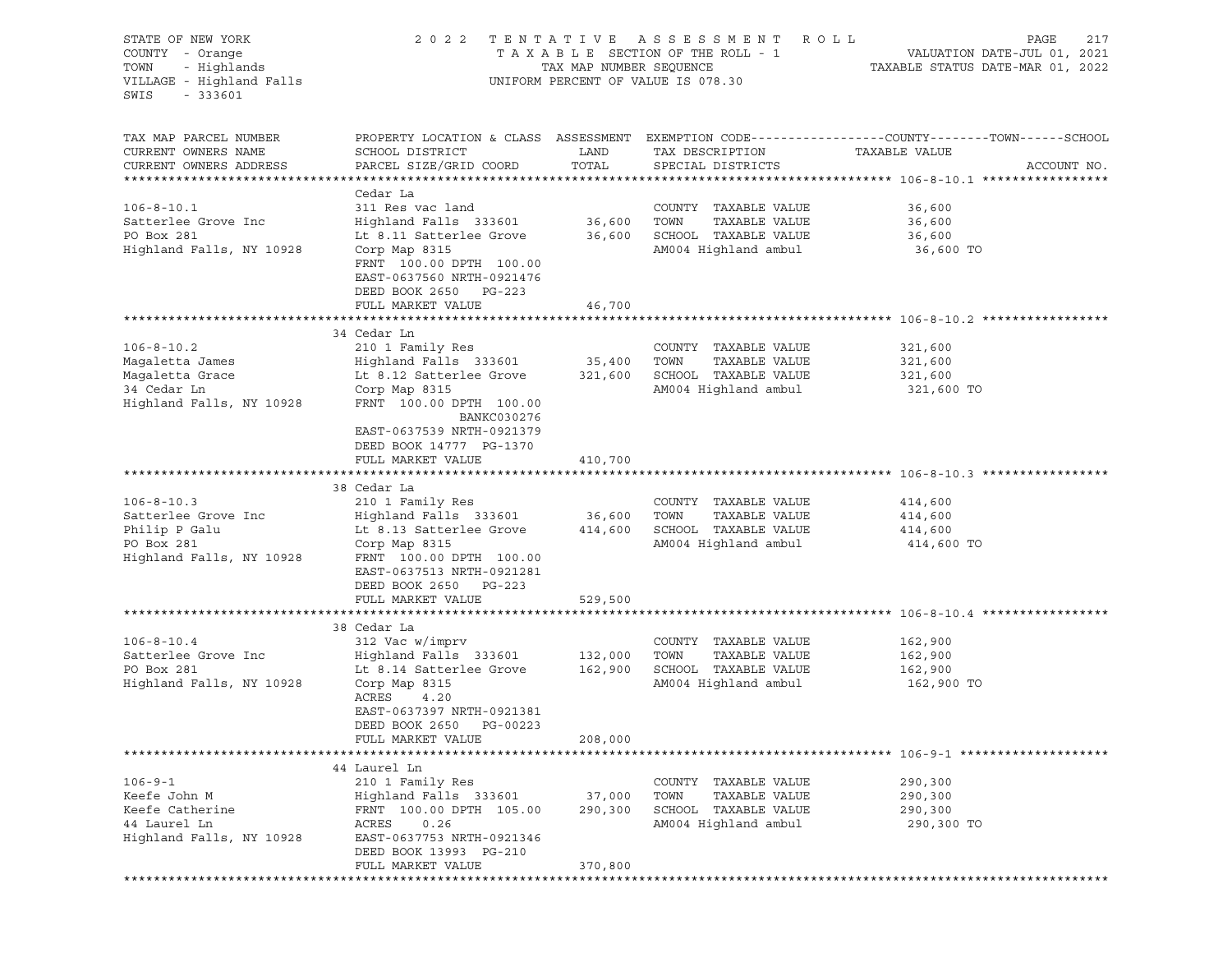| STATE OF NEW YORK<br>COUNTY - Orange<br>- Highlands<br>TOWN<br>VILLAGE - Highland Falls<br>$-333601$<br>SWIS | 2 0 2 2                                                                                                                                                                                                                     | TAX MAP NUMBER SEQUENCE      | TENTATIVE ASSESSMENT ROLL<br>TAXABLE SECTION OF THE ROLL - 1<br>UNIFORM PERCENT OF VALUE IS 078.30 | PAGE<br>217<br>VALUATION DATE-JUL 01, 2021<br>TAXABLE STATUS DATE-MAR 01, 2022                                                   |
|--------------------------------------------------------------------------------------------------------------|-----------------------------------------------------------------------------------------------------------------------------------------------------------------------------------------------------------------------------|------------------------------|----------------------------------------------------------------------------------------------------|----------------------------------------------------------------------------------------------------------------------------------|
| TAX MAP PARCEL NUMBER<br>CURRENT OWNERS NAME<br>CURRENT OWNERS ADDRESS                                       | SCHOOL DISTRICT<br>PARCEL SIZE/GRID COORD                                                                                                                                                                                   | LAND<br>TOTAL                | TAX DESCRIPTION<br>SPECIAL DISTRICTS                                                               | PROPERTY LOCATION & CLASS ASSESSMENT EXEMPTION CODE----------------COUNTY-------TOWN------SCHOOL<br>TAXABLE VALUE<br>ACCOUNT NO. |
| $106 - 8 - 10.1$<br>Satterlee Grove Inc<br>PO Box 281<br>Highland Falls, NY 10928                            | Cedar La<br>311 Res vac land<br>Highland Falls 333601<br>Lt 8.11 Satterlee Grove<br>Corp Map 8315<br>FRNT 100.00 DPTH 100.00<br>EAST-0637560 NRTH-0921476<br>DEED BOOK 2650 PG-223                                          | 36,600<br>36,600             | COUNTY TAXABLE VALUE<br>TAXABLE VALUE<br>TOWN<br>SCHOOL TAXABLE VALUE<br>AM004 Highland ambul      | 36,600<br>36,600<br>36,600<br>36,600 TO                                                                                          |
|                                                                                                              | FULL MARKET VALUE                                                                                                                                                                                                           | 46,700                       |                                                                                                    |                                                                                                                                  |
| $106 - 8 - 10.2$<br>Magaletta James<br>Magaletta Grace<br>34 Cedar Ln<br>Highland Falls, NY 10928            | 34 Cedar Ln<br>210 1 Family Res<br>Highland Falls 333601<br>Lt 8.12 Satterlee Grove<br>Corp Map 8315<br>FRNT 100.00 DPTH 100.00<br>BANKC030276<br>EAST-0637539 NRTH-0921379<br>DEED BOOK 14777 PG-1370<br>FULL MARKET VALUE | 35,400<br>321,600<br>410,700 | COUNTY TAXABLE VALUE<br>TAXABLE VALUE<br>TOWN<br>SCHOOL TAXABLE VALUE<br>AM004 Highland ambul      | 321,600<br>321,600<br>321,600<br>321,600 TO                                                                                      |
|                                                                                                              |                                                                                                                                                                                                                             |                              |                                                                                                    |                                                                                                                                  |
| $106 - 8 - 10.3$<br>Satterlee Grove Inc<br>Philip P Galu<br>PO Box 281<br>Highland Falls, NY 10928           | 38 Cedar La<br>210 1 Family Res<br>Highland Falls 333601<br>Lt 8.13 Satterlee Grove<br>Corp Map 8315<br>FRNT 100.00 DPTH 100.00<br>EAST-0637513 NRTH-0921281<br>DEED BOOK 2650 PG-223                                       | 36,600<br>414,600            | COUNTY TAXABLE VALUE<br>TOWN<br>TAXABLE VALUE<br>SCHOOL TAXABLE VALUE<br>AM004 Highland ambul      | 414,600<br>414,600<br>414,600<br>414,600 TO                                                                                      |
|                                                                                                              | FULL MARKET VALUE                                                                                                                                                                                                           | 529,500                      |                                                                                                    |                                                                                                                                  |
| $106 - 8 - 10.4$<br>Satterlee Grove Inc<br>PO Box 281<br>Highland Falls, NY 10928                            | 38 Cedar La<br>312 Vac w/imprv<br>Highland Falls 333601<br>Lt 8.14 Satterlee Grove<br>Corp Map 8315<br>ACRES<br>4.20<br>EAST-0637397 NRTH-0921381<br>DEED BOOK 2650 PG-00223                                                | 132,000<br>162,900           | COUNTY TAXABLE VALUE<br>TAXABLE VALUE<br>TOWN<br>SCHOOL TAXABLE VALUE<br>AM004 Highland ambul      | 162,900<br>162,900<br>162,900<br>162,900 TO                                                                                      |
|                                                                                                              | FULL MARKET VALUE                                                                                                                                                                                                           | 208,000                      |                                                                                                    |                                                                                                                                  |
| $106 - 9 - 1$<br>Keefe John M<br>Keefe Catherine                                                             | 44 Laurel Ln<br>210 1 Family Res<br>Highland Falls 333601<br>FRNT 100.00 DPTH 105.00                                                                                                                                        | 37,000<br>290,300            | COUNTY<br>TAXABLE VALUE<br>TOWN<br>TAXABLE VALUE<br>SCHOOL TAXABLE VALUE                           | 290,300<br>290,300<br>290,300                                                                                                    |
| 44 Laurel Ln<br>Highland Falls, NY 10928                                                                     | ACRES<br>0.26<br>EAST-0637753 NRTH-0921346<br>DEED BOOK 13993 PG-210<br>FULL MARKET VALUE                                                                                                                                   | 370,800                      | AM004 Highland ambul                                                                               | 290,300 TO                                                                                                                       |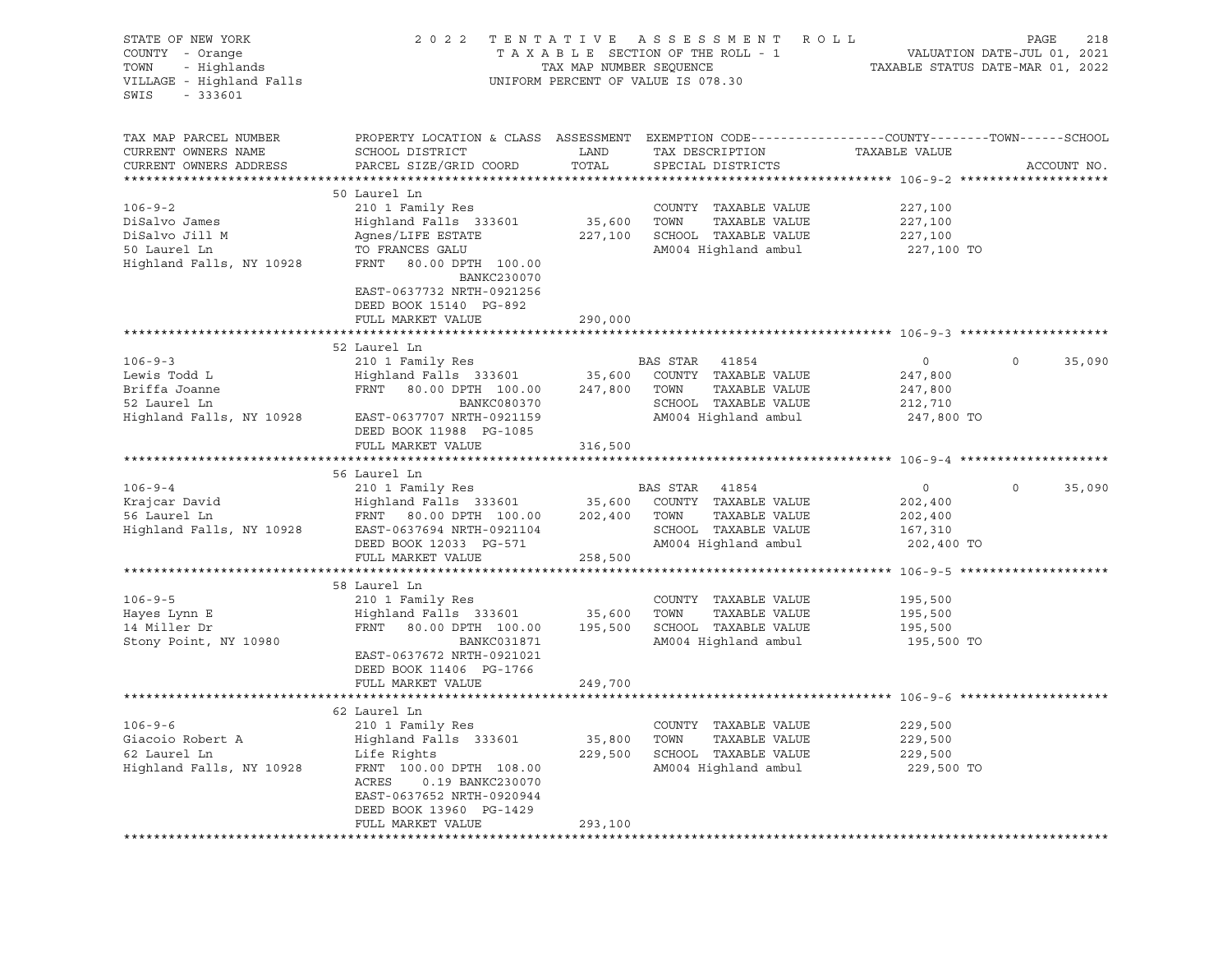| STATE OF NEW YORK<br>COUNTY - Orange<br>- Highlands<br>TOWN<br>VILLAGE - Highland Falls<br>SWIS<br>$-333601$ |                                                                                                                                               |               | 2022 TENTATIVE ASSESSMENT ROLL<br>UNIFORM PERCENT OF VALUE IS 078.30 |                | PAGE    | 218         |
|--------------------------------------------------------------------------------------------------------------|-----------------------------------------------------------------------------------------------------------------------------------------------|---------------|----------------------------------------------------------------------|----------------|---------|-------------|
| TAX MAP PARCEL NUMBER<br>CURRENT OWNERS NAME<br>CURRENT OWNERS ADDRESS                                       | PROPERTY LOCATION & CLASS ASSESSMENT EXEMPTION CODE----------------COUNTY-------TOWN------SCHOOL<br>SCHOOL DISTRICT<br>PARCEL SIZE/GRID COORD | LAND<br>TOTAL | TAX DESCRIPTION<br>SPECIAL DISTRICTS                                 | TAXABLE VALUE  |         | ACCOUNT NO. |
|                                                                                                              |                                                                                                                                               |               |                                                                      |                |         |             |
| $106 - 9 - 2$                                                                                                | 50 Laurel Ln<br>210 1 Family Res                                                                                                              |               | COUNTY TAXABLE VALUE                                                 | 227,100        |         |             |
| DiSalvo James                                                                                                | Highland Falls 333601                                                                                                                         | 35,600 TOWN   | TAXABLE VALUE                                                        | 227,100        |         |             |
| DiSalvo Jill M                                                                                               | Agnes/LIFE ESTATE                                                                                                                             |               | 227,100 SCHOOL TAXABLE VALUE                                         | 227,100        |         |             |
| 50 Laurel Ln                                                                                                 | TO FRANCES GALU                                                                                                                               |               | AM004 Highland ambul                                                 | 227,100 TO     |         |             |
| Highland Falls, NY 10928                                                                                     | FRNT 80.00 DPTH 100.00                                                                                                                        |               |                                                                      |                |         |             |
|                                                                                                              | BANKC230070                                                                                                                                   |               |                                                                      |                |         |             |
|                                                                                                              | EAST-0637732 NRTH-0921256                                                                                                                     |               |                                                                      |                |         |             |
|                                                                                                              | DEED BOOK 15140 PG-892                                                                                                                        |               |                                                                      |                |         |             |
|                                                                                                              | FULL MARKET VALUE                                                                                                                             | 290,000       |                                                                      |                |         |             |
|                                                                                                              |                                                                                                                                               |               |                                                                      |                |         |             |
|                                                                                                              | 52 Laurel Ln                                                                                                                                  |               |                                                                      |                |         |             |
| $106 - 9 - 3$                                                                                                | 210 1 Family Res                                                                                                                              |               | BAS STAR 41854                                                       | $\circ$        | $\circ$ | 35,090      |
| Lewis Todd L                                                                                                 | $Highland$ Falls 333601 35,600 COUNTY TAXABLE VALUE                                                                                           |               |                                                                      | 247,800        |         |             |
| Briffa Joanne                                                                                                | FRNT 80.00 DPTH 100.00 247,800 TOWN                                                                                                           |               | TAXABLE VALUE                                                        | 247,800        |         |             |
| 52 Laurel Ln<br>Highland Falls, NY 10928                                                                     | <b>BANKC080370</b>                                                                                                                            |               | SCHOOL TAXABLE VALUE                                                 | 212,710        |         |             |
|                                                                                                              | EAST-0637707 NRTH-0921159                                                                                                                     |               | AM004 Highland ambul                                                 | 247,800 TO     |         |             |
|                                                                                                              | DEED BOOK 11988 PG-1085<br>FULL MARKET VALUE                                                                                                  | 316,500       |                                                                      |                |         |             |
|                                                                                                              |                                                                                                                                               |               |                                                                      |                |         |             |
|                                                                                                              | 56 Laurel Ln                                                                                                                                  |               |                                                                      |                |         |             |
| $106 - 9 - 4$                                                                                                | 210 1 Family Res                                                                                                                              |               | BAS STAR 41854                                                       | $\overline{0}$ | $\circ$ | 35,090      |
| Krajcar David                                                                                                | Highland Falls 333601                                                                                                                         |               | 35,600 COUNTY TAXABLE VALUE                                          | 202,400        |         |             |
| 56 Laurel Ln                                                                                                 | FRNT 80.00 DPTH 100.00 202,400 TOWN                                                                                                           |               | TAXABLE VALUE                                                        | 202,400        |         |             |
|                                                                                                              |                                                                                                                                               |               | SCHOOL TAXABLE VALUE                                                 | 167,310        |         |             |
|                                                                                                              | DEED BOOK 12033 PG-571                                                                                                                        |               | AM004 Highland ambul                                                 | 202,400 TO     |         |             |
|                                                                                                              | FULL MARKET VALUE                                                                                                                             | 258,500       |                                                                      |                |         |             |
|                                                                                                              |                                                                                                                                               |               |                                                                      |                |         |             |
|                                                                                                              | 58 Laurel Ln                                                                                                                                  |               |                                                                      |                |         |             |
| $106 - 9 - 5$                                                                                                | 210 1 Family Res                                                                                                                              |               | COUNTY TAXABLE VALUE                                                 | 195,500        |         |             |
| Hayes Lynn E                                                                                                 | Highland Falls 333601                                                                                                                         | 35,600        | TAXABLE VALUE<br>TOWN                                                | 195,500        |         |             |
| 14 Miller Dr                                                                                                 | FRNT 80.00 DPTH 100.00 195,500 SCHOOL TAXABLE VALUE                                                                                           |               |                                                                      | 195,500        |         |             |
| Stony Point, NY 10980                                                                                        | BANKC031871                                                                                                                                   |               | AM004 Highland ambul                                                 | 195,500 TO     |         |             |
|                                                                                                              | EAST-0637672 NRTH-0921021                                                                                                                     |               |                                                                      |                |         |             |
|                                                                                                              | DEED BOOK 11406 PG-1766                                                                                                                       |               |                                                                      |                |         |             |
|                                                                                                              | FULL MARKET VALUE                                                                                                                             | 249,700       |                                                                      |                |         |             |
|                                                                                                              | 62 Laurel Ln                                                                                                                                  |               |                                                                      |                |         |             |
| $106 - 9 - 6$                                                                                                | 210 1 Family Res                                                                                                                              |               | COUNTY TAXABLE VALUE                                                 | 229,500        |         |             |
| Giacoio Robert A                                                                                             | Highland Falls 333601                                                                                                                         | 35,800        | TOWN<br>TAXABLE VALUE                                                | 229,500        |         |             |
| 62 Laurel Ln                                                                                                 | Life Rights                                                                                                                                   | 229,500       | SCHOOL TAXABLE VALUE                                                 | 229,500        |         |             |
| Highland Falls, NY 10928                                                                                     | FRNT 100.00 DPTH 108.00                                                                                                                       |               | AM004 Highland ambul                                                 | 229,500 TO     |         |             |
|                                                                                                              | ACRES<br>0.19 BANKC230070                                                                                                                     |               |                                                                      |                |         |             |
|                                                                                                              | EAST-0637652 NRTH-0920944                                                                                                                     |               |                                                                      |                |         |             |
|                                                                                                              | DEED BOOK 13960 PG-1429                                                                                                                       |               |                                                                      |                |         |             |
|                                                                                                              | FULL MARKET VALUE                                                                                                                             | 293,100       |                                                                      |                |         |             |
|                                                                                                              | ************************                                                                                                                      |               |                                                                      |                |         |             |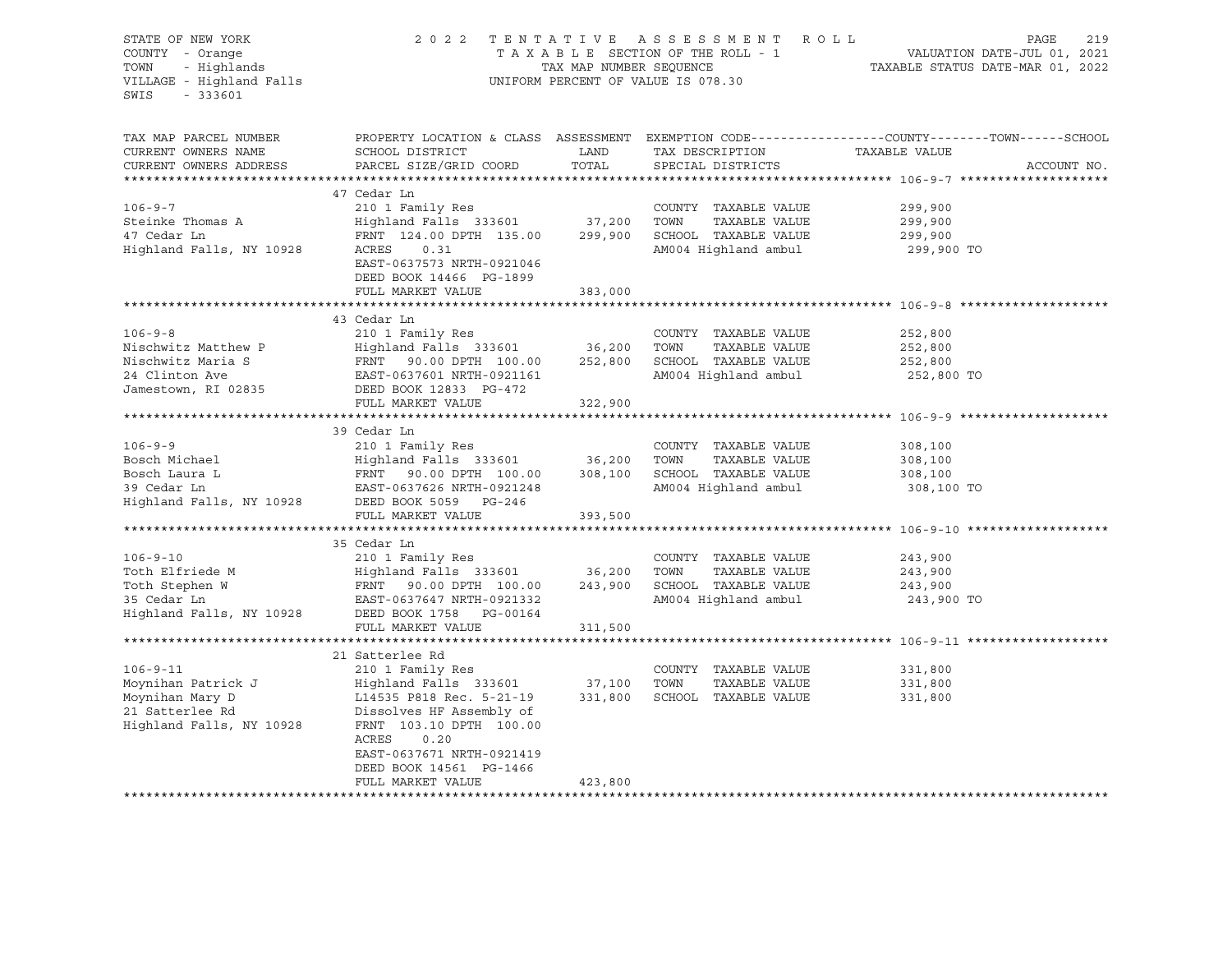| STATE OF NEW YORK<br>COUNTY - Orange<br>- Highlands<br>TOWN<br>VILLAGE - Highland Falls<br>$-333601$<br>SWIS                                                                                                                                                                                     | 2 0 2 2                                                                                                                                                                                                   | TAX MAP NUMBER SEQUENCE | TENTATIVE ASSESSMENT ROLL<br>TAXABLE SECTION OF THE ROLL - 1<br>UNIFORM PERCENT OF VALUE IS 078.30 | 219<br>PAGE<br>1 VALUATION DATE-JUL 01, 2021<br>TAXABLE STATUS DATE-MAR 01, 2022                                                |
|--------------------------------------------------------------------------------------------------------------------------------------------------------------------------------------------------------------------------------------------------------------------------------------------------|-----------------------------------------------------------------------------------------------------------------------------------------------------------------------------------------------------------|-------------------------|----------------------------------------------------------------------------------------------------|---------------------------------------------------------------------------------------------------------------------------------|
| TAX MAP PARCEL NUMBER<br>CURRENT OWNERS NAME<br>CURRENT OWNERS ADDRESS                                                                                                                                                                                                                           | SCHOOL DISTRICT<br>PARCEL SIZE/GRID COORD                                                                                                                                                                 | LAND<br>TOTAL           | TAX DESCRIPTION<br>SPECIAL DISTRICTS                                                               | PROPERTY LOCATION & CLASS ASSESSMENT EXEMPTION CODE----------------COUNTY-------TOWN-----SCHOOL<br>TAXABLE VALUE<br>ACCOUNT NO. |
|                                                                                                                                                                                                                                                                                                  | 47 Cedar Ln                                                                                                                                                                                               |                         |                                                                                                    |                                                                                                                                 |
| $106 - 9 - 7$<br>Steinke Thomas A<br>47 Cedar Ln<br>Highland Falls, NY 10928                                                                                                                                                                                                                     | 210 1 Family Res<br>Highland Falls 333601 37,200<br>FRNT 124.00 DPTH 135.00 299,900<br>ACRES<br>0.31<br>EAST-0637573 NRTH-0921046<br>DEED BOOK 14466 PG-1899                                              |                         | COUNTY TAXABLE VALUE<br>TAXABLE VALUE<br>TOWN<br>SCHOOL TAXABLE VALUE<br>AM004 Highland ambul      | 299,900<br>299,900<br>299,900<br>299,900 TO                                                                                     |
|                                                                                                                                                                                                                                                                                                  | FULL MARKET VALUE                                                                                                                                                                                         | 383,000                 |                                                                                                    |                                                                                                                                 |
|                                                                                                                                                                                                                                                                                                  |                                                                                                                                                                                                           |                         |                                                                                                    |                                                                                                                                 |
| $106 - 9 - 8$<br>Nischwitz Matthew P<br>Nischwitz Maria S<br>24 Clinton Ave<br>Jamestown, RI 02835                                                                                                                                                                                               | 43 Cedar Ln<br>210 1 Family Res<br>Highland Falls 333601<br>FRNT 90.00 DPTH 100.00 252,800 SCHOOL TAXABLE VALUE<br>EAST-0637601 NRTH-0921161 AM004 Highland ambul<br>DEED BOOK 12833 PG-472               | 36,200                  | COUNTY TAXABLE VALUE<br>TOWN<br>TAXABLE VALUE                                                      | 252,800<br>252,800<br>252,800<br>252,800 TO                                                                                     |
|                                                                                                                                                                                                                                                                                                  | FULL MARKET VALUE                                                                                                                                                                                         | 322,900                 |                                                                                                    |                                                                                                                                 |
|                                                                                                                                                                                                                                                                                                  |                                                                                                                                                                                                           |                         |                                                                                                    |                                                                                                                                 |
| $106 - 9 - 9$<br>Bosch Michael (1992)<br>Bosch Laura Laura Laura 1 (1992)<br>Bosch Laura Laura 1 (1992)<br>Bosch Laura Laura 1 (1992)<br>Bosch Laura Laura 1 (1992)<br>Bosch Laura 1 (1992)<br>Bosch Laura 1 (1992)<br>Bosch Charles 100.00 (1992)<br>Bosch DEED Book 5                          | 39 Cedar Ln<br>210 1 Family Res<br>$\frac{210}{100}$ $\frac{1}{200}$ $\frac{1}{200}$ $\frac{1}{200}$ $\frac{1}{200}$ $\frac{1}{200}$ $\frac{1}{200}$ $\frac{1}{200}$ $\frac{1}{200}$<br>FULL MARKET VALUE | 393,500                 | COUNTY TAXABLE VALUE<br>AM004 Highland ambul                                                       | 308,100<br>308,100<br>308,100<br>308,100 TO                                                                                     |
|                                                                                                                                                                                                                                                                                                  |                                                                                                                                                                                                           |                         |                                                                                                    |                                                                                                                                 |
| $106 - 9 - 10$<br>Toth Elfriede M<br>Toth Stephen W<br>Toth Stephen W<br>Stephen W<br>Stephen W<br>Stephen W<br>EAST-0637647 NRTH-0921332<br>Highland Falls, NY 10928<br>DEED BOOK 1758<br>PG-00164<br>Highland Falls, NY 10928<br>DEED BOOK 1758<br>PG-00164                                    | 35 Cedar Ln<br>210 1 Family Res                                                                                                                                                                           |                         | COUNTY TAXABLE VALUE<br>TAXABLE VALUE<br>SCHOOL TAXABLE VALUE<br>AM004 Highland ambul              | 243,900<br>243,900<br>243,900<br>243,900 TO                                                                                     |
|                                                                                                                                                                                                                                                                                                  | FULL MARKET VALUE                                                                                                                                                                                         | 311,500                 |                                                                                                    |                                                                                                                                 |
|                                                                                                                                                                                                                                                                                                  |                                                                                                                                                                                                           |                         |                                                                                                    |                                                                                                                                 |
| $106 - 9 - 11$<br>Moynihan Patrick J<br>Moynihan Mary D<br>21 Satterlee Rd<br>21 Satterlee Rd<br>21 Satterlee Rd<br>21 Satterlee Rd<br>21 Satterlee Rd<br>21 Satterlee Rd<br>21 Satterlee Rd<br>21 Satterlee Rd<br>21 Satterlee Rd<br>21 Satterlee Rd<br>21 Satterlee RD<br>21 Satterlee RD<br>2 | 21 Satterlee Rd<br>210 1 Family Res<br>Highland Falls 333601 37,100<br>ACRES<br>0.20<br>EAST-0637671 NRTH-0921419<br>DEED BOOK 14561 PG-1466                                                              | 331,800                 | COUNTY TAXABLE VALUE<br>TOWN<br>TAXABLE VALUE<br>SCHOOL TAXABLE VALUE                              | 331,800<br>331,800<br>331,800                                                                                                   |
|                                                                                                                                                                                                                                                                                                  | FULL MARKET VALUE                                                                                                                                                                                         | 423,800                 |                                                                                                    |                                                                                                                                 |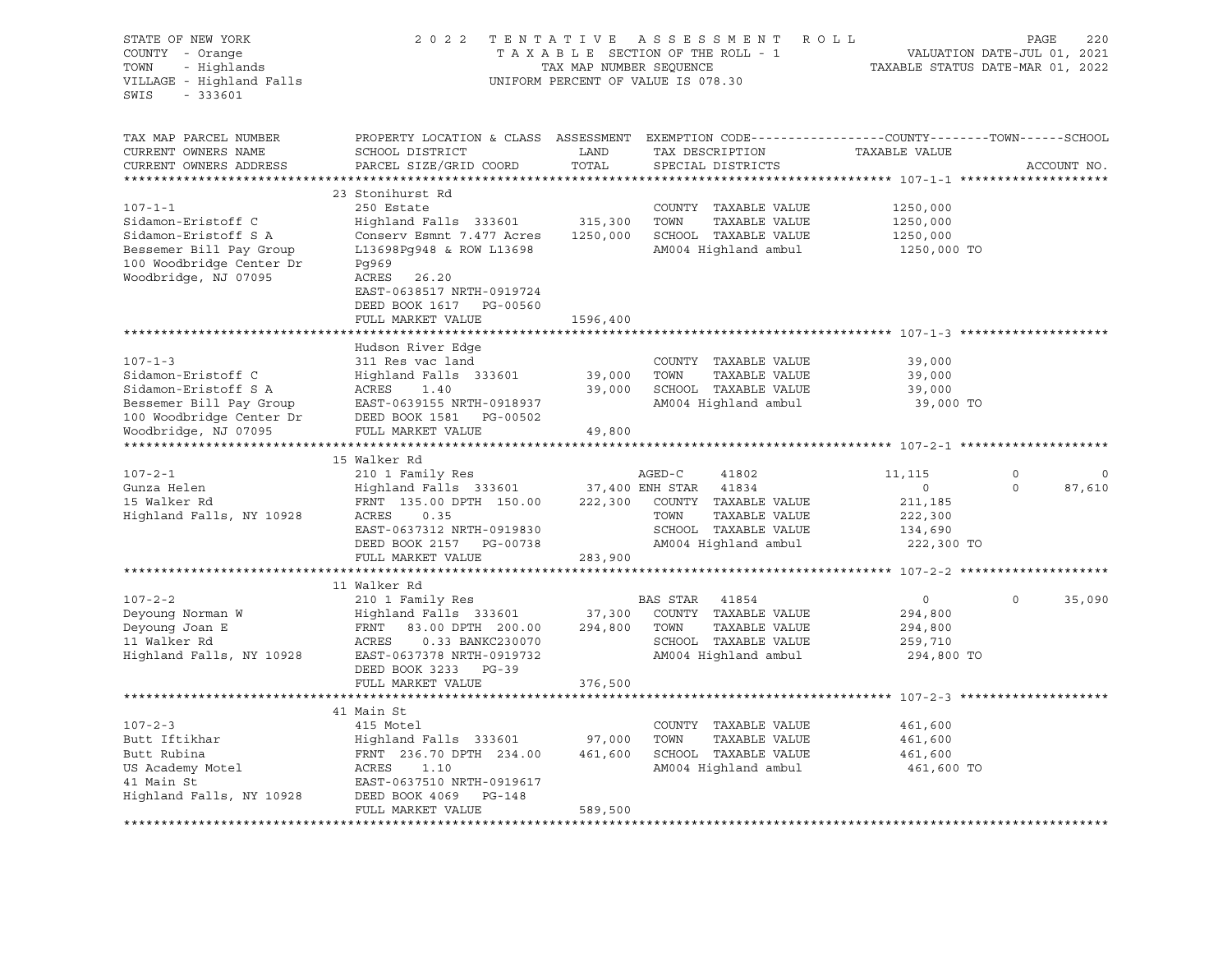STATE OF NEW YORK 2 0 2 2 T E N T A T I V E A S S E S S M E N T R O L L PAGE 220 COUNTY - Orange T A X A B L E SECTION OF THE ROLL - 1 VALUATION DATE-JUL 01, 2021 TOWN - Highlands TAX MAP NUMBER SEQUENCE TAXABLE STATUS DATE-MAR 01, 2022 UNIFORM PERCENT OF VALUE IS 078.30 SWIS - 333601 TAX MAP PARCEL NUMBER PROPERTY LOCATION & CLASS ASSESSMENT EXEMPTION CODE----------------COUNTY-------TOWN-----SCHOOL CURRENT OWNERS NAME SCHOOL DISTRICT LAND TAX DESCRIPTION TAXABLE VALUE CURRENT OWNERS ADDRESS PARCEL SIZE/GRID COORD TOTAL SPECIAL DISTRICTS ACCOUNT NO. \*\*\*\*\*\*\*\*\*\*\*\*\*\*\*\*\*\*\*\*\*\*\*\*\*\*\*\*\*\*\*\*\*\*\*\*\*\*\*\*\*\*\*\*\*\*\*\*\*\*\*\*\*\*\*\*\*\*\*\*\*\*\*\*\*\*\*\*\*\*\*\*\*\*\*\*\*\*\*\*\*\*\*\*\*\*\*\*\*\*\*\*\*\*\*\*\*\*\*\*\*\*\* 107-1-1 \*\*\*\*\*\*\*\*\*\*\*\*\*\*\*\*\*\*\*\* 23 Stonihurst Rd 107-1-1 250 Estate COUNTY TAXABLE VALUE 1250,000 Sidamon-Eristoff C Highland Falls 333601 315,300 TOWN TAXABLE VALUE 1250,000 Sidamon-Eristoff S A Conserv Esmnt 7.477 Acres 1250,000 SCHOOL TAXABLE VALUE 1250,000 Bessemer Bill Pay Group L13698Pg948 & ROW L13698 AM004 Highland ambul 1250,000 TO 100 Woodbridge Center Dr Pg969<br>Woodbridge, NJ 07095 ACRES 26.20 Woodbridge, NJ 07095 EAST-0638517 NRTH-0919724 DEED BOOK 1617 PG-00560 FULL MARKET VALUE 1596,400 \*\*\*\*\*\*\*\*\*\*\*\*\*\*\*\*\*\*\*\*\*\*\*\*\*\*\*\*\*\*\*\*\*\*\*\*\*\*\*\*\*\*\*\*\*\*\*\*\*\*\*\*\*\*\*\*\*\*\*\*\*\*\*\*\*\*\*\*\*\*\*\*\*\*\*\*\*\*\*\*\*\*\*\*\*\*\*\*\*\*\*\*\*\*\*\*\*\*\*\*\*\*\* 107-1-3 \*\*\*\*\*\*\*\*\*\*\*\*\*\*\*\*\*\*\*\* Hudson River Edge<br>311 Res vac land 107-1-3 311 Res vac land COUNTY TAXABLE VALUE 39,000 Sidamon-Eristoff C Highland Falls 333601 39,000 TOWN TAXABLE VALUE 39,000 Sidamon-Eristoff S A ACRES 1.40 39,000 SCHOOL TAXABLE VALUE 39,000 Bessemer Bill Pay Group EAST-0639155 NRTH-0918937 AM004 Highland ambul 39,000 TO 100 Woodbridge Center Dr DEED BOOK 1581 PG-00502 Woodbridge, NJ 07095 FULL MARKET VALUE 49,800 \*\*\*\*\*\*\*\*\*\*\*\*\*\*\*\*\*\*\*\*\*\*\*\*\*\*\*\*\*\*\*\*\*\*\*\*\*\*\*\*\*\*\*\*\*\*\*\*\*\*\*\*\*\*\*\*\*\*\*\*\*\*\*\*\*\*\*\*\*\*\*\*\*\*\*\*\*\*\*\*\*\*\*\*\*\*\*\*\*\*\*\*\*\*\*\*\*\*\*\*\*\*\* 107-2-1 \*\*\*\*\*\*\*\*\*\*\*\*\*\*\*\*\*\*\*\* 15 Walker Rd 107-2-1 210 1 Family Res AGED-C 41802 11,115 0 0 Gunza Helen Highland Falls 333601 37,400 ENH STAR 41834 0 0 87,610 15 Walker Rd FRNT 135.00 DPTH 150.00 222,300 COUNTY TAXABLE VALUE 211,185 Highland Falls, NY 10928 ACRES 0.35 TOWN TAXABLE VALUE 222,300 EAST-0637312 NRTH-0919830 SCHOOL TAXABLE VALUE 134,690 DEED BOOK 2157 PG-00738 AM004 Highland ambul 222,300 TO FULL MARKET VALUE 283,900 \*\*\*\*\*\*\*\*\*\*\*\*\*\*\*\*\*\*\*\*\*\*\*\*\*\*\*\*\*\*\*\*\*\*\*\*\*\*\*\*\*\*\*\*\*\*\*\*\*\*\*\*\*\*\*\*\*\*\*\*\*\*\*\*\*\*\*\*\*\*\*\*\*\*\*\*\*\*\*\*\*\*\*\*\*\*\*\*\*\*\*\*\*\*\*\*\*\*\*\*\*\*\* 107-2-2 \*\*\*\*\*\*\*\*\*\*\*\*\*\*\*\*\*\*\*\* 11 Walker Rd 107-2-2 210 1 Family Res BAS STAR 41854 0 0 35,090 Deyoung Norman W Highland Falls 333601 37,300 COUNTY TAXABLE VALUE 294,800 Deyoung Joan E FRNT 83.00 DPTH 200.00 294,800 TOWN TAXABLE VALUE 294,800 11 Walker Rd ACRES 0.33 BANKC230070 SCHOOL TAXABLE VALUE 259,710 Highland Falls, NY 10928 EAST-0637378 NRTH-0919732 DEED BOOK 3233 PG-39 FULL MARKET VALUE 376,500 \*\*\*\*\*\*\*\*\*\*\*\*\*\*\*\*\*\*\*\*\*\*\*\*\*\*\*\*\*\*\*\*\*\*\*\*\*\*\*\*\*\*\*\*\*\*\*\*\*\*\*\*\*\*\*\*\*\*\*\*\*\*\*\*\*\*\*\*\*\*\*\*\*\*\*\*\*\*\*\*\*\*\*\*\*\*\*\*\*\*\*\*\*\*\*\*\*\*\*\*\*\*\* 107-2-3 \*\*\*\*\*\*\*\*\*\*\*\*\*\*\*\*\*\*\*\* 41 Main St 107-2-3 415 Motel COUNTY TAXABLE VALUE 461,600 Butt Iftikhar Highland Falls 333601 97,000 TOWN TAXABLE VALUE 461,600 Butt Rubina FRNT 236.70 DPTH 234.00 461,600 SCHOOL TAXABLE VALUE 461,600 US Academy Motel ACRES 1.10 AM004 Highland ambul 461,600 TO US Academy Motel<br>41 Main St Highland Falls, NY 10928 DEED BOOK 4069 PG-148 FULL MARKET VALUE 589,500 \*\*\*\*\*\*\*\*\*\*\*\*\*\*\*\*\*\*\*\*\*\*\*\*\*\*\*\*\*\*\*\*\*\*\*\*\*\*\*\*\*\*\*\*\*\*\*\*\*\*\*\*\*\*\*\*\*\*\*\*\*\*\*\*\*\*\*\*\*\*\*\*\*\*\*\*\*\*\*\*\*\*\*\*\*\*\*\*\*\*\*\*\*\*\*\*\*\*\*\*\*\*\*\*\*\*\*\*\*\*\*\*\*\*\*\*\*\*\*\*\*\*\*\*\*\*\*\*\*\*\*\*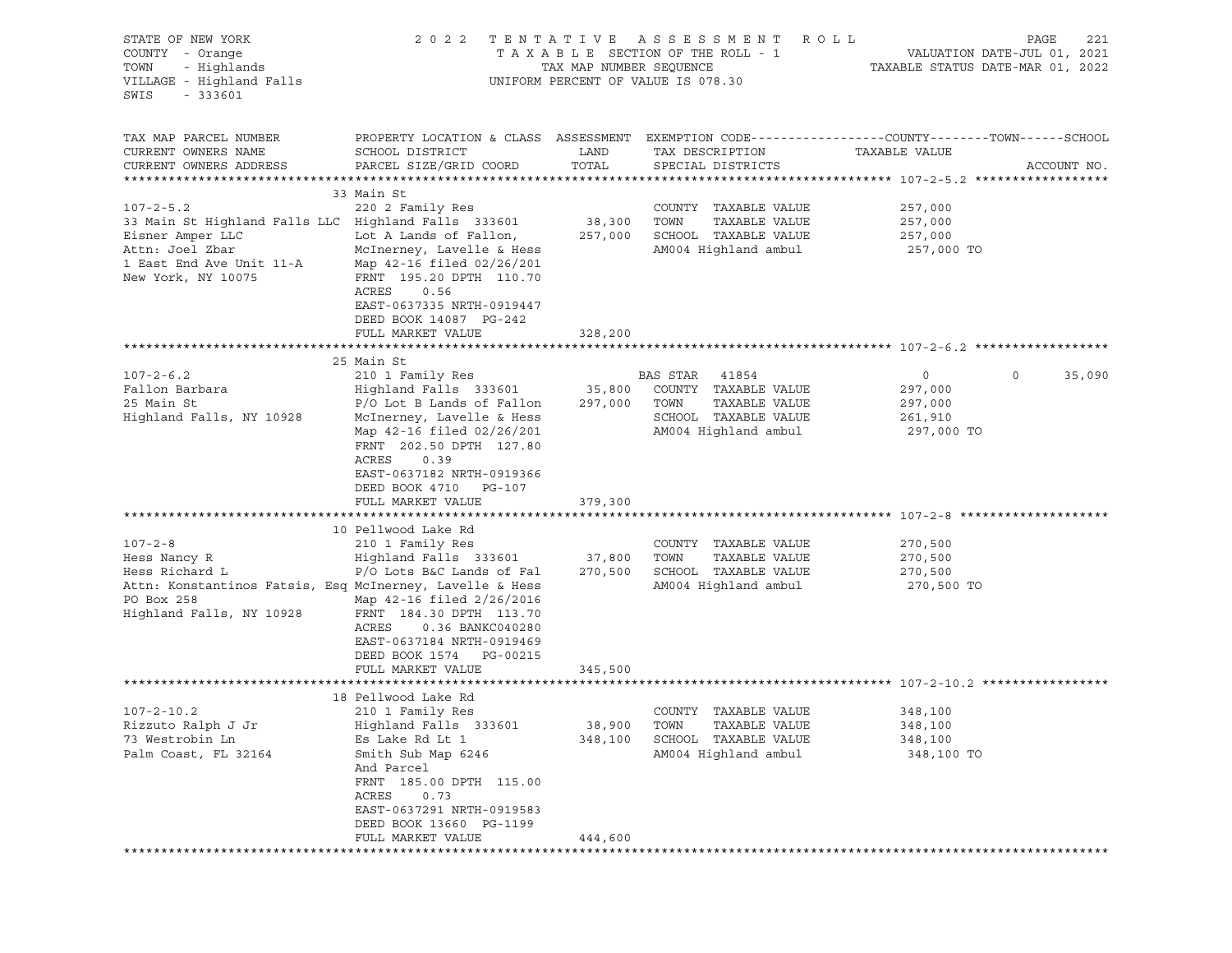| STATE OF NEW YORK<br>COUNTY - Orange<br>TOWN<br>- Highlands<br>VILLAGE - Highland Falls<br>SWIS<br>$-333601$                                                                                                                         |                                                                                                                                                                                                                                                                                                                                                                                                                                                                                                                             | TAX MAP NUMBER SEQUENCE                | 2022 TENTATIVE ASSESSMENT ROLL<br>TAXABLE SECTION OF THE ROLL - 1<br>UNIFORM PERCENT OF VALUE IS 078.30                                                                                                 | PAGE<br>221<br>VALUATION DATE-JUL 01, 2021<br>TAXABLE STATUS DATE-MAR 01, 2022                                                    |
|--------------------------------------------------------------------------------------------------------------------------------------------------------------------------------------------------------------------------------------|-----------------------------------------------------------------------------------------------------------------------------------------------------------------------------------------------------------------------------------------------------------------------------------------------------------------------------------------------------------------------------------------------------------------------------------------------------------------------------------------------------------------------------|----------------------------------------|---------------------------------------------------------------------------------------------------------------------------------------------------------------------------------------------------------|-----------------------------------------------------------------------------------------------------------------------------------|
| TAX MAP PARCEL NUMBER<br>CURRENT OWNERS NAME<br>CURRENT OWNERS ADDRESS                                                                                                                                                               | SCHOOL DISTRICT<br>PARCEL SIZE/GRID COORD                                                                                                                                                                                                                                                                                                                                                                                                                                                                                   | LAND<br>TOTAL                          | TAX DESCRIPTION<br>SPECIAL DISTRICTS                                                                                                                                                                    | PROPERTY LOCATION & CLASS ASSESSMENT EXEMPTION CODE---------------COUNTY-------TOWN------SCHOOL<br>TAXABLE VALUE<br>ACCOUNT NO.   |
| $107 - 2 - 5.2$<br>33 Main St Highland Falls LLC Highland Falls 333601<br>Eisner Amper LLC<br>Attn: Joel Zbar<br>1 East End Ave Unit 11-A Map 42-16 filed 02/26/201<br>New York, NY 10075                                            | 33 Main St<br>220 2 Family Res<br>Lot A Lands of Fallon, 257,000 SCHOOL TAXABLE VALUE<br>McInerney, Lavelle & Hess<br>FRNT 195.20 DPTH 110.70<br>ACRES<br>0.56<br>EAST-0637335 NRTH-0919447<br>DEED BOOK 14087 PG-242<br>FULL MARKET VALUE                                                                                                                                                                                                                                                                                  | 38,300 TOWN<br>328,200                 | COUNTY TAXABLE VALUE<br>TAXABLE VALUE<br>AM004 Highland ambul                                                                                                                                           | 257,000<br>257,000<br>257,000<br>257,000 TO                                                                                       |
|                                                                                                                                                                                                                                      |                                                                                                                                                                                                                                                                                                                                                                                                                                                                                                                             |                                        |                                                                                                                                                                                                         |                                                                                                                                   |
| $107 - 2 - 6.2$<br>Fallon Barbara<br>25 Main St<br>Highland Falls, NY 10928<br>$107 - 2 - 8$<br>Hess Nancy R<br>Hess Richard L<br>Attn: Konstantinos Fatsis, Esq McInerney, Lavelle & Hess<br>PO Box 258<br>Highland Falls, NY 10928 | 25 Main St<br>210 1 Family Res<br>Highland Falls 333601<br>P/O Lot B Lands of Fallon<br>McInerney, Lavelle & Hess<br>Map 42-16 filed 02/26/201<br>FRNT 202.50 DPTH 127.80<br>ACRES<br>0.39<br>EAST-0637182 NRTH-0919366<br>DEED BOOK 4710 PG-107<br>FULL MARKET VALUE<br>10 Pellwood Lake Rd<br>210 1 Family Res<br>Highland Falls 333601<br>P/O Lots B&C Lands of Fal 270,500<br>Map 42-16 filed 2/26/2016<br>FRNT 184.30 DPTH 113.70<br>ACRES<br>0.36 BANKC040280<br>EAST-0637184 NRTH-0919469<br>DEED BOOK 1574 PG-00215 | 297,000 TOWN<br>379,300<br>37,800 TOWN | BAS STAR 41854<br>35,800 COUNTY TAXABLE VALUE<br>TAXABLE VALUE<br>SCHOOL TAXABLE VALUE<br>AM004 Highland ambul<br>COUNTY TAXABLE VALUE<br>TAXABLE VALUE<br>SCHOOL TAXABLE VALUE<br>AM004 Highland ambul | $\overline{0}$<br>35,090<br>$\circ$<br>297,000<br>297,000<br>261,910<br>297,000 TO<br>270,500<br>270,500<br>270,500<br>270,500 TO |
|                                                                                                                                                                                                                                      | FULL MARKET VALUE                                                                                                                                                                                                                                                                                                                                                                                                                                                                                                           | 345,500                                |                                                                                                                                                                                                         |                                                                                                                                   |
| $107 - 2 - 10.2$<br>Rizzuto Ralph J Jr<br>73 Westrobin Ln<br>Palm Coast, FL 32164                                                                                                                                                    | 18 Pellwood Lake Rd<br>210 1 Family Res<br>Highland Falls 333601 38,900 TOWN<br>Es Lake Rd Lt 1<br>Smith Sub Map 6246<br>And Parcel<br>FRNT 185.00 DPTH 115.00<br>ACRES<br>0.73<br>EAST-0637291 NRTH-0919583<br>DEED BOOK 13660 PG-1199<br>FULL MARKET VALUE                                                                                                                                                                                                                                                                | 348,100<br>444,600                     | COUNTY TAXABLE VALUE<br>TAXABLE VALUE<br>SCHOOL TAXABLE VALUE<br>AM004 Highland ambul                                                                                                                   | 348,100<br>348,100<br>348,100<br>348,100 TO                                                                                       |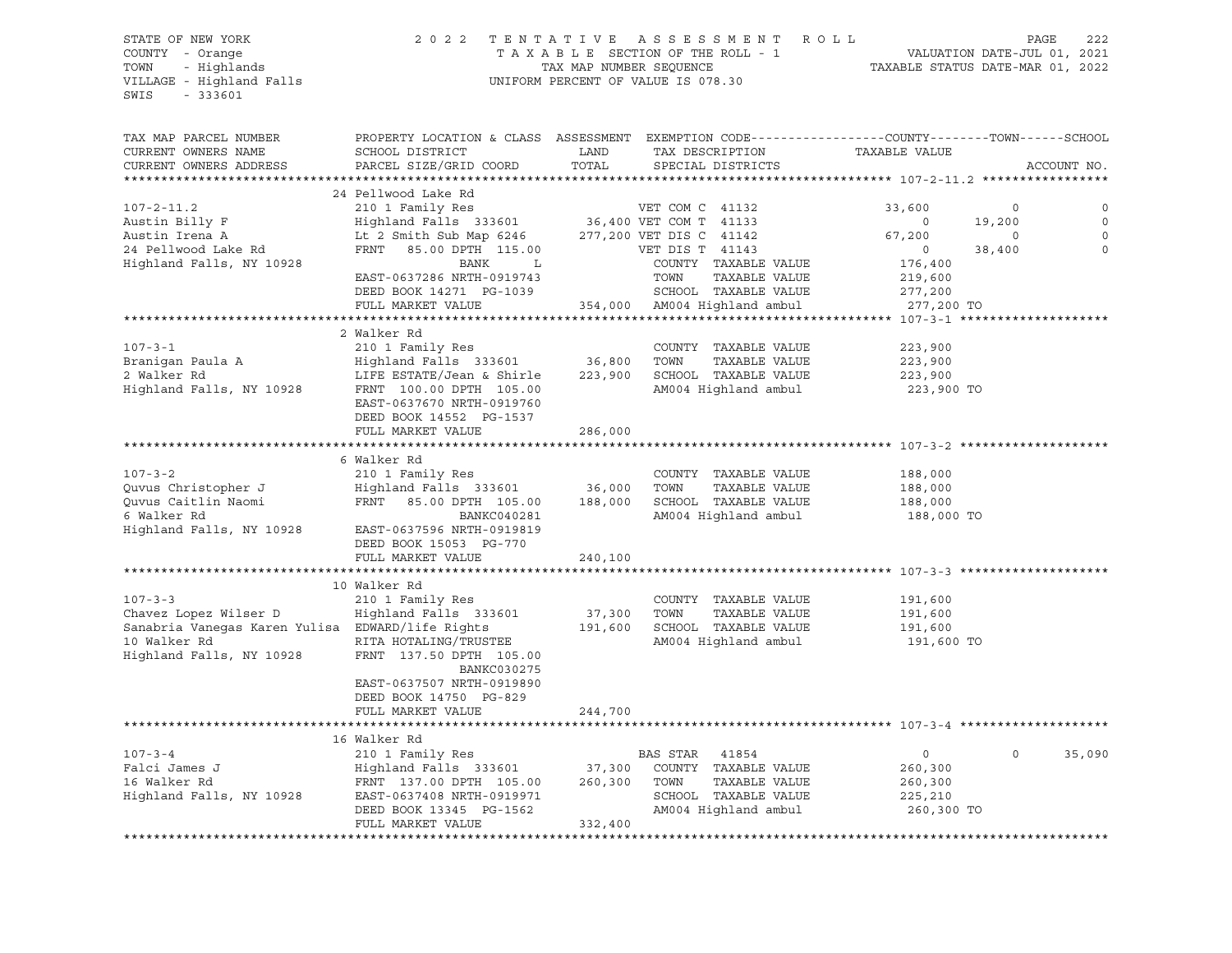### STATE OF NEW YORK 2 0 2 2 T E N T A T I V E A S S E S S M E N T R O L L PAGE 222 COUNTY - Orange T A X A B L E SECTION OF THE ROLL - 1 VALUATION DATE-JUL 01, 2021 TOWN - Highlands TAX MAP NUMBER SEQUENCE TAXABLE STATUS DATE-MAR 01, 2022 VILLAGE - Highland Falls UNIFORM PERCENT OF VALUE IS 078.30

| TAX MAP PARCEL NUMBER                                                                                                                                                                                                               | PROPERTY LOCATION & CLASS ASSESSMENT EXEMPTION CODE---------------COUNTY-------TOWN------SCHOOL                                                                                   |                   |                                 |                       |                        |
|-------------------------------------------------------------------------------------------------------------------------------------------------------------------------------------------------------------------------------------|-----------------------------------------------------------------------------------------------------------------------------------------------------------------------------------|-------------------|---------------------------------|-----------------------|------------------------|
| CURRENT OWNERS NAME                                                                                                                                                                                                                 | SCHOOL DISTRICT                                                                                                                                                                   | LAND              | TAX DESCRIPTION TAXABLE VALUE   |                       |                        |
| CURRENT OWNERS ADDRESS                                                                                                                                                                                                              | PARCEL SIZE/GRID COORD                                                                                                                                                            | TOTAL             | SPECIAL DISTRICTS               |                       | ACCOUNT NO.            |
|                                                                                                                                                                                                                                     |                                                                                                                                                                                   |                   |                                 |                       |                        |
|                                                                                                                                                                                                                                     | 24 Pellwood Lake Rd                                                                                                                                                               |                   |                                 |                       |                        |
| $107 - 2 - 11.2$                                                                                                                                                                                                                    | 210 1 Family Res<br>210 1 Family Res<br>Highland Falls 333601 36,400 VET COM T 41133<br>Lt 2 Smith Sub Map 6246 277,200 VET DIS C 41142<br>FRNT 85.00 DPTH 115.00 VET DIS T 41143 |                   | VET COM C 41132                 | 33,600                | $\circ$<br>$\circ$     |
| Austin Billy F                                                                                                                                                                                                                      |                                                                                                                                                                                   |                   |                                 | $\circ$               | $\mathbf 0$<br>19,200  |
| Austin Irena A                                                                                                                                                                                                                      |                                                                                                                                                                                   |                   |                                 | 67,200                | $\mathbf 0$<br>$\circ$ |
| 24 Pellwood Lake Rd                                                                                                                                                                                                                 |                                                                                                                                                                                   |                   |                                 | $\overline{0}$        | $\circ$<br>38,400      |
| Highland Falls, NY 10928                                                                                                                                                                                                            | BANK<br>$L$ and $L$                                                                                                                                                               |                   | COUNTY TAXABLE VALUE            | 176,400               |                        |
|                                                                                                                                                                                                                                     | EAST-0637286 NRTH-0919743                                                                                                                                                         |                   | TOWN<br>TAXABLE VALUE           | 219,600               |                        |
|                                                                                                                                                                                                                                     | DEED BOOK 14271 PG-1039                                                                                                                                                           |                   | SCHOOL TAXABLE VALUE            | 277,200<br>277,200 TO |                        |
|                                                                                                                                                                                                                                     | FULL MARKET VALUE                                                                                                                                                                 |                   | 354,000 AM004 Highland ambul    |                       |                        |
|                                                                                                                                                                                                                                     |                                                                                                                                                                                   |                   |                                 |                       |                        |
|                                                                                                                                                                                                                                     | 2 Walker Rd                                                                                                                                                                       |                   |                                 |                       |                        |
| $107 - 3 - 1$                                                                                                                                                                                                                       | 210 1 Family Res                                                                                                                                                                  |                   | COUNTY TAXABLE VALUE            | 223,900               |                        |
| Branigan Paula A<br>2 Walker Rd                                                                                                                                                                                                     | Highland Falls 333601 36,800<br>LIFE ESTATE/Jean & Shirle 223,900                                                                                                                 |                   | TAXABLE VALUE<br>TOWN           | 223,900<br>223,900    |                        |
| 2 Walker Rd                                                                                                                                                                                                                         |                                                                                                                                                                                   |                   | SCHOOL TAXABLE VALUE            |                       |                        |
| Highland Falls, NY 10928                                                                                                                                                                                                            | FRNT 100.00 DPTH 105.00                                                                                                                                                           |                   | AM004 Highland ambul            | 223,900 TO            |                        |
|                                                                                                                                                                                                                                     | EAST-0637670 NRTH-0919760                                                                                                                                                         |                   |                                 |                       |                        |
|                                                                                                                                                                                                                                     | DEED BOOK 14552 PG-1537                                                                                                                                                           |                   |                                 |                       |                        |
|                                                                                                                                                                                                                                     | FULL MARKET VALUE                                                                                                                                                                 | 286,000           |                                 |                       |                        |
|                                                                                                                                                                                                                                     |                                                                                                                                                                                   |                   |                                 |                       |                        |
|                                                                                                                                                                                                                                     | 6 Walker Rd                                                                                                                                                                       |                   |                                 |                       |                        |
| $107 - 3 - 2$                                                                                                                                                                                                                       | 210 1 Family Res                                                                                                                                                                  |                   | COUNTY TAXABLE VALUE            | 188,000               |                        |
|                                                                                                                                                                                                                                     |                                                                                                                                                                                   |                   |                                 | 188,000<br>188,000    |                        |
|                                                                                                                                                                                                                                     |                                                                                                                                                                                   |                   |                                 |                       |                        |
| 6 Walker Rd                                                                                                                                                                                                                         | BANKC040281                                                                                                                                                                       |                   | AM004 Highland ambul 188,000 TO |                       |                        |
| Highland Falls, NY 10928                                                                                                                                                                                                            | EAST-0637596 NRTH-0919819                                                                                                                                                         |                   |                                 |                       |                        |
|                                                                                                                                                                                                                                     | DEED BOOK 15053 PG-770                                                                                                                                                            |                   |                                 |                       |                        |
|                                                                                                                                                                                                                                     | FULL MARKET VALUE                                                                                                                                                                 | 240,100           |                                 |                       |                        |
|                                                                                                                                                                                                                                     |                                                                                                                                                                                   |                   |                                 |                       |                        |
|                                                                                                                                                                                                                                     | 10 Walker Rd                                                                                                                                                                      |                   |                                 |                       |                        |
| $107 - 3 - 3$                                                                                                                                                                                                                       | 210 1 Family Res                                                                                                                                                                  |                   | COUNTY TAXABLE VALUE            | 191,600               |                        |
| Chavez Lopez Wilser D                                                                                                                                                                                                               | Highland Falls 333601                                                                                                                                                             | 37,300<br>191,600 | TAXABLE VALUE<br>TOWN           | 191,600<br>191,600    |                        |
| Sanabria Vaneqas Karen Yulisa EDWARD/life Rights                                                                                                                                                                                    |                                                                                                                                                                                   |                   | SCHOOL TAXABLE VALUE            |                       |                        |
| 10 Walker Rd                                                                                                                                                                                                                        | RITA HOTALING/TRUSTEE                                                                                                                                                             |                   | AM004 Highland ambul            | 191,600 TO            |                        |
| Highland Falls, NY 10928                                                                                                                                                                                                            | FRNT 137.50 DPTH 105.00                                                                                                                                                           |                   |                                 |                       |                        |
|                                                                                                                                                                                                                                     | BANKC030275                                                                                                                                                                       |                   |                                 |                       |                        |
|                                                                                                                                                                                                                                     | EAST-0637507 NRTH-0919890                                                                                                                                                         |                   |                                 |                       |                        |
|                                                                                                                                                                                                                                     | DEED BOOK 14750 PG-829                                                                                                                                                            |                   |                                 |                       |                        |
|                                                                                                                                                                                                                                     | FULL MARKET VALUE                                                                                                                                                                 | 244,700           |                                 |                       |                        |
|                                                                                                                                                                                                                                     |                                                                                                                                                                                   |                   |                                 |                       |                        |
|                                                                                                                                                                                                                                     | 16 Walker Rd                                                                                                                                                                      |                   |                                 |                       |                        |
| $107 - 3 - 4$                                                                                                                                                                                                                       | 210 1 Family Res                                                                                                                                                                  |                   |                                 | $\circ$               | $\Omega$<br>35,090     |
|                                                                                                                                                                                                                                     |                                                                                                                                                                                   |                   |                                 | 260,300               |                        |
|                                                                                                                                                                                                                                     |                                                                                                                                                                                   |                   |                                 | 260,300               |                        |
| 107-3-4 210 1 Family Res BAS STAR 41854<br>Falci James J Highland Falls 333601 37,300 COUNTY TAXABLE VALUE<br>16 Walker Rd FRNT 137.00 DPTH 105.00 260,300 TOWN TAXABLE VALUE<br>Highland Falls, NY 10928 EAST-0637408 NRTH-0919971 |                                                                                                                                                                                   |                   |                                 | 225,210               |                        |
|                                                                                                                                                                                                                                     |                                                                                                                                                                                   |                   | AM004 Highland ambul 260,300 TO |                       |                        |
|                                                                                                                                                                                                                                     | DEED BOOK 13345 PG-1562<br>FULL MARKET VALUE                                                                                                                                      | 332,400           |                                 |                       |                        |
|                                                                                                                                                                                                                                     |                                                                                                                                                                                   |                   |                                 |                       |                        |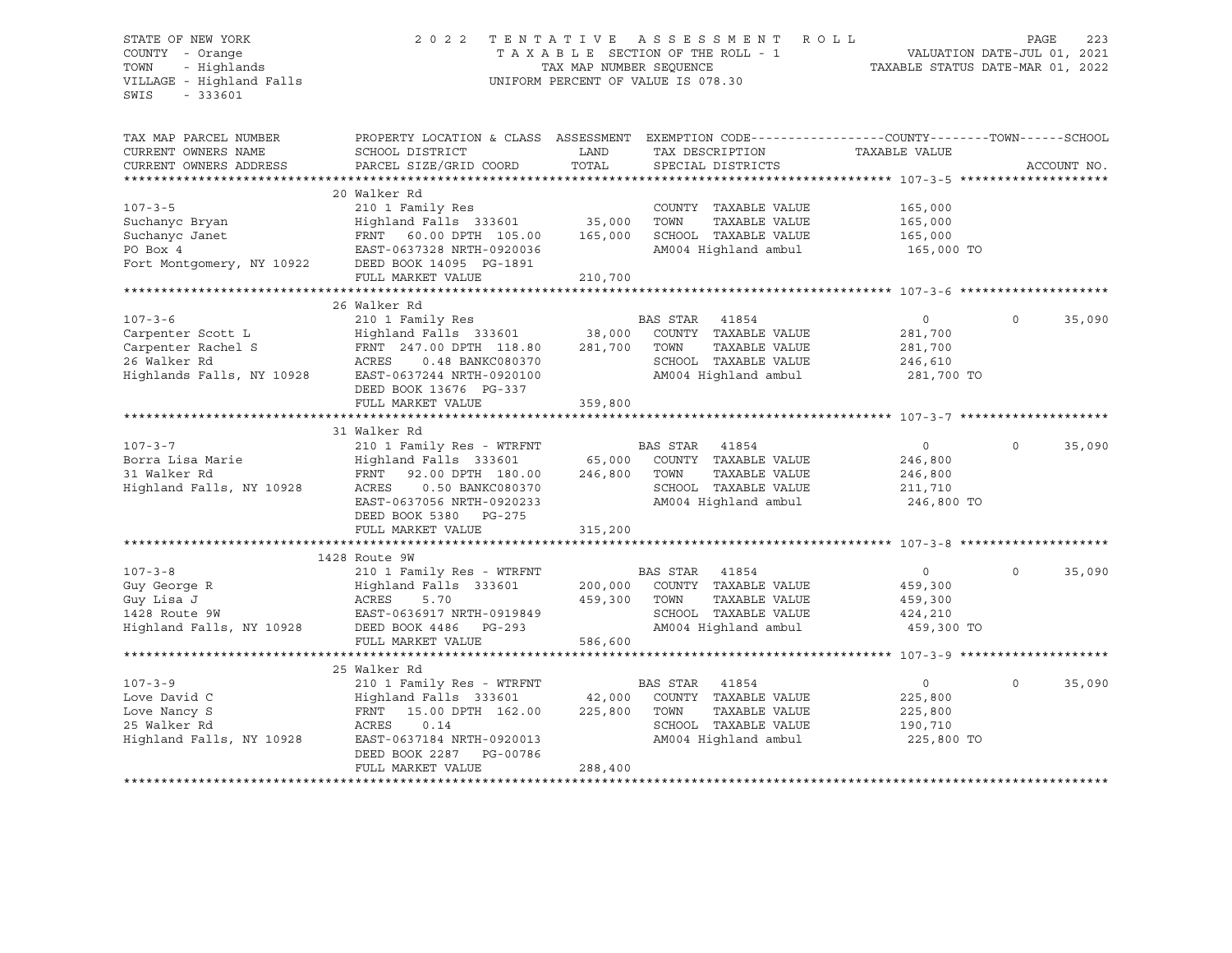### STATE OF NEW YORK 2 0 2 2 T E N T A T I V E A S S E S S M E N T R O L L PAGE 223 COUNTY - Orange T A X A B L E SECTION OF THE ROLL - 1 VALUATION DATE-JUL 01, 2021 TRIF OF NEW YORK A SERISM ENGLY THE ROLL STATE OF NEW YORK A SAMPLINE ROLL TAX A B L E SECTION OF THE ROLL - 1<br>
TAX A B L E SECTION OF THE ROLL - 1 WALUATION DATE-JUL 01, 2021<br>
TOWN - Highlands (TAXABLE STATUS DATE-MAR 01, UNIFORM PERCENT OF VALUE IS 078.30

TAX MAP PARCEL NUMBER PROPERTY LOCATION & CLASS ASSESSMENT EXEMPTION CODE----------------COUNTY-------TOWN-----SCHOOL CURRENT OWNERS NAME SCHOOL DISTRICT LAND TAX DESCRIPTION TAXABLE VALUE CURRENT OWNERS ADDRESS PARCEL SIZE/GRID COORD TOTAL SPECIAL DISTRICTS ACCOUNT NO. \*\*\*\*\*\*\*\*\*\*\*\*\*\*\*\*\*\*\*\*\*\*\*\*\*\*\*\*\*\*\*\*\*\*\*\*\*\*\*\*\*\*\*\*\*\*\*\*\*\*\*\*\*\*\*\*\*\*\*\*\*\*\*\*\*\*\*\*\*\*\*\*\*\*\*\*\*\*\*\*\*\*\*\*\*\*\*\*\*\*\*\*\*\*\*\*\*\*\*\*\*\*\* 107-3-5 \*\*\*\*\*\*\*\*\*\*\*\*\*\*\*\*\*\*\*\* 20 Walker Rd 107-3-5 210 1 Family Res COUNTY TAXABLE VALUE 165,000 Suchanyc Bryan Highland Falls 333601 35,000 TOWN TAXABLE VALUE 165,000 Suchanyc Janet FRNT 60.00 DPTH 105.00 165,000 SCHOOL TAXABLE VALUE 165,000 PO Box 4 EAST-0637328 NRTH-0920036 AM004 Highland ambul 165,000 TO Fort Montgomery, NY 10922 DEED BOOK 14095 PG-1891 FULL MARKET VALUE 210,700 \*\*\*\*\*\*\*\*\*\*\*\*\*\*\*\*\*\*\*\*\*\*\*\*\*\*\*\*\*\*\*\*\*\*\*\*\*\*\*\*\*\*\*\*\*\*\*\*\*\*\*\*\*\*\*\*\*\*\*\*\*\*\*\*\*\*\*\*\*\*\*\*\*\*\*\*\*\*\*\*\*\*\*\*\*\*\*\*\*\*\*\*\*\*\*\*\*\*\*\*\*\*\* 107-3-6 \*\*\*\*\*\*\*\*\*\*\*\*\*\*\*\*\*\*\*\* 26 Walker Rd 107-3-6 210 1 Family Res BAS STAR 41854 0 0 35,090 Carpenter Scott L Highland Falls 333601 38,000 COUNTY TAXABLE VALUE 281,700 Carpenter Rachel S FRNT 247.00 DPTH 118.80 281,700 TOWN TAXABLE VALUE 281,700 26 Walker Rd ACRES 0.48 BANKC080370 SCHOOL TAXABLE VALUE 246,610 Highlands Falls, NY 10928 EAST-0637244 NRTH-0920100 AM004 Highland ambul 281,700 TO DEED BOOK 13676 PG-337 FULL MARKET VALUE 359,800 \*\*\*\*\*\*\*\*\*\*\*\*\*\*\*\*\*\*\*\*\*\*\*\*\*\*\*\*\*\*\*\*\*\*\*\*\*\*\*\*\*\*\*\*\*\*\*\*\*\*\*\*\*\*\*\*\*\*\*\*\*\*\*\*\*\*\*\*\*\*\*\*\*\*\*\*\*\*\*\*\*\*\*\*\*\*\*\*\*\*\*\*\*\*\*\*\*\*\*\*\*\*\* 107-3-7 \*\*\*\*\*\*\*\*\*\*\*\*\*\*\*\*\*\*\*\* 31 Walker Rd<br>107-3-7 210 1 Fami 107-3-7 210 1 Family Res - WTRFNT BAS STAR 41854 0 0 35,090 Borra Lisa Marie Highland Falls 333601 65,000 COUNTY TAXABLE VALUE 246,800 31 Walker Rd FRNT 92.00 DPTH 180.00 246,800 TOWN TAXABLE VALUE 246,800 Highland Falls, NY 10928 ACRES 0.50 BANKC080370 SCHOOL TAXABLE VALUE 211,710 EAST-0637056 NRTH-0920233 AM004 Highland ambul 246,800 TO DEED BOOK 5380 PG-275 FULL MARKET VALUE 315,200 \*\*\*\*\*\*\*\*\*\*\*\*\*\*\*\*\*\*\*\*\*\*\*\*\*\*\*\*\*\*\*\*\*\*\*\*\*\*\*\*\*\*\*\*\*\*\*\*\*\*\*\*\*\*\*\*\*\*\*\*\*\*\*\*\*\*\*\*\*\*\*\*\*\*\*\*\*\*\*\*\*\*\*\*\*\*\*\*\*\*\*\*\*\*\*\*\*\*\*\*\*\*\* 107-3-8 \*\*\*\*\*\*\*\*\*\*\*\*\*\*\*\*\*\*\*\* 1428 Route 9W 107-3-8 210 1 Family Res - WTRFNT BAS STAR 41854 0 0 35,090 Guy George R Highland Falls 333601 200,000 COUNTY TAXABLE VALUE 459,300 Guy Lisa J ACRES 5.70 459,300 TOWN TAXABLE VALUE 459,300 1428 Route 9W EAST-0636917 NRTH-0919849 SCHOOL TAXABLE VALUE 424,210 Highland Falls, NY 10928 DEED BOOK 4486 PG-293 AM004 Highland ambul 459,300 TO FULL MARKET VALUE 586,600 \*\*\*\*\*\*\*\*\*\*\*\*\*\*\*\*\*\*\*\*\*\*\*\*\*\*\*\*\*\*\*\*\*\*\*\*\*\*\*\*\*\*\*\*\*\*\*\*\*\*\*\*\*\*\*\*\*\*\*\*\*\*\*\*\*\*\*\*\*\*\*\*\*\*\*\*\*\*\*\*\*\*\*\*\*\*\*\*\*\*\*\*\*\*\*\*\*\*\*\*\*\*\* 107-3-9 \*\*\*\*\*\*\*\*\*\*\*\*\*\*\*\*\*\*\*\* 25 Walker Rd 107-3-9 210 1 Family Res - WTRFNT BAS STAR 41854 0 0 35,090 Love David C Highland Falls 333601 42,000 COUNTY TAXABLE VALUE 225,800 Love Nancy S FRNT 15.00 DPTH 162.00 225,800 TOWN TAXABLE VALUE 225,800 25 Walker Rd ACRES 0.14 SCHOOL TAXABLE VALUE 190,710 Highland Falls, NY 10928 EAST-0637184 NRTH-0920013 AM004 Highland ambul 225,800 TO DEED BOOK 2287 PG-00786 FULL MARKET VALUE 288,400 \*\*\*\*\*\*\*\*\*\*\*\*\*\*\*\*\*\*\*\*\*\*\*\*\*\*\*\*\*\*\*\*\*\*\*\*\*\*\*\*\*\*\*\*\*\*\*\*\*\*\*\*\*\*\*\*\*\*\*\*\*\*\*\*\*\*\*\*\*\*\*\*\*\*\*\*\*\*\*\*\*\*\*\*\*\*\*\*\*\*\*\*\*\*\*\*\*\*\*\*\*\*\*\*\*\*\*\*\*\*\*\*\*\*\*\*\*\*\*\*\*\*\*\*\*\*\*\*\*\*\*\*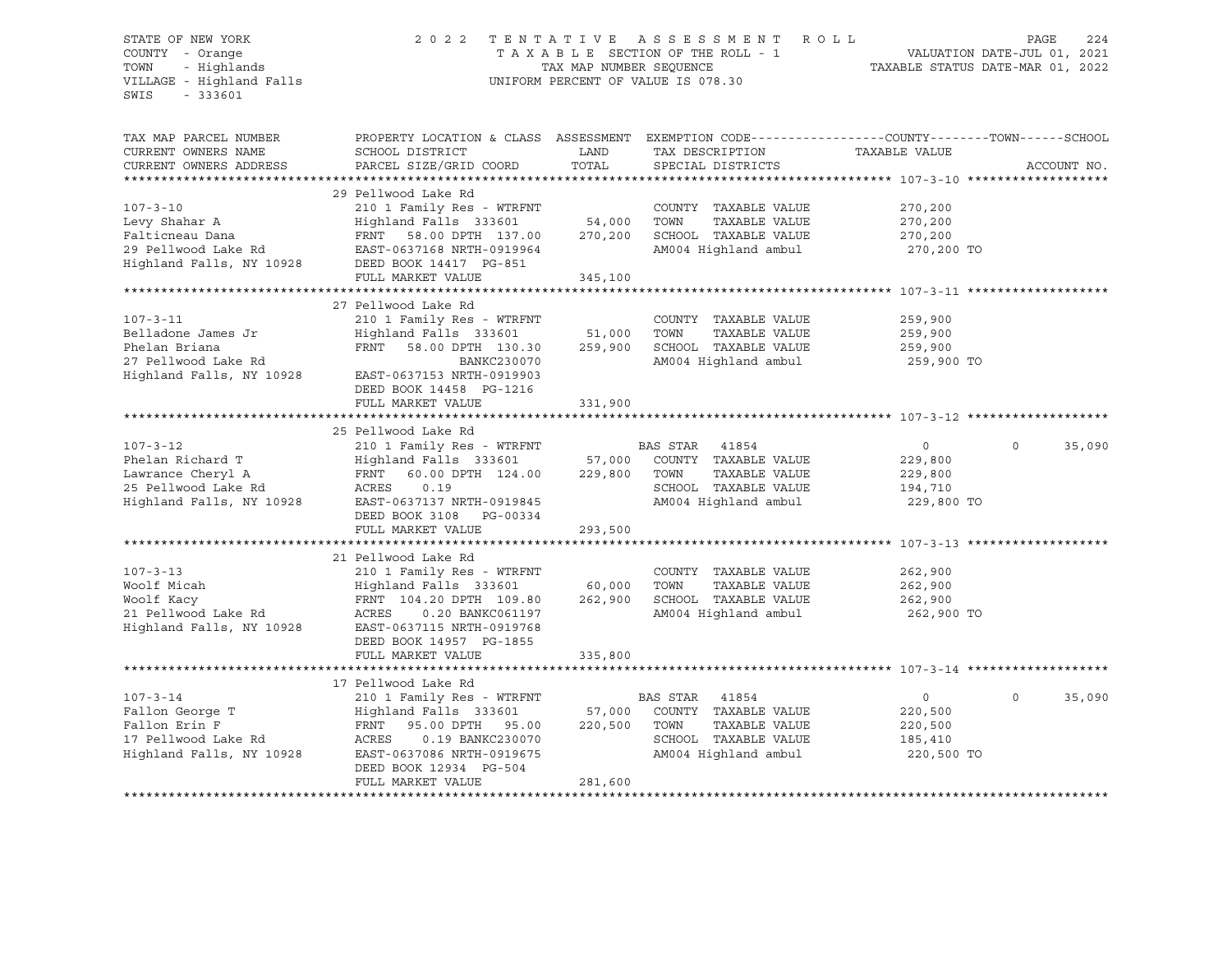### STATE OF NEW YORK 2 0 2 2 T E N T A T I V E A S S E S S M E N T R O L L PAGE 224 COUNTY - Orange T A X A B L E SECTION OF THE ROLL - 1 VALUATION DATE-JUL 01, 2021 TOWN - Highlands TAX MAP NUMBER SEQUENCE TAXABLE STATUS DATE-MAR 01, 2022 VILLAGE - Highland Falls UNIFORM PERCENT OF VALUE IS 078.30

| TAX MAP PARCEL NUMBER<br>CURRENT OWNERS NAME<br>CURRENT OWNERS ADDRESS                                     | PROPERTY LOCATION & CLASS ASSESSMENT EXEMPTION CODE----------------COUNTY-------TOWN-----SCHOOL<br>SCHOOL DISTRICT<br>PARCEL SIZE/GRID COORD                                                                   | LAND<br>TOTAL                | TAX DESCRIPTION<br>SPECIAL DISTRICTS                                                                               | TAXABLE VALUE                                               | ACCOUNT NO.        |
|------------------------------------------------------------------------------------------------------------|----------------------------------------------------------------------------------------------------------------------------------------------------------------------------------------------------------------|------------------------------|--------------------------------------------------------------------------------------------------------------------|-------------------------------------------------------------|--------------------|
| $107 - 3 - 10$<br>Levy Shahar A<br>Falticneau Dana<br>29 Pellwood Lake Rd<br>Highland Falls, NY 10928      | 29 Pellwood Lake Rd<br>210 1 Family Res - WTRFNT<br>Highland Falls 333601<br>58.00 DPTH 137.00<br>FRNT<br>EAST-0637168 NRTH-0919964<br>DEED BOOK 14417 PG-851<br>FULL MARKET VALUE                             | 54,000<br>270,200<br>345,100 | COUNTY TAXABLE VALUE<br>TOWN<br>TAXABLE VALUE<br>SCHOOL TAXABLE VALUE<br>AM004 Highland ambul                      | 270,200<br>270,200<br>270,200<br>270,200 TO                 |                    |
| $107 - 3 - 11$<br>Belladone James Jr<br>Phelan Briana<br>27 Pellwood Lake Rd<br>Highland Falls, NY 10928   | 27 Pellwood Lake Rd<br>210 1 Family Res - WTRFNT<br>Highland Falls 333601<br>FRNT 58.00 DPTH 130.30<br>BANKC230070<br>EAST-0637153 NRTH-0919903<br>DEED BOOK 14458 PG-1216<br>FULL MARKET VALUE                | 51,000<br>259,900<br>331,900 | COUNTY TAXABLE VALUE<br>TOWN<br>TAXABLE VALUE<br>SCHOOL TAXABLE VALUE<br>AM004 Highland ambul                      | 259,900<br>259,900<br>259,900<br>259,900 TO                 |                    |
| $107 - 3 - 12$<br>Phelan Richard T<br>Lawrance Cheryl A<br>25 Pellwood Lake Rd<br>Highland Falls, NY 10928 | 25 Pellwood Lake Rd<br>210 1 Family Res - WTRFNT<br>Highland Falls 333601<br>FRNT<br>60.00 DPTH 124.00<br>ACRES<br>0.19<br>EAST-0637137 NRTH-0919845<br>DEED BOOK 3108 PG-00334<br>FULL MARKET VALUE           | 57,000<br>229,800<br>293,500 | BAS STAR<br>41854<br>COUNTY TAXABLE VALUE<br>TOWN<br>TAXABLE VALUE<br>SCHOOL TAXABLE VALUE<br>AM004 Highland ambul | $\mathbf{0}$<br>229,800<br>229,800<br>194,710<br>229,800 TO | $\Omega$<br>35,090 |
| $107 - 3 - 13$<br>Woolf Micah<br>Woolf Kacy<br>21 Pellwood Lake Rd<br>Highland Falls, NY 10928             | 21 Pellwood Lake Rd<br>210 1 Family Res - WTRFNT<br>Highland Falls 333601<br>FRNT 104.20 DPTH 109.80<br>ACRES<br>0.20 BANKC061197<br>EAST-0637115 NRTH-0919768<br>DEED BOOK 14957 PG-1855<br>FULL MARKET VALUE | 60,000<br>262,900<br>335,800 | COUNTY TAXABLE VALUE<br>TOWN<br>TAXABLE VALUE<br>SCHOOL TAXABLE VALUE<br>AM004 Highland ambul                      | 262,900<br>262,900<br>262,900<br>262,900 TO                 |                    |
| $107 - 3 - 14$<br>Fallon George T<br>Fallon Erin F<br>17 Pellwood Lake Rd<br>Highland Falls, NY 10928      | 17 Pellwood Lake Rd<br>210 1 Family Res - WTRFNT<br>Highland Falls 333601<br>FRNT<br>95.00 DPTH 95.00<br>ACRES<br>0.19 BANKC230070<br>EAST-0637086 NRTH-0919675<br>DEED BOOK 12934 PG-504<br>FULL MARKET VALUE | 57,000<br>220,500<br>281,600 | BAS STAR<br>41854<br>COUNTY TAXABLE VALUE<br>TOWN<br>TAXABLE VALUE<br>SCHOOL TAXABLE VALUE<br>AM004 Highland ambul | $\mathbf 0$<br>220,500<br>220,500<br>185,410<br>220,500 TO  | $\Omega$<br>35,090 |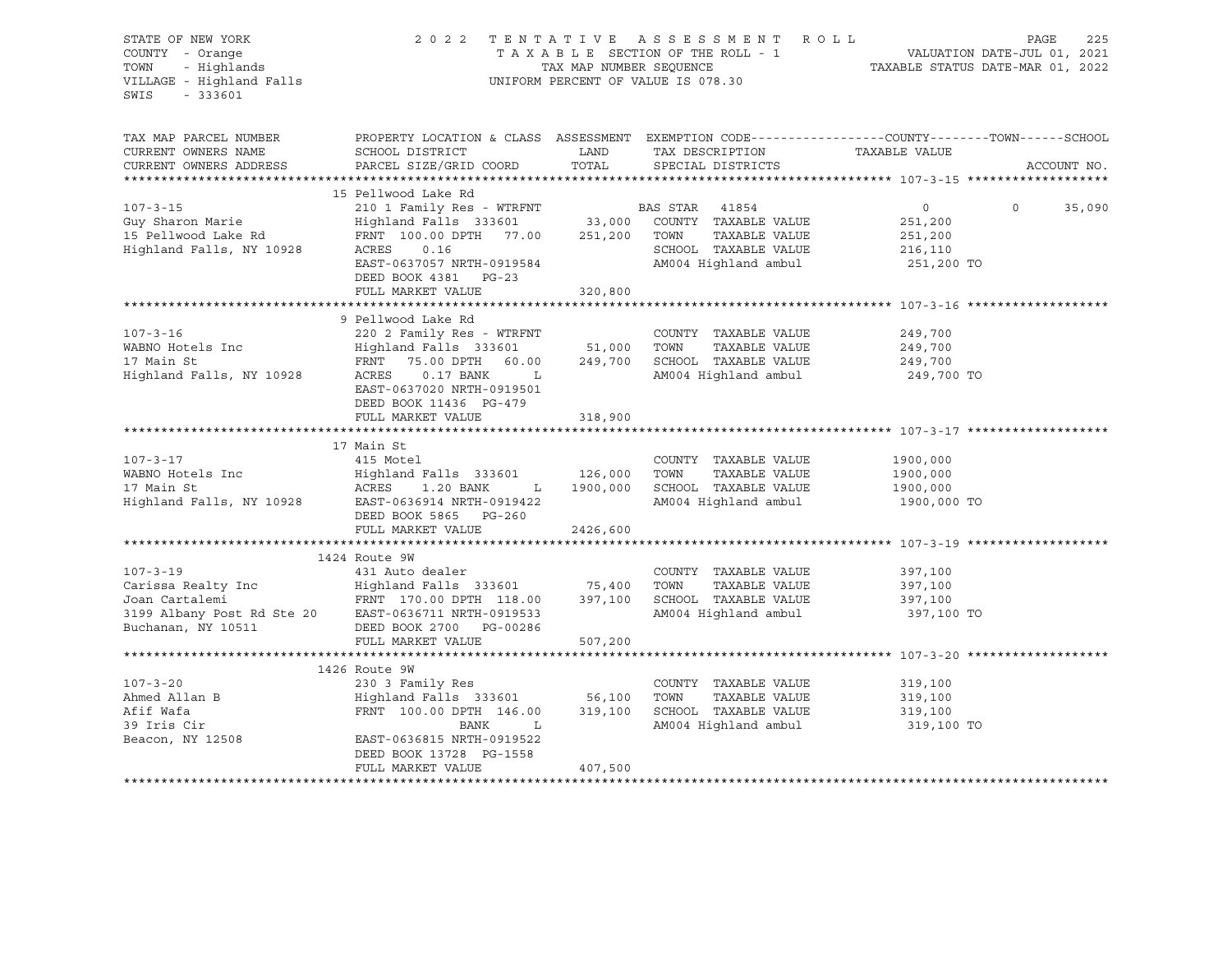| STATE OF NEW YORK<br>COUNTY - Orange<br>TOWN - Highlands<br>VILLAGE - Highland Falls<br>SWIS<br>$-333601$                                                                                                                                | 2022 TENTATIVE ASSESSMENT ROLL<br>UNIFORM PERCENT OF VALUE IS 078.30                          |          |                                       | 225<br>PAGE                                                                                      |        |  |
|------------------------------------------------------------------------------------------------------------------------------------------------------------------------------------------------------------------------------------------|-----------------------------------------------------------------------------------------------|----------|---------------------------------------|--------------------------------------------------------------------------------------------------|--------|--|
| TAX MAP PARCEL NUMBER<br>CURRENT OWNERS NAME                                                                                                                                                                                             | SCHOOL DISTRICT                                                                               | LAND     | TAX DESCRIPTION TAXABLE VALUE         | PROPERTY LOCATION & CLASS ASSESSMENT EXEMPTION CODE----------------COUNTY-------TOWN------SCHOOL |        |  |
| CURRENT OWNERS ADDRESS                                                                                                                                                                                                                   | PARCEL SIZE/GRID COORD                                                                        | TOTAL    | SPECIAL DISTRICTS                     | ACCOUNT NO.                                                                                      |        |  |
|                                                                                                                                                                                                                                          | 15 Pellwood Lake Rd                                                                           |          |                                       |                                                                                                  |        |  |
| $107 - 3 - 15$<br>Guy Sharon Marie                                                                                                                                                                                                       | 210 1 Family Res - WTRFNT BAS STAR 41854<br>Highland Falls 333601 33,000 COUNTY TAXABLE VALUE |          |                                       | $\overline{0}$<br>$\circ$<br>251,200                                                             | 35,090 |  |
| 15 Pellwood Lake Rd<br>Highland Falls, NY 10928                                                                                                                                                                                          | FRNT 100.00 DPTH 77.00 251,200 TOWN TAXABLE VALUE<br>ACRES<br>0.16                            |          | SCHOOL TAXABLE VALUE                  | 251,200<br>216,110                                                                               |        |  |
|                                                                                                                                                                                                                                          | EAST-0637057 NRTH-0919584<br>DEED BOOK 4381 PG-23                                             |          | AM004 Highland ambul                  | 251,200 TO                                                                                       |        |  |
|                                                                                                                                                                                                                                          | FULL MARKET VALUE                                                                             | 320,800  |                                       |                                                                                                  |        |  |
|                                                                                                                                                                                                                                          | 9 Pellwood Lake Rd                                                                            |          |                                       |                                                                                                  |        |  |
| $107 - 3 - 16$                                                                                                                                                                                                                           | 220 2 Family Res - WTRFNT                                                                     |          | COUNTY TAXABLE VALUE<br>TAXABLE VALUE | 249,700<br>249,700<br>249,700                                                                    |        |  |
|                                                                                                                                                                                                                                          | EAST-0637020 NRTH-0919501<br>DEED BOOK 11436 PG-479                                           |          | AM004 Highland ambul                  | 249,700 TO                                                                                       |        |  |
|                                                                                                                                                                                                                                          | FULL MARKET VALUE                                                                             | 318,900  |                                       |                                                                                                  |        |  |
|                                                                                                                                                                                                                                          |                                                                                               |          |                                       |                                                                                                  |        |  |
|                                                                                                                                                                                                                                          | 17 Main St                                                                                    |          |                                       |                                                                                                  |        |  |
| $107 - 3 - 17$                                                                                                                                                                                                                           | 415 Motel                                                                                     |          | COUNTY TAXABLE VALUE                  | 1900,000<br>1900,000                                                                             |        |  |
|                                                                                                                                                                                                                                          |                                                                                               |          | 1900,000 SCHOOL TAXABLE VALUE         | 1900,000                                                                                         |        |  |
| WABNO Hotels Inc (2008) Highland Falls 333601 (2008) TOWN TAXABLE VALUE<br>17 Main St (2008) ACRES 1.20 BANK (2008) L (2009) 2010 SCHOOL TAXABLE VALUE<br>2009) Highland Falls, NY 10928 (2018-10636914 NRTH-0919422                     | DEED BOOK 5865 PG-260                                                                         |          | AM004 Highland ambul                  | 1900,000 TO                                                                                      |        |  |
|                                                                                                                                                                                                                                          | FULL MARKET VALUE                                                                             | 2426,600 |                                       |                                                                                                  |        |  |
|                                                                                                                                                                                                                                          | 1424 Route 9W                                                                                 |          |                                       |                                                                                                  |        |  |
| $107 - 3 - 19$                                                                                                                                                                                                                           | 431 Auto dealer                                                                               |          | COUNTY TAXABLE VALUE                  | 397,100                                                                                          |        |  |
|                                                                                                                                                                                                                                          |                                                                                               |          |                                       | 397,100                                                                                          |        |  |
|                                                                                                                                                                                                                                          |                                                                                               |          |                                       | 397,100                                                                                          |        |  |
|                                                                                                                                                                                                                                          |                                                                                               |          |                                       | 397,100 TO                                                                                       |        |  |
| Carissa Realty Inc<br>Joan Cartalemi FRNT 178.00 FORD 1999 Albany Post Rd Ste 20<br>Buchanan, NY 10511<br>EVANT 178.00 DPTH 118.00 397,100 SCHOOL TAXABLE VALUE<br>FRNT 176.00 PTH 118.00 397,100 SCHOOL TAXABLE VALUE<br>Buchanan, NY 1 | FULL MARKET VALUE                                                                             | 507,200  |                                       |                                                                                                  |        |  |
|                                                                                                                                                                                                                                          |                                                                                               |          |                                       |                                                                                                  |        |  |
|                                                                                                                                                                                                                                          | 1426 Route 9W                                                                                 |          |                                       |                                                                                                  |        |  |
| $107 - 3 - 20$                                                                                                                                                                                                                           | 230 3 Family Res                                                                              |          | COUNTY TAXABLE VALUE 319,100          |                                                                                                  |        |  |
|                                                                                                                                                                                                                                          |                                                                                               |          |                                       | 319,100                                                                                          |        |  |
|                                                                                                                                                                                                                                          |                                                                                               |          |                                       | 319,100                                                                                          |        |  |
| Beacon, NY 12508                                                                                                                                                                                                                         | EAST-0636815 NRTH-0919522<br>DEED BOOK 13728 PG-1558                                          |          |                                       | 319,100 TO                                                                                       |        |  |
|                                                                                                                                                                                                                                          | FULL MARKET VALUE                                                                             | 407,500  |                                       |                                                                                                  |        |  |
|                                                                                                                                                                                                                                          |                                                                                               |          |                                       |                                                                                                  |        |  |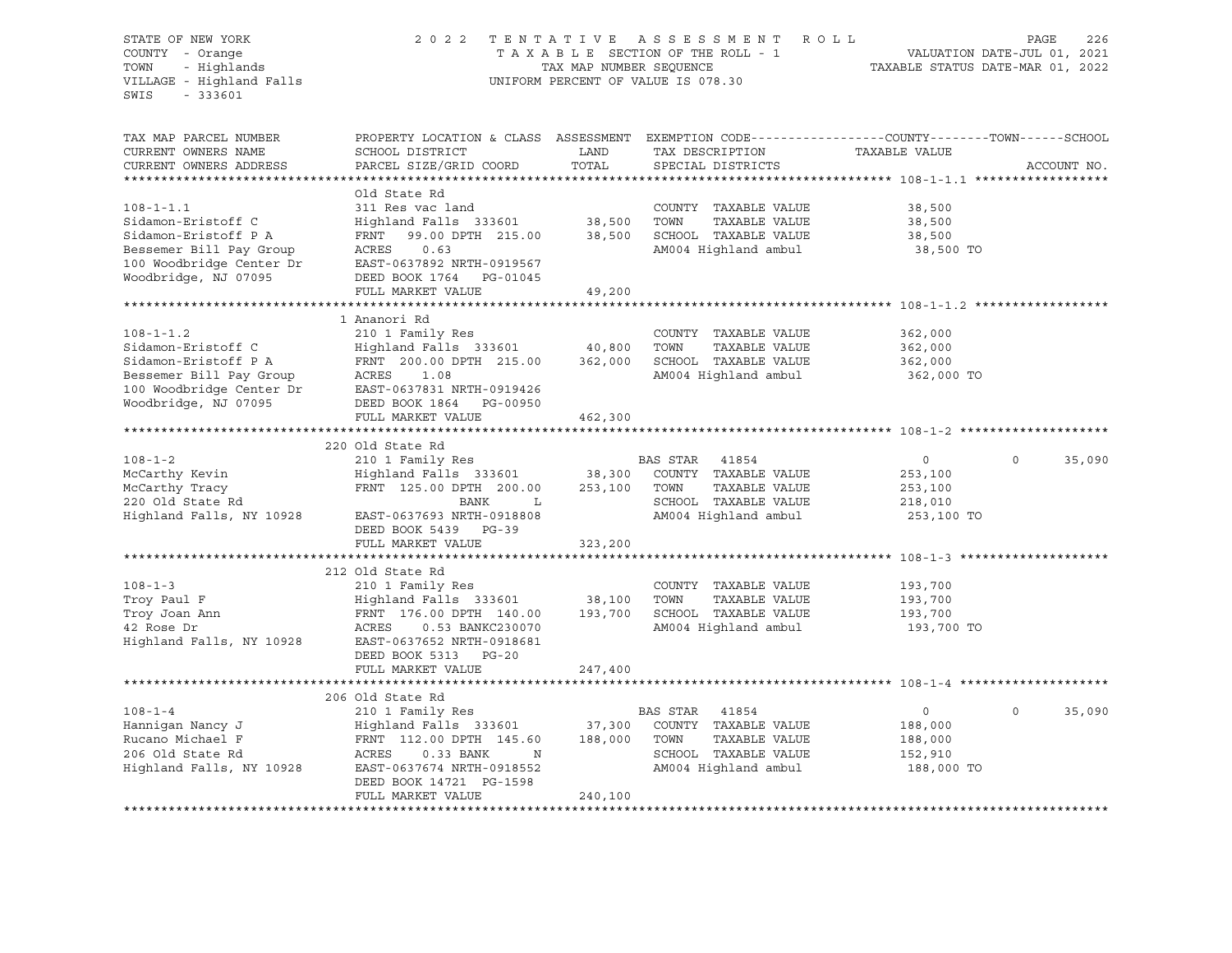| STATE OF NEW YORK<br>COUNTY - Orange<br>- Highlands<br>TOWN<br>VILLAGE - Highland Falls<br>$-333601$<br>SWIS | 2022 TENTATIVE ASSESSMENT ROLL<br>TAXABLE SECTION OF THE ROLL - 1<br>TAX MAP NUMBER SEQUENCE<br>UNIFORM PERCENT OF VALUE IS 078.30                                                                                                    |               |                                               | TAXABLE STATUS DATE-MAR 01, 2022 | PAGE<br>226<br>VALUATION DATE-JUL 01, 2021 |
|--------------------------------------------------------------------------------------------------------------|---------------------------------------------------------------------------------------------------------------------------------------------------------------------------------------------------------------------------------------|---------------|-----------------------------------------------|----------------------------------|--------------------------------------------|
| TAX MAP PARCEL NUMBER<br>CURRENT OWNERS NAME<br>CURRENT OWNERS ADDRESS                                       | PROPERTY LOCATION & CLASS ASSESSMENT EXEMPTION CODE----------------COUNTY-------TOWN-----SCHOOL<br>SCHOOL DISTRICT<br>PARCEL SIZE/GRID COORD                                                                                          | LAND<br>TOTAL | TAX DESCRIPTION<br>SPECIAL DISTRICTS          | TAXABLE VALUE                    | ACCOUNT NO.                                |
|                                                                                                              |                                                                                                                                                                                                                                       |               |                                               |                                  |                                            |
|                                                                                                              | Old State Rd                                                                                                                                                                                                                          |               |                                               |                                  |                                            |
| $108 - 1 - 1.1$<br>Sidamon-Eristoff C                                                                        | 311 Res vac land<br>Highland Falls 333601 38,500                                                                                                                                                                                      |               | COUNTY TAXABLE VALUE<br>TOWN<br>TAXABLE VALUE | 38,500<br>38,500                 |                                            |
| Sidamon-Eristoff P A                                                                                         | FRNT 99.00 DPTH 215.00 38,500 SCHOOL TAXABLE VALUE                                                                                                                                                                                    |               |                                               | 38,500                           |                                            |
| Bessemer Bill Pay Group                                                                                      | ACRES<br>0.63                                                                                                                                                                                                                         |               | AM004 Highland ambul                          | 38,500 TO                        |                                            |
| 100 Woodbridge Center Dr<br>Woodbridge, NJ 07095                                                             | EAST-0637892 NRTH-0919567                                                                                                                                                                                                             |               |                                               |                                  |                                            |
| Woodbridge, NJ 07095                                                                                         | DEED BOOK 1764 PG-01045                                                                                                                                                                                                               |               |                                               |                                  |                                            |
|                                                                                                              | FULL MARKET VALUE                                                                                                                                                                                                                     | 49,200        |                                               |                                  |                                            |
|                                                                                                              | 1 Ananori Rd                                                                                                                                                                                                                          |               |                                               |                                  |                                            |
| $108 - 1 - 1.2$                                                                                              | 210 1 Family Res                                                                                                                                                                                                                      |               | COUNTY TAXABLE VALUE                          | 362,000                          |                                            |
|                                                                                                              | Highland Falls 333601 40,800                                                                                                                                                                                                          |               | TOWN<br>TAXABLE VALUE                         | 362,000                          |                                            |
|                                                                                                              |                                                                                                                                                                                                                                       |               | SCHOOL TAXABLE VALUE                          | 362,000                          |                                            |
|                                                                                                              |                                                                                                                                                                                                                                       |               | AM004 Highland ambul                          | 362,000 TO                       |                                            |
|                                                                                                              | Sidamon-Eristoff C Highland Falls 333601 40,800<br>Sidamon-Eristoff P A FRNT 200.00 DPTH 215.00 362,000<br>Bessemer Bill Pay Group ACRES 1.08<br>100 Woodbridge Center Dr EAST-0637831 NRTH-0919426<br>Woodbridge, NJ 07095 DEED BOOK |               |                                               |                                  |                                            |
| Woodbridge, NJ 07095                                                                                         | DEED BOOK 1864 PG-00950<br>FULL MARKET VALUE                                                                                                                                                                                          | 462,300       |                                               |                                  |                                            |
|                                                                                                              |                                                                                                                                                                                                                                       |               |                                               |                                  |                                            |
|                                                                                                              | 220 Old State Rd                                                                                                                                                                                                                      |               |                                               |                                  |                                            |
| $108 - 1 - 2$                                                                                                | 210 1 Family Res                                                                                                                                                                                                                      |               | BAS STAR 41854                                | $\overline{0}$                   | $\Omega$<br>35,090                         |
|                                                                                                              | Highland Falls 333601 38,300                                                                                                                                                                                                          |               | COUNTY TAXABLE VALUE                          | 253,100                          |                                            |
| McCarthy Kevin<br>McCarthy Tracy<br>220 Old State Rd                                                         | FRNT 125.00 DPTH 200.00                                                                                                                                                                                                               | 253,100 TOWN  | TAXABLE VALUE                                 | 253,100                          |                                            |
|                                                                                                              | BANK<br>$\mathbf{L}$                                                                                                                                                                                                                  |               | SCHOOL TAXABLE VALUE                          | 218,010                          |                                            |
| Highland Falls, NY 10928                                                                                     | EAST-0637693 NRTH-0918808<br>DEED BOOK 5439 PG-39                                                                                                                                                                                     |               | AM004 Highland ambul                          | 253,100 TO                       |                                            |
|                                                                                                              | FULL MARKET VALUE                                                                                                                                                                                                                     | 323,200       |                                               |                                  |                                            |
|                                                                                                              |                                                                                                                                                                                                                                       |               |                                               |                                  |                                            |
|                                                                                                              | 212 Old State Rd                                                                                                                                                                                                                      |               |                                               |                                  |                                            |
| $108 - 1 - 3$                                                                                                | 210 1 Family Res                                                                                                                                                                                                                      |               | COUNTY TAXABLE VALUE                          | 193,700                          |                                            |
| Troy Paul F                                                                                                  | Highland Falls 333601 38,100<br>FRNT 176.00 DPTH 140.00 193,700                                                                                                                                                                       |               | TOWN<br>TAXABLE VALUE                         | 193,700                          |                                            |
| Troy Joan Ann                                                                                                |                                                                                                                                                                                                                                       |               | SCHOOL TAXABLE VALUE                          | 193,700                          |                                            |
| 42 Rose Dr<br>Highland Falls, NY 10928                                                                       | ACRES<br>0.53 BANKC230070<br>EAST-0637652 NRTH-0918681                                                                                                                                                                                |               | AM004 Highland ambul                          | 193,700 TO                       |                                            |
|                                                                                                              | DEED BOOK 5313 PG-20                                                                                                                                                                                                                  |               |                                               |                                  |                                            |
|                                                                                                              | FULL MARKET VALUE                                                                                                                                                                                                                     | 247,400       |                                               |                                  |                                            |
|                                                                                                              |                                                                                                                                                                                                                                       |               |                                               |                                  |                                            |
|                                                                                                              | 206 Old State Rd                                                                                                                                                                                                                      |               |                                               |                                  |                                            |
| $108 - 1 - 4$                                                                                                | 210 1 Family Res                                                                                                                                                                                                                      |               | BAS STAR 41854                                | $\overline{0}$                   | $\Omega$<br>35,090                         |
| Hanniqan Nancy J                                                                                             | Highland Falls 333601 37,300                                                                                                                                                                                                          |               | COUNTY TAXABLE VALUE                          | 188,000                          |                                            |
| Rucano Michael F                                                                                             | FRNT 112.00 DPTH 145.60                                                                                                                                                                                                               | 188,000       | TOWN<br>TAXABLE VALUE                         | 188,000                          |                                            |
| 206 Old State Rd<br>Highland Falls, NY 10928                                                                 | ACRES<br>0.33 BANK<br>$\mathbb N$<br>EAST-0637674 NRTH-0918552                                                                                                                                                                        |               | SCHOOL TAXABLE VALUE<br>AM004 Highland ambul  | 152,910<br>188,000 TO            |                                            |
|                                                                                                              | DEED BOOK 14721 PG-1598                                                                                                                                                                                                               |               |                                               |                                  |                                            |
|                                                                                                              | FULL MARKET VALUE                                                                                                                                                                                                                     | 240,100       |                                               |                                  |                                            |
|                                                                                                              |                                                                                                                                                                                                                                       |               |                                               |                                  |                                            |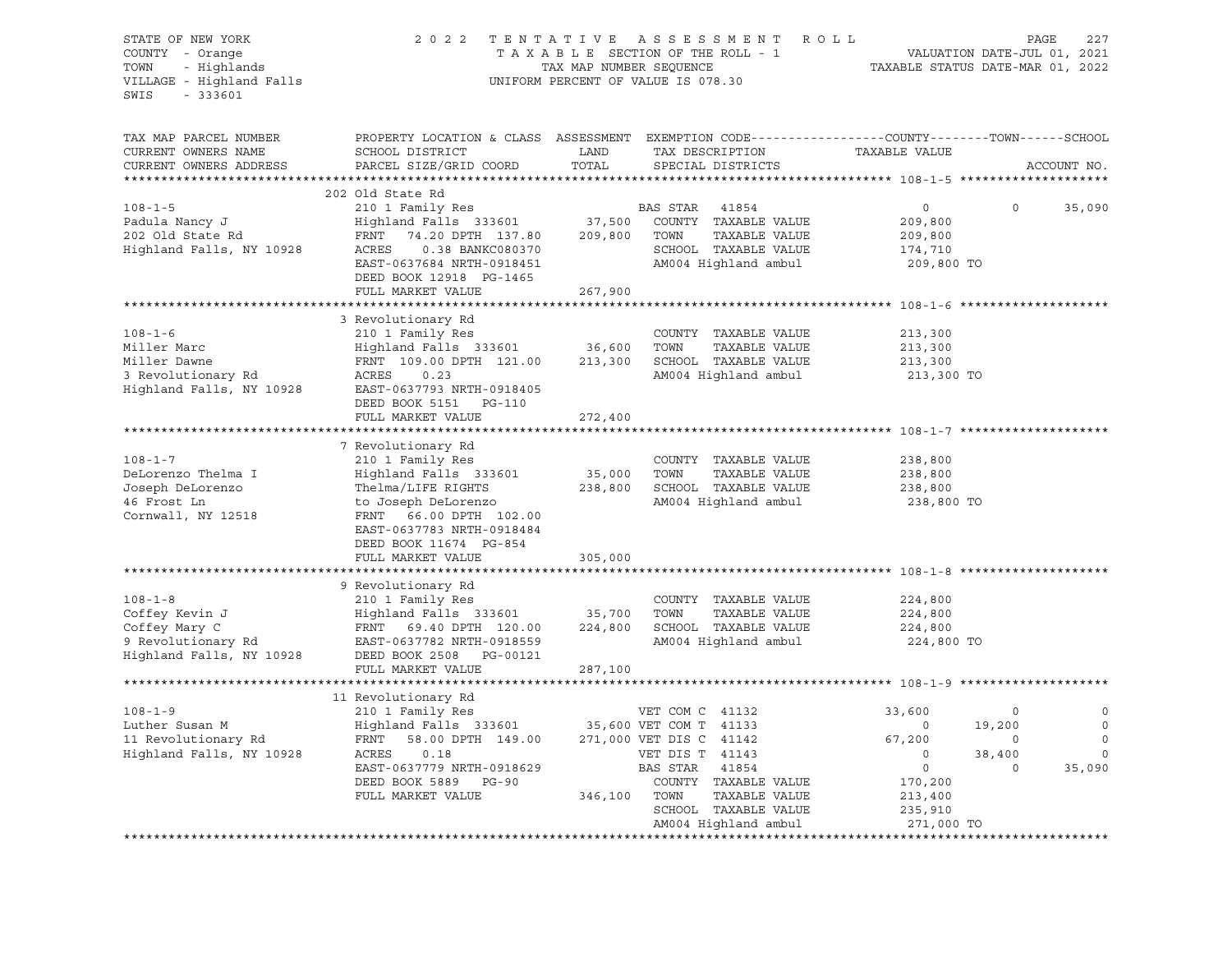STATE OF NEW YORK 2 0 2 2 T E N T A T I V E A S S E S S M E N T R O L L PAGE 227 COUNTY - Orange T A X A B L E SECTION OF THE ROLL - 1 VALUATION DATE-JUL 01, 2021 TOWN - Highlands TAX MAP NUMBER SEQUENCE TAXABLE STATUS DATE-MAR 01, 2022 VILLAGE - Highland Falls UNIFORM PERCENT OF VALUE IS 078.30 SWIS - 333601 TAX MAP PARCEL NUMBER PROPERTY LOCATION & CLASS ASSESSMENT EXEMPTION CODE----------------COUNTY-------TOWN-----SCHOOL CURRENT OWNERS NAME SCHOOL DISTRICT LAND TAX DESCRIPTION TAXABLE VALUE CURRENT OWNERS ADDRESS PARCEL SIZE/GRID COORD TOTAL SPECIAL DISTRICTS ACCOUNT NO. \*\*\*\*\*\*\*\*\*\*\*\*\*\*\*\*\*\*\*\*\*\*\*\*\*\*\*\*\*\*\*\*\*\*\*\*\*\*\*\*\*\*\*\*\*\*\*\*\*\*\*\*\*\*\*\*\*\*\*\*\*\*\*\*\*\*\*\*\*\*\*\*\*\*\*\*\*\*\*\*\*\*\*\*\*\*\*\*\*\*\*\*\*\*\*\*\*\*\*\*\*\*\* 108-1-5 \*\*\*\*\*\*\*\*\*\*\*\*\*\*\*\*\*\*\*\* 202 Old State Rd 108-1-5 210 1 Family Res BAS STAR 41854 0 0 35,090 Padula Nancy J Highland Falls 333601 37,500 COUNTY TAXABLE VALUE 209,800 202 Old State Rd FRNT 74.20 DPTH 137.80 209,800 TOWN TAXABLE VALUE 209,800 Highland Falls, NY 10928 ACRES 0.38 BANKC080370 SCHOOL TAXABLE VALUE 174,710 EAST-0637684 NRTH-0918451 AM004 Highland ambul 209,800 TO DEED BOOK 12918 PG-1465 FULL MARKET VALUE 267,900 \*\*\*\*\*\*\*\*\*\*\*\*\*\*\*\*\*\*\*\*\*\*\*\*\*\*\*\*\*\*\*\*\*\*\*\*\*\*\*\*\*\*\*\*\*\*\*\*\*\*\*\*\*\*\*\*\*\*\*\*\*\*\*\*\*\*\*\*\*\*\*\*\*\*\*\*\*\*\*\*\*\*\*\*\*\*\*\*\*\*\*\*\*\*\*\*\*\*\*\*\*\*\* 108-1-6 \*\*\*\*\*\*\*\*\*\*\*\*\*\*\*\*\*\*\*\* 3 Revolutionary Rd 108-1-6 210 1 Family Res COUNTY TAXABLE VALUE 213,300 Miller Marc Highland Falls 333601 36,600 TOWN TAXABLE VALUE 213,300 Miller Dawne FRNT 109.00 DPTH 121.00 213,300 SCHOOL TAXABLE VALUE 213,300 3 Revolutionary Rd ACRES 0.23 AM004 Highland ambul 213,300 TO Highland Falls, NY 10928 EAST-0637793 NRTH-0918405 DEED BOOK 5151 PG-110 FULL MARKET VALUE 272,400 \*\*\*\*\*\*\*\*\*\*\*\*\*\*\*\*\*\*\*\*\*\*\*\*\*\*\*\*\*\*\*\*\*\*\*\*\*\*\*\*\*\*\*\*\*\*\*\*\*\*\*\*\*\*\*\*\*\*\*\*\*\*\*\*\*\*\*\*\*\*\*\*\*\*\*\*\*\*\*\*\*\*\*\*\*\*\*\*\*\*\*\*\*\*\*\*\*\*\*\*\*\*\* 108-1-7 \*\*\*\*\*\*\*\*\*\*\*\*\*\*\*\*\*\*\*\* 7 Revolutionary Rd 108-1-7 210 1 Family Res COUNTY TAXABLE VALUE 238,800 DeLorenzo Thelma I Highland Falls 333601 35,000 TOWN TAXABLE VALUE 238,800 Joseph DeLorenzo Thelma/LIFE RIGHTS 238,800 SCHOOL TAXABLE VALUE 238,800 46 Frost Ln to Joseph DeLorenzo AM004 Highland ambul 238,800 TO Cornwall, NY 12518 FRNT 66.00 DPTH 102.00 EAST-0637783 NRTH-0918484 DEED BOOK 11674 PG-854 FULL MARKET VALUE 305,000 \*\*\*\*\*\*\*\*\*\*\*\*\*\*\*\*\*\*\*\*\*\*\*\*\*\*\*\*\*\*\*\*\*\*\*\*\*\*\*\*\*\*\*\*\*\*\*\*\*\*\*\*\*\*\*\*\*\*\*\*\*\*\*\*\*\*\*\*\*\*\*\*\*\*\*\*\*\*\*\*\*\*\*\*\*\*\*\*\*\*\*\*\*\*\*\*\*\*\*\*\*\*\* 108-1-8 \*\*\*\*\*\*\*\*\*\*\*\*\*\*\*\*\*\*\*\* 9 Revolutionary Rd 108-1-8 210 1 Family Res COUNTY TAXABLE VALUE 224,800 Coffey Kevin J Highland Falls 333601 35,700 TOWN TAXABLE VALUE 224,800 Coffey Mary C FRNT 69.40 DPTH 120.00 224,800 SCHOOL TAXABLE VALUE 224,800 9 Revolutionary Rd EAST-0637782 NRTH-0918559 AM004 Highland ambul 224,800 TO Highland Falls, NY 10928 DEED BOOK 2508 PG-00121 FULL MARKET VALUE 287,100 \*\*\*\*\*\*\*\*\*\*\*\*\*\*\*\*\*\*\*\*\*\*\*\*\*\*\*\*\*\*\*\*\*\*\*\*\*\*\*\*\*\*\*\*\*\*\*\*\*\*\*\*\*\*\*\*\*\*\*\*\*\*\*\*\*\*\*\*\*\*\*\*\*\*\*\*\*\*\*\*\*\*\*\*\*\*\*\*\*\*\*\*\*\*\*\*\*\*\*\*\*\*\* 108-1-9 \*\*\*\*\*\*\*\*\*\*\*\*\*\*\*\*\*\*\*\* 11 Revolutionary Rd 108-1-9 210 1 Family Res VET COM C 41132 33,600 0 0 Luther Susan M Highland Falls 333601 35,600 VET COM T 41133 0 19,200 0 11 Revolutionary Rd FRNT 58.00 DPTH 149.00 271,000 VET DIS C 41142 67,200 0 0 Highland Falls, NY 10928 ACRES 0.18 VET DIS T 41143 0 38,400 0 EAST-0637779 NRTH-0918629 BAS STAR 41854 0 0 35,090 DEED BOOK 5889 PG-90 COUNTY TAXABLE VALUE 170,200 FULL MARKET VALUE 346,100 TOWN TAXABLE VALUE 213,400 SCHOOL TAXABLE VALUE 235,910 AM004 Highland ambul 271,000 TO \*\*\*\*\*\*\*\*\*\*\*\*\*\*\*\*\*\*\*\*\*\*\*\*\*\*\*\*\*\*\*\*\*\*\*\*\*\*\*\*\*\*\*\*\*\*\*\*\*\*\*\*\*\*\*\*\*\*\*\*\*\*\*\*\*\*\*\*\*\*\*\*\*\*\*\*\*\*\*\*\*\*\*\*\*\*\*\*\*\*\*\*\*\*\*\*\*\*\*\*\*\*\*\*\*\*\*\*\*\*\*\*\*\*\*\*\*\*\*\*\*\*\*\*\*\*\*\*\*\*\*\*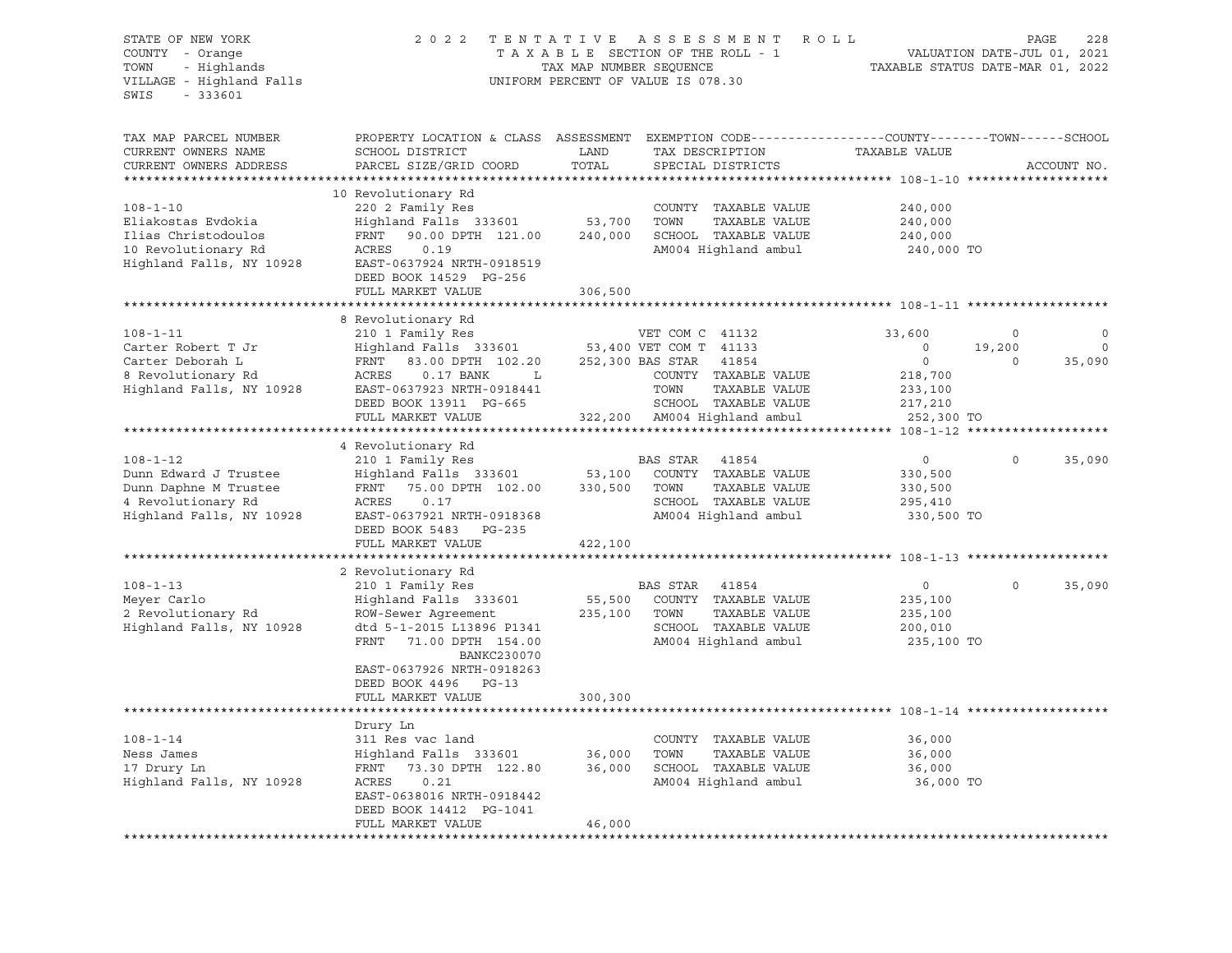| STATE OF NEW YORK<br>COUNTY - Orange<br>- Highlands<br>TOWN<br>VILLAGE - Highland Falls<br>$-333601$<br>SWIS | 2 0 2 2<br>TENTATIVE ASSESSMENT ROLL<br>TAXABLE SECTION OF THE ROLL - 1<br>TAX MAP NUMBER SEQUENCE<br>UNIFORM PERCENT OF VALUE IS 078.30 |            |                                              |                                                  | PAGE<br>228<br>VALUATION DATE-JUL 01, 2021<br>TAXABLE STATUS DATE-MAR 01, 2022 |  |  |
|--------------------------------------------------------------------------------------------------------------|------------------------------------------------------------------------------------------------------------------------------------------|------------|----------------------------------------------|--------------------------------------------------|--------------------------------------------------------------------------------|--|--|
| TAX MAP PARCEL NUMBER                                                                                        | PROPERTY LOCATION & CLASS ASSESSMENT EXEMPTION CODE---------------COUNTY-------TOWN------SCHOOL                                          |            |                                              |                                                  |                                                                                |  |  |
| CURRENT OWNERS NAME                                                                                          | SCHOOL DISTRICT                                                                                                                          | LAND       | TAX DESCRIPTION                              | TAXABLE VALUE                                    |                                                                                |  |  |
| CURRENT OWNERS ADDRESS                                                                                       | PARCEL SIZE/GRID COORD                                                                                                                   | TOTAL      | SPECIAL DISTRICTS                            |                                                  | ACCOUNT NO.                                                                    |  |  |
|                                                                                                              |                                                                                                                                          |            |                                              |                                                  |                                                                                |  |  |
|                                                                                                              | 10 Revolutionary Rd                                                                                                                      |            |                                              |                                                  |                                                                                |  |  |
| $108 - 1 - 10$                                                                                               | 220 2 Family Res                                                                                                                         |            | COUNTY TAXABLE VALUE                         | 240,000                                          |                                                                                |  |  |
| Eliakostas Evdokia                                                                                           | Highland Falls 333601                                                                                                                    | 53,700     | TOWN<br>TAXABLE VALUE                        | 240,000                                          |                                                                                |  |  |
| Ilias Christodoulos<br>10 Revolutionary Rd                                                                   | FRNT<br>90.00 DPTH 121.00<br>ACRES<br>0.19                                                                                               | 240,000    | SCHOOL TAXABLE VALUE<br>AM004 Highland ambul | 240,000                                          |                                                                                |  |  |
| Highland Falls, NY 10928                                                                                     | EAST-0637924 NRTH-0918519                                                                                                                |            |                                              | 240,000 TO                                       |                                                                                |  |  |
|                                                                                                              | DEED BOOK 14529 PG-256                                                                                                                   |            |                                              |                                                  |                                                                                |  |  |
|                                                                                                              | FULL MARKET VALUE                                                                                                                        | 306,500    |                                              |                                                  |                                                                                |  |  |
|                                                                                                              | ***********************                                                                                                                  | ********** |                                              | *********************** 108-1-11 *************** |                                                                                |  |  |
|                                                                                                              | 8 Revolutionary Rd                                                                                                                       |            |                                              |                                                  |                                                                                |  |  |
| $108 - 1 - 11$                                                                                               | 210 1 Family Res                                                                                                                         |            | VET COM C 41132                              | 33,600                                           | 0<br>0                                                                         |  |  |
| Carter Robert T Jr                                                                                           | Highland Falls 333601                                                                                                                    |            | 53,400 VET COM T 41133                       | $\overline{\phantom{0}}$                         | $\mathbf 0$<br>19,200                                                          |  |  |
| Carter Deborah L                                                                                             | FRNT<br>83.00 DPTH 102.20                                                                                                                |            | 252,300 BAS STAR<br>41854                    | $\overline{0}$                                   | 35,090<br>$\Omega$                                                             |  |  |
| 8 Revolutionary Rd                                                                                           | ACRES<br>$0.17$ BANK<br>L                                                                                                                |            | COUNTY TAXABLE VALUE                         | 218,700                                          |                                                                                |  |  |
| Highland Falls, NY 10928                                                                                     | EAST-0637923 NRTH-0918441                                                                                                                |            | TOWN<br>TAXABLE VALUE                        | 233,100                                          |                                                                                |  |  |
|                                                                                                              | DEED BOOK 13911 PG-665                                                                                                                   |            | SCHOOL TAXABLE VALUE                         | 217,210                                          |                                                                                |  |  |
|                                                                                                              | FULL MARKET VALUE                                                                                                                        |            | 322,200 AM004 Highland ambul                 | 252,300 TO                                       |                                                                                |  |  |
|                                                                                                              |                                                                                                                                          |            |                                              |                                                  |                                                                                |  |  |
|                                                                                                              | 4 Revolutionary Rd                                                                                                                       |            |                                              |                                                  |                                                                                |  |  |
| $108 - 1 - 12$                                                                                               | 210 1 Family Res                                                                                                                         |            | BAS STAR<br>41854                            | $\circ$                                          | 0<br>35,090                                                                    |  |  |
| Dunn Edward J Trustee                                                                                        | Highland Falls 333601                                                                                                                    | 53,100     | COUNTY TAXABLE VALUE<br>TAXABLE VALUE        | 330,500                                          |                                                                                |  |  |
| Dunn Daphne M Trustee<br>4 Revolutionary Rd                                                                  | 75.00 DPTH 102.00<br>FRNT<br>ACRES<br>0.17                                                                                               | 330,500    | TOWN<br>SCHOOL TAXABLE VALUE                 | 330,500<br>295,410                               |                                                                                |  |  |
| Highland Falls, NY 10928                                                                                     | EAST-0637921 NRTH-0918368                                                                                                                |            | AM004 Highland ambul                         | 330,500 TO                                       |                                                                                |  |  |
|                                                                                                              | DEED BOOK 5483 PG-235<br>FULL MARKET VALUE                                                                                               |            |                                              |                                                  |                                                                                |  |  |
|                                                                                                              |                                                                                                                                          | 422,100    |                                              |                                                  |                                                                                |  |  |
|                                                                                                              | 2 Revolutionary Rd                                                                                                                       |            |                                              |                                                  |                                                                                |  |  |
| $108 - 1 - 13$                                                                                               | 210 1 Family Res                                                                                                                         |            | BAS STAR<br>41854                            | $\circ$                                          | $\Omega$<br>35,090                                                             |  |  |
| Meyer Carlo                                                                                                  | Highland Falls 333601                                                                                                                    | 55,500     | COUNTY TAXABLE VALUE                         | 235,100                                          |                                                                                |  |  |
| 2 Revolutionary Rd                                                                                           | ROW-Sewer Agreement                                                                                                                      | 235,100    | TOWN<br>TAXABLE VALUE                        | 235,100                                          |                                                                                |  |  |
| Highland Falls, NY 10928                                                                                     | dtd 5-1-2015 L13896 P1341                                                                                                                |            | SCHOOL TAXABLE VALUE                         | 200,010                                          |                                                                                |  |  |
|                                                                                                              | FRNT<br>71.00 DPTH 154.00<br>BANKC230070                                                                                                 |            | AM004 Highland ambul                         | 235,100 TO                                       |                                                                                |  |  |
|                                                                                                              | EAST-0637926 NRTH-0918263                                                                                                                |            |                                              |                                                  |                                                                                |  |  |
|                                                                                                              | DEED BOOK 4496 PG-13                                                                                                                     |            |                                              |                                                  |                                                                                |  |  |
|                                                                                                              | FULL MARKET VALUE                                                                                                                        | 300,300    |                                              |                                                  |                                                                                |  |  |
|                                                                                                              |                                                                                                                                          |            |                                              |                                                  |                                                                                |  |  |
|                                                                                                              | Drury Ln                                                                                                                                 |            |                                              |                                                  |                                                                                |  |  |
| $108 - 1 - 14$                                                                                               | 311 Res vac land                                                                                                                         |            | COUNTY TAXABLE VALUE                         | 36,000                                           |                                                                                |  |  |
| Ness James                                                                                                   | Highland Falls 333601                                                                                                                    | 36,000     | TOWN<br>TAXABLE VALUE                        | 36,000                                           |                                                                                |  |  |
| 17 Drury Ln                                                                                                  | FRNT<br>73.30 DPTH 122.80                                                                                                                | 36,000     | SCHOOL TAXABLE VALUE                         | 36,000                                           |                                                                                |  |  |
| Highland Falls, NY 10928                                                                                     | ACRES<br>0.21                                                                                                                            |            | AM004 Highland ambul                         | 36,000 TO                                        |                                                                                |  |  |
|                                                                                                              | EAST-0638016 NRTH-0918442                                                                                                                |            |                                              |                                                  |                                                                                |  |  |
|                                                                                                              | DEED BOOK 14412 PG-1041<br>FULL MARKET VALUE                                                                                             | 46,000     |                                              |                                                  |                                                                                |  |  |
|                                                                                                              |                                                                                                                                          |            |                                              |                                                  |                                                                                |  |  |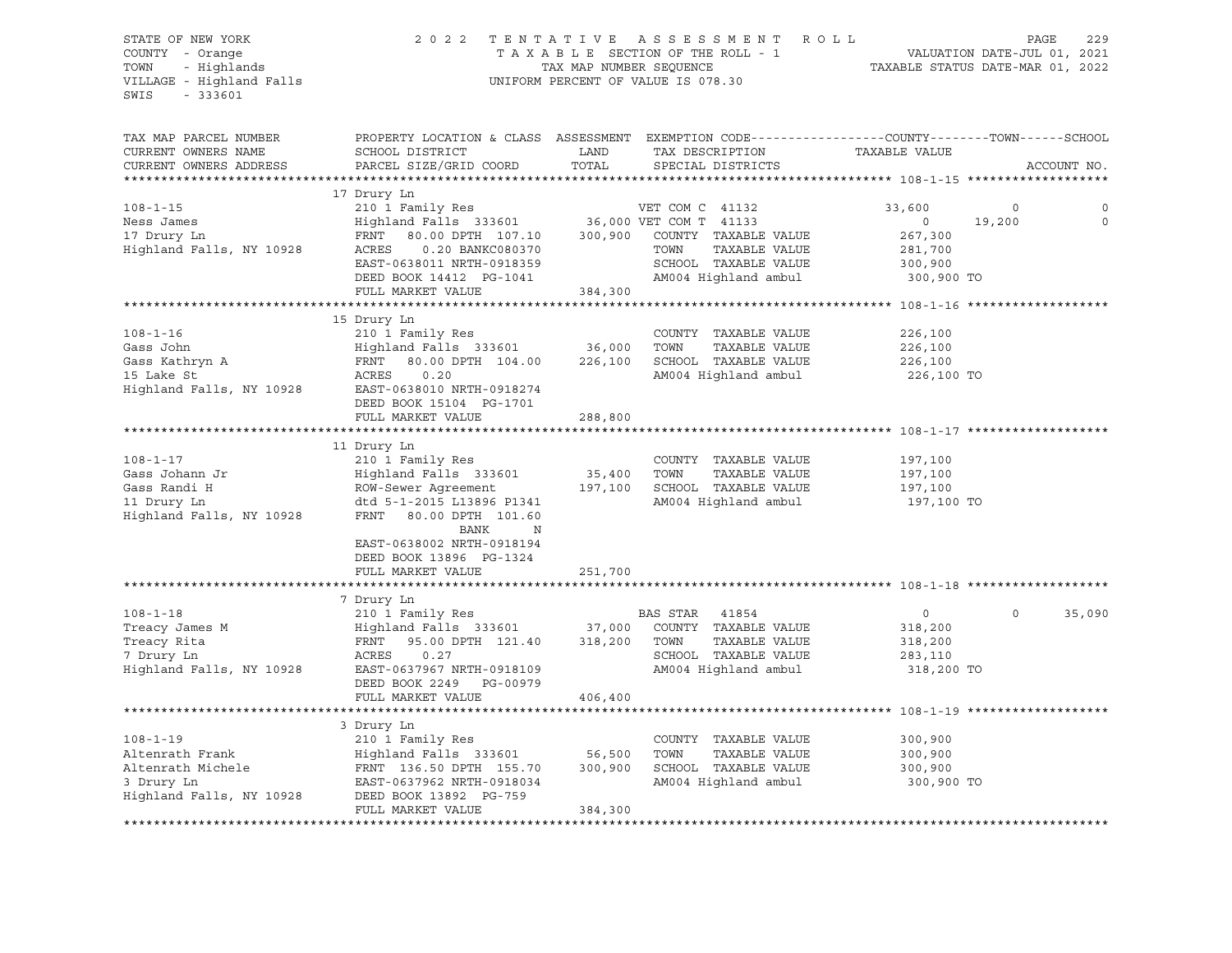| STATE OF NEW YORK<br>COUNTY - Orange<br>- Highlands<br>TOWN<br>VILLAGE - Highland Falls<br>$-333601$<br>SWIS | 2 0 2 2<br>TENTATIVE<br>TAXABLE SECTION OF THE ROLL - 1<br>TAX MAP NUMBER SEQUENCE<br>UNIFORM PERCENT OF VALUE IS 078.30 | R O L L<br>229<br>PAGE<br>VALUATION DATE-JUL 01, 2021<br>TAXABLE STATUS DATE-MAR 01, 2022 |                                                                                                                                 |         |
|--------------------------------------------------------------------------------------------------------------|--------------------------------------------------------------------------------------------------------------------------|-------------------------------------------------------------------------------------------|---------------------------------------------------------------------------------------------------------------------------------|---------|
| TAX MAP PARCEL NUMBER<br>CURRENT OWNERS NAME<br>CURRENT OWNERS ADDRESS                                       | SCHOOL DISTRICT<br>PARCEL SIZE/GRID COORD                                                                                | LAND<br>TAX DESCRIPTION<br>TOTAL<br>SPECIAL DISTRICTS                                     | PROPERTY LOCATION & CLASS ASSESSMENT EXEMPTION CODE---------------COUNTY-------TOWN------SCHOOL<br>TAXABLE VALUE<br>ACCOUNT NO. |         |
| *************************                                                                                    |                                                                                                                          |                                                                                           |                                                                                                                                 |         |
|                                                                                                              | 17 Drury Ln                                                                                                              |                                                                                           |                                                                                                                                 |         |
| $108 - 1 - 15$                                                                                               | 210 1 Family Res                                                                                                         | VET COM C 41132                                                                           | 33,600<br>0                                                                                                                     |         |
| Ness James                                                                                                   | $Highland$ Falls 333601                                                                                                  | 36,000 VET COM T 41133                                                                    | $\overline{0}$<br>19,200                                                                                                        | $\circ$ |
| 17 Drury Ln                                                                                                  | FRNT<br>80.00 DPTH 107.10                                                                                                | 300,900<br>COUNTY TAXABLE VALUE                                                           | 267,300                                                                                                                         |         |
| Highland Falls, NY 10928                                                                                     | ACRES<br>0.20 BANKC080370                                                                                                | TOWN<br>TAXABLE VALUE                                                                     | 281,700                                                                                                                         |         |
|                                                                                                              | EAST-0638011 NRTH-0918359                                                                                                | SCHOOL TAXABLE VALUE                                                                      | 300,900                                                                                                                         |         |
|                                                                                                              | DEED BOOK 14412 PG-1041                                                                                                  | AM004 Highland ambul                                                                      | 300,900 TO                                                                                                                      |         |
|                                                                                                              | FULL MARKET VALUE                                                                                                        | 384,300                                                                                   |                                                                                                                                 |         |
|                                                                                                              |                                                                                                                          |                                                                                           |                                                                                                                                 |         |
|                                                                                                              | 15 Drury Ln                                                                                                              |                                                                                           |                                                                                                                                 |         |
| $108 - 1 - 16$                                                                                               | 210 1 Family Res<br>Highland Falls 333601 36,000                                                                         | COUNTY TAXABLE VALUE                                                                      | 226,100                                                                                                                         |         |
| Gass John                                                                                                    |                                                                                                                          | TOWN<br>TAXABLE VALUE                                                                     | 226,100                                                                                                                         |         |
| Gass Kathryn A                                                                                               | FRNT<br>80.00 DPTH 104.00                                                                                                | 226,100<br>SCHOOL TAXABLE VALUE                                                           | 226,100                                                                                                                         |         |
| Highland Falls, NY 10928                                                                                     | ACRES<br>0.20<br>EAST-0638010 NRTH-0918274                                                                               | AM004 Highland ambul                                                                      | 226,100 TO                                                                                                                      |         |
|                                                                                                              | DEED BOOK 15104 PG-1701                                                                                                  |                                                                                           |                                                                                                                                 |         |
|                                                                                                              | FULL MARKET VALUE                                                                                                        | 288,800                                                                                   |                                                                                                                                 |         |
|                                                                                                              |                                                                                                                          |                                                                                           |                                                                                                                                 |         |
|                                                                                                              | 11 Drury Ln                                                                                                              |                                                                                           |                                                                                                                                 |         |
| $108 - 1 - 17$                                                                                               | 210 1 Family Res                                                                                                         | COUNTY TAXABLE VALUE                                                                      | 197,100                                                                                                                         |         |
| Gass Johann Jr                                                                                               | Highland Falls 333601                                                                                                    | 35,400<br>TOWN<br>TAXABLE VALUE                                                           | 197,100                                                                                                                         |         |
| Gass Randi H                                                                                                 | ROW-Sewer Agreement                                                                                                      | 197,100<br>SCHOOL TAXABLE VALUE                                                           | 197,100                                                                                                                         |         |
| 11 Drury Ln                                                                                                  | dtd 5-1-2015 L13896 P1341                                                                                                | AM004 Highland ambul                                                                      | 197,100 TO                                                                                                                      |         |
| Highland Falls, NY 10928                                                                                     | FRNT<br>80.00 DPTH 101.60<br>BANK<br>N                                                                                   |                                                                                           |                                                                                                                                 |         |
|                                                                                                              | EAST-0638002 NRTH-0918194<br>DEED BOOK 13896 PG-1324<br>FULL MARKET VALUE                                                | 251,700                                                                                   |                                                                                                                                 |         |
|                                                                                                              |                                                                                                                          |                                                                                           |                                                                                                                                 |         |
|                                                                                                              | 7 Drury Ln                                                                                                               |                                                                                           |                                                                                                                                 |         |
| $108 - 1 - 18$                                                                                               | 210 1 Family Res                                                                                                         | BAS STAR 41854                                                                            | 35,090<br>$\circ$<br>$\circ$                                                                                                    |         |
| Treacy James M                                                                                               | Highland Falls 333601                                                                                                    | 37,000<br>COUNTY TAXABLE VALUE                                                            | 318,200                                                                                                                         |         |
| Treacy Rita                                                                                                  | 95.00 DPTH 121.40<br>FRNT                                                                                                | 318,200<br>TOWN<br>TAXABLE VALUE                                                          | 318,200                                                                                                                         |         |
| 7 Drury Ln                                                                                                   | ACRES<br>0.27                                                                                                            | SCHOOL TAXABLE VALUE                                                                      | 283,110                                                                                                                         |         |
| Highland Falls, NY 10928                                                                                     | EAST-0637967 NRTH-0918109                                                                                                | AM004 Highland ambul                                                                      | 318,200 TO                                                                                                                      |         |
|                                                                                                              | DEED BOOK 2249 PG-00979                                                                                                  |                                                                                           |                                                                                                                                 |         |
|                                                                                                              | FULL MARKET VALUE                                                                                                        | 406,400                                                                                   |                                                                                                                                 |         |
|                                                                                                              |                                                                                                                          |                                                                                           |                                                                                                                                 |         |
|                                                                                                              | 3 Drury Ln                                                                                                               |                                                                                           |                                                                                                                                 |         |
| $108 - 1 - 19$                                                                                               | 210 1 Family Res                                                                                                         | COUNTY TAXABLE VALUE                                                                      | 300,900                                                                                                                         |         |
| Altenrath Frank                                                                                              | Highland Falls 333601                                                                                                    | 56,500<br>TOWN<br>TAXABLE VALUE                                                           | 300,900                                                                                                                         |         |
| Altenrath Michele                                                                                            | FRNT 136.50 DPTH 155.70                                                                                                  | 300,900<br>SCHOOL TAXABLE VALUE                                                           | 300,900                                                                                                                         |         |
| 3 Drury Ln                                                                                                   | EAST-0637962 NRTH-0918034                                                                                                | AM004 Highland ambul                                                                      | 300,900 TO                                                                                                                      |         |
| Highland Falls, NY 10928                                                                                     | DEED BOOK 13892 PG-759                                                                                                   |                                                                                           |                                                                                                                                 |         |
|                                                                                                              | FULL MARKET VALUE                                                                                                        | 384,300                                                                                   |                                                                                                                                 |         |
|                                                                                                              |                                                                                                                          |                                                                                           |                                                                                                                                 |         |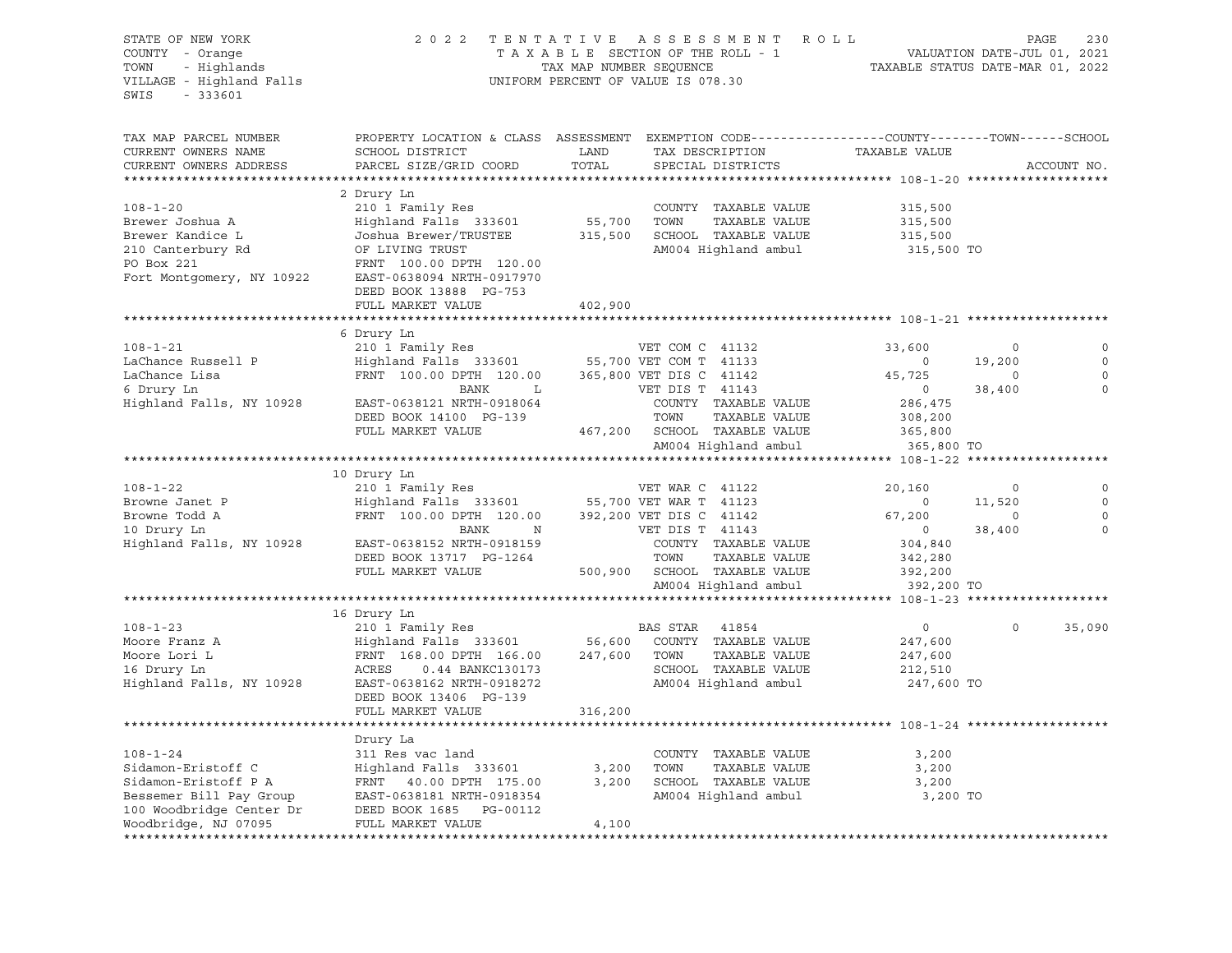| STATE OF NEW YORK<br>COUNTY - Orange<br>- Highlands<br>TOWN<br>VILLAGE - Highland Falls<br>SWIS<br>$-333601$ | 2 0 2 2                                                                                                                                       | TAX MAP NUMBER SEQUENCE | TENTATIVE ASSESSMENT ROLL<br>TAXABLE SECTION OF THE ROLL - 1<br>UNIFORM PERCENT OF VALUE IS 078.30 | TAXABLE STATUS DATE-MAR 01, 2022 | VALUATION DATE-JUL 01, 2021 | PAGE<br>230 |
|--------------------------------------------------------------------------------------------------------------|-----------------------------------------------------------------------------------------------------------------------------------------------|-------------------------|----------------------------------------------------------------------------------------------------|----------------------------------|-----------------------------|-------------|
| TAX MAP PARCEL NUMBER<br>CURRENT OWNERS NAME<br>CURRENT OWNERS ADDRESS                                       | PROPERTY LOCATION & CLASS ASSESSMENT EXEMPTION CODE----------------COUNTY-------TOWN------SCHOOL<br>SCHOOL DISTRICT<br>PARCEL SIZE/GRID COORD | LAND<br>TOTAL           | TAX DESCRIPTION<br>SPECIAL DISTRICTS                                                               | TAXABLE VALUE                    |                             | ACCOUNT NO. |
|                                                                                                              |                                                                                                                                               |                         |                                                                                                    |                                  |                             |             |
|                                                                                                              | 2 Drury Ln                                                                                                                                    |                         |                                                                                                    |                                  |                             |             |
| $108 - 1 - 20$                                                                                               | 210 1 Family Res                                                                                                                              |                         | COUNTY TAXABLE VALUE                                                                               | 315,500                          |                             |             |
| Brewer Joshua A                                                                                              | Highland Falls 333601                                                                                                                         | 55,700                  | TOWN<br>TAXABLE VALUE                                                                              | 315,500                          |                             |             |
| Brewer Kandice L                                                                                             | Joshua Brewer/TRUSTEE                                                                                                                         | 315,500                 | SCHOOL TAXABLE VALUE                                                                               | 315,500                          |                             |             |
| 210 Canterbury Rd                                                                                            | OF LIVING TRUST                                                                                                                               |                         | AM004 Highland ambul                                                                               | 315,500 TO                       |                             |             |
| PO Box 221<br>Fort Montgomery, NY 10922                                                                      | FRNT 100.00 DPTH 120.00<br>EAST-0638094 NRTH-0917970<br>DEED BOOK 13888 PG-753<br>FULL MARKET VALUE                                           | 402,900                 |                                                                                                    |                                  |                             |             |
|                                                                                                              |                                                                                                                                               |                         |                                                                                                    |                                  |                             |             |
|                                                                                                              | 6 Drury Ln                                                                                                                                    |                         |                                                                                                    |                                  |                             |             |
| $108 - 1 - 21$                                                                                               | 210 1 Family Res                                                                                                                              |                         | VET COM C 41132                                                                                    | 33,600                           | $\circ$                     |             |
| LaChance Russell P                                                                                           | Highland Falls 333601 55,700 VET COM T 41133                                                                                                  |                         |                                                                                                    | $\overline{0}$                   | 19,200                      | 0           |
| LaChance Lisa                                                                                                | FRNT 100.00 DPTH 120.00                                                                                                                       |                         | 365,800 VET DIS C 41142                                                                            | 45,725                           | $\circ$                     | $\mathbf 0$ |
| 6 Drury Ln                                                                                                   | BANK<br>$\mathbf{L}$                                                                                                                          |                         | VET DIS T 41143                                                                                    | $\overline{0}$                   | 38,400                      | $\mathbf 0$ |
| Highland Falls, NY 10928                                                                                     | EAST-0638121 NRTH-0918064                                                                                                                     |                         | COUNTY TAXABLE VALUE                                                                               | 286,475                          |                             |             |
|                                                                                                              | DEED BOOK 14100 PG-139                                                                                                                        |                         | TOWN<br>TAXABLE VALUE                                                                              | 308,200                          |                             |             |
|                                                                                                              | FULL MARKET VALUE                                                                                                                             |                         | 467,200 SCHOOL TAXABLE VALUE                                                                       | 365,800                          |                             |             |
|                                                                                                              |                                                                                                                                               |                         | AM004 Highland ambul                                                                               | 365,800 TO                       |                             |             |
|                                                                                                              |                                                                                                                                               |                         |                                                                                                    |                                  |                             |             |
|                                                                                                              | 10 Drury Ln                                                                                                                                   |                         |                                                                                                    |                                  |                             |             |
| $108 - 1 - 22$                                                                                               | 210 1 Family Res                                                                                                                              |                         | VET WAR C 41122                                                                                    | 20,160                           | 0                           | 0           |
| Browne Janet P                                                                                               | Highland Falls 333601                                                                                                                         |                         | 55,700 VET WAR T 41123                                                                             | $\overline{0}$                   | 11,520                      | $\circ$     |
| Browne Todd A                                                                                                | FRNT 100.00 DPTH 120.00                                                                                                                       |                         | 392,200 VET DIS C 41142                                                                            | 67,200                           | $\circ$                     | $\mathbf 0$ |
| 10 Drury Ln                                                                                                  | BANK<br>$\mathbb N$                                                                                                                           |                         | VET DIS T 41143                                                                                    | $\overline{0}$                   | 38,400                      | $\Omega$    |
| Highland Falls, NY 10928                                                                                     | EAST-0638152 NRTH-0918159                                                                                                                     |                         | COUNTY TAXABLE VALUE                                                                               | 304,840                          |                             |             |
|                                                                                                              | DEED BOOK 13717 PG-1264                                                                                                                       |                         | TOWN<br>TAXABLE VALUE                                                                              | 342,280                          |                             |             |
|                                                                                                              | FULL MARKET VALUE                                                                                                                             |                         | 500,900 SCHOOL TAXABLE VALUE                                                                       | 392,200                          |                             |             |
|                                                                                                              |                                                                                                                                               |                         | AM004 Highland ambul                                                                               | 392,200 TO                       |                             |             |
|                                                                                                              |                                                                                                                                               |                         |                                                                                                    |                                  |                             |             |
| $108 - 1 - 23$                                                                                               | 16 Drury Ln                                                                                                                                   |                         | 41854                                                                                              | $\circ$                          | $\Omega$                    |             |
| Moore Franz A                                                                                                | 210 1 Family Res<br>Highland Falls 333601                                                                                                     | 56,600                  | BAS STAR<br>COUNTY TAXABLE VALUE                                                                   |                                  |                             | 35,090      |
| Moore Lori L                                                                                                 | FRNT 168.00 DPTH 166.00                                                                                                                       | 247,600 TOWN            | TAXABLE VALUE                                                                                      | 247,600<br>247,600               |                             |             |
| 16 Drury Ln                                                                                                  | ACRES<br>0.44 BANKC130173                                                                                                                     |                         | SCHOOL TAXABLE VALUE                                                                               | 212,510                          |                             |             |
| Highland Falls, NY 10928                                                                                     | EAST-0638162 NRTH-0918272                                                                                                                     |                         | AM004 Highland ambul                                                                               | 247,600 TO                       |                             |             |
|                                                                                                              | DEED BOOK 13406 PG-139<br>FULL MARKET VALUE                                                                                                   | 316,200                 |                                                                                                    |                                  |                             |             |
|                                                                                                              |                                                                                                                                               |                         |                                                                                                    |                                  |                             |             |
|                                                                                                              | Drury La                                                                                                                                      |                         |                                                                                                    |                                  |                             |             |
| $108 - 1 - 24$                                                                                               | 311 Res vac land                                                                                                                              |                         | COUNTY TAXABLE VALUE                                                                               | 3,200                            |                             |             |
| Sidamon-Eristoff C                                                                                           | Highland Falls 333601                                                                                                                         | 3,200                   | TOWN<br>TAXABLE VALUE                                                                              | 3,200                            |                             |             |
| Sidamon-Eristoff P A                                                                                         | FRNT 40.00 DPTH 175.00                                                                                                                        | 3,200                   | SCHOOL TAXABLE VALUE                                                                               | 3,200                            |                             |             |
| Bessemer Bill Pay Group                                                                                      | EAST-0638181 NRTH-0918354                                                                                                                     |                         | AM004 Highland ambul                                                                               | 3,200 TO                         |                             |             |
| 100 Woodbridge Center Dr                                                                                     | DEED BOOK 1685 PG-00112                                                                                                                       |                         |                                                                                                    |                                  |                             |             |
| Woodbridge, NJ 07095                                                                                         | FULL MARKET VALUE                                                                                                                             | 4,100                   |                                                                                                    |                                  |                             |             |
|                                                                                                              |                                                                                                                                               |                         |                                                                                                    |                                  |                             |             |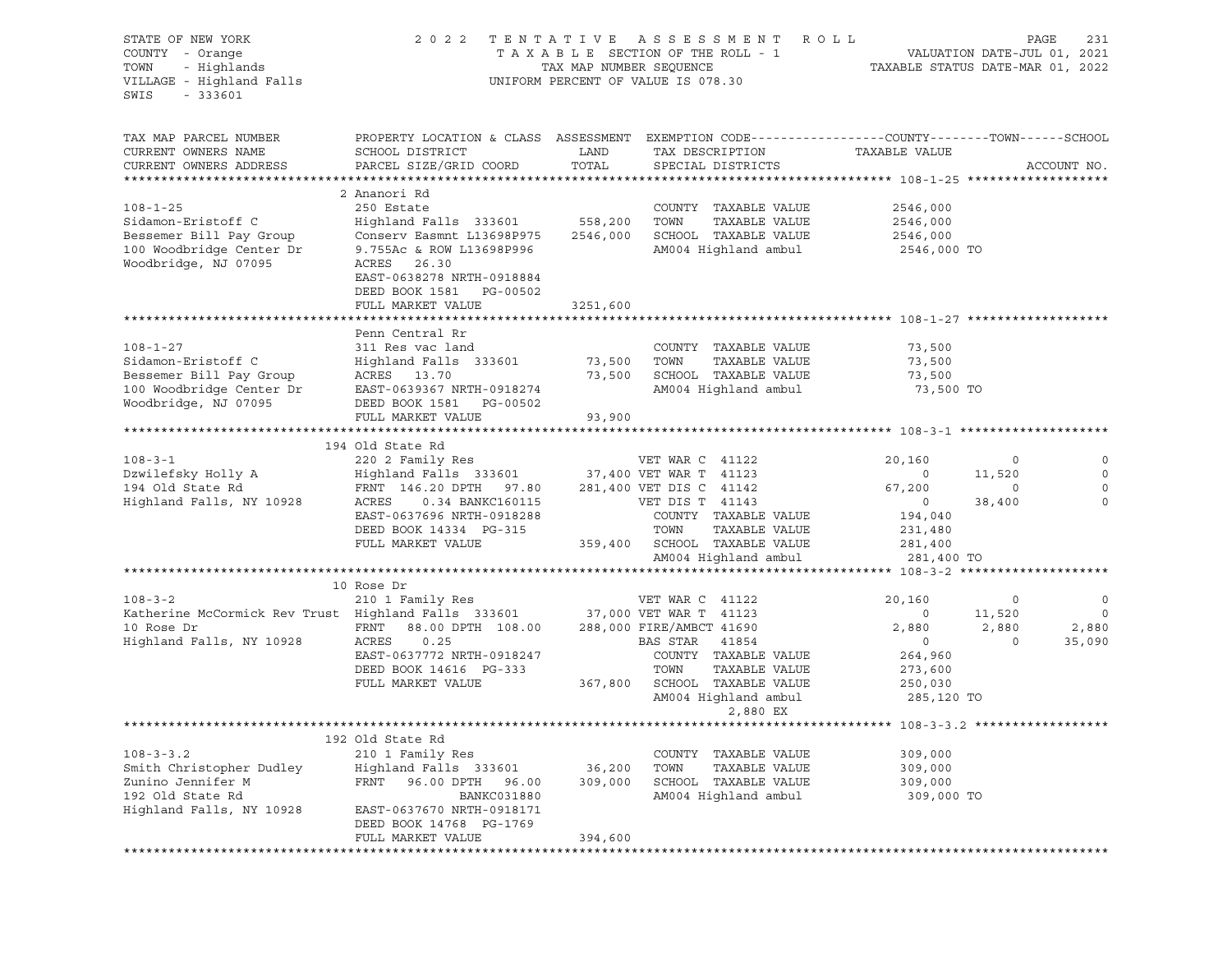| STATE OF NEW YORK<br>COUNTY - Orange<br>- Highlands<br>TOWN<br>VILLAGE - Highland Falls<br>$-333601$<br>SWIS                          | 2 0 2 2                                                                                                                                                                                                  | TAX MAP NUMBER SEQUENCE         | TENTATIVE ASSESSMENT<br>TAXABLE SECTION OF THE ROLL - 1<br>UNIFORM PERCENT OF VALUE IS 078.30                                                                                      | R O L L<br>PAGE<br>VALUATION DATE-JUL 01, 2021<br>TAXABLE STATUS DATE-MAR 01, 2022      |                                        |                                                        |
|---------------------------------------------------------------------------------------------------------------------------------------|----------------------------------------------------------------------------------------------------------------------------------------------------------------------------------------------------------|---------------------------------|------------------------------------------------------------------------------------------------------------------------------------------------------------------------------------|-----------------------------------------------------------------------------------------|----------------------------------------|--------------------------------------------------------|
| TAX MAP PARCEL NUMBER<br>CURRENT OWNERS NAME<br>CURRENT OWNERS ADDRESS                                                                | PROPERTY LOCATION & CLASS ASSESSMENT EXEMPTION CODE---------------COUNTY-------TOWN------SCHOOL<br>SCHOOL DISTRICT<br>PARCEL SIZE/GRID COORD                                                             | LAND<br>TOTAL                   | TAX DESCRIPTION<br>SPECIAL DISTRICTS                                                                                                                                               | TAXABLE VALUE                                                                           |                                        | ACCOUNT NO.                                            |
|                                                                                                                                       |                                                                                                                                                                                                          |                                 |                                                                                                                                                                                    |                                                                                         |                                        |                                                        |
| $108 - 1 - 25$<br>Sidamon-Eristoff C<br>Bessemer Bill Pay Group<br>100 Woodbridge Center Dr<br>Woodbridge, NJ 07095                   | 2 Ananori Rd<br>250 Estate<br>Highland Falls 333601<br>Conserv Easmnt L13698P975<br>9.755Ac & ROW L13698P996<br>ACRES 26.30<br>EAST-0638278 NRTH-0918884<br>DEED BOOK 1581 PG-00502<br>FULL MARKET VALUE | 558,200<br>2546,000<br>3251,600 | COUNTY TAXABLE VALUE<br>TOWN<br>TAXABLE VALUE<br>SCHOOL TAXABLE VALUE<br>AM004 Highland ambul                                                                                      | 2546,000<br>2546,000<br>2546,000<br>2546,000 TO                                         |                                        |                                                        |
|                                                                                                                                       |                                                                                                                                                                                                          |                                 |                                                                                                                                                                                    |                                                                                         |                                        |                                                        |
| $108 - 1 - 27$<br>Sidamon-Eristoff C<br>Bessemer Bill Pay Group<br>100 Woodbridge Center Dr<br>Woodbridge, NJ 07095                   | Penn Central Rr<br>311 Res vac land<br>Highland Falls 333601<br>ACRES 13.70<br>EAST-0639367 NRTH-0918274<br>DEED BOOK 1581 PG-00502<br>FULL MARKET VALUE                                                 | 73,500<br>73,500<br>93,900      | COUNTY TAXABLE VALUE<br>TAXABLE VALUE<br>TOWN<br>SCHOOL TAXABLE VALUE<br>AM004 Highland ambul                                                                                      | 73,500<br>73,500<br>73,500<br>73,500 TO                                                 |                                        |                                                        |
|                                                                                                                                       | 194 Old State Rd                                                                                                                                                                                         |                                 |                                                                                                                                                                                    |                                                                                         |                                        |                                                        |
| $108 - 3 - 1$<br>Dzwilefsky Holly A<br>194 Old State Rd<br>Highland Falls, NY 10928                                                   | 220 2 Family Res<br>Highland Falls 333601 37,400 VET WAR T 41123<br>FRNT 146.20 DPTH 97.80<br>ACRES<br>0.34 BANKC160115<br>EAST-0637696 NRTH-0918288<br>DEED BOOK 14334 PG-315<br>FULL MARKET VALUE      |                                 | VET WAR C 41122<br>281,400 VET DIS C 41142<br>VET DIS T 41143<br>COUNTY TAXABLE VALUE<br>TOWN<br>TAXABLE VALUE<br>359,400 SCHOOL TAXABLE VALUE                                     | 20,160<br>$\overline{\mathbf{0}}$<br>67,200<br>$\circ$<br>194,040<br>231,480<br>281,400 | $\circ$<br>11,520<br>$\circ$<br>38,400 | 0<br>$\Omega$<br>$\circ$<br>$\circ$                    |
|                                                                                                                                       |                                                                                                                                                                                                          |                                 | AM004 Highland ambul                                                                                                                                                               | 281,400 TO                                                                              |                                        |                                                        |
|                                                                                                                                       | 10 Rose Dr                                                                                                                                                                                               |                                 |                                                                                                                                                                                    |                                                                                         |                                        |                                                        |
| $108 - 3 - 2$<br>Katherine McCormick Rev Trust Highland Falls 333601 37,000 VET WAR T 41123<br>10 Rose Dr<br>Highland Falls, NY 10928 | 210 1 Family Res<br>FRNT 88.00 DPTH 108.00<br>ACRES<br>0.25<br>EAST-0637772 NRTH-0918247<br>DEED BOOK 14616 PG-333<br>FULL MARKET VALUE                                                                  |                                 | VET WAR C 41122<br>288,000 FIRE/AMBCT 41690<br>BAS STAR 41854<br>COUNTY TAXABLE VALUE<br>TOWN<br>TAXABLE VALUE<br>367,800 SCHOOL TAXABLE VALUE<br>AM004 Highland ambul<br>2,880 EX | 20,160<br>$\circ$<br>2,880<br>$\circ$<br>264,960<br>273,600<br>250,030<br>285,120 TO    | $\circ$<br>11,520<br>2,880<br>$\Omega$ | $\circ$<br>$\overline{\phantom{0}}$<br>2,880<br>35,090 |
|                                                                                                                                       |                                                                                                                                                                                                          |                                 |                                                                                                                                                                                    | **************** 108-3-3.2 ******************                                           |                                        |                                                        |
| $108 - 3 - 3.2$<br>Smith Christopher Dudley<br>Zunino Jennifer M<br>192 Old State Rd<br>Highland Falls, NY 10928                      | 192 Old State Rd<br>210 1 Family Res<br>Highland Falls 333601<br>FRNT<br>96.00 DPTH 96.00<br><b>BANKC031880</b><br>EAST-0637670 NRTH-0918171<br>DEED BOOK 14768 PG-1769                                  | 36,200<br>309,000               | COUNTY TAXABLE VALUE<br>TOWN<br>TAXABLE VALUE<br>SCHOOL TAXABLE VALUE<br>AM004 Highland ambul                                                                                      | 309,000<br>309,000<br>309,000<br>309,000 TO                                             |                                        |                                                        |
|                                                                                                                                       | FULL MARKET VALUE                                                                                                                                                                                        | 394,600                         |                                                                                                                                                                                    |                                                                                         |                                        |                                                        |
|                                                                                                                                       |                                                                                                                                                                                                          |                                 |                                                                                                                                                                                    |                                                                                         |                                        |                                                        |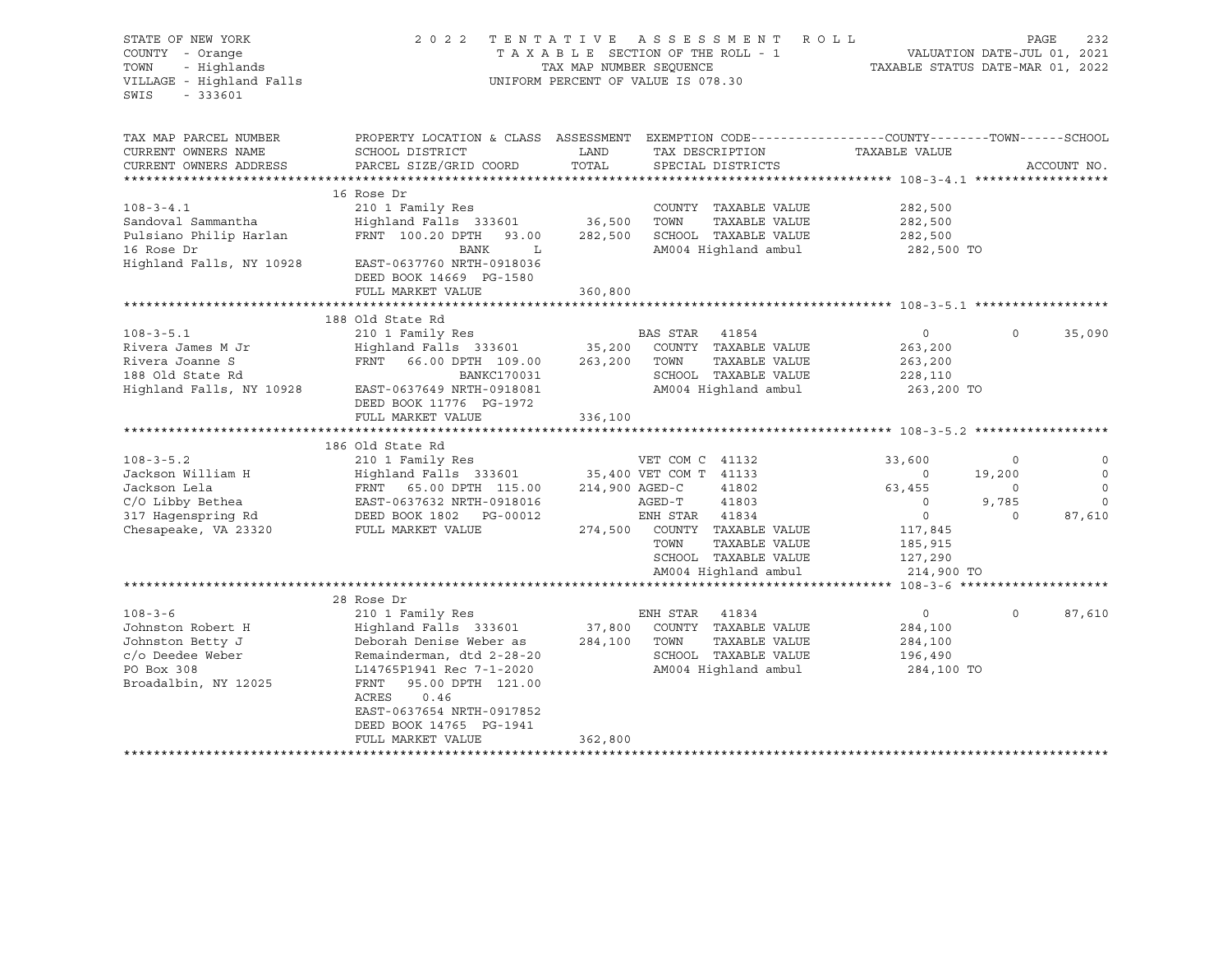| STATE OF NEW YORK<br>COUNTY - Orange<br>TOWN<br>- Highlands<br>VILLAGE - Highland Falls<br>$-333601$<br>SWIS           | 2022 TENTATIVE                                                                                                                                                                                                                                                         | TAX MAP NUMBER SEQUENCE      | ASSESSMENT ROLL<br>TAXABLE SECTION OF THE ROLL - 1<br>UNIFORM PERCENT OF VALUE IS 078.30                                                                               | TAXABLE STATUS DATE-MAR 01, 2022                                                                                | PAGE<br>VALUATION DATE-JUL 01, 2021        | 232                                                        |
|------------------------------------------------------------------------------------------------------------------------|------------------------------------------------------------------------------------------------------------------------------------------------------------------------------------------------------------------------------------------------------------------------|------------------------------|------------------------------------------------------------------------------------------------------------------------------------------------------------------------|-----------------------------------------------------------------------------------------------------------------|--------------------------------------------|------------------------------------------------------------|
| TAX MAP PARCEL NUMBER<br>CURRENT OWNERS NAME<br>CURRENT OWNERS ADDRESS<br>*************************                    | SCHOOL DISTRICT<br>PARCEL SIZE/GRID COORD                                                                                                                                                                                                                              | LAND<br>TOTAL                | PROPERTY LOCATION & CLASS ASSESSMENT EXEMPTION CODE---------------COUNTY-------TOWN-----SCHOOL<br>TAX DESCRIPTION<br>SPECIAL DISTRICTS                                 | TAXABLE VALUE                                                                                                   |                                            | ACCOUNT NO.                                                |
| $108 - 3 - 4.1$<br>Sandoval Sammantha<br>Pulsiano Philip Harlan<br>16 Rose Dr<br>Highland Falls, NY 10928              | 16 Rose Dr<br>210 1 Family Res<br>Highland Falls 333601<br>FRNT 100.20 DPTH 93.00<br>BANK<br>L<br>EAST-0637760 NRTH-0918036<br>DEED BOOK 14669 PG-1580<br>FULL MARKET VALUE                                                                                            | 36,500<br>282,500<br>360,800 | COUNTY TAXABLE VALUE<br>TOWN<br>TAXABLE VALUE<br>SCHOOL TAXABLE VALUE<br>AM004 Highland ambul                                                                          | 282,500<br>282,500<br>282,500<br>282,500 TO                                                                     |                                            |                                                            |
|                                                                                                                        |                                                                                                                                                                                                                                                                        |                              |                                                                                                                                                                        |                                                                                                                 |                                            |                                                            |
| $108 - 3 - 5.1$<br>Rivera James M Jr<br>Rivera Joanne S<br>188 Old State Rd<br>Highland Falls, NY 10928                | 188 Old State Rd<br>210 1 Family Res<br>Highland Falls 333601 35,200<br>FRNT 66.00 DPTH 109.00<br>BANKC170031<br>EAST-0637649 NRTH-0918081<br>DEED BOOK 11776 PG-1972<br>FULL MARKET VALUE                                                                             | 336,100                      | BAS STAR 41854<br>COUNTY TAXABLE VALUE<br>263,200 TOWN<br>TAXABLE VALUE<br>SCHOOL TAXABLE VALUE<br>AM004 Highland ambul                                                | $\overline{0}$<br>263,200<br>263,200<br>228,110<br>263,200 TO                                                   | $\Omega$                                   | 35,090                                                     |
|                                                                                                                        | 186 Old State Rd                                                                                                                                                                                                                                                       |                              |                                                                                                                                                                        |                                                                                                                 |                                            |                                                            |
| $108 - 3 - 5.2$<br>Jackson William H<br>Jackson Lela<br>C/O Libby Bethea<br>317 Hagenspring Rd<br>Chesapeake, VA 23320 | 210 1 Family Res<br>Highland Falls 333601 35,400 VET COM T 41133<br>Highland ru<br>FRNT 65.00 DPTH 115.00<br>EAST-0637632 NRTH-0918016<br>DEED BOOK 1802 PG-00012<br>FRNT 65.00 DPTH 115.00                                                                            | 214,900 AGED-C               | VET COM C 41132<br>41802<br>AGED-T<br>41803<br>ENH STAR 41834<br>274,500 COUNTY TAXABLE VALUE<br>TOWN<br>TAXABLE VALUE<br>SCHOOL TAXABLE VALUE<br>AM004 Highland ambul | 33,600<br>$\sim$ 0<br>63,455<br>$\overline{0}$<br>$\overline{0}$<br>117,845<br>185,915<br>127,290<br>214,900 TO | 0<br>19,200<br>$\circ$<br>9,785<br>$\circ$ | $\circ$<br>$\mathbb O$<br>$\circ$<br>$\mathbf 0$<br>87,610 |
|                                                                                                                        |                                                                                                                                                                                                                                                                        |                              |                                                                                                                                                                        |                                                                                                                 |                                            |                                                            |
| $108 - 3 - 6$<br>Johnston Robert H<br>Johnston Betty J<br>c/o Deedee Weber<br>PO Box 308<br>Broadalbin, NY 12025       | 28 Rose Dr<br>210 1 Family Res<br>Highland Falls 333601<br>Deborah Denise Weber as<br>Remainderman, dtd 2-28-20<br>L14765P1941 Rec 7-1-2020<br>FRNT<br>95.00 DPTH 121.00<br>ACRES<br>0.46<br>EAST-0637654 NRTH-0917852<br>DEED BOOK 14765 PG-1941<br>FULL MARKET VALUE | 284,100<br>362,800           | ENH STAR 41834<br>37,800 COUNTY TAXABLE VALUE<br>TOWN<br>TAXABLE VALUE<br>SCHOOL TAXABLE VALUE<br>AM004 Highland ambul                                                 | $\mathbf 0$<br>284,100<br>284,100<br>196,490<br>284,100 TO                                                      | $\circ$                                    | 87,610                                                     |
|                                                                                                                        |                                                                                                                                                                                                                                                                        |                              |                                                                                                                                                                        |                                                                                                                 |                                            |                                                            |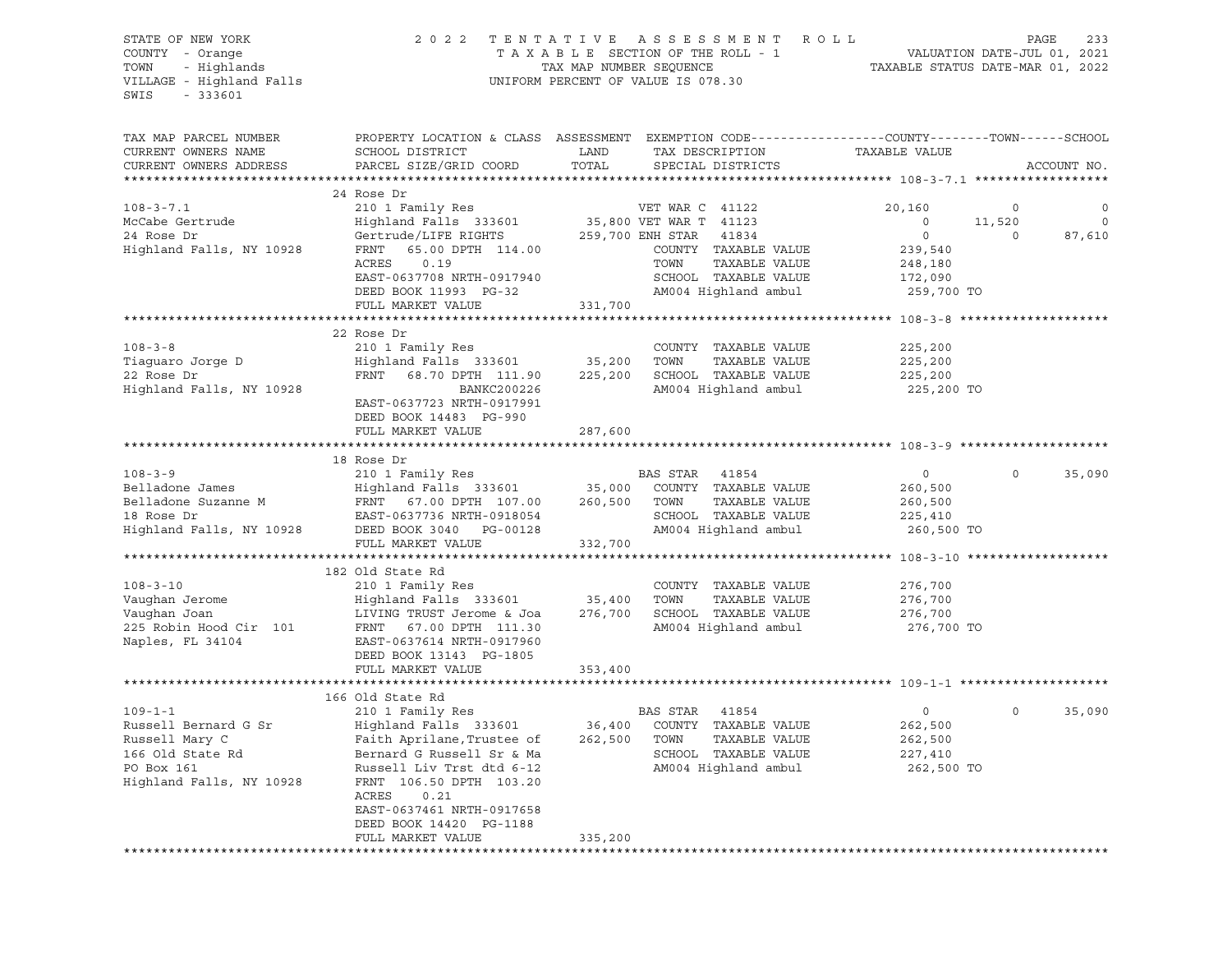STATE OF NEW YORK 2 0 2 2 T E N T A T I V E A S S E S S M E N T R O L L PAGE 233 COUNTY - Orange T A X A B L E SECTION OF THE ROLL - 1 VALUATION DATE-JUL 01, 2021 TOWN - Highlands TAX MAP NUMBER SEQUENCE TAXABLE STATUS DATE-MAR 01, 2022 TOWN - Highlands<br>
VILLAGE - Highland Falls UNIFORM PERCENT OF VALUE IS 078.30 SWIS - 333601 TAX MAP PARCEL NUMBER PROPERTY LOCATION & CLASS ASSESSMENT EXEMPTION CODE----------------COUNTY-------TOWN-----SCHOOL CURRENT OWNERS NAME SCHOOL DISTRICT LAND TAX DESCRIPTION TAXABLE VALUE CURRENT OWNERS ADDRESS PARCEL SIZE/GRID COORD TOTAL SPECIAL DISTRICTS ACCOUNT NO. \*\*\*\*\*\*\*\*\*\*\*\*\*\*\*\*\*\*\*\*\*\*\*\*\*\*\*\*\*\*\*\*\*\*\*\*\*\*\*\*\*\*\*\*\*\*\*\*\*\*\*\*\*\*\*\*\*\*\*\*\*\*\*\*\*\*\*\*\*\*\*\*\*\*\*\*\*\*\*\*\*\*\*\*\*\*\*\*\*\*\*\*\*\*\*\*\*\*\*\*\*\*\* 108-3-7.1 \*\*\*\*\*\*\*\*\*\*\*\*\*\*\*\*\*\* 24 Rose Dr 108-3-7.1 210 1 Family Res VET WAR C 41122 20,160 0 0 McCabe Gertrude Highland Falls 333601 35,800 VET WAR T 41123 0 11,520 0 24 Rose Dr Gertrude/LIFE RIGHTS 259,700 ENH STAR 41834 0 0 87,610 Highland Falls, NY 10928 FRNT 65.00 DPTH 114.00 COUNTY TAXABLE VALUE 239,540 ACRES 0.19 TOWN TAXABLE VALUE 248,180 EAST-0637708 NRTH-0917940 SCHOOL TAXABLE VALUE 172,090 DEED BOOK 11993 PG-32 AM004 Highland ambul 259,700 TO FULL MARKET VALUE 331,700 \*\*\*\*\*\*\*\*\*\*\*\*\*\*\*\*\*\*\*\*\*\*\*\*\*\*\*\*\*\*\*\*\*\*\*\*\*\*\*\*\*\*\*\*\*\*\*\*\*\*\*\*\*\*\*\*\*\*\*\*\*\*\*\*\*\*\*\*\*\*\*\*\*\*\*\*\*\*\*\*\*\*\*\*\*\*\*\*\*\*\*\*\*\*\*\*\*\*\*\*\*\*\* 108-3-8 \*\*\*\*\*\*\*\*\*\*\*\*\*\*\*\*\*\*\*\* 22 Rose Dr 108-3-8 210 1 Family Res COUNTY TAXABLE VALUE 225,200 Tiaguaro Jorge D Highland Falls 333601 35,200 TOWN TAXABLE VALUE 225,200 22 Rose Dr FRNT 68.70 DPTH 111.90 225,200 SCHOOL TAXABLE VALUE 225,200 Highland Falls, NY 10928 BANKC200226 AM004 Highland ambul 225,200 TO EAST-0637723 NRTH-0917991 DEED BOOK 14483 PG-990 FULL MARKET VALUE 287,600 \*\*\*\*\*\*\*\*\*\*\*\*\*\*\*\*\*\*\*\*\*\*\*\*\*\*\*\*\*\*\*\*\*\*\*\*\*\*\*\*\*\*\*\*\*\*\*\*\*\*\*\*\*\*\*\*\*\*\*\*\*\*\*\*\*\*\*\*\*\*\*\*\*\*\*\*\*\*\*\*\*\*\*\*\*\*\*\*\*\*\*\*\*\*\*\*\*\*\*\*\*\*\* 108-3-9 \*\*\*\*\*\*\*\*\*\*\*\*\*\*\*\*\*\*\*\* 18 Rose Dr 108-3-9 210 1 Family Res BAS STAR 41854 0 0 35,090 Belladone James Highland Falls 333601 35,000 COUNTY TAXABLE VALUE 260,500 Belladone Suzanne M FRNT 67.00 DPTH 107.00 260,500 TOWN TAXABLE VALUE 260,500 18 Rose Dr EAST-0637736 NRTH-0918054 SCHOOL TAXABLE VALUE 225,410 Highland Falls, NY 10928 DEED BOOK 3040 PG-00128 AM004 Highland ambul 260,500 TO FULL MARKET VALUE 332,700 \*\*\*\*\*\*\*\*\*\*\*\*\*\*\*\*\*\*\*\*\*\*\*\*\*\*\*\*\*\*\*\*\*\*\*\*\*\*\*\*\*\*\*\*\*\*\*\*\*\*\*\*\*\*\*\*\*\*\*\*\*\*\*\*\*\*\*\*\*\*\*\*\*\*\*\*\*\*\*\*\*\*\*\*\*\*\*\*\*\*\*\*\*\*\*\*\*\*\*\*\*\*\* 108-3-10 \*\*\*\*\*\*\*\*\*\*\*\*\*\*\*\*\*\*\* 182 Old State Rd 108-3-10 210 1 Family Res COUNTY TAXABLE VALUE 276,700 Vaughan Jerome Highland Falls 333601 35,400 TOWN TAXABLE VALUE 276,700 Vaughan Joan LIVING TRUST Jerome & Joa 276,700 SCHOOL TAXABLE VALUE 276,700 225 Robin Hood Cir 101 FRNT 67.00 DPTH 111.30 AM004 Highland ambul 276,700 TO Naples, FL 34104 EAST-0637614 NRTH-0917960 DEED BOOK 13143 PG-1805 FULL MARKET VALUE 353,400 \*\*\*\*\*\*\*\*\*\*\*\*\*\*\*\*\*\*\*\*\*\*\*\*\*\*\*\*\*\*\*\*\*\*\*\*\*\*\*\*\*\*\*\*\*\*\*\*\*\*\*\*\*\*\*\*\*\*\*\*\*\*\*\*\*\*\*\*\*\*\*\*\*\*\*\*\*\*\*\*\*\*\*\*\*\*\*\*\*\*\*\*\*\*\*\*\*\*\*\*\*\*\* 109-1-1 \*\*\*\*\*\*\*\*\*\*\*\*\*\*\*\*\*\*\*\* 166 Old State Rd 109-1-1 210 1 Family Res BAS STAR 41854 0 0 35,090 Russell Bernard G Sr Highland Falls 333601 36,400 COUNTY TAXABLE VALUE 262,500 Russell Mary C Faith Aprilane,Trustee of 262,500 TOWN TAXABLE VALUE 262,500 166 Old State Rd Bernard G Russell Sr & Ma SCHOOL TAXABLE VALUE 227,410 PO Box 161 Russell Liv Trst dtd 6-12 AM004 Highland ambul 262,500 TO Highland Falls, NY 10928 FRNT 106.50 DPTH 103.20 ACRES 0.21 EAST-0637461 NRTH-0917658 DEED BOOK 14420 PG-1188 FULL MARKET VALUE 335,200 \*\*\*\*\*\*\*\*\*\*\*\*\*\*\*\*\*\*\*\*\*\*\*\*\*\*\*\*\*\*\*\*\*\*\*\*\*\*\*\*\*\*\*\*\*\*\*\*\*\*\*\*\*\*\*\*\*\*\*\*\*\*\*\*\*\*\*\*\*\*\*\*\*\*\*\*\*\*\*\*\*\*\*\*\*\*\*\*\*\*\*\*\*\*\*\*\*\*\*\*\*\*\*\*\*\*\*\*\*\*\*\*\*\*\*\*\*\*\*\*\*\*\*\*\*\*\*\*\*\*\*\*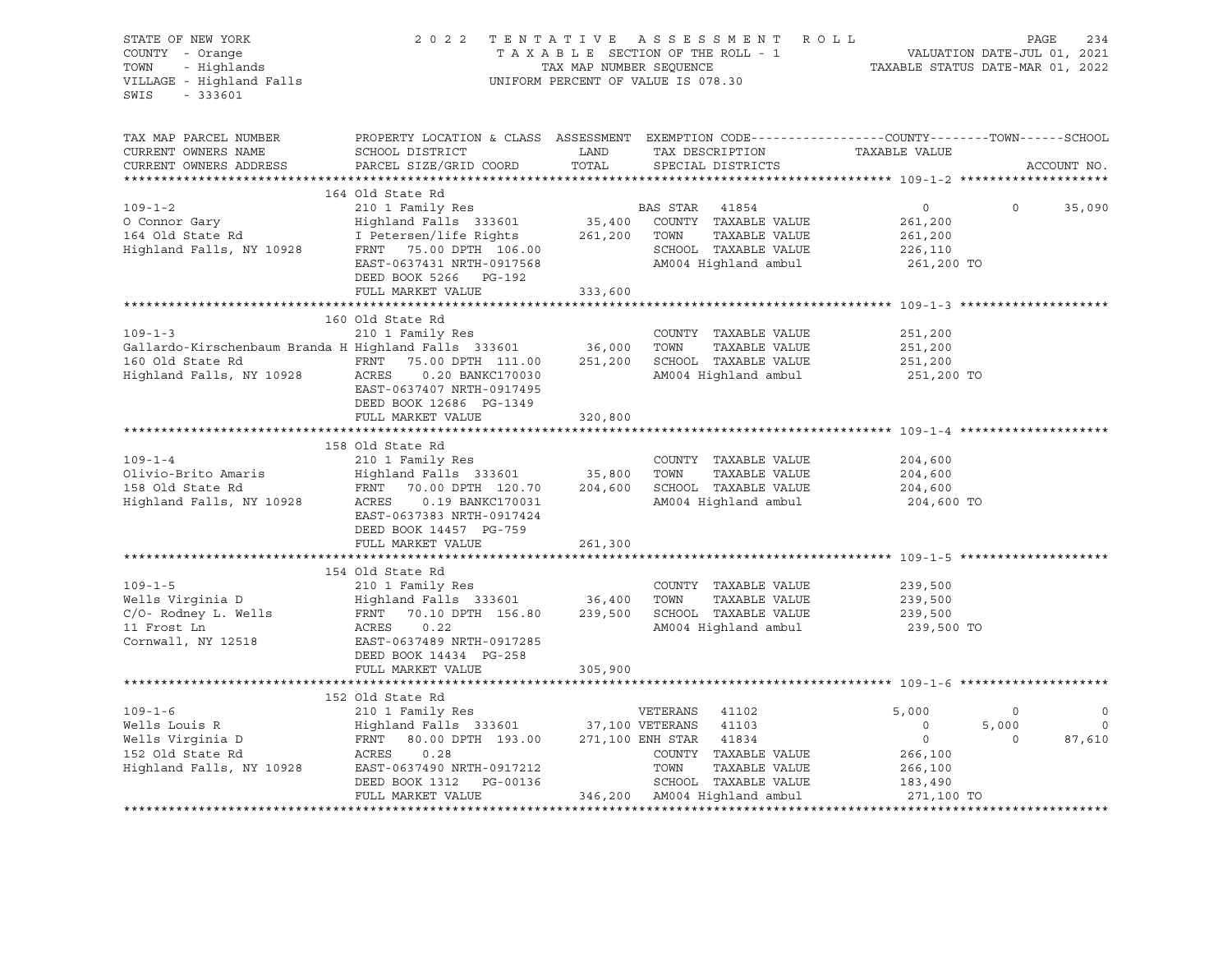| STATE OF NEW YORK<br>COUNTY - Orange<br>TOWN - Highlands<br>VILLAGE - Highland Falls<br>SWIS<br>$-333601$                                                                                                                                            |                                                                                                                                               |         | 2022 TENTATIVE ASSESSMENT ROLL PAGE 234<br>TAXABLE SECTION OF THE ROLL - 1 VALUATION DATE-JUL 01, 2021<br>TAX MAP NUMBER SEQUENCE TAXABLE STATUS DATE-MAR 01, 2022<br>UNIFORM PERCENT OF VALUE IS 078.30 |                                                                                                          |                                    |                                         |
|------------------------------------------------------------------------------------------------------------------------------------------------------------------------------------------------------------------------------------------------------|-----------------------------------------------------------------------------------------------------------------------------------------------|---------|----------------------------------------------------------------------------------------------------------------------------------------------------------------------------------------------------------|----------------------------------------------------------------------------------------------------------|------------------------------------|-----------------------------------------|
| TAX MAP PARCEL NUMBER<br>CURRENT OWNERS NAME<br>CURRENT OWNERS ADDRESS                                                                                                                                                                               | PROPERTY LOCATION & CLASS ASSESSMENT EXEMPTION CODE----------------COUNTY-------TOWN------SCHOOL<br>SCHOOL DISTRICT<br>PARCEL SIZE/GRID COORD |         |                                                                                                                                                                                                          |                                                                                                          |                                    | ACCOUNT NO.                             |
|                                                                                                                                                                                                                                                      |                                                                                                                                               |         |                                                                                                                                                                                                          |                                                                                                          |                                    |                                         |
| 109-1-2<br>0 Connor Gary and State Rd Highland Falls 333601<br>164 Old State Rd I Petersen/life Rights 261,200 TOWN TAXABLE VALUE<br>261,200 TOWN TAXABLE VALUE 261,200<br>261,200 TOWN TAXABLE VALUE 261,200<br>261,200 SCHOOL TAXABLE              | 164 Old State Rd<br>DEED BOOK 5266 PG-192                                                                                                     |         |                                                                                                                                                                                                          |                                                                                                          | $0 \qquad \qquad$                  | 35,090                                  |
|                                                                                                                                                                                                                                                      | FULL MARKET VALUE                                                                                                                             | 333,600 |                                                                                                                                                                                                          |                                                                                                          |                                    |                                         |
|                                                                                                                                                                                                                                                      | 160 Old State Rd<br>EAST-0637407 NRTH-0917495<br>DEED BOOK 12686 PG-1349                                                                      |         | AM004 Highland ambul                                                                                                                                                                                     | 251,200<br>251,200<br>251,200<br>251,200 TO                                                              |                                    |                                         |
|                                                                                                                                                                                                                                                      | FULL MARKET VALUE                                                                                                                             | 320,800 |                                                                                                                                                                                                          |                                                                                                          |                                    |                                         |
| $109 - 1 - 4$                                                                                                                                                                                                                                        | 158 Old State Rd<br>210 1 Family Res                                                                                                          |         | COUNTY TAXABLE VALUE                                                                                                                                                                                     | 204,600                                                                                                  |                                    |                                         |
|                                                                                                                                                                                                                                                      | EAST-0637383 NRTH-0917424<br>DEED BOOK 14457 PG-759                                                                                           |         | AM004 Highland ambul                                                                                                                                                                                     | 204,600<br>204,600<br>204,600 TO                                                                         |                                    |                                         |
|                                                                                                                                                                                                                                                      | FULL MARKET VALUE                                                                                                                             | 261,300 |                                                                                                                                                                                                          |                                                                                                          |                                    |                                         |
| $109 - 1 - 5$<br>Cornwall, NY 12518 EAST-0637489 NRTH-0917285                                                                                                                                                                                        | 154 Old State Rd<br>210 1 Family Res<br>DEED BOOK 14434 PG-258<br>FULL MARKET VALUE                                                           | 305,900 | COUNTY TAXABLE VALUE<br>AM004 Highland ambul                                                                                                                                                             | 239,500<br>TAXABLE VALUE 239,500<br>TAXABLE VALUE 239,500<br>239,500 TO                                  |                                    |                                         |
|                                                                                                                                                                                                                                                      |                                                                                                                                               |         |                                                                                                                                                                                                          |                                                                                                          |                                    |                                         |
| 109-1-6<br>Wells Louis R<br>Wells Louis R<br>Wells Virginia D<br>Mells Virginia D<br>SERNT 80.00 DPTH 193.00<br>Mells Virginia D<br>FRNT 80.00 DPTH 193.00<br>271,100 ENH STAR 41834<br>COUNTY TAXABLE VALUE<br>COUNTY TAXABLE VALUE<br>TOWN TAXABLE | 152 Old State Rd<br>210 Dealer Ru<br>210 1 Family Res                                                                                         |         | 346,200 AM004 Highland ambul                                                                                                                                                                             | 5,000<br>$\begin{array}{c} 0 \\ 0 \end{array}$<br>266,100<br>266,100<br>266,100<br>183,490<br>271,100 TO | $\overline{0}$<br>5,000<br>$\circ$ | $\overline{0}$<br>$\mathbf 0$<br>87,610 |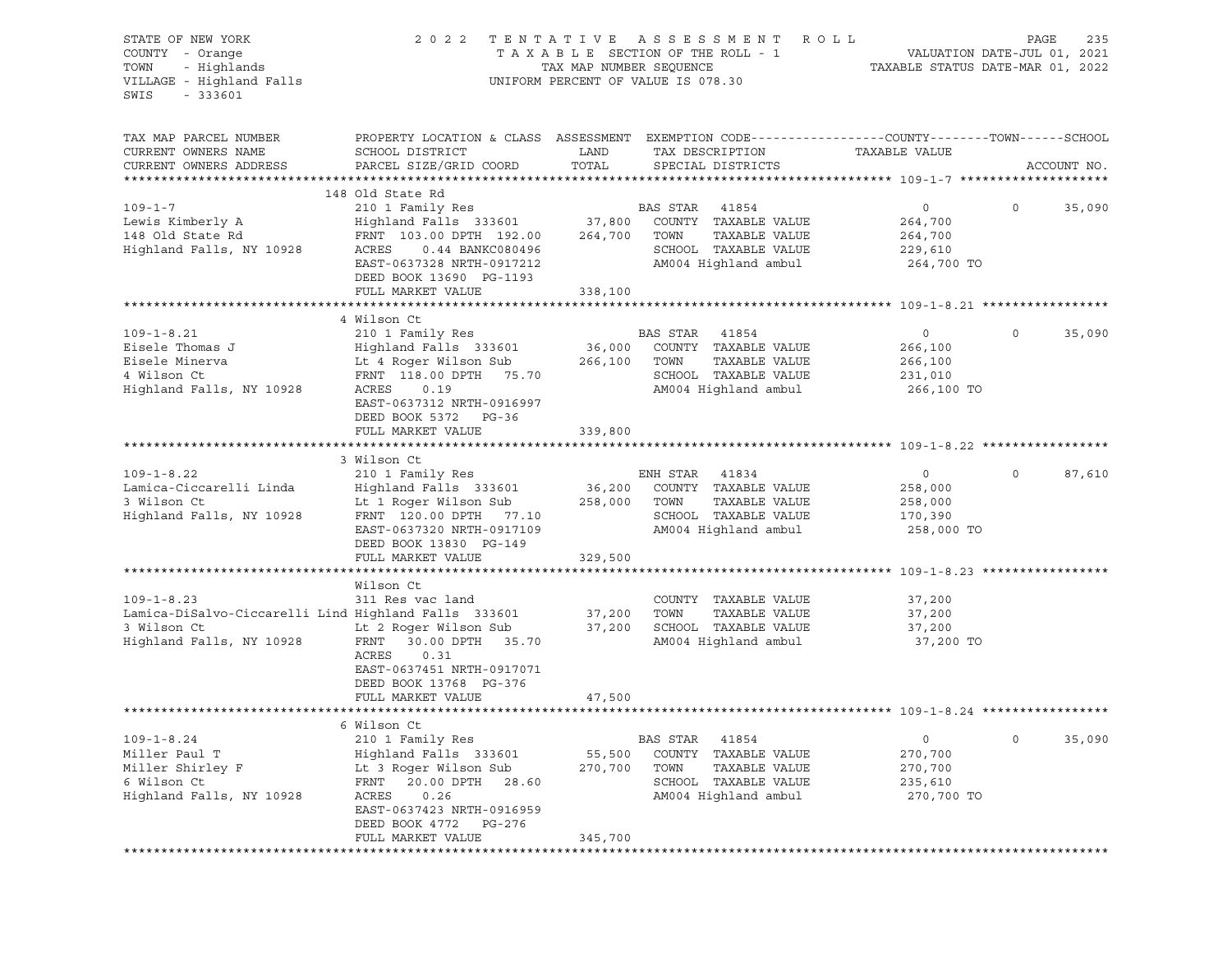| STATE OF NEW YORK<br>COUNTY - Orange<br>- Highlands<br>TOWN<br>VILLAGE - Highland Falls<br>$-333601$<br>SWIS        |                                                                                                                                                                                                           | TAX MAP NUMBER SEQUENCE | 2022 TENTATIVE ASSESSMENT<br>R O L L<br>TAXABLE SECTION OF THE ROLL - 1<br>UNIFORM PERCENT OF VALUE IS 078.30                           | VALUATION DATE-JUL 01, 2021<br>TAXABLE STATUS DATE-MAR 01, 2022 | PAGE    | 235         |
|---------------------------------------------------------------------------------------------------------------------|-----------------------------------------------------------------------------------------------------------------------------------------------------------------------------------------------------------|-------------------------|-----------------------------------------------------------------------------------------------------------------------------------------|-----------------------------------------------------------------|---------|-------------|
| TAX MAP PARCEL NUMBER<br>CURRENT OWNERS NAME<br>CURRENT OWNERS ADDRESS                                              | SCHOOL DISTRICT<br>PARCEL SIZE/GRID COORD                                                                                                                                                                 | LAND<br>TOTAL           | PROPERTY LOCATION & CLASS ASSESSMENT EXEMPTION CODE----------------COUNTY-------TOWN-----SCHOOL<br>TAX DESCRIPTION<br>SPECIAL DISTRICTS | TAXABLE VALUE                                                   |         | ACCOUNT NO. |
| $109 - 1 - 7$<br>Lewis Kimberly A<br>148 Old State Rd<br>Highland Falls, NY 10928                                   | 148 Old State Rd<br>210 1 Family Res<br>Highland Falls 333601 37,800<br>FRNT 103.00 DPTH 192.00<br>ACRES<br>0.44 BANKC080496<br>EAST-0637328 NRTH-0917212<br>DEED BOOK 13690 PG-1193<br>FULL MARKET VALUE | 264,700<br>338,100      | BAS STAR 41854<br>COUNTY TAXABLE VALUE<br>TOWN<br>TAXABLE VALUE<br>SCHOOL TAXABLE VALUE<br>AM004 Highland ambul                         | $\circ$<br>264,700<br>264,700<br>229,610<br>264,700 TO          | $\circ$ | 35,090      |
|                                                                                                                     |                                                                                                                                                                                                           |                         |                                                                                                                                         |                                                                 |         |             |
| $109 - 1 - 8.21$<br>Eisele Thomas J<br>Eisele Minerva<br>4 Wilson Ct<br>Highland Falls, NY 10928                    | 4 Wilson Ct<br>210 1 Family Res<br>Highland Falls 333601<br>Lt 4 Roger Wilson Sub<br>FRNT 118.00 DPTH 75.70<br>ACRES<br>0.19<br>EAST-0637312 NRTH-0916997<br>DEED BOOK 5372 PG-36                         | 266,100                 | BAS STAR<br>41854<br>36,000 COUNTY TAXABLE VALUE<br>TOWN<br>TAXABLE VALUE<br>SCHOOL TAXABLE VALUE<br>AM004 Highland ambul               | $\circ$<br>266,100<br>266,100<br>231,010<br>266,100 TO          | $\circ$ | 35,090      |
|                                                                                                                     | FULL MARKET VALUE                                                                                                                                                                                         | 339,800                 |                                                                                                                                         |                                                                 |         |             |
|                                                                                                                     |                                                                                                                                                                                                           |                         |                                                                                                                                         |                                                                 |         |             |
| $109 - 1 - 8.22$<br>Lamica-Ciccarelli Linda<br>3 Wilson Ct<br>Highland Falls, NY 10928                              | 3 Wilson Ct<br>210 1 Family Res<br>Highland Falls 333601<br>Lt 1 Roger Wilson Sub<br>FRNT 120.00 DPTH 77.10<br>EAST-0637320 NRTH-0917109<br>DEED BOOK 13830 PG-149<br>FULL MARKET VALUE                   | 258,000 TOWN<br>329,500 | ENH STAR<br>41834<br>36,200 COUNTY TAXABLE VALUE<br>TAXABLE VALUE<br>SCHOOL TAXABLE VALUE<br>AM004 Highland ambul                       | $\circ$<br>258,000<br>258,000<br>170,390<br>258,000 TO          | $\circ$ | 87,610      |
|                                                                                                                     |                                                                                                                                                                                                           |                         |                                                                                                                                         |                                                                 |         |             |
| $109 - 1 - 8.23$<br>Lamica-DiSalvo-Ciccarelli Lind Highland Falls 333601<br>3 Wilson Ct<br>Highland Falls, NY 10928 | Wilson Ct<br>311 Res vac land<br>Lt 2 Roger Wilson Sub<br>FRNT<br>30.00 DPTH 35.70<br>ACRES<br>0.31<br>EAST-0637451 NRTH-0917071<br>DEED BOOK 13768 PG-376                                                | 37,200<br>37,200        | COUNTY TAXABLE VALUE<br>TOWN<br>TAXABLE VALUE<br>SCHOOL TAXABLE VALUE<br>AM004 Highland ambul                                           | 37,200<br>37,200<br>37,200<br>37,200 TO                         |         |             |
|                                                                                                                     | FULL MARKET VALUE                                                                                                                                                                                         | 47,500                  |                                                                                                                                         |                                                                 |         |             |
|                                                                                                                     |                                                                                                                                                                                                           |                         |                                                                                                                                         |                                                                 |         |             |
| $109 - 1 - 8.24$<br>Miller Paul T<br>Miller Shirley F<br>6 Wilson Ct<br>Highland Falls, NY 10928                    | 6 Wilson Ct<br>210 1 Family Res<br>Highland Falls 333601<br>Lt 3 Roger Wilson Sub<br>20.00 DPTH<br>28.60<br>FRNT<br>ACRES<br>0.26<br>EAST-0637423 NRTH-0916959<br>DEED BOOK 4772<br>PG-276                | 55,500<br>270,700       | BAS STAR<br>41854<br>COUNTY<br>TAXABLE VALUE<br>TOWN<br>TAXABLE VALUE<br>SCHOOL TAXABLE VALUE<br>AM004 Highland ambul                   | $\circ$<br>270,700<br>270,700<br>235,610<br>270,700 TO          | $\circ$ | 35,090      |
|                                                                                                                     | FULL MARKET VALUE                                                                                                                                                                                         | 345,700                 |                                                                                                                                         |                                                                 |         |             |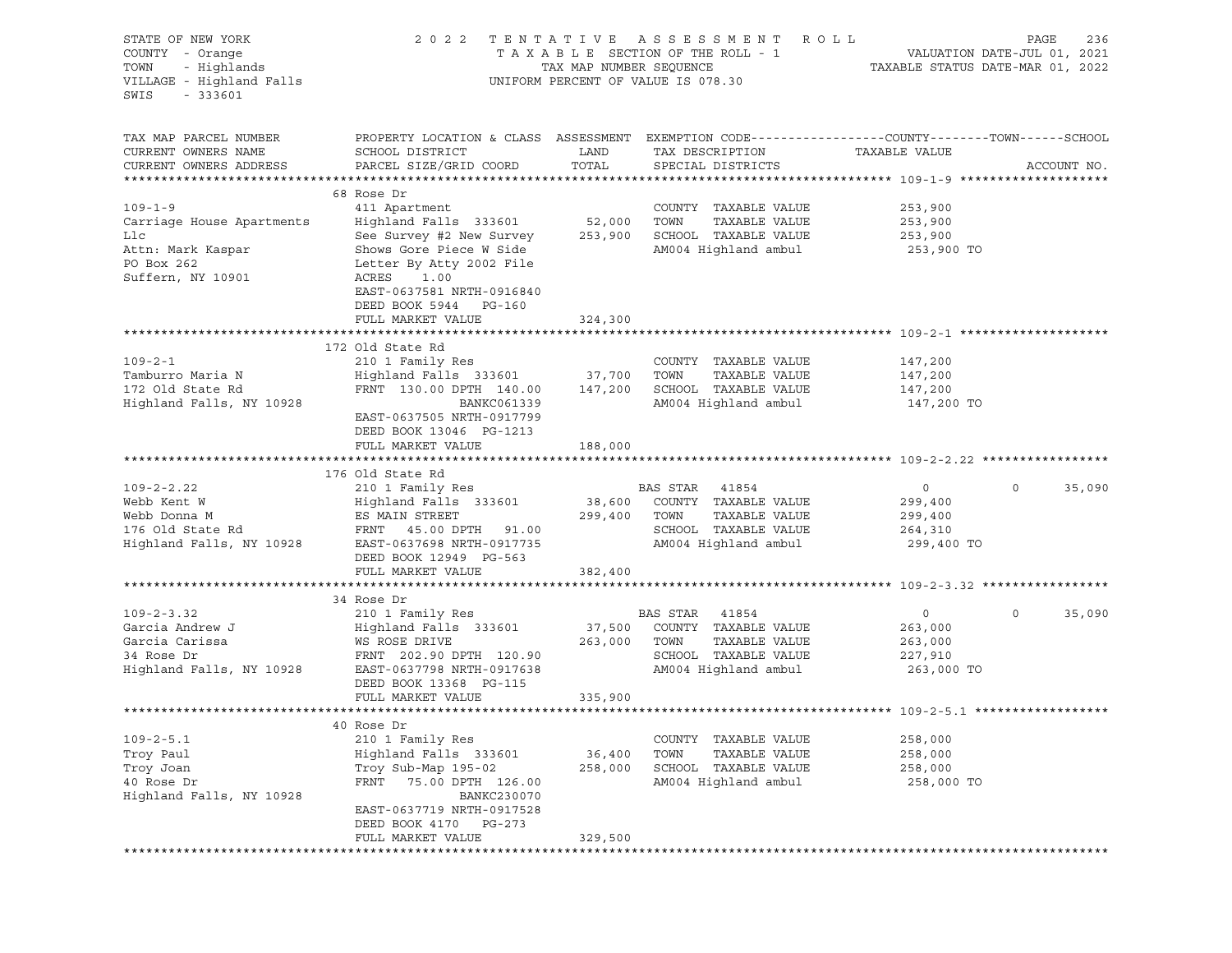| STATE OF NEW YORK<br>COUNTY - Orange<br>- Highlands<br>TOWN<br>VILLAGE - Highland Falls<br>$-333601$<br>SWIS | 2022 TENTATIVE                                                                                                                                                                                                                | TAX MAP NUMBER SEQUENCE | ASSESSMENT ROLL<br>TAXABLE SECTION OF THE ROLL - 1<br>UNIFORM PERCENT OF VALUE IS 078.30                           | TAXABLE STATUS DATE-MAR 01, 2022                              | PAGE<br>236<br>VALUATION DATE-JUL 01, 2021 |
|--------------------------------------------------------------------------------------------------------------|-------------------------------------------------------------------------------------------------------------------------------------------------------------------------------------------------------------------------------|-------------------------|--------------------------------------------------------------------------------------------------------------------|---------------------------------------------------------------|--------------------------------------------|
| TAX MAP PARCEL NUMBER<br>CURRENT OWNERS NAME<br>CURRENT OWNERS ADDRESS                                       | PROPERTY LOCATION & CLASS ASSESSMENT EXEMPTION CODE----------------COUNTY-------TOWN------SCHOOL<br>SCHOOL DISTRICT<br>PARCEL SIZE/GRID COORD                                                                                 | LAND<br>TOTAL           | TAX DESCRIPTION<br>SPECIAL DISTRICTS                                                                               | TAXABLE VALUE                                                 | ACCOUNT NO.                                |
| $109 - 1 - 9$<br>Carriage House Apartments<br>Llc<br>Attn: Mark Kaspar<br>PO Box 262<br>Suffern, NY 10901    | 68 Rose Dr<br>411 Apartment<br>Highland Falls 333601 52,000<br>See Survey #2 New Survey 253,900<br>Shows Gore Piece W Side<br>Letter By Atty 2002 File<br>ACRES<br>1.00<br>EAST-0637581 NRTH-0916840<br>DEED BOOK 5944 PG-160 |                         | COUNTY TAXABLE VALUE<br>TOWN<br>TAXABLE VALUE<br>SCHOOL TAXABLE VALUE<br>AM004 Highland ambul                      | 253,900<br>253,900<br>253,900<br>253,900 TO                   |                                            |
|                                                                                                              | FULL MARKET VALUE                                                                                                                                                                                                             | 324,300                 |                                                                                                                    |                                                               |                                            |
| $109 - 2 - 1$<br>Tamburro Maria N<br>172 Old State Rd<br>Highland Falls, NY 10928                            | 172 Old State Rd<br>210 1 Family Res<br>Highland Falls 333601 37,700<br>FRNT 130.00 DPTH 140.00<br>BANKC061339<br>EAST-0637505 NRTH-0917799<br>DEED BOOK 13046 PG-1213<br>FULL MARKET VALUE                                   | 147,200<br>188,000      | COUNTY TAXABLE VALUE<br>TOWN<br>TAXABLE VALUE<br>SCHOOL TAXABLE VALUE<br>AM004 Highland ambul                      | 147,200<br>147,200<br>147,200<br>147,200 TO                   |                                            |
|                                                                                                              |                                                                                                                                                                                                                               |                         |                                                                                                                    |                                                               |                                            |
| $109 - 2 - 2.22$<br>Webb Kent W<br>Webb Donna M<br>176 Old State Rd<br>Highland Falls, NY 10928              | 176 Old State Rd<br>210 1 Family Res<br>Highland Falls 333601 38,600 COUNTY TAXABLE VALUE<br>ES MAIN STREET<br>FRNT 45.00 DPTH 91.00<br>EAST-0637698 NRTH-0917735<br>DEED BOOK 12949 PG-563                                   | 299,400 TOWN            | BAS STAR 41854<br>TAXABLE VALUE<br>SCHOOL TAXABLE VALUE<br>AM004 Highland ambul                                    | $\overline{0}$<br>299,400<br>299,400<br>264,310<br>299,400 TO | $\circ$<br>35,090                          |
|                                                                                                              | FULL MARKET VALUE                                                                                                                                                                                                             | 382,400                 |                                                                                                                    |                                                               |                                            |
| $109 - 2 - 3.32$<br>Garcia Andrew J<br>Garcia Carissa<br>34 Rose Dr<br>Highland Falls, NY 10928              | 34 Rose Dr<br>210 1 Family Res<br>Highland Falls 333601<br>WS ROSE DRIVE<br>FRNT 202.90 DPTH 120.90<br>EAST-0637798 NRTH-0917638<br>DEED BOOK 13368 PG-115                                                                    | 37,500<br>263,000       | BAS STAR<br>41854<br>COUNTY TAXABLE VALUE<br>TOWN<br>TAXABLE VALUE<br>SCHOOL TAXABLE VALUE<br>AM004 Highland ambul | $\circ$<br>263,000<br>263,000<br>227,910<br>263,000 TO        | 35,090<br>$\circ$                          |
|                                                                                                              | FULL MARKET VALUE                                                                                                                                                                                                             | 335,900                 |                                                                                                                    |                                                               |                                            |
|                                                                                                              |                                                                                                                                                                                                                               |                         |                                                                                                                    |                                                               |                                            |
| $109 - 2 - 5.1$<br>Troy Paul<br>Troy Joan<br>40 Rose Dr<br>Highland Falls, NY 10928                          | 40 Rose Dr<br>210 1 Family Res<br>Highland Falls 333601<br>Troy Sub-Map 195-02<br>FRNT<br>75.00 DPTH 126.00<br>BANKC230070<br>EAST-0637719 NRTH-0917528                                                                       | 36,400<br>258,000       | TAXABLE VALUE<br>COUNTY<br>TOWN<br>TAXABLE VALUE<br>SCHOOL<br>TAXABLE VALUE<br>AM004 Highland ambul                | 258,000<br>258,000<br>258,000<br>258,000 TO                   |                                            |
|                                                                                                              | DEED BOOK 4170<br>PG-273<br>FULL MARKET VALUE                                                                                                                                                                                 | 329,500                 |                                                                                                                    |                                                               |                                            |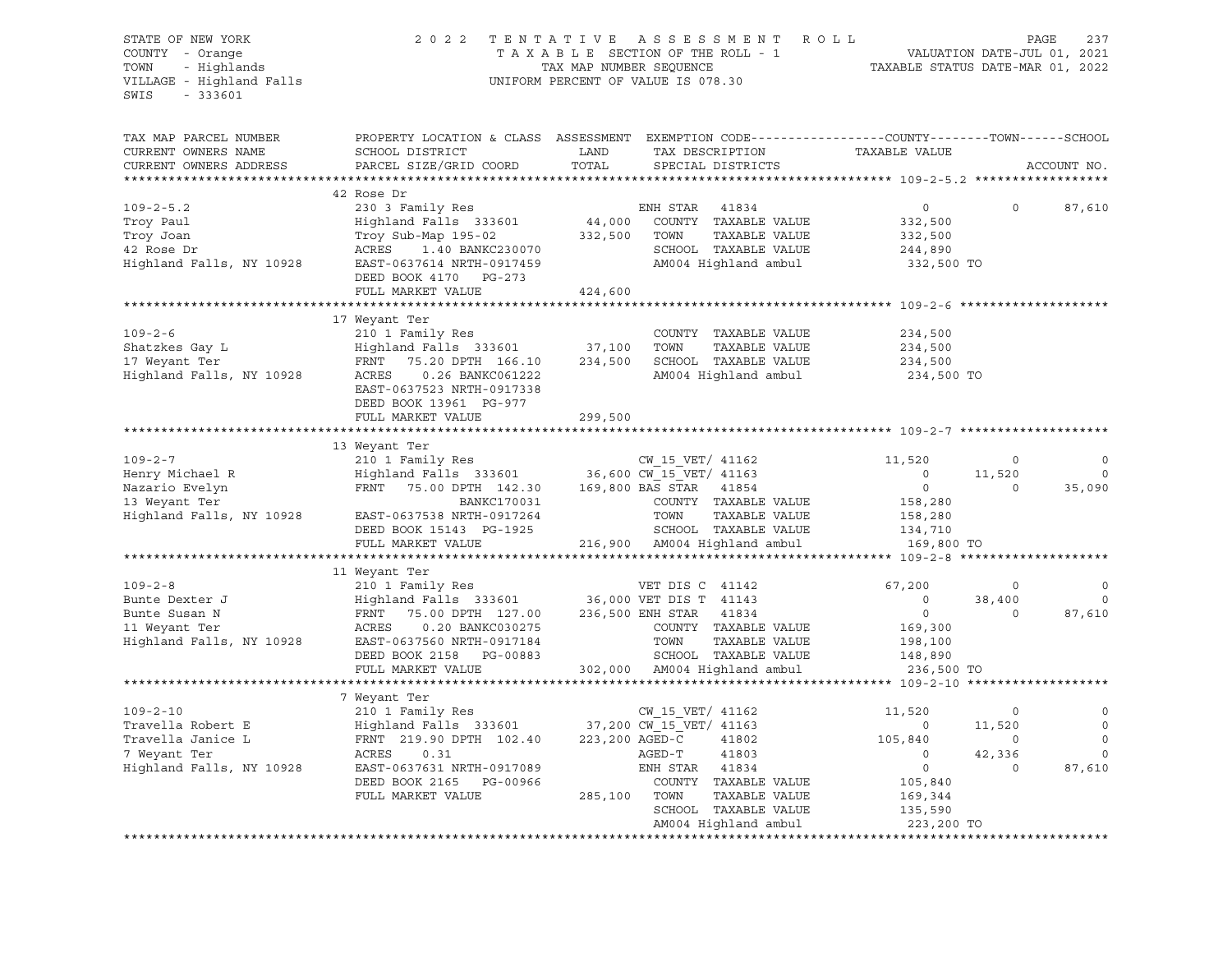| STATE OF NEW YORK<br>COUNTY - Orange<br>- Highlands<br>TOWN<br>VILLAGE - Highland Falls<br>$-333601$<br>SWIS | 2022 TENTATIVE<br>ASSESSMENT ROLL<br>TAXABLE SECTION OF THE ROLL - 1<br>TAX MAP NUMBER SEQUENCE<br>UNIFORM PERCENT OF VALUE IS 078.30                                                                                         |              |                                                                          | TAXABLE STATUS DATE-MAR 01, 2022 | VALUATION DATE-JUL 01, 2021 | PAGE<br>237 |
|--------------------------------------------------------------------------------------------------------------|-------------------------------------------------------------------------------------------------------------------------------------------------------------------------------------------------------------------------------|--------------|--------------------------------------------------------------------------|----------------------------------|-----------------------------|-------------|
| TAX MAP PARCEL NUMBER<br>CURRENT OWNERS NAME                                                                 | PROPERTY LOCATION & CLASS ASSESSMENT EXEMPTION CODE---------------COUNTY-------TOWN-----SCHOOL<br>SCHOOL DISTRICT                                                                                                             | LAND         | TAX DESCRIPTION                                                          | TAXABLE VALUE                    |                             |             |
| CURRENT OWNERS ADDRESS                                                                                       | PARCEL SIZE/GRID COORD                                                                                                                                                                                                        | TOTAL        | SPECIAL DISTRICTS                                                        |                                  |                             | ACCOUNT NO. |
|                                                                                                              |                                                                                                                                                                                                                               |              |                                                                          |                                  |                             |             |
|                                                                                                              | 42 Rose Dr                                                                                                                                                                                                                    |              |                                                                          |                                  |                             |             |
| $109 - 2 - 5.2$                                                                                              | 230 3 Family Res                                                                                                                                                                                                              |              | ENH STAR<br>41834<br>44,000 COUNTY TAXABLE VALUE                         | $\circ$                          | $\circ$                     | 87,610      |
| Troy Paul<br>Troy Joan                                                                                       | Highland Falls 333601<br>Troy Sub-Map 195-02                                                                                                                                                                                  | 332,500 TOWN | TAXABLE VALUE                                                            | 332,500<br>332,500               |                             |             |
| 42 Rose Dr                                                                                                   | ACRES 1.40 BANKC230070                                                                                                                                                                                                        |              | SCHOOL TAXABLE VALUE                                                     | 244,890                          |                             |             |
| Highland Falls, NY 10928                                                                                     | EAST-0637614 NRTH-0917459<br>DEED BOOK 4170 PG-273                                                                                                                                                                            |              | AM004 Highland ambul                                                     | 332,500 TO                       |                             |             |
|                                                                                                              | FULL MARKET VALUE                                                                                                                                                                                                             | 424,600      |                                                                          |                                  |                             |             |
|                                                                                                              |                                                                                                                                                                                                                               |              |                                                                          |                                  |                             |             |
|                                                                                                              | 17 Weyant Ter                                                                                                                                                                                                                 |              |                                                                          |                                  |                             |             |
| $109 - 2 - 6$                                                                                                | 210 1 Family Res                                                                                                                                                                                                              |              | COUNTY TAXABLE VALUE                                                     | 234,500                          |                             |             |
| Shatzkes Gay L                                                                                               | Highland Falls 333601 37,100 TOWN                                                                                                                                                                                             |              | TAXABLE VALUE                                                            | 234,500                          |                             |             |
| 17 Weyant Ter                                                                                                | FRNT<br>75.20 DPTH 166.10                                                                                                                                                                                                     |              | 234,500 SCHOOL TAXABLE VALUE                                             | 234,500                          |                             |             |
| Highland Falls, NY 10928                                                                                     | ACRES   0.26 BANKC061222<br>EAST-0637523 NRTH-0917338<br>DEED BOOK 13961 PG-977                                                                                                                                               |              | AM004 Highland ambul                                                     | 234,500 TO                       |                             |             |
|                                                                                                              | FULL MARKET VALUE                                                                                                                                                                                                             | 299,500      |                                                                          |                                  |                             |             |
|                                                                                                              |                                                                                                                                                                                                                               |              |                                                                          |                                  |                             |             |
|                                                                                                              | 13 Weyant Ter                                                                                                                                                                                                                 |              |                                                                          |                                  |                             |             |
| $109 - 2 - 7$                                                                                                |                                                                                                                                                                                                                               |              |                                                                          | 11,520                           | $\overline{0}$              | 0           |
| Henry Michael R                                                                                              |                                                                                                                                                                                                                               |              |                                                                          | $\sim$ 0                         | 11,520                      | $\mathbf 0$ |
| Nazario Evelyn<br>13 Weyant Ter                                                                              | FRNT 75.00 DPTH 142.30 169,800 BAS STAR 41854<br>BANKC170031                                                                                                                                                                  |              | COUNTY TAXABLE VALUE                                                     | $\overline{0}$<br>158,280        | $\Omega$                    | 35,090      |
| Highland Falls, NY 10928                                                                                     | EAST-0637538 NRTH-0917264                                                                                                                                                                                                     |              | TOWN<br>TAXABLE VALUE                                                    | 158,280                          |                             |             |
|                                                                                                              | DEED BOOK 15143 PG-1925                                                                                                                                                                                                       |              | SCHOOL TAXABLE VALUE                                                     | 134,710                          |                             |             |
|                                                                                                              | FULL MARKET VALUE                                                                                                                                                                                                             |              | 216,900 AM004 Highland ambul                                             | 169,800 TO                       |                             |             |
|                                                                                                              |                                                                                                                                                                                                                               |              |                                                                          |                                  |                             |             |
|                                                                                                              | 11 Weyant Ter                                                                                                                                                                                                                 |              |                                                                          |                                  |                             |             |
| $109 - 2 - 8$                                                                                                | 210 1 Family Res                                                                                                                                                                                                              |              | VET DIS C 41142                                                          | 67,200                           | $\circ$                     | $\circ$     |
| Bunte Dexter J                                                                                               | Highland Falls 333601 36,000 VET DIS T 41143<br>FRNT 75.00 DPTH 127.00 236,500 ENH STAR 41834                                                                                                                                 |              |                                                                          | $\overline{0}$                   | 38,400                      | $\circ$     |
| Bunte Susan N                                                                                                |                                                                                                                                                                                                                               |              |                                                                          | $\overline{0}$                   | $\circ$                     | 87,610      |
| 11 Weyant Ter                                                                                                | ACRES<br>0.20 BANKC030275                                                                                                                                                                                                     |              | COUNTY TAXABLE VALUE<br>TOWN     TAXABLE VALUE<br>SCHOOL   TAXABLE VALUE | 169,300                          |                             |             |
| Highland Falls, NY 10928                                                                                     | EAST-0637560 NRTH-0917184<br>DEED BOOK 2158 PG-00883                                                                                                                                                                          |              |                                                                          | 198,100<br>148,890               |                             |             |
|                                                                                                              | FULL MARKET VALUE                                                                                                                                                                                                             |              | 302,000 AM004 Highland ambul                                             | 236,500 TO                       |                             |             |
|                                                                                                              |                                                                                                                                                                                                                               |              |                                                                          |                                  |                             |             |
|                                                                                                              | 7 Weyant Ter                                                                                                                                                                                                                  |              |                                                                          |                                  |                             |             |
| $109 - 2 - 10$                                                                                               | 210 1 Family Res                                                                                                                                                                                                              |              | CW 15 VET/ 41162                                                         | 11,520                           | $\circ$                     | 0           |
| Travella Robert E                                                                                            |                                                                                                                                                                                                                               |              |                                                                          | $\sim$ 0                         | 11,520                      | $\circ$     |
| Travella Janice L                                                                                            | X10 1 Family Res<br>Highland Falls 333601 37,200 CW_15_VET/ 41163<br>FRNT 219.90 DPTH 102.40 223,200 AGED-C 41802<br>Highland Falls   333601                37,200 CW_15_V<br>FRNT   219.90 DPTH  102.40       223,200 AGED-C |              |                                                                          | 105,840                          | $\sim$ 0                    | $\mathbf 0$ |
| 7 Weyant Ter                                                                                                 | ACRES<br>0.31                                                                                                                                                                                                                 |              | 41803<br>AGED-T                                                          | $\overline{0}$                   | 42,336                      | $\mathbf 0$ |
| Highland Falls, NY 10928                                                                                     | EAST-0637631 NRTH-0917089                                                                                                                                                                                                     |              | ENH STAR 41834                                                           | $\overline{0}$                   | $\circ$                     | 87,610      |
|                                                                                                              | DEED BOOK 2165 PG-00966                                                                                                                                                                                                       |              | COUNTY TAXABLE VALUE                                                     | 105,840                          |                             |             |
|                                                                                                              | FULL MARKET VALUE                                                                                                                                                                                                             | 285,100 TOWN | TAXABLE VALUE                                                            | 169,344                          |                             |             |
|                                                                                                              |                                                                                                                                                                                                                               |              | SCHOOL TAXABLE VALUE                                                     | 135,590                          |                             |             |
|                                                                                                              |                                                                                                                                                                                                                               |              | AM004 Highland ambul                                                     | 223,200 TO                       |                             |             |
|                                                                                                              |                                                                                                                                                                                                                               |              |                                                                          |                                  |                             |             |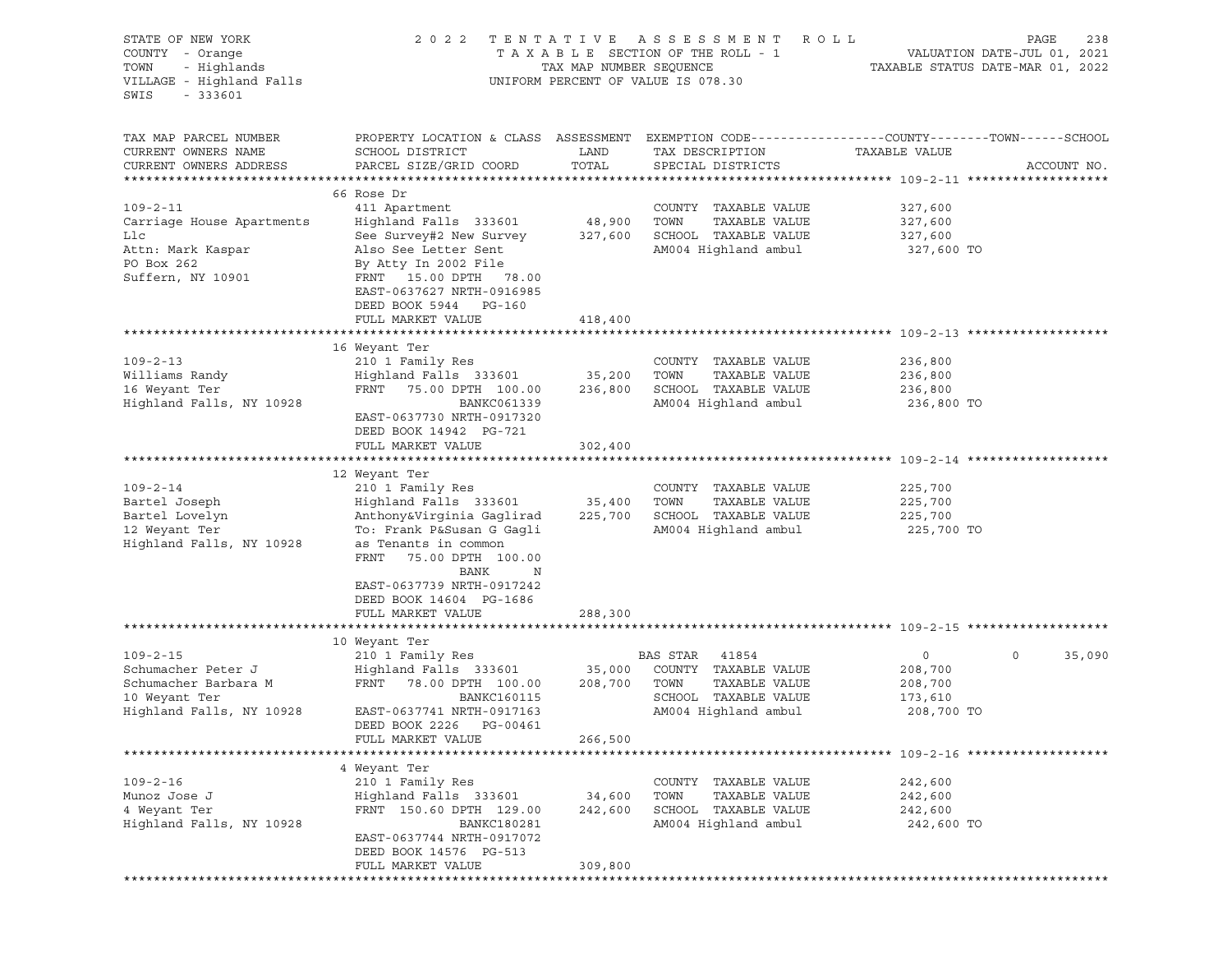| STATE OF NEW YORK<br>COUNTY - Orange<br>- Highlands<br>TOWN<br>VILLAGE - Highland Falls<br>$-333601$<br>SWIS | 2022                                                                                                               | TENTATIVE<br>TAX MAP NUMBER SEQUENCE | A S S E S S M E N T<br>R O L L<br>TAXABLE SECTION OF THE ROLL - 1<br>UNIFORM PERCENT OF VALUE IS 078.30 |                | PAGE<br>238<br>VALUATION DATE-JUL 01, 2021<br>TAXABLE STATUS DATE-MAR 01, 2022 |
|--------------------------------------------------------------------------------------------------------------|--------------------------------------------------------------------------------------------------------------------|--------------------------------------|---------------------------------------------------------------------------------------------------------|----------------|--------------------------------------------------------------------------------|
| TAX MAP PARCEL NUMBER<br>CURRENT OWNERS NAME                                                                 | PROPERTY LOCATION & CLASS ASSESSMENT EXEMPTION CODE----------------COUNTY-------TOWN-----SCHOOL<br>SCHOOL DISTRICT | LAND                                 | TAX DESCRIPTION                                                                                         | TAXABLE VALUE  |                                                                                |
| CURRENT OWNERS ADDRESS                                                                                       | PARCEL SIZE/GRID COORD                                                                                             | TOTAL                                | SPECIAL DISTRICTS                                                                                       |                | ACCOUNT NO.                                                                    |
|                                                                                                              | 66 Rose Dr                                                                                                         |                                      |                                                                                                         |                |                                                                                |
| $109 - 2 - 11$                                                                                               | 411 Apartment                                                                                                      |                                      | COUNTY TAXABLE VALUE                                                                                    | 327,600        |                                                                                |
| Carriage House Apartments                                                                                    | Highland Falls 333601 48,900                                                                                       |                                      | TAXABLE VALUE<br>TOWN                                                                                   | 327,600        |                                                                                |
| Llc                                                                                                          | See Survey#2 New Survey                                                                                            | 327,600                              | SCHOOL TAXABLE VALUE                                                                                    | 327,600        |                                                                                |
| Attn: Mark Kaspar                                                                                            | Also See Letter Sent                                                                                               |                                      | AM004 Highland ambul                                                                                    | 327,600 TO     |                                                                                |
| PO Box 262                                                                                                   | By Atty In 2002 File                                                                                               |                                      |                                                                                                         |                |                                                                                |
| Suffern, NY 10901                                                                                            | FRNT 15.00 DPTH<br>78.00                                                                                           |                                      |                                                                                                         |                |                                                                                |
|                                                                                                              | EAST-0637627 NRTH-0916985                                                                                          |                                      |                                                                                                         |                |                                                                                |
|                                                                                                              | DEED BOOK 5944 PG-160<br>FULL MARKET VALUE                                                                         | 418,400                              |                                                                                                         |                |                                                                                |
|                                                                                                              |                                                                                                                    |                                      |                                                                                                         |                |                                                                                |
|                                                                                                              | 16 Weyant Ter                                                                                                      |                                      |                                                                                                         |                |                                                                                |
| $109 - 2 - 13$                                                                                               | 210 1 Family Res                                                                                                   |                                      | COUNTY TAXABLE VALUE                                                                                    | 236,800        |                                                                                |
| Williams Randy                                                                                               | Highland Falls 333601                                                                                              | 35,200                               | TOWN<br>TAXABLE VALUE                                                                                   | 236,800        |                                                                                |
| 16 Weyant Ter                                                                                                | FRNT 75.00 DPTH 100.00                                                                                             | 236,800                              | SCHOOL TAXABLE VALUE                                                                                    | 236,800        |                                                                                |
| Highland Falls, NY 10928                                                                                     | BANKC061339                                                                                                        |                                      | AM004 Highland ambul                                                                                    | 236,800 TO     |                                                                                |
|                                                                                                              | EAST-0637730 NRTH-0917320<br>DEED BOOK 14942 PG-721                                                                |                                      |                                                                                                         |                |                                                                                |
|                                                                                                              | FULL MARKET VALUE                                                                                                  | 302,400                              |                                                                                                         |                |                                                                                |
|                                                                                                              |                                                                                                                    |                                      |                                                                                                         |                |                                                                                |
|                                                                                                              | 12 Weyant Ter                                                                                                      |                                      |                                                                                                         |                |                                                                                |
| $109 - 2 - 14$                                                                                               | 210 1 Family Res                                                                                                   |                                      | COUNTY TAXABLE VALUE                                                                                    | 225,700        |                                                                                |
| Bartel Joseph                                                                                                | Highland Falls 333601 35,400                                                                                       |                                      | TOWN<br>TAXABLE VALUE                                                                                   | 225,700        |                                                                                |
| Bartel Lovelyn                                                                                               | Anthony&Virginia Gaglirad                                                                                          | 225,700                              | SCHOOL TAXABLE VALUE                                                                                    | 225,700        |                                                                                |
| 12 Weyant Ter                                                                                                | To: Frank P&Susan G Gagli                                                                                          |                                      | AM004 Highland ambul                                                                                    | 225,700 TO     |                                                                                |
| Highland Falls, NY 10928                                                                                     | as Tenants in common<br>FRNT<br>75.00 DPTH 100.00<br>BANK<br>N                                                     |                                      |                                                                                                         |                |                                                                                |
|                                                                                                              | EAST-0637739 NRTH-0917242<br>DEED BOOK 14604 PG-1686                                                               |                                      |                                                                                                         |                |                                                                                |
|                                                                                                              | FULL MARKET VALUE                                                                                                  | 288,300                              |                                                                                                         |                |                                                                                |
|                                                                                                              |                                                                                                                    |                                      |                                                                                                         |                |                                                                                |
|                                                                                                              | 10 Weyant Ter                                                                                                      |                                      |                                                                                                         |                |                                                                                |
| $109 - 2 - 15$                                                                                               | 210 1 Family Res                                                                                                   |                                      | BAS STAR 41854                                                                                          | $\overline{0}$ | $\circ$<br>35,090                                                              |
| Schumacher Peter J                                                                                           | Highland Falls 333601 35,000                                                                                       |                                      | COUNTY TAXABLE VALUE                                                                                    | 208,700        |                                                                                |
| Schumacher Barbara M                                                                                         | FRNT<br>78.00 DPTH 100.00                                                                                          | 208,700                              | TOWN<br>TAXABLE VALUE                                                                                   | 208,700        |                                                                                |
| 10 Weyant Ter                                                                                                | <b>BANKC160115</b>                                                                                                 |                                      | SCHOOL TAXABLE VALUE                                                                                    | 173,610        |                                                                                |
| Highland Falls, NY 10928                                                                                     | EAST-0637741 NRTH-0917163<br>DEED BOOK 2226                                                                        |                                      | AM004 Highland ambul                                                                                    | 208,700 TO     |                                                                                |
|                                                                                                              | PG-00461<br>FULL MARKET VALUE                                                                                      | 266,500                              |                                                                                                         |                |                                                                                |
|                                                                                                              |                                                                                                                    |                                      |                                                                                                         |                |                                                                                |
|                                                                                                              | 4 Weyant Ter                                                                                                       |                                      |                                                                                                         |                |                                                                                |
| $109 - 2 - 16$                                                                                               | 210 1 Family Res                                                                                                   |                                      | COUNTY<br>TAXABLE VALUE                                                                                 | 242,600        |                                                                                |
| Munoz Jose J                                                                                                 | Highland Falls 333601                                                                                              | 34,600                               | TOWN<br>TAXABLE VALUE                                                                                   | 242,600        |                                                                                |
| 4 Weyant Ter                                                                                                 | FRNT 150.60 DPTH 129.00                                                                                            | 242,600                              | SCHOOL<br>TAXABLE VALUE                                                                                 | 242,600        |                                                                                |
| Highland Falls, NY 10928                                                                                     | BANKC180281<br>EAST-0637744 NRTH-0917072                                                                           |                                      | AM004 Highland ambul                                                                                    | 242,600 TO     |                                                                                |
|                                                                                                              | DEED BOOK 14576 PG-513                                                                                             |                                      |                                                                                                         |                |                                                                                |
|                                                                                                              | FULL MARKET VALUE                                                                                                  | 309,800                              |                                                                                                         |                |                                                                                |
|                                                                                                              |                                                                                                                    |                                      |                                                                                                         |                |                                                                                |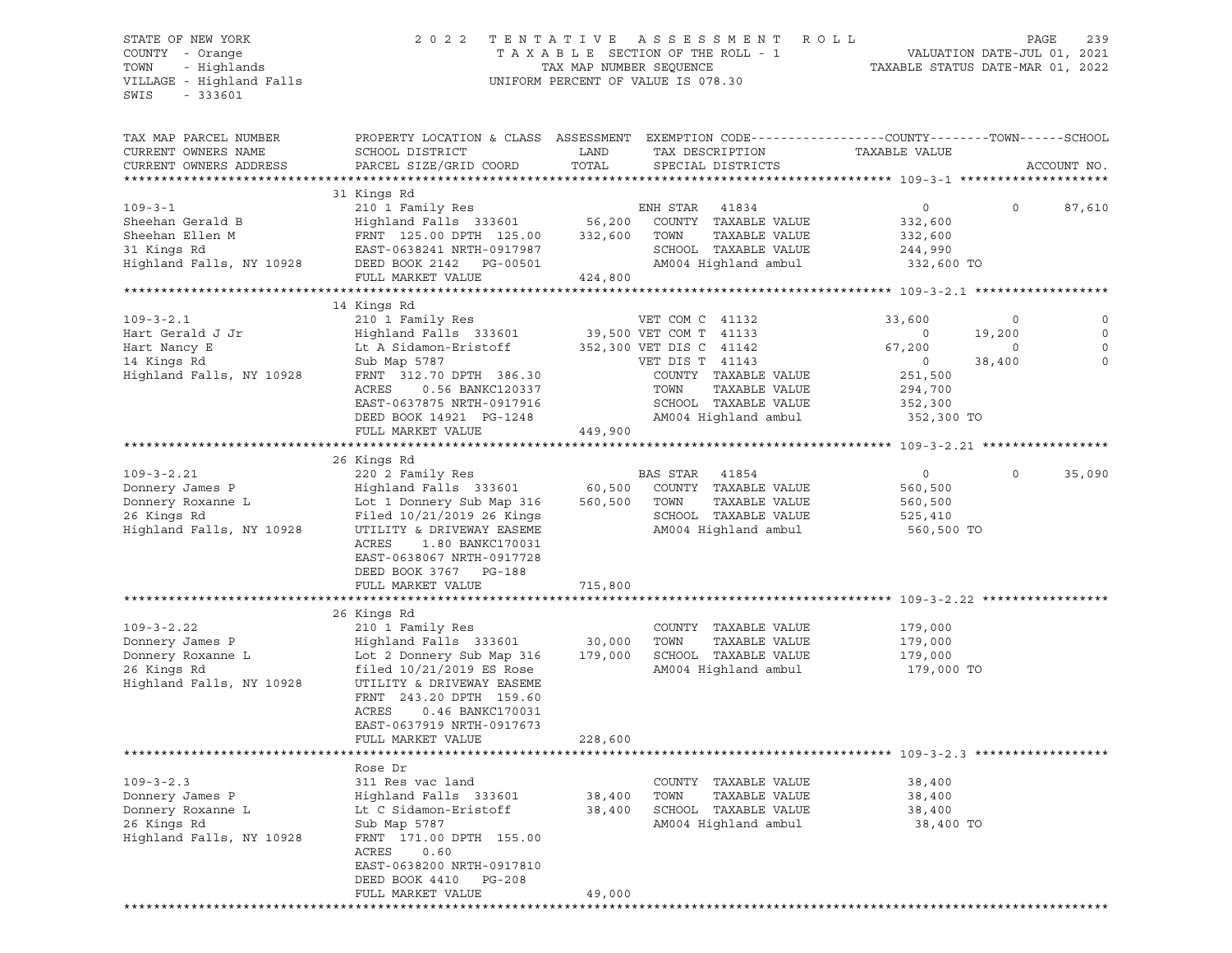VILLAGE - Highland Falls UNIFORM PERCENT OF VALUE IS 078.30 SWIS - 333601

## STATE OF NEW YORK 2 0 2 2 T E N T A T I V E A S S E S S M E N T R O L L PAGE 239 COUNTY - Orange T A X A B L E SECTION OF THE ROLL - 1 VALUATION DATE-JUL 01, 2021 TOWN - Highlands TAX MAP NUMBER SEQUENCE TAXABLE STATUS DATE-MAR 01, 2022

| TAX MAP PARCEL NUMBER                  | PROPERTY LOCATION & CLASS ASSESSMENT                     |            | EXEMPTION CODE-----------------COUNTY-------TOWN------SCHOOL |                |             |             |
|----------------------------------------|----------------------------------------------------------|------------|--------------------------------------------------------------|----------------|-------------|-------------|
| CURRENT OWNERS NAME                    | SCHOOL DISTRICT                                          | LAND       | TAX DESCRIPTION                                              | TAXABLE VALUE  |             |             |
| CURRENT OWNERS ADDRESS                 | PARCEL SIZE/GRID COORD                                   | TOTAL      | SPECIAL DISTRICTS                                            |                |             | ACCOUNT NO. |
| **************************             |                                                          |            |                                                              |                |             |             |
|                                        | 31 Kings Rd                                              |            |                                                              |                |             |             |
| $109 - 3 - 1$                          | 210 1 Family Res                                         |            | ENH STAR<br>41834                                            | $\circ$        | $\mathbf 0$ | 87,610      |
| Sheehan Gerald B                       | Highland Falls 333601                                    | 56,200     | COUNTY TAXABLE VALUE                                         | 332,600        |             |             |
| Sheehan Ellen M                        | FRNT 125.00 DPTH 125.00                                  | 332,600    | TOWN<br>TAXABLE VALUE                                        | 332,600        |             |             |
| 31 Kings Rd                            | EAST-0638241 NRTH-0917987                                |            | SCHOOL TAXABLE VALUE                                         | 244,990        |             |             |
| Highland Falls, NY 10928               | DEED BOOK 2142 PG-00501                                  |            | AM004 Highland ambul                                         | 332,600 TO     |             |             |
|                                        | FULL MARKET VALUE                                        | 424,800    |                                                              |                |             |             |
|                                        |                                                          |            |                                                              |                |             |             |
|                                        | 14 Kings Rd                                              |            |                                                              |                |             |             |
| $109 - 3 - 2.1$                        | 210 1 Family Res                                         |            | VET COM C 41132                                              | 33,600         | 0           | $\Omega$    |
| Hart Gerald J Jr                       | Highland Falls 333601                                    |            | 39,500 VET COM T 41133                                       | $\overline{0}$ | 19,200      | $\Omega$    |
| Hart Nancy E                           | Lt A Sidamon-Eristoff                                    |            | 352,300 VET DIS C 41142                                      | 67,200         | $\circ$     |             |
| 14 Kings Rd                            | Sub Map 5787                                             |            | VET DIS T 41143                                              | $\overline{0}$ | 38,400      | $\mathbf 0$ |
| Highland Falls, NY 10928               | FRNT 312.70 DPTH 386.30                                  |            | COUNTY TAXABLE VALUE                                         | 251,500        |             |             |
|                                        | ACRES<br>0.56 BANKC120337                                |            | TAXABLE VALUE<br>TOWN                                        | 294,700        |             |             |
|                                        | EAST-0637875 NRTH-0917916                                |            | SCHOOL TAXABLE VALUE                                         | 352,300        |             |             |
|                                        | DEED BOOK 14921 PG-1248                                  |            | AM004 Highland ambul                                         | 352,300 TO     |             |             |
|                                        | FULL MARKET VALUE                                        | 449,900    |                                                              |                |             |             |
|                                        |                                                          |            |                                                              |                |             |             |
|                                        | 26 Kings Rd                                              |            |                                                              |                |             |             |
| $109 - 3 - 2.21$                       | 220 2 Family Res                                         |            | BAS STAR 41854                                               | $\circ$        | 0           | 35,090      |
| Donnery James P                        | Highland Falls 333601                                    | 60,500     | COUNTY TAXABLE VALUE                                         | 560,500        |             |             |
| Donnery Roxanne L<br>Donnery Roxanne L | Lot 1 Donnery Sub Map 316                                |            | 560,500 TOWN<br>TAXABLE VALUE                                | 560,500        |             |             |
|                                        | Filed 10/21/2019 26 Kings                                |            | SCHOOL TAXABLE VALUE                                         | 525,410        |             |             |
| Highland Falls, NY 10928               | UTILITY & DRIVEWAY EASEME                                |            | AM004 Highland ambul                                         | 560,500 TO     |             |             |
|                                        | ACRES<br>1.80 BANKC170031                                |            |                                                              |                |             |             |
|                                        | EAST-0638067 NRTH-0917728                                |            |                                                              |                |             |             |
|                                        | DEED BOOK 3767 PG-188                                    |            |                                                              |                |             |             |
|                                        | FULL MARKET VALUE                                        | 715,800    |                                                              |                |             |             |
|                                        |                                                          | ********** | ***************************** 109-3-2.22 *********           |                |             |             |
|                                        | 26 Kings Rd                                              |            |                                                              |                |             |             |
| $109 - 3 - 2.22$                       | 210 1 Family Res                                         |            | COUNTY TAXABLE VALUE                                         | 179,000        |             |             |
| Donnery James P                        | Highland Falls 333601                                    | 30,000     | TOWN<br>TAXABLE VALUE                                        | 179,000        |             |             |
| Donnery Roxanne L                      | Lot 2 Donnery Sub Map 316                                | 179,000    | SCHOOL TAXABLE VALUE                                         | 179,000        |             |             |
| 26 Kings Rd                            | filed $10/21/2019$ ES Rose                               |            | AM004 Highland ambul                                         | 179,000 TO     |             |             |
| Highland Falls, NY 10928               | UTILITY & DRIVEWAY EASEME                                |            |                                                              |                |             |             |
|                                        | FRNT 243.20 DPTH 159.60                                  |            |                                                              |                |             |             |
|                                        | ACRES   0.46 BANKC170031                                 |            |                                                              |                |             |             |
|                                        | EAST-0637919 NRTH-0917673                                |            |                                                              |                |             |             |
|                                        | FULL MARKET VALUE                                        | 228,600    |                                                              |                |             |             |
|                                        |                                                          |            |                                                              |                |             |             |
|                                        | Rose Dr                                                  |            |                                                              |                |             |             |
| $109 - 3 - 2.3$                        | 311 Res vac land                                         |            | COUNTY TAXABLE VALUE                                         | 38,400         |             |             |
| Donnery James P                        | Highland Falls 333601                                    | 38,400     | TOWN<br>TAXABLE VALUE                                        | 38,400         |             |             |
| Donnery Roxanne L                      | Lt C Sidamon-Eristoff                                    |            | 38,400 SCHOOL TAXABLE VALUE                                  | 38,400         |             |             |
| 26 Kings Rd                            | Sub Map 5787                                             |            | AM004 Highland ambul                                         | 38,400 TO      |             |             |
| Highland Falls, NY 10928               | FRNT 171.00 DPTH 155.00                                  |            |                                                              |                |             |             |
|                                        | ACRES<br>0.60                                            |            |                                                              |                |             |             |
|                                        | EAST-0638200 NRTH-0917810                                |            |                                                              |                |             |             |
|                                        | DEED BOOK 4410<br>PG-208                                 |            |                                                              |                |             |             |
|                                        | FULL MARKET VALUE<br>*********************************** | 49,000     |                                                              |                |             |             |
|                                        |                                                          |            |                                                              |                |             |             |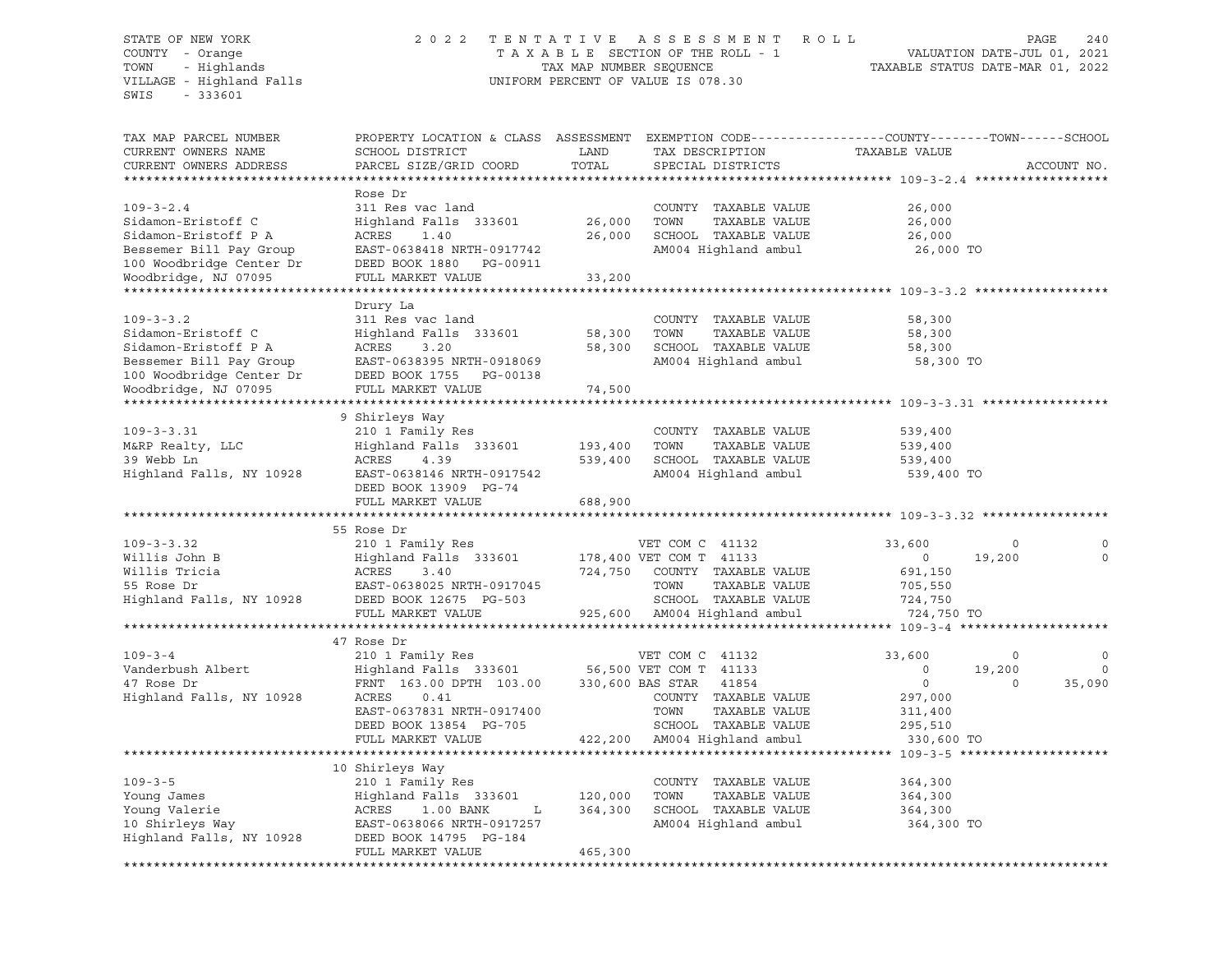### STATE OF NEW YORK 2 0 2 2 T E N T A T I V E A S S E S S M E N T R O L L PAGE 240 COUNTY - Orange T A X A B L E SECTION OF THE ROLL - 1 VALUATION DATE-JUL 01, 2021 TOWN - Highlands TAX MAP NUMBER SEQUENCE TAXABLE STATUS DATE-MAR 01, 2022 VILLAGE - Highland Falls UNIFORM PERCENT OF VALUE IS 078.30

| TAX MAP PARCEL NUMBER<br>CURRENT OWNERS NAME<br>CURRENT OWNERS ADDRESS                   | PROPERTY LOCATION & CLASS ASSESSMENT<br>SCHOOL DISTRICT<br>PARCEL SIZE/GRID COORD                   | LAND<br>TOTAL      | EXEMPTION CODE-----------------COUNTY-------TOWN------SCHOOL<br>TAX DESCRIPTION<br>SPECIAL DISTRICTS | TAXABLE VALUE                           |         | ACCOUNT NO. |
|------------------------------------------------------------------------------------------|-----------------------------------------------------------------------------------------------------|--------------------|------------------------------------------------------------------------------------------------------|-----------------------------------------|---------|-------------|
| ************************                                                                 |                                                                                                     |                    |                                                                                                      |                                         |         |             |
| $109 - 3 - 2.4$<br>Sidamon-Eristoff C                                                    | Rose Dr<br>311 Res vac land<br>Highland Falls 333601                                                | 26,000             | COUNTY TAXABLE VALUE<br>TOWN<br>TAXABLE VALUE                                                        | 26,000<br>26,000                        |         |             |
| Sidamon-Eristoff P A<br>Bessemer Bill Pay Group<br>100 Woodbridge Center Dr              | ACRES<br>1.40<br>EAST-0638418 NRTH-0917742<br>DEED BOOK 1880 PG-00911                               | 26,000             | SCHOOL TAXABLE VALUE<br>AM004 Highland ambul                                                         | 26,000<br>26,000 TO                     |         |             |
| Woodbridge, NJ 07095                                                                     | FULL MARKET VALUE                                                                                   | 33,200             |                                                                                                      |                                         |         |             |
|                                                                                          |                                                                                                     |                    |                                                                                                      |                                         |         |             |
| $109 - 3 - 3.2$<br>Sidamon-Eristoff C<br>Sidamon-Eristoff P A<br>Bessemer Bill Pay Group | Drury La<br>311 Res vac land<br>Highland Falls 333601<br>ACRES<br>3.20<br>EAST-0638395 NRTH-0918069 | 58,300<br>58,300   | COUNTY TAXABLE VALUE<br>TOWN<br>TAXABLE VALUE<br>SCHOOL TAXABLE VALUE<br>AM004 Highland ambul        | 58,300<br>58,300<br>58,300<br>58,300 TO |         |             |
| 100 Woodbridge Center Dr                                                                 | DEED BOOK 1755 PG-00138                                                                             |                    |                                                                                                      |                                         |         |             |
| Woodbridge, NJ 07095                                                                     | FULL MARKET VALUE                                                                                   | 74,500             |                                                                                                      |                                         |         |             |
|                                                                                          | 9 Shirleys Way                                                                                      |                    |                                                                                                      |                                         |         |             |
| $109 - 3 - 3.31$                                                                         | 210 1 Family Res                                                                                    |                    | COUNTY TAXABLE VALUE                                                                                 | 539,400                                 |         |             |
| M&RP Realty, LLC                                                                         | Highland Falls 333601                                                                               | 193,400<br>539,400 | TOWN<br>TAXABLE VALUE<br>SCHOOL TAXABLE VALUE                                                        | 539,400                                 |         |             |
| 39 Webb Ln                                                                               | ACRES<br>4.39                                                                                       |                    |                                                                                                      | 539,400                                 |         |             |
| Highland Falls, NY 10928                                                                 | EAST-0638146 NRTH-0917542<br>DEED BOOK 13909 PG-74<br>FULL MARKET VALUE                             | 688,900            | AM004 Highland ambul                                                                                 | 539,400 TO                              |         |             |
|                                                                                          | *******************************                                                                     |                    |                                                                                                      |                                         |         |             |
|                                                                                          | 55 Rose Dr                                                                                          |                    |                                                                                                      |                                         |         |             |
| $109 - 3 - 3.32$                                                                         | 210 1 Family Res                                                                                    |                    | VET COM C 41132                                                                                      | 33,600                                  | $\circ$ |             |
| Willis John B                                                                            | Highland Falls 333601                                                                               |                    | 178,400 VET COM T 41133                                                                              | $\overline{0}$                          | 19,200  | $\mathbf 0$ |
| Willis Tricia                                                                            | ACRES<br>3.40                                                                                       | 724,750            | COUNTY TAXABLE VALUE                                                                                 | 691,150                                 |         |             |
| 55 Rose Dr                                                                               | EAST-0638025 NRTH-0917045                                                                           |                    | TOWN<br>TAXABLE VALUE                                                                                | 705,550                                 |         |             |
| Highland Falls, NY 10928                                                                 | DEED BOOK 12675 PG-503                                                                              |                    | SCHOOL TAXABLE VALUE                                                                                 | 724,750                                 |         |             |
|                                                                                          | FULL MARKET VALUE                                                                                   |                    | 925,600 AM004 Highland ambul                                                                         | 724,750 TO                              |         |             |
|                                                                                          |                                                                                                     |                    |                                                                                                      |                                         |         |             |
|                                                                                          | 47 Rose Dr                                                                                          |                    |                                                                                                      |                                         |         |             |
| $109 - 3 - 4$                                                                            | 210 1 Family Res                                                                                    |                    | VET COM C 41132                                                                                      | 33,600                                  | 0       | 0           |
| Vanderbush Albert                                                                        | Highland Falls 333601                                                                               |                    | 56,500 VET COM T 41133                                                                               | $\circ$                                 | 19,200  | $\mathbf 0$ |
| 47 Rose Dr                                                                               | FRNT 163.00 DPTH 103.00 330,600 BAS STAR                                                            |                    | 41854                                                                                                | $\overline{0}$                          | $\circ$ | 35,090      |
| Highland Falls, NY 10928                                                                 | ACRES<br>0.41                                                                                       |                    | COUNTY TAXABLE VALUE                                                                                 | 297,000                                 |         |             |
|                                                                                          | EAST-0637831 NRTH-0917400                                                                           |                    | TOWN<br>TAXABLE VALUE                                                                                | 311,400                                 |         |             |
|                                                                                          | DEED BOOK 13854 PG-705                                                                              |                    | SCHOOL TAXABLE VALUE                                                                                 | 295,510                                 |         |             |
|                                                                                          | FULL MARKET VALUE                                                                                   |                    | 422,200 AM004 Highland ambul                                                                         | 330,600 TO                              |         |             |
|                                                                                          |                                                                                                     |                    |                                                                                                      |                                         |         |             |
|                                                                                          | 10 Shirleys Way                                                                                     |                    |                                                                                                      |                                         |         |             |
| $109 - 3 - 5$                                                                            | 210 1 Family Res                                                                                    |                    | COUNTY TAXABLE VALUE                                                                                 | 364,300                                 |         |             |
| Young James                                                                              | Highland Falls 333601                                                                               | 120,000            | TOWN<br>TAXABLE VALUE                                                                                | 364,300                                 |         |             |
| Young Valerie                                                                            | ACRES<br>1.00 BANK<br>L                                                                             | 364,300            | SCHOOL TAXABLE VALUE                                                                                 | 364,300                                 |         |             |
| 10 Shirleys Way                                                                          | EAST-0638066 NRTH-0917257                                                                           |                    | AM004 Highland ambul                                                                                 | 364,300 TO                              |         |             |
| Highland Falls, NY 10928                                                                 | DEED BOOK 14795 PG-184                                                                              |                    |                                                                                                      |                                         |         |             |
|                                                                                          | FULL MARKET VALUE                                                                                   | 465,300            |                                                                                                      |                                         |         |             |
|                                                                                          |                                                                                                     |                    |                                                                                                      |                                         |         |             |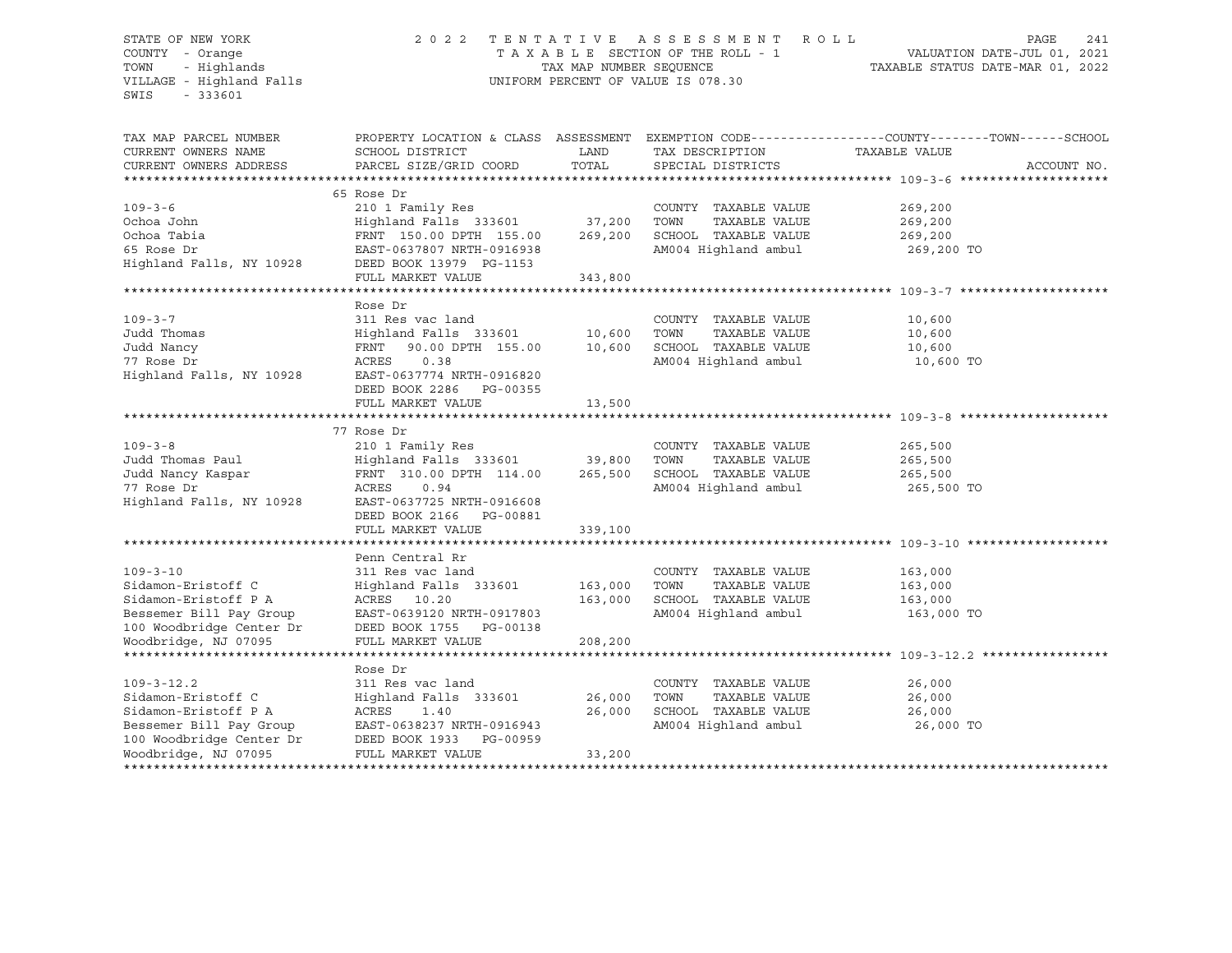### STATE OF NEW YORK 2 0 2 2 T E N T A T I V E A S S E S S M E N T R O L L PAGE 241 COUNTY - Orange T A X A B L E SECTION OF THE ROLL - 1 VALUATION DATE-JUL 01, 2021 TOWN - Highlands TAX MAP NUMBER SEQUENCE TAXABLE STATUS DATE-MAR 01, 2022 VILLAGE - Highland Falls UNIFORM PERCENT OF VALUE IS 078.30

| EXEMPTION CODE-----------------COUNTY-------TOWN------SCHOOL<br>TAX MAP PARCEL NUMBER<br>PROPERTY LOCATION & CLASS ASSESSMENT<br>CURRENT OWNERS NAME<br>SCHOOL DISTRICT<br>LAND<br>TAX DESCRIPTION<br>TAXABLE VALUE<br>TOTAL<br>PARCEL SIZE/GRID COORD<br>SPECIAL DISTRICTS<br>CURRENT OWNERS ADDRESS | ACCOUNT NO. |
|-------------------------------------------------------------------------------------------------------------------------------------------------------------------------------------------------------------------------------------------------------------------------------------------------------|-------------|
|                                                                                                                                                                                                                                                                                                       |             |
| 65 Rose Dr                                                                                                                                                                                                                                                                                            |             |
| $109 - 3 - 6$<br>210 1 Family Res<br>COUNTY TAXABLE VALUE<br>269,200                                                                                                                                                                                                                                  |             |
| 37,200<br>Ochoa John<br>Highland Falls 333601<br>TOWN<br>TAXABLE VALUE<br>269,200                                                                                                                                                                                                                     |             |
| Ochoa Tabia<br>269,200<br>SCHOOL TAXABLE VALUE<br>FRNT 150.00 DPTH 155.00<br>269,200                                                                                                                                                                                                                  |             |
| 65 Rose Dr<br>EAST-0637807 NRTH-0916938<br>AM004 Highland ambul<br>269,200 TO                                                                                                                                                                                                                         |             |
| Highland Falls, NY 10928<br>DEED BOOK 13979 PG-1153                                                                                                                                                                                                                                                   |             |
| 343,800<br>FULL MARKET VALUE                                                                                                                                                                                                                                                                          |             |
|                                                                                                                                                                                                                                                                                                       |             |
| Rose Dr                                                                                                                                                                                                                                                                                               |             |
| $109 - 3 - 7$<br>311 Res vac land<br>COUNTY TAXABLE VALUE<br>10,600                                                                                                                                                                                                                                   |             |
| Judd Thomas<br>10,600<br>TOWN<br>Highland Falls 333601<br>TAXABLE VALUE<br>10,600                                                                                                                                                                                                                     |             |
| Judd Nancy<br>FRNT 90.00 DPTH 155.00<br>10,600<br>SCHOOL TAXABLE VALUE<br>10,600                                                                                                                                                                                                                      |             |
| 77 Rose Dr<br>0.38<br>AM004 Highland ambul<br>ACRES<br>10,600 TO                                                                                                                                                                                                                                      |             |
| Highland Falls, NY 10928<br>EAST-0637774 NRTH-0916820                                                                                                                                                                                                                                                 |             |
| DEED BOOK 2286 PG-00355                                                                                                                                                                                                                                                                               |             |
| FULL MARKET VALUE<br>13,500                                                                                                                                                                                                                                                                           |             |
|                                                                                                                                                                                                                                                                                                       |             |
| 77 Rose Dr                                                                                                                                                                                                                                                                                            |             |
| $109 - 3 - 8$<br>210 1 Family Res<br>COUNTY TAXABLE VALUE<br>265,500                                                                                                                                                                                                                                  |             |
| Judd Thomas Paul<br>Highland Falls 333601<br>39,800<br>TOWN<br>TAXABLE VALUE<br>265,500                                                                                                                                                                                                               |             |
| 265,500<br>SCHOOL TAXABLE VALUE<br>Judd Nancy Kaspar<br>FRNT 310.00 DPTH 114.00<br>265,500                                                                                                                                                                                                            |             |
| AM004 Highland ambul<br>77 Rose Dr<br>ACRES<br>0.94<br>265,500 TO                                                                                                                                                                                                                                     |             |
| Highland Falls, NY 10928<br>EAST-0637725 NRTH-0916608                                                                                                                                                                                                                                                 |             |
| DEED BOOK 2166<br>PG-00881                                                                                                                                                                                                                                                                            |             |
| FULL MARKET VALUE<br>339,100                                                                                                                                                                                                                                                                          |             |
|                                                                                                                                                                                                                                                                                                       |             |
| Penn Central Rr                                                                                                                                                                                                                                                                                       |             |
| $109 - 3 - 10$<br>311 Res vac land<br>COUNTY TAXABLE VALUE<br>163,000                                                                                                                                                                                                                                 |             |
| Sidamon-Eristoff C<br>163,000<br>TOWN<br>TAXABLE VALUE<br>163,000                                                                                                                                                                                                                                     |             |
| Highland Falls 333601<br>Sidamon-Eristoff P A<br>ACRES 10.20<br>163,000<br>SCHOOL TAXABLE VALUE                                                                                                                                                                                                       |             |
| 163,000                                                                                                                                                                                                                                                                                               |             |
| AM004 Highland ambul<br>Bessemer Bill Pay Group<br>EAST-0639120 NRTH-0917803<br>163,000 TO                                                                                                                                                                                                            |             |
| 100 Woodbridge Center Dr<br>DEED BOOK 1755 PG-00138                                                                                                                                                                                                                                                   |             |
| Woodbridge, NJ 07095<br>208,200<br>FULL MARKET VALUE                                                                                                                                                                                                                                                  |             |
|                                                                                                                                                                                                                                                                                                       |             |
| Rose Dr                                                                                                                                                                                                                                                                                               |             |
| $109 - 3 - 12.2$<br>311 Res vac land<br>COUNTY TAXABLE VALUE<br>26,000                                                                                                                                                                                                                                |             |
| Sidamon-Eristoff C<br>26,000<br>Highland Falls 333601<br>26,000<br>TOWN<br>TAXABLE VALUE                                                                                                                                                                                                              |             |
| SCHOOL TAXABLE VALUE<br>Sidamon-Eristoff P A<br>ACRES<br>26,000<br>26,000<br>1.40                                                                                                                                                                                                                     |             |
| AM004 Highland ambul<br>Bessemer Bill Pay Group<br>EAST-0638237 NRTH-0916943<br>26,000 TO                                                                                                                                                                                                             |             |
| 100 Woodbridge Center Dr<br>DEED BOOK 1933<br>PG-00959                                                                                                                                                                                                                                                |             |
| Woodbridge, NJ 07095<br>FULL MARKET VALUE<br>33,200                                                                                                                                                                                                                                                   |             |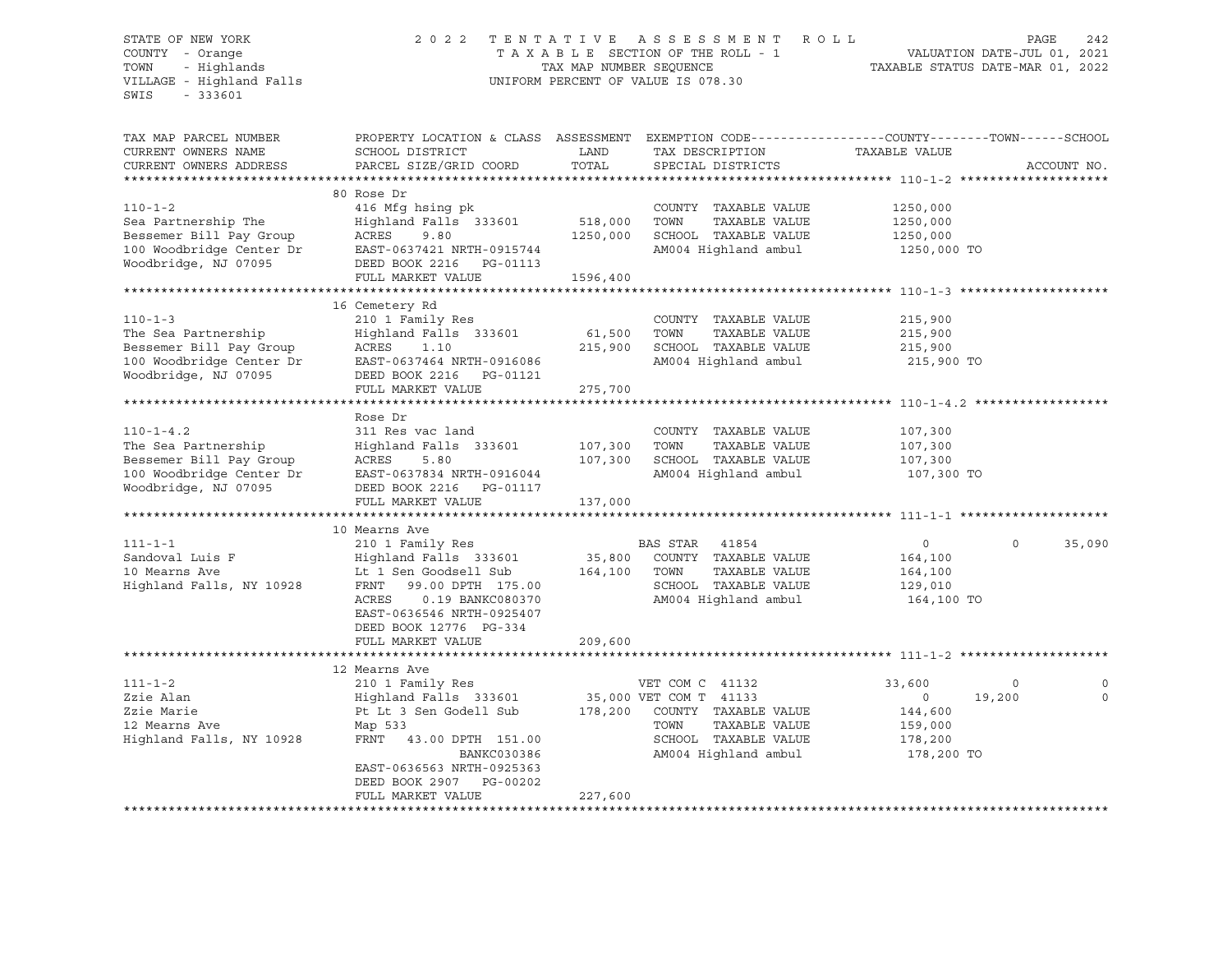### STATE OF NEW YORK 2 0 2 2 T E N T A T I V E A S S E S S M E N T R O L L PAGE 242 COUNTY - Orange T A X A B L E SECTION OF THE ROLL - 1 VALUATION DATE-JUL 01, 2021 TRIF OF NEW YORK A SERISM ENGLY THE ROLL STATE OF NEW YORK A SAMPLINE TAXABLE SECTION OF THE ROLL TOWN - Orange TAXABLE TAXABLE SECTION OF THE ROLL - 1 TOWN - Highlands TAXABLE STATUS DATE-MAR 01, 2022<br>TOWN - Highlands TAX UNIFORM PERCENT OF VALUE IS 078.30

TAX MAP PARCEL NUMBER PROPERTY LOCATION & CLASS ASSESSMENT EXEMPTION CODE----------------COUNTY-------TOWN-----SCHOOL CURRENT OWNERS NAME SCHOOL DISTRICT LAND TAX DESCRIPTION TAXABLE VALUE CURRENT OWNERS ADDRESS PARCEL SIZE/GRID COORD TOTAL SPECIAL DISTRICTS ACCOUNT NO. \*\*\*\*\*\*\*\*\*\*\*\*\*\*\*\*\*\*\*\*\*\*\*\*\*\*\*\*\*\*\*\*\*\*\*\*\*\*\*\*\*\*\*\*\*\*\*\*\*\*\*\*\*\*\*\*\*\*\*\*\*\*\*\*\*\*\*\*\*\*\*\*\*\*\*\*\*\*\*\*\*\*\*\*\*\*\*\*\*\*\*\*\*\*\*\*\*\*\*\*\*\*\* 110-1-2 \*\*\*\*\*\*\*\*\*\*\*\*\*\*\*\*\*\*\*\* 80 Rose Dr 110-1-2 416 Mfg hsing pk COUNTY TAXABLE VALUE 1250,000 Sea Partnership The Highland Falls 333601 518,000 TOWN TAXABLE VALUE 1250,000 Bessemer Bill Pay Group ACRES 9.80 1250,000 SCHOOL TAXABLE VALUE 1250,000 100 Woodbridge Center Dr EAST-0637421 NRTH-0915744 AM004 Highland ambul 1250,000 TO Woodbridge, NJ 07095 DEED BOOK 2216 PG-01113 FULL MARKET VALUE 1596,400 \*\*\*\*\*\*\*\*\*\*\*\*\*\*\*\*\*\*\*\*\*\*\*\*\*\*\*\*\*\*\*\*\*\*\*\*\*\*\*\*\*\*\*\*\*\*\*\*\*\*\*\*\*\*\*\*\*\*\*\*\*\*\*\*\*\*\*\*\*\*\*\*\*\*\*\*\*\*\*\*\*\*\*\*\*\*\*\*\*\*\*\*\*\*\*\*\*\*\*\*\*\*\* 110-1-3 \*\*\*\*\*\*\*\*\*\*\*\*\*\*\*\*\*\*\*\* 16 Cemetery Rd 110-1-3 210 1 Family Res COUNTY TAXABLE VALUE 215,900 The Sea Partnership Highland Falls 333601 61,500 TOWN TAXABLE VALUE 215,900 Bessemer Bill Pay Group ACRES 1.10 215,900 SCHOOL TAXABLE VALUE 215,900 100 Woodbridge Center Dr EAST-0637464 NRTH-0916086 AM004 Highland ambul 215,900 TO Woodbridge, NJ 07095 DEED BOOK 2216 PG-01121 FULL MARKET VALUE 275,700 \*\*\*\*\*\*\*\*\*\*\*\*\*\*\*\*\*\*\*\*\*\*\*\*\*\*\*\*\*\*\*\*\*\*\*\*\*\*\*\*\*\*\*\*\*\*\*\*\*\*\*\*\*\*\*\*\*\*\*\*\*\*\*\*\*\*\*\*\*\*\*\*\*\*\*\*\*\*\*\*\*\*\*\*\*\*\*\*\*\*\*\*\*\*\*\*\*\*\*\*\*\*\* 110-1-4.2 \*\*\*\*\*\*\*\*\*\*\*\*\*\*\*\*\*\* Rose Dr 110-1-4.2 311 Res vac land COUNTY TAXABLE VALUE 107,300 The Sea Partnership Highland Falls 333601 107,300 TOWN TAXABLE VALUE 107,300 Bessemer Bill Pay Group ACRES 5.80 107,300 SCHOOL TAXABLE VALUE 107,300 100 Woodbridge Center Dr EAST-0637834 NRTH-0916044 AM004 Highland ambul 107,300 TO Woodbridge, NJ 07095 DEED BOOK 2216 PG-01117 FULL MARKET VALUE 137,000 \*\*\*\*\*\*\*\*\*\*\*\*\*\*\*\*\*\*\*\*\*\*\*\*\*\*\*\*\*\*\*\*\*\*\*\*\*\*\*\*\*\*\*\*\*\*\*\*\*\*\*\*\*\*\*\*\*\*\*\*\*\*\*\*\*\*\*\*\*\*\*\*\*\*\*\*\*\*\*\*\*\*\*\*\*\*\*\*\*\*\*\*\*\*\*\*\*\*\*\*\*\*\* 111-1-1 \*\*\*\*\*\*\*\*\*\*\*\*\*\*\*\*\*\*\*\* 10 Mearns Ave 111-1-1 210 1 Family Res BAS STAR 41854 0 0 35,090 Sandoval Luis F Highland Falls 333601 35,800 COUNTY TAXABLE VALUE 164,100 10 Mearns Ave Lt 1 Sen Goodsell Sub 164,100 TOWN TAXABLE VALUE 164,100 Highland Falls, NY 10928 FRNT 99.00 DPTH 175.00 SCHOOL TAXABLE VALUE 129,010 ACRES 0.19 BANKC080370 AM004 Highland ambul 164,100 TO EAST-0636546 NRTH-0925407 DEED BOOK 12776 PG-334 FULL MARKET VALUE 209,600 \*\*\*\*\*\*\*\*\*\*\*\*\*\*\*\*\*\*\*\*\*\*\*\*\*\*\*\*\*\*\*\*\*\*\*\*\*\*\*\*\*\*\*\*\*\*\*\*\*\*\*\*\*\*\*\*\*\*\*\*\*\*\*\*\*\*\*\*\*\*\*\*\*\*\*\*\*\*\*\*\*\*\*\*\*\*\*\*\*\*\*\*\*\*\*\*\*\*\*\*\*\*\* 111-1-2 \*\*\*\*\*\*\*\*\*\*\*\*\*\*\*\*\*\*\*\* 12 Mearns Ave 111-1-2 210 1 Family Res VET COM C 41132 33,600 0 0 Zzie Alan Highland Falls 333601 35,000 VET COM T 41133 0 19,200 0 Zzie Marie Pt Lt 3 Sen Godell Sub 178,200 COUNTY TAXABLE VALUE 144,600 12 Mearns Ave Map 533 TOWN TAXABLE VALUE 159,000 Highland Falls, NY 10928 FRNT 43.00 DPTH 151.00 SCHOOL TAXABLE VALUE 178,200 BANKC030386 AM004 Highland ambul 178,200 TO EAST-0636563 NRTH-0925363 DEED BOOK 2907 PG-00202 FULL MARKET VALUE 227,600 \*\*\*\*\*\*\*\*\*\*\*\*\*\*\*\*\*\*\*\*\*\*\*\*\*\*\*\*\*\*\*\*\*\*\*\*\*\*\*\*\*\*\*\*\*\*\*\*\*\*\*\*\*\*\*\*\*\*\*\*\*\*\*\*\*\*\*\*\*\*\*\*\*\*\*\*\*\*\*\*\*\*\*\*\*\*\*\*\*\*\*\*\*\*\*\*\*\*\*\*\*\*\*\*\*\*\*\*\*\*\*\*\*\*\*\*\*\*\*\*\*\*\*\*\*\*\*\*\*\*\*\*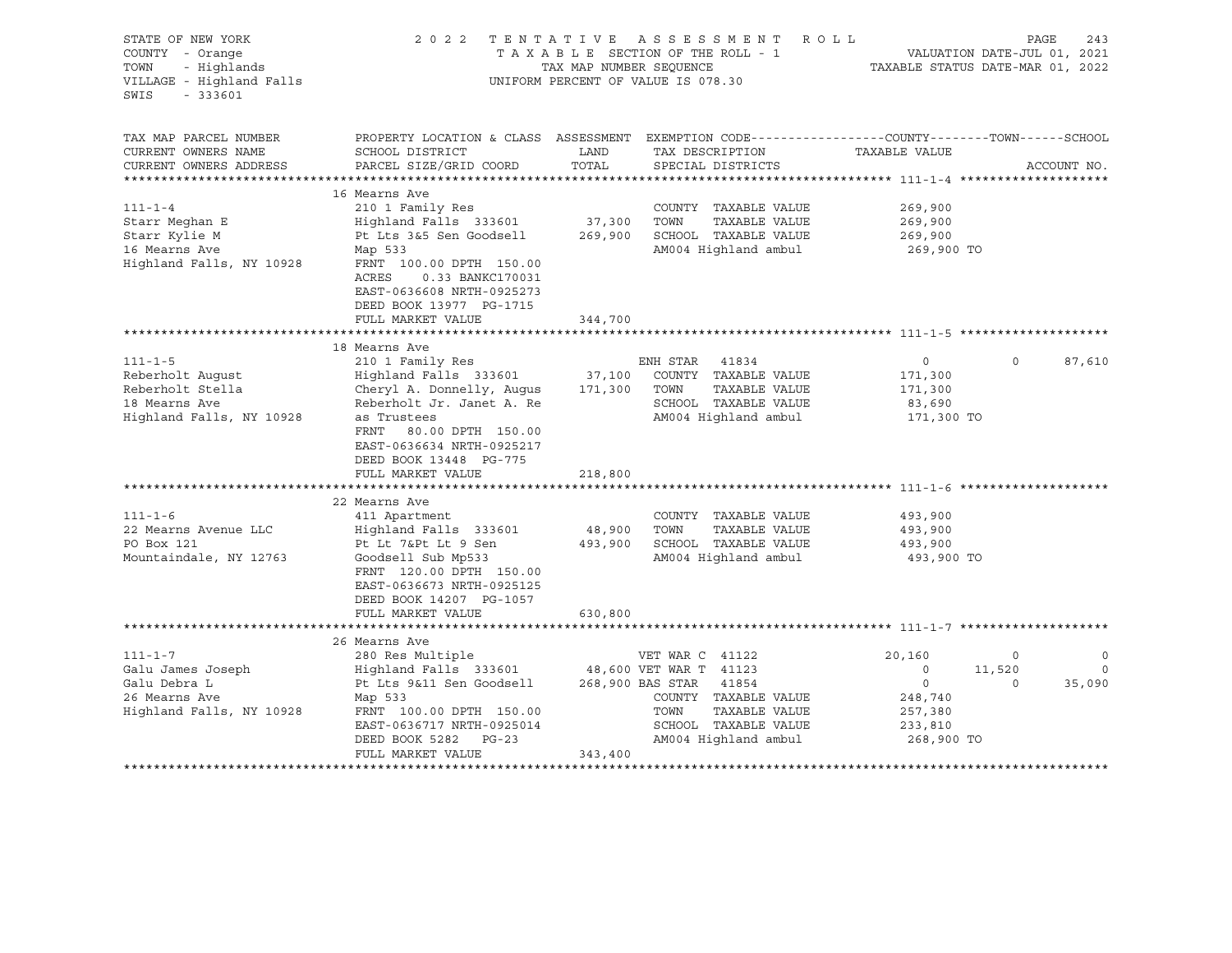| STATE OF NEW YORK<br>COUNTY - Orange<br>- Highlands<br>TOWN<br>VILLAGE - Highland Falls<br>SWIS<br>$-333601$ |                                                                                                                                                                                                                               | TAX MAP NUMBER SEQUENCE | 2022 TENTATIVE ASSESSMENT ROLL<br>TAXABLE SECTION OF THE ROLL - 1<br>UNIFORM PERCENT OF VALUE IS 078.30                                    | VALUATION DATE-JUL 01, 2021<br>TAXABLE STATUS DATE-MAR 01, 2022                           |                              | PAGE<br>243                          |
|--------------------------------------------------------------------------------------------------------------|-------------------------------------------------------------------------------------------------------------------------------------------------------------------------------------------------------------------------------|-------------------------|--------------------------------------------------------------------------------------------------------------------------------------------|-------------------------------------------------------------------------------------------|------------------------------|--------------------------------------|
| TAX MAP PARCEL NUMBER<br>CURRENT OWNERS NAME                                                                 | PROPERTY LOCATION & CLASS ASSESSMENT EXEMPTION CODE----------------COUNTY-------TOWN------SCHOOL<br>SCHOOL DISTRICT                                                                                                           | LAND                    | TAX DESCRIPTION                                                                                                                            | TAXABLE VALUE                                                                             |                              |                                      |
| CURRENT OWNERS ADDRESS                                                                                       | PARCEL SIZE/GRID COORD                                                                                                                                                                                                        | TOTAL                   | SPECIAL DISTRICTS                                                                                                                          |                                                                                           |                              | ACCOUNT NO.                          |
| $111 - 1 - 4$<br>Starr Meghan E                                                                              | 16 Mearns Ave<br>210 1 Family Res<br>Highland Falls 333601                                                                                                                                                                    | 37,300                  | COUNTY TAXABLE VALUE<br>TOWN<br>TAXABLE VALUE                                                                                              | 269,900<br>269,900                                                                        |                              |                                      |
| Starr Kylie M<br>16 Mearns Ave<br>Highland Falls, NY 10928                                                   | Pt Lts 3&5 Sen Goodsell<br>Map 533<br>FRNT 100.00 DPTH 150.00<br>ACRES<br>0.33 BANKC170031<br>EAST-0636608 NRTH-0925273<br>DEED BOOK 13977 PG-1715<br>FULL MARKET VALUE                                                       | 344,700                 | 269,900 SCHOOL TAXABLE VALUE<br>AM004 Highland ambul                                                                                       | 269,900<br>269,900 TO                                                                     |                              |                                      |
|                                                                                                              |                                                                                                                                                                                                                               |                         |                                                                                                                                            |                                                                                           |                              |                                      |
| $111 - 1 - 5$                                                                                                | 18 Mearns Ave<br>210 1 Family Res                                                                                                                                                                                             |                         | ENH STAR 41834                                                                                                                             | $\overline{0}$                                                                            | $\Omega$                     | 87,610                               |
| Reberholt Auqust<br>Reberholt Stella<br>18 Mearns Ave<br>Highland Falls, NY 10928                            | Highland Falls 333601<br>Cheryl A. Donnelly, Augus 171,300 TOWN<br>Reberholt Jr. Janet A. Re<br>as Trustees<br>FRNT 80.00 DPTH 150.00<br>EAST-0636634 NRTH-0925217<br>DEED BOOK 13448 PG-775                                  | 37,100                  | COUNTY TAXABLE VALUE<br>TAXABLE VALUE<br>SCHOOL TAXABLE VALUE<br>AM004 Highland ambul                                                      | 171,300<br>171,300<br>83,690<br>171,300 TO                                                |                              |                                      |
|                                                                                                              | FULL MARKET VALUE                                                                                                                                                                                                             | 218,800                 |                                                                                                                                            |                                                                                           |                              |                                      |
|                                                                                                              |                                                                                                                                                                                                                               |                         |                                                                                                                                            |                                                                                           |                              |                                      |
| $111 - 1 - 6$<br>22 Mearns Avenue LLC<br>PO Box 121<br>Mountaindale, NY 12763                                | 22 Mearns Ave<br>411 Apartment<br>Highland Falls 333601<br>Pt Lt 7&Pt Lt 9 Sen<br>Goodsell Sub Mp533<br>FRNT 120.00 DPTH 150.00<br>EAST-0636673 NRTH-0925125<br>DEED BOOK 14207 PG-1057                                       | 48,900                  | COUNTY TAXABLE VALUE<br>TOWN<br>TAXABLE VALUE<br>493,900 SCHOOL TAXABLE VALUE<br>AM004 Highland ambul                                      | 493,900<br>493,900<br>493,900<br>493,900 TO                                               |                              |                                      |
|                                                                                                              | FULL MARKET VALUE                                                                                                                                                                                                             | 630,800                 |                                                                                                                                            |                                                                                           |                              |                                      |
|                                                                                                              |                                                                                                                                                                                                                               |                         |                                                                                                                                            |                                                                                           |                              |                                      |
| $111 - 1 - 7$<br>Galu James Joseph<br>Galu Debra L<br>26 Mearns Ave<br>Highland Falls, NY 10928              | 26 Mearns Ave<br>280 Res Multiple<br>Highland Falls 333601 48,600 VET WAR T 41123<br>Pt Lts 9&11 Sen Goodsell<br>Map 533<br>FRNT 100.00 DPTH 150.00<br>EAST-0636717 NRTH-0925014<br>DEED BOOK 5282 PG-23<br>FULL MARKET VALUE | 343,400                 | VET WAR C 41122<br>268,900 BAS STAR 41854<br>COUNTY TAXABLE VALUE<br>TOWN<br>TAXABLE VALUE<br>SCHOOL TAXABLE VALUE<br>AM004 Highland ambul | 20,160<br>$\overline{0}$<br>$\overline{0}$<br>248,740<br>257,380<br>233,810<br>268,900 TO | $\circ$<br>11,520<br>$\circ$ | $\mathbf 0$<br>$\mathbf 0$<br>35,090 |
|                                                                                                              |                                                                                                                                                                                                                               |                         |                                                                                                                                            |                                                                                           |                              |                                      |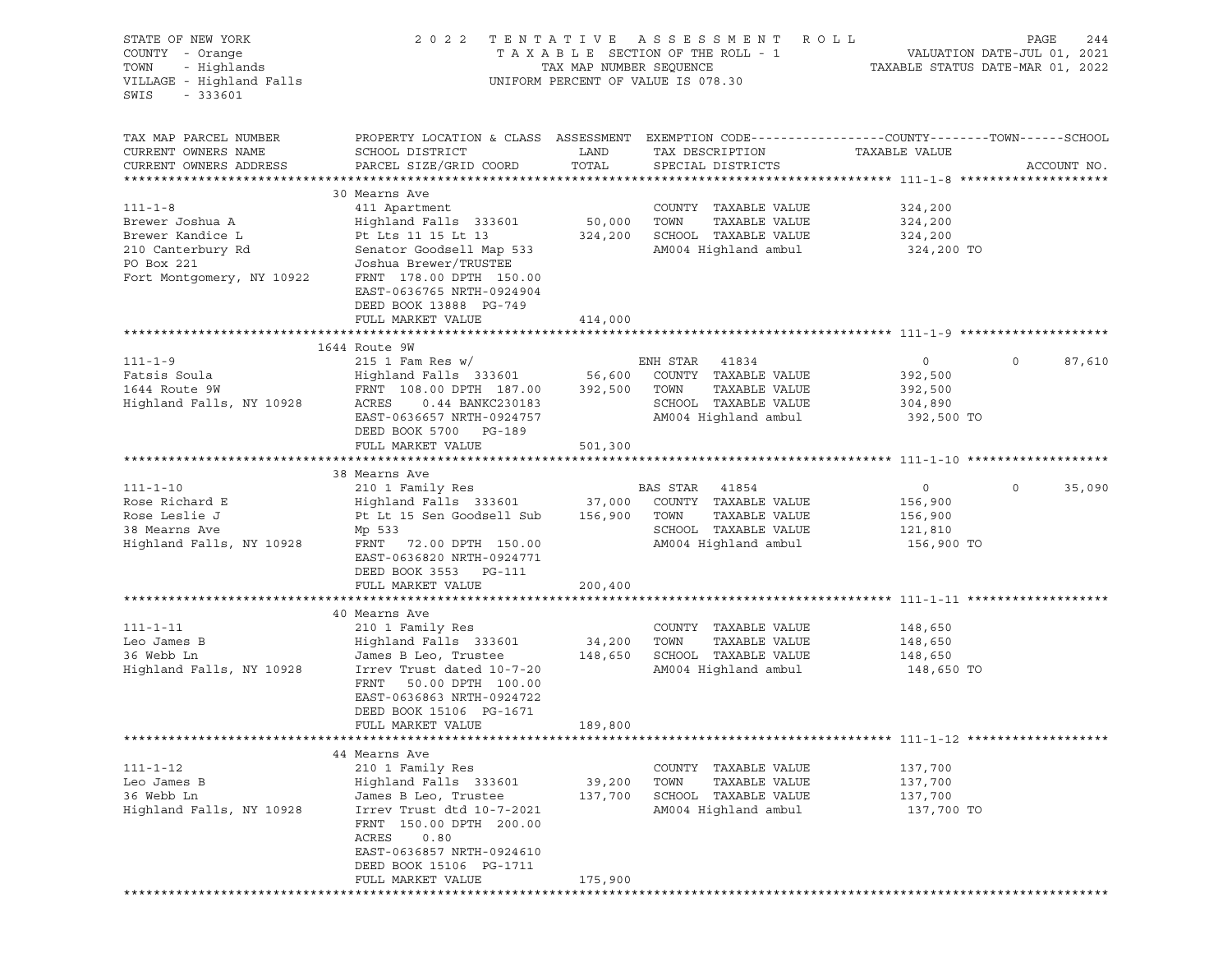| STATE OF NEW YORK<br>COUNTY - Orange<br>TOWN - Highlands<br>VILLAGE - Highland Falls |                                                                                                           | TAX MAP NUMBER SEQUENCE | 2022 TENTATIVE ASSESSMENT ROLL<br>TAXABLE SECTION OF THE ROLL - 1<br>UNIFORM PERCENT OF VALUE IS 078.30 | PAGE 244<br>VALUATION DATE-JUL 01, 2021<br>TAXABLE STATIIS DATE WALLER |                   |
|--------------------------------------------------------------------------------------|-----------------------------------------------------------------------------------------------------------|-------------------------|---------------------------------------------------------------------------------------------------------|------------------------------------------------------------------------|-------------------|
| SWIS<br>$-333601$                                                                    |                                                                                                           |                         |                                                                                                         |                                                                        |                   |
| TAX MAP PARCEL NUMBER                                                                | PROPERTY LOCATION & CLASS ASSESSMENT EXEMPTION CODE---------------COUNTY-------TOWN------SCHOOL           |                         |                                                                                                         |                                                                        |                   |
| CURRENT OWNERS NAME                                                                  | SCHOOL DISTRICT                                                                                           | LAND                    | TAX DESCRIPTION                                                                                         | TAXABLE VALUE                                                          |                   |
| CURRENT OWNERS ADDRESS                                                               | PARCEL SIZE/GRID COORD                                                                                    | TOTAL                   | SPECIAL DISTRICTS                                                                                       |                                                                        | ACCOUNT NO.       |
|                                                                                      | 30 Mearns Ave                                                                                             |                         |                                                                                                         |                                                                        |                   |
| $111 - 1 - 8$                                                                        | 411 Apartment                                                                                             |                         | COUNTY TAXABLE VALUE                                                                                    | 324,200                                                                |                   |
| Brewer Joshua A                                                                      | Highland Falls 333601                                                                                     | 50,000                  | TOWN<br>TAXABLE VALUE                                                                                   | 324,200                                                                |                   |
| Brewer Kandice L                                                                     | Pt Lts 11 15 Lt 13                                                                                        | 324,200                 | SCHOOL TAXABLE VALUE                                                                                    | 324,200                                                                |                   |
| 210 Canterbury Rd                                                                    | Senator Goodsell Map 533                                                                                  |                         | AM004 Highland ambul                                                                                    | 324,200 TO                                                             |                   |
| PO Box 221                                                                           | Joshua Brewer/TRUSTEE                                                                                     |                         |                                                                                                         |                                                                        |                   |
| Fort Montgomery, NY 10922                                                            | FRNT 178.00 DPTH 150.00<br>EAST-0636765 NRTH-0924904                                                      |                         |                                                                                                         |                                                                        |                   |
|                                                                                      | DEED BOOK 13888 PG-749<br>FULL MARKET VALUE                                                               | 414,000                 |                                                                                                         |                                                                        |                   |
|                                                                                      |                                                                                                           |                         |                                                                                                         |                                                                        |                   |
|                                                                                      | 1644 Route 9W                                                                                             |                         |                                                                                                         |                                                                        |                   |
| $111 - 1 - 9$                                                                        |                                                                                                           |                         |                                                                                                         | $\overline{0}$                                                         | $\circ$<br>87,610 |
| Fatsis Soula                                                                         |                                                                                                           |                         |                                                                                                         | 392,500                                                                |                   |
| 1644 Route 9W                                                                        | FRNT 108.00 DPTH 187.00 392,500 TOWN                                                                      |                         | TAXABLE VALUE                                                                                           | 392,500                                                                |                   |
| Highland Falls, NY 10928                                                             | ACRES<br>0.44 BANKC230183                                                                                 |                         | SCHOOL TAXABLE VALUE                                                                                    | 304,890                                                                |                   |
|                                                                                      | EAST-0636657 NRTH-0924757<br>DEED BOOK 5700 PG-189                                                        |                         | AM004 Highland ambul                                                                                    | 392,500 TO                                                             |                   |
|                                                                                      | FULL MARKET VALUE                                                                                         | 501,300                 |                                                                                                         |                                                                        |                   |
|                                                                                      | 38 Mearns Ave                                                                                             |                         |                                                                                                         |                                                                        |                   |
| $111 - 1 - 10$                                                                       | 210 1 Family Res                                                                                          |                         | BAS STAR 41854                                                                                          | $\overline{0}$                                                         | $\circ$<br>35,090 |
| Rose Richard E                                                                       | Highland Falls 333601 37,000 COUNTY TAXABLE VALUE<br>Pt Lt 15 Sen Goodsell Sub 156,900 TOWN TAXABLE VALUE |                         |                                                                                                         | 156,900                                                                |                   |
| Rose Leslie J                                                                        |                                                                                                           |                         |                                                                                                         | 156,900                                                                |                   |
| 38 Mearns Ave                                                                        | Mp 533                                                                                                    |                         | SCHOOL TAXABLE VALUE                                                                                    | 121,810                                                                |                   |
| Highland Falls, NY 10928                                                             | FRNT 72.00 DPTH 150.00<br>EAST-0636820 NRTH-0924771<br>DEED BOOK 3553 PG-111                              |                         | AM004 Highland ambul                                                                                    | 156,900 TO                                                             |                   |
|                                                                                      | FULL MARKET VALUE                                                                                         | 200,400                 |                                                                                                         |                                                                        |                   |
|                                                                                      |                                                                                                           |                         |                                                                                                         |                                                                        |                   |
|                                                                                      | 40 Mearns Ave                                                                                             |                         |                                                                                                         |                                                                        |                   |
| $111 - 1 - 11$<br>Leo James B                                                        | 210 1 Family Res                                                                                          | 34,200                  | COUNTY TAXABLE VALUE<br>TOWN<br>TAXABLE VALUE                                                           | 148,650                                                                |                   |
| 36 Webb Ln                                                                           | Highland Falls 333601<br>James B Leo, Trustee                                                             | 148,650                 | SCHOOL TAXABLE VALUE                                                                                    | 148,650<br>148,650                                                     |                   |
| Highland Falls, NY 10928                                                             | Irrev Trust dated 10-7-20                                                                                 |                         | AM004 Highland ambul                                                                                    | 148,650 TO                                                             |                   |
|                                                                                      | FRNT 50.00 DPTH 100.00                                                                                    |                         |                                                                                                         |                                                                        |                   |
|                                                                                      | EAST-0636863 NRTH-0924722                                                                                 |                         |                                                                                                         |                                                                        |                   |
|                                                                                      | DEED BOOK 15106 PG-1671                                                                                   |                         |                                                                                                         |                                                                        |                   |
|                                                                                      | FULL MARKET VALUE                                                                                         | 189,800                 |                                                                                                         |                                                                        |                   |
|                                                                                      | 44 Mearns Ave                                                                                             |                         |                                                                                                         |                                                                        |                   |
| $111 - 1 - 12$                                                                       | 210 1 Family Res                                                                                          |                         | COUNTY TAXABLE VALUE                                                                                    | 137,700                                                                |                   |
| Leo James B                                                                          | Highland Falls 333601                                                                                     | 39,200                  | TOWN<br>TAXABLE VALUE                                                                                   | 137,700                                                                |                   |
| 36 Webb Ln                                                                           | James B Leo, Trustee                                                                                      | 137,700                 | SCHOOL TAXABLE VALUE                                                                                    | 137,700                                                                |                   |
| Highland Falls, NY 10928                                                             | Irrev Trust dtd 10-7-2021                                                                                 |                         | AM004 Highland ambul                                                                                    | 137,700 TO                                                             |                   |
|                                                                                      | FRNT 150.00 DPTH 200.00                                                                                   |                         |                                                                                                         |                                                                        |                   |
|                                                                                      | ACRES<br>0.80                                                                                             |                         |                                                                                                         |                                                                        |                   |
|                                                                                      | EAST-0636857 NRTH-0924610<br>DEED BOOK 15106 PG-1711                                                      |                         |                                                                                                         |                                                                        |                   |
|                                                                                      | FULL MARKET VALUE                                                                                         | 175,900                 |                                                                                                         |                                                                        |                   |
|                                                                                      |                                                                                                           |                         |                                                                                                         |                                                                        |                   |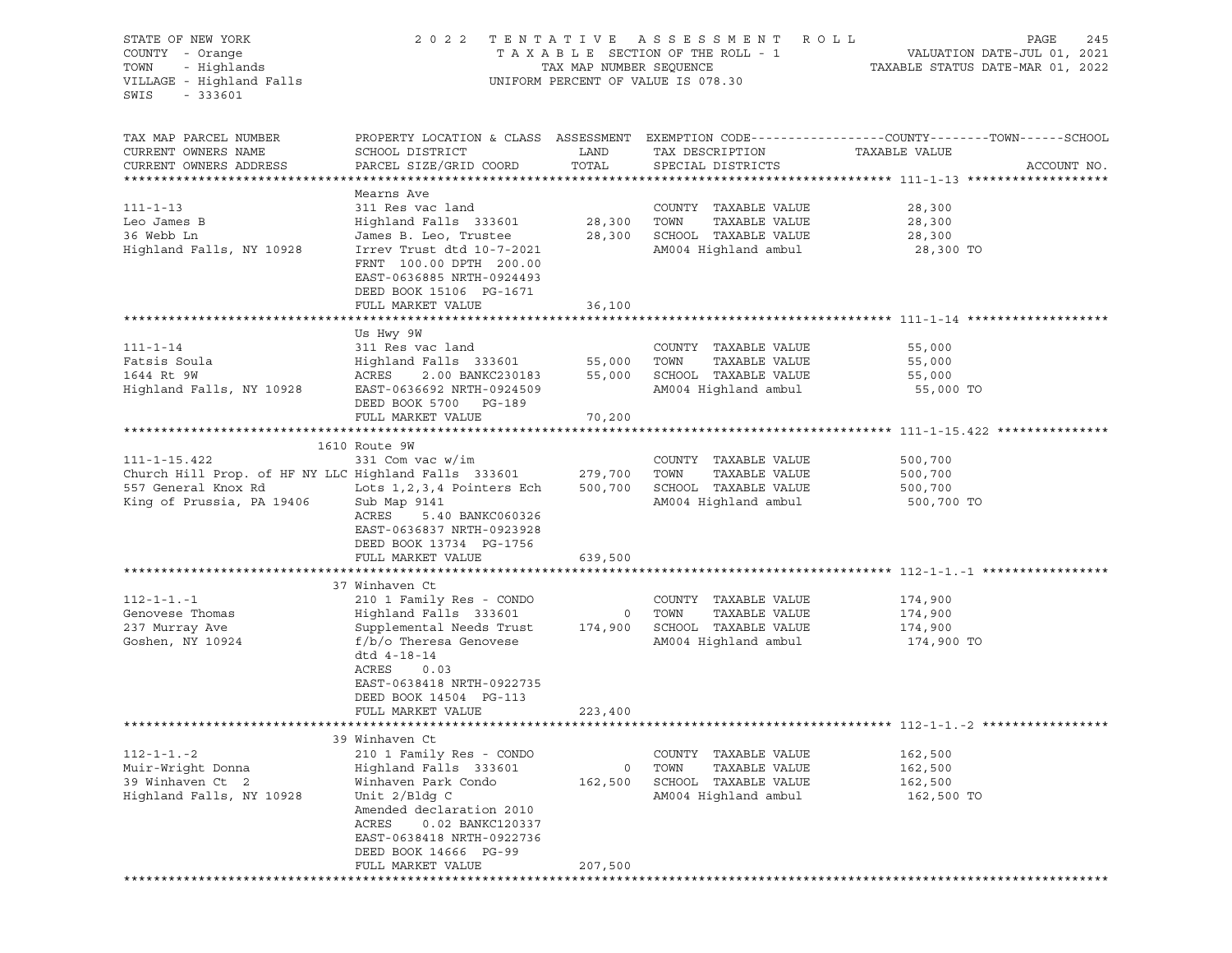| STATE OF NEW YORK                                    | 2 0 2 2                      |                         | TENTATIVE ASSESSMENT               | R O L L                                                                                         | PAGE<br>245 |
|------------------------------------------------------|------------------------------|-------------------------|------------------------------------|-------------------------------------------------------------------------------------------------|-------------|
| COUNTY - Orange                                      |                              |                         | TAXABLE SECTION OF THE ROLL - 1    | VALUATION DATE-JUL 01, 2021                                                                     |             |
| TOWN<br>- Highlands                                  |                              | TAX MAP NUMBER SEQUENCE |                                    | TAXABLE STATUS DATE-MAR 01, 2022                                                                |             |
| VILLAGE - Highland Falls                             |                              |                         | UNIFORM PERCENT OF VALUE IS 078.30 |                                                                                                 |             |
| $-333601$<br>SWIS                                    |                              |                         |                                    |                                                                                                 |             |
|                                                      |                              |                         |                                    |                                                                                                 |             |
| TAX MAP PARCEL NUMBER                                |                              |                         |                                    | PROPERTY LOCATION & CLASS ASSESSMENT EXEMPTION CODE---------------COUNTY-------TOWN------SCHOOL |             |
| CURRENT OWNERS NAME                                  | SCHOOL DISTRICT              | LAND                    | TAX DESCRIPTION                    | TAXABLE VALUE                                                                                   |             |
| CURRENT OWNERS ADDRESS                               | PARCEL SIZE/GRID COORD       | TOTAL                   | SPECIAL DISTRICTS                  |                                                                                                 | ACCOUNT NO. |
|                                                      |                              |                         |                                    |                                                                                                 |             |
|                                                      | Mearns Ave                   |                         |                                    |                                                                                                 |             |
| $111 - 1 - 13$                                       | 311 Res vac land             |                         | COUNTY TAXABLE VALUE               | 28,300                                                                                          |             |
| Leo James B                                          | Highland Falls 333601        | 28,300                  | TOWN<br>TAXABLE VALUE              | 28,300                                                                                          |             |
| 36 Webb Ln                                           | James B. Leo, Trustee        | 28,300                  | SCHOOL TAXABLE VALUE               | 28,300                                                                                          |             |
| Highland Falls, NY 10928                             | Irrev Trust dtd 10-7-2021    |                         | AM004 Highland ambul               | 28,300 TO                                                                                       |             |
|                                                      | FRNT 100.00 DPTH 200.00      |                         |                                    |                                                                                                 |             |
|                                                      | EAST-0636885 NRTH-0924493    |                         |                                    |                                                                                                 |             |
|                                                      | DEED BOOK 15106 PG-1671      |                         |                                    |                                                                                                 |             |
|                                                      | FULL MARKET VALUE            | 36,100                  |                                    |                                                                                                 |             |
|                                                      |                              |                         |                                    |                                                                                                 |             |
|                                                      | Us Hwy 9W                    |                         |                                    |                                                                                                 |             |
| $111 - 1 - 14$                                       | 311 Res vac land             |                         | COUNTY TAXABLE VALUE               | 55,000                                                                                          |             |
| Fatsis Soula                                         | Highland Falls 333601        | 55,000                  | TAXABLE VALUE<br>TOWN              | 55,000                                                                                          |             |
| 1644 Rt 9W                                           | ACRES<br>2.00 BANKC230183    | 55,000                  | SCHOOL TAXABLE VALUE               | 55,000                                                                                          |             |
| Highland Falls, NY 10928                             | EAST-0636692 NRTH-0924509    |                         | AM004 Highland ambul               | 55,000 TO                                                                                       |             |
|                                                      | DEED BOOK 5700 PG-189        |                         |                                    |                                                                                                 |             |
|                                                      | FULL MARKET VALUE            | 70,200                  |                                    |                                                                                                 |             |
|                                                      |                              |                         |                                    |                                                                                                 |             |
|                                                      | 1610 Route 9W                |                         |                                    |                                                                                                 |             |
| $111 - 1 - 15.422$                                   | 331 Com vac w/im             |                         | COUNTY TAXABLE VALUE               | 500,700                                                                                         |             |
| Church Hill Prop. of HF NY LLC Highland Falls 333601 |                              | 279,700                 | TAXABLE VALUE<br>TOWN              | 500,700                                                                                         |             |
| 557 General Knox Rd                                  | Lots 1, 2, 3, 4 Pointers Ech | 500,700                 | SCHOOL TAXABLE VALUE               | 500,700                                                                                         |             |
| King of Prussia, PA 19406                            | Sub Map 9141                 |                         | AM004 Highland ambul               | 500,700 TO                                                                                      |             |
|                                                      | ACRES<br>5.40 BANKC060326    |                         |                                    |                                                                                                 |             |
|                                                      | EAST-0636837 NRTH-0923928    |                         |                                    |                                                                                                 |             |
|                                                      | DEED BOOK 13734 PG-1756      |                         |                                    |                                                                                                 |             |
|                                                      | FULL MARKET VALUE            | 639,500                 |                                    |                                                                                                 |             |
|                                                      |                              |                         |                                    |                                                                                                 |             |
| $112 - 1 - 1 - 1$                                    | 37 Winhaven Ct               |                         |                                    |                                                                                                 |             |
|                                                      | 210 1 Family Res - CONDO     |                         | COUNTY TAXABLE VALUE               | 174,900                                                                                         |             |
| Genovese Thomas                                      | Highland Falls 333601        | $\overline{0}$          | TOWN<br>TAXABLE VALUE              | 174,900                                                                                         |             |
| 237 Murray Ave                                       | Supplemental Needs Trust     | 174,900                 | SCHOOL TAXABLE VALUE               | 174,900                                                                                         |             |
| Goshen, NY 10924                                     | $f/b/o$ Theresa Genovese     |                         | AM004 Highland ambul               | 174,900 TO                                                                                      |             |
|                                                      | dtd 4-18-14                  |                         |                                    |                                                                                                 |             |
|                                                      | ACRES<br>0.03                |                         |                                    |                                                                                                 |             |
|                                                      | EAST-0638418 NRTH-0922735    |                         |                                    |                                                                                                 |             |
|                                                      | DEED BOOK 14504 PG-113       |                         |                                    |                                                                                                 |             |
|                                                      | FULL MARKET VALUE            | 223,400                 |                                    |                                                                                                 |             |
|                                                      | 39 Winhaven Ct               |                         |                                    |                                                                                                 |             |
| $112 - 1 - 1 - 2$                                    | 210 1 Family Res - CONDO     |                         | TAXABLE VALUE<br>COUNTY            | 162,500                                                                                         |             |
| Muir-Wright Donna                                    | Highland Falls 333601        | 0                       | TOWN<br>TAXABLE VALUE              | 162,500                                                                                         |             |
| 39 Winhaven Ct 2                                     | Winhaven Park Condo          | 162,500                 | SCHOOL<br>TAXABLE VALUE            | 162,500                                                                                         |             |
| Highland Falls, NY 10928                             | Unit 2/Bldg C                |                         | AM004 Highland ambul               | 162,500 TO                                                                                      |             |
|                                                      | Amended declaration 2010     |                         |                                    |                                                                                                 |             |
|                                                      | ACRES<br>0.02 BANKC120337    |                         |                                    |                                                                                                 |             |
|                                                      | EAST-0638418 NRTH-0922736    |                         |                                    |                                                                                                 |             |
|                                                      | DEED BOOK 14666 PG-99        |                         |                                    |                                                                                                 |             |
|                                                      | FULL MARKET VALUE            | 207,500                 |                                    |                                                                                                 |             |
| ***************                                      |                              |                         |                                    |                                                                                                 |             |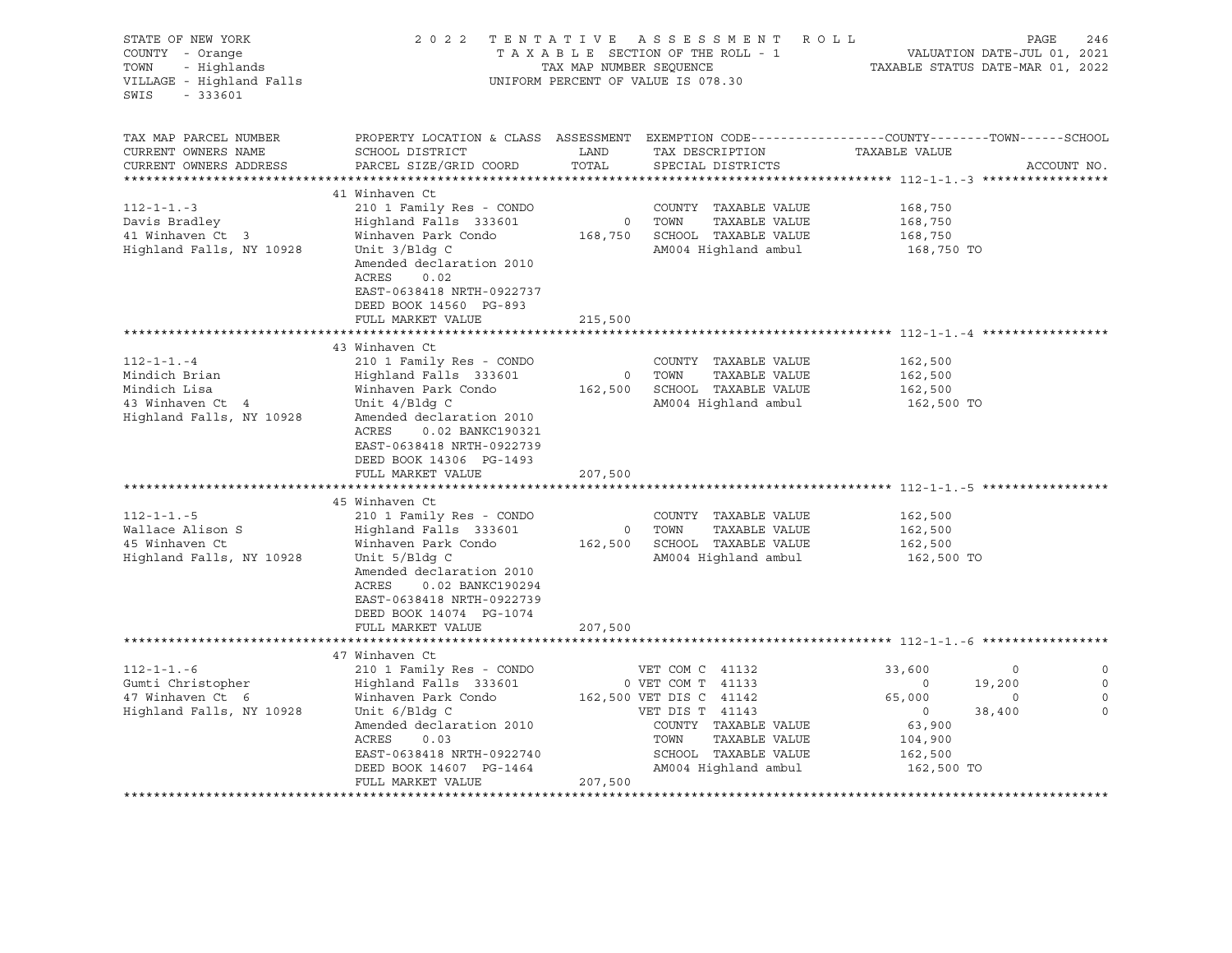| STATE OF NEW YORK<br>COUNTY - Orange<br>TOWN<br>- Highlands<br>VILLAGE - Highland Falls<br>$-333601$<br>SWIS | 2 0 2 2                                                                                                                                                                                                                                             | TAX MAP NUMBER SEQUENCE              | TENTATIVE ASSESSMENT<br>TAXABLE SECTION OF THE ROLL - 1<br>UNIFORM PERCENT OF VALUE IS 078.30                                                                                       | R O L L                                                                                  | PAGE<br>246<br>VALUATION DATE-JUL 01, 2021<br>TAXABLE STATUS DATE-MAR 01, 2022 |              |
|--------------------------------------------------------------------------------------------------------------|-----------------------------------------------------------------------------------------------------------------------------------------------------------------------------------------------------------------------------------------------------|--------------------------------------|-------------------------------------------------------------------------------------------------------------------------------------------------------------------------------------|------------------------------------------------------------------------------------------|--------------------------------------------------------------------------------|--------------|
| TAX MAP PARCEL NUMBER<br>CURRENT OWNERS NAME<br>CURRENT OWNERS ADDRESS                                       | PROPERTY LOCATION & CLASS ASSESSMENT EXEMPTION CODE---------------COUNTY-------TOWN------SCHOOL<br>SCHOOL DISTRICT<br>PARCEL SIZE/GRID COORD                                                                                                        | LAND<br>TOTAL                        | TAX DESCRIPTION<br>SPECIAL DISTRICTS                                                                                                                                                | TAXABLE VALUE                                                                            |                                                                                | ACCOUNT NO.  |
|                                                                                                              |                                                                                                                                                                                                                                                     |                                      |                                                                                                                                                                                     |                                                                                          |                                                                                |              |
| $112 - 1 - 1 - 3$<br>Davis Bradley<br>41 Winhaven Ct 3<br>Highland Falls, NY 10928                           | 41 Winhaven Ct<br>210 1 Family Res - CONDO<br>Highland Falls 333601<br>Winhaven Park Condo<br>Unit 3/Bldg C<br>Amended declaration 2010<br>ACRES<br>0.02<br>EAST-0638418 NRTH-0922737<br>DEED BOOK 14560 PG-893                                     | $\overline{0}$<br>168,750            | COUNTY TAXABLE VALUE<br>TOWN<br>TAXABLE VALUE<br>SCHOOL TAXABLE VALUE<br>AM004 Highland ambul                                                                                       | 168,750<br>168,750<br>168,750<br>168,750 TO                                              |                                                                                |              |
|                                                                                                              | FULL MARKET VALUE                                                                                                                                                                                                                                   | 215,500                              |                                                                                                                                                                                     |                                                                                          |                                                                                |              |
|                                                                                                              | ***************************                                                                                                                                                                                                                         | ***********                          | ******************************* 112-1-1.-4 *********                                                                                                                                |                                                                                          |                                                                                |              |
| $112 - 1 - 1 - 4$<br>Mindich Brian<br>Mindich Lisa<br>43 Winhaven Ct 4<br>Highland Falls, NY 10928           | 43 Winhaven Ct<br>210 1 Family Res - CONDO<br>Highland Falls 333601<br>Winhaven Park Condo<br>Unit $4/Bldg$ C<br>Amended declaration 2010<br>ACRES<br>0.02 BANKC190321<br>EAST-0638418 NRTH-0922739<br>DEED BOOK 14306 PG-1493<br>FULL MARKET VALUE | $\circ$<br>162,500<br>207,500        | COUNTY TAXABLE VALUE<br>TOWN<br>TAXABLE VALUE<br>SCHOOL TAXABLE VALUE<br>AM004 Highland ambul                                                                                       | 162,500<br>162,500<br>162,500<br>162,500 TO                                              |                                                                                |              |
| $112 - 1 - 1 - 5$<br>Wallace Alison S<br>45 Winhaven Ct<br>Highland Falls, NY 10928                          | 45 Winhaven Ct<br>210 1 Family Res - CONDO<br>Highland Falls 333601<br>Winhaven Park Condo<br>Unit 5/Bldg C<br>Amended declaration 2010<br>ACRES<br>0.02 BANKC190294<br>EAST-0638418 NRTH-0922739<br>DEED BOOK 14074 PG-1074<br>FULL MARKET VALUE   | $\overline{0}$<br>162,500<br>207,500 | COUNTY TAXABLE VALUE<br>TOWN<br>TAXABLE VALUE<br>SCHOOL TAXABLE VALUE<br>AM004 Highland ambul                                                                                       | 162,500<br>162,500<br>162,500<br>162,500 TO                                              |                                                                                |              |
|                                                                                                              | *****************                                                                                                                                                                                                                                   |                                      |                                                                                                                                                                                     | ******************** 112-1-1.-6 ****                                                     |                                                                                |              |
| $112 - 1 - 1 - 6$<br>Gumti Christopher<br>47 Winhaven Ct 6<br>Highland Falls, NY 10928                       | 47 Winhaven Ct<br>210 1 Family Res - CONDO<br>Highland Falls 333601<br>Winhaven Park Condo<br>Unit 6/Bldg C<br>Amended declaration 2010<br>ACRES<br>0.03<br>EAST-0638418 NRTH-0922740<br>DEED BOOK 14607 PG-1464                                    |                                      | VET COM C 41132<br>0 VET COM T 41133<br>162,500 VET DIS C 41142<br>VET DIS T 41143<br>COUNTY TAXABLE VALUE<br>TOWN<br>TAXABLE VALUE<br>SCHOOL TAXABLE VALUE<br>AM004 Highland ambul | 33,600<br>$\mathbf 0$<br>65,000<br>$\circ$<br>63,900<br>104,900<br>162,500<br>162,500 TO | 0<br>19,200<br>$\circ$<br>38,400                                               | 0<br>$\circ$ |
|                                                                                                              | FULL MARKET VALUE<br>*******************                                                                                                                                                                                                            | 207,500                              |                                                                                                                                                                                     |                                                                                          |                                                                                |              |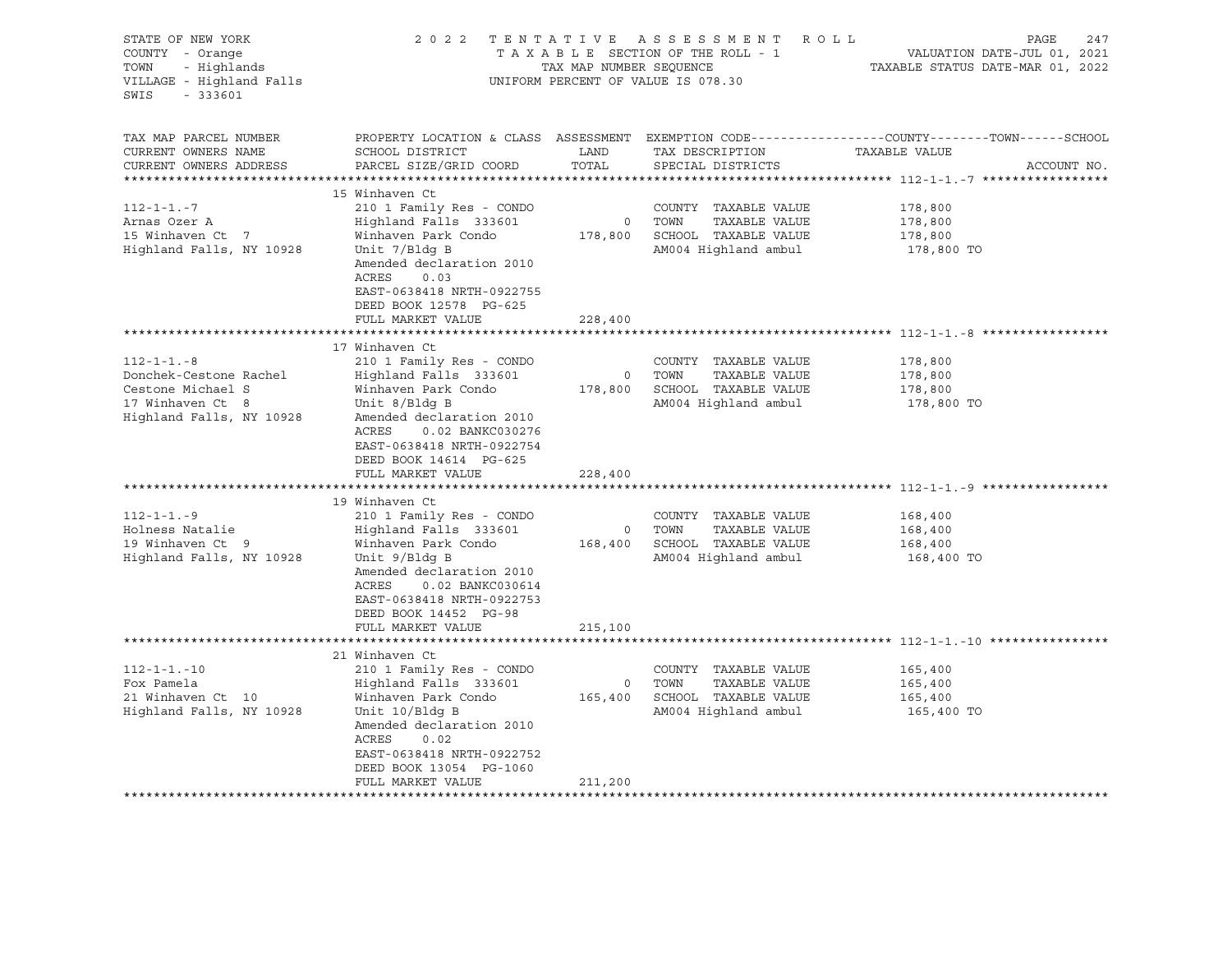| STATE OF NEW YORK<br>COUNTY - Orange<br>- Highlands<br>TOWN<br>VILLAGE - Highland Falls<br>$-333601$<br>SWIS     | 2 0 2 2                                                                                                                                                                                                                                          | TENTATIVE ASSESSMENT<br>ROLL<br>TAXABLE SECTION OF THE ROLL - 1<br>TAX MAP NUMBER SEQUENCE<br>UNIFORM PERCENT OF VALUE IS 078.30 |                                                                                                 |                                                                                                                                |  |  |  |
|------------------------------------------------------------------------------------------------------------------|--------------------------------------------------------------------------------------------------------------------------------------------------------------------------------------------------------------------------------------------------|----------------------------------------------------------------------------------------------------------------------------------|-------------------------------------------------------------------------------------------------|--------------------------------------------------------------------------------------------------------------------------------|--|--|--|
| TAX MAP PARCEL NUMBER<br>CURRENT OWNERS NAME<br>CURRENT OWNERS ADDRESS<br>**********************                 | SCHOOL DISTRICT<br>PARCEL SIZE/GRID COORD                                                                                                                                                                                                        | LAND<br>TOTAL                                                                                                                    | TAX DESCRIPTION<br>SPECIAL DISTRICTS                                                            | PROPERTY LOCATION & CLASS ASSESSMENT EXEMPTION CODE---------------COUNTY-------TOWN-----SCHOOL<br>TAXABLE VALUE<br>ACCOUNT NO. |  |  |  |
| $112 - 1 - 1 - 7$<br>Arnas Ozer A<br>15 Winhaven Ct 7<br>Highland Falls, NY 10928                                | 15 Winhaven Ct<br>210 1 Family Res - CONDO<br>Highland Falls 333601<br>Winhaven Park Condo<br>Unit 7/Bldg B<br>Amended declaration 2010<br>ACRES<br>0.03<br>EAST-0638418 NRTH-0922755<br>DEED BOOK 12578 PG-625<br>FULL MARKET VALUE             | 178,800<br>228,400                                                                                                               | COUNTY TAXABLE VALUE<br>TAXABLE VALUE<br>0 TOWN<br>SCHOOL TAXABLE VALUE<br>AM004 Highland ambul | 178,800<br>178,800<br>178,800<br>178,800 TO                                                                                    |  |  |  |
|                                                                                                                  |                                                                                                                                                                                                                                                  |                                                                                                                                  |                                                                                                 |                                                                                                                                |  |  |  |
| $112 - 1 - 1 - 8$<br>Donchek-Cestone Rachel<br>Cestone Michael S<br>17 Winhaven Ct 8<br>Highland Falls, NY 10928 | 17 Winhaven Ct<br>210 1 Family Res - CONDO<br>Highland Falls 333601<br>Winhaven Park Condo<br>Unit 8/Bldg B<br>Amended declaration 2010<br>ACRES<br>0.02 BANKC030276<br>EAST-0638418 NRTH-0922754<br>DEED BOOK 14614 PG-625<br>FULL MARKET VALUE | $\mathsf{O}$<br>178,800<br>228,400                                                                                               | COUNTY TAXABLE VALUE<br>TOWN<br>TAXABLE VALUE<br>SCHOOL TAXABLE VALUE<br>AM004 Highland ambul   | 178,800<br>178,800<br>178,800<br>178,800 TO                                                                                    |  |  |  |
|                                                                                                                  |                                                                                                                                                                                                                                                  |                                                                                                                                  |                                                                                                 |                                                                                                                                |  |  |  |
| $112 - 1 - 1 - 9$<br>Holness Natalie<br>19 Winhaven Ct 9<br>Highland Falls, NY 10928                             | 19 Winhaven Ct<br>210 1 Family Res - CONDO<br>Highland Falls 333601<br>Winhaven Park Condo<br>Unit 9/Bldg B<br>Amended declaration 2010<br>ACRES<br>0.02 BANKC030614<br>EAST-0638418 NRTH-0922753<br>DEED BOOK 14452 PG-98                       | $\circ$<br>168,400                                                                                                               | COUNTY TAXABLE VALUE<br>TOWN<br>TAXABLE VALUE<br>SCHOOL TAXABLE VALUE<br>AM004 Highland ambul   | 168,400<br>168,400<br>168,400<br>168,400 TO                                                                                    |  |  |  |
|                                                                                                                  | FULL MARKET VALUE<br>******************************                                                                                                                                                                                              | 215,100                                                                                                                          |                                                                                                 |                                                                                                                                |  |  |  |
|                                                                                                                  | 21 Winhaven Ct                                                                                                                                                                                                                                   |                                                                                                                                  |                                                                                                 | ******************************* 112-1-1.-10 ****************                                                                   |  |  |  |
| $112 - 1 - 1 - 10$<br>Fox Pamela<br>21 Winhaven Ct 10<br>Highland Falls, NY 10928                                | 210 1 Family Res - CONDO<br>Highland Falls 333601<br>Winhaven Park Condo<br>Unit 10/Bldg B<br>Amended declaration 2010<br>ACRES<br>0.02<br>EAST-0638418 NRTH-0922752<br>DEED BOOK 13054 PG-1060<br>FULL MARKET VALUE                             | $\circ$<br>165,400<br>211,200                                                                                                    | COUNTY TAXABLE VALUE<br>TAXABLE VALUE<br>TOWN<br>SCHOOL TAXABLE VALUE<br>AM004 Highland ambul   | 165,400<br>165,400<br>165,400<br>165,400 TO                                                                                    |  |  |  |
|                                                                                                                  |                                                                                                                                                                                                                                                  |                                                                                                                                  |                                                                                                 |                                                                                                                                |  |  |  |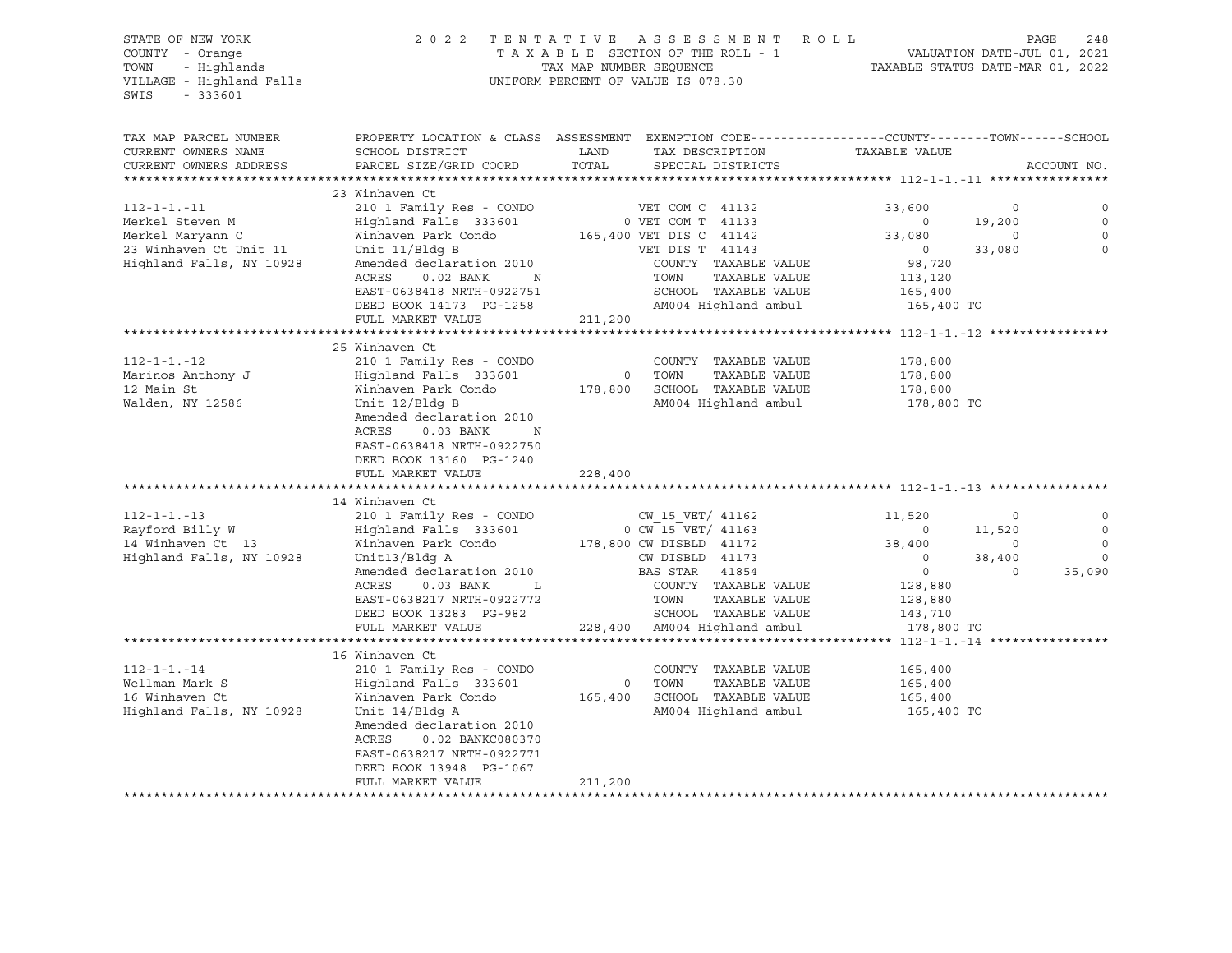VILLAGE - Highland Falls UNIFORM PERCENT OF VALUE IS 078.30 SWIS - 333601

# STATE OF NEW YORK 2 0 2 2 T E N T A T I V E A S S E S S M E N T R O L L PAGE 248 COUNTY - Orange T A X A B L E SECTION OF THE ROLL - 1 VALUATION DATE-JUL 01, 2021 TOWN - Highlands TAX MAP NUMBER SEQUENCE TAXABLE STATUS DATE-MAR 01, 2022

| TAX MAP PARCEL NUMBER    | PROPERTY LOCATION & CLASS ASSESSMENT EXEMPTION CODE----------------COUNTY-------TOWN-----SCHOOL |         |                                         |                   |                    |             |
|--------------------------|-------------------------------------------------------------------------------------------------|---------|-----------------------------------------|-------------------|--------------------|-------------|
| CURRENT OWNERS NAME      | SCHOOL DISTRICT                                                                                 | LAND    | TAX DESCRIPTION                         | TAXABLE VALUE     |                    |             |
| CURRENT OWNERS ADDRESS   | PARCEL SIZE/GRID COORD                                                                          | TOTAL   | SPECIAL DISTRICTS                       |                   |                    | ACCOUNT NO. |
|                          |                                                                                                 |         |                                         |                   |                    |             |
|                          | 23 Winhaven Ct                                                                                  |         |                                         |                   |                    |             |
| $112 - 1 - 1 - 11$       | 210 1 Family Res - CONDO                                                                        |         | VET COM C 41132                         | 33,600            | 0                  | 0           |
|                          | Highland Falls 333601                                                                           |         |                                         | $\circ$           |                    | $\circ$     |
| Merkel Steven M          |                                                                                                 |         | 0 VET COM T 41133                       |                   | 19,200<br>$\Omega$ | $\mathbf 0$ |
| Merkel Maryann C         | Winhaven Park Condo                                                                             |         | 165,400 VET DIS C 41142                 | 33,080<br>$\circ$ | 33,080             | $\Omega$    |
| 23 Winhaven Ct Unit 11   | Unit 11/Bldg B                                                                                  |         | VET DIS T 41143                         |                   |                    |             |
| Highland Falls, NY 10928 | Amended declaration 2010<br>ACRES<br>$0.02$ BANK<br>N                                           |         | COUNTY TAXABLE VALUE<br>TOWN            | 98,720            |                    |             |
|                          | EAST-0638418 NRTH-0922751                                                                       |         | TAXABLE VALUE<br>SCHOOL TAXABLE VALUE   | 113,120           |                    |             |
|                          |                                                                                                 |         |                                         | 165,400           |                    |             |
|                          | DEED BOOK 14173 PG-1258                                                                         |         | AM004 Highland ambul                    | 165,400 TO        |                    |             |
|                          | FULL MARKET VALUE                                                                               | 211,200 |                                         |                   |                    |             |
|                          | 25 Winhaven Ct                                                                                  |         |                                         |                   |                    |             |
|                          |                                                                                                 |         |                                         |                   |                    |             |
| $112 - 1 - 1 - 12$       | 210 1 Family Res - CONDO                                                                        |         | COUNTY TAXABLE VALUE                    | 178,800           |                    |             |
| Marinos Anthony J        | Highland Falls 333601                                                                           |         | TOWN<br>TAXABLE VALUE<br>0              | 178,800           |                    |             |
| 12 Main St               | Winhaven Park Condo                                                                             | 178,800 | SCHOOL TAXABLE VALUE                    | 178,800           |                    |             |
| Walden, NY 12586         | Unit 12/Bldg B                                                                                  |         | AM004 Highland ambul                    | 178,800 TO        |                    |             |
|                          | Amended declaration 2010                                                                        |         |                                         |                   |                    |             |
|                          | ACRES<br>$0.03$ BANK<br>N                                                                       |         |                                         |                   |                    |             |
|                          | EAST-0638418 NRTH-0922750                                                                       |         |                                         |                   |                    |             |
|                          | DEED BOOK 13160 PG-1240                                                                         |         |                                         |                   |                    |             |
|                          | FULL MARKET VALUE                                                                               | 228,400 |                                         |                   |                    |             |
|                          |                                                                                                 |         |                                         |                   |                    |             |
|                          | 14 Winhaven Ct                                                                                  |         |                                         |                   |                    |             |
| $112 - 1 - 1 - 13$       | 210 1 Family Res - CONDO                                                                        |         | CW 15 VET/ 41162                        | 11,520            | $\circ$            | 0           |
| Rayford Billy W          | Highland Falls 333601                                                                           |         | 0 CW 15 VET/ 41163                      | $\circ$           | 11,520             | $\circ$     |
| 14 Winhaven Ct 13        | Winhaven Park Condo                                                                             |         | 178,800 CW DISBLD 41172                 | 38,400            | $\mathbf 0$        | $\circ$     |
| Highland Falls, NY 10928 | Unit13/Bldg A                                                                                   |         | CW DISBLD 41173                         | $\circ$           | 38,400             | $\Omega$    |
|                          | Amended declaration 2010                                                                        |         | BAS STAR 41854                          | $\circ$           | $\Omega$           | 35,090      |
|                          | ACRES<br>$0.03$ BANK<br>$\mathbf{L}$                                                            |         | COUNTY TAXABLE VALUE                    | 128,880           |                    |             |
|                          | EAST-0638217 NRTH-0922772                                                                       |         | TAXABLE VALUE<br>TOWN                   | 128,880           |                    |             |
|                          | DEED BOOK 13283 PG-982                                                                          |         | SCHOOL TAXABLE VALUE                    | 143,710           |                    |             |
|                          | FULL MARKET VALUE                                                                               |         | 228,400 AM004 Highland ambul            | 178,800 TO        |                    |             |
|                          | 16 Winhaven Ct                                                                                  |         |                                         |                   |                    |             |
|                          |                                                                                                 |         |                                         |                   |                    |             |
| $112 - 1 - 1 - 14$       | 210 1 Family Res - CONDO                                                                        |         | COUNTY TAXABLE VALUE                    | 165,400           |                    |             |
| Wellman Mark S           | Highland Falls 333601                                                                           |         | TOWN<br>TAXABLE VALUE<br>$\overline{0}$ | 165,400           |                    |             |
| 16 Winhaven Ct           | Winhaven Park Condo                                                                             | 165,400 | SCHOOL TAXABLE VALUE                    | 165,400           |                    |             |
| Highland Falls, NY 10928 | Unit 14/Bldg A                                                                                  |         | AM004 Highland ambul                    | 165,400 TO        |                    |             |
|                          | Amended declaration 2010                                                                        |         |                                         |                   |                    |             |
|                          | ACRES<br>0.02 BANKC080370                                                                       |         |                                         |                   |                    |             |
|                          | EAST-0638217 NRTH-0922771                                                                       |         |                                         |                   |                    |             |
|                          | DEED BOOK 13948 PG-1067                                                                         |         |                                         |                   |                    |             |
|                          | FULL MARKET VALUE                                                                               | 211,200 |                                         |                   |                    |             |
|                          |                                                                                                 |         |                                         |                   |                    |             |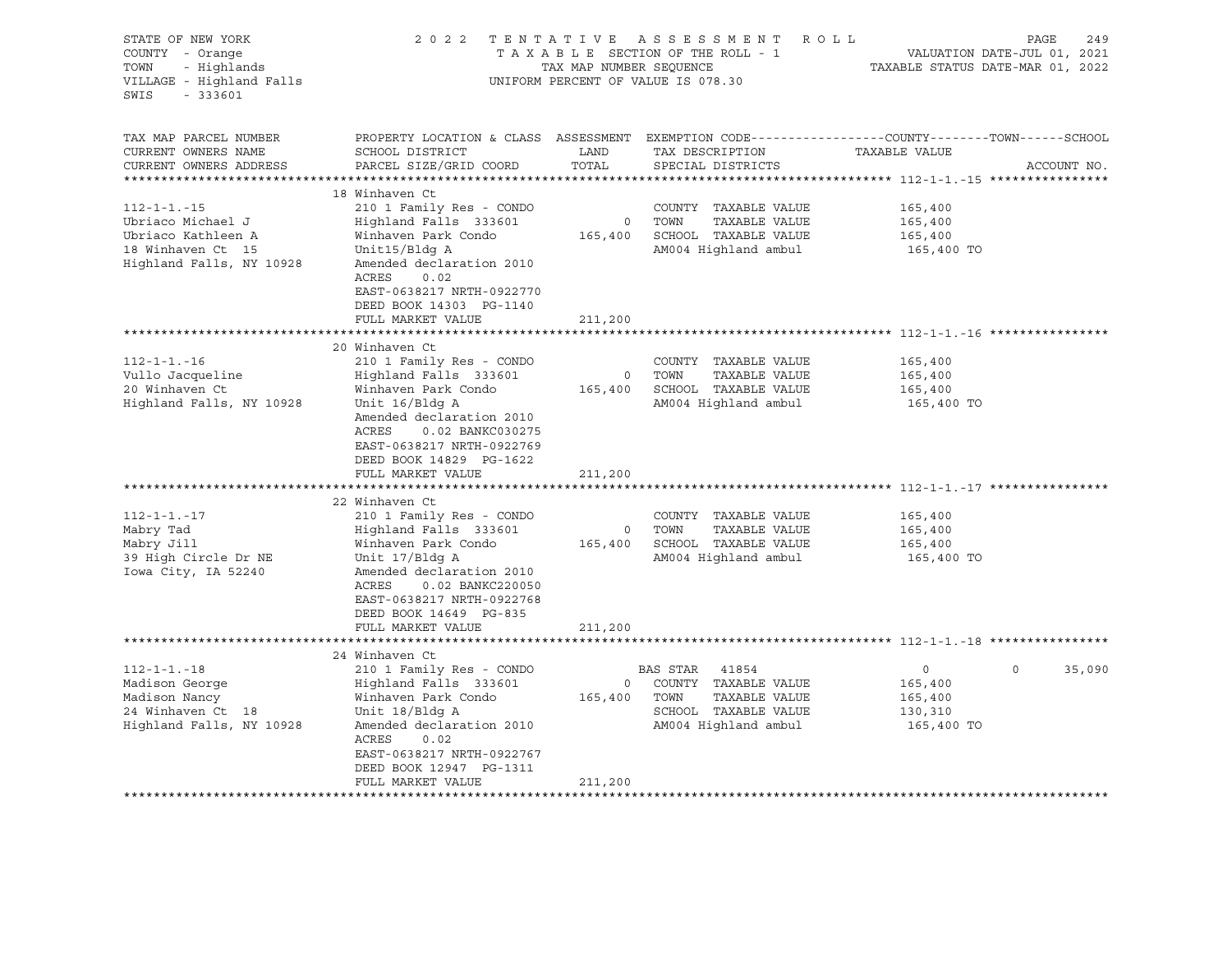| STATE OF NEW YORK<br>COUNTY - Orange<br>- Highlands<br>TOWN<br>VILLAGE - Highland Falls<br>SWIS<br>$-333601$   |                                                                                                                                                                                                                                                    | TAX MAP NUMBER SEQUENCE | 2022 TENTATIVE ASSESSMENT ROLL<br>TAXABLE SECTION OF THE ROLL - 1<br>UNIFORM PERCENT OF VALUE IS 078.30              | PAGE<br>249<br>VALUATION DATE-JUL 01, 2021<br>TAXABLE STATUS DATE-MAR 01, 2022                                                  |        |  |
|----------------------------------------------------------------------------------------------------------------|----------------------------------------------------------------------------------------------------------------------------------------------------------------------------------------------------------------------------------------------------|-------------------------|----------------------------------------------------------------------------------------------------------------------|---------------------------------------------------------------------------------------------------------------------------------|--------|--|
| TAX MAP PARCEL NUMBER<br>CURRENT OWNERS NAME<br>CURRENT OWNERS ADDRESS<br>********************                 | SCHOOL DISTRICT<br>PARCEL SIZE/GRID COORD                                                                                                                                                                                                          | LAND<br>TOTAL           | TAX DESCRIPTION<br>SPECIAL DISTRICTS                                                                                 | PROPERTY LOCATION & CLASS ASSESSMENT EXEMPTION CODE----------------COUNTY-------TOWN-----SCHOOL<br>TAXABLE VALUE<br>ACCOUNT NO. |        |  |
| $112 - 1 - 1 - 15$<br>Ubriaco Michael J<br>Ubriaco Kathleen A<br>18 Winhaven Ct 15<br>Highland Falls, NY 10928 | 18 Winhaven Ct<br>210 1 Family Res - CONDO<br>Highland Falls 333601<br>Winhaven Park Condo<br>Unit15/Bldg A<br>Amended declaration 2010<br>ACRES<br>0.02<br>EAST-0638217 NRTH-0922770<br>DEED BOOK 14303 PG-1140<br>FULL MARKET VALUE              | 211,200                 | COUNTY TAXABLE VALUE<br>0 TOWN<br>TAXABLE VALUE<br>165,400 SCHOOL TAXABLE VALUE<br>AM004 Highland ambul              | 165,400<br>165,400<br>165,400<br>165,400 TO                                                                                     |        |  |
|                                                                                                                |                                                                                                                                                                                                                                                    |                         |                                                                                                                      | ************************************** 112-1-1.-16 *****************                                                            |        |  |
| $112 - 1 - 1 - 16$<br>Vullo Jacqueline<br>20 Winhaven Ct<br>Highland Falls, NY 10928                           | 20 Winhaven Ct<br>210 1 Family Res - CONDO<br>Highland Falls 333601<br>Winhaven Park Condo<br>Unit 16/Bldg A<br>Amended declaration 2010<br>ACRES<br>0.02 BANKC030275<br>EAST-0638217 NRTH-0922769<br>DEED BOOK 14829 PG-1622<br>FULL MARKET VALUE | 0<br>165,400<br>211,200 | COUNTY TAXABLE VALUE<br>TOWN<br>TAXABLE VALUE<br>SCHOOL TAXABLE VALUE<br>AM004 Highland ambul                        | 165,400<br>165,400<br>165,400<br>165,400 TO                                                                                     |        |  |
| $112 - 1 - 1 - 17$<br>Mabry Tad<br>Mabry Jill<br>39 High Circle Dr NE<br>Iowa City, IA 52240                   | 22 Winhaven Ct<br>210 1 Family Res - CONDO<br>Highland Falls 333601<br>Winhaven Park Condo<br>Unit 17/Bldg A<br>Amended declaration 2010<br>ACRES<br>0.02 BANKC220050<br>EAST-0638217 NRTH-0922768<br>DEED BOOK 14649 PG-835<br>FULL MARKET VALUE  | 211,200                 | COUNTY TAXABLE VALUE<br>0 TOWN<br>TAXABLE VALUE<br>165,400 SCHOOL TAXABLE VALUE<br>AM004 Highland ambul              | 165,400<br>165,400<br>165,400<br>165,400 TO                                                                                     |        |  |
|                                                                                                                |                                                                                                                                                                                                                                                    |                         |                                                                                                                      |                                                                                                                                 |        |  |
| $112 - 1 - 1 - 18$<br>Madison George<br>Madison Nancy<br>24 Winhaven Ct 18<br>Highland Falls, NY 10928         | 24 Winhaven Ct<br>210 1 Family Res - CONDO<br>Highland Falls 333601<br>Winhaven Park Condo<br>Unit 18/Bldg A<br>Amended declaration 2010<br>ACRES<br>0.02<br>EAST-0638217 NRTH-0922767<br>DEED BOOK 12947 PG-1311<br>FULL MARKET VALUE             | 165,400<br>211,200      | BAS STAR<br>41854<br>0 COUNTY TAXABLE VALUE<br>TOWN<br>TAXABLE VALUE<br>SCHOOL TAXABLE VALUE<br>AM004 Highland ambul | $\Omega$<br>$\circ$<br>165,400<br>165,400<br>130,310<br>165,400 TO                                                              | 35,090 |  |
|                                                                                                                |                                                                                                                                                                                                                                                    |                         |                                                                                                                      |                                                                                                                                 |        |  |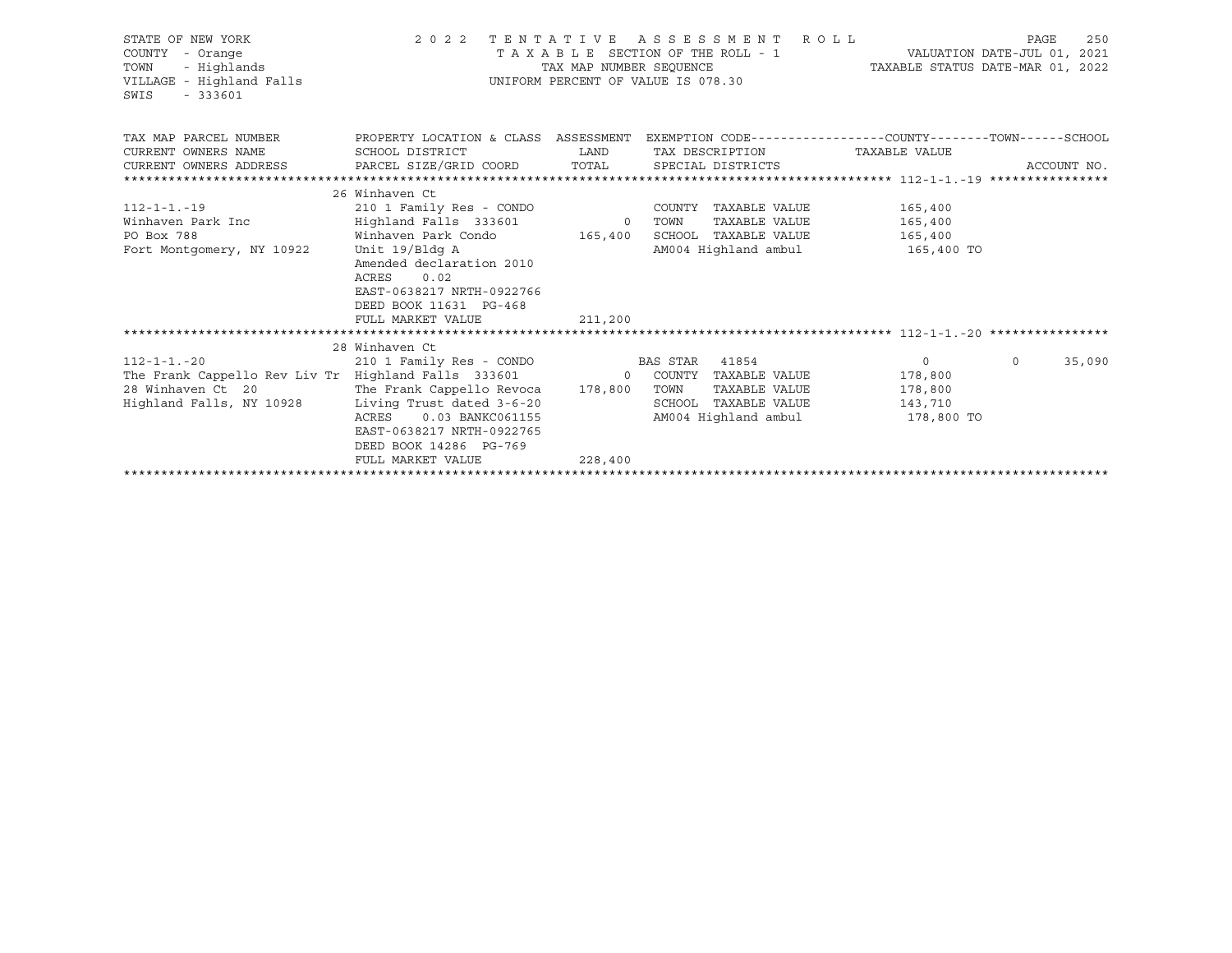| STATE OF NEW YORK<br>COUNTY - Orange<br>- Highlands<br>TOWN<br>VILLAGE - Highland Falls<br>$-333601$<br>SWIS              |                                                                                                  | TAX MAP NUMBER SEOUENCE | 2022 TENTATIVE ASSESSMENT ROLL<br>TAXABLE SECTION OF THE ROLL - 1<br>UNIFORM PERCENT OF VALUE IS 078.30 | TAXABLE STATUS DATE-MAR 01, 2022 | 250<br>PAGE<br>VALUATION DATE-JUL 01, 2021 |
|---------------------------------------------------------------------------------------------------------------------------|--------------------------------------------------------------------------------------------------|-------------------------|---------------------------------------------------------------------------------------------------------|----------------------------------|--------------------------------------------|
| TAX MAP PARCEL NUMBER THE PROPERTY LOCATION & CLASS ASSESSMENT EXEMPTION CODE---------------COUNTY-------TOWN------SCHOOL |                                                                                                  |                         |                                                                                                         |                                  |                                            |
| CURRENT OWNERS NAME                                                                                                       | SCHOOL DISTRICT                                                                                  | LAND                    | TAX DESCRIPTION                                                                                         | TAXABLE VALUE                    |                                            |
| CURRENT OWNERS ADDRESS     PARCEL SIZE/GRID COORD     TOTAL     SPECIAL DISTRICTS                                         |                                                                                                  |                         |                                                                                                         |                                  | ACCOUNT NO.                                |
|                                                                                                                           |                                                                                                  |                         |                                                                                                         |                                  |                                            |
|                                                                                                                           | 26 Winhaven Ct                                                                                   |                         |                                                                                                         |                                  |                                            |
| $112 - 1 - 1 - 19$                                                                                                        | 210 1 Family Res - CONDO                                                                         |                         | COUNTY TAXABLE VALUE                                                                                    | 165,400                          |                                            |
| Winhaven Park Inc<br>PO Box 788                                                                                           | Highland Falls 333601 0 TOWN<br>Winhaven Park Condo 165,400                                      |                         |                                                                                                         | TAXABLE VALUE 165,400            |                                            |
|                                                                                                                           | Unit 19/Bldg A                                                                                   |                         | SCHOOL TAXABLE VALUE                                                                                    | 165,400                          |                                            |
| Fort Montgomery, NY 10922                                                                                                 | Amended declaration 2010<br>0.02<br>ACRES<br>EAST-0638217 NRTH-0922766<br>DEED BOOK 11631 PG-468 |                         |                                                                                                         | AM004 Highland ambul 165,400 TO  |                                            |
|                                                                                                                           | FULL MARKET VALUE                                                                                | 211,200                 |                                                                                                         |                                  |                                            |
|                                                                                                                           |                                                                                                  |                         |                                                                                                         |                                  |                                            |
| $112 - 1 - 1 - 20$                                                                                                        | 28 Winhaven Ct<br>210 1 Family Res - CONDO BAS STAR 41854                                        |                         |                                                                                                         | 0                                | $\circ$<br>35,090                          |
| The Frank Cappello Rev Liv Tr Highland Falls 333601 0 COUNTY TAXABLE VALUE 178,800                                        |                                                                                                  |                         |                                                                                                         |                                  |                                            |
| 28 Winhaven Ct 20                                                                                                         | The Frank Cappello Revoca 178,800 TOWN                                                           |                         | TAXABLE VALUE                                                                                           | 178,800                          |                                            |
| Highland Falls, NY 10928                                                                                                  | Living Trust dated 3-6-20                                                                        |                         | SCHOOL TAXABLE VALUE                                                                                    | 143,710                          |                                            |
|                                                                                                                           | ACRES<br>0.03 BANKC061155                                                                        |                         |                                                                                                         | AM004 Highland ambul 178,800 TO  |                                            |
|                                                                                                                           | EAST-0638217 NRTH-0922765                                                                        |                         |                                                                                                         |                                  |                                            |
|                                                                                                                           | DEED BOOK 14286 PG-769                                                                           |                         |                                                                                                         |                                  |                                            |
|                                                                                                                           | FULL MARKET VALUE                                                                                | 228,400                 |                                                                                                         |                                  |                                            |
|                                                                                                                           |                                                                                                  |                         |                                                                                                         |                                  |                                            |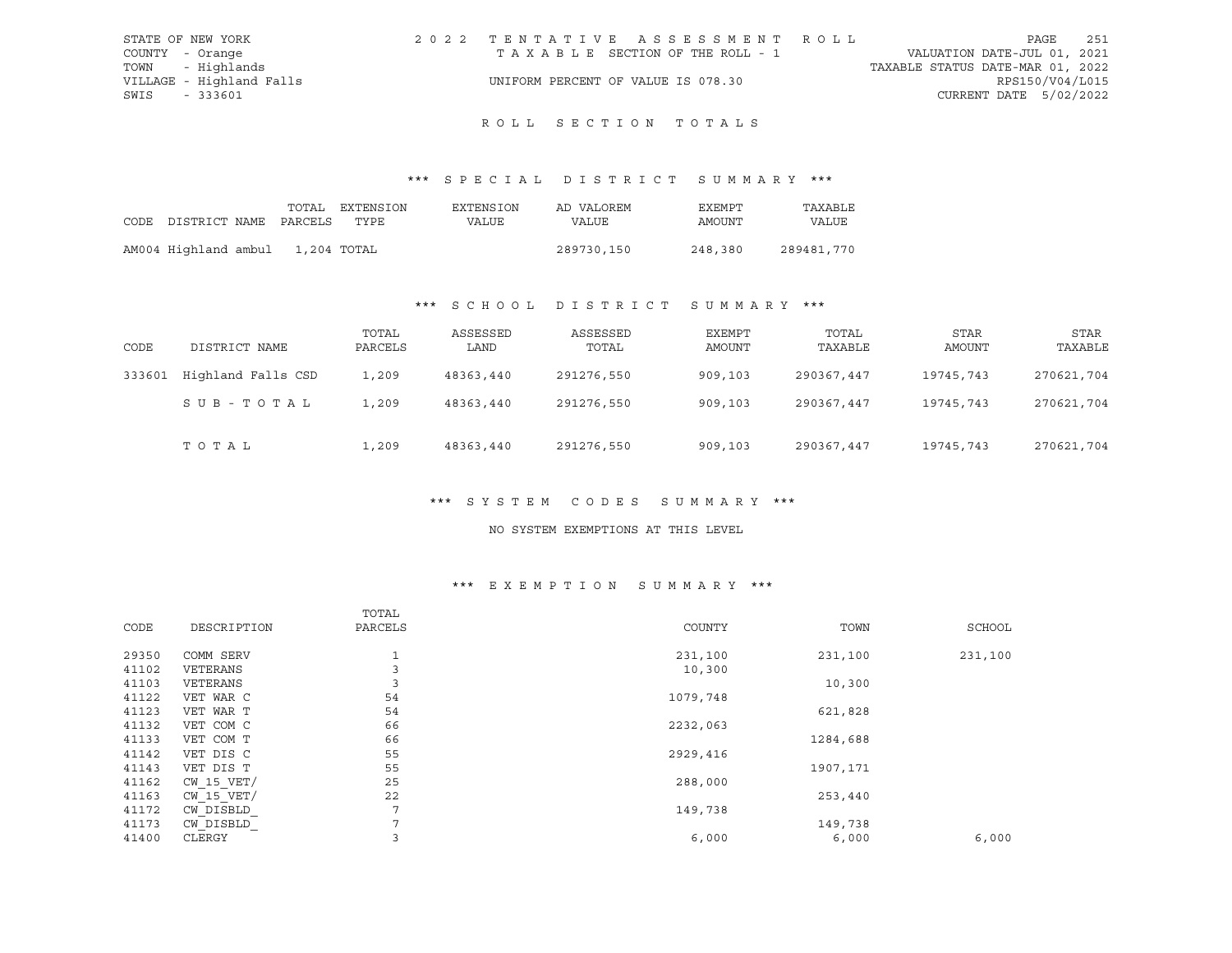|                 | STATE OF NEW YORK        | 2022 TENTATIVE ASSESSMENT ROLL     |                                  | PAGE            | 251 |
|-----------------|--------------------------|------------------------------------|----------------------------------|-----------------|-----|
| COUNTY - Orange |                          | TAXABLE SECTION OF THE ROLL - 1    | VALUATION DATE-JUL 01, 2021      |                 |     |
|                 | TOWN - Highlands         |                                    | TAXABLE STATUS DATE-MAR 01, 2022 |                 |     |
|                 | VILLAGE - Highland Falls | UNIFORM PERCENT OF VALUE IS 078.30 |                                  | RPS150/V04/L015 |     |
| SWIS - 333601   |                          |                                    | CURRENT DATE 5/02/2022           |                 |     |

# ROLL SECTION TOTALS

## \*\*\* S P E C I A L D I S T R I C T S U M M A R Y \*\*\*

|                                  |  | TOTAL EXTENSION | EXTENSION | AD VALOREM | EXEMPT  | TAXABLE      |
|----------------------------------|--|-----------------|-----------|------------|---------|--------------|
| CODE DISTRICT NAME PARCELS TYPE  |  |                 | VALUE     | VALUE      | AMOUNT  | <b>VALUE</b> |
|                                  |  |                 |           |            |         |              |
| AM004 Highland ambul 1,204 TOTAL |  |                 |           | 289730,150 | 248,380 | 289481,770   |

## \*\*\* S C H O O L D I S T R I C T S U M M A R Y \*\*\*

| CODE   | DISTRICT NAME      | TOTAL<br>PARCELS | ASSESSED<br>LAND | ASSESSED<br>TOTAL | EXEMPT<br>AMOUNT | TOTAL<br>TAXABLE | STAR<br>AMOUNT | STAR<br>TAXABLE |
|--------|--------------------|------------------|------------------|-------------------|------------------|------------------|----------------|-----------------|
| 333601 | Highland Falls CSD | 1,209            | 48363,440        | 291276,550        | 909,103          | 290367,447       | 19745,743      | 270621,704      |
|        | SUB-TOTAL          | 1,209            | 48363,440        | 291276,550        | 909,103          | 290367,447       | 19745,743      | 270621,704      |
|        | TOTAL              | 1,209            | 48363,440        | 291276,550        | 909,103          | 290367,447       | 19745,743      | 270621,704      |

### \*\*\* S Y S T E M C O D E S S U M M A R Y \*\*\*

#### NO SYSTEM EXEMPTIONS AT THIS LEVEL

### \*\*\* E X E M P T I O N S U M M A R Y \*\*\*

|                | TOTAL        |          |           |         |
|----------------|--------------|----------|-----------|---------|
| DESCRIPTION    | PARCELS      | COUNTY   | TOWN      | SCHOOL  |
| COMM SERV      | $\mathbf{1}$ | 231,100  | 231,100   | 231,100 |
| VETERANS       | 3            | 10,300   |           |         |
| VETERANS       | 3            |          | 10,300    |         |
| VET WAR C      | 54           | 1079,748 |           |         |
| VET WAR T      | 54           |          | 621,828   |         |
| VET COM C      | 66           | 2232,063 |           |         |
| VET COM T      | 66           |          | 1284,688  |         |
| VET DIS C      | 55           | 2929,416 |           |         |
| VET DIS T      | 55           |          | 1907, 171 |         |
| $CW$ 15 $VET/$ | 25           | 288,000  |           |         |
| $CW$ 15 $VET/$ | 22           |          | 253,440   |         |
| CW DISBLD      | 7            | 149,738  |           |         |
| CW DISBLD      | 7            |          | 149,738   |         |
| CLERGY         | 3            | 6,000    | 6,000     | 6,000   |
|                |              |          |           |         |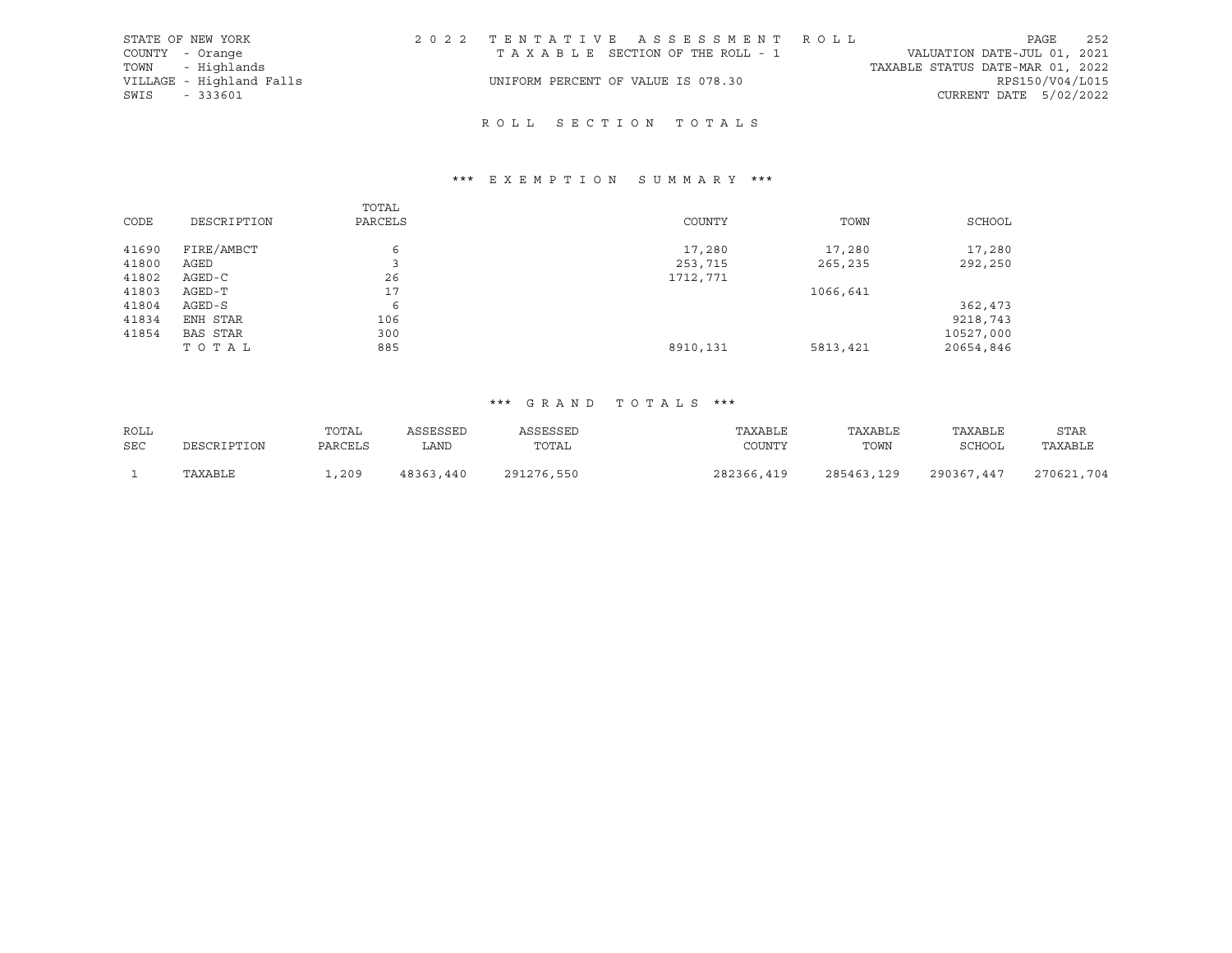| STATE OF NEW YORK        | 2022 TENTATIVE ASSESSMENT ROLL                                 | PAGE                   | 252 |
|--------------------------|----------------------------------------------------------------|------------------------|-----|
| COUNTY - Orange          | VALUATION DATE-JUL 01, 2021<br>TAXABLE SECTION OF THE ROLL - 1 |                        |     |
| TOWN - Highlands         | TAXABLE STATUS DATE-MAR 01, 2022                               |                        |     |
| VILLAGE - Highland Falls | UNIFORM PERCENT OF VALUE IS 078.30                             | RPS150/V04/L015        |     |
| SWIS - 333601            |                                                                | CURRENT DATE 5/02/2022 |     |
|                          |                                                                |                        |     |

# R O L L S E C T I O N T O T A L S

## \*\*\* E X E M P T I O N S U M M A R Y \*\*\*

|       |                 | TOTAL   |          |          |           |
|-------|-----------------|---------|----------|----------|-----------|
| CODE  | DESCRIPTION     | PARCELS | COUNTY   | TOWN     | SCHOOL    |
|       |                 |         |          |          |           |
| 41690 | FIRE/AMBCT      | 6       | 17,280   | 17,280   | 17,280    |
| 41800 | AGED            |         | 253,715  | 265,235  | 292,250   |
| 41802 | AGED-C          | 26      | 1712,771 |          |           |
| 41803 | AGED-T          | 17      |          | 1066,641 |           |
| 41804 | AGED-S          | 6       |          |          | 362,473   |
| 41834 | ENH STAR        | 106     |          |          | 9218,743  |
| 41854 | <b>BAS STAR</b> | 300     |          |          | 10527,000 |
|       | TOTAL           | 885     | 8910,131 | 5813,421 | 20654,846 |

### \*\*\* G R A N D T O T A L S \*\*\*

| ROLL       |             | TOTAL   | ASSESSED  | ASSESSED   | TAXABLE    | TAXABLE    | TAXABLE       | <b>STAR</b> |
|------------|-------------|---------|-----------|------------|------------|------------|---------------|-------------|
| <b>SEC</b> | DESCRIPTION | PARCELS | LAND      | TOTAL      | COUNTY     | TOWN       | <b>SCHOOL</b> | TAXABLE     |
|            | TAXABLE     | ,209    | 48363,440 | 291276,550 | 282366,419 | 285463,129 | 290367,447    | 270621,704  |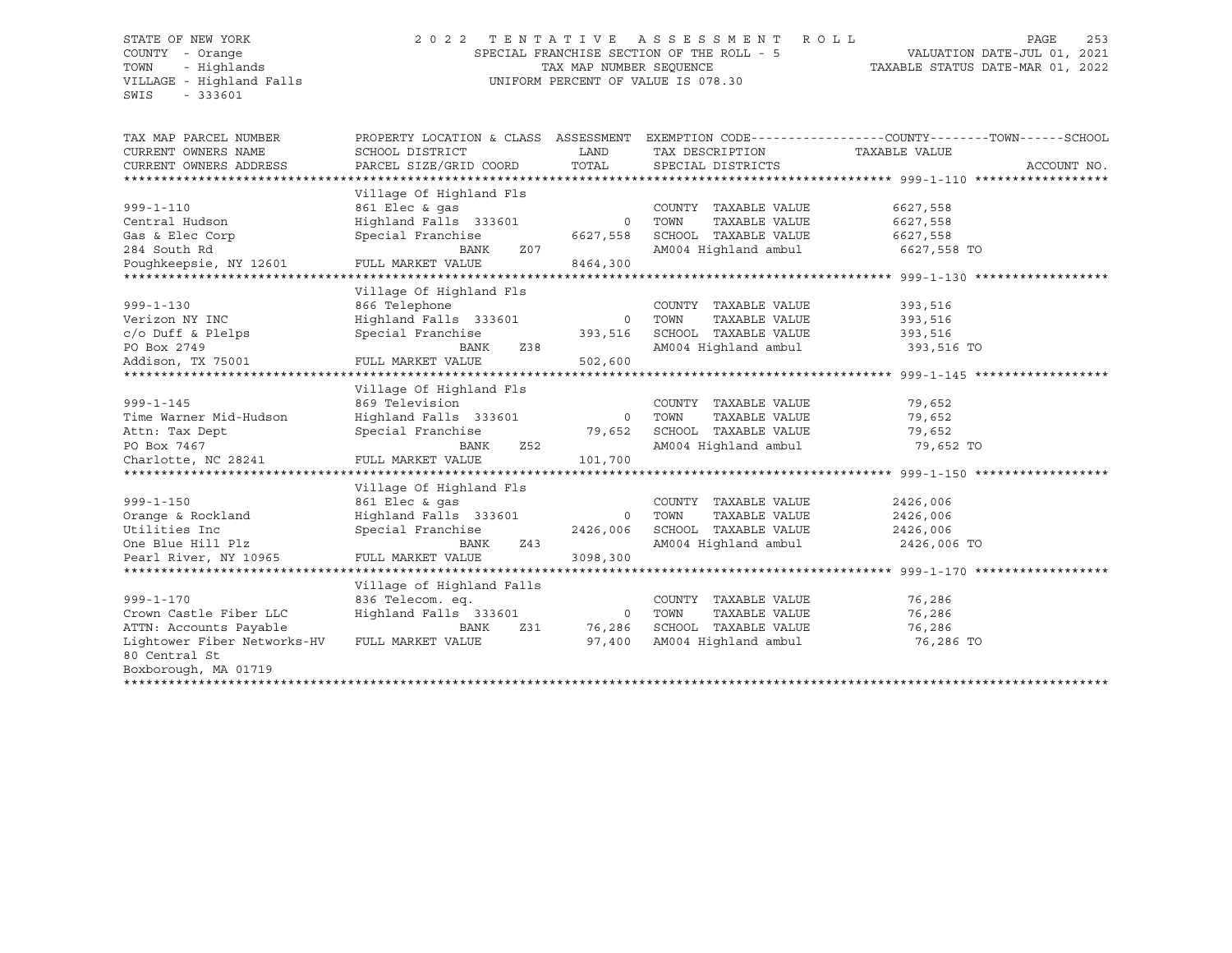#### STATE OF NEW YORK 2 0 2 2 T E N T A T I V E A S S E S S M E N T R O L L PAGE 253 COUNTY - Orange SPECIAL FRANCHISE SECTION OF THE ROLL - 5 VALUATION DATE-JUL 01, 2021 TOWN - Highlands TAX MAP NUMBER SEQUENCE TAXABLE STATUS DATE-MAR 01, 2022 VILLAGE - Highland Falls UNIFORM PERCENT OF VALUE IS 078.30

| TAX MAP PARCEL NUMBER<br>CURRENT OWNERS NAME | PROPERTY LOCATION & CLASS ASSESSMENT<br>SCHOOL DISTRICT | LAND<br>TOTAL | TAX DESCRIPTION TAXABLE VALUE   | EXEMPTION CODE-----------------COUNTY-------TOWN------SCHOOL |             |
|----------------------------------------------|---------------------------------------------------------|---------------|---------------------------------|--------------------------------------------------------------|-------------|
| CURRENT OWNERS ADDRESS                       | PARCEL SIZE/GRID COORD                                  |               | SPECIAL DISTRICTS               |                                                              | ACCOUNT NO. |
|                                              | Village Of Highland Fls                                 |               |                                 |                                                              |             |
| $999 - 1 - 110$                              | 861 Elec & gas                                          |               | COUNTY TAXABLE VALUE            | 6627,558                                                     |             |
| Central Hudson                               | Highland Falls 333601                                   | 0 TOWN        | TAXABLE VALUE                   | 6627,558                                                     |             |
| Gas & Elec Corp                              | Special Franchise                                       | 6627,558      | SCHOOL TAXABLE VALUE            | 6627,558                                                     |             |
| 284 South Rd                                 | BANK<br>Z07                                             |               | AM004 Highland ambul            | 6627,558 TO                                                  |             |
| Poughkeepsie, NY 12601                       | FULL MARKET VALUE                                       | 8464,300      |                                 |                                                              |             |
|                                              |                                                         |               |                                 |                                                              |             |
|                                              | Village Of Highland Fls                                 |               |                                 |                                                              |             |
| $999 - 1 - 130$                              | 866 Telephone                                           |               | COUNTY TAXABLE VALUE            | 393,516                                                      |             |
| Verizon NY INC                               | Highland Falls 333601                                   | 0 TOWN        | TAXABLE VALUE                   | 393,516                                                      |             |
| c/o Duff & Plelps                            | Special Franchise                                       | 393,516       | SCHOOL TAXABLE VALUE            | 393,516                                                      |             |
| PO Box 2749                                  | Z38<br>BANK                                             |               | AM004 Highland ambul 393,516 TO |                                                              |             |
| Addison, TX 75001                            | FULL MARKET VALUE                                       | 502,600       |                                 |                                                              |             |
|                                              |                                                         |               |                                 |                                                              |             |
|                                              | Village Of Highland Fls                                 |               |                                 |                                                              |             |
| $999 - 1 - 145$                              | 869 Television                                          |               | COUNTY TAXABLE VALUE            | 79,652                                                       |             |
| Time Warner Mid-Hudson                       | Highland Falls 333601                                   | 0 TOWN        | TAXABLE VALUE                   | 79,652                                                       |             |
| Attn: Tax Dept                               | Special Franchise                                       | 79,652        | SCHOOL TAXABLE VALUE            | 79,652                                                       |             |
| PO Box 7467                                  | BANK<br>Z52                                             |               | AM004 Highland ambul            | 79,652 TO                                                    |             |
| Charlotte, NC 28241                          | FULL MARKET VALUE                                       | 101,700       |                                 |                                                              |             |
|                                              |                                                         |               |                                 |                                                              |             |
|                                              | Village Of Highland Fls                                 |               |                                 |                                                              |             |
| $999 - 1 - 150$                              | 861 Elec & gas                                          |               | COUNTY TAXABLE VALUE            | 2426,006                                                     |             |
| Orange & Rockland                            | Highland Falls 333601                                   |               | 0 TOWN<br>TAXABLE VALUE         | 2426,006                                                     |             |
| Utilities Inc                                | Special Franchise                                       | 2426,006      | SCHOOL TAXABLE VALUE            | 2426,006                                                     |             |
| One Blue Hill Plz                            | BANK<br>Z43                                             |               | AM004 Highland ambul            | 2426,006 TO                                                  |             |
| Pearl River, NY 10965                        | FULL MARKET VALUE                                       | 3098,300      |                                 |                                                              |             |
|                                              |                                                         |               |                                 |                                                              |             |
|                                              | Village of Highland Falls                               |               |                                 |                                                              |             |
| $999 - 1 - 170$                              | 836 Telecom. eq.                                        |               | COUNTY TAXABLE VALUE            | 76,286                                                       |             |
| Crown Castle Fiber LLC                       | Highland Falls 333601                                   |               | 0 TOWN<br>TAXABLE VALUE         | 76,286                                                       |             |
| ATTN: Accounts Payable                       | Z31<br>BANK                                             | 76,286        | SCHOOL TAXABLE VALUE            | 76,286                                                       |             |
| Lightower Fiber Networks-HV<br>80 Central St | FULL MARKET VALUE                                       | 97,400        | AM004 Highland ambul            | 76,286 TO                                                    |             |
| Boxborough, MA 01719                         |                                                         |               |                                 |                                                              |             |
|                                              |                                                         |               |                                 |                                                              |             |
|                                              |                                                         |               |                                 |                                                              |             |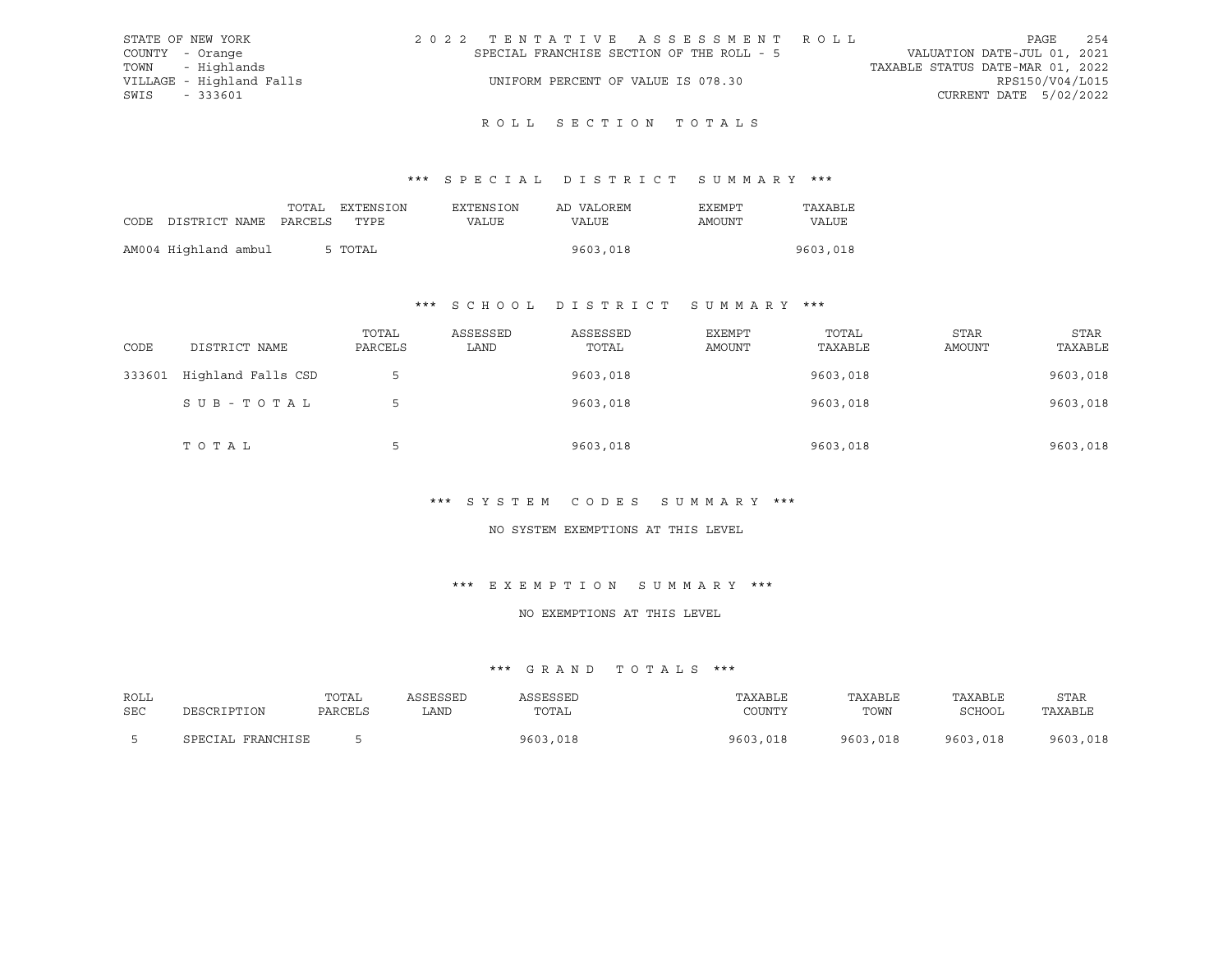| STATE OF NEW YORK        | 2022 TENTATIVE ASSESSMENT ROLL            | 254<br>PAGE                      |
|--------------------------|-------------------------------------------|----------------------------------|
| COUNTY - Orange          | SPECIAL FRANCHISE SECTION OF THE ROLL - 5 | VALUATION DATE-JUL 01, 2021      |
| TOWN - Highlands         |                                           | TAXABLE STATUS DATE-MAR 01, 2022 |
| VILLAGE - Highland Falls | UNIFORM PERCENT OF VALUE IS 078.30        | RPS150/V04/L015                  |
| SWIS<br>- 333601         |                                           | CURRENT DATE 5/02/2022           |
|                          |                                           |                                  |

# R O L L S E C T I O N T O T A L S

## \*\*\* S P E C I A L D I S T R I C T S U M M A R Y \*\*\*

|                                 |  | TOTAL EXTENSION | EXTENSION | AD VALOREM | EXEMPT | TAXABLE  |
|---------------------------------|--|-----------------|-----------|------------|--------|----------|
| CODE DISTRICT NAME PARCELS TYPE |  |                 | VALUE     | VALUE      | AMOUNT | VALUE    |
|                                 |  |                 |           |            |        |          |
| AM004 Highland ambul            |  | 5 TOTAL         |           | 9603,018   |        | 9603,018 |

#### \*\*\* S C H O O L D I S T R I C T S U M M A R Y \*\*\*

| CODE   | DISTRICT NAME      | TOTAL<br>PARCELS | ASSESSED<br>LAND | ASSESSED<br>TOTAL | EXEMPT<br>AMOUNT | TOTAL<br>TAXABLE | STAR<br>AMOUNT | <b>STAR</b><br>TAXABLE |
|--------|--------------------|------------------|------------------|-------------------|------------------|------------------|----------------|------------------------|
| 333601 | Highland Falls CSD | $\mathsf{b}$     |                  | 9603,018          |                  | 9603,018         |                | 9603,018               |
|        | SUB-TOTAL          | 5                |                  | 9603,018          |                  | 9603,018         |                | 9603,018               |
|        | TOTAL              | 5                |                  | 9603,018          |                  | 9603,018         |                | 9603,018               |

## \*\*\* S Y S T E M C O D E S S U M M A R Y \*\*\*

#### NO SYSTEM EXEMPTIONS AT THIS LEVEL

## \*\*\* E X E M P T I O N S U M M A R Y \*\*\*

#### NO EXEMPTIONS AT THIS LEVEL

| ROLL |                      | TOTAL   | ASSESSED | <b>\SSESSED</b> | TAXABLE      | TAXABLE  | TAXABLE  | STAR     |
|------|----------------------|---------|----------|-----------------|--------------|----------|----------|----------|
| SEC  | DESCRIPTION          | PARCELS | LAND     | TOTAL           | COUNTY       | TOWN     | SCHOOL   | TAXABLE  |
|      | FRANCHISE<br>SPECIAL |         |          | 9603,018        | 9603<br>,018 | 9603,018 | 9603,018 | 9603,018 |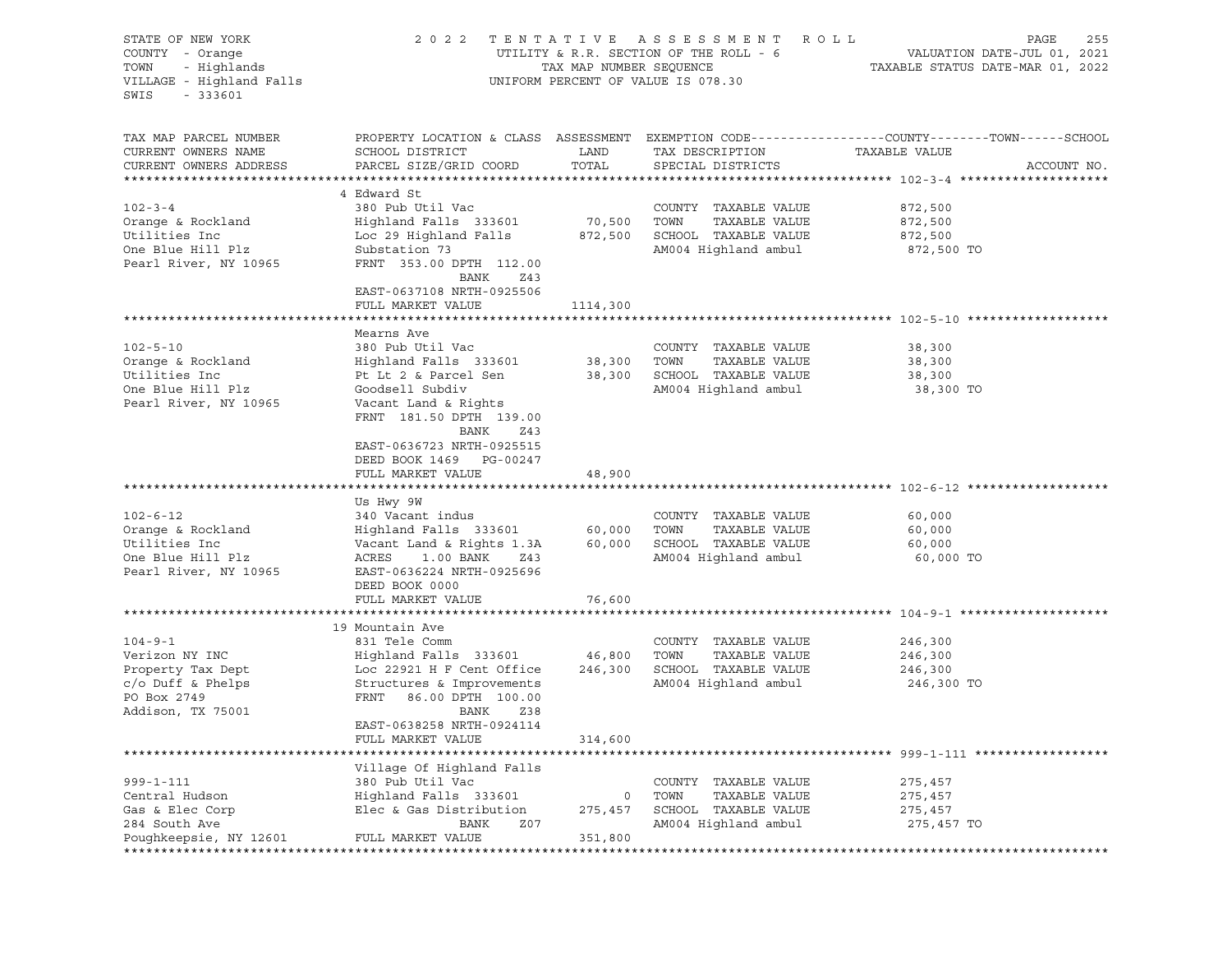| STATE OF NEW YORK<br>COUNTY - Orange<br>ישאט - Highlands<br>VILLAGE - Highland Falls<br>SWIS - המכבר ה<br>SWIS<br>$-333601$ |                                                                                                                                |               | 2022 TENTATIVE ASSESSMENT ROLL<br>UNIFORM PERCENT OF VALUE IS 078.30 | PAGE<br>255<br>UTILITY & R.R. SECTION OF THE ROLL - $6$ $$\tt VAUATION\ DATE-JUL\ 01, 2021$$ TAX MAP NUMBER SEQUENCE $$\tt TXABLE\ STATUS\ DATE-MAR\ 01, 2022$$ |
|-----------------------------------------------------------------------------------------------------------------------------|--------------------------------------------------------------------------------------------------------------------------------|---------------|----------------------------------------------------------------------|-----------------------------------------------------------------------------------------------------------------------------------------------------------------|
| TAX MAP PARCEL NUMBER<br>CURRENT OWNERS NAME<br>CURRENT OWNERS ADDRESS                                                      | SCHOOL DISTRICT<br>PARCEL SIZE/GRID COORD                                                                                      | LAND<br>TOTAL | TAX DESCRIPTION<br>SPECIAL DISTRICTS                                 | PROPERTY LOCATION & CLASS ASSESSMENT EXEMPTION CODE----------------COUNTY-------TOWN------SCHOOL<br>TAXABLE VALUE<br>ACCOUNT NO.                                |
|                                                                                                                             | 4 Edward St                                                                                                                    |               |                                                                      |                                                                                                                                                                 |
| $102 - 3 - 4$                                                                                                               | 380 Pub Util Vac                                                                                                               |               | COUNTY TAXABLE VALUE                                                 | 872,500                                                                                                                                                         |
| Orange & Rockland                                                                                                           | Highland Falls 333601                                                                                                          | 70,500 TOWN   | TAXABLE VALUE                                                        | 872,500                                                                                                                                                         |
| Utilities Inc                                                                                                               | Loc 29 Highland Falls (2007) 2014 - 100 MM - 100 MM - 100 MM - 100 MM - 100 MM - 100 MM - 100 MM - 100 MM - 1<br>Substation 73 |               |                                                                      | 872,500                                                                                                                                                         |
| One Blue Hill Plz<br>Pearl River, NY 10965                                                                                  | Substation 73<br>FRNT 353.00 DPTH 112.00<br>BANK<br>Z43                                                                        |               | AM004 Highland ambul                                                 | 872,500 TO                                                                                                                                                      |
|                                                                                                                             | EAST-0637108 NRTH-0925506                                                                                                      |               |                                                                      |                                                                                                                                                                 |
|                                                                                                                             | FULL MARKET VALUE                                                                                                              | 1114,300      |                                                                      |                                                                                                                                                                 |
|                                                                                                                             | Mearns Ave                                                                                                                     |               |                                                                      |                                                                                                                                                                 |
| $102 - 5 - 10$                                                                                                              | 380 Pub Util Vac                                                                                                               |               | COUNTY TAXABLE VALUE                                                 | 38,300                                                                                                                                                          |
| Orange & Rockland                                                                                                           | Highland Falls 333601                                                                                                          | 38,300 TOWN   | TAXABLE VALUE                                                        | 38,300                                                                                                                                                          |
| Utilities Inc                                                                                                               | Pt Lt 2 & Parcel Sen 38,300 SCHOOL TAXABLE VALUE                                                                               |               |                                                                      | 38,300                                                                                                                                                          |
| One Blue Hill Plz                                                                                                           | Goodsell Subdiv                                                                                                                |               | AM004 Highland ambul                                                 | 38,300 TO                                                                                                                                                       |
| Pearl River, NY 10965                                                                                                       | Vacant Land & Rights<br>FRNT 181.50 DPTH 139.00                                                                                |               |                                                                      |                                                                                                                                                                 |
|                                                                                                                             | BANK<br>Z43                                                                                                                    |               |                                                                      |                                                                                                                                                                 |
|                                                                                                                             | EAST-0636723 NRTH-0925515                                                                                                      |               |                                                                      |                                                                                                                                                                 |
|                                                                                                                             | DEED BOOK 1469 PG-00247                                                                                                        |               |                                                                      |                                                                                                                                                                 |
|                                                                                                                             | FULL MARKET VALUE                                                                                                              | 48,900        |                                                                      |                                                                                                                                                                 |
|                                                                                                                             |                                                                                                                                |               |                                                                      |                                                                                                                                                                 |
| $102 - 6 - 12$                                                                                                              | Us Hwy 9W                                                                                                                      |               | COUNTY TAXABLE VALUE                                                 | 60,000                                                                                                                                                          |
| Orange & Rockland                                                                                                           | 340 Vacant indus<br>Highland Falls 333601 60,000 TOWN                                                                          |               | TAXABLE VALUE                                                        | 60,000                                                                                                                                                          |
| Utilities Inc                                                                                                               | Vacant Land & Rights 1.3A 60,000 SCHOOL TAXABLE VALUE                                                                          |               |                                                                      | 60,000                                                                                                                                                          |
| One Blue Hill Plz                                                                                                           | ACRES 1.00 BANK Z43                                                                                                            |               | AM004 Highland ambul                                                 | 60,000 TO                                                                                                                                                       |
| Pearl River, NY 10965                                                                                                       | EAST-0636224 NRTH-0925696                                                                                                      |               |                                                                      |                                                                                                                                                                 |
|                                                                                                                             | DEED BOOK 0000                                                                                                                 |               |                                                                      |                                                                                                                                                                 |
|                                                                                                                             | FULL MARKET VALUE                                                                                                              | 76,600        |                                                                      |                                                                                                                                                                 |
|                                                                                                                             | 19 Mountain Ave                                                                                                                |               |                                                                      |                                                                                                                                                                 |
| $104 - 9 - 1$                                                                                                               | 831 Tele Comm                                                                                                                  |               | COUNTY TAXABLE VALUE                                                 | 246,300                                                                                                                                                         |
| Verizon NY INC                                                                                                              | Highland Falls 333601 46,800                                                                                                   |               |                                                                      | 246,300                                                                                                                                                         |
| Property Tax Dept                                                                                                           | Highland Falls 333601<br>Loc 22921 H F Cent Office 246,300 SCHOOL TAXABLE VALUE                                                |               |                                                                      | 246,300                                                                                                                                                         |
| $c$ /o Duff & Phelps                                                                                                        | Structures & Improvements<br>FRNT 86.00 DPTH 100.00                                                                            |               | AM004 Highland ambul                                                 | 246,300 TO                                                                                                                                                      |
| PO Box 2749<br>Addison, TX 75001                                                                                            | BANK<br>Z38                                                                                                                    |               |                                                                      |                                                                                                                                                                 |
|                                                                                                                             | EAST-0638258 NRTH-0924114                                                                                                      |               |                                                                      |                                                                                                                                                                 |
|                                                                                                                             | FULL MARKET VALUE                                                                                                              | 314,600       |                                                                      |                                                                                                                                                                 |
|                                                                                                                             |                                                                                                                                |               |                                                                      |                                                                                                                                                                 |
|                                                                                                                             | Village Of Highland Falls                                                                                                      |               |                                                                      |                                                                                                                                                                 |
| 999-1-111<br>Central Hudson                                                                                                 | 380 Pub Util Vac<br>Highland Falls 333601                                                                                      | 0             | COUNTY<br>TAXABLE VALUE<br>TOWN<br>TAXABLE VALUE                     | 275,457<br>275,457                                                                                                                                              |
| Gas & Elec Corp                                                                                                             | Elec & Gas Distribution                                                                                                        | 275,457       | SCHOOL TAXABLE VALUE                                                 | 275,457                                                                                                                                                         |
| 284 South Ave                                                                                                               | BANK<br>Z07                                                                                                                    |               | AM004 Highland ambul                                                 | 275,457 TO                                                                                                                                                      |
| Poughkeepsie, NY 12601                                                                                                      | FULL MARKET VALUE                                                                                                              | 351,800       |                                                                      |                                                                                                                                                                 |
|                                                                                                                             |                                                                                                                                |               |                                                                      |                                                                                                                                                                 |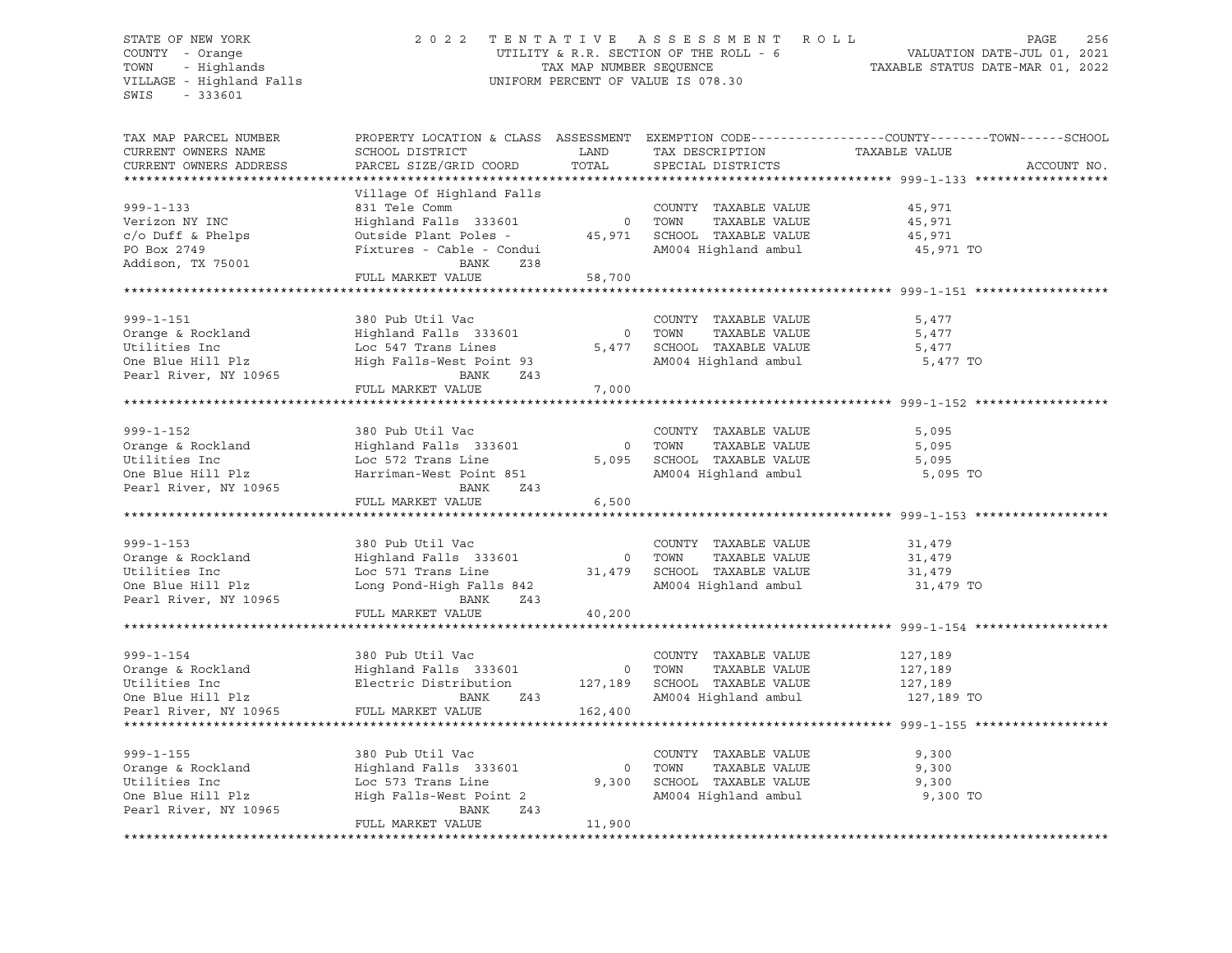STATE OF NEW YORK 2 0 2 2 T E N T A T I V E A S S E S S M E N T R O L L PAGE 256 COUNTY - Orange UTILITY & R.R. SECTION OF THE ROLL - 6 VALUATION DATE-JUL 01, 2021 TOWN - Highlands TAX MAP NUMBER SEQUENCE TAXABLE STATUS DATE-MAR 01, 2022 UNIFORM PERCENT OF VALUE IS 078.30 SWIS - 333601 TAX MAP PARCEL NUMBER PROPERTY LOCATION & CLASS ASSESSMENT EXEMPTION CODE----------------COUNTY-------TOWN-----SCHOOL CURRENT OWNERS NAME SCHOOL DISTRICT LAND TAX DESCRIPTION TAXABLE VALUE CURRENT OWNERS ADDRESS PARCEL SIZE/GRID COORD TOTAL SPECIAL DISTRICTS ACCOUNT NO. \*\*\*\*\*\*\*\*\*\*\*\*\*\*\*\*\*\*\*\*\*\*\*\*\*\*\*\*\*\*\*\*\*\*\*\*\*\*\*\*\*\*\*\*\*\*\*\*\*\*\*\*\*\*\*\*\*\*\*\*\*\*\*\*\*\*\*\*\*\*\*\*\*\*\*\*\*\*\*\*\*\*\*\*\*\*\*\*\*\*\*\*\*\*\*\*\*\*\*\*\*\*\* 999-1-133 \*\*\*\*\*\*\*\*\*\*\*\*\*\*\*\*\*\* Village Of Highland Falls 999-1-133 831 Tele Comm COUNTY TAXABLE VALUE 45,971 Verizon NY INC Highland Falls 333601 0 TOWN TAXABLE VALUE 45,971 c/o Duff & Phelps Outside Plant Poles - 45,971 SCHOOL TAXABLE VALUE 45,971 PO Box 2749 Fixtures - Cable - Condui AM004 Highland ambul 45,971 TO Addison, TX 75001 BANK Z38 FULL MARKET VALUE 58,700 \*\*\*\*\*\*\*\*\*\*\*\*\*\*\*\*\*\*\*\*\*\*\*\*\*\*\*\*\*\*\*\*\*\*\*\*\*\*\*\*\*\*\*\*\*\*\*\*\*\*\*\*\*\*\*\*\*\*\*\*\*\*\*\*\*\*\*\*\*\*\*\*\*\*\*\*\*\*\*\*\*\*\*\*\*\*\*\*\*\*\*\*\*\*\*\*\*\*\*\*\*\*\* 999-1-151 \*\*\*\*\*\*\*\*\*\*\*\*\*\*\*\*\*\* 999-1-151 380 Pub Util Vac COUNTY TAXABLE VALUE 5,477 Orange & Rockland Highland Falls 333601 0 TOWN TAXABLE VALUE 5,477 Utilities Inc Loc 547 Trans Lines 5,477 SCHOOL TAXABLE VALUE 5,477 One Bay Trans Lines וואר האיר היית הייתה שטעות המאמנות המוסיף ומשלב בין הייתה הייתה הייתה בין הייתה הייתה היית<br>High Falls-West Point 93 AM004 Highland ambul 5,477 TO Pearl River, NY 10965 BANK Z43 FULL MARKET VALUE 7,000 \*\*\*\*\*\*\*\*\*\*\*\*\*\*\*\*\*\*\*\*\*\*\*\*\*\*\*\*\*\*\*\*\*\*\*\*\*\*\*\*\*\*\*\*\*\*\*\*\*\*\*\*\*\*\*\*\*\*\*\*\*\*\*\*\*\*\*\*\*\*\*\*\*\*\*\*\*\*\*\*\*\*\*\*\*\*\*\*\*\*\*\*\*\*\*\*\*\*\*\*\*\*\* 999-1-152 \*\*\*\*\*\*\*\*\*\*\*\*\*\*\*\*\*\* 999-1-152 380 Pub Util Vac COUNTY TAXABLE VALUE 5,095 Orange & Rockland Highland Falls 333601 0 TOWN TAXABLE VALUE 5,095 Utilities Inc Loc 572 Trans Line 5,095 SCHOOL TAXABLE VALUE 5,095 One Blue Hill Plz Harriman-West Point 851 AM004 Highland ambul 5,095 TO Pearl River, NY 10965 BANK Z43 FULL MARKET VALUE 6,500 \*\*\*\*\*\*\*\*\*\*\*\*\*\*\*\*\*\*\*\*\*\*\*\*\*\*\*\*\*\*\*\*\*\*\*\*\*\*\*\*\*\*\*\*\*\*\*\*\*\*\*\*\*\*\*\*\*\*\*\*\*\*\*\*\*\*\*\*\*\*\*\*\*\*\*\*\*\*\*\*\*\*\*\*\*\*\*\*\*\*\*\*\*\*\*\*\*\*\*\*\*\*\* 999-1-153 \*\*\*\*\*\*\*\*\*\*\*\*\*\*\*\*\*\* 999-1-153 380 Pub Util Vac COUNTY TAXABLE VALUE 31,479 Orange & Rockland Highland Falls 333601 0 TOWN TAXABLE VALUE 31,479 Utilities Inc Loc 571 Trans Line 31,479 SCHOOL TAXABLE VALUE 31,479 One Blue Hill Plz Long Pond-High Falls 842 AM004 Highland ambul 31,479 TO Pearl River, NY 10965 BANK Z43 FULL MARKET VALUE 40,200 \*\*\*\*\*\*\*\*\*\*\*\*\*\*\*\*\*\*\*\*\*\*\*\*\*\*\*\*\*\*\*\*\*\*\*\*\*\*\*\*\*\*\*\*\*\*\*\*\*\*\*\*\*\*\*\*\*\*\*\*\*\*\*\*\*\*\*\*\*\*\*\*\*\*\*\*\*\*\*\*\*\*\*\*\*\*\*\*\*\*\*\*\*\*\*\*\*\*\*\*\*\*\* 999-1-154 \*\*\*\*\*\*\*\*\*\*\*\*\*\*\*\*\*\* 999-1-154 380 Pub Util Vac COUNTY TAXABLE VALUE 127,189 Orange & Rockland Highland Falls 333601 0 TOWN TAXABLE VALUE 127,189 Utilities Inc Electric Distribution 127,189 SCHOOL TAXABLE VALUE 127,189 One Blue Hill Plz BANK Z43 AM004 Highland ambul 127,189 TO Pearl River, NY 10965 FULL MARKET VALUE 162,400 \*\*\*\*\*\*\*\*\*\*\*\*\*\*\*\*\*\*\*\*\*\*\*\*\*\*\*\*\*\*\*\*\*\*\*\*\*\*\*\*\*\*\*\*\*\*\*\*\*\*\*\*\*\*\*\*\*\*\*\*\*\*\*\*\*\*\*\*\*\*\*\*\*\*\*\*\*\*\*\*\*\*\*\*\*\*\*\*\*\*\*\*\*\*\*\*\*\*\*\*\*\*\* 999-1-155 \*\*\*\*\*\*\*\*\*\*\*\*\*\*\*\*\*\* 999-1-155 380 Pub Util Vac COUNTY TAXABLE VALUE 9,300 Orange & Rockland Highland Falls 333601 0 TOWN TAXABLE VALUE 9,300 Utilities Inc Loc 573 Trans Line 9,300 SCHOOL TAXABLE VALUE 9,300 One Blue Hill Plz High Falls-West Point 2 AM004 Highland ambul 9,300 TO Pearl River, NY 10965 BANK Z43 FULL MARKET VALUE 11,900 \*\*\*\*\*\*\*\*\*\*\*\*\*\*\*\*\*\*\*\*\*\*\*\*\*\*\*\*\*\*\*\*\*\*\*\*\*\*\*\*\*\*\*\*\*\*\*\*\*\*\*\*\*\*\*\*\*\*\*\*\*\*\*\*\*\*\*\*\*\*\*\*\*\*\*\*\*\*\*\*\*\*\*\*\*\*\*\*\*\*\*\*\*\*\*\*\*\*\*\*\*\*\*\*\*\*\*\*\*\*\*\*\*\*\*\*\*\*\*\*\*\*\*\*\*\*\*\*\*\*\*\*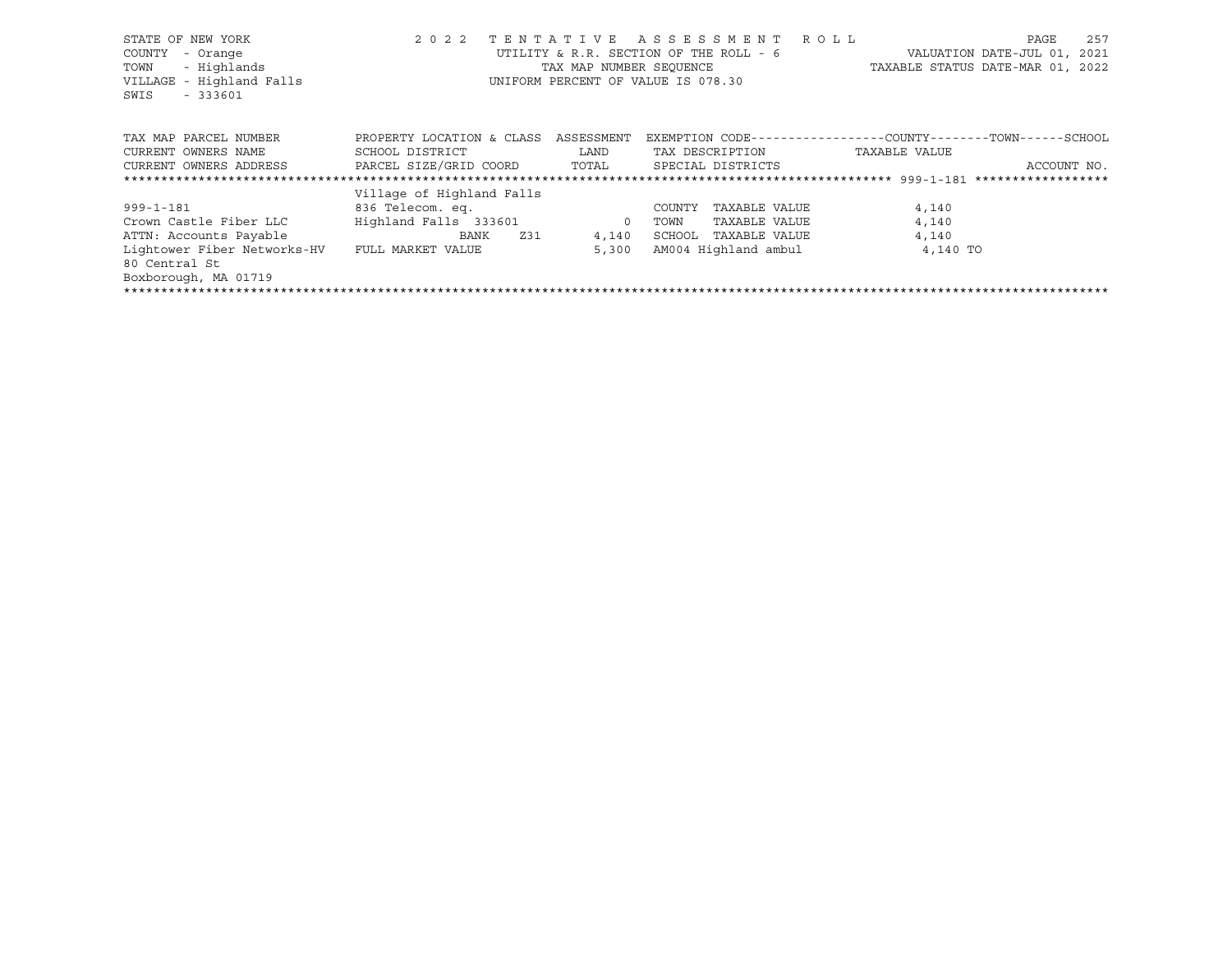| STATE OF NEW YORK           | 2 0 2 2                      |                                                                       | TENTATIVE ASSESSMENT ROLL  | 257<br>PAGE                                                  |  |  |  |  |  |  |
|-----------------------------|------------------------------|-----------------------------------------------------------------------|----------------------------|--------------------------------------------------------------|--|--|--|--|--|--|
| - Orange<br>COUNTY          |                              | UTILITY & R.R. SECTION OF THE ROLL - 6<br>VALUATION DATE-JUL 01, 2021 |                            |                                                              |  |  |  |  |  |  |
| - Highlands<br>TOWN         |                              | TAX MAP NUMBER SEOUENCE                                               |                            | TAXABLE STATUS DATE-MAR 01, 2022                             |  |  |  |  |  |  |
| VILLAGE - Highland Falls    |                              | UNIFORM PERCENT OF VALUE IS 078.30                                    |                            |                                                              |  |  |  |  |  |  |
| $-333601$<br>SWIS           |                              |                                                                       |                            |                                                              |  |  |  |  |  |  |
|                             |                              |                                                                       |                            |                                                              |  |  |  |  |  |  |
| TAX MAP PARCEL NUMBER       | PROPERTY LOCATION & CLASS    | ASSESSMENT                                                            |                            | EXEMPTION CODE-----------------COUNTY-------TOWN------SCHOOL |  |  |  |  |  |  |
| CURRENT OWNERS NAME         | SCHOOL DISTRICT              | LAND                                                                  | TAX DESCRIPTION            | TAXABLE VALUE                                                |  |  |  |  |  |  |
| CURRENT OWNERS ADDRESS      | PARCEL SIZE/GRID COORD TOTAL |                                                                       | SPECIAL DISTRICTS          | ACCOUNT NO.                                                  |  |  |  |  |  |  |
|                             |                              |                                                                       |                            |                                                              |  |  |  |  |  |  |
|                             | Village of Highland Falls    |                                                                       |                            |                                                              |  |  |  |  |  |  |
| $999 - 1 - 181$             | 836 Telecom. eq.             |                                                                       | TAXABLE VALUE<br>COUNTY    | 4,140                                                        |  |  |  |  |  |  |
| Crown Castle Fiber LLC      | Highland Falls 333601        | $\overline{0}$                                                        | TAXABLE VALUE<br>TOWN      | 4,140                                                        |  |  |  |  |  |  |
| ATTN: Accounts Payable      | Z31<br>BANK                  |                                                                       | 4,140 SCHOOL TAXABLE VALUE | 4,140                                                        |  |  |  |  |  |  |
| Lightower Fiber Networks-HV | FULL MARKET VALUE            | 5,300                                                                 | AM004 Highland ambul       | 4,140 TO                                                     |  |  |  |  |  |  |
| 80 Central St               |                              |                                                                       |                            |                                                              |  |  |  |  |  |  |
| Boxborough, MA 01719        |                              |                                                                       |                            |                                                              |  |  |  |  |  |  |
|                             |                              |                                                                       |                            |                                                              |  |  |  |  |  |  |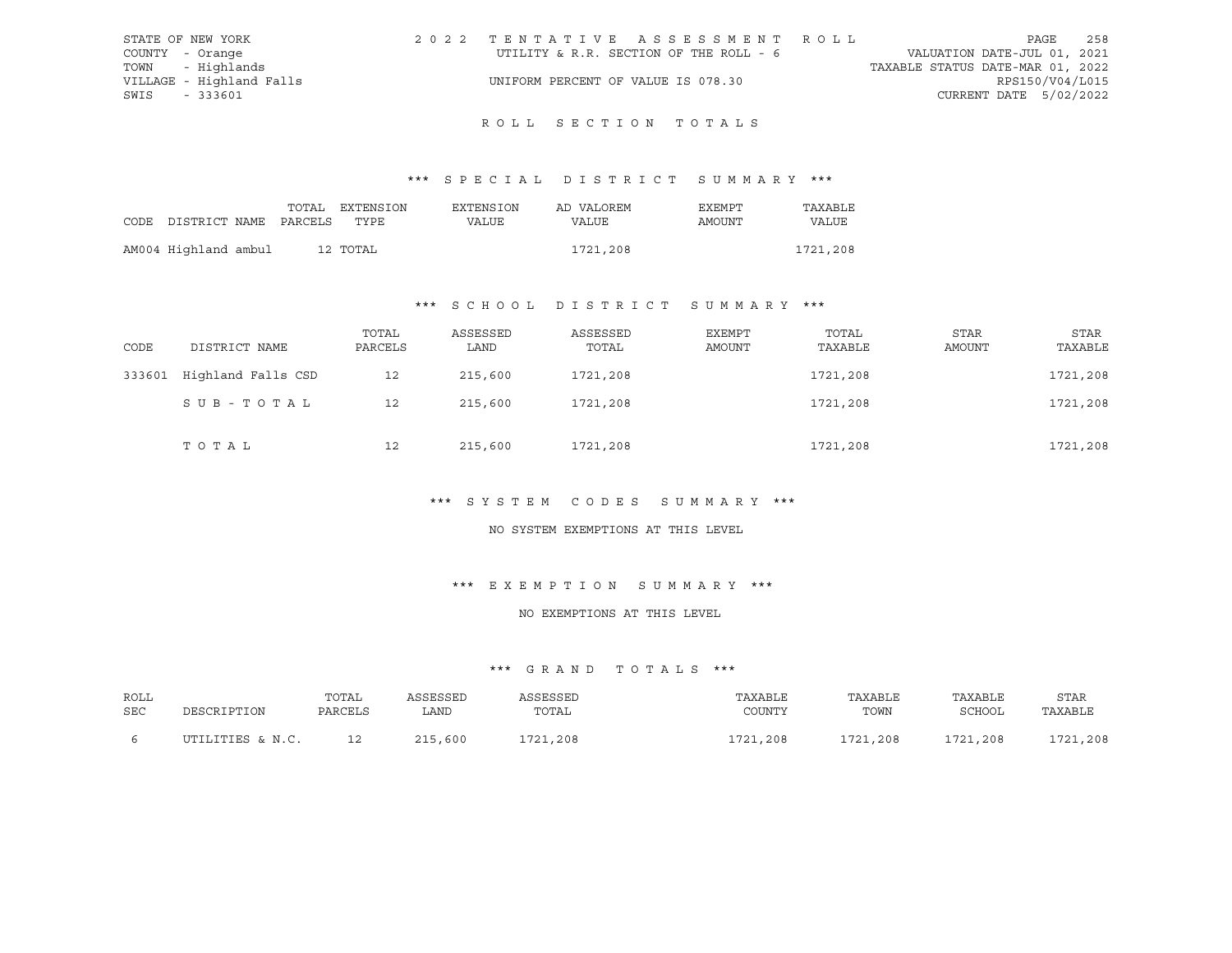| STATE OF NEW YORK        | 2022 TENTATIVE ASSESSMENT ROLL         | 258<br>PAGE                      |
|--------------------------|----------------------------------------|----------------------------------|
| COUNTY - Orange          | UTILITY & R.R. SECTION OF THE ROLL - 6 | VALUATION DATE-JUL 01, 2021      |
| TOWN - Highlands         |                                        | TAXABLE STATUS DATE-MAR 01, 2022 |
| VILLAGE - Highland Falls | UNIFORM PERCENT OF VALUE IS 078.30     | RPS150/V04/L015                  |
| SWIS<br>- 333601         |                                        | CURRENT DATE 5/02/2022           |

# R O L L S E C T I O N T O T A L S

## \*\*\* S P E C I A L D I S T R I C T S U M M A R Y \*\*\*

|                                 |  | TOTAL EXTENSION | EXTENSION | AD VALOREM | EXEMPT | TAXABLE  |
|---------------------------------|--|-----------------|-----------|------------|--------|----------|
| CODE DISTRICT NAME PARCELS TYPE |  |                 | VALUE     | VALUE      | AMOUNT | VALUE    |
|                                 |  |                 |           |            |        |          |
| AM004 Highland ambul            |  | 12 TOTAL        |           | 1721,208   |        | 1721,208 |

#### \*\*\* S C H O O L D I S T R I C T S U M M A R Y \*\*\*

| CODE   | DISTRICT NAME      | TOTAL<br>PARCELS | ASSESSED<br>LAND | ASSESSED<br>TOTAL | EXEMPT<br>AMOUNT | TOTAL<br>TAXABLE | STAR<br><b>AMOUNT</b> | <b>STAR</b><br>TAXABLE |
|--------|--------------------|------------------|------------------|-------------------|------------------|------------------|-----------------------|------------------------|
| 333601 | Highland Falls CSD | 12               | 215,600          | 1721,208          |                  | 1721,208         |                       | 1721,208               |
|        | SUB-TOTAL          | 12               | 215,600          | 1721,208          |                  | 1721,208         |                       | 1721,208               |
|        | тотаь              | 12               | 215,600          | 1721,208          |                  | 1721,208         |                       | 1721,208               |

## \*\*\* S Y S T E M C O D E S S U M M A R Y \*\*\*

#### NO SYSTEM EXEMPTIONS AT THIS LEVEL

## \*\*\* E X E M P T I O N S U M M A R Y \*\*\*

#### NO EXEMPTIONS AT THIS LEVEL

| ROLL | DESCRIPTION      | TOTAL   | ASSESSED | <b><i>SSESSED</i></b> | TAXABLE  | TAXABLE  | TAXABLE  | STAR     |
|------|------------------|---------|----------|-----------------------|----------|----------|----------|----------|
| SEC  |                  | PARCELS | LAND     | TOTAL                 | COUNTY   | TOWN     | SCHOOL   | TAXABLE  |
|      | UTILITIES & N.C. |         | 215,600  | 1721,208              | 1721,208 | 1721,208 | 1721,208 | 1721,208 |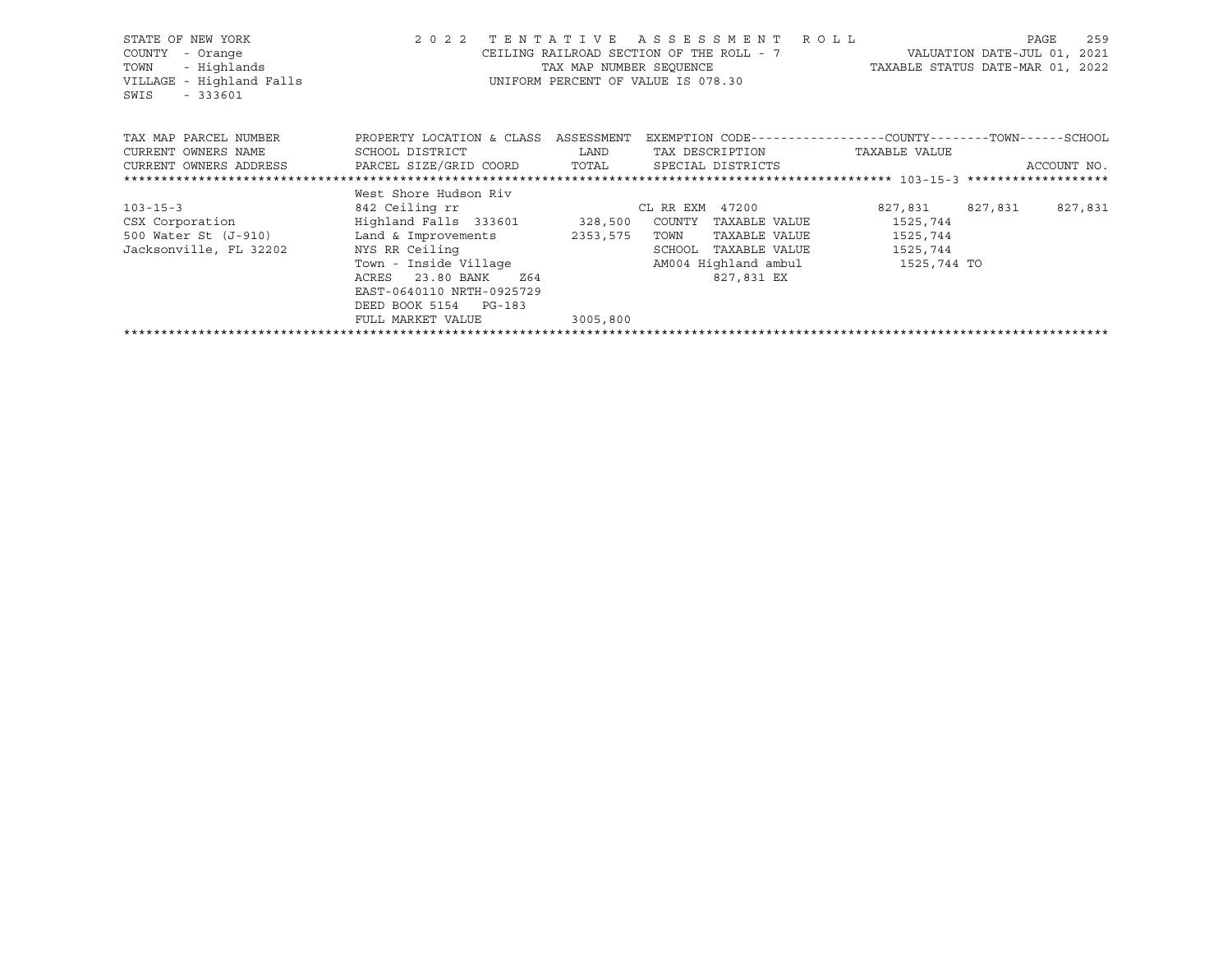| STATE OF NEW YORK<br>COUNTY<br>- Orange<br>- Highlands<br>TOWN<br>VILLAGE - Highland Falls<br>SWIS<br>$-333601$ | 2 0 2 2                              | TAX MAP NUMBER SEOUENCE                                                                                                                                                                          | TENTATIVE ASSESSMENT ROLL<br>CEILING RAILROAD SECTION OF THE ROLL - 7<br>UNIFORM PERCENT OF VALUE IS 078.30 |               | TAXABLE STATUS DATE-MAR 01, 2022 | 259<br>PAGE<br>VALUATION DATE-JUL 01, 2021 |
|-----------------------------------------------------------------------------------------------------------------|--------------------------------------|--------------------------------------------------------------------------------------------------------------------------------------------------------------------------------------------------|-------------------------------------------------------------------------------------------------------------|---------------|----------------------------------|--------------------------------------------|
| TAX MAP PARCEL NUMBER                                                                                           | PROPERTY LOCATION & CLASS ASSESSMENT |                                                                                                                                                                                                  | EXEMPTION CODE-----------------COUNTY-------TOWN------SCHOOL                                                |               |                                  |                                            |
| CURRENT OWNERS NAME                                                                                             | SCHOOL DISTRICT                      | <b>EXAMPLE EXAMPLE EXAMPLE EXAMPLE EXAMPLE EXAMPLE EXAMPLE EXAMPLE EXAMPLE EXAMPLE EXAMPLE EXAMPLE EXAMPLE EXAMPLE EXAMPLE EXAMPLE EXAMPLE EXAMPLE EXAMPLE EXAMPLE EXAMPLE EXAMPLE EXAMPLE E</b> | TAX DESCRIPTION                                                                                             |               | TAXABLE VALUE                    |                                            |
| CURRENT OWNERS ADDRESS     PARCEL SIZE/GRID COORD     TOTAL     SPECIAL DISTRICTS                               |                                      |                                                                                                                                                                                                  |                                                                                                             |               |                                  | ACCOUNT NO.                                |
|                                                                                                                 |                                      |                                                                                                                                                                                                  |                                                                                                             |               |                                  |                                            |
|                                                                                                                 | West Shore Hudson Riv                |                                                                                                                                                                                                  |                                                                                                             |               |                                  |                                            |
| $103 - 15 - 3$                                                                                                  | 842 Ceiling rr                       |                                                                                                                                                                                                  | CL RR EXM 47200                                                                                             |               | 827,831 827,831                  | 827,831                                    |
| CSX Corporation                                                                                                 | Highland Falls 333601 328,500        |                                                                                                                                                                                                  | COUNTY TAXABLE VALUE                                                                                        |               | 1525,744                         |                                            |
| 500 Water St (J-910) Land & Improvements                                                                        |                                      | 2353,575                                                                                                                                                                                         | TOWN<br>TAXABLE VALUE                                                                                       |               | 1525,744                         |                                            |
| Jacksonville, FL 32202                                                                                          | NYS RR Ceiling                       |                                                                                                                                                                                                  | SCHOOL                                                                                                      | TAXABLE VALUE | 1525,744                         |                                            |
|                                                                                                                 | Town - Inside Village                |                                                                                                                                                                                                  | AM004 Highland ambul 1525,744 TO                                                                            |               |                                  |                                            |
|                                                                                                                 | 23.80 BANK<br>ACRES<br>Z64           |                                                                                                                                                                                                  | 827,831 EX                                                                                                  |               |                                  |                                            |
|                                                                                                                 | EAST-0640110 NRTH-0925729            |                                                                                                                                                                                                  |                                                                                                             |               |                                  |                                            |
|                                                                                                                 | DEED BOOK 5154 PG-183                |                                                                                                                                                                                                  |                                                                                                             |               |                                  |                                            |
|                                                                                                                 | FULL MARKET VALUE                    | 3005,800                                                                                                                                                                                         |                                                                                                             |               |                                  |                                            |
|                                                                                                                 |                                      |                                                                                                                                                                                                  |                                                                                                             |               |                                  |                                            |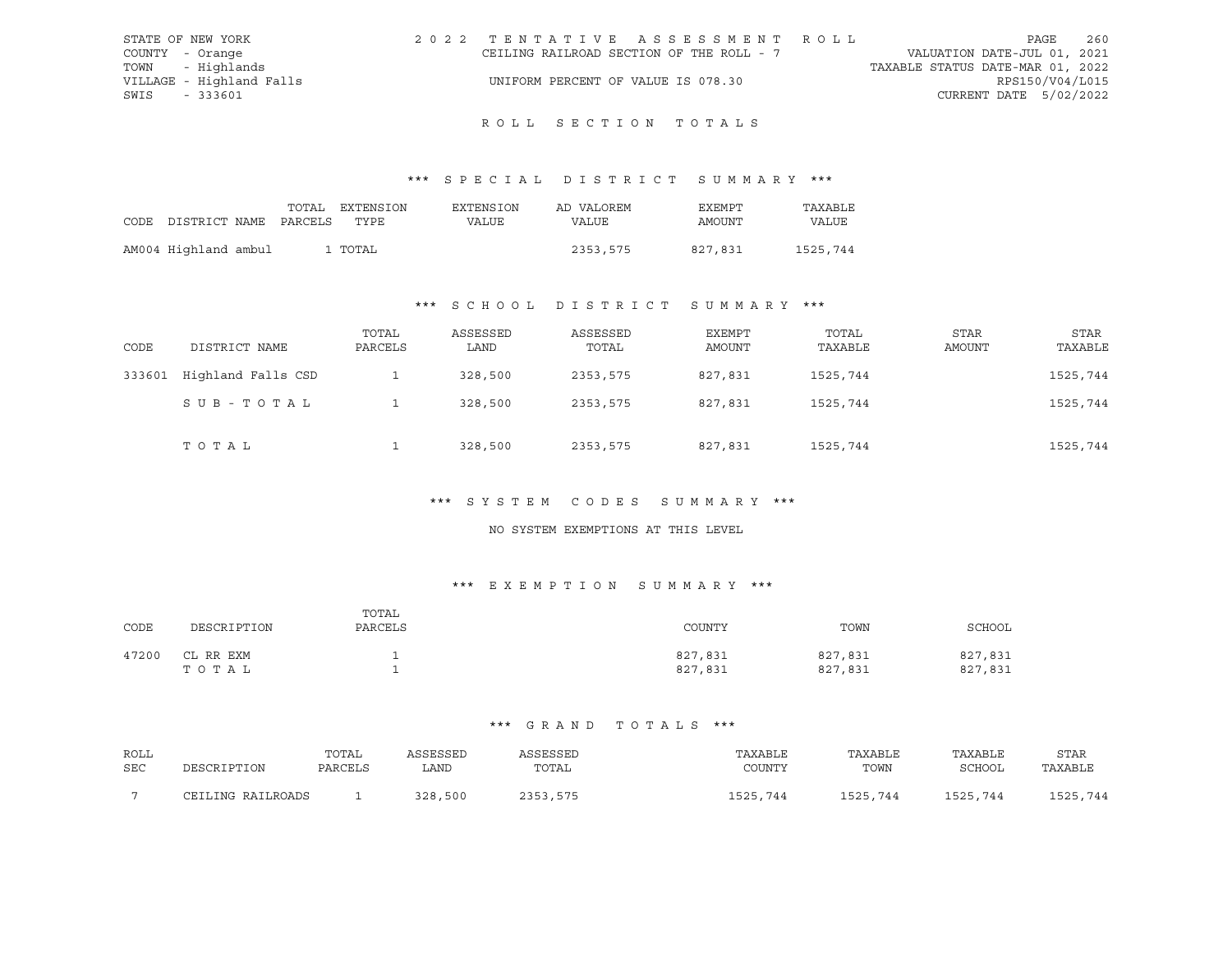| STATE OF NEW YORK |                          | 2022 TENTATIVE ASSESSMENT ROLL           |  |  |                                  | PAGE                   | 260 |
|-------------------|--------------------------|------------------------------------------|--|--|----------------------------------|------------------------|-----|
| COUNTY - Orange   |                          | CEILING RAILROAD SECTION OF THE ROLL - 7 |  |  | VALUATION DATE-JUL 01, 2021      |                        |     |
|                   | TOWN - Highlands         |                                          |  |  | TAXABLE STATUS DATE-MAR 01, 2022 |                        |     |
|                   | VILLAGE - Highland Falls | UNIFORM PERCENT OF VALUE IS 078.30       |  |  |                                  | RPS150/V04/L015        |     |
| SWIS - 333601     |                          |                                          |  |  |                                  | CURRENT DATE 5/02/2022 |     |

## ROLL SECTION TOTALS

## \*\*\* S P E C I A L D I S T R I C T S U M M A R Y \*\*\*

|                                 | TOTAL | EXTENSION | EXTENSION | AD VALOREM | EXEMPT  | TAXABLE  |
|---------------------------------|-------|-----------|-----------|------------|---------|----------|
| CODE DISTRICT NAME PARCELS TYPE |       |           | VALUE     | VALUE      | AMOUNT  | VALUE    |
|                                 |       |           |           |            |         |          |
| AM004 Highland ambul            |       | 1 TOTAL   |           | 2353,575   | 827,831 | 1525,744 |

## \*\*\* S C H O O L D I S T R I C T S U M M A R Y \*\*\*

| CODE   | DISTRICT NAME      | TOTAL<br>PARCELS | ASSESSED<br>LAND | ASSESSED<br>TOTAL | EXEMPT<br>AMOUNT | TOTAL<br>TAXABLE | STAR<br>AMOUNT | <b>STAR</b><br>TAXABLE |
|--------|--------------------|------------------|------------------|-------------------|------------------|------------------|----------------|------------------------|
| 333601 | Highland Falls CSD |                  | 328,500          | 2353,575          | 827,831          | 1525,744         |                | 1525,744               |
|        | SUB-TOTAL          |                  | 328,500          | 2353,575          | 827,831          | 1525,744         |                | 1525,744               |
|        | TOTAL              |                  | 328,500          | 2353,575          | 827,831          | 1525,744         |                | 1525,744               |

## \*\*\* S Y S T E M C O D E S S U M M A R Y \*\*\*

#### NO SYSTEM EXEMPTIONS AT THIS LEVEL

## \*\*\* E X E M P T I O N S U M M A R Y \*\*\*

| CODE  | DESCRIPTION        | TOTAL<br>PARCELS | COUNTY             | TOWN               | SCHOOL             |
|-------|--------------------|------------------|--------------------|--------------------|--------------------|
| 47200 | CL RR EXM<br>TOTAL |                  | 827,831<br>827,831 | 827,831<br>827,831 | 827,831<br>827,831 |

| ROLL | DESCRIPTION       | TOTAL   | ASSESSED | ASSESSED | TAXABLE  | TAXABLE  | TAXABLE  | STAR     |
|------|-------------------|---------|----------|----------|----------|----------|----------|----------|
| SEC  |                   | PARCELS | LAND     | TOTAL    | COUNTY   | TOWN     | SCHOOL   | TAXABLE  |
|      | CEILING RAILROADS |         | 328,500  | 2353,575 | 1525,744 | 1525,744 | 1525,744 | 1525,744 |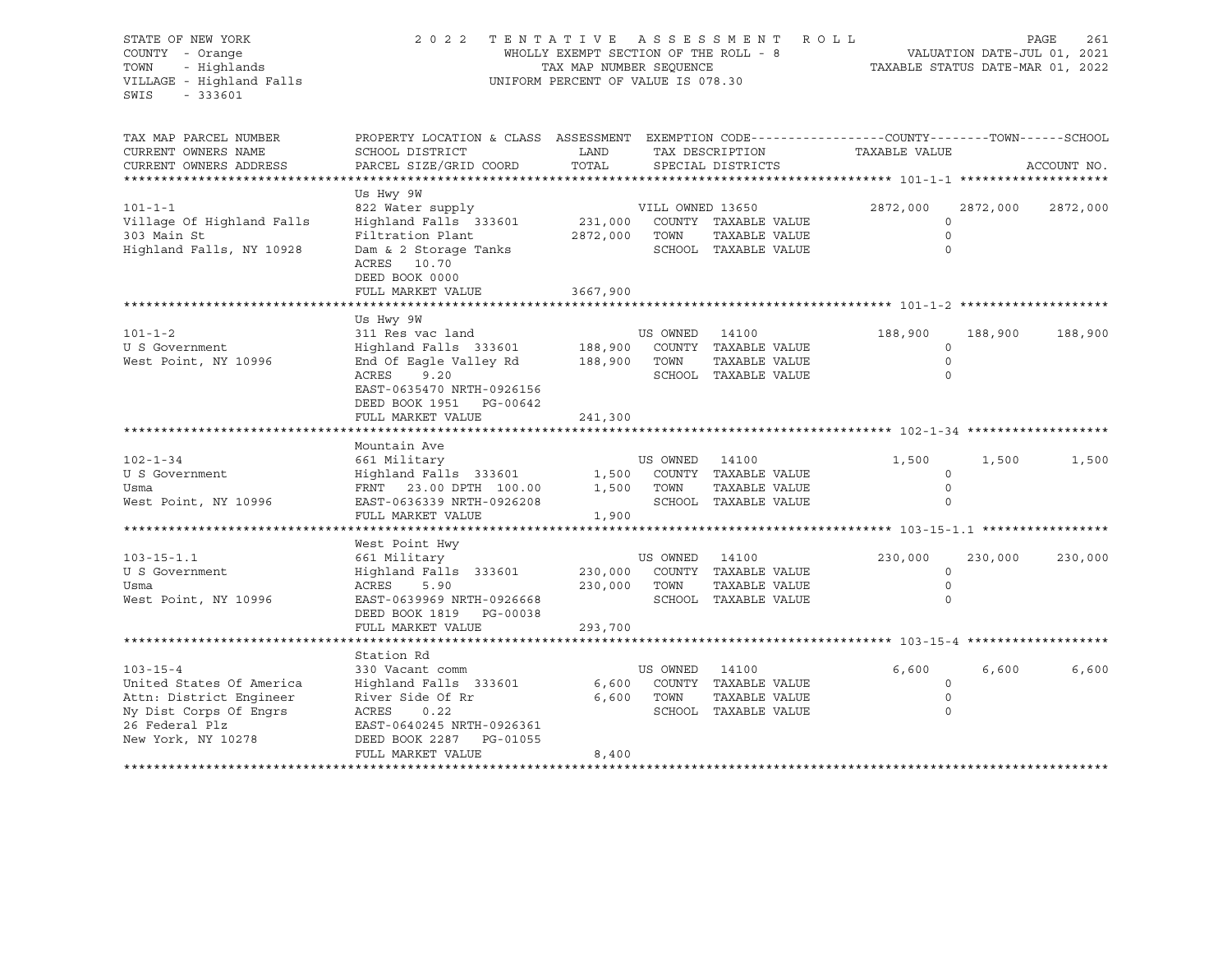| STATE OF NEW YORK<br>COUNTY - Orange<br>- Highlands<br>TOWN<br>VILLAGE - Highland Falls<br>SWIS<br>$-333601$ | 2 0 2 2<br>TENTATIVE ASSESSMENT ROLL<br>WHOLLY EXEMPT SECTION OF THE ROLL - 8<br>TAX MAP NUMBER SEQUENCE<br>UNIFORM PERCENT OF VALUE IS 078.30 |               |                  |                              | 261<br>PAGE<br>VALUATION DATE-JUL 01, 2021<br>TAXABLE STATUS DATE-MAR 01, 2022 |          |             |  |
|--------------------------------------------------------------------------------------------------------------|------------------------------------------------------------------------------------------------------------------------------------------------|---------------|------------------|------------------------------|--------------------------------------------------------------------------------|----------|-------------|--|
| TAX MAP PARCEL NUMBER<br>CURRENT OWNERS NAME                                                                 | PROPERTY LOCATION & CLASS ASSESSMENT EXEMPTION CODE----------------COUNTY-------TOWN------SCHOOL<br>SCHOOL DISTRICT                            | LAND          |                  | TAX DESCRIPTION              | TAXABLE VALUE                                                                  |          |             |  |
| CURRENT OWNERS ADDRESS                                                                                       | PARCEL SIZE/GRID COORD                                                                                                                         | TOTAL         |                  | SPECIAL DISTRICTS            |                                                                                |          | ACCOUNT NO. |  |
| ************************                                                                                     |                                                                                                                                                |               |                  |                              |                                                                                |          |             |  |
| $101 - 1 - 1$                                                                                                | Us Hwy 9W<br>822 Water supply<br>Highland Falls 333601                                                                                         |               | VILL OWNED 13650 | 231,000 COUNTY TAXABLE VALUE | 2872,000<br>$\Omega$                                                           | 2872,000 | 2872,000    |  |
| Village Of Highland Falls<br>303 Main St                                                                     | Filtration Plant                                                                                                                               | 2872,000 TOWN |                  | TAXABLE VALUE                | $\Omega$                                                                       |          |             |  |
| Highland Falls, NY 10928                                                                                     | Dam & 2 Storage Tanks<br>ACRES 10.70<br>DEED BOOK 0000<br>FULL MARKET VALUE                                                                    | 3667,900      |                  | SCHOOL TAXABLE VALUE         | $\Omega$                                                                       |          |             |  |
|                                                                                                              |                                                                                                                                                |               |                  |                              |                                                                                |          |             |  |
|                                                                                                              | Us Hwy 9W                                                                                                                                      |               |                  |                              |                                                                                |          |             |  |
| $101 - 1 - 2$                                                                                                | 311 Res vac land                                                                                                                               |               | US OWNED         | 14100                        | 188,900                                                                        | 188,900  | 188,900     |  |
| U S Government                                                                                               | Highland Falls 333601                                                                                                                          | 188,900       |                  | COUNTY TAXABLE VALUE         | $\Omega$                                                                       |          |             |  |
| West Point, NY 10996                                                                                         | End Of Eagle Valley Rd 188,900                                                                                                                 |               | TOWN             | TAXABLE VALUE                | $\circ$                                                                        |          |             |  |
|                                                                                                              | ACRES<br>9.20                                                                                                                                  |               |                  | SCHOOL TAXABLE VALUE         | $\circ$                                                                        |          |             |  |
|                                                                                                              | EAST-0635470 NRTH-0926156                                                                                                                      |               |                  |                              |                                                                                |          |             |  |
|                                                                                                              | DEED BOOK 1951 PG-00642<br>FULL MARKET VALUE                                                                                                   | 241,300       |                  |                              |                                                                                |          |             |  |
|                                                                                                              |                                                                                                                                                |               |                  |                              |                                                                                |          |             |  |
|                                                                                                              | Mountain Ave                                                                                                                                   |               |                  |                              |                                                                                |          |             |  |
| $102 - 1 - 34$                                                                                               | 661 Military                                                                                                                                   |               | US OWNED 14100   |                              | 1,500                                                                          | 1,500    | 1,500       |  |
| U S Government                                                                                               | Highland Falls 333601 1,500 COUNTY TAXABLE VALUE                                                                                               |               |                  |                              | $\mathbf 0$                                                                    |          |             |  |
| Usma                                                                                                         | FRNT 23.00 DPTH 100.00                                                                                                                         |               | 1,500 TOWN       | TAXABLE VALUE                | $\Omega$                                                                       |          |             |  |
| West Point, NY 10996                                                                                         | EAST-0636339 NRTH-0926208                                                                                                                      |               |                  | SCHOOL TAXABLE VALUE         |                                                                                |          |             |  |
|                                                                                                              | FULL MARKET VALUE                                                                                                                              | 1,900         |                  |                              |                                                                                |          |             |  |
|                                                                                                              | West Point Hwy                                                                                                                                 |               |                  |                              |                                                                                |          |             |  |
| $103 - 15 - 1.1$                                                                                             | 661 Military                                                                                                                                   |               | US OWNED 14100   |                              | 230,000                                                                        | 230,000  | 230,000     |  |
| U S Government                                                                                               | Highland Falls 333601                                                                                                                          | 230,000       |                  | COUNTY TAXABLE VALUE         | $\circ$                                                                        |          |             |  |
| Usma                                                                                                         | ACRES 5.90                                                                                                                                     |               | 230,000 TOWN     | TAXABLE VALUE                | $\Omega$                                                                       |          |             |  |
| West Point, NY 10996                                                                                         | EAST-0639969 NRTH-0926668                                                                                                                      |               |                  | SCHOOL TAXABLE VALUE         | $\Omega$                                                                       |          |             |  |
|                                                                                                              | DEED BOOK 1819 PG-00038                                                                                                                        |               |                  |                              |                                                                                |          |             |  |
|                                                                                                              | FULL MARKET VALUE                                                                                                                              | 293,700       |                  |                              |                                                                                |          |             |  |
|                                                                                                              |                                                                                                                                                |               |                  |                              |                                                                                |          |             |  |
| $103 - 15 - 4$                                                                                               | Station Rd<br>330 Vacant comm                                                                                                                  |               | US OWNED         | 14100                        | 6,600                                                                          | 6,600    | 6,600       |  |
| United States Of America                                                                                     | Highland Falls 333601                                                                                                                          |               |                  | 6,600 COUNTY TAXABLE VALUE   | $\circ$                                                                        |          |             |  |
| Attn: District Engineer                                                                                      | River Side Of Rr                                                                                                                               |               | 6,600 TOWN       | TAXABLE VALUE                | $\mathbf 0$                                                                    |          |             |  |
| Ny Dist Corps Of Engrs                                                                                       | ACRES<br>0.22                                                                                                                                  |               |                  | SCHOOL TAXABLE VALUE         | $\Omega$                                                                       |          |             |  |
| 26 Federal Plz                                                                                               | EAST-0640245 NRTH-0926361                                                                                                                      |               |                  |                              |                                                                                |          |             |  |
| New York, NY 10278                                                                                           | DEED BOOK 2287 PG-01055                                                                                                                        |               |                  |                              |                                                                                |          |             |  |
|                                                                                                              | FULL MARKET VALUE                                                                                                                              | 8,400         |                  |                              |                                                                                |          |             |  |
|                                                                                                              |                                                                                                                                                |               |                  |                              |                                                                                |          |             |  |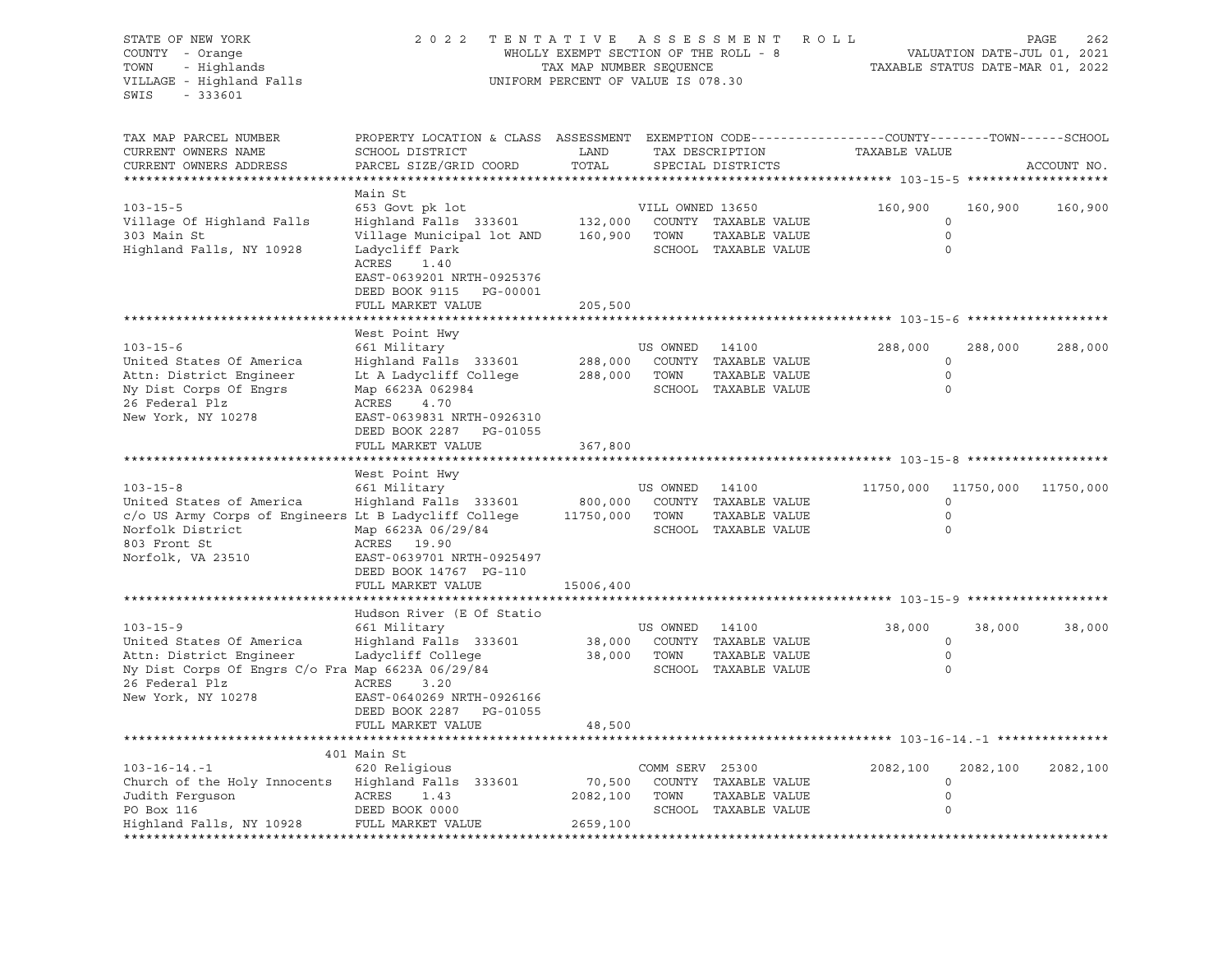| STATE OF NEW YORK<br>COUNTY - Orange<br>- Highlands<br>TOWN<br>VILLAGE - Highland Falls<br>SWIS<br>$-333601$                                                       | 2 0 2 2                                                                                                                                                                  | TENTATIVE ASSESSMENT<br>WHOLLY EXEMPT SECTION OF THE ROLL - 8<br>TAX MAP NUMBER SEQUENCE<br>UNIFORM PERCENT OF VALUE IS 078.30 |                          | ROLL                                                                   |                     | VALUATION DATE-JUL 01, 2021<br>TAXABLE STATUS DATE-MAR 01, 2022 | PAGE<br>262 |
|--------------------------------------------------------------------------------------------------------------------------------------------------------------------|--------------------------------------------------------------------------------------------------------------------------------------------------------------------------|--------------------------------------------------------------------------------------------------------------------------------|--------------------------|------------------------------------------------------------------------|---------------------|-----------------------------------------------------------------|-------------|
| TAX MAP PARCEL NUMBER<br>CURRENT OWNERS NAME<br>CURRENT OWNERS ADDRESS<br>***********************                                                                  | PROPERTY LOCATION & CLASS ASSESSMENT EXEMPTION CODE----------------COUNTY-------TOWN------SCHOOL<br>SCHOOL DISTRICT<br>PARCEL SIZE/GRID COORD                            | LAND<br>TOTAL                                                                                                                  |                          | TAX DESCRIPTION<br>SPECIAL DISTRICTS                                   | TAXABLE VALUE       |                                                                 | ACCOUNT NO. |
|                                                                                                                                                                    | Main St                                                                                                                                                                  |                                                                                                                                |                          |                                                                        |                     |                                                                 |             |
| $103 - 15 - 5$<br>Village Of Highland Falls<br>303 Main St<br>Highland Falls, NY 10928                                                                             | 653 Govt pk lot<br>Highland Falls 333601<br>Village Municipal lot AND<br>Ladycliff Park<br>ACRES<br>1.40<br>EAST-0639201 NRTH-0925376<br>DEED BOOK 9115 PG-00001         | 132,000<br>160,900                                                                                                             | VILL OWNED 13650<br>TOWN | COUNTY TAXABLE VALUE<br>TAXABLE VALUE<br>SCHOOL TAXABLE VALUE          | 160,900             | 160,900<br>$\circ$<br>$\circ$<br>$\circ$                        | 160,900     |
|                                                                                                                                                                    | FULL MARKET VALUE                                                                                                                                                        | 205,500                                                                                                                        |                          |                                                                        |                     |                                                                 |             |
| $103 - 15 - 6$<br>United States Of America                                                                                                                         | West Point Hwy<br>661 Military<br>Highland Falls 333601                                                                                                                  | 288,000                                                                                                                        | US OWNED                 | 14100<br>COUNTY TAXABLE VALUE                                          | 288,000             | 288,000<br>0                                                    | 288,000     |
| Attn: District Engineer<br>Ny Dist Corps Of Engrs<br>26 Federal Plz<br>New York, NY 10278                                                                          | Lt A Ladycliff College<br>Map 6623A 062984<br>ACRES<br>4.70<br>EAST-0639831 NRTH-0926310<br>DEED BOOK 2287 PG-01055<br>FULL MARKET VALUE                                 | 288,000<br>367,800                                                                                                             | TOWN                     | TAXABLE VALUE<br>SCHOOL TAXABLE VALUE                                  |                     | $\circ$<br>$\Omega$                                             |             |
|                                                                                                                                                                    |                                                                                                                                                                          |                                                                                                                                |                          |                                                                        |                     |                                                                 |             |
| $103 - 15 - 8$<br>United States of America<br>c/o US Army Corps of Engineers Lt B Ladycliff College<br>Norfolk District<br>803 Front St<br>Norfolk, VA 23510       | West Point Hwy<br>661 Military<br>Highland Falls 333601<br>Map 6623A 06/29/84<br>ACRES 19.90<br>EAST-0639701 NRTH-0925497<br>DEED BOOK 14767 PG-110<br>FULL MARKET VALUE | 800,000<br>11750,000<br>15006,400                                                                                              | US OWNED<br>TOWN         | 14100<br>COUNTY TAXABLE VALUE<br>TAXABLE VALUE<br>SCHOOL TAXABLE VALUE | 11750,000 11750,000 | 0<br>$\circ$<br>0                                               | 11750,000   |
|                                                                                                                                                                    |                                                                                                                                                                          |                                                                                                                                |                          |                                                                        |                     |                                                                 |             |
| $103 - 15 - 9$<br>United States Of America<br>Attn: District Engineer<br>Ny Dist Corps Of Engrs C/o Fra Map 6623A 06/29/84<br>26 Federal Plz<br>New York, NY 10278 | Hudson River (E Of Statio<br>661 Military<br>Highland Falls 333601<br>Ladycliff College<br>ACRES<br>3.20<br>EAST-0640269 NRTH-0926166<br>DEED BOOK 2287 PG-01055         | 38,000<br>38,000                                                                                                               | US OWNED<br>TOWN         | 14100<br>COUNTY TAXABLE VALUE<br>TAXABLE VALUE<br>SCHOOL TAXABLE VALUE | 38,000              | 38,000<br>$\circ$<br>$\circ$<br>$\Omega$                        | 38,000      |
|                                                                                                                                                                    | FULL MARKET VALUE                                                                                                                                                        | 48,500                                                                                                                         |                          |                                                                        |                     |                                                                 |             |
|                                                                                                                                                                    | 401 Main St                                                                                                                                                              |                                                                                                                                |                          | ************************************* 103-16-14.-1 ****************    |                     |                                                                 |             |
| $103 - 16 - 14 - 1$<br>Church of the Holy Innocents<br>Judith Ferquson<br>PO Box 116<br>Highland Falls, NY 10928                                                   | 620 Religious<br>Highland Falls 333601<br>ACRES<br>1.43<br>DEED BOOK 0000<br>FULL MARKET VALUE                                                                           | 70,500<br>2082,100<br>2659,100                                                                                                 | COMM SERV 25300<br>TOWN  | COUNTY TAXABLE VALUE<br>TAXABLE VALUE<br>SCHOOL TAXABLE VALUE          | 2082,100            | 2082,100<br>$\circ$<br>$\circ$<br>0                             | 2082,100    |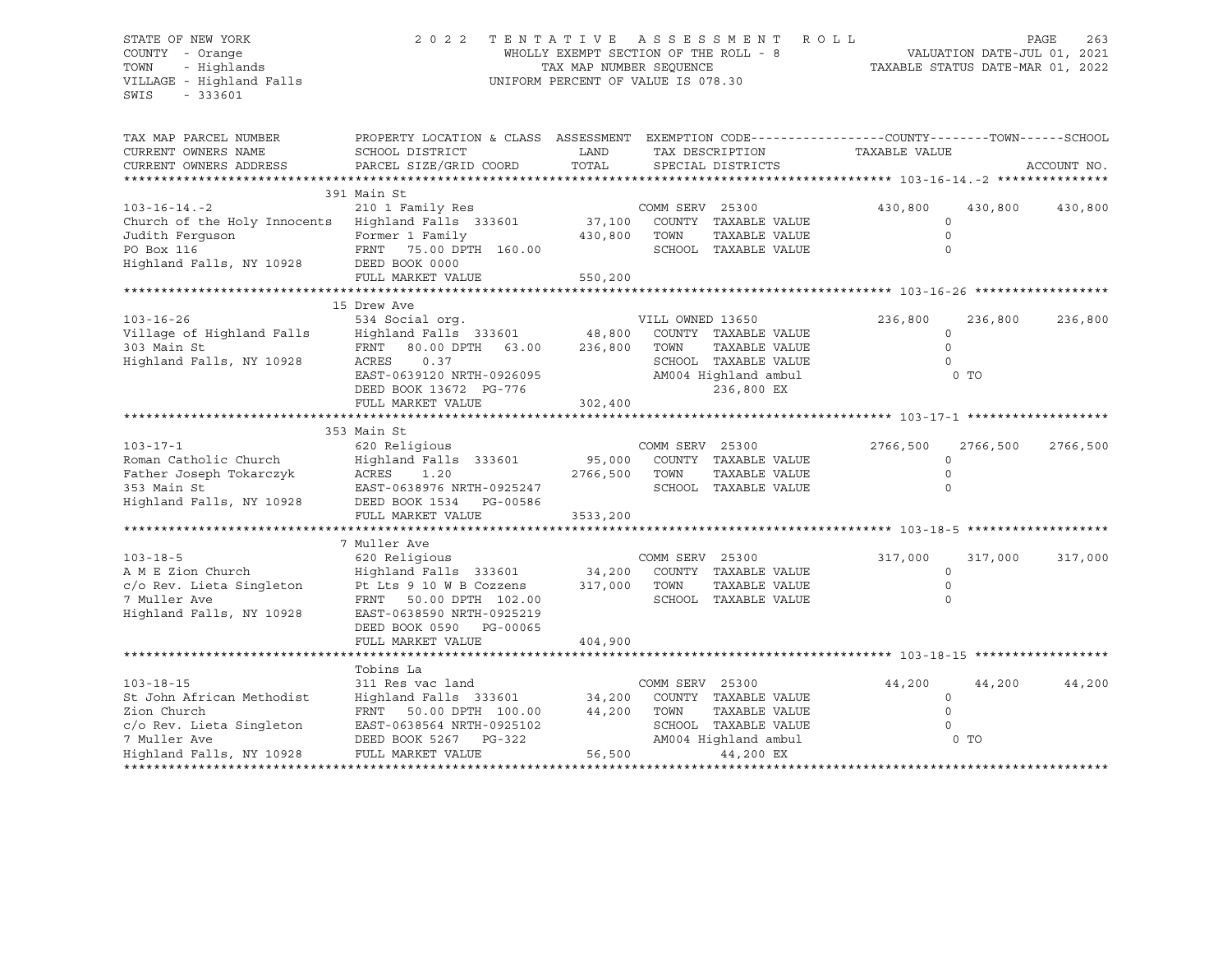#### STATE OF NEW YORK 2 0 2 2 T E N T A T I V E A S S E S S M E N T R O L L PAGE 263 COUNTY - Orange WHOLLY EXEMPT SECTION OF THE ROLL - 8 VALUATION DATE-JUL 01, 2021 TOWN - Highlands TAX MAP NUMBER SEQUENCE TAXABLE STATUS DATE-MAR 01, 2022 VILLAGE - Highland Falls UNIFORM PERCENT OF VALUE IS 078.30

| TAX MAP PARCEL NUMBER<br>CURRENT OWNERS NAME<br>CURRENT OWNERS ADDRESS                                                             | PROPERTY LOCATION & CLASS ASSESSMENT EXEMPTION CODE---------------COUNTY-------TOWN-----SCHOOL<br>SCHOOL DISTRICT<br>PARCEL SIZE/GRID COORD | LAND<br>TOTAL | TAX DESCRIPTION | SPECIAL DISTRICTS    | TAXABLE VALUE |          | ACCOUNT NO. |
|------------------------------------------------------------------------------------------------------------------------------------|---------------------------------------------------------------------------------------------------------------------------------------------|---------------|-----------------|----------------------|---------------|----------|-------------|
|                                                                                                                                    |                                                                                                                                             |               |                 |                      |               |          |             |
|                                                                                                                                    | 391 Main St                                                                                                                                 |               |                 |                      |               |          |             |
| $103 - 16 - 14 - 2$                                                                                                                | 210 1 Family Res                                                                                                                            |               | COMM SERV 25300 |                      | 430,800       | 430,800  | 430,800     |
| Church of the Holy Innocents Highland Falls 333601 37,100<br>Tudith Ferguson Former 1 Family 430,800                               |                                                                                                                                             |               |                 | COUNTY TAXABLE VALUE | $\circ$       |          |             |
| Judith Ferguson Tormer 1 Family<br>PO Box 116 FRNT 75.00 DPTH 160.00<br>Highland Falls, NY 10928 DEED BOOK 0000                    |                                                                                                                                             |               | TOWN            | TAXABLE VALUE        | $\Omega$      |          |             |
|                                                                                                                                    |                                                                                                                                             |               |                 | SCHOOL TAXABLE VALUE | $\Omega$      |          |             |
|                                                                                                                                    |                                                                                                                                             |               |                 |                      |               |          |             |
|                                                                                                                                    | FULL MARKET VALUE                                                                                                                           | 550, 200      |                 |                      |               |          |             |
|                                                                                                                                    | 15 Drew Ave                                                                                                                                 |               |                 |                      |               |          |             |
|                                                                                                                                    |                                                                                                                                             |               |                 | VILL OWNED 13650     | 236,800       | 236,800  | 236,800     |
|                                                                                                                                    |                                                                                                                                             |               |                 |                      | $\circ$       |          |             |
|                                                                                                                                    |                                                                                                                                             |               |                 |                      | $\Omega$      |          |             |
| Highland Falls, NY 10928                                                                                                           | ACRES<br>0.37                                                                                                                               |               |                 | SCHOOL TAXABLE VALUE | $\Omega$      |          |             |
|                                                                                                                                    |                                                                                                                                             |               |                 | AM004 Highland ambul |               | 0 TO     |             |
|                                                                                                                                    | EAST-0639120 NRTH-0926095<br>EAST-0639120 NRTH-0926095<br>PERP BOOK 13672 PG-776                                                            |               |                 | 236,800 EX           |               |          |             |
|                                                                                                                                    | FULL MARKET VALUE                                                                                                                           | 302,400       |                 |                      |               |          |             |
|                                                                                                                                    |                                                                                                                                             |               |                 |                      |               |          |             |
|                                                                                                                                    | 353 Main St                                                                                                                                 |               |                 |                      |               |          |             |
| $103 - 17 - 1$                                                                                                                     | 620 Religious                                                                                                                               |               | COMM SERV 25300 |                      | 2766,500      | 2766,500 | 2766,500    |
| Roman Catholic Church                                                                                                              | Highland Falls 333601 95,000 COUNTY TAXABLE VALUE                                                                                           |               |                 |                      | $\Omega$      |          |             |
|                                                                                                                                    |                                                                                                                                             | 2766,500 TOWN |                 | TAXABLE VALUE        | $\Omega$      |          |             |
|                                                                                                                                    |                                                                                                                                             |               |                 | SCHOOL TAXABLE VALUE | $\Omega$      |          |             |
| Father Joseph Tokarczyk (RORES 1.20<br>353 Main St (RAST-0638976 NRTH-0925247<br>Highland Falls, NY 10928 (DEED BOOK 1534 PG-00586 |                                                                                                                                             |               |                 |                      |               |          |             |
|                                                                                                                                    | FULL MARKET VALUE                                                                                                                           | 3533,200      |                 |                      |               |          |             |
|                                                                                                                                    |                                                                                                                                             |               |                 |                      |               |          |             |
|                                                                                                                                    | 7 Muller Ave                                                                                                                                |               |                 |                      |               |          |             |
| $103 - 18 - 5$                                                                                                                     |                                                                                                                                             |               |                 |                      | 317,000       | 317,000  | 317,000     |
| A M E Zion Church                                                                                                                  |                                                                                                                                             |               |                 |                      | $\circ$       |          |             |
| $c/o$ Rev. Lieta Singleton Pt Lts 9 10 W B Cozzens 317,000                                                                         |                                                                                                                                             |               | TOWN            | TAXABLE VALUE        | $\Omega$      |          |             |
| 7 Muller Ave                                                                                                                       | FRNT 50.00 DPTH 102.00                                                                                                                      |               |                 | SCHOOL TAXABLE VALUE | $\Omega$      |          |             |
| Highland Falls, NY 10928                                                                                                           | EAST-0638590 NRTH-0925219                                                                                                                   |               |                 |                      |               |          |             |
|                                                                                                                                    | DEED BOOK 0590 PG-00065                                                                                                                     |               |                 |                      |               |          |             |
|                                                                                                                                    | FULL MARKET VALUE                                                                                                                           | 404,900       |                 |                      |               |          |             |
|                                                                                                                                    |                                                                                                                                             |               |                 |                      |               |          |             |
|                                                                                                                                    | Tobins La                                                                                                                                   |               |                 |                      |               |          |             |
| $103 - 18 - 15$                                                                                                                    | 311 Res vac land                                                                                                                            |               | COMM SERV 25300 |                      | 44,200        | 44,200   | 44,200      |
| St John African Methodist                                                                                                          | Highland Falls 333601 34,200 COUNTY TAXABLE VALUE                                                                                           |               |                 |                      | $\circ$       |          |             |
|                                                                                                                                    | FRNT 50.00 DPTH 100.00 44,200 TOWN                                                                                                          |               |                 | TAXABLE VALUE        | $\circ$       |          |             |
|                                                                                                                                    | EAST-0638564 NRTH-0925102                                                                                                                   |               |                 | SCHOOL TAXABLE VALUE | $\Omega$      |          |             |
| Zion Church<br>c/o Rev. Lieta Singleton<br>7 Muller Ave<br>Highland Falls, NY 10928                                                | DEED BOOK 5267 PG-322                                                                                                                       |               |                 | AM004 Highland ambul |               | 0 TO     |             |
|                                                                                                                                    | FULL MARKET VALUE                                                                                                                           | 56,500        |                 | 44,200 EX            |               |          |             |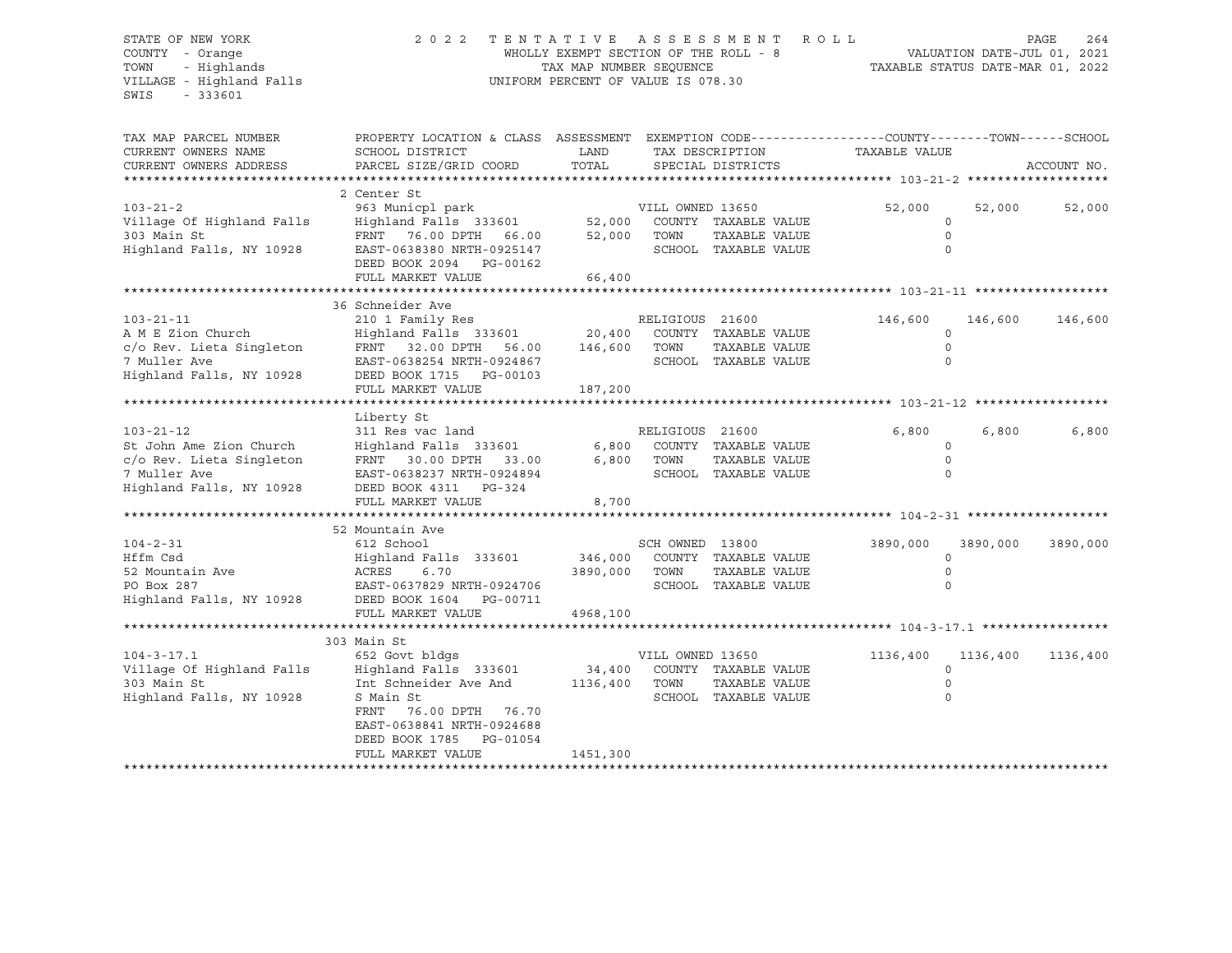#### STATE OF NEW YORK 2 0 2 2 T E N T A T I V E A S S E S S M E N T R O L L PAGE 264 COUNTY - Orange WHOLLY EXEMPT SECTION OF THE ROLL - 8 VALUATION DATE-JUL 01, 2021 TOWN - Highlands TAX MAP NUMBER SEQUENCE TAXABLE STATUS DATE-MAR 01, 2022 VILLAGE - Highland Falls UNIFORM PERCENT OF VALUE IS 078.30

| TAX MAP PARCEL NUMBER<br>CURRENT OWNERS NAME<br>CURRENT OWNERS ADDRESS                                                                    | PROPERTY LOCATION & CLASS ASSESSMENT EXEMPTION CODE---------------COUNTY-------TOWN------SCHOOL<br>SCHOOL DISTRICT<br>PARCEL SIZE/GRID COORD                                                       | LAND<br>TOTAL              | TAX DESCRIPTION<br>SPECIAL DISTRICTS |                                                                       | TAXABLE VALUE |                                          | ACCOUNT NO. |
|-------------------------------------------------------------------------------------------------------------------------------------------|----------------------------------------------------------------------------------------------------------------------------------------------------------------------------------------------------|----------------------------|--------------------------------------|-----------------------------------------------------------------------|---------------|------------------------------------------|-------------|
| $103 - 21 - 2$<br>Village Of Highland Falls<br>303 Main St<br>Highland Falls, NY 10928                                                    | 2 Center St<br>963 Municpl park<br>Highland Falls 333601<br>FRNT 76.00 DPTH 66.00<br>EAST-0638380 NRTH-0925147<br>DEED BOOK 2094 PG-00162<br>FULL MARKET VALUE                                     | 52,000<br>52,000<br>66,400 | VILL OWNED 13650<br>TOWN             | COUNTY TAXABLE VALUE<br>TAXABLE VALUE<br>SCHOOL TAXABLE VALUE         | 52,000        | 52,000<br>0<br>$\Omega$<br>$\Omega$      | 52,000      |
| $103 - 21 - 11$<br>A M E Zion Church<br>c/o Rev. Lieta Singleton<br>7 Muller Ave<br>Highland Falls, NY 10928<br>************************* | 36 Schneider Ave<br>210 1 Family Res<br>Highland Falls 333601 20,400 COUNTY TAXABLE VALUE<br>FRNT 32.00 DPTH 56.00<br>EAST-0638254 NRTH-0924867<br>DEED BOOK 1715 PG-00103<br>FULL MARKET VALUE    | 146,600<br>187,200         | RELIGIOUS 21600<br>TOWN              | TAXABLE VALUE<br>SCHOOL TAXABLE VALUE                                 | 146,600       | 146,600<br>$\mathbf 0$<br>0<br>$\Omega$  | 146,600     |
| $103 - 21 - 12$<br>St John Ame Zion Church<br>c/o Rev. Lieta Singleton<br>7 Muller Ave<br>Highland Falls, NY 10928                        | Liberty St<br>311 Res vac land<br>Highland Falls 333601<br>FRNT 30.00 DPTH 33.00<br>EAST-0638237 NRTH-0924894<br>DEED BOOK 4311 PG-324<br>FULL MARKET VALUE                                        | 6,800<br>6,800<br>8,700    | RELIGIOUS 21600<br>TOWN              | COUNTY TAXABLE VALUE<br>TAXABLE VALUE<br>SCHOOL TAXABLE VALUE         | 6,800         | 6,800<br>$\circ$<br>$\Omega$<br>$\Omega$ | 6,800       |
| $104 - 2 - 31$<br>Hffm Csd<br>52 Mountain Ave<br>PO Box 287<br>Highland Falls, NY 10928                                                   | 52 Mountain Ave<br>612 School<br>Highland Falls 333601<br>ACRES<br>6.70<br>EAST-0637829 NRTH-0924706<br>DEED BOOK 1604 PG-00711<br>FULL MARKET VALUE                                               | 3890,000<br>4968,100       | SCH OWNED 13800<br>TOWN              | 346,000 COUNTY TAXABLE VALUE<br>TAXABLE VALUE<br>SCHOOL TAXABLE VALUE | 3890,000      | 3890,000<br>$\Omega$<br>$\Omega$         | 3890,000    |
| $104 - 3 - 17.1$<br>Village Of Highland Falls<br>303 Main St<br>Highland Falls, NY 10928                                                  | 303 Main St<br>652 Govt bldgs<br>Highland Falls 333601<br>Int Schneider Ave And<br>S Main St<br>FRNT 76.00 DPTH 76.70<br>EAST-0638841 NRTH-0924688<br>DEED BOOK 1785 PG-01054<br>FULL MARKET VALUE | 1136,400<br>1451,300       | VILL OWNED 13650<br>TOWN             | 34,400 COUNTY TAXABLE VALUE<br>TAXABLE VALUE<br>SCHOOL TAXABLE VALUE  | 1136,400      | 1136,400<br>$\mathbf 0$                  | 1136,400    |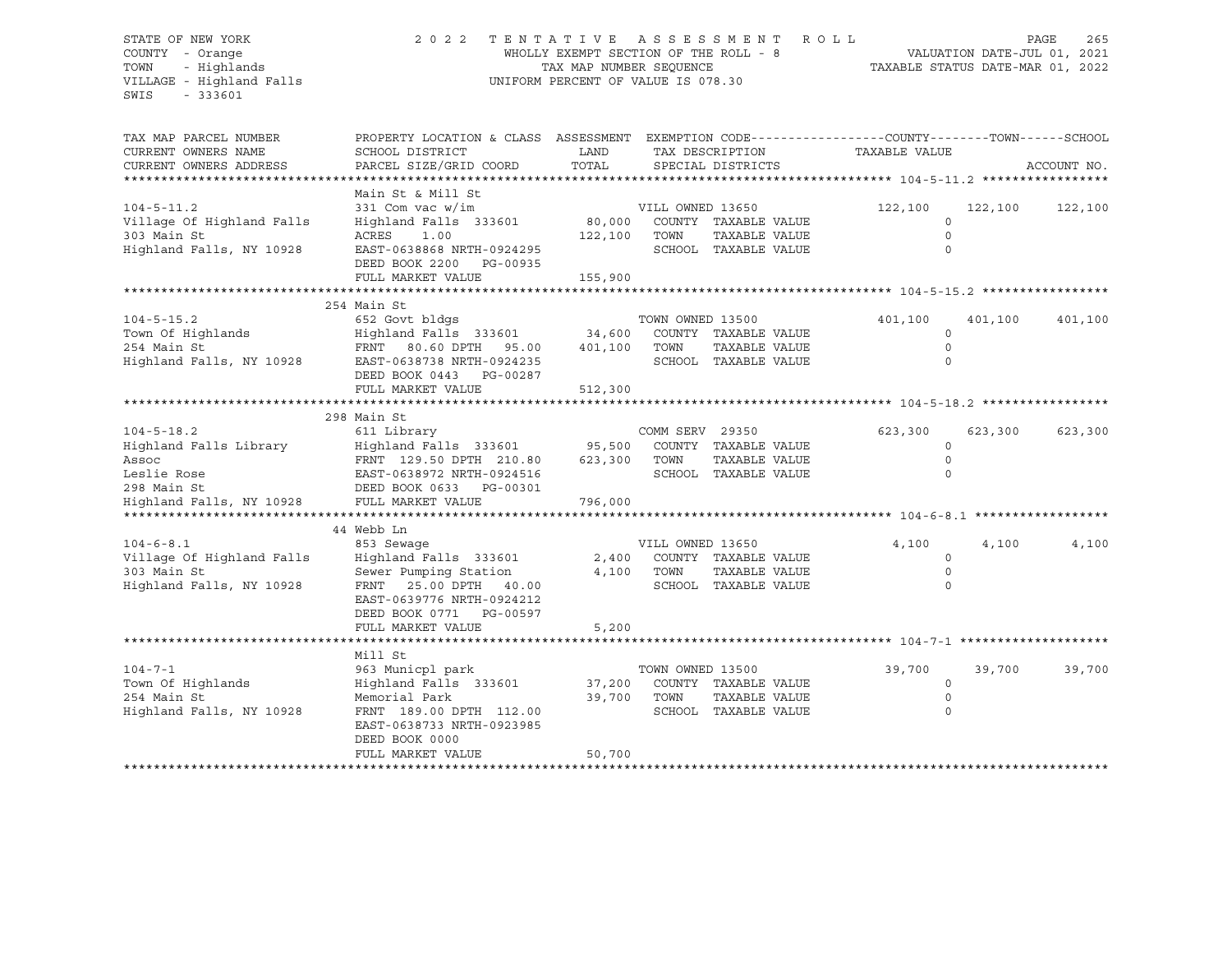#### STATE OF NEW YORK 2 0 2 2 T E N T A T I V E A S S E S S M E N T R O L L PAGE 265 COUNTY - Orange WHOLLY EXEMPT SECTION OF THE ROLL - 8 VALUATION DATE-JUL 01, 2021 TOWN - Highlands TAX MAP NUMBER SEQUENCE TAXABLE STATUS DATE-MAR 01, 2022 VILLAGE - Highland Falls UNIFORM PERCENT OF VALUE IS 078.30

| TAX MAP PARCEL NUMBER<br>CURRENT OWNERS NAME<br>CURRENT OWNERS ADDRESS                                        | PROPERTY LOCATION & CLASS ASSESSMENT<br>SCHOOL DISTRICT<br>PARCEL SIZE/GRID COORD                                                                                                   | LAND<br>TOTAL                | TAX DESCRIPTION<br>SPECIAL DISTRICTS                                                      | EXEMPTION CODE-----------------COUNTY-------TOWN------SCHOOL<br>TAXABLE VALUE | ACCOUNT NO.        |
|---------------------------------------------------------------------------------------------------------------|-------------------------------------------------------------------------------------------------------------------------------------------------------------------------------------|------------------------------|-------------------------------------------------------------------------------------------|-------------------------------------------------------------------------------|--------------------|
| $104 - 5 - 11.2$<br>Village Of Highland Falls<br>303 Main St<br>Highland Falls, NY 10928                      | Main St & Mill St<br>331 Com vac w/im<br>Highland Falls 333601<br>ACRES<br>1.00<br>EAST-0638868 NRTH-0924295<br>DEED BOOK 2200 PG-00935<br>FULL MARKET VALUE                        | 80,000<br>122,100<br>155,900 | VILL OWNED 13650<br>COUNTY TAXABLE VALUE<br>TAXABLE VALUE<br>TOWN<br>SCHOOL TAXABLE VALUE | 122,100<br>$\mathbf 0$<br>$\circ$<br>$\circ$                                  | 122,100<br>122,100 |
| $104 - 5 - 15.2$<br>Town Of Highlands<br>254 Main St<br>Highland Falls, NY 10928                              | 254 Main St<br>652 Govt bldgs<br>Highland Falls 333601<br>FRNT 80.60 DPTH 95.00<br>EAST-0638738 NRTH-0924235<br>DEED BOOK 0443 PG-00287<br>FULL MARKET VALUE                        | 34,600<br>401,100<br>512,300 | TOWN OWNED 13500<br>COUNTY TAXABLE VALUE<br>TOWN<br>TAXABLE VALUE<br>SCHOOL TAXABLE VALUE | 401,100<br>0<br>$\circ$<br>$\Omega$                                           | 401,100<br>401,100 |
| $104 - 5 - 18.2$<br>Highland Falls Library<br>Assoc<br>Leslie Rose<br>298 Main St<br>Highland Falls, NY 10928 | 298 Main St<br>611 Library<br>Highland Falls 333601 95,500<br>FRNT 129.50 DPTH 210.80<br>EAST-0638972 NRTH-0924516<br>DEED BOOK 0633 PG-00301<br>FULL MARKET VALUE                  | 623,300<br>796,000           | COMM SERV 29350<br>COUNTY TAXABLE VALUE<br>TOWN<br>TAXABLE VALUE<br>SCHOOL TAXABLE VALUE  | 623,300<br>$\Omega$<br>$\circ$<br>$\Omega$                                    | 623,300<br>623,300 |
| $104 - 6 - 8.1$<br>Village Of Highland Falls<br>303 Main St<br>Highland Falls, NY 10928                       | 44 Webb Ln<br>853 Sewaqe<br>Highland Falls 333601<br>Sewer Pumping Station<br>FRNT<br>25.00 DPTH 40.00<br>EAST-0639776 NRTH-0924212<br>DEED BOOK 0771 PG-00597<br>FULL MARKET VALUE | 2,400<br>4,100<br>5,200      | VILL OWNED 13650<br>COUNTY TAXABLE VALUE<br>TOWN<br>TAXABLE VALUE<br>SCHOOL TAXABLE VALUE | 4,100<br>0<br>$\Omega$<br>$\Omega$                                            | 4,100<br>4,100     |
| $104 - 7 - 1$<br>Town Of Highlands<br>254 Main St<br>Highland Falls, NY 10928                                 | Mill St<br>963 Municpl park<br>Highland Falls 333601<br>Memorial Park<br>FRNT 189.00 DPTH 112.00<br>EAST-0638733 NRTH-0923985<br>DEED BOOK 0000<br>FULL MARKET VALUE                | 37,200<br>39,700<br>50,700   | TOWN OWNED 13500<br>COUNTY TAXABLE VALUE<br>TOWN<br>TAXABLE VALUE<br>SCHOOL TAXABLE VALUE | 39,700<br>$\circ$<br>$\circ$<br>$\circ$                                       | 39,700<br>39,700   |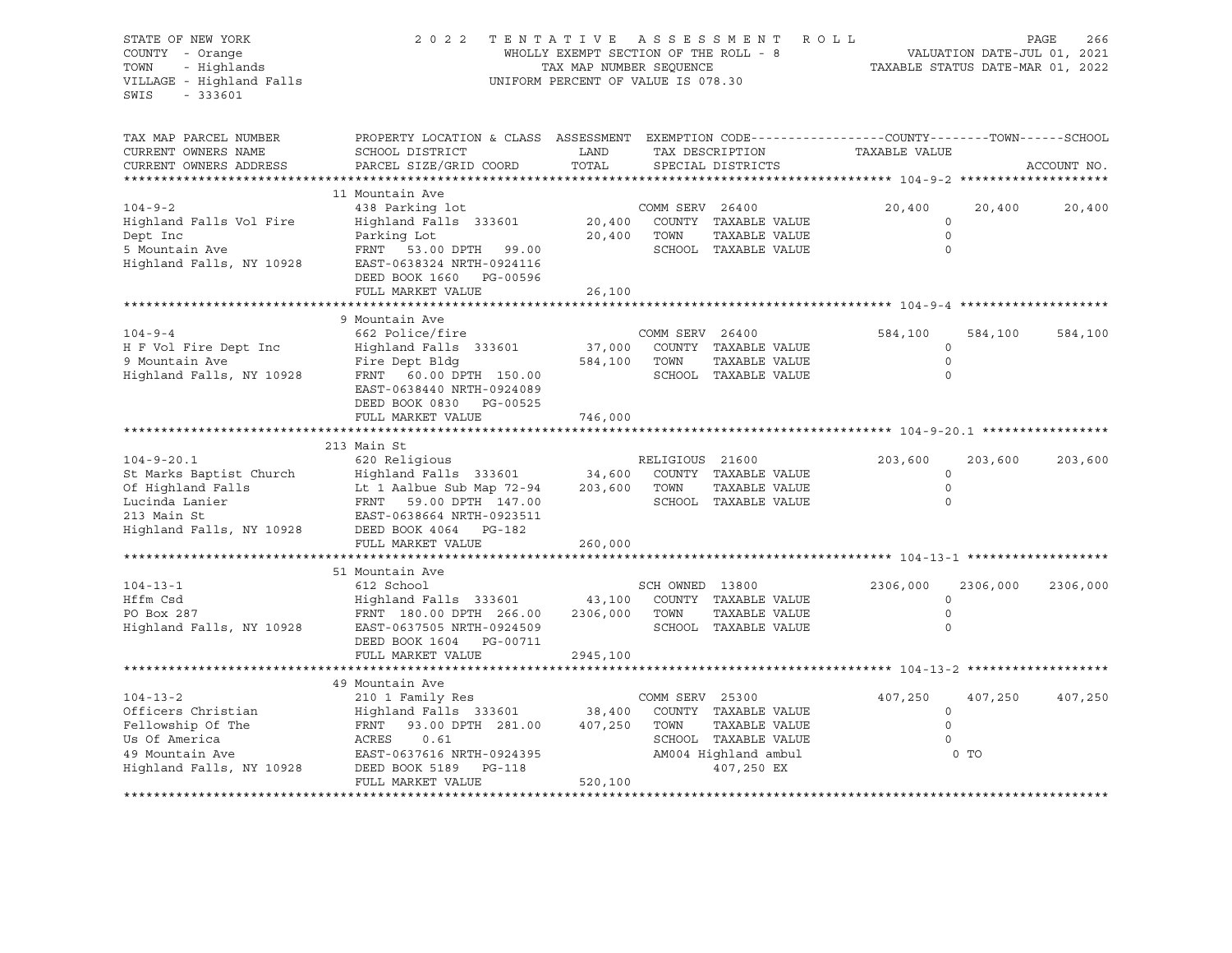| STATE OF NEW YORK<br>COUNTY - Orange<br>TOWN<br>- Highlands<br>VILLAGE - Highland Falls<br>$-333601$<br>SWIS              | 2022                                                                                                                                                                       | TENTATIVE ASSESSMENT<br>WHOLLY EXEMPT SECTION OF THE ROLL - 8<br>TAX MAP NUMBER SEQUENCE<br>UNIFORM PERCENT OF VALUE IS 078.30 |                         | ROLL                                                                                                | TAXABLE STATUS DATE-MAR 01, 2022              | VALUATION DATE-JUL 01, 2021 | PAGE<br>266 |
|---------------------------------------------------------------------------------------------------------------------------|----------------------------------------------------------------------------------------------------------------------------------------------------------------------------|--------------------------------------------------------------------------------------------------------------------------------|-------------------------|-----------------------------------------------------------------------------------------------------|-----------------------------------------------|-----------------------------|-------------|
| TAX MAP PARCEL NUMBER<br>CURRENT OWNERS NAME<br>CURRENT OWNERS ADDRESS                                                    | PROPERTY LOCATION & CLASS ASSESSMENT EXEMPTION CODE----------------COUNTY-------TOWN------SCHOOL<br>SCHOOL DISTRICT<br>PARCEL SIZE/GRID COORD                              | LAND<br>TOTAL                                                                                                                  |                         | TAX DESCRIPTION<br>SPECIAL DISTRICTS                                                                | TAXABLE VALUE                                 |                             | ACCOUNT NO. |
|                                                                                                                           | 11 Mountain Ave                                                                                                                                                            |                                                                                                                                |                         |                                                                                                     |                                               |                             |             |
| $104 - 9 - 2$<br>Highland Falls Vol Fire<br>Dept Inc<br>5 Mountain Ave<br>Highland Falls, NY 10928                        | 438 Parking lot<br>Highland Falls 333601<br>Parking Lot<br>FRNT 53.00 DPTH 99.00<br>EAST-0638324 NRTH-0924116<br>DEED BOOK 1660 PG-00596                                   | 20,400<br>20,400                                                                                                               | COMM SERV 26400<br>TOWN | COUNTY TAXABLE VALUE<br>TAXABLE VALUE<br>SCHOOL TAXABLE VALUE                                       | 20,400<br>$\mathbf 0$<br>$\circ$<br>$\Omega$  | 20,400                      | 20,400      |
|                                                                                                                           | FULL MARKET VALUE                                                                                                                                                          | 26,100                                                                                                                         |                         |                                                                                                     |                                               |                             |             |
| $104 - 9 - 4$<br>H F Vol Fire Dept Inc<br>9 Mountain Ave<br>Highland Falls, NY 10928                                      | 9 Mountain Ave<br>662 Police/fire<br>Highland Falls 333601<br>Fire Dept Bldg<br>FRNT 60.00 DPTH 150.00<br>EAST-0638440 NRTH-0924089                                        | 37,000<br>584,100                                                                                                              | COMM SERV 26400<br>TOWN | COUNTY TAXABLE VALUE<br>TAXABLE VALUE<br>SCHOOL TAXABLE VALUE                                       | 584,100<br>$\mathbf 0$<br>$\circ$<br>$\Omega$ | 584,100                     | 584,100     |
|                                                                                                                           | DEED BOOK 0830 PG-00525<br>FULL MARKET VALUE                                                                                                                               | 746,000                                                                                                                        |                         |                                                                                                     |                                               |                             |             |
|                                                                                                                           |                                                                                                                                                                            |                                                                                                                                |                         |                                                                                                     |                                               |                             |             |
| $104 - 9 - 20.1$<br>St Marks Baptist Church<br>Of Highland Falls<br>Lucinda Lanier<br>213 Main St                         | 213 Main St<br>620 Religious<br>Highland Falls 333601<br>Lt 1 Aalbue Sub Map 72-94<br>FRNT 59.00 DPTH 147.00<br>EAST-0638664 NRTH-0923511                                  | 34,600<br>203,600 TOWN                                                                                                         | RELIGIOUS 21600         | COUNTY TAXABLE VALUE<br>TAXABLE VALUE<br>SCHOOL TAXABLE VALUE                                       | 203,600<br>$\circ$<br>$\circ$<br>$\circ$      | 203,600                     | 203,600     |
| Highland Falls, NY 10928                                                                                                  | DEED BOOK 4064 PG-182                                                                                                                                                      |                                                                                                                                |                         |                                                                                                     |                                               |                             |             |
|                                                                                                                           | FULL MARKET VALUE                                                                                                                                                          | 260,000                                                                                                                        |                         |                                                                                                     |                                               |                             |             |
|                                                                                                                           |                                                                                                                                                                            |                                                                                                                                |                         |                                                                                                     |                                               |                             |             |
| $104 - 13 - 1$<br>Hffm Csd<br>PO Box 287<br>Highland Falls, NY 10928                                                      | 51 Mountain Ave<br>612 School<br>Highland Falls 333601<br>FRNT 180.00 DPTH 266.00<br>EAST-0637505 NRTH-0924509<br>DEED BOOK 1604 PG-00711<br>FULL MARKET VALUE             | 43,100<br>2306,000<br>2945,100                                                                                                 | SCH OWNED 13800<br>TOWN | COUNTY TAXABLE VALUE<br>TAXABLE VALUE<br>SCHOOL TAXABLE VALUE                                       | 2306,000<br>$\mathbf 0$<br>$\circ$<br>0       | 2306,000                    | 2306,000    |
|                                                                                                                           |                                                                                                                                                                            |                                                                                                                                |                         |                                                                                                     |                                               |                             |             |
| $104 - 13 - 2$<br>Officers Christian<br>Fellowship Of The<br>Us Of America<br>49 Mountain Ave<br>Highland Falls, NY 10928 | 49 Mountain Ave<br>210 1 Family Res<br>Highland Falls 333601 38,400<br>FRNT<br>93.00 DPTH 281.00<br>ACRES<br>0.61<br>EAST-0637616 NRTH-0924395<br>DEED BOOK 5189<br>PG-118 | 407,250 TOWN                                                                                                                   | COMM SERV 25300         | COUNTY TAXABLE VALUE<br>TAXABLE VALUE<br>SCHOOL TAXABLE VALUE<br>AM004 Highland ambul<br>407,250 EX | 407,250<br>$\circ$<br>$\circ$<br>$\Omega$     | 407,250<br>0 <sub>T</sub>   | 407,250     |
|                                                                                                                           | FULL MARKET VALUE                                                                                                                                                          | 520,100                                                                                                                        |                         |                                                                                                     |                                               |                             |             |
|                                                                                                                           |                                                                                                                                                                            |                                                                                                                                |                         |                                                                                                     |                                               |                             |             |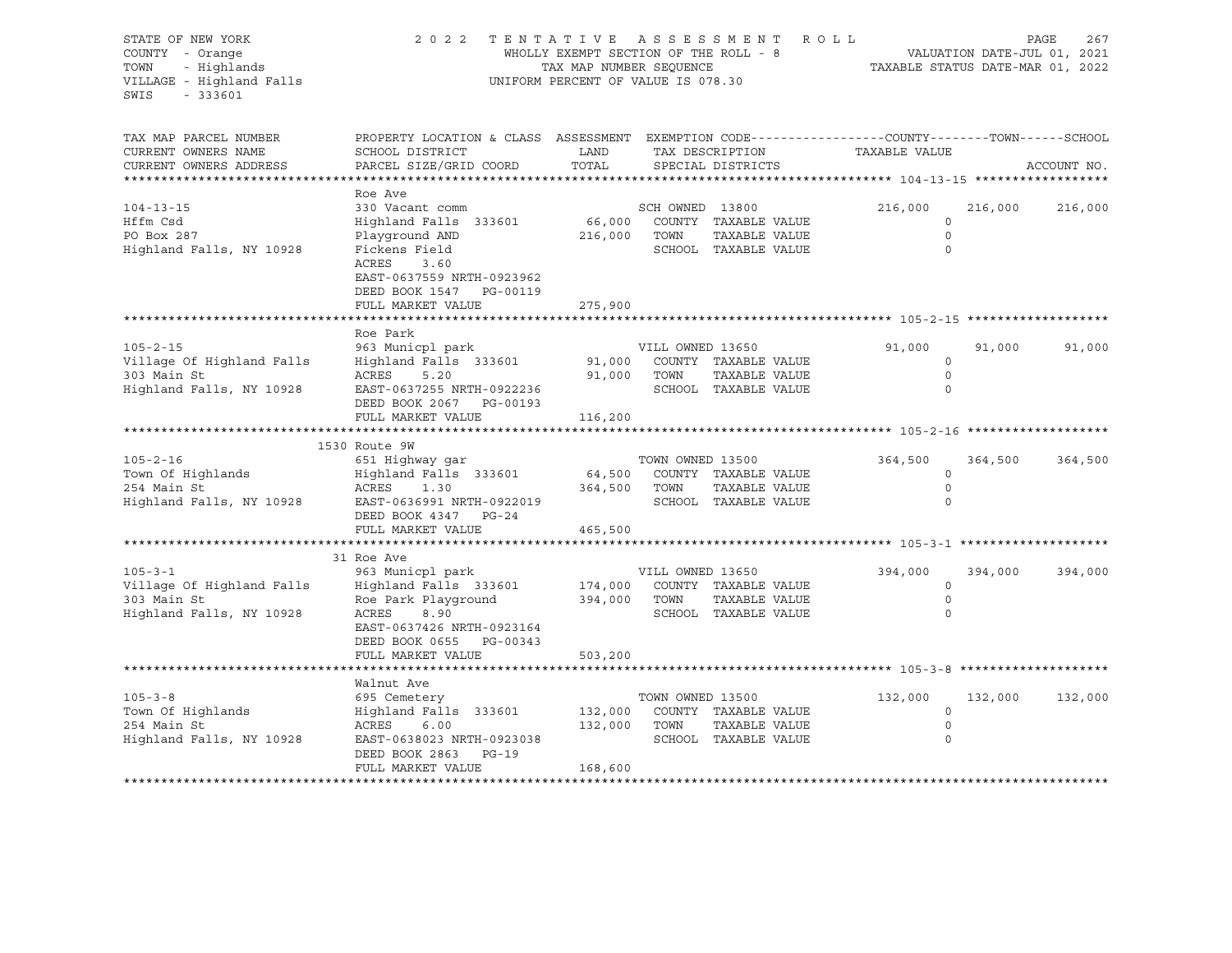STATE OF NEW YORK 2 0 2 2 T E N T A T I V E A S S E S S M E N T R O L L PAGE 267 COUNTY - Orange WHOLLY EXEMPT SECTION OF THE ROLL - 8 VALUATION DATE-JUL 01, 2021 TOWN - Highlands TAX MAP NUMBER SEQUENCE TAXABLE STATUS DATE-MAR 01, 2022 UNIFORM PERCENT OF VALUE IS 078.30 SWIS - 333601 TAX MAP PARCEL NUMBER PROPERTY LOCATION & CLASS ASSESSMENT EXEMPTION CODE----------------COUNTY-------TOWN-----SCHOOL CURRENT OWNERS NAME SCHOOL DISTRICT LAND TAX DESCRIPTION TAXABLE VALUE CURRENT OWNERS ADDRESS PARCEL SIZE/GRID COORD TOTAL SPECIAL DISTRICTS ACCOUNT NO. \*\*\*\*\*\*\*\*\*\*\*\*\*\*\*\*\*\*\*\*\*\*\*\*\*\*\*\*\*\*\*\*\*\*\*\*\*\*\*\*\*\*\*\*\*\*\*\*\*\*\*\*\*\*\*\*\*\*\*\*\*\*\*\*\*\*\*\*\*\*\*\*\*\*\*\*\*\*\*\*\*\*\*\*\*\*\*\*\*\*\*\*\*\*\*\*\*\*\*\*\*\*\* 104-13-15 \*\*\*\*\*\*\*\*\*\*\*\*\*\*\*\*\*\* Roe Ave 104-13-15 330 Vacant comm SCH OWNED 13800 216,000 216,000 216,000 Hffm Csd Highland Falls 333601 66,000 COUNTY TAXABLE VALUE 0 PO Box 287 Playground AND 216,000 TOWN TAXABLE VALUE 0 Highland Falls, NY 10928 Fickens Field SCHOOL TAXABLE VALUE 0 ACRES 3.60 EAST-0637559 NRTH-0923962 DEED BOOK 1547 PG-00119 FULL MARKET VALUE 275,900 \*\*\*\*\*\*\*\*\*\*\*\*\*\*\*\*\*\*\*\*\*\*\*\*\*\*\*\*\*\*\*\*\*\*\*\*\*\*\*\*\*\*\*\*\*\*\*\*\*\*\*\*\*\*\*\*\*\*\*\*\*\*\*\*\*\*\*\*\*\*\*\*\*\*\*\*\*\*\*\*\*\*\*\*\*\*\*\*\*\*\*\*\*\*\*\*\*\*\*\*\*\*\* 105-2-15 \*\*\*\*\*\*\*\*\*\*\*\*\*\*\*\*\*\*\* Roe Park 105-2-15 963 Municpl park VILL OWNED 13650 91,000 91,000 91,000 Village Of Highland Falls Highland Falls 333601 91,000 COUNTY TAXABLE VALUE 0 303 Main St ACRES 5.20 91,000 TOWN TAXABLE VALUE 0 Highland Falls, NY 10928 EAST-0637255 NRTH-0922236 SCHOOL TAXABLE VALUE 0 DEED BOOK 2067 PG-00193 FULL MARKET VALUE 116,200 \*\*\*\*\*\*\*\*\*\*\*\*\*\*\*\*\*\*\*\*\*\*\*\*\*\*\*\*\*\*\*\*\*\*\*\*\*\*\*\*\*\*\*\*\*\*\*\*\*\*\*\*\*\*\*\*\*\*\*\*\*\*\*\*\*\*\*\*\*\*\*\*\*\*\*\*\*\*\*\*\*\*\*\*\*\*\*\*\*\*\*\*\*\*\*\*\*\*\*\*\*\*\* 105-2-16 \*\*\*\*\*\*\*\*\*\*\*\*\*\*\*\*\*\*\* 1530 Route 9W 105-2-16 651 Highway gar TOWN OWNED 13500 364,500 364,500 364,500 Town Of Highlands Highland Falls 333601 64,500 COUNTY TAXABLE VALUE 0 254 Main St ACRES 1.30 364,500 TOWN TAXABLE VALUE 0 Highland Falls, NY 10928 EAST-0636991 NRTH-0922019 SCHOOL TAXABLE VALUE 0 DEED BOOK 4347 PG-24 FULL MARKET VALUE 465,500 \*\*\*\*\*\*\*\*\*\*\*\*\*\*\*\*\*\*\*\*\*\*\*\*\*\*\*\*\*\*\*\*\*\*\*\*\*\*\*\*\*\*\*\*\*\*\*\*\*\*\*\*\*\*\*\*\*\*\*\*\*\*\*\*\*\*\*\*\*\*\*\*\*\*\*\*\*\*\*\*\*\*\*\*\*\*\*\*\*\*\*\*\*\*\*\*\*\*\*\*\*\*\* 105-3-1 \*\*\*\*\*\*\*\*\*\*\*\*\*\*\*\*\*\*\*\* 31 Roe Ave 105-3-1 963 Municpl park VILL OWNED 13650 394,000 394,000 394,000 Village Of Highland Falls Highland Falls 333601 174,000 COUNTY TAXABLE VALUE 0 303 Main St Roe Park Playground 394,000 TOWN TAXABLE VALUE 0 Highland Falls, NY 10928 ACRES 8.90 SCHOOL TAXABLE VALUE 0 EAST-0637426 NRTH-0923164 DEED BOOK 0655 PG-00343 FULL MARKET VALUE 503,200 \*\*\*\*\*\*\*\*\*\*\*\*\*\*\*\*\*\*\*\*\*\*\*\*\*\*\*\*\*\*\*\*\*\*\*\*\*\*\*\*\*\*\*\*\*\*\*\*\*\*\*\*\*\*\*\*\*\*\*\*\*\*\*\*\*\*\*\*\*\*\*\*\*\*\*\*\*\*\*\*\*\*\*\*\*\*\*\*\*\*\*\*\*\*\*\*\*\*\*\*\*\*\* 105-3-8 \*\*\*\*\*\*\*\*\*\*\*\*\*\*\*\*\*\*\*\* Walnut Ave 105-3-8 695 Cemetery 700N OWNED 13500 132,000 132,000 132,000 132,000 132,000 132,000 132,000 132,000 132,000<br>132,000 Town Of Highlands Highland Falls 333601 132,000 COUNTY TAXABLE VALUE Town Of Highlands Highland Falls 333601 132,000 COUNTY TAXABLE VALUE 0 254 Main St ACRES 6.00 132,000 TOWN TAXABLE VALUE 0 Highland Falls, NY 10928 EAST-0638023 NRTH-0923038 SCHOOL TAXABLE VALUE 0 DEED BOOK 2863 PG-19 FULL MARKET VALUE 168,600 \*\*\*\*\*\*\*\*\*\*\*\*\*\*\*\*\*\*\*\*\*\*\*\*\*\*\*\*\*\*\*\*\*\*\*\*\*\*\*\*\*\*\*\*\*\*\*\*\*\*\*\*\*\*\*\*\*\*\*\*\*\*\*\*\*\*\*\*\*\*\*\*\*\*\*\*\*\*\*\*\*\*\*\*\*\*\*\*\*\*\*\*\*\*\*\*\*\*\*\*\*\*\*\*\*\*\*\*\*\*\*\*\*\*\*\*\*\*\*\*\*\*\*\*\*\*\*\*\*\*\*\*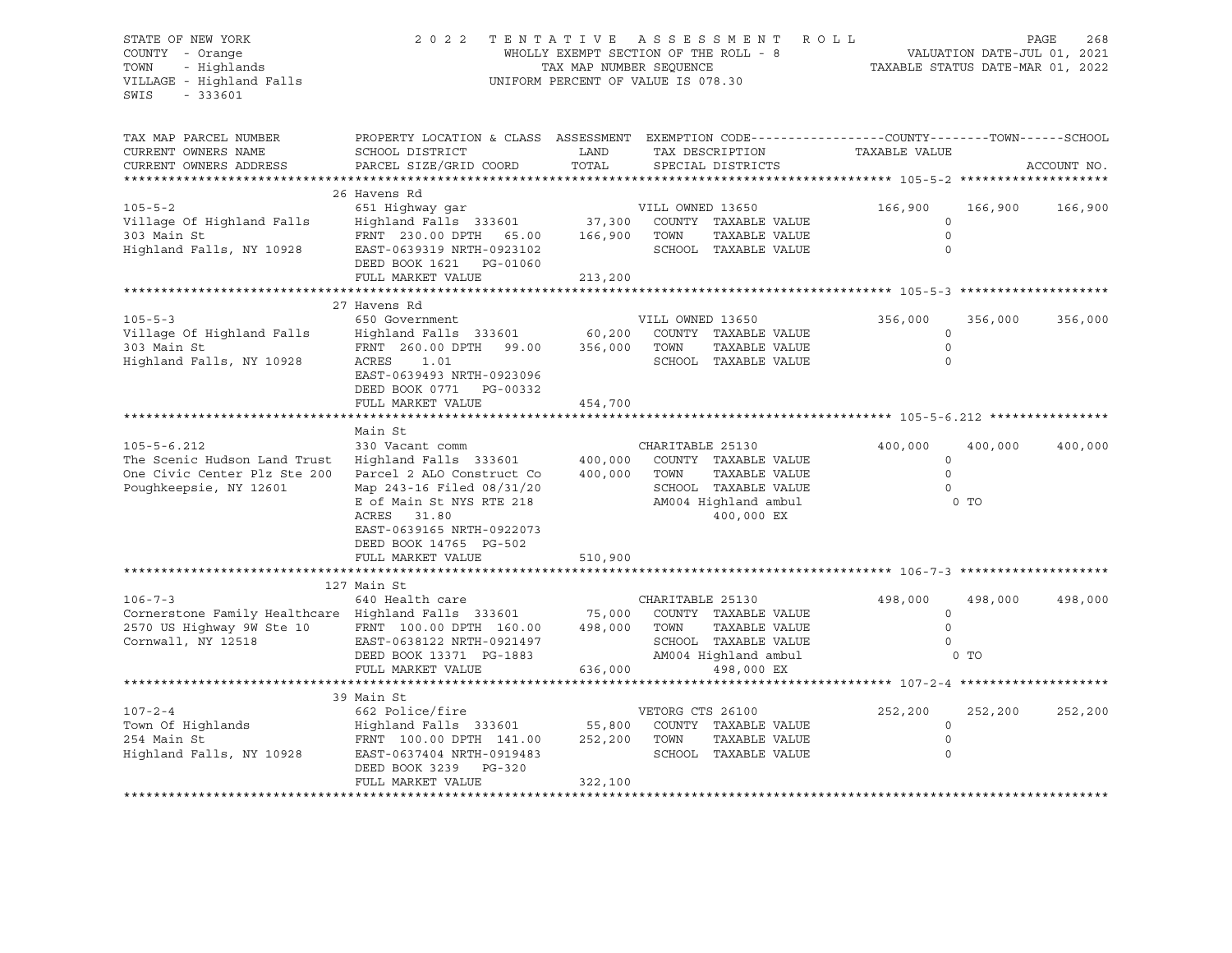#### STATE OF NEW YORK 2 0 2 2 T E N T A T I V E A S S E S S M E N T R O L L PAGE 268 COUNTY - Orange WHOLLY EXEMPT SECTION OF THE ROLL - 8 VALUATION DATE-JUL 01, 2021 TOWN - Highlands TAX MAP NUMBER SEQUENCE TAXABLE STATUS DATE-MAR 01, 2022 VILLAGE - Highland Falls UNIFORM PERCENT OF VALUE IS 078.30

| TAX MAP PARCEL NUMBER<br>CURRENT OWNERS NAME<br>CURRENT OWNERS ADDRESS                                                                              | PROPERTY LOCATION & CLASS ASSESSMENT EXEMPTION CODE----------------COUNTY-------TOWN------SCHOOL<br>SCHOOL DISTRICT<br>PARCEL SIZE/GRID COORD                                                                                                   | LAND<br>TOTAL           | TAX DESCRIPTION<br>SPECIAL DISTRICTS                                                                                            | TAXABLE VALUE                                 | ACCOUNT NO.                  |
|-----------------------------------------------------------------------------------------------------------------------------------------------------|-------------------------------------------------------------------------------------------------------------------------------------------------------------------------------------------------------------------------------------------------|-------------------------|---------------------------------------------------------------------------------------------------------------------------------|-----------------------------------------------|------------------------------|
| $105 - 5 - 2$<br>Village Of Highland Falls<br>303 Main St<br>Highland Falls, NY 10928                                                               | 26 Havens Rd<br>651 Highway gar<br>Highland Falls 333601 37,300 COUNTY TAXABLE VALUE<br>FRNT 230.00 DPTH 65.00 166,900 TOWN<br>EAST-0639319 NRTH-0923102<br>DEED BOOK 1621 PG-01060<br>FULL MARKET VALUE                                        | 213,200                 | VILL OWNED 13650<br>TAXABLE VALUE<br>SCHOOL TAXABLE VALUE                                                                       | 166,900<br>$\Omega$<br>$\mathbf 0$            | 166,900<br>166,900           |
| $105 - 5 - 3$<br>Village Of Highland Falls<br>303 Main St<br>Highland Falls, NY 10928                                                               | 27 Havens Rd<br>650 Government<br>Highland Falls 333601 60,200 COUNT<br>FRNT 260.00 DPTH 99.00 356,000 TOWN<br>ACRES 1.01<br>EAST-0639493 NRTH-0923096<br>DEED BOOK 0771 PG-00332<br>FULL MARKET VALUE                                          | 454,700                 | VILL OWNED 13650<br>COUNTY TAXABLE VALUE<br>TAXABLE VALUE<br>SCHOOL TAXABLE VALUE                                               | 356,000<br>$\mathbf 0$<br>$\Omega$<br>$\circ$ | 356,000<br>356,000           |
| $105 - 5 - 6.212$<br>The Scenic Hudson Land Trust<br>One Civic Center Plz Ste 200<br>Poughkeepsie, NY 12601                                         | Main St<br>330 Vacant comm<br>Highland Falls 333601 400,000<br>Parcel 2 ALO Construct Co<br>Map 243-16 Filed 08/31/20<br>E of Main St NYS RTE 218<br>ACRES<br>31.80<br>EAST-0639165 NRTH-0922073<br>DEED BOOK 14765 PG-502<br>FULL MARKET VALUE | 400,000<br>510,900      | CHARITABLE 25130<br>COUNTY TAXABLE VALUE<br>TOWN<br>TAXABLE VALUE<br>SCHOOL TAXABLE VALUE<br>AM004 Highland ambul<br>400,000 EX | 400,000<br>0<br>$\Omega$<br>$\circ$           | 400,000<br>400,000<br>0 TO   |
| $106 - 7 - 3$<br>Cornerstone Family Healthcare Highland Falls 333601 75,000 COUNTY TAXABLE VALUE<br>2570 US Highway 9W Ste 10<br>Cornwall, NY 12518 | 127 Main St<br>640 Health care<br>FRNT 100.00 DPTH 160.00<br>EAST-0638122 NRTH-0921497<br>DEED BOOK 13371 PG-1883<br>FULL MARKET VALUE                                                                                                          | 498,000 TOWN<br>636,000 | CHARITABLE 25130<br>TAXABLE VALUE<br>SCHOOL TAXABLE VALUE<br>AM004 Highland ambul<br>498,000 EX                                 | 498,000<br>$\circ$<br>$\Omega$<br>$\Omega$    | 498,000<br>498,000<br>$0$ TO |
| $107 - 2 - 4$<br>Town Of Highlands<br>254 Main St<br>Highland Falls, NY 10928                                                                       | 39 Main St<br>662 Police/fire<br>Highland Falls 333601 55,800<br>FRNT 100.00 DPTH 141.00<br>EAST-0637404 NRTH-0919483<br>DEED BOOK 3239 PG-320<br>FULL MARKET VALUE                                                                             | 252,200 TOWN<br>322,100 | VETORG CTS 26100<br>COUNTY TAXABLE VALUE<br>TAXABLE VALUE<br>SCHOOL TAXABLE VALUE                                               | 252,200<br>$\circ$<br>$\circ$<br>$\Omega$     | 252,200<br>252,200           |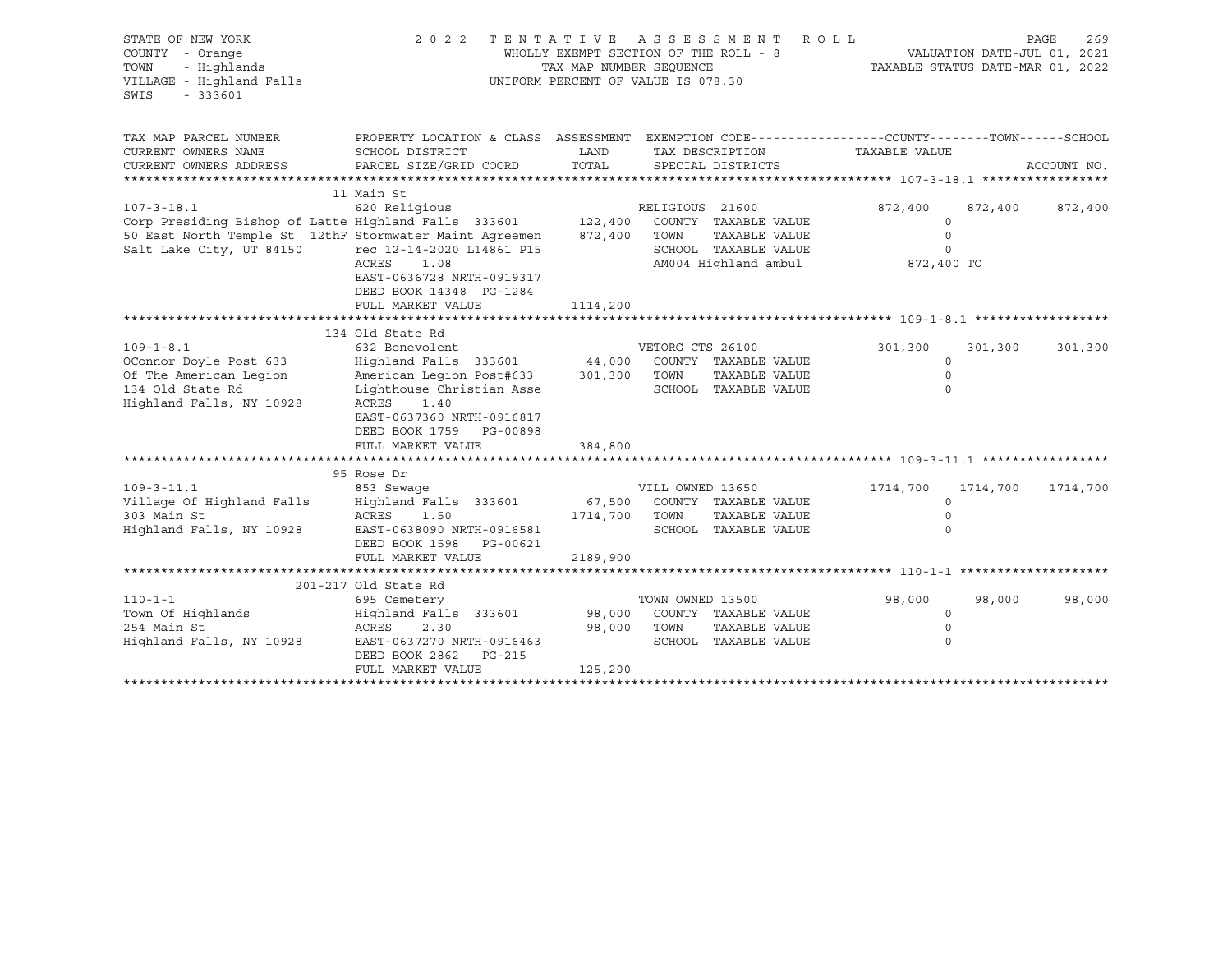| STATE OF NEW YORK<br>COUNTY - Orange<br>- Highlands<br>TOWN<br>VILLAGE - Highland Falls<br>SWIS<br>$-333601$        | 2 0 2 2                                                                                                                                                                                                     | TAX MAP NUMBER SEOUENCE        | TENTATIVE ASSESSMENT<br>WHOLLY EXEMPT SECTION OF THE ROLL - 8<br>UNIFORM PERCENT OF VALUE IS 078.30              | ROLL<br>TAXABLE STATUS DATE-MAR 01, 2022                |          | PAGE<br>269<br>VALUATION DATE-JUL 01, 2021 |
|---------------------------------------------------------------------------------------------------------------------|-------------------------------------------------------------------------------------------------------------------------------------------------------------------------------------------------------------|--------------------------------|------------------------------------------------------------------------------------------------------------------|---------------------------------------------------------|----------|--------------------------------------------|
| TAX MAP PARCEL NUMBER<br>CURRENT OWNERS NAME                                                                        | PROPERTY LOCATION & CLASS ASSESSMENT EXEMPTION CODE----------------COUNTY-------TOWN------SCHOOL<br>SCHOOL DISTRICT                                                                                         | LAND                           | TAX DESCRIPTION                                                                                                  | TAXABLE VALUE                                           |          |                                            |
| CURRENT OWNERS ADDRESS                                                                                              | PARCEL SIZE/GRID COORD                                                                                                                                                                                      | TOTAL                          | SPECIAL DISTRICTS                                                                                                |                                                         |          | ACCOUNT NO.                                |
|                                                                                                                     | 11 Main St                                                                                                                                                                                                  |                                |                                                                                                                  |                                                         |          |                                            |
| $107 - 3 - 18.1$<br>Salt Lake City, UT 84150                                                                        | 620 Religious<br>Corp Presiding Bishop of Latte Highland Falls 333601<br>50 East North Temple St 12thF Stormwater Maint Agreemen<br>rec 12-14-2020 L14861 P15<br>ACRES<br>1.08<br>EAST-0636728 NRTH-0919317 | 122,400<br>872,400             | RELIGIOUS 21600<br>COUNTY TAXABLE VALUE<br>TOWN<br>TAXABLE VALUE<br>SCHOOL TAXABLE VALUE<br>AM004 Highland ambul | 872,400<br>$\Omega$<br>$\circ$<br>$\circ$<br>872,400 TO | 872,400  | 872,400                                    |
|                                                                                                                     | DEED BOOK 14348 PG-1284<br>FULL MARKET VALUE                                                                                                                                                                | 1114,200                       |                                                                                                                  |                                                         |          |                                            |
|                                                                                                                     |                                                                                                                                                                                                             |                                |                                                                                                                  |                                                         |          |                                            |
|                                                                                                                     | 134 Old State Rd                                                                                                                                                                                            |                                |                                                                                                                  |                                                         |          |                                            |
| $109 - 1 - 8.1$<br>OConnor Doyle Post 633<br>Of The American Legion<br>134 Old State Rd<br>Highland Falls, NY 10928 | 632 Benevolent<br>Highland Falls 333601<br>American Legion Post#633<br>Lighthouse Christian Asse<br>ACRES<br>1.40<br>EAST-0637360 NRTH-0916817<br>DEED BOOK 1759 PG-00898                                   | 44,000<br>301,300              | VETORG CTS 26100<br>COUNTY TAXABLE VALUE<br>TOWN<br>TAXABLE VALUE<br>SCHOOL TAXABLE VALUE                        | 301,300<br>$\circ$<br>$\circ$<br>$\circ$                | 301,300  | 301,300                                    |
|                                                                                                                     | FULL MARKET VALUE                                                                                                                                                                                           | 384,800                        |                                                                                                                  |                                                         |          |                                            |
|                                                                                                                     |                                                                                                                                                                                                             |                                |                                                                                                                  |                                                         |          |                                            |
|                                                                                                                     | 95 Rose Dr                                                                                                                                                                                                  |                                |                                                                                                                  |                                                         |          |                                            |
| $109 - 3 - 11.1$<br>Village Of Highland Falls<br>303 Main St<br>Highland Falls, NY 10928                            | 853 Sewaqe<br>Highland Falls 333601<br>ACRES<br>1.50<br>EAST-0638090 NRTH-0916581<br>DEED BOOK 1598<br>PG-00621<br>FULL MARKET VALUE                                                                        | 67,500<br>1714,700<br>2189,900 | VILL OWNED 13650<br>COUNTY TAXABLE VALUE<br>TOWN<br>TAXABLE VALUE<br>SCHOOL TAXABLE VALUE                        | 1714,700<br>$\Omega$<br>$\mathbf 0$<br>$\Omega$         | 1714,700 | 1714,700                                   |
|                                                                                                                     |                                                                                                                                                                                                             |                                |                                                                                                                  |                                                         |          |                                            |
| $110 - 1 - 1$<br>Town Of Highlands<br>254 Main St<br>Highland Falls, NY 10928                                       | 201-217 Old State Rd<br>695 Cemetery<br>Highland Falls 333601<br>ACRES<br>2.30<br>EAST-0637270 NRTH-0916463<br>DEED BOOK 2862<br>PG-215<br>FULL MARKET VALUE                                                | 98,000<br>98,000<br>125,200    | TOWN OWNED 13500<br>COUNTY TAXABLE VALUE<br>TOWN<br>TAXABLE VALUE<br>SCHOOL TAXABLE VALUE                        | 98,000<br>0<br>$\circ$<br>$\Omega$                      | 98,000   | 98,000                                     |
|                                                                                                                     |                                                                                                                                                                                                             |                                |                                                                                                                  |                                                         |          |                                            |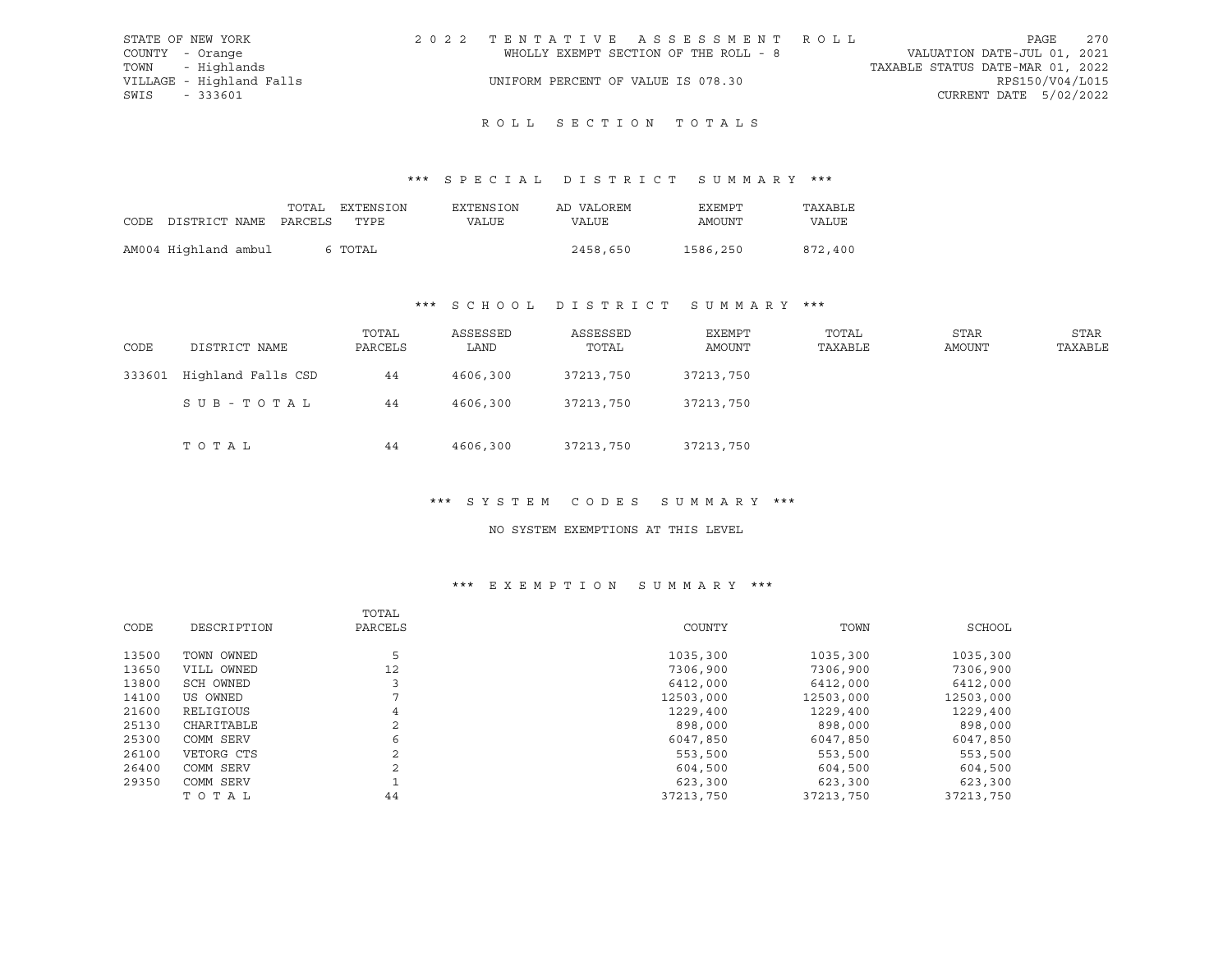| STATE OF NEW YORK |                          | 2022 TENTATIVE ASSESSMENT ROLL        | 270<br>PAGE                      |
|-------------------|--------------------------|---------------------------------------|----------------------------------|
| COUNTY - Orange   |                          | WHOLLY EXEMPT SECTION OF THE ROLL - 8 | VALUATION DATE-JUL 01, 2021      |
|                   | TOWN - Highlands         |                                       | TAXABLE STATUS DATE-MAR 01, 2022 |
|                   | VILLAGE - Highland Falls | UNIFORM PERCENT OF VALUE IS 078.30    | RPS150/V04/L015                  |
| SWIS              | - 333601                 |                                       | CURRENT DATE 5/02/2022           |

## ROLL SECTION TOTALS

## \*\*\* S P E C I A L D I S T R I C T S U M M A R Y \*\*\*

| CODE DISTRICT NAME PARCELS TYPE | TOTAL | EXTENSION | EXTENSION<br>VALUE | AD VALOREM<br>VALUE | EXEMPT<br>AMOUNT | TAXABLE<br>VALUE |
|---------------------------------|-------|-----------|--------------------|---------------------|------------------|------------------|
| AM004 Highland ambul            |       | 6 TOTAL   |                    | 2458,650            | 1586,250         | 872,400          |

## \*\*\* S C H O O L D I S T R I C T S U M M A R Y \*\*\*

| CODE   | DISTRICT NAME      | TOTAL<br>PARCELS | ASSESSED<br>LAND | ASSESSED<br>TOTAL | EXEMPT<br>AMOUNT | TOTAL<br>TAXABLE | STAR<br>AMOUNT | STAR<br>TAXABLE |
|--------|--------------------|------------------|------------------|-------------------|------------------|------------------|----------------|-----------------|
| 333601 | Highland Falls CSD | 44               | 4606,300         | 37213,750         | 37213,750        |                  |                |                 |
|        | SUB-TOTAL          | 44               | 4606,300         | 37213,750         | 37213,750        |                  |                |                 |
|        | TOTAL              | 44               | 4606,300         | 37213,750         | 37213,750        |                  |                |                 |

## \*\*\* S Y S T E M C O D E S S U M M A R Y \*\*\*

#### NO SYSTEM EXEMPTIONS AT THIS LEVEL

## \*\*\* E X E M P T I O N S U M M A R Y \*\*\*

| CODE  | DESCRIPTION | TOTAL<br>PARCELS | COUNTY    | TOWN      | SCHOOL    |
|-------|-------------|------------------|-----------|-----------|-----------|
| 13500 | TOWN OWNED  | 5                | 1035,300  | 1035,300  | 1035,300  |
| 13650 | VILL OWNED  | 12               | 7306,900  | 7306,900  | 7306,900  |
| 13800 | SCH OWNED   |                  | 6412,000  | 6412,000  | 6412,000  |
| 14100 | US OWNED    |                  | 12503,000 | 12503,000 | 12503,000 |
| 21600 | RELIGIOUS   | 4                | 1229,400  | 1229,400  | 1229,400  |
| 25130 | CHARITABLE  | 2                | 898,000   | 898,000   | 898,000   |
| 25300 | COMM SERV   | 6                | 6047,850  | 6047,850  | 6047,850  |
| 26100 | VETORG CTS  | 2                | 553,500   | 553,500   | 553,500   |
| 26400 | COMM SERV   | 2                | 604,500   | 604,500   | 604,500   |
| 29350 | COMM SERV   |                  | 623,300   | 623,300   | 623,300   |
|       | TOTAL       | 44               | 37213,750 | 37213,750 | 37213,750 |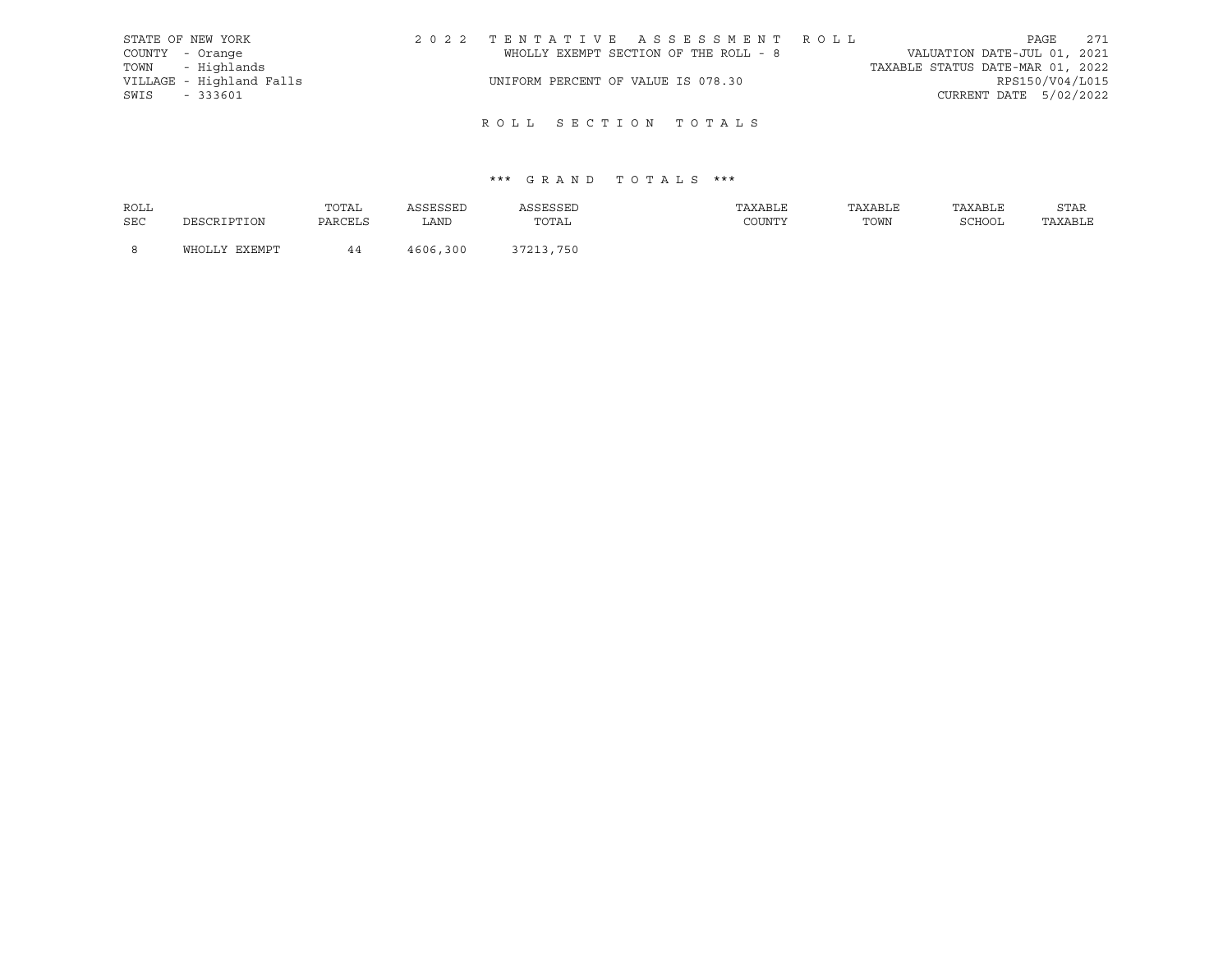| STATE OF NEW YORK |                          | 2022 TENTATIVE ASSESSMENT ROLL        |  |  |                                  |                        | PAGE | 271 |
|-------------------|--------------------------|---------------------------------------|--|--|----------------------------------|------------------------|------|-----|
| COUNTY - Orange   |                          | WHOLLY EXEMPT SECTION OF THE ROLL - 8 |  |  | VALUATION DATE-JUL 01, 2021      |                        |      |     |
| TOWN - Highlands  |                          |                                       |  |  | TAXABLE STATUS DATE-MAR 01, 2022 |                        |      |     |
|                   | VILLAGE - Highland Falls | UNIFORM PERCENT OF VALUE IS 078.30    |  |  |                                  | RPS150/V04/L015        |      |     |
| SWIS<br>- 333601  |                          |                                       |  |  |                                  | CURRENT DATE 5/02/2022 |      |     |
|                   |                          |                                       |  |  |                                  |                        |      |     |

# ROLL SECTION TOTALS

| ROLL       |               | TOTAL   | ASSESSED | ASSESSED  | TAXABLE | TAXABLE | TAXABLE | STAR    |
|------------|---------------|---------|----------|-----------|---------|---------|---------|---------|
| <b>SEC</b> | DESCRIPTION   | PARCELS | LAND     | TOTAL     | COUNTY  | TOWN    | SCHOOL  | TAXABLE |
|            | WHOLLY EXEMPT |         | 4606,300 | 37213,750 |         |         |         |         |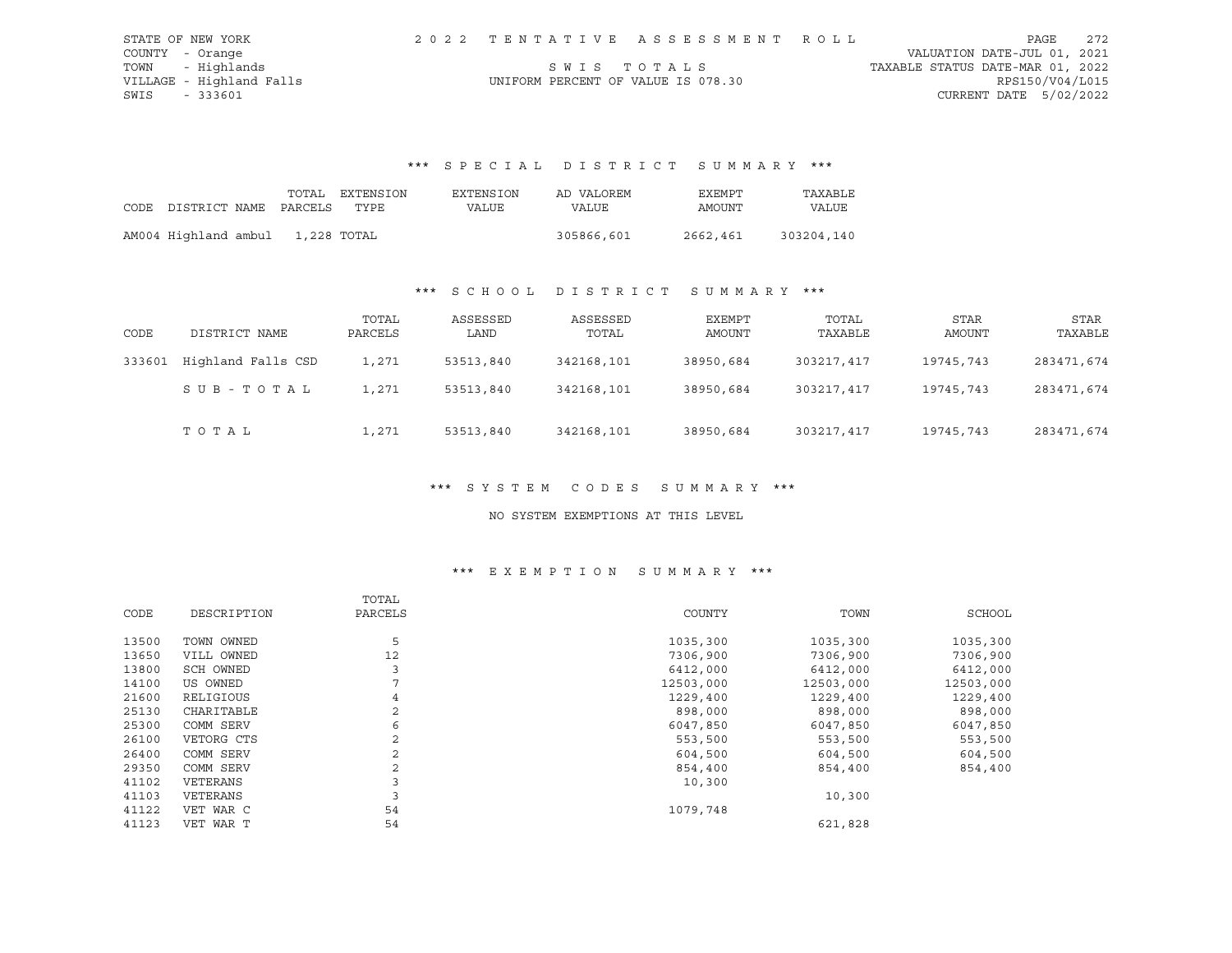| STATE OF NEW YORK        |                                    | 2022 TENTATIVE ASSESSMENT ROLL |                                  | PAGE                   | 2.72 |
|--------------------------|------------------------------------|--------------------------------|----------------------------------|------------------------|------|
| COUNTY - Orange          |                                    |                                | VALUATION DATE-JUL 01, 2021      |                        |      |
| TOWN - Highlands         |                                    | SWIS TOTALS                    | TAXABLE STATUS DATE-MAR 01, 2022 |                        |      |
| VILLAGE - Highland Falls | UNIFORM PERCENT OF VALUE IS 078.30 |                                |                                  | RPS150/V04/L015        |      |
| SWIS<br>- 333601         |                                    |                                |                                  | CURRENT DATE 5/02/2022 |      |

# \*\*\* S P E C I A L D I S T R I C T S U M M A R Y \*\*\*

|                            |             | TOTAL EXTENSION | EXTENSION | AD VALOREM | EXEMPT   | TAXABLE    |
|----------------------------|-------------|-----------------|-----------|------------|----------|------------|
| CODE DISTRICT NAME PARCELS |             | TYPE.           | VALUE     | VALUE      | AMOUNT   | VALUE      |
|                            |             |                 |           |            |          |            |
| AM004 Highland ambul       | 1,228 TOTAL |                 |           | 305866,601 | 2662,461 | 303204,140 |

## \*\*\* S C H O O L D I S T R I C T S U M M A R Y \*\*\*

| CODE   | DISTRICT NAME      | TOTAL<br>PARCELS | ASSESSED<br>LAND | ASSESSED<br>TOTAL | EXEMPT<br>AMOUNT | TOTAL<br>TAXABLE | STAR<br>AMOUNT | STAR<br>TAXABLE |
|--------|--------------------|------------------|------------------|-------------------|------------------|------------------|----------------|-----------------|
| 333601 | Highland Falls CSD | 1,271            | 53513,840        | 342168,101        | 38950,684        | 303217,417       | 19745,743      | 283471,674      |
|        | SUB-TOTAL          | 1,271            | 53513,840        | 342168,101        | 38950,684        | 303217,417       | 19745,743      | 283471,674      |
|        | TOTAL              | 1,271            | 53513,840        | 342168,101        | 38950,684        | 303217,417       | 19745,743      | 283471,674      |

#### \*\*\* S Y S T E M C O D E S S U M M A R Y \*\*\*

## NO SYSTEM EXEMPTIONS AT THIS LEVEL

## \*\*\* E X E M P T I O N S U M M A R Y \*\*\*

|       |             | TOTAL          |           |           |           |
|-------|-------------|----------------|-----------|-----------|-----------|
| CODE  | DESCRIPTION | PARCELS        | COUNTY    | TOWN      | SCHOOL    |
| 13500 | TOWN OWNED  | 5              | 1035,300  | 1035,300  | 1035,300  |
| 13650 | VILL OWNED  | 12             | 7306,900  | 7306,900  | 7306,900  |
| 13800 | SCH OWNED   | 3              | 6412,000  | 6412,000  | 6412,000  |
| 14100 | US OWNED    |                | 12503,000 | 12503,000 | 12503,000 |
| 21600 | RELIGIOUS   | 4              | 1229,400  | 1229,400  | 1229,400  |
| 25130 | CHARITABLE  | 2              | 898,000   | 898,000   | 898,000   |
| 25300 | COMM SERV   | 6              | 6047,850  | 6047,850  | 6047,850  |
| 26100 | VETORG CTS  | $\overline{2}$ | 553,500   | 553,500   | 553,500   |
| 26400 | COMM SERV   | 2              | 604,500   | 604,500   | 604,500   |
| 29350 | COMM SERV   |                | 854,400   | 854,400   | 854,400   |
| 41102 | VETERANS    |                | 10,300    |           |           |
| 41103 | VETERANS    | 3              |           | 10,300    |           |
| 41122 | VET WAR C   | 54             | 1079,748  |           |           |
| 41123 | VET WAR T   | 54             |           | 621,828   |           |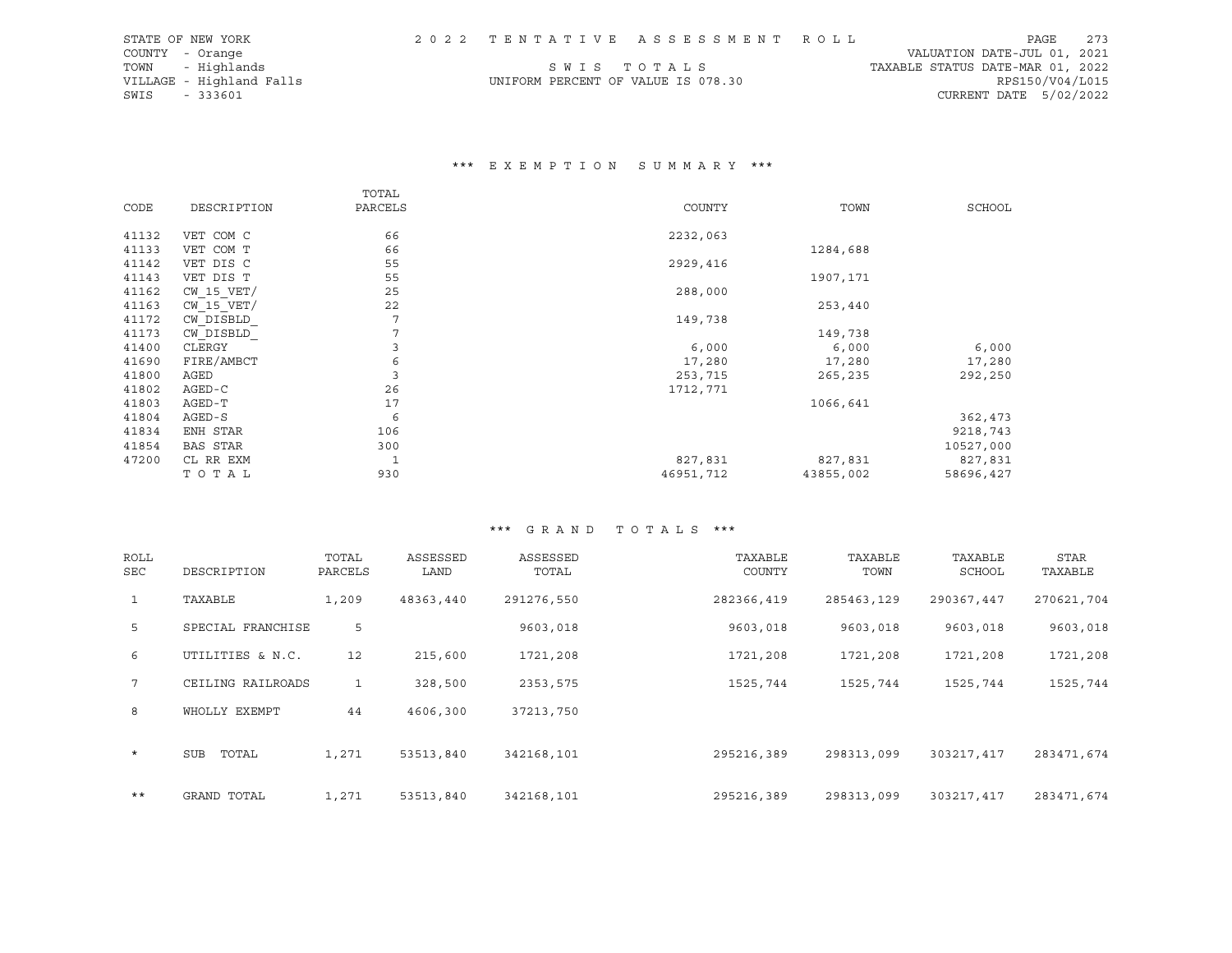| STATE OF NEW YORK        |                                    | 2022 TENTATIVE ASSESSMENT ROLL |                                  | PAGE            | 273 |
|--------------------------|------------------------------------|--------------------------------|----------------------------------|-----------------|-----|
| COUNTY - Orange          |                                    |                                | VALUATION DATE-JUL 01, 2021      |                 |     |
| TOWN - Highlands         |                                    | SWIS TOTALS                    | TAXABLE STATUS DATE-MAR 01, 2022 |                 |     |
| VILLAGE - Highland Falls | UNIFORM PERCENT OF VALUE IS 078.30 |                                |                                  | RPS150/V04/L015 |     |
| SWIS<br>- 333601         |                                    |                                | CURRENT DATE $5/02/2022$         |                 |     |

## \*\*\* E X E M P T I O N S U M M A R Y \*\*\*

|       |                 | TOTAL   |           |           |               |
|-------|-----------------|---------|-----------|-----------|---------------|
| CODE  | DESCRIPTION     | PARCELS | COUNTY    | TOWN      | <b>SCHOOL</b> |
| 41132 | VET COM C       | 66      | 2232,063  |           |               |
| 41133 | VET COM T       | 66      |           | 1284,688  |               |
| 41142 | VET DIS C       | 55      | 2929,416  |           |               |
| 41143 | VET DIS T       | 55      |           | 1907,171  |               |
| 41162 | $CW$ 15 $VET/$  | 25      | 288,000   |           |               |
| 41163 | $CW$ 15 $VET/$  | 22      |           | 253,440   |               |
| 41172 | CW DISBLD       | 7       | 149,738   |           |               |
| 41173 | CW DISBLD       | 7       |           | 149,738   |               |
| 41400 | CLERGY          | 3       | 6,000     | 6,000     | 6,000         |
| 41690 | FIRE/AMBCT      | 6       | 17,280    | 17,280    | 17,280        |
| 41800 | AGED            | 3       | 253,715   | 265,235   | 292,250       |
| 41802 | $AGED-C$        | 26      | 1712,771  |           |               |
| 41803 | AGED-T          | 17      |           | 1066,641  |               |
| 41804 | AGED-S          | 6       |           |           | 362,473       |
| 41834 | ENH STAR        | 106     |           |           | 9218,743      |
| 41854 | <b>BAS STAR</b> | 300     |           |           | 10527,000     |
| 47200 | CL RR EXM       | 1       | 827,831   | 827,831   | 827,831       |
|       | TOTAL           | 930     | 46951,712 | 43855,002 | 58696,427     |

| <b>ROLL</b><br><b>SEC</b> | DESCRIPTION       | TOTAL<br>PARCELS | ASSESSED<br>LAND | ASSESSED<br>TOTAL | TAXABLE<br>COUNTY | TAXABLE<br>TOWN | TAXABLE<br><b>SCHOOL</b> | STAR<br>TAXABLE |
|---------------------------|-------------------|------------------|------------------|-------------------|-------------------|-----------------|--------------------------|-----------------|
| $\mathbf{1}$              | TAXABLE           | 1,209            | 48363,440        | 291276,550        | 282366,419        | 285463,129      | 290367,447               | 270621,704      |
| 5 <sup>1</sup>            | SPECIAL FRANCHISE | 5                |                  | 9603,018          | 9603,018          | 9603,018        | 9603,018                 | 9603,018        |
| 6                         | UTILITIES & N.C.  | 12               | 215,600          | 1721,208          | 1721,208          | 1721,208        | 1721,208                 | 1721,208        |
| $7^{\circ}$               | CEILING RAILROADS | 1                | 328,500          | 2353,575          | 1525,744          | 1525,744        | 1525,744                 | 1525,744        |
| 8                         | WHOLLY EXEMPT     | 44               | 4606,300         | 37213,750         |                   |                 |                          |                 |
| $\star$                   | TOTAL<br>SUB      | 1,271            | 53513,840        | 342168,101        | 295216,389        | 298313,099      | 303217,417               | 283471,674      |
| $***$                     | GRAND TOTAL       | 1,271            | 53513,840        | 342168,101        | 295216,389        | 298313,099      | 303217,417               | 283471,674      |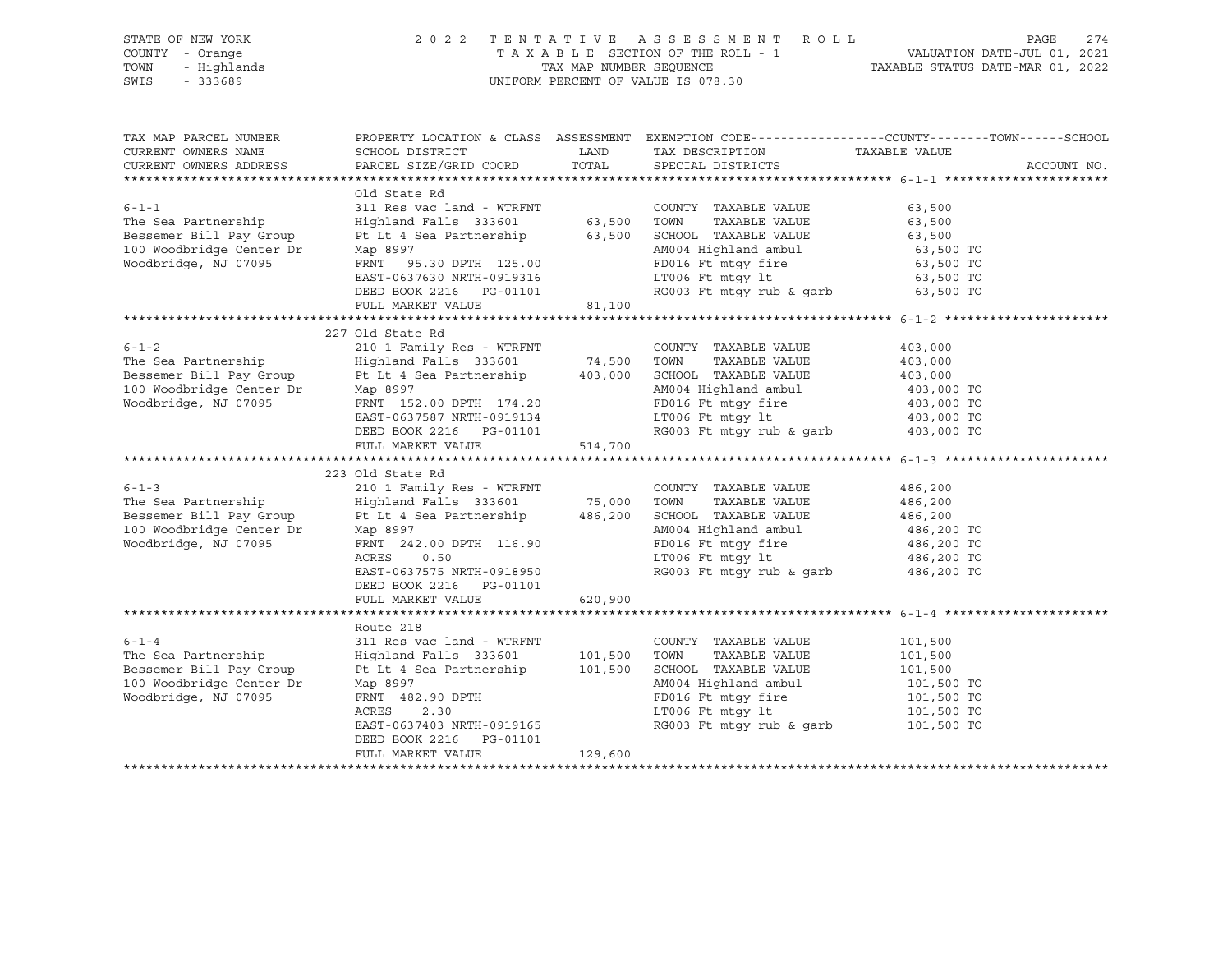| STATE OF NEW YORK<br>COUNTY - Orange<br>TOWN<br>- Highlands<br>SWIS<br>$-333689$                                                                                                                                                                              |                                                                                                                                                                                                                                                                                                                                                                                                                                   |                    | 2022 TENTATIVE ASSESSMENT ROLL<br>UNIFORM PERCENT OF VALUE IS 078.30                                                                                                                                                                                                                                                                                                                                                                                                             | PAGE<br>274<br>PAGE 274<br>TAXABLE SECTION OF THE ROLL - 1 VALUATION DATE-JUL 01, 2021<br>TAXABLE STATUS DATE-MAR 01, 2022<br>TAXABLE STATUS DATE-MAR 01, 2022 |
|---------------------------------------------------------------------------------------------------------------------------------------------------------------------------------------------------------------------------------------------------------------|-----------------------------------------------------------------------------------------------------------------------------------------------------------------------------------------------------------------------------------------------------------------------------------------------------------------------------------------------------------------------------------------------------------------------------------|--------------------|----------------------------------------------------------------------------------------------------------------------------------------------------------------------------------------------------------------------------------------------------------------------------------------------------------------------------------------------------------------------------------------------------------------------------------------------------------------------------------|----------------------------------------------------------------------------------------------------------------------------------------------------------------|
| TAX MAP PARCEL NUMBER<br>CURRENT OWNERS NAME<br>CURRENT OWNERS ADDRESS                                                                                                                                                                                        |                                                                                                                                                                                                                                                                                                                                                                                                                                   |                    | ${\tt SCHOOL\ DISTRICT} \begin{tabular}{lcccc} \multicolumn{2}{c}{\textbf{C}} \multicolumn{2}{c}{\textbf{C}} \multicolumn{2}{c}{\textbf{C}} \multicolumn{2}{c}{\textbf{C}} \multicolumn{2}{c}{\textbf{C}} \multicolumn{2}{c}{\textbf{C}} \multicolumn{2}{c}{\textbf{C}} \multicolumn{2}{c}{\textbf{C}} \multicolumn{2}{c}{\textbf{C}} \multicolumn{2}{c}{\textbf{C}} \multicolumn{2}{c}{\textbf{C}} \multicolumn{2}{c}{\textbf{C}} \multicolumn{2}{c}{\textbf{C}} \multicolumn{$ | PROPERTY LOCATION & CLASS ASSESSMENT EXEMPTION CODE----------------COUNTY-------TOWN------SCHOOL<br>ACCOUNT NO.                                                |
| $6 - 1 - 1$<br>The Sea Partnership<br>Bessemer Bill Pay Group<br>100 Woodbridge Center Dr<br>Woodbridge, NJ 07095<br>Woodbridge, NJ 07095                                                                                                                     | Old State Rd<br>311 Res vac land - WTRFNT<br>Highland Falls 333601 63,500 TOWN TAXABLE VALUE 63,500<br>FL 63,500 FOWN TAXABLE VALUE 63,500<br>PL L4 Sea Partnership 63,500 SCHOOL TAXABLE VALUE 63,500<br>Map 8997 AM004 Highland ambul 63,500 TO<br>FRN                                                                                                                                                                          |                    |                                                                                                                                                                                                                                                                                                                                                                                                                                                                                  |                                                                                                                                                                |
|                                                                                                                                                                                                                                                               |                                                                                                                                                                                                                                                                                                                                                                                                                                   |                    |                                                                                                                                                                                                                                                                                                                                                                                                                                                                                  |                                                                                                                                                                |
| $6 - 1 - 2$<br>The Sea Partnership<br>Bessemer Bill Pay Group<br>100 Woodbridge Center Dr<br>Woodbridge NJ 07095<br>Woodbridge, NJ 07095<br>$6 - 1 - 3$<br>The Sea Partnership<br>Bessemer Bill Pay Group<br>100 Woodbridge Center Dr<br>Woodbridge, NJ 07095 | 227 Old State Rd<br>EAST-0637587 NRTH-0919134<br>DEED BOOK 2216 PG-01101<br>FULL MARKET VALUE<br>223 Old State Rd<br>210 1 Family Res - WTRFNT<br>Highland Falls 333601 75,000 TOWN TAXABLE VALUE<br>Pt Lt 4 Sea Partnership<br>Map 8997<br>MAP 8997<br>RENT 242.00 DPTH 116.90<br>RENT 242.00 DPTH 116.90<br>PD016 Ft mtgy fire<br>ACRES<br>0.50<br>EAST-0637575 NRTH-0918950<br>DEED BOOK 2216    PG-01101<br>FULL MARKET VALUE | 514,700<br>620,900 | AM004 Highland ambul 403,000 TO<br>FD016 Ft mtgy fire 403,000 TO<br>LT006 Ft mtgy 1t 403,000 TO<br>RG003 Ft mtgy rub & garb 403,000 TO<br>AM004 Highland ambul 486,200<br>FD016 Ft mtgy fire 486,200 TO<br>LT006 Ft mtgy 1t 486,200 TO<br>RG003 Ft mtgy rub & garb 486,200 TO                                                                                                                                                                                                    | 403,000<br>403,000<br>403,000<br>486,200<br>486,200<br>486,200                                                                                                 |
|                                                                                                                                                                                                                                                               |                                                                                                                                                                                                                                                                                                                                                                                                                                   |                    |                                                                                                                                                                                                                                                                                                                                                                                                                                                                                  |                                                                                                                                                                |
| 0-1-4<br>The Sea Partnership<br>Bessemer Bill Pay Group<br>Bessemer Bill Pay Group<br>Pt Lt 4 Sea Partnership<br>Moodbridge Center Dr. Map 8997<br>Woodbridge, NJ 07095<br>FRNT 482.90 DPTV<br>PRNT 482.90 DPTV<br>PRNT 482.90 DPTV<br>PRNT 482.90            | Map 8997<br>FRNT 482.90 DPTH<br>ACRES 2.30<br>EAST-0637403 NRTH-0919165<br>DEED BOOK 2216    PG-01101<br>FULL MARKET VALUE                                                                                                                                                                                                                                                                                                        | 129,600            | AM004 Highland ambul<br>FD016 Ft mtgy fire<br>LT006 Ft mtgy lt<br>FD016 Ft mtgy fire<br>LT006 Ft mtgy lt 101,500 TO<br>RG003 Ft mtgy rub & garb 101,500 TO                                                                                                                                                                                                                                                                                                                       | 101,500<br>101,500<br>101,500<br>101,500 TO                                                                                                                    |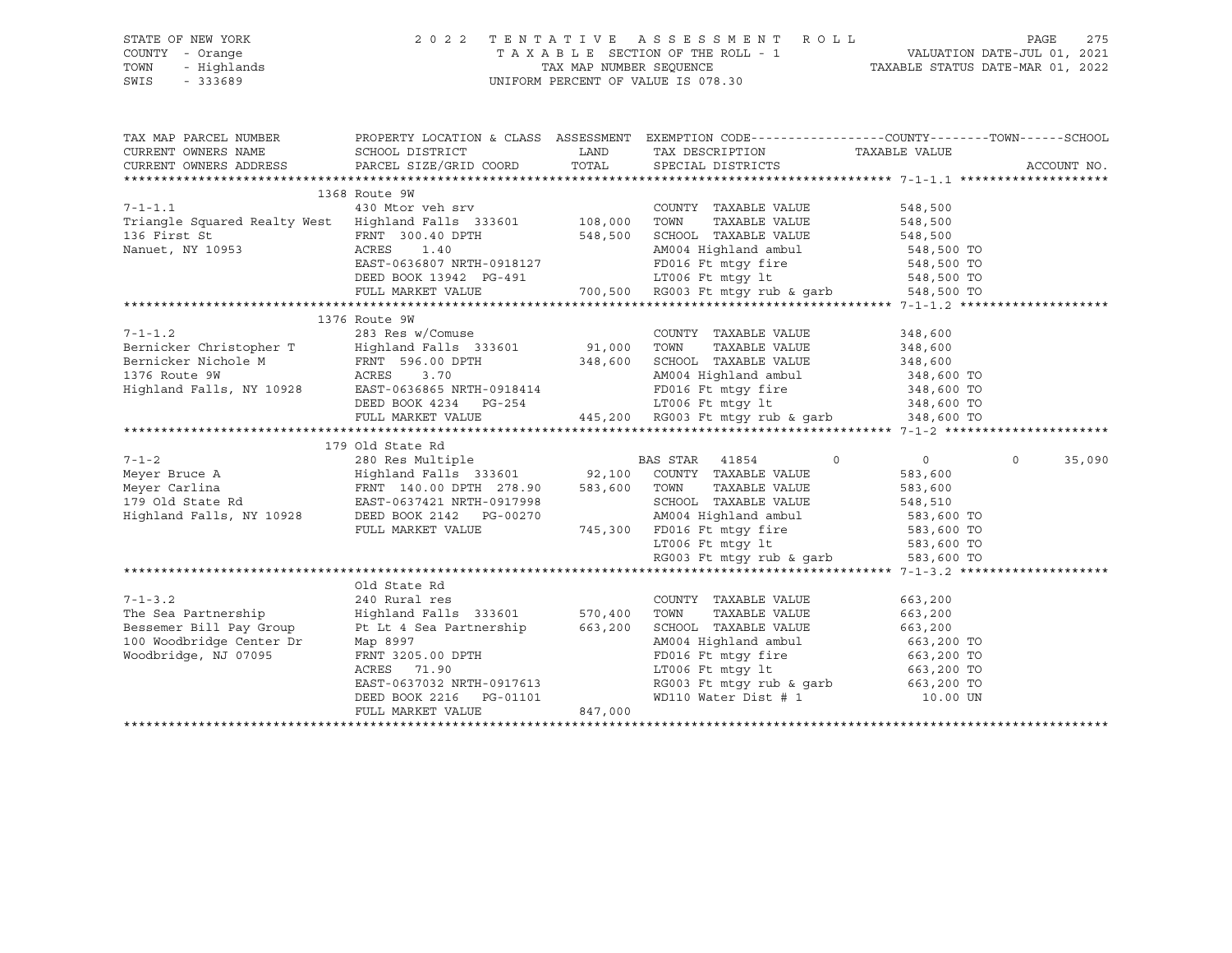| STATE OF NEW YORK | 2022 TENTATIVE ASSESSMENT ROLL                                 | PAGE | 275 |
|-------------------|----------------------------------------------------------------|------|-----|
| COUNTY - Orange   | VALUATION DATE-JUL 01, 2021<br>TAXABLE SECTION OF THE ROLL - 1 |      |     |
| TOWN - Highlands  | TAXABLE STATUS DATE-MAR 01, 2022<br>TAX MAP NUMBER SEOUENCE    |      |     |
| SWIS - 333689     | UNIFORM PERCENT OF VALUE IS 078.30                             |      |     |

| TAX MAP PARCEL NUMBER                                                                                                                                                                                                                |                                                                                                                                                                                              |         | PROPERTY LOCATION & CLASS ASSESSMENT EXEMPTION CODE----------------COUNTY-------TOWN------SCHOOL                                                                                                 |         |                   |
|--------------------------------------------------------------------------------------------------------------------------------------------------------------------------------------------------------------------------------------|----------------------------------------------------------------------------------------------------------------------------------------------------------------------------------------------|---------|--------------------------------------------------------------------------------------------------------------------------------------------------------------------------------------------------|---------|-------------------|
|                                                                                                                                                                                                                                      |                                                                                                                                                                                              |         |                                                                                                                                                                                                  |         |                   |
|                                                                                                                                                                                                                                      |                                                                                                                                                                                              |         |                                                                                                                                                                                                  |         |                   |
|                                                                                                                                                                                                                                      |                                                                                                                                                                                              |         |                                                                                                                                                                                                  |         |                   |
| 1368 Route 9W<br>$7 - 1 - 1.1$<br>430 Mtor                                                                                                                                                                                           |                                                                                                                                                                                              |         |                                                                                                                                                                                                  |         |                   |
|                                                                                                                                                                                                                                      |                                                                                                                                                                                              |         | COUNTY TAXABLE VALUE                                                                                                                                                                             | 548,500 |                   |
|                                                                                                                                                                                                                                      |                                                                                                                                                                                              |         | TAXABLE VALUE 548,500                                                                                                                                                                            |         |                   |
|                                                                                                                                                                                                                                      |                                                                                                                                                                                              |         |                                                                                                                                                                                                  |         |                   |
|                                                                                                                                                                                                                                      |                                                                                                                                                                                              |         |                                                                                                                                                                                                  |         |                   |
|                                                                                                                                                                                                                                      |                                                                                                                                                                                              |         |                                                                                                                                                                                                  |         |                   |
|                                                                                                                                                                                                                                      |                                                                                                                                                                                              |         |                                                                                                                                                                                                  |         |                   |
|                                                                                                                                                                                                                                      | ACRES 1.40<br>EAST-0636807 NRTH-0918127 FD016 Ft mtgy fire 548,500 TO<br>DEED BOOK 13942 PG-491 LT006 Ft mtgy lt 548,500 TO<br>FULL MARKET VALUE 700,500 RG003 Ft mtgy rub & garb 548,500 TO |         |                                                                                                                                                                                                  |         |                   |
|                                                                                                                                                                                                                                      |                                                                                                                                                                                              |         |                                                                                                                                                                                                  |         |                   |
|                                                                                                                                                                                                                                      |                                                                                                                                                                                              |         |                                                                                                                                                                                                  |         |                   |
|                                                                                                                                                                                                                                      |                                                                                                                                                                                              |         | $\begin{tabular}{lllllllll} \multicolumn{2}{c}{\textbf{COUNTY}} & \textbf{TXABLE VALUE} & & & 348,600 \\ \multicolumn{2}{c}{\textbf{TOWN}} & \textbf{TXABLE VALUE} & & 348,600 \\ \end{tabular}$ |         |                   |
|                                                                                                                                                                                                                                      |                                                                                                                                                                                              |         |                                                                                                                                                                                                  |         |                   |
| Bernicker Nichole M FRNT 596.00 DPTH 348,600 SCHOOL TAXABLE VALUE 348,600                                                                                                                                                            |                                                                                                                                                                                              |         |                                                                                                                                                                                                  |         |                   |
|                                                                                                                                                                                                                                      |                                                                                                                                                                                              |         |                                                                                                                                                                                                  |         |                   |
| 1376 Route 9W ACRES 3.70<br>Highland Falls, NY 10928 EAST-0636865 NRTH-0918414 PD016 Ft mtgy fire 348,600 TO<br>DEED BOOK 4234 PG-254 LT006 Ft mtgy rub & garb 348,600 TO<br>FULL MARKET VALUE 445,200 RG003 Ft mtgy rub & garb 348, |                                                                                                                                                                                              |         |                                                                                                                                                                                                  |         |                   |
|                                                                                                                                                                                                                                      |                                                                                                                                                                                              |         |                                                                                                                                                                                                  |         |                   |
|                                                                                                                                                                                                                                      |                                                                                                                                                                                              |         |                                                                                                                                                                                                  |         |                   |
|                                                                                                                                                                                                                                      |                                                                                                                                                                                              |         |                                                                                                                                                                                                  |         |                   |
|                                                                                                                                                                                                                                      | 179 Old State Rd                                                                                                                                                                             |         |                                                                                                                                                                                                  |         |                   |
|                                                                                                                                                                                                                                      |                                                                                                                                                                                              |         |                                                                                                                                                                                                  |         | $\circ$<br>35,090 |
|                                                                                                                                                                                                                                      |                                                                                                                                                                                              |         |                                                                                                                                                                                                  |         |                   |
|                                                                                                                                                                                                                                      |                                                                                                                                                                                              |         |                                                                                                                                                                                                  |         |                   |
|                                                                                                                                                                                                                                      |                                                                                                                                                                                              |         |                                                                                                                                                                                                  |         |                   |
|                                                                                                                                                                                                                                      |                                                                                                                                                                                              |         |                                                                                                                                                                                                  |         |                   |
|                                                                                                                                                                                                                                      |                                                                                                                                                                                              |         |                                                                                                                                                                                                  |         |                   |
|                                                                                                                                                                                                                                      |                                                                                                                                                                                              |         |                                                                                                                                                                                                  |         |                   |
|                                                                                                                                                                                                                                      |                                                                                                                                                                                              |         |                                                                                                                                                                                                  |         |                   |
|                                                                                                                                                                                                                                      |                                                                                                                                                                                              |         |                                                                                                                                                                                                  |         |                   |
|                                                                                                                                                                                                                                      | Old State Rd                                                                                                                                                                                 |         |                                                                                                                                                                                                  |         |                   |
| 7-1-3.2<br>The Sea Partnership                                                                                                                                                                                                       | 240 Rural res<br>240 Rural res<br>Highland Falls 333601 570,400 TOWN                                                                                                                         |         | COUNTY TAXABLE VALUE                                                                                                                                                                             | 663,200 |                   |
|                                                                                                                                                                                                                                      |                                                                                                                                                                                              |         | TAXABLE VALUE                                                                                                                                                                                    | 663,200 |                   |
| Bessemer Bill Pay Group                                                                                                                                                                                                              |                                                                                                                                                                                              |         | Pt Lt 4 Sea Partnership 663, 200 SCHOOL TAXABLE VALUE                                                                                                                                            | 663,200 |                   |
| 100 Woodbridge Center Dr                                                                                                                                                                                                             |                                                                                                                                                                                              |         |                                                                                                                                                                                                  |         |                   |
| Woodbridge, NJ 07095                                                                                                                                                                                                                 |                                                                                                                                                                                              |         | Map 8997<br>Map 8997<br>RNT 3205.00 DPTH<br>RCRES 71.90<br>RGRES 71.90<br>EAST-0637032 NRTH-0917613<br>DEED BOOK 2216<br>PG-01101<br>PD110 Water Dist #1<br>MD10 Water Dist #1<br>10.00 UN       |         |                   |
|                                                                                                                                                                                                                                      |                                                                                                                                                                                              |         |                                                                                                                                                                                                  |         |                   |
|                                                                                                                                                                                                                                      |                                                                                                                                                                                              |         |                                                                                                                                                                                                  |         |                   |
|                                                                                                                                                                                                                                      |                                                                                                                                                                                              |         |                                                                                                                                                                                                  |         |                   |
|                                                                                                                                                                                                                                      | FULL MARKET VALUE                                                                                                                                                                            | 847,000 |                                                                                                                                                                                                  |         |                   |

\*\*\*\*\*\*\*\*\*\*\*\*\*\*\*\*\*\*\*\*\*\*\*\*\*\*\*\*\*\*\*\*\*\*\*\*\*\*\*\*\*\*\*\*\*\*\*\*\*\*\*\*\*\*\*\*\*\*\*\*\*\*\*\*\*\*\*\*\*\*\*\*\*\*\*\*\*\*\*\*\*\*\*\*\*\*\*\*\*\*\*\*\*\*\*\*\*\*\*\*\*\*\*\*\*\*\*\*\*\*\*\*\*\*\*\*\*\*\*\*\*\*\*\*\*\*\*\*\*\*\*\*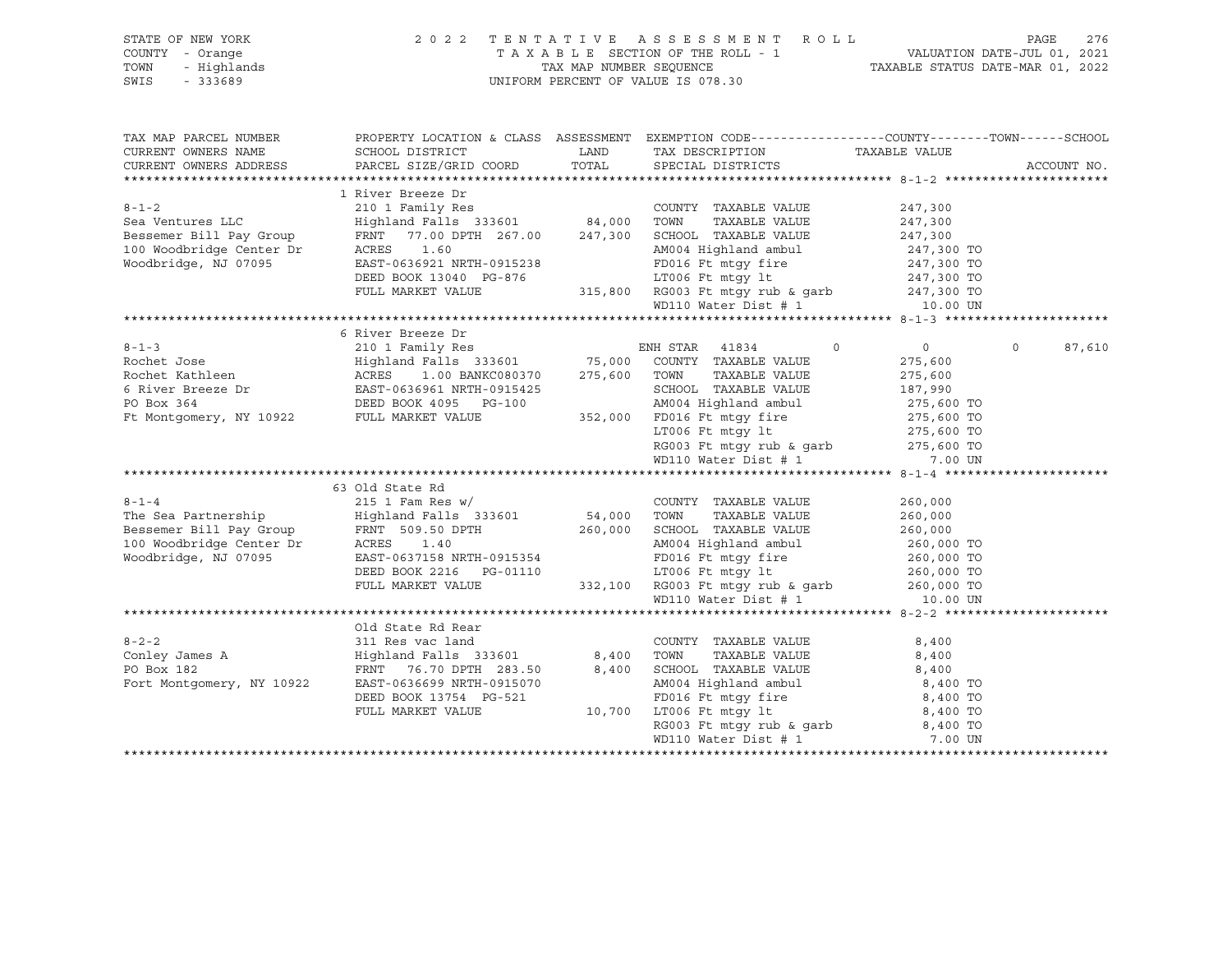| STATE OF NEW YORK<br>COUNTY - Orange<br>- Highlands<br>TOWN<br>SWIS<br>$-333689$ |                                                                                                                                           | 2022 TENTATIVE ASSESSMENT ROLL<br>T A X A B L E SECTION OF THE ROLL - 1 VALUATION DATE-JUL 01, 2021<br>TAX MAP NUMBER SEQUENCE TAXABLE STATUS DATE-MAR 01, 2022<br>UNIFORM PERCENT OF VALUE IS 078.30                                  |                          | 276<br>PAGE        |
|----------------------------------------------------------------------------------|-------------------------------------------------------------------------------------------------------------------------------------------|----------------------------------------------------------------------------------------------------------------------------------------------------------------------------------------------------------------------------------------|--------------------------|--------------------|
| CURRENT OWNERS NAME                                                              | TAX MAP PARCEL NUMBER PROPERTY LOCATION & CLASS ASSESSMENT EXEMPTION CODE---------------COUNTY--------TOWN------SCHOOL<br>SCHOOL DISTRICT |                                                                                                                                                                                                                                        | TAXABLE VALUE            |                    |
| CURRENT OWNERS ADDRESS                                                           | PARCEL SIZE/GRID COORD                                                                                                                    | LAND TAX DESCRIPTION<br>COORD TOTAL SPECIAL DISTRICTS                                                                                                                                                                                  |                          | ACCOUNT NO.        |
|                                                                                  |                                                                                                                                           |                                                                                                                                                                                                                                        |                          |                    |
|                                                                                  | 1 River Breeze Dr                                                                                                                         |                                                                                                                                                                                                                                        |                          |                    |
| $8 - 1 - 2$                                                                      |                                                                                                                                           | COUNTY TAXABLE VALUE                                                                                                                                                                                                                   | 247,300                  |                    |
| Sea Ventures LLC                                                                 | COUNT<br>Highland Falls 333601 84,000 TOWN<br>FRNT 77.00 DPTH 267.00 1000 1000                                                            | TAXABLE VALUE                                                                                                                                                                                                                          | 247,300                  |                    |
| Bessemer Bill Pay Group                                                          |                                                                                                                                           | FRNT 77.00 DPTH 267.00 247,300 SCHOOL TAXABLE VALUE                                                                                                                                                                                    | 247,300                  |                    |
| 100 Woodbridge Center Dr<br>Woodbridge NJ 07095<br>Woodbridge, NJ 07095          | ACRES 1.60<br>EAST-0636921 NRTH-0915238                                                                                                   |                                                                                                                                                                                                                                        |                          |                    |
|                                                                                  | DEED BOOK 13040 PG-876                                                                                                                    |                                                                                                                                                                                                                                        |                          |                    |
|                                                                                  | FULL MARKET VALUE                                                                                                                         |                                                                                                                                                                                                                                        |                          |                    |
|                                                                                  |                                                                                                                                           | AM004 Highland ambul<br>FD016 Ft mtgy fire<br>IT006 Ft mtgy 1t<br>315,800 RG003 Ft mtgy rub & garb<br>247,300 TO<br>8003 Ft mtgy rub & garb<br>247,300 TO<br>247,300 TO<br>247,300 TO<br>247,300 TO<br>2010 Mater Dist # 1<br>10.00 UN |                          |                    |
|                                                                                  |                                                                                                                                           |                                                                                                                                                                                                                                        |                          |                    |
|                                                                                  | 6 River Breeze Dr                                                                                                                         |                                                                                                                                                                                                                                        |                          |                    |
|                                                                                  |                                                                                                                                           | $\overline{0}$                                                                                                                                                                                                                         | $\overline{0}$           | $\Omega$<br>87,610 |
|                                                                                  |                                                                                                                                           |                                                                                                                                                                                                                                        | 275,600                  |                    |
|                                                                                  |                                                                                                                                           |                                                                                                                                                                                                                                        | 275,600                  |                    |
|                                                                                  |                                                                                                                                           | SCHOOL TAXABLE VALUE                                                                                                                                                                                                                   | 187,990                  |                    |
|                                                                                  |                                                                                                                                           |                                                                                                                                                                                                                                        |                          |                    |
|                                                                                  |                                                                                                                                           | 275,600 TO<br>275,600 TO<br>ED016 Ft mtgy fire<br>275,600 TO<br>LT006 Ft mtgy 1t<br>RG003 Ft mtgy rub & garb<br>275,600 TO<br>275,600 TO<br>275,600 TO<br>275,600 TO<br>275,600 TO<br>275,600 TO<br>275,600 TO                         |                          |                    |
|                                                                                  |                                                                                                                                           |                                                                                                                                                                                                                                        |                          |                    |
|                                                                                  |                                                                                                                                           |                                                                                                                                                                                                                                        |                          |                    |
|                                                                                  |                                                                                                                                           |                                                                                                                                                                                                                                        |                          |                    |
|                                                                                  | 63 Old State Rd                                                                                                                           |                                                                                                                                                                                                                                        |                          |                    |
| $8 - 1 - 4$                                                                      |                                                                                                                                           | COUNTY TAXABLE VALUE                                                                                                                                                                                                                   | 260,000                  |                    |
| The Sea Partnership                                                              | 215 1 Fam Res w/<br>Highland Falls 333601                                                                                                 | TAXABLE VALUE                                                                                                                                                                                                                          | 260,000                  |                    |
|                                                                                  | FRNT 509.50 DPTH $260,000$ SCHOOL TAXABLE VALUE                                                                                           |                                                                                                                                                                                                                                        | 260,000                  |                    |
| Bessemer Bill Pay Group<br>100 Woodbridge Center Dr                              | ACRES 1.40                                                                                                                                | AM004 Highland ambul                                                                                                                                                                                                                   | 260,000 TO               |                    |
| Woodbridge, NJ 07095                                                             | EAST-0637158 NRTH-0915354                                                                                                                 |                                                                                                                                                                                                                                        |                          |                    |
|                                                                                  | DEED BOOK 2216 PG-01110<br>FIILT. MADVES 1217                                                                                             | FD016 Ft mtgy fire<br>LT006 Ft mtgy lt                                                                                                                                                                                                 | 260,000 TO<br>260,000 TO |                    |
|                                                                                  | FULL MARKET VALUE                                                                                                                         | 332,100 RG003 Ft mtgy rub & garb 260,000 TO                                                                                                                                                                                            |                          |                    |
|                                                                                  |                                                                                                                                           | WD110 Water Dist # 1                                                                                                                                                                                                                   | 10.00 UN                 |                    |
|                                                                                  |                                                                                                                                           |                                                                                                                                                                                                                                        |                          |                    |
|                                                                                  | Old State Rd Rear                                                                                                                         |                                                                                                                                                                                                                                        |                          |                    |
| $8 - 2 - 2$                                                                      | 311 Res vac land                                                                                                                          | COUNTY TAXABLE VALUE                                                                                                                                                                                                                   | 8,400                    |                    |
| $8 - 2 - 2$<br>Conley James A                                                    | France (1996)<br>Highland Falls 333601 (2008) 8,400 TOWN TAXABLE VALUE<br>FRNT 76.70 DPTH 283.50 (2008) 8,400 SCHOOL TAXABLE VALUE        | TAXABLE VALUE                                                                                                                                                                                                                          | 8,400                    |                    |
|                                                                                  | 133601<br>FRNT 76.70 DPTH 283.50<br>Fort Montgomery, NY 10922<br>EAST-0636699 NPTH 225                                                    |                                                                                                                                                                                                                                        | 8,400                    |                    |
|                                                                                  |                                                                                                                                           | AM004 Highland ambul 8,400 TO<br>FD016 Ft mtgy fire 8,400 TO<br>LT006 Ft mtgy lt 8,400 TO                                                                                                                                              |                          |                    |
|                                                                                  |                                                                                                                                           |                                                                                                                                                                                                                                        |                          |                    |
|                                                                                  | FULL MARKET VALUE                                                                                                                         | 10,700 LT006 Ft mtgy 1t 8,400 TO<br>RG003 Ft mtgy rub & garb 8,400 TO                                                                                                                                                                  |                          |                    |
|                                                                                  |                                                                                                                                           | WD110 Water Dist # 1                                                                                                                                                                                                                   | 7.00 UN                  |                    |
|                                                                                  |                                                                                                                                           |                                                                                                                                                                                                                                        |                          |                    |
|                                                                                  |                                                                                                                                           |                                                                                                                                                                                                                                        |                          |                    |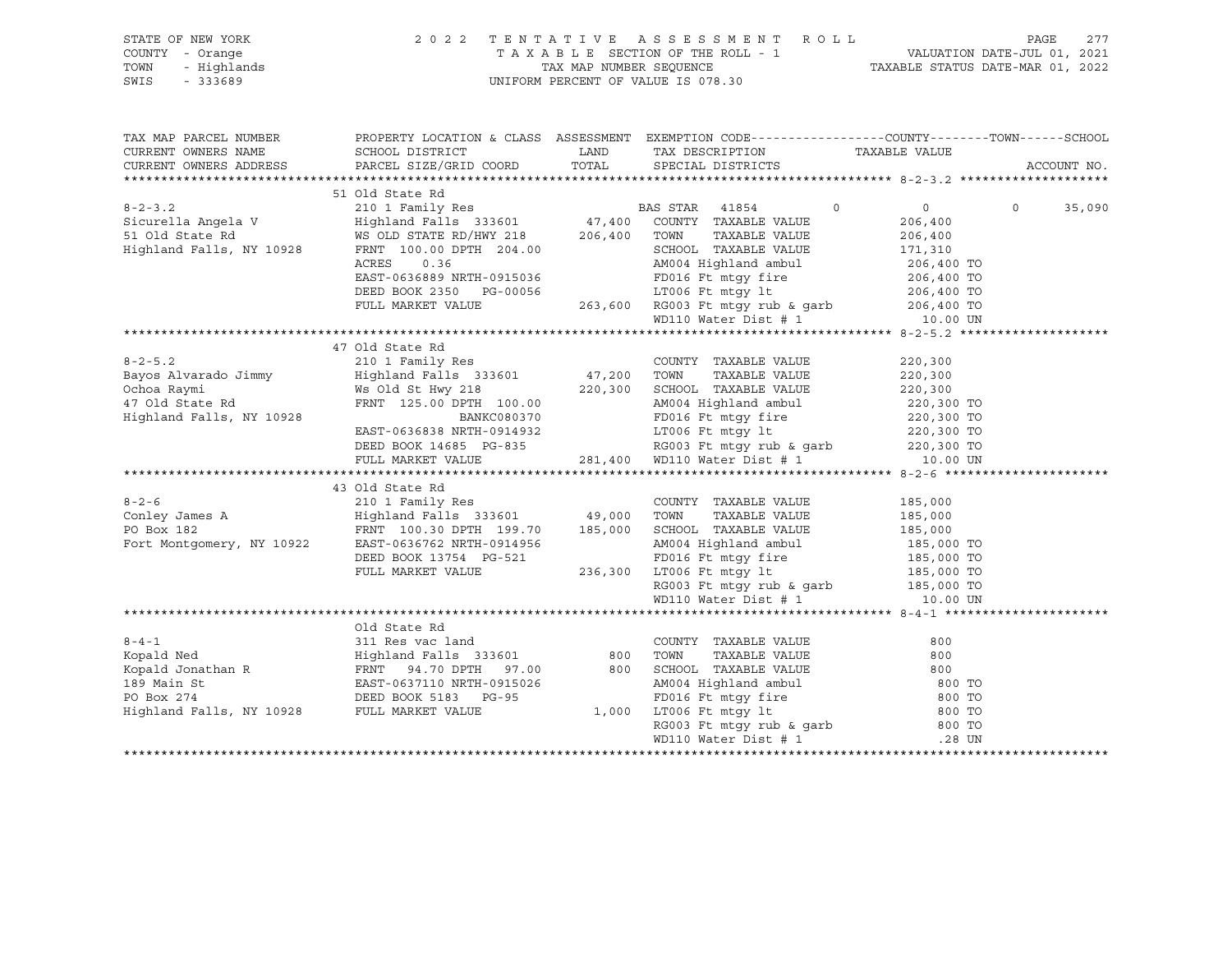| STATE OF NEW YORK<br>COUNTY - Orange<br>- Highlands<br>TOWN<br>SWIS<br>$-333689$ |                                                                                                                                                                                                                                                    |               | 2022 TENTATIVE ASSESSMENT ROLL<br>TAXABLE SECTION OF THE ROLL - 1<br>TAXABLE STATUS DATE-JUL 01, 2021<br>TAXABLE STATUS DATE-MAR 01, 2022<br>UNIFORM PERCENT OF VALUE IS 078.30                                      |                                                      | PAGE<br>277       |
|----------------------------------------------------------------------------------|----------------------------------------------------------------------------------------------------------------------------------------------------------------------------------------------------------------------------------------------------|---------------|----------------------------------------------------------------------------------------------------------------------------------------------------------------------------------------------------------------------|------------------------------------------------------|-------------------|
| TAX MAP PARCEL NUMBER<br>CURRENT OWNERS NAME<br>CURRENT OWNERS ADDRESS           | SCHOOL DISTRICT<br>PARCEL SIZE/GRID COORD                                                                                                                                                                                                          | LAND<br>TOTAL | PROPERTY LOCATION & CLASS ASSESSMENT EXEMPTION CODE---------------COUNTY-------TOWN-----SCHOOL<br>TAX DESCRIPTION<br>SPECIAL DISTRICTS                                                                               | TAXABLE VALUE                                        | ACCOUNT NO.       |
|                                                                                  | 51 Old State Rd                                                                                                                                                                                                                                    |               |                                                                                                                                                                                                                      |                                                      |                   |
| $8 - 2 - 3$ . 2                                                                  |                                                                                                                                                                                                                                                    |               | $\circ$                                                                                                                                                                                                              | $\overline{0}$                                       | $\circ$<br>35,090 |
|                                                                                  | 210 1 Family Res<br>Highland Falls 333601 47,400 COUNTY TAXABLE VALUE                                                                                                                                                                              |               |                                                                                                                                                                                                                      | 206,400                                              |                   |
| Sicurella Angela V<br>51 Old State Rd                                            | WS OLD STATE RD/HWY 218 206,400 TOWN                                                                                                                                                                                                               |               | TAXABLE VALUE                                                                                                                                                                                                        |                                                      |                   |
| Highland Falls, NY 10928                                                         | FRNT 100.00 DPTH 204.00                                                                                                                                                                                                                            |               | SCHOOL TAXABLE VALUE                                                                                                                                                                                                 | 206,400<br>171,310                                   |                   |
|                                                                                  | ACRES<br>0.36                                                                                                                                                                                                                                      |               |                                                                                                                                                                                                                      |                                                      |                   |
|                                                                                  | EAST-0636889 NRTH-0915036                                                                                                                                                                                                                          |               | 263,600 RG003 Ft mtgy fire<br>263,600 RG003 Ft mtgy fire<br>263,600 RG003 Ft mtgy rub & garb<br>263,600 RG003 Ft mtgy rub & garb<br>264,400 TO<br>264,400 TO<br>264,400 TO<br>206,400 TO<br>206,400 TO<br>206,400 TO |                                                      |                   |
|                                                                                  | DEED BOOK 2350 PG-00056                                                                                                                                                                                                                            |               |                                                                                                                                                                                                                      |                                                      |                   |
|                                                                                  | FULL MARKET VALUE                                                                                                                                                                                                                                  |               |                                                                                                                                                                                                                      |                                                      |                   |
|                                                                                  |                                                                                                                                                                                                                                                    |               |                                                                                                                                                                                                                      |                                                      |                   |
|                                                                                  |                                                                                                                                                                                                                                                    |               |                                                                                                                                                                                                                      |                                                      |                   |
|                                                                                  | 47 Old State Rd                                                                                                                                                                                                                                    |               |                                                                                                                                                                                                                      |                                                      |                   |
| $8 - 2 - 5.2$                                                                    |                                                                                                                                                                                                                                                    |               | COUNTY TAXABLE VALUE                                                                                                                                                                                                 | 220,300                                              |                   |
| Bayos Alvarado Jimmy                                                             |                                                                                                                                                                                                                                                    |               | TAXABLE VALUE                                                                                                                                                                                                        | 220,300                                              |                   |
| Ochoa Raymi                                                                      | Ws Old St Hwy 218 220,300 SCHOOL TAXABLE VALUE                                                                                                                                                                                                     |               |                                                                                                                                                                                                                      | 220,300                                              |                   |
| Ochoa Raymi<br>47 Old State Rd                                                   | FRNT 125.00 DPTH 100.00                                                                                                                                                                                                                            |               | AM004 Highland ambul                                                                                                                                                                                                 | 220,300 TO<br>220,300 TO<br>220,300 TO<br>220,300 TO |                   |
| Highland Falls, NY 10928                                                         | BANKC080370                                                                                                                                                                                                                                        |               | FD016 Ft mtgy fire                                                                                                                                                                                                   |                                                      |                   |
|                                                                                  | EAST-0636838 NRTH-0914932                                                                                                                                                                                                                          |               | LT006 Ft mtgy lt                                                                                                                                                                                                     |                                                      |                   |
|                                                                                  | DEED BOOK 14685 PG-835                                                                                                                                                                                                                             |               |                                                                                                                                                                                                                      |                                                      |                   |
|                                                                                  | FULL MARKET VALUE                                                                                                                                                                                                                                  |               | LT006 Ft mtgy 1t<br>RG003 Ft mtgy rub & garb<br>281,400 WD110 Water Dist # 1                                                                                                                                         | 10.00 UN                                             |                   |
|                                                                                  |                                                                                                                                                                                                                                                    |               |                                                                                                                                                                                                                      |                                                      |                   |
|                                                                                  | 43 Old State Rd                                                                                                                                                                                                                                    |               |                                                                                                                                                                                                                      |                                                      |                   |
|                                                                                  |                                                                                                                                                                                                                                                    |               | COUNTY TAXABLE VALUE 185,000                                                                                                                                                                                         |                                                      |                   |
|                                                                                  |                                                                                                                                                                                                                                                    |               |                                                                                                                                                                                                                      | 185,000                                              |                   |
|                                                                                  |                                                                                                                                                                                                                                                    |               |                                                                                                                                                                                                                      | 185,000                                              |                   |
|                                                                                  |                                                                                                                                                                                                                                                    |               | AM004 Highland ambul                                                                                                                                                                                                 | 185,000 TO                                           |                   |
|                                                                                  | DEED BOOK 13754 PG-521                                                                                                                                                                                                                             |               | FD016 Ft mtgy fire<br>236,300 LT006 Ft mtgy lt                                                                                                                                                                       | 185,000 TO<br>185,000 TO                             |                   |
|                                                                                  | FULL MARKET VALUE                                                                                                                                                                                                                                  |               |                                                                                                                                                                                                                      |                                                      |                   |
|                                                                                  |                                                                                                                                                                                                                                                    |               | RG003 Ft mtgy rub & garb<br>WD110 Water Dist # 1 10.00 UN                                                                                                                                                            |                                                      |                   |
|                                                                                  |                                                                                                                                                                                                                                                    |               |                                                                                                                                                                                                                      |                                                      |                   |
|                                                                                  |                                                                                                                                                                                                                                                    |               |                                                                                                                                                                                                                      |                                                      |                   |
|                                                                                  | Old State Rd                                                                                                                                                                                                                                       |               |                                                                                                                                                                                                                      |                                                      |                   |
| $8 - 4 - 1$                                                                      | 311 Res vac land                                                                                                                                                                                                                                   |               | COUNTY TAXABLE VALUE                                                                                                                                                                                                 | 800                                                  |                   |
|                                                                                  |                                                                                                                                                                                                                                                    |               |                                                                                                                                                                                                                      | 800                                                  |                   |
|                                                                                  |                                                                                                                                                                                                                                                    |               |                                                                                                                                                                                                                      | 800                                                  |                   |
|                                                                                  | EXPARENT MARKER VALUE (COONIT TAXABLE VALUE<br>Kopald Jonathan R<br>RESSET-0637110 NRTH-0915026<br>PO Box 274<br>Highland Falls, NY 10928<br>FULL MARKET VALUE<br>PO BOX 274<br>DEED BOOK 5183<br>PULL MARKET VALUE<br>PO 1,000<br>LT006 Ft mtgy l |               | MM004 Highland ambul<br>FD016 Ft mtgy fire 800 TO<br>1,000 LT006 Ft mtgy 1t 800 TO<br>RG003 Ft mtgy rub & garb 800 TO<br>TO06 Ft mtgy rub & garb 800 TO                                                              |                                                      |                   |
|                                                                                  |                                                                                                                                                                                                                                                    |               |                                                                                                                                                                                                                      |                                                      |                   |
|                                                                                  |                                                                                                                                                                                                                                                    |               |                                                                                                                                                                                                                      |                                                      |                   |
|                                                                                  |                                                                                                                                                                                                                                                    |               |                                                                                                                                                                                                                      |                                                      |                   |
|                                                                                  |                                                                                                                                                                                                                                                    |               | WD110 Water Dist # 1                                                                                                                                                                                                 | .28 UN                                               |                   |
|                                                                                  |                                                                                                                                                                                                                                                    |               |                                                                                                                                                                                                                      |                                                      |                   |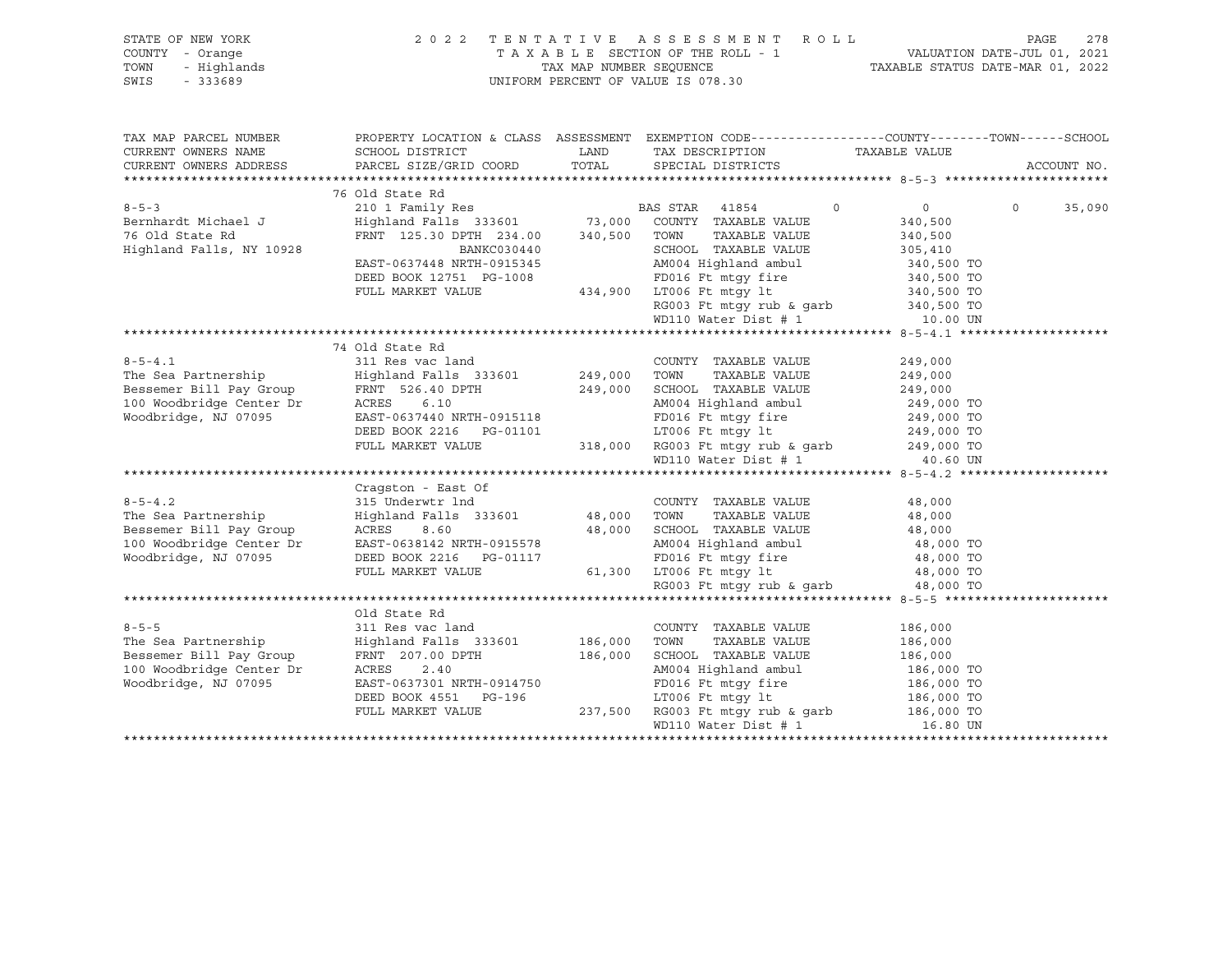| STATE OF NEW YORK<br>COUNTY - Orange<br>- Highlands<br>TOWN<br>SWIS<br>$-333689$ | 2022 TENTATIVE                                                                                                                                                                                                                 |         | A S S E S S M E N T R O L L<br>UNIFORM PERCENT OF VALUE IS 078.30                                                  |                           | PAGE<br>278 |
|----------------------------------------------------------------------------------|--------------------------------------------------------------------------------------------------------------------------------------------------------------------------------------------------------------------------------|---------|--------------------------------------------------------------------------------------------------------------------|---------------------------|-------------|
| TAX MAP PARCEL NUMBER<br>CURRENT OWNERS NAME                                     | SCHOOL DISTRICT                                                                                                                                                                                                                | LAND    | PROPERTY LOCATION & CLASS ASSESSMENT EXEMPTION CODE----------------COUNTY-------TOWN-----SCHOOL<br>TAX DESCRIPTION | TAXABLE VALUE             |             |
| CURRENT OWNERS ADDRESS                                                           | PARCEL SIZE/GRID COORD                                                                                                                                                                                                         | TOTAL   | SPECIAL DISTRICTS                                                                                                  |                           | ACCOUNT NO. |
|                                                                                  |                                                                                                                                                                                                                                |         |                                                                                                                    |                           |             |
|                                                                                  | 76 Old State Rd                                                                                                                                                                                                                |         |                                                                                                                    |                           |             |
| $8 - 5 - 3$                                                                      | 210 1 Family Res BA<br>Highland Falls 333601 73,000                                                                                                                                                                            |         | BAS STAR 41854<br>$\circ$                                                                                          | $\overline{0}$<br>$\circ$ | 35,090      |
| Bernhardt Michael J                                                              | FRNT 125.30 DPTH 234.00 340,500                                                                                                                                                                                                |         | COUNTY TAXABLE VALUE<br>TOWN<br>TAXABLE VALUE                                                                      | 340,500                   |             |
| 76 Old State Rd<br>Highland Falls, NY 10928                                      | BANKC030440                                                                                                                                                                                                                    |         | SCHOOL TAXABLE VALUE                                                                                               | 340,500                   |             |
|                                                                                  | EAST-0637448 NRTH-0915345                                                                                                                                                                                                      |         | AM004 Highland ambul                                                                                               | 305,410<br>340,500 TO     |             |
|                                                                                  | DEED BOOK 12751 PG-1008                                                                                                                                                                                                        |         | FD016 Ft mtgy fire                                                                                                 | 340,500 TO                |             |
|                                                                                  | FULL MARKET VALUE                                                                                                                                                                                                              |         | 434,900 LT006 Ft mtqy lt                                                                                           | 340,500 TO                |             |
|                                                                                  |                                                                                                                                                                                                                                |         | RG003 Ft mtgy rub & garb $340,500$ TO                                                                              |                           |             |
|                                                                                  |                                                                                                                                                                                                                                |         | WD110 Water Dist # 1                                                                                               | 10.00 UN                  |             |
|                                                                                  |                                                                                                                                                                                                                                |         |                                                                                                                    |                           |             |
|                                                                                  | 74 Old State Rd                                                                                                                                                                                                                |         |                                                                                                                    |                           |             |
| $8 - 5 - 4.1$                                                                    | 311 Res vac land                                                                                                                                                                                                               |         | COUNTY TAXABLE VALUE                                                                                               | 249,000                   |             |
| The Sea Partnership                                                              | Highland Falls 333601                                                                                                                                                                                                          | 249,000 | TOWN<br>TAXABLE VALUE                                                                                              | 249,000                   |             |
|                                                                                  |                                                                                                                                                                                                                                |         | SCHOOL TAXABLE VALUE                                                                                               | 249,000                   |             |
|                                                                                  | Example of the contract of the contract of the contract of the contract of the contract of the contract of the contract of the contract of the contract of the contract of the contract of the contract of the contract of the |         | AM004 Highland ambul                                                                                               | 249,000 TO                |             |
| Woodbridge, NJ 07095                                                             | EAST-0637440 NRTH-0915118                                                                                                                                                                                                      |         | FD016 Ft mtqy fire                                                                                                 | 249,000 TO                |             |
|                                                                                  | DEED BOOK 2216    PG-01101                                                                                                                                                                                                     |         | LT006 Ft mtgy lt                                                                                                   | 249,000 TO                |             |
|                                                                                  | FULL MARKET VALUE                                                                                                                                                                                                              |         | 318,000 RG003 Ft mtgy rub & garb 249,000 TO                                                                        |                           |             |
|                                                                                  |                                                                                                                                                                                                                                |         | WD110 Water Dist # 1                                                                                               | 40.60 UN                  |             |
|                                                                                  |                                                                                                                                                                                                                                |         |                                                                                                                    |                           |             |
|                                                                                  | Cragston - East Of                                                                                                                                                                                                             |         |                                                                                                                    |                           |             |
| $8 - 5 - 4.2$                                                                    | 315 Underwtr lnd                                                                                                                                                                                                               |         | COUNTY TAXABLE VALUE                                                                                               | 48,000                    |             |
| The Sea Partnership                                                              | Highland Falls 333601 48,000 TOWN                                                                                                                                                                                              |         | TAXABLE VALUE                                                                                                      | 48,000                    |             |
| Bessemer Bill Pay Group                                                          | ACRES 8.60<br>EAST-0638142 NRTH-0915578                                                                                                                                                                                        | 48,000  | SCHOOL TAXABLE VALUE                                                                                               | 48,000                    |             |
| 100 Woodbridge Center Dr<br>Woodbridge, NJ 07095                                 | DEED BOOK 2216 PG-01117                                                                                                                                                                                                        |         | AM004 Highland ambul<br>FD016 Ft mtqy fire                                                                         | 48,000 TO<br>48,000 TO    |             |
|                                                                                  | FULL MARKET VALUE                                                                                                                                                                                                              |         | $\sigma_{\rm{max}}$ and $\sigma_{\rm{max}}$<br>61,300 LT006 Ft mtqy lt                                             | 48,000 TO                 |             |
|                                                                                  |                                                                                                                                                                                                                                |         | RG003 Ft mtqy rub & qarb                                                                                           | 48,000 TO                 |             |
|                                                                                  |                                                                                                                                                                                                                                |         |                                                                                                                    |                           |             |
|                                                                                  | Old State Rd                                                                                                                                                                                                                   |         |                                                                                                                    |                           |             |
| $8 - 5 - 5$                                                                      | 311 Res vac land                                                                                                                                                                                                               |         | COUNTY TAXABLE VALUE                                                                                               | 186,000                   |             |
| The Sea Partnership                                                              | Highland Falls 333601                                                                                                                                                                                                          | 186,000 | TOWN<br>TAXABLE VALUE                                                                                              | 186,000                   |             |
| Bessemer Bill Pay Group                                                          | FRNT 207.00 DPTH                                                                                                                                                                                                               | 186,000 | SCHOOL TAXABLE VALUE                                                                                               | 186,000                   |             |
| 100 Woodbridge Center Dr                                                         | ACRES<br>2.40                                                                                                                                                                                                                  |         | AM004 Highland ambul                                                                                               | 186,000 TO                |             |
| Woodbridge, NJ 07095                                                             | EAST-0637301 NRTH-0914750                                                                                                                                                                                                      |         | FD016 Ft mtgy fire                                                                                                 | 186,000 TO                |             |
|                                                                                  | DEED BOOK 4551 PG-196                                                                                                                                                                                                          |         | LT006 Ft mtqy lt                                                                                                   | 186,000 TO                |             |
|                                                                                  | FULL MARKET VALUE                                                                                                                                                                                                              |         | 237,500 RG003 Ft mtgy rub & garb 186,000 TO                                                                        |                           |             |
|                                                                                  |                                                                                                                                                                                                                                |         | WD110 Water Dist # 1                                                                                               | 16.80 UN                  |             |
|                                                                                  |                                                                                                                                                                                                                                |         |                                                                                                                    |                           |             |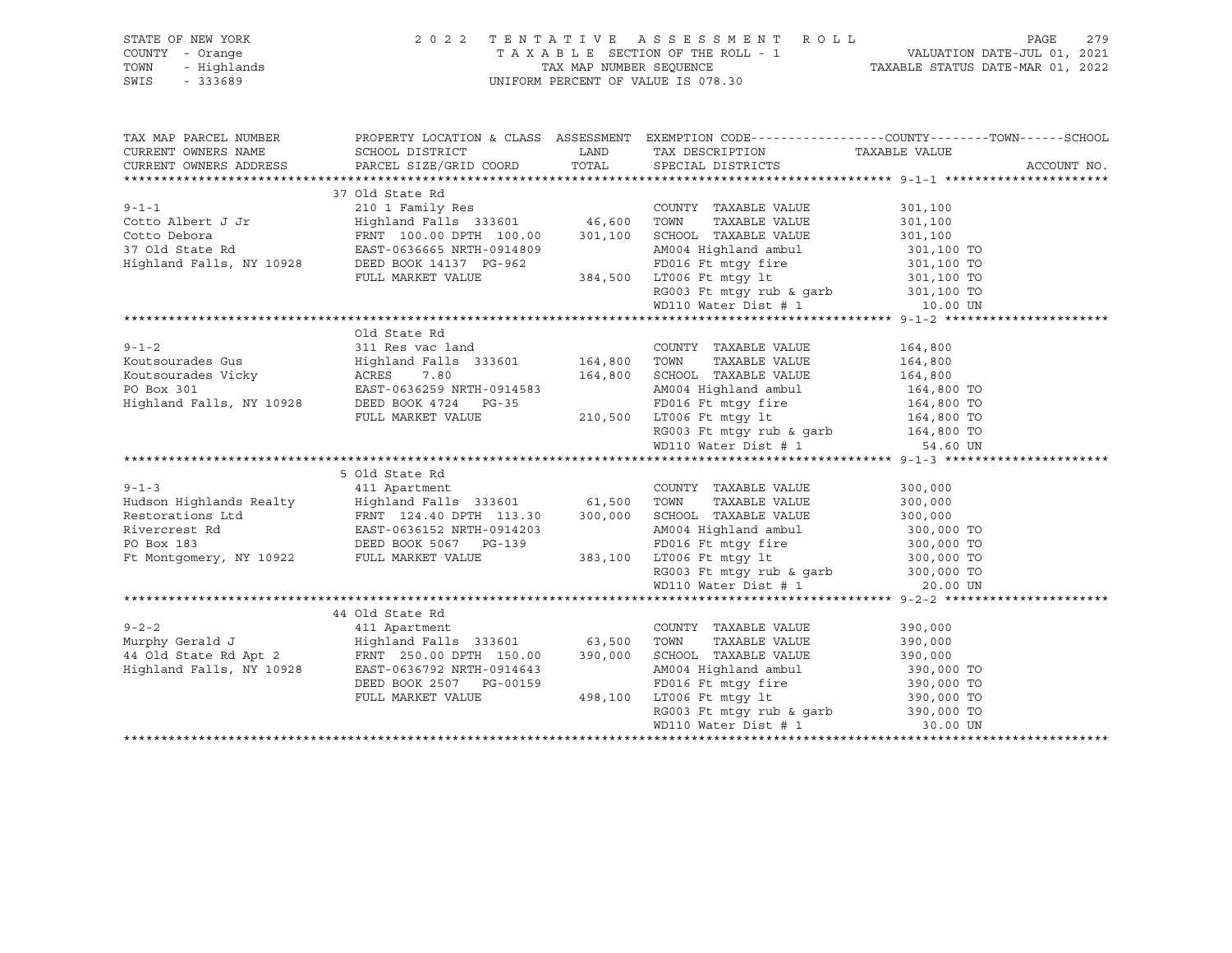| STATE OF NEW YORK<br>COUNTY - Orange<br>TOWN<br>- Highlands<br>$-333689$<br>SWIS | 2 0 2 2                                                                                                                                                                                             |         | TENTATIVE ASSESSMENT ROLL<br>UNIFORM PERCENT OF VALUE IS 078.30                                                                                                                                                                                                              |                    | 279<br>PAGE |
|----------------------------------------------------------------------------------|-----------------------------------------------------------------------------------------------------------------------------------------------------------------------------------------------------|---------|------------------------------------------------------------------------------------------------------------------------------------------------------------------------------------------------------------------------------------------------------------------------------|--------------------|-------------|
| CURRENT OWNERS NAME                                                              | TAX MAP PARCEL NUMBER THE PROPERTY LOCATION & CLASS ASSESSMENT EXEMPTION CODE--------------COUNTY-------TOWN------SCHOOL<br>SCHOOL DISTRICT                                                         |         | LAND TAX DESCRIPTION TAXABLE VALUE                                                                                                                                                                                                                                           |                    |             |
|                                                                                  |                                                                                                                                                                                                     | TOTAL   |                                                                                                                                                                                                                                                                              |                    | ACCOUNT NO. |
|                                                                                  |                                                                                                                                                                                                     |         |                                                                                                                                                                                                                                                                              |                    |             |
|                                                                                  |                                                                                                                                                                                                     |         |                                                                                                                                                                                                                                                                              |                    |             |
|                                                                                  |                                                                                                                                                                                                     |         |                                                                                                                                                                                                                                                                              |                    |             |
|                                                                                  |                                                                                                                                                                                                     |         |                                                                                                                                                                                                                                                                              |                    |             |
|                                                                                  |                                                                                                                                                                                                     |         |                                                                                                                                                                                                                                                                              |                    |             |
|                                                                                  |                                                                                                                                                                                                     |         |                                                                                                                                                                                                                                                                              |                    |             |
|                                                                                  |                                                                                                                                                                                                     |         |                                                                                                                                                                                                                                                                              |                    |             |
|                                                                                  |                                                                                                                                                                                                     |         |                                                                                                                                                                                                                                                                              |                    |             |
|                                                                                  |                                                                                                                                                                                                     |         |                                                                                                                                                                                                                                                                              |                    |             |
|                                                                                  |                                                                                                                                                                                                     |         |                                                                                                                                                                                                                                                                              |                    |             |
|                                                                                  |                                                                                                                                                                                                     |         |                                                                                                                                                                                                                                                                              |                    |             |
|                                                                                  |                                                                                                                                                                                                     |         |                                                                                                                                                                                                                                                                              |                    |             |
|                                                                                  |                                                                                                                                                                                                     |         |                                                                                                                                                                                                                                                                              |                    |             |
|                                                                                  |                                                                                                                                                                                                     |         |                                                                                                                                                                                                                                                                              |                    |             |
|                                                                                  |                                                                                                                                                                                                     |         |                                                                                                                                                                                                                                                                              |                    |             |
|                                                                                  |                                                                                                                                                                                                     |         |                                                                                                                                                                                                                                                                              |                    |             |
|                                                                                  |                                                                                                                                                                                                     |         |                                                                                                                                                                                                                                                                              |                    |             |
|                                                                                  |                                                                                                                                                                                                     |         |                                                                                                                                                                                                                                                                              |                    |             |
|                                                                                  |                                                                                                                                                                                                     |         |                                                                                                                                                                                                                                                                              |                    |             |
|                                                                                  |                                                                                                                                                                                                     |         |                                                                                                                                                                                                                                                                              |                    |             |
|                                                                                  | 5 Old State Rd                                                                                                                                                                                      |         |                                                                                                                                                                                                                                                                              |                    |             |
| $9 - 1 - 3$                                                                      | 411 Apartment                                                                                                                                                                                       |         | COUNTY TAXABLE VALUE                                                                                                                                                                                                                                                         | 300,000            |             |
|                                                                                  |                                                                                                                                                                                                     |         | TOWN<br>TAXABLE VALUE                                                                                                                                                                                                                                                        | 300,000<br>300,000 |             |
|                                                                                  |                                                                                                                                                                                                     |         | SCHOOL TAXABLE VALUE                                                                                                                                                                                                                                                         |                    |             |
|                                                                                  | Hudson Highlands Realty<br>Highland Falls 333601 61,500<br>Restorations Ltd<br>RINT 124.40 DPTH 113.30 300,000<br>Rivercrest Rd<br>EAST-0636152 NRTH-0914203<br>PO Box 183<br>DEED BOOK 5067 PG-139 |         |                                                                                                                                                                                                                                                                              |                    |             |
|                                                                                  |                                                                                                                                                                                                     |         |                                                                                                                                                                                                                                                                              |                    |             |
| Ft Montgomery, NY 10922                                                          | FULL MARKET VALUE                                                                                                                                                                                   |         |                                                                                                                                                                                                                                                                              |                    |             |
|                                                                                  |                                                                                                                                                                                                     |         |                                                                                                                                                                                                                                                                              |                    |             |
|                                                                                  |                                                                                                                                                                                                     |         |                                                                                                                                                                                                                                                                              |                    |             |
|                                                                                  | 44 Old State Rd                                                                                                                                                                                     |         | 383,100 ED016 Ft mtgy fire 300,000 TO<br>383,100 LT006 Ft mtgy 1t<br>RG003 Ft mtgy rub & garb<br>40003 Ft mtgy rub & garb<br>40000 TO<br>40000 Ft mtgy rub & garb<br>40000 TO<br>40000 Ft mtgy rub & garb<br>40000 TO<br>40000 TO<br>40000 TO<br>400                         |                    |             |
| $9 - 2 - 2$                                                                      | 411 Apartment                                                                                                                                                                                       |         | COUNTY TAXABLE VALUE                                                                                                                                                                                                                                                         | 390,000            |             |
|                                                                                  |                                                                                                                                                                                                     |         | TAXABLE VALUE                                                                                                                                                                                                                                                                | 390,000            |             |
|                                                                                  |                                                                                                                                                                                                     |         | SCHOOL TAXABLE VALUE 390,000                                                                                                                                                                                                                                                 |                    |             |
|                                                                                  |                                                                                                                                                                                                     |         |                                                                                                                                                                                                                                                                              | 390,000 TO         |             |
|                                                                                  | DEED BOOK 2507 PG-00159                                                                                                                                                                             |         | AM004 Highland ambul<br>FD016 Ft mtgy fire<br>Photo-Figure and the control of the control of the control of the control of the control of the control of the control of the control of the control of the control of the control of the control of the control of the contro |                    |             |
|                                                                                  | FULL MARKET VALUE                                                                                                                                                                                   | 498,100 | LT006 Ft mtgy lt                                                                                                                                                                                                                                                             |                    |             |
|                                                                                  |                                                                                                                                                                                                     |         |                                                                                                                                                                                                                                                                              |                    |             |
|                                                                                  |                                                                                                                                                                                                     |         | WD110 Water Dist # 1                                                                                                                                                                                                                                                         | 30.00 UN           |             |
|                                                                                  |                                                                                                                                                                                                     |         |                                                                                                                                                                                                                                                                              |                    |             |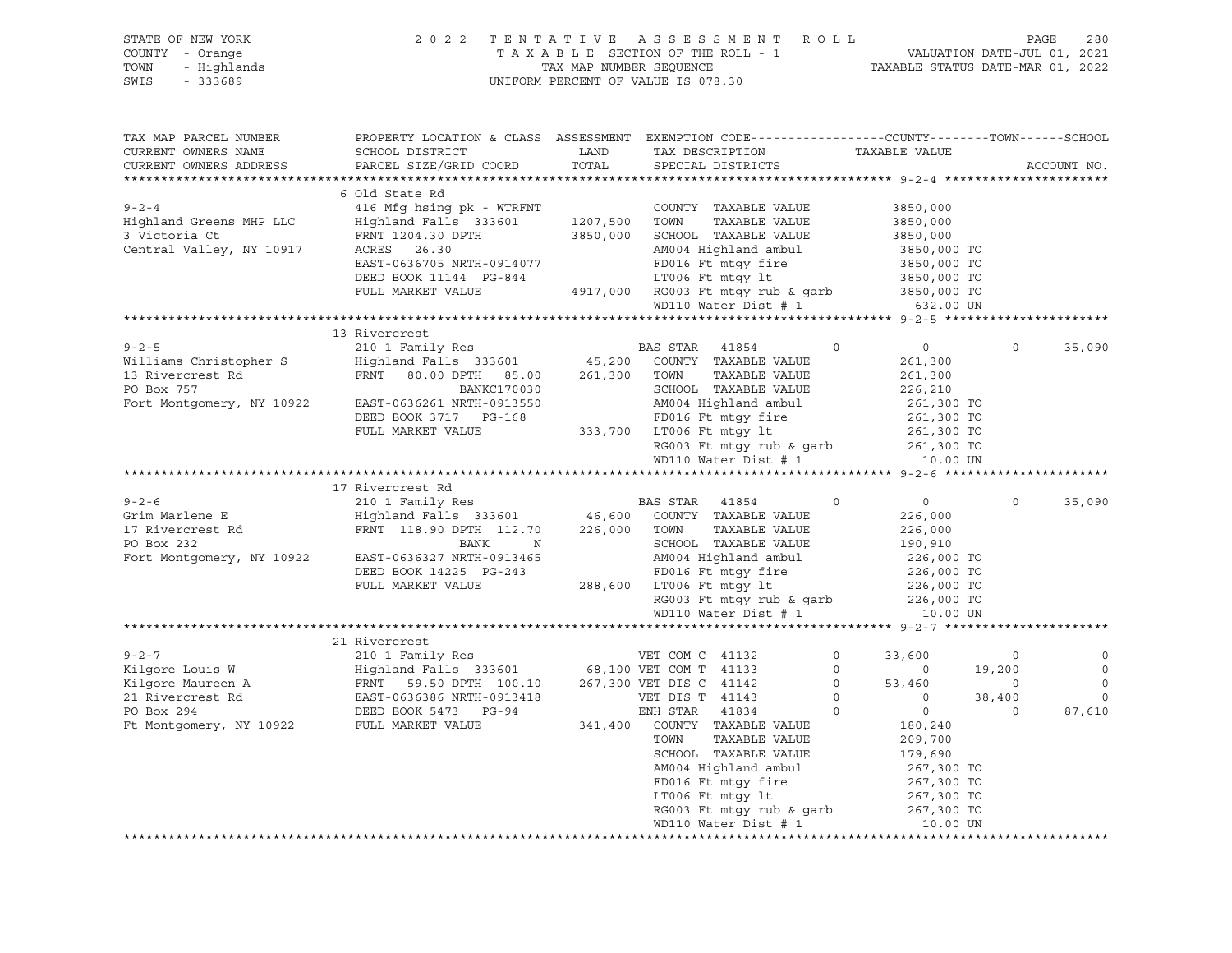| STATE OF NEW YORK<br>COUNTY - Orange<br>TOWN<br>- Highlands<br>SWIS<br>$-333689$ | 2 0 2 2                                                                                                                                      |               | TENTATIVE ASSESSMENT ROLL<br>UNIFORM PERCENT OF VALUE IS 078.30 |                           |                            |                   | PAGE<br>280            |
|----------------------------------------------------------------------------------|----------------------------------------------------------------------------------------------------------------------------------------------|---------------|-----------------------------------------------------------------|---------------------------|----------------------------|-------------------|------------------------|
| TAX MAP PARCEL NUMBER<br>CURRENT OWNERS NAME<br>CURRENT OWNERS ADDRESS           | PROPERTY LOCATION & CLASS ASSESSMENT EXEMPTION CODE----------------COUNTY-------TOWN-----SCHOOL<br>SCHOOL DISTRICT<br>PARCEL SIZE/GRID COORD | LAND<br>TOTAL | TAX DESCRIPTION<br>SPECIAL DISTRICTS                            |                           | TAXABLE VALUE              |                   | ACCOUNT NO.            |
|                                                                                  |                                                                                                                                              |               |                                                                 |                           |                            |                   |                        |
|                                                                                  | 6 Old State Rd                                                                                                                               |               |                                                                 |                           |                            |                   |                        |
| $9 - 2 - 4$                                                                      | 416 Mfg hsing pk - WTRFNT                                                                                                                    |               | COUNTY TAXABLE VALUE                                            |                           | 3850,000                   |                   |                        |
| Highland Greens MHP LLC                                                          | Highland Falls 333601                                                                                                                        | 1207,500      | TOWN<br>TAXABLE VALUE                                           |                           | 3850,000                   |                   |                        |
| 3 Victoria Ct                                                                    | FRNT 1204.30 DPTH                                                                                                                            | 3850,000      | SCHOOL TAXABLE VALUE                                            |                           | 3850,000                   |                   |                        |
| Central Valley, NY 10917                                                         | ACRES 26.30                                                                                                                                  |               | AM004 Highland ambul                                            |                           | 3850,000 TO                |                   |                        |
|                                                                                  | EAST-0636705 NRTH-0914077                                                                                                                    |               | FD016 Ft mtgy fire                                              |                           | 3850,000 TO                |                   |                        |
|                                                                                  | DEED BOOK 11144 PG-844<br>FULL MARKET VALUE                                                                                                  |               | LT006 Ft mtgy lt                                                |                           | 3850,000 TO<br>3850,000 TO |                   |                        |
|                                                                                  |                                                                                                                                              |               | 4917,000 RG003 Ft mtgy rub & garb<br>WD110 Water Dist # 1       |                           | 632.00 UN                  |                   |                        |
|                                                                                  |                                                                                                                                              |               |                                                                 |                           |                            |                   |                        |
|                                                                                  | 13 Rivercrest                                                                                                                                |               |                                                                 |                           |                            |                   |                        |
| $9 - 2 - 5$                                                                      | 210 1 Family Res                                                                                                                             |               | BAS STAR<br>41854                                               | 0                         | $\circ$                    | $\circ$           | 35,090                 |
| Williams Christopher S                                                           | Highland Falls 333601                                                                                                                        | 45,200        | COUNTY TAXABLE VALUE                                            |                           | 261,300                    |                   |                        |
| 13 Rivercrest Rd                                                                 | FRNT 80.00 DPTH 85.00                                                                                                                        | 261,300       | TOWN<br>TAXABLE VALUE                                           |                           | 261,300                    |                   |                        |
| PO Box 757                                                                       | <b>BANKC170030</b>                                                                                                                           |               | SCHOOL TAXABLE VALUE                                            |                           | 226,210                    |                   |                        |
| Fort Montgomery, NY 10922                                                        | EAST-0636261 NRTH-0913550                                                                                                                    |               | AM004 Highland ambul                                            |                           | 261,300 TO                 |                   |                        |
|                                                                                  | DEED BOOK 3717 PG-168                                                                                                                        |               | FD016 Ft mtqy fire                                              |                           | 261,300 TO                 |                   |                        |
|                                                                                  | FULL MARKET VALUE                                                                                                                            |               | 333,700 LT006 Ft mtqy lt                                        |                           | 261,300 TO                 |                   |                        |
|                                                                                  |                                                                                                                                              |               | RG003 Ft mtgy rub & garb                                        |                           | 261,300 TO                 |                   |                        |
|                                                                                  |                                                                                                                                              |               | WD110 Water Dist # 1                                            |                           | 10.00 UN                   |                   |                        |
|                                                                                  | 17 Rivercrest Rd                                                                                                                             |               |                                                                 |                           |                            |                   |                        |
| $9 - 2 - 6$                                                                      | 210 1 Family Res                                                                                                                             |               | BAS STAR<br>41854                                               | $\circ$                   | $\overline{0}$             | $\circ$           | 35,090                 |
| Grim Marlene E                                                                   | Highland Falls 333601                                                                                                                        |               | 46,600 COUNTY TAXABLE VALUE                                     |                           | 226,000                    |                   |                        |
| 17 Rivercrest Rd                                                                 | FRNT 118.90 DPTH 112.70                                                                                                                      | 226,000 TOWN  | TAXABLE VALUE                                                   |                           | 226,000                    |                   |                        |
| PO Box 232                                                                       | BANK<br>N                                                                                                                                    |               | SCHOOL TAXABLE VALUE                                            |                           | 190,910                    |                   |                        |
| Fort Montgomery, NY 10922                                                        | EAST-0636327 NRTH-0913465                                                                                                                    |               | AM004 Highland ambul                                            |                           | 226,000 TO                 |                   |                        |
|                                                                                  | DEED BOOK 14225 PG-243                                                                                                                       |               | FD016 Ft mtgy fire                                              |                           | 226,000 TO                 |                   |                        |
|                                                                                  | FULL MARKET VALUE                                                                                                                            |               | 288,600 LT006 Ft mtgy lt                                        |                           | 226,000 TO                 |                   |                        |
|                                                                                  |                                                                                                                                              |               | RG003 Ft mtgy rub & garb<br>WD110 Water Dist # 1                |                           | 226,000 TO                 |                   |                        |
|                                                                                  |                                                                                                                                              |               | WD110 Water Dist # 1                                            |                           | 10.00 UN                   |                   |                        |
|                                                                                  |                                                                                                                                              |               |                                                                 |                           |                            |                   |                        |
|                                                                                  | 21 Rivercrest                                                                                                                                |               |                                                                 |                           |                            |                   |                        |
| $9 - 2 - 7$                                                                      | 210 1 Family Res                                                                                                                             |               | VET COM C 41132                                                 | $\circ$                   | 33,600                     | $\circ$           |                        |
| Kilgore Louis W                                                                  | Highland Falls 333601 68,100 VET COM T 41133                                                                                                 |               |                                                                 | $\circ$                   | $\circ$                    | 19,200            | 0                      |
| Kilgore Maureen A<br>21 Birorarest Pd<br>21 Rivercrest Rd                        | FRNT 59.50 DPTH 100.10 267,300 VET DIS C 41142<br>EAST-0636386 NRTH-0913418                                                                  |               | VET DIS T 41143                                                 | $\overline{0}$<br>$\circ$ | 53,460<br>$\circ$          | $\circ$           | $\mathbb O$<br>$\circ$ |
| PO Box 294                                                                       | DEED BOOK 5473 PG-94                                                                                                                         |               | ENH STAR<br>41834                                               | $\circ$                   | $\circ$                    | 38,400<br>$\circ$ | 87,610                 |
| Ft Montgomery, NY 10922                                                          | FULL MARKET VALUE                                                                                                                            |               | 341,400 COUNTY TAXABLE VALUE                                    |                           | 180,240                    |                   |                        |
|                                                                                  |                                                                                                                                              |               | TAXABLE VALUE<br>TOWN                                           |                           | 209,700                    |                   |                        |
|                                                                                  |                                                                                                                                              |               | SCHOOL TAXABLE VALUE                                            |                           | 179,690                    |                   |                        |
|                                                                                  |                                                                                                                                              |               | AM004 Highland ambul                                            |                           | 267,300 TO                 |                   |                        |
|                                                                                  |                                                                                                                                              |               | FD016 Ft mtgy fire                                              |                           | 267,300 TO                 |                   |                        |
|                                                                                  |                                                                                                                                              |               | LT006 Ft mtgy lt                                                |                           | 267,300 TO                 |                   |                        |
|                                                                                  |                                                                                                                                              |               | RG003 Ft mtgy rub & garb                                        |                           | 267,300 TO                 |                   |                        |
|                                                                                  |                                                                                                                                              |               | WD110 Water Dist # 1                                            |                           | 10.00 UN                   |                   |                        |
|                                                                                  |                                                                                                                                              |               |                                                                 |                           |                            |                   |                        |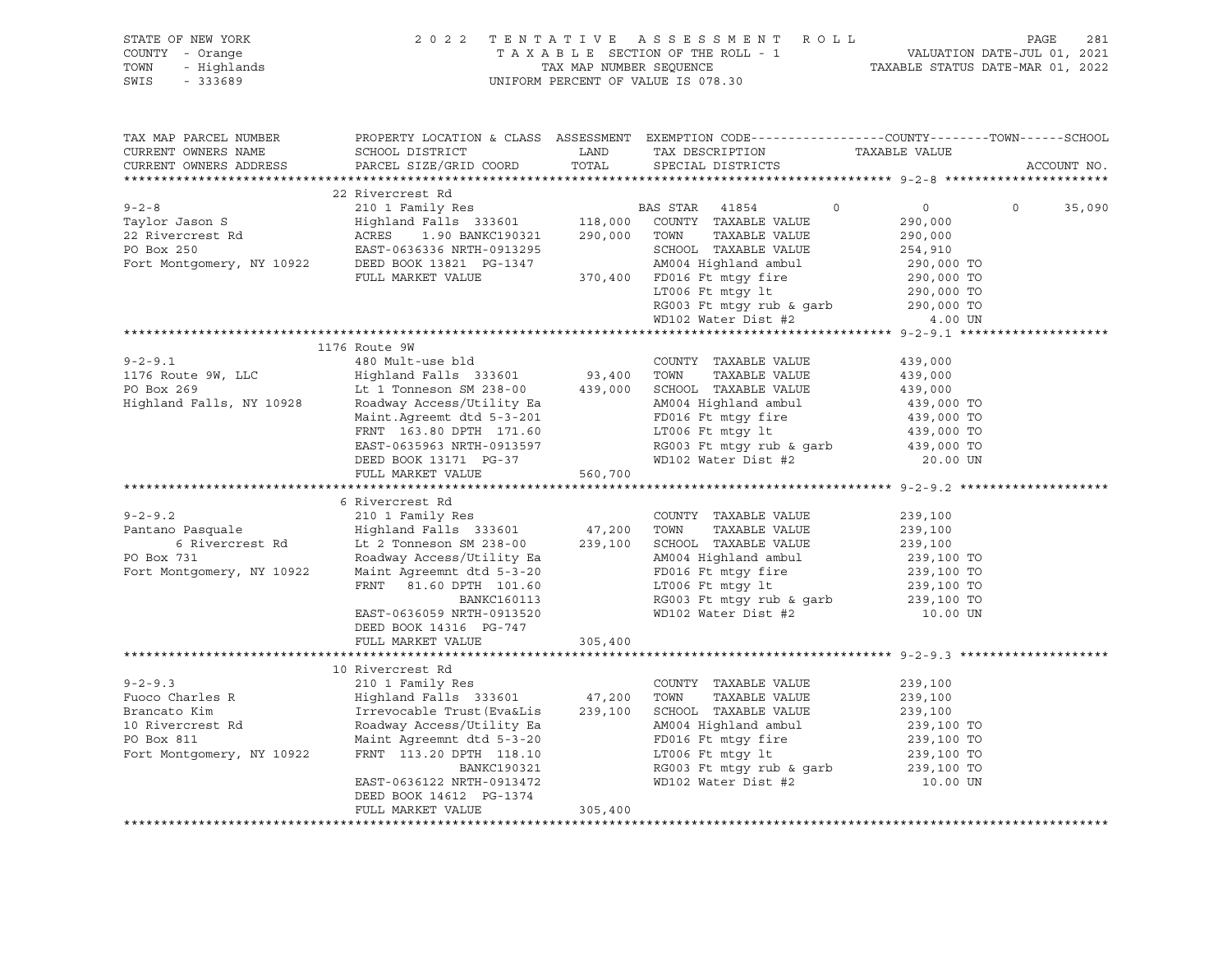| STATE OF NEW YORK<br>COUNTY - Orange<br>TOWN<br>- Highlands<br>SWIS<br>$-333689$                                                                                                                                                                                                                                                                                                                                                                              | 2 0 2 2                                                                                                                                       |               | TENTATIVE ASSESSMENT ROLL<br>T A X A B L E SECTION OF THE ROLL - 1<br>T A X A B L E SECTION OF THE ROLL - 1<br>TAXABLE STATUS DATE-JUL 01, 2022<br>UNIFORM PERCENT OF VALUE IS 078.30 |                                      | PAGE<br>281       |
|---------------------------------------------------------------------------------------------------------------------------------------------------------------------------------------------------------------------------------------------------------------------------------------------------------------------------------------------------------------------------------------------------------------------------------------------------------------|-----------------------------------------------------------------------------------------------------------------------------------------------|---------------|---------------------------------------------------------------------------------------------------------------------------------------------------------------------------------------|--------------------------------------|-------------------|
| TAX MAP PARCEL NUMBER<br>CURRENT OWNERS NAME<br>CURRENT OWNERS ADDRESS                                                                                                                                                                                                                                                                                                                                                                                        | PROPERTY LOCATION & CLASS ASSESSMENT EXEMPTION CODE----------------COUNTY-------TOWN------SCHOOL<br>SCHOOL DISTRICT<br>PARCEL SIZE/GRID COORD | LAND<br>TOTAL | TAX DESCRIPTION TAXABLE VALUE<br>SPECIAL DISTRICTS                                                                                                                                    |                                      | ACCOUNT NO.       |
|                                                                                                                                                                                                                                                                                                                                                                                                                                                               |                                                                                                                                               |               |                                                                                                                                                                                       |                                      |                   |
|                                                                                                                                                                                                                                                                                                                                                                                                                                                               |                                                                                                                                               |               |                                                                                                                                                                                       |                                      |                   |
| $\begin{tabular}{lllllllllll} $\mathsf{y}\text{-}2\text{-}8$ & $\mathsf{210}$ & Family Res & $\mathsf{BAS}\text{ STAR} & $\mathsf{41854}$ \\ \text{Taylor Jason S} & \text{Highland Falls} & \mathsf{333601} & $\mathsf{118,000}$ & \text{COUNTY} & \text{TAXABLE VALUE} \\ \text{22 Rivercrest Rd} & \text{ACRES} & \mathsf{1.90} & \text{BANKC190321} & \mathsf{290,000} & \text{TOWN} & \text{TAXABLE VALUE} \\ \text{EAST-0636336 NRTH-091202} & & & & &$ |                                                                                                                                               |               |                                                                                                                                                                                       | $\circ$<br>$\overline{0}$<br>290,000 | $\circ$<br>35,090 |
|                                                                                                                                                                                                                                                                                                                                                                                                                                                               |                                                                                                                                               |               |                                                                                                                                                                                       | 290,000                              |                   |
|                                                                                                                                                                                                                                                                                                                                                                                                                                                               |                                                                                                                                               |               |                                                                                                                                                                                       |                                      |                   |
|                                                                                                                                                                                                                                                                                                                                                                                                                                                               | EAST-0636336 NRTH-0913295<br>DEED BOOK 13821 PG-1347                                                                                          |               |                                                                                                                                                                                       |                                      |                   |
|                                                                                                                                                                                                                                                                                                                                                                                                                                                               |                                                                                                                                               |               |                                                                                                                                                                                       |                                      |                   |
|                                                                                                                                                                                                                                                                                                                                                                                                                                                               |                                                                                                                                               |               |                                                                                                                                                                                       |                                      |                   |
|                                                                                                                                                                                                                                                                                                                                                                                                                                                               |                                                                                                                                               |               |                                                                                                                                                                                       |                                      |                   |
|                                                                                                                                                                                                                                                                                                                                                                                                                                                               |                                                                                                                                               |               |                                                                                                                                                                                       |                                      |                   |
| PO Box 250<br>Fort Montgomery, NY 10922<br>FULL MARKET VALUE<br>FULL MARKET VALUE<br>FULL MARKET VALUE<br>FULL MARKET VALUE<br>FULL MARKET VALUE<br>TOO6 Ft mtgy 1t<br>RG003 Ft mtgy rub & garb<br>MD102 Water Dist #2<br>4.00 UN<br>MD102 Water Dis                                                                                                                                                                                                          |                                                                                                                                               |               |                                                                                                                                                                                       |                                      |                   |
|                                                                                                                                                                                                                                                                                                                                                                                                                                                               | 1176 Route 9W                                                                                                                                 |               |                                                                                                                                                                                       |                                      |                   |
| $9 - 2 - 9.1$                                                                                                                                                                                                                                                                                                                                                                                                                                                 | 480 Mult-use bld                                                                                                                              |               | COUNTY TAXABLE VALUE                                                                                                                                                                  | 439,000                              |                   |
|                                                                                                                                                                                                                                                                                                                                                                                                                                                               | Highland Falls 333601                                                                                                                         |               | TOWN<br>TAXABLE VALUE                                                                                                                                                                 | 439,000                              |                   |
| 1176 Route 9W, LLC<br>PO Box 269                                                                                                                                                                                                                                                                                                                                                                                                                              | Highland Falls 333601 93,400<br>Lt 1 Tonneson SM 238-00 439,000                                                                               |               | SCHOOL TAXABLE VALUE                                                                                                                                                                  | 439,000                              |                   |
| Highland Falls, NY 10928                                                                                                                                                                                                                                                                                                                                                                                                                                      | Roadway Access/Utility Ea                                                                                                                     |               | AM004 Highland ambul                                                                                                                                                                  | 439,000 TO                           |                   |
|                                                                                                                                                                                                                                                                                                                                                                                                                                                               | Maint.Agreemt dtd 5-3-201                                                                                                                     |               | FD016 Ft mtgy fire 39,000 TO<br>LT006 Ft mtgy lt 439,000 TO                                                                                                                           |                                      |                   |
|                                                                                                                                                                                                                                                                                                                                                                                                                                                               | FRNT 163.80 DPTH 171.60                                                                                                                       |               |                                                                                                                                                                                       |                                      |                   |
|                                                                                                                                                                                                                                                                                                                                                                                                                                                               | EAST-0635963 NRTH-0913597                                                                                                                     |               | RG003 Ft mtgy rub & garb                                                                                                                                                              | 439,000 TO<br>439,000 TO             |                   |
|                                                                                                                                                                                                                                                                                                                                                                                                                                                               | DEED BOOK 13171 PG-37                                                                                                                         |               | WD102 Water Dist #2                                                                                                                                                                   | 20.00 UN                             |                   |
|                                                                                                                                                                                                                                                                                                                                                                                                                                                               | FULL MARKET VALUE                                                                                                                             | 560,700       |                                                                                                                                                                                       |                                      |                   |
|                                                                                                                                                                                                                                                                                                                                                                                                                                                               |                                                                                                                                               |               |                                                                                                                                                                                       |                                      |                   |
|                                                                                                                                                                                                                                                                                                                                                                                                                                                               | 6 Rivercrest Rd                                                                                                                               |               |                                                                                                                                                                                       |                                      |                   |
| $9 - 2 - 9.2$                                                                                                                                                                                                                                                                                                                                                                                                                                                 | 210 1 Family Res                                                                                                                              |               | COUNTY TAXABLE VALUE                                                                                                                                                                  | 239,100                              |                   |
| Pantano Pasquale<br>Fantano Pasquale<br>6 Rivercrest Rd Elighland Falls 333601 47,200<br>6 Rivercrest Rd Elighland Falls 333601 239,100<br>Roadway Access/Utility Ea                                                                                                                                                                                                                                                                                          |                                                                                                                                               |               | TAXABLE VALUE<br>TOWN                                                                                                                                                                 | 239,100                              |                   |
|                                                                                                                                                                                                                                                                                                                                                                                                                                                               |                                                                                                                                               |               | SCHOOL TAXABLE VALUE                                                                                                                                                                  | 239,100                              |                   |
| PO Box 731                                                                                                                                                                                                                                                                                                                                                                                                                                                    | Highland rain<br>Lt 2 Tonneson SM 238-00<br>Roadway Access/Utility Ea<br>Access (Utility Ea<br>Accession and S-3-20                           |               | AM004 Highland ambul                                                                                                                                                                  | 239,100 TO                           |                   |
| Fort Montgomery, NY 10922                                                                                                                                                                                                                                                                                                                                                                                                                                     |                                                                                                                                               |               | FD016 Ft mtgy fire<br>LT006 Ft mtgy lt                                                                                                                                                | 239,100 TO                           |                   |
|                                                                                                                                                                                                                                                                                                                                                                                                                                                               |                                                                                                                                               |               |                                                                                                                                                                                       | 239,100 TO                           |                   |
|                                                                                                                                                                                                                                                                                                                                                                                                                                                               | BANKC160113                                                                                                                                   |               | RG003 Ft mtgy rub & garb<br>WD102 Water Dist #2                                                                                                                                       | 239,100 TO                           |                   |
|                                                                                                                                                                                                                                                                                                                                                                                                                                                               | EAST-0636059 NRTH-0913520<br>DEED BOOK 14316 PG-747                                                                                           |               |                                                                                                                                                                                       | 10.00 UN                             |                   |
|                                                                                                                                                                                                                                                                                                                                                                                                                                                               | FULL MARKET VALUE                                                                                                                             | 305,400       |                                                                                                                                                                                       |                                      |                   |
|                                                                                                                                                                                                                                                                                                                                                                                                                                                               |                                                                                                                                               |               |                                                                                                                                                                                       |                                      |                   |
|                                                                                                                                                                                                                                                                                                                                                                                                                                                               | 10 Rivercrest Rd                                                                                                                              |               |                                                                                                                                                                                       |                                      |                   |
| $9 - 2 - 9.3$                                                                                                                                                                                                                                                                                                                                                                                                                                                 | 210 1 Family Res                                                                                                                              |               | COUNTY TAXABLE VALUE                                                                                                                                                                  | 239,100                              |                   |
| Fuoco Charles R                                                                                                                                                                                                                                                                                                                                                                                                                                               |                                                                                                                                               |               | TOWN<br>TAXABLE VALUE                                                                                                                                                                 | 239,100                              |                   |
|                                                                                                                                                                                                                                                                                                                                                                                                                                                               |                                                                                                                                               |               | SCHOOL TAXABLE VALUE                                                                                                                                                                  |                                      |                   |
| Fuoco Charles<br>Brancato Kim<br>10 Rivercrest Rd<br>10 November 11                                                                                                                                                                                                                                                                                                                                                                                           | Highland Falls 333001<br>Irrevocable Trust(Eva&Lis 239,100<br>- 111-111+11 Fa                                                                 |               | AM004 Highland ambul                                                                                                                                                                  | 239,100<br>239,100 TO                |                   |
|                                                                                                                                                                                                                                                                                                                                                                                                                                                               | Maint Agreemnt dtd 5-3-20                                                                                                                     |               | FD016 Ft mtgy fire                                                                                                                                                                    | 239,100 TO                           |                   |
| Fort Montgomery, NY 10922                                                                                                                                                                                                                                                                                                                                                                                                                                     | FRNT 113.20 DPTH 118.10                                                                                                                       |               | $LT006$ Ft mtgy $lt$                                                                                                                                                                  | 239,100 TO                           |                   |
|                                                                                                                                                                                                                                                                                                                                                                                                                                                               | BANKC190321                                                                                                                                   |               | $RG003$ Ft mtgy rub & garb                                                                                                                                                            | 239,100 TO                           |                   |
|                                                                                                                                                                                                                                                                                                                                                                                                                                                               | EAST-0636122 NRTH-0913472                                                                                                                     |               | WD102 Water Dist #2                                                                                                                                                                   | 10.00 UN                             |                   |
|                                                                                                                                                                                                                                                                                                                                                                                                                                                               | DEED BOOK 14612 PG-1374                                                                                                                       |               |                                                                                                                                                                                       |                                      |                   |
|                                                                                                                                                                                                                                                                                                                                                                                                                                                               | FULL MARKET VALUE                                                                                                                             | 305,400       |                                                                                                                                                                                       |                                      |                   |
|                                                                                                                                                                                                                                                                                                                                                                                                                                                               |                                                                                                                                               |               |                                                                                                                                                                                       |                                      |                   |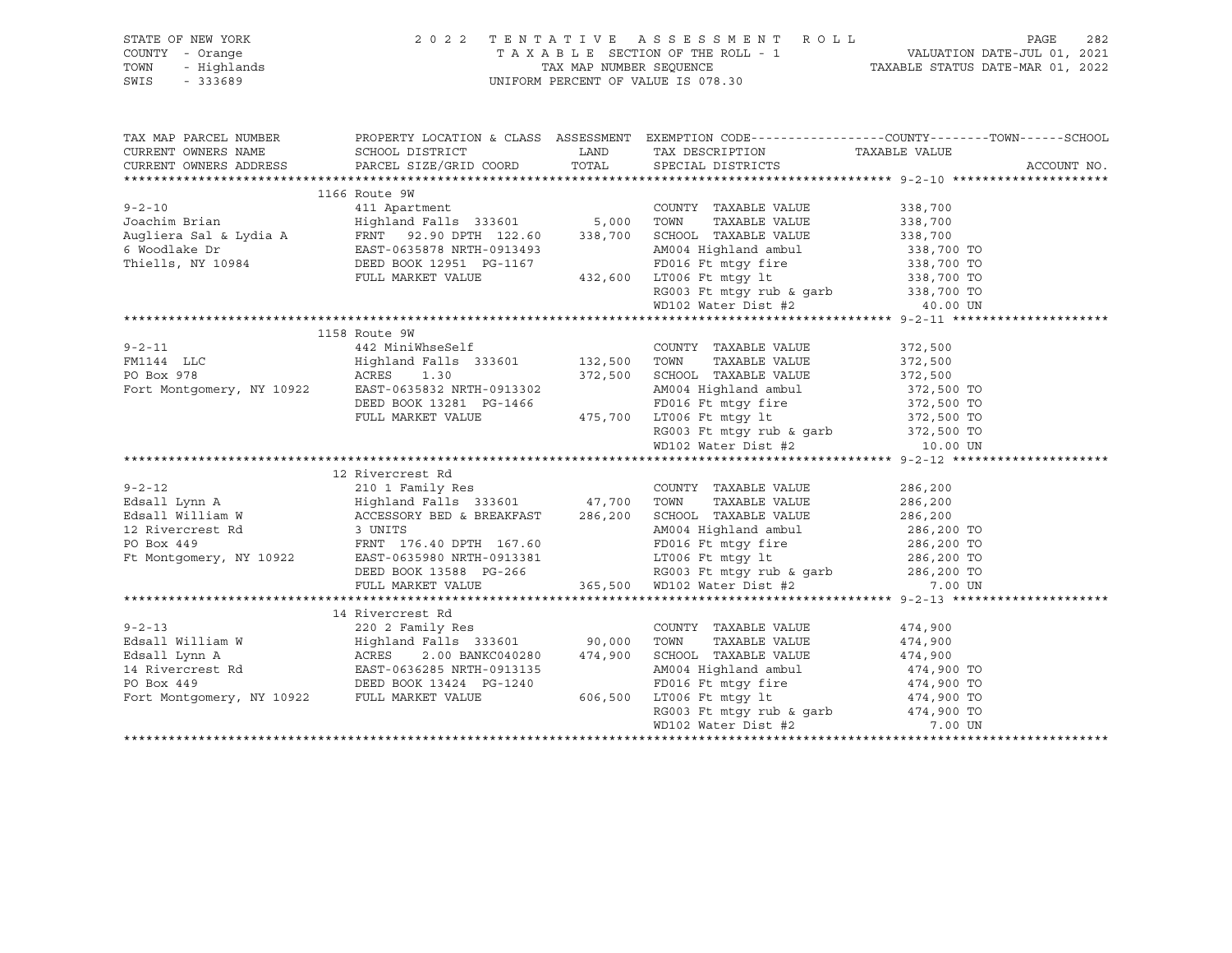| STATE OF NEW YORK<br>COUNTY - Orange<br>TOWN<br>- Highlands                                                                                                                                                                                      | 2022 TENTATIVE ASSESSMENT ROLL | PAGE<br>282 |                                                                                                                           |                                                                                                  |
|--------------------------------------------------------------------------------------------------------------------------------------------------------------------------------------------------------------------------------------------------|--------------------------------|-------------|---------------------------------------------------------------------------------------------------------------------------|--------------------------------------------------------------------------------------------------|
| SWIS<br>$-333689$                                                                                                                                                                                                                                |                                |             | UNIFORM PERCENT OF VALUE IS 078.30                                                                                        |                                                                                                  |
| TAX MAP PARCEL NUMBER                                                                                                                                                                                                                            |                                |             |                                                                                                                           | PROPERTY LOCATION & CLASS ASSESSMENT EXEMPTION CODE----------------COUNTY-------TOWN------SCHOOL |
| CURRENT OWNERS NAME                                                                                                                                                                                                                              | SCHOOL DISTRICT                | LAND        | TAX DESCRIPTION                                                                                                           | TAXABLE VALUE                                                                                    |
| CURRENT OWNERS ADDRESS                                                                                                                                                                                                                           | PARCEL SIZE/GRID COORD         | TOTAL       | SPECIAL DISTRICTS                                                                                                         | ACCOUNT NO.                                                                                      |
|                                                                                                                                                                                                                                                  |                                |             |                                                                                                                           |                                                                                                  |
|                                                                                                                                                                                                                                                  | 1166 Route 9W                  |             |                                                                                                                           |                                                                                                  |
| $9 - 2 - 10$                                                                                                                                                                                                                                     |                                |             | COUNTY TAXABLE VALUE                                                                                                      | 338,700                                                                                          |
| Joachim Brian                                                                                                                                                                                                                                    |                                |             | TOWN<br>TAXABLE VALUE                                                                                                     | 338,700                                                                                          |
|                                                                                                                                                                                                                                                  |                                |             |                                                                                                                           | 338,700<br>338,700 TO                                                                            |
|                                                                                                                                                                                                                                                  |                                |             | AM004 Highland ambul                                                                                                      |                                                                                                  |
| Thiells, NY 10984                                                                                                                                                                                                                                | DEED BOOK 12951 PG-1167        |             | AMOU4 nightand dubber<br>FD016 Ft mtgy fire<br>T.TOO6 Ft mtgy lt<br>3-1167 FD016 Ft mtgy fire<br>432,600 LT006 Ft mtgy 1t | 338,700 TO<br>338,700 TO                                                                         |
|                                                                                                                                                                                                                                                  | FULL MARKET VALUE              |             |                                                                                                                           |                                                                                                  |
|                                                                                                                                                                                                                                                  |                                |             | RG003 Ft mtgy rub & garb 338,700 TO<br>WD102 Water Dist #2 40.00 UN                                                       |                                                                                                  |
|                                                                                                                                                                                                                                                  |                                |             |                                                                                                                           |                                                                                                  |
|                                                                                                                                                                                                                                                  |                                |             |                                                                                                                           |                                                                                                  |
|                                                                                                                                                                                                                                                  | 1158 Route 9W                  |             |                                                                                                                           |                                                                                                  |
| $9 - 2 - 11$                                                                                                                                                                                                                                     |                                |             | COUNTY TAXABLE VALUE                                                                                                      | 372,500                                                                                          |
| FM1144 LLC                                                                                                                                                                                                                                       |                                |             | TAXABLE VALUE                                                                                                             | 372,500                                                                                          |
| PO Box 978<br>Fort Montgomery, NY 10922 EAST-0635832 NRTH-0913302                                                                                                                                                                                | ACRES 1.30                     |             | 372,500 SCHOOL TAXABLE VALUE                                                                                              | 372,500                                                                                          |
|                                                                                                                                                                                                                                                  | DEED BOOK 13281 PG-1466        |             | AM004 Highland ambul                                                                                                      | $372,500$ TO                                                                                     |
|                                                                                                                                                                                                                                                  | FULL MARKET VALUE              |             | $3-1466$ FD016 Ft mtgy fire<br>475,700 LT006 Ft mtgy lt                                                                   | 372,500 TO<br>372,500 TO<br>372,500 TO                                                           |
|                                                                                                                                                                                                                                                  |                                |             | RG003 Ft mtgy rub & garb                                                                                                  |                                                                                                  |
|                                                                                                                                                                                                                                                  |                                |             | WD102 Water Dist #2                                                                                                       | 10.00 UN                                                                                         |
|                                                                                                                                                                                                                                                  |                                |             |                                                                                                                           |                                                                                                  |
|                                                                                                                                                                                                                                                  |                                |             |                                                                                                                           |                                                                                                  |
|                                                                                                                                                                                                                                                  |                                |             |                                                                                                                           | 286,200                                                                                          |
|                                                                                                                                                                                                                                                  |                                |             |                                                                                                                           | 286,200                                                                                          |
|                                                                                                                                                                                                                                                  |                                |             |                                                                                                                           | 286,200                                                                                          |
|                                                                                                                                                                                                                                                  |                                |             | AM004 Highland ambul                                                                                                      |                                                                                                  |
|                                                                                                                                                                                                                                                  |                                |             |                                                                                                                           | 286,200 TO<br>286,200 TO                                                                         |
| Ft Montgomery, NY 10922                                                                                                                                                                                                                          | EAST-0635980 NRTH-0913381      |             |                                                                                                                           |                                                                                                  |
|                                                                                                                                                                                                                                                  | DEED BOOK 13588 PG-266         |             | LT006 Ft mtgy lt<br>RG003 Ft mtgy rub & garb                                                                              | 286,200 TO<br>286,200 TO                                                                         |
|                                                                                                                                                                                                                                                  | FULL MARKET VALUE              |             | 365,500 WD102 Water Dist #2                                                                                               | 7.00 UN                                                                                          |
|                                                                                                                                                                                                                                                  |                                |             |                                                                                                                           |                                                                                                  |
|                                                                                                                                                                                                                                                  | 14 Rivercrest Rd               |             |                                                                                                                           |                                                                                                  |
| $9 - 2 - 13$                                                                                                                                                                                                                                     | 220 2 Family Res               |             | COUNTY TAXABLE VALUE                                                                                                      | 474,900                                                                                          |
|                                                                                                                                                                                                                                                  |                                |             | TAXABLE VALUE                                                                                                             | 474,900                                                                                          |
|                                                                                                                                                                                                                                                  |                                |             | SCHOOL TAXABLE VALUE                                                                                                      | 474,900                                                                                          |
|                                                                                                                                                                                                                                                  |                                |             | AM004 Highland ambul                                                                                                      | 474,900 TO                                                                                       |
| Edsall William W<br>Edsall Lynn A<br>Edsall Lynn A<br>Righland Falls 333601 90,000 TOWN<br>Righland Falls 333601 90,000 TOWN<br>Righland Falls 333601 90,000 TOWN<br>ACRES 2.00 BANKC040280 474,900 SCHOOL<br>14 Rivercrest Rd<br>PO Box 449<br> |                                |             | FD016 Ft mtgy fire                                                                                                        | 474,900 TO                                                                                       |
|                                                                                                                                                                                                                                                  |                                |             | LT006 Ft mtgy lt                                                                                                          | 474,900 TO                                                                                       |
|                                                                                                                                                                                                                                                  |                                |             | RG003 Ft mtgy rub & garb $474,900$ TO                                                                                     |                                                                                                  |
|                                                                                                                                                                                                                                                  |                                |             | WD102 Water Dist #2                                                                                                       | 7.00 UN                                                                                          |
|                                                                                                                                                                                                                                                  |                                |             |                                                                                                                           |                                                                                                  |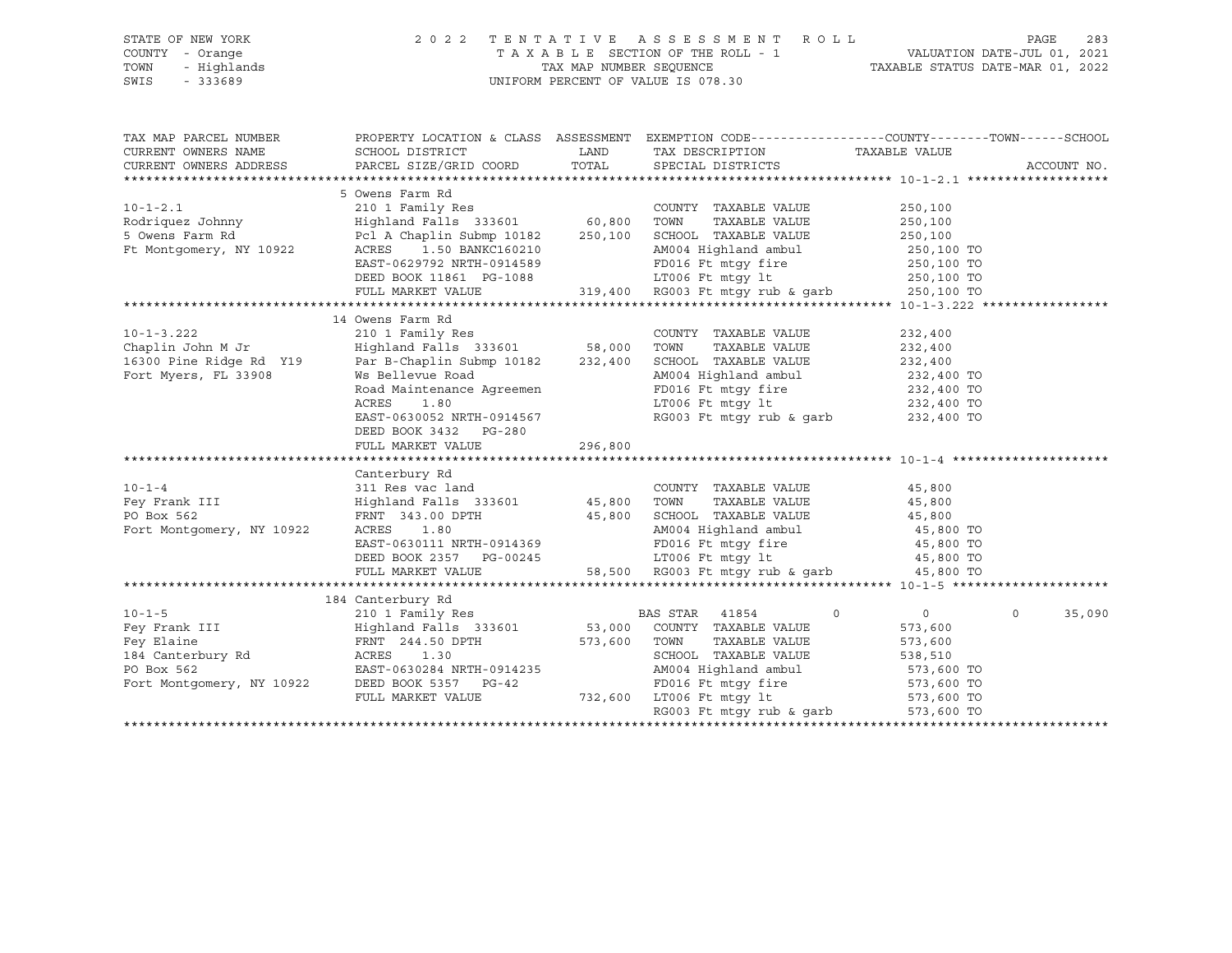| STATE OF NEW YORK                                                      |                                                        |         | 2022 TENTATIVE ASSESSMENT ROLL                                                                                             |                            | PAGE<br>283 |
|------------------------------------------------------------------------|--------------------------------------------------------|---------|----------------------------------------------------------------------------------------------------------------------------|----------------------------|-------------|
| COUNTY - Orange                                                        |                                                        |         | TAXABLE SECTION OF THE ROLL - 1 VALUATION DATE-JUL 01, 2021<br>TAXABLE SECTION OF THE ROLL - 1 VALUATION DATE-MAR 01, 2021 |                            |             |
| TOWN<br>- Highlands                                                    |                                                        |         |                                                                                                                            |                            |             |
| SWIS<br>$-333689$                                                      |                                                        |         | UNIFORM PERCENT OF VALUE IS 078.30                                                                                         |                            |             |
|                                                                        |                                                        |         |                                                                                                                            |                            |             |
|                                                                        |                                                        |         |                                                                                                                            |                            |             |
| TAX MAP PARCEL NUMBER                                                  |                                                        |         | PROPERTY LOCATION & CLASS ASSESSMENT EXEMPTION CODE----------------COUNTY-------TOWN-----SCHOOL                            |                            |             |
| CURRENT OWNERS NAME                                                    | SCHOOL DISTRICT                                        | LAND    | TAX DESCRIPTION                                                                                                            | TAXABLE VALUE              |             |
| CURRENT OWNERS ADDRESS                                                 | PARCEL SIZE/GRID COORD                                 | TOTAL   | SPECIAL DISTRICTS                                                                                                          |                            | ACCOUNT NO. |
|                                                                        |                                                        |         |                                                                                                                            |                            |             |
|                                                                        | 5 Owens Farm Rd                                        |         |                                                                                                                            |                            |             |
| $10 - 1 - 2.1$                                                         | 210 1 Family Res                                       |         | COUNTY TAXABLE VALUE                                                                                                       | 250,100                    |             |
| Rodriquez Johnny                                                       | Highland Falls 333601 60,800 TOWN                      |         | TAXABLE VALUE                                                                                                              | 250,100                    |             |
| 5 Owens Farm Rd                                                        | Pcl A Chaplin Submp 10182 250,100 SCHOOL TAXABLE VALUE |         |                                                                                                                            | 250,100                    |             |
| Ft Montgomery, NY 10922                                                | 1.50 BANKC160210<br>ACRES                              |         | AM004 Highland ambul                                                                                                       | 250,100 TO                 |             |
|                                                                        | EAST-0629792 NRTH-0914589                              |         | FD016 Ft mtgy fire<br>LT006 Ft mtgy lt                                                                                     | 250,100 TO                 |             |
|                                                                        | DEED BOOK 11861 PG-1088                                |         |                                                                                                                            | 250,100 TO                 |             |
|                                                                        | FULL MARKET VALUE                                      |         | 319,400 RG003 Ft mtqy rub & qarb                                                                                           | 250,100 TO                 |             |
|                                                                        |                                                        |         |                                                                                                                            |                            |             |
|                                                                        | 14 Owens Farm Rd                                       |         |                                                                                                                            |                            |             |
| $10 - 1 - 3.222$                                                       | 210 1 Family Res                                       |         | COUNTY TAXABLE VALUE                                                                                                       | 232,400                    |             |
| Chaplin John M Jr<br>Chapiin John M Jr<br>16300 Pine Ridge Rd Y19<br>- | Highland Falls 333601 58,000 TOWN                      |         | TAXABLE VALUE                                                                                                              | 232,400                    |             |
|                                                                        | Par B-Chaplin Submp 10182                              |         | 232,400 SCHOOL TAXABLE VALUE                                                                                               | 232,400                    |             |
| Fort Myers, FL 33908                                                   | Ws Bellevue Road                                       |         | AM004 Highland ambul                                                                                                       | 232,400 TO                 |             |
|                                                                        | Road Maintenance Agreemen                              |         | FD016 Ft mtqy fire                                                                                                         | 232,400 TO                 |             |
|                                                                        | ACRES<br>1.80                                          |         | LT006 Ft mtgy lt                                                                                                           | 232,400 TO                 |             |
|                                                                        | EAST-0630052 NRTH-0914567                              |         | RG003 Ft mtqy rub & qarb                                                                                                   | $232,400$ TO               |             |
|                                                                        | DEED BOOK 3432 PG-280                                  |         |                                                                                                                            |                            |             |
|                                                                        | FULL MARKET VALUE                                      | 296,800 |                                                                                                                            |                            |             |
|                                                                        | Canterbury Rd                                          |         |                                                                                                                            |                            |             |
| $10 - 1 - 4$                                                           | 311 Res vac land                                       |         | COUNTY TAXABLE VALUE                                                                                                       | 45,800                     |             |
| Fey Frank III                                                          | Highland Falls 333601 45,800 TOWN                      |         | TAXABLE VALUE                                                                                                              | 45,800                     |             |
| PO Box 562                                                             | FRNT 343.00 DPTH                                       |         |                                                                                                                            | 45,800                     |             |
| Fort Montgomery, NY 10922                                              | ACRES<br>1.80                                          |         | 45,800 SCHOOL TAXABLE VALUE<br>AM004 Highland ambul                                                                        | 45,800 TO                  |             |
|                                                                        | EAST-0630111 NRTH-0914369                              |         |                                                                                                                            | 45,800 TO                  |             |
|                                                                        | DEED BOOK 2357 PG-00245                                |         | FD016 Ft mtgy fire<br>LT006 Ft mtgy lt                                                                                     | 45,800 TO                  |             |
|                                                                        | FULL MARKET VALUE                                      |         | 58,500 RG003 Ft mtgy rub & garb                                                                                            | 45,800 TO                  |             |
|                                                                        |                                                        |         |                                                                                                                            |                            |             |
|                                                                        | 184 Canterbury Rd                                      |         |                                                                                                                            |                            |             |
| $10 - 1 - 5$                                                           | 210 1 Family Res                                       |         | BAS STAR 41854<br>$\circ$                                                                                                  | $\Omega$<br>$\overline{0}$ | 35,090      |
| Fey Frank III                                                          | Highland Falls 333601                                  |         | 53,000 COUNTY TAXABLE VALUE                                                                                                | 573,600                    |             |
| Fey Elaine                                                             | FRNT 244.50 DPTH                                       | 573,600 | TOWN<br>TAXABLE VALUE                                                                                                      | 573,600                    |             |
|                                                                        | ACRES 1.30                                             |         | SCHOOL TAXABLE VALUE                                                                                                       | 538,510                    |             |
| 184 Canterbury Rd<br>PO Box 562<br>PO Box 562                          | EAST-0630284 NRTH-0914235                              |         | AM004 Highland ambul                                                                                                       | 573,600 TO                 |             |
| Fort Montgomery, NY 10922                                              | DEED BOOK 5357 PG-42                                   |         | FD016 Ft mtgy fire                                                                                                         | 573,600 TO                 |             |
|                                                                        | FULL MARKET VALUE                                      |         | 732,600 LT006 Ft mtgy lt                                                                                                   | 573,600 TO                 |             |
|                                                                        |                                                        |         | RG003 Ft mtgy rub & garb                                                                                                   | 573,600 TO                 |             |
|                                                                        |                                                        |         |                                                                                                                            |                            |             |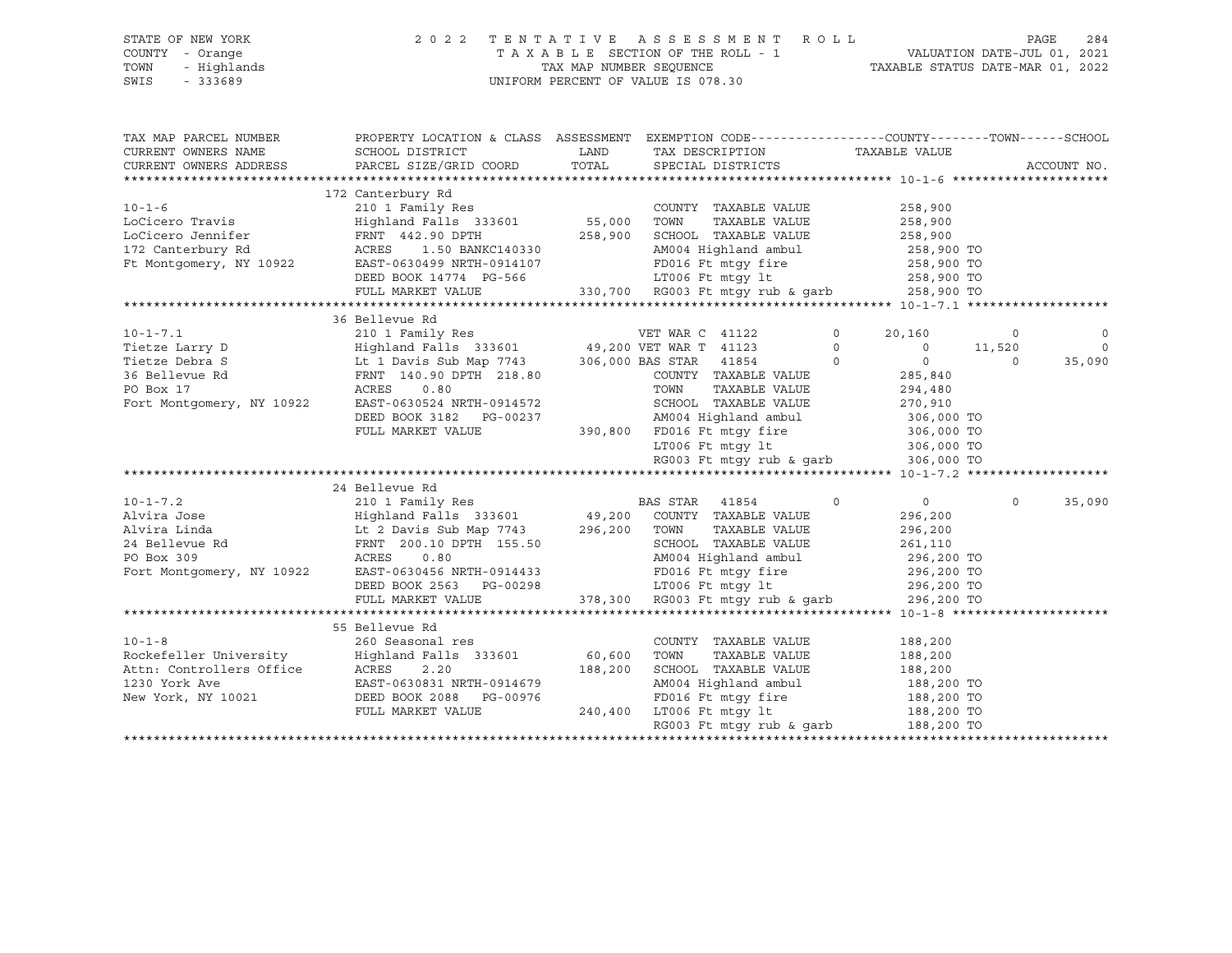| STATE OF NEW YORK<br>COUNTY - Orange<br>TOWN<br>- Highlands<br>$-333689$<br>SWIS                                                                                                                                                                                                                                                                                                                                                                                  | 2 0 2 2                                                                                                                                                                                                                              |                   | TENTATIVE ASSESSMENT ROLL<br>T A X A B L E SECTION OF THE ROLL - 1 VALUATION DATE-JUL 01, 2021<br>TAX MAP NUMBER SEQUENCE TAXABLE STATUS DATE-MAR 01, 2022<br>UNIFORM PERCENT OF VALUE IS 078.30     |                                                                                                                      |                               | PAGE<br>284                    |
|-------------------------------------------------------------------------------------------------------------------------------------------------------------------------------------------------------------------------------------------------------------------------------------------------------------------------------------------------------------------------------------------------------------------------------------------------------------------|--------------------------------------------------------------------------------------------------------------------------------------------------------------------------------------------------------------------------------------|-------------------|------------------------------------------------------------------------------------------------------------------------------------------------------------------------------------------------------|----------------------------------------------------------------------------------------------------------------------|-------------------------------|--------------------------------|
| TAX MAP PARCEL NUMBER THE PROPERTY LOCATION & CLASS ASSESSMENT EXEMPTION CODE---------------COUNTY-------TOWN-----SCHOOL<br>CURRENT OWNERS NAME<br>CURRENT OWNERS ADDRESS                                                                                                                                                                                                                                                                                         | SCHOOL DISTRICT<br>PARCEL SIZE/GRID COORD                                                                                                                                                                                            | LAND<br>TOTAL     | TAX DESCRIPTION<br>SPECIAL DISTRICTS                                                                                                                                                                 | TAXABLE VALUE                                                                                                        |                               | ACCOUNT NO.                    |
| $10 - 1 - 6$<br>LoCicero Travis<br>LoCicero Jennifer<br>172 Canterbury Rd<br>Ft Montgomery, NY 10922                                                                                                                                                                                                                                                                                                                                                              | 172 Canterbury Rd<br>210 1 Family Res<br>Highland Falls 333601<br>FRNT 442.90 DPTH<br>ACRES 1.50 BANKC140330<br>EAST-0630499 NRTH-0914107<br>ENNI 332.22 --<br>ACRES 1.50 BANKC140330<br>DEED BOOK 14774 PG-566<br>FULL MARKET VALUE | 55,000<br>258,900 | COUNTY TAXABLE VALUE<br>TOWN<br>TAXABLE VALUE<br>SCHOOL TAXABLE VALUE<br>AM004 Highland ambul<br>FD016 Ft mtqy fire<br>66 11006 Ft mtgy 1t 258,900 TO<br>330,700 RG003 Ft mtgy rub & garb 258,900 TO | 258,900<br>258,900<br>258,900<br>258,900 TO<br>258,900 TO                                                            |                               |                                |
|                                                                                                                                                                                                                                                                                                                                                                                                                                                                   | 36 Bellevue Rd                                                                                                                                                                                                                       |                   |                                                                                                                                                                                                      |                                                                                                                      |                               |                                |
| 10-1-7.1 210 1 Family Res<br>Tietze Larry D<br>Tietze Debra S<br>36 Bellevue Rd<br>26 Bellevue Rd<br>26 Bellevue Rd<br>26 Bellevue Rd<br>26 Bellevue Rd<br>27 Bellevue Rd<br>27 Bellevue Rd<br>28.80<br>28.80<br>28.80<br>28.80<br>29.20 Bellevue Rd<br>20.9                                                                                                                                                                                                      | DEED BOOK 3182 PG-00237<br>FULL MARKET VALUE                                                                                                                                                                                         |                   | COUNTY TAXABLE VALUE<br>TAXABLE VALUE<br>SCHOOL TAXABLE VALUE<br>AM004 Highland ambul<br>390,800 FD016 Ft mtgy fire 306,000 TO<br>LT006 Ft mtgy lt 306,000 TO<br>RG003 Ft mtqy rub & qarb 306,000 TO | $\Omega$<br>20,160<br>$\circ$<br>$\circ$<br>$\overline{0}$<br>$\circ$<br>285,840<br>294,480<br>270,910<br>306,000 TO | $\circ$<br>11,520<br>$\circ$  | $\Omega$<br>$\Omega$<br>35,090 |
|                                                                                                                                                                                                                                                                                                                                                                                                                                                                   |                                                                                                                                                                                                                                      |                   |                                                                                                                                                                                                      |                                                                                                                      |                               |                                |
| $\begin{tabular}{lllllllllllllllllll} \multicolumn{3}{c}{10-1-7.2} & 210&1 Family Res & \multicolumn{3}{c}{\texttt{BAS STAR}} & 41854 \\ \multicolumn{3}{c}{\texttt{Alvira Jose}} & \multicolumn{3}{c}{\texttt{Highland Falls}} & 333601 & 49,200 & \multicolumn{3}{c}{\texttt{COUNTY}} & \texttt{TAXABLE VALUE} \\ \multicolumn{3}{c}{\texttt{Alvira Linda}} & \multicolumn{3}{c}{\texttt{Lt 2 Davis Sub Map 7743}} & 296,200 & \multicolumn{3}{c}{\texttt{COUN$ | 24 Bellevue Rd<br>DEED BOOK 2563 PG-00298<br>FULL MARKET VALUE                                                                                                                                                                       |                   | TAXABLE VALUE<br>SCHOOL TAXABLE VALUE<br>AM004 Highland ambul<br>FD016 Ft mtgy fire 296,200 TO<br>LT006 Ft mtgy lt 296,200 TO<br>378,300 RG003 Ft mtgy rub & garb 296,200 TO                         | $\Omega$<br>296,200<br>296,200<br>261,110<br>296,200 TO<br>296,200 TO                                                | $0 \qquad \qquad$<br>$\Omega$ | 35,090                         |
|                                                                                                                                                                                                                                                                                                                                                                                                                                                                   |                                                                                                                                                                                                                                      |                   |                                                                                                                                                                                                      |                                                                                                                      |                               |                                |
| $10 - 1 - 8$<br>10-1-8<br>Rockefeller University<br>Attn: Controllers Office<br>1230 York Ave EAST-0630831 NRTH-0914679<br>New York, NY 10021<br>DEED BOOK 2088 PG-00976<br>FULL MARKET VALUE                                                                                                                                                                                                                                                                     | 55 Bellevue Rd<br>260 Seasonal res                                                                                                                                                                                                   | 60,600<br>188,200 | COUNTY TAXABLE VALUE<br>TOWN<br>TAXABLE VALUE<br>SCHOOL TAXABLE VALUE<br>AM004 Highland ambul<br>FD016 Ft mtgy fire<br>240,400 LT006 Ft mtgy lt<br>RG003 Ft mtgy rub & garb                          | 188,200<br>188,200<br>188,200<br>188,200 TO<br>188,200 TO                                                            | 188,200 TO<br>188,200 TO      |                                |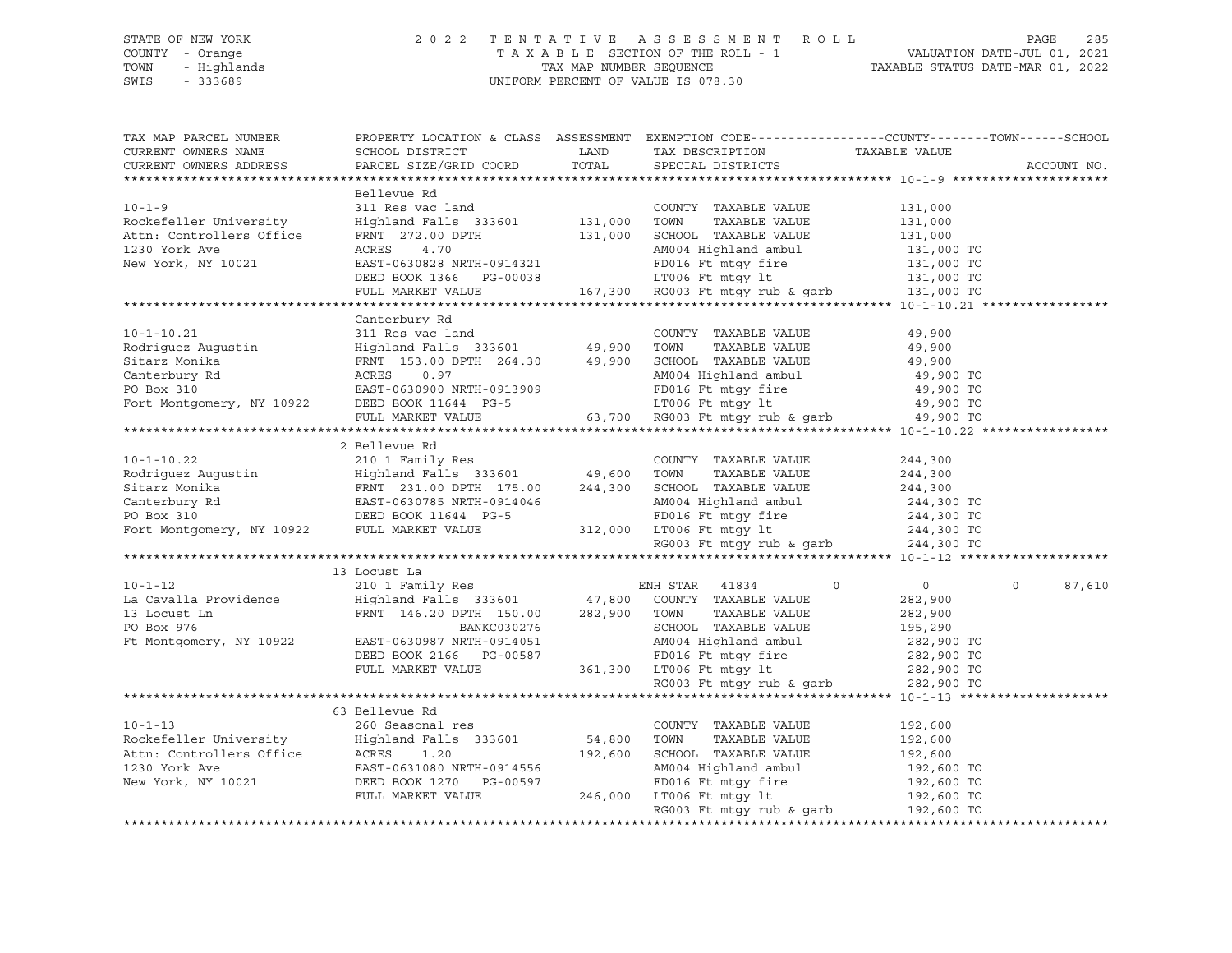#### STATE OF NEW YORK 2 0 2 2 T E N T A T I V E A S S E S S M E N T R O L L PAGE 285 COUNTY - Orange T A X A B L E SECTION OF THE ROLL - 1 VALUATION DATE-JUL 01, 2021 TOWN - Highlands TAX MAP NUMBER SEQUENCE TAXABLE STATUS DATE-MAR 01, 2022 SWIS - 333689 UNIFORM PERCENT OF VALUE IS 078.30

| TAX MAP PARCEL NUMBER<br>CURRENT OWNERS NAME<br>CURRENT OWNERS ADDRESS                                                                                                                                                                                           |                | PROPERTY LOCATION & CLASS ASSESSMENT EXEMPTION CODE---------------COUNTY-------TOWN------SCHOOL                                                                                                                                          |          | ACCOUNT NO. |
|------------------------------------------------------------------------------------------------------------------------------------------------------------------------------------------------------------------------------------------------------------------|----------------|------------------------------------------------------------------------------------------------------------------------------------------------------------------------------------------------------------------------------------------|----------|-------------|
|                                                                                                                                                                                                                                                                  |                |                                                                                                                                                                                                                                          |          |             |
|                                                                                                                                                                                                                                                                  | Bellevue Rd    |                                                                                                                                                                                                                                          |          |             |
| $10 - 1 - 9$                                                                                                                                                                                                                                                     |                | Bellevue kd<br>311 Res vac land<br>Highland Falls 333601 131,000 TOWN TAXABLE VALUE 131,000<br>FRNT 272.00 DPTH 131,000 TOWN TAXABLE VALUE 131,000<br>RCRES 4.70 AM004 Highland ambul<br>EAST-0630828 NRTH-0914321 FD016 Ft mtgy fire 13 |          |             |
| Rockefeller University                                                                                                                                                                                                                                           |                |                                                                                                                                                                                                                                          |          |             |
| Attn: Controllers Office                                                                                                                                                                                                                                         |                |                                                                                                                                                                                                                                          |          |             |
| 1230 York Ave                                                                                                                                                                                                                                                    |                |                                                                                                                                                                                                                                          |          |             |
| New York, NY 10021                                                                                                                                                                                                                                               |                |                                                                                                                                                                                                                                          |          |             |
|                                                                                                                                                                                                                                                                  |                |                                                                                                                                                                                                                                          |          |             |
|                                                                                                                                                                                                                                                                  |                |                                                                                                                                                                                                                                          |          |             |
|                                                                                                                                                                                                                                                                  |                |                                                                                                                                                                                                                                          |          |             |
|                                                                                                                                                                                                                                                                  | Canterbury Rd  |                                                                                                                                                                                                                                          |          |             |
|                                                                                                                                                                                                                                                                  |                |                                                                                                                                                                                                                                          |          |             |
|                                                                                                                                                                                                                                                                  |                |                                                                                                                                                                                                                                          |          |             |
|                                                                                                                                                                                                                                                                  |                |                                                                                                                                                                                                                                          |          |             |
|                                                                                                                                                                                                                                                                  |                |                                                                                                                                                                                                                                          |          |             |
|                                                                                                                                                                                                                                                                  |                |                                                                                                                                                                                                                                          |          |             |
|                                                                                                                                                                                                                                                                  |                |                                                                                                                                                                                                                                          |          |             |
|                                                                                                                                                                                                                                                                  |                |                                                                                                                                                                                                                                          |          |             |
|                                                                                                                                                                                                                                                                  |                |                                                                                                                                                                                                                                          |          |             |
| 2 Bellevue Rd<br>2 10 1 Family Res<br>Rodriguez Augustin<br>Extra 210 1 Family Res<br>Extra 211.00 DPTH 175.00<br>244,300<br>244,300<br>244,300<br>244,300<br>244,300<br>244,300<br>244,300<br>244,300<br>244,300<br>PO Box 310<br>Fort Montgomery, NY 10922     |                |                                                                                                                                                                                                                                          |          |             |
|                                                                                                                                                                                                                                                                  |                |                                                                                                                                                                                                                                          |          |             |
|                                                                                                                                                                                                                                                                  |                |                                                                                                                                                                                                                                          |          |             |
|                                                                                                                                                                                                                                                                  |                |                                                                                                                                                                                                                                          |          |             |
|                                                                                                                                                                                                                                                                  |                |                                                                                                                                                                                                                                          |          |             |
|                                                                                                                                                                                                                                                                  |                |                                                                                                                                                                                                                                          |          |             |
|                                                                                                                                                                                                                                                                  |                |                                                                                                                                                                                                                                          |          |             |
|                                                                                                                                                                                                                                                                  |                |                                                                                                                                                                                                                                          |          |             |
|                                                                                                                                                                                                                                                                  |                |                                                                                                                                                                                                                                          |          |             |
|                                                                                                                                                                                                                                                                  |                |                                                                                                                                                                                                                                          |          |             |
| 10-1-12<br>210 1 Family Res<br>La Cavalla Providence Highland Falls 333601 47,800 COUNTY TAXABLE VALUE<br>282,900 13 Locust Ln FRNT 146.20 DPTH 150.00 282,900 TOWN TAXABLE VALUE<br>PO BANKC030276 BANKC030276 COUNTY TAXABLE VALUE<br>                         |                |                                                                                                                                                                                                                                          | $\Omega$ |             |
|                                                                                                                                                                                                                                                                  |                |                                                                                                                                                                                                                                          |          | 87,610      |
|                                                                                                                                                                                                                                                                  |                |                                                                                                                                                                                                                                          |          |             |
|                                                                                                                                                                                                                                                                  |                |                                                                                                                                                                                                                                          |          |             |
|                                                                                                                                                                                                                                                                  |                |                                                                                                                                                                                                                                          |          |             |
|                                                                                                                                                                                                                                                                  |                |                                                                                                                                                                                                                                          |          |             |
|                                                                                                                                                                                                                                                                  |                |                                                                                                                                                                                                                                          |          |             |
| PO Box 976<br>PC Box 976<br>PC Box 976<br>PC Box 976<br>PC Box 976<br>PC Box 976<br>PC Box 976<br>DEED BOOK 2166<br>PCLL MARKET VALUE<br>PULL MARKET VALUE<br>PULL MARKET VALUE<br>PULL MARKET VALUE<br>PULL MARKET VALUE<br>PCLL MARKET VALUE<br>PCLL MAR       |                |                                                                                                                                                                                                                                          |          |             |
|                                                                                                                                                                                                                                                                  |                |                                                                                                                                                                                                                                          |          |             |
|                                                                                                                                                                                                                                                                  |                |                                                                                                                                                                                                                                          |          |             |
|                                                                                                                                                                                                                                                                  | 63 Bellevue Rd |                                                                                                                                                                                                                                          |          |             |
|                                                                                                                                                                                                                                                                  |                |                                                                                                                                                                                                                                          |          |             |
|                                                                                                                                                                                                                                                                  |                |                                                                                                                                                                                                                                          |          |             |
|                                                                                                                                                                                                                                                                  |                |                                                                                                                                                                                                                                          |          |             |
|                                                                                                                                                                                                                                                                  |                |                                                                                                                                                                                                                                          |          |             |
|                                                                                                                                                                                                                                                                  |                |                                                                                                                                                                                                                                          |          |             |
| 10-1-13<br>Rockefeller University<br>Rockefeller University<br>Highland Falls 333601<br>Attn: Controllers Office<br>ACRES 1.20<br>192,600<br>192,600<br>192,600<br>192,600<br>192,600<br>192,600<br>192,600<br>192,600<br>192,600<br>192,600<br>192,600<br>192,6 |                | RG003 Ft mtgy rub & garb $192,600$ TO                                                                                                                                                                                                    |          |             |
|                                                                                                                                                                                                                                                                  |                |                                                                                                                                                                                                                                          |          |             |
|                                                                                                                                                                                                                                                                  |                |                                                                                                                                                                                                                                          |          |             |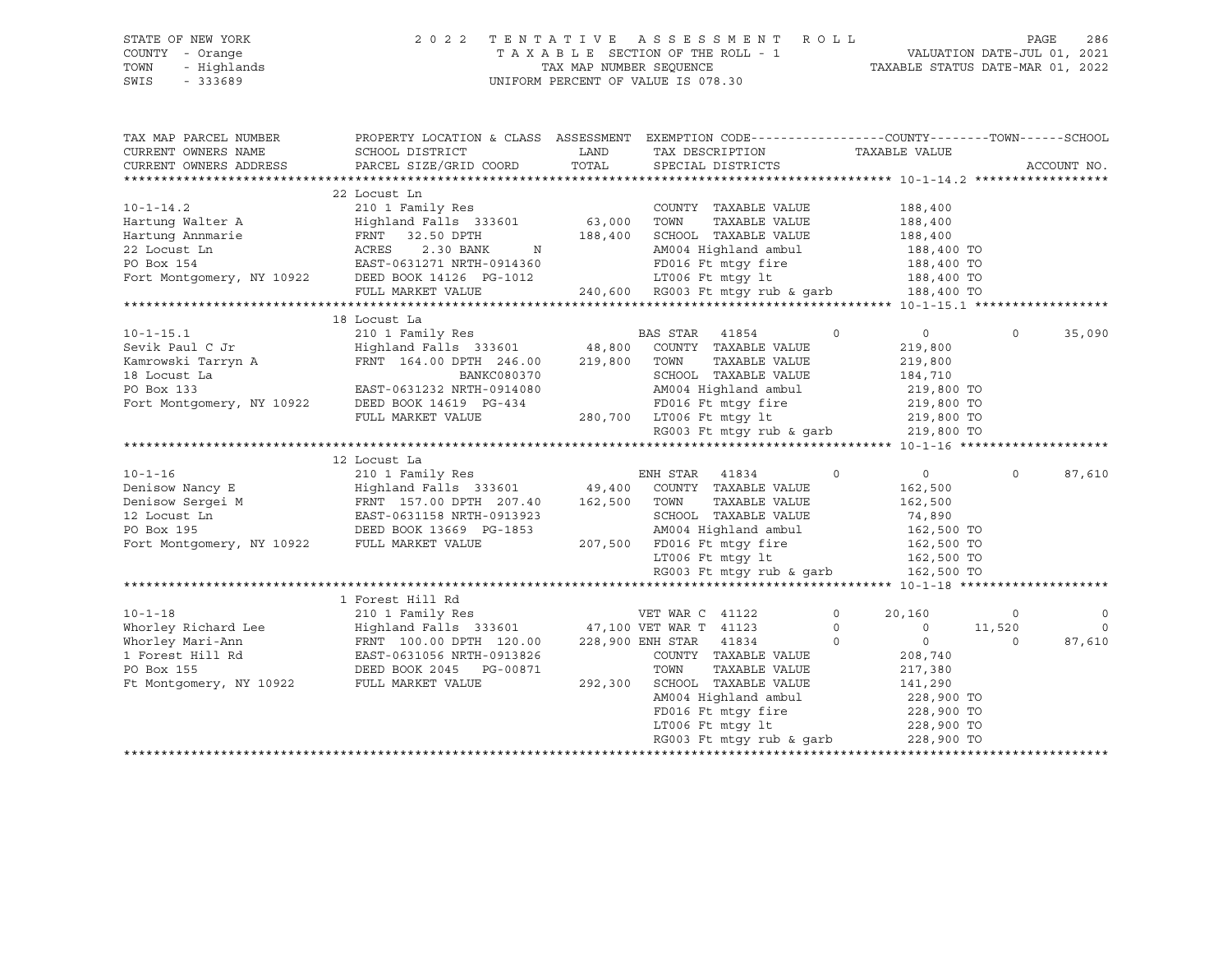#### STATE OF NEW YORK 2 0 2 2 T E N T A T I V E A S S E S S M E N T R O L L PAGE 286 COUNTY - Orange T A X A B L E SECTION OF THE ROLL - 1 VALUATION DATE-JUL 01, 2021 TOWN - Highlands TAX MAP NUMBER SEQUENCE TAXABLE STATUS DATE-MAR 01, 2022 SWIS - 333689 UNIFORM PERCENT OF VALUE IS 078.30

| TAX MAP PARCEL NUMBER<br>CURRENT OWNERS NAME | PROPERTY LOCATION & CLASS ASSESSMENT EXEMPTION CODE---------------COUNTY-------TOWN-----SCHOOL<br>SCHOOL DISTRICT | LAND    | TAX DESCRIPTION                                                            |             | TAXABLE VALUE            |          |              |
|----------------------------------------------|-------------------------------------------------------------------------------------------------------------------|---------|----------------------------------------------------------------------------|-------------|--------------------------|----------|--------------|
| CURRENT OWNERS ADDRESS                       | PARCEL SIZE/GRID COORD                                                                                            | TOTAL   | SPECIAL DISTRICTS                                                          |             |                          |          | ACCOUNT NO.  |
|                                              |                                                                                                                   |         |                                                                            |             |                          |          |              |
|                                              | 22 Locust Ln                                                                                                      |         |                                                                            |             |                          |          |              |
| $10 - 1 - 14.2$                              | 210 1 Family Res                                                                                                  |         | COUNTY TAXABLE VALUE                                                       |             | 188,400                  |          |              |
| Hartung Walter A                             | Highland Falls 333601 63,000                                                                                      |         | TOWN<br>TAXABLE VALUE                                                      |             | 188,400                  |          |              |
| Hartung Annmarie                             | FRNT 32.50 DPTH                                                                                                   | 188,400 | SCHOOL TAXABLE VALUE                                                       |             | 188,400                  |          |              |
| 22 Locust Ln                                 | ACRES<br>2.30 BANK<br>N                                                                                           |         | AM004 Highland ambul                                                       |             | 188,400 TO               |          |              |
| PO Box 154                                   | EAST-0631271 NRTH-0914360                                                                                         |         | FD016 Ft mtgy fire 188,400 TO                                              |             |                          |          |              |
|                                              | Fort Montgomery, NY 10922 DEED BOOK 14126 PG-1012                                                                 |         | LT006 Ft mtgy 1t 188,400 TO<br>240,600 RG003 Ft mtgy rub & garb 188,400 TO |             |                          |          |              |
|                                              | FULL MARKET VALUE                                                                                                 |         |                                                                            |             |                          |          |              |
|                                              |                                                                                                                   |         |                                                                            |             |                          |          |              |
|                                              | 18 Locust La                                                                                                      |         |                                                                            |             |                          |          |              |
| $10 - 1 - 15.1$                              | 210 1 Family Res                                                                                                  |         | BAS STAR 41854                                                             | $\circ$     | $\overline{0}$           | $\Omega$ | 35,090       |
| Sevik Paul C Jr                              | Highland Falls 333601 48,800                                                                                      |         | COUNTY TAXABLE VALUE                                                       |             | 219,800                  |          |              |
| Kamrowski Tarryn A                           | FRNT 164.00 DPTH 246.00 219,800 TOWN                                                                              |         | TAXABLE VALUE                                                              |             | 219,800                  |          |              |
| 18 Locust La                                 | BANKC080370                                                                                                       |         | SCHOOL TAXABLE VALUE                                                       |             | 184,710                  |          |              |
| PO Box 133                                   | EAST-0631232 NRTH-0914080                                                                                         |         | AM004 Highland ambul                                                       |             | 219,800 TO               |          |              |
| Fort Montgomery, NY 10922                    | DEED BOOK 14619 PG-434                                                                                            |         | FD016 Ft mtqy fire                                                         |             | 219,800 TO               |          |              |
|                                              | FULL MARKET VALUE                                                                                                 |         | 280,700 LT006 Ft mtgy lt                                                   |             | $219,800$ TO             |          |              |
|                                              |                                                                                                                   |         | RG003 Ft mtgy rub & garb                                                   |             | 219,800 TO               |          |              |
|                                              |                                                                                                                   |         |                                                                            |             |                          |          |              |
|                                              | 12 Locust La                                                                                                      |         |                                                                            |             |                          |          |              |
| $10 - 1 - 16$                                | 210 1 Family Res                                                                                                  |         | ENH STAR 41834                                                             | $\mathbf 0$ | 0                        | $\Omega$ | 87,610       |
| Denisow Nancy E                              | Highland Falls 333601 49,400 COUNTY TAXABLE VALUE                                                                 |         |                                                                            |             | 162,500                  |          |              |
|                                              | Denisow Sergei M FRNT 157.00 DPTH 207.40                                                                          | 162,500 | TAXABLE VALUE<br>TOWN                                                      |             | 162,500                  |          |              |
| 12 Locust Ln                                 |                                                                                                                   |         | SCHOOL TAXABLE VALUE                                                       |             | 74,890                   |          |              |
| PO Box 195                                   | EAST-0631158 NRTH-0913923<br>DEED BOOK 13669 PG-1853                                                              |         |                                                                            |             |                          |          |              |
| Fort Montgomery, NY 10922 FULL MARKET VALUE  |                                                                                                                   |         |                                                                            |             |                          |          |              |
|                                              |                                                                                                                   |         | AM004 Highland ambul                                                       |             |                          |          |              |
|                                              |                                                                                                                   |         | 207,500 FD016 Ft mtgy fire 162,500 TO                                      |             | $162,500$ TO             |          |              |
|                                              |                                                                                                                   |         | LT006 Ft mtqy lt                                                           |             | 162,500 TO               |          |              |
|                                              |                                                                                                                   |         | RG003 Ft mtgy rub & garb                                                   |             | 162,500 TO               |          |              |
|                                              |                                                                                                                   |         |                                                                            |             |                          |          |              |
|                                              | 1 Forest Hill Rd                                                                                                  |         |                                                                            |             |                          |          |              |
| $10 - 1 - 18$                                | 210 1 Family Res                                                                                                  |         | VET WAR C 41122                                                            | $\mathbf 0$ | 20,160                   | 0        | $\mathsf{O}$ |
| Whorley Richard Lee                          | Highland Falls 333601 47,100 VET WAR T 41123                                                                      |         |                                                                            | $\Omega$    | $\Omega$                 | 11,520   | $\Omega$     |
| Whorley Mari-Ann                             | FRNT 100.00 DPTH 120.00 228,900 ENH STAR 41834                                                                    |         |                                                                            | $\mathbf 0$ | $\circ$                  | $\Omega$ | 87,610       |
| 1 Forest Hill Rd                             |                                                                                                                   |         | COUNTY TAXABLE VALUE                                                       |             | 208,740                  |          |              |
| PO Box 155                                   | -<br>EAST-0631056 NRTH-0913826<br>DEED BOOK 2045 PG-00871                                                         |         | TOWN<br>TAXABLE VALUE                                                      |             | 217,380                  |          |              |
| Ft Montgomery, NY 10922                      | FULL MARKET VALUE                                                                                                 | 292,300 | SCHOOL TAXABLE VALUE                                                       |             | 141,290                  |          |              |
|                                              |                                                                                                                   |         | AM004 Highland ambul                                                       |             | 228,900 TO               |          |              |
|                                              |                                                                                                                   |         | FD016 Ft mtgy fire                                                         |             |                          |          |              |
|                                              |                                                                                                                   |         | LT006 Ft mtgy lt                                                           |             | 228,900 TO<br>228,900 TO |          |              |
|                                              |                                                                                                                   |         | RG003 Ft mtqy rub & qarb                                                   |             | 228,900 TO               |          |              |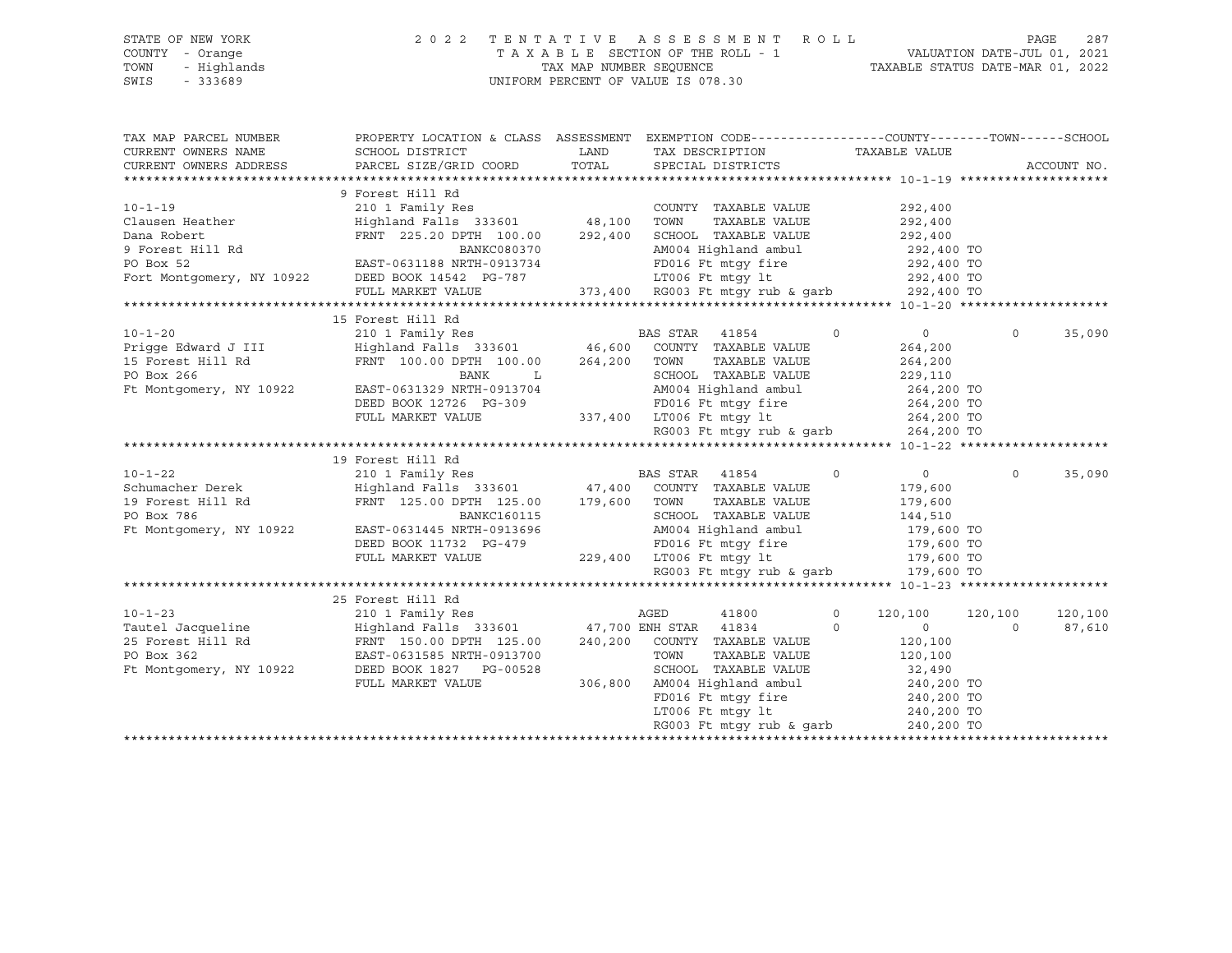#### STATE OF NEW YORK 2 0 2 2 T E N T A T I V E A S S E S S M E N T R O L L PAGE 287 COUNTY - Orange T A X A B L E SECTION OF THE ROLL - 1 VALUATION DATE-JUL 01, 2021 TOWN - Highlands TAX MAP NUMBER SEQUENCE TAXABLE STATUS DATE-MAR 01, 2022<br>TAXABLE STATUS DATE-MAR 01, 2022 UNIFORM PERCENT OF VALUE IS 078.30

TAX MAP PARCEL NUMBER PROPERTY LOCATION & CLASS ASSESSMENT EXEMPTION CODE----------------COUNTY-------TOWN-----SCHOOL CURRENT OWNERS NAME SCHOOL DISTRICT TAX DAND TAX DESCRIPTION TAXABLE VALUE CURRENT OWNERS ADDRESS PARCEL SIZE/GRID COORD TOTAL SPECIAL DISTRICTS ACCOUNT NO. \*\*\*\*\*\*\*\*\*\*\*\*\*\*\*\*\*\*\*\*\*\*\*\*\*\*\*\*\*\*\*\*\*\*\*\*\*\*\*\*\*\*\*\*\*\*\*\*\*\*\*\*\*\*\*\*\*\*\*\*\*\*\*\*\*\*\*\*\*\*\*\*\*\*\*\*\*\*\*\*\*\*\*\*\*\*\*\*\*\*\*\*\*\*\*\*\*\*\*\*\*\*\* 10-1-19 \*\*\*\*\*\*\*\*\*\*\*\*\*\*\*\*\*\*\*\* 9 Forest Hill Rd 10-1-19 210 1 Family Res COUNTY TAXABLE VALUE 292,400 Clausen Heather Highland Falls 333601 48,100 TOWN TAXABLE VALUE 292,400 Dana Robert FRNT 225.20 DPTH 100.00 292,400 SCHOOL TAXABLE VALUE 292,400 992,400 TO MANKC080370 AM004 Highland ambul 292,400 TO<br>PD016 Ft mtgy fire 292,400 TO 292,400 TO PD Box 52 EAST-0631188 FD016 Ft mtgy fire 292,400 TO<br>192,400 TO 292,400 TO Fort Montgomery, NY 10922 DEED BOOK 14542 PG-787 LT006 Ft mtgy lt 292,400 TO FULL MARKET VALUE 373,400 RG003 Ft mtgy rub & garb 292,400 TO \*\*\*\*\*\*\*\*\*\*\*\*\*\*\*\*\*\*\*\*\*\*\*\*\*\*\*\*\*\*\*\*\*\*\*\*\*\*\*\*\*\*\*\*\*\*\*\*\*\*\*\*\*\*\*\*\*\*\*\*\*\*\*\*\*\*\*\*\*\*\*\*\*\*\*\*\*\*\*\*\*\*\*\*\*\*\*\*\*\*\*\*\*\*\*\*\*\*\*\*\*\*\* 10-1-20 \*\*\*\*\*\*\*\*\*\*\*\*\*\*\*\*\*\*\*\* 15 Forest Hill Rd 10-1-20 210 1 Family Res BAS STAR 41854 0 0 0 35,090 Prigge Edward J III Highland Falls 333601 46,600 COUNTY TAXABLE VALUE 264,200 15 Forest Hill Rd FRNT 100.00 DPTH 100.00 264,200 TOWN TAXABLE VALUE 264,200 PO Box 266 BANK L SCHOOL TAXABLE VALUE 229,110 Ft Montgomery, NY 10922 EAST-0631329 NRTH-0913704 AM004 Highland ambul 264,200 TO DEED BOOK 12726 PG-309 FD016 Ft mtgy fire 264,200 TO FULL MARKET VALUE 337,400 LT006 Ft mtgy lt 264,200 TO RG003 Ft mtgy rub & garb 264,200 TO \*\*\*\*\*\*\*\*\*\*\*\*\*\*\*\*\*\*\*\*\*\*\*\*\*\*\*\*\*\*\*\*\*\*\*\*\*\*\*\*\*\*\*\*\*\*\*\*\*\*\*\*\*\*\*\*\*\*\*\*\*\*\*\*\*\*\*\*\*\*\*\*\*\*\*\*\*\*\*\*\*\*\*\*\*\*\*\*\*\*\*\*\*\*\*\*\*\*\*\*\*\*\* 10-1-22 \*\*\*\*\*\*\*\*\*\*\*\*\*\*\*\*\*\*\*\* 19 Forest Hill Rd 10-1-22 210 1 Family Res BAS STAR 41854 0 0 0 35,090 Schumacher Derek Highland Falls 333601 47,400 COUNTY TAXABLE VALUE 179,600 19 Forest Hill Rd FRNT 125.00 DPTH 125.00 179,600 TOWN TAXABLE VALUE 179,600 PO Box 786 BANKC160115 SCHOOL TAXABLE VALUE 144,510 Ft Montgomery, NY 10922 EAST-0631445 NRTH-0913696 AM004 Highland ambul 179,600 TO DEED BOOK 11732 PG-479 FD016 Ft mtgy fire 179,600 TO FULL MARKET VALUE 229,400 LT006 Ft mtgy lt 179,600 TO RG003 Ft mtgy rub & garb 179,600 TO \*\*\*\*\*\*\*\*\*\*\*\*\*\*\*\*\*\*\*\*\*\*\*\*\*\*\*\*\*\*\*\*\*\*\*\*\*\*\*\*\*\*\*\*\*\*\*\*\*\*\*\*\*\*\*\*\*\*\*\*\*\*\*\*\*\*\*\*\*\*\*\*\*\*\*\*\*\*\*\*\*\*\*\*\*\*\*\*\*\*\*\*\*\*\*\*\*\*\*\*\*\*\* 10-1-23 \*\*\*\*\*\*\*\*\*\*\*\*\*\*\*\*\*\*\*\* 25 Forest Hill Rd 10-1-23 210 1 Family Res AGED 41800 0 120,100 120,100 120,100 Tautel Jacqueline Highland Falls 333601 47,700 ENH STAR 41834 0 0 0 87,610 25 Forest Hill Rd FRNT 150.00 DPTH 125.00 240,200 COUNTY TAXABLE VALUE 120,100 PO Box 362 EAST-0631585 NRTH-0913700 TOWN TAXABLE VALUE 120,100 Ft Montgomery, NY 10922 DEED BOOK 1827 PG-00528 SCHOOL TAXABLE VALUE 32,490 FULL MARKET VALUE 306,800 AM004 Highland ambul 240,200 TO AMOUR HISHANDS<br>FD016 Ft mtgy fire LT006 Ft mtgy 1t 240,200 TO<br>RG003 Ft mtgy rub & garb 240,200 TO RG003 Ft mtqy rub & qarb \*\*\*\*\*\*\*\*\*\*\*\*\*\*\*\*\*\*\*\*\*\*\*\*\*\*\*\*\*\*\*\*\*\*\*\*\*\*\*\*\*\*\*\*\*\*\*\*\*\*\*\*\*\*\*\*\*\*\*\*\*\*\*\*\*\*\*\*\*\*\*\*\*\*\*\*\*\*\*\*\*\*\*\*\*\*\*\*\*\*\*\*\*\*\*\*\*\*\*\*\*\*\*\*\*\*\*\*\*\*\*\*\*\*\*\*\*\*\*\*\*\*\*\*\*\*\*\*\*\*\*\*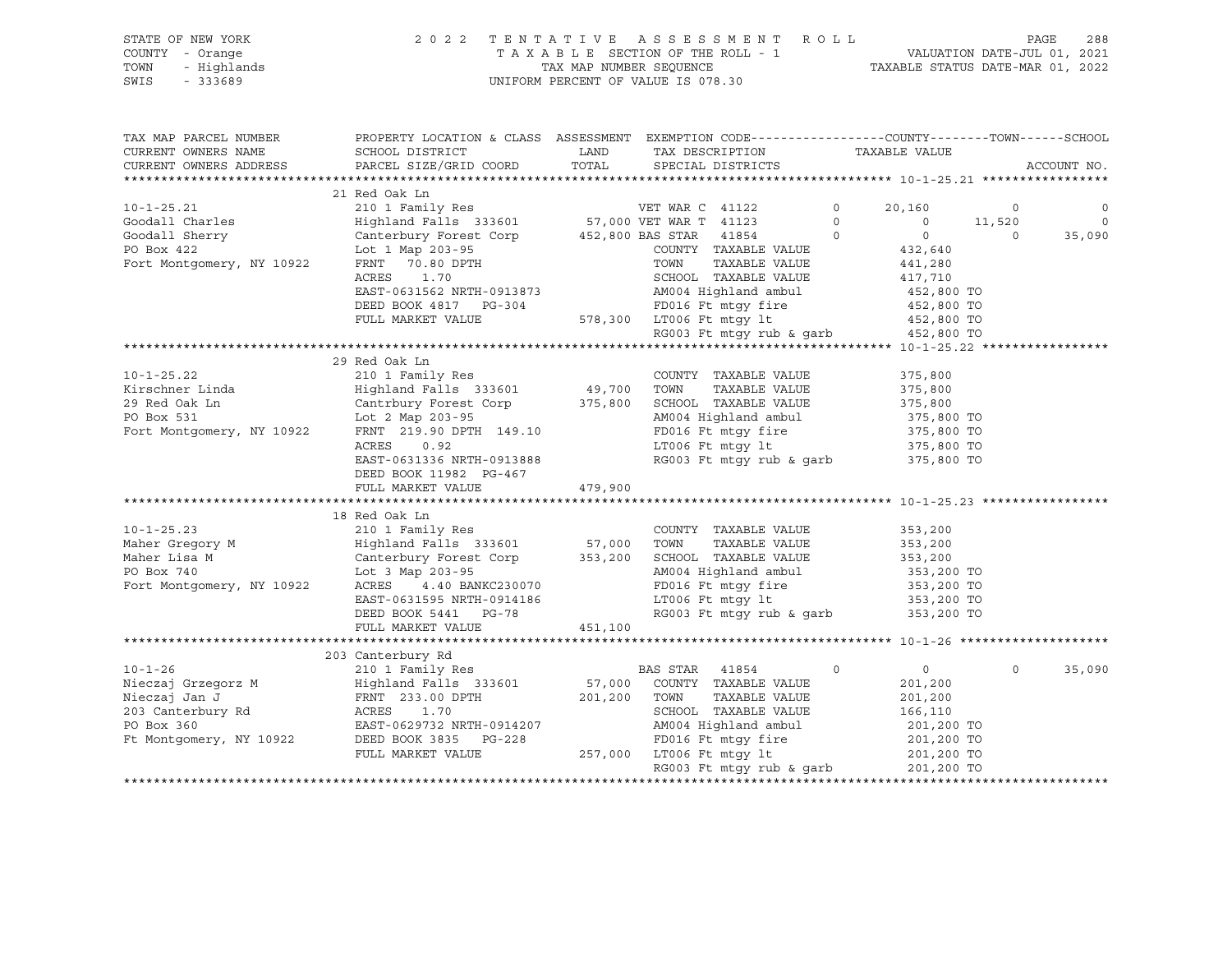#### STATE OF NEW YORK 2 0 2 2 T E N T A T I V E A S S E S S M E N T R O L L PAGE 288 COUNTY - Orange T A X A B L E SECTION OF THE ROLL - 1 VALUATION DATE-JUL 01, 2021 TOWN - Highlands TAX MAP NUMBER SEQUENCE TAXABLE STATUS DATE-MAR 01, 2022 SWIS - 333689 UNIFORM PERCENT OF VALUE IS 078.30

| TAX MAP PARCEL NUMBER                                                     | PROPERTY LOCATION & CLASS ASSESSMENT EXEMPTION CODE---------------COUNTY-------TOWN------SCHOOL                  |              |                                                                                                     |                                  |          |             |
|---------------------------------------------------------------------------|------------------------------------------------------------------------------------------------------------------|--------------|-----------------------------------------------------------------------------------------------------|----------------------------------|----------|-------------|
| CURRENT OWNERS NAME                                                       | SCHOOL DISTRICT                                                                                                  | LAND         | TAX DESCRIPTION TAXABLE VALUE                                                                       |                                  |          |             |
| CURRENT OWNERS ADDRESS                                                    | PARCEL SIZE/GRID COORD TOTAL SPECIAL DISTRICTS                                                                   |              |                                                                                                     |                                  |          | ACCOUNT NO. |
|                                                                           |                                                                                                                  |              |                                                                                                     |                                  |          |             |
|                                                                           | 21 Red Oak Ln                                                                                                    |              |                                                                                                     |                                  |          |             |
| $10 - 1 - 25.21$                                                          | 210 1 Family Res                                                                                                 |              | VET WAR C 41122                                                                                     | $\circ$<br>20,160                | $\circ$  | $\circ$     |
|                                                                           |                                                                                                                  |              |                                                                                                     | $\circ$<br>$\overline{0}$        | 11,520   | $\Omega$    |
| Goodall Charles                                                           | Highland Falls 333601 57,000 VET WAR T 41123<br>Canterbury Forest Corp 452,800 BAS STAR 41854                    |              |                                                                                                     | $\overline{0}$<br>$\overline{0}$ | $\Omega$ | 35,090      |
| Goodall Sherry<br>PO Rox 422                                              |                                                                                                                  |              | COUNTY TAXABLE VALUE                                                                                |                                  |          |             |
|                                                                           | Lot 1 Map 203-95                                                                                                 |              | TOWN                                                                                                | 432,640                          |          |             |
| Fort Montgomery, NY 10922                                                 | FRNT 70.80 DPTH<br>ACRES<br>1.70                                                                                 |              | TAXABLE VALUE<br>SCHOOL TAXABLE VALUE                                                               | 441,280<br>417,710               |          |             |
|                                                                           |                                                                                                                  |              |                                                                                                     |                                  |          |             |
|                                                                           | EAST-0631562 NRTH-0913873 AM004 Highland ambul 452,800 TO<br>DEED BOOK 4817 PG-304 FD016 Ft mtgy fire 452,800 TO |              |                                                                                                     |                                  |          |             |
|                                                                           |                                                                                                                  |              | 578,300 LT006 Ft mtgy lt                                                                            |                                  |          |             |
|                                                                           | FULL MARKET VALUE                                                                                                |              | LT006 Ft mtgy 1t $452,800$ TO<br>RG003 Ft mtgy rub & garb $452,800$ TO                              |                                  |          |             |
|                                                                           |                                                                                                                  |              |                                                                                                     |                                  |          |             |
|                                                                           |                                                                                                                  |              |                                                                                                     |                                  |          |             |
|                                                                           | 29 Red Oak Ln                                                                                                    |              |                                                                                                     |                                  |          |             |
| $10 - 1 - 25.22$                                                          | 210 1 Family Res                                                                                                 |              | COUNTY TAXABLE VALUE                                                                                | 375,800                          |          |             |
| $10 - 1 - 20$ .<br>Kirschner Linda                                        | Highland Falls 333601 49,700 TOWN<br>Cantrbury Forest Corp 375,800 SCHOOL                                        |              | TAXABLE VALUE                                                                                       | 375,800                          |          |             |
|                                                                           |                                                                                                                  |              | SCHOOL TAXABLE VALUE                                                                                | 375,800                          |          |             |
| PO Box 531 Lot 2 Map 203-95<br>Fort Montgomery, NY 10922 FRNT 219.90 DPTH |                                                                                                                  |              | AM004 Highland ambul 375,800 TO<br>FD016 Ft mtgy fire 375,800 TO<br>LT006 Ft mtgy lt 375,800 TO     |                                  |          |             |
|                                                                           | FRNT 219.90 DPTH 149.10                                                                                          |              |                                                                                                     |                                  |          |             |
|                                                                           | ACRES<br>0.92                                                                                                    |              |                                                                                                     |                                  |          |             |
|                                                                           | EAST-0631336 NRTH-0913888                                                                                        |              | RG003 Ft mtgy rub & garb 375,800 TO                                                                 |                                  |          |             |
|                                                                           | DEED BOOK 11982 PG-467                                                                                           |              |                                                                                                     |                                  |          |             |
|                                                                           | FULL MARKET VALUE                                                                                                | 479,900      |                                                                                                     |                                  |          |             |
|                                                                           |                                                                                                                  |              |                                                                                                     |                                  |          |             |
|                                                                           | 18 Red Oak Ln                                                                                                    |              |                                                                                                     |                                  |          |             |
| $10 - 1 - 25.23$                                                          |                                                                                                                  |              | COUNTY TAXABLE VALUE                                                                                | 353,200                          |          |             |
| Maher Gregory M                                                           |                                                                                                                  |              | TOWN<br>TAXABLE VALUE                                                                               | 353,200                          |          |             |
| Maher Lisa M                                                              | Canterbury Forest Corp 353,200<br>Lot 3 Map 203-95                                                               |              |                                                                                                     |                                  |          |             |
| PO Box 740                                                                |                                                                                                                  |              |                                                                                                     |                                  |          |             |
| Fort Montgomery, NY 10922                                                 | ACRES 4.40 BANKC230070                                                                                           |              |                                                                                                     |                                  |          |             |
|                                                                           | EAST-0631595 NRTH-0914186                                                                                        |              | FD016 Ft mtgy fire 353,200 TO<br>LT006 Ft mtgy 1t 353,200 TO<br>RG003 Ft mtgy rub & garb 353,200 TO |                                  |          |             |
|                                                                           | DEED BOOK 5441 PG-78                                                                                             |              |                                                                                                     |                                  |          |             |
|                                                                           | FULL MARKET VALUE                                                                                                | 451,100      |                                                                                                     |                                  |          |             |
|                                                                           |                                                                                                                  |              |                                                                                                     |                                  |          |             |
|                                                                           | 203 Canterbury Rd                                                                                                |              |                                                                                                     |                                  |          |             |
| $10 - 1 - 26$                                                             | 210 1 Family Res                                                                                                 |              | BAS STAR 41854                                                                                      | $\overline{0}$<br>$\Omega$       | $\Omega$ | 35,090      |
|                                                                           |                                                                                                                  |              |                                                                                                     | 201,200                          |          |             |
|                                                                           |                                                                                                                  | 201,200 TOWN | TAXABLE VALUE                                                                                       | 201,200                          |          |             |
| 203 Canterbury Rd<br>PO Box 360 BAST-0                                    | 1.70                                                                                                             |              | SCHOOL TAXABLE VALUE                                                                                | 166,110                          |          |             |
|                                                                           | EAST-0629732 NRTH-0914207                                                                                        |              | AM004 Highland ambul 201,200 TO<br>FD016 Ft mtgy fire 201,200 TO                                    |                                  |          |             |
| Ft Montgomery, NY 10922                                                   | DEED BOOK 3835 PG-228                                                                                            |              |                                                                                                     |                                  |          |             |
|                                                                           | FULL MARKET VALUE                                                                                                |              | 257,000 LT006 Ft mtgy lt                                                                            | 201,200 TO<br>201,200 TO         |          |             |
|                                                                           |                                                                                                                  |              | RG003 Ft mtqy rub & qarb                                                                            |                                  |          |             |
|                                                                           |                                                                                                                  |              |                                                                                                     |                                  |          |             |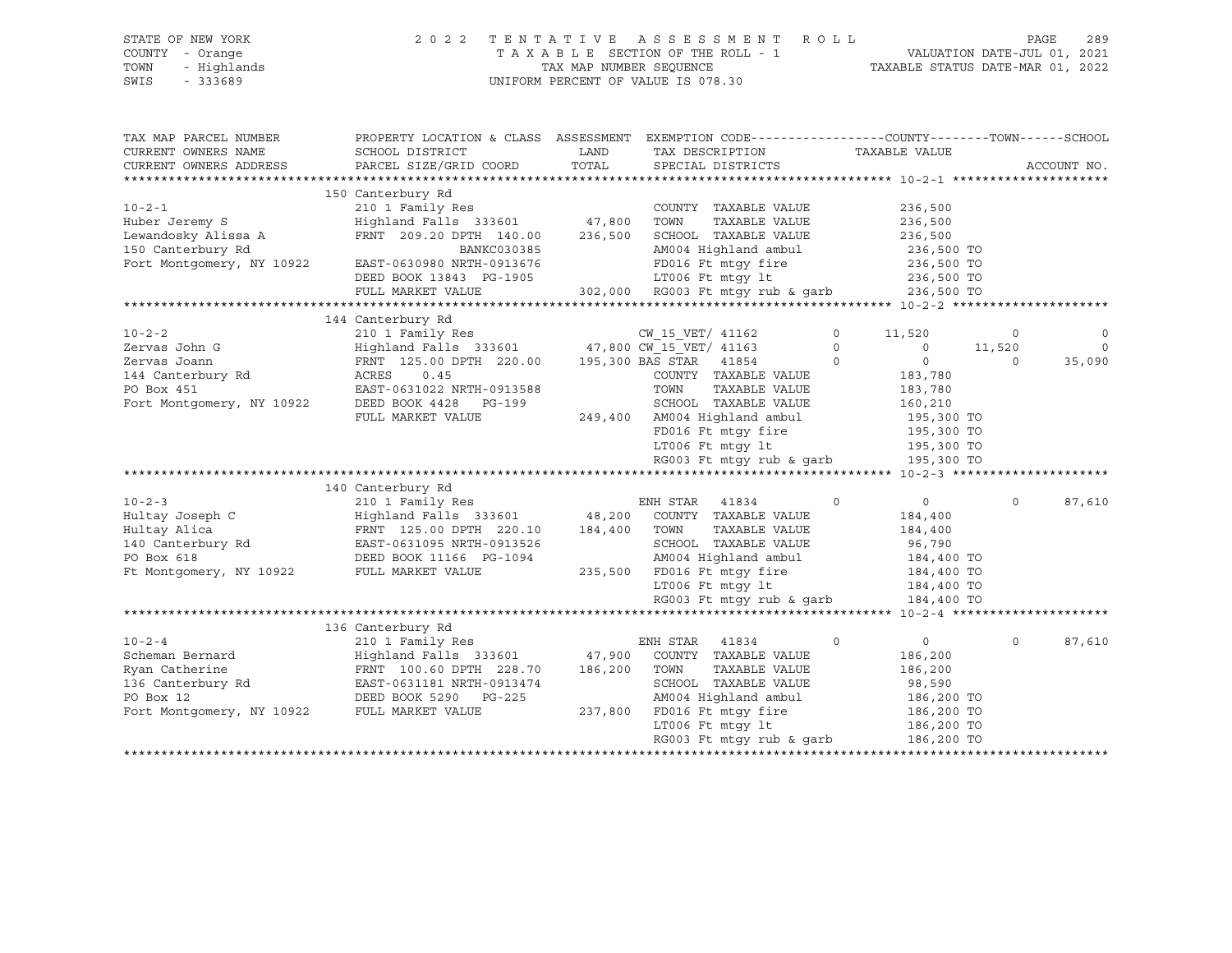| STATE OF NEW YORK<br>COUNTY - Orange<br>- Highlands<br>TOWN<br>SWIS<br>$-333689$ | 2 0 2 2                                                                                          | TAX MAP NUMBER SEQUENCE | TENTATIVE ASSESSMENT ROLL<br>TAXABLE SECTION OF THE ROLL - 1<br>UNIFORM PERCENT OF VALUE IS 078.30 |                   | VALUATION DATE-JUL 01, 2021<br>TAXABLE STATUS DATE-MAR 01, 2022 | PAGE<br>289 |
|----------------------------------------------------------------------------------|--------------------------------------------------------------------------------------------------|-------------------------|----------------------------------------------------------------------------------------------------|-------------------|-----------------------------------------------------------------|-------------|
| TAX MAP PARCEL NUMBER                                                            | PROPERTY LOCATION & CLASS ASSESSMENT EXEMPTION CODE----------------COUNTY-------TOWN------SCHOOL |                         |                                                                                                    |                   |                                                                 |             |
| CURRENT OWNERS NAME                                                              | SCHOOL DISTRICT                                                                                  | LAND                    | TAX DESCRIPTION                                                                                    | TAXABLE VALUE     |                                                                 |             |
| CURRENT OWNERS ADDRESS                                                           | PARCEL SIZE/GRID COORD                                                                           | TOTAL                   | SPECIAL DISTRICTS                                                                                  |                   |                                                                 | ACCOUNT NO. |
|                                                                                  |                                                                                                  |                         |                                                                                                    |                   |                                                                 |             |
|                                                                                  | 150 Canterbury Rd                                                                                |                         |                                                                                                    |                   |                                                                 |             |
| $10 - 2 - 1$                                                                     | 210 1 Family Res                                                                                 |                         | COUNTY TAXABLE VALUE                                                                               |                   | 236,500                                                         |             |
| Huber Jeremy S                                                                   | Highland Falls 333601                                                                            | 47,800                  | TOWN<br>TAXABLE VALUE                                                                              |                   | 236,500                                                         |             |
| Lewandosky Alissa A                                                              | FRNT 209.20 DPTH 140.00                                                                          | 236,500                 | SCHOOL TAXABLE VALUE                                                                               |                   | 236,500                                                         |             |
| 150 Canterbury Rd                                                                | BANKC030385                                                                                      |                         | AM004 Highland ambul                                                                               |                   | 236,500 TO                                                      |             |
| Fort Montgomery, NY 10922                                                        | EAST-0630980 NRTH-0913676                                                                        |                         | FD016 Ft mtqy fire                                                                                 |                   | 236,500 TO                                                      |             |
|                                                                                  | DEED BOOK 13843 PG-1905                                                                          |                         | LT006 Ft mtqy lt                                                                                   |                   | 236,500 TO                                                      |             |
|                                                                                  | FULL MARKET VALUE                                                                                |                         | 302,000 RG003 Ft mtqy rub & qarb                                                                   |                   | 236,500 TO                                                      |             |
|                                                                                  |                                                                                                  |                         |                                                                                                    |                   |                                                                 |             |
|                                                                                  | 144 Canterbury Rd                                                                                |                         |                                                                                                    |                   |                                                                 |             |
| $10 - 2 - 2$                                                                     | 210 1 Family Res                                                                                 |                         | CW 15 VET/ 41162                                                                                   | $\circ$<br>11,520 | 0                                                               | 0           |
| Zervas John G                                                                    | Highland Falls 333601                                                                            |                         | 47,800 CW 15 VET/ 41163                                                                            | $\Omega$          | $\circ$<br>11,520                                               | $\circ$     |
| Zervas Joann                                                                     | FRNT 125.00 DPTH 220.00                                                                          |                         | 195,300 BAS STAR 41854                                                                             | $\Omega$          | $\circ$<br>$\Omega$                                             | 35,090      |
| 144 Canterbury Rd                                                                | ACRES<br>0.45                                                                                    |                         | COUNTY TAXABLE VALUE                                                                               |                   | 183,780                                                         |             |
| PO Box 451                                                                       | EAST-0631022 NRTH-0913588                                                                        |                         | TOWN<br>TAXABLE VALUE                                                                              |                   | 183,780                                                         |             |
| Fort Montgomery, NY 10922                                                        | DEED BOOK 4428 PG-199                                                                            |                         | SCHOOL TAXABLE VALUE                                                                               |                   | 160,210                                                         |             |
|                                                                                  | FULL MARKET VALUE                                                                                | 249,400                 | AM004 Highland ambul                                                                               |                   | 195,300 TO                                                      |             |
|                                                                                  |                                                                                                  |                         | FD016 Ft mtgy fire                                                                                 |                   | 195,300 TO                                                      |             |
|                                                                                  |                                                                                                  |                         | LT006 Ft mtqy lt                                                                                   |                   | 195,300 TO                                                      |             |
|                                                                                  |                                                                                                  |                         | RG003 Ft mtgy rub & garb 195,300 TO                                                                |                   |                                                                 |             |
|                                                                                  |                                                                                                  |                         |                                                                                                    |                   |                                                                 |             |
|                                                                                  | 140 Canterbury Rd                                                                                |                         |                                                                                                    |                   |                                                                 |             |
| $10 - 2 - 3$                                                                     | 210 1 Family Res                                                                                 |                         | 41834<br>ENH STAR                                                                                  | $\Omega$          | 0<br>$\Omega$                                                   | 87,610      |
| Hultay Joseph C                                                                  | Highland Falls 333601                                                                            | 48,200                  | COUNTY TAXABLE VALUE                                                                               |                   | 184,400                                                         |             |
| Hultay Alica                                                                     | FRNT 125.00 DPTH 220.10                                                                          | 184,400                 | TOWN<br>TAXABLE VALUE                                                                              |                   | 184,400                                                         |             |
| 140 Canterbury Rd                                                                | EAST-0631095 NRTH-0913526                                                                        |                         | SCHOOL TAXABLE VALUE                                                                               |                   | 96,790                                                          |             |
| PO Box 618                                                                       | DEED BOOK 11166 PG-1094                                                                          |                         | AM004 Highland ambul                                                                               |                   | 184,400 TO                                                      |             |
| Ft Montgomery, NY 10922                                                          | FULL MARKET VALUE                                                                                | 235,500                 | FD016 Ft mtgy fire                                                                                 |                   | 184,400 TO                                                      |             |
|                                                                                  |                                                                                                  |                         | LT006 Ft mtqy lt                                                                                   |                   | 184,400 TO                                                      |             |
|                                                                                  |                                                                                                  |                         | RG003 Ft mtgy rub & garb                                                                           |                   | 184,400 TO                                                      |             |
|                                                                                  |                                                                                                  |                         |                                                                                                    |                   |                                                                 |             |
|                                                                                  | 136 Canterbury Rd                                                                                |                         |                                                                                                    |                   |                                                                 |             |
| $10 - 2 - 4$                                                                     | 210 1 Family Res                                                                                 |                         | ENH STAR 41834                                                                                     | $\circ$           | $\overline{0}$<br>$\mathsf{O}$                                  | 87,610      |
| Scheman Bernard                                                                  | Highland Falls 333601                                                                            | 47,900                  | COUNTY TAXABLE VALUE                                                                               |                   | 186,200                                                         |             |
| Ryan Catherine                                                                   | FRNT 100.60 DPTH 228.70                                                                          | 186,200                 | TOWN<br>TAXABLE VALUE<br>SCHOOL TAXABLE VALUE                                                      |                   | 186,200                                                         |             |
| 136 Canterbury Rd<br>PO Box 12                                                   | EAST-0631181 NRTH-0913474<br>DEED BOOK 5290 PG-225                                               |                         | AM004 Highland ambul                                                                               |                   | 98,590<br>186,200 TO                                            |             |
| Fort Montgomery, NY 10922                                                        | FULL MARKET VALUE                                                                                | 237,800                 | FD016 Ft mtqy fire                                                                                 |                   | 186,200 TO                                                      |             |
|                                                                                  |                                                                                                  |                         | LT006 Ft mtqy lt                                                                                   |                   | 186,200 TO                                                      |             |
|                                                                                  |                                                                                                  |                         | RG003 Ft mtqy rub & qarb                                                                           |                   | 186,200 TO                                                      |             |
|                                                                                  |                                                                                                  |                         |                                                                                                    |                   |                                                                 |             |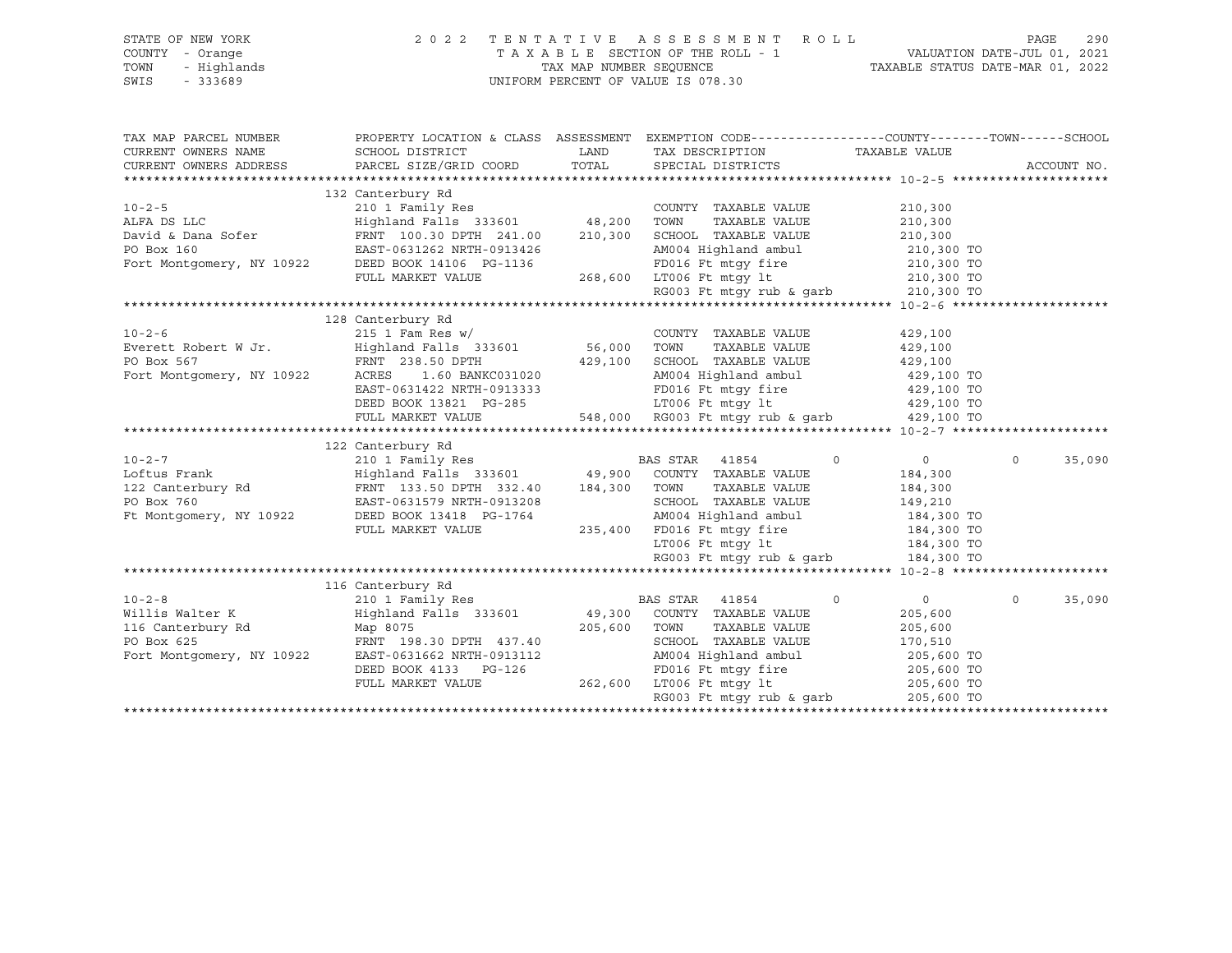| STATE OF NEW YORK                               | 2 0 2 2                                                                                                              |                         | TENTATIVE ASSESSMENT ROLL                             |                                                                 | 290<br>PAGE       |
|-------------------------------------------------|----------------------------------------------------------------------------------------------------------------------|-------------------------|-------------------------------------------------------|-----------------------------------------------------------------|-------------------|
| COUNTY - Orange                                 |                                                                                                                      |                         | TAXABLE SECTION OF THE ROLL - 1                       |                                                                 |                   |
| TOWN<br>- Highlands                             |                                                                                                                      | TAX MAP NUMBER SEQUENCE |                                                       | VALUATION DATE-JUL 01, 2021<br>TAXABLE STATUS DATE-MAR 01, 2022 |                   |
| SWIS<br>$-333689$                               |                                                                                                                      |                         | UNIFORM PERCENT OF VALUE IS 078.30                    |                                                                 |                   |
|                                                 |                                                                                                                      |                         |                                                       |                                                                 |                   |
|                                                 |                                                                                                                      |                         |                                                       |                                                                 |                   |
|                                                 |                                                                                                                      |                         |                                                       |                                                                 |                   |
| TAX MAP PARCEL NUMBER                           | PROPERTY LOCATION & CLASS ASSESSMENT EXEMPTION CODE----------------COUNTY-------TOWN------SCHOOL                     |                         |                                                       |                                                                 |                   |
| CURRENT OWNERS NAME                             | SCHOOL DISTRICT                                                                                                      | LAND                    | TAX DESCRIPTION                                       | TAXABLE VALUE                                                   |                   |
| CURRENT OWNERS ADDRESS                          | PARCEL SIZE/GRID COORD                                                                                               | TOTAL                   | SPECIAL DISTRICTS                                     |                                                                 | ACCOUNT NO.       |
|                                                 |                                                                                                                      |                         |                                                       |                                                                 |                   |
|                                                 | 132 Canterbury Rd                                                                                                    |                         |                                                       |                                                                 |                   |
| $10 - 2 - 5$                                    | 210 1 Family Res<br>Highland Falls 333601 48,200 TOWN                                                                |                         | COUNTY TAXABLE VALUE                                  | 210,300                                                         |                   |
| ALFA DS LLC                                     |                                                                                                                      |                         | TAXABLE VALUE                                         | 210,300                                                         |                   |
|                                                 | FRNT 100.30 DPTH 241.00 210,300 SCHOOL TAXABLE VALUE                                                                 |                         |                                                       | 210,300                                                         |                   |
| David & Dana Sofer<br>PO Box 160<br>PO Box 160  | EAST-0631262 NRTH-0913426                                                                                            |                         | AM004 Highland ambul                                  | 210,300 TO                                                      |                   |
|                                                 | Fort Montgomery, NY 10922 DEED BOOK 14106 PG-1136                                                                    |                         |                                                       |                                                                 |                   |
|                                                 | FULL MARKET VALUE                                                                                                    |                         | 3-1136 FD016 Ft mtgy fire<br>268,600 LT006 Ft mtgy lt | 210,300 TO<br>210,300 TO                                        |                   |
|                                                 |                                                                                                                      |                         | RG003 Ft mtgy rub & garb                              | 210,300 TO                                                      |                   |
|                                                 |                                                                                                                      |                         |                                                       |                                                                 |                   |
|                                                 | 128 Canterbury Rd                                                                                                    |                         |                                                       |                                                                 |                   |
| $10 - 2 - 6$                                    | $215$ 1 Fam Res w/                                                                                                   |                         | COUNTY TAXABLE VALUE                                  | 429,100                                                         |                   |
| Everett Robert W Jr.                            | Highland Falls 333601 56,000 TOWN                                                                                    |                         | TAXABLE VALUE                                         | 429,100                                                         |                   |
| PO Box 567                                      | FRNT 238.50 DPTH                                                                                                     |                         | 429,100 SCHOOL TAXABLE VALUE                          |                                                                 |                   |
|                                                 |                                                                                                                      |                         |                                                       | 429,100                                                         |                   |
| Fort Montgomery, NY 10922                       | ACRES<br>1.60 BANKC031020                                                                                            |                         | AM004 Highland ambul                                  | 429,100 TO                                                      |                   |
|                                                 | EAST-0631422 NRTH-0913333                                                                                            |                         | FD016 Ft mtgy fire<br>LT006 Ft mtgy lt                | 429,100 TO                                                      |                   |
|                                                 | DEED BOOK 13821 PG-285                                                                                               |                         |                                                       | 429,100 TO                                                      |                   |
|                                                 | FULL MARKET VALUE                                                                                                    |                         | 548,000 RG003 Ft mtqy rub & qarb                      | 429,100 TO                                                      |                   |
|                                                 |                                                                                                                      |                         |                                                       |                                                                 |                   |
|                                                 | 122 Canterbury Rd                                                                                                    |                         |                                                       |                                                                 |                   |
| $10 - 2 - 7$                                    | 210 1 Family Res                                                                                                     |                         | BAS STAR 41854                                        | $\circ$<br>$\overline{0}$                                       | $\circ$<br>35,090 |
| Loftus Frank                                    | Highland Falls 333601         49,900 COUNTY TAXABLE VALUE<br>FRNT 133.50 DPTH 332.40    184,300 TOWN   TAXABLE VALUE |                         |                                                       | 184,300                                                         |                   |
| Loftus Frank<br>122 Canterbury Rd<br>PO Box 760 |                                                                                                                      |                         | TAXABLE VALUE                                         | 184,300                                                         |                   |
| PO Box 760                                      | EAST-0631579 NRTH-0913208                                                                                            |                         | SCHOOL TAXABLE VALUE                                  | 149,210                                                         |                   |
| Ft Montgomery, NY 10922                         | DEED BOOK 13418 PG-1764                                                                                              |                         | AM004 Highland ambul                                  | 184,300 TO                                                      |                   |
|                                                 | FULL MARKET VALUE                                                                                                    |                         | 235,400 FD016 Ft mtgy fire 184,300 TO                 |                                                                 |                   |
|                                                 |                                                                                                                      |                         | LT006 Ft mtqy lt                                      | 184,300 TO                                                      |                   |
|                                                 |                                                                                                                      |                         | RG003 Ft mtgy rub & garb $184,300$ TO                 |                                                                 |                   |
|                                                 |                                                                                                                      |                         |                                                       |                                                                 |                   |
|                                                 | 116 Canterbury Rd                                                                                                    |                         |                                                       |                                                                 |                   |
| $10 - 2 - 8$                                    | 210 1 Family Res                                                                                                     |                         | BAS STAR<br>41854                                     | $\circ$<br>$\overline{0}$                                       | $\circ$<br>35,090 |
| Willis Walter K                                 | Highland Falls 333601                                                                                                |                         | 49,300 COUNTY TAXABLE VALUE                           | 205,600                                                         |                   |
|                                                 | Map 8075                                                                                                             | 205,600                 | TAXABLE VALUE<br>TOWN                                 | 205,600                                                         |                   |
| 116 Canterbury Rd<br>PO Box 625<br>PO Box 625   | FRNT 198.30 DPTH 437.40                                                                                              |                         | SCHOOL TAXABLE VALUE                                  | 170,510                                                         |                   |
| Fort Montgomery, NY 10922                       | EAST-0631662 NRTH-0913112                                                                                            |                         | AM004 Highland ambul<br>AM004 Highland ambul          | 205,600 TO                                                      |                   |
|                                                 | DEED BOOK 4133 PG-126                                                                                                |                         | FD016 Ft mtqy fire                                    | 205,600 TO                                                      |                   |
|                                                 | FULL MARKET VALUE                                                                                                    |                         | 262,600 LT006 Ft mtgy lt                              | 205,600 TO                                                      |                   |
|                                                 |                                                                                                                      |                         | RG003 Ft mtqy rub & qarb                              | 205,600 TO                                                      |                   |
|                                                 |                                                                                                                      |                         |                                                       |                                                                 |                   |
|                                                 |                                                                                                                      |                         |                                                       |                                                                 |                   |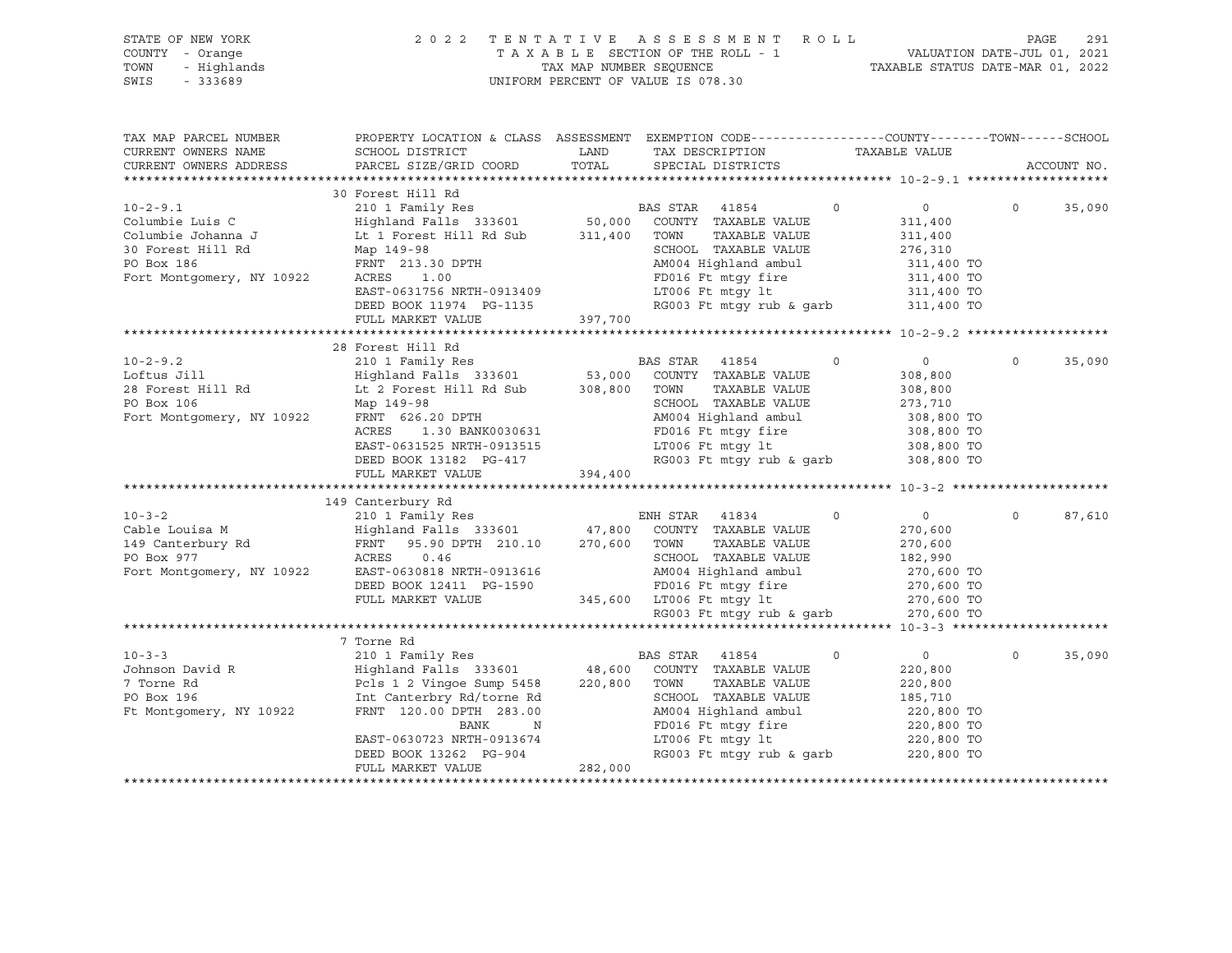| STATE OF NEW YORK<br>COUNTY<br>- Orange<br>TOWN<br>SWIS<br>$-333689$ | - Highlands |                              |      | 2022 TENTATIVE ASSESSMENT ROLL<br>T A X A B L E SECTION OF THE ROLL - 1<br>TAX MAP NUMBER SEOUENCE<br>UNIFORM PERCENT OF VALUE IS 078.30 | TAXABLE STATUS DATE-MAR 01, 2022 | PAGE<br>VALUATION DATE-JUL 01, 2021 | 291 |
|----------------------------------------------------------------------|-------------|------------------------------|------|------------------------------------------------------------------------------------------------------------------------------------------|----------------------------------|-------------------------------------|-----|
| TAX MAP PARCEL NUMBER<br>CURRENT OWNERS NAME                         |             | SCHOOL DISTRICT              | LAND | PROPERTY LOCATION & CLASS ASSESSMENT EXEMPTION CODE---------------COUNTY-------TOWN------SCHOOL<br>TAX DESCRIPTION                       | TAXABLE VALUE                    |                                     |     |
| CURRENT OWNERS ADDRESS                                               |             | PARCEL SIZE/GRID COORD TOTAL |      | SPECIAL DISTRICTS                                                                                                                        |                                  | ACCOUNT NO.                         |     |
|                                                                      |             | 30 Forest Hill Rd            |      |                                                                                                                                          |                                  |                                     |     |

| $10 - 2 - 9.1$                    | 210 1 Family Res                                  |         | BAS STAR 41854                      | $\Omega$                 | 0                                                                                                                          | $\Omega$ | 35,090 |
|-----------------------------------|---------------------------------------------------|---------|-------------------------------------|--------------------------|----------------------------------------------------------------------------------------------------------------------------|----------|--------|
| Columbie Luis C                   | Highland Falls 333601 50,000 COUNTY TAXABLE VALUE |         |                                     |                          | 311,400                                                                                                                    |          |        |
| Columbie Johanna J                | Lt 1 Forest Hill Rd Sub 311,400                   |         | TOWN                                | TAXABLE VALUE            | 311,400                                                                                                                    |          |        |
| 30 Forest Hill Rd                 | Map 149-98                                        |         | SCHOOL TAXABLE VALUE                |                          | 276,310                                                                                                                    |          |        |
| PO Box 186                        | FRNT 213.30 DPTH                                  |         |                                     |                          | AM004 Highland ambul 311,400 TO                                                                                            |          |        |
| Fort Montgomery, NY 10922         | 1.00<br>ACRES                                     |         |                                     |                          | FD016 Ft mtgy fire 311,400 TO                                                                                              |          |        |
|                                   | EAST-0631756 NRTH-0913409                         |         |                                     |                          | LT006 Ft mtgy 1t 311,400 TO                                                                                                |          |        |
|                                   | DEED BOOK 11974 PG-1135                           |         |                                     | RG003 Ft mtgy rub & garb | 311,400 TO                                                                                                                 |          |        |
|                                   | FULL MARKET VALUE                                 | 397,700 |                                     |                          |                                                                                                                            |          |        |
|                                   |                                                   |         |                                     |                          |                                                                                                                            |          |        |
|                                   | 28 Forest Hill Rd                                 |         |                                     |                          |                                                                                                                            |          |        |
| $10 - 2 - 9.2$                    | 210 1 Family Res                                  |         | BAS STAR 41854                      | $\Omega$                 | $\overline{0}$                                                                                                             | $\Omega$ | 35,090 |
| Loftus Jill                       | Highland Falls 333601 53,000 COUNTY TAXABLE VALUE |         |                                     |                          | 308,800                                                                                                                    |          |        |
| 28 Forest Hill Rd                 | Lt 2 Forest Hill Rd Sub 308,800                   |         | TOWN                                | TAXABLE VALUE            | 308,800                                                                                                                    |          |        |
| PO Box 106                        | Map 149-98                                        |         | SCHOOL TAXABLE VALUE                |                          | 273,710                                                                                                                    |          |        |
| Fort Montgomery, NY 10922         | FRNT 626.20 DPTH                                  |         |                                     |                          | AM004 Highland ambul 308,800 TO                                                                                            |          |        |
|                                   | ACRES 1.30 BANK0030631                            |         |                                     |                          | FD016 Ft mtgy fire 308,800 TO                                                                                              |          |        |
|                                   | EAST-0631525 NRTH-0913515                         |         |                                     |                          | LT006 Ft $mLy$ lt 308,800 TO                                                                                               |          |        |
|                                   | DEED BOOK 13182 PG-417                            |         |                                     | RG003 Ft mtgy rub & garb | 308,800 TO                                                                                                                 |          |        |
|                                   | FULL MARKET VALUE 394,400                         |         |                                     |                          |                                                                                                                            |          |        |
|                                   |                                                   |         |                                     |                          |                                                                                                                            |          |        |
|                                   | 149 Canterbury Rd                                 |         |                                     |                          |                                                                                                                            |          |        |
| $10 - 3 - 2$                      | 210 1 Family Res                                  |         | ENH STAR 41834 0                    |                          | $\overline{0}$                                                                                                             | $\Omega$ | 87,610 |
| Cable Louisa M                    | Highland Falls 333601 47,800 COUNTY TAXABLE VALUE |         |                                     |                          | 270,600                                                                                                                    |          |        |
| $\mathbf{E}$<br>149 Canterbury Rd | FRNT 95.90 DPTH 210.10 270,600 TOWN               |         |                                     | TAXABLE VALUE            | 270,600                                                                                                                    |          |        |
| PO Box 977                        | ACRES 0.46                                        |         |                                     |                          |                                                                                                                            |          |        |
| Fort Montgomery, NY 10922         | EAST-0630818 NRTH-0913616                         |         |                                     |                          |                                                                                                                            |          |        |
|                                   | DEED BOOK 12411 PG-1590                           |         |                                     |                          | FD016 Ft mtgy fire 270,600 TO                                                                                              |          |        |
|                                   | FULL MARKET VALUE                                 |         | 345,600 LT006 Ft mtgy 1t 270,600 TO |                          |                                                                                                                            |          |        |
|                                   |                                                   |         |                                     |                          | RG003 Ft mtqy rub & qarb 270,600 TO                                                                                        |          |        |
|                                   |                                                   |         |                                     |                          |                                                                                                                            |          |        |
|                                   | 7 Torne Rd                                        |         |                                     |                          |                                                                                                                            |          |        |
| $10 - 3 - 3$                      | 210 1 Family Res                                  |         | BAS STAR 41854                      | $\circ$                  | $\overline{0}$                                                                                                             | $\circ$  | 35,090 |
| Johnson David R                   | Highland Falls 333601 48,600 COUNTY TAXABLE VALUE |         |                                     |                          | 220,800                                                                                                                    |          |        |
| 7 Torne Rd                        | Pcls 1 2 Vingoe Sump 5458 220,800                 |         | TOWN                                | TAXABLE VALUE            | 220,800                                                                                                                    |          |        |
| PO Box 196                        | Int Canterbry Rd/torne Rd                         |         | SCHOOL TAXABLE VALUE                |                          |                                                                                                                            |          |        |
| Ft Montgomery, NY 10922           | FRNT 120.00 DPTH 283.00                           |         |                                     |                          | $185, 75$<br>220,800 TO<br>AM004 Highland ambul 220,800 TO<br>FD016 Ft mtgy fire 220,800 TO<br>LT006 Ft mtgy lt 220,800 TO |          |        |
|                                   | BANK<br>N                                         |         |                                     |                          |                                                                                                                            |          |        |
|                                   | EAST-0630723 NRTH-0913674                         |         |                                     |                          |                                                                                                                            |          |        |
|                                   | DEED BOOK 13262 PG-904                            |         |                                     | RG003 Ft mtgy rub & garb | 220,800 TO                                                                                                                 |          |        |
|                                   | FULL MARKET VALUE                                 | 282,000 |                                     |                          |                                                                                                                            |          |        |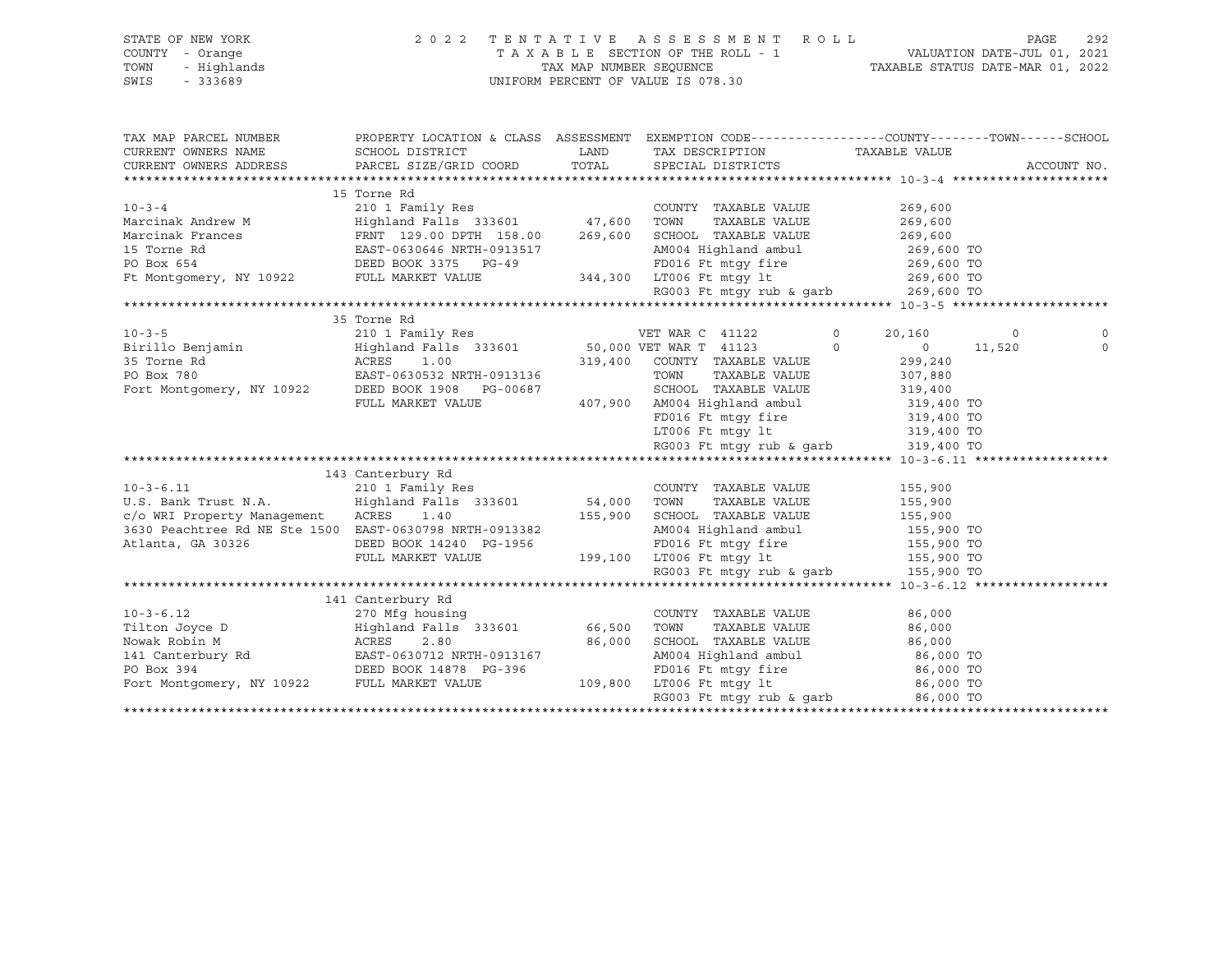| STATE OF NEW YORK                                                                                                                                                                                                                                                      | 2 0 2 2                           |        | TENTATIVE ASSESSMENT ROLL                                                                                                                                                                                                                                                                                                                                                                                                         |                                                                                                  | 292<br>PAGE |
|------------------------------------------------------------------------------------------------------------------------------------------------------------------------------------------------------------------------------------------------------------------------|-----------------------------------|--------|-----------------------------------------------------------------------------------------------------------------------------------------------------------------------------------------------------------------------------------------------------------------------------------------------------------------------------------------------------------------------------------------------------------------------------------|--------------------------------------------------------------------------------------------------|-------------|
| COUNTY - Orange                                                                                                                                                                                                                                                        |                                   |        |                                                                                                                                                                                                                                                                                                                                                                                                                                   |                                                                                                  |             |
| TOWN<br>- Highlands                                                                                                                                                                                                                                                    |                                   |        |                                                                                                                                                                                                                                                                                                                                                                                                                                   |                                                                                                  |             |
| SWIS<br>$-333689$                                                                                                                                                                                                                                                      |                                   |        | UNIFORM PERCENT OF VALUE IS 078.30                                                                                                                                                                                                                                                                                                                                                                                                |                                                                                                  |             |
|                                                                                                                                                                                                                                                                        |                                   |        |                                                                                                                                                                                                                                                                                                                                                                                                                                   |                                                                                                  |             |
|                                                                                                                                                                                                                                                                        |                                   |        |                                                                                                                                                                                                                                                                                                                                                                                                                                   |                                                                                                  |             |
|                                                                                                                                                                                                                                                                        |                                   |        |                                                                                                                                                                                                                                                                                                                                                                                                                                   |                                                                                                  |             |
| TAX MAP PARCEL NUMBER                                                                                                                                                                                                                                                  |                                   |        |                                                                                                                                                                                                                                                                                                                                                                                                                                   | PROPERTY LOCATION & CLASS ASSESSMENT EXEMPTION CODE----------------COUNTY-------TOWN------SCHOOL |             |
| CURRENT OWNERS NAME                                                                                                                                                                                                                                                    | SCHOOL DISTRICT                   | LAND   | TAX DESCRIPTION                                                                                                                                                                                                                                                                                                                                                                                                                   | TAXABLE VALUE                                                                                    |             |
| CURRENT OWNERS ADDRESS                                                                                                                                                                                                                                                 | PARCEL SIZE/GRID COORD            | TOTAL  | SPECIAL DISTRICTS                                                                                                                                                                                                                                                                                                                                                                                                                 |                                                                                                  | ACCOUNT NO. |
|                                                                                                                                                                                                                                                                        |                                   |        |                                                                                                                                                                                                                                                                                                                                                                                                                                   |                                                                                                  |             |
|                                                                                                                                                                                                                                                                        | 15 Torne Rd                       |        |                                                                                                                                                                                                                                                                                                                                                                                                                                   |                                                                                                  |             |
| $10 - 3 - 4$                                                                                                                                                                                                                                                           |                                   |        | COUNTY TAXABLE VALUE                                                                                                                                                                                                                                                                                                                                                                                                              | 269,600                                                                                          |             |
| Marcinak Andrew M                                                                                                                                                                                                                                                      |                                   |        | TAXABLE VALUE                                                                                                                                                                                                                                                                                                                                                                                                                     | 269,600                                                                                          |             |
|                                                                                                                                                                                                                                                                        |                                   |        |                                                                                                                                                                                                                                                                                                                                                                                                                                   |                                                                                                  |             |
|                                                                                                                                                                                                                                                                        |                                   |        |                                                                                                                                                                                                                                                                                                                                                                                                                                   | 269,600<br>269,600 TO                                                                            |             |
| Marcinak Frances<br>15 Torne Rd<br>15 Torne Rd<br>269,600 SCHOOL TAXABLE VALUE<br>269,600 SCHOOL TAXABLE VALUE<br>269,600 SCHOOL TAXABLE VALUE<br>269,600 SCHOOL TAXABLE VALUE<br>269,600 SCHOOL TAXABLE VALUE<br>269,600 SCHOOL TAXABLE VALUE                         |                                   |        | AM004 Highland ambul 269,600 TO<br>269,600 FD016 Ft mtgy fire 269,600 TO 344,300 LT006 Ft mtgy lt 269,600 TO                                                                                                                                                                                                                                                                                                                      |                                                                                                  |             |
|                                                                                                                                                                                                                                                                        |                                   |        |                                                                                                                                                                                                                                                                                                                                                                                                                                   |                                                                                                  |             |
|                                                                                                                                                                                                                                                                        |                                   |        | RG003 Ft mtgy rub & garb                                                                                                                                                                                                                                                                                                                                                                                                          | 269,600 TO                                                                                       |             |
|                                                                                                                                                                                                                                                                        |                                   |        |                                                                                                                                                                                                                                                                                                                                                                                                                                   |                                                                                                  |             |
|                                                                                                                                                                                                                                                                        | 35 Torne Rd                       |        |                                                                                                                                                                                                                                                                                                                                                                                                                                   |                                                                                                  |             |
|                                                                                                                                                                                                                                                                        |                                   |        |                                                                                                                                                                                                                                                                                                                                                                                                                                   | $\circ$<br>20,160<br>$\circ$                                                                     | $\mathbf 0$ |
|                                                                                                                                                                                                                                                                        |                                   |        |                                                                                                                                                                                                                                                                                                                                                                                                                                   | $0 \t 11,520$<br>$\Omega$                                                                        | $\circ$     |
|                                                                                                                                                                                                                                                                        |                                   |        | 319,400 COUNTY TAXABLE VALUE                                                                                                                                                                                                                                                                                                                                                                                                      | 299,240                                                                                          |             |
|                                                                                                                                                                                                                                                                        |                                   |        | 913136<br>$\begin{array}{cccc}\n 313136 \\  \text{319,400} \\  407,900 \\  \text{RMO4} \\  \text{FDO16} & \text{Ft} \\  \text{FDD16} & \text{Ft} \\  \text{Ft} \\  \text{Ft} \\  \text{Ft} \\  \text{Ft} \\  \text{Ft} \\  \text{Ft} \\  \text{Ft} \\  \text{Ft} \\  \text{Ft} \\  \text{Ft} \\  \text{Ft} \\  \text{Ft} \\  \text{Ft} \\  \text{Ft} \\  \text{Ft} \\  \text{Ft} \\  \text{Ft} \\  \text{Ft} \\  \text{Ft} \\  \$ |                                                                                                  |             |
|                                                                                                                                                                                                                                                                        |                                   |        |                                                                                                                                                                                                                                                                                                                                                                                                                                   |                                                                                                  |             |
|                                                                                                                                                                                                                                                                        | FULL MARKET VALUE                 |        |                                                                                                                                                                                                                                                                                                                                                                                                                                   |                                                                                                  |             |
|                                                                                                                                                                                                                                                                        |                                   |        |                                                                                                                                                                                                                                                                                                                                                                                                                                   |                                                                                                  |             |
|                                                                                                                                                                                                                                                                        |                                   |        |                                                                                                                                                                                                                                                                                                                                                                                                                                   |                                                                                                  |             |
|                                                                                                                                                                                                                                                                        |                                   |        | RG003 Ft mtgy rub & garb 319,400 TO                                                                                                                                                                                                                                                                                                                                                                                               |                                                                                                  |             |
|                                                                                                                                                                                                                                                                        |                                   |        |                                                                                                                                                                                                                                                                                                                                                                                                                                   |                                                                                                  |             |
|                                                                                                                                                                                                                                                                        | 143 Canterbury Rd                 |        |                                                                                                                                                                                                                                                                                                                                                                                                                                   |                                                                                                  |             |
| $10 - 3 - 6.11$                                                                                                                                                                                                                                                        | 210 1 Family Res                  |        | COUNTY TAXABLE VALUE                                                                                                                                                                                                                                                                                                                                                                                                              |                                                                                                  |             |
|                                                                                                                                                                                                                                                                        |                                   |        |                                                                                                                                                                                                                                                                                                                                                                                                                                   | 155,900                                                                                          |             |
| U.S. Bank Trust N.A.<br>c/o WRI Property Management ACRES 1.40                                                                                                                                                                                                         | Highland Falls 333601 54,000 TOWN |        | TAXABLE VALUE                                                                                                                                                                                                                                                                                                                                                                                                                     | 155,900                                                                                          |             |
|                                                                                                                                                                                                                                                                        |                                   |        | 155,900 SCHOOL TAXABLE VALUE                                                                                                                                                                                                                                                                                                                                                                                                      | 155,900                                                                                          |             |
| 3630 Peachtree Rd NE Ste 1500 EAST-0630798 NRTH-0913382                                                                                                                                                                                                                |                                   |        |                                                                                                                                                                                                                                                                                                                                                                                                                                   |                                                                                                  |             |
| Atlanta, GA 30326                                                                                                                                                                                                                                                      | DEED BOOK 14240 PG-1956           |        | 3-1956 FD016 Ft mtgy fire<br>199,100 LT006 Ft mtgy lt                                                                                                                                                                                                                                                                                                                                                                             |                                                                                                  |             |
|                                                                                                                                                                                                                                                                        | FULL MARKET VALUE                 |        | AM004 Highland ambul 155,900 TO<br>FD016 Ft mtgy fire 155,900 TO<br>LT006 Ft mtgy 1t 155,900 TO<br>RG003 Ft mtgy rub & garb 155,900 TO                                                                                                                                                                                                                                                                                            |                                                                                                  |             |
|                                                                                                                                                                                                                                                                        |                                   |        |                                                                                                                                                                                                                                                                                                                                                                                                                                   |                                                                                                  |             |
|                                                                                                                                                                                                                                                                        |                                   |        |                                                                                                                                                                                                                                                                                                                                                                                                                                   |                                                                                                  |             |
|                                                                                                                                                                                                                                                                        | 141 Canterbury Rd                 |        |                                                                                                                                                                                                                                                                                                                                                                                                                                   |                                                                                                  |             |
|                                                                                                                                                                                                                                                                        |                                   |        | COUNTY TAXABLE VALUE                                                                                                                                                                                                                                                                                                                                                                                                              | 86,000                                                                                           |             |
| 10-3-6.12 270 Mfg housing<br>Tilton Joyce D<br>Nowak Robin M<br>141 Canterbury Rd<br>2.80<br>141 Canterbury Rd<br>2.80<br>145 Compared BAST-0630712 NRTH-0913167<br>2.80<br>2.80<br>2.80<br>2.80<br>2.80<br>2.80<br>2.80<br>2.80<br>2.80<br>2.80<br>2.80<br>2.80<br>2. |                                   | 66,500 | TOWN<br>TAXABLE VALUE                                                                                                                                                                                                                                                                                                                                                                                                             | 86,000                                                                                           |             |
|                                                                                                                                                                                                                                                                        |                                   | 86,000 | SCHOOL TAXABLE VALUE                                                                                                                                                                                                                                                                                                                                                                                                              | 86,000                                                                                           |             |
|                                                                                                                                                                                                                                                                        |                                   |        |                                                                                                                                                                                                                                                                                                                                                                                                                                   | 86,000 TO                                                                                        |             |
|                                                                                                                                                                                                                                                                        |                                   |        | 9913167 MM004 Highland ambul<br>3-396 FD016 Ft mtgy fire<br>109,800 LT006 Ft mtgy 1t                                                                                                                                                                                                                                                                                                                                              | 86,000 TO                                                                                        |             |
|                                                                                                                                                                                                                                                                        |                                   |        |                                                                                                                                                                                                                                                                                                                                                                                                                                   | 86,000 TO                                                                                        |             |
|                                                                                                                                                                                                                                                                        |                                   |        | RG003 Ft mtqy rub & qarb 86,000 TO                                                                                                                                                                                                                                                                                                                                                                                                |                                                                                                  |             |
|                                                                                                                                                                                                                                                                        |                                   |        |                                                                                                                                                                                                                                                                                                                                                                                                                                   |                                                                                                  |             |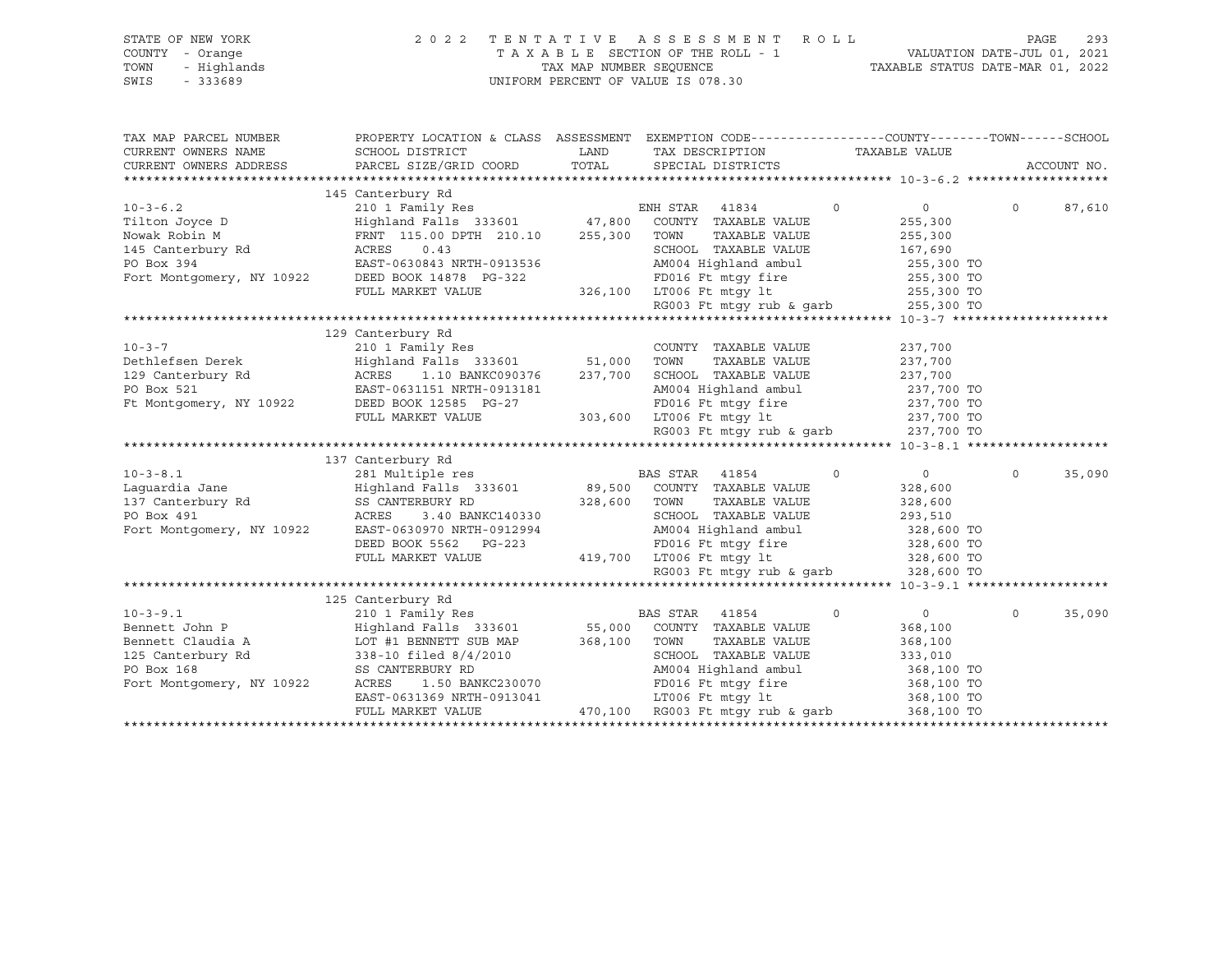| STATE OF NEW YORK<br>COUNTY - Orange<br>TOWN<br>- Highlands<br>$-333689$<br>SWIS                                                                                                                                                                                    | 2 0 2 2                                                                                                                                                                                                        |         | TENTATIVE ASSESSMENT ROLL<br>UNIFORM PERCENT OF VALUE IS 078.30            |          |                          | PAGE     | 293         |
|---------------------------------------------------------------------------------------------------------------------------------------------------------------------------------------------------------------------------------------------------------------------|----------------------------------------------------------------------------------------------------------------------------------------------------------------------------------------------------------------|---------|----------------------------------------------------------------------------|----------|--------------------------|----------|-------------|
| TAX MAP PARCEL NUMBER                                                                                                                                                                                                                                               | PROPERTY LOCATION & CLASS ASSESSMENT EXEMPTION CODE----------------COUNTY-------TOWN-----SCHOOL                                                                                                                |         |                                                                            |          |                          |          |             |
| CURRENT OWNERS NAME                                                                                                                                                                                                                                                 | SCHOOL DISTRICT                                                                                                                                                                                                | LAND    | TAX DESCRIPTION TAXABLE VALUE                                              |          |                          |          |             |
| CURRENT OWNERS ADDRESS                                                                                                                                                                                                                                              | PARCEL SIZE/GRID COORD                                                                                                                                                                                         | TOTAL   | SPECIAL DISTRICTS                                                          |          |                          |          | ACCOUNT NO. |
|                                                                                                                                                                                                                                                                     |                                                                                                                                                                                                                |         |                                                                            |          |                          |          |             |
|                                                                                                                                                                                                                                                                     | 145 Canterbury Rd<br>210 1 Family Res                                                                                                                                                                          |         |                                                                            |          |                          |          |             |
| $10 - 3 - 6.2$                                                                                                                                                                                                                                                      | $\begin{array}{ccc}\n\text{Highland} \text{ Falls} & 333601 & 47,800 \\ \text{num} & \text{if} \text{plus} & 333601 & \text{if} \text{size} \\ \end{array}$                                                    |         | ENH STAR 41834                                                             | $\circ$  | $\overline{0}$           | $\circ$  | 87,610      |
|                                                                                                                                                                                                                                                                     | Tilton Joyce D<br>Tilton Joyce D<br>Nowak Robin M<br>145 Canterbury Rd<br>145 Canterbury Rd<br>145 Canterbury Rd<br>146 ACRES<br>1478 0.43<br>1478 PO Box 394<br>1478 EAST-0630843 NRTH-0913536<br>1478 PG-322 |         | COUNTY TAXABLE VALUE<br>TOWN<br>TAXABLE VALUE                              |          | 255,300                  |          |             |
|                                                                                                                                                                                                                                                                     |                                                                                                                                                                                                                |         | SCHOOL TAXABLE VALUE                                                       |          | 255,300<br>167,690       |          |             |
|                                                                                                                                                                                                                                                                     |                                                                                                                                                                                                                |         | AM004 Highland ambul                                                       |          |                          |          |             |
|                                                                                                                                                                                                                                                                     |                                                                                                                                                                                                                |         | FD016 Ft mtqy fire                                                         |          | 255,300 TO<br>255,300 TO |          |             |
|                                                                                                                                                                                                                                                                     | FULL MARKET VALUE                                                                                                                                                                                              |         |                                                                            |          |                          |          |             |
|                                                                                                                                                                                                                                                                     |                                                                                                                                                                                                                |         | 326,100 LT006 Ft mtgy 1t 255,300 TO<br>RG003 Ft mtgy rub & garb 255,300 TO |          |                          |          |             |
|                                                                                                                                                                                                                                                                     |                                                                                                                                                                                                                |         |                                                                            |          |                          |          |             |
|                                                                                                                                                                                                                                                                     | 129 Canterbury Rd                                                                                                                                                                                              |         |                                                                            |          |                          |          |             |
| $10 - 3 - 7$                                                                                                                                                                                                                                                        | 210 1 Family Res                                                                                                                                                                                               |         | COUNTY TAXABLE VALUE                                                       |          | 237,700                  |          |             |
|                                                                                                                                                                                                                                                                     | Highland Falls 333601 51,000                                                                                                                                                                                   |         | TOWN<br>TAXABLE VALUE                                                      |          | 237,700                  |          |             |
|                                                                                                                                                                                                                                                                     |                                                                                                                                                                                                                | 237,700 | SCHOOL TAXABLE VALUE                                                       |          | 237,700                  |          |             |
|                                                                                                                                                                                                                                                                     | Dethlefsen Derek<br>Highland Falls 333601<br>129 Canterbury Rd<br>PO Box 521<br>EAST-0631151 NRTH-0913181<br>Ft Montgomery, NY 10922<br>DEED DOCK 12585 PG-27<br>PO BOX 12585 PG-27<br>DEED DOCK 12585 PG-27   |         | AM004 Highland ambul                                                       |          | 237,700 TO               |          |             |
|                                                                                                                                                                                                                                                                     |                                                                                                                                                                                                                |         |                                                                            |          | 237,700 TO               |          |             |
|                                                                                                                                                                                                                                                                     | FULL MARKET VALUE                                                                                                                                                                                              |         | FD016 Ft mtgy fire<br>303,600 LT006 Ft mtgy lt                             |          | 237,700 TO               |          |             |
|                                                                                                                                                                                                                                                                     |                                                                                                                                                                                                                |         | RG003 Ft mtqy rub & qarb 237,700 TO                                        |          |                          |          |             |
|                                                                                                                                                                                                                                                                     |                                                                                                                                                                                                                |         |                                                                            |          |                          |          |             |
|                                                                                                                                                                                                                                                                     | 137 Canterbury Rd                                                                                                                                                                                              |         |                                                                            |          |                          |          |             |
| $10 - 3 - 8.1$                                                                                                                                                                                                                                                      | 281 Multiple res                                                                                                                                                                                               |         | BAS STAR 41854                                                             | $\Omega$ | $\overline{0}$           | $\circ$  | 35,090      |
| Laquardia Jane                                                                                                                                                                                                                                                      | Highland Falls 333601                                                                                                                                                                                          |         | 89,500 COUNTY TAXABLE VALUE                                                |          | 328,600                  |          |             |
|                                                                                                                                                                                                                                                                     | SS CANTERBURY RD                                                                                                                                                                                               | 328,600 | TOWN<br>TAXABLE VALUE                                                      |          | 328,600                  |          |             |
| 137 Canterbury Rd<br>PO Box 491                                                                                                                                                                                                                                     | 3.40 BANKC140330<br>ACRES                                                                                                                                                                                      |         | SCHOOL TAXABLE VALUE                                                       |          | 293,510                  |          |             |
| Fort Montgomery, NY 10922                                                                                                                                                                                                                                           | EAST-0630970 NRTH-0912994                                                                                                                                                                                      |         | AM004 Highland ambul                                                       |          | 328,600 TO               |          |             |
|                                                                                                                                                                                                                                                                     | DEED BOOK 5562 PG-223                                                                                                                                                                                          |         |                                                                            |          | 328,600 TO               |          |             |
|                                                                                                                                                                                                                                                                     | FULL MARKET VALUE                                                                                                                                                                                              |         | 223 FD016 Ft mtgy fire<br>419,700 LT006 Ft mtgy lt                         |          | 328,600 TO               |          |             |
|                                                                                                                                                                                                                                                                     |                                                                                                                                                                                                                |         | RG003 Ft mtgy rub & garb 328,600 TO                                        |          |                          |          |             |
|                                                                                                                                                                                                                                                                     |                                                                                                                                                                                                                |         |                                                                            |          |                          |          |             |
|                                                                                                                                                                                                                                                                     | 125 Canterbury Rd                                                                                                                                                                                              |         |                                                                            |          |                          |          |             |
| $10 - 3 - 9.1$                                                                                                                                                                                                                                                      | 210 1 Family Res                                                                                                                                                                                               |         | BAS STAR 41854                                                             | $\Omega$ | $0 \qquad \qquad$        | $\Omega$ | 35,090      |
| Bennett John P                                                                                                                                                                                                                                                      | Highland Falls 333601                                                                                                                                                                                          | 55,000  | COUNTY TAXABLE VALUE                                                       |          | 368,100                  |          |             |
|                                                                                                                                                                                                                                                                     | Bennett Claudia A LOT #1 BENNETT SUB MAP 368,100                                                                                                                                                               |         | TOWN<br>TAXABLE VALUE                                                      |          | 368,100                  |          |             |
| $\begin{tabular}{lllllllll} \bf 125 \text{ Canterbury } Rd & \tt 338-10 \text{ filed } 8/4/2010 \\ \bf \texttt{PO Box 168} & \tt SS \texttt{CANTERBURY RD} \\ \bf \texttt{Fort Montgomery, NY 10922} & \tt ACRES & \tt 1.50 \texttt{ BANKC230070} \\ \end{tabular}$ |                                                                                                                                                                                                                |         | SCHOOL TAXABLE VALUE                                                       |          | 333,010                  |          |             |
|                                                                                                                                                                                                                                                                     |                                                                                                                                                                                                                |         | AM004 Highland ambul                                                       |          | 368,100 TO               |          |             |
|                                                                                                                                                                                                                                                                     | 1.50 BANKC230070                                                                                                                                                                                               |         | FD016 Ft mtqy fire                                                         |          | 368,100 TO               |          |             |
|                                                                                                                                                                                                                                                                     | EAST-0631369 NRTH-0913041                                                                                                                                                                                      |         | 913041 LT006 Ft mtgy 1t<br>470,100 RG003 Ft mtgy rub & garb                |          | 368,100 TO               |          |             |
|                                                                                                                                                                                                                                                                     | FULL MARKET VALUE                                                                                                                                                                                              |         |                                                                            |          | 368,100 TO               |          |             |
|                                                                                                                                                                                                                                                                     |                                                                                                                                                                                                                |         |                                                                            |          |                          |          |             |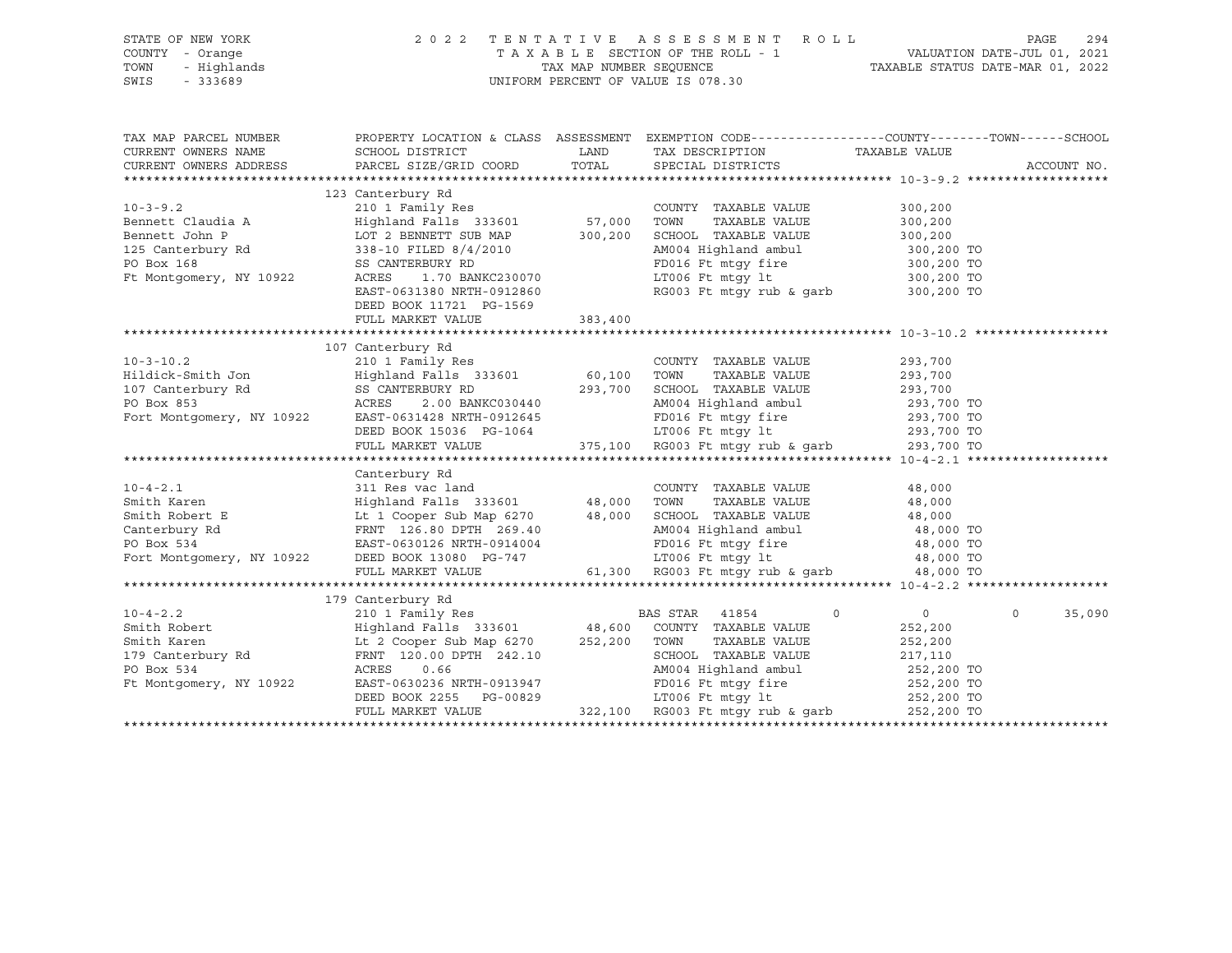| STATE OF NEW YORK |                  | 2022 TENTATIVE ASSESSMENT ROLL     |                         |  |                                  | PAGE | 294 |
|-------------------|------------------|------------------------------------|-------------------------|--|----------------------------------|------|-----|
|                   |                  |                                    |                         |  |                                  |      |     |
| COUNTY - Orange   |                  | TAXABLE SECTION OF THE ROLL - 1    |                         |  | VALUATION DATE-JUL 01, 2021      |      |     |
|                   | TOWN - Highlands |                                    | TAX MAP NUMBER SEOUENCE |  | TAXABLE STATUS DATE-MAR 01, 2022 |      |     |
| SWIS              | - 333689         | UNIFORM PERCENT OF VALUE IS 078.30 |                         |  |                                  |      |     |
|                   |                  |                                    |                         |  |                                  |      |     |

| TAX MAP PARCEL NUMBER                                                                                                                                                                                                                                 |                                                                           |         |                                                                                                 | PROPERTY LOCATION & CLASS ASSESSMENT EXEMPTION CODE---------------COUNTY-------TOWN------SCHOOL |
|-------------------------------------------------------------------------------------------------------------------------------------------------------------------------------------------------------------------------------------------------------|---------------------------------------------------------------------------|---------|-------------------------------------------------------------------------------------------------|-------------------------------------------------------------------------------------------------|
| CURRENT OWNERS ADDRESS PARCEL SIZE/GRID COORD TOTAL SPECIAL DISTRICTS                                                                                                                                                                                 |                                                                           |         |                                                                                                 |                                                                                                 |
|                                                                                                                                                                                                                                                       |                                                                           |         |                                                                                                 |                                                                                                 |
|                                                                                                                                                                                                                                                       | 123 Canterbury Rd                                                         |         |                                                                                                 |                                                                                                 |
|                                                                                                                                                                                                                                                       |                                                                           |         | COUNTY TAXABLE VALUE                                                                            | 300,200                                                                                         |
|                                                                                                                                                                                                                                                       |                                                                           |         | TAXABLE VALUE                                                                                   | 300,200                                                                                         |
|                                                                                                                                                                                                                                                       |                                                                           |         | SCHOOL TAXABLE VALUE 300,200                                                                    |                                                                                                 |
|                                                                                                                                                                                                                                                       |                                                                           |         |                                                                                                 |                                                                                                 |
| 10-3-9.2 COUNTY<br>Bennett Claudia A<br>Bennett John P<br>125 Canterbury Rd<br>125 Canterbury Rd<br>125 Canterbury Rd<br>125 Canterbury Rd<br>138 CMTERBURY RD<br>1300,200 SCHOOL<br>238 CANTERBURY RD<br>2300,200 SCHOOL<br>236 CANTERBURY RD<br>236 |                                                                           |         | AM004 Highland ambul 300,200 TO<br>FD016 Ft mtgy fire 300,200 TO<br>LT006 Ft mtgy lt 300,200 TO |                                                                                                 |
| Ft Montgomery, NY 10922                                                                                                                                                                                                                               | 1.70 BANKC230070<br>ACRES                                                 |         |                                                                                                 |                                                                                                 |
|                                                                                                                                                                                                                                                       | EAST-0631380 NRTH-0912860                                                 |         | RG003 Ft mtgy rub & garb 300,200 TO                                                             |                                                                                                 |
|                                                                                                                                                                                                                                                       | DEED BOOK 11721 PG-1569                                                   |         |                                                                                                 |                                                                                                 |
|                                                                                                                                                                                                                                                       | FULL MARKET VALUE                                                         | 383,400 |                                                                                                 |                                                                                                 |
|                                                                                                                                                                                                                                                       |                                                                           |         |                                                                                                 |                                                                                                 |
|                                                                                                                                                                                                                                                       |                                                                           |         |                                                                                                 |                                                                                                 |
|                                                                                                                                                                                                                                                       |                                                                           |         |                                                                                                 |                                                                                                 |
|                                                                                                                                                                                                                                                       |                                                                           |         |                                                                                                 |                                                                                                 |
|                                                                                                                                                                                                                                                       |                                                                           |         |                                                                                                 |                                                                                                 |
|                                                                                                                                                                                                                                                       |                                                                           |         |                                                                                                 |                                                                                                 |
|                                                                                                                                                                                                                                                       |                                                                           |         |                                                                                                 |                                                                                                 |
|                                                                                                                                                                                                                                                       | DEED BOOK 15036 PG-1064                                                   |         | AM004 Highland ambul 293,700 TO<br>FD016 Ft mtgy fire 293,700 TO<br>LT006 Ft mtgy lt 293,700 TO |                                                                                                 |
|                                                                                                                                                                                                                                                       | FULL MARKET VALUE                                                         |         | $375,100$ RG003 Ft mtgy rub & garb 293,700 TO                                                   |                                                                                                 |
|                                                                                                                                                                                                                                                       |                                                                           |         |                                                                                                 |                                                                                                 |
|                                                                                                                                                                                                                                                       | Canterbury Rd                                                             |         |                                                                                                 |                                                                                                 |
| $10 - 4 - 2.1$                                                                                                                                                                                                                                        |                                                                           |         | COUNTY TAXABLE VALUE 48,000                                                                     |                                                                                                 |
|                                                                                                                                                                                                                                                       | 311 Res vac land<br>311 Res vac land<br>Highland Falls 333601 48,000 TOWN |         |                                                                                                 |                                                                                                 |
|                                                                                                                                                                                                                                                       |                                                                           |         |                                                                                                 |                                                                                                 |
|                                                                                                                                                                                                                                                       |                                                                           |         |                                                                                                 |                                                                                                 |
|                                                                                                                                                                                                                                                       |                                                                           |         |                                                                                                 |                                                                                                 |
|                                                                                                                                                                                                                                                       |                                                                           |         |                                                                                                 |                                                                                                 |
|                                                                                                                                                                                                                                                       |                                                                           |         |                                                                                                 |                                                                                                 |
|                                                                                                                                                                                                                                                       |                                                                           |         |                                                                                                 |                                                                                                 |
|                                                                                                                                                                                                                                                       | 179 Canterbury Rd                                                         |         |                                                                                                 |                                                                                                 |
|                                                                                                                                                                                                                                                       |                                                                           |         |                                                                                                 | $\overline{0}$<br>35,090                                                                        |
|                                                                                                                                                                                                                                                       |                                                                           |         |                                                                                                 |                                                                                                 |
|                                                                                                                                                                                                                                                       |                                                                           |         |                                                                                                 |                                                                                                 |
|                                                                                                                                                                                                                                                       |                                                                           |         |                                                                                                 |                                                                                                 |
|                                                                                                                                                                                                                                                       |                                                                           |         |                                                                                                 |                                                                                                 |
|                                                                                                                                                                                                                                                       |                                                                           |         |                                                                                                 |                                                                                                 |
|                                                                                                                                                                                                                                                       |                                                                           |         |                                                                                                 |                                                                                                 |
|                                                                                                                                                                                                                                                       |                                                                           |         |                                                                                                 |                                                                                                 |
|                                                                                                                                                                                                                                                       |                                                                           |         |                                                                                                 |                                                                                                 |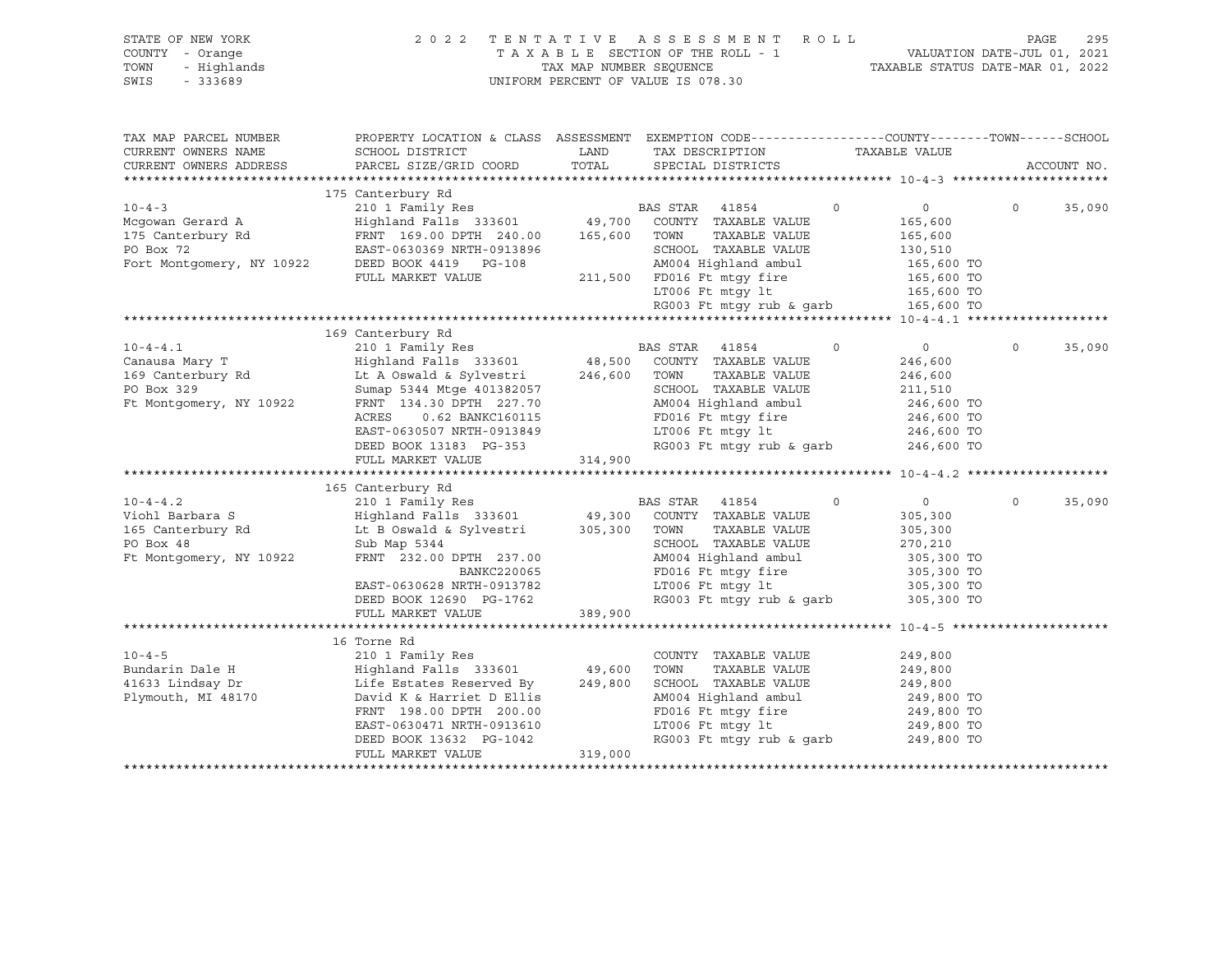| STATE OF NEW YORK<br>COUNTY - Orange<br>TOWN<br>- Highlands<br>SWIS<br>$-333689$               |                                                                                                                                                                                                                                                                                                                                                                        | TAX MAP NUMBER SEQUENCE           | 2022 TENTATIVE ASSESSMENT ROLL<br>TAXABLE SECTION OF THE ROLL - 1<br>UNIFORM PERCENT OF VALUE IS 078.30                                                                                                                                        |          | 1 VALUATION DATE-JUL 01, 2021<br>TAXABLE STATUS DATE-MAR 01, 2022                                       | PAGE     | 295         |
|------------------------------------------------------------------------------------------------|------------------------------------------------------------------------------------------------------------------------------------------------------------------------------------------------------------------------------------------------------------------------------------------------------------------------------------------------------------------------|-----------------------------------|------------------------------------------------------------------------------------------------------------------------------------------------------------------------------------------------------------------------------------------------|----------|---------------------------------------------------------------------------------------------------------|----------|-------------|
| TAX MAP PARCEL NUMBER<br>CURRENT OWNERS NAME<br>CURRENT OWNERS ADDRESS                         | PROPERTY LOCATION & CLASS ASSESSMENT EXEMPTION CODE---------------COUNTY-------TOWN-----SCHOOL<br>SCHOOL DISTRICT<br>PARCEL SIZE/GRID COORD                                                                                                                                                                                                                            | <b>EXAMPLE TO A LAND</b><br>TOTAL | TAX DESCRIPTION<br>SPECIAL DISTRICTS                                                                                                                                                                                                           |          | TAXABLE VALUE                                                                                           |          | ACCOUNT NO. |
|                                                                                                | 175 Canterbury Rd                                                                                                                                                                                                                                                                                                                                                      |                                   |                                                                                                                                                                                                                                                |          |                                                                                                         |          |             |
| $10 - 4 - 3$<br>Mcqowan Gerard A<br>175 Canterbury Rd                                          | 210 1 Family Res<br>Highland Falls 333601 49,700 COUNTY TAXABLE VALUE<br>FRNT 169.00 DPTH 240.00 165,600 TOWN TAXABLE VALUE<br>175 Canterbury Rd<br>PO Box 72<br>Fort Montgomery, NY 10922<br>Fort Montgomery, NY 10922<br>FULL MARKET VALUE<br>FULL MARKET VALUE<br>PULL MARKET VALUE<br>211,500<br>TTAGG Ft mtcv lt                                                  |                                   | BAS STAR 41854<br>TAXABLE VALUE<br>SCHOOL TAXABLE VALUE<br>AM004 Highland ambul<br>AM004 Highland ambul 165,600 TO<br>FD016 Ft mtgy fire 165,600 TO<br>LT006 Ft mtgy 1t 165,600 TO<br>RG003 Ft mtgy rub & garb 165,600 TO                      | $\Omega$ | $\sim$ 0<br>165,600<br>165,600<br>130,510                                                               | $\Omega$ | 35,090      |
|                                                                                                |                                                                                                                                                                                                                                                                                                                                                                        |                                   |                                                                                                                                                                                                                                                |          |                                                                                                         |          |             |
| $10 - 4 - 4.1$<br>Canausa Mary T<br>169 Canterbury Rd<br>PO Box 329<br>Ft Montgomery, NY 10922 | 169 Canterbury Rd<br>210 1 Family Res<br>Highland Falls 333601 48,500 COUNTY TAXABLE VALUE<br>Lt A Oswald & Sylvestri 246,600 TOWN TAXABLE VALUE<br>Sumap 5344 Mtge 401382057<br>FRNT 134.30 DPTH 227.70<br>ACRES<br>0.62 BANKC160115<br>EAST-0630507 NRTH-0913849<br>DEED BOOK 13183 PG-353 RG003 Ft mtgy 1t<br>RG003 Ft mtgy rub & garb<br>FULL MARKET VALUE 314,900 |                                   | TAXABLE VALUE<br>SCHOOL TAXABLE VALUE<br>AM004 Highland ambul<br>FD016 Ft mtqy fire                                                                                                                                                            | $\circ$  | $\overline{0}$<br>246,600<br>246,600<br>211,510<br>246,600 TO<br>246,600 TO<br>246,600 TO<br>246,600 TO | $\Omega$ | 35,090      |
|                                                                                                | 165 Canterbury Rd                                                                                                                                                                                                                                                                                                                                                      |                                   |                                                                                                                                                                                                                                                |          |                                                                                                         |          |             |
| $10 - 4 - 4.2$<br>Viohl Barbara S<br>165 Canterbury Rd<br>PO Box 48<br>Ft Montgomery, NY 10922 | 210 1 Family Res                                   BAS STAR    41854<br>Highland Falls  333601            49,300   COUNTY  TAXABLE VALUE<br>Lt B Oswald & Sylvestri 305,300 TOWN<br>Sub Map 5344<br>FRNT 232.00 DPTH 237.00<br>BANKC220065<br>EAST-0630628 NRTH-0913782<br>DEED BOOK 12690 PG-1762                                                                     | $\frac{1}{389,90}$                | TAXABLE VALUE<br>SCHOOL TAXABLE VALUE<br>AM004 Highland ambul<br>FD016 Ft mtgy fire<br>LT006 Ft mtgy lt<br>RG003 Ft mtgy rub & garb 305,300 TO                                                                                                 | $\circ$  | $\overline{0}$<br>305,300<br>305,300<br>270,210<br>305,300 TO<br>305,300 TO<br>305,300 TO               | $\circ$  | 35,090      |
|                                                                                                | FULL MARKET VALUE                                                                                                                                                                                                                                                                                                                                                      | 389,900                           |                                                                                                                                                                                                                                                |          |                                                                                                         |          |             |
| $10 - 4 - 5$<br>Bundarin Dale H<br>41633 Lindsay Dr<br>Plymouth, MI 48170                      | 16 Torne Rd<br>210 1 Family Res<br>Highland Falls 333601 49,600<br>Life Estates Reserved By 249,800<br>David K & Harriet D Ellis<br>FRNT 198.00 DPTH 200.00<br>EAST-0630471 NRTH-0913610<br>DEED BOOK 13632 PG-1042<br>FULL MARKET VALUE                                                                                                                               | 319,000                           | COUNTY TAXABLE VALUE<br>TOWN<br>TAXABLE VALUE<br>SCHOOL TAXABLE VALUE<br>AM004 Highland ambul<br>FD016 Ft mtgy fire<br>LT006 Ft mtgy lt<br>FD016 Ft mtgy fire 249,800 TO<br>1T006 Ft mtgy 1t 249,800 TO<br>RG003 Ft mtgy rub & garb 249,800 TO |          | 249,800<br>249,800<br>249,800<br>249,800 TO                                                             |          |             |
|                                                                                                |                                                                                                                                                                                                                                                                                                                                                                        |                                   |                                                                                                                                                                                                                                                |          |                                                                                                         |          |             |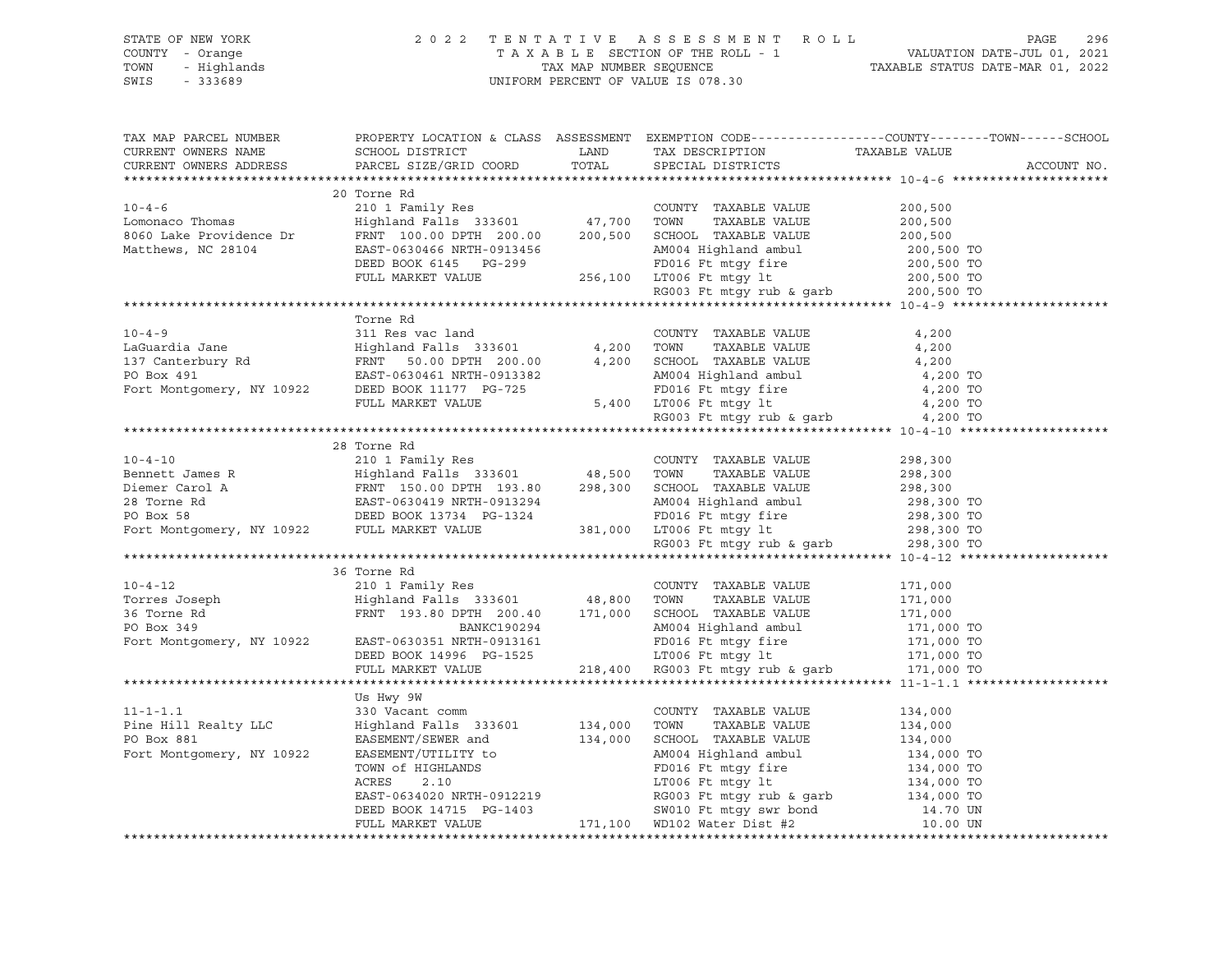|                                                                                                                                                                                                                                                                                                                                                                                                                                                                          |           |  | TAX MAP PARCEL NUMBER BOOPERTY LOCATION & CLASS ASSESSMENT EXEMPTION CODE-----------------COUNTY--------TOWN------SCHOOL CURRENT OWNERS NAME SCHOOL DISTRICT LAND TAX DESCRIPTION TAXABLE VALUE CURRENT OWNERS ADDRESS PARCEL |
|--------------------------------------------------------------------------------------------------------------------------------------------------------------------------------------------------------------------------------------------------------------------------------------------------------------------------------------------------------------------------------------------------------------------------------------------------------------------------|-----------|--|-------------------------------------------------------------------------------------------------------------------------------------------------------------------------------------------------------------------------------|
|                                                                                                                                                                                                                                                                                                                                                                                                                                                                          |           |  |                                                                                                                                                                                                                               |
|                                                                                                                                                                                                                                                                                                                                                                                                                                                                          |           |  |                                                                                                                                                                                                                               |
| $\begin{tabular}{lllllllllllll} \multicolumn{3}{l} \textbf{10-4-6} & \multicolumn{3}{l}{} & \multicolumn{3}{l}{} & \multicolumn{3}{l}{} & \multicolumn{3}{l}{} & \multicolumn{3}{l}{} & \multicolumn{3}{l}{} & \multicolumn{3}{l}{} & \multicolumn{3}{l}{} & \multicolumn{3}{l}{} & \multicolumn{3}{l}{} & \multicolumn{3}{l}{} & \multicolumn{3}{l}{} & \multicolumn{3}{l}{} & \multicolumn{3}{l}{} & \multicolumn{3}{l}{} & \multicolumn{3}{l}{} & \multicolumn{3}{l}$ |           |  |                                                                                                                                                                                                                               |
|                                                                                                                                                                                                                                                                                                                                                                                                                                                                          |           |  |                                                                                                                                                                                                                               |
|                                                                                                                                                                                                                                                                                                                                                                                                                                                                          |           |  |                                                                                                                                                                                                                               |
|                                                                                                                                                                                                                                                                                                                                                                                                                                                                          |           |  |                                                                                                                                                                                                                               |
|                                                                                                                                                                                                                                                                                                                                                                                                                                                                          |           |  |                                                                                                                                                                                                                               |
|                                                                                                                                                                                                                                                                                                                                                                                                                                                                          |           |  |                                                                                                                                                                                                                               |
|                                                                                                                                                                                                                                                                                                                                                                                                                                                                          |           |  |                                                                                                                                                                                                                               |
|                                                                                                                                                                                                                                                                                                                                                                                                                                                                          |           |  |                                                                                                                                                                                                                               |
|                                                                                                                                                                                                                                                                                                                                                                                                                                                                          | Torne Rd  |  |                                                                                                                                                                                                                               |
|                                                                                                                                                                                                                                                                                                                                                                                                                                                                          |           |  |                                                                                                                                                                                                                               |
|                                                                                                                                                                                                                                                                                                                                                                                                                                                                          |           |  |                                                                                                                                                                                                                               |
|                                                                                                                                                                                                                                                                                                                                                                                                                                                                          |           |  |                                                                                                                                                                                                                               |
|                                                                                                                                                                                                                                                                                                                                                                                                                                                                          |           |  |                                                                                                                                                                                                                               |
|                                                                                                                                                                                                                                                                                                                                                                                                                                                                          |           |  |                                                                                                                                                                                                                               |
|                                                                                                                                                                                                                                                                                                                                                                                                                                                                          |           |  |                                                                                                                                                                                                                               |
|                                                                                                                                                                                                                                                                                                                                                                                                                                                                          |           |  |                                                                                                                                                                                                                               |
|                                                                                                                                                                                                                                                                                                                                                                                                                                                                          |           |  |                                                                                                                                                                                                                               |
| XABLE VALUE 298,300<br>10-4-10 28 Torne Rd<br>210 1 Family Res<br>210 1 Family Res<br>210 1 Family Res<br>210 1 Family Res<br>210 1 Family Res<br>228,300<br>23 Torne Rd<br>298,300<br>298,300<br>298,300<br>298,300<br>298,300<br>298,300<br>298,300<br>298,3                                                                                                                                                                                                           |           |  |                                                                                                                                                                                                                               |
|                                                                                                                                                                                                                                                                                                                                                                                                                                                                          |           |  |                                                                                                                                                                                                                               |
|                                                                                                                                                                                                                                                                                                                                                                                                                                                                          |           |  |                                                                                                                                                                                                                               |
|                                                                                                                                                                                                                                                                                                                                                                                                                                                                          |           |  |                                                                                                                                                                                                                               |
|                                                                                                                                                                                                                                                                                                                                                                                                                                                                          |           |  |                                                                                                                                                                                                                               |
|                                                                                                                                                                                                                                                                                                                                                                                                                                                                          |           |  |                                                                                                                                                                                                                               |
|                                                                                                                                                                                                                                                                                                                                                                                                                                                                          |           |  |                                                                                                                                                                                                                               |
|                                                                                                                                                                                                                                                                                                                                                                                                                                                                          |           |  |                                                                                                                                                                                                                               |
|                                                                                                                                                                                                                                                                                                                                                                                                                                                                          |           |  |                                                                                                                                                                                                                               |
| 36 Torre Rd 210 1 Family Res COUNTY TAXABLE VALUE 171,000 TORR 349<br>Torres Joseph Highland Falls 333601 48,800 TOWN TAXABLE VALUE 171,000<br>210 1 Family Res COUNTY TAXABLE VALUE 171,000<br>36 Torre Rd FRNT 193.80 DPTH 200.40                                                                                                                                                                                                                                      |           |  |                                                                                                                                                                                                                               |
|                                                                                                                                                                                                                                                                                                                                                                                                                                                                          |           |  |                                                                                                                                                                                                                               |
|                                                                                                                                                                                                                                                                                                                                                                                                                                                                          |           |  |                                                                                                                                                                                                                               |
|                                                                                                                                                                                                                                                                                                                                                                                                                                                                          |           |  |                                                                                                                                                                                                                               |
|                                                                                                                                                                                                                                                                                                                                                                                                                                                                          |           |  |                                                                                                                                                                                                                               |
|                                                                                                                                                                                                                                                                                                                                                                                                                                                                          |           |  |                                                                                                                                                                                                                               |
|                                                                                                                                                                                                                                                                                                                                                                                                                                                                          |           |  |                                                                                                                                                                                                                               |
|                                                                                                                                                                                                                                                                                                                                                                                                                                                                          |           |  |                                                                                                                                                                                                                               |
|                                                                                                                                                                                                                                                                                                                                                                                                                                                                          |           |  |                                                                                                                                                                                                                               |
|                                                                                                                                                                                                                                                                                                                                                                                                                                                                          | Us Hwy 9W |  |                                                                                                                                                                                                                               |
|                                                                                                                                                                                                                                                                                                                                                                                                                                                                          |           |  |                                                                                                                                                                                                                               |
|                                                                                                                                                                                                                                                                                                                                                                                                                                                                          |           |  |                                                                                                                                                                                                                               |
|                                                                                                                                                                                                                                                                                                                                                                                                                                                                          |           |  |                                                                                                                                                                                                                               |
|                                                                                                                                                                                                                                                                                                                                                                                                                                                                          |           |  |                                                                                                                                                                                                                               |
|                                                                                                                                                                                                                                                                                                                                                                                                                                                                          |           |  |                                                                                                                                                                                                                               |
|                                                                                                                                                                                                                                                                                                                                                                                                                                                                          |           |  |                                                                                                                                                                                                                               |
|                                                                                                                                                                                                                                                                                                                                                                                                                                                                          |           |  |                                                                                                                                                                                                                               |
|                                                                                                                                                                                                                                                                                                                                                                                                                                                                          |           |  |                                                                                                                                                                                                                               |
|                                                                                                                                                                                                                                                                                                                                                                                                                                                                          |           |  |                                                                                                                                                                                                                               |
|                                                                                                                                                                                                                                                                                                                                                                                                                                                                          |           |  |                                                                                                                                                                                                                               |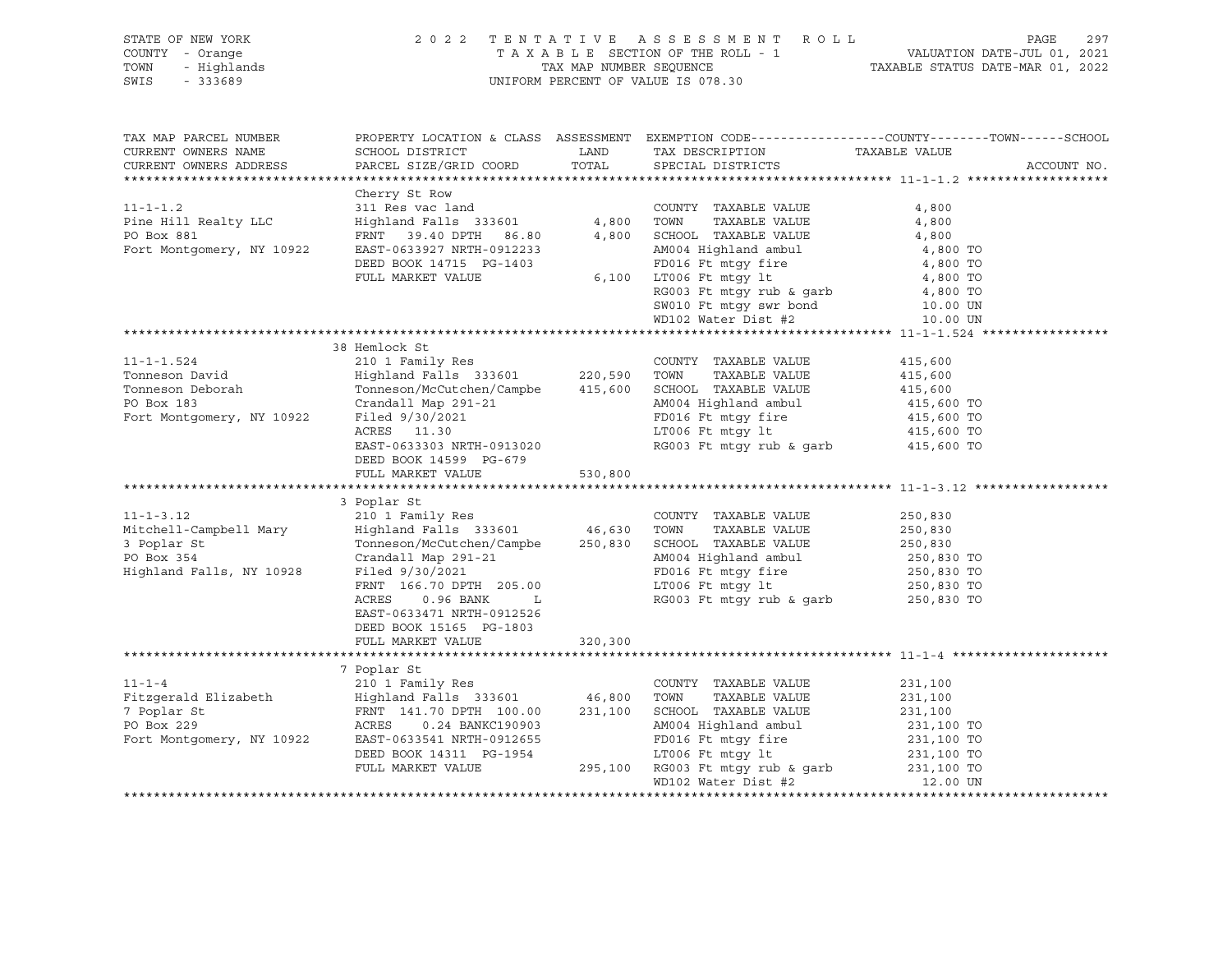| STATE OF NEW YORK<br>: OF NEW YORK 202<br>Y - Orange - Highlands<br>- 333689<br>COUNTY - Orange<br>TOWN<br>SWIS - 333689 |                                                                                                                                                                                                                                                                                                                                                                                     |         | 2022 TENTATIVE ASSESSMENT ROLL<br>UNIFORM PERCENT OF VALUE IS 078.30 | PAGE<br>297<br>TAXABLE SECTION OF THE ROLL - 1<br>TAXABLE SECTION OF THE ROLL - 1<br>TAXABLE STATUS DATE-JUL 01, 2021<br>TAXABLE STATUS DATE-MAR 01, 2022 |
|--------------------------------------------------------------------------------------------------------------------------|-------------------------------------------------------------------------------------------------------------------------------------------------------------------------------------------------------------------------------------------------------------------------------------------------------------------------------------------------------------------------------------|---------|----------------------------------------------------------------------|-----------------------------------------------------------------------------------------------------------------------------------------------------------|
| TAX MAP PARCEL NUMBER<br>CURRENT OWNERS NAME<br>CURRENT OWNERS ADDRESS                                                   | SCHOOL DISTRICT<br>PARCEL SIZE/GRID COORD TOTAL                                                                                                                                                                                                                                                                                                                                     |         | LAND TAX DESCRIPTION TAXABLE VALUE<br>SPECIAL DISTRICTS              | PROPERTY LOCATION & CLASS ASSESSMENT EXEMPTION CODE----------------COUNTY-------TOWN------SCHOOL<br>ACCOUNT NO.                                           |
|                                                                                                                          |                                                                                                                                                                                                                                                                                                                                                                                     |         |                                                                      |                                                                                                                                                           |
|                                                                                                                          |                                                                                                                                                                                                                                                                                                                                                                                     |         |                                                                      |                                                                                                                                                           |
|                                                                                                                          | 38 Hemlock St<br>DEED BOOK 14599 PG-679<br>FULL MARKET VALUE 530,800<br>3 Poplar St<br>11-1-3.12 210 1 Family Res<br>Mitchell-Campbell Mary Highland Falls 333601 46,630 TOWN TAXABLE VALUE 250,830<br>3 Poplar St Tonneson/McCutchen/Campbe 250,830 SCHOOL TAXABLE VALUE 250,830<br>PO Box 354 Crandall Map 291-21 AM004 H<br>EAST-0633471 NRTH-0912526<br>DEED BOOK 15165 PG-1803 |         |                                                                      |                                                                                                                                                           |
|                                                                                                                          | FULL MARKET VALUE                                                                                                                                                                                                                                                                                                                                                                   | 320,300 |                                                                      |                                                                                                                                                           |
|                                                                                                                          | 7 Poplar St<br>11-1-4<br>Fitzgerald Elizabeth 210 1 Family Res COUNTY TAXABLE VALUE 231,100<br>7 Poplar St FRNT 141.70 DPTH 100.00 231,100 SCHOOL TAXABLE VALUE 231,100<br>7 Poplar St FRNT 141.70 DPTH 100.00 231,100 SCHOOL TAXABLE VALUE 231,100                                                                                                                                 |         | WD102 Water Dist #2                                                  | 12.00 UN                                                                                                                                                  |
|                                                                                                                          |                                                                                                                                                                                                                                                                                                                                                                                     |         |                                                                      |                                                                                                                                                           |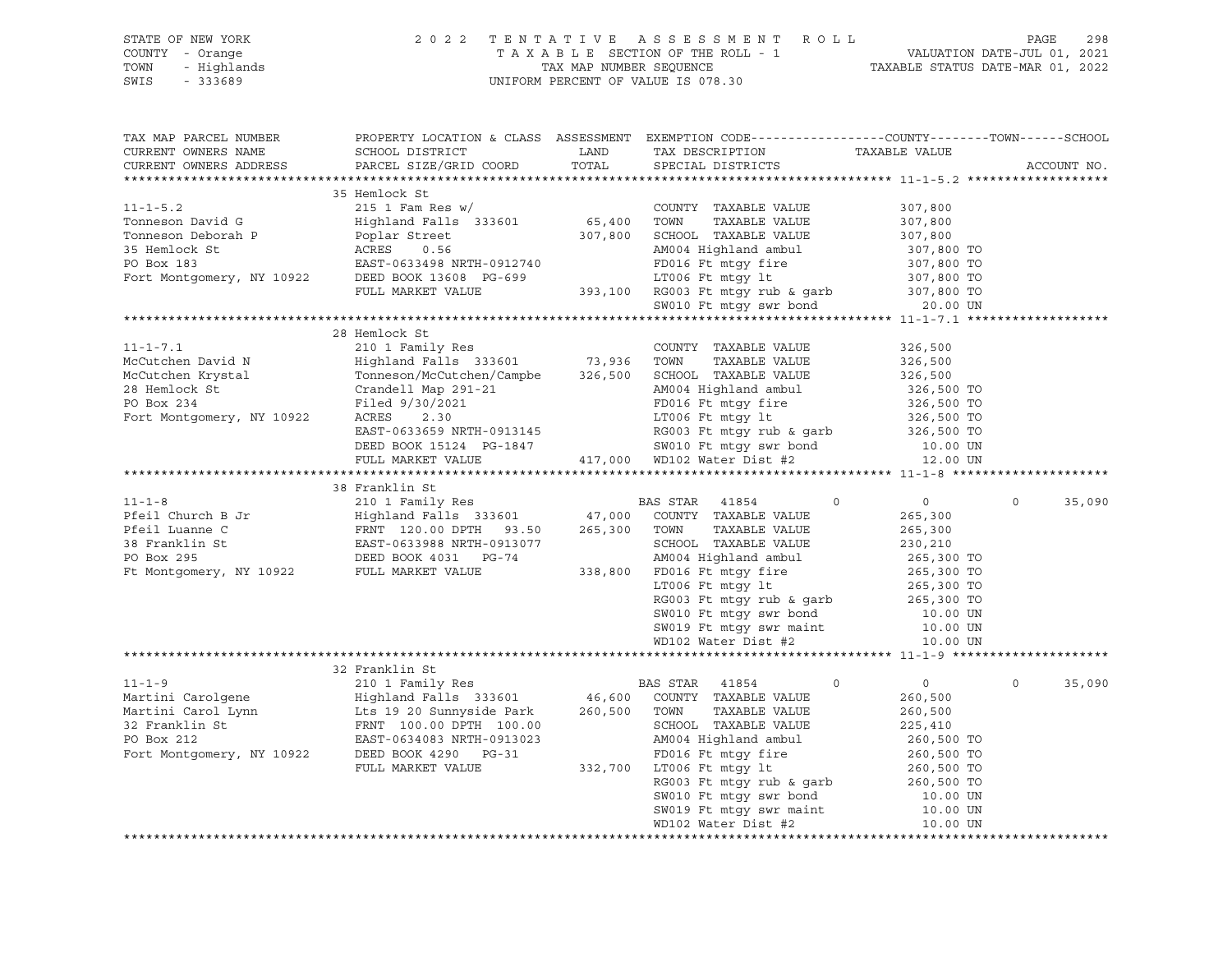| STATE OF NEW YORK<br>COUNTY - Orange<br>TOWN<br>- Highlands<br>SWIS<br>$-333689$                                                                                                                                                                     | 2 0 2 2                                                                                                                                       |               | TENTATIVE ASSESSMENT ROLL<br>T A X A B L E SECTION OF THE ROLL - 1 VALUATION DATE-JUL 01, 2021<br>TAX MAP NUMBER SEQUENCE TAXABLE STATUS DATE-MAR 01, 2022<br>UNIFORM PERCENT OF VALUE IS 078.30 |                              | PAGE        | 298    |
|------------------------------------------------------------------------------------------------------------------------------------------------------------------------------------------------------------------------------------------------------|-----------------------------------------------------------------------------------------------------------------------------------------------|---------------|--------------------------------------------------------------------------------------------------------------------------------------------------------------------------------------------------|------------------------------|-------------|--------|
| TAX MAP PARCEL NUMBER<br>CURRENT OWNERS NAME<br>CURRENT OWNERS ADDRESS                                                                                                                                                                               | PROPERTY LOCATION & CLASS ASSESSMENT EXEMPTION CODE----------------COUNTY-------TOWN------SCHOOL<br>SCHOOL DISTRICT<br>PARCEL SIZE/GRID COORD | LAND<br>TOTAL | TAX DESCRIPTION TAXABLE VALUE<br>SPECIAL DISTRICTS                                                                                                                                               |                              | ACCOUNT NO. |        |
|                                                                                                                                                                                                                                                      |                                                                                                                                               |               |                                                                                                                                                                                                  |                              |             |        |
| COUNTY TAXABLE VALUE<br>Tonneson David G<br>Tomeson Deborah P<br>Poplar Street<br>307,800 SCHOOL TAXABLE VALUE<br>2017 STEMIOCK St<br>PO Box 183<br>FAST-0633498 NRTH-0912740<br>FOOL TAXABLE VALUE<br>FOOL TAXABLE VALUE<br>FOOL TAXABLE VALUE<br>F |                                                                                                                                               |               |                                                                                                                                                                                                  |                              |             |        |
|                                                                                                                                                                                                                                                      |                                                                                                                                               |               |                                                                                                                                                                                                  | 307,800                      |             |        |
|                                                                                                                                                                                                                                                      |                                                                                                                                               |               |                                                                                                                                                                                                  | 307,800                      |             |        |
|                                                                                                                                                                                                                                                      |                                                                                                                                               |               | AM004 Highland ambul                                                                                                                                                                             | 307,800                      |             |        |
|                                                                                                                                                                                                                                                      |                                                                                                                                               |               |                                                                                                                                                                                                  | 307,800 TO                   |             |        |
|                                                                                                                                                                                                                                                      |                                                                                                                                               |               | FD016 Ft mtgy fire<br>LT006 Ft mtgy lt                                                                                                                                                           | 307,800 TO<br>307,800 TO     |             |        |
|                                                                                                                                                                                                                                                      |                                                                                                                                               |               |                                                                                                                                                                                                  |                              |             |        |
|                                                                                                                                                                                                                                                      |                                                                                                                                               |               | 393,100 RG003 Ft mtgy rub & garb $307,800$ TO<br>SW010 Ft mtgy swr bond 20.00 UN                                                                                                                 |                              |             |        |
|                                                                                                                                                                                                                                                      |                                                                                                                                               |               |                                                                                                                                                                                                  |                              |             |        |
|                                                                                                                                                                                                                                                      | 28 Hemlock St                                                                                                                                 |               |                                                                                                                                                                                                  |                              |             |        |
| $11 - 1 - 7.1$                                                                                                                                                                                                                                       |                                                                                                                                               |               |                                                                                                                                                                                                  | 326,500                      |             |        |
| McCutchen David N                                                                                                                                                                                                                                    |                                                                                                                                               |               |                                                                                                                                                                                                  | 326,500                      |             |        |
|                                                                                                                                                                                                                                                      |                                                                                                                                               |               | SCHOOL TAXABLE VALUE                                                                                                                                                                             |                              |             |        |
|                                                                                                                                                                                                                                                      |                                                                                                                                               |               | AM004 Highland ambul                                                                                                                                                                             | 326,500<br>326,500 TO        |             |        |
|                                                                                                                                                                                                                                                      |                                                                                                                                               |               |                                                                                                                                                                                                  | 326,500 TO                   |             |        |
| McCutchen Krystal<br>McCutchen Krystal<br>28 Hemlock St<br>28 Hemlock St<br>28 Hemlock St<br>28 Hemlock St<br>27 Filed 9/30/2021<br>291-21<br>291-21<br>291-21<br>2930/2021<br>291-21<br>2930/2021                                                   |                                                                                                                                               |               | FD016 Ft mtgy fire<br>LT006 Ft mtgy lt                                                                                                                                                           | 326,500 TO                   |             |        |
|                                                                                                                                                                                                                                                      |                                                                                                                                               |               | RG003 Ft mtgy rub & garb 326,500 TO                                                                                                                                                              |                              |             |        |
|                                                                                                                                                                                                                                                      | EAST-0633659 NRTH-0913145<br>DEED BOOK 15124 PG-1847                                                                                          |               | G-1847 SW010 Ft mtgy swr bond 10.00 UN 417,000 WD102 Water Dist #2 12.00 UN                                                                                                                      |                              |             |        |
|                                                                                                                                                                                                                                                      | FULL MARKET VALUE                                                                                                                             |               |                                                                                                                                                                                                  |                              |             |        |
|                                                                                                                                                                                                                                                      |                                                                                                                                               |               |                                                                                                                                                                                                  |                              |             |        |
|                                                                                                                                                                                                                                                      | 38 Franklin St                                                                                                                                |               |                                                                                                                                                                                                  |                              |             |        |
| $11 - 1 - 8$                                                                                                                                                                                                                                         | 210 1 Family Res 6 210 1 BAS STAR 41854                                                                                                       |               | $\overline{0}$                                                                                                                                                                                   | $\overline{0}$               | $\circ$     | 35,090 |
|                                                                                                                                                                                                                                                      |                                                                                                                                               |               | COUNTY TAXABLE VALUE                                                                                                                                                                             | 265,300                      |             |        |
| Pfeil Church B Jr<br>Pfeil Luanne C<br>Pfeil Luanne C<br>38 Franklin St<br>Pfeil Luanne C<br>38 Franklin St<br>PC Box 295<br>DEED BOOK 4031<br>PC -74                                                                                                |                                                                                                                                               |               | TOWN<br>TAXABLE VALUE                                                                                                                                                                            | 265,300                      |             |        |
|                                                                                                                                                                                                                                                      |                                                                                                                                               |               | SCHOOL TAXABLE VALUE                                                                                                                                                                             | 230,210<br>265,300 TO        |             |        |
|                                                                                                                                                                                                                                                      |                                                                                                                                               |               | AM004 Highland ambul                                                                                                                                                                             |                              |             |        |
| Ft Montgomery, NY 10922 FULL MARKET VALUE                                                                                                                                                                                                            |                                                                                                                                               |               | 338,800 FD016 Ft mtgy fire<br>LT006 Ft mtgy lt                                                                                                                                                   | 265,300 TO                   |             |        |
|                                                                                                                                                                                                                                                      |                                                                                                                                               |               |                                                                                                                                                                                                  | 265,300 TO                   |             |        |
|                                                                                                                                                                                                                                                      |                                                                                                                                               |               |                                                                                                                                                                                                  |                              |             |        |
|                                                                                                                                                                                                                                                      |                                                                                                                                               |               |                                                                                                                                                                                                  |                              |             |        |
|                                                                                                                                                                                                                                                      |                                                                                                                                               |               | RG003 Ft mtgy rub & garb<br>SW010 Ft mtgy swr bond<br>SW019 Ft mtgy swr maint<br>MD102 Water Dist #2 10.00 UN<br>MD102 Water Dist #2 10.00 UN                                                    |                              |             |        |
|                                                                                                                                                                                                                                                      |                                                                                                                                               |               |                                                                                                                                                                                                  |                              |             |        |
|                                                                                                                                                                                                                                                      | 32 Franklin St                                                                                                                                |               |                                                                                                                                                                                                  |                              |             |        |
| $11 - 1 - 9$                                                                                                                                                                                                                                         |                                                                                                                                               |               |                                                                                                                                                                                                  | $\circ$<br>$0 \qquad \qquad$ | $\circ$     | 35,090 |
| Martini Carolgene                                                                                                                                                                                                                                    |                                                                                                                                               |               |                                                                                                                                                                                                  | 260,500                      |             |        |
| Martini Carol Lynn<br>$\frac{1}{260,500}$<br>$\frac{1}{260,500}$<br>$\frac{1}{260,500}$<br>$\frac{1}{260,500}$                                                                                                                                       |                                                                                                                                               |               | TOWN<br>TAXABLE VALUE                                                                                                                                                                            | 260,500                      |             |        |
| 32 Franklin St                   FRNT 100.00 DPTH 100.00           SCHOOL TAXABLE VALUE                                                                                                                                                              |                                                                                                                                               |               |                                                                                                                                                                                                  | 225,410                      |             |        |
| PO Box 212                                                                                                                                                                                                                                           | EAST-0634083 NRTH-0913023                                                                                                                     |               | AM004 Highland ambul                                                                                                                                                                             | 260,500 TO                   |             |        |
| Fort Montgomery, NY 10922                                                                                                                                                                                                                            | DEED BOOK 4290 PG-31                                                                                                                          |               | FD016 Ft mtgy fire                                                                                                                                                                               | 260,500 TO                   |             |        |
|                                                                                                                                                                                                                                                      | FULL MARKET VALUE                                                                                                                             | 332,700       | LT006 Ft mtgy lt                                                                                                                                                                                 | 260,500 TO                   |             |        |
|                                                                                                                                                                                                                                                      |                                                                                                                                               |               | RG003 Ft mtgy rub & garb                                                                                                                                                                         | 260,500 TO                   |             |        |
|                                                                                                                                                                                                                                                      |                                                                                                                                               |               | SW010 Ft mtgy swr bond                                                                                                                                                                           | 10.00 UN                     |             |        |
|                                                                                                                                                                                                                                                      |                                                                                                                                               |               | SW019 Ft mtgy swr maint                                                                                                                                                                          | 10.00 UN                     |             |        |
|                                                                                                                                                                                                                                                      |                                                                                                                                               |               | WD102 Water Dist #2                                                                                                                                                                              | 10.00 UN                     |             |        |
|                                                                                                                                                                                                                                                      |                                                                                                                                               |               |                                                                                                                                                                                                  |                              |             |        |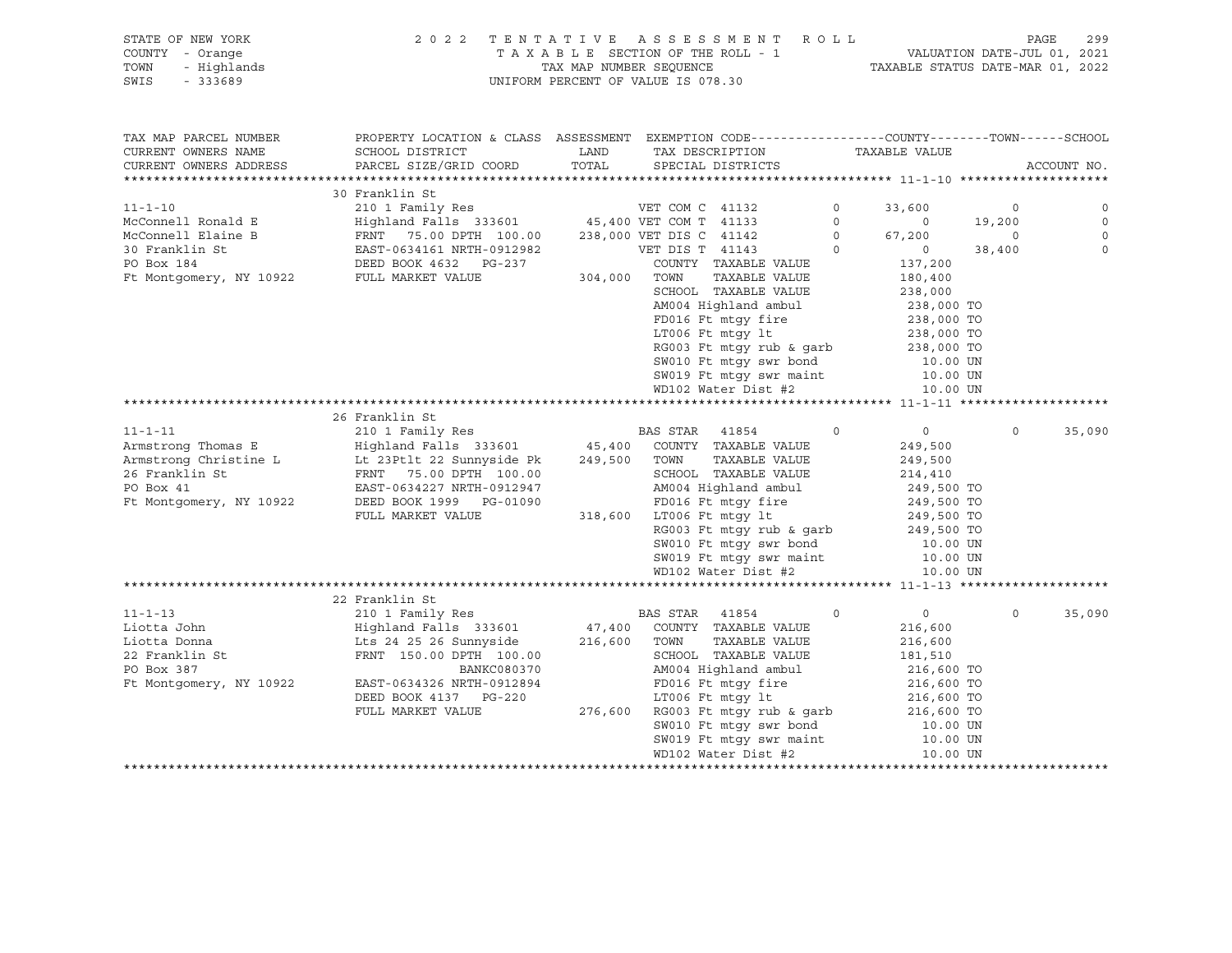## STATE OF NEW YORK 2 0 2 2 T E N T A T I V E A S S E S S M E N T R O L L PAGE 299 COUNTY - Orange T A X A B L E SECTION OF THE ROLL - 1 VALUATION DATE-JUL 01, 2021 TOWN - Highlands TAX MAP NUMBER SEQUENCE TAXABLE STATUS DATE-MAR 01, 2022 SWIS - 333689 UNIFORM PERCENT OF VALUE IS 078.30

| TAX MAP PARCEL NUMBER                       | PROPERTY LOCATION & CLASS ASSESSMENT EXEMPTION CODE---------------COUNTY-------TOWN-----SCHOOL |              |                                                                                                       |                                  |                          |             |
|---------------------------------------------|------------------------------------------------------------------------------------------------|--------------|-------------------------------------------------------------------------------------------------------|----------------------------------|--------------------------|-------------|
| CURRENT OWNERS NAME                         | SCHOOL DISTRICT                                                                                | LAND         | TAX DESCRIPTION                                                                                       | TAXABLE VALUE                    |                          |             |
| CURRENT OWNERS ADDRESS                      | PARCEL SIZE/GRID COORD                                                                         | TOTAL        | SPECIAL DISTRICTS                                                                                     |                                  |                          | ACCOUNT NO. |
|                                             |                                                                                                |              |                                                                                                       |                                  |                          |             |
|                                             | 30 Franklin St                                                                                 |              |                                                                                                       |                                  |                          |             |
| $11 - 1 - 10$                               | 210 1 Family Res New YET COM C 41132                                                           |              |                                                                                                       | $0 \qquad \qquad$<br>33,600      | $\circ$                  |             |
| McConnell Ronald E                          | Highland Falls 333601 45,400 VET COM T 41133                                                   |              |                                                                                                       | $\circ$<br>$\sim$ 0              | 19,200                   | $\mathbf 0$ |
| McConnell Elaine B                          | FRNT 75.00 DPTH 100.00 238,000 VET DIS C 41142                                                 |              |                                                                                                       | $\frac{0}{0}$<br>67,200          | $\overline{\phantom{0}}$ | $\mathbf 0$ |
| 30 Franklin St                              | EAST-0634161 NRTH-0912982                                                                      |              | VET DIS T 41143                                                                                       | $\overline{0}$<br>$\overline{0}$ | 38,400                   | $\circ$     |
| PO Box 184                                  | DEED BOOK 4632 PG-237                                                                          |              | COUNTY TAXABLE VALUE                                                                                  | 137,200                          |                          |             |
| Ft Montgomery, NY 10922                     | FULL MARKET VALUE                                                                              | 304,000      | TOWN<br>TAXABLE VALUE                                                                                 | 180,400                          |                          |             |
|                                             |                                                                                                |              | SCHOOL TAXABLE VALUE                                                                                  | 238,000                          |                          |             |
|                                             |                                                                                                |              | AM004 Highland ambul 238,000 TO<br>FD016 Ft mtgy fire 238,000 TO<br>LT006 Ft mtgy lt 238,000 TO       |                                  |                          |             |
|                                             |                                                                                                |              |                                                                                                       |                                  |                          |             |
|                                             |                                                                                                |              |                                                                                                       |                                  |                          |             |
|                                             |                                                                                                |              |                                                                                                       |                                  |                          |             |
|                                             |                                                                                                |              |                                                                                                       |                                  |                          |             |
|                                             |                                                                                                |              |                                                                                                       |                                  |                          |             |
|                                             |                                                                                                |              | WD102 Water Dist #2                                                                                   | 10.00 UN                         |                          |             |
|                                             |                                                                                                |              |                                                                                                       |                                  |                          |             |
|                                             | 26 Franklin St                                                                                 |              |                                                                                                       |                                  |                          |             |
| $11 - 1 - 11$                               | 210 1 Family Res                                                                               |              | BAS STAR 41854                                                                                        | $\circ$<br>$\overline{0}$        | $\overline{0}$           | 35,090      |
| Armstrong Thomas E                          | Highland Falls 333601                                                                          |              | 45,400 COUNTY TAXABLE VALUE                                                                           | 249,500                          |                          |             |
|                                             | Armstrong Christine L Lt 23Ptlt 22 Sunnyside Pk                                                | 249,500 TOWN | TAXABLE VALUE                                                                                         | 249,500                          |                          |             |
| 26 Franklin St                              | FRNT 75.00 DPTH 100.00                                                                         |              | SCHOOL TAXABLE VALUE                                                                                  | 214,410                          |                          |             |
| PO Box 41                                   | EAST-0634227 NRTH-0912947                                                                      |              | AM004 Highland ambul                                                                                  | 249,500 TO                       |                          |             |
| Ft Montgomery, NY 10922                     | DEED BOOK 1999 PG-01090                                                                        |              | FD016 Ft mtgy fire                                                                                    |                                  |                          |             |
|                                             | FULL MARKET VALUE                                                                              |              | 318,600 LT006 Ft mtgy lt                                                                              | 249,500 TO<br>249,500 TO         |                          |             |
|                                             |                                                                                                |              | RG003 Ft mtgy rub & garb<br>SW010 Ft mtgy swr bond<br>SW019 Ft mtgy swr maint<br>10.00 UN<br>10.00 UN |                                  |                          |             |
|                                             |                                                                                                |              |                                                                                                       |                                  |                          |             |
|                                             |                                                                                                |              |                                                                                                       |                                  |                          |             |
|                                             |                                                                                                |              | WD102 Water Dist #2                                                                                   | 10.00 UN                         |                          |             |
|                                             |                                                                                                |              |                                                                                                       |                                  |                          |             |
|                                             | 22 Franklin St                                                                                 |              |                                                                                                       |                                  |                          |             |
| $11 - 1 - 13$                               | 210 1 Family Res                                                                               |              | BAS STAR 41854                                                                                        | $\circ$<br>$\overline{0}$        | $\circ$                  | 35,090      |
| Liotta John                                 | 210 1 Family Res<br>Highland Falls  333601<br>Lts 24 25 26 Sunnyside                           |              | 47,400 COUNTY TAXABLE VALUE                                                                           | 216,600                          |                          |             |
| Liotta Donna                                |                                                                                                |              | 216,600 TOWN<br>TAXABLE VALUE                                                                         | 216,600                          |                          |             |
|                                             | FRNT 150.00 DPTH 100.00                                                                        |              | SCHOOL TAXABLE VALUE                                                                                  |                                  |                          |             |
| 22 Franklin St<br>Po Personal<br>PO Box 387 | BANKC080370                                                                                    |              | AM004 Highland ambul                                                                                  | 181,510<br>216,600 TO            |                          |             |
| Ft Montgomery, NY 10922                     | EAST-0634326 NRTH-0912894                                                                      |              | FD016 Ft mtqy fire 216,600 TO                                                                         |                                  |                          |             |
|                                             |                                                                                                |              |                                                                                                       |                                  |                          |             |
|                                             | DEED BOOK 4137 PG-220                                                                          |              | LT006 Ft mtgy 1t 216,600 TO<br>276,600 RG003 Ft mtgy rub & garb 216,600 TO                            |                                  |                          |             |
|                                             | FULL MARKET VALUE                                                                              |              |                                                                                                       |                                  |                          |             |
|                                             |                                                                                                |              | SW010 Ft mtgy swr bond                                                                                |                                  |                          |             |
|                                             |                                                                                                |              | SW019 Ft mtgy swr maint<br>WD102 Water Dist #2                                                        | 10.00 UN<br>10.00 UN<br>10.00 UN |                          |             |
|                                             |                                                                                                |              | WD102 Water Dist #2                                                                                   |                                  |                          |             |
|                                             |                                                                                                |              |                                                                                                       |                                  |                          |             |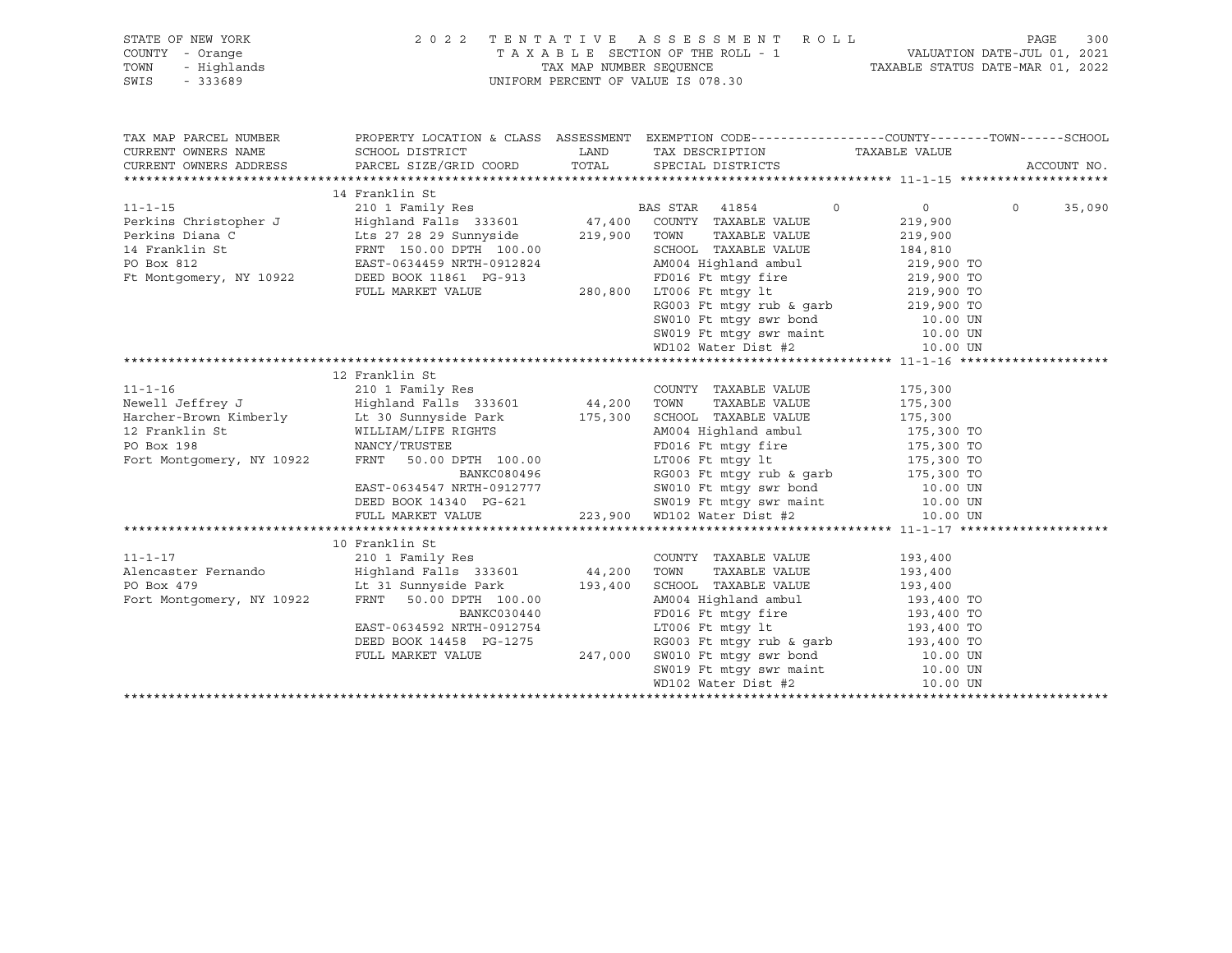| STATE OF NEW YORK      | 2 0 2 2                        | TENTATIVE                          |          | A S S E S S M E N T | R O L L |                                                              | PAGE                        | 300         |
|------------------------|--------------------------------|------------------------------------|----------|---------------------|---------|--------------------------------------------------------------|-----------------------------|-------------|
| COUNTY<br>- Orange     |                                | TAXABLE SECTION OF THE ROLL - 1    |          |                     |         |                                                              | VALUATION DATE-JUL 01, 2021 |             |
| - Highlands<br>TOWN    |                                | TAX MAP NUMBER SEOUENCE            |          |                     |         | TAXABLE STATUS DATE-MAR 01, 2022                             |                             |             |
| SWIS<br>$-333689$      |                                | UNIFORM PERCENT OF VALUE IS 078.30 |          |                     |         |                                                              |                             |             |
|                        |                                |                                    |          |                     |         |                                                              |                             |             |
|                        |                                |                                    |          |                     |         |                                                              |                             |             |
|                        |                                |                                    |          |                     |         |                                                              |                             |             |
| TAX MAP PARCEL NUMBER  | PROPERTY LOCATION & CLASS      | ASSESSMENT                         |          |                     |         | EXEMPTION CODE-----------------COUNTY-------TOWN------SCHOOL |                             |             |
| CURRENT OWNERS NAME    | SCHOOL DISTRICT                | LAND                               |          | TAX DESCRIPTION     |         | TAXABLE VALUE                                                |                             |             |
| CURRENT OWNERS ADDRESS | PARCEL SIZE/GRID COORD TOTAL   |                                    |          | SPECIAL DISTRICTS   |         |                                                              |                             | ACCOUNT NO. |
|                        |                                |                                    |          |                     |         |                                                              |                             |             |
|                        | 14 Franklin St                 |                                    |          |                     |         |                                                              |                             |             |
| $11 - 1 - 15$          | 210 1 Family Res               |                                    | BAS STAR | 41854               |         | $\Omega$                                                     | $\Omega$                    | 35,090      |
| Perkins Christopher J  | Highland Falls 333601          | 47,400                             | COUNTY   | TAXABLE VALUE       |         | 219,900                                                      |                             |             |
| Perkins Diana C        | Lts 27 28 29 Sunnyside 219,900 |                                    | TOWN     | TAXABLE VALUE       |         | 219,900                                                      |                             |             |
| 14 Franklin St         | FRNT 150.00 DPTH 100.00        |                                    | SCHOOL   | TAXABLE VALUE       |         | 184,810                                                      |                             |             |

Ft Montgomery, NY 10922 DEED BOOK 11861 PG-913 FD016 Ft mtgy fire 219,900 TO

 $280,800$  LT006 Ft mtgy lt  $219,900$  TO<br>RG003 Ft mtgy rub & garb  $219,900$  TO

RG003 Ft mtgy rub & garb 219,900 TO<br>SW010 Ft mtgy swr bond 10.00 UN

PO Box 812 EAST-0634459 NRTH-0912824 AM004 Highland ambul 219,900 TO

|                           |                                                                     | SW010 Ft mtgy swr bond 10.00 UN                          |         |  |
|---------------------------|---------------------------------------------------------------------|----------------------------------------------------------|---------|--|
|                           |                                                                     | SW019 Ft mtqy swr maint 10.00 UN                         |         |  |
|                           |                                                                     | WD102 Water Dist #2 10.00 UN                             |         |  |
|                           |                                                                     |                                                          |         |  |
|                           | 12 Franklin St                                                      |                                                          |         |  |
| $11 - 1 - 16$             | 210 1 Family Res                                                    | COUNTY TAXABLE VALUE                                     | 175,300 |  |
|                           | Newell Jeffrey J               Highland Falls 333601         44,200 | TOWN<br>TAXABLE VALUE                                    | 175,300 |  |
|                           | Harcher-Brown Kimberly 175,300                                      | SCHOOL TAXABLE VALUE                                     | 175,300 |  |
| 12 Franklin St            | WILLIAM/LIFE RIGHTS                                                 | AM004 Highland ambul 175,300 TO                          |         |  |
| PO Box 198                | NANCY/TRUSTEE                                                       | FD016 Ft mtgy fire 175,300 TO                            |         |  |
| Fort Montgomery, NY 10922 | FRNT 50.00 DPTH 100.00                                              | LT006 Ft mtqy 1t 175,300 TO                              |         |  |
|                           | BANKC080496                                                         | RG003 Ft mtgy rub & garb 175,300 TO                      |         |  |
|                           | EAST-0634547 NRTH-0912777                                           | SW010 Ft mtgy swr bond 10.00 UN                          |         |  |
|                           | DEED BOOK 14340 PG-621                                              | SW019 Ft mtqy swr maint 10.00 UN                         |         |  |
|                           |                                                                     | FULL MARKET VALUE $223,900$ WD102 Water Dist #2 10.00 UN |         |  |
|                           |                                                                     |                                                          |         |  |
|                           | 10 Franklin St                                                      |                                                          |         |  |
| $11 - 1 - 17$             | 210 1 Family Res                                                    | COUNTY TAXABLE VALUE                                     | 193,400 |  |
|                           | Alencaster Fernando Mighland Falls 333601 44,200                    | TOWN TAXABLE VALUE                                       | 193,400 |  |
| PO Box 479                | Lt 31 Sunnyside Park 193,400                                        | SCHOOL TAXABLE VALUE                                     | 193,400 |  |
|                           | Fort Montgomery, NY 10922 FRNT 50.00 DPTH 100.00                    | AM004 Highland ambul 193,400 TO                          |         |  |
|                           | BANKC030440                                                         | FD016 Ft mtgy fire 193,400 TO                            |         |  |
|                           | EAST-0634592 NRTH-0912754                                           | LT006 Ft mtqy 1t 193,400 TO                              |         |  |
|                           | DEED BOOK 14458 PG-1275                                             | RG003 Ft mtgy rub & garb 193,400 TO                      |         |  |
|                           | FULL MARKET VALUE 247,000                                           | SW010 Ft mtqy swr bond 10.00 UN                          |         |  |
|                           |                                                                     | SW019 Ft mtqy swr maint 10.00 UN                         |         |  |
|                           |                                                                     | WD102 Water Dist #2 10.00 UN                             |         |  |
|                           |                                                                     |                                                          |         |  |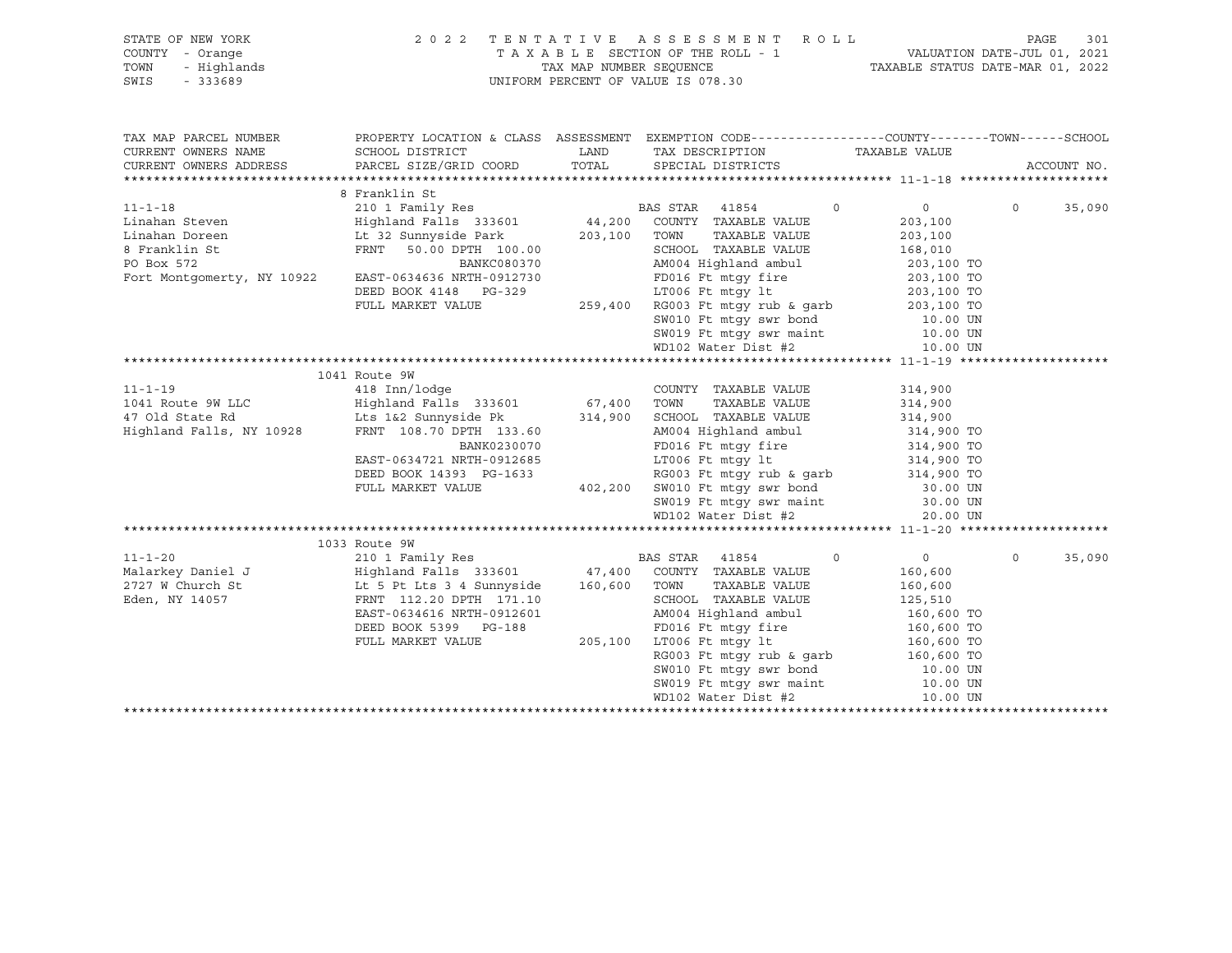| STATE OF NEW YORK<br>$Y - \text{Orange}$<br>- Highlands<br>- 333689<br>COUNTY - Orange<br>TOWN<br>SWIS - 333689                                                                                                                                | 2022 TENTATIVE ASSESSMENT ROLL<br>301<br>PAGE<br>TAXABLE SECTION OF THE ROLL - 1 VALUATION DATE-JUL 01, 2021<br>TAX MAP NUMBER SEQUENCE TAXABLE STATUS DATE-MAR 01, 2022<br>UNIFORM PERCENT OF VALUE IS 078.30 |  |                                                                                                                                                                                                                                              |                |          |             |
|------------------------------------------------------------------------------------------------------------------------------------------------------------------------------------------------------------------------------------------------|----------------------------------------------------------------------------------------------------------------------------------------------------------------------------------------------------------------|--|----------------------------------------------------------------------------------------------------------------------------------------------------------------------------------------------------------------------------------------------|----------------|----------|-------------|
| TAX MAP PARCEL NUMBER                                                                                                                                                                                                                          |                                                                                                                                                                                                                |  | PROPERTY LOCATION & CLASS ASSESSMENT EXEMPTION CODE-----------------COUNTY-------TOWN------SCHOOL                                                                                                                                            |                |          |             |
| CURRENT OWNERS NAME                                                                                                                                                                                                                            |                                                                                                                                                                                                                |  |                                                                                                                                                                                                                                              |                |          |             |
| CURRENT OWNERS ADDRESS                                                                                                                                                                                                                         |                                                                                                                                                                                                                |  |                                                                                                                                                                                                                                              |                |          | ACCOUNT NO. |
|                                                                                                                                                                                                                                                | 8 Franklin St                                                                                                                                                                                                  |  |                                                                                                                                                                                                                                              |                |          |             |
|                                                                                                                                                                                                                                                |                                                                                                                                                                                                                |  |                                                                                                                                                                                                                                              |                | $\Omega$ | 35,090      |
|                                                                                                                                                                                                                                                |                                                                                                                                                                                                                |  |                                                                                                                                                                                                                                              |                |          |             |
|                                                                                                                                                                                                                                                |                                                                                                                                                                                                                |  |                                                                                                                                                                                                                                              |                |          |             |
|                                                                                                                                                                                                                                                |                                                                                                                                                                                                                |  |                                                                                                                                                                                                                                              |                |          |             |
|                                                                                                                                                                                                                                                |                                                                                                                                                                                                                |  |                                                                                                                                                                                                                                              |                |          |             |
|                                                                                                                                                                                                                                                |                                                                                                                                                                                                                |  |                                                                                                                                                                                                                                              |                |          |             |
|                                                                                                                                                                                                                                                |                                                                                                                                                                                                                |  |                                                                                                                                                                                                                                              |                |          |             |
|                                                                                                                                                                                                                                                |                                                                                                                                                                                                                |  |                                                                                                                                                                                                                                              |                |          |             |
|                                                                                                                                                                                                                                                |                                                                                                                                                                                                                |  |                                                                                                                                                                                                                                              |                |          |             |
|                                                                                                                                                                                                                                                |                                                                                                                                                                                                                |  |                                                                                                                                                                                                                                              |                |          |             |
|                                                                                                                                                                                                                                                |                                                                                                                                                                                                                |  |                                                                                                                                                                                                                                              |                |          |             |
|                                                                                                                                                                                                                                                |                                                                                                                                                                                                                |  |                                                                                                                                                                                                                                              |                |          |             |
|                                                                                                                                                                                                                                                | 1041 Route 9W                                                                                                                                                                                                  |  |                                                                                                                                                                                                                                              |                |          |             |
|                                                                                                                                                                                                                                                |                                                                                                                                                                                                                |  |                                                                                                                                                                                                                                              |                |          |             |
|                                                                                                                                                                                                                                                |                                                                                                                                                                                                                |  |                                                                                                                                                                                                                                              |                |          |             |
|                                                                                                                                                                                                                                                |                                                                                                                                                                                                                |  |                                                                                                                                                                                                                                              |                |          |             |
|                                                                                                                                                                                                                                                |                                                                                                                                                                                                                |  |                                                                                                                                                                                                                                              |                |          |             |
|                                                                                                                                                                                                                                                |                                                                                                                                                                                                                |  |                                                                                                                                                                                                                                              |                |          |             |
|                                                                                                                                                                                                                                                |                                                                                                                                                                                                                |  |                                                                                                                                                                                                                                              |                |          |             |
|                                                                                                                                                                                                                                                |                                                                                                                                                                                                                |  |                                                                                                                                                                                                                                              |                |          |             |
|                                                                                                                                                                                                                                                |                                                                                                                                                                                                                |  |                                                                                                                                                                                                                                              |                |          |             |
|                                                                                                                                                                                                                                                |                                                                                                                                                                                                                |  |                                                                                                                                                                                                                                              |                |          |             |
|                                                                                                                                                                                                                                                |                                                                                                                                                                                                                |  |                                                                                                                                                                                                                                              |                |          |             |
|                                                                                                                                                                                                                                                | 1033 Route 9W                                                                                                                                                                                                  |  |                                                                                                                                                                                                                                              |                |          |             |
| 11-1-20<br>Malarkey Daniel J<br>2727 W COUNTY TAXABLE VALUE<br>2727 W COUNTY TAXABLE VALUE<br>2727 W COUNTY TAXABLE VALUE<br>2727 W COUNTY TAXABLE VALUE<br>2727 W COUNTY TAXABLE VALUE<br>2727 W COUNTY TAXABLE VALUE<br>2727 W COUNTY TAXABL |                                                                                                                                                                                                                |  |                                                                                                                                                                                                                                              | $\overline{0}$ | $\circ$  | 35,090      |
|                                                                                                                                                                                                                                                |                                                                                                                                                                                                                |  |                                                                                                                                                                                                                                              | 160,600        |          |             |
|                                                                                                                                                                                                                                                |                                                                                                                                                                                                                |  | TAXABLE VALUE 160,600                                                                                                                                                                                                                        |                |          |             |
| Eden, NY 14057                                                                                                                                                                                                                                 | FRNT 112.20 DPTH 171.10                                                                                                                                                                                        |  |                                                                                                                                                                                                                                              |                |          |             |
|                                                                                                                                                                                                                                                |                                                                                                                                                                                                                |  |                                                                                                                                                                                                                                              |                |          |             |
|                                                                                                                                                                                                                                                |                                                                                                                                                                                                                |  |                                                                                                                                                                                                                                              |                |          |             |
|                                                                                                                                                                                                                                                |                                                                                                                                                                                                                |  |                                                                                                                                                                                                                                              |                |          |             |
|                                                                                                                                                                                                                                                |                                                                                                                                                                                                                |  | FRNT 11.2.20 DPTH 171.10<br>FRNT 12.20 DPTH 171.10<br>ERST-0634616 NRTH 0912601<br>ERST-0634616 NRTH 0912601<br>ERST-0634616 NRTH 0912601<br>ERST-0634616 NRTH 0912601<br>ERST-0634616 NRTH 171.10<br>CRSCO TO ERST-067 ERST-067 ERST-067 ER |                |          |             |
|                                                                                                                                                                                                                                                |                                                                                                                                                                                                                |  |                                                                                                                                                                                                                                              |                |          |             |
|                                                                                                                                                                                                                                                |                                                                                                                                                                                                                |  |                                                                                                                                                                                                                                              |                |          |             |
|                                                                                                                                                                                                                                                |                                                                                                                                                                                                                |  |                                                                                                                                                                                                                                              |                |          |             |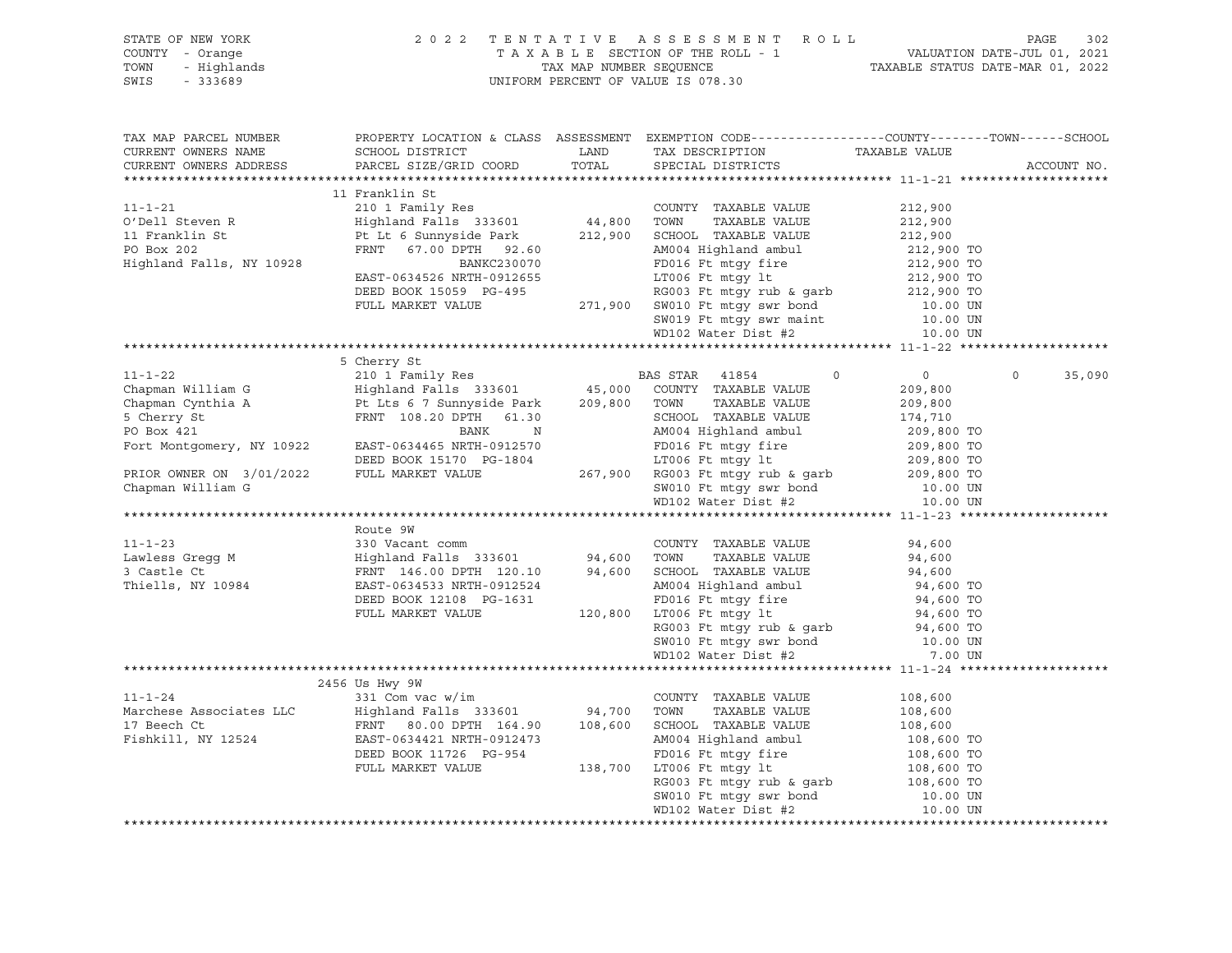| STATE OF NEW YORK<br>COUNTY - Orange<br>TOWN<br>SWIS                   | OF NEW YORK PAGE 302<br>7 A X A B L E SECTION OF THE ROLL - 1 DAGE 302<br>7 A X A B L E SECTION OF THE ROLL - 1 VALUATION DATE-JUL 01, 2021<br>7 Highlands TAX MAP NUMBER SEQUENCE TAXABLE STATUS DATE-MAR 01, 2022<br>7 333689                                                                                                                                                                                                                |               |                                                                                                                                                                                                                                              |                                    |                    |
|------------------------------------------------------------------------|------------------------------------------------------------------------------------------------------------------------------------------------------------------------------------------------------------------------------------------------------------------------------------------------------------------------------------------------------------------------------------------------------------------------------------------------|---------------|----------------------------------------------------------------------------------------------------------------------------------------------------------------------------------------------------------------------------------------------|------------------------------------|--------------------|
| TAX MAP PARCEL NUMBER<br>CURRENT OWNERS NAME<br>CURRENT OWNERS ADDRESS | PROPERTY LOCATION & CLASS ASSESSMENT EXEMPTION CODE----------------COUNTY-------TOWN------SCHOOL<br>SCHOOL DISTRICT<br>PARCEL SIZE/GRID COORD                                                                                                                                                                                                                                                                                                  | LAND<br>TOTAL | TAX DESCRIPTION TAXABLE VALUE<br>SPECIAL DISTRICTS TAXABLE VALUE                                                                                                                                                                             |                                    | ACCOUNT NO.        |
|                                                                        |                                                                                                                                                                                                                                                                                                                                                                                                                                                |               |                                                                                                                                                                                                                                              |                                    |                    |
|                                                                        | 11 Franklin St                                                                                                                                                                                                                                                                                                                                                                                                                                 |               |                                                                                                                                                                                                                                              |                                    |                    |
| $11 - 1 - 21$                                                          | 210 1 Family Res<br>Highland Falls 333601 44,800 TOWN                                                                                                                                                                                                                                                                                                                                                                                          |               | COUNTY TAXABLE VALUE                                                                                                                                                                                                                         | 212,900                            |                    |
| O'Dell Steven R                                                        |                                                                                                                                                                                                                                                                                                                                                                                                                                                |               | TAXABLE VALUE                                                                                                                                                                                                                                | 212,900                            |                    |
| 11 Franklin St<br>PO Box 202                                           | Pt Lt 6 Sunnyside Park 212,900 SCHOOL TAXABLE VALUE                                                                                                                                                                                                                                                                                                                                                                                            |               |                                                                                                                                                                                                                                              | 212,900                            |                    |
|                                                                        |                                                                                                                                                                                                                                                                                                                                                                                                                                                |               |                                                                                                                                                                                                                                              |                                    |                    |
| Highland Falls, NY 10928                                               |                                                                                                                                                                                                                                                                                                                                                                                                                                                |               |                                                                                                                                                                                                                                              |                                    |                    |
|                                                                        |                                                                                                                                                                                                                                                                                                                                                                                                                                                |               |                                                                                                                                                                                                                                              |                                    |                    |
|                                                                        |                                                                                                                                                                                                                                                                                                                                                                                                                                                |               |                                                                                                                                                                                                                                              |                                    |                    |
|                                                                        |                                                                                                                                                                                                                                                                                                                                                                                                                                                |               |                                                                                                                                                                                                                                              |                                    |                    |
|                                                                        |                                                                                                                                                                                                                                                                                                                                                                                                                                                |               |                                                                                                                                                                                                                                              |                                    |                    |
|                                                                        |                                                                                                                                                                                                                                                                                                                                                                                                                                                |               | Pt Lt 6 Sunnyside Park 212,900 SCHOOL TAXABLE VALUE 212,900<br>FRNT 67.00 DPTH 92.60 AM004 Highland ambul 212,900 TO<br>BAST-0634526 NRTH-0912655 LT006 Ft mtgy it 212,900 TO<br>DEED BOOK 15059 PG-495 RG003 Ft mtgy rub & garb 212         |                                    |                    |
|                                                                        |                                                                                                                                                                                                                                                                                                                                                                                                                                                |               |                                                                                                                                                                                                                                              |                                    |                    |
|                                                                        |                                                                                                                                                                                                                                                                                                                                                                                                                                                |               |                                                                                                                                                                                                                                              |                                    |                    |
|                                                                        |                                                                                                                                                                                                                                                                                                                                                                                                                                                |               |                                                                                                                                                                                                                                              |                                    | $\Omega$<br>35,090 |
|                                                                        |                                                                                                                                                                                                                                                                                                                                                                                                                                                |               |                                                                                                                                                                                                                                              |                                    |                    |
|                                                                        |                                                                                                                                                                                                                                                                                                                                                                                                                                                |               |                                                                                                                                                                                                                                              |                                    |                    |
|                                                                        |                                                                                                                                                                                                                                                                                                                                                                                                                                                |               |                                                                                                                                                                                                                                              |                                    |                    |
|                                                                        |                                                                                                                                                                                                                                                                                                                                                                                                                                                |               |                                                                                                                                                                                                                                              |                                    |                    |
|                                                                        |                                                                                                                                                                                                                                                                                                                                                                                                                                                |               |                                                                                                                                                                                                                                              |                                    |                    |
|                                                                        |                                                                                                                                                                                                                                                                                                                                                                                                                                                |               |                                                                                                                                                                                                                                              |                                    |                    |
|                                                                        |                                                                                                                                                                                                                                                                                                                                                                                                                                                |               |                                                                                                                                                                                                                                              |                                    |                    |
|                                                                        |                                                                                                                                                                                                                                                                                                                                                                                                                                                |               |                                                                                                                                                                                                                                              |                                    |                    |
|                                                                        | $\begin{tabular}{l c c c c c c} \hline \texttt{N} \texttt{N} \texttt{N} \texttt{N} \texttt{N} & \texttt{S} \texttt{Chapman William G} & \texttt{R} \texttt{M} \texttt{M} \texttt{N} & \texttt{R} \texttt{S} \texttt{M} \texttt{M} \texttt{N} & \texttt{S} \texttt{O} \texttt{M} \texttt{N} \texttt{N} & \texttt{S} \texttt{O} \texttt{M} \texttt{N} \texttt{N} \\ \hline \texttt{Chapman William G} & \texttt{Highland Fall} \texttt{R} \text$ |               |                                                                                                                                                                                                                                              |                                    |                    |
|                                                                        | 330 Vacant comm<br>Highland Falls 333601 94,600 TOWN TAXABLE VALUE<br>FRNT 146.00 DPTH 120.10 94,600 SCHOOL TAXABLE VALUE<br>EAST-0634533 NRTH-0912524 AM004 Highland ambul<br>DEED ROOK 13109 DG 1636                                                                                                                                                                                                                                         |               |                                                                                                                                                                                                                                              |                                    |                    |
| $11 - 1 - 23$                                                          |                                                                                                                                                                                                                                                                                                                                                                                                                                                |               |                                                                                                                                                                                                                                              | 94,600                             |                    |
| Lawless Gregg M<br>3 Castle Ct                                         |                                                                                                                                                                                                                                                                                                                                                                                                                                                |               |                                                                                                                                                                                                                                              | 94,600                             |                    |
|                                                                        |                                                                                                                                                                                                                                                                                                                                                                                                                                                |               |                                                                                                                                                                                                                                              |                                    |                    |
| Thiells, NY 10984                                                      |                                                                                                                                                                                                                                                                                                                                                                                                                                                |               |                                                                                                                                                                                                                                              |                                    |                    |
|                                                                        |                                                                                                                                                                                                                                                                                                                                                                                                                                                |               |                                                                                                                                                                                                                                              | 94,600<br>94,600 TO<br>94,600 TO   |                    |
|                                                                        |                                                                                                                                                                                                                                                                                                                                                                                                                                                |               |                                                                                                                                                                                                                                              | 94,600 TO<br>94,600 TO<br>10.00 UN |                    |
|                                                                        |                                                                                                                                                                                                                                                                                                                                                                                                                                                |               |                                                                                                                                                                                                                                              |                                    |                    |
|                                                                        |                                                                                                                                                                                                                                                                                                                                                                                                                                                |               |                                                                                                                                                                                                                                              |                                    |                    |
|                                                                        |                                                                                                                                                                                                                                                                                                                                                                                                                                                |               | EXET-034533 NRTH-0912524<br>DEED BOOK 12108 PG-1631<br>FULL MARKET VALUE 120,800 LT006 Ft mtgy fire<br>RULL MARKET VALUE 120,800 LT006 Ft mtgy 1t<br>RG003 Ft mtgy rub & garb<br>SW010 Ft mtgy swr bond<br>WD102 Water Dist #2<br>HOO4 Highl | 7.00 UN                            |                    |
|                                                                        |                                                                                                                                                                                                                                                                                                                                                                                                                                                |               |                                                                                                                                                                                                                                              |                                    |                    |
|                                                                        | 2456 Us Hwy 9W<br>11-1-24<br>Marchese Associates LLC<br>17 Beech Ct<br>Fishkill NV 12524<br>Fishkill NV 12524<br>Taxable VALUE<br>Taxable VALUE<br>Taxable VALUE<br>Taxable VALUE<br>Taxable VALUE<br>Taxable VALUE<br>Taxable VALUE<br>Taxable VALUE<br>Taxable VALUE<br>T                                                                                                                                                                    |               |                                                                                                                                                                                                                                              |                                    |                    |
|                                                                        |                                                                                                                                                                                                                                                                                                                                                                                                                                                |               |                                                                                                                                                                                                                                              | 108,600<br>108,600                 |                    |
|                                                                        |                                                                                                                                                                                                                                                                                                                                                                                                                                                |               |                                                                                                                                                                                                                                              | 108,600                            |                    |
| Fishkill, NY 12524                                                     |                                                                                                                                                                                                                                                                                                                                                                                                                                                |               |                                                                                                                                                                                                                                              |                                    |                    |
|                                                                        | FRNT 80.00 DPTH 164.90 108,600 SCHOOL TAXABLE VALUE 108,600 EAST-0634421 NRTH-0912473 AM004 Highland ambul 108,600 TO<br>DEED BOOK 11726 PG-954 FD016 Ft mtgy fire 108,600 TO<br>FULL MARKET VALUE 138,700 LT006 Ft mtgy tub & gar                                                                                                                                                                                                             |               |                                                                                                                                                                                                                                              |                                    |                    |
|                                                                        |                                                                                                                                                                                                                                                                                                                                                                                                                                                |               |                                                                                                                                                                                                                                              |                                    |                    |
|                                                                        |                                                                                                                                                                                                                                                                                                                                                                                                                                                |               |                                                                                                                                                                                                                                              |                                    |                    |
|                                                                        |                                                                                                                                                                                                                                                                                                                                                                                                                                                |               |                                                                                                                                                                                                                                              |                                    |                    |
|                                                                        |                                                                                                                                                                                                                                                                                                                                                                                                                                                |               | WD102 Water Dist #2                                                                                                                                                                                                                          | 10.00 UN                           |                    |
|                                                                        |                                                                                                                                                                                                                                                                                                                                                                                                                                                |               |                                                                                                                                                                                                                                              |                                    |                    |
|                                                                        |                                                                                                                                                                                                                                                                                                                                                                                                                                                |               |                                                                                                                                                                                                                                              |                                    |                    |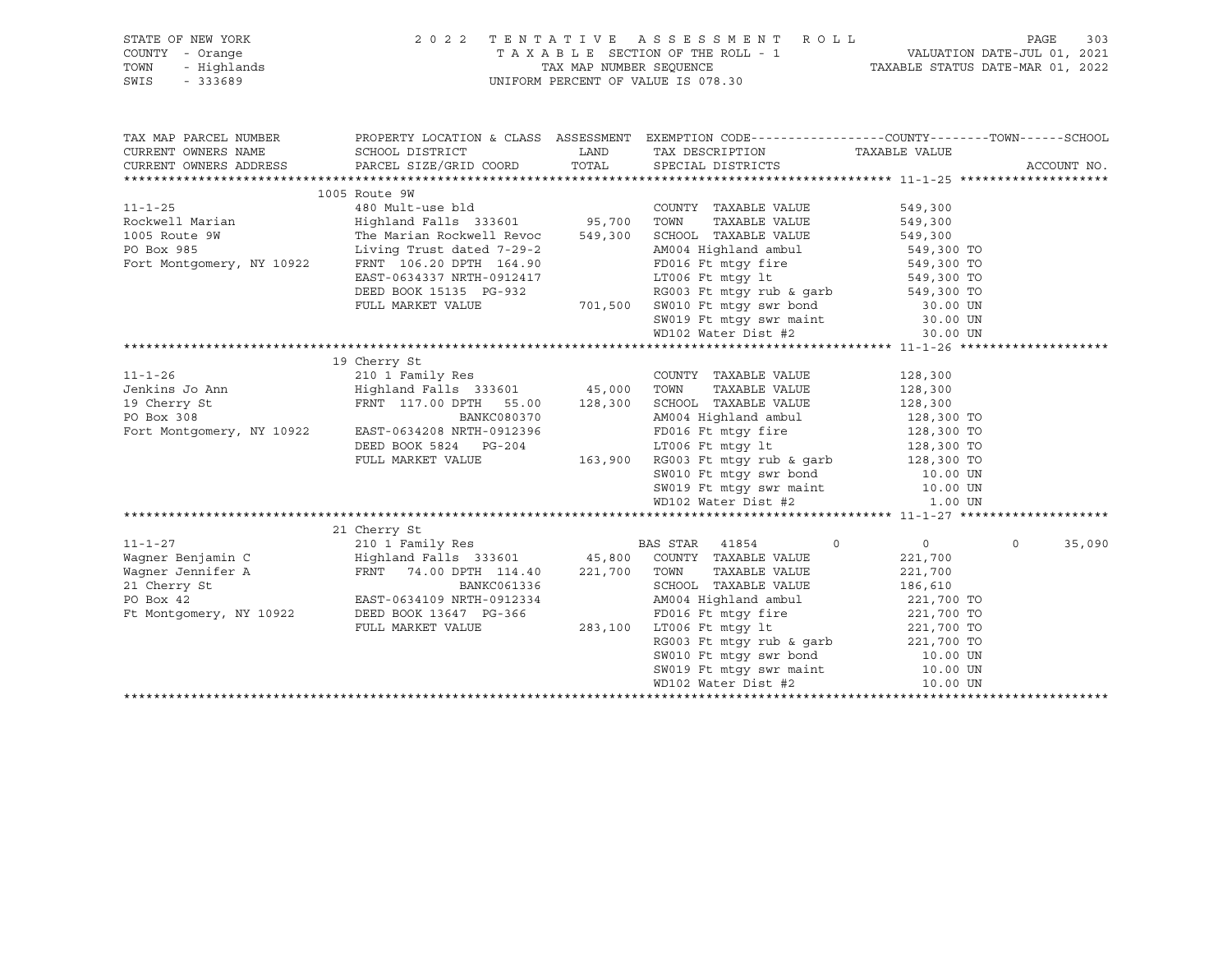| STATE OF NEW YORK                             | 2022 TENTATIVE ASSESSMENT ROLL                                                                                                                                                                                                                                                                                                                                                                                                                             |                                                                                                                                                                                                                                                   |                                                                  | 303<br>PAGE        |
|-----------------------------------------------|------------------------------------------------------------------------------------------------------------------------------------------------------------------------------------------------------------------------------------------------------------------------------------------------------------------------------------------------------------------------------------------------------------------------------------------------------------|---------------------------------------------------------------------------------------------------------------------------------------------------------------------------------------------------------------------------------------------------|------------------------------------------------------------------|--------------------|
| COUNTY - Orange                               |                                                                                                                                                                                                                                                                                                                                                                                                                                                            | TAXABLE SECTION OF THE ROLL - 1<br>TAX MAP NUMBER SEQUENCE TAXABLE STATUS DATE-JUL 01, 2021<br>TAXABLE STATUS DATE-MAR 01, 2022                                                                                                                   |                                                                  |                    |
| TOWN                                          |                                                                                                                                                                                                                                                                                                                                                                                                                                                            |                                                                                                                                                                                                                                                   |                                                                  |                    |
| Y - Orange<br>- Highlands<br>- 333689<br>SWIS |                                                                                                                                                                                                                                                                                                                                                                                                                                                            |                                                                                                                                                                                                                                                   |                                                                  |                    |
|                                               |                                                                                                                                                                                                                                                                                                                                                                                                                                                            | UNIFORM PERCENT OF VALUE IS 078.30                                                                                                                                                                                                                |                                                                  |                    |
|                                               |                                                                                                                                                                                                                                                                                                                                                                                                                                                            |                                                                                                                                                                                                                                                   |                                                                  |                    |
| TAX MAP PARCEL NUMBER                         | PROPERTY LOCATION & CLASS ASSESSMENT EXEMPTION CODE----------------COUNTY-------TOWN------SCHOOL                                                                                                                                                                                                                                                                                                                                                           |                                                                                                                                                                                                                                                   |                                                                  |                    |
| CURRENT OWNERS NAME                           |                                                                                                                                                                                                                                                                                                                                                                                                                                                            |                                                                                                                                                                                                                                                   |                                                                  |                    |
| CURRENT OWNERS ADDRESS                        |                                                                                                                                                                                                                                                                                                                                                                                                                                                            |                                                                                                                                                                                                                                                   |                                                                  | ACCOUNT NO.        |
|                                               |                                                                                                                                                                                                                                                                                                                                                                                                                                                            |                                                                                                                                                                                                                                                   |                                                                  |                    |
|                                               | ABO Mult-use bld<br>Rockwell Marian Mighland Falls 333601 549,300<br>The Marian Rockwell Revoce 549,300 5CHOOL TAXABLE VALUE 549,300<br>PO Box 985 Living Trust dated 7-29-2 AM004 Highland ambul<br>Fort Montgomery, NY 10922 FRNT 10                                                                                                                                                                                                                     |                                                                                                                                                                                                                                                   |                                                                  |                    |
|                                               |                                                                                                                                                                                                                                                                                                                                                                                                                                                            |                                                                                                                                                                                                                                                   |                                                                  |                    |
|                                               |                                                                                                                                                                                                                                                                                                                                                                                                                                                            |                                                                                                                                                                                                                                                   |                                                                  |                    |
|                                               |                                                                                                                                                                                                                                                                                                                                                                                                                                                            |                                                                                                                                                                                                                                                   |                                                                  |                    |
|                                               |                                                                                                                                                                                                                                                                                                                                                                                                                                                            |                                                                                                                                                                                                                                                   |                                                                  |                    |
|                                               |                                                                                                                                                                                                                                                                                                                                                                                                                                                            |                                                                                                                                                                                                                                                   |                                                                  |                    |
|                                               |                                                                                                                                                                                                                                                                                                                                                                                                                                                            |                                                                                                                                                                                                                                                   |                                                                  |                    |
|                                               |                                                                                                                                                                                                                                                                                                                                                                                                                                                            |                                                                                                                                                                                                                                                   |                                                                  |                    |
|                                               |                                                                                                                                                                                                                                                                                                                                                                                                                                                            |                                                                                                                                                                                                                                                   |                                                                  |                    |
|                                               |                                                                                                                                                                                                                                                                                                                                                                                                                                                            |                                                                                                                                                                                                                                                   |                                                                  |                    |
|                                               |                                                                                                                                                                                                                                                                                                                                                                                                                                                            |                                                                                                                                                                                                                                                   |                                                                  |                    |
|                                               |                                                                                                                                                                                                                                                                                                                                                                                                                                                            |                                                                                                                                                                                                                                                   |                                                                  |                    |
|                                               |                                                                                                                                                                                                                                                                                                                                                                                                                                                            |                                                                                                                                                                                                                                                   |                                                                  |                    |
|                                               |                                                                                                                                                                                                                                                                                                                                                                                                                                                            |                                                                                                                                                                                                                                                   |                                                                  |                    |
|                                               |                                                                                                                                                                                                                                                                                                                                                                                                                                                            |                                                                                                                                                                                                                                                   |                                                                  |                    |
|                                               |                                                                                                                                                                                                                                                                                                                                                                                                                                                            |                                                                                                                                                                                                                                                   |                                                                  |                    |
|                                               |                                                                                                                                                                                                                                                                                                                                                                                                                                                            |                                                                                                                                                                                                                                                   |                                                                  |                    |
|                                               |                                                                                                                                                                                                                                                                                                                                                                                                                                                            |                                                                                                                                                                                                                                                   |                                                                  |                    |
|                                               |                                                                                                                                                                                                                                                                                                                                                                                                                                                            |                                                                                                                                                                                                                                                   |                                                                  |                    |
|                                               |                                                                                                                                                                                                                                                                                                                                                                                                                                                            |                                                                                                                                                                                                                                                   |                                                                  |                    |
|                                               |                                                                                                                                                                                                                                                                                                                                                                                                                                                            |                                                                                                                                                                                                                                                   |                                                                  |                    |
|                                               |                                                                                                                                                                                                                                                                                                                                                                                                                                                            |                                                                                                                                                                                                                                                   |                                                                  |                    |
|                                               |                                                                                                                                                                                                                                                                                                                                                                                                                                                            |                                                                                                                                                                                                                                                   |                                                                  |                    |
|                                               |                                                                                                                                                                                                                                                                                                                                                                                                                                                            |                                                                                                                                                                                                                                                   |                                                                  |                    |
|                                               |                                                                                                                                                                                                                                                                                                                                                                                                                                                            |                                                                                                                                                                                                                                                   |                                                                  |                    |
|                                               | $\begin{tabular}{lllllllllllllllllll} \multicolumn{4}{c }{\text{\small 11--1--27}} & \multicolumn{4}{c }{210~1~Family~Res} & \multicolumn{4}{c }{\text{\small 210~1~Family~Res}} & \multicolumn{4}{c }{\text{\small 8A8~STAR}} & \multicolumn{4}{c }{41854} & \multicolumn{4}{c }{\text{\small 9}} \\ \multicolumn{4}{c }{\text{\small 100~I~Family~Res}} & \multicolumn{4}{c }{\text{\small 114.40}} & \multicolumn{4}{c }{\text{\small 221,700~ Town~TX$ |                                                                                                                                                                                                                                                   |                                                                  |                    |
|                                               |                                                                                                                                                                                                                                                                                                                                                                                                                                                            |                                                                                                                                                                                                                                                   | $\begin{array}{ccc} & & & 0 & \quad & & 0 & \quad & \end{array}$ | $\Omega$<br>35,090 |
|                                               |                                                                                                                                                                                                                                                                                                                                                                                                                                                            |                                                                                                                                                                                                                                                   | 221,700                                                          |                    |
|                                               |                                                                                                                                                                                                                                                                                                                                                                                                                                                            |                                                                                                                                                                                                                                                   |                                                                  |                    |
|                                               |                                                                                                                                                                                                                                                                                                                                                                                                                                                            |                                                                                                                                                                                                                                                   | 221,700<br>186,610                                               |                    |
|                                               |                                                                                                                                                                                                                                                                                                                                                                                                                                                            |                                                                                                                                                                                                                                                   |                                                                  |                    |
|                                               |                                                                                                                                                                                                                                                                                                                                                                                                                                                            |                                                                                                                                                                                                                                                   |                                                                  |                    |
|                                               | FULL MARKET VALUE                                                                                                                                                                                                                                                                                                                                                                                                                                          |                                                                                                                                                                                                                                                   |                                                                  |                    |
|                                               |                                                                                                                                                                                                                                                                                                                                                                                                                                                            |                                                                                                                                                                                                                                                   |                                                                  |                    |
|                                               |                                                                                                                                                                                                                                                                                                                                                                                                                                                            |                                                                                                                                                                                                                                                   |                                                                  |                    |
|                                               |                                                                                                                                                                                                                                                                                                                                                                                                                                                            |                                                                                                                                                                                                                                                   |                                                                  |                    |
|                                               |                                                                                                                                                                                                                                                                                                                                                                                                                                                            | C061336 SCHOOL TAXABLE VALUE<br>0912334 AM004 Highland ambul<br>221,700 TO<br>7016 Ft mtgy fire<br>283,100 LT006 Ft mtgy lt<br>RG003 Ft mtgy rub & garb<br>221,700 TO<br>8W010 Ft mtgy swr bond<br>5W010 Ft mtgy swr maint<br>10.00 UN<br>221,700 |                                                                  |                    |
|                                               |                                                                                                                                                                                                                                                                                                                                                                                                                                                            |                                                                                                                                                                                                                                                   |                                                                  |                    |
|                                               |                                                                                                                                                                                                                                                                                                                                                                                                                                                            |                                                                                                                                                                                                                                                   |                                                                  |                    |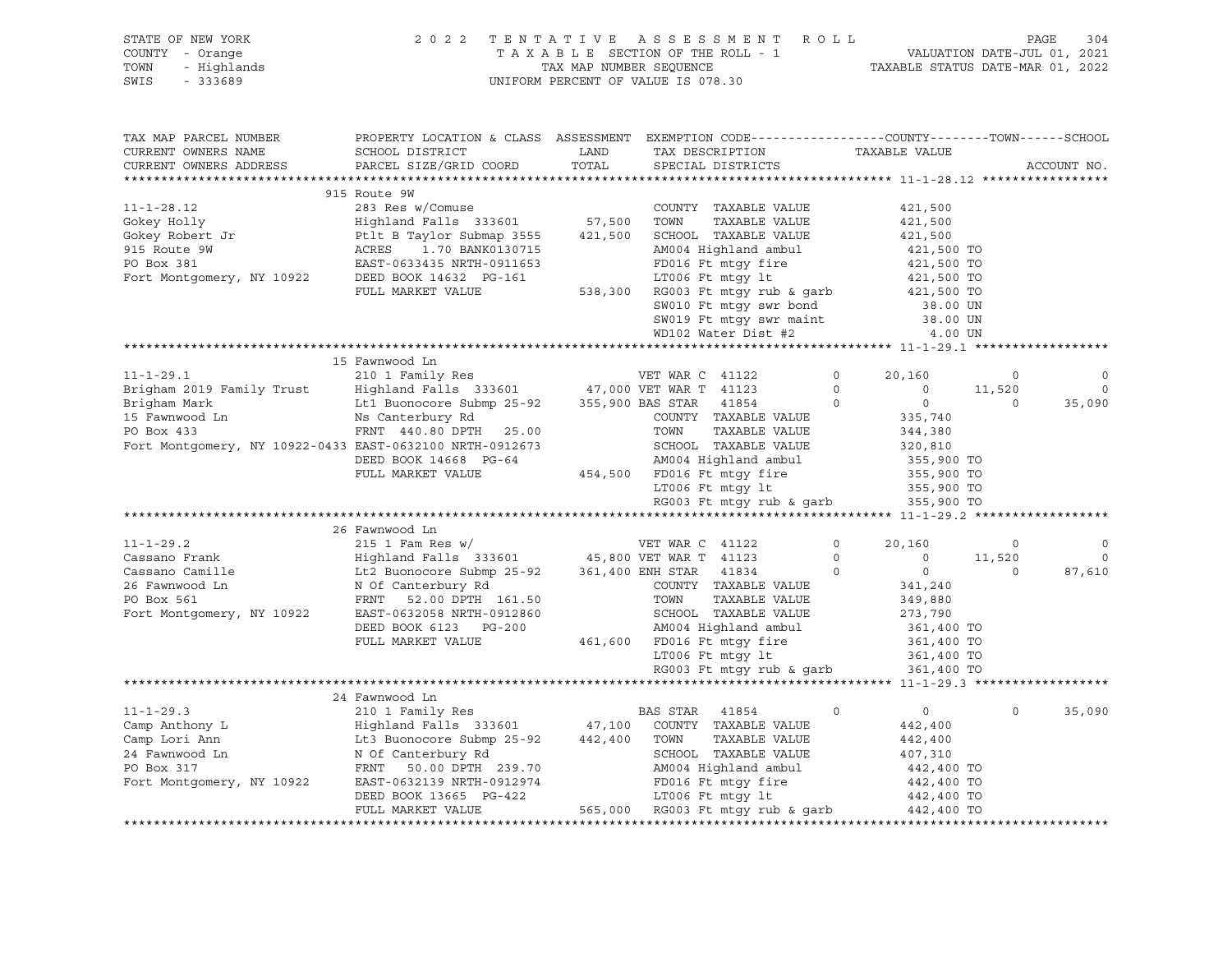| STATE OF NEW YORK<br>COUNTY - Orange<br>TOWN<br>- Highlands<br>$-333689$<br>SWIS                                                                                                                                                                                                                                                                                                                                                                                                  |                                                                                                                                               |               | 2 0 2 2 TENTATIVE ASSESSMENT ROLL PAGE 304<br>TAXABLE SECTION OF THE ROLL - 1 VALUATION DATE-JUL 01, 2021<br>TAX MAP NUMBER SEQUENCE TAXABLE STATUS DATE-MAR 01, 2022<br>UNIFORM PERCENT OF VALUE IS 078.30 |                  |          |                          |
|-----------------------------------------------------------------------------------------------------------------------------------------------------------------------------------------------------------------------------------------------------------------------------------------------------------------------------------------------------------------------------------------------------------------------------------------------------------------------------------|-----------------------------------------------------------------------------------------------------------------------------------------------|---------------|-------------------------------------------------------------------------------------------------------------------------------------------------------------------------------------------------------------|------------------|----------|--------------------------|
| TAX MAP PARCEL NUMBER<br>CURRENT OWNERS NAME<br>CURRENT OWNERS ADDRESS                                                                                                                                                                                                                                                                                                                                                                                                            | PROPERTY LOCATION & CLASS ASSESSMENT EXEMPTION CODE----------------COUNTY-------TOWN------SCHOOL<br>SCHOOL DISTRICT<br>PARCEL SIZE/GRID COORD | LAND<br>TOTAL | TAX DESCRIPTION TAXABLE VALUE<br>SPECIAL DISTRICTS<br>SPECIAL DISTRICTS                                                                                                                                     |                  |          | ACCOUNT NO.              |
|                                                                                                                                                                                                                                                                                                                                                                                                                                                                                   |                                                                                                                                               |               |                                                                                                                                                                                                             |                  |          |                          |
| $[3.12] \begin{tabular}{lcccccc} 915 Route 9W & 283 Res w/Comuse \\ Gokey Holly & Highland Falls 333601 & 57,500 TOWN & TAXABLE VALUE & 421,500 \\ Gokey Robert Jr & Ptlt B Taylor Submap 3555 & 421,500 SCHOOL TAXABLE VALUE & 421,500 \\ 915 Route 9W & ACRES & 1.70 BANK0130715 & AM004 Highland ambul & 421,500 TO \\ PO Box 381 & EAST-0633435 NRTH-0911653 & FD01675 & 421,500 TO \\ 915$                                                                                   |                                                                                                                                               |               |                                                                                                                                                                                                             |                  |          |                          |
|                                                                                                                                                                                                                                                                                                                                                                                                                                                                                   |                                                                                                                                               |               |                                                                                                                                                                                                             |                  |          |                          |
|                                                                                                                                                                                                                                                                                                                                                                                                                                                                                   |                                                                                                                                               |               |                                                                                                                                                                                                             |                  |          |                          |
|                                                                                                                                                                                                                                                                                                                                                                                                                                                                                   |                                                                                                                                               |               |                                                                                                                                                                                                             |                  |          |                          |
|                                                                                                                                                                                                                                                                                                                                                                                                                                                                                   |                                                                                                                                               |               |                                                                                                                                                                                                             |                  |          |                          |
|                                                                                                                                                                                                                                                                                                                                                                                                                                                                                   |                                                                                                                                               |               |                                                                                                                                                                                                             |                  |          |                          |
|                                                                                                                                                                                                                                                                                                                                                                                                                                                                                   |                                                                                                                                               |               |                                                                                                                                                                                                             |                  |          |                          |
|                                                                                                                                                                                                                                                                                                                                                                                                                                                                                   |                                                                                                                                               |               |                                                                                                                                                                                                             |                  |          |                          |
|                                                                                                                                                                                                                                                                                                                                                                                                                                                                                   |                                                                                                                                               |               | SW010 Ft mtgy swr bond<br>SW019 Ft mtgy swr maint 38.00 UN<br>WD102 Water Dist #2 4.00 UN                                                                                                                   |                  |          |                          |
|                                                                                                                                                                                                                                                                                                                                                                                                                                                                                   |                                                                                                                                               |               |                                                                                                                                                                                                             |                  |          |                          |
| $[11-1-29.1 \underbrace{\footnotesize{35}, 10}_{210} \underbrace{\footnotesize{35}, 10}_{210} \underbrace{\footnotesize{35}, 10}_{210} \underbrace{\footnotesize{35}, 10}_{210} \underbrace{\footnotesize{35}, 10}_{210} \underbrace{\footnotesize{35}, 10}_{210} \underbrace{\footnotesize{35}, 10}_{210} \underbrace{\footnotesize{35}, 10}_{210} \underbrace{\footnotesize{35}, 10}_{210} \underbrace{\footnotesize{35}, 10}_{210} \underbrace{\footnotesize{35}, 10}_{210} \$ |                                                                                                                                               |               |                                                                                                                                                                                                             |                  |          |                          |
|                                                                                                                                                                                                                                                                                                                                                                                                                                                                                   |                                                                                                                                               |               |                                                                                                                                                                                                             |                  |          |                          |
|                                                                                                                                                                                                                                                                                                                                                                                                                                                                                   |                                                                                                                                               |               |                                                                                                                                                                                                             |                  |          | $\circ$                  |
|                                                                                                                                                                                                                                                                                                                                                                                                                                                                                   |                                                                                                                                               |               |                                                                                                                                                                                                             |                  |          | $\overline{\phantom{0}}$ |
|                                                                                                                                                                                                                                                                                                                                                                                                                                                                                   |                                                                                                                                               |               |                                                                                                                                                                                                             |                  |          | 35,090                   |
|                                                                                                                                                                                                                                                                                                                                                                                                                                                                                   |                                                                                                                                               |               |                                                                                                                                                                                                             |                  |          |                          |
|                                                                                                                                                                                                                                                                                                                                                                                                                                                                                   |                                                                                                                                               |               |                                                                                                                                                                                                             |                  |          |                          |
|                                                                                                                                                                                                                                                                                                                                                                                                                                                                                   |                                                                                                                                               |               |                                                                                                                                                                                                             |                  |          |                          |
|                                                                                                                                                                                                                                                                                                                                                                                                                                                                                   |                                                                                                                                               |               |                                                                                                                                                                                                             |                  |          |                          |
|                                                                                                                                                                                                                                                                                                                                                                                                                                                                                   |                                                                                                                                               |               |                                                                                                                                                                                                             |                  |          |                          |
|                                                                                                                                                                                                                                                                                                                                                                                                                                                                                   |                                                                                                                                               |               |                                                                                                                                                                                                             |                  |          |                          |
|                                                                                                                                                                                                                                                                                                                                                                                                                                                                                   |                                                                                                                                               |               |                                                                                                                                                                                                             |                  |          |                          |
|                                                                                                                                                                                                                                                                                                                                                                                                                                                                                   |                                                                                                                                               |               |                                                                                                                                                                                                             |                  |          |                          |
|                                                                                                                                                                                                                                                                                                                                                                                                                                                                                   |                                                                                                                                               |               |                                                                                                                                                                                                             |                  | $\sim$ 0 | $\circ$                  |
|                                                                                                                                                                                                                                                                                                                                                                                                                                                                                   |                                                                                                                                               |               |                                                                                                                                                                                                             |                  | 11,520   | $\Omega$                 |
|                                                                                                                                                                                                                                                                                                                                                                                                                                                                                   |                                                                                                                                               |               |                                                                                                                                                                                                             | $\overline{0}$ 0 |          | 87,610                   |
|                                                                                                                                                                                                                                                                                                                                                                                                                                                                                   |                                                                                                                                               |               |                                                                                                                                                                                                             |                  |          |                          |
|                                                                                                                                                                                                                                                                                                                                                                                                                                                                                   |                                                                                                                                               |               |                                                                                                                                                                                                             |                  |          |                          |
|                                                                                                                                                                                                                                                                                                                                                                                                                                                                                   |                                                                                                                                               |               |                                                                                                                                                                                                             |                  |          |                          |
|                                                                                                                                                                                                                                                                                                                                                                                                                                                                                   |                                                                                                                                               |               |                                                                                                                                                                                                             |                  |          |                          |
|                                                                                                                                                                                                                                                                                                                                                                                                                                                                                   |                                                                                                                                               |               |                                                                                                                                                                                                             |                  |          |                          |
|                                                                                                                                                                                                                                                                                                                                                                                                                                                                                   |                                                                                                                                               |               |                                                                                                                                                                                                             |                  |          |                          |
|                                                                                                                                                                                                                                                                                                                                                                                                                                                                                   |                                                                                                                                               |               |                                                                                                                                                                                                             |                  |          |                          |
|                                                                                                                                                                                                                                                                                                                                                                                                                                                                                   | 24 Fawnwood Ln                                                                                                                                |               |                                                                                                                                                                                                             |                  |          |                          |
|                                                                                                                                                                                                                                                                                                                                                                                                                                                                                   |                                                                                                                                               |               |                                                                                                                                                                                                             |                  | $\circ$  | 35,090                   |
|                                                                                                                                                                                                                                                                                                                                                                                                                                                                                   |                                                                                                                                               |               |                                                                                                                                                                                                             |                  |          |                          |
|                                                                                                                                                                                                                                                                                                                                                                                                                                                                                   |                                                                                                                                               |               |                                                                                                                                                                                                             |                  |          |                          |
|                                                                                                                                                                                                                                                                                                                                                                                                                                                                                   |                                                                                                                                               |               |                                                                                                                                                                                                             |                  |          |                          |
|                                                                                                                                                                                                                                                                                                                                                                                                                                                                                   |                                                                                                                                               |               |                                                                                                                                                                                                             |                  |          |                          |
|                                                                                                                                                                                                                                                                                                                                                                                                                                                                                   |                                                                                                                                               |               |                                                                                                                                                                                                             |                  |          |                          |
|                                                                                                                                                                                                                                                                                                                                                                                                                                                                                   |                                                                                                                                               |               |                                                                                                                                                                                                             |                  |          |                          |
|                                                                                                                                                                                                                                                                                                                                                                                                                                                                                   |                                                                                                                                               |               |                                                                                                                                                                                                             |                  |          |                          |
|                                                                                                                                                                                                                                                                                                                                                                                                                                                                                   |                                                                                                                                               |               |                                                                                                                                                                                                             |                  |          |                          |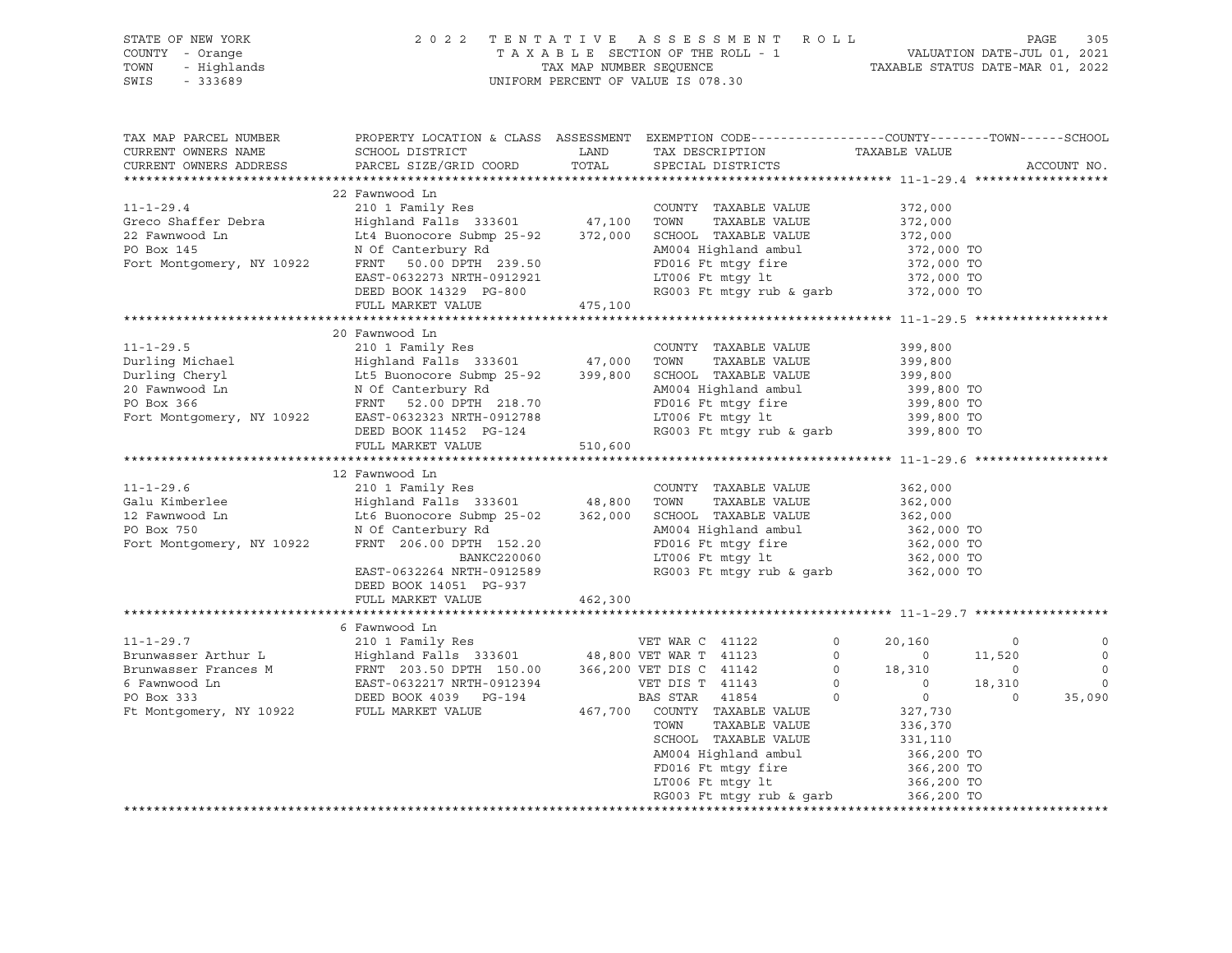| STATE OF NEW YORK      |                                                                                                                                                                                                                                                                                                                                                                                                                                                    |                                                                                                                                                                                                                                      |                                                                                                  |  |  |                          |
|------------------------|----------------------------------------------------------------------------------------------------------------------------------------------------------------------------------------------------------------------------------------------------------------------------------------------------------------------------------------------------------------------------------------------------------------------------------------------------|--------------------------------------------------------------------------------------------------------------------------------------------------------------------------------------------------------------------------------------|--------------------------------------------------------------------------------------------------|--|--|--------------------------|
| COUNTY - Orange        |                                                                                                                                                                                                                                                                                                                                                                                                                                                    | OF NEW YORK PAGE 305 AGE 2022 TENTATIVE ASSESSMENT ROLL PAGE 305<br>Y - Orange TAXABLE SECTION OF THE ROLL - 1 VALUATION DATE-JUL 01, 2021<br>- Highlands TAX MAP NUMBER SEQUENCE TAXABLE STATUS DATE-MAR 01, 2022<br>- 333689 UNIFO |                                                                                                  |  |  |                          |
| TOWN                   |                                                                                                                                                                                                                                                                                                                                                                                                                                                    |                                                                                                                                                                                                                                      |                                                                                                  |  |  |                          |
|                        |                                                                                                                                                                                                                                                                                                                                                                                                                                                    |                                                                                                                                                                                                                                      |                                                                                                  |  |  |                          |
| SWIS - 333689          |                                                                                                                                                                                                                                                                                                                                                                                                                                                    |                                                                                                                                                                                                                                      |                                                                                                  |  |  |                          |
|                        |                                                                                                                                                                                                                                                                                                                                                                                                                                                    |                                                                                                                                                                                                                                      |                                                                                                  |  |  |                          |
|                        |                                                                                                                                                                                                                                                                                                                                                                                                                                                    |                                                                                                                                                                                                                                      |                                                                                                  |  |  |                          |
|                        |                                                                                                                                                                                                                                                                                                                                                                                                                                                    |                                                                                                                                                                                                                                      |                                                                                                  |  |  |                          |
| TAX MAP PARCEL NUMBER  |                                                                                                                                                                                                                                                                                                                                                                                                                                                    |                                                                                                                                                                                                                                      | PROPERTY LOCATION & CLASS ASSESSMENT EXEMPTION CODE----------------COUNTY-------TOWN------SCHOOL |  |  |                          |
| CURRENT OWNERS NAME    |                                                                                                                                                                                                                                                                                                                                                                                                                                                    |                                                                                                                                                                                                                                      |                                                                                                  |  |  |                          |
| CURRENT OWNERS ADDRESS |                                                                                                                                                                                                                                                                                                                                                                                                                                                    |                                                                                                                                                                                                                                      |                                                                                                  |  |  | ACCOUNT NO.              |
|                        |                                                                                                                                                                                                                                                                                                                                                                                                                                                    |                                                                                                                                                                                                                                      |                                                                                                  |  |  |                          |
|                        | 22 Fawnwood Ln                                                                                                                                                                                                                                                                                                                                                                                                                                     |                                                                                                                                                                                                                                      |                                                                                                  |  |  |                          |
|                        |                                                                                                                                                                                                                                                                                                                                                                                                                                                    |                                                                                                                                                                                                                                      |                                                                                                  |  |  |                          |
|                        |                                                                                                                                                                                                                                                                                                                                                                                                                                                    |                                                                                                                                                                                                                                      |                                                                                                  |  |  |                          |
|                        |                                                                                                                                                                                                                                                                                                                                                                                                                                                    |                                                                                                                                                                                                                                      |                                                                                                  |  |  |                          |
|                        |                                                                                                                                                                                                                                                                                                                                                                                                                                                    |                                                                                                                                                                                                                                      |                                                                                                  |  |  |                          |
|                        |                                                                                                                                                                                                                                                                                                                                                                                                                                                    |                                                                                                                                                                                                                                      |                                                                                                  |  |  |                          |
|                        |                                                                                                                                                                                                                                                                                                                                                                                                                                                    |                                                                                                                                                                                                                                      |                                                                                                  |  |  |                          |
|                        |                                                                                                                                                                                                                                                                                                                                                                                                                                                    |                                                                                                                                                                                                                                      |                                                                                                  |  |  |                          |
|                        |                                                                                                                                                                                                                                                                                                                                                                                                                                                    |                                                                                                                                                                                                                                      |                                                                                                  |  |  |                          |
|                        | FULL MARKET VALUE 475,100                                                                                                                                                                                                                                                                                                                                                                                                                          |                                                                                                                                                                                                                                      |                                                                                                  |  |  |                          |
|                        |                                                                                                                                                                                                                                                                                                                                                                                                                                                    |                                                                                                                                                                                                                                      |                                                                                                  |  |  |                          |
|                        |                                                                                                                                                                                                                                                                                                                                                                                                                                                    |                                                                                                                                                                                                                                      |                                                                                                  |  |  |                          |
|                        | 20 Fawnwood Ln<br>20 Fawnwood Ln<br>20 Fawnwood Ln<br>20 Fawnwood Ln<br>20 Fawnwood Ln<br>20 Fawnwood Ln<br>20 Fawnwood Ln<br>20 Fawnwood Ln<br>20 Fawnwood Ln<br>20 Fawnwood Ln<br>20 Fawnwood Ln<br>20 Fawnwood Ln<br>20 Fawnwood Ln<br>20 Fawnwood Ln<br>20 Fawnwood Ln                                                                                                                                                                         |                                                                                                                                                                                                                                      |                                                                                                  |  |  |                          |
|                        |                                                                                                                                                                                                                                                                                                                                                                                                                                                    |                                                                                                                                                                                                                                      |                                                                                                  |  |  |                          |
|                        |                                                                                                                                                                                                                                                                                                                                                                                                                                                    |                                                                                                                                                                                                                                      |                                                                                                  |  |  |                          |
|                        |                                                                                                                                                                                                                                                                                                                                                                                                                                                    |                                                                                                                                                                                                                                      |                                                                                                  |  |  |                          |
|                        |                                                                                                                                                                                                                                                                                                                                                                                                                                                    |                                                                                                                                                                                                                                      |                                                                                                  |  |  |                          |
|                        |                                                                                                                                                                                                                                                                                                                                                                                                                                                    |                                                                                                                                                                                                                                      |                                                                                                  |  |  |                          |
|                        |                                                                                                                                                                                                                                                                                                                                                                                                                                                    |                                                                                                                                                                                                                                      |                                                                                                  |  |  |                          |
|                        |                                                                                                                                                                                                                                                                                                                                                                                                                                                    |                                                                                                                                                                                                                                      |                                                                                                  |  |  |                          |
|                        |                                                                                                                                                                                                                                                                                                                                                                                                                                                    | 510,600                                                                                                                                                                                                                              |                                                                                                  |  |  |                          |
|                        | FULL MARKET VALUE                                                                                                                                                                                                                                                                                                                                                                                                                                  |                                                                                                                                                                                                                                      |                                                                                                  |  |  |                          |
|                        |                                                                                                                                                                                                                                                                                                                                                                                                                                                    |                                                                                                                                                                                                                                      |                                                                                                  |  |  |                          |
|                        | 12 Fawnwood Ln                                                                                                                                                                                                                                                                                                                                                                                                                                     |                                                                                                                                                                                                                                      |                                                                                                  |  |  |                          |
|                        |                                                                                                                                                                                                                                                                                                                                                                                                                                                    |                                                                                                                                                                                                                                      |                                                                                                  |  |  |                          |
|                        |                                                                                                                                                                                                                                                                                                                                                                                                                                                    |                                                                                                                                                                                                                                      |                                                                                                  |  |  |                          |
|                        |                                                                                                                                                                                                                                                                                                                                                                                                                                                    |                                                                                                                                                                                                                                      |                                                                                                  |  |  |                          |
|                        |                                                                                                                                                                                                                                                                                                                                                                                                                                                    |                                                                                                                                                                                                                                      |                                                                                                  |  |  |                          |
|                        |                                                                                                                                                                                                                                                                                                                                                                                                                                                    |                                                                                                                                                                                                                                      |                                                                                                  |  |  |                          |
|                        |                                                                                                                                                                                                                                                                                                                                                                                                                                                    |                                                                                                                                                                                                                                      |                                                                                                  |  |  |                          |
|                        |                                                                                                                                                                                                                                                                                                                                                                                                                                                    |                                                                                                                                                                                                                                      |                                                                                                  |  |  |                          |
|                        |                                                                                                                                                                                                                                                                                                                                                                                                                                                    |                                                                                                                                                                                                                                      |                                                                                                  |  |  |                          |
|                        | DEED BOOK 14051 PG-937                                                                                                                                                                                                                                                                                                                                                                                                                             |                                                                                                                                                                                                                                      |                                                                                                  |  |  |                          |
|                        | FULL MARKET VALUE 462,300                                                                                                                                                                                                                                                                                                                                                                                                                          |                                                                                                                                                                                                                                      |                                                                                                  |  |  |                          |
|                        |                                                                                                                                                                                                                                                                                                                                                                                                                                                    |                                                                                                                                                                                                                                      |                                                                                                  |  |  |                          |
|                        |                                                                                                                                                                                                                                                                                                                                                                                                                                                    |                                                                                                                                                                                                                                      |                                                                                                  |  |  |                          |
|                        |                                                                                                                                                                                                                                                                                                                                                                                                                                                    |                                                                                                                                                                                                                                      |                                                                                                  |  |  | $\overline{\phantom{0}}$ |
|                        |                                                                                                                                                                                                                                                                                                                                                                                                                                                    |                                                                                                                                                                                                                                      |                                                                                                  |  |  | $\overline{0}$           |
|                        |                                                                                                                                                                                                                                                                                                                                                                                                                                                    |                                                                                                                                                                                                                                      |                                                                                                  |  |  |                          |
|                        |                                                                                                                                                                                                                                                                                                                                                                                                                                                    |                                                                                                                                                                                                                                      |                                                                                                  |  |  | $\overline{\phantom{0}}$ |
|                        |                                                                                                                                                                                                                                                                                                                                                                                                                                                    |                                                                                                                                                                                                                                      |                                                                                                  |  |  | $\overline{0}$           |
|                        |                                                                                                                                                                                                                                                                                                                                                                                                                                                    |                                                                                                                                                                                                                                      |                                                                                                  |  |  | 35,090                   |
|                        |                                                                                                                                                                                                                                                                                                                                                                                                                                                    |                                                                                                                                                                                                                                      |                                                                                                  |  |  |                          |
|                        | $\begin{tabular}{lcccc} \tt11-1-29.7 & \tt6\text{ Fawnwood }\text{In} & \tt210 1\text{ Family Res} \\ \tt{Brunwasser } Arthur \text{ L} & \tt115210 1\text{ Family Res} \\ \tt{Brunwasser } France \text{M} & \tt115210 1\text{ Family Res} \\ \tt{Frunwasser } France \text{M} & \tt11520 1\text{ family Res} \\ \tt6\text{ Fawnwood }\text{In} & \tt11520 1\text{ family Res} \\ \tt70\text{ Box } 333 & \tt801 & \tt90 11,520 \\ \tt810 10 10 $ |                                                                                                                                                                                                                                      |                                                                                                  |  |  |                          |
|                        |                                                                                                                                                                                                                                                                                                                                                                                                                                                    |                                                                                                                                                                                                                                      |                                                                                                  |  |  |                          |
|                        |                                                                                                                                                                                                                                                                                                                                                                                                                                                    |                                                                                                                                                                                                                                      |                                                                                                  |  |  |                          |
|                        |                                                                                                                                                                                                                                                                                                                                                                                                                                                    |                                                                                                                                                                                                                                      |                                                                                                  |  |  |                          |
|                        |                                                                                                                                                                                                                                                                                                                                                                                                                                                    |                                                                                                                                                                                                                                      | AM004 Highland ambul 366,200 TO<br>FD016 Ft mtgy fire 366,200 TO<br>LT006 Ft mtgy lt 366,200 TO  |  |  |                          |
|                        |                                                                                                                                                                                                                                                                                                                                                                                                                                                    |                                                                                                                                                                                                                                      |                                                                                                  |  |  |                          |
|                        |                                                                                                                                                                                                                                                                                                                                                                                                                                                    |                                                                                                                                                                                                                                      | RG003 Ft mtgy rub & garb 366,200 TO                                                              |  |  |                          |
|                        |                                                                                                                                                                                                                                                                                                                                                                                                                                                    |                                                                                                                                                                                                                                      |                                                                                                  |  |  |                          |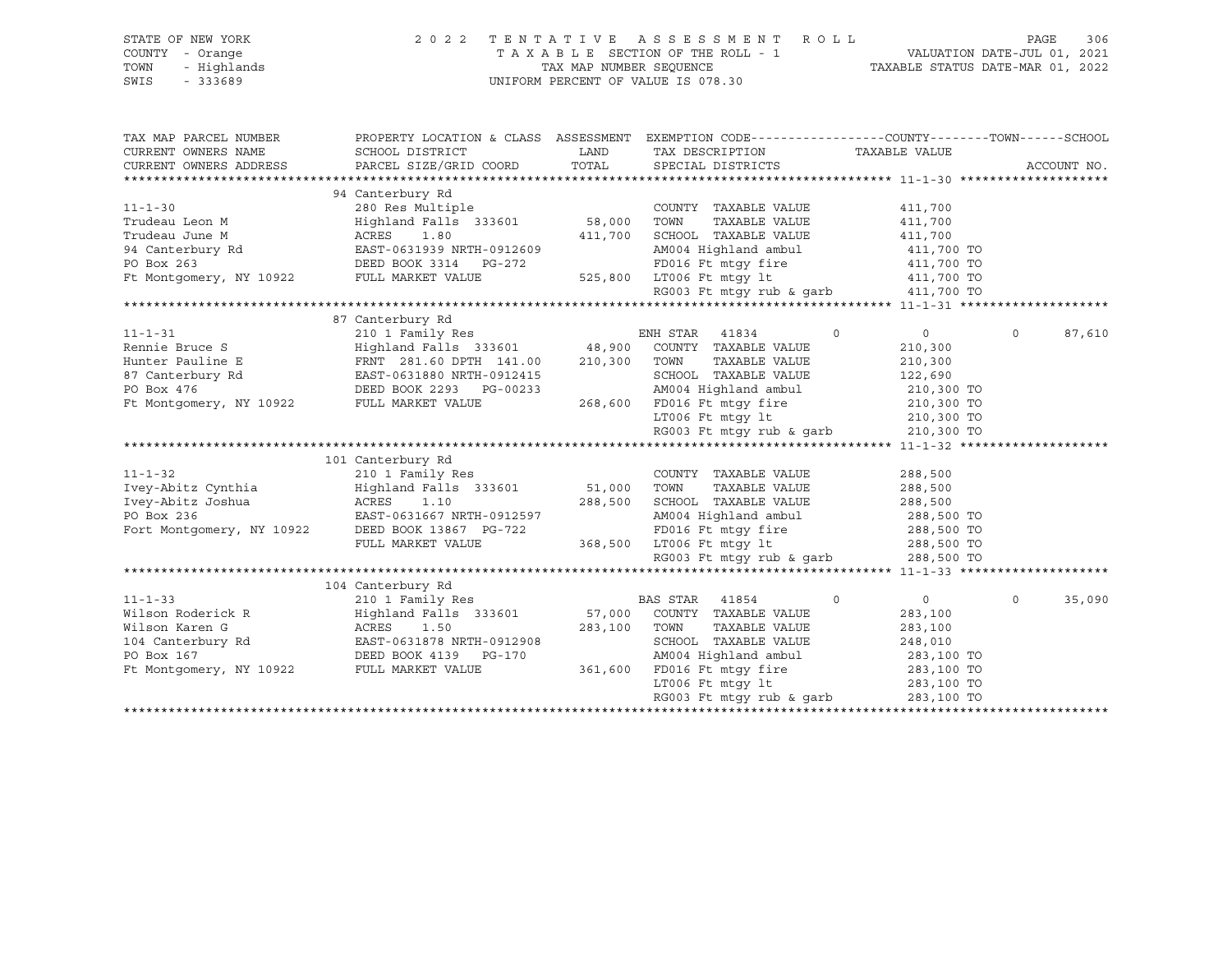| COUNTY - Orange<br>TAXABLE SECTION OF THE ROLL - 1<br>للمات VALUATION DATE-JUL 11, 2022<br>TAXABLE STATUS DATE-MAR 01, 2022<br>TOWN<br>- Highlands<br>TAX MAP NUMBER SEQUENCE<br>$-333689$<br>UNIFORM PERCENT OF VALUE IS 078.30<br>SWIS<br>TAX MAP PARCEL NUMBER<br>PROPERTY LOCATION & CLASS ASSESSMENT EXEMPTION CODE----------------COUNTY-------TOWN-----SCHOOL<br>CURRENT OWNERS NAME<br>SCHOOL DISTRICT<br>LAND<br>TAX DESCRIPTION<br>TAXABLE VALUE<br>TOTAL<br>CURRENT OWNERS ADDRESS<br>PARCEL SIZE/GRID COORD<br>SPECIAL DISTRICTS<br>ACCOUNT NO.<br>94 Canterbury Rd<br>280 Res Multiple<br>$11 - 1 - 30$<br>COUNTY TAXABLE VALUE<br>411,700<br>58,000<br>Highland Falls 333601<br>TAXABLE VALUE<br>Trudeau Leon M<br>TOWN<br>411,700<br>SCHOOL TAXABLE VALUE<br>Trudeau June M<br>ACRES<br>411,700<br>411,700<br>1.80<br>ACRES      1.80<br>EAST-0631939 NRTH-0912609<br>AM004 Highland ambul<br>94 Canterbury Rd<br>411,700 TO<br>PO Box 263<br>DEED BOOK 3314 PG-272<br>FD016 Ft mtqy fire<br>411,700 TO<br>Ft Montgomery, NY 10922 FULL MARKET VALUE<br>525,800 LT006 Ft mtgy lt<br>411,700 TO<br>RG003 Ft mtqy rub & qarb<br>411,700 TO<br>87 Canterbury Rd<br>$11 - 1 - 31$<br>210 1 Family Res<br>ENH STAR 41834<br>$\circ$<br>$\overline{0}$<br>$\circ$<br>87,610<br>Highland Falls 333601 48,900 COUNTY TAXABLE VALUE<br>Rennie Bruce S<br>210,300<br>Hunter Pauline E<br>FRNT 281.60 DPTH 141.00 210,300 TOWN<br>TAXABLE VALUE<br>210,300<br>EAST-0631880 NRTH-0912415<br>SCHOOL TAXABLE VALUE<br>87 Canterbury Rd<br>122,690<br>PO Box 476<br>DEED BOOK 2293 PG-00233<br>AM004 Highland ambul<br>210,300 TO<br>Ft Montgomery, NY 10922 FULL MARKET VALUE<br>268,600 FD016 Ft mtqy fire<br>210,300 TO<br>LT006 Ft mtqy lt<br>210,300 TO<br>LT006 Ft mtgy lt<br>RG003 Ft mtgy rub & garb<br>210,300 TO<br>101 Canterbury Rd<br>$11 - 1 - 32$<br>210 1 Family Res<br>COUNTY TAXABLE VALUE<br>288,500<br>51,000 TOWN<br>Ivey-Abitz Cynthia<br>Highland Falls 333601<br>TAXABLE VALUE<br>288,500<br>Ivey-Abitz Joshua<br>288,500<br>ACRES<br>1.10<br>SCHOOL TAXABLE VALUE<br>288,500<br>PO Box 236<br>EAST-0631667 NRTH-0912597<br>AM004 Highland ambul<br>288,500 TO<br>Fort Montgomery, NY 10922<br>FD016 Ft mtgy fire<br>DEED BOOK 13867 PG-722<br>288,500 TO<br>FULL MARKET VALUE<br>368,500 LT006 Ft mtqy lt<br>288,500 TO<br>RG003 Ft mtgy rub & garb<br>288,500 TO<br>104 Canterbury Rd<br>$11 - 1 - 33$<br>210 1 Family Res<br>BAS STAR<br>41854<br>$\mathbf 0$<br>$\circ$<br>$\Omega$<br>35,090<br>Wilson Roderick R<br>Highland Falls 333601<br>57,000<br>COUNTY TAXABLE VALUE<br>283,100<br>Wilson Karen G<br>ACRES<br>1.50<br>283,100<br>TOWN<br>TAXABLE VALUE<br>283,100<br>EAST-0631878 NRTH-0912908<br>SCHOOL TAXABLE VALUE<br>104 Canterbury Rd<br>248,010<br>AM004 Highland ambul<br>PO Box 167<br>DEED BOOK 4139 PG-170<br>283,100 TO<br>Ft Montgomery, NY 10922<br>FULL MARKET VALUE<br>361,600<br>FD016 Ft mtqy fire<br>283,100 TO<br>LT006 Ft mtgy lt<br>283,100 TO<br>RG003 Ft mtqy rub & qarb<br>283,100 TO | STATE OF NEW YORK | 2 0 2 2 | TENTATIVE ASSESSMENT ROLL | 306<br>PAGE |
|-----------------------------------------------------------------------------------------------------------------------------------------------------------------------------------------------------------------------------------------------------------------------------------------------------------------------------------------------------------------------------------------------------------------------------------------------------------------------------------------------------------------------------------------------------------------------------------------------------------------------------------------------------------------------------------------------------------------------------------------------------------------------------------------------------------------------------------------------------------------------------------------------------------------------------------------------------------------------------------------------------------------------------------------------------------------------------------------------------------------------------------------------------------------------------------------------------------------------------------------------------------------------------------------------------------------------------------------------------------------------------------------------------------------------------------------------------------------------------------------------------------------------------------------------------------------------------------------------------------------------------------------------------------------------------------------------------------------------------------------------------------------------------------------------------------------------------------------------------------------------------------------------------------------------------------------------------------------------------------------------------------------------------------------------------------------------------------------------------------------------------------------------------------------------------------------------------------------------------------------------------------------------------------------------------------------------------------------------------------------------------------------------------------------------------------------------------------------------------------------------------------------------------------------------------------------------------------------------------------------------------------------------------------------------------------------------------------------------------------------------------------------------------------------------------------------------------------------------------------------------------------------------------------------------------------------------------------------------------------------------------------------------------------------------------|-------------------|---------|---------------------------|-------------|
|                                                                                                                                                                                                                                                                                                                                                                                                                                                                                                                                                                                                                                                                                                                                                                                                                                                                                                                                                                                                                                                                                                                                                                                                                                                                                                                                                                                                                                                                                                                                                                                                                                                                                                                                                                                                                                                                                                                                                                                                                                                                                                                                                                                                                                                                                                                                                                                                                                                                                                                                                                                                                                                                                                                                                                                                                                                                                                                                                                                                                                                     |                   |         |                           |             |
|                                                                                                                                                                                                                                                                                                                                                                                                                                                                                                                                                                                                                                                                                                                                                                                                                                                                                                                                                                                                                                                                                                                                                                                                                                                                                                                                                                                                                                                                                                                                                                                                                                                                                                                                                                                                                                                                                                                                                                                                                                                                                                                                                                                                                                                                                                                                                                                                                                                                                                                                                                                                                                                                                                                                                                                                                                                                                                                                                                                                                                                     |                   |         |                           |             |
|                                                                                                                                                                                                                                                                                                                                                                                                                                                                                                                                                                                                                                                                                                                                                                                                                                                                                                                                                                                                                                                                                                                                                                                                                                                                                                                                                                                                                                                                                                                                                                                                                                                                                                                                                                                                                                                                                                                                                                                                                                                                                                                                                                                                                                                                                                                                                                                                                                                                                                                                                                                                                                                                                                                                                                                                                                                                                                                                                                                                                                                     |                   |         |                           |             |
|                                                                                                                                                                                                                                                                                                                                                                                                                                                                                                                                                                                                                                                                                                                                                                                                                                                                                                                                                                                                                                                                                                                                                                                                                                                                                                                                                                                                                                                                                                                                                                                                                                                                                                                                                                                                                                                                                                                                                                                                                                                                                                                                                                                                                                                                                                                                                                                                                                                                                                                                                                                                                                                                                                                                                                                                                                                                                                                                                                                                                                                     |                   |         |                           |             |
|                                                                                                                                                                                                                                                                                                                                                                                                                                                                                                                                                                                                                                                                                                                                                                                                                                                                                                                                                                                                                                                                                                                                                                                                                                                                                                                                                                                                                                                                                                                                                                                                                                                                                                                                                                                                                                                                                                                                                                                                                                                                                                                                                                                                                                                                                                                                                                                                                                                                                                                                                                                                                                                                                                                                                                                                                                                                                                                                                                                                                                                     |                   |         |                           |             |
|                                                                                                                                                                                                                                                                                                                                                                                                                                                                                                                                                                                                                                                                                                                                                                                                                                                                                                                                                                                                                                                                                                                                                                                                                                                                                                                                                                                                                                                                                                                                                                                                                                                                                                                                                                                                                                                                                                                                                                                                                                                                                                                                                                                                                                                                                                                                                                                                                                                                                                                                                                                                                                                                                                                                                                                                                                                                                                                                                                                                                                                     |                   |         |                           |             |
|                                                                                                                                                                                                                                                                                                                                                                                                                                                                                                                                                                                                                                                                                                                                                                                                                                                                                                                                                                                                                                                                                                                                                                                                                                                                                                                                                                                                                                                                                                                                                                                                                                                                                                                                                                                                                                                                                                                                                                                                                                                                                                                                                                                                                                                                                                                                                                                                                                                                                                                                                                                                                                                                                                                                                                                                                                                                                                                                                                                                                                                     |                   |         |                           |             |
|                                                                                                                                                                                                                                                                                                                                                                                                                                                                                                                                                                                                                                                                                                                                                                                                                                                                                                                                                                                                                                                                                                                                                                                                                                                                                                                                                                                                                                                                                                                                                                                                                                                                                                                                                                                                                                                                                                                                                                                                                                                                                                                                                                                                                                                                                                                                                                                                                                                                                                                                                                                                                                                                                                                                                                                                                                                                                                                                                                                                                                                     |                   |         |                           |             |
|                                                                                                                                                                                                                                                                                                                                                                                                                                                                                                                                                                                                                                                                                                                                                                                                                                                                                                                                                                                                                                                                                                                                                                                                                                                                                                                                                                                                                                                                                                                                                                                                                                                                                                                                                                                                                                                                                                                                                                                                                                                                                                                                                                                                                                                                                                                                                                                                                                                                                                                                                                                                                                                                                                                                                                                                                                                                                                                                                                                                                                                     |                   |         |                           |             |
|                                                                                                                                                                                                                                                                                                                                                                                                                                                                                                                                                                                                                                                                                                                                                                                                                                                                                                                                                                                                                                                                                                                                                                                                                                                                                                                                                                                                                                                                                                                                                                                                                                                                                                                                                                                                                                                                                                                                                                                                                                                                                                                                                                                                                                                                                                                                                                                                                                                                                                                                                                                                                                                                                                                                                                                                                                                                                                                                                                                                                                                     |                   |         |                           |             |
|                                                                                                                                                                                                                                                                                                                                                                                                                                                                                                                                                                                                                                                                                                                                                                                                                                                                                                                                                                                                                                                                                                                                                                                                                                                                                                                                                                                                                                                                                                                                                                                                                                                                                                                                                                                                                                                                                                                                                                                                                                                                                                                                                                                                                                                                                                                                                                                                                                                                                                                                                                                                                                                                                                                                                                                                                                                                                                                                                                                                                                                     |                   |         |                           |             |
|                                                                                                                                                                                                                                                                                                                                                                                                                                                                                                                                                                                                                                                                                                                                                                                                                                                                                                                                                                                                                                                                                                                                                                                                                                                                                                                                                                                                                                                                                                                                                                                                                                                                                                                                                                                                                                                                                                                                                                                                                                                                                                                                                                                                                                                                                                                                                                                                                                                                                                                                                                                                                                                                                                                                                                                                                                                                                                                                                                                                                                                     |                   |         |                           |             |
|                                                                                                                                                                                                                                                                                                                                                                                                                                                                                                                                                                                                                                                                                                                                                                                                                                                                                                                                                                                                                                                                                                                                                                                                                                                                                                                                                                                                                                                                                                                                                                                                                                                                                                                                                                                                                                                                                                                                                                                                                                                                                                                                                                                                                                                                                                                                                                                                                                                                                                                                                                                                                                                                                                                                                                                                                                                                                                                                                                                                                                                     |                   |         |                           |             |
|                                                                                                                                                                                                                                                                                                                                                                                                                                                                                                                                                                                                                                                                                                                                                                                                                                                                                                                                                                                                                                                                                                                                                                                                                                                                                                                                                                                                                                                                                                                                                                                                                                                                                                                                                                                                                                                                                                                                                                                                                                                                                                                                                                                                                                                                                                                                                                                                                                                                                                                                                                                                                                                                                                                                                                                                                                                                                                                                                                                                                                                     |                   |         |                           |             |
|                                                                                                                                                                                                                                                                                                                                                                                                                                                                                                                                                                                                                                                                                                                                                                                                                                                                                                                                                                                                                                                                                                                                                                                                                                                                                                                                                                                                                                                                                                                                                                                                                                                                                                                                                                                                                                                                                                                                                                                                                                                                                                                                                                                                                                                                                                                                                                                                                                                                                                                                                                                                                                                                                                                                                                                                                                                                                                                                                                                                                                                     |                   |         |                           |             |
|                                                                                                                                                                                                                                                                                                                                                                                                                                                                                                                                                                                                                                                                                                                                                                                                                                                                                                                                                                                                                                                                                                                                                                                                                                                                                                                                                                                                                                                                                                                                                                                                                                                                                                                                                                                                                                                                                                                                                                                                                                                                                                                                                                                                                                                                                                                                                                                                                                                                                                                                                                                                                                                                                                                                                                                                                                                                                                                                                                                                                                                     |                   |         |                           |             |
|                                                                                                                                                                                                                                                                                                                                                                                                                                                                                                                                                                                                                                                                                                                                                                                                                                                                                                                                                                                                                                                                                                                                                                                                                                                                                                                                                                                                                                                                                                                                                                                                                                                                                                                                                                                                                                                                                                                                                                                                                                                                                                                                                                                                                                                                                                                                                                                                                                                                                                                                                                                                                                                                                                                                                                                                                                                                                                                                                                                                                                                     |                   |         |                           |             |
|                                                                                                                                                                                                                                                                                                                                                                                                                                                                                                                                                                                                                                                                                                                                                                                                                                                                                                                                                                                                                                                                                                                                                                                                                                                                                                                                                                                                                                                                                                                                                                                                                                                                                                                                                                                                                                                                                                                                                                                                                                                                                                                                                                                                                                                                                                                                                                                                                                                                                                                                                                                                                                                                                                                                                                                                                                                                                                                                                                                                                                                     |                   |         |                           |             |
|                                                                                                                                                                                                                                                                                                                                                                                                                                                                                                                                                                                                                                                                                                                                                                                                                                                                                                                                                                                                                                                                                                                                                                                                                                                                                                                                                                                                                                                                                                                                                                                                                                                                                                                                                                                                                                                                                                                                                                                                                                                                                                                                                                                                                                                                                                                                                                                                                                                                                                                                                                                                                                                                                                                                                                                                                                                                                                                                                                                                                                                     |                   |         |                           |             |
|                                                                                                                                                                                                                                                                                                                                                                                                                                                                                                                                                                                                                                                                                                                                                                                                                                                                                                                                                                                                                                                                                                                                                                                                                                                                                                                                                                                                                                                                                                                                                                                                                                                                                                                                                                                                                                                                                                                                                                                                                                                                                                                                                                                                                                                                                                                                                                                                                                                                                                                                                                                                                                                                                                                                                                                                                                                                                                                                                                                                                                                     |                   |         |                           |             |
|                                                                                                                                                                                                                                                                                                                                                                                                                                                                                                                                                                                                                                                                                                                                                                                                                                                                                                                                                                                                                                                                                                                                                                                                                                                                                                                                                                                                                                                                                                                                                                                                                                                                                                                                                                                                                                                                                                                                                                                                                                                                                                                                                                                                                                                                                                                                                                                                                                                                                                                                                                                                                                                                                                                                                                                                                                                                                                                                                                                                                                                     |                   |         |                           |             |
|                                                                                                                                                                                                                                                                                                                                                                                                                                                                                                                                                                                                                                                                                                                                                                                                                                                                                                                                                                                                                                                                                                                                                                                                                                                                                                                                                                                                                                                                                                                                                                                                                                                                                                                                                                                                                                                                                                                                                                                                                                                                                                                                                                                                                                                                                                                                                                                                                                                                                                                                                                                                                                                                                                                                                                                                                                                                                                                                                                                                                                                     |                   |         |                           |             |
|                                                                                                                                                                                                                                                                                                                                                                                                                                                                                                                                                                                                                                                                                                                                                                                                                                                                                                                                                                                                                                                                                                                                                                                                                                                                                                                                                                                                                                                                                                                                                                                                                                                                                                                                                                                                                                                                                                                                                                                                                                                                                                                                                                                                                                                                                                                                                                                                                                                                                                                                                                                                                                                                                                                                                                                                                                                                                                                                                                                                                                                     |                   |         |                           |             |
|                                                                                                                                                                                                                                                                                                                                                                                                                                                                                                                                                                                                                                                                                                                                                                                                                                                                                                                                                                                                                                                                                                                                                                                                                                                                                                                                                                                                                                                                                                                                                                                                                                                                                                                                                                                                                                                                                                                                                                                                                                                                                                                                                                                                                                                                                                                                                                                                                                                                                                                                                                                                                                                                                                                                                                                                                                                                                                                                                                                                                                                     |                   |         |                           |             |
|                                                                                                                                                                                                                                                                                                                                                                                                                                                                                                                                                                                                                                                                                                                                                                                                                                                                                                                                                                                                                                                                                                                                                                                                                                                                                                                                                                                                                                                                                                                                                                                                                                                                                                                                                                                                                                                                                                                                                                                                                                                                                                                                                                                                                                                                                                                                                                                                                                                                                                                                                                                                                                                                                                                                                                                                                                                                                                                                                                                                                                                     |                   |         |                           |             |
|                                                                                                                                                                                                                                                                                                                                                                                                                                                                                                                                                                                                                                                                                                                                                                                                                                                                                                                                                                                                                                                                                                                                                                                                                                                                                                                                                                                                                                                                                                                                                                                                                                                                                                                                                                                                                                                                                                                                                                                                                                                                                                                                                                                                                                                                                                                                                                                                                                                                                                                                                                                                                                                                                                                                                                                                                                                                                                                                                                                                                                                     |                   |         |                           |             |
|                                                                                                                                                                                                                                                                                                                                                                                                                                                                                                                                                                                                                                                                                                                                                                                                                                                                                                                                                                                                                                                                                                                                                                                                                                                                                                                                                                                                                                                                                                                                                                                                                                                                                                                                                                                                                                                                                                                                                                                                                                                                                                                                                                                                                                                                                                                                                                                                                                                                                                                                                                                                                                                                                                                                                                                                                                                                                                                                                                                                                                                     |                   |         |                           |             |
|                                                                                                                                                                                                                                                                                                                                                                                                                                                                                                                                                                                                                                                                                                                                                                                                                                                                                                                                                                                                                                                                                                                                                                                                                                                                                                                                                                                                                                                                                                                                                                                                                                                                                                                                                                                                                                                                                                                                                                                                                                                                                                                                                                                                                                                                                                                                                                                                                                                                                                                                                                                                                                                                                                                                                                                                                                                                                                                                                                                                                                                     |                   |         |                           |             |
|                                                                                                                                                                                                                                                                                                                                                                                                                                                                                                                                                                                                                                                                                                                                                                                                                                                                                                                                                                                                                                                                                                                                                                                                                                                                                                                                                                                                                                                                                                                                                                                                                                                                                                                                                                                                                                                                                                                                                                                                                                                                                                                                                                                                                                                                                                                                                                                                                                                                                                                                                                                                                                                                                                                                                                                                                                                                                                                                                                                                                                                     |                   |         |                           |             |
|                                                                                                                                                                                                                                                                                                                                                                                                                                                                                                                                                                                                                                                                                                                                                                                                                                                                                                                                                                                                                                                                                                                                                                                                                                                                                                                                                                                                                                                                                                                                                                                                                                                                                                                                                                                                                                                                                                                                                                                                                                                                                                                                                                                                                                                                                                                                                                                                                                                                                                                                                                                                                                                                                                                                                                                                                                                                                                                                                                                                                                                     |                   |         |                           |             |
|                                                                                                                                                                                                                                                                                                                                                                                                                                                                                                                                                                                                                                                                                                                                                                                                                                                                                                                                                                                                                                                                                                                                                                                                                                                                                                                                                                                                                                                                                                                                                                                                                                                                                                                                                                                                                                                                                                                                                                                                                                                                                                                                                                                                                                                                                                                                                                                                                                                                                                                                                                                                                                                                                                                                                                                                                                                                                                                                                                                                                                                     |                   |         |                           |             |
|                                                                                                                                                                                                                                                                                                                                                                                                                                                                                                                                                                                                                                                                                                                                                                                                                                                                                                                                                                                                                                                                                                                                                                                                                                                                                                                                                                                                                                                                                                                                                                                                                                                                                                                                                                                                                                                                                                                                                                                                                                                                                                                                                                                                                                                                                                                                                                                                                                                                                                                                                                                                                                                                                                                                                                                                                                                                                                                                                                                                                                                     |                   |         |                           |             |
|                                                                                                                                                                                                                                                                                                                                                                                                                                                                                                                                                                                                                                                                                                                                                                                                                                                                                                                                                                                                                                                                                                                                                                                                                                                                                                                                                                                                                                                                                                                                                                                                                                                                                                                                                                                                                                                                                                                                                                                                                                                                                                                                                                                                                                                                                                                                                                                                                                                                                                                                                                                                                                                                                                                                                                                                                                                                                                                                                                                                                                                     |                   |         |                           |             |
|                                                                                                                                                                                                                                                                                                                                                                                                                                                                                                                                                                                                                                                                                                                                                                                                                                                                                                                                                                                                                                                                                                                                                                                                                                                                                                                                                                                                                                                                                                                                                                                                                                                                                                                                                                                                                                                                                                                                                                                                                                                                                                                                                                                                                                                                                                                                                                                                                                                                                                                                                                                                                                                                                                                                                                                                                                                                                                                                                                                                                                                     |                   |         |                           |             |
|                                                                                                                                                                                                                                                                                                                                                                                                                                                                                                                                                                                                                                                                                                                                                                                                                                                                                                                                                                                                                                                                                                                                                                                                                                                                                                                                                                                                                                                                                                                                                                                                                                                                                                                                                                                                                                                                                                                                                                                                                                                                                                                                                                                                                                                                                                                                                                                                                                                                                                                                                                                                                                                                                                                                                                                                                                                                                                                                                                                                                                                     |                   |         |                           |             |
|                                                                                                                                                                                                                                                                                                                                                                                                                                                                                                                                                                                                                                                                                                                                                                                                                                                                                                                                                                                                                                                                                                                                                                                                                                                                                                                                                                                                                                                                                                                                                                                                                                                                                                                                                                                                                                                                                                                                                                                                                                                                                                                                                                                                                                                                                                                                                                                                                                                                                                                                                                                                                                                                                                                                                                                                                                                                                                                                                                                                                                                     |                   |         |                           |             |
|                                                                                                                                                                                                                                                                                                                                                                                                                                                                                                                                                                                                                                                                                                                                                                                                                                                                                                                                                                                                                                                                                                                                                                                                                                                                                                                                                                                                                                                                                                                                                                                                                                                                                                                                                                                                                                                                                                                                                                                                                                                                                                                                                                                                                                                                                                                                                                                                                                                                                                                                                                                                                                                                                                                                                                                                                                                                                                                                                                                                                                                     |                   |         |                           |             |
|                                                                                                                                                                                                                                                                                                                                                                                                                                                                                                                                                                                                                                                                                                                                                                                                                                                                                                                                                                                                                                                                                                                                                                                                                                                                                                                                                                                                                                                                                                                                                                                                                                                                                                                                                                                                                                                                                                                                                                                                                                                                                                                                                                                                                                                                                                                                                                                                                                                                                                                                                                                                                                                                                                                                                                                                                                                                                                                                                                                                                                                     |                   |         |                           |             |
|                                                                                                                                                                                                                                                                                                                                                                                                                                                                                                                                                                                                                                                                                                                                                                                                                                                                                                                                                                                                                                                                                                                                                                                                                                                                                                                                                                                                                                                                                                                                                                                                                                                                                                                                                                                                                                                                                                                                                                                                                                                                                                                                                                                                                                                                                                                                                                                                                                                                                                                                                                                                                                                                                                                                                                                                                                                                                                                                                                                                                                                     |                   |         |                           |             |
|                                                                                                                                                                                                                                                                                                                                                                                                                                                                                                                                                                                                                                                                                                                                                                                                                                                                                                                                                                                                                                                                                                                                                                                                                                                                                                                                                                                                                                                                                                                                                                                                                                                                                                                                                                                                                                                                                                                                                                                                                                                                                                                                                                                                                                                                                                                                                                                                                                                                                                                                                                                                                                                                                                                                                                                                                                                                                                                                                                                                                                                     |                   |         |                           |             |
|                                                                                                                                                                                                                                                                                                                                                                                                                                                                                                                                                                                                                                                                                                                                                                                                                                                                                                                                                                                                                                                                                                                                                                                                                                                                                                                                                                                                                                                                                                                                                                                                                                                                                                                                                                                                                                                                                                                                                                                                                                                                                                                                                                                                                                                                                                                                                                                                                                                                                                                                                                                                                                                                                                                                                                                                                                                                                                                                                                                                                                                     |                   |         |                           |             |
|                                                                                                                                                                                                                                                                                                                                                                                                                                                                                                                                                                                                                                                                                                                                                                                                                                                                                                                                                                                                                                                                                                                                                                                                                                                                                                                                                                                                                                                                                                                                                                                                                                                                                                                                                                                                                                                                                                                                                                                                                                                                                                                                                                                                                                                                                                                                                                                                                                                                                                                                                                                                                                                                                                                                                                                                                                                                                                                                                                                                                                                     |                   |         |                           |             |
|                                                                                                                                                                                                                                                                                                                                                                                                                                                                                                                                                                                                                                                                                                                                                                                                                                                                                                                                                                                                                                                                                                                                                                                                                                                                                                                                                                                                                                                                                                                                                                                                                                                                                                                                                                                                                                                                                                                                                                                                                                                                                                                                                                                                                                                                                                                                                                                                                                                                                                                                                                                                                                                                                                                                                                                                                                                                                                                                                                                                                                                     |                   |         |                           |             |
|                                                                                                                                                                                                                                                                                                                                                                                                                                                                                                                                                                                                                                                                                                                                                                                                                                                                                                                                                                                                                                                                                                                                                                                                                                                                                                                                                                                                                                                                                                                                                                                                                                                                                                                                                                                                                                                                                                                                                                                                                                                                                                                                                                                                                                                                                                                                                                                                                                                                                                                                                                                                                                                                                                                                                                                                                                                                                                                                                                                                                                                     |                   |         |                           |             |
|                                                                                                                                                                                                                                                                                                                                                                                                                                                                                                                                                                                                                                                                                                                                                                                                                                                                                                                                                                                                                                                                                                                                                                                                                                                                                                                                                                                                                                                                                                                                                                                                                                                                                                                                                                                                                                                                                                                                                                                                                                                                                                                                                                                                                                                                                                                                                                                                                                                                                                                                                                                                                                                                                                                                                                                                                                                                                                                                                                                                                                                     |                   |         |                           |             |
|                                                                                                                                                                                                                                                                                                                                                                                                                                                                                                                                                                                                                                                                                                                                                                                                                                                                                                                                                                                                                                                                                                                                                                                                                                                                                                                                                                                                                                                                                                                                                                                                                                                                                                                                                                                                                                                                                                                                                                                                                                                                                                                                                                                                                                                                                                                                                                                                                                                                                                                                                                                                                                                                                                                                                                                                                                                                                                                                                                                                                                                     |                   |         |                           |             |
|                                                                                                                                                                                                                                                                                                                                                                                                                                                                                                                                                                                                                                                                                                                                                                                                                                                                                                                                                                                                                                                                                                                                                                                                                                                                                                                                                                                                                                                                                                                                                                                                                                                                                                                                                                                                                                                                                                                                                                                                                                                                                                                                                                                                                                                                                                                                                                                                                                                                                                                                                                                                                                                                                                                                                                                                                                                                                                                                                                                                                                                     |                   |         |                           |             |
|                                                                                                                                                                                                                                                                                                                                                                                                                                                                                                                                                                                                                                                                                                                                                                                                                                                                                                                                                                                                                                                                                                                                                                                                                                                                                                                                                                                                                                                                                                                                                                                                                                                                                                                                                                                                                                                                                                                                                                                                                                                                                                                                                                                                                                                                                                                                                                                                                                                                                                                                                                                                                                                                                                                                                                                                                                                                                                                                                                                                                                                     |                   |         |                           |             |
|                                                                                                                                                                                                                                                                                                                                                                                                                                                                                                                                                                                                                                                                                                                                                                                                                                                                                                                                                                                                                                                                                                                                                                                                                                                                                                                                                                                                                                                                                                                                                                                                                                                                                                                                                                                                                                                                                                                                                                                                                                                                                                                                                                                                                                                                                                                                                                                                                                                                                                                                                                                                                                                                                                                                                                                                                                                                                                                                                                                                                                                     |                   |         |                           |             |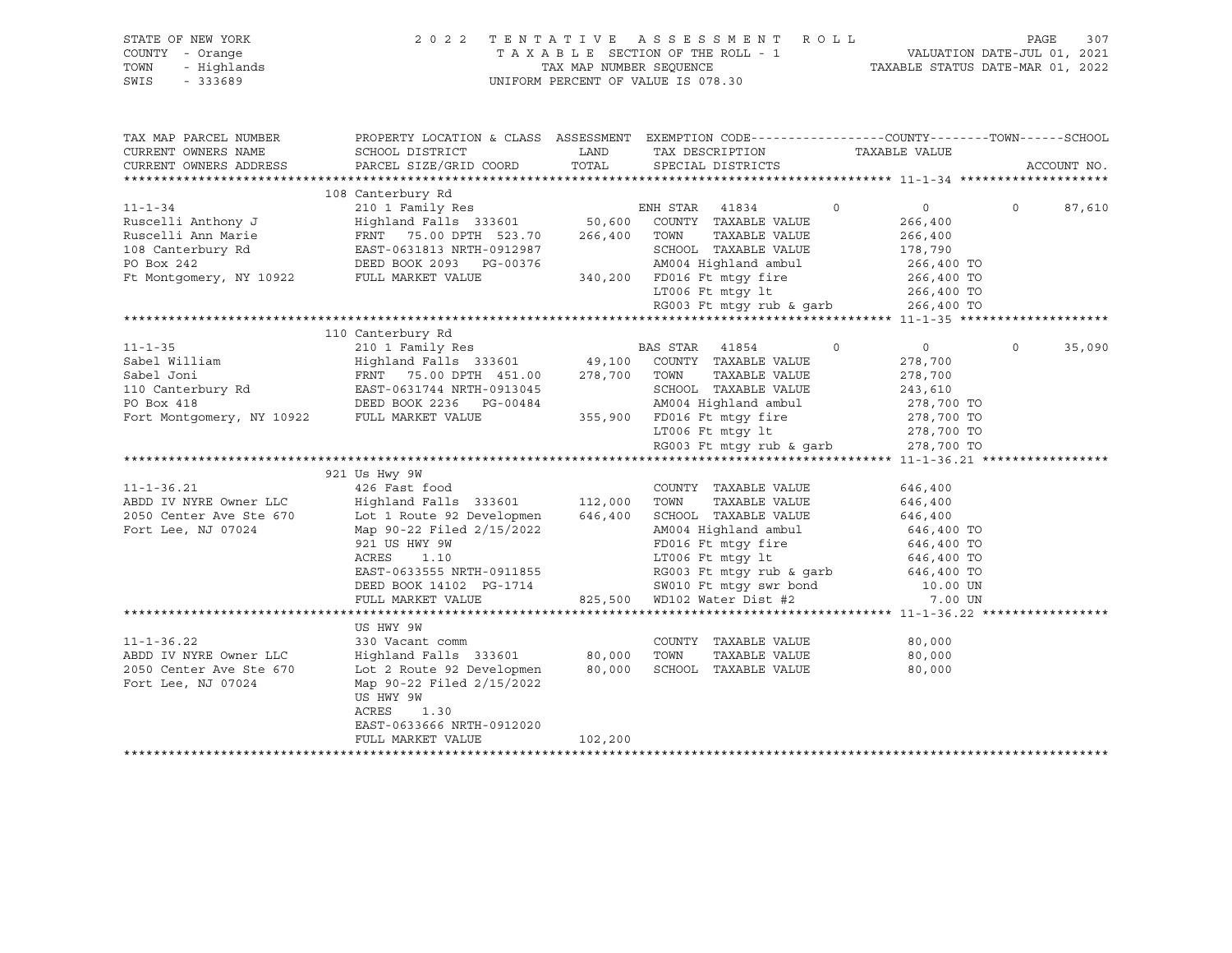| STATE OF NEW YORK<br>COUNTY - Orange<br>- Highlands<br>TOWN<br>SWIS<br>$-333689$ | 2022                                                                                                                | TAX MAP NUMBER SEQUENCE | TENTATIVE ASSESSMENT ROLL<br>TAXABLE SECTION OF THE ROLL - 1<br>UNIFORM PERCENT OF VALUE IS 078.30 | TAXABLE STATUS DATE-MAR 01, 2022 | 307<br>PAGE<br>VALUATION DATE-JUL 01, 2021 |
|----------------------------------------------------------------------------------|---------------------------------------------------------------------------------------------------------------------|-------------------------|----------------------------------------------------------------------------------------------------|----------------------------------|--------------------------------------------|
| TAX MAP PARCEL NUMBER<br>CURRENT OWNERS NAME                                     | PROPERTY LOCATION & CLASS ASSESSMENT EXEMPTION CODE----------------COUNTY-------TOWN------SCHOOL<br>SCHOOL DISTRICT | LAND                    | TAX DESCRIPTION                                                                                    | TAXABLE VALUE                    |                                            |
| CURRENT OWNERS ADDRESS                                                           | PARCEL SIZE/GRID COORD                                                                                              | TOTAL                   | SPECIAL DISTRICTS                                                                                  |                                  | ACCOUNT NO.                                |
|                                                                                  |                                                                                                                     |                         |                                                                                                    |                                  |                                            |
| $11 - 1 - 34$                                                                    | 108 Canterbury Rd                                                                                                   |                         |                                                                                                    | $\circ$<br>$\circ$               | $\circ$                                    |
| Ruscelli Anthony J                                                               | 210 1 Family Res<br>Highland Falls 333601 50,600                                                                    |                         | ENH STAR 41834<br>COUNTY TAXABLE VALUE                                                             | 266,400                          | 87,610                                     |
| Ruscelli Ann Marie                                                               | FRNT 75.00 DPTH 523.70                                                                                              |                         | 266,400 TOWN<br>TAXABLE VALUE                                                                      | 266,400                          |                                            |
| 108 Canterbury Rd                                                                | EAST-0631813 NRTH-0912987                                                                                           |                         | SCHOOL TAXABLE VALUE                                                                               | 178,790                          |                                            |
| PO Box 242                                                                       | DEED BOOK 2093 PG-00376                                                                                             |                         | AM004 Highland ambul                                                                               | 266,400 TO                       |                                            |
| Ft Montgomery, NY 10922                                                          | FULL MARKET VALUE                                                                                                   |                         | 340,200 FD016 Ft mtqy fire                                                                         | 266,400 TO                       |                                            |
|                                                                                  |                                                                                                                     |                         | LT006 Ft mtqy lt                                                                                   | 266,400 TO                       |                                            |
|                                                                                  |                                                                                                                     |                         | RG003 Ft mtqy rub & qarb                                                                           | 266,400 TO                       |                                            |
|                                                                                  |                                                                                                                     |                         |                                                                                                    |                                  |                                            |
|                                                                                  | 110 Canterbury Rd                                                                                                   |                         |                                                                                                    |                                  |                                            |
| $11 - 1 - 35$                                                                    | 210 1 Family Res                                                                                                    |                         | BAS STAR<br>41854                                                                                  | $\circ$<br>$\circ$               | $\Omega$<br>35,090                         |
| Sabel William                                                                    | Highland Falls 333601                                                                                               |                         | 49,100 COUNTY TAXABLE VALUE                                                                        | 278,700                          |                                            |
| Sabel Joni                                                                       | FRNT 75.00 DPTH 451.00                                                                                              | 278,700                 | TAXABLE VALUE<br>TOWN                                                                              | 278,700                          |                                            |
| 110 Canterbury Rd                                                                | EAST-0631744 NRTH-0913045                                                                                           |                         | SCHOOL TAXABLE VALUE                                                                               | 243,610                          |                                            |
| PO Box 418                                                                       | DEED BOOK 2236 PG-00484                                                                                             |                         | AM004 Highland ambul                                                                               | 278,700 TO                       |                                            |
| Fort Montgomery, NY 10922                                                        | FULL MARKET VALUE                                                                                                   |                         | 355,900 FD016 Ft mtgy fire                                                                         | 278,700 TO                       |                                            |
|                                                                                  |                                                                                                                     |                         | LT006 Ft mtgy lt                                                                                   | 278,700 TO                       |                                            |
|                                                                                  |                                                                                                                     |                         | RG003 Ft mtqy rub & qarb                                                                           | 278,700 TO                       |                                            |
|                                                                                  | 921 Us Hwy 9W                                                                                                       |                         |                                                                                                    |                                  |                                            |
| $11 - 1 - 36.21$                                                                 | 426 Fast food                                                                                                       |                         | COUNTY TAXABLE VALUE                                                                               | 646,400                          |                                            |
| ABDD IV NYRE Owner LLC                                                           | Highland Falls 333601 112,000                                                                                       |                         | TAXABLE VALUE<br>TOWN                                                                              | 646,400                          |                                            |
| 2050 Center Ave Ste 670                                                          | Lot 1 Route 92 Developmen                                                                                           | 646,400                 | SCHOOL TAXABLE VALUE                                                                               | 646,400                          |                                            |
| Fort Lee, NJ 07024                                                               | Map 90-22 Filed 2/15/2022                                                                                           |                         | AM004 Highland ambul                                                                               | 646,400 TO                       |                                            |
|                                                                                  | 921 US HWY 9W                                                                                                       |                         | FD016 Ft mtqy fire                                                                                 | 646,400 TO                       |                                            |
|                                                                                  | ACRES<br>1.10                                                                                                       |                         | LT006 Ft mtqy lt                                                                                   | 646,400 TO                       |                                            |
|                                                                                  | EAST-0633555 NRTH-0911855                                                                                           |                         | RG003 Ft mtqy rub & qarb                                                                           | 646,400 TO                       |                                            |
|                                                                                  | DEED BOOK 14102 PG-1714                                                                                             |                         | SW010 Ft mtqy swr bond                                                                             | 10.00 UN                         |                                            |
|                                                                                  | FULL MARKET VALUE                                                                                                   |                         | 825,500 WD102 Water Dist #2                                                                        | 7.00 UN                          |                                            |
|                                                                                  |                                                                                                                     |                         |                                                                                                    |                                  |                                            |
|                                                                                  | US HWY 9W                                                                                                           |                         |                                                                                                    |                                  |                                            |
| $11 - 1 - 36.22$                                                                 | 330 Vacant comm                                                                                                     |                         | COUNTY TAXABLE VALUE                                                                               | 80,000                           |                                            |
| ABDD IV NYRE Owner LLC                                                           | Highland Falls 333601 80,000<br>Lot 2 Route 92 Developmen 80,000                                                    |                         | TOWN<br>TAXABLE VALUE                                                                              | 80,000                           |                                            |
| 2050 Center Ave Ste 670<br>Fort Lee, NJ 07024                                    | Lot 2 Route 92 Developmen<br>Map 90-22 Filed 2/15/2022<br>US HWY 9W                                                 |                         | 80,000 SCHOOL TAXABLE VALUE                                                                        | 80,000                           |                                            |
|                                                                                  | ACRES<br>1.30                                                                                                       |                         |                                                                                                    |                                  |                                            |
|                                                                                  | EAST-0633666 NRTH-0912020                                                                                           |                         |                                                                                                    |                                  |                                            |
|                                                                                  | FULL MARKET VALUE<br>*******************************                                                                | 102,200                 |                                                                                                    |                                  |                                            |
|                                                                                  |                                                                                                                     |                         |                                                                                                    |                                  |                                            |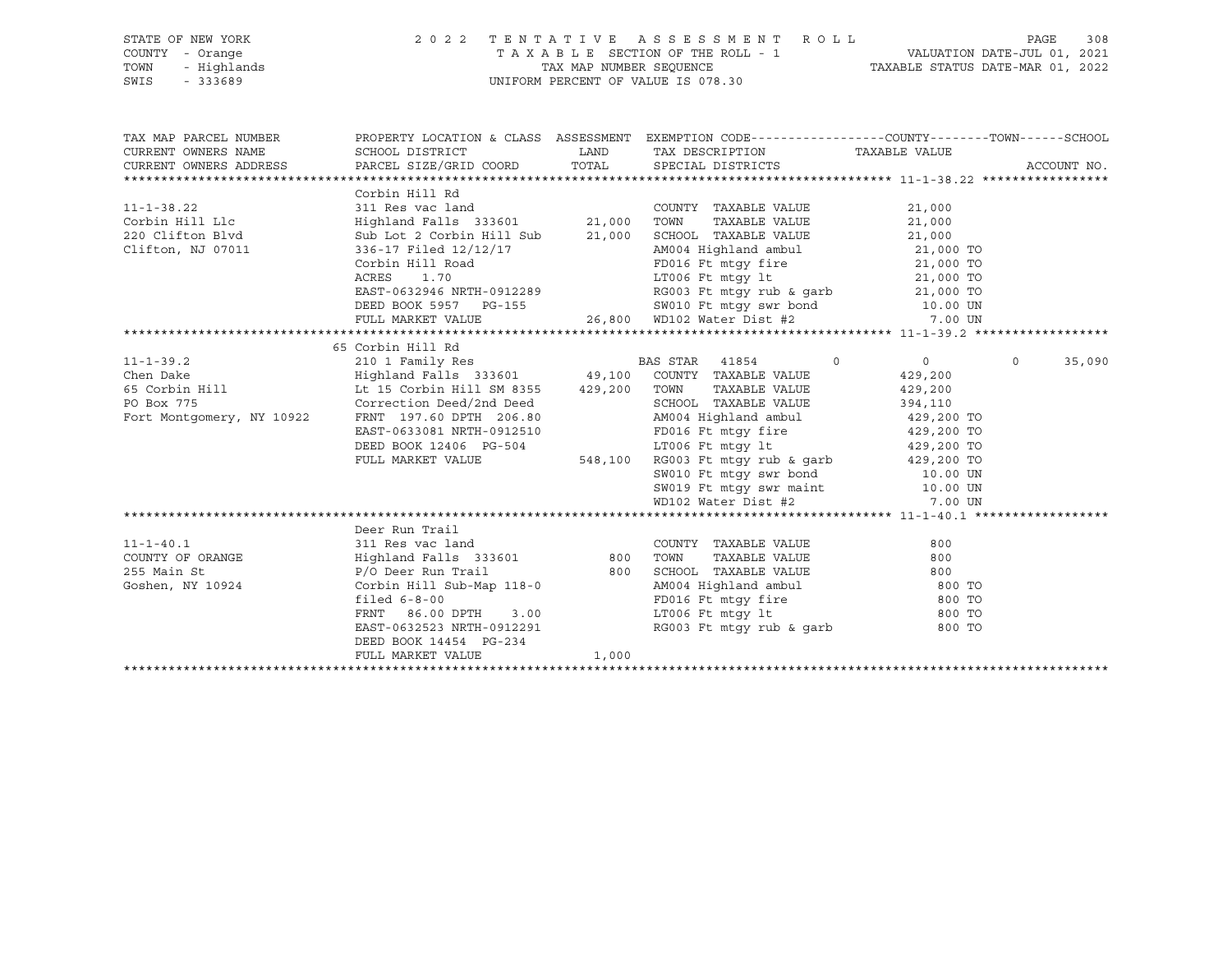| STATE OF NEW YORK                                          |                                                      |       | 2022 TENTATIVE ASSESSMENT ROLL                                                                                                                                                                                                                                                                 |                       | 308<br>PAGE       |
|------------------------------------------------------------|------------------------------------------------------|-------|------------------------------------------------------------------------------------------------------------------------------------------------------------------------------------------------------------------------------------------------------------------------------------------------|-----------------------|-------------------|
| COUNTY - Orange<br>TOWN                                    |                                                      |       | TAXABLE SECTION OF THE ROLL - 1<br>TAX MAP NUMBER SEQUENCE<br>UNIFORM PERCENT OF VALUE IS 078.30<br>UNIFORM PERCENT OF VALUE IS 078.30                                                                                                                                                         |                       |                   |
| OF NEW YORK<br>- Orange<br>- Highlands<br>- 222689<br>SWIS |                                                      |       |                                                                                                                                                                                                                                                                                                |                       |                   |
| TAX MAP PARCEL NUMBER                                      |                                                      |       | PROPERTY LOCATION & CLASS ASSESSMENT EXEMPTION CODE----------------COUNTY-------TOWN------SCHOOL                                                                                                                                                                                               |                       |                   |
| CURRENT OWNERS NAME                                        | SCHOOL DISTRICT                                      |       | LAND TAX DESCRIPTION                                                                                                                                                                                                                                                                           | TAXABLE VALUE         |                   |
| CURRENT OWNERS ADDRESS                                     | PARCEL SIZE/GRID COORD                               |       | TOTAL SPECIAL DISTRICTS                                                                                                                                                                                                                                                                        |                       | ACCOUNT NO.       |
|                                                            |                                                      |       |                                                                                                                                                                                                                                                                                                |                       |                   |
|                                                            | Corbin Hill Rd                                       |       |                                                                                                                                                                                                                                                                                                |                       |                   |
| $11 - 1 - 38.22$                                           | 311 Res vac land                                     |       | COUNTY TAXABLE VALUE                                                                                                                                                                                                                                                                           | 21,000                |                   |
| Corbin Hill Llc                                            | Highland Falls 333601 21,000 TOWN                    |       | TAXABLE VALUE                                                                                                                                                                                                                                                                                  | 21,000                |                   |
| 220 Clifton Blvd                                           | Sub Lot 2 Corbin Hill Sub                            |       |                                                                                                                                                                                                                                                                                                |                       |                   |
| Clifton, NJ 07011                                          | 336-17 Filed 12/12/17                                |       | $\begin{tabular}{lcccccc} 21,000 & SCHOOL & TAXABLE VALUE & & & & 21,000 \\ & AM004 & Highland ambul & & & 21,000 TO \\ \end{tabular}$                                                                                                                                                         |                       |                   |
|                                                            | Corbin Hill Road                                     |       | FD016 Ft mtgy fire 21,000 TO                                                                                                                                                                                                                                                                   |                       |                   |
|                                                            |                                                      |       |                                                                                                                                                                                                                                                                                                |                       |                   |
|                                                            |                                                      |       | ACRES 1.70 1.70 1.70 1.7006 Ft mtgy 1t 21,000 TO<br>EAST-0632946 NRTH-0912289 RG003 Ft mtgy rub & garb 21,000 TO<br>DEED BOOK 5957 PG-155 SW010 Ft mtgy swr bond 10.00 UN                                                                                                                      |                       |                   |
|                                                            |                                                      |       |                                                                                                                                                                                                                                                                                                |                       |                   |
|                                                            | FULL MARKET VALUE                                    |       | 26,800 WD102 Water Dist #2                                                                                                                                                                                                                                                                     | 7.00 UN               |                   |
|                                                            |                                                      |       |                                                                                                                                                                                                                                                                                                |                       |                   |
|                                                            | 65 Corbin Hill Rd                                    |       |                                                                                                                                                                                                                                                                                                |                       |                   |
| $11 - 1 - 39.2$                                            |                                                      |       | $\overline{0}$                                                                                                                                                                                                                                                                                 | $\overline{0}$        | $\circ$<br>35,090 |
| Chen Dake                                                  |                                                      |       |                                                                                                                                                                                                                                                                                                | 429,200               |                   |
| 65 Corbin Hill                                             | Lt 15 Corbin Hill SM 8355 429,200 TOWN               |       | TAXABLE VALUE                                                                                                                                                                                                                                                                                  | 429,200               |                   |
| PO Box 775                                                 | Correction Deed/2nd Deed<br>Correction Deed/2nd Deed |       | SCHOOL TAXABLE VALUE<br>AM004 Highland ambul                                                                                                                                                                                                                                                   | 394,110<br>429,200 TO |                   |
| Fort Montgomery, NY 10922                                  | FRNT 197.60 DPTH 206.80                              |       |                                                                                                                                                                                                                                                                                                |                       |                   |
|                                                            | EAST-0633081 NRTH-0912510                            |       | FD016 Ft mtgy fire 429,200 TO                                                                                                                                                                                                                                                                  |                       |                   |
|                                                            | DEED BOOK 12406 PG-504                               |       | LT006 Ft mtgy 1t $\begin{array}{cc} 11006 & \text{Ft} \\ 548,100 & \text{RG003} \\ 548003 & \text{Ft} \\ 54000 & \text{SW010} \\ 10.00 & \text{FW} \\ \end{array}$ and $\begin{array}{cc} 429,200 & \text{TO} \\ 429,200 & \text{TO} \\ 10.00 & \text{FW} \\ 10.00 & \text{FW} \\ \end{array}$ |                       |                   |
|                                                            | FULL MARKET VALUE                                    |       |                                                                                                                                                                                                                                                                                                |                       |                   |
|                                                            |                                                      |       |                                                                                                                                                                                                                                                                                                |                       |                   |
|                                                            |                                                      |       | SW019 Ft mtgy swr maint<br>WD102 Water Dist #2                                                                                                                                                                                                                                                 | 10.00 UN              |                   |
|                                                            |                                                      |       |                                                                                                                                                                                                                                                                                                | 7.00 UN               |                   |
|                                                            |                                                      |       |                                                                                                                                                                                                                                                                                                |                       |                   |
|                                                            | Deer Run Trail                                       |       |                                                                                                                                                                                                                                                                                                |                       |                   |
| $11 - 1 - 40.1$                                            | 311 Res vac land                                     |       | COUNTY TAXABLE VALUE                                                                                                                                                                                                                                                                           | 800                   |                   |
| COUNTY OF ORANGE                                           | Highland Falls 333601 800 TOWN                       |       | TAXABLE VALUE                                                                                                                                                                                                                                                                                  | 800                   |                   |
| 255 Main St                                                | P/O Deer Run Trail                                   |       | 800 SCHOOL TAXABLE VALUE<br>118-0 AM004 Highland ambul<br>FD016 Ft mtgy fire                                                                                                                                                                                                                   | 800                   |                   |
| Goshen, NY 10924                                           | Corbin Hill Sub-Map $118-0$                          |       |                                                                                                                                                                                                                                                                                                | 800 TO<br>800 TO      |                   |
|                                                            | filed $6-8-00$                                       |       |                                                                                                                                                                                                                                                                                                |                       |                   |
|                                                            | FRNT 86.00 DPTH 3.00<br>EAST-0632523 NRTH-0912291    |       | LT006 Ft mtgy lt<br>RG003 Ft mtgy rub & garb                                                                                                                                                                                                                                                   | 800 TO<br>800 TO      |                   |
|                                                            | DEED BOOK 14454 PG-234                               |       |                                                                                                                                                                                                                                                                                                |                       |                   |
|                                                            | FULL MARKET VALUE                                    | 1,000 |                                                                                                                                                                                                                                                                                                |                       |                   |
|                                                            |                                                      |       |                                                                                                                                                                                                                                                                                                |                       |                   |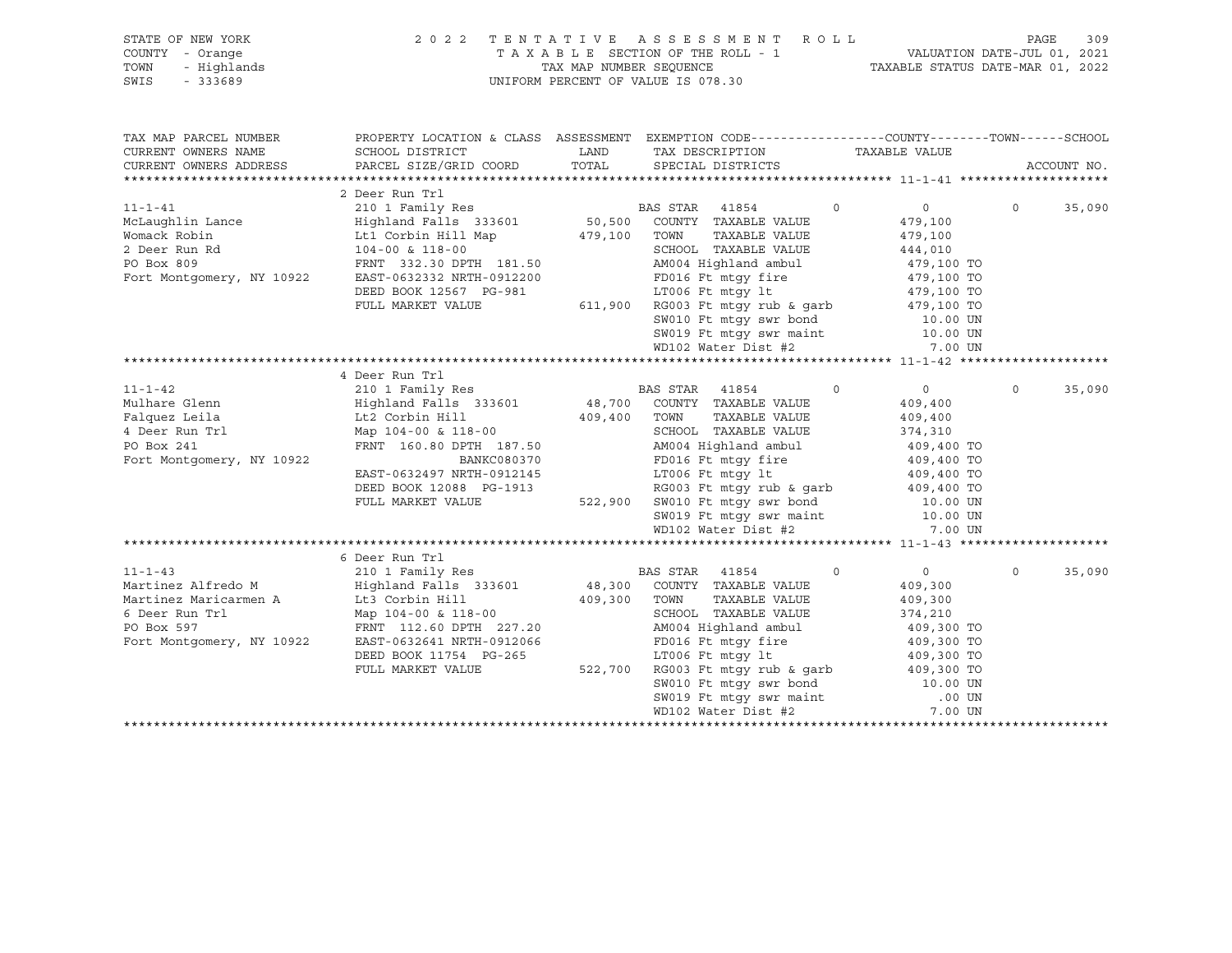| STATE OF NEW YORK | 2022 TENTATIVE ASSESSMENT ROLL                                 | PAGE | 309 |
|-------------------|----------------------------------------------------------------|------|-----|
| COUNTY - Orange   | TAXABLE SECTION OF THE ROLL - 1<br>VALUATION DATE-JUL 01, 2021 |      |     |
| TOWN - Highlands  | TAXABLE STATUS DATE-MAR 01, 2022<br>TAX MAP NUMBER SEOUENCE    |      |     |
| SWIS - 333689     | UNIFORM PERCENT OF VALUE IS 078.30                             |      |     |

| TAX MAP PARCEL NUMBER<br>CURRENT OWNERS NAME<br>CURRENT OWNERS ADDRESS | SCHOOL DISTRICT<br>PARCEL SIZE/GRID COORD TOTAL SPECIAL DISTRICTS |                                | PROPERTY LOCATION & CLASS ASSESSMENT EXEMPTION CODE---------------COUNTY-------TOWN-----SCHOOL<br>LAND TAX DESCRIPTION                        | TAXABLE VALUE             |          | ACCOUNT NO. |
|------------------------------------------------------------------------|-------------------------------------------------------------------|--------------------------------|-----------------------------------------------------------------------------------------------------------------------------------------------|---------------------------|----------|-------------|
|                                                                        |                                                                   |                                |                                                                                                                                               |                           |          |             |
|                                                                        | 2 Deer Run Trl                                                    |                                |                                                                                                                                               |                           |          |             |
| $11 - 1 - 41$                                                          | 210 1 Family Res                                                  |                                | BAS STAR 41854                                                                                                                                | $\circ$<br>$\overline{0}$ | $\circ$  | 35,090      |
| McLaughlin Lance                                                       | Highland Falls 333601 50,500 COUNTY TAXABLE VALUE                 |                                |                                                                                                                                               | 479,100                   |          |             |
| Womack Robin                                                           | Lt1 Corbin Hill Map 479,100 TOWN                                  |                                | TAXABLE VALUE                                                                                                                                 | 479,100                   |          |             |
| 2 Deer Run Rd                                                          | 104-00 & 118-00                                                   |                                | SCHOOL TAXABLE VALUE                                                                                                                          | 444,010                   |          |             |
| PO Box 809                                                             | FRNT 332.30 DPTH 181.50                                           |                                | AM004 Highland ambul<br>FD016 Ft mts of                                                                                                       | 444,010<br>479,100 TO     |          |             |
| Fort Montgomery, NY 10922                                              | EAST-0632332 NRTH-0912200                                         |                                | FD016 Ft mtgy fire 479,100 TO                                                                                                                 |                           |          |             |
|                                                                        | DEED BOOK 12567 PG-981                                            |                                | LT006 Ft $mLy$ 1t $479,100$ TO<br>RG003 Ft $mLy$ rub & garb $479,100$ TO<br>SW010 Ft $mLy$ swr bond $10.00$ UN                                |                           |          |             |
|                                                                        | FULL MARKET VALUE                                                 |                                | $611,900$ RG003 Ft mtgy rub & garb<br>SW010 Ft mtgy swr bond                                                                                  |                           |          |             |
|                                                                        |                                                                   |                                |                                                                                                                                               |                           |          |             |
|                                                                        |                                                                   |                                | SW019 Ft mtgy swr maint 10.00 UN                                                                                                              |                           |          |             |
|                                                                        |                                                                   |                                | WD102 Water Dist #2                                                                                                                           | 7.00 UN                   |          |             |
|                                                                        |                                                                   |                                |                                                                                                                                               |                           |          |             |
|                                                                        | 4 Deer Run Trl                                                    |                                |                                                                                                                                               |                           |          |             |
| $11 - 1 - 42$                                                          | 210 1 Family Res                                                  |                                | BAS STAR<br>41854                                                                                                                             | $\circ$<br>$\overline{0}$ | $\circ$  | 35,090      |
| Mulhare Glenn                                                          | Highland Falls 333601                                             |                                | 48,700 COUNTY TAXABLE VALUE                                                                                                                   | 409,400                   |          |             |
| Falquez Leila                                                          |                                                                   |                                | TAXABLE VALUE                                                                                                                                 | 409,400                   |          |             |
| 4 Deer Run Trl                                                         | Lt2 Corbin Hill<br>Map 104-00 6 110<br>Map 104-00 & 118-00        | $109,400$ TOWN<br>409,400 TOWN | SCHOOL TAXABLE VALUE                                                                                                                          | 374,310                   |          |             |
| PO Box 241                                                             | FRNT 160.80 DPTH 187.50                                           |                                | AM004 Highland ambul 409,400 TO                                                                                                               |                           |          |             |
| Fort Montgomery, NY 10922                                              | BANKC080370                                                       |                                |                                                                                                                                               |                           |          |             |
|                                                                        | EAST-0632497 NRTH-0912145                                         |                                | FD016 Ft mtgy fire 409,400 TO<br>LT006 Ft mtgy lt 409,400 TO                                                                                  |                           |          |             |
|                                                                        | DEED BOOK 12088 PG-1913                                           |                                | LT006 Ft mtgy lt                        409,400 TO<br>RG003 Ft mtgy rub & garb           409,400 TO                                           |                           |          |             |
|                                                                        | FULL MARKET VALUE                                                 |                                | 522,900 SW010 Ft mtgy swr bond 10.00 UN                                                                                                       |                           |          |             |
|                                                                        |                                                                   |                                |                                                                                                                                               | 10.00 UN                  |          |             |
|                                                                        |                                                                   |                                | SW019 Ft mtgy swr maint<br>WD102 Water Dist #2                                                                                                | 7.00 UN                   |          |             |
|                                                                        |                                                                   |                                |                                                                                                                                               |                           |          |             |
|                                                                        | 6 Deer Run Trl                                                    |                                |                                                                                                                                               |                           |          |             |
| $11 - 1 - 43$                                                          | 210 1 Family Res                                                  |                                | <b>BAS STAR</b> 41854                                                                                                                         | $\circ$<br>$\overline{0}$ | $\Omega$ | 35,090      |
| Martinez Alfredo M                                                     | -<br>Highland Falls 333601                                        |                                | 48,300 COUNTY TAXABLE VALUE                                                                                                                   | 409,300                   |          |             |
| Martinez Maricarmen A                                                  | Lt3 Corbin Hill                                                   | 409,300                        | TOWN<br>TAXABLE VALUE                                                                                                                         | 409,300                   |          |             |
| 6 Deer Run Trl                                                         | Map 104-00 & 118-00                                               |                                | SCHOOL TAXABLE VALUE                                                                                                                          | 374,210                   |          |             |
| PO Box 597                                                             | FRNT 112.60 DPTH 227.20                                           |                                | AM004 Highland ambul                                                                                                                          | 409,300 TO                |          |             |
| Fort Montgomery, NY 10922                                              | EAST-0632641 NRTH-0912066                                         |                                | FD016 Ft mtqy fire                                                                                                                            | 409,300 TO                |          |             |
|                                                                        | DEED BOOK 11754 PG-265                                            |                                | LT006 Ft mtgy lt                                                                                                                              | 409,300 TO                |          |             |
|                                                                        | FULL MARKET VALUE                                                 | 522,700                        |                                                                                                                                               |                           |          |             |
|                                                                        |                                                                   |                                |                                                                                                                                               |                           |          |             |
|                                                                        |                                                                   |                                |                                                                                                                                               |                           |          |             |
|                                                                        |                                                                   |                                | RG003 Ft mtgy rub & garb $409,300$ TO<br>SW010 Ft mtgy swr bond $10.00$ UN<br>SW019 Ft mtgy swr maint $.00$ UN<br>WD102 Water Dist #2 7.00 UN |                           |          |             |
|                                                                        |                                                                   |                                |                                                                                                                                               |                           |          |             |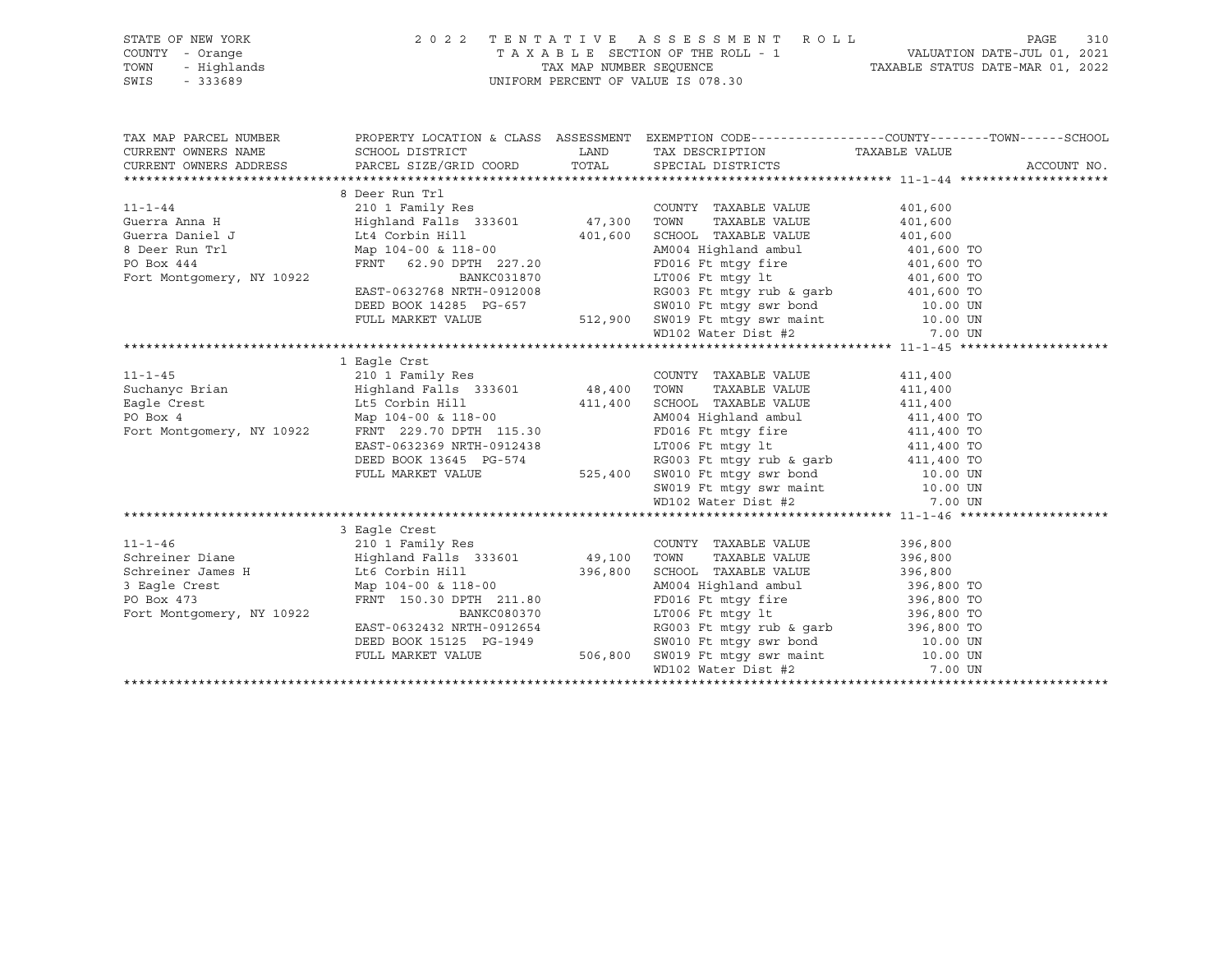| STATE OF NEW YORK | 2022 TENTATIVE ASSESSMENT ROLL |                                    |  |                                  | PAGE | 310 |
|-------------------|--------------------------------|------------------------------------|--|----------------------------------|------|-----|
| COUNTY - Orange   |                                | TAXABLE SECTION OF THE ROLL - 1    |  | VALUATION DATE-JUL 01, 2021      |      |     |
| TOWN - Highlands  |                                | TAX MAP NUMBER SEOUENCE            |  | TAXABLE STATUS DATE-MAR 01, 2022 |      |     |
| SWIS<br>- 333689  |                                | UNIFORM PERCENT OF VALUE IS 078.30 |  |                                  |      |     |
|                   |                                |                                    |  |                                  |      |     |

|                                                                                                                                                                                                                                                                    |                           |                                                                                                                                                                                            | TAX MAP PARCEL NUMBER THE PROPERTY LOCATION & CLASS ASSESSMENT EXEMPTION CODE--------------COUNTY--------TOWN------SCHOOL |
|--------------------------------------------------------------------------------------------------------------------------------------------------------------------------------------------------------------------------------------------------------------------|---------------------------|--------------------------------------------------------------------------------------------------------------------------------------------------------------------------------------------|---------------------------------------------------------------------------------------------------------------------------|
|                                                                                                                                                                                                                                                                    |                           |                                                                                                                                                                                            |                                                                                                                           |
|                                                                                                                                                                                                                                                                    |                           |                                                                                                                                                                                            |                                                                                                                           |
|                                                                                                                                                                                                                                                                    | 8 Deer Run Trl            |                                                                                                                                                                                            |                                                                                                                           |
|                                                                                                                                                                                                                                                                    |                           |                                                                                                                                                                                            |                                                                                                                           |
|                                                                                                                                                                                                                                                                    |                           |                                                                                                                                                                                            |                                                                                                                           |
| Guerra Daniel J (1,600) Ltd Corbin Hill (201,600) 401,600 SCHOOL TAXABLE VALUE 401,600                                                                                                                                                                             |                           |                                                                                                                                                                                            |                                                                                                                           |
|                                                                                                                                                                                                                                                                    |                           |                                                                                                                                                                                            |                                                                                                                           |
| Guerra Daniel Junch 111 (1992)<br>Po Box 444 (1992)<br>Po Box 444 (1992)<br>FRNT 62.90 DPTH 227.20<br>BANKC031870 (2.90 DRD 2012008 (200 TO BAMCC031870 (2.90 DRD 2012008 (200 TO BAMCC031870 (2.90 DRD 2012008 (2013)<br>DEED BOOK 1428                           |                           |                                                                                                                                                                                            |                                                                                                                           |
|                                                                                                                                                                                                                                                                    |                           |                                                                                                                                                                                            |                                                                                                                           |
|                                                                                                                                                                                                                                                                    |                           |                                                                                                                                                                                            |                                                                                                                           |
|                                                                                                                                                                                                                                                                    |                           |                                                                                                                                                                                            |                                                                                                                           |
|                                                                                                                                                                                                                                                                    |                           |                                                                                                                                                                                            |                                                                                                                           |
|                                                                                                                                                                                                                                                                    |                           |                                                                                                                                                                                            |                                                                                                                           |
|                                                                                                                                                                                                                                                                    |                           |                                                                                                                                                                                            |                                                                                                                           |
|                                                                                                                                                                                                                                                                    | 1 Eagle Crst              |                                                                                                                                                                                            |                                                                                                                           |
|                                                                                                                                                                                                                                                                    |                           |                                                                                                                                                                                            |                                                                                                                           |
|                                                                                                                                                                                                                                                                    |                           |                                                                                                                                                                                            |                                                                                                                           |
|                                                                                                                                                                                                                                                                    |                           |                                                                                                                                                                                            |                                                                                                                           |
| 1 -1-45<br>210 1 Family Res<br>210 1 Family Res<br>210 1 Family Res<br>210 1 Family Res<br>210 1 Family Res<br>210 1 Family Res<br>210 411,400<br>211,400<br>211,400<br>211,400<br>211,400<br>211,400<br>211,400<br>211,400<br>211,400<br>211,400<br>211,400<br>21 |                           |                                                                                                                                                                                            |                                                                                                                           |
| Fort Montgomery, NY 10922 FRNT 229.70 DPTH 115.30 FD016 Ft mtgy fire 411,400 TO                                                                                                                                                                                    |                           |                                                                                                                                                                                            |                                                                                                                           |
|                                                                                                                                                                                                                                                                    | EAST-0632369 NRTH-0912438 | LT006 Ft mtgy 1t $411,400$ TO                                                                                                                                                              |                                                                                                                           |
|                                                                                                                                                                                                                                                                    |                           |                                                                                                                                                                                            |                                                                                                                           |
|                                                                                                                                                                                                                                                                    |                           |                                                                                                                                                                                            |                                                                                                                           |
|                                                                                                                                                                                                                                                                    |                           |                                                                                                                                                                                            |                                                                                                                           |
|                                                                                                                                                                                                                                                                    |                           | DEED BOOK 13645 PG-574 RG003 Ft mtgy rub & garb 411,400 TO<br>FULL MARKET VALUE 525,400 SW010 Ft mtgy swr bond 10.00 UN<br>SW019 Ft mtgy swr maint 10.00 UN<br>WD102 Water Dist #2 7.00 UN |                                                                                                                           |
|                                                                                                                                                                                                                                                                    |                           |                                                                                                                                                                                            |                                                                                                                           |
|                                                                                                                                                                                                                                                                    | 3 Eagle Crest             |                                                                                                                                                                                            |                                                                                                                           |
|                                                                                                                                                                                                                                                                    |                           |                                                                                                                                                                                            |                                                                                                                           |
|                                                                                                                                                                                                                                                                    |                           |                                                                                                                                                                                            |                                                                                                                           |
|                                                                                                                                                                                                                                                                    |                           |                                                                                                                                                                                            |                                                                                                                           |
|                                                                                                                                                                                                                                                                    |                           |                                                                                                                                                                                            |                                                                                                                           |
|                                                                                                                                                                                                                                                                    |                           |                                                                                                                                                                                            |                                                                                                                           |
|                                                                                                                                                                                                                                                                    |                           |                                                                                                                                                                                            |                                                                                                                           |
|                                                                                                                                                                                                                                                                    |                           |                                                                                                                                                                                            |                                                                                                                           |
|                                                                                                                                                                                                                                                                    |                           |                                                                                                                                                                                            |                                                                                                                           |
|                                                                                                                                                                                                                                                                    |                           | FULL MARKET VALUE 506,800 SW019 Ft mtgy swr maint 10.00 UN                                                                                                                                 |                                                                                                                           |
|                                                                                                                                                                                                                                                                    |                           | WD102 Water Dist #2 7.00 UN                                                                                                                                                                |                                                                                                                           |
|                                                                                                                                                                                                                                                                    |                           |                                                                                                                                                                                            |                                                                                                                           |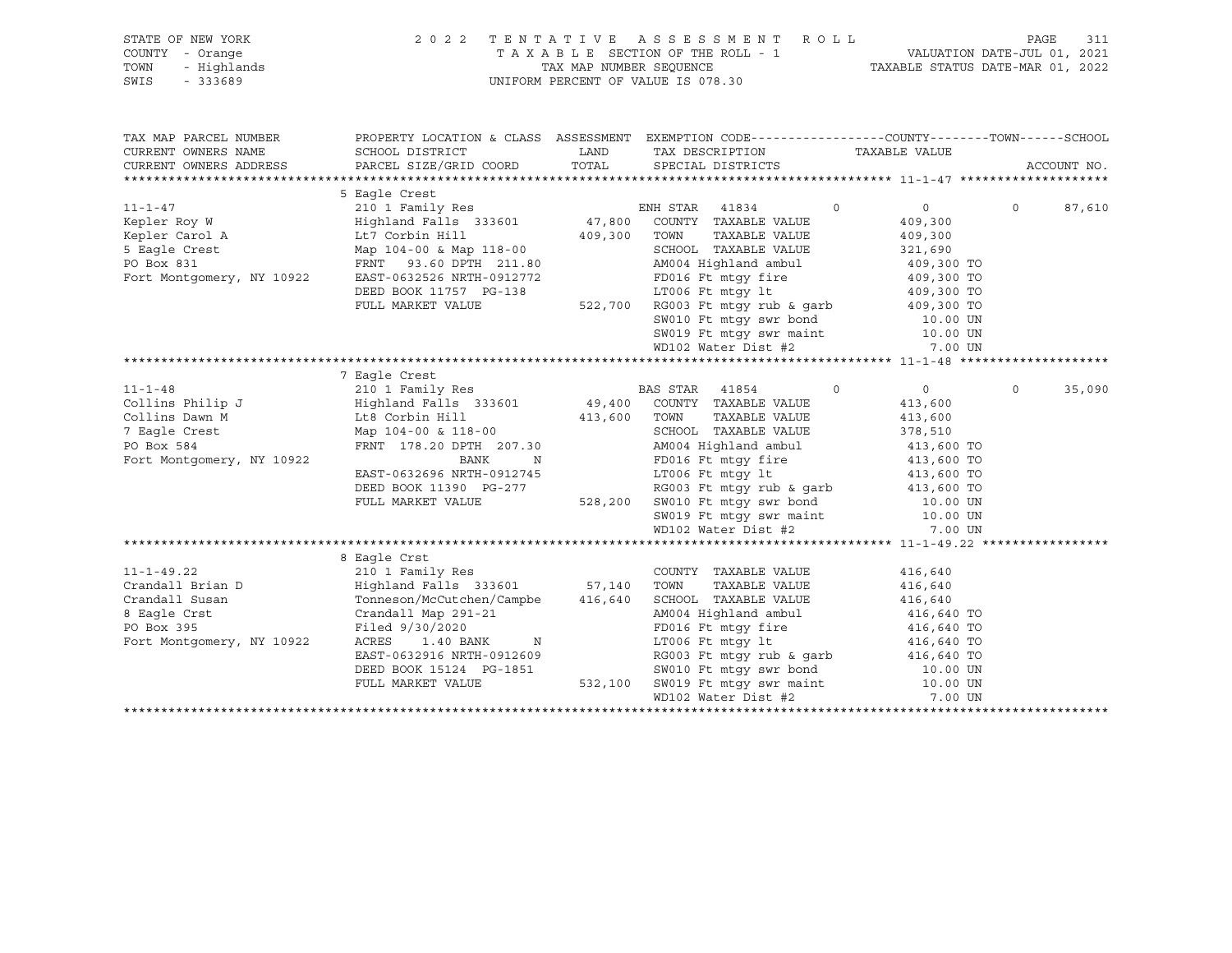|               | STATE OF NEW YORK      |                           | 2022 TENTATIVE ASSESSMENT ROLL     |                 |                   |         |                                                              | PAGE | 311         |
|---------------|------------------------|---------------------------|------------------------------------|-----------------|-------------------|---------|--------------------------------------------------------------|------|-------------|
| COUNTY        | - Orange               |                           | TAXABLE SECTION OF THE ROLL - 1    |                 |                   |         | VALUATION DATE-JUL 01, 2021                                  |      |             |
| TOWN          | - Highlands            |                           | TAX MAP NUMBER SEOUENCE            |                 |                   |         | TAXABLE STATUS DATE-MAR 01, 2022                             |      |             |
| SWIS          | - 333689               |                           | UNIFORM PERCENT OF VALUE IS 078.30 |                 |                   |         |                                                              |      |             |
|               |                        |                           |                                    |                 |                   |         |                                                              |      |             |
|               |                        |                           |                                    |                 |                   |         |                                                              |      |             |
|               |                        |                           |                                    |                 |                   |         |                                                              |      |             |
|               | TAX MAP PARCEL NUMBER  | PROPERTY LOCATION & CLASS | ASSESSMENT                         |                 |                   |         | EXEMPTION CODE-----------------COUNTY-------TOWN------SCHOOL |      |             |
|               | CURRENT OWNERS NAME    | SCHOOL DISTRICT           | LAND                               | TAX DESCRIPTION |                   |         | TAXABLE VALUE                                                |      |             |
|               | CURRENT OWNERS ADDRESS | PARCEL SIZE/GRID COORD    | TOTAL                              |                 | SPECIAL DISTRICTS |         |                                                              |      | ACCOUNT NO. |
|               |                        |                           |                                    |                 |                   |         |                                                              |      |             |
|               |                        | 5 Eagle Crest             |                                    |                 |                   |         |                                                              |      |             |
| $11 - 1 - 47$ |                        | 210 1 Family Res          |                                    | ENH STAR        | 41834             | $\circ$ |                                                              |      | 87,610      |

| Kepler Roy W              | Highland Falls 333601            | 47,800  | COUNTY TAXABLE VALUE        | 409,300        |                   |
|---------------------------|----------------------------------|---------|-----------------------------|----------------|-------------------|
| Kepler Carol A            | Lt7 Corbin Hill                  | 409,300 | TAXABLE VALUE<br>TOWN       | 409,300        |                   |
| 5 Eagle Crest             | Map 104-00 & Map 118-00          |         | SCHOOL TAXABLE VALUE        | 321,690        |                   |
| PO Box 831                | FRNT 93.60 DPTH 211.80           |         | AM004 Highland ambul        | 409,300 TO     |                   |
| Fort Montgomery, NY 10922 | EAST-0632526 NRTH-0912772        |         | FD016 Ft mtqy fire          | 409,300 TO     |                   |
|                           | DEED BOOK 11757 PG-138           |         | LT006 Ft mtqy lt            | 409,300 TO     |                   |
|                           | FULL MARKET VALUE                | 522,700 | RG003 Ft mtqy rub & qarb    | 409,300 TO     |                   |
|                           |                                  |         | SW010 Ft mtqy swr bond      | 10.00 UN       |                   |
|                           |                                  |         | SW019 Ft mtqy swr maint     | 10.00 UN       |                   |
|                           |                                  |         | WD102 Water Dist #2         | 7.00 UN        |                   |
|                           |                                  |         |                             |                |                   |
|                           | 7 Eagle Crest                    |         |                             |                |                   |
| $11 - 1 - 48$             | 210 1 Family Res                 |         | BAS STAR 41854<br>$\circ$   | $\overline{0}$ | $\circ$<br>35,090 |
| Collins Philip J          | Highland Falls 333601            |         | 49,400 COUNTY TAXABLE VALUE | 413,600        |                   |
| Collins Dawn M            | Lt8 Corbin Hill                  | 413,600 | TOWN<br>TAXABLE VALUE       | 413,600        |                   |
| 7 Eagle Crest             | Map 104-00 & 118-00              |         | SCHOOL TAXABLE VALUE        | 378,510        |                   |
| PO Box 584                | FRNT 178.20 DPTH 207.30          |         | AM004 Highland ambul        | 413,600 TO     |                   |
| Fort Montgomery, NY 10922 | <b>BANK</b><br>N                 |         | FD016 Ft mtqy fire          | 413,600 TO     |                   |
|                           | EAST-0632696 NRTH-0912745        |         | LT006 Ft mtqy lt            | 413,600 TO     |                   |
|                           | DEED BOOK 11390 PG-277           |         | RG003 Ft mtgy rub & garb    | 413,600 TO     |                   |
|                           | FULL MARKET VALUE                | 528,200 | SW010 Ft mtgy swr bond      | 10.00 UN       |                   |
|                           |                                  |         | SW019 Ft mtgy swr maint     | 10.00 UN       |                   |
|                           |                                  |         | WD102 Water Dist #2         | 7.00 UN        |                   |
|                           |                                  |         |                             |                |                   |
|                           | 8 Eagle Crst                     |         |                             |                |                   |
| $11 - 1 - 49.22$          | 210 1 Family Res                 |         | COUNTY TAXABLE VALUE        | 416,640        |                   |
| Crandall Brian D          | Highland Falls 333601            | 57,140  | TAXABLE VALUE<br>TOWN       | 416,640        |                   |
| Crandall Susan            | Tonneson/McCutchen/Campbe        | 416,640 | SCHOOL TAXABLE VALUE        | 416,640        |                   |
| 8 Eagle Crst              | Crandall Map 291-21              |         | AM004 Highland ambul        | 416,640 TO     |                   |
| PO Box 395                | Filed 9/30/2020                  |         | FD016 Ft mtqy fire          | 416,640 TO     |                   |
| Fort Montgomery, NY 10922 | ACRES<br>1.40 BANK<br>$_{\rm N}$ |         | LT006 Ft mtgy lt            | 416,640 TO     |                   |
|                           | EAST-0632916 NRTH-0912609        |         | RG003 Ft mtgy rub & garb    | 416,640 TO     |                   |
|                           | DEED BOOK 15124 PG-1851          |         | SW010 Ft mtqy swr bond      | 10.00 UN       |                   |
|                           | FULL MARKET VALUE                | 532,100 | SW019 Ft mtqy swr maint     | 10.00 UN       |                   |
|                           |                                  |         | WD102 Water Dist #2         | 7.00 UN        |                   |
|                           |                                  |         |                             |                |                   |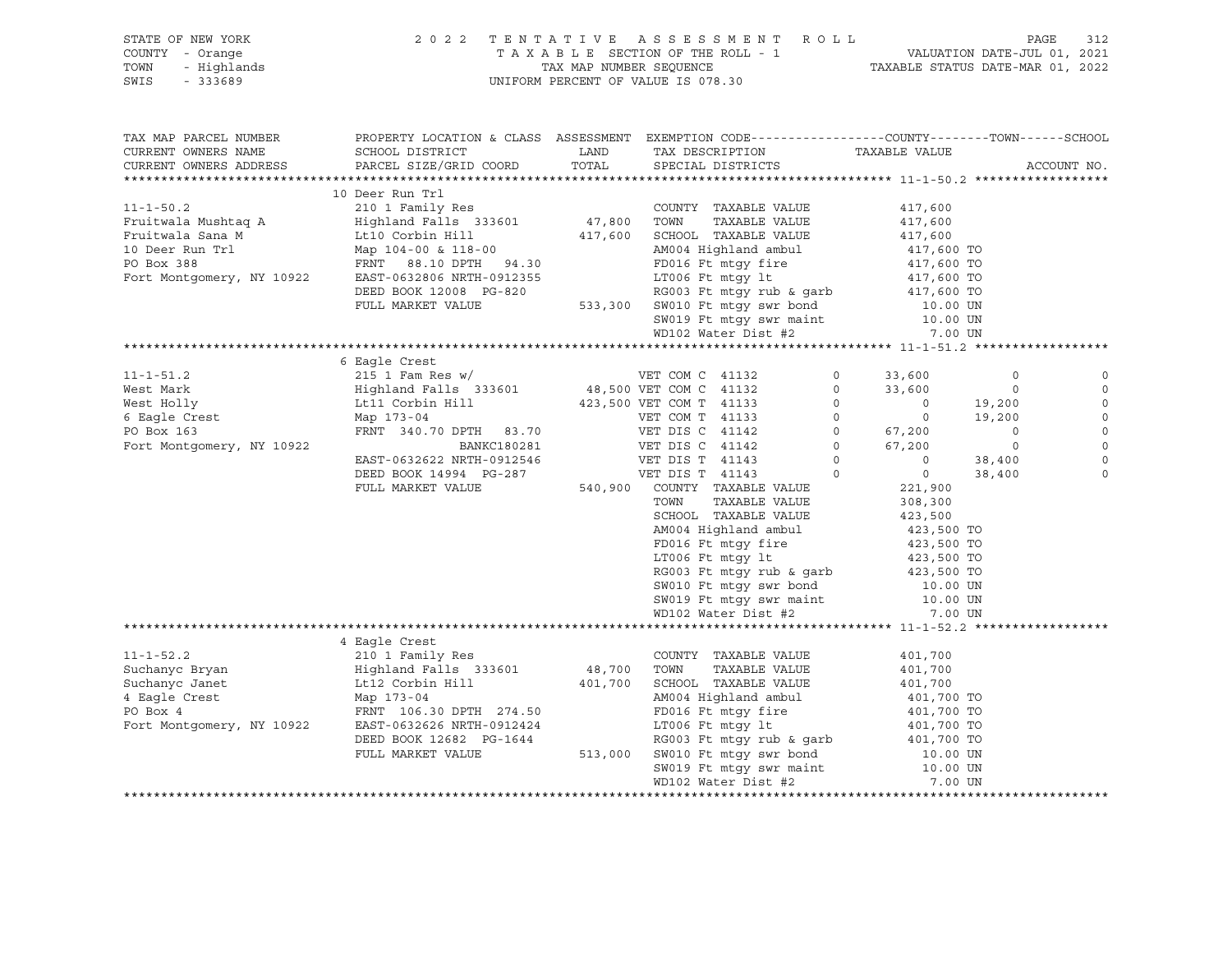| CURRENT OWNERS NAME                                                                                                                                                                                                                                                                                                                                                                                                         | TAX MAP PARCEL NUMBER PROPERTY LOCATION & CLASS ASSESSMENT EXEMPTION CODE---------------COUNTY--------TOWN------SCHOOL<br>${\tt SCHOOL\ DISTRICT}\qquad \qquad {\tt LAND}\qquad \qquad {\tt TAX\ DESCRIPTION}\qquad \qquad {\tt TAXABLE\ VALUE}$<br>CURRENT OWNERS ADDRESS PARCEL SIZE/GRID COORD | TOTAL SPECIAL DISTRICTS                                                                                                                                                                                                                                                                                                                            |         | ACCOUNT NO. |                                                                  |
|-----------------------------------------------------------------------------------------------------------------------------------------------------------------------------------------------------------------------------------------------------------------------------------------------------------------------------------------------------------------------------------------------------------------------------|---------------------------------------------------------------------------------------------------------------------------------------------------------------------------------------------------------------------------------------------------------------------------------------------------|----------------------------------------------------------------------------------------------------------------------------------------------------------------------------------------------------------------------------------------------------------------------------------------------------------------------------------------------------|---------|-------------|------------------------------------------------------------------|
|                                                                                                                                                                                                                                                                                                                                                                                                                             |                                                                                                                                                                                                                                                                                                   |                                                                                                                                                                                                                                                                                                                                                    |         |             |                                                                  |
| $[11-1-50.2] \begin{tabular}{lcccc} 11-1-50.2 & 10.0008333601 & 210.1 Family Res & 210.1 Family Res \\ \hline \end{tabular} \begin{tabular}{lcccc} 11-1-50.2 & 210.1 Family Res & 210.1 Family Res \\ \hline \end{tabular} \begin{tabular}{lcccc} 11-1-50.2 & 210.1 Family Res \\ \hline \end{tabular} \end{tabular} \begin{tabular}{lcccc} 11-1-50.2 & 210.1 Family Res \\ \hline \end{tabular} \begin{tabular}{lcccc} 11$ | 10 Deer Run Trl                                                                                                                                                                                                                                                                                   |                                                                                                                                                                                                                                                                                                                                                    |         |             |                                                                  |
|                                                                                                                                                                                                                                                                                                                                                                                                                             |                                                                                                                                                                                                                                                                                                   |                                                                                                                                                                                                                                                                                                                                                    |         |             |                                                                  |
|                                                                                                                                                                                                                                                                                                                                                                                                                             |                                                                                                                                                                                                                                                                                                   |                                                                                                                                                                                                                                                                                                                                                    |         |             |                                                                  |
|                                                                                                                                                                                                                                                                                                                                                                                                                             | 6 Eaqle Crest                                                                                                                                                                                                                                                                                     | NOWN MAABLE VALUE<br>SCRIPT ANABLE VALUE<br>ANOOL TRANBLE VALUE<br>ANOOL TO TRISP AND THE MANUE 423,500 TO<br>FD016 Ft mtgy fire 423,500 TO<br>LT006 Ft mtgy fire 423,500 TO<br>RG003 Ft mtgy rub & garb 423,500 TO<br>SW010 Ft mtgy swr bon<br>SW010 Ft mtgy swr bond 10.00 UN<br>SW019 Ft mtgy swr maint 10.00 UN<br>WD102 Water Dist #2 7.00 UN | 7.00 UN |             | $\circ$<br>$\circ$<br>$\circ$<br>$\circ$<br>$\Omega$<br>$\Omega$ |
|                                                                                                                                                                                                                                                                                                                                                                                                                             |                                                                                                                                                                                                                                                                                                   |                                                                                                                                                                                                                                                                                                                                                    |         |             |                                                                  |
| $\begin{tabular}{lcccccc} \texttt{401,700} & \texttt{402,700} & \texttt{403,700} & \texttt{404,700} & \texttt{401,700} \\ \texttt{Suchancy} & \texttt{Bugl} & \texttt{401,700} & \texttt{Highland} & \texttt{401,700} & \texttt{310,700} \\ \texttt{Suchancy} & \texttt{310,700} & \texttt{510,700} & \texttt{510,700} & \texttt{510,700} & \texttt{510,700} & \texttt{5$                                                   |                                                                                                                                                                                                                                                                                                   |                                                                                                                                                                                                                                                                                                                                                    |         |             |                                                                  |
|                                                                                                                                                                                                                                                                                                                                                                                                                             |                                                                                                                                                                                                                                                                                                   |                                                                                                                                                                                                                                                                                                                                                    |         |             |                                                                  |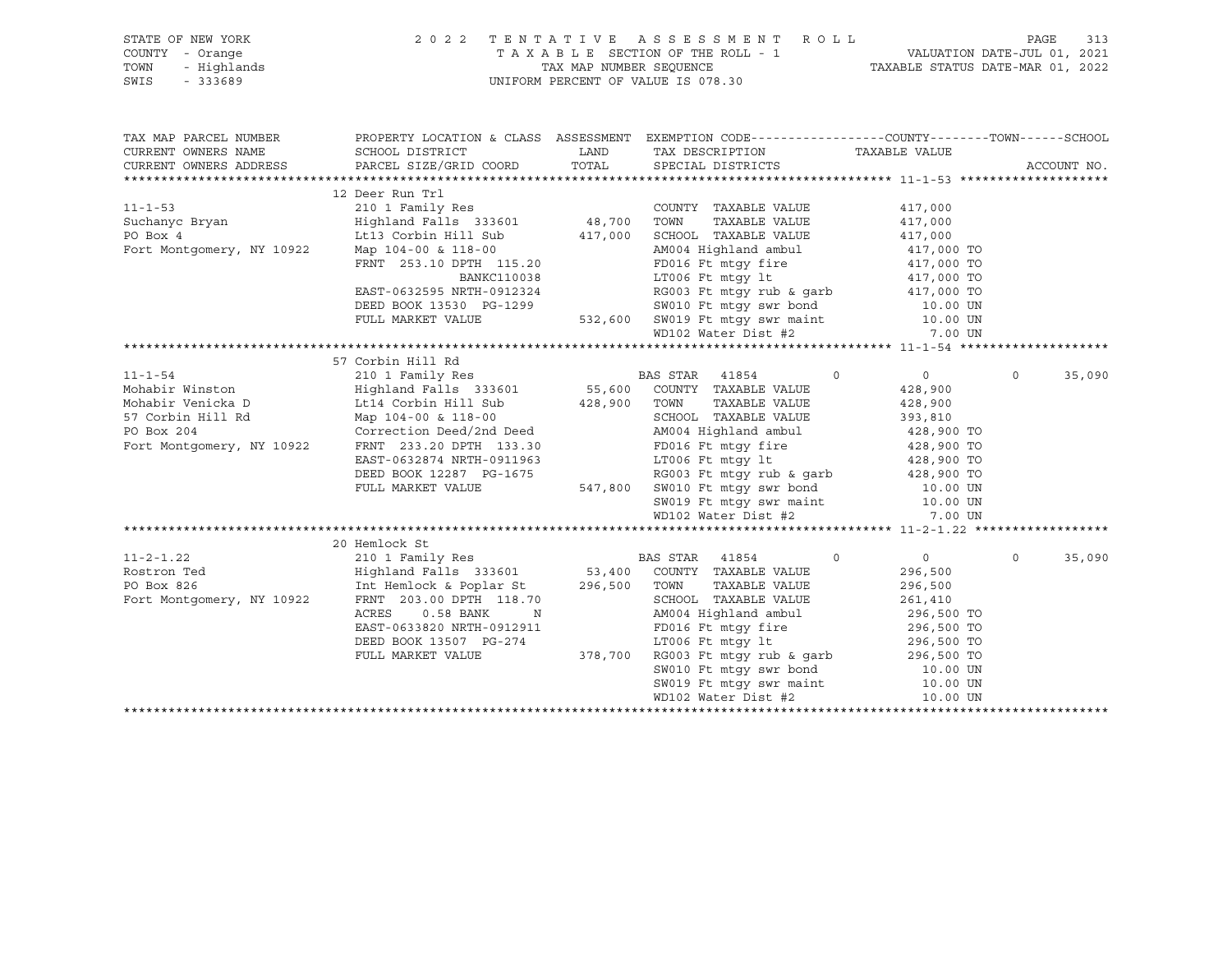| STATE OF NEW YORK<br>OF NEW YORK<br>Y - Orange<br>- Highlands<br>- 333689<br>COUNTY - Orange<br>TOWN<br>$-333689$<br>SWIS |                                                                                                                                                                                                                                                                                                                                                                                                     | $\begin{tabular}{lllllllllllllll} \hline 2&0&2&2&\text{T} & \text{E} & \text{N} & \text{T} & \text{A} & \text{T} & \text{A} & \text{E} & \text{S} & \text{E} & \text{S} & \text{E} & \text{S} & \text{S} & \text{M} & \text{E} & \text{N} & \text{T} & \text{A} & \text{A} & \text{B} & \text{L} & \text{E} & \text{SECTION OF THE ROLL} & \text{-} & \text{J} & \text{VALUATION DATE-JUL} & 01, & 2021 \\ & & & & & & & & & & & & & &$ |                    |
|---------------------------------------------------------------------------------------------------------------------------|-----------------------------------------------------------------------------------------------------------------------------------------------------------------------------------------------------------------------------------------------------------------------------------------------------------------------------------------------------------------------------------------------------|-----------------------------------------------------------------------------------------------------------------------------------------------------------------------------------------------------------------------------------------------------------------------------------------------------------------------------------------------------------------------------------------------------------------------------------------|--------------------|
| TAX MAP PARCEL NUMBER                                                                                                     |                                                                                                                                                                                                                                                                                                                                                                                                     | PROPERTY LOCATION & CLASS ASSESSMENT EXEMPTION CODE---------------COUNTY-------TOWN------SCHOOL                                                                                                                                                                                                                                                                                                                                         |                    |
| CURRENT OWNERS NAME<br>CURRENT OWNERS ADDRESS                                                                             |                                                                                                                                                                                                                                                                                                                                                                                                     |                                                                                                                                                                                                                                                                                                                                                                                                                                         | ACCOUNT NO.        |
|                                                                                                                           |                                                                                                                                                                                                                                                                                                                                                                                                     |                                                                                                                                                                                                                                                                                                                                                                                                                                         |                    |
|                                                                                                                           | 12 Deer Run Trl                                                                                                                                                                                                                                                                                                                                                                                     |                                                                                                                                                                                                                                                                                                                                                                                                                                         |                    |
|                                                                                                                           | $[11-1-53$ 12 Deer Run Trl 2011 Pamily Res 2000MTY TAXABLE VALUE 417,000<br>Fort Montgomery, NY 10922 Map 101-183 133601 48,700 TOWN TAXABLE VALUE 417,000<br>Fort Montgomery, NY 10922 Map 104-00 and Highland Ralls 333601 417,                                                                                                                                                                   |                                                                                                                                                                                                                                                                                                                                                                                                                                         |                    |
|                                                                                                                           |                                                                                                                                                                                                                                                                                                                                                                                                     |                                                                                                                                                                                                                                                                                                                                                                                                                                         |                    |
|                                                                                                                           |                                                                                                                                                                                                                                                                                                                                                                                                     |                                                                                                                                                                                                                                                                                                                                                                                                                                         |                    |
|                                                                                                                           |                                                                                                                                                                                                                                                                                                                                                                                                     |                                                                                                                                                                                                                                                                                                                                                                                                                                         |                    |
|                                                                                                                           |                                                                                                                                                                                                                                                                                                                                                                                                     |                                                                                                                                                                                                                                                                                                                                                                                                                                         |                    |
|                                                                                                                           |                                                                                                                                                                                                                                                                                                                                                                                                     |                                                                                                                                                                                                                                                                                                                                                                                                                                         |                    |
|                                                                                                                           |                                                                                                                                                                                                                                                                                                                                                                                                     |                                                                                                                                                                                                                                                                                                                                                                                                                                         |                    |
|                                                                                                                           |                                                                                                                                                                                                                                                                                                                                                                                                     |                                                                                                                                                                                                                                                                                                                                                                                                                                         |                    |
|                                                                                                                           |                                                                                                                                                                                                                                                                                                                                                                                                     |                                                                                                                                                                                                                                                                                                                                                                                                                                         |                    |
|                                                                                                                           |                                                                                                                                                                                                                                                                                                                                                                                                     |                                                                                                                                                                                                                                                                                                                                                                                                                                         |                    |
|                                                                                                                           |                                                                                                                                                                                                                                                                                                                                                                                                     |                                                                                                                                                                                                                                                                                                                                                                                                                                         |                    |
|                                                                                                                           |                                                                                                                                                                                                                                                                                                                                                                                                     |                                                                                                                                                                                                                                                                                                                                                                                                                                         |                    |
|                                                                                                                           |                                                                                                                                                                                                                                                                                                                                                                                                     |                                                                                                                                                                                                                                                                                                                                                                                                                                         | $\Omega$<br>35,090 |
|                                                                                                                           |                                                                                                                                                                                                                                                                                                                                                                                                     |                                                                                                                                                                                                                                                                                                                                                                                                                                         |                    |
|                                                                                                                           |                                                                                                                                                                                                                                                                                                                                                                                                     |                                                                                                                                                                                                                                                                                                                                                                                                                                         |                    |
|                                                                                                                           |                                                                                                                                                                                                                                                                                                                                                                                                     |                                                                                                                                                                                                                                                                                                                                                                                                                                         |                    |
|                                                                                                                           |                                                                                                                                                                                                                                                                                                                                                                                                     |                                                                                                                                                                                                                                                                                                                                                                                                                                         |                    |
|                                                                                                                           |                                                                                                                                                                                                                                                                                                                                                                                                     |                                                                                                                                                                                                                                                                                                                                                                                                                                         |                    |
|                                                                                                                           |                                                                                                                                                                                                                                                                                                                                                                                                     |                                                                                                                                                                                                                                                                                                                                                                                                                                         |                    |
|                                                                                                                           |                                                                                                                                                                                                                                                                                                                                                                                                     |                                                                                                                                                                                                                                                                                                                                                                                                                                         |                    |
|                                                                                                                           |                                                                                                                                                                                                                                                                                                                                                                                                     |                                                                                                                                                                                                                                                                                                                                                                                                                                         |                    |
|                                                                                                                           |                                                                                                                                                                                                                                                                                                                                                                                                     |                                                                                                                                                                                                                                                                                                                                                                                                                                         |                    |
|                                                                                                                           | $\begin{tabular}{l c c c c c c} \multicolumn{3}{c c c c} \multicolumn{3}{c c c} \multicolumn{3}{c c c} \multicolumn{3}{c c c} \multicolumn{3}{c c c} \multicolumn{3}{c c c} \multicolumn{3}{c c c} \multicolumn{3}{c c c} \multicolumn{3}{c c c} \multicolumn{3}{c c c} \multicolumn{3}{c c c} \multicolumn{3}{c c c} \multicolumn{3}{c c c} \multicolumn{3}{c c c} \multicolumn{3}{c c c} \multic$ |                                                                                                                                                                                                                                                                                                                                                                                                                                         |                    |
|                                                                                                                           |                                                                                                                                                                                                                                                                                                                                                                                                     |                                                                                                                                                                                                                                                                                                                                                                                                                                         |                    |
|                                                                                                                           | 20 Hemlock St                                                                                                                                                                                                                                                                                                                                                                                       |                                                                                                                                                                                                                                                                                                                                                                                                                                         | 35,090<br>$\circ$  |
|                                                                                                                           |                                                                                                                                                                                                                                                                                                                                                                                                     |                                                                                                                                                                                                                                                                                                                                                                                                                                         |                    |
|                                                                                                                           |                                                                                                                                                                                                                                                                                                                                                                                                     |                                                                                                                                                                                                                                                                                                                                                                                                                                         |                    |
|                                                                                                                           |                                                                                                                                                                                                                                                                                                                                                                                                     |                                                                                                                                                                                                                                                                                                                                                                                                                                         |                    |
|                                                                                                                           |                                                                                                                                                                                                                                                                                                                                                                                                     |                                                                                                                                                                                                                                                                                                                                                                                                                                         |                    |
|                                                                                                                           |                                                                                                                                                                                                                                                                                                                                                                                                     |                                                                                                                                                                                                                                                                                                                                                                                                                                         |                    |
|                                                                                                                           |                                                                                                                                                                                                                                                                                                                                                                                                     |                                                                                                                                                                                                                                                                                                                                                                                                                                         |                    |
|                                                                                                                           |                                                                                                                                                                                                                                                                                                                                                                                                     |                                                                                                                                                                                                                                                                                                                                                                                                                                         |                    |
|                                                                                                                           |                                                                                                                                                                                                                                                                                                                                                                                                     |                                                                                                                                                                                                                                                                                                                                                                                                                                         |                    |
|                                                                                                                           |                                                                                                                                                                                                                                                                                                                                                                                                     |                                                                                                                                                                                                                                                                                                                                                                                                                                         |                    |
|                                                                                                                           |                                                                                                                                                                                                                                                                                                                                                                                                     |                                                                                                                                                                                                                                                                                                                                                                                                                                         |                    |
|                                                                                                                           |                                                                                                                                                                                                                                                                                                                                                                                                     |                                                                                                                                                                                                                                                                                                                                                                                                                                         |                    |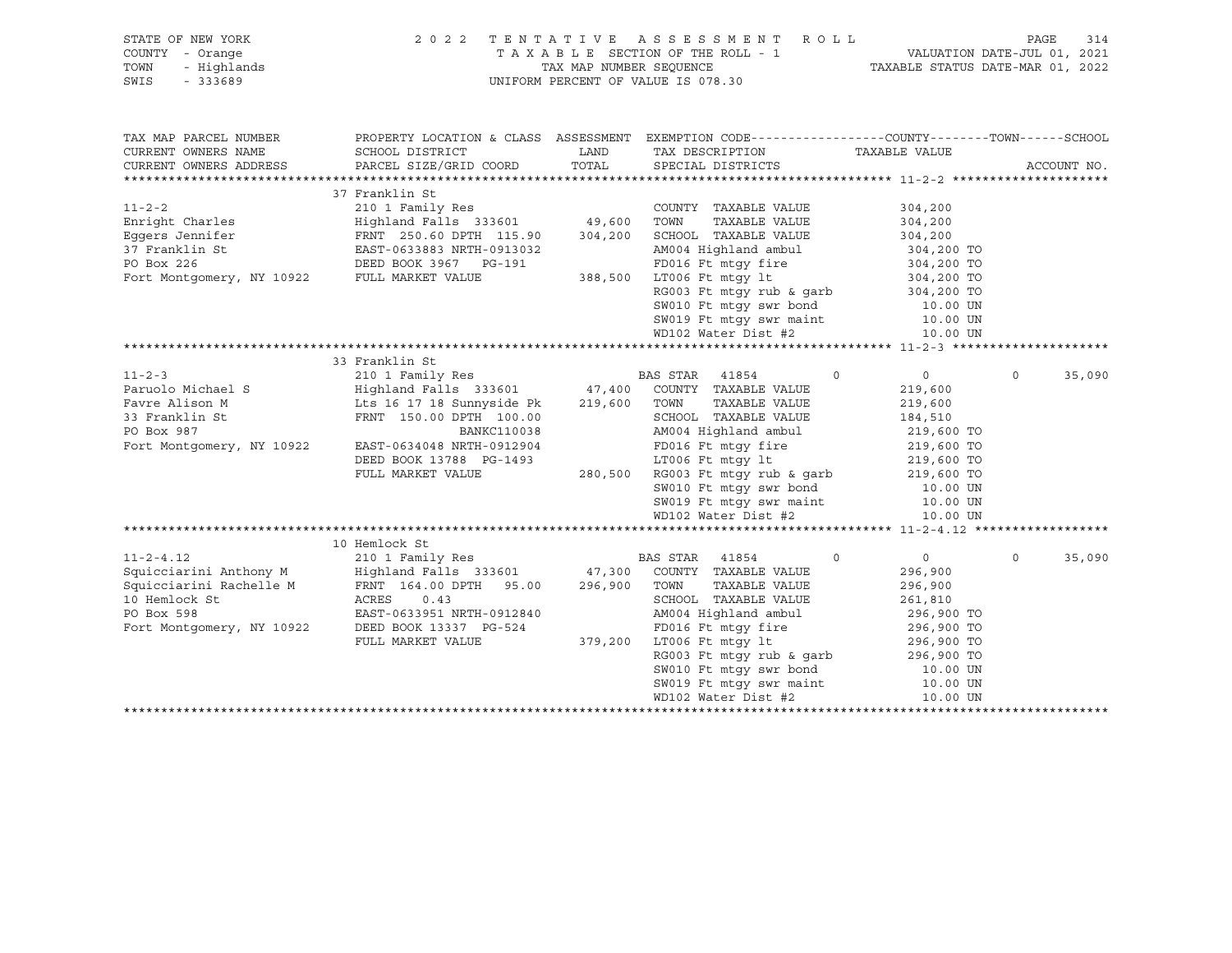| STATE OF NEW YORK<br>COUNTY - Orange<br>TOWN<br>- Highlands  |                                                                           |               | 2022 TENTATIVE ASSESSMENT ROLL                                                                                                                                                                                            |                          | 314<br>PAGE        |
|--------------------------------------------------------------|---------------------------------------------------------------------------|---------------|---------------------------------------------------------------------------------------------------------------------------------------------------------------------------------------------------------------------------|--------------------------|--------------------|
| SWIS<br>$-333689$                                            |                                                                           |               | UNIFORM PERCENT OF VALUE IS 078.30                                                                                                                                                                                        |                          |                    |
| TAX MAP PARCEL NUMBER                                        |                                                                           |               | PROPERTY LOCATION & CLASS ASSESSMENT EXEMPTION CODE-----------------COUNTY-------TOWN------SCHOOL                                                                                                                         |                          |                    |
| CURRENT OWNERS NAME<br>CURRENT OWNERS ADDRESS                | SCHOOL DISTRICT<br>PARCEL SIZE/GRID COORD                                 | LAND<br>TOTAL | TAX DESCRIPTION<br>SPECIAL DISTRICTS                                                                                                                                                                                      | TAXABLE VALUE            | ACCOUNT NO.        |
|                                                              |                                                                           |               |                                                                                                                                                                                                                           |                          |                    |
|                                                              | 37 Franklin St                                                            |               |                                                                                                                                                                                                                           |                          |                    |
| $11 - 2 - 2$                                                 | 210 1 Family Res<br>210 1 Family Res<br>Highland Falls 333601 49,600 TOWN |               | COUNTY TAXABLE VALUE                                                                                                                                                                                                      | 304,200                  |                    |
| Enright Charles                                              |                                                                           |               | TAXABLE VALUE                                                                                                                                                                                                             | 304,200                  |                    |
|                                                              |                                                                           |               |                                                                                                                                                                                                                           |                          |                    |
| 37 Franklin St                                               | EAST-0633883 NRTH-0913032                                                 |               | AM004 Highland ambul                                                                                                                                                                                                      | 304,200<br>304,200 TO    |                    |
| PO Box 226<br>Fort Montgomery, NY 10922<br>FULL MARKET VALUE | DEED BOOK 3967 PG-191                                                     |               |                                                                                                                                                                                                                           |                          |                    |
|                                                              |                                                                           |               |                                                                                                                                                                                                                           |                          |                    |
|                                                              |                                                                           |               |                                                                                                                                                                                                                           |                          |                    |
|                                                              |                                                                           |               |                                                                                                                                                                                                                           |                          |                    |
|                                                              |                                                                           |               |                                                                                                                                                                                                                           |                          |                    |
|                                                              |                                                                           |               | G-191<br>PD016 Ft mtgy fire<br>388,500 LT006 Ft mtgy it<br>RG003 Ft mtgy rub & garb<br>SW010 Ft mtgy swr bond<br>SW010 Ft mtgy swr maint<br>DL02 Water Dist #2<br>10.00 UN<br>MD102 Water Dist #2<br>10.00 UN<br>10.00 UN |                          |                    |
|                                                              |                                                                           |               |                                                                                                                                                                                                                           |                          |                    |
| $11 - 2 - 3$                                                 | 33 Franklin St                                                            |               | $\Omega$                                                                                                                                                                                                                  | $0 \qquad \qquad$        | $\Omega$           |
| Paruolo Michael S                                            | 210 1 Family Res<br>Highland Falls 333601 47,400 COUNTY TAXABLE VALUE     |               | BAS STAR 41854                                                                                                                                                                                                            | 219,600                  | 35,090             |
| Favre Alison M                                               | 210 1 Family Res<br>Highland Falls  333601<br>Lts 16 17 18 Sunnyside Pk   |               | 219,600 TOWN<br>TAXABLE VALUE                                                                                                                                                                                             | 219,600                  |                    |
| 33 Franklin St                                               | FRNT 150.00 DPTH 100.00                                                   |               | SCHOOL TAXABLE VALUE                                                                                                                                                                                                      | 184,510                  |                    |
| PO Box 987                                                   | BANKC110038                                                               |               | AM004 Highland ambul                                                                                                                                                                                                      | 219,600 TO               |                    |
| Fort Montgomery, NY 10922                                    | EAST-0634048 NRTH-0912904                                                 |               |                                                                                                                                                                                                                           |                          |                    |
|                                                              | DEED BOOK 13788 PG-1493                                                   |               | FD016 Ft mtgy fire<br>LT006 Ft mtgy lt                                                                                                                                                                                    | 219,600 TO<br>219,600 TO |                    |
|                                                              | FULL MARKET VALUE                                                         |               |                                                                                                                                                                                                                           |                          |                    |
|                                                              |                                                                           |               |                                                                                                                                                                                                                           |                          |                    |
|                                                              |                                                                           |               |                                                                                                                                                                                                                           |                          |                    |
|                                                              |                                                                           |               | 280,500 RG003 Ft mtgy rub & garb<br>SW010 Ft mtgy swr bond<br>SW010 Ft mtgy swr maint<br>MD102 Water Dist #2<br>10.00 UN<br>MD102 Water Dist #2<br>10.00 UN                                                               |                          |                    |
|                                                              |                                                                           |               |                                                                                                                                                                                                                           |                          |                    |
|                                                              | 10 Hemlock St                                                             |               |                                                                                                                                                                                                                           |                          |                    |
| $11 - 2 - 4.12$                                              |                                                                           |               | $\Omega$                                                                                                                                                                                                                  | $0 \qquad \qquad$        | 35,090<br>$\Omega$ |
| Squicciarini Anthony M                                       |                                                                           |               |                                                                                                                                                                                                                           | 296,900                  |                    |
| Squicciarini Rachelle M                                      | FRNT 164.00 DPTH 95.00                                                    |               | 296,900 TOWN<br>TAXABLE VALUE                                                                                                                                                                                             | 296,900                  |                    |
| 10 Hemlock St                                                | ACRES<br>0.43                                                             |               | SCHOOL TAXABLE VALUE                                                                                                                                                                                                      | 261,810                  |                    |
| PO Box 598                                                   | EAST-0633951 NRTH-0912840                                                 |               | AM004 Highland ambul                                                                                                                                                                                                      | 296,900 TO               |                    |
| Fort Montgomery, NY 10922                                    | DEED BOOK 13337 PG-524                                                    |               |                                                                                                                                                                                                                           |                          |                    |
|                                                              | FULL MARKET VALUE                                                         |               | 379,200 LT006 Ft mtgy 1t                                                                                                                                                                                                  |                          |                    |
|                                                              |                                                                           |               | FD016 Ft mtgy fire 296,900 TO<br>LT006 Ft mtgy 1t 296,900 TO<br>RG003 Ft mtgy rub & garb 296,900 TO<br>SW010 Ft mtgy swr bond 10.00 UN                                                                                    |                          |                    |
|                                                              |                                                                           |               |                                                                                                                                                                                                                           |                          |                    |
|                                                              |                                                                           |               | SW019 Ft mtgy swr maint 10.00 UN<br>WD102 Water Dist #2 10.00 UN                                                                                                                                                          |                          |                    |
|                                                              |                                                                           |               | WD102 Water Dist #2                                                                                                                                                                                                       | 10.00 UN                 |                    |
|                                                              |                                                                           |               |                                                                                                                                                                                                                           |                          |                    |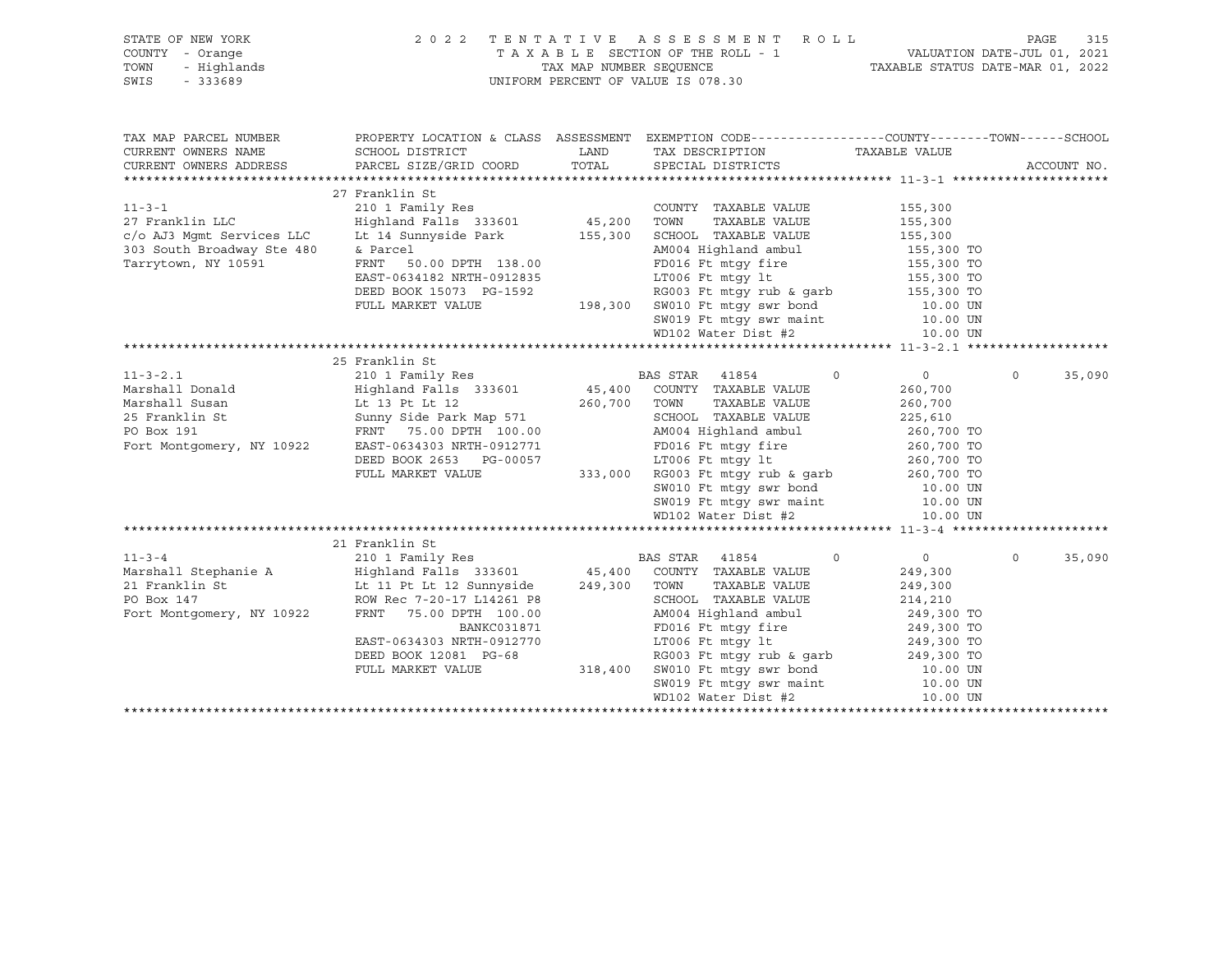| STATE OF NEW YORK<br>COUNTY - Orange<br>TOWN<br>- Highlands<br>SWIS<br>$-333689$ | 2022 TENTATIVE ASSESSMENT ROLL                                                                                                                                                                                                                                               |       | T A X A B L E SECTION OF THE ROLL - 1 VALUATION DATE-JUL 01, 2021<br>TAX MAP NUMBER SEQUENCE TAXABLE STATUS DATE-MAR 01, 2022<br>UNIFORM PERCENT OF VALUE IS 078.30                                                                                                                 |                                      | 315<br>PAGE       |
|----------------------------------------------------------------------------------|------------------------------------------------------------------------------------------------------------------------------------------------------------------------------------------------------------------------------------------------------------------------------|-------|-------------------------------------------------------------------------------------------------------------------------------------------------------------------------------------------------------------------------------------------------------------------------------------|--------------------------------------|-------------------|
| TAX MAP PARCEL NUMBER<br>CURRENT OWNERS NAME<br>CURRENT OWNERS ADDRESS           | SCHOOL DISTRICT<br>PARCEL SIZE/GRID COORD                                                                                                                                                                                                                                    | TOTAL | PROPERTY LOCATION & CLASS ASSESSMENT EXEMPTION CODE----------------COUNTY-------TOWN------SCHOOL<br>LAND TAX DESCRIPTION TAXABLE VALUE<br>SPECIAL DISTRICTS                                                                                                                         |                                      | ACCOUNT NO.       |
| $11 - 3 - 1$<br>27 Franklin LLC<br>Tarrytown, NY 10591                           | 27 Franklin St<br>210 1 Family Res<br>210 1 Family Res<br>Highland Falls 333601 45,200 TOWN<br>$50.00$ DPTH $138.00$                                                                                                                                                         |       | COUNTY TAXABLE VALUE<br>TAXABLE VALUE<br>FRNT 50.00 DPTH 138.00<br>EAST-0634182 NRTH-0912835<br>DEED BOOK 15073 PG-1592<br>FULL MARKET VALUE 198,300 SW010 Ft mtgy swr bond<br>EVEL MARKET VALUE 198,300 SW010 Ft mtgy swr bond<br>SW019 Ft mtgy swr maint 10.00 UN<br>MU19 Nath-11 | 155,300<br>155,300                   |                   |
|                                                                                  |                                                                                                                                                                                                                                                                              |       |                                                                                                                                                                                                                                                                                     |                                      |                   |
|                                                                                  | 25 Franklin St<br>11-3-2.1<br>Marshall Donald Highland Falls 333601 45,400 COUNTY TAXABLE VALUE<br>Marshall Susan Lt 13 Pt Lt 12 260,700 TOWN TAXABLE VALUE<br>25 Franklin St Sumry Side Park Map 571 SCHOOL TAXABLE VALUE<br>PO Box 191 FRNT 75.00 DPT<br>FULL MARKET VALUE |       | $\circ$<br>TAXABLE VALUE<br>280,700 IOM SARBLE VALUE<br>100.00 MM004 Highland ambul<br>225,610<br>100.00 MM004 Highland ambul<br>PD016 Ft mtgy fire<br>333,000 RG003 Ft mtgy rub & garb<br>333,000 RG003 Ft mtgy rub & garb<br>260,700 TO<br>SW010 Ft mtgy swr maint<br>260,        | $\overline{0}$<br>260,700<br>260,700 | $\circ$<br>35,090 |
|                                                                                  | 21 Franklin St                                                                                                                                                                                                                                                               |       |                                                                                                                                                                                                                                                                                     |                                      |                   |
| $11 - 3 - 4$                                                                     | 210 1 Family Res<br>Marshall Stephanie A<br>21 Franklin St<br>24 Franklin St<br>24 Franklin St<br>24 Mighland Falls 333601<br>249,300 TOWN TAXABLE VALUE<br>249,300 TOWN TAXABLE VALUE<br>249,300 TOWN TAXABLE VALUE<br>249,300 TOWN TAXABLE VALUE<br>249,300 TOWN T         |       | BAS STAR 41854<br>$\circ$                                                                                                                                                                                                                                                           | $\overline{0}$<br>249,300            | 35,090<br>$\circ$ |
|                                                                                  |                                                                                                                                                                                                                                                                              |       |                                                                                                                                                                                                                                                                                     |                                      |                   |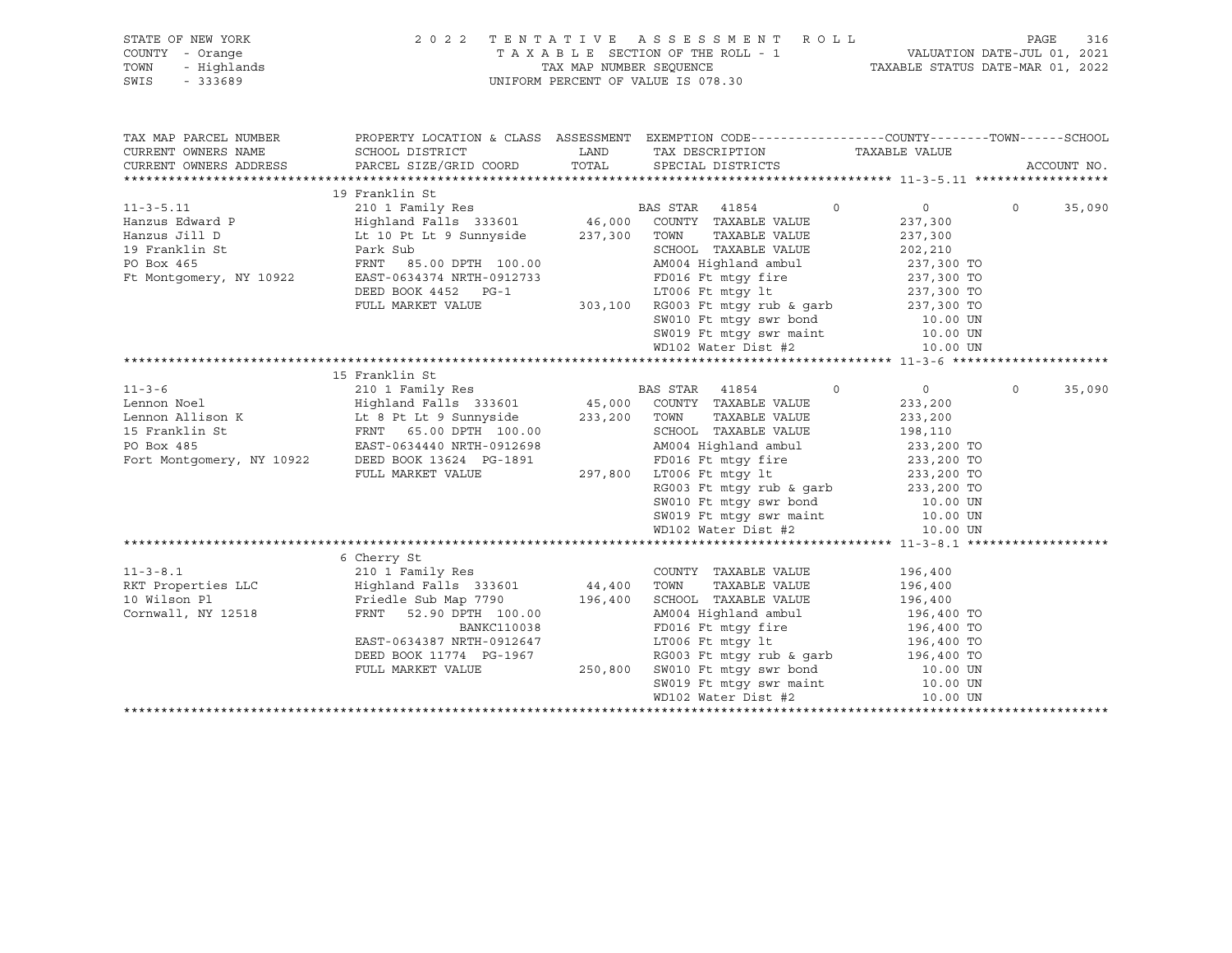| STATE OF NEW YORK         | 2 0 2 2                                                                     |                         | TENTATIVE ASSESSMENT ROLL                                                                        |                             | PAGE        | 316    |
|---------------------------|-----------------------------------------------------------------------------|-------------------------|--------------------------------------------------------------------------------------------------|-----------------------------|-------------|--------|
| COUNTY - Orange           |                                                                             |                         | TAXABLE SECTION OF THE ROLL - 1                                                                  | VALUATION DATE-JUL 01, 2021 |             |        |
| TOWN<br>- Highlands       |                                                                             | TAX MAP NUMBER SEQUENCE | TAXABLE STATUS DATE-MAR 01, 2022                                                                 |                             |             |        |
| SWIS<br>$-333689$         |                                                                             |                         | UNIFORM PERCENT OF VALUE IS 078.30                                                               |                             |             |        |
|                           |                                                                             |                         |                                                                                                  |                             |             |        |
|                           |                                                                             |                         |                                                                                                  |                             |             |        |
|                           |                                                                             |                         |                                                                                                  |                             |             |        |
| TAX MAP PARCEL NUMBER     |                                                                             |                         | PROPERTY LOCATION & CLASS ASSESSMENT EXEMPTION CODE----------------COUNTY-------TOWN------SCHOOL |                             |             |        |
| CURRENT OWNERS NAME       | SCHOOL DISTRICT                                                             | LAND                    | TAX DESCRIPTION                                                                                  | TAXABLE VALUE               |             |        |
| CURRENT OWNERS ADDRESS    | PARCEL SIZE/GRID COORD TOTAL                                                |                         | SPECIAL DISTRICTS                                                                                |                             | ACCOUNT NO. |        |
|                           |                                                                             |                         |                                                                                                  |                             |             |        |
|                           | 19 Franklin St                                                              |                         |                                                                                                  |                             |             |        |
| $11 - 3 - 5.11$           |                                                                             |                         | $\Omega$                                                                                         | $\overline{0}$              | $\Omega$    | 35,090 |
| Hanzus Edward P           |                                                                             |                         |                                                                                                  | 237,300                     |             |        |
| Hanzus Jill D             | Lt 10 Pt Lt 9 Sunnyside                                                     | 237,300                 | TAXABLE VALUE<br>TOWN                                                                            | 237,300                     |             |        |
| 19 Franklin St            | Park Sub                                                                    |                         | SCHOOL TAXABLE VALUE                                                                             | 202,210                     |             |        |
| PO Box 465                | FRNT 85.00 DPTH 100.00                                                      |                         | AM004 Highland ambul                                                                             | 237,300 TO                  |             |        |
| Ft Montgomery, NY 10922   | EAST-0634374 NRTH-0912733                                                   |                         | FD016 Ft mtgy fire 237,300 TO                                                                    |                             |             |        |
|                           |                                                                             |                         | LT006 Ft mtgy lt                                                                                 |                             |             |        |
|                           | DEED BOOK 4452 PG-1                                                         |                         |                                                                                                  | 237,300 TO                  |             |        |
|                           | FULL MARKET VALUE                                                           |                         | $303,100$ RG003 Ft mtgy rub & garb                                                               | 237,300 TO                  |             |        |
|                           |                                                                             |                         | SW010 Ft mtqy swr bond 10.00 UN                                                                  |                             |             |        |
|                           |                                                                             |                         | SW019 Ft mtgy swr maint 10.00 UN                                                                 |                             |             |        |
|                           |                                                                             |                         | WD102 Water Dist #2                                                                              | 10.00 UN                    |             |        |
|                           |                                                                             |                         |                                                                                                  |                             |             |        |
|                           | 15 Franklin St                                                              |                         |                                                                                                  |                             |             |        |
| $11 - 3 - 6$              | 210 1 Family Res                                                            |                         | BAS STAR 41854<br>$\Omega$                                                                       | $\overline{0}$              | $\Omega$    | 35,090 |
| Lennon Noel               | $\text{Highland} \text{ Falls}$ 333601 $\text{45,000}$ COUNTY TAXABLE VALUE |                         |                                                                                                  | 233,200                     |             |        |
| Lennon Allison K          | Highland Falls 333601<br>Lt 8 Pt Lt 9 Sunnyside<br>FRNT < 00 FRTI           | 233,200                 | TAXABLE VALUE<br>TOWN                                                                            | 233,200                     |             |        |
| 15 Franklin St            | FRNT 65.00 DPTH 100.00                                                      |                         | SCHOOL TAXABLE VALUE                                                                             | 198,110                     |             |        |
| PO Box 485                | EAST-0634440 NRTH-0912698                                                   |                         | AM004 Highland ambul                                                                             | 233,200 TO                  |             |        |
| Fort Montgomery, NY 10922 | DEED BOOK 13624 PG-1891                                                     |                         | FD016 Ft mtqy fire                                                                               | 233,200 TO                  |             |        |
|                           | FULL MARKET VALUE                                                           | 297,800                 | LT006 Ft mtgy lt                                                                                 | 233,200 TO                  |             |        |
|                           |                                                                             |                         | RG003 Ft mtqy rub & qarb                                                                         | 233,200 TO                  |             |        |
|                           |                                                                             |                         | SW010 Ft mtqy swr bond 10.00 UN                                                                  |                             |             |        |
|                           |                                                                             |                         | SW019 Ft mtqy swr maint 10.00 UN                                                                 |                             |             |        |
|                           |                                                                             |                         | WD102 Water Dist #2                                                                              | 10.00 UN                    |             |        |
|                           |                                                                             |                         |                                                                                                  |                             |             |        |
|                           | 6 Cherry St                                                                 |                         |                                                                                                  |                             |             |        |
| $11 - 3 - 8.1$            | 210 1 Family Res                                                            |                         | COUNTY TAXABLE VALUE                                                                             | 196,400                     |             |        |

| RKT Properties LLC | Highland Falls 333601     | 44,400  | TAXABLE VALUE<br>TOWN    | 196,400    |
|--------------------|---------------------------|---------|--------------------------|------------|
| 10 Wilson Pl       | Friedle Sub Map 7790      | 196,400 | SCHOOL TAXABLE VALUE     | 196,400    |
| Cornwall, NY 12518 | FRNT 52.90 DPTH 100.00    |         | AM004 Highland ambul     | 196,400 TO |
|                    | <b>BANKC110038</b>        |         | FD016 Ft mtqy fire       | 196,400 TO |
|                    | EAST-0634387 NRTH-0912647 |         | LT006 Ft mtqy lt         | 196,400 TO |
|                    | DEED BOOK 11774 PG-1967   |         | RG003 Ft mtqy rub & qarb | 196,400 TO |
|                    | FULL MARKET VALUE         | 250,800 | SW010 Ft mtgy swr bond   | 10.00 UN   |
|                    |                           |         | SW019 Ft mtqy swr maint  | 10.00 UN   |
|                    |                           |         | WD102 Water Dist #2      | 10.00 UN   |
|                    |                           |         |                          |            |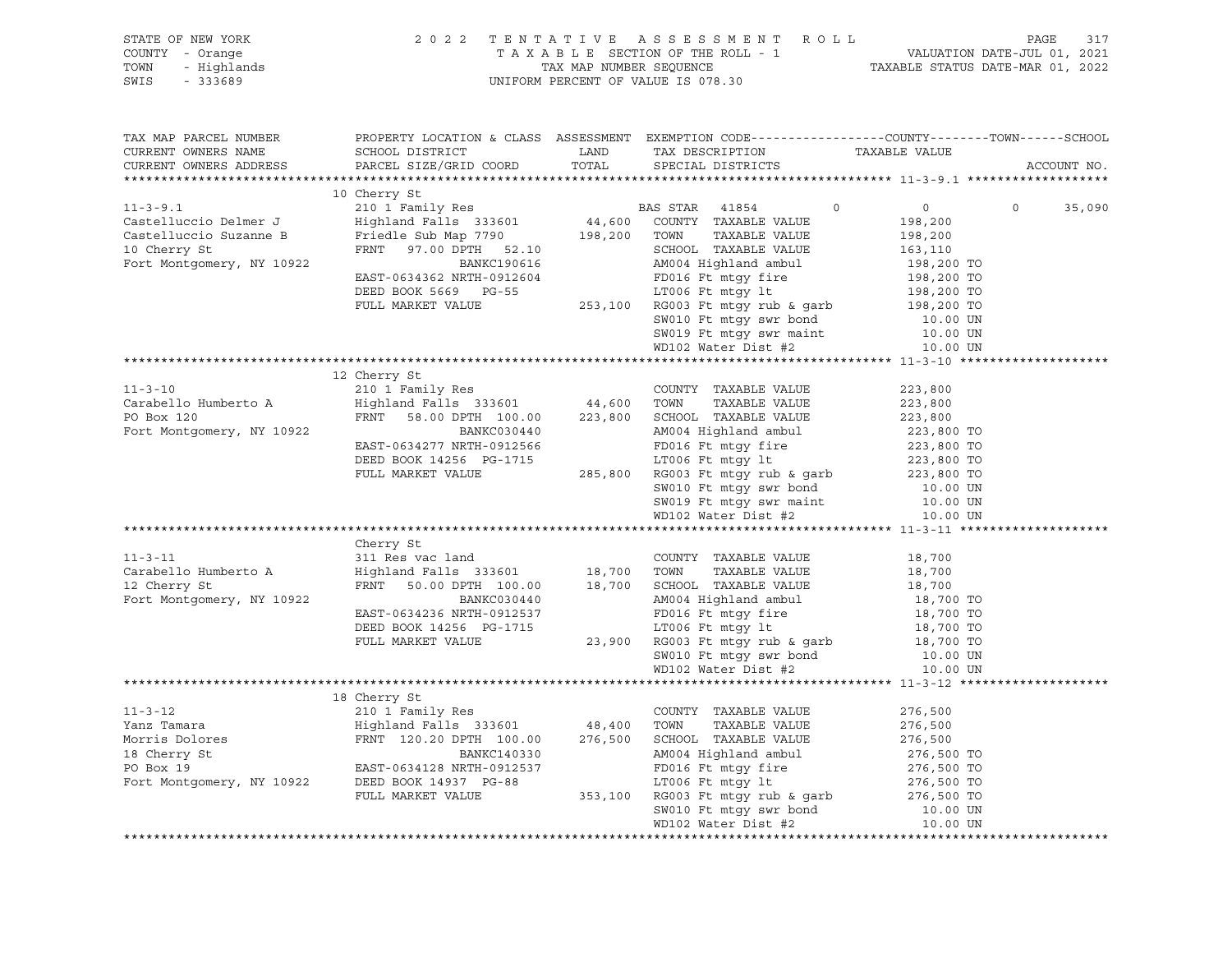| STATE OF NEW YORK<br>COUNTY - Orange<br>TOWN<br>$-333689$<br>SWIS |  |                                                                                                  |                      |                    |
|-------------------------------------------------------------------|--|--------------------------------------------------------------------------------------------------|----------------------|--------------------|
| TAX MAP PARCEL NUMBER<br>CURRENT OWNERS NAME                      |  | PROPERTY LOCATION & CLASS ASSESSMENT EXEMPTION CODE----------------COUNTY-------TOWN------SCHOOL |                      |                    |
| CURRENT OWNERS ADDRESS                                            |  |                                                                                                  |                      | ACCOUNT NO.        |
|                                                                   |  |                                                                                                  |                      |                    |
|                                                                   |  |                                                                                                  |                      | $\Omega$<br>35,090 |
|                                                                   |  |                                                                                                  |                      |                    |
|                                                                   |  |                                                                                                  |                      |                    |
|                                                                   |  |                                                                                                  |                      |                    |
|                                                                   |  |                                                                                                  |                      |                    |
|                                                                   |  |                                                                                                  |                      |                    |
|                                                                   |  |                                                                                                  |                      |                    |
|                                                                   |  |                                                                                                  |                      |                    |
|                                                                   |  |                                                                                                  |                      |                    |
|                                                                   |  | SW019 Ft mtgy swr maint 10.00 UN<br>WD102 Water Dist #2 10.00 UN                                 | 10.00 UN<br>10.00 UN |                    |
|                                                                   |  |                                                                                                  |                      |                    |
|                                                                   |  |                                                                                                  |                      |                    |
|                                                                   |  |                                                                                                  |                      |                    |
|                                                                   |  |                                                                                                  |                      |                    |
|                                                                   |  |                                                                                                  |                      |                    |
|                                                                   |  |                                                                                                  |                      |                    |
|                                                                   |  |                                                                                                  |                      |                    |
|                                                                   |  |                                                                                                  |                      |                    |
|                                                                   |  |                                                                                                  |                      |                    |
|                                                                   |  |                                                                                                  |                      |                    |
|                                                                   |  |                                                                                                  |                      |                    |
|                                                                   |  |                                                                                                  |                      |                    |
|                                                                   |  |                                                                                                  |                      |                    |
|                                                                   |  |                                                                                                  |                      |                    |
|                                                                   |  |                                                                                                  |                      |                    |
|                                                                   |  |                                                                                                  |                      |                    |
|                                                                   |  |                                                                                                  |                      |                    |
|                                                                   |  |                                                                                                  |                      |                    |
|                                                                   |  |                                                                                                  |                      |                    |
|                                                                   |  |                                                                                                  |                      |                    |
|                                                                   |  |                                                                                                  |                      |                    |
|                                                                   |  |                                                                                                  |                      |                    |
|                                                                   |  |                                                                                                  |                      |                    |
|                                                                   |  |                                                                                                  |                      |                    |
|                                                                   |  |                                                                                                  |                      |                    |
|                                                                   |  |                                                                                                  |                      |                    |
|                                                                   |  |                                                                                                  |                      |                    |
|                                                                   |  |                                                                                                  |                      |                    |
|                                                                   |  |                                                                                                  |                      |                    |
|                                                                   |  |                                                                                                  |                      |                    |
|                                                                   |  |                                                                                                  |                      |                    |
|                                                                   |  |                                                                                                  |                      |                    |
|                                                                   |  |                                                                                                  |                      |                    |
|                                                                   |  |                                                                                                  |                      |                    |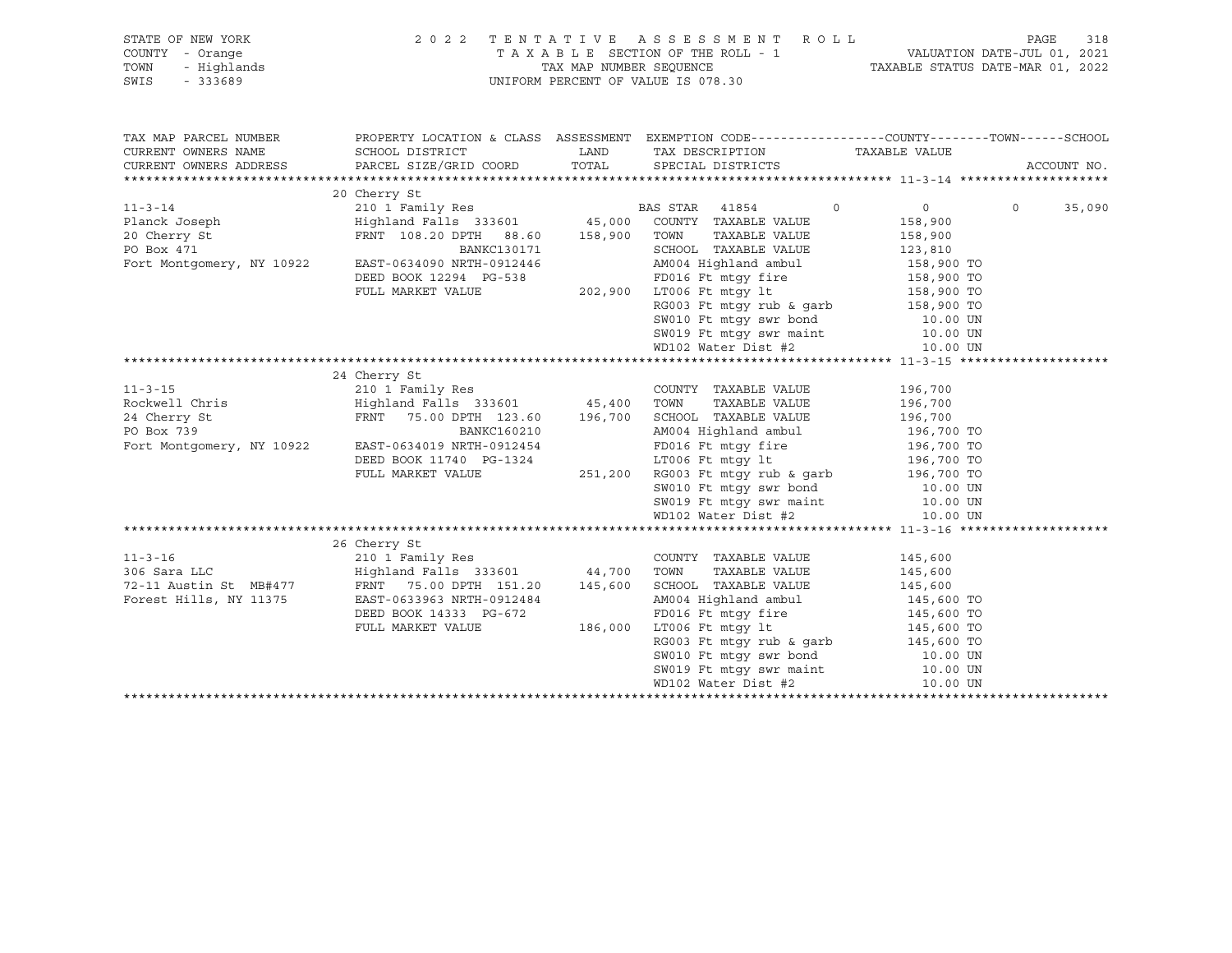| STATE OF NEW YORK                                        |                                                                                                                                                                                                                                                        |                                                                                                                                                                                                                                                     |                    |             |        |
|----------------------------------------------------------|--------------------------------------------------------------------------------------------------------------------------------------------------------------------------------------------------------------------------------------------------------|-----------------------------------------------------------------------------------------------------------------------------------------------------------------------------------------------------------------------------------------------------|--------------------|-------------|--------|
| Y - Orange<br>- Highlands<br>- 333689<br>COUNTY - Orange | 2022 TENTATIVE ASSESSMENT ROLL PAGE 318<br>TAXABLE SECTION OF THE ROLL - 1 VALUATION DATE-JUL 01, 2021<br>TAX MAP NUMBER SEQUENCE TAXABLE STATUS DATE-MAR 01, 2022                                                                                     |                                                                                                                                                                                                                                                     |                    |             |        |
| TOWN                                                     |                                                                                                                                                                                                                                                        |                                                                                                                                                                                                                                                     |                    |             |        |
| SWIS                                                     |                                                                                                                                                                                                                                                        | UNIFORM PERCENT OF VALUE IS 078.30                                                                                                                                                                                                                  |                    |             |        |
|                                                          |                                                                                                                                                                                                                                                        |                                                                                                                                                                                                                                                     |                    |             |        |
|                                                          |                                                                                                                                                                                                                                                        |                                                                                                                                                                                                                                                     |                    |             |        |
|                                                          |                                                                                                                                                                                                                                                        |                                                                                                                                                                                                                                                     |                    |             |        |
|                                                          | TAX MAP PARCEL NUMBER THE PROPERTY LOCATION & CLASS ASSESSMENT EXEMPTION CODE--------------COUNTY--------TOWN------SCHOOL                                                                                                                              |                                                                                                                                                                                                                                                     |                    |             |        |
| CURRENT OWNERS NAME                                      |                                                                                                                                                                                                                                                        |                                                                                                                                                                                                                                                     |                    |             |        |
| CURRENT OWNERS ADDRESS                                   |                                                                                                                                                                                                                                                        |                                                                                                                                                                                                                                                     |                    | ACCOUNT NO. |        |
|                                                          |                                                                                                                                                                                                                                                        |                                                                                                                                                                                                                                                     |                    |             |        |
|                                                          | 20 Cherry St                                                                                                                                                                                                                                           |                                                                                                                                                                                                                                                     |                    |             |        |
|                                                          | 20 Cherry St<br>210 1 Family Res<br>210 1 Family Res<br>210 1 Family Res<br>210 1 Family Res<br>210 1 Family Res<br>210 1 Family Res<br>210 1 Family Res<br>210 1 Family Res<br>210 1 Family Res<br>210 1 Family Res<br>210 1 Family Res<br>210 210 21 |                                                                                                                                                                                                                                                     | $\overline{0}$     | $\Omega$    | 35,090 |
|                                                          |                                                                                                                                                                                                                                                        |                                                                                                                                                                                                                                                     | 158,900<br>158,900 |             |        |
|                                                          |                                                                                                                                                                                                                                                        |                                                                                                                                                                                                                                                     |                    |             |        |
|                                                          |                                                                                                                                                                                                                                                        |                                                                                                                                                                                                                                                     |                    |             |        |
|                                                          |                                                                                                                                                                                                                                                        |                                                                                                                                                                                                                                                     |                    |             |        |
|                                                          |                                                                                                                                                                                                                                                        |                                                                                                                                                                                                                                                     |                    |             |        |
|                                                          |                                                                                                                                                                                                                                                        |                                                                                                                                                                                                                                                     |                    |             |        |
|                                                          |                                                                                                                                                                                                                                                        |                                                                                                                                                                                                                                                     |                    |             |        |
|                                                          |                                                                                                                                                                                                                                                        | BANKCI30171<br>BANKCI30171<br>BANKCI30171<br>BANKCI30171<br>BANKCI30171<br>EAST-0634090 NRTH-0912446<br>DEED BOOK 12294 PG-538<br>PD016 Ft mtgy fire<br>202,900 LT006 Ft mtgy fire<br>RG003 Ft mtgy rub & garb<br>SKNO10 Ft mtgy swr bond<br>SKNO10 |                    |             |        |
|                                                          |                                                                                                                                                                                                                                                        |                                                                                                                                                                                                                                                     |                    |             |        |
|                                                          |                                                                                                                                                                                                                                                        |                                                                                                                                                                                                                                                     |                    |             |        |
|                                                          |                                                                                                                                                                                                                                                        |                                                                                                                                                                                                                                                     |                    |             |        |
|                                                          |                                                                                                                                                                                                                                                        |                                                                                                                                                                                                                                                     |                    |             |        |
|                                                          |                                                                                                                                                                                                                                                        |                                                                                                                                                                                                                                                     |                    |             |        |
|                                                          |                                                                                                                                                                                                                                                        |                                                                                                                                                                                                                                                     |                    |             |        |
|                                                          |                                                                                                                                                                                                                                                        |                                                                                                                                                                                                                                                     |                    |             |        |
|                                                          |                                                                                                                                                                                                                                                        |                                                                                                                                                                                                                                                     |                    |             |        |
|                                                          |                                                                                                                                                                                                                                                        |                                                                                                                                                                                                                                                     |                    |             |        |
|                                                          |                                                                                                                                                                                                                                                        |                                                                                                                                                                                                                                                     |                    |             |        |
|                                                          |                                                                                                                                                                                                                                                        |                                                                                                                                                                                                                                                     |                    |             |        |
|                                                          |                                                                                                                                                                                                                                                        |                                                                                                                                                                                                                                                     |                    |             |        |
|                                                          |                                                                                                                                                                                                                                                        |                                                                                                                                                                                                                                                     |                    |             |        |
|                                                          |                                                                                                                                                                                                                                                        |                                                                                                                                                                                                                                                     |                    |             |        |
|                                                          |                                                                                                                                                                                                                                                        |                                                                                                                                                                                                                                                     |                    |             |        |
|                                                          |                                                                                                                                                                                                                                                        |                                                                                                                                                                                                                                                     |                    |             |        |
|                                                          | 210 1 Family Res                                                                                                                                                                                                                                       |                                                                                                                                                                                                                                                     |                    |             |        |
| $11 - 3 - 16$                                            |                                                                                                                                                                                                                                                        | COUNTY TAXABLE VALUE 145,600                                                                                                                                                                                                                        |                    |             |        |
|                                                          |                                                                                                                                                                                                                                                        |                                                                                                                                                                                                                                                     |                    |             |        |
|                                                          |                                                                                                                                                                                                                                                        |                                                                                                                                                                                                                                                     |                    |             |        |
|                                                          |                                                                                                                                                                                                                                                        |                                                                                                                                                                                                                                                     |                    |             |        |
|                                                          |                                                                                                                                                                                                                                                        |                                                                                                                                                                                                                                                     |                    |             |        |
|                                                          |                                                                                                                                                                                                                                                        |                                                                                                                                                                                                                                                     |                    |             |        |
|                                                          |                                                                                                                                                                                                                                                        |                                                                                                                                                                                                                                                     |                    |             |        |
|                                                          |                                                                                                                                                                                                                                                        |                                                                                                                                                                                                                                                     |                    |             |        |
|                                                          |                                                                                                                                                                                                                                                        |                                                                                                                                                                                                                                                     |                    |             |        |
|                                                          |                                                                                                                                                                                                                                                        |                                                                                                                                                                                                                                                     |                    |             |        |
|                                                          |                                                                                                                                                                                                                                                        |                                                                                                                                                                                                                                                     |                    |             |        |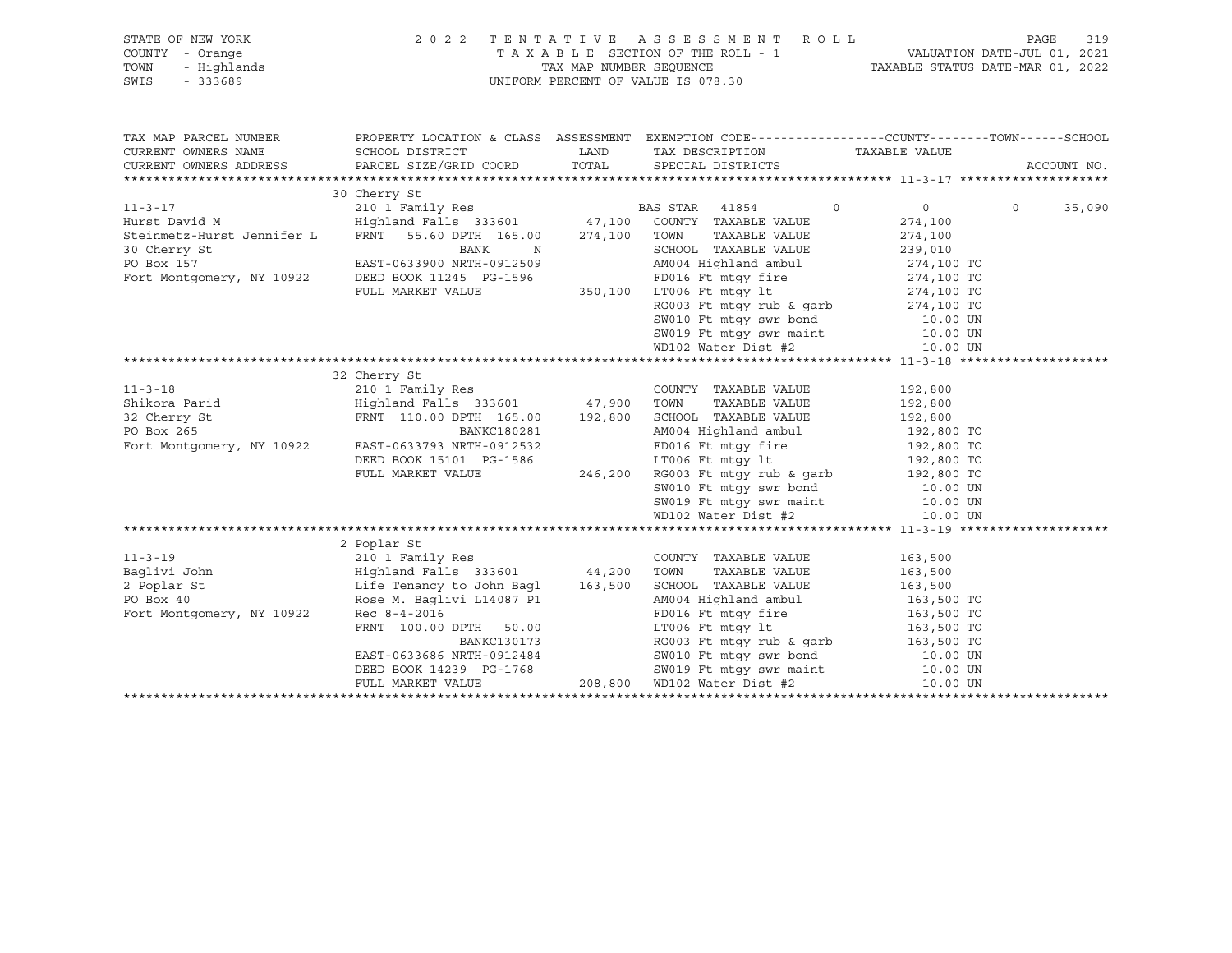| STATE OF NEW YORK                                                                                                                                                                                                                                    | 2022             |                                                                                                                                                                                                                                                 |                    |          |             |
|------------------------------------------------------------------------------------------------------------------------------------------------------------------------------------------------------------------------------------------------------|------------------|-------------------------------------------------------------------------------------------------------------------------------------------------------------------------------------------------------------------------------------------------|--------------------|----------|-------------|
| $Y - 0$ range<br>- Highlands<br>- 333689<br>COUNTY - Orange                                                                                                                                                                                          |                  | TENTATIVE ASSESSMENT ROLL PAGE 319<br>TAXABLE SECTION OF THE ROLL - 1 VALUATION DATE-JUL 01, 2021<br>TAX MAP NUMBER SEQUENCE TAXABLE STATUS DATE-MAR 01, 2022                                                                                   |                    |          |             |
| TOWN                                                                                                                                                                                                                                                 |                  |                                                                                                                                                                                                                                                 |                    |          |             |
| SWIS                                                                                                                                                                                                                                                 |                  | UNIFORM PERCENT OF VALUE IS 078.30                                                                                                                                                                                                              |                    |          |             |
|                                                                                                                                                                                                                                                      |                  |                                                                                                                                                                                                                                                 |                    |          |             |
|                                                                                                                                                                                                                                                      |                  |                                                                                                                                                                                                                                                 |                    |          |             |
|                                                                                                                                                                                                                                                      |                  |                                                                                                                                                                                                                                                 |                    |          |             |
| TAX MAP PARCEL NUMBER THE PROPERTY LOCATION & CLASS ASSESSMENT EXEMPTION CODE--------------COUNTY--------TOWN------SCHOOL                                                                                                                            |                  |                                                                                                                                                                                                                                                 |                    |          |             |
| CURRENT OWNERS NAME                                                                                                                                                                                                                                  |                  |                                                                                                                                                                                                                                                 |                    |          |             |
| CURRENT OWNERS ADDRESS                                                                                                                                                                                                                               |                  | TAX DESCRIPTION TAXABLE VALUE<br>SPECIAL DISTRICTS                                                                                                                                                                                              |                    |          | ACCOUNT NO. |
|                                                                                                                                                                                                                                                      |                  |                                                                                                                                                                                                                                                 |                    |          |             |
|                                                                                                                                                                                                                                                      | 30 Cherry St     |                                                                                                                                                                                                                                                 |                    |          |             |
| 11-3-17<br>210 1 Family Res<br>Hurst David M<br>310 Highland Falls 333601 47,100 COUNTY TAXABLE VALUE<br>31601 47,100 COUNTY TAXABLE VALUE<br>316.00 274,100 TOWN TAXABLE VALUE                                                                      |                  |                                                                                                                                                                                                                                                 | $\overline{0}$     | $\Omega$ | 35,090      |
|                                                                                                                                                                                                                                                      |                  |                                                                                                                                                                                                                                                 |                    |          |             |
|                                                                                                                                                                                                                                                      |                  | TAXABLE VALUE<br>TAXABLE VALUE                                                                                                                                                                                                                  | 274,100<br>274,100 |          |             |
|                                                                                                                                                                                                                                                      |                  |                                                                                                                                                                                                                                                 |                    |          |             |
|                                                                                                                                                                                                                                                      |                  |                                                                                                                                                                                                                                                 |                    |          |             |
|                                                                                                                                                                                                                                                      |                  |                                                                                                                                                                                                                                                 |                    |          |             |
|                                                                                                                                                                                                                                                      |                  |                                                                                                                                                                                                                                                 |                    |          |             |
|                                                                                                                                                                                                                                                      |                  |                                                                                                                                                                                                                                                 |                    |          |             |
| 30 Cherry St<br>239,010<br>PO Box 157<br>EAST-0633900 NRTH-0912509<br>Fort Montgomery, NY 10922<br>DEED BOOK 11245 PG-1596<br>FULL MARKET VALUE<br>FULL MARKET VALUE<br>EAST-0633900 NRTH-0912509<br>AM004 Highland ambul<br>MD02 Highland ambul<br> |                  |                                                                                                                                                                                                                                                 |                    |          |             |
|                                                                                                                                                                                                                                                      |                  |                                                                                                                                                                                                                                                 |                    |          |             |
|                                                                                                                                                                                                                                                      |                  |                                                                                                                                                                                                                                                 |                    |          |             |
|                                                                                                                                                                                                                                                      |                  |                                                                                                                                                                                                                                                 |                    |          |             |
|                                                                                                                                                                                                                                                      |                  |                                                                                                                                                                                                                                                 |                    |          |             |
|                                                                                                                                                                                                                                                      |                  |                                                                                                                                                                                                                                                 |                    |          |             |
|                                                                                                                                                                                                                                                      |                  |                                                                                                                                                                                                                                                 |                    |          |             |
|                                                                                                                                                                                                                                                      |                  |                                                                                                                                                                                                                                                 |                    |          |             |
|                                                                                                                                                                                                                                                      |                  |                                                                                                                                                                                                                                                 |                    |          |             |
|                                                                                                                                                                                                                                                      |                  |                                                                                                                                                                                                                                                 |                    |          |             |
|                                                                                                                                                                                                                                                      |                  |                                                                                                                                                                                                                                                 |                    |          |             |
|                                                                                                                                                                                                                                                      |                  |                                                                                                                                                                                                                                                 |                    |          |             |
|                                                                                                                                                                                                                                                      |                  |                                                                                                                                                                                                                                                 |                    |          |             |
|                                                                                                                                                                                                                                                      |                  |                                                                                                                                                                                                                                                 |                    |          |             |
|                                                                                                                                                                                                                                                      |                  |                                                                                                                                                                                                                                                 |                    |          |             |
|                                                                                                                                                                                                                                                      |                  |                                                                                                                                                                                                                                                 |                    |          |             |
|                                                                                                                                                                                                                                                      |                  |                                                                                                                                                                                                                                                 |                    |          |             |
|                                                                                                                                                                                                                                                      |                  |                                                                                                                                                                                                                                                 |                    |          |             |
| $11 - 3 - 19$                                                                                                                                                                                                                                        | 210 1 Family Res | COUNTY TAXABLE VALUE 163,500                                                                                                                                                                                                                    |                    |          |             |
|                                                                                                                                                                                                                                                      |                  | TAXABLE VALUE 163,500                                                                                                                                                                                                                           |                    |          |             |
|                                                                                                                                                                                                                                                      |                  |                                                                                                                                                                                                                                                 |                    |          |             |
|                                                                                                                                                                                                                                                      |                  |                                                                                                                                                                                                                                                 |                    |          |             |
| Fort Montgomery, NY 10922                                                                                                                                                                                                                            |                  |                                                                                                                                                                                                                                                 |                    |          |             |
|                                                                                                                                                                                                                                                      |                  |                                                                                                                                                                                                                                                 |                    |          |             |
|                                                                                                                                                                                                                                                      |                  |                                                                                                                                                                                                                                                 |                    |          |             |
|                                                                                                                                                                                                                                                      |                  |                                                                                                                                                                                                                                                 |                    |          |             |
|                                                                                                                                                                                                                                                      |                  |                                                                                                                                                                                                                                                 |                    |          |             |
|                                                                                                                                                                                                                                                      |                  | 163,500<br>Life Tenancy to John Bag1<br>Les Tenancy of School Taxable VALUE<br>Rose M. Bag1ivi L14087 P1<br>Rec 8-4-2016<br>FD016 Ft mtgy fire<br>FD016 Ft mtgy fire<br>EAST-0633686 NRTH-0912484<br>DEED BOOK 14239 PG-1768<br>DEED BOOK 14239 |                    |          |             |
|                                                                                                                                                                                                                                                      |                  |                                                                                                                                                                                                                                                 |                    |          |             |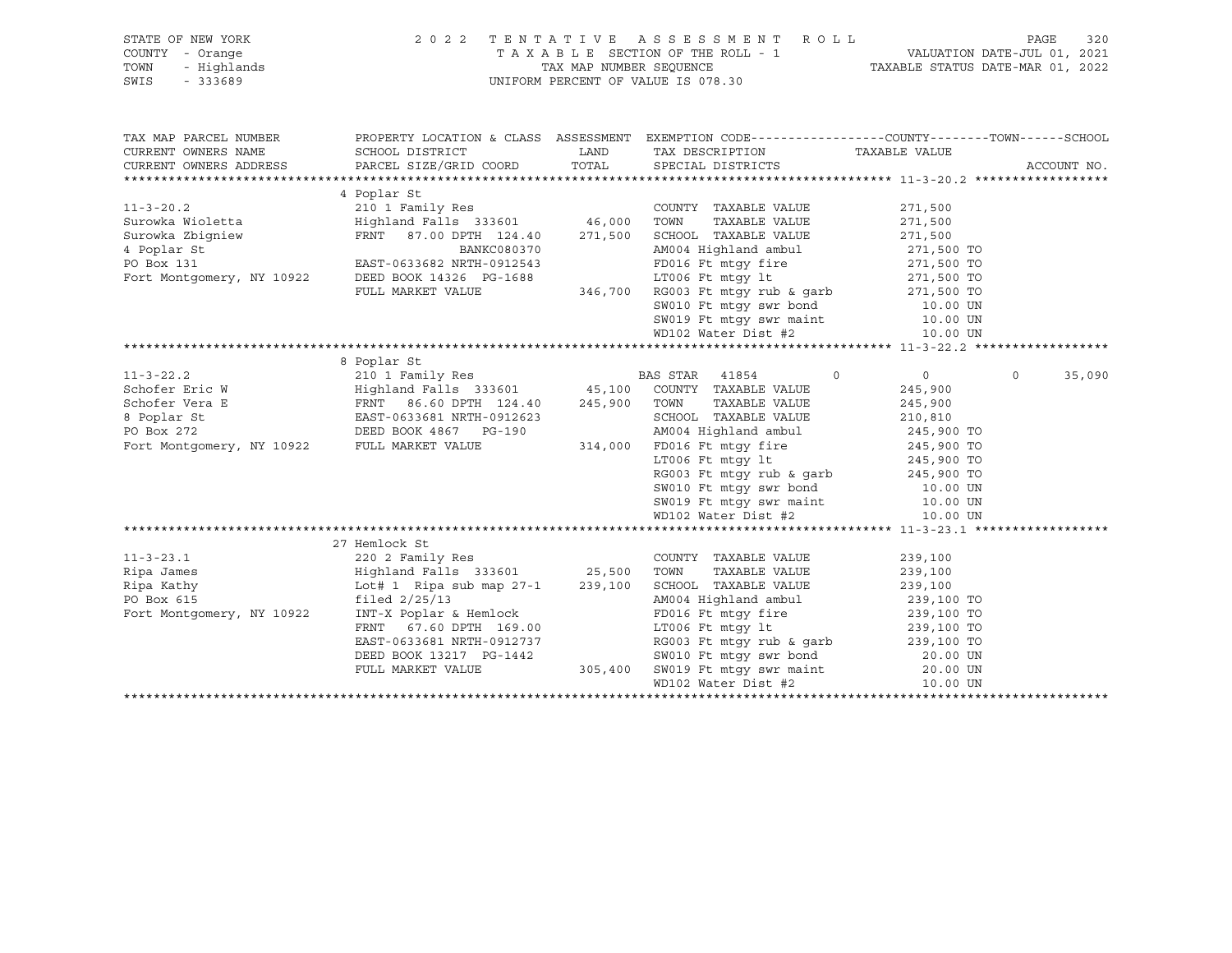| STATE OF NEW YORK                           |                                                                                                                                                                                                                                                       |      | 2022 TENTATIVE ASSESSMENT ROLL                                                                                                                                                                                                    |                    | 320<br>PAGE        |
|---------------------------------------------|-------------------------------------------------------------------------------------------------------------------------------------------------------------------------------------------------------------------------------------------------------|------|-----------------------------------------------------------------------------------------------------------------------------------------------------------------------------------------------------------------------------------|--------------------|--------------------|
| COUNTY - Orange                             |                                                                                                                                                                                                                                                       |      | T A X A B L E SECTION OF THE ROLL - 1 VALUATION DATE-JUL 01, 2021<br>TAX MAP NUMBER SEQUENCE TAXIBLE STATUS DATE-MAR 01, 2022                                                                                                     |                    |                    |
| TOWN<br>- Highlands                         |                                                                                                                                                                                                                                                       |      |                                                                                                                                                                                                                                   |                    |                    |
| - 333689<br>SWIS                            |                                                                                                                                                                                                                                                       |      | UNIFORM PERCENT OF VALUE IS 078.30                                                                                                                                                                                                |                    |                    |
|                                             |                                                                                                                                                                                                                                                       |      |                                                                                                                                                                                                                                   |                    |                    |
|                                             |                                                                                                                                                                                                                                                       |      |                                                                                                                                                                                                                                   |                    |                    |
|                                             |                                                                                                                                                                                                                                                       |      |                                                                                                                                                                                                                                   |                    |                    |
| TAX MAP PARCEL NUMBER                       |                                                                                                                                                                                                                                                       |      | PROPERTY LOCATION & CLASS ASSESSMENT EXEMPTION CODE-----------------COUNTY-------TOWN------SCHOOL                                                                                                                                 |                    |                    |
| CURRENT OWNERS NAME                         | SCHOOL DISTRICT                                                                                                                                                                                                                                       | LAND | TAX DESCRIPTION TAXABLE VALUE                                                                                                                                                                                                     |                    |                    |
| CURRENT OWNERS ADDRESS                      | PARCEL SIZE/GRID COORD                                                                                                                                                                                                                                |      | TOTAL SPECIAL DISTRICTS                                                                                                                                                                                                           |                    | ACCOUNT NO.        |
|                                             |                                                                                                                                                                                                                                                       |      |                                                                                                                                                                                                                                   |                    |                    |
|                                             | 4 Poplar St<br>11-3-20.2 2010<br>2101 Family Res<br>Surowka Widelta Highland Falls 333601 46,000 TOWN TAXABLE VALUE<br>Surowka Zbigniew FRNT 87.00 DPTH 124.40 271,500 SCHOOL TAXABLE VALUE<br>271,500 TOWN TAXABLE VALUE 271,500<br>4 Pop            |      |                                                                                                                                                                                                                                   |                    |                    |
|                                             |                                                                                                                                                                                                                                                       |      |                                                                                                                                                                                                                                   |                    |                    |
|                                             |                                                                                                                                                                                                                                                       |      |                                                                                                                                                                                                                                   |                    |                    |
|                                             |                                                                                                                                                                                                                                                       |      |                                                                                                                                                                                                                                   |                    |                    |
|                                             |                                                                                                                                                                                                                                                       |      |                                                                                                                                                                                                                                   |                    |                    |
|                                             |                                                                                                                                                                                                                                                       |      |                                                                                                                                                                                                                                   |                    |                    |
|                                             |                                                                                                                                                                                                                                                       |      |                                                                                                                                                                                                                                   |                    |                    |
|                                             |                                                                                                                                                                                                                                                       |      |                                                                                                                                                                                                                                   |                    |                    |
|                                             |                                                                                                                                                                                                                                                       |      |                                                                                                                                                                                                                                   |                    |                    |
|                                             |                                                                                                                                                                                                                                                       |      |                                                                                                                                                                                                                                   |                    |                    |
|                                             |                                                                                                                                                                                                                                                       |      | SW019 Ft mtgy swr maint<br>WD102 Water Dist #2                                                                                                                                                                                    |                    |                    |
|                                             |                                                                                                                                                                                                                                                       |      |                                                                                                                                                                                                                                   | 10.00 UN           |                    |
|                                             |                                                                                                                                                                                                                                                       |      |                                                                                                                                                                                                                                   |                    |                    |
|                                             | 8 Poplar St                                                                                                                                                                                                                                           |      |                                                                                                                                                                                                                                   |                    |                    |
|                                             | 11-3-22.2<br>Schofer Eric W<br>Schofer Vera E<br>Schofer Vera E<br>Schofer Vera E<br>ERNT 86.60 DPTH 124.40<br>BOS 245,900 TOWN TAXABLE VALUE<br>PO BOX 272<br>PO BOX 4867 PG-190<br>PO BOX 4867 PG-190<br>PO BOX 272<br>PO BOX 4867 PG-190<br>PO BOX |      | $\circ$                                                                                                                                                                                                                           | $\overline{0}$     | $\Omega$<br>35,090 |
|                                             |                                                                                                                                                                                                                                                       |      |                                                                                                                                                                                                                                   | 245,900            |                    |
|                                             |                                                                                                                                                                                                                                                       |      |                                                                                                                                                                                                                                   | 245,900            |                    |
|                                             |                                                                                                                                                                                                                                                       |      |                                                                                                                                                                                                                                   | 210,810            |                    |
|                                             |                                                                                                                                                                                                                                                       |      |                                                                                                                                                                                                                                   |                    |                    |
| Fort Montgomery, NY 10922 FULL MARKET VALUE |                                                                                                                                                                                                                                                       |      |                                                                                                                                                                                                                                   |                    |                    |
|                                             |                                                                                                                                                                                                                                                       |      | SCHOOL TAXABLE VALUE<br>AM004 Highland ambul 245,900 TO<br>FD016 Ft mtgy fire 245,900 TO<br>TTOLE Ft mtgy lt. 245,900 TO<br>314,000 FD016 Ft mtgy fire<br>LT006 Ft mtgy 1t                                                        |                    |                    |
|                                             |                                                                                                                                                                                                                                                       |      |                                                                                                                                                                                                                                   |                    |                    |
|                                             |                                                                                                                                                                                                                                                       |      |                                                                                                                                                                                                                                   |                    |                    |
|                                             |                                                                                                                                                                                                                                                       |      |                                                                                                                                                                                                                                   |                    |                    |
|                                             |                                                                                                                                                                                                                                                       |      |                                                                                                                                                                                                                                   |                    |                    |
|                                             |                                                                                                                                                                                                                                                       |      | WD102 Water Dist #2                                                                                                                                                                                                               | 10.00 UN           |                    |
|                                             |                                                                                                                                                                                                                                                       |      |                                                                                                                                                                                                                                   |                    |                    |
|                                             | 27 Hemlock St                                                                                                                                                                                                                                         |      |                                                                                                                                                                                                                                   |                    |                    |
| $11 - 3 - 23.1$                             | 220 2 Family Res                                                                                                                                                                                                                                      |      | COUNTY TAXABLE VALUE                                                                                                                                                                                                              | 239,100            |                    |
| Ripa James                                  | Highland Falls 333601 25,500 TOWN<br>Lot# 1 Ripa sub map 27-1 239,100 SCHOOL                                                                                                                                                                          |      | TAXABLE VALUE                                                                                                                                                                                                                     | 239,100<br>239,100 |                    |
| Ripa Kathy                                  |                                                                                                                                                                                                                                                       |      | SCHOOL TAXABLE VALUE                                                                                                                                                                                                              |                    |                    |
| PO Box 615                                  | filed $2/25/13$                                                                                                                                                                                                                                       |      |                                                                                                                                                                                                                                   |                    |                    |
| Fort Montgomery, NY 10922                   | INT-X Poplar & Hemlock                                                                                                                                                                                                                                |      | AM004 Highland ambul 239,100 TO<br>FD016 Ft mtgy fire 239,100 TO                                                                                                                                                                  |                    |                    |
|                                             | FRNT 67.60 DPTH 169.00                                                                                                                                                                                                                                |      |                                                                                                                                                                                                                                   |                    |                    |
|                                             | EAST-0633681 NRTH-0912737                                                                                                                                                                                                                             |      |                                                                                                                                                                                                                                   |                    |                    |
|                                             | DEED BOOK 13217 PG-1442                                                                                                                                                                                                                               |      |                                                                                                                                                                                                                                   |                    |                    |
|                                             | FULL MARKET VALUE                                                                                                                                                                                                                                     |      |                                                                                                                                                                                                                                   |                    |                    |
|                                             |                                                                                                                                                                                                                                                       |      | AM004 Highland amour<br>FD016 Ft mtgy fire 239,100 TO<br>LT006 Ft mtgy lt 239,100 TO<br>RG003 Ft mtgy rub & garb 239,100 TO<br>SW010 Ft mtgy swr bond 20.00 UN<br>305,400 SW019 Ft mtgy swr maint 20.00 UN<br>WD102 Water Dist #2 |                    |                    |
|                                             |                                                                                                                                                                                                                                                       |      |                                                                                                                                                                                                                                   |                    |                    |
|                                             |                                                                                                                                                                                                                                                       |      |                                                                                                                                                                                                                                   |                    |                    |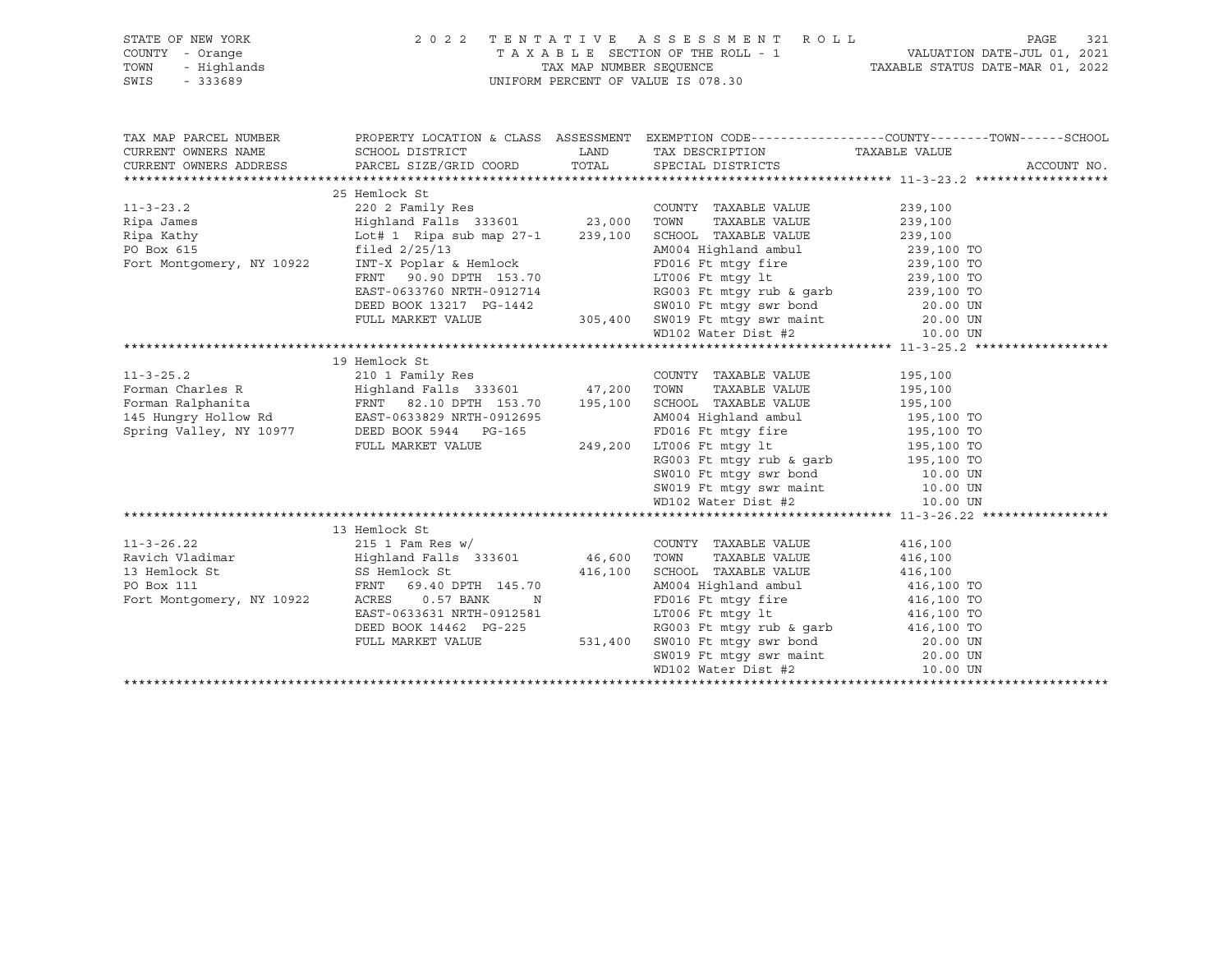| STATE OF NEW YORK                                                       |                                                                                                                                                                                                                                | 2022 TENTATIVE ASSESSMENT ROLL                                                                                                                                                                                                               |         | 321<br>PAGE |
|-------------------------------------------------------------------------|--------------------------------------------------------------------------------------------------------------------------------------------------------------------------------------------------------------------------------|----------------------------------------------------------------------------------------------------------------------------------------------------------------------------------------------------------------------------------------------|---------|-------------|
| OF NEW YORK<br>Y - Orange<br>- Highlands<br>- 333689<br>COUNTY - Orange |                                                                                                                                                                                                                                |                                                                                                                                                                                                                                              |         |             |
| TOWN                                                                    |                                                                                                                                                                                                                                |                                                                                                                                                                                                                                              |         |             |
| SWIS                                                                    |                                                                                                                                                                                                                                |                                                                                                                                                                                                                                              |         |             |
|                                                                         |                                                                                                                                                                                                                                |                                                                                                                                                                                                                                              |         |             |
|                                                                         |                                                                                                                                                                                                                                |                                                                                                                                                                                                                                              |         |             |
| TAX MAP PARCEL NUMBER                                                   |                                                                                                                                                                                                                                |                                                                                                                                                                                                                                              |         |             |
| CURRENT OWNERS NAME                                                     |                                                                                                                                                                                                                                |                                                                                                                                                                                                                                              |         |             |
|                                                                         | CURRENT OWNERS ADDRESS PARCEL SIZE/GRID COORD TOTAL SPECIAL DISTRICTS                                                                                                                                                          |                                                                                                                                                                                                                                              |         | ACCOUNT NO. |
|                                                                         |                                                                                                                                                                                                                                |                                                                                                                                                                                                                                              |         |             |
|                                                                         | 25 Hemlock St                                                                                                                                                                                                                  |                                                                                                                                                                                                                                              |         |             |
| $11 - 3 - 23.2$                                                         |                                                                                                                                                                                                                                |                                                                                                                                                                                                                                              |         |             |
|                                                                         |                                                                                                                                                                                                                                |                                                                                                                                                                                                                                              |         |             |
|                                                                         |                                                                                                                                                                                                                                |                                                                                                                                                                                                                                              |         |             |
|                                                                         |                                                                                                                                                                                                                                |                                                                                                                                                                                                                                              |         |             |
| PO Box 615<br>Fort Montgomery, NY 10922                                 |                                                                                                                                                                                                                                |                                                                                                                                                                                                                                              |         |             |
|                                                                         |                                                                                                                                                                                                                                |                                                                                                                                                                                                                                              |         |             |
|                                                                         |                                                                                                                                                                                                                                |                                                                                                                                                                                                                                              |         |             |
|                                                                         | 1 1 239,100 TO 1 239,100 2 239,100 2 239,100 2 239,100 2 239,100 2 239,100 2 239,100 2 239,100 2 239,100 2 239,100 2 239,100 2 239,100 2 239,100 2 239,100 2 239,100 2 239,100 2 239,100 2 239,100 2 239,100 2 239,100 2 239,1 |                                                                                                                                                                                                                                              |         |             |
|                                                                         |                                                                                                                                                                                                                                |                                                                                                                                                                                                                                              |         |             |
|                                                                         |                                                                                                                                                                                                                                |                                                                                                                                                                                                                                              |         |             |
|                                                                         |                                                                                                                                                                                                                                |                                                                                                                                                                                                                                              |         |             |
|                                                                         |                                                                                                                                                                                                                                |                                                                                                                                                                                                                                              |         |             |
|                                                                         |                                                                                                                                                                                                                                |                                                                                                                                                                                                                                              |         |             |
|                                                                         |                                                                                                                                                                                                                                |                                                                                                                                                                                                                                              |         |             |
|                                                                         |                                                                                                                                                                                                                                |                                                                                                                                                                                                                                              |         |             |
|                                                                         |                                                                                                                                                                                                                                |                                                                                                                                                                                                                                              |         |             |
|                                                                         |                                                                                                                                                                                                                                |                                                                                                                                                                                                                                              |         |             |
|                                                                         |                                                                                                                                                                                                                                |                                                                                                                                                                                                                                              |         |             |
|                                                                         |                                                                                                                                                                                                                                |                                                                                                                                                                                                                                              |         |             |
|                                                                         |                                                                                                                                                                                                                                |                                                                                                                                                                                                                                              |         |             |
|                                                                         |                                                                                                                                                                                                                                |                                                                                                                                                                                                                                              |         |             |
|                                                                         |                                                                                                                                                                                                                                |                                                                                                                                                                                                                                              |         |             |
|                                                                         |                                                                                                                                                                                                                                |                                                                                                                                                                                                                                              |         |             |
|                                                                         |                                                                                                                                                                                                                                |                                                                                                                                                                                                                                              |         |             |
|                                                                         |                                                                                                                                                                                                                                |                                                                                                                                                                                                                                              |         |             |
| $11 - 3 - 26.22$                                                        | 215 1 Fam Res w/                                                                                                                                                                                                               | COUNTY TAXABLE VALUE                                                                                                                                                                                                                         | 416,100 |             |
|                                                                         |                                                                                                                                                                                                                                | TAXABLE VALUE                                                                                                                                                                                                                                | 416,100 |             |
|                                                                         |                                                                                                                                                                                                                                |                                                                                                                                                                                                                                              | 416,100 |             |
|                                                                         |                                                                                                                                                                                                                                |                                                                                                                                                                                                                                              |         |             |
| Fort Montgomery, NY 10922                                               |                                                                                                                                                                                                                                |                                                                                                                                                                                                                                              |         |             |
|                                                                         | ACRES 0.57 BANK N<br>EAST-0633631 NRTH-0912581                                                                                                                                                                                 |                                                                                                                                                                                                                                              |         |             |
|                                                                         | DEED BOOK 14462 PG-225<br>FULL MARKET VALUE 531,400                                                                                                                                                                            |                                                                                                                                                                                                                                              |         |             |
|                                                                         |                                                                                                                                                                                                                                |                                                                                                                                                                                                                                              |         |             |
|                                                                         |                                                                                                                                                                                                                                |                                                                                                                                                                                                                                              |         |             |
|                                                                         |                                                                                                                                                                                                                                | AMBLE VALUE 416,100<br>AM004 Highland ambul 416,100 TO<br>FD016 Ft mtgy fire 416,100 TO<br>LT006 Ft mtgy 1te 416,100 TO<br>RG003 Ft mtgy rub & garb 416,100 TO<br>SW010 Ft mtgy swr bond 20.00 UN<br>SW019 Ft mtgy swr maint 20.00 UN<br>WD1 |         |             |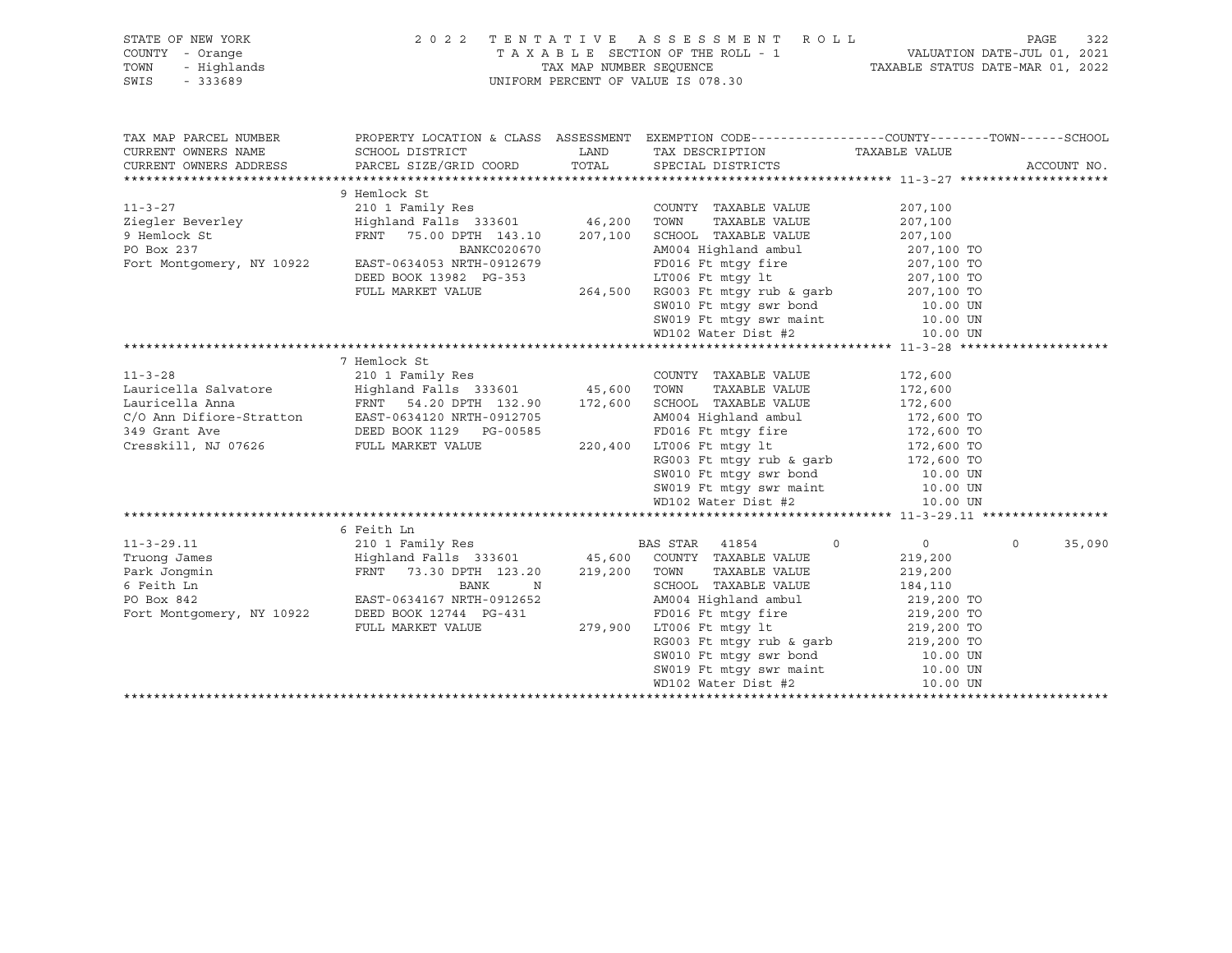| STATE OF NEW YORK<br>COUNTY - Orange<br>TOWN<br>- Highlands |                                           |               | 2022 TENTATIVE ASSESSMENT ROLL                                                                                                   |                          | PAGE        | 322    |
|-------------------------------------------------------------|-------------------------------------------|---------------|----------------------------------------------------------------------------------------------------------------------------------|--------------------------|-------------|--------|
| SWIS<br>- 333689                                            |                                           |               | UNIFORM PERCENT OF VALUE IS 078.30                                                                                               |                          |             |        |
| TAX MAP PARCEL NUMBER                                       |                                           |               | PROPERTY LOCATION & CLASS ASSESSMENT EXEMPTION CODE----------------COUNTY-------TOWN------SCHOOL                                 |                          |             |        |
| CURRENT OWNERS NAME                                         | SCHOOL DISTRICT<br>PARCEL SIZE/GRID COORD | LAND<br>TOTAL | TAX DESCRIPTION TAXABLE VALUE                                                                                                    |                          | ACCOUNT NO. |        |
| CURRENT OWNERS ADDRESS                                      |                                           |               | SPECIAL DISTRICTS                                                                                                                |                          |             |        |
|                                                             | 9 Hemlock St                              |               |                                                                                                                                  |                          |             |        |
| $11 - 3 - 27$                                               | 210 1 Family Res                          |               | COUNTY TAXABLE VALUE                                                                                                             | 207,100                  |             |        |
| Ziegler Beverley                                            | Highland Falls 333601 46,200 TOWN         |               | TAXABLE VALUE                                                                                                                    | 207,100                  |             |        |
| 9 Hemlock St                                                | FRNT 75.00 DPTH 143.10                    | 207,100       | SCHOOL TAXABLE VALUE                                                                                                             | 207,100                  |             |        |
| PO Box 237                                                  | BANKC020670                               |               | AM004 Highland ambul                                                                                                             |                          |             |        |
| Fort Montgomery, NY 10922                                   | EAST-0634053 NRTH-0912679                 |               | FD016 Ft mtqy fire                                                                                                               | 207,100 TO<br>207,100 TO |             |        |
|                                                             | DEED BOOK 13982 PG-353                    |               | $LT006$ Ft $mtgy$ lt                                                                                                             | 207,100 TO<br>207,100 TO |             |        |
|                                                             | FULL MARKET VALUE                         |               | 264,500 RG003 Ft mtgy rub & garb<br>SW010 Ft mtgy swr bond                                                                       |                          |             |        |
|                                                             |                                           |               |                                                                                                                                  | 10.00 UN                 |             |        |
|                                                             |                                           |               | SW019 Ft mtgy swr maint<br>WD102 Water Dist #2                                                                                   | 10.00 UN                 |             |        |
|                                                             |                                           |               |                                                                                                                                  | 10.00 UN                 |             |        |
|                                                             | 7 Hemlock St                              |               |                                                                                                                                  |                          |             |        |
| $11 - 3 - 28$                                               |                                           |               | COUNTY TAXABLE VALUE                                                                                                             |                          |             |        |
|                                                             |                                           |               |                                                                                                                                  | 172,600                  |             |        |
|                                                             |                                           |               |                                                                                                                                  |                          |             |        |
|                                                             |                                           |               |                                                                                                                                  |                          |             |        |
|                                                             |                                           |               |                                                                                                                                  | 172,600 TO<br>172,600 TO |             |        |
|                                                             | FULL MARKET VALUE                         |               | 220,400 LT006 Ft mtgy 1t<br>RG003 Ft mtgy rub & garb 172,600 TO<br>SW010 Ft mtgy swr bond 10.00 UN                               |                          |             |        |
|                                                             |                                           |               |                                                                                                                                  |                          |             |        |
|                                                             |                                           |               |                                                                                                                                  |                          |             |        |
|                                                             |                                           |               | SW019 Ft mtgy swr maint<br>WD102 Water Dist #2                                                                                   | 10.00 UN<br>10.00 UN     |             |        |
|                                                             |                                           |               |                                                                                                                                  | 10.00 UN                 |             |        |
|                                                             |                                           |               |                                                                                                                                  |                          |             |        |
|                                                             | 6 Feith Ln                                |               |                                                                                                                                  |                          |             |        |
| $11 - 3 - 29.11$                                            | 210 1 Family Res                          |               | BAS STAR 41854<br>$\circ$                                                                                                        | $\overline{0}$           | $\circ$     | 35,090 |
| Truong James                                                | Highland Falls 333601                     |               | 45,600 COUNTY TAXABLE VALUE                                                                                                      | 219,200                  |             |        |
| Park Jonqmin                                                | FRNT 73.30 DPTH 123.20                    |               | 219,200 TOWN<br>TAXABLE VALUE                                                                                                    | 219,200                  |             |        |
| 6 Feith Ln                                                  | BANK<br>N                                 |               | SCHOOL TAXABLE VALUE                                                                                                             | 184,110                  |             |        |
| PO Box 842                                                  | EAST-0634167 NRTH-0912652                 |               | AM004 Highland ambul                                                                                                             | 219,200 TO               |             |        |
| Fort Montgomery, NY 10922                                   | DEED BOOK 12744 PG-431                    |               | FD016 Ft mtgy fire<br>279,900 LT006 Ft mtgy lt                                                                                   | 219,200 TO<br>219,200 TO |             |        |
|                                                             | FULL MARKET VALUE                         |               |                                                                                                                                  |                          |             |        |
|                                                             |                                           |               | RG003 Ft mtgy rub & garb<br>SW010 Ft mtgy swr bond<br>SW019 Ft mtgy swr maint<br>10.00 UN<br>SW019 Ft mtgy swr maint<br>10.00 UN |                          |             |        |
|                                                             |                                           |               |                                                                                                                                  |                          |             |        |
|                                                             |                                           |               | WD102 Water Dist #2                                                                                                              | 10.00 UN                 |             |        |
|                                                             |                                           |               |                                                                                                                                  |                          |             |        |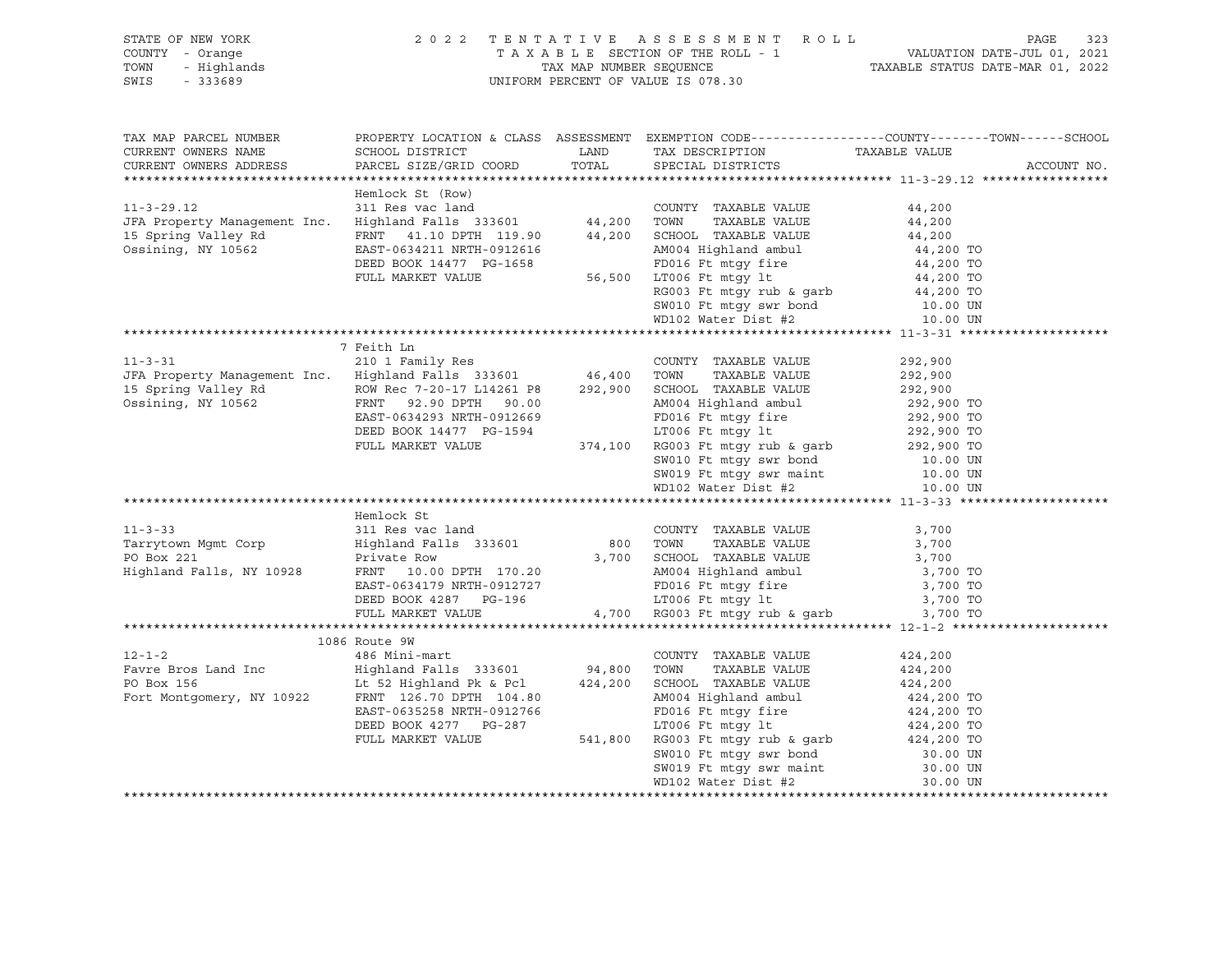| OF NEW YORK<br>! - Orange<br>- Highlands<br>- 333689<br>STATE OF NEW YORK<br>COUNTY - Orange<br>TOWN<br>SWIS                                                                                                                                                                                                                           |                              | 2022 TENTATIVE ASSESSMENT ROLL<br>UNIFORM PERCENT OF VALUE IS 078.30                                                                                            | TENTATIVE ASSESSMENT ROLL<br>TAXABLE SECTION OF THE ROLL - 1 VALUATION DATE-JUL 01, 2021<br>TAX MAP NUMBER SEQUENCE TAXABLE STATUS DATE-MAR 01, 2022<br>INIEOPM PEPCENT OF VALUE TO 079 00 |
|----------------------------------------------------------------------------------------------------------------------------------------------------------------------------------------------------------------------------------------------------------------------------------------------------------------------------------------|------------------------------|-----------------------------------------------------------------------------------------------------------------------------------------------------------------|--------------------------------------------------------------------------------------------------------------------------------------------------------------------------------------------|
| CURRENT OWNERS NAME<br>CURRENT OWNERS ADDRESS                                                                                                                                                                                                                                                                                          | PARCEL SIZE/GRID COORD TOTAL | ${\tt SCHOOD\,\, \, {\tt DISTRTCT}} {\small\quad \, {\tt LAND}} {\small\quad \, {\tt TAX\,\, \, {\tt DESCRIPTION}} {\small\quad \, {\tt TAXABLE\,\, \, VALUE}}$ | TAX MAP PARCEL NUMBER THE PROPERTY LOCATION & CLASS ASSESSMENT EXEMPTION CODE---------------COUNTY--------TOWN------SCHOOL<br>ACCOUNT NO.                                                  |
|                                                                                                                                                                                                                                                                                                                                        |                              |                                                                                                                                                                 |                                                                                                                                                                                            |
|                                                                                                                                                                                                                                                                                                                                        |                              |                                                                                                                                                                 |                                                                                                                                                                                            |
|                                                                                                                                                                                                                                                                                                                                        |                              |                                                                                                                                                                 |                                                                                                                                                                                            |
|                                                                                                                                                                                                                                                                                                                                        |                              |                                                                                                                                                                 |                                                                                                                                                                                            |
| 11-3-31 210 1 Family Res COUNTY<br>JFA Property Management Inc. Highland Falls 333601 46,400 TOWN<br>JFA Property Management Inc. Highland Falls 33501 46,400 TOWN IAAABLE VALUE 292,900<br>05 Spring Valley Rd RNT 92.90 ECHO 202,900 SCHOOL TAXABLE VALUE 292,900 TO<br>05 Spring, NY 10562 FRNT 9374,000 EAST -0634293 NRTH-0912669 | Hemlock St                   | COUNTY TAXABLE VALUE<br>TAXABLE VALUE                                                                                                                           | 292,900<br>292,900                                                                                                                                                                         |
|                                                                                                                                                                                                                                                                                                                                        |                              |                                                                                                                                                                 |                                                                                                                                                                                            |
|                                                                                                                                                                                                                                                                                                                                        |                              |                                                                                                                                                                 |                                                                                                                                                                                            |
|                                                                                                                                                                                                                                                                                                                                        |                              |                                                                                                                                                                 |                                                                                                                                                                                            |
|                                                                                                                                                                                                                                                                                                                                        |                              |                                                                                                                                                                 |                                                                                                                                                                                            |
|                                                                                                                                                                                                                                                                                                                                        |                              |                                                                                                                                                                 |                                                                                                                                                                                            |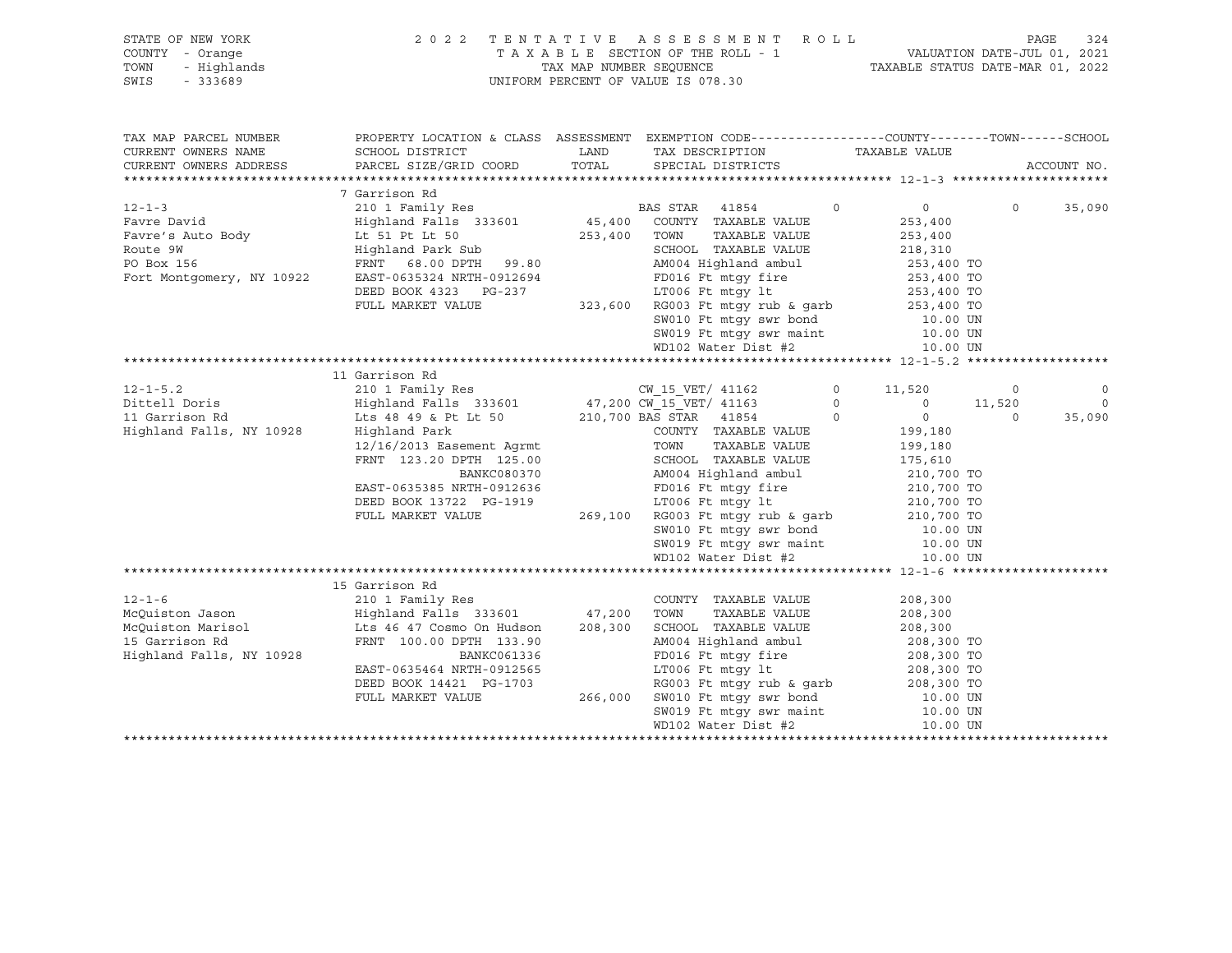| STATE OF NEW YORK<br>COUNTY - Orange<br>TOWN<br>- Highlands<br>SWIS<br>$-333689$ | 2 0 2 2                                                                                                             | TAX MAP NUMBER SEQUENCE | TENTATIVE ASSESSMENT ROLL<br>TAXABLE SECTION OF THE ROLL - 1<br>UNIFORM PERCENT OF VALUE IS 078.30                                      | VALUATION DATE-JUL 01, 2021<br>TAXABLE STATUS DATE-MAR 01, 2022            | PAGE<br>324                  |
|----------------------------------------------------------------------------------|---------------------------------------------------------------------------------------------------------------------|-------------------------|-----------------------------------------------------------------------------------------------------------------------------------------|----------------------------------------------------------------------------|------------------------------|
| TAX MAP PARCEL NUMBER<br>CURRENT OWNERS NAME<br>CURRENT OWNERS ADDRESS           | SCHOOL DISTRICT<br>PARCEL SIZE/GRID COORD                                                                           | LAND<br>TOTAL           | PROPERTY LOCATION & CLASS ASSESSMENT EXEMPTION CODE---------------COUNTY-------TOWN------SCHOOL<br>TAX DESCRIPTION<br>SPECIAL DISTRICTS | TAXABLE VALUE                                                              | ACCOUNT NO.                  |
|                                                                                  |                                                                                                                     |                         |                                                                                                                                         |                                                                            |                              |
| $12 - 1 - 3$<br>Favre David                                                      | 7 Garrison Rd<br>210 1 Family Res<br>Highland Falls 333601                                                          | 45,400                  | BAS STAR<br>41854<br>$\Omega$<br>COUNTY TAXABLE VALUE                                                                                   | $\overline{0}$<br>253,400                                                  | $\Omega$<br>35,090           |
| Favre's Auto Body<br>Route 9W<br>PO Box 156                                      | Lt 51 Pt Lt 50<br>Highland Park Sub<br>FRNT 68.00 DPTH 99.80                                                        | 253,400                 | TOWN<br>TAXABLE VALUE<br>SCHOOL TAXABLE VALUE<br>AM004 Highland ambul                                                                   | 253,400<br>218,310<br>253,400 TO                                           |                              |
| Fort Montgomery, NY 10922                                                        | EAST-0635324 NRTH-0912694<br>DEED BOOK 4323 PG-237<br>FULL MARKET VALUE                                             |                         | FD016 Ft mtqy fire<br>LT006 Ft mtqy lt<br>323,600 RG003 Ft mtgy rub & garb<br>SW010 Ft mtgy swr bond<br>SW019 Ft mtgy swr maint         | 253,400 TO<br>253,400 TO<br>253,400 TO<br>10.00 UN<br>10.00 UN             |                              |
|                                                                                  |                                                                                                                     |                         | WD102 Water Dist #2                                                                                                                     | 10.00 UN                                                                   |                              |
|                                                                                  |                                                                                                                     |                         |                                                                                                                                         |                                                                            |                              |
|                                                                                  | 11 Garrison Rd                                                                                                      |                         |                                                                                                                                         |                                                                            |                              |
| $12 - 1 - 5.2$<br>Dittell Doris                                                  | 210 1 Family Res                                                                                                    |                         | CW 15 VET/ 41162<br>$\circ$<br>47,200 CW 15 VET/ 41163<br>$\circ$                                                                       | 11,520<br>$\overline{0}$                                                   | 0<br>0<br>$\Omega$<br>11,520 |
| 11 Garrison Rd                                                                   | Highland Falls 333601<br>Lts 48 49 & Pt Lt 50                                                                       |                         | 210,700 BAS STAR 41854<br>$\circ$                                                                                                       | $\circ$                                                                    | 35,090<br>$\Omega$           |
| Highland Falls, NY 10928                                                         | Highland Park<br>12/16/2013 Easement Agrmt<br>FRNT 123.20 DPTH 125.00<br>BANKC080370<br>EAST-0635385 NRTH-0912636   |                         | COUNTY TAXABLE VALUE<br>TOWN<br>TAXABLE VALUE<br>SCHOOL TAXABLE VALUE<br>AM004 Highland ambul<br>FD016 Ft mtqy fire                     | 199,180<br>199,180<br>175,610<br>210,700 TO                                |                              |
|                                                                                  | DEED BOOK 13722 PG-1919<br>FULL MARKET VALUE                                                                        |                         | LT006 Ft mtgy lt<br>269,100 RG003 Ft mtqy rub & qarb<br>SW010 Ft mtgy swr bond<br>SW019 Ft mtgy swr maint<br>WD102 Water Dist #2        | 210,700 TO<br>210,700 TO<br>210,700 TO<br>10.00 UN<br>10.00 UN<br>10.00 UN |                              |
|                                                                                  |                                                                                                                     |                         |                                                                                                                                         |                                                                            |                              |
| $12 - 1 - 6$<br>McQuiston Jason<br>McOuiston Marisol                             | 15 Garrison Rd<br>210 1 Family Res<br>Highland Falls 333601<br>Lts 46 47 Cosmo On Hudson                            | 47,200<br>208,300       | COUNTY TAXABLE VALUE<br>TOWN<br>TAXABLE VALUE<br>SCHOOL TAXABLE VALUE                                                                   | 208,300<br>208,300<br>208,300                                              |                              |
| 15 Garrison Rd<br>Highland Falls, NY 10928                                       | FRNT 100.00 DPTH 133.90<br>BANKC061336<br>EAST-0635464 NRTH-0912565<br>DEED BOOK 14421 PG-1703<br>FULL MARKET VALUE | 266,000                 | AM004 Highland ambul<br>FD016 Ft mtqy fire<br>LT006 Ft mtqy lt<br>RG003 Ft mtgy rub & garb 208,300 TO<br>SW010 Ft mtgy swr bond         | 208,300 TO<br>208,300 TO<br>208,300 TO<br>10.00 UN                         |                              |
|                                                                                  |                                                                                                                     |                         | SW019 Ft mtgy swr maint<br>WD102 Water Dist #2                                                                                          | 10.00 UN<br>10.00 UN                                                       |                              |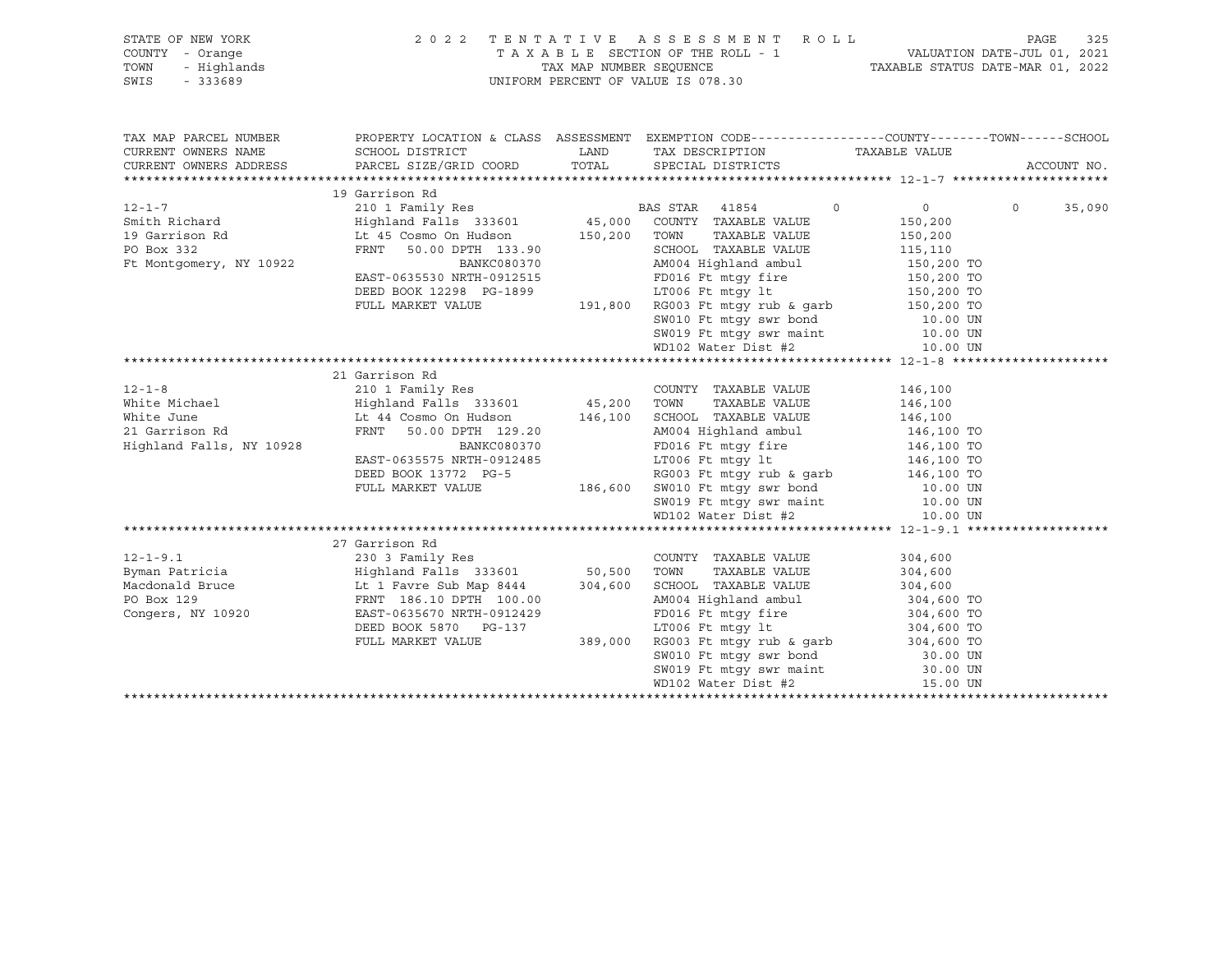| STATE OF NEW YORK                                    | 2022 TENTATIVE ASSESSMENT ROLL                                                                                                                                                                                                             |                                                                                                                                                                                                                                                                |                    | PAGE     | 325         |
|------------------------------------------------------|--------------------------------------------------------------------------------------------------------------------------------------------------------------------------------------------------------------------------------------------|----------------------------------------------------------------------------------------------------------------------------------------------------------------------------------------------------------------------------------------------------------------|--------------------|----------|-------------|
| COUNTY - Orange                                      |                                                                                                                                                                                                                                            | TAXABLE SECTION OF THE ROLL - 1 VALUATION DATE-JUL 01, 2021<br>TAX MAP NUMBER SEQUENCE TAXABLE STATUS DATE-MAR 01, 2022                                                                                                                                        |                    |          |             |
| TOWN                                                 |                                                                                                                                                                                                                                            |                                                                                                                                                                                                                                                                |                    |          |             |
| <i>I –</i> Orange<br>- Highlands<br>- 333689<br>SWIS |                                                                                                                                                                                                                                            | UNIFORM PERCENT OF VALUE IS 078.30                                                                                                                                                                                                                             |                    |          |             |
|                                                      |                                                                                                                                                                                                                                            |                                                                                                                                                                                                                                                                |                    |          |             |
|                                                      |                                                                                                                                                                                                                                            |                                                                                                                                                                                                                                                                |                    |          |             |
|                                                      |                                                                                                                                                                                                                                            |                                                                                                                                                                                                                                                                |                    |          |             |
| TAX MAP PARCEL NUMBER                                |                                                                                                                                                                                                                                            | PROPERTY LOCATION & CLASS ASSESSMENT EXEMPTION CODE---------------COUNTY-------TOWN-----SCHOOL                                                                                                                                                                 |                    |          |             |
| CURRENT OWNERS NAME                                  |                                                                                                                                                                                                                                            |                                                                                                                                                                                                                                                                |                    |          |             |
| CURRENT OWNERS ADDRESS                               |                                                                                                                                                                                                                                            |                                                                                                                                                                                                                                                                |                    |          | ACCOUNT NO. |
|                                                      |                                                                                                                                                                                                                                            |                                                                                                                                                                                                                                                                |                    |          |             |
|                                                      | 19 Garrison Rd                                                                                                                                                                                                                             |                                                                                                                                                                                                                                                                |                    |          |             |
|                                                      |                                                                                                                                                                                                                                            | BAS STAR 41854 0                                                                                                                                                                                                                                               | $\overline{0}$     | $\Omega$ | 35,090      |
|                                                      |                                                                                                                                                                                                                                            |                                                                                                                                                                                                                                                                | 150,200<br>150,200 |          |             |
|                                                      |                                                                                                                                                                                                                                            | TAXABLE VALUE                                                                                                                                                                                                                                                  |                    |          |             |
| PO Box 332                                           | FRNT 50.00 DPTH 133.90<br>BANKC080370                                                                                                                                                                                                      |                                                                                                                                                                                                                                                                |                    |          |             |
| Ft Montgomery, NY 10922                              |                                                                                                                                                                                                                                            |                                                                                                                                                                                                                                                                |                    |          |             |
|                                                      | EAST-0635530 NRTH-0912515<br>DEED BOOK 12298 PG-1899                                                                                                                                                                                       |                                                                                                                                                                                                                                                                |                    |          |             |
|                                                      | DEED BOOK 12298 PG-1899                                                                                                                                                                                                                    |                                                                                                                                                                                                                                                                |                    |          |             |
|                                                      | FULL MARKET VALUE                                                                                                                                                                                                                          |                                                                                                                                                                                                                                                                |                    |          |             |
|                                                      |                                                                                                                                                                                                                                            | 133.90<br>133.90<br>C080370<br>2013.90<br>C080370<br>2012515<br>FD016 Ft mtgy fire<br>150,200 TO<br>150,200 TO<br>2012515<br>FD016 Ft mtgy fire<br>150,200 TO<br>150,200 TO<br>191,800 RG003 Ft mtgy rub & garb<br>50,200 TO<br>SW010 Ft mtgy swr bond<br>50,2 |                    |          |             |
|                                                      |                                                                                                                                                                                                                                            |                                                                                                                                                                                                                                                                |                    |          |             |
|                                                      |                                                                                                                                                                                                                                            |                                                                                                                                                                                                                                                                |                    |          |             |
|                                                      |                                                                                                                                                                                                                                            |                                                                                                                                                                                                                                                                |                    |          |             |
|                                                      | 21 Garrison Rd                                                                                                                                                                                                                             |                                                                                                                                                                                                                                                                |                    |          |             |
|                                                      | 12-1-8<br>White Michael 210 1 Family Res<br>White Michael Highland Falls 333601 45,200 TOWN TAXABLE VALUE 146,100<br>White June 146,100<br>21 Garrison Rd FRNT 50.00 DPTH 129.20<br>21 Garrison Rd FRNT 50.00 DPTH 129.20<br>21 MM004 High |                                                                                                                                                                                                                                                                |                    |          |             |
|                                                      |                                                                                                                                                                                                                                            |                                                                                                                                                                                                                                                                |                    |          |             |
|                                                      |                                                                                                                                                                                                                                            |                                                                                                                                                                                                                                                                |                    |          |             |
|                                                      |                                                                                                                                                                                                                                            |                                                                                                                                                                                                                                                                |                    |          |             |
| Highland Falls, NY 10928                             |                                                                                                                                                                                                                                            |                                                                                                                                                                                                                                                                |                    |          |             |
|                                                      |                                                                                                                                                                                                                                            |                                                                                                                                                                                                                                                                |                    |          |             |
|                                                      |                                                                                                                                                                                                                                            |                                                                                                                                                                                                                                                                |                    |          |             |
|                                                      |                                                                                                                                                                                                                                            |                                                                                                                                                                                                                                                                |                    |          |             |
|                                                      |                                                                                                                                                                                                                                            |                                                                                                                                                                                                                                                                |                    |          |             |
|                                                      |                                                                                                                                                                                                                                            |                                                                                                                                                                                                                                                                |                    |          |             |
|                                                      |                                                                                                                                                                                                                                            | EAST-0635575 NRTH-0912485<br>EAST-0635575 NRTH-0912485<br>DEED BOOK 13772 PG-5<br>FULL MARKET VALUE<br>THE MARKET VALUE<br>THE MARKET VALUE<br>THE MARKET VALUE<br>THE MARKET VALUE<br>THE MARKET VALUE<br>THE MARKET VALUE<br>THE MARKET VALUE<br>T           |                    |          |             |
|                                                      |                                                                                                                                                                                                                                            |                                                                                                                                                                                                                                                                |                    |          |             |
|                                                      |                                                                                                                                                                                                                                            |                                                                                                                                                                                                                                                                |                    |          |             |
|                                                      |                                                                                                                                                                                                                                            |                                                                                                                                                                                                                                                                |                    |          |             |
|                                                      |                                                                                                                                                                                                                                            |                                                                                                                                                                                                                                                                |                    |          |             |
|                                                      |                                                                                                                                                                                                                                            |                                                                                                                                                                                                                                                                |                    |          |             |
|                                                      |                                                                                                                                                                                                                                            |                                                                                                                                                                                                                                                                |                    |          |             |
|                                                      |                                                                                                                                                                                                                                            |                                                                                                                                                                                                                                                                |                    |          |             |
|                                                      |                                                                                                                                                                                                                                            |                                                                                                                                                                                                                                                                |                    |          |             |
|                                                      |                                                                                                                                                                                                                                            |                                                                                                                                                                                                                                                                |                    |          |             |
|                                                      |                                                                                                                                                                                                                                            |                                                                                                                                                                                                                                                                |                    |          |             |
|                                                      |                                                                                                                                                                                                                                            |                                                                                                                                                                                                                                                                |                    |          |             |
|                                                      |                                                                                                                                                                                                                                            |                                                                                                                                                                                                                                                                |                    |          |             |
|                                                      |                                                                                                                                                                                                                                            |                                                                                                                                                                                                                                                                |                    |          |             |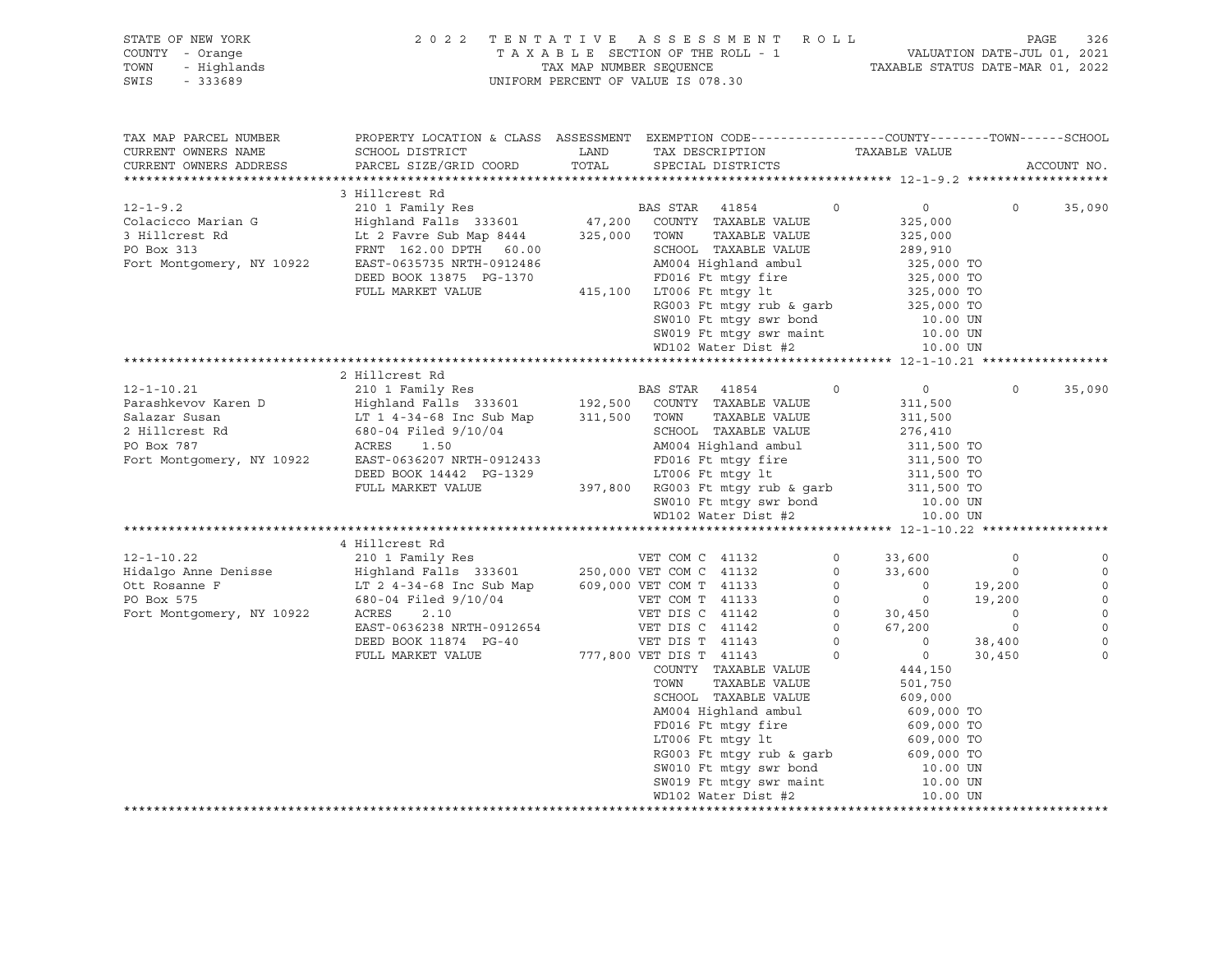| OF NEW YORK<br>I - Orange<br>- Highlands<br>- 333689<br>STATE OF NEW YORK<br>COUNTY - Orange<br>TOWN<br>SWIS<br>$-333689$                       |                                                                                                                                                                                                                                  |       | 2022 TENTATIVE ASSESSMENT ROLL PAGE 326<br>TAXABLE SECTION OF THE ROLL - 1 VALUATION DATE-JUL 01, 2021<br>TAX MAP NUMBER SEQUENCE TAXABLE STATUS DATE-MAR 01, 2022<br>UNIFORM PERCENT OF VALUE IS 078.30                 |                                                                      |                                                                                                                                 |                                               |                                                          |
|-------------------------------------------------------------------------------------------------------------------------------------------------|----------------------------------------------------------------------------------------------------------------------------------------------------------------------------------------------------------------------------------|-------|--------------------------------------------------------------------------------------------------------------------------------------------------------------------------------------------------------------------------|----------------------------------------------------------------------|---------------------------------------------------------------------------------------------------------------------------------|-----------------------------------------------|----------------------------------------------------------|
| TAX MAP PARCEL NUMBER<br>CURRENT OWNERS NAME<br>CURRENT OWNERS ADDRESS                                                                          | PROPERTY LOCATION & CLASS ASSESSMENT EXEMPTION CODE---------------COUNTY-------TOWN------SCHOOL<br>SCHOOL DISTRICT<br>PARCEL SIZE/GRID COORD                                                                                     | TOTAL | LAND TAX DESCRIPTION<br>SPECIAL DISTRICTS                                                                                                                                                                                |                                                                      | TAXABLE VALUE                                                                                                                   |                                               | ACCOUNT NO.                                              |
| $12 - 1 - 9.2$<br>Colacicco Marian G<br>3 Hillcrest Rd<br>PO Box 313                                                                            | 3 Hillcrest Rd<br>210 1 Family Res<br>Highland Falls 333601<br>Lt 2 Favre Sub Map 8444 325,000 TOWN<br>FRNT 162.00 DPTH 60.00<br>Fort Montgomery, NY 10922 EAST-0635735 NRTH-0912486<br>DEED BOOK 13875 PG-1370                  |       | BAS STAR 41854<br>47,200 COUNTY TAXABLE VALUE<br>TAXABLE VALUE<br>SCHOOL TAXABLE VALUE<br>AM004 Highland ambul<br>FD016 Ft mtgy fire                                                                                     | $\circ$                                                              | $0 \qquad \qquad$<br>325,000<br>325,000<br>289,910<br>325,000 TO<br>325,000 TO                                                  | $\circ$                                       | 35,090                                                   |
|                                                                                                                                                 | FULL MARKET VALUE                                                                                                                                                                                                                |       | 415,100 LT006 Ft mtgy lt<br>RG003 Ft mtgy rub & garb<br>SW010 Ft mtqy swr bond<br>SW019 Ft mtgy swr maint<br>WD102 Water Dist #2                                                                                         |                                                                      | 325,000 TO<br>325,000 TO<br>10.00 UN<br>10.00 UN<br>10.00 UN                                                                    |                                               |                                                          |
|                                                                                                                                                 |                                                                                                                                                                                                                                  |       |                                                                                                                                                                                                                          |                                                                      |                                                                                                                                 |                                               |                                                          |
| $12 - 1 - 10.21$<br>Parashkevov Karen D<br>Salazar Susan<br>2 Hillcrest Rd<br>PO Box 787<br>Fort Montgomery, NY 10922 EAST-0636207 NRTH-0912433 | 2 Hillcrest Rd<br>210 1 Family Res<br>Highland Falls 333601<br>LT 1 4-34-68 Inc Sub Map 311,500 TOWN TAXABLE VALUE<br>680-04 Filed 9/10/04 SCHOOL TAXABLE VALUE<br>ACRES<br>1.50<br>DEED BOOK 14442 PG-1329<br>FULL MARKET VALUE |       | BAS STAR 41854<br>192,500 COUNTY TAXABLE VALUE<br>AM004 Highland ambul<br>FD016 Ft mtgy fire<br>LT006 Ft mtqy lt<br>$397,800$ RG003 Ft mtqy rub & qarb<br>SW010 Ft mtgy swr bond<br>WD102 Water Dist #2                  | $\Omega$                                                             | $\overline{0}$<br>311,500<br>311,500<br>276,410<br>311,500 TO<br>311,500 TO<br>311,500 TO<br>311,500 TO<br>10.00 UN<br>10.00 UN | $\Omega$                                      | 35,090                                                   |
|                                                                                                                                                 |                                                                                                                                                                                                                                  |       |                                                                                                                                                                                                                          |                                                                      |                                                                                                                                 |                                               |                                                          |
| $12 - 1 - 10.22$<br>Hidalgo Anne Denisse<br>Ott Rosanne F<br>PO Box 575                                                                         | 4 Hillcrest Rd<br>210 1 Family Res<br>Highland Falls 333601 250,000 VET COM C 41132<br>LT 2 4-34-68 Inc Sub Map<br>680-04 Filed 9/10/04                                                                                          |       | VET COM C 41132<br>609,000 VET COM T 41133<br>VET COM T 41133                                                                                                                                                            | $\overline{0}$<br>$\overline{0}$<br>$\overline{0}$<br>$\overline{0}$ | 33,600<br>33,600<br>$\sim$ 0<br>$\overline{0}$                                                                                  | $\mathbf 0$<br>$\circ$<br>19,200<br>19,200    | $\mathbb O$<br>$\mathbb O$<br>$\mathbb O$<br>$\mathbb O$ |
| Fort Montgomery, NY 10922                                                                                                                       | ACRES<br>2.10<br>EAST-0636238 NRTH-0912654<br>DEED BOOK 11874 PG-40<br>FULL MARKET VALUE                                                                                                                                         |       | VET DIS C 41142<br>VET DIS C 41142<br>VET DIS T 41143<br>777,800 VET DIS T 41143                                                                                                                                         | $\begin{matrix} 0 \\ 0 \\ 0 \\ 0 \end{matrix}$<br>$\circ$            | 30,450<br>67,200<br>$\overline{\phantom{a}}$<br>$\overline{0}$                                                                  | $\overline{0}$<br>$\circ$<br>38,400<br>30,450 | $\circ$<br>$\Omega$<br>$\mathbf 0$<br>$\circ$            |
|                                                                                                                                                 |                                                                                                                                                                                                                                  |       | COUNTY TAXABLE VALUE<br>TAXABLE VALUE<br>TOWN<br>SCHOOL TAXABLE VALUE<br>AM004 Highland ambul<br>FD016 Ft mtqy fire<br>LT006 Ft mtqy lt<br>RG003 Ft mtgy rub & garb<br>SW010 Ft mtgy swr bond<br>SW019 Ft mtgy swr maint |                                                                      | 444,150<br>501,750<br>609,000<br>609,000 TO<br>609,000 TO<br>609,000 TO<br>609,000 TO<br>10.00 UN<br>10.00 UN                   |                                               |                                                          |

 WD102 Water Dist #2 10.00 UN \*\*\*\*\*\*\*\*\*\*\*\*\*\*\*\*\*\*\*\*\*\*\*\*\*\*\*\*\*\*\*\*\*\*\*\*\*\*\*\*\*\*\*\*\*\*\*\*\*\*\*\*\*\*\*\*\*\*\*\*\*\*\*\*\*\*\*\*\*\*\*\*\*\*\*\*\*\*\*\*\*\*\*\*\*\*\*\*\*\*\*\*\*\*\*\*\*\*\*\*\*\*\*\*\*\*\*\*\*\*\*\*\*\*\*\*\*\*\*\*\*\*\*\*\*\*\*\*\*\*\*\*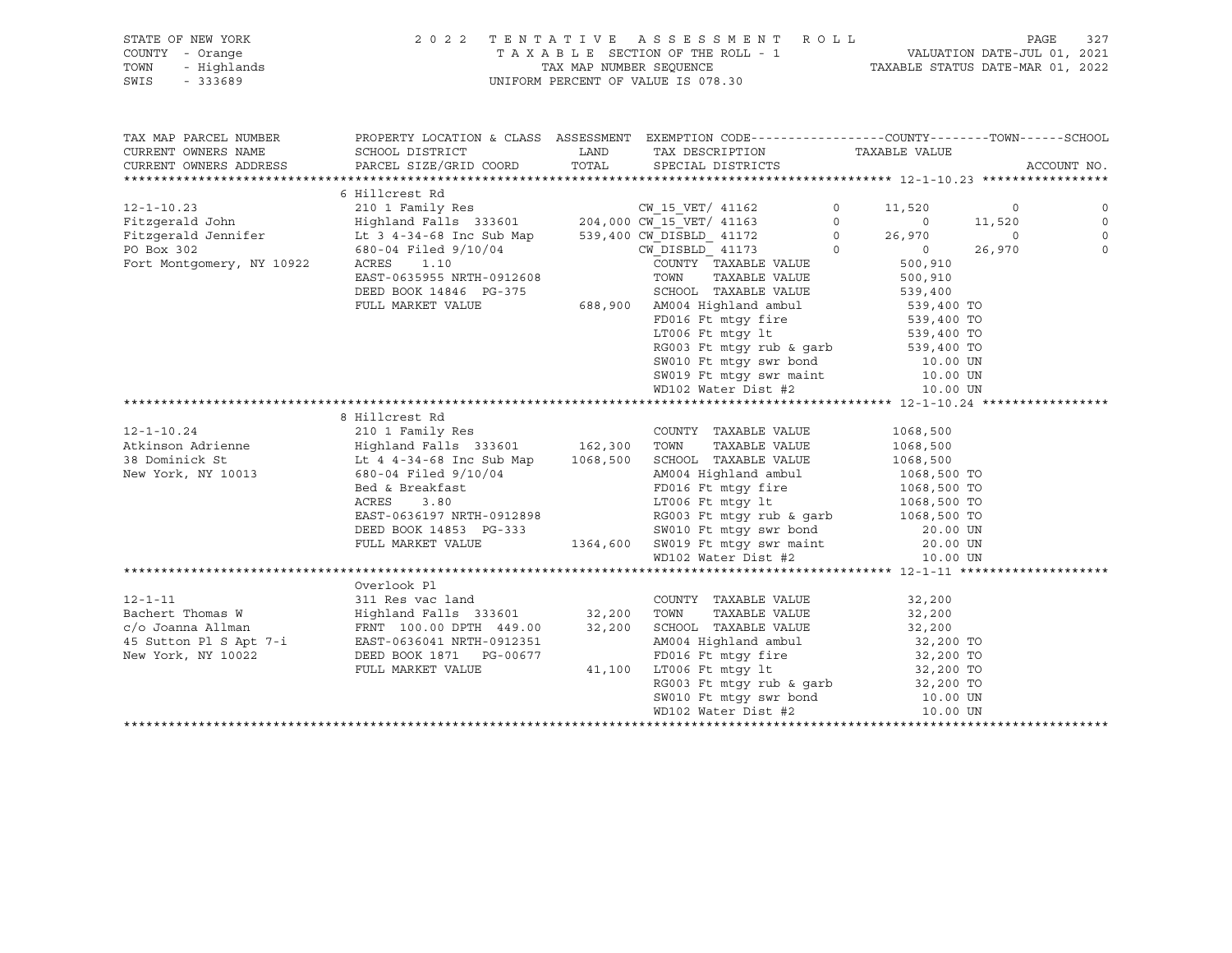### STATE OF NEW YORK 2 0 2 2 T E N T A T I V E A S S E S S M E N T R O L L PAGE 327 COUNTY - Orange T A X A B L E SECTION OF THE ROLL - 1 VALUATION DATE-JUL 01, 2021 TOWN - Highlands TAX MAP NUMBER SEQUENCE TAXABLE STATUS DATE-MAR 01, 2022 SWIS - 333689 UNIFORM PERCENT OF VALUE IS 078.30

| TAX DESCRIPTION TAXABLE VALUE<br>SPECIAL DISTRICTS<br>CURRENT OWNERS ADDRESS                                                                                                                                                                           | ACCOUNT NO.    |
|--------------------------------------------------------------------------------------------------------------------------------------------------------------------------------------------------------------------------------------------------------|----------------|
|                                                                                                                                                                                                                                                        |                |
| 6 Hillcrest Rd<br>6 HILICIESL ROM CONTENT/41162 0 11,520<br>Fitzgerald John Highland Falls 333601 204,000 CW_15_VET/41162 0 11,520<br>Fitzgerald Jennifer Lt 3 4-34-68 Inc Sub Map 539,400 CW_DISBLD_41172 0 26,970<br>PO Box 302 680-04 Filed 9/10/04 |                |
| $\circ$                                                                                                                                                                                                                                                | $\circ$        |
| 11,520                                                                                                                                                                                                                                                 | $\overline{0}$ |
| $\overline{0}$                                                                                                                                                                                                                                         | $\circ$        |
| 26,970                                                                                                                                                                                                                                                 | $\Omega$       |
| COUNTY TAXABLE VALUE<br>500,910<br>500.910<br>Fort Montgomery, NY 10922<br>ACRES<br>1.10                                                                                                                                                               |                |
| EAST-0635955 NRTH-0912608<br>TOWN TAXABLE VALUE<br>500,910                                                                                                                                                                                             |                |
| 539,400<br>DEED BOOK 14846 PG-375<br>SCHOOL TAXABLE VALUE                                                                                                                                                                                              |                |
| 688,900 AM004 Highland ambul 539,400 TO<br>FD016 Ft mtgy fire 539,400 TO<br>LT006 Ft mtgy lt 539,400 TO<br>FULL MARKET VALUE                                                                                                                           |                |
|                                                                                                                                                                                                                                                        |                |
|                                                                                                                                                                                                                                                        |                |
| RG003 Ft mtgy rub & garb $539,400$ TO                                                                                                                                                                                                                  |                |
|                                                                                                                                                                                                                                                        |                |
|                                                                                                                                                                                                                                                        |                |
| SW010 Ft mtgy swr bond 10.00 UN<br>SW019 Ft mtgy swr maint 10.00 UN<br>WD102 Water Dist #2 10.00 UN                                                                                                                                                    |                |
|                                                                                                                                                                                                                                                        |                |
| 8 Hillcrest Rd                                                                                                                                                                                                                                         |                |
| $12 - 1 - 10.24$<br>210 1 Family Res<br>COUNTY TAXABLE VALUE<br>1068,500                                                                                                                                                                               |                |
| Atkinson Adrienne Mighland Falls 333601 162,300 TOWN<br>TAXABLE VALUE<br>1068,500                                                                                                                                                                      |                |
| Lt 4 4-34-68 Inc Sub Map 1068,500<br>38 Dominick St<br>SCHOOL TAXABLE VALUE<br>1068,500<br>SCHOOL TAXABLE VALUE 1068,500<br>AM004 Highland ambul 1068,500 TO<br>FD016 Ft mtgy fire 1068,500 TO<br>LT006 Ft mtgy lt 1068,500 TO                         |                |
| New York, NY 10013<br>680-04 Filed 9/10/04<br>nod s Preakfast                                                                                                                                                                                          |                |
|                                                                                                                                                                                                                                                        |                |
| ACRES<br>3.80                                                                                                                                                                                                                                          |                |
|                                                                                                                                                                                                                                                        |                |
|                                                                                                                                                                                                                                                        |                |
|                                                                                                                                                                                                                                                        |                |
| EAST-0636197 NRTH-0912898 RG003 Ft mtgy rub & garb 1068,500 TO<br>DEED BOOK 14853 PG-333 SW010 Ft mtgy swr bond 20.00 UN<br>FULL MARKET VALUE 1364,600 SW019 Ft mtgy swr maint 20.00 UN<br>WD102 Water Dist #2 10.00 UN                                |                |
|                                                                                                                                                                                                                                                        |                |
| Overlook Pl                                                                                                                                                                                                                                            |                |
| $12 - 1 - 11$<br>311 Res vac land<br>COUNTY TAXABLE VALUE<br>32,200                                                                                                                                                                                    |                |
| Bachert Thomas W<br>Highland Falls 333601 32,200<br>TOWN<br>TAXABLE VALUE<br>32,200                                                                                                                                                                    |                |
|                                                                                                                                                                                                                                                        |                |
| SCHOOL TAXABLE VALUE 32,200<br>AM004 Highland ambul 32,200 TO<br>c/o Joanna Allman                         FRNT   100.00 DPTH   449.00         32,200<br>45 Sutton Pl S Apt 7-i           EAST-0636041 NRTH-0912351                                    |                |
| FD016 Ft mtgy fire 32,200 TO<br>DEED BOOK 1871    PG-00677<br>New York, NY 10022                                                                                                                                                                       |                |
| 41,100<br>LT006 Ft mtgy lt<br>FULL MARKET VALUE<br>32,200 TO                                                                                                                                                                                           |                |
|                                                                                                                                                                                                                                                        |                |
|                                                                                                                                                                                                                                                        |                |
| RG003 Ft mtgy rub & garb $32,200$ TO<br>SW010 Ft mtgy swr bond $10.00$ UN<br>WD102 Water Dist #2 $10.00$ UN                                                                                                                                            |                |
|                                                                                                                                                                                                                                                        |                |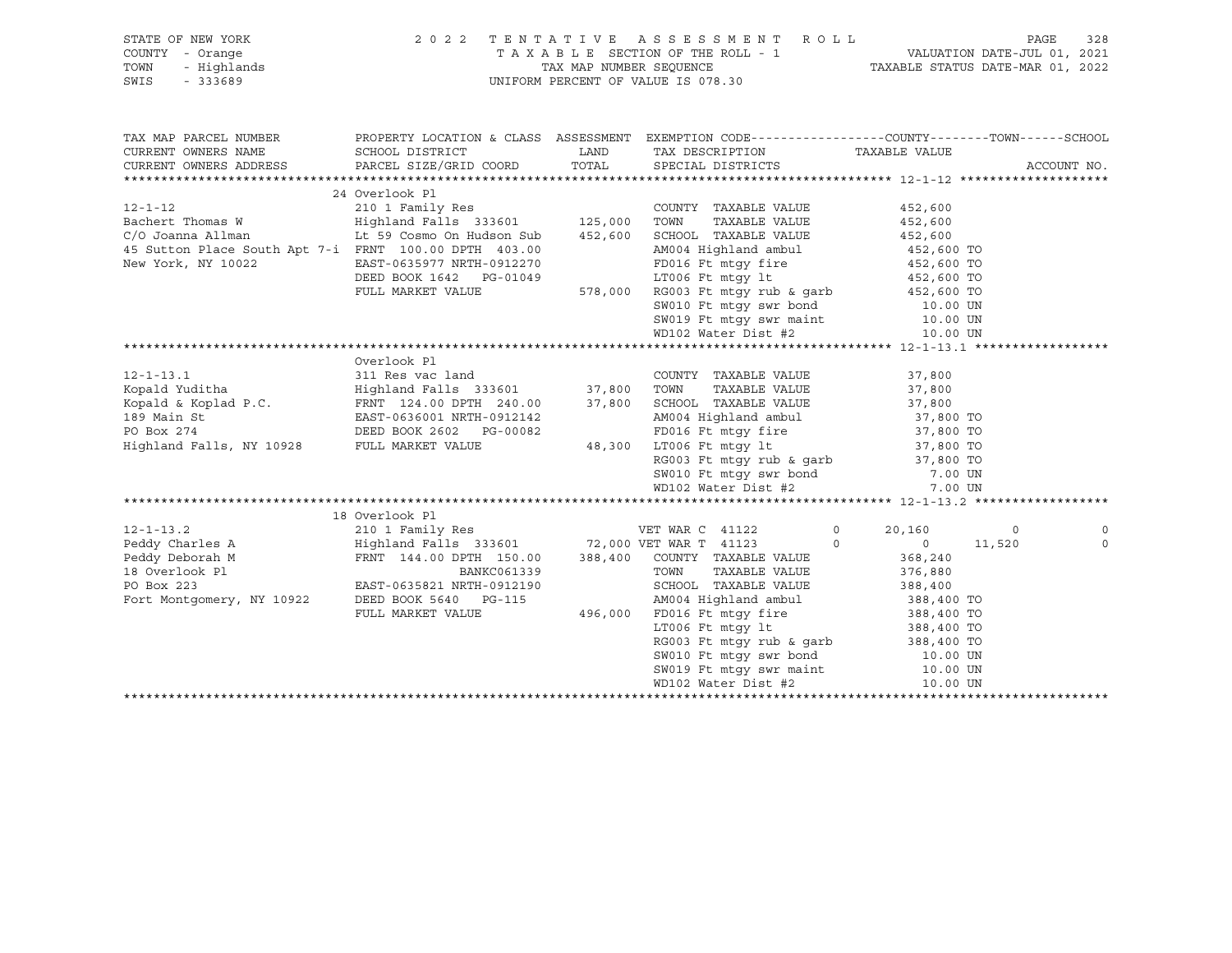| STATE OF NEW YORK                                                                                                                                                                                                                                                                                                                                                                                            | 2022 TENTATIVE ASSESSMENT ROLL                                                                                                                                                                                                             |                                                                                                                         |        | 328<br>PAGE    |
|--------------------------------------------------------------------------------------------------------------------------------------------------------------------------------------------------------------------------------------------------------------------------------------------------------------------------------------------------------------------------------------------------------------|--------------------------------------------------------------------------------------------------------------------------------------------------------------------------------------------------------------------------------------------|-------------------------------------------------------------------------------------------------------------------------|--------|----------------|
| Y - Orange<br>- Highlands<br>- 333689<br>COUNTY - Orange                                                                                                                                                                                                                                                                                                                                                     |                                                                                                                                                                                                                                            | TAXABLE SECTION OF THE ROLL - 1 VALUATION DATE-JUL 01, 2021<br>TAX MAP NUMBER SEQUENCE TAXABLE STATUS DATE-MAR 01, 2022 |        |                |
| TOWN                                                                                                                                                                                                                                                                                                                                                                                                         |                                                                                                                                                                                                                                            |                                                                                                                         |        |                |
| SWIS                                                                                                                                                                                                                                                                                                                                                                                                         |                                                                                                                                                                                                                                            | UNIFORM PERCENT OF VALUE IS 078.30                                                                                      |        |                |
|                                                                                                                                                                                                                                                                                                                                                                                                              |                                                                                                                                                                                                                                            |                                                                                                                         |        |                |
|                                                                                                                                                                                                                                                                                                                                                                                                              |                                                                                                                                                                                                                                            |                                                                                                                         |        |                |
|                                                                                                                                                                                                                                                                                                                                                                                                              |                                                                                                                                                                                                                                            |                                                                                                                         |        |                |
| TAX MAP PARCEL NUMBER                                                                                                                                                                                                                                                                                                                                                                                        |                                                                                                                                                                                                                                            | PROPERTY LOCATION & CLASS ASSESSMENT EXEMPTION CODE-----------------COUNTY-------TOWN------SCHOOL                       |        |                |
| CURRENT OWNERS NAME                                                                                                                                                                                                                                                                                                                                                                                          |                                                                                                                                                                                                                                            |                                                                                                                         |        |                |
|                                                                                                                                                                                                                                                                                                                                                                                                              |                                                                                                                                                                                                                                            | TAX DESCRIPTION TAXABLE VALUE                                                                                           |        |                |
| CURRENT OWNERS ADDRESS                                                                                                                                                                                                                                                                                                                                                                                       |                                                                                                                                                                                                                                            |                                                                                                                         |        | ACCOUNT NO.    |
|                                                                                                                                                                                                                                                                                                                                                                                                              |                                                                                                                                                                                                                                            |                                                                                                                         |        |                |
|                                                                                                                                                                                                                                                                                                                                                                                                              | 24 Overlook Pl                                                                                                                                                                                                                             |                                                                                                                         |        |                |
| 12-1-12<br>210 1 Family Res<br>210 1 Family Res<br>210 1 Family Res<br>210 1 Family Res<br>210 1 Family Res<br>210 2 210 2 213601<br>215,000 TOWN TAXABLE VALUE<br>216 210 210 210 213601<br>215,000 TOWN TAXABLE VALUE<br>216 2600<br>216 210 210 2                                                                                                                                                         |                                                                                                                                                                                                                                            |                                                                                                                         |        |                |
|                                                                                                                                                                                                                                                                                                                                                                                                              |                                                                                                                                                                                                                                            |                                                                                                                         |        |                |
|                                                                                                                                                                                                                                                                                                                                                                                                              |                                                                                                                                                                                                                                            |                                                                                                                         |        |                |
| 45 Sutton Place South Apt 7-i FRNT 100.00 DPTH 403.00                                                                                                                                                                                                                                                                                                                                                        |                                                                                                                                                                                                                                            |                                                                                                                         |        |                |
| New York, NY 10022                                                                                                                                                                                                                                                                                                                                                                                           |                                                                                                                                                                                                                                            |                                                                                                                         |        |                |
|                                                                                                                                                                                                                                                                                                                                                                                                              |                                                                                                                                                                                                                                            |                                                                                                                         |        |                |
|                                                                                                                                                                                                                                                                                                                                                                                                              |                                                                                                                                                                                                                                            |                                                                                                                         |        |                |
|                                                                                                                                                                                                                                                                                                                                                                                                              |                                                                                                                                                                                                                                            |                                                                                                                         |        |                |
|                                                                                                                                                                                                                                                                                                                                                                                                              | FRNT 100.00 DPTH 403.00<br>ERNT 100.00 DPTH 403.00<br>EAST-0635977 NRTH-0912270<br>DEED BOOK 1642 PG-01049<br>FULL MARKET VALUE 578,000 RG003 Ft mtgy rub & garb<br>FULL MARKET VALUE 578,000 RG003 Ft mtgy rub & garb<br>WD102 Water Dist |                                                                                                                         |        |                |
|                                                                                                                                                                                                                                                                                                                                                                                                              |                                                                                                                                                                                                                                            |                                                                                                                         |        |                |
|                                                                                                                                                                                                                                                                                                                                                                                                              |                                                                                                                                                                                                                                            |                                                                                                                         |        |                |
|                                                                                                                                                                                                                                                                                                                                                                                                              |                                                                                                                                                                                                                                            |                                                                                                                         |        |                |
|                                                                                                                                                                                                                                                                                                                                                                                                              |                                                                                                                                                                                                                                            |                                                                                                                         |        |                |
|                                                                                                                                                                                                                                                                                                                                                                                                              |                                                                                                                                                                                                                                            |                                                                                                                         |        |                |
|                                                                                                                                                                                                                                                                                                                                                                                                              |                                                                                                                                                                                                                                            |                                                                                                                         |        |                |
|                                                                                                                                                                                                                                                                                                                                                                                                              |                                                                                                                                                                                                                                            |                                                                                                                         |        |                |
|                                                                                                                                                                                                                                                                                                                                                                                                              |                                                                                                                                                                                                                                            |                                                                                                                         |        |                |
|                                                                                                                                                                                                                                                                                                                                                                                                              |                                                                                                                                                                                                                                            |                                                                                                                         |        |                |
|                                                                                                                                                                                                                                                                                                                                                                                                              |                                                                                                                                                                                                                                            |                                                                                                                         |        |                |
|                                                                                                                                                                                                                                                                                                                                                                                                              |                                                                                                                                                                                                                                            |                                                                                                                         |        |                |
|                                                                                                                                                                                                                                                                                                                                                                                                              |                                                                                                                                                                                                                                            |                                                                                                                         |        |                |
|                                                                                                                                                                                                                                                                                                                                                                                                              |                                                                                                                                                                                                                                            |                                                                                                                         |        |                |
|                                                                                                                                                                                                                                                                                                                                                                                                              |                                                                                                                                                                                                                                            |                                                                                                                         |        |                |
|                                                                                                                                                                                                                                                                                                                                                                                                              |                                                                                                                                                                                                                                            |                                                                                                                         |        |                |
|                                                                                                                                                                                                                                                                                                                                                                                                              |                                                                                                                                                                                                                                            |                                                                                                                         |        | 0              |
|                                                                                                                                                                                                                                                                                                                                                                                                              |                                                                                                                                                                                                                                            |                                                                                                                         | 11,520 | $\overline{0}$ |
|                                                                                                                                                                                                                                                                                                                                                                                                              |                                                                                                                                                                                                                                            |                                                                                                                         |        |                |
|                                                                                                                                                                                                                                                                                                                                                                                                              |                                                                                                                                                                                                                                            |                                                                                                                         |        |                |
|                                                                                                                                                                                                                                                                                                                                                                                                              |                                                                                                                                                                                                                                            |                                                                                                                         |        |                |
|                                                                                                                                                                                                                                                                                                                                                                                                              |                                                                                                                                                                                                                                            |                                                                                                                         |        |                |
|                                                                                                                                                                                                                                                                                                                                                                                                              |                                                                                                                                                                                                                                            |                                                                                                                         |        |                |
|                                                                                                                                                                                                                                                                                                                                                                                                              |                                                                                                                                                                                                                                            |                                                                                                                         |        |                |
|                                                                                                                                                                                                                                                                                                                                                                                                              |                                                                                                                                                                                                                                            |                                                                                                                         |        |                |
|                                                                                                                                                                                                                                                                                                                                                                                                              |                                                                                                                                                                                                                                            |                                                                                                                         |        |                |
|                                                                                                                                                                                                                                                                                                                                                                                                              |                                                                                                                                                                                                                                            |                                                                                                                         |        |                |
|                                                                                                                                                                                                                                                                                                                                                                                                              |                                                                                                                                                                                                                                            |                                                                                                                         |        |                |
| $\begin{tabular}{lcccc} \textbf{18} & \textbf{19} & \textbf{19} & \textbf{19} & \textbf{19} & \textbf{19} & \textbf{19} & \textbf{19} & \textbf{19} & \textbf{19} & \textbf{19} & \textbf{19} & \textbf{19} & \textbf{19} & \textbf{19} & \textbf{19} & \textbf{19} & \textbf{19} & \textbf{19} & \textbf{19} & \textbf{19} & \textbf{19} & \textbf{19} & \textbf{19} & \textbf{19} & \textbf{19} & \textbf$ |                                                                                                                                                                                                                                            |                                                                                                                         |        |                |
|                                                                                                                                                                                                                                                                                                                                                                                                              |                                                                                                                                                                                                                                            |                                                                                                                         |        |                |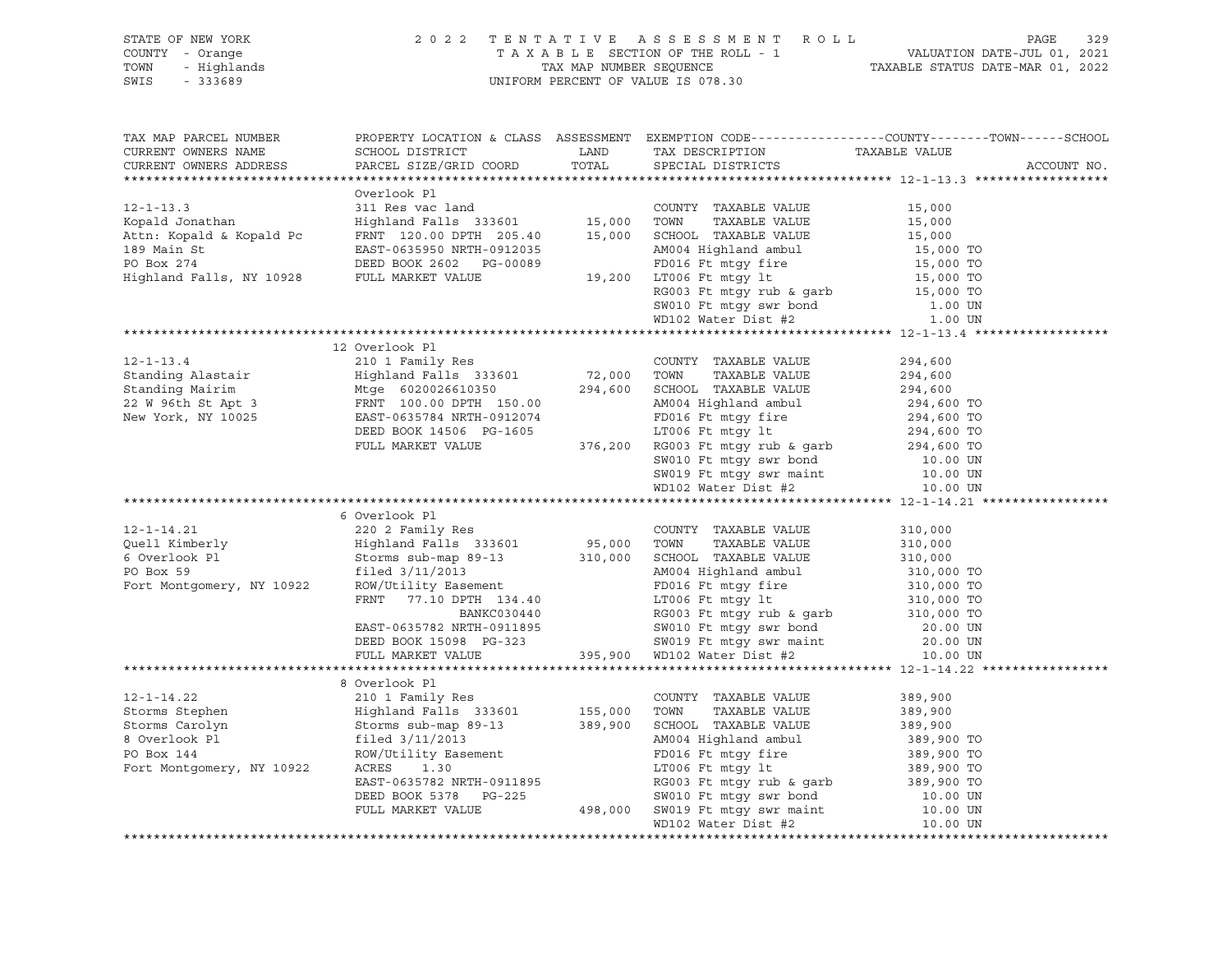| CURRENT OWNERS NAME<br>CURRENT OWNERS ADDRESS                                                                                                                                                                                                                                                                                                                                            | TAX MAP PARCEL NUMBER THE PROPERTY LOCATION & CLASS ASSESSMENT EXEMPTION CODE---------------COUNTY--------TOWN------SCHOOL |  |  | ACCOUNT NO. |  |  |
|------------------------------------------------------------------------------------------------------------------------------------------------------------------------------------------------------------------------------------------------------------------------------------------------------------------------------------------------------------------------------------------|----------------------------------------------------------------------------------------------------------------------------|--|--|-------------|--|--|
|                                                                                                                                                                                                                                                                                                                                                                                          |                                                                                                                            |  |  |             |  |  |
|                                                                                                                                                                                                                                                                                                                                                                                          | Overlook Pl                                                                                                                |  |  |             |  |  |
|                                                                                                                                                                                                                                                                                                                                                                                          |                                                                                                                            |  |  |             |  |  |
|                                                                                                                                                                                                                                                                                                                                                                                          |                                                                                                                            |  |  |             |  |  |
|                                                                                                                                                                                                                                                                                                                                                                                          |                                                                                                                            |  |  |             |  |  |
|                                                                                                                                                                                                                                                                                                                                                                                          |                                                                                                                            |  |  |             |  |  |
|                                                                                                                                                                                                                                                                                                                                                                                          |                                                                                                                            |  |  |             |  |  |
|                                                                                                                                                                                                                                                                                                                                                                                          |                                                                                                                            |  |  |             |  |  |
|                                                                                                                                                                                                                                                                                                                                                                                          |                                                                                                                            |  |  |             |  |  |
|                                                                                                                                                                                                                                                                                                                                                                                          |                                                                                                                            |  |  |             |  |  |
|                                                                                                                                                                                                                                                                                                                                                                                          |                                                                                                                            |  |  |             |  |  |
|                                                                                                                                                                                                                                                                                                                                                                                          |                                                                                                                            |  |  |             |  |  |
|                                                                                                                                                                                                                                                                                                                                                                                          |                                                                                                                            |  |  |             |  |  |
|                                                                                                                                                                                                                                                                                                                                                                                          |                                                                                                                            |  |  |             |  |  |
|                                                                                                                                                                                                                                                                                                                                                                                          |                                                                                                                            |  |  |             |  |  |
|                                                                                                                                                                                                                                                                                                                                                                                          |                                                                                                                            |  |  |             |  |  |
|                                                                                                                                                                                                                                                                                                                                                                                          |                                                                                                                            |  |  |             |  |  |
|                                                                                                                                                                                                                                                                                                                                                                                          |                                                                                                                            |  |  |             |  |  |
|                                                                                                                                                                                                                                                                                                                                                                                          |                                                                                                                            |  |  |             |  |  |
|                                                                                                                                                                                                                                                                                                                                                                                          |                                                                                                                            |  |  |             |  |  |
|                                                                                                                                                                                                                                                                                                                                                                                          |                                                                                                                            |  |  |             |  |  |
| $\begin{tabular}{lcccc} 12-1-13.4 & 12 Overlook P1 \\ \text{Standing Alastair} & 210 1 Family Res & 72,000 TOWTY TAXABLE VALUE & 294,600 \\ \text{Standing Maitrim} & Mtge & 6020026610350 & 294,600 SCH0OL TAXABLE VALUE & 294,600 \\ \text{22 W 96th St Apt 3 & FRNT 100.00 DPTH 150.00 & 294,600 SCH0OL TAXABLE VALUE & 294,600 T0 \\ \text{New York, NY 10025 & EAST-0635784 NRTH-0$ |                                                                                                                            |  |  |             |  |  |
|                                                                                                                                                                                                                                                                                                                                                                                          | 6 Overlook Pl                                                                                                              |  |  |             |  |  |
|                                                                                                                                                                                                                                                                                                                                                                                          |                                                                                                                            |  |  |             |  |  |
|                                                                                                                                                                                                                                                                                                                                                                                          |                                                                                                                            |  |  |             |  |  |
|                                                                                                                                                                                                                                                                                                                                                                                          |                                                                                                                            |  |  |             |  |  |
|                                                                                                                                                                                                                                                                                                                                                                                          |                                                                                                                            |  |  |             |  |  |
|                                                                                                                                                                                                                                                                                                                                                                                          |                                                                                                                            |  |  |             |  |  |
|                                                                                                                                                                                                                                                                                                                                                                                          |                                                                                                                            |  |  |             |  |  |
|                                                                                                                                                                                                                                                                                                                                                                                          |                                                                                                                            |  |  |             |  |  |
|                                                                                                                                                                                                                                                                                                                                                                                          |                                                                                                                            |  |  |             |  |  |
|                                                                                                                                                                                                                                                                                                                                                                                          |                                                                                                                            |  |  |             |  |  |
|                                                                                                                                                                                                                                                                                                                                                                                          |                                                                                                                            |  |  |             |  |  |
|                                                                                                                                                                                                                                                                                                                                                                                          | 8 Overlook Pl                                                                                                              |  |  |             |  |  |
|                                                                                                                                                                                                                                                                                                                                                                                          |                                                                                                                            |  |  |             |  |  |
|                                                                                                                                                                                                                                                                                                                                                                                          |                                                                                                                            |  |  |             |  |  |
|                                                                                                                                                                                                                                                                                                                                                                                          |                                                                                                                            |  |  |             |  |  |
|                                                                                                                                                                                                                                                                                                                                                                                          |                                                                                                                            |  |  |             |  |  |
|                                                                                                                                                                                                                                                                                                                                                                                          |                                                                                                                            |  |  |             |  |  |
|                                                                                                                                                                                                                                                                                                                                                                                          |                                                                                                                            |  |  |             |  |  |
|                                                                                                                                                                                                                                                                                                                                                                                          |                                                                                                                            |  |  |             |  |  |
|                                                                                                                                                                                                                                                                                                                                                                                          |                                                                                                                            |  |  |             |  |  |
|                                                                                                                                                                                                                                                                                                                                                                                          |                                                                                                                            |  |  |             |  |  |
|                                                                                                                                                                                                                                                                                                                                                                                          |                                                                                                                            |  |  |             |  |  |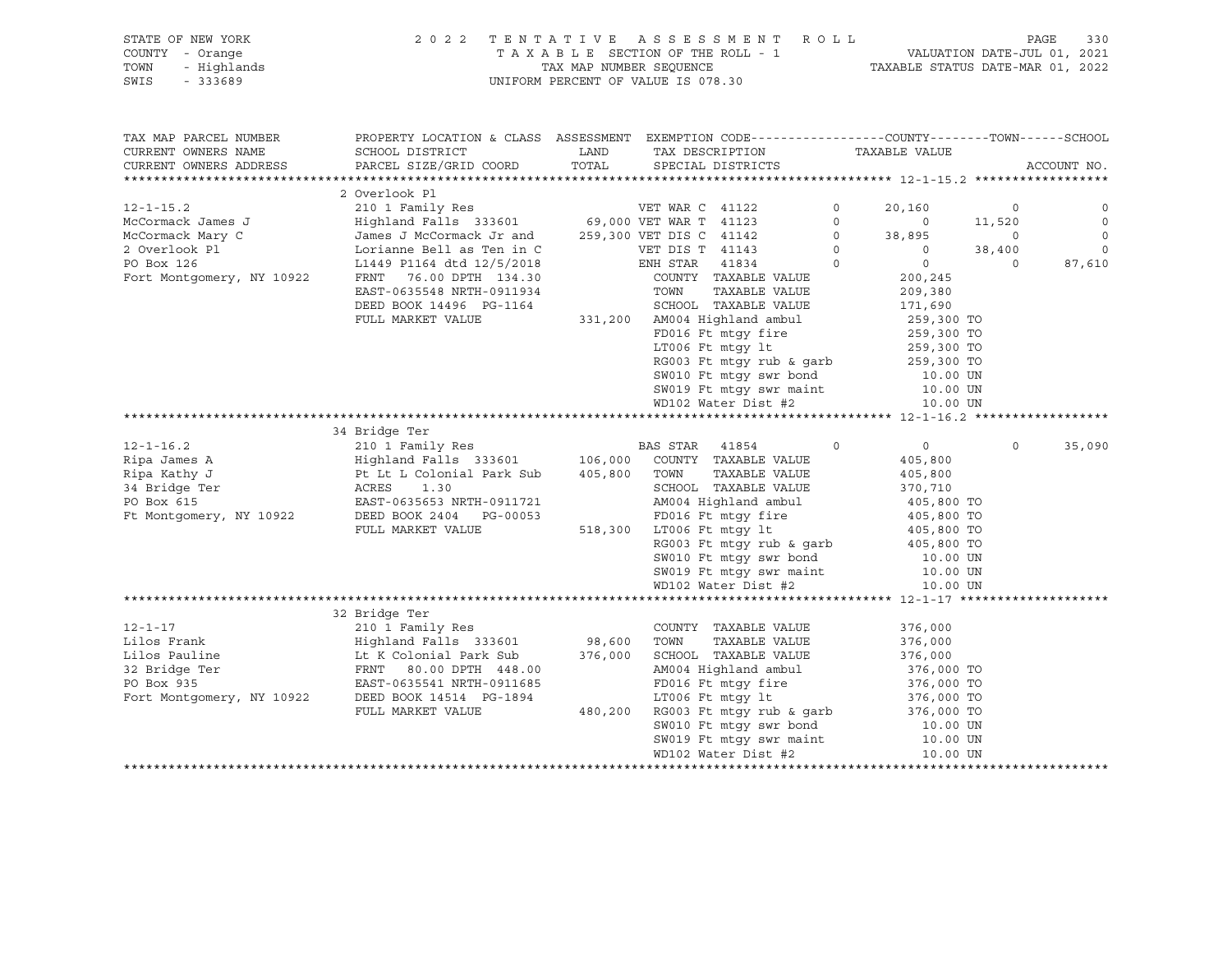#### STATE OF NEW YORK 2 0 2 2 T E N T A T I V E A S S E S S M E N T R O L L PAGE 330 COUNTY - Orange T A X A B L E SECTION OF THE ROLL - 1 VALUATION DATE-JUL 01, 2021 TOWN - Highlands TAX MAP NUMBER SEQUENCE TAXABLE STATUS DATE-MAR 01, 2022 SWIS - 333689 UNIFORM PERCENT OF VALUE IS 078.30

| TAX MAP PARCEL NUMBER<br>CURRENT OWNERS NAME<br>CURRENT OWNERS ADDRESS | PROPERTY LOCATION & CLASS ASSESSMENT EXEMPTION CODE---------------COUNTY-------TOWN------SCHOOL<br>SCHOOL DISTRICT<br>PARCEL SIZE/GRID COORD                                                                                                                    | LAND<br>TOTAL | TAX DESCRIPTION<br>SPECIAL DISTRICTS                                       | TAXABLE VALUE                    |                | ACCOUNT NO.  |
|------------------------------------------------------------------------|-----------------------------------------------------------------------------------------------------------------------------------------------------------------------------------------------------------------------------------------------------------------|---------------|----------------------------------------------------------------------------|----------------------------------|----------------|--------------|
|                                                                        |                                                                                                                                                                                                                                                                 |               |                                                                            |                                  |                |              |
|                                                                        | 2 Overlook Pl                                                                                                                                                                                                                                                   |               |                                                                            |                                  |                |              |
| $12 - 1 - 15.2$                                                        |                                                                                                                                                                                                                                                                 |               |                                                                            | $\circ$<br>20,160                | $\circ$        | 0            |
| McCormack James J                                                      |                                                                                                                                                                                                                                                                 |               |                                                                            | $\circ$<br>$\overline{0}$        | 11,520         | $\mathbf{0}$ |
| McCormack Mary C                                                       | James J McCormack Jr and 259,300 VET DIS C 41142                                                                                                                                                                                                                |               |                                                                            | $\overline{0}$<br>38,895         | $\overline{0}$ | $\circ$      |
| 2 Overlook Pl                                                          |                                                                                                                                                                                                                                                                 |               | VET DIS T 41143                                                            | $\overline{0}$<br>$\overline{0}$ | 38,400         | $\circ$      |
| PO Box 126                                                             | Lorianne Bell as Ten in C<br>L1449 P1164 dtd 12/5/2018                                                                                                                                                                                                          |               | $ENH$ STAR<br>41834                                                        | $\overline{0}$<br>$\overline{0}$ | $\Omega$       | 87,610       |
| Fort Montgomery, NY 10922                                              | FRNT 76.00 DPTH 134.30                                                                                                                                                                                                                                          |               | COUNTY TAXABLE VALUE                                                       | 200,245                          |                |              |
|                                                                        | EAST-0635548 NRTH-0911934                                                                                                                                                                                                                                       |               | TOWN<br>TAXABLE VALUE                                                      | 209,380                          |                |              |
|                                                                        | DEED BOOK 14496 PG-1164                                                                                                                                                                                                                                         |               | SCHOOL TAXABLE VALUE                                                       | 171,690                          |                |              |
|                                                                        | FULL MARKET VALUE                                                                                                                                                                                                                                               |               | 331,200 AM004 Highland ambul                                               |                                  |                |              |
|                                                                        |                                                                                                                                                                                                                                                                 |               | FD016 Ft mtqy fire                                                         | 259,300 TO<br>259,300 TO         |                |              |
|                                                                        |                                                                                                                                                                                                                                                                 |               | LT006 Ft mtgy lt                                                           | 259,300 TO                       |                |              |
|                                                                        |                                                                                                                                                                                                                                                                 |               |                                                                            |                                  |                |              |
|                                                                        |                                                                                                                                                                                                                                                                 |               | RG003 Ft mtgy rub & garb $259,300$ TO<br>SW010 Ft mtgy swr bond $10.00$ UN |                                  |                |              |
|                                                                        |                                                                                                                                                                                                                                                                 |               | SW019 Ft mtgy swr maint 10.00 UN                                           |                                  |                |              |
|                                                                        |                                                                                                                                                                                                                                                                 |               | WD102 Water Dist #2                                                        | 10.00 UN                         |                |              |
|                                                                        |                                                                                                                                                                                                                                                                 |               |                                                                            |                                  |                |              |
|                                                                        | 34 Bridge Ter                                                                                                                                                                                                                                                   |               |                                                                            |                                  |                |              |
| $12 - 1 - 16.2$                                                        | 210 1 Family Res BAS STAR 41854                                                                                                                                                                                                                                 |               | $\overline{0}$                                                             | $\overline{0}$                   | $\Omega$       | 35,090       |
| Ripa James A                                                           | Highland Falls 333601 106,000                                                                                                                                                                                                                                   |               | COUNTY TAXABLE VALUE                                                       | 405,800                          |                |              |
| Ripa Kathy J                                                           |                                                                                                                                                                                                                                                                 |               | TOWN<br>TAXABLE VALUE                                                      | 405,800                          |                |              |
| 34 Bridge Ter                                                          | Pt Lt L Colonial Park Sub 405,800<br>ACRES 1.30                                                                                                                                                                                                                 |               | SCHOOL TAXABLE VALUE                                                       | 370,710                          |                |              |
| PO Box 615                                                             | EAST-0635653 NRTH-0911721                                                                                                                                                                                                                                       |               | AM004 Highland ambul 405,800 TO                                            |                                  |                |              |
| Ft Montgomery, NY 10922                                                | DEED BOOK 2404 PG-00053                                                                                                                                                                                                                                         |               |                                                                            |                                  |                |              |
|                                                                        | FULL MARKET VALUE                                                                                                                                                                                                                                               | 518,300       | FD016 Ft mtgy fire<br>T.TOO6 Ft mtgy lt<br>LT006 Ft mtgy lt                | 405,800 TO<br>405,800 TO         |                |              |
|                                                                        |                                                                                                                                                                                                                                                                 |               |                                                                            |                                  |                |              |
|                                                                        |                                                                                                                                                                                                                                                                 |               |                                                                            |                                  |                |              |
|                                                                        |                                                                                                                                                                                                                                                                 |               |                                                                            |                                  |                |              |
|                                                                        |                                                                                                                                                                                                                                                                 |               | WD102 Water Dist #2                                                        | 10.00 UN                         |                |              |
|                                                                        |                                                                                                                                                                                                                                                                 |               |                                                                            |                                  |                |              |
|                                                                        | 32 Bridge Ter                                                                                                                                                                                                                                                   |               |                                                                            |                                  |                |              |
| $12 - 1 - 17$                                                          | 210 1 Family Res                                                                                                                                                                                                                                                |               | COUNTY TAXABLE VALUE                                                       | 376,000                          |                |              |
| Lilos Frank                                                            | 210 1 Family Res<br>Highland Falls  333601              98,600                                                                                                                                                                                                  |               | TOWN<br>TAXABLE VALUE                                                      | 376,000                          |                |              |
|                                                                        |                                                                                                                                                                                                                                                                 | 376,000       | SCHOOL TAXABLE VALUE                                                       | 376,000                          |                |              |
|                                                                        |                                                                                                                                                                                                                                                                 |               | AM004 Highland ambul                                                       | 376,000 TO                       |                |              |
|                                                                        | Lilos Pauline<br>32 Bridge Ter<br>32 Bridge Ter<br>32 Bridge Ter<br>32 Bridge Ter<br>32 Bridge Ter<br>32 Bridge Ter<br>32 Bridge Ter<br>32 Bridge Ter<br>32 Bridge Ter<br>32 Bridge Ter<br>32 BRNT 80.00 DPTH 448.00<br>32 BOX 935<br>EAST-0635541 NRTH-0911685 |               | FD016 Ft mtqy fire                                                         | 376,000 TO                       |                |              |
| Fort Montgomery, NY 10922                                              | DEED BOOK 14514 PG-1894                                                                                                                                                                                                                                         |               | LT006 Ft mtgy lt                                                           |                                  |                |              |
|                                                                        | FULL MARKET VALUE                                                                                                                                                                                                                                               | 480,200       | RG003 Ft mtgy rub & garb                                                   | 376,000 TO<br>376,000 TO         |                |              |
|                                                                        |                                                                                                                                                                                                                                                                 |               | SW010 Ft mtgy swr bond                                                     | 10.00 UN                         |                |              |
|                                                                        |                                                                                                                                                                                                                                                                 |               | SW019 Ft mtgy swr maint<br>ED102 Water Dist #2                             | 10.00 UN                         |                |              |
|                                                                        |                                                                                                                                                                                                                                                                 |               | WD102 Water Dist #2                                                        | 10.00 UN                         |                |              |
|                                                                        |                                                                                                                                                                                                                                                                 |               |                                                                            |                                  |                |              |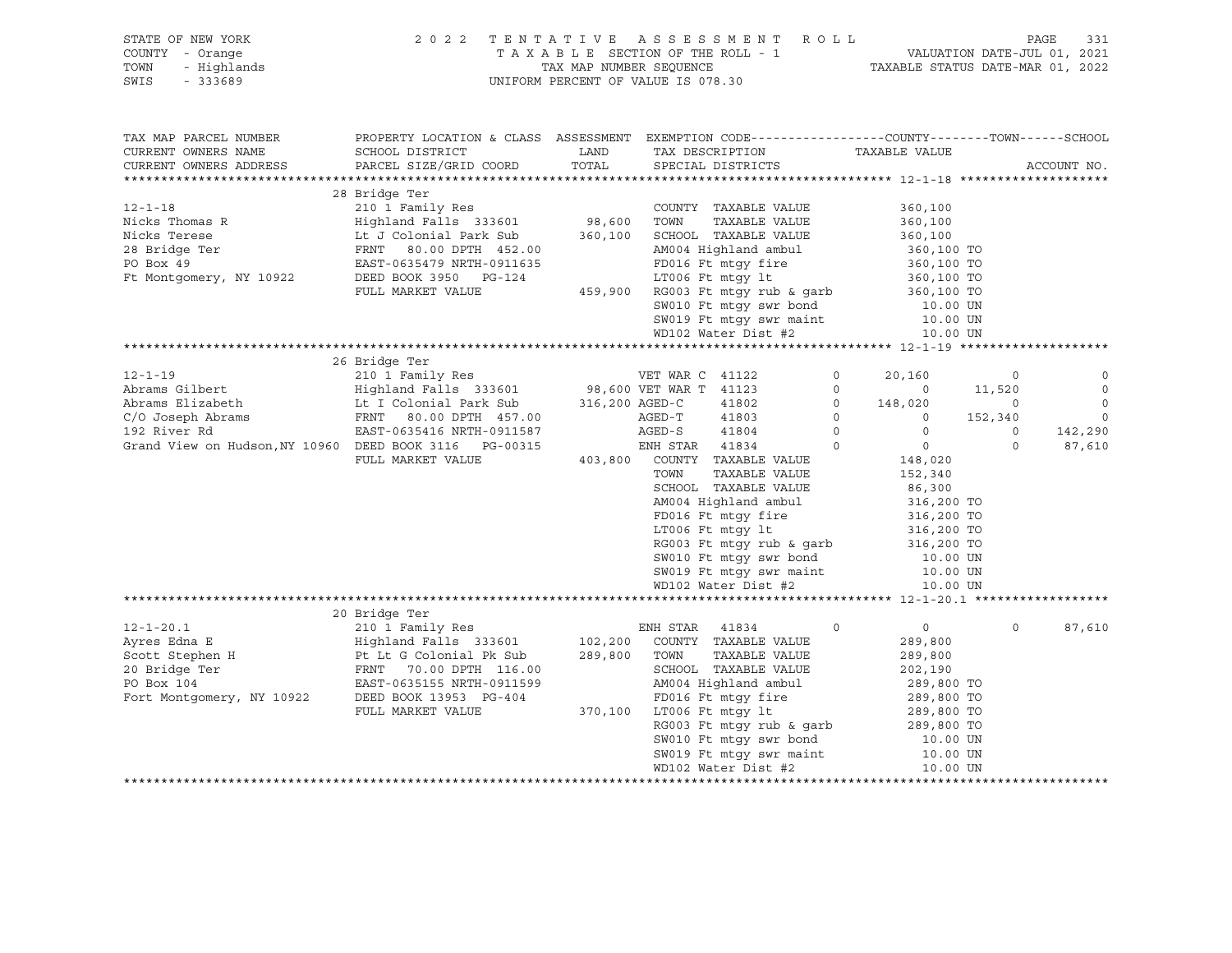| STATE OF NEW YORK<br>COUNTY - Orange<br>- Highlands<br>TOWN<br>SWIS<br>- 333689                                                                                                                                                                                                                                                                                                                                                                             | 2022 TENTATIVE ASSESSMENT ROLL                                                                                                                                                                                                         |                             | UNIFORM PERCENT OF VALUE IS 078.30                    |                                                                               |                | TAXABLE SECTION OF THE ROLL - 1<br>TAXABLE SECTION OF THE ROLL - 1<br>TAXABLE STATUS DATE-MAR 01, 2022                                                                          |                | PAGE        | 331     |
|-------------------------------------------------------------------------------------------------------------------------------------------------------------------------------------------------------------------------------------------------------------------------------------------------------------------------------------------------------------------------------------------------------------------------------------------------------------|----------------------------------------------------------------------------------------------------------------------------------------------------------------------------------------------------------------------------------------|-----------------------------|-------------------------------------------------------|-------------------------------------------------------------------------------|----------------|---------------------------------------------------------------------------------------------------------------------------------------------------------------------------------|----------------|-------------|---------|
| TAX MAP PARCEL NUMBER<br>CURRENT OWNERS NAME                                                                                                                                                                                                                                                                                                                                                                                                                | PROPERTY LOCATION & CLASS ASSESSMENT EXEMPTION CODE---------------COUNTY-------TOWN-----SCHOOL<br>SCHOOL DISTRICT                                                                                                                      | LAND                        |                                                       | TAX DESCRIPTION                                                               |                | TAXABLE VALUE                                                                                                                                                                   |                |             |         |
| CURRENT OWNERS ADDRESS                                                                                                                                                                                                                                                                                                                                                                                                                                      | PARCEL SIZE/GRID COORD                                                                                                                                                                                                                 | TOTAL                       | SPECIAL DISTRICTS                                     |                                                                               |                |                                                                                                                                                                                 |                | ACCOUNT NO. |         |
|                                                                                                                                                                                                                                                                                                                                                                                                                                                             |                                                                                                                                                                                                                                        |                             |                                                       |                                                                               |                |                                                                                                                                                                                 |                |             |         |
|                                                                                                                                                                                                                                                                                                                                                                                                                                                             | 28 Bridge Ter                                                                                                                                                                                                                          |                             |                                                       |                                                                               |                |                                                                                                                                                                                 |                |             |         |
| 12-1-18 210 1 Family Res COUNTY TAXABLE VALUE<br>Nicks Thomas R Highland Falls 333601 98,600 TOWN TAXABLE VALUE<br>Nicks Terese Lt J Colonial Park Sub 360,100 SCHOOL TAXABLE VALUE<br>28 Bridge Ter FRNT 80.00 DPTH 452.00 AM004 Hi                                                                                                                                                                                                                        |                                                                                                                                                                                                                                        | COUNTY<br>98,600       TOWN |                                                       | COUNTY TAXABLE VALUE                                                          |                | 360,100                                                                                                                                                                         |                |             |         |
|                                                                                                                                                                                                                                                                                                                                                                                                                                                             |                                                                                                                                                                                                                                        |                             |                                                       |                                                                               |                | 360,100                                                                                                                                                                         |                |             |         |
|                                                                                                                                                                                                                                                                                                                                                                                                                                                             |                                                                                                                                                                                                                                        |                             |                                                       |                                                                               |                | 360,100<br>360,100 TO                                                                                                                                                           |                |             |         |
|                                                                                                                                                                                                                                                                                                                                                                                                                                                             |                                                                                                                                                                                                                                        |                             |                                                       |                                                                               |                |                                                                                                                                                                                 |                |             |         |
|                                                                                                                                                                                                                                                                                                                                                                                                                                                             |                                                                                                                                                                                                                                        |                             |                                                       |                                                                               |                |                                                                                                                                                                                 |                |             |         |
|                                                                                                                                                                                                                                                                                                                                                                                                                                                             |                                                                                                                                                                                                                                        |                             |                                                       |                                                                               |                |                                                                                                                                                                                 |                |             |         |
|                                                                                                                                                                                                                                                                                                                                                                                                                                                             |                                                                                                                                                                                                                                        |                             |                                                       |                                                                               |                |                                                                                                                                                                                 |                |             |         |
|                                                                                                                                                                                                                                                                                                                                                                                                                                                             |                                                                                                                                                                                                                                        |                             |                                                       |                                                                               |                |                                                                                                                                                                                 |                |             |         |
|                                                                                                                                                                                                                                                                                                                                                                                                                                                             | EAST-0635479 NRTH-0911635<br>DEED BOOK 3950 PG-124<br>FULL MARKET VALUE 459,900 RG003 Ft mtgy fire 360,100 TO<br>FULL MARKET VALUE 459,900 RG003 Ft mtgy rub & garb 360,100 TO<br>SW010 Ft mtgy swr bond 50.00 DV SW019 Ft mtgy swr ma |                             |                                                       |                                                                               |                |                                                                                                                                                                                 |                |             |         |
|                                                                                                                                                                                                                                                                                                                                                                                                                                                             |                                                                                                                                                                                                                                        |                             |                                                       |                                                                               |                |                                                                                                                                                                                 |                |             |         |
|                                                                                                                                                                                                                                                                                                                                                                                                                                                             | 26 Bridge Ter                                                                                                                                                                                                                          |                             |                                                       |                                                                               |                |                                                                                                                                                                                 |                |             |         |
|                                                                                                                                                                                                                                                                                                                                                                                                                                                             |                                                                                                                                                                                                                                        |                             |                                                       |                                                                               | $\overline{0}$ | 20,160                                                                                                                                                                          | 0              |             | 0       |
|                                                                                                                                                                                                                                                                                                                                                                                                                                                             |                                                                                                                                                                                                                                        |                             |                                                       |                                                                               |                |                                                                                                                                                                                 | 11,520         |             | $\circ$ |
|                                                                                                                                                                                                                                                                                                                                                                                                                                                             |                                                                                                                                                                                                                                        |                             |                                                       |                                                                               |                | $\begin{bmatrix} 0 & 0 & 0 \ 0 & 148 & 020 \ 0 & 0 & 0 \ 0 & 0 & 0 \end{bmatrix}$                                                                                               | $\overline{0}$ |             | $\circ$ |
|                                                                                                                                                                                                                                                                                                                                                                                                                                                             |                                                                                                                                                                                                                                        |                             |                                                       |                                                                               |                |                                                                                                                                                                                 | 152,340        |             | $\circ$ |
|                                                                                                                                                                                                                                                                                                                                                                                                                                                             |                                                                                                                                                                                                                                        |                             |                                                       |                                                                               |                |                                                                                                                                                                                 | $\circ$        |             | 142,290 |
| Grand View on Hudson, NY 10960 DEED BOOK 3116 PG-00315                                                                                                                                                                                                                                                                                                                                                                                                      |                                                                                                                                                                                                                                        |                             | ENH STAR 41834                                        |                                                                               | $\overline{0}$ | $\overline{0}$                                                                                                                                                                  | $\circ$        |             | 87,610  |
|                                                                                                                                                                                                                                                                                                                                                                                                                                                             | FULL MARKET VALUE                                                                                                                                                                                                                      |                             | 403,800 COUNTY TAXABLE VALUE                          |                                                                               |                | 148,020                                                                                                                                                                         |                |             |         |
|                                                                                                                                                                                                                                                                                                                                                                                                                                                             |                                                                                                                                                                                                                                        |                             | TOWN                                                  | TAXABLE VALUE                                                                 |                | 152,340                                                                                                                                                                         |                |             |         |
|                                                                                                                                                                                                                                                                                                                                                                                                                                                             |                                                                                                                                                                                                                                        |                             |                                                       | SCHOOL TAXABLE VALUE                                                          |                | 86,300<br>316,200 TO<br>316,200 TO<br>316,200 TO<br>316,200 TO                                                                                                                  |                |             |         |
|                                                                                                                                                                                                                                                                                                                                                                                                                                                             |                                                                                                                                                                                                                                        |                             |                                                       | AM004 Highland ambul                                                          |                |                                                                                                                                                                                 |                |             |         |
|                                                                                                                                                                                                                                                                                                                                                                                                                                                             |                                                                                                                                                                                                                                        |                             |                                                       | FD016 Ft mtgy fire<br>LT006 Ft mtgy lt                                        |                |                                                                                                                                                                                 |                |             |         |
|                                                                                                                                                                                                                                                                                                                                                                                                                                                             |                                                                                                                                                                                                                                        |                             |                                                       |                                                                               |                |                                                                                                                                                                                 |                |             |         |
|                                                                                                                                                                                                                                                                                                                                                                                                                                                             |                                                                                                                                                                                                                                        |                             |                                                       |                                                                               |                |                                                                                                                                                                                 |                |             |         |
|                                                                                                                                                                                                                                                                                                                                                                                                                                                             |                                                                                                                                                                                                                                        |                             |                                                       | RG003 Ft mtgy rub & garb<br>SW010 Ft mtgy swr bond<br>SW010 Ft mtgr swr podut |                | 10.00 UN<br>10.00 UN                                                                                                                                                            |                |             |         |
|                                                                                                                                                                                                                                                                                                                                                                                                                                                             |                                                                                                                                                                                                                                        |                             |                                                       | SW019 Ft mtgy swr maint<br>WD102 Water Dist #2                                |                |                                                                                                                                                                                 |                |             |         |
|                                                                                                                                                                                                                                                                                                                                                                                                                                                             |                                                                                                                                                                                                                                        |                             |                                                       |                                                                               |                | 10.00 UN                                                                                                                                                                        |                |             |         |
|                                                                                                                                                                                                                                                                                                                                                                                                                                                             | 20 Bridge Ter                                                                                                                                                                                                                          |                             |                                                       |                                                                               |                |                                                                                                                                                                                 |                |             |         |
|                                                                                                                                                                                                                                                                                                                                                                                                                                                             |                                                                                                                                                                                                                                        |                             |                                                       |                                                                               | $\Omega$       | $\overline{0}$                                                                                                                                                                  | $\Omega$       |             | 87,610  |
|                                                                                                                                                                                                                                                                                                                                                                                                                                                             |                                                                                                                                                                                                                                        |                             |                                                       |                                                                               |                | 289,800                                                                                                                                                                         |                |             |         |
|                                                                                                                                                                                                                                                                                                                                                                                                                                                             |                                                                                                                                                                                                                                        |                             |                                                       |                                                                               |                | 289,800                                                                                                                                                                         |                |             |         |
|                                                                                                                                                                                                                                                                                                                                                                                                                                                             |                                                                                                                                                                                                                                        |                             |                                                       | SCHOOL TAXABLE VALUE                                                          |                | 202,190                                                                                                                                                                         |                |             |         |
|                                                                                                                                                                                                                                                                                                                                                                                                                                                             |                                                                                                                                                                                                                                        |                             |                                                       | AM004 Highland ambul                                                          |                | 289,800 TO                                                                                                                                                                      |                |             |         |
| $\begin{tabular}{l c c c c c c} \multicolumn{1}{c}{\textbf{12}-1-20.1} & \multicolumn{1}{c}{\textbf{ENH STR}} & 41834 & \multicolumn{1}{c}{\textbf{ENH STR}} & 41834 \\ \multicolumn{1}{c}{\textbf{Ayres Edna E}} & \multicolumn{1}{c}{\textbf{Highland Falls}} & 333601 & 102,200 & \multicolumn{1}{c}{\textbf{COMITY}} & \textbf{TAXABLE VALUE} \\ \multicolumn{1}{c}{\textbf{Scott Stephen H}} & \multicolumn{1}{c}{\textbf{Pt Lt G Colonial PK Sub}} &$ |                                                                                                                                                                                                                                        |                             |                                                       |                                                                               |                |                                                                                                                                                                                 |                |             |         |
|                                                                                                                                                                                                                                                                                                                                                                                                                                                             | FULL MARKET VALUE                                                                                                                                                                                                                      |                             | PC-404 FD016 Ft mtgy fire<br>370,100 LT006 Ft mtgy lt |                                                                               |                | 289,800 TO<br>289,800 TO<br>289,800 TO                                                                                                                                          |                |             |         |
|                                                                                                                                                                                                                                                                                                                                                                                                                                                             |                                                                                                                                                                                                                                        |                             |                                                       |                                                                               |                |                                                                                                                                                                                 |                |             |         |
|                                                                                                                                                                                                                                                                                                                                                                                                                                                             |                                                                                                                                                                                                                                        |                             |                                                       |                                                                               |                |                                                                                                                                                                                 |                |             |         |
|                                                                                                                                                                                                                                                                                                                                                                                                                                                             |                                                                                                                                                                                                                                        |                             |                                                       |                                                                               |                | LT006 Ft mtgy 1t<br>RG003 Ft mtgy rub & garb<br>SW010 Ft mtgy swr bond<br>$\begin{array}{ccc}\n10.00 \text{ UN} \\ \hline\n\end{array}$                                         |                |             |         |
|                                                                                                                                                                                                                                                                                                                                                                                                                                                             |                                                                                                                                                                                                                                        |                             |                                                       |                                                                               |                | $\frac{SW010}{10.00}$ Ft muy $\frac{SW019}{10.00}$ Ft mtgy swr maint 10.00 UN<br>$\frac{W110}{10.00}$ UN $\frac{W110}{10.00}$ UN $\frac{10.00}{10.00}$ UN $\frac{10.00}{10.00}$ |                |             |         |
|                                                                                                                                                                                                                                                                                                                                                                                                                                                             |                                                                                                                                                                                                                                        |                             |                                                       |                                                                               |                |                                                                                                                                                                                 |                |             |         |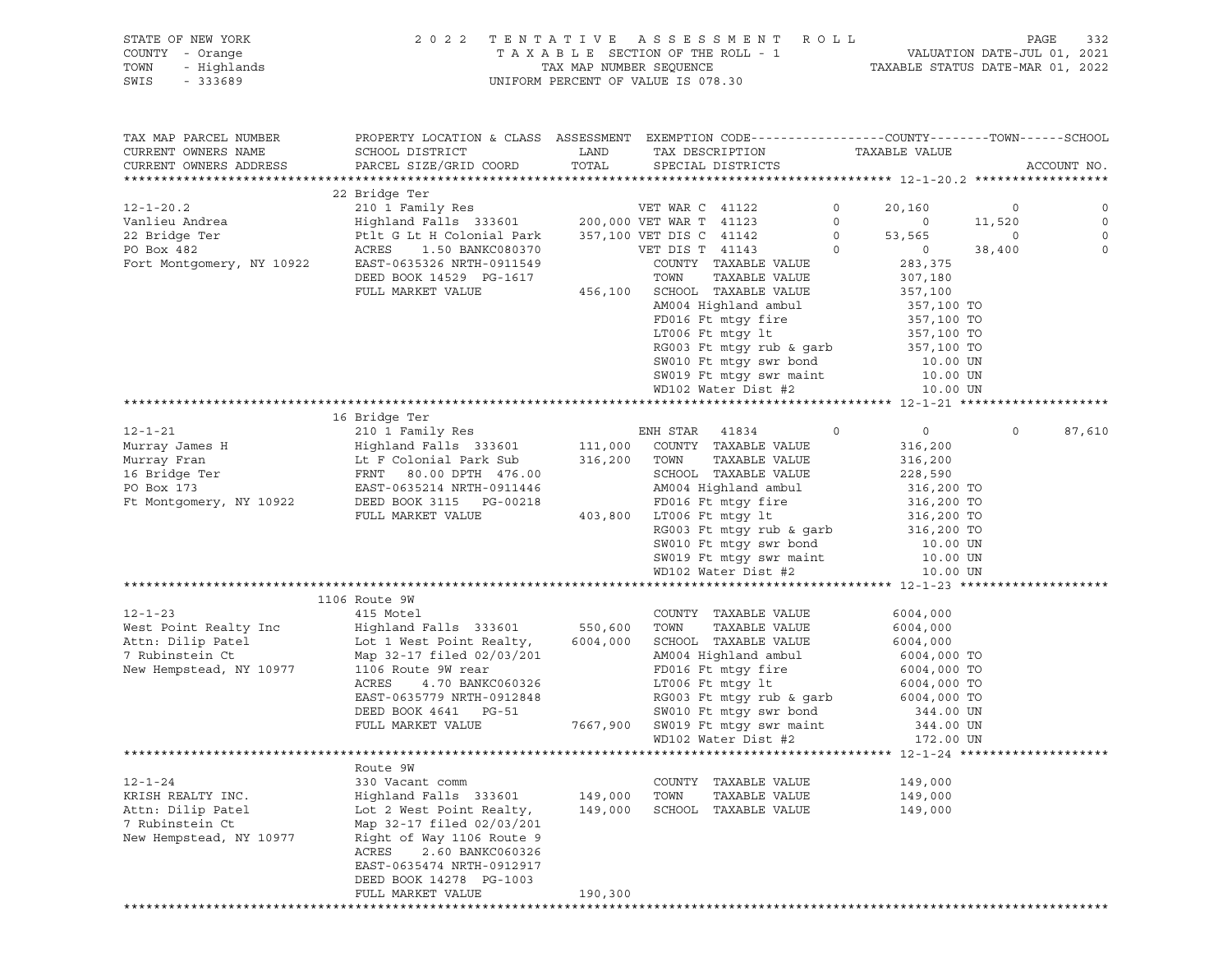### STATE OF NEW YORK 2 0 2 2 T E N T A T I V E A S S E S S M E N T R O L L PAGE 332 COUNTY - Orange T A X A B L E SECTION OF THE ROLL - 1 VALUATION DATE-JUL 01, 2021 TOWN - Highlands TAX MAP NUMBER SEQUENCE TAXABLE STATUS DATE-MAR 01, 2022 SWIS - 333689 UNIFORM PERCENT OF VALUE IS 078.30

| TAX MAP PARCEL NUMBER<br>CURRENT OWNERS NAME<br>CURRENT OWNERS ADDRESS | PROPERTY LOCATION & CLASS ASSESSMENT EXEMPTION CODE----------------COUNTY-------TOWN------SCHOOL<br>SCHOOL DISTRICT<br>PARCEL SIZE/GRID COORD | LAND<br>TOTAL | TAX DESCRIPTION<br>SPECIAL DISTRICTS | TAXABLE VALUE              | ACCOUNT NO.        |
|------------------------------------------------------------------------|-----------------------------------------------------------------------------------------------------------------------------------------------|---------------|--------------------------------------|----------------------------|--------------------|
| **********************                                                 |                                                                                                                                               |               |                                      |                            |                    |
|                                                                        | 22 Bridge Ter                                                                                                                                 |               |                                      |                            |                    |
| $12 - 1 - 20.2$                                                        | 210 1 Family Res                                                                                                                              |               | VET WAR C 41122                      | $\circ$<br>20,160          | $\circ$            |
| Vanlieu Andrea                                                         | Highland Falls 333601                                                                                                                         |               | 200,000 VET WAR T 41123              | $\circ$                    | $\circ$<br>11,520  |
| 22 Bridge Ter                                                          | Ptlt G Lt H Colonial Park                                                                                                                     |               | 357,100 VET DIS C 41142              | $\Omega$<br>53,565         | $\circ$<br>$\circ$ |
| PO Box 482                                                             | ACRES<br>1.50 BANKC080370                                                                                                                     |               | VET DIS T 41143                      | $\overline{0}$<br>$\circ$  | 38,400<br>$\circ$  |
| Fort Montgomery, NY 10922                                              | EAST-0635326 NRTH-0911549                                                                                                                     |               | COUNTY TAXABLE VALUE                 | 283,375                    |                    |
|                                                                        | DEED BOOK 14529 PG-1617                                                                                                                       |               | TOWN<br>TAXABLE VALUE                | 307,180                    |                    |
|                                                                        | FULL MARKET VALUE                                                                                                                             |               | 456,100 SCHOOL TAXABLE VALUE         | 357,100                    |                    |
|                                                                        |                                                                                                                                               |               | AM004 Highland ambul                 | 357,100 TO                 |                    |
|                                                                        |                                                                                                                                               |               | FD016 Ft mtqy fire                   | 357,100 TO                 |                    |
|                                                                        |                                                                                                                                               |               | LT006 Ft mtgy lt                     | 357,100 TO                 |                    |
|                                                                        |                                                                                                                                               |               | RG003 Ft mtgy rub & garb             | 357,100 TO                 |                    |
|                                                                        |                                                                                                                                               |               | SW010 Ft mtgy swr bond               | 10.00 UN                   |                    |
|                                                                        |                                                                                                                                               |               | SW019 Ft mtgy swr maint              | 10.00 UN                   |                    |
|                                                                        |                                                                                                                                               |               | WD102 Water Dist #2                  | 10.00 UN                   |                    |
|                                                                        |                                                                                                                                               |               |                                      |                            |                    |
|                                                                        | 16 Bridge Ter                                                                                                                                 |               |                                      |                            |                    |
| $12 - 1 - 21$                                                          | 210 1 Family Res                                                                                                                              |               | ENH STAR<br>41834                    | $\Omega$<br>$\overline{0}$ | $\Omega$<br>87,610 |
| Murray James H                                                         | Highland Falls 333601                                                                                                                         | 111,000       | COUNTY TAXABLE VALUE                 | 316,200                    |                    |
| Murray Fran                                                            | Lt F Colonial Park Sub                                                                                                                        | 316,200       | TOWN<br>TAXABLE VALUE                | 316,200                    |                    |
| 16 Bridge Ter                                                          | FRNT 80.00 DPTH 476.00                                                                                                                        |               | SCHOOL TAXABLE VALUE                 | 228,590                    |                    |
| PO Box 173                                                             | EAST-0635214 NRTH-0911446                                                                                                                     |               | AM004 Highland ambul                 | 316,200 TO                 |                    |
| Ft Montgomery, NY 10922                                                | DEED BOOK 3115 PG-00218                                                                                                                       |               | FD016 Ft mtqy fire                   |                            |                    |
|                                                                        | FULL MARKET VALUE                                                                                                                             |               | 403,800 LT006 Ft mtqy lt             | 316,200 TO<br>316,200 TO   |                    |
|                                                                        |                                                                                                                                               |               | RG003 Ft mtgy rub & garb             | 316,200 TO                 |                    |
|                                                                        |                                                                                                                                               |               | SW010 Ft mtgy swr bond               | 10.00 UN                   |                    |
|                                                                        |                                                                                                                                               |               | SW019 Ft mtgy swr maint              | 10.00 UN                   |                    |
|                                                                        |                                                                                                                                               |               | WD102 Water Dist #2                  | 10.00 UN                   |                    |
|                                                                        |                                                                                                                                               |               |                                      |                            |                    |
|                                                                        | 1106 Route 9W                                                                                                                                 |               |                                      |                            |                    |
| $12 - 1 - 23$                                                          | 415 Motel                                                                                                                                     |               | COUNTY TAXABLE VALUE                 | 6004,000                   |                    |
| West Point Realty Inc                                                  | Highland Falls 333601                                                                                                                         | 550,600       | TOWN<br>TAXABLE VALUE                | 6004,000                   |                    |
| Attn: Dilip Patel                                                      | Lot 1 West Point Realty,                                                                                                                      | 6004,000      | SCHOOL TAXABLE VALUE                 | 6004,000                   |                    |
| 7 Rubinstein Ct                                                        | Map 32-17 filed 02/03/201                                                                                                                     |               | AM004 Highland ambul                 | 6004,000 TO                |                    |
| New Hempstead, NY 10977                                                | 1106 Route 9W rear                                                                                                                            |               | FD016 Ft mtqy fire                   | 6004,000 TO                |                    |
|                                                                        | ACRES<br>4.70 BANKC060326                                                                                                                     |               | LT006 Ft mtgy lt                     | 6004,000 TO                |                    |
|                                                                        | EAST-0635779 NRTH-0912848                                                                                                                     |               | RG003 Ft mtgy rub & garb 6004,000 TO |                            |                    |
|                                                                        | DEED BOOK 4641 PG-51                                                                                                                          |               | SW010 Ft mtgy swr bond               | 344.00 UN                  |                    |
|                                                                        | FULL MARKET VALUE                                                                                                                             |               | 7667,900 SW019 Ft mtgy swr maint     | 344.00 UN                  |                    |
|                                                                        |                                                                                                                                               |               | WD102 Water Dist #2                  | 172.00 UN                  |                    |
|                                                                        |                                                                                                                                               |               |                                      |                            |                    |
|                                                                        | Route 9W                                                                                                                                      |               |                                      |                            |                    |
| $12 - 1 - 24$                                                          | 330 Vacant comm                                                                                                                               |               | COUNTY TAXABLE VALUE                 | 149,000                    |                    |
| KRISH REALTY INC.                                                      | Highland Falls 333601                                                                                                                         | 149,000 TOWN  | TAXABLE VALUE                        | 149,000                    |                    |
| Attn: Dilip Patel                                                      | Lot 2 West Point Realty,                                                                                                                      | 149,000       | SCHOOL TAXABLE VALUE                 | 149,000                    |                    |
| 7 Rubinstein Ct                                                        | Map 32-17 filed 02/03/201                                                                                                                     |               |                                      |                            |                    |
| New Hempstead, NY 10977                                                | Right of Way 1106 Route 9                                                                                                                     |               |                                      |                            |                    |
|                                                                        | ACRES 2.60 BANKC060326                                                                                                                        |               |                                      |                            |                    |
|                                                                        | EAST-0635474 NRTH-0912917                                                                                                                     |               |                                      |                            |                    |
|                                                                        | DEED BOOK 14278 PG-1003                                                                                                                       |               |                                      |                            |                    |
|                                                                        | FULL MARKET VALUE                                                                                                                             | 190,300       |                                      |                            |                    |
|                                                                        |                                                                                                                                               |               |                                      |                            |                    |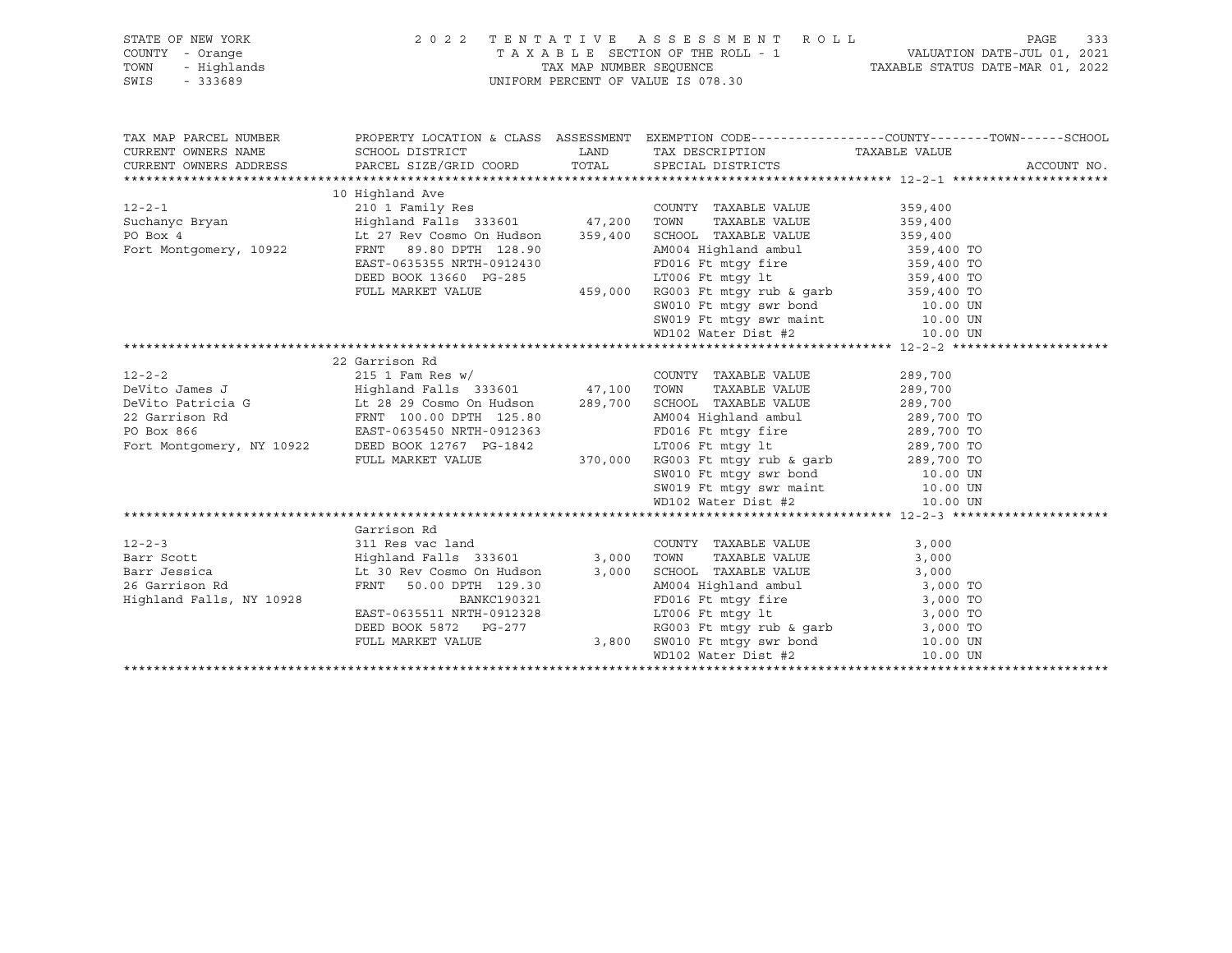| STATE OF NEW YORK                                        |                                                                                                                                                                                                                                                                          | 2022 TENTATIVE ASSESSMENT ROLL                                                                                                                                                                                                                      |       | PAGE<br>333 |
|----------------------------------------------------------|--------------------------------------------------------------------------------------------------------------------------------------------------------------------------------------------------------------------------------------------------------------------------|-----------------------------------------------------------------------------------------------------------------------------------------------------------------------------------------------------------------------------------------------------|-------|-------------|
| Y - Orange<br>- Highlands<br>- 333689<br>COUNTY - Orange |                                                                                                                                                                                                                                                                          |                                                                                                                                                                                                                                                     |       |             |
| TOWN                                                     |                                                                                                                                                                                                                                                                          |                                                                                                                                                                                                                                                     |       |             |
| SWIS                                                     |                                                                                                                                                                                                                                                                          |                                                                                                                                                                                                                                                     |       |             |
|                                                          |                                                                                                                                                                                                                                                                          |                                                                                                                                                                                                                                                     |       |             |
|                                                          |                                                                                                                                                                                                                                                                          |                                                                                                                                                                                                                                                     |       |             |
| TAX MAP PARCEL NUMBER                                    |                                                                                                                                                                                                                                                                          |                                                                                                                                                                                                                                                     |       |             |
| CURRENT OWNERS NAME                                      |                                                                                                                                                                                                                                                                          |                                                                                                                                                                                                                                                     |       |             |
|                                                          | CURRENT OWNERS ADDRESS PARCEL SIZE/GRID COORD TOTAL SPECIAL DISTRICTS                                                                                                                                                                                                    |                                                                                                                                                                                                                                                     |       | ACCOUNT NO. |
|                                                          |                                                                                                                                                                                                                                                                          |                                                                                                                                                                                                                                                     |       |             |
|                                                          |                                                                                                                                                                                                                                                                          |                                                                                                                                                                                                                                                     |       |             |
|                                                          |                                                                                                                                                                                                                                                                          |                                                                                                                                                                                                                                                     |       |             |
|                                                          |                                                                                                                                                                                                                                                                          |                                                                                                                                                                                                                                                     |       |             |
|                                                          |                                                                                                                                                                                                                                                                          |                                                                                                                                                                                                                                                     |       |             |
|                                                          |                                                                                                                                                                                                                                                                          |                                                                                                                                                                                                                                                     |       |             |
|                                                          |                                                                                                                                                                                                                                                                          |                                                                                                                                                                                                                                                     |       |             |
|                                                          | FRNT 89.80 DPTH 128.90<br>EAST-0635355 NRTH-0912430<br>DEED BOOK 13660 PG-285                                                                                                                                                                                            |                                                                                                                                                                                                                                                     |       |             |
|                                                          |                                                                                                                                                                                                                                                                          |                                                                                                                                                                                                                                                     |       |             |
|                                                          |                                                                                                                                                                                                                                                                          | ERIT 89.80 DPTH 128.90<br>ERIT 89.80 DPTH 128.90<br>ERIT 89.80 DPTH 128.90<br>DEED BOOK 13660 PG-285<br>EULL MARKET VALUE<br>FULL MARKET VALUE<br>THE MARKET VALUE<br>AMOON TO FE mtgy fire<br>ITO06 Ft mtgy fire<br>SP, 400 TO<br>ITO06 Ft mtgy f  |       |             |
|                                                          |                                                                                                                                                                                                                                                                          |                                                                                                                                                                                                                                                     |       |             |
|                                                          |                                                                                                                                                                                                                                                                          |                                                                                                                                                                                                                                                     |       |             |
|                                                          |                                                                                                                                                                                                                                                                          |                                                                                                                                                                                                                                                     |       |             |
|                                                          | 22 Garrison Rd                                                                                                                                                                                                                                                           |                                                                                                                                                                                                                                                     |       |             |
|                                                          | 12-2-2<br>DeVito James J<br>DeVito Patricia G<br>DeVito Patricia G<br>289,700<br>289,700<br>289,700<br>289,700<br>289,700<br>289,700<br>289,700<br>289,700<br>289,700<br>289,700<br>289,700<br>289,700<br>289,700<br>289,700<br>289,700<br>289,700<br>289,700<br>289,700 |                                                                                                                                                                                                                                                     |       |             |
|                                                          |                                                                                                                                                                                                                                                                          |                                                                                                                                                                                                                                                     |       |             |
|                                                          |                                                                                                                                                                                                                                                                          |                                                                                                                                                                                                                                                     |       |             |
|                                                          |                                                                                                                                                                                                                                                                          |                                                                                                                                                                                                                                                     |       |             |
|                                                          |                                                                                                                                                                                                                                                                          | AM004 Highland ambul 289,700 TO<br>FD016 Ft mtgy fire 289,700 TO                                                                                                                                                                                    |       |             |
|                                                          |                                                                                                                                                                                                                                                                          |                                                                                                                                                                                                                                                     |       |             |
|                                                          | PO Box 866 EAST-0635450 NRTH-0912363 FDUL FL MUSY LILE 289,700 TO<br>Fort Montgomery, NY 10922 DEED BOOK 12767 PG-1842 LT006 Ft mtgy 1t 289,700 TO<br>FULL MARKET VALUE 370,000 RG003 Ft mtgy swr bond 10.00 UN 10.00 LT006 FL MARKE                                     |                                                                                                                                                                                                                                                     |       |             |
|                                                          |                                                                                                                                                                                                                                                                          |                                                                                                                                                                                                                                                     |       |             |
|                                                          |                                                                                                                                                                                                                                                                          |                                                                                                                                                                                                                                                     |       |             |
|                                                          |                                                                                                                                                                                                                                                                          | SW019 Ft mtgy swr maint 10.00 UN<br>WD102 Water Dist #2 10.00 UN                                                                                                                                                                                    |       |             |
|                                                          |                                                                                                                                                                                                                                                                          |                                                                                                                                                                                                                                                     |       |             |
|                                                          | Garrison Rd                                                                                                                                                                                                                                                              |                                                                                                                                                                                                                                                     |       |             |
| $12 - 2 - 3$                                             | 311 Res vac land                                                                                                                                                                                                                                                         | COUNTY TAXABLE VALUE                                                                                                                                                                                                                                | 3,000 |             |
| Barr Scott<br>Barr Jessica<br>26 Generation Pd           | Highland Falls 333601 3,000                                                                                                                                                                                                                                              | TAXABLE VALUE<br>TOWN                                                                                                                                                                                                                               | 3,000 |             |
|                                                          |                                                                                                                                                                                                                                                                          |                                                                                                                                                                                                                                                     |       |             |
| 26 Garrison Rd                                           |                                                                                                                                                                                                                                                                          |                                                                                                                                                                                                                                                     |       |             |
| Highland Falls, NY 10928                                 |                                                                                                                                                                                                                                                                          |                                                                                                                                                                                                                                                     |       |             |
|                                                          |                                                                                                                                                                                                                                                                          |                                                                                                                                                                                                                                                     |       |             |
|                                                          |                                                                                                                                                                                                                                                                          |                                                                                                                                                                                                                                                     |       |             |
|                                                          |                                                                                                                                                                                                                                                                          |                                                                                                                                                                                                                                                     |       |             |
|                                                          |                                                                                                                                                                                                                                                                          | 1911and Paris 1920<br>1 3,000<br>1 3,000<br>FRNT 50.00 DPTH 129.30<br>BANKC190321<br>EAST-0635511 NRTH-0912328<br>DEED BOOK 5872 PG-277<br>THE VALUE<br>2 3,000 TO<br>EAST-0635511 NRTH-0912328<br>DEED BOOK 5872 PG-277<br>3,800 SW010 Ft mtgy swr |       |             |
|                                                          |                                                                                                                                                                                                                                                                          |                                                                                                                                                                                                                                                     |       |             |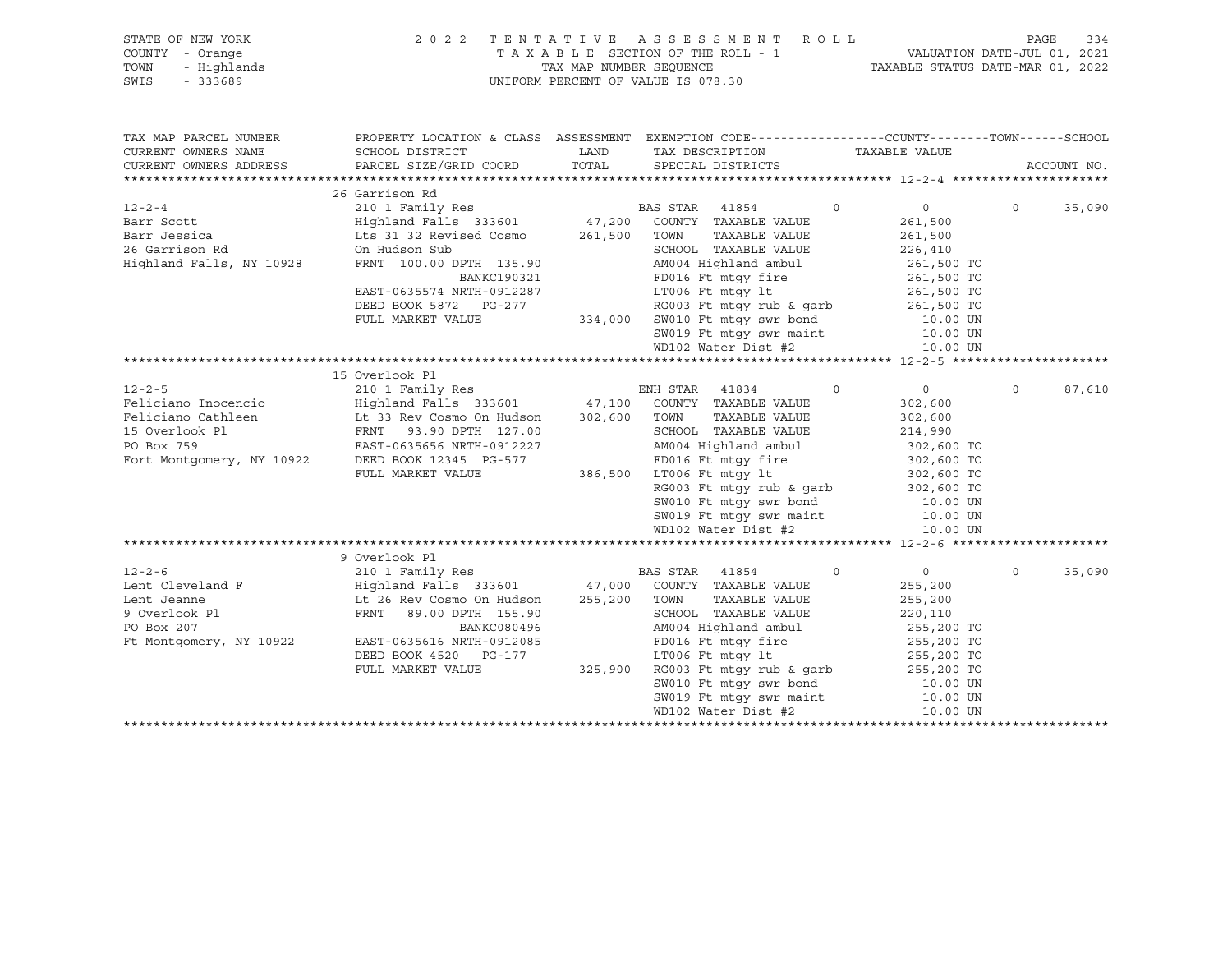| STATE OF NEW YORK<br>COUNTY<br>- Orange<br>TOWN<br>- Highlands<br>SWIS<br>$-333689$ |                                                                                                                     | 2022 TENTATIVE ASSESSMENT ROLL<br>T A X A B L E SECTION OF THE ROLL - 1 WALUATION DATE-JUL 01, 2021<br>TAX MAP NUMBER SEQUENCE<br>TAXABLE STATUS DATE-MAR 01, 2022<br>UNIFORM PERCENT OF VALUE IS 078.30 |                           | 334<br>PAGE              |
|-------------------------------------------------------------------------------------|---------------------------------------------------------------------------------------------------------------------|----------------------------------------------------------------------------------------------------------------------------------------------------------------------------------------------------------|---------------------------|--------------------------|
| TAX MAP PARCEL NUMBER<br>CURRENT OWNERS NAME                                        | PROPERTY LOCATION & CLASS ASSESSMENT EXEMPTION CODE----------------COUNTY-------TOWN------SCHOOL<br>SCHOOL DISTRICT | LAND TAX DESCRIPTION TAXABLE VALUE                                                                                                                                                                       |                           |                          |
| CURRENT OWNERS ADDRESS                                                              | PARCEL SIZE/GRID COORD TOTAL SPECIAL DISTRICTS                                                                      |                                                                                                                                                                                                          |                           | ACCOUNT NO.              |
|                                                                                     |                                                                                                                     |                                                                                                                                                                                                          |                           |                          |
|                                                                                     | 26 Garrison Rd                                                                                                      |                                                                                                                                                                                                          |                           |                          |
| $12 - 2 - 4$                                                                        | 210 1 Family Res                                                                                                    | BAS STAR 41854 0                                                                                                                                                                                         | $\overline{0}$            | $\overline{0}$<br>35,090 |
|                                                                                     | Highland Falls 333601 47,200 COUNTY TAXABLE VALUE                                                                   |                                                                                                                                                                                                          | 261,500                   |                          |
|                                                                                     |                                                                                                                     | TAXABLE VALUE                                                                                                                                                                                            | 261,500                   |                          |
| 26 Garrison Rd and the Search State                                                 | On Hudson Sub                                                                                                       | SCHOOL TAXABLE VALUE                                                                                                                                                                                     | 226,410                   |                          |
| Highland Falls, NY 10928                                                            | FRNT 100.00 DPTH 135.90<br>BANKC190321                                                                              | AM004 Highland ambul 261,500 TO                                                                                                                                                                          |                           |                          |
|                                                                                     |                                                                                                                     | FD016 Ft mtgy fire 261,500 TO                                                                                                                                                                            |                           |                          |
|                                                                                     | EAST-0635574 NRTH-0912287                                                                                           | LT006 Ft mtgy 1t 261,500 TO                                                                                                                                                                              |                           |                          |
|                                                                                     | DEED BOOK 5872 PG-277                                                                                               | RG003 Ft mtgy rub & garb 261,500 TO                                                                                                                                                                      |                           |                          |
|                                                                                     | FULL MARKET VALUE 334,000 SW010 Ft mtgy swr bond 10.00 UN                                                           |                                                                                                                                                                                                          |                           |                          |
|                                                                                     |                                                                                                                     | SW019 Ft mtqy swr maint 10.00 UN                                                                                                                                                                         |                           |                          |
|                                                                                     |                                                                                                                     | WD102 Water Dist #2 10.00 UN                                                                                                                                                                             |                           |                          |
|                                                                                     |                                                                                                                     |                                                                                                                                                                                                          |                           |                          |
|                                                                                     | 15 Overlook Pl                                                                                                      |                                                                                                                                                                                                          |                           |                          |
| $12 - 2 - 5$                                                                        | 210 1 Family Res                                                                                                    | ENH STAR 41834                                                                                                                                                                                           | $\circ$<br>$\overline{0}$ | 87,610<br>$\circ$        |
|                                                                                     | Feliciano Inocencio                 Highland Falls 333601           47,100   COUNTY TAXABLE VALUE                   |                                                                                                                                                                                                          | 302,600                   |                          |
|                                                                                     | Feliciano Cathleen Lt 33 Rev Cosmo On Hudson 302,600                                                                | TAXABLE VALUE<br>TOWN                                                                                                                                                                                    | 302,600                   |                          |
| 15 Overlook Pl                                                                      | FRNT 93.90 DPTH 127.00                                                                                              | SCHOOL TAXABLE VALUE                                                                                                                                                                                     | 214,990                   |                          |
| PO Box 759                                                                          | EAST-0635656 NRTH-0912227                                                                                           | AM004 Highland ambul 302,600 TO                                                                                                                                                                          |                           |                          |
| Fort Montgomery, NY 10922                                                           | DEED BOOK 12345 PG-577                                                                                              | FD016 Ft mtqy fire 302,600 TO                                                                                                                                                                            |                           |                          |
|                                                                                     | FULL MARKET VALUE                                                                                                   | 386,500 LT006 Ft mtgy 1t                                                                                                                                                                                 | 302,600 TO                |                          |

|                         |                           |         |          | SW019 Ft mtqy swr maint  |                        | 10.00 UN   |          |        |
|-------------------------|---------------------------|---------|----------|--------------------------|------------------------|------------|----------|--------|
|                         |                           |         |          | WD102 Water Dist #2      |                        | 10.00 UN   |          |        |
|                         |                           |         |          |                          |                        |            |          |        |
|                         | 9 Overlook Pl             |         |          |                          |                        |            |          |        |
| $12 - 2 - 6$            | 210 1 Family Res          |         | BAS STAR | 41854                    | $\circ$                | $\Omega$   | $\Omega$ | 35,090 |
| Lent Cleveland F        | Highland Falls 333601     | 47,000  |          | COUNTY TAXABLE VALUE     |                        | 255,200    |          |        |
| Lent Jeanne             | Lt 26 Rev Cosmo On Hudson | 255,200 |          | TOWN TAXABLE VALUE       |                        | 255,200    |          |        |
| 9 Overlook Pl           | FRNT 89.00 DPTH 155.90    |         |          | SCHOOL TAXABLE VALUE     |                        | 220,110    |          |        |
| PO Box 207              | BANKC080496               |         |          | AM004 Highland ambul     |                        | 255,200 TO |          |        |
| Ft Montgomery, NY 10922 | EAST-0635616 NRTH-0912085 |         |          | FD016 Ft mtqy fire       |                        | 255,200 TO |          |        |
|                         | DEED BOOK 4520 PG-177     |         |          | LT006 Ft mtqy lt         |                        | 255,200 TO |          |        |
|                         | FULL MARKET VALUE         | 325,900 |          | RG003 Ft mtqy rub & qarb |                        | 255,200 TO |          |        |
|                         |                           |         |          |                          | SW010 Ft mtqy swr bond | 10.00 UN   |          |        |
|                         |                           |         |          | SW019 Ft mtqy swr maint  |                        | 10.00 UN   |          |        |
|                         |                           |         |          | WD102 Water Dist #2      |                        | 10.00 UN   |          |        |
|                         |                           |         |          |                          |                        |            |          |        |

RG003 Ft mtgy rub & garb 302,600 TO SW010 Ft mtgy swr bond 10.00 UN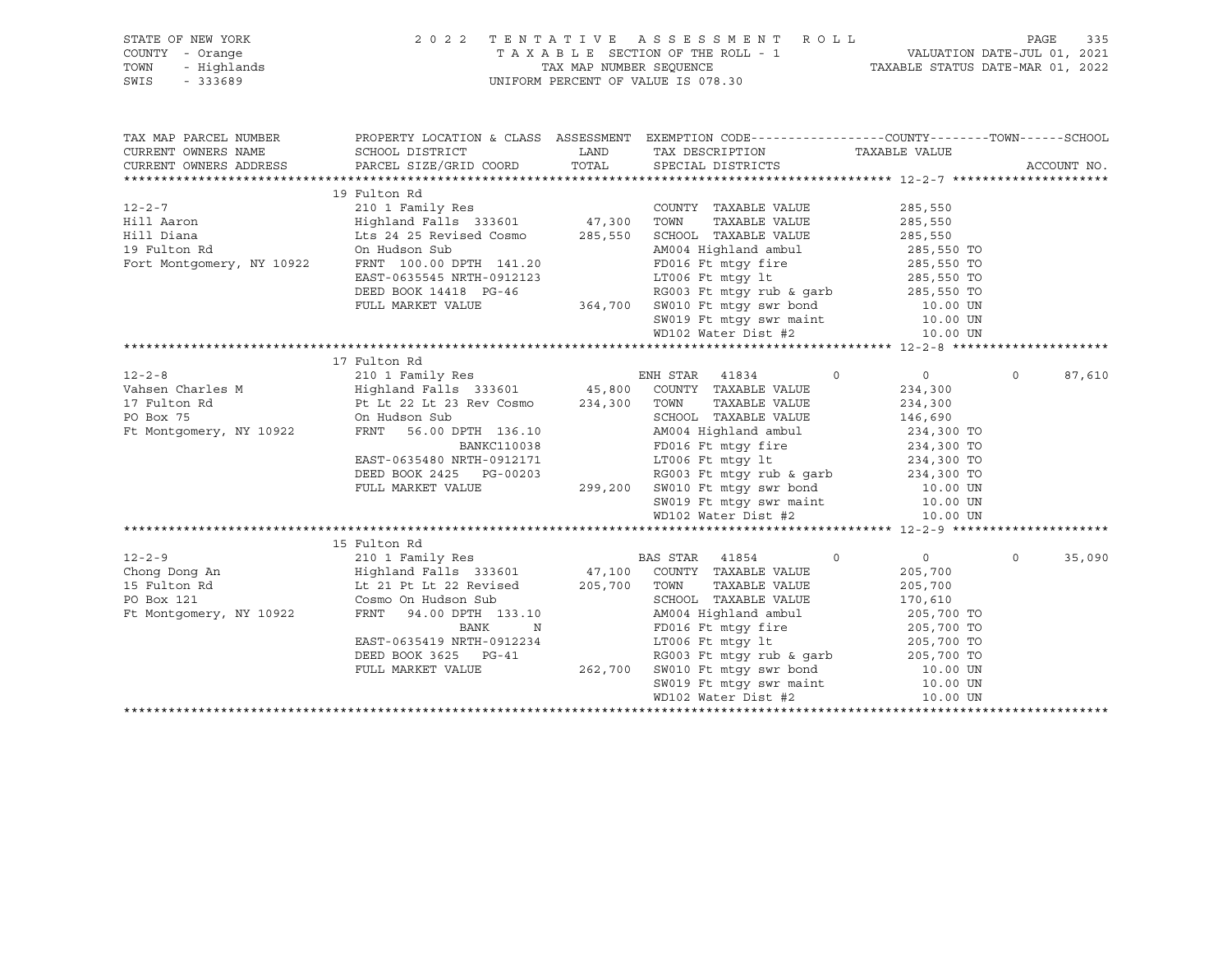| STATE OF NEW YORK<br>OF NEW YORK 2002<br>2004 - Orange 2005<br>2005 - 333689<br>2005 - 333689<br>COUNTY - Orange<br>TOWN<br>- 333689<br>SWIS |                                                                                                                                                                                                                                                                  |      | $\begin{tabular}{lllllllllllllll} \hline 2&0&2&2&\text{T} & \text{E} & \text{N} & \text{T} & \text{A} & \text{T} & \text{A} & \text{E} & \text{S} & \text{E} & \text{S} & \text{S} & \text{S} & \text{M} & \text{E} & \text{N} & \text{T} & \text{A} & \text{A} & \text{B} & \text{L} & \text{E} & \text{SECTION} & \text{O} & \text{T} & \text{A} & \text{A} & \text{B} & \text{L} & \text{E} & \text{SECTION} & \text{O} & \text{T} & \$ |         |                    |
|----------------------------------------------------------------------------------------------------------------------------------------------|------------------------------------------------------------------------------------------------------------------------------------------------------------------------------------------------------------------------------------------------------------------|------|--------------------------------------------------------------------------------------------------------------------------------------------------------------------------------------------------------------------------------------------------------------------------------------------------------------------------------------------------------------------------------------------------------------------------------------------|---------|--------------------|
| TAX MAP PARCEL NUMBER                                                                                                                        |                                                                                                                                                                                                                                                                  |      | PROPERTY LOCATION & CLASS ASSESSMENT EXEMPTION CODE---------------COUNTY-------TOWN------SCHOOL                                                                                                                                                                                                                                                                                                                                            |         |                    |
| CURRENT OWNERS NAME                                                                                                                          | SCHOOL DISTRICT                                                                                                                                                                                                                                                  | LAND | TAX DESCRIPTION TAXABLE VALUE SPECIAL DISTRICTS                                                                                                                                                                                                                                                                                                                                                                                            |         |                    |
| CURRENT OWNERS ADDRESS                                                                                                                       | PARCEL SIZE/GRID COORD TOTAL SPECIAL DISTRICTS                                                                                                                                                                                                                   |      |                                                                                                                                                                                                                                                                                                                                                                                                                                            |         | ACCOUNT NO.        |
|                                                                                                                                              | 19 Fulton Rd                                                                                                                                                                                                                                                     |      |                                                                                                                                                                                                                                                                                                                                                                                                                                            |         |                    |
|                                                                                                                                              |                                                                                                                                                                                                                                                                  |      | COUNTY TAXABLE VALUE                                                                                                                                                                                                                                                                                                                                                                                                                       | 285,550 |                    |
|                                                                                                                                              |                                                                                                                                                                                                                                                                  |      | SCHOOL TAXABLE VALUE<br>SCHOOL TAXABLE VALUE<br>AM004 Highland ambul<br>ADDOL I STEPHEN ARE                                                                                                                                                                                                                                                                                                                                                |         |                    |
|                                                                                                                                              |                                                                                                                                                                                                                                                                  |      |                                                                                                                                                                                                                                                                                                                                                                                                                                            |         |                    |
|                                                                                                                                              |                                                                                                                                                                                                                                                                  |      |                                                                                                                                                                                                                                                                                                                                                                                                                                            |         |                    |
|                                                                                                                                              |                                                                                                                                                                                                                                                                  |      |                                                                                                                                                                                                                                                                                                                                                                                                                                            |         |                    |
|                                                                                                                                              |                                                                                                                                                                                                                                                                  |      |                                                                                                                                                                                                                                                                                                                                                                                                                                            |         |                    |
|                                                                                                                                              |                                                                                                                                                                                                                                                                  |      |                                                                                                                                                                                                                                                                                                                                                                                                                                            |         |                    |
|                                                                                                                                              |                                                                                                                                                                                                                                                                  |      |                                                                                                                                                                                                                                                                                                                                                                                                                                            |         |                    |
|                                                                                                                                              |                                                                                                                                                                                                                                                                  |      | 00 Hudson Sub<br>EAST-0635545 NRTH-0912123<br>EAST-0635545 NRTH-0912123<br>DEED BOOK 14418 PG-46<br>PULL MARKET VALUE<br>TULL MARKET VALUE<br>CELED BOOK 14418 PG-46<br>TULL MARKET VALUE<br>CELED BOOK 14418 PG-46<br>CELED BOOK 14418 PG-46<br>C                                                                                                                                                                                         |         |                    |
|                                                                                                                                              |                                                                                                                                                                                                                                                                  |      |                                                                                                                                                                                                                                                                                                                                                                                                                                            |         |                    |
|                                                                                                                                              | 12-2-8<br>Vahsen Charles M<br>210 1 Family Res<br>210 1 Family Res<br>210 1 Family Res<br>210 1 Family Res<br>210 1 Family Res<br>210 1 Family Res<br>210 1 Family Res<br>210 1 Family Res<br>210 1 Family Res<br>210 1 Family Res<br>210 234, 300<br>23         |      |                                                                                                                                                                                                                                                                                                                                                                                                                                            |         |                    |
|                                                                                                                                              |                                                                                                                                                                                                                                                                  |      |                                                                                                                                                                                                                                                                                                                                                                                                                                            |         |                    |
|                                                                                                                                              |                                                                                                                                                                                                                                                                  |      |                                                                                                                                                                                                                                                                                                                                                                                                                                            |         | $\Omega$<br>87,610 |
|                                                                                                                                              |                                                                                                                                                                                                                                                                  |      |                                                                                                                                                                                                                                                                                                                                                                                                                                            |         |                    |
|                                                                                                                                              |                                                                                                                                                                                                                                                                  |      |                                                                                                                                                                                                                                                                                                                                                                                                                                            |         |                    |
|                                                                                                                                              |                                                                                                                                                                                                                                                                  |      | TOWN TAAADDE VADUD<br>SCHOOL TAXABLE VALUE 146,690<br>***^^4 Highland ambul 234,300 TO                                                                                                                                                                                                                                                                                                                                                     |         |                    |
|                                                                                                                                              |                                                                                                                                                                                                                                                                  |      |                                                                                                                                                                                                                                                                                                                                                                                                                                            |         |                    |
|                                                                                                                                              |                                                                                                                                                                                                                                                                  |      |                                                                                                                                                                                                                                                                                                                                                                                                                                            |         |                    |
|                                                                                                                                              |                                                                                                                                                                                                                                                                  |      |                                                                                                                                                                                                                                                                                                                                                                                                                                            |         |                    |
|                                                                                                                                              |                                                                                                                                                                                                                                                                  |      |                                                                                                                                                                                                                                                                                                                                                                                                                                            |         |                    |
|                                                                                                                                              |                                                                                                                                                                                                                                                                  |      |                                                                                                                                                                                                                                                                                                                                                                                                                                            |         |                    |
|                                                                                                                                              |                                                                                                                                                                                                                                                                  |      | 99,200 EXEREM MARKET VALUE<br>FRNT 56.00 DPTH 136.10<br>EAST-0635480 NRTH-0912171<br>DEED BOOK 2425 PG-00203<br>FULL MARKET VALUE<br>TULL MARKET VALUE<br>CON 299,200 SW010 Ft mtgy swr bond<br>FULL MARKET VALUE<br>CON 299,200 SW010 Ft mtgy                                                                                                                                                                                             |         |                    |
|                                                                                                                                              |                                                                                                                                                                                                                                                                  |      |                                                                                                                                                                                                                                                                                                                                                                                                                                            |         |                    |
|                                                                                                                                              | 15 Fulton Rd                                                                                                                                                                                                                                                     |      |                                                                                                                                                                                                                                                                                                                                                                                                                                            |         |                    |
|                                                                                                                                              |                                                                                                                                                                                                                                                                  |      |                                                                                                                                                                                                                                                                                                                                                                                                                                            |         | 35,090<br>$\circ$  |
|                                                                                                                                              |                                                                                                                                                                                                                                                                  |      |                                                                                                                                                                                                                                                                                                                                                                                                                                            |         |                    |
|                                                                                                                                              |                                                                                                                                                                                                                                                                  |      |                                                                                                                                                                                                                                                                                                                                                                                                                                            |         |                    |
|                                                                                                                                              |                                                                                                                                                                                                                                                                  |      |                                                                                                                                                                                                                                                                                                                                                                                                                                            |         |                    |
|                                                                                                                                              | 12-2-9<br>210 1 Family Res<br>210 1 Family Res<br>210 1 Family Res<br>210 1 Family Res<br>210 1 Family Res<br>210 1 Family Res<br>210 1 Family Res<br>210 205,700<br>205,700<br>205,700<br>205,700<br>205,700<br>205,700<br>205,700<br>205,700<br>205,700<br>205 |      |                                                                                                                                                                                                                                                                                                                                                                                                                                            |         |                    |
|                                                                                                                                              |                                                                                                                                                                                                                                                                  |      |                                                                                                                                                                                                                                                                                                                                                                                                                                            |         |                    |
|                                                                                                                                              |                                                                                                                                                                                                                                                                  |      |                                                                                                                                                                                                                                                                                                                                                                                                                                            |         |                    |
|                                                                                                                                              |                                                                                                                                                                                                                                                                  |      |                                                                                                                                                                                                                                                                                                                                                                                                                                            |         |                    |
|                                                                                                                                              |                                                                                                                                                                                                                                                                  |      |                                                                                                                                                                                                                                                                                                                                                                                                                                            |         |                    |
|                                                                                                                                              |                                                                                                                                                                                                                                                                  |      |                                                                                                                                                                                                                                                                                                                                                                                                                                            |         |                    |
|                                                                                                                                              |                                                                                                                                                                                                                                                                  |      | FRNT 94.00 DPTH 133.10<br>BANK N FD016 Ft mtgy fire 205,700 TO<br>BAST-0635419 NRTH-0912234<br>DEED BOOK 3625 PG-41<br>FULL MARKET VALUE 262,700 SW010 Ft mtgy swr bond<br>SW019 Ft mtgy swr maint 10.00 UN<br>WD102 Water Dist.#2<br>ND102                                                                                                                                                                                                |         |                    |
|                                                                                                                                              |                                                                                                                                                                                                                                                                  |      |                                                                                                                                                                                                                                                                                                                                                                                                                                            |         |                    |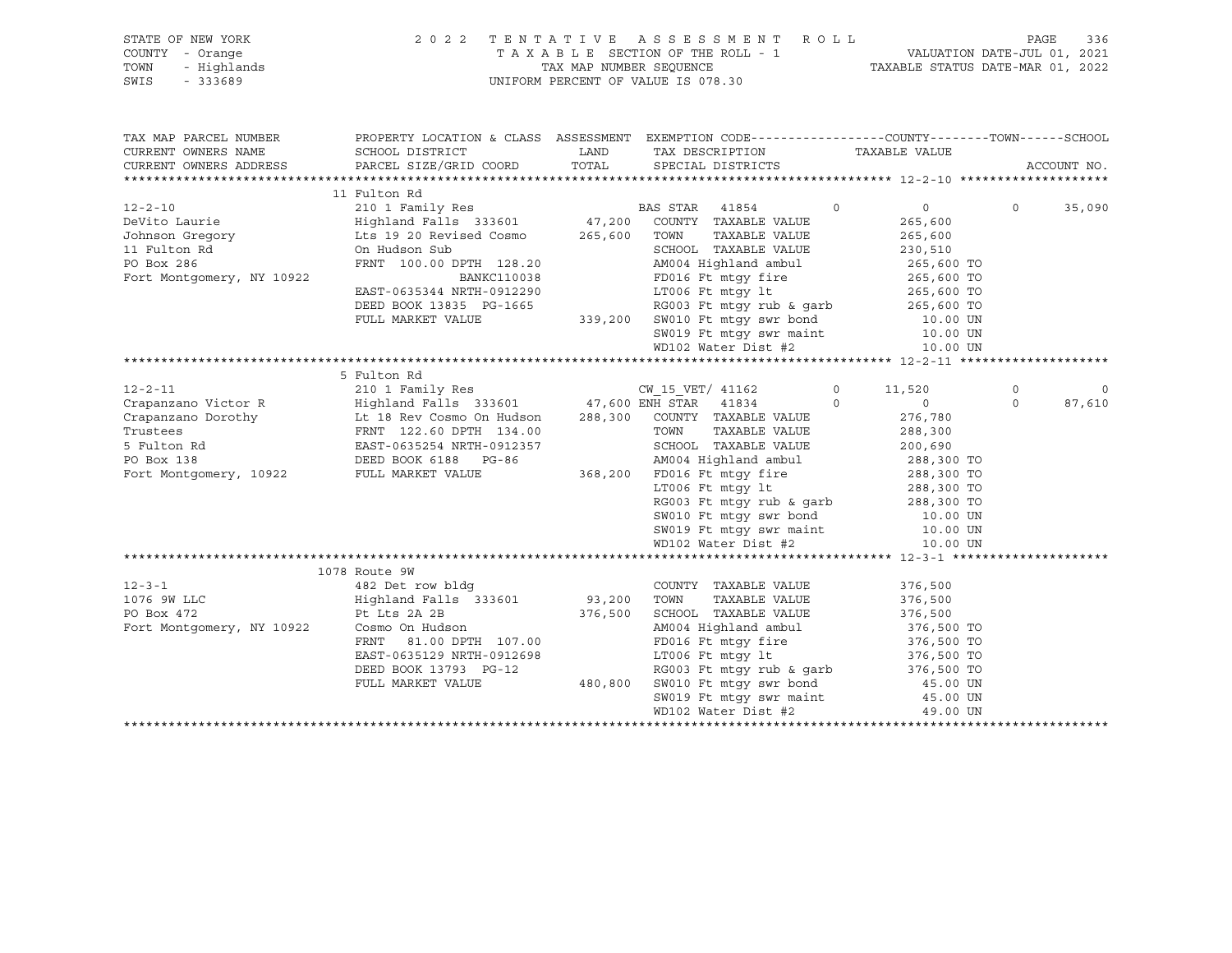|                 | STATE OF NEW YORK | 2022 TENTATIVE ASSESSMENT ROLL     | PAGE                             | 336 |
|-----------------|-------------------|------------------------------------|----------------------------------|-----|
| COUNTY - Orange |                   | TAXABLE SECTION OF THE ROLL - 1    | VALUATION DATE-JUL 01, 2021      |     |
| TOWN            | - Highlands       | TAX MAP NUMBER SEOUENCE            | TAXABLE STATUS DATE-MAR 01, 2022 |     |
| SWIS            | - 333689          | UNIFORM PERCENT OF VALUE IS 078.30 |                                  |     |
|                 |                   |                                    |                                  |     |

| TAX MAP PARCEL NUMBER<br>CURRENT OWNERS NAME<br>CURRENT OWNERS ADDRESS                                                                                                                         | SCHOOL DISTRICT<br>PARCEL SIZE/GRID COORD TOTAL SPECIAL DISTRICTS                                                                                                   |         | PROPERTY LOCATION & CLASS ASSESSMENT EXEMPTION CODE---------------COUNTY-------TOWN-----SCHOOL<br>LAND TAX DESCRIPTION                                       | TAXABLE VALUE                 |          | ACCOUNT NO. |
|------------------------------------------------------------------------------------------------------------------------------------------------------------------------------------------------|---------------------------------------------------------------------------------------------------------------------------------------------------------------------|---------|--------------------------------------------------------------------------------------------------------------------------------------------------------------|-------------------------------|----------|-------------|
|                                                                                                                                                                                                |                                                                                                                                                                     |         |                                                                                                                                                              |                               |          |             |
|                                                                                                                                                                                                | 11 Fulton Rd                                                                                                                                                        |         |                                                                                                                                                              |                               |          |             |
| $12 - 2 - 10$                                                                                                                                                                                  |                                                                                                                                                                     |         |                                                                                                                                                              | $0 \qquad \qquad$<br>$\circ$  | $\circ$  | 35,090      |
| DeVito Laurie                                                                                                                                                                                  | ${\small \begin{tabular}{lcccccc} 210 & 1 & Family Res & & & & BAS STAR & 41854 \\ Highland Falls & 333601 & & & 47,200 & COUNTY & TAXABLE VALUE \\ \end{tabular}}$ |         |                                                                                                                                                              | 265,600                       |          |             |
| Johnson Gregory                                                                                                                                                                                | Lts 19 20 Revised Cosmo 265,600 TOWN                                                                                                                                |         | TAXABLE VALUE                                                                                                                                                | 265,600                       |          |             |
| 11 Fulton Rd                                                                                                                                                                                   | On Hudson Sub                                                                                                                                                       |         | SCHOOL TAXABLE VALUE                                                                                                                                         | 230,510                       |          |             |
| PO Box 286                                                                                                                                                                                     | FRNT 100.00 DPTH 128.20                                                                                                                                             |         |                                                                                                                                                              | 265,600 TO                    |          |             |
| Fort Montgomery, NY 10922                                                                                                                                                                      | <b>BANKC110038</b>                                                                                                                                                  |         | AM004 Highland ambul<br>FD016 Ft mtgy fire                                                                                                                   | 265,600 TO                    |          |             |
|                                                                                                                                                                                                | EAST-0635344 NRTH-0912290                                                                                                                                           |         | LT006 Ft $mLy$ lt $265,600$ TO                                                                                                                               |                               |          |             |
|                                                                                                                                                                                                |                                                                                                                                                                     |         |                                                                                                                                                              |                               |          |             |
|                                                                                                                                                                                                |                                                                                                                                                                     |         | DEED BOOK 13835 PG-1665 RG003 Ft mtgy rub & garb 265,600 TO<br>FULL MARKET VALUE 339,200 SW010 Ft mtgy swr bond 10.00 UN<br>SW019 Ft mtgy swr maint 10.00 UN |                               |          |             |
|                                                                                                                                                                                                |                                                                                                                                                                     |         |                                                                                                                                                              |                               |          |             |
|                                                                                                                                                                                                |                                                                                                                                                                     |         | $WD102$ Water Dist #2 $10.00$ UN                                                                                                                             |                               |          |             |
|                                                                                                                                                                                                |                                                                                                                                                                     |         |                                                                                                                                                              |                               |          |             |
|                                                                                                                                                                                                | 5 Fulton Rd                                                                                                                                                         |         |                                                                                                                                                              |                               |          |             |
| $12 - 2 - 11$                                                                                                                                                                                  | 210 1 Family Res                                                                                                                                                    |         | CW_15_VET/ 41162 0 11,520                                                                                                                                    |                               | $\circ$  | $\mathbf 0$ |
| Crapanzano Victor R $\overline{H}$ Highland Falls 333601 47,600 ENH STAR 41834                                                                                                                 |                                                                                                                                                                     |         |                                                                                                                                                              | $\Omega$<br>$0 \qquad \qquad$ | $\Omega$ | 87,610      |
|                                                                                                                                                                                                |                                                                                                                                                                     |         |                                                                                                                                                              | 276,780                       |          |             |
|                                                                                                                                                                                                |                                                                                                                                                                     |         |                                                                                                                                                              |                               |          |             |
| Crapanzano Dorothy Lt 18 Rev Cosmo On Hudson 288,300 COUNTY TAXABLE VALUE<br>Trustees FRNT 122.60 DPTH 134.00 TOWN TAXABLE VALUE<br>5 Fulton Rd EAST-0635254 NRTH-0912357 SCHOOL TAXABLE VALUE |                                                                                                                                                                     |         | TOWN TAXABLE VALUE 288,300<br>SCHOOL TAXABLE VALUE 200,690                                                                                                   |                               |          |             |
| PO Box 138                                                                                                                                                                                     | DEED BOOK 6188 PG-86                                                                                                                                                |         | AM004 Highland ambul 288,300 TO                                                                                                                              |                               |          |             |
| Fort Montgomery, 10922 FULL MARKET VALUE                                                                                                                                                       |                                                                                                                                                                     |         | 368,200 FD016 Ft mtgy fire 288,300 TO<br>1006 Ft mtgy 1t 288,300 TO                                                                                          |                               |          |             |
|                                                                                                                                                                                                |                                                                                                                                                                     |         |                                                                                                                                                              |                               |          |             |
|                                                                                                                                                                                                |                                                                                                                                                                     |         | LT006 Ft mtgy 1t<br>RG003 Ft mtgy rub & garb<br>SW010 Ft mtgy swr bond<br>10.00 UN                                                                           |                               |          |             |
|                                                                                                                                                                                                |                                                                                                                                                                     |         |                                                                                                                                                              |                               |          |             |
|                                                                                                                                                                                                |                                                                                                                                                                     |         | SW019 Ft mtgy swr maint                                                                                                                                      | 10.00 UN                      |          |             |
|                                                                                                                                                                                                |                                                                                                                                                                     |         | WD102 Water Dist #2                                                                                                                                          | 10.00 UN                      |          |             |
|                                                                                                                                                                                                |                                                                                                                                                                     |         |                                                                                                                                                              |                               |          |             |
|                                                                                                                                                                                                | 1078 Route 9W                                                                                                                                                       |         |                                                                                                                                                              |                               |          |             |
| $12 - 3 - 1$                                                                                                                                                                                   | 482 Det row bldg                                                                                                                                                    |         | COUNTY TAXABLE VALUE                                                                                                                                         | 376,500                       |          |             |
| 1076 9W LLC                                                                                                                                                                                    | Highland Falls 333601 93,200 TOWN                                                                                                                                   |         | TAXABLE VALUE                                                                                                                                                | 376,500                       |          |             |
| PO Box 472                                                                                                                                                                                     | Pt Lts 2A 2B                                                                                                                                                        | 376,500 | SCHOOL TAXABLE VALUE                                                                                                                                         | 376,500                       |          |             |
| Fort Montgomery, NY 10922                                                                                                                                                                      | Cosmo On Hudson                                                                                                                                                     |         | AM004 Highland ambul 376,500 TO                                                                                                                              |                               |          |             |
|                                                                                                                                                                                                | FRNT 81.00 DPTH 107.00                                                                                                                                              |         |                                                                                                                                                              |                               |          |             |
|                                                                                                                                                                                                | EAST-0635129 NRTH-0912698                                                                                                                                           |         | FD016 Ft mtgy fire 376,500 TO<br>LT006 Ft mtgy lt 376,500 TO                                                                                                 |                               |          |             |
|                                                                                                                                                                                                | DEED BOOK 13793 PG-12                                                                                                                                               |         | RG003 Ft mtgy rub & garb 376,500 TO                                                                                                                          |                               |          |             |
|                                                                                                                                                                                                | FULL MARKET VALUE                                                                                                                                                   | 480,800 | SW010 Ft mtgy swr bond 45.00 UN                                                                                                                              |                               |          |             |
|                                                                                                                                                                                                |                                                                                                                                                                     |         | SW019 Ft mtgy swr maint 45.00 UN                                                                                                                             |                               |          |             |
|                                                                                                                                                                                                |                                                                                                                                                                     |         | WD102 Water Dist #2                                                                                                                                          | 49.00 UN                      |          |             |
|                                                                                                                                                                                                |                                                                                                                                                                     |         |                                                                                                                                                              |                               |          |             |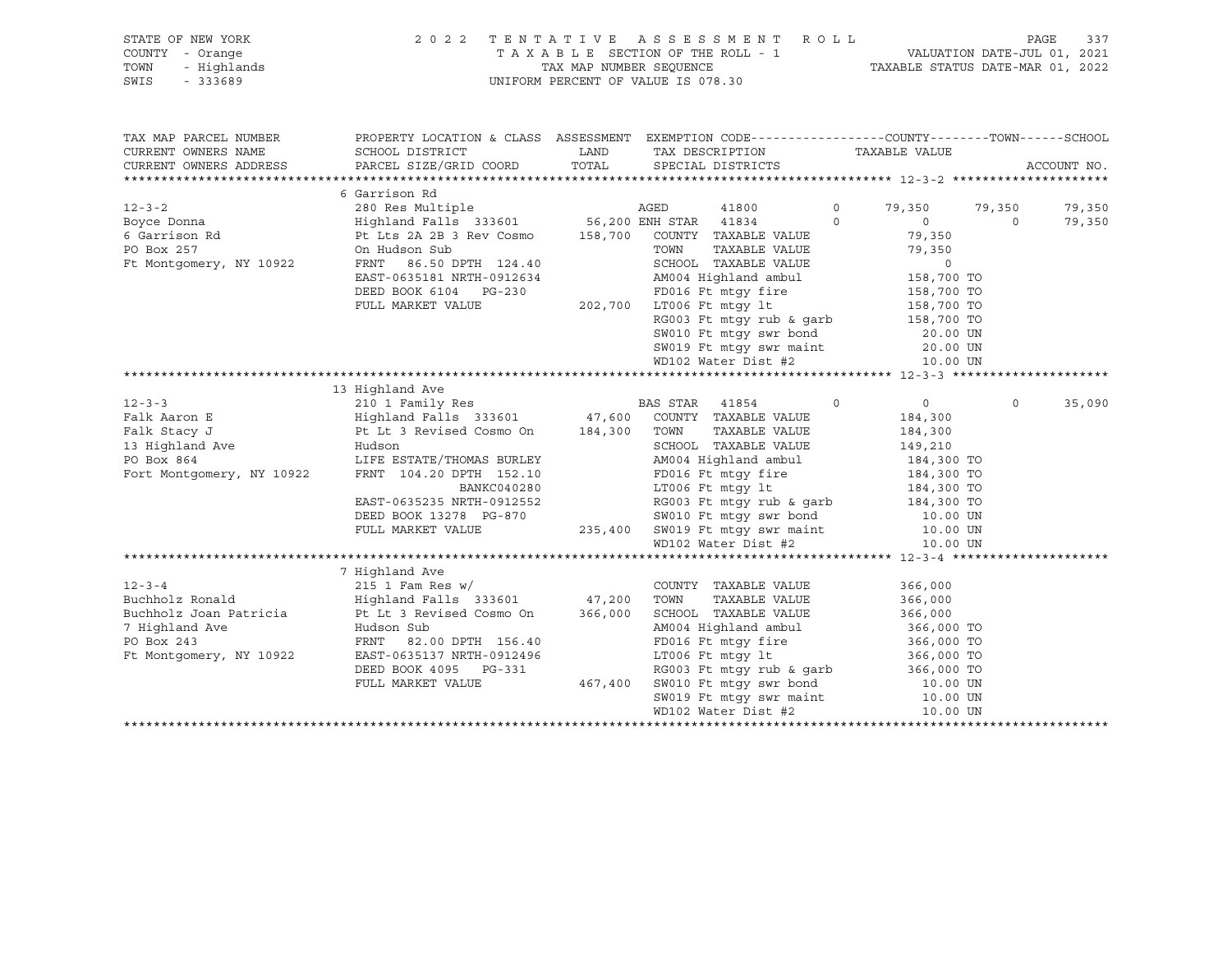|      | STATE OF NEW YORK | 2022 TENTATIVE ASSESSMENT ROLL     |                                  | PAGE 337 |  |
|------|-------------------|------------------------------------|----------------------------------|----------|--|
|      | COUNTY - Orange   | TAXABLE SECTION OF THE ROLL - 1    | VALUATION DATE-JUL 01, 2021      |          |  |
|      | TOWN - Highlands  | TAX MAP NUMBER SEOUENCE            | TAXABLE STATUS DATE-MAR 01, 2022 |          |  |
| SWIS | - 333689          | UNIFORM PERCENT OF VALUE IS 078.30 |                                  |          |  |
|      |                   |                                    |                                  |          |  |

| TAX MAP PARCEL NUMBER         | PROPERTY LOCATION & CLASS ASSESSMENT EXEMPTION CODE---------------COUNTY-------TOWN-----SCHOOL                                                                                                                                           |                                                                                                                                                                                                                                                      |         |                  |         |             |
|-------------------------------|------------------------------------------------------------------------------------------------------------------------------------------------------------------------------------------------------------------------------------------|------------------------------------------------------------------------------------------------------------------------------------------------------------------------------------------------------------------------------------------------------|---------|------------------|---------|-------------|
| CURRENT OWNERS NAME           | SCHOOL DISTRICT $\hfill\textsc{LAND}$ TAX DESCRIPTION $\hfill\textsc{TAXABLE}$ VALUE                                                                                                                                                     |                                                                                                                                                                                                                                                      |         |                  |         |             |
| CURRENT OWNERS ADDRESS        | PARCEL SIZE/GRID COORD TOTAL SPECIAL DISTRICTS                                                                                                                                                                                           |                                                                                                                                                                                                                                                      |         |                  |         | ACCOUNT NO. |
|                               |                                                                                                                                                                                                                                          |                                                                                                                                                                                                                                                      |         |                  |         |             |
|                               | 6 Garrison Rd                                                                                                                                                                                                                            |                                                                                                                                                                                                                                                      |         |                  |         |             |
| $12 - 3 - 2$                  | 280 Res Multiple                                                                                                                                                                                                                         | AGED<br>41800                                                                                                                                                                                                                                        | $\circ$ | 79,350 79,350    |         | 79,350      |
|                               | Boyce Donna                 Highland Falls 333601         56,200 ENH STAR 41834       0                                                                                                                                                  |                                                                                                                                                                                                                                                      |         | $\overline{0}$ 0 |         | 79,350      |
| 6 Garrison Rd<br>-- -- -- 257 | Pt Lts 2A 2B 3 Rev Cosmo 158,700 COUNTY TAXABLE VALUE                                                                                                                                                                                    |                                                                                                                                                                                                                                                      |         | 79,350           |         |             |
|                               | On Hudson Sub<br>On Hudson Sub<br>FRNT 86.50 DPTH 124.40                                                                                                                                                                                 | TOWN TAXABLE VALUE<br>TOWN TAXABLE VALUE<br>SCHOOL TAXABLE VALUE<br>AM004 Highland ambul<br>AM004 Highland ambul<br>TD016 Ft mtgy fire<br>IS8,700 TO<br>LT006 Ft mtgy 1t<br>RG003 Ft mtgy rub & garb<br>TLS8,700 TO<br>RG003 Ft mtgy rub & garb<br>T |         |                  |         |             |
| Ft Montgomery, NY 10922       |                                                                                                                                                                                                                                          |                                                                                                                                                                                                                                                      |         |                  |         |             |
|                               | EAST-0635181 NRTH-0912634                                                                                                                                                                                                                |                                                                                                                                                                                                                                                      |         |                  |         |             |
|                               | DEED BOOK 6104 PG-230 FD016 Ft mtgy fire<br>FULL MARKET VALUE 202,700 LT006 Ft mtgy lt                                                                                                                                                   |                                                                                                                                                                                                                                                      |         |                  |         |             |
|                               |                                                                                                                                                                                                                                          |                                                                                                                                                                                                                                                      |         |                  |         |             |
|                               |                                                                                                                                                                                                                                          |                                                                                                                                                                                                                                                      |         |                  |         |             |
|                               |                                                                                                                                                                                                                                          | SW010 Ft mtgy swr bond 20.00 UN                                                                                                                                                                                                                      |         |                  |         |             |
|                               |                                                                                                                                                                                                                                          |                                                                                                                                                                                                                                                      |         |                  |         |             |
|                               |                                                                                                                                                                                                                                          | SW019 Ft mtgy swr maint 20.00 UN WD102 Water Dist #2 10.00 UN                                                                                                                                                                                        |         |                  |         |             |
|                               |                                                                                                                                                                                                                                          |                                                                                                                                                                                                                                                      |         |                  |         |             |
|                               | 13 Highland Ave                                                                                                                                                                                                                          |                                                                                                                                                                                                                                                      |         |                  |         |             |
| $12 - 3 - 3$                  |                                                                                                                                                                                                                                          |                                                                                                                                                                                                                                                      | $\circ$ | $\overline{0}$   | $\circ$ | 35,090      |
| Falk Aaron E                  |                                                                                                                                                                                                                                          |                                                                                                                                                                                                                                                      |         | 184,300          |         |             |
| Falk Stacy J                  |                                                                                                                                                                                                                                          | TAXABLE VALUE 184,300                                                                                                                                                                                                                                |         |                  |         |             |
|                               |                                                                                                                                                                                                                                          | SCHOOL TAXABLE VALUE 149,210                                                                                                                                                                                                                         |         |                  |         |             |
|                               | LIFE ESTATE/THOMAS BURLEY<br>FRNT 104.20 DPTH 152.10                                                                                                                                                                                     |                                                                                                                                                                                                                                                      |         |                  |         |             |
|                               |                                                                                                                                                                                                                                          |                                                                                                                                                                                                                                                      |         |                  |         |             |
|                               |                                                                                                                                                                                                                                          |                                                                                                                                                                                                                                                      |         |                  |         |             |
|                               |                                                                                                                                                                                                                                          |                                                                                                                                                                                                                                                      |         |                  |         |             |
|                               |                                                                                                                                                                                                                                          |                                                                                                                                                                                                                                                      |         |                  |         |             |
|                               |                                                                                                                                                                                                                                          |                                                                                                                                                                                                                                                      |         |                  |         |             |
|                               | EAST-0635235 NRTH-0912552<br>DEED BOOK 13278 PG-870<br>PULL MARKET VALUE 235,400 SW019 Ft mtgy swr hond 10.00 UN<br>FULL MARKET VALUE 235,400 SW019 Ft mtgy swr maint 10.00 UN<br>HD102 Water Dist #2<br>10.00 UN<br>HD102 Water Dist #2 |                                                                                                                                                                                                                                                      |         |                  |         |             |
|                               |                                                                                                                                                                                                                                          |                                                                                                                                                                                                                                                      |         |                  |         |             |
|                               | 7 Highland Ave                                                                                                                                                                                                                           |                                                                                                                                                                                                                                                      |         |                  |         |             |
| $12 - 3 - 4$                  | $215$ 1 Fam Res w/                                                                                                                                                                                                                       | COUNTY TAXABLE VALUE                                                                                                                                                                                                                                 |         | 366,000          |         |             |
|                               |                                                                                                                                                                                                                                          | TAXABLE VALUE                                                                                                                                                                                                                                        |         | 366,000          |         |             |
|                               | Buchholz Joan Patricia Pt Lt 3 Revised Cosmo On 366,000                                                                                                                                                                                  | SCHOOL TAXABLE VALUE 366,000                                                                                                                                                                                                                         |         |                  |         |             |
| 7 Highland Ave                |                                                                                                                                                                                                                                          | AM004 Highland ambul 366,000 TO<br>FD016 Ft mtgy fire 366,000 TO                                                                                                                                                                                     |         |                  |         |             |
| PO Box 243                    | Hudson Sub<br>FRNT 82.0<br>FRNT 82.00 DPTH 156.40                                                                                                                                                                                        |                                                                                                                                                                                                                                                      |         |                  |         |             |
| Ft Montgomery, NY 10922       | EAST-0635137 NRTH-0912496                                                                                                                                                                                                                | $LT006$ Ft mtgy lt                                                                                                                                                                                                                                   |         | 366,000 TO       |         |             |
|                               |                                                                                                                                                                                                                                          |                                                                                                                                                                                                                                                      |         |                  |         |             |
|                               |                                                                                                                                                                                                                                          |                                                                                                                                                                                                                                                      |         |                  |         |             |
|                               |                                                                                                                                                                                                                                          |                                                                                                                                                                                                                                                      |         |                  |         |             |
|                               |                                                                                                                                                                                                                                          |                                                                                                                                                                                                                                                      |         |                  |         |             |
|                               |                                                                                                                                                                                                                                          |                                                                                                                                                                                                                                                      |         |                  |         |             |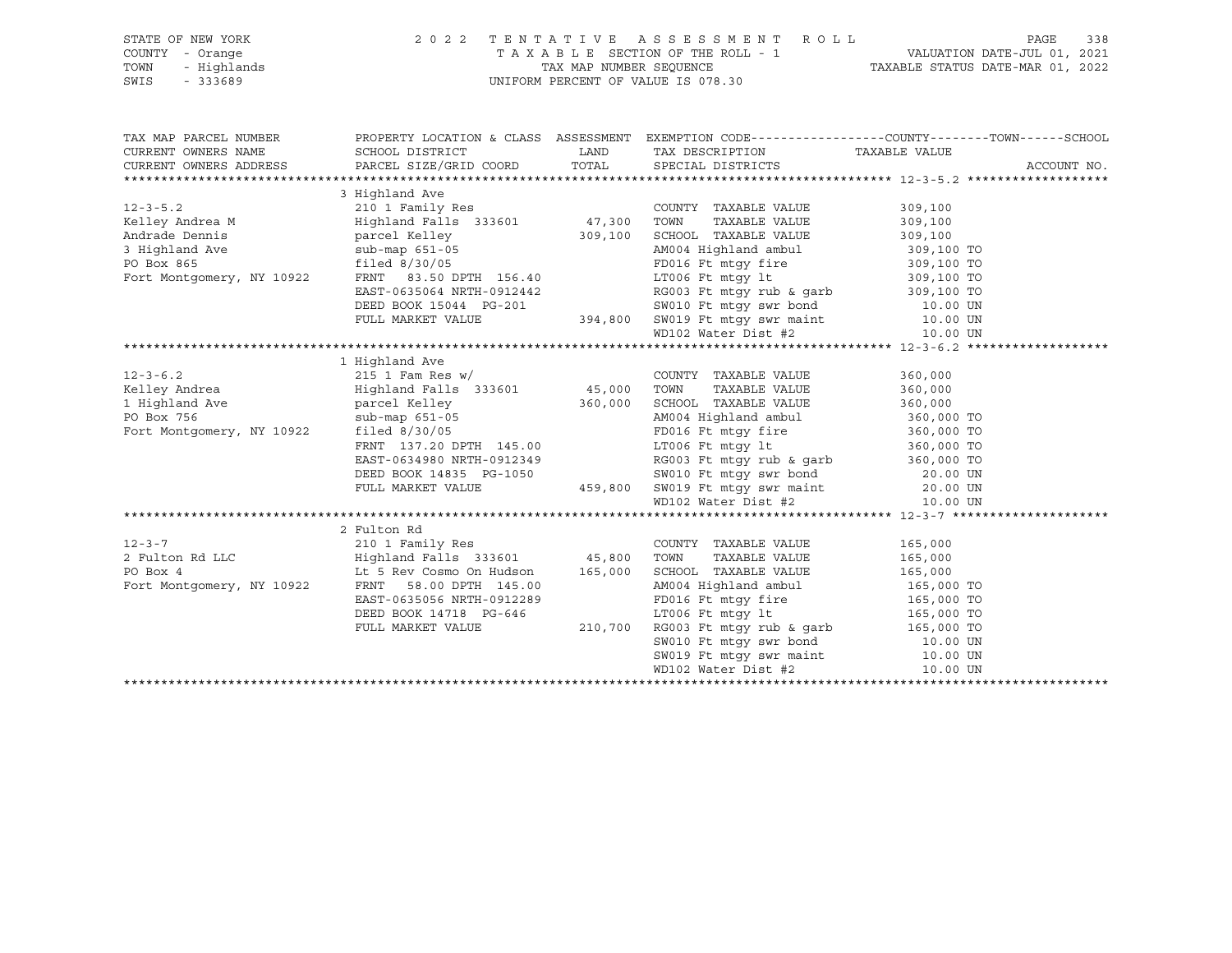| STATE OF NEW YORK<br>COUNTY<br>- Orange<br>- Highlands<br>TOWN<br>SWIS<br>$-333689$ |                                                                              | TAX MAP NUMBER SEOUENCE | 2022 TENTATIVE ASSESSMENT ROLL<br>TAXABLE SECTION OF THE ROLL - 1<br>UNIFORM PERCENT OF VALUE IS 078.30 | 338<br>PAGE<br>VALUATION DATE-JUL 01, 2021<br>TAXABLE STATUS DATE-MAR 01, 2022               |
|-------------------------------------------------------------------------------------|------------------------------------------------------------------------------|-------------------------|---------------------------------------------------------------------------------------------------------|----------------------------------------------------------------------------------------------|
| TAX MAP PARCEL NUMBER<br>CURRENT OWNERS NAME<br>CURRENT OWNERS ADDRESS              | PROPERTY LOCATION & CLASS<br>SCHOOL DISTRICT<br>PARCEL SIZE/GRID COORD TOTAL | ASSESSMENT<br>LAND      | TAX DESCRIPTION<br>SPECIAL DISTRICTS                                                                    | EXEMPTION CODE-----------------COUNTY-------TOWN------SCHOOL<br>TAXABLE VALUE<br>ACCOUNT NO. |
|                                                                                     |                                                                              |                         |                                                                                                         |                                                                                              |
|                                                                                     | 3 Highland Ave                                                               |                         |                                                                                                         |                                                                                              |
| $12 - 3 - 5.2$                                                                      | 210 1 Family Res                                                             |                         | TAXABLE VALUE<br>COUNTY                                                                                 | 309,100                                                                                      |
| Kelley Andrea M                                                                     | Highland Falls 333601                                                        | 47,300                  | TOWN<br>TAXABLE VALUE                                                                                   | 309,100                                                                                      |
| Andrade Dennis                                                                      | parcel Kelley                                                                | 309,100                 | SCHOOL TAXABLE VALUE                                                                                    | 309,100                                                                                      |
| 3 Highland Ave                                                                      | $sub-map 651-05$                                                             |                         | AM004 Highland ambul                                                                                    | 309,100 TO                                                                                   |
| PO Box 865                                                                          | filed $8/30/05$                                                              |                         | FD016 Ft mtqy fire                                                                                      | 309,100 TO                                                                                   |

Fort Montgomery, NY 10922 FRNT 83.50 DPTH 156.40 LT006 Ft mtgy lt 309,100 TO

RG003 Ft mtgy rub & garb 309,100 TO<br>SW010 Ft mtgy swr bond 10.00 UN

PO Box 865 **filed 8/30/05** FD016 Ft mtgy fire 309,100 TO Box 865 **filed 8/30/05** FD016 Ft mtgy fire 309,100 TO FOR FORE RNT 83.50 DPTH 156.40 **FORE EXAMPLE 1000 FT FORE 156.40** FORE RNT 83.50 DPTH 156.40

|                           |                                                                         |         | DEED BOOK 15044 PG-201 SW010 Ft mtgy swr bond 10.00 UN<br>FULL MARKET VALUE 394,800 SW019 Ft mtgy swr maint 10.00 UN |            |  |
|---------------------------|-------------------------------------------------------------------------|---------|----------------------------------------------------------------------------------------------------------------------|------------|--|
|                           |                                                                         |         | $WD102$ Water Dist #2 $10.00$ UN                                                                                     |            |  |
|                           |                                                                         |         |                                                                                                                      |            |  |
|                           | 1 Highland Ave                                                          |         |                                                                                                                      |            |  |
| $12 - 3 - 6.2$            | $215$ 1 Fam Res w/                                                      |         | COUNTY TAXABLE VALUE                                                                                                 | 360,000    |  |
| Kelley Andrea             | Highland Falls 333601 45,000                                            |         | TOWN<br>TAXABLE VALUE                                                                                                | 360,000    |  |
| 1 Highland Ave            | parcel Kelley                                                           | 360,000 | SCHOOL TAXABLE VALUE                                                                                                 | 360,000    |  |
| PO Box 756                | sub-map 651-05                                                          |         | AM004 Highland ambul 360,000 TO                                                                                      |            |  |
| Fort Montgomery, NY 10922 | filed $8/30/05$                                                         |         | FD016 Ft mtqy fire                                                                                                   | 360,000 TO |  |
|                           | FRNT 137.20 DPTH 145.00                                                 |         | LT006 Ft mtgy lt                                                                                                     | 360,000 TO |  |
|                           | EAST-0634980 NRTH-0912349                                               |         | RG003 Ft mtgy rub & garb                                                                                             | 360,000 TO |  |
|                           |                                                                         |         | SW010 Ft mtqy swr bond 20.00 UN                                                                                      |            |  |
|                           | FULL MARKET VALUE                                                       |         | 459,800 SW019 Ft mtgy swr maint 20.00 UN                                                                             |            |  |
|                           |                                                                         |         | WD102 Water Dist #2 10.00 UN                                                                                         |            |  |
|                           |                                                                         |         |                                                                                                                      |            |  |
|                           | 2 Fulton Rd                                                             |         |                                                                                                                      |            |  |
| $12 - 3 - 7$              | 210 1 Family Res                                                        |         | COUNTY TAXABLE VALUE                                                                                                 | 165,000    |  |
|                           | 2 Fulton Rd LLC               Highland Falls 333601         45,800 TOWN |         | TAXABLE VALUE                                                                                                        | 165,000    |  |
| PO Box 4                  | Lt 5 Rev Cosmo On Hudson 165,000                                        |         | SCHOOL TAXABLE VALUE                                                                                                 | 165,000    |  |
| Fort Montgomery, NY 10922 | FRNT 58.00 DPTH 145.00                                                  |         | AM004 Highland ambul 165,000 TO                                                                                      |            |  |
|                           | EAST-0635056 NRTH-0912289                                               |         | FD016 Ft mtqy fire 165,000 TO                                                                                        |            |  |
|                           | DEED BOOK 14718 PG-646                                                  |         | LT006 Ft mtqy 1t 165,000 TO                                                                                          |            |  |
|                           | FULL MARKET VALUE                                                       | 210,700 | RG003 Ft mtgy rub & garb 165,000 TO                                                                                  |            |  |
|                           |                                                                         |         | SW010 Ft mtqy swr bond 10.00 UN                                                                                      |            |  |
|                           |                                                                         |         | SW019 Ft mtqy swr maint 10.00 UN                                                                                     |            |  |
|                           |                                                                         |         | WD102 Water Dist #2 10.00 UN                                                                                         |            |  |
|                           |                                                                         |         |                                                                                                                      |            |  |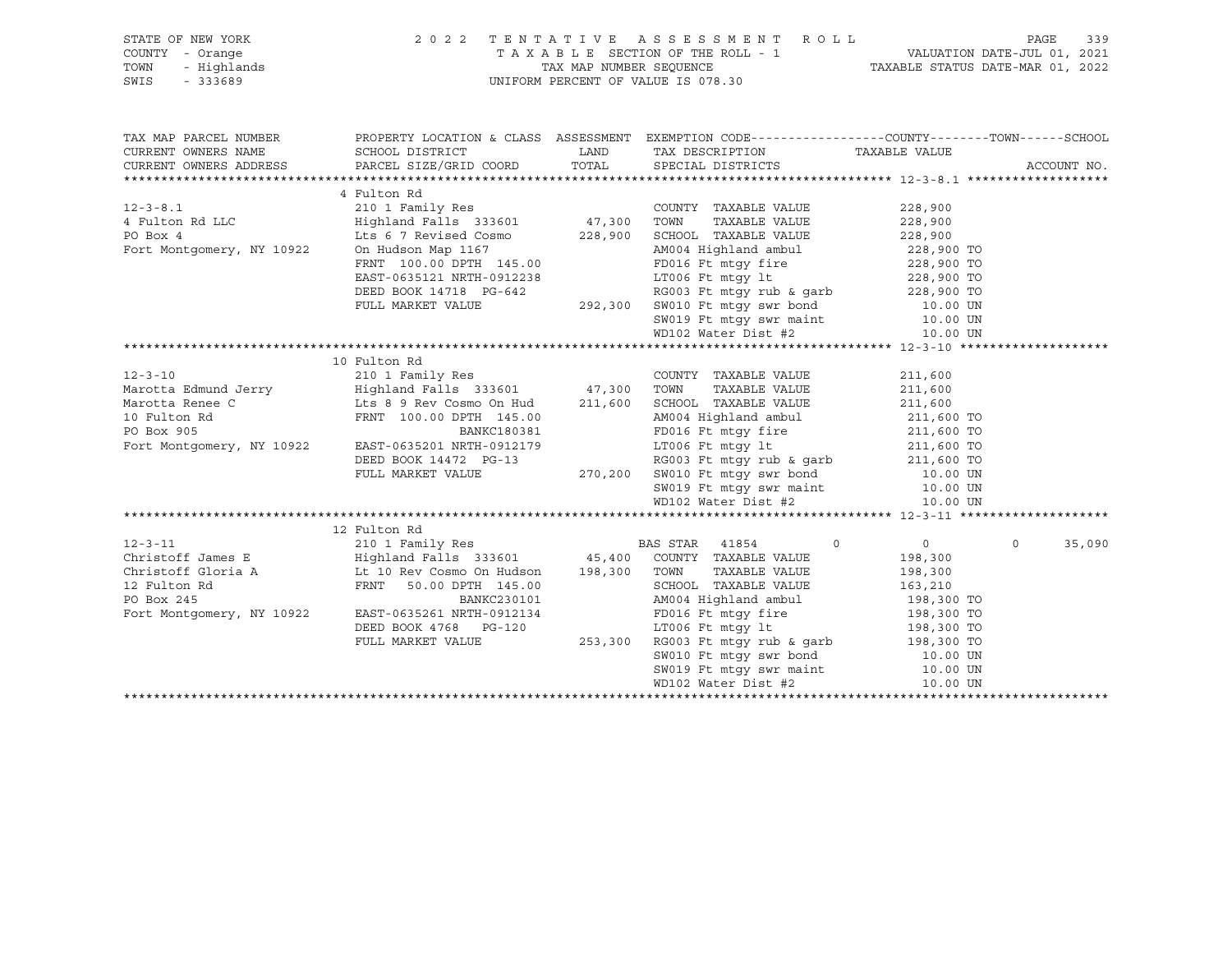| STATE OF NEW YORK<br>OF NEW YORK 2002<br>- Orange - Highlands<br>- 333689<br>COUNTY - Orange<br>TOWN<br>SWIS<br>$-333689$ | 2 0 2 2                                                                                                                                                                                                                                                                                                                                                                                                                                                             | TENTATIVE ASSESSMENT ROLL PAGE 339<br>TAXABLE SECTION OF THE ROLL - 1 VALUATION DATE-JUL 01, 2021<br>TAXABLE STATUS DATE-MAR 01, 2022<br>UNIFORM PERCENT OF VALUE IS 078.30 |                    |
|---------------------------------------------------------------------------------------------------------------------------|---------------------------------------------------------------------------------------------------------------------------------------------------------------------------------------------------------------------------------------------------------------------------------------------------------------------------------------------------------------------------------------------------------------------------------------------------------------------|-----------------------------------------------------------------------------------------------------------------------------------------------------------------------------|--------------------|
|                                                                                                                           | TAX MAP PARCEL NUMBER BOOPERTY LOCATION & CLASS ASSESSMENT EXEMPTION CODE----------------COUNTY--------TOWN------SCHOOL CURRENT OWNERS NAME SCHOOL DISTRICT LAND TAX DESCRIPTION TAXABLE VALUE CURRENT OWNERS ADDRESS PARCEL S                                                                                                                                                                                                                                      |                                                                                                                                                                             |                    |
|                                                                                                                           | $\begin{tabular}{l c c c c c} \multicolumn{1}{c}{\text{\small{47,300} }} \multicolumn{1}{c}{\begin{tabular}{l@{}}\begin{tabular}{l@{}}\begin{tabular}{l@{}}\begin{tabular}{l@{}}\begin{tabular}{l@{}}\begin{tabular}{l@{}}\begin{tabular}{l@{}}\begin{tabular}{l@{}}\begin{tabular}{l@{}}\begin{tabular}{l@{}}\begin{tabular}{l@{}}\begin{tabular}{l@{}}\begin{tabular}{l@{}}\begin{tabular}{l@{}}\begin{tabular}{l@{}}\begin{tabular}{l@{}}\begin{tabular}{l@{}}\$ |                                                                                                                                                                             |                    |
| $12 - 3 - 10$                                                                                                             | 10 Fulton Rd<br>210 1 Family Res<br>Marotta Edmund Jerry Highland Falls 333601 47,300<br>Marotta Renee C Lts 8 9 Rev Cosmo On Hud 211,600<br>10 Fulton Rd FRNT 100.00 DPTH 145.00<br>PO Box 905<br>Marocca Renee C<br>10 FRNT 100.00 DPTH 145.00<br>PO Box 905<br>PO Box 905<br>PO Box 905<br>PO Box 905<br>PO Box 905<br>PO Box 905<br>PO Box 905<br>PO Box 905<br>PO Box 905<br>PO Box 905<br>POI6 Ft mtgy fire<br>EAST-0635201 NRTH-0912179<br>DEED BOOK 1       | COUNTY TAXABLE VALUE 211,600<br>TOWN TAXABLE VALUE 211,600<br>SCHOOL TAXABLE VALUE 211,600<br>SCHOOL TAXABLE VALUE                                                          |                    |
|                                                                                                                           |                                                                                                                                                                                                                                                                                                                                                                                                                                                                     |                                                                                                                                                                             | 35,090<br>$\Omega$ |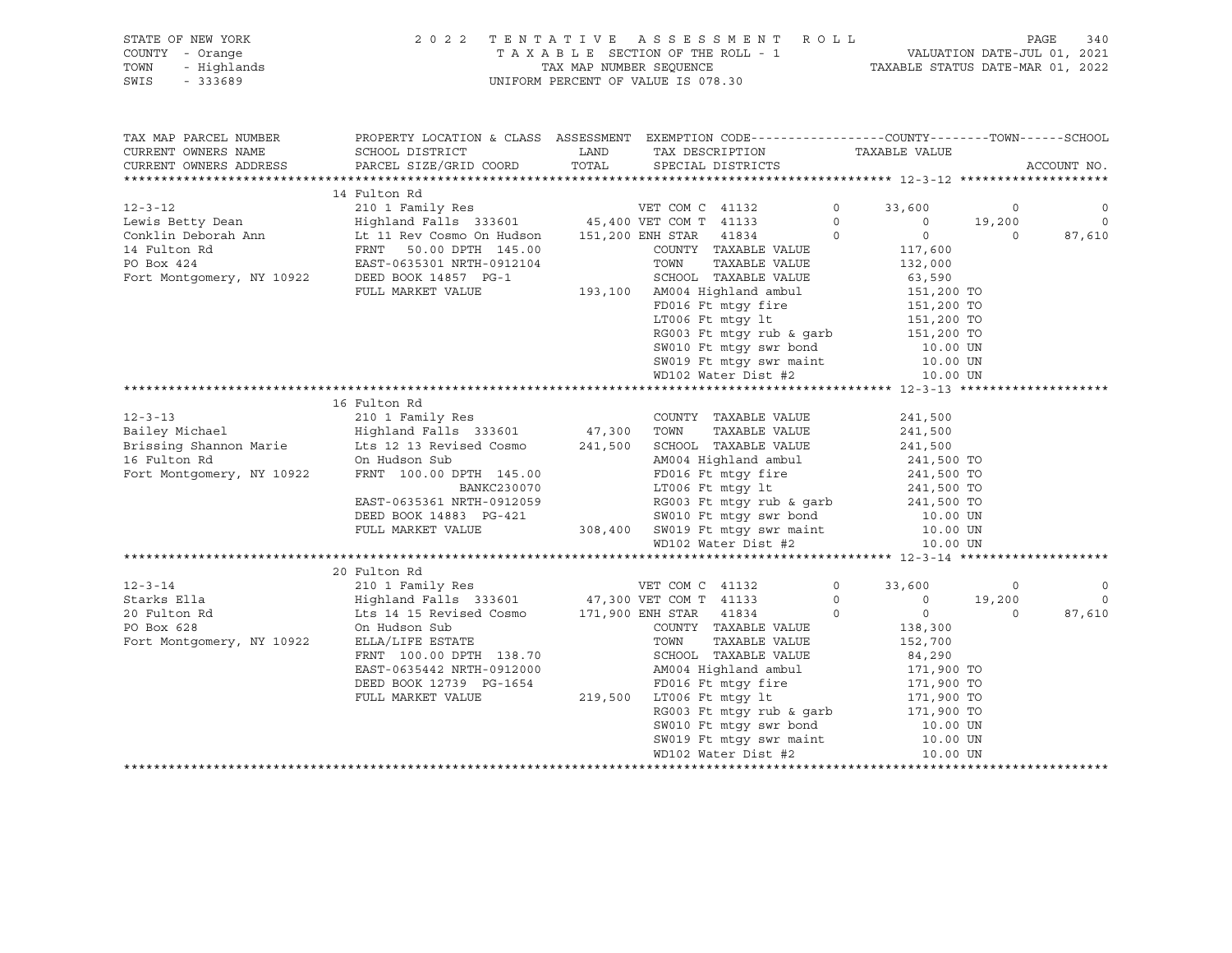STATE OF NEW YORK 2 0 2 2 T E N T A T I V E A S S E S S M E N T R O L L PAGE 340 SWIS - 333689 UNIFORM PERCENT OF VALUE IS 078.30

# COUNTY - Orange T A X A B L E SECTION OF THE ROLL - 1 VALUATION DATE-JUL 01, 2021 TOWN - Highlands TAX MAP NUMBER SEQUENCE TAXABLE STATUS DATE-MAR 01, 2022

| TAX MAP PARCEL NUMBER               | PROPERTY LOCATION & CLASS ASSESSMENT EXEMPTION CODE----------------COUNTY-------TOWN------SCHOOL                                                                                                                                                                                                                                                     |                                                                                                                                                                     |                    |                |
|-------------------------------------|------------------------------------------------------------------------------------------------------------------------------------------------------------------------------------------------------------------------------------------------------------------------------------------------------------------------------------------------------|---------------------------------------------------------------------------------------------------------------------------------------------------------------------|--------------------|----------------|
| CURRENT OWNERS NAME SCHOOL DISTRICT |                                                                                                                                                                                                                                                                                                                                                      | LAND TAX DESCRIPTION TAXABLE VALUE                                                                                                                                  |                    |                |
| CURRENT OWNERS ADDRESS              | PARCEL SIZE/GRID COORD TOTAL SPECIAL DISTRICTS                                                                                                                                                                                                                                                                                                       |                                                                                                                                                                     |                    | ACCOUNT NO.    |
|                                     |                                                                                                                                                                                                                                                                                                                                                      |                                                                                                                                                                     |                    |                |
|                                     | 14 Fulton Rd                                                                                                                                                                                                                                                                                                                                         |                                                                                                                                                                     |                    |                |
|                                     |                                                                                                                                                                                                                                                                                                                                                      |                                                                                                                                                                     |                    |                |
|                                     | $\begin{tabular}{lllllllllllllllllll} \multicolumn{3}{c}{12-3-12} & & & 14 \text{ Fulton Rd} & & & 210 & 1 \text{ Faulton Rd} & & & & 210 & 1 \text{ Faulton Rd} & & & & 210 & 1 \text{ FaulM} & & & 210 & 1 \text{ FaulM} & & & 210 & 1 \text{ FaulM} & & & 210 & 19,200 & 19,200 & 19,200 & 19,200 & 19,200 & 19,200 & 19,200 & 19,200 & 19,200 &$ |                                                                                                                                                                     |                    |                |
|                                     |                                                                                                                                                                                                                                                                                                                                                      |                                                                                                                                                                     |                    |                |
|                                     |                                                                                                                                                                                                                                                                                                                                                      |                                                                                                                                                                     |                    |                |
|                                     |                                                                                                                                                                                                                                                                                                                                                      |                                                                                                                                                                     |                    |                |
|                                     |                                                                                                                                                                                                                                                                                                                                                      |                                                                                                                                                                     |                    |                |
|                                     | FULL MARKET VALUE                                                                                                                                                                                                                                                                                                                                    | SCHOOL TAXABLE VALUE<br>193,100 AM004 Highland ambul 151,200 TO<br>FD016 Ft mtgy fire 151,200 TO<br>151,200 TO<br>151,200 TO<br>RG003 Ft mtgy rub & garb 151,200 TO |                    |                |
|                                     |                                                                                                                                                                                                                                                                                                                                                      |                                                                                                                                                                     |                    |                |
|                                     |                                                                                                                                                                                                                                                                                                                                                      |                                                                                                                                                                     |                    |                |
|                                     |                                                                                                                                                                                                                                                                                                                                                      |                                                                                                                                                                     |                    |                |
|                                     |                                                                                                                                                                                                                                                                                                                                                      | SW010 Ft mtgy swr bond 10.00 UN<br>SW019 Ft mtgy swr maint 10.00 UN<br>WD102 Water Dist #2 10.00 UN                                                                 |                    |                |
|                                     |                                                                                                                                                                                                                                                                                                                                                      |                                                                                                                                                                     |                    |                |
|                                     |                                                                                                                                                                                                                                                                                                                                                      |                                                                                                                                                                     |                    |                |
|                                     |                                                                                                                                                                                                                                                                                                                                                      |                                                                                                                                                                     |                    |                |
|                                     | 16 Fulton Rd                                                                                                                                                                                                                                                                                                                                         |                                                                                                                                                                     |                    |                |
|                                     |                                                                                                                                                                                                                                                                                                                                                      |                                                                                                                                                                     | 241,500            |                |
|                                     |                                                                                                                                                                                                                                                                                                                                                      |                                                                                                                                                                     |                    |                |
|                                     | 12-3-13 210 1 Family Res COUNTY TAXABLE VALUE<br>Bailey Michael Highland Falls 333601 47,300 TOWN TAXABLE VALUE<br>Brissing Shannon Marie Lts 12 13 Revised Cosmo 241,500 SCHOOL TAXABLE VALUE<br>16 Fulton Rd 0n Hudson Sub<br>Fort M                                                                                                               |                                                                                                                                                                     | 241,500<br>241,500 |                |
|                                     |                                                                                                                                                                                                                                                                                                                                                      |                                                                                                                                                                     |                    |                |
|                                     | 00 Hudson Sub<br>PRNT 100.00 DPTH 145.00<br>EAST-0635361 NRTH-0912059<br>DEED BOOK 14883 PG-421<br>FULL MARKET VALUE<br>FULL MARKET VALUE<br>PROPERED BOOK 14883 PG-421<br>PROPERED BOOK 14883 PG-421<br>PROPERED BOOK 14883 PG-421<br>BOOK 1488                                                                                                     | AM004 Highland ambul<br>FD016 Ft mtgy fire<br>LT006 Ft mtgy lt<br>241,500 TO<br>241,500 TO                                                                          |                    |                |
|                                     |                                                                                                                                                                                                                                                                                                                                                      |                                                                                                                                                                     |                    |                |
|                                     |                                                                                                                                                                                                                                                                                                                                                      |                                                                                                                                                                     |                    |                |
|                                     |                                                                                                                                                                                                                                                                                                                                                      |                                                                                                                                                                     |                    |                |
|                                     |                                                                                                                                                                                                                                                                                                                                                      |                                                                                                                                                                     |                    |                |
|                                     |                                                                                                                                                                                                                                                                                                                                                      | WD102 Water Dist #2                                                                                                                                                 | 10.00 UN           |                |
|                                     |                                                                                                                                                                                                                                                                                                                                                      |                                                                                                                                                                     |                    |                |
|                                     | 20 Fulton Rd<br>20 Fulton Rd<br>210 1 Family Res<br>Highland Falls 333601 47,300 VET COM T 41132 0 33,600 0<br>19,200 0 19,200 Lts 14 15 Revised Cosmo 171,900 ENH STAR 41834 0 0 0<br>20 On Hudson Sub<br>COUNTY TAXABLE VALUE 138,300 0 0 0<br>ELLA/LIFE                                                                                           |                                                                                                                                                                     |                    |                |
| $12 - 3 - 14$                       |                                                                                                                                                                                                                                                                                                                                                      |                                                                                                                                                                     |                    | $\overline{0}$ |
| Starks Ella                         |                                                                                                                                                                                                                                                                                                                                                      |                                                                                                                                                                     |                    | $\overline{0}$ |
| 20 Fulton Rd                        |                                                                                                                                                                                                                                                                                                                                                      |                                                                                                                                                                     |                    | 87,610         |
| PO Box 628                          |                                                                                                                                                                                                                                                                                                                                                      |                                                                                                                                                                     |                    |                |
| Fort Montgomery, NY 10922           |                                                                                                                                                                                                                                                                                                                                                      |                                                                                                                                                                     |                    |                |
|                                     |                                                                                                                                                                                                                                                                                                                                                      |                                                                                                                                                                     |                    |                |
|                                     |                                                                                                                                                                                                                                                                                                                                                      |                                                                                                                                                                     |                    |                |
|                                     |                                                                                                                                                                                                                                                                                                                                                      |                                                                                                                                                                     |                    |                |
|                                     |                                                                                                                                                                                                                                                                                                                                                      |                                                                                                                                                                     |                    |                |
|                                     |                                                                                                                                                                                                                                                                                                                                                      |                                                                                                                                                                     |                    |                |
|                                     |                                                                                                                                                                                                                                                                                                                                                      |                                                                                                                                                                     |                    |                |
|                                     |                                                                                                                                                                                                                                                                                                                                                      |                                                                                                                                                                     |                    |                |
|                                     |                                                                                                                                                                                                                                                                                                                                                      | SW010 Ft mtgy swr bond<br>SW019 Ft mtgy swr maint<br>WD102 Water Dist #2 10.00 UN<br>10.00 UN                                                                       |                    |                |
|                                     |                                                                                                                                                                                                                                                                                                                                                      |                                                                                                                                                                     |                    |                |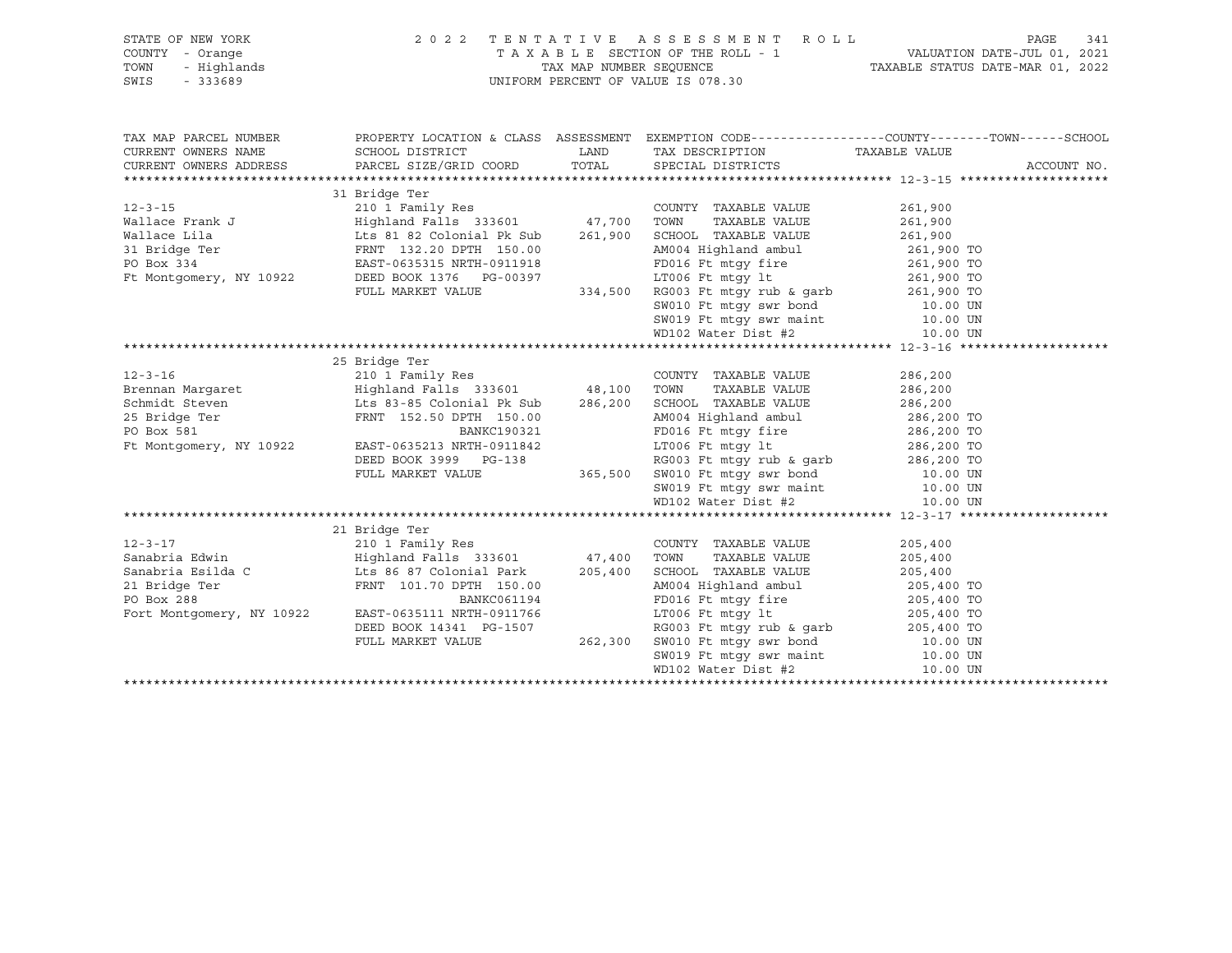| STATE OF NEW YORK                                        |                                                                                                                                                                                                                                                                                                                                                                                                                 |         | 2022 TENTATIVE ASSESSMENT ROLL                                                                                                                                                                                                                |                                                                                                                         | PAGE<br>341 |  |  |
|----------------------------------------------------------|-----------------------------------------------------------------------------------------------------------------------------------------------------------------------------------------------------------------------------------------------------------------------------------------------------------------------------------------------------------------------------------------------------------------|---------|-----------------------------------------------------------------------------------------------------------------------------------------------------------------------------------------------------------------------------------------------|-------------------------------------------------------------------------------------------------------------------------|-------------|--|--|
| 7 - Orange<br>- Highlands<br>- 333689<br>COUNTY - Orange |                                                                                                                                                                                                                                                                                                                                                                                                                 |         |                                                                                                                                                                                                                                               |                                                                                                                         |             |  |  |
| TOWN                                                     |                                                                                                                                                                                                                                                                                                                                                                                                                 |         |                                                                                                                                                                                                                                               | TAXABLE SECTION OF THE ROLL - 1 VALUATION DATE-JUL 01, 2021<br>TAX MAP NUMBER SEQUENCE TAXABLE STATUS DATE-MAR 01, 2022 |             |  |  |
| SWIS                                                     |                                                                                                                                                                                                                                                                                                                                                                                                                 |         | UNIFORM PERCENT OF VALUE IS 078.30                                                                                                                                                                                                            |                                                                                                                         |             |  |  |
|                                                          |                                                                                                                                                                                                                                                                                                                                                                                                                 |         |                                                                                                                                                                                                                                               |                                                                                                                         |             |  |  |
|                                                          |                                                                                                                                                                                                                                                                                                                                                                                                                 |         |                                                                                                                                                                                                                                               |                                                                                                                         |             |  |  |
| TAX MAP PARCEL NUMBER                                    |                                                                                                                                                                                                                                                                                                                                                                                                                 |         | PROPERTY LOCATION & CLASS ASSESSMENT EXEMPTION CODE---------------COUNTY-------TOWN-----SCHOOL                                                                                                                                                |                                                                                                                         |             |  |  |
| CURRENT OWNERS NAME                                      | SCHOOL DISTRICT                                                                                                                                                                                                                                                                                                                                                                                                 | LAND    | TAX DESCRIPTION TAXABLE VALUE                                                                                                                                                                                                                 |                                                                                                                         |             |  |  |
|                                                          | CURRENT OWNERS ADDRESS PARCEL SIZE/GRID COORD TOTAL SPECIAL DISTRICTS                                                                                                                                                                                                                                                                                                                                           |         |                                                                                                                                                                                                                                               |                                                                                                                         | ACCOUNT NO. |  |  |
|                                                          |                                                                                                                                                                                                                                                                                                                                                                                                                 |         |                                                                                                                                                                                                                                               |                                                                                                                         |             |  |  |
|                                                          | 31 Bridge Ter                                                                                                                                                                                                                                                                                                                                                                                                   |         |                                                                                                                                                                                                                                               |                                                                                                                         |             |  |  |
| $12 - 3 - 15$                                            | $210$ I Family Res<br>Highland Falls 333601 47,700                                                                                                                                                                                                                                                                                                                                                              |         | COUNTY TAXABLE VALUE                                                                                                                                                                                                                          | 261,900                                                                                                                 |             |  |  |
|                                                          |                                                                                                                                                                                                                                                                                                                                                                                                                 |         | TAXABLE VALUE<br>TOWN                                                                                                                                                                                                                         | 261,900                                                                                                                 |             |  |  |
|                                                          |                                                                                                                                                                                                                                                                                                                                                                                                                 | 261,900 |                                                                                                                                                                                                                                               |                                                                                                                         |             |  |  |
|                                                          |                                                                                                                                                                                                                                                                                                                                                                                                                 |         |                                                                                                                                                                                                                                               |                                                                                                                         |             |  |  |
|                                                          | EAST-0635315 NRTH-0911918<br>EAST-0635315 NRTH-0911918<br>DEED BOOK 1236                                                                                                                                                                                                                                                                                                                                        |         | PD016 Ft mtgy fire<br>T.T006 Ft mtgy fire 261,900 TO<br>7.T006 Ft mtgy 1t 261,900 TO                                                                                                                                                          |                                                                                                                         |             |  |  |
| Ft Montgomery, NY 10922                                  |                                                                                                                                                                                                                                                                                                                                                                                                                 |         |                                                                                                                                                                                                                                               |                                                                                                                         |             |  |  |
|                                                          |                                                                                                                                                                                                                                                                                                                                                                                                                 |         |                                                                                                                                                                                                                                               |                                                                                                                         |             |  |  |
|                                                          |                                                                                                                                                                                                                                                                                                                                                                                                                 |         |                                                                                                                                                                                                                                               |                                                                                                                         |             |  |  |
|                                                          |                                                                                                                                                                                                                                                                                                                                                                                                                 |         |                                                                                                                                                                                                                                               |                                                                                                                         |             |  |  |
|                                                          |                                                                                                                                                                                                                                                                                                                                                                                                                 |         | DEED BOOK 1376 PG-00397<br>PULL MARKET VALUE 334,500 RG003 Ft mtgy 1t<br>TULL MARKET VALUE 334,500 RG003 Ft mtgy swr bond<br>SW010 Ft mtgy swr bond<br>SW019 Ft mtgy swr maint 10.00 UN<br>MD102 Water Dist #2                                |                                                                                                                         |             |  |  |
|                                                          |                                                                                                                                                                                                                                                                                                                                                                                                                 |         |                                                                                                                                                                                                                                               |                                                                                                                         |             |  |  |
|                                                          | 25 Bridge Ter                                                                                                                                                                                                                                                                                                                                                                                                   |         |                                                                                                                                                                                                                                               |                                                                                                                         |             |  |  |
|                                                          |                                                                                                                                                                                                                                                                                                                                                                                                                 |         | COUNTY TAXABLE VALUE<br>TAXABLE VALUE 286,200                                                                                                                                                                                                 | 286,200                                                                                                                 |             |  |  |
|                                                          |                                                                                                                                                                                                                                                                                                                                                                                                                 |         |                                                                                                                                                                                                                                               |                                                                                                                         |             |  |  |
|                                                          |                                                                                                                                                                                                                                                                                                                                                                                                                 |         |                                                                                                                                                                                                                                               |                                                                                                                         |             |  |  |
|                                                          |                                                                                                                                                                                                                                                                                                                                                                                                                 |         |                                                                                                                                                                                                                                               |                                                                                                                         |             |  |  |
|                                                          |                                                                                                                                                                                                                                                                                                                                                                                                                 |         |                                                                                                                                                                                                                                               |                                                                                                                         |             |  |  |
|                                                          |                                                                                                                                                                                                                                                                                                                                                                                                                 |         |                                                                                                                                                                                                                                               |                                                                                                                         |             |  |  |
|                                                          |                                                                                                                                                                                                                                                                                                                                                                                                                 |         |                                                                                                                                                                                                                                               |                                                                                                                         |             |  |  |
|                                                          |                                                                                                                                                                                                                                                                                                                                                                                                                 |         |                                                                                                                                                                                                                                               |                                                                                                                         |             |  |  |
|                                                          |                                                                                                                                                                                                                                                                                                                                                                                                                 |         |                                                                                                                                                                                                                                               |                                                                                                                         |             |  |  |
|                                                          | $\begin{tabular}{l c c c c c c} \multicolumn{1}{c}{\textbf{Brenman}~\textbf{Margaret}} & \multicolumn{1}{c}{\textbf{Brenman}~\textbf{Margaret}} & \multicolumn{1}{c}{\textbf{Brenman}~\textbf{Margaret}} & \multicolumn{1}{c}{\textbf{A83-85 CO}~\textbf{MOD1}} & \multicolumn{1}{c}{\textbf{A83-86.200}~\textbf{A004 Highland ambul}} & \multicolumn{1}{c}{\textbf{A83-86.200}~\textbf{A005-0.200}~\textbf{A0$ |         |                                                                                                                                                                                                                                               |                                                                                                                         |             |  |  |
|                                                          |                                                                                                                                                                                                                                                                                                                                                                                                                 |         |                                                                                                                                                                                                                                               |                                                                                                                         |             |  |  |
|                                                          |                                                                                                                                                                                                                                                                                                                                                                                                                 |         |                                                                                                                                                                                                                                               |                                                                                                                         |             |  |  |
|                                                          |                                                                                                                                                                                                                                                                                                                                                                                                                 |         | COUNTY TAXABLE VALUE                                                                                                                                                                                                                          | 205,400                                                                                                                 |             |  |  |
|                                                          |                                                                                                                                                                                                                                                                                                                                                                                                                 |         | TAXABLE VALUE<br>SCHOOL TAXABLE VALUE 205,400                                                                                                                                                                                                 | 205,400                                                                                                                 |             |  |  |
|                                                          |                                                                                                                                                                                                                                                                                                                                                                                                                 |         |                                                                                                                                                                                                                                               |                                                                                                                         |             |  |  |
|                                                          |                                                                                                                                                                                                                                                                                                                                                                                                                 |         |                                                                                                                                                                                                                                               |                                                                                                                         |             |  |  |
|                                                          | Fort Montgomery, NY 10922 EAST-0635111 NRTH-0911766                                                                                                                                                                                                                                                                                                                                                             |         |                                                                                                                                                                                                                                               |                                                                                                                         |             |  |  |
|                                                          |                                                                                                                                                                                                                                                                                                                                                                                                                 |         |                                                                                                                                                                                                                                               |                                                                                                                         |             |  |  |
|                                                          | DEED BOOK 14341 PG-1507                                                                                                                                                                                                                                                                                                                                                                                         |         |                                                                                                                                                                                                                                               |                                                                                                                         |             |  |  |
|                                                          | FULL MARKET VALUE                                                                                                                                                                                                                                                                                                                                                                                               |         |                                                                                                                                                                                                                                               |                                                                                                                         |             |  |  |
|                                                          |                                                                                                                                                                                                                                                                                                                                                                                                                 |         | Park 205,400 SCHOOL TAXABLE VALUE 205,400 TO<br>150.00 AM004 Highland ambul 205,400 TO<br>2061194 FD016 Ft mtgy fire 205,400 TO<br>0911766 LT006 Ft mtgy 1t 205,400 TO<br>6-1507 RG003 Ft mtgy rub & garb 205,400 TO<br>262,300 SW010 Ft mtgy |                                                                                                                         |             |  |  |
|                                                          |                                                                                                                                                                                                                                                                                                                                                                                                                 |         |                                                                                                                                                                                                                                               |                                                                                                                         |             |  |  |
|                                                          |                                                                                                                                                                                                                                                                                                                                                                                                                 |         |                                                                                                                                                                                                                                               |                                                                                                                         |             |  |  |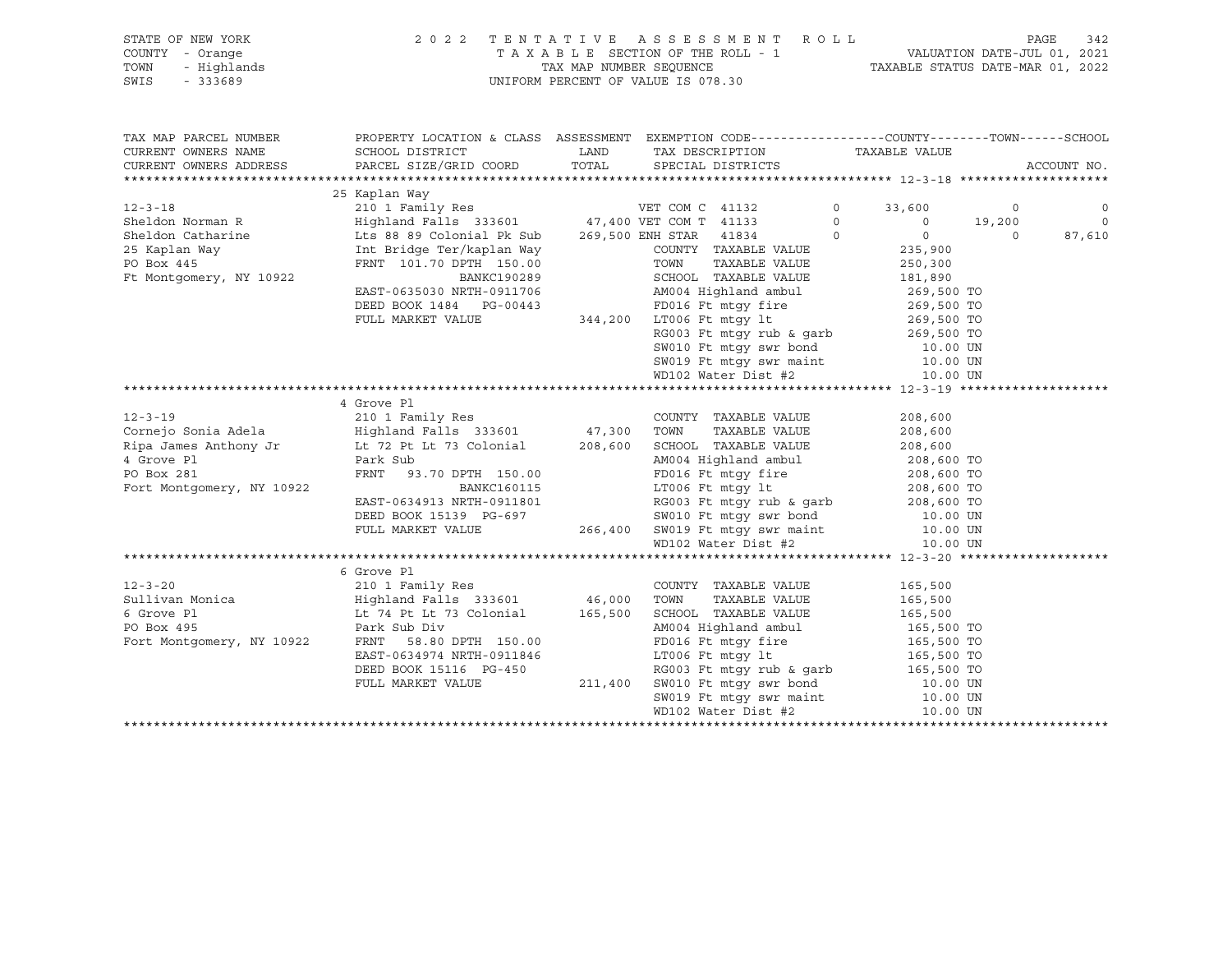## STATE OF NEW YORK 2 0 2 2 T E N T A T I V E A S S E S S M E N T R O L L PAGE 342 COUNTY - Orange T A X A B L E SECTION OF THE ROLL - 1 VALUATION DATE-JUL 01, 2021 TOWN - Highlands TAX MAP NUMBER SEQUENCE TAXABLE STATUS DATE-MAR 01, 2022 UNIFORM PERCENT OF VALUE IS 078.30

TAX MAP PARCEL NUMBER PROPERTY LOCATION & CLASS ASSESSMENT EXEMPTION CODE------------------COUNTY--------TOWN------SCHOOL CURRENT OWNERS NAME SCHOOL DISTRICT LAND TAX DESCRIPTION TAXABLE VALUE CURRENT OWNERS ADDRESS PARCEL SIZE/GRID COORD TOTAL SPECIAL DISTRICTS ACCOUNT NO. \*\*\*\*\*\*\*\*\*\*\*\*\*\*\*\*\*\*\*\*\*\*\*\*\*\*\*\*\*\*\*\*\*\*\*\*\*\*\*\*\*\*\*\*\*\*\*\*\*\*\*\*\*\*\*\*\*\*\*\*\*\*\*\*\*\*\*\*\*\*\*\*\*\*\*\*\*\*\*\*\*\*\*\*\*\*\*\*\*\*\*\*\*\*\*\*\*\*\*\*\*\*\* 12-3-18 \*\*\*\*\*\*\*\*\*\*\*\*\*\*\*\*\*\*\*\* 25 Kaplan Way 12-3-18 210 1 Family Res VET COM C 41132 0 33,600 0 0 Sheldon Norman R Highland Falls 333601 47,400 VET COM T 41133 0 0 19,200 0 Sheldon Catharine Lts 88 89 Colonial Pk Sub 269,500 ENH STAR 41834 0 0 0 87,610 25 Kaplan Way Int Bridge Ter/kaplan Way COUNTY TAXABLE VALUE 235,900 PO Box 445 FRNT 101.70 DPTH 150.00 TOWN TAXABLE VALUE 250,300 Ft Montgomery, NY 10922 BANKC190289 SCHOOL TAXABLE VALUE 181,890 EAST-0635030 NRTH-0911706 AM004 Highland ambul 269,500 TO DEED BOOK 1484 PG-00443 FD016 Ft mtgy fire 269,500 TO FULL MARKET VALUE 344,200 LT006 Ft mtgy lt 269,500 TO RG003 Ft mtgy rub & garb 269,500 TO SW010 Ft mtgy swr bond 10.00 UN SW019 Ft mtgy swr maint 10.00 UN WD102 Water Dist #2 10.00 UN \*\*\*\*\*\*\*\*\*\*\*\*\*\*\*\*\*\*\*\*\*\*\*\*\*\*\*\*\*\*\*\*\*\*\*\*\*\*\*\*\*\*\*\*\*\*\*\*\*\*\*\*\*\*\*\*\*\*\*\*\*\*\*\*\*\*\*\*\*\*\*\*\*\*\*\*\*\*\*\*\*\*\*\*\*\*\*\*\*\*\*\*\*\*\*\*\*\*\*\*\*\*\* 12-3-19 \*\*\*\*\*\*\*\*\*\*\*\*\*\*\*\*\*\*\*\* 4 Grove Pl<br>12-3-19 210 1 Fan 210 1 210 1 Fan 210 1 Fan 210 1 Fan 210 1 Fan 210 1 Fan 210 1 Fan 210 1 Fan 210 1 Fan 210 1 Fan 210 1 Fan 210 1 Fan 210 1 Fan 210 1 Fan 210 1 Fan 210 1 Fan 210 1 Fan 210 1 Fan 210 1 Fan 210 1 F 12-3-19 210 1 Family Res COUNTY TAXABLE VALUE 208,600 Cornejo Sonia Adela Highland Falls 333601 47,300 TOWN TAXABLE VALUE 208,600 Ripa James Anthony Jr Lt 72 Pt Lt 73 Colonial 208,600 SCHOOL TAXABLE VALUE 208,600 4 Grove Pl Park Sub AM004 Highland ambul 208,600 TO PO Box 281 FRNT 93.70 DPTH 150.00 FD016 Ft mtgy fire 208,600 TO<br>Fort Montgomery, NY 10922 BANKC160115 LT006 Ft mtgy 1t 208,600 TO Fort Montgomery, NY 10922 BANKC160115 LT006 Ft mtgy lt 208,600 TO EAST-0634913 NRTH-0911801 RG003 Ft mtgy rub & garb 208,600 TO DEED BOOK 15139 PG-697 SW010 Ft mtgy swr bond 10.00 UN FULL MARKET VALUE 266,400 SW019 Ft mtgy swr maint 10.00 UN WD102 Water Dist #2 10.00 UN \*\*\*\*\*\*\*\*\*\*\*\*\*\*\*\*\*\*\*\*\*\*\*\*\*\*\*\*\*\*\*\*\*\*\*\*\*\*\*\*\*\*\*\*\*\*\*\*\*\*\*\*\*\*\*\*\*\*\*\*\*\*\*\*\*\*\*\*\*\*\*\*\*\*\*\*\*\*\*\*\*\*\*\*\*\*\*\*\*\*\*\*\*\*\*\*\*\*\*\*\*\*\* 12-3-20 \*\*\*\*\*\*\*\*\*\*\*\*\*\*\*\*\*\*\*\* 6 Grove Pl 12-3-20 210 1 Family Res COUNTY TAXABLE VALUE 165,500 Sullivan Monica Highland Falls 333601 46,000 TOWN TAXABLE VALUE 165,500 6 Grove Pl Lt 74 Pt Lt 73 Colonial 165,500 SCHOOL TAXABLE VALUE 165,500 PO Box 495 Park Sub Div AM004 Highland ambul 165,500 TO Fort Montgomery, NY 10922 FRNT 58.80 DIV 160.00 AM004 Highland ambul 165,500 TO<br>Fort Montgomery, NY 10922 FRNT 58.80 DPTH 150.00 FD016 Ft mtgy fire 165,500 TO<br>EAST-0634974 NRTH-0911846 LT006 Ft mtgy lt 165,500 TO EDO16 Ft mtgy fire<br>ETO06 Ft mtgy lt<br>17006 Ft mtgy lt DEED BOOK 15116 PG-450 RG003 Ft mtgy rub & garb 165,500 TO FULL MARKET VALUE 211,400 SW010 Ft mtgy swr bond 10.00 UN SW019 Ft mtgv swr maint 10.00 UN SW019 Ft mtqy swr maint WD102 Water Dist #2 10.00 UN \*\*\*\*\*\*\*\*\*\*\*\*\*\*\*\*\*\*\*\*\*\*\*\*\*\*\*\*\*\*\*\*\*\*\*\*\*\*\*\*\*\*\*\*\*\*\*\*\*\*\*\*\*\*\*\*\*\*\*\*\*\*\*\*\*\*\*\*\*\*\*\*\*\*\*\*\*\*\*\*\*\*\*\*\*\*\*\*\*\*\*\*\*\*\*\*\*\*\*\*\*\*\*\*\*\*\*\*\*\*\*\*\*\*\*\*\*\*\*\*\*\*\*\*\*\*\*\*\*\*\*\*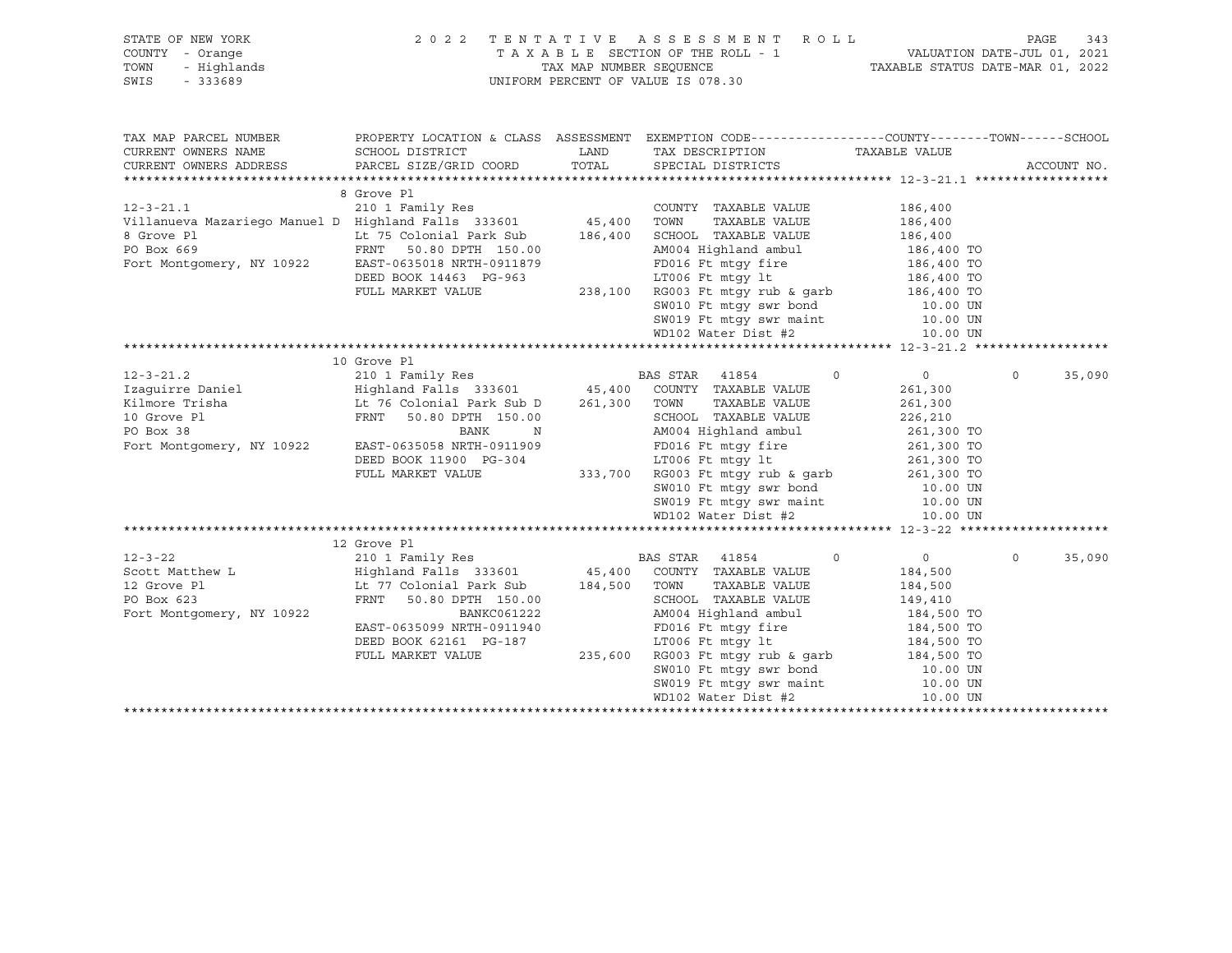| STATE OF NEW YORK<br>7 - Orange<br>- Highlands<br>- 333689<br>COUNTY - Orange<br>TOWN<br>SWIS                                                                                                                                                                                                                                                                                                                                                                                                                                    |                                                                                                                                                |  | 2022 TENTATIVE ASSESSMENT ROLL<br>PAGE<br>TAXABLE SECTION OF THE ROLL - 1<br>TAX MAP NUMBER SEQUENCE TAXABLE STATUS DATE-MAR 01, 2022<br>UNIFORM PERCENT OF VALUE IS 078.30                                                                                                                                                                                                                                          |                |                   |  |
|----------------------------------------------------------------------------------------------------------------------------------------------------------------------------------------------------------------------------------------------------------------------------------------------------------------------------------------------------------------------------------------------------------------------------------------------------------------------------------------------------------------------------------|------------------------------------------------------------------------------------------------------------------------------------------------|--|----------------------------------------------------------------------------------------------------------------------------------------------------------------------------------------------------------------------------------------------------------------------------------------------------------------------------------------------------------------------------------------------------------------------|----------------|-------------------|--|
| TAX MAP PARCEL NUMBER PROPERTY LOCATION & CLASS ASSESSMENT EXEMPTION CODE---------------COUNTY-------TOWN------SCHOOL                                                                                                                                                                                                                                                                                                                                                                                                            |                                                                                                                                                |  |                                                                                                                                                                                                                                                                                                                                                                                                                      |                |                   |  |
| CURRENT OWNERS NAME                                                                                                                                                                                                                                                                                                                                                                                                                                                                                                              | SCHOOL DISTRICT                                                                                                                                |  | LAND TAX DESCRIPTION                                                                                                                                                                                                                                                                                                                                                                                                 |                |                   |  |
| CURRENT OWNERS ADDRESS                                                                                                                                                                                                                                                                                                                                                                                                                                                                                                           | PARCEL SIZE/GRID COORD                                                                                                                         |  | TOTAL SPECIAL DISTRICTS                                                                                                                                                                                                                                                                                                                                                                                              | TAXABLE VALUE  | ACCOUNT NO.       |  |
|                                                                                                                                                                                                                                                                                                                                                                                                                                                                                                                                  |                                                                                                                                                |  |                                                                                                                                                                                                                                                                                                                                                                                                                      |                |                   |  |
|                                                                                                                                                                                                                                                                                                                                                                                                                                                                                                                                  | 8 Grove Pl                                                                                                                                     |  |                                                                                                                                                                                                                                                                                                                                                                                                                      |                |                   |  |
| 12-3-21.1<br>Villanueva Mazariego Manuel D Highland Falls 333601 45,400 TOWN<br>B Grove Pl                                                                                                                                                                                                                                                                                                                                                                                                                                       |                                                                                                                                                |  | COUNTY TAXABLE VALUE                                                                                                                                                                                                                                                                                                                                                                                                 | 186,400        |                   |  |
|                                                                                                                                                                                                                                                                                                                                                                                                                                                                                                                                  |                                                                                                                                                |  | TAXABLE VALUE 186,400                                                                                                                                                                                                                                                                                                                                                                                                |                |                   |  |
| 8 Grove Pl                                                                                                                                                                                                                                                                                                                                                                                                                                                                                                                       |                                                                                                                                                |  |                                                                                                                                                                                                                                                                                                                                                                                                                      |                |                   |  |
| PO Box 669                                                                                                                                                                                                                                                                                                                                                                                                                                                                                                                       |                                                                                                                                                |  |                                                                                                                                                                                                                                                                                                                                                                                                                      |                |                   |  |
| Fort Montgomery, NY 10922                                                                                                                                                                                                                                                                                                                                                                                                                                                                                                        | EAST-0635018 NRTH-0911879                                                                                                                      |  |                                                                                                                                                                                                                                                                                                                                                                                                                      |                |                   |  |
|                                                                                                                                                                                                                                                                                                                                                                                                                                                                                                                                  | DEED BOOK 14463 PG-963                                                                                                                         |  |                                                                                                                                                                                                                                                                                                                                                                                                                      |                |                   |  |
|                                                                                                                                                                                                                                                                                                                                                                                                                                                                                                                                  | FULL MARKET VALUE                                                                                                                              |  |                                                                                                                                                                                                                                                                                                                                                                                                                      |                |                   |  |
|                                                                                                                                                                                                                                                                                                                                                                                                                                                                                                                                  |                                                                                                                                                |  |                                                                                                                                                                                                                                                                                                                                                                                                                      |                |                   |  |
|                                                                                                                                                                                                                                                                                                                                                                                                                                                                                                                                  |                                                                                                                                                |  |                                                                                                                                                                                                                                                                                                                                                                                                                      |                |                   |  |
|                                                                                                                                                                                                                                                                                                                                                                                                                                                                                                                                  |                                                                                                                                                |  | 0911879<br>G-963<br>238,100 RG003 Ft mtgy fire<br>238,100 RG003 Ft mtgy rub & garb<br>238,100 RG003 Ft mtgy rub & garb<br>238,100 RG003 Ft mtgy rub & garb<br>238,100 Ft mtgy swr maint<br>20.00 UN<br>20.00 UN<br>20.00 UN<br>20.00 UN<br>20.00 UN<br>                                                                                                                                                              |                |                   |  |
| $\begin{tabular}{lcccccc} \multicolumn{1}{c}{\begin{tabular}{lcccccc} \multicolumn{1}{c}{\begin{tabular}{lcccccc} \multicolumn{1}{c}{\begin{tabular}{lcccccc} \multicolumn{1}{c}{\begin{tabular}{lcccccc} \multicolumn{1}{c}{\begin{tabular}{lcccccc} \multicolumn{1}{c}{\begin{tabular}{lcccccc} \multicolumn{1}{c}{\begin{tabular}{lcccccc} \multicolumn{1}{c}{\begin{tabular}{lcccccc} \multicolumn{1}{c}{\begin{tabular}{lcccccc} \multicolumn{1}{c}{\begin{tabular}{lcccccc} \multicolumn{1}{c}{\begin{tabular}{lcccccc} \$ |                                                                                                                                                |  |                                                                                                                                                                                                                                                                                                                                                                                                                      |                |                   |  |
|                                                                                                                                                                                                                                                                                                                                                                                                                                                                                                                                  |                                                                                                                                                |  | $\circ$                                                                                                                                                                                                                                                                                                                                                                                                              | $\overline{0}$ | $\circ$<br>35,090 |  |
|                                                                                                                                                                                                                                                                                                                                                                                                                                                                                                                                  |                                                                                                                                                |  |                                                                                                                                                                                                                                                                                                                                                                                                                      | 261,300        |                   |  |
|                                                                                                                                                                                                                                                                                                                                                                                                                                                                                                                                  |                                                                                                                                                |  | TAXABLE VALUE                                                                                                                                                                                                                                                                                                                                                                                                        | 261,300        |                   |  |
|                                                                                                                                                                                                                                                                                                                                                                                                                                                                                                                                  |                                                                                                                                                |  |                                                                                                                                                                                                                                                                                                                                                                                                                      |                |                   |  |
|                                                                                                                                                                                                                                                                                                                                                                                                                                                                                                                                  |                                                                                                                                                |  |                                                                                                                                                                                                                                                                                                                                                                                                                      |                |                   |  |
| Fort Montgomery, NY 10922                                                                                                                                                                                                                                                                                                                                                                                                                                                                                                        |                                                                                                                                                |  |                                                                                                                                                                                                                                                                                                                                                                                                                      |                |                   |  |
|                                                                                                                                                                                                                                                                                                                                                                                                                                                                                                                                  |                                                                                                                                                |  |                                                                                                                                                                                                                                                                                                                                                                                                                      |                |                   |  |
|                                                                                                                                                                                                                                                                                                                                                                                                                                                                                                                                  |                                                                                                                                                |  |                                                                                                                                                                                                                                                                                                                                                                                                                      |                |                   |  |
|                                                                                                                                                                                                                                                                                                                                                                                                                                                                                                                                  |                                                                                                                                                |  |                                                                                                                                                                                                                                                                                                                                                                                                                      |                |                   |  |
|                                                                                                                                                                                                                                                                                                                                                                                                                                                                                                                                  |                                                                                                                                                |  |                                                                                                                                                                                                                                                                                                                                                                                                                      |                |                   |  |
|                                                                                                                                                                                                                                                                                                                                                                                                                                                                                                                                  |                                                                                                                                                |  | FRNT 50.80 DPTH 150.00<br>EAST-0635058 NRTH-0911909<br>DEED BOOK 11900 PG-304<br>DEED BOOK 11900 PG-304<br>CELO TAXABLE VALUE<br>DEED BOOK 11900 PG-304<br>CELO TO FULL MARKET VALUE<br>CELO CONTRABLE VALUE<br>CELO 261,300 TO<br>CELO BOOK 119                                                                                                                                                                     |                |                   |  |
|                                                                                                                                                                                                                                                                                                                                                                                                                                                                                                                                  | 210 1 Family Res<br>210 1 Family Res<br>Highland Falls 333601 45,400 COUNTY TAXABLE VALUE<br>Lt 77 Colonial Park Sub<br>FRNT 50.80 DPTH 150.00 |  |                                                                                                                                                                                                                                                                                                                                                                                                                      |                |                   |  |
|                                                                                                                                                                                                                                                                                                                                                                                                                                                                                                                                  |                                                                                                                                                |  |                                                                                                                                                                                                                                                                                                                                                                                                                      |                |                   |  |
| $12 - 3 - 22$                                                                                                                                                                                                                                                                                                                                                                                                                                                                                                                    |                                                                                                                                                |  | $\circ$                                                                                                                                                                                                                                                                                                                                                                                                              | $\overline{0}$ | $\circ$<br>35,090 |  |
| Scott Matthew L                                                                                                                                                                                                                                                                                                                                                                                                                                                                                                                  |                                                                                                                                                |  |                                                                                                                                                                                                                                                                                                                                                                                                                      | 184,500        |                   |  |
| 12 Grove Pl<br>PO Box 623                                                                                                                                                                                                                                                                                                                                                                                                                                                                                                        |                                                                                                                                                |  |                                                                                                                                                                                                                                                                                                                                                                                                                      |                |                   |  |
| Fort Montgomery, NY 10922                                                                                                                                                                                                                                                                                                                                                                                                                                                                                                        |                                                                                                                                                |  |                                                                                                                                                                                                                                                                                                                                                                                                                      |                |                   |  |
|                                                                                                                                                                                                                                                                                                                                                                                                                                                                                                                                  |                                                                                                                                                |  |                                                                                                                                                                                                                                                                                                                                                                                                                      |                |                   |  |
|                                                                                                                                                                                                                                                                                                                                                                                                                                                                                                                                  |                                                                                                                                                |  |                                                                                                                                                                                                                                                                                                                                                                                                                      |                |                   |  |
|                                                                                                                                                                                                                                                                                                                                                                                                                                                                                                                                  |                                                                                                                                                |  |                                                                                                                                                                                                                                                                                                                                                                                                                      |                |                   |  |
|                                                                                                                                                                                                                                                                                                                                                                                                                                                                                                                                  |                                                                                                                                                |  |                                                                                                                                                                                                                                                                                                                                                                                                                      |                |                   |  |
|                                                                                                                                                                                                                                                                                                                                                                                                                                                                                                                                  |                                                                                                                                                |  |                                                                                                                                                                                                                                                                                                                                                                                                                      |                |                   |  |
|                                                                                                                                                                                                                                                                                                                                                                                                                                                                                                                                  |                                                                                                                                                |  | $\begin{tabular}{lcccc} \hline .&77\text{ Colonial Park} & & & & & & & & & \\ \hline \text{FRNT} & 50.80 \text{ DPTH} & 150.00 & & & & & & \\ & & \text{BANKCO61222} & & & \text{AM004 Highland ambul} \\ \text{EAST-0635099 NRTH-0911940} & & & \text{FD016 Ft mty fire} & & & 184,500 \text{ TO} \\ \text{DEED BOOK 62161 PG-187} & & & \text{LTO06 Ft mty t} & & & 184,500 \text{ TO} \\ \text{FULL MARKET VALUE$ |                |                   |  |
|                                                                                                                                                                                                                                                                                                                                                                                                                                                                                                                                  |                                                                                                                                                |  |                                                                                                                                                                                                                                                                                                                                                                                                                      |                |                   |  |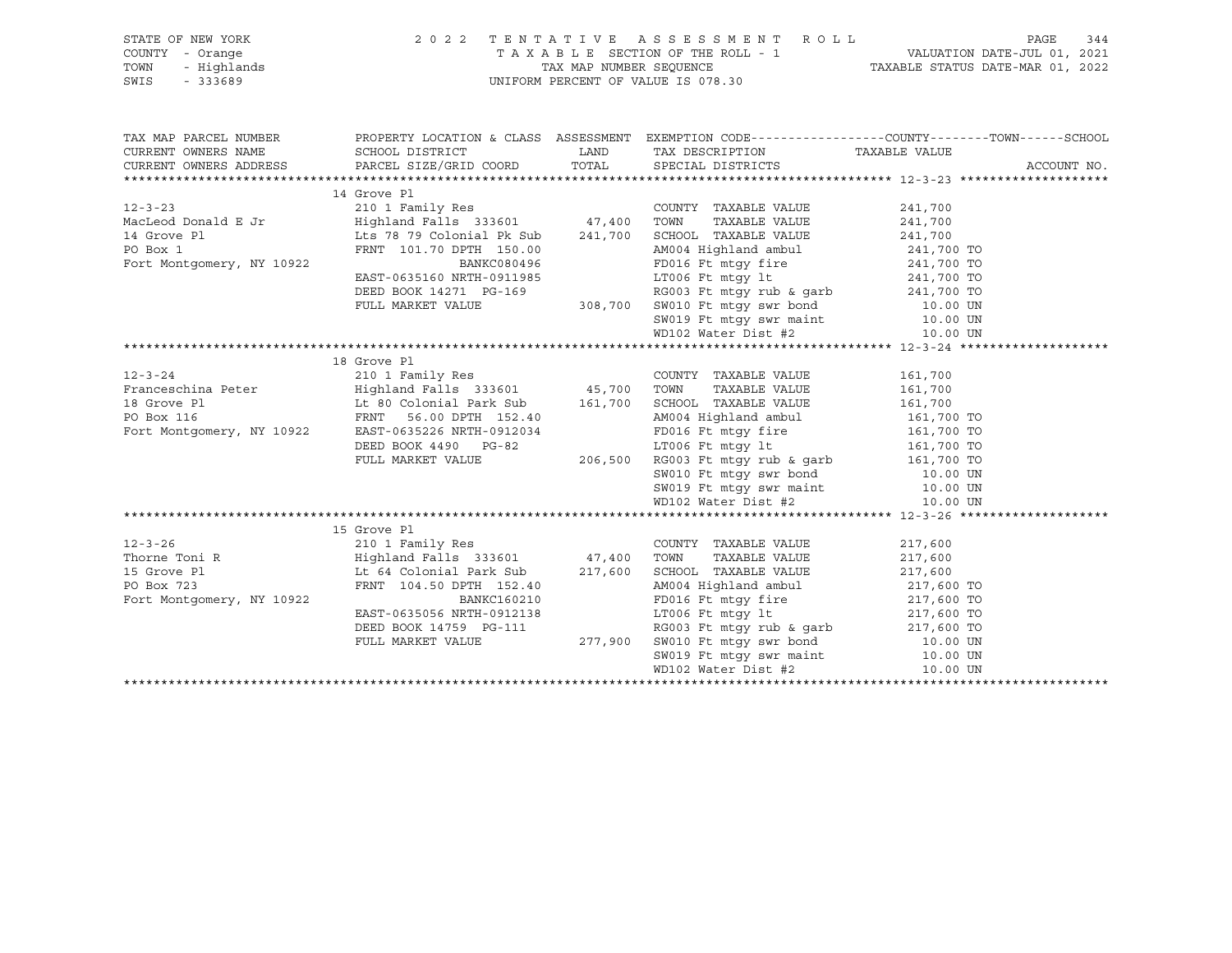| TAX MAP PARCEL NUMBER THE PROPERTY LOCATION & CLASS ASSESSMENT EXEMPTION CODE--------------COUNTY-------TOWN------SCHOOL<br>CURRENT OWNERS NAME SCHOOL DISTRICT<br>LAND TAX DESCRIPTION TAXABLE VALUE<br>12-3-26<br>Thorne Toni R<br>Thorne Toni R<br>217,600<br>15 Grove Pl<br>217,600<br>217,600<br>217,600<br>217,600<br>217,600<br>217,600<br>217,600<br>217,600<br>217,600<br>217,600<br>217,600<br>217,600<br>217,600<br>217,600<br>217,600<br>217,600<br>217,600<br>217,600<br> | STATE OF NEW YORK<br>COUNTY - Orange<br>TOWN - Highlands<br>SWIS - 333689 | 2022 TENTATIVE ASSESSMENT ROLL<br>UNIFORM PERCENT OF VALUE IS 078.30 | PAGE<br>344<br>T A X A B L E SECTION OF THE ROLL - 1<br>TAX MAP NUMBER SEQUENCE TAXABLE STATUS DATE-JUL 01, 2021<br>INIEOPM DEDCEME OF VALUE TO 2022 |             |  |
|----------------------------------------------------------------------------------------------------------------------------------------------------------------------------------------------------------------------------------------------------------------------------------------------------------------------------------------------------------------------------------------------------------------------------------------------------------------------------------------|---------------------------------------------------------------------------|----------------------------------------------------------------------|------------------------------------------------------------------------------------------------------------------------------------------------------|-------------|--|
|                                                                                                                                                                                                                                                                                                                                                                                                                                                                                        |                                                                           |                                                                      |                                                                                                                                                      |             |  |
|                                                                                                                                                                                                                                                                                                                                                                                                                                                                                        |                                                                           |                                                                      |                                                                                                                                                      |             |  |
|                                                                                                                                                                                                                                                                                                                                                                                                                                                                                        |                                                                           |                                                                      |                                                                                                                                                      | ACCOUNT NO. |  |
|                                                                                                                                                                                                                                                                                                                                                                                                                                                                                        |                                                                           |                                                                      |                                                                                                                                                      |             |  |
|                                                                                                                                                                                                                                                                                                                                                                                                                                                                                        |                                                                           |                                                                      |                                                                                                                                                      |             |  |
|                                                                                                                                                                                                                                                                                                                                                                                                                                                                                        |                                                                           |                                                                      |                                                                                                                                                      |             |  |
|                                                                                                                                                                                                                                                                                                                                                                                                                                                                                        |                                                                           |                                                                      |                                                                                                                                                      |             |  |
|                                                                                                                                                                                                                                                                                                                                                                                                                                                                                        |                                                                           |                                                                      |                                                                                                                                                      |             |  |
|                                                                                                                                                                                                                                                                                                                                                                                                                                                                                        |                                                                           |                                                                      |                                                                                                                                                      |             |  |
|                                                                                                                                                                                                                                                                                                                                                                                                                                                                                        |                                                                           |                                                                      |                                                                                                                                                      |             |  |
|                                                                                                                                                                                                                                                                                                                                                                                                                                                                                        |                                                                           |                                                                      |                                                                                                                                                      |             |  |
|                                                                                                                                                                                                                                                                                                                                                                                                                                                                                        |                                                                           |                                                                      |                                                                                                                                                      |             |  |
|                                                                                                                                                                                                                                                                                                                                                                                                                                                                                        |                                                                           |                                                                      |                                                                                                                                                      |             |  |
|                                                                                                                                                                                                                                                                                                                                                                                                                                                                                        |                                                                           |                                                                      |                                                                                                                                                      |             |  |
|                                                                                                                                                                                                                                                                                                                                                                                                                                                                                        |                                                                           |                                                                      |                                                                                                                                                      |             |  |
|                                                                                                                                                                                                                                                                                                                                                                                                                                                                                        |                                                                           |                                                                      |                                                                                                                                                      |             |  |
|                                                                                                                                                                                                                                                                                                                                                                                                                                                                                        |                                                                           |                                                                      |                                                                                                                                                      |             |  |
|                                                                                                                                                                                                                                                                                                                                                                                                                                                                                        |                                                                           |                                                                      |                                                                                                                                                      |             |  |
|                                                                                                                                                                                                                                                                                                                                                                                                                                                                                        |                                                                           |                                                                      |                                                                                                                                                      |             |  |
|                                                                                                                                                                                                                                                                                                                                                                                                                                                                                        |                                                                           |                                                                      |                                                                                                                                                      |             |  |
|                                                                                                                                                                                                                                                                                                                                                                                                                                                                                        |                                                                           |                                                                      |                                                                                                                                                      |             |  |
|                                                                                                                                                                                                                                                                                                                                                                                                                                                                                        |                                                                           |                                                                      |                                                                                                                                                      |             |  |
|                                                                                                                                                                                                                                                                                                                                                                                                                                                                                        |                                                                           |                                                                      |                                                                                                                                                      |             |  |
|                                                                                                                                                                                                                                                                                                                                                                                                                                                                                        |                                                                           |                                                                      |                                                                                                                                                      |             |  |
|                                                                                                                                                                                                                                                                                                                                                                                                                                                                                        |                                                                           |                                                                      |                                                                                                                                                      |             |  |
|                                                                                                                                                                                                                                                                                                                                                                                                                                                                                        |                                                                           |                                                                      |                                                                                                                                                      |             |  |
|                                                                                                                                                                                                                                                                                                                                                                                                                                                                                        |                                                                           |                                                                      |                                                                                                                                                      |             |  |
|                                                                                                                                                                                                                                                                                                                                                                                                                                                                                        |                                                                           |                                                                      |                                                                                                                                                      |             |  |
|                                                                                                                                                                                                                                                                                                                                                                                                                                                                                        |                                                                           |                                                                      |                                                                                                                                                      |             |  |
|                                                                                                                                                                                                                                                                                                                                                                                                                                                                                        |                                                                           |                                                                      |                                                                                                                                                      |             |  |
|                                                                                                                                                                                                                                                                                                                                                                                                                                                                                        |                                                                           |                                                                      |                                                                                                                                                      |             |  |
|                                                                                                                                                                                                                                                                                                                                                                                                                                                                                        |                                                                           |                                                                      |                                                                                                                                                      |             |  |
|                                                                                                                                                                                                                                                                                                                                                                                                                                                                                        |                                                                           |                                                                      |                                                                                                                                                      |             |  |
|                                                                                                                                                                                                                                                                                                                                                                                                                                                                                        |                                                                           |                                                                      |                                                                                                                                                      |             |  |
|                                                                                                                                                                                                                                                                                                                                                                                                                                                                                        |                                                                           |                                                                      |                                                                                                                                                      |             |  |
|                                                                                                                                                                                                                                                                                                                                                                                                                                                                                        |                                                                           |                                                                      |                                                                                                                                                      |             |  |
|                                                                                                                                                                                                                                                                                                                                                                                                                                                                                        |                                                                           |                                                                      |                                                                                                                                                      |             |  |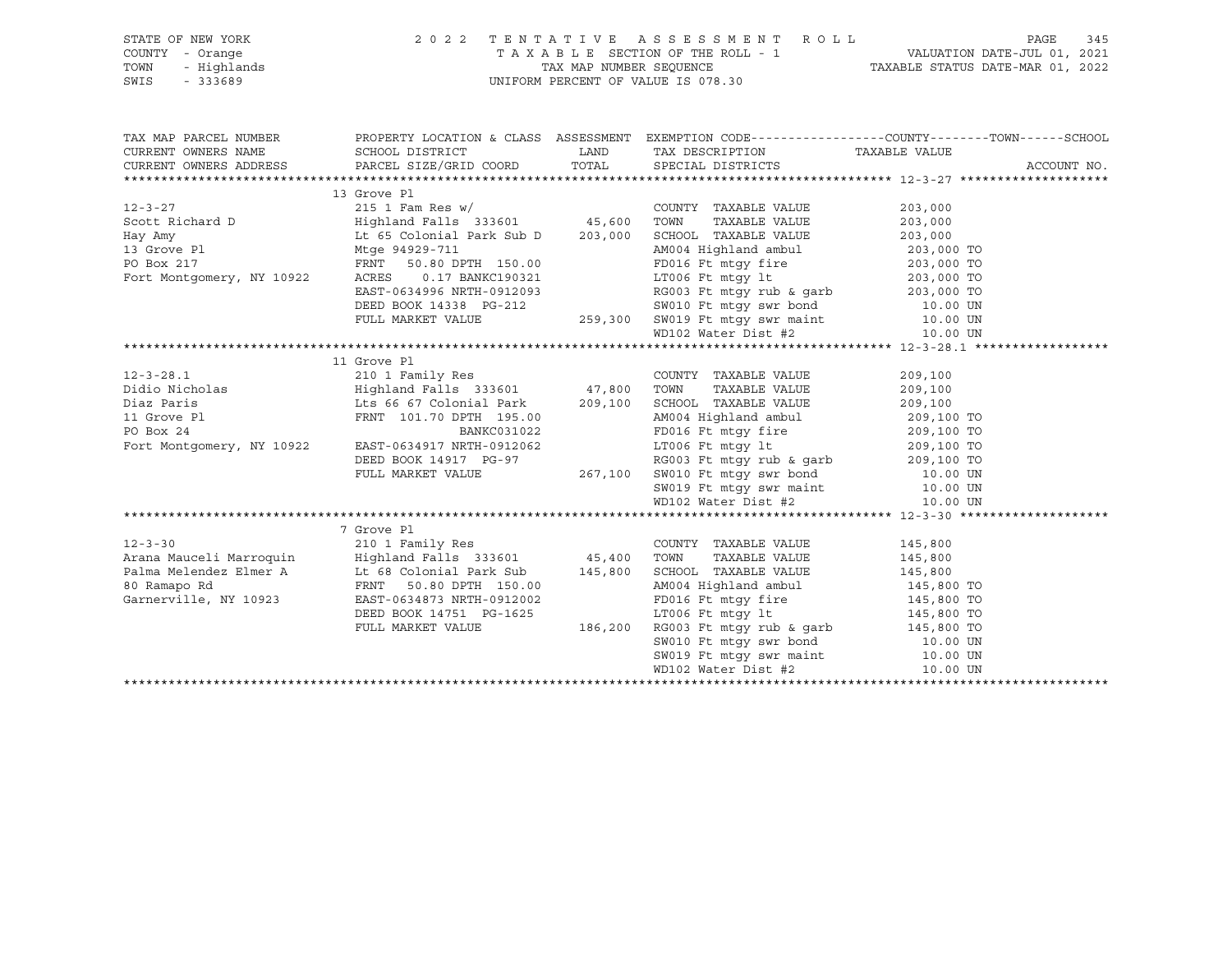| STATE OF NEW YORK<br>COUNTY<br>- Orange<br>- Highlands<br>TOWN<br>SWIS<br>$-333689$ |                                                                                             |                    | 2022 TENTATIVE ASSESSMENT ROLL<br>TAXABLE SECTION OF THE ROLL - 1<br>TAX MAP NUMBER SEQUENCE<br>UNIFORM PERCENT OF VALUE IS 078.30 | TAXABLE STATUS DATE-MAR 01, 2022 | PAGE<br>VALUATION DATE-JUL 01, 2021 | 345 |
|-------------------------------------------------------------------------------------|---------------------------------------------------------------------------------------------|--------------------|------------------------------------------------------------------------------------------------------------------------------------|----------------------------------|-------------------------------------|-----|
| TAX MAP PARCEL NUMBER<br>CURRENT OWNERS NAME<br>CURRENT OWNERS ADDRESS              | PROPERTY LOCATION & CLASS<br>SCHOOL DISTRICT<br>PARCEL SIZE/GRID COORD TOTAL<br>13 Grove Pl | ASSESSMENT<br>LAND | EXEMPTION CODE-----------------COUNTY-------TOWN------SCHOOL<br>TAX DESCRIPTION<br>SPECIAL DISTRICTS                               | TAXABLE VALUE                    | ACCOUNT NO.                         |     |

12-3-27 215 1 Fam Res w/ COUNTY TAXABLE VALUE 203,000 Scott Richard D Highland Falls 333601 45,600 TOWN TAXABLE VALUE 203,000 Hay Amy Lt 65 Colonial Park Sub D 203,000 SCHOOL TAXABLE VALUE 203,000

| 13 Grove Pl               | Mtge 94929-711               |         | AM004 Highland ambul             | 203,000 TO |
|---------------------------|------------------------------|---------|----------------------------------|------------|
| PO Box 217                | FRNT<br>50.80 DPTH 150.00    |         | FD016 Ft mtqy fire               | 203,000 TO |
| Fort Montgomery, NY 10922 | ACRES<br>0.17 BANKC190321    |         | LT006 Ft mtqy lt                 | 203,000 TO |
|                           | EAST-0634996 NRTH-0912093    |         | RG003 Ft mtqy rub & qarb         | 203,000 TO |
|                           | DEED BOOK 14338 PG-212       |         | SW010 Ft mtqy swr bond 10.00 UN  |            |
|                           | FULL MARKET VALUE            | 259,300 | SW019 Ft mtqy swr maint 10.00 UN |            |
|                           |                              |         | WD102 Water Dist #2              | 10.00 UN   |
|                           |                              |         |                                  |            |
|                           | 11 Grove Pl                  |         |                                  |            |
| $12 - 3 - 28.1$           | 210 1 Family Res             |         | COUNTY TAXABLE VALUE             | 209,100    |
| Didio Nicholas            | Highland Falls 333601 47,800 |         | TOWN<br>TAXABLE VALUE            | 209,100    |
| Diaz Paris                | Lts 66 67 Colonial Park      | 209,100 | SCHOOL TAXABLE VALUE             | 209,100    |
| 11 Grove Pl               | FRNT 101.70 DPTH 195.00      |         | AM004 Highland ambul             | 209,100 TO |
| PO Box 24                 | BANKC031022                  |         | FD016 Ft mtqy fire               | 209,100 TO |
| Fort Montgomery, NY 10922 | EAST-0634917 NRTH-0912062    |         | LT006 Ft mtqy lt                 | 209,100 TO |
|                           | DEED BOOK 14917 PG-97        |         | RG003 Ft mtqy rub & qarb         | 209,100 TO |
|                           | FULL MARKET VALUE            | 267,100 | SW010 Ft mtgy swr bond           | 10.00 UN   |
|                           |                              |         | SW019 Ft mtqy swr maint 10.00 UN |            |
|                           |                              |         | WD102 Water Dist #2              | 10.00 UN   |
|                           |                              |         |                                  |            |
|                           | 7 Grove Pl                   |         |                                  |            |
| $12 - 3 - 30$             | 210 1 Family Res             |         | COUNTY TAXABLE VALUE             | 145,800    |
| Arana Mauceli Marroquin   | Highland Falls 333601 45,400 |         | TOWN<br>TAXABLE VALUE            | 145,800    |
| Palma Melendez Elmer A    | Lt 68 Colonial Park Sub      | 145,800 | SCHOOL TAXABLE VALUE             | 145,800    |
| 80 Ramapo Rd              | FRNT<br>50.80 DPTH 150.00    |         | AM004 Highland ambul             | 145,800 TO |
| Garnerville, NY 10923     | EAST-0634873 NRTH-0912002    |         | FD016 Ft mtqy fire               | 145,800 TO |
|                           | DEED BOOK 14751 PG-1625      |         | LT006 Ft mtgy lt                 | 145,800 TO |
|                           | FULL MARKET VALUE            | 186,200 | RG003 Ft mtqy rub & qarb         | 145,800 TO |
|                           |                              |         | SW010 Ft mtqy swr bond           | 10.00 UN   |
|                           |                              |         | SW019 Ft mtqy swr maint          | 10.00 UN   |
|                           |                              |         | WD102 Water Dist #2              | 10.00 UN   |
|                           |                              |         |                                  |            |
|                           |                              |         |                                  |            |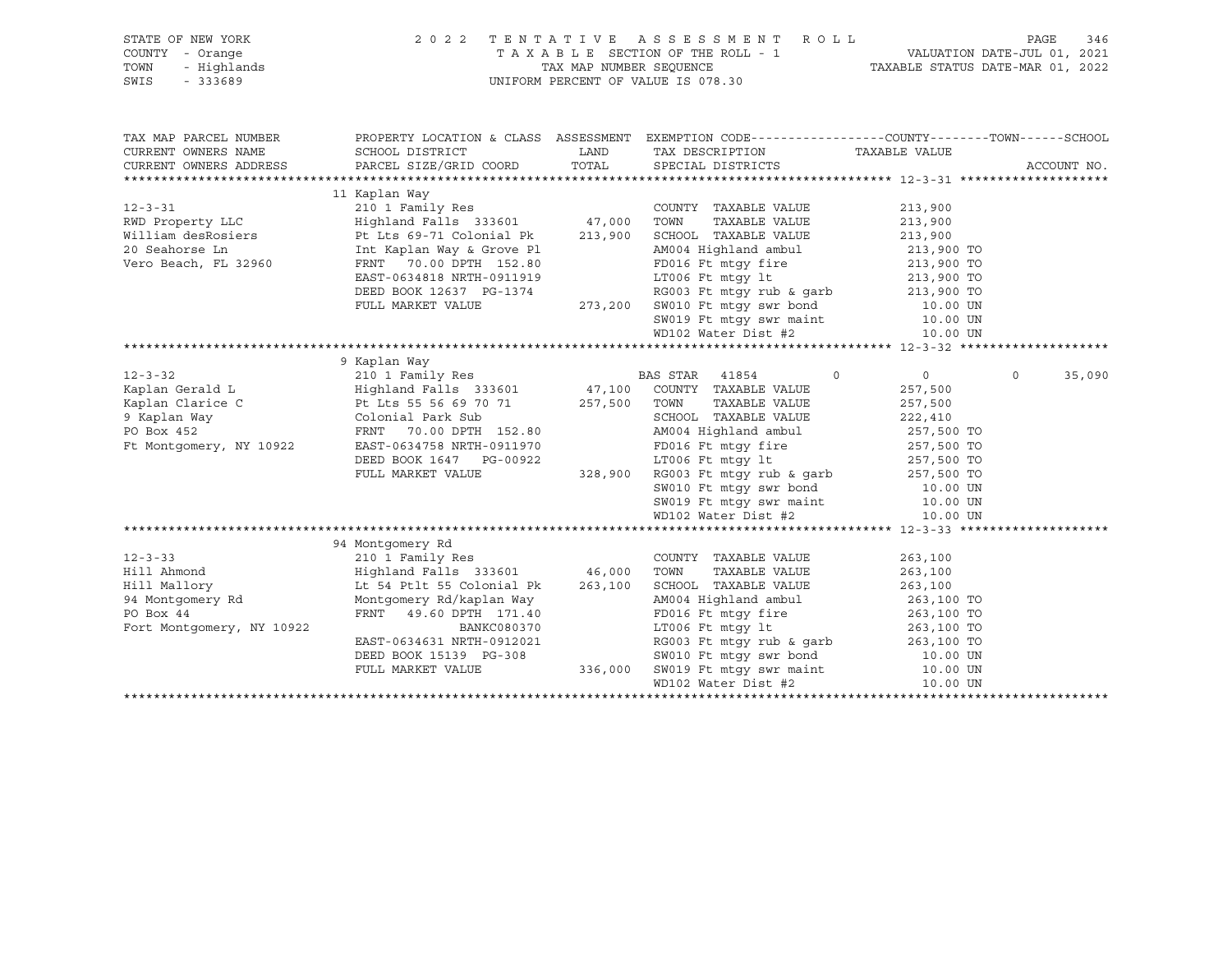| STATE OF NEW YORK         | 2022 TENTATIVE ASSESSMENT ROLL                                                                                                                                                                                                                     |                                                                                                                                                 |                    | PAGE<br>346        |
|---------------------------|----------------------------------------------------------------------------------------------------------------------------------------------------------------------------------------------------------------------------------------------------|-------------------------------------------------------------------------------------------------------------------------------------------------|--------------------|--------------------|
| COUNTY - Orange           |                                                                                                                                                                                                                                                    | TAXABLE SECTION OF THE ROLL - 1<br>TAX MAP NUMBER SEQUENCE TAXABLE STATUS DATE-JUL 01, 2021<br>NIEODM DEDGEME OF VALUE STATUS DATE-MAR 01, 2022 |                    |                    |
| TOWN<br>- Highlands       |                                                                                                                                                                                                                                                    |                                                                                                                                                 |                    |                    |
| SWIS<br>$-333689$         | UNIFORM PERCENT OF VALUE IS 078.30                                                                                                                                                                                                                 |                                                                                                                                                 |                    |                    |
|                           |                                                                                                                                                                                                                                                    |                                                                                                                                                 |                    |                    |
|                           |                                                                                                                                                                                                                                                    |                                                                                                                                                 |                    |                    |
|                           |                                                                                                                                                                                                                                                    |                                                                                                                                                 |                    |                    |
| TAX MAP PARCEL NUMBER     |                                                                                                                                                                                                                                                    | PROPERTY LOCATION & CLASS ASSESSMENT EXEMPTION CODE----------------COUNTY-------TOWN------SCHOOL                                                |                    |                    |
| CURRENT OWNERS NAME       |                                                                                                                                                                                                                                                    | TAX DESCRIPTION TAXABLE VALUE                                                                                                                   |                    |                    |
| CURRENT OWNERS ADDRESS    |                                                                                                                                                                                                                                                    |                                                                                                                                                 |                    | ACCOUNT NO.        |
|                           |                                                                                                                                                                                                                                                    |                                                                                                                                                 |                    |                    |
|                           | 11 Kaplan Way                                                                                                                                                                                                                                      |                                                                                                                                                 |                    |                    |
|                           |                                                                                                                                                                                                                                                    |                                                                                                                                                 |                    |                    |
|                           |                                                                                                                                                                                                                                                    |                                                                                                                                                 |                    |                    |
|                           |                                                                                                                                                                                                                                                    |                                                                                                                                                 |                    |                    |
|                           |                                                                                                                                                                                                                                                    |                                                                                                                                                 |                    |                    |
| Vero Beach, FL 32960      | 213,900<br>RWD Property LLC (213,900<br>RWD Property LLC (213,900<br>Highland deskosiers by Lts 69-71 Colonial Pk 213,900 SCHOOL TAXABLE VALUE 213,900<br>20 Seahorse Ln (213,900 FRNT 70.00 DPTH 152.80 FRND FORM FOR THE MELTIC 213,             |                                                                                                                                                 |                    |                    |
|                           |                                                                                                                                                                                                                                                    |                                                                                                                                                 |                    |                    |
|                           |                                                                                                                                                                                                                                                    |                                                                                                                                                 |                    |                    |
|                           |                                                                                                                                                                                                                                                    |                                                                                                                                                 |                    |                    |
|                           |                                                                                                                                                                                                                                                    |                                                                                                                                                 |                    |                    |
|                           |                                                                                                                                                                                                                                                    |                                                                                                                                                 |                    |                    |
|                           |                                                                                                                                                                                                                                                    |                                                                                                                                                 |                    |                    |
|                           | EXECUTE 257,500 EXAMPLE VALUE FOR ASSEMBLY AND RESERVED AND RESERVED AND RESERVED AND RESERVED AND RESERVED AND RESERVED AND RESERVED ON THE SERVED ON THE SERVED ON THE SERVED ON THE SERVED ON THE SERVED ON THE SERVED ON T                     |                                                                                                                                                 |                    |                    |
|                           |                                                                                                                                                                                                                                                    | $\circ$                                                                                                                                         | $\overline{0}$     | $\Omega$<br>35,090 |
|                           |                                                                                                                                                                                                                                                    |                                                                                                                                                 | 257,500            |                    |
|                           |                                                                                                                                                                                                                                                    | TAXABLE VALUE                                                                                                                                   |                    |                    |
|                           |                                                                                                                                                                                                                                                    |                                                                                                                                                 | 257,500            |                    |
|                           |                                                                                                                                                                                                                                                    | SCHOOL TAXABLE VALUE 222,410<br>AM004 Highland ambul 257,500 TO                                                                                 |                    |                    |
|                           |                                                                                                                                                                                                                                                    |                                                                                                                                                 |                    |                    |
|                           |                                                                                                                                                                                                                                                    |                                                                                                                                                 |                    |                    |
|                           |                                                                                                                                                                                                                                                    |                                                                                                                                                 |                    |                    |
|                           |                                                                                                                                                                                                                                                    |                                                                                                                                                 |                    |                    |
|                           |                                                                                                                                                                                                                                                    |                                                                                                                                                 |                    |                    |
|                           |                                                                                                                                                                                                                                                    |                                                                                                                                                 |                    |                    |
|                           | EAST-0634758 NRTH-0911970<br>DEED BOOK 1647 PG-00922<br>FULL MARKET VALUE 328,900 RG003 Ft mtgy fire 257,500 TO<br>FULL MARKET VALUE 328,900 RG003 Ft mtgy rub & garb<br>SW010 Ft mtgy swr bond 50019 Ft mtgy swr maint 10.00 UN<br>SW01           |                                                                                                                                                 |                    |                    |
|                           |                                                                                                                                                                                                                                                    |                                                                                                                                                 |                    |                    |
|                           | 94 Montgomery Rd                                                                                                                                                                                                                                   |                                                                                                                                                 |                    |                    |
| $12 - 3 - 33$             | 210 1 Family Res                                                                                                                                                                                                                                   | COUNTY TAXABLE VALUE                                                                                                                            | 263,100            |                    |
|                           |                                                                                                                                                                                                                                                    | TAXABLE VALUE                                                                                                                                   | 263,100<br>263,100 |                    |
|                           |                                                                                                                                                                                                                                                    |                                                                                                                                                 |                    |                    |
|                           |                                                                                                                                                                                                                                                    |                                                                                                                                                 |                    |                    |
|                           | Example and Highland Falls 333601 46,000 TOWN TAXABLE VALUE<br>Hill Mallory Lt 54 Ptlt 55 Colonial Pk 263,100 SCHOOL TAXABLE VALUE<br>94 Montgomery Rd Montgomery Rd/kaplan Way AM004 Highland ambul<br>PO Box 44 FRNT 49.60 DPTH 17               | AM004 Highland ambul 263,100 TO<br>FD016 Ft mtgy fire 263,100 TO                                                                                |                    |                    |
| Fort Montgomery, NY 10922 |                                                                                                                                                                                                                                                    |                                                                                                                                                 |                    |                    |
|                           |                                                                                                                                                                                                                                                    |                                                                                                                                                 |                    |                    |
|                           |                                                                                                                                                                                                                                                    |                                                                                                                                                 |                    |                    |
|                           |                                                                                                                                                                                                                                                    |                                                                                                                                                 |                    |                    |
|                           | Montgomery Rd/kaplan Way<br>FRNT 49.60 DPTH 171.40<br>BANKC080370<br>EAST-0634631 NRTH-0912021<br>DEED BOOK 15139 PG-308<br>FULL MARKET VALUE<br>FULL MARKET VALUE<br>236,000 SW019 Ft mtgy swr maint<br>WD102 Water Dist #2<br>THEP 3000 UN<br>RD |                                                                                                                                                 |                    |                    |
|                           |                                                                                                                                                                                                                                                    |                                                                                                                                                 |                    |                    |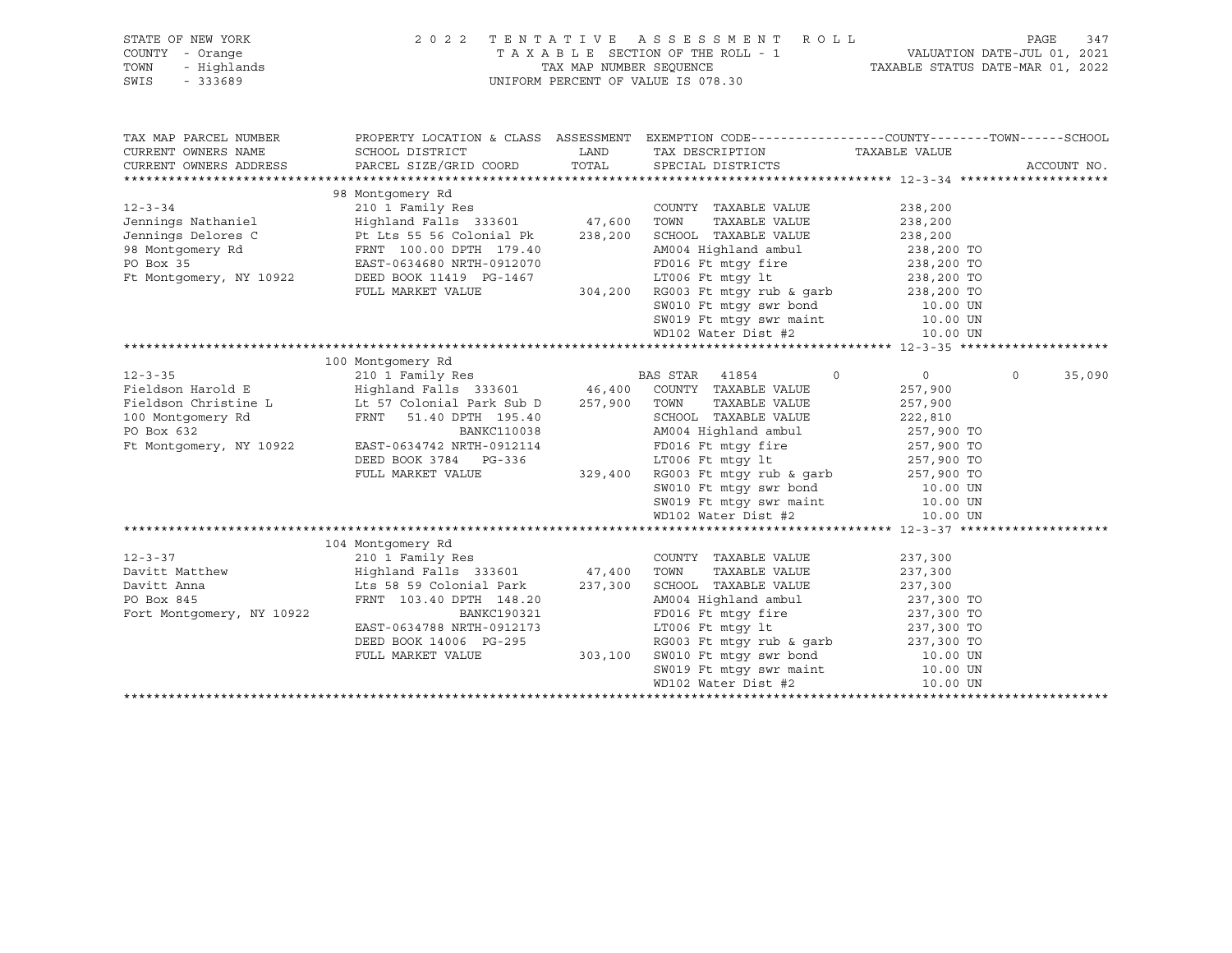| T A X A B L E SECTION OF THE ROLL - 1 VALUATION DATE-JUL 01, 2021<br>TAX MAP NUMBER SEQUENCE TAXABLE STATUS DATE-MAR 01, 2022<br>COUNTY - Orange<br>TOWN<br>- Highlands<br>UNIFORM PERCENT OF VALUE IS 078.30<br>SWIS<br>$-333689$<br>PROPERTY LOCATION & CLASS ASSESSMENT EXEMPTION CODE----------------COUNTY-------TOWN------SCHOOL<br>TAX MAP PARCEL NUMBER<br>CURRENT OWNERS NAME<br>SCHOOL DISTRICT<br>LAND<br>TAX DESCRIPTION TAXABLE VALUE<br>TOTAL SPECIAL DISTRICTS<br>PARCEL SIZE/GRID COORD<br>CURRENT OWNERS ADDRESS<br>ACCOUNT NO.<br>98 Montgomery Rd<br>$12 - 3 - 34$<br>210 1 Family Res<br>COUNTY TAXABLE VALUE<br>238,200<br>Highland Falls 333601 47,600 TOWN<br>Pt Lts 55 56 Colonial Pk 238,200 SCHOO<br>TAXABLE VALUE<br>238,200<br>238,200<br>238,200<br>SCHOOL TAXABLE VALUE<br>98 Montgomery Rd<br>PO Box 35 COMPOS BAST-0634680 NRTH-0912070<br>AM004 Highland ambul 238,200 TO<br>FD016 Ft mtgy fire 238,200 TO<br>PO Box 35<br>EAST-0634680 NRTH-0912070<br>99-1467<br>1994,200 ECO Remergy 1t<br>304,200 RG003 Ft mtgy rub & garb<br>304,200 RG003 Ft mtgy rub & garb<br>238,200 TO<br>238,200 TO<br>238,200 TO<br>238,200 TO<br>238,200 TO<br>238,200 TO<br>238,200 TO<br>2010 ECO RG003 Ft mtgy swr bond<br>10.<br>Ft Montgomery, NY 10922<br>DEED BOOK 11419 PG-1467<br>FULL MARKET VALUE<br>100 Montgomery Rd<br>$12 - 3 - 35$<br>$\circ$<br>$\Omega$<br>35,090<br>$0 \qquad \qquad$<br>Fieldson Harold E<br>257,900<br>Fieldson Christine L LL 57 Colonial Park Sub D 257,900 TOWN<br>TAXABLE VALUE<br>257,900<br>100 Montgomery Rd<br>PO Box 632 BANKC110038<br>SCHOOL TAXABLE VALUE<br>222,810<br>SCHOOL TAXABLE VALUE<br>AM004 Highland ambul 257,900 TO<br>FD016 Ft mtgy fire 257,900 TO<br>TTOOS Ft mtgy lt 257,900 TO<br>Ft Montgomery, NY 10922 EAST-0634742 NRTH-0912114<br>FD016 Ft mtgy fire<br>LT006 Ft mtgy lt<br>DEED BOOK 3784 PG-336<br>329,400 RG003 Ft mtgy rub & garb<br>SW010 Ft mtgy swr bond<br>SW010 Ft mtgy swr maint<br>SW019 Ft mtgy swr maint<br>10.00 UN<br>10.00 UN<br>FULL MARKET VALUE<br>WD102 Water Dist #2<br>10.00 UN<br>104 Montgomery Rd<br>$12 - 3 - 37$<br>210 1 Family Res<br>COUNTY TAXABLE VALUE<br>237,300<br>Highland $\overline{0}$ Falls 333601 47,400 TOWN<br>Lts 58 59 Colonial Park 237,300 SCHOOL<br>Davitt Matthew<br>TAXABLE VALUE<br>237,300<br>237,300<br>237,300<br>SCHOOL TAXABLE VALUE<br>Davitt Anna<br>PO Box 845<br>FRNT 103.40 DPTH 148.20<br>AM004 Highland ambul 237,300 TO<br>FD016 Ft mtgy fire 237,300 TO<br>Fort Montgomery, NY 10922<br>BANKC190321<br>237,300 TO<br>2190321 FD016 Ft mtgy fire 237,300 TO<br>302173 LT006 Ft mtgy 1t 237,300 TO<br>303,100 SW010 Ft mtgy swr bond 10.00 UN<br>EAST-0634788 NRTH-0912173<br>DEED BOOK 14006 PG-295<br>FULL MARKET VALUE<br>$5W019$ Ft mtgy swr maint $10.00$ UN<br>WD102 Water Dist #2 $10.00$ UN<br>WD102 Water Dist #2<br>10.00 UN | STATE OF NEW YORK | 2 0 2 2 | TENTATIVE ASSESSMENT ROLL | PAGE<br>347 |
|--------------------------------------------------------------------------------------------------------------------------------------------------------------------------------------------------------------------------------------------------------------------------------------------------------------------------------------------------------------------------------------------------------------------------------------------------------------------------------------------------------------------------------------------------------------------------------------------------------------------------------------------------------------------------------------------------------------------------------------------------------------------------------------------------------------------------------------------------------------------------------------------------------------------------------------------------------------------------------------------------------------------------------------------------------------------------------------------------------------------------------------------------------------------------------------------------------------------------------------------------------------------------------------------------------------------------------------------------------------------------------------------------------------------------------------------------------------------------------------------------------------------------------------------------------------------------------------------------------------------------------------------------------------------------------------------------------------------------------------------------------------------------------------------------------------------------------------------------------------------------------------------------------------------------------------------------------------------------------------------------------------------------------------------------------------------------------------------------------------------------------------------------------------------------------------------------------------------------------------------------------------------------------------------------------------------------------------------------------------------------------------------------------------------------------------------------------------------------------------------------------------------------------------------------------------------------------------------------------------------------------------------------------------------------------------------------------------------------------------------------------------------------------------------------------------------------------------------------------------------------------------------|-------------------|---------|---------------------------|-------------|
|                                                                                                                                                                                                                                                                                                                                                                                                                                                                                                                                                                                                                                                                                                                                                                                                                                                                                                                                                                                                                                                                                                                                                                                                                                                                                                                                                                                                                                                                                                                                                                                                                                                                                                                                                                                                                                                                                                                                                                                                                                                                                                                                                                                                                                                                                                                                                                                                                                                                                                                                                                                                                                                                                                                                                                                                                                                                                            |                   |         |                           |             |
|                                                                                                                                                                                                                                                                                                                                                                                                                                                                                                                                                                                                                                                                                                                                                                                                                                                                                                                                                                                                                                                                                                                                                                                                                                                                                                                                                                                                                                                                                                                                                                                                                                                                                                                                                                                                                                                                                                                                                                                                                                                                                                                                                                                                                                                                                                                                                                                                                                                                                                                                                                                                                                                                                                                                                                                                                                                                                            |                   |         |                           |             |
|                                                                                                                                                                                                                                                                                                                                                                                                                                                                                                                                                                                                                                                                                                                                                                                                                                                                                                                                                                                                                                                                                                                                                                                                                                                                                                                                                                                                                                                                                                                                                                                                                                                                                                                                                                                                                                                                                                                                                                                                                                                                                                                                                                                                                                                                                                                                                                                                                                                                                                                                                                                                                                                                                                                                                                                                                                                                                            |                   |         |                           |             |
|                                                                                                                                                                                                                                                                                                                                                                                                                                                                                                                                                                                                                                                                                                                                                                                                                                                                                                                                                                                                                                                                                                                                                                                                                                                                                                                                                                                                                                                                                                                                                                                                                                                                                                                                                                                                                                                                                                                                                                                                                                                                                                                                                                                                                                                                                                                                                                                                                                                                                                                                                                                                                                                                                                                                                                                                                                                                                            |                   |         |                           |             |
|                                                                                                                                                                                                                                                                                                                                                                                                                                                                                                                                                                                                                                                                                                                                                                                                                                                                                                                                                                                                                                                                                                                                                                                                                                                                                                                                                                                                                                                                                                                                                                                                                                                                                                                                                                                                                                                                                                                                                                                                                                                                                                                                                                                                                                                                                                                                                                                                                                                                                                                                                                                                                                                                                                                                                                                                                                                                                            |                   |         |                           |             |
|                                                                                                                                                                                                                                                                                                                                                                                                                                                                                                                                                                                                                                                                                                                                                                                                                                                                                                                                                                                                                                                                                                                                                                                                                                                                                                                                                                                                                                                                                                                                                                                                                                                                                                                                                                                                                                                                                                                                                                                                                                                                                                                                                                                                                                                                                                                                                                                                                                                                                                                                                                                                                                                                                                                                                                                                                                                                                            |                   |         |                           |             |
|                                                                                                                                                                                                                                                                                                                                                                                                                                                                                                                                                                                                                                                                                                                                                                                                                                                                                                                                                                                                                                                                                                                                                                                                                                                                                                                                                                                                                                                                                                                                                                                                                                                                                                                                                                                                                                                                                                                                                                                                                                                                                                                                                                                                                                                                                                                                                                                                                                                                                                                                                                                                                                                                                                                                                                                                                                                                                            |                   |         |                           |             |
|                                                                                                                                                                                                                                                                                                                                                                                                                                                                                                                                                                                                                                                                                                                                                                                                                                                                                                                                                                                                                                                                                                                                                                                                                                                                                                                                                                                                                                                                                                                                                                                                                                                                                                                                                                                                                                                                                                                                                                                                                                                                                                                                                                                                                                                                                                                                                                                                                                                                                                                                                                                                                                                                                                                                                                                                                                                                                            |                   |         |                           |             |
|                                                                                                                                                                                                                                                                                                                                                                                                                                                                                                                                                                                                                                                                                                                                                                                                                                                                                                                                                                                                                                                                                                                                                                                                                                                                                                                                                                                                                                                                                                                                                                                                                                                                                                                                                                                                                                                                                                                                                                                                                                                                                                                                                                                                                                                                                                                                                                                                                                                                                                                                                                                                                                                                                                                                                                                                                                                                                            |                   |         |                           |             |
|                                                                                                                                                                                                                                                                                                                                                                                                                                                                                                                                                                                                                                                                                                                                                                                                                                                                                                                                                                                                                                                                                                                                                                                                                                                                                                                                                                                                                                                                                                                                                                                                                                                                                                                                                                                                                                                                                                                                                                                                                                                                                                                                                                                                                                                                                                                                                                                                                                                                                                                                                                                                                                                                                                                                                                                                                                                                                            |                   |         |                           |             |
|                                                                                                                                                                                                                                                                                                                                                                                                                                                                                                                                                                                                                                                                                                                                                                                                                                                                                                                                                                                                                                                                                                                                                                                                                                                                                                                                                                                                                                                                                                                                                                                                                                                                                                                                                                                                                                                                                                                                                                                                                                                                                                                                                                                                                                                                                                                                                                                                                                                                                                                                                                                                                                                                                                                                                                                                                                                                                            |                   |         |                           |             |
|                                                                                                                                                                                                                                                                                                                                                                                                                                                                                                                                                                                                                                                                                                                                                                                                                                                                                                                                                                                                                                                                                                                                                                                                                                                                                                                                                                                                                                                                                                                                                                                                                                                                                                                                                                                                                                                                                                                                                                                                                                                                                                                                                                                                                                                                                                                                                                                                                                                                                                                                                                                                                                                                                                                                                                                                                                                                                            |                   |         |                           |             |
|                                                                                                                                                                                                                                                                                                                                                                                                                                                                                                                                                                                                                                                                                                                                                                                                                                                                                                                                                                                                                                                                                                                                                                                                                                                                                                                                                                                                                                                                                                                                                                                                                                                                                                                                                                                                                                                                                                                                                                                                                                                                                                                                                                                                                                                                                                                                                                                                                                                                                                                                                                                                                                                                                                                                                                                                                                                                                            |                   |         |                           |             |
|                                                                                                                                                                                                                                                                                                                                                                                                                                                                                                                                                                                                                                                                                                                                                                                                                                                                                                                                                                                                                                                                                                                                                                                                                                                                                                                                                                                                                                                                                                                                                                                                                                                                                                                                                                                                                                                                                                                                                                                                                                                                                                                                                                                                                                                                                                                                                                                                                                                                                                                                                                                                                                                                                                                                                                                                                                                                                            |                   |         |                           |             |
|                                                                                                                                                                                                                                                                                                                                                                                                                                                                                                                                                                                                                                                                                                                                                                                                                                                                                                                                                                                                                                                                                                                                                                                                                                                                                                                                                                                                                                                                                                                                                                                                                                                                                                                                                                                                                                                                                                                                                                                                                                                                                                                                                                                                                                                                                                                                                                                                                                                                                                                                                                                                                                                                                                                                                                                                                                                                                            |                   |         |                           |             |
|                                                                                                                                                                                                                                                                                                                                                                                                                                                                                                                                                                                                                                                                                                                                                                                                                                                                                                                                                                                                                                                                                                                                                                                                                                                                                                                                                                                                                                                                                                                                                                                                                                                                                                                                                                                                                                                                                                                                                                                                                                                                                                                                                                                                                                                                                                                                                                                                                                                                                                                                                                                                                                                                                                                                                                                                                                                                                            |                   |         |                           |             |
|                                                                                                                                                                                                                                                                                                                                                                                                                                                                                                                                                                                                                                                                                                                                                                                                                                                                                                                                                                                                                                                                                                                                                                                                                                                                                                                                                                                                                                                                                                                                                                                                                                                                                                                                                                                                                                                                                                                                                                                                                                                                                                                                                                                                                                                                                                                                                                                                                                                                                                                                                                                                                                                                                                                                                                                                                                                                                            |                   |         |                           |             |
|                                                                                                                                                                                                                                                                                                                                                                                                                                                                                                                                                                                                                                                                                                                                                                                                                                                                                                                                                                                                                                                                                                                                                                                                                                                                                                                                                                                                                                                                                                                                                                                                                                                                                                                                                                                                                                                                                                                                                                                                                                                                                                                                                                                                                                                                                                                                                                                                                                                                                                                                                                                                                                                                                                                                                                                                                                                                                            |                   |         |                           |             |
|                                                                                                                                                                                                                                                                                                                                                                                                                                                                                                                                                                                                                                                                                                                                                                                                                                                                                                                                                                                                                                                                                                                                                                                                                                                                                                                                                                                                                                                                                                                                                                                                                                                                                                                                                                                                                                                                                                                                                                                                                                                                                                                                                                                                                                                                                                                                                                                                                                                                                                                                                                                                                                                                                                                                                                                                                                                                                            |                   |         |                           |             |
|                                                                                                                                                                                                                                                                                                                                                                                                                                                                                                                                                                                                                                                                                                                                                                                                                                                                                                                                                                                                                                                                                                                                                                                                                                                                                                                                                                                                                                                                                                                                                                                                                                                                                                                                                                                                                                                                                                                                                                                                                                                                                                                                                                                                                                                                                                                                                                                                                                                                                                                                                                                                                                                                                                                                                                                                                                                                                            |                   |         |                           |             |
|                                                                                                                                                                                                                                                                                                                                                                                                                                                                                                                                                                                                                                                                                                                                                                                                                                                                                                                                                                                                                                                                                                                                                                                                                                                                                                                                                                                                                                                                                                                                                                                                                                                                                                                                                                                                                                                                                                                                                                                                                                                                                                                                                                                                                                                                                                                                                                                                                                                                                                                                                                                                                                                                                                                                                                                                                                                                                            |                   |         |                           |             |
|                                                                                                                                                                                                                                                                                                                                                                                                                                                                                                                                                                                                                                                                                                                                                                                                                                                                                                                                                                                                                                                                                                                                                                                                                                                                                                                                                                                                                                                                                                                                                                                                                                                                                                                                                                                                                                                                                                                                                                                                                                                                                                                                                                                                                                                                                                                                                                                                                                                                                                                                                                                                                                                                                                                                                                                                                                                                                            |                   |         |                           |             |
|                                                                                                                                                                                                                                                                                                                                                                                                                                                                                                                                                                                                                                                                                                                                                                                                                                                                                                                                                                                                                                                                                                                                                                                                                                                                                                                                                                                                                                                                                                                                                                                                                                                                                                                                                                                                                                                                                                                                                                                                                                                                                                                                                                                                                                                                                                                                                                                                                                                                                                                                                                                                                                                                                                                                                                                                                                                                                            |                   |         |                           |             |
|                                                                                                                                                                                                                                                                                                                                                                                                                                                                                                                                                                                                                                                                                                                                                                                                                                                                                                                                                                                                                                                                                                                                                                                                                                                                                                                                                                                                                                                                                                                                                                                                                                                                                                                                                                                                                                                                                                                                                                                                                                                                                                                                                                                                                                                                                                                                                                                                                                                                                                                                                                                                                                                                                                                                                                                                                                                                                            |                   |         |                           |             |
|                                                                                                                                                                                                                                                                                                                                                                                                                                                                                                                                                                                                                                                                                                                                                                                                                                                                                                                                                                                                                                                                                                                                                                                                                                                                                                                                                                                                                                                                                                                                                                                                                                                                                                                                                                                                                                                                                                                                                                                                                                                                                                                                                                                                                                                                                                                                                                                                                                                                                                                                                                                                                                                                                                                                                                                                                                                                                            |                   |         |                           |             |
|                                                                                                                                                                                                                                                                                                                                                                                                                                                                                                                                                                                                                                                                                                                                                                                                                                                                                                                                                                                                                                                                                                                                                                                                                                                                                                                                                                                                                                                                                                                                                                                                                                                                                                                                                                                                                                                                                                                                                                                                                                                                                                                                                                                                                                                                                                                                                                                                                                                                                                                                                                                                                                                                                                                                                                                                                                                                                            |                   |         |                           |             |
|                                                                                                                                                                                                                                                                                                                                                                                                                                                                                                                                                                                                                                                                                                                                                                                                                                                                                                                                                                                                                                                                                                                                                                                                                                                                                                                                                                                                                                                                                                                                                                                                                                                                                                                                                                                                                                                                                                                                                                                                                                                                                                                                                                                                                                                                                                                                                                                                                                                                                                                                                                                                                                                                                                                                                                                                                                                                                            |                   |         |                           |             |
|                                                                                                                                                                                                                                                                                                                                                                                                                                                                                                                                                                                                                                                                                                                                                                                                                                                                                                                                                                                                                                                                                                                                                                                                                                                                                                                                                                                                                                                                                                                                                                                                                                                                                                                                                                                                                                                                                                                                                                                                                                                                                                                                                                                                                                                                                                                                                                                                                                                                                                                                                                                                                                                                                                                                                                                                                                                                                            |                   |         |                           |             |
|                                                                                                                                                                                                                                                                                                                                                                                                                                                                                                                                                                                                                                                                                                                                                                                                                                                                                                                                                                                                                                                                                                                                                                                                                                                                                                                                                                                                                                                                                                                                                                                                                                                                                                                                                                                                                                                                                                                                                                                                                                                                                                                                                                                                                                                                                                                                                                                                                                                                                                                                                                                                                                                                                                                                                                                                                                                                                            |                   |         |                           |             |
|                                                                                                                                                                                                                                                                                                                                                                                                                                                                                                                                                                                                                                                                                                                                                                                                                                                                                                                                                                                                                                                                                                                                                                                                                                                                                                                                                                                                                                                                                                                                                                                                                                                                                                                                                                                                                                                                                                                                                                                                                                                                                                                                                                                                                                                                                                                                                                                                                                                                                                                                                                                                                                                                                                                                                                                                                                                                                            |                   |         |                           |             |
|                                                                                                                                                                                                                                                                                                                                                                                                                                                                                                                                                                                                                                                                                                                                                                                                                                                                                                                                                                                                                                                                                                                                                                                                                                                                                                                                                                                                                                                                                                                                                                                                                                                                                                                                                                                                                                                                                                                                                                                                                                                                                                                                                                                                                                                                                                                                                                                                                                                                                                                                                                                                                                                                                                                                                                                                                                                                                            |                   |         |                           |             |
|                                                                                                                                                                                                                                                                                                                                                                                                                                                                                                                                                                                                                                                                                                                                                                                                                                                                                                                                                                                                                                                                                                                                                                                                                                                                                                                                                                                                                                                                                                                                                                                                                                                                                                                                                                                                                                                                                                                                                                                                                                                                                                                                                                                                                                                                                                                                                                                                                                                                                                                                                                                                                                                                                                                                                                                                                                                                                            |                   |         |                           |             |
|                                                                                                                                                                                                                                                                                                                                                                                                                                                                                                                                                                                                                                                                                                                                                                                                                                                                                                                                                                                                                                                                                                                                                                                                                                                                                                                                                                                                                                                                                                                                                                                                                                                                                                                                                                                                                                                                                                                                                                                                                                                                                                                                                                                                                                                                                                                                                                                                                                                                                                                                                                                                                                                                                                                                                                                                                                                                                            |                   |         |                           |             |
|                                                                                                                                                                                                                                                                                                                                                                                                                                                                                                                                                                                                                                                                                                                                                                                                                                                                                                                                                                                                                                                                                                                                                                                                                                                                                                                                                                                                                                                                                                                                                                                                                                                                                                                                                                                                                                                                                                                                                                                                                                                                                                                                                                                                                                                                                                                                                                                                                                                                                                                                                                                                                                                                                                                                                                                                                                                                                            |                   |         |                           |             |
|                                                                                                                                                                                                                                                                                                                                                                                                                                                                                                                                                                                                                                                                                                                                                                                                                                                                                                                                                                                                                                                                                                                                                                                                                                                                                                                                                                                                                                                                                                                                                                                                                                                                                                                                                                                                                                                                                                                                                                                                                                                                                                                                                                                                                                                                                                                                                                                                                                                                                                                                                                                                                                                                                                                                                                                                                                                                                            |                   |         |                           |             |
|                                                                                                                                                                                                                                                                                                                                                                                                                                                                                                                                                                                                                                                                                                                                                                                                                                                                                                                                                                                                                                                                                                                                                                                                                                                                                                                                                                                                                                                                                                                                                                                                                                                                                                                                                                                                                                                                                                                                                                                                                                                                                                                                                                                                                                                                                                                                                                                                                                                                                                                                                                                                                                                                                                                                                                                                                                                                                            |                   |         |                           |             |
|                                                                                                                                                                                                                                                                                                                                                                                                                                                                                                                                                                                                                                                                                                                                                                                                                                                                                                                                                                                                                                                                                                                                                                                                                                                                                                                                                                                                                                                                                                                                                                                                                                                                                                                                                                                                                                                                                                                                                                                                                                                                                                                                                                                                                                                                                                                                                                                                                                                                                                                                                                                                                                                                                                                                                                                                                                                                                            |                   |         |                           |             |
|                                                                                                                                                                                                                                                                                                                                                                                                                                                                                                                                                                                                                                                                                                                                                                                                                                                                                                                                                                                                                                                                                                                                                                                                                                                                                                                                                                                                                                                                                                                                                                                                                                                                                                                                                                                                                                                                                                                                                                                                                                                                                                                                                                                                                                                                                                                                                                                                                                                                                                                                                                                                                                                                                                                                                                                                                                                                                            |                   |         |                           |             |
|                                                                                                                                                                                                                                                                                                                                                                                                                                                                                                                                                                                                                                                                                                                                                                                                                                                                                                                                                                                                                                                                                                                                                                                                                                                                                                                                                                                                                                                                                                                                                                                                                                                                                                                                                                                                                                                                                                                                                                                                                                                                                                                                                                                                                                                                                                                                                                                                                                                                                                                                                                                                                                                                                                                                                                                                                                                                                            |                   |         |                           |             |
|                                                                                                                                                                                                                                                                                                                                                                                                                                                                                                                                                                                                                                                                                                                                                                                                                                                                                                                                                                                                                                                                                                                                                                                                                                                                                                                                                                                                                                                                                                                                                                                                                                                                                                                                                                                                                                                                                                                                                                                                                                                                                                                                                                                                                                                                                                                                                                                                                                                                                                                                                                                                                                                                                                                                                                                                                                                                                            |                   |         |                           |             |
|                                                                                                                                                                                                                                                                                                                                                                                                                                                                                                                                                                                                                                                                                                                                                                                                                                                                                                                                                                                                                                                                                                                                                                                                                                                                                                                                                                                                                                                                                                                                                                                                                                                                                                                                                                                                                                                                                                                                                                                                                                                                                                                                                                                                                                                                                                                                                                                                                                                                                                                                                                                                                                                                                                                                                                                                                                                                                            |                   |         |                           |             |
|                                                                                                                                                                                                                                                                                                                                                                                                                                                                                                                                                                                                                                                                                                                                                                                                                                                                                                                                                                                                                                                                                                                                                                                                                                                                                                                                                                                                                                                                                                                                                                                                                                                                                                                                                                                                                                                                                                                                                                                                                                                                                                                                                                                                                                                                                                                                                                                                                                                                                                                                                                                                                                                                                                                                                                                                                                                                                            |                   |         |                           |             |
|                                                                                                                                                                                                                                                                                                                                                                                                                                                                                                                                                                                                                                                                                                                                                                                                                                                                                                                                                                                                                                                                                                                                                                                                                                                                                                                                                                                                                                                                                                                                                                                                                                                                                                                                                                                                                                                                                                                                                                                                                                                                                                                                                                                                                                                                                                                                                                                                                                                                                                                                                                                                                                                                                                                                                                                                                                                                                            |                   |         |                           |             |
|                                                                                                                                                                                                                                                                                                                                                                                                                                                                                                                                                                                                                                                                                                                                                                                                                                                                                                                                                                                                                                                                                                                                                                                                                                                                                                                                                                                                                                                                                                                                                                                                                                                                                                                                                                                                                                                                                                                                                                                                                                                                                                                                                                                                                                                                                                                                                                                                                                                                                                                                                                                                                                                                                                                                                                                                                                                                                            |                   |         |                           |             |
|                                                                                                                                                                                                                                                                                                                                                                                                                                                                                                                                                                                                                                                                                                                                                                                                                                                                                                                                                                                                                                                                                                                                                                                                                                                                                                                                                                                                                                                                                                                                                                                                                                                                                                                                                                                                                                                                                                                                                                                                                                                                                                                                                                                                                                                                                                                                                                                                                                                                                                                                                                                                                                                                                                                                                                                                                                                                                            |                   |         |                           |             |
|                                                                                                                                                                                                                                                                                                                                                                                                                                                                                                                                                                                                                                                                                                                                                                                                                                                                                                                                                                                                                                                                                                                                                                                                                                                                                                                                                                                                                                                                                                                                                                                                                                                                                                                                                                                                                                                                                                                                                                                                                                                                                                                                                                                                                                                                                                                                                                                                                                                                                                                                                                                                                                                                                                                                                                                                                                                                                            |                   |         |                           |             |
|                                                                                                                                                                                                                                                                                                                                                                                                                                                                                                                                                                                                                                                                                                                                                                                                                                                                                                                                                                                                                                                                                                                                                                                                                                                                                                                                                                                                                                                                                                                                                                                                                                                                                                                                                                                                                                                                                                                                                                                                                                                                                                                                                                                                                                                                                                                                                                                                                                                                                                                                                                                                                                                                                                                                                                                                                                                                                            |                   |         |                           |             |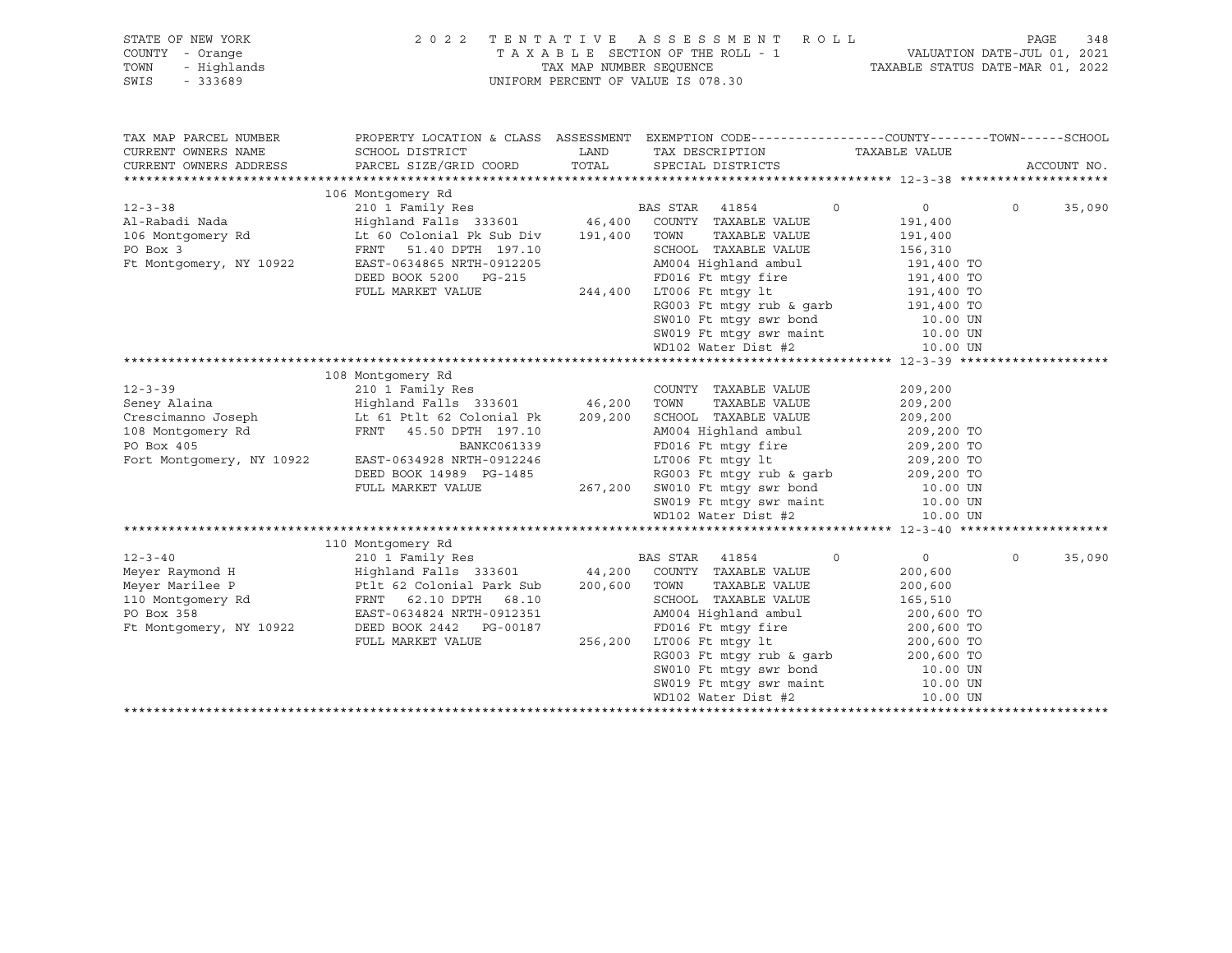| STATE OF NEW YORK<br>$I - \text{Orange}$<br>- Highlands<br>- 333689<br>COUNTY - Orange<br>TOWN<br>SWIS | 2 0 2 2                                                                                                                                                                                                                                                                                                                                                                                                                                                                                                                         |               | TENTATIVE ASSESSMENT ROLL<br>T A X A B L E SECTION OF THE ROLL - 1 VALUATION DATE-JUL 01, 2021<br>TAX MAP NUMBER SEQUENCE TAXIBLE STATUS DATE-MAR 01, 2022<br>UNIFORM PERCENT OF VALUE IS 078.30                                                             |                          |          | PAGE<br>348 |
|--------------------------------------------------------------------------------------------------------|---------------------------------------------------------------------------------------------------------------------------------------------------------------------------------------------------------------------------------------------------------------------------------------------------------------------------------------------------------------------------------------------------------------------------------------------------------------------------------------------------------------------------------|---------------|--------------------------------------------------------------------------------------------------------------------------------------------------------------------------------------------------------------------------------------------------------------|--------------------------|----------|-------------|
| TAX MAP PARCEL NUMBER                                                                                  |                                                                                                                                                                                                                                                                                                                                                                                                                                                                                                                                 |               | PROPERTY LOCATION & CLASS ASSESSMENT EXEMPTION CODE---------------COUNTY-------TOWN-----SCHOOL                                                                                                                                                               |                          |          |             |
| CURRENT OWNERS NAME<br>CURRENT OWNERS ADDRESS                                                          | SCHOOL DISTRICT<br>PARCEL SIZE/GRID COORD                                                                                                                                                                                                                                                                                                                                                                                                                                                                                       | LAND<br>TOTAL | TAX DESCRIPTION TAXABLE VALUE<br>SPECIAL DISTRICTS                                                                                                                                                                                                           |                          |          | ACCOUNT NO. |
|                                                                                                        |                                                                                                                                                                                                                                                                                                                                                                                                                                                                                                                                 |               |                                                                                                                                                                                                                                                              |                          |          |             |
|                                                                                                        | $\begin{tabular}{lllllllllll} \multicolumn{3}{c}{\begin{tabular}{lcccccc} \multicolumn{3}{c}{\begin{tabular}{lcccccc} \multicolumn{3}{c}{\begin{tabular}{lcccccc} \multicolumn{3}{c}{\begin{tabular}{lcccccc} \multicolumn{3}{c}{\begin{tabular}{lcccccc} \multicolumn{3}{c}{\begin{tabular}{lcccccc} \multicolumn{3}{c}{\begin{tabular}{lcccccc} \multicolumn{3}{c}{\begin{tabular}{lcccccc} \multicolumn{3}{c}{\begin{tabular}{lcccccc} \multicolumn{3}{c}{\begin{tabular}{lcccccc} \multicolumn{3}{c}{\begin{tabular}{lcccc$ |               |                                                                                                                                                                                                                                                              |                          |          |             |
|                                                                                                        |                                                                                                                                                                                                                                                                                                                                                                                                                                                                                                                                 |               | $\circ$                                                                                                                                                                                                                                                      | $0 \qquad \qquad$        | $\circ$  | 35,090      |
|                                                                                                        |                                                                                                                                                                                                                                                                                                                                                                                                                                                                                                                                 |               |                                                                                                                                                                                                                                                              | 191,400                  |          |             |
|                                                                                                        |                                                                                                                                                                                                                                                                                                                                                                                                                                                                                                                                 |               | TAXABLE VALUE                                                                                                                                                                                                                                                | 191,400                  |          |             |
|                                                                                                        |                                                                                                                                                                                                                                                                                                                                                                                                                                                                                                                                 |               | SCHOOL TAXABLE VALUE<br>AM004 Highland ambul                                                                                                                                                                                                                 |                          |          |             |
| Ft Montgomery, NY 10922                                                                                | EAST-0634865 NRTH-0912205                                                                                                                                                                                                                                                                                                                                                                                                                                                                                                       |               |                                                                                                                                                                                                                                                              | 156,310<br>191,400 TO    |          |             |
|                                                                                                        | DEED BOOK 5200 PG-215                                                                                                                                                                                                                                                                                                                                                                                                                                                                                                           |               | G-215 $\begin{array}{c} \text{FD016 Ft} \text{mtgy fire} \\ 244,400 \text{ LTO06 Ft mtgy lt} \end{array}$                                                                                                                                                    | 191,400 TO<br>191,400 TO |          |             |
|                                                                                                        | FULL MARKET VALUE                                                                                                                                                                                                                                                                                                                                                                                                                                                                                                               |               |                                                                                                                                                                                                                                                              |                          |          |             |
|                                                                                                        |                                                                                                                                                                                                                                                                                                                                                                                                                                                                                                                                 |               |                                                                                                                                                                                                                                                              |                          |          |             |
|                                                                                                        |                                                                                                                                                                                                                                                                                                                                                                                                                                                                                                                                 |               |                                                                                                                                                                                                                                                              |                          |          |             |
|                                                                                                        |                                                                                                                                                                                                                                                                                                                                                                                                                                                                                                                                 |               |                                                                                                                                                                                                                                                              |                          |          |             |
|                                                                                                        |                                                                                                                                                                                                                                                                                                                                                                                                                                                                                                                                 |               | RG003 Ft mtgy rub & garb<br>SW010 Ft mtgy swr bond<br>SW019 Ft mtgy swr maint<br>MD102 Water Dist #2<br>10.00 UN<br>MD102 Water Dist #2<br>10.00 UN                                                                                                          |                          |          |             |
|                                                                                                        |                                                                                                                                                                                                                                                                                                                                                                                                                                                                                                                                 |               |                                                                                                                                                                                                                                                              |                          |          |             |
|                                                                                                        | 108 Montgomery Rd                                                                                                                                                                                                                                                                                                                                                                                                                                                                                                               |               |                                                                                                                                                                                                                                                              |                          |          |             |
| $12 - 3 - 39$                                                                                          | 210 1 Family Res                                                                                                                                                                                                                                                                                                                                                                                                                                                                                                                |               | COUNTY TAXABLE VALUE                                                                                                                                                                                                                                         | 209,200                  |          |             |
|                                                                                                        | Seney Alaina (1992)<br>Seney Alaina (1992)<br>Crescimanno Joseph (1992)<br>Lt 61 Ptlt 62 Colonial Pk (209,200 SCHOOL TAXABLE VALUE<br>108 Montgomery Rd FRNT 45.50 DPTH 197.10<br>PO Box 405 (1993)<br>PD016 Ft mtgy fire                                                                                                                                                                                                                                                                                                       |               |                                                                                                                                                                                                                                                              | 209,200                  |          |             |
|                                                                                                        |                                                                                                                                                                                                                                                                                                                                                                                                                                                                                                                                 |               | XCHOOL IAAADLE VALUE<br>AM004 Highland ambul 209,200 TO<br>FD016 Ft mtgy 1t 209,200 TO<br>LT006 Ft mtgy 1t 209,200 TO                                                                                                                                        | 209,200                  |          |             |
|                                                                                                        |                                                                                                                                                                                                                                                                                                                                                                                                                                                                                                                                 |               |                                                                                                                                                                                                                                                              |                          |          |             |
| Fort Montgomery, NY 10922                                                                              |                                                                                                                                                                                                                                                                                                                                                                                                                                                                                                                                 |               | FD016 Ft mtgy fire<br>LT006 Ft mtgy lt                                                                                                                                                                                                                       |                          |          |             |
|                                                                                                        | EAST-0634928 NRTH-0912246                                                                                                                                                                                                                                                                                                                                                                                                                                                                                                       |               |                                                                                                                                                                                                                                                              |                          |          |             |
|                                                                                                        | DEED BOOK 14989 PG-1485<br>FULL MARKET VALUE                                                                                                                                                                                                                                                                                                                                                                                                                                                                                    |               |                                                                                                                                                                                                                                                              |                          |          |             |
|                                                                                                        |                                                                                                                                                                                                                                                                                                                                                                                                                                                                                                                                 |               |                                                                                                                                                                                                                                                              |                          |          |             |
|                                                                                                        |                                                                                                                                                                                                                                                                                                                                                                                                                                                                                                                                 |               | 3-1485<br>267,200 SW010 Ft mtgy rub & garb<br>267,200 SW010 Ft mtgy swr bond<br>5W019 Ft mtgy swr maint<br>209,200 TO<br>209,200 TO<br>10.00 UN<br>200.00 UN<br>200.00 UN<br>200.00 UN<br>200.00 UN<br>200.00 UN<br>200.00 UN<br>200.00 UN<br>200.00 UN<br>2 |                          |          |             |
|                                                                                                        |                                                                                                                                                                                                                                                                                                                                                                                                                                                                                                                                 |               |                                                                                                                                                                                                                                                              |                          |          |             |
|                                                                                                        | 110 Montgomery Rd                                                                                                                                                                                                                                                                                                                                                                                                                                                                                                               |               |                                                                                                                                                                                                                                                              |                          |          |             |
| $12 - 3 - 40$                                                                                          | 210 1 Family Res                                                                                                                                                                                                                                                                                                                                                                                                                                                                                                                |               | BAS STAR 41854<br>$\circ$                                                                                                                                                                                                                                    | $\overline{0}$           | $\Omega$ | 35,090      |
|                                                                                                        |                                                                                                                                                                                                                                                                                                                                                                                                                                                                                                                                 |               |                                                                                                                                                                                                                                                              | 200,600                  |          |             |
|                                                                                                        | Meyer Raymond H                       Highland Falls 333601         44,200  COUNTY TAXABLE VALUE<br>Meyer Marilee P                    Ptlt 62 Colonial Park Sub     200,600   TOWN    TAXABLE VALUE                                                                                                                                                                                                                                                                                                                            |               |                                                                                                                                                                                                                                                              | 200,600                  |          |             |
|                                                                                                        | 110 Montgomery Rd<br>PO Box 358 EAST-0634824 NRTH-0912351                                                                                                                                                                                                                                                                                                                                                                                                                                                                       |               | SCHOOL TAXABLE VALUE                                                                                                                                                                                                                                         | 165,510                  |          |             |
|                                                                                                        |                                                                                                                                                                                                                                                                                                                                                                                                                                                                                                                                 |               | SCHOOL TAXABLE VALUE<br>AM004 Highland ambul                                                                                                                                                                                                                 |                          |          |             |
|                                                                                                        |                                                                                                                                                                                                                                                                                                                                                                                                                                                                                                                                 |               |                                                                                                                                                                                                                                                              |                          |          |             |
|                                                                                                        |                                                                                                                                                                                                                                                                                                                                                                                                                                                                                                                                 |               |                                                                                                                                                                                                                                                              |                          |          |             |
|                                                                                                        | PO Box 358<br>PO Box 358<br>FL Montgomery, NY 10922 DEED BOOK 2442 PG-00187 FD016 Ft mtgy fire 200,600 TO<br>FULL MARKET VALUE 256,200 LT006 Ft mtgy 1t 200,600 TO<br>RG003 Ft mtgy rub & garb 200,600 TO<br>10.00 TD                                                                                                                                                                                                                                                                                                           |               |                                                                                                                                                                                                                                                              |                          |          |             |
|                                                                                                        |                                                                                                                                                                                                                                                                                                                                                                                                                                                                                                                                 |               |                                                                                                                                                                                                                                                              |                          |          |             |
|                                                                                                        |                                                                                                                                                                                                                                                                                                                                                                                                                                                                                                                                 |               | SW010 Ft mtgy swr bond<br>SW010 Ft mtgy swr bond<br>10.00 UN<br>WD102 Water Dist #2 10.00 UN<br>10.00 UN                                                                                                                                                     |                          |          |             |
|                                                                                                        |                                                                                                                                                                                                                                                                                                                                                                                                                                                                                                                                 |               |                                                                                                                                                                                                                                                              |                          |          |             |

\*\*\*\*\*\*\*\*\*\*\*\*\*\*\*\*\*\*\*\*\*\*\*\*\*\*\*\*\*\*\*\*\*\*\*\*\*\*\*\*\*\*\*\*\*\*\*\*\*\*\*\*\*\*\*\*\*\*\*\*\*\*\*\*\*\*\*\*\*\*\*\*\*\*\*\*\*\*\*\*\*\*\*\*\*\*\*\*\*\*\*\*\*\*\*\*\*\*\*\*\*\*\*\*\*\*\*\*\*\*\*\*\*\*\*\*\*\*\*\*\*\*\*\*\*\*\*\*\*\*\*\*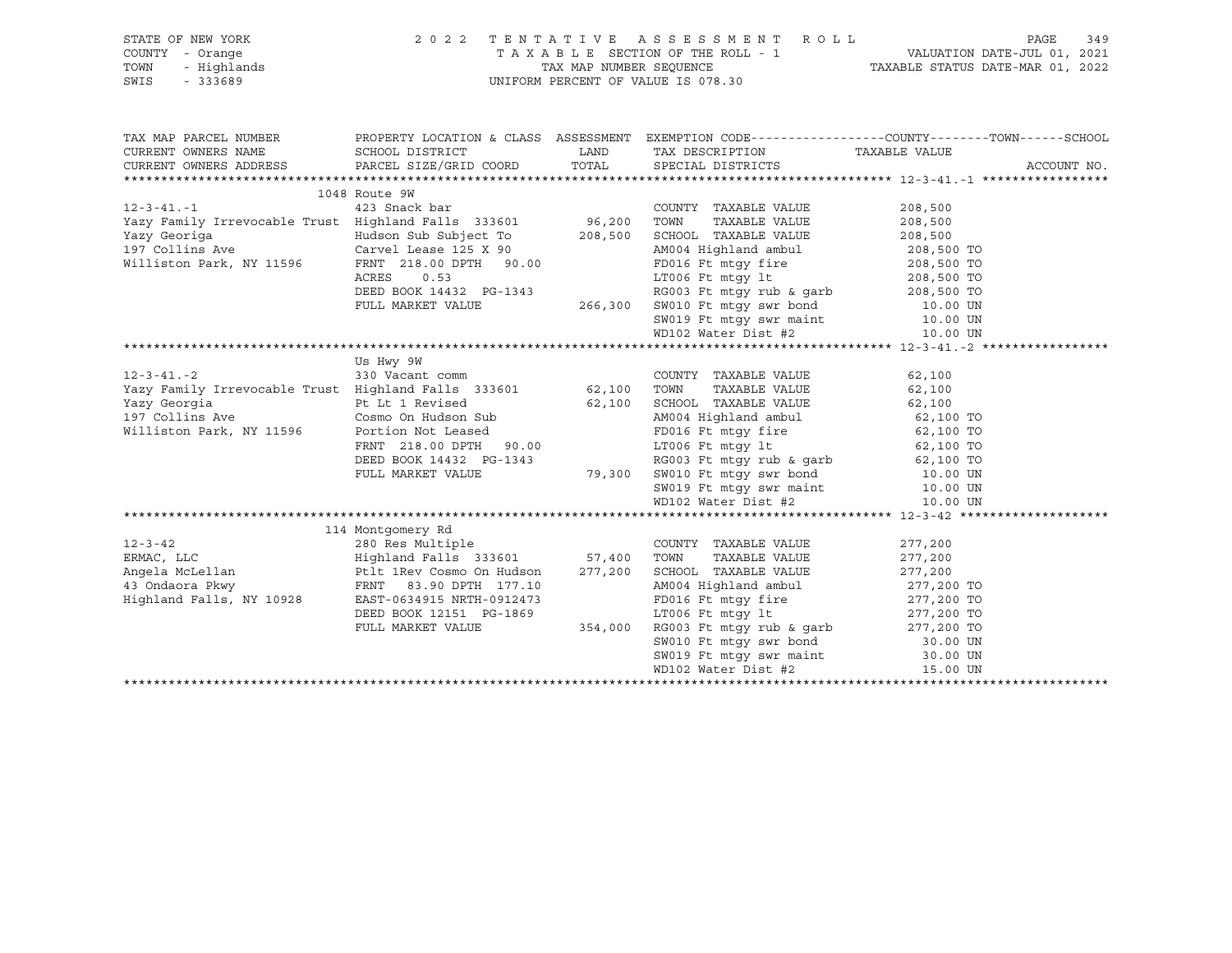| STATE OF NEW YORK<br>COUNTY - Orange<br>TOWN<br>- Highlands<br>SWIS<br>$-333689$                                           | UNIFORM PERCENT OF VALUE IS 078.30                                | 2022 TENTATIVE ASSESSMENT ROLL PAGE 349<br>TAXABLE SECTION OF THE ROLL - 1<br>TAXABLE STATUS DATE-JUL 01, 2021<br>TAXABLE STATUS DATE-MAR 01, 2022 |                                                                                                                          |  |
|----------------------------------------------------------------------------------------------------------------------------|-------------------------------------------------------------------|----------------------------------------------------------------------------------------------------------------------------------------------------|--------------------------------------------------------------------------------------------------------------------------|--|
|                                                                                                                            |                                                                   |                                                                                                                                                    | TAX MAP PARCEL NUMBER THE PROPERTY LOCATION & CLASS ASSESSMENT EXEMPTION CODE--------------COUNTY-------TOWN------SCHOOL |  |
| CURRENT OWNERS NAME<br>CURRENT OWNERS ADDRESS                                                                              | SCHOOL DISTRICT<br>PARCEL SIZE/GRID COORD TOTAL SPECIAL DISTRICTS | LAND TAX DESCRIPTION TAXABLE VALUE                                                                                                                 | ACCOUNT NO.                                                                                                              |  |
|                                                                                                                            |                                                                   |                                                                                                                                                    |                                                                                                                          |  |
|                                                                                                                            | 1048 Route 9W                                                     |                                                                                                                                                    |                                                                                                                          |  |
| $12 - 3 - 41 - 1$                                                                                                          | 423 Snack bar                                                     | COUNTY TAXABLE VALUE                                                                                                                               | 208,500                                                                                                                  |  |
|                                                                                                                            |                                                                   | TOWN<br>TAXABLE VALUE                                                                                                                              | $208, 500$<br>$208, 500$                                                                                                 |  |
|                                                                                                                            |                                                                   | SCHOOL TAXABLE VALUE                                                                                                                               |                                                                                                                          |  |
| 197 Collins Ave                                                                                                            | Carvel Lease 125 X 90                                             | AM004 Highland ambul 208,500 TO                                                                                                                    |                                                                                                                          |  |
| Williston Park, NY 11596                                                                                                   | FRNT 218.00 DPTH 90.00                                            | PD016 Ft mtgy fire<br>T.T006 Ft mtgy fire 208,500 TO<br>1.T006 Ft mtgy 1t 208,500 TO                                                               |                                                                                                                          |  |
|                                                                                                                            | ACRES<br>0.53                                                     | RG003 Ft mtgy rub & garb $208,500$ TO                                                                                                              |                                                                                                                          |  |
|                                                                                                                            | DEED BOOK 14432 PG-1343                                           |                                                                                                                                                    |                                                                                                                          |  |
|                                                                                                                            |                                                                   |                                                                                                                                                    |                                                                                                                          |  |
|                                                                                                                            |                                                                   | FULL MARKET VALUE 266,300 SW010 Ft mtgy swr bond 10.00 UN SW019 Ft mtgy swr maint 10.00 UN WD102 Water Dist #2 10.00 UN                            |                                                                                                                          |  |
|                                                                                                                            |                                                                   |                                                                                                                                                    |                                                                                                                          |  |
|                                                                                                                            | Us Hwy 9W                                                         |                                                                                                                                                    |                                                                                                                          |  |
|                                                                                                                            |                                                                   | COUNTY TAXABLE VALUE                                                                                                                               | 62,100                                                                                                                   |  |
|                                                                                                                            |                                                                   | TAXABLE VALUE                                                                                                                                      | 62,100                                                                                                                   |  |
|                                                                                                                            |                                                                   |                                                                                                                                                    |                                                                                                                          |  |
|                                                                                                                            |                                                                   |                                                                                                                                                    |                                                                                                                          |  |
| Williston Park, NY 11596                                                                                                   |                                                                   |                                                                                                                                                    |                                                                                                                          |  |
|                                                                                                                            |                                                                   | LT006 Ft $m$ t it 62,100 TO                                                                                                                        |                                                                                                                          |  |
|                                                                                                                            |                                                                   | FRNT 218.00 DPTH 90.00 LT006 Ft mtgy 1t<br>DEED BOOK 14432 PG-1343 RG003 Ft mtgy rub & garb<br>FULL MARKET VALUE 79,300 SW010 Ft mtgy swr bond     | 62,100 TO<br>10.00 UN                                                                                                    |  |
|                                                                                                                            |                                                                   |                                                                                                                                                    |                                                                                                                          |  |
|                                                                                                                            |                                                                   | SW019 Ft mtgy swr maint 10.00 UN<br>WD102 Water Dist #2 10.00 UN                                                                                   |                                                                                                                          |  |
|                                                                                                                            |                                                                   |                                                                                                                                                    |                                                                                                                          |  |
|                                                                                                                            | 114 Montgomery Rd                                                 |                                                                                                                                                    |                                                                                                                          |  |
|                                                                                                                            |                                                                   | COUNTY TAXABLE VALUE                                                                                                                               | 277,200                                                                                                                  |  |
|                                                                                                                            |                                                                   |                                                                                                                                                    |                                                                                                                          |  |
| 12-3-42 280 Res Multiple 2001<br>ERMAC, LLC 280 Res Multiple 57,400 TOWN<br>Angela McLellan 211 211 212 213601 57,400 TOWN |                                                                   |                                                                                                                                                    |                                                                                                                          |  |
| 43 Ondaora Pkwy                                                                                                            | FRNT 83.90 DPTH 177.10                                            | AM004 Highland ambul 277,200 TO                                                                                                                    |                                                                                                                          |  |
| Highland Falls, NY 10928                                                                                                   | EAST-0634915 NRTH-0912473                                         | FD016 Ft mtgy fire<br>ED016 Ft mtgy fire<br>LT006 Ft mtgy lt<br>277,200 TO                                                                         |                                                                                                                          |  |
|                                                                                                                            | DEED BOOK 12151 PG-1869                                           |                                                                                                                                                    |                                                                                                                          |  |
|                                                                                                                            | FULL MARKET VALUE                                                 | 354,000 RG003 Ft mtgy rub & garb                                                                                                                   | 277,200 TO                                                                                                               |  |
|                                                                                                                            |                                                                   | SW010 Ft mtgy swr bond                                                                                                                             | 30.00 UN                                                                                                                 |  |

 SW019 Ft mtgy swr maint 30.00 UN WD102 Water Dist #2 15.00 UN

\*\*\*\*\*\*\*\*\*\*\*\*\*\*\*\*\*\*\*\*\*\*\*\*\*\*\*\*\*\*\*\*\*\*\*\*\*\*\*\*\*\*\*\*\*\*\*\*\*\*\*\*\*\*\*\*\*\*\*\*\*\*\*\*\*\*\*\*\*\*\*\*\*\*\*\*\*\*\*\*\*\*\*\*\*\*\*\*\*\*\*\*\*\*\*\*\*\*\*\*\*\*\*\*\*\*\*\*\*\*\*\*\*\*\*\*\*\*\*\*\*\*\*\*\*\*\*\*\*\*\*\*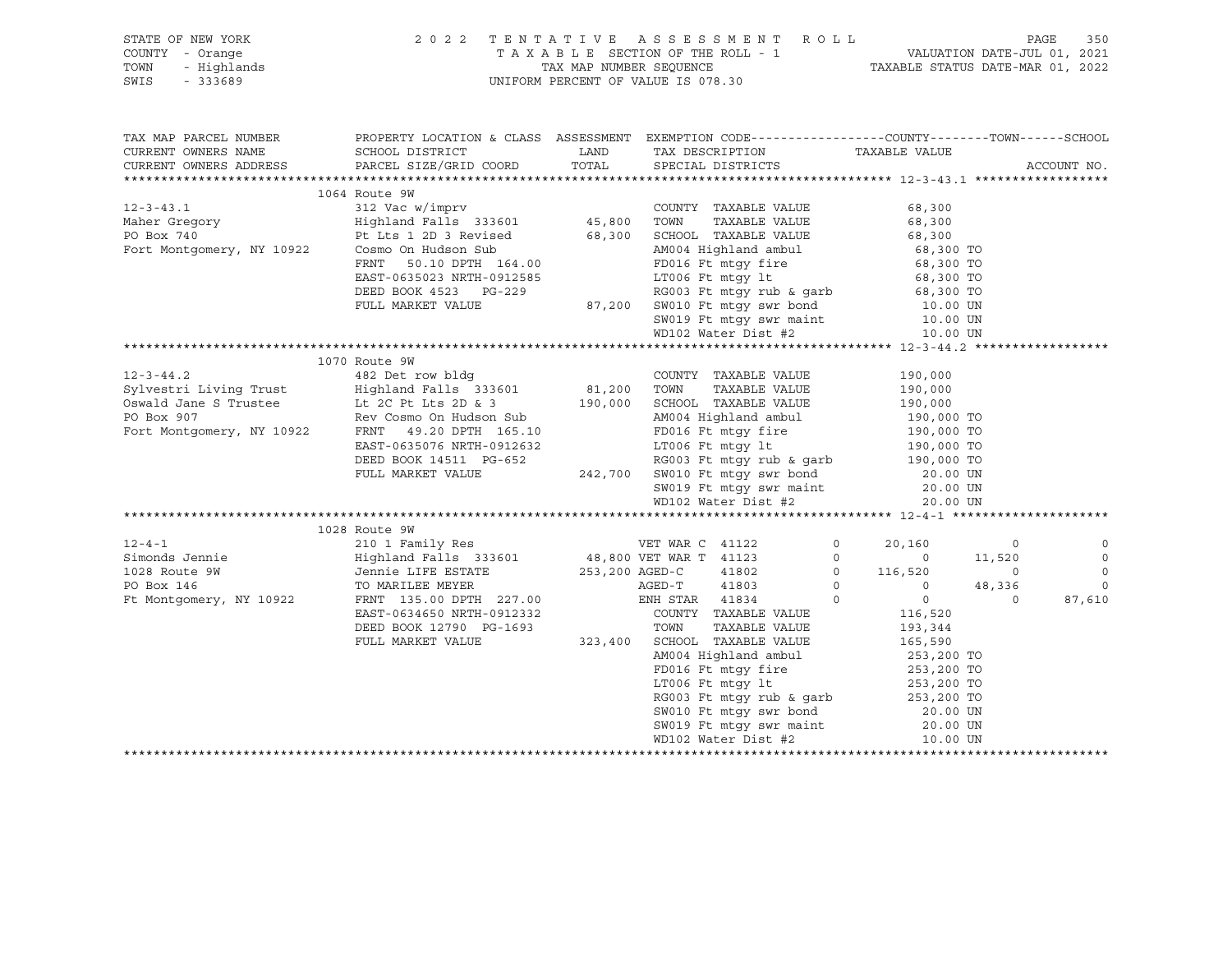| STATE OF NEW YORK 2022 TENTATIVE ASSESSMENT ROLL<br>COUNTY - Orange TAXABLE SECTION OF THE ROLL - 1 VALUATION D<br>TOWN - Highlands TAXABLE STATUS D<br>SWIS - 333689 UNIFORM PERCENT OF VALUE IS 078.30                                                                                                                                                                                |                                                                                                                                                                                                                                                        |  | TAXABLE SECTION OF THE ROLL - 1 VALUATION DATE-JUL 01, 2021<br>TAX MAP NUMBER SEQUENCE TAXABLE STATUS DATE-MAR 01, 2022 |                                                                                                                                                                            |                | PAGE        | 350                                 |
|-----------------------------------------------------------------------------------------------------------------------------------------------------------------------------------------------------------------------------------------------------------------------------------------------------------------------------------------------------------------------------------------|--------------------------------------------------------------------------------------------------------------------------------------------------------------------------------------------------------------------------------------------------------|--|-------------------------------------------------------------------------------------------------------------------------|----------------------------------------------------------------------------------------------------------------------------------------------------------------------------|----------------|-------------|-------------------------------------|
| TAX MAP PARCEL NUMBER THE PROPERTY LOCATION & CLASS ASSESSMENT EXEMPTION CODE---------------COUNTY-------TOWN------SCHOOL<br>CURRENT OWNERS NAME                                                                                                                                                                                                                                        | SCHOOL DISTRICT                                                                                                                                                                                                                                        |  |                                                                                                                         |                                                                                                                                                                            |                |             |                                     |
| CURRENT OWNERS ADDRESS                                                                                                                                                                                                                                                                                                                                                                  | PARCEL SIZE/GRID COORD                                                                                                                                                                                                                                 |  | LAND TAX DESCRIPTION TAXABLE VALUE COORD TOTAL SPECIAL DISTRICTS                                                        |                                                                                                                                                                            |                | ACCOUNT NO. |                                     |
|                                                                                                                                                                                                                                                                                                                                                                                         |                                                                                                                                                                                                                                                        |  |                                                                                                                         |                                                                                                                                                                            |                |             |                                     |
|                                                                                                                                                                                                                                                                                                                                                                                         | 1064 Route 9W                                                                                                                                                                                                                                          |  |                                                                                                                         |                                                                                                                                                                            |                |             |                                     |
|                                                                                                                                                                                                                                                                                                                                                                                         |                                                                                                                                                                                                                                                        |  |                                                                                                                         |                                                                                                                                                                            |                |             |                                     |
|                                                                                                                                                                                                                                                                                                                                                                                         |                                                                                                                                                                                                                                                        |  |                                                                                                                         |                                                                                                                                                                            |                |             |                                     |
|                                                                                                                                                                                                                                                                                                                                                                                         |                                                                                                                                                                                                                                                        |  |                                                                                                                         |                                                                                                                                                                            |                |             |                                     |
|                                                                                                                                                                                                                                                                                                                                                                                         |                                                                                                                                                                                                                                                        |  |                                                                                                                         |                                                                                                                                                                            |                |             |                                     |
|                                                                                                                                                                                                                                                                                                                                                                                         |                                                                                                                                                                                                                                                        |  |                                                                                                                         |                                                                                                                                                                            |                |             |                                     |
|                                                                                                                                                                                                                                                                                                                                                                                         |                                                                                                                                                                                                                                                        |  |                                                                                                                         |                                                                                                                                                                            |                |             |                                     |
|                                                                                                                                                                                                                                                                                                                                                                                         |                                                                                                                                                                                                                                                        |  |                                                                                                                         |                                                                                                                                                                            |                |             |                                     |
|                                                                                                                                                                                                                                                                                                                                                                                         |                                                                                                                                                                                                                                                        |  |                                                                                                                         |                                                                                                                                                                            |                |             |                                     |
|                                                                                                                                                                                                                                                                                                                                                                                         |                                                                                                                                                                                                                                                        |  | SW019 Ft mtgy swr maint 10.00 UN<br>WD102 Water Dist #2 10.00 UN                                                        |                                                                                                                                                                            |                |             |                                     |
|                                                                                                                                                                                                                                                                                                                                                                                         |                                                                                                                                                                                                                                                        |  |                                                                                                                         |                                                                                                                                                                            |                |             |                                     |
| $[12-3-44.2 \qquad \qquad 1070 \mbox{ RWABLE} \mbox{ VAUE} \qquad \qquad 190,000 \mbox{NWABLE} \mbox{ VAUE} \qquad \qquad 190,000 \mbox{NWABLE} \mbox{ VAUE} \qquad \qquad 190,000 \mbox{Sylvestri Living Trust} \qquad \qquad 190,000 \mbox{Sylvestri Living Trust} \qquad \qquad 190,000 \mbox{SVDW1} \qquad \qquad 190,000 \mbox{SVDW1} \qquad \qquad 190,000 \mbox{SVDW1} \qquad \$ |                                                                                                                                                                                                                                                        |  |                                                                                                                         |                                                                                                                                                                            |                |             |                                     |
|                                                                                                                                                                                                                                                                                                                                                                                         |                                                                                                                                                                                                                                                        |  |                                                                                                                         |                                                                                                                                                                            |                |             |                                     |
|                                                                                                                                                                                                                                                                                                                                                                                         |                                                                                                                                                                                                                                                        |  |                                                                                                                         |                                                                                                                                                                            |                |             |                                     |
|                                                                                                                                                                                                                                                                                                                                                                                         |                                                                                                                                                                                                                                                        |  |                                                                                                                         |                                                                                                                                                                            |                |             |                                     |
|                                                                                                                                                                                                                                                                                                                                                                                         |                                                                                                                                                                                                                                                        |  |                                                                                                                         |                                                                                                                                                                            |                |             |                                     |
|                                                                                                                                                                                                                                                                                                                                                                                         |                                                                                                                                                                                                                                                        |  |                                                                                                                         |                                                                                                                                                                            |                |             |                                     |
|                                                                                                                                                                                                                                                                                                                                                                                         |                                                                                                                                                                                                                                                        |  |                                                                                                                         |                                                                                                                                                                            |                |             |                                     |
|                                                                                                                                                                                                                                                                                                                                                                                         |                                                                                                                                                                                                                                                        |  |                                                                                                                         |                                                                                                                                                                            |                |             |                                     |
|                                                                                                                                                                                                                                                                                                                                                                                         |                                                                                                                                                                                                                                                        |  |                                                                                                                         |                                                                                                                                                                            |                |             |                                     |
|                                                                                                                                                                                                                                                                                                                                                                                         |                                                                                                                                                                                                                                                        |  |                                                                                                                         |                                                                                                                                                                            |                |             |                                     |
|                                                                                                                                                                                                                                                                                                                                                                                         |                                                                                                                                                                                                                                                        |  |                                                                                                                         |                                                                                                                                                                            |                |             |                                     |
|                                                                                                                                                                                                                                                                                                                                                                                         |                                                                                                                                                                                                                                                        |  |                                                                                                                         |                                                                                                                                                                            |                |             |                                     |
|                                                                                                                                                                                                                                                                                                                                                                                         |                                                                                                                                                                                                                                                        |  |                                                                                                                         |                                                                                                                                                                            |                |             |                                     |
|                                                                                                                                                                                                                                                                                                                                                                                         |                                                                                                                                                                                                                                                        |  |                                                                                                                         | 20,160                                                                                                                                                                     | $\overline{0}$ |             | $\overline{\phantom{0}}$            |
|                                                                                                                                                                                                                                                                                                                                                                                         |                                                                                                                                                                                                                                                        |  |                                                                                                                         |                                                                                                                                                                            |                |             | $\overline{\phantom{0}}$<br>$\circ$ |
|                                                                                                                                                                                                                                                                                                                                                                                         |                                                                                                                                                                                                                                                        |  |                                                                                                                         |                                                                                                                                                                            |                |             | $\overline{0}$                      |
| 12-4-1<br>210 1223 1028 1028 1029 1210 1 Family Res<br>210 1 Family Res<br>210 1028 Route 9W Jennie LIFE ESTATE<br>253,200 AGED-C 41802 0<br>253,200 AGED-C 41802 0<br>253,200 AGED-C 41802 0<br>253,200 AGED-C 41802 0<br>253,200 AGED-C 4180                                                                                                                                          |                                                                                                                                                                                                                                                        |  |                                                                                                                         | $\begin{array}{cccc} 0 & 0 & 11,520 \\ 0 & 0 & 11,520 \\ 0 & 0 & 48,336 \\ 0 & 0 & 48,336 \\ 0 & 0 & 0 \\ \text{VALUE} & 116,520 \\ \text{VALUE} & 193,344 \\ \end{array}$ |                |             | 87,610                              |
|                                                                                                                                                                                                                                                                                                                                                                                         |                                                                                                                                                                                                                                                        |  |                                                                                                                         |                                                                                                                                                                            |                |             |                                     |
|                                                                                                                                                                                                                                                                                                                                                                                         |                                                                                                                                                                                                                                                        |  |                                                                                                                         |                                                                                                                                                                            |                |             |                                     |
|                                                                                                                                                                                                                                                                                                                                                                                         |                                                                                                                                                                                                                                                        |  |                                                                                                                         |                                                                                                                                                                            |                |             |                                     |
|                                                                                                                                                                                                                                                                                                                                                                                         |                                                                                                                                                                                                                                                        |  |                                                                                                                         |                                                                                                                                                                            |                |             |                                     |
|                                                                                                                                                                                                                                                                                                                                                                                         |                                                                                                                                                                                                                                                        |  |                                                                                                                         |                                                                                                                                                                            |                |             |                                     |
|                                                                                                                                                                                                                                                                                                                                                                                         | FRNT 135.00 DFTH 227.00<br>EAST-0634650 NRTH-0912332<br>DEED BOOK 12790 PG-1693<br>TULL MARKET VALUE<br>TULL MARKET VALUE<br>TULL MARKET VALUE<br>TULL MARKET VALUE<br>253,200 TO<br>253,200 TO<br>253,200 TO<br>253,200 TO<br>253,200 TO<br>253,200 T |  |                                                                                                                         |                                                                                                                                                                            |                |             |                                     |
|                                                                                                                                                                                                                                                                                                                                                                                         |                                                                                                                                                                                                                                                        |  |                                                                                                                         |                                                                                                                                                                            |                |             |                                     |
|                                                                                                                                                                                                                                                                                                                                                                                         |                                                                                                                                                                                                                                                        |  |                                                                                                                         |                                                                                                                                                                            |                |             |                                     |
|                                                                                                                                                                                                                                                                                                                                                                                         |                                                                                                                                                                                                                                                        |  |                                                                                                                         |                                                                                                                                                                            |                |             |                                     |
|                                                                                                                                                                                                                                                                                                                                                                                         |                                                                                                                                                                                                                                                        |  |                                                                                                                         |                                                                                                                                                                            |                |             |                                     |

\*\*\*\*\*\*\*\*\*\*\*\*\*\*\*\*\*\*\*\*\*\*\*\*\*\*\*\*\*\*\*\*\*\*\*\*\*\*\*\*\*\*\*\*\*\*\*\*\*\*\*\*\*\*\*\*\*\*\*\*\*\*\*\*\*\*\*\*\*\*\*\*\*\*\*\*\*\*\*\*\*\*\*\*\*\*\*\*\*\*\*\*\*\*\*\*\*\*\*\*\*\*\*\*\*\*\*\*\*\*\*\*\*\*\*\*\*\*\*\*\*\*\*\*\*\*\*\*\*\*\*\*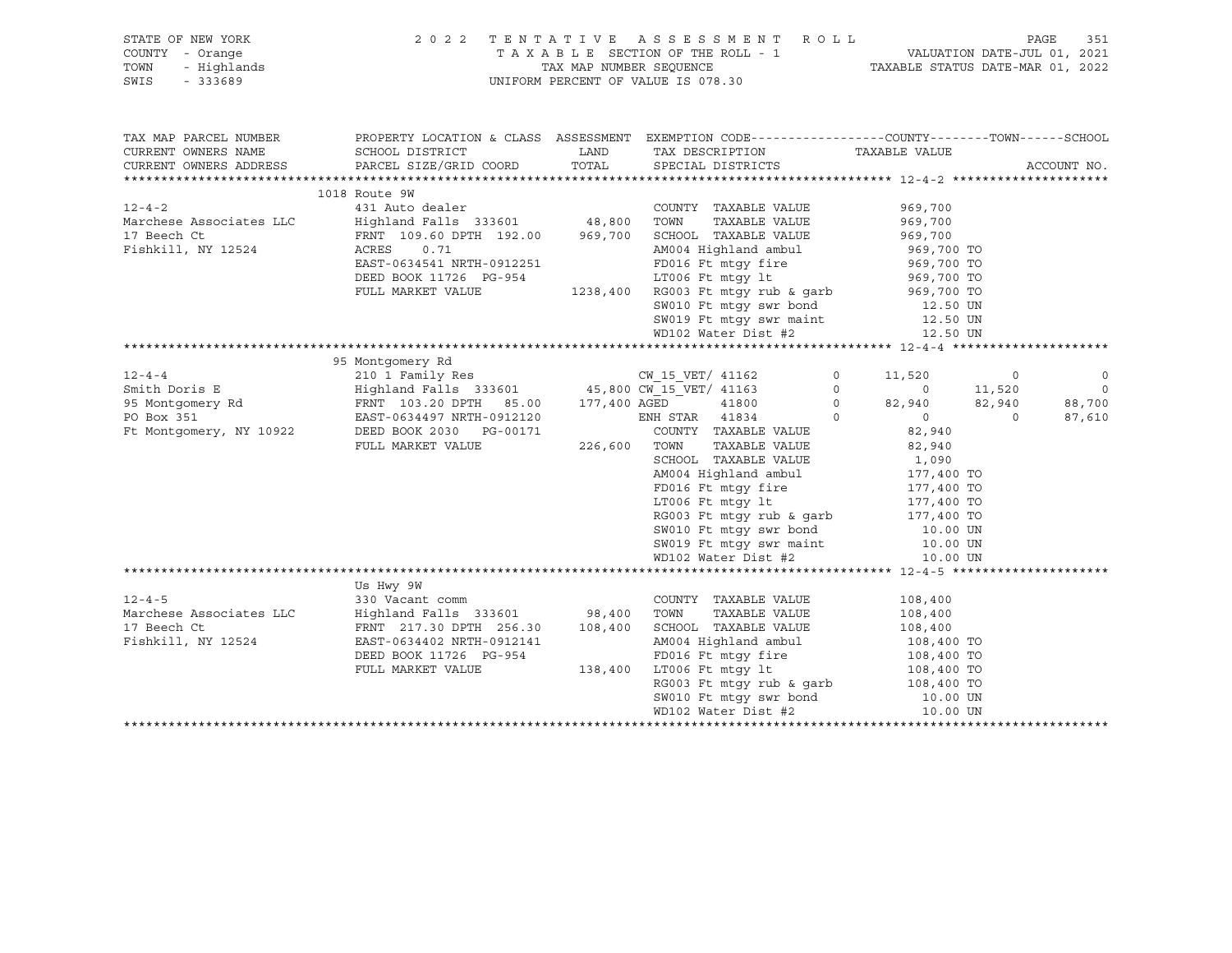| STATE OF NEW YORK<br>COUNTY - Orange<br>- Highlands<br>TOWN<br>SWIS<br>$-333689$ | 2022 TENTATIVE ASSESSMENT ROLL<br>TAXABLE SECTION OF THE ROLL - 1<br>TAX MAP NUMBER SEOUENCE<br>UNIFORM PERCENT OF VALUE IS 078.30 |         | PAGE<br>VALUATION DATE-JUL 01, 2021<br>TAXABLE STATUS DATE-MAR 01, 2022 |                                      |                  |                   |
|----------------------------------------------------------------------------------|------------------------------------------------------------------------------------------------------------------------------------|---------|-------------------------------------------------------------------------|--------------------------------------|------------------|-------------------|
| TAX MAP PARCEL NUMBER                                                            | PROPERTY LOCATION & CLASS ASSESSMENT EXEMPTION CODE----------------COUNTY-------TOWN------SCHOOL                                   |         |                                                                         |                                      |                  |                   |
| CURRENT OWNERS NAME                                                              | SCHOOL DISTRICT                                                                                                                    | LAND    | TAX DESCRIPTION                                                         | TAXABLE VALUE                        |                  |                   |
| CURRENT OWNERS ADDRESS                                                           | PARCEL SIZE/GRID COORD                                                                                                             | TOTAL   | SPECIAL DISTRICTS                                                       |                                      |                  | ACCOUNT NO.       |
|                                                                                  | 1018 Route 9W                                                                                                                      |         |                                                                         |                                      |                  |                   |
| $12 - 4 - 2$                                                                     | 431 Auto dealer                                                                                                                    |         | COUNTY TAXABLE VALUE                                                    | 969,700                              |                  |                   |
| Marchese Associates LLC                                                          |                                                                                                                                    |         |                                                                         | 969,700                              |                  |                   |
| 17 Beech Ct                                                                      | Highland Falls 333601 48,800 TOWN TAXABLE VALUE<br>FRNT 109.60 DPTH 192.00 969,700 SCHOOL TAXABLE VALUE                            |         |                                                                         | 969,700                              |                  |                   |
| Fishkill, NY 12524                                                               | ACRES<br>0.71                                                                                                                      |         | AM004 Highland ambul                                                    |                                      |                  |                   |
|                                                                                  | EAST-0634541 NRTH-0912251                                                                                                          |         | FD016 Ft mtqy fire                                                      | 969,700 TO<br>969,700 TO             |                  |                   |
|                                                                                  | DEED BOOK 11726 PG-954                                                                                                             |         | LT006 Ft mtqy lt                                                        | 969,700 TO                           |                  |                   |
|                                                                                  | FULL MARKET VALUE                                                                                                                  |         | 1238,400 RG003 Ft mtqy rub & qarb                                       | 969,700 TO                           |                  |                   |
|                                                                                  |                                                                                                                                    |         | SW010 Ft mtgy swr bond<br>SW019 Ft mtgy swr maint                       | 12.50 UN                             |                  |                   |
|                                                                                  |                                                                                                                                    |         |                                                                         | 12.50 UN                             |                  |                   |
|                                                                                  |                                                                                                                                    |         | WD102 Water Dist #2                                                     | 12.50 UN                             |                  |                   |
|                                                                                  |                                                                                                                                    |         |                                                                         |                                      |                  |                   |
|                                                                                  | 95 Montgomery Rd                                                                                                                   |         |                                                                         |                                      |                  |                   |
| $12 - 4 - 4$                                                                     | 210 1 Family Res                                                                                                                   |         | CW 15 VET/ 41162                                                        | $\circ$<br>11,520                    | $\circ$          | $\circ$           |
| Smith Doris E                                                                    | Highland Falls 333601 45,800 CW_15_VET/ 41163<br>FRNT 103.20 DPTH 85.00 177,400 AGED 41800                                         |         |                                                                         | $\circ$<br>$\overline{0}$<br>$\circ$ | 11,520<br>82,940 | $\circ$<br>88,700 |
| 95 Montgomery Rd<br>PO Box 351                                                   | EAST-0634497 NRTH-0912120                                                                                                          |         | ENH STAR 41834                                                          | 82,940<br>$\Omega$<br>$\overline{0}$ | $\Omega$         | 87,610            |
| Ft Montgomery, NY 10922                                                          | DEED BOOK 2030 PG-00171                                                                                                            |         | COUNTY TAXABLE VALUE                                                    | 82,940                               |                  |                   |
|                                                                                  | FULL MARKET VALUE                                                                                                                  |         | 226,600 TOWN<br>TAXABLE VALUE                                           | 82,940                               |                  |                   |
|                                                                                  |                                                                                                                                    |         | SCHOOL TAXABLE VALUE                                                    | 1,090                                |                  |                   |
|                                                                                  |                                                                                                                                    |         | AM004 Highland ambul                                                    | 177,400 TO                           |                  |                   |
|                                                                                  |                                                                                                                                    |         | FD016 Ft mtgy fire                                                      | 177,400 TO                           |                  |                   |
|                                                                                  |                                                                                                                                    |         | LT006 Ft mtqy lt                                                        | 177,400 TO                           |                  |                   |
|                                                                                  |                                                                                                                                    |         | RG003 Ft mtqy rub & qarb                                                | 177,400 TO                           |                  |                   |
|                                                                                  |                                                                                                                                    |         | SW010 Ft mtgy swr bond                                                  | $10.00$ UN                           |                  |                   |
|                                                                                  |                                                                                                                                    |         | SW019 Ft mtqy swr maint                                                 | 10.00 UN                             |                  |                   |
|                                                                                  |                                                                                                                                    |         | WD102 Water Dist #2                                                     | 10.00 UN                             |                  |                   |
|                                                                                  |                                                                                                                                    |         |                                                                         |                                      |                  |                   |
|                                                                                  | Us Hwy 9W                                                                                                                          |         |                                                                         |                                      |                  |                   |
| $12 - 4 - 5$                                                                     | 330 Vacant comm                                                                                                                    |         | COUNTY TAXABLE VALUE                                                    | 108,400                              |                  |                   |
| Marchese Associates LLC                                                          | Highland Falls 333601 98,400 TOWN                                                                                                  |         | TAXABLE VALUE                                                           | 108,400                              |                  |                   |
| 17 Beech Ct                                                                      | FRNT 217.30 DPTH 256.30                                                                                                            | 108,400 | SCHOOL TAXABLE VALUE                                                    | 108,400                              |                  |                   |
| Fishkill, NY 12524                                                               | EAST-0634402 NRTH-0912141<br>DEED BOOK 11726 PG-954                                                                                |         | AM004 Highland ambul<br>FD016 Ft mtqy fire                              | 108,400 TO<br>108,400 TO             |                  |                   |
|                                                                                  | FULL MARKET VALUE                                                                                                                  | 138,400 | LT006 Ft mtgy lt                                                        |                                      |                  |                   |
|                                                                                  |                                                                                                                                    |         | RG003 Ft mtgy rub & garb                                                | 108,400 TO<br>108,400 TO             |                  |                   |
|                                                                                  |                                                                                                                                    |         | SW010 Ft mtgy swr bond                                                  | 10.00 UN                             |                  |                   |
|                                                                                  |                                                                                                                                    |         | WD102 Water Dist #2                                                     | 10.00 UN                             |                  |                   |
|                                                                                  |                                                                                                                                    |         |                                                                         |                                      |                  |                   |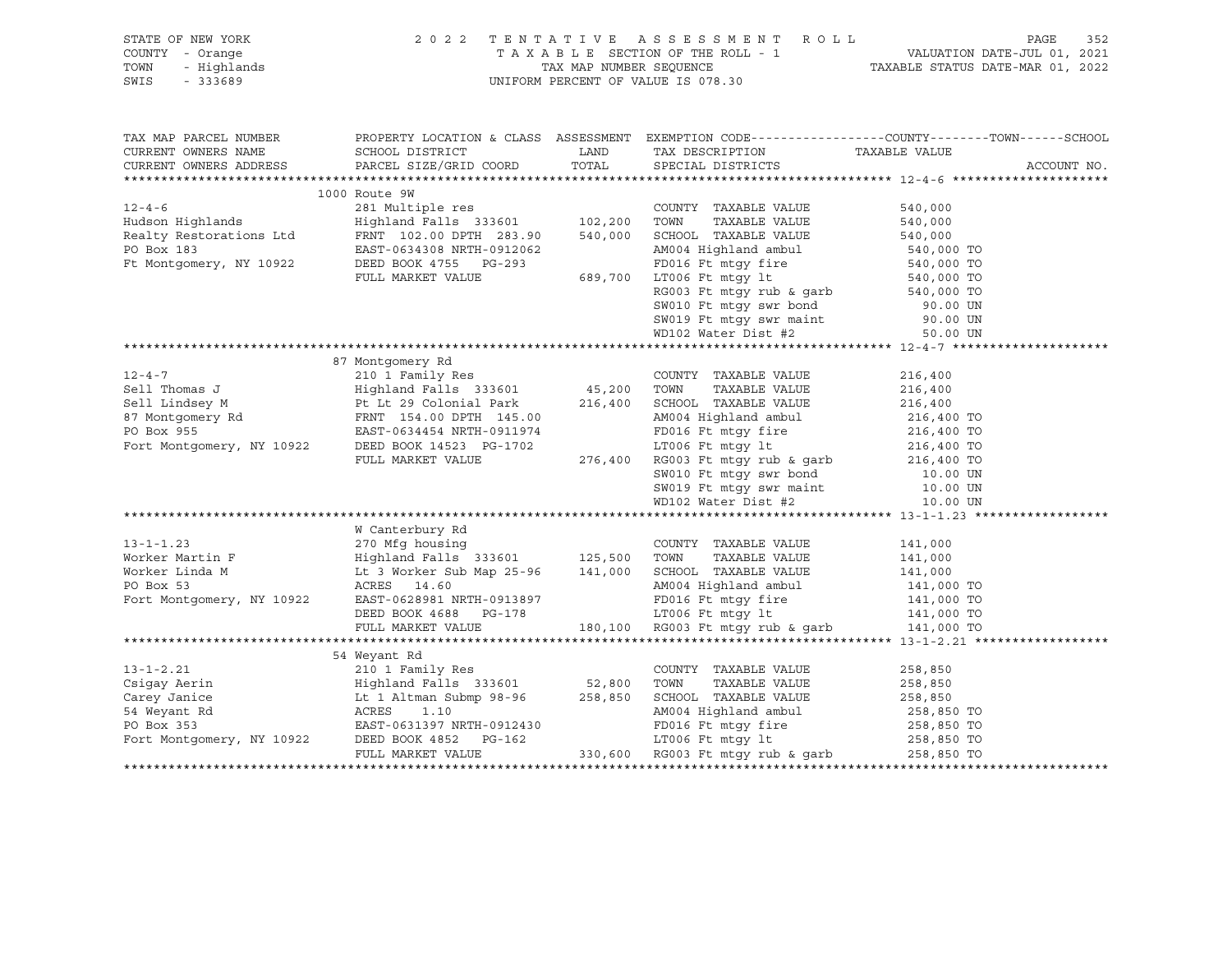| STATE OF NEW YORK<br>COUNTY - Orange<br>TOWN<br>SWIS - 333689 | OF NEW YORK PAGE 352 2 2 2 2 2 2 3 2 4 2 3 2 4 2 3 2 4 5 5 % A 5 8 5 % A 5 % A 5 % A 5 % A 5 % A 5 % A 5 % A 5 % A 5 % A 5 % A 5 % A 5 % A 5 % A 5 % A 5 % A 5 % A 5 % A 5 % A 5 % A 5 % A 5 % A 5 % A 5 % A 5 % A 5 % A 5 % A                                                                                                                                                                                         |  |  |  |             |
|---------------------------------------------------------------|------------------------------------------------------------------------------------------------------------------------------------------------------------------------------------------------------------------------------------------------------------------------------------------------------------------------------------------------------------------------------------------------------------------------|--|--|--|-------------|
|                                                               | TAX MAP PARCEL NUMBER THE PROPERTY LOCATION & CLASS ASSESSMENT EXEMPTION CODE---------------COUNTY--------TOWN------SCHOOL                                                                                                                                                                                                                                                                                             |  |  |  |             |
|                                                               |                                                                                                                                                                                                                                                                                                                                                                                                                        |  |  |  | ACCOUNT NO. |
|                                                               |                                                                                                                                                                                                                                                                                                                                                                                                                        |  |  |  |             |
|                                                               | 1000 Route 9W                                                                                                                                                                                                                                                                                                                                                                                                          |  |  |  |             |
|                                                               |                                                                                                                                                                                                                                                                                                                                                                                                                        |  |  |  |             |
|                                                               |                                                                                                                                                                                                                                                                                                                                                                                                                        |  |  |  |             |
|                                                               |                                                                                                                                                                                                                                                                                                                                                                                                                        |  |  |  |             |
|                                                               |                                                                                                                                                                                                                                                                                                                                                                                                                        |  |  |  |             |
| Ft Montgomery, NY 10922                                       |                                                                                                                                                                                                                                                                                                                                                                                                                        |  |  |  |             |
|                                                               |                                                                                                                                                                                                                                                                                                                                                                                                                        |  |  |  |             |
|                                                               | EAST-0634308 NRTH-0912062<br>EAST-0634308 NRTH-0912062<br>DEED BOOK 4755 PG-293<br>FULL MARKET VALUE<br>FULL MARKET VALUE<br>EAST-0689,700 LT006 Ft mtgy fire<br>EG003 Ft mtgy rub & garb<br>S40,000 TO<br>S69,700 LT006 Ft mtgy lt<br>EQ003 Ft                                                                                                                                                                        |  |  |  |             |
|                                                               |                                                                                                                                                                                                                                                                                                                                                                                                                        |  |  |  |             |
|                                                               |                                                                                                                                                                                                                                                                                                                                                                                                                        |  |  |  |             |
|                                                               |                                                                                                                                                                                                                                                                                                                                                                                                                        |  |  |  |             |
|                                                               |                                                                                                                                                                                                                                                                                                                                                                                                                        |  |  |  |             |
|                                                               |                                                                                                                                                                                                                                                                                                                                                                                                                        |  |  |  |             |
|                                                               |                                                                                                                                                                                                                                                                                                                                                                                                                        |  |  |  |             |
|                                                               |                                                                                                                                                                                                                                                                                                                                                                                                                        |  |  |  |             |
|                                                               |                                                                                                                                                                                                                                                                                                                                                                                                                        |  |  |  |             |
|                                                               |                                                                                                                                                                                                                                                                                                                                                                                                                        |  |  |  |             |
|                                                               |                                                                                                                                                                                                                                                                                                                                                                                                                        |  |  |  |             |
|                                                               |                                                                                                                                                                                                                                                                                                                                                                                                                        |  |  |  |             |
|                                                               |                                                                                                                                                                                                                                                                                                                                                                                                                        |  |  |  |             |
|                                                               |                                                                                                                                                                                                                                                                                                                                                                                                                        |  |  |  |             |
|                                                               |                                                                                                                                                                                                                                                                                                                                                                                                                        |  |  |  |             |
|                                                               |                                                                                                                                                                                                                                                                                                                                                                                                                        |  |  |  |             |
|                                                               | W Canterbury Rd                                                                                                                                                                                                                                                                                                                                                                                                        |  |  |  |             |
|                                                               |                                                                                                                                                                                                                                                                                                                                                                                                                        |  |  |  |             |
|                                                               |                                                                                                                                                                                                                                                                                                                                                                                                                        |  |  |  |             |
|                                                               |                                                                                                                                                                                                                                                                                                                                                                                                                        |  |  |  |             |
|                                                               |                                                                                                                                                                                                                                                                                                                                                                                                                        |  |  |  |             |
|                                                               |                                                                                                                                                                                                                                                                                                                                                                                                                        |  |  |  |             |
|                                                               |                                                                                                                                                                                                                                                                                                                                                                                                                        |  |  |  |             |
|                                                               |                                                                                                                                                                                                                                                                                                                                                                                                                        |  |  |  |             |
|                                                               | 54 Weyant Rd                                                                                                                                                                                                                                                                                                                                                                                                           |  |  |  |             |
|                                                               |                                                                                                                                                                                                                                                                                                                                                                                                                        |  |  |  |             |
|                                                               |                                                                                                                                                                                                                                                                                                                                                                                                                        |  |  |  |             |
|                                                               | $\begin{tabular}{lllllllllllllll} \multicolumn{3.5cm}{0.8cm} \multicolumn{3.5cm}{0.8cm} \multicolumn{3.5cm}{0.8cm} \multicolumn{3.5cm}{0.8cm} \multicolumn{3.5cm}{0.8cm} \multicolumn{3.5cm}{0.8cm} \multicolumn{3.5cm}{0.8cm} \multicolumn{3.5cm}{0.8cm} \multicolumn{3.5cm}{0.8cm} \multicolumn{3.5cm}{0.8cm} \multicolumn{3.5cm}{0.8cm} \multicolumn{3.5cm}{0.8cm} \multicolumn{3.5cm}{0.8cm} \multicolumn{3.5cm}{$ |  |  |  |             |
|                                                               |                                                                                                                                                                                                                                                                                                                                                                                                                        |  |  |  |             |
|                                                               |                                                                                                                                                                                                                                                                                                                                                                                                                        |  |  |  |             |
|                                                               |                                                                                                                                                                                                                                                                                                                                                                                                                        |  |  |  |             |
|                                                               |                                                                                                                                                                                                                                                                                                                                                                                                                        |  |  |  |             |
|                                                               |                                                                                                                                                                                                                                                                                                                                                                                                                        |  |  |  |             |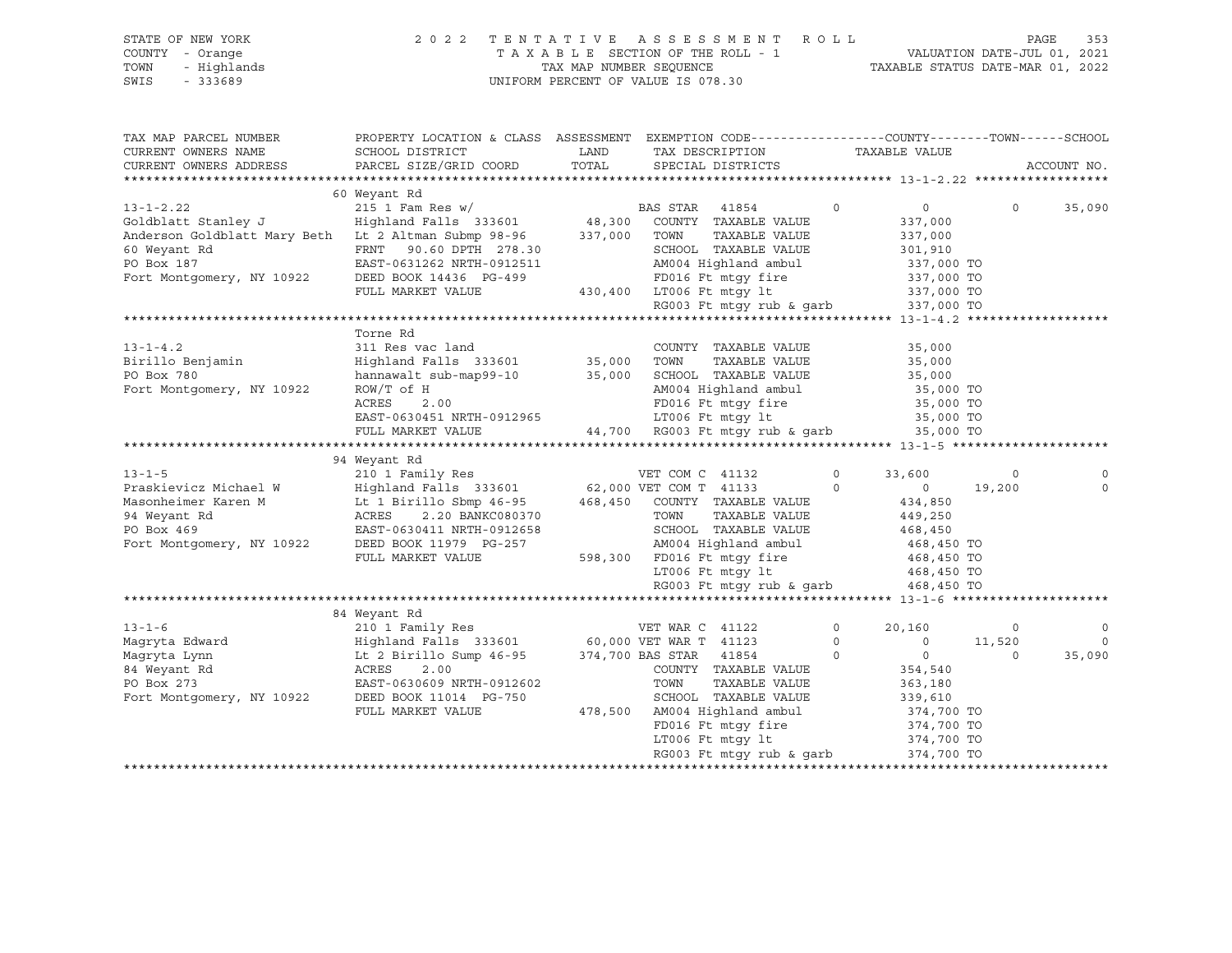STATE OF NEW YORK 2 0 2 2 T E N T A T I V E A S S E S S M E N T R O L L PAGE 353 COUNTY - Orange T A X A B L E SECTION OF THE ROLL - 1 VALUATION DATE-JUL 01, 2021 TOWN - Highlands TAX MAP NUMBER SEQUENCE TAXABLE STATUS DATE-MAR 01, 2022 SWIS - 333689 UNIFORM PERCENT OF VALUE IS 078.30

| TAX MAP PARCEL NUMBER<br>CURRENT OWNERS NAME<br>CURRENT OWNERS ADDRESS                                                                                                     | PROPERTY LOCATION & CLASS ASSESSMENT EXEMPTION CODE---------------COUNTY-------TOWN------SCHOOL<br>SCHOOL DISTRICT<br>PARCEL SIZE/GRID COORD TOTAL SPECIAL DISTRICTS                                                                                                                                                                                    | LAND TAX DESCRIPTION                                                                                                       |         | TAXABLE VALUE  |          | ACCOUNT NO. |
|----------------------------------------------------------------------------------------------------------------------------------------------------------------------------|---------------------------------------------------------------------------------------------------------------------------------------------------------------------------------------------------------------------------------------------------------------------------------------------------------------------------------------------------------|----------------------------------------------------------------------------------------------------------------------------|---------|----------------|----------|-------------|
|                                                                                                                                                                            |                                                                                                                                                                                                                                                                                                                                                         |                                                                                                                            |         |                |          |             |
|                                                                                                                                                                            | 60 Weyant Rd                                                                                                                                                                                                                                                                                                                                            |                                                                                                                            |         |                |          |             |
| 13-1-2.22<br>215 1 Fam Res w/<br>333601 601dblatt Stanley J Highland Falls 333601 48,300 COUNTY TAXABLE VALUE                                                              |                                                                                                                                                                                                                                                                                                                                                         |                                                                                                                            | $\circ$ | $\overline{0}$ | $\circ$  | 35,090      |
|                                                                                                                                                                            |                                                                                                                                                                                                                                                                                                                                                         |                                                                                                                            |         | 337,000        |          |             |
| Anderson Goldblatt Mary Beth Lt 2 Altman Submp 98-96 337,000 TOWN                                                                                                          |                                                                                                                                                                                                                                                                                                                                                         | TAXABLE VALUE                                                                                                              |         | 337,000        |          |             |
| 60 Weyant Rd                                                                                                                                                               |                                                                                                                                                                                                                                                                                                                                                         |                                                                                                                            |         |                |          |             |
| PO Box 187                                                                                                                                                                 | FRNT 90.60 DPTH 278.30<br>EAST-0631262 NRTH-0912511 AM004 Highland ambul 337,000 TO<br>DEED BOOK 14436 PG-499<br>FULL MARKET VALUE 430,400 LT006 Ft mtgy rub & garb 337,000 TO<br>FULL MARKET VALUE 430,400 LT006 Ft mtgy rub & garb 3                                                                                                                  |                                                                                                                            |         |                |          |             |
| Fort Montgomery, NY 10922                                                                                                                                                  |                                                                                                                                                                                                                                                                                                                                                         |                                                                                                                            |         |                |          |             |
|                                                                                                                                                                            |                                                                                                                                                                                                                                                                                                                                                         |                                                                                                                            |         |                |          |             |
|                                                                                                                                                                            |                                                                                                                                                                                                                                                                                                                                                         |                                                                                                                            |         |                |          |             |
|                                                                                                                                                                            |                                                                                                                                                                                                                                                                                                                                                         |                                                                                                                            |         |                |          |             |
|                                                                                                                                                                            | COUNTY TAXABLE VALUE<br>Highland Falls 333601 35,000 TOWN TAXABLE VALUE<br>hannawalt sub-map99-10 35,000 SCHOOL TAXABLE VALUE<br>ROW/T of H AM004 Highland ambul<br>ACRES 2.00 FAST-0630451 NPTH-0010000                                                                                                                                                |                                                                                                                            |         |                |          |             |
| $13 - 1 - 4.2$                                                                                                                                                             |                                                                                                                                                                                                                                                                                                                                                         |                                                                                                                            |         | 35,000         |          |             |
| Birillo Benjamin                                                                                                                                                           |                                                                                                                                                                                                                                                                                                                                                         | TAXABLE VALUE                                                                                                              |         | 35,000         |          |             |
| PO Box 780                                                                                                                                                                 |                                                                                                                                                                                                                                                                                                                                                         |                                                                                                                            |         | 35,000         |          |             |
| Fort Montgomery, NY 10922                                                                                                                                                  |                                                                                                                                                                                                                                                                                                                                                         | AM004 Highland ambul 35,000 TO                                                                                             |         |                |          |             |
|                                                                                                                                                                            |                                                                                                                                                                                                                                                                                                                                                         |                                                                                                                            |         |                |          |             |
|                                                                                                                                                                            |                                                                                                                                                                                                                                                                                                                                                         |                                                                                                                            |         |                |          |             |
|                                                                                                                                                                            | $\begin{array}{lllllllllllll} \text{ACRES} & 2.00 & \text{FDO16} \text{ Ft} \text{ mtgy fire} & 35,000 \text{ TO} \\ \text{EAST-0630451} \text{ NRTH-0912965} & \text{LTO06} \text{ Ft} \text{ mtgy lt} & 35,000 \text{ TO} \\ \text{FULL} \text{ MARKET} \text{ VALUE} & 44,700 & \text{RGO03} \text{ Ft mtgy rub & 35,000 \text{ TO}} \\ \end{array}$ |                                                                                                                            |         |                |          |             |
|                                                                                                                                                                            |                                                                                                                                                                                                                                                                                                                                                         |                                                                                                                            |         |                |          |             |
|                                                                                                                                                                            | 94 Weyant Rd                                                                                                                                                                                                                                                                                                                                            |                                                                                                                            |         |                |          |             |
|                                                                                                                                                                            |                                                                                                                                                                                                                                                                                                                                                         |                                                                                                                            |         | 33,600         | $\circ$  |             |
|                                                                                                                                                                            |                                                                                                                                                                                                                                                                                                                                                         |                                                                                                                            |         | $0 \t 19,200$  |          | $\mathbf 0$ |
|                                                                                                                                                                            |                                                                                                                                                                                                                                                                                                                                                         |                                                                                                                            |         | 434,850        |          |             |
|                                                                                                                                                                            |                                                                                                                                                                                                                                                                                                                                                         |                                                                                                                            |         | 449,250        |          |             |
|                                                                                                                                                                            |                                                                                                                                                                                                                                                                                                                                                         |                                                                                                                            |         | 468, 450       |          |             |
|                                                                                                                                                                            |                                                                                                                                                                                                                                                                                                                                                         |                                                                                                                            |         |                |          |             |
|                                                                                                                                                                            |                                                                                                                                                                                                                                                                                                                                                         |                                                                                                                            |         |                |          |             |
| Fort Montgomery, NY 10922 DEED BOOK 11979 PG-257 AM004 Highland ambul 468,450 TO<br>FULL MARKET VALUE 598,300 FD016 Ft mtgy fire 468,450 TO<br>LT006 Ft mtgy lt 468,450 TO |                                                                                                                                                                                                                                                                                                                                                         |                                                                                                                            |         |                |          |             |
|                                                                                                                                                                            |                                                                                                                                                                                                                                                                                                                                                         | RG003 Ft mtqy rub & qarb 468,450 TO                                                                                        |         |                |          |             |
|                                                                                                                                                                            |                                                                                                                                                                                                                                                                                                                                                         |                                                                                                                            |         |                |          |             |
|                                                                                                                                                                            | 84 Weyant Rd                                                                                                                                                                                                                                                                                                                                            |                                                                                                                            |         |                |          |             |
|                                                                                                                                                                            |                                                                                                                                                                                                                                                                                                                                                         |                                                                                                                            | $\circ$ | 20,160         | $\circ$  | $\circ$     |
|                                                                                                                                                                            |                                                                                                                                                                                                                                                                                                                                                         |                                                                                                                            | $\circ$ | $0 \t 11,520$  |          | $\mathbf 0$ |
|                                                                                                                                                                            |                                                                                                                                                                                                                                                                                                                                                         | $\overline{0}$                                                                                                             |         |                | $\Omega$ | 35,090      |
|                                                                                                                                                                            |                                                                                                                                                                                                                                                                                                                                                         | COUNTY TAXABLE VALUE                                                                                                       |         | $0$<br>354,540 |          |             |
| 84 Weyant Rd<br>PO Rox 273                                                                                                                                                 | EAST-0630609 NRTH-0912602                                                                                                                                                                                                                                                                                                                               | TOWN<br>TAXABLE VALUE                                                                                                      |         | 363,180        |          |             |
| Fort Montgomery, NY 10922 DEED BOOK 11014 PG-750                                                                                                                           |                                                                                                                                                                                                                                                                                                                                                         | SCHOOL TAXABLE VALUE                                                                                                       |         | 339,610        |          |             |
|                                                                                                                                                                            |                                                                                                                                                                                                                                                                                                                                                         |                                                                                                                            |         |                |          |             |
|                                                                                                                                                                            |                                                                                                                                                                                                                                                                                                                                                         |                                                                                                                            |         |                |          |             |
|                                                                                                                                                                            |                                                                                                                                                                                                                                                                                                                                                         |                                                                                                                            |         |                |          |             |
|                                                                                                                                                                            |                                                                                                                                                                                                                                                                                                                                                         | FD016 Ft mtgy fire<br>LT006 Ft mtgy lt<br>RG003 Ft mtgy rub & garb<br>374,700 TO<br>RG003 Ft mtgy rub & garb<br>374,700 TO |         |                |          |             |
|                                                                                                                                                                            |                                                                                                                                                                                                                                                                                                                                                         |                                                                                                                            |         |                |          |             |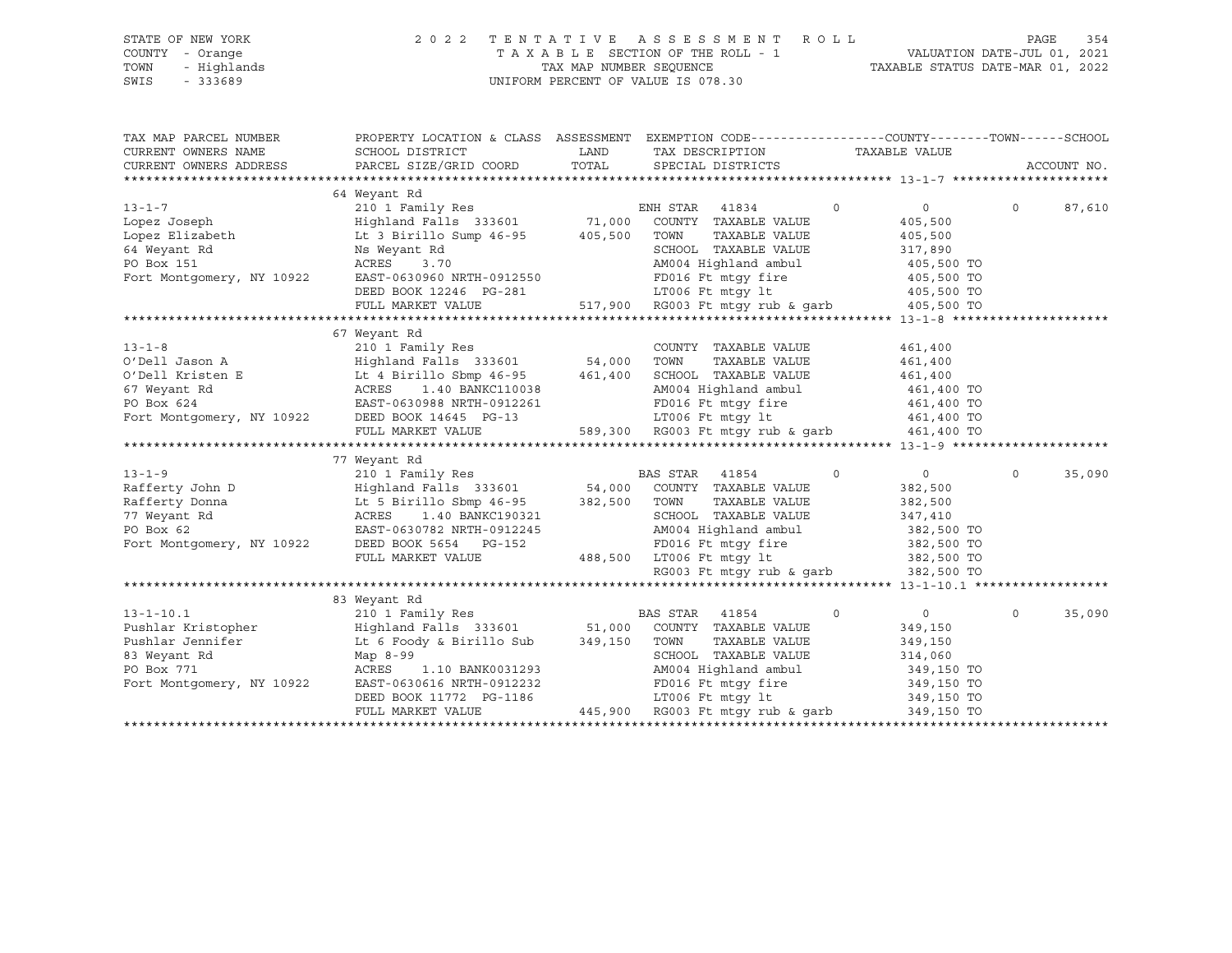|      | STATE OF NEW YORK | 2022 TENTATIVE ASSESSMENT ROLL     |                                  | PAGE | 354 |
|------|-------------------|------------------------------------|----------------------------------|------|-----|
|      | COUNTY - Orange   | TAXABLE SECTION OF THE ROLL - 1    | VALUATION DATE-JUL 01, 2021      |      |     |
| TOWN | - Highlands       | TAX MAP NUMBER SEOUENCE            | TAXABLE STATUS DATE-MAR 01, 2022 |      |     |
| SWIS | $-333689$         | UNIFORM PERCENT OF VALUE IS 078.30 |                                  |      |     |

| TAX MAP PARCEL NUMBER<br>CURRENT OWNERS NAME<br>CURRENT OWNERS ADDRESS | PROPERTY LOCATION & CLASS ASSESSMENT EXEMPTION CODE---------------COUNTY-------TOWN-----SCHOOL<br>SCHOOL DISTRICT<br>PARCEL SIZE/GRID COORD              | LAND<br>TOTAL | TAX DESCRIPTION<br>SPECIAL DISTRICTS                                                                                                                                      | TAXABLE VALUE |                       |          | ACCOUNT NO. |
|------------------------------------------------------------------------|----------------------------------------------------------------------------------------------------------------------------------------------------------|---------------|---------------------------------------------------------------------------------------------------------------------------------------------------------------------------|---------------|-----------------------|----------|-------------|
|                                                                        | 64 Weyant Rd                                                                                                                                             |               |                                                                                                                                                                           |               |                       |          |             |
|                                                                        |                                                                                                                                                          |               | ENH STAR 41834                                                                                                                                                            | $\circ$       | $\overline{0}$        | $\circ$  | 87,610      |
|                                                                        | 13-1-7 210 1 Family Res EN<br>Lopez Joseph Highland Falls 333601 71,000<br>Lopez Elizabeth Lt 3 Birillo Sump 46-95 405,500<br>64 Meyant Pd News Res News |               | COUNTY TAXABLE VALUE                                                                                                                                                      |               | 405,500               |          |             |
|                                                                        |                                                                                                                                                          |               | TAXABLE VALUE<br>TOWN                                                                                                                                                     |               | 405,500               |          |             |
| 64 Weyant Rd                                                           |                                                                                                                                                          |               | SCHOOL TAXABLE VALUE                                                                                                                                                      |               |                       |          |             |
| PO Box 151                                                             |                                                                                                                                                          |               | SCHOOL TAXABLE VALUE 317,890<br>AM004 Highland ambul 405,500 TO<br>FD016 Ft mtgy fire 405,500 TO                                                                          |               | 317,890<br>405,500 TO |          |             |
|                                                                        | Fort Montgomery, NY 10922 EAST-0630960 NRTH-0912550                                                                                                      |               |                                                                                                                                                                           |               |                       |          |             |
|                                                                        | DEED BOOK 12246 PG-281                                                                                                                                   |               | LT006 Ft mtqy lt                                                                                                                                                          |               | 405,500 TO            |          |             |
|                                                                        | FULL MARKET VALUE                                                                                                                                        |               | 517,900 RG003 Ft mtgy rub & garb 405,500 TO                                                                                                                               |               |                       |          |             |
|                                                                        |                                                                                                                                                          |               |                                                                                                                                                                           |               |                       |          |             |
|                                                                        | 67 Weyant Rd                                                                                                                                             |               |                                                                                                                                                                           |               |                       |          |             |
|                                                                        |                                                                                                                                                          |               | COUNTY TAXABLE VALUE                                                                                                                                                      |               | 461,400               |          |             |
|                                                                        |                                                                                                                                                          |               | TOWN<br>TAXABLE VALUE                                                                                                                                                     |               | 461,400               |          |             |
|                                                                        |                                                                                                                                                          |               | SCHOOL TAXABLE VALUE                                                                                                                                                      |               | 461,400               |          |             |
|                                                                        |                                                                                                                                                          |               | AM004 Highland ambul 461,400 TO                                                                                                                                           |               |                       |          |             |
|                                                                        | PO Box 624<br>PO Box 624<br>Fort Montgomery, NY 10922<br>DEED BOOK 14645<br>PO Box 14645<br>PO Box 14645<br>PO Box 14645                                 |               | FD016 Ft mtgy fire 461,400 TO                                                                                                                                             |               |                       |          |             |
|                                                                        |                                                                                                                                                          |               | 3<br>589,300 RG003 Ft mtgy rub & garb 461,400 TO                                                                                                                          |               |                       |          |             |
|                                                                        | FULL MARKET VALUE                                                                                                                                        |               |                                                                                                                                                                           |               |                       |          |             |
|                                                                        |                                                                                                                                                          |               |                                                                                                                                                                           |               |                       |          |             |
|                                                                        | 77 Weyant Rd                                                                                                                                             |               |                                                                                                                                                                           |               |                       |          |             |
| $13 - 1 - 9$                                                           |                                                                                                                                                          |               | $\overline{0}$                                                                                                                                                            |               | $\overline{0}$        | $\Omega$ | 35,090      |
| Rafferty John D                                                        |                                                                                                                                                          |               |                                                                                                                                                                           |               | 382,500               |          |             |
|                                                                        | Rafferty Donna but 5 Birillo Sbmp 46-95 382,500 TOWN                                                                                                     |               | TAXABLE VALUE                                                                                                                                                             |               | 382,500               |          |             |
| 77 Weyant Rd                                                           | ACRES 1.40 BANKC190321<br>EAST-0630782 NRTH-0912245                                                                                                      |               | C190321 SCHOOL TAXABLE VALUE 347,410<br>0912245 AM004 Highland ambul 382,500 TO<br>347,410<br>382,500 TO06 Ft mtgy fire 382,500 TO<br>488,500 LT006 Ft mtgy lt 382,500 TO |               |                       |          |             |
| PO Box 62                                                              |                                                                                                                                                          |               |                                                                                                                                                                           |               |                       |          |             |
|                                                                        | Fort Montgomery, NY 10922 DEED BOOK 5654 PG-152                                                                                                          |               |                                                                                                                                                                           |               |                       |          |             |
|                                                                        | FULL MARKET VALUE                                                                                                                                        |               |                                                                                                                                                                           |               |                       |          |             |
|                                                                        |                                                                                                                                                          |               | RG003 Ft mtqy rub & qarb 382,500 TO                                                                                                                                       |               |                       |          |             |
|                                                                        |                                                                                                                                                          |               |                                                                                                                                                                           |               |                       |          |             |
|                                                                        | 83 Weyant Rd                                                                                                                                             |               |                                                                                                                                                                           |               |                       |          |             |
| $13 - 1 - 10.1$                                                        |                                                                                                                                                          |               |                                                                                                                                                                           | $\circ$       | $\overline{0}$        | $\circ$  | 35,090      |
| Pushlar Kristopher<br>Pushlar Jennifer                                 | 210 1 Family Res BAS STAK 41854<br>Highland Falls 333601 51,000 COUNTY TAXABLE VALUE<br>Lt 6 Foody & Birillo Sub 349,150 TOWN TAXABLE VALUE              |               |                                                                                                                                                                           |               | 349,150               |          |             |
|                                                                        |                                                                                                                                                          |               | TAXABLE VALUE                                                                                                                                                             |               | 349,150               |          |             |
| 83 Weyant Rd                                                           | Map 8-99                                                                                                                                                 |               | SCHOOL TAXABLE VALUE                                                                                                                                                      |               | 314,060               |          |             |
|                                                                        | ACRES   1.10 BANK0031293                                                                                                                                 |               |                                                                                                                                                                           |               |                       |          |             |
| PO Box 771<br>Fort Montgomery, NY 10922                                | EAST-0630616 NRTH-0912232                                                                                                                                |               | FD016 Ft mtgy fire<br>LT006 Ft mtgy lt                                                                                                                                    |               |                       |          |             |
|                                                                        |                                                                                                                                                          |               | AM004 Highland ambul 349,150 TO<br>FD016 Ft mtgy fire 349,150 TO<br>LT006 Ft mtgy lt 349,150 TO                                                                           |               |                       |          |             |
|                                                                        | FULL MARKET VALUE                                                                                                                                        |               | 445,900 RG003 Ft mtgy rub & garb                                                                                                                                          |               | 349,150 TO            |          |             |
|                                                                        |                                                                                                                                                          |               |                                                                                                                                                                           |               |                       |          |             |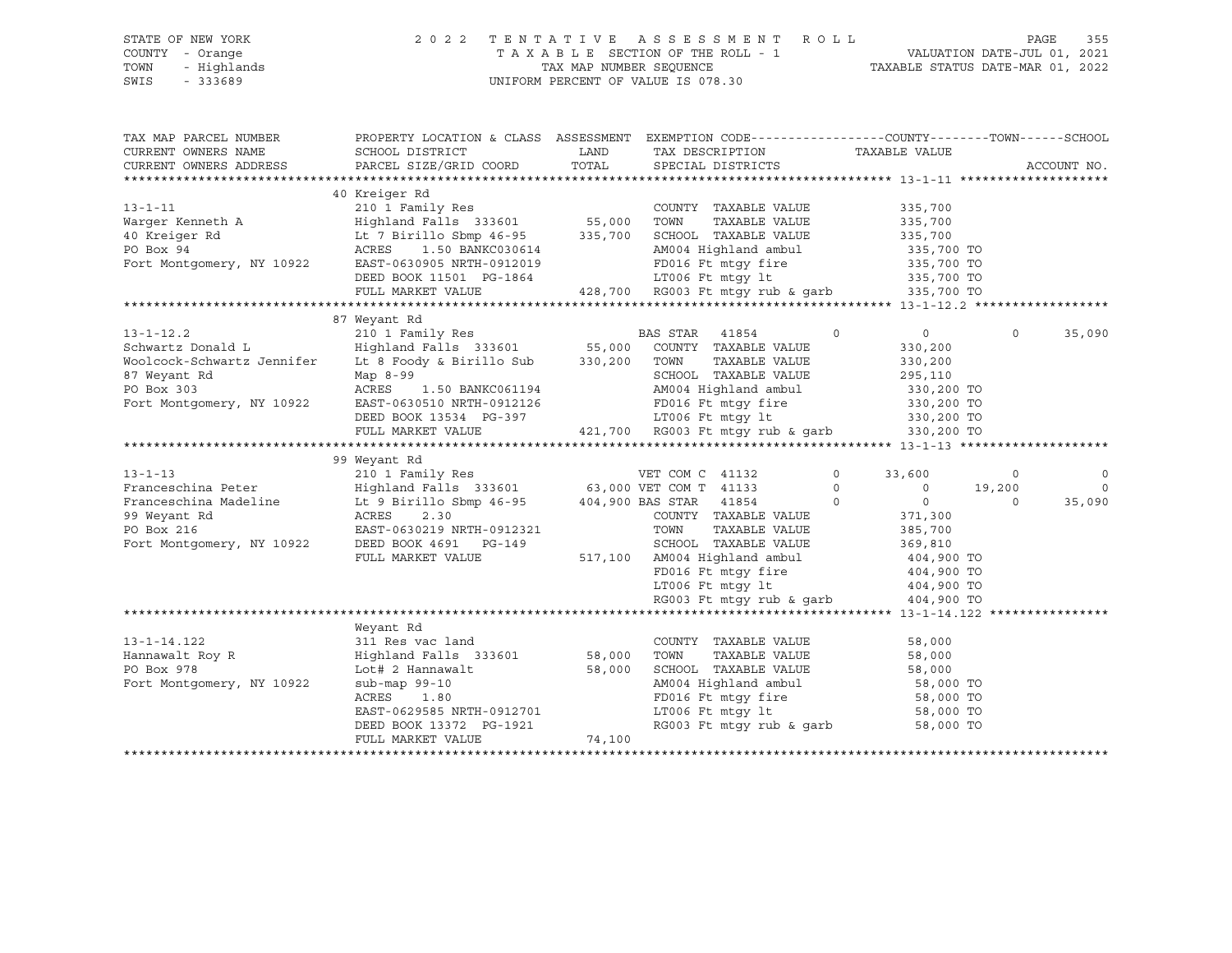### STATE OF NEW YORK 2 0 2 2 T E N T A T I V E A S S E S S M E N T R O L L PAGE 355 COUNTY - Orange T A X A B L E SECTION OF THE ROLL - 1 VALUATION DATE-JUL 01, 2021 TOWN - Highlands TAX MAP NUMBER SEQUENCE TAXABLE STATUS DATE-MAR 01, 2022 SWIS - 333689 UNIFORM PERCENT OF VALUE IS 078.30

| TAX MAP PARCEL NUMBER<br>CURRENT OWNERS NAME<br>CURRENT OWNERS ADDRESS                                                                                   | PROPERTY LOCATION & CLASS ASSESSMENT EXEMPTION CODE----------------COUNTY-------TOWN-----SCHOOL<br>SCHOOL DISTRICT<br>PARCEL SIZE/GRID COORD | LAND<br>TOTAL | TAX DESCRIPTION<br>SPECIAL DISTRICTS   | TAXABLE VALUE              |          | ACCOUNT NO. |
|----------------------------------------------------------------------------------------------------------------------------------------------------------|----------------------------------------------------------------------------------------------------------------------------------------------|---------------|----------------------------------------|----------------------------|----------|-------------|
|                                                                                                                                                          |                                                                                                                                              |               |                                        |                            |          |             |
| $13 - 1 - 11$                                                                                                                                            | 40 Kreiger Rd<br>210 1 Family Res                                                                                                            |               | COUNTY TAXABLE VALUE                   | 335,700                    |          |             |
|                                                                                                                                                          |                                                                                                                                              |               | TOWN<br>TAXABLE VALUE                  | 335,700                    |          |             |
| Warger Kenneth A<br>40 Kreiger Rd                                                                                                                        |                                                                                                                                              |               | SCHOOL TAXABLE VALUE                   | 335,700                    |          |             |
| $\mathbf d$<br>PO Box 94                                                                                                                                 | Highland Falls 333601 55,000<br>Lt 7 Birillo Sbmp 46-95 335,700<br>ACRES 1.50 BANKC030614                                                    |               | AM004 Highland ambul 335,700 TO        |                            |          |             |
| Fort Montgomery, NY 10922                                                                                                                                | EAST-0630905 NRTH-0912019                                                                                                                    |               |                                        |                            |          |             |
|                                                                                                                                                          | DEED BOOK 11501 PG-1864                                                                                                                      |               | FD016 Ft mtgy fire<br>LT006 Ft mtqy lt | 335,700 TO<br>335,700 TO   |          |             |
|                                                                                                                                                          |                                                                                                                                              |               | $428,700$ RG003 Ft mtgy rub & garb     |                            |          |             |
|                                                                                                                                                          | FULL MARKET VALUE                                                                                                                            |               |                                        | 335,700 TO                 |          |             |
|                                                                                                                                                          |                                                                                                                                              |               |                                        |                            |          |             |
|                                                                                                                                                          | 87 Weyant Rd                                                                                                                                 |               |                                        |                            |          |             |
| $13 - 1 - 12.2$                                                                                                                                          | 210 1 Family Res                                                                                                                             |               | BAS STAR<br>41854                      | $\overline{0}$<br>$\Omega$ | $\Omega$ | 35,090      |
| Schwartz Donald Land Highland Falls 333601 55,000 COUNTY TAXABLE VALUE<br>Woolcock-Schwartz Jennifer Lt 8 Foody & Birillo Sub 330,200 TOWN TAXABLE VALUE |                                                                                                                                              |               |                                        | 330,200                    |          |             |
|                                                                                                                                                          |                                                                                                                                              |               |                                        | 330,200                    |          |             |
| 87 Weyant Rd                                                                                                                                             | Map 8-99                                                                                                                                     |               | SCHOOL TAXABLE VALUE                   | 295,110                    |          |             |
| PO Box 303                                                                                                                                               | ACRES 1.50 BANKC061194                                                                                                                       |               | AM004 Highland ambul                   | 330,200 TO                 |          |             |
| Fort Montgomery, NY 10922                                                                                                                                | EAST-0630510 NRTH-0912126                                                                                                                    |               | FD016 Ft mtgy fire<br>LT006 Ft mtgy lt | 330,200 TO                 |          |             |
|                                                                                                                                                          | DEED BOOK 13534 PG-397                                                                                                                       |               |                                        | 330,200 TO                 |          |             |
|                                                                                                                                                          | FULL MARKET VALUE                                                                                                                            |               | 421,700 RG003 Ft mtqy rub & qarb       | 330,200 TO                 |          |             |
|                                                                                                                                                          |                                                                                                                                              |               |                                        |                            |          |             |
|                                                                                                                                                          | 99 Weyant Rd                                                                                                                                 |               |                                        |                            |          |             |
| $13 - 1 - 13$                                                                                                                                            |                                                                                                                                              |               |                                        | $\circ$<br>33,600          | $\circ$  | $\mathbf 0$ |
| Franceschina Peter                                                                                                                                       |                                                                                                                                              |               |                                        | $\Omega$<br>$\overline{0}$ | 19,200   | $\Omega$    |
| Franceschina Madeline                                                                                                                                    | Lt 9 Birillo Sbmp 46-95 404,900 BAS STAR 41854                                                                                               |               |                                        | $\overline{0}$<br>$\Omega$ | $\Omega$ | 35,090      |
| 99 Weyant Rd                                                                                                                                             | ACRES 2.30<br>EAST-0630219 NRTH-0912321                                                                                                      |               | COUNTY TAXABLE VALUE                   | 371,300                    |          |             |
| PO Box 216                                                                                                                                               |                                                                                                                                              |               | TOWN<br>TAXABLE VALUE                  | 385,700                    |          |             |
| Fort Montgomery, NY 10922                                                                                                                                | DEED BOOK 4691 PG-149                                                                                                                        |               | SCHOOL TAXABLE VALUE                   | 369,810                    |          |             |
|                                                                                                                                                          | FULL MARKET VALUE                                                                                                                            |               | 517,100 AM004 Highland ambul           | 404,900 TO                 |          |             |
|                                                                                                                                                          |                                                                                                                                              |               | FD016 Ft mtgy fire                     | 404,900 TO                 |          |             |
|                                                                                                                                                          |                                                                                                                                              |               | LT006 Ft mtqy lt                       | 404,900 TO                 |          |             |
|                                                                                                                                                          |                                                                                                                                              |               | RG003 Ft mtqy rub & qarb               | 404,900 TO                 |          |             |
|                                                                                                                                                          |                                                                                                                                              |               |                                        |                            |          |             |
|                                                                                                                                                          | Weyant Rd                                                                                                                                    |               |                                        |                            |          |             |
| $13 - 1 - 14.122$                                                                                                                                        | 311 Res vac land                                                                                                                             |               | COUNTY TAXABLE VALUE                   | 58,000                     |          |             |
| Hannawalt Roy R                                                                                                                                          | Highland Falls 333601 58,000                                                                                                                 |               | TAXABLE VALUE<br>TOWN                  | 58,000                     |          |             |
| PO Box 978                                                                                                                                               | Lot# 2 Hannawalt                                                                                                                             | 58,000        | SCHOOL TAXABLE VALUE                   | 58,000                     |          |             |
| Fort Montgomery, NY 10922                                                                                                                                | $sub-map 99-10$                                                                                                                              |               | AM004 Highland ambul                   | 58,000 TO                  |          |             |
|                                                                                                                                                          | ACRES 1.80                                                                                                                                   |               | FD016 Ft mtgy fire                     | 58,000 TO                  |          |             |
|                                                                                                                                                          | EAST-0629585 NRTH-0912701                                                                                                                    |               | LT006 Ft mtgy lt                       | 58,000 TO                  |          |             |
|                                                                                                                                                          | DEED BOOK 13372 PG-1921                                                                                                                      |               | RG003 Ft mtgy rub & garb               | 58,000 TO                  |          |             |
|                                                                                                                                                          | FULL MARKET VALUE                                                                                                                            | 74,100        |                                        |                            |          |             |
|                                                                                                                                                          |                                                                                                                                              |               |                                        |                            |          |             |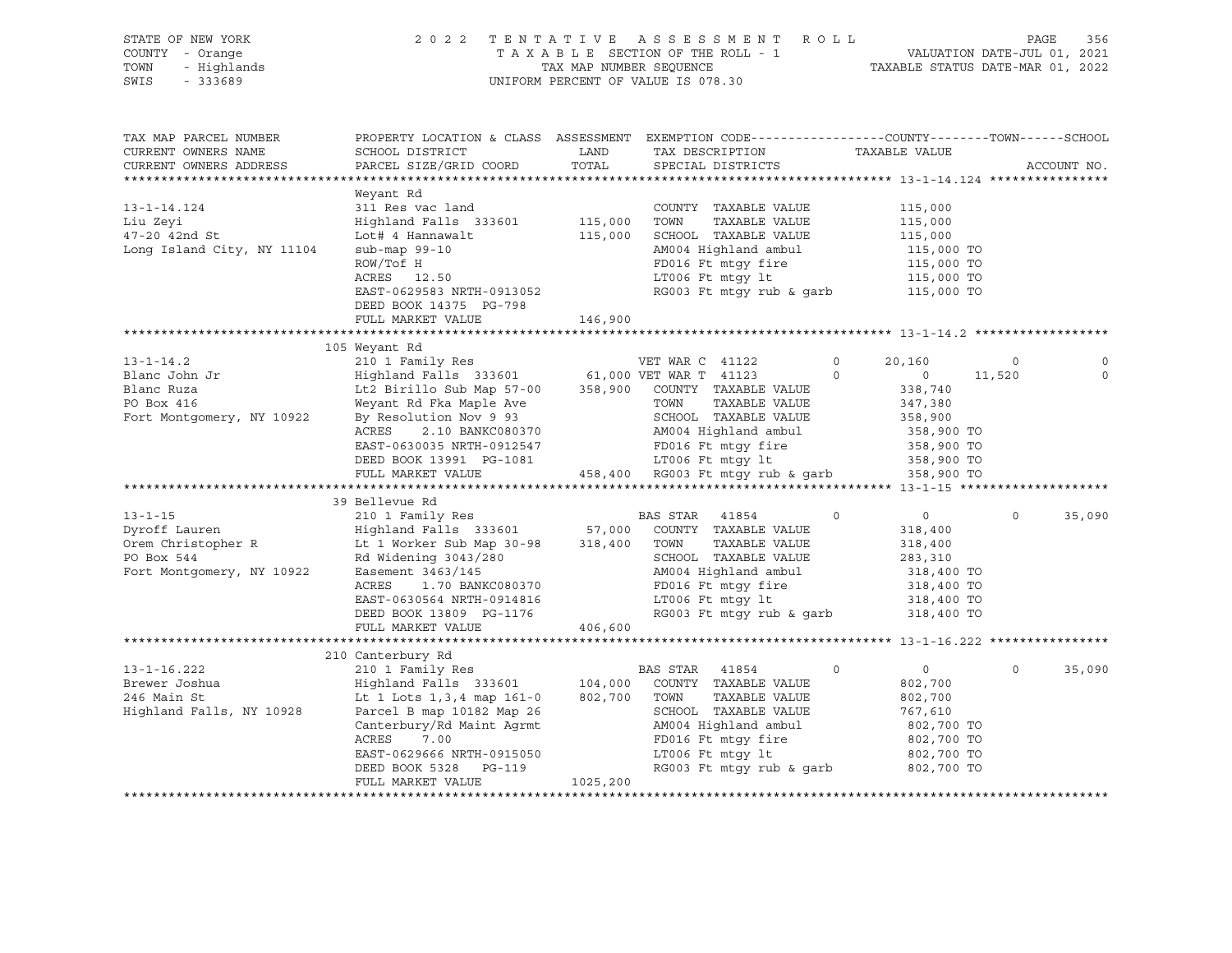| STATE OF NEW YORK<br>COUNTY - Orange<br>TOWN<br>SWIS | OF NEW YORK PAGE 356 A SO 2 2 TENTATIVE ASSESSMENT ROLL PAGE 356 PAGE 356<br>2021 TAXABLE SECTION OF THE ROLL - 1 VALUATION DATE-JUL 01, 2021<br>FAXABLE SECTION OF THE ROLL - 1 TAXABLE STATUS DATE-MAR 01, 2022 TENT ROLL TAXABLE        |          |                                                                                                |                                        |                          |             |             |
|------------------------------------------------------|--------------------------------------------------------------------------------------------------------------------------------------------------------------------------------------------------------------------------------------------|----------|------------------------------------------------------------------------------------------------|----------------------------------------|--------------------------|-------------|-------------|
| TAX MAP PARCEL NUMBER<br>CURRENT OWNERS NAME         | PROPERTY LOCATION & CLASS ASSESSMENT EXEMPTION CODE---------------COUNTY-------TOWN-----SCHOOL<br>SCHOOL DISTRICT                                                                                                                          |          |                                                                                                |                                        |                          |             |             |
| CURRENT OWNERS ADDRESS                               | PARCEL SIZE/GRID COORD                                                                                                                                                                                                                     |          | LAND TAX DESCRIPTION TAXABLE VALUE<br>COORD TOTAL SPECIAL DISTRICTS<br>TOTAL SPECIAL DISTRICTS |                                        |                          | ACCOUNT NO. |             |
|                                                      |                                                                                                                                                                                                                                            |          |                                                                                                |                                        |                          |             |             |
|                                                      | Weyant Rd                                                                                                                                                                                                                                  |          |                                                                                                |                                        |                          |             |             |
| $13 - 1 - 14.124$                                    |                                                                                                                                                                                                                                            |          |                                                                                                |                                        |                          |             |             |
|                                                      |                                                                                                                                                                                                                                            |          |                                                                                                |                                        |                          |             |             |
| Liu Zeyi<br>47-20 42nd St                            |                                                                                                                                                                                                                                            |          |                                                                                                |                                        |                          |             |             |
| Long Island City, NY 11104                           |                                                                                                                                                                                                                                            |          |                                                                                                |                                        |                          |             |             |
|                                                      |                                                                                                                                                                                                                                            |          |                                                                                                |                                        |                          |             |             |
|                                                      |                                                                                                                                                                                                                                            |          |                                                                                                |                                        |                          |             |             |
|                                                      | Weyant Rd<br>311 Res vac land<br>Highland Falls 333601 115,000 TOWN TAXABLE VALUE 115,000<br>Lot# 4 Hannawalt 115,000 SCHOOL TAXABLE VALUE 115,000<br>sub-map 99-10 AM004 Highland ambul 115,000 TO<br>ROW/TOf H<br>RCRES 12.50 LT006 Ft m |          |                                                                                                |                                        |                          |             |             |
|                                                      | DEED BOOK 14375 PG-798                                                                                                                                                                                                                     |          |                                                                                                |                                        |                          |             |             |
|                                                      | FULL MARKET VALUE                                                                                                                                                                                                                          | 146,900  |                                                                                                |                                        |                          |             |             |
|                                                      |                                                                                                                                                                                                                                            |          |                                                                                                |                                        |                          |             |             |
|                                                      | 105 Weyant Rd                                                                                                                                                                                                                              |          |                                                                                                |                                        |                          |             |             |
|                                                      |                                                                                                                                                                                                                                            |          |                                                                                                |                                        | $\overline{\phantom{0}}$ |             |             |
|                                                      |                                                                                                                                                                                                                                            |          |                                                                                                | 0 $20,160$<br>0 $338,740$<br>$247.380$ | 11,520                   |             | $\mathbf 0$ |
|                                                      |                                                                                                                                                                                                                                            |          |                                                                                                |                                        |                          |             |             |
|                                                      |                                                                                                                                                                                                                                            |          |                                                                                                |                                        |                          |             |             |
|                                                      |                                                                                                                                                                                                                                            |          |                                                                                                |                                        |                          |             |             |
|                                                      |                                                                                                                                                                                                                                            |          |                                                                                                |                                        |                          |             |             |
|                                                      |                                                                                                                                                                                                                                            |          |                                                                                                |                                        |                          |             |             |
|                                                      |                                                                                                                                                                                                                                            |          |                                                                                                |                                        |                          |             |             |
|                                                      |                                                                                                                                                                                                                                            |          |                                                                                                |                                        |                          |             |             |
|                                                      |                                                                                                                                                                                                                                            |          |                                                                                                |                                        |                          |             |             |
|                                                      | 39 Bellevue Rd                                                                                                                                                                                                                             |          |                                                                                                |                                        | $\circ$                  |             |             |
|                                                      |                                                                                                                                                                                                                                            |          |                                                                                                |                                        |                          |             | 35,090      |
|                                                      |                                                                                                                                                                                                                                            |          |                                                                                                |                                        |                          |             |             |
|                                                      |                                                                                                                                                                                                                                            |          |                                                                                                |                                        |                          |             |             |
|                                                      |                                                                                                                                                                                                                                            |          |                                                                                                |                                        |                          |             |             |
|                                                      |                                                                                                                                                                                                                                            |          |                                                                                                |                                        |                          |             |             |
|                                                      |                                                                                                                                                                                                                                            |          |                                                                                                |                                        |                          |             |             |
|                                                      |                                                                                                                                                                                                                                            |          |                                                                                                |                                        |                          |             |             |
|                                                      |                                                                                                                                                                                                                                            |          |                                                                                                |                                        |                          |             |             |
|                                                      |                                                                                                                                                                                                                                            |          |                                                                                                |                                        |                          |             |             |
|                                                      | 210 Canterbury Rd                                                                                                                                                                                                                          |          |                                                                                                |                                        |                          |             |             |
|                                                      |                                                                                                                                                                                                                                            |          |                                                                                                |                                        | $\Omega$                 |             | 35,090      |
|                                                      |                                                                                                                                                                                                                                            |          |                                                                                                |                                        |                          |             |             |
|                                                      |                                                                                                                                                                                                                                            |          |                                                                                                |                                        |                          |             |             |
|                                                      |                                                                                                                                                                                                                                            |          |                                                                                                |                                        |                          |             |             |
|                                                      |                                                                                                                                                                                                                                            |          |                                                                                                |                                        |                          |             |             |
|                                                      |                                                                                                                                                                                                                                            |          |                                                                                                |                                        |                          |             |             |
|                                                      |                                                                                                                                                                                                                                            |          |                                                                                                |                                        |                          |             |             |
|                                                      |                                                                                                                                                                                                                                            |          |                                                                                                |                                        |                          |             |             |
|                                                      | FULL MARKET VALUE                                                                                                                                                                                                                          | 1025,200 |                                                                                                |                                        |                          |             |             |
|                                                      |                                                                                                                                                                                                                                            |          |                                                                                                |                                        |                          |             |             |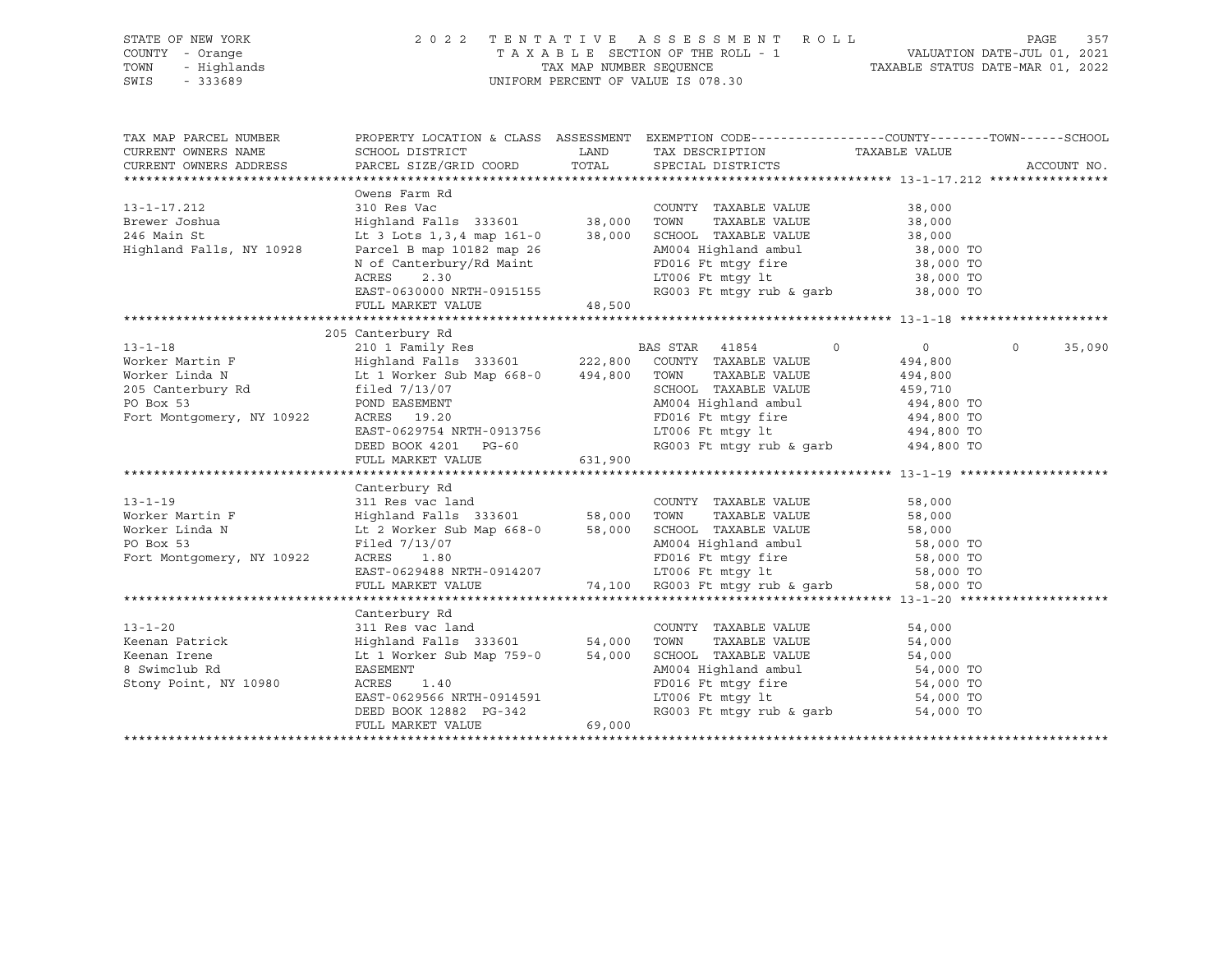| STATE OF NEW YORK<br>COUNTY - Orange<br>TOWN<br>- Highlands<br>SWIS - 333689                                                                                                                                                                                                       |                                                                                           |         | 2022 TENTATIVE ASSESSMENT ROLL<br>TAXABLE SECTION OF THE ROLL - 1 VALUATION DATE-JUL 01, 2021<br>TAX MAP NUMBER SEQUENCE TAXABLE STATUS DATE-MAR 01, 2022<br>UNIFORM PERCENT OF VALUE IS 078.30                                                                                                                     |                                                 | PAGE        | 357    |
|------------------------------------------------------------------------------------------------------------------------------------------------------------------------------------------------------------------------------------------------------------------------------------|-------------------------------------------------------------------------------------------|---------|---------------------------------------------------------------------------------------------------------------------------------------------------------------------------------------------------------------------------------------------------------------------------------------------------------------------|-------------------------------------------------|-------------|--------|
| TAX MAP PARCEL NUMBER<br>CURRENT OWNERS NAME<br>CURRENT OWNERS ADDRESS                                                                                                                                                                                                             | SCHOOL DISTRICT<br>PARCEL SIZE/GRID COORD                                                 | TOTAL   | PROPERTY LOCATION & CLASS ASSESSMENT EXEMPTION CODE----------------COUNTY-------TOWN------SCHOOL<br>LAND TAX DESCRIPTION<br>SPECIAL DISTRICTS                                                                                                                                                                       | TAXABLE VALUE                                   | ACCOUNT NO. |        |
| 13-1-17.212<br>$13 - 1 - 1$<br>Brewer Joshua<br>$5 - 5 +$<br>Highland Falls, NY 10928                                                                                                                                                                                              | EAST-0630000 NRTH-0915155<br>FULL MARKET VALUE 48,500                                     |         |                                                                                                                                                                                                                                                                                                                     |                                                 |             |        |
|                                                                                                                                                                                                                                                                                    |                                                                                           |         |                                                                                                                                                                                                                                                                                                                     |                                                 |             |        |
| $13 - 1 - 18$<br>Example of the BAS STAR 41854 C<br>Worker Martin F (Highland Falls 333601 222,800 COUNTY TAXABLE VALUE<br>Worker Linda N Lt 1 Worker Sub Map 668-0 494,800 TOWN TAXABLE VALUE<br>205 Canterbury Rd filed 7/13/07 SCHOOL TAXABLE VALU<br>Fort Montgomery, NY 10922 | 205 Canterbury Rd<br>FULL MARKET VALUE                                                    | 631,900 | $\circ$<br>SCHOOL TAXABLE VALUE<br>POND EASEMENT AMOO4 Highland ambul<br>AMOO4 Highland ambul<br>ACRES 19.20 PD016 Ft mtgy fire 494,800 TO<br>EAST-0629754 NRTH-0913756 LT006 Ft mtgy 1t 494,800 TO<br>DEED BOOK 4201 PG-60 RG003 Ft mtgy rub & garb 494,800 TO                                                     | $\overline{0}$<br>494,800<br>494,800<br>459,710 | $\Omega$    | 35,090 |
|                                                                                                                                                                                                                                                                                    |                                                                                           |         |                                                                                                                                                                                                                                                                                                                     |                                                 |             |        |
| $13 - 1 - 19$<br>Worker Martin F<br>Worker Linda N<br>PO Box 53<br>Fort Montgomery, NY 10922                                                                                                                                                                                       | Canterbury Rd                                                                             |         | COUNTY TAXABLE VALUE 58,000<br>Highland Falls 333601 58,000 TOWN TAXABLE VALUE 58,000<br>Lt 2 Worker Sub Map 668-0 58,000 SCHOOL TAXABLE VALUE 58,000<br>Filed 7/13/07 AMO4 Highland ambul 58,000 TO<br>ACRES 1.80 FD016 Ft mtgy fire                                                                               |                                                 |             |        |
|                                                                                                                                                                                                                                                                                    |                                                                                           |         |                                                                                                                                                                                                                                                                                                                     |                                                 |             |        |
|                                                                                                                                                                                                                                                                                    | Canterbury Rd                                                                             |         |                                                                                                                                                                                                                                                                                                                     |                                                 |             |        |
| $13 - 1 - 20$<br>Keenan Patrick<br>Keenan Irene<br>8 Swimclub Rd<br>Stony Point, NY 10980                                                                                                                                                                                          | ACRES<br>1.40<br>EAST-0629566 NRTH-0914591<br>DEED BOOK 12882 PG-342<br>FULL MARKET VALUE | 69,000  | Canterbury Rd<br>311 Res vac land<br>Highland Falls 333601 54,000 TOWN TAXABLE VALUE 54,000<br>Lt 1 Worker Sub Map 759-0 54,000 SCHOOL TAXABLE VALUE 54,000<br>AM004 Highland ambul 54,000 TO<br>FD016 Ft mtgy fire<br>194,000 TO<br>1966 Ft mtgy 1t 54,000 TO<br>54,000 TO<br>RG003 Ft mtgy rub & garb $54,000$ TO |                                                 |             |        |
|                                                                                                                                                                                                                                                                                    |                                                                                           |         |                                                                                                                                                                                                                                                                                                                     |                                                 |             |        |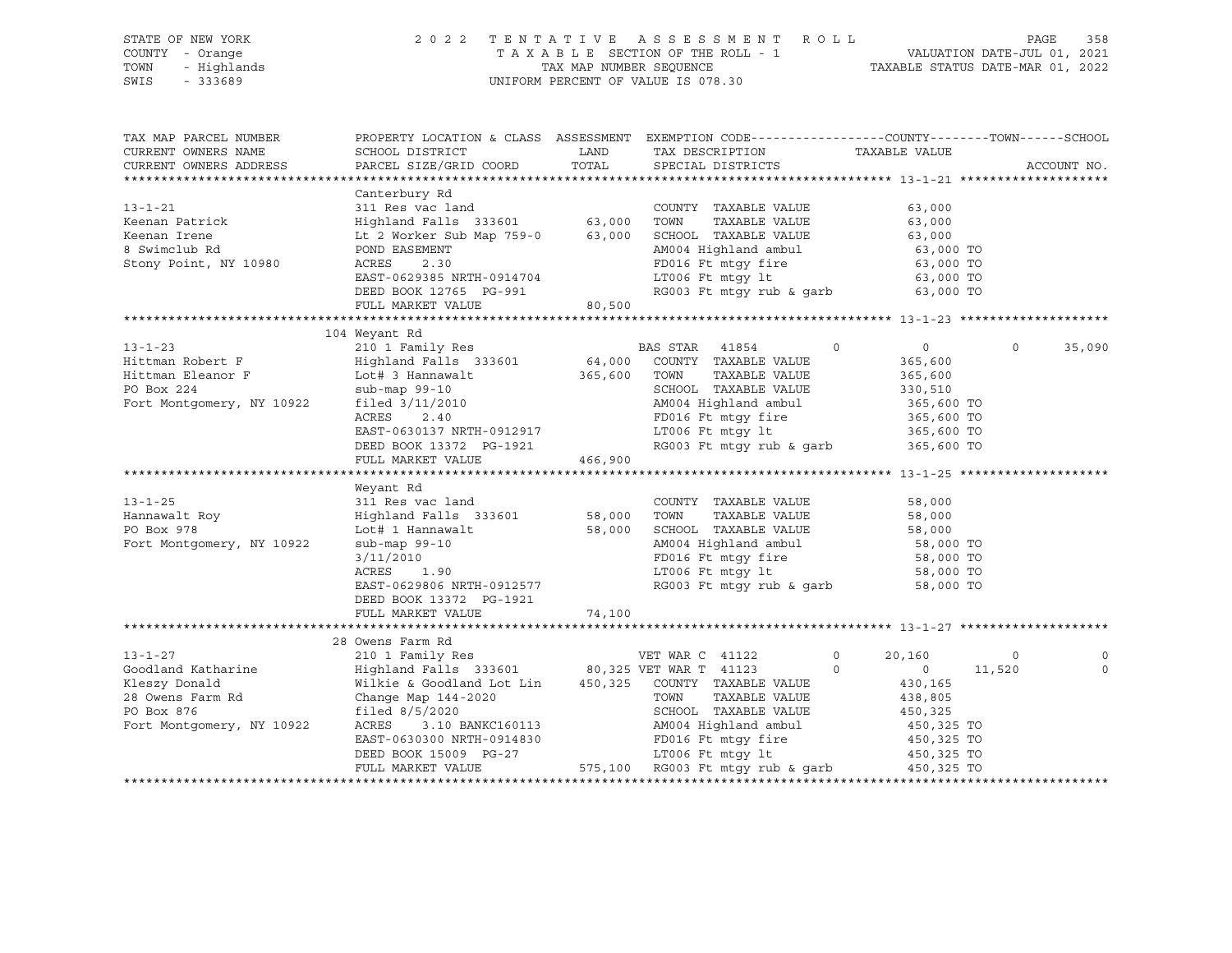| PROPERTY LOCATION & CLASS ASSESSMENT EXEMPTION CODE----------------COUNTY-------TOWN-----SCHOOL<br>TAX MAP PARCEL NUMBER<br>LAND TAX DESCRIPTION TAXABLE VALUE COORD TOTAL SPECIAL DISTRICTS<br>CURRENT OWNERS NAME<br>SCHOOL DISTRICT<br>PARCEL SIZE/GRID COORD<br>CURRENT OWNERS ADDRESS<br>ACCOUNT NO.<br>Canterbury Rd<br>$13 - 1 - 21$<br>311 Res vac land<br>COUNTY TAXABLE VALUE<br>63,000<br>Highland Falls 333601 63,000 TOWN TAXABLE VALUE<br>Lt 2 Worker Sub Map 759-0 63,000 SCHOOL TAXABLE VALUE<br>Keenan Patrick<br>63,000<br>63,000<br>Keenan Irene<br>63,000 TO<br>8 Swimclub Rd<br>POND EASEMENT<br>AM004 Highland ambul<br>FD016 Ft mtgy fire<br>LT006 Ft mtgy lt<br>Stony Point, NY 10980<br>ACRES<br>2.30<br>63,000 TO<br>63,000 TO<br>EAST-0629385 NRTH-0914704<br>RG003 Ft mtgy rub & garb $63,000$ TO<br>DEED BOOK 12765 PG-991<br>80,500<br>FULL MARKET VALUE<br>104 Weyant Rd<br>210 1 Family Res<br>Highland Falls 333601 64,000 COUNTY TAXABLE VALUE<br>Lot# 3 Hannawalt 365,600 TOWN TAXABLE VALUE<br>sub-man 99-10<br>$\overline{0}$<br>$\Omega$<br>$\Omega$<br>35,090<br>Hittman Robert F<br>365,600<br>Hittman Eleanor F<br>PO Box 224<br>365,600<br>330,510<br>SCHOOL TAXABLE VALUE<br>Sub-map 99-10<br>Fort Montgomery, NY 10922 filed 3/11/2010<br>$filed$ 3/11/2010<br>$ACEES$ 2.40<br>$EAST-0620127$<br>AM004 Highland ambul<br>365,600 TO<br>Privide highlich<br>FD016 Ft mtgy 1t 365,600 TO<br>LT006 Ft mtgy 1t 365,600 TO<br>RG003 Ft mtgy rub & garb 365,600 TO<br>EAST-0630137 NRTH-0912917<br>DEED BOOK 13372 PG-1921<br>FULL MARKET VALUE 466,900<br>Weyant Rd<br>311 Res vac land<br>$13 - 1 - 25$<br>COUNTY TAXABLE VALUE<br>58,000<br>Highland Falls 333601 58,000 TOWN TAXABLE VALUE<br>Lot# 1 Hannawalt 58,000 SCHOOL TAXABLE VALUE<br>Hannawalt Roy<br>58,000<br>58,000<br>58,000 TO<br>Fort Montgomery, NY 10922<br>AM004 Highland ambul<br>sub-map 99-10<br>3/11/2010<br>ACRES 1.90<br>FD016 Ft_mtgy_fire 58,000 TO<br>LT006 Ft_mtgy_lt 58,000 TO<br>RG003 Ft_mtgy_rub_&_garb 58,000 TO<br>EAST-0629806 NRTH-0912577<br>DEED BOOK 13372 PG-1921<br>FULL MARKET VALUE<br>74,100<br>28 Owens Farm Rd | STATE OF NEW YORK<br>Y - Orange<br>- Highlands<br>- 333689<br>COUNTY - Orange<br>TOWN<br>SWIS - 333689 |  | 2022 TENTATIVE ASSESSMENT ROLL<br>TAXABLE SECTION OF THE ROLL - 1<br>TAXABLE SECTION OF THE ROLL - 1<br>TAXABLE STATUS DATE-MAR 01, 2022<br>UNIFORM PERCENT OF VALUE IS 078.30 |  | PAGE | 358 |
|--------------------------------------------------------------------------------------------------------------------------------------------------------------------------------------------------------------------------------------------------------------------------------------------------------------------------------------------------------------------------------------------------------------------------------------------------------------------------------------------------------------------------------------------------------------------------------------------------------------------------------------------------------------------------------------------------------------------------------------------------------------------------------------------------------------------------------------------------------------------------------------------------------------------------------------------------------------------------------------------------------------------------------------------------------------------------------------------------------------------------------------------------------------------------------------------------------------------------------------------------------------------------------------------------------------------------------------------------------------------------------------------------------------------------------------------------------------------------------------------------------------------------------------------------------------------------------------------------------------------------------------------------------------------------------------------------------------------------------------------------------------------------------------------------------------------------------------------------------------------------------------------------------------------------------------------------------------------------------------------------------------------------------------------------------------------------------------------------------------------------------------------------------|--------------------------------------------------------------------------------------------------------|--|--------------------------------------------------------------------------------------------------------------------------------------------------------------------------------|--|------|-----|
|                                                                                                                                                                                                                                                                                                                                                                                                                                                                                                                                                                                                                                                                                                                                                                                                                                                                                                                                                                                                                                                                                                                                                                                                                                                                                                                                                                                                                                                                                                                                                                                                                                                                                                                                                                                                                                                                                                                                                                                                                                                                                                                                                        |                                                                                                        |  |                                                                                                                                                                                |  |      |     |
|                                                                                                                                                                                                                                                                                                                                                                                                                                                                                                                                                                                                                                                                                                                                                                                                                                                                                                                                                                                                                                                                                                                                                                                                                                                                                                                                                                                                                                                                                                                                                                                                                                                                                                                                                                                                                                                                                                                                                                                                                                                                                                                                                        |                                                                                                        |  |                                                                                                                                                                                |  |      |     |
|                                                                                                                                                                                                                                                                                                                                                                                                                                                                                                                                                                                                                                                                                                                                                                                                                                                                                                                                                                                                                                                                                                                                                                                                                                                                                                                                                                                                                                                                                                                                                                                                                                                                                                                                                                                                                                                                                                                                                                                                                                                                                                                                                        |                                                                                                        |  |                                                                                                                                                                                |  |      |     |
|                                                                                                                                                                                                                                                                                                                                                                                                                                                                                                                                                                                                                                                                                                                                                                                                                                                                                                                                                                                                                                                                                                                                                                                                                                                                                                                                                                                                                                                                                                                                                                                                                                                                                                                                                                                                                                                                                                                                                                                                                                                                                                                                                        |                                                                                                        |  |                                                                                                                                                                                |  |      |     |
|                                                                                                                                                                                                                                                                                                                                                                                                                                                                                                                                                                                                                                                                                                                                                                                                                                                                                                                                                                                                                                                                                                                                                                                                                                                                                                                                                                                                                                                                                                                                                                                                                                                                                                                                                                                                                                                                                                                                                                                                                                                                                                                                                        |                                                                                                        |  |                                                                                                                                                                                |  |      |     |
|                                                                                                                                                                                                                                                                                                                                                                                                                                                                                                                                                                                                                                                                                                                                                                                                                                                                                                                                                                                                                                                                                                                                                                                                                                                                                                                                                                                                                                                                                                                                                                                                                                                                                                                                                                                                                                                                                                                                                                                                                                                                                                                                                        |                                                                                                        |  |                                                                                                                                                                                |  |      |     |
|                                                                                                                                                                                                                                                                                                                                                                                                                                                                                                                                                                                                                                                                                                                                                                                                                                                                                                                                                                                                                                                                                                                                                                                                                                                                                                                                                                                                                                                                                                                                                                                                                                                                                                                                                                                                                                                                                                                                                                                                                                                                                                                                                        |                                                                                                        |  |                                                                                                                                                                                |  |      |     |
|                                                                                                                                                                                                                                                                                                                                                                                                                                                                                                                                                                                                                                                                                                                                                                                                                                                                                                                                                                                                                                                                                                                                                                                                                                                                                                                                                                                                                                                                                                                                                                                                                                                                                                                                                                                                                                                                                                                                                                                                                                                                                                                                                        |                                                                                                        |  |                                                                                                                                                                                |  |      |     |
|                                                                                                                                                                                                                                                                                                                                                                                                                                                                                                                                                                                                                                                                                                                                                                                                                                                                                                                                                                                                                                                                                                                                                                                                                                                                                                                                                                                                                                                                                                                                                                                                                                                                                                                                                                                                                                                                                                                                                                                                                                                                                                                                                        |                                                                                                        |  |                                                                                                                                                                                |  |      |     |
|                                                                                                                                                                                                                                                                                                                                                                                                                                                                                                                                                                                                                                                                                                                                                                                                                                                                                                                                                                                                                                                                                                                                                                                                                                                                                                                                                                                                                                                                                                                                                                                                                                                                                                                                                                                                                                                                                                                                                                                                                                                                                                                                                        |                                                                                                        |  |                                                                                                                                                                                |  |      |     |
|                                                                                                                                                                                                                                                                                                                                                                                                                                                                                                                                                                                                                                                                                                                                                                                                                                                                                                                                                                                                                                                                                                                                                                                                                                                                                                                                                                                                                                                                                                                                                                                                                                                                                                                                                                                                                                                                                                                                                                                                                                                                                                                                                        |                                                                                                        |  |                                                                                                                                                                                |  |      |     |
|                                                                                                                                                                                                                                                                                                                                                                                                                                                                                                                                                                                                                                                                                                                                                                                                                                                                                                                                                                                                                                                                                                                                                                                                                                                                                                                                                                                                                                                                                                                                                                                                                                                                                                                                                                                                                                                                                                                                                                                                                                                                                                                                                        |                                                                                                        |  |                                                                                                                                                                                |  |      |     |
|                                                                                                                                                                                                                                                                                                                                                                                                                                                                                                                                                                                                                                                                                                                                                                                                                                                                                                                                                                                                                                                                                                                                                                                                                                                                                                                                                                                                                                                                                                                                                                                                                                                                                                                                                                                                                                                                                                                                                                                                                                                                                                                                                        | $13 - 1 - 23$                                                                                          |  |                                                                                                                                                                                |  |      |     |
|                                                                                                                                                                                                                                                                                                                                                                                                                                                                                                                                                                                                                                                                                                                                                                                                                                                                                                                                                                                                                                                                                                                                                                                                                                                                                                                                                                                                                                                                                                                                                                                                                                                                                                                                                                                                                                                                                                                                                                                                                                                                                                                                                        |                                                                                                        |  |                                                                                                                                                                                |  |      |     |
|                                                                                                                                                                                                                                                                                                                                                                                                                                                                                                                                                                                                                                                                                                                                                                                                                                                                                                                                                                                                                                                                                                                                                                                                                                                                                                                                                                                                                                                                                                                                                                                                                                                                                                                                                                                                                                                                                                                                                                                                                                                                                                                                                        |                                                                                                        |  |                                                                                                                                                                                |  |      |     |
|                                                                                                                                                                                                                                                                                                                                                                                                                                                                                                                                                                                                                                                                                                                                                                                                                                                                                                                                                                                                                                                                                                                                                                                                                                                                                                                                                                                                                                                                                                                                                                                                                                                                                                                                                                                                                                                                                                                                                                                                                                                                                                                                                        |                                                                                                        |  |                                                                                                                                                                                |  |      |     |
|                                                                                                                                                                                                                                                                                                                                                                                                                                                                                                                                                                                                                                                                                                                                                                                                                                                                                                                                                                                                                                                                                                                                                                                                                                                                                                                                                                                                                                                                                                                                                                                                                                                                                                                                                                                                                                                                                                                                                                                                                                                                                                                                                        |                                                                                                        |  |                                                                                                                                                                                |  |      |     |
|                                                                                                                                                                                                                                                                                                                                                                                                                                                                                                                                                                                                                                                                                                                                                                                                                                                                                                                                                                                                                                                                                                                                                                                                                                                                                                                                                                                                                                                                                                                                                                                                                                                                                                                                                                                                                                                                                                                                                                                                                                                                                                                                                        |                                                                                                        |  |                                                                                                                                                                                |  |      |     |
|                                                                                                                                                                                                                                                                                                                                                                                                                                                                                                                                                                                                                                                                                                                                                                                                                                                                                                                                                                                                                                                                                                                                                                                                                                                                                                                                                                                                                                                                                                                                                                                                                                                                                                                                                                                                                                                                                                                                                                                                                                                                                                                                                        |                                                                                                        |  |                                                                                                                                                                                |  |      |     |
|                                                                                                                                                                                                                                                                                                                                                                                                                                                                                                                                                                                                                                                                                                                                                                                                                                                                                                                                                                                                                                                                                                                                                                                                                                                                                                                                                                                                                                                                                                                                                                                                                                                                                                                                                                                                                                                                                                                                                                                                                                                                                                                                                        |                                                                                                        |  |                                                                                                                                                                                |  |      |     |
|                                                                                                                                                                                                                                                                                                                                                                                                                                                                                                                                                                                                                                                                                                                                                                                                                                                                                                                                                                                                                                                                                                                                                                                                                                                                                                                                                                                                                                                                                                                                                                                                                                                                                                                                                                                                                                                                                                                                                                                                                                                                                                                                                        |                                                                                                        |  |                                                                                                                                                                                |  |      |     |
|                                                                                                                                                                                                                                                                                                                                                                                                                                                                                                                                                                                                                                                                                                                                                                                                                                                                                                                                                                                                                                                                                                                                                                                                                                                                                                                                                                                                                                                                                                                                                                                                                                                                                                                                                                                                                                                                                                                                                                                                                                                                                                                                                        |                                                                                                        |  |                                                                                                                                                                                |  |      |     |
|                                                                                                                                                                                                                                                                                                                                                                                                                                                                                                                                                                                                                                                                                                                                                                                                                                                                                                                                                                                                                                                                                                                                                                                                                                                                                                                                                                                                                                                                                                                                                                                                                                                                                                                                                                                                                                                                                                                                                                                                                                                                                                                                                        |                                                                                                        |  |                                                                                                                                                                                |  |      |     |
|                                                                                                                                                                                                                                                                                                                                                                                                                                                                                                                                                                                                                                                                                                                                                                                                                                                                                                                                                                                                                                                                                                                                                                                                                                                                                                                                                                                                                                                                                                                                                                                                                                                                                                                                                                                                                                                                                                                                                                                                                                                                                                                                                        |                                                                                                        |  |                                                                                                                                                                                |  |      |     |
|                                                                                                                                                                                                                                                                                                                                                                                                                                                                                                                                                                                                                                                                                                                                                                                                                                                                                                                                                                                                                                                                                                                                                                                                                                                                                                                                                                                                                                                                                                                                                                                                                                                                                                                                                                                                                                                                                                                                                                                                                                                                                                                                                        |                                                                                                        |  |                                                                                                                                                                                |  |      |     |
|                                                                                                                                                                                                                                                                                                                                                                                                                                                                                                                                                                                                                                                                                                                                                                                                                                                                                                                                                                                                                                                                                                                                                                                                                                                                                                                                                                                                                                                                                                                                                                                                                                                                                                                                                                                                                                                                                                                                                                                                                                                                                                                                                        |                                                                                                        |  |                                                                                                                                                                                |  |      |     |
|                                                                                                                                                                                                                                                                                                                                                                                                                                                                                                                                                                                                                                                                                                                                                                                                                                                                                                                                                                                                                                                                                                                                                                                                                                                                                                                                                                                                                                                                                                                                                                                                                                                                                                                                                                                                                                                                                                                                                                                                                                                                                                                                                        |                                                                                                        |  |                                                                                                                                                                                |  |      |     |
|                                                                                                                                                                                                                                                                                                                                                                                                                                                                                                                                                                                                                                                                                                                                                                                                                                                                                                                                                                                                                                                                                                                                                                                                                                                                                                                                                                                                                                                                                                                                                                                                                                                                                                                                                                                                                                                                                                                                                                                                                                                                                                                                                        |                                                                                                        |  |                                                                                                                                                                                |  |      |     |
|                                                                                                                                                                                                                                                                                                                                                                                                                                                                                                                                                                                                                                                                                                                                                                                                                                                                                                                                                                                                                                                                                                                                                                                                                                                                                                                                                                                                                                                                                                                                                                                                                                                                                                                                                                                                                                                                                                                                                                                                                                                                                                                                                        |                                                                                                        |  |                                                                                                                                                                                |  |      |     |
|                                                                                                                                                                                                                                                                                                                                                                                                                                                                                                                                                                                                                                                                                                                                                                                                                                                                                                                                                                                                                                                                                                                                                                                                                                                                                                                                                                                                                                                                                                                                                                                                                                                                                                                                                                                                                                                                                                                                                                                                                                                                                                                                                        |                                                                                                        |  |                                                                                                                                                                                |  |      |     |
|                                                                                                                                                                                                                                                                                                                                                                                                                                                                                                                                                                                                                                                                                                                                                                                                                                                                                                                                                                                                                                                                                                                                                                                                                                                                                                                                                                                                                                                                                                                                                                                                                                                                                                                                                                                                                                                                                                                                                                                                                                                                                                                                                        |                                                                                                        |  |                                                                                                                                                                                |  |      |     |
|                                                                                                                                                                                                                                                                                                                                                                                                                                                                                                                                                                                                                                                                                                                                                                                                                                                                                                                                                                                                                                                                                                                                                                                                                                                                                                                                                                                                                                                                                                                                                                                                                                                                                                                                                                                                                                                                                                                                                                                                                                                                                                                                                        |                                                                                                        |  |                                                                                                                                                                                |  |      |     |
|                                                                                                                                                                                                                                                                                                                                                                                                                                                                                                                                                                                                                                                                                                                                                                                                                                                                                                                                                                                                                                                                                                                                                                                                                                                                                                                                                                                                                                                                                                                                                                                                                                                                                                                                                                                                                                                                                                                                                                                                                                                                                                                                                        |                                                                                                        |  |                                                                                                                                                                                |  |      |     |
| 210 1 Family Res<br>VET WAR C 41122<br>$\Omega$<br>20,160<br>$\overline{0}$<br>$\circ$                                                                                                                                                                                                                                                                                                                                                                                                                                                                                                                                                                                                                                                                                                                                                                                                                                                                                                                                                                                                                                                                                                                                                                                                                                                                                                                                                                                                                                                                                                                                                                                                                                                                                                                                                                                                                                                                                                                                                                                                                                                                 | $13 - 1 - 27$                                                                                          |  |                                                                                                                                                                                |  |      |     |
| $\begin{array}{c} 0 \\ 430, 165 \end{array}$<br>11,520<br>$\Omega$<br>$\circ$                                                                                                                                                                                                                                                                                                                                                                                                                                                                                                                                                                                                                                                                                                                                                                                                                                                                                                                                                                                                                                                                                                                                                                                                                                                                                                                                                                                                                                                                                                                                                                                                                                                                                                                                                                                                                                                                                                                                                                                                                                                                          |                                                                                                        |  |                                                                                                                                                                                |  |      |     |
|                                                                                                                                                                                                                                                                                                                                                                                                                                                                                                                                                                                                                                                                                                                                                                                                                                                                                                                                                                                                                                                                                                                                                                                                                                                                                                                                                                                                                                                                                                                                                                                                                                                                                                                                                                                                                                                                                                                                                                                                                                                                                                                                                        |                                                                                                        |  |                                                                                                                                                                                |  |      |     |
| 438,805                                                                                                                                                                                                                                                                                                                                                                                                                                                                                                                                                                                                                                                                                                                                                                                                                                                                                                                                                                                                                                                                                                                                                                                                                                                                                                                                                                                                                                                                                                                                                                                                                                                                                                                                                                                                                                                                                                                                                                                                                                                                                                                                                |                                                                                                        |  |                                                                                                                                                                                |  |      |     |
| 450, 325                                                                                                                                                                                                                                                                                                                                                                                                                                                                                                                                                                                                                                                                                                                                                                                                                                                                                                                                                                                                                                                                                                                                                                                                                                                                                                                                                                                                                                                                                                                                                                                                                                                                                                                                                                                                                                                                                                                                                                                                                                                                                                                                               |                                                                                                        |  |                                                                                                                                                                                |  |      |     |
| 450,325 TO                                                                                                                                                                                                                                                                                                                                                                                                                                                                                                                                                                                                                                                                                                                                                                                                                                                                                                                                                                                                                                                                                                                                                                                                                                                                                                                                                                                                                                                                                                                                                                                                                                                                                                                                                                                                                                                                                                                                                                                                                                                                                                                                             |                                                                                                        |  |                                                                                                                                                                                |  |      |     |
| EAST-0630300 NRTH-0914830 FD016 Ft mtgy fire<br>DEED BOOK 15009 PG-27 LT006 Ft mtgy 1t<br>450,325 TO                                                                                                                                                                                                                                                                                                                                                                                                                                                                                                                                                                                                                                                                                                                                                                                                                                                                                                                                                                                                                                                                                                                                                                                                                                                                                                                                                                                                                                                                                                                                                                                                                                                                                                                                                                                                                                                                                                                                                                                                                                                   |                                                                                                        |  |                                                                                                                                                                                |  |      |     |
| 450,325 TO<br>FULL MARKET VALUE 575,100 RG003 Ft mtgy rub & garb 450,325 TO                                                                                                                                                                                                                                                                                                                                                                                                                                                                                                                                                                                                                                                                                                                                                                                                                                                                                                                                                                                                                                                                                                                                                                                                                                                                                                                                                                                                                                                                                                                                                                                                                                                                                                                                                                                                                                                                                                                                                                                                                                                                            |                                                                                                        |  |                                                                                                                                                                                |  |      |     |
|                                                                                                                                                                                                                                                                                                                                                                                                                                                                                                                                                                                                                                                                                                                                                                                                                                                                                                                                                                                                                                                                                                                                                                                                                                                                                                                                                                                                                                                                                                                                                                                                                                                                                                                                                                                                                                                                                                                                                                                                                                                                                                                                                        |                                                                                                        |  |                                                                                                                                                                                |  |      |     |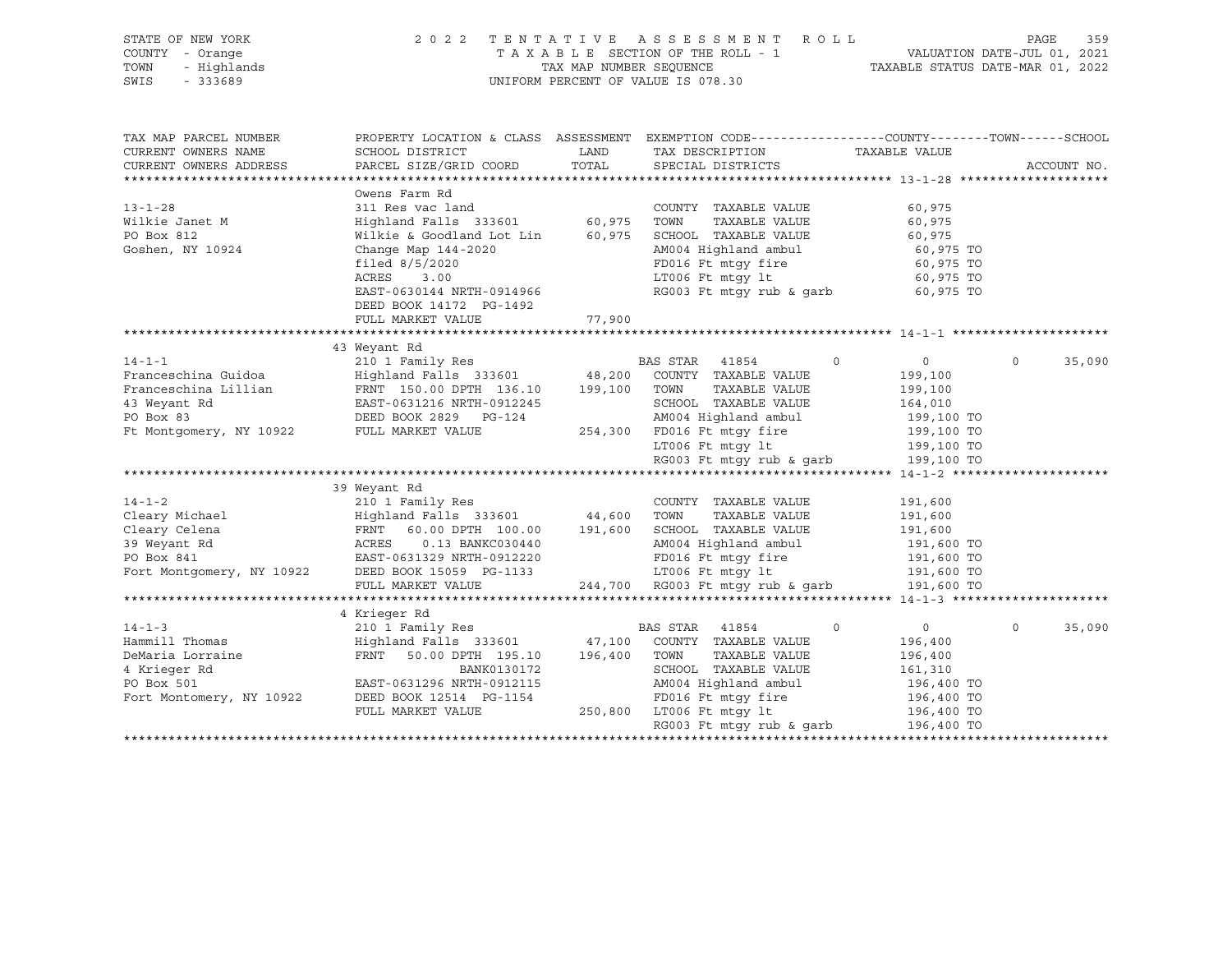| THE OF NEW YORK<br>COUNTY - Orange<br>The Highlands               |                                                                                                                                                                                                                                                   |        | 2022 TENTATIVE ASSESSMENT ROLL<br>UNIFORM PERCENT OF VALUE IS 078.30                                                                                                                    |                               | PAGE<br>359 |
|-------------------------------------------------------------------|---------------------------------------------------------------------------------------------------------------------------------------------------------------------------------------------------------------------------------------------------|--------|-----------------------------------------------------------------------------------------------------------------------------------------------------------------------------------------|-------------------------------|-------------|
| TAX MAP PARCEL NUMBER<br>CURRENT OWNERS NAME                      | PROPERTY LOCATION & CLASS ASSESSMENT EXEMPTION CODE---------------COUNTY-------TOWN------SCHOOL<br>SCHOOL DISTRICT LAND<br>CURRENT OWNERS ADDRESS PARCEL SIZE/GRID COORD TOTAL SPECIAL DISTRICTS                                                  |        | TAX DESCRIPTION TAXABLE VALUE                                                                                                                                                           |                               | ACCOUNT NO. |
| $13 - 1 - 28$<br>Wilkie Janet M<br>PO Box 812<br>Goshen, NY 10924 | Owens Farm Rd<br>311 Res vac land and the COUNTY TAXABLE VALUE<br>Highland Falls 333601 60,975<br>Wilkie & Goodland Lot Lin 60,975<br>Change Map 144-2020<br>filed 8/5/2020<br>ACRES 3.00<br>EAST-0630144 NRTH-0914966<br>DEED BOOK 14172 PG-1492 |        | TOWN TAXABLE VALUE<br>SCHOOL TAXABLE VALUE<br>AM004 Highland ambul 60,975 TO<br>FD016 Ft mtgy fire 60,975 TO<br>LT006 Ft mtgy lt 60,975 TO<br>RG003 Ft mtgy rub & garb 60,975 TO        | 60,975<br>60,975<br>60,975    |             |
|                                                                   | FULL MARKET VALUE                                                                                                                                                                                                                                 | 77,900 |                                                                                                                                                                                         |                               |             |
|                                                                   | 43 Weyant Rd                                                                                                                                                                                                                                      |        |                                                                                                                                                                                         |                               |             |
| PO Box 83                                                         | Franceschina Lillian FRNT 150.00 DPTH 136.10 199,100<br>43 Weyant Rd 631216 NRTH-0912245<br>DEED BOOK 2829 PG-124<br>Ft Montgomery, NY 10922 FULL MARKET VALUE 254,300                                                                            |        | TOWN<br>TAXABLE VALUE<br>SCHOOL TAXABLE VALUE<br>AM004 Highland ambul 199,100 TO<br>FD016 Ft mtgy fire 199,100 TO<br>LT006 Ft mtgy 1t 199,100 TO<br>RG003 Ft mtgy rub & garb 199,100 TO | 199,100<br>199,100<br>164,010 | 35,090      |

\*\*\*\*\*\*\*\*\*\*\*\*\*\*\*\*\*\*\*\*\*\*\*\*\*\*\*\*\*\*\*\*\*\*\*\*\*\*\*\*\*\*\*\*\*\*\*\*\*\*\*\*\*\*\*\*\*\*\*\*\*\*\*\*\*\*\*\*\*\*\*\*\*\*\*\*\*\*\*\*\*\*\*\*\*\*\*\*\*\*\*\*\*\*\*\*\*\*\*\*\*\*\* 14-1-2 \*\*\*\*\*\*\*\*\*\*\*\*\*\*\*\*\*\*\*\*\* 39 Weyant Rd<br>14-1-2 210 1 Family Re 14-1-2 210 1 Family Res COUNTY TAXABLE VALUE 191,600

| 14 - 1 - 2                | 210 1 Family Res          |         | COUNT X<br>IAXABLE VALUE         | 191,600                       |
|---------------------------|---------------------------|---------|----------------------------------|-------------------------------|
| Cleary Michael            | Highland Falls 333601     | 44,600  | TAXABLE VALUE<br>TOWN            | 191,600                       |
| Cleary Celena             | 60.00 DPTH 100.00<br>FRNT | 191,600 | TAXABLE VALUE<br>SCHOOL          | 191,600                       |
| 39 Weyant Rd              | 0.13 BANKC030440<br>ACRES |         | AM004 Highland ambul             | 191,600 TO                    |
| PO Box 841                | EAST-0631329 NRTH-0912220 |         | FD016 Ft mtqy fire               | 191,600 TO                    |
| Fort Montgomery, NY 10922 | DEED BOOK 15059 PG-1133   |         | LT006 Ft mtqy lt                 | 191,600 TO                    |
|                           | FULL MARKET VALUE         |         | 244,700 RG003 Ft mtqy rub & garb | 191,600 TO                    |
|                           |                           |         |                                  |                               |
|                           | 4 Krieger Rd              |         |                                  |                               |
| $14 - 1 - 3$              | 210 1 Family Res          |         | BAS STAR<br>41854<br>$\circ$     | 35,090<br>$\Omega$<br>$\circ$ |
| Hammill Thomas            | Highland Falls 333601     | 47,100  | COUNTY<br>TAXABLE VALUE          | 196,400                       |
| DeMaria Lorraine          | 50.00 DPTH 195.10<br>FRNT | 196,400 | TOWN<br>TAXABLE VALUE            | 196,400                       |
| 4 Krieger Rd              | BANK0130172               |         | SCHOOL<br>TAXABLE VALUE          | 161,310                       |
| PO Box 501                | EAST-0631296 NRTH-0912115 |         | AM004 Highland ambul             | 196,400 TO                    |
| Fort Montomery, NY 10922  | DEED BOOK 12514 PG-1154   |         | FD016 Ft mtqy fire               | 196,400 TO                    |
|                           | FULL MARKET VALUE         | 250,800 | LT006 Ft mtqy lt                 | 196,400 TO                    |
|                           |                           |         | RG003 Ft mtqy rub & garb         | 196,400 TO                    |
|                           |                           |         |                                  |                               |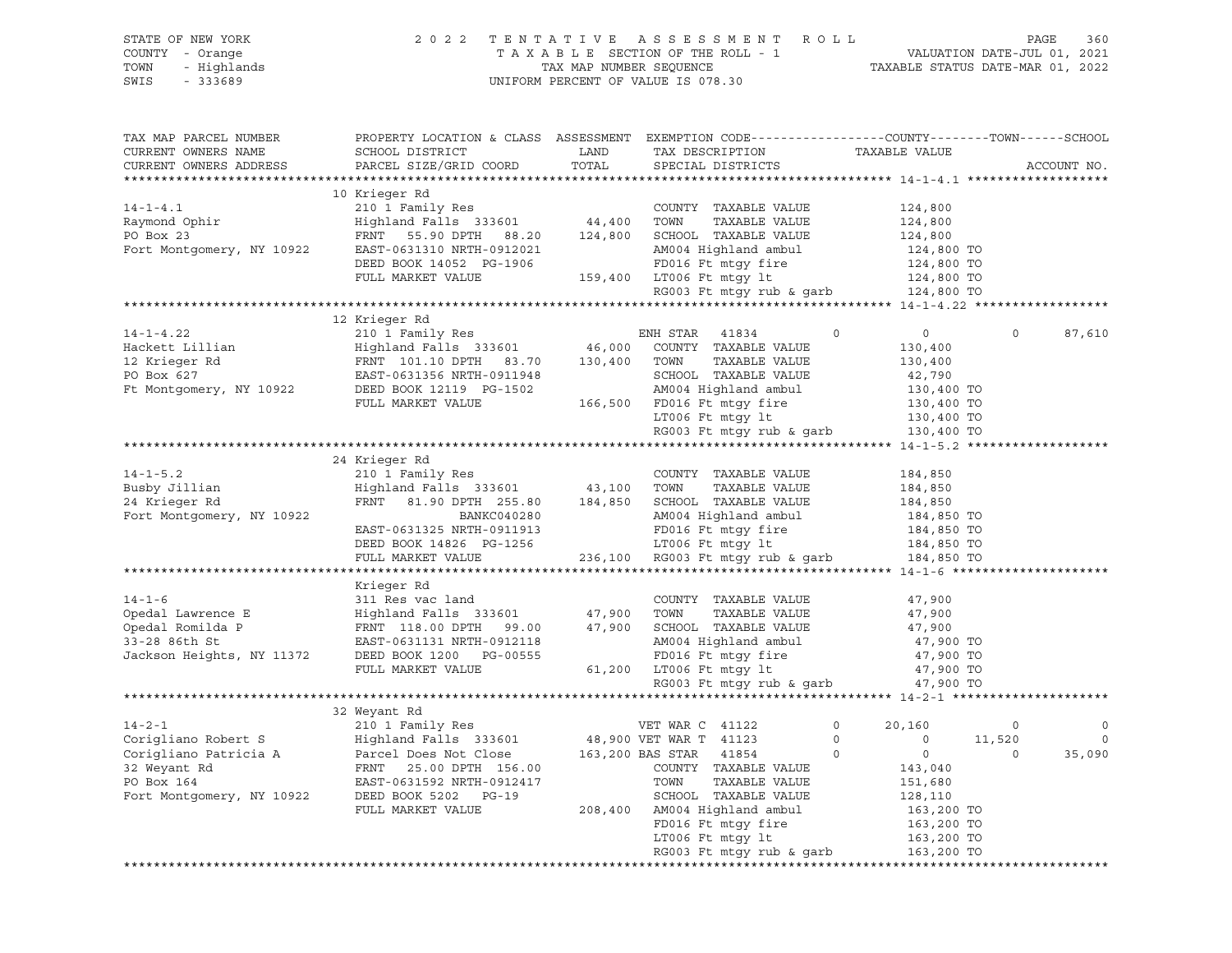| STATE OF NEW YORK<br>COUNTY - Orange  | 2 0 2 2                                                                                         |                         | TENTATIVE ASSESSMENT<br>R O L L<br>TAXABLE SECTION OF THE ROLL - 1 |                                  | PAGE<br>VALUATION DATE-JUL 01, 2021 | 360         |
|---------------------------------------|-------------------------------------------------------------------------------------------------|-------------------------|--------------------------------------------------------------------|----------------------------------|-------------------------------------|-------------|
| TOWN<br>- Highlands                   |                                                                                                 | TAX MAP NUMBER SEQUENCE |                                                                    | TAXABLE STATUS DATE-MAR 01, 2022 |                                     |             |
| $-333689$<br>SWIS                     |                                                                                                 |                         | UNIFORM PERCENT OF VALUE IS 078.30                                 |                                  |                                     |             |
|                                       |                                                                                                 |                         |                                                                    |                                  |                                     |             |
|                                       |                                                                                                 |                         |                                                                    |                                  |                                     |             |
| TAX MAP PARCEL NUMBER                 | PROPERTY LOCATION & CLASS ASSESSMENT EXEMPTION CODE----------------COUNTY-------TOWN-----SCHOOL |                         |                                                                    |                                  |                                     |             |
| CURRENT OWNERS NAME                   | SCHOOL DISTRICT                                                                                 | LAND                    | TAX DESCRIPTION                                                    | TAXABLE VALUE                    |                                     |             |
| CURRENT OWNERS ADDRESS                | PARCEL SIZE/GRID COORD                                                                          | TOTAL                   | SPECIAL DISTRICTS                                                  |                                  |                                     | ACCOUNT NO. |
|                                       |                                                                                                 |                         |                                                                    |                                  |                                     |             |
|                                       | 10 Krieger Rd                                                                                   |                         |                                                                    |                                  |                                     |             |
| $14 - 1 - 4.1$                        | 210 1 Family Res                                                                                |                         | COUNTY TAXABLE VALUE                                               | 124,800                          |                                     |             |
| Raymond Ophir                         | Highland Falls 333601                                                                           | 44,400                  | TOWN<br>TAXABLE VALUE                                              | 124,800                          |                                     |             |
| PO Box 23                             | FRNT 55.90 DPTH 88.20                                                                           | 124,800                 | SCHOOL TAXABLE VALUE                                               | 124,800                          |                                     |             |
| Fort Montgomery, NY 10922             | EAST-0631310 NRTH-0912021                                                                       |                         | AM004 Highland ambul                                               | 124,800 TO                       |                                     |             |
|                                       | DEED BOOK 14052 PG-1906                                                                         |                         | FD016 Ft mtqy fire                                                 | 124,800 TO                       |                                     |             |
|                                       | FULL MARKET VALUE                                                                               | 159,400                 | LT006 Ft mtqy lt<br>RG003 Ft mtgy rub & garb                       | 124,800 TO<br>124,800 TO         |                                     |             |
|                                       |                                                                                                 |                         |                                                                    |                                  |                                     |             |
|                                       | 12 Krieger Rd                                                                                   |                         |                                                                    |                                  |                                     |             |
| $14 - 1 - 4.22$                       | 210 1 Family Res                                                                                |                         | ENH STAR<br>41834                                                  | $\circ$<br>$\mathbf 0$           | 0                                   | 87,610      |
| Hackett Lillian                       | Highland Falls 333601                                                                           | 46,000                  | COUNTY TAXABLE VALUE                                               | 130,400                          |                                     |             |
| 12 Krieger Rd                         | FRNT 101.10 DPTH 83.70                                                                          | 130,400                 | TAXABLE VALUE<br>TOWN                                              | 130,400                          |                                     |             |
| PO Box 627                            | EAST-0631356 NRTH-0911948                                                                       |                         | SCHOOL TAXABLE VALUE                                               | 42,790                           |                                     |             |
| Ft Montgomery, NY 10922               | DEED BOOK 12119 PG-1502                                                                         |                         | AM004 Highland ambul                                               | 130,400 TO                       |                                     |             |
|                                       | FULL MARKET VALUE                                                                               | 166,500                 | FD016 Ft mtqy fire                                                 | 130,400 TO                       |                                     |             |
|                                       |                                                                                                 |                         | LT006 Ft mtqy lt                                                   | 130,400 TO                       |                                     |             |
|                                       |                                                                                                 |                         | RG003 Ft mtgy rub & garb                                           | 130,400 TO                       |                                     |             |
|                                       |                                                                                                 |                         |                                                                    |                                  |                                     |             |
|                                       | 24 Krieger Rd                                                                                   |                         |                                                                    |                                  |                                     |             |
| $14 - 1 - 5.2$                        | 210 1 Family Res                                                                                |                         | COUNTY TAXABLE VALUE                                               | 184,850                          |                                     |             |
| Busby Jillian                         | Highland Falls 333601                                                                           | 43,100                  | TAXABLE VALUE<br>TOWN                                              | 184,850                          |                                     |             |
| 24 Krieger Rd                         | FRNT 81.90 DPTH 255.80                                                                          | 184,850                 | SCHOOL TAXABLE VALUE                                               | 184,850                          |                                     |             |
| Fort Montgomery, NY 10922             | BANKC040280                                                                                     |                         | AM004 Highland ambul                                               | 184,850 TO                       |                                     |             |
|                                       | EAST-0631325 NRTH-0911913                                                                       |                         | FD016 Ft mtgy fire                                                 | 184,850 TO                       |                                     |             |
|                                       | DEED BOOK 14826 PG-1256                                                                         |                         | LT006 Ft mtgy lt                                                   | 184,850 TO                       |                                     |             |
|                                       | FULL MARKET VALUE                                                                               | 236,100                 | RG003 Ft mtgy rub & garb                                           | 184,850 TO                       |                                     |             |
|                                       |                                                                                                 |                         |                                                                    |                                  |                                     |             |
|                                       | Krieger Rd                                                                                      |                         |                                                                    |                                  |                                     |             |
| $14 - 1 - 6$                          | 311 Res vac land                                                                                |                         | COUNTY TAXABLE VALUE                                               | 47,900                           |                                     |             |
| Opedal Lawrence E                     | Highland Falls 333601                                                                           | 47,900                  | TOWN<br>TAXABLE VALUE                                              | 47,900                           |                                     |             |
| Opedal Romilda P                      | FRNT 118.00 DPTH 99.00                                                                          | 47,900                  | SCHOOL TAXABLE VALUE                                               | 47,900                           |                                     |             |
| 33-28 86th St                         | EAST-0631131 NRTH-0912118                                                                       |                         | AM004 Highland ambul                                               | 47,900 TO                        |                                     |             |
| Jackson Heights, NY 11372             | DEED BOOK 1200 PG-00555                                                                         |                         | FD016 Ft mtqy fire                                                 | 47,900 TO                        |                                     |             |
|                                       | FULL MARKET VALUE                                                                               | 61,200                  | LT006 Ft mtgy lt                                                   | 47,900 TO                        |                                     |             |
|                                       |                                                                                                 |                         | RG003 Ft mtgy rub & garb                                           | 47,900 TO                        |                                     |             |
|                                       |                                                                                                 |                         |                                                                    |                                  |                                     |             |
|                                       | 32 Weyant Rd                                                                                    |                         |                                                                    |                                  |                                     |             |
| $14 - 2 - 1$                          | 210 1 Family Res                                                                                |                         | VET WAR C 41122                                                    | $\circ$<br>20,160                | $\circ$                             | $\circ$     |
| Corigliano Robert S                   | Highland Falls 333601                                                                           |                         | 48,900 VET WAR T 41123                                             | 0<br>0<br>$\mathbf 0$<br>0       | 11,520<br>0                         | 0           |
| Corigliano Patricia A<br>32 Weyant Rd | Parcel Does Not Close                                                                           |                         | 163,200 BAS STAR<br>41854                                          |                                  |                                     | 35,090      |
| PO Box 164                            | 25.00 DPTH 156.00<br>FRNT<br>EAST-0631592 NRTH-0912417                                          |                         | COUNTY<br>TAXABLE VALUE<br>TAXABLE VALUE<br>TOWN                   | 143,040                          |                                     |             |
| Fort Montgomery, NY 10922             | DEED BOOK 5202<br>$PG-19$                                                                       |                         | SCHOOL TAXABLE VALUE                                               | 151,680<br>128,110               |                                     |             |
|                                       | FULL MARKET VALUE                                                                               | 208,400                 | AM004 Highland ambul                                               | 163,200 TO                       |                                     |             |
|                                       |                                                                                                 |                         | FD016 Ft mtgy fire                                                 | 163,200 TO                       |                                     |             |
|                                       |                                                                                                 |                         | LT006 Ft mtgy lt                                                   | 163,200 TO                       |                                     |             |
|                                       |                                                                                                 |                         | RG003 Ft mtqy rub & qarb                                           | 163,200 TO                       |                                     |             |
|                                       |                                                                                                 |                         |                                                                    |                                  |                                     |             |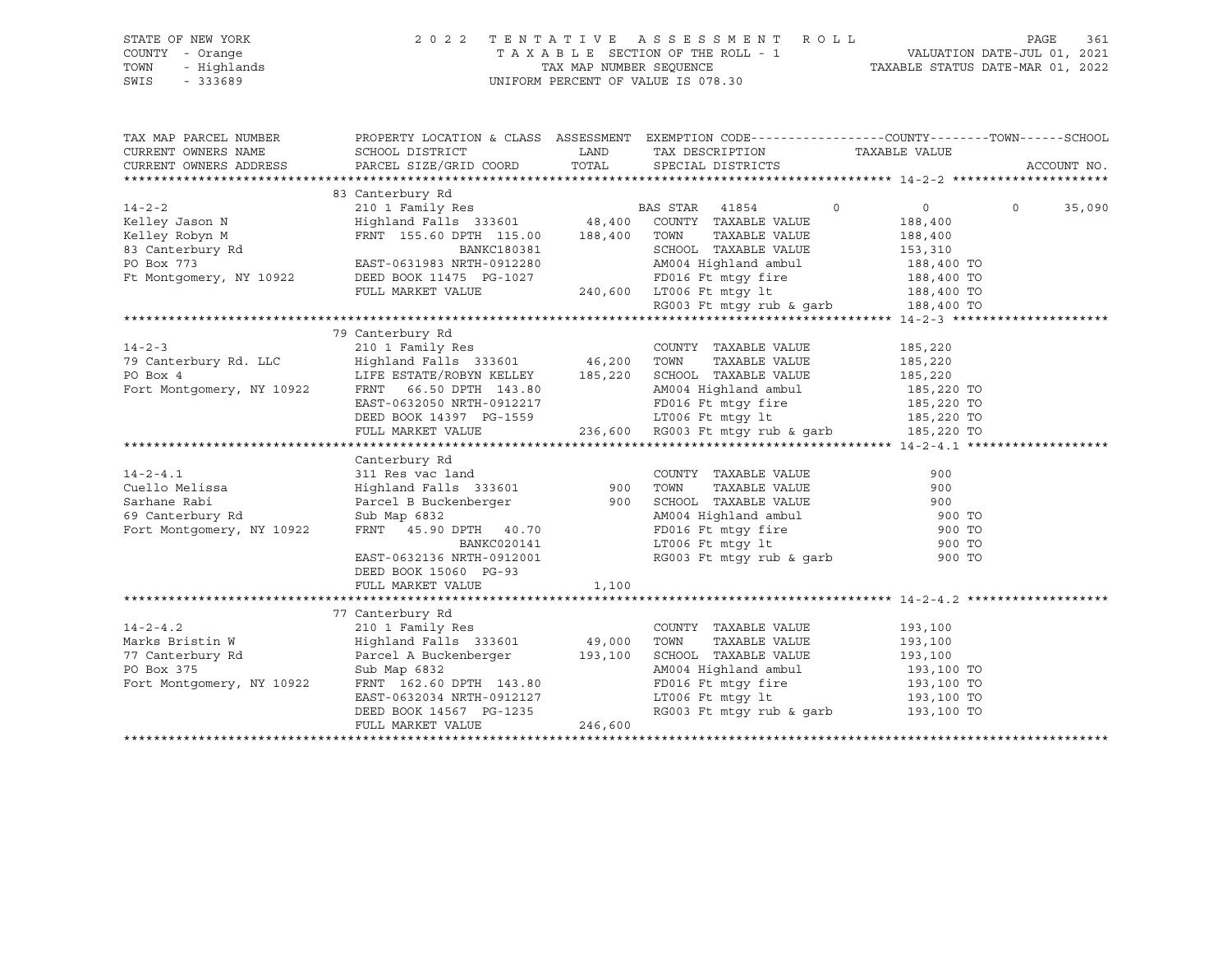| STATE OF NEW YORK<br>COUNTY - Orange<br>- Highlands<br>TOWN<br>SWIS<br>$-333689$                                                                                                    | 2 0 2 2                                                                                                                                                                                                                                                                                                                                                                                                                                                                                                                                                                                          |                        | TENTATIVE ASSESSMENT ROLL<br>UNIFORM PERCENT OF VALUE IS 078.30                                                                                                                                                                                                                                                             |                                                              | 361<br>PAGE       |
|-------------------------------------------------------------------------------------------------------------------------------------------------------------------------------------|--------------------------------------------------------------------------------------------------------------------------------------------------------------------------------------------------------------------------------------------------------------------------------------------------------------------------------------------------------------------------------------------------------------------------------------------------------------------------------------------------------------------------------------------------------------------------------------------------|------------------------|-----------------------------------------------------------------------------------------------------------------------------------------------------------------------------------------------------------------------------------------------------------------------------------------------------------------------------|--------------------------------------------------------------|-------------------|
| TAX MAP PARCEL NUMBER<br>CURRENT OWNERS NAME<br>CURRENT OWNERS ADDRESS                                                                                                              | PROPERTY LOCATION & CLASS ASSESSMENT EXEMPTION CODE----------------COUNTY-------TOWN------SCHOOL<br>SCHOOL DISTRICT<br>PARCEL SIZE/GRID COORD                                                                                                                                                                                                                                                                                                                                                                                                                                                    |                        | LAND TAX DESCRIPTION<br>TOTAL SPECIAL DISTRICTS                                                                                                                                                                                                                                                                             | TAXABLE VALUE                                                | ACCOUNT NO.       |
|                                                                                                                                                                                     |                                                                                                                                                                                                                                                                                                                                                                                                                                                                                                                                                                                                  |                        |                                                                                                                                                                                                                                                                                                                             |                                                              |                   |
| $14 - 2 - 2$<br>Kelley Jason N                                                                                                                                                      | 83 Canterbury Rd<br>210 1 Family Res 61 210 BAS STAR 41854<br>Highland Falls 333601 48,400 COUNTY TAXABLE VALUE<br>FRNT 155.60 DPTH 115.00 188,400 TOWN                                                                                                                                                                                                                                                                                                                                                                                                                                          |                        | TAXABLE VALUE                                                                                                                                                                                                                                                                                                               | $\circ$<br>$\overline{0}$<br>188,400<br>188,400<br>153,310   | $\circ$<br>35,090 |
| Kelley Nobyn M<br>83 Canterbury Rd<br>PO Box 773<br>Ft Montgomery, NY 10922                                                                                                         | BANKC180381<br>${\small \begin{tabular}{lcccc} EAST-0631983 NRTH-0912280 & & & & & & & & & & & & & 188,400 TO \\ DEED BOOK 11475 PG-1027 & & & & & & & & & & & & & 188,400 TO \\ & & & & & & & & & & & & & & 188,400 TO \\ & & & & & & & & & & & & & & 188,400 TO \\ & & & & & & & & & & & & & 188,400 TO \\ & & & & & & & & & & & & & 188,400 TO \\ & & & & & & & & & & & & & 188,400 TO \\ &$                                                                                                                                                                                                  |                        | SCHOOL TAXABLE VALUE                                                                                                                                                                                                                                                                                                        |                                                              |                   |
|                                                                                                                                                                                     |                                                                                                                                                                                                                                                                                                                                                                                                                                                                                                                                                                                                  |                        |                                                                                                                                                                                                                                                                                                                             |                                                              |                   |
| $14 - 2 - 3$<br>79 Canterbury Rd. LLC<br>PO Box 4<br>Fort Montgomery, NY 10922<br>$14 - 2 - 4.1$<br>Cuello Melissa<br>Sarhane Rabi<br>69 Canterbury Rd<br>Fort Montgomery, NY 10922 | 79 Canterbury Rd<br>210 1 Family Res<br>Highland Falls 333601 46,200 TOWN<br>Transportation of the services of the services of the services of the services of the services of the service<br>$\frac{1}{2}$ and the services of the services of the services<br>LIFE ESTATE/ROBYN KELLEY $185,220$ SCHOOL TAXABLE VALUE<br>FRNT 66.50 DPTH 143.80 aM004 Highland ambul<br>FRNT 66.50 DPTH 143.80<br>Canterbury Rd<br>311 Res vac land<br>Highland Falls 333601 900 TOWN<br>Parcel B Buckenberger<br>Sub Map 6832<br>Sub Map 6832<br>AM004 Highland ambul<br>FRNT 45.90 DPTH 40.70<br>BANKC020141 |                        | COUNTY TAXABLE VALUE<br>TAXABLE VALUE<br>AM004 Highland ambul 185,220 TO<br>FD016 Ft mtgy fire 185,220 TO<br>LT006 Ft mtgy 1t 185,220 TO<br>236,600 RG003 Ft mtgy rub & garb 185,220 TO<br>COUNTY TAXABLE VALUE<br>TAXABLE VALUE<br>FD016 Ft mtgy fire 900 TO<br>LT006 Ft mtgy 1t 900 TO<br>RG003 Ft mtgy rub & garb 900 TO | 185,220<br>185,220<br>185,220<br>900<br>900<br>900<br>900 TO |                   |
|                                                                                                                                                                                     | EAST-0632136 NRTH-0912001<br>DEED BOOK 15060 PG-93<br>FULL MARKET VALUE                                                                                                                                                                                                                                                                                                                                                                                                                                                                                                                          | 1,100                  |                                                                                                                                                                                                                                                                                                                             |                                                              |                   |
| $14 - 2 - 4.2$<br>Marks Bristin W<br>77 Canterbury Rd<br>PO Box 375<br>Fort Montgomery, NY 10922                                                                                    | 77 Canterbury Rd<br>210 1 Family Res<br>Highland Falls 333601<br>Parcel A Buckenberger 193,100 SCHOOL TAXABLE VALUE<br>Sub Map 6832<br>FRNT 162.60 DPTH 143.80<br>EAST-0632034 NRTH-0912127<br>DEED BOOK 14567 PG-1235<br>FULL MARKET VALUE                                                                                                                                                                                                                                                                                                                                                      | 49,000 TOWN<br>246,600 | COUNTY TAXABLE VALUE<br>TAXABLE VALUE<br>AM004 Highland ambul<br>FD016 Ft mtgy fire<br>LT006 Ft mtgy lt<br>FD016 Ft mtgy fire 193,100 TO<br>LT006 Ft mtgy 1t 193,100 TO<br>RG003 Ft mtgy rub & garb 193,100 TO                                                                                                              | 193,100<br>193,100<br>193,100<br>193,100 TO                  |                   |
|                                                                                                                                                                                     |                                                                                                                                                                                                                                                                                                                                                                                                                                                                                                                                                                                                  |                        |                                                                                                                                                                                                                                                                                                                             |                                                              |                   |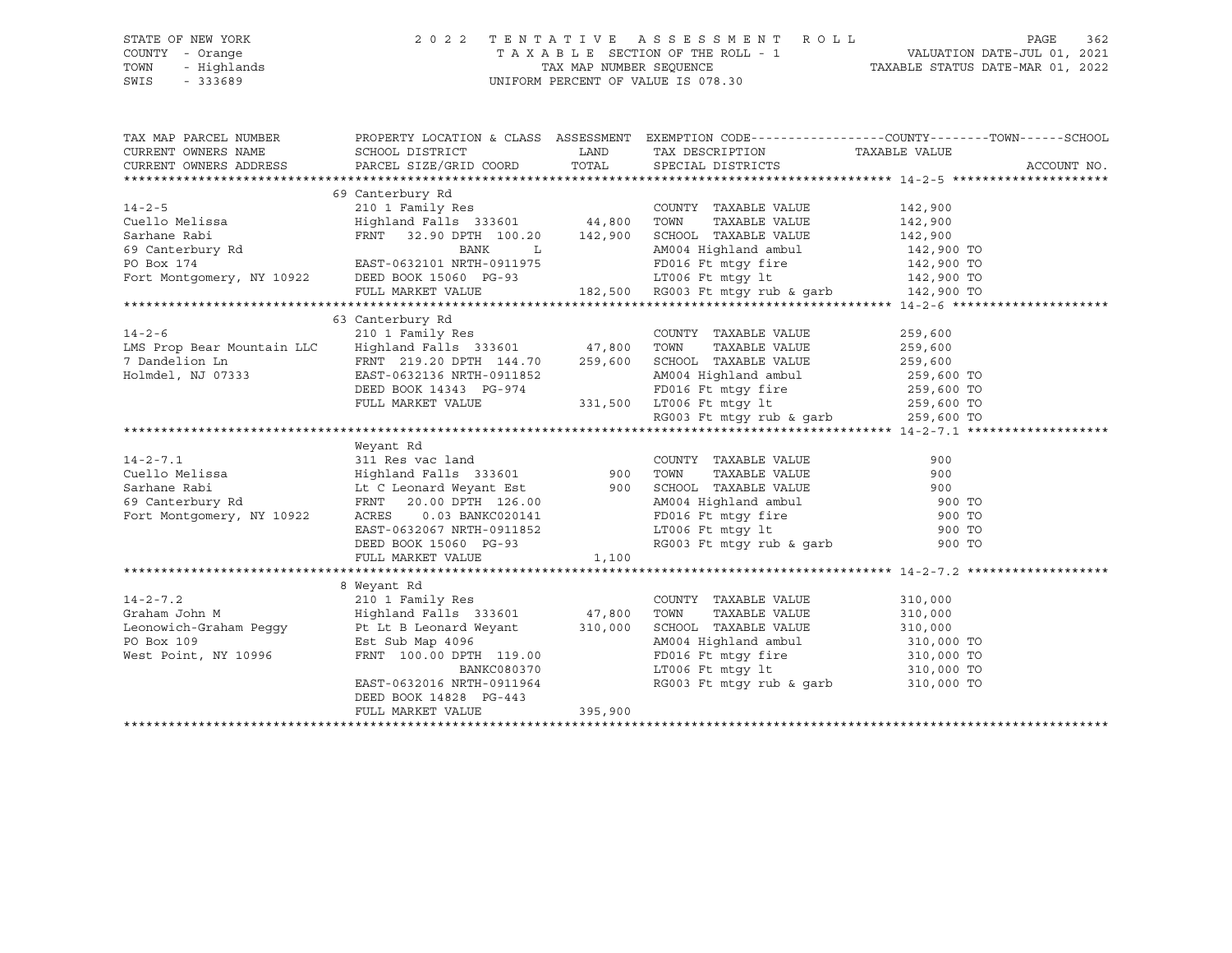## STATE OF NEW YORK 2 0 2 2 T E N T A T I V E A S S E S S M E N T R O L L PAGE 362 COUNTY - Orange T A X A B L E SECTION OF THE ROLL - 1 VALUATION DATE-JUL 01, 2021 TOWN - Highlands TAX MAP NUMBER SEQUENCE TAXABLE STATUS DATE-MAR 01, 2022 SWIS - 333689 UNIFORM PERCENT OF VALUE IS 078.30

| CURRENT OWNERS NAME<br>TAX DESCRIPTION TAXABLE VALUE SPECIAL DISTRICTS<br>CURRENT OWNERS ADDRESS<br>ACCOUNT NO.<br>69 Canterbury Rd<br>210 1 Family Res<br>Highland Falls 333601 44,800<br>$14 - 2 - 5$<br>142,900<br>COUNTY TAXABLE VALUE<br>TOWN<br>TAXABLE VALUE<br>142,900<br>SCHOOL TAXABLE VALUE 142,900<br>FRNT 32.90 DPTH 100.20 142,900<br>142,900 TO<br>1911975 FD016 Ft mtgy fire 142,900 TO<br>182,500 RG003 Ft mtgy rub & garb<br>182,500 RG003 Ft mtgy rub & garb<br>142,900 TO<br>FULL MARKET VALUE<br>63 Canterbury Rd<br>14-2-6<br>210 1 Family Res<br>LMS Prop Bear Mountain LLC Highland Falls 333601 47,800<br>COUNTY TAXABLE VALUE<br>259,600<br>TAXABLE VALUE<br>TOWN<br>259,600<br>144.70 259,600 SCHOOL TAXABLE VALUE<br>-0911852 AM004 Highland ambul 259,600 TO<br>PG-974 FD016 Ft mtgy fire 259,600 TO<br>331,500 LT006 Ft mtgy lt 259,600 TO<br>FULL MARKET VALUE<br>RG003 Ft mtgy rub & garb 259,600 TO<br>Weyant Rd<br>COUNTY TAXABLE VALUE 900<br>TOWN TAXABLE VALUE 900<br>SCHOOL TAXABLE VALUE 900<br>AM004 Highland ambul<br>PD016 Ft mtgy fire<br>LT006 Ft mtgy 1t 900 TO<br>RG003 Ft mtgy rub & garb 900 TO<br>ACRES 0.03 BANKC020141<br>EAST-0632067 NRTH-0911852<br>DEED BOOK 15060 PG-93<br>Fort Montgomery, NY 10922<br>1,100<br>FULL MARKET VALUE<br>8 Weyant Rd<br>210 1 Family Res<br>$14 - 2 - 7.2$<br>COUNTY TAXABLE VALUE<br>310,000<br>Highland Falls 333601 47,800<br>Graham John M<br>TOWN<br>TAXABLE VALUE<br>310,000<br>Leonowich-Graham Peggy Pt Lt B Leonard Weyant 310,000<br>SCHOOL TAXABLE VALUE 310,000<br>AM004 Highland ambul 310,000 TO<br>FD016 Ft mtgy fire 310,000 TO<br>LT006 Ft mtgy 1t 310,000 TO<br>RG003 Ft mtgy rub & garb 310,000 TO<br>Est Sub Map 4096<br>FRNT 100.00 DPTH 119.00<br>PO Box 109<br>West Point, NY 10996<br>BANKC080370<br>EAST-0632016 NRTH-0911964<br>DEED BOOK 14828 PG-443<br>395,900<br>FULL MARKET VALUE | TAX MAP PARCEL NUMBER |  | PROPERTY LOCATION & CLASS ASSESSMENT EXEMPTION CODE----------------COUNTY-------TOWN------SCHOOL |
|-------------------------------------------------------------------------------------------------------------------------------------------------------------------------------------------------------------------------------------------------------------------------------------------------------------------------------------------------------------------------------------------------------------------------------------------------------------------------------------------------------------------------------------------------------------------------------------------------------------------------------------------------------------------------------------------------------------------------------------------------------------------------------------------------------------------------------------------------------------------------------------------------------------------------------------------------------------------------------------------------------------------------------------------------------------------------------------------------------------------------------------------------------------------------------------------------------------------------------------------------------------------------------------------------------------------------------------------------------------------------------------------------------------------------------------------------------------------------------------------------------------------------------------------------------------------------------------------------------------------------------------------------------------------------------------------------------------------------------------------------------------------------------------------------------------------------------------------------------------------------------------------------------|-----------------------|--|--------------------------------------------------------------------------------------------------|
| 14-2-5<br>Cuello Melissa (10 1 Family Res<br>Sarhane Rabi (14,800)<br>FRNT 32.90 DPTH 100.20 142,900<br>69 Canterbury Rd (14)<br>PO Box 174 (2007-0632101 NRTH-0911975<br>Fort Montgomery, NY 10922 (DEED BOOK 15060 PG-93<br>7 Dandelion Ln<br>Holmdel, NJ 07333<br>EAST-0632136 NRTH-0911852<br>DEED BOOK 14343 PG-974                                                                                                                                                                                                                                                                                                                                                                                                                                                                                                                                                                                                                                                                                                                                                                                                                                                                                                                                                                                                                                                                                                                                                                                                                                                                                                                                                                                                                                                                                                                                                                              |                       |  |                                                                                                  |
|                                                                                                                                                                                                                                                                                                                                                                                                                                                                                                                                                                                                                                                                                                                                                                                                                                                                                                                                                                                                                                                                                                                                                                                                                                                                                                                                                                                                                                                                                                                                                                                                                                                                                                                                                                                                                                                                                                       |                       |  |                                                                                                  |
|                                                                                                                                                                                                                                                                                                                                                                                                                                                                                                                                                                                                                                                                                                                                                                                                                                                                                                                                                                                                                                                                                                                                                                                                                                                                                                                                                                                                                                                                                                                                                                                                                                                                                                                                                                                                                                                                                                       |                       |  |                                                                                                  |
|                                                                                                                                                                                                                                                                                                                                                                                                                                                                                                                                                                                                                                                                                                                                                                                                                                                                                                                                                                                                                                                                                                                                                                                                                                                                                                                                                                                                                                                                                                                                                                                                                                                                                                                                                                                                                                                                                                       |                       |  |                                                                                                  |
|                                                                                                                                                                                                                                                                                                                                                                                                                                                                                                                                                                                                                                                                                                                                                                                                                                                                                                                                                                                                                                                                                                                                                                                                                                                                                                                                                                                                                                                                                                                                                                                                                                                                                                                                                                                                                                                                                                       |                       |  |                                                                                                  |
|                                                                                                                                                                                                                                                                                                                                                                                                                                                                                                                                                                                                                                                                                                                                                                                                                                                                                                                                                                                                                                                                                                                                                                                                                                                                                                                                                                                                                                                                                                                                                                                                                                                                                                                                                                                                                                                                                                       |                       |  |                                                                                                  |
|                                                                                                                                                                                                                                                                                                                                                                                                                                                                                                                                                                                                                                                                                                                                                                                                                                                                                                                                                                                                                                                                                                                                                                                                                                                                                                                                                                                                                                                                                                                                                                                                                                                                                                                                                                                                                                                                                                       |                       |  |                                                                                                  |
|                                                                                                                                                                                                                                                                                                                                                                                                                                                                                                                                                                                                                                                                                                                                                                                                                                                                                                                                                                                                                                                                                                                                                                                                                                                                                                                                                                                                                                                                                                                                                                                                                                                                                                                                                                                                                                                                                                       |                       |  |                                                                                                  |
|                                                                                                                                                                                                                                                                                                                                                                                                                                                                                                                                                                                                                                                                                                                                                                                                                                                                                                                                                                                                                                                                                                                                                                                                                                                                                                                                                                                                                                                                                                                                                                                                                                                                                                                                                                                                                                                                                                       |                       |  |                                                                                                  |
|                                                                                                                                                                                                                                                                                                                                                                                                                                                                                                                                                                                                                                                                                                                                                                                                                                                                                                                                                                                                                                                                                                                                                                                                                                                                                                                                                                                                                                                                                                                                                                                                                                                                                                                                                                                                                                                                                                       |                       |  |                                                                                                  |
|                                                                                                                                                                                                                                                                                                                                                                                                                                                                                                                                                                                                                                                                                                                                                                                                                                                                                                                                                                                                                                                                                                                                                                                                                                                                                                                                                                                                                                                                                                                                                                                                                                                                                                                                                                                                                                                                                                       |                       |  |                                                                                                  |
|                                                                                                                                                                                                                                                                                                                                                                                                                                                                                                                                                                                                                                                                                                                                                                                                                                                                                                                                                                                                                                                                                                                                                                                                                                                                                                                                                                                                                                                                                                                                                                                                                                                                                                                                                                                                                                                                                                       |                       |  |                                                                                                  |
|                                                                                                                                                                                                                                                                                                                                                                                                                                                                                                                                                                                                                                                                                                                                                                                                                                                                                                                                                                                                                                                                                                                                                                                                                                                                                                                                                                                                                                                                                                                                                                                                                                                                                                                                                                                                                                                                                                       |                       |  |                                                                                                  |
|                                                                                                                                                                                                                                                                                                                                                                                                                                                                                                                                                                                                                                                                                                                                                                                                                                                                                                                                                                                                                                                                                                                                                                                                                                                                                                                                                                                                                                                                                                                                                                                                                                                                                                                                                                                                                                                                                                       |                       |  |                                                                                                  |
|                                                                                                                                                                                                                                                                                                                                                                                                                                                                                                                                                                                                                                                                                                                                                                                                                                                                                                                                                                                                                                                                                                                                                                                                                                                                                                                                                                                                                                                                                                                                                                                                                                                                                                                                                                                                                                                                                                       |                       |  |                                                                                                  |
|                                                                                                                                                                                                                                                                                                                                                                                                                                                                                                                                                                                                                                                                                                                                                                                                                                                                                                                                                                                                                                                                                                                                                                                                                                                                                                                                                                                                                                                                                                                                                                                                                                                                                                                                                                                                                                                                                                       |                       |  |                                                                                                  |
|                                                                                                                                                                                                                                                                                                                                                                                                                                                                                                                                                                                                                                                                                                                                                                                                                                                                                                                                                                                                                                                                                                                                                                                                                                                                                                                                                                                                                                                                                                                                                                                                                                                                                                                                                                                                                                                                                                       |                       |  |                                                                                                  |
|                                                                                                                                                                                                                                                                                                                                                                                                                                                                                                                                                                                                                                                                                                                                                                                                                                                                                                                                                                                                                                                                                                                                                                                                                                                                                                                                                                                                                                                                                                                                                                                                                                                                                                                                                                                                                                                                                                       |                       |  |                                                                                                  |
|                                                                                                                                                                                                                                                                                                                                                                                                                                                                                                                                                                                                                                                                                                                                                                                                                                                                                                                                                                                                                                                                                                                                                                                                                                                                                                                                                                                                                                                                                                                                                                                                                                                                                                                                                                                                                                                                                                       |                       |  |                                                                                                  |
|                                                                                                                                                                                                                                                                                                                                                                                                                                                                                                                                                                                                                                                                                                                                                                                                                                                                                                                                                                                                                                                                                                                                                                                                                                                                                                                                                                                                                                                                                                                                                                                                                                                                                                                                                                                                                                                                                                       |                       |  |                                                                                                  |
|                                                                                                                                                                                                                                                                                                                                                                                                                                                                                                                                                                                                                                                                                                                                                                                                                                                                                                                                                                                                                                                                                                                                                                                                                                                                                                                                                                                                                                                                                                                                                                                                                                                                                                                                                                                                                                                                                                       |                       |  |                                                                                                  |
|                                                                                                                                                                                                                                                                                                                                                                                                                                                                                                                                                                                                                                                                                                                                                                                                                                                                                                                                                                                                                                                                                                                                                                                                                                                                                                                                                                                                                                                                                                                                                                                                                                                                                                                                                                                                                                                                                                       |                       |  |                                                                                                  |
|                                                                                                                                                                                                                                                                                                                                                                                                                                                                                                                                                                                                                                                                                                                                                                                                                                                                                                                                                                                                                                                                                                                                                                                                                                                                                                                                                                                                                                                                                                                                                                                                                                                                                                                                                                                                                                                                                                       |                       |  |                                                                                                  |
|                                                                                                                                                                                                                                                                                                                                                                                                                                                                                                                                                                                                                                                                                                                                                                                                                                                                                                                                                                                                                                                                                                                                                                                                                                                                                                                                                                                                                                                                                                                                                                                                                                                                                                                                                                                                                                                                                                       |                       |  |                                                                                                  |
|                                                                                                                                                                                                                                                                                                                                                                                                                                                                                                                                                                                                                                                                                                                                                                                                                                                                                                                                                                                                                                                                                                                                                                                                                                                                                                                                                                                                                                                                                                                                                                                                                                                                                                                                                                                                                                                                                                       |                       |  |                                                                                                  |
|                                                                                                                                                                                                                                                                                                                                                                                                                                                                                                                                                                                                                                                                                                                                                                                                                                                                                                                                                                                                                                                                                                                                                                                                                                                                                                                                                                                                                                                                                                                                                                                                                                                                                                                                                                                                                                                                                                       |                       |  |                                                                                                  |
|                                                                                                                                                                                                                                                                                                                                                                                                                                                                                                                                                                                                                                                                                                                                                                                                                                                                                                                                                                                                                                                                                                                                                                                                                                                                                                                                                                                                                                                                                                                                                                                                                                                                                                                                                                                                                                                                                                       |                       |  |                                                                                                  |
|                                                                                                                                                                                                                                                                                                                                                                                                                                                                                                                                                                                                                                                                                                                                                                                                                                                                                                                                                                                                                                                                                                                                                                                                                                                                                                                                                                                                                                                                                                                                                                                                                                                                                                                                                                                                                                                                                                       |                       |  |                                                                                                  |
|                                                                                                                                                                                                                                                                                                                                                                                                                                                                                                                                                                                                                                                                                                                                                                                                                                                                                                                                                                                                                                                                                                                                                                                                                                                                                                                                                                                                                                                                                                                                                                                                                                                                                                                                                                                                                                                                                                       |                       |  |                                                                                                  |
|                                                                                                                                                                                                                                                                                                                                                                                                                                                                                                                                                                                                                                                                                                                                                                                                                                                                                                                                                                                                                                                                                                                                                                                                                                                                                                                                                                                                                                                                                                                                                                                                                                                                                                                                                                                                                                                                                                       |                       |  |                                                                                                  |
|                                                                                                                                                                                                                                                                                                                                                                                                                                                                                                                                                                                                                                                                                                                                                                                                                                                                                                                                                                                                                                                                                                                                                                                                                                                                                                                                                                                                                                                                                                                                                                                                                                                                                                                                                                                                                                                                                                       |                       |  |                                                                                                  |
|                                                                                                                                                                                                                                                                                                                                                                                                                                                                                                                                                                                                                                                                                                                                                                                                                                                                                                                                                                                                                                                                                                                                                                                                                                                                                                                                                                                                                                                                                                                                                                                                                                                                                                                                                                                                                                                                                                       |                       |  |                                                                                                  |
|                                                                                                                                                                                                                                                                                                                                                                                                                                                                                                                                                                                                                                                                                                                                                                                                                                                                                                                                                                                                                                                                                                                                                                                                                                                                                                                                                                                                                                                                                                                                                                                                                                                                                                                                                                                                                                                                                                       |                       |  |                                                                                                  |
|                                                                                                                                                                                                                                                                                                                                                                                                                                                                                                                                                                                                                                                                                                                                                                                                                                                                                                                                                                                                                                                                                                                                                                                                                                                                                                                                                                                                                                                                                                                                                                                                                                                                                                                                                                                                                                                                                                       |                       |  |                                                                                                  |
|                                                                                                                                                                                                                                                                                                                                                                                                                                                                                                                                                                                                                                                                                                                                                                                                                                                                                                                                                                                                                                                                                                                                                                                                                                                                                                                                                                                                                                                                                                                                                                                                                                                                                                                                                                                                                                                                                                       |                       |  |                                                                                                  |
|                                                                                                                                                                                                                                                                                                                                                                                                                                                                                                                                                                                                                                                                                                                                                                                                                                                                                                                                                                                                                                                                                                                                                                                                                                                                                                                                                                                                                                                                                                                                                                                                                                                                                                                                                                                                                                                                                                       |                       |  |                                                                                                  |
|                                                                                                                                                                                                                                                                                                                                                                                                                                                                                                                                                                                                                                                                                                                                                                                                                                                                                                                                                                                                                                                                                                                                                                                                                                                                                                                                                                                                                                                                                                                                                                                                                                                                                                                                                                                                                                                                                                       |                       |  |                                                                                                  |
|                                                                                                                                                                                                                                                                                                                                                                                                                                                                                                                                                                                                                                                                                                                                                                                                                                                                                                                                                                                                                                                                                                                                                                                                                                                                                                                                                                                                                                                                                                                                                                                                                                                                                                                                                                                                                                                                                                       |                       |  |                                                                                                  |
|                                                                                                                                                                                                                                                                                                                                                                                                                                                                                                                                                                                                                                                                                                                                                                                                                                                                                                                                                                                                                                                                                                                                                                                                                                                                                                                                                                                                                                                                                                                                                                                                                                                                                                                                                                                                                                                                                                       |                       |  |                                                                                                  |
|                                                                                                                                                                                                                                                                                                                                                                                                                                                                                                                                                                                                                                                                                                                                                                                                                                                                                                                                                                                                                                                                                                                                                                                                                                                                                                                                                                                                                                                                                                                                                                                                                                                                                                                                                                                                                                                                                                       |                       |  |                                                                                                  |
|                                                                                                                                                                                                                                                                                                                                                                                                                                                                                                                                                                                                                                                                                                                                                                                                                                                                                                                                                                                                                                                                                                                                                                                                                                                                                                                                                                                                                                                                                                                                                                                                                                                                                                                                                                                                                                                                                                       |                       |  |                                                                                                  |
|                                                                                                                                                                                                                                                                                                                                                                                                                                                                                                                                                                                                                                                                                                                                                                                                                                                                                                                                                                                                                                                                                                                                                                                                                                                                                                                                                                                                                                                                                                                                                                                                                                                                                                                                                                                                                                                                                                       |                       |  |                                                                                                  |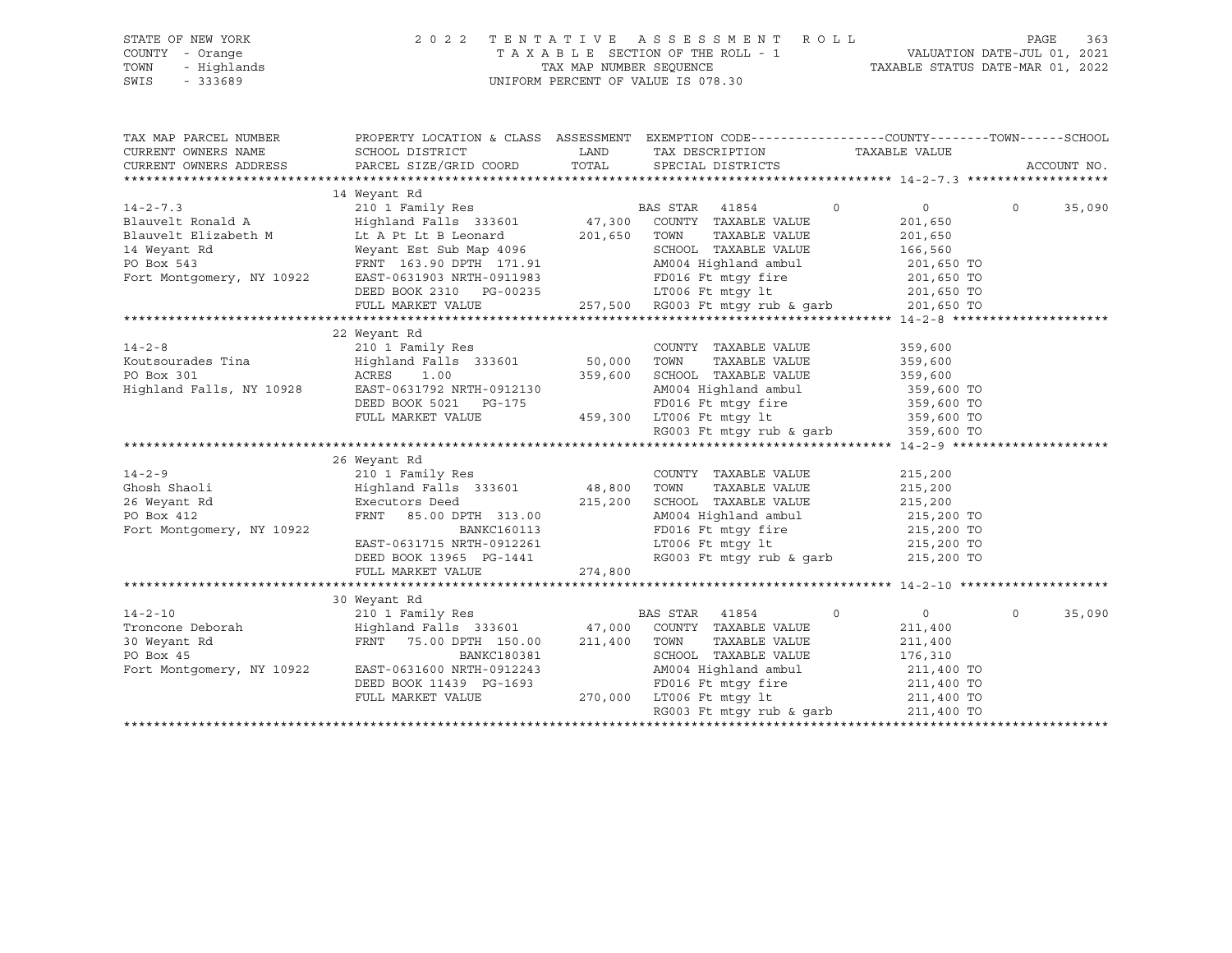| STATE OF NEW YORK<br>COUNTY - Orange<br>TOWN<br>- Highlands<br>SWIS<br>$-333689$ |                                                                                                                                                                                                                                                                                                                                                                                                                                                                                                                         | 2022 TENTATIVE ASSESSMENT ROLL<br>$\begin{tabular}{lllllllllllllllllll} \multicolumn{2}{c }{\begin{tabular}{l} \multicolumn{2}{c}{\begin{tabular}{l} \multicolumn{2}{c}{\begin{tabular}{l} \multicolumn{2}{c}{\begin{tabular}{l} \multicolumn{2}{c}{\begin{tabular}{l} \multicolumn{2}{c}{\begin{tabular}{l} \multicolumn{2}{c}{\begin{tabular}{l} \multicolumn{2}{c}{\begin{tabular}{l} \multicolumn{2}{c}{\begin{tabular}{l} \multicolumn{2}{c}{\begin{tabular}{l} \multicolumn{2}{c}{\begin{tabular}{l} \multicolumn{2}{c}{\begin{tabular}{$ |                                                                  | PAGE<br>363        |
|----------------------------------------------------------------------------------|-------------------------------------------------------------------------------------------------------------------------------------------------------------------------------------------------------------------------------------------------------------------------------------------------------------------------------------------------------------------------------------------------------------------------------------------------------------------------------------------------------------------------|-------------------------------------------------------------------------------------------------------------------------------------------------------------------------------------------------------------------------------------------------------------------------------------------------------------------------------------------------------------------------------------------------------------------------------------------------------------------------------------------------------------------------------------------------|------------------------------------------------------------------|--------------------|
| CURRENT OWNERS NAME                                                              | TAX MAP PARCEL NUMBER THE PROPERTY LOCATION & CLASS ASSESSMENT EXEMPTION CODE---------------COUNTY--------TOWN------SCHOOL                                                                                                                                                                                                                                                                                                                                                                                              | TAX DESCRIPTION TAXABLE VALUE                                                                                                                                                                                                                                                                                                                                                                                                                                                                                                                   |                                                                  |                    |
| CURRENT OWNERS ADDRESS                                                           |                                                                                                                                                                                                                                                                                                                                                                                                                                                                                                                         |                                                                                                                                                                                                                                                                                                                                                                                                                                                                                                                                                 |                                                                  | ACCOUNT NO.        |
|                                                                                  |                                                                                                                                                                                                                                                                                                                                                                                                                                                                                                                         |                                                                                                                                                                                                                                                                                                                                                                                                                                                                                                                                                 |                                                                  |                    |
|                                                                                  | 14 Weyant Rd                                                                                                                                                                                                                                                                                                                                                                                                                                                                                                            |                                                                                                                                                                                                                                                                                                                                                                                                                                                                                                                                                 |                                                                  |                    |
|                                                                                  |                                                                                                                                                                                                                                                                                                                                                                                                                                                                                                                         | BAS STAR 41854<br>$\Omega$<br>TAXABLE VALUE<br>SCHOOL TAXABLE VALUE 166,560<br>AM004 Highland ambul 201,650 TO<br>EAST-0631903 NRTH-0911983 FD016 Ft mtgy fire<br>DEED BOOK 2310 PG-00235 LT006 Ft mtgy 1t                                                                                                                                                                                                                                                                                                                                      | $\overline{0}$<br>201,650<br>201,650<br>201,650 TO<br>201,650 TO | $\Omega$<br>35,090 |
|                                                                                  |                                                                                                                                                                                                                                                                                                                                                                                                                                                                                                                         |                                                                                                                                                                                                                                                                                                                                                                                                                                                                                                                                                 |                                                                  |                    |
|                                                                                  |                                                                                                                                                                                                                                                                                                                                                                                                                                                                                                                         |                                                                                                                                                                                                                                                                                                                                                                                                                                                                                                                                                 |                                                                  |                    |
|                                                                                  |                                                                                                                                                                                                                                                                                                                                                                                                                                                                                                                         |                                                                                                                                                                                                                                                                                                                                                                                                                                                                                                                                                 |                                                                  |                    |
|                                                                                  | $[14-2-8$ $[22\ \mbox{Neuts}]\label{eq:20}$ EXERCIS Trial of the Matter of the Matter of the Matter of the Matter of the Matter of the Matter of the Matter of the Matter of the Matter of the Matter of the Matter of the Matter of the                                                                                                                                                                                                                                                                                |                                                                                                                                                                                                                                                                                                                                                                                                                                                                                                                                                 |                                                                  |                    |
|                                                                                  |                                                                                                                                                                                                                                                                                                                                                                                                                                                                                                                         |                                                                                                                                                                                                                                                                                                                                                                                                                                                                                                                                                 |                                                                  |                    |
|                                                                                  |                                                                                                                                                                                                                                                                                                                                                                                                                                                                                                                         |                                                                                                                                                                                                                                                                                                                                                                                                                                                                                                                                                 |                                                                  |                    |
|                                                                                  | $[14-2-9 \label{thm:nontr} 14-2-9 \label{thm:nontr} 26 \text{ Weyant R1} \begin{minipage}{0.9\textwidth} \begin{minipage}{0.9\textwidth} \begin{minipage}{0.9\textwidth} \begin{minipage}{0.9\textwidth} \begin{minipage}{0.9\textwidth} \begin{minipage}{0.9\textwidth} \begin{minipage}{0.9\textwidth} \begin{minipage}{0.9\textwidth} \begin{minipage}{0.9\textwidth} \begin{minipage}{0.9\textwidth} \begin{minipage}{0.9\textwidth} \begin{minipage}{0.9\textwidth} \begin{minipage}{0$                            |                                                                                                                                                                                                                                                                                                                                                                                                                                                                                                                                                 |                                                                  |                    |
|                                                                                  |                                                                                                                                                                                                                                                                                                                                                                                                                                                                                                                         |                                                                                                                                                                                                                                                                                                                                                                                                                                                                                                                                                 |                                                                  |                    |
|                                                                                  |                                                                                                                                                                                                                                                                                                                                                                                                                                                                                                                         |                                                                                                                                                                                                                                                                                                                                                                                                                                                                                                                                                 |                                                                  |                    |
| Fort Montgomery, NY 10922                                                        | 30 Weyant Rd<br>$\begin{tabular}{lllllllllllll} $\texttt{14--2--10}$ & & $\texttt{14--2--10}$ & & $\texttt{BA}$ \\ \texttt{Troncone} & \texttt{Deborah} & & \texttt{Highland} \texttt{False} & \texttt{333601} & & \texttt{47,000} \\ \texttt{30 Weyant Rd} & & \texttt{FRNT} & \texttt{75.00 DPTH} & \texttt{150.00} & \texttt{211,400} \\ & & & \texttt{FRNT} & \texttt{75.00 DPTH} & \texttt{150.00} & \texttt{211,400} \\ &$<br>BANKC180381<br>IRTH-0912243<br>EAST-0631600 NRTH-0912243<br>DEED BOOK 11439 PG-1693 | BAS STAR 41854<br>$\circ$<br>COUNTY TAXABLE VALUE<br>TOWN<br>TAXABLE VALUE<br>180381 SCHOOL TAXABLE VALUE 176,310<br>912243 AM004 Highland ambul 211,400 TO<br>176,310<br>912243 PD016 Ft mtgy fire 211,400 TO<br>270,000 LT006 Ft mtgy 1t 211,400 TO<br>RG003 Ft mtgy rub & garb 211,400 TO                                                                                                                                                                                                                                                    | $\overline{0}$<br>211,400<br>211,400                             | $\Omega$<br>35,090 |
|                                                                                  | FULL MARKET VALUE                                                                                                                                                                                                                                                                                                                                                                                                                                                                                                       |                                                                                                                                                                                                                                                                                                                                                                                                                                                                                                                                                 |                                                                  |                    |

\*\*\*\*\*\*\*\*\*\*\*\*\*\*\*\*\*\*\*\*\*\*\*\*\*\*\*\*\*\*\*\*\*\*\*\*\*\*\*\*\*\*\*\*\*\*\*\*\*\*\*\*\*\*\*\*\*\*\*\*\*\*\*\*\*\*\*\*\*\*\*\*\*\*\*\*\*\*\*\*\*\*\*\*\*\*\*\*\*\*\*\*\*\*\*\*\*\*\*\*\*\*\*\*\*\*\*\*\*\*\*\*\*\*\*\*\*\*\*\*\*\*\*\*\*\*\*\*\*\*\*\*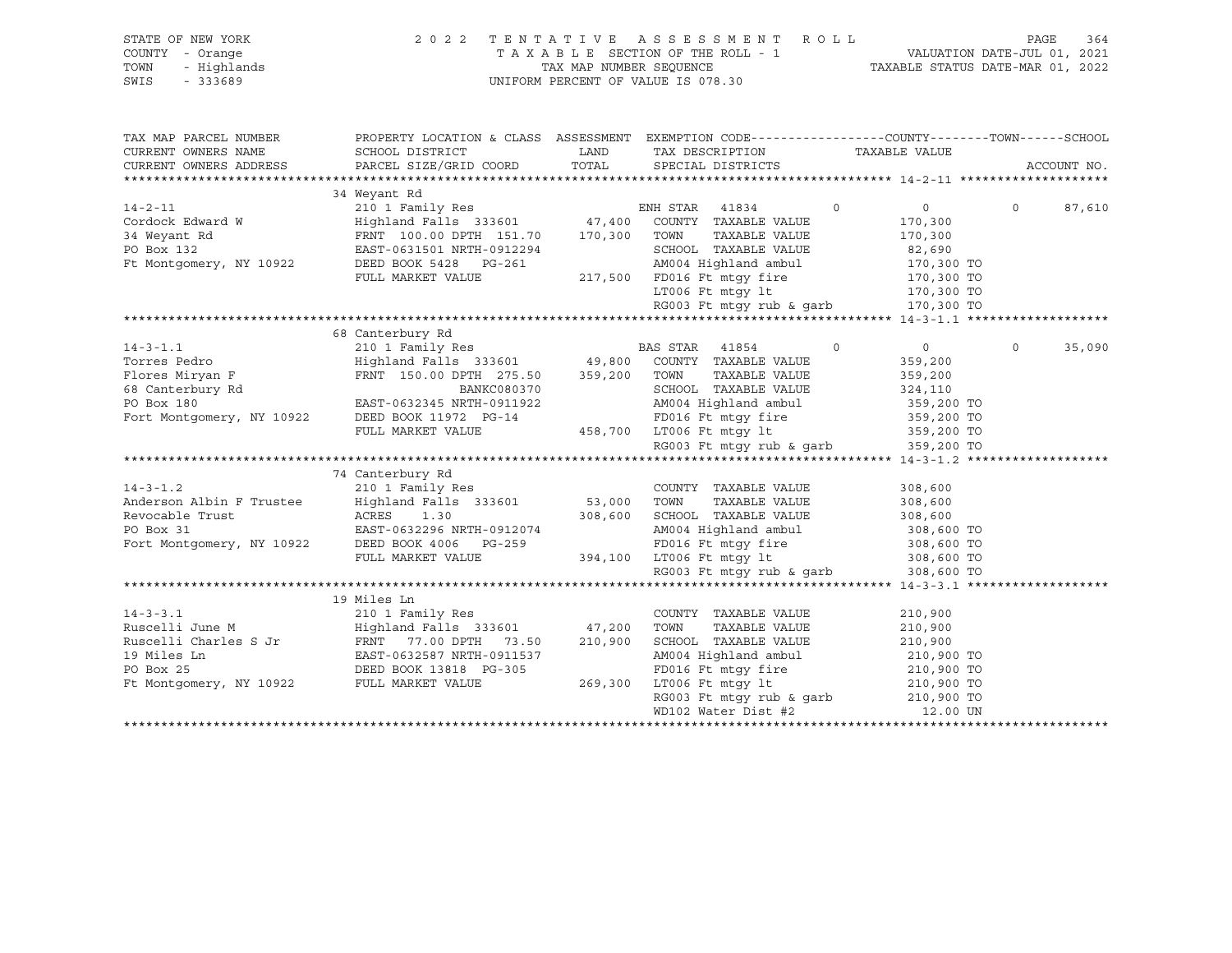| STATE OF NEW YORK<br>COUNTY - Orange<br>- Highlands<br>TOWN<br>SWIS<br>$-333689$ | 2 0 2 2                                                                               | TAX MAP NUMBER SEOUENCE | TENTATIVE ASSESSMENT<br>R O L L<br>TAXABLE SECTION OF THE ROLL - 1<br>UNIFORM PERCENT OF VALUE IS 078.30 | TAXABLE STATUS DATE-MAR 01, 2022 | PAGE<br>VALUATION DATE-JUL 01, 2021 | 364         |
|----------------------------------------------------------------------------------|---------------------------------------------------------------------------------------|-------------------------|----------------------------------------------------------------------------------------------------------|----------------------------------|-------------------------------------|-------------|
| TAX MAP PARCEL NUMBER                                                            |                                                                                       |                         | PROPERTY LOCATION & CLASS ASSESSMENT EXEMPTION CODE----------------COUNTY-------TOWN------SCHOOL         |                                  |                                     |             |
| CURRENT OWNERS NAME                                                              | SCHOOL DISTRICT                                                                       | LAND                    | TAX DESCRIPTION                                                                                          | TAXABLE VALUE                    |                                     |             |
| CURRENT OWNERS ADDRESS                                                           | PARCEL SIZE/GRID COORD                                                                | TOTAL                   | SPECIAL DISTRICTS                                                                                        |                                  |                                     | ACCOUNT NO. |
|                                                                                  |                                                                                       |                         |                                                                                                          |                                  |                                     |             |
|                                                                                  | 34 Weyant Rd                                                                          |                         |                                                                                                          |                                  |                                     |             |
| $14 - 2 - 11$                                                                    | 210 1 Family Res                                                                      |                         | ENH STAR 41834                                                                                           | $\circ$<br>$\overline{0}$        | $\Omega$                            | 87,610      |
| Cordock Edward W                                                                 | Highland Falls 333601                                                                 |                         | 47,400 COUNTY TAXABLE VALUE                                                                              | 170,300                          |                                     |             |
| 34 Weyant Rd                                                                     | FRNT 100.00 DPTH 151.70                                                               | 170,300 TOWN            | TAXABLE VALUE                                                                                            | 170,300                          |                                     |             |
| PO Box 132                                                                       | EAST-0631501 NRTH-0912294                                                             |                         | SCHOOL TAXABLE VALUE                                                                                     | 82,690                           |                                     |             |
| Ft Montgomery, NY 10922                                                          | DEED BOOK 5428 PG-261                                                                 |                         | AM004 Highland ambul                                                                                     | 170,300 TO                       |                                     |             |
|                                                                                  | FULL MARKET VALUE                                                                     |                         | 217,500 FD016 Ft mtqy fire                                                                               | 170,300 TO                       |                                     |             |
|                                                                                  |                                                                                       |                         | LT006 Ft mtqy lt                                                                                         | 170,300 TO                       |                                     |             |
|                                                                                  |                                                                                       |                         | RG003 Ft mtqy rub & qarb                                                                                 | 170,300 TO                       |                                     |             |
|                                                                                  | 68 Canterbury Rd                                                                      |                         |                                                                                                          |                                  |                                     |             |
| $14 - 3 - 1.1$                                                                   | 210 1 Family Res                                                                      |                         | BAS STAR 41854                                                                                           | $\circ$<br>$\Omega$              | $\Omega$                            | 35,090      |
| Torres Pedro                                                                     | Highland Falls 333601 49,800                                                          |                         | COUNTY TAXABLE VALUE                                                                                     | 359,200                          |                                     |             |
| Flores Miryan F                                                                  | FRNT 150.00 DPTH 275.50                                                               | 359,200                 | TOWN<br>TAXABLE VALUE                                                                                    | 359,200                          |                                     |             |
| 68 Canterbury Rd                                                                 | BANKC080370                                                                           |                         | SCHOOL TAXABLE VALUE                                                                                     | 324,110                          |                                     |             |
| PO Box 180                                                                       | EAST-0632345 NRTH-0911922                                                             |                         | AM004 Highland ambul                                                                                     | 359,200 TO                       |                                     |             |
| Fort Montgomery, NY 10922                                                        | DEED BOOK 11972 PG-14                                                                 |                         | FD016 Ft mtgy fire                                                                                       | 359,200 TO                       |                                     |             |
|                                                                                  | FULL MARKET VALUE                                                                     |                         | 458,700 LT006 Ft mtgy lt                                                                                 | 359,200 TO                       |                                     |             |
|                                                                                  |                                                                                       |                         | RG003 Ft mtgy rub & garb                                                                                 | 359,200 TO                       |                                     |             |
|                                                                                  |                                                                                       |                         |                                                                                                          |                                  |                                     |             |
|                                                                                  | 74 Canterbury Rd                                                                      |                         |                                                                                                          |                                  |                                     |             |
| $14 - 3 - 1.2$                                                                   | 210 1 Family Res                                                                      |                         | COUNTY TAXABLE VALUE                                                                                     | 308,600                          |                                     |             |
| Anderson Albin F Trustee                                                         | Highland Falls 333601                                                                 | 53,000 TOWN             | TAXABLE VALUE                                                                                            | 308,600                          |                                     |             |
| Revocable Trust                                                                  | ACRES<br>1.30                                                                         | 308,600                 | SCHOOL TAXABLE VALUE                                                                                     | 308,600                          |                                     |             |
| PO Box 31                                                                        | EAST-0632296 NRTH-0912074                                                             |                         | AM004 Highland ambul                                                                                     | 308,600 TO                       |                                     |             |
|                                                                                  | PO Box 31 EAST-0632296 NRTH-091207<br>Fort Montgomery, NY 10922 DEED BOOK 4006 PG-259 |                         | FD016 Ft mtqy fire                                                                                       | 308,600 TO                       |                                     |             |
|                                                                                  | FULL MARKET VALUE                                                                     |                         | 394,100 LT006 Ft mtgy 1t                                                                                 | 308,600 TO                       |                                     |             |
|                                                                                  |                                                                                       |                         | RG003 Ft mtqy rub & qarb                                                                                 | 308,600 TO                       |                                     |             |
|                                                                                  |                                                                                       |                         |                                                                                                          |                                  |                                     |             |
|                                                                                  | 19 Miles Ln                                                                           |                         |                                                                                                          |                                  |                                     |             |
| $14 - 3 - 3.1$                                                                   | 210 1 Family Res                                                                      |                         | COUNTY TAXABLE VALUE                                                                                     | 210,900                          |                                     |             |
| Ruscelli June M                                                                  | Highland Falls 333601                                                                 | 47,200                  | TOWN<br>TAXABLE VALUE                                                                                    | 210,900                          |                                     |             |
| Ruscelli Charles S Jr                                                            | FRNT 77.00 DPTH 73.50                                                                 | 210,900                 | SCHOOL TAXABLE VALUE                                                                                     | 210,900                          |                                     |             |
| 19 Miles Ln                                                                      | EAST-0632587 NRTH-0911537                                                             |                         | AM004 Highland ambul                                                                                     | 210,900 TO                       |                                     |             |
| PO Box 25                                                                        | DEED BOOK 13818 PG-305                                                                |                         | FD016 Ft mtqy fire                                                                                       | 210,900 TO                       |                                     |             |
| Ft Montgomery, NY 10922                                                          | FULL MARKET VALUE                                                                     | 269,300                 | LT006 Ft mtgy lt                                                                                         | 210,900 TO                       |                                     |             |
|                                                                                  |                                                                                       |                         | RG003 Ft mtgy rub & garb                                                                                 | 210,900 TO                       |                                     |             |
|                                                                                  |                                                                                       |                         | WD102 Water Dist #2                                                                                      | 12.00 UN                         |                                     |             |
|                                                                                  |                                                                                       |                         |                                                                                                          |                                  |                                     |             |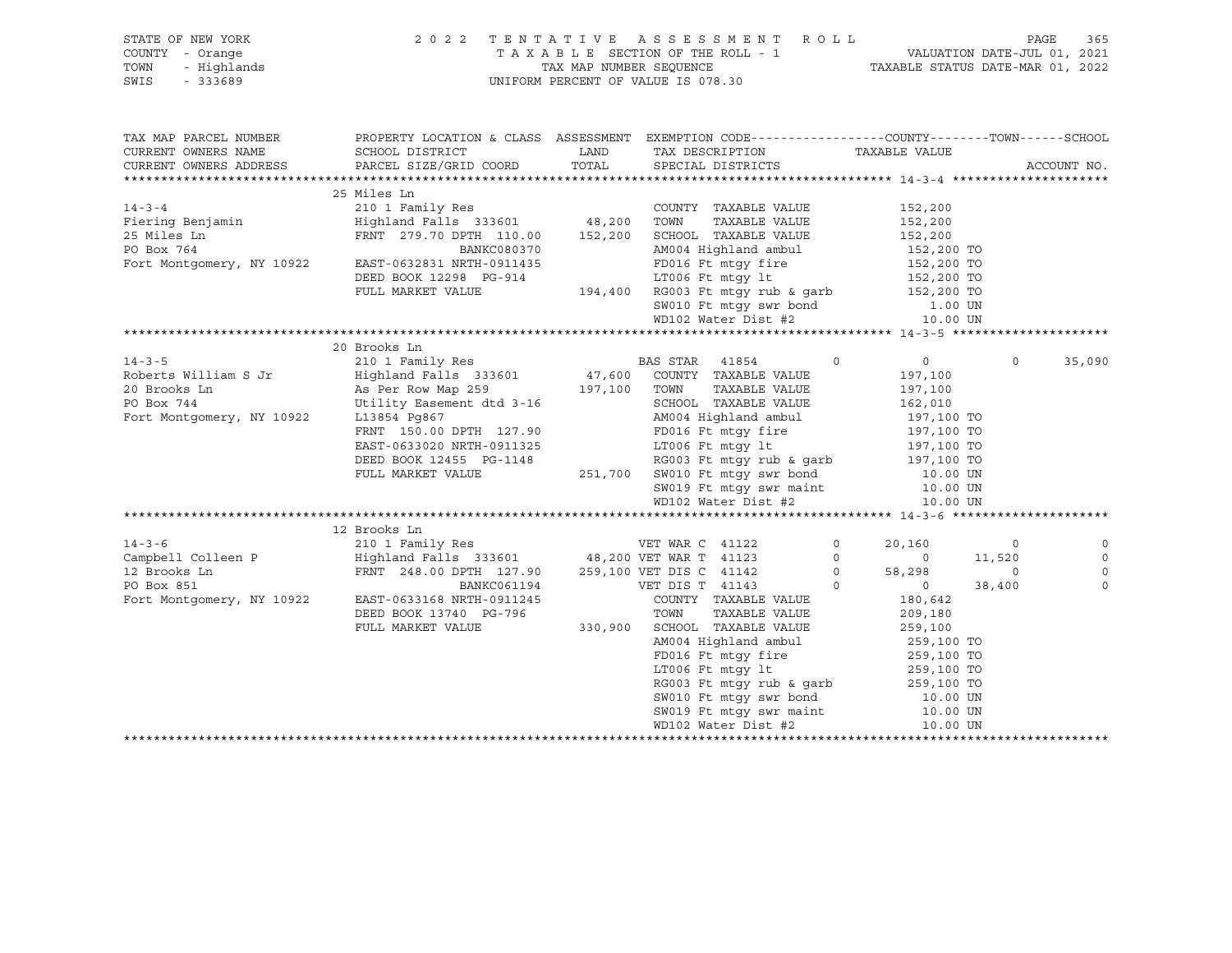| STATE OF NEW YORK<br>COUNTY - Orange<br>TOWN<br>$-333689$<br>SWIS | OF NEW YORK 2022 TENTATIVE ASSESSMENT ROLL<br>7 A X A B L E SECTION OF THE ROLL - 1<br>- Highlands TAX MAP NUMBER SEQUENCE<br>- 333689 UNIFORM PERCENT OF VALUE IS 078.30                                                                                         |       |                                                                                                                                                                                                                                                                                              |                |                                      |                          | 365<br>PAGE    |
|-------------------------------------------------------------------|-------------------------------------------------------------------------------------------------------------------------------------------------------------------------------------------------------------------------------------------------------------------|-------|----------------------------------------------------------------------------------------------------------------------------------------------------------------------------------------------------------------------------------------------------------------------------------------------|----------------|--------------------------------------|--------------------------|----------------|
| TAX MAP PARCEL NUMBER<br>CURRENT OWNERS NAME                      | PROPERTY LOCATION & CLASS ASSESSMENT EXEMPTION CODE----------------COUNTY-------TOWN------SCHOOL<br>SCHOOL DISTRICT                                                                                                                                               |       | LAND TAX DESCRIPTION TAXABLE VALUE                                                                                                                                                                                                                                                           |                |                                      |                          |                |
| CURRENT OWNERS ADDRESS                                            | PARCEL SIZE/GRID COORD                                                                                                                                                                                                                                            | TOTAL | SPECIAL DISTRICTS                                                                                                                                                                                                                                                                            |                |                                      |                          | ACCOUNT NO.    |
|                                                                   |                                                                                                                                                                                                                                                                   |       |                                                                                                                                                                                                                                                                                              |                |                                      |                          |                |
| $14 - 3 - 4$                                                      | 25 Miles Ln                                                                                                                                                                                                                                                       |       | COUNTY TAXABLE VALUE                                                                                                                                                                                                                                                                         |                |                                      |                          |                |
|                                                                   |                                                                                                                                                                                                                                                                   |       |                                                                                                                                                                                                                                                                                              |                | 152,200                              |                          |                |
|                                                                   |                                                                                                                                                                                                                                                                   |       |                                                                                                                                                                                                                                                                                              |                |                                      |                          |                |
|                                                                   |                                                                                                                                                                                                                                                                   |       |                                                                                                                                                                                                                                                                                              |                |                                      |                          |                |
|                                                                   | PO Box 764<br>BANKC080370<br>Fort Montgomery, NY 10922<br>EAST-0632831 NRTH-0911435                                                                                                                                                                               |       | 0911435<br>C-914<br>C-914<br>C-914<br>C-914<br>C-914<br>C-914<br>C-914<br>C-914<br>C-914<br>C-914<br>C-914<br>C-914<br>C-914<br>C-914<br>C-914<br>C-914<br>C-914<br>C-910<br>C-910<br>C-910<br>C-910<br>C-910<br>C-910<br>C-910<br>C-910<br>C-910<br>C-910<br>C-910<br>C-910<br>C-910<br>C-9 |                |                                      |                          |                |
|                                                                   | DEED BOOK 12298 PG-914<br>FULL MARKET VALUE                                                                                                                                                                                                                       |       |                                                                                                                                                                                                                                                                                              |                |                                      |                          |                |
|                                                                   |                                                                                                                                                                                                                                                                   |       |                                                                                                                                                                                                                                                                                              |                |                                      |                          |                |
|                                                                   |                                                                                                                                                                                                                                                                   |       |                                                                                                                                                                                                                                                                                              |                |                                      |                          |                |
|                                                                   |                                                                                                                                                                                                                                                                   |       |                                                                                                                                                                                                                                                                                              |                |                                      |                          |                |
|                                                                   |                                                                                                                                                                                                                                                                   |       |                                                                                                                                                                                                                                                                                              |                |                                      |                          |                |
|                                                                   | 20 Brooks Ln                                                                                                                                                                                                                                                      |       |                                                                                                                                                                                                                                                                                              |                |                                      |                          |                |
| $14 - 3 - 5$                                                      | 210 1 Family Res<br>210 1 Family Res<br>Highland Falls 333601 47,600 COUNTY TAXABLE VALUE                                                                                                                                                                         |       |                                                                                                                                                                                                                                                                                              |                | $\Omega$<br>$\overline{0}$           | $\Omega$                 | 35,090         |
| Roberts William S Jr                                              | Highland Falls 333601<br>Highland Falls 333601<br>As Per Row Map 259<br>Utility Easement dtd 3-16<br>L13854 Pg867<br>ENT 150.00 DPTH 127.90<br>Henry TaxaBLE VALUE<br>AM004 Highland ambul<br>FRNT 150.00 DPTH 127.90<br>FD016 Ft mtgy fire<br>FD016 Ft mtgy fire |       |                                                                                                                                                                                                                                                                                              |                | 197,100                              |                          |                |
| 20 Brooks Ln                                                      |                                                                                                                                                                                                                                                                   |       | TAXABLE VALUE                                                                                                                                                                                                                                                                                |                | 197,100                              |                          |                |
| PO Box 744                                                        |                                                                                                                                                                                                                                                                   |       |                                                                                                                                                                                                                                                                                              |                | 162,010                              |                          |                |
| Fort Montgomery, NY 10922                                         | Utility Easement dtd 3-16<br>L13854 Pg867 M004 Highland ambul<br>FRNT 150.00 DPTH 127.90<br>EAST-0633020 NRTH-0911325<br>DEED BOOK 12455 PG-1148<br>PULL MARKET VALUE<br>PULL MARKET VALUE<br>251,700 SW010 Ft mtgy swr bond<br>CM010 Ft mtgy                     |       |                                                                                                                                                                                                                                                                                              |                |                                      |                          |                |
|                                                                   |                                                                                                                                                                                                                                                                   |       |                                                                                                                                                                                                                                                                                              |                |                                      |                          |                |
|                                                                   |                                                                                                                                                                                                                                                                   |       |                                                                                                                                                                                                                                                                                              |                |                                      |                          |                |
|                                                                   |                                                                                                                                                                                                                                                                   |       |                                                                                                                                                                                                                                                                                              |                |                                      |                          |                |
|                                                                   |                                                                                                                                                                                                                                                                   |       |                                                                                                                                                                                                                                                                                              |                | 10.00 UN<br>10.00 UN                 |                          |                |
|                                                                   |                                                                                                                                                                                                                                                                   |       | SW019 Ft mtgy swr maint<br>WD102 Water Dist #2                                                                                                                                                                                                                                               |                |                                      |                          |                |
|                                                                   |                                                                                                                                                                                                                                                                   |       |                                                                                                                                                                                                                                                                                              |                | 10.00 UN                             |                          |                |
|                                                                   |                                                                                                                                                                                                                                                                   |       |                                                                                                                                                                                                                                                                                              |                |                                      |                          |                |
| $14 - 3 - 6$                                                      | 210 1 Family Res<br>210 1 Family Res<br>Examples 1122 48,200 VET WAR T 41123<br>259,100 VET DIS C 41142<br>259,100 VET DIS C 41142<br>259,100 VET DIS C 41142                                                                                                     |       |                                                                                                                                                                                                                                                                                              |                | $\overline{0}$<br>20,160             | $\overline{\phantom{0}}$ |                |
| Campbell Colleen P                                                |                                                                                                                                                                                                                                                                   |       |                                                                                                                                                                                                                                                                                              |                |                                      |                          |                |
| 12 Brooks Ln                                                      |                                                                                                                                                                                                                                                                   |       |                                                                                                                                                                                                                                                                                              |                | $0$ $0$ $11,520$<br>$0$ $58,298$ $0$ |                          | $\circ$        |
| PO Box 851                                                        |                                                                                                                                                                                                                                                                   |       |                                                                                                                                                                                                                                                                                              | $\overline{0}$ | $0 \t38,400$                         |                          | $\overline{0}$ |
| Fort Montgomery, NY 10922                                         | $\begin{tabular}{lllllllllll} & & & & & & & & & & & & \text{VET DIS T} & 41143 \\ & & & & & & & \text{VET DIS T} & 41143 \\ \text{EAST-0633168 NRTH-0911245} & & & & & & \text{COUNTY} & TAXABLE \\ \end{tabular}$                                                |       | COUNTY TAXABLE VALUE                                                                                                                                                                                                                                                                         |                | 180,642                              |                          |                |
|                                                                   | DEED BOOK 13740 PG-796                                                                                                                                                                                                                                            |       | TOWN<br>TAXABLE VALUE                                                                                                                                                                                                                                                                        |                | 209,180                              |                          |                |
|                                                                   | FULL MARKET VALUE                                                                                                                                                                                                                                                 |       | $330,900$ SCHOOL TAXABLE VALUE 259,100                                                                                                                                                                                                                                                       |                |                                      |                          |                |
|                                                                   |                                                                                                                                                                                                                                                                   |       |                                                                                                                                                                                                                                                                                              |                |                                      |                          |                |
|                                                                   |                                                                                                                                                                                                                                                                   |       |                                                                                                                                                                                                                                                                                              |                |                                      |                          |                |
|                                                                   |                                                                                                                                                                                                                                                                   |       |                                                                                                                                                                                                                                                                                              |                |                                      |                          |                |
|                                                                   |                                                                                                                                                                                                                                                                   |       | SCHOOL TAXABLE VALUE<br>AM004 Highland ambul<br>FD016 Ft mtgy fire<br>17006 Ft mtgy 1t<br>RG003 Ft mtgy rub & garb<br>SW010 Ft mtgy swr bond<br>10.00 UNE                                                                                                                                    |                |                                      |                          |                |
|                                                                   |                                                                                                                                                                                                                                                                   |       |                                                                                                                                                                                                                                                                                              |                |                                      |                          |                |
|                                                                   |                                                                                                                                                                                                                                                                   |       | SW010 Ft mtgy swr bond 10.00 UN<br>SW019 Ft mtgy swr maint 10.00 UN                                                                                                                                                                                                                          |                |                                      |                          |                |
|                                                                   |                                                                                                                                                                                                                                                                   |       | WD102 Water Dist #2                                                                                                                                                                                                                                                                          |                | 10.00 UN                             |                          |                |
|                                                                   |                                                                                                                                                                                                                                                                   |       |                                                                                                                                                                                                                                                                                              |                |                                      |                          |                |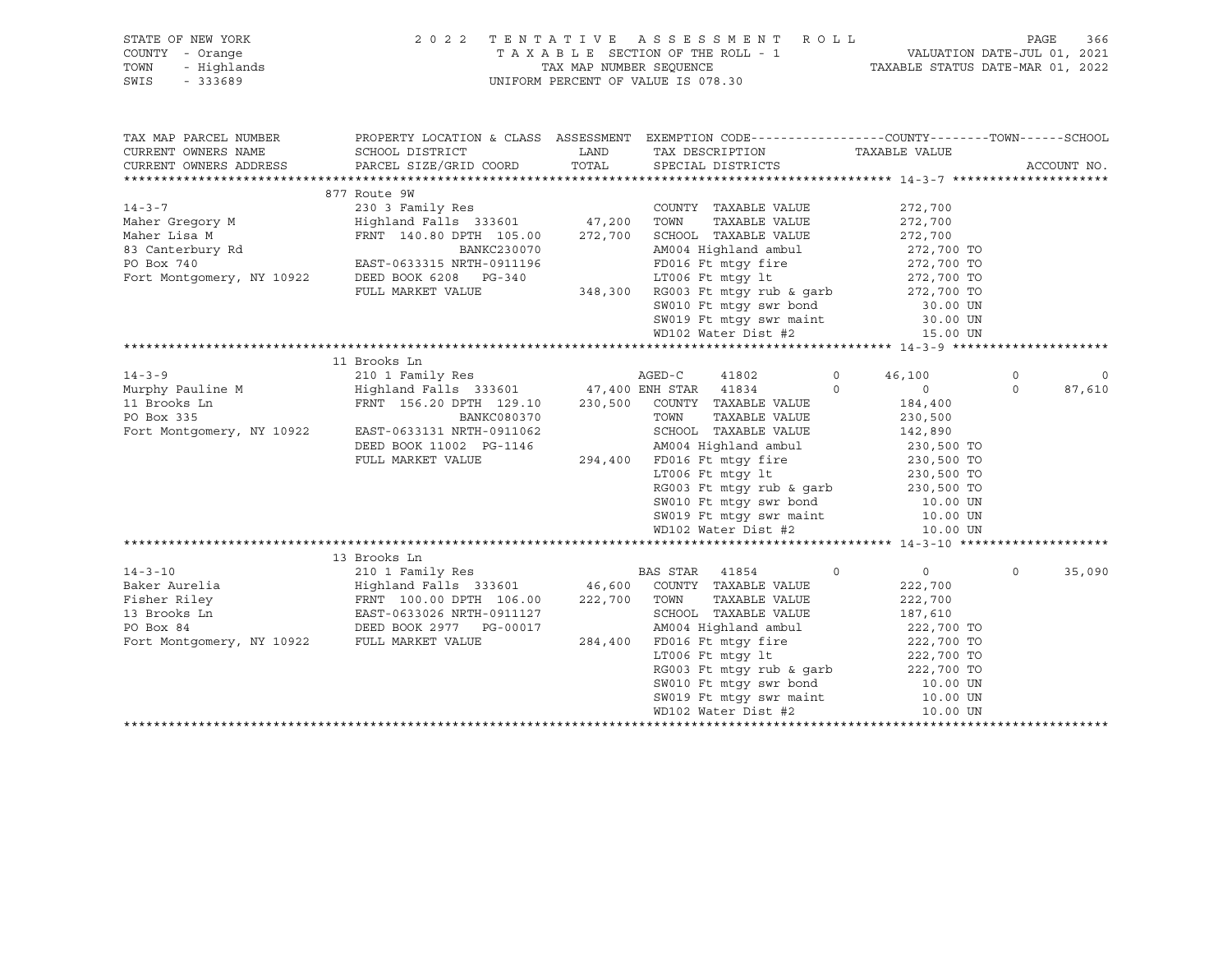| STATE OF NEW YORK<br>COUNTY - Orange<br>TOWN<br>- Highlands<br>$-333689$<br>SWIS                                                                                                                                                | 2 0 2 2                                              | TAX MAP NUMBER SEOUENCE | TENTATIVE ASSESSMENT ROLL<br>TAXABLE SECTION OF THE ROLL - 1<br>UNIFORM PERCENT OF VALUE IS 078.30                                | 1 VALUATION DATE-JUL 01, 2021<br>TAXABLE STATUS DATE-MAR 01, 2022 | PAGE        | 366     |
|---------------------------------------------------------------------------------------------------------------------------------------------------------------------------------------------------------------------------------|------------------------------------------------------|-------------------------|-----------------------------------------------------------------------------------------------------------------------------------|-------------------------------------------------------------------|-------------|---------|
| TAX MAP PARCEL NUMBER                                                                                                                                                                                                           |                                                      |                         | PROPERTY LOCATION & CLASS ASSESSMENT EXEMPTION CODE---------------COUNTY-------TOWN-----SCHOOL                                    |                                                                   |             |         |
| CURRENT OWNERS NAME                                                                                                                                                                                                             | SCHOOL DISTRICT                                      | LAND                    | TAX DESCRIPTION                                                                                                                   | TAXABLE VALUE                                                     |             |         |
| CURRENT OWNERS ADDRESS                                                                                                                                                                                                          | PARCEL SIZE/GRID COORD                               | TOTAL                   | SPECIAL DISTRICTS                                                                                                                 |                                                                   | ACCOUNT NO. |         |
|                                                                                                                                                                                                                                 |                                                      |                         |                                                                                                                                   |                                                                   |             |         |
| $14 - 3 - 7$                                                                                                                                                                                                                    | 877 Route 9W<br>230 3 Family Res                     |                         |                                                                                                                                   |                                                                   |             |         |
|                                                                                                                                                                                                                                 | Highland Falls 333601 47,200 TOWN TAXABLE VALUE      |                         | COUNTY TAXABLE VALUE                                                                                                              | 272,700                                                           |             |         |
|                                                                                                                                                                                                                                 | FRNT 140.80 DPTH 105.00                              |                         | 272,700 SCHOOL TAXABLE VALUE                                                                                                      | 272,700<br>272,700                                                |             |         |
| Maher Gregory M<br>Maher Lisa M<br>83 Canterbury Rd<br>PO Box 740                                                                                                                                                               | BANKC230070                                          |                         |                                                                                                                                   |                                                                   |             |         |
|                                                                                                                                                                                                                                 | EAST-0633315 NRTH-0911196                            |                         | AM004 Highland ambul 272,700 TO<br>FD016 Ft mtgy fire 272,700 TO                                                                  |                                                                   |             |         |
| Fort Montgomery, NY 10922                                                                                                                                                                                                       | DEED BOOK 6208 PG-340                                |                         | LT006 Ft mtgy lt                                                                                                                  |                                                                   |             |         |
|                                                                                                                                                                                                                                 | FULL MARKET VALUE                                    |                         | 348,300 RG003 Ft mtgy rub & garb                                                                                                  | 272,700 TO<br>272,700 TO                                          |             |         |
|                                                                                                                                                                                                                                 |                                                      |                         | SW010 Ft mtgy swr bond                                                                                                            | 30.00 UN                                                          |             |         |
|                                                                                                                                                                                                                                 |                                                      |                         | SW019 Ft mtgy swr maint                                                                                                           | 30.00 UN                                                          |             |         |
|                                                                                                                                                                                                                                 |                                                      |                         | WD102 Water Dist #2                                                                                                               | 15.00 UN                                                          |             |         |
|                                                                                                                                                                                                                                 |                                                      |                         |                                                                                                                                   |                                                                   |             |         |
|                                                                                                                                                                                                                                 | 11 Brooks Ln                                         |                         |                                                                                                                                   |                                                                   |             |         |
| $14 - 3 - 9$                                                                                                                                                                                                                    | 210 1 Family Res AGED-C                              |                         | 41802                                                                                                                             | $\circ$<br>46,100                                                 | $\Omega$    | $\circ$ |
| Murphy Pauline M                                                                                                                                                                                                                | Highland Falls 333601 47,400 ENH STAR 41834          |                         |                                                                                                                                   | $\circ$<br>$\Omega$                                               | $\Omega$    | 87,610  |
| 11 Brooks Ln                                                                                                                                                                                                                    | FRNT 156.20 DPTH 129.10 230,500 COUNTY TAXABLE VALUE |                         |                                                                                                                                   | 184,400                                                           |             |         |
| PO Box 335                                                                                                                                                                                                                      | BANKC080370                                          |                         | TOWN<br>TAXABLE VALUE                                                                                                             | 230,500                                                           |             |         |
| Fort Montgomery, NY 10922                                                                                                                                                                                                       | EAST-0633131 NRTH-0911062                            |                         | SCHOOL TAXABLE VALUE                                                                                                              | 142,890                                                           |             |         |
|                                                                                                                                                                                                                                 | DEED BOOK 11002 PG-1146                              |                         | AM004 Highland ambul<br>FD016 Ft mtgy fire<br>LT006 Ft mtgy 1t 230,500 TO<br>230,500 TO<br>230,500 TO<br>230,500 TO<br>230,500 TO |                                                                   |             |         |
|                                                                                                                                                                                                                                 | FULL MARKET VALUE                                    |                         | 294,400 FD016 Ft mtqy fire                                                                                                        |                                                                   |             |         |
|                                                                                                                                                                                                                                 |                                                      |                         |                                                                                                                                   |                                                                   |             |         |
|                                                                                                                                                                                                                                 |                                                      |                         | RG003 Ft mtgy rub & garb                                                                                                          | 230,500 TO                                                        |             |         |
|                                                                                                                                                                                                                                 |                                                      |                         | SW010 Ft mtgy swr bond                                                                                                            | 10.00 UN                                                          |             |         |
|                                                                                                                                                                                                                                 |                                                      |                         | SW019 Ft mtgy swr maint<br>WD102 Water Dist #2                                                                                    | 10.00 UN                                                          |             |         |
|                                                                                                                                                                                                                                 |                                                      |                         |                                                                                                                                   | 10.00 UN                                                          |             |         |
|                                                                                                                                                                                                                                 |                                                      |                         |                                                                                                                                   |                                                                   |             |         |
|                                                                                                                                                                                                                                 |                                                      |                         |                                                                                                                                   |                                                                   |             |         |
|                                                                                                                                                                                                                                 |                                                      |                         |                                                                                                                                   | $\Omega$<br>$\overline{0}$                                        | $\Omega$    | 35,090  |
|                                                                                                                                                                                                                                 |                                                      |                         |                                                                                                                                   | 222,700                                                           |             |         |
|                                                                                                                                                                                                                                 |                                                      |                         |                                                                                                                                   | 222,700                                                           |             |         |
|                                                                                                                                                                                                                                 |                                                      |                         |                                                                                                                                   | 187,610                                                           |             |         |
|                                                                                                                                                                                                                                 |                                                      |                         | AM004 Highland ambul<br>284,400 FD016 Ft mtgy fire                                                                                | 222,700 TO<br>222,700 TO                                          |             |         |
|                                                                                                                                                                                                                                 |                                                      |                         |                                                                                                                                   |                                                                   |             |         |
| Baker Aurelia (1854)<br>Eighland Falls 333601 (186.00 COUNTY TAXABLE VALUE Fisher Riley (186.00 FRNT 100.00 DPTH 106.00 (222,700 TOWN TAXABLE VALUE 13 Brooks Ln EAST-0633026 NRTH-0911127 (284,400 FD016 Ft mtm: find and Fort |                                                      |                         |                                                                                                                                   | 222,700 TO<br>222,700 TO                                          |             |         |
|                                                                                                                                                                                                                                 |                                                      |                         | RG003 Ft mtgy rub & garb<br>SW010 Ft mtgy swr bond<br>SW019 Ft mtgy swr maint                                                     |                                                                   |             |         |
|                                                                                                                                                                                                                                 |                                                      |                         |                                                                                                                                   | 10.00 UN<br>10.00 UN                                              |             |         |
|                                                                                                                                                                                                                                 |                                                      |                         | WD102 Water Dist #2                                                                                                               | 10.00 UN                                                          |             |         |
|                                                                                                                                                                                                                                 |                                                      |                         |                                                                                                                                   |                                                                   |             |         |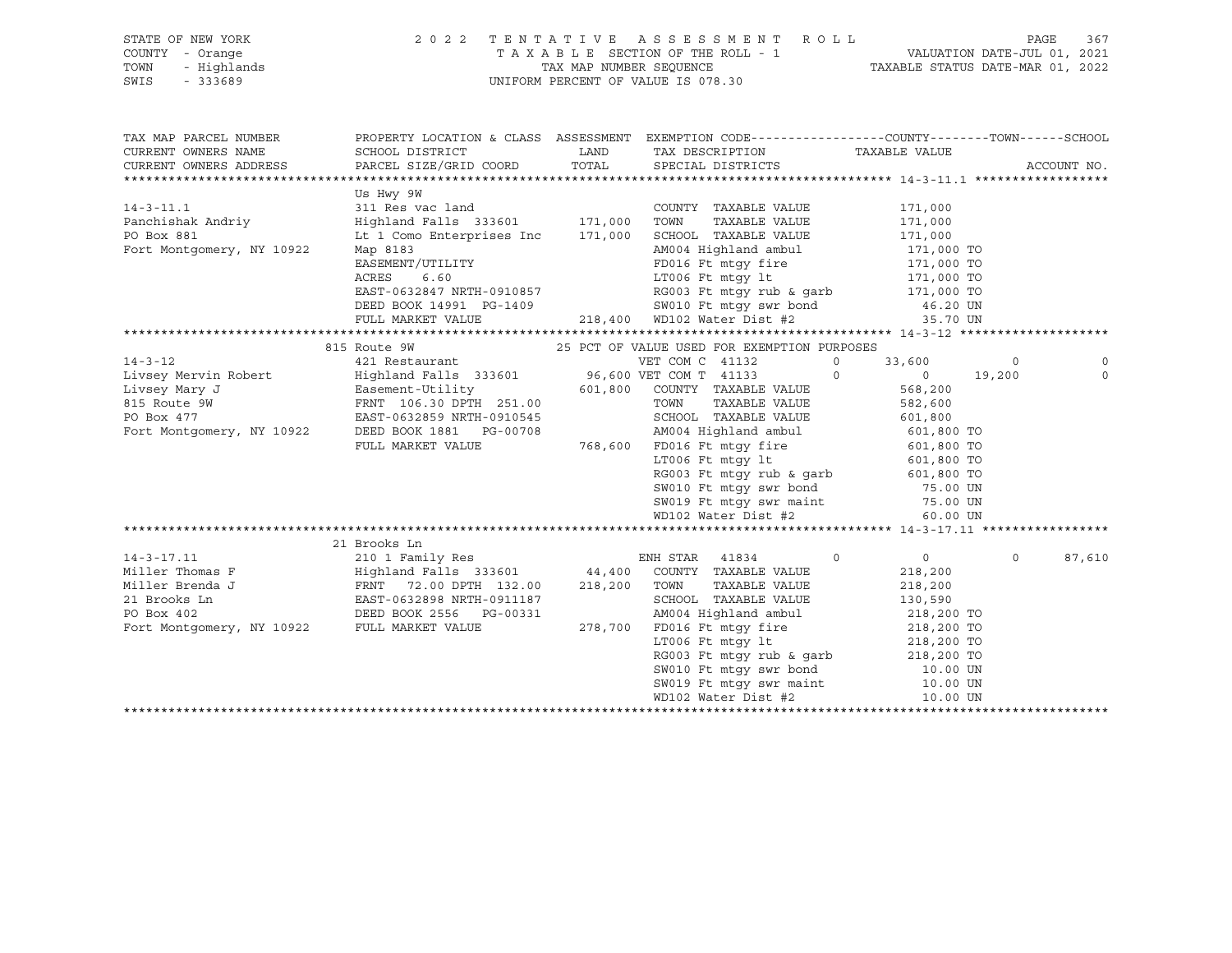| STATE OF NEW YORK<br>Y - Orange<br>- Highlands<br>- 333689<br>COUNTY - Orange<br>TOWN<br>SWIS | 2022 TENTATIVE ASSESSMENT ROLL                                                                                                                                                                                                           | T A X A B L E SECTION OF THE ROLL - 1 VALUATION DATE-JUL 01, 2021<br>TAX MAP NUMBER SEQUENCE TAXABLE STATUS DATE-MAR 01, 2022<br>UNIFORM PERCENT OF VALUE IS 078.30 |               |         | PAGE<br>367    |
|-----------------------------------------------------------------------------------------------|------------------------------------------------------------------------------------------------------------------------------------------------------------------------------------------------------------------------------------------|---------------------------------------------------------------------------------------------------------------------------------------------------------------------|---------------|---------|----------------|
| TAX MAP PARCEL NUMBER                                                                         | PROPERTY LOCATION & CLASS ASSESSMENT EXEMPTION CODE----------------COUNTY-------TOWN------SCHOOL                                                                                                                                         |                                                                                                                                                                     |               |         |                |
| CURRENT OWNERS NAME<br>CURRENT OWNERS ADDRESS                                                 | SCHOOL DISTRICT<br>PARCEL SIZE/GRID COORD TOTAL SPECIAL DISTRICTS                                                                                                                                                                        | LAND TAX DESCRIPTION                                                                                                                                                | TAXABLE VALUE |         | ACCOUNT NO.    |
|                                                                                               |                                                                                                                                                                                                                                          |                                                                                                                                                                     |               |         |                |
|                                                                                               | Us Hwy 9W                                                                                                                                                                                                                                |                                                                                                                                                                     |               |         |                |
| $14 - 3 - 11.1$                                                                               |                                                                                                                                                                                                                                          | COUNTY TAXABLE VALUE                                                                                                                                                | 171,000       |         |                |
| Panchishak Andriy                                                                             |                                                                                                                                                                                                                                          | TAXABLE VALUE 171,000                                                                                                                                               |               |         |                |
| PO Box 881                                                                                    |                                                                                                                                                                                                                                          |                                                                                                                                                                     |               |         |                |
| Fort Montgomery, NY 10922                                                                     | Highland Falls 333601 171,000 1000 17AABLE VALUE<br>171,000 ENGOOL TAXABLE VALUE<br>Map 8183 AM004 Highland ambul<br>EASEMENT/UTILITY FD016 Ft mtgy fire 171,000 TO<br>RCRES 6.60 LT006 Ft mtgy fire 171,000 TO<br>EAST-0632847 NRTH-091 |                                                                                                                                                                     |               |         |                |
|                                                                                               |                                                                                                                                                                                                                                          |                                                                                                                                                                     |               |         |                |
|                                                                                               |                                                                                                                                                                                                                                          |                                                                                                                                                                     |               |         |                |
|                                                                                               |                                                                                                                                                                                                                                          |                                                                                                                                                                     |               |         |                |
|                                                                                               |                                                                                                                                                                                                                                          |                                                                                                                                                                     |               |         |                |
|                                                                                               |                                                                                                                                                                                                                                          |                                                                                                                                                                     |               |         |                |
|                                                                                               |                                                                                                                                                                                                                                          |                                                                                                                                                                     |               |         |                |
|                                                                                               |                                                                                                                                                                                                                                          |                                                                                                                                                                     |               | $\circ$ |                |
|                                                                                               |                                                                                                                                                                                                                                          |                                                                                                                                                                     | 0 0 19,200    |         | $\overline{0}$ |
|                                                                                               |                                                                                                                                                                                                                                          |                                                                                                                                                                     |               |         |                |
|                                                                                               |                                                                                                                                                                                                                                          |                                                                                                                                                                     |               |         |                |
|                                                                                               |                                                                                                                                                                                                                                          |                                                                                                                                                                     |               |         |                |
|                                                                                               |                                                                                                                                                                                                                                          |                                                                                                                                                                     |               |         |                |
|                                                                                               |                                                                                                                                                                                                                                          |                                                                                                                                                                     |               |         |                |
|                                                                                               |                                                                                                                                                                                                                                          |                                                                                                                                                                     |               |         |                |
|                                                                                               |                                                                                                                                                                                                                                          |                                                                                                                                                                     |               |         |                |
|                                                                                               |                                                                                                                                                                                                                                          |                                                                                                                                                                     |               |         |                |
|                                                                                               |                                                                                                                                                                                                                                          |                                                                                                                                                                     |               |         |                |
|                                                                                               |                                                                                                                                                                                                                                          |                                                                                                                                                                     |               |         |                |
|                                                                                               | 21 Brooks Ln                                                                                                                                                                                                                             |                                                                                                                                                                     |               |         |                |
|                                                                                               |                                                                                                                                                                                                                                          |                                                                                                                                                                     |               | $\circ$ | 87,610         |
|                                                                                               |                                                                                                                                                                                                                                          |                                                                                                                                                                     |               |         |                |
|                                                                                               |                                                                                                                                                                                                                                          |                                                                                                                                                                     |               |         |                |
|                                                                                               |                                                                                                                                                                                                                                          |                                                                                                                                                                     |               |         |                |
|                                                                                               |                                                                                                                                                                                                                                          |                                                                                                                                                                     |               |         |                |
|                                                                                               |                                                                                                                                                                                                                                          |                                                                                                                                                                     |               |         |                |
|                                                                                               |                                                                                                                                                                                                                                          |                                                                                                                                                                     |               |         |                |
|                                                                                               |                                                                                                                                                                                                                                          |                                                                                                                                                                     |               |         |                |
|                                                                                               |                                                                                                                                                                                                                                          |                                                                                                                                                                     |               |         |                |
|                                                                                               |                                                                                                                                                                                                                                          |                                                                                                                                                                     |               |         |                |
|                                                                                               |                                                                                                                                                                                                                                          |                                                                                                                                                                     |               |         |                |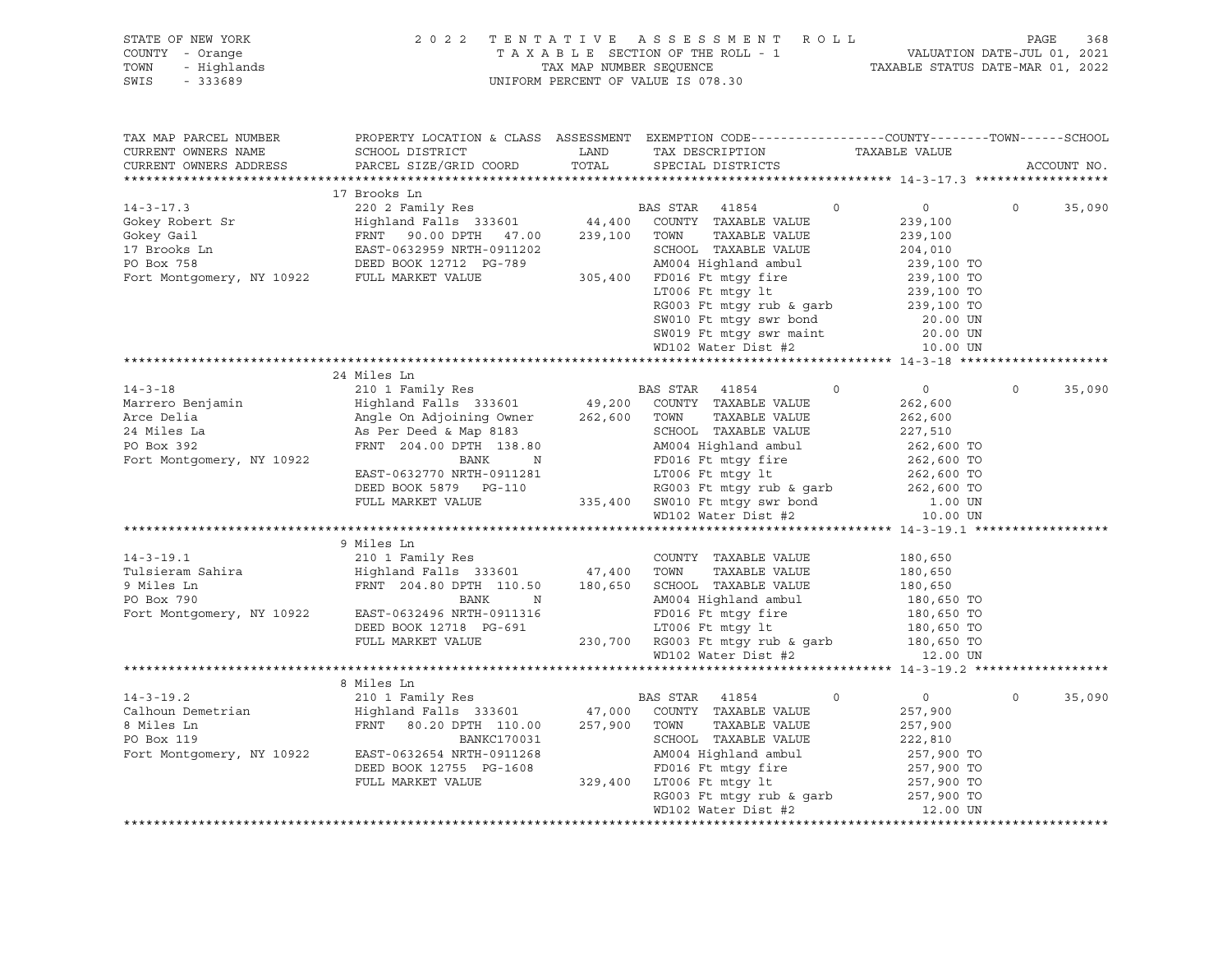| STATE OF NEW YORK                           | 2 0 2 2                      | TENTATIVE               | A S S E S S M E N T R O L L                                                                     |                                  | PAGE                        | 368 |
|---------------------------------------------|------------------------------|-------------------------|-------------------------------------------------------------------------------------------------|----------------------------------|-----------------------------|-----|
| COUNTY - Orange                             |                              |                         | TAXABLE SECTION OF THE ROLL - 1                                                                 | TAXABLE STATUS DATE-MAR 01, 2022 | VALUATION DATE-JUL 01, 2021 |     |
| - Highlands<br>TOWN<br>SWIS<br>$-333689$    |                              | TAX MAP NUMBER SEQUENCE | UNIFORM PERCENT OF VALUE IS 078.30                                                              |                                  |                             |     |
|                                             |                              |                         |                                                                                                 |                                  |                             |     |
|                                             |                              |                         |                                                                                                 |                                  |                             |     |
| TAX MAP PARCEL NUMBER                       |                              |                         | PROPERTY LOCATION & CLASS ASSESSMENT EXEMPTION CODE---------------COUNTY-------TOWN------SCHOOL |                                  |                             |     |
| CURRENT OWNERS NAME                         | SCHOOL DISTRICT              | LAND                    | TAX DESCRIPTION                                                                                 | TAXABLE VALUE                    |                             |     |
| CURRENT OWNERS ADDRESS                      | PARCEL SIZE/GRID COORD       | TOTAL                   | SPECIAL DISTRICTS                                                                               |                                  | ACCOUNT NO.                 |     |
|                                             |                              |                         |                                                                                                 |                                  |                             |     |
|                                             | 17 Brooks Ln                 |                         |                                                                                                 |                                  |                             |     |
| $14 - 3 - 17.3$                             | 220 2 Family Res             |                         | BAS STAR<br>41854<br>$\circ$                                                                    | $\overline{0}$                   | $\Omega$<br>35,090          |     |
| Gokey Robert Sr                             | Highland Falls 333601        | 44,400                  | COUNTY TAXABLE VALUE                                                                            | 239,100                          |                             |     |
| Gokey Gail                                  | FRNT 90.00 DPTH 47.00        | 239,100                 | TOWN<br>TAXABLE VALUE                                                                           | 239,100                          |                             |     |
| 17 Brooks Ln                                | EAST-0632959 NRTH-0911202    |                         | SCHOOL TAXABLE VALUE                                                                            | 204,010                          |                             |     |
| PO Box 758                                  | DEED BOOK 12712 PG-789       |                         | AM004 Highland ambul                                                                            | 239,100 TO                       |                             |     |
| Fort Montgomery, NY 10922 FULL MARKET VALUE |                              |                         | 305,400 FD016 Ft mtqy fire                                                                      | 239,100 TO                       |                             |     |
|                                             |                              |                         | LT006 Ft mtqy lt                                                                                | 239,100 TO                       |                             |     |
|                                             |                              |                         | RG003 Ft mtgy rub & garb                                                                        | 239,100 TO                       |                             |     |
|                                             |                              |                         | SW010 Ft mtgy swr bond                                                                          | 20.00 UN                         |                             |     |
|                                             |                              |                         | SW019 Ft mtgy swr maint                                                                         | 20.00 UN                         |                             |     |
|                                             |                              |                         | WD102 Water Dist #2                                                                             | 10.00 UN                         |                             |     |
|                                             |                              |                         |                                                                                                 |                                  |                             |     |
|                                             | 24 Miles Ln                  |                         |                                                                                                 |                                  |                             |     |
| $14 - 3 - 18$                               | 210 1 Family Res             |                         | BAS STAR<br>41854<br>$\Omega$                                                                   | $0 \qquad \qquad$                | $\Omega$<br>35,090          |     |
| Marrero Benjamin                            | Highland Falls 333601        | 49,200                  | COUNTY TAXABLE VALUE                                                                            | 262,600                          |                             |     |
| Arce Delia                                  | Angle On Adjoining Owner     | 262,600                 | TOWN<br>TAXABLE VALUE                                                                           | 262,600                          |                             |     |
| 24 Miles La                                 | As Per Deed & Map 8183       |                         | SCHOOL TAXABLE VALUE                                                                            | 227,510                          |                             |     |
| PO Box 392                                  | FRNT 204.00 DPTH 138.80      |                         | AM004 Highland ambul                                                                            | 262,600 TO                       |                             |     |
| Fort Montgomery, NY 10922                   | BANK<br>$\mathbf N$          |                         | FD016 Ft mtgy fire                                                                              | 262,600 TO                       |                             |     |
|                                             | EAST-0632770 NRTH-0911281    |                         | LT006 Ft mtgy lt                                                                                | 262,600 TO                       |                             |     |
|                                             | DEED BOOK 5879 PG-110        |                         | RG003 Ft mtgy rub & garb                                                                        | 262,600 TO                       |                             |     |
|                                             | FULL MARKET VALUE            |                         | 335,400 SW010 Ft mtgy swr bond                                                                  | 1.00 UN                          |                             |     |
|                                             |                              |                         | WD102 Water Dist #2                                                                             | 10.00 UN                         |                             |     |
|                                             |                              |                         |                                                                                                 |                                  |                             |     |
|                                             | 9 Miles Ln                   |                         |                                                                                                 |                                  |                             |     |
| $14 - 3 - 19.1$                             | 210 1 Family Res             |                         | COUNTY TAXABLE VALUE                                                                            | 180,650                          |                             |     |
| Tulsieram Sahira                            | Highland Falls 333601 47,400 |                         | TOWN<br>TAXABLE VALUE                                                                           | 180,650                          |                             |     |
| 9 Miles Ln                                  | FRNT 204.80 DPTH 110.50      | 180,650                 | SCHOOL TAXABLE VALUE                                                                            | 180,650                          |                             |     |
| PO Box 790                                  | BANK<br>N                    |                         | AM004 Highland ambul                                                                            | 180,650 TO                       |                             |     |
| Fort Montgomery, NY 10922                   | EAST-0632496 NRTH-0911316    |                         | FD016 Ft mtqy fire                                                                              | 180,650 TO                       |                             |     |
|                                             | DEED BOOK 12718 PG-691       |                         | LT006 Ft mtqy lt                                                                                | 180,650 TO                       |                             |     |
|                                             | FULL MARKET VALUE            |                         | 230,700 RG003 Ft mtgy rub & garb                                                                | 180,650 TO                       |                             |     |
|                                             |                              |                         | WD102 Water Dist #2                                                                             | 12.00 UN                         |                             |     |
|                                             |                              |                         |                                                                                                 |                                  |                             |     |
|                                             | 8 Miles Ln                   |                         |                                                                                                 |                                  |                             |     |
| $14 - 3 - 19.2$                             | 210 1 Family Res             |                         | BAS STAR<br>41854<br>$\circ$                                                                    | 0                                | $\circ$<br>35,090           |     |
| Calhoun Demetrian                           | Highland Falls 333601        | 47,000                  | COUNTY TAXABLE VALUE                                                                            | 257,900                          |                             |     |
| 8 Miles Ln                                  | FRNT<br>80.20 DPTH 110.00    | 257,900                 | TOWN<br>TAXABLE VALUE                                                                           | 257,900                          |                             |     |
| PO Box 119                                  | BANKC170031                  |                         | SCHOOL TAXABLE VALUE                                                                            | 222,810                          |                             |     |
| Fort Montgomery, NY 10922                   | EAST-0632654 NRTH-0911268    |                         | AM004 Highland ambul                                                                            | 257,900 TO                       |                             |     |
|                                             | DEED BOOK 12755 PG-1608      |                         | FD016 Ft mtgy fire                                                                              | 257,900 TO                       |                             |     |
|                                             | FULL MARKET VALUE            | 329,400                 | LT006 Ft mtqy lt                                                                                | 257,900 TO                       |                             |     |
|                                             |                              |                         |                                                                                                 | 257,900 TO                       |                             |     |
|                                             |                              |                         | RG003 Ft mtgy rub & garb<br>WD102 Water Dist #2                                                 | 12.00 UN                         |                             |     |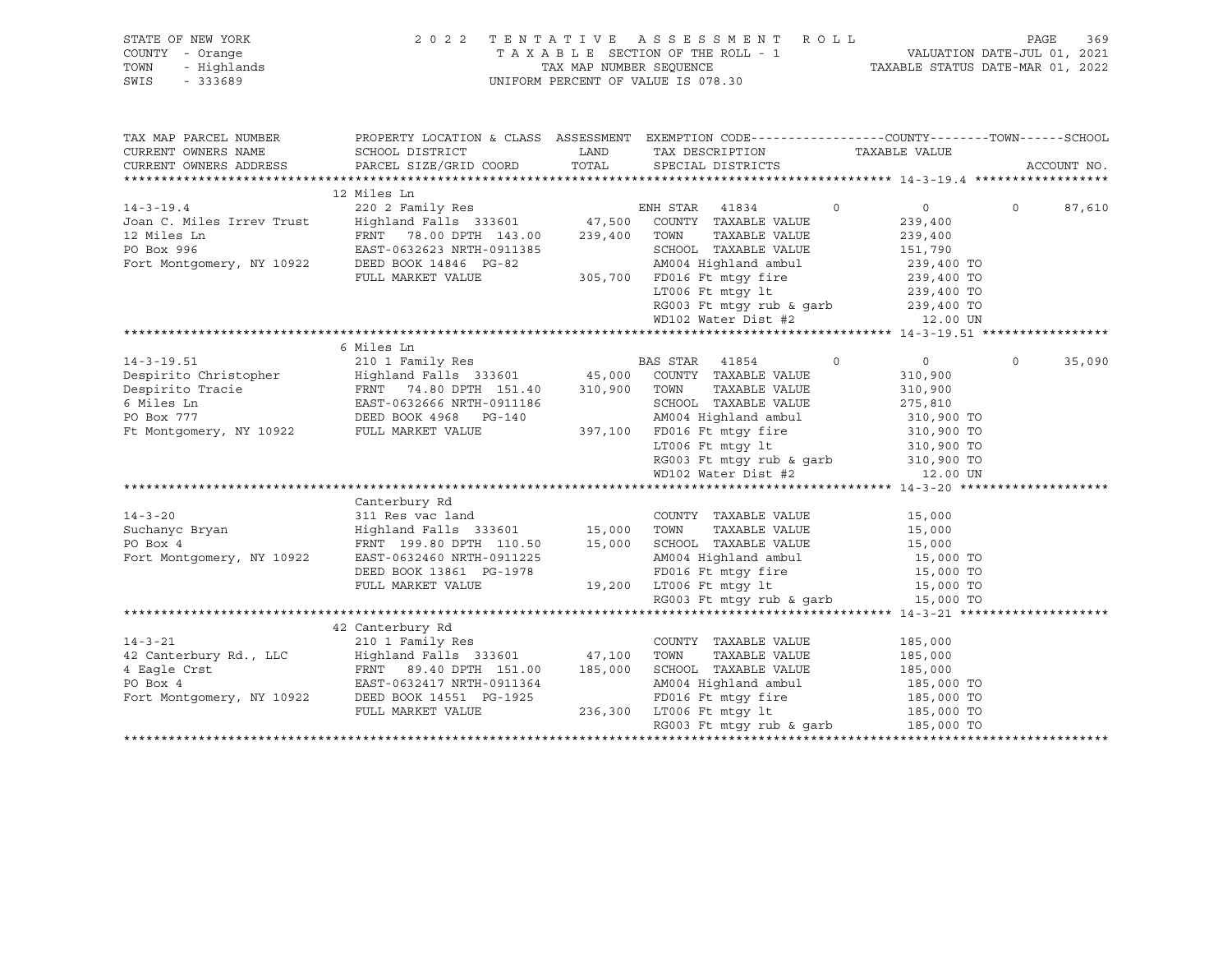| STATE OF NEW YORK<br>COUNTY - Orange<br>TOWN<br>- Highlands<br>SWIS<br>$-333689$ | 2 0 2 2                                                                                                                                                                                                                                                                        |       | TENTATIVE ASSESSMENT ROLL<br>TAXABLE SECTION OF THE ROLL - 1 VALUATION DATE-JUL 01, 2021<br>TAX MAP NUMBER SEQUENCE TAXABLE STATUS DATE-MAR 01, 2022<br>UNIFORM PERCENT OF VALUE IS 078.30 |                        | PAGE<br>369        |
|----------------------------------------------------------------------------------|--------------------------------------------------------------------------------------------------------------------------------------------------------------------------------------------------------------------------------------------------------------------------------|-------|--------------------------------------------------------------------------------------------------------------------------------------------------------------------------------------------|------------------------|--------------------|
| CURRENT OWNERS NAME                                                              | TAX MAP PARCEL NUMBER PROPERTY LOCATION & CLASS ASSESSMENT EXEMPTION CODE----------------COUNTY-------TOWN------SCHOOL<br>SCHOOL DISTRICT                                                                                                                                      | LAND  | TAX DESCRIPTION TAXABLE VALUE                                                                                                                                                              |                        |                    |
| CURRENT OWNERS ADDRESS                                                           | PARCEL SIZE/GRID COORD                                                                                                                                                                                                                                                         | TOTAL | SPECIAL DISTRICTS                                                                                                                                                                          |                        | ACCOUNT NO.        |
|                                                                                  |                                                                                                                                                                                                                                                                                |       |                                                                                                                                                                                            |                        |                    |
|                                                                                  | 12 Miles Ln                                                                                                                                                                                                                                                                    |       |                                                                                                                                                                                            |                        |                    |
| $14 - 3 - 19.4$                                                                  | 220 2 Family Res                                                                                                                                                                                                                                                               |       | ENH STAR 41834<br>$\overline{0}$                                                                                                                                                           | $\overline{0}$         | 0 87,610           |
|                                                                                  | Joan C. Miles Irrev Trust Highland Falls 333601 47,500                                                                                                                                                                                                                         |       | COUNTY TAXABLE VALUE                                                                                                                                                                       | 239,400                |                    |
|                                                                                  |                                                                                                                                                                                                                                                                                |       |                                                                                                                                                                                            |                        |                    |
|                                                                                  |                                                                                                                                                                                                                                                                                |       |                                                                                                                                                                                            |                        |                    |
|                                                                                  |                                                                                                                                                                                                                                                                                |       |                                                                                                                                                                                            |                        |                    |
|                                                                                  |                                                                                                                                                                                                                                                                                |       |                                                                                                                                                                                            |                        |                    |
|                                                                                  |                                                                                                                                                                                                                                                                                |       |                                                                                                                                                                                            |                        |                    |
|                                                                                  |                                                                                                                                                                                                                                                                                |       | LT006 Ft mtgy 1t<br>RG003 Ft mtgy rub & garb<br>WD102 Water Dist #2 12.00 UN                                                                                                               |                        |                    |
|                                                                                  |                                                                                                                                                                                                                                                                                |       |                                                                                                                                                                                            |                        |                    |
|                                                                                  |                                                                                                                                                                                                                                                                                |       |                                                                                                                                                                                            |                        |                    |
|                                                                                  | 6 Miles Ln                                                                                                                                                                                                                                                                     |       |                                                                                                                                                                                            |                        |                    |
|                                                                                  |                                                                                                                                                                                                                                                                                |       | BAS STAR 41854<br>$\Omega$                                                                                                                                                                 | $0 \qquad \qquad$      | $\Omega$<br>35,090 |
|                                                                                  |                                                                                                                                                                                                                                                                                |       | COUNTY TAXABLE VALUE                                                                                                                                                                       | 310,900                |                    |
|                                                                                  | 14-3-19.51<br>Despirito Christopher and Tamily Res BAS STAR<br>Despirito Tracie FRNT 74.80 DPTH 151.40 310,900 TOWN<br>FRNT 74.80 DPTH 151.40 310,900 TOWN<br>6 Miles Ln EAST-0632666 NRTH-0911186 SCHOOL<br>PO Box 777 DEED BOOK 4968                                         |       | TAXABLE VALUE                                                                                                                                                                              | 310,900                |                    |
|                                                                                  |                                                                                                                                                                                                                                                                                |       | SCHOOL TAXABLE VALUE                                                                                                                                                                       | 275,810                |                    |
|                                                                                  |                                                                                                                                                                                                                                                                                |       |                                                                                                                                                                                            |                        |                    |
|                                                                                  |                                                                                                                                                                                                                                                                                |       | AM004 Highland ambul<br>397,100 FD016 Ft mtgy fire 310,900 TO<br>1T006 Ft mtgy 1t 310,900 TO<br>RG003 Ft mtgy rub & garb 310,900 TO<br>WD102 Water Dist #2 12.00 UN<br>12.00 UN            |                        |                    |
|                                                                                  |                                                                                                                                                                                                                                                                                |       |                                                                                                                                                                                            |                        |                    |
|                                                                                  |                                                                                                                                                                                                                                                                                |       |                                                                                                                                                                                            |                        |                    |
|                                                                                  |                                                                                                                                                                                                                                                                                |       |                                                                                                                                                                                            |                        |                    |
|                                                                                  | Canterbury Rd                                                                                                                                                                                                                                                                  |       |                                                                                                                                                                                            |                        |                    |
| $14 - 3 - 20$                                                                    | 311 Res vac land                                                                                                                                                                                                                                                               |       | COUNTY TAXABLE VALUE                                                                                                                                                                       | 15,000                 |                    |
|                                                                                  |                                                                                                                                                                                                                                                                                |       | TAXABLE VALUE<br>TOWN                                                                                                                                                                      |                        |                    |
|                                                                                  |                                                                                                                                                                                                                                                                                |       | SCHOOL TAXABLE VALUE                                                                                                                                                                       | 15,000<br>15,000       |                    |
|                                                                                  | Fort Montgomery, NY 10922 EAST-0632460 NRTH-0911225                                                                                                                                                                                                                            |       | AM004 Highland ambul                                                                                                                                                                       |                        |                    |
|                                                                                  | DEED BOOK 13861 PG-1978                                                                                                                                                                                                                                                        |       | FD016 Ft mtgy fire                                                                                                                                                                         | 15,000 TO<br>15,000 TO |                    |
|                                                                                  | FULL MARKET VALUE                                                                                                                                                                                                                                                              |       |                                                                                                                                                                                            |                        |                    |
|                                                                                  |                                                                                                                                                                                                                                                                                |       | 19,200 LT006 Ft mtgy 1t<br>RG003 Ft mtgy rub & garb 15,000 TO                                                                                                                              |                        |                    |
|                                                                                  |                                                                                                                                                                                                                                                                                |       |                                                                                                                                                                                            |                        |                    |
|                                                                                  | 42 Canterbury Rd                                                                                                                                                                                                                                                               |       |                                                                                                                                                                                            |                        |                    |
|                                                                                  | 14-3-21<br>42 Canterbury Rd., LLC<br>47,100<br>47,100<br>47,100<br>47,100<br>47,100<br>47,100<br>47,100<br>47,100<br>47,100<br>47,100<br>47,100<br>47,100<br>47,100<br>47,000<br>485,000<br>485,000<br>485,000<br>485,000<br>485,000<br>485,000<br>485,000<br>485,000<br>485,0 |       | COUNTY TAXABLE VALUE                                                                                                                                                                       | 185,000                |                    |
|                                                                                  |                                                                                                                                                                                                                                                                                |       | TAXABLE VALUE<br>TOWN                                                                                                                                                                      | 185,000                |                    |
|                                                                                  |                                                                                                                                                                                                                                                                                |       | SCHOOL TAXABLE VALUE                                                                                                                                                                       | 185,000<br>185,000 TO  |                    |
|                                                                                  |                                                                                                                                                                                                                                                                                |       |                                                                                                                                                                                            |                        |                    |
| Fort Montgomery, NY 10922                                                        | DEED BOOK 14551 PG-1925                                                                                                                                                                                                                                                        |       | AM004 Highland ambul 185,000 TO<br>FD016 Ft mtgy fire 185,000 TO<br>236,300 LT006 Ft mtgy 1t 185,000 TO                                                                                    |                        |                    |
|                                                                                  | FULL MARKET VALUE                                                                                                                                                                                                                                                              |       |                                                                                                                                                                                            |                        |                    |
|                                                                                  |                                                                                                                                                                                                                                                                                |       | RG003 Ft mtqy rub & qarb                                                                                                                                                                   | 185,000 TO             |                    |

\*\*\*\*\*\*\*\*\*\*\*\*\*\*\*\*\*\*\*\*\*\*\*\*\*\*\*\*\*\*\*\*\*\*\*\*\*\*\*\*\*\*\*\*\*\*\*\*\*\*\*\*\*\*\*\*\*\*\*\*\*\*\*\*\*\*\*\*\*\*\*\*\*\*\*\*\*\*\*\*\*\*\*\*\*\*\*\*\*\*\*\*\*\*\*\*\*\*\*\*\*\*\*\*\*\*\*\*\*\*\*\*\*\*\*\*\*\*\*\*\*\*\*\*\*\*\*\*\*\*\*\*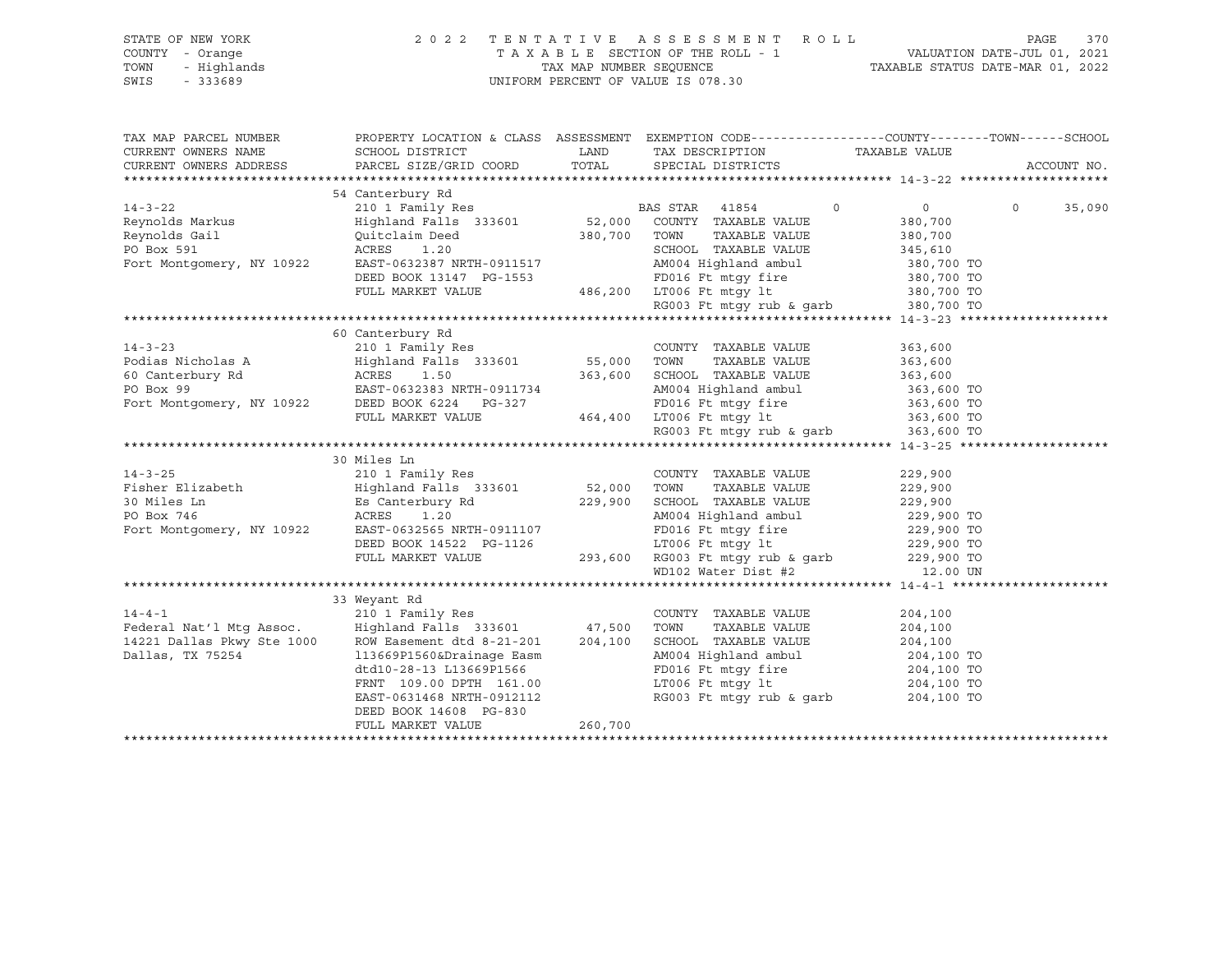| STATE OF NEW YORK<br>COUNTY - Orange<br>TOWN<br>- Highlands<br>SWIS<br>$-333689$                                                                                                                                                                                                                                                                                                                                                                                                        |                  | 2022 TENTATIVE ASSESSMENT ROLL<br>$\begin{tabular}{lllllllllllllllllll} \multicolumn{2}{c }{\begin{tabular}{l} \multicolumn{2}{c }{\begin{tabular}{l} \multicolumn{2}{c }{\begin{tabular}{l} \multicolumn{2}{c }{\begin{tabular}{l} \multicolumn{2}{c }{\begin{tabular}{l} \multicolumn{2}{c }{\end{tabular}\\ \multicolumn{2}{c }{\end{tabular}\\ \multicolumn{2}{c }{\end{tabular}}} \multicolumn{2}{c }{\end{tabular}}} \end{tabular}}\end{tabular}}\end{tabular}}\end{tabular}}\end{tabular} \begin{tabular}{lcccccc }{\begin{tabular}{l}$ | PAGE<br>370   |
|-----------------------------------------------------------------------------------------------------------------------------------------------------------------------------------------------------------------------------------------------------------------------------------------------------------------------------------------------------------------------------------------------------------------------------------------------------------------------------------------|------------------|------------------------------------------------------------------------------------------------------------------------------------------------------------------------------------------------------------------------------------------------------------------------------------------------------------------------------------------------------------------------------------------------------------------------------------------------------------------------------------------------------------------------------------------------|---------------|
| TAX MAP PARCEL NUMBER<br>CURRENT OWNERS NAME                                                                                                                                                                                                                                                                                                                                                                                                                                            |                  | PROPERTY LOCATION & CLASS ASSESSMENT EXEMPTION CODE----------------COUNTY-------TOWN------SCHOOL                                                                                                                                                                                                                                                                                                                                                                                                                                               |               |
| CURRENT OWNERS ADDRESS                                                                                                                                                                                                                                                                                                                                                                                                                                                                  |                  |                                                                                                                                                                                                                                                                                                                                                                                                                                                                                                                                                | ACCOUNT NO.   |
|                                                                                                                                                                                                                                                                                                                                                                                                                                                                                         |                  |                                                                                                                                                                                                                                                                                                                                                                                                                                                                                                                                                |               |
| $\begin{tabular}{lcccc} 14-3-22 & & & 54 \text{ Canterbury Rd} & & & \text{BAS STR} & 41854 & 0 & 0 \\ \text{Reynolds Markus} & & \text{Highland Falls} & 333601 & 52,000 & \text{COUNTY} & \text{TAXABLE VALUE} & 380,700 \\ \text{Reynolds Gail} & & \text{Quitclialm Deed} & & 380,700 & \text{TOWN} & \text{TAXABLE VALUE} & 380,700 \\ \text{PO Box 591} & & \text{AcRES} & 1.20 & & \text{SCHOOL} & \text{TAXABLE VALUE} & 345,610$                                               | 54 Canterbury Rd |                                                                                                                                                                                                                                                                                                                                                                                                                                                                                                                                                | $0 \t 35,090$ |
|                                                                                                                                                                                                                                                                                                                                                                                                                                                                                         |                  |                                                                                                                                                                                                                                                                                                                                                                                                                                                                                                                                                |               |
|                                                                                                                                                                                                                                                                                                                                                                                                                                                                                         |                  |                                                                                                                                                                                                                                                                                                                                                                                                                                                                                                                                                |               |
|                                                                                                                                                                                                                                                                                                                                                                                                                                                                                         |                  |                                                                                                                                                                                                                                                                                                                                                                                                                                                                                                                                                |               |
|                                                                                                                                                                                                                                                                                                                                                                                                                                                                                         |                  |                                                                                                                                                                                                                                                                                                                                                                                                                                                                                                                                                |               |
|                                                                                                                                                                                                                                                                                                                                                                                                                                                                                         |                  |                                                                                                                                                                                                                                                                                                                                                                                                                                                                                                                                                |               |
|                                                                                                                                                                                                                                                                                                                                                                                                                                                                                         |                  |                                                                                                                                                                                                                                                                                                                                                                                                                                                                                                                                                |               |
|                                                                                                                                                                                                                                                                                                                                                                                                                                                                                         |                  |                                                                                                                                                                                                                                                                                                                                                                                                                                                                                                                                                |               |
|                                                                                                                                                                                                                                                                                                                                                                                                                                                                                         |                  |                                                                                                                                                                                                                                                                                                                                                                                                                                                                                                                                                |               |
|                                                                                                                                                                                                                                                                                                                                                                                                                                                                                         | 60 Canterbury Rd |                                                                                                                                                                                                                                                                                                                                                                                                                                                                                                                                                |               |
|                                                                                                                                                                                                                                                                                                                                                                                                                                                                                         |                  |                                                                                                                                                                                                                                                                                                                                                                                                                                                                                                                                                |               |
|                                                                                                                                                                                                                                                                                                                                                                                                                                                                                         |                  |                                                                                                                                                                                                                                                                                                                                                                                                                                                                                                                                                |               |
|                                                                                                                                                                                                                                                                                                                                                                                                                                                                                         |                  |                                                                                                                                                                                                                                                                                                                                                                                                                                                                                                                                                |               |
|                                                                                                                                                                                                                                                                                                                                                                                                                                                                                         |                  |                                                                                                                                                                                                                                                                                                                                                                                                                                                                                                                                                |               |
|                                                                                                                                                                                                                                                                                                                                                                                                                                                                                         |                  |                                                                                                                                                                                                                                                                                                                                                                                                                                                                                                                                                |               |
|                                                                                                                                                                                                                                                                                                                                                                                                                                                                                         |                  |                                                                                                                                                                                                                                                                                                                                                                                                                                                                                                                                                |               |
| $\begin{tabular}{lllllllllllllllll} \multicolumn{3.5}{\textbf{14-3-23}} & \multicolumn{3.5}{\textbf{60} \textbf{Canterbury Rd}} & \multicolumn{3.5}{\textbf{210 1 Family Res}} & \multicolumn{3.5}{\textbf{101} \textbf{Family Res}} & \multicolumn{3.5}{\textbf{101} \textbf{Comry}} & \multicolumn{3.5}{\textbf{210 1 Family Res}} & \multicolumn{3.5}{\textbf{210 1 family Res}} & \multicolumn{3.5}{\textbf{210 1 family Res}} & \multicolumn{3.5}{\textbf{210$                     |                  |                                                                                                                                                                                                                                                                                                                                                                                                                                                                                                                                                |               |
|                                                                                                                                                                                                                                                                                                                                                                                                                                                                                         |                  |                                                                                                                                                                                                                                                                                                                                                                                                                                                                                                                                                |               |
|                                                                                                                                                                                                                                                                                                                                                                                                                                                                                         |                  |                                                                                                                                                                                                                                                                                                                                                                                                                                                                                                                                                |               |
|                                                                                                                                                                                                                                                                                                                                                                                                                                                                                         |                  |                                                                                                                                                                                                                                                                                                                                                                                                                                                                                                                                                |               |
|                                                                                                                                                                                                                                                                                                                                                                                                                                                                                         |                  |                                                                                                                                                                                                                                                                                                                                                                                                                                                                                                                                                |               |
|                                                                                                                                                                                                                                                                                                                                                                                                                                                                                         |                  |                                                                                                                                                                                                                                                                                                                                                                                                                                                                                                                                                |               |
|                                                                                                                                                                                                                                                                                                                                                                                                                                                                                         |                  |                                                                                                                                                                                                                                                                                                                                                                                                                                                                                                                                                |               |
|                                                                                                                                                                                                                                                                                                                                                                                                                                                                                         |                  |                                                                                                                                                                                                                                                                                                                                                                                                                                                                                                                                                |               |
|                                                                                                                                                                                                                                                                                                                                                                                                                                                                                         |                  |                                                                                                                                                                                                                                                                                                                                                                                                                                                                                                                                                |               |
|                                                                                                                                                                                                                                                                                                                                                                                                                                                                                         |                  |                                                                                                                                                                                                                                                                                                                                                                                                                                                                                                                                                |               |
|                                                                                                                                                                                                                                                                                                                                                                                                                                                                                         |                  |                                                                                                                                                                                                                                                                                                                                                                                                                                                                                                                                                |               |
| $\begin{tabular}{l c c c c c} \multicolumn{4}{c c c c} \multicolumn{4}{c c c} \multicolumn{4}{c c c} \multicolumn{4}{c c c} \multicolumn{4}{c c c} \multicolumn{4}{c c c} \multicolumn{4}{c c c} \multicolumn{4}{c c c} \multicolumn{4}{c c c} \multicolumn{4}{c c c} \multicolumn{4}{c c c} \multicolumn{4}{c c c} \multicolumn{4}{c c c} \multicolumn{4}{c c c} \multicolumn{4}{c c c} \multicolumn{$                                                                                 |                  |                                                                                                                                                                                                                                                                                                                                                                                                                                                                                                                                                |               |
|                                                                                                                                                                                                                                                                                                                                                                                                                                                                                         |                  |                                                                                                                                                                                                                                                                                                                                                                                                                                                                                                                                                |               |
|                                                                                                                                                                                                                                                                                                                                                                                                                                                                                         |                  |                                                                                                                                                                                                                                                                                                                                                                                                                                                                                                                                                |               |
|                                                                                                                                                                                                                                                                                                                                                                                                                                                                                         |                  |                                                                                                                                                                                                                                                                                                                                                                                                                                                                                                                                                |               |
|                                                                                                                                                                                                                                                                                                                                                                                                                                                                                         |                  |                                                                                                                                                                                                                                                                                                                                                                                                                                                                                                                                                |               |
|                                                                                                                                                                                                                                                                                                                                                                                                                                                                                         |                  |                                                                                                                                                                                                                                                                                                                                                                                                                                                                                                                                                |               |
|                                                                                                                                                                                                                                                                                                                                                                                                                                                                                         |                  |                                                                                                                                                                                                                                                                                                                                                                                                                                                                                                                                                |               |
|                                                                                                                                                                                                                                                                                                                                                                                                                                                                                         |                  |                                                                                                                                                                                                                                                                                                                                                                                                                                                                                                                                                |               |
|                                                                                                                                                                                                                                                                                                                                                                                                                                                                                         |                  |                                                                                                                                                                                                                                                                                                                                                                                                                                                                                                                                                |               |
| $[14-4-1 \underbrace{\qquad \qquad }_{204\text{ J00}} \underbrace{\qquad \qquad }_{204\text{ J00}} \underbrace{\qquad \qquad }_{204\text{ J00}} \underbrace{\qquad \qquad }_{204\text{ J00}} \underbrace{\qquad \qquad }_{204\text{ J00}} \underbrace{\qquad \qquad }_{204\text{ J00}} \underbrace{\qquad \qquad }_{204\text{ J00}} \underbrace{\qquad \qquad }_{204\text{ J00}} \underbrace{\qquad \qquad }_{204\text{ J00}} \underbrace{\qquad \qquad }_{204\text{ J00}} \underbrace$ |                  |                                                                                                                                                                                                                                                                                                                                                                                                                                                                                                                                                |               |
|                                                                                                                                                                                                                                                                                                                                                                                                                                                                                         |                  |                                                                                                                                                                                                                                                                                                                                                                                                                                                                                                                                                |               |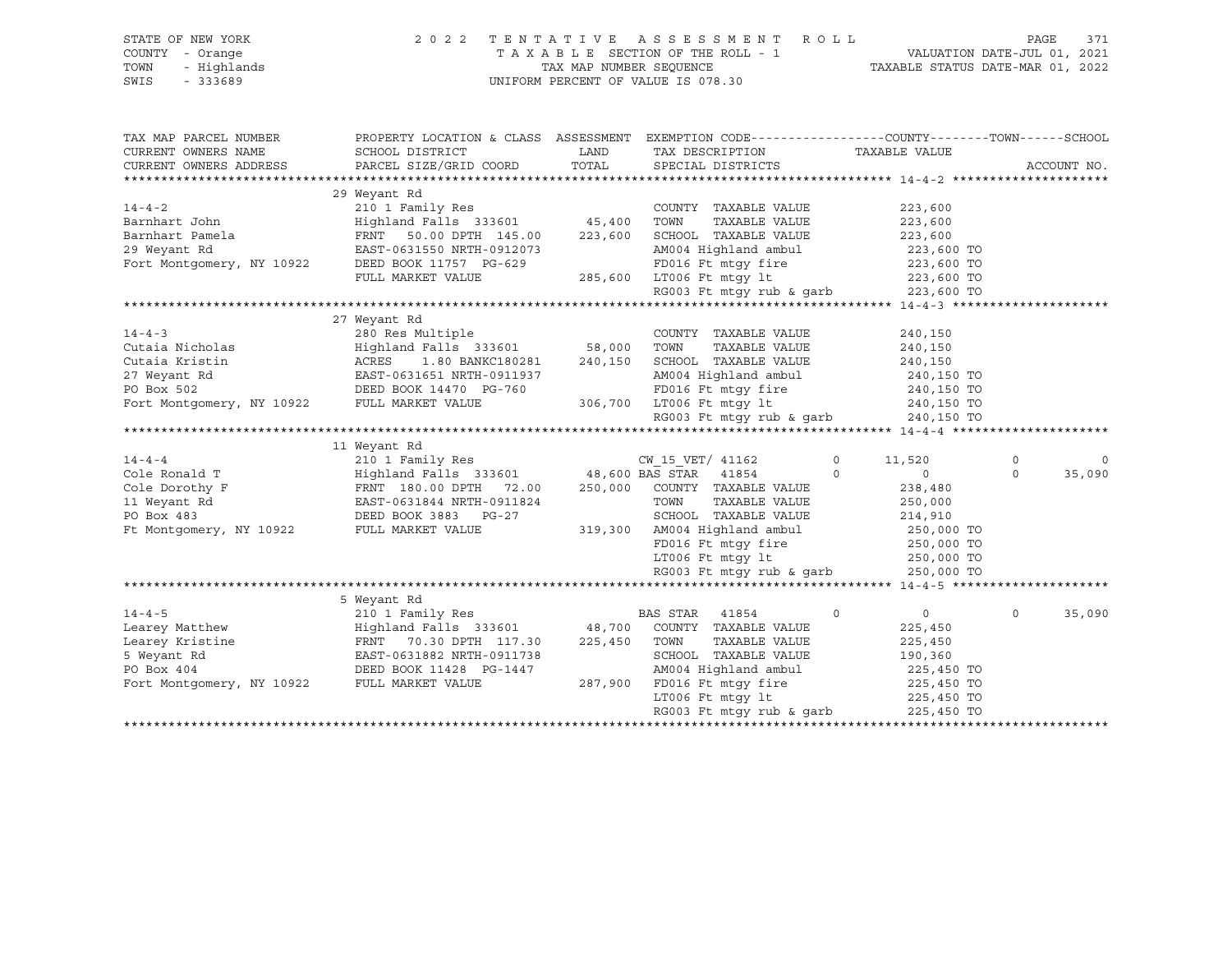| STATE OF NEW YORK<br>COUNTY - Orange<br>TOWN<br>- Highlands<br>$-333689$<br>SWIS | 2 0 2 2                                                                                                                                               |         | TENTATIVE ASSESSMENT ROLL<br>UNIFORM PERCENT OF VALUE IS 078.30 |                            | PAGE     | 371         |
|----------------------------------------------------------------------------------|-------------------------------------------------------------------------------------------------------------------------------------------------------|---------|-----------------------------------------------------------------|----------------------------|----------|-------------|
| TAX MAP PARCEL NUMBER<br>CURRENT OWNERS NAME                                     | PROPERTY LOCATION & CLASS ASSESSMENT EXEMPTION CODE----------------COUNTY-------TOWN------SCHOOL<br>SCHOOL DISTRICT                                   | LAND    | TAX DESCRIPTION TAXABLE VALUE                                   |                            |          |             |
| CURRENT OWNERS ADDRESS                                                           | PARCEL SIZE/GRID COORD                                                                                                                                | TOTAL   | SPECIAL DISTRICTS                                               |                            |          | ACCOUNT NO. |
|                                                                                  |                                                                                                                                                       |         |                                                                 |                            |          |             |
|                                                                                  | 29 Weyant Rd                                                                                                                                          |         |                                                                 |                            |          |             |
| $14 - 4 - 2$                                                                     | 210 1 Family Res                                                                                                                                      |         | COUNTY TAXABLE VALUE                                            | 223,600                    |          |             |
| Barnhart John                                                                    | Highland Falls 333601 45,400                                                                                                                          |         | TOWN<br>TAXABLE VALUE                                           | 223,600                    |          |             |
| Barnhart Pamela                                                                  | FRNT 50.00 DPTH 145.00                                                                                                                                | 223,600 | SCHOOL TAXABLE VALUE                                            | 223,600                    |          |             |
|                                                                                  | 29 Weyant Rd<br>Fort Montgomery, NY 10922 DEED BOOK 11757 PG-629                                                                                      |         | AM004 Highland ambul                                            | 223,600 TO                 |          |             |
|                                                                                  |                                                                                                                                                       |         | FD016 Ft mtgy fire<br>LT006 Ft mtgy lt                          | 223,600 TO                 |          |             |
|                                                                                  | FULL MARKET VALUE                                                                                                                                     |         | 285,600 LT006 Ft mtqy lt                                        | 223,600 TO                 |          |             |
|                                                                                  |                                                                                                                                                       |         | RG003 Ft mtgy rub & garb 223,600 TO                             |                            |          |             |
|                                                                                  |                                                                                                                                                       |         |                                                                 |                            |          |             |
|                                                                                  | 27 Weyant Rd                                                                                                                                          |         |                                                                 |                            |          |             |
| $14 - 4 - 3$                                                                     | 280 Res Multiple                                                                                                                                      |         | COUNTY TAXABLE VALUE                                            | 240,150                    |          |             |
| Cutaia Nicholas                                                                  | Highland Falls 333601 58,000                                                                                                                          |         | TOWN<br>TAXABLE VALUE                                           | 240,150                    |          |             |
| Cutaia Kristin                                                                   | ACRES<br>1.80 BANKC180281                                                                                                                             | 240,150 | SCHOOL TAXABLE VALUE                                            | 240,150                    |          |             |
| 27 Weyant Rd                                                                     | EAST-0631651 NRTH-0911937<br>DEED BOOK 14470 PG-760                                                                                                   |         | AM004 Highland ambul<br>FD016 Ft mtqy fire                      | 240,150 TO                 |          |             |
| PO Box 502<br>Fort Montgomery, NY 10922 FULL MARKET VALUE                        |                                                                                                                                                       |         | 306,700 LT006 Ft mtqy lt                                        | 240,150 TO<br>240,150 TO   |          |             |
|                                                                                  |                                                                                                                                                       |         | RG003 Ft mtgy rub & garb $240,150$ TO                           |                            |          |             |
|                                                                                  |                                                                                                                                                       |         |                                                                 |                            |          |             |
|                                                                                  | 11 Weyant Rd                                                                                                                                          |         |                                                                 |                            |          |             |
| $14 - 4 - 4$                                                                     | 210 1 Family Res                                                                                                                                      |         | CW 15 VET/ 41162                                                | $\Omega$<br>11,520         | $\Omega$ | $\Omega$    |
| Cole Ronald<br>Cole Dorothy F<br>11 Weyant Rd                                    | Highland Falls 333601<br>FRNT 180.00 DPTH 72.00<br>EAST-0631844 NRTH-0911824<br>DEED BOOK 3883 PG-27<br>$Highland$ Falls 333601 48,600 BAS STAR 41854 |         |                                                                 | $\overline{0}$<br>$\Omega$ | $\Omega$ | 35,090      |
|                                                                                  |                                                                                                                                                       |         | 250,000 COUNTY TAXABLE VALUE                                    | 238,480                    |          |             |
|                                                                                  |                                                                                                                                                       |         | TOWN<br>TAXABLE VALUE                                           | 250,000                    |          |             |
|                                                                                  |                                                                                                                                                       |         | SCHOOL TAXABLE VALUE                                            | 214,910                    |          |             |
| Ft Montgomery, NY 10922                                                          | FULL MARKET VALUE                                                                                                                                     | 319,300 | AM004 Highland ambul                                            | 250,000 TO                 |          |             |
|                                                                                  |                                                                                                                                                       |         | FD016 Ft mtqy fire                                              | 250,000 TO                 |          |             |
|                                                                                  |                                                                                                                                                       |         | $LT006$ Ft mtgy lt                                              | 250,000 TO                 |          |             |
|                                                                                  |                                                                                                                                                       |         | RG003 Ft mtgy rub & garb 250,000 TO                             |                            |          |             |
|                                                                                  |                                                                                                                                                       |         |                                                                 |                            |          |             |
|                                                                                  | 5 Weyant Rd                                                                                                                                           |         |                                                                 |                            |          |             |
| $14 - 4 - 5$                                                                     | 210 1 Family Res                                                                                                                                      |         | BAS STAR<br>41854                                               | $\circ$<br>0               | $\Omega$ | 35,090      |
|                                                                                  | Learey Matthew Highland Falls 333601<br>Learey Kristine FRNT 70.30 DPTH 117.30                                                                        | 48,700  | COUNTY TAXABLE VALUE                                            | 225,450                    |          |             |
|                                                                                  |                                                                                                                                                       | 225,450 | TOWN<br>TAXABLE VALUE                                           | 225,450                    |          |             |
| 5 Weyant Rd                                                                      | EAST-0631882 NRTH-0911738                                                                                                                             |         | SCHOOL TAXABLE VALUE                                            | 190,360                    |          |             |
| PO Box 404<br>PO Box 404<br>Fort Montgomery, NY 10922<br>FULL MARKET VALUE       |                                                                                                                                                       |         | AM004 Highland ambul                                            | 225,450 TO                 |          |             |
|                                                                                  |                                                                                                                                                       | 287,900 | FD016 Ft mtgy fire                                              | 225,450 TO                 |          |             |
|                                                                                  |                                                                                                                                                       |         | LT006 Ft mtqy lt                                                | 225,450 TO                 |          |             |
|                                                                                  |                                                                                                                                                       |         | RG003 Ft mtqy rub & qarb                                        | 225,450 TO                 |          |             |
|                                                                                  |                                                                                                                                                       |         |                                                                 |                            |          |             |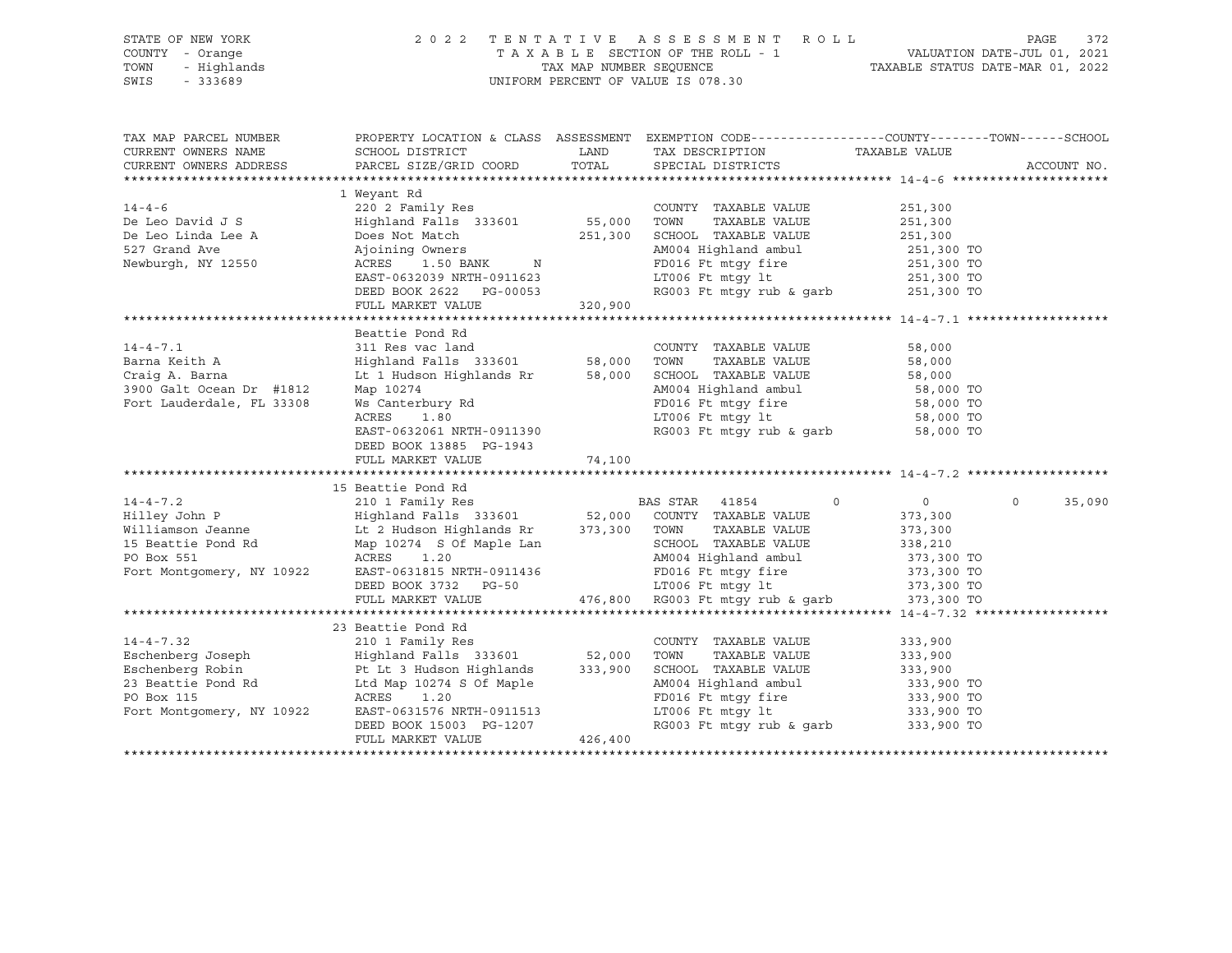| OF NEW YORK 20<br>7 - Orange 20<br>- Highlands<br>- 333689<br>STATE OF NEW YORK<br>COUNTY - Orange<br>TOWN<br>SWIS |                                                                                                                                                                                                                                                    |               | 2022 TENTATIVE ASSESSMENT ROLL<br>TAXABLE SECTION OF THE ROLL - 1<br>TAXABLE SECTION OF THE ROLL - 1<br>TAXABLE STATUS DATE-JUL 01, 2021<br>TAXABLE STATUS DATE-MAR 01, 2022<br>UNIFORM PERCENT OF VALUE IS 078.30               |                                     | PAGE<br>372 |
|--------------------------------------------------------------------------------------------------------------------|----------------------------------------------------------------------------------------------------------------------------------------------------------------------------------------------------------------------------------------------------|---------------|----------------------------------------------------------------------------------------------------------------------------------------------------------------------------------------------------------------------------------|-------------------------------------|-------------|
| TAX MAP PARCEL NUMBER<br>CURRENT OWNERS NAME<br>CURRENT OWNERS ADDRESS                                             | SCHOOL DISTRICT<br>PARCEL SIZE/GRID COORD                                                                                                                                                                                                          | LAND<br>TOTAL | PROPERTY LOCATION & CLASS ASSESSMENT EXEMPTION CODE---------------COUNTY-------TOWN------SCHOOL<br>TAX DESCRIPTION<br>SPECIAL DISTRICTS                                                                                          | TAXABLE VALUE                       | ACCOUNT NO. |
|                                                                                                                    |                                                                                                                                                                                                                                                    |               |                                                                                                                                                                                                                                  |                                     |             |
|                                                                                                                    | 1 Weyant Rd                                                                                                                                                                                                                                        |               |                                                                                                                                                                                                                                  |                                     |             |
| $14 - 4 - 6$                                                                                                       |                                                                                                                                                                                                                                                    |               | COUNTY TAXABLE VALUE                                                                                                                                                                                                             | 251,300                             |             |
| De Leo David J S                                                                                                   |                                                                                                                                                                                                                                                    |               | TAXABLE VALUE                                                                                                                                                                                                                    | 251,300                             |             |
|                                                                                                                    |                                                                                                                                                                                                                                                    |               |                                                                                                                                                                                                                                  | 251,300<br>251,300 TO               |             |
| Newburgh, NY 12550                                                                                                 | $\text{ACRES}$ $1.50 \text{ BANK}$ N<br>EAST-0632039 ND EAST                                                                                                                                                                                       |               | AM004 Highland ambul                                                                                                                                                                                                             |                                     |             |
|                                                                                                                    | EAST-0632039 NRTH-0911623                                                                                                                                                                                                                          |               | FD016 Ft mtgy fire<br>LT006 Ft mtgy lt<br>FD016 Ft mtgy fire 251,300 TO<br>LT006 Ft mtgy 1t 251,300 TO<br>RG003 Ft mtgy rub & garb 251,300 TO                                                                                    |                                     |             |
|                                                                                                                    | DEED BOOK 2622 PG-00053                                                                                                                                                                                                                            |               |                                                                                                                                                                                                                                  |                                     |             |
|                                                                                                                    | FULL MARKET VALUE                                                                                                                                                                                                                                  | 320,900       |                                                                                                                                                                                                                                  |                                     |             |
|                                                                                                                    |                                                                                                                                                                                                                                                    |               |                                                                                                                                                                                                                                  |                                     |             |
|                                                                                                                    | Beattie Pond Rd                                                                                                                                                                                                                                    |               |                                                                                                                                                                                                                                  |                                     |             |
| $14 - 4 - 7.1$                                                                                                     | 311 Res vac land                                                                                                                                                                                                                                   |               | COUNTY TAXABLE VALUE                                                                                                                                                                                                             | 58,000                              |             |
| Barna Keith A                                                                                                      |                                                                                                                                                                                                                                                    |               |                                                                                                                                                                                                                                  |                                     |             |
|                                                                                                                    |                                                                                                                                                                                                                                                    |               | Highland Falls 333601 58,000 TOWN TAXABLE VALUE<br>Lt 1 Hudson Highlands Rr 58,000 SCHOOL TAXABLE VALUE                                                                                                                          |                                     |             |
| Craig A. Barna<br>3900 Galt Ocean Dr #1812<br>2010 FL 33308                                                        | Map 10274                                                                                                                                                                                                                                          |               | TOWN TAXABLE VALUE 58,000<br>SCHOOL TAXABLE VALUE 58,000<br>AM004 Highland ambul 58,000 TO<br>FD016 Ft mtgy fire 58,000 TO<br>58,000 TO                                                                                          |                                     |             |
| Fort Lauderdale, FL 33308                                                                                          |                                                                                                                                                                                                                                                    |               |                                                                                                                                                                                                                                  |                                     |             |
|                                                                                                                    | Ws Canterbury Rd<br>ACRES 1.80                                                                                                                                                                                                                     |               | LT006 Ft mtgy lt                                                                                                                                                                                                                 | 58,000 TO                           |             |
|                                                                                                                    | EAST-0632061 NRTH-0911390                                                                                                                                                                                                                          |               | RG003 Ft mtgy rub & garb 58,000 TO                                                                                                                                                                                               |                                     |             |
|                                                                                                                    | DEED BOOK 13885 PG-1943                                                                                                                                                                                                                            |               |                                                                                                                                                                                                                                  |                                     |             |
|                                                                                                                    | FULL MARKET VALUE                                                                                                                                                                                                                                  | 74,100        |                                                                                                                                                                                                                                  |                                     |             |
|                                                                                                                    |                                                                                                                                                                                                                                                    |               |                                                                                                                                                                                                                                  |                                     |             |
|                                                                                                                    | 4-4-7.2<br>2001 Family Res<br>Hilley John P<br>2001 Family Res<br>Highland Falls 333601<br>2101 Family Res<br>2101 Family Res<br>2101 Family Res<br>22 Highland Falls 333601<br>22 Highland Falls 333601<br>22 Highland Falls 373,300 TOWN TAXABLE |               |                                                                                                                                                                                                                                  |                                     |             |
|                                                                                                                    |                                                                                                                                                                                                                                                    |               |                                                                                                                                                                                                                                  | $\overline{0}$<br>$0 \qquad \qquad$ | 35,090      |
|                                                                                                                    |                                                                                                                                                                                                                                                    |               |                                                                                                                                                                                                                                  | 373,300                             |             |
|                                                                                                                    |                                                                                                                                                                                                                                                    |               |                                                                                                                                                                                                                                  | 373,300<br>373,300                  |             |
|                                                                                                                    |                                                                                                                                                                                                                                                    |               |                                                                                                                                                                                                                                  | 338,210                             |             |
|                                                                                                                    |                                                                                                                                                                                                                                                    |               |                                                                                                                                                                                                                                  |                                     |             |
|                                                                                                                    |                                                                                                                                                                                                                                                    |               | SCHOOL TAXABLE VALUE<br>AM004 Highland ambul 373,300 TO<br>FD016 Ft mtgy fire 373,300 TO<br>LT006 Ft mtgy 1t 373,300 TO<br>RG003 Ft mtgy rub & garb 373,300 TO<br>AM004 Highland ambul<br>FD016 Ft mtgy fire<br>LT006 Ft mtgy lt |                                     |             |
|                                                                                                                    |                                                                                                                                                                                                                                                    |               |                                                                                                                                                                                                                                  |                                     |             |
|                                                                                                                    | FULL MARKET VALUE                                                                                                                                                                                                                                  |               | 476,800 RG003 Ft mtgy rub & garb                                                                                                                                                                                                 |                                     |             |
|                                                                                                                    |                                                                                                                                                                                                                                                    |               |                                                                                                                                                                                                                                  |                                     |             |
|                                                                                                                    | 23 Beattie Pond Rd                                                                                                                                                                                                                                 |               |                                                                                                                                                                                                                                  |                                     |             |
| $14 - 4 - 7.32$                                                                                                    | 210 1 Family Res                                                                                                                                                                                                                                   |               | COUNTY TAXABLE VALUE                                                                                                                                                                                                             | 333,900                             |             |
|                                                                                                                    | Eschenberg Joseph Eschenberg Robin<br>Eschenberg Robin<br>23 Beattie Pond Rd Ltd Map 10274 S Of Maple 23 Beattie Pond Rd Ltd Map 10274 S Of Maple 23 Beattie Pond Rd                                                                               |               | TAXABLE VALUE                                                                                                                                                                                                                    | 333,900                             |             |
|                                                                                                                    |                                                                                                                                                                                                                                                    |               | SCHOOL TAXABLE VALUE                                                                                                                                                                                                             | 333,900                             |             |
|                                                                                                                    |                                                                                                                                                                                                                                                    |               |                                                                                                                                                                                                                                  |                                     |             |
| PO Box 115                                                                                                         | ACRES 1.20                                                                                                                                                                                                                                         |               |                                                                                                                                                                                                                                  |                                     |             |
| Fort Montgomery, NY 10922                                                                                          | EAST-0631576 NRTH-0911513                                                                                                                                                                                                                          |               |                                                                                                                                                                                                                                  |                                     |             |
|                                                                                                                    | DEED BOOK 15003 PG-1207                                                                                                                                                                                                                            |               | SCHOOL TAXABLE VALUE 333,900<br>AM004 Highland ambul 333,900 TO<br>FD016 Ft mtgy fire 333,900 TO<br>LT006 Ft mtgy lt 333,900 TO<br>RG003 Ft mtgy rub & garb 333,900 TO                                                           |                                     |             |
|                                                                                                                    | FULL MARKET VALUE                                                                                                                                                                                                                                  | 426,400       |                                                                                                                                                                                                                                  |                                     |             |
|                                                                                                                    |                                                                                                                                                                                                                                                    |               |                                                                                                                                                                                                                                  |                                     |             |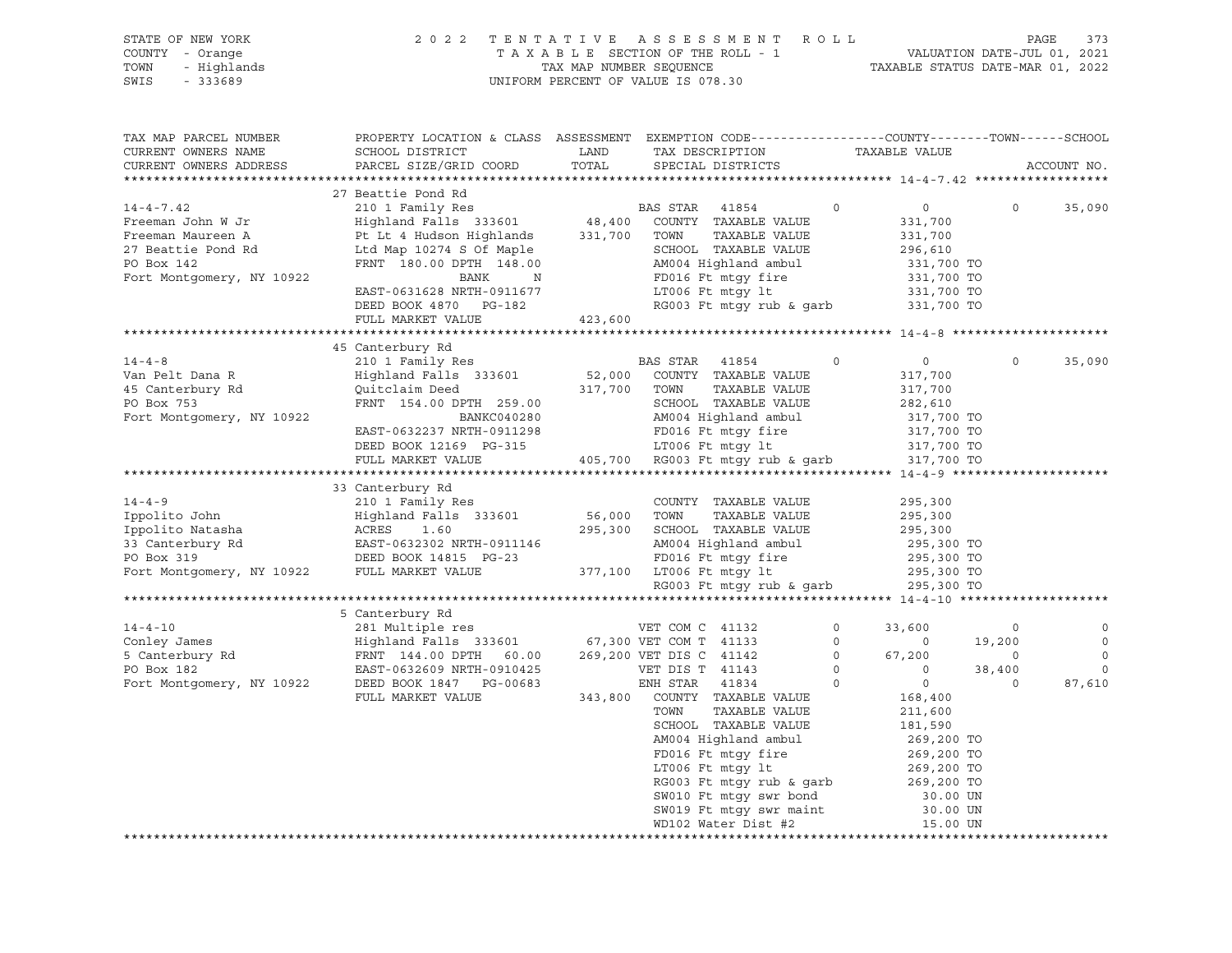|                 | STATE OF NEW YORK | 2022 TENTATIVE ASSESSMENT ROLL     |  |  |                                  | PAGE 373 |  |
|-----------------|-------------------|------------------------------------|--|--|----------------------------------|----------|--|
| COUNTY - Orange |                   | TAXABLE SECTION OF THE ROLL - 1    |  |  | VALUATION DATE-JUL 01, 2021      |          |  |
|                 | TOWN - Highlands  | TAX MAP NUMBER SEOUENCE            |  |  | TAXABLE STATUS DATE-MAR 01, 2022 |          |  |
| SWIS            | - 333689          | UNIFORM PERCENT OF VALUE IS 078.30 |  |  |                                  |          |  |
|                 |                   |                                    |  |  |                                  |          |  |
|                 |                   |                                    |  |  |                                  |          |  |

| TAX MAP PARCEL NUMBER                         | PROPERTY LOCATION & CLASS ASSESSMENT EXEMPTION CODE---------------COUNTY-------TOWN-----SCHOOL                                                                                                                                                       |         |                                                                                                                                                                                                                                                                |               |                        |          |                |
|-----------------------------------------------|------------------------------------------------------------------------------------------------------------------------------------------------------------------------------------------------------------------------------------------------------|---------|----------------------------------------------------------------------------------------------------------------------------------------------------------------------------------------------------------------------------------------------------------------|---------------|------------------------|----------|----------------|
| CURRENT OWNERS NAME                           | SCHOOL DISTRICT                                                                                                                                                                                                                                      | LAND    | TAX DESCRIPTION                                                                                                                                                                                                                                                | TAXABLE VALUE |                        |          |                |
| CURRENT OWNERS ADDRESS PARCEL SIZE/GRID COORD |                                                                                                                                                                                                                                                      | TOTAL   | SPECIAL DISTRICTS                                                                                                                                                                                                                                              |               |                        |          | ACCOUNT NO.    |
|                                               |                                                                                                                                                                                                                                                      |         |                                                                                                                                                                                                                                                                |               |                        |          |                |
|                                               | 27 Beattie Pond Rd                                                                                                                                                                                                                                   |         |                                                                                                                                                                                                                                                                |               |                        |          |                |
| $14 - 4 - 7.42$                               |                                                                                                                                                                                                                                                      |         |                                                                                                                                                                                                                                                                | $\circ$       | $0 \qquad \qquad$      | $\Omega$ | 35,090         |
| Freeman John W Jr                             |                                                                                                                                                                                                                                                      |         |                                                                                                                                                                                                                                                                |               | $331,700$<br>$331,700$ |          |                |
| Freeman Maureen A                             |                                                                                                                                                                                                                                                      |         | TAXABLE VALUE                                                                                                                                                                                                                                                  |               |                        |          |                |
| 27 Beattie Pond Rd                            |                                                                                                                                                                                                                                                      |         | SCHOOL TAXABLE VALUE 296,610                                                                                                                                                                                                                                   |               |                        |          |                |
| PO Box 142                                    | Ft Ht 4 Humbon Argentinian<br>Ltd Map 10274 S Of Maple<br>FRNT 180.00 DPTH 148.00                                                                                                                                                                    |         | AM004 Highland ambul 331,700 TO<br>FD016 Ft mtgy fire 331,700 TO<br>LT006 Ft mtgy lt 331,700 TO                                                                                                                                                                |               |                        |          |                |
| Fort Montgomery, NY 10922                     |                                                                                                                                                                                                                                                      |         |                                                                                                                                                                                                                                                                |               |                        |          |                |
|                                               |                                                                                                                                                                                                                                                      |         |                                                                                                                                                                                                                                                                |               |                        |          |                |
|                                               | BANK N<br>EAST-0631628 NRTH-0911677 FD016 Ft mtgy fire 331,700 TO<br>DEED BOOK 4870 PG-182 RG003 Ft mtgy rub & garb 331,700 TO<br>FUIL MARKER WALKER WALKER WALKER                                                                                   |         |                                                                                                                                                                                                                                                                |               |                        |          |                |
|                                               | FULL MARKET VALUE                                                                                                                                                                                                                                    | 423,600 |                                                                                                                                                                                                                                                                |               |                        |          |                |
|                                               |                                                                                                                                                                                                                                                      |         |                                                                                                                                                                                                                                                                |               |                        |          |                |
|                                               | 45 Canterbury Rd                                                                                                                                                                                                                                     |         |                                                                                                                                                                                                                                                                |               |                        |          |                |
| $14 - 4 - 8$                                  |                                                                                                                                                                                                                                                      |         |                                                                                                                                                                                                                                                                | $\circ$       | $\overline{0}$         | $\Omega$ | 35,090         |
| Van Pelt Dana R                               | 210 1 Family Res<br>Highland Falls 333601 52,000 COUNTY TAXABLE VALUE                                                                                                                                                                                |         |                                                                                                                                                                                                                                                                |               | 317,700                |          |                |
|                                               | Eighland Falls 333001<br>Quitclaim Deed 317,700 TOWN<br>FRNT 154.00 DPTH 259.00 SCHOOL<br>RAM004 H:                                                                                                                                                  |         |                                                                                                                                                                                                                                                                |               |                        |          |                |
| 45 Canterbury Rd<br>PO Box 753                |                                                                                                                                                                                                                                                      |         | TOWN      TAXABLE VALUE<br>SCHOOL   TAXABLE VALUE                                                                                                                                                                                                              |               | 317,700<br>282,610     |          |                |
| Fort Montgomery, NY 10922                     |                                                                                                                                                                                                                                                      |         |                                                                                                                                                                                                                                                                |               |                        |          |                |
|                                               | EAST-0632237 NRTH-0911298                                                                                                                                                                                                                            |         |                                                                                                                                                                                                                                                                |               |                        |          |                |
|                                               | DEED BOOK 12169 PG-315                                                                                                                                                                                                                               |         |                                                                                                                                                                                                                                                                |               |                        |          |                |
|                                               | FULL MARKET VALUE                                                                                                                                                                                                                                    |         | 0911298 MM004 Highland ambul 317,700 TO<br>0911298 FD016 Ft mtgy fire 317,700 TO<br>3-315 LT006 Ft mtgy lt 317,700 TO<br>405,700 RG003 Ft mtgy rub & garb 317,700 TO                                                                                           |               |                        |          |                |
|                                               |                                                                                                                                                                                                                                                      |         |                                                                                                                                                                                                                                                                |               |                        |          |                |
|                                               |                                                                                                                                                                                                                                                      |         |                                                                                                                                                                                                                                                                |               |                        |          |                |
|                                               |                                                                                                                                                                                                                                                      |         |                                                                                                                                                                                                                                                                |               |                        |          |                |
|                                               |                                                                                                                                                                                                                                                      |         |                                                                                                                                                                                                                                                                |               |                        |          |                |
|                                               |                                                                                                                                                                                                                                                      |         |                                                                                                                                                                                                                                                                |               |                        |          |                |
|                                               |                                                                                                                                                                                                                                                      |         |                                                                                                                                                                                                                                                                |               |                        |          |                |
|                                               |                                                                                                                                                                                                                                                      |         |                                                                                                                                                                                                                                                                |               |                        |          |                |
|                                               |                                                                                                                                                                                                                                                      |         |                                                                                                                                                                                                                                                                |               |                        |          |                |
|                                               |                                                                                                                                                                                                                                                      |         |                                                                                                                                                                                                                                                                |               |                        |          |                |
|                                               | 33 Canterbury Rd<br>14-4-9 210 1 Family Res<br>Ippolito John Highland Falls 333601 56,000 TOWN TAXABLE VALUE<br>295,300<br>Ippolito Natasha ACRES 1.60 295,300 SCHOOL TAXABLE VALUE 295,300<br>33 Canterbury Rd<br>295,300 2008 Ft mtgy Lu           |         |                                                                                                                                                                                                                                                                |               |                        |          |                |
|                                               |                                                                                                                                                                                                                                                      |         |                                                                                                                                                                                                                                                                |               |                        |          |                |
|                                               | 5 Canterbury Rd                                                                                                                                                                                                                                      |         |                                                                                                                                                                                                                                                                |               |                        |          |                |
|                                               |                                                                                                                                                                                                                                                      |         |                                                                                                                                                                                                                                                                |               |                        |          | $\circ$        |
|                                               |                                                                                                                                                                                                                                                      |         |                                                                                                                                                                                                                                                                |               |                        |          | $\overline{0}$ |
|                                               |                                                                                                                                                                                                                                                      |         |                                                                                                                                                                                                                                                                |               |                        |          | $\overline{0}$ |
|                                               |                                                                                                                                                                                                                                                      |         |                                                                                                                                                                                                                                                                |               |                        |          | $\Omega$       |
|                                               | 14-4-10<br>Conley James<br>Conley James<br>Sumatriple res<br>Exactly Rd<br>FRNT 144.00 DPTH 60.00<br>FRNT 144.00 DPTH 60.00<br>269,200 VET COM T 41133<br>267,300 VET COM T 41133<br>267,300 VET COM T 41133<br>269,200 VET DIS C 41142<br>269,200 V |         |                                                                                                                                                                                                                                                                |               |                        |          | 87,610         |
|                                               |                                                                                                                                                                                                                                                      |         |                                                                                                                                                                                                                                                                |               |                        |          |                |
|                                               |                                                                                                                                                                                                                                                      |         | TOWN      TAXABLE VALUE<br>SCHOOL   TAXABLE VALUE                                                                                                                                                                                                              |               |                        |          |                |
|                                               |                                                                                                                                                                                                                                                      |         |                                                                                                                                                                                                                                                                |               | 181,590                |          |                |
|                                               |                                                                                                                                                                                                                                                      |         |                                                                                                                                                                                                                                                                |               |                        |          |                |
|                                               |                                                                                                                                                                                                                                                      |         |                                                                                                                                                                                                                                                                |               |                        |          |                |
|                                               |                                                                                                                                                                                                                                                      |         |                                                                                                                                                                                                                                                                |               |                        |          |                |
|                                               |                                                                                                                                                                                                                                                      |         |                                                                                                                                                                                                                                                                |               |                        |          |                |
|                                               |                                                                                                                                                                                                                                                      |         |                                                                                                                                                                                                                                                                |               |                        |          |                |
|                                               |                                                                                                                                                                                                                                                      |         |                                                                                                                                                                                                                                                                |               |                        |          |                |
|                                               |                                                                                                                                                                                                                                                      |         | 269,200 TO<br>269,200 TO<br>269,200 TO<br>269,200 TO<br>269,200 TO<br>269,200 TO<br>269,200 TO<br>269,200 TO<br>RG003 Ft mtgy rub & garb<br>269,200 TO<br>30.00 UN<br>SW010 Ft mtgy swr maint<br>30.00 UN<br>269,200 TO<br>269,200 TO<br>30.00 UN<br>269,200 T |               |                        |          |                |
|                                               |                                                                                                                                                                                                                                                      |         |                                                                                                                                                                                                                                                                |               |                        |          |                |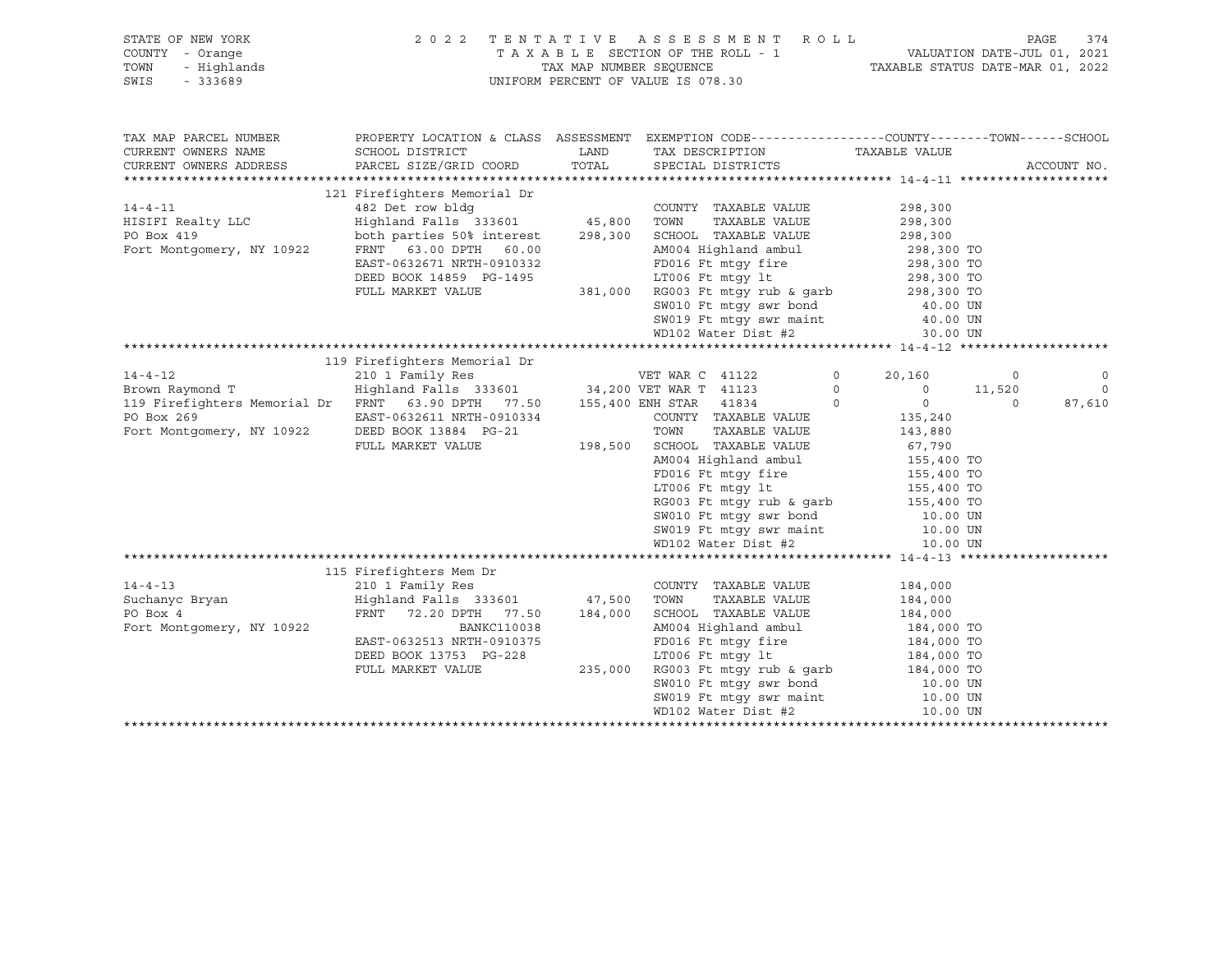| STATE OF NEW YORK                                                                                                                                                                                                                                                                                                                                                                                                                                             |                                                                                         |      |                                                                                                                                                                                                                                                      |         |  |             |
|---------------------------------------------------------------------------------------------------------------------------------------------------------------------------------------------------------------------------------------------------------------------------------------------------------------------------------------------------------------------------------------------------------------------------------------------------------------|-----------------------------------------------------------------------------------------|------|------------------------------------------------------------------------------------------------------------------------------------------------------------------------------------------------------------------------------------------------------|---------|--|-------------|
|                                                                                                                                                                                                                                                                                                                                                                                                                                                               |                                                                                         |      |                                                                                                                                                                                                                                                      |         |  |             |
|                                                                                                                                                                                                                                                                                                                                                                                                                                                               |                                                                                         |      | 2022 TENTATIVE ASSESSMENT ROLL PAGE 374<br>TAXABLE SECTION OF THE ROLL - 1 VALUATION DATE-JUL 01, 2021<br>TAX MAP NUMBER SEQUENCE TAXABLE STATUS DATE-MAR 01, 2022                                                                                   |         |  |             |
| STATE OF NEW YORK<br>COUNTY - Orange<br>TOWN - Highlands<br>SWIS - 333689                                                                                                                                                                                                                                                                                                                                                                                     |                                                                                         |      | UNIFORM PERCENT OF VALUE IS 078.30                                                                                                                                                                                                                   |         |  |             |
|                                                                                                                                                                                                                                                                                                                                                                                                                                                               |                                                                                         |      |                                                                                                                                                                                                                                                      |         |  |             |
|                                                                                                                                                                                                                                                                                                                                                                                                                                                               |                                                                                         |      |                                                                                                                                                                                                                                                      |         |  |             |
|                                                                                                                                                                                                                                                                                                                                                                                                                                                               |                                                                                         |      |                                                                                                                                                                                                                                                      |         |  |             |
| TAX MAP PARCEL NUMBER                                                                                                                                                                                                                                                                                                                                                                                                                                         |                                                                                         |      | PROPERTY LOCATION & CLASS ASSESSMENT EXEMPTION CODE----------------COUNTY-------TOWN------SCHOOL                                                                                                                                                     |         |  |             |
| CURRENT OWNERS NAME                                                                                                                                                                                                                                                                                                                                                                                                                                           | SCHOOL DISTRICT                                                                         | LAND |                                                                                                                                                                                                                                                      |         |  |             |
|                                                                                                                                                                                                                                                                                                                                                                                                                                                               | PARCEL SIZE/GRID COORD                                                                  |      | LAND TAX DESCRIPTION TAXABLE VALUE TOTAL SPECIAL DISTRICTS                                                                                                                                                                                           |         |  |             |
| CURRENT OWNERS ADDRESS                                                                                                                                                                                                                                                                                                                                                                                                                                        |                                                                                         |      |                                                                                                                                                                                                                                                      |         |  | ACCOUNT NO. |
| $\begin{tabular}{l c c c c} \hline \texttt{CURRENT} & \texttt{OWINERS} & \texttt{ADDRESS} & \texttt{111} & \texttt{121 Friedights} & \texttt{212} & \texttt{Firefights} & \texttt{Memorial Dr} & \texttt{COUNITY} & \texttt{TAXABLE VALUE} & \texttt{298, 300} \\ \hline \texttt{HISIFT} & \texttt{Realty LLC} & \texttt{Highland Falls} & \texttt{333601} & \texttt{45, 800} & \texttt{TONNY} & \texttt{TAXABLE VALUE} & \texttt{298, 300} \\ \texttt{FOBox$ |                                                                                         |      |                                                                                                                                                                                                                                                      |         |  |             |
|                                                                                                                                                                                                                                                                                                                                                                                                                                                               |                                                                                         |      |                                                                                                                                                                                                                                                      |         |  |             |
|                                                                                                                                                                                                                                                                                                                                                                                                                                                               |                                                                                         |      |                                                                                                                                                                                                                                                      |         |  |             |
|                                                                                                                                                                                                                                                                                                                                                                                                                                                               |                                                                                         |      |                                                                                                                                                                                                                                                      |         |  |             |
|                                                                                                                                                                                                                                                                                                                                                                                                                                                               |                                                                                         |      |                                                                                                                                                                                                                                                      |         |  |             |
|                                                                                                                                                                                                                                                                                                                                                                                                                                                               |                                                                                         |      |                                                                                                                                                                                                                                                      |         |  |             |
|                                                                                                                                                                                                                                                                                                                                                                                                                                                               |                                                                                         |      |                                                                                                                                                                                                                                                      |         |  |             |
|                                                                                                                                                                                                                                                                                                                                                                                                                                                               |                                                                                         |      |                                                                                                                                                                                                                                                      |         |  |             |
|                                                                                                                                                                                                                                                                                                                                                                                                                                                               |                                                                                         |      |                                                                                                                                                                                                                                                      |         |  |             |
|                                                                                                                                                                                                                                                                                                                                                                                                                                                               |                                                                                         |      |                                                                                                                                                                                                                                                      |         |  |             |
|                                                                                                                                                                                                                                                                                                                                                                                                                                                               |                                                                                         |      |                                                                                                                                                                                                                                                      |         |  |             |
|                                                                                                                                                                                                                                                                                                                                                                                                                                                               |                                                                                         |      | SW019 Ft mtgy swr maint 40.00 UN<br>WD102 Water Dist #2 30.00 UN                                                                                                                                                                                     |         |  |             |
|                                                                                                                                                                                                                                                                                                                                                                                                                                                               |                                                                                         |      |                                                                                                                                                                                                                                                      |         |  |             |
|                                                                                                                                                                                                                                                                                                                                                                                                                                                               |                                                                                         |      |                                                                                                                                                                                                                                                      |         |  |             |
|                                                                                                                                                                                                                                                                                                                                                                                                                                                               |                                                                                         |      |                                                                                                                                                                                                                                                      |         |  |             |
|                                                                                                                                                                                                                                                                                                                                                                                                                                                               |                                                                                         |      |                                                                                                                                                                                                                                                      |         |  |             |
|                                                                                                                                                                                                                                                                                                                                                                                                                                                               |                                                                                         |      |                                                                                                                                                                                                                                                      |         |  |             |
|                                                                                                                                                                                                                                                                                                                                                                                                                                                               |                                                                                         |      |                                                                                                                                                                                                                                                      |         |  |             |
|                                                                                                                                                                                                                                                                                                                                                                                                                                                               |                                                                                         |      |                                                                                                                                                                                                                                                      |         |  |             |
|                                                                                                                                                                                                                                                                                                                                                                                                                                                               |                                                                                         |      |                                                                                                                                                                                                                                                      |         |  |             |
|                                                                                                                                                                                                                                                                                                                                                                                                                                                               |                                                                                         |      |                                                                                                                                                                                                                                                      |         |  |             |
|                                                                                                                                                                                                                                                                                                                                                                                                                                                               |                                                                                         |      |                                                                                                                                                                                                                                                      |         |  |             |
|                                                                                                                                                                                                                                                                                                                                                                                                                                                               |                                                                                         |      |                                                                                                                                                                                                                                                      |         |  |             |
|                                                                                                                                                                                                                                                                                                                                                                                                                                                               |                                                                                         |      |                                                                                                                                                                                                                                                      |         |  |             |
|                                                                                                                                                                                                                                                                                                                                                                                                                                                               |                                                                                         |      |                                                                                                                                                                                                                                                      |         |  |             |
|                                                                                                                                                                                                                                                                                                                                                                                                                                                               |                                                                                         |      |                                                                                                                                                                                                                                                      |         |  |             |
|                                                                                                                                                                                                                                                                                                                                                                                                                                                               |                                                                                         |      |                                                                                                                                                                                                                                                      |         |  |             |
| $\begin{tabular}{l c c c c c} \hline \texttt{min}} & \texttt{min} & \texttt{min} & \texttt{min} & \texttt{min} & \texttt{min} & \texttt{min} \\ \hline \texttt{14-4-12} & 119 & \texttt{Firefighters Memorial Dr} & \texttt{WET WAR C 41122} & 0 & 20,160 & 0 & 0 \\ \hline \texttt{Brown Raymond T} & \texttt{HighIland Falls 333601} & 34,200 \texttt{VET WAR T 41123} & 0 & 0 & 11,520 & 0 \\ \texttt{191} & \text$                                        |                                                                                         |      |                                                                                                                                                                                                                                                      |         |  |             |
|                                                                                                                                                                                                                                                                                                                                                                                                                                                               |                                                                                         |      |                                                                                                                                                                                                                                                      |         |  |             |
|                                                                                                                                                                                                                                                                                                                                                                                                                                                               | COUNTY (210 1 Family Res<br>Highland Falls 333601 (47,500 TOWN<br>FRNT 72.20 DPTH 77 FO |      |                                                                                                                                                                                                                                                      |         |  |             |
| $14 - 4 - 13$                                                                                                                                                                                                                                                                                                                                                                                                                                                 |                                                                                         |      | COUNTY TAXABLE VALUE 184,000                                                                                                                                                                                                                         |         |  |             |
| Suchanyc Bryan<br>PO Box 4                                                                                                                                                                                                                                                                                                                                                                                                                                    |                                                                                         |      | TAXABLE VALUE                                                                                                                                                                                                                                        | 184,000 |  |             |
| PO Box 4                                                                                                                                                                                                                                                                                                                                                                                                                                                      |                                                                                         |      | FRNT 72.20 DPTH 77.50 184,000 SCHOOL TAXABLE VALUE 184,000                                                                                                                                                                                           |         |  |             |
| Fort Montgomery, NY 10922                                                                                                                                                                                                                                                                                                                                                                                                                                     | BANKC110038                                                                             |      |                                                                                                                                                                                                                                                      |         |  |             |
|                                                                                                                                                                                                                                                                                                                                                                                                                                                               | EAST-0632513 NRTH-0910375                                                               |      |                                                                                                                                                                                                                                                      |         |  |             |
|                                                                                                                                                                                                                                                                                                                                                                                                                                                               | DEED BOOK 13753 PG-228                                                                  |      |                                                                                                                                                                                                                                                      |         |  |             |
|                                                                                                                                                                                                                                                                                                                                                                                                                                                               | FULL MARKET VALUE                                                                       |      |                                                                                                                                                                                                                                                      |         |  |             |
|                                                                                                                                                                                                                                                                                                                                                                                                                                                               |                                                                                         |      |                                                                                                                                                                                                                                                      |         |  |             |
|                                                                                                                                                                                                                                                                                                                                                                                                                                                               |                                                                                         |      |                                                                                                                                                                                                                                                      |         |  |             |
|                                                                                                                                                                                                                                                                                                                                                                                                                                                               |                                                                                         |      | 164,000<br>CC110038<br>MM004 Highland ambul<br>MM004 Highland ambul<br>FD016 Ft mtgy fire<br>LT006 Ft mtgy fire<br>235,000 RG003 Ft mtgy rub & garb<br>SW010 Ft mtgy swr bond<br>SW019 Ft mtgy swr maint<br>MD102 Water Dist #2<br>10.00 UN<br>ND102 |         |  |             |
|                                                                                                                                                                                                                                                                                                                                                                                                                                                               |                                                                                         |      |                                                                                                                                                                                                                                                      |         |  |             |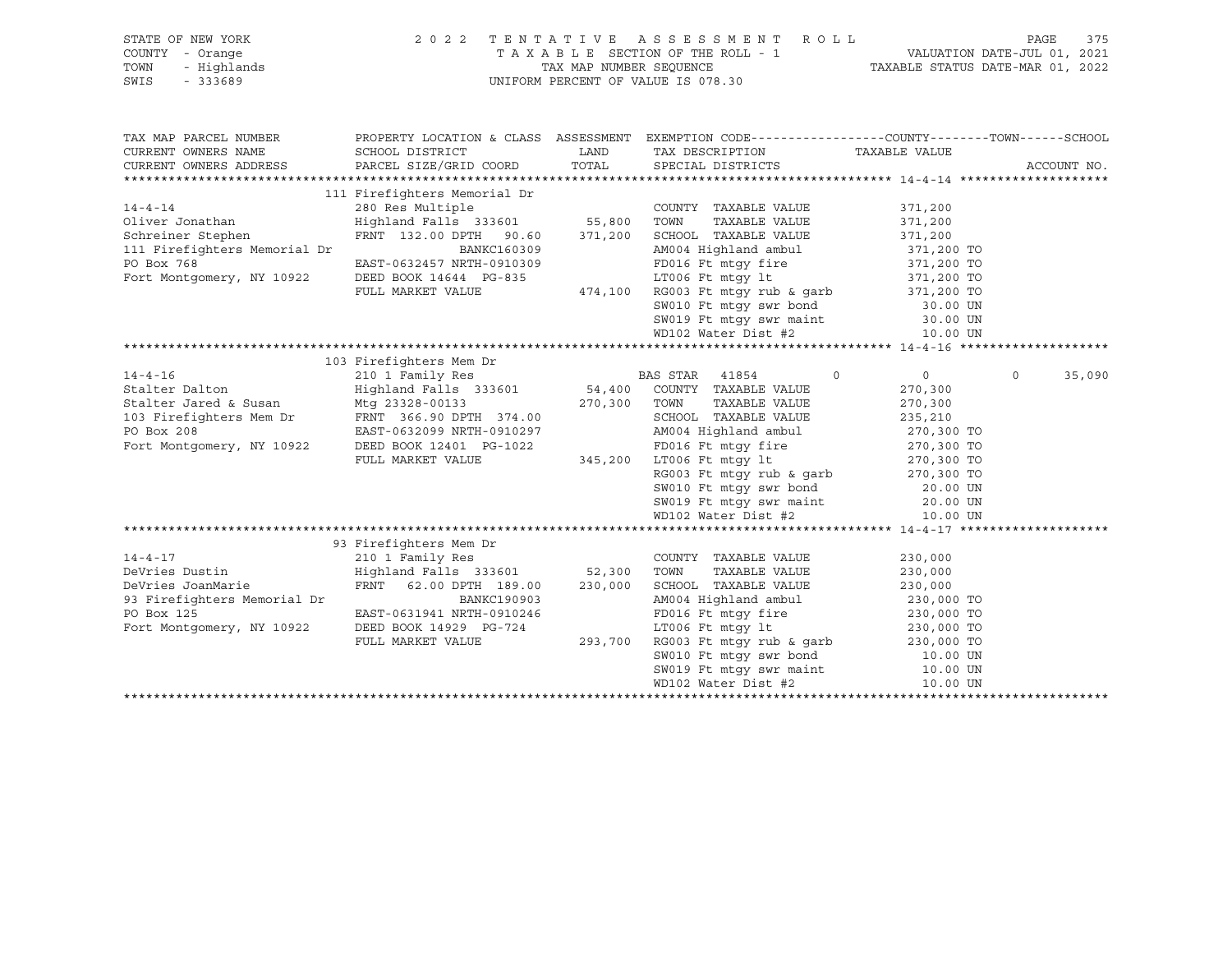| STATE OF NEW YORK                                                                                                                                                                                   |                                                                                                                                                               |      | 2022 TENTATIVE ASSESSMENT ROLL                                                                                                                                                                                                                                              |                    | 375<br>PAGE        |
|-----------------------------------------------------------------------------------------------------------------------------------------------------------------------------------------------------|---------------------------------------------------------------------------------------------------------------------------------------------------------------|------|-----------------------------------------------------------------------------------------------------------------------------------------------------------------------------------------------------------------------------------------------------------------------------|--------------------|--------------------|
| COUNTY - Orange                                                                                                                                                                                     |                                                                                                                                                               |      |                                                                                                                                                                                                                                                                             |                    |                    |
| TOWN<br>- Highlands                                                                                                                                                                                 |                                                                                                                                                               |      |                                                                                                                                                                                                                                                                             |                    |                    |
| SWIS<br>$-333689$                                                                                                                                                                                   | TAXABLE SECTION OF THE ROLL - 1 VALUATION DATE-JUL 01, 2021<br>TAX MAP NUMBER SEQUENCE TAXABLE STATUS DATE-MAR 01, 2022<br>UNIFORM PERCENT OF VALUE IS 078.30 |      |                                                                                                                                                                                                                                                                             |                    |                    |
|                                                                                                                                                                                                     |                                                                                                                                                               |      |                                                                                                                                                                                                                                                                             |                    |                    |
|                                                                                                                                                                                                     |                                                                                                                                                               |      |                                                                                                                                                                                                                                                                             |                    |                    |
|                                                                                                                                                                                                     |                                                                                                                                                               |      |                                                                                                                                                                                                                                                                             |                    |                    |
| TAX MAP PARCEL NUMBER                                                                                                                                                                               |                                                                                                                                                               |      | PROPERTY LOCATION & CLASS ASSESSMENT EXEMPTION CODE----------------COUNTY-------TOWN------SCHOOL                                                                                                                                                                            |                    |                    |
|                                                                                                                                                                                                     |                                                                                                                                                               |      |                                                                                                                                                                                                                                                                             |                    |                    |
| CURRENT OWNERS NAME                                                                                                                                                                                 | SCHOOL DISTRICT                                                                                                                                               | LAND | TAX DESCRIPTION TAXABLE VALUE<br>LAND TAX DESCRIPTION<br>TOTAL SPECIAL DISTRICTS                                                                                                                                                                                            |                    |                    |
| CURRENT OWNERS ADDRESS                                                                                                                                                                              | PARCEL SIZE/GRID COORD                                                                                                                                        |      |                                                                                                                                                                                                                                                                             |                    | ACCOUNT NO.        |
|                                                                                                                                                                                                     |                                                                                                                                                               |      |                                                                                                                                                                                                                                                                             |                    |                    |
|                                                                                                                                                                                                     |                                                                                                                                                               |      |                                                                                                                                                                                                                                                                             |                    |                    |
| $14 - 4 - 14$                                                                                                                                                                                       |                                                                                                                                                               |      |                                                                                                                                                                                                                                                                             | 371,200            |                    |
| Oliver Jonathan<br>Schreiner Stephen                                                                                                                                                                |                                                                                                                                                               |      |                                                                                                                                                                                                                                                                             | 371,200            |                    |
|                                                                                                                                                                                                     |                                                                                                                                                               |      | 371,200 SCHOOL TAXABLE VALUE                                                                                                                                                                                                                                                | 371,200            |                    |
| 111 Firefighters Memorial Dr                                                                                                                                                                        | BANKC160309<br>------ 2212209                                                                                                                                 |      |                                                                                                                                                                                                                                                                             |                    |                    |
| PO Box 768                                                                                                                                                                                          | EAST-0632457 NRTH-0910309                                                                                                                                     |      | AM004 Highland ambul 371,200 TO<br>FD016 Ft mtgy fire 371,200 TO                                                                                                                                                                                                            |                    |                    |
| Fort Montgomery, NY 10922                                                                                                                                                                           |                                                                                                                                                               |      |                                                                                                                                                                                                                                                                             |                    |                    |
|                                                                                                                                                                                                     |                                                                                                                                                               |      | DEED BOOK 14644 PG-835<br>FULL MARKET VALUE 474,100 RG003 Ft mtgy rub & garb<br>474,100 RG003 Ft mtgy rub & garb<br>571,200 TO<br>371,200 TO<br>371,200 TO<br>371,200 TO<br>371,200 TO                                                                                      |                    |                    |
|                                                                                                                                                                                                     |                                                                                                                                                               |      |                                                                                                                                                                                                                                                                             |                    |                    |
|                                                                                                                                                                                                     |                                                                                                                                                               |      |                                                                                                                                                                                                                                                                             | 30.00 UN           |                    |
|                                                                                                                                                                                                     |                                                                                                                                                               |      | SW019 Ft mtgy swr maint<br>WD102 Water Dist #2                                                                                                                                                                                                                              | 10.00 UN           |                    |
|                                                                                                                                                                                                     |                                                                                                                                                               |      |                                                                                                                                                                                                                                                                             |                    |                    |
|                                                                                                                                                                                                     |                                                                                                                                                               |      |                                                                                                                                                                                                                                                                             |                    |                    |
|                                                                                                                                                                                                     | 103 Firefighters Mem Dr                                                                                                                                       |      |                                                                                                                                                                                                                                                                             |                    |                    |
| $14 - 4 - 16$                                                                                                                                                                                       | 210 1 Family Res                                                                                                                                              |      | BAS STAR 41854<br>54,400 COUNTY TAXABLE VALUE<br>$\circ$                                                                                                                                                                                                                    | $\overline{0}$     | $\Omega$<br>35,090 |
| Stalter Dalton                                                                                                                                                                                      | Highland Falls 333601                                                                                                                                         |      |                                                                                                                                                                                                                                                                             | 270,300            |                    |
|                                                                                                                                                                                                     |                                                                                                                                                               |      | 270,300 TOWN<br>TAXABLE VALUE                                                                                                                                                                                                                                               | 270,300            |                    |
|                                                                                                                                                                                                     |                                                                                                                                                               |      | SCHOOL TAXABLE VALUE                                                                                                                                                                                                                                                        | 235,210            |                    |
|                                                                                                                                                                                                     |                                                                                                                                                               |      |                                                                                                                                                                                                                                                                             |                    |                    |
| Stalter Jarcon<br>Stalter Jared & Susan<br>103 Firefighters Mem Dr<br>PRNT 366.90 DPTH 374.00<br>PO Box 208<br>FAST-0632099 NRTH-0910297<br>Fort Montgomery, NY 10922<br>DEED BOOK 12401<br>PG-1022 |                                                                                                                                                               |      | 1.441 2007/2007 12401 12401 270,300 1004 Highland ambul<br>DEED BOOK 12401 PG-1022 2007 270,300 FOUL MARKET VALUE 345,200 LT006 Ft mtgy 1t 270,300 TO                                                                                                                       |                    |                    |
|                                                                                                                                                                                                     |                                                                                                                                                               |      |                                                                                                                                                                                                                                                                             |                    |                    |
|                                                                                                                                                                                                     |                                                                                                                                                               |      |                                                                                                                                                                                                                                                                             |                    |                    |
|                                                                                                                                                                                                     |                                                                                                                                                               |      |                                                                                                                                                                                                                                                                             |                    |                    |
|                                                                                                                                                                                                     |                                                                                                                                                               |      |                                                                                                                                                                                                                                                                             |                    |                    |
|                                                                                                                                                                                                     |                                                                                                                                                               |      | RG003 Ft mtgy rub & garb<br>SW010 Ft mtgy swr bond<br>SW019 Ft mtgy swr maint<br>20.00 UN<br>WD102 Water Dist #2<br>10.00 UN                                                                                                                                                |                    |                    |
|                                                                                                                                                                                                     |                                                                                                                                                               |      |                                                                                                                                                                                                                                                                             |                    |                    |
|                                                                                                                                                                                                     | 93 Firefighters Mem Dr                                                                                                                                        |      |                                                                                                                                                                                                                                                                             |                    |                    |
| $14 - 4 - 17$                                                                                                                                                                                       | 210 1 Family Res                                                                                                                                              |      | COUNTY TAXABLE VALUE                                                                                                                                                                                                                                                        | 230,000            |                    |
| DeVries Dustin                                                                                                                                                                                      |                                                                                                                                                               |      |                                                                                                                                                                                                                                                                             | 230,000            |                    |
| DeVries JoanMarie                                                                                                                                                                                   | Highland Falls 333601 52,300 TOWN TAXABLE VALUE<br>FRNT 62.00 DPTH 189.00 230,000 SCHOOL TAXABLE VALUE                                                        |      |                                                                                                                                                                                                                                                                             | 230,000<br>230,000 |                    |
| 93 Firefighters Memorial Dr                                                                                                                                                                         | BANKC190903                                                                                                                                                   |      |                                                                                                                                                                                                                                                                             |                    |                    |
|                                                                                                                                                                                                     |                                                                                                                                                               |      |                                                                                                                                                                                                                                                                             |                    |                    |
| PO Box 125                                                                                                                                                                                          | EAST-0631941 NRTH-0910246                                                                                                                                     |      |                                                                                                                                                                                                                                                                             |                    |                    |
| Fort Montgomery, NY 10922                                                                                                                                                                           | DEED BOOK 14929 PG-724                                                                                                                                        |      | 230,000 TO<br>230,000 TO<br>FD016 Ft mtgy fire<br>230,000 TO<br>LT006 Ft mtgy fire<br>RG003 Ft mtgy rub & garb<br>230,000 TO<br>SW010 Ft mtgy swr bond<br>210.00 UN<br>FD016 Ft mtgy fire<br>LT006 Ft mtgy 1t<br>293,700 RG003 Ft mtgy rub & garb<br>SW010 Ft mtgy swr bond |                    |                    |
|                                                                                                                                                                                                     | FULL MARKET VALUE                                                                                                                                             |      |                                                                                                                                                                                                                                                                             |                    |                    |
|                                                                                                                                                                                                     |                                                                                                                                                               |      |                                                                                                                                                                                                                                                                             |                    |                    |
|                                                                                                                                                                                                     |                                                                                                                                                               |      | $5W019$ Ft mtgy swr maint $10.00$ UN<br>WD102 Water Dist #2 $10.00$ UN                                                                                                                                                                                                      |                    |                    |
|                                                                                                                                                                                                     |                                                                                                                                                               |      | WD102 Water Dist #2                                                                                                                                                                                                                                                         | 10.00 UN           |                    |
|                                                                                                                                                                                                     |                                                                                                                                                               |      |                                                                                                                                                                                                                                                                             |                    |                    |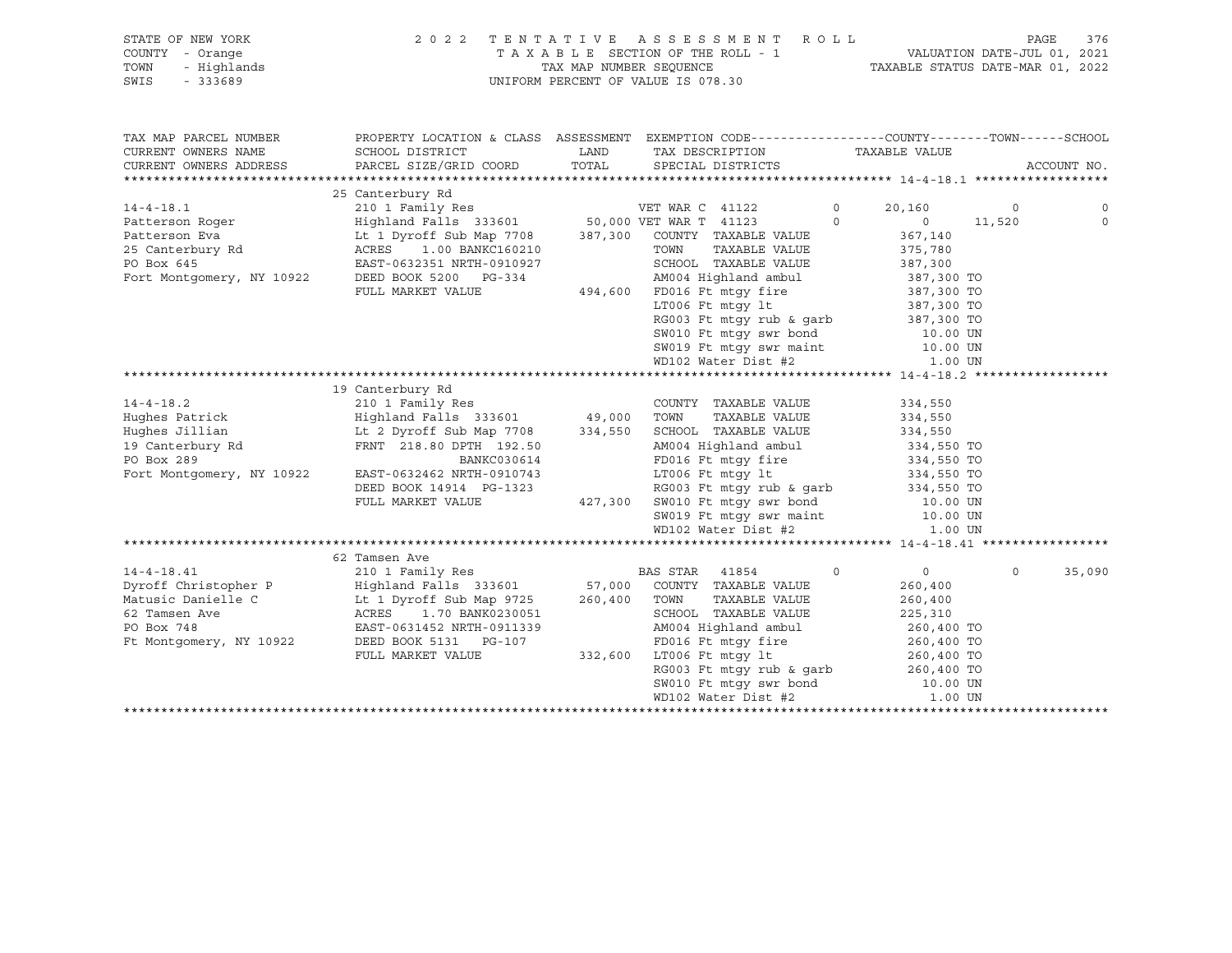|      | STATE OF NEW YORK | 2022 TENTATIVE ASSESSMENT ROLL     |                                  | PAGE 376 |  |
|------|-------------------|------------------------------------|----------------------------------|----------|--|
|      | COUNTY - Orange   | TAXABLE SECTION OF THE ROLL - 1    | VALUATION DATE-JUL 01, 2021      |          |  |
|      | TOWN - Highlands  | TAX MAP NUMBER SEOUENCE            | TAXABLE STATUS DATE-MAR 01, 2022 |          |  |
| SWIS | - 333689          | UNIFORM PERCENT OF VALUE IS 078.30 |                                  |          |  |
|      |                   |                                    |                                  |          |  |

| TAX MAP PARCEL NUMBER                           | PROPERTY LOCATION & CLASS ASSESSMENT EXEMPTION CODE---------------COUNTY-------TOWN-----SCHOOL |                                                       |                                                                                                            |          |                |         |             |
|-------------------------------------------------|------------------------------------------------------------------------------------------------|-------------------------------------------------------|------------------------------------------------------------------------------------------------------------|----------|----------------|---------|-------------|
| CURRENT OWNERS NAME                             | SCHOOL DISTRICT                                                                                | <b>EXAMPLE TO A LAND THE EXAMPLE THE SET OF STATE</b> | TAX DESCRIPTION TAXABLE VALUE                                                                              |          |                |         |             |
| CURRENT OWNERS ADDRESS                          | PARCEL SIZE/GRID COORD TOTAL SPECIAL DISTRICTS                                                 |                                                       |                                                                                                            |          |                |         | ACCOUNT NO. |
|                                                 |                                                                                                |                                                       |                                                                                                            |          |                |         |             |
|                                                 | 25 Canterbury Rd                                                                               |                                                       |                                                                                                            |          |                |         |             |
| $14 - 4 - 18.1$                                 | 210 1 Family Res                                                                               |                                                       | VET WAR C 41122                                                                                            | $\circ$  | 20,160         | $\circ$ | $\mathbf 0$ |
| Patterson Roger                                 | Highland Falls 333601 50,000 VET WAR T 41123                                                   |                                                       |                                                                                                            | $\Omega$ | $\overline{0}$ | 11,520  | $\Omega$    |
|                                                 | Lt 1 Dyroff Sub Map 7708 387,300 COUNTY TAXABLE VALUE                                          |                                                       |                                                                                                            |          | 367,140        |         |             |
| Patterson Eva<br>25 Canterbury Rd<br>28 Dem 645 | ACRES 1.00 BANKC160210                                                                         |                                                       | TAXABLE VALUE<br>TOWN                                                                                      |          | 375,780        |         |             |
| PO Box 645                                      | EAST-0632351 NRTH-0910927                                                                      |                                                       | SCHOOL TAXABLE VALUE                                                                                       |          | 387,300        |         |             |
| Fort Montgomery, NY 10922                       | DEED BOOK 5200 PG-334                                                                          |                                                       | AM004 Highland ambul 387,300 TO                                                                            |          |                |         |             |
|                                                 | FULL MARKET VALUE                                                                              |                                                       | 494,600 FD016 Ft mtgy fire 387,300 TO                                                                      |          |                |         |             |
|                                                 |                                                                                                |                                                       | LT006 Ft mtgy lt                                                                                           |          | 387,300 TO     |         |             |
|                                                 |                                                                                                |                                                       | RG003 Ft mtgy rub & garb 387,300 TO<br>SW010 Ft mtgy swr bond 10.00 UN<br>SW019 Ft mtgy swr maint 10.00 UN |          |                |         |             |
|                                                 |                                                                                                |                                                       |                                                                                                            |          |                |         |             |
|                                                 |                                                                                                |                                                       |                                                                                                            |          |                |         |             |
|                                                 |                                                                                                |                                                       | WD102 Water Dist #2                                                                                        |          | 1.00 UN        |         |             |
|                                                 |                                                                                                |                                                       |                                                                                                            |          |                |         |             |
|                                                 | 19 Canterbury Rd                                                                               |                                                       |                                                                                                            |          |                |         |             |
| $14 - 4 - 18.2$                                 | 210 1 Family Res                                                                               |                                                       | COUNTY TAXABLE VALUE                                                                                       |          | 334,550        |         |             |
| Hughes Patrick                                  | Highland Falls 333601 49,000 TOWN                                                              |                                                       | TAXABLE VALUE                                                                                              |          | 334,550        |         |             |
|                                                 | Hughes Jillian Mughes Jillian Mughes Jillian Mughes Jillian Mughes Dyroff Sub Map 7708 334,550 |                                                       | SCHOOL TAXABLE VALUE                                                                                       |          | 334,550        |         |             |
| 19 Canterbury Rd                                | FRNT 218.80 DPTH 192.50                                                                        |                                                       | AM004 Highland ambul 334,550 TO<br>FD016 Ft mtgy fire 334,550 TO<br>LT006 Ft mtgy lt 334,550 TO            |          |                |         |             |
| PO Box 289                                      | BANKC030614                                                                                    |                                                       |                                                                                                            |          |                |         |             |
| Fort Montgomery, NY 10922                       | EAST-0632462 NRTH-0910743                                                                      |                                                       |                                                                                                            |          |                |         |             |
|                                                 |                                                                                                |                                                       | RG003 Ft mtgy rub & garb 334,550 TO                                                                        |          |                |         |             |
|                                                 | FULL MARKET VALUE                                                                              |                                                       | 427,300 SW010 Ft mtgy swr bond 10.00 UN                                                                    |          |                |         |             |
|                                                 |                                                                                                |                                                       | SW019 Ft mtgy swr maint 10.00 UN<br>WD102 Water Dist #2 1.00 UN                                            |          |                |         |             |
|                                                 |                                                                                                |                                                       |                                                                                                            |          |                |         |             |
|                                                 |                                                                                                |                                                       |                                                                                                            |          |                |         |             |
|                                                 | 62 Tamsen Ave                                                                                  |                                                       |                                                                                                            |          |                |         |             |
| $14 - 4 - 18.41$                                | 210 1 Family Res                                                                               |                                                       | BAS STAR 41854                                                                                             | $\circ$  | $\overline{0}$ | $\circ$ | 35,090      |
|                                                 |                                                                                                |                                                       |                                                                                                            |          | 260,400        |         |             |
|                                                 |                                                                                                |                                                       |                                                                                                            |          | 260,400        |         |             |
|                                                 |                                                                                                |                                                       | SCHOOL TAXABLE VALUE                                                                                       |          | 225,310        |         |             |
| PO Box 748                                      | EAST-0631452 NRTH-0911339                                                                      |                                                       | AM004 Highland ambul 260,400 TO                                                                            |          |                |         |             |
| Ft Montgomery, NY 10922                         | DEED BOOK 5131 PG-107                                                                          |                                                       | FD016 Ft mtgy fire 260,400 TO                                                                              |          |                |         |             |
|                                                 | FULL MARKET VALUE                                                                              | 332,600                                               | LT006 Ft mtqy lt                                                                                           |          | 260,400 TO     |         |             |
|                                                 |                                                                                                |                                                       | LT006 Ft mtgy lt<br>RG003 Ft mtgy rub & garb                                                               |          | 260,400 TO     |         |             |
|                                                 |                                                                                                |                                                       | SW010 Ft mtgy swr bond                                                                                     |          | 10.00 UN       |         |             |
|                                                 |                                                                                                |                                                       | WD102 Water Dist #2                                                                                        |          | 1.00 UN        |         |             |
|                                                 |                                                                                                |                                                       |                                                                                                            |          |                |         |             |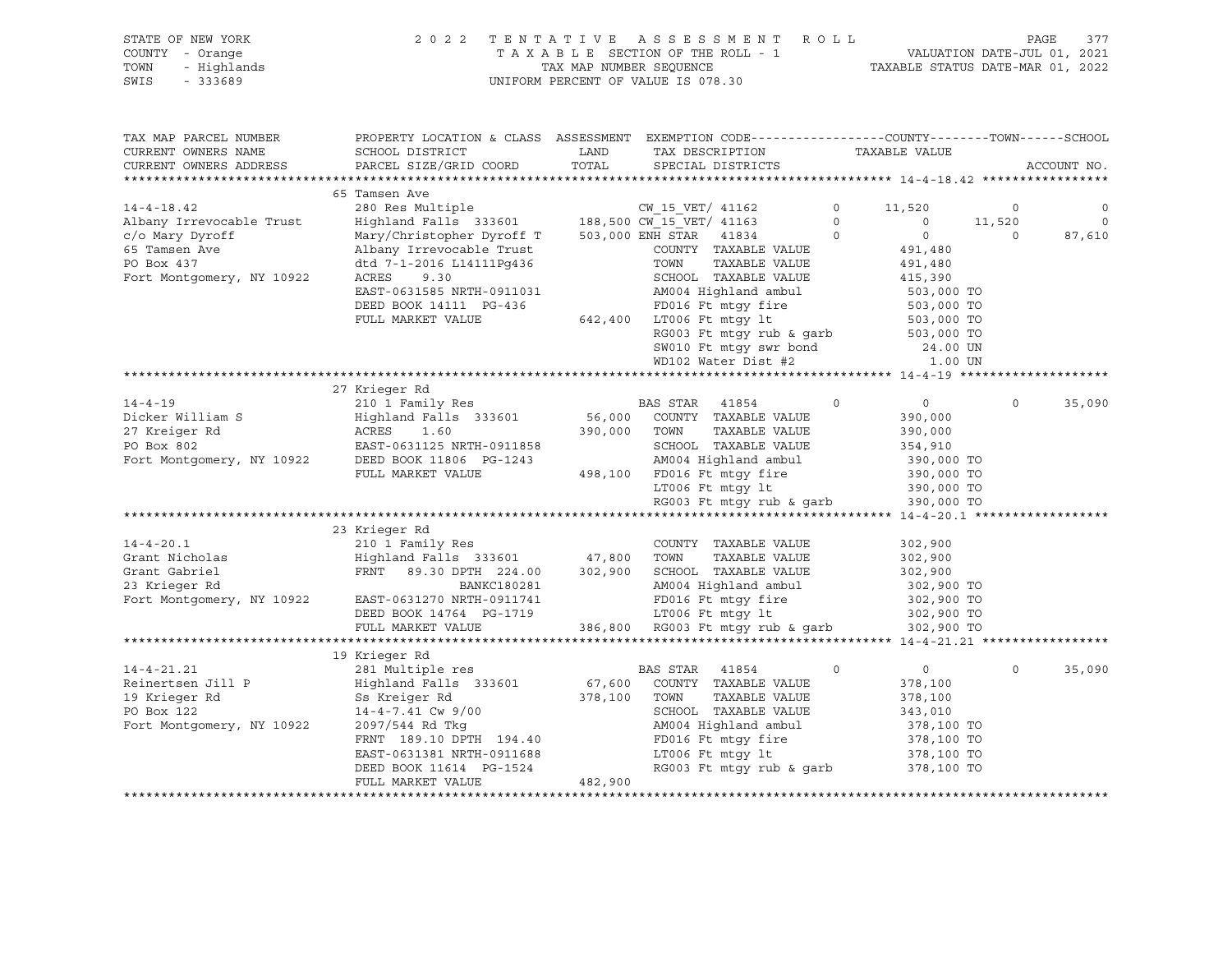| STATE OF NEW YORK | 2022 TENTATIVE ASSESSMENT ROLL     | 377<br>PAGE                      |
|-------------------|------------------------------------|----------------------------------|
| COUNTY - Orange   | TAXABLE SECTION OF THE ROLL - 1    | VALUATION DATE-JUL 01, 2021      |
| TOWN - Highlands  | TAX MAP NUMBER SEOUENCE            | TAXABLE STATUS DATE-MAR 01, 2022 |
| SWIS - 333689     | UNIFORM PERCENT OF VALUE IS 078.30 |                                  |

| <b>PAGE</b> |  |  |
|-------------|--|--|
|             |  |  |

| TAX MAP PARCEL NUMBER<br>CURRENT OWNERS NAME<br>CURRENT OWNERS ADDRESS                                                      | PROPERTY LOCATION & CLASS ASSESSMENT EXEMPTION CODE----------------COUNTY-------TOWN------SCHOOL<br>SCHOOL DISTRICT<br>PARCEL SIZE/GRID COORD                                                                                                                                                                 | LAND<br>TOTAL           | TAX DESCRIPTION<br>SPECIAL DISTRICTS                                                                                                                                                                                                                                                                                                                                                                                                                                 | TAXABLE VALUE                                                                                                                                                                         | ACCOUNT NO.                  |                                     |
|-----------------------------------------------------------------------------------------------------------------------------|---------------------------------------------------------------------------------------------------------------------------------------------------------------------------------------------------------------------------------------------------------------------------------------------------------------|-------------------------|----------------------------------------------------------------------------------------------------------------------------------------------------------------------------------------------------------------------------------------------------------------------------------------------------------------------------------------------------------------------------------------------------------------------------------------------------------------------|---------------------------------------------------------------------------------------------------------------------------------------------------------------------------------------|------------------------------|-------------------------------------|
| $14 - 4 - 18.42$<br>Albany Irrevocable Trust<br>c/o Mary Dyroff<br>65 Tamsen Ave<br>PO Box 437<br>Fort Montgomery, NY 10922 | 65 Tamsen Ave<br>280 Res Multiple CM_15_VET/ 41162<br>Highland Falls 333601 188,500 CW_15_VET/ 41163<br>Mary/Christopher Dyroff T 503,000 ENH STAR 41834<br>Albany Irrevocable Trust<br>dtd 7-1-2016 L14111Pq436<br>9.30<br>ACRES<br>EAST-0631585 NRTH-0911031<br>DEED BOOK 14111 PG-436<br>FULL MARKET VALUE |                         | COUNTY TAXABLE VALUE<br>TOWN<br>TAXABLE VALUE<br>SCHOOL TAXABLE VALUE<br>AM004 Highland ambul<br>FD016 Ft mtqy fire<br>642,400 LT006 Ft mtgy lt<br>RG003 Ft mtgy rub & garb<br>SW010 Ft mtgy swr bond<br>WD102 Water Dist #2                                                                                                                                                                                                                                         | $\circ$<br>11,520<br>$\circ$<br>$\Omega$<br>$\circ$<br>$\overline{0}$<br>491,480<br>491,480<br>415,390<br>503,000 TO<br>503,000 TO<br>503,000 TO<br>503,000 TO<br>24.00 UN<br>1.00 UN | $\circ$<br>11,520<br>$\circ$ | $\circ$<br>$\overline{0}$<br>87,610 |
| $14 - 4 - 19$<br>Dicker William S                                                                                           | 27 Krieger Rd<br>210 1 Family Res BAS STAR 41854<br>Highland Falls 333601 56,000 COUNTY TAXABLE VALUE<br>27 Kreiger Rd<br>PO Box 802 EAST-0631125 NRTH-0911858<br>Fort Montgomery, NY 10922 DEED BOOK 11806 PG-1243<br>FULL MARKET VALUE                                                                      | 390,000 TOWN            | TAXABLE VALUE<br>SCHOOL TAXABLE VALUE<br>AM004 Highland ambul<br>498,100 FD016 Ft mtqy fire                                                                                                                                                                                                                                                                                                                                                                          | $\circ$<br>$\overline{0}$<br>390,000<br>390,000<br>354,910<br>390,000 TO<br>390,000 TO                                                                                                | $\Omega$                     | 35,090                              |
| $14 - 4 - 20.1$<br>Grant Nicholas<br>Grant Gabriel<br>23 Krieger Rd<br>Fort Montgomery, NY 10922                            | 23 Krieger Rd<br>210 1 Family Res<br>Highland Falls 333601<br>FRNT<br>89.30 DPTH 224.00<br>BANKC180281<br>EAST-0631270 NRTH-0911741<br>DEED BOOK 14764 PG-1719<br>FULL MARKET VALUE                                                                                                                           |                         | $\begin{tabular}{lllllllllll} \texttt{LTO06} & \texttt{Ft} & \texttt{mtgy} & \texttt{lt} & & & & 390,000 & \texttt{TO} \\ \texttt{RG003} & \texttt{Ft} & \texttt{mtgy} & \texttt{rub} & \texttt{garb} & & & 390,000 & \texttt{TO} \end{tabular}$<br>COUNTY TAXABLE VALUE<br>47,800 TOWN<br>TAXABLE VALUE<br>302,900 SCHOOL TAXABLE VALUE<br>AM004 Highland ambul<br>FD016 Ft mtqy fire<br>LT006 Ft mtgy 1t 302,900 TO<br>386,800 RG003 Ft mtgy rub & garb 302,900 TO | 302,900<br>302,900<br>302,900<br>302,900 TO<br>302,900 TO                                                                                                                             |                              |                                     |
| $14 - 4 - 21.21$<br>Reinertsen Jill P<br>19 Krieger Rd<br>PO Box 122<br>Fort Montgomery, NY 10922                           | 19 Krieger Rd<br>281 Multiple res<br>Highland Falls 333601<br>Ss Kreiger Rd<br>$14 - 4 - 7.41$ Cw $9/00$<br>2097/544 Rd Tkq<br>FRNT 189.10 DPTH 194.40<br>EAST-0631381 NRTH-0911688<br>DEED BOOK 11614 PG-1524<br>FULL MARKET VALUE                                                                           | 378,100 TOWN<br>482,900 | BAS STAR<br>41854<br>67,600 COUNTY TAXABLE VALUE<br>TAXABLE VALUE<br>SCHOOL TAXABLE VALUE<br>AM004 Highland ambul<br>FD016 Ft mtgy fire<br>LT006 Ft mtgy lt<br>RG003 Ft mtqy rub & qarb                                                                                                                                                                                                                                                                              | $\circ$<br>$\circ$<br>378,100<br>378,100<br>343,010<br>378,100 TO<br>378,100 TO<br>378,100 TO<br>378,100 TO                                                                           | $\mathbf 0$                  | 35,090                              |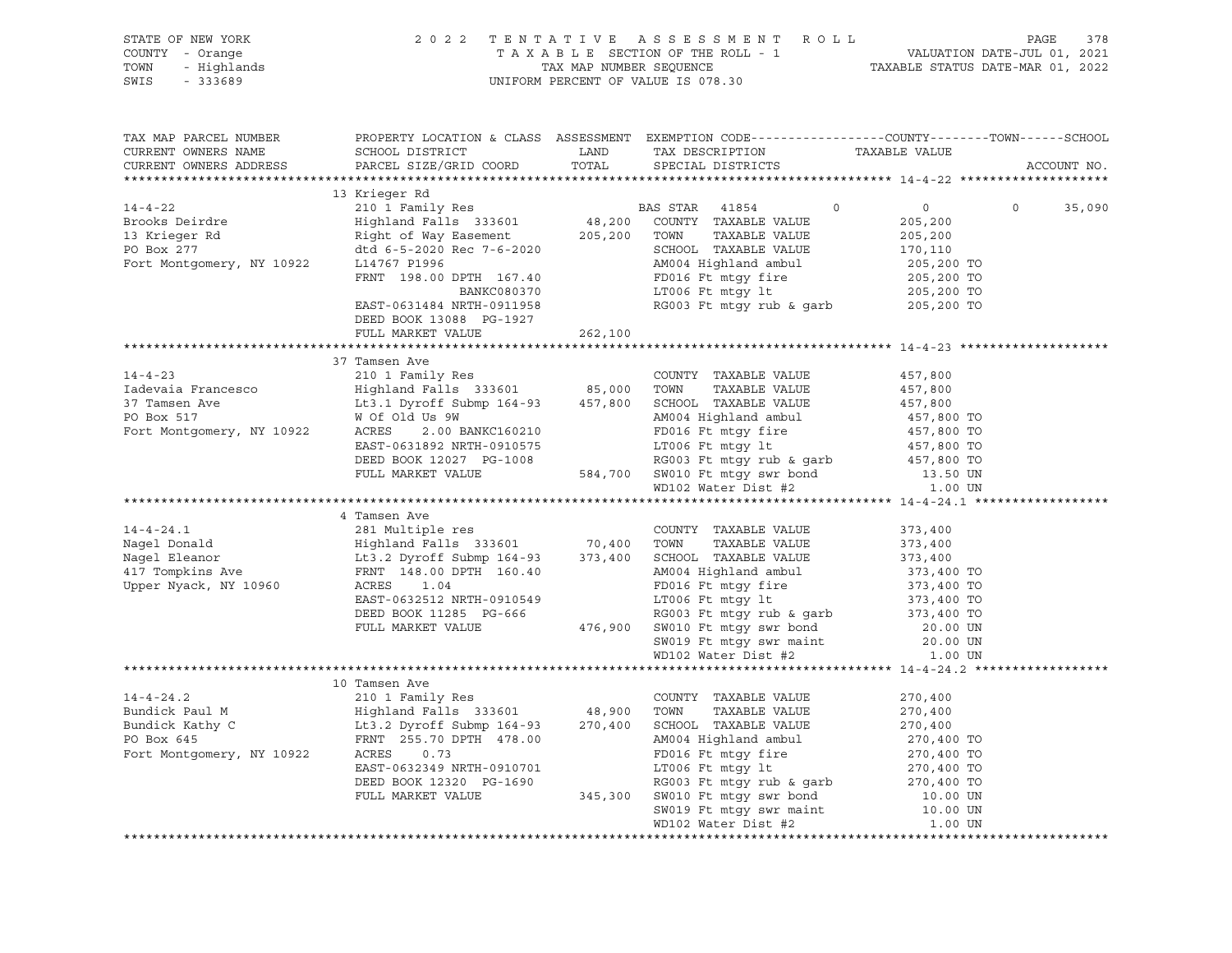| TAX MAP PARCEL NUMBER<br>CURRENT OWNERS NAME<br>CURRENT OWNERS ADDRESS                                                                                                                                                                                                                                                                                                                                                                              | PROPERTY LOCATION & CLASS ASSESSMENT EXEMPTION CODE-----------------COUNTY-------TOWN------SCHOOL |         |                                                                                                                                                                                                                             |          | ACCOUNT NO.        |
|-----------------------------------------------------------------------------------------------------------------------------------------------------------------------------------------------------------------------------------------------------------------------------------------------------------------------------------------------------------------------------------------------------------------------------------------------------|---------------------------------------------------------------------------------------------------|---------|-----------------------------------------------------------------------------------------------------------------------------------------------------------------------------------------------------------------------------|----------|--------------------|
|                                                                                                                                                                                                                                                                                                                                                                                                                                                     |                                                                                                   |         |                                                                                                                                                                                                                             |          |                    |
|                                                                                                                                                                                                                                                                                                                                                                                                                                                     |                                                                                                   |         |                                                                                                                                                                                                                             |          | $\Omega$<br>35,090 |
| $\begin{tabular}{lcccc} 14-4-22 & 13 Krieger Rd & 210 1 Family Res & 205, 200BirodXrieger Rd & 210 1 Family Res & 333601 & 48, 200 COUNTY TAXABLE VALUE & 205, 20013 Krieger Rd & Rightland Fall 333601 & 48, 200 COUNTY TAXABLE VALUE & 205, 200PO Box 277 & 4td6 -5-2020 Rec 7-6-2020 SCHOOL TAXABLE VALUE & 205, 200Fort Montgomery, NY 10922 & 114767 P1996 & 205$                                                                              |                                                                                                   |         |                                                                                                                                                                                                                             |          |                    |
|                                                                                                                                                                                                                                                                                                                                                                                                                                                     | DEED BOOK 13088 PG-1927                                                                           |         |                                                                                                                                                                                                                             |          |                    |
|                                                                                                                                                                                                                                                                                                                                                                                                                                                     | FULL MARKET VALUE                                                                                 | 262,100 |                                                                                                                                                                                                                             |          |                    |
|                                                                                                                                                                                                                                                                                                                                                                                                                                                     |                                                                                                   |         |                                                                                                                                                                                                                             |          |                    |
| $\begin{tabular}{lcccc} \texttt{14-4-23} & \texttt{210 1 Family Res} & \texttt{COUNTY} & \texttt{TXABLE VALUE} \\ \texttt{14-4-23} & \texttt{210 1 Family Res} & \texttt{COUNTY} & \texttt{TXABLE VALUE} & \texttt{457,800} \\ \texttt{14-4-23} & \texttt{210 1 Family Res} & \texttt{1 Finally Res} & \texttt{210 1 Family Res} \\ \texttt{14-4-23} & \texttt{210 1 Family Res} & \texttt{210 1 Family Res} & \texttt{210 1} & \texttt{210 1} & \$ |                                                                                                   |         |                                                                                                                                                                                                                             |          |                    |
|                                                                                                                                                                                                                                                                                                                                                                                                                                                     |                                                                                                   |         |                                                                                                                                                                                                                             |          |                    |
|                                                                                                                                                                                                                                                                                                                                                                                                                                                     |                                                                                                   |         |                                                                                                                                                                                                                             |          |                    |
|                                                                                                                                                                                                                                                                                                                                                                                                                                                     |                                                                                                   |         |                                                                                                                                                                                                                             |          |                    |
|                                                                                                                                                                                                                                                                                                                                                                                                                                                     |                                                                                                   |         |                                                                                                                                                                                                                             |          |                    |
|                                                                                                                                                                                                                                                                                                                                                                                                                                                     |                                                                                                   |         |                                                                                                                                                                                                                             |          |                    |
|                                                                                                                                                                                                                                                                                                                                                                                                                                                     |                                                                                                   |         |                                                                                                                                                                                                                             |          |                    |
|                                                                                                                                                                                                                                                                                                                                                                                                                                                     |                                                                                                   |         |                                                                                                                                                                                                                             |          |                    |
|                                                                                                                                                                                                                                                                                                                                                                                                                                                     |                                                                                                   |         |                                                                                                                                                                                                                             |          |                    |
| $\begin{tabular}{lcccc} \texttt{4} Tamsen Ave & \texttt{COUNTY} TAXABLE VALUE & 373,400 \\ \texttt{Nagel Denond} & \texttt{Highland} & \texttt{Highland} & 333601 & 70,400 & T0WN & TAXABLE VALUE & 373,400 \\ \texttt{Nagel Denoor} & \texttt{Highland} & \texttt{Highland} & 373,400 & 373,400 \\ \texttt{Magel Denor} & \texttt{Lt3.2 Dyroff Submp 164-93} & 373,400 & \texttt{SCHOL} & \texttt{TXABLE VALUE} & 373,400$                         |                                                                                                   |         |                                                                                                                                                                                                                             |          |                    |
|                                                                                                                                                                                                                                                                                                                                                                                                                                                     |                                                                                                   |         |                                                                                                                                                                                                                             |          |                    |
|                                                                                                                                                                                                                                                                                                                                                                                                                                                     |                                                                                                   |         |                                                                                                                                                                                                                             |          |                    |
|                                                                                                                                                                                                                                                                                                                                                                                                                                                     |                                                                                                   |         |                                                                                                                                                                                                                             |          |                    |
|                                                                                                                                                                                                                                                                                                                                                                                                                                                     |                                                                                                   |         |                                                                                                                                                                                                                             |          |                    |
|                                                                                                                                                                                                                                                                                                                                                                                                                                                     |                                                                                                   |         |                                                                                                                                                                                                                             |          |                    |
|                                                                                                                                                                                                                                                                                                                                                                                                                                                     |                                                                                                   |         |                                                                                                                                                                                                                             |          |                    |
|                                                                                                                                                                                                                                                                                                                                                                                                                                                     |                                                                                                   |         |                                                                                                                                                                                                                             |          |                    |
|                                                                                                                                                                                                                                                                                                                                                                                                                                                     |                                                                                                   |         |                                                                                                                                                                                                                             |          |                    |
|                                                                                                                                                                                                                                                                                                                                                                                                                                                     |                                                                                                   |         |                                                                                                                                                                                                                             |          |                    |
|                                                                                                                                                                                                                                                                                                                                                                                                                                                     |                                                                                                   |         |                                                                                                                                                                                                                             |          |                    |
|                                                                                                                                                                                                                                                                                                                                                                                                                                                     |                                                                                                   |         |                                                                                                                                                                                                                             | 270,400  |                    |
|                                                                                                                                                                                                                                                                                                                                                                                                                                                     |                                                                                                   |         |                                                                                                                                                                                                                             | 270,400  |                    |
|                                                                                                                                                                                                                                                                                                                                                                                                                                                     |                                                                                                   |         |                                                                                                                                                                                                                             | 270,400  |                    |
|                                                                                                                                                                                                                                                                                                                                                                                                                                                     |                                                                                                   |         |                                                                                                                                                                                                                             |          |                    |
| 14-4-24.2<br>210 1 Family Res<br>210 1 Family Res<br>210 1 Family Res<br>210 1 Family Res<br>210 1 Family Res<br>210 1 Family Res<br>210 1 Family Res<br>210 48,900 TOWN TAXABLE VALUE<br>270,400 SCHOOL TAXABLE VALUE<br>270,400 SCHOOL TAXABLE V                                                                                                                                                                                                  |                                                                                                   |         | ERNT 255.70 DPTH 478.00<br>RES 0.73<br>EAST-0632349 NRTH-0910701<br>DEED BOOK 12320 PG-1690<br>FULL MARKET VALUE 345,300 SON010 Ft mtgy swr bond<br>CHULL MARKET VALUE 345,300 SW010 Ft mtgy swr bond<br>CHULL MARKET VALUE |          |                    |
|                                                                                                                                                                                                                                                                                                                                                                                                                                                     |                                                                                                   |         |                                                                                                                                                                                                                             |          |                    |
|                                                                                                                                                                                                                                                                                                                                                                                                                                                     |                                                                                                   |         |                                                                                                                                                                                                                             | 10.00 UN |                    |
|                                                                                                                                                                                                                                                                                                                                                                                                                                                     |                                                                                                   |         | SW019 Ft mtgy swr maint                                                                                                                                                                                                     | 10.00 UN |                    |
|                                                                                                                                                                                                                                                                                                                                                                                                                                                     |                                                                                                   |         | WD102 Water Dist #2                                                                                                                                                                                                         | 1.00 UN  |                    |
|                                                                                                                                                                                                                                                                                                                                                                                                                                                     |                                                                                                   |         |                                                                                                                                                                                                                             |          |                    |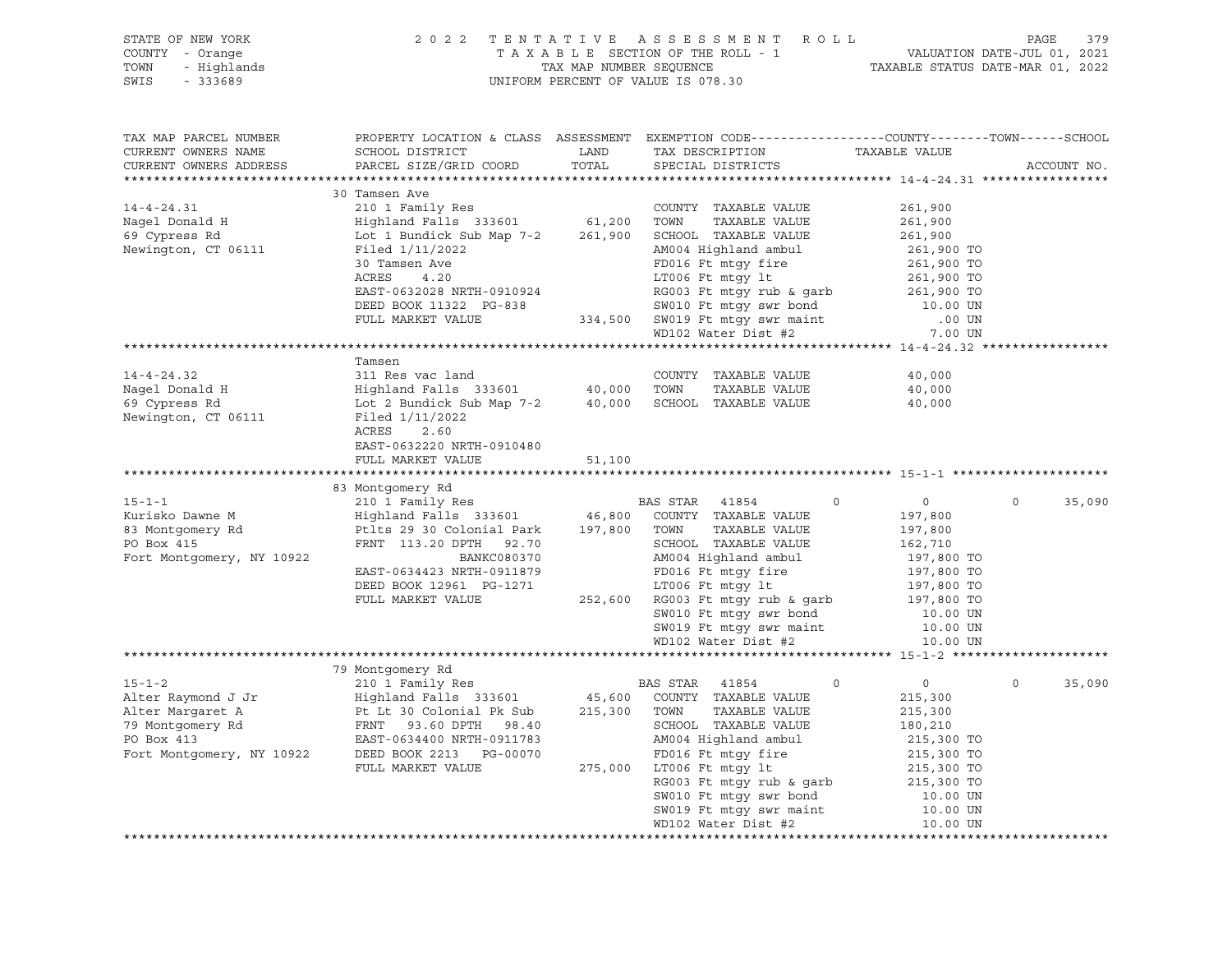| TAX MAP PARCEL NUMBER<br>CURRENT OWNERS NAME<br>CURRENT OWNERS ADDRESS                                                                                                                                                                                                                                                                                                                                                                                                                                       |                                                                                                                                                               |        | PROPERTY LOCATION & CLASS ASSESSMENT EXEMPTION CODE----------------COUNTY-------TOWN------SCHOOL                                                                                                                                                                                                                            |                                      | ACCOUNT NO.        |
|--------------------------------------------------------------------------------------------------------------------------------------------------------------------------------------------------------------------------------------------------------------------------------------------------------------------------------------------------------------------------------------------------------------------------------------------------------------------------------------------------------------|---------------------------------------------------------------------------------------------------------------------------------------------------------------|--------|-----------------------------------------------------------------------------------------------------------------------------------------------------------------------------------------------------------------------------------------------------------------------------------------------------------------------------|--------------------------------------|--------------------|
|                                                                                                                                                                                                                                                                                                                                                                                                                                                                                                              |                                                                                                                                                               |        |                                                                                                                                                                                                                                                                                                                             |                                      |                    |
| 14-4-24.31 210 1 Family Res<br>Nagel Donald H Highland Falls 333601 61,200 TOWN TAXABLE VALUE<br>69 Cypress Rd Lot 1 Bundick Sub Map 7-2 261,900 SCHOOL TAXABLE VALUE<br>Newington, CT 06111                                                                                                                                                                                                                                                                                                                 | 30 Tamsen Ave<br>Filed 1/11/2022                                                                                                                              |        | COUNTY TAXABLE VALUE 261,900<br>Filed 1 Bundick Sub Map 7-2<br>Filed 1 AM04 Highland ambul<br>261,900<br>Tend 1/11/2022<br>261,900<br>261,900<br>261,900<br>261,900<br>261,900<br>261,900<br>261,900<br>261,900<br>261,900<br>261,900<br>261,900<br>261,900<br>261,900<br>261,900<br>261,900<br>261,                        | 261,900<br>261,900                   |                    |
|                                                                                                                                                                                                                                                                                                                                                                                                                                                                                                              |                                                                                                                                                               |        |                                                                                                                                                                                                                                                                                                                             |                                      |                    |
|                                                                                                                                                                                                                                                                                                                                                                                                                                                                                                              |                                                                                                                                                               |        |                                                                                                                                                                                                                                                                                                                             |                                      |                    |
|                                                                                                                                                                                                                                                                                                                                                                                                                                                                                                              | Tamsen                                                                                                                                                        |        |                                                                                                                                                                                                                                                                                                                             |                                      |                    |
| $14 - 4 - 24.32$<br>Nagel Donald H<br>69 Cypress Rd<br>Newington, CT 06111                                                                                                                                                                                                                                                                                                                                                                                                                                   | 311 Res vac land<br>Highland Falls 333601 40,000 TOWN TAXABLE VALUE<br>Lot 2 Bundick Sub Map 7-2 40,000 SCHOOL TAXABLE VALUE<br>Filed 1/11/2022<br>ACRES 2.60 |        |                                                                                                                                                                                                                                                                                                                             | 40,000<br>40,000<br>40,000           |                    |
|                                                                                                                                                                                                                                                                                                                                                                                                                                                                                                              | EAST-0632220 NRTH-0910480<br>FULL MARKET VALUE                                                                                                                | 51,100 |                                                                                                                                                                                                                                                                                                                             |                                      |                    |
|                                                                                                                                                                                                                                                                                                                                                                                                                                                                                                              |                                                                                                                                                               |        |                                                                                                                                                                                                                                                                                                                             |                                      |                    |
|                                                                                                                                                                                                                                                                                                                                                                                                                                                                                                              | 83 Montgomery Rd                                                                                                                                              |        |                                                                                                                                                                                                                                                                                                                             |                                      | $\Omega$<br>35,090 |
|                                                                                                                                                                                                                                                                                                                                                                                                                                                                                                              |                                                                                                                                                               |        | SW010 Ft mtgy swr bond 10.00 UN<br>SW019 Ft mtgy swr maint 10.00 UN<br>WD102 Water Dist #2 10.00 UN                                                                                                                                                                                                                         |                                      |                    |
|                                                                                                                                                                                                                                                                                                                                                                                                                                                                                                              |                                                                                                                                                               |        |                                                                                                                                                                                                                                                                                                                             |                                      |                    |
| $\begin{tabular}{lllllllllllllll} \multicolumn{3}{c}{\begin{tabular}{l} \multicolumn{3}{c}{\begin{tabular}{l} \multicolumn{3}{c}{\begin{tabular}{l} \multicolumn{3}{c}{\begin{tabular}{l} \multicolumn{3}{c}{\begin{tabular}{l} \multicolumn{3}{c}{\begin{tabular}{l} \multicolumn{3}{c}{\begin{tabular}{l} \multicolumn{3}{c}{\begin{tabular}{c} \multicolumn{3}{c}{\begin{tabular}{c} \multicolumn{3}{c}{\begin{tabular}{c} \multicolumn{3}{c}{\begin{tabular}{c} \multicolumn{3}{c}{\begin{tabular}{c} \$ |                                                                                                                                                               |        |                                                                                                                                                                                                                                                                                                                             | $\overline{0}$<br>215,300<br>215,300 | $\circ$<br>35,090  |
|                                                                                                                                                                                                                                                                                                                                                                                                                                                                                                              |                                                                                                                                                               |        | $180,210$ $215,300\text{ TO}$ $17006\text{ Ft mtgy fit}$ $215,300\text{ TO}$ $RG003\text{ Ft mtgy rub & garb}$ $215,300\text{ TO}$ $215,300\text{ TO}$ $215,300\text{ TO}$ $215,300\text{ TO}$ $30010\text{ Ft mtgy sw month}$ $50019\text{ Ft mtgy sw main}$ $50019\text{ Ft mtgy sw main}$ $50019\text{ Ft mtgy sw main}$ |                                      |                    |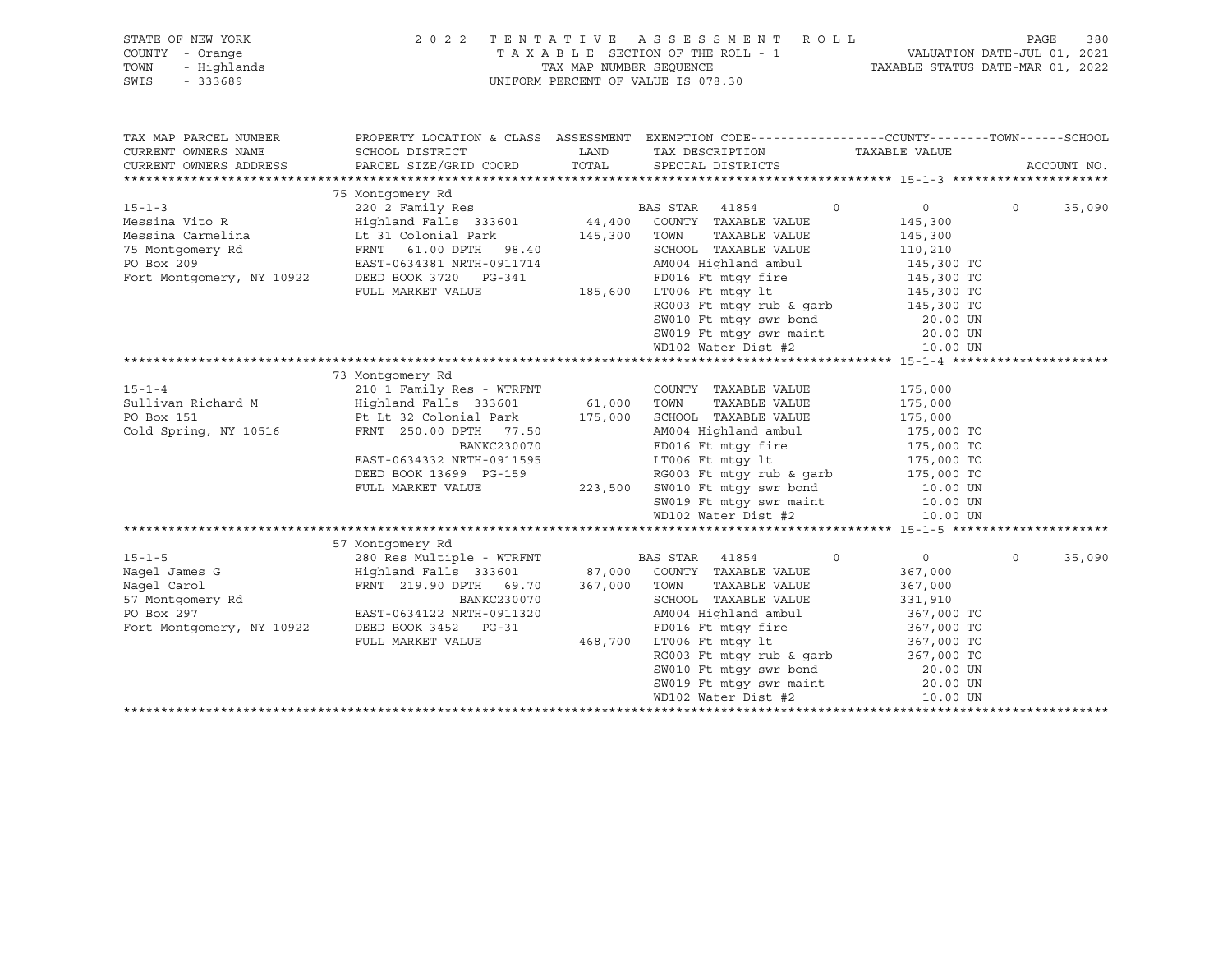| STATE OF NEW YORK<br>COUNTY - Orange<br>- Highlands<br>TOWN<br>SWIS<br>- 333689                                                                                                                             | 2 0 2 2                                                                                                                                                 |       | TENTATIVE ASSESSMENT ROLL<br>UNIFORM PERCENT OF VALUE IS 078.30                                                                                                                                                    |                       | PAGE<br>380        |
|-------------------------------------------------------------------------------------------------------------------------------------------------------------------------------------------------------------|---------------------------------------------------------------------------------------------------------------------------------------------------------|-------|--------------------------------------------------------------------------------------------------------------------------------------------------------------------------------------------------------------------|-----------------------|--------------------|
| TAX MAP PARCEL NUMBER                                                                                                                                                                                       |                                                                                                                                                         |       | PROPERTY LOCATION & CLASS ASSESSMENT EXEMPTION CODE---------------COUNTY-------TOWN------SCHOOL                                                                                                                    |                       |                    |
| CURRENT OWNERS NAME                                                                                                                                                                                         | SCHOOL DISTRICT                                                                                                                                         | LAND  | TAX DESCRIPTION TAXABLE VALUE                                                                                                                                                                                      |                       |                    |
| CURRENT OWNERS ADDRESS                                                                                                                                                                                      | PARCEL SIZE/GRID COORD                                                                                                                                  | TOTAL | SPECIAL DISTRICTS                                                                                                                                                                                                  |                       | ACCOUNT NO.        |
|                                                                                                                                                                                                             | 75 Montgomery Rd                                                                                                                                        |       |                                                                                                                                                                                                                    |                       |                    |
|                                                                                                                                                                                                             |                                                                                                                                                         |       | $\Omega$                                                                                                                                                                                                           | $0 \qquad \qquad$     | $\Omega$<br>35,090 |
|                                                                                                                                                                                                             |                                                                                                                                                         |       |                                                                                                                                                                                                                    | 145,300               |                    |
|                                                                                                                                                                                                             |                                                                                                                                                         |       | TAXABLE VALUE                                                                                                                                                                                                      | 145,300               |                    |
|                                                                                                                                                                                                             |                                                                                                                                                         |       |                                                                                                                                                                                                                    |                       |                    |
|                                                                                                                                                                                                             |                                                                                                                                                         |       | SCHOOL TAXABLE VALUE<br>AM004 Highland ambul                                                                                                                                                                       | 110,210<br>145,300 TO |                    |
|                                                                                                                                                                                                             |                                                                                                                                                         |       |                                                                                                                                                                                                                    |                       |                    |
|                                                                                                                                                                                                             | FULL MARKET VALUE                                                                                                                                       |       | 3-341 FD016 Ft mtgy fire 145,300 TO<br>185,600 LT006 Ft mtgy lt 145,300 TO                                                                                                                                         |                       |                    |
|                                                                                                                                                                                                             |                                                                                                                                                         |       |                                                                                                                                                                                                                    |                       |                    |
|                                                                                                                                                                                                             |                                                                                                                                                         |       | RG003 Ft mtgy rub & garb<br>SW010 Ft mtgy swr bond<br>SW019 Ft mtgy swr maint<br>20.00 UN<br>ND102 Water Dist #2<br>10.00 UN                                                                                       |                       |                    |
|                                                                                                                                                                                                             |                                                                                                                                                         |       |                                                                                                                                                                                                                    |                       |                    |
|                                                                                                                                                                                                             |                                                                                                                                                         |       |                                                                                                                                                                                                                    |                       |                    |
|                                                                                                                                                                                                             |                                                                                                                                                         |       |                                                                                                                                                                                                                    |                       |                    |
|                                                                                                                                                                                                             | 73 Montgomery Rd                                                                                                                                        |       |                                                                                                                                                                                                                    |                       |                    |
|                                                                                                                                                                                                             |                                                                                                                                                         |       | COUNTY TAXABLE VALUE                                                                                                                                                                                               | 175,000<br>175,000    |                    |
|                                                                                                                                                                                                             |                                                                                                                                                         |       | TAXABLE VALUE                                                                                                                                                                                                      |                       |                    |
|                                                                                                                                                                                                             |                                                                                                                                                         |       |                                                                                                                                                                                                                    |                       |                    |
| 15-1-4<br>Sullivan Richard M<br>PO Box 151<br>Cold Spring, NY 10516<br>PU DE RNT 250.00 DPTH<br>PU DE RNT 250.00 DPTH<br>PU DE RNT 250.00 DPTH<br>PU 77.50<br>PU DE RNT 250.00 DPTH<br>PU 77.50<br>AM004 Hi |                                                                                                                                                         |       | 00001 TAXABLE VALUE<br>175,000 TO<br>AM004 Highland ambul 175,000 TO<br>FD016 Ft mtgy fire 175,000 TO<br>LT006 Ft mtgy 1t 175,000 TO<br>RG003 Ft mtgy rub & garb 175,000 TO<br>RG003 Ft mtgy rub & garb 175,000 TO |                       |                    |
|                                                                                                                                                                                                             | BANKC230070                                                                                                                                             |       |                                                                                                                                                                                                                    |                       |                    |
|                                                                                                                                                                                                             |                                                                                                                                                         |       |                                                                                                                                                                                                                    |                       |                    |
|                                                                                                                                                                                                             |                                                                                                                                                         |       |                                                                                                                                                                                                                    |                       |                    |
|                                                                                                                                                                                                             |                                                                                                                                                         |       |                                                                                                                                                                                                                    |                       |                    |
|                                                                                                                                                                                                             |                                                                                                                                                         |       |                                                                                                                                                                                                                    |                       |                    |
|                                                                                                                                                                                                             |                                                                                                                                                         |       |                                                                                                                                                                                                                    |                       |                    |
|                                                                                                                                                                                                             |                                                                                                                                                         |       |                                                                                                                                                                                                                    |                       |                    |
|                                                                                                                                                                                                             | 57 Montgomery Rd<br>200 Kes Multiple - WTRFNT<br>Highland Falls 333601 87,000 COUNTY TAXABLE VALUE<br>FRNT 219.90 DPTH 69.70 367,000 TOWN TAXABLE VALUE |       |                                                                                                                                                                                                                    |                       |                    |
|                                                                                                                                                                                                             |                                                                                                                                                         |       | $\Omega$                                                                                                                                                                                                           | $\overline{0}$        | $\Omega$<br>35,090 |
|                                                                                                                                                                                                             |                                                                                                                                                         |       |                                                                                                                                                                                                                    | 367,000               |                    |
|                                                                                                                                                                                                             |                                                                                                                                                         |       | TAXABLE VALUE                                                                                                                                                                                                      | 367,000               |                    |
|                                                                                                                                                                                                             | BANKC230070<br>NRTH-0911320                                                                                                                             |       | SCHOOL TAXABLE VALUE<br>AM004 Highland ambul                                                                                                                                                                       | 331,910<br>367,000 TO |                    |
| Nagel James G<br>Nagel James G<br>280 Resources<br>Highland<br>57 Montgomery Rd<br>PO Box 297<br>FANT 21<br>FO Box 297<br>FAST-0634                                                                         | EAST-0634122 NRTH-0911320<br>DEED BOOK 3452 PG-31                                                                                                       |       |                                                                                                                                                                                                                    |                       |                    |
|                                                                                                                                                                                                             | FULL MARKET VALUE                                                                                                                                       |       | 3-31 FD016 Ft mtgy fire 367,000 TO<br>468,700 LT006 Ft mtgy lt 367,000 TO                                                                                                                                          |                       |                    |
|                                                                                                                                                                                                             |                                                                                                                                                         |       |                                                                                                                                                                                                                    |                       |                    |
|                                                                                                                                                                                                             |                                                                                                                                                         |       |                                                                                                                                                                                                                    |                       |                    |
|                                                                                                                                                                                                             |                                                                                                                                                         |       |                                                                                                                                                                                                                    |                       |                    |
|                                                                                                                                                                                                             |                                                                                                                                                         |       | R6003 Ft mtgy rub & garb<br>SW010 Ft mtgy swr bond<br>SW019 Ft mtgy swr maint<br>20.00 UN<br>WD102 Water Dist #2<br>10.00 UN                                                                                       |                       |                    |
|                                                                                                                                                                                                             |                                                                                                                                                         |       |                                                                                                                                                                                                                    |                       |                    |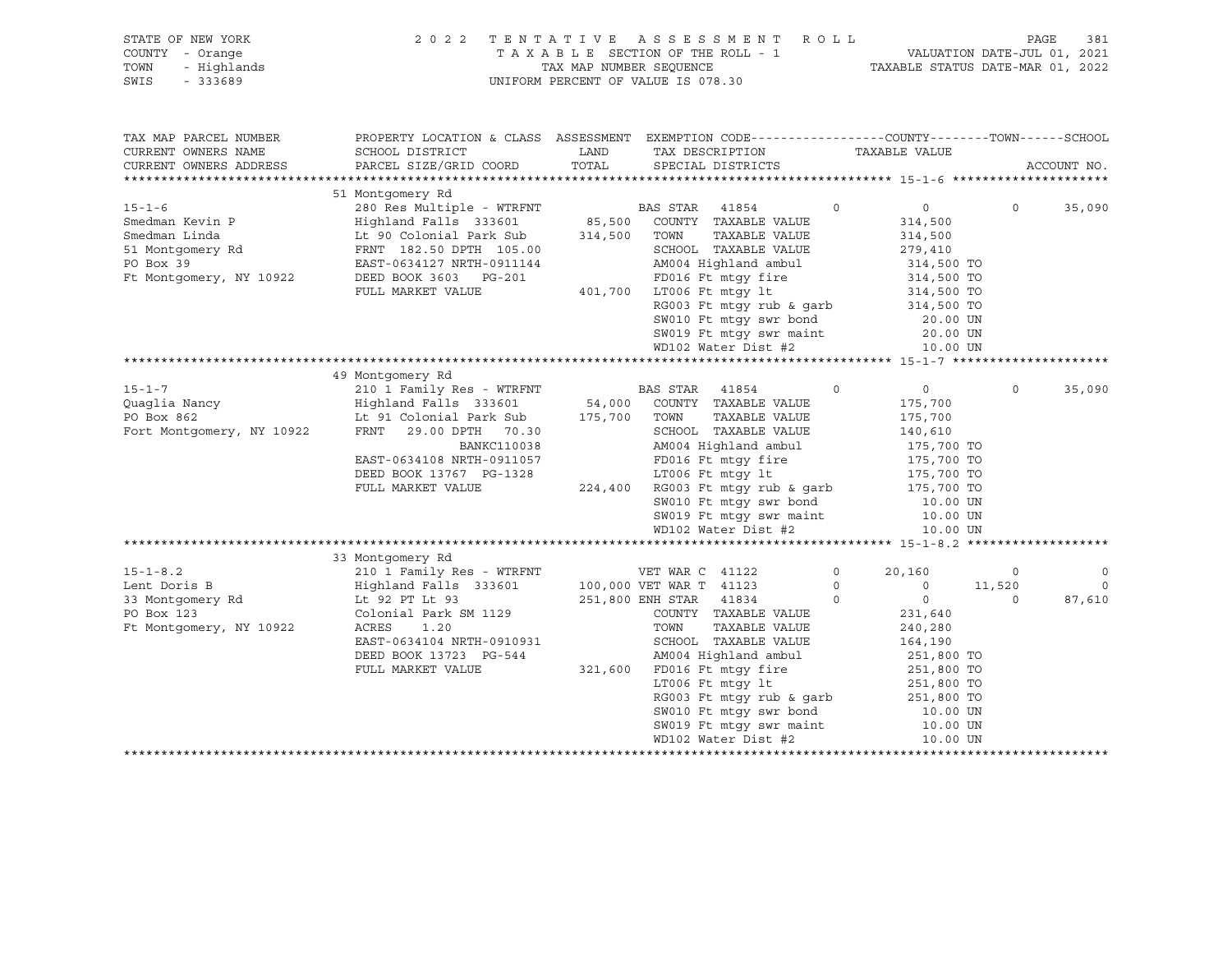| STATE OF NEW YORK<br>COUNTY - Orange<br>TOWN<br>- Highlands<br>$-333689$<br>SWIS             | 2022                                                                                                                                                    |                        | TENTATIVE ASSESSMENT ROLL<br>T A X A B L E SECTION OF THE ROLL - 1<br>T A X A B L E SECTION OF THE ROLL - 1<br>TAXABLE STATUS DATE-MAR 01, 2022<br>UNIFORM PERCENT OF VALUE IS 078.30 |                                                                            |                    | 381<br>PAGE        |
|----------------------------------------------------------------------------------------------|---------------------------------------------------------------------------------------------------------------------------------------------------------|------------------------|---------------------------------------------------------------------------------------------------------------------------------------------------------------------------------------|----------------------------------------------------------------------------|--------------------|--------------------|
| TAX MAP PARCEL NUMBER<br>CURRENT OWNERS NAME<br>CURRENT OWNERS ADDRESS                       | PROPERTY LOCATION & CLASS ASSESSMENT EXEMPTION CODE---------------COUNTY-------TOWN------SCHOOL<br>SCHOOL DISTRICT<br>PARCEL SIZE/GRID COORD            | LAND<br>TOTAL          | TAX DESCRIPTION<br>SPECIAL DISTRICTS                                                                                                                                                  | TAXABLE VALUE                                                              |                    | ACCOUNT NO.        |
|                                                                                              |                                                                                                                                                         |                        |                                                                                                                                                                                       |                                                                            |                    |                    |
| $15 - 1 - 6$                                                                                 | 51 Montgomery Rd<br>280 Res Multiple - WTRFNT                                                                                                           |                        | BAS STAR<br>41854<br>COUNTY TAXABLE VALUE                                                                                                                                             | $\mathbf 0$<br>$\circ$                                                     | $\circ$            | 35,090             |
| Smedman Kevin P<br>Smedman Linda<br>51 Montgomery Rd<br>PO Box 39<br>Ft Montgomery, NY 10922 | Highland Falls 333601<br>Lt 90 Colonial Park Sub<br>FRNT 182.50 DPTH 105.00<br>EAST-0634127 NRTH-0911144<br>DEED BOOK 3603 PG-201                       | 85,500<br>314,500      | TAXABLE VALUE<br>TOWN<br>SCHOOL TAXABLE VALUE<br>AM004 Highland ambul<br>FD016 Ft mtgy fire                                                                                           | 314,500<br>314,500<br>279,410<br>314,500 TO<br>314,500 TO<br>314,500 TO    |                    |                    |
|                                                                                              | FULL MARKET VALUE                                                                                                                                       |                        | 401,700 LT006 Ft mtqy lt<br>RG003 Ft mtgy rub & garb<br>SW010 Ft mtgy swr bond<br>SW019 Ft mtgy swr maint<br>WD102 Water Dist #2                                                      | 314,500 TO<br>20.00 UN<br>20.00 UN<br>10.00 UN                             |                    |                    |
|                                                                                              |                                                                                                                                                         |                        |                                                                                                                                                                                       |                                                                            |                    |                    |
| $15 - 1 - 7$                                                                                 | 49 Montgomery Rd<br>210 1 Family Res - WTRFNT                                                                                                           |                        | <b>BAS STAR</b> 41854                                                                                                                                                                 | $\Omega$<br>$0 \qquad \qquad$                                              | $\Omega$           | 35,090             |
| Quaqlia Nancy<br>PO Box 862<br>Fort Montgomery, NY 10922                                     | Highland Falls 333601<br>Lt 91 Colonial Park Sub<br>FRNT 29.00 DPTH 70.30<br><b>BANKC110038</b><br>EAST-0634108 NRTH-0911057<br>DEED BOOK 13767 PG-1328 | 54,000<br>175,700 TOWN | COUNTY TAXABLE VALUE<br>TAXABLE VALUE<br>SCHOOL TAXABLE VALUE<br>AM004 Highland ambul<br>FD016 Ft mtqy fire<br>LT006 Ft mtqy lt                                                       | 175,700<br>175,700<br>140,610<br>175,700 TO<br>175,700 TO<br>175,700 TO    |                    |                    |
|                                                                                              | FULL MARKET VALUE                                                                                                                                       |                        | 224,400 RG003 Ft mtgy rub & garb<br>SW010 Ft mtgy swr bond<br>SW019 Ft mtgy swr maint<br>WD102 Water Dist #2                                                                          | 175,700 TO<br>10.00 UN<br>10.00 UN<br>10.00 UN                             |                    |                    |
|                                                                                              |                                                                                                                                                         |                        |                                                                                                                                                                                       |                                                                            |                    |                    |
| $15 - 1 - 8.2$                                                                               | 33 Montgomery Rd<br>210 1 Family Res - WTRFNT                                                                                                           |                        | VET WAR C 41122                                                                                                                                                                       | $\circ$<br>20,160                                                          | $\circ$            | $\mathsf O$        |
| Lent Doris B<br>Lent Doison<br>33 Montgomery Rd                                              | Highland Falls 333601<br>Lt 92 PT Lt 93                                                                                                                 |                        | 100,000 VET WAR T 41123<br>251,800 ENH STAR 41834                                                                                                                                     | $\circ$<br>$\circ$<br>$\circ$<br>$\overline{0}$                            | 11,520<br>$\Omega$ | $\Omega$<br>87,610 |
| Ft Montgomery, NY 10922                                                                      | Colonial Park SM 1129<br>ACRES<br>1.20<br>EAST-0634104 NRTH-0910931<br>DEED BOOK 13723 PG-544                                                           |                        | COUNTY TAXABLE VALUE<br>TAXABLE VALUE<br>TOWN<br>SCHOOL TAXABLE VALUE<br>AM004 Highland ambul                                                                                         | 231,640<br>240,280<br>164,190<br>251,800 TO                                |                    |                    |
|                                                                                              | FULL MARKET VALUE                                                                                                                                       |                        | 321,600 FD016 Ft mtqy fire<br>LT006 Ft mtgy lt<br>RG003 Ft mtgy rub & garb<br>SW010 Ft mtgy swr bond<br>SW019 Ft mtgy swr maint<br>WD102 Water Dist #2                                | 251,800 TO<br>251,800 TO<br>251,800 TO<br>10.00 UN<br>10.00 UN<br>10.00 UN |                    |                    |
|                                                                                              |                                                                                                                                                         |                        |                                                                                                                                                                                       |                                                                            |                    |                    |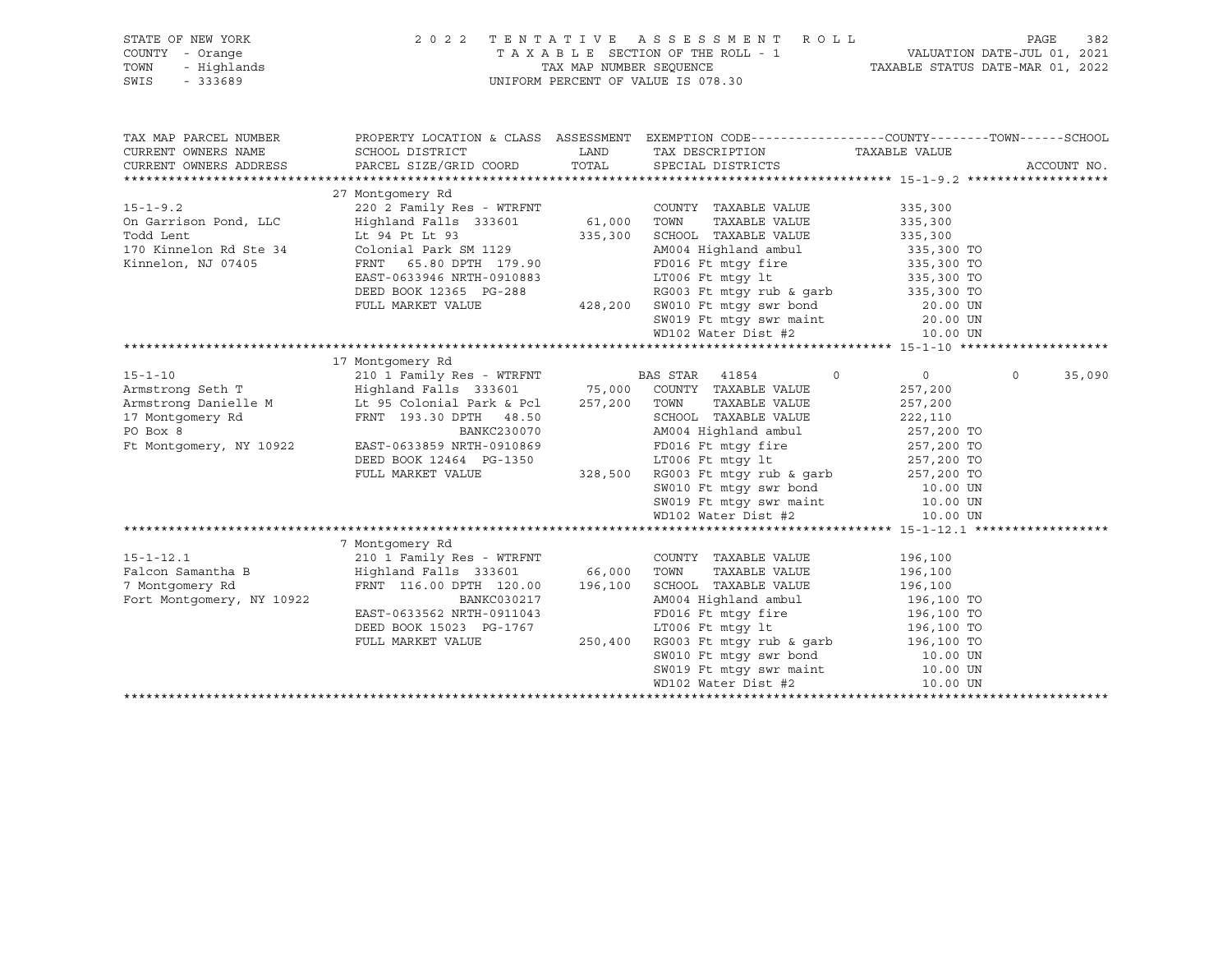| STATE OF NEW YORK<br>COUNTY - Orange                                                                                                                                                                                                                | 2022 TENTATIVE ASSESSMENT ROLL                      |                                                                                                                                                                                                                                                  |                | PAGE<br>382        |
|-----------------------------------------------------------------------------------------------------------------------------------------------------------------------------------------------------------------------------------------------------|-----------------------------------------------------|--------------------------------------------------------------------------------------------------------------------------------------------------------------------------------------------------------------------------------------------------|----------------|--------------------|
| TOWN<br>- Highlands                                                                                                                                                                                                                                 |                                                     | TAXABLE SECTION OF THE ROLL - 1<br>TAX MAP NUMBER SEQUENCE TAXABLE STATUS DATE-JUL 01, 2021<br>TAXABLE STATUS DATE-MAR 01, 2022                                                                                                                  |                |                    |
| SWIS<br>$-333689$                                                                                                                                                                                                                                   |                                                     | UNIFORM PERCENT OF VALUE IS 078.30                                                                                                                                                                                                               |                |                    |
|                                                                                                                                                                                                                                                     |                                                     |                                                                                                                                                                                                                                                  |                |                    |
|                                                                                                                                                                                                                                                     |                                                     |                                                                                                                                                                                                                                                  |                |                    |
|                                                                                                                                                                                                                                                     |                                                     |                                                                                                                                                                                                                                                  |                |                    |
| TAX MAP PARCEL NUMBER                                                                                                                                                                                                                               |                                                     | PROPERTY LOCATION & CLASS ASSESSMENT EXEMPTION CODE----------------COUNTY-------TOWN------SCHOOL                                                                                                                                                 |                |                    |
| CURRENT OWNERS NAME                                                                                                                                                                                                                                 |                                                     | TAX DESCRIPTION TAXABLE VALUE                                                                                                                                                                                                                    |                |                    |
| CURRENT OWNERS ADDRESS                                                                                                                                                                                                                              |                                                     |                                                                                                                                                                                                                                                  |                | ACCOUNT NO.        |
|                                                                                                                                                                                                                                                     |                                                     |                                                                                                                                                                                                                                                  |                |                    |
|                                                                                                                                                                                                                                                     | 27 Montgomery Rd                                    |                                                                                                                                                                                                                                                  |                |                    |
| 15-1-9.2<br>230 2 Family Res - WTRFNT COUNTY TAXABLE VALUE<br>220 2 Family Res - WTRFNT 61,000 TOWN TAXABLE VALUE<br>335,300 TOMN TAXABLE VALUE<br>335,300 TOMN TAXABLE VALUE<br>335,300 SCHOOL TAXABLE VALUE<br>335,300 SCHOOL TAXABLE VA          |                                                     |                                                                                                                                                                                                                                                  |                |                    |
|                                                                                                                                                                                                                                                     |                                                     |                                                                                                                                                                                                                                                  |                |                    |
|                                                                                                                                                                                                                                                     |                                                     |                                                                                                                                                                                                                                                  |                |                    |
| 170 Kinnelon Rd Ste 34                                                                                                                                                                                                                              | Colonial Park SM 1129<br>FRNT   65.80 DPTH  179.90  | 335,300 ECHOM Highland ambul<br>129 MM004 Highland ambul<br>179.90 FD016 Ft mtgy fire 335,300 TO<br>0910883 LT006 Ft mtgy fire 335,300 TO<br>6 Ft mtgy fire 335,300 TO<br>428,200 SW010 Ft mtgy swr bond 20.00 UN<br>SW019 Ft mtgy swr maint 20. |                |                    |
| Kinnelon, NJ 07405                                                                                                                                                                                                                                  |                                                     |                                                                                                                                                                                                                                                  |                |                    |
|                                                                                                                                                                                                                                                     | EAST-0633946 NRTH-0910883<br>DEED BOOK 12365 PG-288 |                                                                                                                                                                                                                                                  |                |                    |
|                                                                                                                                                                                                                                                     |                                                     |                                                                                                                                                                                                                                                  |                |                    |
|                                                                                                                                                                                                                                                     | FULL MARKET VALUE                                   |                                                                                                                                                                                                                                                  |                |                    |
|                                                                                                                                                                                                                                                     |                                                     |                                                                                                                                                                                                                                                  |                |                    |
|                                                                                                                                                                                                                                                     |                                                     |                                                                                                                                                                                                                                                  |                |                    |
|                                                                                                                                                                                                                                                     |                                                     |                                                                                                                                                                                                                                                  |                |                    |
|                                                                                                                                                                                                                                                     | 17 Montgomery Rd                                    |                                                                                                                                                                                                                                                  |                |                    |
| 15-1-10<br>Armstrong Seth T<br>Armstrong Danielle M<br>17 Montgomery Rd<br>210 1 Family Res - WTRFNT<br>210 1 Family Res - WTRFNT<br>2333601<br>257,200 COUNTY TAXABLE VALUE<br>257,200 TOWN TAXABLE VALUE<br>257,200 TOWN TAXABLE VALUE<br>257,20  |                                                     | $\circ$                                                                                                                                                                                                                                          | $\overline{0}$ | $\Omega$<br>35,090 |
|                                                                                                                                                                                                                                                     |                                                     |                                                                                                                                                                                                                                                  | 257,200        |                    |
|                                                                                                                                                                                                                                                     |                                                     | TAXABLE VALUE 257,200                                                                                                                                                                                                                            |                |                    |
|                                                                                                                                                                                                                                                     |                                                     |                                                                                                                                                                                                                                                  |                |                    |
|                                                                                                                                                                                                                                                     |                                                     |                                                                                                                                                                                                                                                  |                |                    |
|                                                                                                                                                                                                                                                     |                                                     |                                                                                                                                                                                                                                                  |                |                    |
|                                                                                                                                                                                                                                                     |                                                     |                                                                                                                                                                                                                                                  |                |                    |
|                                                                                                                                                                                                                                                     |                                                     |                                                                                                                                                                                                                                                  |                |                    |
|                                                                                                                                                                                                                                                     |                                                     |                                                                                                                                                                                                                                                  |                |                    |
|                                                                                                                                                                                                                                                     |                                                     |                                                                                                                                                                                                                                                  |                |                    |
| 237,200 1 238,500 EXABLE VALUE<br>17 Montgomery Rd<br>PRIT 193.30 DFTH 48.50<br>PC Box 8<br>EAST-0633859 NRTH-0910869<br>DEED BOOK 12464 PG-1350<br>FULL MARKET VALUE<br>FULL MARKET VALUE<br>PC BOX 12464 PG-1350<br>EAST-0633859 NRTH-0910869<br> |                                                     |                                                                                                                                                                                                                                                  |                |                    |
|                                                                                                                                                                                                                                                     |                                                     |                                                                                                                                                                                                                                                  |                |                    |
|                                                                                                                                                                                                                                                     | 7 Montgomery Rd                                     |                                                                                                                                                                                                                                                  |                |                    |
|                                                                                                                                                                                                                                                     |                                                     |                                                                                                                                                                                                                                                  |                |                    |
|                                                                                                                                                                                                                                                     |                                                     |                                                                                                                                                                                                                                                  |                |                    |
| 15-1-12.1 210 1 Family Res - WTRFNT COUNTY TAXABLE VALUE 196,100<br>Falcon Samantha B Highland Falls 333601 66,000 TOWN TAXABLE VALUE 196,100<br>7 Montgomery Rd FRNT 116.00 DPTH 120.00 196,100 SCHOOL TAXABLE VALUE 196,100<br>For                |                                                     |                                                                                                                                                                                                                                                  |                |                    |
|                                                                                                                                                                                                                                                     | BANKC030217                                         |                                                                                                                                                                                                                                                  |                |                    |
|                                                                                                                                                                                                                                                     |                                                     |                                                                                                                                                                                                                                                  |                |                    |
|                                                                                                                                                                                                                                                     |                                                     |                                                                                                                                                                                                                                                  |                |                    |
|                                                                                                                                                                                                                                                     |                                                     |                                                                                                                                                                                                                                                  |                |                    |
|                                                                                                                                                                                                                                                     |                                                     |                                                                                                                                                                                                                                                  |                |                    |
|                                                                                                                                                                                                                                                     |                                                     |                                                                                                                                                                                                                                                  |                |                    |
|                                                                                                                                                                                                                                                     |                                                     | EAST-0633562 NRTH-0911043<br>BANKCO30217 BANDA High Land ambul 196,100 TO<br>DEED BOOK 15023 PG-1767 LT006 Ft mtgy fire 196,100 TO<br>FULL MARKET VALUE 250,400 RG003 Ft mtgy swr bond 10.00 UN<br>SW010 Ft mtgy swr bond 10.00 UN<br>WD         |                |                    |
|                                                                                                                                                                                                                                                     |                                                     |                                                                                                                                                                                                                                                  |                |                    |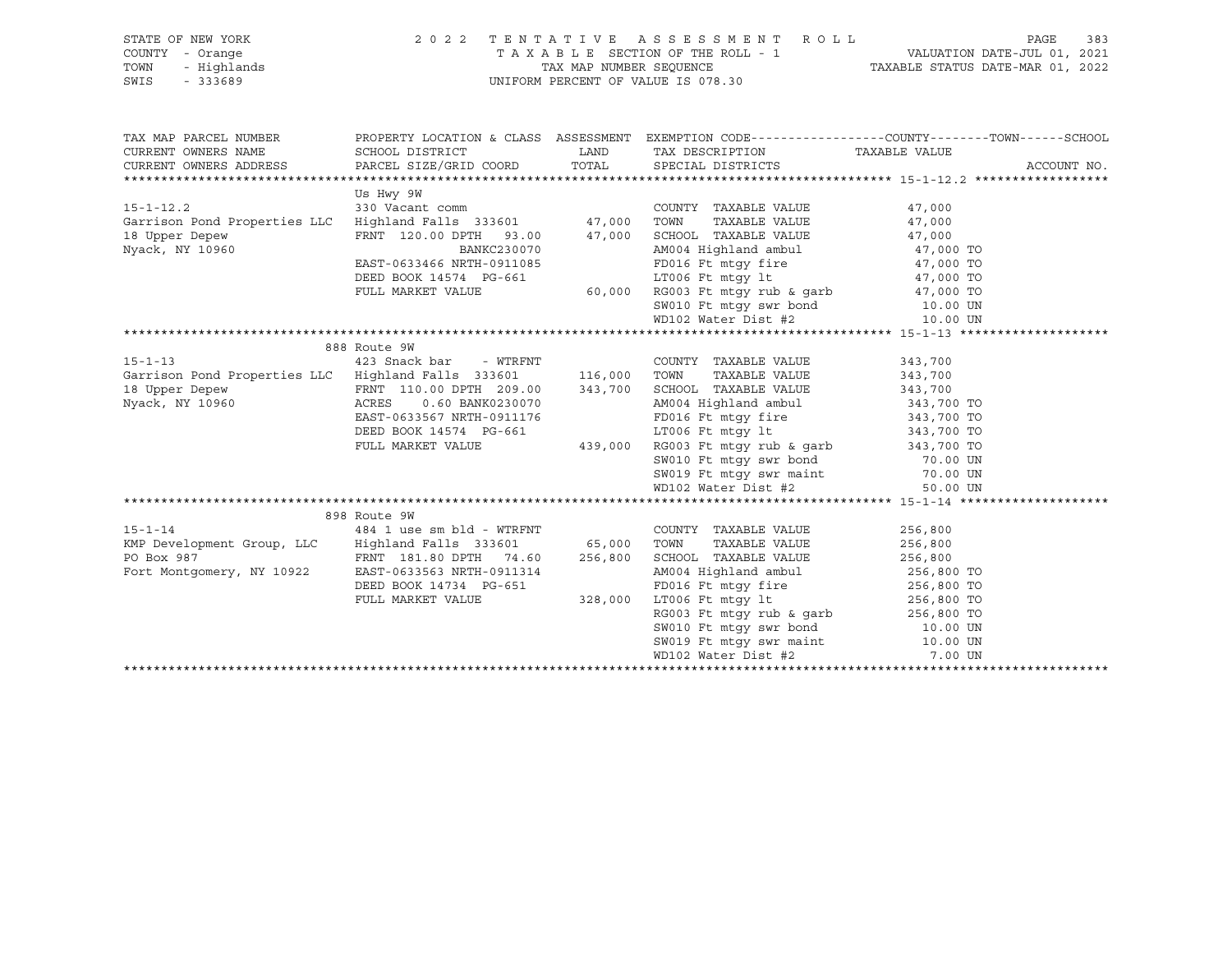| STATE OF NEW YORK                                                                                                                                                    |                           |         | 2022 TENTATIVE ASSESSMENT ROLL                                                                                                                                                                                                             |               | 383<br>PAGE |
|----------------------------------------------------------------------------------------------------------------------------------------------------------------------|---------------------------|---------|--------------------------------------------------------------------------------------------------------------------------------------------------------------------------------------------------------------------------------------------|---------------|-------------|
| COUNTY - Orange                                                                                                                                                      |                           |         |                                                                                                                                                                                                                                            |               |             |
| TOWN<br>- Highlands                                                                                                                                                  |                           |         |                                                                                                                                                                                                                                            |               |             |
| SWIS<br>- 333689                                                                                                                                                     |                           |         | TAXABLE SECTION OF THE ROLL - 1<br>TAX MAP NUMBER SEQUENCE<br>UNIFORM PERCENT OF VALUE IS 078.30<br>UNIFORM PERCENT OF VALUE IS 078.30                                                                                                     |               |             |
|                                                                                                                                                                      |                           |         |                                                                                                                                                                                                                                            |               |             |
|                                                                                                                                                                      |                           |         |                                                                                                                                                                                                                                            |               |             |
|                                                                                                                                                                      |                           |         |                                                                                                                                                                                                                                            |               |             |
| TAX MAP PARCEL NUMBER                                                                                                                                                |                           |         | PROPERTY LOCATION & CLASS ASSESSMENT EXEMPTION CODE---------------COUNTY-------TOWN-----SCHOOL                                                                                                                                             |               |             |
| CURRENT OWNERS NAME                                                                                                                                                  | SCHOOL DISTRICT           |         | LAND TAX DESCRIPTION                                                                                                                                                                                                                       | TAXABLE VALUE |             |
| CURRENT OWNERS ADDRESS                                                                                                                                               | PARCEL SIZE/GRID COORD    | TOTAL   | SPECIAL DISTRICTS                                                                                                                                                                                                                          |               | ACCOUNT NO. |
|                                                                                                                                                                      |                           |         |                                                                                                                                                                                                                                            |               |             |
|                                                                                                                                                                      | Us Hwy 9W                 |         |                                                                                                                                                                                                                                            |               |             |
| $15 - 1 - 12.2$                                                                                                                                                      |                           |         |                                                                                                                                                                                                                                            | 47,000        |             |
| Garrison Pond Properties LLC                                                                                                                                         |                           |         |                                                                                                                                                                                                                                            | 47,000        |             |
| 18 Upper Depew                                                                                                                                                       |                           |         |                                                                                                                                                                                                                                            | 47,000        |             |
| Nyack, NY 10960                                                                                                                                                      | BANKC230070               |         | AM004 Highland ambul 47,000 TO                                                                                                                                                                                                             |               |             |
|                                                                                                                                                                      |                           |         |                                                                                                                                                                                                                                            | 47,000 TO     |             |
|                                                                                                                                                                      |                           |         |                                                                                                                                                                                                                                            | 47,000 TO     |             |
|                                                                                                                                                                      |                           |         |                                                                                                                                                                                                                                            | 47,000 TO     |             |
|                                                                                                                                                                      |                           |         |                                                                                                                                                                                                                                            | 10.00 UN      |             |
|                                                                                                                                                                      |                           |         |                                                                                                                                                                                                                                            | 10.00 UN      |             |
|                                                                                                                                                                      |                           |         | EAST-0633466 NRTH-0911085<br>DEED BOOK 14574 PG-661 LT006 Ft mtgy 1t<br>FULL MARKET VALUE 60,000 RG003 Ft mtgy swr bond<br>SW010 Ft mtgy swr bond<br>WD102 Water Dist #2<br>WD102 Water Dist #2                                            |               |             |
|                                                                                                                                                                      | 888 Route 9W              |         |                                                                                                                                                                                                                                            |               |             |
| $15 - 1 - 13$                                                                                                                                                        | 423 Snack bar - WTRFNT    |         | COUNTY TAXABLE VALUE                                                                                                                                                                                                                       | 343,700       |             |
|                                                                                                                                                                      |                           |         |                                                                                                                                                                                                                                            |               |             |
| Garrison Pond Properties LLC Highland Falls 333601 116,000 TOWN TAXABLE VALUE 343,700<br>18 Upper Depew FRNT 110.00 DPTH 209.00 343,700 SCHOOL TAXABLE VALUE 343,700 |                           |         |                                                                                                                                                                                                                                            |               |             |
| Nyack, NY 10960                                                                                                                                                      | ACRES<br>0.60 BANK0230070 |         |                                                                                                                                                                                                                                            |               |             |
|                                                                                                                                                                      | EAST-0633567 NRTH-0911176 |         |                                                                                                                                                                                                                                            |               |             |
|                                                                                                                                                                      | DEED BOOK 14574 PG-661    |         |                                                                                                                                                                                                                                            |               |             |
|                                                                                                                                                                      | FULL MARKET VALUE         |         |                                                                                                                                                                                                                                            |               |             |
|                                                                                                                                                                      |                           |         |                                                                                                                                                                                                                                            |               |             |
|                                                                                                                                                                      |                           |         |                                                                                                                                                                                                                                            |               |             |
|                                                                                                                                                                      |                           |         | 399.00 343,700 SCHOOL HARDEL VALUE<br>0230070 AM004 Highland ambul<br>911176 FD016 Ft mtgy fire 343,700 TO<br>439,000 RG003 Ft mtgy rub & garb<br>8010 Ft mtgy swr bond 70.00 UN<br>8010 Ft mtgy swr maint 70.00 UN<br>8010 Ft mtgy swr ma |               |             |
|                                                                                                                                                                      |                           |         | WD102 Water Dist #2                                                                                                                                                                                                                        | 50.00 UN      |             |
|                                                                                                                                                                      |                           |         |                                                                                                                                                                                                                                            |               |             |
|                                                                                                                                                                      | 898 Route 9W              |         |                                                                                                                                                                                                                                            |               |             |
| $15 - 1 - 14$                                                                                                                                                        | 484 1 use sm bld - WTRFNT |         | COUNTY TAXABLE VALUE                                                                                                                                                                                                                       | 256,800       |             |
| KMP Development Group, LLC Highland Falls 333601 65,000 TOWN                                                                                                         |                           |         | TAXABLE VALUE                                                                                                                                                                                                                              | 256,800       |             |
| Fort Montgomery, NY 10922                                                                                                                                            | FRNT 181.80 DPTH 74.60    | 256,800 | SCHOOL TAXABLE VALUE                                                                                                                                                                                                                       | 256,800       |             |
|                                                                                                                                                                      | EAST-0633563 NRTH-0911314 |         | AM004 Highland ambul                                                                                                                                                                                                                       | 256,800 TO    |             |
|                                                                                                                                                                      | DEED BOOK 14734 PG-651    |         | FD016 Ft mtgy fire 256,800 TO                                                                                                                                                                                                              |               |             |
|                                                                                                                                                                      | FULL MARKET VALUE 328,000 |         |                                                                                                                                                                                                                                            |               |             |
|                                                                                                                                                                      |                           |         | LT006 Ft mtgy 1t<br>RG003 Ft mtgy rub & garb 256,800 TO<br>SW010 Ft mtgy swr bond 10.00 UN                                                                                                                                                 |               |             |
|                                                                                                                                                                      |                           |         |                                                                                                                                                                                                                                            |               |             |
|                                                                                                                                                                      |                           |         | SW019 Ft mtgy swr maint 10.00 UN<br>WD102 Water Dist #2 7.00 UN                                                                                                                                                                            |               |             |
|                                                                                                                                                                      |                           |         |                                                                                                                                                                                                                                            |               |             |
|                                                                                                                                                                      |                           |         |                                                                                                                                                                                                                                            |               |             |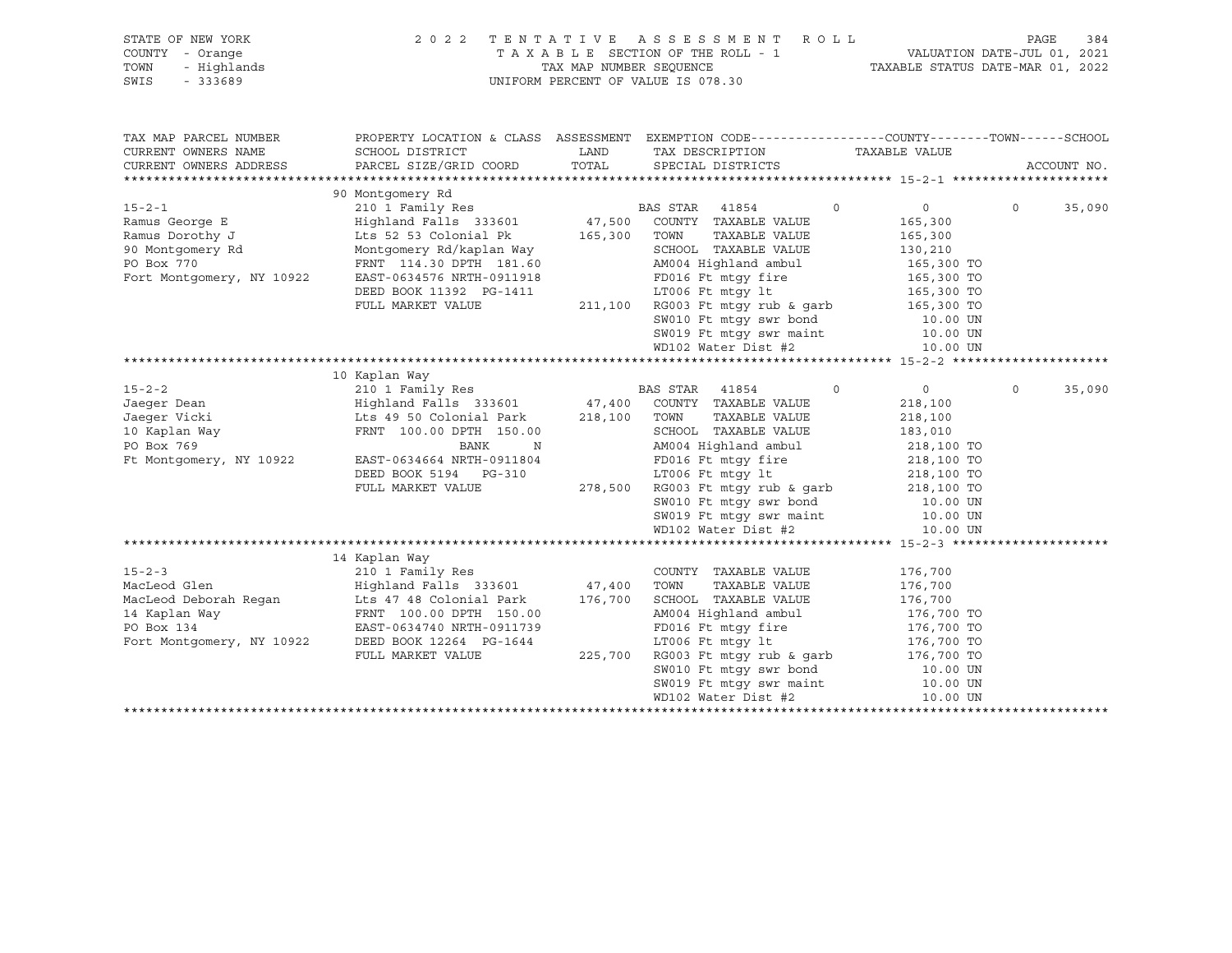| STATE OF NEW YORK         | 2 0 2 2                                           |         | TENTATIVE ASSESSMENT<br>R O L L                                                                                                             |                | PAGE    | 384         |
|---------------------------|---------------------------------------------------|---------|---------------------------------------------------------------------------------------------------------------------------------------------|----------------|---------|-------------|
| COUNTY - Orange           |                                                   |         |                                                                                                                                             |                |         |             |
| - Highlands<br>TOWN       |                                                   |         |                                                                                                                                             |                |         |             |
| $-333689$<br>SWIS         |                                                   |         | UNIFORM PERCENT OF VALUE IS 078.30                                                                                                          |                |         |             |
|                           |                                                   |         |                                                                                                                                             |                |         |             |
|                           |                                                   |         |                                                                                                                                             |                |         |             |
| TAX MAP PARCEL NUMBER     |                                                   |         | PROPERTY LOCATION & CLASS ASSESSMENT EXEMPTION CODE----------------COUNTY-------TOWN------SCHOOL                                            |                |         |             |
| CURRENT OWNERS NAME       | SCHOOL DISTRICT                                   | LAND    | TAX DESCRIPTION TAXABLE VALUE                                                                                                               |                |         |             |
| CURRENT OWNERS ADDRESS    | PARCEL SIZE/GRID COORD TOTAL SPECIAL DISTRICTS    |         |                                                                                                                                             |                |         | ACCOUNT NO. |
|                           |                                                   |         |                                                                                                                                             |                |         |             |
|                           | 90 Montgomery Rd                                  |         |                                                                                                                                             |                |         |             |
| $15 - 2 - 1$              |                                                   |         |                                                                                                                                             | $\overline{0}$ | $\circ$ | 35,090      |
| Ramus George E            |                                                   |         |                                                                                                                                             | 165,300        |         |             |
| Ramus Dorothy J           | Lts 52 53 Colonial Pk 165,300                     |         | TAXABLE VALUE<br>TOWN                                                                                                                       | 165,300        |         |             |
| 90 Montgomery Rd          | Montgomery Rd/kaplan Way                          |         | SCHOOL TAXABLE VALUE                                                                                                                        | 130,210        |         |             |
| PO Box 770                | FRNT 114.30 DPTH 181.60                           |         | AM004 Highland ambul 165,300 TO                                                                                                             |                |         |             |
| Fort Montgomery, NY 10922 | EAST-0634576 NRTH-0911918                         |         | FD016 Ft mtqy fire 165,300 TO                                                                                                               |                |         |             |
|                           | DEED BOOK 11392 PG-1411                           |         | LT006 Ft mtqy 1t 165,300 TO                                                                                                                 |                |         |             |
|                           | FULL MARKET VALUE                                 | 211,100 | RG003 Ft mtgy rub & garb 165,300 TO                                                                                                         |                |         |             |
|                           |                                                   |         | SW010 Ft mtgy swr bond 10.00 UN                                                                                                             |                |         |             |
|                           |                                                   |         |                                                                                                                                             | 10.00 UN       |         |             |
|                           |                                                   |         | SW019 Ft mtgy swr maint<br>WD102 Water Dist #2                                                                                              | 10.00 UN       |         |             |
|                           |                                                   |         |                                                                                                                                             |                |         |             |
|                           | 10 Kaplan Way                                     |         |                                                                                                                                             |                |         |             |
| $15 - 2 - 2$              | 210 1 Family Res                                  |         | BAS STAR 41854<br>$\overline{0}$                                                                                                            | $\overline{0}$ | $\circ$ | 35,090      |
| Jaeqer Dean               | Highland Falls 333601 47,400 COUNTY TAXABLE VALUE |         |                                                                                                                                             | 218,100        |         |             |
| Jaeqer Vicki              | Lts 49 50 Colonial Park                           | 218,100 | TOWN<br>TAXABLE VALUE                                                                                                                       | 218,100        |         |             |
| 10 Kaplan Way             | FRNT 100.00 DPTH 150.00                           |         | SCHOOL TAXABLE VALUE                                                                                                                        | 183,010        |         |             |
| PO Box 769                | <b>BANK</b><br>N                                  |         | AM004 Highland ambul 218,100 TO                                                                                                             |                |         |             |
| Ft Montgomery, NY 10922   | EAST-0634664 NRTH-0911804                         |         |                                                                                                                                             |                |         |             |
|                           | DEED BOOK 5194 PG-310                             |         |                                                                                                                                             |                |         |             |
|                           | FULL MARKET VALUE                                 | 278,500 |                                                                                                                                             |                |         |             |
|                           |                                                   |         | $10016$ Ft mtgy 11.<br>LT006 Ft mtgy 1t<br>RG003 Ft mtgy rub & garb<br>$218,100$ TO<br>$10.00$ UN<br>$10.00$ UN<br>$10.00$ UN<br>$10.00$ UN |                |         |             |
|                           |                                                   |         |                                                                                                                                             |                |         |             |
|                           |                                                   |         | WD102 Water Dist #2                                                                                                                         | 10.00 UN       |         |             |

|                           | 14 Kaplan Way             |         |                          |            |
|---------------------------|---------------------------|---------|--------------------------|------------|
| $15 - 2 - 3$              | 210 1 Family Res          |         | TAXABLE VALUE<br>COUNTY  | 176,700    |
| MacLeod Glen              | Highland Falls 333601     | 47,400  | TAXABLE VALUE<br>TOWN    | 176,700    |
| MacLeod Deborah Regan     | Lts 47 48 Colonial Park   | 176,700 | SCHOOL TAXABLE VALUE     | 176,700    |
| 14 Kaplan Way             | FRNT 100.00 DPTH 150.00   |         | AM004 Highland ambul     | 176,700 TO |
| PO Box 134                | EAST-0634740 NRTH-0911739 |         | FD016 Ft mtqy fire       | 176,700 TO |
| Fort Montgomery, NY 10922 | DEED BOOK 12264 PG-1644   |         | LT006 Ft mtqy lt         | 176,700 TO |
|                           | FULL MARKET VALUE         | 225,700 | RG003 Ft mtqy rub & qarb | 176,700 TO |
|                           |                           |         | SW010 Ft mtqy swr bond   | 10.00 UN   |
|                           |                           |         | SW019 Ft mtqy swr maint  | 10.00 UN   |
|                           |                           |         | WD102 Water Dist #2      | 10.00 UN   |
|                           |                           |         |                          |            |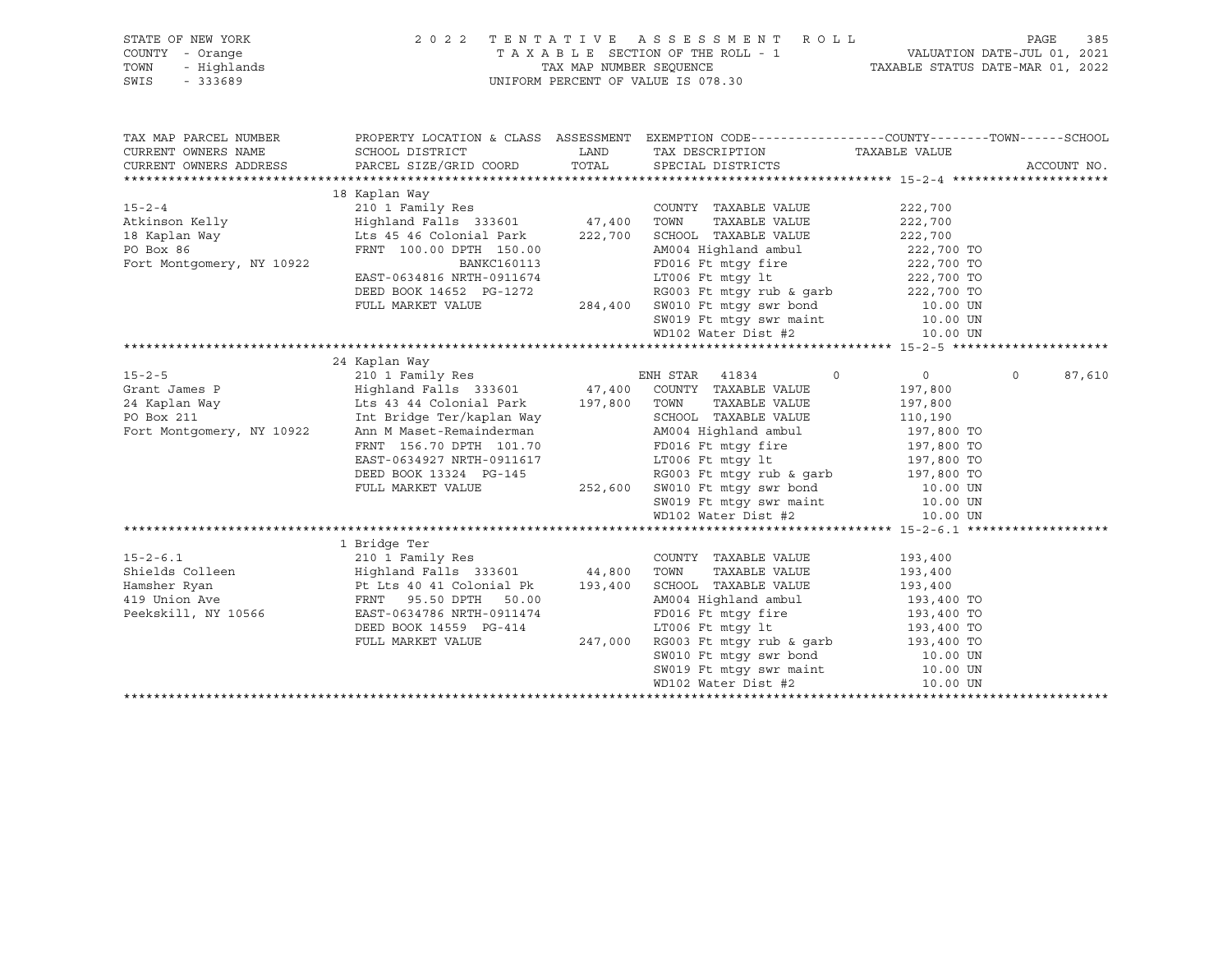| STATE OF NEW YORK<br>COUNTY - Orange<br>TOWN<br>- Highlands<br>SWIS<br>$-333689$ | 2022 TENTATIVE ASSESSMENT ROLL<br>UNIFORM PERCENT OF VALUE IS 078.30                                                                                                                                                                                                                                                                                                                                                                                                                                                                                                                                                                                                                                                         | TAXABLE SECTION OF THE ROLL - 1<br>TAX MAP NUMBER SEQUENCE TAXABLE STATUS DATE-JUL 01, 2021<br>NUROPM DEDGENT OF VALUE CASE 22                                                                                                                           | 385<br>PAGE               |                   |
|----------------------------------------------------------------------------------|------------------------------------------------------------------------------------------------------------------------------------------------------------------------------------------------------------------------------------------------------------------------------------------------------------------------------------------------------------------------------------------------------------------------------------------------------------------------------------------------------------------------------------------------------------------------------------------------------------------------------------------------------------------------------------------------------------------------------|----------------------------------------------------------------------------------------------------------------------------------------------------------------------------------------------------------------------------------------------------------|---------------------------|-------------------|
| TAX MAP PARCEL NUMBER<br>CURRENT OWNERS NAME<br>CURRENT OWNERS ADDRESS           |                                                                                                                                                                                                                                                                                                                                                                                                                                                                                                                                                                                                                                                                                                                              | PROPERTY LOCATION & CLASS ASSESSMENT EXEMPTION CODE-----------------COUNTY-------TOWN------SCHOOL<br>TAX DESCRIPTION TAXABLE VALUE                                                                                                                       |                           | ACCOUNT NO.       |
|                                                                                  |                                                                                                                                                                                                                                                                                                                                                                                                                                                                                                                                                                                                                                                                                                                              |                                                                                                                                                                                                                                                          |                           |                   |
| Fort Montgomery, NY 10922                                                        | 18 Kaplan Way<br>$\begin{tabular}{lccccccc} 15-2-4 & 222,700 \\ \hline \text{Atkinson Kelly} & Highland Falls & 333601 & 47,400 & TOWN & TAXABLE VALUE & 222,700 \\ \text{Atkinson Kelly} & Highland Falls & 333601 & 47,400 & TOWN & TAXABLE VALUE & 222,700 \\ \text{18 Kaplan Way} & \text{Lts 45 46 Colombia Park} & 222,700 & 222,700 & 222,700 \\ \text{FPNT} & 100.00 DPTH & 150.00 & 222,700 & 222,700 \\ \text{$<br>FRNT 100.00 DPTH 150.00<br>BANKC160113<br>EAST-0634816 NRTH-0911674<br>DEED BOOK 14652 PG-1272<br>FULL MARKET VALUE<br>TULL MARKET VALUE<br>TULL MARKET VALUE<br>TULL MARKET VALUE<br>TULL MARKET VALUE<br>TULL MARKET VALUE<br>TULL MARKET VALUE<br><br>FRNT 100.00 DPTH 150.00<br>BANKC160113 |                                                                                                                                                                                                                                                          |                           |                   |
|                                                                                  |                                                                                                                                                                                                                                                                                                                                                                                                                                                                                                                                                                                                                                                                                                                              |                                                                                                                                                                                                                                                          |                           |                   |
|                                                                                  |                                                                                                                                                                                                                                                                                                                                                                                                                                                                                                                                                                                                                                                                                                                              |                                                                                                                                                                                                                                                          |                           |                   |
|                                                                                  |                                                                                                                                                                                                                                                                                                                                                                                                                                                                                                                                                                                                                                                                                                                              |                                                                                                                                                                                                                                                          |                           |                   |
| Fort Montgomery, NY 10922                                                        | 15-2-5<br>Grant James P<br>24 Kaplan Way<br>24 Kaplan Way<br>24 Kaplan Way<br>25 Highland Falls 333601<br>24 Kaplan Way<br>25 Highland Falls 333601<br>27,800 TOWN TAXABLE VALUE<br>27,800 TOWN TAXABLE VALUE<br>27,800 TOWN TAXABLE VALUE<br>27,800<br>110,190 (110,190 Mm M Maset-Remainderman M Maset Perry Ann M Maset - Remainderman M M004 Highland ambul 197,800 TO FRNT 156.70 DPTH 101.70 (2016) FORM M MASET-0634927 NRTH-0911617 (2016) FORM M MASET 197,800 TO MASET 197,8                                                                                                                                                                                                                                       | $\overline{0}$<br>TAXABLE VALUE 197,800<br>DEED BOOK 13324 PG-145<br>PULL MARKET VALUE 252,600 SW010 Ft mtgy rub & garb<br>PULL MARKET VALUE 252,600 SW010 Ft mtgy swr bond 10.00 UN<br>SW019 Ft mtgy swr maint 10.00 UN<br>WD102 Water Dist #2 10.00 UN | $\overline{0}$<br>197,800 | $\circ$<br>87,610 |
|                                                                                  |                                                                                                                                                                                                                                                                                                                                                                                                                                                                                                                                                                                                                                                                                                                              |                                                                                                                                                                                                                                                          |                           |                   |
| $15 - 2 - 6.1$<br>Peekskill, NY 10566                                            | 1 Bridge Ter<br>- -----,- ---<br>210 1 Family Res<br>Pt Lts 40 41 Colonial Pk 193,400 SCHOOL TAXABLE VALUE 193,400 AM004 Highland ambul 193,400 TO<br>FRNT 95.50 DPTH 50.00 AM004 Highland ambul 193,400 TO<br>EAST-0634786 NRTH-0911474 FD016 Ft mtgy fire 193,400 TO<br>DEED BOOK 14559                                                                                                                                                                                                                                                                                                                                                                                                                                    | COUNTY TAXABLE VALUE 193,400<br>TAXABLE VALUE 193,400<br>TAXABLE VALUE 193,400                                                                                                                                                                           |                           |                   |
|                                                                                  |                                                                                                                                                                                                                                                                                                                                                                                                                                                                                                                                                                                                                                                                                                                              |                                                                                                                                                                                                                                                          |                           |                   |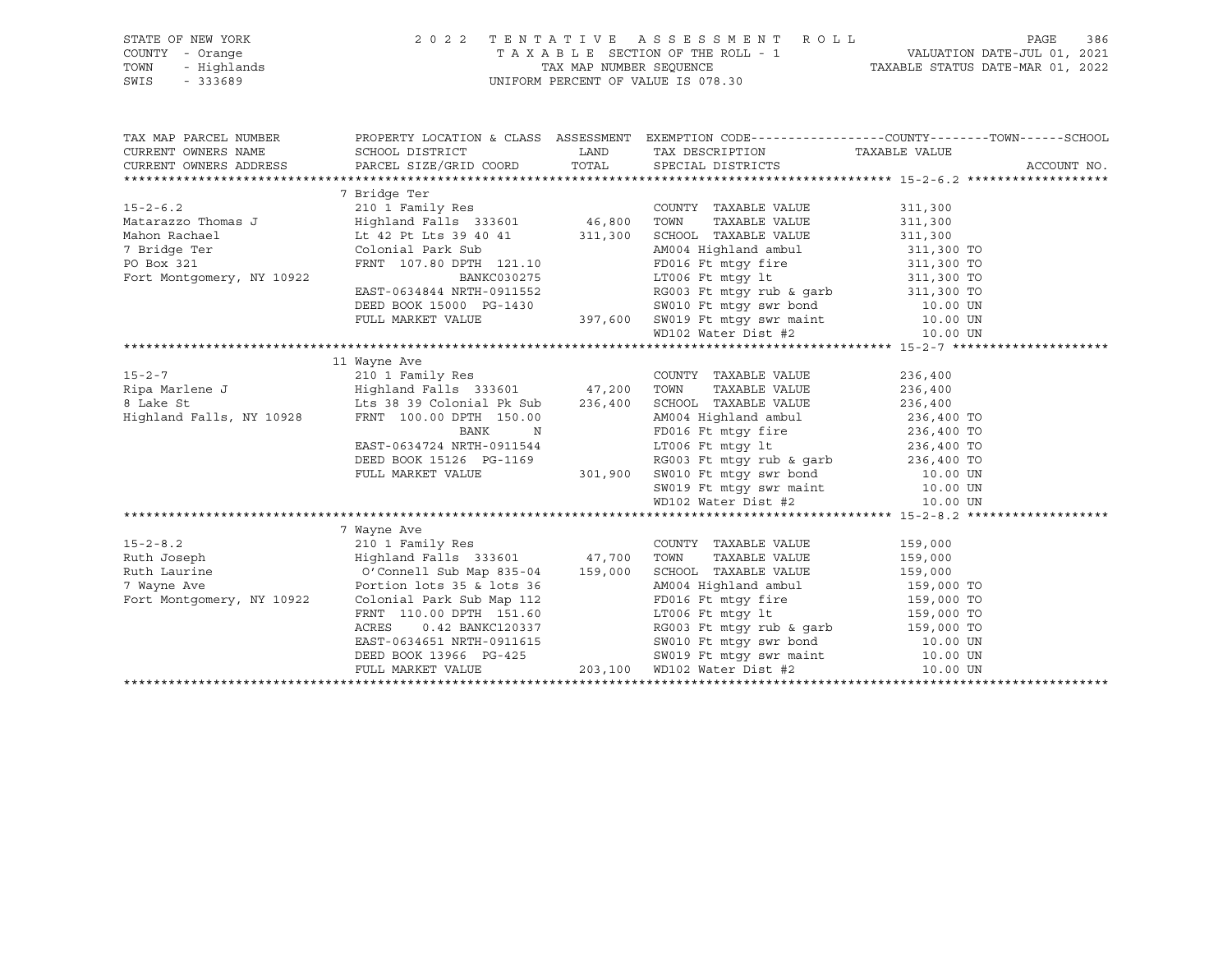| STATE OF NEW YORK | 2022 TENTATIVE ASSESSMENT ROLL     | PAGE                             | 386 |
|-------------------|------------------------------------|----------------------------------|-----|
| COUNTY - Orange   | TAXABLE SECTION OF THE ROLL - 1    | VALUATION DATE-JUL 01, 2021      |     |
| TOWN - Highlands  | TAX MAP NUMBER SEOUENCE            | TAXABLE STATUS DATE-MAR 01, 2022 |     |
| SWIS<br>- 333689  | UNIFORM PERCENT OF VALUE IS 078.30 |                                  |     |
|                   |                                    |                                  |     |

| 7 Bridge Ter<br>COUNTY TAXABLE VALUE<br>311,300<br>TAXABLE VALUE 311,300<br>Lt 42 Pt Lts 39 40 41 311,300 SCHOOL TAXABLE VALUE 311,300<br>Mahon Rachael<br>FRIE Colonial Park Sub<br>PO Box 321<br>FRNT 107.80 DPTH 121.10<br>PO Box 321<br>FRNT 107.80 DPTH 121.10<br>EAST-0634844 NRTH-0911552<br>EAST-0634844 NRTH-0911552<br>DEED BOOK 15000 PG-1430<br>FULL MARKET VALUE<br>THE SUB SUBDED SOON 15000<br>11 Wayne Ave<br>AM004 Highland ambul 236,400 TO<br>Highland Falls, NY 10928<br>FRNT 100.00 DPTH 150.00<br>BANK N<br>FD016 Ft mtgy fire 236,400 TO<br>LT006 Ft mtgy 1t 236,400 TO<br>EAST-0634724 NRTH-0911544<br>DEED BOOK 15126 PG-1169<br>FULL MARKET VALUE 301,900 SW010 Ft mtgy swr bond<br>SW019 Ft mtgy swr maint 10.00 UN<br>WD102 Water Dist #2<br>10.00 UN<br>WD102 Water Dist #2<br>10.00 UN<br>7 Wayne Ave<br>wayne Ave<br>210 1 Family Res<br>$15 - 2 - 8.2$<br>COUNTY TAXABLE VALUE 159,000<br>Ruth Joseph                           Highland Falls 333601           47,700   TOWN<br>TAXABLE VALUE 159,000<br>O'Connell Sub Map 835-04 159,000<br>SCHOOL TAXABLE VALUE 159,000<br>AM004 Highland ambul 159,000 TO<br>FD016 Ft mtgy fire 159,000 TO<br>LT006 Ft mtgy 1t 159,000 TO<br>Ruth Laurine<br>Portion lots 35 & lots 36<br>Colonial Park Sub Map 112<br>FD016 Ft mtgy fire 159,000 TO<br>FRNT 110.00 DPTH 151.60<br>RT-0634651 NRTH-0911615<br>EAST-0634651 NRTH-0911615<br>DEED BOOK 13966 PC-425<br>THE 2022100 WOLD Ft mtgy swr bond<br>D<br>7 Wayne Ave<br>Fort Montgomery, NY 10922 |  |  | TAX MAP PARCEL NUMBER THE PROPERTY LOCATION & CLASS ASSESSMENT EXEMPTION CODE---------------COUNTY--------TOWN------SCHOOL |
|-----------------------------------------------------------------------------------------------------------------------------------------------------------------------------------------------------------------------------------------------------------------------------------------------------------------------------------------------------------------------------------------------------------------------------------------------------------------------------------------------------------------------------------------------------------------------------------------------------------------------------------------------------------------------------------------------------------------------------------------------------------------------------------------------------------------------------------------------------------------------------------------------------------------------------------------------------------------------------------------------------------------------------------------------------------------------------------------------------------------------------------------------------------------------------------------------------------------------------------------------------------------------------------------------------------------------------------------------------------------------------------------------------------------------------------------------------------------------------------------------------------------------------|--|--|----------------------------------------------------------------------------------------------------------------------------|
|                                                                                                                                                                                                                                                                                                                                                                                                                                                                                                                                                                                                                                                                                                                                                                                                                                                                                                                                                                                                                                                                                                                                                                                                                                                                                                                                                                                                                                                                                                                             |  |  |                                                                                                                            |
|                                                                                                                                                                                                                                                                                                                                                                                                                                                                                                                                                                                                                                                                                                                                                                                                                                                                                                                                                                                                                                                                                                                                                                                                                                                                                                                                                                                                                                                                                                                             |  |  |                                                                                                                            |
|                                                                                                                                                                                                                                                                                                                                                                                                                                                                                                                                                                                                                                                                                                                                                                                                                                                                                                                                                                                                                                                                                                                                                                                                                                                                                                                                                                                                                                                                                                                             |  |  |                                                                                                                            |
|                                                                                                                                                                                                                                                                                                                                                                                                                                                                                                                                                                                                                                                                                                                                                                                                                                                                                                                                                                                                                                                                                                                                                                                                                                                                                                                                                                                                                                                                                                                             |  |  |                                                                                                                            |
|                                                                                                                                                                                                                                                                                                                                                                                                                                                                                                                                                                                                                                                                                                                                                                                                                                                                                                                                                                                                                                                                                                                                                                                                                                                                                                                                                                                                                                                                                                                             |  |  |                                                                                                                            |
|                                                                                                                                                                                                                                                                                                                                                                                                                                                                                                                                                                                                                                                                                                                                                                                                                                                                                                                                                                                                                                                                                                                                                                                                                                                                                                                                                                                                                                                                                                                             |  |  |                                                                                                                            |
|                                                                                                                                                                                                                                                                                                                                                                                                                                                                                                                                                                                                                                                                                                                                                                                                                                                                                                                                                                                                                                                                                                                                                                                                                                                                                                                                                                                                                                                                                                                             |  |  |                                                                                                                            |
|                                                                                                                                                                                                                                                                                                                                                                                                                                                                                                                                                                                                                                                                                                                                                                                                                                                                                                                                                                                                                                                                                                                                                                                                                                                                                                                                                                                                                                                                                                                             |  |  |                                                                                                                            |
|                                                                                                                                                                                                                                                                                                                                                                                                                                                                                                                                                                                                                                                                                                                                                                                                                                                                                                                                                                                                                                                                                                                                                                                                                                                                                                                                                                                                                                                                                                                             |  |  |                                                                                                                            |
|                                                                                                                                                                                                                                                                                                                                                                                                                                                                                                                                                                                                                                                                                                                                                                                                                                                                                                                                                                                                                                                                                                                                                                                                                                                                                                                                                                                                                                                                                                                             |  |  |                                                                                                                            |
|                                                                                                                                                                                                                                                                                                                                                                                                                                                                                                                                                                                                                                                                                                                                                                                                                                                                                                                                                                                                                                                                                                                                                                                                                                                                                                                                                                                                                                                                                                                             |  |  |                                                                                                                            |
|                                                                                                                                                                                                                                                                                                                                                                                                                                                                                                                                                                                                                                                                                                                                                                                                                                                                                                                                                                                                                                                                                                                                                                                                                                                                                                                                                                                                                                                                                                                             |  |  |                                                                                                                            |
|                                                                                                                                                                                                                                                                                                                                                                                                                                                                                                                                                                                                                                                                                                                                                                                                                                                                                                                                                                                                                                                                                                                                                                                                                                                                                                                                                                                                                                                                                                                             |  |  |                                                                                                                            |
|                                                                                                                                                                                                                                                                                                                                                                                                                                                                                                                                                                                                                                                                                                                                                                                                                                                                                                                                                                                                                                                                                                                                                                                                                                                                                                                                                                                                                                                                                                                             |  |  |                                                                                                                            |
|                                                                                                                                                                                                                                                                                                                                                                                                                                                                                                                                                                                                                                                                                                                                                                                                                                                                                                                                                                                                                                                                                                                                                                                                                                                                                                                                                                                                                                                                                                                             |  |  |                                                                                                                            |
|                                                                                                                                                                                                                                                                                                                                                                                                                                                                                                                                                                                                                                                                                                                                                                                                                                                                                                                                                                                                                                                                                                                                                                                                                                                                                                                                                                                                                                                                                                                             |  |  |                                                                                                                            |
|                                                                                                                                                                                                                                                                                                                                                                                                                                                                                                                                                                                                                                                                                                                                                                                                                                                                                                                                                                                                                                                                                                                                                                                                                                                                                                                                                                                                                                                                                                                             |  |  |                                                                                                                            |
|                                                                                                                                                                                                                                                                                                                                                                                                                                                                                                                                                                                                                                                                                                                                                                                                                                                                                                                                                                                                                                                                                                                                                                                                                                                                                                                                                                                                                                                                                                                             |  |  |                                                                                                                            |
|                                                                                                                                                                                                                                                                                                                                                                                                                                                                                                                                                                                                                                                                                                                                                                                                                                                                                                                                                                                                                                                                                                                                                                                                                                                                                                                                                                                                                                                                                                                             |  |  |                                                                                                                            |
|                                                                                                                                                                                                                                                                                                                                                                                                                                                                                                                                                                                                                                                                                                                                                                                                                                                                                                                                                                                                                                                                                                                                                                                                                                                                                                                                                                                                                                                                                                                             |  |  |                                                                                                                            |
|                                                                                                                                                                                                                                                                                                                                                                                                                                                                                                                                                                                                                                                                                                                                                                                                                                                                                                                                                                                                                                                                                                                                                                                                                                                                                                                                                                                                                                                                                                                             |  |  |                                                                                                                            |
|                                                                                                                                                                                                                                                                                                                                                                                                                                                                                                                                                                                                                                                                                                                                                                                                                                                                                                                                                                                                                                                                                                                                                                                                                                                                                                                                                                                                                                                                                                                             |  |  |                                                                                                                            |
|                                                                                                                                                                                                                                                                                                                                                                                                                                                                                                                                                                                                                                                                                                                                                                                                                                                                                                                                                                                                                                                                                                                                                                                                                                                                                                                                                                                                                                                                                                                             |  |  |                                                                                                                            |
|                                                                                                                                                                                                                                                                                                                                                                                                                                                                                                                                                                                                                                                                                                                                                                                                                                                                                                                                                                                                                                                                                                                                                                                                                                                                                                                                                                                                                                                                                                                             |  |  |                                                                                                                            |
|                                                                                                                                                                                                                                                                                                                                                                                                                                                                                                                                                                                                                                                                                                                                                                                                                                                                                                                                                                                                                                                                                                                                                                                                                                                                                                                                                                                                                                                                                                                             |  |  |                                                                                                                            |
|                                                                                                                                                                                                                                                                                                                                                                                                                                                                                                                                                                                                                                                                                                                                                                                                                                                                                                                                                                                                                                                                                                                                                                                                                                                                                                                                                                                                                                                                                                                             |  |  |                                                                                                                            |
|                                                                                                                                                                                                                                                                                                                                                                                                                                                                                                                                                                                                                                                                                                                                                                                                                                                                                                                                                                                                                                                                                                                                                                                                                                                                                                                                                                                                                                                                                                                             |  |  |                                                                                                                            |
|                                                                                                                                                                                                                                                                                                                                                                                                                                                                                                                                                                                                                                                                                                                                                                                                                                                                                                                                                                                                                                                                                                                                                                                                                                                                                                                                                                                                                                                                                                                             |  |  |                                                                                                                            |
|                                                                                                                                                                                                                                                                                                                                                                                                                                                                                                                                                                                                                                                                                                                                                                                                                                                                                                                                                                                                                                                                                                                                                                                                                                                                                                                                                                                                                                                                                                                             |  |  |                                                                                                                            |
|                                                                                                                                                                                                                                                                                                                                                                                                                                                                                                                                                                                                                                                                                                                                                                                                                                                                                                                                                                                                                                                                                                                                                                                                                                                                                                                                                                                                                                                                                                                             |  |  |                                                                                                                            |
|                                                                                                                                                                                                                                                                                                                                                                                                                                                                                                                                                                                                                                                                                                                                                                                                                                                                                                                                                                                                                                                                                                                                                                                                                                                                                                                                                                                                                                                                                                                             |  |  |                                                                                                                            |
|                                                                                                                                                                                                                                                                                                                                                                                                                                                                                                                                                                                                                                                                                                                                                                                                                                                                                                                                                                                                                                                                                                                                                                                                                                                                                                                                                                                                                                                                                                                             |  |  |                                                                                                                            |
|                                                                                                                                                                                                                                                                                                                                                                                                                                                                                                                                                                                                                                                                                                                                                                                                                                                                                                                                                                                                                                                                                                                                                                                                                                                                                                                                                                                                                                                                                                                             |  |  |                                                                                                                            |
|                                                                                                                                                                                                                                                                                                                                                                                                                                                                                                                                                                                                                                                                                                                                                                                                                                                                                                                                                                                                                                                                                                                                                                                                                                                                                                                                                                                                                                                                                                                             |  |  |                                                                                                                            |
|                                                                                                                                                                                                                                                                                                                                                                                                                                                                                                                                                                                                                                                                                                                                                                                                                                                                                                                                                                                                                                                                                                                                                                                                                                                                                                                                                                                                                                                                                                                             |  |  |                                                                                                                            |
|                                                                                                                                                                                                                                                                                                                                                                                                                                                                                                                                                                                                                                                                                                                                                                                                                                                                                                                                                                                                                                                                                                                                                                                                                                                                                                                                                                                                                                                                                                                             |  |  |                                                                                                                            |
|                                                                                                                                                                                                                                                                                                                                                                                                                                                                                                                                                                                                                                                                                                                                                                                                                                                                                                                                                                                                                                                                                                                                                                                                                                                                                                                                                                                                                                                                                                                             |  |  |                                                                                                                            |
|                                                                                                                                                                                                                                                                                                                                                                                                                                                                                                                                                                                                                                                                                                                                                                                                                                                                                                                                                                                                                                                                                                                                                                                                                                                                                                                                                                                                                                                                                                                             |  |  |                                                                                                                            |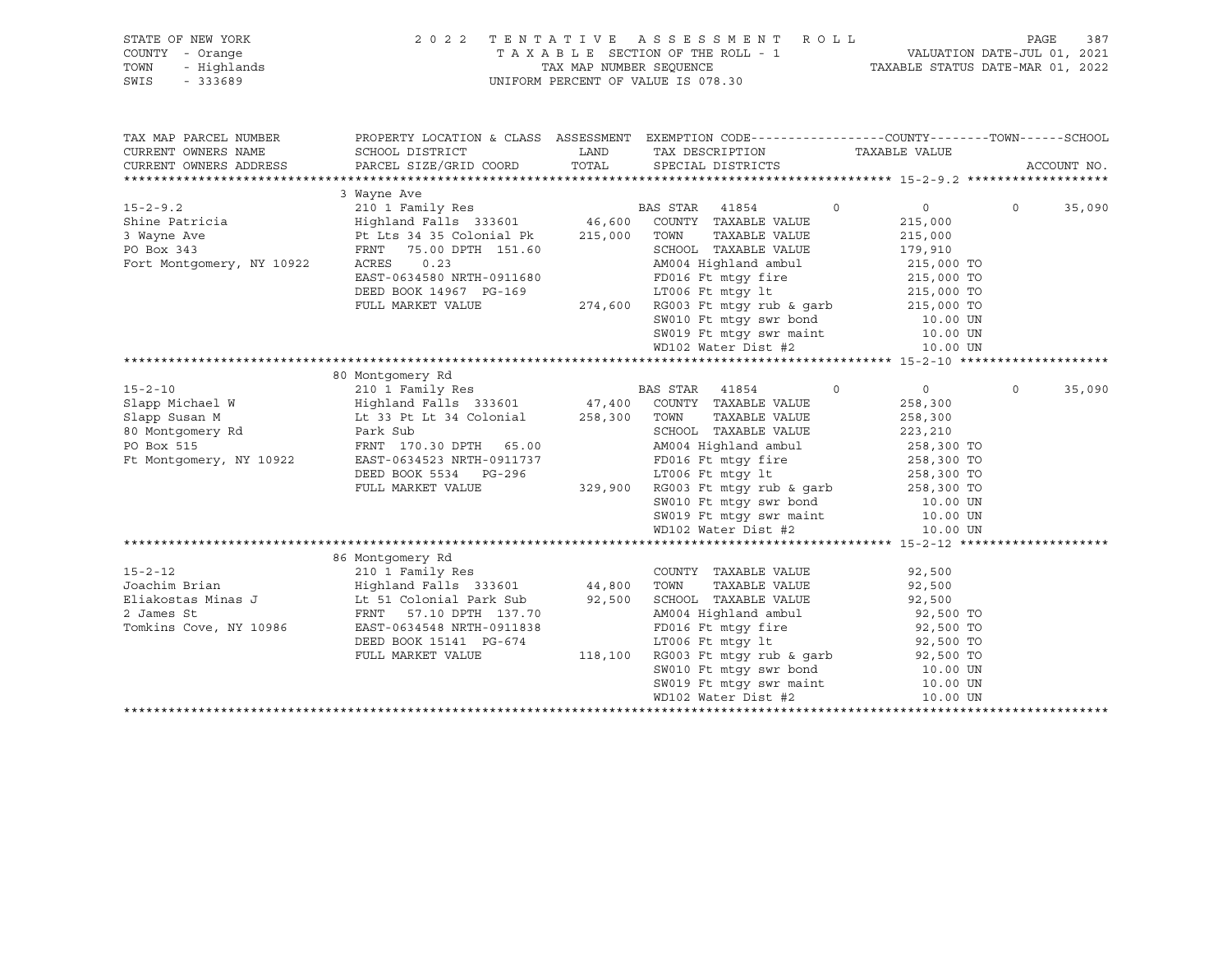| STATE OF NEW YORK | 2022 TENTATIVE ASSESSMENT ROLL     |                                  | PAGE                        | 387 |
|-------------------|------------------------------------|----------------------------------|-----------------------------|-----|
| COUNTY - Orange   | TAXABLE SECTION OF THE ROLL - 1    |                                  | VALUATION DATE-JUL 01, 2021 |     |
| TOWN - Highlands  | TAX MAP NUMBER SEOUENCE            | TAXABLE STATUS DATE-MAR 01, 2022 |                             |     |
| SWIS<br>- 333689  | UNIFORM PERCENT OF VALUE IS 078.30 |                                  |                             |     |
|                   |                                    |                                  |                             |     |
|                   |                                    |                                  |                             |     |

| TAX MAP PARCEL NUMBER<br>CURRENT OWNERS NAME<br>CURRENT OWNERS ADDRESS | PROPERTY LOCATION & CLASS ASSESSMENT EXEMPTION CODE----------------COUNTY-------TOWN------SCHOOL<br>SCHOOL DISTRICT<br>PARCEL SIZE/GRID COORD                                                                                      | LAND    | TAX DESCRIPTION<br>TOTAL SPECIAL DISTRICTS                       | TAXABLE VALUE |                          |          | ACCOUNT NO. |
|------------------------------------------------------------------------|------------------------------------------------------------------------------------------------------------------------------------------------------------------------------------------------------------------------------------|---------|------------------------------------------------------------------|---------------|--------------------------|----------|-------------|
|                                                                        | 3 Wayne Ave                                                                                                                                                                                                                        |         |                                                                  |               |                          |          |             |
| $15 - 2 - 9.2$                                                         | 210 1 Family Res                                                                                                                                                                                                                   |         | BAS STAR 41854                                                   | $\circ$       | $0 \qquad \qquad$        | $\circ$  | 35,090      |
| Shine Patricia                                                         |                                                                                                                                                                                                                                    |         |                                                                  |               | 215,000                  |          |             |
| 3 Wayne Ave                                                            | Pt Lts 34 35 Colonial Pk $215,000$                                                                                                                                                                                                 |         | TAXABLE VALUE<br>TOWN                                            |               | 215,000                  |          |             |
| PO Box 343                                                             | 75.00 DPTH 151.60<br>FRNT                                                                                                                                                                                                          |         | SCHOOL TAXABLE VALUE                                             |               | 179,910                  |          |             |
| Fort Montgomery, NY 10922                                              | ACRES<br>0.23                                                                                                                                                                                                                      |         | AM004 Highland ambul                                             |               | 215,000 TO               |          |             |
|                                                                        | EAST-0634580 NRTH-0911680                                                                                                                                                                                                          |         | FD016 Ft mtgy fire                                               |               |                          |          |             |
|                                                                        | DEED BOOK 14967 PG-169                                                                                                                                                                                                             |         | LT006 Ft mtqy lt                                                 |               | 215,000 TO<br>215,000 TO |          |             |
|                                                                        | FULL MARKET VALUE                                                                                                                                                                                                                  | 274,600 | RG003 Ft mtgy rub & garb                                         |               | 215,000 TO               |          |             |
|                                                                        |                                                                                                                                                                                                                                    |         | SW010 Ft mtgy swr bond 10.00 UN                                  |               |                          |          |             |
|                                                                        |                                                                                                                                                                                                                                    |         |                                                                  |               | 10.00 UN                 |          |             |
|                                                                        |                                                                                                                                                                                                                                    |         | SW019 Ft mtgy swr maint<br>WD102 Water Dist #2                   |               | 10.00 UN                 |          |             |
|                                                                        |                                                                                                                                                                                                                                    |         |                                                                  |               |                          |          |             |
|                                                                        | 80 Montgomery Rd                                                                                                                                                                                                                   |         |                                                                  |               |                          |          |             |
| $15 - 2 - 10$                                                          | 210 1 Family Res                                                                                                                                                                                                                   |         | BAS STAR 41854                                                   | $\Omega$      | 0                        | $\Omega$ | 35,090      |
| Slapp Michael W                                                        |                                                                                                                                                                                                                                    |         |                                                                  |               | 258,300                  |          |             |
| Slapp Susan M                                                          | Highland Falls   333601               47,400   COUNTY   TAXABLE VALUE<br>Lt 33 Pt Lt 34 Colonial           258,300   TOWN     TAXABLE VALUE                                                                                        |         | TAXABLE VALUE                                                    |               | 258,300                  |          |             |
| 80 Montgomery Rd                                                       | Park Sub                                                                                                                                                                                                                           |         | SCHOOL TAXABLE VALUE                                             |               | 223,210                  |          |             |
| PO Box 515                                                             | FRNT 170.30 DPTH 65.00                                                                                                                                                                                                             |         |                                                                  |               |                          |          |             |
| Ft Montgomery, NY 10922                                                | EAST-0634523 NRTH-0911737                                                                                                                                                                                                          |         | AM004 Highland ambul 258,300 TO<br>FD016 Ft mtgy fire            |               |                          |          |             |
|                                                                        | DEED BOOK 5534 PG-296                                                                                                                                                                                                              |         | LT006 Ft mtqy lt                                                 |               | 258,300 TO<br>258,300 TO |          |             |
|                                                                        | FULL MARKET VALUE                                                                                                                                                                                                                  | 329,900 | $RG003$ Ft mtgy rub & garb 258,300 TO                            |               |                          |          |             |
|                                                                        |                                                                                                                                                                                                                                    |         | SW010 Ft mtgy swr bond 10.00 UN                                  |               |                          |          |             |
|                                                                        |                                                                                                                                                                                                                                    |         |                                                                  |               |                          |          |             |
|                                                                        |                                                                                                                                                                                                                                    |         | SW019 Ft mtgy swr maint 10.00 UN<br>WD102 Water Dist #2 10.00 UN |               |                          |          |             |
|                                                                        |                                                                                                                                                                                                                                    |         |                                                                  |               |                          |          |             |
|                                                                        |                                                                                                                                                                                                                                    |         |                                                                  |               |                          |          |             |
| $15 - 2 - 12$                                                          | 86 Montgomery Rd                                                                                                                                                                                                                   |         |                                                                  |               |                          |          |             |
|                                                                        |                                                                                                                                                                                                                                    |         | COUNTY TAXABLE VALUE                                             |               | 92,500                   |          |             |
| Joachim Brian                                                          |                                                                                                                                                                                                                                    |         | TOWN<br>TAXABLE VALUE                                            |               | 92,500                   |          |             |
| Eliakostas Minas J<br>^ Tempo St                                       | Example 1 Automatic Section 1 Automatic Section 1 Automatic Section 1 Automatic Section 1 Automatic Section 1<br>In the Section 1 Automatic Section 1 Automatic Section 1 Automatic Section 1 Automatic Section 1 Automatic Se<br> |         | SCHOOL TAXABLE VALUE                                             |               | 92,500                   |          |             |
|                                                                        | FRNT 57.10 DPTH 137.70                                                                                                                                                                                                             |         | AM004 Highland ambul                                             |               | 92,500 TO                |          |             |
| Tomkins Cove, NY 10986                                                 | EAST-0634548 NRTH-0911838                                                                                                                                                                                                          |         | FD016 Ft mtqy fire                                               |               | 92,500 TO                |          |             |
|                                                                        | DEED BOOK 15141 PG-674                                                                                                                                                                                                             |         | LT006 Ft mtqy lt                                                 |               | 92,500 TO                |          |             |
|                                                                        | FULL MARKET VALUE                                                                                                                                                                                                                  | 118,100 | RG003 Ft mtqy rub & qarb                                         |               | 92,500 TO<br>10.00 UN    |          |             |
|                                                                        |                                                                                                                                                                                                                                    |         | SW010 Ft mtgy swr bond                                           |               |                          |          |             |
|                                                                        |                                                                                                                                                                                                                                    |         | SW019 Ft mtgy swr maint 10.00 UN                                 |               |                          |          |             |
|                                                                        |                                                                                                                                                                                                                                    |         | WD102 Water Dist #2                                              |               | 10.00 UN                 |          |             |
|                                                                        |                                                                                                                                                                                                                                    |         |                                                                  |               |                          |          |             |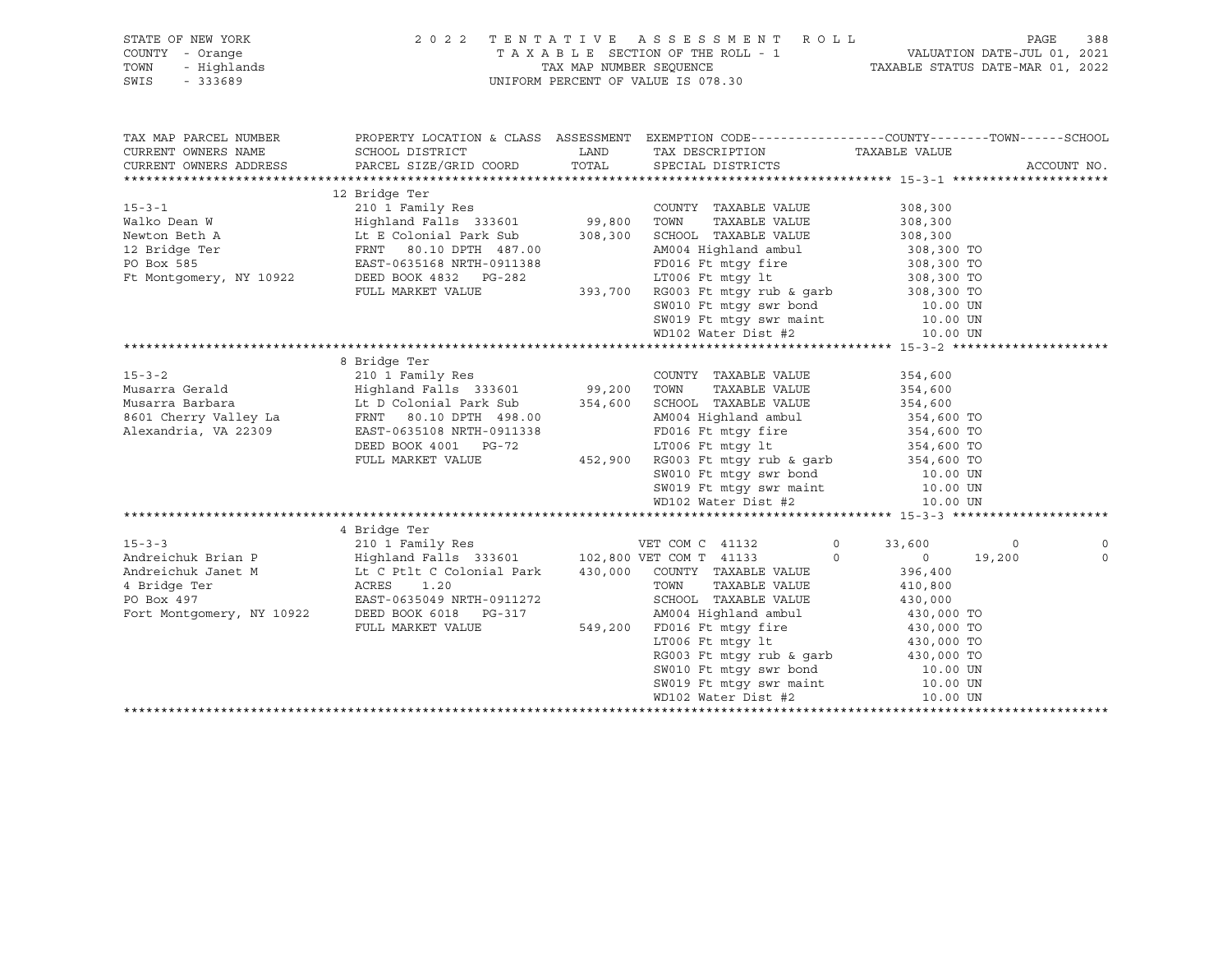| STATE OF NEW YORK<br>I - Orange<br>- Highlands<br>- 333689<br>COUNTY - Orange<br>TOWN<br>SWIS | 2022 TENTATIVE ASSESSMENT ROLL<br>UNIFORM PERCENT OF VALUE IS 078.30                                                                                                                                                                           |      |                                                                                                                                                 | 388<br>PAGE                                          |         |             |
|-----------------------------------------------------------------------------------------------|------------------------------------------------------------------------------------------------------------------------------------------------------------------------------------------------------------------------------------------------|------|-------------------------------------------------------------------------------------------------------------------------------------------------|------------------------------------------------------|---------|-------------|
| TAX MAP PARCEL NUMBER                                                                         |                                                                                                                                                                                                                                                |      | PROPERTY LOCATION & CLASS ASSESSMENT EXEMPTION CODE-----------------COUNTY-------TOWN------SCHOOL                                               |                                                      |         |             |
| CURRENT OWNERS NAME                                                                           | SCHOOL DISTRICT                                                                                                                                                                                                                                | LAND | TAX DESCRIPTION                                                                                                                                 | TAXABLE VALUE                                        |         |             |
| CURRENT OWNERS ADDRESS                                                                        | PARCEL SIZE/GRID COORD                                                                                                                                                                                                                         |      | TOTAL SPECIAL DISTRICTS                                                                                                                         |                                                      |         | ACCOUNT NO. |
|                                                                                               | 15-3-1 210 1 Family Res<br>Walko Dean W Highland Falls 333601 99,800 TOWN TAXABLE VALUE 308,300<br>Newton Beth A Lt E Colonial Park Sub<br>12 Bridge Ter FRNT 80.10 DPTH 487.00<br>PO Box 585 EAST-0635168 NRTH-0911388 FD016 Ft mtgy          |      |                                                                                                                                                 |                                                      |         |             |
|                                                                                               |                                                                                                                                                                                                                                                |      |                                                                                                                                                 |                                                      |         |             |
|                                                                                               |                                                                                                                                                                                                                                                |      |                                                                                                                                                 |                                                      |         |             |
|                                                                                               |                                                                                                                                                                                                                                                |      |                                                                                                                                                 |                                                      |         |             |
|                                                                                               |                                                                                                                                                                                                                                                |      |                                                                                                                                                 |                                                      |         |             |
|                                                                                               |                                                                                                                                                                                                                                                |      |                                                                                                                                                 |                                                      |         |             |
|                                                                                               |                                                                                                                                                                                                                                                |      |                                                                                                                                                 |                                                      |         |             |
|                                                                                               |                                                                                                                                                                                                                                                |      |                                                                                                                                                 |                                                      |         |             |
|                                                                                               |                                                                                                                                                                                                                                                |      |                                                                                                                                                 |                                                      |         |             |
|                                                                                               |                                                                                                                                                                                                                                                |      |                                                                                                                                                 |                                                      |         |             |
|                                                                                               |                                                                                                                                                                                                                                                |      | 393,700 RG003 Ft mtgy rub & garb<br>SW010 Ft mtgy swr bond<br>SW010 Ft mtgy swr maint<br>MD102 Water Dist #2<br>10.00 UN<br>MD102 Water Dist #2 |                                                      |         |             |
|                                                                                               | 8 Bridge Ter                                                                                                                                                                                                                                   |      |                                                                                                                                                 |                                                      |         |             |
| $15 - 3 - 2$                                                                                  | 210 1 Family Res                                                                                                                                                                                                                               |      | COUNTY TAXABLE VALUE                                                                                                                            | 354,600                                              |         |             |
| Musarra Gerald                                                                                |                                                                                                                                                                                                                                                |      |                                                                                                                                                 | 354,600                                              |         |             |
| Musarra Barbara                                                                               |                                                                                                                                                                                                                                                |      |                                                                                                                                                 | 354,600                                              |         |             |
| 8601 Cherry Valley La                                                                         | FRNT 80.10 DPTH 498.00                                                                                                                                                                                                                         |      |                                                                                                                                                 |                                                      |         |             |
| Alexandria, VA 22309                                                                          | EAST-0635108 NRTH-0911338                                                                                                                                                                                                                      |      | AM004 Highland ambul<br>FD016 Ft mtgy fire                                                                                                      | 354,600 TO<br>354,600 TO<br>354,600 TO<br>354,600 TO |         |             |
|                                                                                               | DEED BOOK 4001 PG-72                                                                                                                                                                                                                           |      | EDULO 1 c must increase that<br>LT006 Ft mtgy 1t<br>452,900 RG003 Ft mtgy sw bond<br>SW010 Ft mtgy sw bond                                      |                                                      |         |             |
|                                                                                               | FULL MARKET VALUE                                                                                                                                                                                                                              |      |                                                                                                                                                 |                                                      |         |             |
|                                                                                               |                                                                                                                                                                                                                                                |      |                                                                                                                                                 |                                                      |         |             |
|                                                                                               |                                                                                                                                                                                                                                                |      | SW019 Ft mtqy swr maint                                                                                                                         | 10.00 UN<br>10.00 UN                                 |         |             |
|                                                                                               |                                                                                                                                                                                                                                                |      | WD102 Water Dist #2                                                                                                                             | 10.00 UN                                             |         |             |
|                                                                                               |                                                                                                                                                                                                                                                |      |                                                                                                                                                 |                                                      |         |             |
|                                                                                               | Andreichuk Brian P<br>Andreichuk Janet M<br>Andreichuk Janet M<br>ERST-0635049 NRTH-0911979<br>ERST-0635049 NRTH-0911979<br>ERST-0635049 NRTH-0911979<br>Fort Montgomery NV 1999<br>Fort Montgomery NV 1999<br>Fort Montgomery NV 1999<br>Fort |      |                                                                                                                                                 |                                                      |         |             |
|                                                                                               |                                                                                                                                                                                                                                                |      | $\circ$                                                                                                                                         | 33,600                                               | $\circ$ | $\circ$     |
|                                                                                               |                                                                                                                                                                                                                                                |      | $\Omega$                                                                                                                                        | $\overline{0}$                                       | 19,200  | $\mathbf 0$ |
|                                                                                               |                                                                                                                                                                                                                                                |      |                                                                                                                                                 | 396,400                                              |         |             |
|                                                                                               |                                                                                                                                                                                                                                                |      |                                                                                                                                                 | 410,800                                              |         |             |
|                                                                                               | Fort Montgomery, NY 10922 DEED BOOK 6018 PG-317                                                                                                                                                                                                |      | SCHOOL TAXABLE VALUE 430,000<br>AM004 Highland ambul 430,000 TO                                                                                 |                                                      |         |             |
|                                                                                               | FULL MARKET VALUE                                                                                                                                                                                                                              |      |                                                                                                                                                 |                                                      |         |             |
|                                                                                               |                                                                                                                                                                                                                                                |      |                                                                                                                                                 |                                                      |         |             |
|                                                                                               |                                                                                                                                                                                                                                                |      | 549,200 FD016 Ft mtgy fire 430,000 TO<br>LT006 Ft mtgy 1t 430,000 TO<br>RG003 Ft mtgy rub & garb 430,000 TO<br>SW010 Ft mtgy swr bond 10.00 UN  |                                                      |         |             |
|                                                                                               |                                                                                                                                                                                                                                                |      |                                                                                                                                                 |                                                      |         |             |
|                                                                                               |                                                                                                                                                                                                                                                |      | $5W019$ Ft mtgy swr maint $10.00$ UN<br>WD102 Water Dist #2 $10.00$ UN                                                                          |                                                      |         |             |
|                                                                                               |                                                                                                                                                                                                                                                |      | WD102 Water Dist #2                                                                                                                             | 10.00 UN                                             |         |             |
|                                                                                               |                                                                                                                                                                                                                                                |      |                                                                                                                                                 |                                                      |         |             |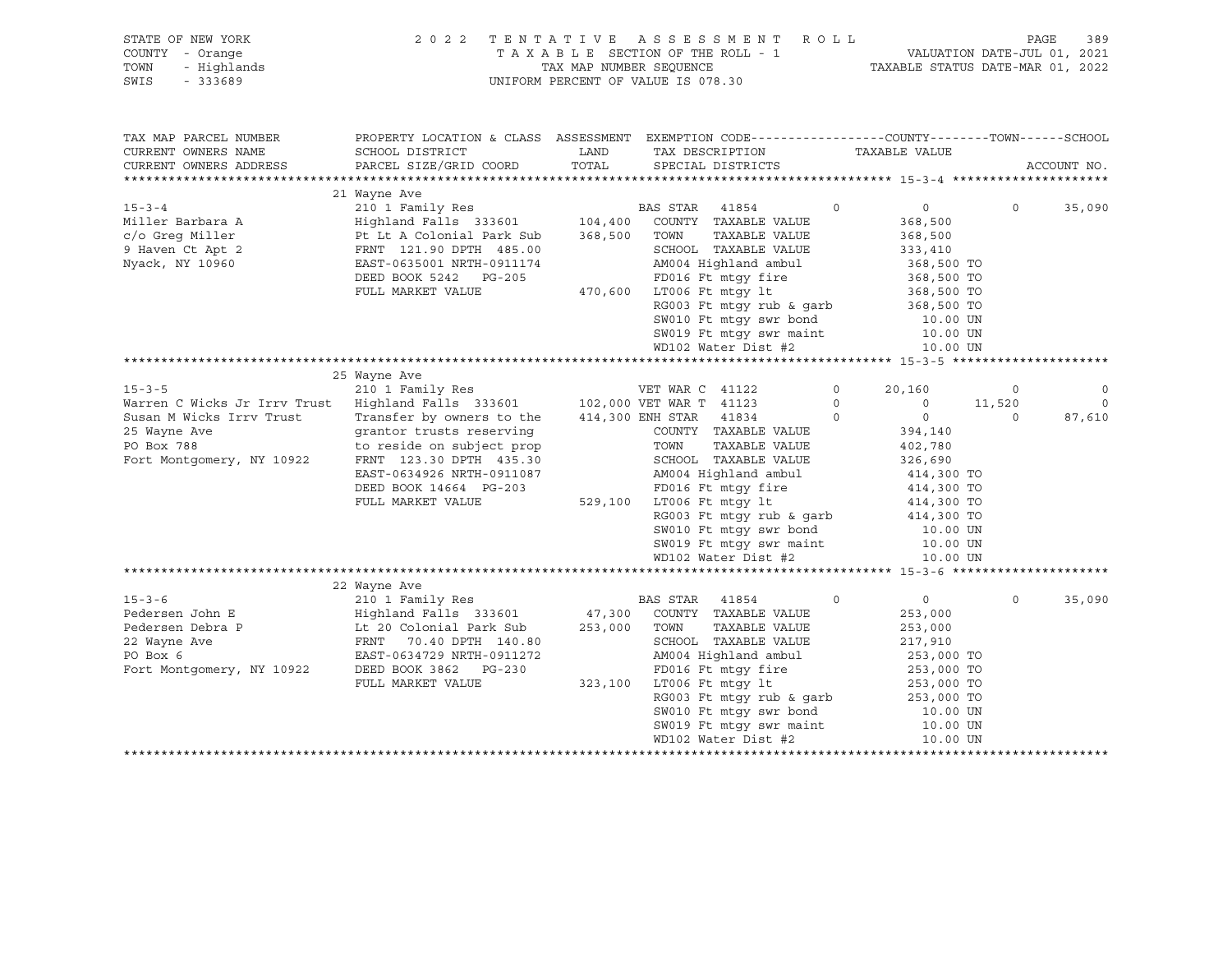| STATE OF NEW YORK<br>COUNTY - Orange<br>TOWN<br>- Highlands<br>SWIS<br>$-333689$                                         |                                                                                                                                                                                                                                                    | TAX MAP NUMBER SEQUENCE | 2022 TENTATIVE ASSESSMENT ROLL<br>TAXABLE SECTION OF THE ROLL - 1<br>UNIFORM PERCENT OF VALUE IS 078.30                                                                                                                                                    | VALUATION DATE-JUL 01, 2021<br>TAXABLE STATUS DATE-MAR 01, 2022                                                                                                   |                    | 389<br>PAGE       |
|--------------------------------------------------------------------------------------------------------------------------|----------------------------------------------------------------------------------------------------------------------------------------------------------------------------------------------------------------------------------------------------|-------------------------|------------------------------------------------------------------------------------------------------------------------------------------------------------------------------------------------------------------------------------------------------------|-------------------------------------------------------------------------------------------------------------------------------------------------------------------|--------------------|-------------------|
| TAX MAP PARCEL NUMBER<br>CURRENT OWNERS NAME<br>CURRENT OWNERS ADDRESS                                                   | PROPERTY LOCATION & CLASS ASSESSMENT EXEMPTION CODE---------------COUNTY-------TOWN-----SCHOOL<br>SCHOOL DISTRICT<br>PARCEL SIZE/GRID COORD                                                                                                        | LAND<br>TOTAL           | TAX DESCRIPTION<br>SPECIAL DISTRICTS                                                                                                                                                                                                                       | TAXABLE VALUE                                                                                                                                                     |                    | ACCOUNT NO.       |
|                                                                                                                          |                                                                                                                                                                                                                                                    |                         |                                                                                                                                                                                                                                                            |                                                                                                                                                                   |                    |                   |
| $15 - 3 - 4$<br>Miller Barbara A<br>c/o Greg Miller<br>9 Haven Ct Apt 2<br>Nyack, NY 10960                               | 21 Wayne Ave<br>210 1 Family Res<br>Highland Falls 333601 104,400 COUNTY TAXABLE VALUE<br>Highland Falls 333601<br>Pt Lt A Colonial Park Sub<br>FRNT 121.90 DPTH 485.00<br>EAST-0635001 NRTH-0911174<br>DEED BOOK 5242 PG-205<br>FULL MARKET VALUE | 368,500 TOWN            | BAS STAR 41854<br>TAXABLE VALUE<br>SCHOOL TAXABLE VALUE<br>AM004 Highland ambul<br>FD016 Ft mtgy fire<br>470,600 LT006 Ft mtgy lt<br>RG003 Ft mtqy rub & qarb<br>SW010 Ft mtgy swr bond<br>SW019 Ft mtgy swr maint<br>WD102 Water Dist #2                  | $\Omega$<br>$\circ$<br>368,500<br>368,500<br>333,410<br>368,500 TO<br>368,500 TO<br>368,500 TO<br>368,500 TO<br>10.00 UN<br>10.00 UN<br>10.00 UN                  | $\Omega$           | 35,090            |
|                                                                                                                          |                                                                                                                                                                                                                                                    |                         |                                                                                                                                                                                                                                                            |                                                                                                                                                                   |                    |                   |
| $15 - 3 - 5$                                                                                                             | 25 Wayne Ave<br>210 1 Family Res WET WAR C 41122                                                                                                                                                                                                   |                         |                                                                                                                                                                                                                                                            | $\circ$<br>20,160                                                                                                                                                 | $\circ$            | $\circ$           |
| Warren C Wicks Jr Irrv Trust<br>Susan M Wicks Irrv Trust<br>25 Wayne Ave<br>PO Box 788<br>Fort Montgomery, NY 10922      | Highland Falls 333601 102,000 VET WAR T 41123<br>Transfer by owners to the<br>grantor trusts reserving<br>to reside on subject prop<br>FRNT 123.30 DPTH 435.30<br>EAST-0634926 NRTH-0911087<br>DEED BOOK 14664 PG-203<br>FULL MARKET VALUE         |                         | 414,300 ENH STAR 41834<br>COUNTY TAXABLE VALUE<br>TAXABLE VALUE<br>TOWN<br>SCHOOL TAXABLE VALUE<br>AM004 Highland ambul<br>FD016 Ft mtgy fire<br>529,100 LT006 Ft mtgy lt<br>RG003 Ft mtgy rub & garb<br>SW010 Ft mtgy swr bond<br>SW019 Ft mtqy swr maint | $\circ$<br>$\circ$<br>$\overline{0}$<br>$\Omega$<br>394,140<br>402,780<br>326,690<br>414,300 TO<br>414,300 TO<br>414,300 TO<br>414,300 TO<br>10.00 UN<br>10.00 UN | 11,520<br>$\Omega$ | $\circ$<br>87,610 |
|                                                                                                                          |                                                                                                                                                                                                                                                    |                         | WD102 Water Dist #2                                                                                                                                                                                                                                        | 10.00 UN                                                                                                                                                          |                    |                   |
|                                                                                                                          |                                                                                                                                                                                                                                                    |                         |                                                                                                                                                                                                                                                            |                                                                                                                                                                   |                    |                   |
| $15 - 3 - 6$<br>Pedersen John E<br>Pedersen Debra P<br>22 Wayne Ave<br>PO Box 6<br>Fo Box 0<br>Fort Montgomery, NY 10922 | 22 Wayne Ave<br>210 1 Family Res<br>E<br>E Highland Falls 333601<br>P Lt 20 Colonial Park Sub<br>FRNT 70.40 DPTH 140.80<br>EAST-0634729 NDTH 2011-1<br>DEED BOOK 3862 PG-230<br>FULL MARKET VALUE                                                  |                         | <b>BAS STAR 41854</b><br>47,300 COUNTY TAXABLE VALUE<br>253,000 TOWN<br>TAXABLE VALUE<br>SCHOOL TAXABLE VALUE<br>AM004 Highland ambul<br>FD016 Ft mtqy fire<br>323,100 LT006 Ft mtgy lt<br>RG003 Ft mtgy rub & garb<br>SW010 Ft mtgy swr bond              | $\circ$<br>$0 \qquad \qquad$<br>253,000<br>253,000<br>217,910<br>253,000 TO<br>253,000 TO<br>253,000 TO<br>253,000 TO<br>10.00 UN<br>10.00 UN                     | $\Omega$           | 35,090            |
|                                                                                                                          |                                                                                                                                                                                                                                                    |                         | SW010 Ft muy $\frac{10.00 \text{ W}}{10.00 \text{ W}}$<br>SW019 Ft mtgy swr maint 10.00 UN<br>Contributed in the state of the state of the state of the state of the state of the state of the state of the state of the state of the state of the         |                                                                                                                                                                   |                    |                   |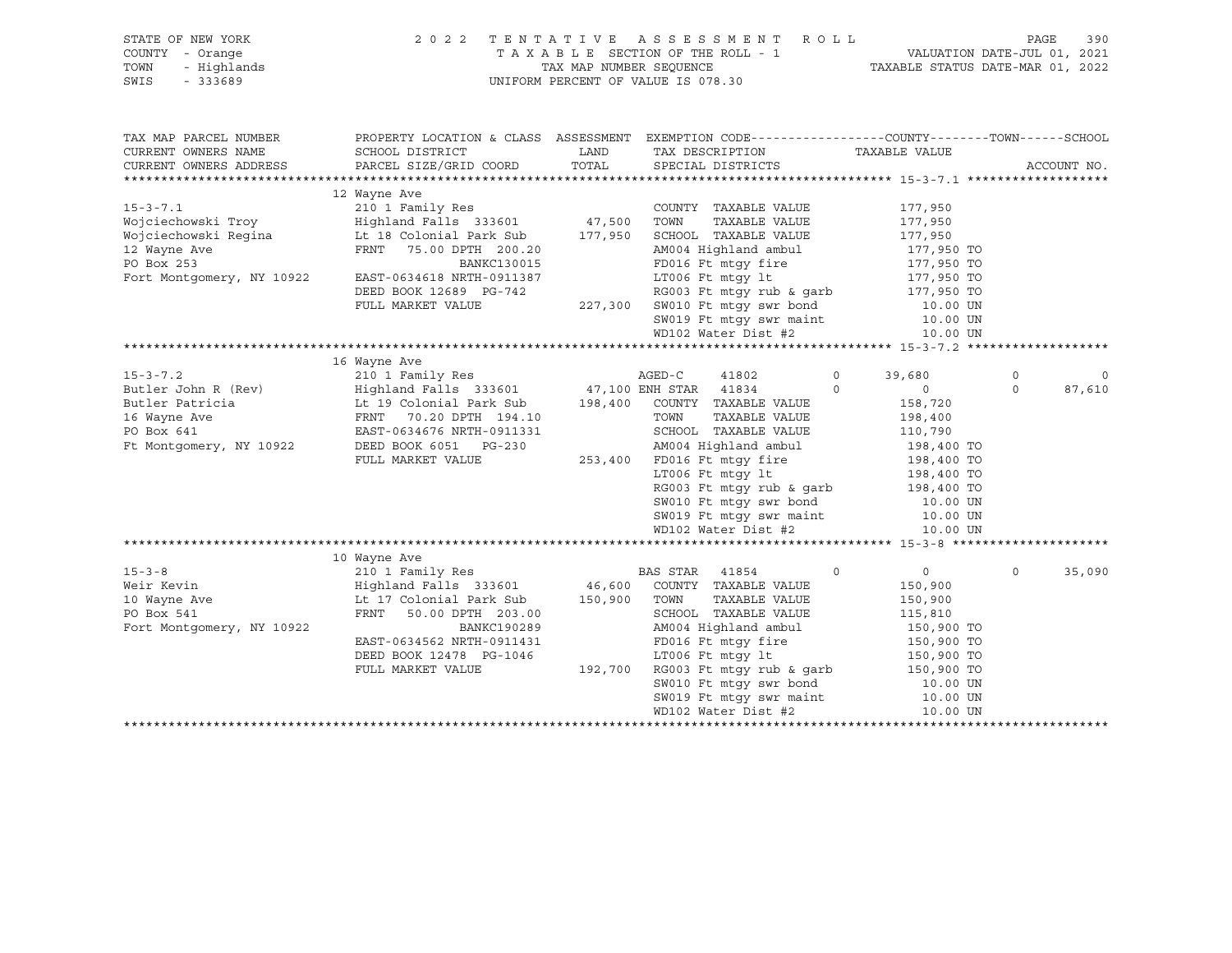| STATE OF NEW YORK<br>UF NEW TOWN<br>- Orange<br>- Highlands<br>- 333689<br>COUNTY - Orange<br>TOWN<br>SWIS        | 2 0 2 2                                                                                                                                                                                                                                                  | TAX MAP NUMBER SEQUENCE | TENTATIVE ASSESSMENT ROLL<br>TAXABLE SECTION OF THE ROLL - 1<br>UNIFORM PERCENT OF VALUE IS 078.30                                                                                                                                                                                      | VALUATION DATE-JUL 01, 2021<br>TAXABLE STATUS DATE-MAR 01, 2022                          |                     | 390<br>PAGE       |
|-------------------------------------------------------------------------------------------------------------------|----------------------------------------------------------------------------------------------------------------------------------------------------------------------------------------------------------------------------------------------------------|-------------------------|-----------------------------------------------------------------------------------------------------------------------------------------------------------------------------------------------------------------------------------------------------------------------------------------|------------------------------------------------------------------------------------------|---------------------|-------------------|
| TAX MAP PARCEL NUMBER<br>CURRENT OWNERS NAME<br>CURRENT OWNERS ADDRESS                                            | SCHOOL DISTRICT<br>PARCEL SIZE/GRID COORD                                                                                                                                                                                                                | LAND<br>TOTAL           | PROPERTY LOCATION & CLASS ASSESSMENT EXEMPTION CODE----------------COUNTY-------TOWN------SCHOOL<br>TAX DESCRIPTION<br>SPECIAL DISTRICTS                                                                                                                                                | TAXABLE VALUE                                                                            |                     | ACCOUNT NO.       |
| Fort Montgomery, NY 10922                                                                                         | 12 Wayne Ave<br>210 1 Family Res<br>$Highland$ $Falls$ 333601 $47,500$<br>EAST-0634618 NRTH-0911387                                                                                                                                                      |                         | COUNTY TAXABLE VALUE<br>TOWN<br>TAXABLE VALUE<br>177,950 SCHOOL TAXABLE VALUE<br>AM004 Highland ambul<br>FD016 Ft mtqy fire<br>LT006 Ft mtgy lt                                                                                                                                         | 177,950<br>177,950<br>177,950<br>177,950 TO<br>177,950 TO                                |                     |                   |
|                                                                                                                   | DEED BOOK 12689 PG-742<br>FULL MARKET VALUE                                                                                                                                                                                                              |                         | RG003 Ft mtgy rub & garb<br>227,300 SW010 Ft mtgy swr bond<br>SW019 Ft mtgy swr maint<br>WD102 Water Dist #2                                                                                                                                                                            | 177,950 TO<br>177,950 TO<br>10.00 UN<br>10.00 UN<br>10.00 UN                             |                     |                   |
|                                                                                                                   | 16 Wayne Ave                                                                                                                                                                                                                                             |                         |                                                                                                                                                                                                                                                                                         |                                                                                          |                     |                   |
| $15 - 3 - 7.2$<br>Butler John R (Rev)<br>Butler Patricia<br>16 Wayne Ave<br>PO Box 641<br>Ft Montgomery, NY 10922 | 210 1 Family Res AGED-C<br>Highland Falls 333601 47,100 ENH STAR 41834 6<br>It 19 Colonial Park Sub 198,400 COUNTY TAXABLE VALUE<br>FRNT 70.20 DPTH 194.10 TOWN TAXABLE VALUE<br>EAST-0634676 NRTH-0911331 SCHOOL TAXABLE VALUE<br>DEED BOOK 6051 PG-230 |                         | 41802                                                                                                                                                                                                                                                                                   | $\circ$<br>39,680<br>$\Omega$<br>$\overline{0}$<br>158,720<br>198,400<br>110,790         | $\circ$<br>$\Omega$ | $\circ$<br>87,610 |
|                                                                                                                   | FULL MARKET VALUE                                                                                                                                                                                                                                        |                         | XCHOOL IAAADLE VALUE<br>AM004 Highland ambul<br>FD016 Ft mtgy fire 198,400 TO<br>LT006 Ft mtgy lt 198,400 TO<br>198,400 TO<br>253,400 FD016 Ft mtqy fire<br>RG003 Ft mtgy rub & garb<br>SW010 Ft mtgy swr bond<br>SW019 Ft mtgy swr maint<br>WD102 Water Dist #2<br>WD102 Water Dist #2 | 198,400 TO<br>10.00 UN<br>10.00 UN<br>10.00 UN                                           |                     |                   |
|                                                                                                                   |                                                                                                                                                                                                                                                          |                         |                                                                                                                                                                                                                                                                                         |                                                                                          |                     |                   |
| $15 - 3 - 8$<br>Weir Kevin<br>Neir<br>10 Wayne Ave<br>Fort Montgomery, NY 10922                                   | 10 Wayne Ave<br>210 1 Family Res<br>Highland Falls 333601<br>Lt 17 Colonial Park Sub<br>FRNT 50.00 DPTH 203.00<br>BANKC190289                                                                                                                            | 150,900                 | BAS STAR<br>41854<br>46,600 COUNTY TAXABLE VALUE<br>TAXABLE VALUE<br>TOWN<br>SCHOOL TAXABLE VALUE<br>AM004 Highland ambul                                                                                                                                                               | $\Omega$<br>$0 \qquad \qquad$<br>150,900<br>150,900<br>115,810                           | $\Omega$            | 35,090            |
|                                                                                                                   | EAST-0634562 NRTH-0911431<br>DEED BOOK 12478 PG-1046<br>FULL MARKET VALUE                                                                                                                                                                                |                         | FD016 Ft mtqy fire<br>LT006 Ft mtqy lt<br>192,700 RG003 Ft mtqy rub & qarb<br>RG003 Ft mtgy run a your<br>SW010 Ft mtgy swr bond<br>SW019 Ft mtgy swr maint<br>WD102 Water Dist #2                                                                                                      | 150,900 TO<br>150,900 TO<br>150,900 TO<br>150,900 TO<br>10.00 UN<br>10.00 UN<br>10.00 UN |                     |                   |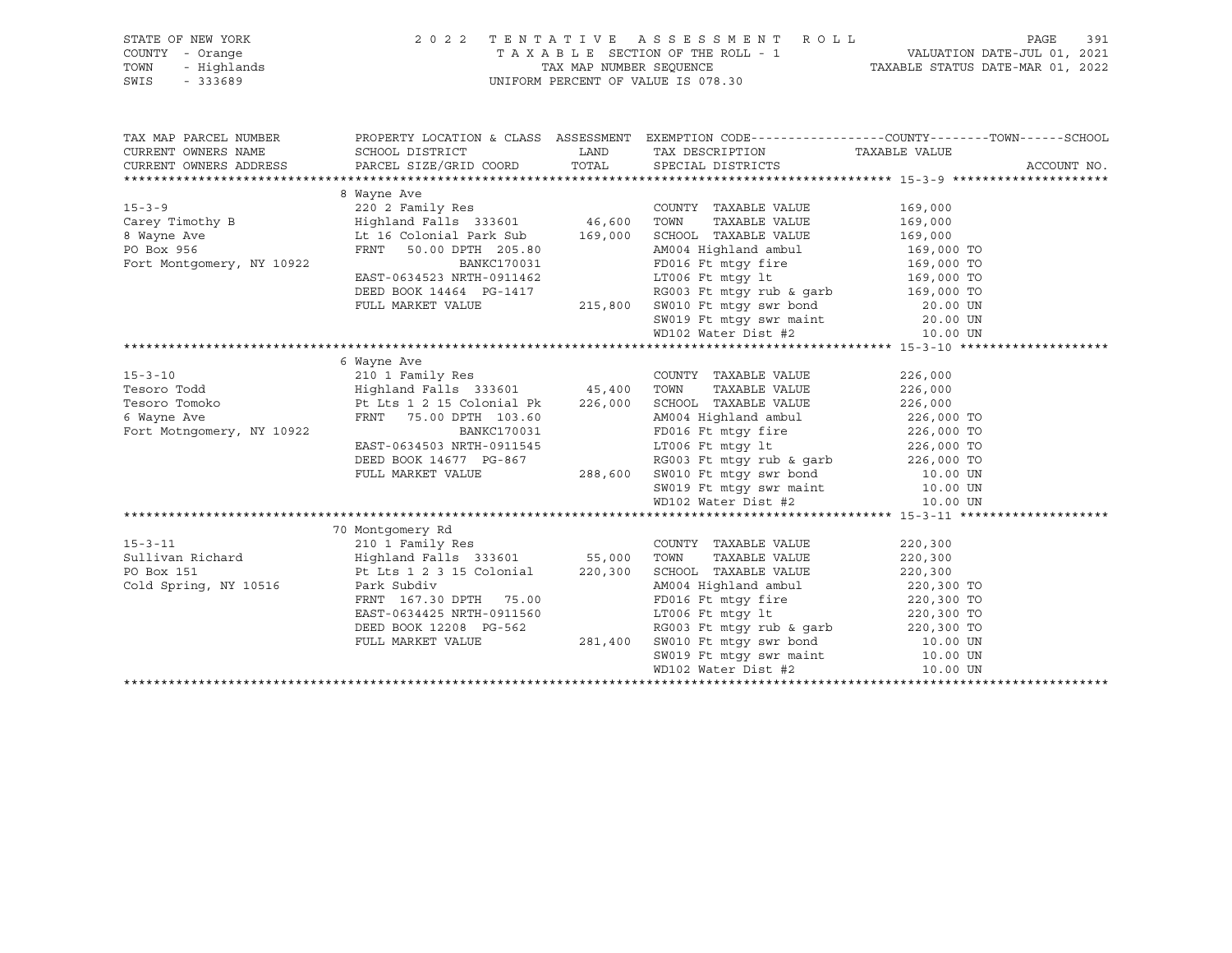| STATE OF NEW YORK<br>Y - Orange<br>- Highlands<br>- 333689<br>COUNTY - Orange<br>TOWN<br>SWIS | 2022 TENTATIVE ASSESSMENT ROLL<br>UNIFORM PERCENT OF VALUE IS 078.30                                                                                                                                                                                                                                                                                                                                                                                                                | TAXABLE SECTION OF THE ROLL - 1<br>TAX MAP NUMBER SEQUENCE TAXABLE STATUS DATE-JUL 01, 2021<br>NIEODM DEDGEME OF VALUE STATUS DATE-MAR 01, 2022                                                                                                       | 391<br>PAGE        |             |
|-----------------------------------------------------------------------------------------------|-------------------------------------------------------------------------------------------------------------------------------------------------------------------------------------------------------------------------------------------------------------------------------------------------------------------------------------------------------------------------------------------------------------------------------------------------------------------------------------|-------------------------------------------------------------------------------------------------------------------------------------------------------------------------------------------------------------------------------------------------------|--------------------|-------------|
| TAX MAP PARCEL NUMBER                                                                         |                                                                                                                                                                                                                                                                                                                                                                                                                                                                                     | PROPERTY LOCATION & CLASS ASSESSMENT EXEMPTION CODE---------------COUNTY-------TOWN-----SCHOOL                                                                                                                                                        |                    |             |
| CURRENT OWNERS NAME                                                                           | SCHOOL DISTRICT<br>CURRENT OWNERS ADDRESS PARCEL SIZE/GRID COORD TOTAL SPECIAL DISTRICTS                                                                                                                                                                                                                                                                                                                                                                                            | LAND TAX DESCRIPTION TAXABLE VALUE                                                                                                                                                                                                                    |                    | ACCOUNT NO. |
|                                                                                               | 8 Wayne Ave                                                                                                                                                                                                                                                                                                                                                                                                                                                                         |                                                                                                                                                                                                                                                       |                    |             |
| Fort Montgomery, NY 10922                                                                     | $\begin{tabular}{lllllllllllll} \multicolumn{3}{l}{{\small \begin{tabular}{l} \multicolumn{3}{l}{} & \multicolumn{3}{l}{} & \multicolumn{3}{l}{} & \multicolumn{3}{l}{} & \multicolumn{3}{l}{} & \multicolumn{3}{l}{} & \multicolumn{3}{l}{} & \multicolumn{3}{l}{} & \multicolumn{3}{l}{} & \multicolumn{3}{l}{} & \multicolumn{3}{l}{} & \multicolumn{3}{l}{} & \multicolumn{3}{l}{} & \multicolumn{3}{l}{} & \multicolumn{3}{l}{} & \multicolumn{3}{l}{} & \multicolumn{3}{l}{}$ | COUNTY TAXABLE VALUE<br>TAXABLE VALUE 169,000<br>TOWN<br>SCHOOL TAXABLE VALUE 169,000<br>AM004 Highland ambul 169,000 TO                                                                                                                              | 169,000            |             |
|                                                                                               |                                                                                                                                                                                                                                                                                                                                                                                                                                                                                     | BANKCI70031<br>BANKCI70031<br>BANKCI70031<br>BANKCI70031<br>DEED BOOK 14464 PG-1417<br>PULL MARKET VALUE<br>PULL MARKET VALUE<br>215,800 SW010 Ft mtgy swr bond<br>SW019 Ft mtgy swr maint<br>PULL MARKET VALUE<br>215,800 SW010 Ft mtgy swr bond<br> |                    |             |
|                                                                                               |                                                                                                                                                                                                                                                                                                                                                                                                                                                                                     |                                                                                                                                                                                                                                                       |                    |             |
| $15 - 3 - 10$<br>Tesoro Todd<br>Tesoro Tomoko<br>6 Wayne Ave<br>Fort Motngomery, NY 10922     | 6 Wayne Ave<br>Algorianu Falis 335001 45,400 1000 INAABLE VALUE 226,000 FRNT 75.00 DPTH 103.60<br>FRNT 75.00 DPTH 103.60 AM004 Highland ambul<br>BANKC170031 BANKC170031 FD016 Ft mtgy fire 226,000 TO<br>EAST-0634503 NRTH-0911545 LT006 Ft mtgy 1                                                                                                                                                                                                                                 | COUNTY TAXABLE VALUE<br>TAXABLE VALUE 226,000                                                                                                                                                                                                         | 226,000            |             |
|                                                                                               |                                                                                                                                                                                                                                                                                                                                                                                                                                                                                     |                                                                                                                                                                                                                                                       |                    |             |
| Cold Spring, NY 10516                                                                         | Park Subdiv<br>FRNT 167.30 DPTH 75.00<br>EAST-0634425 NRTH-0911560<br>DEED BOOK 12208 PG-562<br>FULL MARKET VALUE                                                                                                                                                                                                                                                                                                                                                                   | COUNTY TAXABLE VALUE<br>TAXABLE VALUE                                                                                                                                                                                                                 | 220,300<br>220,300 |             |
|                                                                                               |                                                                                                                                                                                                                                                                                                                                                                                                                                                                                     |                                                                                                                                                                                                                                                       |                    |             |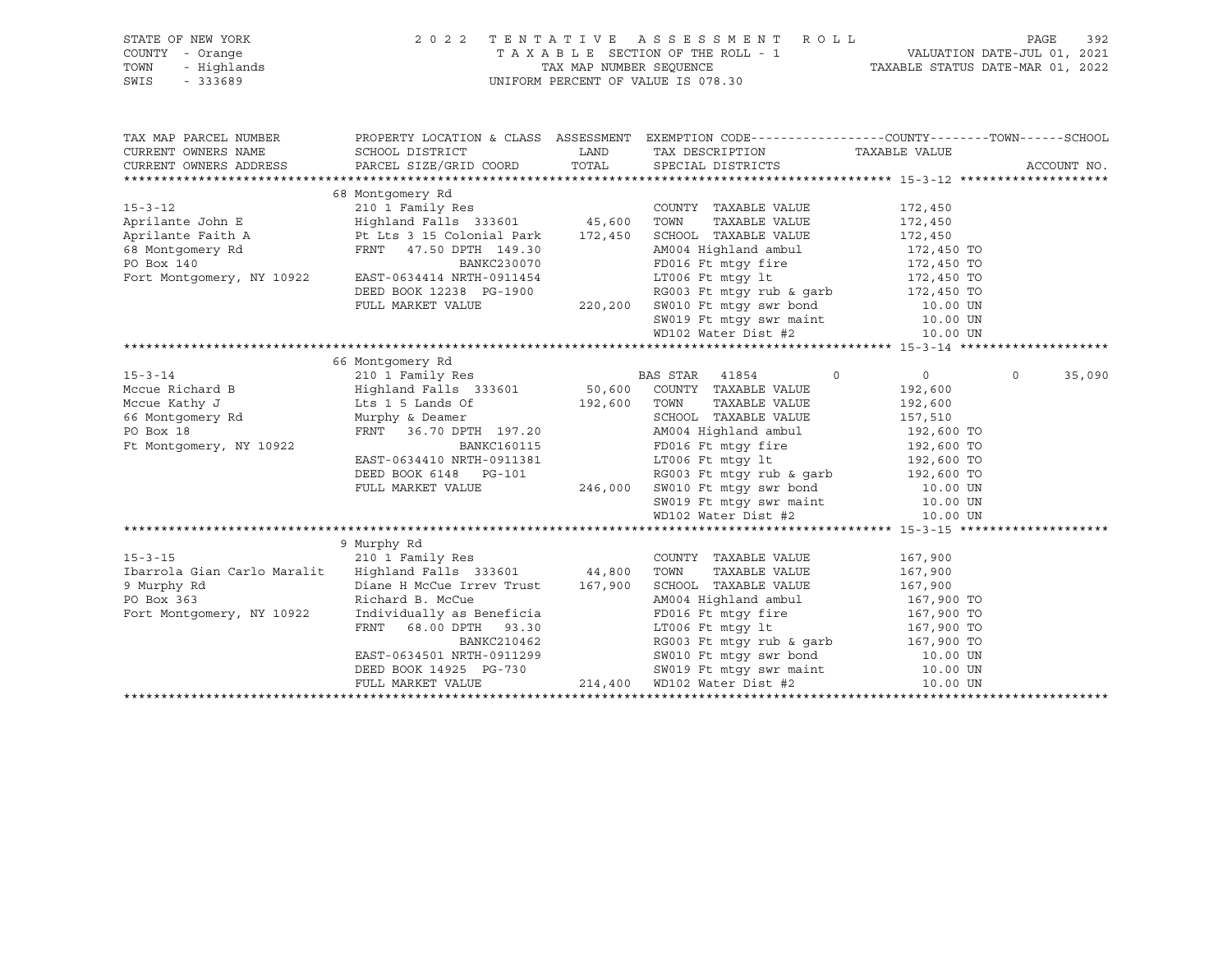| STATE OF NEW YORK<br>"Y - Orange<br>- Highlands<br>- 333689<br>COUNTY - Orange<br>TOWN<br>SWIS - 333689                                                                                                                                                                                                                                                                                                       | 2022 TENTATIVE ASSESSMENT ROLL PAGE 392<br>TAXABLE SECTION OF THE ROLL - 1 VALUATION DATE-JUL 01, 2021<br>TAX MAP NUMBER SEQUENCE TAXABLE STATUS DATE-MAR 01, 2022 | UNIFORM PERCENT OF VALUE IS 078.30 |                    |
|---------------------------------------------------------------------------------------------------------------------------------------------------------------------------------------------------------------------------------------------------------------------------------------------------------------------------------------------------------------------------------------------------------------|--------------------------------------------------------------------------------------------------------------------------------------------------------------------|------------------------------------|--------------------|
|                                                                                                                                                                                                                                                                                                                                                                                                               |                                                                                                                                                                    |                                    |                    |
| TAX MAP PARCEL NUMBER                                                                                                                                                                                                                                                                                                                                                                                         | PROPERTY LOCATION & CLASS ASSESSMENT EXEMPTION CODE----------------COUNTY-------TOWN------SCHOOL                                                                   |                                    |                    |
| CURRENT OWNERS NAME                                                                                                                                                                                                                                                                                                                                                                                           |                                                                                                                                                                    |                                    |                    |
| CURRENT OWNERS ADDRESS                                                                                                                                                                                                                                                                                                                                                                                        |                                                                                                                                                                    |                                    | ACCOUNT NO.        |
|                                                                                                                                                                                                                                                                                                                                                                                                               |                                                                                                                                                                    |                                    |                    |
|                                                                                                                                                                                                                                                                                                                                                                                                               |                                                                                                                                                                    |                                    |                    |
|                                                                                                                                                                                                                                                                                                                                                                                                               |                                                                                                                                                                    |                                    |                    |
|                                                                                                                                                                                                                                                                                                                                                                                                               |                                                                                                                                                                    |                                    |                    |
|                                                                                                                                                                                                                                                                                                                                                                                                               |                                                                                                                                                                    |                                    |                    |
|                                                                                                                                                                                                                                                                                                                                                                                                               |                                                                                                                                                                    |                                    |                    |
|                                                                                                                                                                                                                                                                                                                                                                                                               |                                                                                                                                                                    |                                    |                    |
|                                                                                                                                                                                                                                                                                                                                                                                                               |                                                                                                                                                                    |                                    |                    |
|                                                                                                                                                                                                                                                                                                                                                                                                               |                                                                                                                                                                    |                                    |                    |
|                                                                                                                                                                                                                                                                                                                                                                                                               |                                                                                                                                                                    |                                    |                    |
|                                                                                                                                                                                                                                                                                                                                                                                                               |                                                                                                                                                                    |                                    |                    |
|                                                                                                                                                                                                                                                                                                                                                                                                               |                                                                                                                                                                    |                                    |                    |
|                                                                                                                                                                                                                                                                                                                                                                                                               | 66 Montgomery Rd                                                                                                                                                   |                                    |                    |
|                                                                                                                                                                                                                                                                                                                                                                                                               |                                                                                                                                                                    |                                    | $\Omega$<br>35,090 |
|                                                                                                                                                                                                                                                                                                                                                                                                               |                                                                                                                                                                    |                                    |                    |
|                                                                                                                                                                                                                                                                                                                                                                                                               |                                                                                                                                                                    |                                    |                    |
|                                                                                                                                                                                                                                                                                                                                                                                                               |                                                                                                                                                                    |                                    |                    |
|                                                                                                                                                                                                                                                                                                                                                                                                               |                                                                                                                                                                    |                                    |                    |
|                                                                                                                                                                                                                                                                                                                                                                                                               |                                                                                                                                                                    |                                    |                    |
|                                                                                                                                                                                                                                                                                                                                                                                                               |                                                                                                                                                                    |                                    |                    |
|                                                                                                                                                                                                                                                                                                                                                                                                               |                                                                                                                                                                    |                                    |                    |
|                                                                                                                                                                                                                                                                                                                                                                                                               |                                                                                                                                                                    |                                    |                    |
|                                                                                                                                                                                                                                                                                                                                                                                                               |                                                                                                                                                                    |                                    |                    |
| $\begin{tabular}{lcccc} 15-3-14 & 66 Montgomery Rd & 210 1 Family Res & BAS STR & 41854 & 0 & 0 \\ \hline Mccue Richard B & Highland Falls & 333601 & 50,600 COUNTY TAXABLE VALUE & 192,600 \\ \hline 66 Montgomery Rd & Murphy & Deamer & 36.70 DPTH & 197.20 & 2000\nFt Montgomery, NY 10922 & BANKC160115 & 2000 TONN & TAXABLE VALUE & 192,600\nFt Montgomery, NY 10922 & BANKC160115 & 2000 TONN & 2000$ |                                                                                                                                                                    |                                    |                    |
|                                                                                                                                                                                                                                                                                                                                                                                                               | 9 Murphy Rd                                                                                                                                                        |                                    |                    |
| $15 - 3 - 15$                                                                                                                                                                                                                                                                                                                                                                                                 | 210 1 Family Res                                                                                                                                                   | COUNTY TAXABLE VALUE 167,900       |                    |
|                                                                                                                                                                                                                                                                                                                                                                                                               |                                                                                                                                                                    |                                    |                    |
|                                                                                                                                                                                                                                                                                                                                                                                                               |                                                                                                                                                                    |                                    |                    |
|                                                                                                                                                                                                                                                                                                                                                                                                               |                                                                                                                                                                    |                                    |                    |
|                                                                                                                                                                                                                                                                                                                                                                                                               |                                                                                                                                                                    |                                    |                    |
|                                                                                                                                                                                                                                                                                                                                                                                                               |                                                                                                                                                                    |                                    |                    |
|                                                                                                                                                                                                                                                                                                                                                                                                               |                                                                                                                                                                    |                                    |                    |
|                                                                                                                                                                                                                                                                                                                                                                                                               |                                                                                                                                                                    |                                    |                    |
|                                                                                                                                                                                                                                                                                                                                                                                                               |                                                                                                                                                                    |                                    |                    |
|                                                                                                                                                                                                                                                                                                                                                                                                               |                                                                                                                                                                    |                                    |                    |
|                                                                                                                                                                                                                                                                                                                                                                                                               |                                                                                                                                                                    |                                    |                    |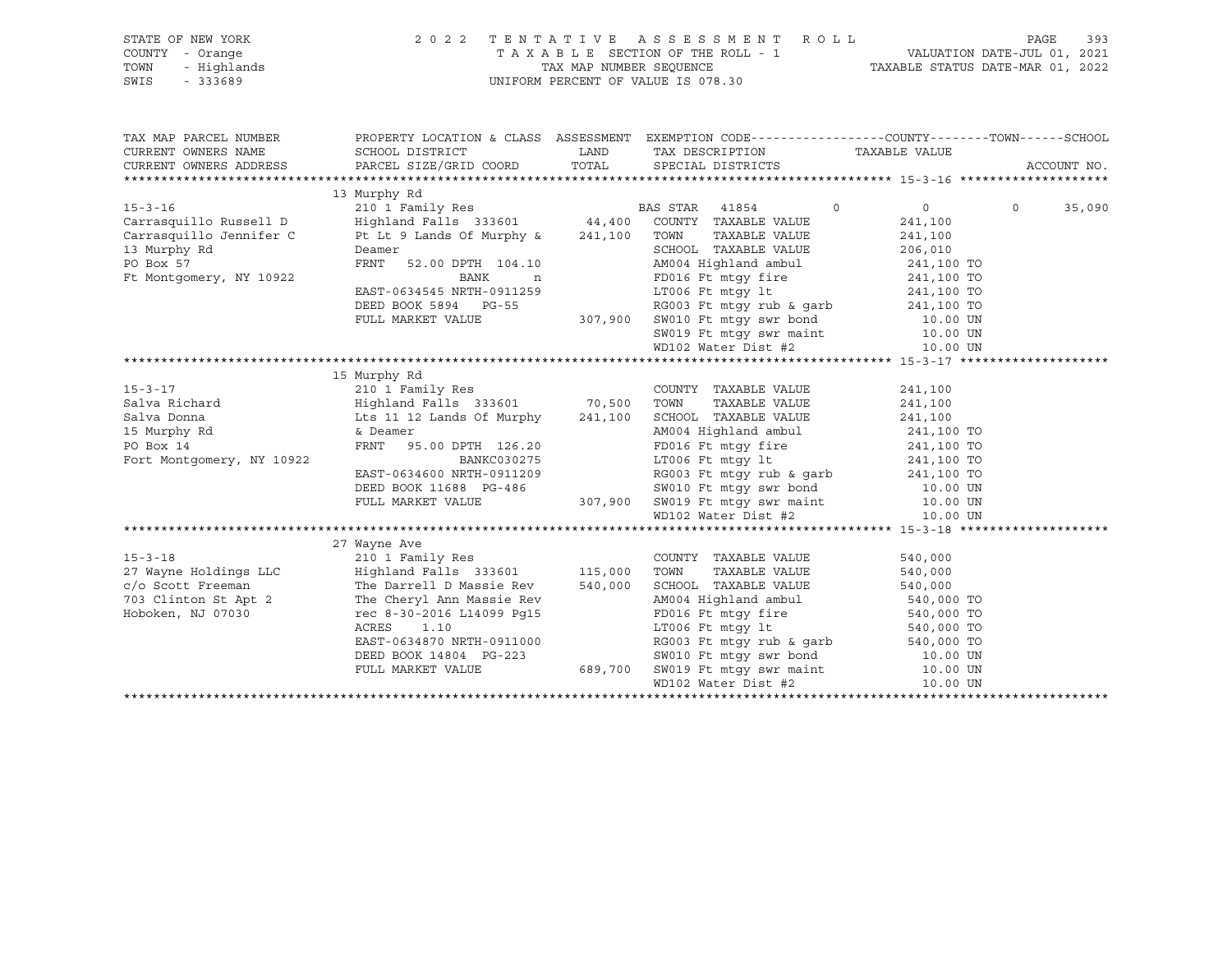|      | STATE OF NEW YORK | 2022 TENTATIVE ASSESSMENT ROLL     | 393<br>PAGE                      |
|------|-------------------|------------------------------------|----------------------------------|
|      | COUNTY - Orange   | TAXABLE SECTION OF THE ROLL - 1    | VALUATION DATE-JUL 01, 2021      |
| TOWN | - Highlands       | TAX MAP NUMBER SEOUENCE            | TAXABLE STATUS DATE-MAR 01, 2022 |
|      | SWIS - 333689     | UNIFORM PERCENT OF VALUE IS 078.30 |                                  |

| TAX MAP PARCEL NUMBER<br>CURRENT OWNERS NAME                                                                           |                                                     |             | PROPERTY LOCATION & CLASS ASSESSMENT EXEMPTION CODE---------------COUNTY-------TOWN-----SCHOOL<br>TAX DESCRIPTION TAXABLE VALUE                                                                          |                                                                                                                                                                                                                                                                                                                                    | ACCOUNT NO.                 |
|------------------------------------------------------------------------------------------------------------------------|-----------------------------------------------------|-------------|----------------------------------------------------------------------------------------------------------------------------------------------------------------------------------------------------------|------------------------------------------------------------------------------------------------------------------------------------------------------------------------------------------------------------------------------------------------------------------------------------------------------------------------------------|-----------------------------|
|                                                                                                                        | 13 Murphy Rd                                        |             |                                                                                                                                                                                                          |                                                                                                                                                                                                                                                                                                                                    |                             |
|                                                                                                                        |                                                     |             | $\overline{0}$                                                                                                                                                                                           | $\overline{0}$ and $\overline{0}$ and $\overline{0}$ and $\overline{0}$ and $\overline{0}$ and $\overline{0}$ and $\overline{0}$ and $\overline{0}$ and $\overline{0}$ and $\overline{0}$ and $\overline{0}$ and $\overline{0}$ and $\overline{0}$ and $\overline{0}$ and $\overline{0}$ and $\overline{0}$ and $\overline{0}$ and | $0 \qquad \qquad$<br>35,090 |
| 15-3-16<br>210 1 Family Res BAS STAR 41854<br>Carrasquillo Russell D Highland Falls 333601 44,400 COUNTY TAXABLE VALUE |                                                     |             |                                                                                                                                                                                                          | 241,100                                                                                                                                                                                                                                                                                                                            |                             |
| Carrasquillo Jennifer C                                                                                                | Pt Lt 9 Lands Of Murphy & 241,100 TOWN              |             | TAXABLE VALUE                                                                                                                                                                                            | 241,100                                                                                                                                                                                                                                                                                                                            |                             |
| 13 Murphy Rd                                                                                                           | Deamer                                              |             |                                                                                                                                                                                                          |                                                                                                                                                                                                                                                                                                                                    |                             |
| PO Box 57                                                                                                              | FRNT                                                |             | SCHOOL TAXABLE VALUE 206,010<br>AM004 Highland ambul 241,100 TO                                                                                                                                          |                                                                                                                                                                                                                                                                                                                                    |                             |
| Ft Montgomery, NY 10922                                                                                                | BANK                                                | $\mathbf n$ | FD016 Ft mtgy fire 241,100 TO                                                                                                                                                                            |                                                                                                                                                                                                                                                                                                                                    |                             |
|                                                                                                                        | EAST-0634545 NRTH-0911259                           |             | LT006 Ft $mLy$ lt 241,100 TO                                                                                                                                                                             |                                                                                                                                                                                                                                                                                                                                    |                             |
|                                                                                                                        |                                                     |             |                                                                                                                                                                                                          |                                                                                                                                                                                                                                                                                                                                    |                             |
|                                                                                                                        |                                                     |             | DEED BOOK 5894 PG-55 RG003 Ft mtgy rub & garb<br>FULL MARKET VALUE 307,900 SW010 Ft mtgy swr bond 10.00 UN<br>SW019 Ft mtgy swr maint 10.00 UN<br>WD102 Water Dist #2 10.00 UN<br>10.00 UN               |                                                                                                                                                                                                                                                                                                                                    |                             |
|                                                                                                                        |                                                     |             |                                                                                                                                                                                                          |                                                                                                                                                                                                                                                                                                                                    |                             |
|                                                                                                                        |                                                     |             |                                                                                                                                                                                                          |                                                                                                                                                                                                                                                                                                                                    |                             |
|                                                                                                                        |                                                     |             |                                                                                                                                                                                                          |                                                                                                                                                                                                                                                                                                                                    |                             |
|                                                                                                                        |                                                     |             |                                                                                                                                                                                                          |                                                                                                                                                                                                                                                                                                                                    |                             |
|                                                                                                                        | 15 Murphy Rd                                        |             |                                                                                                                                                                                                          |                                                                                                                                                                                                                                                                                                                                    |                             |
| $15 - 3 - 17$<br>15-3-17<br>Salva Richard<br>Salva Donna<br>15 Murphy Rd<br>PO Rox 14                                  |                                                     |             | COUNTY TAXABLE VALUE                                                                                                                                                                                     | 241,100                                                                                                                                                                                                                                                                                                                            |                             |
|                                                                                                                        |                                                     |             |                                                                                                                                                                                                          |                                                                                                                                                                                                                                                                                                                                    |                             |
|                                                                                                                        |                                                     |             |                                                                                                                                                                                                          |                                                                                                                                                                                                                                                                                                                                    |                             |
|                                                                                                                        | & Deamer                                            |             | AM004 Highland ambul 241,100 TO                                                                                                                                                                          |                                                                                                                                                                                                                                                                                                                                    |                             |
|                                                                                                                        | FRNT 95.00 DPTH 126.20                              |             | FD016 Ft mtgy fire 241,100 TO                                                                                                                                                                            |                                                                                                                                                                                                                                                                                                                                    |                             |
| Fort Montgomery, NY 10922                                                                                              |                                                     |             | LT006 Ft $m$ ture 1 241,100 TO                                                                                                                                                                           |                                                                                                                                                                                                                                                                                                                                    |                             |
|                                                                                                                        | BANKC030275<br>NRTH-0911209<br>38 PG-486            |             | EAST-0634600 NRTH-0911209<br>DEED BOOK 11688 PG-486 SW010 Ft mtgy swr bond<br>FULL MARKET VALUE 307,900 SW019 Ft mtgy swr maint 10.00 UN<br>WD102 Water Dist #2 10.00 UN<br>WD102 Water Dist #2 10.00 UN |                                                                                                                                                                                                                                                                                                                                    |                             |
|                                                                                                                        |                                                     |             |                                                                                                                                                                                                          |                                                                                                                                                                                                                                                                                                                                    |                             |
|                                                                                                                        |                                                     |             |                                                                                                                                                                                                          |                                                                                                                                                                                                                                                                                                                                    |                             |
|                                                                                                                        |                                                     |             |                                                                                                                                                                                                          |                                                                                                                                                                                                                                                                                                                                    |                             |
|                                                                                                                        |                                                     |             |                                                                                                                                                                                                          |                                                                                                                                                                                                                                                                                                                                    |                             |
|                                                                                                                        | 27 Wayne Ave                                        |             |                                                                                                                                                                                                          |                                                                                                                                                                                                                                                                                                                                    |                             |
|                                                                                                                        |                                                     |             | COUNTY TAXABLE VALUE                                                                                                                                                                                     | 540,000                                                                                                                                                                                                                                                                                                                            |                             |
|                                                                                                                        |                                                     |             | TAXABLE VALUE<br>TOWN                                                                                                                                                                                    | 540,000                                                                                                                                                                                                                                                                                                                            |                             |
|                                                                                                                        |                                                     |             | SCHOOL TAXABLE VALUE                                                                                                                                                                                     | 540,000                                                                                                                                                                                                                                                                                                                            |                             |
| 703 Clinton St Apt 2                                                                                                   | The Cheryl Ann Massie Rev                           |             | AM004 Highland ambul 540,000 TO                                                                                                                                                                          |                                                                                                                                                                                                                                                                                                                                    |                             |
| Hoboken, NJ 07030                                                                                                      | rec 8-30-2016 L14099 Pg15                           |             |                                                                                                                                                                                                          |                                                                                                                                                                                                                                                                                                                                    |                             |
|                                                                                                                        | 1.10<br>ACRES                                       |             |                                                                                                                                                                                                          |                                                                                                                                                                                                                                                                                                                                    |                             |
|                                                                                                                        |                                                     |             |                                                                                                                                                                                                          |                                                                                                                                                                                                                                                                                                                                    |                             |
|                                                                                                                        | EAST-0634870 NRTH-0911000<br>DEED BOOK 14804 PG-223 |             | FD016 Ft mtgy fire 540,000 TO<br>LT006 Ft mtgy 1t 540,000 TO<br>RG003 Ft mtgy rub & garb 540,000 TO<br>SW010 Ft mtgy swr bond 10.00 UN<br>SW019 Ft mtgy swr maint 10.00 UN                               |                                                                                                                                                                                                                                                                                                                                    |                             |
|                                                                                                                        | FULL MARKET VALUE                                   | 689,700     |                                                                                                                                                                                                          |                                                                                                                                                                                                                                                                                                                                    |                             |
|                                                                                                                        |                                                     |             | WD102 Water Dist #2                                                                                                                                                                                      | 10.00 UN                                                                                                                                                                                                                                                                                                                           |                             |
|                                                                                                                        |                                                     |             |                                                                                                                                                                                                          |                                                                                                                                                                                                                                                                                                                                    |                             |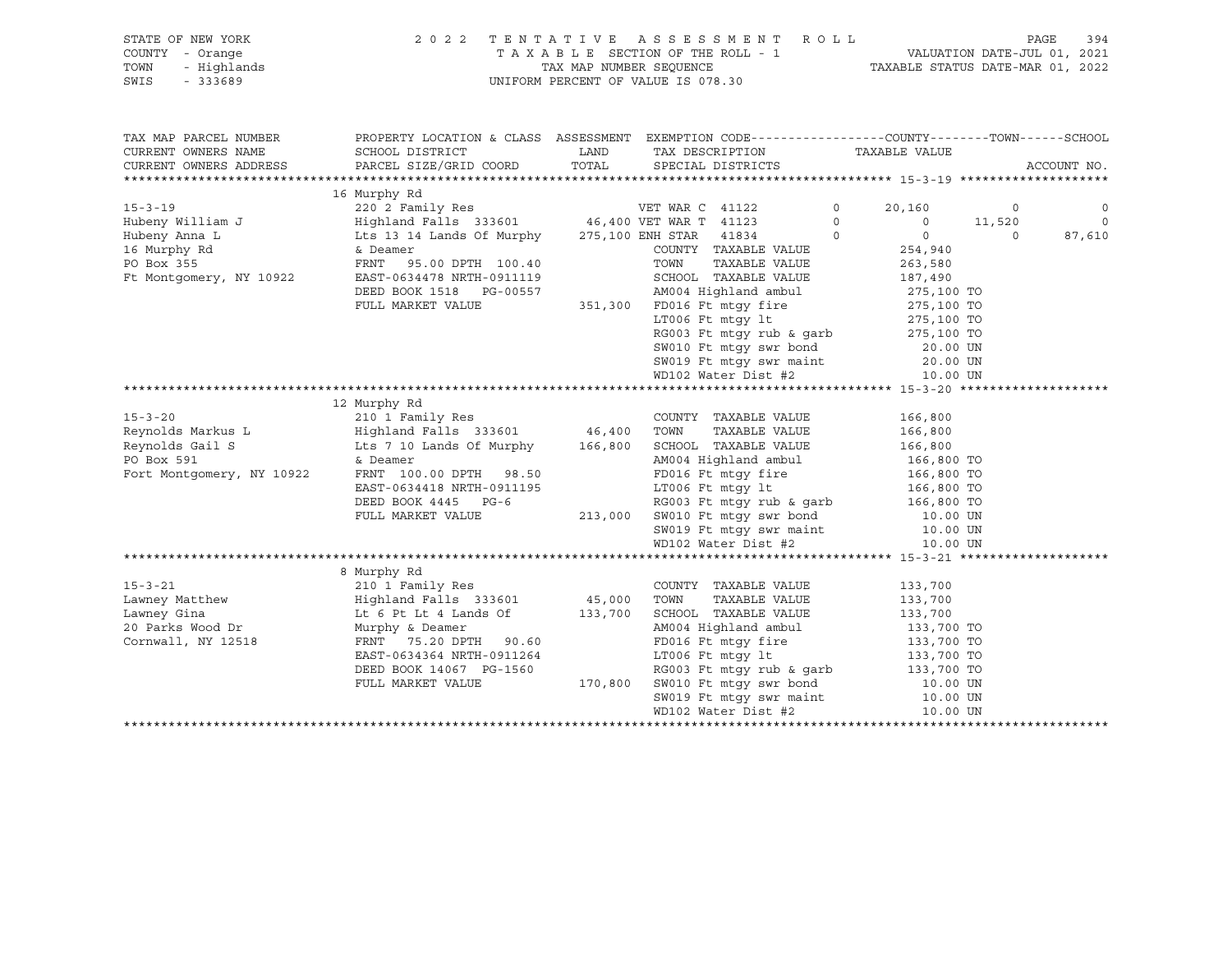SWIS - 333689 UNIFORM PERCENT OF VALUE IS 078.30

## STATE OF NEW YORK 2 0 2 2 T E N T A T I V E A S S E S S M E N T R O L L PAGE 394 COUNTY - Orange T A X A B L E SECTION OF THE ROLL - 1 VALUATION DATE-JUL 01, 2021 TOWN - Highlands TAX MAP NUMBER SEQUENCE TAXABLE STATUS DATE-MAR 01, 2022

| TAX MAP PARCEL NUMBER<br>CURRENT OWNERS NAME<br>CURRENT OWNERS ADDRESS | PROPERTY LOCATION & CLASS ASSESSMENT EXEMPTION CODE---------------COUNTY-------TOWN-----SCHOOL |         | TAX DESCRIPTION TAXABLE VALUE                                                                               |                           | ACCOUNT NO.               |
|------------------------------------------------------------------------|------------------------------------------------------------------------------------------------|---------|-------------------------------------------------------------------------------------------------------------|---------------------------|---------------------------|
|                                                                        | 16 Murphy Rd                                                                                   |         |                                                                                                             |                           |                           |
| $15 - 3 - 19$                                                          |                                                                                                |         |                                                                                                             | $\circ$<br>20,160         | $\overline{0}$<br>$\circ$ |
| Hubeny William J                                                       |                                                                                                |         |                                                                                                             | $\circ$<br>$\overline{0}$ | $\overline{0}$<br>11,520  |
| Hubeny Anna L                                                          | Lts 13 14 Lands Of Murphy 275,100 ENH STAR 41834                                               |         |                                                                                                             | $\Omega$<br>$\circ$       | $\Omega$<br>87,610        |
| 16 Murphy Rd                                                           | & Deamer                                                                                       |         | COUNTY TAXABLE VALUE                                                                                        | 254,940                   |                           |
| PO Box 355                                                             | FRNT 95.00 DPTH 100.40                                                                         |         | TOWN<br>TAXABLE VALUE                                                                                       | 263,580                   |                           |
| Ft Montgomery, NY 10922                                                | EAST-0634478 NRTH-0911119                                                                      |         | SCHOOL TAXABLE VALUE                                                                                        | 187,490                   |                           |
|                                                                        | DEED BOOK 1518 PG-00557                                                                        |         | AM004 Highland ambul                                                                                        | 275,100 TO                |                           |
|                                                                        | FULL MARKET VALUE                                                                              |         | 351,300 FD016 Ft mtgy fire 275,100 TO                                                                       |                           |                           |
|                                                                        |                                                                                                |         | LT006 Ft mtqy lt                                                                                            | 275,100 TO                |                           |
|                                                                        |                                                                                                |         | $RGO03$ Ft mtgy rub & garb 275,100 TO                                                                       |                           |                           |
|                                                                        |                                                                                                |         | SW010 Ft mtgy swr bond 20.00 UN                                                                             |                           |                           |
|                                                                        |                                                                                                |         |                                                                                                             |                           |                           |
|                                                                        |                                                                                                |         | SW019 Ft mtgy swr maint 20.00 UN<br>WD102 Water Dist #2 10.00 UN                                            |                           |                           |
|                                                                        |                                                                                                |         |                                                                                                             |                           |                           |
|                                                                        | 12 Murphy Rd                                                                                   |         |                                                                                                             |                           |                           |
| $15 - 3 - 20$                                                          | 210 <sup>-1</sup> Family Res<br>Highland Falls 333601            46,400                        |         | COUNTY TAXABLE VALUE                                                                                        | 166,800                   |                           |
|                                                                        |                                                                                                |         | TOWN<br>TAXABLE VALUE                                                                                       | 166,800                   |                           |
| Reynolds Markus L<br>Reynolds Gail S                                   | Lts 7 10 Lands Of Murphy 166,800                                                               |         | SCHOOL TAXABLE VALUE                                                                                        | 166,800                   |                           |
| PO Box 591                                                             | & Deamer                                                                                       |         | AM004 Highland ambul 166,800 TO                                                                             |                           |                           |
| Fort Montgomery, NY 10922                                              | FRNT 100.00 DPTH 98.50                                                                         |         |                                                                                                             | 166,800 TO<br>166,800 TO  |                           |
|                                                                        | EAST-0634418 NRTH-0911195                                                                      |         | FD016 Ft mtgy fire<br>LT006 Ft mtgy lt                                                                      |                           |                           |
|                                                                        | DEED BOOK 4445 PG-6                                                                            |         | RG003 Ft mtgy rub & garb $166,800$ TO                                                                       |                           |                           |
|                                                                        | FULL MARKET VALUE                                                                              |         |                                                                                                             |                           |                           |
|                                                                        |                                                                                                |         |                                                                                                             |                           |                           |
|                                                                        |                                                                                                |         | 213,000 SW010 Ft mtgy swr bond 10.00 UN<br>SW019 Ft mtgy swr maint 10.00 UN<br>WD102 Water Dist #2 10.00 UN |                           |                           |
|                                                                        |                                                                                                |         |                                                                                                             |                           |                           |
|                                                                        | 8 Murphy Rd                                                                                    |         |                                                                                                             |                           |                           |
| $15 - 3 - 21$                                                          | 210 1 Family Res                                                                               |         | COUNTY TAXABLE VALUE                                                                                        | 133,700                   |                           |
| Lawney Matthew                                                         | Highland Falls 333601 45,000                                                                   |         | TOWN<br>TAXABLE VALUE                                                                                       | 133,700                   |                           |
| Lawney Gina                                                            | Lt 6 Pt Lt 4 Lands Of 133,700                                                                  |         | SCHOOL TAXABLE VALUE                                                                                        | 133,700                   |                           |
| 20 Parks Wood Dr                                                       | Murphy & Deamer                                                                                |         | AM004 Highland ambul 133,700 TO<br>FD016 Ft mtgy fire 133,700 TO                                            |                           |                           |
| Cornwall, NY 12518                                                     | FRNT 75.20 DPTH 90.60                                                                          |         |                                                                                                             |                           |                           |
|                                                                        | EAST-0634364 NRTH-0911264                                                                      |         | LT006 Ft mtgy lt                                                                                            | 133,700 TO                |                           |
|                                                                        | DEED BOOK 14067 PG-1560                                                                        |         | RG003 Ft mtgy rub & garb                                                                                    | 133,700 TO                |                           |
|                                                                        | FULL MARKET VALUE                                                                              | 170,800 | SW010 Ft mtgy swr bond<br>SW019 Ft mtgy swr maint                                                           | 10.00 UN<br>10.00 UN      |                           |
|                                                                        |                                                                                                |         |                                                                                                             |                           |                           |
|                                                                        |                                                                                                |         | WD102 Water Dist #2                                                                                         | 10.00 UN                  |                           |
|                                                                        |                                                                                                |         |                                                                                                             |                           |                           |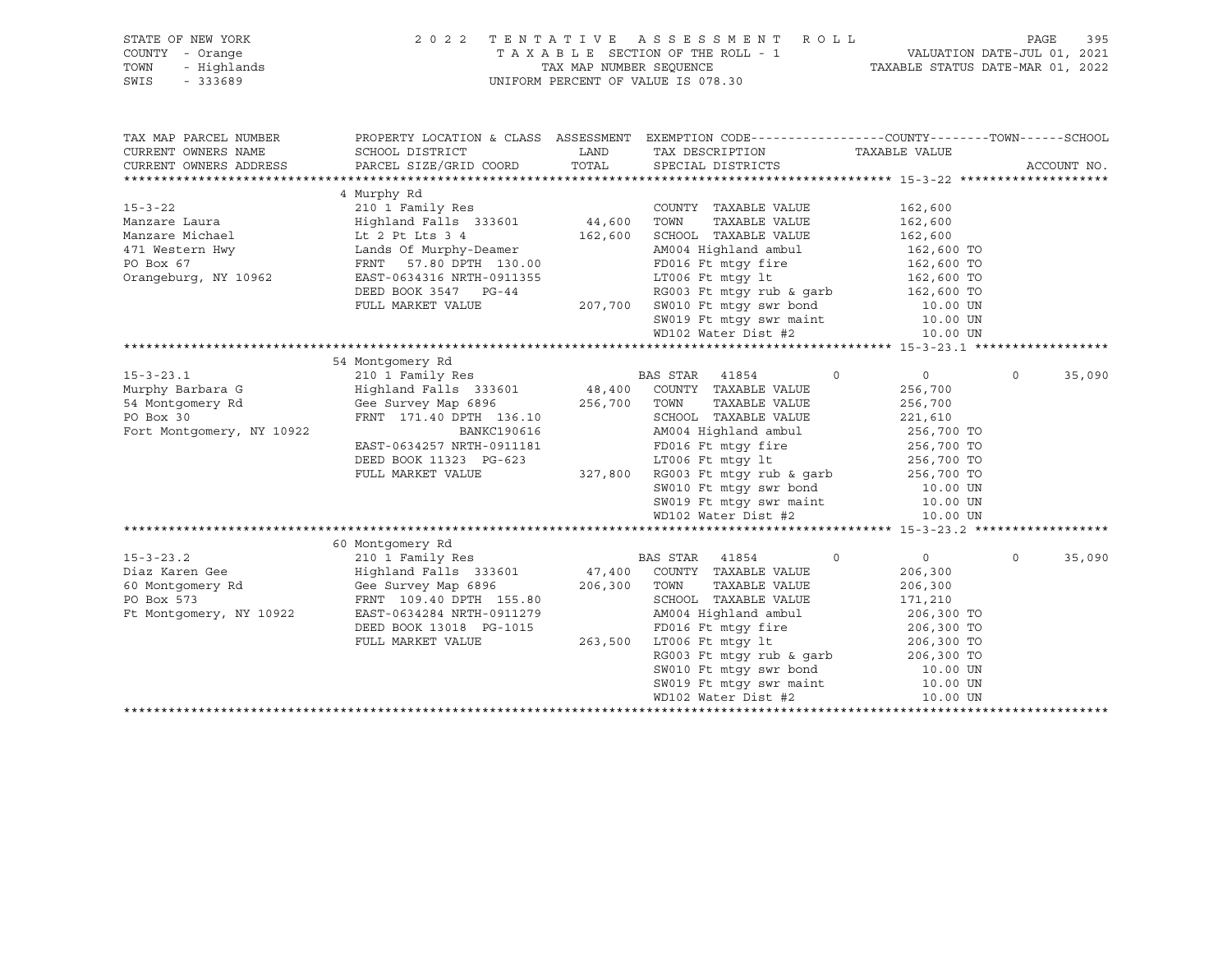| STATE OF NEW YORK<br>COUNTY - Orange<br>- Orange<br>- Highlands<br>- 333689<br>TOWN | 2022 TENTATIVE ASSESSMENT ROLL<br>TAXABLE SECTION OF THE ROLL - 1 | 395<br>PAGE<br>1 VALUATION DATE-JUL 01, 2021<br>TAXABLE STATUS DATE-MAR 01, 2022 |                                                                                                                                                                                   |                          |                    |  |
|-------------------------------------------------------------------------------------|-------------------------------------------------------------------|----------------------------------------------------------------------------------|-----------------------------------------------------------------------------------------------------------------------------------------------------------------------------------|--------------------------|--------------------|--|
| SWIS                                                                                |                                                                   | TAX MAP NUMBER SEQUENCE<br>UNIFORM PERCENT OF VALUE IS 078.30                    |                                                                                                                                                                                   |                          |                    |  |
| TAX MAP PARCEL NUMBER                                                               |                                                                   |                                                                                  | PROPERTY LOCATION & CLASS ASSESSMENT EXEMPTION CODE-----------------COUNTY-------TOWN------SCHOOL                                                                                 |                          |                    |  |
| CURRENT OWNERS NAME                                                                 | SCHOOL DISTRICT                                                   | LAND                                                                             | TAX DESCRIPTION                                                                                                                                                                   | TAXABLE VALUE            |                    |  |
| CURRENT OWNERS ADDRESS                                                              | PARCEL SIZE/GRID COORD                                            | TOTAL                                                                            | SPECIAL DISTRICTS                                                                                                                                                                 |                          | ACCOUNT NO.        |  |
|                                                                                     |                                                                   |                                                                                  |                                                                                                                                                                                   |                          |                    |  |
| $15 - 3 - 22$                                                                       | 4 Murphy Rd                                                       |                                                                                  | COUNTY TAXABLE VALUE                                                                                                                                                              | 162,600                  |                    |  |
| Manzare Laura                                                                       |                                                                   |                                                                                  | TAXABLE VALUE                                                                                                                                                                     | 162,600                  |                    |  |
| Manzare Michael                                                                     |                                                                   |                                                                                  |                                                                                                                                                                                   |                          |                    |  |
| 471 Western Hwy                                                                     | Lt 2 Pt Lts 3 4<br>Lands Of Murphy-Deamer                         |                                                                                  |                                                                                                                                                                                   | 162,600<br>162,600 TO    |                    |  |
| PO Box 67                                                                           | FRNT 57.80 DPTH 130.00                                            |                                                                                  |                                                                                                                                                                                   |                          |                    |  |
| Orangeburg, NY 10962                                                                | EAST-0634316 NRTH-0911355                                         |                                                                                  | FD016 Ft mtgy fire<br>LT006 Ft mtgy lt                                                                                                                                            | 162,600 TO<br>162,600 TO |                    |  |
|                                                                                     | DEED BOOK 3547 PG-44                                              |                                                                                  |                                                                                                                                                                                   |                          |                    |  |
|                                                                                     | FULL MARKET VALUE                                                 |                                                                                  |                                                                                                                                                                                   |                          |                    |  |
|                                                                                     |                                                                   |                                                                                  |                                                                                                                                                                                   |                          |                    |  |
|                                                                                     |                                                                   |                                                                                  | RG003 Ft mtgy rub & garb<br>207,700 SW010 Ft mtgy swr bond<br>50.00 TO SW019 Ft mtgy swr maint<br>207.700 SW019 Ft mtgy swr maint<br>20.00 UN<br>20.00 UN<br>20.00 UN<br>10.00 UN |                          |                    |  |
|                                                                                     |                                                                   |                                                                                  |                                                                                                                                                                                   |                          |                    |  |
|                                                                                     | 54 Montgomery Rd                                                  |                                                                                  |                                                                                                                                                                                   |                          |                    |  |
| $15 - 3 - 23.1$                                                                     |                                                                   |                                                                                  | $\circ$                                                                                                                                                                           | $\overline{0}$           | $\Omega$<br>35,090 |  |
| Murphy Barbara G                                                                    |                                                                   |                                                                                  |                                                                                                                                                                                   | 256,700                  |                    |  |
| 54 Montgomery Rd                                                                    | Gee Survey Map 6896 256,700 TOWN                                  |                                                                                  | TAXABLE VALUE                                                                                                                                                                     | 256,700                  |                    |  |
| PO Box 30                                                                           | FRNT 171.40 DPTH 136.10                                           |                                                                                  | SCHOOL TAXABLE VALUE<br>SCHOOL   TAXABLE VALUE<br>AM004 Highland ambul                                                                                                            | 221,610<br>256,700 TO    |                    |  |
| Fort Montgomery, NY 10922                                                           | BANKC190616                                                       |                                                                                  |                                                                                                                                                                                   |                          |                    |  |
|                                                                                     | EAST-0634257 NRTH-0911181                                         |                                                                                  | FD016 Ft mtgy fire<br>LT006 Ft mtgy lt                                                                                                                                            | 256,700 TO<br>256,700 TO |                    |  |
|                                                                                     | DEED BOOK 11323 PG-623                                            |                                                                                  |                                                                                                                                                                                   |                          |                    |  |
|                                                                                     | FULL MARKET VALUE                                                 |                                                                                  | 327,800 RG003 Ft mtgy rub & garb $256,700$ TO<br>SW010 Ft mtgy swr bond 10.00 UN                                                                                                  |                          |                    |  |
|                                                                                     |                                                                   |                                                                                  |                                                                                                                                                                                   |                          |                    |  |
|                                                                                     |                                                                   |                                                                                  | SW019 Ft mtgy swr maint 10.00 UN<br>WD102 Water Dist #2 10.00 UN                                                                                                                  |                          |                    |  |
|                                                                                     |                                                                   |                                                                                  |                                                                                                                                                                                   |                          |                    |  |
|                                                                                     | 60 Montgomery Rd                                                  |                                                                                  |                                                                                                                                                                                   |                          |                    |  |
| $15 - 3 - 23.2$                                                                     | 210 1 Family Res                                                  |                                                                                  | $\circ$                                                                                                                                                                           | $\overline{0}$           | $\circ$<br>35,090  |  |
| Diaz Karen Gee                                                                      | Highland Falls 333601                                             |                                                                                  | BAS STAR 41854<br>47,400 COUNTY TAXABLE VALUE                                                                                                                                     | 206,300                  |                    |  |
| 60 Montgomery Rd                                                                    | Gee Survey Map 6896                                               |                                                                                  | 206,300 TOWN<br>TAXABLE VALUE                                                                                                                                                     | 206,300                  |                    |  |
| PO Box 573                                                                          | FRNT 109.40 DPTH 155.80                                           |                                                                                  | SCHOOL TAXABLE VALUE                                                                                                                                                              | 171,210                  |                    |  |
| Ft Montgomery, NY 10922                                                             | EAST-0634284 NRTH-0911279                                         |                                                                                  | AM004 Highland ambul                                                                                                                                                              | 206,300 TO               |                    |  |
|                                                                                     | DEED BOOK 13018 PG-1015                                           |                                                                                  |                                                                                                                                                                                   |                          |                    |  |
|                                                                                     | FULL MARKET VALUE                                                 |                                                                                  | 015 FD016 Ft mtgy fire<br>263,500 LT006 Ft mtgy 1t                                                                                                                                | 206,300 TO<br>206,300 TO |                    |  |
|                                                                                     |                                                                   |                                                                                  | RG003 Ft mtgy rub & garb 206,300 TO<br>SW010 Ft mtgy swr bond 10.00 UN                                                                                                            |                          |                    |  |
|                                                                                     |                                                                   |                                                                                  |                                                                                                                                                                                   |                          |                    |  |
|                                                                                     |                                                                   |                                                                                  | $5W019$ Ft mtgy swr maint $10.00$ UN<br>WD102 Water Dist #2 $10.00$ UN                                                                                                            |                          |                    |  |
|                                                                                     |                                                                   |                                                                                  | WD102 Water Dist #2                                                                                                                                                               | 10.00 UN                 |                    |  |
|                                                                                     |                                                                   |                                                                                  |                                                                                                                                                                                   |                          |                    |  |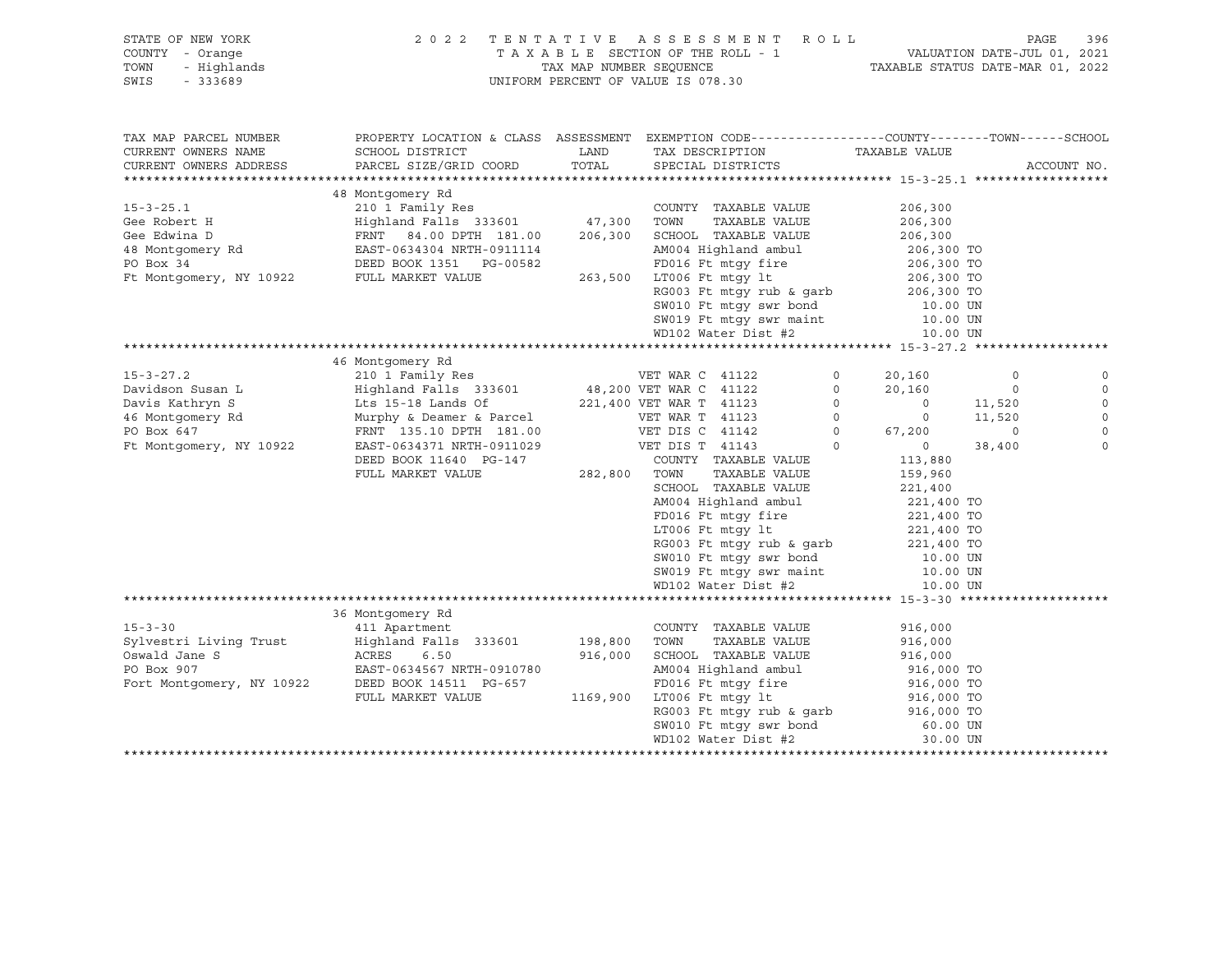| STATE OF NEW YORK<br>COUNTY - Orange<br>- Highlands<br>TOWN<br>SWIS<br>$-333689$ | 2 0 2 2<br>TENTATIVE ASSESSMENT ROLL<br>TAXABLE SECTION OF THE ROLL - 1<br>TAX MAP NUMBER SEQUENCE<br>UNIFORM PERCENT OF VALUE IS 078.30      |               | 396<br>PAGE<br>VALUATION DATE-JUL 01, 2021<br>TAXABLE STATUS DATE-MAR 01, 2022 |                                                 |                   |                            |
|----------------------------------------------------------------------------------|-----------------------------------------------------------------------------------------------------------------------------------------------|---------------|--------------------------------------------------------------------------------|-------------------------------------------------|-------------------|----------------------------|
| TAX MAP PARCEL NUMBER<br>CURRENT OWNERS NAME<br>CURRENT OWNERS ADDRESS           | PROPERTY LOCATION & CLASS ASSESSMENT EXEMPTION CODE----------------COUNTY-------TOWN------SCHOOL<br>SCHOOL DISTRICT<br>PARCEL SIZE/GRID COORD | LAND<br>TOTAL | TAX DESCRIPTION<br>SPECIAL DISTRICTS                                           | TAXABLE VALUE                                   |                   | ACCOUNT NO.                |
|                                                                                  |                                                                                                                                               |               |                                                                                |                                                 |                   |                            |
|                                                                                  | 48 Montgomery Rd                                                                                                                              |               |                                                                                |                                                 |                   |                            |
| $15 - 3 - 25.1$                                                                  | 210 1 Family Res                                                                                                                              |               | COUNTY TAXABLE VALUE                                                           | 206,300                                         |                   |                            |
| Gee Robert H                                                                     | Highland Falls 333601 47,300                                                                                                                  |               | TAXABLE VALUE<br>TOWN                                                          | 206,300                                         |                   |                            |
| Gee Edwina D                                                                     | FRNT 84.00 DPTH 181.00                                                                                                                        | 206,300       | SCHOOL TAXABLE VALUE                                                           | 206,300                                         |                   |                            |
| 48 Montgomery Rd                                                                 | EAST-0634304 NRTH-0911114                                                                                                                     |               | AM004 Highland ambul                                                           | 206,300 TO                                      |                   |                            |
| PO Box 34                                                                        | DEED BOOK 1351 PG-00582                                                                                                                       |               | FD016 Ft mtqy fire                                                             | 206,300 TO                                      |                   |                            |
| Ft Montgomery, NY 10922                                                          | FULL MARKET VALUE                                                                                                                             |               | 263,500 LT006 Ft mtqy lt                                                       | 206,300 TO<br>206,300 TO                        |                   |                            |
|                                                                                  |                                                                                                                                               |               | RG003 Ft mtgy rub & garb<br>SW010 Ft mtgy swr bond<br>SW019 Ft mtgy swr maint  | 10.00 UN                                        |                   |                            |
|                                                                                  |                                                                                                                                               |               |                                                                                | 10.00 UN                                        |                   |                            |
|                                                                                  |                                                                                                                                               |               | WD102 Water Dist #2                                                            | 10.00 UN                                        |                   |                            |
|                                                                                  |                                                                                                                                               |               |                                                                                |                                                 |                   |                            |
|                                                                                  | 46 Montgomery Rd                                                                                                                              |               |                                                                                |                                                 |                   |                            |
| $15 - 3 - 27.2$                                                                  | 210 1 Family Res                                                                                                                              |               | VET WAR C 41122                                                                | $\circ$<br>20,160                               | $\mathbf 0$       |                            |
| Davidson Susan L                                                                 | Highland Falls 333601                                                                                                                         |               | 48,200 VET WAR C 41122                                                         | 20,160<br>$\circ$                               | $\circ$           |                            |
| Davis Kathryn S                                                                  | Lts 15-18 Lands Of 221,400 VET WAR T 41123                                                                                                    |               |                                                                                | $\circ$<br>$\overline{0}$                       | 11,520            |                            |
| 46 Montgomery Rd                                                                 | Murphy & Deamer & Parcel                                                                                                                      |               | VET WAR T 41123                                                                | $\circ$<br>$\overline{0}$                       | 11,520            | $\circ$                    |
| PO Box 647<br>Ft Montgomery, NY 10922                                            | FRNT 135.10 DPTH 181.00<br>EAST-0634371 NRTH-0911029                                                                                          |               | VET DIS C 41142<br>VET DIS T 41143                                             | $\circ$<br>67,200<br>$\Omega$<br>$\overline{0}$ | $\circ$<br>38,400 | $\mathbf 0$<br>$\mathbf 0$ |
|                                                                                  | DEED BOOK 11640 PG-147                                                                                                                        |               | COUNTY TAXABLE VALUE                                                           | 113,880                                         |                   |                            |
|                                                                                  | FULL MARKET VALUE                                                                                                                             | 282,800       | TOWN<br>TAXABLE VALUE                                                          | 159,960                                         |                   |                            |
|                                                                                  |                                                                                                                                               |               | SCHOOL TAXABLE VALUE                                                           | 221,400                                         |                   |                            |
|                                                                                  |                                                                                                                                               |               | AM004 Highland ambul                                                           | 221,400 TO                                      |                   |                            |
|                                                                                  |                                                                                                                                               |               | FD016 Ft mtqy fire                                                             | 221,400 TO                                      |                   |                            |
|                                                                                  |                                                                                                                                               |               | LT006 Ft mtgy lt                                                               | 221,400 TO                                      |                   |                            |
|                                                                                  |                                                                                                                                               |               | RG003 Ft mtgy rub & garb                                                       | 221,400 TO                                      |                   |                            |
|                                                                                  |                                                                                                                                               |               | SW010 Ft mtgy swr bond<br>SW019 Ft mtgy swr maint                              | 10.00 UN                                        |                   |                            |
|                                                                                  |                                                                                                                                               |               |                                                                                | 10.00 UN                                        |                   |                            |
|                                                                                  |                                                                                                                                               |               | WD102 Water Dist #2                                                            | 10.00 UN                                        |                   |                            |
|                                                                                  | 36 Montgomery Rd                                                                                                                              |               |                                                                                |                                                 |                   |                            |
| $15 - 3 - 30$                                                                    | 411 Apartment                                                                                                                                 |               | COUNTY TAXABLE VALUE                                                           | 916,000                                         |                   |                            |
| Sylvestri Living Trust                                                           | Highland Falls 333601                                                                                                                         | 198,800       | TAXABLE VALUE<br>TOWN                                                          | 916,000                                         |                   |                            |
| Oswald Jane S                                                                    | ACRES<br>6.50                                                                                                                                 | 916,000       | SCHOOL TAXABLE VALUE                                                           | 916,000                                         |                   |                            |
| PO Box 907                                                                       | EAST-0634567 NRTH-0910780                                                                                                                     |               | AM004 Highland ambul                                                           | 916,000 TO                                      |                   |                            |
| Fort Montgomery, NY 10922                                                        | DEED BOOK 14511 PG-657                                                                                                                        |               | FD016 Ft mtqy fire                                                             | 916,000 TO                                      |                   |                            |
|                                                                                  | FULL MARKET VALUE                                                                                                                             | 1169,900      | LT006 Ft mtqy lt                                                               | 916,000 TO                                      |                   |                            |
|                                                                                  |                                                                                                                                               |               | RG003 Ft mtgy rub & garb                                                       | 916,000 TO                                      |                   |                            |
|                                                                                  |                                                                                                                                               |               | SW010 Ft mtgy swr bond                                                         | 60.00 UN                                        |                   |                            |
|                                                                                  |                                                                                                                                               |               | WD102 Water Dist #2                                                            | 30.00 UN                                        |                   |                            |
|                                                                                  |                                                                                                                                               |               |                                                                                |                                                 |                   |                            |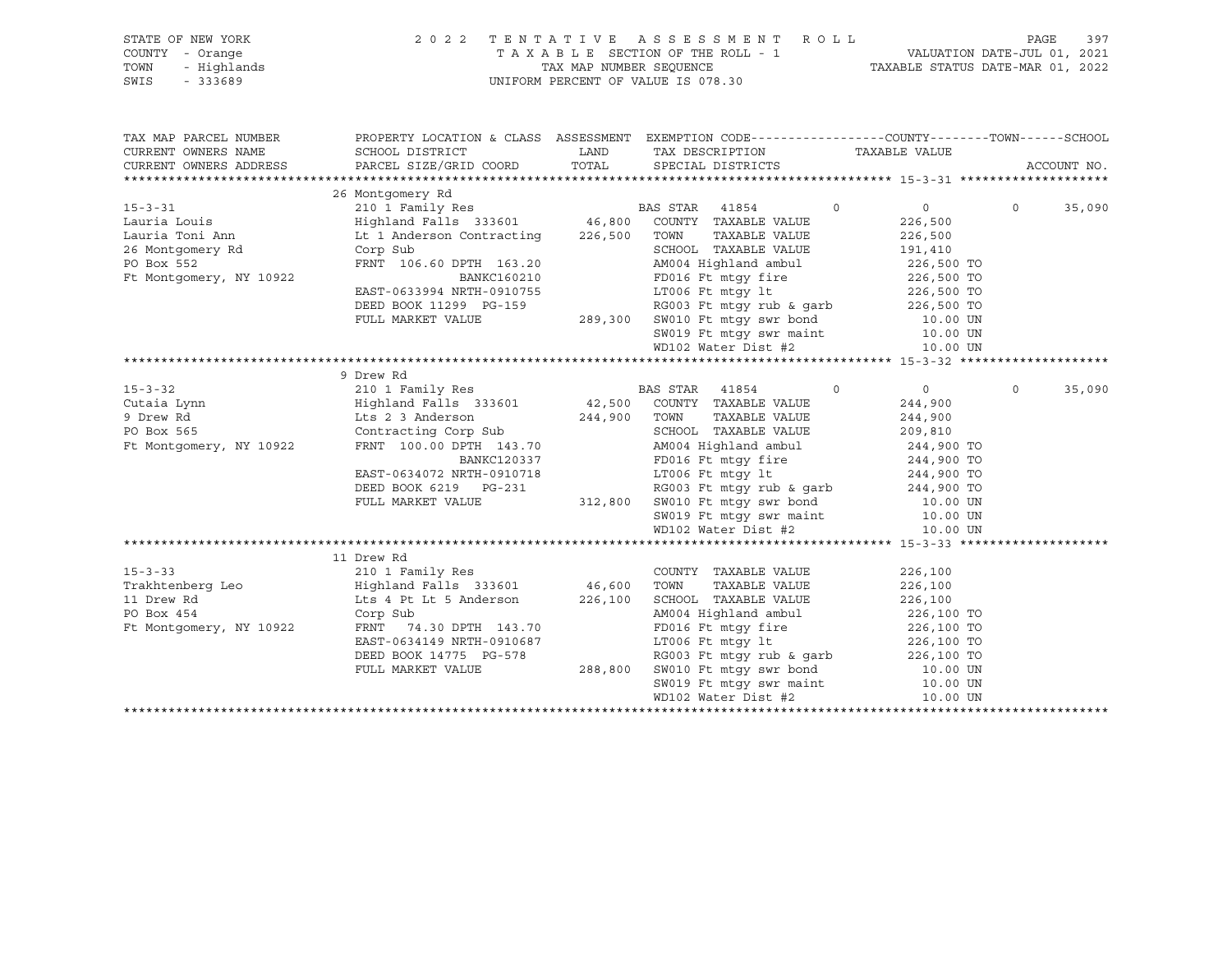| 3F NEW YORK 2 (<br>- Orange - Highlands<br>- 333689<br>STATE OF NEW YORK<br>COUNTY - Orange<br>TOWN<br>SWIS<br>$-333689$ |                                                                                                                                                                                                                                                                                                                                     | 2022 TENTATIVE ASSESSMENT ROLL<br>TAXABLE SECTION OF THE ROLL - 1 VALUATION DATE-JUL 01, 2021<br>TAXABLE SECTION OF THE ROLL - 1 VALUATION DATE-JUL 01, 2021<br>TAXABLE STATUS DATE-MAR 01, 2022<br>UNIFORM PERCENT OF VALUE IS 078.30                                                     |                                                 | PAGE<br>397        |
|--------------------------------------------------------------------------------------------------------------------------|-------------------------------------------------------------------------------------------------------------------------------------------------------------------------------------------------------------------------------------------------------------------------------------------------------------------------------------|--------------------------------------------------------------------------------------------------------------------------------------------------------------------------------------------------------------------------------------------------------------------------------------------|-------------------------------------------------|--------------------|
| TAX MAP PARCEL NUMBER<br>CURRENT OWNERS NAME<br>CURRENT OWNERS ADDRESS                                                   | SCHOOL DISTRICT<br>PARCEL SIZE/GRID COORD                                                                                                                                                                                                                                                                                           | PROPERTY LOCATION & CLASS ASSESSMENT EXEMPTION CODE----------------COUNTY-------TOWN------SCHOOL<br>LAND TAX DESCRIPTION TAXABLE VALUE<br>TOTAL SPECIAL DISTRICTS                                                                                                                          |                                                 | ACCOUNT NO.        |
|                                                                                                                          | 26 Montgomery Rd                                                                                                                                                                                                                                                                                                                    |                                                                                                                                                                                                                                                                                            |                                                 |                    |
| 15-3-31<br>Lauria Louis<br>Lauria Toni Ann<br>26 Montgomery Rd<br>PO Box 552<br>PO Box 552<br>Ft Montgomery, NY 10922    | 210 I Family Res<br>Highland Falls 333601 46,800 COUNTY TAXABLE VALUE<br>Lt 1 Anderson Contracting 226,500 TOWN<br>Corp Sub<br>FRNT 106.60 DPTH 163.20<br>BANKC160210                                                                                                                                                               | $\sim$ 0<br>TAXABLE VALUE 226,500<br>SCHOOL TAXABLE VALUE 191,410<br>AM004 Highland ambul 226,500 TO<br>FD016 Ft mtgy fire 226,500 TO<br>LT006 Ft mtgy lt 226,500 TO                                                                                                                       | $0 \qquad \qquad$<br>226,500                    | $\circ$<br>35,090  |
|                                                                                                                          |                                                                                                                                                                                                                                                                                                                                     | EAST-0633994 NRTH-0910755<br>DEED BOOK 11299 PG-159 RG003 Ft mtgy rub & gair<br>FULL MARKET VALUE 289,300 SW010 Ft mtgy swr maint 10.00 UN<br>SW019 Ft mtgy swr maint 10.00 UN<br>Notes Dist #2<br>10.00 UN                                                                                |                                                 |                    |
|                                                                                                                          |                                                                                                                                                                                                                                                                                                                                     |                                                                                                                                                                                                                                                                                            |                                                 |                    |
| $15 - 3 - 32$<br>Cutaia Lynn<br>9 Drew Rd<br>PO Box 565<br>Ft Montgomery, NY 10922                                       | 9 Drew Rd<br>Highland Falls 333601 42,500 COUNTY TAXABLE VALUE<br>Lts 2 3 Anderson 244,900 TOWN TAXABLE VALUE<br>Contracting Corp Sub 3CHOOL TAXABLE VALUE<br>Contracting Corp Sub<br>FRNT 100.00 DPTH 143.70<br>BANKC120337<br>EAST-0634072 NRTH-0910718<br>DEED BOOK 6219 PG-231<br>FULL MARKET VALUE                             | TOWN      TAXABLE VALUE<br>SCHOOL   TAXABLE VALUE<br>AM004 Highland ambul 244,900 TO<br>FD016 Ft mtgy fire 244,900 TO<br>FD016 Ft mtgy fire<br>LT006 Ft mtgy lt<br>244,900 TO<br>RG003 Ft mtgy 1t<br>RG003 Ft mtgy rub & garb<br>312,800 SW010 Ft mtgy swr bond<br>SW019 Ft mtgy swr maint | $\overline{0}$<br>244,900<br>244,900<br>209,810 | $\Omega$<br>35,090 |
|                                                                                                                          | 11 Drew Rd                                                                                                                                                                                                                                                                                                                          |                                                                                                                                                                                                                                                                                            |                                                 |                    |
| Ft Montgomery, NY 10922                                                                                                  | 15-3-33<br>Trakhtenberg Leo Highland Falls 333601<br>Highland Falls 333601 46,600 TONN TAXABLE VALUE<br>11 Drew Rd Lts 4 Pt Lt 5 Anderson 226,100 SCHOOL TAXABLE VALUE<br>PO Box 454 Corp Sub<br>226,100 SCHOOL TAXABLE VALUE<br>FRNT 74.30 DPTH 143.70<br>EAST-0634149 NRTH-0910687<br>DEED BOOK 14775 PG-578<br>FULL MARKET VALUE | AM004 Highland ambul<br>PD016 Ft mtgy fire<br>LT006 Ft mtgy lt<br>226,100 TO<br>226,100 TO<br>RG003 Ft mtgy rub & garb $226,100$ TO<br>288,800 SW010 Ft mtgy swr bond 10.00 UN<br>3W019 Ft mtgy swr maint 10.00 UN                                                                         | 226,100<br>226,100<br>226,100                   |                    |

 WD102 Water Dist #2 10.00 UN \*\*\*\*\*\*\*\*\*\*\*\*\*\*\*\*\*\*\*\*\*\*\*\*\*\*\*\*\*\*\*\*\*\*\*\*\*\*\*\*\*\*\*\*\*\*\*\*\*\*\*\*\*\*\*\*\*\*\*\*\*\*\*\*\*\*\*\*\*\*\*\*\*\*\*\*\*\*\*\*\*\*\*\*\*\*\*\*\*\*\*\*\*\*\*\*\*\*\*\*\*\*\*\*\*\*\*\*\*\*\*\*\*\*\*\*\*\*\*\*\*\*\*\*\*\*\*\*\*\*\*\*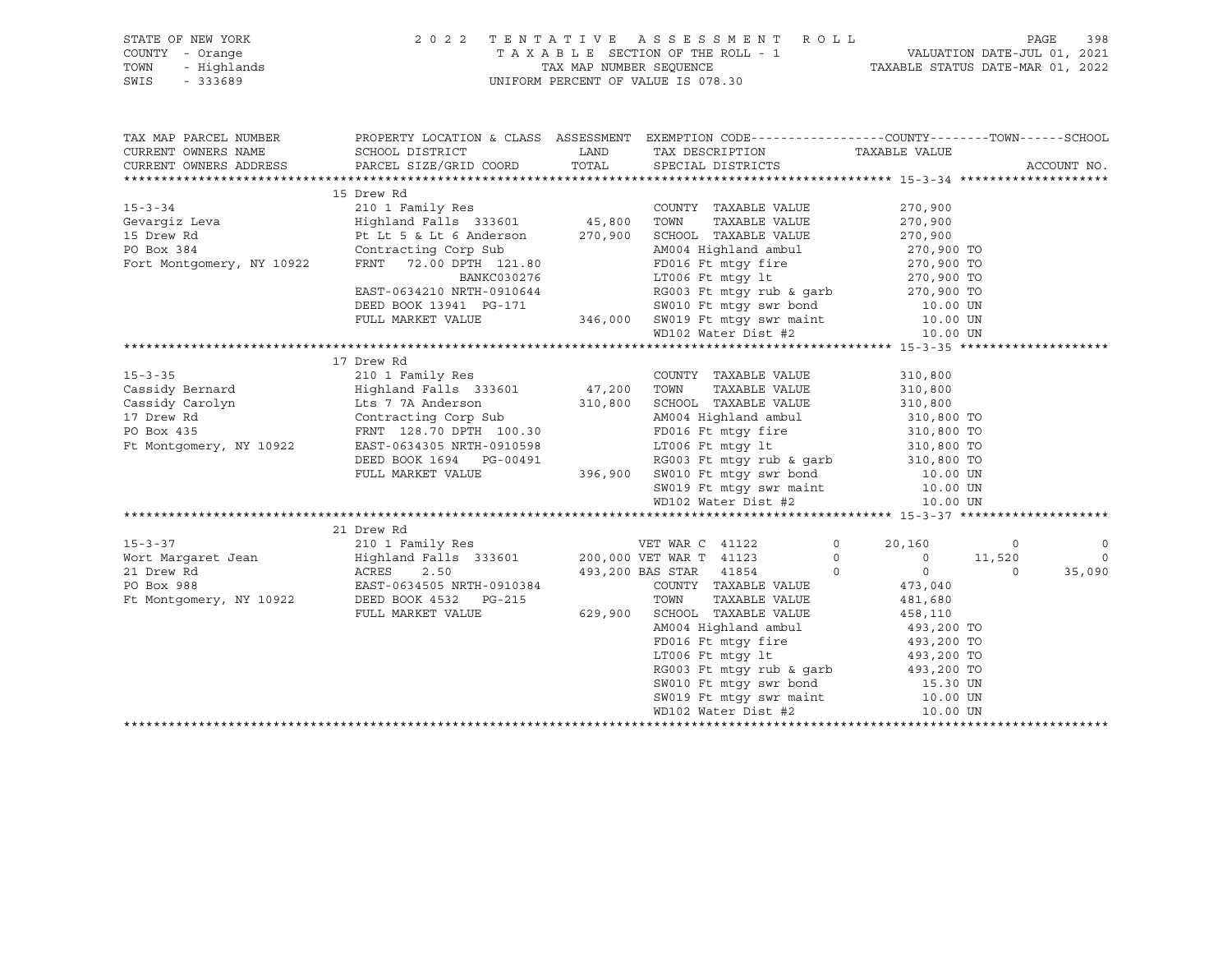| STATE OF NEW YORK                       |                                                                                                                                                                                                                                          | 2022 TENTATIVE ASSESSMENT ROLL                                                                                                                                                                 |                                  | PAGE           | 398         |
|-----------------------------------------|------------------------------------------------------------------------------------------------------------------------------------------------------------------------------------------------------------------------------------------|------------------------------------------------------------------------------------------------------------------------------------------------------------------------------------------------|----------------------------------|----------------|-------------|
| COUNTY - Orange                         |                                                                                                                                                                                                                                          | TAXABLE SECTION OF THE ROLL - 1 VALUATION DATE-JUL 01, 2021<br>TAX MAP NUMBER SEQUENCE TAXABLE STATUS DATE-MAR 01, 2022                                                                        |                                  |                |             |
| TOWN<br>- Highlands                     |                                                                                                                                                                                                                                          |                                                                                                                                                                                                |                                  |                |             |
| SWIS<br>$-333689$                       |                                                                                                                                                                                                                                          | UNIFORM PERCENT OF VALUE IS 078.30                                                                                                                                                             |                                  |                |             |
|                                         |                                                                                                                                                                                                                                          |                                                                                                                                                                                                |                                  |                |             |
|                                         |                                                                                                                                                                                                                                          |                                                                                                                                                                                                |                                  |                |             |
| TAX MAP PARCEL NUMBER                   |                                                                                                                                                                                                                                          |                                                                                                                                                                                                |                                  |                |             |
| CURRENT OWNERS NAME                     |                                                                                                                                                                                                                                          |                                                                                                                                                                                                |                                  |                |             |
|                                         | CURRENT OWNERS ADDRESS PARCEL SIZE/GRID COORD                                                                                                                                                                                            | TOTAL SPECIAL DISTRICTS                                                                                                                                                                        |                                  |                | ACCOUNT NO. |
|                                         |                                                                                                                                                                                                                                          |                                                                                                                                                                                                |                                  |                |             |
|                                         | 15 Drew Rd                                                                                                                                                                                                                               |                                                                                                                                                                                                |                                  |                |             |
| $15 - 3 - 34$                           |                                                                                                                                                                                                                                          | COUNTY TAXABLE VALUE                                                                                                                                                                           | 270,900                          |                |             |
| Gevargiz Leva<br>15 Drew Rd             |                                                                                                                                                                                                                                          | TAXABLE VALUE                                                                                                                                                                                  | 270,900                          |                |             |
|                                         | Pt Lt 5 & Lt 6 Anderson 270, 900 SCHOOL TAXABLE VALUE 270, 900                                                                                                                                                                           |                                                                                                                                                                                                |                                  |                |             |
|                                         | Contracting Corp Sub                                                                                                                                                                                                                     |                                                                                                                                                                                                |                                  |                |             |
| PO Box 384<br>Fort Montgomery, NY 10922 | Contracting Corp Sub<br>FRNT   72.00 DPTH   121.80                                                                                                                                                                                       | AM004 Highland ambul 270,900 TO<br>FD016 Ft mtgy fire 270,900 TO                                                                                                                               |                                  |                |             |
|                                         |                                                                                                                                                                                                                                          | FD016 Ft mtgy fire<br>LT006 Ft mtgy lt                                                                                                                                                         |                                  |                |             |
|                                         |                                                                                                                                                                                                                                          |                                                                                                                                                                                                |                                  |                |             |
|                                         | EAST-0634210 NRTH-0910644<br>DEED BOOK 13941 PG-171 346,000 SW010 Ft mtgy swr bond<br>FULL MARKET VALUE 346,000 SW010 Ft mtgy swr bond<br>PG-171 346,000 SW019 Ft mtgy swr bond<br>PG-171 346,000 SW019 Ft mtgy swr bond<br>PG-171 346,0 |                                                                                                                                                                                                |                                  |                |             |
|                                         |                                                                                                                                                                                                                                          |                                                                                                                                                                                                |                                  |                |             |
|                                         |                                                                                                                                                                                                                                          | 346,000 SW019 Ft mtgy swr maint 10.00 UN<br>WD102 Water Dist #2 10.00 UN                                                                                                                       |                                  |                |             |
|                                         |                                                                                                                                                                                                                                          |                                                                                                                                                                                                |                                  |                |             |
|                                         | 17 Drew Rd                                                                                                                                                                                                                               |                                                                                                                                                                                                |                                  |                |             |
| $15 - 3 - 35$                           | 210 1 Family Res                                                                                                                                                                                                                         | COUNTY TAXABLE VALUE                                                                                                                                                                           | 310,800                          |                |             |
| Cassidy Bernard                         | Highland Falls 333601 47,200 TOWN                                                                                                                                                                                                        |                                                                                                                                                                                                | TAXABLE VALUE 310,800            |                |             |
|                                         |                                                                                                                                                                                                                                          |                                                                                                                                                                                                |                                  |                |             |
|                                         |                                                                                                                                                                                                                                          |                                                                                                                                                                                                |                                  |                |             |
|                                         | Contracting Corp Sub                                                                                                                                                                                                                     |                                                                                                                                                                                                |                                  |                |             |
|                                         | FRNT 128.70 DPTH 100.30                                                                                                                                                                                                                  | FD016 Ft mtgy fire 310,800 TO                                                                                                                                                                  |                                  |                |             |
| Ft Montgomery, NY 10922                 |                                                                                                                                                                                                                                          |                                                                                                                                                                                                |                                  |                |             |
|                                         |                                                                                                                                                                                                                                          |                                                                                                                                                                                                |                                  |                |             |
|                                         | EAST-0634305 NRTH-0910598 LT006 Ft mtgy 1t<br>DEED BOOK 1694 PG-00491 RG003 Ft mtgy rub & garb<br>FULL MARKET VALUE 396,900 SW010 Ft mtgy swr bond                                                                                       |                                                                                                                                                                                                | 10.00 UN                         |                |             |
|                                         |                                                                                                                                                                                                                                          | SW019 Ft mtgy swr maint 10.00 UN<br>WD102 Water Dist #2 10.00 UN                                                                                                                               |                                  |                |             |
|                                         |                                                                                                                                                                                                                                          |                                                                                                                                                                                                |                                  |                |             |
|                                         |                                                                                                                                                                                                                                          |                                                                                                                                                                                                |                                  |                |             |
|                                         | 21 Drew Rd                                                                                                                                                                                                                               |                                                                                                                                                                                                |                                  |                |             |
| $15 - 3 - 37$                           | 210 1 Family Res                                                                                                                                                                                                                         | VET WAR C 41122                                                                                                                                                                                | $0 \qquad \qquad$<br>20,160      | $\overline{0}$ | $\circ$     |
|                                         |                                                                                                                                                                                                                                          | $\begin{array}{c} 0 \\ 0 \end{array}$                                                                                                                                                          | $0 \t 11,520$                    |                | $\Omega$    |
|                                         |                                                                                                                                                                                                                                          |                                                                                                                                                                                                | $\overline{0}$<br>$\overline{0}$ | $\overline{0}$ | 35,090      |
|                                         |                                                                                                                                                                                                                                          | COUNTY TAXABLE VALUE                                                                                                                                                                           | 473,040                          |                |             |
|                                         |                                                                                                                                                                                                                                          |                                                                                                                                                                                                | 481,680                          |                |             |
|                                         |                                                                                                                                                                                                                                          |                                                                                                                                                                                                | 458,110                          |                |             |
|                                         |                                                                                                                                                                                                                                          | AM004 Highland ambul $\begin{array}{ccc} 493,200 \text{ TO} \\ \text{FD016} \text{ Ft mtgy fire} \end{array}$ $\begin{array}{ccc} 493,200 \text{ TO} \\ \text{493,200} \text{ TO} \end{array}$ |                                  |                |             |
|                                         |                                                                                                                                                                                                                                          |                                                                                                                                                                                                |                                  |                |             |
|                                         |                                                                                                                                                                                                                                          |                                                                                                                                                                                                |                                  |                |             |
|                                         |                                                                                                                                                                                                                                          | RG003 Ft mtgy rub & garb                                                                                                                                                                       | 493,200 TO                       |                |             |

SW010 Ft mtgy swr bond 15.30 UN<br>SW019 Ft mtgy swr maint 10.00 UN SW019 Ft mtgy swr maint 10.00 UN<br>WD102 Water Dist #2 10.00 UN  $WD102$  Water Dist #2 \*\*\*\*\*\*\*\*\*\*\*\*\*\*\*\*\*\*\*\*\*\*\*\*\*\*\*\*\*\*\*\*\*\*\*\*\*\*\*\*\*\*\*\*\*\*\*\*\*\*\*\*\*\*\*\*\*\*\*\*\*\*\*\*\*\*\*\*\*\*\*\*\*\*\*\*\*\*\*\*\*\*\*\*\*\*\*\*\*\*\*\*\*\*\*\*\*\*\*\*\*\*\*\*\*\*\*\*\*\*\*\*\*\*\*\*\*\*\*\*\*\*\*\*\*\*\*\*\*\*\*\*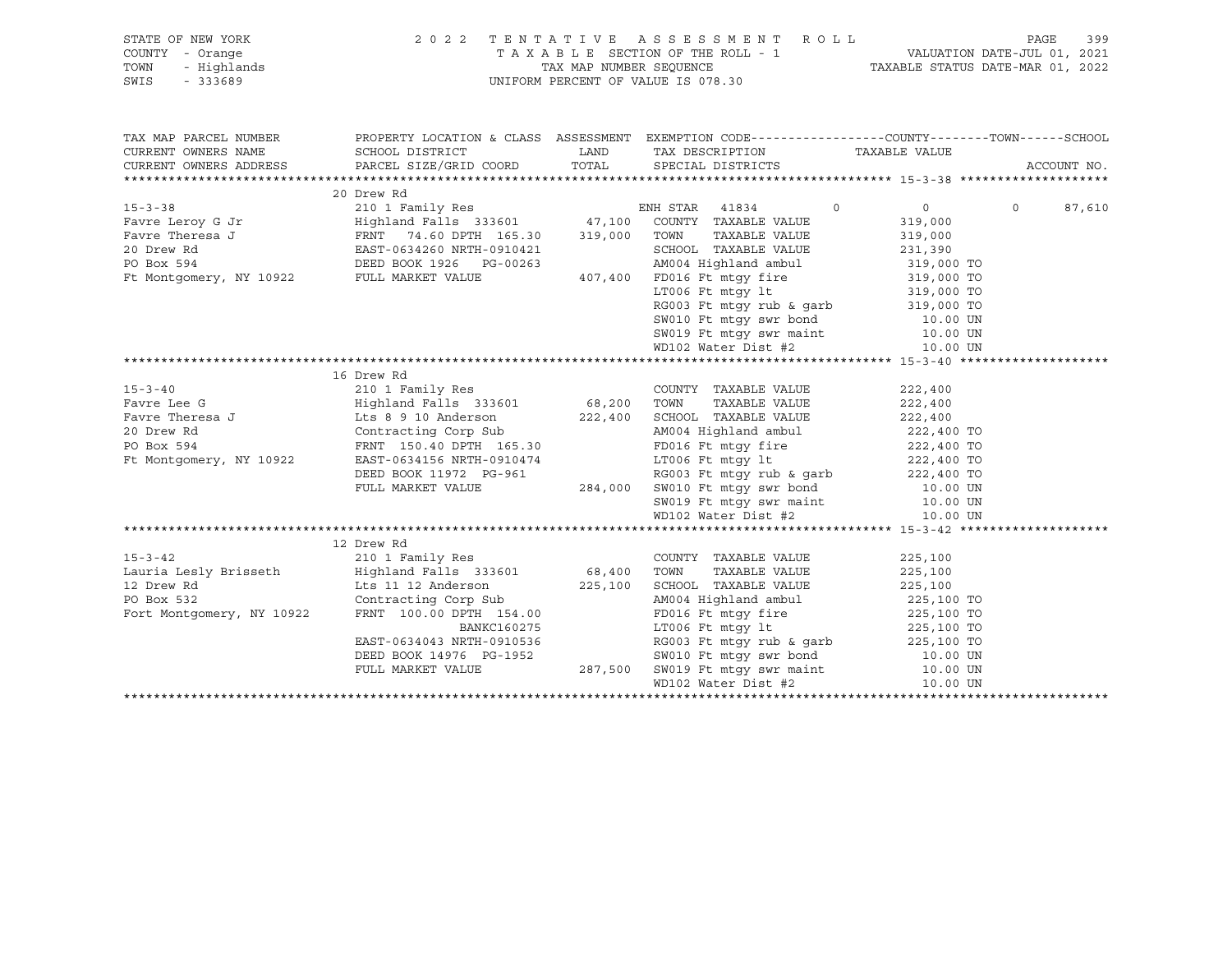| STATE OF NEW YORK<br>COUNTY - Orange<br>- Orange<br>- Highlands<br>- 333689<br>TOWN<br>SWIS | 2 0 2 2                                                                                                                                                                                                                                                          |         | TENTATIVE ASSESSMENT ROLL PAGE 399<br>TAXABLE SECTION OF THE ROLL - 1 VALUATION DATE-JUL 01, 2021<br>TAX MAP NUMBER SEQUENCE TAXABLE STATUS DATE-MAR 01, 2022<br>UNIFORM PERCENT OF VALUE IS 078.30                                                    |                               |                    |
|---------------------------------------------------------------------------------------------|------------------------------------------------------------------------------------------------------------------------------------------------------------------------------------------------------------------------------------------------------------------|---------|--------------------------------------------------------------------------------------------------------------------------------------------------------------------------------------------------------------------------------------------------------|-------------------------------|--------------------|
|                                                                                             |                                                                                                                                                                                                                                                                  |         |                                                                                                                                                                                                                                                        |                               |                    |
|                                                                                             |                                                                                                                                                                                                                                                                  |         |                                                                                                                                                                                                                                                        |                               |                    |
|                                                                                             |                                                                                                                                                                                                                                                                  |         |                                                                                                                                                                                                                                                        |                               |                    |
|                                                                                             | 20 Drew Rd                                                                                                                                                                                                                                                       |         |                                                                                                                                                                                                                                                        |                               |                    |
|                                                                                             | EXECUTE 15-3-38<br>Favre Leroy G Jr<br>Family Res<br>Favre Theresa J<br>FRNT 74.60 DPTH 165.30<br>20 Drew Rd<br>EXST-0634260 NRTH-0910421<br>PO Box 594<br>DEED BOOK 1926 PG-00263<br>FULL MARKET VALUE<br>PO BOX 594<br>PULL MARKET VALUE<br>20 Drew            |         | $\circ$                                                                                                                                                                                                                                                | $\overline{0}$                | $\Omega$<br>87,610 |
|                                                                                             |                                                                                                                                                                                                                                                                  |         |                                                                                                                                                                                                                                                        | 319,000                       |                    |
|                                                                                             |                                                                                                                                                                                                                                                                  |         | SCHOOL TAXABLE VALUE                                                                                                                                                                                                                                   | 319,000<br><sub>231,390</sub> |                    |
|                                                                                             |                                                                                                                                                                                                                                                                  |         |                                                                                                                                                                                                                                                        |                               |                    |
|                                                                                             |                                                                                                                                                                                                                                                                  |         | AM004 Highland ambul 319,000 TO<br>FD016 Ft mtgy fire 319,000 TO                                                                                                                                                                                       |                               |                    |
|                                                                                             |                                                                                                                                                                                                                                                                  |         |                                                                                                                                                                                                                                                        |                               |                    |
|                                                                                             |                                                                                                                                                                                                                                                                  |         |                                                                                                                                                                                                                                                        |                               |                    |
|                                                                                             |                                                                                                                                                                                                                                                                  |         | ETOOG Ft mtgy 11<br>RG003 Ft mtgy rub & garb 319,000 TO<br>SW010 Ft mtgy swr bond 10.00 UN<br>10.00 UN                                                                                                                                                 |                               |                    |
|                                                                                             |                                                                                                                                                                                                                                                                  |         |                                                                                                                                                                                                                                                        |                               |                    |
|                                                                                             |                                                                                                                                                                                                                                                                  |         | SW019 Ft mtgy swr maint 10.00 UN<br>WD102 Water Dist #2 10.00 UN                                                                                                                                                                                       |                               |                    |
|                                                                                             |                                                                                                                                                                                                                                                                  |         |                                                                                                                                                                                                                                                        |                               |                    |
|                                                                                             | 16 Drew Rd                                                                                                                                                                                                                                                       |         |                                                                                                                                                                                                                                                        |                               |                    |
| $15 - 3 - 40$                                                                               |                                                                                                                                                                                                                                                                  |         | COUNTY TAXABLE VALUE                                                                                                                                                                                                                                   | 222,400                       |                    |
| Favre Lee G                                                                                 |                                                                                                                                                                                                                                                                  |         | TAXABLE VALUE                                                                                                                                                                                                                                          | 222,400                       |                    |
|                                                                                             |                                                                                                                                                                                                                                                                  |         | SCHOOL TAXABLE VALUE                                                                                                                                                                                                                                   | 222,400<br>222,400 TO         |                    |
|                                                                                             | Fave Theresa J<br>Fave Theresa J<br>20 Drew Rd<br>20 Drew Rd<br>20 Drew Rd<br>20 Drew Rd<br>20 Drew Rd<br>20 Drew Rd<br>20 Drew Rd<br>20 Drew Rd<br>20 Drew Rd<br>20 Drew Rd<br>20 Drew Rd<br>20 Drew Rd<br>20 Drew Rd<br>20 Drew Rd<br>20 Drew Rd<br>20 Drew Rd |         | AM004 Highland ambul                                                                                                                                                                                                                                   |                               |                    |
|                                                                                             |                                                                                                                                                                                                                                                                  |         | PD016 Ft mtgy fire<br>LT006 Ft mtgy 1t<br>RG003 Ft mtgy rub & garb<br>222,400 TO<br>222,400 TO<br>222,400 TO                                                                                                                                           |                               |                    |
|                                                                                             |                                                                                                                                                                                                                                                                  |         |                                                                                                                                                                                                                                                        |                               |                    |
|                                                                                             |                                                                                                                                                                                                                                                                  |         |                                                                                                                                                                                                                                                        |                               |                    |
|                                                                                             |                                                                                                                                                                                                                                                                  |         |                                                                                                                                                                                                                                                        |                               |                    |
|                                                                                             |                                                                                                                                                                                                                                                                  |         |                                                                                                                                                                                                                                                        |                               |                    |
|                                                                                             |                                                                                                                                                                                                                                                                  |         |                                                                                                                                                                                                                                                        |                               |                    |
|                                                                                             | EAST-0634156 NRTH-0910474<br>DEED BOOK 11972 PG-961<br>FULL MARKET VALUE 284,000 SW010 Ft mtgy swr bond 10.00 UN<br>SW019 Ft mtgy swr maint 10.00 UN<br>WD102 Water Dist #2<br>10.00 UN<br>10.00 UN<br>10.00 UN<br>10.00 UN<br>10.00 UN<br>10.00 U<br>12 Drew Rd |         |                                                                                                                                                                                                                                                        |                               |                    |
| $15 - 3 - 42$                                                                               | 210 1 Family Res                                                                                                                                                                                                                                                 |         | COUNTY TAXABLE VALUE                                                                                                                                                                                                                                   | 225,100                       |                    |
|                                                                                             | Lauria Lesly Brisseth Mighland Falls 333601 68,400                                                                                                                                                                                                               |         | TOWN<br>TAXABLE VALUE                                                                                                                                                                                                                                  | 225,100                       |                    |
|                                                                                             |                                                                                                                                                                                                                                                                  | 225,100 | SCHOOL TAXABLE VALUE                                                                                                                                                                                                                                   | 225,100                       |                    |
|                                                                                             |                                                                                                                                                                                                                                                                  |         | AM004 Highland ambul 225,100 TO                                                                                                                                                                                                                        |                               |                    |
|                                                                                             | 12 Drew Rd <sup>1</sup> Lts 11 12 Anderson 225,10<br>PO Box 532 Contracting Corp Sub<br>Fort Montgomery, NY 10922 FRNT 100.00 DPTH 154.00                                                                                                                        |         |                                                                                                                                                                                                                                                        |                               |                    |
|                                                                                             | <b>BANKC160275</b>                                                                                                                                                                                                                                               |         |                                                                                                                                                                                                                                                        |                               |                    |
|                                                                                             |                                                                                                                                                                                                                                                                  |         |                                                                                                                                                                                                                                                        |                               |                    |
|                                                                                             |                                                                                                                                                                                                                                                                  |         |                                                                                                                                                                                                                                                        |                               |                    |
|                                                                                             | EAST-0634043 NRTH-0910536<br>DEED BOOK 14976 PG-1952<br>FULL MARKET VALUE 287,500                                                                                                                                                                                |         |                                                                                                                                                                                                                                                        |                               |                    |
|                                                                                             |                                                                                                                                                                                                                                                                  |         | 1225, 100 TO<br>FD116 Ft mtgy fire<br>LT006 Ft mtgy 1t<br>RG003 Ft mtgy rub & garb<br>225, 100 TO<br>RG003 Ft mtgy rub & garb<br>225, 100 TO<br>SW010 Ft mtgy swr bond<br>50.00 UN<br>SW019 Ft mtgy swr maint<br>10.00 UN<br>ND102 Water Dist #2<br>10 |                               |                    |
|                                                                                             |                                                                                                                                                                                                                                                                  |         |                                                                                                                                                                                                                                                        |                               |                    |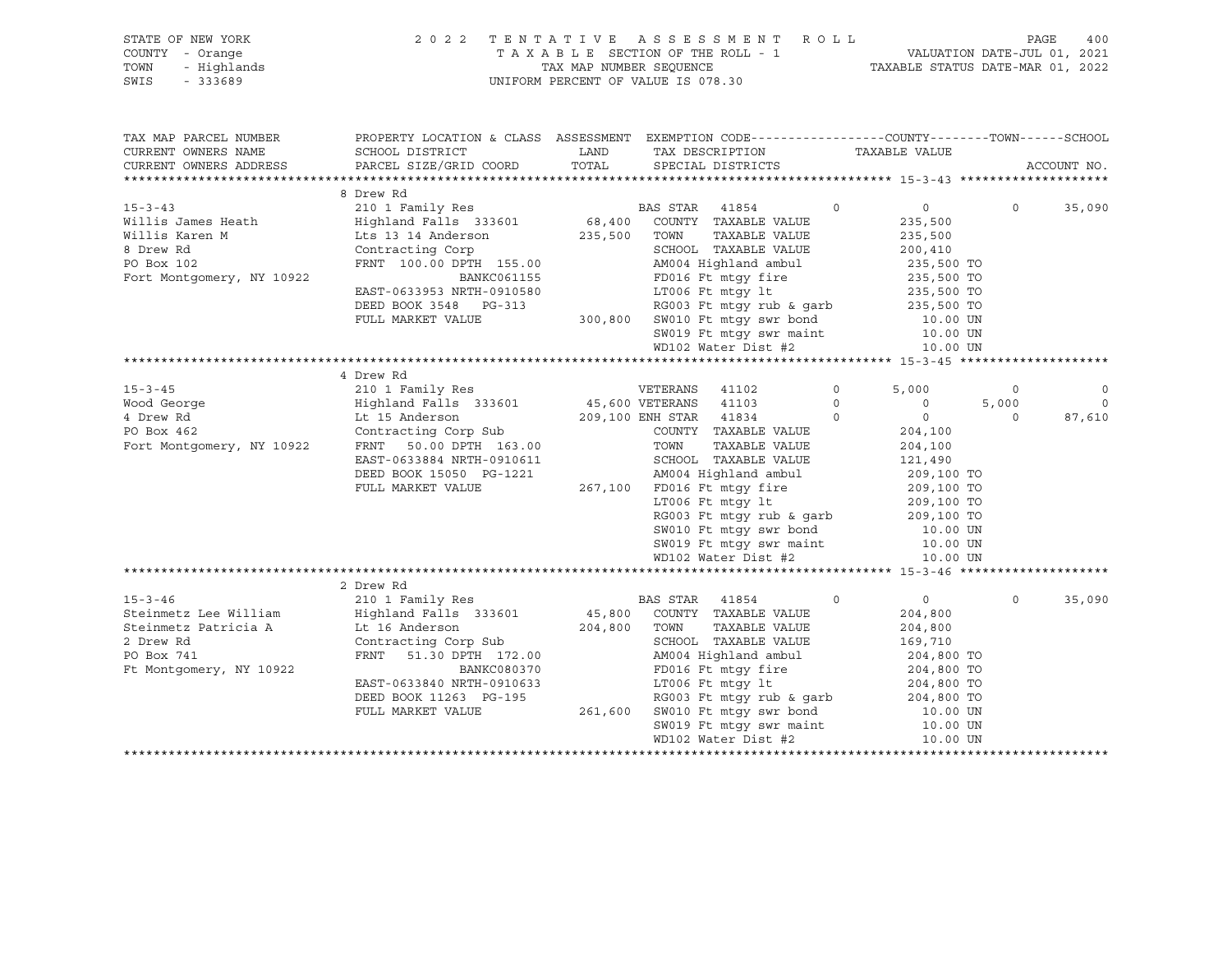|      | STATE OF NEW YORK | 2022 TENTATIVE ASSESSMENT ROLL     |                                  | PAGE | 400 |
|------|-------------------|------------------------------------|----------------------------------|------|-----|
|      | COUNTY - Orange   | TAXABLE SECTION OF THE ROLL - 1    | VALUATION DATE-JUL 01, 2021      |      |     |
| TOWN | - Highlands       | TAX MAP NUMBER SEOUENCE            | TAXABLE STATUS DATE-MAR 01, 2022 |      |     |
| SWIS | - 333689          | UNIFORM PERCENT OF VALUE IS 078.30 |                                  |      |     |

| TAX MAP PARCEL NUMBER<br>CURRENT OWNERS NAME<br>CURRENT OWNERS ADDRESS                                                                                                                                                                             | PROPERTY LOCATION & CLASS ASSESSMENT EXEMPTION CODE----------------COUNTY-------TOWN-----SCHOOL<br>SCHOOL DISTRICT<br>PARCEL SIZE/GRID COORD                                                                                                       | LAND TAX DESCRIPTION TAXABLE VALUE COORD TOTAL SPECIAL DISTRICTS                                                  |                   |                    |          | ACCOUNT NO.    |
|----------------------------------------------------------------------------------------------------------------------------------------------------------------------------------------------------------------------------------------------------|----------------------------------------------------------------------------------------------------------------------------------------------------------------------------------------------------------------------------------------------------|-------------------------------------------------------------------------------------------------------------------|-------------------|--------------------|----------|----------------|
|                                                                                                                                                                                                                                                    |                                                                                                                                                                                                                                                    |                                                                                                                   |                   |                    |          |                |
|                                                                                                                                                                                                                                                    | 8 Drew Rd                                                                                                                                                                                                                                          |                                                                                                                   |                   |                    |          |                |
| $15 - 3 - 43$                                                                                                                                                                                                                                      | 210 1 Family Res                                                                                                                                                                                                                                   | BAS STAR 41854                                                                                                    | $\Omega$          | $\overline{0}$     | $\Omega$ | 35,090         |
| Willis James Heath<br>Willis Karen M Lts 13 14 Anderson 235,500 TOWN TAXABLE VALUE<br>Millis Karen M Lts 13 14 Anderson 235,500 TOWN TAXABLE VALUE<br>8 Drew Rd Contracting Corp SCHOOL TAXABLE VALUE<br>FRNT 100.00 DPTH 155.00 AM004             |                                                                                                                                                                                                                                                    |                                                                                                                   |                   | 235,500            |          |                |
|                                                                                                                                                                                                                                                    |                                                                                                                                                                                                                                                    | TAXABLE VALUE                                                                                                     |                   | 235,500            |          |                |
|                                                                                                                                                                                                                                                    |                                                                                                                                                                                                                                                    | SCHOOL TAXABLE VALUE                                                                                              |                   | 200,410            |          |                |
|                                                                                                                                                                                                                                                    | FRNT 100.00 DPTH 155.00<br>EAST-0633953 NRTH-0910580<br>DEED BOOK 3548 PG-313<br>FULL MARKET VALUE<br>FULL MARKET VALUE<br>FULL MARKET VALUE<br>COOSET MARKET VALUE<br>COOSET MARKET VALUE<br>COOSET MARKET VALUE<br>COOSET MARKET VALUE<br>COOSET |                                                                                                                   |                   |                    |          |                |
| Fort Montgomery, NY 10922                                                                                                                                                                                                                          |                                                                                                                                                                                                                                                    |                                                                                                                   |                   |                    |          |                |
|                                                                                                                                                                                                                                                    |                                                                                                                                                                                                                                                    |                                                                                                                   |                   |                    |          |                |
|                                                                                                                                                                                                                                                    |                                                                                                                                                                                                                                                    |                                                                                                                   |                   |                    |          |                |
|                                                                                                                                                                                                                                                    |                                                                                                                                                                                                                                                    |                                                                                                                   |                   |                    |          |                |
|                                                                                                                                                                                                                                                    |                                                                                                                                                                                                                                                    |                                                                                                                   |                   |                    |          |                |
|                                                                                                                                                                                                                                                    |                                                                                                                                                                                                                                                    | WD102 Water Dist #2                                                                                               |                   | 10.00 UN           |          |                |
|                                                                                                                                                                                                                                                    |                                                                                                                                                                                                                                                    |                                                                                                                   |                   |                    |          |                |
|                                                                                                                                                                                                                                                    | 4 Drew Rd                                                                                                                                                                                                                                          |                                                                                                                   |                   |                    |          |                |
|                                                                                                                                                                                                                                                    |                                                                                                                                                                                                                                                    |                                                                                                                   | $0 \qquad \qquad$ | 5,000              | $\circ$  | $\overline{0}$ |
|                                                                                                                                                                                                                                                    |                                                                                                                                                                                                                                                    |                                                                                                                   |                   | $5,000$ 5          | 5,000    | $\overline{0}$ |
| 15-3-45<br>Wood George<br>Wood George<br>Wood George<br>Highland Falls 333601<br>209,100 ENH STAR 41834<br>PO Box 462<br>Fort Montgomery, NY 10922<br>FRNT 50.00 DPTH 163.00<br>FOR TOWN TAXABLE VALUE<br>TOWN TAXABLE VALUE<br>TOWN TAXABLE VALUE |                                                                                                                                                                                                                                                    |                                                                                                                   |                   | $\overline{0}$     | $\Omega$ | 87,610         |
|                                                                                                                                                                                                                                                    |                                                                                                                                                                                                                                                    |                                                                                                                   |                   |                    |          |                |
|                                                                                                                                                                                                                                                    |                                                                                                                                                                                                                                                    |                                                                                                                   |                   | 204,100<br>204,100 |          |                |
|                                                                                                                                                                                                                                                    | EAST-0633884 NRTH-0910611                                                                                                                                                                                                                          | SCHOOL TAXABLE VALUE 121,490                                                                                      |                   |                    |          |                |
|                                                                                                                                                                                                                                                    | DEED BOOK 15050 PG-1221                                                                                                                                                                                                                            |                                                                                                                   |                   |                    |          |                |
|                                                                                                                                                                                                                                                    | FULL MARKET VALUE                                                                                                                                                                                                                                  | 3-1221 MM004 Highland ambul 209,100 TO<br>267,100 FD016 Ft mtgy fire 209,100 TO                                   |                   |                    |          |                |
|                                                                                                                                                                                                                                                    |                                                                                                                                                                                                                                                    |                                                                                                                   |                   |                    |          |                |
|                                                                                                                                                                                                                                                    |                                                                                                                                                                                                                                                    |                                                                                                                   |                   |                    |          |                |
|                                                                                                                                                                                                                                                    |                                                                                                                                                                                                                                                    | LT006 Ft mtgy 1t<br>RG003 Ft mtgy rub & garb<br>SW010 Ft mtgy swr bond<br>10.00 UN                                |                   |                    |          |                |
|                                                                                                                                                                                                                                                    |                                                                                                                                                                                                                                                    |                                                                                                                   |                   |                    |          |                |
|                                                                                                                                                                                                                                                    |                                                                                                                                                                                                                                                    | SW019 Ft mtgy swr maint 10.00 UN<br>WD102 Water Dist #2 10.00 UN                                                  |                   |                    |          |                |
|                                                                                                                                                                                                                                                    |                                                                                                                                                                                                                                                    |                                                                                                                   |                   |                    |          |                |
|                                                                                                                                                                                                                                                    |                                                                                                                                                                                                                                                    |                                                                                                                   |                   |                    |          |                |
|                                                                                                                                                                                                                                                    | 2 Drew Rd                                                                                                                                                                                                                                          |                                                                                                                   |                   |                    |          |                |
| $15 - 3 - 46$<br>Steinmetz Lee William Mighland Falls 333601 45,800 COUNTY TAXABLE VALUE                                                                                                                                                           | 210 1 Family Res                                                                                                                                                                                                                                   | <b>BAS STAR</b> 41854                                                                                             | $\circ$           | $\overline{0}$     | $\Omega$ | 35,090         |
|                                                                                                                                                                                                                                                    |                                                                                                                                                                                                                                                    |                                                                                                                   |                   | 204,800            |          |                |
| Steinmetz Patricia A Lt 16 Anderson                                                                                                                                                                                                                |                                                                                                                                                                                                                                                    | TAXABLE VALUE                                                                                                     |                   | 204,800            |          |                |
| 2 Drew Rd                                                                                                                                                                                                                                          | Lt 16 Anderson<br>Contracting Corp Sub 304,800 TOWN<br>FRNT 51.30 DPTH 172.00 AM004                                                                                                                                                                | SCHOOL TAXABLE VALUE<br>SCHOOL TAXABLE VALUE 169,710<br>AM004 Highland ambul 204,800 TO                           |                   |                    |          |                |
| PO Box 741                                                                                                                                                                                                                                         |                                                                                                                                                                                                                                                    |                                                                                                                   |                   |                    |          |                |
| Ft Montgomery, NY 10922                                                                                                                                                                                                                            | BANKC080370                                                                                                                                                                                                                                        |                                                                                                                   |                   |                    |          |                |
|                                                                                                                                                                                                                                                    | EAST-0633840 NRTH-0910633                                                                                                                                                                                                                          | FD016 Ft mtgy fire 204,800 TO<br>LT006 Ft mtgy 1t 204,800 TO<br>RG003 Ft mtgy rub & garb 204,800 TO               |                   |                    |          |                |
|                                                                                                                                                                                                                                                    | DEED BOOK 11263 PG-195                                                                                                                                                                                                                             |                                                                                                                   |                   |                    |          |                |
|                                                                                                                                                                                                                                                    | FULL MARKET VALUE                                                                                                                                                                                                                                  |                                                                                                                   |                   |                    |          |                |
|                                                                                                                                                                                                                                                    |                                                                                                                                                                                                                                                    | 261,600 SW010 Ft mty swr bond 10.00 UN<br>261,600 SW010 Ft mty swr maint 10.00 UN<br>WD102 Water Dist #2 10.00 UN |                   |                    |          |                |
|                                                                                                                                                                                                                                                    |                                                                                                                                                                                                                                                    |                                                                                                                   |                   |                    |          |                |
|                                                                                                                                                                                                                                                    |                                                                                                                                                                                                                                                    |                                                                                                                   |                   |                    |          |                |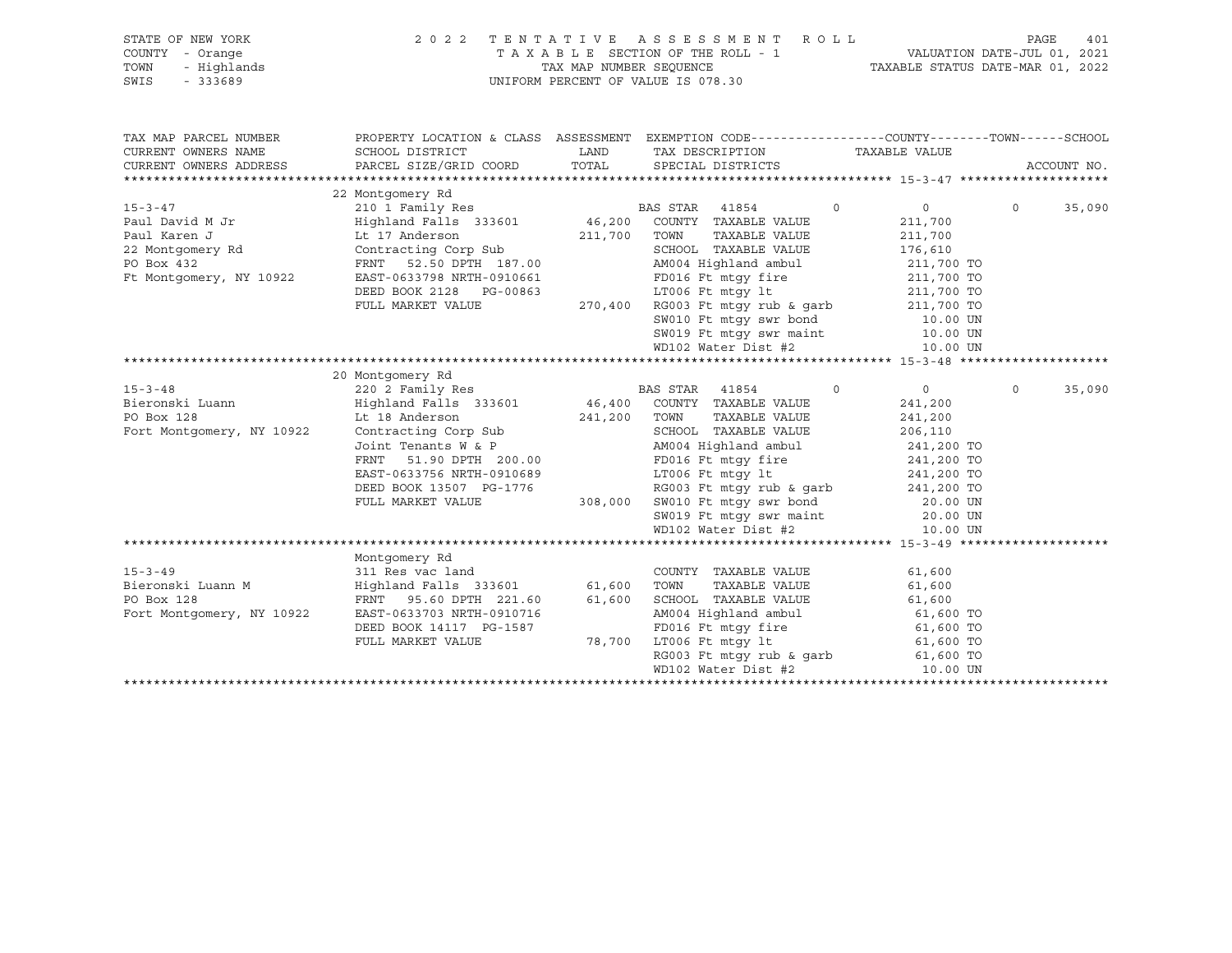| STATE OF NEW YORK<br>OF NEW YORK<br>Y - Orange<br>- Highlands<br>- 333689<br>COUNTY - Orange<br>TOWN<br>SWIS | 2022 TENTATIVE ASSESSMENT ROLL<br>UNIFORM PERCENT OF VALUE IS 078.30                                                                                                                                                                                                                                                                                                                                                                                                                                           |                                     | PAGE                                                                                                                                                                                                                                                                                                                                                                                               | 401                                  |                    |  |
|--------------------------------------------------------------------------------------------------------------|----------------------------------------------------------------------------------------------------------------------------------------------------------------------------------------------------------------------------------------------------------------------------------------------------------------------------------------------------------------------------------------------------------------------------------------------------------------------------------------------------------------|-------------------------------------|----------------------------------------------------------------------------------------------------------------------------------------------------------------------------------------------------------------------------------------------------------------------------------------------------------------------------------------------------------------------------------------------------|--------------------------------------|--------------------|--|
| TAX MAP PARCEL NUMBER<br>CURRENT OWNERS NAME                                                                 | SCHOOL DISTRICT                                                                                                                                                                                                                                                                                                                                                                                                                                                                                                |                                     | PROPERTY LOCATION & CLASS ASSESSMENT EXEMPTION CODE----------------COUNTY-------TOWN------SCHOOL<br>LAND TAX DESCRIPTION TAXABLE VALUE                                                                                                                                                                                                                                                             |                                      |                    |  |
|                                                                                                              | CURRENT OWNERS ADDRESS <b>DERIGEL SIZE/GRID COORD</b> TOTAL SPECIAL DISTRICTS                                                                                                                                                                                                                                                                                                                                                                                                                                  |                                     |                                                                                                                                                                                                                                                                                                                                                                                                    |                                      | ACCOUNT NO.        |  |
|                                                                                                              | 22 Montgomery Rd                                                                                                                                                                                                                                                                                                                                                                                                                                                                                               |                                     |                                                                                                                                                                                                                                                                                                                                                                                                    |                                      |                    |  |
| $15 - 3 - 47$<br>Paul David M Jr                                                                             | Paul Karen J<br>22 Montgomery Rd<br>22 Montgomery Rd<br>20 Montgomery Rd<br>20 Montgomery Rd<br>211,700 TOWN<br>211,700 TOWN<br>211,700 TOWN<br>211,700 TOWN<br>211,700 TOWN<br>211,700 TOWN<br>211,700 TOWN<br>211,700 TOWN<br>211,700 TOWN<br>211,700 TO<br>Contracting Corp Sub<br>FRNT 52.50 DPTH 187.00<br>EAST-0633798 NRTH-0910661<br>DEED BOOK 2128 PG-00863<br>FULL MARKET VALUE<br>PULL MARKET VALUE<br>270,400 RG003 Ft mtgy rub & garb<br>80010 Ft mtgy swr bond<br>80010 Ft mtgy swr maint<br>10. |                                     | <b>BAS STAR</b> 41854<br>TAXABLE VALUE                                                                                                                                                                                                                                                                                                                                                             | $\overline{0}$<br>211,700<br>211,700 | $\Omega$<br>35,090 |  |
|                                                                                                              |                                                                                                                                                                                                                                                                                                                                                                                                                                                                                                                |                                     |                                                                                                                                                                                                                                                                                                                                                                                                    |                                      |                    |  |
|                                                                                                              | 20 Montgomery Rd                                                                                                                                                                                                                                                                                                                                                                                                                                                                                               |                                     |                                                                                                                                                                                                                                                                                                                                                                                                    |                                      |                    |  |
| $15 - 3 - 48$<br>PO Box 128<br>Fort Montgomery, NY 10922                                                     | Bieronski Luann Mighland Falls 333601 46,400 COUNTY TAXABLE VALUE<br>Lt 18 Anderson<br>Contracting Corp Sub                                                                                                                                                                                                                                                                                                                                                                                                    | $241,200$ TOWN<br>SCHOOL<br>AMO04 H | $\overline{0}$<br>TOWN TAXABLE VALUE<br>SCHOOL TAXABLE VALUE 206,110<br>Contracting Corp Sub<br>Joint Tenants W & P<br>FRNT 51.90 DPTH 200.00<br>EAST-0633756 NRTH-0910689<br>DEED BOOK 13507 PG-1776<br>FULL MARKET VALUE<br>FULL MARKET VALUE<br>200.00<br>FULL MARKET VALUE<br>200.00<br>FULL MARKET VALUE<br>200.00<br>20.<br>SW019 Ft mtgy swr maint 20.00 UN<br>WD102 Water Dist #2 10.00 UN | $\overline{0}$<br>241,200<br>241,200 | $\Omega$<br>35,090 |  |
|                                                                                                              |                                                                                                                                                                                                                                                                                                                                                                                                                                                                                                                |                                     |                                                                                                                                                                                                                                                                                                                                                                                                    |                                      |                    |  |
| $15 - 3 - 49$<br>Bieronski Luann M<br>PO Box 128<br>Fort Montgomery, NY 10922                                | Montgomery Rd<br>311 Res vac land<br>Highland Falls 333601 61,600 TOWN TAXABLE VALUE 61,600<br>FRNT 95.60 DPTH 221.60 61,600 SCHOOL TAXABLE VALUE 61,600<br>TACRE TARBLE VALUE 61,600 TO<br>AM004 Highland ambul 61,600 TO<br>AM004 Highla<br>FULL MARKET VALUE                                                                                                                                                                                                                                                |                                     | 1587 FD016 Ft mtgy fire 61,600 TO<br>78,700 LT006 Ft mtgy lt 61,600 TO<br>RG003 Ft mtgy rub & garb 61,600 TO<br>WD102 Water Dist #2                                                                                                                                                                                                                                                                | 10.00 UN                             |                    |  |
|                                                                                                              |                                                                                                                                                                                                                                                                                                                                                                                                                                                                                                                |                                     |                                                                                                                                                                                                                                                                                                                                                                                                    |                                      |                    |  |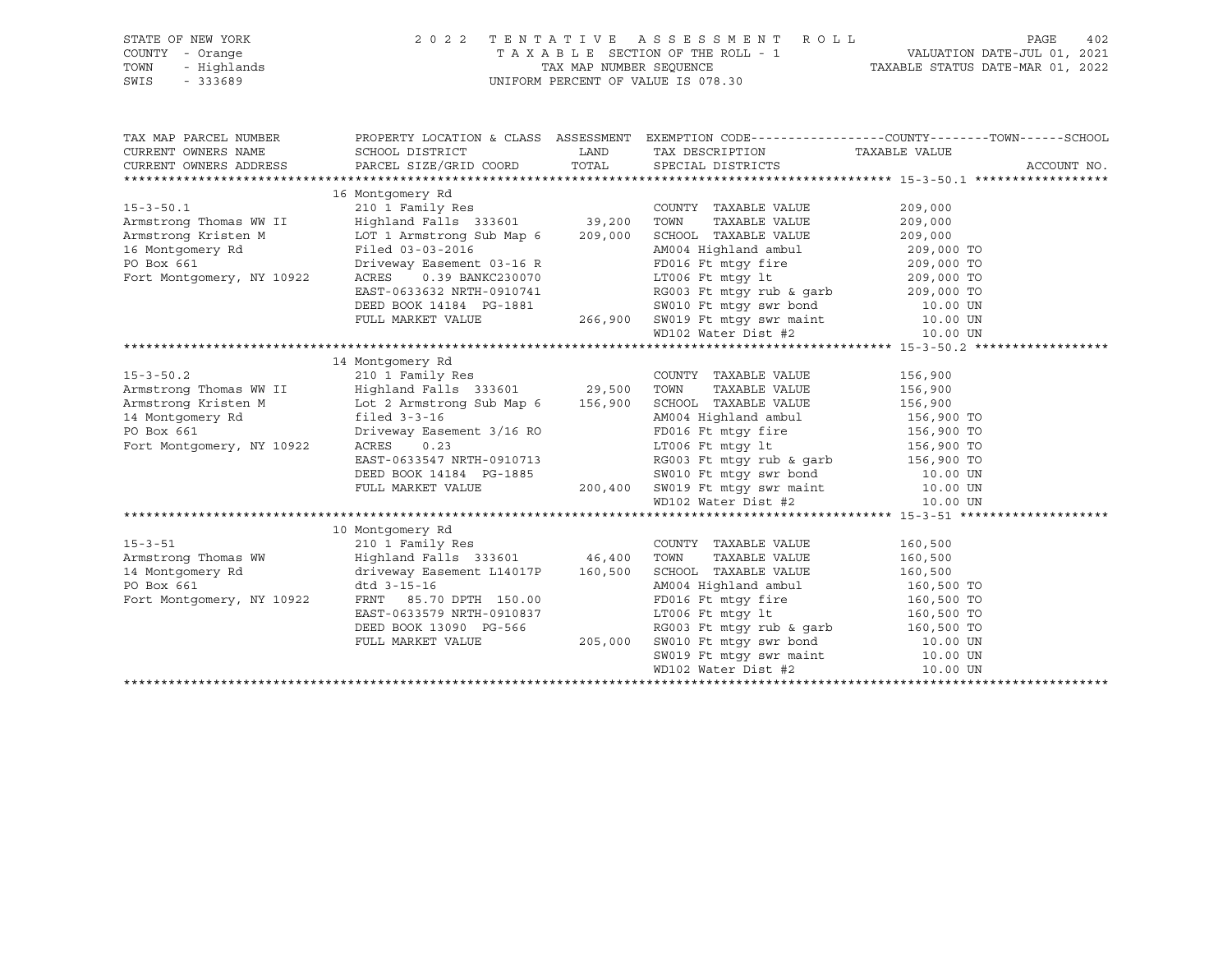| SWIS | STATE OF NEW YORK<br>COUNTY - Orange<br>TOWN - Highlands<br>$-333689$ |                                      | 2022 TENTATIVE ASSESSMENT ROLL<br>TAXABLE SECTION OF THE ROLL - 1<br>TAX MAP NUMBER SEOUENCE<br>UNIFORM PERCENT OF VALUE IS 078.30 |  | VALUATION DATE-JUL 01, 2021<br>TAXABLE STATUS DATE-MAR 01, 2022 | PAGE | 402 |
|------|-----------------------------------------------------------------------|--------------------------------------|------------------------------------------------------------------------------------------------------------------------------------|--|-----------------------------------------------------------------|------|-----|
|      | TAX MAP PARCEL NUMBER                                                 | PROPERTY LOCATION & CLASS ASSESSMENT |                                                                                                                                    |  | EXEMPTION CODE-----------------COUNTY-------TOWN------SCHOOL    |      |     |

| CURRENT OWNERS NAME       | SCHOOL DISTRICT                   | LAND    | TAX DESCRIPTION                                                                                     | TAXABLE VALUE |  |  |  |  |
|---------------------------|-----------------------------------|---------|-----------------------------------------------------------------------------------------------------|---------------|--|--|--|--|
| CURRENT OWNERS ADDRESS    | PARCEL SIZE/GRID COORD            | TOTAL   | SPECIAL DISTRICTS                                                                                   | ACCOUNT NO.   |  |  |  |  |
|                           |                                   |         |                                                                                                     |               |  |  |  |  |
|                           | 16 Montgomery Rd                  |         |                                                                                                     |               |  |  |  |  |
| $15 - 3 - 50.1$           | 210 1 Family Res                  |         | COUNTY TAXABLE VALUE                                                                                | 209,000       |  |  |  |  |
| Armstrong Thomas WW II    | Highland Falls 333601 39,200      |         | TOWN<br>TAXABLE VALUE                                                                               | 209,000       |  |  |  |  |
| Armstrong Kristen M       | LOT 1 Armstrong Sub Map 6 209,000 |         | SCHOOL TAXABLE VALUE                                                                                | 209,000       |  |  |  |  |
| 16 Montgomery Rd          | Filed 03-03-2016                  |         | AM004 Highland ambul                                                                                | 209,000 TO    |  |  |  |  |
| PO Box 661                | Driveway Easement 03-16 R         |         | FD016 Ft mtgy fire                                                                                  | 209,000 TO    |  |  |  |  |
| Fort Montgomery, NY 10922 | ACRES<br>0.39 BANKC230070         |         | LT006 Ft mtgy lt                                                                                    | 209,000 TO    |  |  |  |  |
|                           | EAST-0633632 NRTH-0910741         |         | RG003 Ft mtgy rub & garb                                                                            | 209,000 TO    |  |  |  |  |
|                           | DEED BOOK 14184    PG-1881        |         |                                                                                                     |               |  |  |  |  |
|                           | FULL MARKET VALUE                 | 266,900 | SW010 Ft mtgy swr bond 10.00 UN<br>SW019 Ft mtgy swr maint 10.00 UN<br>WD102 Water Dist #2 10.00 UN |               |  |  |  |  |
|                           |                                   |         |                                                                                                     |               |  |  |  |  |
|                           |                                   |         |                                                                                                     |               |  |  |  |  |
|                           | 14 Montgomery Rd                  |         |                                                                                                     |               |  |  |  |  |
| $15 - 3 - 50.2$           | 210 1 Family Res                  |         | COUNTY TAXABLE VALUE                                                                                | 156,900       |  |  |  |  |
| Armstrong Thomas WW II    | Highland Falls 333601 29,500      |         | TOWN<br>TAXABLE VALUE                                                                               | 156,900       |  |  |  |  |
| Armstrong Kristen M       | Lot 2 Armstrong Sub Map 6 156,900 |         | SCHOOL TAXABLE VALUE 156,900                                                                        |               |  |  |  |  |
| 14 Montgomery Rd          | filed $3-3-16$                    |         | AM004 Highland ambul 156,900 TO                                                                     |               |  |  |  |  |
| PO Box 661                | Driveway Easement 3/16 RO         |         | FD016 Ft mtgy fire 156,900 TO                                                                       |               |  |  |  |  |
| Fort Montgomery, NY 10922 | <b>ACRES</b><br>0.23              |         | LT006 Ft mtqy 1t 156,900 TO                                                                         |               |  |  |  |  |
|                           | EAST-0633547 NRTH-0910713         |         | RG003 Ft mtgy rub & garb 156,900 TO                                                                 |               |  |  |  |  |
|                           | DEED BOOK 14184 PG-1885           |         |                                                                                                     |               |  |  |  |  |
|                           | FULL MARKET VALUE                 | 200,400 | SW010 Ft mtgy swr bond 10.00 UN<br>SW019 Ft mtgy swr maint 10.00 UN<br>WD102 Water Dist #2 10.00 UN |               |  |  |  |  |
|                           |                                   |         |                                                                                                     |               |  |  |  |  |
|                           |                                   |         |                                                                                                     |               |  |  |  |  |
|                           | 10 Montgomery Rd                  |         |                                                                                                     |               |  |  |  |  |
| $15 - 3 - 51$             | 210 1 Family Res                  |         | COUNTY TAXABLE VALUE                                                                                | 160,500       |  |  |  |  |
| Armstrong Thomas WW       | Highland Falls 333601 46,400      |         | TAXABLE VALUE<br>TOWN                                                                               | 160,500       |  |  |  |  |
| 14 Montgomery Rd          | driveway Easement L14017P 160,500 |         | SCHOOL TAXABLE VALUE                                                                                | 160,500       |  |  |  |  |
| PO Box 661                | dtd 3-15-16                       |         | AM004 Highland ambul                                                                                | 160,500 TO    |  |  |  |  |
| Fort Montgomery, NY 10922 | FRNT 85.70 DPTH 150.00            |         | FD016 Ft mtqy fire                                                                                  | 160,500 TO    |  |  |  |  |
|                           | EAST-0633579 NRTH-0910837         |         | LT006 Ft mtqy lt                                                                                    | 160,500 TO    |  |  |  |  |
|                           | DEED BOOK 13090 PG-566            |         | RG003 Ft mtqy rub & qarb                                                                            | 160,500 TO    |  |  |  |  |
|                           | FULL MARKET VALUE                 | 205,000 | SW010 Ft mtgy swr bond 10.00 UN                                                                     |               |  |  |  |  |
|                           |                                   |         | SW019 Ft mtgy swr maint 10.00 UN                                                                    |               |  |  |  |  |
|                           |                                   |         | WD102 Water Dist #2                                                                                 | 10.00 UN      |  |  |  |  |
|                           |                                   |         |                                                                                                     |               |  |  |  |  |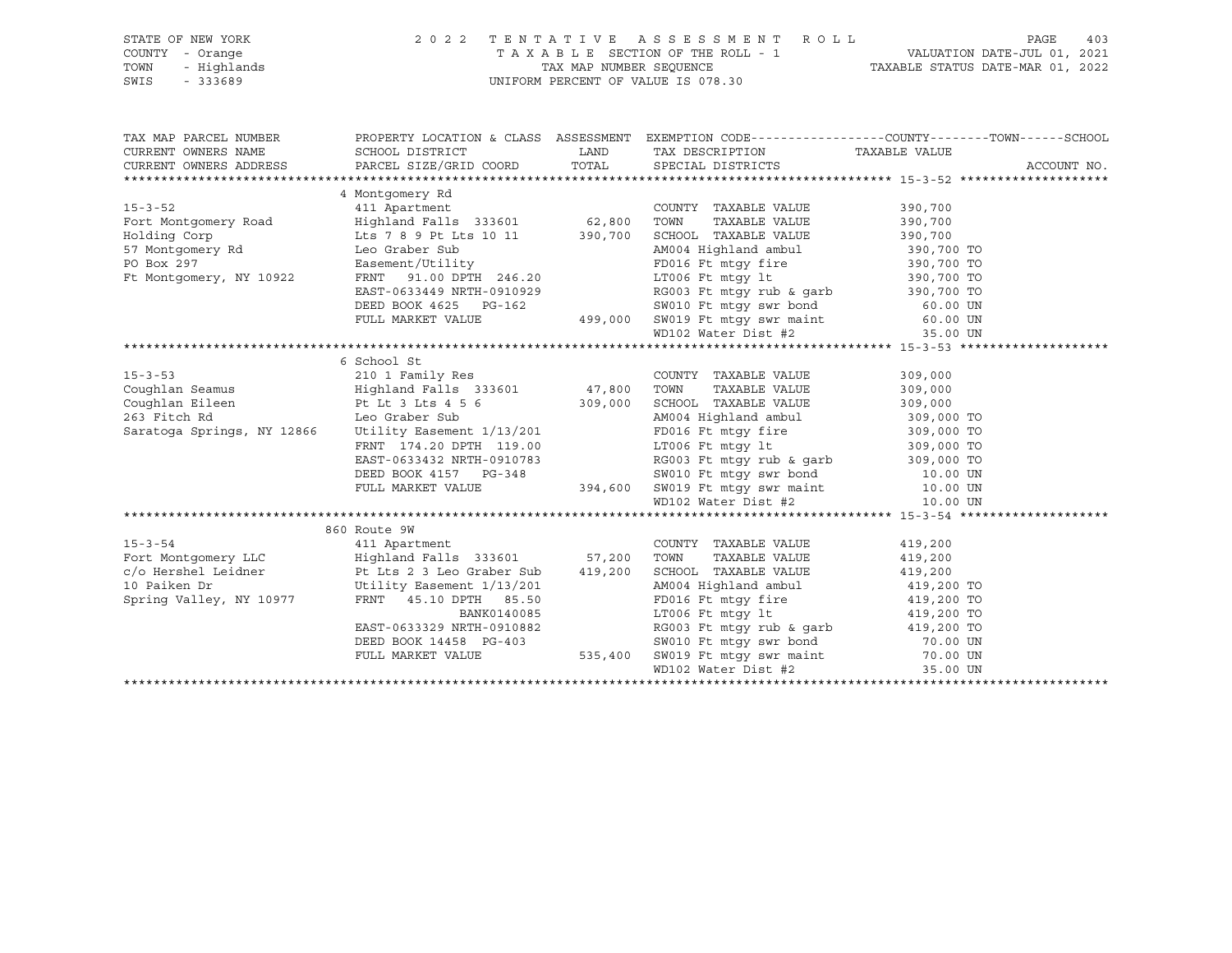## STATE OF NEW YORK 2 0 2 2 T E N T A T I V E A S S E S S M E N T R O L L PAGE 403 COUNTY - Orange T A X A B L E SECTION OF THE ROLL - 1 VALUATION DATE-JUL 01, 2021 TOWN - Highlands TAX MAP NUMBER SEQUENCE TAXABLE STATUS DATE-MAR 01, 2022 SWIS - 333689 UNIFORM PERCENT OF VALUE IS 078.30

TAX MAP PARCEL NUMBER PROPERTY LOCATION & CLASS ASSESSMENT EXEMPTION CODE------------------COUNTY--------TOWN------SCHOOL CURRENT OWNERS NAME SCHOOL DISTRICT LAND TAX DESCRIPTION TAXABLE VALUE CURRENT OWNERS ADDRESS PARCEL SIZE/GRID COORD TOTAL SPECIAL DISTRICTS ACCOUNT NO. \*\*\*\*\*\*\*\*\*\*\*\*\*\*\*\*\*\*\*\*\*\*\*\*\*\*\*\*\*\*\*\*\*\*\*\*\*\*\*\*\*\*\*\*\*\*\*\*\*\*\*\*\*\*\*\*\*\*\*\*\*\*\*\*\*\*\*\*\*\*\*\*\*\*\*\*\*\*\*\*\*\*\*\*\*\*\*\*\*\*\*\*\*\*\*\*\*\*\*\*\*\*\* 15-3-52 \*\*\*\*\*\*\*\*\*\*\*\*\*\*\*\*\*\*\*\* 4 Montgomery Rd 15-3-52 411 Apartment COUNTY TAXABLE VALUE 390,700 Fort Montgomery Road Highland Falls 333601 62,800 TOWN TAXABLE VALUE 390,700 Holding Corp Lts 7 8 9 Pt Lts 10 11 390,700 SCHOOL TAXABLE VALUE 390,700 57 Montgomery Rd Leo Graber Sub AM004 Highland ambul 390,700 TO PO Box 297 **Easement/Utility** FRD016 Ft mtgy fire 390,700 TO Ft Montgomery, NY 10922 FRNT 91.00 DPTH 246.20 LT006 Ft mtgy lt 390,700 TO EAST-0633449 NRTH-0910929 RG003 Ft mtgy rub & garb 390,700 TO DEED BOOK 4625 PG-162 SW010 Ft mtgy swr bond 60.00 UN FULL MARKET VALUE 499,000 SW019 Ft mtgy swr maint 60.00 UN WD102 Water Dist #2 35.00 UN \*\*\*\*\*\*\*\*\*\*\*\*\*\*\*\*\*\*\*\*\*\*\*\*\*\*\*\*\*\*\*\*\*\*\*\*\*\*\*\*\*\*\*\*\*\*\*\*\*\*\*\*\*\*\*\*\*\*\*\*\*\*\*\*\*\*\*\*\*\*\*\*\*\*\*\*\*\*\*\*\*\*\*\*\*\*\*\*\*\*\*\*\*\*\*\*\*\*\*\*\*\*\* 15-3-53 \*\*\*\*\*\*\*\*\*\*\*\*\*\*\*\*\*\*\*\* 6 School St 15-3-53 210 1 Family Res COUNTY TAXABLE VALUE 309,000 Coughlan Seamus Highland Falls 333601 47,800 TOWN TAXABLE VALUE 309,000 Coughlan Eileen Pt Lt 3 Lts 4 5 6 309,000 SCHOOL TAXABLE VALUE 309,000 263 Fitch Rd Leo Graber Sub AM004 Highland ambul 309,000 TO Saratoga Springs, NY 12866 Utility Easement 1/13/201 FD016 Ft mtgy fire 309,000 TO FRNT 174.20 DPTH 119.00 LT006 Ft mtgy lt 309,000 TO EAST-0633432 NRTH-0910783 RG003 Ft mtgy rub & garb 309,000 TO DEED BOOK 4157 PG-348 SW010 Ft mtgy swr bond 10.00 UN FULL MARKET VALUE 394,600 SW019 Ft mtgy swr maint 10.00 UN WD102 Water Dist #2 10.00 UN \*\*\*\*\*\*\*\*\*\*\*\*\*\*\*\*\*\*\*\*\*\*\*\*\*\*\*\*\*\*\*\*\*\*\*\*\*\*\*\*\*\*\*\*\*\*\*\*\*\*\*\*\*\*\*\*\*\*\*\*\*\*\*\*\*\*\*\*\*\*\*\*\*\*\*\*\*\*\*\*\*\*\*\*\*\*\*\*\*\*\*\*\*\*\*\*\*\*\*\*\*\*\* 15-3-54 \*\*\*\*\*\*\*\*\*\*\*\*\*\*\*\*\*\*\*\* 860 Route 9W 15-3-54 411 Apartment COUNTY TAXABLE VALUE 419,200 Fort Montgomery LLC Highland Falls 333601 57,200 TOWN TAXABLE VALUE 419,200 c/o Hershel Leidner Pt Lts 2 3 Leo Graber Sub 419,200 SCHOOL TAXABLE VALUE 419,200 10 Paiken Dr Utility Easement 1/13/201 AM004 Highland ambul 419,200 TO Spring Valley, NY 10977 FRNT 45.10 DPTH 85.50 FD016 Ft mtgy fire 419,200 TO BANK0140085 LT006 Ft mtgy lt 419,200 TO EAST-0633329 NRTH-0910882 RG003 Ft mtgy rub & garb 419,200 TO DEED BOOK 14458 PG-403 SW010 Ft mtgy swr bond 70.00 UN FULL MARKET VALUE 535,400 SW019 Ft mtgy swr maint 70.00 UN WD102 Water Dist #2 35.00 UN \*\*\*\*\*\*\*\*\*\*\*\*\*\*\*\*\*\*\*\*\*\*\*\*\*\*\*\*\*\*\*\*\*\*\*\*\*\*\*\*\*\*\*\*\*\*\*\*\*\*\*\*\*\*\*\*\*\*\*\*\*\*\*\*\*\*\*\*\*\*\*\*\*\*\*\*\*\*\*\*\*\*\*\*\*\*\*\*\*\*\*\*\*\*\*\*\*\*\*\*\*\*\*\*\*\*\*\*\*\*\*\*\*\*\*\*\*\*\*\*\*\*\*\*\*\*\*\*\*\*\*\*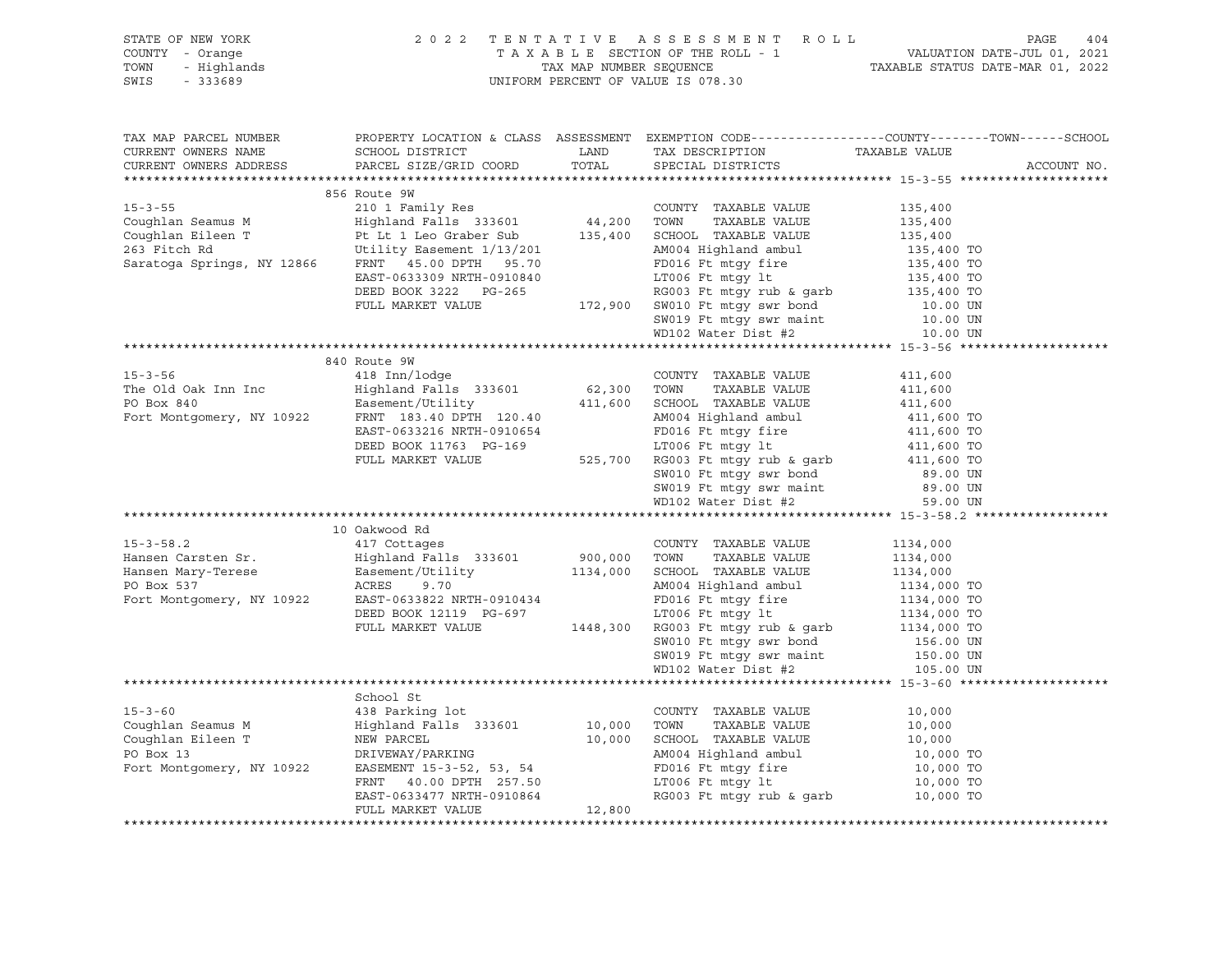| STATE OF NEW YORK<br>COUNTY - Orange<br>? - Orange<br>- Highlands<br>- 333689<br>TOWN<br>SWIS<br>$-333689$                                                                                     | 2 0 2 2<br>TENTATIVE ASSESSMENT ROLL               | 404<br>PAGE  |                                                                                                                                                                                                                                                                                                                                                                                                                                                                                 |                                                                                                 |             |
|------------------------------------------------------------------------------------------------------------------------------------------------------------------------------------------------|----------------------------------------------------|--------------|---------------------------------------------------------------------------------------------------------------------------------------------------------------------------------------------------------------------------------------------------------------------------------------------------------------------------------------------------------------------------------------------------------------------------------------------------------------------------------|-------------------------------------------------------------------------------------------------|-------------|
|                                                                                                                                                                                                |                                                    |              |                                                                                                                                                                                                                                                                                                                                                                                                                                                                                 |                                                                                                 |             |
| TAX MAP PARCEL NUMBER                                                                                                                                                                          |                                                    |              | PROPERTY LOCATION & CLASS ASSESSMENT EXEMPTION CODE---------------COUNTY-------TOWN-----SCHOOL                                                                                                                                                                                                                                                                                                                                                                                  |                                                                                                 |             |
| CURRENT OWNERS NAME                                                                                                                                                                            | SCHOOL DISTRICT                                    | LAND         | TAX DESCRIPTION                                                                                                                                                                                                                                                                                                                                                                                                                                                                 | TAXABLE VALUE                                                                                   |             |
| CURRENT OWNERS ADDRESS                                                                                                                                                                         | PARCEL SIZE/GRID COORD                             | TOTAL        | SPECIAL DISTRICTS                                                                                                                                                                                                                                                                                                                                                                                                                                                               |                                                                                                 | ACCOUNT NO. |
|                                                                                                                                                                                                |                                                    |              |                                                                                                                                                                                                                                                                                                                                                                                                                                                                                 |                                                                                                 |             |
|                                                                                                                                                                                                | 856 Route 9W                                       |              |                                                                                                                                                                                                                                                                                                                                                                                                                                                                                 |                                                                                                 |             |
| $15 - 3 - 55$                                                                                                                                                                                  |                                                    |              | COUNTY TAXABLE VALUE                                                                                                                                                                                                                                                                                                                                                                                                                                                            | 135,400                                                                                         |             |
| Coughlan Seamus M                                                                                                                                                                              |                                                    |              | TAXABLE VALUE                                                                                                                                                                                                                                                                                                                                                                                                                                                                   | 135,400                                                                                         |             |
|                                                                                                                                                                                                |                                                    |              | 135,400 SCHOOL TAXABLE VALUE                                                                                                                                                                                                                                                                                                                                                                                                                                                    | 135,400                                                                                         |             |
|                                                                                                                                                                                                |                                                    |              |                                                                                                                                                                                                                                                                                                                                                                                                                                                                                 |                                                                                                 |             |
|                                                                                                                                                                                                |                                                    |              |                                                                                                                                                                                                                                                                                                                                                                                                                                                                                 |                                                                                                 |             |
|                                                                                                                                                                                                | EAST-0633309 NRTH-0910840<br>DEED BOOK 3222 PG-265 |              |                                                                                                                                                                                                                                                                                                                                                                                                                                                                                 |                                                                                                 |             |
|                                                                                                                                                                                                | FULL MARKET VALUE                                  |              |                                                                                                                                                                                                                                                                                                                                                                                                                                                                                 |                                                                                                 |             |
|                                                                                                                                                                                                |                                                    |              |                                                                                                                                                                                                                                                                                                                                                                                                                                                                                 |                                                                                                 |             |
|                                                                                                                                                                                                |                                                    |              |                                                                                                                                                                                                                                                                                                                                                                                                                                                                                 |                                                                                                 |             |
|                                                                                                                                                                                                |                                                    |              | 135,400 135,400 135,400 135,400 135,400 135,400 135,400 15<br>135,400 135,400 15<br>135,400 17006 Ft mtgy 1t<br>RG003 Ft mtgy rub & garb<br>135,400 172,900 5W019 Ft mtgy swr bond<br>5W019 Ft mtgy swr maint<br>ND102 Water Nick                                                                                                                                                                                                                                               |                                                                                                 |             |
|                                                                                                                                                                                                | 840 Route 9W                                       |              |                                                                                                                                                                                                                                                                                                                                                                                                                                                                                 |                                                                                                 |             |
| $15 - 3 - 56$                                                                                                                                                                                  |                                                    |              | COUNTY TAXABLE VALUE                                                                                                                                                                                                                                                                                                                                                                                                                                                            | 411,600                                                                                         |             |
| The Old Oak Inn Inc                                                                                                                                                                            |                                                    |              | TAXABLE VALUE                                                                                                                                                                                                                                                                                                                                                                                                                                                                   | 411,600                                                                                         |             |
|                                                                                                                                                                                                |                                                    |              |                                                                                                                                                                                                                                                                                                                                                                                                                                                                                 |                                                                                                 |             |
| Easement/Utility<br>Fort Montgomery, NY 10922<br>FRNT 183.40 DPTH 120.40                                                                                                                       | FRNT 183.40 DPTH 120.40                            |              |                                                                                                                                                                                                                                                                                                                                                                                                                                                                                 |                                                                                                 |             |
|                                                                                                                                                                                                | EAST-0633216 NRTH-0910654                          |              |                                                                                                                                                                                                                                                                                                                                                                                                                                                                                 |                                                                                                 |             |
|                                                                                                                                                                                                | DEED BOOK 11763 PG-169                             |              |                                                                                                                                                                                                                                                                                                                                                                                                                                                                                 |                                                                                                 |             |
|                                                                                                                                                                                                | FULL MARKET VALUE                                  |              |                                                                                                                                                                                                                                                                                                                                                                                                                                                                                 |                                                                                                 |             |
|                                                                                                                                                                                                |                                                    |              |                                                                                                                                                                                                                                                                                                                                                                                                                                                                                 |                                                                                                 |             |
|                                                                                                                                                                                                |                                                    |              |                                                                                                                                                                                                                                                                                                                                                                                                                                                                                 |                                                                                                 |             |
|                                                                                                                                                                                                |                                                    |              |                                                                                                                                                                                                                                                                                                                                                                                                                                                                                 |                                                                                                 |             |
|                                                                                                                                                                                                |                                                    |              | ${\small \begin{tabular}{ccccc} \multicolumn{4}{c}{\textbf{0}} & \multicolumn{4}{c}{\textbf{0}} & \multicolumn{4}{c}{\textbf{0}} & \multicolumn{4}{c}{\textbf{0}} & \multicolumn{4}{c}{\textbf{0}} & \multicolumn{4}{c}{\textbf{0}} & \multicolumn{4}{c}{\textbf{0}} & \multicolumn{4}{c}{\textbf{0}} & \multicolumn{4}{c}{\textbf{0}} & \multicolumn{4}{c}{\textbf{0}} & \multicolumn{4}{c}{\textbf{0}} & \multicolumn{4}{c}{\textbf{0}} & \multicolumn{4}{c}{\textbf{0}} & \$ |                                                                                                 |             |
|                                                                                                                                                                                                | 10 Oakwood Rd                                      |              |                                                                                                                                                                                                                                                                                                                                                                                                                                                                                 |                                                                                                 |             |
| $15 - 3 - 58.2$                                                                                                                                                                                | 417 Cottages                                       |              | COUNTY TAXABLE VALUE                                                                                                                                                                                                                                                                                                                                                                                                                                                            | 1134,000                                                                                        |             |
|                                                                                                                                                                                                |                                                    | 900,000 TOWN | TAXABLE VALUE                                                                                                                                                                                                                                                                                                                                                                                                                                                                   | 1134,000                                                                                        |             |
|                                                                                                                                                                                                |                                                    |              | 1134,000 SCHOOL TAXABLE VALUE<br>AM004 Highland ambul                                                                                                                                                                                                                                                                                                                                                                                                                           |                                                                                                 |             |
| Hansen Carsten Sr.<br>Highland Falls 333601<br>Hansen Mary-Terese Easement/Utility<br>PO Box 537 ACRES 9.70<br>Fort Montgomery, NY 10922 EAST-0633822 NRTH-0910434<br>REF 0633822 NRTH-0910434 |                                                    |              |                                                                                                                                                                                                                                                                                                                                                                                                                                                                                 |                                                                                                 |             |
|                                                                                                                                                                                                | DEED BOOK 12119 PG-697                             |              | FD016 Ft mtgy fire<br>LT006 Ft mtgy lt                                                                                                                                                                                                                                                                                                                                                                                                                                          |                                                                                                 |             |
|                                                                                                                                                                                                | FULL MARKET VALUE                                  |              | 1448,300 RG003 Ft mtgy rub & garb<br>1448,300 RG003 Ft mtgy rub & garb                                                                                                                                                                                                                                                                                                                                                                                                          | $1134,000$<br>$1134,000$ TO<br>$1134,000$ TO<br>$1134,000$ TO<br>$1134,000$ TO<br>$1134,000$ TO |             |
|                                                                                                                                                                                                |                                                    |              |                                                                                                                                                                                                                                                                                                                                                                                                                                                                                 | 156.00 UN                                                                                       |             |
|                                                                                                                                                                                                |                                                    |              |                                                                                                                                                                                                                                                                                                                                                                                                                                                                                 | 150.00 UN                                                                                       |             |
|                                                                                                                                                                                                |                                                    |              | SW010 Ft mtgy swr bond<br>SW019 Ft mtgy swr maint<br>WD102 Water Dist #2                                                                                                                                                                                                                                                                                                                                                                                                        | 105.00 UN                                                                                       |             |
|                                                                                                                                                                                                |                                                    |              |                                                                                                                                                                                                                                                                                                                                                                                                                                                                                 |                                                                                                 |             |
|                                                                                                                                                                                                | School St                                          |              |                                                                                                                                                                                                                                                                                                                                                                                                                                                                                 |                                                                                                 |             |
| $15 - 3 - 60$                                                                                                                                                                                  | 438 Parking lot                                    |              |                                                                                                                                                                                                                                                                                                                                                                                                                                                                                 | 10,000                                                                                          |             |
| Coughlan Seamus M                                                                                                                                                                              | Highland Falls 333601                              |              |                                                                                                                                                                                                                                                                                                                                                                                                                                                                                 | 10,000                                                                                          |             |
| Coughlan Eileen T                                                                                                                                                                              | NEW PARCEL<br>DRIVEWAY/PARKING                     |              | COUNTY TAXABLE VALUE<br>10,000 TOWN TAXABLE VALUE<br>10,000 SCHOOL TAXABLE VALUE<br>AM004 Highland ambul<br>FD016 Ft mtgy fire<br>LT006 Ft mtgy 1t<br>RG003 Ft mtgy 1t                                                                                                                                                                                                                                                                                                          | 10,000                                                                                          |             |
| PO Box 13                                                                                                                                                                                      |                                                    |              |                                                                                                                                                                                                                                                                                                                                                                                                                                                                                 | 10,000 TO                                                                                       |             |
| Fort Montgomery, NY 10922                                                                                                                                                                      | EASEMENT 15-3-52, 53, 54                           |              |                                                                                                                                                                                                                                                                                                                                                                                                                                                                                 | 10,000 TO                                                                                       |             |
|                                                                                                                                                                                                | FRNT 40.00 DPTH 257.50                             |              |                                                                                                                                                                                                                                                                                                                                                                                                                                                                                 | 10,000 TO                                                                                       |             |
|                                                                                                                                                                                                | EAST-0633477 NRTH-0910864                          |              | RG003 Ft mtgy rub & garb $10,000$ TO                                                                                                                                                                                                                                                                                                                                                                                                                                            |                                                                                                 |             |
|                                                                                                                                                                                                | FULL MARKET VALUE                                  | 12,800       |                                                                                                                                                                                                                                                                                                                                                                                                                                                                                 |                                                                                                 |             |
|                                                                                                                                                                                                |                                                    |              |                                                                                                                                                                                                                                                                                                                                                                                                                                                                                 |                                                                                                 |             |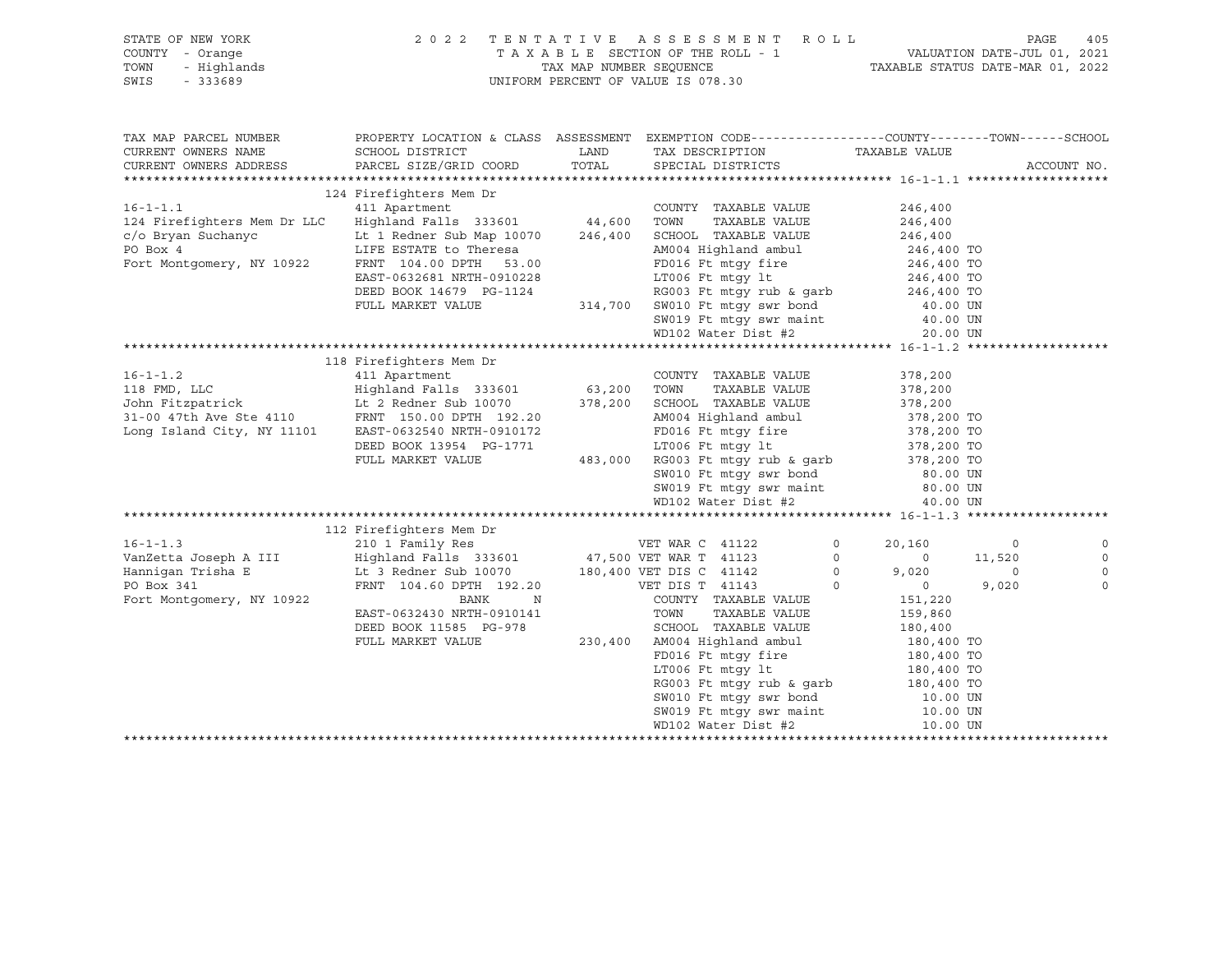| STATE OF NEW YORK<br>COUNTY - Orange<br>TOWN<br>$-333689$<br>SWIS                                                                                                                                                                      | OF NEW YORK (2022 TENTATIVE ASSESSMENT ROLL)<br>TAXABLE SECTION OF THE ROLL - 1 VALUATION<br>- Highlands (2022 TENTATIVE ASSESSMENT ROLL - 1<br>- Highlands (2022 TENTATIVE ASSESSMENT ROLL - 1<br>TAXABLE STATUS (TAXABLE STATUS) UNI         | TAXABLE SECTION OF THE ROLL - 1 VALUATION DATE-JUL 01, 2021<br>TAX MAP NUMBER SEQUENCE TAXABLE STATUS DATE-MAR 01, 2022                                                                                                                                                                                                                    |                |                                                                 |                          | PAGE        | 405         |
|----------------------------------------------------------------------------------------------------------------------------------------------------------------------------------------------------------------------------------------|------------------------------------------------------------------------------------------------------------------------------------------------------------------------------------------------------------------------------------------------|--------------------------------------------------------------------------------------------------------------------------------------------------------------------------------------------------------------------------------------------------------------------------------------------------------------------------------------------|----------------|-----------------------------------------------------------------|--------------------------|-------------|-------------|
| TAX MAP PARCEL NUMBER<br>CURRENT OWNERS NAME                                                                                                                                                                                           | PROPERTY LOCATION & CLASS ASSESSMENT EXEMPTION CODE-----------------COUNTY-------TOWN------SCHOOL<br>SCHOOL DISTRICT                                                                                                                           | LAND TAX DESCRIPTION TAXABLE VALUE COORD TOTAL SPECIAL DISTRICTS                                                                                                                                                                                                                                                                           |                |                                                                 |                          |             |             |
| CURRENT OWNERS ADDRESS                                                                                                                                                                                                                 | PARCEL SIZE/GRID COORD                                                                                                                                                                                                                         |                                                                                                                                                                                                                                                                                                                                            |                |                                                                 |                          | ACCOUNT NO. |             |
|                                                                                                                                                                                                                                        | 124 Firefighters Mem Dr                                                                                                                                                                                                                        |                                                                                                                                                                                                                                                                                                                                            |                |                                                                 |                          |             |             |
| 16-1-1.1 		 COUNTY<br>124 Firefighters Mem Dr LLC 	 Highland Falls 333601 		 44,600 TOWN                                                                                                                                               |                                                                                                                                                                                                                                                | $\begin{tabular}{lllll} \multicolumn{2}{l}{{\text{COUNTY}}} & \multicolumn{2}{l}{\text{TAXABLE}} & \multicolumn{2}{l}{\text{VALUE}} & \multicolumn{2}{l}{\text{246,400}}\\ \multicolumn{2}{l}{\text{COUNTY}} & \multicolumn{2}{l}{\text{TAXABLE}} & \multicolumn{2}{l}{\text{VALUE}} & \multicolumn{2}{l}{\text{246,400}}\\ \end{tabular}$ |                |                                                                 |                          |             |             |
|                                                                                                                                                                                                                                        |                                                                                                                                                                                                                                                | TAXABLE VALUE                                                                                                                                                                                                                                                                                                                              |                | 246,400                                                         |                          |             |             |
| 124 Firefighters Mem Dr LLC Highland Falls 335001 44,000 100001 TAXABLE VALUE 246,400 20000<br>FO Box 4 LIFE ESTATE to There as a M0004 Highland ambul 246,400 TO<br>FOIL FRAME CONFIESTATE CONFIES 2.00 FOILS Ft mtgy fire<br>EAST    |                                                                                                                                                                                                                                                |                                                                                                                                                                                                                                                                                                                                            |                |                                                                 |                          |             |             |
|                                                                                                                                                                                                                                        |                                                                                                                                                                                                                                                |                                                                                                                                                                                                                                                                                                                                            |                |                                                                 |                          |             |             |
|                                                                                                                                                                                                                                        |                                                                                                                                                                                                                                                |                                                                                                                                                                                                                                                                                                                                            |                |                                                                 |                          |             |             |
|                                                                                                                                                                                                                                        |                                                                                                                                                                                                                                                |                                                                                                                                                                                                                                                                                                                                            |                |                                                                 |                          |             |             |
|                                                                                                                                                                                                                                        |                                                                                                                                                                                                                                                |                                                                                                                                                                                                                                                                                                                                            |                |                                                                 |                          |             |             |
|                                                                                                                                                                                                                                        |                                                                                                                                                                                                                                                |                                                                                                                                                                                                                                                                                                                                            |                |                                                                 |                          |             |             |
|                                                                                                                                                                                                                                        |                                                                                                                                                                                                                                                |                                                                                                                                                                                                                                                                                                                                            |                |                                                                 |                          |             |             |
|                                                                                                                                                                                                                                        |                                                                                                                                                                                                                                                |                                                                                                                                                                                                                                                                                                                                            |                |                                                                 |                          |             |             |
|                                                                                                                                                                                                                                        |                                                                                                                                                                                                                                                |                                                                                                                                                                                                                                                                                                                                            |                |                                                                 |                          |             |             |
| 11 Apartment<br>118 FMD, LLC Highland Falls 333601 63,200 TOWN TAXABLE VALUE<br>118 FMD, LLC Highland Falls 333601 63,200 TOWN TAXABLE VALUE<br>110 Intervention of the Stee 4110 FRNT 150.00 DPTH 192.20<br>192.20 AM004 Highland amb |                                                                                                                                                                                                                                                |                                                                                                                                                                                                                                                                                                                                            |                |                                                                 |                          |             |             |
|                                                                                                                                                                                                                                        |                                                                                                                                                                                                                                                | COUNTY TAXABLE VALUE                                                                                                                                                                                                                                                                                                                       |                | 378,200<br>TAXABLE VALUE 378,200                                |                          |             |             |
|                                                                                                                                                                                                                                        |                                                                                                                                                                                                                                                |                                                                                                                                                                                                                                                                                                                                            |                | 378,200                                                         |                          |             |             |
|                                                                                                                                                                                                                                        |                                                                                                                                                                                                                                                |                                                                                                                                                                                                                                                                                                                                            |                |                                                                 |                          |             |             |
|                                                                                                                                                                                                                                        | FRIT 150.00 DPTH 192.20<br>EAST-0632540 NRTH-0910172<br>DEED BOOK 13954 PG-1771<br>FULL MARKET VALUE<br>FULL MARKET VALUE<br>FULL MARKET VALUE<br>AB3,000 RG003 Ft mtgy sur book 378,200 TO<br>SW010 Ft mtgy sur book 378,200 TO<br>SW010 Ft m |                                                                                                                                                                                                                                                                                                                                            |                |                                                                 |                          |             |             |
|                                                                                                                                                                                                                                        |                                                                                                                                                                                                                                                |                                                                                                                                                                                                                                                                                                                                            |                |                                                                 |                          |             |             |
|                                                                                                                                                                                                                                        |                                                                                                                                                                                                                                                |                                                                                                                                                                                                                                                                                                                                            |                |                                                                 |                          |             |             |
|                                                                                                                                                                                                                                        |                                                                                                                                                                                                                                                |                                                                                                                                                                                                                                                                                                                                            |                |                                                                 |                          |             |             |
|                                                                                                                                                                                                                                        |                                                                                                                                                                                                                                                |                                                                                                                                                                                                                                                                                                                                            |                | 80.00 UN<br>80.00 UN                                            |                          |             |             |
|                                                                                                                                                                                                                                        |                                                                                                                                                                                                                                                | SW019 Ft mtgy swr maint 80.00 UN<br>WD102 Water Dist #2 40.00 UN                                                                                                                                                                                                                                                                           |                |                                                                 |                          |             |             |
|                                                                                                                                                                                                                                        |                                                                                                                                                                                                                                                |                                                                                                                                                                                                                                                                                                                                            |                |                                                                 |                          |             |             |
| 112 Firefighters Mem Dr<br>16-1-1.3 210 1 Family Res<br>VanZetta Joseph A III Highland Falls 333601 47,500 VET WAR T 41123 0<br>Hannigan Trisha E Lt 3 Redner Sub 10070 180,400 VET DIS C 41142 0<br>PO Box 341 FRNT 104.60 DPTH 192.2 |                                                                                                                                                                                                                                                |                                                                                                                                                                                                                                                                                                                                            |                |                                                                 |                          |             |             |
|                                                                                                                                                                                                                                        |                                                                                                                                                                                                                                                |                                                                                                                                                                                                                                                                                                                                            | $\overline{0}$ | 20,160                                                          | $\overline{\phantom{0}}$ |             |             |
|                                                                                                                                                                                                                                        |                                                                                                                                                                                                                                                |                                                                                                                                                                                                                                                                                                                                            |                | $\begin{matrix}0&&&&0&\ 0&&&&0&\ 0&&&&9\ 0&&&&0&\ \end{matrix}$ |                          |             |             |
|                                                                                                                                                                                                                                        |                                                                                                                                                                                                                                                |                                                                                                                                                                                                                                                                                                                                            |                |                                                                 |                          |             | $\mathbf 0$ |
|                                                                                                                                                                                                                                        |                                                                                                                                                                                                                                                |                                                                                                                                                                                                                                                                                                                                            | $\overline{0}$ | $\overline{0}$                                                  | 9,020                    |             | $\mathbf 0$ |
|                                                                                                                                                                                                                                        |                                                                                                                                                                                                                                                |                                                                                                                                                                                                                                                                                                                                            |                | 151,220                                                         |                          |             |             |
|                                                                                                                                                                                                                                        |                                                                                                                                                                                                                                                | SCHOOL TAXABLE VALUE 180,400                                                                                                                                                                                                                                                                                                               |                | 159,860                                                         |                          |             |             |
|                                                                                                                                                                                                                                        | DEED BOOK 11585 PG-978                                                                                                                                                                                                                         |                                                                                                                                                                                                                                                                                                                                            |                |                                                                 |                          |             |             |
|                                                                                                                                                                                                                                        |                                                                                                                                                                                                                                                |                                                                                                                                                                                                                                                                                                                                            |                |                                                                 |                          |             |             |
|                                                                                                                                                                                                                                        |                                                                                                                                                                                                                                                |                                                                                                                                                                                                                                                                                                                                            |                |                                                                 |                          |             |             |
|                                                                                                                                                                                                                                        | DEED BOOK 11585 FG-978<br>FULL MARKET VALUE 230,400 AM004 Highland ambul 180,400 TO<br>FULL MARKET VALUE 230,400 AM004 Highland ambul 180,400 TO<br>FD016 Ft mtgy fire 180,400 TO<br>EG003 Ft mtgy rub & garb 180,400 TO<br>SW010 Ft mtg       |                                                                                                                                                                                                                                                                                                                                            |                |                                                                 |                          |             |             |
|                                                                                                                                                                                                                                        |                                                                                                                                                                                                                                                |                                                                                                                                                                                                                                                                                                                                            |                |                                                                 |                          |             |             |
|                                                                                                                                                                                                                                        |                                                                                                                                                                                                                                                |                                                                                                                                                                                                                                                                                                                                            |                |                                                                 |                          |             |             |
|                                                                                                                                                                                                                                        |                                                                                                                                                                                                                                                | SW010 Ft mtgy swr bond 10.00 UN<br>SW019 Ft mtgy swr maint 10.00 UN<br>WD102 Water Dist #2 10.00 UN                                                                                                                                                                                                                                        |                |                                                                 |                          |             |             |
|                                                                                                                                                                                                                                        |                                                                                                                                                                                                                                                |                                                                                                                                                                                                                                                                                                                                            |                |                                                                 |                          |             |             |
|                                                                                                                                                                                                                                        |                                                                                                                                                                                                                                                |                                                                                                                                                                                                                                                                                                                                            |                |                                                                 |                          |             |             |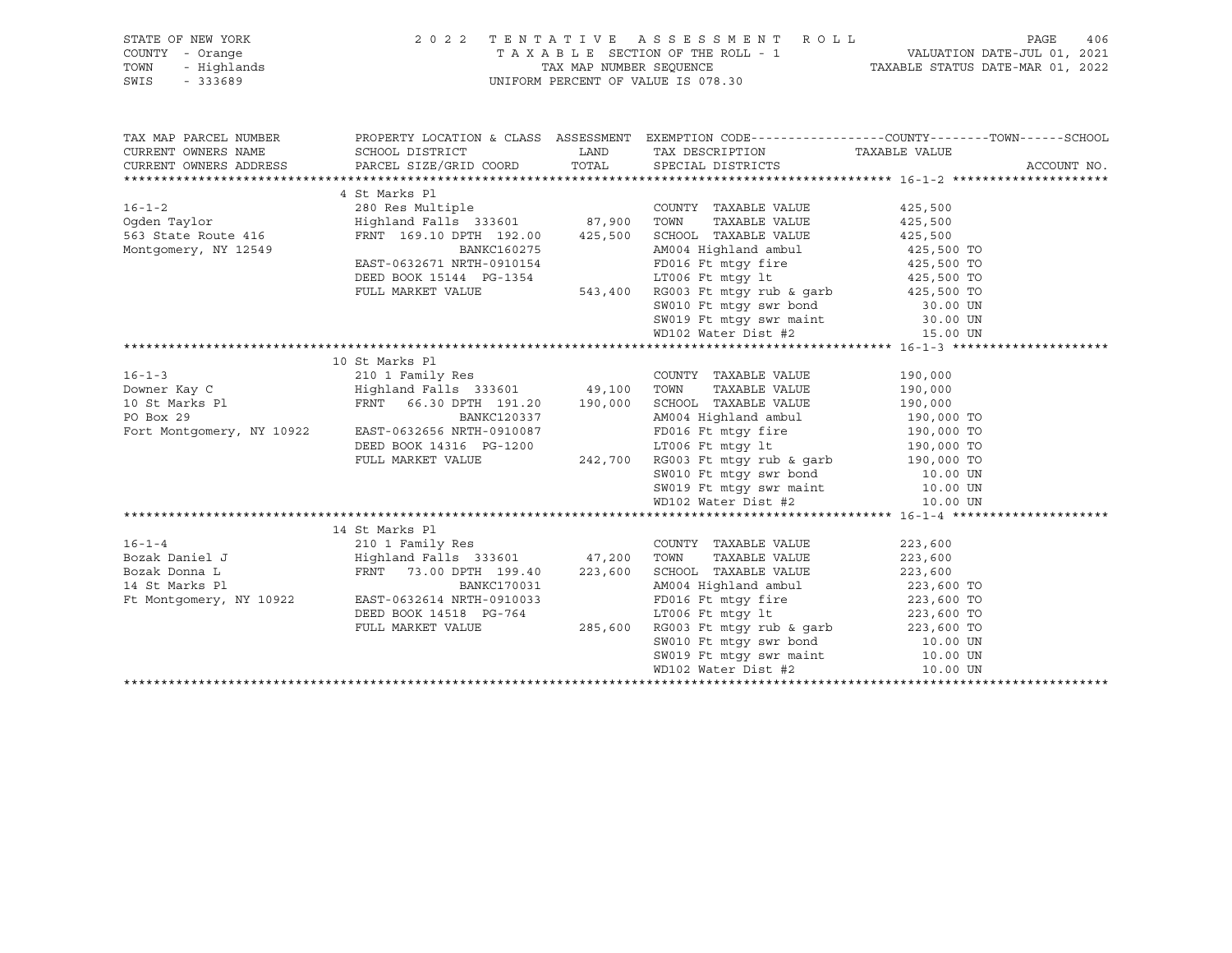| STATE OF NEW YORK<br>COUNTY - Orange<br>- Highlands<br>TOWN<br>$-333689$<br>SWIS | 2 0 2 2                                                                                         |         | TENTATIVE ASSESSMENT ROLL PAGE 406<br>TAXABLE SECTION OF THE ROLL - 1 VALUATION DATE-JUL 01, 2021<br>TAX MAP NUMBER SEQUENCE TAXABLE STATUS DATE-MAR 01, 2022<br>UNIFORM PERCENT OF VALUE IS 078.30                                               |                              |             |
|----------------------------------------------------------------------------------|-------------------------------------------------------------------------------------------------|---------|---------------------------------------------------------------------------------------------------------------------------------------------------------------------------------------------------------------------------------------------------|------------------------------|-------------|
| TAX MAP PARCEL NUMBER                                                            | PROPERTY LOCATION & CLASS ASSESSMENT EXEMPTION CODE----------------COUNTY-------TOWN-----SCHOOL |         |                                                                                                                                                                                                                                                   |                              |             |
| CURRENT OWNERS NAME                                                              | SCHOOL DISTRICT                                                                                 | LAND    | TAX DESCRIPTION TAXABLE VALUE                                                                                                                                                                                                                     |                              |             |
|                                                                                  | CURRENT OWNERS ADDRESS PARCEL SIZE/GRID COORD TOTAL SPECIAL DISTRICTS                           |         |                                                                                                                                                                                                                                                   |                              | ACCOUNT NO. |
|                                                                                  |                                                                                                 |         |                                                                                                                                                                                                                                                   |                              |             |
|                                                                                  | 4 St Marks Pl                                                                                   |         |                                                                                                                                                                                                                                                   |                              |             |
|                                                                                  |                                                                                                 |         | COUNTY TAXABLE VALUE                                                                                                                                                                                                                              | 425,500                      |             |
|                                                                                  |                                                                                                 |         | TAXABLE VALUE<br>TOWN                                                                                                                                                                                                                             | 425,500                      |             |
| $563$ State Route 416                                                            | FRNT 169.10 DPTH 192.00 425,500                                                                 |         | SCHOOL TAXABLE VALUE                                                                                                                                                                                                                              | 425,500                      |             |
| Montgomery, NY 12549                                                             | <b>BANKC160275</b>                                                                              |         | AM004 Highland ambul                                                                                                                                                                                                                              | $425,500$ TO                 |             |
|                                                                                  | EAST-0632671 NRTH-0910154                                                                       |         |                                                                                                                                                                                                                                                   |                              |             |
|                                                                                  | DEED BOOK 15144 PG-1354                                                                         |         |                                                                                                                                                                                                                                                   |                              |             |
|                                                                                  | FULL MARKET VALUE                                                                               |         |                                                                                                                                                                                                                                                   |                              |             |
|                                                                                  |                                                                                                 |         | 0910154<br>FD016 Ft mtgy fire<br>FL016 Ft mtgy fire<br>125,500 TO<br>543,400 RG003 Ft mtgy rub & garb<br>SW010 Ft mtgy swr bond<br>SW010 Ft mtgy swr maint<br>20.00 UN<br>SW019 Ft mtgy swr maint<br>15.00 UN<br>15.00 UN<br>15.00 UN<br>15.00 UN |                              |             |
|                                                                                  |                                                                                                 |         |                                                                                                                                                                                                                                                   |                              |             |
|                                                                                  |                                                                                                 |         |                                                                                                                                                                                                                                                   |                              |             |
|                                                                                  | 10 St Marks Pl                                                                                  |         |                                                                                                                                                                                                                                                   |                              |             |
| $16 - 1 - 3$                                                                     | 210 1 Family Res                                                                                |         | COUNTY TAXABLE VALUE                                                                                                                                                                                                                              | 190,000                      |             |
| Downer Kay C                 Highland Falls 333601         49,100   TOWN         |                                                                                                 |         | TAXABLE VALUE                                                                                                                                                                                                                                     | 190,000                      |             |
|                                                                                  | FRNT 66.30 DPTH 191.20 190,000                                                                  |         | SCHOOL TAXABLE VALUE                                                                                                                                                                                                                              | 190,000                      |             |
| 10 St Marks Pl<br>PO Box 29<br>PO Box 29                                         | BANKC120337                                                                                     |         | AM004 Highland ambul                                                                                                                                                                                                                              | $190,000$ TO                 |             |
|                                                                                  | Fort Montgomery, NY 10922 EAST-0632656 NRTH-0910087                                             |         |                                                                                                                                                                                                                                                   |                              |             |
|                                                                                  | DEED BOOK 14316 PG-1200                                                                         |         | 0910087 FD016 Ft mtgy fire 190,000 TO<br>G-1200 LT006 Ft mtgy lt 190,000 TO<br>242,700 RG003 Ft mtgy rub & garb 190,000 TO                                                                                                                        |                              |             |
|                                                                                  | FULL MARKET VALUE                                                                               |         |                                                                                                                                                                                                                                                   |                              |             |
|                                                                                  |                                                                                                 |         |                                                                                                                                                                                                                                                   |                              |             |
|                                                                                  |                                                                                                 |         |                                                                                                                                                                                                                                                   |                              |             |
|                                                                                  |                                                                                                 |         | SW010 Ft mtgy swr bond<br>SW019 Ft mtgy swr maint<br>WD102 Water Dist #2 10.00 UN<br>10.00 UN                                                                                                                                                     |                              |             |
|                                                                                  |                                                                                                 |         |                                                                                                                                                                                                                                                   |                              |             |
|                                                                                  | 14 St Marks Pl                                                                                  |         |                                                                                                                                                                                                                                                   |                              |             |
|                                                                                  |                                                                                                 |         | COUNTY TAXABLE VALUE                                                                                                                                                                                                                              | 223,600                      |             |
|                                                                                  |                                                                                                 |         | TAXABLE VALUE<br>TOWN                                                                                                                                                                                                                             | 223,600                      |             |
|                                                                                  |                                                                                                 |         | SCHOOL TAXABLE VALUE                                                                                                                                                                                                                              | 223,600                      |             |
|                                                                                  |                                                                                                 |         | AM004 Highland ambul                                                                                                                                                                                                                              | $223,600$ TO<br>$223,600$ TO |             |
|                                                                                  | Ft Montgomery, NY 10922 EAST-0632614 NRTH-0910033                                               |         |                                                                                                                                                                                                                                                   |                              |             |
|                                                                                  | DEED BOOK 14518 PG-764                                                                          |         | FD016 Ft mtgy fire<br>LT006 Ft mtgy 1t<br>RG003 Ft mtgy rub & garb<br>223,600 TO<br>223,600 TO                                                                                                                                                    |                              |             |
|                                                                                  | FULL MARKET VALUE                                                                               | 285,600 |                                                                                                                                                                                                                                                   |                              |             |
|                                                                                  |                                                                                                 |         |                                                                                                                                                                                                                                                   |                              |             |
|                                                                                  |                                                                                                 |         | SW010 Ft mtgy swr bond<br>SW019 Ft mtgy swr maint<br>10.00 UN<br>WD102 Water Dist #2 10.00 UN<br>10.00 UN                                                                                                                                         |                              |             |
|                                                                                  |                                                                                                 |         |                                                                                                                                                                                                                                                   |                              |             |
|                                                                                  |                                                                                                 |         |                                                                                                                                                                                                                                                   |                              |             |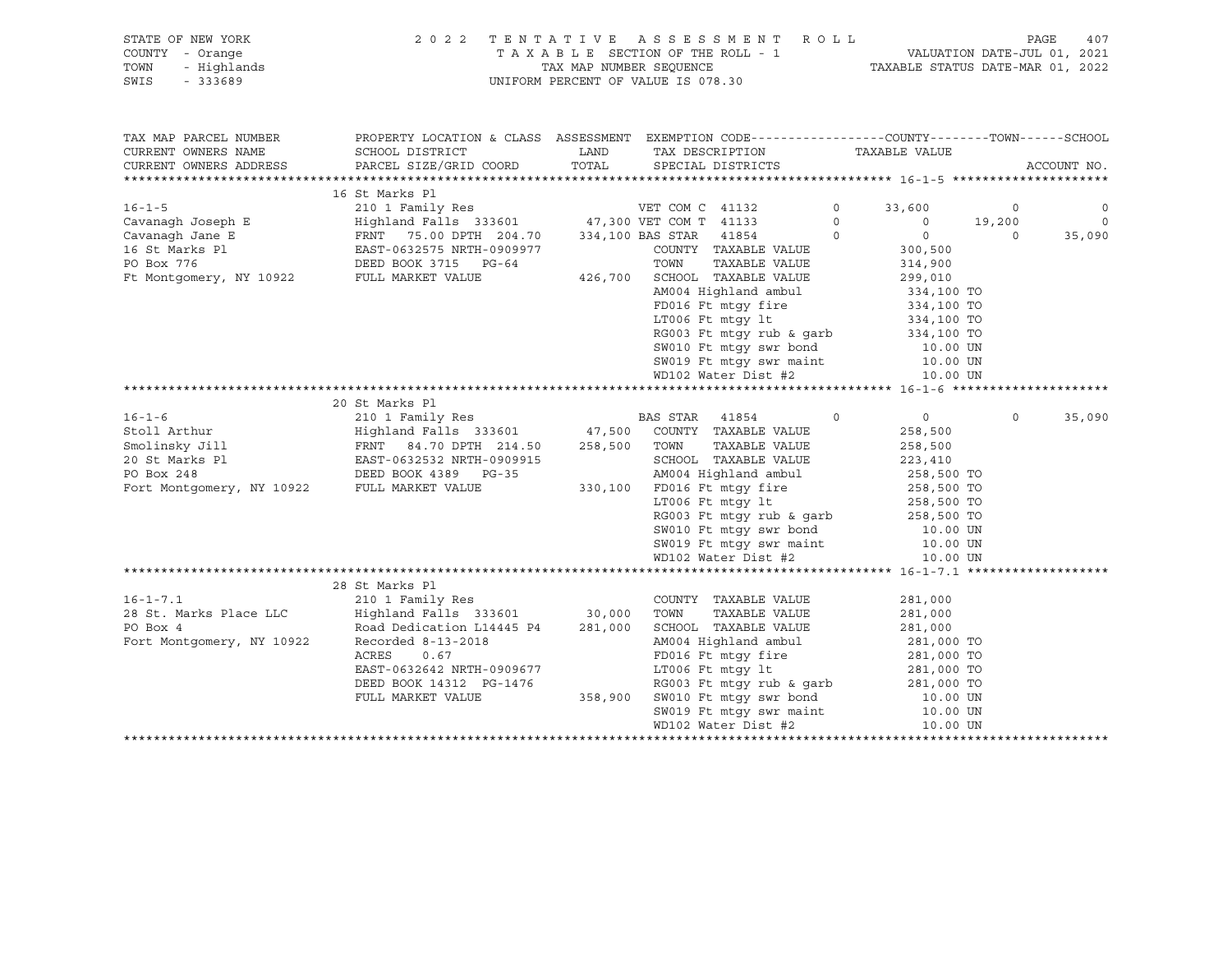| STATE OF NEW YORK   | 2022 TENTATIVE ASSESSMENT ROLL     | -407<br>PAGE                     |
|---------------------|------------------------------------|----------------------------------|
| COUNTY - Orange     | TAXABLE SECTION OF THE ROLL - 1    | VALUATION DATE-JUL 01, 2021      |
| TOWN<br>- Highlands | TAX MAP NUMBER SEOUENCE            | TAXABLE STATUS DATE-MAR 01, 2022 |
| SWIS<br>- 333689    | UNIFORM PERCENT OF VALUE IS 078.30 |                                  |

| TAX MAP PARCEL NUMBER     | PROPERTY LOCATION & CLASS ASSESSMENT EXEMPTION CODE---------------COUNTY-------TOWN-----SCHOOL                                                                                                      |                                                                                                                                                                                                                                            |                    |         |                |
|---------------------------|-----------------------------------------------------------------------------------------------------------------------------------------------------------------------------------------------------|--------------------------------------------------------------------------------------------------------------------------------------------------------------------------------------------------------------------------------------------|--------------------|---------|----------------|
| CURRENT OWNERS NAME       | SCHOOL DISTRICT                        LAND         TAX DESCRIPTION                    TAXABLE VALUE                                                                                                |                                                                                                                                                                                                                                            |                    |         |                |
| CURRENT OWNERS ADDRESS    | PARCEL SIZE/GRID COORD TOTAL SPECIAL DISTRICTS                                                                                                                                                      |                                                                                                                                                                                                                                            |                    |         | ACCOUNT NO.    |
|                           |                                                                                                                                                                                                     |                                                                                                                                                                                                                                            |                    |         |                |
|                           | 16 St Marks Pl                                                                                                                                                                                      |                                                                                                                                                                                                                                            |                    |         |                |
|                           |                                                                                                                                                                                                     |                                                                                                                                                                                                                                            |                    |         | $\overline{0}$ |
|                           |                                                                                                                                                                                                     |                                                                                                                                                                                                                                            |                    |         | $\overline{0}$ |
|                           |                                                                                                                                                                                                     |                                                                                                                                                                                                                                            |                    |         | 35,090         |
|                           |                                                                                                                                                                                                     |                                                                                                                                                                                                                                            |                    |         |                |
|                           |                                                                                                                                                                                                     |                                                                                                                                                                                                                                            |                    |         |                |
|                           |                                                                                                                                                                                                     |                                                                                                                                                                                                                                            |                    |         |                |
|                           |                                                                                                                                                                                                     |                                                                                                                                                                                                                                            |                    |         |                |
|                           |                                                                                                                                                                                                     |                                                                                                                                                                                                                                            |                    |         |                |
|                           |                                                                                                                                                                                                     |                                                                                                                                                                                                                                            |                    |         |                |
|                           |                                                                                                                                                                                                     |                                                                                                                                                                                                                                            |                    |         |                |
|                           |                                                                                                                                                                                                     |                                                                                                                                                                                                                                            |                    |         |                |
|                           |                                                                                                                                                                                                     | AP004 Highland amout<br>FD016 Ft mtgy fire<br>LT006 Ft mtgy lt<br>RG003 Ft mtgy rub & garb<br>S34,100 TO<br>RG003 Ft mtgy swr hond<br>SW019 Ft mtgy swr hond<br>SW019 Ft mtgy swr maint<br>10.00 UN<br>SW019 Ft mtgy swr maint<br>10.00 UN |                    |         |                |
|                           |                                                                                                                                                                                                     | $WD102 Water Dist #2 10.00 UN$                                                                                                                                                                                                             |                    |         |                |
|                           |                                                                                                                                                                                                     |                                                                                                                                                                                                                                            |                    |         |                |
|                           | 20 St Marks Pl                                                                                                                                                                                      |                                                                                                                                                                                                                                            |                    |         |                |
|                           |                                                                                                                                                                                                     |                                                                                                                                                                                                                                            |                    | $\circ$ | 35,090         |
|                           |                                                                                                                                                                                                     |                                                                                                                                                                                                                                            |                    |         |                |
|                           |                                                                                                                                                                                                     |                                                                                                                                                                                                                                            |                    |         |                |
|                           |                                                                                                                                                                                                     |                                                                                                                                                                                                                                            |                    |         |                |
|                           |                                                                                                                                                                                                     |                                                                                                                                                                                                                                            |                    |         |                |
|                           |                                                                                                                                                                                                     |                                                                                                                                                                                                                                            |                    |         |                |
|                           |                                                                                                                                                                                                     |                                                                                                                                                                                                                                            |                    |         |                |
|                           |                                                                                                                                                                                                     | RG003 Ft mtgy rub & garb<br>SW010 Ft mtgy swr bond<br>SW019 Ft mtgy swr maint<br>10.00 UN<br>10.00 UN                                                                                                                                      |                    |         |                |
|                           |                                                                                                                                                                                                     |                                                                                                                                                                                                                                            |                    |         |                |
|                           |                                                                                                                                                                                                     |                                                                                                                                                                                                                                            |                    |         |                |
|                           |                                                                                                                                                                                                     | $WD102 Water Dist #2$ $10.00 UN$                                                                                                                                                                                                           |                    |         |                |
|                           |                                                                                                                                                                                                     |                                                                                                                                                                                                                                            |                    |         |                |
|                           | 28 St Marks Pl                                                                                                                                                                                      |                                                                                                                                                                                                                                            |                    |         |                |
| $16 - 1 - 7.1$            | 210 1 Family Res                                                                                                                                                                                    | COUNTY TAXABLE VALUE                                                                                                                                                                                                                       | 281,000            |         |                |
|                           | 28 St. Marks Place LLC (1991) Highland Falls 333601 30,000<br>PO Box 4 (1991) Road Dedication L14445 P4 281,000                                                                                     | TAXABLE VALUE<br>TOWN                                                                                                                                                                                                                      | 281,000<br>281,000 |         |                |
|                           |                                                                                                                                                                                                     | SCHOOL TAXABLE VALUE                                                                                                                                                                                                                       |                    |         |                |
| Fort Montgomery, NY 10922 | Recorded 8-13-2018                                                                                                                                                                                  | AM004 Highland ambul 281,000 TO                                                                                                                                                                                                            |                    |         |                |
|                           | ACRES<br>0.67                                                                                                                                                                                       |                                                                                                                                                                                                                                            |                    |         |                |
|                           |                                                                                                                                                                                                     |                                                                                                                                                                                                                                            |                    |         |                |
|                           |                                                                                                                                                                                                     | FD016 Ft mtgy fire 281,000 TO<br>LT006 Ft mtgy 1t 281,000 TO<br>RG003 Ft mtgy rub & garb 281,000 TO                                                                                                                                        |                    |         |                |
|                           |                                                                                                                                                                                                     |                                                                                                                                                                                                                                            |                    |         |                |
|                           |                                                                                                                                                                                                     |                                                                                                                                                                                                                                            |                    |         |                |
|                           | EAST-0632642 NRTH-0909677<br>DEED BOOK 14312 PG-1476<br>FULL MARKET VALUE 358,900 SW010 Ft mtgy swr hond 10.00 UN<br>SW019 Ft mtgy swr maint 10.00 UN<br>WD102 Water Dist #2<br>WD102 Water Dist #2 |                                                                                                                                                                                                                                            |                    |         |                |
|                           |                                                                                                                                                                                                     |                                                                                                                                                                                                                                            |                    |         |                |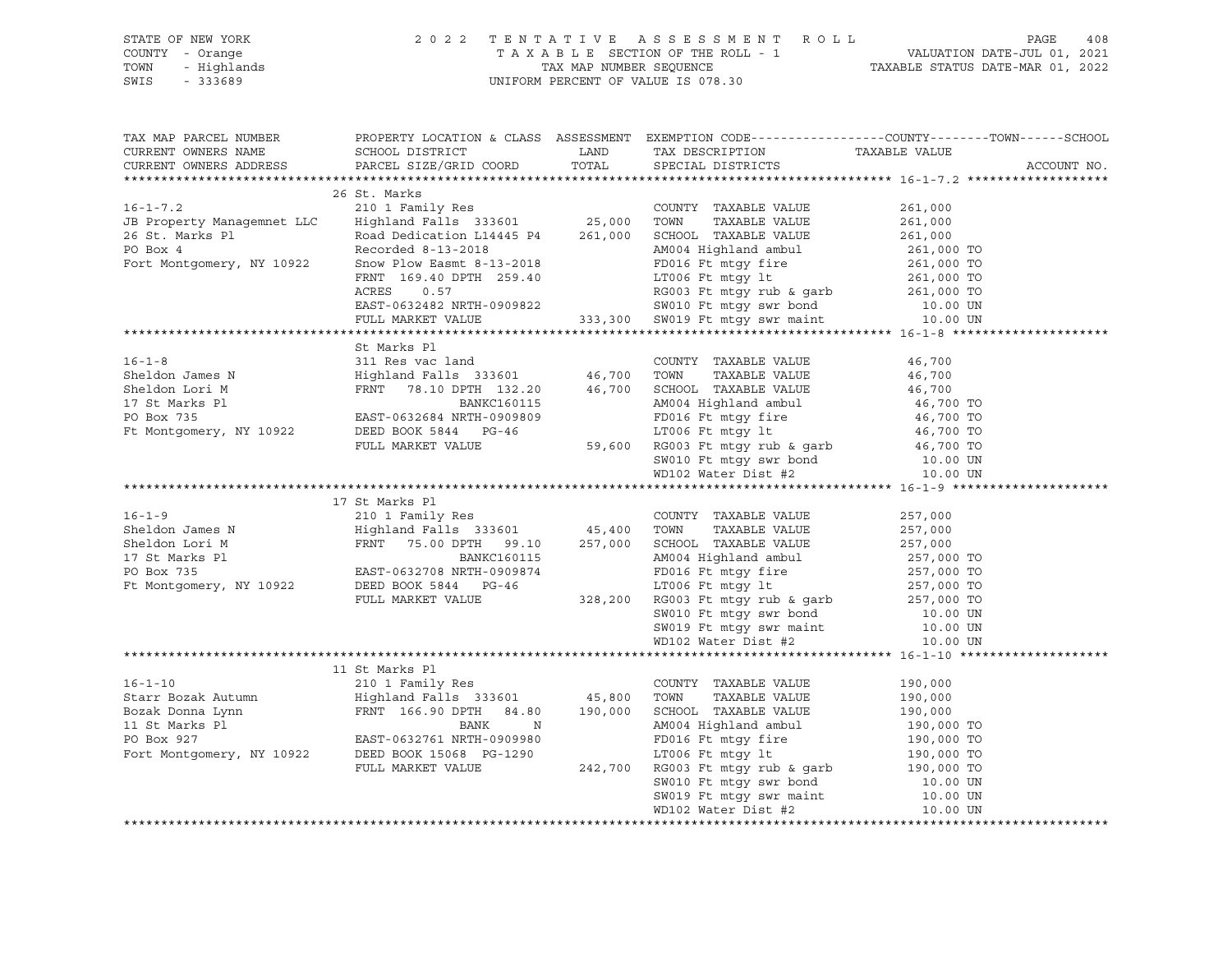| STATE OF NEW YORK | 2022 TENTATIVE ASSESSMENT ROLL     | 408<br>PAGE                      |
|-------------------|------------------------------------|----------------------------------|
| COUNTY - Orange   | TAXABLE SECTION OF THE ROLL - 1    | VALUATION DATE-JUL 01, 2021      |
| TOWN - Highlands  | TAX MAP NUMBER SEOUENCE            | TAXABLE STATUS DATE-MAR 01, 2022 |
| SWIS<br>- 333689  | UNIFORM PERCENT OF VALUE IS 078.30 |                                  |
|                   |                                    |                                  |

|                                                                                                                                                                                                                                                                                                                                                                                                                                            |              |  | TAX MAP PARCEL NUMBER PROPERTY LOCATION & CLASS ASSESSMENT EXEMPTION CODE---------------COUNTY-------TOWN------SCHOOL |
|--------------------------------------------------------------------------------------------------------------------------------------------------------------------------------------------------------------------------------------------------------------------------------------------------------------------------------------------------------------------------------------------------------------------------------------------|--------------|--|-----------------------------------------------------------------------------------------------------------------------|
|                                                                                                                                                                                                                                                                                                                                                                                                                                            |              |  |                                                                                                                       |
|                                                                                                                                                                                                                                                                                                                                                                                                                                            |              |  |                                                                                                                       |
|                                                                                                                                                                                                                                                                                                                                                                                                                                            |              |  |                                                                                                                       |
|                                                                                                                                                                                                                                                                                                                                                                                                                                            | 26 St. Marks |  |                                                                                                                       |
|                                                                                                                                                                                                                                                                                                                                                                                                                                            |              |  |                                                                                                                       |
|                                                                                                                                                                                                                                                                                                                                                                                                                                            |              |  |                                                                                                                       |
|                                                                                                                                                                                                                                                                                                                                                                                                                                            |              |  |                                                                                                                       |
|                                                                                                                                                                                                                                                                                                                                                                                                                                            |              |  |                                                                                                                       |
|                                                                                                                                                                                                                                                                                                                                                                                                                                            |              |  |                                                                                                                       |
|                                                                                                                                                                                                                                                                                                                                                                                                                                            |              |  |                                                                                                                       |
|                                                                                                                                                                                                                                                                                                                                                                                                                                            |              |  |                                                                                                                       |
|                                                                                                                                                                                                                                                                                                                                                                                                                                            |              |  |                                                                                                                       |
| $\begin{tabular}{lllllllllllllllllllll} & & & 26 \text{ St. Marks} & & & 26 \text{ CLI} & \text{B Property Management} & \text{LLC} & \text{Highland Falls} & 333601 & & 25,000 & \text{TOWN} & \text{TAXABLE VALUE} & 261,000 \\ & & 210 & 1\text{ Fami1y Res} & & 25,000 & \text{TOWN} & \text{TAXABLE VALUE} & 261,000 \\ & & & \text{Rood Declaration L14445 P4} & & 261,000 & \text{SCHOOL TAXABLE VALUE} & 261,000 \\ & & & \text{R$ |              |  |                                                                                                                       |
|                                                                                                                                                                                                                                                                                                                                                                                                                                            |              |  |                                                                                                                       |
|                                                                                                                                                                                                                                                                                                                                                                                                                                            |              |  |                                                                                                                       |
|                                                                                                                                                                                                                                                                                                                                                                                                                                            |              |  |                                                                                                                       |
|                                                                                                                                                                                                                                                                                                                                                                                                                                            |              |  |                                                                                                                       |
|                                                                                                                                                                                                                                                                                                                                                                                                                                            |              |  |                                                                                                                       |
|                                                                                                                                                                                                                                                                                                                                                                                                                                            |              |  |                                                                                                                       |
|                                                                                                                                                                                                                                                                                                                                                                                                                                            |              |  |                                                                                                                       |
|                                                                                                                                                                                                                                                                                                                                                                                                                                            |              |  |                                                                                                                       |
|                                                                                                                                                                                                                                                                                                                                                                                                                                            |              |  |                                                                                                                       |
|                                                                                                                                                                                                                                                                                                                                                                                                                                            |              |  |                                                                                                                       |
|                                                                                                                                                                                                                                                                                                                                                                                                                                            |              |  |                                                                                                                       |
|                                                                                                                                                                                                                                                                                                                                                                                                                                            |              |  |                                                                                                                       |
|                                                                                                                                                                                                                                                                                                                                                                                                                                            |              |  |                                                                                                                       |
|                                                                                                                                                                                                                                                                                                                                                                                                                                            |              |  |                                                                                                                       |
|                                                                                                                                                                                                                                                                                                                                                                                                                                            |              |  |                                                                                                                       |
|                                                                                                                                                                                                                                                                                                                                                                                                                                            |              |  |                                                                                                                       |
|                                                                                                                                                                                                                                                                                                                                                                                                                                            |              |  |                                                                                                                       |
|                                                                                                                                                                                                                                                                                                                                                                                                                                            |              |  |                                                                                                                       |
|                                                                                                                                                                                                                                                                                                                                                                                                                                            |              |  |                                                                                                                       |
|                                                                                                                                                                                                                                                                                                                                                                                                                                            |              |  |                                                                                                                       |
|                                                                                                                                                                                                                                                                                                                                                                                                                                            |              |  |                                                                                                                       |
|                                                                                                                                                                                                                                                                                                                                                                                                                                            |              |  |                                                                                                                       |
|                                                                                                                                                                                                                                                                                                                                                                                                                                            |              |  |                                                                                                                       |
|                                                                                                                                                                                                                                                                                                                                                                                                                                            |              |  |                                                                                                                       |
|                                                                                                                                                                                                                                                                                                                                                                                                                                            |              |  |                                                                                                                       |
|                                                                                                                                                                                                                                                                                                                                                                                                                                            |              |  |                                                                                                                       |
|                                                                                                                                                                                                                                                                                                                                                                                                                                            |              |  |                                                                                                                       |
|                                                                                                                                                                                                                                                                                                                                                                                                                                            |              |  |                                                                                                                       |
|                                                                                                                                                                                                                                                                                                                                                                                                                                            |              |  |                                                                                                                       |
|                                                                                                                                                                                                                                                                                                                                                                                                                                            |              |  |                                                                                                                       |
|                                                                                                                                                                                                                                                                                                                                                                                                                                            |              |  |                                                                                                                       |
|                                                                                                                                                                                                                                                                                                                                                                                                                                            |              |  |                                                                                                                       |
|                                                                                                                                                                                                                                                                                                                                                                                                                                            |              |  |                                                                                                                       |
|                                                                                                                                                                                                                                                                                                                                                                                                                                            |              |  |                                                                                                                       |
| $\begin{tabular}{l c c c c c} \multicolumn{1}{c}{\text{\textbf{16}-1-10}} & 190,000 & 190,000 & 190,000 & 190,000 & 190,000 & 190,000 & 190,000 & 190,000 & 190,000 & 190,000 & 190,000 & 190,000 & 190,000 & 190,000 & 190,000 & 190,000 & 190,000 & 190,000 & 190,000 & 190,00$                                                                                                                                                          |              |  |                                                                                                                       |
|                                                                                                                                                                                                                                                                                                                                                                                                                                            |              |  |                                                                                                                       |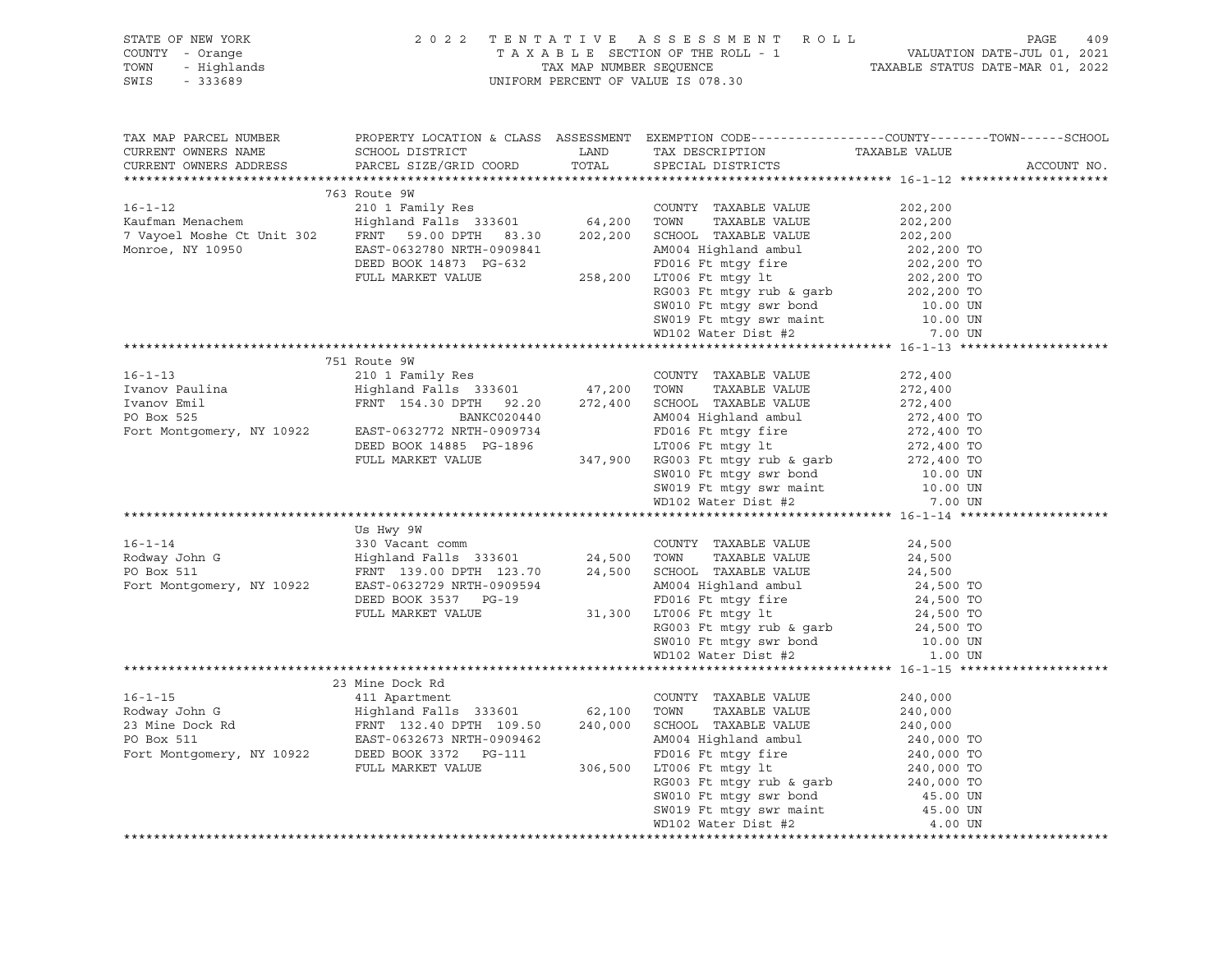| STATE OF NEW YORK<br>COUNTY - Orange<br>7 - Orange<br>- Highlands<br>- 333689<br>TOWN<br>SWIS<br>$-333689$                                                                                                                                                        | 2022 TENTATIVE ASSESSMENT ROLL<br>TAX MAP NUMBER SEQUENCE<br>UNIFORM PERCENT OF VALUE IS 078.30                 | T A X A B L E SECTION OF THE ROLL - 1 VALUATION DATE-JUL 01, 2021 TAX MAP NUMBER SEQUENCE TAXIS TAXIBLE STATUS DATE-MAR 01, 2022 | 409<br>PAGE                                                                                                                                                                                                                                                                                                                                               |                                                                                                               |             |
|-------------------------------------------------------------------------------------------------------------------------------------------------------------------------------------------------------------------------------------------------------------------|-----------------------------------------------------------------------------------------------------------------|----------------------------------------------------------------------------------------------------------------------------------|-----------------------------------------------------------------------------------------------------------------------------------------------------------------------------------------------------------------------------------------------------------------------------------------------------------------------------------------------------------|---------------------------------------------------------------------------------------------------------------|-------------|
| TAX MAP PARCEL NUMBER<br>CURRENT OWNERS NAME<br>CURRENT OWNERS ADDRESS                                                                                                                                                                                            | SCHOOL DISTRICT<br>PARCEL SIZE/GRID COORD                                                                       | LAND<br>TOTAL                                                                                                                    | PROPERTY LOCATION & CLASS ASSESSMENT EXEMPTION CODE---------------COUNTY-------TOWN-----SCHOOL<br>TAX DESCRIPTION<br>SPECIAL DISTRICTS                                                                                                                                                                                                                    | TAXABLE VALUE                                                                                                 | ACCOUNT NO. |
|                                                                                                                                                                                                                                                                   | 763 Route 9W                                                                                                    |                                                                                                                                  |                                                                                                                                                                                                                                                                                                                                                           |                                                                                                               |             |
| $16 - 1 - 12$<br>Monroe, NY 10950                                                                                                                                                                                                                                 | 210 1 Family Res<br>EAST-0632780 NRTH-0909841<br>DEED BOOK 14873 PG-632<br>FULL MARKET VALUE                    |                                                                                                                                  | COUNTY TAXABLE VALUE<br>AM004 Highland ambul<br>FD016 Ft mtgy fire<br>258,200 LT006 Ft mtgy lt<br>RG003 Ft mtgy rub & garb<br>SW010 Ft mtgy swr bond<br>SW019 Ft mtgy swr maint<br>WD102 Water Dist #2                                                                                                                                                    | 202,200<br>202,200<br>202,200<br>202,200 TO<br>202,200 TO<br>202,200 TO<br>202,200 TO<br>10.00 UN<br>10.00 UN |             |
|                                                                                                                                                                                                                                                                   |                                                                                                                 |                                                                                                                                  |                                                                                                                                                                                                                                                                                                                                                           | 7.00 UN                                                                                                       |             |
|                                                                                                                                                                                                                                                                   |                                                                                                                 |                                                                                                                                  |                                                                                                                                                                                                                                                                                                                                                           |                                                                                                               |             |
| $16 - 1 - 13$<br>Ivanov Paulina<br>Ivanov Emil<br>PO Box 525<br>Fort Montgomery, NY 10922 EAST-0632772 NRTH-0909734                                                                                                                                               | 751 Route 9W<br>210 1 Family Res<br>Highland Falls 333601<br>FRNT 154.30 DPTH 92.20<br>BANKC020440<br>Us Hwy 9W | $47,200$ TOWN                                                                                                                    | COUNTY TAXABLE VALUE<br>TAXABLE VALUE<br>272,400 SCHOOL TAXABLE VALUE<br>AM004 Highland ambul<br>2120 DOUN 14885 PG-1896<br>FULL MARKET VALUE 347,900 RG003 Ft mtgy fire 272,400 TO<br>FULL MARKET VALUE 347,900 RG003 Ft mtgy rub & garb<br>SW010 Ft mtgy swr bond 10.00 UN<br>SW019 Ft mtgy swr maint<br>SW019 Ft mtgy swr maint<br>WD102 Water Dist #2 | 272,400<br>272,400<br>272,400<br>272,400 TO                                                                   |             |
| $16 - 1 - 14$<br>Rodway John G<br>Po Box 511<br>FRNT 139.00 DPTH 123.70<br>FOT Montgomery, NY 10922<br>FRNT 139.00 DPTH 123.70<br>EAST-0632729 NRTH-0909594<br>FRNT 139.00 DPTH 123.70<br>24,500 SCHOOL TAXABLE VALUE<br>AM004 Highland ambul                     | 330 Vacant comm<br>DEED BOOK 3537 PG-19<br>FULL MARKET VALUE                                                    |                                                                                                                                  | COUNTY TAXABLE VALUE<br>TAXABLE VALUE<br>AM004 Highland ambul<br>FD016 Ft mtgy fire<br>31,300 LT006 Ft mtgy lt<br>RG003 Ft mtgy rub & garb<br>SW010 Ft mtgy swr bond<br>WD102 Water Dist #2                                                                                                                                                               | 24,500<br>24,500<br>24,500<br>24,500 TO<br>24,500 TO<br>24,500 TO<br>24,500 TO<br>10.00 UN<br>1.00 UN         |             |
|                                                                                                                                                                                                                                                                   |                                                                                                                 |                                                                                                                                  |                                                                                                                                                                                                                                                                                                                                                           |                                                                                                               |             |
| $16 - 1 - 15$<br>16-1-15<br>Rodway John G<br>23 Mine Dock Rd<br>23 Mine Dock Rd<br>240 Depth 109.50<br>240,000 SCHOOL TAXABLE VALUE<br>240,000 SCHOOL TAXABLE VALUE<br>240,000 SCHOOL TAXABLE VALUE<br>240,000 SCHOOL TAXABLE VALUE<br>240,000 SCHOOL TAXABLE VAL | 23 Mine Dock Rd<br>411 Apartment                                                                                |                                                                                                                                  | COUNTY TAXABLE VALUE<br>RG003 Ft mtgy rub & garb 240,000 TO<br>SW010 Ft mtgy swr bond 45.00 UN<br>SW019 Ft mtgy swr maint 45.00 UN<br>WD102 Water Dist #2 4.00 UN                                                                                                                                                                                         | 240,000<br>240,000<br>240,000<br>240,000 TO<br>240,000 TO<br>240,000 TO                                       |             |
|                                                                                                                                                                                                                                                                   |                                                                                                                 |                                                                                                                                  |                                                                                                                                                                                                                                                                                                                                                           |                                                                                                               |             |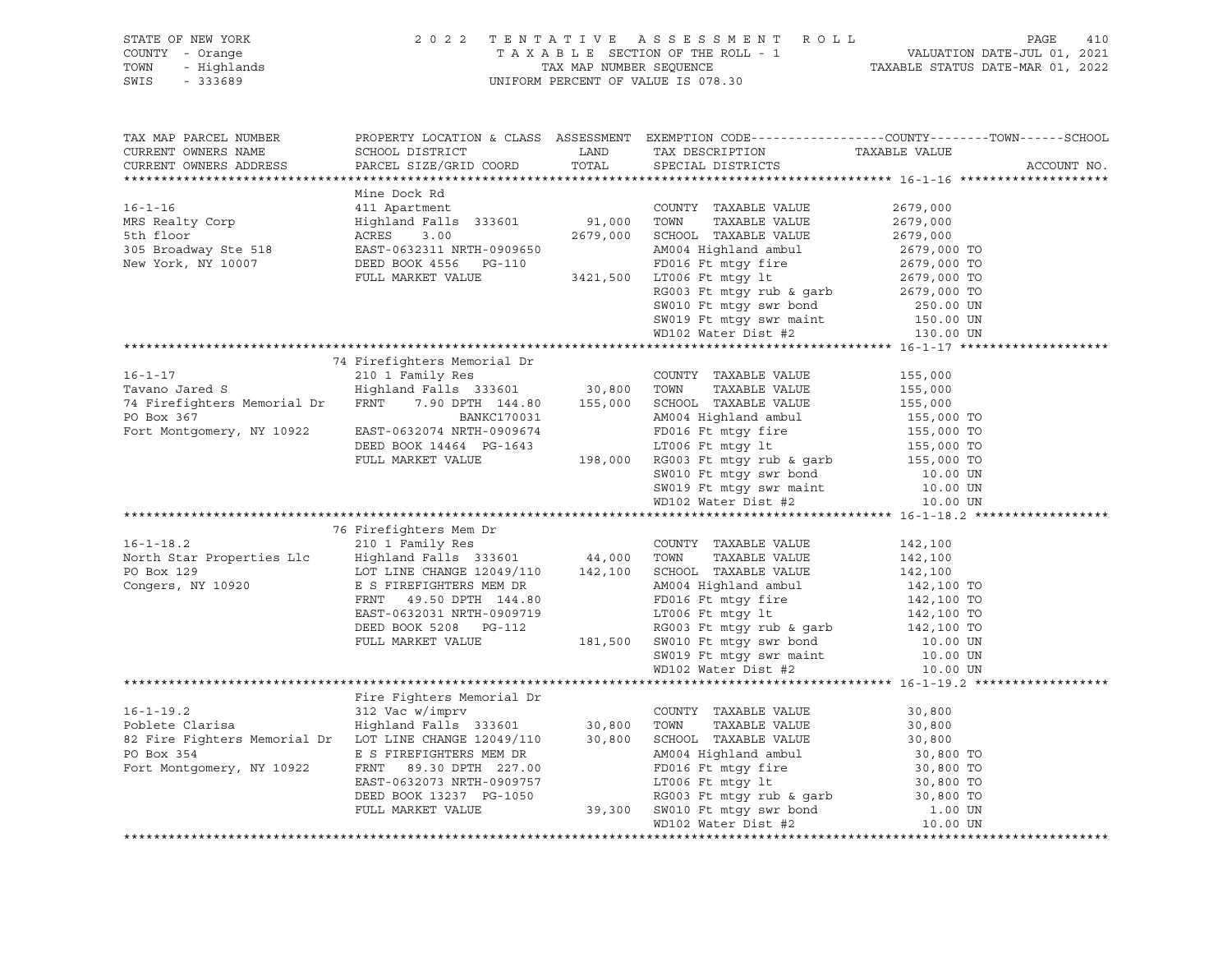| STATE OF NEW YORK<br>COUNTY - Orange<br>TOWN<br>SWIS                                                                                                                                                                                                                                                                                                                                                                                                                                                                               | OF NEW YORK (2022 TENTATIVE ASSESSMENT ROLL)<br>TAXABLE SECTION OF THE ROLL - 1 VALUATION<br>- Highlands (2022 TENTATIVE SECTION OF THE ROLL - 1 VALUATION<br>- TAXABLE STATUS (TAXABLE STATUS UNIFORM PERCENT OF VALUE IS 078.30 | 410<br>PAGE |                                                                                                                                                                             |             |
|------------------------------------------------------------------------------------------------------------------------------------------------------------------------------------------------------------------------------------------------------------------------------------------------------------------------------------------------------------------------------------------------------------------------------------------------------------------------------------------------------------------------------------|-----------------------------------------------------------------------------------------------------------------------------------------------------------------------------------------------------------------------------------|-------------|-----------------------------------------------------------------------------------------------------------------------------------------------------------------------------|-------------|
| TAX MAP PARCEL NUMBER<br>CURRENT OWNERS NAME<br>CURRENT OWNERS ADDRESS                                                                                                                                                                                                                                                                                                                                                                                                                                                             | SCHOOL DISTRICT LAND<br>PARCEL SIZE/GRID COORD                                                                                                                                                                                    | TOTAL       | PROPERTY LOCATION & CLASS ASSESSMENT EXEMPTION CODE----------------COUNTY-------TOWN------SCHOOL<br>TAX DESCRIPTION TAXABLE VALUE<br>SPECIAL DISTRICTS<br>SPECIAL DISTRICTS | ACCOUNT NO. |
| $\begin{tabular}{l c c c c c} \multicolumn{3}{l}{\text{\small{Mine Book Rd}}} & \multicolumn{3}{l}{\text{\small{Mine book Rd}}} & \multicolumn{3}{l}{\text{\small{Mine book Rd}}} & \multicolumn{3}{l}{\text{\small{Mone book Rd}}} & \multicolumn{3}{l}{\text{\small{Mone book}} } & \multicolumn{3}{l}{\text{\small{Mone book}} } & \multicolumn{3}{l}{\text{\small{Mone book}} } & \multicolumn{3}{l}{\text{\small{Mone book}} } & \multicolumn{3}{l}{\text{\small{Mone book}} } & \multicolumn{3}{l}{\text{\small{Mone book}}$ |                                                                                                                                                                                                                                   |             |                                                                                                                                                                             |             |
|                                                                                                                                                                                                                                                                                                                                                                                                                                                                                                                                    |                                                                                                                                                                                                                                   |             |                                                                                                                                                                             |             |
|                                                                                                                                                                                                                                                                                                                                                                                                                                                                                                                                    | 74 Firefighters Memorial Dr<br>76 Firefighters Mem Dr                                                                                                                                                                             |             | COUNTY TAXABLE VALUE                                                                                                                                                        |             |
|                                                                                                                                                                                                                                                                                                                                                                                                                                                                                                                                    |                                                                                                                                                                                                                                   |             |                                                                                                                                                                             |             |
|                                                                                                                                                                                                                                                                                                                                                                                                                                                                                                                                    |                                                                                                                                                                                                                                   |             |                                                                                                                                                                             |             |
|                                                                                                                                                                                                                                                                                                                                                                                                                                                                                                                                    |                                                                                                                                                                                                                                   |             |                                                                                                                                                                             |             |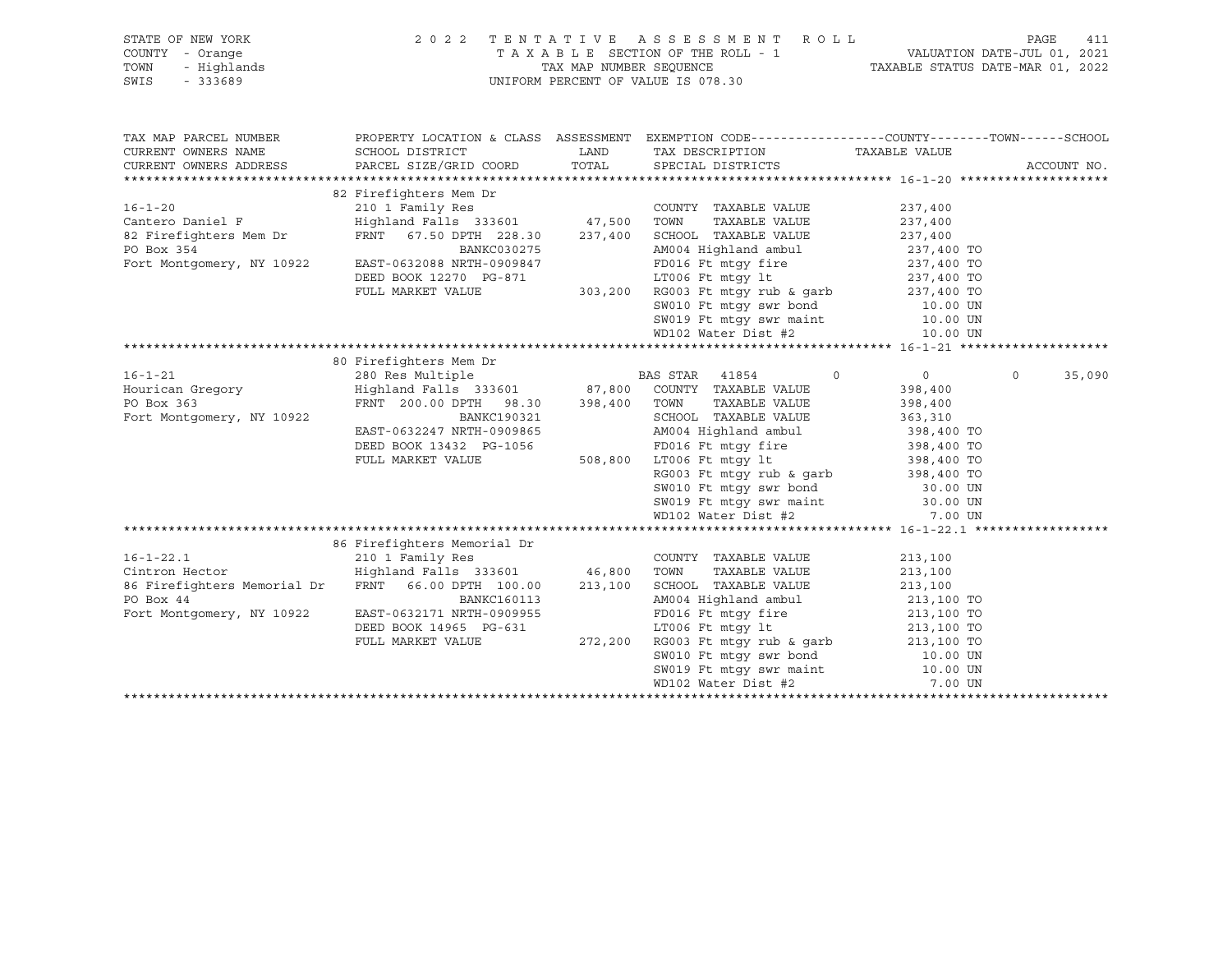| STATE OF NEW YORK<br>COUNTY - Orange<br>TOWN<br>- Highlands<br>SWIS<br>$-333689$ | 2 0 2 2                                         | TAX MAP NUMBER SEQUENCE | TENTATIVE ASSESSMENT ROLL<br>TAXABLE SECTION OF THE ROLL - 1<br>UNIFORM PERCENT OF VALUE IS 078.30 | PAGE<br>411<br>VALUATION DATE-JUL 01, 2021<br>TAXABLE STATUS DATE-MAR 01, 2022 |                   |  |
|----------------------------------------------------------------------------------|-------------------------------------------------|-------------------------|----------------------------------------------------------------------------------------------------|--------------------------------------------------------------------------------|-------------------|--|
|                                                                                  |                                                 |                         |                                                                                                    |                                                                                |                   |  |
| TAX MAP PARCEL NUMBER                                                            |                                                 |                         | PROPERTY LOCATION & CLASS ASSESSMENT EXEMPTION CODE----------------COUNTY-------TOWN------SCHOOL   |                                                                                |                   |  |
| CURRENT OWNERS NAME                                                              | SCHOOL DISTRICT                                 | LAND                    | TAX DESCRIPTION TAXABLE VALUE                                                                      |                                                                                |                   |  |
| CURRENT OWNERS ADDRESS                                                           | PARCEL SIZE/GRID COORD                          | TOTAL                   | SPECIAL DISTRICTS                                                                                  |                                                                                | ACCOUNT NO.       |  |
|                                                                                  |                                                 |                         |                                                                                                    |                                                                                |                   |  |
|                                                                                  | 82 Firefighters Mem Dr                          |                         |                                                                                                    |                                                                                |                   |  |
| $16 - 1 - 20$                                                                    | 210 1 Family Res                                |                         | COUNTY TAXABLE VALUE                                                                               | 237,400                                                                        |                   |  |
| Cantero Daniel F                                                                 | Highland Falls 333601 47,500 TOWN               |                         | TAXABLE VALUE                                                                                      | 237,400                                                                        |                   |  |
| 82 Firefighters Mem Dr                                                           | FRNT 67.50 DPTH 228.30                          | 237,400                 | SCHOOL TAXABLE VALUE                                                                               | 237,400                                                                        |                   |  |
| PO Box 354                                                                       | BANKC030275<br>EAST-0632088 NRTH-0909847        |                         | AM004 Highland ambul                                                                               | 237,400 TO                                                                     |                   |  |
| Fort Montgomery, NY 10922                                                        | DEED BOOK 12270 PG-871                          |                         | FD016 Ft mtqy fire<br>LT006 Ft mtqy lt                                                             | 237,400 TO<br>237,400 TO                                                       |                   |  |
|                                                                                  | FULL MARKET VALUE                               |                         | 303,200 RG003 Ft mtqy rub & qarb                                                                   | 237,400 TO                                                                     |                   |  |
|                                                                                  |                                                 |                         | SW010 Ft mtqy swr bond                                                                             | 10.00 UN                                                                       |                   |  |
|                                                                                  |                                                 |                         |                                                                                                    | 10.00 UN                                                                       |                   |  |
|                                                                                  |                                                 |                         | SWOLD FURNITY SWE Maint<br>SWO19 Ft mtgy swe maint                                                 | 10.00 UN                                                                       |                   |  |
|                                                                                  |                                                 |                         |                                                                                                    |                                                                                |                   |  |
|                                                                                  | 80 Firefighters Mem Dr                          |                         |                                                                                                    |                                                                                |                   |  |
| $16 - 1 - 21$                                                                    | 280 Res Multiple                                |                         | BAS STAR 41854<br>$\circ$                                                                          | $\circ$                                                                        | 35,090<br>$\circ$ |  |
| Hourican Gregory                                                                 |                                                 |                         | Highland Falls 333601 67,800 COUNTY TAXABLE VALUE                                                  | 398,400                                                                        |                   |  |
| PO Box 363                                                                       | FRNT 200.00 DPTH 98.30                          | 398,400 TOWN            | TAXABLE VALUE                                                                                      | 398,400                                                                        |                   |  |
| Fort Montgomery, NY 10922                                                        | BANKC190321                                     |                         | SCHOOL TAXABLE VALUE                                                                               | 363,310                                                                        |                   |  |
|                                                                                  | EAST-0632247 NRTH-0909865                       |                         | AM004 Highland ambul                                                                               | 398,400 TO                                                                     |                   |  |
|                                                                                  | DEED BOOK 13432 PG-1056                         |                         | FD016 Ft mtgy fire                                                                                 | 398,400 TO                                                                     |                   |  |
|                                                                                  | FULL MARKET VALUE                               |                         | 508,800 LT006 Ft mtgy lt                                                                           | 398,400 TO                                                                     |                   |  |
|                                                                                  |                                                 |                         | RG003 Ft mtqy rub & qarb                                                                           | 398,400 TO                                                                     |                   |  |
|                                                                                  |                                                 |                         | SW010 Ft mtgy swr bond                                                                             | 30.00 UN                                                                       |                   |  |
|                                                                                  |                                                 |                         | SW019 Ft mtgy swr maint                                                                            | 30.00 UN                                                                       |                   |  |
|                                                                                  |                                                 |                         | WD102 Water Dist #2                                                                                | 7.00 UN                                                                        |                   |  |
|                                                                                  | 86 Firefighters Memorial Dr                     |                         |                                                                                                    |                                                                                |                   |  |
| $16 - 1 - 22.1$                                                                  | 210 1 Family Res                                |                         | COUNTY TAXABLE VALUE                                                                               | 213,100                                                                        |                   |  |
| Cintron Hector                                                                   | Highland Falls 333601 46,800 TOWN TAXABLE VALUE |                         |                                                                                                    | 213,100                                                                        |                   |  |
| 86 Firefighters Memorial Dr FRNT 66.00 DPTH 100.00                               |                                                 |                         | 213,100 SCHOOL TAXABLE VALUE                                                                       | 213,100                                                                        |                   |  |
| PO Box 44                                                                        | BANKC160113                                     |                         | AM004 Highland ambul                                                                               | 213,100 TO                                                                     |                   |  |
| Fort Montgomery, NY 10922                                                        | EAST-0632171 NRTH-0909955                       |                         | FD016 Ft mtgy fire                                                                                 | 213,100 TO                                                                     |                   |  |
|                                                                                  | DEED BOOK 14965 PG-631                          |                         | LT006 Ft mtgy lt                                                                                   | 213,100 TO                                                                     |                   |  |
|                                                                                  | FULL MARKET VALUE                               |                         | 272,200 RG003 Ft mtgy rub & garb                                                                   | 213,100 TO                                                                     |                   |  |
|                                                                                  |                                                 |                         | SW010 Ft mtgy swr bond                                                                             | 10.00 UN                                                                       |                   |  |
|                                                                                  |                                                 |                         | SW019 Ft mtgy swr maint                                                                            | 10.00 UN                                                                       |                   |  |
|                                                                                  |                                                 |                         | WD102 Water Dist #2                                                                                | 7.00 UN                                                                        |                   |  |
|                                                                                  |                                                 |                         |                                                                                                    |                                                                                |                   |  |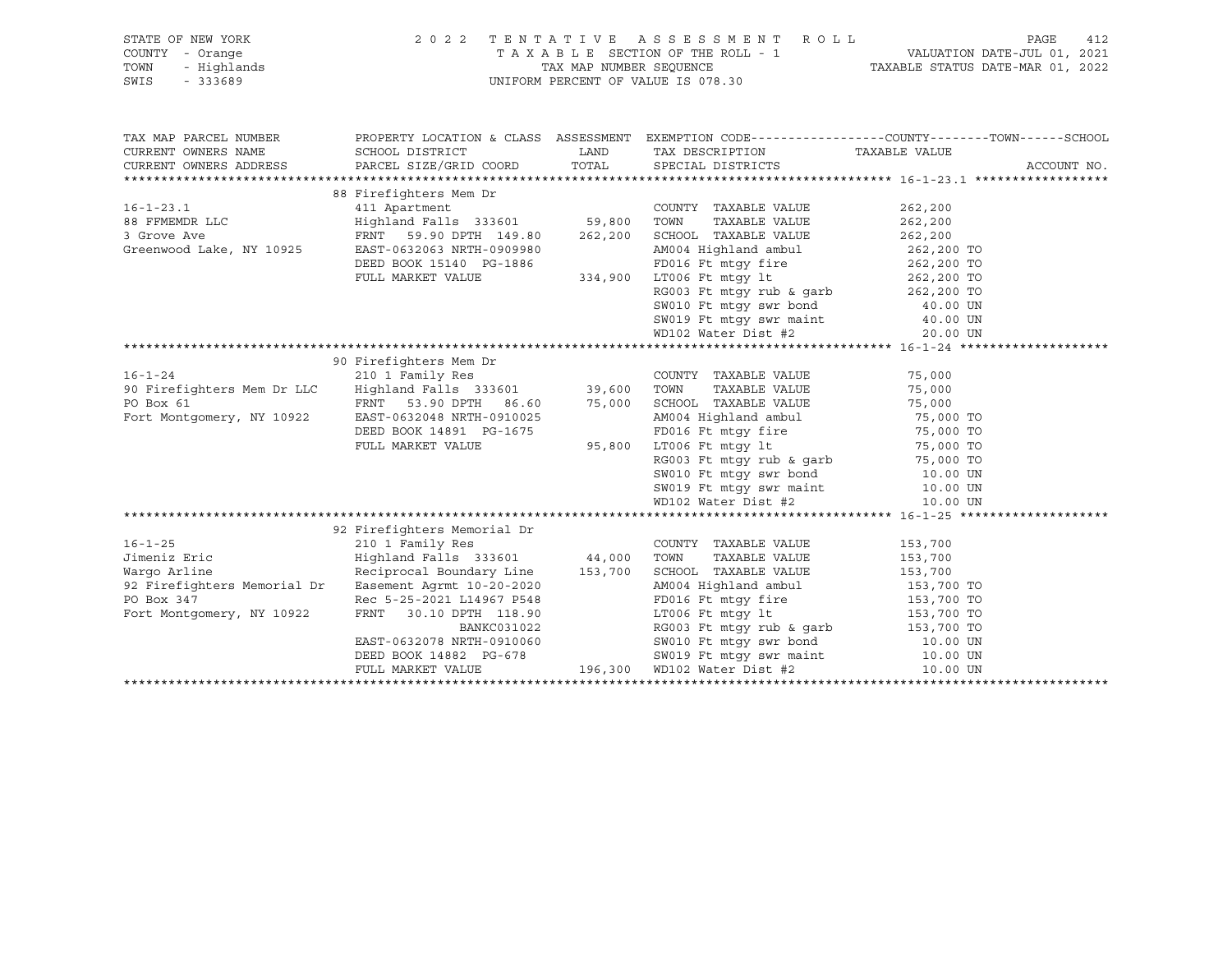| STATE OF NEW YORK<br>Y - Orange<br>- Highlands<br>- 333689<br>COUNTY - Orange<br>TOWN<br>SWIS                                                                                                                                        | 2022 TENTATIVE ASSESSMENT ROLL<br>UNIFORM PERCENT OF VALUE IS 078.30                                                                                                                                                                           | TAXABLE SECTION OF THE ROLL - 1 VALUATION DATE-JUL 01, 2021<br>TAX MAP NUMBER SEQUENCE TAXABLE STATUS DATE-MAR 01, 2022 | 412<br>PAGE |             |
|--------------------------------------------------------------------------------------------------------------------------------------------------------------------------------------------------------------------------------------|------------------------------------------------------------------------------------------------------------------------------------------------------------------------------------------------------------------------------------------------|-------------------------------------------------------------------------------------------------------------------------|-------------|-------------|
| TAX MAP PARCEL NUMBER                                                                                                                                                                                                                |                                                                                                                                                                                                                                                | PROPERTY LOCATION & CLASS ASSESSMENT EXEMPTION CODE-----------------COUNTY-------TOWN------SCHOOL                       |             |             |
| CURRENT OWNERS NAME                                                                                                                                                                                                                  | SCHOOL DISTRICT                                                                                                                                                                                                                                | LAND TAX DESCRIPTION TAXABLE VALUE                                                                                      |             |             |
| CURRENT OWNERS ADDRESS                PARCEL SIZE/GRID COORD           TOTAL        SPECIAL DISTRICTS                                                                                                                                |                                                                                                                                                                                                                                                |                                                                                                                         |             | ACCOUNT NO. |
|                                                                                                                                                                                                                                      |                                                                                                                                                                                                                                                |                                                                                                                         |             |             |
| 00 FIFELIPILE FRIEN ALLE COUNTY TAXABLE VALUE 262,200<br>411 Apartment Highland Falls 333601 59,800 TOWN TAXABLE VALUE 262,200<br>3 Grove Ave FRNT 59.90 DPTH 149.80 262,200 SCHOOL TAXABLE VALUE 262,200<br>Greenwood Lake, NY 1092 | 88 Firefighters Mem Dr                                                                                                                                                                                                                         |                                                                                                                         |             |             |
|                                                                                                                                                                                                                                      |                                                                                                                                                                                                                                                |                                                                                                                         |             |             |
|                                                                                                                                                                                                                                      |                                                                                                                                                                                                                                                |                                                                                                                         |             |             |
|                                                                                                                                                                                                                                      |                                                                                                                                                                                                                                                |                                                                                                                         |             |             |
|                                                                                                                                                                                                                                      |                                                                                                                                                                                                                                                |                                                                                                                         |             |             |
|                                                                                                                                                                                                                                      |                                                                                                                                                                                                                                                |                                                                                                                         |             |             |
|                                                                                                                                                                                                                                      |                                                                                                                                                                                                                                                |                                                                                                                         |             |             |
|                                                                                                                                                                                                                                      |                                                                                                                                                                                                                                                |                                                                                                                         |             |             |
|                                                                                                                                                                                                                                      |                                                                                                                                                                                                                                                |                                                                                                                         |             |             |
|                                                                                                                                                                                                                                      | FRNT 59.90 DPTH 149.80<br>EAST-0632063 NRTH-0909980<br>DEED BOOK 15140 PG-1886<br>FULL MARKET VALUE 334,900 LT006 Ft mtgy it<br>RG003 Ft mtgy it<br>RG003 Ft mtgy inb & garb<br>80010 Ft mtgy swr bond<br>80019 Ft mtgy swr maint 40.00 UN<br> |                                                                                                                         |             |             |
|                                                                                                                                                                                                                                      |                                                                                                                                                                                                                                                |                                                                                                                         |             |             |
|                                                                                                                                                                                                                                      |                                                                                                                                                                                                                                                |                                                                                                                         |             |             |
|                                                                                                                                                                                                                                      |                                                                                                                                                                                                                                                |                                                                                                                         |             |             |
|                                                                                                                                                                                                                                      |                                                                                                                                                                                                                                                |                                                                                                                         |             |             |
|                                                                                                                                                                                                                                      |                                                                                                                                                                                                                                                |                                                                                                                         |             |             |
|                                                                                                                                                                                                                                      |                                                                                                                                                                                                                                                |                                                                                                                         |             |             |
|                                                                                                                                                                                                                                      |                                                                                                                                                                                                                                                |                                                                                                                         |             |             |
|                                                                                                                                                                                                                                      |                                                                                                                                                                                                                                                |                                                                                                                         |             |             |
|                                                                                                                                                                                                                                      |                                                                                                                                                                                                                                                |                                                                                                                         |             |             |
|                                                                                                                                                                                                                                      |                                                                                                                                                                                                                                                |                                                                                                                         |             |             |
|                                                                                                                                                                                                                                      |                                                                                                                                                                                                                                                |                                                                                                                         |             |             |
|                                                                                                                                                                                                                                      |                                                                                                                                                                                                                                                |                                                                                                                         |             |             |
|                                                                                                                                                                                                                                      | 92 Firefighters Memorial Dr                                                                                                                                                                                                                    |                                                                                                                         |             |             |
| $16 - 1 - 25$                                                                                                                                                                                                                        | 210 1 Family Res<br>210 1 Family Res<br>Highland Falls 333601 44,000 TOWN                                                                                                                                                                      |                                                                                                                         |             |             |
| Jimeniz Eric                                                                                                                                                                                                                         |                                                                                                                                                                                                                                                |                                                                                                                         |             |             |
| Wargo Arline                                                                                                                                                                                                                         |                                                                                                                                                                                                                                                |                                                                                                                         |             |             |
|                                                                                                                                                                                                                                      |                                                                                                                                                                                                                                                |                                                                                                                         |             |             |
|                                                                                                                                                                                                                                      |                                                                                                                                                                                                                                                |                                                                                                                         |             |             |
|                                                                                                                                                                                                                                      |                                                                                                                                                                                                                                                |                                                                                                                         |             |             |
|                                                                                                                                                                                                                                      |                                                                                                                                                                                                                                                |                                                                                                                         |             |             |
|                                                                                                                                                                                                                                      |                                                                                                                                                                                                                                                |                                                                                                                         |             |             |
| 92 Firefighters Memorial Dr Easement Agrmt 10-20-20<br>PO Box 347 Rec 5-25-2021 L14967 P548 PD016 Ft mtgy fire 153,700 TO<br>Fort Montgomery, NY 10922 FRNT 30.10 DPTH 118.90<br>EAST-0632078 NRTH-0910060 BANKC031022 RG003 Ft mtgy |                                                                                                                                                                                                                                                |                                                                                                                         |             |             |
|                                                                                                                                                                                                                                      |                                                                                                                                                                                                                                                |                                                                                                                         |             |             |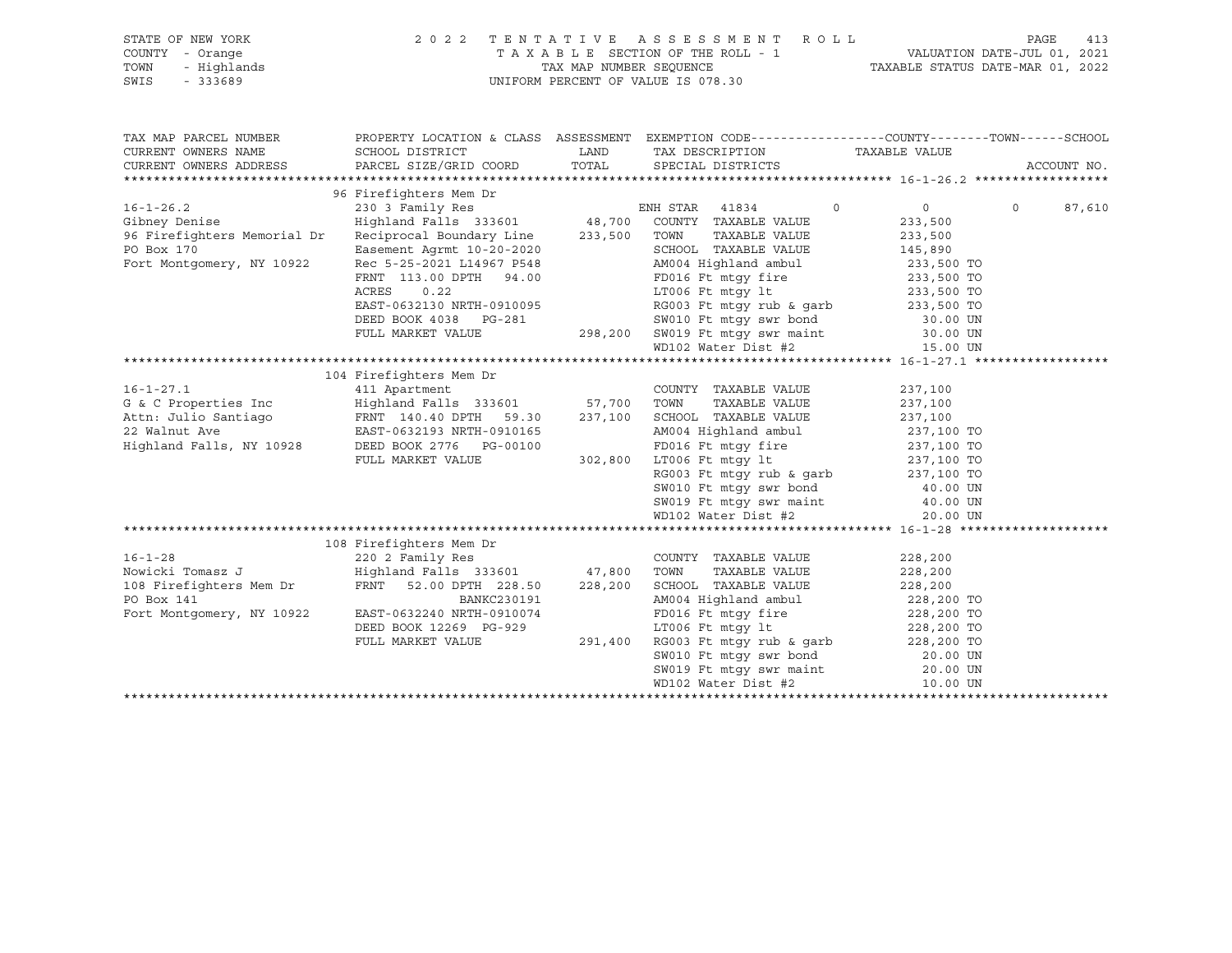| : NEW YORK<br>- Orange<br>- Highlands<br>- 333689<br>STATE OF NEW YORK<br>COUNTY - Orange<br>TOWN<br>SWIS |                                           |         | 2022 TENTATIVE ASSESSMENT ROLL<br>UNIFORM PERCENT OF VALUE IS 078.30             | PAGE<br>T A X A B L E SECTION OF THE ROLL - 1 VALUATION DATE-JUL 01, 2021<br>TAX MAP NUMBER SEQUENCE TAXABLE STATUS DATE-MAR 01, 2022 | 413         |
|-----------------------------------------------------------------------------------------------------------|-------------------------------------------|---------|----------------------------------------------------------------------------------|---------------------------------------------------------------------------------------------------------------------------------------|-------------|
| TAX MAP PARCEL NUMBER                                                                                     |                                           |         |                                                                                  | PROPERTY LOCATION & CLASS ASSESSMENT EXEMPTION CODE----------------COUNTY-------TOWN------SCHOOL                                      |             |
| CURRENT OWNERS NAME<br>CURRENT OWNERS ADDRESS                                                             | SCHOOL DISTRICT<br>PARCEL SIZE/GRID COORD | TOTAL   | LAND TAX DESCRIPTION<br>SPECIAL DISTRICTS                                        | TAXABLE VALUE                                                                                                                         | ACCOUNT NO. |
|                                                                                                           |                                           |         |                                                                                  |                                                                                                                                       |             |
|                                                                                                           | 96 Firefighters Mem Dr                    |         |                                                                                  |                                                                                                                                       |             |
| $16 - 1 - 26.2$                                                                                           |                                           |         | $\circ$                                                                          | $0 \qquad \qquad$<br>$\circ$                                                                                                          | 87,610      |
| Gibney Denise                                                                                             |                                           |         |                                                                                  | 233,500                                                                                                                               |             |
| 96 Firefighters Memorial Dr                                                                               | Reciprocal Boundary Line 233,500 TOWN     |         | TAXABLE VALUE                                                                    | 233,500                                                                                                                               |             |
| PO Box 170                                                                                                | Easement Agrmt 10-20-2020                 |         | SCHOOL TAXABLE VALUE<br>AM004 Highland ambul                                     | 145,890<br>233,500 TO                                                                                                                 |             |
| Fort Montgomery, NY 10922                                                                                 | Rec 5-25-2021 L14967 P548                 |         |                                                                                  |                                                                                                                                       |             |
|                                                                                                           | FRNT 113.00 DPTH 94.00                    |         | Prives in ginearch and a more can be a 233,500 TO<br>FD016 Ft mtav lt 233,500 TO |                                                                                                                                       |             |
|                                                                                                           | ACRES 0.22                                |         |                                                                                  |                                                                                                                                       |             |
|                                                                                                           | EAST-0632130 NRTH-0910095                 |         | RG003 Ft mtgy rub & garb $233,500$ TO                                            |                                                                                                                                       |             |
|                                                                                                           | DEED BOOK 4038 PG-281                     |         | SW010 Ft mtgy swr bond<br>298,200   SW019 Ft mtgy swr maint                      | 30.00 UN<br>30.00 UN                                                                                                                  |             |
|                                                                                                           | FULL MARKET VALUE                         |         | WD102 Water Dist #2                                                              | 15.00 UN                                                                                                                              |             |
|                                                                                                           |                                           |         |                                                                                  |                                                                                                                                       |             |
|                                                                                                           | 104 Firefighters Mem Dr                   |         |                                                                                  |                                                                                                                                       |             |
| $16 - 1 - 27.1$                                                                                           | 411 Apartment                             |         | COUNTY TAXABLE VALUE                                                             | 237,100                                                                                                                               |             |
| G & C Properties Inc Mighland Falls 333601 57,700 TOWN                                                    |                                           |         | TAXABLE VALUE                                                                    | 237,100                                                                                                                               |             |
|                                                                                                           |                                           |         |                                                                                  |                                                                                                                                       |             |
|                                                                                                           |                                           |         |                                                                                  | 237,100<br>237,100 TO                                                                                                                 |             |
| Highland Falls, NY 10928                                                                                  | DEED BOOK 2776 PG-00100                   |         | FD016 Ft mtgy fire 237,100 TO<br>17006 Ft mtgy 1t 237,100 TO                     |                                                                                                                                       |             |
|                                                                                                           | FULL MARKET VALUE                         | 302,800 | LT006 Ft mtqy lt                                                                 |                                                                                                                                       |             |
|                                                                                                           |                                           |         | RG003 Ft mtgy rub & garb $237,100$ TO                                            |                                                                                                                                       |             |
|                                                                                                           |                                           |         | SW010 Ft mtgy swr bond<br>SW019 Ft mtgy swr maint<br>WD102 Water Dist #2         | 40.00 UN                                                                                                                              |             |
|                                                                                                           |                                           |         |                                                                                  | 40.00 UN                                                                                                                              |             |
|                                                                                                           |                                           |         |                                                                                  | 20.00 UN                                                                                                                              |             |
|                                                                                                           |                                           |         |                                                                                  |                                                                                                                                       |             |
|                                                                                                           | 108 Firefighters Mem Dr                   |         |                                                                                  |                                                                                                                                       |             |
| $16 - 1 - 28$                                                                                             | 220 2 Family Res                          |         | COUNTY TAXABLE VALUE                                                             | 228,200                                                                                                                               |             |
| Nowicki Tomasz J                                                                                          | Highland Falls 333601 47,800              |         | TOWN<br>TAXABLE VALUE                                                            | 228,200                                                                                                                               |             |
| 108 Firefighters Mem Dr                                                                                   | FRNT 52.00 DPTH 228.50                    | 228,200 | SCHOOL TAXABLE VALUE                                                             | 228,200<br>228,200 TO                                                                                                                 |             |
| PO Box 141                                                                                                | BANKC230191                               |         | AM004 Highland ambul                                                             |                                                                                                                                       |             |
| Fort Montgomery, NY 10922                                                                                 | EAST-0632240 NRTH-0910074                 |         | FD016 Ft mtgy fire 228,200 TO<br>LT006 Ft mtqy lt                                |                                                                                                                                       |             |
|                                                                                                           | DEED BOOK 12269 PG-929                    | 291,400 | RG003 Ft mtgy rub & garb $228,200$ TO                                            | 228,200 TO                                                                                                                            |             |
|                                                                                                           | FULL MARKET VALUE                         |         |                                                                                  |                                                                                                                                       |             |
|                                                                                                           |                                           |         | SW010 Ft mtgy swr bond<br>SW019 Ft mtgy swr maint                                | 20.00 UN<br>20.00 UN                                                                                                                  |             |
|                                                                                                           |                                           |         | WD102 Water Dist #2                                                              | 10.00 UN                                                                                                                              |             |

\*\*\*\*\*\*\*\*\*\*\*\*\*\*\*\*\*\*\*\*\*\*\*\*\*\*\*\*\*\*\*\*\*\*\*\*\*\*\*\*\*\*\*\*\*\*\*\*\*\*\*\*\*\*\*\*\*\*\*\*\*\*\*\*\*\*\*\*\*\*\*\*\*\*\*\*\*\*\*\*\*\*\*\*\*\*\*\*\*\*\*\*\*\*\*\*\*\*\*\*\*\*\*\*\*\*\*\*\*\*\*\*\*\*\*\*\*\*\*\*\*\*\*\*\*\*\*\*\*\*\*\*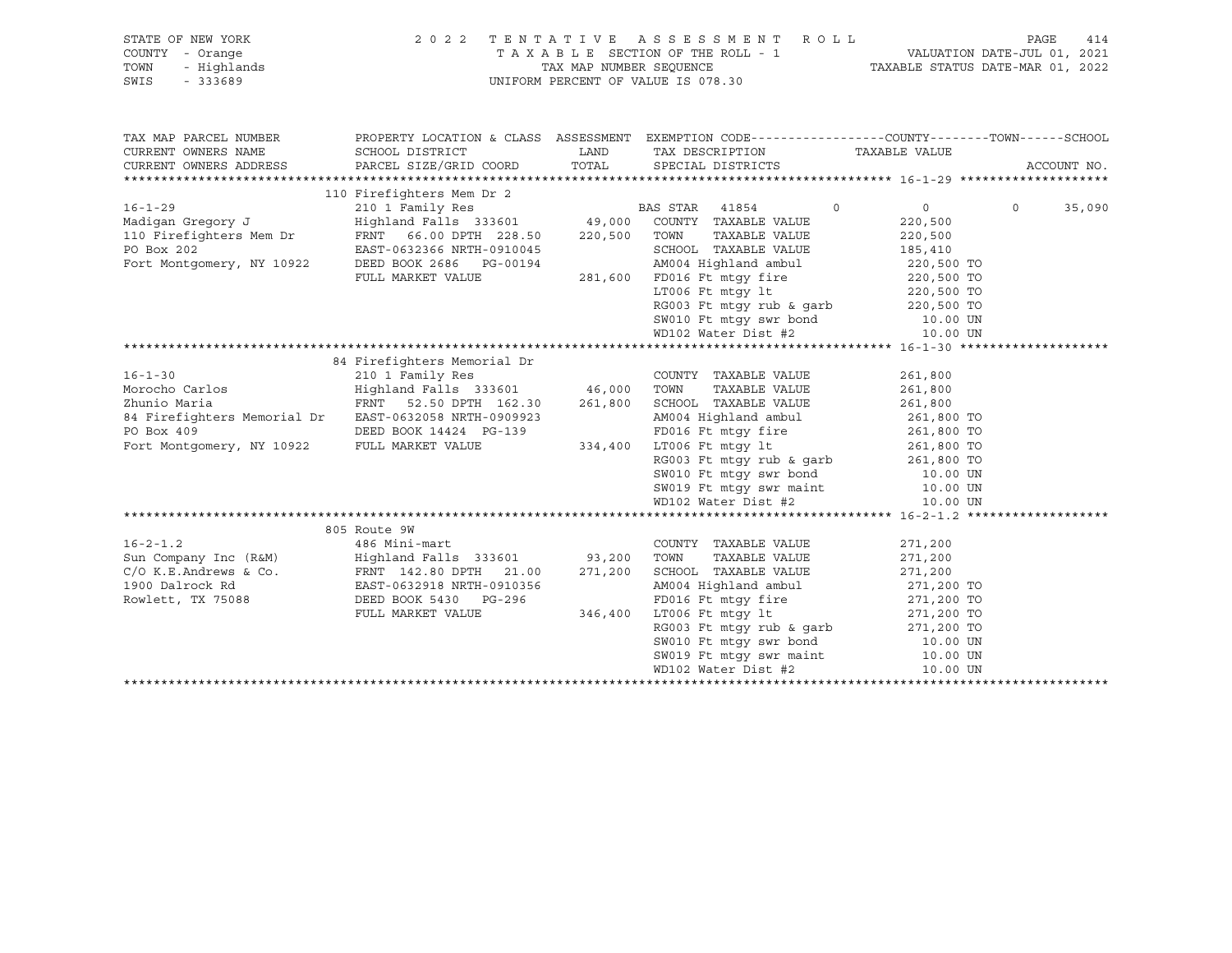| STATE OF NEW YORK<br>COUNTY - Orange<br>- Highlands<br>TOWN<br>SWIS<br>$-333689$                                                                                                           | 2 0 2 2<br>TENTATIVE ASSESSMENT ROLL<br>TAXABLE SECTION OF THE ROLL - 1<br>TAX MAP NUMBER SEQUENCE<br>UNIFORM PERCENT OF VALUE IS 078.30                   |                    | 414<br>PAGE<br>VALUATION DATE-JUL 01, 2021<br>TAXABLE STATUS DATE-MAR 01, 2022                                                                                                                                                                                                                                |                                                                                                     |                   |
|--------------------------------------------------------------------------------------------------------------------------------------------------------------------------------------------|------------------------------------------------------------------------------------------------------------------------------------------------------------|--------------------|---------------------------------------------------------------------------------------------------------------------------------------------------------------------------------------------------------------------------------------------------------------------------------------------------------------|-----------------------------------------------------------------------------------------------------|-------------------|
| TAX MAP PARCEL NUMBER<br>CURRENT OWNERS NAME                                                                                                                                               | SCHOOL DISTRICT                                                                                                                                            | LAND               | PROPERTY LOCATION & CLASS ASSESSMENT EXEMPTION CODE---------------COUNTY-------TOWN-----SCHOOL<br>TAX DESCRIPTION                                                                                                                                                                                             | TAXABLE VALUE                                                                                       |                   |
| CURRENT OWNERS ADDRESS                                                                                                                                                                     | PARCEL SIZE/GRID COORD                                                                                                                                     | TOTAL              | SPECIAL DISTRICTS                                                                                                                                                                                                                                                                                             |                                                                                                     | ACCOUNT NO.       |
|                                                                                                                                                                                            | 110 Firefighters Mem Dr 2                                                                                                                                  |                    |                                                                                                                                                                                                                                                                                                               |                                                                                                     |                   |
| $16 - 1 - 29$<br>Madigan Gregory J<br>110 Firefighters Mem Dr<br>PO Box 202<br>Fort Montgomery, NY 10922                                                                                   | 210 1 Family Res BA<br>Highland Falls 333601 49,000<br>FRNT 66.00 DPTH 228.50<br>EAST-0632366 NRTH-0910045<br>DEED BOOK 2686 PG-00194<br>FULL MARKET VALUE |                    | BAS STAR 41854<br>$\circ$<br>COUNTY TAXABLE VALUE<br>220,500 TOWN<br>TAXABLE VALUE<br>SCHOOL TAXABLE VALUE<br>AM004 Highland ambul 220,500 TO<br>FD016 Ft mtgy fire 220,500 TO<br>281,600 FD016 Ft mtqy fire<br>LT006 Ft mtgy 1t<br>RG003 Ft mtgy rub & garb<br>SW010 Ft mtgy swr bond<br>WD102 Water Dist #2 | $\overline{0}$<br>220,500<br>220,500<br>185,410<br>220,500 TO<br>220,500 TO<br>10.00 UN<br>10.00 UN | $\circ$<br>35,090 |
|                                                                                                                                                                                            |                                                                                                                                                            |                    |                                                                                                                                                                                                                                                                                                               |                                                                                                     |                   |
| $16 - 1 - 30$<br>Morocho Carlos<br>Zhunio Maria<br>84 Firefighters Memorial Dr EAST-0632058 NRTH-0909923<br>PO Box 409                                                                     | 84 Firefighters Memorial Dr<br>210 1 Family Res<br>Highland Falls 333601 46,000 TOWN<br>FRNT 52.50 DPTH 162.30<br>DEED BOOK 14424 PG-139                   | 261,800            | COUNTY TAXABLE VALUE<br>TAXABLE VALUE<br>SCHOOL TAXABLE VALUE<br>AM004 Highland ambul                                                                                                                                                                                                                         | 261,800<br>261,800<br>261,800<br>261,800 TO                                                         |                   |
| Fort Montgomery, NY 10922                                                                                                                                                                  | FULL MARKET VALUE                                                                                                                                          | 334,400            | FID16 Ft mtgy fire<br>FD16 Ft mtgy fire<br>17006 Ft mtgy 1t<br>261,800 TO<br>RG003 Ft mtgy rub & garb<br>361,800 TO<br>5010 Ft mtgy swr maint<br>10.00 UN<br>5019 Ft mtgy swr maint<br>10.00 UN<br>LT006 Ft mtqy lt<br>WD102 Water Dist #2                                                                    | 10.00 UN                                                                                            |                   |
|                                                                                                                                                                                            |                                                                                                                                                            |                    |                                                                                                                                                                                                                                                                                                               |                                                                                                     |                   |
| $16 - 2 - 1.2$<br>Sun Company Inc (R&M) Highland Falls 333601 93,200 TOWN<br>C/O K.E.Andrews & Co.<br>1900 Dalrock Rd EAST-0632918 NRTH-0910356<br>Rowlett, TX 75088 DEED BOOK 5430 PG-296 | 805 Route 9W<br>486 Mini-mart<br>FULL MARKET VALUE                                                                                                         | 271,200<br>346,400 | COUNTY TAXABLE VALUE<br>TAXABLE VALUE<br>SCHOOL TAXABLE VALUE<br>AM004 Highland ambul<br>FD016 Ft mtgy fire<br>LT006 Ft mtgy 1t 271,200 TO<br>RG003 Ft mtgy rub & garb 271,200 TO                                                                                                                             | 271,200<br>271,200<br>271,200<br>271,200 TO<br>271,200 TO                                           |                   |
|                                                                                                                                                                                            |                                                                                                                                                            |                    | SW010 Ft mtgy swr bond<br>SW019 Ft mtgy swr maint 10.00 UN<br>WD102 Water Dist #2 10.00 UN<br>WD102 Water Dist #2                                                                                                                                                                                             | 10.00 UN<br>10.00 UN                                                                                |                   |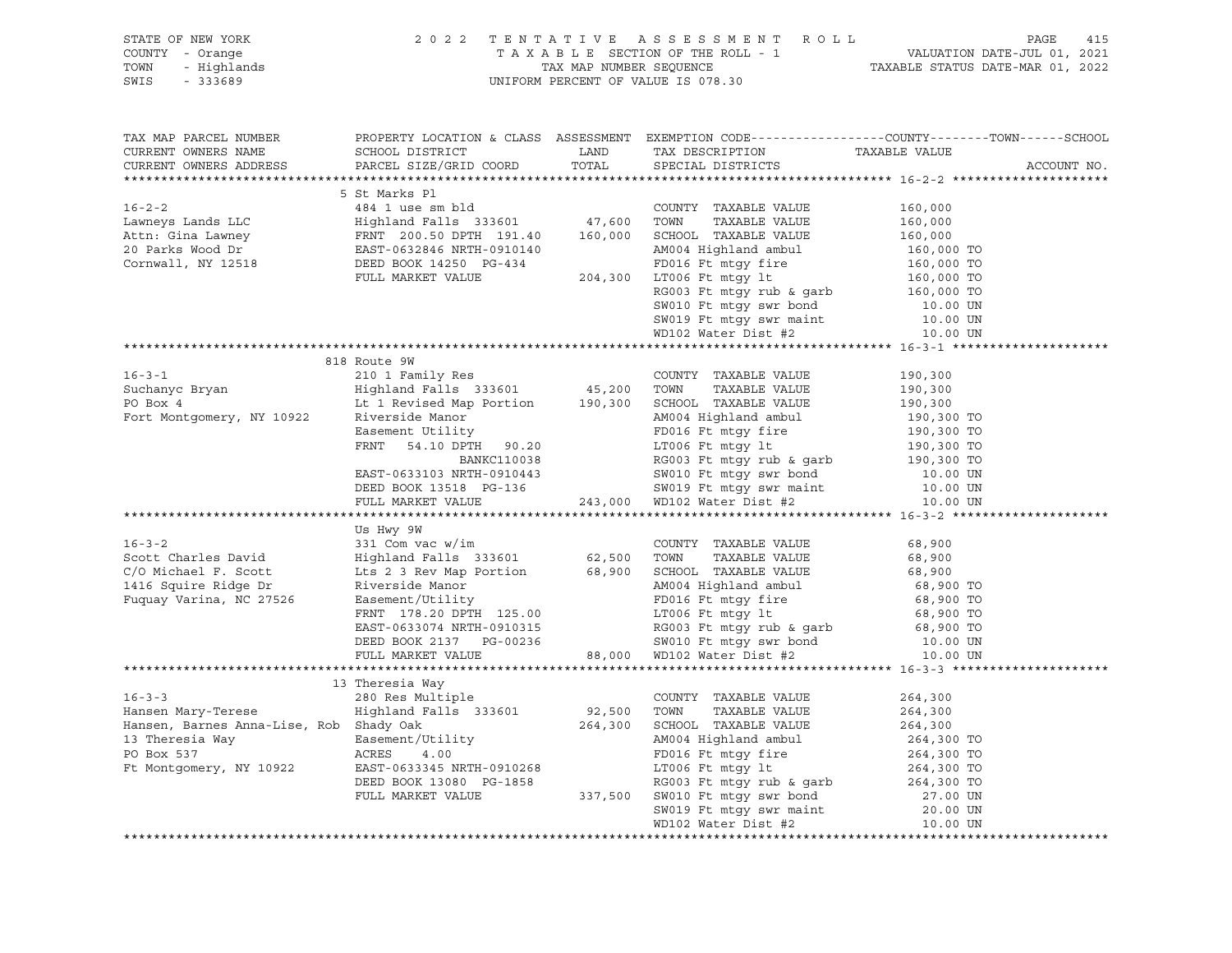|                                                                                                                                                                                                                                                                                                                                                                                                                                                |                 | UNIFORM PERCENT OF VALUE IS 078.30 |                                                                                                                 |
|------------------------------------------------------------------------------------------------------------------------------------------------------------------------------------------------------------------------------------------------------------------------------------------------------------------------------------------------------------------------------------------------------------------------------------------------|-----------------|------------------------------------|-----------------------------------------------------------------------------------------------------------------|
| TAX MAP PARCEL NUMBER<br>CURRENT OWNERS NAME SCHOOL DISTRICT AND TAX DESCRIPTION TAXABLE VALUE CURRENT OWNERS ADDRESS FARCEL SIZE/GRID COORD TOTAL SPECIAL DISTRICTS                                                                                                                                                                                                                                                                           |                 |                                    | PROPERTY LOCATION & CLASS ASSESSMENT EXEMPTION CODE----------------COUNTY-------TOWN------SCHOOL<br>ACCOUNT NO. |
|                                                                                                                                                                                                                                                                                                                                                                                                                                                |                 |                                    |                                                                                                                 |
| $\begin{tabular}{l c c c c c} \hline 16-2-2 & \multicolumn{3}{c}{5.5\text{E} \text{ Marks} & P1 & \multicolumn{3}{c}{\text{COUTY}}$}} & \multicolumn{3}{c}{5.5\text{E} \text{ Marks} & P1 & \multicolumn{3}{c}{\text{COUTY}}$}} & \multicolumn{3}{c}{5.5\text{E} \text{ Marks}} & \multicolumn{3}{c}{\text{MUE}} & \multicolumn{3}{c}{\text{I60,000}} \\ \hline \text{Attn: Gina Lawrence} & \text{Highland Fall} & \text{Fall: 333601} & 47,$ |                 |                                    |                                                                                                                 |
|                                                                                                                                                                                                                                                                                                                                                                                                                                                |                 |                                    |                                                                                                                 |
|                                                                                                                                                                                                                                                                                                                                                                                                                                                |                 |                                    |                                                                                                                 |
|                                                                                                                                                                                                                                                                                                                                                                                                                                                |                 |                                    |                                                                                                                 |
|                                                                                                                                                                                                                                                                                                                                                                                                                                                |                 |                                    |                                                                                                                 |
|                                                                                                                                                                                                                                                                                                                                                                                                                                                |                 |                                    |                                                                                                                 |
|                                                                                                                                                                                                                                                                                                                                                                                                                                                |                 |                                    |                                                                                                                 |
|                                                                                                                                                                                                                                                                                                                                                                                                                                                |                 |                                    |                                                                                                                 |
|                                                                                                                                                                                                                                                                                                                                                                                                                                                |                 |                                    |                                                                                                                 |
|                                                                                                                                                                                                                                                                                                                                                                                                                                                |                 |                                    |                                                                                                                 |
|                                                                                                                                                                                                                                                                                                                                                                                                                                                |                 |                                    |                                                                                                                 |
|                                                                                                                                                                                                                                                                                                                                                                                                                                                | 818 Route 9W    |                                    |                                                                                                                 |
|                                                                                                                                                                                                                                                                                                                                                                                                                                                |                 |                                    |                                                                                                                 |
|                                                                                                                                                                                                                                                                                                                                                                                                                                                |                 |                                    |                                                                                                                 |
|                                                                                                                                                                                                                                                                                                                                                                                                                                                |                 |                                    |                                                                                                                 |
|                                                                                                                                                                                                                                                                                                                                                                                                                                                |                 |                                    |                                                                                                                 |
|                                                                                                                                                                                                                                                                                                                                                                                                                                                |                 |                                    |                                                                                                                 |
|                                                                                                                                                                                                                                                                                                                                                                                                                                                |                 |                                    |                                                                                                                 |
|                                                                                                                                                                                                                                                                                                                                                                                                                                                |                 |                                    |                                                                                                                 |
|                                                                                                                                                                                                                                                                                                                                                                                                                                                |                 |                                    |                                                                                                                 |
|                                                                                                                                                                                                                                                                                                                                                                                                                                                |                 |                                    |                                                                                                                 |
|                                                                                                                                                                                                                                                                                                                                                                                                                                                |                 |                                    |                                                                                                                 |
|                                                                                                                                                                                                                                                                                                                                                                                                                                                | Us Hwy 9W       |                                    |                                                                                                                 |
|                                                                                                                                                                                                                                                                                                                                                                                                                                                |                 |                                    |                                                                                                                 |
|                                                                                                                                                                                                                                                                                                                                                                                                                                                |                 |                                    |                                                                                                                 |
|                                                                                                                                                                                                                                                                                                                                                                                                                                                |                 |                                    |                                                                                                                 |
|                                                                                                                                                                                                                                                                                                                                                                                                                                                |                 |                                    |                                                                                                                 |
|                                                                                                                                                                                                                                                                                                                                                                                                                                                |                 |                                    |                                                                                                                 |
|                                                                                                                                                                                                                                                                                                                                                                                                                                                |                 |                                    |                                                                                                                 |
|                                                                                                                                                                                                                                                                                                                                                                                                                                                |                 |                                    |                                                                                                                 |
|                                                                                                                                                                                                                                                                                                                                                                                                                                                |                 |                                    |                                                                                                                 |
|                                                                                                                                                                                                                                                                                                                                                                                                                                                |                 |                                    |                                                                                                                 |
|                                                                                                                                                                                                                                                                                                                                                                                                                                                |                 |                                    |                                                                                                                 |
|                                                                                                                                                                                                                                                                                                                                                                                                                                                | 13 Theresia Way |                                    |                                                                                                                 |
|                                                                                                                                                                                                                                                                                                                                                                                                                                                |                 |                                    |                                                                                                                 |
|                                                                                                                                                                                                                                                                                                                                                                                                                                                |                 |                                    |                                                                                                                 |
|                                                                                                                                                                                                                                                                                                                                                                                                                                                |                 |                                    |                                                                                                                 |
|                                                                                                                                                                                                                                                                                                                                                                                                                                                |                 |                                    |                                                                                                                 |
|                                                                                                                                                                                                                                                                                                                                                                                                                                                |                 |                                    |                                                                                                                 |
|                                                                                                                                                                                                                                                                                                                                                                                                                                                |                 |                                    |                                                                                                                 |
|                                                                                                                                                                                                                                                                                                                                                                                                                                                |                 |                                    |                                                                                                                 |
|                                                                                                                                                                                                                                                                                                                                                                                                                                                |                 |                                    |                                                                                                                 |
|                                                                                                                                                                                                                                                                                                                                                                                                                                                |                 |                                    |                                                                                                                 |
|                                                                                                                                                                                                                                                                                                                                                                                                                                                |                 |                                    |                                                                                                                 |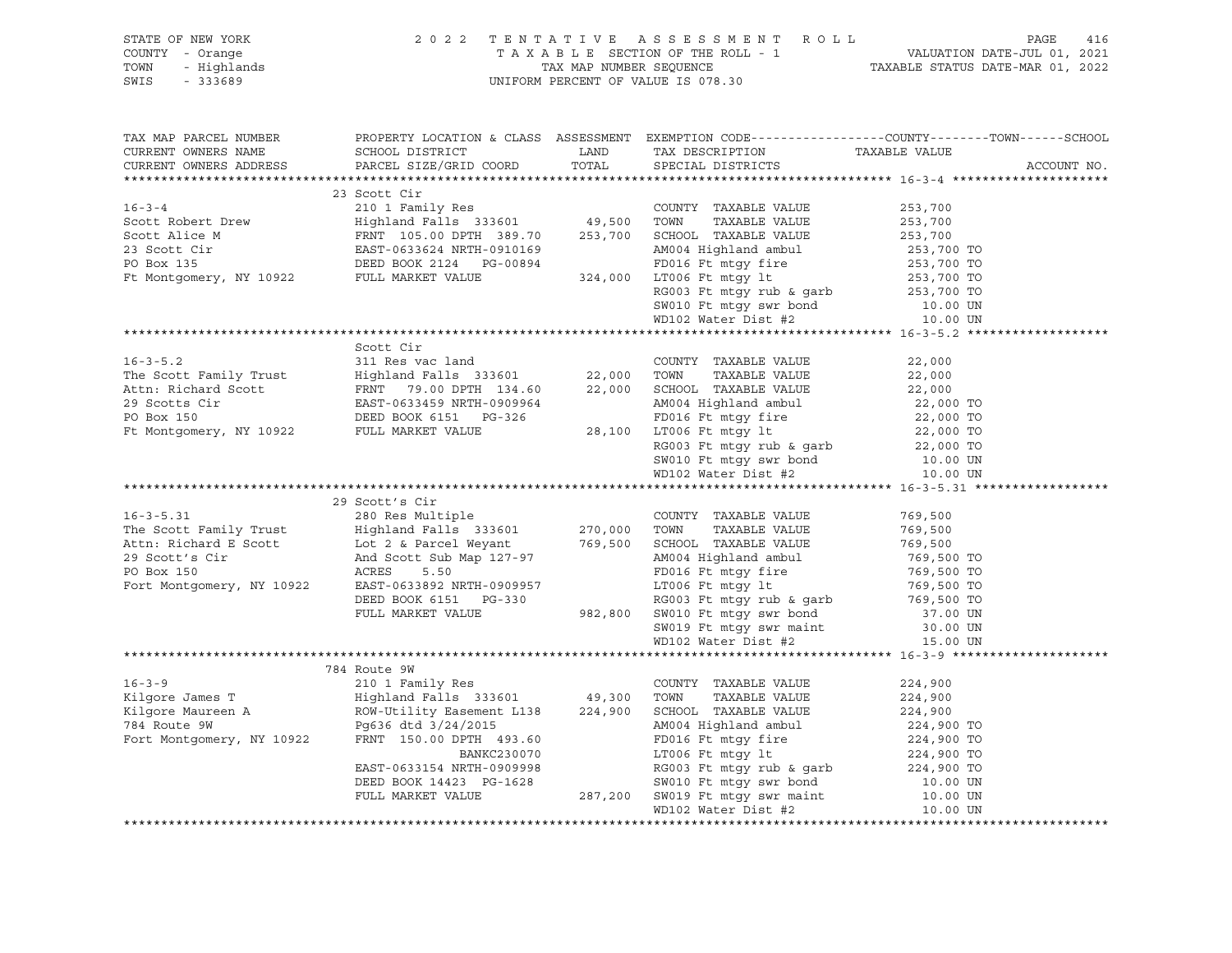| STATE OF NEW YORK 2022<br>COUNTY - Orange<br>TOWN - Highlands<br>SWIS - 333689                                                                                                                                                   |  | UNIFORM PERCENT OF VALUE IS 078.30 | 2022 TENTATIVE ASSESSMENT ROLL<br>TAXABLE SECTION OF THE ROLL - 1 VALUATION DATE-JUL 01, 2021<br>TAX MAP NUMBER SEQUENCE TAXABLE STATUS DATE-MAR 01, 2022 |
|----------------------------------------------------------------------------------------------------------------------------------------------------------------------------------------------------------------------------------|--|------------------------------------|-----------------------------------------------------------------------------------------------------------------------------------------------------------|
|                                                                                                                                                                                                                                  |  |                                    | PROPERTY LOCATION & CLASS ASSESSMENT EXEMPTION CODE----------------COUNTY-------TOWN------SCHOOL                                                          |
|                                                                                                                                                                                                                                  |  |                                    | ACCOUNT NO.                                                                                                                                               |
|                                                                                                                                                                                                                                  |  |                                    |                                                                                                                                                           |
|                                                                                                                                                                                                                                  |  |                                    |                                                                                                                                                           |
|                                                                                                                                                                                                                                  |  |                                    |                                                                                                                                                           |
|                                                                                                                                                                                                                                  |  |                                    |                                                                                                                                                           |
|                                                                                                                                                                                                                                  |  |                                    |                                                                                                                                                           |
|                                                                                                                                                                                                                                  |  |                                    |                                                                                                                                                           |
|                                                                                                                                                                                                                                  |  |                                    |                                                                                                                                                           |
|                                                                                                                                                                                                                                  |  |                                    |                                                                                                                                                           |
|                                                                                                                                                                                                                                  |  |                                    |                                                                                                                                                           |
|                                                                                                                                                                                                                                  |  |                                    |                                                                                                                                                           |
|                                                                                                                                                                                                                                  |  |                                    |                                                                                                                                                           |
|                                                                                                                                                                                                                                  |  |                                    |                                                                                                                                                           |
|                                                                                                                                                                                                                                  |  |                                    |                                                                                                                                                           |
|                                                                                                                                                                                                                                  |  |                                    |                                                                                                                                                           |
|                                                                                                                                                                                                                                  |  |                                    |                                                                                                                                                           |
|                                                                                                                                                                                                                                  |  |                                    |                                                                                                                                                           |
|                                                                                                                                                                                                                                  |  |                                    |                                                                                                                                                           |
|                                                                                                                                                                                                                                  |  |                                    |                                                                                                                                                           |
|                                                                                                                                                                                                                                  |  |                                    |                                                                                                                                                           |
|                                                                                                                                                                                                                                  |  |                                    |                                                                                                                                                           |
|                                                                                                                                                                                                                                  |  |                                    |                                                                                                                                                           |
|                                                                                                                                                                                                                                  |  |                                    |                                                                                                                                                           |
|                                                                                                                                                                                                                                  |  |                                    |                                                                                                                                                           |
|                                                                                                                                                                                                                                  |  |                                    |                                                                                                                                                           |
|                                                                                                                                                                                                                                  |  |                                    |                                                                                                                                                           |
|                                                                                                                                                                                                                                  |  |                                    |                                                                                                                                                           |
|                                                                                                                                                                                                                                  |  |                                    |                                                                                                                                                           |
|                                                                                                                                                                                                                                  |  |                                    |                                                                                                                                                           |
|                                                                                                                                                                                                                                  |  |                                    |                                                                                                                                                           |
|                                                                                                                                                                                                                                  |  |                                    |                                                                                                                                                           |
|                                                                                                                                                                                                                                  |  |                                    |                                                                                                                                                           |
|                                                                                                                                                                                                                                  |  |                                    |                                                                                                                                                           |
|                                                                                                                                                                                                                                  |  |                                    |                                                                                                                                                           |
|                                                                                                                                                                                                                                  |  |                                    |                                                                                                                                                           |
|                                                                                                                                                                                                                                  |  |                                    |                                                                                                                                                           |
|                                                                                                                                                                                                                                  |  |                                    |                                                                                                                                                           |
|                                                                                                                                                                                                                                  |  |                                    |                                                                                                                                                           |
|                                                                                                                                                                                                                                  |  |                                    |                                                                                                                                                           |
|                                                                                                                                                                                                                                  |  |                                    |                                                                                                                                                           |
|                                                                                                                                                                                                                                  |  |                                    |                                                                                                                                                           |
|                                                                                                                                                                                                                                  |  |                                    |                                                                                                                                                           |
|                                                                                                                                                                                                                                  |  |                                    |                                                                                                                                                           |
|                                                                                                                                                                                                                                  |  |                                    |                                                                                                                                                           |
|                                                                                                                                                                                                                                  |  |                                    |                                                                                                                                                           |
| 16-3-9 784 Route 9W 784 Route 9W 784 Route 9W 11901 Res (224,900 1 Pamily Res (10 1 Pamily Res (224,900 TOWN TAXABLE VALUE 224,900 Kilgore James T<br>224,900 Kilgore Maureen A ROW-Utility Easement L138 224,900 SCHOOL TAXABLE |  |                                    |                                                                                                                                                           |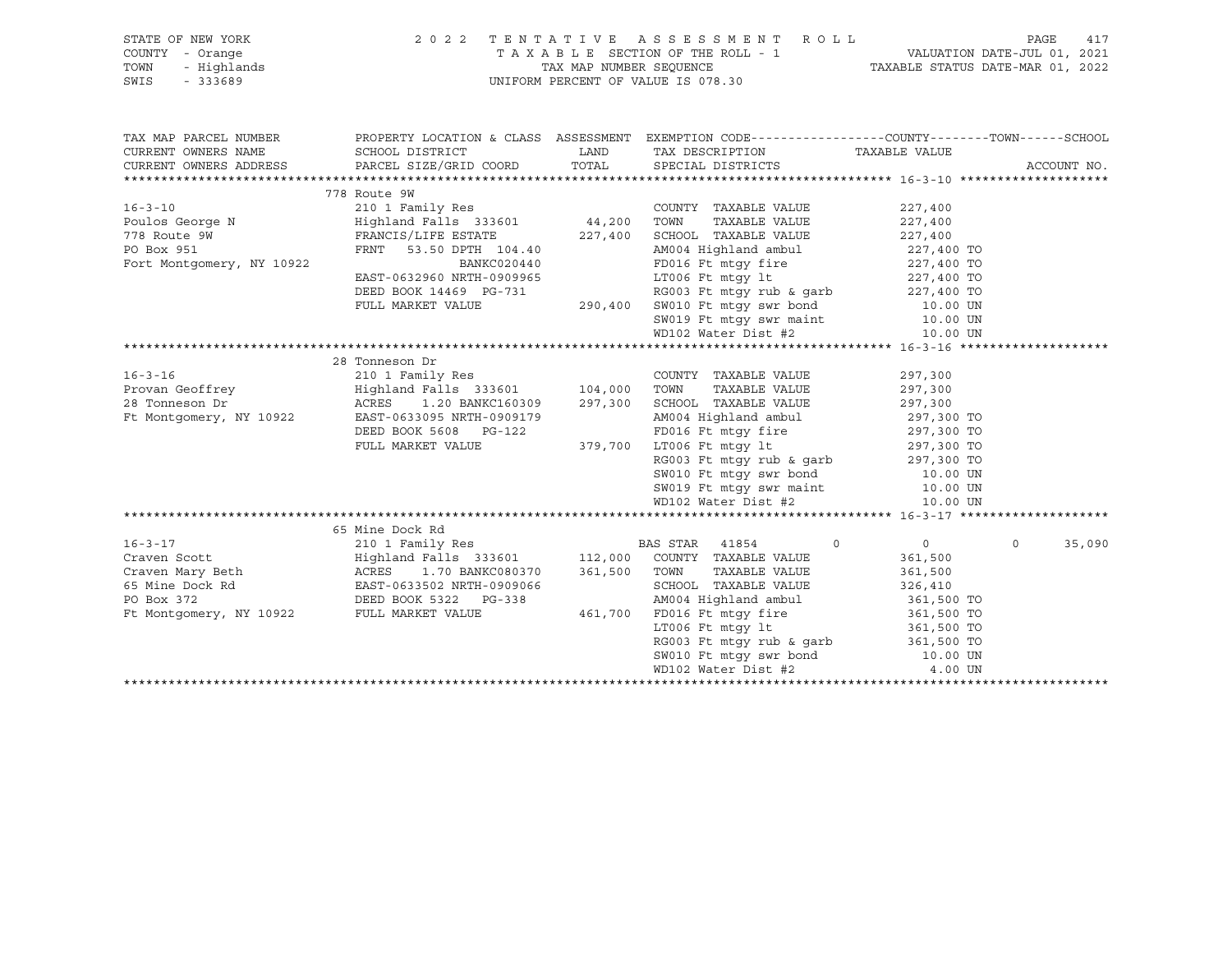| STATE OF NEW YORK<br>COUNTY - Orange<br>TOWN<br>- Highlands<br>SWIS<br>$-333689$ | 2022 TENTATIVE ASSESSMENT ROLL<br>UNIFORM PERCENT OF VALUE IS 078.30                                                                                                                                                                   |         | 417<br>PAGE                                                                                                                                 |                       |                   |
|----------------------------------------------------------------------------------|----------------------------------------------------------------------------------------------------------------------------------------------------------------------------------------------------------------------------------------|---------|---------------------------------------------------------------------------------------------------------------------------------------------|-----------------------|-------------------|
| TAX MAP PARCEL NUMBER                                                            |                                                                                                                                                                                                                                        |         | PROPERTY LOCATION & CLASS ASSESSMENT EXEMPTION CODE----------------COUNTY-------TOWN------SCHOOL                                            |                       |                   |
| CURRENT OWNERS NAME                                                              | SCHOOL DISTRICT                                                                                                                                                                                                                        | LAND    | TAX DESCRIPTION TAXABLE VALUE                                                                                                               |                       |                   |
| CURRENT OWNERS ADDRESS                                                           | PARCEL SIZE/GRID COORD                                                                                                                                                                                                                 | TOTAL   | SPECIAL DISTRICTS                                                                                                                           |                       | ACCOUNT NO.       |
|                                                                                  |                                                                                                                                                                                                                                        |         |                                                                                                                                             |                       |                   |
| $16 - 3 - 10$                                                                    | 778 Route 9W<br>210 1 Family Res                                                                                                                                                                                                       |         | COUNTY TAXABLE VALUE                                                                                                                        | 227,400               |                   |
|                                                                                  | Highland Falls 333601 44,200                                                                                                                                                                                                           |         | TOWN<br>TAXABLE VALUE                                                                                                                       | 227,400               |                   |
|                                                                                  | FRANCIS/LIFE ESTATE                                                                                                                                                                                                                    | 227,400 | SCHOOL TAXABLE VALUE                                                                                                                        |                       |                   |
| Poulos George N<br>778 Route 9W<br>PO Box 951                                    | FRNT 53.50 DPTH 104.40                                                                                                                                                                                                                 |         | SCHOOL TAXABLE VALUE<br>AM004 Highland ambul                                                                                                | 227,400<br>227,400 TO |                   |
| Fort Montgomery, NY 10922                                                        | BANKC020440                                                                                                                                                                                                                            |         | FD016 Ft mtgy fire 227,400 TO                                                                                                               |                       |                   |
|                                                                                  | EAST-0632960 NRTH-0909965                                                                                                                                                                                                              |         | LT006 Ft mtqy lt                                                                                                                            | 227,400 TO            |                   |
|                                                                                  | DEED BOOK 14469 PG-731                                                                                                                                                                                                                 |         |                                                                                                                                             |                       |                   |
|                                                                                  | FULL MARKET VALUE                                                                                                                                                                                                                      |         | G-731 RG003 Ft mtgy rub & garb 227,400 TO<br>290,400 SW010 Ft mtgy swr bond 10.00 UN<br>SW019 Ft mtgy swr maint 10.00 UN                    |                       |                   |
|                                                                                  |                                                                                                                                                                                                                                        |         |                                                                                                                                             |                       |                   |
|                                                                                  |                                                                                                                                                                                                                                        |         | WD102 Water Dist #2                                                                                                                         | 10.00 UN              |                   |
|                                                                                  |                                                                                                                                                                                                                                        |         |                                                                                                                                             |                       |                   |
|                                                                                  | 28 Tonneson Dr                                                                                                                                                                                                                         |         |                                                                                                                                             |                       |                   |
| $16 - 3 - 16$                                                                    | 210 1 Family Res                                                                                                                                                                                                                       |         | COUNTY TAXABLE VALUE                                                                                                                        | 297,300               |                   |
| Provan Geoffrey                                                                  | Highland Falls 333601 104,000 TOWN                                                                                                                                                                                                     |         | TAXABLE VALUE                                                                                                                               | 297,300               |                   |
| 28 Tonneson Dr                                                                   | ACRES 1.20 BANKC160309                                                                                                                                                                                                                 |         | 297,300 SCHOOL TAXABLE VALUE                                                                                                                | 297,300               |                   |
| Ft Montgomery, NY 10922                                                          | EAST-0633095 NRTH-0909179                                                                                                                                                                                                              |         | AM004 Highland ambul<br>AM004 Highland amoul<br>FD016 Ft mtgy fire 297,300 TO<br>LT006 Ft mtgy lt 297,300 TO<br>PC003 Ft mtgy lt 297,300 TO | 297,300 TO            |                   |
|                                                                                  | DEED BOOK 5608 PG-122                                                                                                                                                                                                                  |         |                                                                                                                                             |                       |                   |
|                                                                                  | FULL MARKET VALUE                                                                                                                                                                                                                      | 379,700 | LT006 Ft mtgy 1t<br>RG003 Ft mtgy rub & garb<br>SW010 Ft mtgy swr bond<br>SW010 Ft mtgy swr point                                           |                       |                   |
|                                                                                  |                                                                                                                                                                                                                                        |         |                                                                                                                                             | 10.00 UN              |                   |
|                                                                                  |                                                                                                                                                                                                                                        |         |                                                                                                                                             | 10.00 UN              |                   |
|                                                                                  |                                                                                                                                                                                                                                        |         | SW019 Ft mtgy swr maint<br>WD102 Water Dist #2                                                                                              | 10.00 UN              |                   |
|                                                                                  |                                                                                                                                                                                                                                        |         |                                                                                                                                             |                       |                   |
|                                                                                  | 65 Mine Dock Rd                                                                                                                                                                                                                        |         |                                                                                                                                             |                       |                   |
|                                                                                  | 16-3-17<br>Craven Scott (112,000 COUNTY TAXABLE VALUE)<br>Craven Mary Beth (112,000 COUNTY TAXABLE VALUE)<br>Craven Mary Beth (1.70 BANKC080370 361,500 TOWN TAXABLE VALUE)<br>FO BOX 372 DEED BOOK 5322 PG-338 (2000 AM004 Highland a |         | $\circ$                                                                                                                                     | $\overline{0}$        | $\circ$<br>35,090 |
|                                                                                  |                                                                                                                                                                                                                                        |         |                                                                                                                                             | 361,500               |                   |
|                                                                                  |                                                                                                                                                                                                                                        |         |                                                                                                                                             | 361,500               |                   |
|                                                                                  |                                                                                                                                                                                                                                        |         |                                                                                                                                             | 326,410               |                   |
|                                                                                  |                                                                                                                                                                                                                                        |         | AM004 Highland ambul<br>FD016 Ft mts: f'                                                                                                    | 361,500 TO            |                   |
| Ft Montgomery, NY 10922 FULL MARKET VALUE                                        |                                                                                                                                                                                                                                        |         | 461,700 FD016 Ft mtgy fire 361,500 TO                                                                                                       |                       |                   |
|                                                                                  |                                                                                                                                                                                                                                        |         | LT006 Ft mtqy lt                                                                                                                            | 361,500 TO            |                   |
|                                                                                  |                                                                                                                                                                                                                                        |         | RG003 Ft mtgy rub & garb $361,500$ TO                                                                                                       |                       |                   |
|                                                                                  |                                                                                                                                                                                                                                        |         | RG003 FL muy 1 w = J.<br>SW010 Ft mtgy swr bond                                                                                             | 10.00 UN              |                   |
|                                                                                  |                                                                                                                                                                                                                                        |         | WD102 Water Dist #2                                                                                                                         | 4.00 UN               |                   |
|                                                                                  |                                                                                                                                                                                                                                        |         |                                                                                                                                             |                       |                   |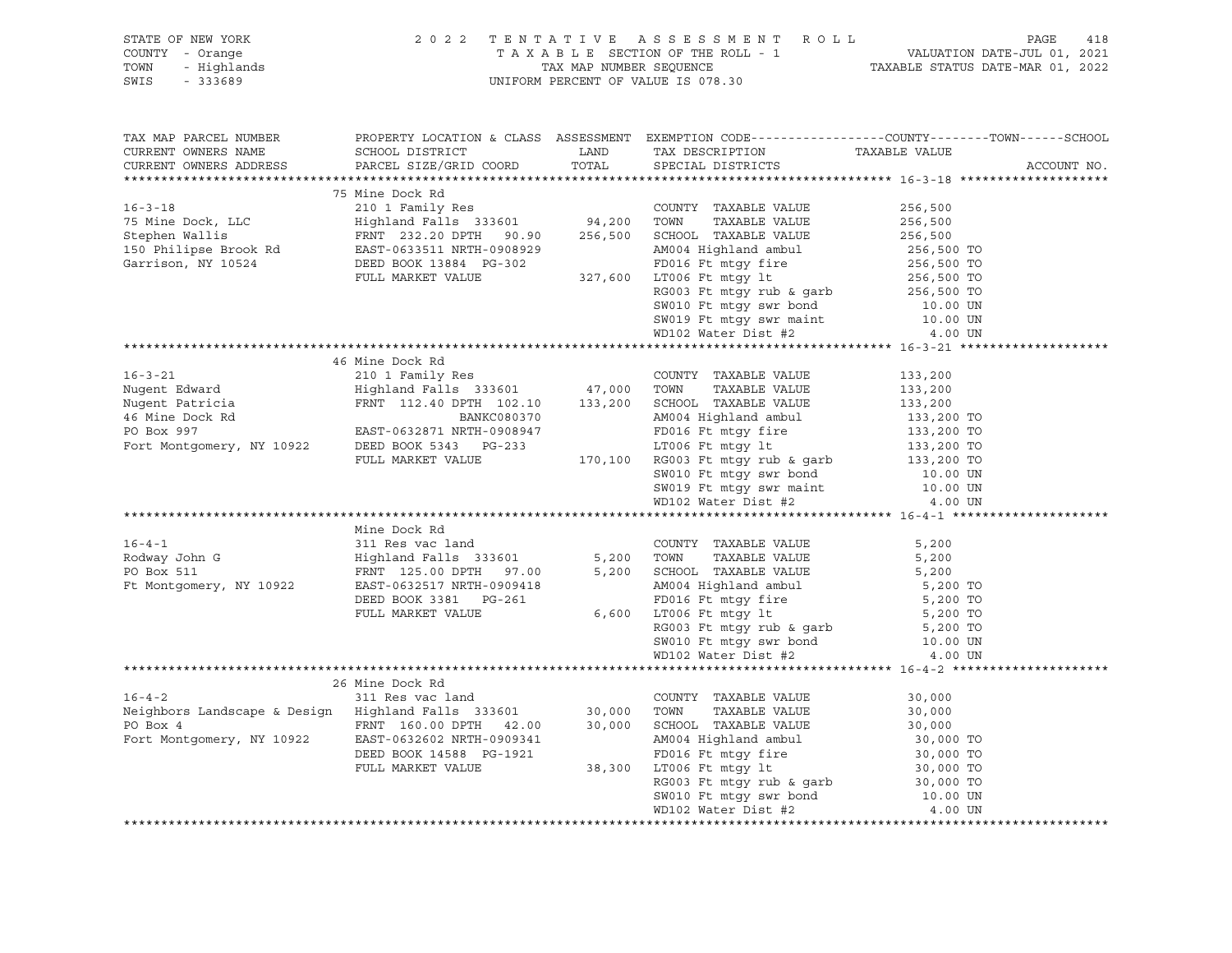| STATE OF NEW YORK<br>COUNTY - Orange<br>TOWN<br>SWIS                                                                                                                                                                        | OF NEW YORK $Z = 0.222$ TENTATIVE ASSESSMENT ROLL<br>TAXABLE SECTION OF THE ROLL - 1 VALUATION<br>- Highlands TAX MAP NUMBER SEQUENCE TAXABLE STATUS<br>- 333689 |                                                                                                                                                                                                                               | 418<br>PAGE<br>ACCOUNT NO. |
|-----------------------------------------------------------------------------------------------------------------------------------------------------------------------------------------------------------------------------|------------------------------------------------------------------------------------------------------------------------------------------------------------------|-------------------------------------------------------------------------------------------------------------------------------------------------------------------------------------------------------------------------------|----------------------------|
| TAX MAP PARCEL NUMBER                                                                                                                                                                                                       | PROPERTY LOCATION & CLASS ASSESSMENT EXEMPTION CODE-----------------COUNTY-------TOWN------SCHOOL                                                                |                                                                                                                                                                                                                               |                            |
|                                                                                                                                                                                                                             |                                                                                                                                                                  |                                                                                                                                                                                                                               |                            |
| AX MAP PARCEL NUTTER NOT BACK SURE SIZE/GRID<br>URRENT OWNERS ADDRESS PARCEL SIZE/GRID<br>TRENT OWNER ADDRESS PARCEL SIZE/GRID<br>75 Mine Dock Rd<br>210 1 Family Res<br>3210 1 Family Res<br>3210 256,500 TOWN TAXABLE VAL |                                                                                                                                                                  |                                                                                                                                                                                                                               |                            |
|                                                                                                                                                                                                                             |                                                                                                                                                                  |                                                                                                                                                                                                                               |                            |
|                                                                                                                                                                                                                             |                                                                                                                                                                  |                                                                                                                                                                                                                               |                            |
|                                                                                                                                                                                                                             |                                                                                                                                                                  |                                                                                                                                                                                                                               |                            |
|                                                                                                                                                                                                                             |                                                                                                                                                                  |                                                                                                                                                                                                                               |                            |
|                                                                                                                                                                                                                             |                                                                                                                                                                  |                                                                                                                                                                                                                               |                            |
| $16 - 4 - 1$<br>Rodway John G<br>There 511<br>PO Box 511<br>Ft Montgomery, NY 10922                                                                                                                                         | Mine Dock Rd<br>DEED BOOK 3381 PG-261<br>FULL MARKET VALUE                                                                                                       | COUNTY TAXABLE VALUE<br>3,200 M004 Highland ambul<br>AM004 Highland ambul<br>FD016 Ft mtgy fire<br>6,600 LT006 Ft mtgy 1t<br>RG003 Ft mtgy rub & garb<br>S,200 TO<br>SW010 Ft mtgy swr bond<br>MD102 Water Dist #2<br>4.00 UN |                            |
|                                                                                                                                                                                                                             |                                                                                                                                                                  |                                                                                                                                                                                                                               |                            |
|                                                                                                                                                                                                                             |                                                                                                                                                                  |                                                                                                                                                                                                                               |                            |
|                                                                                                                                                                                                                             |                                                                                                                                                                  |                                                                                                                                                                                                                               |                            |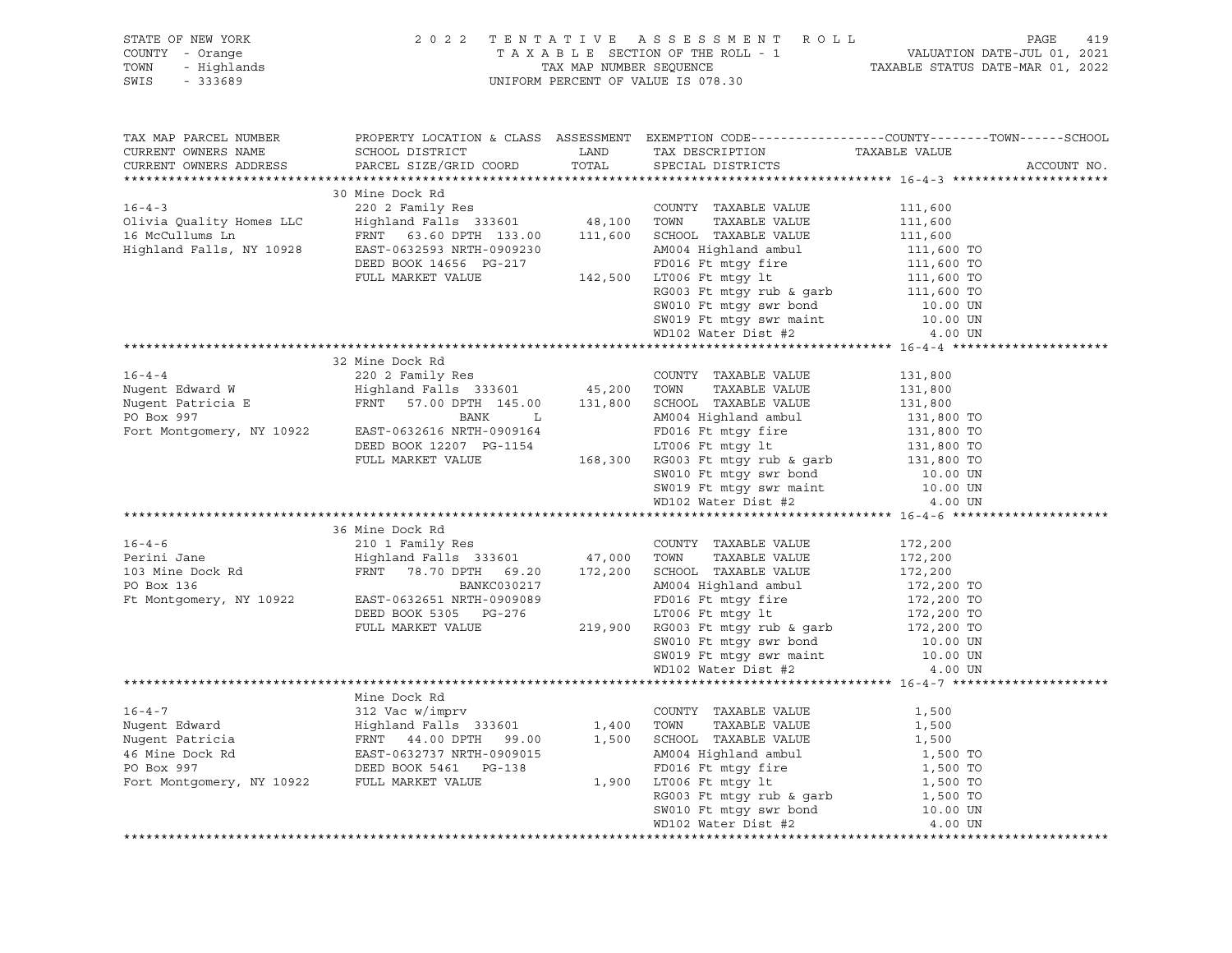| STATE OF NEW YORK                                                                                                                                                                                                                            |                                                                                                                                                                                                                                                                                                                                                                                                                                           |  |  |             |  |  |
|----------------------------------------------------------------------------------------------------------------------------------------------------------------------------------------------------------------------------------------------|-------------------------------------------------------------------------------------------------------------------------------------------------------------------------------------------------------------------------------------------------------------------------------------------------------------------------------------------------------------------------------------------------------------------------------------------|--|--|-------------|--|--|
| COUNTY - Orange                                                                                                                                                                                                                              |                                                                                                                                                                                                                                                                                                                                                                                                                                           |  |  |             |  |  |
| TOWN                                                                                                                                                                                                                                         |                                                                                                                                                                                                                                                                                                                                                                                                                                           |  |  |             |  |  |
| 913 OF NEW YORK PAGE 2022 TENTATIVE ASSESSMENT ROLL PAGE 419<br>2022 TENTATIVE ASSESSMENT ROLL - 1 VALUATION DATE-JUL 01, 2021<br>FAXABLE SECTION OF THE ROLL - 1 VALUATION DATE-MUL 01, 2021 PAXABLE STATUS DATE-MAR 01, 2022 PAXAB<br>SWIS |                                                                                                                                                                                                                                                                                                                                                                                                                                           |  |  |             |  |  |
|                                                                                                                                                                                                                                              |                                                                                                                                                                                                                                                                                                                                                                                                                                           |  |  |             |  |  |
|                                                                                                                                                                                                                                              | TAX MAP PARCEL NUMBER PROPERTY LOCATION & CLASS ASSESSMENT EXEMPTION CODE---------------COUNTY-------TOWN------SCHOOL                                                                                                                                                                                                                                                                                                                     |  |  |             |  |  |
| CURRENT OWNERS NAME                                                                                                                                                                                                                          |                                                                                                                                                                                                                                                                                                                                                                                                                                           |  |  |             |  |  |
| CURRENT OWNERS ADDRESS                                                                                                                                                                                                                       |                                                                                                                                                                                                                                                                                                                                                                                                                                           |  |  | ACCOUNT NO. |  |  |
|                                                                                                                                                                                                                                              | $\begin{tabular}{lcccc} \texttt{\textbf{111,600}} & \texttt{\textbf{122,2022} & \texttt{\textbf{133,00}} & \texttt{\textbf{144,100} & \texttt{\textbf{15,00}} & \texttt{\textbf{15,00}} & \texttt{\textbf{15,00}} & \texttt{\textbf{15,00}} & \texttt{\textbf{15,00}} & \texttt{\textbf{15,00}} & \texttt{\textbf{15,00}} & \texttt{\textbf{15,00}} & \texttt{\textbf{15,00}} & \texttt{\textbf{15,00}} & \texttt{\textbf{$               |  |  |             |  |  |
|                                                                                                                                                                                                                                              |                                                                                                                                                                                                                                                                                                                                                                                                                                           |  |  |             |  |  |
|                                                                                                                                                                                                                                              |                                                                                                                                                                                                                                                                                                                                                                                                                                           |  |  |             |  |  |
|                                                                                                                                                                                                                                              |                                                                                                                                                                                                                                                                                                                                                                                                                                           |  |  |             |  |  |
|                                                                                                                                                                                                                                              |                                                                                                                                                                                                                                                                                                                                                                                                                                           |  |  |             |  |  |
|                                                                                                                                                                                                                                              |                                                                                                                                                                                                                                                                                                                                                                                                                                           |  |  |             |  |  |
|                                                                                                                                                                                                                                              |                                                                                                                                                                                                                                                                                                                                                                                                                                           |  |  |             |  |  |
|                                                                                                                                                                                                                                              |                                                                                                                                                                                                                                                                                                                                                                                                                                           |  |  |             |  |  |
|                                                                                                                                                                                                                                              |                                                                                                                                                                                                                                                                                                                                                                                                                                           |  |  |             |  |  |
|                                                                                                                                                                                                                                              |                                                                                                                                                                                                                                                                                                                                                                                                                                           |  |  |             |  |  |
|                                                                                                                                                                                                                                              |                                                                                                                                                                                                                                                                                                                                                                                                                                           |  |  |             |  |  |
|                                                                                                                                                                                                                                              |                                                                                                                                                                                                                                                                                                                                                                                                                                           |  |  |             |  |  |
|                                                                                                                                                                                                                                              |                                                                                                                                                                                                                                                                                                                                                                                                                                           |  |  |             |  |  |
|                                                                                                                                                                                                                                              | 32 Mine Dock Rd                                                                                                                                                                                                                                                                                                                                                                                                                           |  |  |             |  |  |
|                                                                                                                                                                                                                                              |                                                                                                                                                                                                                                                                                                                                                                                                                                           |  |  |             |  |  |
|                                                                                                                                                                                                                                              |                                                                                                                                                                                                                                                                                                                                                                                                                                           |  |  |             |  |  |
|                                                                                                                                                                                                                                              |                                                                                                                                                                                                                                                                                                                                                                                                                                           |  |  |             |  |  |
|                                                                                                                                                                                                                                              |                                                                                                                                                                                                                                                                                                                                                                                                                                           |  |  |             |  |  |
|                                                                                                                                                                                                                                              |                                                                                                                                                                                                                                                                                                                                                                                                                                           |  |  |             |  |  |
|                                                                                                                                                                                                                                              |                                                                                                                                                                                                                                                                                                                                                                                                                                           |  |  |             |  |  |
|                                                                                                                                                                                                                                              |                                                                                                                                                                                                                                                                                                                                                                                                                                           |  |  |             |  |  |
|                                                                                                                                                                                                                                              |                                                                                                                                                                                                                                                                                                                                                                                                                                           |  |  |             |  |  |
|                                                                                                                                                                                                                                              |                                                                                                                                                                                                                                                                                                                                                                                                                                           |  |  |             |  |  |
|                                                                                                                                                                                                                                              |                                                                                                                                                                                                                                                                                                                                                                                                                                           |  |  |             |  |  |
|                                                                                                                                                                                                                                              |                                                                                                                                                                                                                                                                                                                                                                                                                                           |  |  |             |  |  |
|                                                                                                                                                                                                                                              |                                                                                                                                                                                                                                                                                                                                                                                                                                           |  |  |             |  |  |
|                                                                                                                                                                                                                                              |                                                                                                                                                                                                                                                                                                                                                                                                                                           |  |  |             |  |  |
|                                                                                                                                                                                                                                              |                                                                                                                                                                                                                                                                                                                                                                                                                                           |  |  |             |  |  |
|                                                                                                                                                                                                                                              |                                                                                                                                                                                                                                                                                                                                                                                                                                           |  |  |             |  |  |
|                                                                                                                                                                                                                                              |                                                                                                                                                                                                                                                                                                                                                                                                                                           |  |  |             |  |  |
|                                                                                                                                                                                                                                              |                                                                                                                                                                                                                                                                                                                                                                                                                                           |  |  |             |  |  |
|                                                                                                                                                                                                                                              |                                                                                                                                                                                                                                                                                                                                                                                                                                           |  |  |             |  |  |
|                                                                                                                                                                                                                                              |                                                                                                                                                                                                                                                                                                                                                                                                                                           |  |  |             |  |  |
|                                                                                                                                                                                                                                              |                                                                                                                                                                                                                                                                                                                                                                                                                                           |  |  |             |  |  |
|                                                                                                                                                                                                                                              |                                                                                                                                                                                                                                                                                                                                                                                                                                           |  |  |             |  |  |
|                                                                                                                                                                                                                                              |                                                                                                                                                                                                                                                                                                                                                                                                                                           |  |  |             |  |  |
|                                                                                                                                                                                                                                              |                                                                                                                                                                                                                                                                                                                                                                                                                                           |  |  |             |  |  |
|                                                                                                                                                                                                                                              |                                                                                                                                                                                                                                                                                                                                                                                                                                           |  |  |             |  |  |
|                                                                                                                                                                                                                                              |                                                                                                                                                                                                                                                                                                                                                                                                                                           |  |  |             |  |  |
|                                                                                                                                                                                                                                              |                                                                                                                                                                                                                                                                                                                                                                                                                                           |  |  |             |  |  |
|                                                                                                                                                                                                                                              |                                                                                                                                                                                                                                                                                                                                                                                                                                           |  |  |             |  |  |
|                                                                                                                                                                                                                                              |                                                                                                                                                                                                                                                                                                                                                                                                                                           |  |  |             |  |  |
|                                                                                                                                                                                                                                              |                                                                                                                                                                                                                                                                                                                                                                                                                                           |  |  |             |  |  |
|                                                                                                                                                                                                                                              |                                                                                                                                                                                                                                                                                                                                                                                                                                           |  |  |             |  |  |
|                                                                                                                                                                                                                                              |                                                                                                                                                                                                                                                                                                                                                                                                                                           |  |  |             |  |  |
|                                                                                                                                                                                                                                              |                                                                                                                                                                                                                                                                                                                                                                                                                                           |  |  |             |  |  |
|                                                                                                                                                                                                                                              |                                                                                                                                                                                                                                                                                                                                                                                                                                           |  |  |             |  |  |
|                                                                                                                                                                                                                                              | $\begin{tabular}{lcccc}{{\bf \footnotesize{4.6.92}\text{Nugent Edward}}} & {\text{Mine Dock Rd} & {\text{Mighland Falls 333601}} & 1,400 & {\text{TOMNT Y AXABLE VALUE} & 1,500\\ \text{Nugent Edward} & {\text{Highland Falls 333601}} & 1,400 & {\text{TOMN}} & {\text{TAXABLE VALUE} & 1,500\\ \text{Wugent Particia} & {\text{FRNT 44.00 DPTN}} & 2,500 & {\text{CUMY YAXABLE VALUE} & 1,500\\ \text{46 Mine Dock Rd} & {\text{FRNT $ |  |  |             |  |  |
|                                                                                                                                                                                                                                              |                                                                                                                                                                                                                                                                                                                                                                                                                                           |  |  |             |  |  |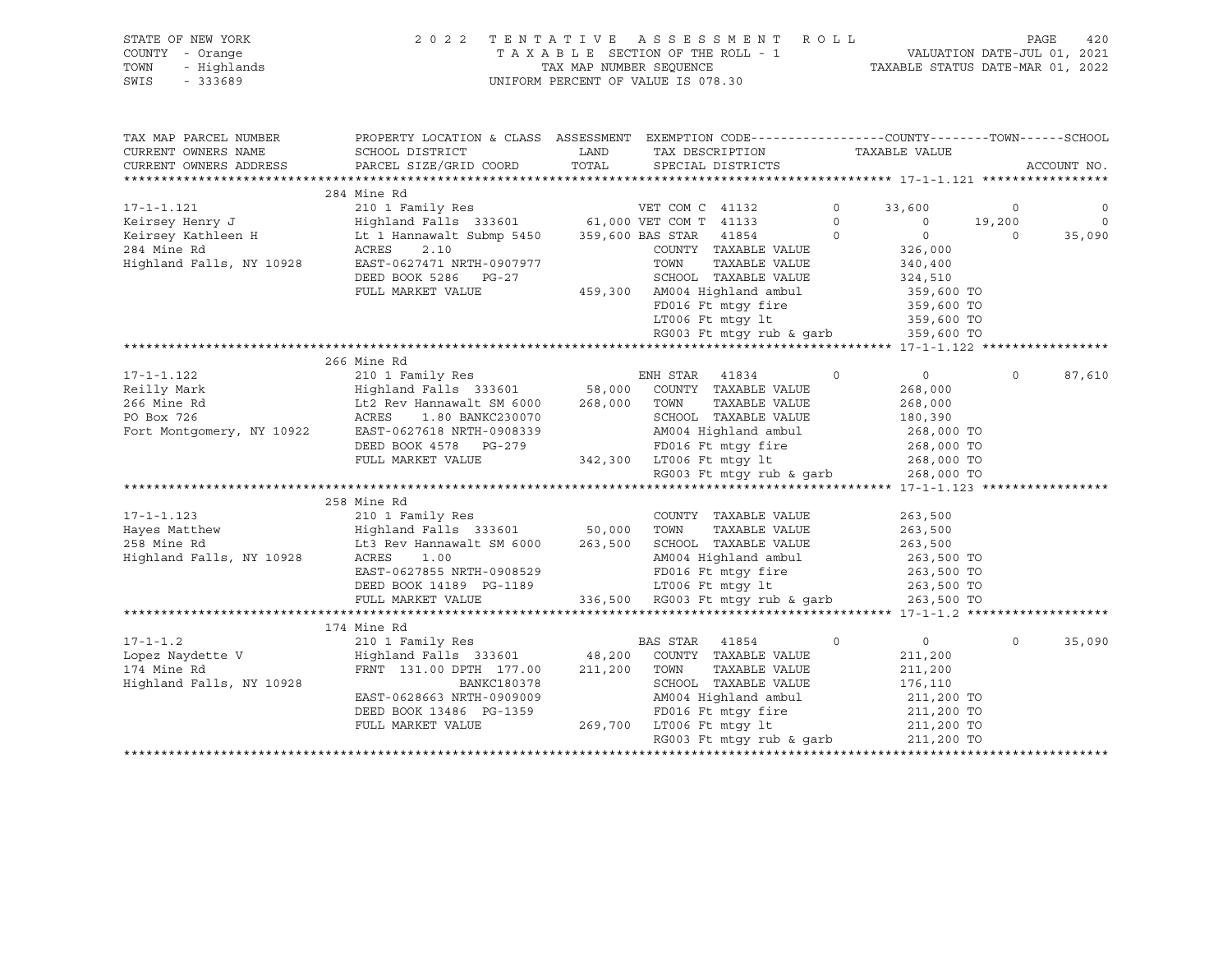STATE OF NEW YORK 2 0 2 2 T E N T A T I V E A S S E S S M E N T R O L L PAGE 420 SWIS - 333689 UNIFORM PERCENT OF VALUE IS 078.30

## COUNTY - Orange T A X A B L E SECTION OF THE ROLL - 1 VALUATION DATE-JUL 01, 2021 TOWN - Highlands TAX MAP NUMBER SEQUENCE TAXABLE STATUS DATE-MAR 01, 2022

| TAX MAP PARCEL NUMBER           | PROPERTY LOCATION & CLASS ASSESSMENT EXEMPTION CODE---------------COUNTY-------TOWN-----SCHOOL                                                                                                                                       |      |                                                                                                                                                            |         |                |                |             |
|---------------------------------|--------------------------------------------------------------------------------------------------------------------------------------------------------------------------------------------------------------------------------------|------|------------------------------------------------------------------------------------------------------------------------------------------------------------|---------|----------------|----------------|-------------|
| CURRENT OWNERS NAME             | SCHOOL DISTRICT                                                                                                                                                                                                                      | LAND | TAX DESCRIPTION                                                                                                                                            |         | TAXABLE VALUE  |                |             |
| CURRENT OWNERS ADDRESS          | PARCEL SIZE/GRID COORD TOTAL SPECIAL DISTRICTS                                                                                                                                                                                       |      |                                                                                                                                                            |         |                |                | ACCOUNT NO. |
|                                 |                                                                                                                                                                                                                                      |      |                                                                                                                                                            |         |                |                |             |
|                                 | 284 Mine Rd                                                                                                                                                                                                                          |      |                                                                                                                                                            |         |                |                |             |
| $17 - 1 - 1.121$                | 210 1 Family Res<br>Highland Falls 333601 61,000 VET COM T 41133 0<br>Lt 1 Hannawalt Submp 5450 359,600 BAS STAR 41854 0                                                                                                             |      |                                                                                                                                                            |         | 33,600         | $\circ$        | 0           |
| Keirsey Henry J                 |                                                                                                                                                                                                                                      |      |                                                                                                                                                            |         | $\overline{0}$ | 19,200         | $\circ$     |
| Keirsey Kathleen H              |                                                                                                                                                                                                                                      |      |                                                                                                                                                            |         | $\overline{0}$ | $\overline{0}$ | 35,090      |
| 284 Mine Rd                     | ACRES<br>2.10                                                                                                                                                                                                                        |      | COUNTY TAXABLE VALUE                                                                                                                                       |         | 326,000        |                |             |
| Highland Falls, NY 10928        | EAST-0627471 NRTH-0907977                                                                                                                                                                                                            |      | TAXABLE VALUE<br>TOWN                                                                                                                                      |         | 340,400        |                |             |
|                                 | DEED BOOK 5286 PG-27                                                                                                                                                                                                                 |      | SCHOOL TAXABLE VALUE                                                                                                                                       |         | 324,510        |                |             |
|                                 | FULL MARKET VALUE                                                                                                                                                                                                                    |      | 459,300 AM004 Highland ambul 359,600 TO<br>FD016 Ft mtgy fire 359,600 TO                                                                                   |         |                |                |             |
|                                 |                                                                                                                                                                                                                                      |      | FD016 Ft mtgy fire 359,600 TO<br>LT006 Ft mtgy lt 359,600 TO                                                                                               |         |                |                |             |
|                                 |                                                                                                                                                                                                                                      |      |                                                                                                                                                            |         |                |                |             |
|                                 |                                                                                                                                                                                                                                      |      | RG003 Ft mtgy rub & garb 359,600 TO                                                                                                                        |         |                |                |             |
|                                 |                                                                                                                                                                                                                                      |      |                                                                                                                                                            |         |                |                |             |
|                                 | 266 Mine Rd                                                                                                                                                                                                                          |      |                                                                                                                                                            |         |                |                |             |
| 17-1-1.122                      |                                                                                                                                                                                                                                      |      |                                                                                                                                                            | $\circ$ | $\overline{0}$ | $\Omega$       | 87,610      |
| Reilly Mark                     | ENR SIAR<br>Highland Falls 333601 58,000 COUNTY<br>Lt2 Rev Hannawalt SM 6000 268,000 TOWN                                                                                                                                            |      |                                                                                                                                                            |         | 268,000        |                |             |
| 266 Mine Rd                     |                                                                                                                                                                                                                                      |      | TAXABLE VALUE                                                                                                                                              |         | 268,000        |                |             |
| $ \sqrt{3}$ 10922<br>PO Box 726 | ACRES<br>1.80 BANKC230070                                                                                                                                                                                                            |      | SCHOOL TAXABLE VALUE                                                                                                                                       |         | 180,390        |                |             |
| Fort Montgomery, NY 10922       | EAST-0627618 NRTH-0908339                                                                                                                                                                                                            |      |                                                                                                                                                            |         |                |                |             |
|                                 | DEED BOOK 4578 PG-279                                                                                                                                                                                                                |      |                                                                                                                                                            |         |                |                |             |
|                                 | FULL MARKET VALUE                                                                                                                                                                                                                    |      | 342,300 LT006 Ft mtgy lt 268,000 TO<br>RG003 Ft mtgy rub & garb 268,000 TO                                                                                 |         |                |                |             |
|                                 |                                                                                                                                                                                                                                      |      |                                                                                                                                                            |         |                |                |             |
|                                 |                                                                                                                                                                                                                                      |      |                                                                                                                                                            |         |                |                |             |
|                                 | 258 Mine Rd                                                                                                                                                                                                                          |      |                                                                                                                                                            |         |                |                |             |
|                                 |                                                                                                                                                                                                                                      |      |                                                                                                                                                            |         |                |                |             |
|                                 |                                                                                                                                                                                                                                      |      |                                                                                                                                                            |         |                |                |             |
|                                 | 17-1-1.123 210 1 Family Res COUNTY TAXABLE VALUE<br>Hayes Matthew Highland Falls 333601 50,000 TOWN TAXABLE VALUE 263,500<br>258 Mine Rd Lt3 Rev Hannawalt SM 6000 263,500 SCHOOL TAXABLE VALUE 263,500<br>263,500 Highland Falls, N |      |                                                                                                                                                            |         |                |                |             |
|                                 |                                                                                                                                                                                                                                      |      | AM004 Highland ambul<br>FD016 Ft mtgy fire                                                                                                                 |         | 263,500 TO     |                |             |
|                                 | EAST-0627855 NRTH-0908529                                                                                                                                                                                                            |      |                                                                                                                                                            |         | 263,500 TO     |                |             |
|                                 | DEED BOOK 14189 PG-1189                                                                                                                                                                                                              |      | 1189 $\frac{17006 \text{ Ft mtgy}}{336,500 \text{ R} \cdot 003 \text{ Ft mtgy} \cdot 0.263,500 \text{ T0}}$<br>336,500 RG003 Ft mtgy rub & garb 263,500 TO |         |                |                |             |
|                                 | FULL MARKET VALUE                                                                                                                                                                                                                    |      |                                                                                                                                                            |         |                |                |             |
|                                 |                                                                                                                                                                                                                                      |      |                                                                                                                                                            |         |                |                |             |
|                                 | 174 Mine Rd                                                                                                                                                                                                                          |      |                                                                                                                                                            |         |                |                |             |
| $17 - 1 - 1.2$                  | 210 1 Family Res                                                                                                                                                                                                                     |      | BAS STAR 41854                                                                                                                                             | $\circ$ | $\overline{0}$ | $\Omega$       | 35,090      |
| Lopez Naydette V                | Highland Falls 333601 48,200 COUNTY TAXABLE VALUE                                                                                                                                                                                    |      |                                                                                                                                                            |         | 211,200        |                |             |
| 174 Mine Rd                     | FRNT 131.00 DPTH 177.00 211,200 TOWN                                                                                                                                                                                                 |      | TAXABLE VALUE                                                                                                                                              |         | 211,200        |                |             |
| Highland Falls, NY 10928        | BANKC180378                                                                                                                                                                                                                          |      | SCHOOL TAXABLE VALUE                                                                                                                                       |         | 176,110        |                |             |
|                                 | EAST-0628663 NRTH-0909009                                                                                                                                                                                                            |      | AM004 Highland ambul 211,200 TO                                                                                                                            |         |                |                |             |
|                                 | DEED BOOK 13486 PG-1359                                                                                                                                                                                                              |      | FD016 Ft mtgy fire 211,200 TO<br>1006 Ft mtgy 1t 211,200 TO                                                                                                |         |                |                |             |
|                                 | FULL MARKET VALUE                                                                                                                                                                                                                    |      |                                                                                                                                                            |         |                |                |             |
|                                 |                                                                                                                                                                                                                                      |      | RG003 Ft mtgy rub & garb                                                                                                                                   |         | 211,200 TO     |                |             |
|                                 |                                                                                                                                                                                                                                      |      |                                                                                                                                                            |         |                |                |             |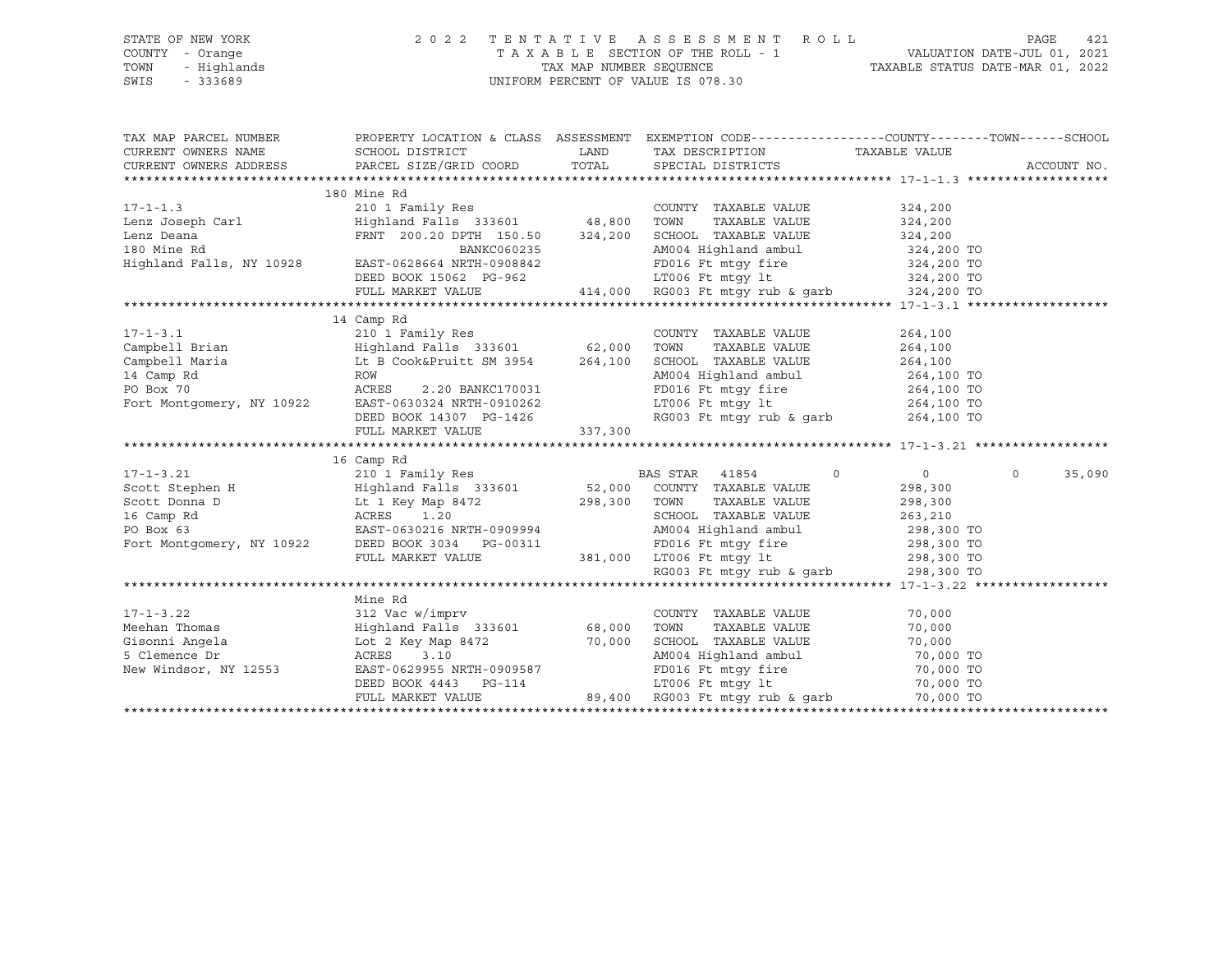| STATE OF NEW YORK                             | 2 0 2 2                                                                                                                                                                                                                                              |      |                                                                |            |                    |
|-----------------------------------------------|------------------------------------------------------------------------------------------------------------------------------------------------------------------------------------------------------------------------------------------------------|------|----------------------------------------------------------------|------------|--------------------|
| COUNTY - Orange                               |                                                                                                                                                                                                                                                      |      |                                                                |            |                    |
| TOWN                                          |                                                                                                                                                                                                                                                      |      |                                                                |            |                    |
| 7 - Orange<br>- Highlands<br>- 333689<br>SWIS | TENTATIVE ASSESSMENT ROLL PAGE 421<br>TAXABLE SECTION OF THE ROLL - 1 VALUATION DATE-JUL 01, 2021<br>TAX MAP NUMBER SEQUENCE TAXABLE STATUS DATE-MAR 01, 2022<br>UNIFORM PERCENT OF VALUE IS 078.30                                                  |      |                                                                |            |                    |
|                                               |                                                                                                                                                                                                                                                      |      |                                                                |            |                    |
|                                               |                                                                                                                                                                                                                                                      |      |                                                                |            |                    |
|                                               |                                                                                                                                                                                                                                                      |      |                                                                |            |                    |
|                                               | TAX MAP PARCEL NUMBER PROPERTY LOCATION & CLASS ASSESSMENT EXEMPTION CODE---------------COUNTY--------TOWN------SCHOOL                                                                                                                               |      |                                                                |            |                    |
| CURRENT OWNERS NAME                           | SCHOOL DISTRICT                                                                                                                                                                                                                                      | LAND |                                                                |            |                    |
| CURRENT OWNERS ADDRESS                        | PARCEL SIZE/GRID COORD TOTAL SPECIAL DISTRICTS                                                                                                                                                                                                       |      | TAX DESCRIPTION TAXABLE VALUE<br>TAX DESCRIPTION TAXABLE VALUE |            | ACCOUNT NO.        |
|                                               |                                                                                                                                                                                                                                                      |      |                                                                |            |                    |
|                                               | 180 Mine Rd                                                                                                                                                                                                                                          |      |                                                                |            |                    |
|                                               |                                                                                                                                                                                                                                                      |      |                                                                |            |                    |
|                                               |                                                                                                                                                                                                                                                      |      |                                                                |            |                    |
|                                               |                                                                                                                                                                                                                                                      |      |                                                                |            |                    |
|                                               |                                                                                                                                                                                                                                                      |      |                                                                |            |                    |
|                                               |                                                                                                                                                                                                                                                      |      |                                                                |            |                    |
|                                               |                                                                                                                                                                                                                                                      |      |                                                                |            |                    |
|                                               |                                                                                                                                                                                                                                                      |      |                                                                |            |                    |
|                                               |                                                                                                                                                                                                                                                      |      |                                                                |            |                    |
|                                               |                                                                                                                                                                                                                                                      |      |                                                                |            |                    |
|                                               | 14 Camp Rd                                                                                                                                                                                                                                           |      |                                                                |            |                    |
|                                               | 17-1-3.1 210 1 Family Res<br>Campbell Brian Highland Falls 333601 62,000 TOWN TAXABLE VALUE<br>Campbell Maria Lt B Cook&Pruitt SM 3954 264,100 SCHOOL TAXABLE VALUE 264,100<br>14 Camp Rd ROW AM004 Highland ambul 264,100 TO<br>PO Bo               |      |                                                                |            |                    |
|                                               |                                                                                                                                                                                                                                                      |      |                                                                |            |                    |
|                                               |                                                                                                                                                                                                                                                      |      |                                                                |            |                    |
|                                               |                                                                                                                                                                                                                                                      |      |                                                                |            |                    |
|                                               |                                                                                                                                                                                                                                                      |      |                                                                |            |                    |
|                                               |                                                                                                                                                                                                                                                      |      |                                                                |            |                    |
|                                               |                                                                                                                                                                                                                                                      |      | RG003 Ft mtgy rub & garb                                       | 264,100 TO |                    |
|                                               | DEED BOOK 14307 PG-1426<br>FULL MARKET VALUE 337,300                                                                                                                                                                                                 |      |                                                                |            |                    |
|                                               |                                                                                                                                                                                                                                                      |      |                                                                |            |                    |
|                                               | 16 Camp Rd                                                                                                                                                                                                                                           |      |                                                                |            |                    |
|                                               | 17-1-3.21 16 Camp Rd<br>Scott Stephen H 298,300<br>Scott Donna D Lt 1 Key Map 8472 298,300<br>I6 Camp Rd<br>I6 Camp Rd<br>Lt 1 Key Map 8472 298,300<br>I6 Camp Rd<br>Lt 1 Key Map 8472 298,300<br>I6 Camp Rd<br>ACRES 1.20<br>PO Box 63<br>EAST-0630 |      |                                                                |            | $\Omega$<br>35,090 |
|                                               |                                                                                                                                                                                                                                                      |      |                                                                |            |                    |
|                                               |                                                                                                                                                                                                                                                      |      |                                                                |            |                    |
|                                               |                                                                                                                                                                                                                                                      |      |                                                                |            |                    |
|                                               |                                                                                                                                                                                                                                                      |      |                                                                |            |                    |
|                                               |                                                                                                                                                                                                                                                      |      |                                                                |            |                    |
|                                               |                                                                                                                                                                                                                                                      |      |                                                                |            |                    |
|                                               |                                                                                                                                                                                                                                                      |      |                                                                |            |                    |
|                                               |                                                                                                                                                                                                                                                      |      | RG003 Ft mtgy rub & garb $298,300$ TO                          |            |                    |
|                                               |                                                                                                                                                                                                                                                      |      |                                                                |            |                    |
|                                               | Mine Rd                                                                                                                                                                                                                                              |      |                                                                |            |                    |
|                                               |                                                                                                                                                                                                                                                      |      |                                                                |            |                    |
|                                               |                                                                                                                                                                                                                                                      |      |                                                                |            |                    |
|                                               |                                                                                                                                                                                                                                                      |      |                                                                |            |                    |
|                                               |                                                                                                                                                                                                                                                      |      |                                                                |            |                    |
|                                               |                                                                                                                                                                                                                                                      |      |                                                                |            |                    |
|                                               |                                                                                                                                                                                                                                                      |      |                                                                |            |                    |
|                                               |                                                                                                                                                                                                                                                      |      |                                                                |            |                    |
|                                               |                                                                                                                                                                                                                                                      |      |                                                                |            |                    |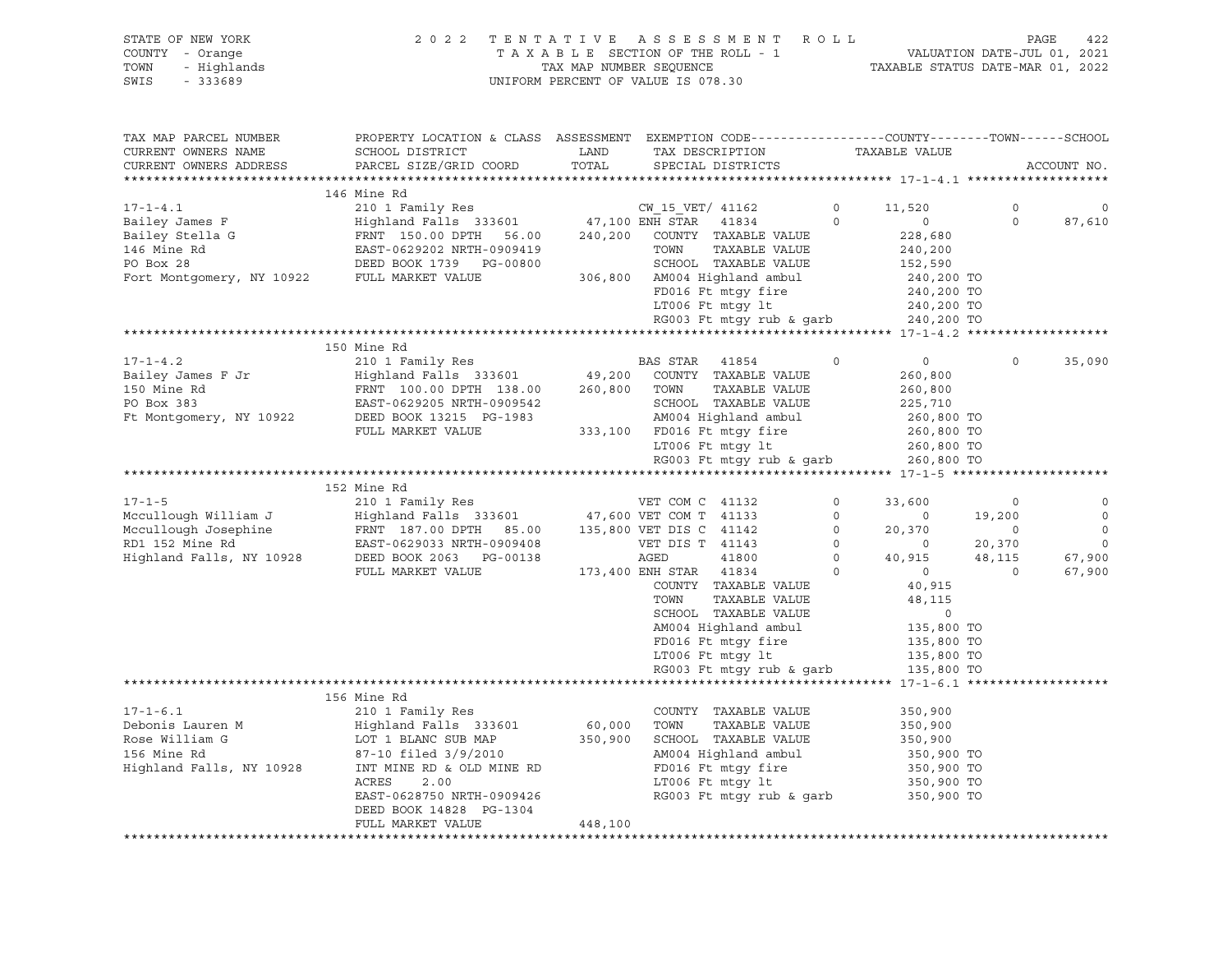| STATE OF NEW YORK<br>COUNTY - Orange<br>- Highlands<br>TOWN<br>SWIS<br>$-333689$ | 2 0 2 2                                                                                                                                      | TENTATIVE<br>TAX MAP NUMBER SEQUENCE | A S S E S S M E N T<br>TAXABLE SECTION OF THE ROLL - 1<br>UNIFORM PERCENT OF VALUE IS 078.30        | ROLL           | VALUATION DATE-JUL 01, 2021<br>TAXABLE STATUS DATE-MAR 01, 2022 |                          | PAGE<br>422 |
|----------------------------------------------------------------------------------|----------------------------------------------------------------------------------------------------------------------------------------------|--------------------------------------|-----------------------------------------------------------------------------------------------------|----------------|-----------------------------------------------------------------|--------------------------|-------------|
| TAX MAP PARCEL NUMBER<br>CURRENT OWNERS NAME<br>CURRENT OWNERS ADDRESS           | PROPERTY LOCATION & CLASS ASSESSMENT EXEMPTION CODE---------------COUNTY-------TOWN------SCHOOL<br>SCHOOL DISTRICT<br>PARCEL SIZE/GRID COORD | LAND<br>TOTAL                        | TAX DESCRIPTION<br>SPECIAL DISTRICTS                                                                |                | TAXABLE VALUE                                                   |                          | ACCOUNT NO. |
|                                                                                  |                                                                                                                                              |                                      |                                                                                                     |                |                                                                 |                          |             |
|                                                                                  | 146 Mine Rd                                                                                                                                  |                                      |                                                                                                     |                |                                                                 |                          |             |
| 17-1-4.1<br>Bailey James F<br>Bailey Stella G<br>And Committee Rd                | 210 1 Family Res                                                                                                                             |                                      | CW 15 VET/ 41162                                                                                    | $\overline{0}$ | 11,520                                                          | $\circ$                  | $\mathbf 0$ |
|                                                                                  | Highland Falls 333601                                                                                                                        |                                      | 47,100 ENH STAR 41834                                                                               | $\circ$        | $\circ$                                                         | $\mathsf{O}$             | 87,610      |
|                                                                                  | FRNT 150.00 DPTH 56.00<br>EAST-0629202 NRTH-0909419                                                                                          | 240,200                              | COUNTY TAXABLE VALUE<br>TOWN<br>TAXABLE VALUE                                                       |                | 228,680                                                         |                          |             |
|                                                                                  | DEED BOOK 1739 PG-00800                                                                                                                      |                                      | SCHOOL TAXABLE VALUE                                                                                |                | 240,200<br>152,590                                              |                          |             |
| Fort Montgomery, NY 10922 FULL MARKET VALUE                                      |                                                                                                                                              |                                      | 306,800 AM004 Highland ambul                                                                        |                | 240,200 TO                                                      |                          |             |
|                                                                                  |                                                                                                                                              |                                      | FD016 Ft mtgy fire                                                                                  |                | 240,200 TO                                                      |                          |             |
|                                                                                  |                                                                                                                                              |                                      | LT006 Ft mtgy lt                                                                                    |                | 240,200 TO                                                      |                          |             |
|                                                                                  |                                                                                                                                              |                                      | RG003 Ft mtgy rub & garb                                                                            |                | 240,200 TO                                                      |                          |             |
|                                                                                  |                                                                                                                                              |                                      |                                                                                                     |                |                                                                 |                          |             |
|                                                                                  | 150 Mine Rd                                                                                                                                  |                                      |                                                                                                     |                |                                                                 |                          |             |
| $17 - 1 - 4.2$                                                                   | 210 1 Family Res                                                                                                                             |                                      | BAS STAR 41854                                                                                      | $\circ$        | $\overline{0}$                                                  | $\Omega$                 | 35,090      |
| Bailey James F Jr                                                                | Highland Falls 333601 49,200 COUNTY TAXABLE VALUE                                                                                            |                                      |                                                                                                     |                | 260,800                                                         |                          |             |
| 150 Mine Rd                                                                      | FRNT 100.00 DPTH 138.00                                                                                                                      |                                      | 260,800 TOWN<br>TAXABLE VALUE                                                                       |                | 260,800                                                         |                          |             |
| PO Box 383                                                                       | EAST-0629205 NRTH-0909542                                                                                                                    |                                      | SCHOOL TAXABLE VALUE                                                                                |                | 225,710                                                         |                          |             |
| Ft Montgomery, NY 10922                                                          | DEED BOOK 13215 PG-1983                                                                                                                      |                                      | AM004 Highland ambul                                                                                |                | 260,800 TO                                                      |                          |             |
|                                                                                  | FULL MARKET VALUE                                                                                                                            |                                      | 333,100 FD016 Ft mtqy fire<br>LT006 Ft mtqy lt                                                      |                | 260,800 TO<br>260,800 TO                                        |                          |             |
|                                                                                  |                                                                                                                                              |                                      | RG003 Ft mtgy rub & garb                                                                            |                | 260,800 TO                                                      |                          |             |
|                                                                                  |                                                                                                                                              |                                      |                                                                                                     |                |                                                                 |                          |             |
|                                                                                  | 152 Mine Rd                                                                                                                                  |                                      |                                                                                                     |                |                                                                 |                          |             |
| $17 - 1 - 5$                                                                     | 210 1 Family Res                                                                                                                             |                                      | VET COM C 41132                                                                                     | $\circ$        | 33,600                                                          | $\mathbf 0$              | $\circ$     |
| Mccullough William J                                                             | Highland Falls 333601 47,600 VET COM T 41133                                                                                                 |                                      |                                                                                                     | $\overline{0}$ | $\overline{0}$                                                  | 19,200                   | $\mathbb O$ |
| Mccullough Josephine                                                             | FRNT 187.00 DPTH 85.00 135,800 VET DIS C 41142                                                                                               |                                      |                                                                                                     | $\circ$        | 20,370                                                          | $\overline{\phantom{0}}$ | $\mathbf 0$ |
| RD1 152 Mine Rd                                                                  | EAST-0629033 NRTH-0909408                                                                                                                    |                                      | VET DIS T 41143                                                                                     | $\overline{0}$ | $\overline{0}$                                                  | 20,370                   | $\mathbf 0$ |
| Highland Falls, NY 10928                                                         | DEED BOOK 2063 PG-00138                                                                                                                      |                                      | AGED<br>41800                                                                                       | $\overline{0}$ | 40,915                                                          | 48,115                   | 67,900      |
|                                                                                  | FULL MARKET VALUE                                                                                                                            |                                      | 173,400 ENH STAR 41834                                                                              | $\circ$        | $\overline{0}$                                                  | $\mathbf 0$              | 67,900      |
|                                                                                  |                                                                                                                                              |                                      | COUNTY TAXABLE VALUE                                                                                |                | 40,915                                                          |                          |             |
|                                                                                  |                                                                                                                                              |                                      | TOWN<br>TAXABLE VALUE                                                                               |                | 48,115<br>$\mathbf 0$                                           |                          |             |
|                                                                                  |                                                                                                                                              |                                      | SCHOOL TAXABLE VALUE<br>AM004 Highland ambul                                                        |                |                                                                 |                          |             |
|                                                                                  |                                                                                                                                              |                                      |                                                                                                     |                | 135,800 TO                                                      |                          |             |
|                                                                                  |                                                                                                                                              |                                      | FD016 Ft mtgy fire 135,800 TO<br>LT006 Ft mtgy lt 135,800 TO<br>RG003 Ft mtgy rub & garb 135,800 TO |                |                                                                 |                          |             |
|                                                                                  |                                                                                                                                              |                                      |                                                                                                     |                |                                                                 |                          |             |
|                                                                                  |                                                                                                                                              |                                      |                                                                                                     |                |                                                                 |                          |             |
|                                                                                  | 156 Mine Rd                                                                                                                                  |                                      |                                                                                                     |                |                                                                 |                          |             |
| $17 - 1 - 6.1$                                                                   | 210 1 Family Res                                                                                                                             |                                      | COUNTY TAXABLE VALUE                                                                                |                | 350,900                                                         |                          |             |
| Debonis Lauren M                                                                 | Highland Falls 333601                                                                                                                        | 60,000                               | TOWN<br>TAXABLE VALUE                                                                               |                | 350,900                                                         |                          |             |
| Rose William G                                                                   | LOT 1 BLANC SUB MAP                                                                                                                          |                                      | 350,900 SCHOOL TAXABLE VALUE                                                                        |                | 350,900                                                         |                          |             |
| 156 Mine Rd                                                                      | 87-10 filed 3/9/2010                                                                                                                         |                                      | AM004 Highland ambul                                                                                |                | 350,900 TO                                                      |                          |             |
| Highland Falls, NY 10928                                                         | INT MINE RD & OLD MINE RD                                                                                                                    |                                      | FD016 Ft mtgy fire                                                                                  |                | 350,900 TO                                                      |                          |             |
|                                                                                  | ACRES<br>2.00                                                                                                                                |                                      | LT006 Ft mtgy lt                                                                                    |                | 350,900 TO                                                      |                          |             |
|                                                                                  | EAST-0628750 NRTH-0909426                                                                                                                    |                                      | RG003 Ft mtgy rub & garb                                                                            |                | 350,900 TO                                                      |                          |             |
|                                                                                  | DEED BOOK 14828 PG-1304                                                                                                                      |                                      |                                                                                                     |                |                                                                 |                          |             |
|                                                                                  | FULL MARKET VALUE                                                                                                                            | 448,100                              |                                                                                                     |                |                                                                 |                          |             |

\*\*\*\*\*\*\*\*\*\*\*\*\*\*\*\*\*\*\*\*\*\*\*\*\*\*\*\*\*\*\*\*\*\*\*\*\*\*\*\*\*\*\*\*\*\*\*\*\*\*\*\*\*\*\*\*\*\*\*\*\*\*\*\*\*\*\*\*\*\*\*\*\*\*\*\*\*\*\*\*\*\*\*\*\*\*\*\*\*\*\*\*\*\*\*\*\*\*\*\*\*\*\*\*\*\*\*\*\*\*\*\*\*\*\*\*\*\*\*\*\*\*\*\*\*\*\*\*\*\*\*\*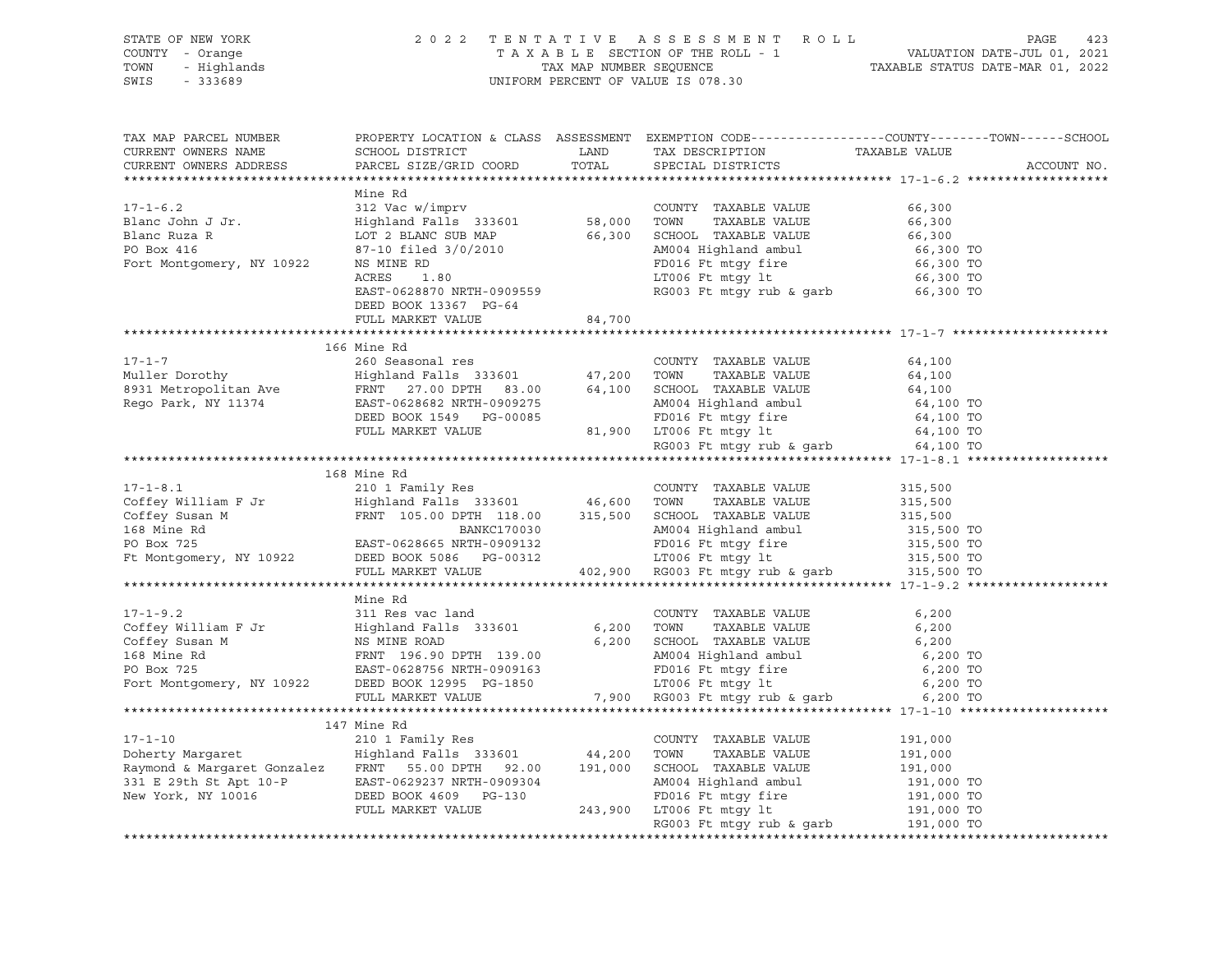| STATE OF NEW YORK<br>OF NEW YORK<br>Y - Orange<br>- Highlands<br>222689<br>COUNTY - Orange<br>TOWN<br>SWIS                                                                                                                                                                                                                                                                                                                  |                           |       | 2022 TENTATIVE ASSESSMENT ROLL                                                                                                                                                                                                 | PAGE<br>423                                                                                     |
|-----------------------------------------------------------------------------------------------------------------------------------------------------------------------------------------------------------------------------------------------------------------------------------------------------------------------------------------------------------------------------------------------------------------------------|---------------------------|-------|--------------------------------------------------------------------------------------------------------------------------------------------------------------------------------------------------------------------------------|-------------------------------------------------------------------------------------------------|
| TAX MAP PARCEL NUMBER                                                                                                                                                                                                                                                                                                                                                                                                       |                           |       |                                                                                                                                                                                                                                | PROPERTY LOCATION & CLASS ASSESSMENT EXEMPTION CODE----------------COUNTY-------TOWN-----SCHOOL |
| CURRENT OWNERS NAME                                                                                                                                                                                                                                                                                                                                                                                                         | SCHOOL DISTRICT           | LAND  | TAX DESCRIPTION                                                                                                                                                                                                                | TAXABLE VALUE                                                                                   |
| CURRENT OWNERS ADDRESS                                                                                                                                                                                                                                                                                                                                                                                                      | PARCEL SIZE/GRID COORD    | TOTAL | SPECIAL DISTRICTS                                                                                                                                                                                                              | ACCOUNT NO.                                                                                     |
|                                                                                                                                                                                                                                                                                                                                                                                                                             |                           |       |                                                                                                                                                                                                                                |                                                                                                 |
| $17 - 1 - 6.2$                                                                                                                                                                                                                                                                                                                                                                                                              | Mine Rd                   |       |                                                                                                                                                                                                                                |                                                                                                 |
|                                                                                                                                                                                                                                                                                                                                                                                                                             |                           |       |                                                                                                                                                                                                                                |                                                                                                 |
|                                                                                                                                                                                                                                                                                                                                                                                                                             |                           |       |                                                                                                                                                                                                                                |                                                                                                 |
|                                                                                                                                                                                                                                                                                                                                                                                                                             |                           |       |                                                                                                                                                                                                                                |                                                                                                 |
|                                                                                                                                                                                                                                                                                                                                                                                                                             |                           |       |                                                                                                                                                                                                                                |                                                                                                 |
|                                                                                                                                                                                                                                                                                                                                                                                                                             |                           |       |                                                                                                                                                                                                                                |                                                                                                 |
| $\begin{tabular}{lllllllllllllllllll} \multicolumn{3}{l}{{\small 17-1-6.2}} & & & & & & & & & \\ & & & & & & & & & & & \\ \multicolumn{3}{l}{{\small 17-1-6.2}} & & & & & & & & \\ \multicolumn{3}{l}{{\small 12 Vac W/1001V}} & & & & & & & \\ \multicolumn{3}{l}{{\small 18 333601}} & & & & & & & & \\ \multicolumn{3}{l}{{\small 18 333601}} & & & & & & & & \\ \multicolumn{3}{l}{{\small 18 333601}} & & & & & & & &$ | EAST-0628870 NRTH-0909559 |       |                                                                                                                                                                                                                                |                                                                                                 |
|                                                                                                                                                                                                                                                                                                                                                                                                                             | DEED BOOK 13367 PG-64     |       |                                                                                                                                                                                                                                |                                                                                                 |
|                                                                                                                                                                                                                                                                                                                                                                                                                             | FULL MARKET VALUE 84,700  |       |                                                                                                                                                                                                                                |                                                                                                 |
|                                                                                                                                                                                                                                                                                                                                                                                                                             |                           |       |                                                                                                                                                                                                                                |                                                                                                 |
|                                                                                                                                                                                                                                                                                                                                                                                                                             | 166 Mine Rd               |       |                                                                                                                                                                                                                                |                                                                                                 |
|                                                                                                                                                                                                                                                                                                                                                                                                                             |                           |       |                                                                                                                                                                                                                                |                                                                                                 |
|                                                                                                                                                                                                                                                                                                                                                                                                                             |                           |       |                                                                                                                                                                                                                                |                                                                                                 |
|                                                                                                                                                                                                                                                                                                                                                                                                                             |                           |       |                                                                                                                                                                                                                                |                                                                                                 |
| 17-1-7<br>Muller Dorothy<br>Muller Dorothy<br>Muller Dorothy<br>Muller Dorothy<br>Muller Dorothy<br>Muller Dorothy<br>Muller Dorothy<br>Muller Dorothy<br>Muller Dorothy<br>Muller Dorothy<br>Muller Book 15415<br>Muller Maxaming COUNTY TAXABLE VALU                                                                                                                                                                      |                           |       |                                                                                                                                                                                                                                |                                                                                                 |
|                                                                                                                                                                                                                                                                                                                                                                                                                             |                           |       |                                                                                                                                                                                                                                |                                                                                                 |
|                                                                                                                                                                                                                                                                                                                                                                                                                             |                           |       |                                                                                                                                                                                                                                |                                                                                                 |
|                                                                                                                                                                                                                                                                                                                                                                                                                             |                           |       | RG003 Ft mtgy rub & garb $64,100$ TO                                                                                                                                                                                           |                                                                                                 |
|                                                                                                                                                                                                                                                                                                                                                                                                                             |                           |       |                                                                                                                                                                                                                                |                                                                                                 |
| 210 1 Family Res<br>CoUNTY TAXABLE VALUE<br>Coffey William F Jr Highland Falls 333601 46,600 TOWN TAXABLE VALUE<br>Coffey Susan M FRNT 105.00 DPTH 118.00 315,500 SCHOOL TAXABLE VALUE<br>168 Mine Rd BANKC170030 AM004 Highland ambul                                                                                                                                                                                      |                           |       |                                                                                                                                                                                                                                |                                                                                                 |
|                                                                                                                                                                                                                                                                                                                                                                                                                             |                           |       |                                                                                                                                                                                                                                | 315,500                                                                                         |
|                                                                                                                                                                                                                                                                                                                                                                                                                             |                           |       |                                                                                                                                                                                                                                | 315,500<br>315,500                                                                              |
|                                                                                                                                                                                                                                                                                                                                                                                                                             |                           |       |                                                                                                                                                                                                                                |                                                                                                 |
|                                                                                                                                                                                                                                                                                                                                                                                                                             |                           |       |                                                                                                                                                                                                                                |                                                                                                 |
|                                                                                                                                                                                                                                                                                                                                                                                                                             |                           |       |                                                                                                                                                                                                                                |                                                                                                 |
|                                                                                                                                                                                                                                                                                                                                                                                                                             |                           |       | BANKC170030 AM004 Highland ambul 315,500 TO<br>BAST-0628665 NRTH-0909132 FD016 Ft mtgy fire 315,500 TO<br>DEED BOOK 5086 PG-00312 LT006 Ft mtgy lt 315,500 TO<br>FULL MARKET VALUE 402,900 RG003 Ft mtgy rub & garb 315,500 TO |                                                                                                 |
|                                                                                                                                                                                                                                                                                                                                                                                                                             |                           |       |                                                                                                                                                                                                                                |                                                                                                 |
|                                                                                                                                                                                                                                                                                                                                                                                                                             | Mine Rd                   |       |                                                                                                                                                                                                                                |                                                                                                 |
| $17 - 1 - 9.2$                                                                                                                                                                                                                                                                                                                                                                                                              | 311 Res vac land          |       | COUNTY TAXABLE VALUE                                                                                                                                                                                                           | 6,200                                                                                           |
|                                                                                                                                                                                                                                                                                                                                                                                                                             |                           |       |                                                                                                                                                                                                                                |                                                                                                 |
|                                                                                                                                                                                                                                                                                                                                                                                                                             |                           |       |                                                                                                                                                                                                                                |                                                                                                 |
|                                                                                                                                                                                                                                                                                                                                                                                                                             |                           |       |                                                                                                                                                                                                                                |                                                                                                 |
|                                                                                                                                                                                                                                                                                                                                                                                                                             |                           |       |                                                                                                                                                                                                                                |                                                                                                 |
|                                                                                                                                                                                                                                                                                                                                                                                                                             |                           |       |                                                                                                                                                                                                                                |                                                                                                 |
|                                                                                                                                                                                                                                                                                                                                                                                                                             |                           |       |                                                                                                                                                                                                                                |                                                                                                 |
|                                                                                                                                                                                                                                                                                                                                                                                                                             |                           |       |                                                                                                                                                                                                                                |                                                                                                 |
|                                                                                                                                                                                                                                                                                                                                                                                                                             | 147 Mine Rd               |       |                                                                                                                                                                                                                                |                                                                                                 |
| $17 - 1 - 10$                                                                                                                                                                                                                                                                                                                                                                                                               | 210 1 Family Res          |       | COUNTY TAXABLE VALUE                                                                                                                                                                                                           | 191,000                                                                                         |

Doherty Margaret Highland Falls 333601 44,200 TOWN TAXABLE VALUE 191,000 Raymond & Margaret Gonzalez FRNT 55.00 DPTH 92.00 191,000 SCHOOL TAXABLE VALUE 191,000 331 E 29th St Apt 10-P EAST-0629237 NRTH-0909304 AM004 Highland ambul 191,000 TO New York, NY 10016 DEED BOOK 4609 PG-130 FD016 Ft mtgy fire 191,000 TO FULL MARKET VALUE 243,900 LT006 Ft mtgy lt 191,000 TO RG003 Ft mtgy rub & garb 191,000 TO \*\*\*\*\*\*\*\*\*\*\*\*\*\*\*\*\*\*\*\*\*\*\*\*\*\*\*\*\*\*\*\*\*\*\*\*\*\*\*\*\*\*\*\*\*\*\*\*\*\*\*\*\*\*\*\*\*\*\*\*\*\*\*\*\*\*\*\*\*\*\*\*\*\*\*\*\*\*\*\*\*\*\*\*\*\*\*\*\*\*\*\*\*\*\*\*\*\*\*\*\*\*\*\*\*\*\*\*\*\*\*\*\*\*\*\*\*\*\*\*\*\*\*\*\*\*\*\*\*\*\*\*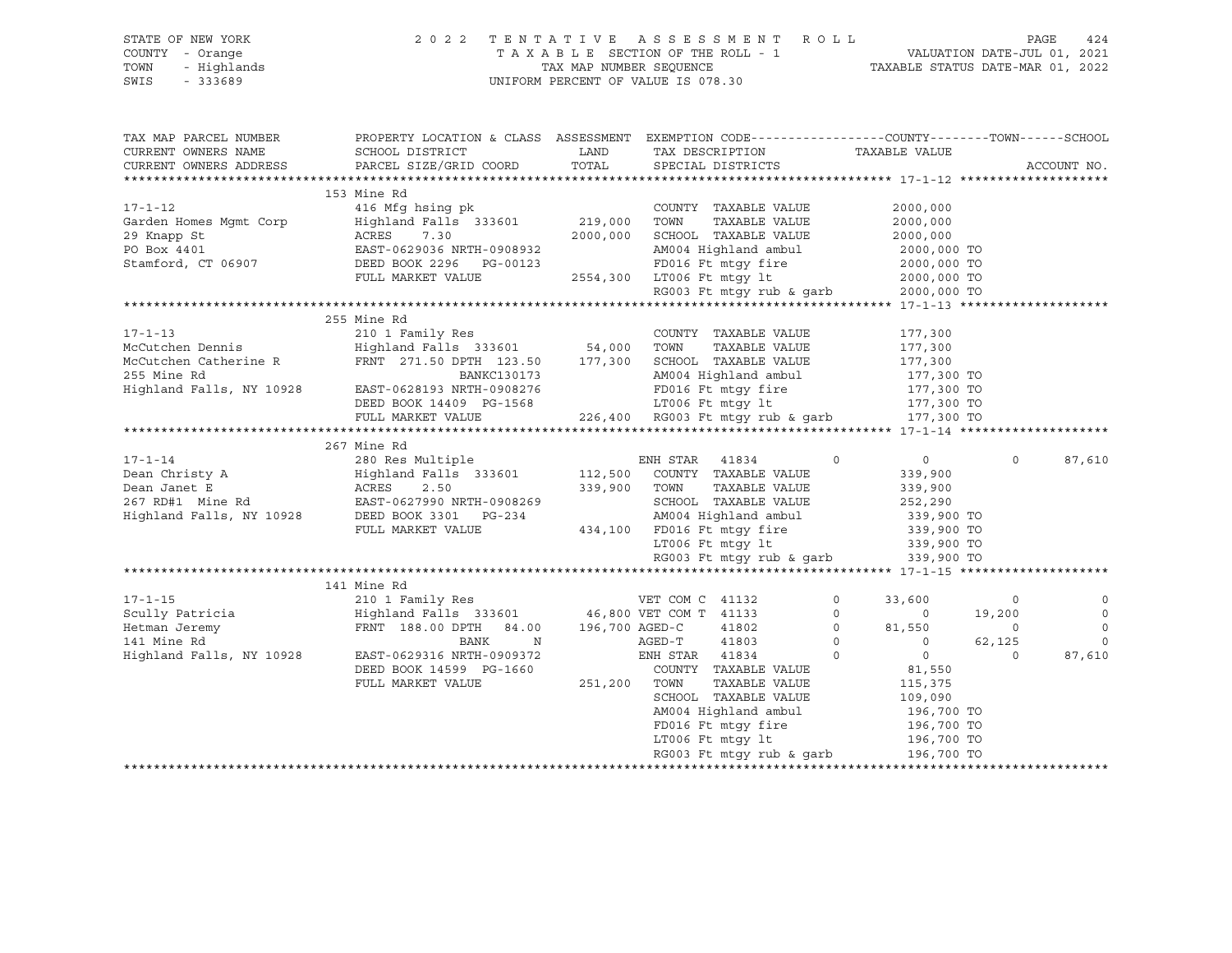| STATE OF NEW YORK<br>OF NEW YORK<br>' - Orange<br>- Highlands<br>- 333689<br>COUNTY - Orange<br>TOWN<br>SWIS                                                                           |                                                                                                                                                                                               |              | 2022 TENTATIVE ASSESSMENT ROLL<br>UNIFORM PERCENT OF VALUE IS 078.30                                                                                                          |                                                                         |                                                                                                               | PAGE<br>424                                                            |
|----------------------------------------------------------------------------------------------------------------------------------------------------------------------------------------|-----------------------------------------------------------------------------------------------------------------------------------------------------------------------------------------------|--------------|-------------------------------------------------------------------------------------------------------------------------------------------------------------------------------|-------------------------------------------------------------------------|---------------------------------------------------------------------------------------------------------------|------------------------------------------------------------------------|
| TAX MAP PARCEL NUMBER<br>CURRENT OWNERS NAME<br>CURRENT OWNERS ADDRESS                                                                                                                 | PROPERTY LOCATION & CLASS ASSESSMENT EXEMPTION CODE---------------COUNTY-------TOWN-----SCHOOL<br>SCHOOL DISTRICT<br>PARCEL SIZE/GRID COORD                                                   | TOTAL        | LAND TAX DESCRIPTION<br>SPECIAL DISTRICTS                                                                                                                                     | TAXABLE VALUE                                                           |                                                                                                               | ACCOUNT NO.                                                            |
| $17 - 1 - 12$<br>Garden Homes Mgmt Corp<br>29 Knapp St<br>PO Box 4401<br>Stamford, CT 06907                                                                                            | 153 Mine Rd<br>416 Mfg hsing pk<br>Highland Falls 333601 219,000<br>ACRES 7.30<br>------<br>EAST-0629036 NRTH-0908932<br>DEED BOOK 2296 PG-00123                                              |              | COUNTY TAXABLE VALUE<br>TAXABLE VALUE<br>TOWN<br>2000,000 SCHOOL TAXABLE VALUE                                                                                                |                                                                         | 2000,000<br>2000,000<br>2000,000                                                                              |                                                                        |
|                                                                                                                                                                                        | FULL MARKET VALUE                                                                                                                                                                             |              | AM004 Highland ambul 2000,000 TO<br>FD016 Ft mtgy fire 2000,000 TO<br>2554,300 LT006 Ft mtgy 1t 2000,000 TO<br>RG003 Ft mtgy rub & garb 2000,000 TO                           |                                                                         |                                                                                                               |                                                                        |
| $17 - 1 - 13$<br>McCutchen Dennis<br>McCutchen Catherine R<br>McCutchen Catherine R<br>FRNT 271.50 DPTH 123.50 177,300 SCHOOL TAXABLE VALUE<br>255 Mine Rd<br>Highland Falls, NY 10928 | 255 Mine Rd<br>210 1 Family Res<br>Highland Falls 333601 54,000 TOWN TAXABLE VALUE<br>BANKC130173<br>EAST-0628193 NRTH-0908276 FD016 Ft mtgy fire<br>DEED BOOK 14409 PG-1568 LT006 Ft mtgy lt |              | COUNTY TAXABLE VALUE<br>AM004 Highland ambul<br>FD016 Ft mtgy fire                                                                                                            |                                                                         | 177,300<br>177,300<br>177,300<br>177,300<br>177,300 TO<br>177,300 TO<br>177,300 TO                            |                                                                        |
|                                                                                                                                                                                        | FULL MARKET VALUE 226,400 RG003 Ft mtgy rub & garb 177,300 TO                                                                                                                                 |              |                                                                                                                                                                               |                                                                         |                                                                                                               |                                                                        |
|                                                                                                                                                                                        | 267 Mine Rd                                                                                                                                                                                   |              | RG003 Ft mtgy rub & garb $339,900$ TO                                                                                                                                         |                                                                         |                                                                                                               | 87,610<br>$\Omega$                                                     |
|                                                                                                                                                                                        | 141 Mine Rd                                                                                                                                                                                   |              |                                                                                                                                                                               |                                                                         |                                                                                                               |                                                                        |
| $17 - 1 - 15$<br>17-1-15<br>Scully Patricia<br>Hetman Jeremy<br>Andrea Britan Richard                                                                                                  | FRNT 188.00 DPTH 84.00 196,700 AGED-C<br>BANK N                                                                                                                                               |              | 41802<br>AGED-T<br>41803                                                                                                                                                      | $\Omega$<br>$\circ$<br>$0 \t 81,550$<br>$\begin{matrix}0&0\end{matrix}$ | 33,600<br>$\overline{0}$<br>19,200<br>$\overline{0}$<br>62,125                                                | $\mathbf 0$<br>$\circ$<br>$\mathbf 0$<br>$\mathbf 0$<br>$\overline{0}$ |
| Highland Falls, NY 10928                                                                                                                                                               | EAST-0629316 NRTH-0909372<br>DEED BOOK 14599 PG-1660<br>FULL MARKET VALUE                                                                                                                     | 251,200 TOWN | ENH STAR 41834<br>COUNTY TAXABLE VALUE<br>TAXABLE VALUE<br>SCHOOL TAXABLE VALUE<br>AM004 Highland ambul<br>FD016 Ft mtgy fire<br>LT006 Ft mtgy lt<br>RG003 Ft mtqy rub & qarb | $\circ$                                                                 | $0$<br>81,550<br>$\overline{0}$<br>115,375<br>109,090<br>196,700 TO<br>196,700 TO<br>196,700 TO<br>196,700 TO | 87,610                                                                 |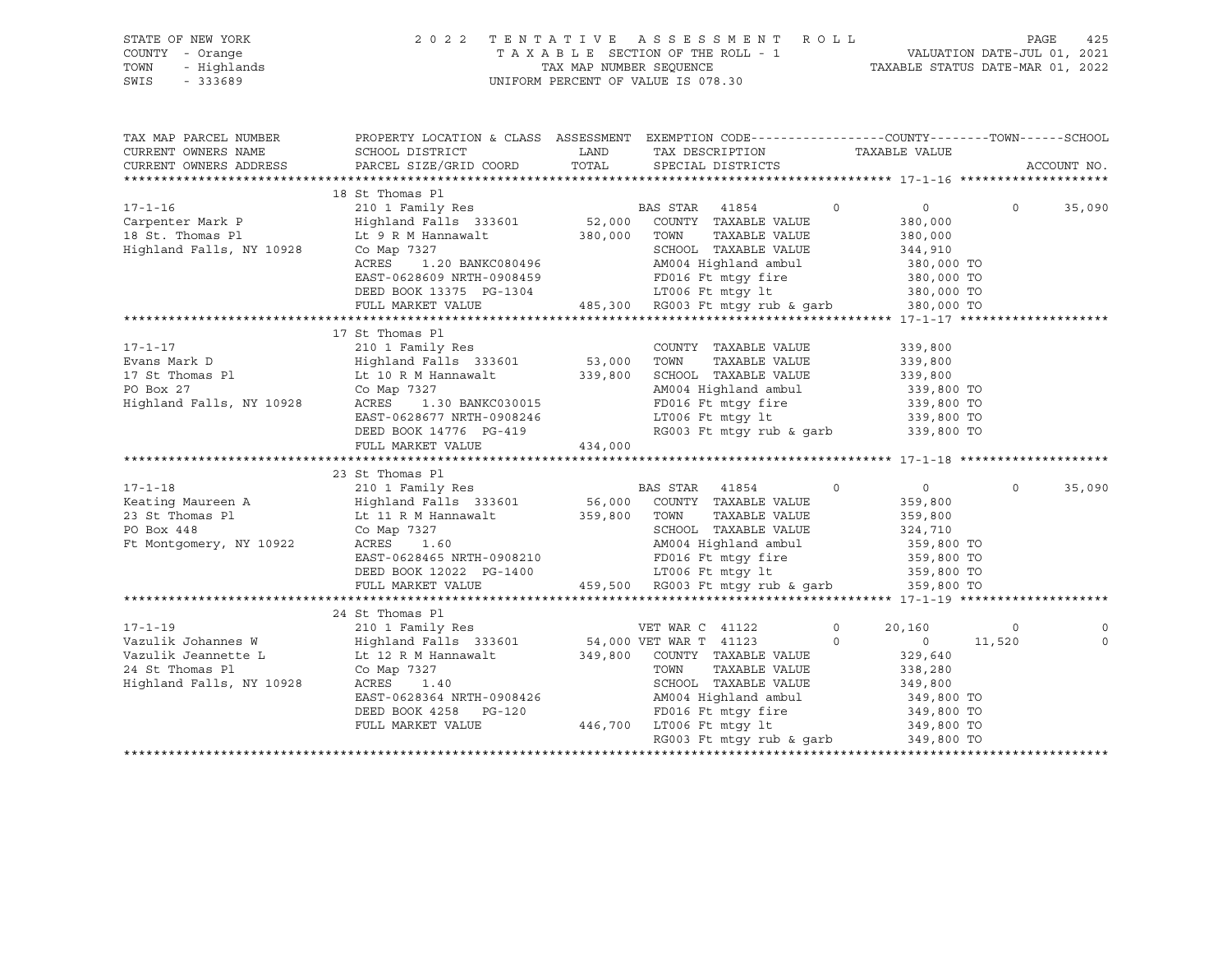| STATE OF NEW YORK<br>COUNTY - Orange<br>- Highlands<br>TOWN<br>SWIS<br>$-333689$                                                                                                      | 2 0 2 2                                                                                                                                                                                                                                                                                                                                                                                                                 | TAX MAP NUMBER SEQUENCE | TENTATIVE ASSESSMENT ROLL<br>TAXABLE SECTION OF THE ROLL - 1<br>UNIFORM PERCENT OF VALUE IS 078.30                                                                                                                                                                                                       |               | vALUATION DATE-JUL 01, 2021 7AXABLE STATUS DATE-MAR 01, 2022                                                                                                                       | PAGE           | 425         |
|---------------------------------------------------------------------------------------------------------------------------------------------------------------------------------------|-------------------------------------------------------------------------------------------------------------------------------------------------------------------------------------------------------------------------------------------------------------------------------------------------------------------------------------------------------------------------------------------------------------------------|-------------------------|----------------------------------------------------------------------------------------------------------------------------------------------------------------------------------------------------------------------------------------------------------------------------------------------------------|---------------|------------------------------------------------------------------------------------------------------------------------------------------------------------------------------------|----------------|-------------|
| TAX MAP PARCEL NUMBER<br>CURRENT OWNERS NAME<br>CURRENT OWNERS ADDRESS                                                                                                                | PROPERTY LOCATION & CLASS ASSESSMENT EXEMPTION CODE----------------COUNTY-------TOWN------SCHOOL<br>SCHOOL DISTRICT<br>PARCEL SIZE/GRID COORD                                                                                                                                                                                                                                                                           | LAND<br>TOTAL           | TAX DESCRIPTION<br>SPECIAL DISTRICTS                                                                                                                                                                                                                                                                     |               | TAXABLE VALUE                                                                                                                                                                      |                | ACCOUNT NO. |
|                                                                                                                                                                                       |                                                                                                                                                                                                                                                                                                                                                                                                                         |                         |                                                                                                                                                                                                                                                                                                          |               |                                                                                                                                                                                    |                |             |
| $17 - 1 - 16$<br>Carpenter Mark P<br>18 St. Thomas Pl<br>Highland Falls, NY 10928                                                                                                     | 18 St Thomas Pl<br>210 1 Family Res<br>Highland Falls 333601 52,000<br>Lt 9 R M Hannawalt<br>Co Map 7327<br>Co Map 7327<br>1.20 BANKC080496<br>ACRES<br>EAST-0628609 NRTH-0908459<br>DEED BOOK 13375 PG-1304                                                                                                                                                                                                            | 380,000 TOWN            | BAS STAR 41854<br>COUNTY TAXABLE VALUE<br>TAXABLE VALUE<br>SCHOOL TAXABLE VALUE<br>AM004 Highland ambul<br>FD016 Ft mtgy fire<br>LT006 Ft mtgy lt                                                                                                                                                        | $\circ$       | $\circ$<br>380,000<br>380,000<br>344,910<br>380,000 TO<br>380,000 TO<br>380,000 TO                                                                                                 | $\circ$        | 35,090      |
|                                                                                                                                                                                       | FULL MARKET VALUE                                                                                                                                                                                                                                                                                                                                                                                                       |                         | 485,300 RG003 Ft mtqy rub & qarb                                                                                                                                                                                                                                                                         |               | 380,000 TO                                                                                                                                                                         |                |             |
| 17-1-17<br>Evans Mark D<br>17 St Thomas Pl<br>PO Box 27<br>Highland Falls, NY 10928<br>$17 - 1 - 18$<br>Keating Maureen A<br>23 St Thomas Pl<br>PO Box 448<br>Ft Montgomery, NY 10922 | 17 St Thomas Pl<br>210 1 Family Res<br>Highland Falls 333601<br>Lt 10 R M Hannawalt 339,800 SCHOOL TAXABLE VALUE<br>Co Map 7327<br>ACRES<br>1.30 BANKC030015<br>EAST-0628677 NRTH-0908246<br>DEED BOOK 14776 PG-419<br>FULL MARKET VALUE<br>23 St Thomas Pl<br>210 1 Family Res<br>Highland Falls 333601<br>Lt 11 R M Hannawalt<br>Co Map 7327<br>ACRES<br>1.60<br>EAST-0628465 NRTH-0908210<br>DEED BOOK 12022 PG-1400 | 434,000<br>359,800 TOWN | COUNTY TAXABLE VALUE<br>TAXABLE VALUE<br>AM004 Highland ambul<br>FD016 Ft mtgy fire<br>LT006 Ft mtgy lt<br>RG003 Ft mtgy rub & garb<br><b>BAS STAR</b> 41854<br>56,000 COUNTY TAXABLE VALUE<br>TAXABLE VALUE<br>SCHOOL TAXABLE VALUE<br>AM004 Highland ambul<br>FD016 Ft mtgy fire<br>ITO06 Ft mtgy fire | $\circ$       | 339,800<br>339,800<br>339,800<br>339,800 TO<br>339,800 TO<br>339,800 TO<br>339,800 TO<br>$\overline{0}$<br>359,800<br>359,800<br>324,710<br>359,800 TO<br>359,800 TO<br>359,800 TO | $\overline{0}$ | 35,090      |
|                                                                                                                                                                                       | FULL MARKET VALUE                                                                                                                                                                                                                                                                                                                                                                                                       |                         | 459,500 RG003 Ft mtgy rub & garb                                                                                                                                                                                                                                                                         |               | 359,800 TO                                                                                                                                                                         |                |             |
|                                                                                                                                                                                       |                                                                                                                                                                                                                                                                                                                                                                                                                         |                         |                                                                                                                                                                                                                                                                                                          |               |                                                                                                                                                                                    |                |             |
| $17 - 1 - 19$<br>Vazulik Johannes W<br>Vazulik Jeannette L<br>24 St Thomas Pl<br>Highland Falls, NY 10928                                                                             | 24 St Thomas Pl<br>210 1 Family Res<br>Highland Falls 333601<br>Lt 12 R M Hannawalt<br>Co Map 7327<br>ACRES<br>1.40<br>EAST-0628364 NRTH-0908426<br>DEED BOOK 4258 PG-120<br>FULL MARKET VALUE                                                                                                                                                                                                                          |                         | VET WAR C 41122<br>54,000 VET WAR T 41123<br>349,800 COUNTY TAXABLE VALUE<br>TOWN<br>TAXABLE VALUE<br>SCHOOL TAXABLE VALUE<br>AM004 Highland ambul<br>FD016 Ft mtgy fire<br>446,700 LT006 Ft mtgy lt<br>RG003 Ft mtgy rub & garb                                                                         | 0<br>$\Omega$ | 20,160<br>$\circ$<br>329,640<br>338,280<br>349,800<br>349,800 TO<br>349,800 TO<br>349,800 TO<br>349,800 TO                                                                         | 0<br>11,520    | $\mathbf 0$ |
|                                                                                                                                                                                       |                                                                                                                                                                                                                                                                                                                                                                                                                         |                         |                                                                                                                                                                                                                                                                                                          |               |                                                                                                                                                                                    |                |             |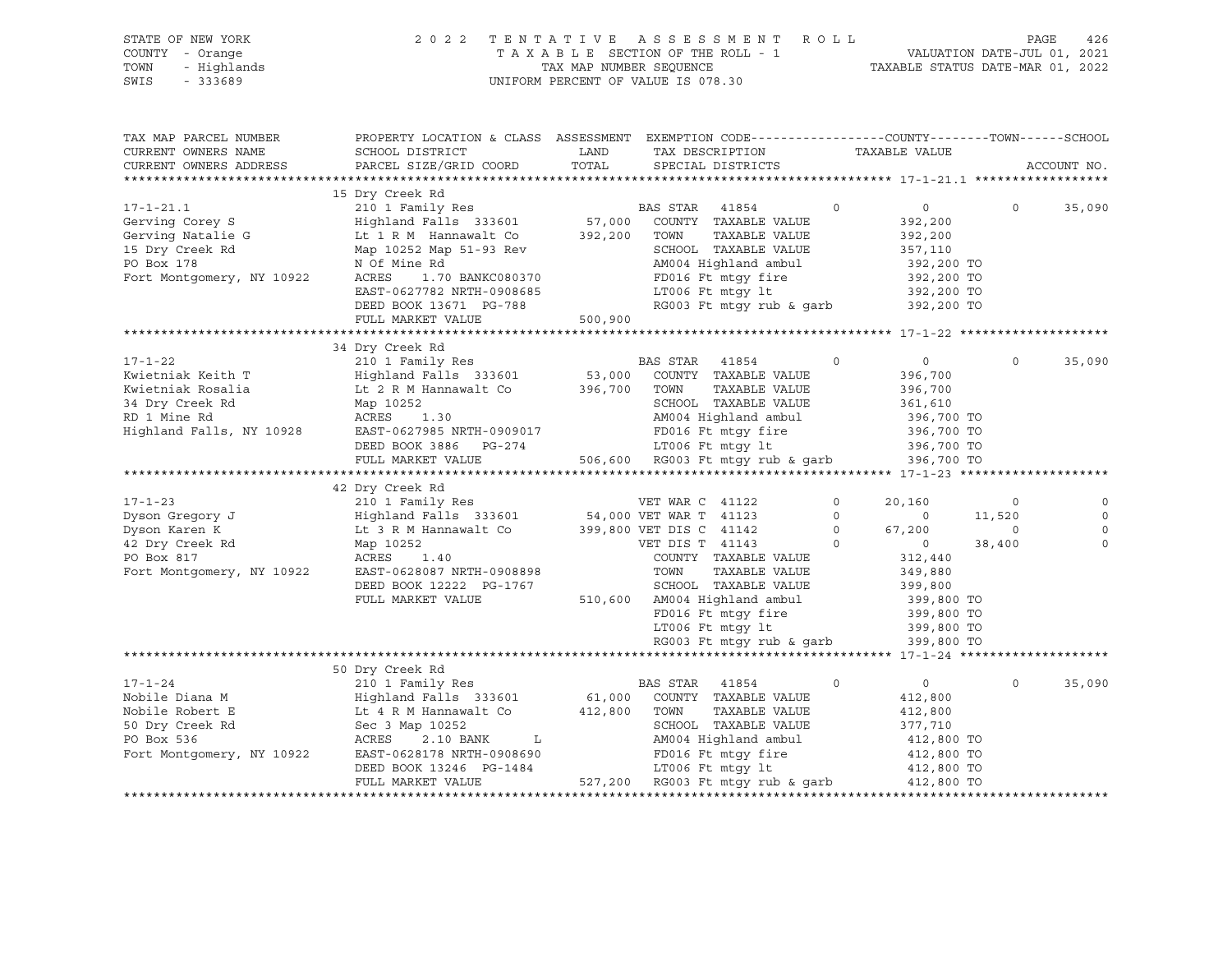| STATE OF NEW YORK   | 2022 TENTATIVE ASSESSMENT ROLL     | - 426<br>PAGE                    |
|---------------------|------------------------------------|----------------------------------|
| COUNTY - Orange     | TAXABLE SECTION OF THE ROLL - 1    | VALUATION DATE-JUL 01, 2021      |
| TOWN<br>- Highlands | TAX MAP NUMBER SEOUENCE            | TAXABLE STATUS DATE-MAR 01, 2022 |
| SWIS<br>- 333689    | UNIFORM PERCENT OF VALUE IS 078.30 |                                  |

| TAX MAP PARCEL NUMBER                                      | PROPERTY LOCATION & CLASS ASSESSMENT EXEMPTION CODE---------------COUNTY-------TOWN------SCHOOL                                                                                                                                |              |                                                                                                                                                               |                |                           |          |             |
|------------------------------------------------------------|--------------------------------------------------------------------------------------------------------------------------------------------------------------------------------------------------------------------------------|--------------|---------------------------------------------------------------------------------------------------------------------------------------------------------------|----------------|---------------------------|----------|-------------|
| CURRENT OWNERS NAME                                        | SCHOOL DISTRICT                                                                                                                                                                                                                | LAND         | TAX DESCRIPTION                                                                                                                                               |                | TAXABLE VALUE             |          |             |
|                                                            |                                                                                                                                                                                                                                |              |                                                                                                                                                               |                |                           |          | ACCOUNT NO. |
|                                                            |                                                                                                                                                                                                                                |              |                                                                                                                                                               |                |                           |          |             |
|                                                            |                                                                                                                                                                                                                                |              |                                                                                                                                                               |                |                           |          |             |
|                                                            |                                                                                                                                                                                                                                |              |                                                                                                                                                               | $\Omega$       | $\overline{0}$            | $\Omega$ | 35,090      |
|                                                            |                                                                                                                                                                                                                                |              |                                                                                                                                                               |                | 392,200                   |          |             |
|                                                            |                                                                                                                                                                                                                                |              | TAXABLE VALUE                                                                                                                                                 |                | 392,200                   |          |             |
|                                                            |                                                                                                                                                                                                                                |              |                                                                                                                                                               |                |                           |          |             |
|                                                            |                                                                                                                                                                                                                                |              | CHOOL TAXABLE VALUE<br>AM004 Highland ambul 392,200 TO<br>FD016 Ft mtgy fire 392,200 TO<br>LT006 Ft mtgy 1t 392,200 TO<br>RG003 Ft mtgy rub & garb 392,200 TO |                |                           |          |             |
|                                                            |                                                                                                                                                                                                                                |              |                                                                                                                                                               |                |                           |          |             |
|                                                            |                                                                                                                                                                                                                                |              |                                                                                                                                                               |                |                           |          |             |
|                                                            | EAST-0627782 NRTH-0908685<br>DEED BOOK 13671 PG-788                                                                                                                                                                            |              | LT006 Ft mtgy lt                                                                                                                                              |                |                           |          |             |
|                                                            |                                                                                                                                                                                                                                |              |                                                                                                                                                               |                |                           |          |             |
|                                                            | FULL MARKET VALUE 500,900                                                                                                                                                                                                      |              |                                                                                                                                                               |                |                           |          |             |
|                                                            |                                                                                                                                                                                                                                |              |                                                                                                                                                               |                |                           |          |             |
|                                                            | 34 Dry Creek Rd                                                                                                                                                                                                                |              |                                                                                                                                                               |                |                           |          |             |
| $17 - 1 - 22$                                              | 210 1 Family Res                                                                                                                                                                                                               |              | BAS STAR 41854                                                                                                                                                | $\circ$        | $\overline{0}$            | $\Omega$ | 35,090      |
| -<br>Kwietniak Keith T                                     |                                                                                                                                                                                                                                |              | COUNTY TAXABLE VALUE                                                                                                                                          |                | 396,700                   |          |             |
| Kwietniak Rosalia                                          | Highland Falls 333601 53,000 COUNTY<br>Lit 2 R M Hannawalt Co 396,700 TOWN                                                                                                                                                     |              | TAXABLE VALUE                                                                                                                                                 |                | 396,700                   |          |             |
|                                                            |                                                                                                                                                                                                                                |              |                                                                                                                                                               |                |                           |          |             |
|                                                            |                                                                                                                                                                                                                                |              |                                                                                                                                                               |                |                           |          |             |
|                                                            | 34 Dry Creek Rd Map 10252<br>RD 1 Mine Rd ACRES 1.30<br>Highland Falls, NY 10928 EAST-0627985 NRTH-0909017 FD016 Ft mtgy fire 396,700 TO                                                                                       |              |                                                                                                                                                               |                |                           |          |             |
|                                                            | DEED BOOK 3886 PG-274 LT006 Ft mtgy 1t 396,700 TO<br>FULL MARKET VALUE 506,600 RG003 Ft mtgy rub & garb 396,700 TO                                                                                                             |              |                                                                                                                                                               |                |                           |          |             |
|                                                            |                                                                                                                                                                                                                                |              |                                                                                                                                                               |                |                           |          |             |
|                                                            |                                                                                                                                                                                                                                |              |                                                                                                                                                               |                |                           |          |             |
|                                                            | 42 Dry Creek Rd                                                                                                                                                                                                                |              |                                                                                                                                                               |                |                           |          |             |
|                                                            |                                                                                                                                                                                                                                |              |                                                                                                                                                               | $\circ$        | 20,160                    | $\circ$  | $\circ$     |
|                                                            |                                                                                                                                                                                                                                |              |                                                                                                                                                               | $\Omega$       | $\overline{0}$            | 11,520   | $\circ$     |
|                                                            |                                                                                                                                                                                                                                |              |                                                                                                                                                               | $\overline{0}$ | 67,200                    | $\circ$  | $\Omega$    |
|                                                            |                                                                                                                                                                                                                                |              |                                                                                                                                                               |                |                           |          | $\mathbf 0$ |
| 42 Dry Creek Rd<br>PO Box 817<br>Fort Montgomery, NY 10922 | Map 10252<br>$\begin{tabular}{ccccc} 2 & & & & & \texttt{VET DIS T} & 41143 \\ 1.40 & & & & & \texttt{COUNTY} & TAXABLE \end{tabular}$                                                                                         |              | $\sim$ 0                                                                                                                                                      |                | $\overline{0}$<br>312,440 | 38,400   |             |
|                                                            | ACRES                                                                                                                                                                                                                          |              | COUNTY TAXABLE VALUE                                                                                                                                          |                |                           |          |             |
|                                                            | EAST-0628087 NRTH-0908898<br>DEED BOOK 12222 PG-1767                                                                                                                                                                           |              | TOWN<br>TAXABLE VALUE                                                                                                                                         |                | 349,880<br>399,800        |          |             |
|                                                            |                                                                                                                                                                                                                                |              | SCHOOL TAXABLE VALUE                                                                                                                                          |                |                           |          |             |
|                                                            | FULL MARKET VALUE                                                                                                                                                                                                              |              |                                                                                                                                                               |                |                           |          |             |
|                                                            |                                                                                                                                                                                                                                |              |                                                                                                                                                               |                |                           |          |             |
|                                                            |                                                                                                                                                                                                                                |              | 5-1/6/<br>510,600 AM004 Highland ambul 399,800 TO<br>FD016 Ft mtgy fire 399,800 TO<br>LT006 Ft mtgy 1t 399,800 TO                                             |                |                           |          |             |
|                                                            |                                                                                                                                                                                                                                |              | RG003 Ft mtqy rub & qarb 399,800 TO                                                                                                                           |                |                           |          |             |
|                                                            |                                                                                                                                                                                                                                |              |                                                                                                                                                               |                |                           |          |             |
|                                                            | 50 Dry Creek Rd                                                                                                                                                                                                                |              |                                                                                                                                                               |                |                           |          |             |
| $17 - 1 - 24$                                              | 210 1 Family Res                                                                                                                                                                                                               |              | BAS STAR 41854                                                                                                                                                | $\Omega$       | $\overline{0}$            | $\Omega$ | 35,090      |
| Nobile Diana M                                             | Highland Falls 333601 61,000 COUNTY TAXABLE VALUE                                                                                                                                                                              |              |                                                                                                                                                               |                | 412,800                   |          |             |
| Nobile Robert E                                            | Highland Falls 333601<br>Lt 4 R M Hannawalt Co                                                                                                                                                                                 | 412,800 TOWN | TAXABLE VALUE                                                                                                                                                 |                | 412,800                   |          |             |
|                                                            |                                                                                                                                                                                                                                |              | SCHOOL TAXABLE VALUE                                                                                                                                          |                | 377,710                   |          |             |
|                                                            |                                                                                                                                                                                                                                |              |                                                                                                                                                               |                |                           |          |             |
|                                                            | Acker and the section of the section of the section of the section of the section of the section of the section of the section of the section of the section of the section of the section of the section of the section of th |              |                                                                                                                                                               |                |                           |          |             |
|                                                            | DEED BOOK 13246 PG-1484                                                                                                                                                                                                        |              |                                                                                                                                                               |                |                           |          |             |
|                                                            | FULL MARKET VALUE                                                                                                                                                                                                              |              | $-1484$<br>$527,200$ RG003 Ft mtgy rub & garb                                                                                                                 |                | 412,800 TO<br>412,800 TO  |          |             |
|                                                            |                                                                                                                                                                                                                                |              |                                                                                                                                                               |                |                           |          |             |
|                                                            |                                                                                                                                                                                                                                |              |                                                                                                                                                               |                |                           |          |             |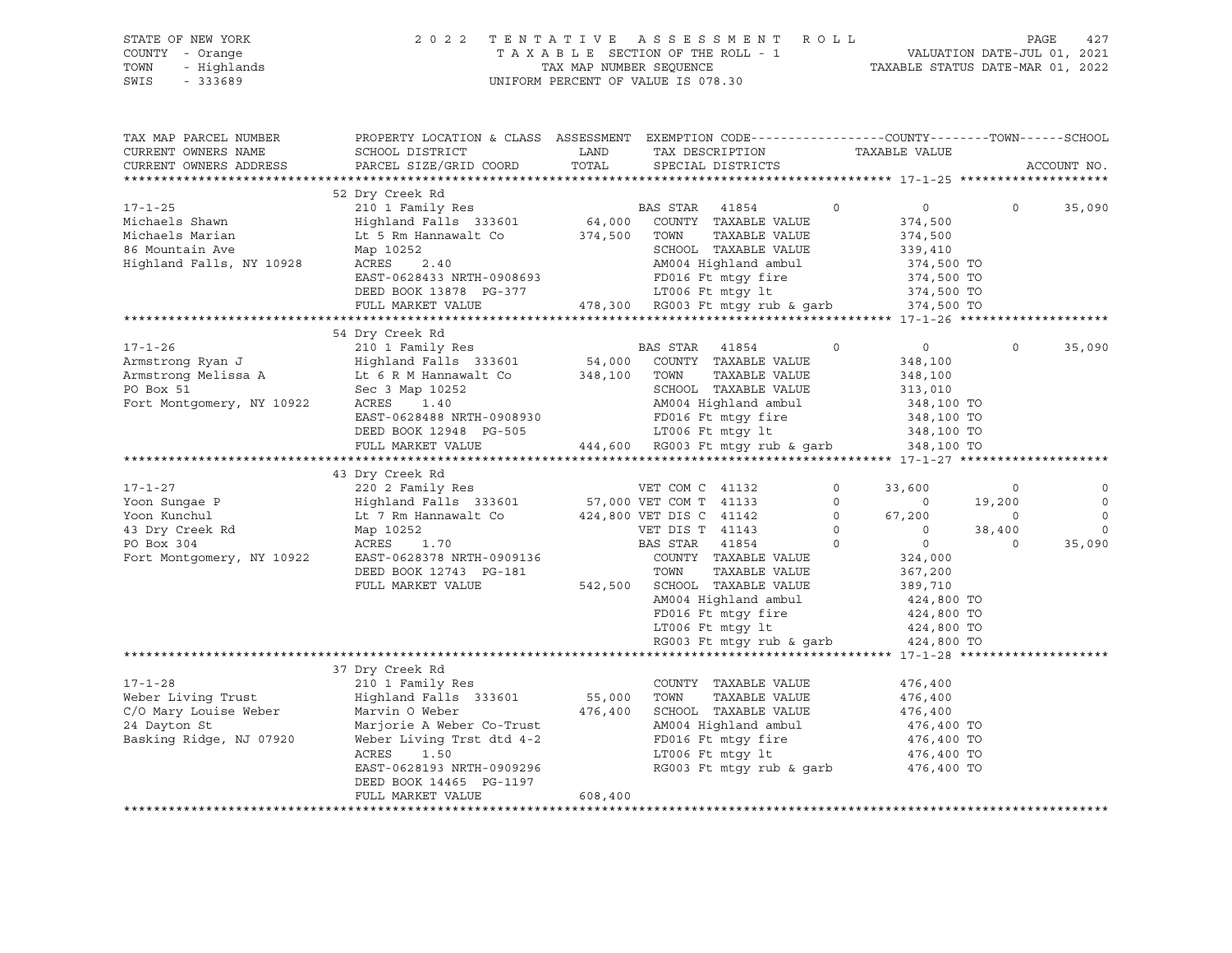| STATE OF NEW YORK<br>COUNTY - Orange     |                                                                                                |              | 2022 TENTATIVE ASSESSMENT ROLL<br>TAXABLE SECTION OF THE ROLL - 1 VALUATION DATE-JUL 01, 2021<br>TAX MAP NUMBER SEQUENCE  TAXABLE STATUS DATE-MAR 01, 2022 |                |                          |          | PAGE<br>427 |
|------------------------------------------|------------------------------------------------------------------------------------------------|--------------|------------------------------------------------------------------------------------------------------------------------------------------------------------|----------------|--------------------------|----------|-------------|
| TOWN<br>- Highlands<br>SWIS<br>$-333689$ |                                                                                                |              | UNIFORM PERCENT OF VALUE IS 078.30                                                                                                                         |                |                          |          |             |
|                                          |                                                                                                |              |                                                                                                                                                            |                |                          |          |             |
| TAX MAP PARCEL NUMBER                    | PROPERTY LOCATION & CLASS ASSESSMENT EXEMPTION CODE---------------COUNTY-------TOWN-----SCHOOL |              |                                                                                                                                                            |                |                          |          |             |
| CURRENT OWNERS NAME                      | SCHOOL DISTRICT                                                                                | LAND         | TAX DESCRIPTION                                                                                                                                            |                | TAXABLE VALUE            |          |             |
| CURRENT OWNERS ADDRESS                   | PARCEL SIZE/GRID COORD                                                                         | TOTAL        | SPECIAL DISTRICTS                                                                                                                                          |                |                          |          | ACCOUNT NO. |
|                                          |                                                                                                |              |                                                                                                                                                            |                |                          |          |             |
|                                          | 52 Dry Creek Rd                                                                                |              |                                                                                                                                                            |                |                          |          |             |
| $17 - 1 - 25$                            | 210 1 Family Res                                                                               |              | BAS STAR 41854                                                                                                                                             | $\overline{0}$ | $\overline{0}$           | $\circ$  | 35,090      |
| Michaels Shawn                           | Highland Falls 333601 64,000 COUNTY TAXABLE VALUE                                              |              |                                                                                                                                                            |                | 374,500                  |          |             |
| Michaels Marian                          | Lt 5 Rm Hannawalt Co                                                                           | 374,500 TOWN | TAXABLE VALUE                                                                                                                                              |                | 374,500                  |          |             |
| 86 Mountain Ave                          | Map 10252                                                                                      |              | SCHOOL TAXABLE VALUE                                                                                                                                       |                | 339,410                  |          |             |
| Highland Falls, NY 10928                 | ACRES<br>2.40                                                                                  |              | AM004 Highland ambul                                                                                                                                       |                | 374,500 TO<br>374,500 TO |          |             |
|                                          | EAST-0628433 NRTH-0908693                                                                      |              | FD016 Ft mtqy fire<br>LT006 Ft $m\bar{y}$ 1t 374,500 TO                                                                                                    |                |                          |          |             |
|                                          | DEED BOOK 13878 PG-377                                                                         |              | 478,300 RG003 Ft mtgy rub & garb 374,500 TO                                                                                                                |                |                          |          |             |
|                                          | FULL MARKET VALUE                                                                              |              |                                                                                                                                                            |                |                          |          |             |
|                                          | 54 Dry Creek Rd                                                                                |              |                                                                                                                                                            |                |                          |          |             |
| $17 - 1 - 26$                            | 210 1 Family Res 6 210 BAS STAR 41854                                                          |              |                                                                                                                                                            | $\Omega$       | $\overline{0}$           | $\Omega$ | 35,090      |
| Armstrong Ryan J                         | Highland Falls 333601 54,000 COUNTY TAXABLE VALUE                                              |              |                                                                                                                                                            |                | 348,100                  |          |             |
| Armstrong Melissa A                      | Lt 6 R M Hannawalt Co 348,100 TOWN                                                             |              | TAXABLE VALUE                                                                                                                                              |                | 348,100                  |          |             |
| PO Box 51                                | Sec 3 Map 10252                                                                                |              | SCHOOL TAXABLE VALUE                                                                                                                                       |                | 313,010                  |          |             |
| Fort Montgomery, NY 10922                | ACRES<br>1.40                                                                                  |              | AM004 Highland ambul                                                                                                                                       |                | 348,100 TO               |          |             |
|                                          | EAST-0628488 NRTH-0908930                                                                      |              |                                                                                                                                                            |                |                          |          |             |
|                                          | DEED BOOK 12948 PG-505                                                                         |              | AMUU4 nights<br>FD016 Ft mtgy fire<br>LT006 Ft mtqy lt                                                                                                     |                | 348,100 TO<br>348,100 TO |          |             |
|                                          | FULL MARKET VALUE                                                                              |              | 444,600 RG003 Ft mtgy rub & garb 348,100 TO                                                                                                                |                |                          |          |             |
|                                          |                                                                                                |              |                                                                                                                                                            |                |                          |          |             |
|                                          | 43 Dry Creek Rd                                                                                |              |                                                                                                                                                            |                |                          |          |             |
| $17 - 1 - 27$                            | 220 2 Family Res<br>Highland Falls 333601 57,000 VET COM T 41133                               |              |                                                                                                                                                            | $\circ$        | 33,600                   | $\circ$  | 0           |
| Yoon Sungae P                            |                                                                                                |              |                                                                                                                                                            | $\Omega$       | $\overline{0}$           | 19,200   | $\Omega$    |
| Yoon Kunchul                             | Lt 7 Rm Hannawalt Co 424,800 VET DIS C 41142                                                   |              |                                                                                                                                                            | $\circ$        | 67,200                   | $\circ$  | $\Omega$    |
| 43 Dry Creek Rd                          | Map 10252<br>$2$<br>1.70                                                                       |              | VET DIS T 41143                                                                                                                                            | $\circ$        | $\circ$                  | 38,400   | $\Omega$    |
| PO Box 304                               | ACRES                                                                                          |              | <b>BAS STAR 41854</b>                                                                                                                                      | $\circ$        | $\overline{0}$           | $\Omega$ | 35,090      |
| Fort Montgomery, NY 10922                | EAST-0628378 NRTH-0909136                                                                      |              | COUNTY TAXABLE VALUE                                                                                                                                       |                | 324,000                  |          |             |
|                                          | DEED BOOK 12743 PG-181                                                                         |              | TOWN<br>TAXABLE VALUE                                                                                                                                      |                | 367,200                  |          |             |
|                                          | FULL MARKET VALUE                                                                              |              | 542,500 SCHOOL TAXABLE VALUE                                                                                                                               |                | 389,710                  |          |             |
|                                          |                                                                                                |              | AM004 Highland ambul                                                                                                                                       |                | 424,800 TO               |          |             |
|                                          |                                                                                                |              | FD016 Ft mtqy fire                                                                                                                                         |                | 424,800 TO               |          |             |
|                                          |                                                                                                |              | $LTOO6$ Ft mtg $y$ lt                                                                                                                                      |                | 424,800 TO               |          |             |
|                                          |                                                                                                |              | RG003 Ft mtgy rub & garb 424,800 TO                                                                                                                        |                |                          |          |             |
|                                          | 37 Dry Creek Rd                                                                                |              |                                                                                                                                                            |                |                          |          |             |

|                         | <i>SI DIY</i> CLEEN NU    |         |                          |            |
|-------------------------|---------------------------|---------|--------------------------|------------|
| $17 - 1 - 28$           | 210 1 Family Res          |         | TAXABLE VALUE<br>COUNTY  | 476,400    |
| Weber Living Trust      | Highland Falls 333601     | 55,000  | TAXABLE VALUE<br>TOWN    | 476,400    |
| C/O Mary Louise Weber   | Marvin O Weber            | 476,400 | SCHOOL TAXABLE VALUE     | 476,400    |
| 24 Dayton St            | Marjorie A Weber Co-Trust |         | AM004 Highland ambul     | 476,400 TO |
| Basking Ridge, NJ 07920 | Weber Living Trst dtd 4-2 |         | FD016 Ft mtqy fire       | 476,400 TO |
|                         | ACRES<br>1.50             |         | LT006 Ft mtqy lt         | 476,400 TO |
|                         | EAST-0628193 NRTH-0909296 |         | RG003 Ft mtqy rub & qarb | 476,400 TO |
|                         | DEED BOOK 14465 PG-1197   |         |                          |            |
|                         | FULL MARKET VALUE         | 608,400 |                          |            |
|                         |                           |         |                          |            |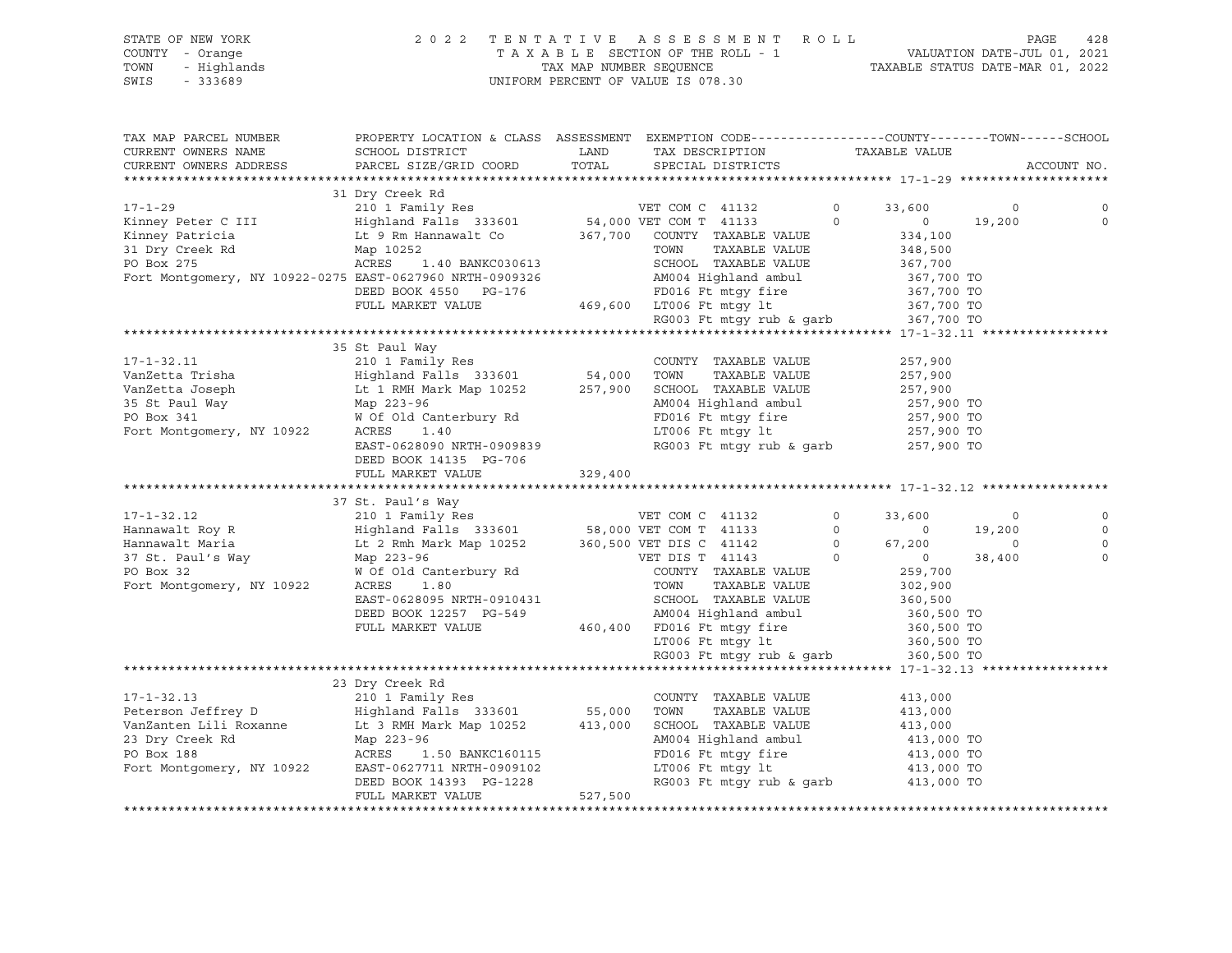|      | STATE OF NEW YORK | 2022 TENTATIVE ASSESSMENT ROLL                                 | PAGE | 428 |
|------|-------------------|----------------------------------------------------------------|------|-----|
|      | COUNTY - Orange   | VALUATION DATE-JUL 01, 2021<br>TAXABLE SECTION OF THE ROLL - 1 |      |     |
| TOWN | - Hiqhlands       | TAXABLE STATUS DATE-MAR 01, 2022<br>TAX MAP NUMBER SEOUENCE    |      |     |
| SWIS | - 333689          | UNIFORM PERCENT OF VALUE IS 078.30                             |      |     |

| TAX MAP PARCEL NUMBER<br>CURRENT OWNERS NAME                                                                                                                                                                                                         | PROPERTY LOCATION & CLASS ASSESSMENT EXEMPTION CODE----------------COUNTY-------TOWN------SCHOOL<br>SCHOOL DISTRICT |         | LAND TAX DESCRIPTION TAXABLE VALUE                                                                                                                                        |                    |             |
|------------------------------------------------------------------------------------------------------------------------------------------------------------------------------------------------------------------------------------------------------|---------------------------------------------------------------------------------------------------------------------|---------|---------------------------------------------------------------------------------------------------------------------------------------------------------------------------|--------------------|-------------|
| CURRENT OWNERS ADDRESS                                                                                                                                                                                                                               | PARCEL SIZE/GRID COORD                                                                                              | TOTAL   | SPECIAL DISTRICTS                                                                                                                                                         |                    | ACCOUNT NO. |
|                                                                                                                                                                                                                                                      |                                                                                                                     |         |                                                                                                                                                                           |                    |             |
|                                                                                                                                                                                                                                                      | 31 Dry Creek Rd                                                                                                     |         |                                                                                                                                                                           |                    |             |
| 17-1-29<br>210 1 Family Res<br>210 1 Family Res<br>210 1 Family Res<br>210 1 Family Res<br>210 1 Family Res<br>210 1 Family Res<br>210 1 Family Res<br>210 201 Family Res<br>210 201 Family Res<br>210 201 Family Res<br>210 201 24,000 VET COM T 41 |                                                                                                                     |         |                                                                                                                                                                           | 33,600 0           | 0           |
|                                                                                                                                                                                                                                                      |                                                                                                                     |         |                                                                                                                                                                           | $0 \t 19,200$      | $\Omega$    |
|                                                                                                                                                                                                                                                      |                                                                                                                     |         |                                                                                                                                                                           | 334,100            |             |
|                                                                                                                                                                                                                                                      |                                                                                                                     |         |                                                                                                                                                                           |                    |             |
| 31 Dry Creek Rd Map 10252<br>PO Box 275 ACRES 1                                                                                                                                                                                                      | 252<br>1.40 BANKC030613<br>605066 Helmi                                                                             |         | TOWN      TAXABLE VALUE<br>SCHOOL   TAXABLE VALUE                                                                                                                         | 348,500<br>367,700 |             |
| Fort Montgomery, NY 10922-0275 EAST-0627960 NRTH-0909326 2M004 Highland ambul 367,700 TO<br>DEED BOOK 4550 PG-176 FD016 Ft mtgy fire 367,700 TO<br>FULL MARKET VALUE 469,600 LT006 Ft mtgy 1t 367,700 TO<br>RG003 Ft mtgy rub & garb 36              |                                                                                                                     |         |                                                                                                                                                                           |                    |             |
|                                                                                                                                                                                                                                                      |                                                                                                                     |         |                                                                                                                                                                           |                    |             |
|                                                                                                                                                                                                                                                      |                                                                                                                     |         |                                                                                                                                                                           |                    |             |
|                                                                                                                                                                                                                                                      |                                                                                                                     |         |                                                                                                                                                                           |                    |             |
|                                                                                                                                                                                                                                                      |                                                                                                                     |         |                                                                                                                                                                           |                    |             |
|                                                                                                                                                                                                                                                      | 35 St Paul Way                                                                                                      |         |                                                                                                                                                                           |                    |             |
|                                                                                                                                                                                                                                                      |                                                                                                                     |         |                                                                                                                                                                           |                    |             |
|                                                                                                                                                                                                                                                      |                                                                                                                     |         |                                                                                                                                                                           |                    |             |
|                                                                                                                                                                                                                                                      |                                                                                                                     |         |                                                                                                                                                                           |                    |             |
|                                                                                                                                                                                                                                                      |                                                                                                                     |         |                                                                                                                                                                           |                    |             |
|                                                                                                                                                                                                                                                      |                                                                                                                     |         |                                                                                                                                                                           |                    |             |
|                                                                                                                                                                                                                                                      |                                                                                                                     |         | AM004 Highland ambul 257,900 TO<br>FD016 Ft mtgy fire 257,900 TO<br>LT006 Ft mtgy 1t 257,900 TO<br>RG003 Ft mtgy rub & garb 257,900 TO                                    |                    |             |
|                                                                                                                                                                                                                                                      | EAST-0628090 NRTH-0909839                                                                                           |         |                                                                                                                                                                           |                    |             |
|                                                                                                                                                                                                                                                      | DEED BOOK 14135 PG-706                                                                                              |         |                                                                                                                                                                           |                    |             |
|                                                                                                                                                                                                                                                      | FULL MARKET VALUE                                                                                                   | 329,400 |                                                                                                                                                                           |                    |             |
|                                                                                                                                                                                                                                                      |                                                                                                                     |         |                                                                                                                                                                           |                    |             |
|                                                                                                                                                                                                                                                      | 37 St. Paul's Way                                                                                                   |         |                                                                                                                                                                           |                    |             |
|                                                                                                                                                                                                                                                      |                                                                                                                     |         |                                                                                                                                                                           |                    | $\mathbf 0$ |
|                                                                                                                                                                                                                                                      |                                                                                                                     |         |                                                                                                                                                                           |                    | $\circ$     |
|                                                                                                                                                                                                                                                      |                                                                                                                     |         |                                                                                                                                                                           |                    |             |
|                                                                                                                                                                                                                                                      |                                                                                                                     |         |                                                                                                                                                                           |                    | $\Omega$    |
|                                                                                                                                                                                                                                                      |                                                                                                                     |         |                                                                                                                                                                           |                    | $\Omega$    |
|                                                                                                                                                                                                                                                      |                                                                                                                     |         |                                                                                                                                                                           |                    |             |
|                                                                                                                                                                                                                                                      |                                                                                                                     |         |                                                                                                                                                                           |                    |             |
|                                                                                                                                                                                                                                                      |                                                                                                                     |         |                                                                                                                                                                           |                    |             |
|                                                                                                                                                                                                                                                      |                                                                                                                     |         |                                                                                                                                                                           |                    |             |
|                                                                                                                                                                                                                                                      |                                                                                                                     |         |                                                                                                                                                                           |                    |             |
|                                                                                                                                                                                                                                                      |                                                                                                                     |         |                                                                                                                                                                           |                    |             |
|                                                                                                                                                                                                                                                      |                                                                                                                     |         |                                                                                                                                                                           |                    |             |
|                                                                                                                                                                                                                                                      |                                                                                                                     |         | RG003 Ft mtgy rub & garb 360,500 TO                                                                                                                                       |                    |             |
|                                                                                                                                                                                                                                                      | 23 Dry Creek Rd                                                                                                     |         |                                                                                                                                                                           |                    |             |
|                                                                                                                                                                                                                                                      |                                                                                                                     |         | COUNTY TAXABLE VALUE                                                                                                                                                      | 413,000            |             |
|                                                                                                                                                                                                                                                      |                                                                                                                     |         |                                                                                                                                                                           |                    |             |
|                                                                                                                                                                                                                                                      |                                                                                                                     |         | TAXABLE VALUE                                                                                                                                                             | 413,000            |             |
|                                                                                                                                                                                                                                                      |                                                                                                                     |         |                                                                                                                                                                           |                    |             |
|                                                                                                                                                                                                                                                      |                                                                                                                     |         |                                                                                                                                                                           |                    |             |
|                                                                                                                                                                                                                                                      |                                                                                                                     |         |                                                                                                                                                                           |                    |             |
|                                                                                                                                                                                                                                                      |                                                                                                                     |         |                                                                                                                                                                           |                    |             |
|                                                                                                                                                                                                                                                      |                                                                                                                     |         | 3CHOOL TAXABLE VALUE<br>413,000<br>AM004 Highland ambul 413,000 TO<br>FD016 Ft mtgy fire 413,000 TO<br>LT006 Ft mtgy 1t 413,000 TO<br>RG003 Ft mtgy rub & garb 413,000 TO |                    |             |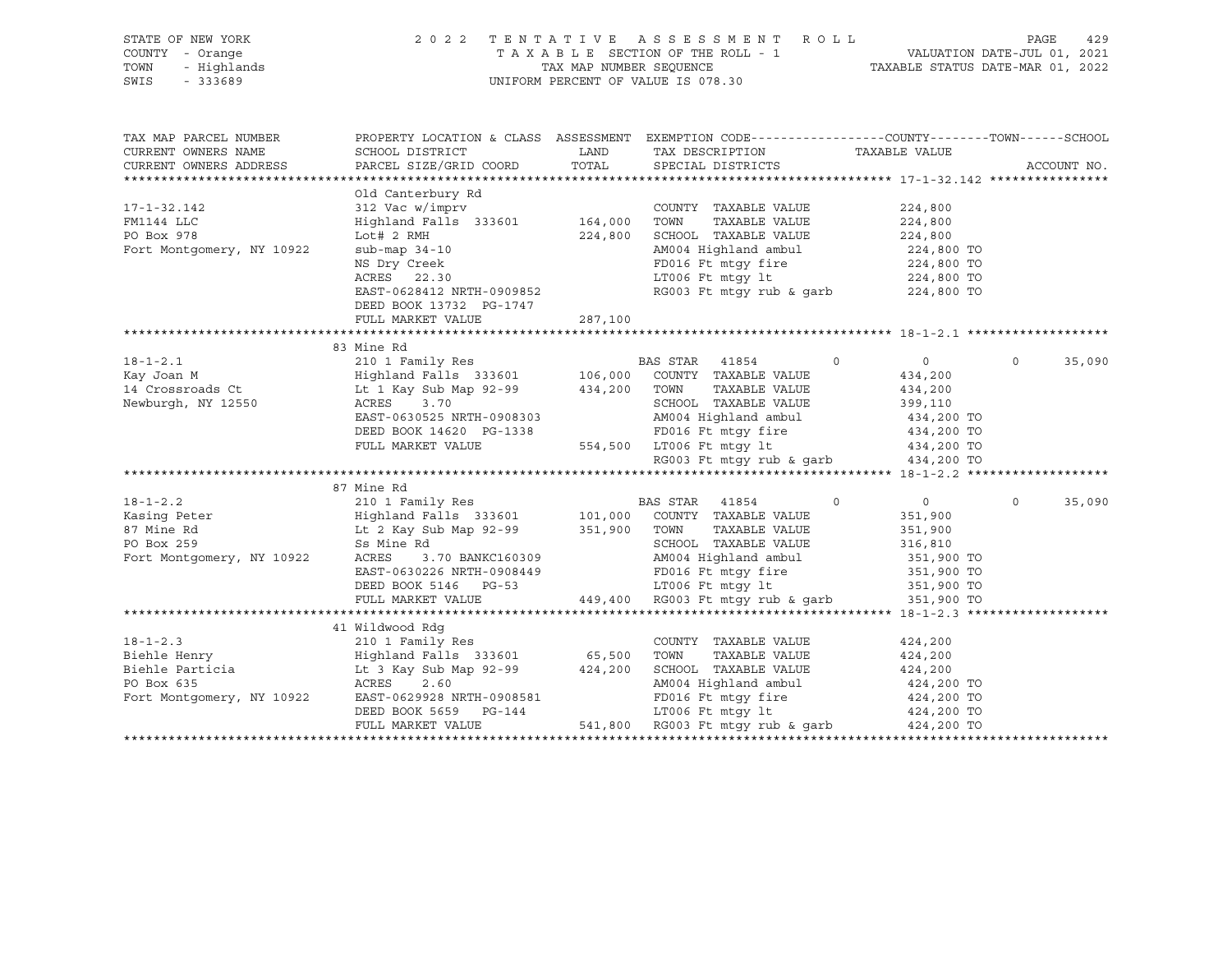| STATE OF NEW YORK<br>COUNTY - Orange<br>TOWN<br>- Highlands<br>SWIS - 333689                                                                                                                                                                             |                                                                                                                                                                                                                                                                    |         | UNIFORM PERCENT OF VALUE IS 078.30                                                                                                                                                                                                                 | 2022 TENTATIVE ASSESSMENT ROLL<br>TAXABLE SECTION OF THE ROLL - 1 TAXABLE SECTION OF THE ROLL - 1 TAXABLE STATUS DATE-JUL 01, 2022 |                    |
|----------------------------------------------------------------------------------------------------------------------------------------------------------------------------------------------------------------------------------------------------------|--------------------------------------------------------------------------------------------------------------------------------------------------------------------------------------------------------------------------------------------------------------------|---------|----------------------------------------------------------------------------------------------------------------------------------------------------------------------------------------------------------------------------------------------------|------------------------------------------------------------------------------------------------------------------------------------|--------------------|
| TAX MAP PARCEL NUMBER<br>CURRENT OWNERS NAME<br>CURRENT OWNERS ADDRESS                                                                                                                                                                                   | PROPERTY LOCATION & CLASS ASSESSMENT EXEMPTION CODE----------------COUNTY-------TOWN------SCHOOL                                                                                                                                                                   |         |                                                                                                                                                                                                                                                    |                                                                                                                                    | ACCOUNT NO.        |
| $17 - 1 - 32.142$<br>FM1144 LLC<br>PO Box 978<br>Fort Montgomery, NY 10922                                                                                                                                                                               | Old Canterbury Rd<br>312 Vac w/imprv<br>Highland Falls 333601 164,000 TOWN TAXABLE VALUE<br>Lot# 2 RMH<br>sub-map 34-10<br>NS Dry Creek<br>NS Dry Creek<br>ACRES 22.30<br>ACRES 22.30<br>EAST-0628412 NRTH-0909852<br>DEED BOOK 13732 PG-1747<br>FULL MARKET VALUE | 287,100 | COUNTY TAXABLE VALUE<br>224,800 SCHOOL TAXABLE VALUE 224,800<br>AM004 Highland ambul 224,800 TO<br>AM004 Highland ambul 224,800 TO<br>FD016 Ft mtgy fire 224,800 TO<br>LT006 Ft mtgy 1t 224,800 TO<br>RG003 Ft mtgy rub & garb 224,800 TO          | 224,800<br>224,800                                                                                                                 |                    |
|                                                                                                                                                                                                                                                          | 83 Mine Rd                                                                                                                                                                                                                                                         |         |                                                                                                                                                                                                                                                    |                                                                                                                                    |                    |
| Newburgh, NY 12550                                                                                                                                                                                                                                       |                                                                                                                                                                                                                                                                    |         | BAS STAR 41854 0<br>ACRES 3.70<br>EAST-0630525 NRTH-0908303<br>DEED BOOK 14620 PG-1338<br>FD016 Ft mtgy fire 434,200 TO<br>FULL MARKET VALUE 554,500 LT006 Ft mtgy fit 434,200 TO<br>RG003 Ft mtgy rub & garb 434,200 TO                           | $\overline{0}$<br>434,200<br>434,200                                                                                               | $\Omega$<br>35,090 |
|                                                                                                                                                                                                                                                          |                                                                                                                                                                                                                                                                    |         |                                                                                                                                                                                                                                                    |                                                                                                                                    |                    |
| 18-1-2.2<br>Kasing Peter (210 1 Family Res BAS STAR 41854 0<br>87 Mine Rd Lt 2 Kay Sub Map 92-99 351,900 TOWN TAXABLE VALUE<br>87 Mine Rd Lt 2 Kay Sub Map 92-99 351,900 TOWN TAXABLE VALUE<br>87 Mine Rd Lt 2 Kay Sub Map 92-99 351,9                   |                                                                                                                                                                                                                                                                    |         | 58 Mine Rd<br>ACRES 3.70 BANKC160309<br>EAST-0630226 NRTH-0908449<br>DEED BOOK 5146 PG-53<br>PED BOOK 5146 PG-53<br>PED BOOK 5146 PG-53<br>PED BOOK 5146 PG-53<br>PED BOOK 5146 PG-53<br>PED BOOK 5146 PG-53<br>PED BOOK 5146 PG-53<br>PED BOOK 51 | $\begin{array}{c} 0 \\ 351,900 \end{array}$<br>351,900<br>316,810                                                                  | 35,090<br>$\Omega$ |
|                                                                                                                                                                                                                                                          |                                                                                                                                                                                                                                                                    |         |                                                                                                                                                                                                                                                    |                                                                                                                                    |                    |
|                                                                                                                                                                                                                                                          | 41 Wildwood Rdg                                                                                                                                                                                                                                                    |         |                                                                                                                                                                                                                                                    |                                                                                                                                    |                    |
| 18-1-2.3<br>Biehle Henry<br>Eine Henry<br>Eine Henry<br>Example 210 1 Family Res<br>Eine Particia<br>Example 2.4,200<br>Example 2.4,200<br>Example 2.4,200<br>PO Box 635<br>Fort Montgomery, NY 10922<br>Example 2.4,200<br>Example 2.4,200<br>Example 2 |                                                                                                                                                                                                                                                                    |         |                                                                                                                                                                                                                                                    |                                                                                                                                    |                    |
|                                                                                                                                                                                                                                                          |                                                                                                                                                                                                                                                                    |         |                                                                                                                                                                                                                                                    |                                                                                                                                    |                    |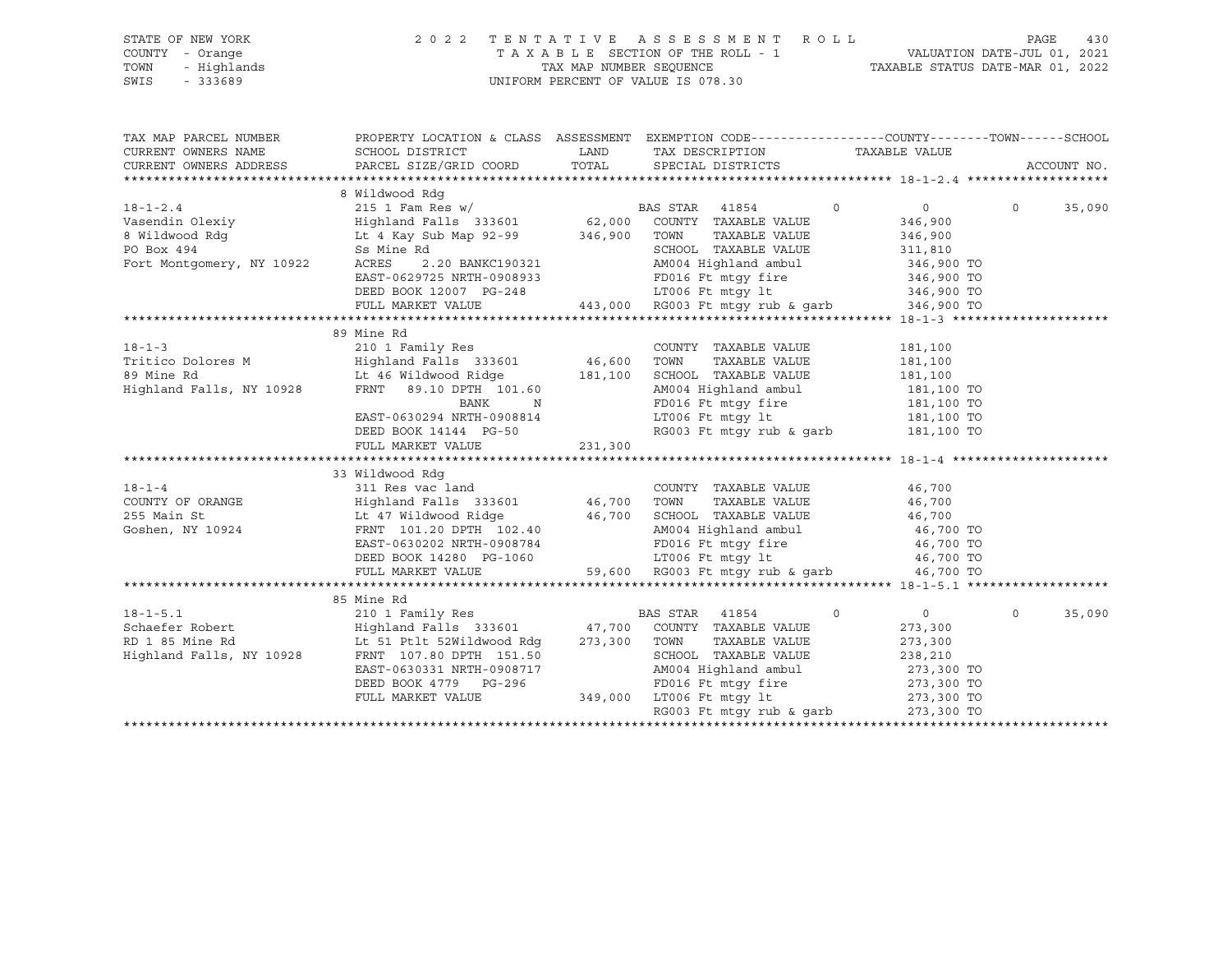| STATE OF NEW YORK<br>COUNTY - Orange<br>- Highlands<br>TOWN<br>SWIS<br>$-333689$ | 2 0 2 2                                                                                                             |         | TENTATIVE ASSESSMENT ROLL PAGE 430<br>TAXABLE SECTION OF THE ROLL - 1 VALUATION DATE-JUL 01, 2021<br>TAX MAP NUMBER SEQUENCE TAXABLE STATUS DATE-MAR 01, 2022<br>UNIFORM PERCENT OF VALUE IS 078.30 |                                   |                       |
|----------------------------------------------------------------------------------|---------------------------------------------------------------------------------------------------------------------|---------|-----------------------------------------------------------------------------------------------------------------------------------------------------------------------------------------------------|-----------------------------------|-----------------------|
| TAX MAP PARCEL NUMBER<br>CURRENT OWNERS NAME                                     | PROPERTY LOCATION & CLASS ASSESSMENT EXEMPTION CODE----------------COUNTY-------TOWN------SCHOOL<br>SCHOOL DISTRICT | LAND    | TAX DESCRIPTION TAXABLE VALUE                                                                                                                                                                       |                                   |                       |
| CURRENT OWNERS ADDRESS                                                           | PARCEL SIZE/GRID COORD                                                                                              | TOTAL   | SPECIAL DISTRICTS                                                                                                                                                                                   |                                   | ACCOUNT NO.           |
|                                                                                  |                                                                                                                     |         |                                                                                                                                                                                                     |                                   |                       |
|                                                                                  | 8 Wildwood Rdg                                                                                                      |         |                                                                                                                                                                                                     |                                   |                       |
| $18 - 1 - 2.4$                                                                   | 215 1 Fam Res w/<br>Highland Falls 333601 62,000                                                                    |         | BAS STAR 41854                                                                                                                                                                                      | $\overline{0}$<br>$\circ$         | $\Omega$<br>35,090    |
| Vasendin Olexiy                                                                  |                                                                                                                     |         | COUNTY TAXABLE VALUE                                                                                                                                                                                | 346,900                           |                       |
|                                                                                  | Lt 4 Kay Sub Map 92-99 346,900 TOWN TAXABLE VALUE                                                                   |         |                                                                                                                                                                                                     | 346,900                           |                       |
| 8 Wildwood Rdg<br>PO Box 494<br>Fort Montgomery, NY 10922                        | Ss Mine Rd<br>2.20 BANKC190321                                                                                      |         | SCHOOL TAXABLE VALUE                                                                                                                                                                                | 311,810                           |                       |
|                                                                                  | ACRES<br>EAST-0629725 NRTH-0908933                                                                                  |         | AM004 Highland ambul<br>FD016 Ft mtgy fire 346,900 TO                                                                                                                                               | 346,900 TO                        |                       |
|                                                                                  | DEED BOOK 12007 PG-248                                                                                              |         |                                                                                                                                                                                                     | 346,900 TO                        |                       |
|                                                                                  | FULL MARKET VALUE                                                                                                   |         | 48 LT006 Ft mtgy 1t 346,900 TO<br>443,000 RG003 Ft mtgy rub & garb 346,900 TO                                                                                                                       |                                   |                       |
|                                                                                  |                                                                                                                     |         |                                                                                                                                                                                                     |                                   |                       |
|                                                                                  | 89 Mine Rd                                                                                                          |         |                                                                                                                                                                                                     |                                   |                       |
| $18 - 1 - 3$                                                                     | 210 1 Family Res                                                                                                    |         | COUNTY TAXABLE VALUE                                                                                                                                                                                | 181,100                           |                       |
|                                                                                  |                                                                                                                     | 46,600  | TOWN<br>TAXABLE VALUE                                                                                                                                                                               | 181,100                           |                       |
| 89 Mine Rd                                                                       | Lt 46 Wildwood Ridge                                                                                                | 181,100 | SCHOOL TAXABLE VALUE                                                                                                                                                                                | 181,100                           |                       |
| Highland Falls, NY 10928                                                         | FRNT 89.10 DPTH 101.60                                                                                              |         | AM004 Highland ambul                                                                                                                                                                                | 181,100 TO                        |                       |
|                                                                                  | BANK<br>N                                                                                                           |         |                                                                                                                                                                                                     | 181,100 TO                        |                       |
|                                                                                  | EAST-0630294 NRTH-0908814                                                                                           |         | FD016 Ft mtgy fire<br>LT006 Ft mtgy lt                                                                                                                                                              | 181,100 TO                        |                       |
|                                                                                  | DEED BOOK 14144 PG-50                                                                                               |         | RG003 Ft mtgy rub & garb 181,100 TO                                                                                                                                                                 |                                   |                       |
|                                                                                  | FULL MARKET VALUE                                                                                                   | 231,300 |                                                                                                                                                                                                     |                                   |                       |
|                                                                                  |                                                                                                                     |         |                                                                                                                                                                                                     |                                   |                       |
|                                                                                  | 33 Wildwood Rdg                                                                                                     |         |                                                                                                                                                                                                     |                                   |                       |
| $18 - 1 - 4$                                                                     | 311 Res vac land                                                                                                    |         | COUNTY TAXABLE VALUE                                                                                                                                                                                | 46,700                            |                       |
| COUNTY OF ORANGE                                                                 | Highland Falls 333601 46,700                                                                                        |         | TOWN<br>TAXABLE VALUE                                                                                                                                                                               | 46,700                            |                       |
| 255 Main St                                                                      | Lt 47 Wildwood Ridge                                                                                                | 46,700  | SCHOOL TAXABLE VALUE                                                                                                                                                                                | 46,700                            |                       |
| Goshen, NY 10924                                                                 | FRNT 101.20 DPTH 102.40                                                                                             |         | AM004 Highland ambul                                                                                                                                                                                | 46,700 TO                         |                       |
|                                                                                  | EAST-0630202 NRTH-0908784                                                                                           |         | FD016 Ft mtgy fire<br>LT006 Ft mtgy lt                                                                                                                                                              | 46,700 TO                         |                       |
|                                                                                  | DEED BOOK 14280 PG-1060<br>FULL MARKET VALUE                                                                        |         | LT006 Ft mtgy 1t $46,700$ TO<br>59,600 RG003 Ft mtgy rub & garb $46,700$ TO                                                                                                                         |                                   |                       |
|                                                                                  |                                                                                                                     |         |                                                                                                                                                                                                     |                                   |                       |
|                                                                                  | 85 Mine Rd                                                                                                          |         |                                                                                                                                                                                                     |                                   |                       |
| $18 - 1 - 5.1$                                                                   | 210 1 Family Res                                                                                                    |         | BAS STAR 41854                                                                                                                                                                                      | $\mathbf{0}$<br>$0 \qquad \qquad$ | 35,090<br>$\mathbf 0$ |
| Schaefer Robert                                                                  | Highland Falls 333601 47,700                                                                                        |         | COUNTY TAXABLE VALUE                                                                                                                                                                                | 273,300                           |                       |
|                                                                                  | Lt 51 Ptlt 52Wildwood Rdg                                                                                           | 273,300 | TOWN<br>TAXABLE VALUE                                                                                                                                                                               | 273,300                           |                       |
|                                                                                  | RD 1 85 Mine Rd<br>Highland Falls, NY 10928 FRNT 107.80 DPTH 151.50                                                 |         | SCHOOL TAXABLE VALUE                                                                                                                                                                                | 238,210                           |                       |
|                                                                                  | EAST-0630331 NRTH-0908717                                                                                           |         | AM004 Highland ambul                                                                                                                                                                                | 273,300 TO                        |                       |
|                                                                                  | DEED BOOK 4779 PG-296                                                                                               |         | FD016 Ft mtqy fire                                                                                                                                                                                  | 273,300 TO                        |                       |
|                                                                                  | FULL MARKET VALUE                                                                                                   |         | 349,000 LT006 Ft mtqy lt                                                                                                                                                                            | 273,300 TO                        |                       |
|                                                                                  |                                                                                                                     |         | RG003 Ft mtqy rub & qarb                                                                                                                                                                            | 273,300 TO                        |                       |
|                                                                                  |                                                                                                                     |         |                                                                                                                                                                                                     |                                   |                       |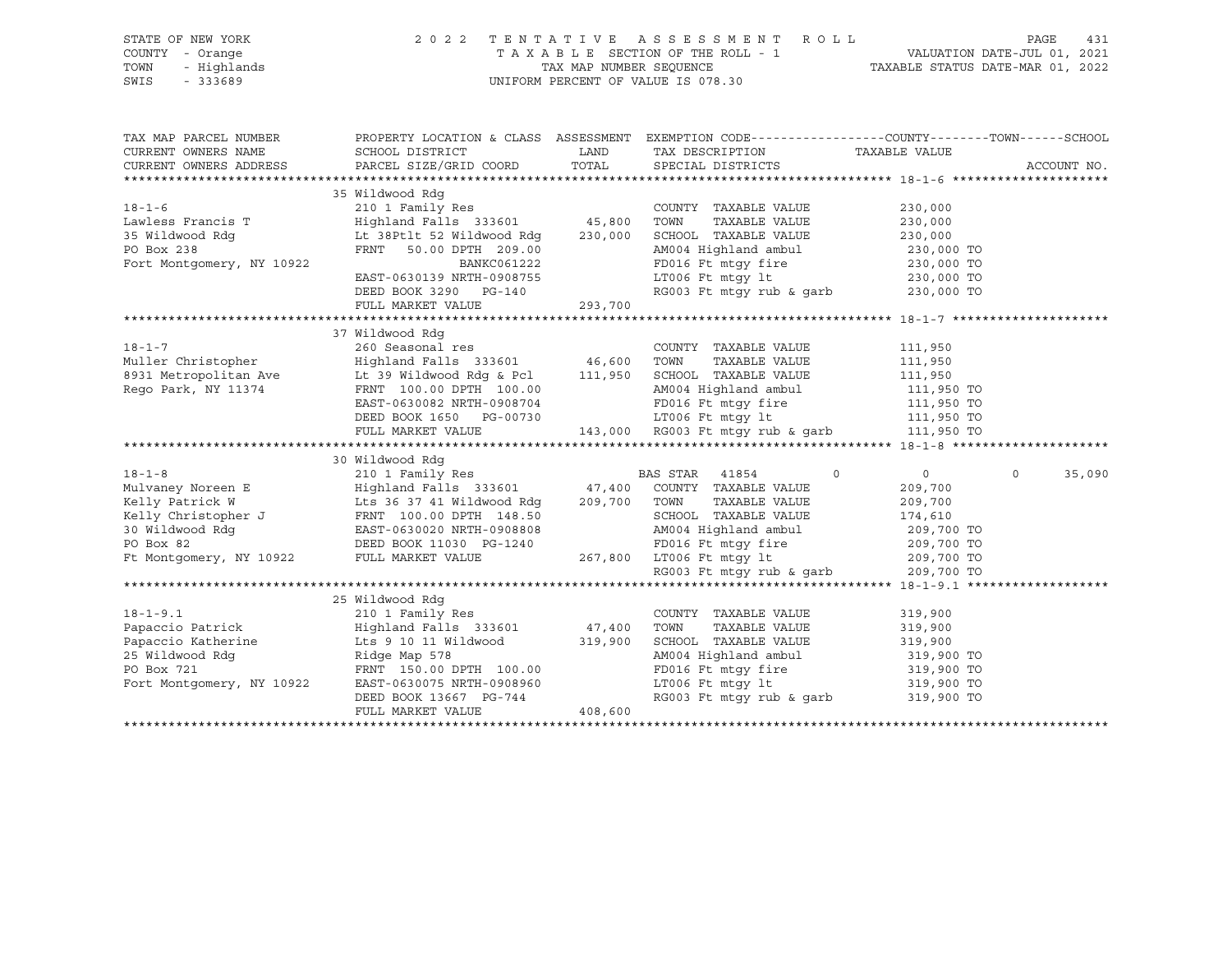| STATE OF NEW YORK<br>COUNTY - Orange<br>TOWN<br>- Highlands<br>SWIS<br>$-333689$ | 2 0 2 2<br>TENTATIVE ASSESSMENT ROLL<br>UNIFORM PERCENT OF VALUE IS 078.30                                                                                                                                           | PAGE<br>431<br>T A X A B L E SECTION OF THE ROLL - 1 VALUATION DATE-JUL 01, 2021<br>TAX MAP NUMBER SEQUENCE TAXIBLE STATUS DATE-MAR 01, 2022 |                                                                                                                                                                                                        |                    |                    |
|----------------------------------------------------------------------------------|----------------------------------------------------------------------------------------------------------------------------------------------------------------------------------------------------------------------|----------------------------------------------------------------------------------------------------------------------------------------------|--------------------------------------------------------------------------------------------------------------------------------------------------------------------------------------------------------|--------------------|--------------------|
| TAX MAP PARCEL NUMBER                                                            |                                                                                                                                                                                                                      |                                                                                                                                              | PROPERTY LOCATION & CLASS ASSESSMENT EXEMPTION CODE----------------COUNTY-------TOWN------SCHOOL                                                                                                       |                    |                    |
| CURRENT OWNERS NAME                                                              | SCHOOL DISTRICT                                                                                                                                                                                                      | LAND                                                                                                                                         | TAX DESCRIPTION                                                                                                                                                                                        | TAXABLE VALUE      |                    |
| CURRENT OWNERS ADDRESS                                                           | PARCEL SIZE/GRID COORD                                                                                                                                                                                               | TOTAL                                                                                                                                        | SPECIAL DISTRICTS                                                                                                                                                                                      |                    | ACCOUNT NO.        |
|                                                                                  |                                                                                                                                                                                                                      |                                                                                                                                              |                                                                                                                                                                                                        |                    |                    |
|                                                                                  | 35 Wildwood Rdg                                                                                                                                                                                                      |                                                                                                                                              |                                                                                                                                                                                                        |                    |                    |
| $18 - 1 - 6$                                                                     |                                                                                                                                                                                                                      |                                                                                                                                              | COUNTY TAXABLE VALUE                                                                                                                                                                                   | 230,000            |                    |
| Lawless Francis T<br>35 Wildwood Rdg                                             | 210 1 Family Res<br>Highland Falls 333601 45,800 TOWN TAXABLE VALUE<br>Lt 38Ptlt 52 Wildwood Rdg 230,000 SCHOOL TAXABLE VALUE                                                                                        |                                                                                                                                              |                                                                                                                                                                                                        | 230,000<br>230,000 |                    |
|                                                                                  |                                                                                                                                                                                                                      |                                                                                                                                              |                                                                                                                                                                                                        |                    |                    |
| PO Box 238                                                                       | FRNT 50.00 DPTH 209.00                                                                                                                                                                                               |                                                                                                                                              | SCHOOL Income<br>AM004 Highland ambul<br>AM004 Highland fire<br>AM004 Highland ambul 230,000 TO<br>FD016 Ft mtgy fire 230,000 TO<br>LT006 Ft mtgy 1t 230,000 TO<br>RG003 Ft mtgy rub & garb 230,000 TO |                    |                    |
| Fort Montgomery, NY 10922                                                        | BANKC061222                                                                                                                                                                                                          |                                                                                                                                              |                                                                                                                                                                                                        |                    |                    |
|                                                                                  | EAST-0630139 NRTH-0908755<br>DEED BOOK 3290 PG-140                                                                                                                                                                   |                                                                                                                                              |                                                                                                                                                                                                        |                    |                    |
|                                                                                  | DEED BOOK 3290 PG-140                                                                                                                                                                                                |                                                                                                                                              |                                                                                                                                                                                                        |                    |                    |
|                                                                                  | FULL MARKET VALUE                                                                                                                                                                                                    | 293,700                                                                                                                                      |                                                                                                                                                                                                        |                    |                    |
|                                                                                  |                                                                                                                                                                                                                      |                                                                                                                                              |                                                                                                                                                                                                        |                    |                    |
|                                                                                  | 37 Wildwood Rdg                                                                                                                                                                                                      |                                                                                                                                              |                                                                                                                                                                                                        | 111,950            |                    |
|                                                                                  |                                                                                                                                                                                                                      |                                                                                                                                              |                                                                                                                                                                                                        |                    |                    |
|                                                                                  |                                                                                                                                                                                                                      |                                                                                                                                              |                                                                                                                                                                                                        | 111,950<br>111,950 |                    |
|                                                                                  | 260 Seasonal res<br>Muller Christopher Highland Falls 333601 46,600 TOWN TAXABLE VALUE<br>8931 Metropolitan Ave Lt 39 Wildwood Rdg & Pcl 111,950 SCHOOL TAXABLE VALUE<br>Rego Park, NY 11374 FRNT 100.00 DPTH 100.00 |                                                                                                                                              |                                                                                                                                                                                                        |                    |                    |
|                                                                                  |                                                                                                                                                                                                                      |                                                                                                                                              | FRNT 100.00 DPTH 100.00<br>EAST-0630082 NRTH-0908704<br>DEED BOOK 1650 PG-00730 LT006 Ft mtgy fire 111,950 TO<br>TULL MARKET VALUE 143,000 RG003 Ft mtgy rub & garb 111,950 TO                         |                    |                    |
|                                                                                  |                                                                                                                                                                                                                      |                                                                                                                                              |                                                                                                                                                                                                        |                    |                    |
|                                                                                  |                                                                                                                                                                                                                      |                                                                                                                                              |                                                                                                                                                                                                        |                    |                    |
|                                                                                  |                                                                                                                                                                                                                      |                                                                                                                                              |                                                                                                                                                                                                        |                    |                    |
|                                                                                  |                                                                                                                                                                                                                      |                                                                                                                                              |                                                                                                                                                                                                        |                    |                    |
|                                                                                  |                                                                                                                                                                                                                      |                                                                                                                                              |                                                                                                                                                                                                        |                    | $\Omega$<br>35,090 |
|                                                                                  |                                                                                                                                                                                                                      |                                                                                                                                              |                                                                                                                                                                                                        |                    |                    |
|                                                                                  |                                                                                                                                                                                                                      |                                                                                                                                              |                                                                                                                                                                                                        |                    |                    |
|                                                                                  |                                                                                                                                                                                                                      |                                                                                                                                              |                                                                                                                                                                                                        |                    |                    |
|                                                                                  |                                                                                                                                                                                                                      |                                                                                                                                              |                                                                                                                                                                                                        |                    |                    |
|                                                                                  |                                                                                                                                                                                                                      |                                                                                                                                              |                                                                                                                                                                                                        |                    |                    |
|                                                                                  |                                                                                                                                                                                                                      |                                                                                                                                              |                                                                                                                                                                                                        |                    |                    |
|                                                                                  |                                                                                                                                                                                                                      |                                                                                                                                              |                                                                                                                                                                                                        |                    |                    |
|                                                                                  |                                                                                                                                                                                                                      |                                                                                                                                              |                                                                                                                                                                                                        |                    |                    |
|                                                                                  | 25 Wildwood Rdg                                                                                                                                                                                                      |                                                                                                                                              |                                                                                                                                                                                                        |                    |                    |
| $18 - 1 - 9.1$                                                                   | 210 1 $Family$ Res COUNTY<br>Highland Falls 333601 47,400 TOWN                                                                                                                                                       |                                                                                                                                              | COUNTY TAXABLE VALUE                                                                                                                                                                                   | 319,900            |                    |
| Papaccio Patrick                                                                 | الاعتماد بن 1012 Aighland Falls<br>Highland Falls 333601                                                                                                                                                             |                                                                                                                                              | TAXABLE VALUE                                                                                                                                                                                          | 319,900            |                    |
|                                                                                  | Papaccio Katherine Manus (1990) 10 11 Wildwood 319,900 SCHOOL TAXABLE VALUE                                                                                                                                          |                                                                                                                                              |                                                                                                                                                                                                        | 319,900            |                    |
|                                                                                  |                                                                                                                                                                                                                      |                                                                                                                                              | AM004 Highland ambul                                                                                                                                                                                   | 319,900 TO         |                    |
|                                                                                  | FRNT 150.00 DPTH 100.00                                                                                                                                                                                              |                                                                                                                                              | FD016 Ft mtgy fire<br>LT006 Ft mtgy lt<br>FD016 Ft_mtgy_fire 319,900 TO<br>LT006 Ft_mtgy_lt 319,900 TO<br>RG003 Ft_mtgy_rub_&_garb 319,900 TO                                                          |                    |                    |
|                                                                                  | EAST-0630075 NRTH-0908960                                                                                                                                                                                            |                                                                                                                                              |                                                                                                                                                                                                        |                    |                    |
|                                                                                  | DEED BOOK 13667 PG-744                                                                                                                                                                                               | 408,600                                                                                                                                      |                                                                                                                                                                                                        |                    |                    |
|                                                                                  | FULL MARKET VALUE                                                                                                                                                                                                    |                                                                                                                                              |                                                                                                                                                                                                        |                    |                    |
|                                                                                  |                                                                                                                                                                                                                      |                                                                                                                                              |                                                                                                                                                                                                        |                    |                    |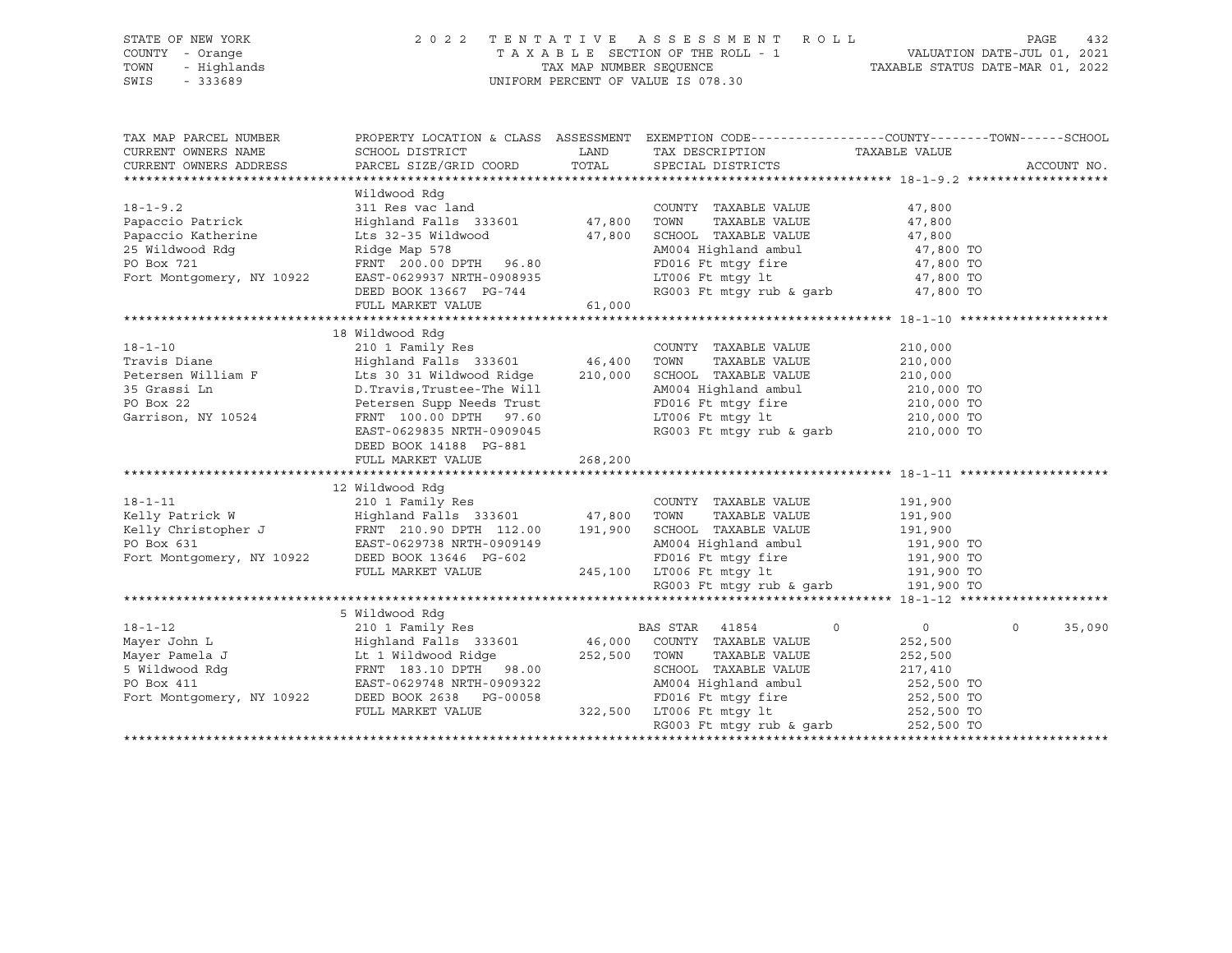| STATE OF NEW YORK<br>COUNTY - Orange<br>TOWN<br>- Highlands<br>SWIS<br>$-333689$                                                                                                                                                                       |                                                                                                                        |          | 2022 TENTATIVE ASSESSMENT ROLL<br>TAXABLE SECTION OF THE ROLL - 1<br>TAX MAP NUMBER SEQUENCE TAXABLE STATUS DATE-MAR 01, 2022<br>UNIFORM PERCENT OF VALUE IS 078.30 |                            | PAGE<br>432 |
|--------------------------------------------------------------------------------------------------------------------------------------------------------------------------------------------------------------------------------------------------------|------------------------------------------------------------------------------------------------------------------------|----------|---------------------------------------------------------------------------------------------------------------------------------------------------------------------|----------------------------|-------------|
| TAX MAP PARCEL NUMBER                                                                                                                                                                                                                                  |                                                                                                                        |          | PROPERTY LOCATION & CLASS ASSESSMENT EXEMPTION CODE----------------COUNTY-------TOWN------SCHOOL                                                                    |                            |             |
| CURRENT OWNERS NAME                                                                                                                                                                                                                                    | SCHOOL DISTRICT                                                                                                        | LAND     | TAX DESCRIPTION TAXABLE VALUE                                                                                                                                       |                            |             |
| CURRENT OWNERS ADDRESS                                                                                                                                                                                                                                 | PARCEL SIZE/GRID COORD                                                                                                 | TOTAL    | SPECIAL DISTRICTS                                                                                                                                                   |                            | ACCOUNT NO. |
|                                                                                                                                                                                                                                                        |                                                                                                                        |          |                                                                                                                                                                     |                            |             |
| $18 - 1 - 9.2$                                                                                                                                                                                                                                         | Wildwood Rdg                                                                                                           |          | COUNTY TAXABLE VALUE                                                                                                                                                |                            |             |
| Papaccio Patrick                                                                                                                                                                                                                                       | $311$ Res vac land<br>311 Res vac land<br>Highland Falls 333601 47,800<br>Lts 32-35 Wildwood 47,800<br>Allen 10 47,800 |          | TOWN TAXABLE VALUE                                                                                                                                                  | 47,800                     |             |
| Papaccio Katherine                                                                                                                                                                                                                                     |                                                                                                                        |          | SCHOOL TAXABLE VALUE                                                                                                                                                | 47,800<br>47,800           |             |
| 25 Wildwood Rdg                                                                                                                                                                                                                                        |                                                                                                                        |          |                                                                                                                                                                     |                            |             |
| PO Box 721                                                                                                                                                                                                                                             | FRNT 200.00 DPTH 96.80                                                                                                 |          | AM004 Highland ambul 47,800 TO<br>FD016 Ft mtgy fire 47,800 TO<br>LT006 Ft mtgy 1t 47,800 TO<br>RG003 Ft mtgy rub & garb 47,800 TO                                  | 47,800 TO<br>47,800 TO     |             |
| Fort Montgomery, NY 10922                                                                                                                                                                                                                              | EAST-0629937 NRTH-0908935                                                                                              |          |                                                                                                                                                                     |                            |             |
|                                                                                                                                                                                                                                                        | DEED BOOK 13667 PG-744                                                                                                 |          |                                                                                                                                                                     |                            |             |
|                                                                                                                                                                                                                                                        | FULL MARKET VALUE                                                                                                      | 61,000   |                                                                                                                                                                     |                            |             |
|                                                                                                                                                                                                                                                        |                                                                                                                        |          |                                                                                                                                                                     |                            |             |
|                                                                                                                                                                                                                                                        | 18 Wildwood Rdq                                                                                                        |          |                                                                                                                                                                     |                            |             |
| 18-1-10<br>Travis Diane                                                                                                                                                                                                                                | 210 1 Family Res                                                                                                       |          | COUNTY TAXABLE VALUE                                                                                                                                                | 210,000                    |             |
|                                                                                                                                                                                                                                                        | Highland Falls 333601 46,400                                                                                           |          | TAXABLE VALUE<br>TOWN                                                                                                                                               | 210,000                    |             |
| Fraction William F<br>210,000<br>25 Grassi Ln<br>25 Grassi Ln<br>25 Grassi Ln<br>26 Grassi Ln<br>26 Botarsen Sunn Needs Trust                                                                                                                          |                                                                                                                        |          | SCHOOL TAXABLE VALUE                                                                                                                                                | 210,000                    |             |
|                                                                                                                                                                                                                                                        |                                                                                                                        |          | AM004 Highland ambul                                                                                                                                                | 210,000 TO                 |             |
| PO Box 22                                                                                                                                                                                                                                              | D.Travis,Trustee-The Will<br>Petersen Supp Needs Trust                                                                 |          |                                                                                                                                                                     |                            |             |
| Garrison, NY 10524                                                                                                                                                                                                                                     | FRNT 100.00 DPTH 97.60                                                                                                 |          |                                                                                                                                                                     |                            |             |
|                                                                                                                                                                                                                                                        | EAST-0629835 NRTH-0909045                                                                                              |          | FD016 Ft mtgy fire<br>ED016 Ft mtgy lt<br>LT006 Ft mtgy lt<br>RG003 Ft mtgy rub & garb<br>210,000 TO<br>210,000 TO                                                  |                            |             |
|                                                                                                                                                                                                                                                        | DEED BOOK 14188 PG-881                                                                                                 |          |                                                                                                                                                                     |                            |             |
|                                                                                                                                                                                                                                                        | FULL MARKET VALUE                                                                                                      | 268, 200 |                                                                                                                                                                     |                            |             |
|                                                                                                                                                                                                                                                        |                                                                                                                        |          |                                                                                                                                                                     |                            |             |
|                                                                                                                                                                                                                                                        | 12 Wildwood Rdq                                                                                                        |          |                                                                                                                                                                     |                            |             |
|                                                                                                                                                                                                                                                        |                                                                                                                        |          | COUNTY TAXABLE VALUE                                                                                                                                                | 191,900                    |             |
|                                                                                                                                                                                                                                                        |                                                                                                                        |          | TAXABLE VALUE                                                                                                                                                       | 191,900<br>191,900         |             |
|                                                                                                                                                                                                                                                        |                                                                                                                        |          | SCHOOL TAXABLE VALUE                                                                                                                                                |                            |             |
| 18-1-11 210 1 Family Res COUNT<br>Kelly Patrick W Highland Falls 333601 47,800 TOWN<br>Kelly Christopher J FRNT 210.90 DPTH 112.00 191,900 SCHOC<br>PO Box 631 EAST-0629738 NRTH-0909149 AM004<br>Fort Montgomery, NY 10922 DEED BOOK                  |                                                                                                                        |          |                                                                                                                                                                     |                            |             |
|                                                                                                                                                                                                                                                        |                                                                                                                        |          | SCHOOL IAAADDD<br>AM004 Highland ambul 191,900 TO<br>FD016 Ft mtgy fire 191,900 TO<br>- - - - - 1+ 191,900 TO                                                       |                            |             |
|                                                                                                                                                                                                                                                        | FULL MARKET VALUE                                                                                                      |          | 245,100 LT006 Ft mtgy 1t 191,900 TO<br>RG003 Ft mtgy rub & garb 191,900 TO                                                                                          |                            |             |
|                                                                                                                                                                                                                                                        |                                                                                                                        |          |                                                                                                                                                                     |                            |             |
|                                                                                                                                                                                                                                                        | 5 Wildwood Rdg                                                                                                         |          |                                                                                                                                                                     |                            |             |
| $18 - 1 - 12$                                                                                                                                                                                                                                          | 210 1 Family Res Care Communications and BAS STAR 41854                                                                |          | $\circ$                                                                                                                                                             | $\overline{0}$<br>$\Omega$ | 35,090      |
|                                                                                                                                                                                                                                                        |                                                                                                                        |          |                                                                                                                                                                     | 252,500                    |             |
|                                                                                                                                                                                                                                                        |                                                                                                                        |          | 46,000 COUNTY TAXABLE VALUE<br>252,500 TOWN TAXABLE VALUE<br>TAXABLE VALUE                                                                                          | 252,500                    |             |
| Mayer John L<br>Mayer Pamela J<br>5 Wildwood Rdg<br>5 Wildwood Rdg<br>7 DO Box 411<br>Fort Montgomery, NY 10922<br>210 I Family Res<br>210 I Family Res<br>210 I Family Res<br>210 I Family Res<br>210 I Family Res<br>210 I Family Res<br>210 I Famil |                                                                                                                        |          | SCHOOL TAXABLE VALUE                                                                                                                                                | 217,410                    |             |
|                                                                                                                                                                                                                                                        |                                                                                                                        |          | AM004 Highland ambul                                                                                                                                                | 252,500 TO                 |             |
|                                                                                                                                                                                                                                                        |                                                                                                                        |          |                                                                                                                                                                     |                            |             |
|                                                                                                                                                                                                                                                        | FULL MARKET VALUE                                                                                                      |          |                                                                                                                                                                     | 252,500 TO                 |             |
|                                                                                                                                                                                                                                                        |                                                                                                                        |          | RG003 Ft mtgy rub & garb 252,500 TO                                                                                                                                 |                            |             |
|                                                                                                                                                                                                                                                        |                                                                                                                        |          |                                                                                                                                                                     |                            |             |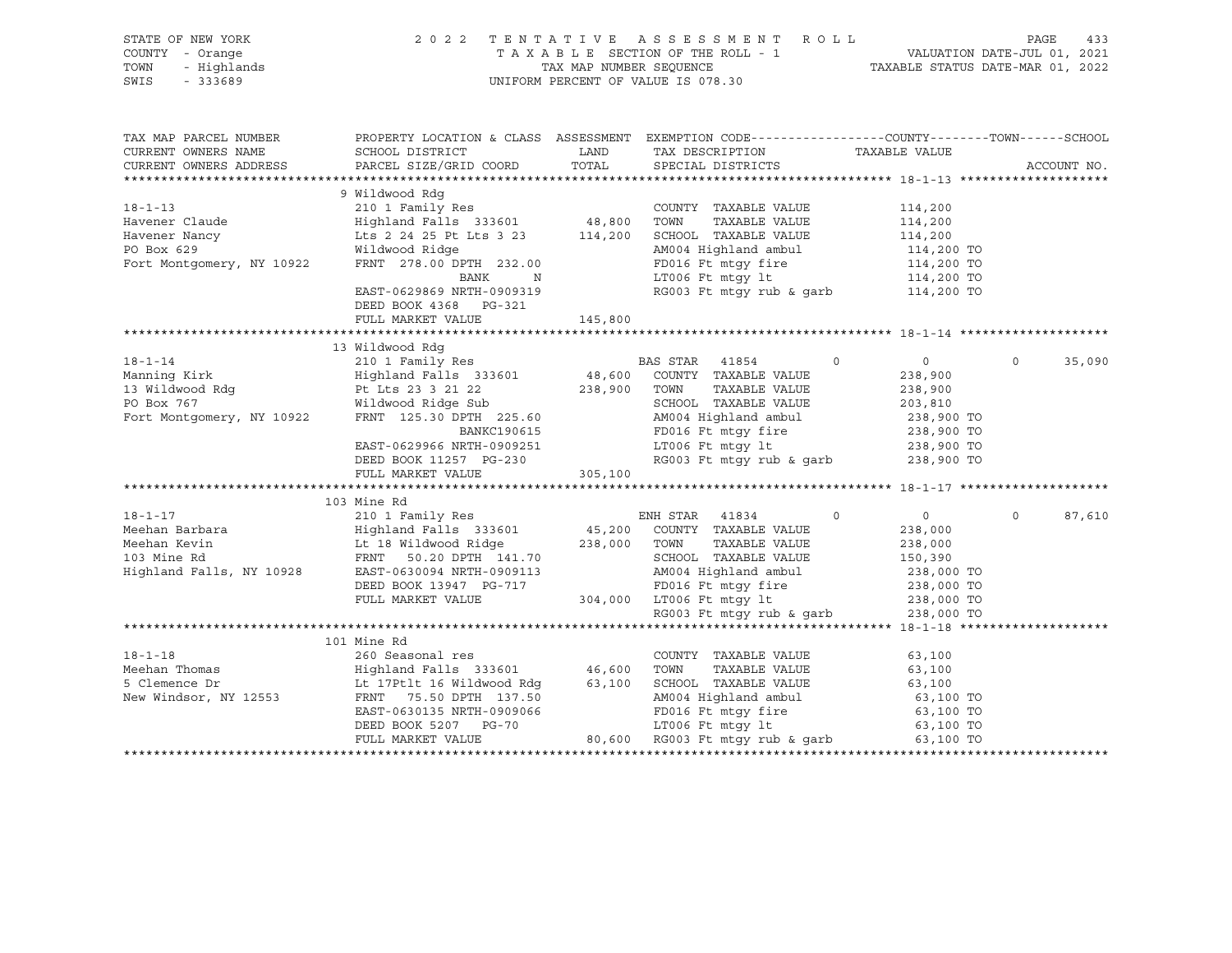| STATE OF NEW YORK<br>COUNTY - Orange<br>TOWN<br>- Highlands<br>$-333689$<br>SWIS |                                                                                                                                                                                                                                                                            |         | 2 0 2 2 TENTATIVE ASSESSMENT ROLL PAGE 433<br>TAXABLE SECTION OF THE ROLL - 1 VALUATION DATE-JUL 01, 2021<br>TAX MAP NUMBER SEQUENCE TAXABLE STATUS DATE-MAR 01, 2022<br>UNIFORM PERCENT OF VALUE IS 078.30 |                                                                                           |                    |
|----------------------------------------------------------------------------------|----------------------------------------------------------------------------------------------------------------------------------------------------------------------------------------------------------------------------------------------------------------------------|---------|-------------------------------------------------------------------------------------------------------------------------------------------------------------------------------------------------------------|-------------------------------------------------------------------------------------------|--------------------|
| TAX MAP PARCEL NUMBER<br>CURRENT OWNERS NAME<br>CURRENT OWNERS ADDRESS           | SCHOOL DISTRICT<br>PARCEL SIZE/GRID COORD                                                                                                                                                                                                                                  | TOTAL   | PROPERTY LOCATION & CLASS ASSESSMENT EXEMPTION CODE---------------COUNTY-------TOWN------SCHOOL<br>LAND TAX DESCRIPTION<br>SPECIAL DISTRICTS                                                                | TAXABLE VALUE                                                                             | ACCOUNT NO.        |
|                                                                                  | ------><br>Havener Claude<br>Highland Falls 333601<br>Havener Nancy<br>Event Montgomery, NY 10922<br>FRNT 278.00 DPTH 232.00<br>Here a M004 Highland ambule<br>Highland Falls 323601<br>Havener Nancy<br>Lts 2 24 25 Pt Lts 3 23<br>M004 Highland<br>DEED BOOK 4368 PG-321 |         | COUNTY TAXABLE VALUE<br>SCHOOL TAXABLE VALUE<br>AM004 Highland ambul 114,200 TO<br>FD016 Ft mtgy fire 114,200 TO<br>LT006 Ft mtgy 1t 114,200 TO<br>RG003 Ft mtgy rub & garb 114,200 TO                      | 114,200<br>114,200                                                                        |                    |
|                                                                                  | FULL MARKET VALUE                                                                                                                                                                                                                                                          | 145,800 |                                                                                                                                                                                                             |                                                                                           |                    |
|                                                                                  | 13 Wildwood Rdg<br>210 1 $\text{Family Res}$<br>Highland Falls 333601 48,600 COUNTY TAXABLE VALUE                                                                                                                                                                          |         |                                                                                                                                                                                                             | $\overline{0}$<br>238,900<br>238,900<br>203,810<br>238,900 TO<br>238,900 TO<br>238,900 TO | $\Omega$<br>35,090 |
|                                                                                  |                                                                                                                                                                                                                                                                            |         |                                                                                                                                                                                                             | 238,900 TO                                                                                |                    |
|                                                                                  |                                                                                                                                                                                                                                                                            |         |                                                                                                                                                                                                             |                                                                                           |                    |
| $18 - 1 - 17$                                                                    | 103 Mine Rd<br>210 1 Family Res                                                                                                                                                                                                                                            |         | ENH STAR 41834<br>$\Omega$                                                                                                                                                                                  | $\overline{0}$                                                                            | $\Omega$<br>87,610 |
|                                                                                  |                                                                                                                                                                                                                                                                            |         |                                                                                                                                                                                                             |                                                                                           |                    |
|                                                                                  |                                                                                                                                                                                                                                                                            |         |                                                                                                                                                                                                             |                                                                                           |                    |
|                                                                                  | 101 Mine Rd                                                                                                                                                                                                                                                                |         |                                                                                                                                                                                                             |                                                                                           |                    |
|                                                                                  |                                                                                                                                                                                                                                                                            |         |                                                                                                                                                                                                             | 63,100<br>63,100<br>63,100<br>63,100<br>63,100 TO<br>63,100 TO<br>63,100 TO<br>63,100 TO  |                    |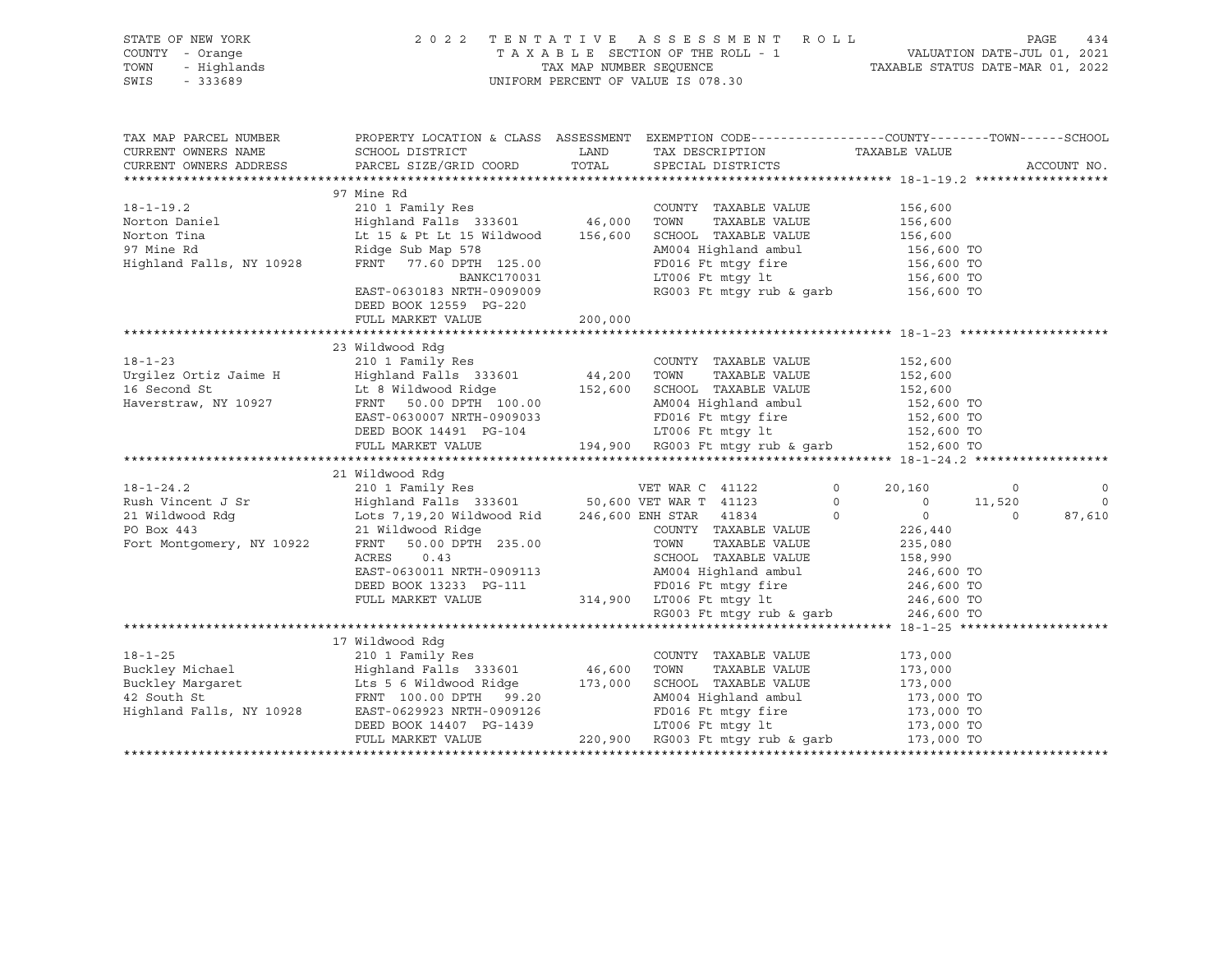| STATE OF NEW YORK<br>COUNTY - Orange<br>- Highlands<br>TOWN<br>SWIS<br>$-333689$          | 2022 TENTATIVE ASSESSMENT ROLL PAGE 434<br>TAXABLE SECTION OF THE ROLL - 1 VALUATION DATE-JUL 01, 2021<br>TAX MAP NUMBER SEQUENCE TAXABLE STATUS DATE-MAR 01, 2022<br>UNIFORM PERCENT OF VALUE IS 078.30                                                                                                                                                                                                                                                                                                                     |         |                                                                                                                                                                                                                   |                                                                     |                                                      |
|-------------------------------------------------------------------------------------------|------------------------------------------------------------------------------------------------------------------------------------------------------------------------------------------------------------------------------------------------------------------------------------------------------------------------------------------------------------------------------------------------------------------------------------------------------------------------------------------------------------------------------|---------|-------------------------------------------------------------------------------------------------------------------------------------------------------------------------------------------------------------------|---------------------------------------------------------------------|------------------------------------------------------|
| CURRENT OWNERS NAME                                                                       | TAX MAP PARCEL NUMBER THE PROPERTY LOCATION & CLASS ASSESSMENT EXEMPTION CODE--------------COUNTY--------TOWN------SCHOOL<br>SCHOOL DISTRICT<br>CURRENT OWNERS ADDRESS PARCEL SIZE/GRID COORD                                                                                                                                                                                                                                                                                                                                |         | LAND TAX DESCRIPTION<br>COORD TOTAL SPECIAL DISTRICTS                                                                                                                                                             | TAXABLE VALUE                                                       | ACCOUNT NO.                                          |
|                                                                                           |                                                                                                                                                                                                                                                                                                                                                                                                                                                                                                                              |         |                                                                                                                                                                                                                   |                                                                     |                                                      |
| $18 - 1 - 19.2$<br>Norton Daniel<br>Norton Tina<br>97 Mine Rd<br>Highland Falls, NY 10928 | 97 Mine Rd<br>210 1 Family Res<br>Highland Falls 333601 46,000 TOWN TAXABLE VALUE<br>Lt 15 & Pt Lt 15 Wildwood 156,600 SCHOOL TAXABLE VALUE<br>Ridge Sub Map 578<br>FRNT   77.60 DPTH   125.00<br>BANKC170031<br>EAST-0630183 NRTH-0909009                                                                                                                                                                                                                                                                                   |         | TAXABLE VALUE 156,600<br>TAXABLE VALUE 156,600<br>M004 Highland ambul<br>TD016 Ft mtgy fire<br>IS6,600 TO<br>LT006 Ft mtgy 1t<br>RG003 Ft mtgy rub & garb<br>156,600 TO<br>RG003 Ft mtgy rub & garb<br>156,600 TO | 156,600                                                             |                                                      |
|                                                                                           | DEED BOOK 12559 PG-220<br>FULL MARKET VALUE                                                                                                                                                                                                                                                                                                                                                                                                                                                                                  | 200,000 |                                                                                                                                                                                                                   |                                                                     |                                                      |
|                                                                                           |                                                                                                                                                                                                                                                                                                                                                                                                                                                                                                                              |         |                                                                                                                                                                                                                   |                                                                     |                                                      |
| $18 - 1 - 23$                                                                             | 23 Wildwood Rdg<br>210 1 Family Res                                                                                                                                                                                                                                                                                                                                                                                                                                                                                          |         | COUNTY TAXABLE VALUE                                                                                                                                                                                              | 152,600                                                             |                                                      |
|                                                                                           | Urgilez Ortiz Jaime H Highland Falls 333601 44,200 TOWN TAXABLE VALUE 152,600<br>16 Second St Lt 8 Wildwood Ridge 152,600 SCHOOL TAXABLE VALUE 152,600<br>Haverstraw, NY 10927 FRNT 50.00 DPTH 100.00 AM004 Highland ambul 152,600 T                                                                                                                                                                                                                                                                                         |         |                                                                                                                                                                                                                   |                                                                     |                                                      |
|                                                                                           |                                                                                                                                                                                                                                                                                                                                                                                                                                                                                                                              |         |                                                                                                                                                                                                                   |                                                                     |                                                      |
|                                                                                           | -- "Lumoud Rdg<br>-- "Lumoud Rdg<br>210 1 Family Res<br>21 Wildwood Rdg<br>21 Wildwood Rdg<br>21 Wildwood Rdg<br>21 Wildwood Ridge<br>21 Wildwood Ridge<br>21 Wildwood Ridge<br>21 Wildwood Ridge<br>21 Wildwood Ridge<br>21 Wildwood Ridge<br>21 Wild<br>21 Wildwood Rige<br>21 Wildwood Rige<br>226, 800 ENT TAXABLE VALUE<br>226, 440<br>226, 440<br>226, 440<br>226, 440<br>226, 440<br>226, 640<br>226, 640<br>226, 640<br>226, 640<br>226, 640<br>226, 440<br>226, 440<br>226, 440<br>226, 440<br>226, 440<br>226, 440 |         |                                                                                                                                                                                                                   | $0 \t 20,160 \t 0$<br>$\begin{matrix}0&&&11,520\ 0&&&0\end{matrix}$ | $\overline{\phantom{0}}$<br>$\overline{0}$<br>87,610 |
|                                                                                           |                                                                                                                                                                                                                                                                                                                                                                                                                                                                                                                              |         |                                                                                                                                                                                                                   |                                                                     |                                                      |
|                                                                                           | 17 Wildwood Rdg                                                                                                                                                                                                                                                                                                                                                                                                                                                                                                              |         |                                                                                                                                                                                                                   |                                                                     |                                                      |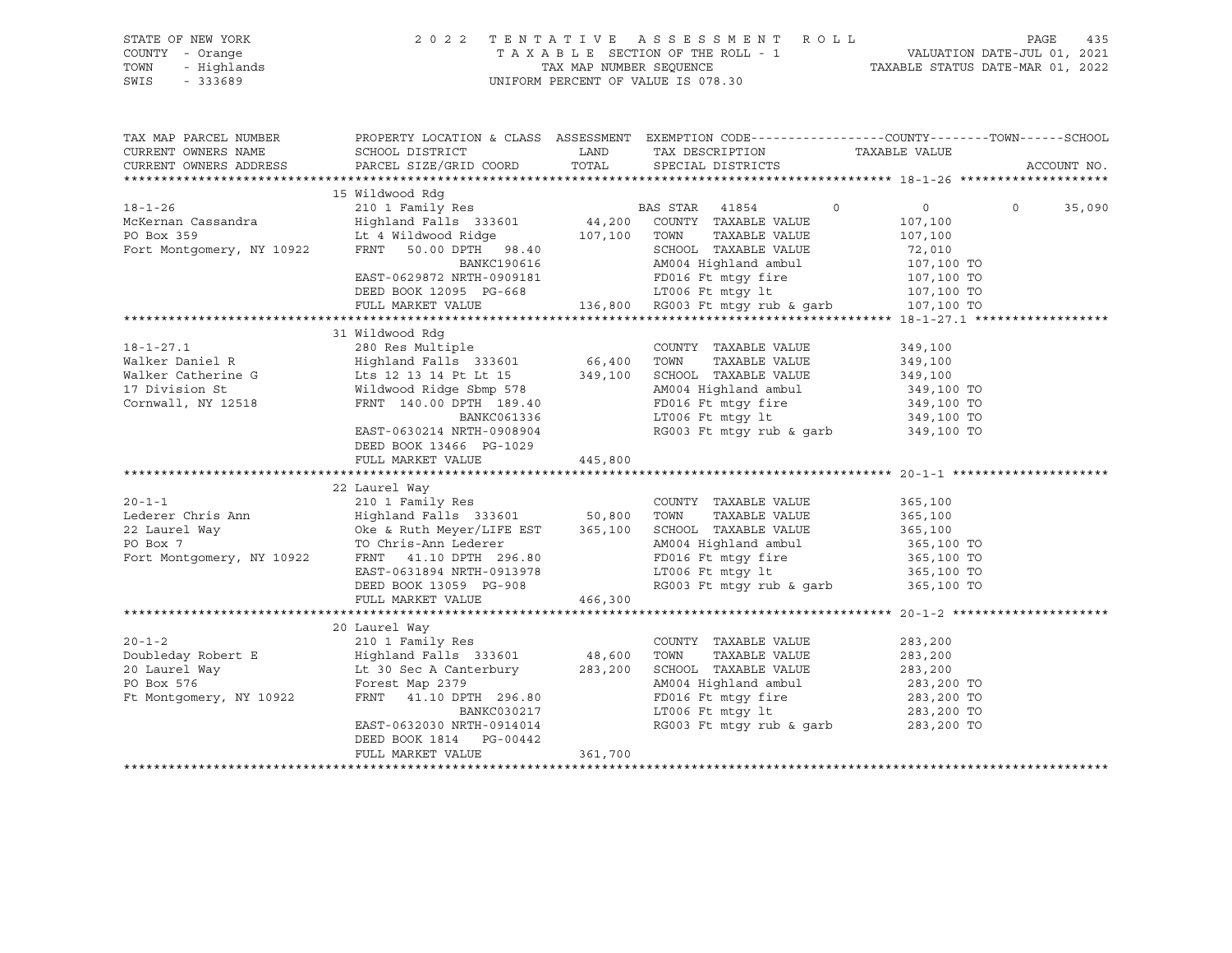| STATE OF NEW YORK<br>OF NEW YORK<br>Y - Orange<br>- Highlands<br>- 333689<br>COUNTY - Orange<br>TOWN<br>SWIS |                                                                                                                                                                                                                                                                                                                                                                                     |         | 2022 TENTATIVE ASSESSMENT ROLL<br>UNIFORM PERCENT OF VALUE IS 078.30                                                                                                                                            | PAGE<br>TAXABLE SECTION OF THE ROLL - 1<br>TAXABLE SECTION OF THE ROLL - 1<br>TAXABLE STATUS DATE-MAR 01, 2022 | 435    |
|--------------------------------------------------------------------------------------------------------------|-------------------------------------------------------------------------------------------------------------------------------------------------------------------------------------------------------------------------------------------------------------------------------------------------------------------------------------------------------------------------------------|---------|-----------------------------------------------------------------------------------------------------------------------------------------------------------------------------------------------------------------|----------------------------------------------------------------------------------------------------------------|--------|
| CURRENT OWNERS NAME<br>CURRENT OWNERS ADDRESS                                                                | TAX MAP PARCEL NUMBER THE PROPERTY LOCATION & CLASS ASSESSMENT EXEMPTION CODE---------------COUNTY-------TOWN-----SCHOOL                                                                                                                                                                                                                                                            |         |                                                                                                                                                                                                                 | ACCOUNT NO.                                                                                                    |        |
|                                                                                                              | 15 Wildwood Rdq                                                                                                                                                                                                                                                                                                                                                                     |         |                                                                                                                                                                                                                 |                                                                                                                |        |
|                                                                                                              |                                                                                                                                                                                                                                                                                                                                                                                     |         |                                                                                                                                                                                                                 | $\Omega$                                                                                                       | 35,090 |
|                                                                                                              |                                                                                                                                                                                                                                                                                                                                                                                     |         |                                                                                                                                                                                                                 |                                                                                                                |        |
|                                                                                                              | 31 Wildwood Rdg<br>18-1-27.1<br>Walker Daniel R<br>Walker Catherine G<br>Walker Catherine G<br>Midwood Ridge Sbmp 578<br>Cornwall, NY 12518<br>Cornwall, NY 12518<br>Cornwall, NY 12518<br>Cornwall, NY 12518<br>Cornwall, NY 12518<br>Cornwall, NY 12518<br>Cornwall,<br>BANKC061336<br>EAST-0630214 NRTH-0908904<br>DEED BOOK 13466 PG-1029<br>FULL MARKET VALUE<br>22 Laurel Way | 445,800 | AM004 Highland ambul<br>19919 10 1192<br>LT006 Ft mtgy 1t<br>RG003 Ft mtgy rub & garb 349,100 TO                                                                                                                | 349,100<br>349,100<br>349,100<br>349,100 TO<br>349,100 TO                                                      |        |
|                                                                                                              | 20-1-1<br>210 1 Family Res<br>210 1 Family Res<br>22 Laurel Way<br>22 Laurel Way<br>22 Laurel Way<br>22 Laurel Way<br>22 Laurel Way<br>22 Laurel Way<br>22 Laurel Way<br>22 Laurel Way<br>22 Laurel Way<br>22 Laurel Way<br>22 Laurel Way<br>22 Laurel Way<br>DEED BOOK 13059 PG-908<br>FULL MARKET VALUE                                                                           | 466,300 | RG003 Ft mtgy rub & garb $365,100$ TO                                                                                                                                                                           |                                                                                                                |        |
|                                                                                                              |                                                                                                                                                                                                                                                                                                                                                                                     |         |                                                                                                                                                                                                                 |                                                                                                                |        |
|                                                                                                              | 20 Laurel Way<br>20-1-2<br>Doubleday Robert E<br>20 Laurel Way<br>20 Laurel Way<br>20 Laurel Way<br>20 Laurel Way<br>20 Laurel Way<br>20 Laurel Way<br>20 Laurel Way<br>20 Laurel Way<br>20 Laurel Way<br>20 Laurel Way<br>20 Laurel Way<br>20 Laurel Way<br>20 Do Box 576<br><br>BANKC030217<br>EAST-0632030 NRTH-0914014<br>DEED BOOK 1814 PG-00442<br>FULL MARKET VALUE          | 361,700 | COUNTY TAXABLE VALUE<br>TAXABLE VALUE<br>TOWN<br>SCHOOL TAXABLE VALUE<br>AM004 Highland ambul 283,200 TO<br>FD016 Ft mtgy fire 283,200 TO<br>LT006 Ft mtgy 1t 283,200 TO<br>RG003 Ft mtgy rub & garb 283,200 TO | 283,200<br>283,200<br>283,200<br>283,200 TO                                                                    |        |
|                                                                                                              |                                                                                                                                                                                                                                                                                                                                                                                     |         |                                                                                                                                                                                                                 |                                                                                                                |        |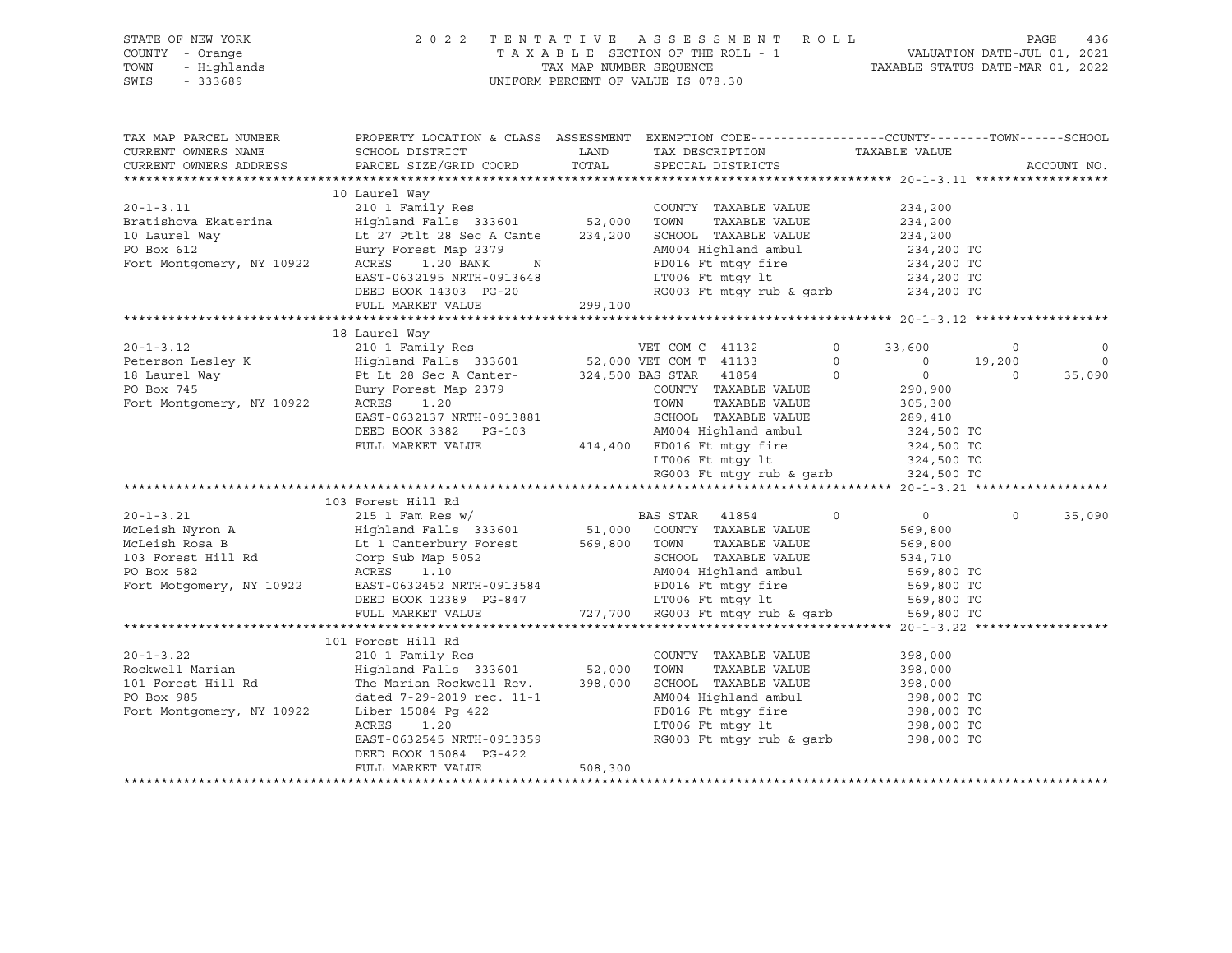| PROPERTY LOCATION & CLASS ASSESSMENT EXEMPTION CODE----------------COUNTY-------TOWN------SCHOOL<br>TAX MAP PARCEL NUMBER<br>TAX DESCRIPTION<br>TAXABLE VALUE<br>CURRENT OWNERS NAME<br>SCHOOL DISTRICT<br><b>EXAMPLE THE STATE OF STATE OF STATE</b><br>CURRENT OWNERS ADDRESS<br>PARCEL SIZE/GRID COORD<br>TOTAL<br>SPECIAL DISTRICTS<br>10 Laurel Way<br>234,200<br>234,200<br>COUNTY TAXABLE VALUE<br>-------- way<br>Lt 27 Ptlt 28 Sec A Cante 234,200 SCHOOL TAXABLE VALUE<br>PO Box 612 Bury Forest Map 2379 AM004 Highland Cante 234,200 SCHOOL TAXABLE VALUE<br>Fort Montgomery, NY 10922 ACRES 1.20 BANK M<br>234,200<br>Bury Forest Map 2379<br>AM004 Highland ambul 234,200 TO<br>ACRES 1.20 BANK N<br>EAST-0632195 NRTH-0913648 LT006 Ft mtgy 1t 234,200 TO<br>DEED BOOK 14303 PG-20 RG003 Ft mtgy rub & garb 234,200 TO<br>FULL MARKET VALUE 299,100<br>20-1-3.12<br>210 1 Family Res<br>Peterson Lesley K<br>210 1 Family Res<br>210 1 Family Res<br>210 1 Family Res<br>210 1 Family Res<br>210 1 Family Res<br>210 1 Family Res<br>22,000 VET COM T 41133<br>22,000 VET COM T 41133<br>22,000 VET COM T 4<br>$\circ$<br>33,600<br>$\overline{\phantom{0}}$<br>0 0 19,200<br>$\overline{0}$<br>$\overline{0}$<br>$\Omega$<br>$290,900$<br>$305,300$<br>COUNTY TAXABLE VALUE<br>TAXABLE VALUE<br>SCHOOL TAXABLE VALUE<br>AM004 Highland ambul<br>289,410<br>324,500 TO<br>DEED BOOK 3382 PG-103<br>414,400 FD016 Ft mtgy fire<br>LT006 Ft mtgy 1t 324,500 TO<br>RG003 Ft mtgy rub & garb 324,500 TO<br>RG003 Ft mtgy rub & garb<br>FULL MARKET VALUE<br>PER MY CLEAR NYTON A<br>MCLEAR NYTON A<br>MCLEAR NOSA B<br>MCLEAR NOSA B<br>Lt 1 Canterbury Forest<br>103 Forest Hill Rd<br>Corp Sub Map 5052<br>PO Box 582<br>ACRES 1.10<br>Port Motgomery, NY 10922<br>EAST-0632452 NDTU CORP SUB AMORA NATURE V<br>$\circ$<br>$\overline{0}$<br>$\circ$<br>569,800<br>TAXABLE VALUE<br>569,800<br>SCHOOL TAXABLE VALUE<br>534,710<br>AM004 Highland ambul<br>AM004 Highland ambul 569,800 TO<br>213584 FD016 Ft mtgy fire 569,800 TO<br>217,700 RG003 Ft mtgy rub & garb 569,800 TO<br>27,700 RG003 Ft mtgy rub & garb 569,800 TO | STATE OF NEW YORK<br>COUNTY - Orange<br>- Highlands<br>TOWN<br>$-333689$<br>SWIS |                        | 2022 TENTATIVE ASSESSMENT ROLL<br>TAXABLE SECTION OF THE ROLL - 1<br>TAX MAP NUMBER SEQUENCE TAXABLE STATUS DATE-MAR 01, 2022<br>UNIFORM PERCENT OF VALUE IS 078.30 | PAGE<br>436                                   |
|---------------------------------------------------------------------------------------------------------------------------------------------------------------------------------------------------------------------------------------------------------------------------------------------------------------------------------------------------------------------------------------------------------------------------------------------------------------------------------------------------------------------------------------------------------------------------------------------------------------------------------------------------------------------------------------------------------------------------------------------------------------------------------------------------------------------------------------------------------------------------------------------------------------------------------------------------------------------------------------------------------------------------------------------------------------------------------------------------------------------------------------------------------------------------------------------------------------------------------------------------------------------------------------------------------------------------------------------------------------------------------------------------------------------------------------------------------------------------------------------------------------------------------------------------------------------------------------------------------------------------------------------------------------------------------------------------------------------------------------------------------------------------------------------------------------------------------------------------------------------------------------------------------------------------------------------------------------------------------------------------------------------------------------------------------------------------------------------------------------------------------------------|----------------------------------------------------------------------------------|------------------------|---------------------------------------------------------------------------------------------------------------------------------------------------------------------|-----------------------------------------------|
|                                                                                                                                                                                                                                                                                                                                                                                                                                                                                                                                                                                                                                                                                                                                                                                                                                                                                                                                                                                                                                                                                                                                                                                                                                                                                                                                                                                                                                                                                                                                                                                                                                                                                                                                                                                                                                                                                                                                                                                                                                                                                                                                             |                                                                                  |                        |                                                                                                                                                                     | ACCOUNT NO.                                   |
|                                                                                                                                                                                                                                                                                                                                                                                                                                                                                                                                                                                                                                                                                                                                                                                                                                                                                                                                                                                                                                                                                                                                                                                                                                                                                                                                                                                                                                                                                                                                                                                                                                                                                                                                                                                                                                                                                                                                                                                                                                                                                                                                             |                                                                                  |                        |                                                                                                                                                                     |                                               |
|                                                                                                                                                                                                                                                                                                                                                                                                                                                                                                                                                                                                                                                                                                                                                                                                                                                                                                                                                                                                                                                                                                                                                                                                                                                                                                                                                                                                                                                                                                                                                                                                                                                                                                                                                                                                                                                                                                                                                                                                                                                                                                                                             |                                                                                  |                        |                                                                                                                                                                     | $\circ$<br>$\overline{\phantom{0}}$<br>35,090 |
|                                                                                                                                                                                                                                                                                                                                                                                                                                                                                                                                                                                                                                                                                                                                                                                                                                                                                                                                                                                                                                                                                                                                                                                                                                                                                                                                                                                                                                                                                                                                                                                                                                                                                                                                                                                                                                                                                                                                                                                                                                                                                                                                             |                                                                                  |                        |                                                                                                                                                                     |                                               |
| FULL MARKET VALUE                                                                                                                                                                                                                                                                                                                                                                                                                                                                                                                                                                                                                                                                                                                                                                                                                                                                                                                                                                                                                                                                                                                                                                                                                                                                                                                                                                                                                                                                                                                                                                                                                                                                                                                                                                                                                                                                                                                                                                                                                                                                                                                           |                                                                                  | DEED BOOK 12389 PG-847 |                                                                                                                                                                     | 35,090                                        |
| 101 Forest Hill Rd                                                                                                                                                                                                                                                                                                                                                                                                                                                                                                                                                                                                                                                                                                                                                                                                                                                                                                                                                                                                                                                                                                                                                                                                                                                                                                                                                                                                                                                                                                                                                                                                                                                                                                                                                                                                                                                                                                                                                                                                                                                                                                                          |                                                                                  |                        |                                                                                                                                                                     |                                               |
| $20 - 1 - 3.22$<br>210 1 Family Res<br>COUNTY TAXABLE VALUE<br>398,000<br>Rockwell Marian<br>398,000<br>101 Forest Hill Rd<br>398,000<br>dated 7-29-2019 rec. 11-1<br>Tiber 15084 Pg 422<br>AM004 Highland ambul<br>FD016 Ft mtgy fire<br>LT006 Ft mtgy lt<br>398,000 TO<br>PO Box 985<br>Fort Montgomery, NY 10922<br>Liber 15084 Pg 422<br>398,000 TO<br>398,000 TO<br>ACRES<br>1.20<br>398,000 TO<br>RG003 Ft mtgy rub & garb<br>EAST-0632545 NRTH-0913359<br>DEED BOOK 15084 PG-422<br>508,300<br>FULL MARKET VALUE                                                                                                                                                                                                                                                                                                                                                                                                                                                                                                                                                                                                                                                                                                                                                                                                                                                                                                                                                                                                                                                                                                                                                                                                                                                                                                                                                                                                                                                                                                                                                                                                                     |                                                                                  |                        |                                                                                                                                                                     |                                               |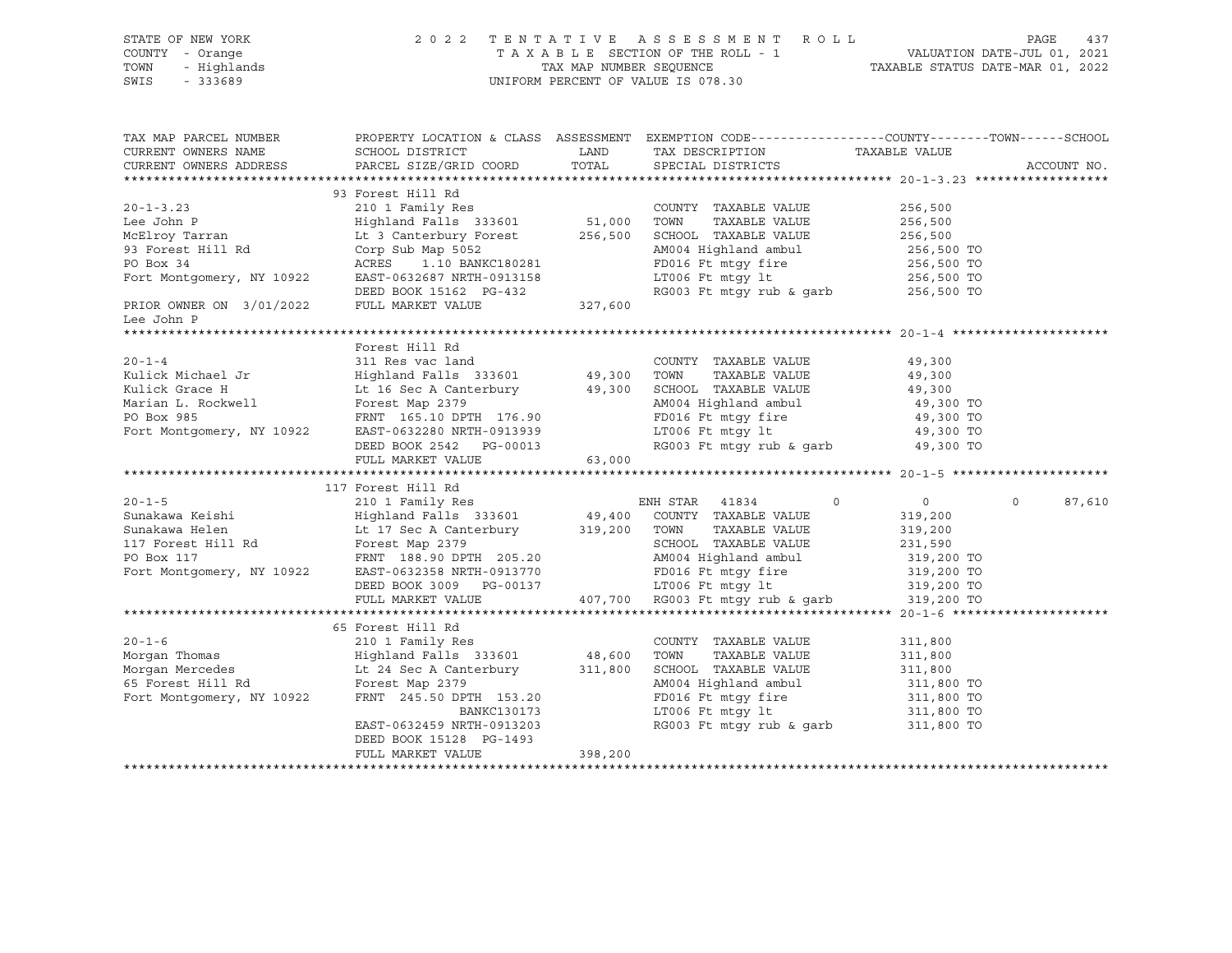| STATE OF NEW YORK<br>OF NEW YORK<br>Y - Orange<br>- Highlands<br>- 333689<br>COUNTY - Orange<br>TOWN<br>SWIS |                                                                                                                                                                                                                                                                                                                                                                           |         | 2022 TENTATIVE ASSESSMENT ROLL PAGE 437<br>TAXABLE SECTION OF THE ROLL - 1 VALUATION DATE-JUL 01, 2021<br>TAX MAP NUMBER SEQUENCE TAXABLE STATUS DATE-MAR 01, 2022<br>UNIFORM PERCENT OF VALUE IS 078.30 |                    |
|--------------------------------------------------------------------------------------------------------------|---------------------------------------------------------------------------------------------------------------------------------------------------------------------------------------------------------------------------------------------------------------------------------------------------------------------------------------------------------------------------|---------|----------------------------------------------------------------------------------------------------------------------------------------------------------------------------------------------------------|--------------------|
|                                                                                                              | TAX MAP PARCEL NUMBER PROPERTY LOCATION & CLASS ASSESSMENT EXEMPTION CODE---------------COUNTY-------TOWN------SCHOOL<br>CURRENT OWNERS NAME<br>CURRENT OWNERS ADDRESS<br>PARCEL SIZE/GRID COORD                                                                                                                                                                          |         | LAND TAX DESCRIPTION TAXABLE VALUE COORD TOTAL SPECIAL DISTRICTS                                                                                                                                         | ACCOUNT NO.        |
| Lee John P                                                                                                   | 93 Forest Hill Rd                                                                                                                                                                                                                                                                                                                                                         |         |                                                                                                                                                                                                          |                    |
|                                                                                                              | Forest Hill Rd                                                                                                                                                                                                                                                                                                                                                            |         |                                                                                                                                                                                                          |                    |
|                                                                                                              | 117 Forest Hill Rd                                                                                                                                                                                                                                                                                                                                                        |         |                                                                                                                                                                                                          | $\Omega$<br>87,610 |
|                                                                                                              | 65 Forest Hill Rd<br>20-1-6<br>Morgan Thomas<br>Morgan Mercedes<br>Morgan Mercedes<br>Morgan Mercedes<br>Example 11: Rd<br>Example 11: Rd<br>Example 133601<br>Example 153.20<br>FRNT 245.50 DPTH 153.20<br>EXAMPLE VALUE<br>EXAMPLE VALUE<br>MO04 Highland ambul<br>MO04 Hig<br>BANKC130173<br>EAST-0632459 NRTH-0913203<br>DEED BOOK 15128 PG-1493<br>FULL MARKET VALUE | 398,200 | AM004 Highland ambul 311,800 TO<br>FD016 Ft mtgy fire 311,800 TO<br>LT006 Ft mtgy 1t 311,800 TO<br>RG003 Ft mtgy rub & garb 311,800 TO                                                                   |                    |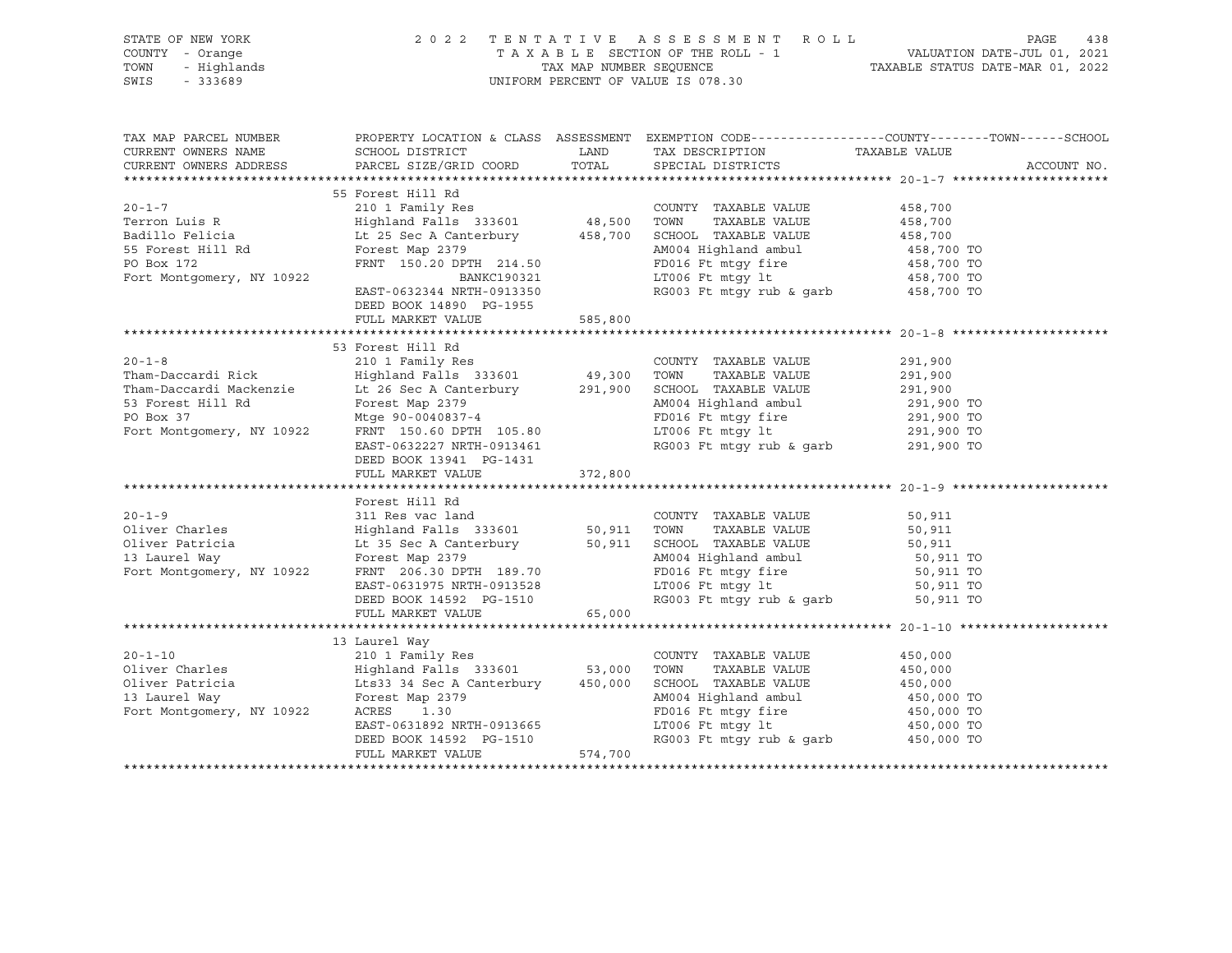| STATE OF NEW YORK<br>OF NEW YORK 2022<br>Y - Orange 2022<br>- Highlands<br>- 333689<br>COUNTY - Orange<br>TOWN<br>SWIS |                                                                                                                                                                                                                                                                                                                                                                                                                                                                                                                      | UNIFORM PERCENT OF VALUE IS 078.30 | 2 0 2 2 TENTATIVE ASSESSMENT ROLL PAGE 438<br>TAXABLE SECTION OF THE ROLL - 1 VALUATION DATE-JUL 01, 2021<br>TAX MAP NUMBER SEQUENCE TAXABLE STATUS DATE-MAR 01, 2022 |
|------------------------------------------------------------------------------------------------------------------------|----------------------------------------------------------------------------------------------------------------------------------------------------------------------------------------------------------------------------------------------------------------------------------------------------------------------------------------------------------------------------------------------------------------------------------------------------------------------------------------------------------------------|------------------------------------|-----------------------------------------------------------------------------------------------------------------------------------------------------------------------|
|                                                                                                                        | CURRENT OWNERS NAME SCHOOL DISTRICT TOORD TAX DESCRIPTION TAXABLE VALUE<br>CURRENT OWNERS ADDRESS PARCEL SIZE/GRID COORD TOTAL SPECIAL DISTRICTS                                                                                                                                                                                                                                                                                                                                                                     |                                    | TAX MAP PARCEL NUMBER PROPERTY LOCATION & CLASS ASSESSMENT EXEMPTION CODE---------------COUNTY-------TOWN------SCHOOL<br>ACCOUNT NO.                                  |
|                                                                                                                        | 55 Forest Hill Rd<br>55 Forest Hill Rd<br>20-1-7<br>Terron Luis R<br>210 1 Family Res<br>210 1 Family Res<br>210 1 Family Res<br>210 1 Family Res<br>210 1 Family Res<br>210 1 Family Res<br>210 1 Family Res<br>210 1 Family Res<br>210 20 2 2 23500 200 48,500 TOWN TAX<br>DEED BOOK 14890 PG-1955                                                                                                                                                                                                                 |                                    |                                                                                                                                                                       |
|                                                                                                                        | FULL MARKET VALUE 585,800                                                                                                                                                                                                                                                                                                                                                                                                                                                                                            |                                    |                                                                                                                                                                       |
|                                                                                                                        | 53 Forest Hill Rd<br>30-1-8<br>20-1-8<br>20-1-8<br>20-1-8<br>20-1-8<br>20-1-8<br>20-1-8<br>20-1-8<br>20-1-8<br>20-1-8<br>20-1-8<br>20-1-8<br>20-1-8<br>20-1-8<br>20-1-8<br>20-1-8<br>20-1-8<br>20-1-8<br>20-1-8<br>20-1-8<br>20-1-8<br>20-1-8<br>20-1-8<br>20-1-8<br>20-1-8<br>20-1-8<br>20-1-8<br>20-1-8<br>DEED BOOK 13941 PG-1431<br>FULL MARKET VALUE 372,800                                                                                                                                                    |                                    |                                                                                                                                                                       |
|                                                                                                                        | Forest Hill Rd                                                                                                                                                                                                                                                                                                                                                                                                                                                                                                       |                                    |                                                                                                                                                                       |
|                                                                                                                        | 20-1-10<br>210 1 Family Res<br>Oliver Charles<br>E VALUE<br>E VALUE<br>Signal Family Res<br>210 1 Family Res<br>210 1 Family Res<br>210 1 Family Res<br>210 1 Family Res<br>2333601<br>253,000 TOWN TAXABLE VALUE<br>253,000 TOWN TAXABLE VALUE<br>257,0<br>Example 11 19 11 1450,000<br>Its33 34 Sec A Canterbury 150,000<br>Forest Map 2379<br>ACRES 1.30<br>ACRES 1.30<br>ACRES 1.30<br>ACRES 1.30<br>ACRES 1.30<br>ACRES 1.30<br>ACRES 1.30<br>ACRES 1.30<br>ACRES 1.30<br>PD016 Ft mtgy fire 150,000 TO<br>EAST |                                    |                                                                                                                                                                       |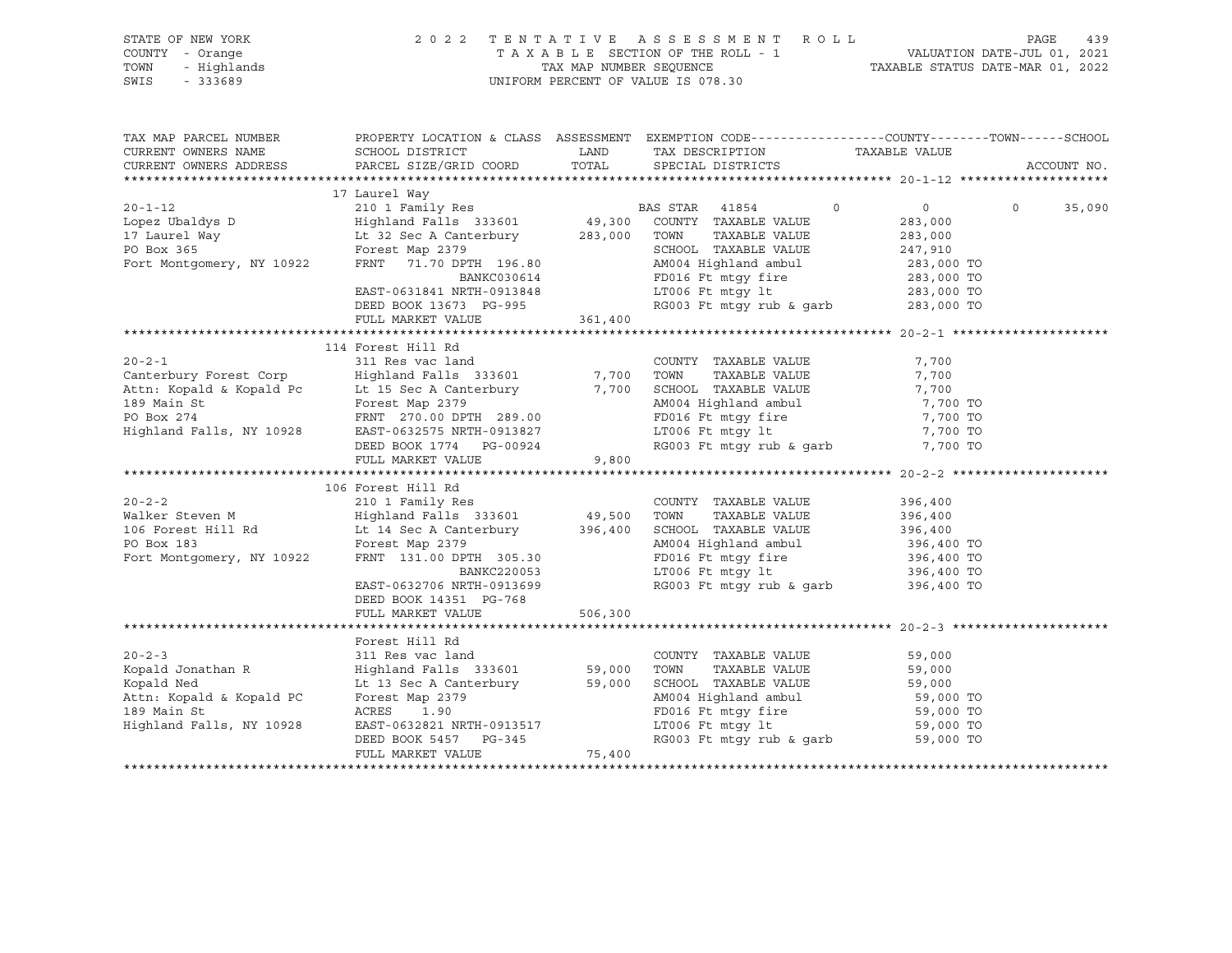|      | STATE OF NEW YORK | 2022 TENTATIVE ASSESSMENT ROLL                                 | PAGE | 439 |
|------|-------------------|----------------------------------------------------------------|------|-----|
|      | COUNTY - Orange   | VALUATION DATE-JUL 01, 2021<br>TAXABLE SECTION OF THE ROLL - 1 |      |     |
|      | TOWN - Highlands  | TAXABLE STATUS DATE-MAR 01, 2022<br>TAX MAP NUMBER SEOUENCE    |      |     |
| SWIS | - 333689          | UNIFORM PERCENT OF VALUE IS 078.30                             |      |     |
|      |                   |                                                                |      |     |

| TAX MAP PARCEL NUMBER                    | PROPERTY LOCATION & CLASS ASSESSMENT EXEMPTION CODE----------------COUNTY-------TOWN------SCHOOL                                                                                                                                                      |          |                                                                                                                                                                              |         |                    |
|------------------------------------------|-------------------------------------------------------------------------------------------------------------------------------------------------------------------------------------------------------------------------------------------------------|----------|------------------------------------------------------------------------------------------------------------------------------------------------------------------------------|---------|--------------------|
| CURRENT OWNERS NAME                      | SCHOOL DISTRICT                                                                                                                                                                                                                                       |          | LAND TAX DESCRIPTION TAXABLE VALUE                                                                                                                                           |         |                    |
| CURRENT OWNERS ADDRESS                   | PARCEL SIZE/GRID COORD TOTAL                                                                                                                                                                                                                          |          | SPECIAL DISTRICTS                                                                                                                                                            |         | ACCOUNT NO.        |
|                                          |                                                                                                                                                                                                                                                       |          |                                                                                                                                                                              |         |                    |
|                                          | 17 Laurel Way<br>20-1-12 210 1 Family Res<br>20-1-12 210 1 Family Res<br>201 Family Res<br>201 Family Res<br>201 Family Res<br>201 Family Res<br>201 Family Res<br>201 Family Res<br>201 Family Res<br>201 Family Res<br>201 Family Res<br>201 49,300 |          |                                                                                                                                                                              |         | $\Omega$<br>35,090 |
|                                          |                                                                                                                                                                                                                                                       |          |                                                                                                                                                                              |         |                    |
|                                          |                                                                                                                                                                                                                                                       |          |                                                                                                                                                                              |         |                    |
|                                          |                                                                                                                                                                                                                                                       |          |                                                                                                                                                                              |         |                    |
|                                          |                                                                                                                                                                                                                                                       |          |                                                                                                                                                                              |         |                    |
|                                          | Forest Map 2379<br>FRNT 71.70 DPTH 196.80<br>BANKC030614<br>EXST-0631841 NRTH-0913848<br>DEED BOOK 13673 PG-995<br>PEED BOOK 13673 PG-995<br>PEED BOOK 13673 PG-995<br>PEED BOOK 13673 PG-995<br>PEED BOOK 13673 PG-995                               |          |                                                                                                                                                                              |         |                    |
|                                          |                                                                                                                                                                                                                                                       |          |                                                                                                                                                                              |         |                    |
|                                          | FULL MARKET VALUE                                                                                                                                                                                                                                     | 361,400  |                                                                                                                                                                              |         |                    |
|                                          |                                                                                                                                                                                                                                                       |          |                                                                                                                                                                              |         |                    |
|                                          |                                                                                                                                                                                                                                                       |          |                                                                                                                                                                              |         |                    |
|                                          |                                                                                                                                                                                                                                                       |          |                                                                                                                                                                              | 7,700   |                    |
|                                          |                                                                                                                                                                                                                                                       |          |                                                                                                                                                                              | 7,700   |                    |
|                                          |                                                                                                                                                                                                                                                       |          |                                                                                                                                                                              |         |                    |
|                                          |                                                                                                                                                                                                                                                       |          |                                                                                                                                                                              |         |                    |
|                                          | Attn: Kopald & Kopald Pc Lt 15 Sec A Canterbury 7,700 SCHOOL TAXABLE VALUE 7,700<br>189 Main St Forest Map 2379 M004 Highland ambul 7,700<br>PO Box 274 FRNT 270.00 DPTH 289.00 FORE The Temp fire 7,700                                              |          |                                                                                                                                                                              |         |                    |
|                                          | Fighland Falls, NY 10928 EAST-0632575 NRTH-0913827<br>DEED BOOK 1774 PG-00924                                                                                                                                                                         |          |                                                                                                                                                                              |         |                    |
|                                          |                                                                                                                                                                                                                                                       |          | AM004 Highland ambul 7,700 TO<br>FD016 Ft mtgy fire 7,700 TO<br>LT006 Ft mtgy 1t 7,700 TO<br>RG003 Ft mtgy rub & garb 7,700 TO                                               |         |                    |
|                                          | FULL MARKET VALUE                                                                                                                                                                                                                                     | 9,800    |                                                                                                                                                                              |         |                    |
|                                          |                                                                                                                                                                                                                                                       |          |                                                                                                                                                                              |         |                    |
|                                          | 106 Forest Hill Rd                                                                                                                                                                                                                                    |          |                                                                                                                                                                              |         |                    |
|                                          |                                                                                                                                                                                                                                                       |          |                                                                                                                                                                              | 396,400 |                    |
|                                          |                                                                                                                                                                                                                                                       |          | $\begin{tabular}{lllllllll} \textsc{TOWN} & \textsc{TXABLE} & \textsc{VALUE} & & 396,400 \\ \textsc{SCHOOD} & \textsc{TXABLE} & \textsc{VALUE} & & 396,400 \\ \end{tabular}$ |         |                    |
|                                          |                                                                                                                                                                                                                                                       |          |                                                                                                                                                                              |         |                    |
|                                          | PO Box 183<br>Forest Map 2379<br>Fort Montgomery, NY 10922<br>FRNT 131.00 DPTH 305.30                                                                                                                                                                 |          | AM004 Highland ambul 396,400 TO<br>FD016 Ft mtgy fire 396,400 TO<br>LT006 Ft mtgy lt 396,400 TO                                                                              |         |                    |
|                                          |                                                                                                                                                                                                                                                       |          |                                                                                                                                                                              |         |                    |
|                                          | BANKC220053                                                                                                                                                                                                                                           |          |                                                                                                                                                                              |         |                    |
|                                          | EAST-0632706 NRTH-0913699                                                                                                                                                                                                                             |          | RG003 Ft mtgy rub & garb 396,400 TO                                                                                                                                          |         |                    |
|                                          | DEED BOOK 14351 PG-768                                                                                                                                                                                                                                |          |                                                                                                                                                                              |         |                    |
|                                          | FULL MARKET VALUE                                                                                                                                                                                                                                     | 506, 300 |                                                                                                                                                                              |         |                    |
|                                          |                                                                                                                                                                                                                                                       |          |                                                                                                                                                                              |         |                    |
|                                          | Forest Hill Rd                                                                                                                                                                                                                                        |          |                                                                                                                                                                              |         |                    |
| $20 - 2 - 3$                             |                                                                                                                                                                                                                                                       |          | COUNTY TAXABLE VALUE                                                                                                                                                         | 59,000  |                    |
| Kopald Jonathan R<br>Kopald Ned          | Forest Hill Rd<br>311 Res vac land<br>Highland Falls  333601            59,000                                                                                                                                                                        |          | TAXABLE VALUE<br>TOWN                                                                                                                                                        | 59,000  |                    |
| Kopald Ned                               | Lt 13 Sec A Canterbury 59,000<br>Forest Map 2379<br>ACRES 1.90                                                                                                                                                                                        |          | SCHOOL TAXABLE VALUE                                                                                                                                                         | 59,000  |                    |
| Attn: Kopald & Kopald PC Forest Map 2379 |                                                                                                                                                                                                                                                       |          |                                                                                                                                                                              |         |                    |
| 189 Main St                              |                                                                                                                                                                                                                                                       |          |                                                                                                                                                                              |         |                    |
| Highland Falls, NY 10928                 | EAST-0632821 NRTH-0913517                                                                                                                                                                                                                             |          | AM004 Highland ambul 59,000 TO<br>FD016 Ft mtgy fire 59,000 TO<br>LT006 Ft mtgy lt 59,000 TO<br>RG003 Ft mtgy rub & garb 59,000 TO                                           |         |                    |
|                                          | DEED BOOK 5457 PG-345                                                                                                                                                                                                                                 |          |                                                                                                                                                                              |         |                    |
|                                          | FULL MARKET VALUE                                                                                                                                                                                                                                     | 75,400   |                                                                                                                                                                              |         |                    |
|                                          |                                                                                                                                                                                                                                                       |          |                                                                                                                                                                              |         |                    |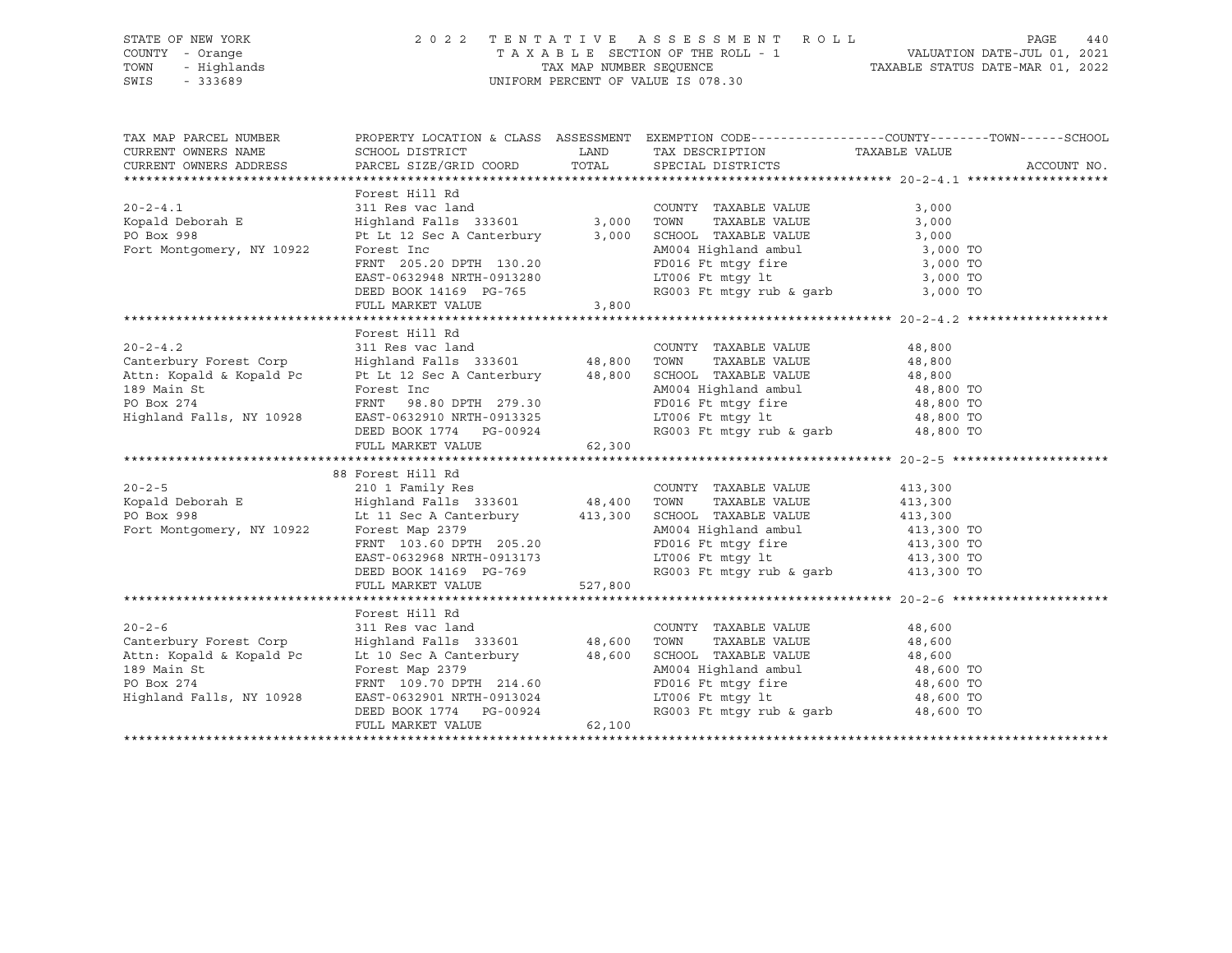## STATE OF NEW YORK 2 0 2 2 T E N T A T I V E A S S E S S M E N T R O L L PAGE 440 COUNTY - Orange T A X A B L E SECTION OF THE ROLL - 1 VALUATION DATE-JUL 01, 2021 TOWN - Highlands TAX MAP NUMBER SEQUENCE TAXABLE STATUS DATE-MAR 01, 2022 SWIS - 333689 UNIFORM PERCENT OF VALUE IS 078.30

| TAX MAP PARCEL NUMBER                                                                                                                                                                                                                                                   |                                                                                  |       | PROPERTY LOCATION & CLASS ASSESSMENT EXEMPTION CODE---------------COUNTY-------TOWN-----SCHOOL                                                                                                                                               |       |             |
|-------------------------------------------------------------------------------------------------------------------------------------------------------------------------------------------------------------------------------------------------------------------------|----------------------------------------------------------------------------------|-------|----------------------------------------------------------------------------------------------------------------------------------------------------------------------------------------------------------------------------------------------|-------|-------------|
| CURRENT OWNERS NAME                                                                                                                                                                                                                                                     |                                                                                  |       | SCHOOL DISTRICT                         LAND         TAX DESCRIPTION                   TAXABLE VALUE                                                                                                                                         |       |             |
| CURRENT OWNERS ADDRESS                                                                                                                                                                                                                                                  |                                                                                  |       | PARCEL SIZE/GRID COORD TOTAL SPECIAL DISTRICTS                                                                                                                                                                                               |       | ACCOUNT NO. |
|                                                                                                                                                                                                                                                                         |                                                                                  |       |                                                                                                                                                                                                                                              |       |             |
|                                                                                                                                                                                                                                                                         | Forest Hill Rd                                                                   |       |                                                                                                                                                                                                                                              |       |             |
| $20 - 2 - 4.1$                                                                                                                                                                                                                                                          | 311 Res vac land                                                                 |       | COUNTY TAXABLE VALUE                                                                                                                                                                                                                         | 3,000 |             |
|                                                                                                                                                                                                                                                                         |                                                                                  |       |                                                                                                                                                                                                                                              |       |             |
|                                                                                                                                                                                                                                                                         |                                                                                  |       |                                                                                                                                                                                                                                              |       |             |
|                                                                                                                                                                                                                                                                         |                                                                                  |       |                                                                                                                                                                                                                                              |       |             |
| Xolometry, NY 10922<br>Fort Montgomery, NY 10922<br>Fort Montgomery, NY 10922<br>Fort Montgomery, NY 10922<br>Fort Montgomery, NY 10922<br>Fort Montgomery, NY 10922<br>Fort Montgomery, NY 10922<br>Fort Montgomery, NY 10922<br>Fort Montgom                          |                                                                                  |       |                                                                                                                                                                                                                                              |       |             |
|                                                                                                                                                                                                                                                                         |                                                                                  |       |                                                                                                                                                                                                                                              |       |             |
|                                                                                                                                                                                                                                                                         |                                                                                  |       |                                                                                                                                                                                                                                              |       |             |
|                                                                                                                                                                                                                                                                         | FULL MARKET VALUE                                                                | 3,800 |                                                                                                                                                                                                                                              |       |             |
|                                                                                                                                                                                                                                                                         |                                                                                  |       |                                                                                                                                                                                                                                              |       |             |
|                                                                                                                                                                                                                                                                         | Forest Hill Rd                                                                   |       |                                                                                                                                                                                                                                              |       |             |
|                                                                                                                                                                                                                                                                         |                                                                                  |       |                                                                                                                                                                                                                                              |       |             |
|                                                                                                                                                                                                                                                                         |                                                                                  |       |                                                                                                                                                                                                                                              |       |             |
|                                                                                                                                                                                                                                                                         |                                                                                  |       |                                                                                                                                                                                                                                              |       |             |
|                                                                                                                                                                                                                                                                         |                                                                                  |       |                                                                                                                                                                                                                                              |       |             |
|                                                                                                                                                                                                                                                                         |                                                                                  |       |                                                                                                                                                                                                                                              |       |             |
|                                                                                                                                                                                                                                                                         |                                                                                  |       |                                                                                                                                                                                                                                              |       |             |
| 20-2-4.2<br>Counterbury Forest Corp<br>311 Res vac land<br>20-2-4.2<br>20-2-4.2<br>20-2-4.2<br>20-2-4.2<br>20-2-4.2<br>20-2-4.2<br>20-2-4.2<br>20-2-4.2<br>20-2-4.2<br>20-2-4.2<br>20-2-4.2<br>20-2-4.2<br>20-2-4.2<br>20-2-4.2<br>20-2-4.2<br>20-2-4.2<br>20-2-4.2<br> |                                                                                  |       |                                                                                                                                                                                                                                              |       |             |
|                                                                                                                                                                                                                                                                         | FULL MARKET VALUE 62,300                                                         |       |                                                                                                                                                                                                                                              |       |             |
|                                                                                                                                                                                                                                                                         |                                                                                  |       |                                                                                                                                                                                                                                              |       |             |
|                                                                                                                                                                                                                                                                         | 88 Forest Hill Rd                                                                |       |                                                                                                                                                                                                                                              |       |             |
|                                                                                                                                                                                                                                                                         |                                                                                  |       |                                                                                                                                                                                                                                              |       |             |
|                                                                                                                                                                                                                                                                         |                                                                                  |       |                                                                                                                                                                                                                                              |       |             |
|                                                                                                                                                                                                                                                                         |                                                                                  |       |                                                                                                                                                                                                                                              |       |             |
|                                                                                                                                                                                                                                                                         |                                                                                  |       |                                                                                                                                                                                                                                              |       |             |
|                                                                                                                                                                                                                                                                         |                                                                                  |       |                                                                                                                                                                                                                                              |       |             |
|                                                                                                                                                                                                                                                                         |                                                                                  |       |                                                                                                                                                                                                                                              |       |             |
|                                                                                                                                                                                                                                                                         |                                                                                  |       |                                                                                                                                                                                                                                              |       |             |
|                                                                                                                                                                                                                                                                         |                                                                                  |       |                                                                                                                                                                                                                                              |       |             |
|                                                                                                                                                                                                                                                                         |                                                                                  |       |                                                                                                                                                                                                                                              |       |             |
|                                                                                                                                                                                                                                                                         | Forest Hill Rd                                                                   |       |                                                                                                                                                                                                                                              |       |             |
| $20 - 2 - 6$                                                                                                                                                                                                                                                            | 311 Res vac land                                                                 |       | COUNTY TAXABLE VALUE 48,600                                                                                                                                                                                                                  |       |             |
|                                                                                                                                                                                                                                                                         |                                                                                  |       |                                                                                                                                                                                                                                              |       |             |
|                                                                                                                                                                                                                                                                         |                                                                                  |       |                                                                                                                                                                                                                                              |       |             |
|                                                                                                                                                                                                                                                                         |                                                                                  |       |                                                                                                                                                                                                                                              |       |             |
| Canterbury Forest Corp<br>Attn: Kopald & Kopald Pc Lt 10 Sec A Canterbury and A8,600 TOWN TAXABLE VALUE<br>189 Main St Forest Map 2379 AM004 Highland ambul 48,600 TO<br>214.60 PO Box 274 FRNT 109.70 DPTH 214.60 PD16 Ft mtgy fire                                    |                                                                                  |       |                                                                                                                                                                                                                                              |       |             |
| Highland Falls, NY 10928                                                                                                                                                                                                                                                |                                                                                  |       | $LT006$ Ft mtgy lt                                                                                                                                                                                                                           |       |             |
|                                                                                                                                                                                                                                                                         |                                                                                  |       | $\begin{tabular}{lllllllll} \texttt{LTO06} & \texttt{Ft} & \texttt{mtgy} & \texttt{lt} & & & & 48,600 & \texttt{TO} \\ \texttt{RGO03} & \texttt{Ft} & \texttt{mtgy} & \texttt{rub} & \texttt{garb} & & & 48,600 & \texttt{TO} \end{tabular}$ |       |             |
|                                                                                                                                                                                                                                                                         | EAST-0632901 NRTH-0913024<br>DEED BOOK 1774 PG-00924<br>FULL MARKET VALUE 62,100 |       |                                                                                                                                                                                                                                              |       |             |
|                                                                                                                                                                                                                                                                         |                                                                                  |       |                                                                                                                                                                                                                                              |       |             |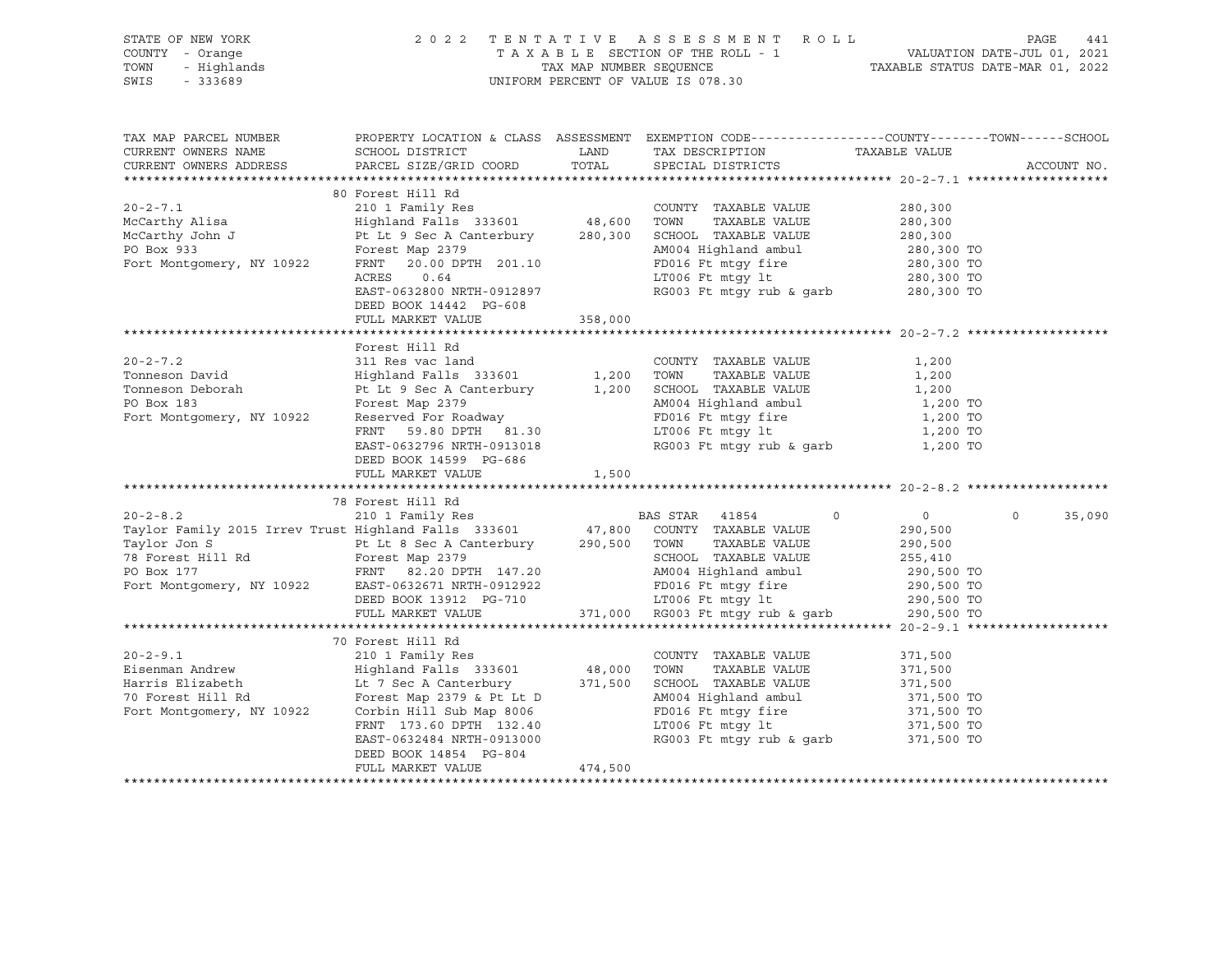| STATE OF NEW YORK<br>COUNTY - Orange<br>TOWN<br>SWIS - 333689                                                                                                                                                                                       |                                                                     |         | OF NEW YORK PAGE 441 2022 TENTATIVE ASSESSMENT ROLL PAGE 441<br>Y - Orange TAXABLE SECTION OF THE ROLL - 1 VALUATION DATE-JUL 01, 2021<br>- Highlands TAXABLE STATUS DATE-MAR 01, 2022<br>- 333689 UNIFORM PERCENT OF VALUE IS 078.3 |                    |
|-----------------------------------------------------------------------------------------------------------------------------------------------------------------------------------------------------------------------------------------------------|---------------------------------------------------------------------|---------|--------------------------------------------------------------------------------------------------------------------------------------------------------------------------------------------------------------------------------------|--------------------|
| CURRENT OWNERS NAME SCHOOL DISTRICT LAND TAX DESCRIPTION TAXABLE VALUE CURRENT OWNERS ADDRESS PARCEL SIZE/GRID COORD TOTAL SPECIAL DISTRICTS                                                                                                        |                                                                     |         |                                                                                                                                                                                                                                      | ACCOUNT NO.        |
|                                                                                                                                                                                                                                                     |                                                                     |         |                                                                                                                                                                                                                                      |                    |
|                                                                                                                                                                                                                                                     | 80 Forest Hill Rd<br>DEED BOOK 14442 PG-608                         |         |                                                                                                                                                                                                                                      |                    |
|                                                                                                                                                                                                                                                     | FULL MARKET VALUE                                                   | 358,000 |                                                                                                                                                                                                                                      |                    |
|                                                                                                                                                                                                                                                     |                                                                     |         |                                                                                                                                                                                                                                      |                    |
| Forest Hill Rd<br>Tonneson David<br>Tonneson David<br>Highland Falls 333601<br>Highland Falls 200<br>Tomeson Deborah<br>Pt Lt 9 Sec A Canterbury<br>Po Box 183<br>Forest Map 2379<br>Fort Montgomery, NY 10922<br>Reserved For Roadway<br>ENT 59.80 | Forest Hill Rd<br>DEED BOOK 14599 PG-686<br>FULL MARKET VALUE 1,500 |         |                                                                                                                                                                                                                                      |                    |
|                                                                                                                                                                                                                                                     |                                                                     |         |                                                                                                                                                                                                                                      |                    |
|                                                                                                                                                                                                                                                     | 78 Forest Hill Rd                                                   |         |                                                                                                                                                                                                                                      | $\Omega$<br>35,090 |
|                                                                                                                                                                                                                                                     | 70 Forest Hill Rd                                                   |         |                                                                                                                                                                                                                                      |                    |
|                                                                                                                                                                                                                                                     | FULL MARKET VALUE                                                   | 474,500 |                                                                                                                                                                                                                                      |                    |
|                                                                                                                                                                                                                                                     |                                                                     |         |                                                                                                                                                                                                                                      |                    |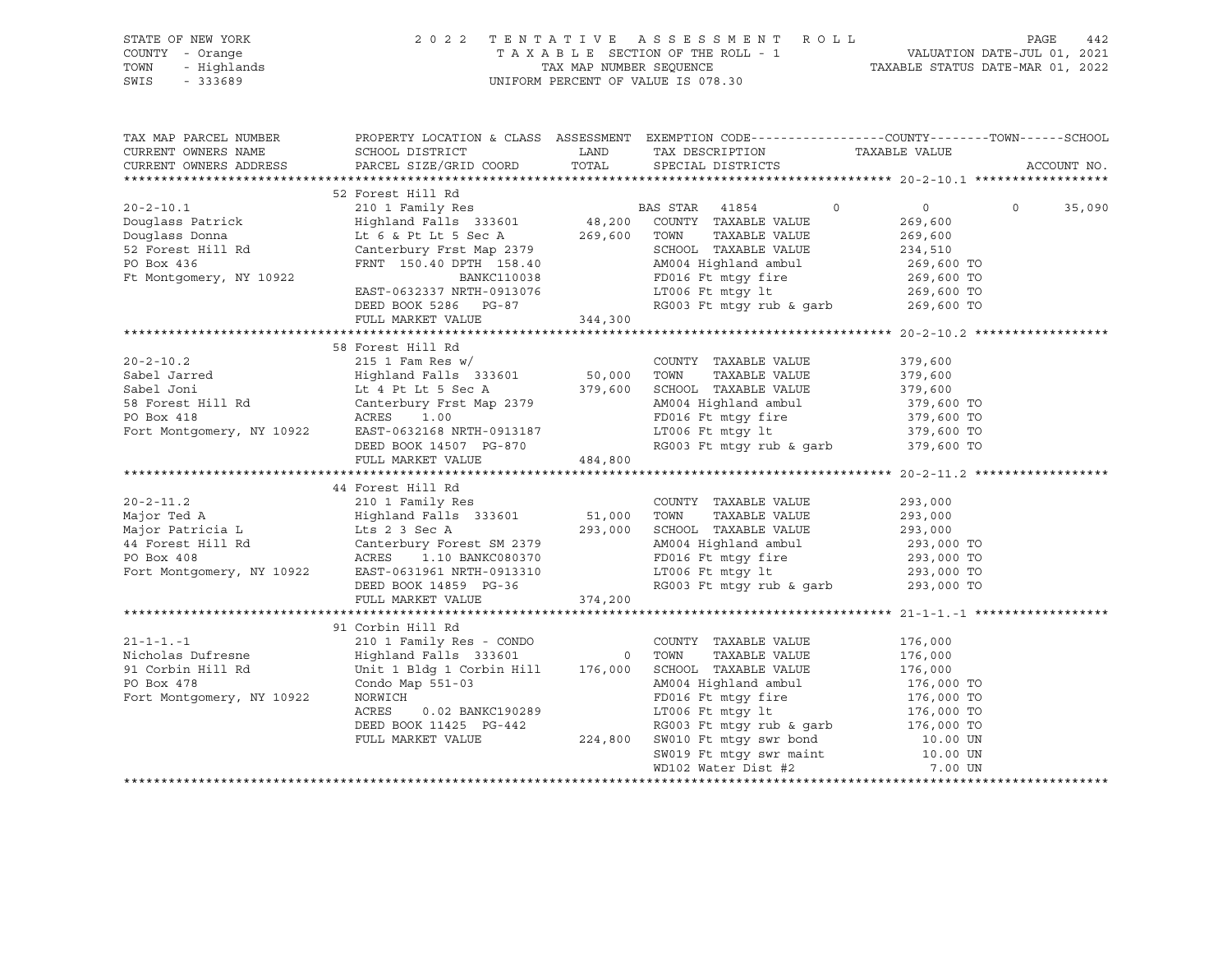|      | STATE OF NEW YORK | 2022 TENTATIVE ASSESSMENT ROLL     |                                  | PAGE                        | 442 |
|------|-------------------|------------------------------------|----------------------------------|-----------------------------|-----|
|      | COUNTY - Orange   | TAXABLE SECTION OF THE ROLL - 1    |                                  | VALUATION DATE-JUL 01, 2021 |     |
| TOWN | - Highlands       | TAX MAP NUMBER SEOUENCE            | TAXABLE STATUS DATE-MAR 01, 2022 |                             |     |
| SWIS | $-333689$         | UNIFORM PERCENT OF VALUE IS 078.30 |                                  |                             |     |

| TAX MAP PARCEL NUMBER  | PROPERTY LOCATION & CLASS ASSESSMENT EXEMPTION CODE----------------COUNTY-------TOWN------SCHOOL                                                                                                                                                       |             |                                                                                                                            |  |             |
|------------------------|--------------------------------------------------------------------------------------------------------------------------------------------------------------------------------------------------------------------------------------------------------|-------------|----------------------------------------------------------------------------------------------------------------------------|--|-------------|
| CURRENT OWNERS NAME    | SCHOOL DISTRICT                                                                                                                                                                                                                                        | <b>LAND</b> | TAX DESCRIPTION TAXABLE VALUE                                                                                              |  |             |
| CURRENT OWNERS ADDRESS | PARCEL SIZE/GRID COORD TOTAL SPECIAL DISTRICTS                                                                                                                                                                                                         |             |                                                                                                                            |  | ACCOUNT NO. |
|                        | 32 Forest Hill Rd<br>2002–2-10.1 52 Forest Hill Rd<br>Douglass Patrick Highland Falls 333601 48,200 COUNTY TAXABLE VALUE<br>Douglass Donna Lt 6 & Pt Lt 5 Sec A 269,600 TONN TAXABLE VALUE<br>269,600 TONN TAXABLE VALUE<br>269,600 TONN               |             |                                                                                                                            |  |             |
|                        |                                                                                                                                                                                                                                                        |             |                                                                                                                            |  |             |
|                        |                                                                                                                                                                                                                                                        |             |                                                                                                                            |  |             |
|                        |                                                                                                                                                                                                                                                        |             |                                                                                                                            |  |             |
|                        |                                                                                                                                                                                                                                                        |             |                                                                                                                            |  |             |
|                        |                                                                                                                                                                                                                                                        |             |                                                                                                                            |  |             |
|                        |                                                                                                                                                                                                                                                        |             |                                                                                                                            |  |             |
|                        |                                                                                                                                                                                                                                                        |             |                                                                                                                            |  |             |
|                        |                                                                                                                                                                                                                                                        |             |                                                                                                                            |  |             |
|                        |                                                                                                                                                                                                                                                        |             |                                                                                                                            |  |             |
|                        | DEED BOOK 5286 PG-87<br>FULL MARKET VALUE 344,300                                                                                                                                                                                                      |             |                                                                                                                            |  |             |
|                        |                                                                                                                                                                                                                                                        |             |                                                                                                                            |  |             |
|                        | 58 Forest Hill Rd                                                                                                                                                                                                                                      |             |                                                                                                                            |  |             |
|                        |                                                                                                                                                                                                                                                        |             |                                                                                                                            |  |             |
|                        |                                                                                                                                                                                                                                                        |             |                                                                                                                            |  |             |
|                        |                                                                                                                                                                                                                                                        |             |                                                                                                                            |  |             |
|                        |                                                                                                                                                                                                                                                        |             |                                                                                                                            |  |             |
|                        |                                                                                                                                                                                                                                                        |             |                                                                                                                            |  |             |
|                        |                                                                                                                                                                                                                                                        |             |                                                                                                                            |  |             |
|                        | 379,600<br>Sabel Jarred 215 1 Fam Res w/<br>Sabel Jarred Highland Falls 333601<br>Sabel Joni Lt 4 Pt Lt 5 Sec A<br>58 Forest Hill Rd Canterbury Frst Map 2379<br>PO Box 418<br>Fort Montgomery, NY 10922<br>EAST-0632168 NRTH-0913187<br>DEED          |             |                                                                                                                            |  |             |
|                        | FULL MARKET VALUE 484,800                                                                                                                                                                                                                              |             |                                                                                                                            |  |             |
|                        |                                                                                                                                                                                                                                                        |             |                                                                                                                            |  |             |
|                        | 44 Forest Hill Rd                                                                                                                                                                                                                                      |             |                                                                                                                            |  |             |
|                        |                                                                                                                                                                                                                                                        |             |                                                                                                                            |  |             |
|                        |                                                                                                                                                                                                                                                        |             |                                                                                                                            |  |             |
|                        |                                                                                                                                                                                                                                                        |             |                                                                                                                            |  |             |
|                        |                                                                                                                                                                                                                                                        |             |                                                                                                                            |  |             |
|                        |                                                                                                                                                                                                                                                        |             |                                                                                                                            |  |             |
|                        |                                                                                                                                                                                                                                                        |             |                                                                                                                            |  |             |
|                        | 20-2-11.2<br>Major Ted A<br>Major Ted A<br>Major Patricia L<br>Major Patricia L<br>Major Patricia L<br>Major Patricia L<br>Major Patricia L<br>Conterbury Forest SM 2379<br>PO Box 408<br>Po Box 408<br>Fort Montgomery, NY 10922<br>EAST-0631961 NRTH |             |                                                                                                                            |  |             |
|                        | FULL MARKET VALUE 374,200                                                                                                                                                                                                                              |             |                                                                                                                            |  |             |
|                        |                                                                                                                                                                                                                                                        |             |                                                                                                                            |  |             |
|                        | 91 Corbin Hill Rd                                                                                                                                                                                                                                      |             |                                                                                                                            |  |             |
|                        |                                                                                                                                                                                                                                                        |             |                                                                                                                            |  |             |
|                        |                                                                                                                                                                                                                                                        |             |                                                                                                                            |  |             |
|                        |                                                                                                                                                                                                                                                        |             |                                                                                                                            |  |             |
|                        |                                                                                                                                                                                                                                                        |             |                                                                                                                            |  |             |
|                        | 176,000 Nicholas Dufresne and COUNTY TAXABLE VALUE<br>210 1 Family Res - CONDO COUNTY TAXABLE VALUE<br>210 1 Family Res - CONDO TOWN TAXABLE VALUE<br>210 1 Family Res - CONDO COUNTY TAXABLE VALUE<br>216,000<br>21 Corbin Hill Rd Unit               |             |                                                                                                                            |  |             |
|                        | 0.02 BANKC190289                                                                                                                                                                                                                                       |             |                                                                                                                            |  |             |
|                        |                                                                                                                                                                                                                                                        |             | FD016 Ft mtgy fire<br>LT006 Ft mtgy 1t<br>RG003 Ft mtgy rub & garb<br>176,000 TO<br>176,000 TO<br>176,000 TO<br>176,000 TO |  |             |
|                        |                                                                                                                                                                                                                                                        |             |                                                                                                                            |  |             |
|                        |                                                                                                                                                                                                                                                        |             |                                                                                                                            |  |             |
|                        | ACRES 0.02 BANKC190289<br>DEED BOOK 11425 PG-442 RG003 Ft mtgy rub & garp<br>FULL MARKET VALUE 224,800 SW010 Ft mtgy swr maint 10.00 UN<br>SW019 Ft mtgy swr maint 10.00 UN<br>7.00 UN                                                                 |             |                                                                                                                            |  |             |
|                        |                                                                                                                                                                                                                                                        |             |                                                                                                                            |  |             |
|                        |                                                                                                                                                                                                                                                        |             |                                                                                                                            |  |             |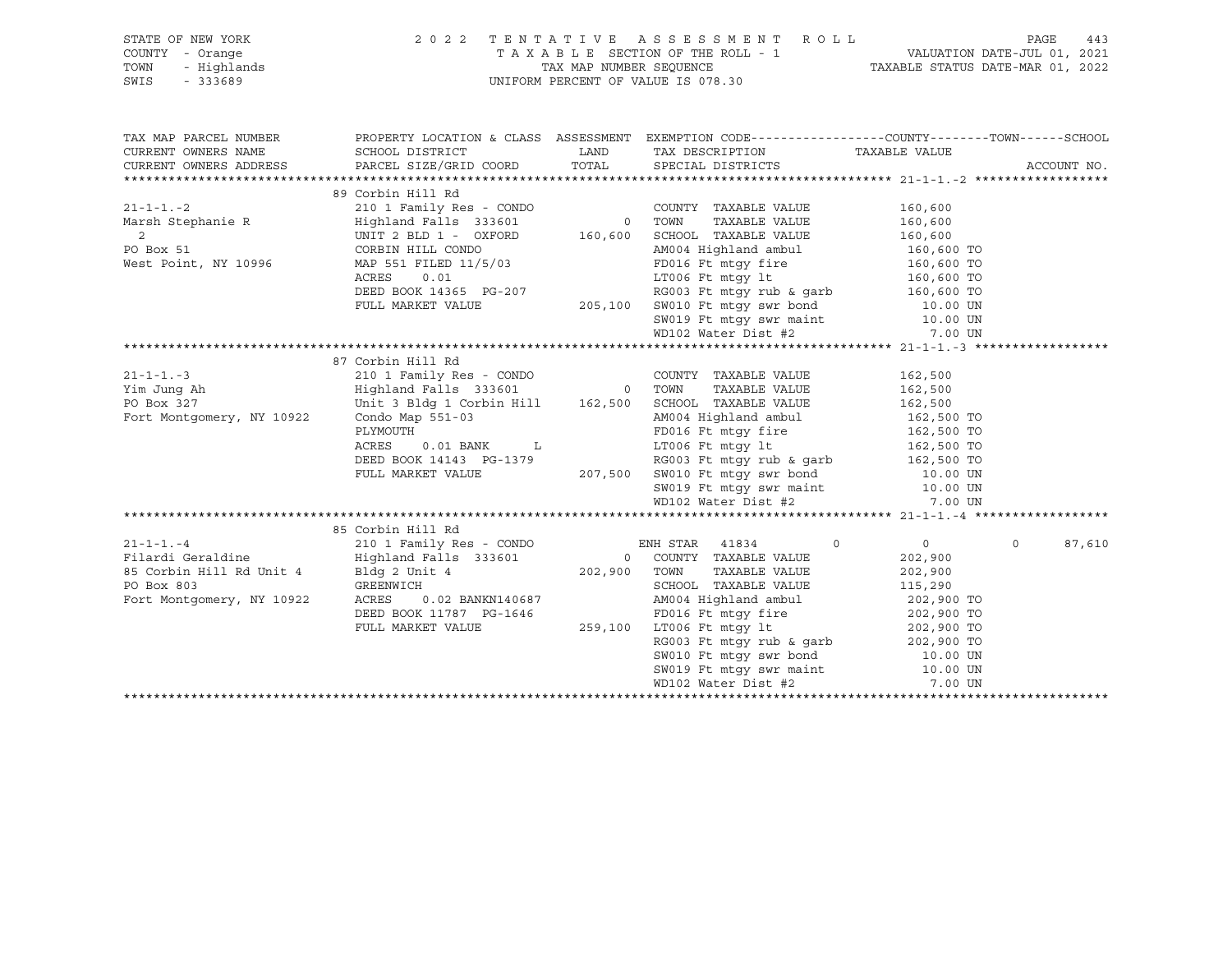|                                               | STATE OF NEW YORK PORT A SERIE SERIES SOMENT ROLL PAGE 443<br>COUNTY - Orange TAXABLE SECTION OF THE ROLL - 1 VALUATION DATE-JUL 01, 2021<br>TOWN - Highlands TAXABLE STATUS DATE-MAR 01, 2022<br>SWIS - 333689                                                        |  |                    |
|-----------------------------------------------|------------------------------------------------------------------------------------------------------------------------------------------------------------------------------------------------------------------------------------------------------------------------|--|--------------------|
|                                               | TAX MAP PARCEL NUMBER THE PROPERTY LOCATION & CLASS ASSESSMENT EXEMPTION CODE--------------COUNTY-------TOWN------SCHOOL                                                                                                                                               |  |                    |
| CURRENT OWNERS NAME<br>CURRENT OWNERS ADDRESS |                                                                                                                                                                                                                                                                        |  | ACCOUNT NO.        |
|                                               |                                                                                                                                                                                                                                                                        |  |                    |
|                                               | 89 Corbin Hill Rd                                                                                                                                                                                                                                                      |  |                    |
|                                               |                                                                                                                                                                                                                                                                        |  |                    |
|                                               |                                                                                                                                                                                                                                                                        |  |                    |
|                                               |                                                                                                                                                                                                                                                                        |  |                    |
|                                               |                                                                                                                                                                                                                                                                        |  |                    |
|                                               |                                                                                                                                                                                                                                                                        |  |                    |
|                                               |                                                                                                                                                                                                                                                                        |  |                    |
|                                               |                                                                                                                                                                                                                                                                        |  |                    |
|                                               |                                                                                                                                                                                                                                                                        |  |                    |
|                                               |                                                                                                                                                                                                                                                                        |  |                    |
|                                               |                                                                                                                                                                                                                                                                        |  |                    |
|                                               |                                                                                                                                                                                                                                                                        |  |                    |
|                                               | 87 Corbin Hill Rd                                                                                                                                                                                                                                                      |  |                    |
|                                               |                                                                                                                                                                                                                                                                        |  |                    |
|                                               |                                                                                                                                                                                                                                                                        |  |                    |
|                                               |                                                                                                                                                                                                                                                                        |  |                    |
|                                               |                                                                                                                                                                                                                                                                        |  |                    |
|                                               |                                                                                                                                                                                                                                                                        |  |                    |
|                                               |                                                                                                                                                                                                                                                                        |  |                    |
|                                               |                                                                                                                                                                                                                                                                        |  |                    |
|                                               |                                                                                                                                                                                                                                                                        |  |                    |
|                                               |                                                                                                                                                                                                                                                                        |  |                    |
|                                               |                                                                                                                                                                                                                                                                        |  |                    |
|                                               |                                                                                                                                                                                                                                                                        |  |                    |
|                                               | 85 Corbin Hill Rd<br>210 1 Family Res - CONDO<br>201 Family Res - CONDO<br>202,900<br>202,900<br>202,900<br>202,900<br>202,900<br>202,900<br>202,900<br>202,900<br>202,900<br>202,900<br>202,900<br>202,900<br>202,900<br>202,900<br>202,900<br>202,900<br>202,900<br> |  | $\Omega$<br>87,610 |
|                                               |                                                                                                                                                                                                                                                                        |  |                    |
|                                               |                                                                                                                                                                                                                                                                        |  |                    |
|                                               |                                                                                                                                                                                                                                                                        |  |                    |
|                                               |                                                                                                                                                                                                                                                                        |  |                    |
|                                               |                                                                                                                                                                                                                                                                        |  |                    |
|                                               |                                                                                                                                                                                                                                                                        |  |                    |
|                                               |                                                                                                                                                                                                                                                                        |  |                    |
|                                               |                                                                                                                                                                                                                                                                        |  |                    |
|                                               |                                                                                                                                                                                                                                                                        |  |                    |
|                                               | Bldg 2 Unit 4<br>GREENWICH<br>ACRES 0.02 BANKN140687<br>DEED BOOK 11787 PG-1646<br>FULL MARKET VALUE<br>FULL MARKET VALUE<br>ANDO4 Highland ambul<br>FD016 Ft mtgy fire<br>202,900 TO<br>FULL MARKET VALUE<br>209,900 TO<br>202,900 TO<br>EVILL MARKET                 |  |                    |
|                                               |                                                                                                                                                                                                                                                                        |  |                    |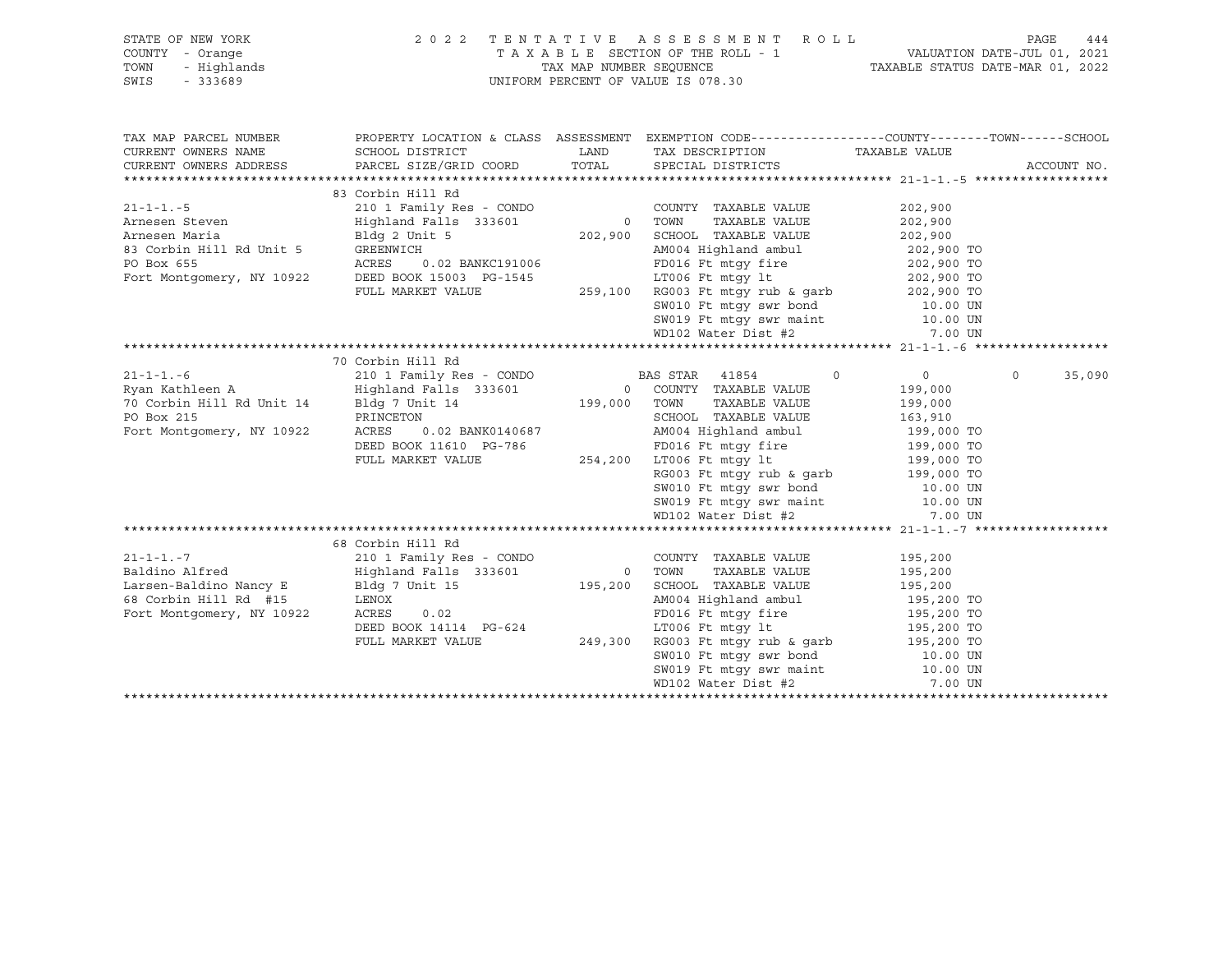|                                                | STATE OF NEW YORK 2022 TENTATIVE ASSESSMENT ROLL PAGE 444<br>COUNTY - Orange TAXABLE SECTION OF THE ROLL - 1 VALUATION DATE-JUL 01, 2021<br>TOWN - Highlands TAXABLE STATUS DATE-MAR 01, 2022<br>SWIS - 333689                                               |  |                                                                                                                                                                                                                                                          |                                     |                    |
|------------------------------------------------|--------------------------------------------------------------------------------------------------------------------------------------------------------------------------------------------------------------------------------------------------------------|--|----------------------------------------------------------------------------------------------------------------------------------------------------------------------------------------------------------------------------------------------------------|-------------------------------------|--------------------|
|                                                |                                                                                                                                                                                                                                                              |  |                                                                                                                                                                                                                                                          |                                     |                    |
|                                                |                                                                                                                                                                                                                                                              |  |                                                                                                                                                                                                                                                          |                                     |                    |
|                                                |                                                                                                                                                                                                                                                              |  |                                                                                                                                                                                                                                                          |                                     |                    |
|                                                |                                                                                                                                                                                                                                                              |  |                                                                                                                                                                                                                                                          |                                     |                    |
| TAX MAP PARCEL NUMBER                          |                                                                                                                                                                                                                                                              |  | PROPERTY LOCATION & CLASS ASSESSMENT EXEMPTION CODE-----------------COUNTY-------TOWN------SCHOOL                                                                                                                                                        |                                     |                    |
| CURRENT OWNERS NAME                            |                                                                                                                                                                                                                                                              |  |                                                                                                                                                                                                                                                          |                                     |                    |
| CURRENT OWNERS ADDRESS                         |                                                                                                                                                                                                                                                              |  |                                                                                                                                                                                                                                                          |                                     | ACCOUNT NO.        |
|                                                |                                                                                                                                                                                                                                                              |  |                                                                                                                                                                                                                                                          |                                     |                    |
|                                                | 83 Corbin Hill Rd                                                                                                                                                                                                                                            |  |                                                                                                                                                                                                                                                          |                                     |                    |
|                                                |                                                                                                                                                                                                                                                              |  |                                                                                                                                                                                                                                                          |                                     |                    |
|                                                |                                                                                                                                                                                                                                                              |  |                                                                                                                                                                                                                                                          |                                     |                    |
|                                                |                                                                                                                                                                                                                                                              |  |                                                                                                                                                                                                                                                          |                                     |                    |
|                                                |                                                                                                                                                                                                                                                              |  |                                                                                                                                                                                                                                                          |                                     |                    |
|                                                |                                                                                                                                                                                                                                                              |  |                                                                                                                                                                                                                                                          |                                     |                    |
|                                                |                                                                                                                                                                                                                                                              |  |                                                                                                                                                                                                                                                          |                                     |                    |
|                                                |                                                                                                                                                                                                                                                              |  |                                                                                                                                                                                                                                                          |                                     |                    |
|                                                |                                                                                                                                                                                                                                                              |  |                                                                                                                                                                                                                                                          |                                     |                    |
|                                                |                                                                                                                                                                                                                                                              |  |                                                                                                                                                                                                                                                          |                                     |                    |
|                                                |                                                                                                                                                                                                                                                              |  |                                                                                                                                                                                                                                                          |                                     |                    |
|                                                |                                                                                                                                                                                                                                                              |  |                                                                                                                                                                                                                                                          |                                     |                    |
|                                                | 70 Corbin Hill Rd                                                                                                                                                                                                                                            |  |                                                                                                                                                                                                                                                          |                                     |                    |
|                                                | 21-1-1.-6 210 1 Family Res - CONDO BAS STAR 41854 0<br>Ryan Kathleen A Highland Falls 333601 0 COUNTY TAXABLE VALUE<br>70 Corbin Hill Rd Unit 14 Bldg 7 Unit 14 199,000 TOWN TAXABLE VALUE                                                                   |  |                                                                                                                                                                                                                                                          | $0 \qquad \qquad$<br>$\overline{0}$ | $\Omega$<br>35,090 |
|                                                |                                                                                                                                                                                                                                                              |  |                                                                                                                                                                                                                                                          | 199,000                             |                    |
|                                                |                                                                                                                                                                                                                                                              |  | TAXABLE VALUE 199,000                                                                                                                                                                                                                                    |                                     |                    |
|                                                |                                                                                                                                                                                                                                                              |  |                                                                                                                                                                                                                                                          |                                     |                    |
|                                                |                                                                                                                                                                                                                                                              |  |                                                                                                                                                                                                                                                          |                                     |                    |
| PRINCETON<br>Fort Montgomery, NY 10922 ACRES 0 |                                                                                                                                                                                                                                                              |  | PRINCETON<br>ACRES 0.02 BANK0140687 AM004 Highland ambul 163,910<br>DEED BOOK 11610 PG-786 FD016 Ft mtgy fire 199,000 TO<br>FULL MARKET VALUE 254,200 LT006 Ft mtgy lt 199,000 TO                                                                        |                                     |                    |
|                                                |                                                                                                                                                                                                                                                              |  |                                                                                                                                                                                                                                                          |                                     |                    |
|                                                |                                                                                                                                                                                                                                                              |  |                                                                                                                                                                                                                                                          |                                     |                    |
|                                                |                                                                                                                                                                                                                                                              |  |                                                                                                                                                                                                                                                          |                                     |                    |
|                                                |                                                                                                                                                                                                                                                              |  |                                                                                                                                                                                                                                                          |                                     |                    |
|                                                |                                                                                                                                                                                                                                                              |  | Providency property and the M99,000 TO<br>SW010 Ft mtgy swr bond<br>SW019 Ft mtgy swr maint 10.00 UN<br>WD102 Water Dist #2 7.00 UN                                                                                                                      |                                     |                    |
|                                                |                                                                                                                                                                                                                                                              |  |                                                                                                                                                                                                                                                          |                                     |                    |
|                                                | 68 Corbin Hill Rd                                                                                                                                                                                                                                            |  |                                                                                                                                                                                                                                                          |                                     |                    |
| $21 - 1 - 1 - 7$                               |                                                                                                                                                                                                                                                              |  | 210 1 Family Res - CONDO COUNTY TAXABLE VALUE 195,200                                                                                                                                                                                                    |                                     |                    |
|                                                |                                                                                                                                                                                                                                                              |  |                                                                                                                                                                                                                                                          |                                     |                    |
|                                                | Baldino Alfred<br>Larsen-Baldino Nancy E<br>ERNOX<br>Fort Montgomery, NY 10922<br>COUNT AAABLE VALUE<br>COUNT AAABLE VALUE<br>195,200<br>195,200<br>TOWN TAXABLE VALUE<br>215,200<br>2008<br>TOWN TAXABLE VALUE<br>215,200<br>2008<br>FD016 Ft mtgy fire<br> |  |                                                                                                                                                                                                                                                          |                                     |                    |
|                                                |                                                                                                                                                                                                                                                              |  |                                                                                                                                                                                                                                                          |                                     |                    |
|                                                |                                                                                                                                                                                                                                                              |  |                                                                                                                                                                                                                                                          |                                     |                    |
|                                                |                                                                                                                                                                                                                                                              |  |                                                                                                                                                                                                                                                          |                                     |                    |
|                                                |                                                                                                                                                                                                                                                              |  |                                                                                                                                                                                                                                                          |                                     |                    |
|                                                |                                                                                                                                                                                                                                                              |  |                                                                                                                                                                                                                                                          |                                     |                    |
|                                                |                                                                                                                                                                                                                                                              |  |                                                                                                                                                                                                                                                          |                                     |                    |
|                                                |                                                                                                                                                                                                                                                              |  | LENOX<br>LENOX<br>LENOX<br>LENOX<br>LENOX<br>CRES<br>COLED BOOK 14114 PG-624<br>PULL MARKET VALUE<br>PULL MARKET VALUE<br>COLED BOOK 14114 PG-624<br>249,300 RG003 Ft mtgy rub & garb<br>SW010 Ft mtgy swr bond<br>SW010 Ft mtgy swr maint<br>WD102 Wate |                                     |                    |
|                                                |                                                                                                                                                                                                                                                              |  |                                                                                                                                                                                                                                                          |                                     |                    |
|                                                |                                                                                                                                                                                                                                                              |  |                                                                                                                                                                                                                                                          |                                     |                    |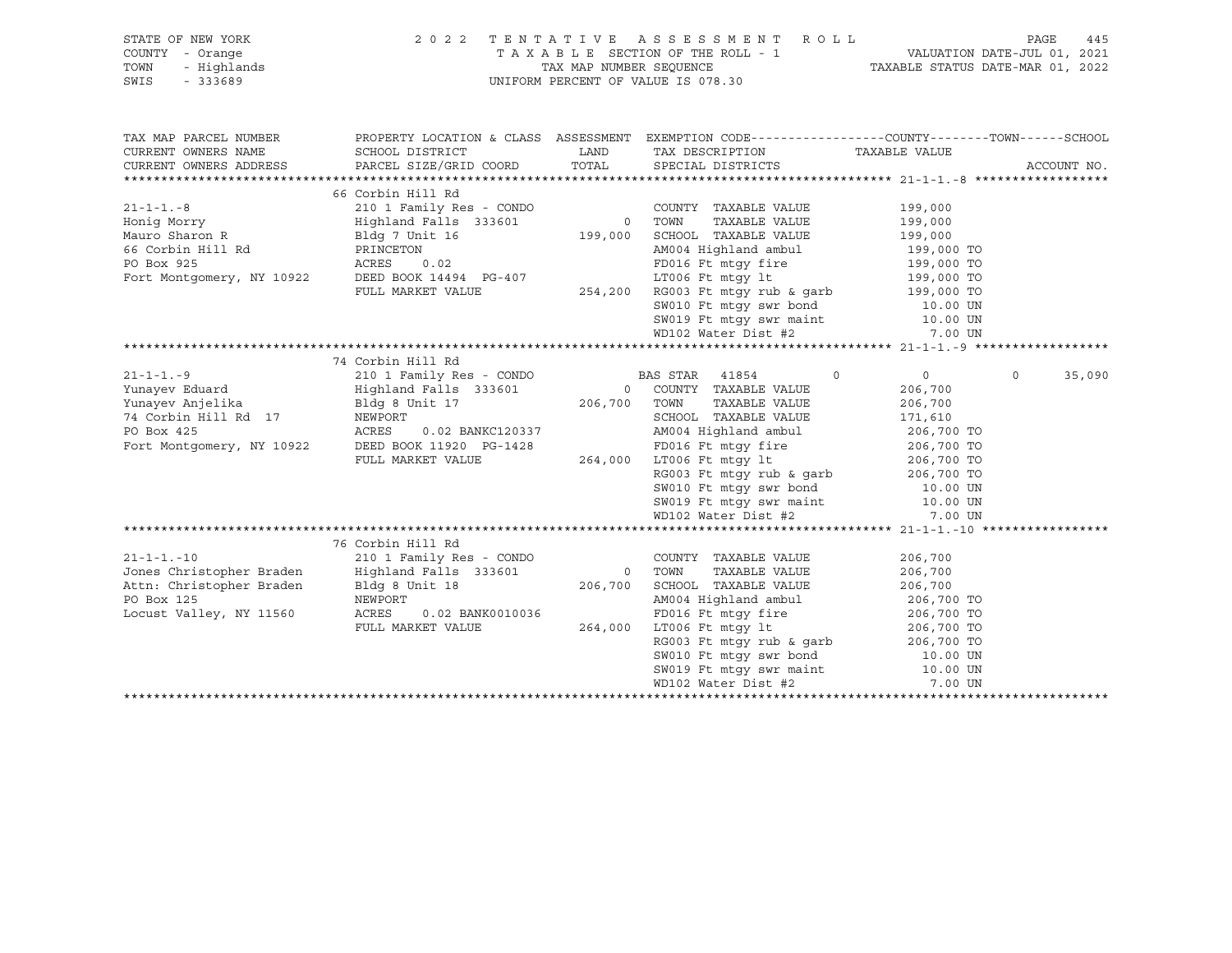| STATE OF NEW YORK<br>COUNTY - Orange<br>TOWN<br>- Highlands<br>SWIS<br>$-333689$                                   | 2022 TENTATIVE ASSESSMENT ROLL<br>UNIFORM PERCENT OF VALUE IS 078.30                                                                                                                                                                                                                                                                                                                                                                                                                                           | PAGE<br>445<br>TAXABLE SECTION OF THE ROLL - 1<br>TAX MAP NUMBER SEQUENCE TAXABLE STATUS DATE-JUL 01, 2021<br>TAXABLE STATUS DATE-MAR 01, 2022 |                                                                                                                                                                                                                                                                                                                                                                                                                                                   |                                          |                    |
|--------------------------------------------------------------------------------------------------------------------|----------------------------------------------------------------------------------------------------------------------------------------------------------------------------------------------------------------------------------------------------------------------------------------------------------------------------------------------------------------------------------------------------------------------------------------------------------------------------------------------------------------|------------------------------------------------------------------------------------------------------------------------------------------------|---------------------------------------------------------------------------------------------------------------------------------------------------------------------------------------------------------------------------------------------------------------------------------------------------------------------------------------------------------------------------------------------------------------------------------------------------|------------------------------------------|--------------------|
| TAX MAP PARCEL NUMBER<br>CURRENT OWNERS NAME<br>CURRENT OWNERS ADDRESS                                             | SCHOOL DISTRICT<br>PARCEL SIZE/GRID COORD                                                                                                                                                                                                                                                                                                                                                                                                                                                                      | LAND                                                                                                                                           | PROPERTY LOCATION & CLASS ASSESSMENT EXEMPTION CODE----------------COUNTY-------TOWN------SCHOOL<br>TAX DESCRIPTION TAXABLE VALUE<br>TOTAL SPECIAL DISTRICTS                                                                                                                                                                                                                                                                                      |                                          | ACCOUNT NO.        |
|                                                                                                                    |                                                                                                                                                                                                                                                                                                                                                                                                                                                                                                                |                                                                                                                                                |                                                                                                                                                                                                                                                                                                                                                                                                                                                   |                                          |                    |
|                                                                                                                    |                                                                                                                                                                                                                                                                                                                                                                                                                                                                                                                |                                                                                                                                                |                                                                                                                                                                                                                                                                                                                                                                                                                                                   |                                          |                    |
| $21 - 1 - 1 - 8$<br>Honig Morry<br>Mauro Sharon R                                                                  | 66 Corbin Hill Rd<br>210 1 Family Res - CONDO<br>210 1 Family Res - CONDO COUNTY TAXABLE VALUE (199,000)<br>Highland Falls 333601 0 TOWN TAXABLE VALUE 199,000<br>Bldg 7 Unit 16 199,000 SCHOOL TAXABLE VALUE 199,000<br>CONSIDER TRANSLE VALUE 199,000<br>Mauro Sharon R<br>Mauro Sharon R<br>PO Box 925<br>FOLI NARKET VALUE PO BOX 14494<br>PO Box 925<br>FULL MARKET VALUE 254,200<br>PO BOX 925<br>FULL MARKET VALUE 254,200<br>SW010 Ft mtgy swr bond<br>SW010 Ft mtgy swr bond<br>10.00 UN<br>TOM SW010 |                                                                                                                                                | COUNTY TAXABLE VALUE                                                                                                                                                                                                                                                                                                                                                                                                                              | 199,000                                  |                    |
|                                                                                                                    |                                                                                                                                                                                                                                                                                                                                                                                                                                                                                                                |                                                                                                                                                |                                                                                                                                                                                                                                                                                                                                                                                                                                                   |                                          |                    |
|                                                                                                                    |                                                                                                                                                                                                                                                                                                                                                                                                                                                                                                                |                                                                                                                                                | SW019 Ft mtgy swr maint<br>WD102 Water Dist #2                                                                                                                                                                                                                                                                                                                                                                                                    | 7.00 UN                                  |                    |
|                                                                                                                    |                                                                                                                                                                                                                                                                                                                                                                                                                                                                                                                |                                                                                                                                                |                                                                                                                                                                                                                                                                                                                                                                                                                                                   |                                          |                    |
|                                                                                                                    | 74 Corbin Hill Rd                                                                                                                                                                                                                                                                                                                                                                                                                                                                                              |                                                                                                                                                |                                                                                                                                                                                                                                                                                                                                                                                                                                                   |                                          |                    |
|                                                                                                                    | FOR TAXABLE VALUE<br>PO Box 425<br>Fort Montgomery, NY 10922<br>FULL MARKET VALUE<br>FULL MARKET VALUE<br>PO16 Ft mtgy fire<br>206,700 TO<br>206,700 TO<br>206,700 TO<br>206,700 TO<br>206,700 TO<br>206,700 TO<br>206,700 TO<br>206,700 TO<br>206,700 TO<br>                                                                                                                                                                                                                                                  |                                                                                                                                                | $\circ$<br>RG003 Ft mtgy rub & garb<br>SW010 Ft mtgy swr bond<br>SW019 Ft mtgy swr maint<br>MD102 Water Dist #2 7.00 UN<br>MD102 Water Dist #2 7.00 UN                                                                                                                                                                                                                                                                                            | $\overline{0}$<br>206,700<br>206,700     | $\Omega$<br>35,090 |
|                                                                                                                    |                                                                                                                                                                                                                                                                                                                                                                                                                                                                                                                |                                                                                                                                                |                                                                                                                                                                                                                                                                                                                                                                                                                                                   |                                          |                    |
| $21 - 1 - 1 - 10$<br>Jones Christopher Braden<br>Attn: Christopher Braden<br>PO Box 125<br>Locust Valley, NY 11560 | 76 Corbin Hill Rd<br>Highland Falls 333601<br>Bldg 8 Unit 18<br>NEWPORT<br>ACRES<br>0.02 BANK0010036<br>FULL MARKET VALUE                                                                                                                                                                                                                                                                                                                                                                                      |                                                                                                                                                | 0 TOWN TAXABLE VALUE<br>206,700 SCHOOL TAXABLE VALUE<br>NAO 1 Highland ambul<br>NAO 1 Highland ambul<br>PD016 Ft mtgy fire<br>17006 Ft mtgy 1t<br>RG003 Ft mtgy rub & garb<br>206,700 TO<br>SW010 Ft mtgy swr bond<br>10.00 UN<br>0010036<br>264,000 LT006 Ft mtgy 1t<br>264,000 LT006 Ft mtgy 1t<br>RG003 Ft mtgy rub & garb<br>SW010 Ft mtgy swr bond<br>SW019 Ft mtgy swr maint 10.00 UN<br>WD102 Water Dist #2 7.00 UN<br>WD102 Water Dist #2 | 206,700<br>206,700<br>206,700<br>7.00 UN |                    |
|                                                                                                                    |                                                                                                                                                                                                                                                                                                                                                                                                                                                                                                                |                                                                                                                                                |                                                                                                                                                                                                                                                                                                                                                                                                                                                   |                                          |                    |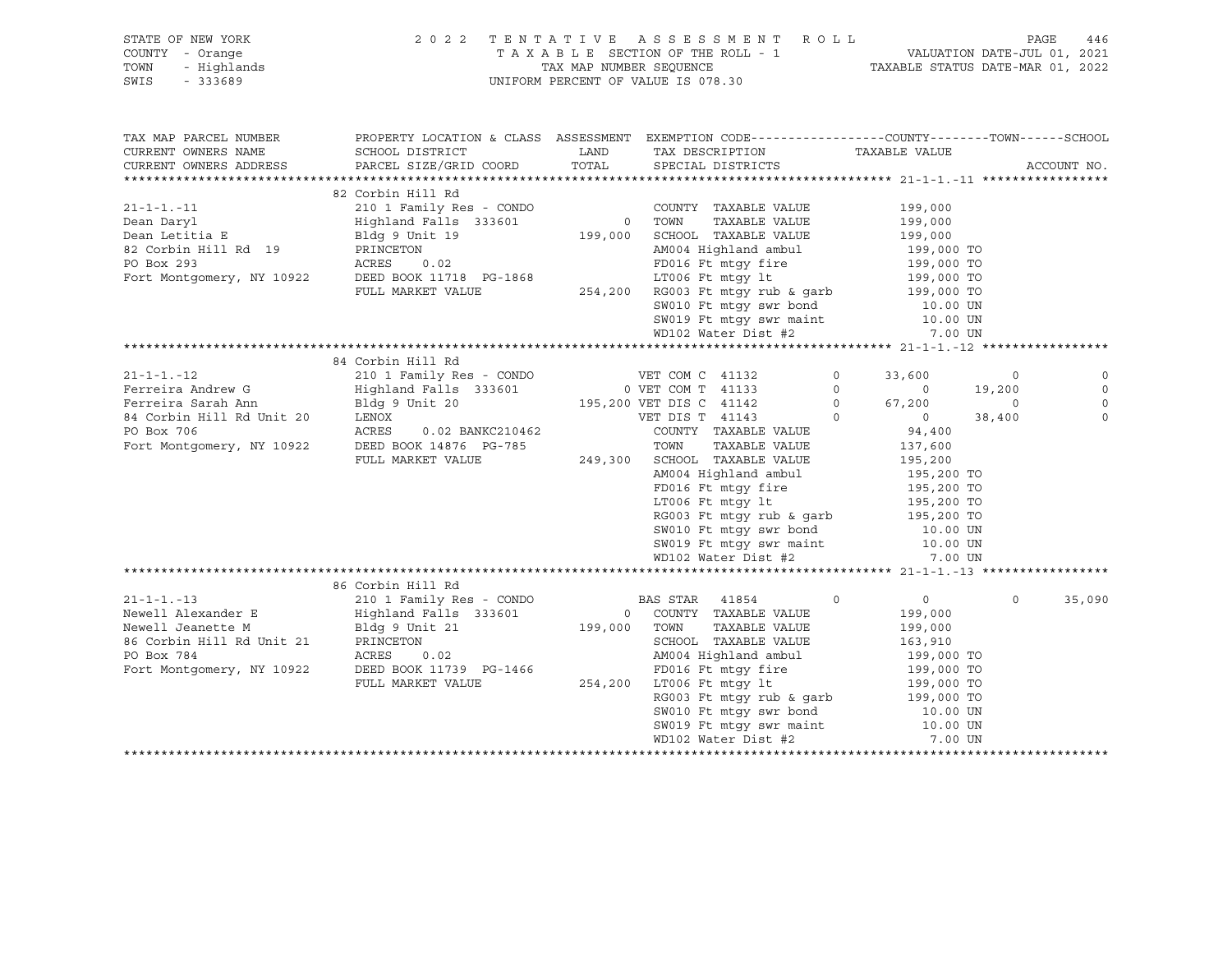| F NEW YORK 2<br>- Orange<br>- Highlands<br>- 333689<br>STATE OF NEW YORK<br>COUNTY - Orange<br>TOWN<br>SWIS<br>$-333689$             |                                                                                                                                                                                           |              | 2022 TENTATIVE ASSESSMENT ROLL<br>UNIFORM PERCENT OF VALUE IS 078.30                                                                                                                                                                                                                                                                          |                                                                                                                                                                                                                                                                     | PAGE                                   | 446         |
|--------------------------------------------------------------------------------------------------------------------------------------|-------------------------------------------------------------------------------------------------------------------------------------------------------------------------------------------|--------------|-----------------------------------------------------------------------------------------------------------------------------------------------------------------------------------------------------------------------------------------------------------------------------------------------------------------------------------------------|---------------------------------------------------------------------------------------------------------------------------------------------------------------------------------------------------------------------------------------------------------------------|----------------------------------------|-------------|
| TAX MAP PARCEL NUMBER<br>CURRENT OWNERS NAME<br>CURRENT OWNERS ADDRESS                                                               | PROPERTY LOCATION & CLASS ASSESSMENT EXEMPTION CODE---------------COUNTY-------TOWN------SCHOOL<br>SCHOOL DISTRICT<br>PARCEL SIZE/GRID COORD                                              | TOTAL        | LAND TAX DESCRIPTION<br>SPECIAL DISTRICTS                                                                                                                                                                                                                                                                                                     | TAXABLE VALUE                                                                                                                                                                                                                                                       |                                        | ACCOUNT NO. |
|                                                                                                                                      |                                                                                                                                                                                           |              |                                                                                                                                                                                                                                                                                                                                               |                                                                                                                                                                                                                                                                     |                                        |             |
| $21 - 1 - 1 - 11$<br>Dean Daryl<br>Dean Letitia E<br>82 Corbin Hill Rd 19<br>PO Box 293<br>Fort Montgomery, NY 10922                 | 82 Corbin Hill Rd<br>210 1 Family Res - CONDO<br>Highland Falls 333601<br>Bldg 9 Unit 19<br>PRINCETON<br>ACRES<br>0.02<br>DEED BOOK 11718 PG-1868<br>FULL MARKET VALUE                    | 0 TOWN       | COUNTY TAXABLE VALUE<br>TAXABLE VALUE<br>199,000 SCHOOL TAXABLE VALUE<br>AM004 Highland ambul<br>FD016 Ft mtqy fire<br>LT006 Ft mtqy lt<br>254,200 RG003 Ft mtgy rub & garb 199,000 TO<br>SW010 Ft mtgy swr bond 10.00 UN<br>SW019 Ft mtgy swr maint 10.00 UN<br>WD102 Water Dist #2                                                          | 199,000<br>199,000<br>199,000<br>199,000 TO<br>199,000 TO<br>199,000 TO<br>199,000 TO<br>7.00 UN                                                                                                                                                                    |                                        |             |
|                                                                                                                                      |                                                                                                                                                                                           |              |                                                                                                                                                                                                                                                                                                                                               |                                                                                                                                                                                                                                                                     |                                        |             |
| $21 - 1 - 1 - 12$<br>Ferreira Andrew G<br>Ferreira Sarah Ann<br>84 Corbin Hill Rd Unit 20<br>PO Box 706<br>Fort Montgomery, NY 10922 | 84 Corbin Hill Rd<br>210 1 Family Res - CONDO<br>Highland Falls 333601<br>Bldg 9 Unit 20<br>LENOX<br>ACRES<br>0.02 BANKC210462<br>DEED BOOK 14876 PG-785<br>FULL MARKET VALUE             |              | VET COM C 41132<br>0 VET COM T 41133<br>195,200 VET DIS C 41142<br>VET DIS T 41143<br>COUNTY TAXABLE VALUE<br>TOWN<br>TAXABLE VALUE<br>249,300 SCHOOL TAXABLE VALUE<br>AM004 Highland ambul<br>FD016 Ft mtqy fire<br>LT006 Ft mtgy lt<br>RG003 Ft mtgy rub & garb<br>SW010 Ft mtgy swr bond<br>SW019 Ft mtgy swr maint<br>WD102 Water Dist #2 | $\circ$<br>33,600<br>$\circ$<br>$\sim$ 0<br>$\begin{matrix}0\\0\end{matrix}$<br>67,200<br>$\overline{0}$<br>$\overline{0}$<br>94,400<br>137,600<br>195,200<br>195,200 TO<br>195,200 TO<br>195,200 TO<br>195,200 IO<br>195,200 TO<br>10.00 UN<br>10.00 UN<br>7.00 UN | $\circ$<br>19,200<br>$\circ$<br>38,400 | $\mathbf 0$ |
|                                                                                                                                      | 86 Corbin Hill Rd                                                                                                                                                                         |              |                                                                                                                                                                                                                                                                                                                                               |                                                                                                                                                                                                                                                                     |                                        |             |
| $21 - 1 - 1 - 13$<br>Newell Alexander E<br>Newell Jeanette M<br>86 Corbin Hill Rd Unit 21<br>PO Box 784<br>Fort Montgomery, NY 10922 | 210 1 Family Res - CONDO BAS STAR 41854<br>Highland Falls 333601<br>Bldg 9 Unit 21<br>PRINCETON<br>ACRES<br>0.02<br>DEED BOOK 11739 PG-1466<br>FULL MARKET VALUE 254,200 LT006 Ft mtgy lt | 199,000 TOWN | 0 COUNTY TAXABLE VALUE<br>TAXABLE VALUE<br>SCHOOL TAXABLE VALUE<br>AM004 Highland ambul<br>FD016 Ft mtqy fire<br>LT006 Ft mtgy lt<br>RG003 Ft mtgy rub & garb<br>SW010 Ft mtgy swr bond 10.00 UN<br>SW019 Ft mtgy swr maint 10.00 UN<br>WD102 Water Dist #2                                                                                   | $\circ$<br>$\overline{0}$<br>199,000<br>199,000<br>163,910<br>199,000 TO<br>199,000 TO<br>199,000 TO<br>199,000 TO<br>7.00 UN                                                                                                                                       | $\Omega$                               | 35,090      |
|                                                                                                                                      |                                                                                                                                                                                           |              |                                                                                                                                                                                                                                                                                                                                               |                                                                                                                                                                                                                                                                     |                                        |             |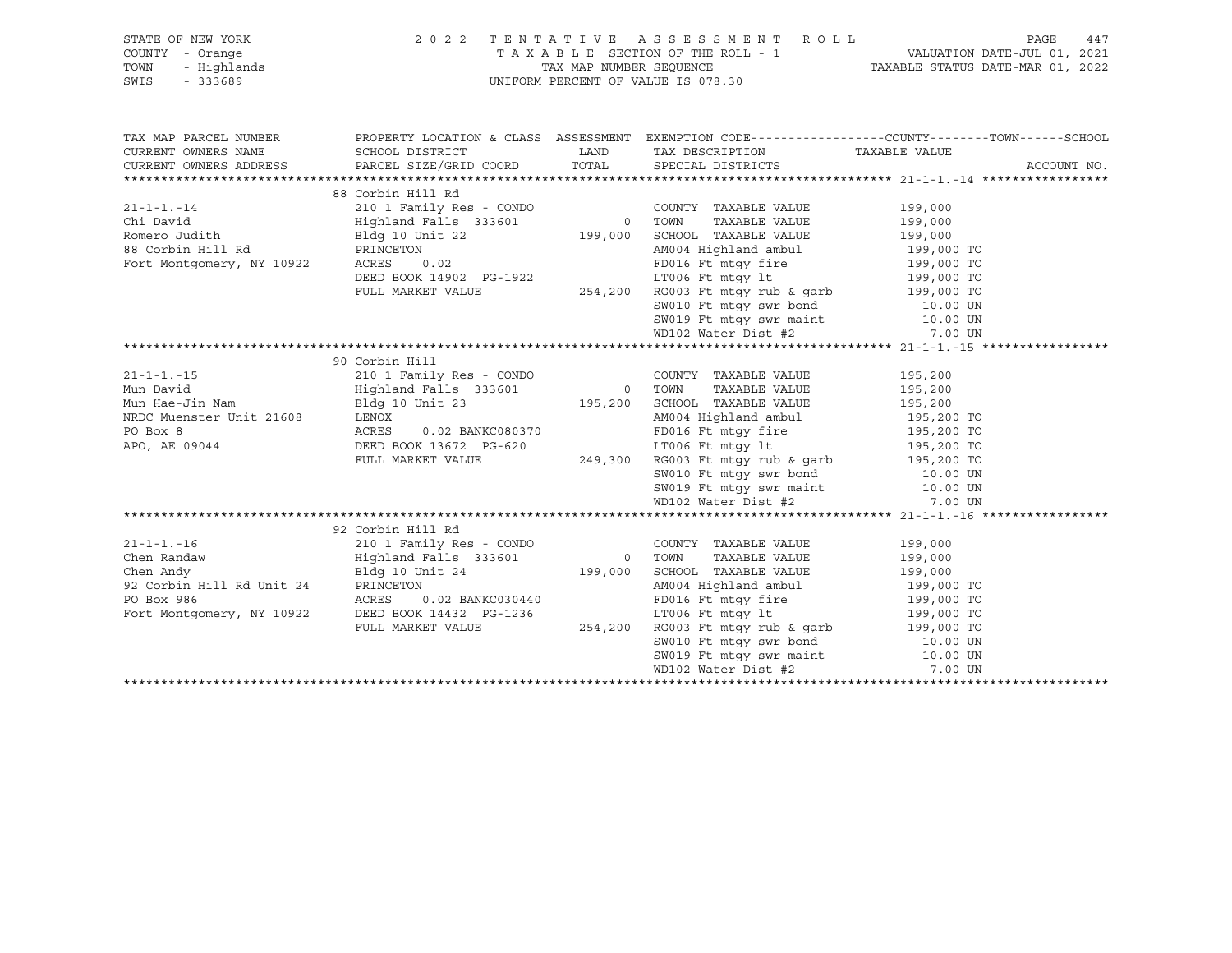|                       | FRIE OF NEW YORK A SESSMENT ROLL PAGE 447<br>COUNTY - Orange TAXABLE SECTION OF THE ROLL - 1 VALUATION DATE-JUL 01, 2021<br>TOWN - Highlands TAXABLE STATUS DATE-MAR 01, 2022<br>SWIS - 333689                                                                                                                                                                                                                        |                                                                                                |             |
|-----------------------|-----------------------------------------------------------------------------------------------------------------------------------------------------------------------------------------------------------------------------------------------------------------------------------------------------------------------------------------------------------------------------------------------------------------------|------------------------------------------------------------------------------------------------|-------------|
|                       |                                                                                                                                                                                                                                                                                                                                                                                                                       |                                                                                                |             |
|                       |                                                                                                                                                                                                                                                                                                                                                                                                                       |                                                                                                |             |
|                       |                                                                                                                                                                                                                                                                                                                                                                                                                       |                                                                                                |             |
|                       |                                                                                                                                                                                                                                                                                                                                                                                                                       |                                                                                                |             |
| TAX MAP PARCEL NUMBER |                                                                                                                                                                                                                                                                                                                                                                                                                       | PROPERTY LOCATION & CLASS ASSESSMENT EXEMPTION CODE---------------COUNTY-------TOWN-----SCHOOL |             |
|                       |                                                                                                                                                                                                                                                                                                                                                                                                                       |                                                                                                |             |
|                       |                                                                                                                                                                                                                                                                                                                                                                                                                       |                                                                                                | ACCOUNT NO. |
|                       |                                                                                                                                                                                                                                                                                                                                                                                                                       |                                                                                                |             |
|                       |                                                                                                                                                                                                                                                                                                                                                                                                                       |                                                                                                |             |
|                       |                                                                                                                                                                                                                                                                                                                                                                                                                       |                                                                                                |             |
|                       |                                                                                                                                                                                                                                                                                                                                                                                                                       |                                                                                                |             |
|                       |                                                                                                                                                                                                                                                                                                                                                                                                                       |                                                                                                |             |
|                       |                                                                                                                                                                                                                                                                                                                                                                                                                       |                                                                                                |             |
|                       |                                                                                                                                                                                                                                                                                                                                                                                                                       |                                                                                                |             |
|                       |                                                                                                                                                                                                                                                                                                                                                                                                                       |                                                                                                |             |
|                       |                                                                                                                                                                                                                                                                                                                                                                                                                       |                                                                                                |             |
|                       |                                                                                                                                                                                                                                                                                                                                                                                                                       |                                                                                                |             |
|                       |                                                                                                                                                                                                                                                                                                                                                                                                                       |                                                                                                |             |
|                       |                                                                                                                                                                                                                                                                                                                                                                                                                       |                                                                                                |             |
|                       |                                                                                                                                                                                                                                                                                                                                                                                                                       |                                                                                                |             |
|                       |                                                                                                                                                                                                                                                                                                                                                                                                                       |                                                                                                |             |
|                       |                                                                                                                                                                                                                                                                                                                                                                                                                       |                                                                                                |             |
|                       |                                                                                                                                                                                                                                                                                                                                                                                                                       |                                                                                                |             |
|                       |                                                                                                                                                                                                                                                                                                                                                                                                                       |                                                                                                |             |
|                       |                                                                                                                                                                                                                                                                                                                                                                                                                       |                                                                                                |             |
|                       |                                                                                                                                                                                                                                                                                                                                                                                                                       |                                                                                                |             |
|                       |                                                                                                                                                                                                                                                                                                                                                                                                                       |                                                                                                |             |
|                       |                                                                                                                                                                                                                                                                                                                                                                                                                       |                                                                                                |             |
|                       |                                                                                                                                                                                                                                                                                                                                                                                                                       |                                                                                                |             |
|                       |                                                                                                                                                                                                                                                                                                                                                                                                                       |                                                                                                |             |
|                       | 92 Corbin Hill Rd                                                                                                                                                                                                                                                                                                                                                                                                     |                                                                                                |             |
|                       |                                                                                                                                                                                                                                                                                                                                                                                                                       |                                                                                                |             |
|                       |                                                                                                                                                                                                                                                                                                                                                                                                                       |                                                                                                |             |
|                       |                                                                                                                                                                                                                                                                                                                                                                                                                       |                                                                                                |             |
|                       |                                                                                                                                                                                                                                                                                                                                                                                                                       |                                                                                                |             |
|                       |                                                                                                                                                                                                                                                                                                                                                                                                                       |                                                                                                |             |
|                       |                                                                                                                                                                                                                                                                                                                                                                                                                       |                                                                                                |             |
|                       |                                                                                                                                                                                                                                                                                                                                                                                                                       |                                                                                                |             |
|                       |                                                                                                                                                                                                                                                                                                                                                                                                                       |                                                                                                |             |
|                       |                                                                                                                                                                                                                                                                                                                                                                                                                       |                                                                                                |             |
|                       | $\begin{tabular}{c c c c c} \multicolumn{1}{c}{\textbf{21-1-1.16}} & 92 \text{ Corbin Hill Rd} & \multicolumn{1}{c}{\textbf{210 1 Family Res - CONDO}} & \multicolumn{1}{c}{\textbf{CONITY}} & \textbf{TAXABLE VALUE} & 199,000 \\ \textbf{Chen Random} & \textbf{199,000} & \textbf{199,000} & \textbf{199,000} & \textbf{199,000} & \textbf{199,000} \\ \textbf{Chen Andy} & \textbf{Bldg 10 Unit 24} & \textbf{19$ |                                                                                                |             |
|                       |                                                                                                                                                                                                                                                                                                                                                                                                                       |                                                                                                |             |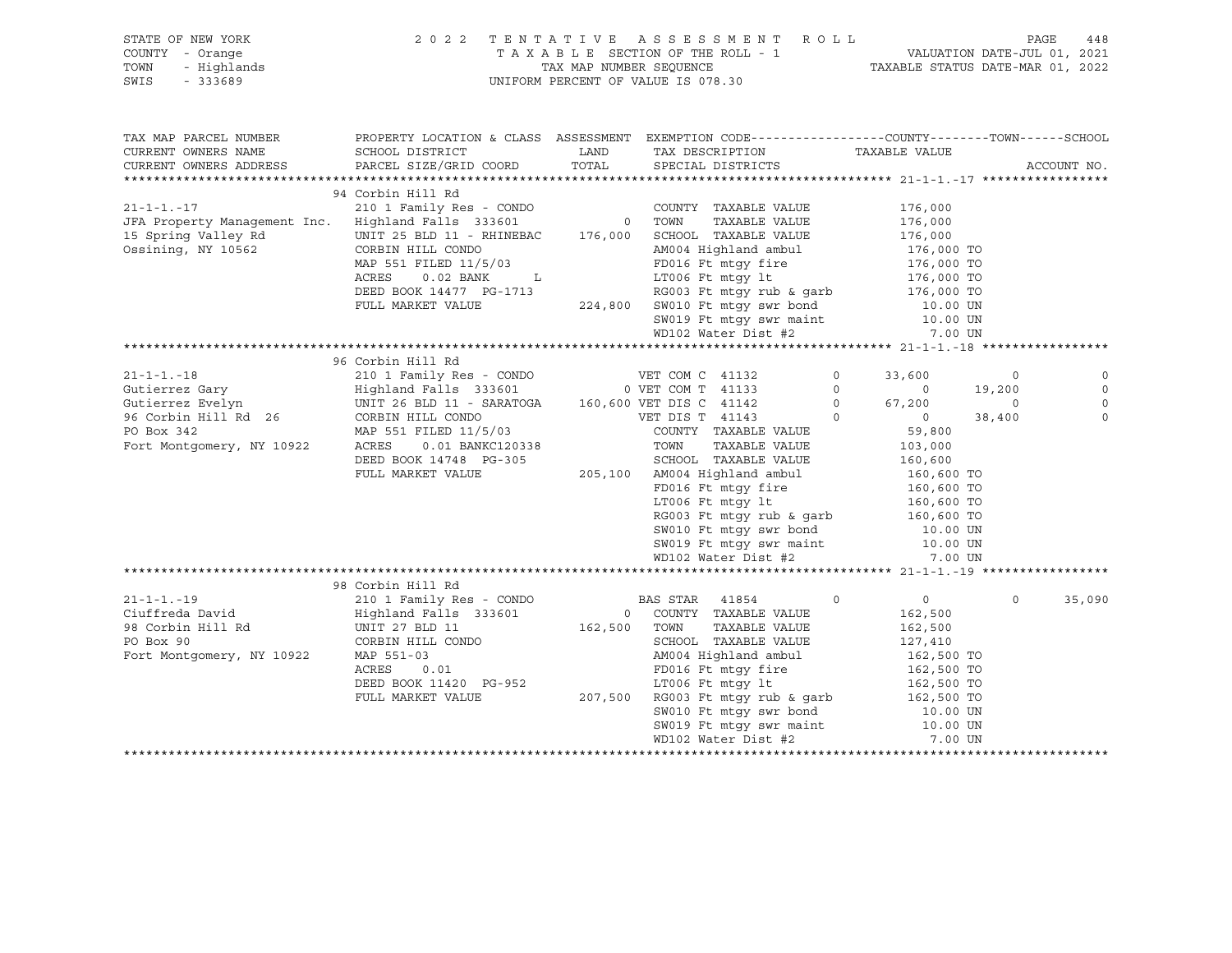| STATE OF NEW YORK 2022<br>COUNTY - Orange<br>TOWN - Highlands<br>SWIS - 333689 |                                                                                                                                                                                                                                                                                                         |               | TENTATIVE ASSESSMENT ROLL<br>TAXABLE SECTION OF THE ROLL - 1 VALUATION DATE-JUL 01, 2021<br>TAX MAP NUMBER SEQUENCE TAXABLE STATUS DATE-MAR 01, 2022<br>INIEOPM PERCENT OF VALUE TO 070 00<br>2022 TENTATIVE ASSESSMENT ROLL<br>UNIFORM PERCENT OF VALUE IS 078.30 |                                                                                 |                                                                |                                 |
|--------------------------------------------------------------------------------|---------------------------------------------------------------------------------------------------------------------------------------------------------------------------------------------------------------------------------------------------------------------------------------------------------|---------------|--------------------------------------------------------------------------------------------------------------------------------------------------------------------------------------------------------------------------------------------------------------------|---------------------------------------------------------------------------------|----------------------------------------------------------------|---------------------------------|
| TAX MAP PARCEL NUMBER<br>CURRENT OWNERS NAME<br>CURRENT OWNERS ADDRESS         | PROPERTY LOCATION & CLASS ASSESSMENT EXEMPTION CODE---------------COUNTY-------TOWN-----SCHOOL<br>SCHOOL DISTRICT<br>PARCEL SIZE/GRID COORD                                                                                                                                                             | LAND<br>TOTAL | TAX DESCRIPTION<br>SPECIAL DISTRICTS                                                                                                                                                                                                                               | TAXABLE VALUE                                                                   |                                                                | ACCOUNT NO.                     |
|                                                                                | 94 Corbin Hill Rd                                                                                                                                                                                                                                                                                       |               |                                                                                                                                                                                                                                                                    |                                                                                 |                                                                |                                 |
| 15 Spring Valley Rd<br>Cardwine NY 19563<br>Ossining, NY 10562                 | CORBIN HILL CONDO<br>MAP 551 FILED $11/5/03$<br>ACRES 0.00 Primer<br>$0.02$ BANK $L$<br>ACRES<br>DEED BOOK 14477 PG-1713<br>FULL MARKET VALUE                                                                                                                                                           |               | COUNTY TAXABLE VALUE 176,000<br>TOWN TAXABLE VALUE 176,000<br>$5W010$ Ft muy $5W019$ Ft muy switched and $10.00$ UN<br>$5W019$ Ft muy switched and $10.00$ UN<br>$5W010$ Theory Dist. #2                                                                           |                                                                                 |                                                                |                                 |
|                                                                                |                                                                                                                                                                                                                                                                                                         |               |                                                                                                                                                                                                                                                                    |                                                                                 |                                                                |                                 |
|                                                                                |                                                                                                                                                                                                                                                                                                         |               |                                                                                                                                                                                                                                                                    |                                                                                 |                                                                |                                 |
|                                                                                | 96 Corbin Hill Rd<br>CORBIN HILL CONDO CONTROLL AND A CONTROLL MARKET VALUE<br>FULL MARKET VALUE<br>FULL MARKET VALUE<br>CONTROLL MARKET VALUE<br>PULL MARKET VALUE<br>CONTROLL MARKET VALUE<br>CONTROLL MARKET VALUE<br>205,100 AM004 Highland ambul<br>FULL MARKE                                     |               |                                                                                                                                                                                                                                                                    | $\overline{0}$<br>33,600<br>$\begin{matrix} 0 && 0 \\ 0 && 67,200 \end{matrix}$ | $\overline{\phantom{0}}$<br>19,200<br>$\overline{0}$<br>38,400 | $\Omega$<br>$\Omega$<br>$\circ$ |
|                                                                                |                                                                                                                                                                                                                                                                                                         |               | SW010 Ft mtgy swr bond<br>SW019 Ft mtgy swr maint<br>WD102 Water Dist #2                                                                                                                                                                                           | 10.00 UN<br>10.00 UN                                                            |                                                                |                                 |
|                                                                                |                                                                                                                                                                                                                                                                                                         |               |                                                                                                                                                                                                                                                                    | 7.00 UN                                                                         |                                                                |                                 |
|                                                                                | 98 Corbin Hill Rd                                                                                                                                                                                                                                                                                       |               |                                                                                                                                                                                                                                                                    |                                                                                 |                                                                |                                 |
| Fort Montgomery, NY 10922                                                      | CORBIN HILL CONDO<br>MAP 551-03<br>ACRES 0.01<br>MAP 551-03<br>MAP 551-03<br>MAP 551-03<br>O.01<br>DEED BOOK 11420 PG-952<br>PULL MARKET VALUE<br>PULL MARKET VALUE<br>PULL MARKET VALUE<br>PULL MARKET VALUE<br>PULL MARKET VALUE<br>PULL MARKET VALUE<br>207,500 RG003 Ft mtgy swr bond<br>SW010 Ft m |               | WD102 Water Dist #2                                                                                                                                                                                                                                                | $\overline{0}$<br>162,500<br>162,500<br>127,410<br>7.00 UN                      | $\Omega$                                                       | 35,090                          |
|                                                                                |                                                                                                                                                                                                                                                                                                         |               |                                                                                                                                                                                                                                                                    |                                                                                 |                                                                |                                 |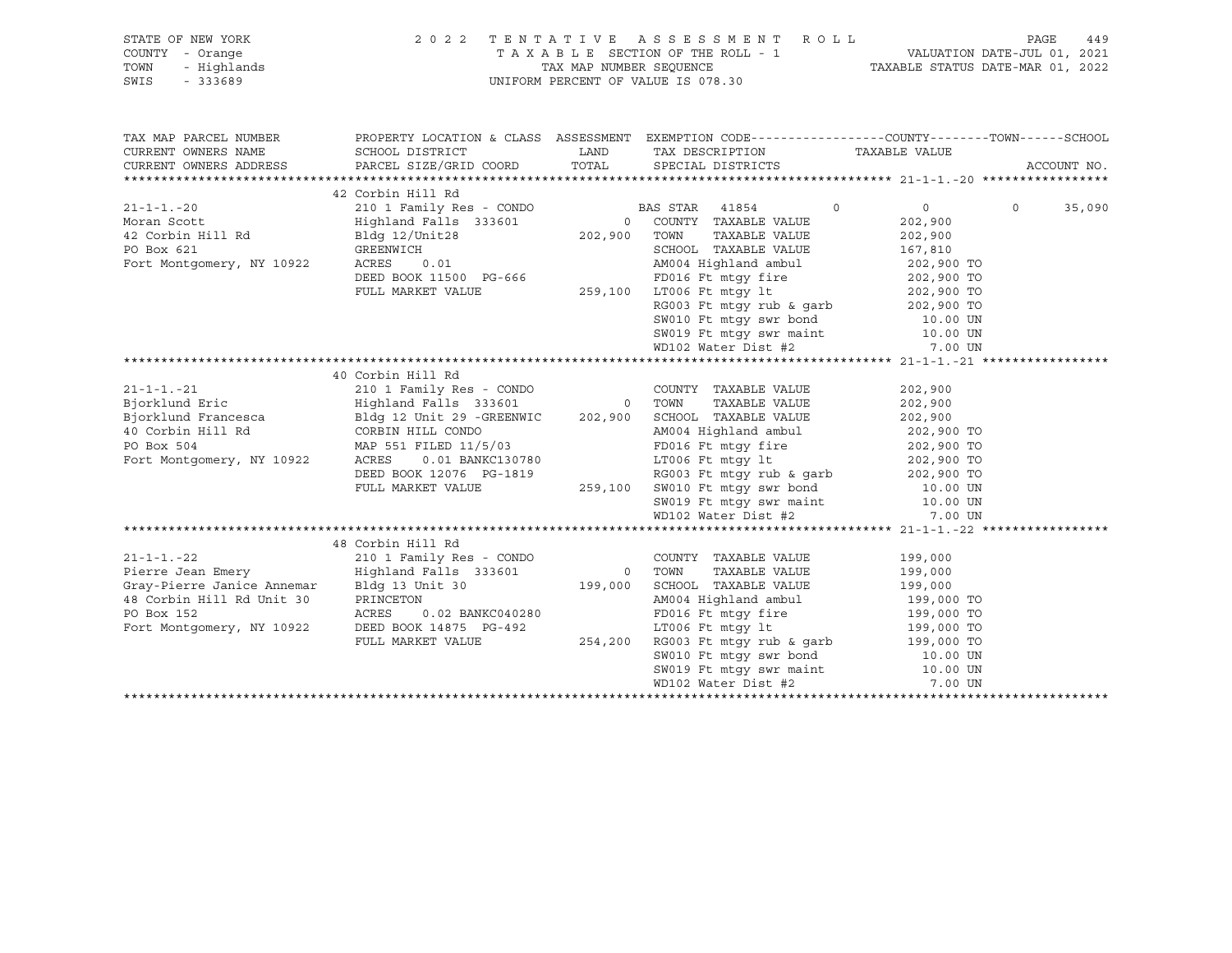| STATE OF NEW YORK<br>OF NEW YORK 2<br>- Orange<br>- Highlands<br>- 333689<br>COUNTY - Orange<br>TOWN<br>SWIS<br>$-333689$ |                                                                                                                                                                                                                                                                                                             | 2022 TENTATIVE ASSESSMENT ROLL PAGE 449<br>TAXABLE SECTION OF THE ROLL - 1 VALUATION DATE-JUL 01, 2021<br>TAXABLE STATUS DATE-MAR 01, 2022<br>UNIFORM PERCENT OF VALUE IS 078.30                                                                                                                                                                                                                     |                                                                                                    |                    |
|---------------------------------------------------------------------------------------------------------------------------|-------------------------------------------------------------------------------------------------------------------------------------------------------------------------------------------------------------------------------------------------------------------------------------------------------------|------------------------------------------------------------------------------------------------------------------------------------------------------------------------------------------------------------------------------------------------------------------------------------------------------------------------------------------------------------------------------------------------------|----------------------------------------------------------------------------------------------------|--------------------|
| TAX MAP PARCEL NUMBER<br>CURRENT OWNERS NAME                                                                              | SCHOOL DISTRICT<br>CURRENT OWNERS ADDRESS PARCEL SIZE/GRID COORD TOTAL                                                                                                                                                                                                                                      | PROPERTY LOCATION & CLASS ASSESSMENT EXEMPTION CODE---------------COUNTY-------TOWN------SCHOOL<br>LAND TAX DESCRIPTION TAXABLE VALUE<br>SPECIAL DISTRICTS                                                                                                                                                                                                                                           |                                                                                                    | ACCOUNT NO.        |
|                                                                                                                           | 42 Corbin Hill Rd<br>21-1-1.-20<br>Moran Scott<br>42 Corbin Hill Rd<br>42 Corbin Hill Rd<br>42 Corbin Hill Rd<br>42 Corbin Hill Rd<br>42 Corbin Hill Rd<br>42 Corbin Hill Rd<br>42 Corbin Hill Rd<br>42 Corbin Hill Rd<br>42 Corbin Hill Rd<br>42 Corbin Hill Rd<br>42 Cor                                  | AM004 Highland ambul 202,900 TO<br>FD016 Ft mtgy fire 202,900 TO<br>SW010 Ft mtgy swr bond 10.00 UN<br>SW019 Ft mtgy swr maint<br>WD102 Water Dist #2                                                                                                                                                                                                                                                | $\overline{0}$<br>202,900<br>202,900<br>167,810<br>202,900 TO<br>202,900 TO<br>10.00 UN<br>7.00 UN | $\Omega$<br>35,090 |
|                                                                                                                           | 40 Corbin Hill Rd<br>21-1-1.-21<br>Bjorklund Eric and I Family Res - CONDO COUNTY TAXABLE VALUE<br>Bjorklund Francesca Bldg 12 Unit 29 -GREENWIC 202,900 SCHOOL TAXABLE VALUE<br>40 Corbin Hill Rd CORBIN HILL CONDO AM004 Highland ambul<br>PO Box 504 MAP<br>DEED BOOK 12076 PG-1819<br>FULL MARKET VALUE | COUNTY TAXABLE VALUE<br>10WN Incolar VALUE<br>SCHOOL TAXABLE VALUE 202,900<br>AM004 Highland ambul 202,900 TO<br>AM004 Highland ambul 202,900 TO<br>FD016 Ft mtgy fire 202,900 TO<br>LT006 Ft mtgy 1t<br>RG003 Ft mtgy rub & garb 202,900 TO<br>259,100 SW010 Ft mtgy swr bond<br>259,100 SW010 Ft mtgy swr bond<br>259,100 SW019 Ft mtgy swr maint 10.00 UN<br>27.00 UN WD102 Water Dist #2 7.00 UN | 202,900<br>202,900                                                                                 |                    |
|                                                                                                                           | 48 Corbin Hill Rd<br>Gray-Pierre Janice Annemar<br>48 Corbin Hill Rd Unit 30<br>PO Box 152<br>Fort Montgomery, NY 10922<br>DEED BOOK 14875 PG-492<br>FULL MARKET VALUE                                                                                                                                      | COUNTY TAXABLE VALUE<br>TAXABLE VALUE<br>SCHOOL TAXABLE VALUE<br>AM004 Highland ambul<br>ED016 Ft mtgy fire 199,000 TO<br>ET006 Ft mtgy 1t 199,000 TO<br>254,200 RG003 Ft mtgy rub & garb 199,000 TO<br>254,200 RG003 Ft mtgy rub & garb 199,000 TO<br>SW010 Ft mtgy swr bond<br>SW010 Ft mtgy swr bond<br>10.00 UN<br>WD102 Water Dist #2 7.00 UN                                                   | 199,000<br>199,000<br>199,000<br>199,000 TO                                                        |                    |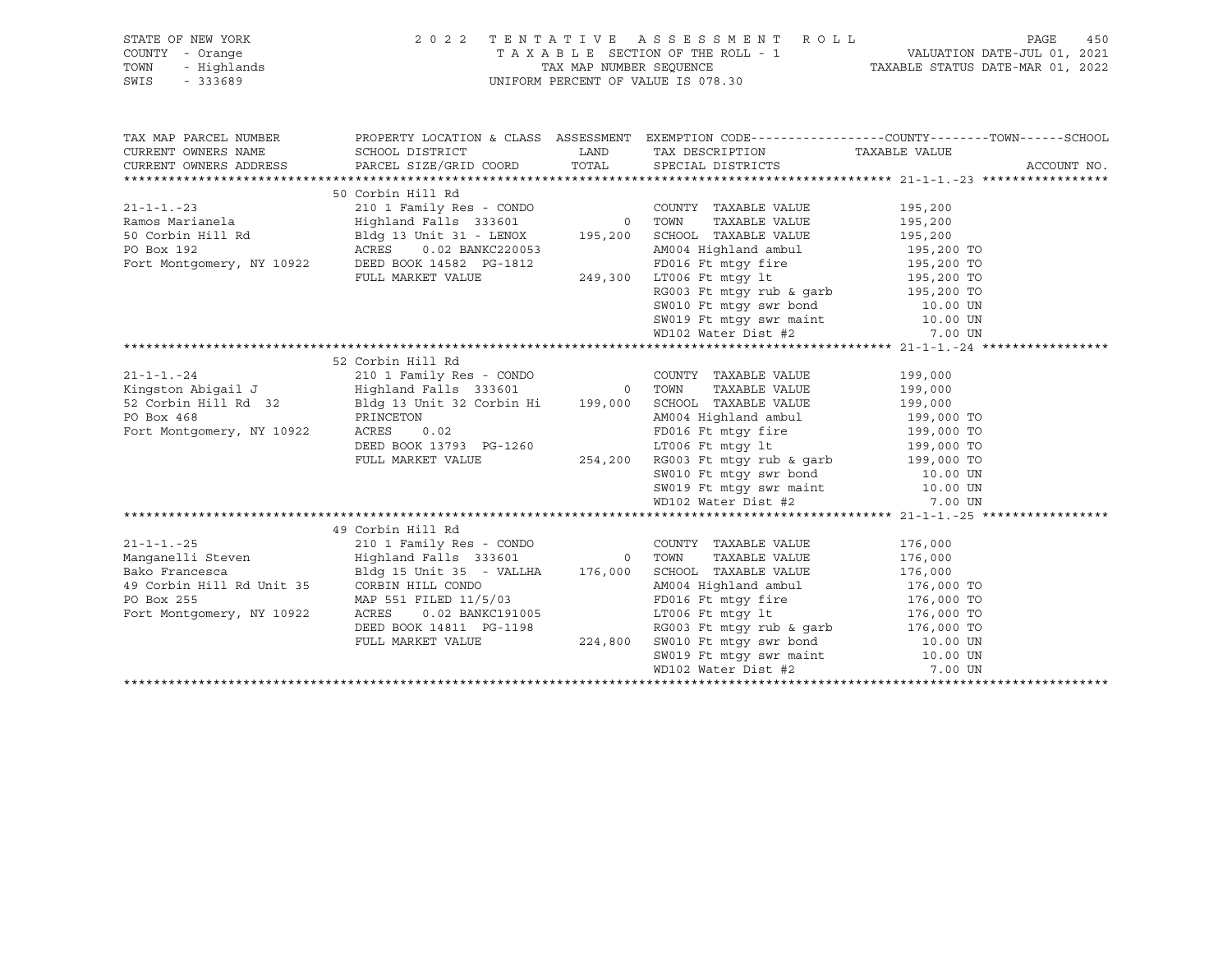| TAXABLE SECTION OF THE ROLL - 1<br>TAX MAP NUMBER SEQUENCE TAXABLE STATUS DATE-JUL 01, 2021<br>NIFORM DEDGENT OF VALUE CASE 38<br>OF NEW YORK<br>Y - Orange<br>- Highlands<br>- 333689<br>COUNTY - Orange<br>TOWN<br>UNIFORM PERCENT OF VALUE IS 078.30<br>SWIS<br>PROPERTY LOCATION & CLASS ASSESSMENT EXEMPTION CODE----------------COUNTY-------TOWN------SCHOOL<br>TAX MAP PARCEL NUMBER<br>LAND TAX DESCRIPTION TAXABLE VALUE<br>CURRENT OWNERS NAME<br>SCHOOL DISTRICT<br>ACCOUNT NO.<br>URRENT OWNEXS REMONSTRIPS (NATION 1971 RAND UP 195,200 NORTHAL ASSAMPTION COUNTY TAXABLE VALUE 21-1-1.23 50 OCPER MILIR RESS (200 FOR THE MILIR RESS (200 FOR THE MILIR RESS (200 FOR THE MILIR PAIR OF THE MILIR PAIR OF THE<br>21-1-1.-24 210 1 Family Res - CONDO COUNTY TAXABLE VALUE 199,000<br>Kingston Abigail J Highland Falls 333601 0 TOWN TAXABLE VALUE 199,000<br>$\begin{tabular}{lcccccc} Kingston \textbf{Abigail J} & \textbf{Highland Falls} & 333601 & 0 & \textbf{TOWN} & \textbf{TAXABLE VALUE} & 199,000 \\ \textbf{52 Corbin Hill Rd} & 32 & \textbf{Bldg 13 Unit 32 Corbin Hi} & 199,000 & \textbf{SCHODL TAXABLE VALUE} & 199,000 & \textbf{TOW N} & 199,000 \\ \textbf{PO Box 468} & \textbf{PRINCETON} & \textbf{AMNO04 HilB} & 199,000 & \textbf{TOW N} & 199,000 \\$<br>49 Corbin Hill Rd<br>$21 - 1 - 1 - 25$<br>Manqanelli Steven<br>Bldg 15 Unit 35 - VALLHA 176,000 SCHOOL TAXABLE VALUE 176,000<br>Bako Francesca<br>CORBIN HILL CONDO CORBOLE 11/6,000 SCHOOL HARBLE VALUE<br>CORBIN HILL CONDO AMOO AMOO Highland ambul<br>AMOO Highland ambul<br>ACRES 0.02 BANKC191005<br>DEED BOOK 14811 PG-1198<br>FULL MARKET VALUE<br>FULL MARKET VALUE<br>PULL MARKET VA<br>49 Corbin Hill Rd Unit 35 CORBIN HILL CONDO<br>PO Box 255 MAP 551 FILED 11/5<br>Fort Montgomery, NY 10922 | STATE OF NEW YORK | 2022 TENTATIVE ASSESSMENT ROLL |  | 450<br>PAGE |
|----------------------------------------------------------------------------------------------------------------------------------------------------------------------------------------------------------------------------------------------------------------------------------------------------------------------------------------------------------------------------------------------------------------------------------------------------------------------------------------------------------------------------------------------------------------------------------------------------------------------------------------------------------------------------------------------------------------------------------------------------------------------------------------------------------------------------------------------------------------------------------------------------------------------------------------------------------------------------------------------------------------------------------------------------------------------------------------------------------------------------------------------------------------------------------------------------------------------------------------------------------------------------------------------------------------------------------------------------------------------------------------------------------------------------------------------------------------------------------------------------------------------------------------------------------------------------------------------------------------------------------------------------------------------------------------------------------------------------------------------------------------------------------------------------------------|-------------------|--------------------------------|--|-------------|
|                                                                                                                                                                                                                                                                                                                                                                                                                                                                                                                                                                                                                                                                                                                                                                                                                                                                                                                                                                                                                                                                                                                                                                                                                                                                                                                                                                                                                                                                                                                                                                                                                                                                                                                                                                                                                |                   |                                |  |             |
|                                                                                                                                                                                                                                                                                                                                                                                                                                                                                                                                                                                                                                                                                                                                                                                                                                                                                                                                                                                                                                                                                                                                                                                                                                                                                                                                                                                                                                                                                                                                                                                                                                                                                                                                                                                                                |                   |                                |  |             |
|                                                                                                                                                                                                                                                                                                                                                                                                                                                                                                                                                                                                                                                                                                                                                                                                                                                                                                                                                                                                                                                                                                                                                                                                                                                                                                                                                                                                                                                                                                                                                                                                                                                                                                                                                                                                                |                   |                                |  |             |
|                                                                                                                                                                                                                                                                                                                                                                                                                                                                                                                                                                                                                                                                                                                                                                                                                                                                                                                                                                                                                                                                                                                                                                                                                                                                                                                                                                                                                                                                                                                                                                                                                                                                                                                                                                                                                |                   |                                |  |             |
|                                                                                                                                                                                                                                                                                                                                                                                                                                                                                                                                                                                                                                                                                                                                                                                                                                                                                                                                                                                                                                                                                                                                                                                                                                                                                                                                                                                                                                                                                                                                                                                                                                                                                                                                                                                                                |                   |                                |  |             |
|                                                                                                                                                                                                                                                                                                                                                                                                                                                                                                                                                                                                                                                                                                                                                                                                                                                                                                                                                                                                                                                                                                                                                                                                                                                                                                                                                                                                                                                                                                                                                                                                                                                                                                                                                                                                                |                   |                                |  |             |
|                                                                                                                                                                                                                                                                                                                                                                                                                                                                                                                                                                                                                                                                                                                                                                                                                                                                                                                                                                                                                                                                                                                                                                                                                                                                                                                                                                                                                                                                                                                                                                                                                                                                                                                                                                                                                |                   |                                |  |             |
|                                                                                                                                                                                                                                                                                                                                                                                                                                                                                                                                                                                                                                                                                                                                                                                                                                                                                                                                                                                                                                                                                                                                                                                                                                                                                                                                                                                                                                                                                                                                                                                                                                                                                                                                                                                                                |                   |                                |  |             |
|                                                                                                                                                                                                                                                                                                                                                                                                                                                                                                                                                                                                                                                                                                                                                                                                                                                                                                                                                                                                                                                                                                                                                                                                                                                                                                                                                                                                                                                                                                                                                                                                                                                                                                                                                                                                                |                   |                                |  |             |
|                                                                                                                                                                                                                                                                                                                                                                                                                                                                                                                                                                                                                                                                                                                                                                                                                                                                                                                                                                                                                                                                                                                                                                                                                                                                                                                                                                                                                                                                                                                                                                                                                                                                                                                                                                                                                |                   |                                |  |             |
|                                                                                                                                                                                                                                                                                                                                                                                                                                                                                                                                                                                                                                                                                                                                                                                                                                                                                                                                                                                                                                                                                                                                                                                                                                                                                                                                                                                                                                                                                                                                                                                                                                                                                                                                                                                                                |                   |                                |  |             |
|                                                                                                                                                                                                                                                                                                                                                                                                                                                                                                                                                                                                                                                                                                                                                                                                                                                                                                                                                                                                                                                                                                                                                                                                                                                                                                                                                                                                                                                                                                                                                                                                                                                                                                                                                                                                                |                   |                                |  |             |
|                                                                                                                                                                                                                                                                                                                                                                                                                                                                                                                                                                                                                                                                                                                                                                                                                                                                                                                                                                                                                                                                                                                                                                                                                                                                                                                                                                                                                                                                                                                                                                                                                                                                                                                                                                                                                |                   |                                |  |             |
|                                                                                                                                                                                                                                                                                                                                                                                                                                                                                                                                                                                                                                                                                                                                                                                                                                                                                                                                                                                                                                                                                                                                                                                                                                                                                                                                                                                                                                                                                                                                                                                                                                                                                                                                                                                                                |                   |                                |  |             |
|                                                                                                                                                                                                                                                                                                                                                                                                                                                                                                                                                                                                                                                                                                                                                                                                                                                                                                                                                                                                                                                                                                                                                                                                                                                                                                                                                                                                                                                                                                                                                                                                                                                                                                                                                                                                                |                   |                                |  |             |
|                                                                                                                                                                                                                                                                                                                                                                                                                                                                                                                                                                                                                                                                                                                                                                                                                                                                                                                                                                                                                                                                                                                                                                                                                                                                                                                                                                                                                                                                                                                                                                                                                                                                                                                                                                                                                |                   |                                |  |             |
|                                                                                                                                                                                                                                                                                                                                                                                                                                                                                                                                                                                                                                                                                                                                                                                                                                                                                                                                                                                                                                                                                                                                                                                                                                                                                                                                                                                                                                                                                                                                                                                                                                                                                                                                                                                                                |                   |                                |  |             |
|                                                                                                                                                                                                                                                                                                                                                                                                                                                                                                                                                                                                                                                                                                                                                                                                                                                                                                                                                                                                                                                                                                                                                                                                                                                                                                                                                                                                                                                                                                                                                                                                                                                                                                                                                                                                                |                   |                                |  |             |
|                                                                                                                                                                                                                                                                                                                                                                                                                                                                                                                                                                                                                                                                                                                                                                                                                                                                                                                                                                                                                                                                                                                                                                                                                                                                                                                                                                                                                                                                                                                                                                                                                                                                                                                                                                                                                |                   |                                |  |             |
|                                                                                                                                                                                                                                                                                                                                                                                                                                                                                                                                                                                                                                                                                                                                                                                                                                                                                                                                                                                                                                                                                                                                                                                                                                                                                                                                                                                                                                                                                                                                                                                                                                                                                                                                                                                                                |                   |                                |  |             |
|                                                                                                                                                                                                                                                                                                                                                                                                                                                                                                                                                                                                                                                                                                                                                                                                                                                                                                                                                                                                                                                                                                                                                                                                                                                                                                                                                                                                                                                                                                                                                                                                                                                                                                                                                                                                                |                   |                                |  |             |
|                                                                                                                                                                                                                                                                                                                                                                                                                                                                                                                                                                                                                                                                                                                                                                                                                                                                                                                                                                                                                                                                                                                                                                                                                                                                                                                                                                                                                                                                                                                                                                                                                                                                                                                                                                                                                |                   |                                |  |             |
|                                                                                                                                                                                                                                                                                                                                                                                                                                                                                                                                                                                                                                                                                                                                                                                                                                                                                                                                                                                                                                                                                                                                                                                                                                                                                                                                                                                                                                                                                                                                                                                                                                                                                                                                                                                                                |                   |                                |  |             |
|                                                                                                                                                                                                                                                                                                                                                                                                                                                                                                                                                                                                                                                                                                                                                                                                                                                                                                                                                                                                                                                                                                                                                                                                                                                                                                                                                                                                                                                                                                                                                                                                                                                                                                                                                                                                                |                   |                                |  |             |
|                                                                                                                                                                                                                                                                                                                                                                                                                                                                                                                                                                                                                                                                                                                                                                                                                                                                                                                                                                                                                                                                                                                                                                                                                                                                                                                                                                                                                                                                                                                                                                                                                                                                                                                                                                                                                |                   |                                |  |             |
|                                                                                                                                                                                                                                                                                                                                                                                                                                                                                                                                                                                                                                                                                                                                                                                                                                                                                                                                                                                                                                                                                                                                                                                                                                                                                                                                                                                                                                                                                                                                                                                                                                                                                                                                                                                                                |                   |                                |  |             |
|                                                                                                                                                                                                                                                                                                                                                                                                                                                                                                                                                                                                                                                                                                                                                                                                                                                                                                                                                                                                                                                                                                                                                                                                                                                                                                                                                                                                                                                                                                                                                                                                                                                                                                                                                                                                                |                   |                                |  |             |
|                                                                                                                                                                                                                                                                                                                                                                                                                                                                                                                                                                                                                                                                                                                                                                                                                                                                                                                                                                                                                                                                                                                                                                                                                                                                                                                                                                                                                                                                                                                                                                                                                                                                                                                                                                                                                |                   |                                |  |             |
|                                                                                                                                                                                                                                                                                                                                                                                                                                                                                                                                                                                                                                                                                                                                                                                                                                                                                                                                                                                                                                                                                                                                                                                                                                                                                                                                                                                                                                                                                                                                                                                                                                                                                                                                                                                                                |                   |                                |  |             |
|                                                                                                                                                                                                                                                                                                                                                                                                                                                                                                                                                                                                                                                                                                                                                                                                                                                                                                                                                                                                                                                                                                                                                                                                                                                                                                                                                                                                                                                                                                                                                                                                                                                                                                                                                                                                                |                   |                                |  |             |
|                                                                                                                                                                                                                                                                                                                                                                                                                                                                                                                                                                                                                                                                                                                                                                                                                                                                                                                                                                                                                                                                                                                                                                                                                                                                                                                                                                                                                                                                                                                                                                                                                                                                                                                                                                                                                |                   |                                |  |             |
|                                                                                                                                                                                                                                                                                                                                                                                                                                                                                                                                                                                                                                                                                                                                                                                                                                                                                                                                                                                                                                                                                                                                                                                                                                                                                                                                                                                                                                                                                                                                                                                                                                                                                                                                                                                                                |                   |                                |  |             |
|                                                                                                                                                                                                                                                                                                                                                                                                                                                                                                                                                                                                                                                                                                                                                                                                                                                                                                                                                                                                                                                                                                                                                                                                                                                                                                                                                                                                                                                                                                                                                                                                                                                                                                                                                                                                                |                   |                                |  |             |
|                                                                                                                                                                                                                                                                                                                                                                                                                                                                                                                                                                                                                                                                                                                                                                                                                                                                                                                                                                                                                                                                                                                                                                                                                                                                                                                                                                                                                                                                                                                                                                                                                                                                                                                                                                                                                |                   |                                |  |             |
|                                                                                                                                                                                                                                                                                                                                                                                                                                                                                                                                                                                                                                                                                                                                                                                                                                                                                                                                                                                                                                                                                                                                                                                                                                                                                                                                                                                                                                                                                                                                                                                                                                                                                                                                                                                                                |                   |                                |  |             |
|                                                                                                                                                                                                                                                                                                                                                                                                                                                                                                                                                                                                                                                                                                                                                                                                                                                                                                                                                                                                                                                                                                                                                                                                                                                                                                                                                                                                                                                                                                                                                                                                                                                                                                                                                                                                                |                   |                                |  |             |
|                                                                                                                                                                                                                                                                                                                                                                                                                                                                                                                                                                                                                                                                                                                                                                                                                                                                                                                                                                                                                                                                                                                                                                                                                                                                                                                                                                                                                                                                                                                                                                                                                                                                                                                                                                                                                |                   |                                |  |             |
|                                                                                                                                                                                                                                                                                                                                                                                                                                                                                                                                                                                                                                                                                                                                                                                                                                                                                                                                                                                                                                                                                                                                                                                                                                                                                                                                                                                                                                                                                                                                                                                                                                                                                                                                                                                                                |                   |                                |  |             |
|                                                                                                                                                                                                                                                                                                                                                                                                                                                                                                                                                                                                                                                                                                                                                                                                                                                                                                                                                                                                                                                                                                                                                                                                                                                                                                                                                                                                                                                                                                                                                                                                                                                                                                                                                                                                                |                   |                                |  |             |
|                                                                                                                                                                                                                                                                                                                                                                                                                                                                                                                                                                                                                                                                                                                                                                                                                                                                                                                                                                                                                                                                                                                                                                                                                                                                                                                                                                                                                                                                                                                                                                                                                                                                                                                                                                                                                |                   |                                |  |             |
|                                                                                                                                                                                                                                                                                                                                                                                                                                                                                                                                                                                                                                                                                                                                                                                                                                                                                                                                                                                                                                                                                                                                                                                                                                                                                                                                                                                                                                                                                                                                                                                                                                                                                                                                                                                                                |                   |                                |  |             |
|                                                                                                                                                                                                                                                                                                                                                                                                                                                                                                                                                                                                                                                                                                                                                                                                                                                                                                                                                                                                                                                                                                                                                                                                                                                                                                                                                                                                                                                                                                                                                                                                                                                                                                                                                                                                                |                   |                                |  |             |
|                                                                                                                                                                                                                                                                                                                                                                                                                                                                                                                                                                                                                                                                                                                                                                                                                                                                                                                                                                                                                                                                                                                                                                                                                                                                                                                                                                                                                                                                                                                                                                                                                                                                                                                                                                                                                |                   |                                |  |             |
|                                                                                                                                                                                                                                                                                                                                                                                                                                                                                                                                                                                                                                                                                                                                                                                                                                                                                                                                                                                                                                                                                                                                                                                                                                                                                                                                                                                                                                                                                                                                                                                                                                                                                                                                                                                                                |                   |                                |  |             |
|                                                                                                                                                                                                                                                                                                                                                                                                                                                                                                                                                                                                                                                                                                                                                                                                                                                                                                                                                                                                                                                                                                                                                                                                                                                                                                                                                                                                                                                                                                                                                                                                                                                                                                                                                                                                                |                   |                                |  |             |
|                                                                                                                                                                                                                                                                                                                                                                                                                                                                                                                                                                                                                                                                                                                                                                                                                                                                                                                                                                                                                                                                                                                                                                                                                                                                                                                                                                                                                                                                                                                                                                                                                                                                                                                                                                                                                |                   |                                |  |             |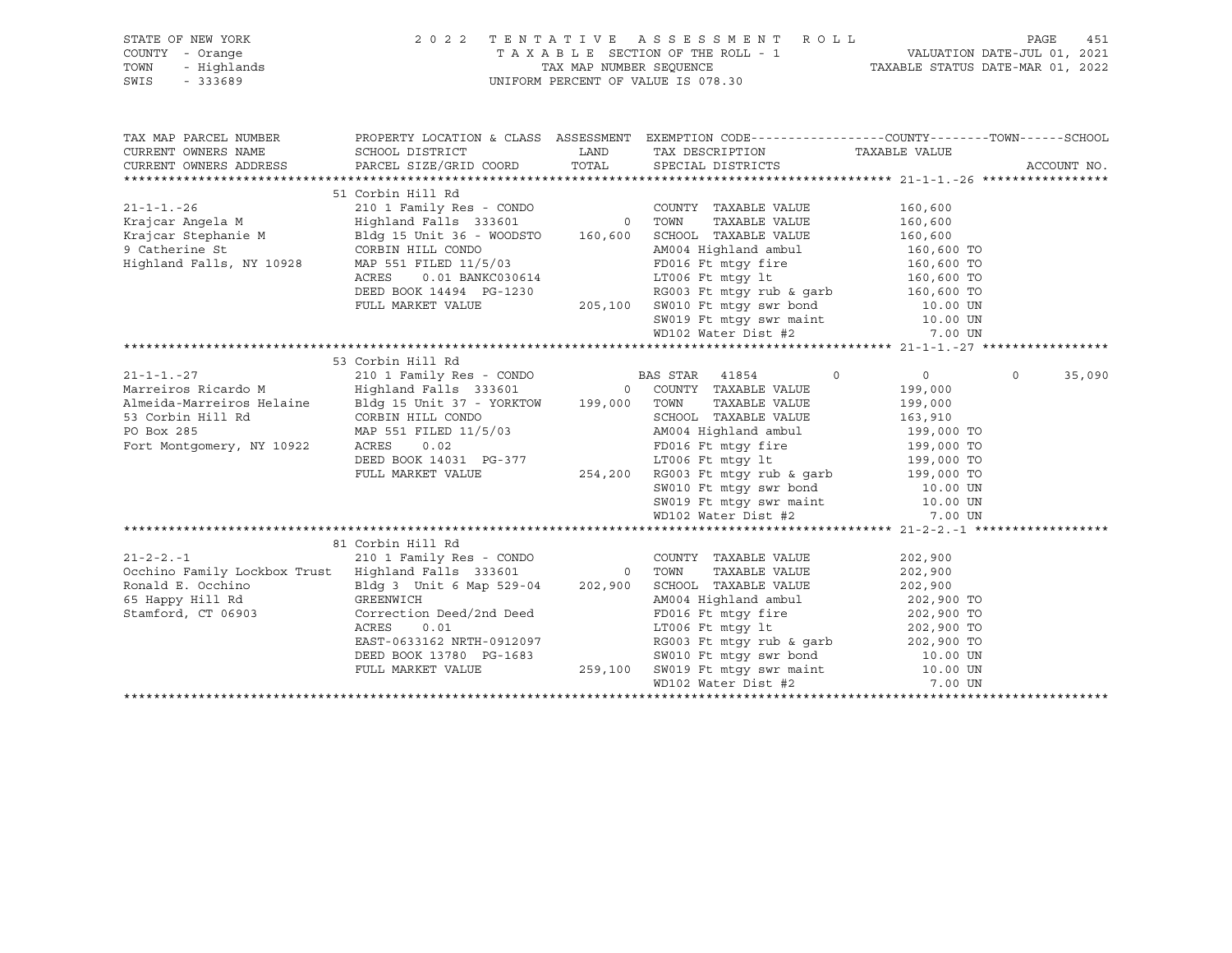| STATE OF NEW YORK<br>STATE OF NEW YORK<br>COUNTY - Orange<br>TOWN - Highlands<br>SWIS - 333689                                                                                                                                                        | 2022 TENTATIVE ASSESSMENT ROLL                            | TAXABLE SECTION OF THE ROLL - 1<br>TAX MAP NUMBER SEQUENCE TAXABLE STATUS DATE-JUL 01, 2021<br>NIEODM DEDGENT OF VALUE STATUS DATE MAR 01, 2022<br>UNIFORM PERCENT OF VALUE IS 078.30                                                                                                                        |                                                           | 451<br>PAGE        |
|-------------------------------------------------------------------------------------------------------------------------------------------------------------------------------------------------------------------------------------------------------|-----------------------------------------------------------|--------------------------------------------------------------------------------------------------------------------------------------------------------------------------------------------------------------------------------------------------------------------------------------------------------------|-----------------------------------------------------------|--------------------|
| TAX MAP PARCEL NUMBER<br>CURRENT OWNERS NAME<br>CURRENT OWNERS ADDRESS                                                                                                                                                                                |                                                           | PROPERTY LOCATION & CLASS ASSESSMENT EXEMPTION CODE----------------COUNTY-------TOWN------SCHOOL                                                                                                                                                                                                             |                                                           | ACCOUNT NO.        |
|                                                                                                                                                                                                                                                       |                                                           |                                                                                                                                                                                                                                                                                                              |                                                           |                    |
| $21 - 1 - 1 - 27$<br>Marreiros Ricardo M<br>Almeida-Marreiros Helaine<br>Bldg 15 Unit 37 - YORKTOW 199,000 TOWN<br>53 Corbin Hill Rd CORBIN HILL CONDO<br>PO Box 285 MAP 551 FILED 11/5/03 AM004 Hi<br>Fort Montgomery, NY 10922 ACRES 0.02 FORD16 FU | 53 Corbin Hill Rd<br>ACRES 0.02<br>DEED BOOK 14031 PG-377 | TAXABLE VALUE<br>SCHOOL TAXABLE VALUE 163,910<br>AM004 Highland ambul 199,000 TO<br>FD016 Ft mtgy fire 199,000 TO<br>LT006 Ft mtgy 1t 199,000 TO<br>FULL MARKET VALUE 254,200 RG003 Ft mtgy rub & garb<br>SW010 Ft mtgy swr bond 10.00 UN<br>SW019 Ft mtgy swr maint 10.00 UN<br>WD102 Water Dist #2 7.00 UN | $\overline{0}$<br>$0 \qquad \qquad$<br>199,000<br>199,000 | $\Omega$<br>35,090 |
| 65 Happy Hill Rd<br>Stamford, CT 06903<br>Stamford, CT 06903                                                                                                                                                                                          | 81 Corbin Hill Rd                                         | GREENWICH CONTENTING DEED BOOK 13780 PG-1683<br>FULL MARKET VALUE 202,900 PG-1683<br>FULL MARKET VALUE 259,100 SCN004 High Land ambul<br>202,900 TO<br>EAST-0633162 NRTH-0912097<br>DEED BOOK 13780 PG-1683<br>FULL MARKET VALUE 259,100 S                                                                   |                                                           |                    |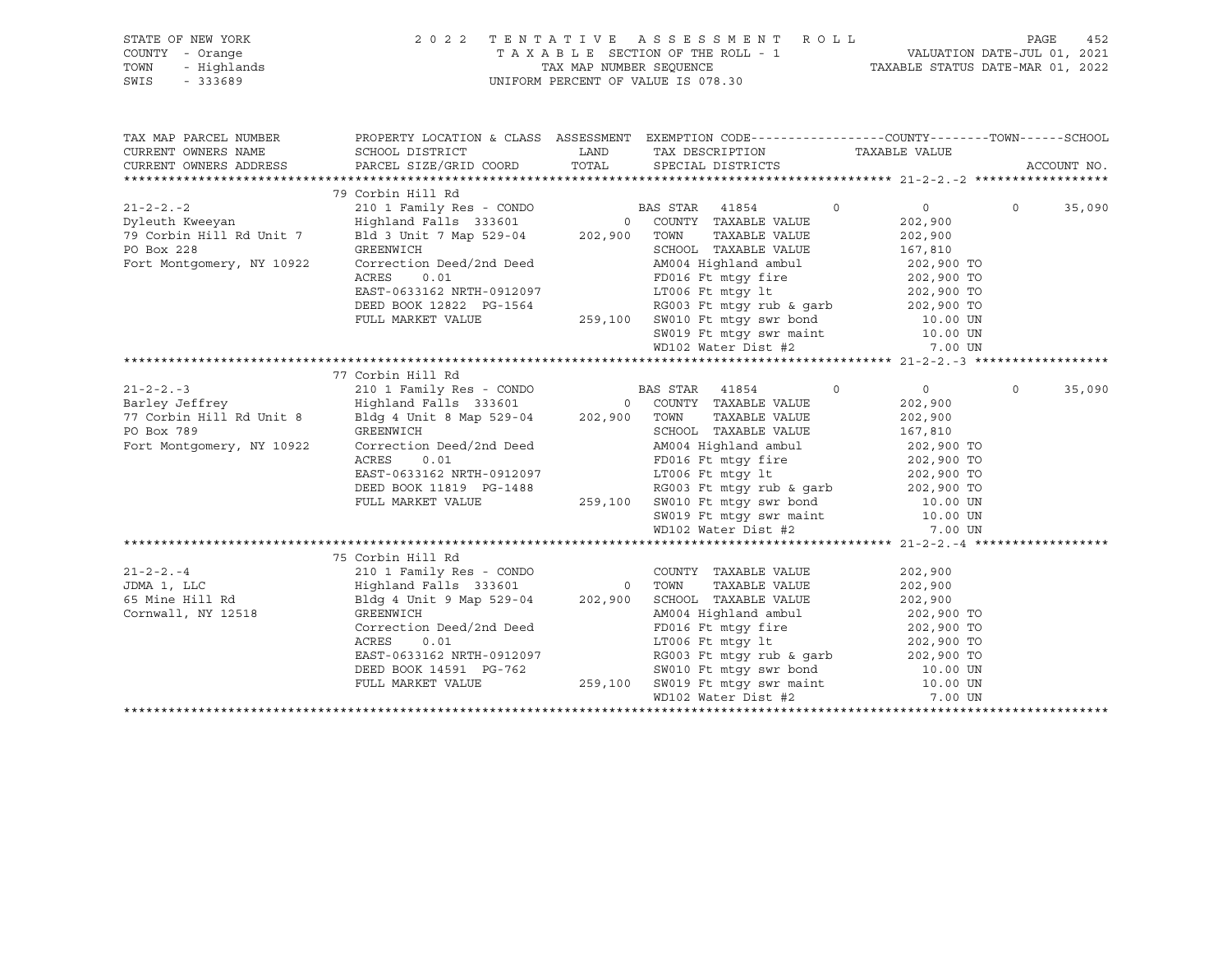|      | STATE OF NEW YORK | 2022 TENTATIVE ASSESSMENT ROLL     |                                  | PAGE                        | 452 |
|------|-------------------|------------------------------------|----------------------------------|-----------------------------|-----|
|      | COUNTY - Orange   | TAXABLE SECTION OF THE ROLL - 1    |                                  | VALUATION DATE-JUL 01, 2021 |     |
| TOWN | - Highlands       | TAX MAP NUMBER SEOUENCE            | TAXABLE STATUS DATE-MAR 01, 2022 |                             |     |
| SWIS | - 333689          | UNIFORM PERCENT OF VALUE IS 078.30 |                                  |                             |     |

| TAX MAP PARCEL NUMBER<br>CURRENT OWNERS NAME<br>CURRENT OWNERS ADDRESS                                    |                                                                                                                                            | PROPERTY LOCATION & CLASS ASSESSMENT EXEMPTION CODE----------------COUNTY-------TOWN------SCHOOL                                                                                                                                                                                                                                                                                                                                                                                    |                                                 |                   | ACCOUNT NO. |
|-----------------------------------------------------------------------------------------------------------|--------------------------------------------------------------------------------------------------------------------------------------------|-------------------------------------------------------------------------------------------------------------------------------------------------------------------------------------------------------------------------------------------------------------------------------------------------------------------------------------------------------------------------------------------------------------------------------------------------------------------------------------|-------------------------------------------------|-------------------|-------------|
|                                                                                                           | 79 Corbin Hill Rd                                                                                                                          |                                                                                                                                                                                                                                                                                                                                                                                                                                                                                     |                                                 |                   |             |
| $21 - 2 - 2 - 2$<br>Dyleuth Kweeyan<br>79 Corbin Hill Rd Unit 7<br>PO Box 228                             | GREENWICH<br>Correction Deed/2nd Deed                                                                                                      | 210 1 Family Res - CONDO BAS STAR 41854 0<br>Highland Falls 333601 0 COUNTY TAXABLE VALUE<br>Bld 3 Unit 7 Map 529-04 202,900 TOWN TAXABLE VALUE<br>SCHOOL TAXABLE VALUE 167,810                                                                                                                                                                                                                                                                                                     | $\overline{0}$<br>202,900<br>202,900            | $0 \qquad \qquad$ | 35,090      |
| Fort Montgomery, NY 10922                                                                                 | ACRES<br>0.01<br>EAST-0633162 NRTH-0912097<br>DEED BOOK 12822 PG-1564<br>FULL MARKET VALUE                                                 | AM004 Highland ambul 202,900 TO<br>259,100 SW010 Ft mtgy swr bond 10.00 UN SW019 Ft mtgy swr maint 10.00 UN<br>WD102 Water Dist #2                                                                                                                                                                                                                                                                                                                                                  | 7.00 UN                                         |                   |             |
|                                                                                                           |                                                                                                                                            |                                                                                                                                                                                                                                                                                                                                                                                                                                                                                     |                                                 |                   |             |
| $21 - 2 - 2 - 3$<br>Barley Jeffrey<br>77 Corbin Hill Rd Unit 8<br>PO Box 789<br>Fort Montgomery, NY 10922 | 77 Corbin Hill Rd<br>GREENWICH<br>Correction Deed/2nd Deed<br>ACRES<br>0.01                                                                | 210 1 Family Res - CONDO<br>Highland Falls 333601 0 COUNTY TAXABLE VALUE<br>Bldg 4 Unit 8 Map 529-04 202,900 TOWN TAXABLE VALUE<br>SCHOOL TAXABLE VALUE<br>AM004 Highland ambul 202,900 TO<br>FD016 Ft mtgy fire 202,900 TO<br>EAST-0633162 NRTH-0912097 LT006 Ft mtgy 1t 202,900 TO<br>DEED BOOK 11819 PG-1488 RG003 Ft mtgy rub & garb 202,900 TO<br>FULL MARKET VALUE 259,100 SW010 Ft mtgy swr bond 10.00 UN<br>SW019 Ft mtgy swr maint 10.00 UN<br>WD102 Water Dist #2 7.00 UN | $\overline{0}$<br>202,900<br>202,900<br>167,810 | $\Omega$          | 35,090      |
|                                                                                                           |                                                                                                                                            |                                                                                                                                                                                                                                                                                                                                                                                                                                                                                     |                                                 |                   |             |
| $21 - 2 - 2 - 4$<br>JDMA 1, LLC<br>65 Mine Hill Rd<br>Cornwall, NY 12518                                  | 75 Corbin Hill Rd<br>Correction Deed/2nd Deed<br>ACRES<br>0.01<br>EAST-0633162 NRTH-0912097<br>DEED BOOK 14591 PG-762<br>FULL MARKET VALUE | Highland Falls 333601 0 TOWN TAXABLE VALUE 202,900<br>Bldg 4 Unit 9 Map 529-04 202,900 SCHOOL TAXABLE VALUE 202,900<br>GREENWICH 202,900 202,900 AM004 Highland ambul 202,900 TO<br>FD016 Ft mtgy fire 202,900 TO<br>LT006 Ft mtgy lt<br>0912097 RG003 Ft mtgy rub & garb 202,900 TO<br>3-762 SW010 Ft mtgy swr bond 10.00 UN<br>259,100 SW019 Ft mtgy swr maint 10.00 UN<br>WD102 Water Dist #2                                                                                    | 202,900<br>202,900 TO<br>7.00 UN                |                   |             |
|                                                                                                           |                                                                                                                                            |                                                                                                                                                                                                                                                                                                                                                                                                                                                                                     |                                                 |                   |             |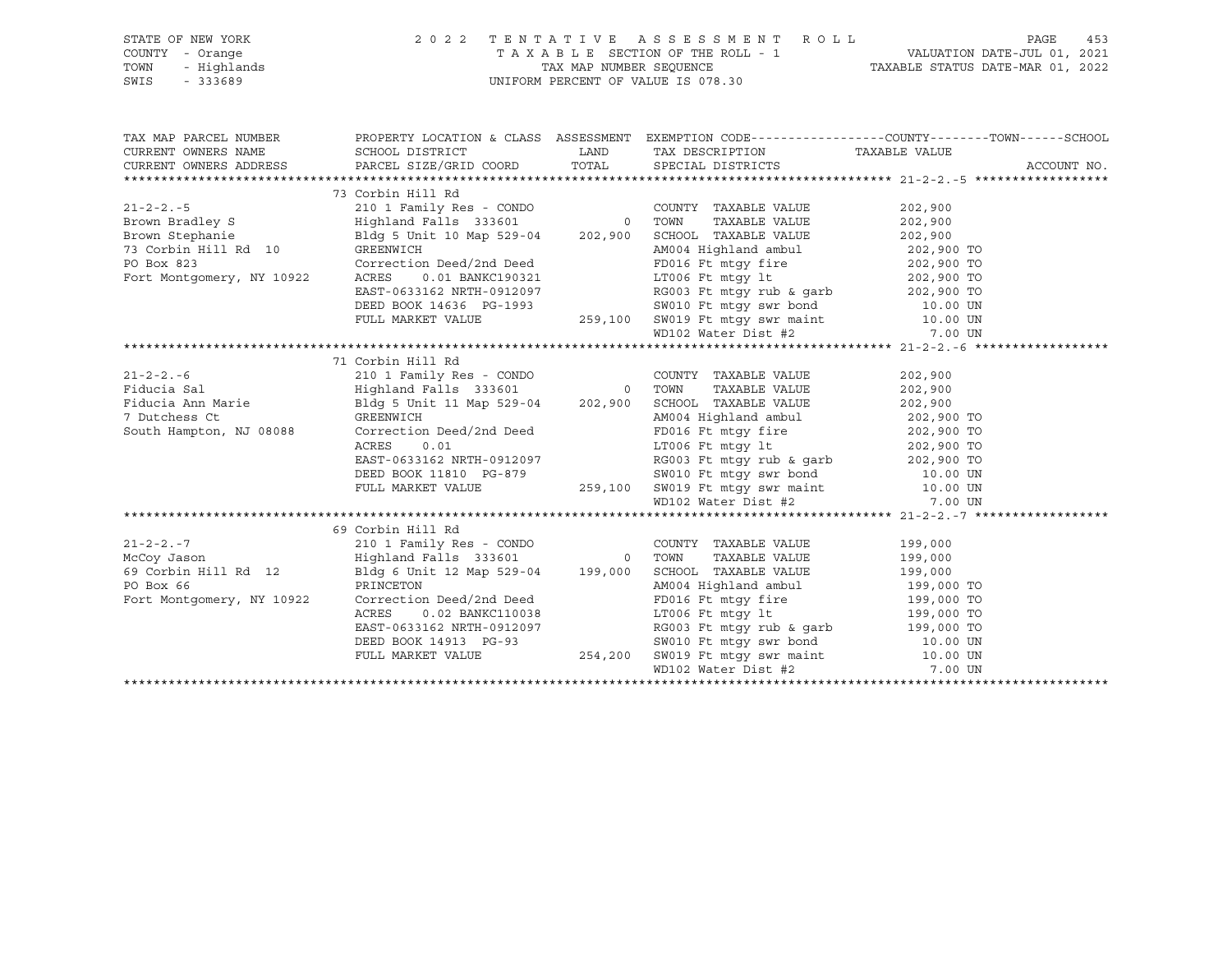|                           | STATE OF NEW YORK PAGE 2022 TENTATIVE ASSESSMENT ROLL PAGE 453<br>COUNTY - Orange TAXABLE SECTION OF THE ROLL - 1 VALUATION DATE-JUL 01, 2021<br>TOWN - Highlands TAXABLE STATUS DATE-MAR 01, 2022<br>SWIS - 333689                                                     |                                                                                                                                                                                                                                        |  |             |
|---------------------------|-------------------------------------------------------------------------------------------------------------------------------------------------------------------------------------------------------------------------------------------------------------------------|----------------------------------------------------------------------------------------------------------------------------------------------------------------------------------------------------------------------------------------|--|-------------|
|                           |                                                                                                                                                                                                                                                                         |                                                                                                                                                                                                                                        |  |             |
|                           |                                                                                                                                                                                                                                                                         |                                                                                                                                                                                                                                        |  |             |
|                           |                                                                                                                                                                                                                                                                         |                                                                                                                                                                                                                                        |  |             |
|                           |                                                                                                                                                                                                                                                                         |                                                                                                                                                                                                                                        |  |             |
|                           |                                                                                                                                                                                                                                                                         |                                                                                                                                                                                                                                        |  |             |
|                           | TAX MAP PARCEL NUMBER          PROPERTY LOCATION & CLASS ASSESSMENT EXEMPTION CODE--------------COUNTY--------TOWN------SCHOOL CURRENT OWNERS NAME            SCHOOL DISTRICT             LAND     TAX DESCRIPTION           T                                          |                                                                                                                                                                                                                                        |  |             |
|                           | CURRENT OWNERS ADDRESS PARCEL SIZE/GRID COORD TOTAL SPECIAL DISTRICTS                                                                                                                                                                                                   |                                                                                                                                                                                                                                        |  |             |
|                           |                                                                                                                                                                                                                                                                         |                                                                                                                                                                                                                                        |  | ACCOUNT NO. |
|                           | 73 Corbin Hill Rd                                                                                                                                                                                                                                                       |                                                                                                                                                                                                                                        |  |             |
| $21 - 2 - 2 - 5$          |                                                                                                                                                                                                                                                                         |                                                                                                                                                                                                                                        |  |             |
|                           | 21-2-2.-5<br>21-2-2.-5<br>202,900<br>21-2-2.-5<br>202,900<br>21-2-2.-5<br>202,900<br>21-2-2.-5<br>202,900<br>21-2-2.-5<br>202,900<br>21-2-2.-5<br>202,900<br>202,900<br>202,900<br>202,900<br>202,900<br>202,900<br>202,900<br>202,900<br>202,900<br>202,900<br>202,900 |                                                                                                                                                                                                                                        |  |             |
|                           |                                                                                                                                                                                                                                                                         |                                                                                                                                                                                                                                        |  |             |
|                           |                                                                                                                                                                                                                                                                         |                                                                                                                                                                                                                                        |  |             |
|                           |                                                                                                                                                                                                                                                                         |                                                                                                                                                                                                                                        |  |             |
|                           |                                                                                                                                                                                                                                                                         |                                                                                                                                                                                                                                        |  |             |
|                           |                                                                                                                                                                                                                                                                         |                                                                                                                                                                                                                                        |  |             |
|                           |                                                                                                                                                                                                                                                                         |                                                                                                                                                                                                                                        |  |             |
|                           | 73 CONFIDENTIE 202,900 TO<br>PO Box 823<br>Fort Montgomery, NY 10922<br>EAST-0633162 NRTH-0912097<br>EAST-0633162 NRTH-0912097<br>DEED BOOK 14636 PG-1993<br>FULL MARKET VALUE<br>TOOS Ft mtgy tub & garb<br>202,900 TO<br>202,900 TO<br>202,900 T                      |                                                                                                                                                                                                                                        |  |             |
|                           |                                                                                                                                                                                                                                                                         |                                                                                                                                                                                                                                        |  |             |
|                           |                                                                                                                                                                                                                                                                         |                                                                                                                                                                                                                                        |  |             |
|                           |                                                                                                                                                                                                                                                                         |                                                                                                                                                                                                                                        |  |             |
|                           | 71 Corbin Hill Rd                                                                                                                                                                                                                                                       |                                                                                                                                                                                                                                        |  |             |
|                           |                                                                                                                                                                                                                                                                         |                                                                                                                                                                                                                                        |  |             |
|                           |                                                                                                                                                                                                                                                                         |                                                                                                                                                                                                                                        |  |             |
|                           |                                                                                                                                                                                                                                                                         |                                                                                                                                                                                                                                        |  |             |
|                           |                                                                                                                                                                                                                                                                         |                                                                                                                                                                                                                                        |  |             |
|                           |                                                                                                                                                                                                                                                                         |                                                                                                                                                                                                                                        |  |             |
|                           |                                                                                                                                                                                                                                                                         |                                                                                                                                                                                                                                        |  |             |
|                           |                                                                                                                                                                                                                                                                         |                                                                                                                                                                                                                                        |  |             |
|                           |                                                                                                                                                                                                                                                                         |                                                                                                                                                                                                                                        |  |             |
|                           |                                                                                                                                                                                                                                                                         |                                                                                                                                                                                                                                        |  |             |
|                           |                                                                                                                                                                                                                                                                         |                                                                                                                                                                                                                                        |  |             |
|                           |                                                                                                                                                                                                                                                                         |                                                                                                                                                                                                                                        |  |             |
|                           | 69 Corbin Hill Rd                                                                                                                                                                                                                                                       |                                                                                                                                                                                                                                        |  |             |
|                           |                                                                                                                                                                                                                                                                         |                                                                                                                                                                                                                                        |  |             |
|                           |                                                                                                                                                                                                                                                                         |                                                                                                                                                                                                                                        |  |             |
|                           |                                                                                                                                                                                                                                                                         |                                                                                                                                                                                                                                        |  |             |
|                           |                                                                                                                                                                                                                                                                         |                                                                                                                                                                                                                                        |  |             |
| Fort Montgomery, NY 10922 |                                                                                                                                                                                                                                                                         | Blag 6 Unit 12 Map 529-04 199,000 SCHOOL TAXABLE VALUE 199,000 PRINCETON<br>PRINCETON AM004 Highland ambul 199,000 TO<br>Correction Deed/2nd Deed FD016 Ft mtgy fire 199,000 TO<br>ACRES 0.02 BANKC110038 LT006 Ft mtgy tub & garb<br> |  |             |
|                           |                                                                                                                                                                                                                                                                         |                                                                                                                                                                                                                                        |  |             |
|                           |                                                                                                                                                                                                                                                                         |                                                                                                                                                                                                                                        |  |             |
|                           |                                                                                                                                                                                                                                                                         |                                                                                                                                                                                                                                        |  |             |
|                           |                                                                                                                                                                                                                                                                         |                                                                                                                                                                                                                                        |  |             |
|                           |                                                                                                                                                                                                                                                                         |                                                                                                                                                                                                                                        |  |             |
|                           |                                                                                                                                                                                                                                                                         |                                                                                                                                                                                                                                        |  |             |

\*\*\*\*\*\*\*\*\*\*\*\*\*\*\*\*\*\*\*\*\*\*\*\*\*\*\*\*\*\*\*\*\*\*\*\*\*\*\*\*\*\*\*\*\*\*\*\*\*\*\*\*\*\*\*\*\*\*\*\*\*\*\*\*\*\*\*\*\*\*\*\*\*\*\*\*\*\*\*\*\*\*\*\*\*\*\*\*\*\*\*\*\*\*\*\*\*\*\*\*\*\*\*\*\*\*\*\*\*\*\*\*\*\*\*\*\*\*\*\*\*\*\*\*\*\*\*\*\*\*\*\*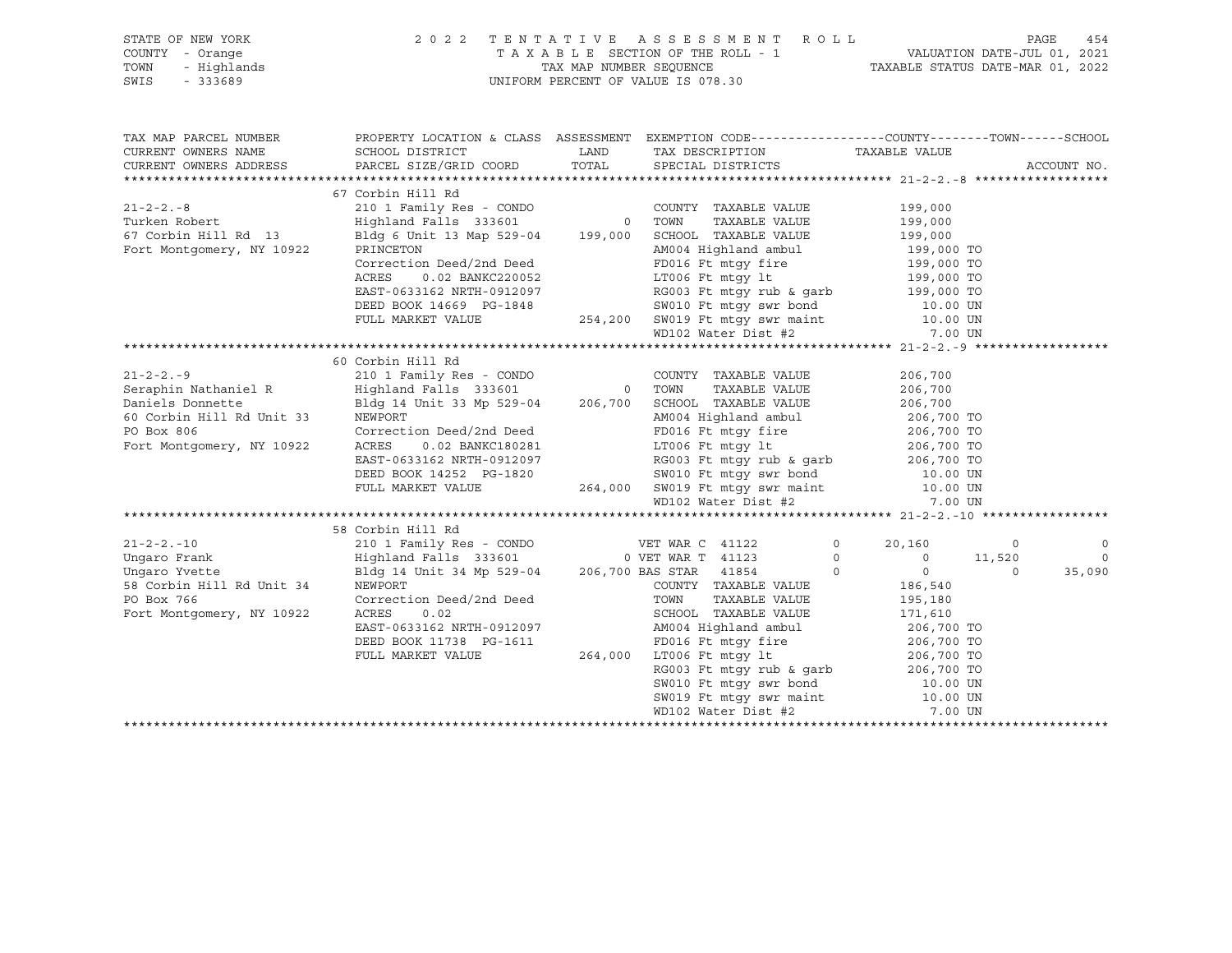| STATE OF NEW YORK   | 2022 TENTATIVE ASSESSMENT ROLL     | 454<br>PAGE                      |
|---------------------|------------------------------------|----------------------------------|
| COUNTY - Orange     | TAXABLE SECTION OF THE ROLL - 1    | VALUATION DATE-JUL 01, 2021      |
| TOWN<br>- Highlands | TAX MAP NUMBER SEOUENCE            | TAXABLE STATUS DATE-MAR 01, 2022 |
| SWIS<br>- 333689    | UNIFORM PERCENT OF VALUE IS 078.30 |                                  |

|                                     | TAX MAP PARCEL NUMBER THE PROPERTY LOCATION & CLASS ASSESSMENT EXEMPTION CODE---------------COUNTY--------TOWN------SCHOOL                                                                                                                       |                                                                 |                |
|-------------------------------------|--------------------------------------------------------------------------------------------------------------------------------------------------------------------------------------------------------------------------------------------------|-----------------------------------------------------------------|----------------|
| CURRENT OWNERS NAME SCHOOL DISTRICT |                                                                                                                                                                                                                                                  | LAND TAX DESCRIPTION TAXABLE VALUE                              |                |
|                                     | CURRENT OWNERS ADDRESS PARCEL SIZE/GRID COORD TOTAL SPECIAL DISTRICTS                                                                                                                                                                            |                                                                 | ACCOUNT NO.    |
|                                     |                                                                                                                                                                                                                                                  |                                                                 |                |
|                                     | 67 Corbin Hill Rd                                                                                                                                                                                                                                |                                                                 |                |
|                                     |                                                                                                                                                                                                                                                  |                                                                 |                |
|                                     |                                                                                                                                                                                                                                                  |                                                                 |                |
|                                     |                                                                                                                                                                                                                                                  |                                                                 |                |
|                                     |                                                                                                                                                                                                                                                  |                                                                 |                |
|                                     | 21-2-2.-8<br>210 1 Family Res - CONDO<br>210 1 Family Res - CONDO<br>210 1 Family Res - CONDO<br>210 1 Family Res - CONDO<br>210 1 Family Res - CONDO<br>210 1 Family Res - CONDO<br>210 1 Family Res - CONDO<br>210 21 Family Res - CONDO<br>21 |                                                                 |                |
|                                     | ACRES 0.02 BANKC220052<br>EAST-0633162 NRTH-0912097<br>DEED BOOK 14669 PG-1848<br>FULL MARKET VALUE 254,200 SW019 Ft mtgy swr maint 10.00 UN<br>FULL MARKET VALUE 254,200 SW019 Ft mtgy swr maint 10.00 UN<br>WD102 Water Dist #2<br>199,0       |                                                                 |                |
|                                     |                                                                                                                                                                                                                                                  |                                                                 |                |
|                                     |                                                                                                                                                                                                                                                  |                                                                 |                |
|                                     |                                                                                                                                                                                                                                                  |                                                                 |                |
|                                     |                                                                                                                                                                                                                                                  |                                                                 |                |
|                                     |                                                                                                                                                                                                                                                  |                                                                 |                |
|                                     | 60 Corbin Hill Rd                                                                                                                                                                                                                                |                                                                 |                |
|                                     | 21-2-2.-9<br>206,700 COUNTY TAXABLE VALUE<br>206,700 COUNTY TAXABLE VALUE<br>206,700 COUNTY TAXABLE VALUE<br>206,700 COUNTY TAXABLE VALUE                                                                                                        |                                                                 |                |
|                                     |                                                                                                                                                                                                                                                  |                                                                 |                |
|                                     |                                                                                                                                                                                                                                                  |                                                                 |                |
|                                     |                                                                                                                                                                                                                                                  |                                                                 |                |
|                                     |                                                                                                                                                                                                                                                  |                                                                 |                |
|                                     | Daniels Donnette<br>Fort Montgomery, NY 10922<br>Fort Montgomery, NY 10922<br>ACRES  CONTECT DON CONTECT DEED DEED AND DEVITE AND ANNELLY ALLOCAL TAXABLE VALUE<br>206,700 TO<br>END 16 PE mtgy fire<br>206,700 TO<br>Fort Montgomery, NY 10     | LT006 Ft $mLy$ lt 206,700 TO                                    |                |
|                                     |                                                                                                                                                                                                                                                  |                                                                 |                |
|                                     |                                                                                                                                                                                                                                                  |                                                                 |                |
|                                     |                                                                                                                                                                                                                                                  |                                                                 |                |
|                                     | EAST-0633162 NRTH-0912097<br>DEED BOOK 14252 PG-1820<br>FULL MARKET VALUE 264,000 SW019 Ft mtgy swr hond 10.00 UN<br>FULL MARKET VALUE 264,000 SW019 Ft mtgy swr maint 10.00 UN<br>WD102 Water Dist #2<br>7.00 UN                                |                                                                 |                |
|                                     |                                                                                                                                                                                                                                                  |                                                                 |                |
|                                     | 58 Corbin Hill Rd                                                                                                                                                                                                                                |                                                                 |                |
|                                     |                                                                                                                                                                                                                                                  |                                                                 | $\overline{0}$ |
|                                     |                                                                                                                                                                                                                                                  |                                                                 | $\overline{0}$ |
|                                     |                                                                                                                                                                                                                                                  |                                                                 | 35,090         |
|                                     | 30 COLORER MAR C 41122 0 20,160 0<br>Ungaro Frank Highland Falls 333601 0 VET WAR T 41123 0 20,160 0<br>Ungaro Yvette Bldg 14 Unit 34 Mp 529-04 206,700 BAS STAR 41854 0 0 0 0<br>58 Corbin Hill Rd Unit 34 Mp 529-04 206,700 BAS ST             |                                                                 |                |
|                                     | NEWPORT 186,540<br>COONTY TAXABLE VALUE 196,540<br>COOTTECTION CONN TAXABLE VALUE 195,180<br>ACRES 0.02 CHOOL TAXABLE VALUE 171,610                                                                                                              |                                                                 |                |
| Fort Montgomery, NY 10922           |                                                                                                                                                                                                                                                  |                                                                 |                |
|                                     | EAST-0633162 NRTH-0912097<br>DEED BOOK 11738 PG-1611<br>PEED BOOK 11738 PG-1611<br>PEED BOOK 11738 PG-1611<br>PEED BOOK 11738 PG-1611<br>264,000 LT006 Ft mtgy 1t 206,700 TO<br>RG003 Ft mtgy rub & garb<br>206,700 TO<br>206,700 TO<br>206,700  |                                                                 |                |
|                                     |                                                                                                                                                                                                                                                  |                                                                 |                |
|                                     |                                                                                                                                                                                                                                                  |                                                                 |                |
|                                     |                                                                                                                                                                                                                                                  |                                                                 |                |
|                                     |                                                                                                                                                                                                                                                  | SW010 Ft mtgy swr bond 10.00 UN                                 |                |
|                                     |                                                                                                                                                                                                                                                  |                                                                 |                |
|                                     |                                                                                                                                                                                                                                                  | SW019 Ft mtgy swr maint 10.00 UN<br>WD102 Water Dist #2 7.00 UN |                |
|                                     |                                                                                                                                                                                                                                                  |                                                                 |                |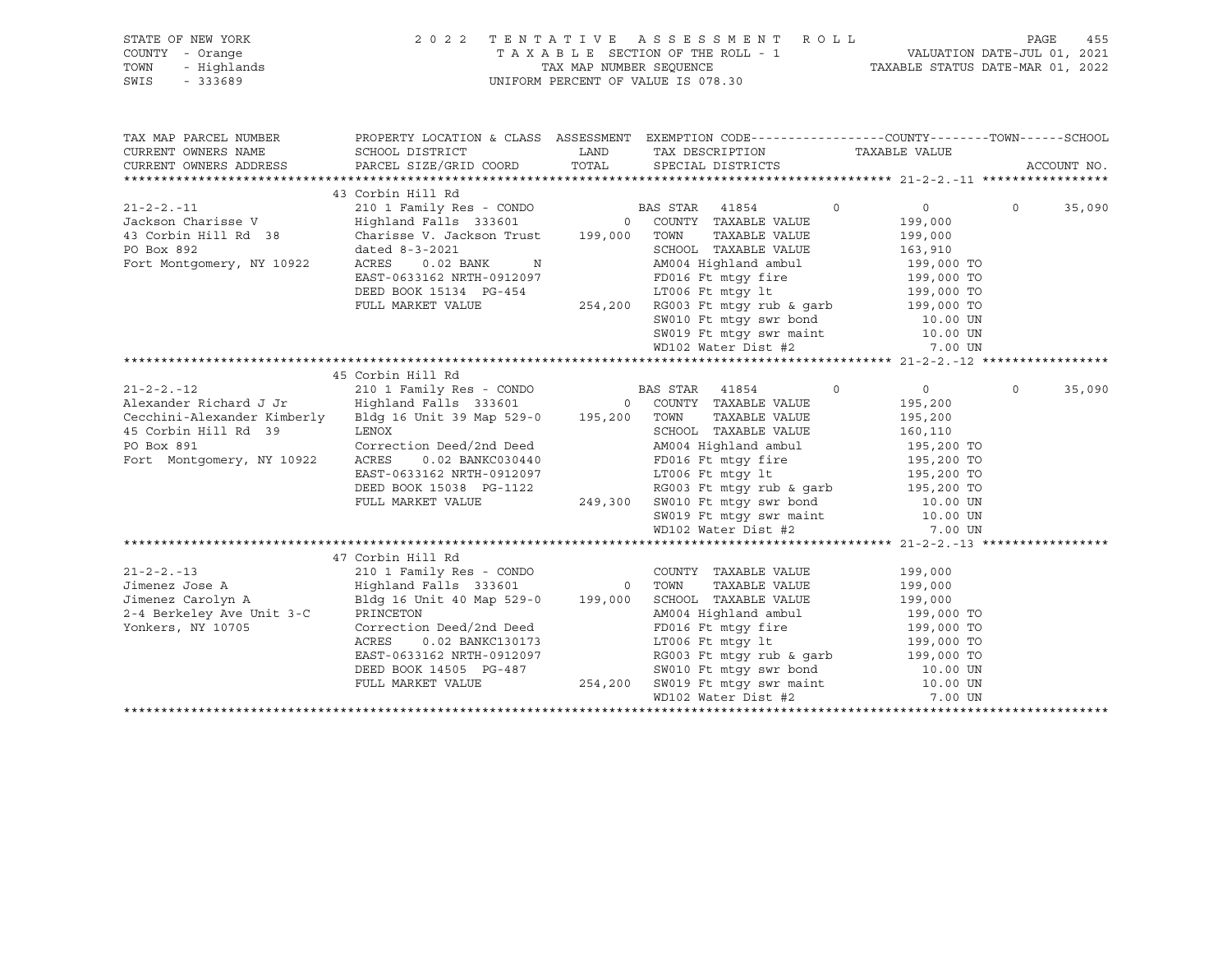| STATE OF NEW YORK |             | 2022 TENTATIVE ASSESSMENT ROLL     |  |  |                                  | PAGE | 455 |
|-------------------|-------------|------------------------------------|--|--|----------------------------------|------|-----|
| COUNTY - Orange   |             | TAXABLE SECTION OF THE ROLL - 1    |  |  | VALUATION DATE-JUL 01, 2021      |      |     |
| TOWN              | - Hiqhlands | TAX MAP NUMBER SEOUENCE            |  |  | TAXABLE STATUS DATE-MAR 01, 2022 |      |     |
| SWIS              | - 333689    | UNIFORM PERCENT OF VALUE IS 078.30 |  |  |                                  |      |     |

| TAX MAP PARCEL NUMBER<br>CURRENT OWNERS NAME<br>CURRENT OWNERS ADDRESS | PROPERTY LOCATION & CLASS ASSESSMENT EXEMPTION CODE---------------COUNTY-------TOWN-----SCHOOL                                                                                                                                                   |                                                                                                                                                                                                                                            |                |          |        |
|------------------------------------------------------------------------|--------------------------------------------------------------------------------------------------------------------------------------------------------------------------------------------------------------------------------------------------|--------------------------------------------------------------------------------------------------------------------------------------------------------------------------------------------------------------------------------------------|----------------|----------|--------|
|                                                                        |                                                                                                                                                                                                                                                  |                                                                                                                                                                                                                                            |                |          |        |
|                                                                        | 43 Corbin Hill Rd                                                                                                                                                                                                                                |                                                                                                                                                                                                                                            |                |          |        |
|                                                                        |                                                                                                                                                                                                                                                  | $\sim$ 0                                                                                                                                                                                                                                   | $\overline{0}$ | $\circ$  | 35,090 |
|                                                                        |                                                                                                                                                                                                                                                  |                                                                                                                                                                                                                                            | 199,000        |          |        |
| 43 Corbin Hill Rd 38 Charisse V. Jackson Trust 199,000 TOWN            |                                                                                                                                                                                                                                                  | TAXABLE VALUE                                                                                                                                                                                                                              | 199,000        |          |        |
| PO Box 892                                                             | dated 8-3-2021                                                                                                                                                                                                                                   | SCHOOL TAXABLE VALUE 163,910                                                                                                                                                                                                               |                |          |        |
| Fort Montgomery, NY 10922                                              | $0.02$ BANK N<br>633162 NRTH-0912007<br>ACRES                                                                                                                                                                                                    | AM004 Highland ambul 199,000 TO<br>FD016 Ft mtgy fire 199,000 TO<br>LT006 Ft mtgy lt 199,000 TO<br>AM004 Highlanu amwur<br>FD016 Ft mtgy fire<br>LT006 Ft mtgy lt<br>LT006 Ft mtgy lt                                                      |                |          |        |
|                                                                        | EAST-0633162 NRTH-0912097                                                                                                                                                                                                                        |                                                                                                                                                                                                                                            |                |          |        |
|                                                                        | DEED BOOK 15134 PG-454                                                                                                                                                                                                                           |                                                                                                                                                                                                                                            |                |          |        |
|                                                                        | FULL MARKET VALUE                                                                                                                                                                                                                                | $254,200$ RG003 Ft mtgy rub & garb 199,000 TO                                                                                                                                                                                              |                |          |        |
|                                                                        |                                                                                                                                                                                                                                                  |                                                                                                                                                                                                                                            |                |          |        |
|                                                                        |                                                                                                                                                                                                                                                  |                                                                                                                                                                                                                                            |                |          |        |
|                                                                        |                                                                                                                                                                                                                                                  | SW010 Ft mtgy swr bond 10.00 UN<br>SW019 Ft mtgy swr maint 10.00 UN<br>WD102 Water Dist #2 7.00 UN                                                                                                                                         |                |          |        |
|                                                                        |                                                                                                                                                                                                                                                  |                                                                                                                                                                                                                                            |                |          |        |
|                                                                        | 45 Corbin Hill Rd                                                                                                                                                                                                                                |                                                                                                                                                                                                                                            |                |          |        |
| $21 - 2 - 2 - 12$                                                      | 210 1 Family Res - CONDO BAS STAR 41854 0<br>Highland Falls 333601 0 COUNTY TAXABLE VALUE<br>Bldg 16 Unit 39 Map 529-0 195,200 TOWN TAXABLE VALUE                                                                                                |                                                                                                                                                                                                                                            | $\overline{0}$ | $\Omega$ | 35,090 |
| Alexander Richard J Jr                                                 |                                                                                                                                                                                                                                                  |                                                                                                                                                                                                                                            | 195,200        |          |        |
| Cecchini-Alexander Kimberly                                            |                                                                                                                                                                                                                                                  |                                                                                                                                                                                                                                            | 195,200        |          |        |
| 45 Corbin Hill Rd 39                                                   | LENOX                                                                                                                                                                                                                                            | SCHOOL TAXABLE VALUE 160,110                                                                                                                                                                                                               |                |          |        |
| PO Box 891                                                             |                                                                                                                                                                                                                                                  |                                                                                                                                                                                                                                            |                |          |        |
| Fort Montgomery, NY 10922                                              |                                                                                                                                                                                                                                                  |                                                                                                                                                                                                                                            |                |          |        |
|                                                                        |                                                                                                                                                                                                                                                  |                                                                                                                                                                                                                                            |                |          |        |
|                                                                        |                                                                                                                                                                                                                                                  |                                                                                                                                                                                                                                            |                |          |        |
|                                                                        |                                                                                                                                                                                                                                                  |                                                                                                                                                                                                                                            |                |          |        |
|                                                                        |                                                                                                                                                                                                                                                  |                                                                                                                                                                                                                                            |                |          |        |
|                                                                        | Correction Deed/2nd Deed<br>Correction Deed/2nd Deed<br>ACRES 0.02 BANKC030440<br>EAST-0633162 NRTH-0912097<br>DEED BOOK 15038 PG-1122<br>PULL MARKET VALUE<br>PULL MARKET VALUE<br>PULL MARKET VALUE<br>249,300 SW010 Ft mtgy swr maint<br>MD10 |                                                                                                                                                                                                                                            |                |          |        |
|                                                                        |                                                                                                                                                                                                                                                  |                                                                                                                                                                                                                                            |                |          |        |
|                                                                        | 47 Corbin Hill Rd                                                                                                                                                                                                                                |                                                                                                                                                                                                                                            |                |          |        |
| $21 - 2 - 2 - 13$                                                      | 210 1 Family Res - CONDO COUNTY TAXABLE VALUE 199,000                                                                                                                                                                                            |                                                                                                                                                                                                                                            |                |          |        |
|                                                                        |                                                                                                                                                                                                                                                  |                                                                                                                                                                                                                                            |                |          |        |
|                                                                        |                                                                                                                                                                                                                                                  |                                                                                                                                                                                                                                            |                |          |        |
|                                                                        |                                                                                                                                                                                                                                                  |                                                                                                                                                                                                                                            |                |          |        |
| Yonkers, NY 10705                                                      | Correction Deed/2nd Deed                                                                                                                                                                                                                         | FD016 Ft mtgy fire 199,000 TO                                                                                                                                                                                                              |                |          |        |
|                                                                        | 0.02 BANKC130173<br>ACRES                                                                                                                                                                                                                        |                                                                                                                                                                                                                                            |                |          |        |
|                                                                        | EAST-0633162 NRTH-0912097<br>DEED BOOK 14505 PG-487                                                                                                                                                                                              |                                                                                                                                                                                                                                            |                |          |        |
|                                                                        |                                                                                                                                                                                                                                                  |                                                                                                                                                                                                                                            |                |          |        |
|                                                                        | FULL MARKET VALUE                                                                                                                                                                                                                                |                                                                                                                                                                                                                                            |                |          |        |
|                                                                        |                                                                                                                                                                                                                                                  | CC130173<br>0912097 RG003 Ft mtgy 1t<br>C-487 RG003 Ft mtgy rub & garb<br>254,200 SW019 Ft mtgy swr hond<br>254,200 SW019 Ft mtgy swr maint<br>254,200 SW019 Ft mtgy swr maint<br>254,200 SW019 Ft mtgy swr maint<br>254,200 SW019 Ft mtgy |                |          |        |
|                                                                        |                                                                                                                                                                                                                                                  |                                                                                                                                                                                                                                            |                |          |        |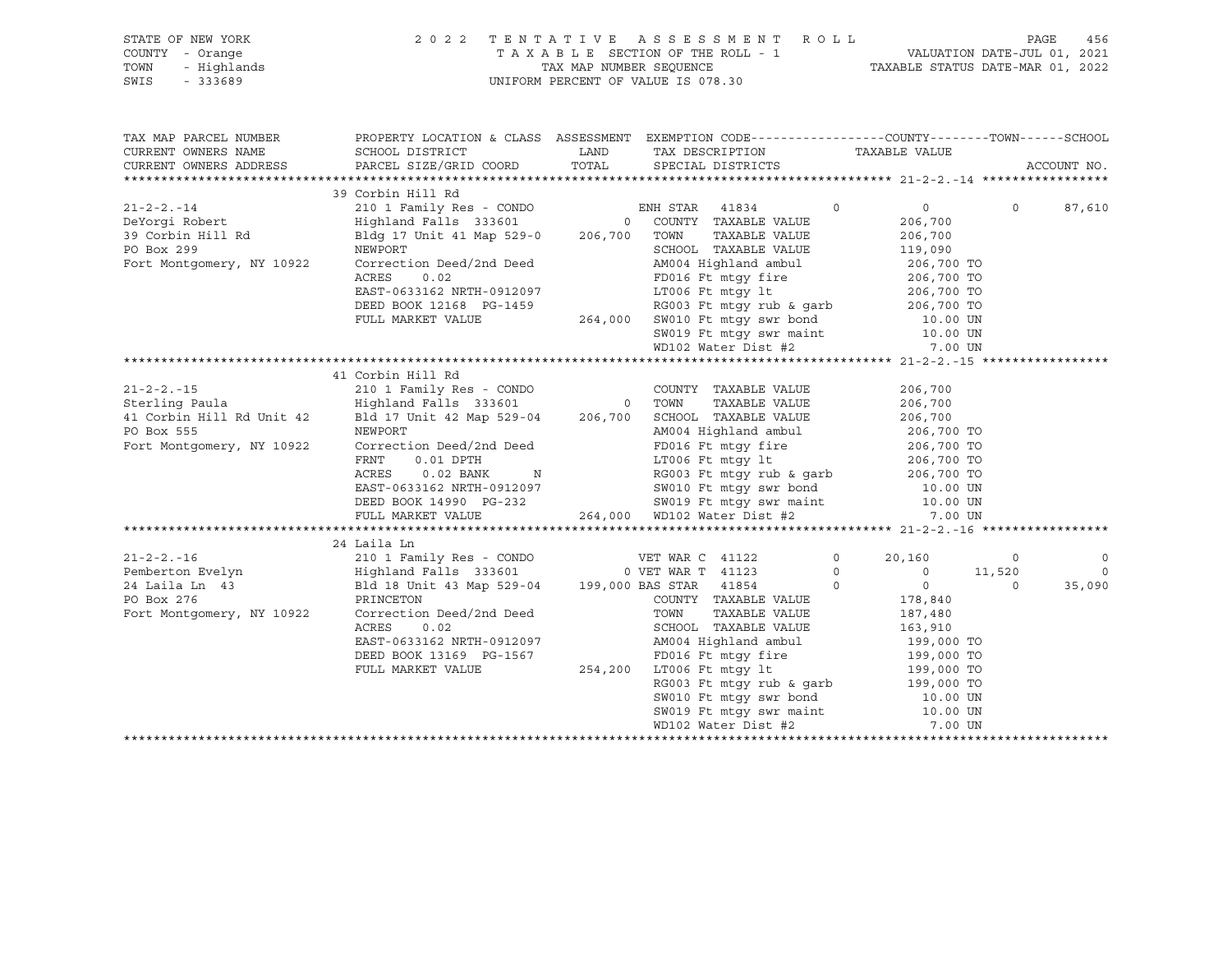|      | STATE OF NEW YORK | 2022 TENTATIVE ASSESSMENT ROLL     | PAGE                             | 456 |
|------|-------------------|------------------------------------|----------------------------------|-----|
|      | COUNTY - Orange   | TAXABLE SECTION OF THE ROLL - 1    | VALUATION DATE-JUL 01, 2021      |     |
| TOWN | - Highlands       | TAX MAP NUMBER SEOUENCE            | TAXABLE STATUS DATE-MAR 01, 2022 |     |
| SWIS | $-333689$         | UNIFORM PERCENT OF VALUE IS 078.30 |                                  |     |

| CURRENT OWNERS NAME<br>SCHOOL DISTRICT $\hfill\textsc{LAND}$ TAX DESCRIPTION $\hfill\textsc{TAXABLE}$ VALUE<br>PARCEL SIZE/GRID COORD TOTAL SPECIAL DISTRICTS<br>CURRENT OWNERS ADDRESS<br>ACCOUNT NO.<br>$\begin{tabular}{lllllllllll} \multicolumn{4}{c }{\textbf{210.1} Famiy Res - CONDO} & \multicolumn{4}{c }{EMH STAR} & \multicolumn{4}{c }{41-2-2. -1} \multicolumn{4}{c }{\textbf{210.1} Family Res - CONDO} & \multicolumn{4}{c }{EMH STAR} & \multicolumn{4}{c }{41834} & \multicolumn{4}{c }{0} & \multicolumn{4}{c }{0} & \multicolumn{4}{c }{0} & \multicolumn{4}{c }{0} & \multicolumn{4}{c }{0} & \multicolumn{4}{c }{0} & \mult$<br>$\Omega$<br>87,610<br>SCHOOL TAXABLE VALUE 119,090<br>NEWPORT<br>Correction Deed/2nd Deed<br>AM004 Highland ambul<br>ACRES 0.02<br>EAST-0633162 NRTH-0912097<br>EAST-0633162 NRTH-0912097<br>LT006 Ft mtgy 1t<br>Fort Montgomery, NY 10922<br>AM004 Highland ambul 206,700 TO<br>FD016 Ft mtgy fire 206,700 TO<br>LT006 Ft mtgy lt 206,700 TO<br>DEED BOOK 12168 PG-1459<br>PULL MARKET VALUE 264,000 SW010 Ft mtgy rub & garb<br>264,000 SW010 Ft mtgy swr bond<br>SW019 Ft mtgy swr maint 10.00 UN<br>WD102 Water Dist #2<br>7.00 UN<br>41 Corbin Hill Rd<br>41 COLUM ALL RO<br>206,700<br>206,700<br>206,700<br>206,700<br>206,700<br>206,700<br>206,700<br>206,700<br>206,700<br>206,700<br>206,700<br>206,700<br>206,700<br>206,700<br>206,700<br>206,700<br>206,700<br>206,700<br>206,700<br>206,700<br>206,700<br>206,700<br>206,700<br>EXERES 0.02 BANK N<br>EXERES 0.02 BANK N<br>EXERES 0.02 BANK N<br>EXERES 0.02 BANK N<br>EXERES 0.02 BANK N<br>EXERES 0.02 BANK N<br>EXERES 0.02 BANK N<br>EXERENCE 206,700 TO<br>EXERENCE 206,700 TO<br>EXERENCE 206,700 TO<br>EXERENCE 206,700 TO<br>Fort Montgomery, NY 10922<br>24 Laila Ln<br>24 Laila 1 24 Laila 1 24 Laila 1 26<br>24 Laila 1 20 1 Family Res - CONDO WET WAR C 41122 0 20,160 0<br>24 Laila 1 43 Highland Falls 333601 0 VET WAR T 41123 0 0 11,520<br>24 Laila 1 43 Highland Falls 333601 199,000 BAS STAR 41<br>$\circ$<br>$\overline{0}$<br>35,090<br>RG003 Ft mtgy rub & garb<br>RG003 Ft mtgy rub & garb<br>SW010 Ft mtgy swr bond<br>SW019 Ft mtgy swr maint<br>MD102 Water Dist #2<br>7.00 UN<br>MD102 Water Dist #2<br>7.00 UN | TAX MAP PARCEL NUMBER | PROPERTY LOCATION & CLASS ASSESSMENT EXEMPTION CODE---------------COUNTY-------TOWN-----SCHOOL |  |  |  |
|--------------------------------------------------------------------------------------------------------------------------------------------------------------------------------------------------------------------------------------------------------------------------------------------------------------------------------------------------------------------------------------------------------------------------------------------------------------------------------------------------------------------------------------------------------------------------------------------------------------------------------------------------------------------------------------------------------------------------------------------------------------------------------------------------------------------------------------------------------------------------------------------------------------------------------------------------------------------------------------------------------------------------------------------------------------------------------------------------------------------------------------------------------------------------------------------------------------------------------------------------------------------------------------------------------------------------------------------------------------------------------------------------------------------------------------------------------------------------------------------------------------------------------------------------------------------------------------------------------------------------------------------------------------------------------------------------------------------------------------------------------------------------------------------------------------------------------------------------------------------------------------------------------------------------------------------------------------------------------------------------------------------------------------------------------------------------------------------------------------------------------------------------------------------------------------------------------------------------------------------------------------------|-----------------------|------------------------------------------------------------------------------------------------|--|--|--|
|                                                                                                                                                                                                                                                                                                                                                                                                                                                                                                                                                                                                                                                                                                                                                                                                                                                                                                                                                                                                                                                                                                                                                                                                                                                                                                                                                                                                                                                                                                                                                                                                                                                                                                                                                                                                                                                                                                                                                                                                                                                                                                                                                                                                                                                                    |                       |                                                                                                |  |  |  |
|                                                                                                                                                                                                                                                                                                                                                                                                                                                                                                                                                                                                                                                                                                                                                                                                                                                                                                                                                                                                                                                                                                                                                                                                                                                                                                                                                                                                                                                                                                                                                                                                                                                                                                                                                                                                                                                                                                                                                                                                                                                                                                                                                                                                                                                                    |                       |                                                                                                |  |  |  |
|                                                                                                                                                                                                                                                                                                                                                                                                                                                                                                                                                                                                                                                                                                                                                                                                                                                                                                                                                                                                                                                                                                                                                                                                                                                                                                                                                                                                                                                                                                                                                                                                                                                                                                                                                                                                                                                                                                                                                                                                                                                                                                                                                                                                                                                                    |                       |                                                                                                |  |  |  |
|                                                                                                                                                                                                                                                                                                                                                                                                                                                                                                                                                                                                                                                                                                                                                                                                                                                                                                                                                                                                                                                                                                                                                                                                                                                                                                                                                                                                                                                                                                                                                                                                                                                                                                                                                                                                                                                                                                                                                                                                                                                                                                                                                                                                                                                                    |                       |                                                                                                |  |  |  |
|                                                                                                                                                                                                                                                                                                                                                                                                                                                                                                                                                                                                                                                                                                                                                                                                                                                                                                                                                                                                                                                                                                                                                                                                                                                                                                                                                                                                                                                                                                                                                                                                                                                                                                                                                                                                                                                                                                                                                                                                                                                                                                                                                                                                                                                                    |                       |                                                                                                |  |  |  |
|                                                                                                                                                                                                                                                                                                                                                                                                                                                                                                                                                                                                                                                                                                                                                                                                                                                                                                                                                                                                                                                                                                                                                                                                                                                                                                                                                                                                                                                                                                                                                                                                                                                                                                                                                                                                                                                                                                                                                                                                                                                                                                                                                                                                                                                                    |                       |                                                                                                |  |  |  |
|                                                                                                                                                                                                                                                                                                                                                                                                                                                                                                                                                                                                                                                                                                                                                                                                                                                                                                                                                                                                                                                                                                                                                                                                                                                                                                                                                                                                                                                                                                                                                                                                                                                                                                                                                                                                                                                                                                                                                                                                                                                                                                                                                                                                                                                                    |                       |                                                                                                |  |  |  |
|                                                                                                                                                                                                                                                                                                                                                                                                                                                                                                                                                                                                                                                                                                                                                                                                                                                                                                                                                                                                                                                                                                                                                                                                                                                                                                                                                                                                                                                                                                                                                                                                                                                                                                                                                                                                                                                                                                                                                                                                                                                                                                                                                                                                                                                                    |                       |                                                                                                |  |  |  |
|                                                                                                                                                                                                                                                                                                                                                                                                                                                                                                                                                                                                                                                                                                                                                                                                                                                                                                                                                                                                                                                                                                                                                                                                                                                                                                                                                                                                                                                                                                                                                                                                                                                                                                                                                                                                                                                                                                                                                                                                                                                                                                                                                                                                                                                                    |                       |                                                                                                |  |  |  |
|                                                                                                                                                                                                                                                                                                                                                                                                                                                                                                                                                                                                                                                                                                                                                                                                                                                                                                                                                                                                                                                                                                                                                                                                                                                                                                                                                                                                                                                                                                                                                                                                                                                                                                                                                                                                                                                                                                                                                                                                                                                                                                                                                                                                                                                                    |                       |                                                                                                |  |  |  |
|                                                                                                                                                                                                                                                                                                                                                                                                                                                                                                                                                                                                                                                                                                                                                                                                                                                                                                                                                                                                                                                                                                                                                                                                                                                                                                                                                                                                                                                                                                                                                                                                                                                                                                                                                                                                                                                                                                                                                                                                                                                                                                                                                                                                                                                                    |                       |                                                                                                |  |  |  |
|                                                                                                                                                                                                                                                                                                                                                                                                                                                                                                                                                                                                                                                                                                                                                                                                                                                                                                                                                                                                                                                                                                                                                                                                                                                                                                                                                                                                                                                                                                                                                                                                                                                                                                                                                                                                                                                                                                                                                                                                                                                                                                                                                                                                                                                                    |                       |                                                                                                |  |  |  |
|                                                                                                                                                                                                                                                                                                                                                                                                                                                                                                                                                                                                                                                                                                                                                                                                                                                                                                                                                                                                                                                                                                                                                                                                                                                                                                                                                                                                                                                                                                                                                                                                                                                                                                                                                                                                                                                                                                                                                                                                                                                                                                                                                                                                                                                                    |                       |                                                                                                |  |  |  |
|                                                                                                                                                                                                                                                                                                                                                                                                                                                                                                                                                                                                                                                                                                                                                                                                                                                                                                                                                                                                                                                                                                                                                                                                                                                                                                                                                                                                                                                                                                                                                                                                                                                                                                                                                                                                                                                                                                                                                                                                                                                                                                                                                                                                                                                                    |                       |                                                                                                |  |  |  |
|                                                                                                                                                                                                                                                                                                                                                                                                                                                                                                                                                                                                                                                                                                                                                                                                                                                                                                                                                                                                                                                                                                                                                                                                                                                                                                                                                                                                                                                                                                                                                                                                                                                                                                                                                                                                                                                                                                                                                                                                                                                                                                                                                                                                                                                                    |                       |                                                                                                |  |  |  |
|                                                                                                                                                                                                                                                                                                                                                                                                                                                                                                                                                                                                                                                                                                                                                                                                                                                                                                                                                                                                                                                                                                                                                                                                                                                                                                                                                                                                                                                                                                                                                                                                                                                                                                                                                                                                                                                                                                                                                                                                                                                                                                                                                                                                                                                                    |                       |                                                                                                |  |  |  |
|                                                                                                                                                                                                                                                                                                                                                                                                                                                                                                                                                                                                                                                                                                                                                                                                                                                                                                                                                                                                                                                                                                                                                                                                                                                                                                                                                                                                                                                                                                                                                                                                                                                                                                                                                                                                                                                                                                                                                                                                                                                                                                                                                                                                                                                                    |                       |                                                                                                |  |  |  |
|                                                                                                                                                                                                                                                                                                                                                                                                                                                                                                                                                                                                                                                                                                                                                                                                                                                                                                                                                                                                                                                                                                                                                                                                                                                                                                                                                                                                                                                                                                                                                                                                                                                                                                                                                                                                                                                                                                                                                                                                                                                                                                                                                                                                                                                                    |                       |                                                                                                |  |  |  |
|                                                                                                                                                                                                                                                                                                                                                                                                                                                                                                                                                                                                                                                                                                                                                                                                                                                                                                                                                                                                                                                                                                                                                                                                                                                                                                                                                                                                                                                                                                                                                                                                                                                                                                                                                                                                                                                                                                                                                                                                                                                                                                                                                                                                                                                                    |                       |                                                                                                |  |  |  |
|                                                                                                                                                                                                                                                                                                                                                                                                                                                                                                                                                                                                                                                                                                                                                                                                                                                                                                                                                                                                                                                                                                                                                                                                                                                                                                                                                                                                                                                                                                                                                                                                                                                                                                                                                                                                                                                                                                                                                                                                                                                                                                                                                                                                                                                                    |                       |                                                                                                |  |  |  |
|                                                                                                                                                                                                                                                                                                                                                                                                                                                                                                                                                                                                                                                                                                                                                                                                                                                                                                                                                                                                                                                                                                                                                                                                                                                                                                                                                                                                                                                                                                                                                                                                                                                                                                                                                                                                                                                                                                                                                                                                                                                                                                                                                                                                                                                                    |                       |                                                                                                |  |  |  |
|                                                                                                                                                                                                                                                                                                                                                                                                                                                                                                                                                                                                                                                                                                                                                                                                                                                                                                                                                                                                                                                                                                                                                                                                                                                                                                                                                                                                                                                                                                                                                                                                                                                                                                                                                                                                                                                                                                                                                                                                                                                                                                                                                                                                                                                                    |                       |                                                                                                |  |  |  |
|                                                                                                                                                                                                                                                                                                                                                                                                                                                                                                                                                                                                                                                                                                                                                                                                                                                                                                                                                                                                                                                                                                                                                                                                                                                                                                                                                                                                                                                                                                                                                                                                                                                                                                                                                                                                                                                                                                                                                                                                                                                                                                                                                                                                                                                                    |                       |                                                                                                |  |  |  |
|                                                                                                                                                                                                                                                                                                                                                                                                                                                                                                                                                                                                                                                                                                                                                                                                                                                                                                                                                                                                                                                                                                                                                                                                                                                                                                                                                                                                                                                                                                                                                                                                                                                                                                                                                                                                                                                                                                                                                                                                                                                                                                                                                                                                                                                                    |                       |                                                                                                |  |  |  |
|                                                                                                                                                                                                                                                                                                                                                                                                                                                                                                                                                                                                                                                                                                                                                                                                                                                                                                                                                                                                                                                                                                                                                                                                                                                                                                                                                                                                                                                                                                                                                                                                                                                                                                                                                                                                                                                                                                                                                                                                                                                                                                                                                                                                                                                                    |                       |                                                                                                |  |  |  |
|                                                                                                                                                                                                                                                                                                                                                                                                                                                                                                                                                                                                                                                                                                                                                                                                                                                                                                                                                                                                                                                                                                                                                                                                                                                                                                                                                                                                                                                                                                                                                                                                                                                                                                                                                                                                                                                                                                                                                                                                                                                                                                                                                                                                                                                                    |                       |                                                                                                |  |  |  |
|                                                                                                                                                                                                                                                                                                                                                                                                                                                                                                                                                                                                                                                                                                                                                                                                                                                                                                                                                                                                                                                                                                                                                                                                                                                                                                                                                                                                                                                                                                                                                                                                                                                                                                                                                                                                                                                                                                                                                                                                                                                                                                                                                                                                                                                                    |                       |                                                                                                |  |  |  |
|                                                                                                                                                                                                                                                                                                                                                                                                                                                                                                                                                                                                                                                                                                                                                                                                                                                                                                                                                                                                                                                                                                                                                                                                                                                                                                                                                                                                                                                                                                                                                                                                                                                                                                                                                                                                                                                                                                                                                                                                                                                                                                                                                                                                                                                                    |                       |                                                                                                |  |  |  |
|                                                                                                                                                                                                                                                                                                                                                                                                                                                                                                                                                                                                                                                                                                                                                                                                                                                                                                                                                                                                                                                                                                                                                                                                                                                                                                                                                                                                                                                                                                                                                                                                                                                                                                                                                                                                                                                                                                                                                                                                                                                                                                                                                                                                                                                                    |                       |                                                                                                |  |  |  |
|                                                                                                                                                                                                                                                                                                                                                                                                                                                                                                                                                                                                                                                                                                                                                                                                                                                                                                                                                                                                                                                                                                                                                                                                                                                                                                                                                                                                                                                                                                                                                                                                                                                                                                                                                                                                                                                                                                                                                                                                                                                                                                                                                                                                                                                                    |                       |                                                                                                |  |  |  |
|                                                                                                                                                                                                                                                                                                                                                                                                                                                                                                                                                                                                                                                                                                                                                                                                                                                                                                                                                                                                                                                                                                                                                                                                                                                                                                                                                                                                                                                                                                                                                                                                                                                                                                                                                                                                                                                                                                                                                                                                                                                                                                                                                                                                                                                                    |                       |                                                                                                |  |  |  |
|                                                                                                                                                                                                                                                                                                                                                                                                                                                                                                                                                                                                                                                                                                                                                                                                                                                                                                                                                                                                                                                                                                                                                                                                                                                                                                                                                                                                                                                                                                                                                                                                                                                                                                                                                                                                                                                                                                                                                                                                                                                                                                                                                                                                                                                                    |                       |                                                                                                |  |  |  |
|                                                                                                                                                                                                                                                                                                                                                                                                                                                                                                                                                                                                                                                                                                                                                                                                                                                                                                                                                                                                                                                                                                                                                                                                                                                                                                                                                                                                                                                                                                                                                                                                                                                                                                                                                                                                                                                                                                                                                                                                                                                                                                                                                                                                                                                                    |                       |                                                                                                |  |  |  |
|                                                                                                                                                                                                                                                                                                                                                                                                                                                                                                                                                                                                                                                                                                                                                                                                                                                                                                                                                                                                                                                                                                                                                                                                                                                                                                                                                                                                                                                                                                                                                                                                                                                                                                                                                                                                                                                                                                                                                                                                                                                                                                                                                                                                                                                                    |                       |                                                                                                |  |  |  |
|                                                                                                                                                                                                                                                                                                                                                                                                                                                                                                                                                                                                                                                                                                                                                                                                                                                                                                                                                                                                                                                                                                                                                                                                                                                                                                                                                                                                                                                                                                                                                                                                                                                                                                                                                                                                                                                                                                                                                                                                                                                                                                                                                                                                                                                                    |                       |                                                                                                |  |  |  |
|                                                                                                                                                                                                                                                                                                                                                                                                                                                                                                                                                                                                                                                                                                                                                                                                                                                                                                                                                                                                                                                                                                                                                                                                                                                                                                                                                                                                                                                                                                                                                                                                                                                                                                                                                                                                                                                                                                                                                                                                                                                                                                                                                                                                                                                                    |                       |                                                                                                |  |  |  |
|                                                                                                                                                                                                                                                                                                                                                                                                                                                                                                                                                                                                                                                                                                                                                                                                                                                                                                                                                                                                                                                                                                                                                                                                                                                                                                                                                                                                                                                                                                                                                                                                                                                                                                                                                                                                                                                                                                                                                                                                                                                                                                                                                                                                                                                                    |                       |                                                                                                |  |  |  |
|                                                                                                                                                                                                                                                                                                                                                                                                                                                                                                                                                                                                                                                                                                                                                                                                                                                                                                                                                                                                                                                                                                                                                                                                                                                                                                                                                                                                                                                                                                                                                                                                                                                                                                                                                                                                                                                                                                                                                                                                                                                                                                                                                                                                                                                                    |                       |                                                                                                |  |  |  |
|                                                                                                                                                                                                                                                                                                                                                                                                                                                                                                                                                                                                                                                                                                                                                                                                                                                                                                                                                                                                                                                                                                                                                                                                                                                                                                                                                                                                                                                                                                                                                                                                                                                                                                                                                                                                                                                                                                                                                                                                                                                                                                                                                                                                                                                                    |                       |                                                                                                |  |  |  |
|                                                                                                                                                                                                                                                                                                                                                                                                                                                                                                                                                                                                                                                                                                                                                                                                                                                                                                                                                                                                                                                                                                                                                                                                                                                                                                                                                                                                                                                                                                                                                                                                                                                                                                                                                                                                                                                                                                                                                                                                                                                                                                                                                                                                                                                                    |                       |                                                                                                |  |  |  |
|                                                                                                                                                                                                                                                                                                                                                                                                                                                                                                                                                                                                                                                                                                                                                                                                                                                                                                                                                                                                                                                                                                                                                                                                                                                                                                                                                                                                                                                                                                                                                                                                                                                                                                                                                                                                                                                                                                                                                                                                                                                                                                                                                                                                                                                                    |                       |                                                                                                |  |  |  |
|                                                                                                                                                                                                                                                                                                                                                                                                                                                                                                                                                                                                                                                                                                                                                                                                                                                                                                                                                                                                                                                                                                                                                                                                                                                                                                                                                                                                                                                                                                                                                                                                                                                                                                                                                                                                                                                                                                                                                                                                                                                                                                                                                                                                                                                                    |                       |                                                                                                |  |  |  |
|                                                                                                                                                                                                                                                                                                                                                                                                                                                                                                                                                                                                                                                                                                                                                                                                                                                                                                                                                                                                                                                                                                                                                                                                                                                                                                                                                                                                                                                                                                                                                                                                                                                                                                                                                                                                                                                                                                                                                                                                                                                                                                                                                                                                                                                                    |                       |                                                                                                |  |  |  |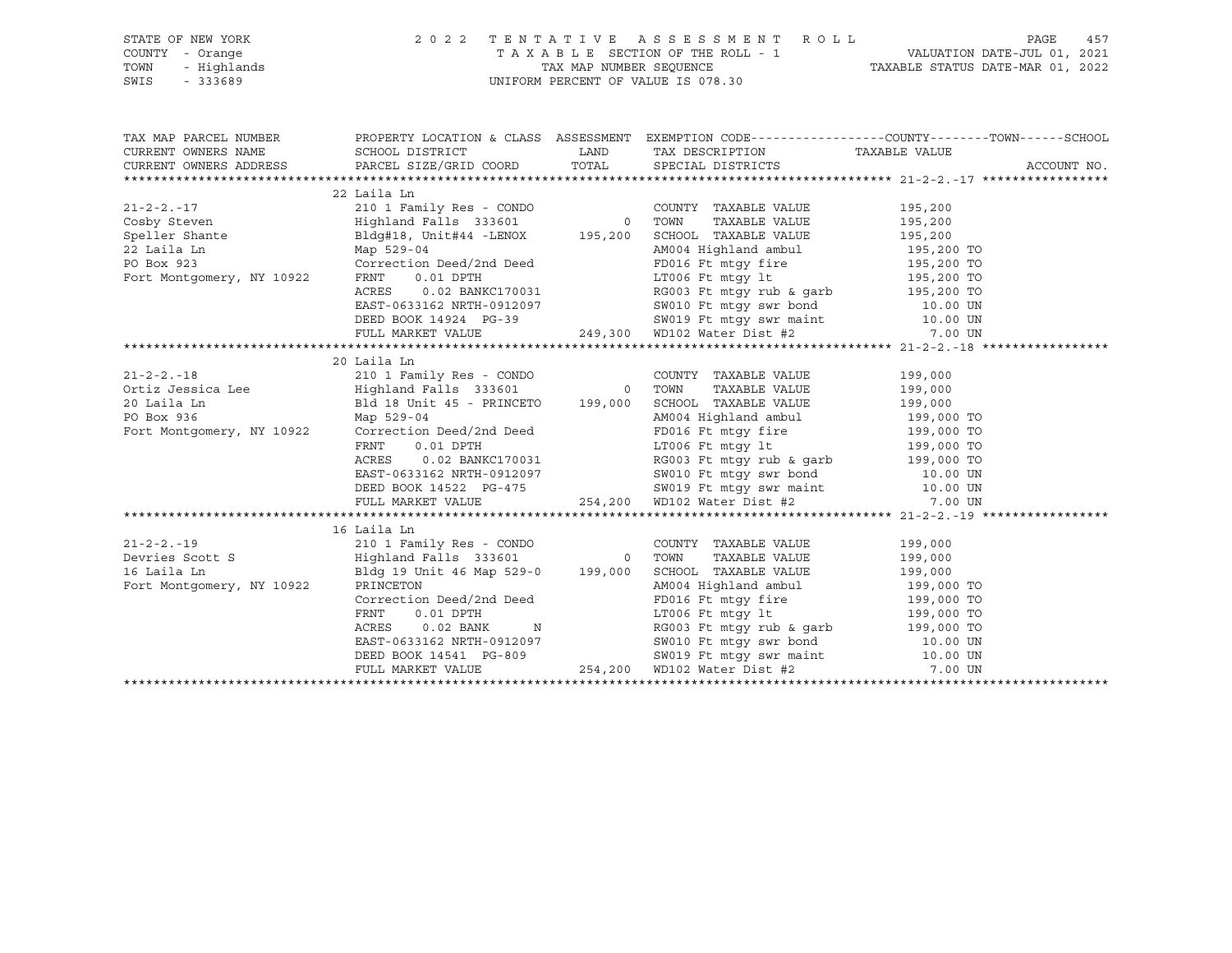| STATE OF NEW YORK                                                                                        |                                                                                                                                                                                                                                                                                                                                                                                                                           |                                                                                                                                                                                                          |  |
|----------------------------------------------------------------------------------------------------------|---------------------------------------------------------------------------------------------------------------------------------------------------------------------------------------------------------------------------------------------------------------------------------------------------------------------------------------------------------------------------------------------------------------------------|----------------------------------------------------------------------------------------------------------------------------------------------------------------------------------------------------------|--|
| COUNTY - Orange                                                                                          |                                                                                                                                                                                                                                                                                                                                                                                                                           |                                                                                                                                                                                                          |  |
| TOWN                                                                                                     |                                                                                                                                                                                                                                                                                                                                                                                                                           |                                                                                                                                                                                                          |  |
| $\begin{bmatrix}\nI & - & \text{Orang} \\ I & - & \text{Highlands} \\ - & 333689\n\end{bmatrix}$<br>SWIS |                                                                                                                                                                                                                                                                                                                                                                                                                           | 2022 TENTATIVE ASSESSMENT ROLL PAGE 457<br>TAXABLE SECTION OF THE ROLL - 1 VALUATION DATE-JUL 01, 2021<br>TAX MAP NUMBER SEQUENCE TAXABLE STATUS DATE-MAR 01, 2022<br>UNIFORM PERCENT OF VALUE IS 078.30 |  |
|                                                                                                          |                                                                                                                                                                                                                                                                                                                                                                                                                           |                                                                                                                                                                                                          |  |
|                                                                                                          | TAX MAP PARCEL NUMBER BOOPERTY LOCATION & CLASS ASSESSMENT EXEMPTION CODE---------------COUNTY--------TOWN-----SCHOOL<br>CURRENT OWNERS NAME SCHOOL DISTRICT LAND TAX DESCRIPTION TAXABLE VALUE<br>CURRENT OWNERS ADDRESS PARCEL SIZ                                                                                                                                                                                      |                                                                                                                                                                                                          |  |
|                                                                                                          |                                                                                                                                                                                                                                                                                                                                                                                                                           |                                                                                                                                                                                                          |  |
|                                                                                                          |                                                                                                                                                                                                                                                                                                                                                                                                                           |                                                                                                                                                                                                          |  |
|                                                                                                          |                                                                                                                                                                                                                                                                                                                                                                                                                           |                                                                                                                                                                                                          |  |
|                                                                                                          | 22 Laila Ln                                                                                                                                                                                                                                                                                                                                                                                                               |                                                                                                                                                                                                          |  |
| $21 - 2 - 2 - 17$                                                                                        |                                                                                                                                                                                                                                                                                                                                                                                                                           |                                                                                                                                                                                                          |  |
|                                                                                                          |                                                                                                                                                                                                                                                                                                                                                                                                                           |                                                                                                                                                                                                          |  |
|                                                                                                          |                                                                                                                                                                                                                                                                                                                                                                                                                           |                                                                                                                                                                                                          |  |
|                                                                                                          |                                                                                                                                                                                                                                                                                                                                                                                                                           |                                                                                                                                                                                                          |  |
|                                                                                                          |                                                                                                                                                                                                                                                                                                                                                                                                                           |                                                                                                                                                                                                          |  |
|                                                                                                          |                                                                                                                                                                                                                                                                                                                                                                                                                           |                                                                                                                                                                                                          |  |
|                                                                                                          |                                                                                                                                                                                                                                                                                                                                                                                                                           |                                                                                                                                                                                                          |  |
|                                                                                                          |                                                                                                                                                                                                                                                                                                                                                                                                                           |                                                                                                                                                                                                          |  |
|                                                                                                          |                                                                                                                                                                                                                                                                                                                                                                                                                           |                                                                                                                                                                                                          |  |
|                                                                                                          |                                                                                                                                                                                                                                                                                                                                                                                                                           |                                                                                                                                                                                                          |  |
|                                                                                                          |                                                                                                                                                                                                                                                                                                                                                                                                                           |                                                                                                                                                                                                          |  |
|                                                                                                          | 20 Laila Ln                                                                                                                                                                                                                                                                                                                                                                                                               |                                                                                                                                                                                                          |  |
|                                                                                                          |                                                                                                                                                                                                                                                                                                                                                                                                                           |                                                                                                                                                                                                          |  |
|                                                                                                          |                                                                                                                                                                                                                                                                                                                                                                                                                           |                                                                                                                                                                                                          |  |
|                                                                                                          |                                                                                                                                                                                                                                                                                                                                                                                                                           |                                                                                                                                                                                                          |  |
|                                                                                                          |                                                                                                                                                                                                                                                                                                                                                                                                                           |                                                                                                                                                                                                          |  |
|                                                                                                          |                                                                                                                                                                                                                                                                                                                                                                                                                           |                                                                                                                                                                                                          |  |
|                                                                                                          |                                                                                                                                                                                                                                                                                                                                                                                                                           |                                                                                                                                                                                                          |  |
|                                                                                                          |                                                                                                                                                                                                                                                                                                                                                                                                                           |                                                                                                                                                                                                          |  |
|                                                                                                          |                                                                                                                                                                                                                                                                                                                                                                                                                           |                                                                                                                                                                                                          |  |
|                                                                                                          |                                                                                                                                                                                                                                                                                                                                                                                                                           |                                                                                                                                                                                                          |  |
|                                                                                                          |                                                                                                                                                                                                                                                                                                                                                                                                                           |                                                                                                                                                                                                          |  |
|                                                                                                          |                                                                                                                                                                                                                                                                                                                                                                                                                           |                                                                                                                                                                                                          |  |
|                                                                                                          |                                                                                                                                                                                                                                                                                                                                                                                                                           |                                                                                                                                                                                                          |  |
|                                                                                                          |                                                                                                                                                                                                                                                                                                                                                                                                                           |                                                                                                                                                                                                          |  |
|                                                                                                          |                                                                                                                                                                                                                                                                                                                                                                                                                           |                                                                                                                                                                                                          |  |
|                                                                                                          |                                                                                                                                                                                                                                                                                                                                                                                                                           |                                                                                                                                                                                                          |  |
|                                                                                                          |                                                                                                                                                                                                                                                                                                                                                                                                                           |                                                                                                                                                                                                          |  |
|                                                                                                          |                                                                                                                                                                                                                                                                                                                                                                                                                           |                                                                                                                                                                                                          |  |
|                                                                                                          |                                                                                                                                                                                                                                                                                                                                                                                                                           |                                                                                                                                                                                                          |  |
|                                                                                                          |                                                                                                                                                                                                                                                                                                                                                                                                                           |                                                                                                                                                                                                          |  |
|                                                                                                          |                                                                                                                                                                                                                                                                                                                                                                                                                           |                                                                                                                                                                                                          |  |
|                                                                                                          | $\begin{tabular}{lcccc} \texttt{21} -22. -19 & & 16 \text{ Laila Ln} & & 199,000 \\ \texttt{21} -22. -19 & & 2101 \text{ Family Res - COMDO} & & 0 & 000 \text{TVTY} & \texttt{TAXABLE VALUE} & 199,000 \\ \texttt{Devries Scott S} & & & & \text{Highland Falls 333601} & 0 & \text{TOWN} & \texttt{TAXABLE VALUE} & 199,000 \\ \texttt{16 Laila Ln} & & & \text{Bldg 19 Unit 46 Map 529 -0} & 199,000 & \text{SCHOOL T$ |                                                                                                                                                                                                          |  |

 FULL MARKET VALUE 254,200 WD102 Water Dist #2 7.00 UN \*\*\*\*\*\*\*\*\*\*\*\*\*\*\*\*\*\*\*\*\*\*\*\*\*\*\*\*\*\*\*\*\*\*\*\*\*\*\*\*\*\*\*\*\*\*\*\*\*\*\*\*\*\*\*\*\*\*\*\*\*\*\*\*\*\*\*\*\*\*\*\*\*\*\*\*\*\*\*\*\*\*\*\*\*\*\*\*\*\*\*\*\*\*\*\*\*\*\*\*\*\*\*\*\*\*\*\*\*\*\*\*\*\*\*\*\*\*\*\*\*\*\*\*\*\*\*\*\*\*\*\*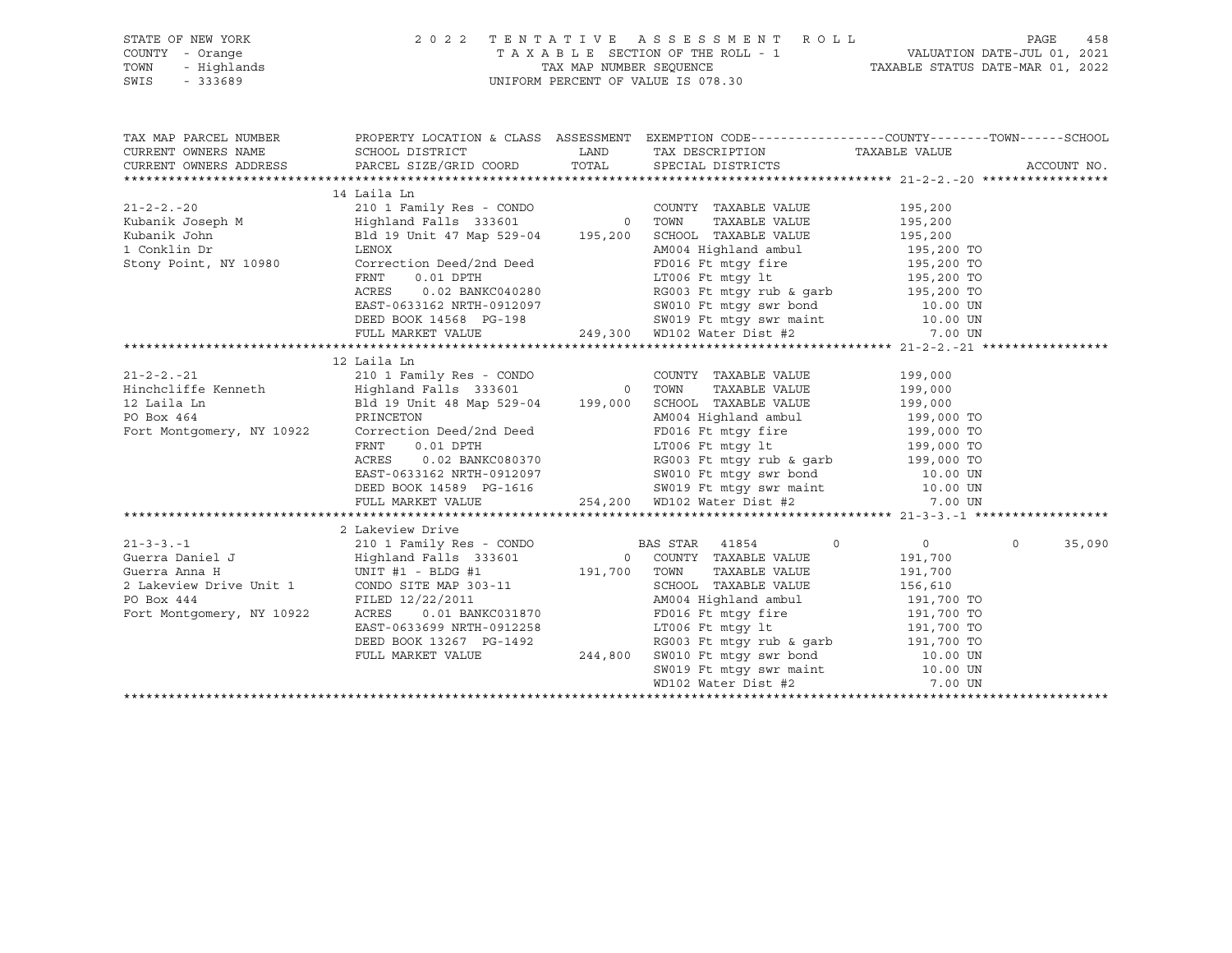| CURRENT OWNERS NAME SCHOOL DISTRICT | TAX MAP PARCEL NUMBER PROPERTY LOCATION & CLASS ASSESSMENT EXEMPTION CODE---------------COUNTY--------TOWN------SCHOOL                                                                                                                                                                                                                                                                                                                           |                                                                                                                                                                                                                                |                |        |
|-------------------------------------|--------------------------------------------------------------------------------------------------------------------------------------------------------------------------------------------------------------------------------------------------------------------------------------------------------------------------------------------------------------------------------------------------------------------------------------------------|--------------------------------------------------------------------------------------------------------------------------------------------------------------------------------------------------------------------------------|----------------|--------|
|                                     | CURRENT OWNERS NAME SCHOOL DISTRICT LAND TAX DESCRIPTION TAXABLE VALUE<br>CURRENT OWNERS ADDRESS PARCEL SIZE/GRID COORD TOTAL SPECIAL DISTRICTS                                                                                                                                                                                                                                                                                                  |                                                                                                                                                                                                                                | ACCOUNT NO.    |        |
|                                     |                                                                                                                                                                                                                                                                                                                                                                                                                                                  |                                                                                                                                                                                                                                |                |        |
|                                     | 14 Laila Ln                                                                                                                                                                                                                                                                                                                                                                                                                                      |                                                                                                                                                                                                                                |                |        |
|                                     |                                                                                                                                                                                                                                                                                                                                                                                                                                                  |                                                                                                                                                                                                                                |                |        |
|                                     |                                                                                                                                                                                                                                                                                                                                                                                                                                                  |                                                                                                                                                                                                                                |                |        |
|                                     |                                                                                                                                                                                                                                                                                                                                                                                                                                                  |                                                                                                                                                                                                                                |                |        |
|                                     | $\begin{tabular}{lcccc} \texttt{21-2-2.-21} & & & \texttt{12 Laila Ln} & & \texttt{COMDO} & & \texttt{COUNTY} & \texttt{TAXABLE VALUE} & \texttt{199,000} \\ \texttt{Hinchcliffe Kenneth} & & \texttt{Highland Falls} & \texttt{333601} & & \texttt{TOWN} & \texttt{TAXABLE VALUE} & \texttt{199,000} \\ \texttt{12 Laila Ln} & & \texttt{Bld 19 Unit 48 Map 529-04} & & \texttt{199,000} & \texttt{SCHOOL TAXABLE VALUE} & \texttt{199,000} \\$ |                                                                                                                                                                                                                                |                |        |
|                                     |                                                                                                                                                                                                                                                                                                                                                                                                                                                  |                                                                                                                                                                                                                                |                |        |
|                                     |                                                                                                                                                                                                                                                                                                                                                                                                                                                  |                                                                                                                                                                                                                                |                |        |
|                                     |                                                                                                                                                                                                                                                                                                                                                                                                                                                  | PRINCETON Deed and a section and a model in the set of the set of the set of the set of the set of the set of the set of the set of the set of the set of the set of the set of the set of the set of the set of the set of th |                |        |
|                                     |                                                                                                                                                                                                                                                                                                                                                                                                                                                  |                                                                                                                                                                                                                                |                |        |
|                                     | 2 Lakeview Drive                                                                                                                                                                                                                                                                                                                                                                                                                                 |                                                                                                                                                                                                                                |                |        |
|                                     |                                                                                                                                                                                                                                                                                                                                                                                                                                                  |                                                                                                                                                                                                                                | $\overline{0}$ | 35,090 |
|                                     |                                                                                                                                                                                                                                                                                                                                                                                                                                                  |                                                                                                                                                                                                                                |                |        |

\*\*\*\*\*\*\*\*\*\*\*\*\*\*\*\*\*\*\*\*\*\*\*\*\*\*\*\*\*\*\*\*\*\*\*\*\*\*\*\*\*\*\*\*\*\*\*\*\*\*\*\*\*\*\*\*\*\*\*\*\*\*\*\*\*\*\*\*\*\*\*\*\*\*\*\*\*\*\*\*\*\*\*\*\*\*\*\*\*\*\*\*\*\*\*\*\*\*\*\*\*\*\*\*\*\*\*\*\*\*\*\*\*\*\*\*\*\*\*\*\*\*\*\*\*\*\*\*\*\*\*\*

WD102 Water Dist #2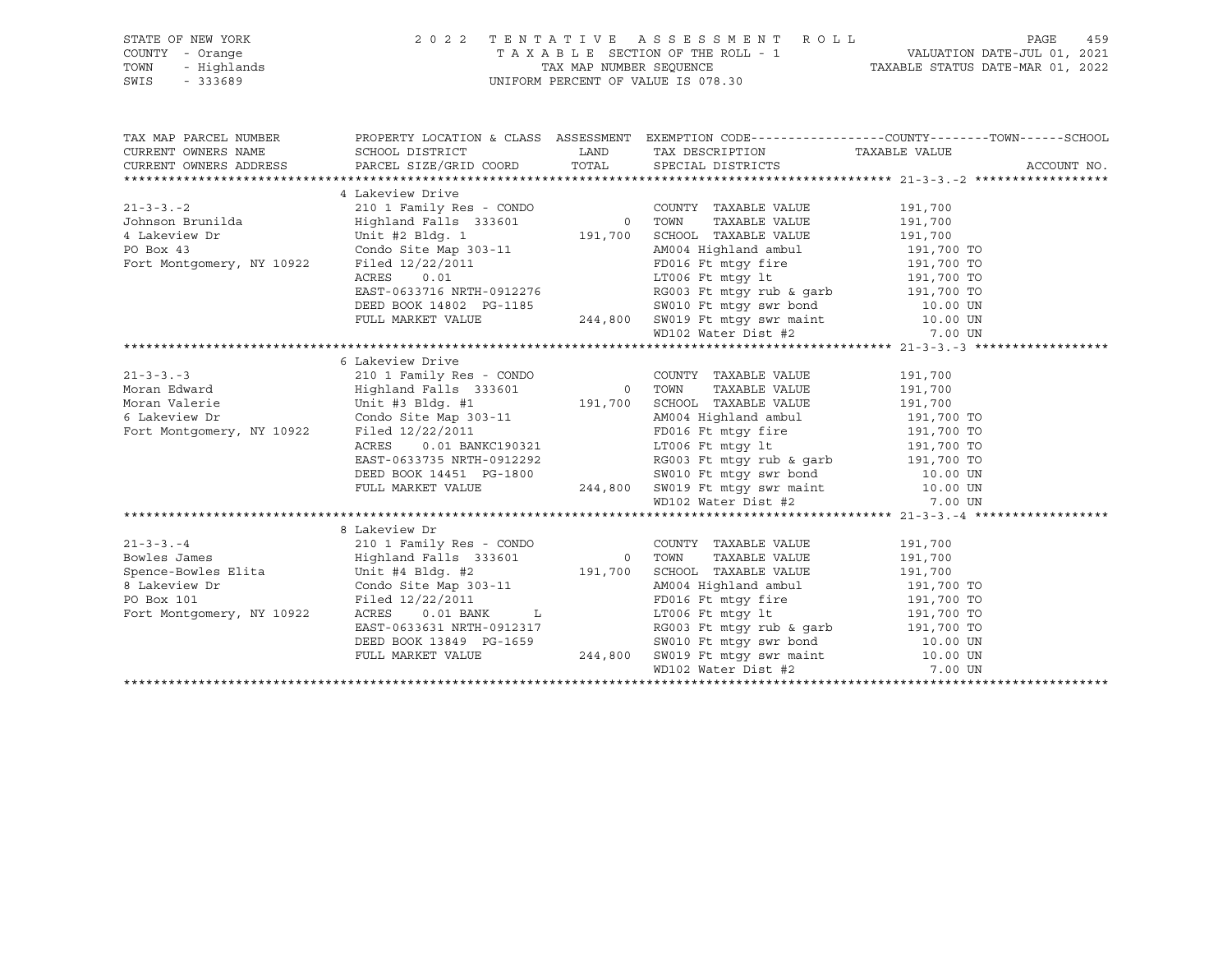## STATE OF NEW YORK 2 0 2 2 T E N T A T I V E A S S E S S M E N T R O L L PAGE 459 COUNTY - Orange T A X A B L E SECTION OF THE ROLL - 1 VALUATION DATE-JUL 01, 2021 TOWN - Highlands TAX MAP NUMBER SEQUENCE TAXABLE STATUS DATE-MAR 01, 2022 SWIS - 333689 UNIFORM PERCENT OF VALUE IS 078.30

TAX MAP PARCEL NUMBER PROPERTY LOCATION & CLASS ASSESSMENT EXEMPTION CODE------------------COUNTY--------TOWN------SCHOOL CURRENT OWNERS NAME SCHOOL DISTRICT LAND TAX DESCRIPTION TAXABLE VALUE CURRENT OWNERS ADDRESS PARCEL SIZE/GRID COORD TOTAL SPECIAL DISTRICTS ACCOUNT NO. \*\*\*\*\*\*\*\*\*\*\*\*\*\*\*\*\*\*\*\*\*\*\*\*\*\*\*\*\*\*\*\*\*\*\*\*\*\*\*\*\*\*\*\*\*\*\*\*\*\*\*\*\*\*\*\*\*\*\*\*\*\*\*\*\*\*\*\*\*\*\*\*\*\*\*\*\*\*\*\*\*\*\*\*\*\*\*\*\*\*\*\*\*\*\*\*\*\*\*\*\*\*\* 21-3-3.-2 \*\*\*\*\*\*\*\*\*\*\*\*\*\*\*\*\*\* 4 Lakeview Drive 21-3-3.-2 210 1 Family Res - CONDO COUNTY TAXABLE VALUE 191,700 Johnson Brunilda Highland Falls 333601 0 TOWN TAXABLE VALUE 191,700 4 Lakeview Dr Unit #2 Bldg. 1 191,700 SCHOOL TAXABLE VALUE 191,700 PO Box 43 Condo Site Map 303-11 AM004 Highland ambul 191,700 TO Fort Montgomery, NY 10922 Filed 12/22/2011 FD016 Ft mtgy fire 191,700 TO ACRES 0.01 LT006 Ft mtgy lt 191,700 TO EAST-0633716 NRTH-0912276 RG003 Ft mtgy rub & garb 191,700 TO DEED BOOK 14802 PG-1185 SW010 Ft mtgy swr bond 10.00 UN FULL MARKET VALUE 244,800 SW019 Ft mtgy swr maint 10.00 UN WD102 Water Dist #2 7.00 UN \*\*\*\*\*\*\*\*\*\*\*\*\*\*\*\*\*\*\*\*\*\*\*\*\*\*\*\*\*\*\*\*\*\*\*\*\*\*\*\*\*\*\*\*\*\*\*\*\*\*\*\*\*\*\*\*\*\*\*\*\*\*\*\*\*\*\*\*\*\*\*\*\*\*\*\*\*\*\*\*\*\*\*\*\*\*\*\*\*\*\*\*\*\*\*\*\*\*\*\*\*\*\* 21-3-3.-3 \*\*\*\*\*\*\*\*\*\*\*\*\*\*\*\*\*\* 6 Lakeview Drive 21-3-3.-3 210 1 Family Res - CONDO COUNTY TAXABLE VALUE 191,700 Moran Edward Highland Falls 333601 0 TOWN TAXABLE VALUE 191,700 Moran Valerie Unit #3 Bldg. #1 191,700 SCHOOL TAXABLE VALUE 191,700 6 Lakeview Dr Condo Site Map 303-11 AM004 Highland ambul 191,700 TO Fort Montgomery, NY 10922 Filed 12/22/2011 FD016 Ft mtgy fire 191,700 TO ACRES 0.01 BANKC190321 LT006 Ft mtgy lt 191,700 TO EAST-0633735 NRTH-0912292 RG003 Ft mtgy rub & garb 191,700 TO DEED BOOK 14451 PG-1800 SW010 Ft mtgy swr bond 10.00 UN FULL MARKET VALUE 244,800 SW019 Ft mtgy swr maint 10.00 UN WD102 Water Dist #2 7.00 UN \*\*\*\*\*\*\*\*\*\*\*\*\*\*\*\*\*\*\*\*\*\*\*\*\*\*\*\*\*\*\*\*\*\*\*\*\*\*\*\*\*\*\*\*\*\*\*\*\*\*\*\*\*\*\*\*\*\*\*\*\*\*\*\*\*\*\*\*\*\*\*\*\*\*\*\*\*\*\*\*\*\*\*\*\*\*\*\*\*\*\*\*\*\*\*\*\*\*\*\*\*\*\* 21-3-3.-4 \*\*\*\*\*\*\*\*\*\*\*\*\*\*\*\*\*\* 8 Lakeview Dr 21-3-3.-4 210 1 Family Res - CONDO COUNTY TAXABLE VALUE 191,700 Bowles James Highland Falls 333601 0 TOWN TAXABLE VALUE 191,700 Spence-Bowles Elita Unit #4 Bldg. #2 191,700 SCHOOL TAXABLE VALUE 191,700 8 Lakeview Dr Condo Site Map 303-11 AM004 Highland ambul 191,700 TO PO Box 101 **Filed 12/22/2011** From Formula PD016 Ft mtgy fire 191,700 TO Fort Montgomery, NY 10922 ACRES 0.01 BANK L LT006 Ft mtgy lt 191,700 TO EAST-0633631 NRTH-0912317 RG003 Ft mtgy rub & garb 191,700 TO DEED BOOK 13849 PG-1659 SW010 Ft mtgy swr bond 10.00 UN FULL MARKET VALUE 244,800 SW019 Ft mtgy swr maint 10.00 UN WD102 Water Dist #2 7.00 UN \*\*\*\*\*\*\*\*\*\*\*\*\*\*\*\*\*\*\*\*\*\*\*\*\*\*\*\*\*\*\*\*\*\*\*\*\*\*\*\*\*\*\*\*\*\*\*\*\*\*\*\*\*\*\*\*\*\*\*\*\*\*\*\*\*\*\*\*\*\*\*\*\*\*\*\*\*\*\*\*\*\*\*\*\*\*\*\*\*\*\*\*\*\*\*\*\*\*\*\*\*\*\*\*\*\*\*\*\*\*\*\*\*\*\*\*\*\*\*\*\*\*\*\*\*\*\*\*\*\*\*\*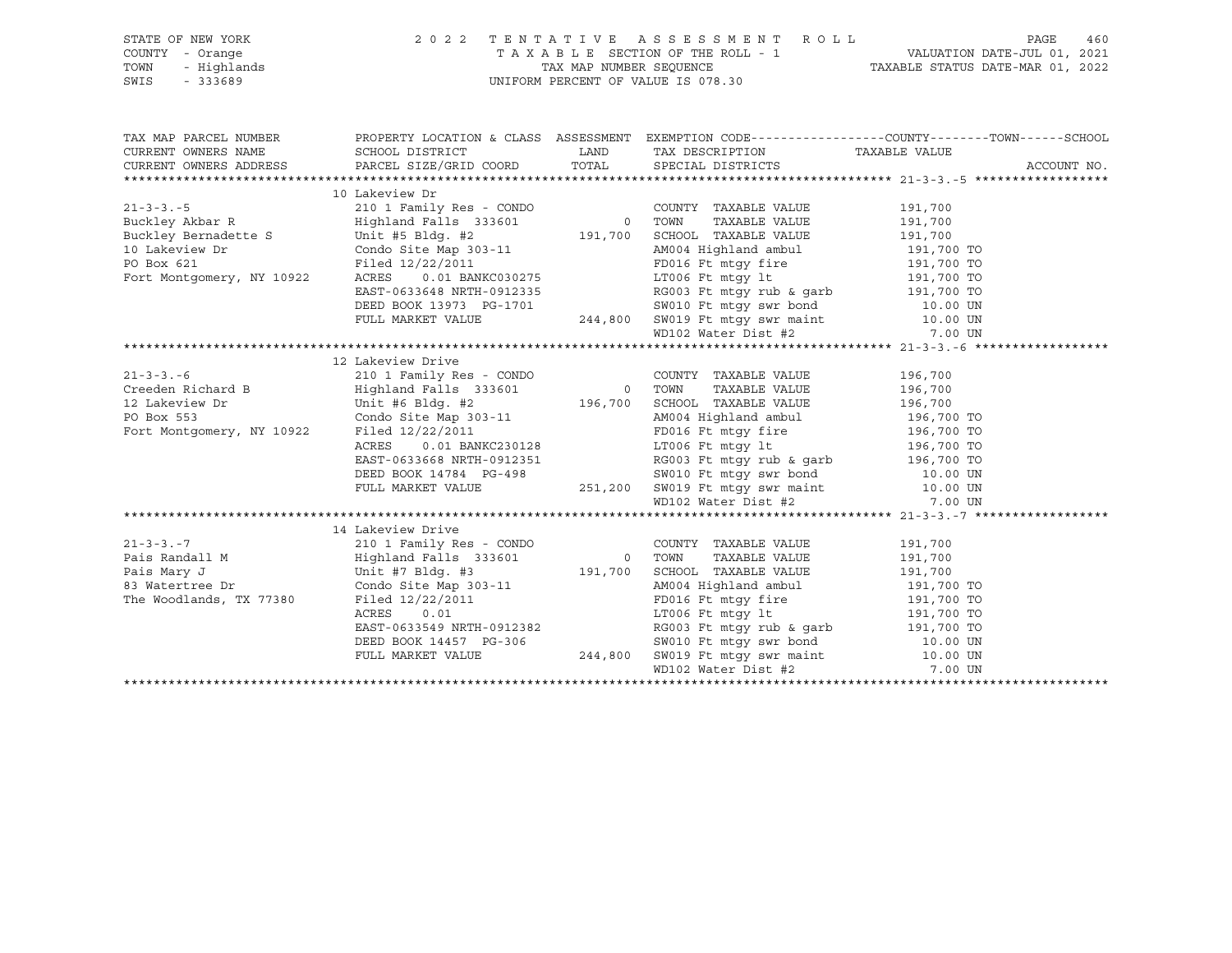SWIS - 333689 UNIFORM PERCENT OF VALUE IS 078.30

# STATE OF NEW YORK 2 0 2 2 T E N T A T I V E A S S E S S M E N T R O L L PAGE 460 COUNTY - Orange T A X A B L E SECTION OF THE ROLL - 1 VALUATION DATE-JUL 01, 2021 TOWN - Highlands TAX MAP NUMBER SEQUENCE TAXABLE STATUS DATE-MAR 01, 2022

|                                                                                                                                                                                                                                            |  | TAX MAP PARCEL NUMBER THE PROPERTY LOCATION & CLASS ASSESSMENT EXEMPTION CODE---------------COUNTY--------TOWN------SCHOOL<br>ACCOUNT NO. |
|--------------------------------------------------------------------------------------------------------------------------------------------------------------------------------------------------------------------------------------------|--|-------------------------------------------------------------------------------------------------------------------------------------------|
| 10 Lakeview Dr                                                                                                                                                                                                                             |  |                                                                                                                                           |
|                                                                                                                                                                                                                                            |  |                                                                                                                                           |
|                                                                                                                                                                                                                                            |  |                                                                                                                                           |
|                                                                                                                                                                                                                                            |  |                                                                                                                                           |
|                                                                                                                                                                                                                                            |  |                                                                                                                                           |
|                                                                                                                                                                                                                                            |  |                                                                                                                                           |
|                                                                                                                                                                                                                                            |  |                                                                                                                                           |
|                                                                                                                                                                                                                                            |  |                                                                                                                                           |
|                                                                                                                                                                                                                                            |  |                                                                                                                                           |
|                                                                                                                                                                                                                                            |  |                                                                                                                                           |
|                                                                                                                                                                                                                                            |  |                                                                                                                                           |
| Buckley Akbar and dette S<br>10 Lakeview Dr Condo Site Map 303-11<br>PO Box 621 Filed 12/22/2011 FD016 Ft mtgy fire 191,700 TO<br>Fort Montgomery, NY 10922 ACRES 0.01 BANKC030275 LT006 Ft mtgy 1t 191,700 TO<br>EAST-0633648 NRTH-09     |  |                                                                                                                                           |
| 12 Lakeview Drive                                                                                                                                                                                                                          |  |                                                                                                                                           |
|                                                                                                                                                                                                                                            |  |                                                                                                                                           |
| 12 Lakeview Drive<br>210 1 Family Res - CONDO COUNTY TAXABLE VALUE 196,700<br>210 1 Family Res - CONDO COUNTY TAXABLE VALUE 196,700<br>210 1 Family Res - CONDO 10<br>210 1 Family Res - CONDO COUNTY TAXABLE VALUE 196,700<br>210 21 Fa   |  |                                                                                                                                           |
|                                                                                                                                                                                                                                            |  |                                                                                                                                           |
|                                                                                                                                                                                                                                            |  |                                                                                                                                           |
|                                                                                                                                                                                                                                            |  |                                                                                                                                           |
|                                                                                                                                                                                                                                            |  |                                                                                                                                           |
|                                                                                                                                                                                                                                            |  |                                                                                                                                           |
|                                                                                                                                                                                                                                            |  |                                                                                                                                           |
|                                                                                                                                                                                                                                            |  |                                                                                                                                           |
|                                                                                                                                                                                                                                            |  |                                                                                                                                           |
| Filed 12/22/2011<br>RCRES 0.01 BANKC230128<br>EAST-0633668 NRTH-0912351<br>DEED BOOK 14784 PG-498 SW010 Ft mtgy swr bond 10.00 UN<br>FULL MARKET VALUE 251,200 SW019 Ft mtgy swr maint 10.00 UN<br>WD102 Water Dist #2 7.00 UN<br>ND102 Wa |  |                                                                                                                                           |
| 14 Lakeview Drive                                                                                                                                                                                                                          |  |                                                                                                                                           |
| $2101 \text{ Family Res - CONDO} \qquad \qquad \text{COUNTY} \quad \text{TAXABLE VALUE} \qquad \qquad 191,700$                                                                                                                             |  |                                                                                                                                           |
|                                                                                                                                                                                                                                            |  |                                                                                                                                           |
|                                                                                                                                                                                                                                            |  |                                                                                                                                           |
|                                                                                                                                                                                                                                            |  |                                                                                                                                           |
|                                                                                                                                                                                                                                            |  |                                                                                                                                           |
|                                                                                                                                                                                                                                            |  |                                                                                                                                           |
|                                                                                                                                                                                                                                            |  |                                                                                                                                           |
|                                                                                                                                                                                                                                            |  |                                                                                                                                           |
|                                                                                                                                                                                                                                            |  |                                                                                                                                           |
|                                                                                                                                                                                                                                            |  |                                                                                                                                           |
|                                                                                                                                                                                                                                            |  |                                                                                                                                           |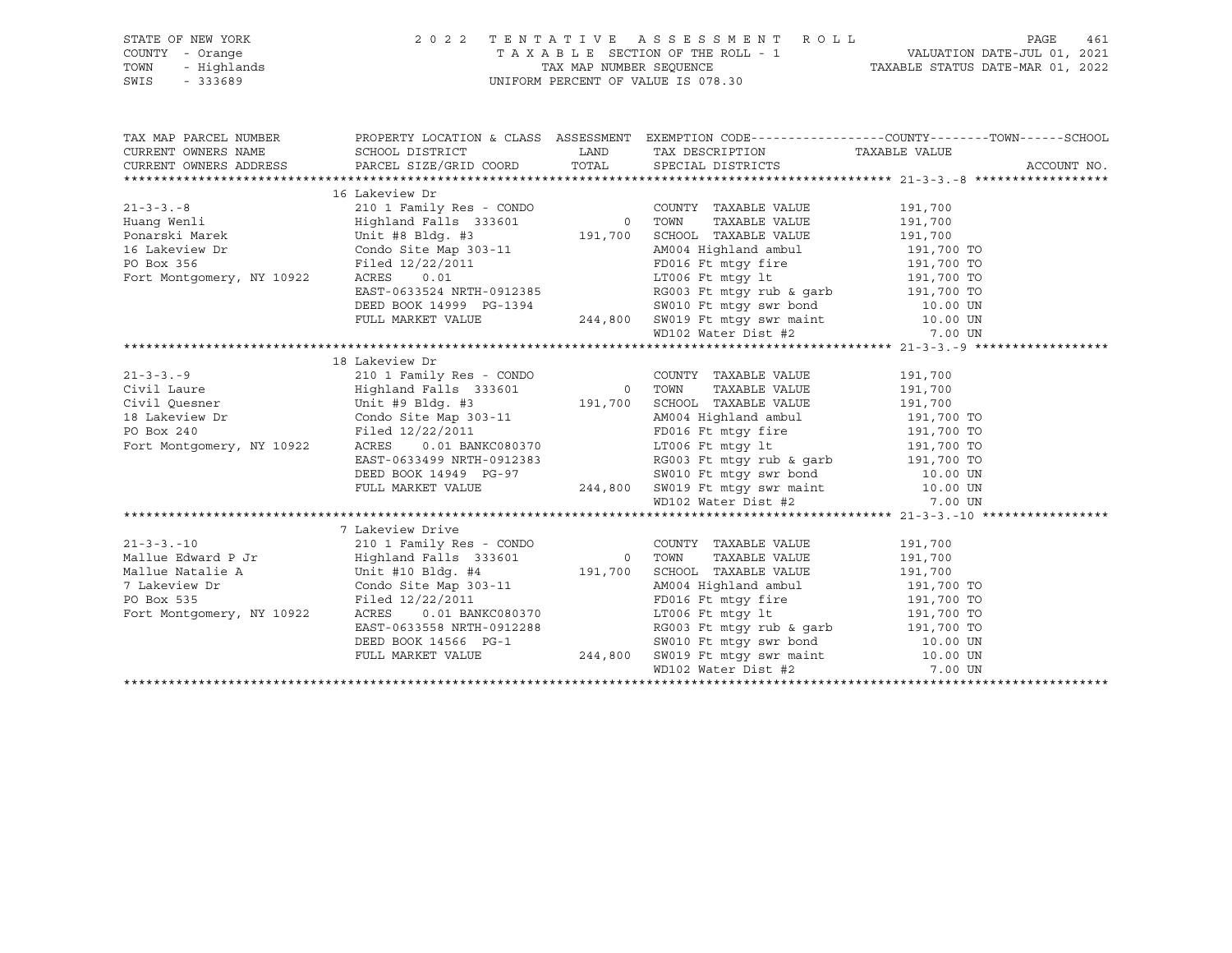## STATE OF NEW YORK 2 0 2 2 T E N T A T I V E A S S E S S M E N T R O L L PAGE 461 COUNTY - Orange T A X A B L E SECTION OF THE ROLL - 1 VALUATION DATE-JUL 01, 2021 TOWN - Highlands TAX MAP NUMBER SEQUENCE TAXABLE STATUS DATE-MAR 01, 2022 SWIS - 333689 UNIFORM PERCENT OF VALUE IS 078.30

| TAX MAP PARCEL NUMBER THE PROPERTY LOCATION & CLASS ASSESSMENT EXEMPTION CODE--------------COUNTY--------TOWN------SCHOOL                                                                                                                                                                                                                                                                                            |  |  |
|----------------------------------------------------------------------------------------------------------------------------------------------------------------------------------------------------------------------------------------------------------------------------------------------------------------------------------------------------------------------------------------------------------------------|--|--|
|                                                                                                                                                                                                                                                                                                                                                                                                                      |  |  |
|                                                                                                                                                                                                                                                                                                                                                                                                                      |  |  |
|                                                                                                                                                                                                                                                                                                                                                                                                                      |  |  |
|                                                                                                                                                                                                                                                                                                                                                                                                                      |  |  |
|                                                                                                                                                                                                                                                                                                                                                                                                                      |  |  |
|                                                                                                                                                                                                                                                                                                                                                                                                                      |  |  |
|                                                                                                                                                                                                                                                                                                                                                                                                                      |  |  |
|                                                                                                                                                                                                                                                                                                                                                                                                                      |  |  |
|                                                                                                                                                                                                                                                                                                                                                                                                                      |  |  |
|                                                                                                                                                                                                                                                                                                                                                                                                                      |  |  |
|                                                                                                                                                                                                                                                                                                                                                                                                                      |  |  |
|                                                                                                                                                                                                                                                                                                                                                                                                                      |  |  |
|                                                                                                                                                                                                                                                                                                                                                                                                                      |  |  |
|                                                                                                                                                                                                                                                                                                                                                                                                                      |  |  |
|                                                                                                                                                                                                                                                                                                                                                                                                                      |  |  |
|                                                                                                                                                                                                                                                                                                                                                                                                                      |  |  |
|                                                                                                                                                                                                                                                                                                                                                                                                                      |  |  |
|                                                                                                                                                                                                                                                                                                                                                                                                                      |  |  |
|                                                                                                                                                                                                                                                                                                                                                                                                                      |  |  |
|                                                                                                                                                                                                                                                                                                                                                                                                                      |  |  |
|                                                                                                                                                                                                                                                                                                                                                                                                                      |  |  |
|                                                                                                                                                                                                                                                                                                                                                                                                                      |  |  |
|                                                                                                                                                                                                                                                                                                                                                                                                                      |  |  |
|                                                                                                                                                                                                                                                                                                                                                                                                                      |  |  |
| $\begin{tabular}{l c c c c} \multicolumn{3}{l}{\text{\textbf{13.3.9}}}\hline \multicolumn{3}{l}{\textbf{14.9}}\hline \multicolumn{3}{l}{\textbf{21-3-3. -9}}\hline \multicolumn{3}{l}{\textbf{15.9}}\hline \multicolumn{3}{l}{\textbf{21-3-3. -9}}\hline \multicolumn{3}{l}{\textbf{21-3-3. -9}}\hline \multicolumn{3}{l}{\textbf{21-3-3. -9}}\hline \multicolumn{3}{l}{\textbf{21-3-3. -9}}\hline \multicolumn{3}{$ |  |  |
| 7 Lakeview Drive                                                                                                                                                                                                                                                                                                                                                                                                     |  |  |
|                                                                                                                                                                                                                                                                                                                                                                                                                      |  |  |
|                                                                                                                                                                                                                                                                                                                                                                                                                      |  |  |
|                                                                                                                                                                                                                                                                                                                                                                                                                      |  |  |
|                                                                                                                                                                                                                                                                                                                                                                                                                      |  |  |
|                                                                                                                                                                                                                                                                                                                                                                                                                      |  |  |
|                                                                                                                                                                                                                                                                                                                                                                                                                      |  |  |
|                                                                                                                                                                                                                                                                                                                                                                                                                      |  |  |
|                                                                                                                                                                                                                                                                                                                                                                                                                      |  |  |
|                                                                                                                                                                                                                                                                                                                                                                                                                      |  |  |
|                                                                                                                                                                                                                                                                                                                                                                                                                      |  |  |
|                                                                                                                                                                                                                                                                                                                                                                                                                      |  |  |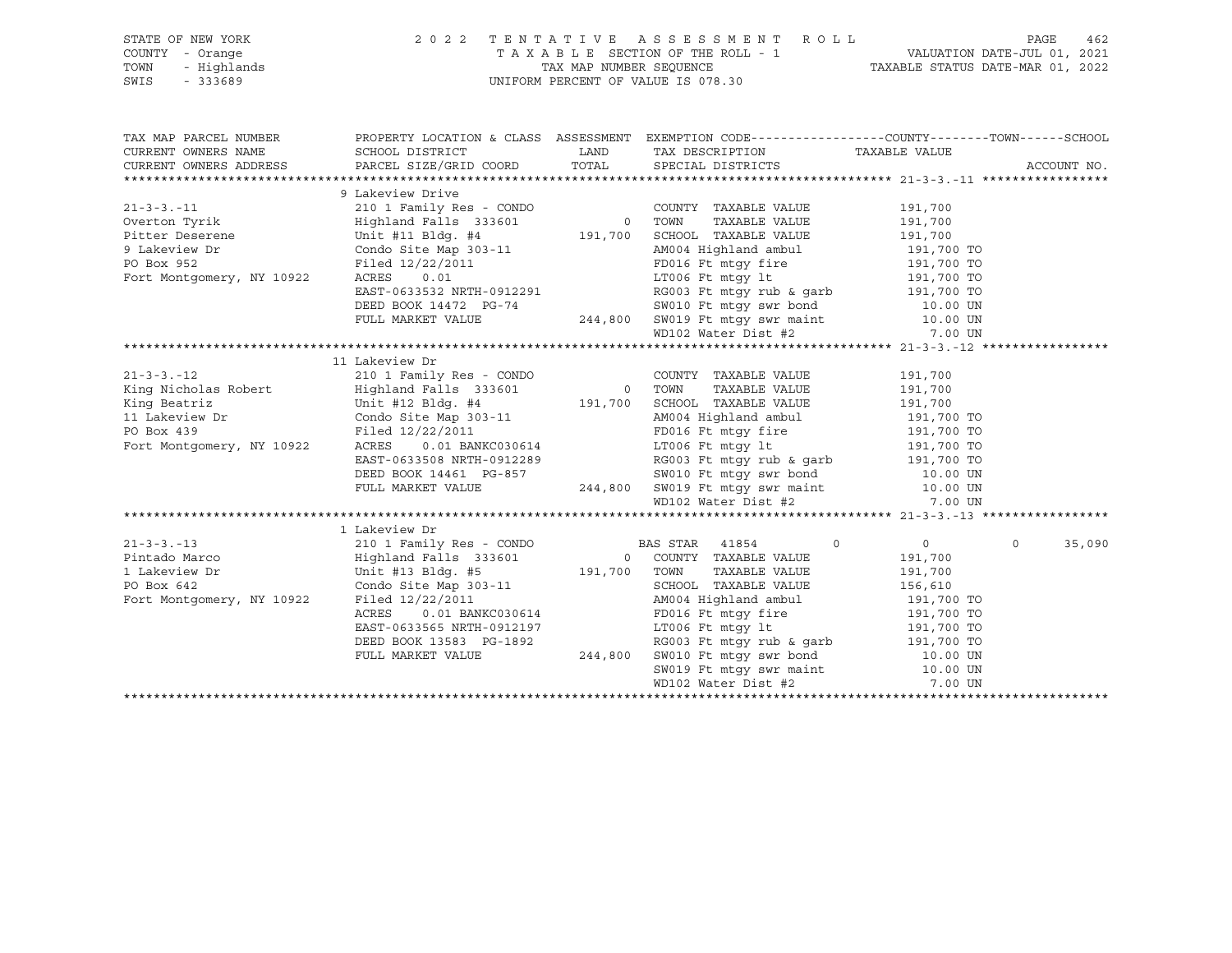## STATE OF NEW YORK 2 0 2 2 T E N T A T I V E A S S E S S M E N T R O L L PAGE 462 COUNTY - Orange T A X A B L E SECTION OF THE ROLL - 1 VALUATION DATE-JUL 01, 2021 TOWN - Highlands TAX MAP NUMBER SEQUENCE TAXABLE STATUS DATE-MAR 01, 2022 SWIS - 333689 UNIFORM PERCENT OF VALUE IS 078.30

| TAX MAP PARCEL NUMBER THE PROPERTY LOCATION & CLASS ASSESSMENT EXEMPTION CODE--------------COUNTY--------TOWN------SCHOOL |  |             |
|---------------------------------------------------------------------------------------------------------------------------|--|-------------|
|                                                                                                                           |  |             |
|                                                                                                                           |  |             |
|                                                                                                                           |  |             |
| 9 Lakeview Drive                                                                                                          |  |             |
|                                                                                                                           |  |             |
|                                                                                                                           |  |             |
|                                                                                                                           |  |             |
|                                                                                                                           |  |             |
|                                                                                                                           |  |             |
|                                                                                                                           |  |             |
|                                                                                                                           |  |             |
|                                                                                                                           |  |             |
|                                                                                                                           |  |             |
|                                                                                                                           |  |             |
|                                                                                                                           |  |             |
| 11 Lakeview Dr                                                                                                            |  |             |
|                                                                                                                           |  |             |
|                                                                                                                           |  |             |
|                                                                                                                           |  |             |
|                                                                                                                           |  |             |
|                                                                                                                           |  |             |
|                                                                                                                           |  |             |
|                                                                                                                           |  |             |
|                                                                                                                           |  |             |
|                                                                                                                           |  |             |
|                                                                                                                           |  |             |
|                                                                                                                           |  |             |
| 1 Lakeview Dr                                                                                                             |  |             |
|                                                                                                                           |  | 0<br>35,090 |
|                                                                                                                           |  |             |
|                                                                                                                           |  |             |
|                                                                                                                           |  |             |
|                                                                                                                           |  |             |
|                                                                                                                           |  |             |
|                                                                                                                           |  |             |
|                                                                                                                           |  |             |
|                                                                                                                           |  |             |
|                                                                                                                           |  |             |
|                                                                                                                           |  |             |
|                                                                                                                           |  |             |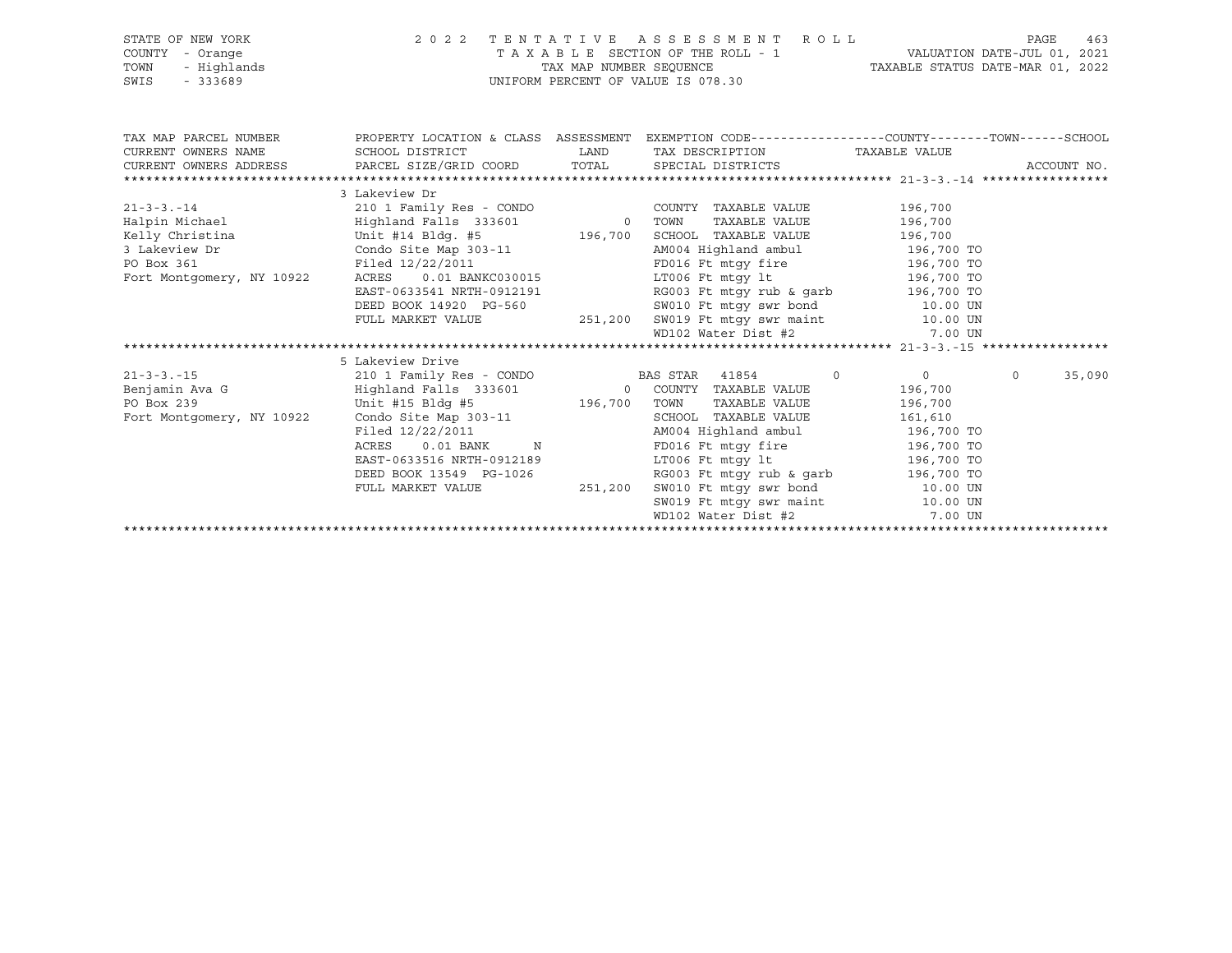| TAXABLE SECTION OF THE ROLL - 1 VALUATION DATE-JUL 01, 2021<br>TAX MAP NUMBER SEQUENCE TAXABLE STATUS DATE-MAR 01, 2022<br>COUNTY - Orange<br>- Highlands<br>TOWN<br>UNIFORM PERCENT OF VALUE IS 078.30<br>$-333689$<br>SWIS<br>TAX MAP PARCEL NUMBER THE PROPERTY LOCATION & CLASS ASSESSMENT EXEMPTION CODE--------------COUNTY-------TOWN------SCHOOL<br>LAND TAX DESCRIPTION TAXABLE VALUE<br>CURRENT OWNERS NAME<br>SCHOOL DISTRICT<br>CURRENT OWNERS ADDRESS PARCEL SIZE/GRID COORD TOTAL SPECIAL DISTRICTS<br>ACCOUNT NO.<br>3 Lakeview Dr<br>3 Lakeview Dr<br>AM004 Highland ambul 196,700 TO<br>Condo Site Map 303-11<br>Filed 12/22/2011<br>PO Box 361<br>FD016 Ft mtgy fire 196,700 TO<br>LT006 Ft mtgy 1t 196,700 TO<br>0.01 BANKC030015<br>Fort Montgomery, NY 10922<br>ACRES<br>EAST-0633541 NRTH-0912191<br>RG003 Ft mtgy rub & garb 196,700 TO<br>DEED BOOK 14920 PG-560<br>SW010 Ft mtgy swr bond 10.00 UN<br>FULL MARKET VALUE 251,200 SW019 Ft mtgy swr maint 10.00 UN WD102 Water Dist #2 7.00 UN<br>5 Lakeview Drive<br>210 1 Family Res - CONDO BAS STAR 41854 0<br>$\overline{0}$<br>$\circ$<br>35,090<br>$21 - 3 - 3 - 15$<br>196,700<br>196,700 TOWN<br>Unit #15 Bldg #5<br>PO Box 239<br>TAXABLE VALUE 196,700<br>Condo Site Map 303-11<br>Filed 12/22/2011<br>Fort Montgomery, NY 10922<br>SCHOOL TAXABLE VALUE 161,610<br>AM004 Highland ambul 196,700 TO<br>$0.01$ BANK N<br>FD016 Ft mtqy fire 196,700 TO<br>ACRES<br>LT006 Ft mtgy 1t 196,700 TO<br>EAST-0633516 NRTH-0912189<br>RG003 Ft mtgy rub & garb $196,700$ TO<br>DEED BOOK 13549 PG-1026<br>FULL MARKET VALUE 251,200 SW010 Ft mtgy swr bond<br>SW019 Ft mtgy swr maint 10.00 UN<br>MD19 Rater Dist #2 7.00 UN<br>10.00 UN<br>MD102 Water Dist #2 7.00 UN | STATE OF NEW YORK | 2 0 2 2 | TENTATIVE ASSESSMENT ROLL | PAGE | 463 |
|---------------------------------------------------------------------------------------------------------------------------------------------------------------------------------------------------------------------------------------------------------------------------------------------------------------------------------------------------------------------------------------------------------------------------------------------------------------------------------------------------------------------------------------------------------------------------------------------------------------------------------------------------------------------------------------------------------------------------------------------------------------------------------------------------------------------------------------------------------------------------------------------------------------------------------------------------------------------------------------------------------------------------------------------------------------------------------------------------------------------------------------------------------------------------------------------------------------------------------------------------------------------------------------------------------------------------------------------------------------------------------------------------------------------------------------------------------------------------------------------------------------------------------------------------------------------------------------------------------------------------------------------------------------------------------------------------------------------------------------------------|-------------------|---------|---------------------------|------|-----|
|                                                                                                                                                                                                                                                                                                                                                                                                                                                                                                                                                                                                                                                                                                                                                                                                                                                                                                                                                                                                                                                                                                                                                                                                                                                                                                                                                                                                                                                                                                                                                                                                                                                                                                                                                   |                   |         |                           |      |     |
|                                                                                                                                                                                                                                                                                                                                                                                                                                                                                                                                                                                                                                                                                                                                                                                                                                                                                                                                                                                                                                                                                                                                                                                                                                                                                                                                                                                                                                                                                                                                                                                                                                                                                                                                                   |                   |         |                           |      |     |
|                                                                                                                                                                                                                                                                                                                                                                                                                                                                                                                                                                                                                                                                                                                                                                                                                                                                                                                                                                                                                                                                                                                                                                                                                                                                                                                                                                                                                                                                                                                                                                                                                                                                                                                                                   |                   |         |                           |      |     |
|                                                                                                                                                                                                                                                                                                                                                                                                                                                                                                                                                                                                                                                                                                                                                                                                                                                                                                                                                                                                                                                                                                                                                                                                                                                                                                                                                                                                                                                                                                                                                                                                                                                                                                                                                   |                   |         |                           |      |     |
|                                                                                                                                                                                                                                                                                                                                                                                                                                                                                                                                                                                                                                                                                                                                                                                                                                                                                                                                                                                                                                                                                                                                                                                                                                                                                                                                                                                                                                                                                                                                                                                                                                                                                                                                                   |                   |         |                           |      |     |
|                                                                                                                                                                                                                                                                                                                                                                                                                                                                                                                                                                                                                                                                                                                                                                                                                                                                                                                                                                                                                                                                                                                                                                                                                                                                                                                                                                                                                                                                                                                                                                                                                                                                                                                                                   |                   |         |                           |      |     |
|                                                                                                                                                                                                                                                                                                                                                                                                                                                                                                                                                                                                                                                                                                                                                                                                                                                                                                                                                                                                                                                                                                                                                                                                                                                                                                                                                                                                                                                                                                                                                                                                                                                                                                                                                   |                   |         |                           |      |     |
|                                                                                                                                                                                                                                                                                                                                                                                                                                                                                                                                                                                                                                                                                                                                                                                                                                                                                                                                                                                                                                                                                                                                                                                                                                                                                                                                                                                                                                                                                                                                                                                                                                                                                                                                                   |                   |         |                           |      |     |
|                                                                                                                                                                                                                                                                                                                                                                                                                                                                                                                                                                                                                                                                                                                                                                                                                                                                                                                                                                                                                                                                                                                                                                                                                                                                                                                                                                                                                                                                                                                                                                                                                                                                                                                                                   |                   |         |                           |      |     |
|                                                                                                                                                                                                                                                                                                                                                                                                                                                                                                                                                                                                                                                                                                                                                                                                                                                                                                                                                                                                                                                                                                                                                                                                                                                                                                                                                                                                                                                                                                                                                                                                                                                                                                                                                   |                   |         |                           |      |     |
|                                                                                                                                                                                                                                                                                                                                                                                                                                                                                                                                                                                                                                                                                                                                                                                                                                                                                                                                                                                                                                                                                                                                                                                                                                                                                                                                                                                                                                                                                                                                                                                                                                                                                                                                                   |                   |         |                           |      |     |
|                                                                                                                                                                                                                                                                                                                                                                                                                                                                                                                                                                                                                                                                                                                                                                                                                                                                                                                                                                                                                                                                                                                                                                                                                                                                                                                                                                                                                                                                                                                                                                                                                                                                                                                                                   |                   |         |                           |      |     |
|                                                                                                                                                                                                                                                                                                                                                                                                                                                                                                                                                                                                                                                                                                                                                                                                                                                                                                                                                                                                                                                                                                                                                                                                                                                                                                                                                                                                                                                                                                                                                                                                                                                                                                                                                   |                   |         |                           |      |     |
|                                                                                                                                                                                                                                                                                                                                                                                                                                                                                                                                                                                                                                                                                                                                                                                                                                                                                                                                                                                                                                                                                                                                                                                                                                                                                                                                                                                                                                                                                                                                                                                                                                                                                                                                                   |                   |         |                           |      |     |
|                                                                                                                                                                                                                                                                                                                                                                                                                                                                                                                                                                                                                                                                                                                                                                                                                                                                                                                                                                                                                                                                                                                                                                                                                                                                                                                                                                                                                                                                                                                                                                                                                                                                                                                                                   |                   |         |                           |      |     |
|                                                                                                                                                                                                                                                                                                                                                                                                                                                                                                                                                                                                                                                                                                                                                                                                                                                                                                                                                                                                                                                                                                                                                                                                                                                                                                                                                                                                                                                                                                                                                                                                                                                                                                                                                   |                   |         |                           |      |     |
|                                                                                                                                                                                                                                                                                                                                                                                                                                                                                                                                                                                                                                                                                                                                                                                                                                                                                                                                                                                                                                                                                                                                                                                                                                                                                                                                                                                                                                                                                                                                                                                                                                                                                                                                                   |                   |         |                           |      |     |
|                                                                                                                                                                                                                                                                                                                                                                                                                                                                                                                                                                                                                                                                                                                                                                                                                                                                                                                                                                                                                                                                                                                                                                                                                                                                                                                                                                                                                                                                                                                                                                                                                                                                                                                                                   |                   |         |                           |      |     |
|                                                                                                                                                                                                                                                                                                                                                                                                                                                                                                                                                                                                                                                                                                                                                                                                                                                                                                                                                                                                                                                                                                                                                                                                                                                                                                                                                                                                                                                                                                                                                                                                                                                                                                                                                   |                   |         |                           |      |     |
|                                                                                                                                                                                                                                                                                                                                                                                                                                                                                                                                                                                                                                                                                                                                                                                                                                                                                                                                                                                                                                                                                                                                                                                                                                                                                                                                                                                                                                                                                                                                                                                                                                                                                                                                                   |                   |         |                           |      |     |
|                                                                                                                                                                                                                                                                                                                                                                                                                                                                                                                                                                                                                                                                                                                                                                                                                                                                                                                                                                                                                                                                                                                                                                                                                                                                                                                                                                                                                                                                                                                                                                                                                                                                                                                                                   |                   |         |                           |      |     |
|                                                                                                                                                                                                                                                                                                                                                                                                                                                                                                                                                                                                                                                                                                                                                                                                                                                                                                                                                                                                                                                                                                                                                                                                                                                                                                                                                                                                                                                                                                                                                                                                                                                                                                                                                   |                   |         |                           |      |     |
|                                                                                                                                                                                                                                                                                                                                                                                                                                                                                                                                                                                                                                                                                                                                                                                                                                                                                                                                                                                                                                                                                                                                                                                                                                                                                                                                                                                                                                                                                                                                                                                                                                                                                                                                                   |                   |         |                           |      |     |
|                                                                                                                                                                                                                                                                                                                                                                                                                                                                                                                                                                                                                                                                                                                                                                                                                                                                                                                                                                                                                                                                                                                                                                                                                                                                                                                                                                                                                                                                                                                                                                                                                                                                                                                                                   |                   |         |                           |      |     |
|                                                                                                                                                                                                                                                                                                                                                                                                                                                                                                                                                                                                                                                                                                                                                                                                                                                                                                                                                                                                                                                                                                                                                                                                                                                                                                                                                                                                                                                                                                                                                                                                                                                                                                                                                   |                   |         |                           |      |     |
|                                                                                                                                                                                                                                                                                                                                                                                                                                                                                                                                                                                                                                                                                                                                                                                                                                                                                                                                                                                                                                                                                                                                                                                                                                                                                                                                                                                                                                                                                                                                                                                                                                                                                                                                                   |                   |         |                           |      |     |
|                                                                                                                                                                                                                                                                                                                                                                                                                                                                                                                                                                                                                                                                                                                                                                                                                                                                                                                                                                                                                                                                                                                                                                                                                                                                                                                                                                                                                                                                                                                                                                                                                                                                                                                                                   |                   |         |                           |      |     |
|                                                                                                                                                                                                                                                                                                                                                                                                                                                                                                                                                                                                                                                                                                                                                                                                                                                                                                                                                                                                                                                                                                                                                                                                                                                                                                                                                                                                                                                                                                                                                                                                                                                                                                                                                   |                   |         |                           |      |     |
|                                                                                                                                                                                                                                                                                                                                                                                                                                                                                                                                                                                                                                                                                                                                                                                                                                                                                                                                                                                                                                                                                                                                                                                                                                                                                                                                                                                                                                                                                                                                                                                                                                                                                                                                                   |                   |         |                           |      |     |
|                                                                                                                                                                                                                                                                                                                                                                                                                                                                                                                                                                                                                                                                                                                                                                                                                                                                                                                                                                                                                                                                                                                                                                                                                                                                                                                                                                                                                                                                                                                                                                                                                                                                                                                                                   |                   |         |                           |      |     |
|                                                                                                                                                                                                                                                                                                                                                                                                                                                                                                                                                                                                                                                                                                                                                                                                                                                                                                                                                                                                                                                                                                                                                                                                                                                                                                                                                                                                                                                                                                                                                                                                                                                                                                                                                   |                   |         |                           |      |     |
|                                                                                                                                                                                                                                                                                                                                                                                                                                                                                                                                                                                                                                                                                                                                                                                                                                                                                                                                                                                                                                                                                                                                                                                                                                                                                                                                                                                                                                                                                                                                                                                                                                                                                                                                                   |                   |         |                           |      |     |
|                                                                                                                                                                                                                                                                                                                                                                                                                                                                                                                                                                                                                                                                                                                                                                                                                                                                                                                                                                                                                                                                                                                                                                                                                                                                                                                                                                                                                                                                                                                                                                                                                                                                                                                                                   |                   |         |                           |      |     |
|                                                                                                                                                                                                                                                                                                                                                                                                                                                                                                                                                                                                                                                                                                                                                                                                                                                                                                                                                                                                                                                                                                                                                                                                                                                                                                                                                                                                                                                                                                                                                                                                                                                                                                                                                   |                   |         |                           |      |     |
|                                                                                                                                                                                                                                                                                                                                                                                                                                                                                                                                                                                                                                                                                                                                                                                                                                                                                                                                                                                                                                                                                                                                                                                                                                                                                                                                                                                                                                                                                                                                                                                                                                                                                                                                                   |                   |         |                           |      |     |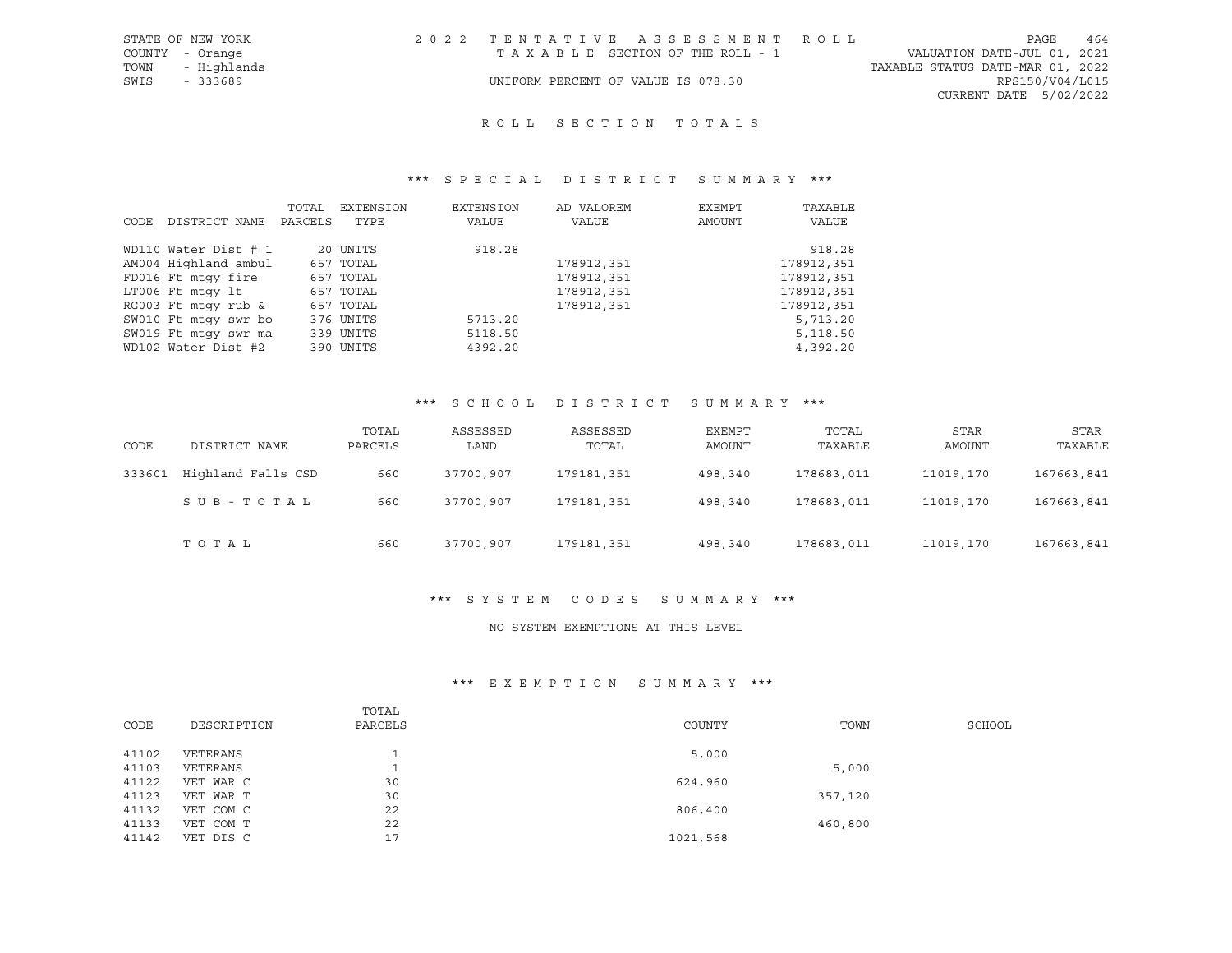## ROLL SECTION TOTALS

#### \*\*\* S P E C I A L D I S T R I C T S U M M A R Y \*\*\*

|      |                      | TOTAL   | EXTENSION | EXTENSION | AD VALOREM | EXEMPT | TAXABLE    |
|------|----------------------|---------|-----------|-----------|------------|--------|------------|
| CODE | DISTRICT NAME        | PARCELS | TYPE      | VALUE     | VALUE      | AMOUNT | VALUE      |
|      | WD110 Water Dist # 1 |         | 20 UNITS  | 918.28    |            |        | 918.28     |
|      | AM004 Highland ambul |         | 657 TOTAL |           | 178912,351 |        | 178912,351 |
|      | FD016 Ft mtqy fire   |         | 657 TOTAL |           | 178912,351 |        | 178912,351 |
|      | LT006 Ft mtgy lt     |         | 657 TOTAL |           | 178912,351 |        | 178912,351 |
|      | RG003 Ft mtqy rub &  |         | 657 TOTAL |           | 178912,351 |        | 178912,351 |
|      | SW010 Ft mtqy swr bo |         | 376 UNITS | 5713.20   |            |        | 5,713.20   |
|      | SW019 Ft mtqy swr ma |         | 339 UNITS | 5118.50   |            |        | 5,118.50   |
|      | WD102 Water Dist #2  |         | 390 UNITS | 4392.20   |            |        | 4,392.20   |

#### \*\*\* S C H O O L D I S T R I C T S U M M A R Y \*\*\*

| CODE   | DISTRICT NAME      | TOTAL<br>PARCELS | ASSESSED<br>LAND | ASSESSED<br>TOTAL | EXEMPT<br>AMOUNT | TOTAL<br>TAXABLE | STAR<br>AMOUNT | STAR<br>TAXABLE |
|--------|--------------------|------------------|------------------|-------------------|------------------|------------------|----------------|-----------------|
| 333601 | Highland Falls CSD | 660              | 37700,907        | 179181,351        | 498,340          | 178683,011       | 11019,170      | 167663,841      |
|        | SUB-TOTAL          | 660              | 37700,907        | 179181,351        | 498,340          | 178683,011       | 11019,170      | 167663,841      |
|        | TOTAL              | 660              | 37700,907        | 179181,351        | 498,340          | 178683,011       | 11019,170      | 167663,841      |

## \*\*\* S Y S T E M C O D E S S U M M A R Y \*\*\*

#### NO SYSTEM EXEMPTIONS AT THIS LEVEL

#### \*\*\* E X E M P T I O N S U M M A R Y \*\*\*

|       |             | TOTAL   |          |         |        |
|-------|-------------|---------|----------|---------|--------|
| CODE  | DESCRIPTION | PARCELS | COUNTY   | TOWN    | SCHOOL |
|       |             |         |          |         |        |
| 41102 | VETERANS    |         | 5,000    |         |        |
| 41103 | VETERANS    |         |          | 5,000   |        |
| 41122 | VET WAR C   | 30      | 624,960  |         |        |
| 41123 | VET WAR T   | 30      |          | 357,120 |        |
| 41132 | VET COM C   | 22      | 806,400  |         |        |
| 41133 | VET COM T   | 22      |          | 460,800 |        |
| 41142 | VET DIS C   | 17      | 1021,568 |         |        |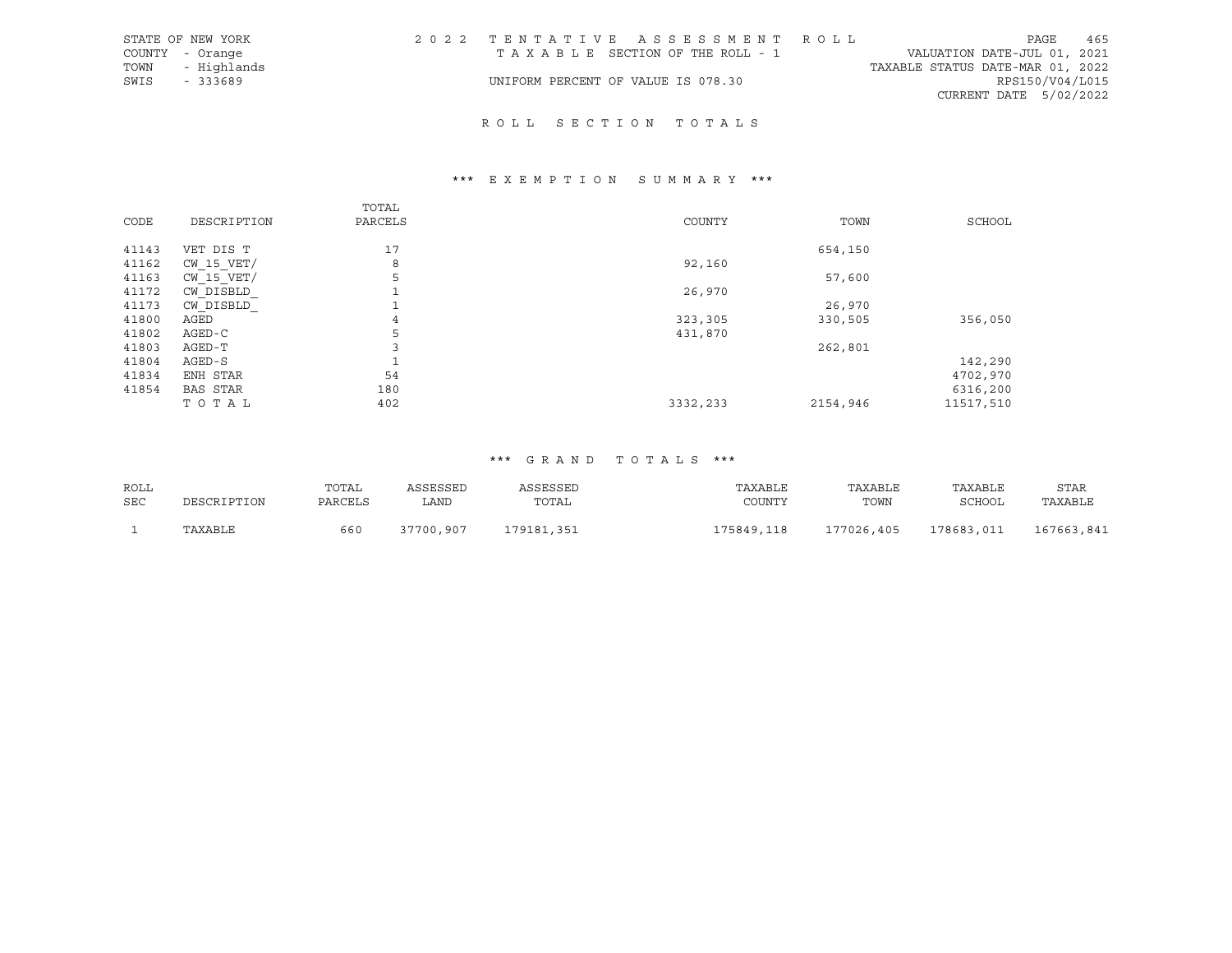|      | STATE OF NEW YORK | 2022 TENTATIVE ASSESSMENT ROLL     |  |                                  | PAGE                   | 465 |
|------|-------------------|------------------------------------|--|----------------------------------|------------------------|-----|
|      | COUNTY - Orange   | TAXABLE SECTION OF THE ROLL - 1    |  | VALUATION DATE-JUL 01, 2021      |                        |     |
| TOWN | - Highlands       |                                    |  | TAXABLE STATUS DATE-MAR 01, 2022 |                        |     |
| SWIS | - 333689          | UNIFORM PERCENT OF VALUE IS 078.30 |  |                                  | RPS150/V04/L015        |     |
|      |                   |                                    |  |                                  | CURRENT DATE 5/02/2022 |     |

## R O L L S E C T I O N T O T A L S

# \*\*\* E X E M P T I O N S U M M A R Y \*\*\*

| CODE  | DESCRIPTION     | TOTAL<br>PARCELS | COUNTY   | TOWN     | SCHOOL    |
|-------|-----------------|------------------|----------|----------|-----------|
| 41143 | VET DIS T       | 17               |          | 654,150  |           |
| 41162 | $CW$ 15 $VET/$  | 8                | 92,160   |          |           |
| 41163 | CW 15 VET/      | 5                |          | 57,600   |           |
| 41172 | CW DISBLD       | n.               | 26,970   |          |           |
| 41173 | CW DISBLD       | ᆚ                |          | 26,970   |           |
| 41800 | AGED            | 4                | 323,305  | 330,505  | 356,050   |
| 41802 | AGED-C          | 5                | 431,870  |          |           |
| 41803 | AGED-T          | 3                |          | 262,801  |           |
| 41804 | AGED-S          | $\mathbf{1}$     |          |          | 142,290   |
| 41834 | ENH STAR        | 54               |          |          | 4702,970  |
| 41854 | <b>BAS STAR</b> | 180              |          |          | 6316,200  |
|       | TOTAL           | 402              | 3332,233 | 2154,946 | 11517,510 |

## \*\*\* G R A N D T O T A L S \*\*\*

| ROLL |             | TOTAL   | ASSESSED  | ASSESSED   | TAXABLE    | TAXABLE    | TAXABLE       | STAR       |
|------|-------------|---------|-----------|------------|------------|------------|---------------|------------|
| SEC  | DESCRIPTION | PARCELS | ∟AND      | TOTAL      | COUNTY     | TOWN       | <b>SCHOOL</b> | TAXABLE    |
|      |             |         |           |            |            |            |               |            |
|      | TAXABLE     | 660     | 37700,907 | 179181,351 | 175849,118 | 177026,405 | 178683,011    | 167663,841 |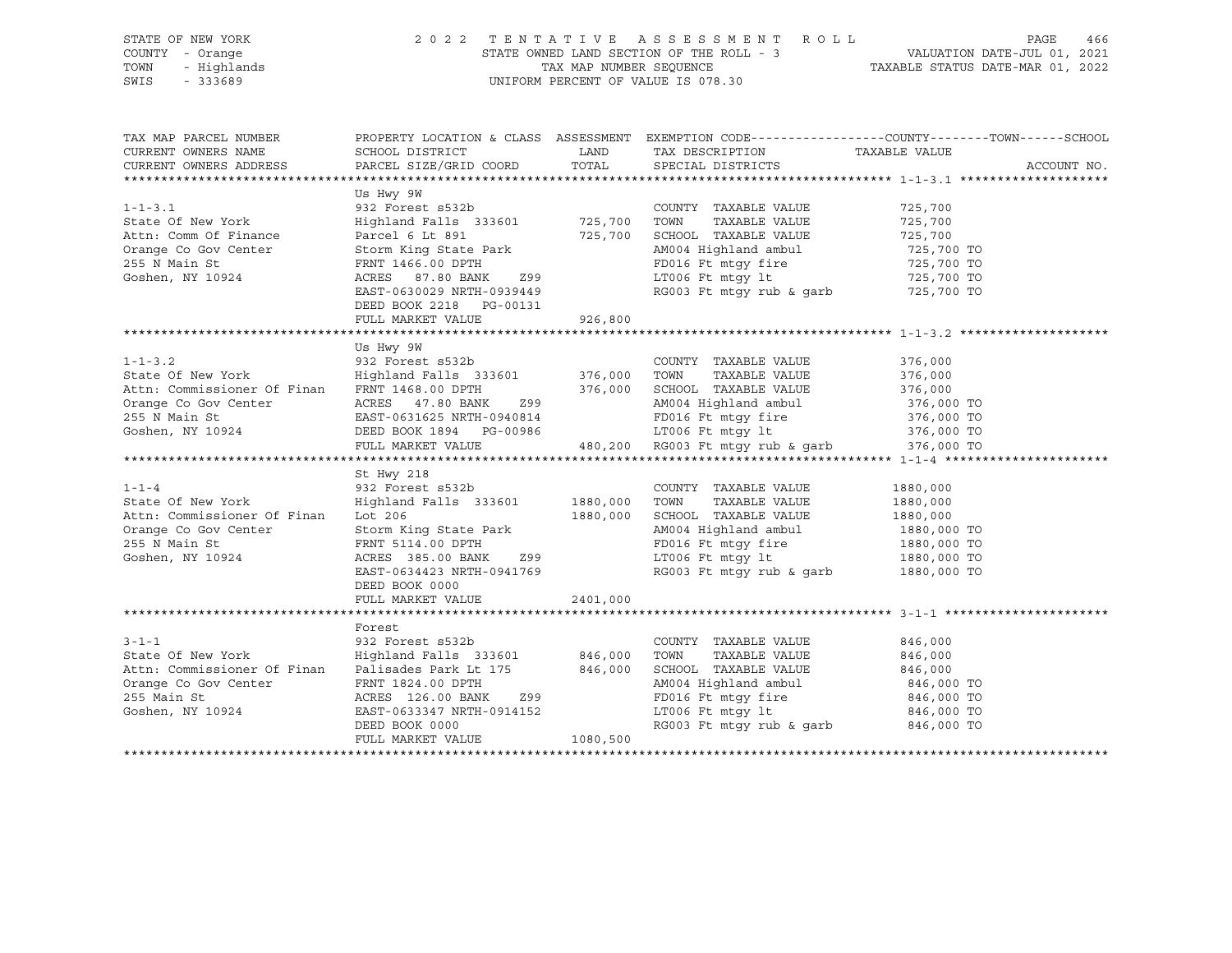## STATE OF NEW YORK 2 0 2 2 T E N T A T I V E A S S E S S M E N T R O L L PAGE 466 COUNTY - Orange STATE OWNED LAND SECTION OF THE ROLL - 3 VALUATION DATE-JUL 01, 2021 TOWN - Highlands TAX MAP NUMBER SEQUENCE TAXABLE STATUS DATE-MAR 01, 2022 SWIS - 333689 UNIFORM PERCENT OF VALUE IS 078.30

| TAX MAP PARCEL NUMBER<br>CURRENT OWNERS NAME<br>CURRENT OWNERS ADDRESS                                                                                                                                                         |                                                                                                                                                                                                                                                      |          | TAX DESCRIPTION TAXABLE VALUE<br>SPECIAL DISTRICTS                                                                                                                                                                                                                | PROPERTY LOCATION & CLASS ASSESSMENT EXEMPTION CODE----------------COUNTY-------TOWN------SCHOOL<br>ACCOUNT NO. |
|--------------------------------------------------------------------------------------------------------------------------------------------------------------------------------------------------------------------------------|------------------------------------------------------------------------------------------------------------------------------------------------------------------------------------------------------------------------------------------------------|----------|-------------------------------------------------------------------------------------------------------------------------------------------------------------------------------------------------------------------------------------------------------------------|-----------------------------------------------------------------------------------------------------------------|
| $1 - 1 - 3.1$<br>State Of New York<br>Attn: Comm Of Finance<br>Orange Co Gov Center<br>255 N Main St<br>Goshen, NY 10924                                                                                                       | Us Hwy 9W<br>932 Forest s532b<br>Highland Falls 333601 725,700<br>Parcel 6 Lt 891 725,700<br>Storm King State Park<br>FRNT 1466.00 DPTH<br>ACRES 87.80 BANK Z99<br>EAST-0630029 NRTH-0939449<br>DEED BOOK 2218 PG-00131<br>FULL MARKET VALUE 926,800 |          | COUNTY TAXABLE VALUE<br>TAXABLE VALUE<br>TOWN<br>SCHOOL TAXABLE VALUE 725,700<br>AM004 Highland ambul 725,700 TO<br>FD016 Ft mtgy fire 725,700 TO<br>LT006 Ft mtgy 1t $725,700$ TO<br>RG003 Ft mtgy rub & garb $725,700$ TO                                       | 725,700<br>725,700                                                                                              |
|                                                                                                                                                                                                                                |                                                                                                                                                                                                                                                      |          |                                                                                                                                                                                                                                                                   |                                                                                                                 |
| Attn: Commissioner Of Finan FRNT 1468.00 DPTH 376,000 SCHOOL TAXABLE VALUE 376,000 Crange Co Gov Center ACRES 47.80 BANK 299 AM004 Highland ambul 376,000 TO 255 N Main St EAST-0631625 NRTH-0940814 FD016 Ft mtgy fire 376,00 | Us Hwy 9W                                                                                                                                                                                                                                            |          |                                                                                                                                                                                                                                                                   | 376,000<br>376,000                                                                                              |
|                                                                                                                                                                                                                                |                                                                                                                                                                                                                                                      |          |                                                                                                                                                                                                                                                                   |                                                                                                                 |
| $1 - 1 - 4$<br>State Of New York Highland Falls 333601 1880,000<br>Attn: Commissioner Of Finan Lot 206<br>Orange Co Gov Center<br>255 N Main St<br>Goshen, NY 10924                                                            | St Hwy 218<br>$932$ Forest $s532b$<br>Storm King State Park<br>FRNT 5114.00 DPTH<br>ACRES 385.00 BANK 299<br>EAST-0634423 NRTH-0941769<br>DEED BOOK 0000<br>DEED BOOK 0000<br>FULL MARKET VALUE 2401,000                                             | 1880,000 | COUNTY TAXABLE VALUE<br>TOWN<br>TAXABLE VALUE<br>TOWN IMMEDIA RAIDE 1880,000 TO<br>SCHOOL TAXABLE VALUE 1880,000 TO<br>AM004 Highland ambul 1880,000 TO<br>FD016 Ft mtgy fire 1880,000 TO<br>LT006 Ft mtgy 1t 1880,000 TO<br>RG003 Ft mtgy rub & garb 1880,000 TO | 1880,000<br>1880,000                                                                                            |
|                                                                                                                                                                                                                                |                                                                                                                                                                                                                                                      |          |                                                                                                                                                                                                                                                                   |                                                                                                                 |
| $3 - 1 - 1$<br>State Of New York Fighland Falls 333601 846,000<br>Attn: Commissioner Of Finan<br>Orange Co Gov Center<br>255 Main St<br>255 Main St<br>Goshen, NY 10924                                                        | Forest<br>932 Forest s532b<br>Palisades Park Lt 175 846,000<br>FRNT 1824.00 DPTH<br>ACRES 126.00 BANK 299<br>EAST-0633347 NRTH-0914152<br>DEED BOOK 0000<br>FULL MARKET VALUE 1080,500                                                               |          | COUNTY TAXABLE VALUE<br>TAXABLE VALUE<br>TOWN<br>SCHOOL TAXABLE VALUE 846,000<br>LT006 Ft mtgy 1t<br>RG003 Ft mtgy 1t 846,000 TO<br>RG003 Ft mtgy rub & garb 846,000 TO                                                                                           | 846,000<br>846,000                                                                                              |
|                                                                                                                                                                                                                                |                                                                                                                                                                                                                                                      |          |                                                                                                                                                                                                                                                                   |                                                                                                                 |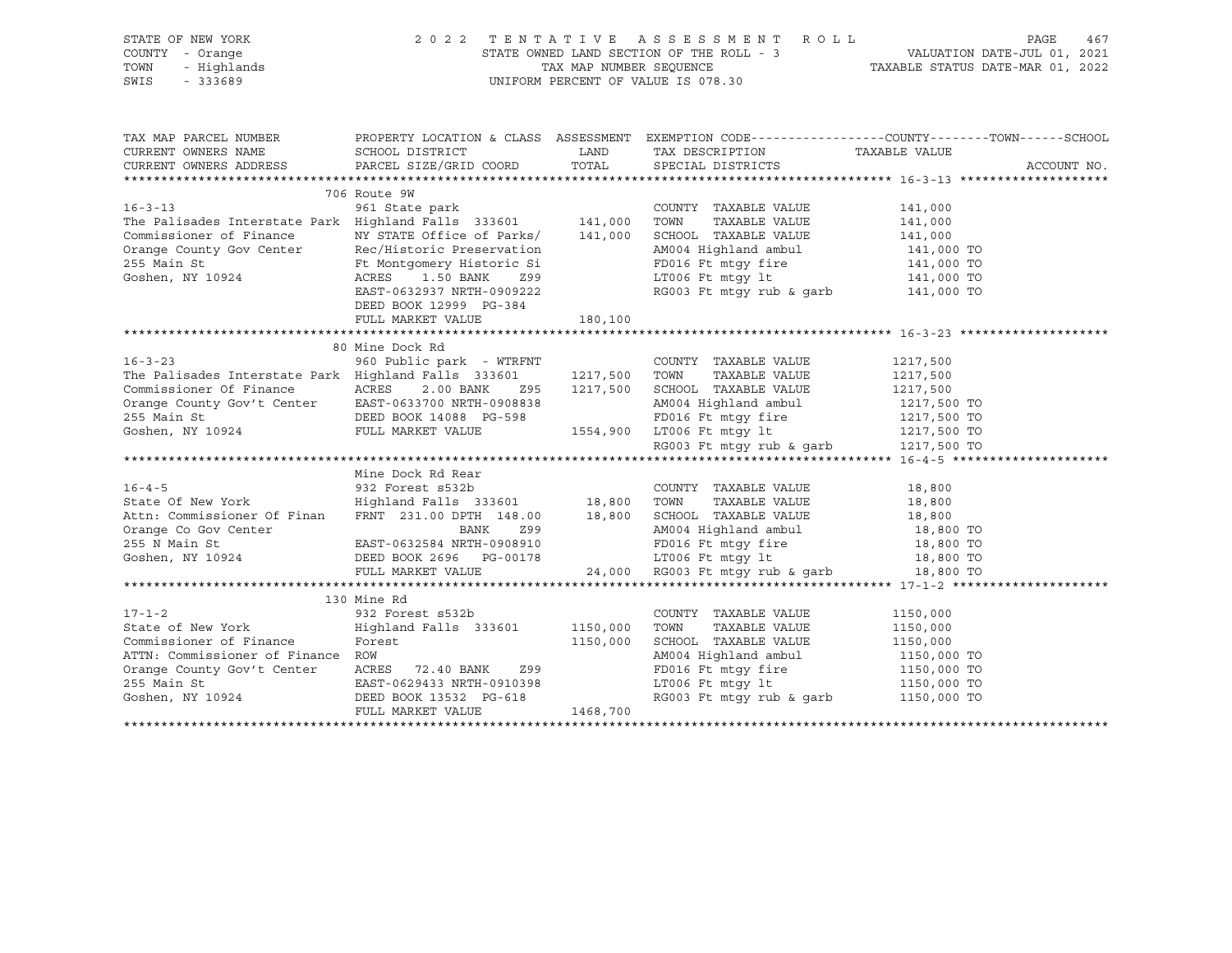## STATE OF NEW YORK 2 0 2 2 T E N T A T I V E A S S E S S M E N T R O L L PAGE 467 COUNTY - Orange STATE OWNED LAND SECTION OF THE ROLL - 3 VALUATION DATE-JUL 01, 2021 TOWN - Highlands TAX MAP NUMBER SEQUENCE TAXABLE STATUS DATE-MAR 01, 2022<br>TAXABLE STATUS DATE-MAR 01, 2022 UNIFORM PERCENT OF VALUE IS 078.30

TAX MAP PARCEL NUMBER PROPERTY LOCATION & CLASS ASSESSMENT EXEMPTION CODE----------------COUNTY-------TOWN-----SCHOOL CURRENT OWNERS NAME SCHOOL DISTRICT LAND TAX DESCRIPTION TAXABLE VALUE CURRENT OWNERS ADDRESS PARCEL SIZE/GRID COORD TOTAL SPECIAL DISTRICTS ACCOUNT NO. \*\*\*\*\*\*\*\*\*\*\*\*\*\*\*\*\*\*\*\*\*\*\*\*\*\*\*\*\*\*\*\*\*\*\*\*\*\*\*\*\*\*\*\*\*\*\*\*\*\*\*\*\*\*\*\*\*\*\*\*\*\*\*\*\*\*\*\*\*\*\*\*\*\*\*\*\*\*\*\*\*\*\*\*\*\*\*\*\*\*\*\*\*\*\*\*\*\*\*\*\*\*\* 16-3-13 \*\*\*\*\*\*\*\*\*\*\*\*\*\*\*\*\*\*\*\* 706 Route 9W 16-3-13 961 State park COUNTY TAXABLE VALUE 141,000 The Palisades Interstate Park Highland Falls 333601 141,000 TOWN TAXABLE VALUE 141,000 Commissioner of Finance NY STATE Office of Parks/ 141,000 SCHOOL TAXABLE VALUE 141,000 Orange County Gov Center Rec/Historic Preservation AM004 Highland ambul 141,000 TO 255 Main St Ft Montgomery Historic Si FD016 Ft mtgy fire 141,000 TO Goshen, NY 10924 ACRES 1.50 BANK Z99 LT006 Ft mtgy lt 141,000 TO RG003 Ft mtgy rub & garb DEED BOOK 12999 PG-384 FULL MARKET VALUE 180,100 \*\*\*\*\*\*\*\*\*\*\*\*\*\*\*\*\*\*\*\*\*\*\*\*\*\*\*\*\*\*\*\*\*\*\*\*\*\*\*\*\*\*\*\*\*\*\*\*\*\*\*\*\*\*\*\*\*\*\*\*\*\*\*\*\*\*\*\*\*\*\*\*\*\*\*\*\*\*\*\*\*\*\*\*\*\*\*\*\*\*\*\*\*\*\*\*\*\*\*\*\*\*\* 16-3-23 \*\*\*\*\*\*\*\*\*\*\*\*\*\*\*\*\*\*\*\* 80 Mine Dock Rd 16-3-23 960 Public park - WTRFNT COUNTY TAXABLE VALUE 1217,500 The Palisades Interstate Park Highland Falls 333601 1217,500 TOWN TAXABLE VALUE Commissioner Of Finance ACRES 2.00 BANK Z95 1217,500 SCHOOL TAXABLE VALUE 1217,500 Orange County Gov't Center EAST-0633700 NRTH-0908838 AM004 Highland ambul 1217,500 TO 255 Main St DEED BOOK 14088 PG-598 FD016 Ft mtgy fire 1217,500 TO Goshen, NY 10924 FULL MARKET VALUE 1554,900 LT006 Ft mtgy lt 1217,500 TO RG003 Ft mtgy rub & garb 1217,500 TO \*\*\*\*\*\*\*\*\*\*\*\*\*\*\*\*\*\*\*\*\*\*\*\*\*\*\*\*\*\*\*\*\*\*\*\*\*\*\*\*\*\*\*\*\*\*\*\*\*\*\*\*\*\*\*\*\*\*\*\*\*\*\*\*\*\*\*\*\*\*\*\*\*\*\*\*\*\*\*\*\*\*\*\*\*\*\*\*\*\*\*\*\*\*\*\*\*\*\*\*\*\*\* 16-4-5 \*\*\*\*\*\*\*\*\*\*\*\*\*\*\*\*\*\*\*\*\* Mine Dock Rd Rear 16-4-5 932 Forest s532b COUNTY TAXABLE VALUE 18,800 State Of New York Highland Falls 333601 18,800 TOWN TAXABLE VALUE 18,800 Attn: Commissioner Of Finan FRNT 231.00 DPTH 148.00 18,800 SCHOOL TAXABLE VALUE 18,800 Orange Co Gov Center BANK 299 AM004 Highland ambul 18,800 TO 255 N Main St EAST-0632584 NRTH-0908910 FD016 Ft mtgy fire 18,800 TO Goshen, NY 10924 DEED BOOK 2696 PG-00178 LT006 Ft mtgy lt 18,800 TO FULL MARKET VALUE 24,000 RG003 Ft mtgy rub & garb 18,800 TO \*\*\*\*\*\*\*\*\*\*\*\*\*\*\*\*\*\*\*\*\*\*\*\*\*\*\*\*\*\*\*\*\*\*\*\*\*\*\*\*\*\*\*\*\*\*\*\*\*\*\*\*\*\*\*\*\*\*\*\*\*\*\*\*\*\*\*\*\*\*\*\*\*\*\*\*\*\*\*\*\*\*\*\*\*\*\*\*\*\*\*\*\*\*\*\*\*\*\*\*\*\*\* 17-1-2 \*\*\*\*\*\*\*\*\*\*\*\*\*\*\*\*\*\*\*\*\* 130 Mine Rd 17-1-2 932 Forest s532b COUNTY TAXABLE VALUE 1150,000 State of New York Highland Falls 333601 1150,000 TOWN TAXABLE VALUE 1150,000 Commissioner of Finance Forest 1150,000 SCHOOL TAXABLE VALUE 1150,000 ATTN: Commissioner of Finance ROW AM004 Highland ambul 1150,000 TO Orange County Gov't Center ACRES 72.40 BANK Z99 FD016 Ft mtgy fire 1150,000 TO 255 Main St EAST-0629433 NRTH-0910398 LT006 Ft mtgy lt 1150,000 TO RG003 Ft mtgy rub & garb 1150,000 TO FULL MARKET VALUE 1468,700 \*\*\*\*\*\*\*\*\*\*\*\*\*\*\*\*\*\*\*\*\*\*\*\*\*\*\*\*\*\*\*\*\*\*\*\*\*\*\*\*\*\*\*\*\*\*\*\*\*\*\*\*\*\*\*\*\*\*\*\*\*\*\*\*\*\*\*\*\*\*\*\*\*\*\*\*\*\*\*\*\*\*\*\*\*\*\*\*\*\*\*\*\*\*\*\*\*\*\*\*\*\*\*\*\*\*\*\*\*\*\*\*\*\*\*\*\*\*\*\*\*\*\*\*\*\*\*\*\*\*\*\*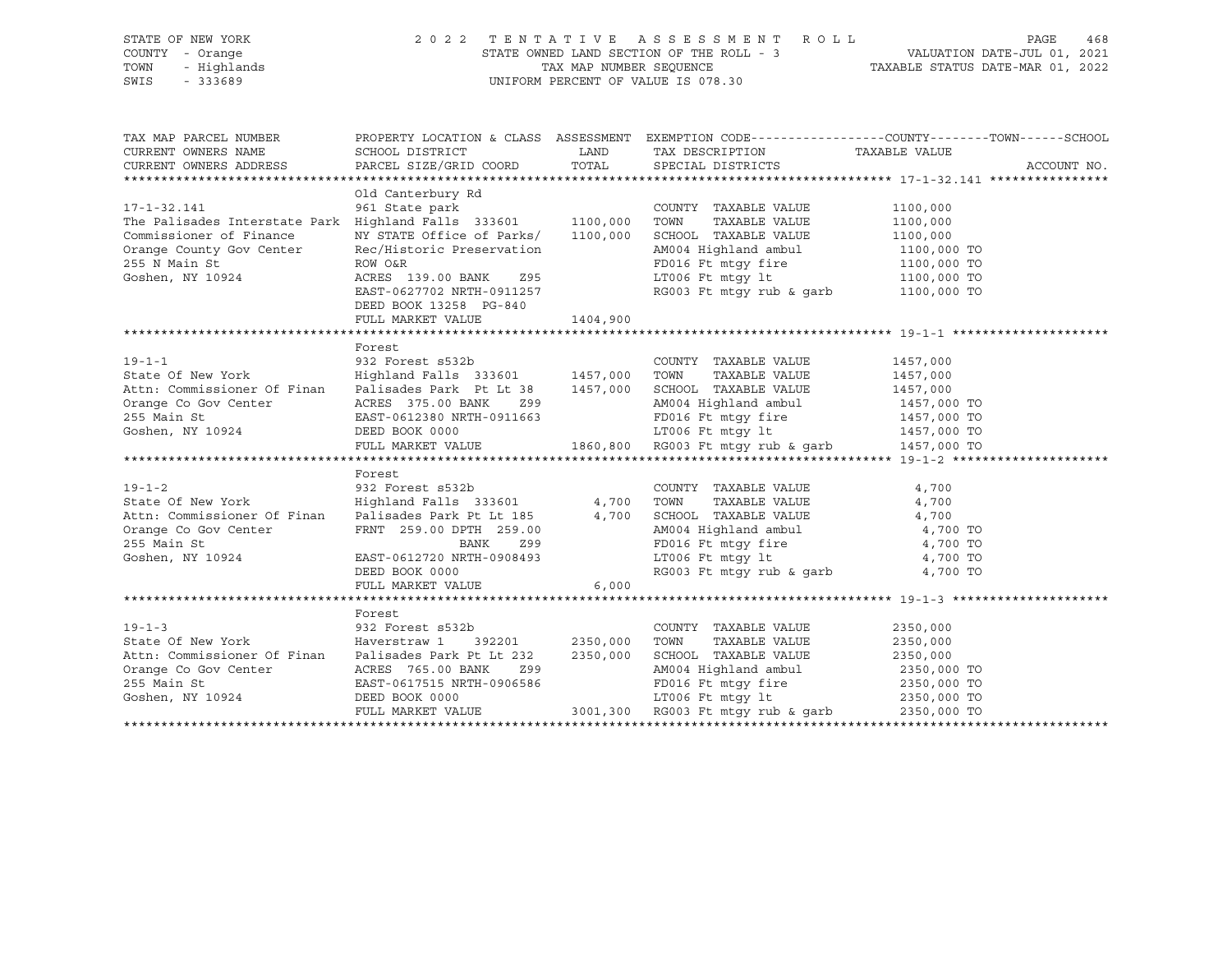## STATE OF NEW YORK 2 0 2 2 T E N T A T I V E A S S E S S M E N T R O L L PAGE 468 COUNTY - Orange STATE OWNED LAND SECTION OF THE ROLL - 3 VALUATION DATE-JUL 01, 2021 TOWN - Highlands TAX MAP NUMBER SEQUENCE TAXABLE STATUS DATE-MAR 01, 2022 SWIS - 333689 UNIFORM PERCENT OF VALUE IS 078.30

| TAX MAP PARCEL NUMBER<br>CURRENT OWNERS NAME SCHOOL DISTRICT<br>CURRENT OWNERS ADDRESS PARCEL SIZE/GRID COORD TOTAL SPECIAL DISTRICTS                                                                                                                                                                                                                                                                                                                                                                                |                                                                                                                                | LAND                                                                                                           | TAX DESCRIPTION TAXABLE VALUE                                                                                                                                                | PROPERTY LOCATION & CLASS ASSESSMENT EXEMPTION CODE---------------COUNTY-------TOWN-----SCHOOL<br>ACCOUNT NO. |
|----------------------------------------------------------------------------------------------------------------------------------------------------------------------------------------------------------------------------------------------------------------------------------------------------------------------------------------------------------------------------------------------------------------------------------------------------------------------------------------------------------------------|--------------------------------------------------------------------------------------------------------------------------------|----------------------------------------------------------------------------------------------------------------|------------------------------------------------------------------------------------------------------------------------------------------------------------------------------|---------------------------------------------------------------------------------------------------------------|
| 17-1-32.141 961 State park<br>The Palisades Interstate Park Highland Falls 333601 1100,000<br>Commissioner of Finance<br>Orange County Gov Center<br>255 N Main St<br>Goshen, NY 10924                                                                                                                                                                                                                                                                                                                               | Old Canterbury Rd<br>NY STATE Office of Parks/<br>Rec/Historic Preservation<br>ACRES 139.00 BANK 295<br>DEED BOOK 13258 PG-840 | 1100,000                                                                                                       | COUNTY TAXABLE VALUE<br>TOWN TAXABLE VALUE<br>SCHOOL TAXABLE VALUE<br>AM004 Highland ambul 1100,000 TO                                                                       | 1100,000<br>1100,000<br>1100,000                                                                              |
|                                                                                                                                                                                                                                                                                                                                                                                                                                                                                                                      |                                                                                                                                |                                                                                                                |                                                                                                                                                                              |                                                                                                               |
| Orange Co Gov Center<br>255 Main St 1457,000 TO<br>255 Main St 1457,000 TO<br>360,800 RG003 Ft mtgy 1t 1457,000 TO<br>255 Main St 1457,000 TO<br>260,800 RG003 Ft mtgy rub & garb 1457,000 TO<br>$19 - 1 - 2$<br>State Of New York [19] Highland Falls 333601 4,700 TOWN<br>Attr: Commissioner Of Finan Palisades Park Pt Lt 185<br>Orange Co Gov Center FRNT 259.00 DPTH 259.00<br>255 Main St atomic BANK 299<br>Coshen, NY 10924 EAST-0612720 NRTH-0908493<br>EAST-0612720 NRTH-0908493<br>DRED BOOK 0000 RG003 F | Forest<br>ACRES 375.00 BANK<br>Forest<br>932 Forest s532b                                                                      | Z99 and the state of the state of the state of the state of the state of the state of the state of the state o | AM004 Highland ambul 1457,000 TO<br>COUNTY TAXABLE VALUE<br>TAXABLE VALUE                                                                                                    | 4,700<br>4,700                                                                                                |
|                                                                                                                                                                                                                                                                                                                                                                                                                                                                                                                      |                                                                                                                                |                                                                                                                | RG003 Ft mtgy rub & garb 4,700 TO                                                                                                                                            |                                                                                                               |
|                                                                                                                                                                                                                                                                                                                                                                                                                                                                                                                      |                                                                                                                                |                                                                                                                |                                                                                                                                                                              |                                                                                                               |
| Attn: Commissioner Of Finan Palisades Park Pt Lt 232 2350,000                                                                                                                                                                                                                                                                                                                                                                                                                                                        | Forest                                                                                                                         |                                                                                                                | COUNTY TAXABLE VALUE<br>TAXABLE VALUE<br>SCHOOL TAXABLE VALUE 2350,000<br>AM004 Highland ambul 2350,000 TO<br>FD016 Ft mtgy fire 2350,000 TO<br>LT006 Ft mtgy lt 2350,000 TO | 2350,000<br>2350,000                                                                                          |
|                                                                                                                                                                                                                                                                                                                                                                                                                                                                                                                      | FULL MARKET VALUE 3001,300 RG003 Ft mtgy rub & garb 2350,000 TO                                                                |                                                                                                                |                                                                                                                                                                              |                                                                                                               |
|                                                                                                                                                                                                                                                                                                                                                                                                                                                                                                                      |                                                                                                                                |                                                                                                                |                                                                                                                                                                              |                                                                                                               |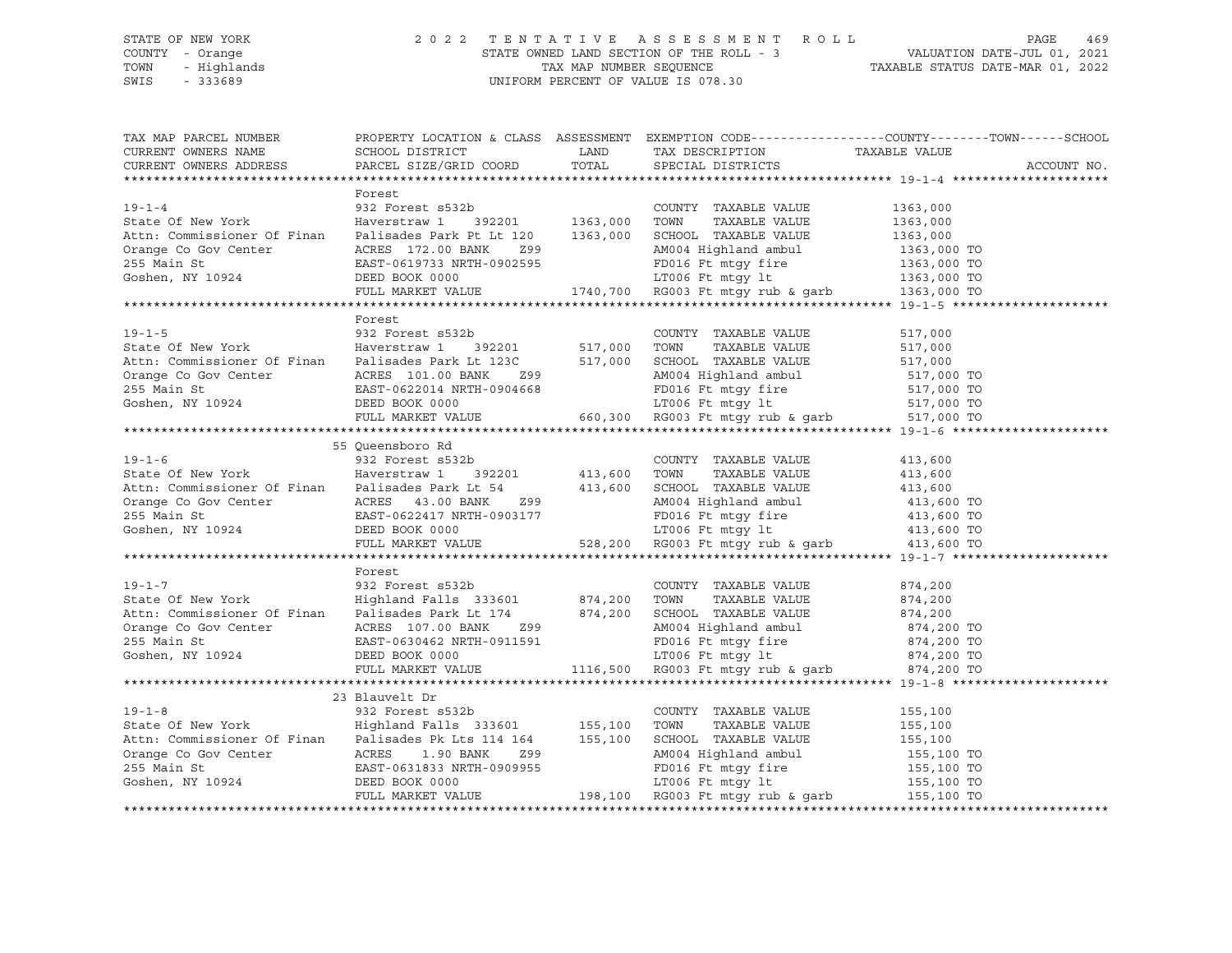### STATE OF NEW YORK 2 0 2 2 T E N T A T I V E A S S E S S M E N T R O L L PAGE 469 COUNTY - Orange STATE OWNED LAND SECTION OF THE ROLL - 3 VALUATION DATE-JUL 01, 2021 TOWN - Highlands TAX MAP NUMBER SEQUENCE TAXABLE STATUS DATE-MAR 01, 2022 SWIS - 333689 UNIFORM PERCENT OF VALUE IS 078.30

| TAX MAP PARCEL NUMBER                                                                                                                                                                                                                                                                                                                                                                                                                                         |                                                                                                                                       |                         | PROPERTY LOCATION & CLASS ASSESSMENT EXEMPTION CODE---------------COUNTY-------TOWN-----SCHOOL |             |
|---------------------------------------------------------------------------------------------------------------------------------------------------------------------------------------------------------------------------------------------------------------------------------------------------------------------------------------------------------------------------------------------------------------------------------------------------------------|---------------------------------------------------------------------------------------------------------------------------------------|-------------------------|------------------------------------------------------------------------------------------------|-------------|
| CURRENT OWNERS NAME                                                                                                                                                                                                                                                                                                                                                                                                                                           | ${\tt SCHOOL\,\,\,DISTRICT} \qquad \qquad {\tt LAND} \qquad \qquad {\tt TAX\,\,\,DESCRIPTION} \qquad \qquad {\tt TAXABLE\,\,\,VALUE}$ |                         |                                                                                                |             |
| CURRENT OWNERS ADDRESS                                                                                                                                                                                                                                                                                                                                                                                                                                        | PARCEL SIZE/GRID COORD                                                                                                                | TOTAL SPECIAL DISTRICTS |                                                                                                | ACCOUNT NO. |
|                                                                                                                                                                                                                                                                                                                                                                                                                                                               |                                                                                                                                       |                         |                                                                                                |             |
|                                                                                                                                                                                                                                                                                                                                                                                                                                                               | Forest                                                                                                                                |                         |                                                                                                |             |
|                                                                                                                                                                                                                                                                                                                                                                                                                                                               |                                                                                                                                       |                         |                                                                                                |             |
|                                                                                                                                                                                                                                                                                                                                                                                                                                                               |                                                                                                                                       |                         |                                                                                                |             |
|                                                                                                                                                                                                                                                                                                                                                                                                                                                               |                                                                                                                                       |                         |                                                                                                |             |
|                                                                                                                                                                                                                                                                                                                                                                                                                                                               |                                                                                                                                       |                         |                                                                                                |             |
|                                                                                                                                                                                                                                                                                                                                                                                                                                                               |                                                                                                                                       |                         |                                                                                                |             |
|                                                                                                                                                                                                                                                                                                                                                                                                                                                               |                                                                                                                                       |                         |                                                                                                |             |
| $\begin{tabular}{lllllllllllllllllllll} \hline 19-1-4 & 1363,000 \\ \hline & 932 Forest $532b & 1363,000 T0W1Y TAXABLE VALUE & 1363,000 \\ \hline & 1363,000 T0W1 & TAXABLE VALUE & 1363,000 \\ \hline & 1363,000 T0W1 & TAXABLE VALUE & 1363,000 \\ \hline & 1363,000 T0W1 & TAXABLE VALUE & 1363,000 \\ \hline & 1363,000 T0X111 & 1363,000 T0X111 & 1$                                                                                                     |                                                                                                                                       |                         |                                                                                                |             |
|                                                                                                                                                                                                                                                                                                                                                                                                                                                               |                                                                                                                                       |                         |                                                                                                |             |
|                                                                                                                                                                                                                                                                                                                                                                                                                                                               | Forest                                                                                                                                |                         |                                                                                                |             |
|                                                                                                                                                                                                                                                                                                                                                                                                                                                               |                                                                                                                                       |                         |                                                                                                |             |
|                                                                                                                                                                                                                                                                                                                                                                                                                                                               |                                                                                                                                       |                         |                                                                                                |             |
|                                                                                                                                                                                                                                                                                                                                                                                                                                                               |                                                                                                                                       |                         |                                                                                                |             |
|                                                                                                                                                                                                                                                                                                                                                                                                                                                               |                                                                                                                                       |                         |                                                                                                |             |
|                                                                                                                                                                                                                                                                                                                                                                                                                                                               |                                                                                                                                       |                         |                                                                                                |             |
|                                                                                                                                                                                                                                                                                                                                                                                                                                                               |                                                                                                                                       |                         |                                                                                                |             |
|                                                                                                                                                                                                                                                                                                                                                                                                                                                               |                                                                                                                                       |                         |                                                                                                |             |
|                                                                                                                                                                                                                                                                                                                                                                                                                                                               |                                                                                                                                       |                         |                                                                                                |             |
|                                                                                                                                                                                                                                                                                                                                                                                                                                                               | 55 Oueensboro Rd                                                                                                                      |                         |                                                                                                |             |
|                                                                                                                                                                                                                                                                                                                                                                                                                                                               |                                                                                                                                       |                         |                                                                                                |             |
|                                                                                                                                                                                                                                                                                                                                                                                                                                                               |                                                                                                                                       |                         |                                                                                                |             |
|                                                                                                                                                                                                                                                                                                                                                                                                                                                               |                                                                                                                                       |                         |                                                                                                |             |
|                                                                                                                                                                                                                                                                                                                                                                                                                                                               |                                                                                                                                       |                         |                                                                                                |             |
|                                                                                                                                                                                                                                                                                                                                                                                                                                                               |                                                                                                                                       |                         |                                                                                                |             |
|                                                                                                                                                                                                                                                                                                                                                                                                                                                               |                                                                                                                                       |                         |                                                                                                |             |
| Attr: Commissioner Of Finan Palisades Park Lt 54<br>Orange Co Gov Center ACRES 43.00 BANK 299<br>255 Main St EAST-0622417 NRTH-0903177 FULL MARKET VALUE<br>Commissioner ACRES 43.00 BANK 299<br>255 Main St EAST-0622417 NRTH-090317                                                                                                                                                                                                                         |                                                                                                                                       |                         |                                                                                                |             |
|                                                                                                                                                                                                                                                                                                                                                                                                                                                               |                                                                                                                                       |                         |                                                                                                |             |
|                                                                                                                                                                                                                                                                                                                                                                                                                                                               | Forest                                                                                                                                |                         |                                                                                                |             |
|                                                                                                                                                                                                                                                                                                                                                                                                                                                               |                                                                                                                                       |                         |                                                                                                |             |
| 19-1-7<br>932 Forest s532b<br>932 Forest s532b<br>932 Forest s532b<br>932 Forest s532b<br>974,200<br>974,200<br>974,200<br>974,200<br>974,200<br>974,200<br>974,200<br>974,200<br>974,200                                                                                                                                                                                                                                                                     |                                                                                                                                       |                         |                                                                                                |             |
|                                                                                                                                                                                                                                                                                                                                                                                                                                                               |                                                                                                                                       |                         |                                                                                                |             |
|                                                                                                                                                                                                                                                                                                                                                                                                                                                               |                                                                                                                                       |                         |                                                                                                |             |
|                                                                                                                                                                                                                                                                                                                                                                                                                                                               |                                                                                                                                       |                         |                                                                                                |             |
|                                                                                                                                                                                                                                                                                                                                                                                                                                                               |                                                                                                                                       |                         |                                                                                                |             |
| Attn: Commissioner Of Finan Palisades Park Lt 174 874,200 SCHOOL TAXABLE VALUE 874,200 TO<br>255 Main St EAST-0630462 NRTH-0911591 PD016 Ft mtgy fire 874,200 TO<br>374,200 TO<br>255 Main St EAST-0630462 NRTH-0911591 PD016 Ft mtg                                                                                                                                                                                                                          |                                                                                                                                       |                         |                                                                                                |             |
|                                                                                                                                                                                                                                                                                                                                                                                                                                                               |                                                                                                                                       |                         |                                                                                                |             |
|                                                                                                                                                                                                                                                                                                                                                                                                                                                               | 23 Blauvelt Dr                                                                                                                        |                         |                                                                                                |             |
|                                                                                                                                                                                                                                                                                                                                                                                                                                                               |                                                                                                                                       |                         |                                                                                                |             |
|                                                                                                                                                                                                                                                                                                                                                                                                                                                               |                                                                                                                                       |                         |                                                                                                |             |
|                                                                                                                                                                                                                                                                                                                                                                                                                                                               |                                                                                                                                       |                         |                                                                                                |             |
|                                                                                                                                                                                                                                                                                                                                                                                                                                                               |                                                                                                                                       |                         |                                                                                                |             |
|                                                                                                                                                                                                                                                                                                                                                                                                                                                               |                                                                                                                                       |                         |                                                                                                |             |
|                                                                                                                                                                                                                                                                                                                                                                                                                                                               |                                                                                                                                       |                         |                                                                                                |             |
| $\begin{tabular}{lllllllllllll} \textbf{19--1-8} & \textbf{23 Blaurelt Dr} & \textbf{23 Blaurelt Dr} & \textbf{COUNITY} & \textbf{TAXABLE VALUE} & \textbf{155,100} \\ \textbf{State Of New York} & \textbf{Highland} & \textbf{Balls} & \textbf{333601} & \textbf{155,100} & \textbf{TONNTY} & \textbf{TAXABLE VALUE} & \textbf{155,100} \\ \textbf{Attn: Commissioner Of Final} & \textbf{Finalis as 33601} & \textbf{155,100} & \textbf{TONN} & \textbf{T$ |                                                                                                                                       |                         |                                                                                                |             |
|                                                                                                                                                                                                                                                                                                                                                                                                                                                               |                                                                                                                                       |                         |                                                                                                |             |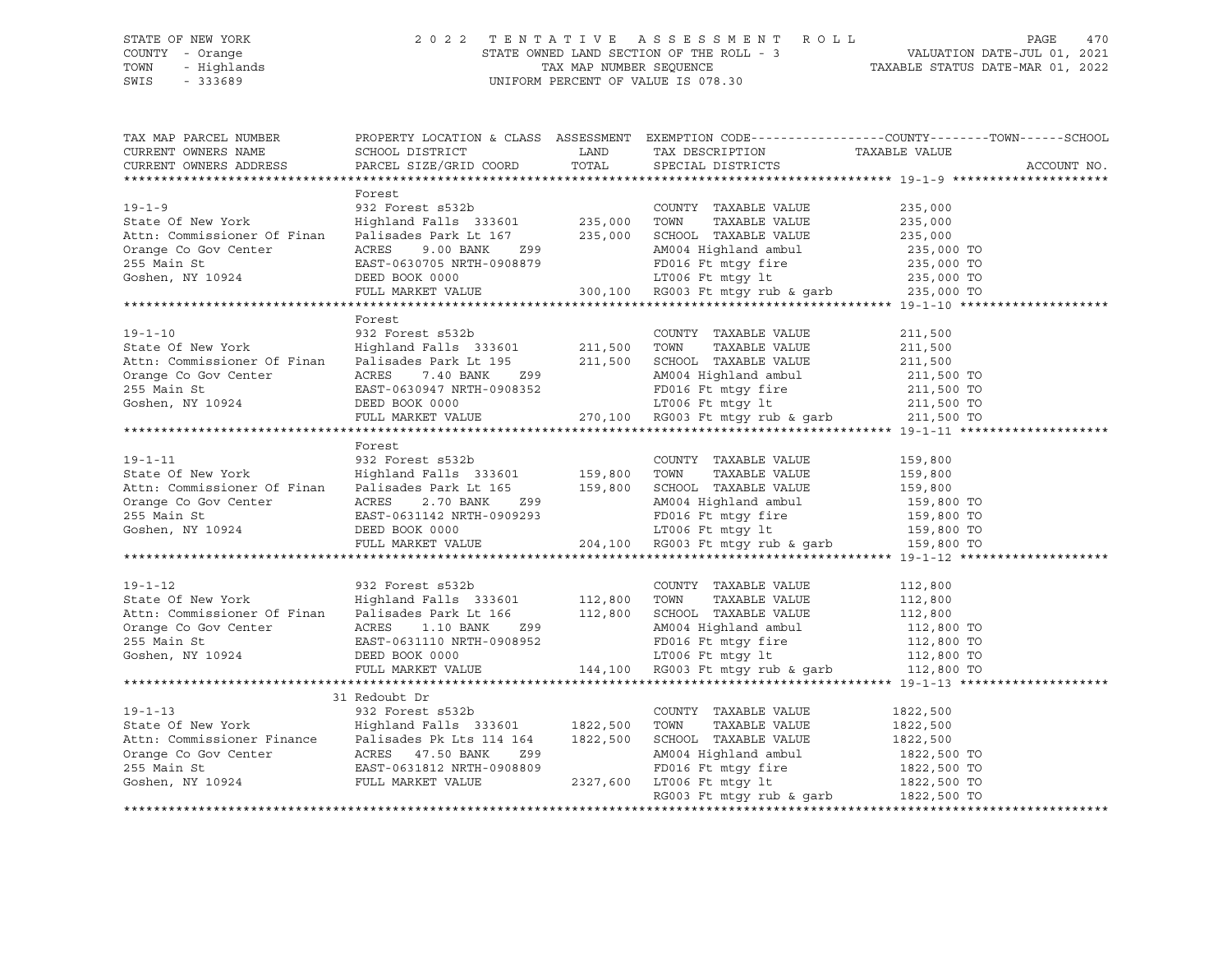### STATE OF NEW YORK 2 0 2 2 T E N T A T I V E A S S E S S M E N T R O L L PAGE 470 COUNTY - Orange STATE OWNED LAND SECTION OF THE ROLL - 3 VALUATION DATE-JUL 01, 2021 TOWN - Highlands TAX MAP NUMBER SEQUENCE TAXABLE STATUS DATE-MAR 01, 2022 SWIS - 333689 UNIFORM PERCENT OF VALUE IS 078.30

TAX MAP PARCEL NUMBER PROPERTY LOCATION & CLASS ASSESSMENT EXEMPTION CODE------------------COUNTY--------TOWN------SCHOOL CURRENT OWNERS NAME SCHOOL DISTRICT LAND TAX DESCRIPTION TAXABLE VALUE CURRENT OWNERS ADDRESS PARCEL SIZE/GRID COORD TOTAL SPECIAL DISTRICTS ACCOUNT NO. \*\*\*\*\*\*\*\*\*\*\*\*\*\*\*\*\*\*\*\*\*\*\*\*\*\*\*\*\*\*\*\*\*\*\*\*\*\*\*\*\*\*\*\*\*\*\*\*\*\*\*\*\*\*\*\*\*\*\*\*\*\*\*\*\*\*\*\*\*\*\*\*\*\*\*\*\*\*\*\*\*\*\*\*\*\*\*\*\*\*\*\*\*\*\*\*\*\*\*\*\*\*\* 19-1-9 \*\*\*\*\*\*\*\*\*\*\*\*\*\*\*\*\*\*\*\*\* Forest 19-1-9 932 Forest s532b COUNTY TAXABLE VALUE 235,000 State Of New York Highland Falls 333601 235,000 TOWN TAXABLE VALUE 235,000 Attn: Commissioner Of Finan Palisades Park Lt 167 235,000 SCHOOL TAXABLE VALUE 235,000 Orange Co Gov Center ACRES 9.00 BANK Z99 AM004 Highland ambul 235,000 TO 255 Main St EAST-0630705 NRTH-0908879 FD016 Ft mtgy fire 235,000 TO Goshen, NY 10924 DEED BOOK 0000 LT006 Ft mtgy lt 235,000 TO FULL MARKET VALUE 300,100 RG003 Ft mtgy rub & garb 235,000 TO \*\*\*\*\*\*\*\*\*\*\*\*\*\*\*\*\*\*\*\*\*\*\*\*\*\*\*\*\*\*\*\*\*\*\*\*\*\*\*\*\*\*\*\*\*\*\*\*\*\*\*\*\*\*\*\*\*\*\*\*\*\*\*\*\*\*\*\*\*\*\*\*\*\*\*\*\*\*\*\*\*\*\*\*\*\*\*\*\*\*\*\*\*\*\*\*\*\*\*\*\*\*\* 19-1-10 \*\*\*\*\*\*\*\*\*\*\*\*\*\*\*\*\*\*\*\* Forest 19-1-10 932 Forest s532b COUNTY TAXABLE VALUE 211,500 State Of New York Highland Falls 333601 211,500 TOWN TAXABLE VALUE 211,500 Attn: Commissioner Of Finan Palisades Park Lt 195 211,500 SCHOOL TAXABLE VALUE 211,500 Orange Co Gov Center ACRES 7.40 BANK Z99 AM004 Highland ambul 211,500 TO 255 Main St EAST-0630947 NRTH-0908352 FD016 Ft mtgy fire 211,500 TO Goshen, NY 10924 DEED BOOK 0000 LT006 Ft mtgy lt 211,500 TO FULL MARKET VALUE 270,100 RG003 Ft mtgy rub & garb 211,500 TO \*\*\*\*\*\*\*\*\*\*\*\*\*\*\*\*\*\*\*\*\*\*\*\*\*\*\*\*\*\*\*\*\*\*\*\*\*\*\*\*\*\*\*\*\*\*\*\*\*\*\*\*\*\*\*\*\*\*\*\*\*\*\*\*\*\*\*\*\*\*\*\*\*\*\*\*\*\*\*\*\*\*\*\*\*\*\*\*\*\*\*\*\*\*\*\*\*\*\*\*\*\*\* 19-1-11 \*\*\*\*\*\*\*\*\*\*\*\*\*\*\*\*\*\*\*\* Forest 19-1-11 932 Forest s532b COUNTY TAXABLE VALUE 159,800 State Of New York Highland Falls 333601 159,800 TOWN TAXABLE VALUE 159,800 Attn: Commissioner Of Finan Palisades Park Lt 165 159,800 SCHOOL TAXABLE VALUE 159,800 Orange Co Gov Center ACRES 2.70 BANK Z99 AM004 Highland ambul 159,800 TO 255 Main St EAST-0631142 NRTH-0909293 FD016 Ft mtgy fire 159,800 TO Goshen, NY 10924 DEED BOOK 0000 LT006 Ft mtgy lt 159,800 TO FULL MARKET VALUE 204,100 RG003 Ft mtgy rub & garb 159,800 TO \*\*\*\*\*\*\*\*\*\*\*\*\*\*\*\*\*\*\*\*\*\*\*\*\*\*\*\*\*\*\*\*\*\*\*\*\*\*\*\*\*\*\*\*\*\*\*\*\*\*\*\*\*\*\*\*\*\*\*\*\*\*\*\*\*\*\*\*\*\*\*\*\*\*\*\*\*\*\*\*\*\*\*\*\*\*\*\*\*\*\*\*\*\*\*\*\*\*\*\*\*\*\* 19-1-12 \*\*\*\*\*\*\*\*\*\*\*\*\*\*\*\*\*\*\*\* 19-1-12 932 Forest s532b COUNTY TAXABLE VALUE 112,800 State Of New York Highland Falls 333601 112,800 TOWN TAXABLE VALUE 112,800 Attn: Commissioner Of Finan Palisades Park Lt 166 112,800 SCHOOL TAXABLE VALUE 112,800 Orange Co Gov Center ACRES 1.10 BANK Z99 AM004 Highland ambul 112,800 TO 255 Main St EAST-0631110 NRTH-0908952 FD016 Ft mtgy fire 112,800 TO Goshen, NY 10924 DEED BOOK 0000 LT006 Ft mtgy lt 112,800 TO FULL MARKET VALUE 144,100 RG003 Ft mtgy rub & garb 112,800 TO \*\*\*\*\*\*\*\*\*\*\*\*\*\*\*\*\*\*\*\*\*\*\*\*\*\*\*\*\*\*\*\*\*\*\*\*\*\*\*\*\*\*\*\*\*\*\*\*\*\*\*\*\*\*\*\*\*\*\*\*\*\*\*\*\*\*\*\*\*\*\*\*\*\*\*\*\*\*\*\*\*\*\*\*\*\*\*\*\*\*\*\*\*\*\*\*\*\*\*\*\*\*\* 19-1-13 \*\*\*\*\*\*\*\*\*\*\*\*\*\*\*\*\*\*\*\* 31 Redoubt Dr 19-1-13 932 Forest s532b COUNTY TAXABLE VALUE 1822,500 State Of New York Highland Falls 333601 1822,500 TOWN TAXABLE VALUE 1822,500 Attn: Commissioner Finance Palisades Pk Lts 114 164 1822,500 SCHOOL TAXABLE VALUE 1822,500 Orange Co Gov Center ACRES 47.50 BANK Z99 AM004 Highland ambul 1822,500 TO 255 Main St EAST-0631812 NRTH-0908809 FD016 Ft mtgy fire 1822,500 TO Goshen, NY 10924 FULL MARKET VALUE 2327,600 LT006 Ft mtgy lt 1822,500 TO 2327,600 LT006 Ft mtgy 1t 1822,500 TO<br>RG003 Ft mtgy rub & garb 1822,500 TO \*\*\*\*\*\*\*\*\*\*\*\*\*\*\*\*\*\*\*\*\*\*\*\*\*\*\*\*\*\*\*\*\*\*\*\*\*\*\*\*\*\*\*\*\*\*\*\*\*\*\*\*\*\*\*\*\*\*\*\*\*\*\*\*\*\*\*\*\*\*\*\*\*\*\*\*\*\*\*\*\*\*\*\*\*\*\*\*\*\*\*\*\*\*\*\*\*\*\*\*\*\*\*\*\*\*\*\*\*\*\*\*\*\*\*\*\*\*\*\*\*\*\*\*\*\*\*\*\*\*\*\*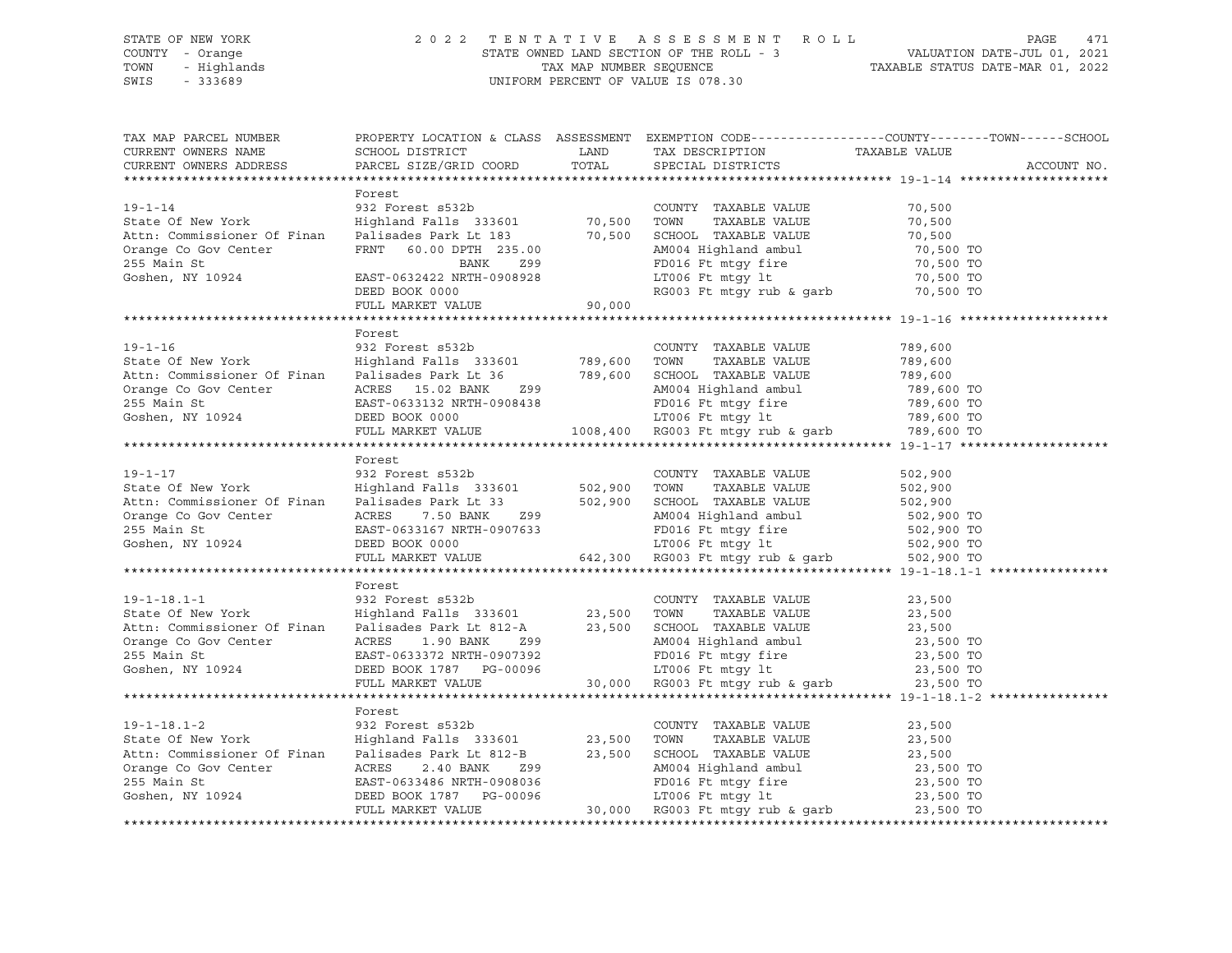### STATE OF NEW YORK 2 0 2 2 T E N T A T I V E A S S E S S M E N T R O L L PAGE 471 COUNTY - Orange STATE OWNED LAND SECTION OF THE ROLL - 3 VALUATION DATE-JUL 01, 2021 TOWN - Highlands TAX MAP NUMBER SEQUENCE TAXABLE STATUS DATE-MAR 01, 2022 SWIS - 333689 UNIFORM PERCENT OF VALUE IS 078.30

| TAX MAP PARCEL NUMBER<br>CURRENT OWNERS NAME                                                                                                                                                                                                             |        | PROPERTY LOCATION & CLASS ASSESSMENT EXEMPTION CODE---------------COUNTY-------TOWN------SCHOOL |  |             |  |
|----------------------------------------------------------------------------------------------------------------------------------------------------------------------------------------------------------------------------------------------------------|--------|-------------------------------------------------------------------------------------------------|--|-------------|--|
| CURRENT OWNERS ADDRESS                                                                                                                                                                                                                                   |        |                                                                                                 |  | ACCOUNT NO. |  |
|                                                                                                                                                                                                                                                          |        |                                                                                                 |  |             |  |
|                                                                                                                                                                                                                                                          | Forest |                                                                                                 |  |             |  |
|                                                                                                                                                                                                                                                          |        |                                                                                                 |  |             |  |
|                                                                                                                                                                                                                                                          |        |                                                                                                 |  |             |  |
|                                                                                                                                                                                                                                                          |        |                                                                                                 |  |             |  |
|                                                                                                                                                                                                                                                          |        |                                                                                                 |  |             |  |
|                                                                                                                                                                                                                                                          |        |                                                                                                 |  |             |  |
|                                                                                                                                                                                                                                                          |        |                                                                                                 |  |             |  |
|                                                                                                                                                                                                                                                          |        |                                                                                                 |  |             |  |
|                                                                                                                                                                                                                                                          |        |                                                                                                 |  |             |  |
|                                                                                                                                                                                                                                                          |        |                                                                                                 |  |             |  |
|                                                                                                                                                                                                                                                          | Forest |                                                                                                 |  |             |  |
|                                                                                                                                                                                                                                                          |        |                                                                                                 |  |             |  |
|                                                                                                                                                                                                                                                          |        |                                                                                                 |  |             |  |
|                                                                                                                                                                                                                                                          |        |                                                                                                 |  |             |  |
|                                                                                                                                                                                                                                                          |        |                                                                                                 |  |             |  |
|                                                                                                                                                                                                                                                          |        |                                                                                                 |  |             |  |
|                                                                                                                                                                                                                                                          |        |                                                                                                 |  |             |  |
| 19-1-16<br>State Of New York<br>Mighland Falls 333601<br>Mighland Falls 333601<br>255 Main State Co Gov Center<br>255 Main State 19924<br>269,600 TOM MIGHALLE VALUE<br>2789,600 TOM TAXABLE VALUE<br>2789,600 TOM TAXABLE VALUE<br>2789,600 TOM         |        |                                                                                                 |  |             |  |
|                                                                                                                                                                                                                                                          |        |                                                                                                 |  |             |  |
|                                                                                                                                                                                                                                                          | Forest |                                                                                                 |  |             |  |
|                                                                                                                                                                                                                                                          |        |                                                                                                 |  |             |  |
|                                                                                                                                                                                                                                                          |        |                                                                                                 |  |             |  |
|                                                                                                                                                                                                                                                          |        |                                                                                                 |  |             |  |
|                                                                                                                                                                                                                                                          |        |                                                                                                 |  |             |  |
|                                                                                                                                                                                                                                                          |        |                                                                                                 |  |             |  |
|                                                                                                                                                                                                                                                          |        |                                                                                                 |  |             |  |
|                                                                                                                                                                                                                                                          |        |                                                                                                 |  |             |  |
|                                                                                                                                                                                                                                                          |        |                                                                                                 |  |             |  |
|                                                                                                                                                                                                                                                          | Forest |                                                                                                 |  |             |  |
|                                                                                                                                                                                                                                                          |        |                                                                                                 |  |             |  |
|                                                                                                                                                                                                                                                          |        |                                                                                                 |  |             |  |
|                                                                                                                                                                                                                                                          |        |                                                                                                 |  |             |  |
|                                                                                                                                                                                                                                                          |        |                                                                                                 |  |             |  |
|                                                                                                                                                                                                                                                          |        |                                                                                                 |  |             |  |
|                                                                                                                                                                                                                                                          |        |                                                                                                 |  |             |  |
| 19-1-18.1-1<br>State Of New York<br>Mighland Falls 333601<br>Mighland Falls 333601<br>23,500 TOWN TAXABLE VALUE<br>23,500<br>Ath: Commissioner Of Finan<br>Palisades Park Lt 812-A<br>23,500 SCHOOL TAXABLE VALUE<br>23,500<br>Orange Co Gov Cente       |        |                                                                                                 |  |             |  |
|                                                                                                                                                                                                                                                          |        |                                                                                                 |  |             |  |
|                                                                                                                                                                                                                                                          | Forest |                                                                                                 |  |             |  |
|                                                                                                                                                                                                                                                          |        |                                                                                                 |  |             |  |
|                                                                                                                                                                                                                                                          |        |                                                                                                 |  |             |  |
|                                                                                                                                                                                                                                                          |        |                                                                                                 |  |             |  |
|                                                                                                                                                                                                                                                          |        |                                                                                                 |  |             |  |
|                                                                                                                                                                                                                                                          |        |                                                                                                 |  |             |  |
|                                                                                                                                                                                                                                                          |        |                                                                                                 |  |             |  |
| Forest<br>319-1-18.1-2<br>State Of New York<br>Highland Falls 333601<br>Attn: Commissioner Of Finan<br>Palisades Park Lt 812-B<br>23,500<br>Orange Co Gov Center<br>23,500<br>Orange Co Gov Center<br>23,500<br>23,500<br>Commissioner Of Finan<br>Palis |        |                                                                                                 |  |             |  |
|                                                                                                                                                                                                                                                          |        |                                                                                                 |  |             |  |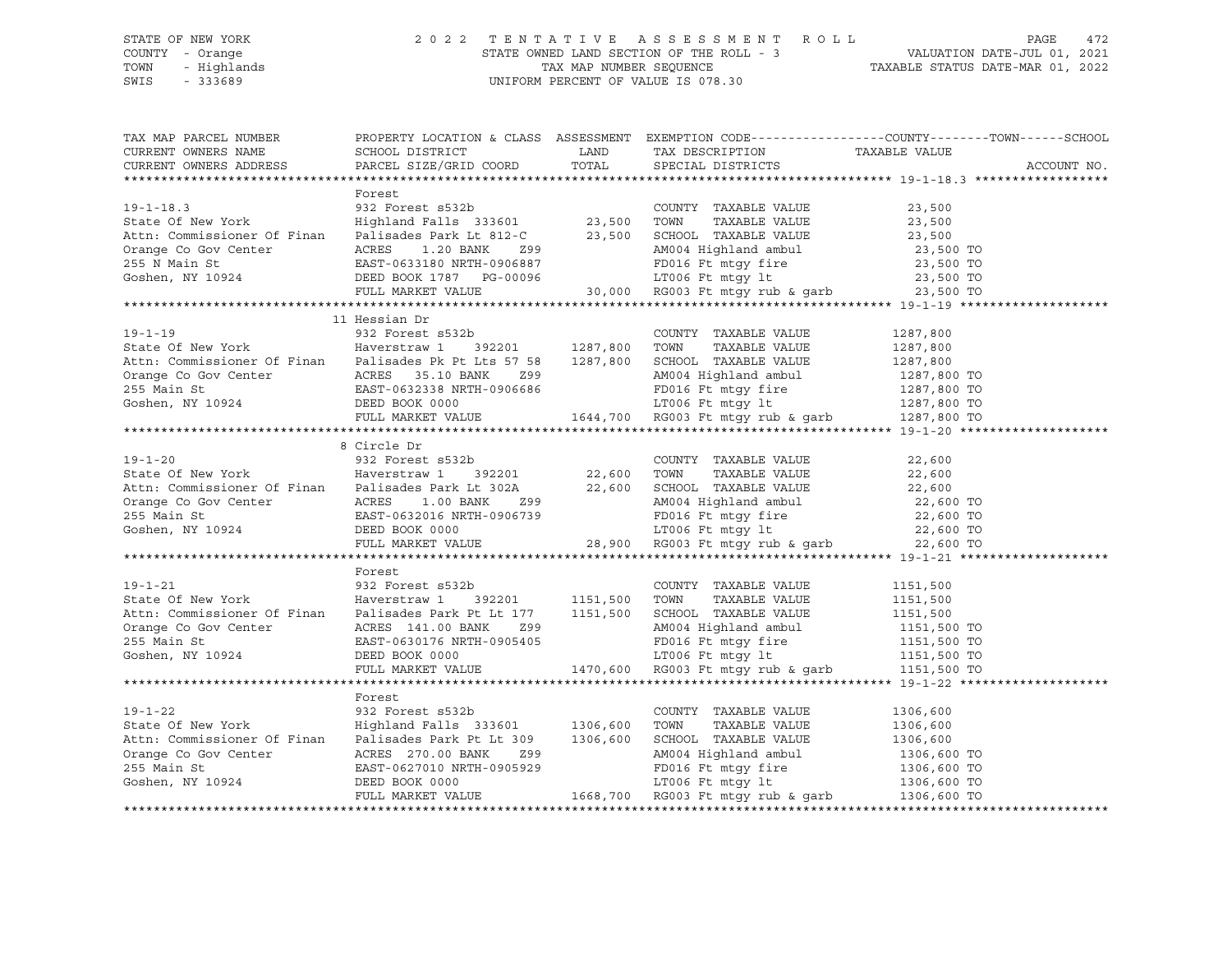### STATE OF NEW YORK 2 0 2 2 T E N T A T I V E A S S E S S M E N T R O L L PAGE 472 COUNTY - Orange STATE OWNED LAND SECTION OF THE ROLL - 3 VALUATION DATE-JUL 01, 2021 TOWN - Highlands TAX MAP NUMBER SEQUENCE TAXABLE STATUS DATE-MAR 01, 2022 SWIS - 333689 UNIFORM PERCENT OF VALUE IS 078.30

| TAX MAP PARCEL NUMBER<br>CURRENT OWNERS NAME                                                                                                                                                                                                               |                                                    |                                                                                                                                                                                                      | PROPERTY LOCATION & CLASS ASSESSMENT EXEMPTION CODE----------------COUNTY-------TOWN------SCHOOL |
|------------------------------------------------------------------------------------------------------------------------------------------------------------------------------------------------------------------------------------------------------------|----------------------------------------------------|------------------------------------------------------------------------------------------------------------------------------------------------------------------------------------------------------|--------------------------------------------------------------------------------------------------|
| CURRENT OWNERS ADDRESS                                                                                                                                                                                                                                     | PARCEL SIZE/GRID COORD TOTAL SPECIAL DISTRICTS     |                                                                                                                                                                                                      | ACCOUNT NO.                                                                                      |
|                                                                                                                                                                                                                                                            |                                                    |                                                                                                                                                                                                      |                                                                                                  |
|                                                                                                                                                                                                                                                            | Forest                                             |                                                                                                                                                                                                      |                                                                                                  |
|                                                                                                                                                                                                                                                            |                                                    |                                                                                                                                                                                                      |                                                                                                  |
|                                                                                                                                                                                                                                                            |                                                    |                                                                                                                                                                                                      |                                                                                                  |
|                                                                                                                                                                                                                                                            |                                                    |                                                                                                                                                                                                      |                                                                                                  |
|                                                                                                                                                                                                                                                            |                                                    |                                                                                                                                                                                                      |                                                                                                  |
|                                                                                                                                                                                                                                                            |                                                    |                                                                                                                                                                                                      |                                                                                                  |
|                                                                                                                                                                                                                                                            |                                                    |                                                                                                                                                                                                      |                                                                                                  |
| 19-1-18.3<br>State Of New York<br>Mighland Falls 333601<br>Ath: Commissioner Of Finan<br>Palisades Park Lt 812-C<br>23,500<br>Orange Co Gov Center<br>Correct Ess 1.20 BANK<br>29 255 N Main St<br>23,500<br>23,500<br>23,500<br>23,500<br>23,500<br>23,50 |                                                    |                                                                                                                                                                                                      |                                                                                                  |
|                                                                                                                                                                                                                                                            |                                                    |                                                                                                                                                                                                      |                                                                                                  |
|                                                                                                                                                                                                                                                            | 11 Hessian Dr                                      |                                                                                                                                                                                                      |                                                                                                  |
| 19-1-19 932 Forest s532b<br>State Of New York Haverstraw 1 392201 1287,800 TOWN TAXABLE VALUE<br>Example VALUE                                                                                                                                             |                                                    | COUNTY TAXABLE VALUE 1287,800                                                                                                                                                                        |                                                                                                  |
|                                                                                                                                                                                                                                                            |                                                    |                                                                                                                                                                                                      |                                                                                                  |
| State Of New York Haverstraw 1 392201 1287,800 TOWN TAXABLE VALUE 1287,800<br>Attn: Commissioner Of Finan Palisades Pk Pt Lts 57 58 1287,800 SCHOOL TAXABLE VALUE 1287,800<br>Orange Co Gov Center ACRES 35.10 BANK 299 AM004 High                         |                                                    |                                                                                                                                                                                                      |                                                                                                  |
|                                                                                                                                                                                                                                                            |                                                    |                                                                                                                                                                                                      |                                                                                                  |
|                                                                                                                                                                                                                                                            |                                                    |                                                                                                                                                                                                      |                                                                                                  |
|                                                                                                                                                                                                                                                            |                                                    |                                                                                                                                                                                                      |                                                                                                  |
|                                                                                                                                                                                                                                                            |                                                    |                                                                                                                                                                                                      |                                                                                                  |
|                                                                                                                                                                                                                                                            |                                                    |                                                                                                                                                                                                      |                                                                                                  |
|                                                                                                                                                                                                                                                            | 8 Circle Dr                                        |                                                                                                                                                                                                      |                                                                                                  |
|                                                                                                                                                                                                                                                            |                                                    |                                                                                                                                                                                                      |                                                                                                  |
| 19-1-20 032 Forest s532b COUNTY<br>State Of New York Haverstraw 1 392201 22,600 TOWN                                                                                                                                                                       |                                                    | $\begin{tabular}{lllllllllllll} \multicolumn{2}{c}{\text{COUNTY}} & \text{TAXABLE VALUE} & & & & 22\,,600 \\ \multicolumn{2}{c}{\text{TOWN}} & \text{TAXABLE VALUE} & & & 22\,,600 \\ \end{tabular}$ |                                                                                                  |
| Actric Commissioner Of Finan Palisades Park Lt 302A<br>22,600 SCHOOL TAXABLE VALUE<br>22,600 Center ACRES 1.00 BANK 299<br>255 Main St EAST-0632016 NRTH-0906739 FD016 Ft mtgy fire 22,600 TO<br>Goshen, NY 10924 DEED BOOK 0000 LT0                       |                                                    |                                                                                                                                                                                                      |                                                                                                  |
|                                                                                                                                                                                                                                                            |                                                    |                                                                                                                                                                                                      |                                                                                                  |
|                                                                                                                                                                                                                                                            |                                                    |                                                                                                                                                                                                      |                                                                                                  |
|                                                                                                                                                                                                                                                            |                                                    |                                                                                                                                                                                                      |                                                                                                  |
|                                                                                                                                                                                                                                                            |                                                    |                                                                                                                                                                                                      |                                                                                                  |
|                                                                                                                                                                                                                                                            |                                                    |                                                                                                                                                                                                      |                                                                                                  |
|                                                                                                                                                                                                                                                            |                                                    |                                                                                                                                                                                                      |                                                                                                  |
|                                                                                                                                                                                                                                                            | Forest                                             |                                                                                                                                                                                                      |                                                                                                  |
| $19 - 1 - 21$                                                                                                                                                                                                                                              | 932 Forest s532b<br>932 Forest s53<br>Haverstraw 1 | COUNTY TAXABLE VALUE 1151,500                                                                                                                                                                        |                                                                                                  |
|                                                                                                                                                                                                                                                            |                                                    |                                                                                                                                                                                                      |                                                                                                  |
|                                                                                                                                                                                                                                                            |                                                    |                                                                                                                                                                                                      |                                                                                                  |
| State Of New York<br>Attn: Commissioner Of Finan<br>Maverstraw 1 392201 1151,500 TOWN TAXABLE VALUE<br>Orange Co Gov Center ACRES 141.00 BANK 299<br>255 Main St<br>Coshen, NY 10924 DEED BOOK 0000 ETO06 Ft mtgy fire 1151,500 TO<br>Cosh                 |                                                    |                                                                                                                                                                                                      |                                                                                                  |
|                                                                                                                                                                                                                                                            |                                                    |                                                                                                                                                                                                      |                                                                                                  |
|                                                                                                                                                                                                                                                            |                                                    |                                                                                                                                                                                                      |                                                                                                  |
|                                                                                                                                                                                                                                                            |                                                    |                                                                                                                                                                                                      |                                                                                                  |
|                                                                                                                                                                                                                                                            |                                                    |                                                                                                                                                                                                      |                                                                                                  |
|                                                                                                                                                                                                                                                            | Forest                                             |                                                                                                                                                                                                      |                                                                                                  |
| $19 - 1 - 22$                                                                                                                                                                                                                                              | 932 Forest s532b                                   | COUNTY TAXABLE VALUE                                                                                                                                                                                 | 1306,600                                                                                         |
| State Of New York<br>State Of New York [1984] Highland Falls 333601 1306,600 TOWN TAXABLE VALUE<br>Attn: Commissioner Of Finan Palisades Park Pt Lt 309 1306,600 SCHOOL TAXABLE VALUE                                                                      |                                                    |                                                                                                                                                                                                      | 1306,600                                                                                         |
|                                                                                                                                                                                                                                                            |                                                    |                                                                                                                                                                                                      |                                                                                                  |
|                                                                                                                                                                                                                                                            |                                                    |                                                                                                                                                                                                      |                                                                                                  |
|                                                                                                                                                                                                                                                            |                                                    |                                                                                                                                                                                                      |                                                                                                  |
|                                                                                                                                                                                                                                                            |                                                    |                                                                                                                                                                                                      |                                                                                                  |
| State Of New York (1306,600 Highland Falls 333601 1306,600 TOWN TAXABLE VALUE 1306,600 Attn: Commissioner Of Finan Palisades Park Pt Lt 309 1306,600 SCHOOL TAXABLE VALUE 1306,600 Orange Co Gov Center (ACRES 270.00 BANK 299                             |                                                    |                                                                                                                                                                                                      |                                                                                                  |
|                                                                                                                                                                                                                                                            |                                                    |                                                                                                                                                                                                      |                                                                                                  |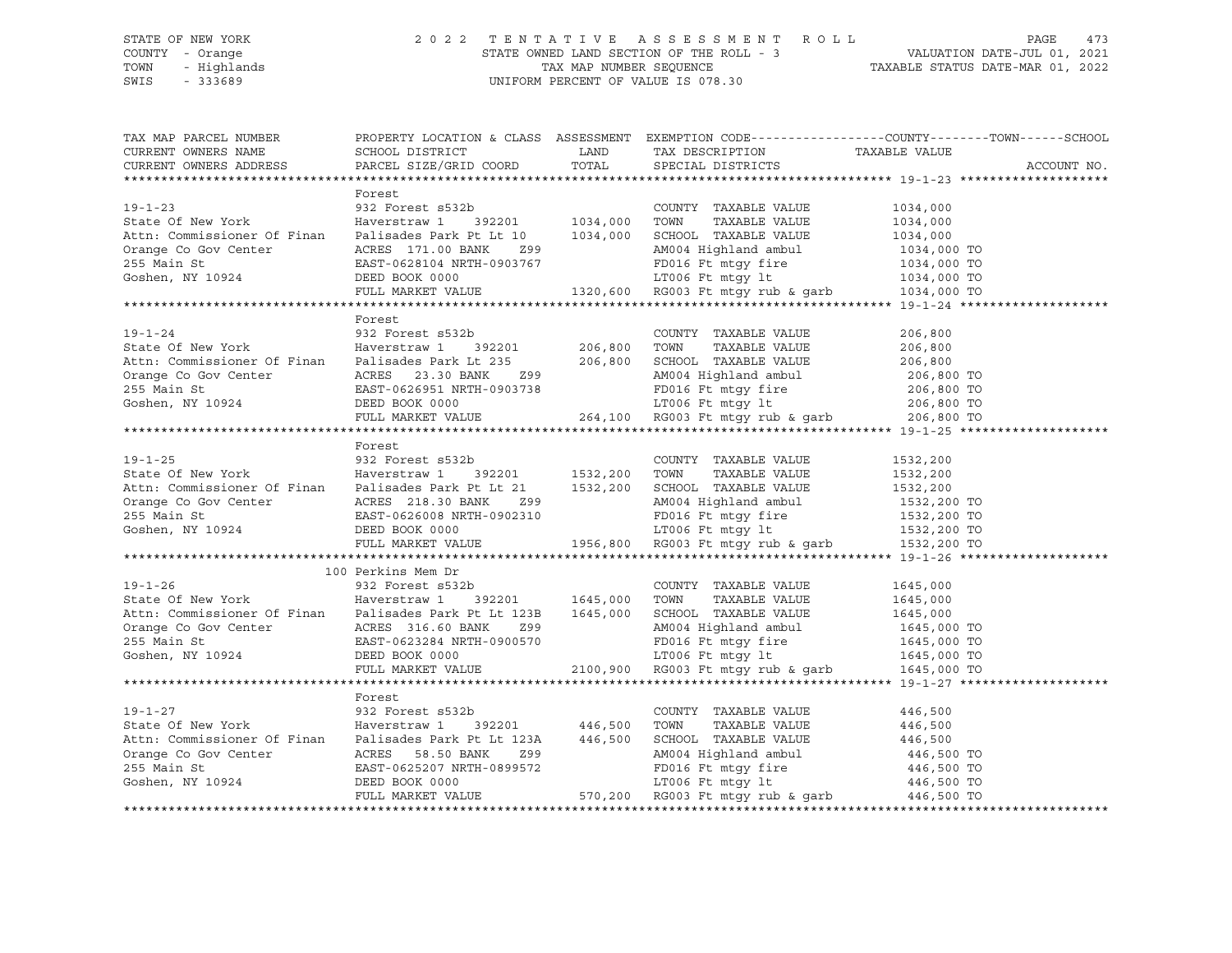### STATE OF NEW YORK 2 0 2 2 T E N T A T I V E A S S E S S M E N T R O L L PAGE 473 COUNTY - Orange STATE OWNED LAND SECTION OF THE ROLL - 3 VALUATION DATE-JUL 01, 2021 TOWN - Highlands TAX MAP NUMBER SEQUENCE TAXABLE STATUS DATE-MAR 01, 2022 SWIS - 333689 UNIFORM PERCENT OF VALUE IS 078.30

| TAX MAP PARCEL NUMBER                                                                                                                                                                                                                                                                                                                                                                                                                          |                    | PROPERTY LOCATION & CLASS ASSESSMENT EXEMPTION CODE---------------COUNTY-------TOWN------SCHOOL |             |
|------------------------------------------------------------------------------------------------------------------------------------------------------------------------------------------------------------------------------------------------------------------------------------------------------------------------------------------------------------------------------------------------------------------------------------------------|--------------------|-------------------------------------------------------------------------------------------------|-------------|
| CURRENT OWNERS NAME                                                                                                                                                                                                                                                                                                                                                                                                                            |                    |                                                                                                 |             |
| CURRENT OWNERS ADDRESS                                                                                                                                                                                                                                                                                                                                                                                                                         |                    |                                                                                                 | ACCOUNT NO. |
|                                                                                                                                                                                                                                                                                                                                                                                                                                                |                    |                                                                                                 |             |
|                                                                                                                                                                                                                                                                                                                                                                                                                                                | Forest             |                                                                                                 |             |
| $19 - 1 - 23$                                                                                                                                                                                                                                                                                                                                                                                                                                  | 932 Forest s532b   | COUNTY TAXABLE VALUE 1034,000                                                                   |             |
|                                                                                                                                                                                                                                                                                                                                                                                                                                                |                    |                                                                                                 |             |
|                                                                                                                                                                                                                                                                                                                                                                                                                                                |                    |                                                                                                 |             |
|                                                                                                                                                                                                                                                                                                                                                                                                                                                |                    |                                                                                                 |             |
|                                                                                                                                                                                                                                                                                                                                                                                                                                                |                    |                                                                                                 |             |
|                                                                                                                                                                                                                                                                                                                                                                                                                                                |                    |                                                                                                 |             |
| 35<br>Attn: Commissioner Of Finan<br>Maverstraw 1 392201<br>Attn: Commissioner Of Finan<br>Maverstraw 1 392201<br>MaxBLE VALUE<br>255 Main St<br>255 Main St<br>255 Main St<br>255 Main St<br>255 Main St<br>255 Main St<br>255 Main St<br>255 Main St<br>                                                                                                                                                                                     |                    |                                                                                                 |             |
|                                                                                                                                                                                                                                                                                                                                                                                                                                                |                    |                                                                                                 |             |
|                                                                                                                                                                                                                                                                                                                                                                                                                                                | Forest             |                                                                                                 |             |
|                                                                                                                                                                                                                                                                                                                                                                                                                                                |                    |                                                                                                 |             |
|                                                                                                                                                                                                                                                                                                                                                                                                                                                |                    |                                                                                                 |             |
|                                                                                                                                                                                                                                                                                                                                                                                                                                                |                    |                                                                                                 |             |
|                                                                                                                                                                                                                                                                                                                                                                                                                                                |                    |                                                                                                 |             |
|                                                                                                                                                                                                                                                                                                                                                                                                                                                |                    |                                                                                                 |             |
| Actric Commissioner Of Finan Palisades Park Lt 235<br>206,800 SCHOOL TAXABLE VALUE<br>206,800 TO<br>206,800 TO<br>206,800 TO<br>206,800 TO<br>206,800 TO<br>206,800 TO<br>206,800 TO<br>206,800 TO<br>206,800 TO<br>206,800 TO<br>206,800 TO<br>206,80                                                                                                                                                                                         |                    |                                                                                                 |             |
|                                                                                                                                                                                                                                                                                                                                                                                                                                                |                    |                                                                                                 |             |
|                                                                                                                                                                                                                                                                                                                                                                                                                                                |                    |                                                                                                 |             |
|                                                                                                                                                                                                                                                                                                                                                                                                                                                | Forest             |                                                                                                 |             |
|                                                                                                                                                                                                                                                                                                                                                                                                                                                |                    |                                                                                                 |             |
|                                                                                                                                                                                                                                                                                                                                                                                                                                                |                    |                                                                                                 |             |
|                                                                                                                                                                                                                                                                                                                                                                                                                                                |                    |                                                                                                 |             |
|                                                                                                                                                                                                                                                                                                                                                                                                                                                |                    |                                                                                                 |             |
|                                                                                                                                                                                                                                                                                                                                                                                                                                                |                    |                                                                                                 |             |
|                                                                                                                                                                                                                                                                                                                                                                                                                                                |                    |                                                                                                 |             |
|                                                                                                                                                                                                                                                                                                                                                                                                                                                |                    |                                                                                                 |             |
|                                                                                                                                                                                                                                                                                                                                                                                                                                                |                    |                                                                                                 |             |
|                                                                                                                                                                                                                                                                                                                                                                                                                                                |                    |                                                                                                 |             |
|                                                                                                                                                                                                                                                                                                                                                                                                                                                | 100 Perkins Mem Dr |                                                                                                 |             |
| 19-1-26 COUNTY<br>932 Forest s532b COUNTY<br>932 Forest s532b 1645,000 TOWN                                                                                                                                                                                                                                                                                                                                                                    |                    | COUNTY TAXABLE VALUE 1645,000                                                                   |             |
|                                                                                                                                                                                                                                                                                                                                                                                                                                                |                    |                                                                                                 |             |
|                                                                                                                                                                                                                                                                                                                                                                                                                                                |                    |                                                                                                 |             |
|                                                                                                                                                                                                                                                                                                                                                                                                                                                |                    |                                                                                                 |             |
|                                                                                                                                                                                                                                                                                                                                                                                                                                                |                    |                                                                                                 |             |
|                                                                                                                                                                                                                                                                                                                                                                                                                                                |                    |                                                                                                 |             |
| 392201 Haverstraw 1 392201 1645,000 TOWN TAXABLE VALUE 1645,000<br>Attn: Commissioner Of Finan Palisades Park Pt Lt 123B 1645,000 TOWN TAXABLE VALUE 1645,000<br>Orange Co Gov Center ACRES 316.60 BANK 299<br>255 Main St EAST-0623                                                                                                                                                                                                           |                    |                                                                                                 |             |
|                                                                                                                                                                                                                                                                                                                                                                                                                                                |                    |                                                                                                 |             |
|                                                                                                                                                                                                                                                                                                                                                                                                                                                | Forest             |                                                                                                 |             |
|                                                                                                                                                                                                                                                                                                                                                                                                                                                |                    |                                                                                                 |             |
|                                                                                                                                                                                                                                                                                                                                                                                                                                                |                    |                                                                                                 |             |
|                                                                                                                                                                                                                                                                                                                                                                                                                                                |                    |                                                                                                 |             |
|                                                                                                                                                                                                                                                                                                                                                                                                                                                |                    |                                                                                                 |             |
|                                                                                                                                                                                                                                                                                                                                                                                                                                                |                    |                                                                                                 |             |
|                                                                                                                                                                                                                                                                                                                                                                                                                                                |                    |                                                                                                 |             |
| $\begin{tabular}{lllllllllllll} \text{19-1-27} & \text{rorest} & \text{33220} & \text{COUNTY} & \text{TAXABLE VALUE} & 446,500 \\ \text{State Of New York} & \text{Haversiraw 1} & 392201 & 446,500 & \text{TOWN} & \text{TAXABLE VALUE} & 446,500 \\ \text{Attn: Commissioner Of Finan} & \text{Palisades Park Pt Lt 123A} & 446,500 & \text{SCHOOL TAXABLE VALUE} & 446,500 \\ \text{Orange Co Gov Center} & \text{ACRES} & 58.50 BANK & 29$ |                    |                                                                                                 |             |
|                                                                                                                                                                                                                                                                                                                                                                                                                                                |                    |                                                                                                 |             |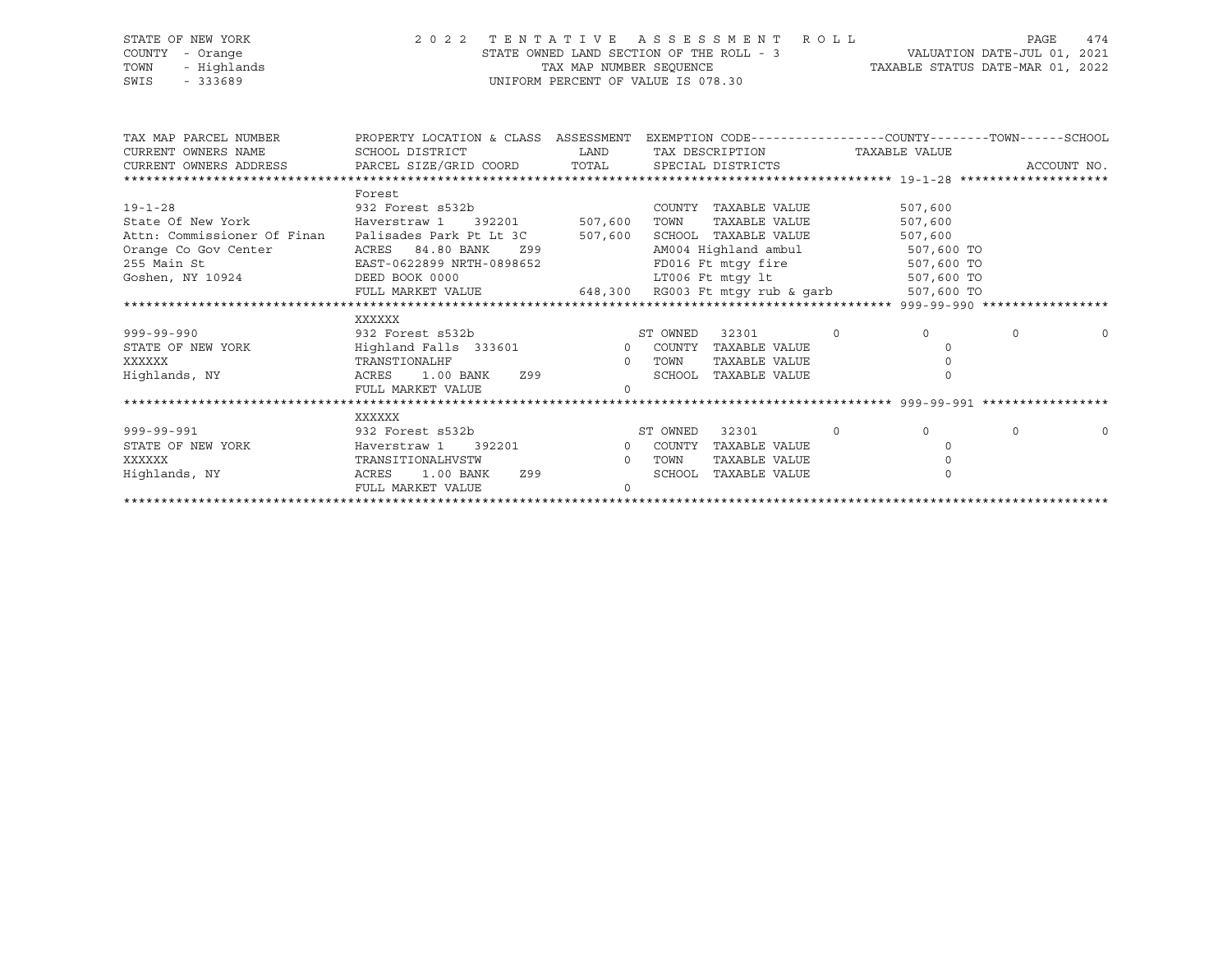### STATE OF NEW YORK 2 0 2 2 T E N T A T I V E A S S E S S M E N T R O L L PAGE 474 COUNTY - Orange STATE OWNED LAND SECTION OF THE ROLL - 3 VALUATION DATE-JUL 01, 2021 TOWN - Highlands TAX MAP NUMBER SEQUENCE TAXABLE STATUS DATE-MAR 01, 2022 SWIS - 333689 UNIFORM PERCENT OF VALUE IS 078.30

| TAX MAP PARCEL NUMBER                                                                                  | PROPERTY LOCATION & CLASS ASSESSMENT EXEMPTION CODE---------------COUNTY-------TOWN-----SCHOOL             |                                                                                                                |                               |                                 |          |                |          |             |
|--------------------------------------------------------------------------------------------------------|------------------------------------------------------------------------------------------------------------|----------------------------------------------------------------------------------------------------------------|-------------------------------|---------------------------------|----------|----------------|----------|-------------|
| CURRENT OWNERS NAME                                                                                    | SCHOOL DISTRICT<br><b>EXAMPLE THE STATE OF STATE OF STATE OF STATE OF STATE OF STATE OF STATE OF STATE</b> |                                                                                                                | TAX DESCRIPTION TAXABLE VALUE |                                 |          |                |          |             |
| CURRENT OWNERS ADDRESS               PARCEL SIZE/GRID COORD            TOTAL         SPECIAL DISTRICTS |                                                                                                            |                                                                                                                |                               |                                 |          |                |          | ACCOUNT NO. |
|                                                                                                        |                                                                                                            |                                                                                                                |                               |                                 |          |                |          |             |
|                                                                                                        | Forest                                                                                                     |                                                                                                                |                               |                                 |          |                |          |             |
| $19 - 1 - 28$                                                                                          | 932 Forest s532b<br>Haverstraw 1 392201 507,600                                                            |                                                                                                                |                               | COUNTY TAXABLE VALUE            |          | 507,600        |          |             |
| State Of New York                                                                                      |                                                                                                            |                                                                                                                | TOWN                          | TAXABLE VALUE                   |          | 507,600        |          |             |
| Attn: Commissioner Of Finan Palisades Park Pt Lt 3C 507,600                                            |                                                                                                            |                                                                                                                |                               | SCHOOL TAXABLE VALUE            |          | 507,600        |          |             |
| Orange Co Gov Center                                                                                   | 84.80 BANK<br>ACRES                                                                                        | Z99 and the state of the state of the state of the state of the state of the state of the state of the state o |                               | AM004 Highland ambul 507,600 TO |          |                |          |             |
| 255 Main St                                                                                            | EAST-0622899 NRTH-0898652                                                                                  |                                                                                                                |                               | FD016 Ft mtgy fire 507,600 TO   |          |                |          |             |
| Goshen, NY 10924                                                                                       | DEED BOOK 0000                                                                                             |                                                                                                                |                               | LT006 Ft mtqy lt                |          | 507,600 TO     |          |             |
|                                                                                                        | FULL MARKET VALUE 648,300 RG003 Ft mtgy rub & garb                                                         |                                                                                                                |                               |                                 |          | 507,600 TO     |          |             |
|                                                                                                        |                                                                                                            |                                                                                                                |                               |                                 |          |                |          |             |
|                                                                                                        | XXXXXX                                                                                                     |                                                                                                                |                               |                                 |          |                |          |             |
| $999 - 99 - 990$                                                                                       |                                                                                                            |                                                                                                                |                               | 32301                           | $\Omega$ | $\overline{0}$ | $\Omega$ | $\Omega$    |
| STATE OF NEW YORK                                                                                      |                                                                                                            |                                                                                                                |                               | TAXABLE VALUE                   |          | $\cap$         |          |             |
| XXXXXX                                                                                                 | TRANSTIONALHF                                                                                              | $\overline{0}$                                                                                                 | TOWN                          | TAXABLE VALUE                   |          |                |          |             |
| Highlands, NY                                                                                          | ACRES 1.00 BANK 299                                                                                        |                                                                                                                |                               | SCHOOL TAXABLE VALUE            |          |                |          |             |
|                                                                                                        | FULL MARKET VALUE                                                                                          | $\Omega$                                                                                                       |                               |                                 |          |                |          |             |
|                                                                                                        |                                                                                                            |                                                                                                                |                               |                                 |          |                |          |             |
|                                                                                                        | XXXXXX                                                                                                     |                                                                                                                |                               |                                 |          |                |          |             |
| $999 - 99 - 991$                                                                                       | 932 Forest s532b                                                                                           |                                                                                                                | ST OWNED                      | 32301                           | $\circ$  | $\overline{0}$ | $\Omega$ | $\Omega$    |
| STATE OF NEW YORK                                                                                      | Haverstraw 1 392201 0 COUNTY                                                                               |                                                                                                                |                               | TAXABLE VALUE                   |          | $\Omega$       |          |             |
| XXXXXX                                                                                                 | TRANSITIONALHVSTW                                                                                          | $\overline{0}$                                                                                                 | TOWN                          | TAXABLE VALUE                   |          |                |          |             |
| Highlands, NY                                                                                          | Z99<br>ACRES<br>1.00 BANK                                                                                  |                                                                                                                | SCHOOL                        | TAXABLE VALUE                   |          | $\Omega$       |          |             |
|                                                                                                        | FULL MARKET VALUE                                                                                          | $\Omega$                                                                                                       |                               |                                 |          |                |          |             |
|                                                                                                        |                                                                                                            |                                                                                                                |                               |                                 |          |                |          |             |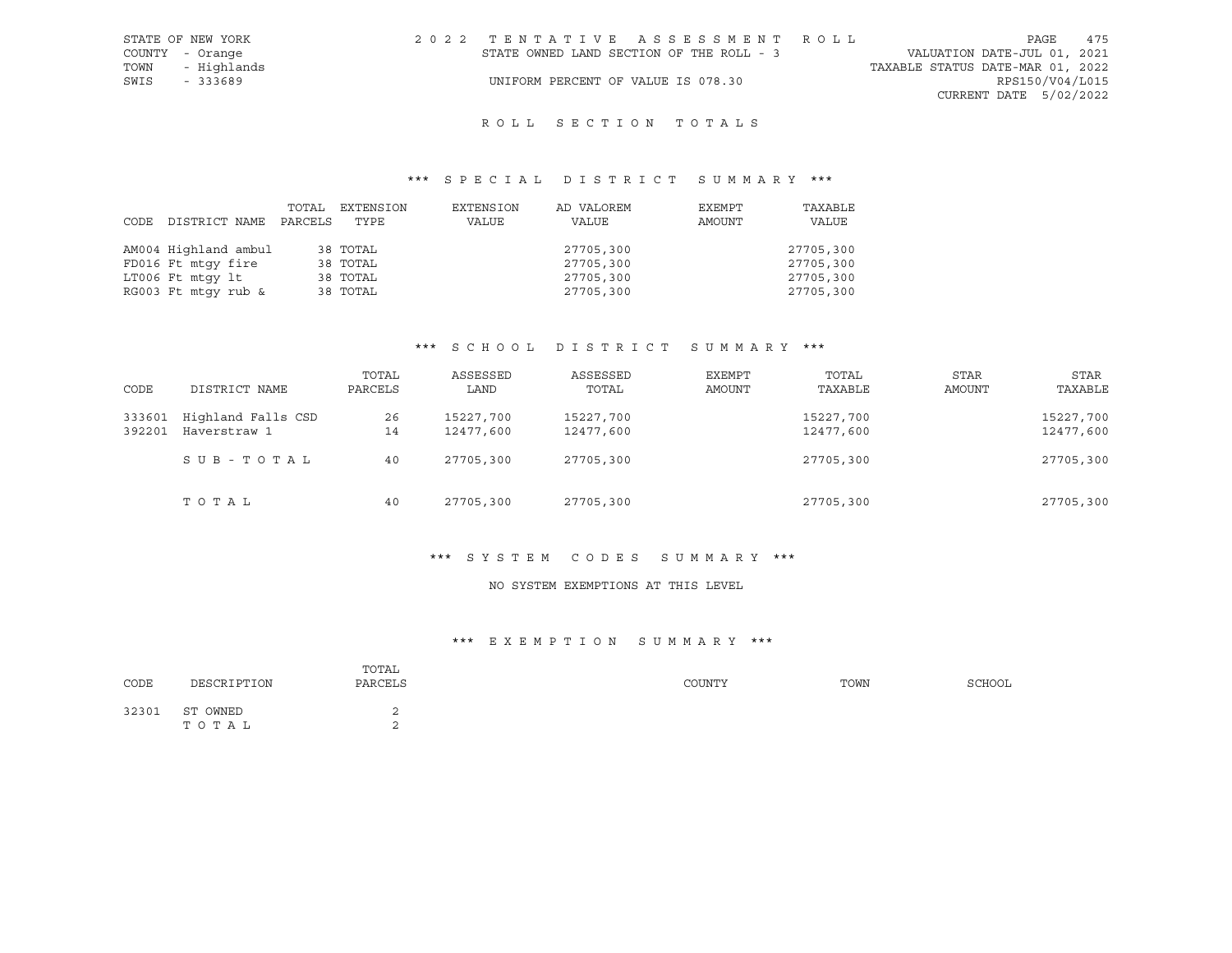| STATE OF NEW YORK | 2022 TENTATIVE ASSESSMENT ROLL           |                                  | PAGE                        | 475 |
|-------------------|------------------------------------------|----------------------------------|-----------------------------|-----|
| COUNTY - Orange   | STATE OWNED LAND SECTION OF THE ROLL - 3 |                                  | VALUATION DATE-JUL 01, 2021 |     |
| TOWN - Highlands  |                                          | TAXABLE STATUS DATE-MAR 01, 2022 |                             |     |
| SWIS<br>- 333689  | UNIFORM PERCENT OF VALUE IS 078.30       |                                  | RPS150/V04/L015             |     |
|                   |                                          |                                  | CURRENT DATE 5/02/2022      |     |
|                   |                                          |                                  |                             |     |

## \*\*\* S P E C I A L D I S T R I C T S U M M A R Y \*\*\*

|                      | TOTAL   | EXTENSION | EXTENSION | AD VALOREM | EXEMPT | TAXABLE   |
|----------------------|---------|-----------|-----------|------------|--------|-----------|
| CODE DISTRICT NAME   | PARCELS | TYPE      | VALUE     | VALUE      | AMOUNT | VALUE     |
|                      |         |           |           |            |        |           |
| AM004 Highland ambul |         | 38 TOTAL  |           | 27705,300  |        | 27705,300 |
| FD016 Ft mtqy fire   |         | 38 TOTAL  |           | 27705,300  |        | 27705,300 |
| LT006 Ft mtqy lt     |         | 38 TOTAL  |           | 27705,300  |        | 27705,300 |
| RG003 Ft mtqy rub &  |         | 38 TOTAL  |           | 27705,300  |        | 27705,300 |

#### \*\*\* S C H O O L D I S T R I C T S U M M A R Y \*\*\*

| CODE             | DISTRICT NAME                      | TOTAL<br>PARCELS | ASSESSED<br>LAND       | ASSESSED<br>TOTAL      | EXEMPT<br>AMOUNT | TOTAL<br>TAXABLE       | STAR<br><b>AMOUNT</b> | <b>STAR</b><br>TAXABLE |
|------------------|------------------------------------|------------------|------------------------|------------------------|------------------|------------------------|-----------------------|------------------------|
| 333601<br>392201 | Highland Falls CSD<br>Haverstraw 1 | 26<br>14         | 15227,700<br>12477,600 | 15227,700<br>12477,600 |                  | 15227,700<br>12477,600 |                       | 15227,700<br>12477,600 |
|                  | SUB-TOTAL                          | 40               | 27705,300              | 27705,300              |                  | 27705,300              |                       | 27705,300              |
|                  | TOTAL                              | 40               | 27705,300              | 27705,300              |                  | 27705,300              |                       | 27705,300              |

## \*\*\* S Y S T E M C O D E S S U M M A R Y \*\*\*

#### NO SYSTEM EXEMPTIONS AT THIS LEVEL

#### \*\*\* E X E M P T I O N S U M M A R Y \*\*\*

| CODE  | DESCRIPTION       | TOTAL<br>PARCELS | COUNTY | TOWN | <b>SCHOOL</b> |
|-------|-------------------|------------------|--------|------|---------------|
| 32301 | ST OWNED<br>TOTAL | ↩<br>$\sim$      |        |      |               |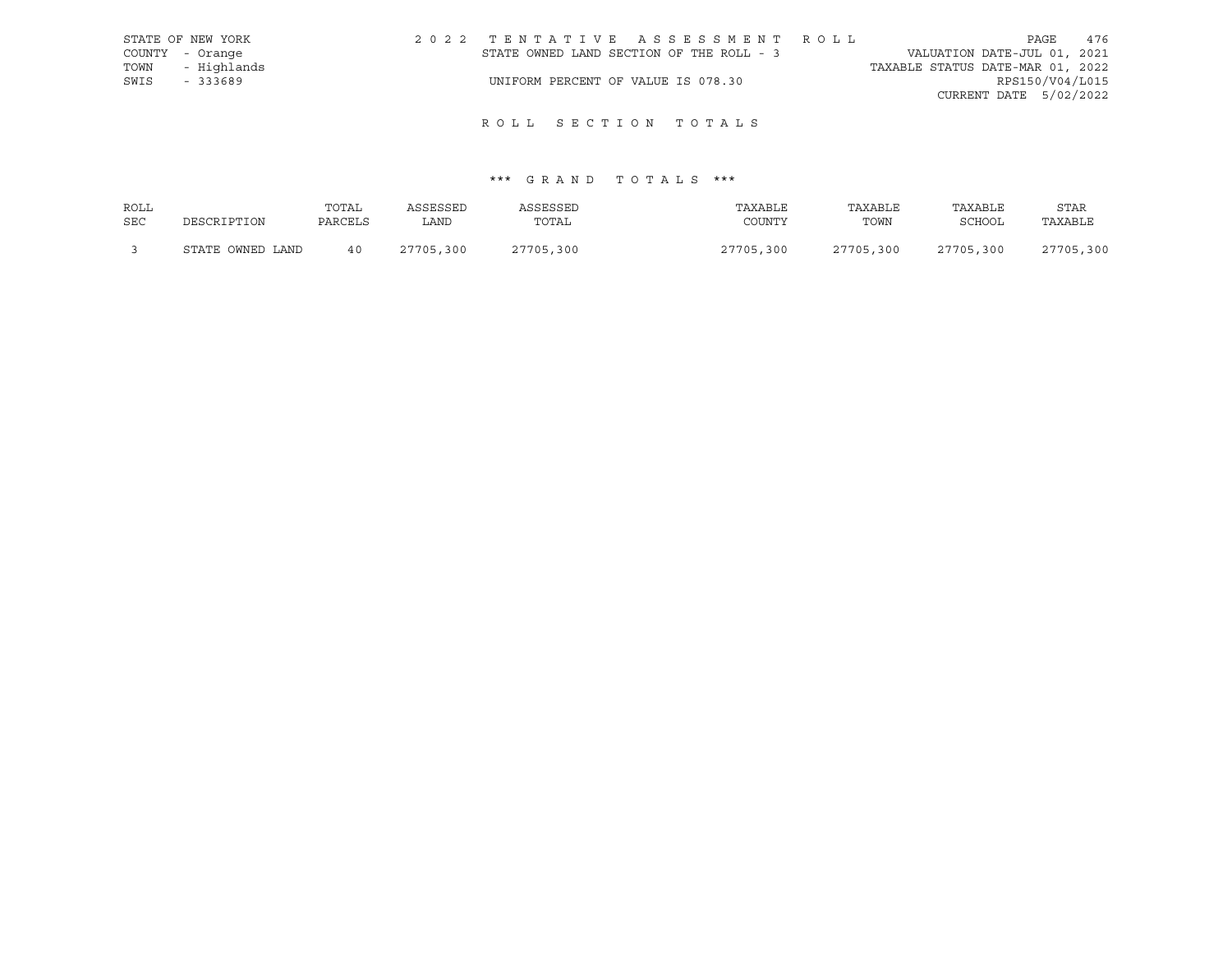|      | STATE OF NEW YORK | 2022 TENTATIVE ASSESSMENT ROLL           |  |                                  | PAGE                   | 476 |
|------|-------------------|------------------------------------------|--|----------------------------------|------------------------|-----|
|      | COUNTY - Orange   | STATE OWNED LAND SECTION OF THE ROLL - 3 |  | VALUATION DATE-JUL 01, 2021      |                        |     |
|      | TOWN - Highlands  |                                          |  | TAXABLE STATUS DATE-MAR 01, 2022 |                        |     |
| SWIS | - 333689          | UNIFORM PERCENT OF VALUE IS 078.30       |  |                                  | RPS150/V04/L015        |     |
|      |                   |                                          |  |                                  | CURRENT DATE 5/02/2022 |     |

# \*\*\* G R A N D T O T A L S \*\*\*

| ROLL       |                  | TOTAL   | ASSESSED  | ASSESSED  | TAXABLE   | TAXABLE   | TAXABLE   | <b>STAR</b> |
|------------|------------------|---------|-----------|-----------|-----------|-----------|-----------|-------------|
| <b>SEC</b> | DESCRIPTION      | PARCELS | LAND      | TOTAL     | COUNTY    | TOWN      | SCHOOL    | TAXABLE     |
|            | STATE OWNED LAND | 40      | 27705,300 | 27705,300 | 27705,300 | 27705,300 | 27705,300 | 27705,300   |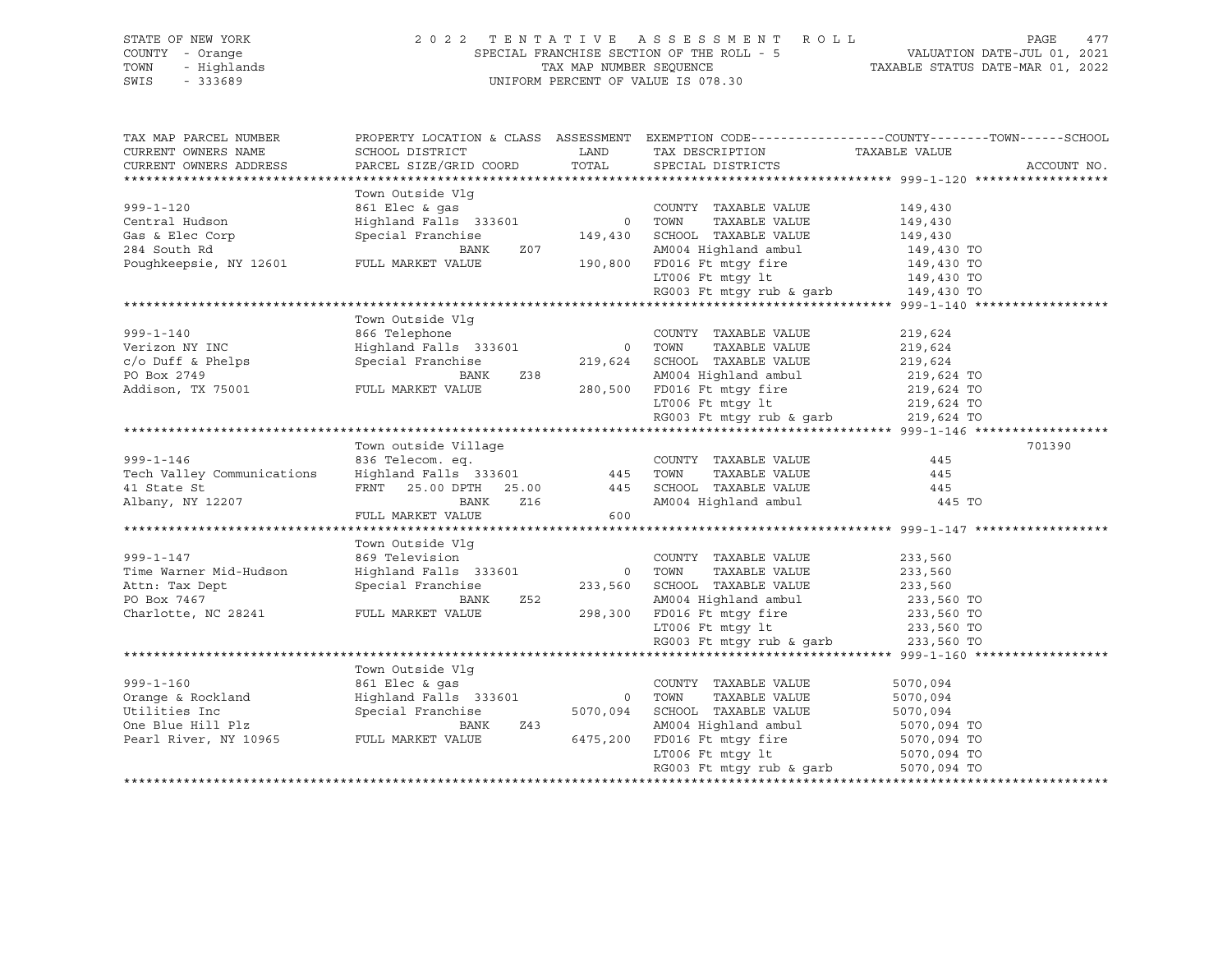### STATE OF NEW YORK 2 0 2 2 T E N T A T I V E A S S E S S M E N T R O L L PAGE 477 COUNTY - Orange SPECIAL FRANCHISE SECTION OF THE ROLL - 5 VALUATION DATE-JUL 01, 2021 TOWN - Highlands TAX MAP NUMBER SEQUENCE TAXABLE STATUS DATE-MAR 01, 2022 SWIS - 333689 UNIFORM PERCENT OF VALUE IS 078.30

| TAX MAP PARCEL NUMBER                         |                                               |               | PROPERTY LOCATION & CLASS ASSESSMENT EXEMPTION CODE----------------COUNTY-------TOWN------SCHOOL                                                                                                                                                                   |                          |             |
|-----------------------------------------------|-----------------------------------------------|---------------|--------------------------------------------------------------------------------------------------------------------------------------------------------------------------------------------------------------------------------------------------------------------|--------------------------|-------------|
| CURRENT OWNERS NAME<br>CURRENT OWNERS ADDRESS | SCHOOL DISTRICT                               | LAND<br>TOTAL | TAX DESCRIPTION<br>SPECIAL DISTRICTS                                                                                                                                                                                                                               | TAXABLE VALUE            | ACCOUNT NO. |
|                                               | PARCEL SIZE/GRID COORD                        |               |                                                                                                                                                                                                                                                                    |                          |             |
|                                               | Town Outside Vlg                              |               |                                                                                                                                                                                                                                                                    |                          |             |
| $999 - 1 - 120$                               |                                               |               | COUNTY TAXABLE VALUE                                                                                                                                                                                                                                               | 149,430                  |             |
| Central Hudson                                | 861 Elec & gas<br>Highland Falls  333601      | 0 TOWN        | TAXABLE VALUE                                                                                                                                                                                                                                                      | 149,430                  |             |
| Gas & Elec Corp                               | Special Franchise                             | 149,430       | SCHOOL TAXABLE VALUE                                                                                                                                                                                                                                               | 149,430                  |             |
| 284 South Rd                                  | BANK<br>Z07                                   |               | AM004 Highland ambul                                                                                                                                                                                                                                               |                          |             |
| Poughkeepsie, NY 12601                        |                                               |               |                                                                                                                                                                                                                                                                    | 149,430 TO               |             |
|                                               | FULL MARKET VALUE                             |               | 190,800 FD016 Ft mtgy fire                                                                                                                                                                                                                                         | 149,430 TO               |             |
|                                               |                                               |               | $\begin{tabular}{lllllllllll} \texttt{LTO06} & \texttt{Ft} & \texttt{mtgy} & \texttt{lt} & & & & 149,430 & \texttt{TO} \\ \texttt{RG003} & \texttt{Ft} & \texttt{mtgy} & \texttt{rub} & \texttt{\&} \texttt{garb} & & & 149,430 & \texttt{TO} \end{tabular}$       |                          |             |
|                                               |                                               |               |                                                                                                                                                                                                                                                                    |                          |             |
|                                               |                                               |               |                                                                                                                                                                                                                                                                    |                          |             |
|                                               | Town Outside Vlg                              |               |                                                                                                                                                                                                                                                                    |                          |             |
| $999 - 1 - 140$                               | 866 Telephone<br>Highland Falls 333601 0 TOWN |               | COUNTY TAXABLE VALUE                                                                                                                                                                                                                                               | 219,624                  |             |
| Verizon NY INC                                |                                               |               | TAXABLE VALUE                                                                                                                                                                                                                                                      | 219,624                  |             |
| $c/o$ Duff & Phelps                           | Special Franchise                             |               | 219,624 SCHOOL TAXABLE VALUE                                                                                                                                                                                                                                       | 219,624                  |             |
| PO Box 2749                                   | Z38<br>BANK                                   |               | AM004 Highland ambul                                                                                                                                                                                                                                               | 219,624 TO<br>219,624 TO |             |
| Addison, TX 75001 FULL MARKET VALUE           |                                               |               | 280,500 FD016 Ft mtgy fire                                                                                                                                                                                                                                         |                          |             |
|                                               |                                               |               |                                                                                                                                                                                                                                                                    |                          |             |
|                                               |                                               |               | $\begin{tabular}{lllllllllll} \texttt{LTO06} & \texttt{Ft} & \texttt{mtgy} & \texttt{lt} & & & & \texttt{219,624} & \texttt{TO} \\ \texttt{RGO03} & \texttt{Ft} & \texttt{mtgy} & \texttt{rub} & \texttt{garb} & & & \texttt{219,624} & \texttt{TO} \end{tabular}$ |                          |             |
|                                               |                                               |               |                                                                                                                                                                                                                                                                    |                          |             |
|                                               | Town outside Village                          |               |                                                                                                                                                                                                                                                                    |                          | 701390      |
| $999 - 1 - 146$                               | 836 Telecom. eq.                              |               | COUNTY TAXABLE VALUE                                                                                                                                                                                                                                               | 445                      |             |
| Tech Valley Communications                    | $Highland$ Falls 333601 445                   |               | TAXABLE VALUE<br>TOWN                                                                                                                                                                                                                                              | 445                      |             |
| 41 State St                                   | FRNT 25.00 DPTH 25.00                         | 445           | SCHOOL TAXABLE VALUE                                                                                                                                                                                                                                               | 445                      |             |
| Albany, NY 12207                              | Z16<br>BANK                                   |               | AM004 Highland ambul 445 TO                                                                                                                                                                                                                                        |                          |             |
|                                               | FULL MARKET VALUE                             | 600           |                                                                                                                                                                                                                                                                    |                          |             |
|                                               |                                               |               |                                                                                                                                                                                                                                                                    |                          |             |
|                                               | Town Outside Vlg                              |               |                                                                                                                                                                                                                                                                    |                          |             |
| $999 - 1 - 147$                               | 869 Television                                |               | COUNTY TAXABLE VALUE                                                                                                                                                                                                                                               | 233,560                  |             |
| Time Warner Mid-Hudson                        | Highland Falls 333601 0 TOWN                  |               | TAXABLE VALUE                                                                                                                                                                                                                                                      | 233,560                  |             |
| Attn: Tax Dept                                | Special Franchise                             |               | 233,560 SCHOOL TAXABLE VALUE                                                                                                                                                                                                                                       | 233,560                  |             |
| PO Box 7467                                   | BANK<br>Z52                                   |               | AM004 Highland ambul                                                                                                                                                                                                                                               | 233,560 TO               |             |
|                                               |                                               |               |                                                                                                                                                                                                                                                                    |                          |             |
| Charlotte, NC 28241                           | FULL MARKET VALUE                             | 298,300       | FD016 Ft mtgy fire 233,560 TO<br>LT006 Ft mtgy lt 233,560 TO                                                                                                                                                                                                       |                          |             |
|                                               |                                               |               |                                                                                                                                                                                                                                                                    |                          |             |
|                                               |                                               |               | $RG003$ Ft mtgy rub & garb                                                                                                                                                                                                                                         | 233,560 TO               |             |
|                                               |                                               |               |                                                                                                                                                                                                                                                                    |                          |             |
|                                               | Town Outside Vlq                              |               |                                                                                                                                                                                                                                                                    |                          |             |
| $999 - 1 - 160$                               | 861 Elec & gas                                |               | COUNTY TAXABLE VALUE                                                                                                                                                                                                                                               | 5070,094                 |             |
| Orange & Rockland                             | Highland Falls 333601                         |               | 0 TOWN<br>TAXABLE VALUE                                                                                                                                                                                                                                            | 5070,094                 |             |
| Utilities Inc                                 | Special Franchise                             | 5070,094      | SCHOOL TAXABLE VALUE                                                                                                                                                                                                                                               | 5070,094                 |             |
| One Blue Hill Plz                             | BANK<br>Z43                                   |               | AM004 Highland ambul                                                                                                                                                                                                                                               | 5070,094 TO              |             |
| Pearl River, NY 10965                         | FULL MARKET VALUE                             | 6475,200      | FD016 Ft mtqy fire 5070,094 TO                                                                                                                                                                                                                                     |                          |             |
|                                               |                                               |               | LT006 Ft mtqy lt                                                                                                                                                                                                                                                   | 5070,094 TO              |             |
|                                               |                                               |               | RG003 Ft mtgy rub & garb                                                                                                                                                                                                                                           | 5070,094 TO              |             |
|                                               |                                               |               |                                                                                                                                                                                                                                                                    |                          |             |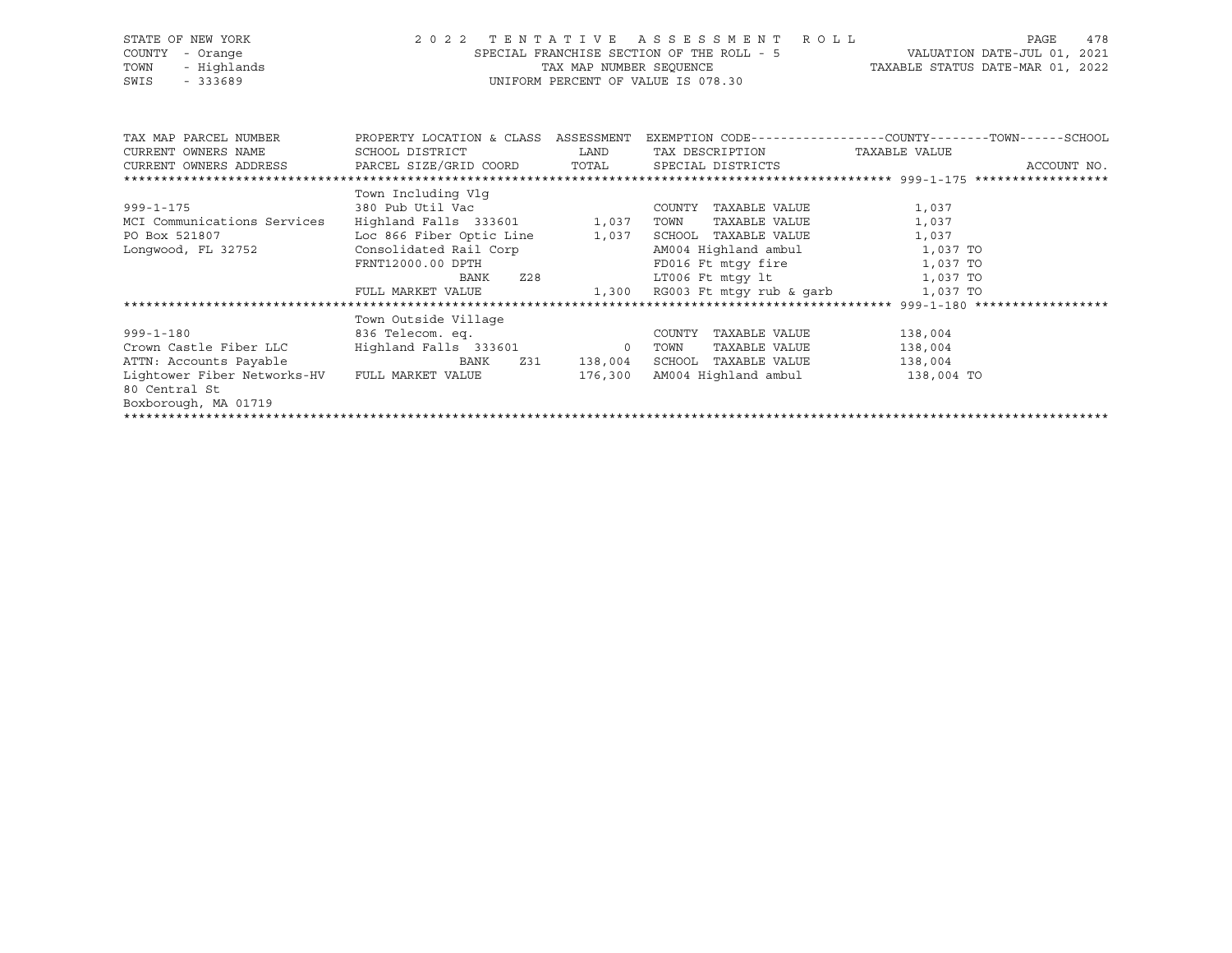| STATE OF NEW YORK           |                                      |          | 2022 TENTATIVE ASSESSMENT ROLL                                        | 478<br>PAGE                                                  |
|-----------------------------|--------------------------------------|----------|-----------------------------------------------------------------------|--------------------------------------------------------------|
| COUNTY<br>- Orange          |                                      |          | SPECIAL FRANCHISE SECTION OF THE ROLL - 5 WALUATION DATE-JUL 01, 2021 |                                                              |
| - Highlands<br>TOWN         |                                      |          | TAX MAP NUMBER SEQUENCE TAXABLE STATUS DATE-MAR 01, 2022              |                                                              |
| SWIS<br>$-333689$           | UNIFORM PERCENT OF VALUE IS 078.30   |          |                                                                       |                                                              |
|                             |                                      |          |                                                                       |                                                              |
|                             |                                      |          |                                                                       |                                                              |
|                             |                                      |          |                                                                       |                                                              |
| TAX MAP PARCEL NUMBER       | PROPERTY LOCATION & CLASS ASSESSMENT |          |                                                                       | EXEMPTION CODE-----------------COUNTY-------TOWN------SCHOOL |
| CURRENT OWNERS NAME         | SCHOOL DISTRICT LAND                 |          | TAX DESCRIPTION TAXABLE VALUE                                         |                                                              |
| CURRENT OWNERS ADDRESS      | PARCEL SIZE/GRID COORD TOTAL         |          | SPECIAL DISTRICTS                                                     | ACCOUNT NO.                                                  |
|                             |                                      |          |                                                                       |                                                              |
|                             | Town Including Vlg                   |          |                                                                       |                                                              |
| $999 - 1 - 175$             | 380 Pub Util Vac                     |          | COUNTY TAXABLE VALUE                                                  | 1,037                                                        |
| MCI Communications Services | Highland Falls 333601 1,037          |          | TOWN<br>TAXABLE VALUE                                                 | 1,037                                                        |
| PO Box 521807               | Loc 866 Fiber Optic Line             | 1,037    | SCHOOL TAXABLE VALUE                                                  | 1,037                                                        |
| Longwood, FL 32752          | Consolidated Rail Corp               |          | AM004 Highland ambul 1,037 TO                                         |                                                              |
|                             | FRNT12000.00 DPTH                    |          | FD016 Ft mtgy fire 1,037 TO                                           |                                                              |
|                             |                                      | BANK Z28 | LT006 Ft mtqy lt 1,037 TO                                             |                                                              |
|                             |                                      |          | FULL MARKET VALUE 1,300 RG003 Ft mtqy rub & qarb 1,037 TO             |                                                              |
|                             |                                      |          |                                                                       |                                                              |
|                             | Town Outside Village                 |          |                                                                       |                                                              |
| $999 - 1 - 180$             | 836 Telecom. eq.                     |          | TAXABLE VALUE<br>COUNTY                                               | 138,004                                                      |
| Crown Castle Fiber LLC      | Highland Falls 333601 0              |          | TAXABLE VALUE<br>TOWN                                                 | 138,004                                                      |
| ATTN: Accounts Payable      | Z31<br>BANK                          | 138,004  | SCHOOL<br>TAXABLE VALUE                                               | 138,004                                                      |

Boxborough, MA 01719 \*\*\*\*\*\*\*\*\*\*\*\*\*\*\*\*\*\*\*\*\*\*\*\*\*\*\*\*\*\*\*\*\*\*\*\*\*\*\*\*\*\*\*\*\*\*\*\*\*\*\*\*\*\*\*\*\*\*\*\*\*\*\*\*\*\*\*\*\*\*\*\*\*\*\*\*\*\*\*\*\*\*\*\*\*\*\*\*\*\*\*\*\*\*\*\*\*\*\*\*\*\*\*\*\*\*\*\*\*\*\*\*\*\*\*\*\*\*\*\*\*\*\*\*\*\*\*\*\*\*\*\*

Lightower Fiber Networks-HV FULL MARKET VALUE 176,300 AM004 Highland ambul 138,004 TO

80 Central St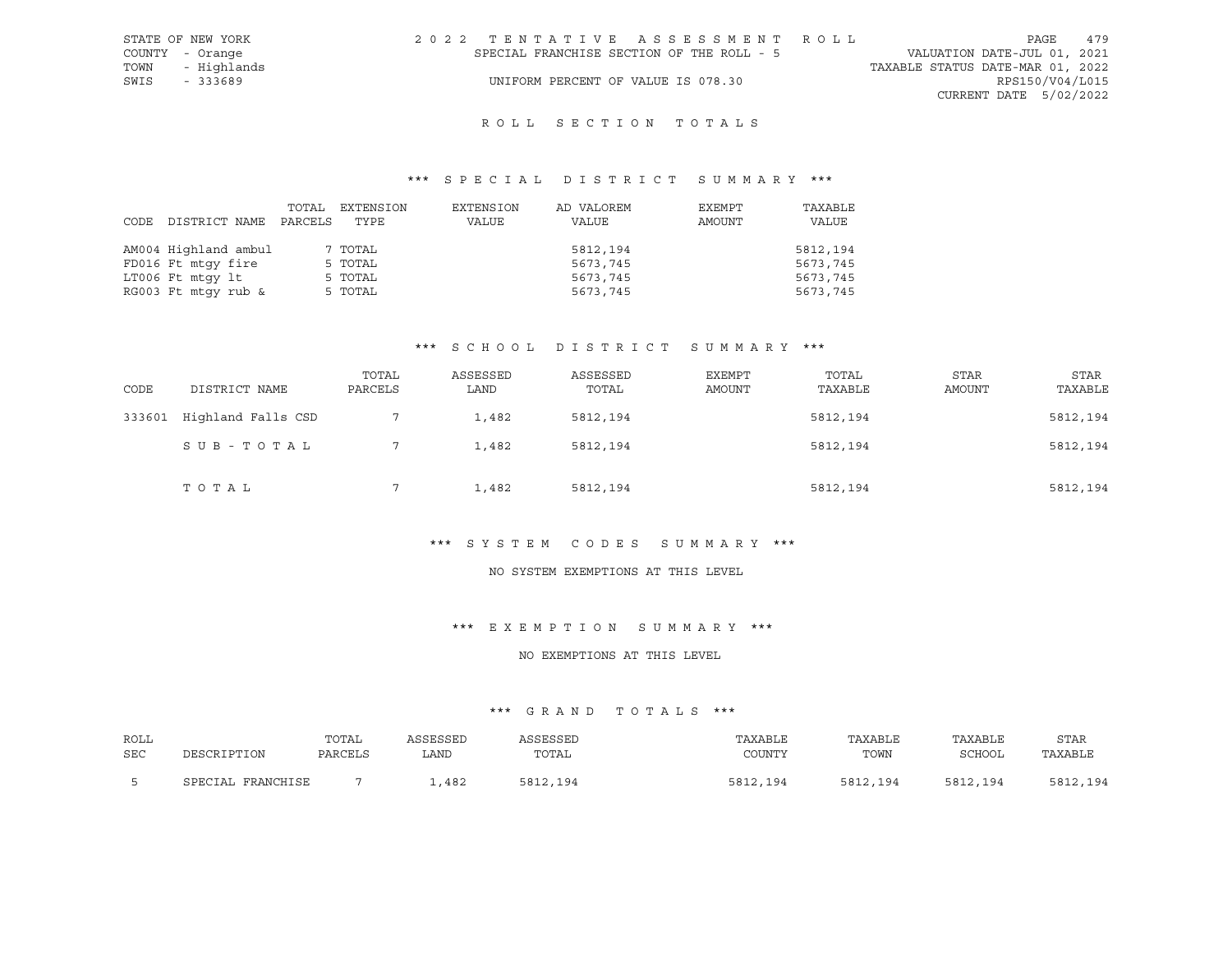| STATE OF NEW YORK | 2022 TENTATIVE ASSESSMENT ROLL            |  |                                  | PAGE                   | 479 |
|-------------------|-------------------------------------------|--|----------------------------------|------------------------|-----|
| COUNTY - Orange   | SPECIAL FRANCHISE SECTION OF THE ROLL - 5 |  | VALUATION DATE-JUL 01, 2021      |                        |     |
| TOWN - Highlands  |                                           |  | TAXABLE STATUS DATE-MAR 01, 2022 |                        |     |
| SWIS<br>- 333689  | UNIFORM PERCENT OF VALUE IS 078.30        |  |                                  | RPS150/V04/L015        |     |
|                   |                                           |  |                                  | CURRENT DATE 5/02/2022 |     |
|                   |                                           |  |                                  |                        |     |

## \*\*\* S P E C I A L D I S T R I C T S U M M A R Y \*\*\*

| CODE DISTRICT NAME   | TOTAL<br>PARCELS | EXTENSION<br>TYPE | EXTENSION<br>VALUE | AD VALOREM<br>VALUE | EXEMPT<br>AMOUNT | TAXABLE<br>VALUE |
|----------------------|------------------|-------------------|--------------------|---------------------|------------------|------------------|
| AM004 Highland ambul |                  | 7 TOTAL           |                    | 5812,194            |                  | 5812,194         |
| FD016 Ft mtqy fire   |                  | 5 TOTAL           |                    | 5673,745            |                  | 5673,745         |
| LT006 Ft mtqy lt     |                  | 5 TOTAL           |                    | 5673,745            |                  | 5673,745         |
| RG003 Ft mtqy rub &  |                  | 5 TOTAL           |                    | 5673,745            |                  | 5673,745         |

### \*\*\* S C H O O L D I S T R I C T S U M M A R Y \*\*\*

| CODE   | DISTRICT NAME      | TOTAL<br>PARCELS | ASSESSED<br>LAND | ASSESSED<br>TOTAL | EXEMPT<br>AMOUNT | TOTAL<br>TAXABLE | STAR<br><b>AMOUNT</b> | <b>STAR</b><br>TAXABLE |
|--------|--------------------|------------------|------------------|-------------------|------------------|------------------|-----------------------|------------------------|
| 333601 | Highland Falls CSD |                  | 1,482            | 5812,194          |                  | 5812,194         |                       | 5812,194               |
|        | SUB-TOTAL          |                  | 1,482            | 5812,194          |                  | 5812,194         |                       | 5812,194               |
|        | TOTAL              |                  | 1,482            | 5812,194          |                  | 5812,194         |                       | 5812,194               |

#### \*\*\* S Y S T E M C O D E S S U M M A R Y \*\*\*

#### NO SYSTEM EXEMPTIONS AT THIS LEVEL

## \*\*\* E X E M P T I O N S U M M A R Y \*\*\*

#### NO EXEMPTIONS AT THIS LEVEL

#### \*\*\* G R A N D T O T A L S \*\*\*

| ROLL       |                   | TOTAL   | ASSESSED | ASSESSED | TAXABLE  | TAXABLE  | TAXABLE       | STAR     |
|------------|-------------------|---------|----------|----------|----------|----------|---------------|----------|
| <b>SEC</b> | DESCRIPTION       | PARCELS | LAND     | TOTAL    | COUNTY   | TOWN     | <b>SCHOOL</b> | TAXABLE  |
|            | SPECIAL FRANCHISE |         | 482      | 5812,194 | 5812,194 | 5812,194 | 5812,194      | 5812,194 |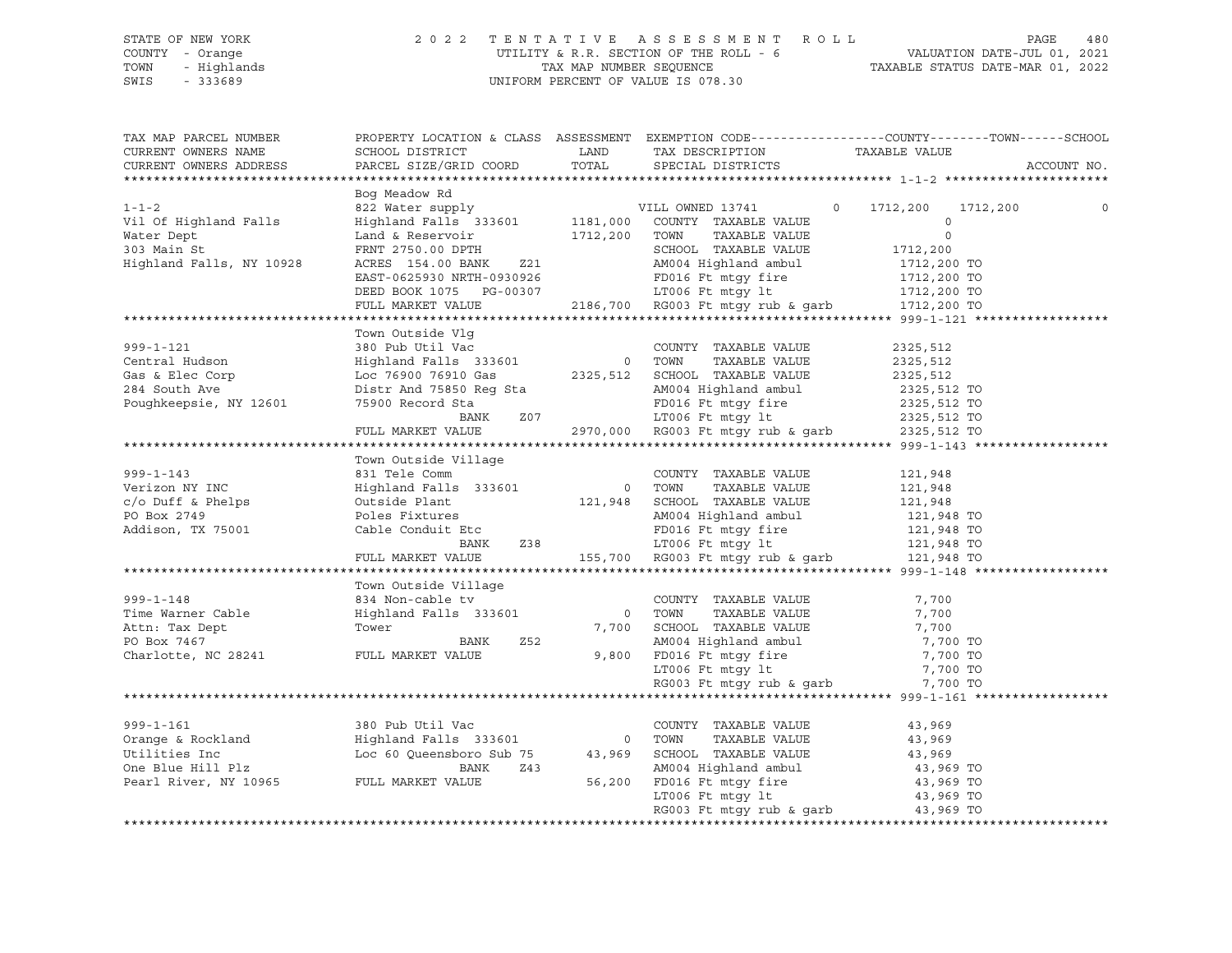### STATE OF NEW YORK 2 0 2 2 T E N T A T I V E A S S E S S M E N T R O L L PAGE 480 COUNTY - Orange UTILITY & R.R. SECTION OF THE ROLL - 6 VALUATION DATE-JUL 01, 2021 TOWN - Highlands TAX MAP NUMBER SEQUENCE TAXABLE STATUS DATE-MAR 01, 2022 SWIS - 333689 UNIFORM PERCENT OF VALUE IS 078.30

| TAX MAP PARCEL NUMBER<br>CURRENT OWNERS NAME<br>CURRENT OWNERS ADDRESS                                         | PROPERTY LOCATION & CLASS ASSESSMENT EXEMPTION CODE----------------COUNTY-------TOWN------SCHOOL<br>SCHOOL DISTRICT<br>PARCEL SIZE/GRID COORD                                                                                              | LAND<br>TOTAL                                                                                                  | TAX DESCRIPTION<br>SPECIAL DISTRICTS                                                                                                                                                         | TAXABLE VALUE                                                         | ACCOUNT NO. |
|----------------------------------------------------------------------------------------------------------------|--------------------------------------------------------------------------------------------------------------------------------------------------------------------------------------------------------------------------------------------|----------------------------------------------------------------------------------------------------------------|----------------------------------------------------------------------------------------------------------------------------------------------------------------------------------------------|-----------------------------------------------------------------------|-------------|
|                                                                                                                |                                                                                                                                                                                                                                            |                                                                                                                |                                                                                                                                                                                              |                                                                       |             |
| $1 - 1 - 2$<br>Vil Of Highland Falls<br>Water Dept<br>303 Main St<br>Highland Falls, NY 10928                  | Bog Meadow Rd<br>822 Water supply WILL OWNED 13741<br>$\verb Highland Falls 333601 1181,000 COUNTY TAXABLE VALUE \\$<br>Land & Reservoir<br>FRNT 2750.00 DPTH<br>ACRES 154.00 BANK<br>EAST-0625930 NRTH-0930926<br>DEED BOOK 1075 PG-00307 | 1712,200 TOWN<br>Z21                                                                                           | TAXABLE VALUE<br>SCHOOL TAXABLE VALUE<br>AM004 Highland ambul<br>FD016 Ft mtgy fire 1712,200 TO<br>LT006 Ft mtgy lt 1712,200 TO                                                              | $\circ$<br>1712,200<br>$\circ$<br>$\Omega$<br>1712,200<br>1712,200 TO | 1712,200    |
|                                                                                                                | FULL MARKET VALUE                                                                                                                                                                                                                          |                                                                                                                | 2186,700 RG003 Ft mtgy rub & garb 1712,200 TO                                                                                                                                                |                                                                       |             |
|                                                                                                                |                                                                                                                                                                                                                                            |                                                                                                                |                                                                                                                                                                                              |                                                                       |             |
| $999 - 1 - 121$<br>Central Hudson<br>Gas & Elec Corp<br>284 South Ave<br>Poughkeepsie, NY 12601                | Town Outside Vlg<br>380 Pub Util Vac<br>Distr And 75850 Req Sta<br>75900 Record Sta<br>BANK                                                                                                                                                | Z <sub>07</sub>                                                                                                | COUNTY TAXABLE VALUE<br>AM004 Highland ambul 2325,512 TO<br>FD016 Ft mtgy fire 2325,512 TO<br>LT006 Ft mtgy lt 2325,512 TO<br>2970,000 RG003 Ft mtgy rub & garb 2325,512 TO                  | 2325,512<br>2325,512<br>2325,512                                      |             |
|                                                                                                                | FULL MARKET VALUE                                                                                                                                                                                                                          |                                                                                                                |                                                                                                                                                                                              |                                                                       |             |
| $999 - 1 - 143$<br>Verizon NY INC<br>c/o Duff & Phelps<br>PO Box 2749<br>Addison, TX 75001                     | Town Outside Village<br>even:<br>B31 Tele Comm<br>Highland Falls 333601 0 TOWN TAXABLE VALUE<br>Citride Plant. 121,948 SCHOOL TAXABLE VALUE<br>Poles Fixtures<br>Cable Conduit Etc<br><b>BANK</b>                                          | Z38 and the state of the state of the state of the state of the state of the state of the state of the state o | FD016 Ft mtgy fire 121,948 TO<br>LT006 Ft mtgy 1t 121,948 TO<br>155,700 RG003 Ft mtgy rub & garb 121,948 TO                                                                                  | 121,948<br>121,948<br>121,948<br>121,948 TO                           |             |
|                                                                                                                | FULL MARKET VALUE                                                                                                                                                                                                                          |                                                                                                                |                                                                                                                                                                                              |                                                                       |             |
|                                                                                                                |                                                                                                                                                                                                                                            |                                                                                                                |                                                                                                                                                                                              |                                                                       |             |
| $999 - 1 - 148$<br>Time Warner Cable<br>Attn: Tax Dept<br>PO Box 7467<br>Charlotte, NC 28241 FULL MARKET VALUE | Town Outside Village<br>834 Non-cable tv<br>Highland Falls 333601<br>Tower<br>Z52<br>BANK                                                                                                                                                  |                                                                                                                | COUNTY TAXABLE VALUE<br>0 TOWN<br>TAXABLE VALUE<br>7,700 SCHOOL TAXABLE VALUE<br>AM004 Highland ambul<br>9,800 FD016 Ft mtgy fire<br>LT006 Ft mtqy lt<br>RG003 Ft mtgy rub & garb $7,700$ TO | 7,700<br>7,700<br>7,700<br>7,700 TO<br>7,700 TO<br>7,700 TO           |             |
|                                                                                                                |                                                                                                                                                                                                                                            |                                                                                                                |                                                                                                                                                                                              |                                                                       |             |
| $999 - 1 - 161$                                                                                                | 380 Pub Util Vac                                                                                                                                                                                                                           |                                                                                                                | COUNTY TAXABLE VALUE<br>TOWN<br>TAXABLE VALUE<br>SCHOOL TAXABLE VALUE<br>AM004 Highland ambul<br>PROJECT: COMPOSED<br>FD016 Ft mtgy fire<br>LT006 Ft mtgy lt                                 | 43,969<br>43,969<br>43,969<br>43,969 TO<br>43,969 TO<br>43,969 TO     |             |
|                                                                                                                |                                                                                                                                                                                                                                            |                                                                                                                |                                                                                                                                                                                              |                                                                       |             |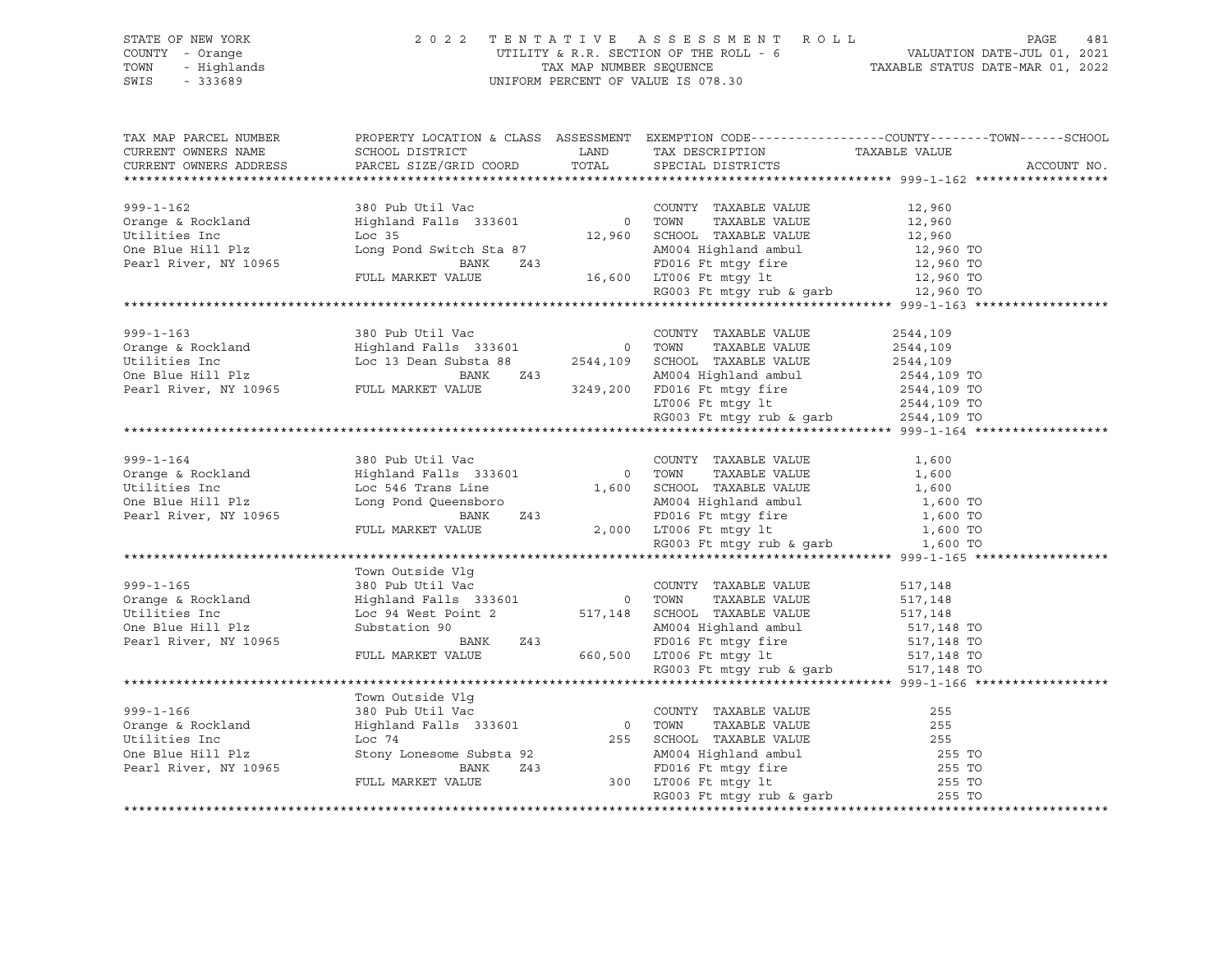### STATE OF NEW YORK 2 0 2 2 T E N T A T I V E A S S E S S M E N T R O L L PAGE 481 COUNTY - Orange UTILITY & R.R. SECTION OF THE ROLL - 6 VALUATION DATE-JUL 01, 2021 TOWN - Highlands TAX MAP NUMBER SEQUENCE TAXABLE STATUS DATE-MAR 01, 2022 SWIS - 333689 UNIFORM PERCENT OF VALUE IS 078.30

| TAX MAP PARCEL NUMBER<br>CURRENT OWNERS NAME                                                                                                          | SCHOOL DISTRICT                                                                                                                        | LAND  | TAX DESCRIPTION                                                                                                                                                                                                                               | PROPERTY LOCATION & CLASS ASSESSMENT EXEMPTION CODE----------------COUNTY-------TOWN-----SCHOOL<br>TAXABLE VALUE |
|-------------------------------------------------------------------------------------------------------------------------------------------------------|----------------------------------------------------------------------------------------------------------------------------------------|-------|-----------------------------------------------------------------------------------------------------------------------------------------------------------------------------------------------------------------------------------------------|------------------------------------------------------------------------------------------------------------------|
| CURRENT OWNERS ADDRESS                                                                                                                                | PARCEL SIZE/GRID COORD                                                                                                                 | TOTAL | SPECIAL DISTRICTS                                                                                                                                                                                                                             | ACCOUNT NO.                                                                                                      |
|                                                                                                                                                       |                                                                                                                                        |       |                                                                                                                                                                                                                                               |                                                                                                                  |
| 999-1-162 380 Pub Util Vac COUNTY TAXABLE VALUE<br>Orange & Rockland Highland Falls 333601 0 TOWN TAXABLE VALUE<br>Loc 35 12,960 SCHOOL TAXABLE VALUE |                                                                                                                                        |       |                                                                                                                                                                                                                                               |                                                                                                                  |
|                                                                                                                                                       |                                                                                                                                        |       | COUNTY TAXABLE VALUE 12,960                                                                                                                                                                                                                   |                                                                                                                  |
|                                                                                                                                                       |                                                                                                                                        |       | TAXABLE VALUE 12,960<br>TAXABLE VALUE 12,960                                                                                                                                                                                                  |                                                                                                                  |
|                                                                                                                                                       |                                                                                                                                        |       |                                                                                                                                                                                                                                               |                                                                                                                  |
| One Blue Hill Plz                                                                                                                                     | Long Pond Switch Sta 87                                                                                                                |       |                                                                                                                                                                                                                                               |                                                                                                                  |
| Pearl River, NY 10965                                                                                                                                 |                                                                                                                                        |       |                                                                                                                                                                                                                                               |                                                                                                                  |
|                                                                                                                                                       | FULL MARKET VALUE                                                                                                                      |       |                                                                                                                                                                                                                                               |                                                                                                                  |
|                                                                                                                                                       |                                                                                                                                        |       |                                                                                                                                                                                                                                               |                                                                                                                  |
|                                                                                                                                                       |                                                                                                                                        |       | cch Sta 87<br>BANK 243<br>16,600 LT006 Ft mtgy fire 12,960 TO<br>12,960 TO<br>12,960 TO<br>12,960 TO<br>12,960 TO<br>12,960 TO<br>12,960 TO<br>12,960 TO<br>12,960 TO<br>12,960 TO<br>12,960 TO<br>12,960 TO<br>12,960 TO<br>12,960 TO        |                                                                                                                  |
|                                                                                                                                                       |                                                                                                                                        |       |                                                                                                                                                                                                                                               |                                                                                                                  |
|                                                                                                                                                       |                                                                                                                                        |       | COUNTY TAXABLE VALUE                                                                                                                                                                                                                          | 2544,109                                                                                                         |
|                                                                                                                                                       |                                                                                                                                        |       |                                                                                                                                                                                                                                               | 2544,109                                                                                                         |
|                                                                                                                                                       |                                                                                                                                        |       | 2544,109<br>243<br>249,200 FD016 Ft mtgy fire<br>2544,109 TO 16 Ft mtgy fire<br>2544,109 TO 16 Ft mtgy fire<br>2544,109 TO 17006 Ft mtgy lt<br>2544,109 TO 17006 Ft mtgy lt<br>2544,109 TO 17006 Ft mtgy lt<br>2544,109 TO 186003 Ft mtgy rub |                                                                                                                  |
|                                                                                                                                                       |                                                                                                                                        |       |                                                                                                                                                                                                                                               |                                                                                                                  |
| Pearl River, NY 10965 FULL MARKET VALUE                                                                                                               |                                                                                                                                        |       |                                                                                                                                                                                                                                               |                                                                                                                  |
|                                                                                                                                                       |                                                                                                                                        |       |                                                                                                                                                                                                                                               |                                                                                                                  |
|                                                                                                                                                       |                                                                                                                                        |       |                                                                                                                                                                                                                                               |                                                                                                                  |
|                                                                                                                                                       |                                                                                                                                        |       |                                                                                                                                                                                                                                               |                                                                                                                  |
|                                                                                                                                                       |                                                                                                                                        |       |                                                                                                                                                                                                                                               |                                                                                                                  |
|                                                                                                                                                       |                                                                                                                                        |       |                                                                                                                                                                                                                                               | 1,600                                                                                                            |
| 999-1-164<br>Orange & Rockland                                                                                                                        |                                                                                                                                        |       | COUNTY TAXABLE VALUE<br>TOWN      TAXABLE VALUE                                                                                                                                                                                               | 1,600                                                                                                            |
| Utilities Inc                                                                                                                                         |                                                                                                                                        |       |                                                                                                                                                                                                                                               |                                                                                                                  |
| One Blue Hill Plz                                                                                                                                     |                                                                                                                                        |       |                                                                                                                                                                                                                                               |                                                                                                                  |
| Pearl River, NY 10965                                                                                                                                 |                                                                                                                                        |       |                                                                                                                                                                                                                                               |                                                                                                                  |
|                                                                                                                                                       |                                                                                                                                        |       |                                                                                                                                                                                                                                               |                                                                                                                  |
|                                                                                                                                                       |                                                                                                                                        |       | RG003 Ft mtgy rub & garb $1,600$ TO                                                                                                                                                                                                           |                                                                                                                  |
|                                                                                                                                                       |                                                                                                                                        |       |                                                                                                                                                                                                                                               |                                                                                                                  |
|                                                                                                                                                       | Town Outside Vlq                                                                                                                       |       |                                                                                                                                                                                                                                               |                                                                                                                  |
| $999 - 1 - 165$                                                                                                                                       |                                                                                                                                        |       | COUNTY TAXABLE VALUE                                                                                                                                                                                                                          | 517,148                                                                                                          |
| Orange & Rockland                                                                                                                                     |                                                                                                                                        |       | TAXABLE VALUE                                                                                                                                                                                                                                 |                                                                                                                  |
| Utilities Inc                                                                                                                                         |                                                                                                                                        |       |                                                                                                                                                                                                                                               | 517,148                                                                                                          |
| One Blue Hill Plz                                                                                                                                     |                                                                                                                                        |       |                                                                                                                                                                                                                                               |                                                                                                                  |
|                                                                                                                                                       | All SCHOOL TAXABLE VALUE 517,148<br>SUBStation 90 24<br>FULL MARKET VALUE 243<br>FULL MARKET VALUE 660,500 LT006 Ft mtgy 1t 517,148 TO |       |                                                                                                                                                                                                                                               |                                                                                                                  |
| Pearl River, NY 10965                                                                                                                                 |                                                                                                                                        |       |                                                                                                                                                                                                                                               |                                                                                                                  |
|                                                                                                                                                       |                                                                                                                                        |       |                                                                                                                                                                                                                                               |                                                                                                                  |
|                                                                                                                                                       |                                                                                                                                        |       | RG003 Ft mtgy rub & garb                                                                                                                                                                                                                      | 517,148 TO                                                                                                       |
|                                                                                                                                                       |                                                                                                                                        |       |                                                                                                                                                                                                                                               |                                                                                                                  |
|                                                                                                                                                       | Town Outside Vlq                                                                                                                       |       |                                                                                                                                                                                                                                               |                                                                                                                  |
| $999 - 1 - 166$                                                                                                                                       | 380 Pub Util Vac COUNT                                                                                                                 |       | COUNTY TAXABLE VALUE                                                                                                                                                                                                                          | 255                                                                                                              |
| Orange & Rockland                                                                                                                                     |                                                                                                                                        |       | 0 TOWN TAXABLE VALUE<br>255 SCHOOL TAXABLE VALUE                                                                                                                                                                                              | 255                                                                                                              |
| Utilities Inc                                                                                                                                         | Loc 74                                                                                                                                 |       |                                                                                                                                                                                                                                               | 255                                                                                                              |
| One Blue Hill Plz                                                                                                                                     | Stony Lonesome Substa 92<br>The Time 243                                                                                               |       |                                                                                                                                                                                                                                               | 255 TO                                                                                                           |
| Pearl River, NY 10965                                                                                                                                 | BANK                                                                                                                                   |       |                                                                                                                                                                                                                                               | 255 TO                                                                                                           |
|                                                                                                                                                       | FULL MARKET VALUE                                                                                                                      |       | Example 18 AM004 Highland ambul<br>243 BD016 Ft mtgy fire<br>300 LT006 Ft mtgy 1t<br>RG003 Ft mtgy rub & garb                                                                                                                                 | 255 TO                                                                                                           |
|                                                                                                                                                       |                                                                                                                                        |       |                                                                                                                                                                                                                                               | 255 TO                                                                                                           |
|                                                                                                                                                       |                                                                                                                                        |       |                                                                                                                                                                                                                                               |                                                                                                                  |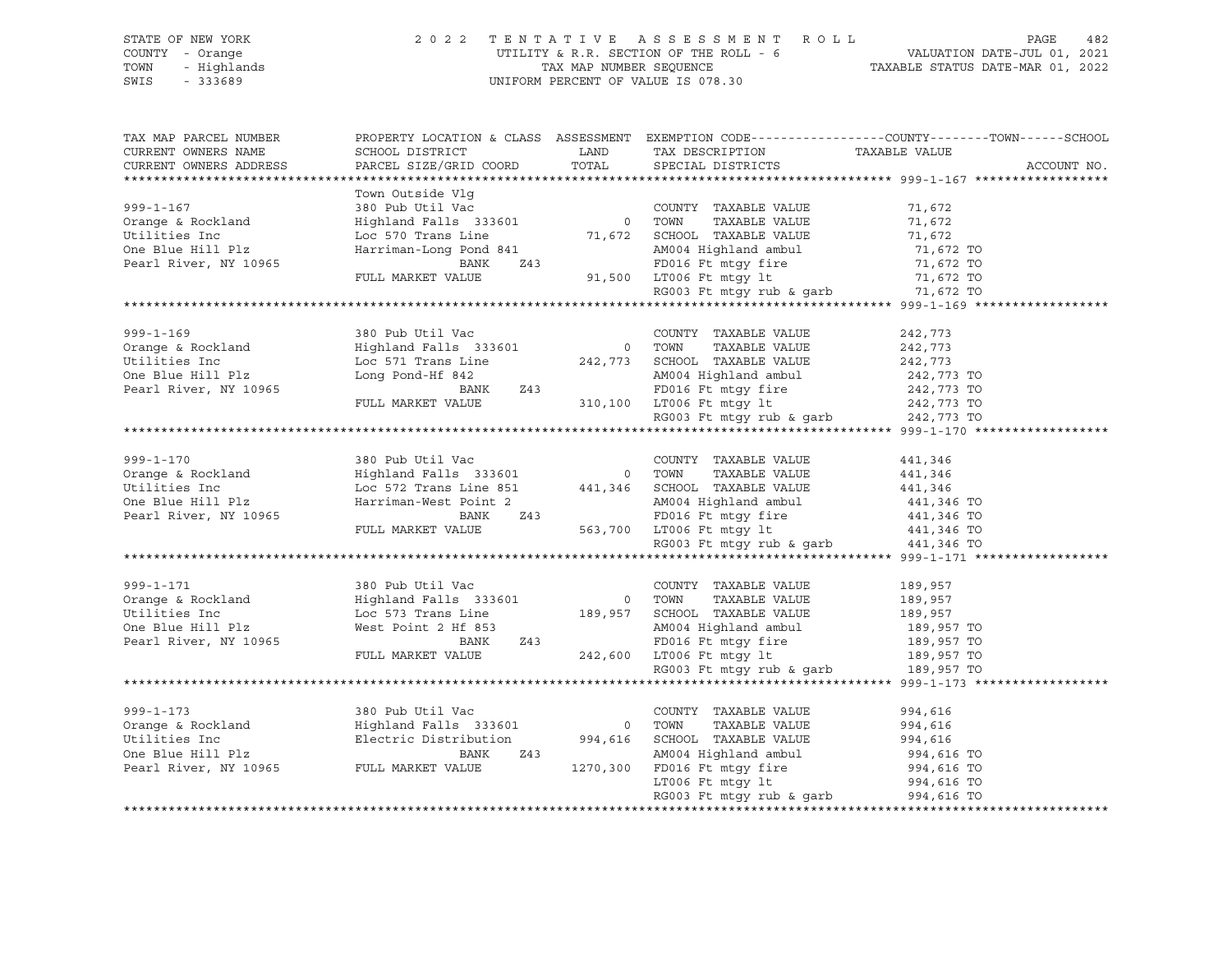#### STATE OF NEW YORK 2 0 2 2 T E N T A T I V E A S S E S S M E N T R O L L PAGE 482 COUNTY - Orange UTILITY & R.R. SECTION OF THE ROLL - 6 VALUATION DATE-JUL 01, 2021 TOWN - Highlands TAX MAP NUMBER SEQUENCE TAXABLE STATUS DATE-MAR 01, 2022 SWIS - 333689 UNIFORM PERCENT OF VALUE IS 078.30

TAX MAP PARCEL NUMBER PROPERTY LOCATION & CLASS ASSESSMENT EXEMPTION CODE------------------COUNTY--------TOWN------SCHOOL CURRENT OWNERS NAME SCHOOL DISTRICT LAND TAX DESCRIPTION TAXABLE VALUE CURRENT OWNERS ADDRESS PARCEL SIZE/GRID COORD TOTAL SPECIAL DISTRICTS ACCOUNT NO. \*\*\*\*\*\*\*\*\*\*\*\*\*\*\*\*\*\*\*\*\*\*\*\*\*\*\*\*\*\*\*\*\*\*\*\*\*\*\*\*\*\*\*\*\*\*\*\*\*\*\*\*\*\*\*\*\*\*\*\*\*\*\*\*\*\*\*\*\*\*\*\*\*\*\*\*\*\*\*\*\*\*\*\*\*\*\*\*\*\*\*\*\*\*\*\*\*\*\*\*\*\*\* 999-1-167 \*\*\*\*\*\*\*\*\*\*\*\*\*\*\*\*\*\* Town Outside Vlg 999-1-167 380 Pub Util Vac COUNTY TAXABLE VALUE 71,672 Orange & Rockland Highland Falls 333601 0 TOWN TAXABLE VALUE 71,672 Utilities Inc Loc 570 Trans Line 71,672 SCHOOL TAXABLE VALUE 71,672 One Blue Hill Plz Harriman-Long Pond 841 AM004 Highland ambul 71,672 TO Pearl River, NY 10965 BANK Z43 FD016 Ft mtgy fire 71,672 TO FULL MARKET VALUE 91,500 LT006 Ft mtgy lt 71,672 TO RG003 Ft mtgy rub & garb 71,672 TO \*\*\*\*\*\*\*\*\*\*\*\*\*\*\*\*\*\*\*\*\*\*\*\*\*\*\*\*\*\*\*\*\*\*\*\*\*\*\*\*\*\*\*\*\*\*\*\*\*\*\*\*\*\*\*\*\*\*\*\*\*\*\*\*\*\*\*\*\*\*\*\*\*\*\*\*\*\*\*\*\*\*\*\*\*\*\*\*\*\*\*\*\*\*\*\*\*\*\*\*\*\*\* 999-1-169 \*\*\*\*\*\*\*\*\*\*\*\*\*\*\*\*\*\* 999-1-169 380 Pub Util Vac COUNTY TAXABLE VALUE 242,773 Orange & Rockland Highland Falls 333601 0 TOWN TAXABLE VALUE 242,773 Utilities Inc Loc 571 Trans Line 242,773 SCHOOL TAXABLE VALUE 242,773 One Blue Hill Plz Long Pond-Hf 842 AM004 Highland ambul 242,773 TO Pearl River, NY 10965 BANK Z43 FD016 Ft mtgy fire 242,773 TO FULL MARKET VALUE 310,100 LT006 Ft mtgy lt 242,773 TO RG003 Ft mtgy rub & garb 242,773 TO \*\*\*\*\*\*\*\*\*\*\*\*\*\*\*\*\*\*\*\*\*\*\*\*\*\*\*\*\*\*\*\*\*\*\*\*\*\*\*\*\*\*\*\*\*\*\*\*\*\*\*\*\*\*\*\*\*\*\*\*\*\*\*\*\*\*\*\*\*\*\*\*\*\*\*\*\*\*\*\*\*\*\*\*\*\*\*\*\*\*\*\*\*\*\*\*\*\*\*\*\*\*\* 999-1-170 \*\*\*\*\*\*\*\*\*\*\*\*\*\*\*\*\*\* 999-1-170 380 Pub Util Vac COUNTY TAXABLE VALUE 441,346 Orange & Rockland Highland Falls 333601 0 TOWN TAXABLE VALUE 441,346 Utilities Inc Loc 572 Trans Line 851 441,346 SCHOOL TAXABLE VALUE 441,346 One Blue Hill Plz Harriman-West Point 2 AM004 Highland ambul 441,346 TO Pearl River, NY 10965 BANK Z43 FD016 Ft mtgy fire 441,346 TO FULL MARKET VALUE 563,700 LT006 Ft mtgy lt 441,346 TO RG003 Ft mtgy rub & garb 441,346 TO \*\*\*\*\*\*\*\*\*\*\*\*\*\*\*\*\*\*\*\*\*\*\*\*\*\*\*\*\*\*\*\*\*\*\*\*\*\*\*\*\*\*\*\*\*\*\*\*\*\*\*\*\*\*\*\*\*\*\*\*\*\*\*\*\*\*\*\*\*\*\*\*\*\*\*\*\*\*\*\*\*\*\*\*\*\*\*\*\*\*\*\*\*\*\*\*\*\*\*\*\*\*\* 999-1-171 \*\*\*\*\*\*\*\*\*\*\*\*\*\*\*\*\*\* 999-1-171 380 Pub Util Vac COUNTY TAXABLE VALUE 189,957 Orange & Rockland Highland Falls 333601 0 TOWN TAXABLE VALUE 189,957 Utilities Inc Loc 573 Trans Line 189,957 SCHOOL TAXABLE VALUE 189,957 One Blue Hill Plz West Point 2 Hf 853 AM004 Highland ambul 189,957 TO Pearl River, NY 10965 BANK Z43 FD016 Ft mtgy fire 189,957 TO FULL MARKET VALUE 242,600 LT006 Ft mtgy lt 189,957 TO RG003 Ft mtgy rub & garb 189,957 TO \*\*\*\*\*\*\*\*\*\*\*\*\*\*\*\*\*\*\*\*\*\*\*\*\*\*\*\*\*\*\*\*\*\*\*\*\*\*\*\*\*\*\*\*\*\*\*\*\*\*\*\*\*\*\*\*\*\*\*\*\*\*\*\*\*\*\*\*\*\*\*\*\*\*\*\*\*\*\*\*\*\*\*\*\*\*\*\*\*\*\*\*\*\*\*\*\*\*\*\*\*\*\* 999-1-173 \*\*\*\*\*\*\*\*\*\*\*\*\*\*\*\*\*\* 999-1-173 380 Pub Util Vac COUNTY TAXABLE VALUE 994,616 Orange & Rockland Highland Falls 333601 0 TOWN TAXABLE VALUE 994,616 Utilities Inc Electric Distribution 994,616 SCHOOL TAXABLE VALUE 994,616 One Blue Hill Plz BANK Z43 AM004 Highland ambul 994,616 TO Pearl River, NY 10965 FULL MARKET VALUE 1270,300 FD016 Ft mtgy fire 994,616 TO CONSIDER THE CONSIDER THE CONSIDER THE CONSIDERATION OF BLUE PERIL RIVER, NY 10965<br>Pearl River, NY 10965 FULL MARKET VALUE 1270,300 FD016 Ft mtgy lt<br>LT006 Ft mtgy lt LT006 Ft mtgy 1t 994,616 TO<br>RG003 Ft mtgy rub & garb 994,616 TO \*\*\*\*\*\*\*\*\*\*\*\*\*\*\*\*\*\*\*\*\*\*\*\*\*\*\*\*\*\*\*\*\*\*\*\*\*\*\*\*\*\*\*\*\*\*\*\*\*\*\*\*\*\*\*\*\*\*\*\*\*\*\*\*\*\*\*\*\*\*\*\*\*\*\*\*\*\*\*\*\*\*\*\*\*\*\*\*\*\*\*\*\*\*\*\*\*\*\*\*\*\*\*\*\*\*\*\*\*\*\*\*\*\*\*\*\*\*\*\*\*\*\*\*\*\*\*\*\*\*\*\*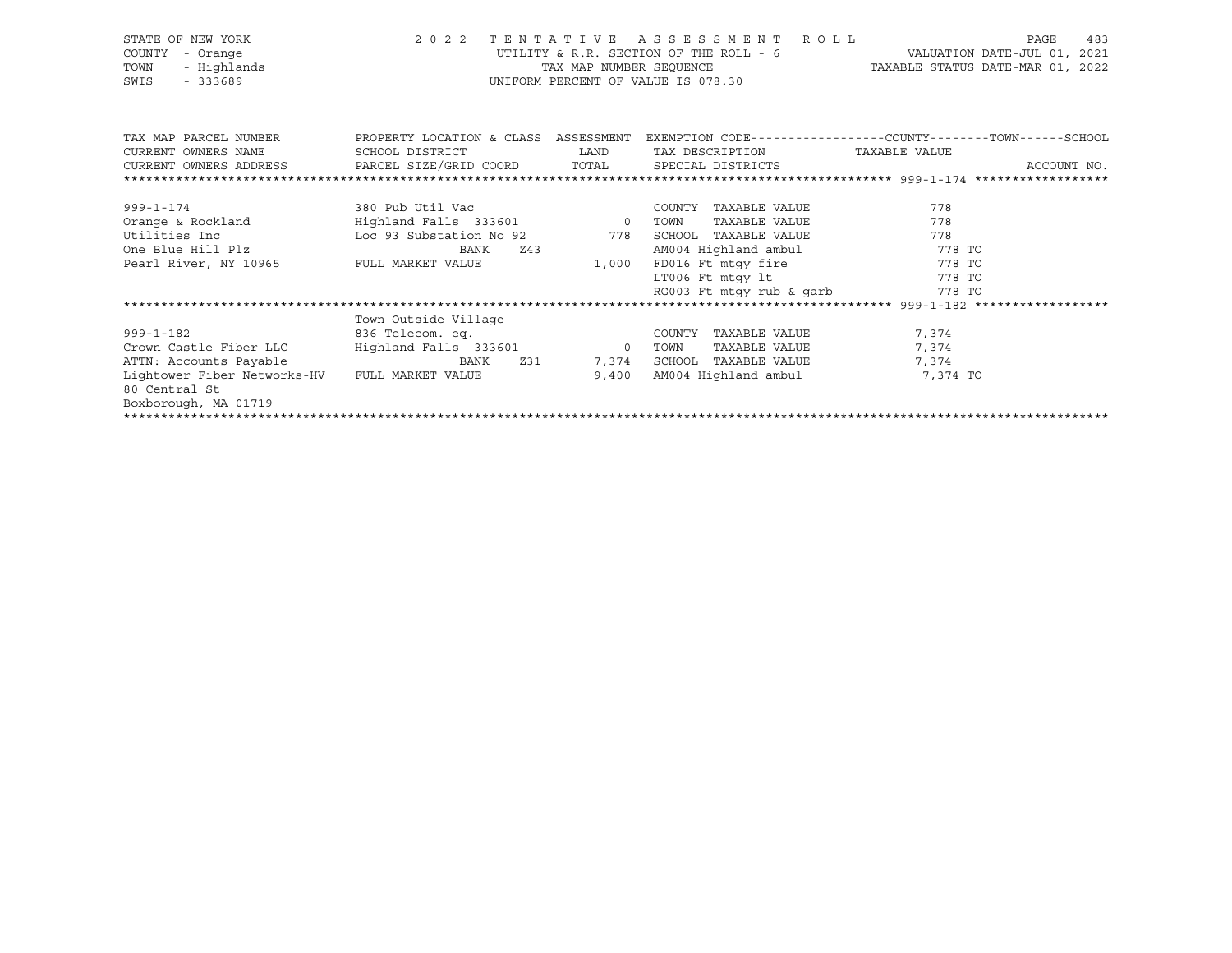| STATE OF NEW YORK<br>COUNTY<br>- Orange<br>- Highlands<br>TOWN<br>SWIS<br>$-333689$ |                                                  | TAX MAP NUMBER SEOUENCE                                                                                        | 2022 TENTATIVE ASSESSMENT ROLL<br>UTILITY & R.R. SECTION OF THE ROLL - 6<br>UNIFORM PERCENT OF VALUE IS 078.30 | PAGE<br>483<br>VALUATION DATE-JUL 01, 2021<br>TAXABLE STATUS DATE-MAR 01, 2022 |
|-------------------------------------------------------------------------------------|--------------------------------------------------|----------------------------------------------------------------------------------------------------------------|----------------------------------------------------------------------------------------------------------------|--------------------------------------------------------------------------------|
| TAX MAP PARCEL NUMBER                                                               | PROPERTY LOCATION & CLASS ASSESSMENT             |                                                                                                                |                                                                                                                | EXEMPTION CODE-----------------COUNTY--------TOWN------SCHOOL                  |
| CURRENT OWNERS NAME                                                                 | SCHOOL DISTRICT                                  | LAND                                                                                                           | TAX DESCRIPTION TAXABLE VALUE                                                                                  |                                                                                |
| CURRENT OWNERS ADDRESS     PARCEL SIZE/GRID COORD     TOTAL     SPECIAL DISTRICTS   |                                                  |                                                                                                                |                                                                                                                | ACCOUNT NO.                                                                    |
|                                                                                     |                                                  |                                                                                                                |                                                                                                                |                                                                                |
|                                                                                     |                                                  |                                                                                                                | COUNTY TAXABLE VALUE                                                                                           | 778                                                                            |
|                                                                                     |                                                  |                                                                                                                | TAXABLE VALUE                                                                                                  | 778                                                                            |
| Utilities Inc                                                                       | Loc 93 Substation No 92 778 SCHOOL TAXABLE VALUE |                                                                                                                |                                                                                                                | 778                                                                            |
| One Blue Hill Plz                                                                   | BANK                                             | Z43                                                                                                            | AM004 Highland ambul 778 TO                                                                                    |                                                                                |
| Pearl River, NY 10965               FULL MARKET VALUE                               |                                                  | 1,000                                                                                                          | FD016 Ft mtqy fire 778 TO                                                                                      |                                                                                |
|                                                                                     |                                                  |                                                                                                                | LT006 Ft mtqy lt 778 TO                                                                                        |                                                                                |
|                                                                                     |                                                  |                                                                                                                | RG003 Ft mtgy rub & garb 778 TO                                                                                |                                                                                |
|                                                                                     |                                                  |                                                                                                                |                                                                                                                |                                                                                |
|                                                                                     | Town Outside Village                             |                                                                                                                |                                                                                                                |                                                                                |
| $999 - 1 - 182$                                                                     | 836 Telecom. eq.                                 |                                                                                                                | COUNTY TAXABLE VALUE                                                                                           | 7,374                                                                          |
| Crown Castle Fiber LLC                                                              | Highland Falls 333601 0 TOWN                     |                                                                                                                | TAXABLE VALUE                                                                                                  | 7,374                                                                          |
| ATTN: Accounts Payable                                                              | BANK                                             | Z31 and the state of the state of the state of the state of the state of the state of the state of the state o | 7,374 SCHOOL TAXABLE VALUE                                                                                     | 7,374                                                                          |
| Lightower Fiber Networks-HV                                                         | FULL MARKET VALUE                                | 9,400                                                                                                          | AM004 Highland ambul                                                                                           | 7,374 TO                                                                       |
| 80 Central St                                                                       |                                                  |                                                                                                                |                                                                                                                |                                                                                |
| Boxborough, MA 01719                                                                |                                                  |                                                                                                                |                                                                                                                |                                                                                |
|                                                                                     |                                                  |                                                                                                                |                                                                                                                |                                                                                |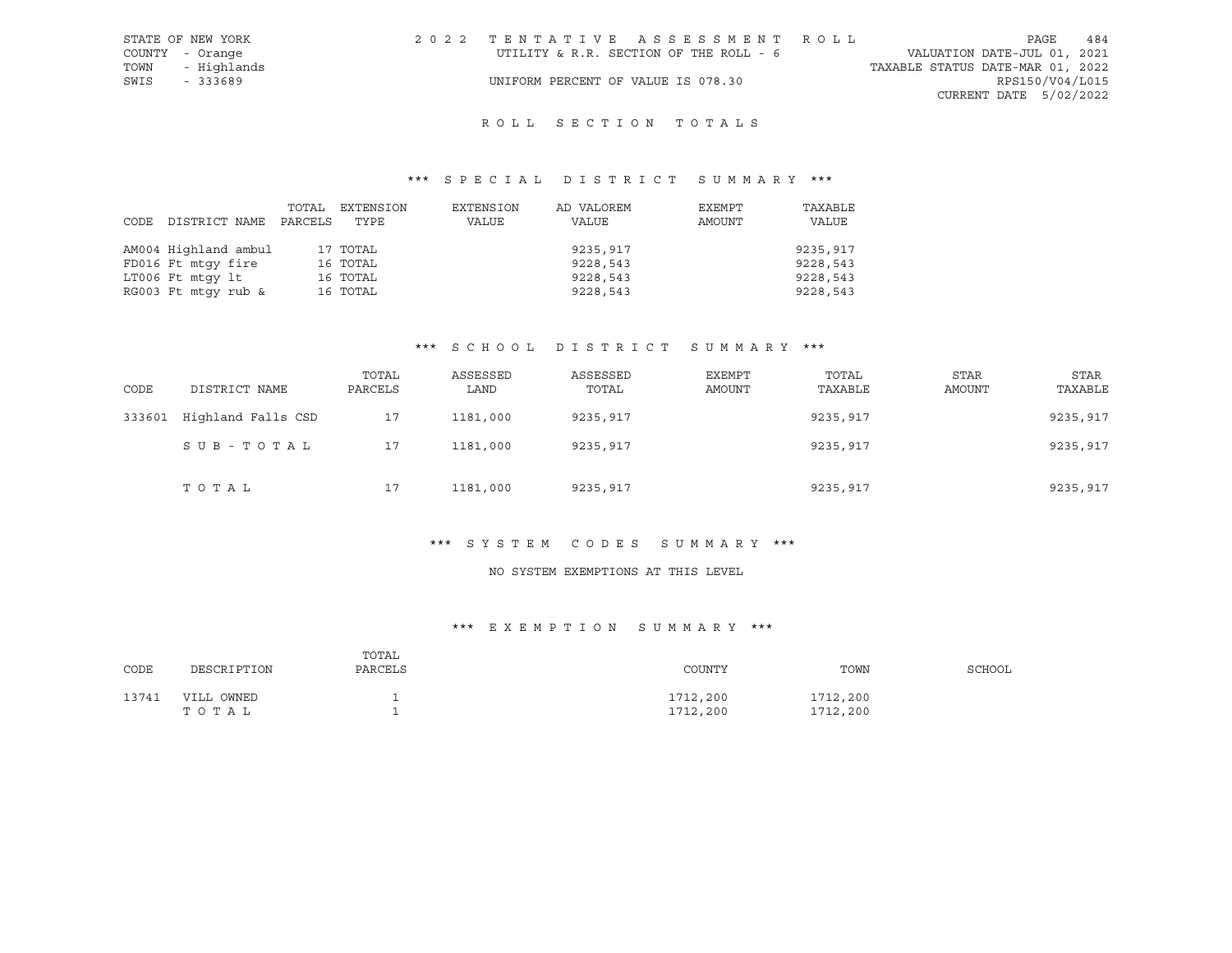| STATE OF NEW YORK | 2022 TENTATIVE ASSESSMENT ROLL         | 484<br>PAGE                      |
|-------------------|----------------------------------------|----------------------------------|
| COUNTY - Orange   | UTILITY & R.R. SECTION OF THE ROLL - 6 | VALUATION DATE-JUL 01, 2021      |
| TOWN - Highlands  |                                        | TAXABLE STATUS DATE-MAR 01, 2022 |
| SWIS<br>- 333689  | UNIFORM PERCENT OF VALUE IS 078.30     | RPS150/V04/L015                  |
|                   |                                        | CURRENT DATE 5/02/2022           |
|                   |                                        |                                  |

# R O L L S E C T I O N T O T A L S

## \*\*\* S P E C I A L D I S T R I C T S U M M A R Y \*\*\*

| CODE | DISTRICT NAME        | TOTAL<br>PARCELS | EXTENSION<br>TYPE | EXTENSION<br>VALUE | AD VALOREM<br>VALUE | EXEMPT<br>AMOUNT | TAXABLE<br>VALUE |
|------|----------------------|------------------|-------------------|--------------------|---------------------|------------------|------------------|
|      | AM004 Highland ambul |                  | 17 TOTAL          |                    | 9235,917            |                  | 9235,917         |
|      | FD016 Ft mtqy fire   |                  | 16 TOTAL          |                    | 9228,543            |                  | 9228,543         |
|      | LT006 Ft mtqy lt     |                  | 16 TOTAL          |                    | 9228,543            |                  | 9228,543         |
|      | RG003 Ft mtqy rub &  |                  | 16 TOTAL          |                    | 9228,543            |                  | 9228,543         |

# \*\*\* S C H O O L D I S T R I C T S U M M A R Y \*\*\*

| CODE   | DISTRICT NAME      | TOTAL<br>PARCELS | ASSESSED<br>LAND | ASSESSED<br>TOTAL | EXEMPT<br>AMOUNT | TOTAL<br>TAXABLE | <b>STAR</b><br>AMOUNT | <b>STAR</b><br>TAXABLE |
|--------|--------------------|------------------|------------------|-------------------|------------------|------------------|-----------------------|------------------------|
| 333601 | Highland Falls CSD | 17               | 1181,000         | 9235,917          |                  | 9235,917         |                       | 9235,917               |
|        | SUB-TOTAL          | 17               | 1181,000         | 9235,917          |                  | 9235,917         |                       | 9235,917               |
|        | TOTAL              | 17               | 1181,000         | 9235,917          |                  | 9235,917         |                       | 9235,917               |

#### \*\*\* S Y S T E M C O D E S S U M M A R Y \*\*\*

#### NO SYSTEM EXEMPTIONS AT THIS LEVEL

## \*\*\* E X E M P T I O N S U M M A R Y \*\*\*

| CODE  | DESCRIPTION         | TOTAL<br>PARCELS | COUNTY               | TOWN                 | SCHOOL |
|-------|---------------------|------------------|----------------------|----------------------|--------|
| 13741 | VILL OWNED<br>TOTAL |                  | 1712,200<br>1712,200 | 1712,200<br>1712,200 |        |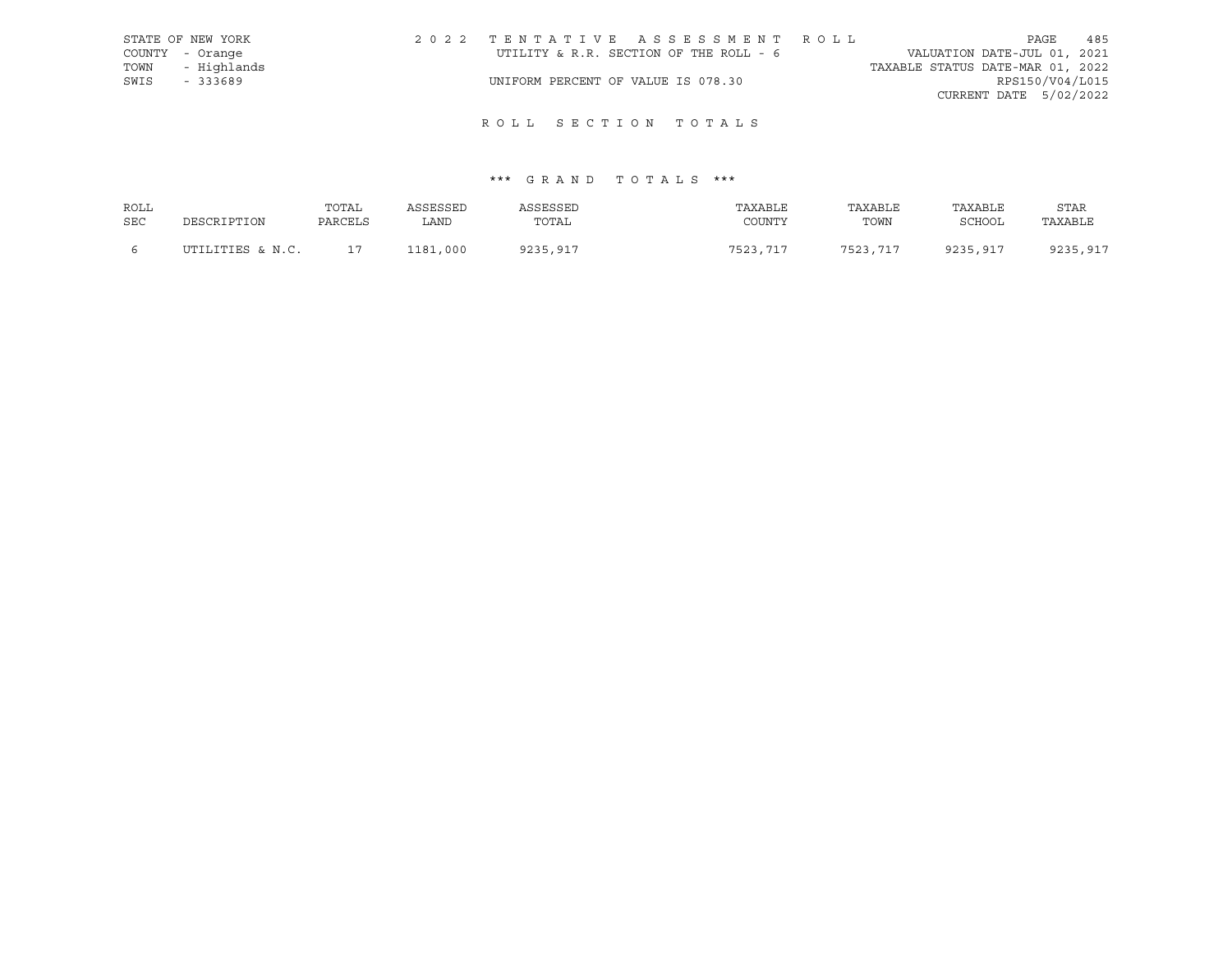|      | STATE OF NEW YORK | 2022 TENTATIVE ASSESSMENT ROLL         |  |                                  |                        | PAGE | 485 |
|------|-------------------|----------------------------------------|--|----------------------------------|------------------------|------|-----|
|      | COUNTY - Orange   | UTILITY & R.R. SECTION OF THE ROLL - 6 |  | VALUATION DATE-JUL 01, 2021      |                        |      |     |
|      | TOWN - Highlands  |                                        |  | TAXABLE STATUS DATE-MAR 01, 2022 |                        |      |     |
| SWIS | $-333689$         | UNIFORM PERCENT OF VALUE IS 078.30     |  |                                  | RPS150/V04/L015        |      |     |
|      |                   |                                        |  |                                  | CURRENT DATE 5/02/2022 |      |     |
|      |                   |                                        |  |                                  |                        |      |     |

# \*\*\* G R A N D T O T A L S \*\*\*

| ROLL |                  | TOTAL   | ASSESSED | ASSESSED | TAXABLE  | TAXABLE  | TAXABLE  | <b>STAR</b> |
|------|------------------|---------|----------|----------|----------|----------|----------|-------------|
| SEC  | DESCRIPTION      | PARCELS | LAND     | TOTAL    | COUNTY   | TOWN     | SCHOOL   | TAXABLE     |
|      |                  |         |          |          |          |          |          |             |
|      | UTILITIES & N.C. | 17      | 1181,000 | 9235,917 | 7523,717 | 7523,717 | 9235,917 | 9235,917    |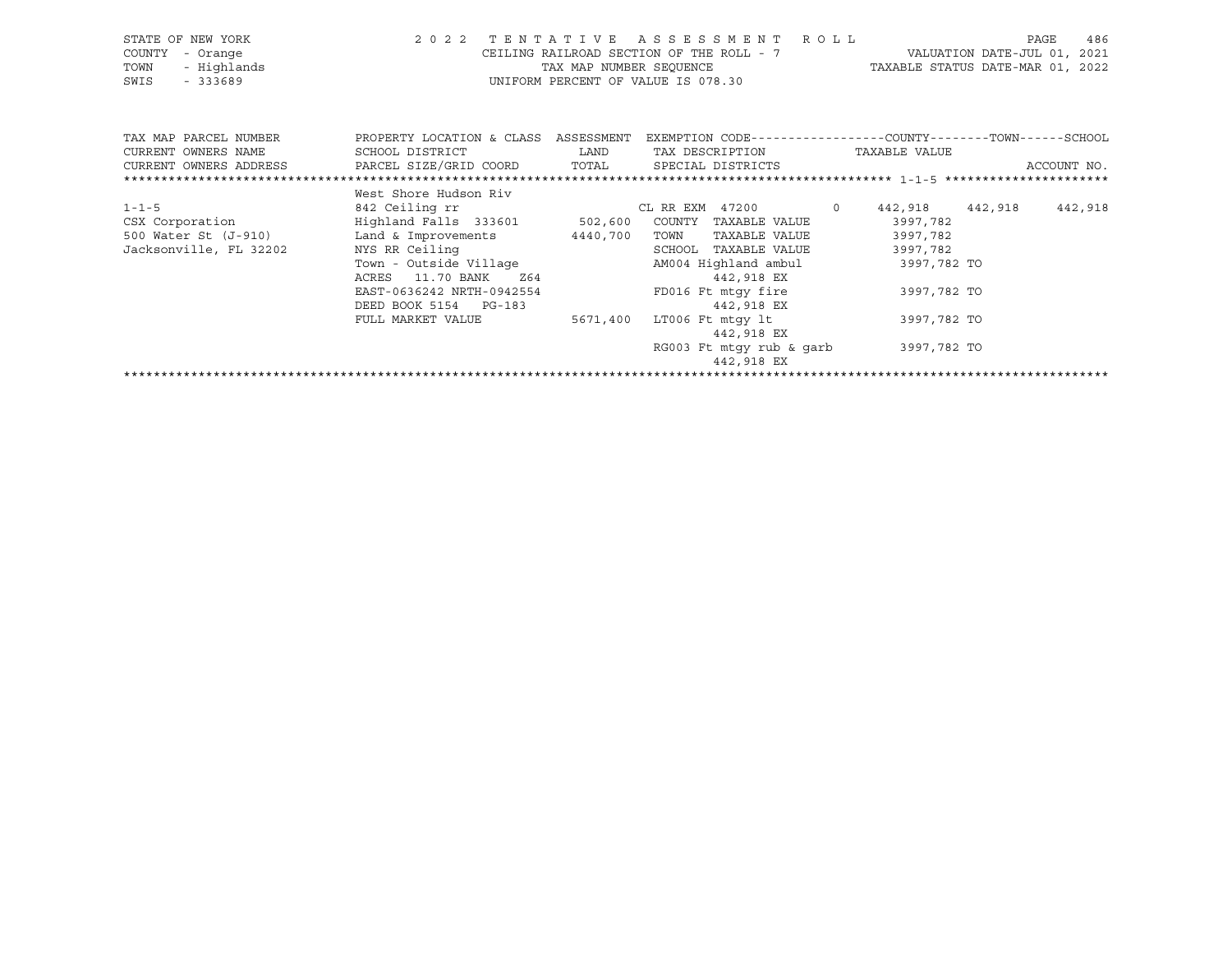| STATE OF NEW YORK<br>COUNTY<br>- Orange<br>- Highlands<br>TOWN<br>SWIS<br>- 333689 | 2 0 2 2                                                                                                                                     | TAX MAP NUMBER SEOUENCE | TENTATIVE ASSESSMENT ROLL<br>CEILING RAILROAD SECTION OF THE ROLL - 7<br>UNIFORM PERCENT OF VALUE IS 078.30            |         | TAXABLE STATUS DATE-MAR 01, 2022                           | VALUATION DATE-JUL 01, 2021 | 486<br>PAGE |
|------------------------------------------------------------------------------------|---------------------------------------------------------------------------------------------------------------------------------------------|-------------------------|------------------------------------------------------------------------------------------------------------------------|---------|------------------------------------------------------------|-----------------------------|-------------|
| TAX MAP PARCEL NUMBER<br>CURRENT OWNERS NAME<br>CURRENT OWNERS ADDRESS             | PROPERTY LOCATION & CLASS<br>SCHOOL DISTRICT<br>PARCEL SIZE/GRID COORD TOTAL SPECIAL DISTRICTS                                              | ASSESSMENT<br>LAND      | EXEMPTION CODE-----------------COUNTY-------TOWN------SCHOOL<br>TAX DESCRIPTION                                        |         | TAXABLE VALUE                                              |                             | ACCOUNT NO. |
|                                                                                    |                                                                                                                                             |                         |                                                                                                                        |         |                                                            |                             |             |
| $1 - 1 - 5$<br>CSX Corporation<br>500 Water St (J-910)<br>Jacksonville, FL 32202   | West Shore Hudson Riv<br>842 Ceiling rr<br>Highland Falls 333601 502,600<br>Land & Improvements<br>NYS RR Ceiling<br>Town - Outside Village | 4440,700                | CL RR EXM 47200<br>COUNTY<br>TAXABLE VALUE<br>TAXABLE VALUE<br>TOWN<br>SCHOOL<br>TAXABLE VALUE<br>AM004 Highland ambul | $\circ$ | 442,918<br>3997,782<br>3997,782<br>3997,782<br>3997,782 TO | 442,918                     | 442,918     |

\*\*\*\*\*\*\*\*\*\*\*\*\*\*\*\*\*\*\*\*\*\*\*\*\*\*\*\*\*\*\*\*\*\*\*\*\*\*\*\*\*\*\*\*\*\*\*\*\*\*\*\*\*\*\*\*\*\*\*\*\*\*\*\*\*\*\*\*\*\*\*\*\*\*\*\*\*\*\*\*\*\*\*\*\*\*\*\*\*\*\*\*\*\*\*\*\*\*\*\*\*\*\*\*\*\*\*\*\*\*\*\*\*\*\*\*\*\*\*\*\*\*\*\*\*\*\*\*\*\*\*\*

FULL MARKET VALUE 5671,400 LT006 Ft mtgy lt 3997,782 TO

442,918 EX

442,918 EX

RG003 Ft mtgy rub & garb 3997,782 TO

EAST-0636242 NRTH-0942554 FD016 Ft mtgy fire 3997,782 TO

ACRES 11.70 BANK 264 269 2021 2022 442,918 EX

DEED BOOK 5154 PG-183 442,918 EX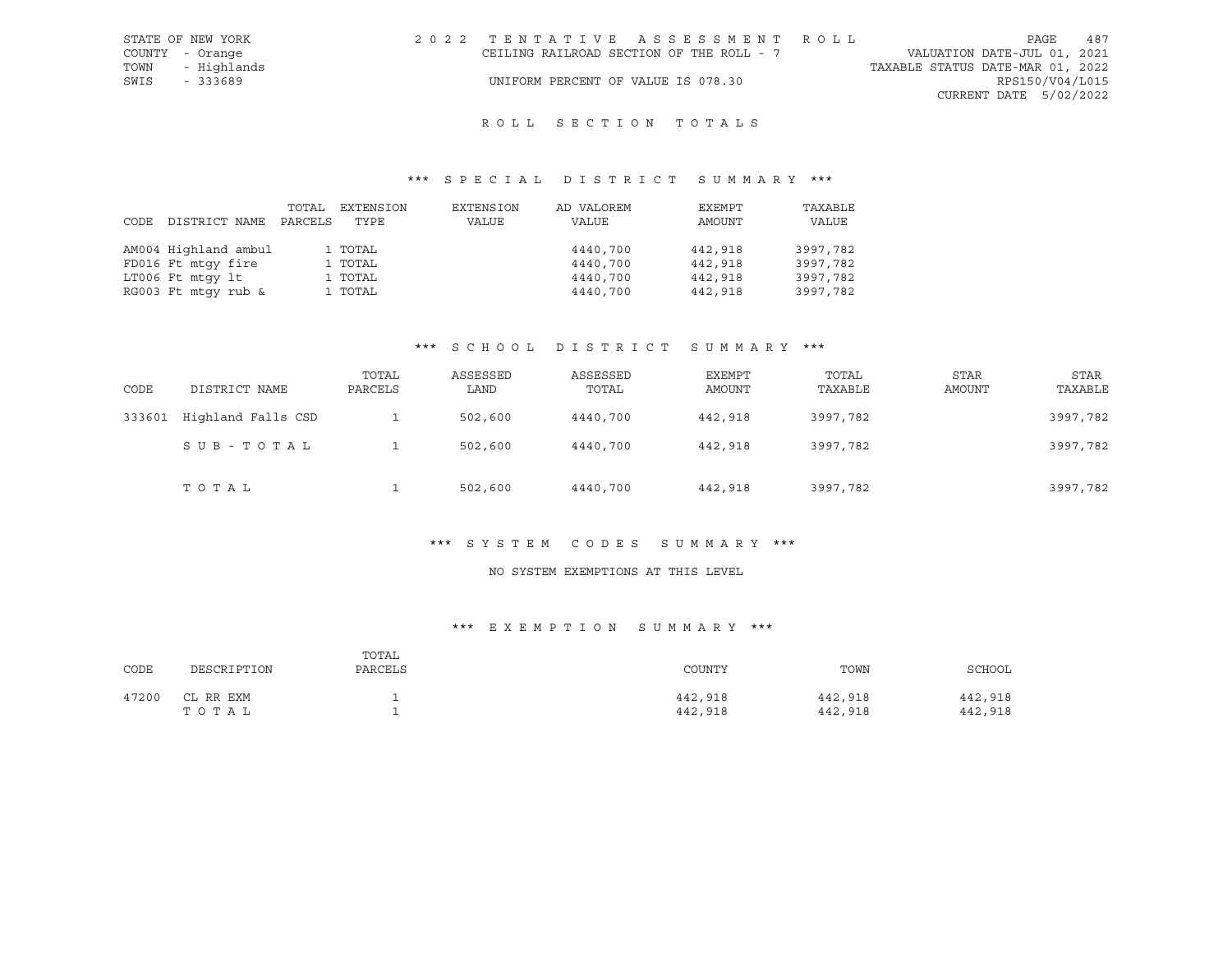| STATE OF NEW YORK | 2022 TENTATIVE ASSESSMENT ROLL           |  |                                  |                        | PAGE | 487 |
|-------------------|------------------------------------------|--|----------------------------------|------------------------|------|-----|
| COUNTY - Orange   | CEILING RAILROAD SECTION OF THE ROLL - 7 |  | VALUATION DATE-JUL 01, 2021      |                        |      |     |
| TOWN - Highlands  |                                          |  | TAXABLE STATUS DATE-MAR 01, 2022 |                        |      |     |
| SWIS<br>- 333689  | UNIFORM PERCENT OF VALUE IS 078.30       |  |                                  | RPS150/V04/L015        |      |     |
|                   |                                          |  |                                  | CURRENT DATE 5/02/2022 |      |     |
|                   |                                          |  |                                  |                        |      |     |

## \*\*\* S P E C I A L D I S T R I C T S U M M A R Y \*\*\*

| CODE | DISTRICT NAME        | TOTAL<br>PARCELS | EXTENSION<br>TYPE | EXTENSION<br>VALUE | AD VALOREM<br>VALUE | EXEMPT<br>AMOUNT | TAXABLE<br>VALUE |
|------|----------------------|------------------|-------------------|--------------------|---------------------|------------------|------------------|
|      | AM004 Highland ambul |                  | 1 TOTAL           |                    | 4440,700            | 442,918          | 3997,782         |
|      | FD016 Ft mtqy fire   |                  | 1 TOTAL           |                    | 4440,700            | 442,918          | 3997,782         |
|      | LT006 Ft mtqy lt     |                  | 1 TOTAL           |                    | 4440,700            | 442,918          | 3997,782         |
|      | RG003 Ft mtqy rub &  |                  | 1 TOTAL           |                    | 4440,700            | 442,918          | 3997,782         |

### \*\*\* S C H O O L D I S T R I C T S U M M A R Y \*\*\*

| CODE   | DISTRICT NAME      | TOTAL<br>PARCELS | ASSESSED<br>LAND | ASSESSED<br>TOTAL | EXEMPT<br>AMOUNT | TOTAL<br>TAXABLE | <b>STAR</b><br>AMOUNT | STAR<br>TAXABLE |
|--------|--------------------|------------------|------------------|-------------------|------------------|------------------|-----------------------|-----------------|
| 333601 | Highland Falls CSD |                  | 502,600          | 4440,700          | 442,918          | 3997,782         |                       | 3997,782        |
|        | SUB-TOTAL          |                  | 502,600          | 4440,700          | 442,918          | 3997,782         |                       | 3997,782        |
|        | тотаь              |                  | 502,600          | 4440,700          | 442,918          | 3997,782         |                       | 3997,782        |

#### \*\*\* S Y S T E M C O D E S S U M M A R Y \*\*\*

#### NO SYSTEM EXEMPTIONS AT THIS LEVEL

## \*\*\* E X E M P T I O N S U M M A R Y \*\*\*

| CODE  | DESCRIPTION        | TOTAL<br>PARCELS | COUNTY             | TOWN               | SCHOOL             |
|-------|--------------------|------------------|--------------------|--------------------|--------------------|
| 47200 | CL RR EXM<br>TOTAL |                  | 442,918<br>442,918 | 442,918<br>442,918 | 442,918<br>442,918 |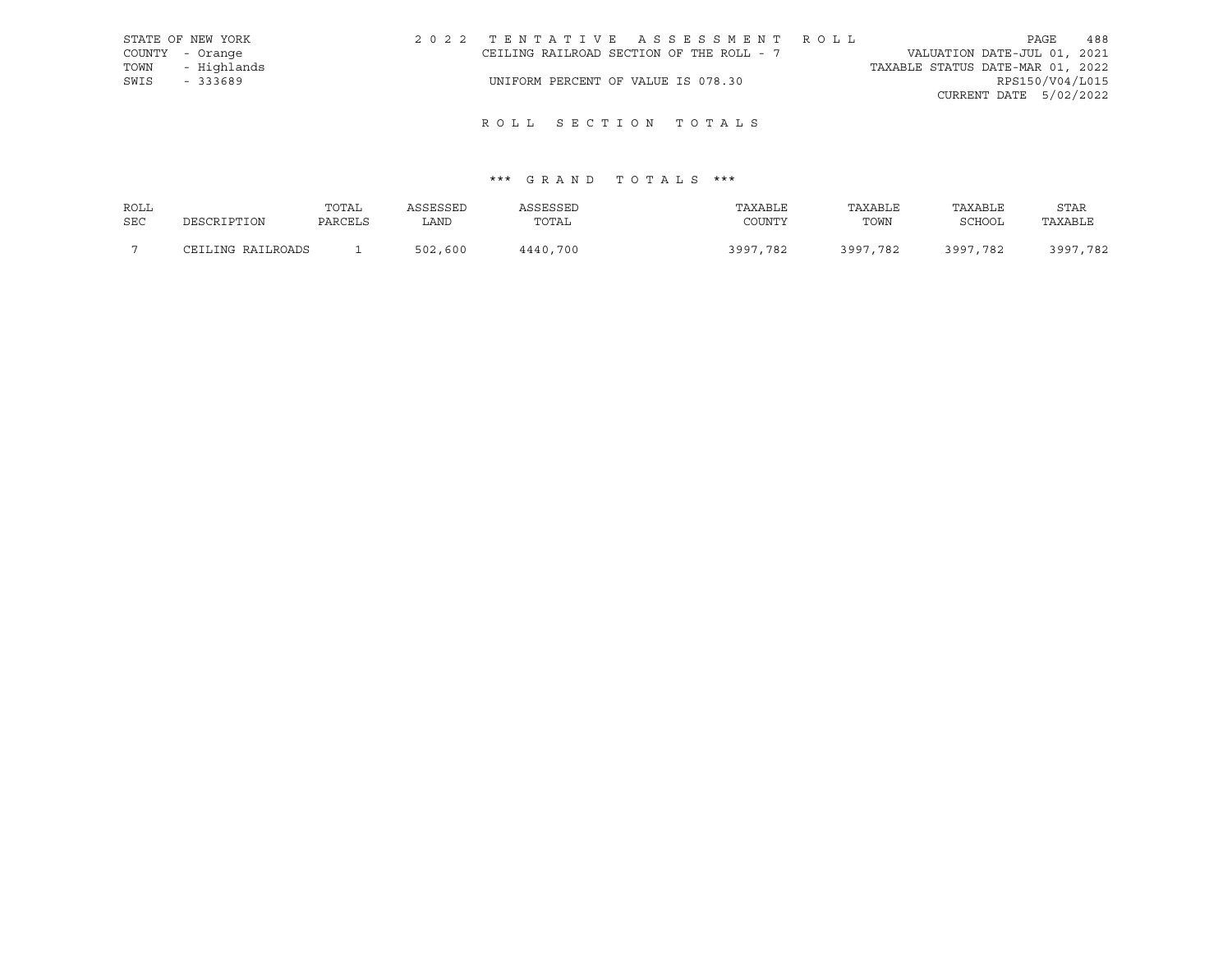|      | STATE OF NEW YORK | 2022 TENTATIVE ASSESSMENT ROLL           |  |                                  | PAGE                   | 488 |
|------|-------------------|------------------------------------------|--|----------------------------------|------------------------|-----|
|      | COUNTY - Orange   | CEILING RAILROAD SECTION OF THE ROLL - 7 |  | VALUATION DATE-JUL 01, 2021      |                        |     |
| TOWN | - Highlands       |                                          |  | TAXABLE STATUS DATE-MAR 01, 2022 |                        |     |
| SWIS | - 333689          | UNIFORM PERCENT OF VALUE IS 078.30       |  |                                  | RPS150/V04/L015        |     |
|      |                   |                                          |  |                                  | CURRENT DATE 5/02/2022 |     |

# \*\*\* G R A N D T O T A L S \*\*\*

| ROLL       |                   | TOTAL   | ASSESSED | ASSESSED | TAXABLE  | TAXABLE  | TAXABLE  | <b>STAR</b> |
|------------|-------------------|---------|----------|----------|----------|----------|----------|-------------|
| <b>SEC</b> | DESCRIPTION       | PARCELS | LAND     | TOTAL    | COUNTY   | TOWN     | SCHOOL   | TAXABLE     |
|            | CEILING RAILROADS |         | 502,600  | 4440,700 | 3997,782 | 3997,782 | 3997,782 | 3997,782    |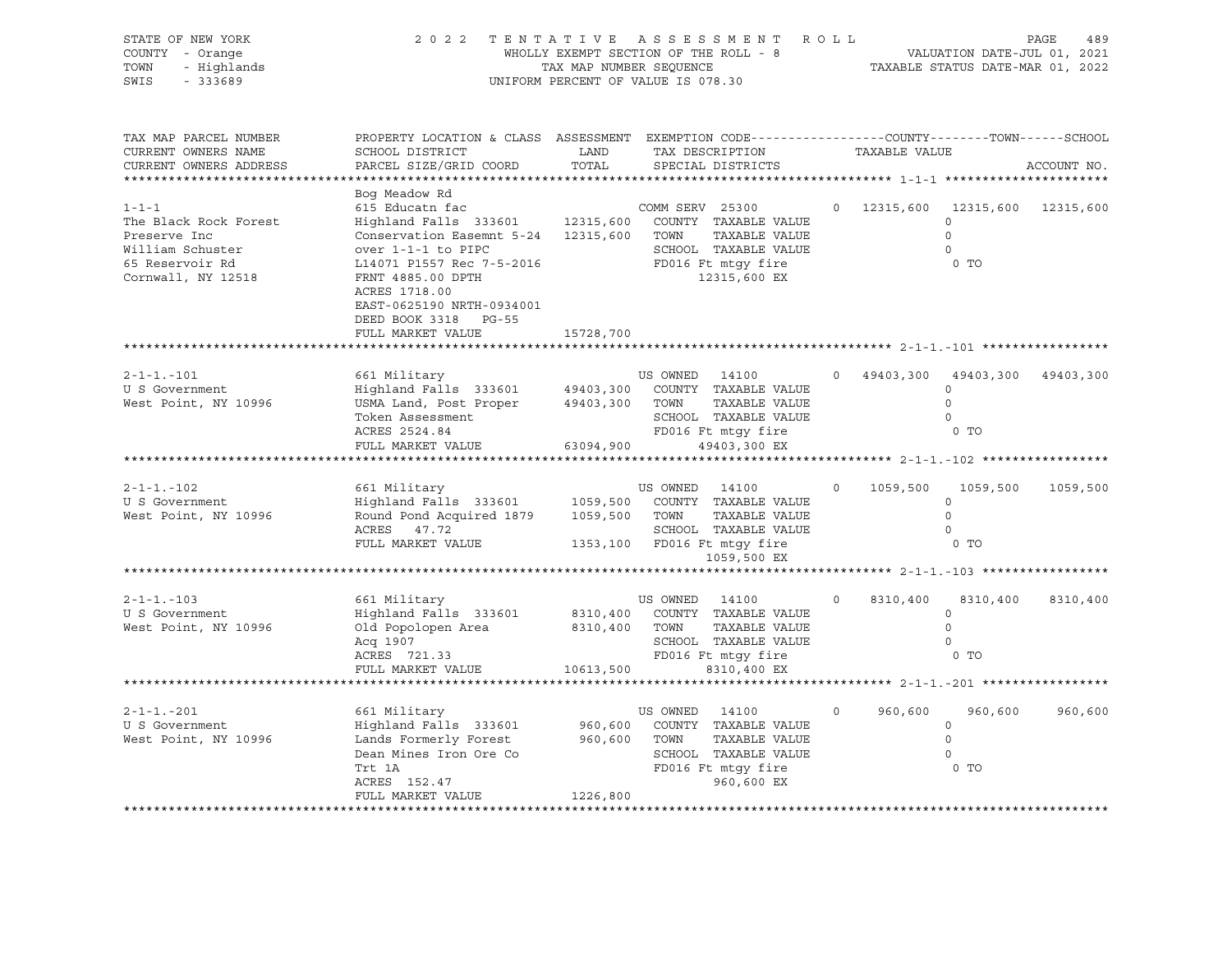| STATE OF NEW YORK<br>COUNTY - Orange<br>- Highlands<br>TOWN<br>$-333689$<br>SWIS                                  | 2022 TENTATIVE ASSESSMENT ROLL                                                                                                                                                                                                                               | TAX MAP NUMBER SEQUENCE             | WHOLLY EXEMPT SECTION OF THE ROLL - 8<br>UNIFORM PERCENT OF VALUE IS 078.30                   |                               |         |               | VALUATION DATE-JUL 01, 2021<br>TAXABLE STATUS DATE-MAR 01, 2022              | PAGE<br>489 |
|-------------------------------------------------------------------------------------------------------------------|--------------------------------------------------------------------------------------------------------------------------------------------------------------------------------------------------------------------------------------------------------------|-------------------------------------|-----------------------------------------------------------------------------------------------|-------------------------------|---------|---------------|------------------------------------------------------------------------------|-------------|
| TAX MAP PARCEL NUMBER<br>CURRENT OWNERS NAME<br>CURRENT OWNERS ADDRESS                                            | PROPERTY LOCATION & CLASS ASSESSMENT EXEMPTION CODE----------------COUNTY-------TOWN------SCHOOL<br>SCHOOL DISTRICT<br>PARCEL SIZE/GRID COORD                                                                                                                | LAND<br>TOTAL                       | TAX DESCRIPTION<br>SPECIAL DISTRICTS                                                          |                               |         | TAXABLE VALUE |                                                                              | ACCOUNT NO. |
|                                                                                                                   | Bog Meadow Rd                                                                                                                                                                                                                                                |                                     |                                                                                               |                               |         |               |                                                                              |             |
| $1 - 1 - 1$<br>The Black Rock Forest<br>Preserve Inc<br>William Schuster<br>65 Reservoir Rd<br>Cornwall, NY 12518 | 615 Educatn fac<br>Highland Falls 333601 12315,600 COUNTY TAXABLE VALUE<br>Conservation Easemnt 5-24 12315,600 TOWN<br>over 1-1-1 to PIPC<br>L14071 P1557 Rec 7-5-2016 FD016 Ft mtgy fire<br>FRNT 4885.00 DPTH<br>ACRES 1718.00<br>EAST-0625190 NRTH-0934001 |                                     | COMM SERV 25300<br>SCHOOL TAXABLE VALUE                                                       | TAXABLE VALUE<br>12315,600 EX |         |               | 0 12315,600 12315,600 12315,600<br>$\Omega$<br>$\Omega$<br>$\circ$<br>$0$ TO |             |
|                                                                                                                   | DEED BOOK 3318 PG-55                                                                                                                                                                                                                                         |                                     |                                                                                               |                               |         |               |                                                                              |             |
|                                                                                                                   | FULL MARKET VALUE                                                                                                                                                                                                                                            | 15728,700                           |                                                                                               |                               |         |               |                                                                              |             |
|                                                                                                                   |                                                                                                                                                                                                                                                              |                                     |                                                                                               |                               |         |               |                                                                              |             |
| $2 - 1 - 1 - 101$<br>U S Government<br>West Point, NY 10996                                                       | 661 Military<br>Highland Falls 333601 49403,300 COUNTY TAXABLE VALUE<br>USMA Land, Post Proper 49403,300 TOWN TAXABLE VALUE<br>Token Assessment<br>ACRES 2524.84<br>FULL MARKET VALUE                                                                        | 63094,900                           | US OWNED 14100<br>SCHOOL TAXABLE VALUE<br>SCHOOL TAXABLE VALUE<br>FD016 Ft mtgy fire          | 49403,300 EX                  |         |               | 0 49403,300 49403,300 49403,300<br>$\Omega$<br>$\Omega$<br>$\circ$<br>$0$ TO |             |
|                                                                                                                   |                                                                                                                                                                                                                                                              |                                     |                                                                                               |                               |         |               |                                                                              |             |
|                                                                                                                   |                                                                                                                                                                                                                                                              |                                     |                                                                                               |                               |         |               |                                                                              |             |
| $2 - 1 - 1 - 102$<br>U S Government<br>West Point, NY 10996                                                       | 661 Military<br>Highland Falls 333601<br>Round Pond Acquired 1879<br>ACRES 47.72<br>FULL MARKET VALUE                                                                                                                                                        | 1059,500<br>1059,500 TOWN           | US OWNED 14100<br>COUNTY TAXABLE VALUE<br>SCHOOL TAXABLE VALUE<br>1353,100 FD016 Ft mtgy fire | TAXABLE VALUE                 | $\circ$ | 1059,500      | 1059,500<br>$\circ$<br>$\mathbf 0$<br>$\Omega$<br>$0$ TO                     | 1059,500    |
|                                                                                                                   |                                                                                                                                                                                                                                                              |                                     |                                                                                               | 1059,500 EX                   |         |               |                                                                              |             |
|                                                                                                                   |                                                                                                                                                                                                                                                              |                                     |                                                                                               |                               |         |               |                                                                              |             |
| $2 - 1 - 1 - 103$<br>U S Government<br>West Point, NY 10996                                                       | 661 Military<br>Highland Falls 333601 8310,400 COUNTY TAXABLE VALUE<br>Old Popolopen Area<br>Acq 1907<br>ACRES 721.33<br>FULL MARKET VALUE                                                                                                                   | 8310,400 TOWN<br>10613,500          | US OWNED 14100<br>SCHOOL TAXABLE VALUE<br>FD016 Ft mtgy fire                                  | TAXABLE VALUE<br>8310,400 EX  | $\circ$ | 8310,400      | 8310,400<br>$\circ$<br>$\Omega$<br>$\circ$<br>$0$ TO                         | 8310,400    |
|                                                                                                                   |                                                                                                                                                                                                                                                              |                                     |                                                                                               |                               |         |               |                                                                              |             |
|                                                                                                                   |                                                                                                                                                                                                                                                              |                                     |                                                                                               |                               |         |               |                                                                              |             |
| $2 - 1 - 1 - 201$<br>U S Government<br>West Point, NY 10996                                                       | 661 Military<br>Highland Falls 333601<br>Lands Formerly Forest<br>Dean Mines Iron Ore Co<br>Trt 1A<br>ACRES 152.47                                                                                                                                           | 960,600<br>960,600 TOWN<br>1226,800 | US OWNED 14100<br>COUNTY TAXABLE VALUE<br>SCHOOL TAXABLE VALUE<br>FD016 Ft mtgy fire          | TAXABLE VALUE<br>960,600 EX   | $\circ$ | 960,600       | 960,600<br>$\circ$<br>$\circ$<br>$\Omega$<br>$0$ TO                          | 960,600     |
|                                                                                                                   | FULL MARKET VALUE                                                                                                                                                                                                                                            |                                     |                                                                                               |                               |         |               |                                                                              |             |
|                                                                                                                   |                                                                                                                                                                                                                                                              |                                     |                                                                                               |                               |         |               |                                                                              |             |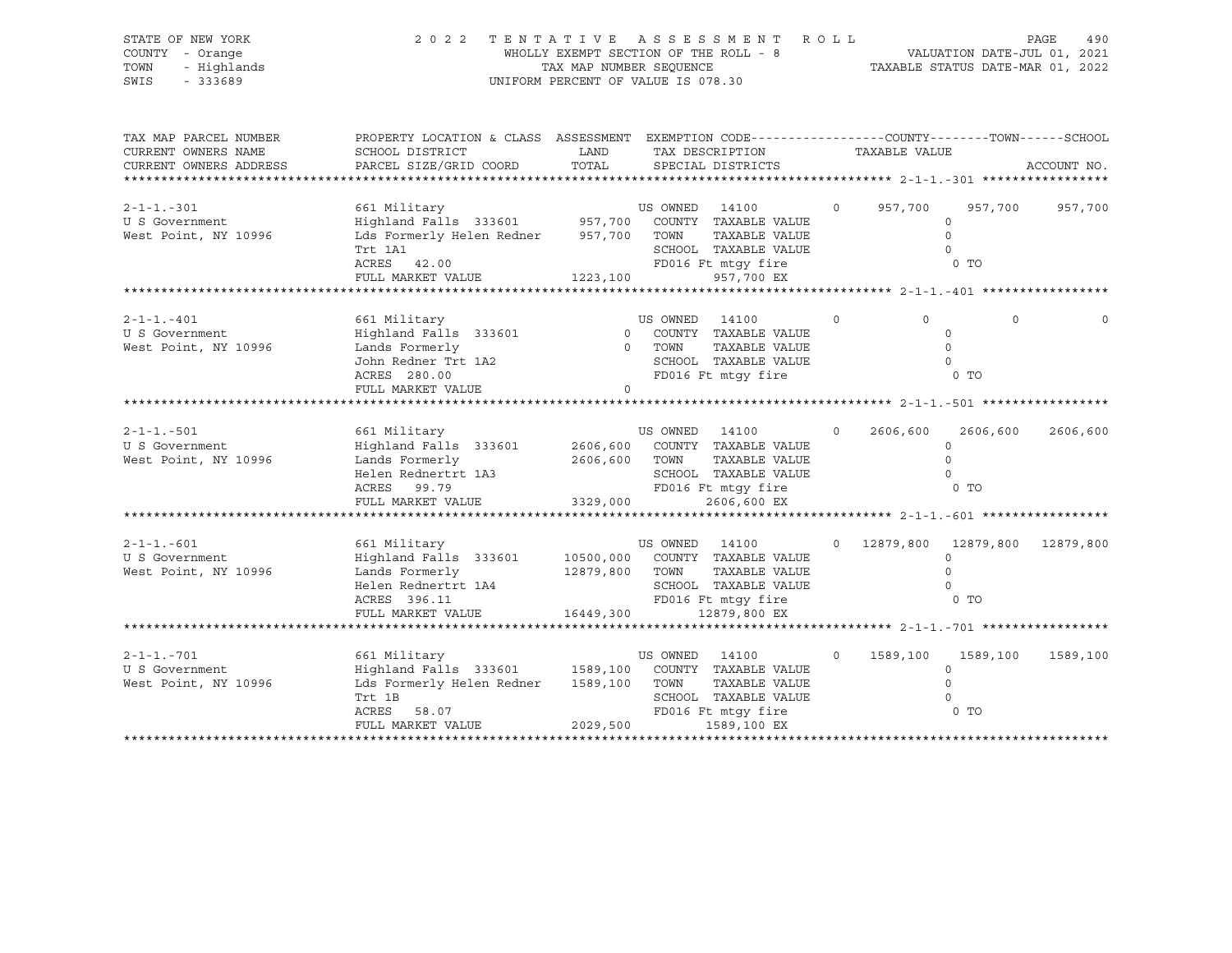| STATE OF NEW YORK<br>COUNTY - Orange<br>TOWN<br>- Highlands<br>$-333689$<br>SWIS | 2022 TENTATIVE ASSESSMENT ROLL                                                                                                                                                                                                                                        | UNIFORM PERCENT OF VALUE IS 078.30 |                                 | WHOLLY EXEMPT SECTION OF THE ROLL - 8<br>TAX MAP NUMBER SEQUENCE TAX TAXABLE STATUS DATE-MAR 01, 2022                       |                   |                  |                                                              | PAGE<br>490 |
|----------------------------------------------------------------------------------|-----------------------------------------------------------------------------------------------------------------------------------------------------------------------------------------------------------------------------------------------------------------------|------------------------------------|---------------------------------|-----------------------------------------------------------------------------------------------------------------------------|-------------------|------------------|--------------------------------------------------------------|-------------|
| TAX MAP PARCEL NUMBER<br>CURRENT OWNERS NAME<br>CURRENT OWNERS ADDRESS           | PROPERTY LOCATION & CLASS ASSESSMENT EXEMPTION CODE----------------COUNTY-------TOWN-----SCHOOL<br>SCHOOL DISTRICT<br><b>EXAMPLE DESCRIPTION OF STREET AND STREET AND STREET AND STREET AND STREET AND STREET AND STREET AND STREET AND</b><br>PARCEL SIZE/GRID COORD | TOTAL                              |                                 | TAX DESCRIPTION<br>SPECIAL DISTRICTS                                                                                        |                   | TAXABLE VALUE    |                                                              | ACCOUNT NO. |
| $2 - 1 - 1 - 301$<br>U S Government<br>West Point, NY 10996                      | Lds Formerly Helen Redner 957,700 TOWN TAXABLE VALUE<br>- 7<br>ACRES 42.00<br>FULL MARKER 7<br>SCHOOL TAXABLE VALUE<br>ACRES 42.00 FULL MARKET VALUE<br>FD016 Ft mtgy fire<br>1223,100 957,700 EX                                                                     |                                    |                                 |                                                                                                                             | $\circ$           | 957,700          | 957,700<br>$\Omega$<br>$\overline{0}$<br>$\Omega$<br>$0$ TO  | 957,700     |
|                                                                                  |                                                                                                                                                                                                                                                                       |                                    |                                 |                                                                                                                             |                   |                  |                                                              |             |
| $2 - 1 - 1 - 401$<br>U S Government<br>West Point, NY 10996                      | 661 Military<br>Highland Falls 333601 0 COUNTY TAXABLE VALUE<br>Lands Formerly<br>John Redner Trt 1A2<br>ACRES 280.00<br>FULL MARKET VALUE                                                                                                                            | $\Omega$                           | US OWNED 14100<br>0 TOWN        | TAXABLE VALUE<br>SCHOOL TAXABLE VALUE<br>FD016 Ft mtgy fire                                                                 | $\circ$           | $\Omega$         | $\Omega$<br>$\Omega$<br>$\Omega$<br>$\overline{0}$<br>$0$ TO |             |
|                                                                                  |                                                                                                                                                                                                                                                                       |                                    |                                 |                                                                                                                             |                   |                  |                                                              |             |
| $2 - 1 - 1 - 501$<br>U S Government<br>West Point, NY 10996                      | 661 Military<br>Highland Falls 333601 2606,600 COUNTY TAXABLE VALUE<br>Lands Formerly<br>Helen Rednertrt 1A3<br>Helen Rednertrt 1A3<br>ACRES 99.79<br>FD016 Ft mtgy fire<br>FULL MARKET VALUE 3329,000<br>2606,600 EX                                                 |                                    | US OWNED 14100<br>2606,600 TOWN | TOWN TAXABLE VALUE<br>SCHOOL TAXABLE VALUE                                                                                  | $0 \qquad \qquad$ | 2606,600         | 2606,600<br>$\circ$<br>$\Omega$<br>$\Omega$<br>0 TO          | 2606,600    |
|                                                                                  |                                                                                                                                                                                                                                                                       |                                    |                                 |                                                                                                                             |                   |                  |                                                              |             |
|                                                                                  |                                                                                                                                                                                                                                                                       |                                    |                                 |                                                                                                                             |                   |                  |                                                              |             |
| $2 - 1 - 1 - 601$<br>U S Government<br>West Point, NY 10996                      | 661 Military<br>Highland Falls 333601 10500,000 COUNTY TAXABLE VALUE<br>Lands Formerly 12879,800 TOWN TAXABLE VALUE<br>Helen Rednertrt 1A4<br>ACRES 396.11<br>FULL MARKET VALUE 16449,300 12879,800 EX                                                                |                                    | US OWNED 14100                  | CONN TAXABLE VALUE<br>SCHOOL TAXABLE VALUE<br>The Connective Connection of TO<br>SCHOOL TAXABLE VALUE<br>FD016 Ft mtgy fire |                   |                  | 0 12879,800 12879,800 12879,800<br>$\Omega$                  |             |
|                                                                                  |                                                                                                                                                                                                                                                                       |                                    |                                 |                                                                                                                             |                   |                  |                                                              |             |
| $2 - 1 - 1 - 701$<br>U S Government<br>West Point, NY 10996                      | 661 Military<br>Highland Falls 333601 1589,100 COUNTY TAXABLE VALUE<br>Lds Formerly Helen Redner<br>Trt 1B<br>ACRES<br>58.07<br>FULL MARKET VALUE                                                                                                                     | 2029,500                           | US OWNED 14100                  | 1589,100 TOWN TAXABLE VALUE<br>SCHOOL TAXABLE VALUE<br>FD016 Ft mtgy fire<br>1589,100 EX                                    | $\Omega$          | 1589,100<br>0 TO | 1589,100<br>$\Omega$<br>$\Omega$<br>$\Omega$                 | 1589,100    |
|                                                                                  |                                                                                                                                                                                                                                                                       |                                    |                                 |                                                                                                                             |                   |                  |                                                              |             |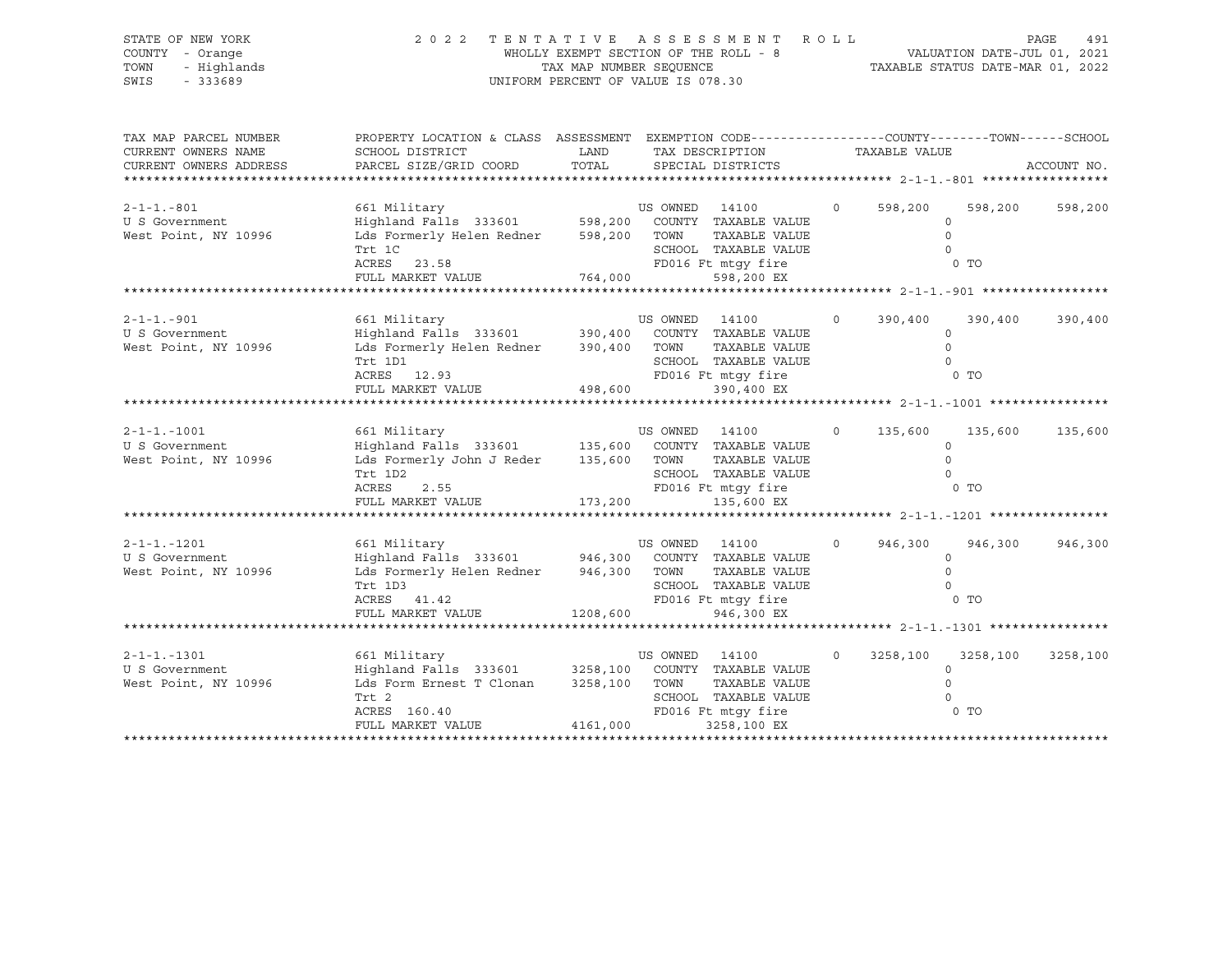| STATE OF NEW YORK<br>COUNTY - Orange<br>TOWN<br>- Highlands<br>$-333689$<br>SWIS | 2 0 2 2                                                                                                                                                                            | UNIFORM PERCENT OF VALUE IS 078.30 |                | TENTATIVE ASSESSMENT ROLL<br>WHOLLY EXEMPT SECTION OF THE ROLL - 8<br>TAXABLE STATUS DATE-JUL 01, 2021<br>TAX MAP NUMBER SEQUENCE TAXABLE STATUS DATE-MAR 01, 2022 |          |               |                                                              | PAGE<br>491 |
|----------------------------------------------------------------------------------|------------------------------------------------------------------------------------------------------------------------------------------------------------------------------------|------------------------------------|----------------|--------------------------------------------------------------------------------------------------------------------------------------------------------------------|----------|---------------|--------------------------------------------------------------|-------------|
| TAX MAP PARCEL NUMBER<br>CURRENT OWNERS NAME<br>CURRENT OWNERS ADDRESS           | PROPERTY LOCATION & CLASS ASSESSMENT EXEMPTION CODE----------------COUNTY-------TOWN------SCHOOL<br>SCHOOL DISTRICT<br>PARCEL SIZE/GRID COORD                                      | LAND<br>TOTAL                      |                | TAX DESCRIPTION<br>SPECIAL DISTRICTS                                                                                                                               |          | TAXABLE VALUE |                                                              | ACCOUNT NO. |
| $2 - 1 - 1 - 801$<br>U S Government<br>West Point, NY 10996                      | Lds Formerly Helen Redner 598,200 TOWN TAXABLE VALUE<br>ILL IL<br>ACRES 23.58<br>FULL MARKET VAILLE<br>FULL MARKET VALUE                                                           |                                    |                | SCHOOL TAXABLE VALUE                                                                                                                                               | $\circ$  | 598,200       | 598,200<br>$\circ$<br>$\circ$<br>$\circ$<br>0 <sub>T</sub>   | 598,200     |
| $2 - 1 - 1 - 901$<br>U S Government<br>West Point, NY 10996                      | Lds Formerly Helen Redner 390,400 TOWN<br>ITU IDI<br>ACRES 12.93<br>FULL MARKET VALUE 498,600                                                                                      |                                    |                | TAXABLE VALUE<br>SCHOOL TAXABLE VALUE<br>SCHOOL TAXABLE VALUE<br>FD016 Ft mtgy fire<br>390,400 EX                                                                  | $\Omega$ | 390,400       | 390,400<br>$\circ$<br>$\circ$<br>$\Omega$<br>0 <sub>T</sub>  | 390,400     |
| $2 - 1 - 1 - 1001$<br>U S Government<br>West Point, NY 10996                     | Lds Formerly John J Reder 135,600 TOWN<br>Trt 1D2<br>ACRES<br>2.55<br>FULL MARKET VALUE 173,200                                                                                    |                                    |                | TAXABLE VALUE<br>SCHOOL TAXABLE VALUE<br>SCHOOL TAXABLE VALUE<br>FD016 Ft mtgy fire<br>135,600 EX                                                                  | $\circ$  | 135,600       | 135,600<br>$\Omega$<br>$\circ$<br>$\Omega$<br>0 <sub>T</sub> | 135,600     |
| $2 - 1 - 1 - 1201$<br>U S Government<br>West Point, NY 10996                     | 661 Military<br>Highland Falls 333601 946,300 COUNTY TAXABLE VALUE<br>Lds Formerly Helen Redner 946,300 TOWN<br>Trt 1D3<br>ACRES 41.42<br>FULL MARKET VALUE 1208,600               |                                    | US OWNED 14100 | TAXABLE VALUE<br>TOWN TAXABLE VALUE<br>SCHOOL TAXABLE VALUE<br>FD016 Ft mtqy fire<br>946,300 EX                                                                    | $\circ$  | 946,300       | 946,300<br>$\circ$<br>$\Omega$<br>$\Omega$<br>$0$ TO         | 946,300     |
| $2 - 1 - 1 - 1301$<br>U S Government<br>West Point, NY 10996                     | 661 Military<br>Highland Falls 333601 3258,100 COUNTY TAXABLE VALUE<br>Lds Form Ernest T Clonan 3258,100 TOWN TAXABLE VALUE<br>Trt 2<br>ACRES 160.40<br>FULL MARKET VALUE 4161,000 |                                    | US OWNED 14100 | SCHOOL TAXABLE VALUE<br>3258,100 EX                                                                                                                                | $\Omega$ | 3258,100      | 3258,100<br>$\circ$<br>$\Omega$<br>$\Omega$                  | 3258,100    |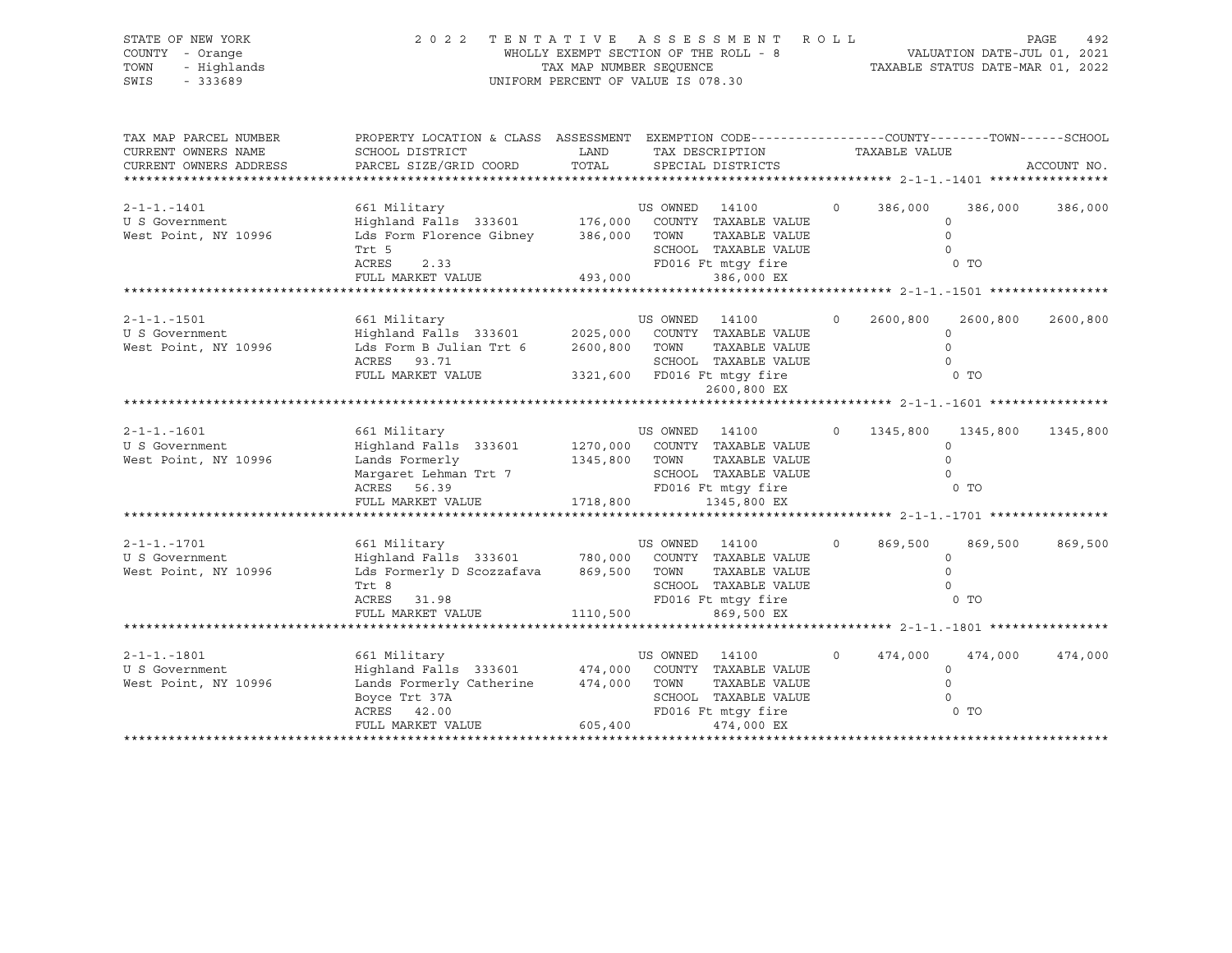| STATE OF NEW YORK<br>COUNTY - Orange<br>TOWN<br>- Highlands<br>$-333689$<br>SWIS                         | 2 0 2 2                                                                                                                                                                                                                 | WHOLLY EXEMPT SECTION OF THE ROLL - 8<br>TAX MAP NUMBER SEQUENCE<br>UNIFORM PERCENT OF VALUE IS 078.30 |                | TENTATIVE ASSESSMENT ROLL                                                 |         |                           | VALUATION DATE-JUL 01, 2021<br>TAXABLE STATUS DATE-MAR 01, 2022 | PAGE<br>492 |
|----------------------------------------------------------------------------------------------------------|-------------------------------------------------------------------------------------------------------------------------------------------------------------------------------------------------------------------------|--------------------------------------------------------------------------------------------------------|----------------|---------------------------------------------------------------------------|---------|---------------------------|-----------------------------------------------------------------|-------------|
| TAX MAP PARCEL NUMBER<br>CURRENT OWNERS NAME<br>CURRENT OWNERS ADDRESS<br>****************************** | PROPERTY LOCATION & CLASS ASSESSMENT EXEMPTION CODE---------------COUNTY-------TOWN-----SCHOOL<br>SCHOOL DISTRICT<br>PARCEL SIZE/GRID COORD                                                                             | LAND<br>TOTAL                                                                                          |                | TAX DESCRIPTION<br>SPECIAL DISTRICTS                                      |         | TAXABLE VALUE             |                                                                 | ACCOUNT NO. |
| $2 - 1 - 1 - 1401$<br>U S Government<br>West Point, NY 10996                                             | Lds Form Florence Gibney 386,000 TOWN TAXABLE VALUE<br>Trt 5<br>$\begin{tabular}{lllllll} \textbf{ACRES} & 2.33 & 2.31 \\ \textbf{FCRES} & 2.33 & \textbf{FD0} \\ \textbf{FULL MARKET VALUE} & 493,000 & \end{tabular}$ |                                                                                                        |                | SCHOOL TAXABLE VALUE<br>FD016 Ft mtqy fire<br>386,000 EX                  | $\circ$ | 386,000                   | 386,000<br>$\Omega$<br>$\circ$<br>$\Omega$<br>0 <sub>T</sub>    | 386,000     |
|                                                                                                          |                                                                                                                                                                                                                         |                                                                                                        |                |                                                                           |         |                           |                                                                 |             |
| $2 - 1 - 1 - 1501$<br>U S Government<br>West Point, NY 10996                                             | 661 Military<br>Highland Falls 333601 2025,000 COUNTY TAXABLE VALUE<br>Lds Form B Julian Trt 6 2600,800 TOWN<br>ACRES 93.71<br>FULL MARKET VALUE 3321,600 FD016 Ft mtgy fire                                            |                                                                                                        | US OWNED 14100 | TAXABLE VALUE<br>SCHOOL TAXABLE VALUE                                     | $\circ$ | 2600,800                  | 2600,800<br>$\Omega$<br>$\Omega$<br>$\Omega$<br>0 TO            | 2600,800    |
|                                                                                                          |                                                                                                                                                                                                                         |                                                                                                        |                | 2600,800 EX                                                               |         |                           |                                                                 |             |
| $2 - 1 - 1 - 1601$<br>U S Government<br>West Point, NY 10996                                             | 661 Military<br>Highland Falls 333601 1270,000 COUNTY TAXABLE VALUE<br>Lands Formerly<br>Margaret Lehman Trt 7<br>ACRES 56.39<br>FULL MARKET VALUE 1718,800                                                             | 1345,800 TOWN                                                                                          | US OWNED 14100 | TAXABLE VALUE<br>SCHOOL TAXABLE VALUE<br>FD016 Ft mtqy fire               | $\circ$ | 1345,800                  | 1345,800<br>$\circ$<br>$\circ$<br>$\Omega$<br>$0$ TO            | 1345,800    |
|                                                                                                          |                                                                                                                                                                                                                         |                                                                                                        |                | 1345,800 EX                                                               |         |                           |                                                                 |             |
| $2 - 1 - 1 - 1701$<br>U S Government<br>West Point, NY 10996                                             | 661 Military<br>Highland Falls 333601 780,000 COUNTY TAXABLE VALUE<br>Lds Formerly D Scozzafava 869,500 TOWN<br>Trt 8<br>ACRES 31.98<br>FULL MARKET VALUE 1110,500                                                      |                                                                                                        | US OWNED 14100 | TAXABLE VALUE<br>SCHOOL TAXABLE VALUE<br>FD016 Ft mtqy fire<br>869,500 EX | $\circ$ | 869,500<br>0 TO           | 869,500<br>$\circ$<br>$\Omega$<br>$\circ$                       | 869,500     |
|                                                                                                          |                                                                                                                                                                                                                         |                                                                                                        |                |                                                                           |         |                           |                                                                 |             |
| $2 - 1 - 1 - 1801$<br>U S Government<br>West Point, NY 10996                                             | 661 Military<br>Highland Falls 333601 474,000 COUNTY TAXABLE VALUE<br>Lands Formerly Catherine 474,000 TOWN<br>Boyce Trt 37A<br>ACRES 42.00<br>FULL MARKET VALUE                                                        | 605,400                                                                                                | US OWNED 14100 | TAXABLE VALUE<br>SCHOOL TAXABLE VALUE<br>FD016 Ft mtqy fire<br>474,000 EX | $\circ$ | 474,000<br>0 <sub>T</sub> | 474,000<br>$\circ$<br>$\circ$<br>$\Omega$                       | 474,000     |
|                                                                                                          |                                                                                                                                                                                                                         |                                                                                                        |                |                                                                           |         |                           |                                                                 |             |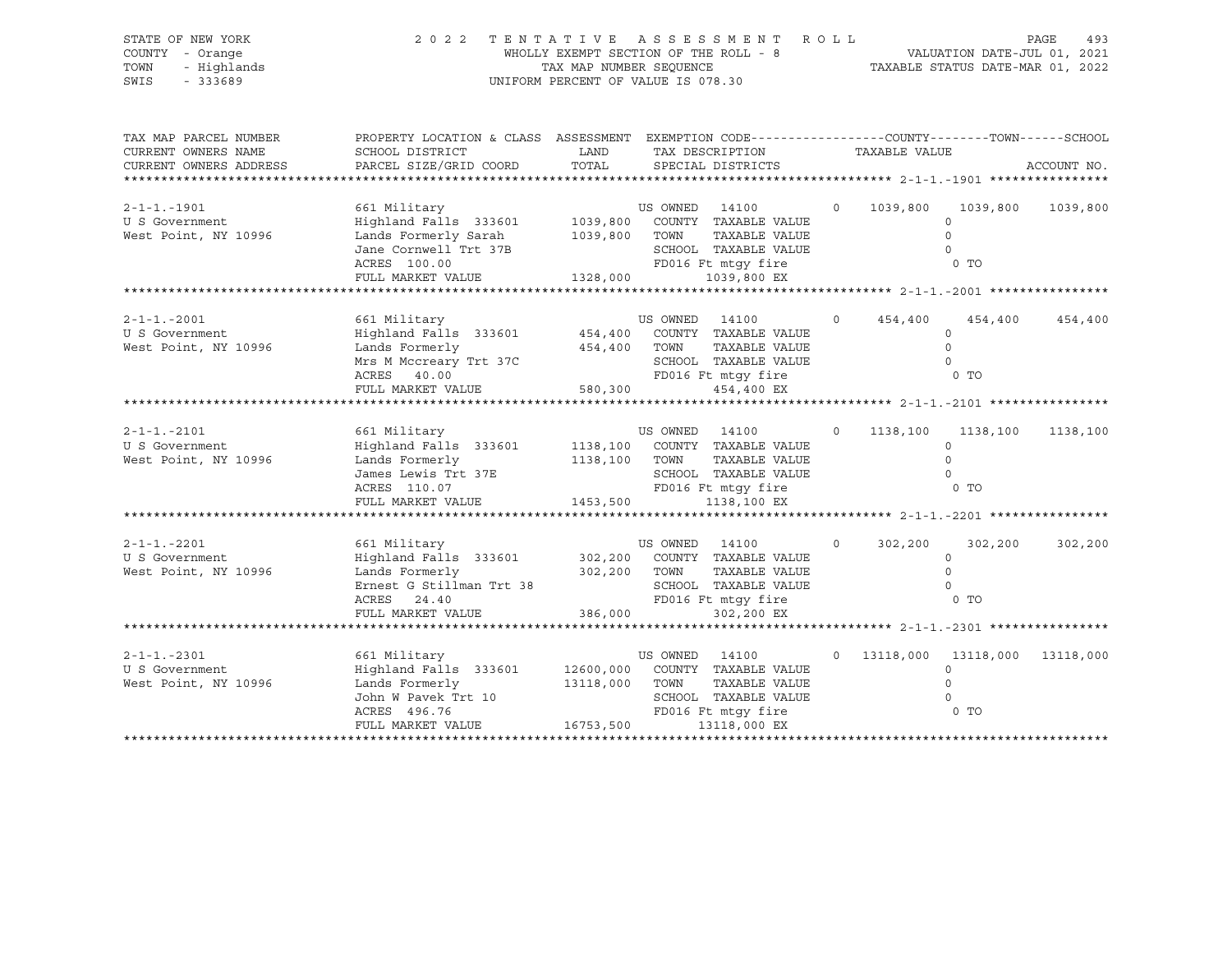| STATE OF NEW YORK<br>COUNTY - Orange<br>TOWN<br>- Highlands<br>$-333689$<br>SWIS | 2 0 2 2                                                                                                                                                                                   | UNIFORM PERCENT OF VALUE IS 078.30 |                                 | TENTATIVE ASSESSMENT ROLL<br>WHOLLY EXEMPT SECTION OF THE ROLL - 8 VALUATION DATE-JUL 01, 2021<br>TAX MAP NUMBER SEQUENCE TAXIS DATE-MAR 01, 2022 |                |                 |                                                                    | PAGE<br>493 |
|----------------------------------------------------------------------------------|-------------------------------------------------------------------------------------------------------------------------------------------------------------------------------------------|------------------------------------|---------------------------------|---------------------------------------------------------------------------------------------------------------------------------------------------|----------------|-----------------|--------------------------------------------------------------------|-------------|
| TAX MAP PARCEL NUMBER<br>CURRENT OWNERS NAME<br>CURRENT OWNERS ADDRESS           | PROPERTY LOCATION & CLASS ASSESSMENT EXEMPTION CODE----------------COUNTY-------TOWN------SCHOOL<br>SCHOOL DISTRICT<br>PARCEL SIZE/GRID COORD                                             | TOTAL                              |                                 | LAND TAX DESCRIPTION<br>SPECIAL DISTRICTS                                                                                                         |                | TAXABLE VALUE   |                                                                    | ACCOUNT NO. |
| $2 - 1 - 1 - 1901$<br>U S Government<br>West Point, NY 10996                     | Lands Formerly Sarah<br>Jane Cornwell Trt 37B<br>ACRES 100.00<br>FULL MARKET VALUE                                                                                                        | 1328,000                           |                                 | 1039,800 TOWN TAXABLE VALUE<br>SCHOOL TAXABLE VALUE<br>FD016 Ft mtgy fire<br>1039,800 EX                                                          |                | $0 \t 1039,800$ | 1039,800<br>$\Omega$<br>$\Omega$<br>$\circ$<br>0 <sub>T</sub>      | 1039,800    |
| $2 - 1 - 1 - 2001$<br>U S Government<br>West Point, NY 10996                     | 661 Military<br>Highland Falls 333601 454,400 COUNTY TAXABLE VALUE<br>Lands Formerly<br>Mrs M Mccreary Trt 37C<br>ACRES 40.00<br>FULL MARKET VALUE                                        | 454,400 TOWN<br>580,300            | US OWNED 14100                  | TAXABLE VALUE<br>SCHOOL TAXABLE VALUE<br>SCHOOL TAXABLE VALUE<br>FD016 Ft mtgy fire<br>454,400 EX                                                 | $\Omega$       | 454,400         | 454,400<br>$\circ$<br>$\circ$<br>$\Omega$<br>$0$ TO                | 454,400     |
| $2 - 1 - 1 - 2101$<br>U S Government<br>West Point, NY 10996                     | 661 Military<br>Highland Falls 333601 1138,100 COUNTY TAXABLE VALUE<br>Lands Formerly<br>James Lewis Trt 37E<br>ACRES 110.07<br>FULL MARKET VALUE 1453,500                                |                                    | US OWNED 14100<br>1138,100 TOWN | TAXABLE VALUE<br>SCHOOL TAXABLE VALUE<br>SCHOOL TAXABLE VALUE<br>FD016 Ft mtgy fire<br>1138,100 EX                                                | $\overline{0}$ | $0$ TO          | 1138,100 1138,100<br>$\Omega$<br>$\Omega$<br>$\Omega$              | 1138,100    |
| $2 - 1 - 1 - 2201$<br>U S Government<br>West Point, NY 10996                     | 661 Military<br>Highland Falls 333601 302,200 COUNTY TAXABLE VALUE<br>Lands Formerly<br>Ernest G Stillman Trt 38 SCHOOL TAXABLE VALUE<br>FULL MARKET VALUE                                | 386,000                            | US OWNED 14100                  | TOWN TAXABLE VALUE<br>SCHOOL TAXABLE VALUE<br>302,200 EX                                                                                          | $\circ$        | 302,200         | 302,200<br>$\circ$<br>$\Omega$<br>$\Omega$<br>$0$ TO               | 302,200     |
| $2 - 1 - 1 - 2301$<br>U S Government<br>West Point, NY 10996                     | 661 Military<br>Highland Falls 333601 12600,000 COUNTY TAXABLE VALUE<br>Lands Formerly 13118,000 TOWN TAXABLE VALUE<br>John W Pavek Trt 10<br>ACRES 496.76<br>FULL MARKET VALUE 16753,500 |                                    | US OWNED 14100                  | TAXABLE VALUE<br>SCHOOL TAXABLE VALUE<br>13118,000 EX                                                                                             |                |                 | 0 13118,000 13118,000 13118,000<br>$\circ$<br>$\Omega$<br>$\Omega$ |             |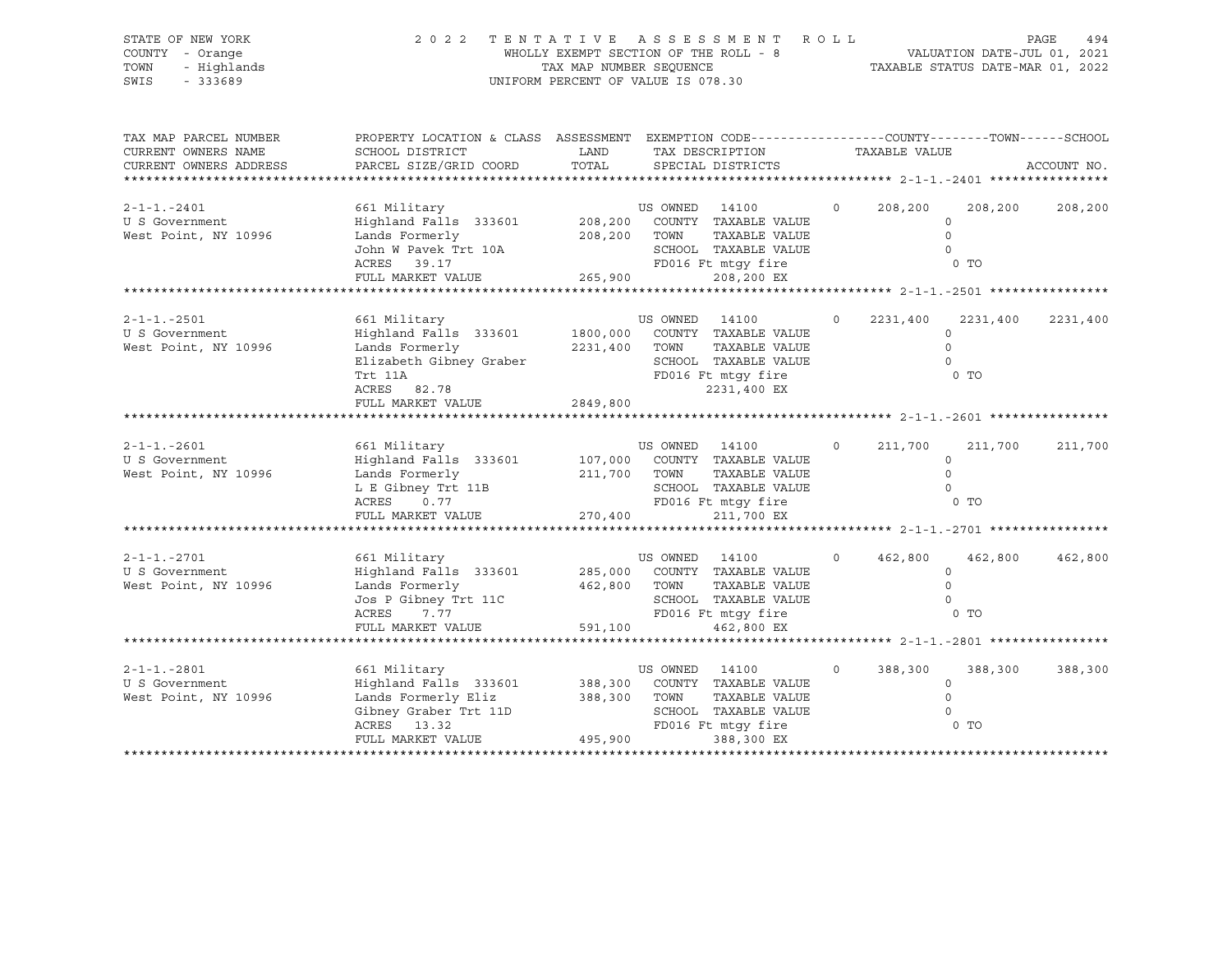| STATE OF NEW YORK<br>COUNTY - Orange<br>TOWN<br>- Highlands<br>SWIS<br>$-333689$ | 2 0 2 2                                                                                                                                      | TAX MAP NUMBER SEQUENCE<br>UNIFORM PERCENT OF VALUE IS 078.30 |                                | TENTATIVE ASSESSMENT ROLL<br>WHOLLY EXEMPT SECTION OF THE ROLL - 8                                        |                |               | VALUATION DATE-JUL 01, 2021<br>TAXABLE STATUS DATE-MAR 01, 2022 | PAGE<br>494 |
|----------------------------------------------------------------------------------|----------------------------------------------------------------------------------------------------------------------------------------------|---------------------------------------------------------------|--------------------------------|-----------------------------------------------------------------------------------------------------------|----------------|---------------|-----------------------------------------------------------------|-------------|
| TAX MAP PARCEL NUMBER<br>CURRENT OWNERS NAME<br>CURRENT OWNERS ADDRESS           | PROPERTY LOCATION & CLASS ASSESSMENT EXEMPTION CODE----------------COUNTY-------TOWN-----SCHOOL<br>SCHOOL DISTRICT<br>PARCEL SIZE/GRID COORD | LAND<br>TOTAL                                                 |                                | TAX DESCRIPTION<br>SPECIAL DISTRICTS                                                                      |                | TAXABLE VALUE |                                                                 | ACCOUNT NO. |
|                                                                                  |                                                                                                                                              |                                                               |                                |                                                                                                           |                |               |                                                                 |             |
| $2 - 1 - 1 - 2401$<br>U S Government<br>West Point, NY 10996                     | 661 Military<br>Highland Falls 333601 208,200 COUNTY TAXABLE VALUE<br>Lands Formerly<br>John W Pavek Trt 10A<br>ACRES 39.17                  |                                                               | US OWNED 14100<br>208,200 TOWN | TAXABLE VALUE<br>SCHOOL TAXABLE VALUE<br>FD016 Ft mtqy fire                                               | $\circ$        | 208,200       | 208,200<br>$\circ$<br>$\circ$<br>$\Omega$<br>0 <sub>T</sub>     | 208,200     |
|                                                                                  | FULL MARKET VALUE                                                                                                                            | 265,900                                                       |                                | 208,200 EX                                                                                                |                |               |                                                                 |             |
|                                                                                  |                                                                                                                                              |                                                               |                                |                                                                                                           |                |               |                                                                 |             |
| $2 - 1 - 1 - 2501$<br>U S Government<br>West Point, NY 10996                     | 661 Military<br>Highland Falls 333601<br>Lands Formerly<br>Elizabeth Gibney Graber<br>Trt 11A<br>ACRES 82.78<br>FULL MARKET VALUE            | 1800,000<br>2231,400<br>2849,800                              | US OWNED 14100<br>TOWN         | COUNTY TAXABLE VALUE<br>TAXABLE VALUE<br>SCHOOL TAXABLE VALUE<br>FD016 Ft mtqy fire<br>2231,400 EX        | $\circ$        | 2231,400      | 2231,400<br>$\circ$<br>$\Omega$<br>$\Omega$<br>0 <sub>T</sub>   | 2231,400    |
|                                                                                  |                                                                                                                                              |                                                               |                                |                                                                                                           |                |               |                                                                 |             |
| $2 - 1 - 1 - 2601$<br>U S Government<br>West Point, NY 10996                     | 661 Military<br>Highland Falls 333601<br>Lands Formerly<br>L E Gibney Trt 11B<br>ACRES<br>0.77<br>FULL MARKET VALUE                          | 211,700 TOWN<br>270,400                                       | US OWNED 14100                 | 107,000 COUNTY TAXABLE VALUE<br>TAXABLE VALUE<br>SCHOOL TAXABLE VALUE<br>FD016 Ft mtqy fire<br>211,700 EX | $\overline{0}$ | 211,700       | 211,700<br>$\circ$<br>$\Omega$<br>$\Omega$<br>0 <sub>T</sub>    | 211,700     |
|                                                                                  |                                                                                                                                              |                                                               |                                |                                                                                                           |                |               |                                                                 |             |
| $2 - 1 - 1 - 2701$<br>U S Government<br>West Point, NY 10996                     | 661 Military<br>Highland Falls 333601<br>Lands Formerly<br>Jos P Gibney Trt 11C<br>ACRES<br>7.77                                             |                                                               | US OWNED 14100<br>462,800 TOWN | 285,000 COUNTY TAXABLE VALUE<br>TAXABLE VALUE<br>SCHOOL TAXABLE VALUE<br>FD016 Ft mtqy fire               | $\circ$        | 462,800       | 462,800<br>$\circ$<br>$\mathsf{O}$<br>$\Omega$<br>$0$ TO        | 462,800     |
|                                                                                  | FULL MARKET VALUE                                                                                                                            | 591,100                                                       |                                | 462,800 EX                                                                                                |                |               |                                                                 |             |
|                                                                                  |                                                                                                                                              |                                                               |                                |                                                                                                           |                |               |                                                                 |             |
| $2 - 1 - 1 - 2801$<br>U S Government<br>West Point, NY 10996                     | 661 Military<br>Highland Falls 333601 388,300<br>Lands Formerly Eliz<br>Gibney Graber Trt 11D<br>ACRES 13.32<br>FULL MARKET VALUE            | 388,300<br>495,900                                            | US OWNED 14100<br>TOWN         | COUNTY TAXABLE VALUE<br>TAXABLE VALUE<br>SCHOOL TAXABLE VALUE<br>FD016 Ft mtqy fire<br>388,300 EX         | $\circ$        | 388,300       | 388,300<br>$\circ$<br>$\mathbf 0$<br>$\Omega$<br>0 TO           | 388,300     |
|                                                                                  |                                                                                                                                              |                                                               |                                |                                                                                                           |                |               |                                                                 |             |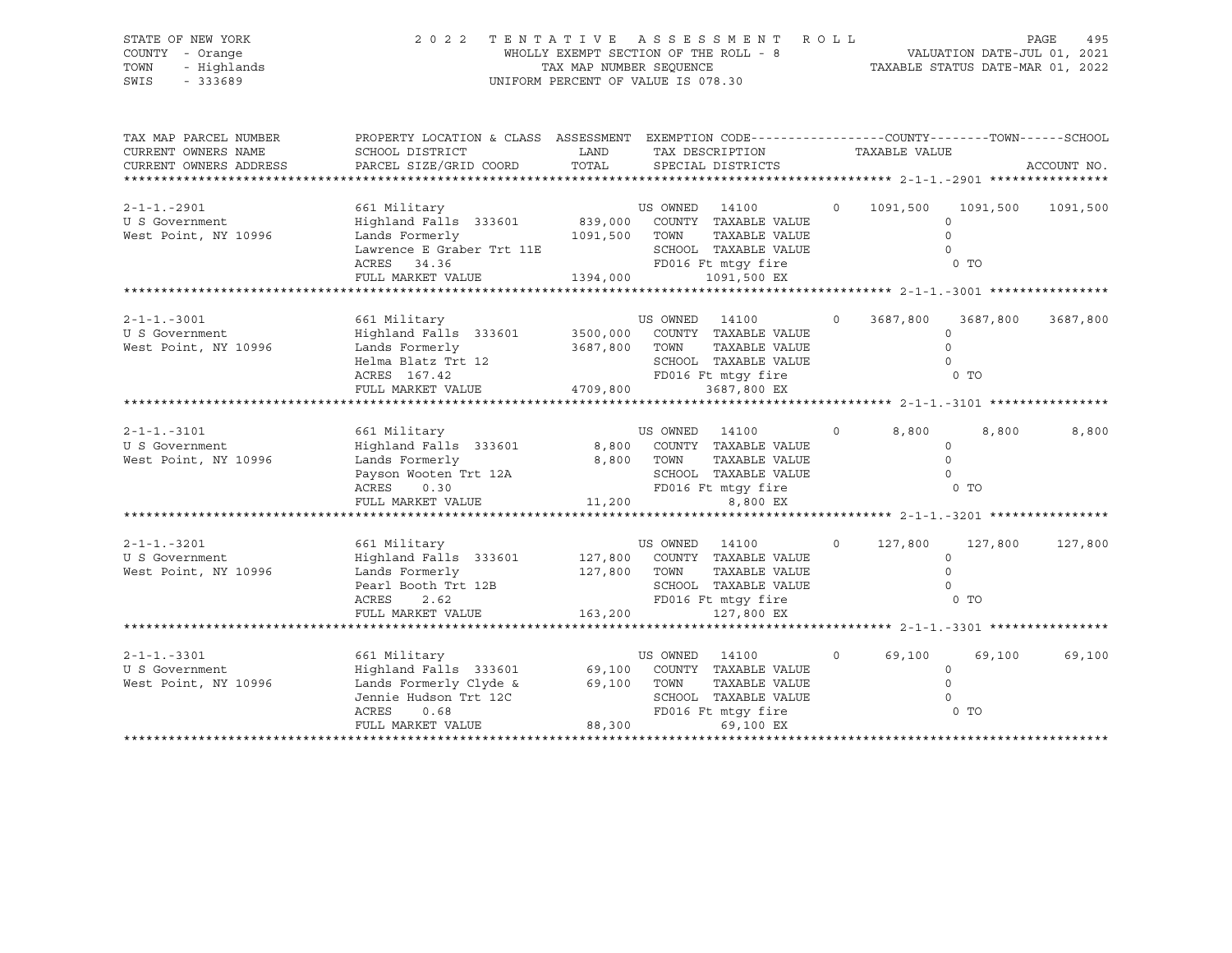| STATE OF NEW YORK<br>COUNTY - Orange<br>TOWN<br>- Highlands<br>$-333689$<br>SWIS | 2 0 2 2                                                                                                                                                                   | WHOLLY EXEMPT SECTION OF THE ROLL - 8<br>TAX MAP NUMBER SEOUENCE<br>UNIFORM PERCENT OF VALUE IS 078.30 |                                | TENTATIVE ASSESSMENT ROLL                                                                                                     |          |                                 | VALUATION DATE-JUL 01, 2021<br>TAXABLE STATUS DATE-MAR 01, 2022 | PAGE<br>495 |
|----------------------------------------------------------------------------------|---------------------------------------------------------------------------------------------------------------------------------------------------------------------------|--------------------------------------------------------------------------------------------------------|--------------------------------|-------------------------------------------------------------------------------------------------------------------------------|----------|---------------------------------|-----------------------------------------------------------------|-------------|
| TAX MAP PARCEL NUMBER<br>CURRENT OWNERS NAME<br>CURRENT OWNERS ADDRESS           | PROPERTY LOCATION & CLASS ASSESSMENT EXEMPTION CODE---------------COUNTY-------TOWN-----SCHOOL<br>SCHOOL DISTRICT<br>PARCEL SIZE/GRID COORD                               | LAND<br>TOTAL                                                                                          |                                | TAX DESCRIPTION<br>SPECIAL DISTRICTS                                                                                          |          | TAXABLE VALUE                   |                                                                 | ACCOUNT NO. |
| $2 - 1 - 1 - 2901$<br>U S Government<br>West Point, NY 10996                     | 661 Military<br>Highland Falls 333601<br>Lands Formerly<br>Lawrence E Graber Trt 11E<br>ACRES 34.36<br>FULL MARKET VALUE                                                  | 1091,500 TOWN<br>1394,000                                                                              | US OWNED 14100                 | 839,000 COUNTY TAXABLE VALUE<br>TAXABLE VALUE<br>SCHOOL TAXABLE VALUE<br>FD016 Ft mtgy fire<br>1091,500 EX                    | $\circ$  | 1091,500                        | 1091,500<br>$\Omega$<br>$\Omega$<br>$\Omega$<br>$0$ TO          | 1091,500    |
|                                                                                  | ***********************                                                                                                                                                   |                                                                                                        |                                |                                                                                                                               |          |                                 |                                                                 |             |
| $2 - 1 - 1 - 3001$<br>U S Government<br>West Point, NY 10996                     | 661 Military<br>Highland Falls 333601 3500,000 COUNTY TAXABLE VALUE<br>Lands Formerly<br>Helma Blatz Trt 12<br>ACRES 167.42<br>ACRES 167.42<br>FULL MARKET VALUE 4709,800 |                                                                                                        | US OWNED 14100                 | 3687,800 TOWN TAXABLE VALUE<br>SCHOOL TAXABLE VALUE<br>SCHOOL TAXABLE VALUE<br>FD016 Ft mtgy fire<br>3687,800 EX              | $\Omega$ | 3687,800                        | 3687,800<br>$\circ$<br>$\circ$<br>$\Omega$<br>0 <sub>T</sub>    | 3687,800    |
|                                                                                  |                                                                                                                                                                           |                                                                                                        |                                |                                                                                                                               |          |                                 |                                                                 |             |
| $2 - 1 - 1 - 3101$<br>U S Government<br>West Point, NY 10996                     | 661 Military<br>Highland Falls 333601<br>Lands Formerly<br>Payson Wooten Trt 12A<br>ACRES<br>0.30<br>FULL MARKET VALUE                                                    | 11,200                                                                                                 | US OWNED 14100<br>8,800 TOWN   | 8,800 COUNTY TAXABLE VALUE<br>TAXABLE VALUE<br>SCHOOL TAXABLE VALUE<br>SCHOOL TAXABLE VALUE<br>FD016 Ft mtgy fire<br>8,800 EX | $\circ$  | 8,800                           | 8,800<br>$\Omega$<br>$\circ$<br>$\Omega$<br>0 TO                | 8,800       |
|                                                                                  |                                                                                                                                                                           |                                                                                                        |                                |                                                                                                                               |          |                                 |                                                                 |             |
| $2 - 1 - 1 - 3201$<br>U S Government<br>West Point, NY 10996                     | 661 Military<br>Highland Falls 333601 127,800 COUNTY TAXABLE VALUE<br>Lands Formerly<br>Pearl Booth Trt 12B<br>ACRES<br>2.62<br>FULL MARKET VALUE 163,200                 |                                                                                                        | US OWNED 14100<br>127,800 TOWN | TAXABLE VALUE<br>SCHOOL TAXABLE VALUE<br>FD016 Ft mtqy fire<br>127,800 EX                                                     | $\circ$  | 127,800<br>$\frac{1}{\sqrt{2}}$ | 127,800<br>$\circ$<br>$\Omega$                                  | 127,800     |
|                                                                                  |                                                                                                                                                                           |                                                                                                        |                                |                                                                                                                               |          |                                 |                                                                 |             |
| $2 - 1 - 1 - 3301$<br>U S Government<br>West Point, NY 10996                     | 661 Military<br>Highland Falls 333601<br>Lands Formerly Clyde &<br>Jennie Hudson Trt 12C<br>ACRES<br>0.68<br>FULL MARKET VALUE                                            | 88,300                                                                                                 | US OWNED 14100                 | 69,100 COUNTY TAXABLE VALUE<br>69,100 TOWN TAXABLE VALUE<br>SCHOOL TAXABLE VALUE<br>FD016 Ft mtqy fire<br>69,100 EX           | $\circ$  | 69,100<br>$\overline{0}$ TO     | 69,100<br>$\circ$<br>$\Omega$<br>$\Omega$                       | 69,100      |
|                                                                                  |                                                                                                                                                                           |                                                                                                        |                                |                                                                                                                               |          |                                 |                                                                 |             |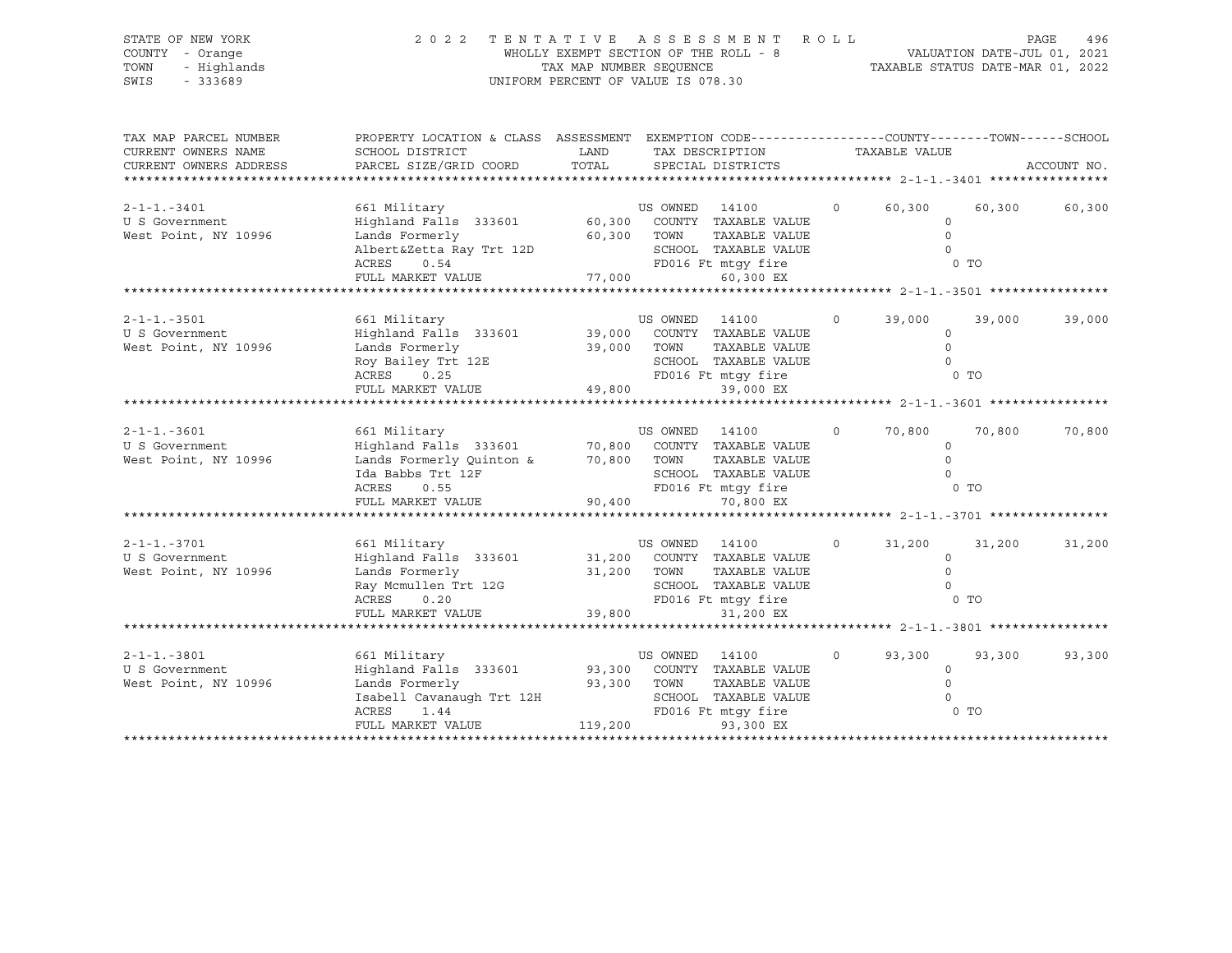| SCHOOL DISTRICT<br>PARCEL SIZE/GRID COORD                                                        | LAND<br>TOTAL                                           |                           |                                                                                                                                      |                                                                                                                                                                                                                                                                                                                                                                                                                                                                                                                                                                                                                                                                                                                            |                                                                                     |                                          | ACCOUNT NO.                                                                                                                                                                            |
|--------------------------------------------------------------------------------------------------|---------------------------------------------------------|---------------------------|--------------------------------------------------------------------------------------------------------------------------------------|----------------------------------------------------------------------------------------------------------------------------------------------------------------------------------------------------------------------------------------------------------------------------------------------------------------------------------------------------------------------------------------------------------------------------------------------------------------------------------------------------------------------------------------------------------------------------------------------------------------------------------------------------------------------------------------------------------------------------|-------------------------------------------------------------------------------------|------------------------------------------|----------------------------------------------------------------------------------------------------------------------------------------------------------------------------------------|
| 661 Military<br>Lands Formerly<br>Albert&Zetta Ray Trt 12D<br>ACRES<br>0.54<br>FULL MARKET VALUE |                                                         |                           | 60,300 EX                                                                                                                            |                                                                                                                                                                                                                                                                                                                                                                                                                                                                                                                                                                                                                                                                                                                            | $\circ$<br>$\Omega$<br>$\Omega$                                                     |                                          |                                                                                                                                                                                        |
|                                                                                                  |                                                         |                           |                                                                                                                                      |                                                                                                                                                                                                                                                                                                                                                                                                                                                                                                                                                                                                                                                                                                                            |                                                                                     |                                          |                                                                                                                                                                                        |
| 661 Military<br>Lands Formerly<br>Roy Bailey Trt 12E<br>ACRES 0.25                               |                                                         |                           | TAXABLE VALUE<br>39,000 EX                                                                                                           | $\overline{0}$                                                                                                                                                                                                                                                                                                                                                                                                                                                                                                                                                                                                                                                                                                             | 39,000<br>$\circ$<br>$\Omega$<br>$\Omega$                                           | 39,000                                   | 39,000                                                                                                                                                                                 |
|                                                                                                  |                                                         |                           |                                                                                                                                      |                                                                                                                                                                                                                                                                                                                                                                                                                                                                                                                                                                                                                                                                                                                            |                                                                                     |                                          |                                                                                                                                                                                        |
| 661 Military<br>Lands Formerly Quinton &<br>Ida Babbs Trt 12F<br>ACRES<br>0.55                   |                                                         |                           | TAXABLE VALUE                                                                                                                        | $\circ$                                                                                                                                                                                                                                                                                                                                                                                                                                                                                                                                                                                                                                                                                                                    | 70,800<br>$\circ$<br>$\Omega$<br>$\Omega$                                           | 70,800                                   | 70,800                                                                                                                                                                                 |
|                                                                                                  |                                                         |                           |                                                                                                                                      |                                                                                                                                                                                                                                                                                                                                                                                                                                                                                                                                                                                                                                                                                                                            |                                                                                     |                                          |                                                                                                                                                                                        |
| 661 Military<br>Lands Formerly<br>Ray Mcmullen Trt 12G                                           |                                                         |                           | TAXABLE VALUE                                                                                                                        | $\circ$                                                                                                                                                                                                                                                                                                                                                                                                                                                                                                                                                                                                                                                                                                                    | 31,200<br>$\circ$<br>$\circ$<br>$\Omega$                                            | 31,200                                   | 31,200                                                                                                                                                                                 |
|                                                                                                  |                                                         |                           | 31,200 EX                                                                                                                            |                                                                                                                                                                                                                                                                                                                                                                                                                                                                                                                                                                                                                                                                                                                            |                                                                                     |                                          |                                                                                                                                                                                        |
|                                                                                                  |                                                         |                           |                                                                                                                                      |                                                                                                                                                                                                                                                                                                                                                                                                                                                                                                                                                                                                                                                                                                                            |                                                                                     |                                          |                                                                                                                                                                                        |
| 661 Military<br>Highland Falls 333601<br>Lands Formerly<br>ACRES<br>1.44                         |                                                         |                           | TAXABLE VALUE                                                                                                                        | $\circ$                                                                                                                                                                                                                                                                                                                                                                                                                                                                                                                                                                                                                                                                                                                    | 93,300<br>$\circ$<br>$\Omega$<br>$\Omega$                                           | 93,300                                   | 93,300                                                                                                                                                                                 |
|                                                                                                  | FULL MARKET VALUE<br>ACRES<br>0.20<br>FULL MARKET VALUE | Isabell Cavanaugh Trt 12H | 77,000<br>39,000 TOWN<br>FULL MARKET VALUE 49,800<br>70,800 TOWN<br>90,400<br>31,200 TOWN<br>FULL MARKET VALUE 39,800<br>93,300 TOWN | 2022 TENTATIVE ASSESSMENT<br>WHOLLY EXEMPT SECTION OF THE ROLL - 8<br>TAX MAP NUMBER SEQUENCE<br>UNIFORM PERCENT OF VALUE IS 078.30<br>TAX DESCRIPTION<br>SPECIAL DISTRICTS<br>Highland Falls 333601 60,300 COUNTY TAXABLE VALUE<br>60,300 TOWN<br>US OWNED 14100<br>Highland Falls 333601 39,000 COUNTY TAXABLE VALUE<br>FD016 Ft mtgy fire<br>US OWNED 14100<br>Highland Falls 333601 70,800 COUNTY TAXABLE VALUE<br>SCHOOL TAXABLE VALUE<br>FD016 Ft mtqy fire<br>70,800 EX<br>US OWNED 14100<br>Highland Falls 333601 31,200 COUNTY TAXABLE VALUE<br>SCHOOL TAXABLE VALUE<br>FD016 Ft mtqy fire<br>US OWNED 14100<br>93,300 COUNTY TAXABLE VALUE<br>SCHOOL TAXABLE VALUE<br>FD016 Ft mtqy fire<br>119,200<br>93,300 EX | TAXABLE VALUE<br>SCHOOL TAXABLE VALUE<br>FD016 Ft mtqy fire<br>SCHOOL TAXABLE VALUE | TAXABLE VALUE<br>US OWNED 14100 0 60,300 | PROPERTY LOCATION & CLASS ASSESSMENT EXEMPTION CODE----------------COUNTY-------TOWN-----SCHOOL<br>60,300 60,300<br>0 TO<br>0 TO<br>0 <sub>T</sub><br>0 <sub>T</sub><br>0 <sub>T</sub> |

\*\*\*\*\*\*\*\*\*\*\*\*\*\*\*\*\*\*\*\*\*\*\*\*\*\*\*\*\*\*\*\*\*\*\*\*\*\*\*\*\*\*\*\*\*\*\*\*\*\*\*\*\*\*\*\*\*\*\*\*\*\*\*\*\*\*\*\*\*\*\*\*\*\*\*\*\*\*\*\*\*\*\*\*\*\*\*\*\*\*\*\*\*\*\*\*\*\*\*\*\*\*\*\*\*\*\*\*\*\*\*\*\*\*\*\*\*\*\*\*\*\*\*\*\*\*\*\*\*\*\*\*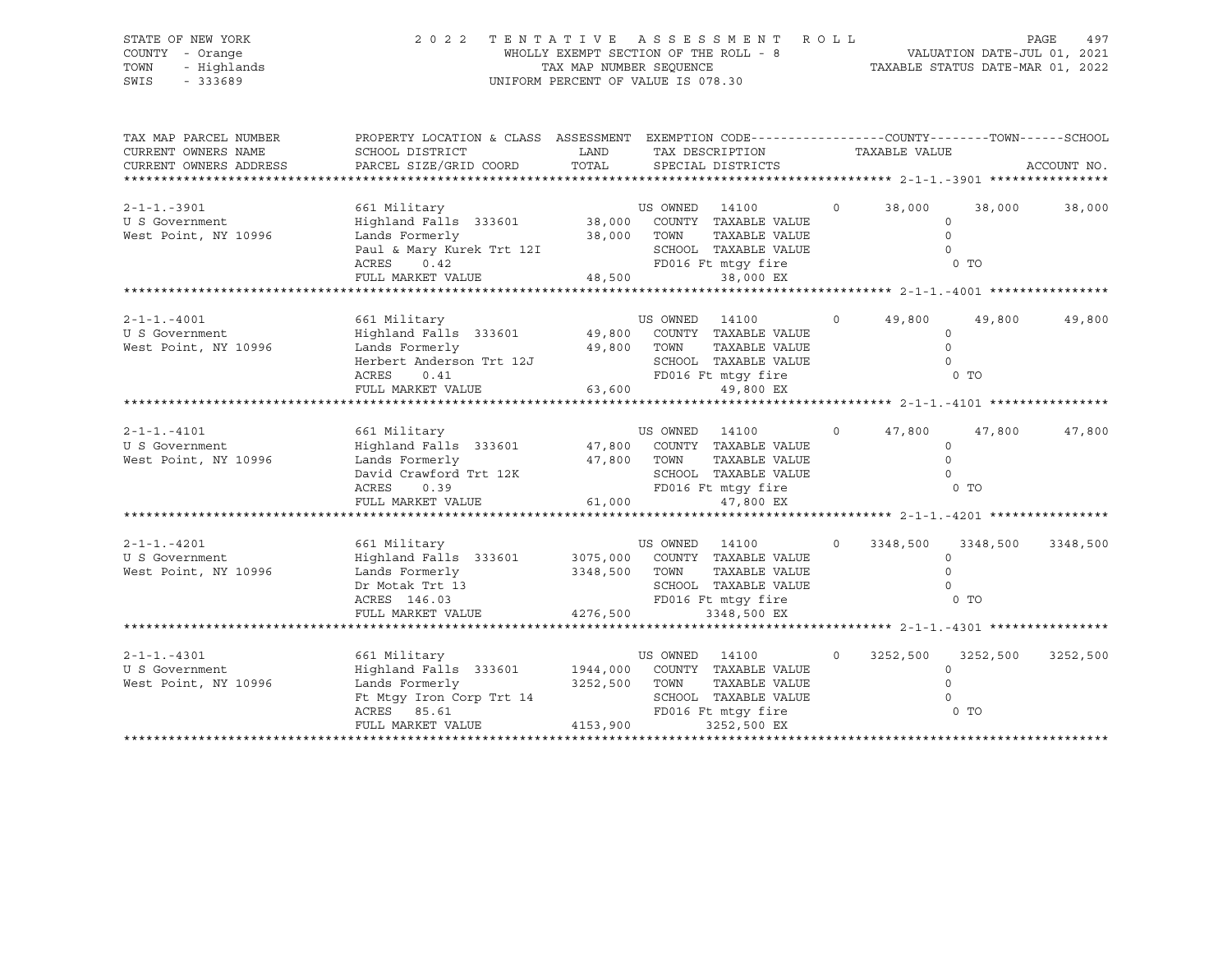| STATE OF NEW YORK                            | 2 0 2 2                                                                                                             |                                                                  |          | TENTATIVE ASSESSMENT ROLL                                                        |                |                |          | PAGE<br>497 |
|----------------------------------------------|---------------------------------------------------------------------------------------------------------------------|------------------------------------------------------------------|----------|----------------------------------------------------------------------------------|----------------|----------------|----------|-------------|
| COUNTY - Orange<br>TOWN<br>- Highlands       |                                                                                                                     | WHOLLY EXEMPT SECTION OF THE ROLL - 8<br>TAX MAP NUMBER SEOUENCE |          | ROLL - 8<br>TAXABLE STATUS DATE-JUL 01, 2021<br>TAXABLE STATUS DATE-MAR 01, 2022 |                |                |          |             |
| $-333689$<br>SWIS                            |                                                                                                                     |                                                                  |          | UNIFORM PERCENT OF VALUE IS 078.30                                               |                |                |          |             |
| TAX MAP PARCEL NUMBER<br>CURRENT OWNERS NAME | PROPERTY LOCATION & CLASS ASSESSMENT EXEMPTION CODE----------------COUNTY-------TOWN------SCHOOL<br>SCHOOL DISTRICT | <b>LAND</b>                                                      |          | TAX DESCRIPTION TAXABLE VALUE                                                    |                |                |          |             |
| CURRENT OWNERS ADDRESS                       | PARCEL SIZE/GRID COORD TOTAL SPECIAL DISTRICTS                                                                      |                                                                  |          |                                                                                  |                |                |          | ACCOUNT NO. |
|                                              |                                                                                                                     |                                                                  |          |                                                                                  |                |                |          |             |
| $2 - 1 - 1 - 3901$                           |                                                                                                                     |                                                                  |          |                                                                                  |                | $0 \t 38,000$  | 38,000   | 38,000      |
| U S Government                               |                                                                                                                     |                                                                  |          |                                                                                  |                | $\circ$        |          |             |
| West Point, NY 10996                         |                                                                                                                     |                                                                  |          | TAXABLE VALUE                                                                    |                | $\circ$        |          |             |
|                                              |                                                                                                                     |                                                                  |          | SCHOOL TAXABLE VALUE                                                             |                | $\overline{0}$ |          |             |
|                                              | Lands Formerly 18,000 TOWN<br>Paul & Mary Kurek Trt 12I SCHOOL<br>ACRES 0.42 FD016 Ft<br>FULL MARKET VALUE 48,500   |                                                                  |          | FD016 Ft mtqy fire                                                               |                | 0 TO           |          |             |
|                                              |                                                                                                                     |                                                                  |          | 38,000 EX                                                                        |                |                |          |             |
|                                              |                                                                                                                     |                                                                  |          |                                                                                  |                |                |          |             |
| $2 - 1 - 1 - 4001$                           | 661 Military                                                                                                        |                                                                  |          |                                                                                  |                | $0 \t 49,800$  | 49,800   | 49,800      |
| U S Government                               |                                                                                                                     |                                                                  |          |                                                                                  |                | $\circ$        |          |             |
| West Point, NY 10996                         | Lands Formerly 19,800 TOWN                                                                                          |                                                                  |          | TAXABLE VALUE                                                                    |                | $\Omega$       |          |             |
|                                              | Herbert Anderson Trt 12J                                                                                            | ON Trt 12J SCHOOL<br>FD016 Ft<br>LUE 63,600                      |          | SCHOOL TAXABLE VALUE                                                             |                | $\Omega$       |          |             |
|                                              | ACRES<br>0.41                                                                                                       |                                                                  |          | FD016 Ft mtqy fire                                                               |                |                | 0 TO     |             |
|                                              | FULL MARKET VALUE                                                                                                   |                                                                  |          | 49,800 EX                                                                        |                |                |          |             |
|                                              |                                                                                                                     |                                                                  |          |                                                                                  |                |                |          |             |
| $2 - 1 - 1 - 4101$                           | 661 Military                                                                                                        |                                                                  | US OWNED | 14100                                                                            |                | $0 \t 47,800$  | 47,800   | 47,800      |
| U S Government                               | Highland Falls 333601 47,800 COUNTY TAXABLE VALUE                                                                   |                                                                  |          |                                                                                  |                | $\Omega$       |          |             |
| West Point, NY 10996                         | Lands Formerly                                                                                                      | 47,800 TOWN                                                      |          | TAXABLE VALUE                                                                    |                | $\Omega$       |          |             |
|                                              | David Crawford Trt 12K SCHOOL<br>ACRES 0.39 FD016 F<br>FULL MARKET VALUE 61,000                                     |                                                                  |          | SCHOOL TAXABLE VALUE                                                             |                | $\Omega$       |          |             |
|                                              |                                                                                                                     |                                                                  |          | FD016 Ft mtqy fire                                                               |                |                | 0 TO     |             |
|                                              |                                                                                                                     |                                                                  |          | 47,800 EX                                                                        |                |                |          |             |
|                                              |                                                                                                                     |                                                                  |          |                                                                                  |                |                |          |             |
| $2 - 1 - 1 - 4201$                           | 661 Military                                                                                                        |                                                                  | US OWNED | 14100                                                                            | $\overline{0}$ | 3348,500       | 3348,500 | 3348,500    |
| U S Government                               | Highland Falls 333601 3075,000 COUNTY TAXABLE VALUE                                                                 |                                                                  |          |                                                                                  |                | $\Omega$       |          |             |
| West Point, NY 10996                         | Lands Formerly                                                                                                      | 3348,500 TOWN                                                    |          | TAXABLE VALUE                                                                    |                | $\Omega$       |          |             |
|                                              | Dr Motak Trt 13                                                                                                     |                                                                  |          | SCHOOL TAXABLE VALUE                                                             |                | $\Omega$       |          |             |

FULL MARKET VALUE 4276,500 3348,500 EX \*\*\*\*\*\*\*\*\*\*\*\*\*\*\*\*\*\*\*\*\*\*\*\*\*\*\*\*\*\*\*\*\*\*\*\*\*\*\*\*\*\*\*\*\*\*\*\*\*\*\*\*\*\*\*\*\*\*\*\*\*\*\*\*\*\*\*\*\*\*\*\*\*\*\*\*\*\*\*\*\*\*\*\*\*\*\*\*\*\*\*\*\*\*\*\*\*\*\*\*\*\*\* 2-1-1.-4301 \*\*\*\*\*\*\*\*\*\*\*\*\*\*\*\* 2-1-1.-4301 661 Military US OWNED 14100 0 3252,500 3252,500 3252,500 U S Government Highland Falls 333601 1944,000 COUNTY TAXABLE VALUE 0 West Point, NY 10996 Lands Formerly 3252,500 TOWN TAXABLE VALUE 0 Ft Mtgy Iron Corp Trt 14 SCHOOL TAXABLE VALUE 0 ACRES 85.61 FD016 Ft mtgy fire 0 TO FULL MARKET VALUE 4153,900 3252,500 EX

\*\*\*\*\*\*\*\*\*\*\*\*\*\*\*\*\*\*\*\*\*\*\*\*\*\*\*\*\*\*\*\*\*\*\*\*\*\*\*\*\*\*\*\*\*\*\*\*\*\*\*\*\*\*\*\*\*\*\*\*\*\*\*\*\*\*\*\*\*\*\*\*\*\*\*\*\*\*\*\*\*\*\*\*\*\*\*\*\*\*\*\*\*\*\*\*\*\*\*\*\*\*\*\*\*\*\*\*\*\*\*\*\*\*\*\*\*\*\*\*\*\*\*\*\*\*\*\*\*\*\*\*

ACRES 146.03 FD016 Ft mtgy fire 0 TO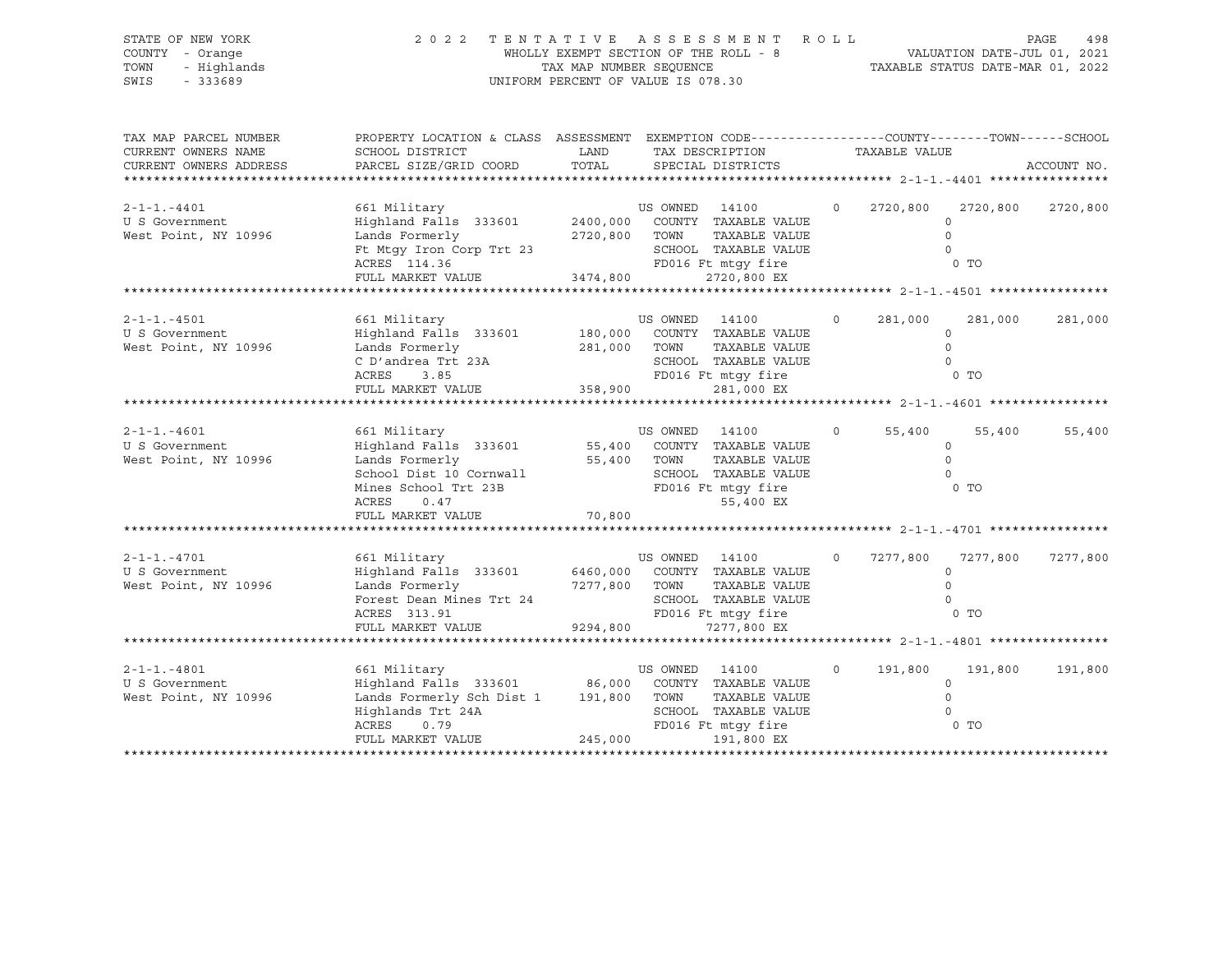| STATE OF NEW YORK<br>COUNTY - Orange<br>- Highlands<br>TOWN<br>SWIS<br>$-333689$ | 2 0 2 2                                                                                                                                                                |               | TENTATIVE ASSESSMENT ROLL<br>UNIFORM PERCENT OF VALUE IS 078.30                                                                                |                |                                           |                                                            | PAGE<br>498 |
|----------------------------------------------------------------------------------|------------------------------------------------------------------------------------------------------------------------------------------------------------------------|---------------|------------------------------------------------------------------------------------------------------------------------------------------------|----------------|-------------------------------------------|------------------------------------------------------------|-------------|
| TAX MAP PARCEL NUMBER<br>CURRENT OWNERS NAME<br>CURRENT OWNERS ADDRESS           | PROPERTY LOCATION & CLASS ASSESSMENT EXEMPTION CODE----------------COUNTY-------TOWN------SCHOOL<br>SCHOOL DISTRICT<br>PARCEL SIZE/GRID COORD                          | LAND<br>TOTAL | TAX DESCRIPTION<br>SPECIAL DISTRICTS                                                                                                           |                | TAXABLE VALUE                             |                                                            | ACCOUNT NO. |
| $2 - 1 - 1 - 4401$<br>U S Government<br>West Point, NY 10996                     | 661 Military<br>Highland Falls 333601<br>Lands Formerly<br>Ft Mtgy Iron Corp Trt 23<br>ACRES 114.36<br>FULL MARKET VALUE 3474,800                                      |               | US OWNED 14100<br>2400,000 COUNTY TAXABLE VALUE<br>2720,800 TOWN<br>TAXABLE VALUE<br>SCHOOL TAXABLE VALUE<br>FD016 Ft mtqy fire<br>2720,800 EX | $\overline{O}$ | 2720,800                                  | 2720,800<br>$\Omega$<br>$\Omega$<br>$\Omega$<br>0 TO       | 2720,800    |
|                                                                                  |                                                                                                                                                                        |               |                                                                                                                                                |                |                                           |                                                            |             |
| $2 - 1 - 1 - 4501$<br>U S Government<br>West Point, NY 10996                     | 661 Military<br>Highland Falls 333601<br>Lands Formerly<br>C D'andrea Trt 23A<br>ACRES<br>3.85                                                                         |               | US OWNED 14100<br>180,000 COUNTY TAXABLE VALUE<br>281,000 TOWN<br>TAXABLE VALUE<br>SCHOOL TAXABLE VALUE<br>FD016 Ft mtgy fire                  | $\circ$        | 281,000<br><b>CONTROL</b> CONTROL CONTROL | 281,000<br>$\circ$<br>$\Omega$<br>$\Omega$                 | 281,000     |
|                                                                                  | FULL MARKET VALUE                                                                                                                                                      | 358,900       | 281,000 EX                                                                                                                                     |                |                                           |                                                            |             |
| $2 - 1 - 1 - 4601$<br>U S Government<br>West Point, NY 10996                     | 661 Military<br>Highland Falls 333601<br>Lands Formerly<br>School Dist 10 Cornwall<br>Mines School Trt 23B<br>ACRES<br>0.47                                            |               | US OWNED 14100<br>55,400 COUNTY TAXABLE VALUE<br>55,400 TOWN<br>TAXABLE VALUE<br>SCHOOL TAXABLE VALUE<br>FD016 Ft mtgy fire<br>55,400 EX       | $\Omega$       | 55,400                                    | 55,400<br>$\circ$<br>$\circ$<br>$\Omega$<br>0 <sub>T</sub> | 55,400      |
|                                                                                  | FULL MARKET VALUE                                                                                                                                                      | 70,800        |                                                                                                                                                |                |                                           |                                                            |             |
|                                                                                  |                                                                                                                                                                        |               |                                                                                                                                                |                |                                           |                                                            |             |
| $2 - 1 - 1 - 4701$<br>U S Government<br>West Point, NY 10996                     | 661 Military<br>Highland Falls 333601<br>Lands Formerly<br>Forest Dean Mines Trt 24<br>ACRES 313.91                                                                    |               | US OWNED 14100<br>6460,000 COUNTY TAXABLE VALUE<br>7277,800 TOWN<br>TAXABLE VALUE<br>SCHOOL TAXABLE VALUE<br>FD016 Ft mtqy fire                | $\Omega$       | 7277,800                                  | 7277,800<br>$\circ$<br>$\circ$<br>$\mathbf 0$<br>$0$ TO    | 7277,800    |
|                                                                                  | FULL MARKET VALUE                                                                                                                                                      | 9294,800      | 7277,800 EX                                                                                                                                    |                |                                           |                                                            |             |
| $2 - 1 - 1 - 4801$<br>U S Government<br>West Point, NY 10996                     | 661 Military<br>Highland Falls 333601 86,000 COUNTY TAXABLE VALUE<br>Lands Formerly Sch Dist 1 191,800 TOWN<br>Highlands Trt 24A<br>ACRES<br>0.79<br>FULL MARKET VALUE | 245,000       | US OWNED 14100<br>TAXABLE VALUE<br>SCHOOL TAXABLE VALUE<br>FD016 Ft mtqy fire<br>191,800 EX                                                    | $\circ$        | 191,800                                   | 191,800<br>$\circ$<br>$\circ$<br>$\Omega$<br>0 TO          | 191,800     |
|                                                                                  |                                                                                                                                                                        |               |                                                                                                                                                |                |                                           |                                                            |             |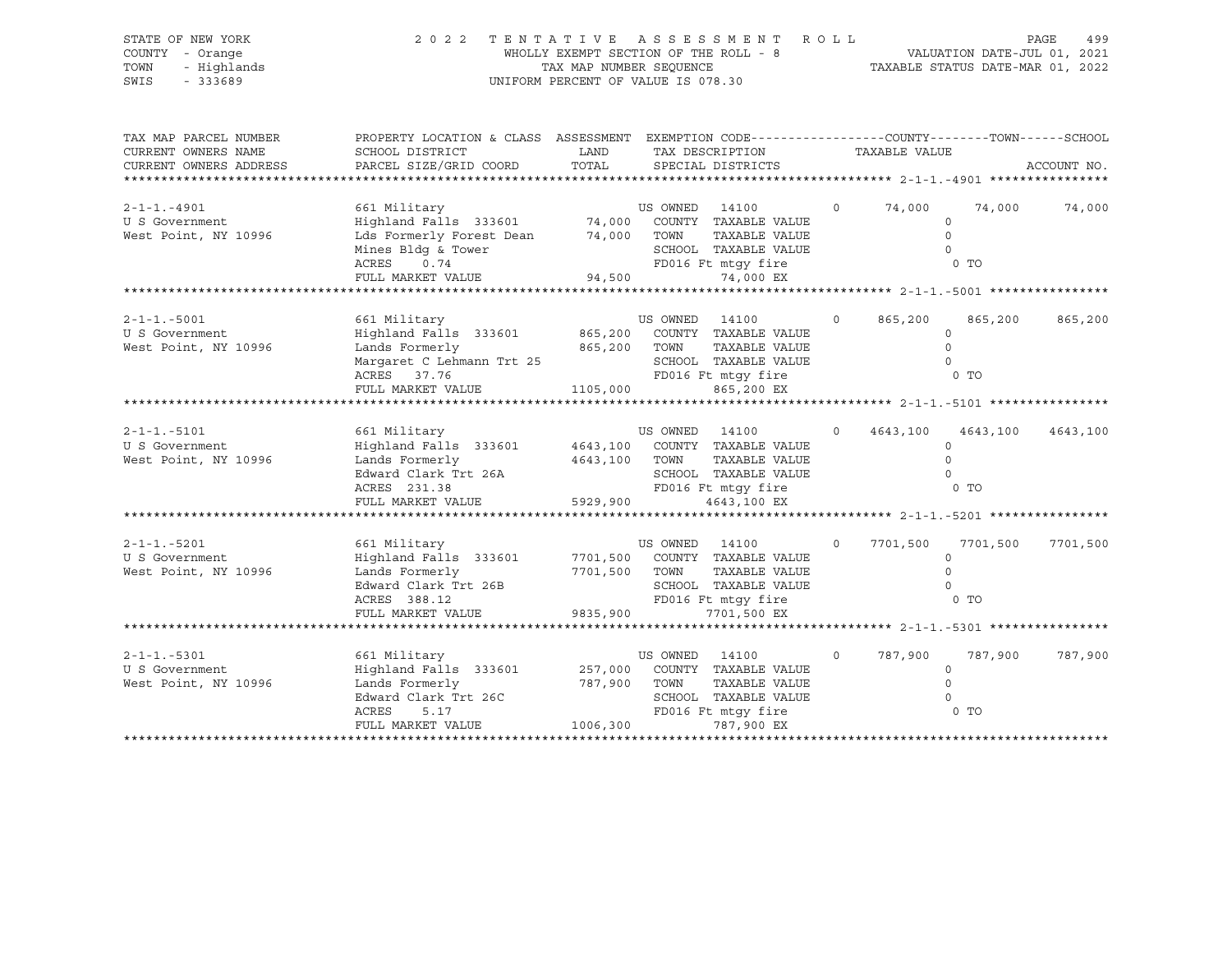| STATE OF NEW YORK<br>COUNTY - Orange<br>TOWN<br>- Highlands<br>SWIS<br>$-333689$ | 2 0 2 2                                                                                         | WHOLLY EXEMPT SECTION OF THE ROLL - 8<br>TAX MAP NUMBER SEQUENCE<br>UNIFORM PERCENT OF VALUE IS 078.30 |                | TENTATIVE ASSESSMENT ROLL     |          |               | VALUATION DATE-JUL 01, 2021<br>TAXABLE STATUS DATE-MAR 01, 2022 | PAGE<br>499 |
|----------------------------------------------------------------------------------|-------------------------------------------------------------------------------------------------|--------------------------------------------------------------------------------------------------------|----------------|-------------------------------|----------|---------------|-----------------------------------------------------------------|-------------|
| TAX MAP PARCEL NUMBER                                                            | PROPERTY LOCATION & CLASS ASSESSMENT EXEMPTION CODE----------------COUNTY-------TOWN-----SCHOOL |                                                                                                        |                |                               |          |               |                                                                 |             |
| CURRENT OWNERS NAME                                                              | SCHOOL DISTRICT                                                                                 | LAND                                                                                                   |                | TAX DESCRIPTION               |          | TAXABLE VALUE |                                                                 |             |
| CURRENT OWNERS ADDRESS                                                           | PARCEL SIZE/GRID COORD                                                                          | TOTAL                                                                                                  |                | SPECIAL DISTRICTS             |          |               |                                                                 | ACCOUNT NO. |
|                                                                                  |                                                                                                 |                                                                                                        |                |                               |          |               |                                                                 |             |
| $2 - 1 - 1 - 4901$                                                               | 661 Military                                                                                    |                                                                                                        | US OWNED 14100 |                               | $\circ$  | 74,000        | 74,000                                                          | 74,000      |
| U S Government                                                                   | Highland Falls 333601 74,000 COUNTY TAXABLE VALUE                                               |                                                                                                        |                |                               |          |               | $\circ$                                                         |             |
| West Point, NY 10996                                                             | Lds Formerly Forest Dean                                                                        | 74,000 TOWN                                                                                            |                | TAXABLE VALUE                 |          |               | $\Omega$                                                        |             |
|                                                                                  | Mines Bldg & Tower                                                                              |                                                                                                        |                | SCHOOL TAXABLE VALUE          |          |               | $\Omega$                                                        |             |
|                                                                                  | 0.74<br>ACRES                                                                                   |                                                                                                        |                | FD016 Ft mtqy fire            |          |               | 0 <sub>T</sub>                                                  |             |
|                                                                                  | FULL MARKET VALUE                                                                               | 94,500                                                                                                 |                | 74,000 EX                     |          |               |                                                                 |             |
|                                                                                  |                                                                                                 |                                                                                                        |                |                               |          |               |                                                                 |             |
|                                                                                  |                                                                                                 |                                                                                                        |                |                               |          |               |                                                                 |             |
| $2 - 1 - 1 - 5001$                                                               | 661 Military                                                                                    |                                                                                                        | US OWNED 14100 |                               | $\Omega$ | 865,200       | 865,200                                                         | 865,200     |
| U S Government                                                                   | Highland Falls 333601                                                                           |                                                                                                        |                | 865,200 COUNTY TAXABLE VALUE  |          |               | $\Omega$                                                        |             |
| West Point, NY 10996                                                             | Lands Formerly                                                                                  | 865,200                                                                                                | TOWN           | TAXABLE VALUE                 |          |               | $\Omega$                                                        |             |
|                                                                                  | Margaret C Lehmann Trt 25                                                                       |                                                                                                        |                | SCHOOL TAXABLE VALUE          |          |               | $\Omega$                                                        |             |
|                                                                                  | ACRES 37.76                                                                                     |                                                                                                        |                | FD016 Ft mtqy fire            |          |               | $0$ TO                                                          |             |
|                                                                                  | FULL MARKET VALUE                                                                               | 1105,000                                                                                               |                | 865,200 EX                    |          |               |                                                                 |             |
|                                                                                  | *******************                                                                             |                                                                                                        |                |                               |          |               |                                                                 |             |
|                                                                                  |                                                                                                 |                                                                                                        |                |                               |          |               |                                                                 |             |
| $2 - 1 - 1 - 5101$                                                               | 661 Military                                                                                    |                                                                                                        | US OWNED 14100 |                               | $\circ$  | 4643,100      | 4643,100                                                        | 4643,100    |
| U S Government                                                                   | Highland Falls 333601                                                                           |                                                                                                        |                | 4643,100 COUNTY TAXABLE VALUE |          |               | $\Omega$                                                        |             |
| West Point, NY 10996                                                             | Lands Formerly                                                                                  | 4643,100 TOWN                                                                                          |                | TAXABLE VALUE                 |          |               | $\Omega$                                                        |             |
|                                                                                  | Edward Clark Trt 26A                                                                            |                                                                                                        |                | SCHOOL TAXABLE VALUE          |          |               | $\Omega$                                                        |             |
|                                                                                  | ACRES 231.38                                                                                    |                                                                                                        |                | FD016 Ft mtgy fire            |          |               | 0 <sub>T</sub>                                                  |             |
|                                                                                  | FULL MARKET VALUE                                                                               | 5929,900                                                                                               |                | 4643,100 EX                   |          |               |                                                                 |             |
|                                                                                  |                                                                                                 |                                                                                                        |                |                               |          |               |                                                                 |             |
|                                                                                  |                                                                                                 |                                                                                                        |                |                               |          |               |                                                                 |             |
| $2 - 1 - 1 - 5201$                                                               | 661 Military                                                                                    |                                                                                                        | US OWNED 14100 |                               | $\circ$  | 7701,500      | 7701,500                                                        | 7701,500    |
| U S Government                                                                   | Highland Falls 333601                                                                           | 7701,500                                                                                               |                | COUNTY TAXABLE VALUE          |          |               | $\circ$                                                         |             |
| West Point, NY 10996                                                             | Lands Formerly                                                                                  | 7701,500                                                                                               | TOWN           | TAXABLE VALUE                 |          |               | $\Omega$                                                        |             |
|                                                                                  | Edward Clark Trt 26B                                                                            |                                                                                                        |                | SCHOOL TAXABLE VALUE          |          |               |                                                                 |             |
|                                                                                  | ACRES 388.12                                                                                    |                                                                                                        |                | FD016 Ft mtqy fire            |          |               | 0 <sub>T</sub>                                                  |             |
|                                                                                  | FULL MARKET VALUE                                                                               | 9835,900                                                                                               |                | 7701,500 EX                   |          |               |                                                                 |             |
|                                                                                  |                                                                                                 |                                                                                                        |                |                               |          |               |                                                                 |             |
| $2 - 1 - 1 - 5301$                                                               | 661 Military                                                                                    |                                                                                                        | US OWNED 14100 |                               | $\circ$  | 787,900       | 787,900                                                         | 787,900     |
| U S Government                                                                   | Highland Falls 333601                                                                           | 257,000                                                                                                |                | COUNTY TAXABLE VALUE          |          |               | $\circ$                                                         |             |
| West Point, NY 10996                                                             | Lands Formerly                                                                                  | 787,900                                                                                                | TOWN           | TAXABLE VALUE                 |          |               | $\Omega$                                                        |             |
|                                                                                  | Edward Clark Trt 26C                                                                            |                                                                                                        |                | SCHOOL TAXABLE VALUE          |          |               | $\Omega$                                                        |             |
|                                                                                  | ACRES<br>5.17                                                                                   |                                                                                                        |                | FD016 Ft mtgy fire            |          |               | 0 <sub>T</sub>                                                  |             |
|                                                                                  | FULL MARKET VALUE                                                                               | 1006,300                                                                                               |                | 787,900 EX                    |          |               |                                                                 |             |
|                                                                                  |                                                                                                 |                                                                                                        |                |                               |          |               |                                                                 |             |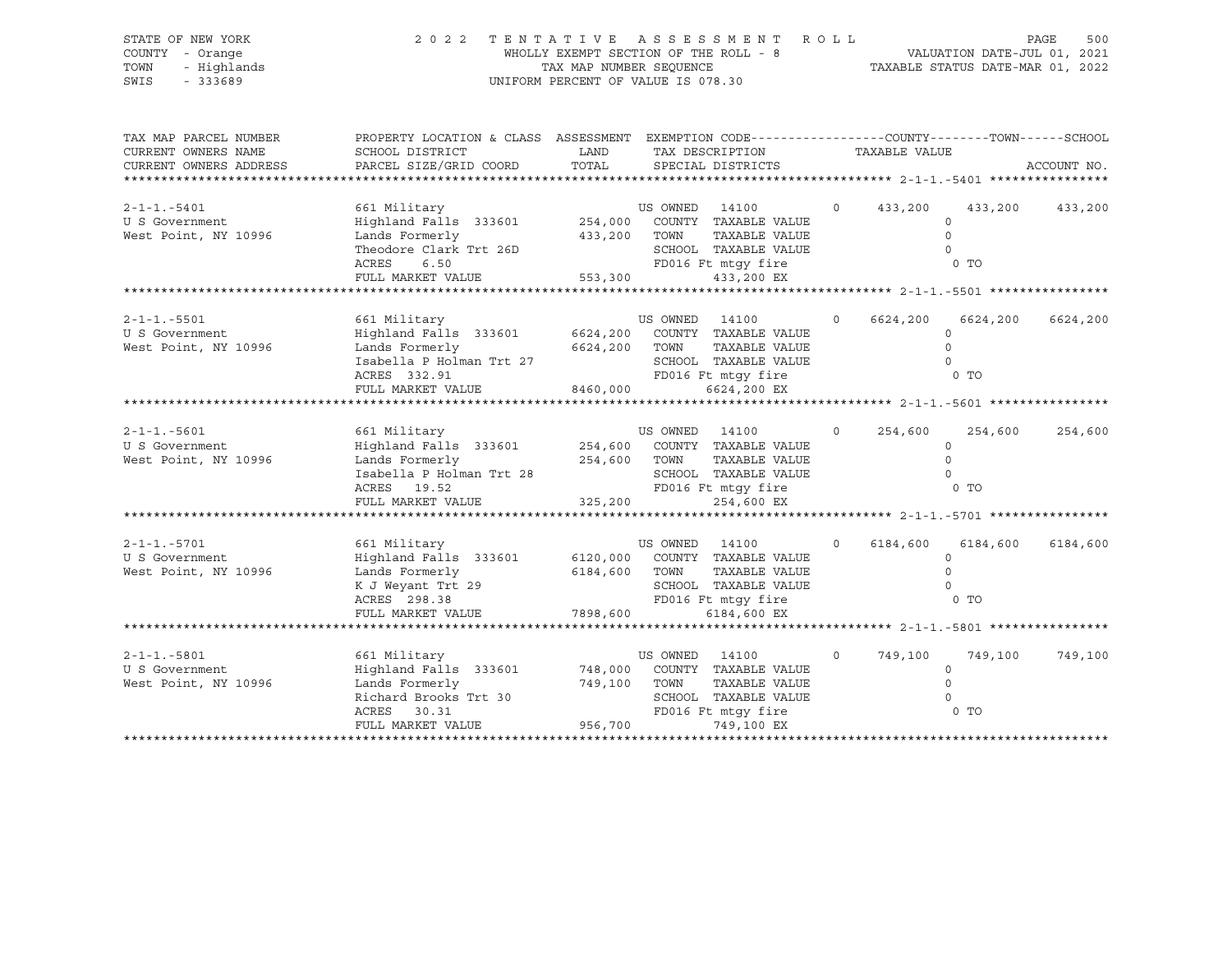| STATE OF NEW YORK<br>COUNTY - Orange<br>TOWN<br>- Highlands<br>SWIS<br>$-333689$                        | 2 0 2 2                                                                                                                                                          | TAX MAP NUMBER SEQUENCE<br>UNIFORM PERCENT OF VALUE IS 078.30 |                                 | TENTATIVE ASSESSMENT ROLL<br>WHOLLY EXEMPT SECTION OF THE ROLL - 8                                                                             |                   |                           | VALUATION DATE-JUL 01, 2021<br>TAXABLE STATUS DATE-MAR 01, 2022 | PAGE<br>500     |
|---------------------------------------------------------------------------------------------------------|------------------------------------------------------------------------------------------------------------------------------------------------------------------|---------------------------------------------------------------|---------------------------------|------------------------------------------------------------------------------------------------------------------------------------------------|-------------------|---------------------------|-----------------------------------------------------------------|-----------------|
| TAX MAP PARCEL NUMBER<br>CURRENT OWNERS NAME<br>CURRENT OWNERS ADDRESS<br>***************************** | PROPERTY LOCATION & CLASS ASSESSMENT EXEMPTION CODE---------------COUNTY-------TOWN-----SCHOOL<br>SCHOOL DISTRICT<br>PARCEL SIZE/GRID COORD                      | LAND<br>TOTAL                                                 |                                 | TAX DESCRIPTION<br>SPECIAL DISTRICTS                                                                                                           |                   | TAXABLE VALUE             |                                                                 | ACCOUNT NO.     |
| $2 - 1 - 1 - 5401$<br>U S Government<br>West Point, NY 10996                                            | 661 Military<br>Highland Falls 333601<br>Lands Formerly<br>Theodore Clark Trt 26D<br>6.50<br>ACRES<br>FULL MARKET VALUE 553,300                                  |                                                               | US OWNED 14100                  | 254,000 COUNTY TAXABLE VALUE<br>433,200 TOWN TAXABLE VALUE<br>SCHOOL TAXABLE VALUE<br>SCHOOL TAXABLE VALUE<br>FD016 Ft mtgy fire<br>433,200 EX | $\circ$           | 433,200                   | $\Omega$<br>$\circ$<br>$\Omega$<br>0 TO                         | 433,200 433,200 |
|                                                                                                         |                                                                                                                                                                  |                                                               |                                 |                                                                                                                                                |                   |                           |                                                                 |                 |
| $2 - 1 - 1 - 5501$<br>U S Government<br>West Point, NY 10996                                            | 661 Military<br>Highland Falls 333601 6624, 200 COUNTY TAXABLE VALUE<br>Lands Formerly<br>Isabella P Holman Trt 27<br>ACRES 332.91<br>FULL MARKET VALUE 8460,000 |                                                               | US OWNED 14100<br>6624,200 TOWN | TAXABLE VALUE<br>SCHOOL TAXABLE VALUE<br>FD016 Ft mtqy fire                                                                                    | $\circ$           | 6624,200                  | 6624,200<br>$\Omega$<br>$\Omega$<br>$\Omega$<br>0 <sub>T</sub>  | 6624,200        |
|                                                                                                         |                                                                                                                                                                  |                                                               |                                 | 6624,200 EX                                                                                                                                    |                   |                           |                                                                 |                 |
| $2 - 1 - 1 - 5601$<br>U S Government<br>West Point, NY 10996                                            | 661 Military<br>Highland Falls 333601 254,600 COUNTY TAXABLE VALUE<br>Lands Formerly<br>Isabella P Holman Trt 28<br>ACRES 19.52                                  |                                                               | US OWNED 14100<br>254,600 TOWN  | TOWN TAXABLE VALUE<br>SCHOOL TAXABLE VALUE<br>FD016 Ft mtqy fire                                                                               | $\circ$           | 254,600                   | 254,600<br>$\circ$<br>$\circ$<br>$\Omega$<br>0 <sub>T</sub>     | 254,600         |
|                                                                                                         | FULL MARKET VALUE                                                                                                                                                | 325,200                                                       |                                 | 254,600 EX                                                                                                                                     |                   |                           |                                                                 |                 |
|                                                                                                         |                                                                                                                                                                  |                                                               |                                 |                                                                                                                                                |                   |                           |                                                                 |                 |
| $2 - 1 - 1 - 5701$<br>U S Government<br>West Point, NY 10996                                            | 661 Military<br>Highland Falls 333601 6120,000 COUNTY TAXABLE VALUE<br>Lands Formerly<br>K J Weyant Trt 29<br>ACRES 298.38<br>FULL MARKET VALUE 7898,600         |                                                               | US OWNED 14100                  | 6184,600 TOWN TAXABLE VALUE<br>SCHOOL TAXABLE VALUE<br>FD016 Ft mtqy fire<br>6184,600 EX                                                       | $0 \qquad \qquad$ | 6184,600<br>0 TO          | 6184,600<br>$\circ$<br>$\Omega$<br>$\Omega$                     | 6184,600        |
|                                                                                                         |                                                                                                                                                                  |                                                               |                                 |                                                                                                                                                |                   |                           |                                                                 |                 |
| $2 - 1 - 1 - 5801$<br>U S Government<br>West Point, NY 10996                                            | 661 Military<br>Highland Falls 333601<br>Highland Fails<br>Lands Formerly 749,100<br>Richard Brooks Trt 30<br>2021<br>FULL MARKET VALUE                          | 956,700                                                       | US OWNED 14100<br>749,100 TOWN  | 748,000 COUNTY TAXABLE VALUE<br>TAXABLE VALUE<br>SCHOOL TAXABLE VALUE<br>FD016 Ft mtgy fire<br>749,100 EX                                      | $\circ$           | 749,100<br>0 <sub>T</sub> | 749,100<br>$\circ$<br>$\circ$<br>$\Omega$                       | 749,100         |
|                                                                                                         |                                                                                                                                                                  |                                                               |                                 |                                                                                                                                                |                   |                           |                                                                 |                 |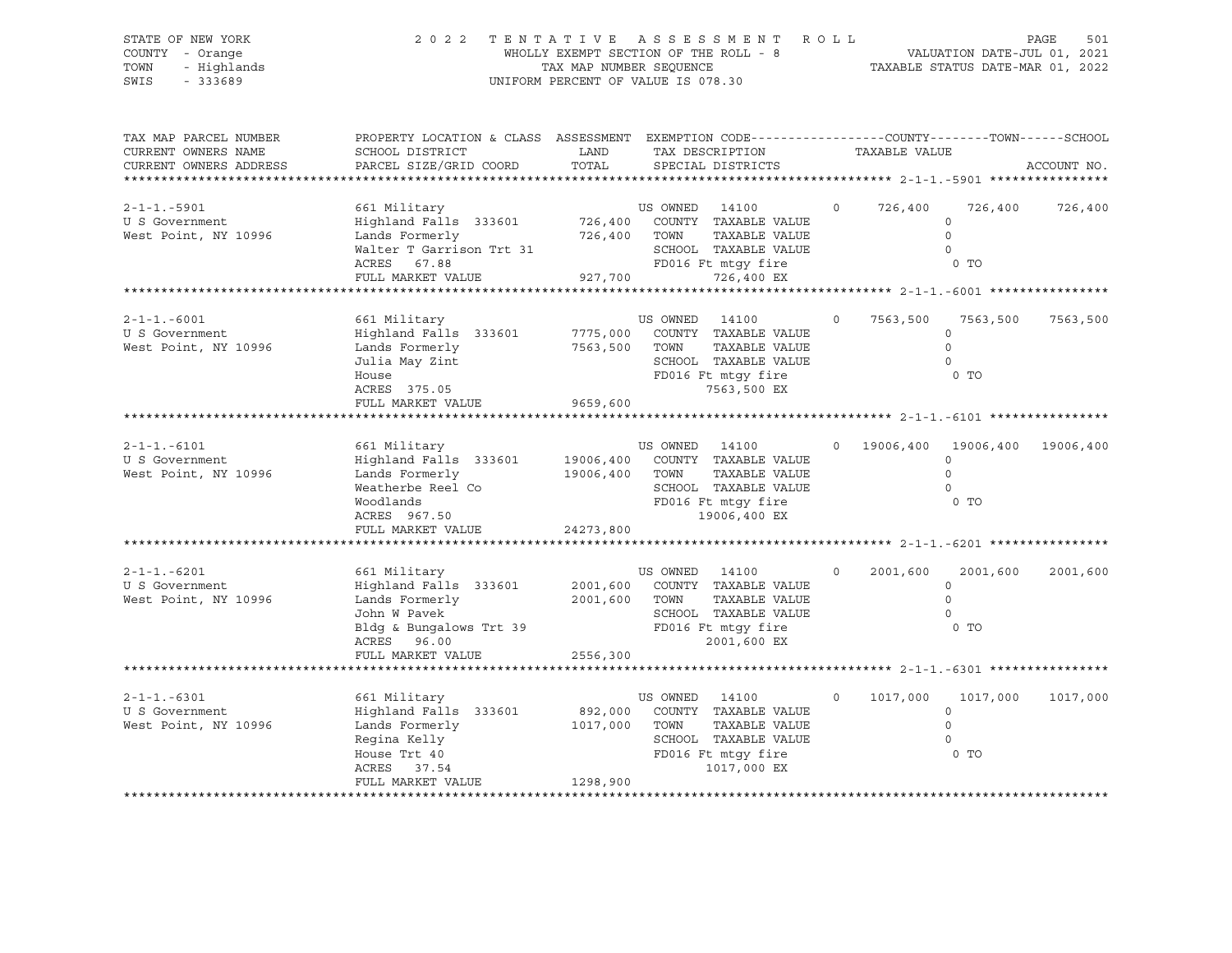| 2 0 2 2                                                                                                   |                                                             |                                                                                                |                                                                                                                                                           |                                                                                                                                                                                                                                                                                                                                                                                                                                                                                                                                                                                                                                        |                                                                                       |                                                     | 501<br>PAGE                                                                                                                                                                                                                                                                                              |
|-----------------------------------------------------------------------------------------------------------|-------------------------------------------------------------|------------------------------------------------------------------------------------------------|-----------------------------------------------------------------------------------------------------------------------------------------------------------|----------------------------------------------------------------------------------------------------------------------------------------------------------------------------------------------------------------------------------------------------------------------------------------------------------------------------------------------------------------------------------------------------------------------------------------------------------------------------------------------------------------------------------------------------------------------------------------------------------------------------------------|---------------------------------------------------------------------------------------|-----------------------------------------------------|----------------------------------------------------------------------------------------------------------------------------------------------------------------------------------------------------------------------------------------------------------------------------------------------------------|
| SCHOOL DISTRICT<br>PARCEL SIZE/GRID COORD                                                                 | LAND<br>TOTAL                                               |                                                                                                |                                                                                                                                                           |                                                                                                                                                                                                                                                                                                                                                                                                                                                                                                                                                                                                                                        |                                                                                       |                                                     | ACCOUNT NO.                                                                                                                                                                                                                                                                                              |
| 661 Military<br>Highland Falls 333601<br>Lands Formerly<br>ACRES<br>67.88<br>FULL MARKET VALUE            |                                                             |                                                                                                | TAXABLE VALUE<br>726,400 EX                                                                                                                               | $\circ$                                                                                                                                                                                                                                                                                                                                                                                                                                                                                                                                                                                                                                |                                                                                       | $\circ$<br>0 TO                                     | 726,400 726,400                                                                                                                                                                                                                                                                                          |
| 661 Military<br>Lands Formerly<br>Julia May Zint<br>House<br>ACRES 375.05                                 |                                                             |                                                                                                | TAXABLE VALUE                                                                                                                                             | $\circ$                                                                                                                                                                                                                                                                                                                                                                                                                                                                                                                                                                                                                                | 7563,500                                                                              | 7563,500<br>$\circ$<br>$\Omega$<br>$\Omega$<br>0 TO | 7563,500                                                                                                                                                                                                                                                                                                 |
|                                                                                                           |                                                             |                                                                                                |                                                                                                                                                           |                                                                                                                                                                                                                                                                                                                                                                                                                                                                                                                                                                                                                                        |                                                                                       |                                                     |                                                                                                                                                                                                                                                                                                          |
| 661 Military<br>Lands Formerly<br>Weatherbe Reel Co<br>Woodlands<br>ACRES 967.50                          |                                                             |                                                                                                | TAXABLE VALUE                                                                                                                                             |                                                                                                                                                                                                                                                                                                                                                                                                                                                                                                                                                                                                                                        |                                                                                       | $\circ$<br>$\circ$<br>$\circ$                       |                                                                                                                                                                                                                                                                                                          |
|                                                                                                           |                                                             |                                                                                                |                                                                                                                                                           |                                                                                                                                                                                                                                                                                                                                                                                                                                                                                                                                                                                                                                        |                                                                                       |                                                     |                                                                                                                                                                                                                                                                                                          |
| 661 Military<br>Highland Falls 333601<br>Lands Formerly<br>John W Pavek<br>John W Pavek<br>ACRES 96.00    |                                                             |                                                                                                | TAXABLE VALUE                                                                                                                                             | $\circ$                                                                                                                                                                                                                                                                                                                                                                                                                                                                                                                                                                                                                                | 2001,600                                                                              | 2001,600<br>$\circ$<br>$\circ$<br>$\circ$<br>0 TO   | 2001,600                                                                                                                                                                                                                                                                                                 |
|                                                                                                           |                                                             |                                                                                                |                                                                                                                                                           |                                                                                                                                                                                                                                                                                                                                                                                                                                                                                                                                                                                                                                        |                                                                                       |                                                     |                                                                                                                                                                                                                                                                                                          |
| 661 Military<br>Highland Falls 333601<br>Regina Kelly<br>House Trt 40<br>ACRES 37.54<br>FULL MARKET VALUE |                                                             |                                                                                                | TAXABLE VALUE                                                                                                                                             | $\circ$                                                                                                                                                                                                                                                                                                                                                                                                                                                                                                                                                                                                                                | 1017,000                                                                              | 1017,000<br>$\circ$<br>$\circ$<br>$\circ$           | 1017,000                                                                                                                                                                                                                                                                                                 |
|                                                                                                           | FULL MARKET VALUE<br>FULL MARKET VALUE<br>FULL MARKET VALUE | Walter T Garrison Trt 31<br>Highland Falls 333601<br>Bldg & Bungalows Trt 39<br>Lands Formerly | 927,700<br>Highland Falls 333601 7775,000<br>9659,600<br>19006,400 TOWN<br>24273,800<br>2001,600 TOWN<br>2556,300<br>892,000<br>1017,000 TOWN<br>1298,900 | WHOLLY EXEMPT SECTION OF THE ROLL - 8<br>TAX MAP NUMBER SEQUENCE<br>UNIFORM PERCENT OF VALUE IS 078.30<br>SPECIAL DISTRICTS<br>US OWNED 14100<br>726,400 COUNTY TAXABLE VALUE<br>726,400 TOWN<br>SCHOOL TAXABLE VALUE<br>FD016 Ft mtqy fire<br>US OWNED 14100<br>COUNTY TAXABLE VALUE<br>7563,500 TOWN<br>SCHOOL TAXABLE VALUE<br>FD016 Ft mtgy fire<br>7563,500 EX<br>US OWNED 14100<br>19006,400 COUNTY TAXABLE VALUE<br>FD016 Ft mtqy fire<br>19006,400 EX<br>US OWNED 14100<br>2001,600 COUNTY TAXABLE VALUE<br>FD016 Ft mtgy fire<br>2001,600 EX<br>US OWNED 14100<br>COUNTY TAXABLE VALUE<br>SCHOOL TAXABLE VALUE<br>1017,000 EX | TAX DESCRIPTION<br>SCHOOL TAXABLE VALUE<br>SCHOOL TAXABLE VALUE<br>FD016 Ft mtgy fire | TENTATIVE ASSESSMENT ROLL                           | VALUATION DATE-JUL 01, 2021<br>TAXABLE STATUS DATE-MAR 01, 2022<br>PROPERTY LOCATION & CLASS ASSESSMENT EXEMPTION CODE---------------COUNTY-------TOWN-----SCHOOL<br>TAXABLE VALUE<br>726,400<br>$\overline{0}$<br>$\overline{0}$<br>0 19006,400 19006,400 19006,400<br>0 <sub>T</sub><br>0 <sub>T</sub> |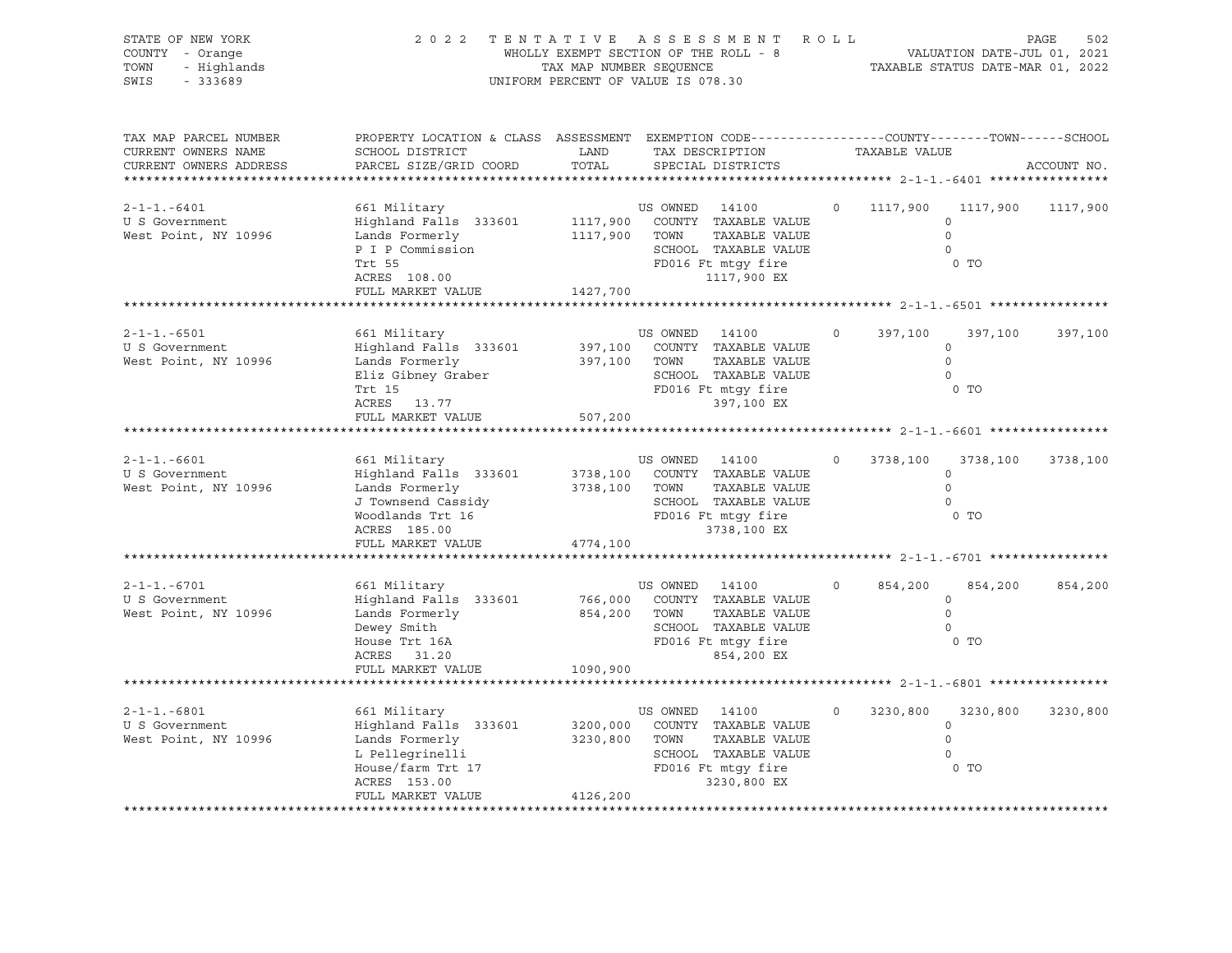| STATE OF NEW YORK<br>COUNTY - Orange<br>TOWN<br>- Highlands<br>SWIS<br>$-333689$               | 2022 TENTATIVE ASSESSMENT                                                                                                                   | WHOLLY EXEMPT SECTION OF THE ROLL - 8<br>TAX MAP NUMBER SEQUENCE<br>UNIFORM PERCENT OF VALUE IS 078.30 |                                 |                                                                                                                                   | R O L L |          | VALUATION DATE-JUL 01, 2021<br>TAXABLE STATUS DATE-MAR 01, 2022 | PAGE<br>502 |
|------------------------------------------------------------------------------------------------|---------------------------------------------------------------------------------------------------------------------------------------------|--------------------------------------------------------------------------------------------------------|---------------------------------|-----------------------------------------------------------------------------------------------------------------------------------|---------|----------|-----------------------------------------------------------------|-------------|
| TAX MAP PARCEL NUMBER<br>CURRENT OWNERS NAME<br>CURRENT OWNERS ADDRESS<br>******************** | PROPERTY LOCATION & CLASS ASSESSMENT EXEMPTION CODE---------------COUNTY-------TOWN-----SCHOOL<br>SCHOOL DISTRICT<br>PARCEL SIZE/GRID COORD | LAND<br>TOTAL                                                                                          |                                 | TAX DESCRIPTION TAXABLE VALUE<br>SPECIAL DISTRICTS                                                                                |         |          |                                                                 | ACCOUNT NO. |
| $2 - 1 - 1 - 6401$<br>U S Government<br>West Point, NY 10996                                   | 661 Military<br>Highland Falls 333601<br>Lands Formerly<br>P I P Commission<br>Trt 55<br>ACRES 108.00<br>FULL MARKET VALUE                  | 1117,900 TOWN<br>1427,700                                                                              | US OWNED 14100                  | 1117,900 COUNTY TAXABLE VALUE<br>TAXABLE VALUE<br>SCHOOL TAXABLE VALUE<br>FD016 Ft mtgy fire<br>1117,900 EX                       | $\circ$ | 1117,900 | 1117,900<br>$\circ$<br>$\Omega$<br>$\Omega$<br>0 TO             | 1117,900    |
|                                                                                                |                                                                                                                                             |                                                                                                        |                                 |                                                                                                                                   |         |          |                                                                 |             |
| $2 - 1 - 1 - 6501$<br>U S Government<br>West Point, NY 10996                                   | 661 Military<br>Highland Falls 333601<br>Lands Formerly<br>Eliz Gibney Graber<br>Trt 15<br>ACRES 13.77                                      | 397,100 TOWN                                                                                           | US OWNED 14100                  | 397,100 COUNTY TAXABLE VALUE<br>TAXABLE VALUE<br>SCHOOL TAXABLE VALUE<br>FD016 Ft mtgy fire<br>397,100 EX                         | $\circ$ | 397,100  | 397,100<br>$\circ$<br>$\circ$<br>$\Omega$<br>0 TO               | 397,100     |
|                                                                                                | FULL MARKET VALUE                                                                                                                           | 507,200                                                                                                |                                 |                                                                                                                                   |         |          |                                                                 |             |
| $2 - 1 - 1 - 6601$<br>U S Government<br>West Point, NY 10996                                   | 661 Military<br>Highland Falls 333601<br>Lands Formerly<br>J Townsend Cassidy<br>Woodlands Trt $16$<br>ACRES 185.00<br>FULL MARKET VALUE    | 4774,100                                                                                               | US OWNED 14100<br>3738,100 TOWN | 3738,100 COUNTY TAXABLE VALUE<br>TAXABLE VALUE<br>SCHOOL TAXABLE VALUE<br>SCHOOL TAXABLE VAL<br>FD016 Ft mtgy fire<br>3738,100 EX | $\circ$ | 3738,100 | 3738,100<br>$\circ$<br>$\circ$<br>$\Omega$<br>0 TO              | 3738,100    |
|                                                                                                |                                                                                                                                             |                                                                                                        |                                 |                                                                                                                                   |         |          |                                                                 |             |
| $2 - 1 - 1. - 6701$<br>U S Government<br>West Point, NY 10996                                  | 661 Military<br>Highland Falls 333601<br>Lands Formerly<br>Dewey Smith<br>House Trt 16A<br>ACRES 31.20                                      | 854,200 TOWN                                                                                           | US OWNED 14100                  | 766,000 COUNTY TAXABLE VALUE<br>TAXABLE VALUE<br>SCHOOL TAXABLE VALUE<br>FD016 Ft mtgy fire<br>854,200 EX                         | $\circ$ | 854,200  | 854,200<br>$\circ$<br>$\circ$<br>$\Omega$<br>$0$ TO             | 854,200     |
|                                                                                                | FULL MARKET VALUE                                                                                                                           | 1090,900                                                                                               |                                 |                                                                                                                                   |         |          |                                                                 |             |
|                                                                                                |                                                                                                                                             |                                                                                                        |                                 |                                                                                                                                   |         |          |                                                                 |             |
| $2 - 1 - 1 - 6801$<br>U S Government<br>West Point, NY 10996                                   | 661 Military<br>Highland Falls 333601<br>Lands Formerly<br>L Pellegrinelli<br>House/farm Trt 17<br>ACRES 153.00<br>FULL MARKET VALUE        | 3230,800 TOWN<br>4126,200                                                                              | US OWNED 14100                  | 3200,000 COUNTY TAXABLE VALUE<br>TAXABLE VALUE<br>SCHOOL TAXABLE VALUE<br>FD016 Ft mtqy fire<br>3230,800 EX                       | $\circ$ | 3230,800 | 3230,800<br>$\circ$<br>$\circ$<br>$\Omega$<br>$0$ TO            | 3230,800    |
|                                                                                                |                                                                                                                                             |                                                                                                        |                                 |                                                                                                                                   |         |          |                                                                 |             |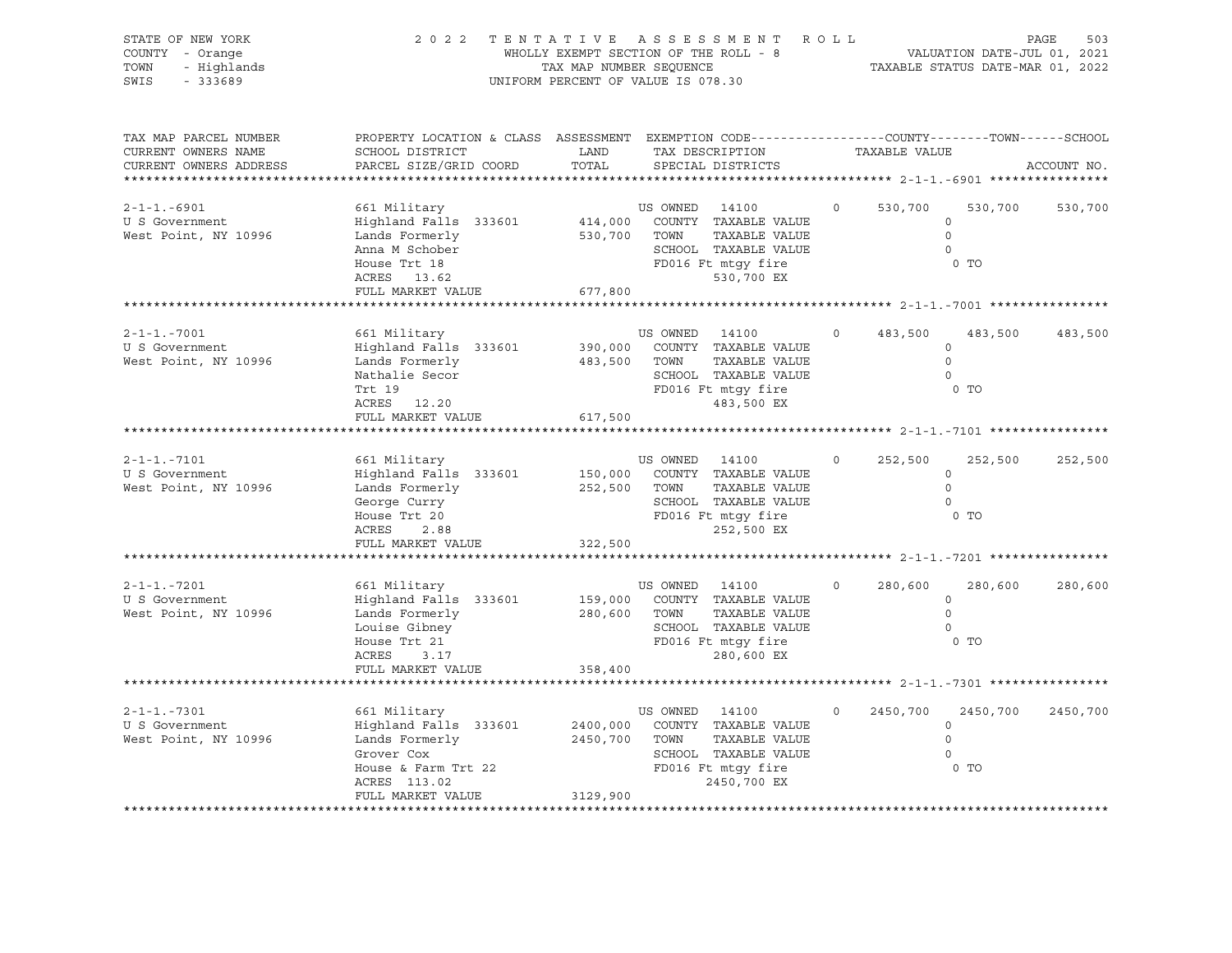| STATE OF NEW YORK<br>COUNTY - Orange<br>- Highlands<br>TOWN<br>$-333689$<br>SWIS |                                                                                                                                               | TAX MAP NUMBER SEQUENCE          | 2022 TENTATIVE ASSESSMENT ROLL<br>WHOLLY EXEMPT SECTION OF THE ROLL - 8<br>UNIFORM PERCENT OF VALUE IS 078.30                |          |          | VALUATION DATE-JUL 01, 2021<br>TAXABLE STATUS DATE-MAR 01, 2022 | PAGE<br>503 |
|----------------------------------------------------------------------------------|-----------------------------------------------------------------------------------------------------------------------------------------------|----------------------------------|------------------------------------------------------------------------------------------------------------------------------|----------|----------|-----------------------------------------------------------------|-------------|
| TAX MAP PARCEL NUMBER<br>CURRENT OWNERS NAME<br>CURRENT OWNERS ADDRESS           | PROPERTY LOCATION & CLASS ASSESSMENT EXEMPTION CODE----------------COUNTY-------TOWN------SCHOOL<br>SCHOOL DISTRICT<br>PARCEL SIZE/GRID COORD | LAND<br>TOTAL                    | TAX DESCRIPTION TAXABLE VALUE<br>SPECIAL DISTRICTS                                                                           |          |          |                                                                 | ACCOUNT NO. |
| $2 - 1 - 1 - 6901$<br>U S Government<br>West Point, NY 10996                     | 661 Military<br>Highland Falls 333601<br>Lands Formerly<br>Anna M Schober<br>House Trt 18<br>ACRES 13.62<br>FULL MARKET VALUE                 | 530,700 TOWN<br>677,800          | US OWNED 14100<br>414,000 COUNTY TAXABLE VALUE<br>TAXABLE VALUE<br>SCHOOL TAXABLE VALUE<br>FD016 Ft mtgy fire<br>530,700 EX  | $\circ$  | 530,700  | 530,700<br>$\circ$<br>$\Omega$<br>$\circ$<br>0 <sub>T</sub>     | 530,700     |
|                                                                                  |                                                                                                                                               |                                  |                                                                                                                              |          |          |                                                                 |             |
| $2 - 1 - 1 - 7001$<br>U S Government<br>West Point, NY 10996                     | 661 Military<br>Highland Falls 333601<br>Lands Formerly<br>Nathalie Secor<br>Trt 19<br>ACRES 12.20                                            | 483,500 TOWN                     | US OWNED 14100<br>390,000 COUNTY TAXABLE VALUE<br>TAXABLE VALUE<br>SCHOOL TAXABLE VALUE<br>FD016 Ft mtgy fire<br>483,500 EX  | $\circ$  | 483,500  | 483,500<br>$\circ$<br>$\Omega$<br>$\circ$<br>0 <sub>T</sub>     | 483,500     |
|                                                                                  | FULL MARKET VALUE                                                                                                                             | 617,500                          |                                                                                                                              |          |          |                                                                 |             |
| $2 - 1 - 1 - 7101$<br>U S Government<br>West Point, NY 10996                     | 661 Military<br>Highland Falls 333601<br>Lands Formerly<br>George Curry<br>House Trt 20<br>ACRES<br>2.88<br>FULL MARKET VALUE                 | 252,500 TOWN<br>322,500          | US OWNED 14100<br>150,000 COUNTY TAXABLE VALUE<br>TAXABLE VALUE<br>SCHOOL TAXABLE VALUE<br>FD016 Ft mtgy fire<br>252,500 EX  | $\Omega$ | 252,500  | 252,500<br>$\circ$<br>$\circ$<br>$\Omega$<br>0 <sub>T</sub>     | 252,500     |
| $2 - 1 - 1 - 7201$<br>U S Government<br>West Point, NY 10996                     | 661 Military<br>Highland Falls 333601<br>Lands Formerly<br>Louise Gibney<br>House Trt 21<br>ACRES<br>3.17<br>FULL MARKET VALUE                | 280,600 TOWN<br>358,400          | US OWNED 14100<br>159,000 COUNTY TAXABLE VALUE<br>TAXABLE VALUE<br>SCHOOL TAXABLE VALUE<br>FD016 Ft mtqy fire<br>280,600 EX  | $\circ$  | 280,600  | 280,600<br>$\circ$<br>$\circ$<br>$\Omega$<br>$0$ TO             | 280,600     |
| $2 - 1 - 1 - 7301$<br>U S Government<br>West Point, NY 10996                     | 661 Military<br>Highland Falls 333601<br>Lands Formerly<br>Grover Cox<br>House & Farm Trt 22<br>ACRES 113.02<br>FULL MARKET VALUE             | 2400,000<br>2450,700<br>3129,900 | US OWNED 14100<br>COUNTY TAXABLE VALUE<br>TOWN<br>TAXABLE VALUE<br>SCHOOL TAXABLE VALUE<br>FD016 Ft mtgy fire<br>2450,700 EX | $\Omega$ | 2450,700 | 2450,700<br>$\circ$<br>$\Omega$<br>$\Omega$<br>$0$ TO           | 2450,700    |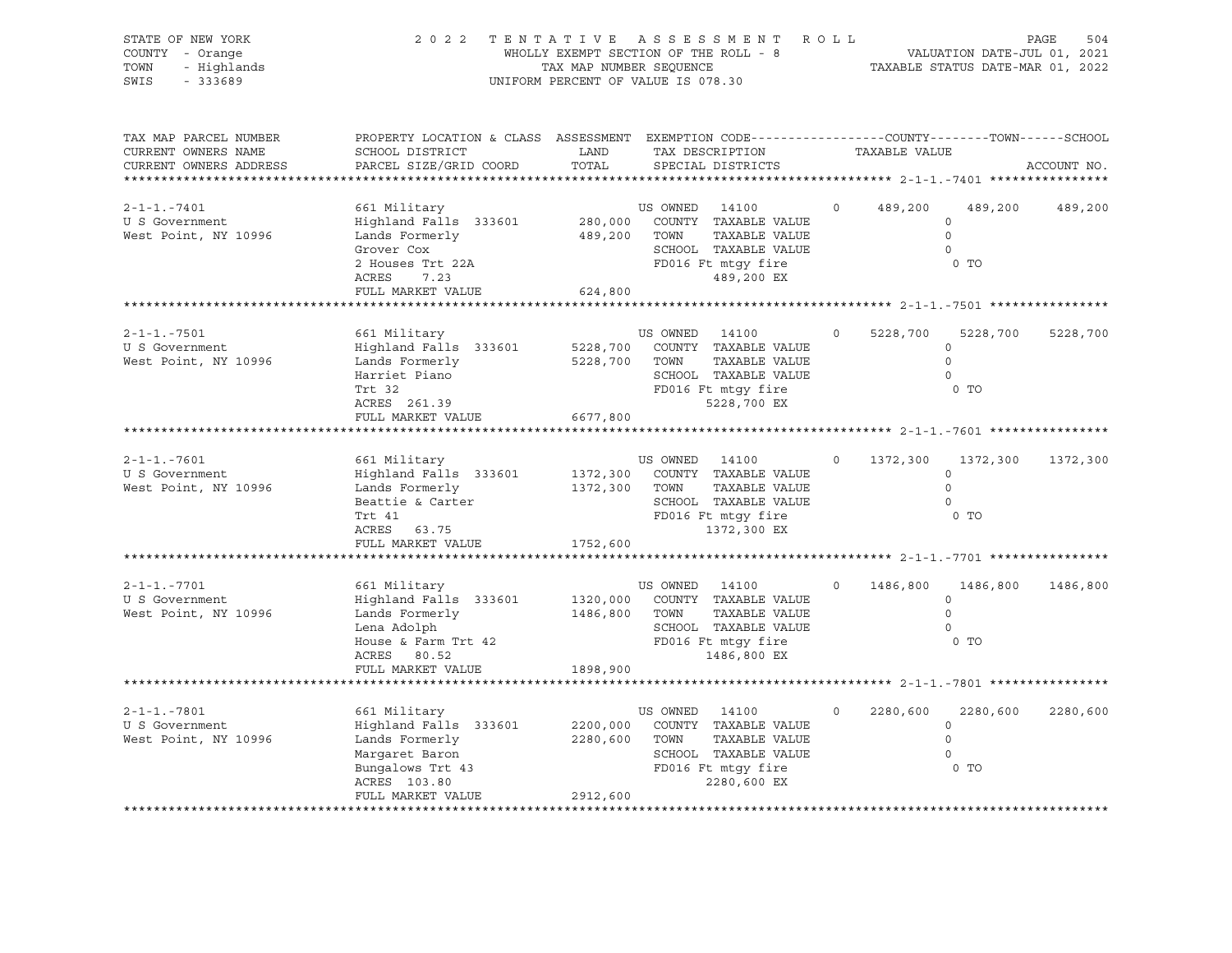| STATE OF NEW YORK<br>COUNTY - Orange<br>- Highlands<br>TOWN<br>SWIS<br>$-333689$ | 2022 TENTATIVE ASSESSMENT                                                                                                                     | TAX MAP NUMBER SEQUENCE<br>UNIFORM PERCENT OF VALUE IS 078.30 |                                 | WHOLLY EXEMPT SECTION OF THE ROLL - 8                                                                       | R O L L  |          |                                                                     | PAGE<br>504 |
|----------------------------------------------------------------------------------|-----------------------------------------------------------------------------------------------------------------------------------------------|---------------------------------------------------------------|---------------------------------|-------------------------------------------------------------------------------------------------------------|----------|----------|---------------------------------------------------------------------|-------------|
| TAX MAP PARCEL NUMBER<br>CURRENT OWNERS NAME<br>CURRENT OWNERS ADDRESS           | PROPERTY LOCATION & CLASS ASSESSMENT EXEMPTION CODE----------------COUNTY-------TOWN------SCHOOL<br>SCHOOL DISTRICT<br>PARCEL SIZE/GRID COORD | LAND<br>TOTAL                                                 |                                 | TAX DESCRIPTION TAXABLE VALUE<br>SPECIAL DISTRICTS                                                          |          |          |                                                                     | ACCOUNT NO. |
| $2 - 1 - 1 - 7401$<br>U S Government<br>West Point, NY 10996                     | 661 Military<br>Highland Falls 333601<br>Lands Formerly<br>Grover Cox<br>2 Houses Trt 22A<br>ACRES<br>7.23<br>FULL MARKET VALUE               | 624,800                                                       | US OWNED 14100<br>489,200 TOWN  | 280,000 COUNTY TAXABLE VALUE<br>TAXABLE VALUE<br>SCHOOL TAXABLE VALUE<br>FD016 Ft mtgy fire<br>489,200 EX   | $\circ$  |          | 489,200 489,200<br>$\circ$<br>$\circ$<br>$\Omega$<br>0 <sub>T</sub> | 489,200     |
|                                                                                  |                                                                                                                                               |                                                               |                                 |                                                                                                             |          |          |                                                                     |             |
| $2 - 1 - 1 - 7501$<br>U S Government<br>West Point, NY 10996                     | 661 Military<br>Highland Falls 333601<br>Lands Formerly<br>Harriet Piano<br>Trt 32<br>ACRES 261.39                                            |                                                               | US OWNED 14100<br>5228,700 TOWN | 5228,700 COUNTY TAXABLE VALUE<br>TAXABLE VALUE<br>SCHOOL TAXABLE VALUE<br>FD016 Ft mtgy fire<br>5228,700 EX | $\circ$  | 5228,700 | 5228,700<br>$\circ$<br>$\Omega$<br>$\Omega$<br>$0$ TO               | 5228,700    |
|                                                                                  | FULL MARKET VALUE                                                                                                                             | 6677,800                                                      |                                 |                                                                                                             |          |          |                                                                     |             |
| $2 - 1 - 1 - 7601$<br>U S Government<br>West Point, NY 10996                     | 661 Military<br>Highland Falls 333601<br>Lands Formerly<br>Beattie & Carter<br>Trt 41<br>ACRES 63.75<br>FULL MARKET VALUE                     | 1372,300 TOWN<br>1752,600                                     | US OWNED 14100                  | 1372,300 COUNTY TAXABLE VALUE<br>TAXABLE VALUE<br>SCHOOL TAXABLE VALUE<br>FD016 Ft mtqy fire<br>1372,300 EX | $\circ$  | 1372,300 | 1372,300<br>$\circ$<br>$\circ$<br>$\Omega$<br>$0$ TO                | 1372,300    |
| $2 - 1 - 1 - 7701$<br>U S Government<br>West Point, NY 10996                     | 661 Military<br>Highland Falls 333601<br>Lands Formerly<br>Lena Adolph<br>House & Farm Trt 42<br>ACRES 80.52<br>FULL MARKET VALUE             | 1486,800 TOWN<br>1898,900                                     | US OWNED 14100                  | 1320,000 COUNTY TAXABLE VALUE<br>TAXABLE VALUE<br>SCHOOL TAXABLE VALUE<br>FD016 Ft mtgy fire<br>1486,800 EX | $\Omega$ | 1486,800 | 1486,800<br>$\circ$<br>$\Omega$<br>$\Omega$<br>0 TO                 | 1486,800    |
|                                                                                  |                                                                                                                                               |                                                               |                                 |                                                                                                             |          |          |                                                                     |             |
| $2 - 1 - 1 - 7801$<br>U S Government<br>West Point, NY 10996                     | 661 Military<br>Highland Falls 333601<br>Lands Formerly<br>Margaret Baron<br>Bungalows Trt 43<br>ACRES 103.80<br>FULL MARKET VALUE            | 2200,000<br>2280,600 TOWN<br>2912,600                         | US OWNED 14100                  | COUNTY TAXABLE VALUE<br>TAXABLE VALUE<br>SCHOOL TAXABLE VALUE<br>FD016 Ft mtgy fire<br>2280,600 EX          | $\circ$  | 2280,600 | 2280,600<br>$\circ$<br>$\mathbf 0$<br>$\Omega$<br>0 TO              | 2280,600    |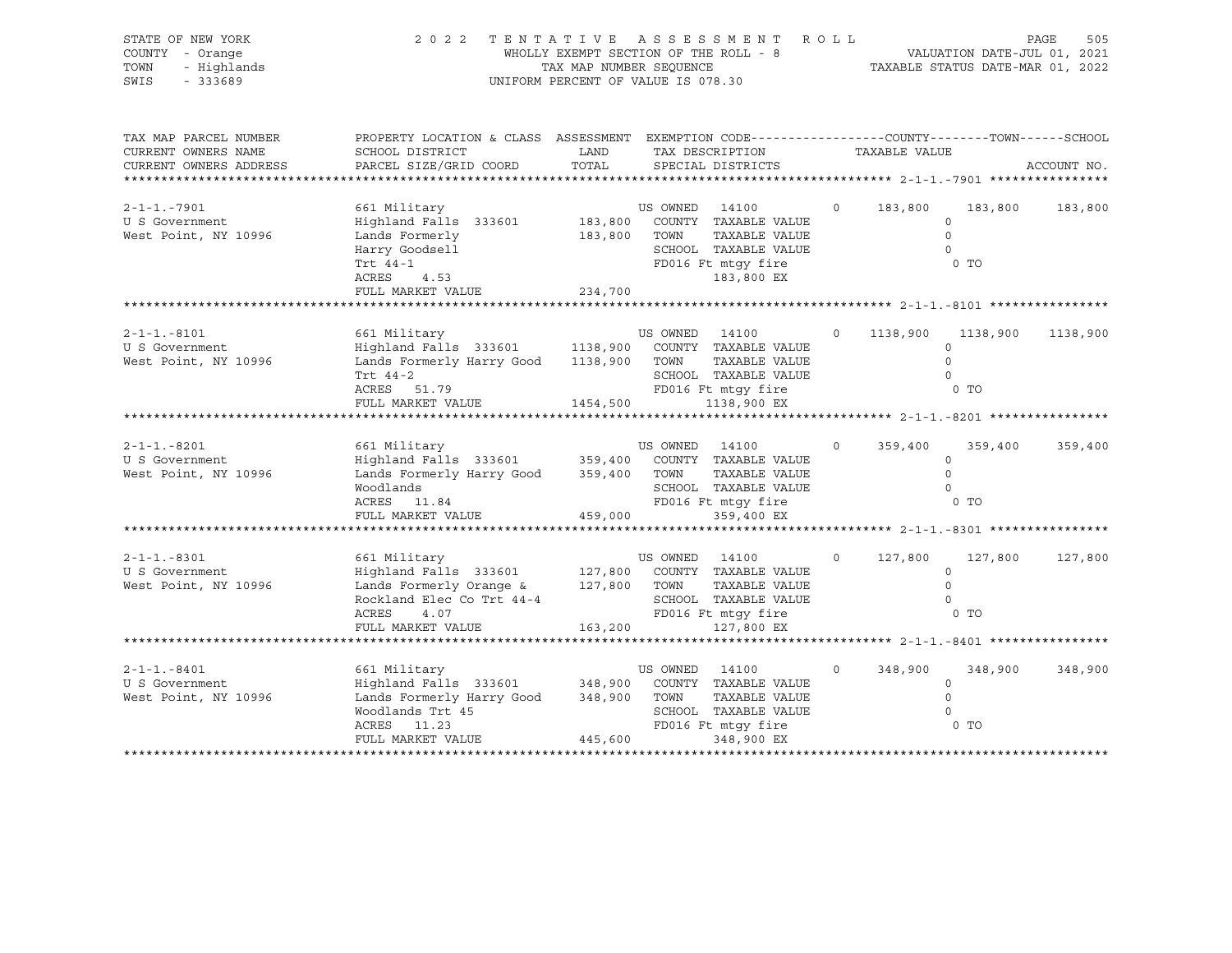| STATE OF NEW YORK<br>COUNTY - Orange<br>TOWN<br>- Highlands<br>SWIS<br>$-333689$                   | 2022 TENTATIVE ASSESSMENT                                                                                                                                                   | WHOLLY EXEMPT SECTION OF THE ROLL - 8<br>TAX MAP NUMBER SEQUENCE<br>UNIFORM PERCENT OF VALUE IS 078.30 |                        |                                                                                                                    | R O L L |               | VALUATION DATE-JUL 01, 2021<br>TAXABLE STATUS DATE-MAR 01, 2022 | PAGE<br>505 |
|----------------------------------------------------------------------------------------------------|-----------------------------------------------------------------------------------------------------------------------------------------------------------------------------|--------------------------------------------------------------------------------------------------------|------------------------|--------------------------------------------------------------------------------------------------------------------|---------|---------------|-----------------------------------------------------------------|-------------|
| TAX MAP PARCEL NUMBER<br>CURRENT OWNERS NAME<br>CURRENT OWNERS ADDRESS<br>************************ | PROPERTY LOCATION & CLASS ASSESSMENT EXEMPTION CODE---------------COUNTY-------TOWN------SCHOOL<br>SCHOOL DISTRICT<br>PARCEL SIZE/GRID COORD                                | LAND<br>TOTAL                                                                                          |                        | TAX DESCRIPTION<br>SPECIAL DISTRICTS                                                                               |         | TAXABLE VALUE |                                                                 | ACCOUNT NO. |
| $2 - 1 - 1 - 7901$<br>U S Government<br>West Point, NY 10996                                       | 661 Military<br>Highland Falls 333601<br>E FOLMETIY<br>Harry Goodsell<br>Trt 44-1<br>Trt 44-1<br>4.53<br>ACRES<br>FULL MARKET VALUE                                         | 183,800<br>234,700                                                                                     | US OWNED<br>TOWN       | 14100<br>183,800 COUNTY TAXABLE VALUE<br>TAXABLE VALUE<br>SCHOOL TAXABLE VALUE<br>FD016 Ft mtgy fire<br>183,800 EX | $\circ$ | 183,800       | 183,800<br>$\circ$<br>$\circ$<br>$\Omega$<br>$0$ TO             | 183,800     |
|                                                                                                    |                                                                                                                                                                             |                                                                                                        |                        |                                                                                                                    |         |               |                                                                 |             |
| $2 - 1 - 1 - 8101$<br>U S Government<br>West Point, NY 10996                                       | 661 Military<br>Highland Falls 333601 1138,900 COUNTY TAXABLE VALUE<br>Lands Formerly Harry Good<br>Trt 44-2<br>ACRES 51.79<br>FULL MARKET VALUE                            | 1138,900 TOWN<br>1454,500                                                                              | US OWNED 14100         | TAXABLE VALUE<br>SCHOOL TAXABLE VALUE<br>FD016 Ft mtgy fire<br>1138,900 EX                                         |         | 1138,900      | 1138,900<br>$\circ$<br>$\circ$<br>$\Omega$<br>$0$ TO            | 1138,900    |
|                                                                                                    |                                                                                                                                                                             |                                                                                                        |                        |                                                                                                                    |         |               |                                                                 |             |
| $2 - 1 - 1 - 8201$<br>U S Government<br>West Point, NY 10996                                       | 661 Military<br>Highland Falls 333601 359,400 COUNTY TAXABLE VALUE<br>Lands Formerly Harry Good 359,400 TOWN TAXABLE VALUE<br>Woodlands<br>ACRES 11.84<br>FULL MARKET VALUE | 459,000                                                                                                | US OWNED 14100         | SCHOOL TAXABLE VALUE<br>FD016 Ft mtqy fire<br>359,400 EX                                                           | $\circ$ | 359,400       | 359,400<br>$\circ$<br>$\Omega$<br>$\circ$<br>0 TO               | 359,400     |
|                                                                                                    |                                                                                                                                                                             |                                                                                                        |                        |                                                                                                                    |         |               |                                                                 |             |
| $2 - 1 - 1 - 8301$<br>U S Government<br>West Point, NY 10996                                       | 661 Military<br>Highland Falls 333601<br>Lands Formerly Orange & 127,800<br>Rockland Elec Co Trt 44-4<br>ACRES<br>4.07<br>FULL MARKET VALUE                                 | 163,200                                                                                                | US OWNED<br>TOWN       | 14100<br>127,800 COUNTY TAXABLE VALUE<br>TAXABLE VALUE<br>SCHOOL TAXABLE VALUE<br>FD016 Ft mtgy fire<br>127,800 EX | $\circ$ | 127,800       | 127,800<br>$\circ$<br>$\mathbb O$<br>$\mathbf 0$<br>0 TO        | 127,800     |
|                                                                                                    |                                                                                                                                                                             |                                                                                                        |                        |                                                                                                                    |         |               |                                                                 |             |
| $2 - 1 - 1 - 8401$<br>U S Government<br>West Point, NY 10996                                       | 661 Military<br>Highland Falls 333601 348,900<br>Lands Formerly Harry Good 348,900<br>Woodlands Trt 45<br>ACRES<br>11.23<br>FULL MARKET VALUE                               | 445,600                                                                                                | US OWNED 14100<br>TOWN | COUNTY TAXABLE VALUE<br>TAXABLE VALUE<br>SCHOOL TAXABLE VALUE<br>FD016 Ft mtgy fire<br>348,900 EX                  | $\circ$ | 348,900       | 348,900<br>$\circ$<br>$\circ$<br>$\circ$<br>$0$ TO              | 348,900     |
|                                                                                                    |                                                                                                                                                                             |                                                                                                        |                        |                                                                                                                    |         |               |                                                                 |             |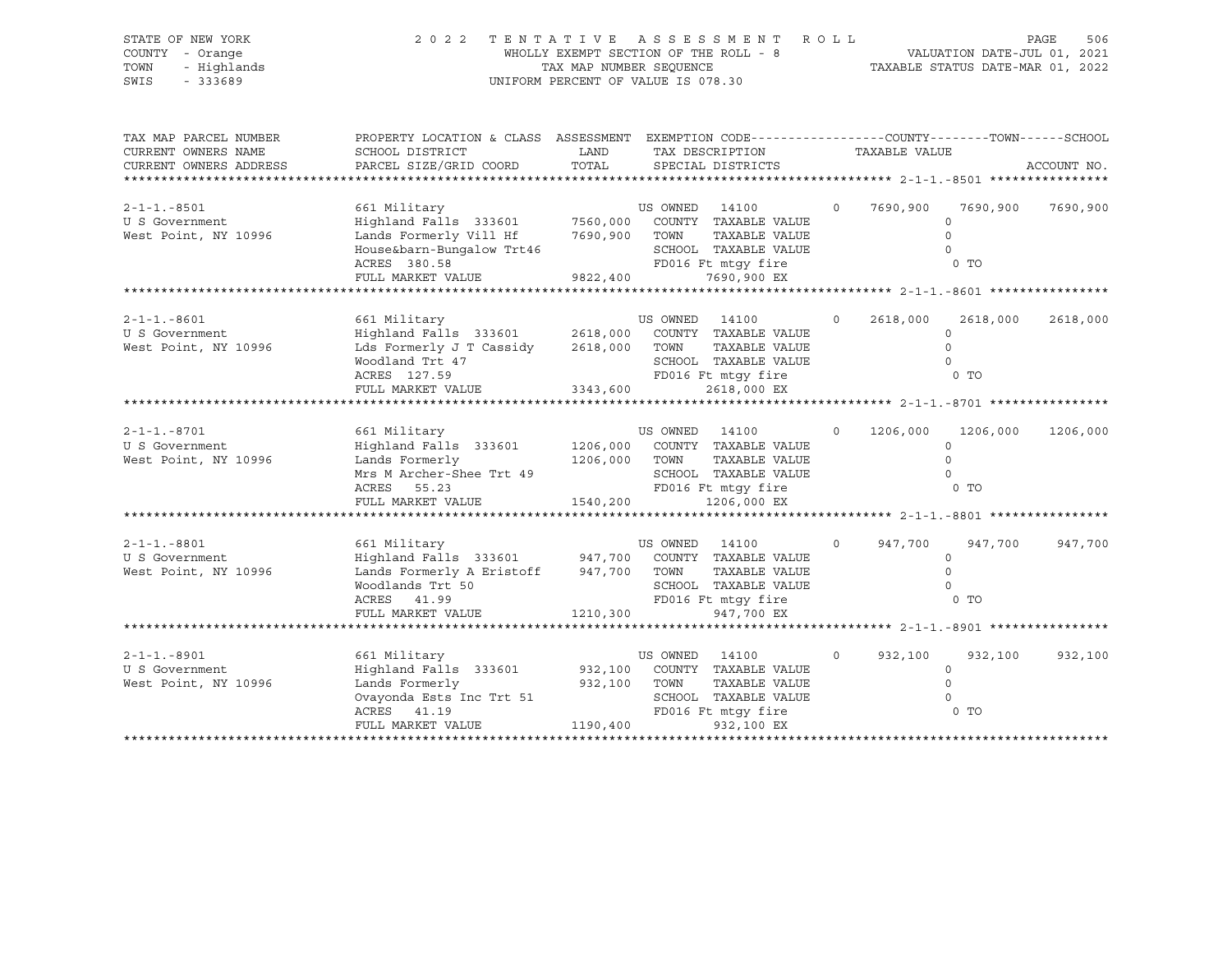| STATE OF NEW YORK<br>COUNTY - Orange<br>TOWN<br>- Highlands<br>$-333689$<br>SWIS | 2 0 2 2                                                                                                                                                              | WHOLLY EXEMPT SECTION OF THE ROLL - 8<br>TAX MAP NUMBER SEOUENCE<br>UNIFORM PERCENT OF VALUE IS 078.30 |                                 | TENTATIVE ASSESSMENT ROLL                                                                                                 |          |               | VALUATION DATE-JUL 01, 2021<br>TAXABLE STATUS DATE-MAR 01, 2022 | PAGE<br>506 |
|----------------------------------------------------------------------------------|----------------------------------------------------------------------------------------------------------------------------------------------------------------------|--------------------------------------------------------------------------------------------------------|---------------------------------|---------------------------------------------------------------------------------------------------------------------------|----------|---------------|-----------------------------------------------------------------|-------------|
| TAX MAP PARCEL NUMBER<br>CURRENT OWNERS NAME<br>CURRENT OWNERS ADDRESS           | PROPERTY LOCATION & CLASS ASSESSMENT EXEMPTION CODE----------------COUNTY-------TOWN------SCHOOL<br>SCHOOL DISTRICT<br>PARCEL SIZE/GRID COORD                        | LAND<br>TOTAL                                                                                          |                                 | TAX DESCRIPTION<br>SPECIAL DISTRICTS                                                                                      |          | TAXABLE VALUE |                                                                 | ACCOUNT NO. |
| $2 - 1 - 1 - 8501$<br>U S Government<br>West Point, NY 10996                     | 661 Military<br>Highland Falls 333601<br>Lands Formerly Vill Hf<br>House&barn-Bungalow Trt46<br>ACRES 380.58<br>FULL MARKET VALUE                                    | 9822,400                                                                                               | US OWNED 14100                  | 7560,000 COUNTY TAXABLE VALUE<br>7690,900 TOWN TAXABLE VALUE<br>SCHOOL TAXABLE VALUE<br>FD016 Ft mtgy fire<br>7690,900 EX | $\circ$  | 7690,900      | 7690,900<br>$\circ$<br>$\Omega$<br>$\Omega$<br>0 <sub>T</sub>   | 7690,900    |
|                                                                                  |                                                                                                                                                                      |                                                                                                        |                                 |                                                                                                                           |          |               |                                                                 |             |
| $2 - 1 - 1 - 8601$<br>U S Government<br>West Point, NY 10996                     | 661 Military<br>Highland Falls 333601 2618,000 COUNTY TAXABLE VALUE<br>Lds Formerly J T Cassidy<br>Woodland Trt 47<br>ACRES 127.59<br>FULL MARKET VALUE              | 2618,000 TOWN<br>3343,600                                                                              | US OWNED 14100                  | TAXABLE VALUE<br>SCHOOL TAXABLE VALUE<br>FD016 Ft mtgy fire<br>2618,000 EX                                                | $\Omega$ | 2618,000      | 2618,000<br>$\circ$<br>$\circ$<br>$\Omega$<br>$0$ TO            | 2618,000    |
|                                                                                  |                                                                                                                                                                      |                                                                                                        |                                 |                                                                                                                           |          |               |                                                                 |             |
| $2 - 1 - 1 - 8701$<br>U S Government<br>West Point, NY 10996                     | 661 Military<br>Highland Falls 333601 1206,000 COUNTY TAXABLE VALUE<br>Lands Formerly<br>Mrs M Archer-Shee Trt 49<br>ACRES 55.23<br>FULL MARKET VALUE                | 1540,200                                                                                               | US OWNED 14100<br>1206,000 TOWN | TAXABLE VALUE<br>SCHOOL TAXABLE VALUE<br>FD016 Ft mtqy fire<br>1206,000 EX                                                | $\circ$  | 1206,000      | 1206,000<br>$\Omega$<br>$\Omega$<br>$\Omega$<br>0 <sub>T</sub>  | 1206,000    |
|                                                                                  |                                                                                                                                                                      |                                                                                                        |                                 |                                                                                                                           |          |               |                                                                 |             |
| $2 - 1 - 1 - 8801$<br>U S Government<br>West Point, NY 10996                     | 661 Military<br>Highland Falls 333601 947,700 COUNTY TAXABLE VALUE<br>Lands Formerly A Eristoff 947,700 TOWN<br>Woodlands Trt 50<br>ACRES 41.99<br>FULL MARKET VALUE | 1210,300                                                                                               | US OWNED 14100                  | TAXABLE VALUE<br>SCHOOL TAXABLE VALUE<br>FD016 Ft mtqy fire<br>947,700 EX                                                 | $\circ$  | 947,700       | 947,700<br>$\circ$<br>$\Omega$<br>$\Omega$<br>$0$ TO            | 947,700     |
|                                                                                  |                                                                                                                                                                      |                                                                                                        |                                 |                                                                                                                           |          |               |                                                                 |             |
| $2 - 1 - 1 - 8901$<br>U S Government<br>West Point, NY 10996                     | 661 Military<br>Highland Falls 333601<br>Lands Formerly<br>Ovayonda Ests Inc Trt 51<br>ACRES 41.19<br>FULL MARKET VALUE 1190,400                                     | 932,100<br>932,100 TOWN                                                                                | US OWNED 14100                  | COUNTY TAXABLE VALUE<br>TAXABLE VALUE<br>SCHOOL TAXABLE VALUE<br>FD016 Ft mtqy fire<br>932,100 EX                         | $\circ$  | 932,100       | 932,100<br>$\circ$<br>$\Omega$<br>$\Omega$<br>0 TO              | 932,100     |
|                                                                                  |                                                                                                                                                                      |                                                                                                        |                                 |                                                                                                                           |          |               |                                                                 |             |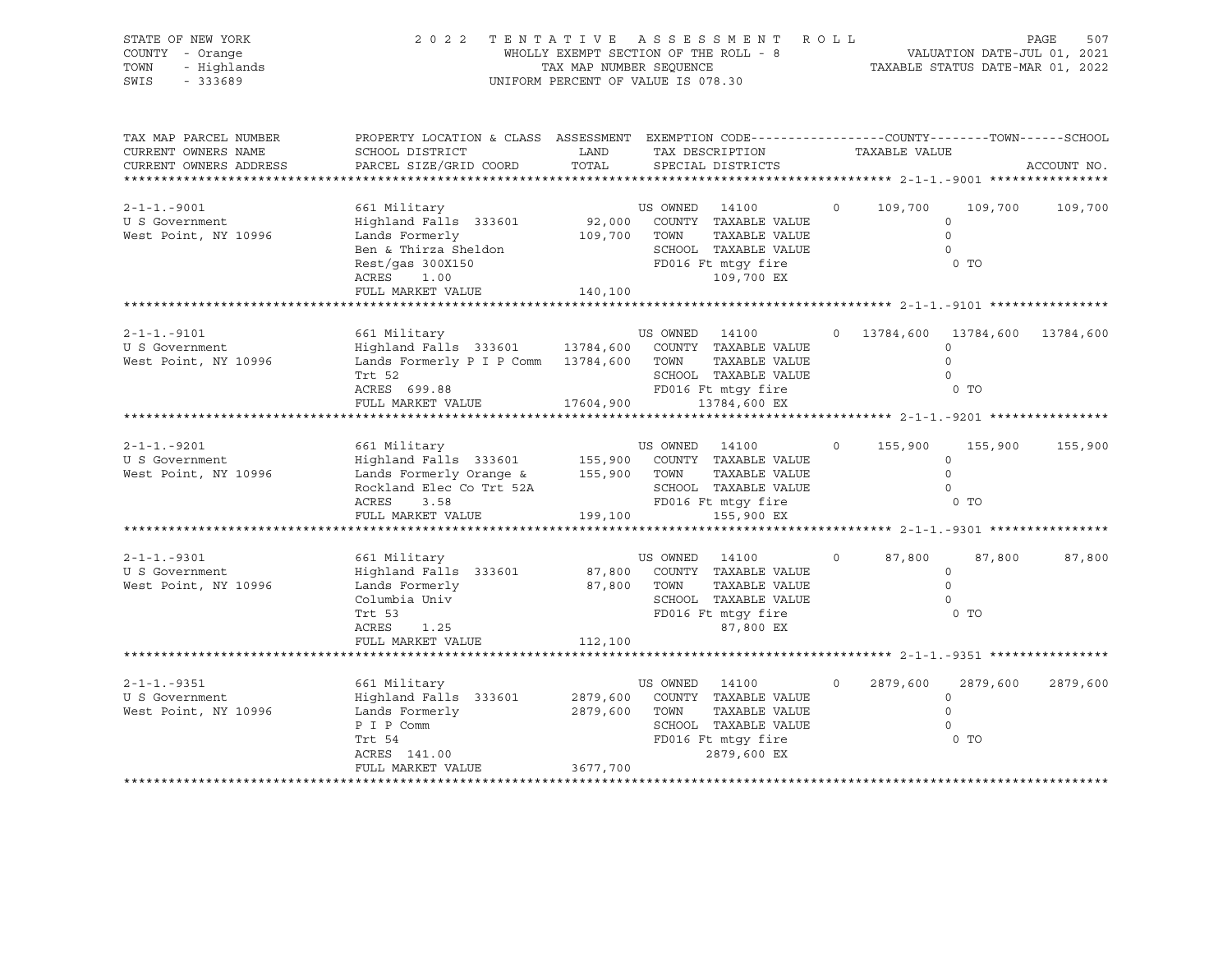| STATE OF NEW YORK<br>COUNTY - Orange<br>- Highlands<br>TOWN<br>SWIS<br>$-333689$ | 2022 TENTATIVE ASSESSMENT ROLL                                                                                                                                  | WHOLLY EXEMPT SECTION OF THE ROLL - 8<br>TAX MAP NUMBER SEQUENCE<br>UNIFORM PERCENT OF VALUE IS 078.30 |                         |                                                                                                             |          |               | VALUATION DATE-JUL 01, 2021<br>TAXABLE STATUS DATE-MAR 01, 2022 | PAGE<br>507 |
|----------------------------------------------------------------------------------|-----------------------------------------------------------------------------------------------------------------------------------------------------------------|--------------------------------------------------------------------------------------------------------|-------------------------|-------------------------------------------------------------------------------------------------------------|----------|---------------|-----------------------------------------------------------------|-------------|
| TAX MAP PARCEL NUMBER<br>CURRENT OWNERS NAME<br>CURRENT OWNERS ADDRESS           | PROPERTY LOCATION & CLASS ASSESSMENT EXEMPTION CODE---------------COUNTY-------TOWN-----SCHOOL<br>SCHOOL DISTRICT<br>PARCEL SIZE/GRID COORD                     | LAND<br>TOTAL                                                                                          |                         | TAX DESCRIPTION<br>SPECIAL DISTRICTS                                                                        |          | TAXABLE VALUE |                                                                 | ACCOUNT NO. |
| $2 - 1 - 1 - 9001$<br>U S Government<br>West Point, NY 10996                     | 661 Military<br>Highland Falls 333601<br>Lands Formerly<br>Ben & Thirza Sheldon<br>$Rest/gas$ 300X150<br>ACRES<br>1.00<br>FULL MARKET VALUE                     | 92,000<br>109,700<br>140,100                                                                           | US OWNED 14100<br>TOWN  | COUNTY TAXABLE VALUE<br>TAXABLE VALUE<br>SCHOOL TAXABLE VALUE<br>FD016 Ft mtqy fire<br>109,700 EX           | $\Omega$ | 109,700       | 109,700<br>$\circ$<br>$\mathbf 0$<br>$\Omega$<br>0 TO           | 109,700     |
| $2 - 1 - 1 - 9101$                                                               | 661 Military                                                                                                                                                    |                                                                                                        | US OWNED 14100          |                                                                                                             |          |               | 0 13784,600 13784,600 13784,600                                 |             |
| U S Government<br>West Point, NY 10996                                           | Highland Falls 333601 13784,600<br>Lands Formerly P I P Comm 13784,600 TOWN<br>Trt 52<br>ACRES 699.88                                                           |                                                                                                        |                         | COUNTY TAXABLE VALUE<br>TAXABLE VALUE<br>SCHOOL TAXABLE VALUE<br>FD016 Ft mtgy fire                         |          |               | $\circ$<br>$\circ$<br>$\circ$<br>$0$ TO                         |             |
|                                                                                  | FULL MARKET VALUE                                                                                                                                               | 17604,900                                                                                              |                         | 13784,600 EX                                                                                                |          |               | ******************* 2-1-1.-9201 *****************               |             |
| $2 - 1 - 1 - 9201$<br>U S Government<br>West Point, NY 10996                     | 661 Military<br>Highland Falls 333601 155,900 COUNTY TAXABLE VALUE<br>Lands Formerly Orange &<br>Rockland Elec Co Trt 52A<br>ACRES<br>3.58<br>FULL MARKET VALUE | 155,900 TOWN<br>199,100                                                                                | US OWNED 14100          | TAXABLE VALUE<br>SCHOOL TAXABLE VALUE<br>FD016 Ft mtgy fire<br>155,900 EX                                   | $\circ$  | 155,900       | 155,900<br>$\circ$<br>$\Omega$<br>$\Omega$<br>0 TO              | 155,900     |
|                                                                                  |                                                                                                                                                                 |                                                                                                        |                         |                                                                                                             |          |               |                                                                 |             |
| $2 - 1 - 1 - 9301$<br>U S Government<br>West Point, NY 10996                     | 661 Military<br>Highland Falls 333601<br>Lands Formerly<br>Columbia Univ<br>Trt 53<br>ACRES<br>1.25<br>FULL MARKET VALUE                                        | 87,800<br>112,100                                                                                      | US OWNED<br>87,800 TOWN | 14100<br>COUNTY TAXABLE VALUE<br>TAXABLE VALUE<br>SCHOOL TAXABLE VALUE<br>FD016 Ft mtgy fire<br>87,800 EX   | $\circ$  | 87,800        | 87,800<br>$\circ$<br>$\circ$<br>$\circ$<br>$0$ TO               | 87,800      |
|                                                                                  |                                                                                                                                                                 |                                                                                                        |                         |                                                                                                             |          |               |                                                                 |             |
| $2 - 1 - 1 - 9351$<br>U S Government<br>West Point, NY 10996                     | 661 Military<br>Highland Falls 333601<br>Lands Formerly<br>P I P Comm<br>Trt 54<br>ACRES 141.00<br>FULL MARKET VALUE                                            | 2879,600 TOWN<br>3677,700                                                                              | US OWNED 14100          | 2879,600 COUNTY TAXABLE VALUE<br>TAXABLE VALUE<br>SCHOOL TAXABLE VALUE<br>FD016 Ft mtgy fire<br>2879,600 EX | $\circ$  | 2879,600      | 2879,600<br>$\Omega$<br>$\circ$<br>$\circ$<br>$0$ TO            | 2879,600    |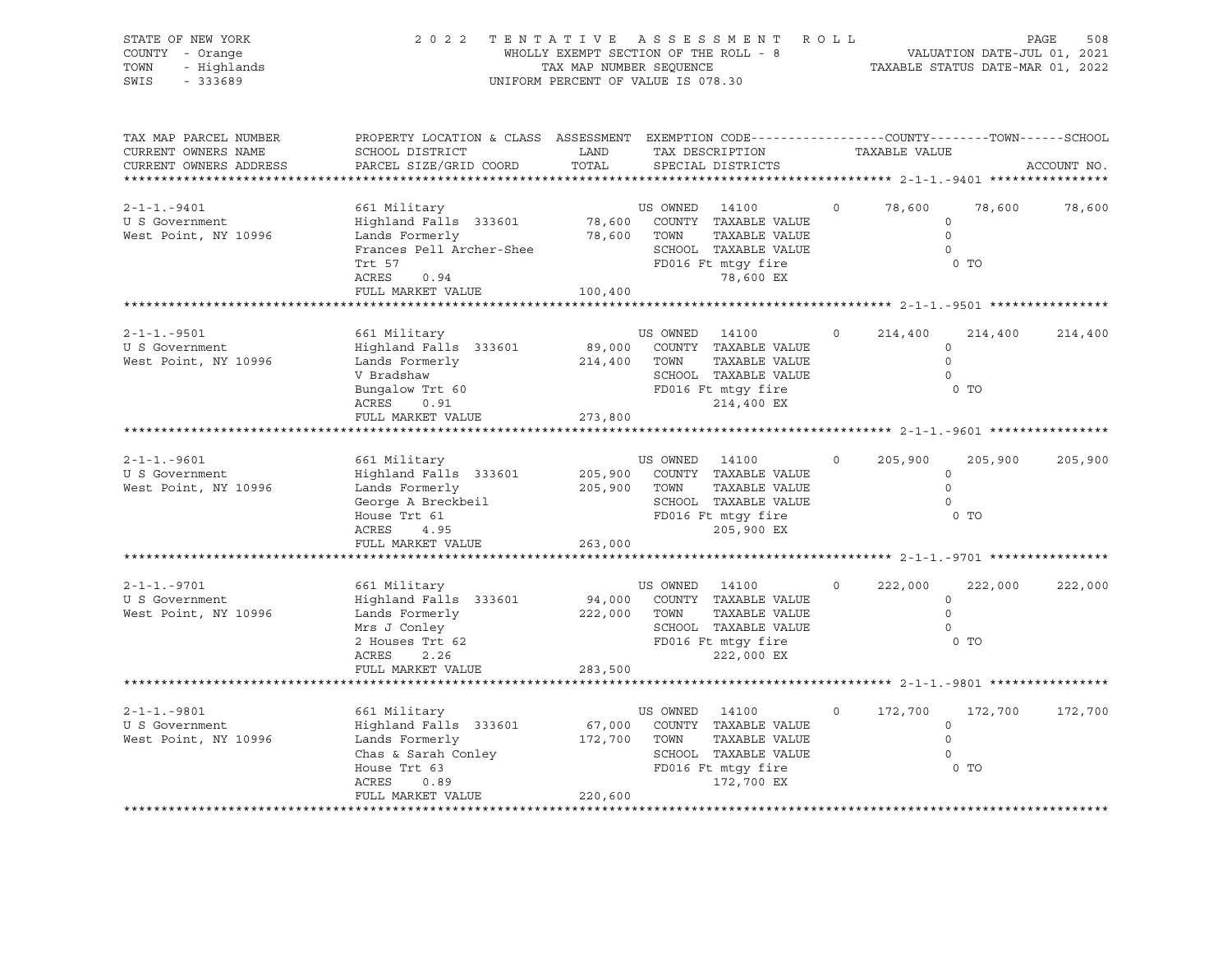| STATE OF NEW YORK<br>COUNTY - Orange<br>- Highlands<br>TOWN<br>SWIS<br>$-333689$ | 2022 TENTATIVE ASSESSMENT ROLL                                                                                                                       | UNIFORM PERCENT OF VALUE IS 078.30 |                                | WHOLLY EXEMPT SECTION OF THE ROLL - 8<br>TAX MAP NUMBER SEQUENCE THE ROLL - 8<br>TAX MAP NUMBER SEQUENCE TAXABLE STATUS DATE-MAR 01, 2022 |                |               |                                                             | PAGE<br>508 |
|----------------------------------------------------------------------------------|------------------------------------------------------------------------------------------------------------------------------------------------------|------------------------------------|--------------------------------|-------------------------------------------------------------------------------------------------------------------------------------------|----------------|---------------|-------------------------------------------------------------|-------------|
| TAX MAP PARCEL NUMBER<br>CURRENT OWNERS NAME<br>CURRENT OWNERS ADDRESS           | PROPERTY LOCATION & CLASS ASSESSMENT EXEMPTION CODE----------------COUNTY-------TOWN------SCHOOL<br>SCHOOL DISTRICT<br>PARCEL SIZE/GRID COORD        | LAND<br>TOTAL                      |                                | TAX DESCRIPTION<br>SPECIAL DISTRICTS                                                                                                      |                | TAXABLE VALUE |                                                             | ACCOUNT NO. |
| $2 - 1 - 1 - 9401$<br>U S Government<br>West Point, NY 10996                     | 661 Military<br>Highland Falls 333601<br>Lands Formerly<br>Frances Pell Archer-Shee<br>Trt 57<br>0.94<br>ACRES<br>FULL MARKET VALUE                  | 100,400                            | US OWNED 14100<br>78,600 TOWN  | 78,600 COUNTY TAXABLE VALUE<br>TAXABLE VALUE<br>SCHOOL TAXABLE VALUE<br>SCHOOL TAXABLE VALI<br>FD016 Ft mtgy fire<br>78,600 EX            | $\circ$        | 78,600        | 78,600<br>$\circ$<br>$\circ$<br>$\Omega$<br>$0$ TO          | 78,600      |
|                                                                                  |                                                                                                                                                      |                                    |                                |                                                                                                                                           |                |               |                                                             |             |
| $2 - 1 - 1 - 9501$<br>U S Government<br>West Point, NY 10996                     | 661 Military<br>Highland Falls 333601<br>Lands Formerly<br>V Bradshaw<br>Bungalow Trt 60<br>PD016 Ft mtgy fire<br>NGDEC 2021<br>ACRES<br>0.91        |                                    | US OWNED 14100<br>214,400 TOWN | 89,000 COUNTY TAXABLE VALUE<br>TAXABLE VALUE<br>SCHOOL TAXABLE VALUE<br>214,400 EX                                                        | $\overline{0}$ | 214,400       | 214,400<br>$\circ$<br>$\Omega$<br>$\circ$<br>0 <sub>T</sub> | 214,400     |
|                                                                                  | FULL MARKET VALUE                                                                                                                                    | 273,800                            |                                |                                                                                                                                           |                |               |                                                             |             |
| $2 - 1 - 1 - 9601$<br>U S Government<br>West Point, NY 10996                     | 661 Military<br>Highland Falls 333601<br>Lands Formerly<br>George A Breckbeil<br>House Trt 61<br>House Trt 61<br>ACRES<br>4.95<br>FULL MARKET VALUE  | 263,000                            | US OWNED 14100<br>205,900 TOWN | 205,900 COUNTY TAXABLE VALUE<br>TAXABLE VALUE<br>SCHOOL TAXABLE VALUE<br>SCHOOL TAXABLE VALUE<br>FD016 Ft mtgy fire<br>205,900 EX         | $\circ$        | 205,900       | 205,900<br>$\circ$<br>$\circ$<br>$\Omega$<br>$0$ TO         | 205,900     |
|                                                                                  |                                                                                                                                                      |                                    |                                |                                                                                                                                           |                |               |                                                             |             |
| $2 - 1 - 1 - 9701$<br>U S Government<br>West Point, NY 10996                     | 661 Military<br>Highland Falls 333601<br>Lands Formerly<br>Mrs J Conley<br>2 Houses $Trt$ 62<br>ACRES<br>2.26                                        | 222,000 TOWN                       | US OWNED 14100                 | 94,000 COUNTY TAXABLE VALUE<br>TAXABLE VALUE<br>SCHOOL TAXABLE VALUE<br>FD016 Ft mtgy fire<br>222,000 EX                                  | $\Omega$       | 222,000       | 222,000<br>$\circ$<br>$\Omega$<br>$\Omega$<br>$0$ TO        | 222,000     |
|                                                                                  | FULL MARKET VALUE                                                                                                                                    | 283,500                            |                                |                                                                                                                                           |                |               |                                                             |             |
|                                                                                  |                                                                                                                                                      |                                    |                                |                                                                                                                                           |                |               |                                                             |             |
| $2 - 1 - 1 - 9801$<br>U S Government<br>West Point, NY 10996                     | 661 Military<br>Highland Falls 333601<br>Lands Formerly<br>Chas & Sarah Conley<br>House Trt 63<br>House Trt 63<br>ACRES<br>0.89<br>FULL MARKET VALUE | 172,700 TOWN<br>220,600            | US OWNED 14100                 | 67,000 COUNTY TAXABLE VALUE<br>TAXABLE VALUE<br>SCHOOL TAXABLE VALUE<br>FD016 Ft mtgy fire<br>172,700 EX                                  | $\circ$        | 172,700       | 172,700<br>$\circ$<br>$\circ$<br>$\Omega$<br>$0$ TO         | 172,700     |
|                                                                                  |                                                                                                                                                      |                                    |                                |                                                                                                                                           |                |               |                                                             |             |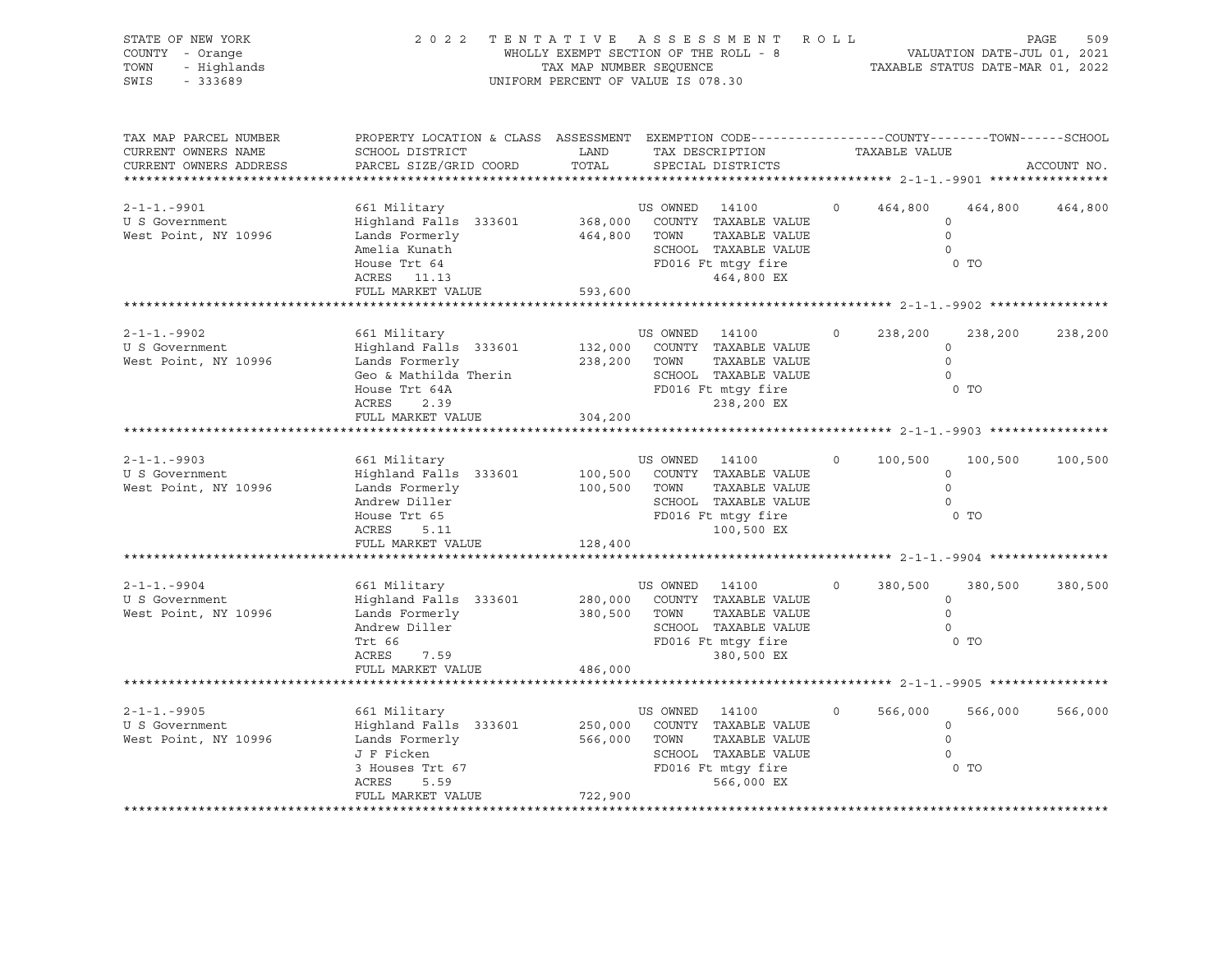| STATE OF NEW YORK<br>COUNTY - Orange<br>TOWN<br>- Highlands<br>$-333689$<br>SWIS                        | 2 0 2 2                                                                                                                                     | WHOLLY EXEMPT SECTION OF THE ROLL - 8<br>TAX MAP NUMBER SEQUENCE<br>UNIFORM PERCENT OF VALUE IS 078.30 |                | TENTATIVE ASSESSMENT ROLL                                                                                                                                               |          |               | VALUATION DATE-JUL 01, 2021<br>TAXABLE STATUS DATE-MAR 01, 2022 | 509<br>PAGE |
|---------------------------------------------------------------------------------------------------------|---------------------------------------------------------------------------------------------------------------------------------------------|--------------------------------------------------------------------------------------------------------|----------------|-------------------------------------------------------------------------------------------------------------------------------------------------------------------------|----------|---------------|-----------------------------------------------------------------|-------------|
| TAX MAP PARCEL NUMBER<br>CURRENT OWNERS NAME<br>CURRENT OWNERS ADDRESS<br>***************************** | PROPERTY LOCATION & CLASS ASSESSMENT EXEMPTION CODE---------------COUNTY-------TOWN-----SCHOOL<br>SCHOOL DISTRICT<br>PARCEL SIZE/GRID COORD | LAND<br>TOTAL                                                                                          |                | TAX DESCRIPTION<br>SPECIAL DISTRICTS                                                                                                                                    |          | TAXABLE VALUE |                                                                 | ACCOUNT NO. |
| $2 - 1 - 1 - 9901$<br>U S Government<br>West Point, NY 10996                                            | 661 Military<br>Highland Falls 333601<br>Lands Formerly<br>Amelia Kunath<br>House Trt 64<br>ACRES 11.13<br>FULL MARKET VALUE                | 368,000<br>464,800 TOWN<br>593,600                                                                     | US OWNED 14100 | COUNTY TAXABLE VALUE<br>TAXABLE VALUE<br>SCHOOL TAXABLE VALUE<br>FD016 Ft mtgy fire<br>464,800 EX                                                                       | $\circ$  | 464,800       | 464,800<br>$\circ$<br>$\Omega$<br>$\circ$<br>0 <sub>T</sub>     | 464,800     |
|                                                                                                         |                                                                                                                                             |                                                                                                        |                |                                                                                                                                                                         |          |               |                                                                 |             |
| $2 - 1 - 1 - 9902$<br>U S Government<br>West Point, NY 10996                                            | 661 Military<br>Highland Falls 333601<br>Lands Formerly<br>Geo & Mathilda Therin<br>House Trt 64A<br>ACRES<br>2.39                          | 238,200 TOWN                                                                                           | US OWNED 14100 | 132,000 COUNTY TAXABLE VALUE<br>TAXABLE VALUE<br>SCHOOL TAXABLE VALUE<br>FD016 Ft mtgy fire<br>238,200 EX                                                               | $\circ$  | 238,200       | 238,200<br>$\circ$<br>$\circ$<br>$\Omega$<br>0 <sub>T</sub>     | 238,200     |
|                                                                                                         | FULL MARKET VALUE                                                                                                                           | 304,200                                                                                                |                |                                                                                                                                                                         |          |               |                                                                 |             |
| $2 - 1 - 1 - 9903$<br>U S Government<br>West Point, NY 10996                                            | 661 Military<br>Highland Falls 333601<br>Lands Formerly<br>Andrew Diller<br>House Trt 65<br>ACRES<br>5.11<br>FULL MARKET VALUE              | 100,500 TOWN<br>128,400                                                                                | US OWNED 14100 | 100,500 COUNTY TAXABLE VALUE<br>TAXABLE VALUE<br>SCHOOL TAXABLE VALUE<br>FD016 Ft mtgy fire<br>100,500 EX<br>******************************* 2-1-1.-9904 ************** | $\circ$  | 100,500       | 100,500<br>$\circ$<br>$\circ$<br>$\circ$<br>$0$ TO              | 100,500     |
|                                                                                                         |                                                                                                                                             |                                                                                                        |                |                                                                                                                                                                         |          |               |                                                                 |             |
| $2 - 1 - 1 - 9904$<br>U S Government<br>West Point, NY 10996                                            | 661 Military<br>Highland Falls 333601<br>Lands Formerly<br>Andrew Diller<br>Trt 66<br>ACRES<br>7.59                                         | 280,000<br>380,500 TOWN                                                                                | US OWNED 14100 | COUNTY TAXABLE VALUE<br>TAXABLE VALUE<br>SCHOOL TAXABLE VALUE<br>FD016 Ft mtqy fire<br>380,500 EX                                                                       | $\Omega$ | 380,500       | 380,500<br>$\circ$<br>$\mathbf 0$<br>$\Omega$<br>0 TO           | 380,500     |
|                                                                                                         | FULL MARKET VALUE                                                                                                                           | 486,000                                                                                                |                |                                                                                                                                                                         |          |               |                                                                 |             |
| $2 - 1 - 1 - 9905$<br>U S Government<br>West Point, NY 10996                                            | 661 Military<br>Highland Falls 333601<br>Lands Formerly<br>J F Ficken<br>3 Houses Trt 67<br>ACRES<br>5.59<br>FULL MARKET VALUE              | 250,000<br>566,000 TOWN<br>722,900                                                                     | US OWNED 14100 | COUNTY TAXABLE VALUE<br>TAXABLE VALUE<br>SCHOOL TAXABLE VALUE<br>FD016 Ft mtgy fire<br>566,000 EX                                                                       | $\circ$  | 566,000       | 566,000<br>$\circ$<br>$\circ$<br>$\Omega$<br>$0$ TO             | 566,000     |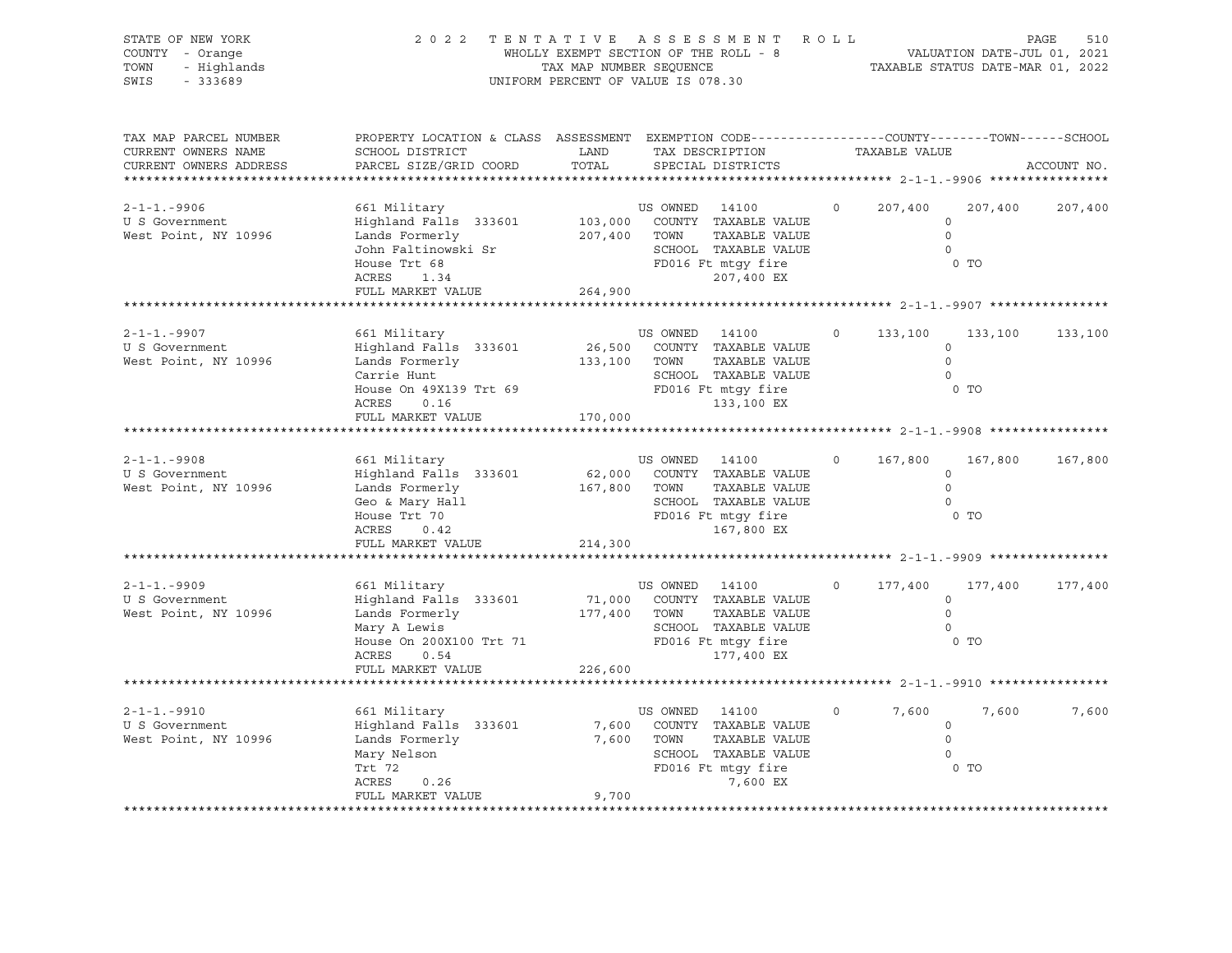| STATE OF NEW YORK<br>COUNTY - Orange<br>TOWN<br>- Highlands<br>SWIS<br>$-333689$                         | 2022 TENTATIVE ASSESSMENT ROLL                                                                                                                              | TAX MAP NUMBER SEQUENCE<br>UNIFORM PERCENT OF VALUE IS 078.30 |                                | WHOLLY EXEMPT SECTION OF THE ROLL - 8                                                                                            |          |               | VALUATION DATE-JUL 01, 2021<br>TAXABLE STATUS DATE-MAR 01, 2022    | 510<br>PAGE |
|----------------------------------------------------------------------------------------------------------|-------------------------------------------------------------------------------------------------------------------------------------------------------------|---------------------------------------------------------------|--------------------------------|----------------------------------------------------------------------------------------------------------------------------------|----------|---------------|--------------------------------------------------------------------|-------------|
| TAX MAP PARCEL NUMBER<br>CURRENT OWNERS NAME<br>CURRENT OWNERS ADDRESS<br>****************************** | PROPERTY LOCATION & CLASS ASSESSMENT EXEMPTION CODE---------------COUNTY-------TOWN-----SCHOOL<br>SCHOOL DISTRICT<br>PARCEL SIZE/GRID COORD                 | LAND<br>TOTAL                                                 |                                | TAX DESCRIPTION<br>SPECIAL DISTRICTS                                                                                             |          | TAXABLE VALUE |                                                                    | ACCOUNT NO. |
| $2 - 1 - 1 - 9906$<br>U S Government<br>West Point, NY 10996                                             | 661 Military<br>Highland Falls 333601<br>Lands Formerly<br>John Faltinowski Sr<br>House Trt 68<br>ACRES<br>1.34<br>FULL MARKET VALUE                        | 264,900                                                       | US OWNED 14100<br>207,400 TOWN | 103,000 COUNTY TAXABLE VALUE<br>TAXABLE VALUE<br>SCHOOL TAXABLE VALUE<br>FD016 Ft mtgy fire<br>207,400 EX                        | $\circ$  | 207,400       | 207,400<br>$\circ$<br>$\Omega$<br>$\overline{0}$<br>0 <sub>T</sub> | 207,400     |
|                                                                                                          |                                                                                                                                                             |                                                               |                                |                                                                                                                                  |          |               |                                                                    |             |
| $2 - 1 - 1 - 9907$<br>U S Government<br>West Point, NY 10996                                             | 661 Military<br>Highland Falls 333601<br>Lands Formerly<br>Carrie Hunt<br>House On 49X139 Trt 69 FD016 Ft mtgy fire<br>ACRES<br>0.16                        | 133,100 TOWN                                                  | US OWNED 14100                 | 26,500 COUNTY TAXABLE VALUE<br>TAXABLE VALUE<br>SCHOOL TAXABLE VALUE<br>133,100 EX                                               | $\circ$  | 133,100       | 133,100<br>$\circ$<br>$\circ$<br>$\Omega$<br>0 TO                  | 133,100     |
|                                                                                                          | FULL MARKET VALUE                                                                                                                                           | 170,000                                                       |                                | ************************************** 2-1-1.-9908 *****************                                                             |          |               |                                                                    |             |
| $2 - 1 - 1 - 9908$<br>U S Government<br>West Point, NY 10996                                             | 661 Military<br>Highland Falls 333601<br>Lands Formerly<br>Geo & Mary Hall<br>- - - The The 70<br>ACRES<br>0.42<br>FULL MARKET VALUE                        | 167,800 TOWN<br>214,300                                       | US OWNED 14100                 | 62,000 COUNTY TAXABLE VALUE<br>TAXABLE VALUE<br>SCHOOL TAXABLE VALUE<br>SCHOOL TAXABLE VALUE<br>FD016 Ft mtgy fire<br>167,800 EX | $\circ$  | 167,800       | 167,800<br>$\circ$<br>$\Omega$<br>$\circ$<br>$0$ TO                | 167,800     |
| $2 - 1 - 1 - 9909$<br>U S Government<br>West Point, NY 10996                                             | 661 Military<br>Highland Falls 333601<br>Lands Formerly<br>Mary A Lewis<br>House On 200X100 Trt 71 FD016 Ft mtgy fire<br>ACRES<br>0.54<br>FULL MARKET VALUE | 177,400 TOWN<br>226,600                                       | US OWNED 14100                 | 71,000 COUNTY TAXABLE VALUE<br>TAXABLE VALUE<br>SCHOOL TAXABLE VALUE<br>177,400 EX                                               | $\Omega$ | 177,400       | 177,400<br>$\circ$<br>$\mathbf 0$<br>$\Omega$<br>$0$ TO            | 177,400     |
|                                                                                                          |                                                                                                                                                             |                                                               |                                |                                                                                                                                  |          |               |                                                                    |             |
| $2 - 1 - 1 - 9910$<br>U S Government<br>West Point, NY 10996                                             | 661 Military<br>Highland Falls 333601<br>Lands Formerly<br>Mary Nelson<br>Trt 72<br>ACRES<br>0.26<br>FULL MARKET VALUE                                      | 7,600 TOWN<br>9,700                                           | US OWNED 14100                 | 7,600 COUNTY TAXABLE VALUE<br>TAXABLE VALUE<br>SCHOOL TAXABLE VALUE<br>FD016 Ft mtgy fire<br>7,600 EX                            | $\circ$  | 7,600         | 7,600<br>$\circ$<br>$\Omega$<br>$\Omega$<br>0 <sub>T</sub>         | 7,600       |
|                                                                                                          |                                                                                                                                                             |                                                               |                                |                                                                                                                                  |          |               |                                                                    |             |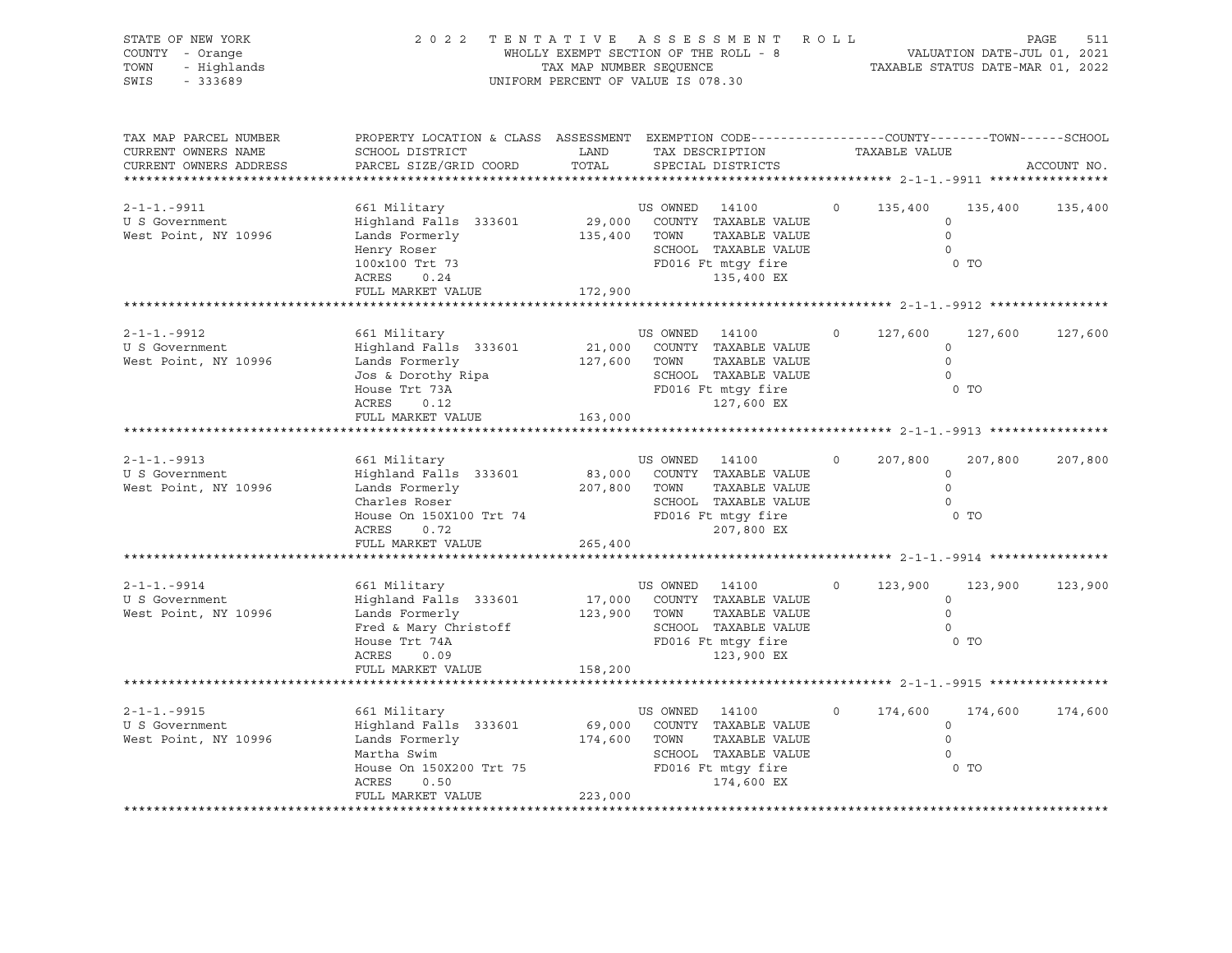| STATE OF NEW YORK<br>COUNTY - Orange<br>TOWN<br>- Highlands<br>SWIS<br>$-333689$ | 2022 TENTATIVE ASSESSMENT ROLL                                                                                                                                               | UNIFORM PERCENT OF VALUE IS 078.30 |                | WHOLLY EXEMPT SECTION OF THE ROLL - 8<br>TAX MAP NUMBER SEQUENCE THE ROLL - 8<br>TAXABLE STATUS DATE-MAR 01, 2022                |          |                |                                                                  | PAGE<br>511 |
|----------------------------------------------------------------------------------|------------------------------------------------------------------------------------------------------------------------------------------------------------------------------|------------------------------------|----------------|----------------------------------------------------------------------------------------------------------------------------------|----------|----------------|------------------------------------------------------------------|-------------|
| TAX MAP PARCEL NUMBER<br>CURRENT OWNERS NAME<br>CURRENT OWNERS ADDRESS           | PROPERTY LOCATION & CLASS ASSESSMENT EXEMPTION CODE----------------COUNTY-------TOWN------SCHOOL<br>SCHOOL DISTRICT<br>PARCEL SIZE/GRID COORD                                | LAND<br>TOTAL                      |                | TAX DESCRIPTION TAXABLE VALUE<br>SPECIAL DISTRICTS                                                                               |          |                |                                                                  | ACCOUNT NO. |
| $2 - 1 - 1 - 9911$<br>U S Government<br>West Point, NY 10996                     | 661 Military<br>Highland Falls 333601<br>Lands Formerly<br>Henry Roser<br>Henry Roser<br>100x100 Trt 73<br>ACRES 0.24<br>ACRES<br>0.24<br>FULL MARKET VALUE                  | 135,400 TOWN<br>172,900            | US OWNED 14100 | 29,000 COUNTY TAXABLE VALUE<br>TAXABLE VALUE<br>SCHOOL TAXABLE VALUE<br>FD016 Ft mtgy fire<br>135,400 EX                         | $\circ$  | 135,400        | 135,400<br>$\circ$<br>$\overline{0}$<br>$\overline{0}$<br>$0$ TO | 135,400     |
|                                                                                  |                                                                                                                                                                              |                                    |                |                                                                                                                                  |          |                |                                                                  |             |
| 2-1-1.-9912<br>U S Government<br>West Point, NY 10996                            | 661 Military<br>Highland Falls 333601<br>Lands Formerly<br>Lands Formeil,<br>Jos & Dorothy Ripa<br>Times Trt 73A<br>ACRES<br>0.12                                            | 127,600 TOWN                       | US OWNED 14100 | 21,000 COUNTY TAXABLE VALUE<br>TAXABLE VALUE<br>SCHOOL TAXABLE VALUE<br>SCHOOL TAXABLE VALUE<br>FD016 Ft mtgy fire<br>127,600 EX | $\circ$  | 127,600        | 127,600<br>$\circ$<br>$\circ$<br>$\Omega$<br>$0$ TO              | 127,600     |
|                                                                                  | FULL MARKET VALUE                                                                                                                                                            | 163,000                            |                | ************************************** 2-1-1.-9913 *****************                                                             |          |                |                                                                  |             |
| 2-1-1.-9913<br>U S Government<br>West Point, NY 10996                            | 661 Military<br>Highland Falls 333601<br>Lands Formerly<br>Charles Roser<br>House On 150X100 Trt 74 SCHOOL TAXABLE VALUE<br>ACRES 0 72<br>ACRES<br>0.72<br>FULL MARKET VALUE | 207,800 TOWN<br>265,400            | US OWNED 14100 | 83,000 COUNTY TAXABLE VALUE<br>TAXABLE VALUE<br>207,800 EX                                                                       |          | $0 \t 207,800$ | 207,800<br>$\circ$<br>$\circ$<br>$\circ$<br>$0$ TO               | 207,800     |
| $2 - 1 - 1 - 9914$<br>U S Government<br>West Point, NY 10996                     | 661 Military<br>Highland Falls 333601<br>Lands Formerly<br>Fred & Mary Christoff<br>House Trt 74A<br>ACRES<br>0.09<br>FULL MARKET VALUE                                      | 123,900 TOWN<br>158,200            | US OWNED 14100 | 17,000 COUNTY TAXABLE VALUE<br>TAXABLE VALUE<br>SCHOOL TAXABLE VALUE<br>FD016 Ft mtgy fire<br>123,900 EX                         | $\Omega$ | 123,900        | 123,900<br>$\circ$<br>$\circ$<br>$\Omega$<br>0 <sub>T</sub>      | 123,900     |
|                                                                                  |                                                                                                                                                                              |                                    |                |                                                                                                                                  |          |                |                                                                  |             |
| $2 - 1 - 1 - 9915$<br>U S Government<br>West Point, NY 10996                     | 661 Military<br>Highland Falls 333601<br>Lands Formerly<br>Martha Swim<br>House On 150X200 Trt 75 FD016 Ft mtgy fire<br>ACRES<br>0.50<br>FULL MARKET VALUE                   | 174,600 TOWN<br>223,000            | US OWNED 14100 | 69,000 COUNTY TAXABLE VALUE<br>TAXABLE VALUE<br>SCHOOL TAXABLE VALUE<br>174,600 EX                                               | $\circ$  | 174,600        | 174,600<br>$\circ$<br>$\circ$<br>$\Omega$<br>0 <sub>T</sub>      | 174,600     |
|                                                                                  |                                                                                                                                                                              |                                    |                |                                                                                                                                  |          |                |                                                                  |             |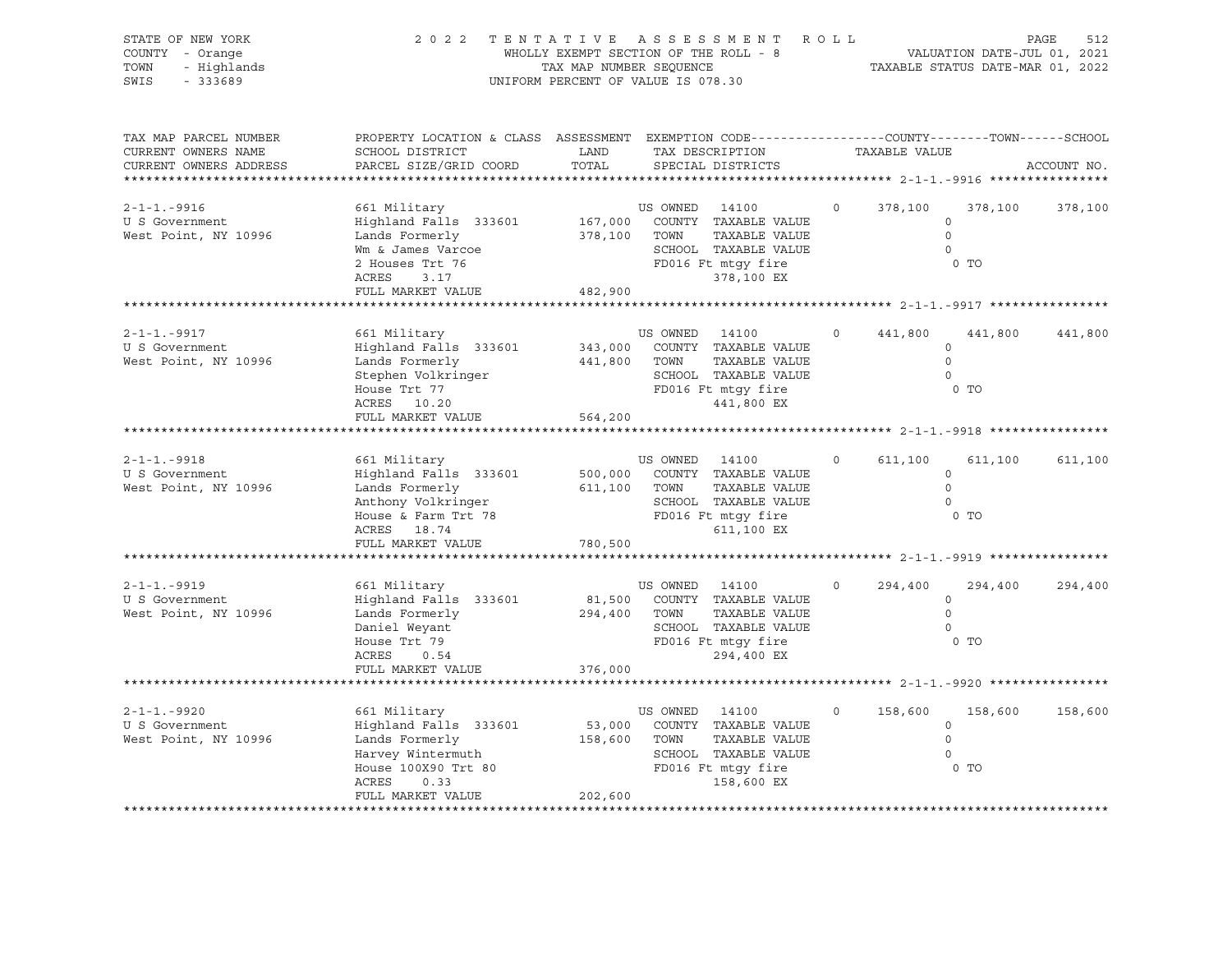| STATE OF NEW YORK<br>COUNTY - Orange<br>TOWN<br>- Highlands<br>SWIS<br>$-333689$                         | 2 0 2 2                                                                                                                                                                                                                       | TAX MAP NUMBER SEQUENCE<br>UNIFORM PERCENT OF VALUE IS 078.30 |                                | TENTATIVE ASSESSMENT ROLL<br>WHOLLY EXEMPT SECTION OF THE ROLL - 8                                        |          |               | VALUATION DATE-JUL 01, 2021<br>TAXABLE STATUS DATE-MAR 01, 2022 | 512<br>PAGE |
|----------------------------------------------------------------------------------------------------------|-------------------------------------------------------------------------------------------------------------------------------------------------------------------------------------------------------------------------------|---------------------------------------------------------------|--------------------------------|-----------------------------------------------------------------------------------------------------------|----------|---------------|-----------------------------------------------------------------|-------------|
| TAX MAP PARCEL NUMBER<br>CURRENT OWNERS NAME<br>CURRENT OWNERS ADDRESS<br>****************************** | PROPERTY LOCATION & CLASS ASSESSMENT EXEMPTION CODE----------------COUNTY-------TOWN------SCHOOL<br>SCHOOL DISTRICT<br>PARCEL SIZE/GRID COORD                                                                                 | LAND<br>TOTAL                                                 |                                | TAX DESCRIPTION<br>SPECIAL DISTRICTS                                                                      |          | TAXABLE VALUE |                                                                 | ACCOUNT NO. |
| $2 - 1 - 1 - 9916$<br>U S Government<br>West Point, NY 10996                                             | 661 Military<br>Highland Falls 333601<br>Lands Formerly<br>Wm & James Varcoe<br>2 Houses Trt 76<br>ACRES<br>3.17<br>FULL MARKET VALUE                                                                                         | 482,900                                                       | US OWNED 14100<br>378,100 TOWN | 167,000 COUNTY TAXABLE VALUE<br>TAXABLE VALUE<br>SCHOOL TAXABLE VALUE<br>FD016 Ft mtgy fire<br>378,100 EX | $\circ$  | 378,100       | 378,100<br>$\circ$<br>$\Omega$<br>$\circ$<br>0 <sub>T</sub>     | 378,100     |
|                                                                                                          |                                                                                                                                                                                                                               |                                                               |                                |                                                                                                           |          |               |                                                                 |             |
| $2 - 1 - 1 - 9917$<br>U S Government<br>West Point, NY 10996                                             | 661 Military<br>Highland Falls 333601<br>Lands Formerly<br>Stephen Volkringer<br>House Trt 77<br>ACRES 10.20                                                                                                                  |                                                               | US OWNED 14100<br>441,800 TOWN | 343,000 COUNTY TAXABLE VALUE<br>TAXABLE VALUE<br>SCHOOL TAXABLE VALUE<br>FD016 Ft mtgy fire<br>441,800 EX | $\circ$  | 441,800       | 441,800<br>$\circ$<br>$\circ$<br>$\Omega$<br>0 <sub>T</sub>     | 441,800     |
|                                                                                                          | FULL MARKET VALUE                                                                                                                                                                                                             | 564,200                                                       |                                | ************************************** 2-1-1.-9918 *****************                                      |          |               |                                                                 |             |
| $2 - 1 - 1 - 9918$<br>U S Government<br>West Point, NY 10996                                             | 661 Military<br>Highland Falls 333601<br>Lands Formerly<br>Anthony Volkringer<br>Exercise variating to the SCHOOL TAXABLE VALUE<br>House & Farm Trt 78 (FD016 Ft mtgy fire<br>ACREC 10.74<br>ACRES 18.74<br>FULL MARKET VALUE | 780,500                                                       | US OWNED 14100<br>611,100 TOWN | 500,000 COUNTY TAXABLE VALUE<br>TAXABLE VALUE<br>SCHOOL TAXABLE VALUE<br>611,100 EX                       | $\circ$  | 611,100       | 611,100<br>$\circ$<br>$\circ$<br>$\circ$<br>0 <sub>T</sub>      | 611,100     |
| 2-1-1.-9919<br>U S Government<br>West Point, NY 10996                                                    | 661 Military<br>Highland Falls 333601<br>Lands Formerly<br>Daniel Weyant<br>House Trt 79<br>ACRES<br>0.54<br>FULL MARKET VALUE                                                                                                | 376,000                                                       | US OWNED 14100<br>294,400 TOWN | 81,500 COUNTY TAXABLE VALUE<br>TAXABLE VALUE<br>SCHOOL TAXABLE VALUE<br>FD016 Ft mtqy fire<br>294,400 EX  | $\Omega$ | 294,400       | 294,400<br>$\circ$<br>$\mathbf 0$<br>$\Omega$<br>$0$ TO         | 294,400     |
| $2 - 1 - 1 - 9920$                                                                                       | 661 Military                                                                                                                                                                                                                  |                                                               | US OWNED 14100                 |                                                                                                           | $\circ$  | 158,600       | 158,600                                                         | 158,600     |
| U S Government<br>West Point, NY 10996                                                                   | Highland Falls 333601<br>Lands Formerly<br>Harvey Wintermuth<br>House 100X90 Trt 80<br>ACRES<br>0.33<br>FULL MARKET VALUE                                                                                                     | 158,600 TOWN<br>202,600                                       |                                | 53,000 COUNTY TAXABLE VALUE<br>TAXABLE VALUE<br>SCHOOL TAXABLE VALUE<br>FD016 Ft mtgy fire<br>158,600 EX  |          |               | $\circ$<br>$\circ$<br>$\Omega$<br>$0$ TO                        |             |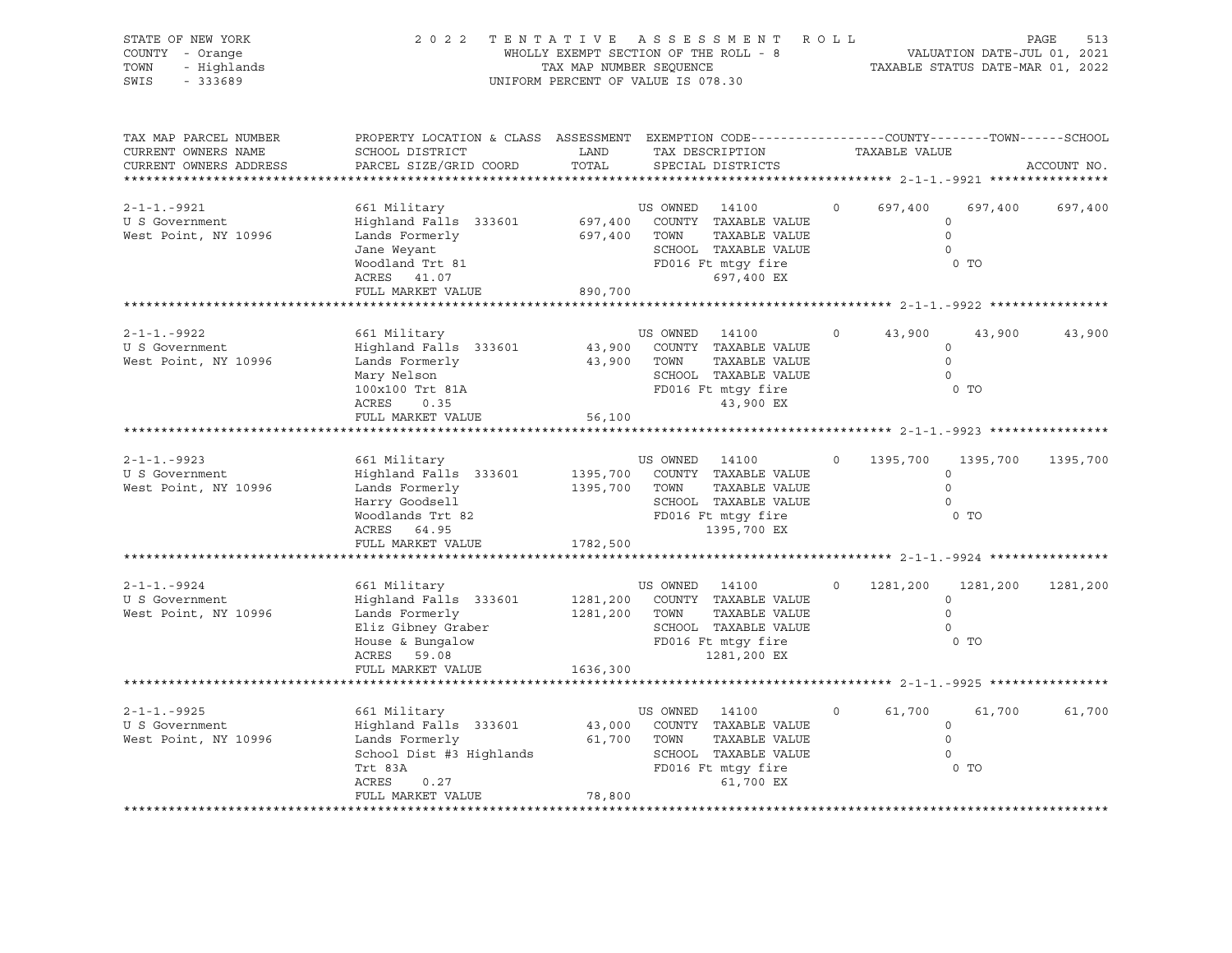| STATE OF NEW YORK<br>COUNTY - Orange<br>TOWN<br>- Highlands<br>SWIS<br>$-333689$ | 2 0 2 2                                                                                                                                       | WHOLLY EXEMPT SECTION OF THE ROLL - 8<br>TAX MAP NUMBER SEQUENCE<br>UNIFORM PERCENT OF VALUE IS 078.30 |                                 | TENTATIVE ASSESSMENT ROLL                                                                                                                                             |         |               | PAGE 513<br>VALUATION DATE-JUL 01, 2021<br>TAXABLE STATUS DATE 112 11 |             |
|----------------------------------------------------------------------------------|-----------------------------------------------------------------------------------------------------------------------------------------------|--------------------------------------------------------------------------------------------------------|---------------------------------|-----------------------------------------------------------------------------------------------------------------------------------------------------------------------|---------|---------------|-----------------------------------------------------------------------|-------------|
| TAX MAP PARCEL NUMBER<br>CURRENT OWNERS NAME<br>CURRENT OWNERS ADDRESS           | PROPERTY LOCATION & CLASS ASSESSMENT EXEMPTION CODE----------------COUNTY-------TOWN------SCHOOL<br>SCHOOL DISTRICT<br>PARCEL SIZE/GRID COORD | LAND<br>TOTAL                                                                                          |                                 | TAX DESCRIPTION<br>SPECIAL DISTRICTS                                                                                                                                  |         | TAXABLE VALUE |                                                                       | ACCOUNT NO. |
| $2 - 1 - 1 - 9921$<br>U S Government<br>West Point, NY 10996                     | 661 Military<br>Highland Falls 333601<br>Lands Formerly<br>Jane Weyant<br>Woodland Trt 81<br>ACRES 41.07<br>FULL MARKET VALUE                 | 697,400 TOWN<br>890,700                                                                                | US OWNED 14100                  | 697,400 COUNTY TAXABLE VALUE<br>TAXABLE VALUE<br>SCHOOL TAXABLE VALUE<br>FD016 Ft mtgy fire<br>697,400 EX                                                             | $\circ$ | 697,400       | 697,400<br>$\circ$<br>$\Omega$<br>$\circ$<br>0 <sub>T</sub>           | 697,400     |
|                                                                                  |                                                                                                                                               |                                                                                                        |                                 |                                                                                                                                                                       |         |               |                                                                       |             |
| 2-1-1.-9922<br>U S Government<br>West Point, NY 10996                            | 661 Military<br>Highland Falls 333601<br>Lands Formerly<br>Mary Nelson<br>100x100 Trt 81A<br>ACRES<br>0.35                                    | 43,900 TOWN                                                                                            | US OWNED 14100                  | 43,900 COUNTY TAXABLE VALUE<br>TAXABLE VALUE<br>SCHOOL TAXABLE VALUE<br>FD016 Ft mtgy fire<br>43,900 EX                                                               | $\circ$ | 43,900        | 43,900<br>$\circ$<br>$\overline{0}$<br>$\Omega$<br>0 <sub>T</sub>     | 43,900      |
|                                                                                  | FULL MARKET VALUE                                                                                                                             | 56,100                                                                                                 |                                 | ********************************* 2-1-1.-9923 ******                                                                                                                  |         |               |                                                                       |             |
| 2-1-1.-9923<br>U S Government<br>West Point, NY 10996                            | 661 Military<br>Highland Falls 333601<br>Lands Formerly<br>Harry Goodsell<br>Woodlands Trt 82<br>ACRES 64.95<br>FULL MARKET VALUE             | 1782,500                                                                                               | US OWNED 14100<br>1395,700 TOWN | 1395,700 COUNTY TAXABLE VALUE<br>TAXABLE VALUE<br>SCHOOL TAXABLE VALUE<br>FD016 Ft mtgy fire<br>1395,700 EX<br>********************************** 2-1-1.-9924 ******* |         | 1395,700      | 1395,700<br>$\circ$<br>$\Omega$<br>$\circ$<br>0 <sub>T</sub>          | 1395,700    |
| $2 - 1 - 1 - 9924$<br>U S Government<br>West Point, NY 10996                     | 661 Military<br>Highland Falls 333601<br>Lands Formerly<br>Eliz Gibney Graber<br>House & Bungalow<br>ACRES<br>59.08<br>FULL MARKET VALUE      | 1636,300                                                                                               | US OWNED 14100<br>1281,200 TOWN | 1281,200 COUNTY TAXABLE VALUE<br>TAXABLE VALUE<br>SCHOOL TAXABLE VALUE<br>FD016 Ft mtgy fire<br>1281,200 EX                                                           |         | 1281,200      | 1281,200<br>$\circ$<br>$\circ$<br>$\Omega$<br>0 TO                    | 1281,200    |
| $2 - 1 - 1 - 9925$                                                               | 661 Military                                                                                                                                  |                                                                                                        |                                 |                                                                                                                                                                       | $\circ$ |               |                                                                       |             |
| U S Government<br>West Point, NY 10996                                           | Highland Falls 333601<br>Lands Formerly<br>School Dist #3 Highlands<br>Trt 83A<br>ACRES<br>0.27<br>FULL MARKET VALUE                          | 61,700 TOWN<br>78,800                                                                                  | US OWNED 14100                  | 43,000 COUNTY TAXABLE VALUE<br>TAXABLE VALUE<br>SCHOOL TAXABLE VALUE<br>FD016 Ft mtgy fire<br>61,700 EX                                                               |         | 61,700        | 61,700<br>$\circ$<br>$\circ$<br>$\Omega$<br>0 <sub>T</sub>            | 61,700      |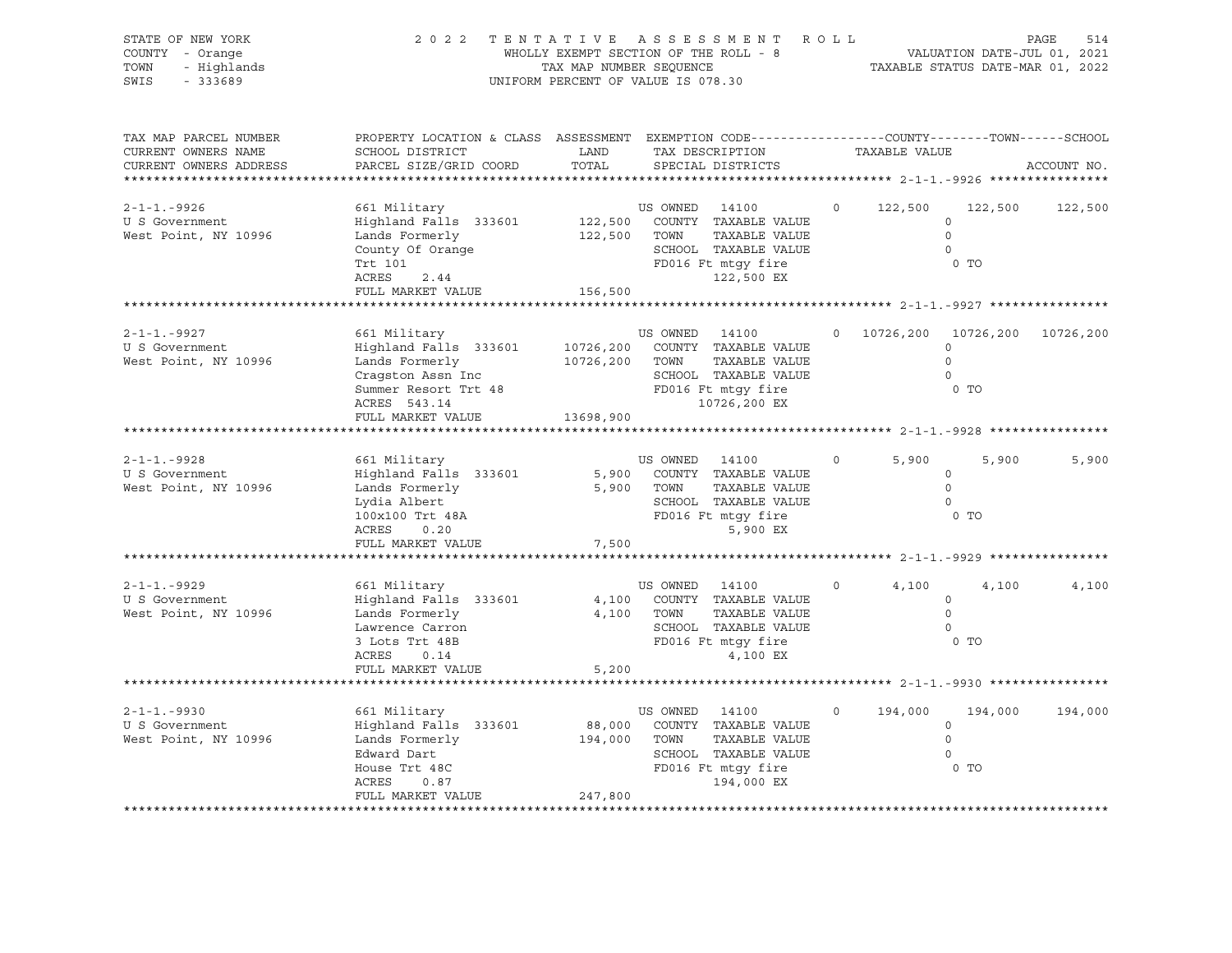| STATE OF NEW YORK<br>COUNTY - Orange<br>- Highlands<br>TOWN<br>SWIS - 333689                      | 2022 TENTATIVE ASSESSMENT ROLL                                                                                                                                                      | UNIFORM PERCENT OF VALUE IS 078.30 |                              | ENTATIVE ASSESSMENT ROLL<br>WHOLLY EXEMPT SECTION OF THE ROLL - 8 VALUATION DATE-JUL 01, 2021<br>TAX MAP NUMBER SEQUENCE TAXABLE STATUS DATE-MAR 01, 2022                  |                   |               |                                                                                        | PAGE<br>514 |
|---------------------------------------------------------------------------------------------------|-------------------------------------------------------------------------------------------------------------------------------------------------------------------------------------|------------------------------------|------------------------------|----------------------------------------------------------------------------------------------------------------------------------------------------------------------------|-------------------|---------------|----------------------------------------------------------------------------------------|-------------|
| TAX MAP PARCEL NUMBER<br>CURRENT OWNERS NAME<br>CURRENT OWNERS ADDRESS<br>*********************** | PROPERTY LOCATION & CLASS ASSESSMENT EXEMPTION CODE----------------COUNTY-------TOWN------SCHOOL<br>SCHOOL DISTRICT<br>PARCEL SIZE/GRID COORD                                       | LAND<br>TOTAL                      |                              | TAX DESCRIPTION TAXABLE VALUE<br>SPECIAL DISTRICTS                                                                                                                         |                   |               |                                                                                        | ACCOUNT NO. |
| $2 - 1 - 1 - 9926$<br>U S Government<br>West Point, NY 10996                                      | 661 Military<br>Highland Falls 333601<br>Lands Formerly<br>Lanus Lorme .<br>County Of Orange<br>Trt 101<br>2.44<br>ACRES<br>FULL MARKET VALUE                                       | 122,500 TOWN<br>156,500            |                              | US OWNED 14100<br>122,500 COUNTY TAXABLE VALUE<br>TAXABLE VALUE<br>SCHOOL TAXABLE VALUE<br>FD016 Ft mtgy fire<br>122,500 EX                                                |                   |               | $0 \qquad 122,500 \qquad 122,500$<br>$\circ$<br>$\Omega$<br>$\Omega$<br>0 <sub>T</sub> | 122,500     |
|                                                                                                   |                                                                                                                                                                                     |                                    |                              | *********************************** 2-1-1.-9927 **************                                                                                                             |                   |               |                                                                                        |             |
| 2-1-1.-9927<br>U S Government<br>West Point, NY 10996                                             | 661 Military<br>Highland Falls 333601 10726,200 COUNTY TAXABLE VALUE<br>Lands Formerly<br>cragston Assn Inc<br>Summer Resort Trt 48<br>ACRES 543.14<br>ACRES 543.14<br>ACRES 543.14 | 10726,200 TOWN                     |                              | US OWNED 14100<br>TAXABLE VALUE<br>10726,200 EX                                                                                                                            |                   |               | 0 10726,200 10726,200 10726,200<br>$\circ$<br>$\Omega$<br>$\circ$<br>0 <sub>T</sub>    |             |
|                                                                                                   | FULL MARKET VALUE                                                                                                                                                                   | 13698,900                          |                              |                                                                                                                                                                            |                   |               |                                                                                        |             |
| $2 - 1 - 1 - 9928$<br>U S Government<br>West Point, NY 10996                                      | 661 Military<br>Highland Falls 333601<br>Lands Formerly<br>Lydia Albert<br>100x100 Trt 48A<br>ACRES<br>0.20<br>FULL MARKET VALUE 7,500                                              |                                    | US OWNED 14100<br>5,900 TOWN | 5,900 COUNTY TAXABLE VALUE<br>TAXABLE VALUE<br>SCHOOL TAXABLE VALUE<br>FD016 Ft mtgy fire<br>5,900 EX<br>*********************************** 2-1-1.-9929 ***************** | $\overline{0}$    | 5,900<br>0 TO | 5,900<br>$\circ$<br>$\overline{0}$<br>$\circ$                                          | 5,900       |
| $2 - 1 - 1 - 9929$<br>U S Government<br>West Point, NY 10996                                      | 661 Military<br>Highland Falls 333601<br>Lands Formerly<br>Laurence Carron<br>3 Lots Trt 48B<br>FULL MARKET VALUE 5,200                                                             |                                    | US OWNED 14100<br>4,100 TOWN | 4,100 COUNTY TAXABLE VALUE<br>TAXABLE VALUE<br>SCHOOL TAXABLE VALUE<br>FD016 Ft mtgy fire<br>4,100 EX                                                                      | $0 \qquad \qquad$ | 4,100<br>0 TO | 4,100<br>$\circ$<br>$\circ$<br>$\bigcirc$                                              | 4,100       |
|                                                                                                   |                                                                                                                                                                                     |                                    |                              |                                                                                                                                                                            |                   |               |                                                                                        |             |
| $2 - 1 - 1 - 9930$<br>U S Government<br>West Point, NY 10996                                      | 661 Military<br>Highland Falls 333601<br>Lands Formerly<br>Edward Dart<br>House Trt 48C<br>ACRES<br>0.87<br>FULL MARKET VALUE                                                       | 194,000 TOWN<br>247,800            | US OWNED 14100               | 88,000 COUNTY TAXABLE VALUE<br>TAXABLE VALUE<br>SCHOOL TAXABLE VALUE<br>FD016 Ft mtgy fire<br>194,000 EX                                                                   | $\circ$           | 194,000       | 194,000<br>$\circ$<br>$\circ$<br>$\Omega$<br>0 <sub>T</sub>                            | 194,000     |
|                                                                                                   |                                                                                                                                                                                     |                                    |                              |                                                                                                                                                                            |                   |               |                                                                                        |             |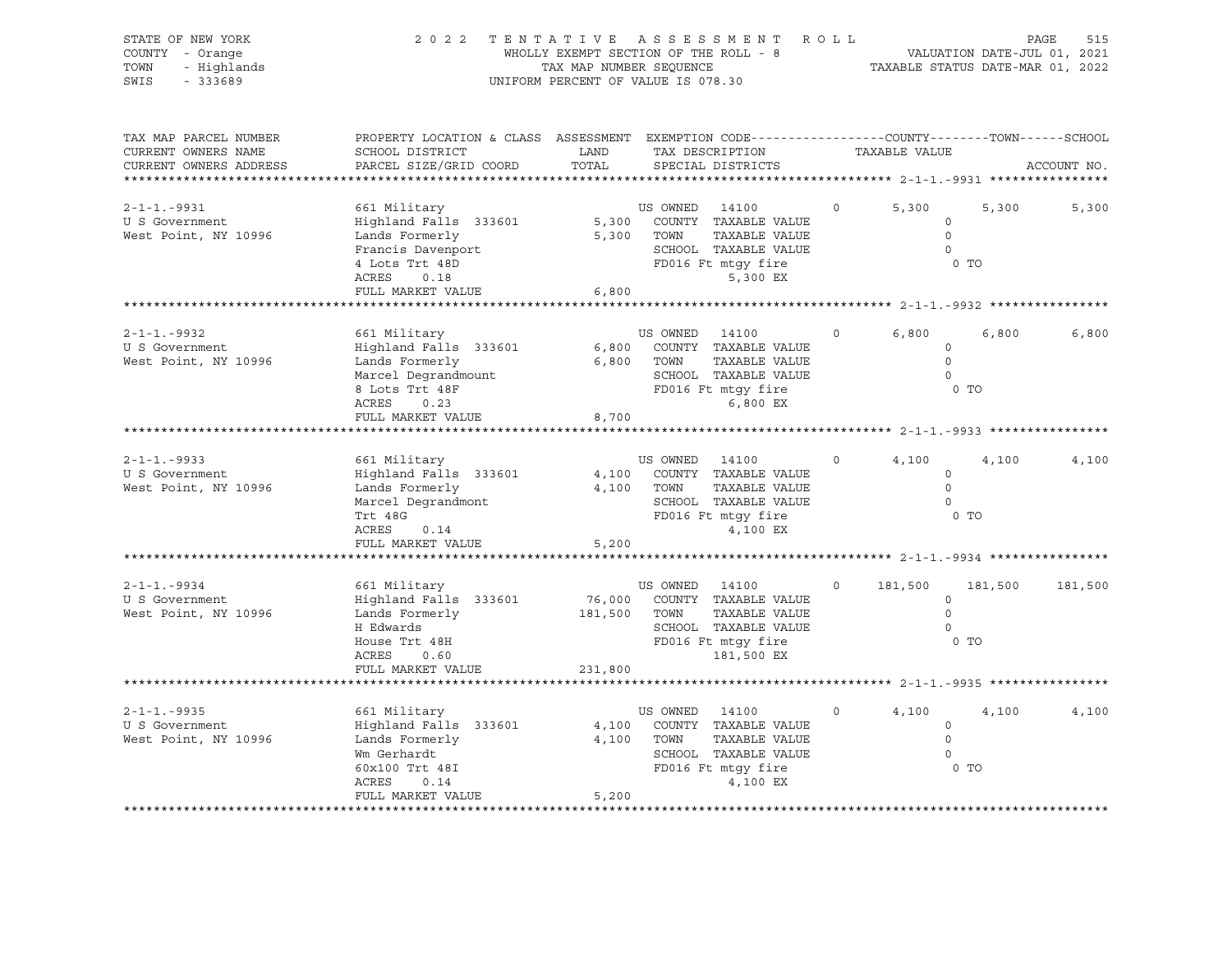| STATE OF NEW YORK<br>COUNTY - Orange<br>- Highlands<br>TOWN<br>$-333689$<br>SWIS                         | 2 0 2 2                                                                                                                                       | TAX MAP NUMBER SEQUENCE           | TENTATIVE ASSESSMENT<br>WHOLLY EXEMPT SECTION OF THE ROLL - 8<br>UNIFORM PERCENT OF VALUE IS 078.30                                                                                  | ROLL     | VALUATION DATE-JUL 01, 2021<br>TAXABLE STATUS DATE-MAR 01, 2022  |         | PAGE<br>515 |
|----------------------------------------------------------------------------------------------------------|-----------------------------------------------------------------------------------------------------------------------------------------------|-----------------------------------|--------------------------------------------------------------------------------------------------------------------------------------------------------------------------------------|----------|------------------------------------------------------------------|---------|-------------|
| TAX MAP PARCEL NUMBER<br>CURRENT OWNERS NAME<br>CURRENT OWNERS ADDRESS<br>****************************** | PROPERTY LOCATION & CLASS ASSESSMENT EXEMPTION CODE----------------COUNTY-------TOWN------SCHOOL<br>SCHOOL DISTRICT<br>PARCEL SIZE/GRID COORD | LAND<br>TOTAL                     | TAX DESCRIPTION<br>SPECIAL DISTRICTS                                                                                                                                                 |          | TAXABLE VALUE                                                    |         | ACCOUNT NO. |
| $2 - 1 - 1 - 9931$<br>U S Government<br>West Point, NY 10996                                             | 661 Military<br>Highland Falls 333601<br>Lands Formerly<br>Francis Davenport<br>4 Lots Trt 48D<br>ACRES<br>0.18<br>FULL MARKET VALUE          | 6,800                             | US OWNED 14100<br>5,300 COUNTY TAXABLE VALUE<br>5,300 TOWN<br>TAXABLE VALUE<br>SCHOOL TAXABLE VALUE<br>FD016 Ft mtgy fire<br>5,300 EX                                                | $\Omega$ | 5,300<br>$\circ$<br>$\circ$<br>$\overline{0}$<br>0 <sub>T</sub>  | 5,300   | 5,300       |
| $2 - 1 - 1 - 9932$<br>U S Government<br>West Point, NY 10996                                             | 661 Military<br>Highland Falls 333601<br>Lands Formerly<br>Marcel Degrandmount<br>8 Lots Trt 48F<br>ACRES<br>0.23<br>FULL MARKET VALUE        | 8,700                             | US OWNED 14100<br>6,800 COUNTY TAXABLE VALUE<br>6,800 TOWN<br>TAXABLE VALUE<br>SCHOOL TAXABLE VALUE<br>FD016 Ft mtgy fire<br>6,800 EX                                                | $\circ$  | 6,800<br>$\circ$<br>$\Omega$<br>$\overline{0}$<br>0 <sub>T</sub> | 6,800   | 6,800       |
| $2 - 1 - 1 - 9933$<br>U S Government<br>West Point, NY 10996                                             | 661 Military<br>Highland Falls 333601<br>Lands Formerly<br>Marcel Degrandmont<br>Trt 48G<br>0.14<br>ACRES<br>FULL MARKET VALUE                | 4,100<br>5,200                    | US OWNED 14100<br>COUNTY TAXABLE VALUE<br>TAXABLE VALUE<br>4,100 TOWN<br>SCHOOL TAXABLE VALUE<br>FD016 Ft mtgy fire<br>4,100 EX<br>********************************* 2-1-1.-9934 *** | $\circ$  | 4,100<br>$\circ$<br>$\overline{0}$<br>$\overline{0}$<br>$0$ TO   | 4,100   | 4,100       |
| $2 - 1 - 1 - 9934$<br>U S Government<br>West Point, NY 10996                                             | 661 Military<br>Highland Falls 333601<br>Lands Formerly<br>H Edwards<br>House Trt 48H<br>ACRES<br>0.60<br>FULL MARKET VALUE                   | 76,000<br>181,500 TOWN<br>231,800 | US OWNED 14100<br>COUNTY TAXABLE VALUE<br>TAXABLE VALUE<br>SCHOOL TAXABLE VALUE<br>FD016 Ft mtgy fire<br>181,500 EX<br>********************************** 2-1-1.-9935 ****           | $\Omega$ | 181,500<br>$\circ$<br>$\Omega$<br>$\Omega$<br>$0$ TO             | 181,500 | 181,500     |
| $2 - 1 - 1 - 9935$<br>U S Government<br>West Point, NY 10996                                             | 661 Military<br>Highland Falls 333601<br>Lands Formerly<br>Wm Gerhardt<br>60x100 Trt 48I<br>ACRES<br>0.14<br>FULL MARKET VALUE                | 4,100<br>5,200                    | US OWNED 14100<br>COUNTY TAXABLE VALUE<br>4,100 TOWN<br>TAXABLE VALUE<br>SCHOOL TAXABLE VALUE<br>FD016 Ft mtgy fire<br>4,100 EX                                                      | $\Omega$ | 4,100<br>$\circ$<br>$\Omega$<br>$\Omega$<br>0 <sub>T</sub>       | 4,100   | 4,100       |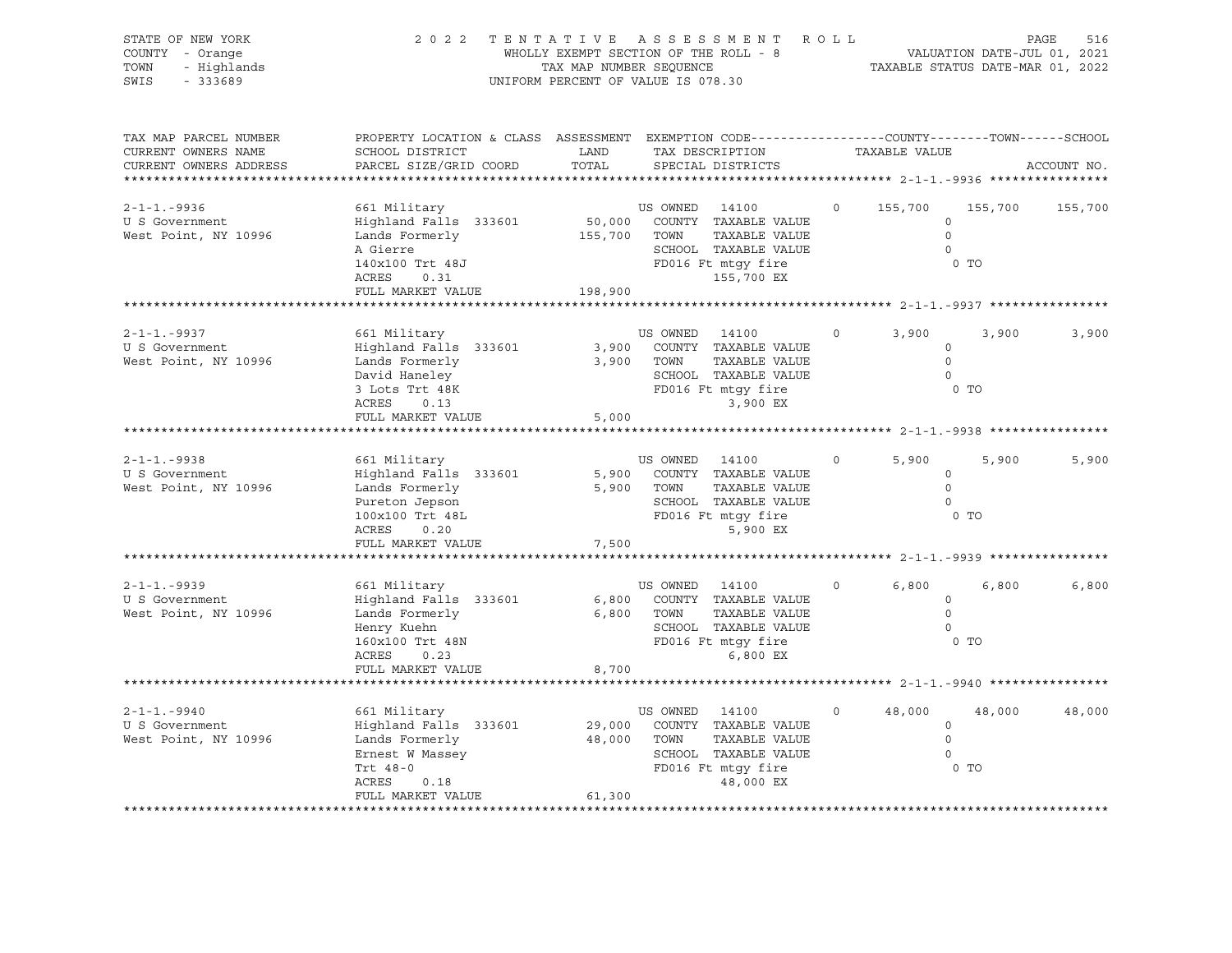| STATE OF NEW YORK<br>COUNTY - Orange<br>TOWN<br>- Highlands<br>$-333689$<br>SWIS                    | 2 0 2 2                                                                                                                                       | TAX MAP NUMBER SEQUENCE | TENTATIVE ASSESSMENT ROLL<br>WHOLLY EXEMPT SECTION OF THE ROLL - 8<br>UNIFORM PERCENT OF VALUE IS 078.30                                                                                                     |          | VALUATION DATE-JUL 01, 2021<br>TAXABLE STATUS DATE-MAR 01, 2022                                      |                           | 516<br>PAGE |
|-----------------------------------------------------------------------------------------------------|-----------------------------------------------------------------------------------------------------------------------------------------------|-------------------------|--------------------------------------------------------------------------------------------------------------------------------------------------------------------------------------------------------------|----------|------------------------------------------------------------------------------------------------------|---------------------------|-------------|
| TAX MAP PARCEL NUMBER<br>CURRENT OWNERS NAME<br>CURRENT OWNERS ADDRESS<br>************************* | PROPERTY LOCATION & CLASS ASSESSMENT EXEMPTION CODE----------------COUNTY-------TOWN------SCHOOL<br>SCHOOL DISTRICT<br>PARCEL SIZE/GRID COORD | LAND<br>TOTAL           | TAX DESCRIPTION<br>SPECIAL DISTRICTS                                                                                                                                                                         |          | TAXABLE VALUE                                                                                        |                           | ACCOUNT NO. |
| $2 - 1 - 1 - 9936$<br>U S Government<br>West Point, NY 10996                                        | 661 Military<br>Highland Falls 333601<br>Lands Formerly<br>A Gierre<br>140x100 Trt 48J<br>ACRES<br>0.31<br>FULL MARKET VALUE                  | 155,700 TOWN<br>198,900 | US OWNED 14100<br>50,000 COUNTY TAXABLE VALUE<br>TAXABLE VALUE<br>SCHOOL TAXABLE VALUE<br>FD016 Ft mtgy fire<br>155,700 EX                                                                                   | $\circ$  | 155,700<br>$\circ$<br>$\Omega$<br>$\circ$                                                            | 155,700<br>0 <sub>T</sub> | 155,700     |
|                                                                                                     |                                                                                                                                               |                         |                                                                                                                                                                                                              |          |                                                                                                      |                           |             |
| $2 - 1 - 1 - 9937$<br>U S Government<br>West Point, NY 10996                                        | 661 Military<br>Highland Falls 333601<br>Lands Formerly<br>David Haneley<br>3 Lots Trt 48K<br>ACRES<br>0.13                                   |                         | US OWNED 14100<br>3,900 COUNTY TAXABLE VALUE<br>3,900 TOWN<br>TAXABLE VALUE<br>SCHOOL TAXABLE VALUE<br>FD016 Ft mtgy fire<br>3,900 EX                                                                        | $\circ$  | 3,900<br>$\circ$<br>$\overline{0}$<br>$\circ$                                                        | 3,900<br>0 TO             | 3,900       |
|                                                                                                     | FULL MARKET VALUE                                                                                                                             | 5,000                   | ****************************** 2-1-1.-9938 *                                                                                                                                                                 |          |                                                                                                      |                           |             |
| $2 - 1 - 1 - 9938$<br>U S Government<br>West Point, NY 10996                                        | 661 Military<br>Highland Falls 333601<br>Lands Formerly<br>Pureton Jepson<br>100x100 Trt 48L<br>ACRES<br>0.20<br>FULL MARKET VALUE            | 7,500                   | US OWNED 14100<br>5,900 COUNTY TAXABLE VALUE<br>5,900 TOWN<br>TAXABLE VALUE<br>SCHOOL TAXABLE VALUE<br>FD016 Ft mtgy fire<br>5,900 EX                                                                        | $\circ$  | 5,900<br>$\circ$<br>$\bigcirc$<br>$\overline{0}$<br>********************************* 2-1-1.-9939 ** | 5,900<br>$0$ TO           | 5,900       |
| 2-1-1.-9939<br>U S Government<br>West Point, NY 10996                                               | 661 Military<br>Highland Falls 333601<br>Lands Formerly<br>Henry Kuehn<br>160x100 Trt 48N<br>ACRES<br>0.23<br>FULL MARKET VALUE               | 8,700                   | US OWNED 14100<br>6,800 COUNTY TAXABLE VALUE<br>6,800 TOWN<br>TAXABLE VALUE<br>SCHOOL TAXABLE VALUE<br>FD016 Ft mtqy fire<br>6,800 EX<br>************************************* 2-1-1.-9940 ***************** | $\Omega$ | 6,800<br>$\circ$<br>$\circ$<br>$\Omega$                                                              | 6,800<br>$0$ TO           | 6,800       |
| $2 - 1 - 1 - 9940$<br>U S Government<br>West Point, NY 10996                                        | 661 Military<br>Highland Falls 333601<br>Lands Formerly<br>Ernest W Massey<br>Trt 48-0<br>ACRES<br>0.18<br>FULL MARKET VALUE                  | 29,000<br>61,300        | US OWNED 14100<br>COUNTY TAXABLE VALUE<br>48,000 TOWN<br>TAXABLE VALUE<br>SCHOOL TAXABLE VALUE<br>FD016 Ft mtgy fire<br>48,000 EX                                                                            | $\circ$  | 48,000<br>$\circ$<br>$\circ$<br>$\Omega$                                                             | 48,000<br>$0$ TO          | 48,000      |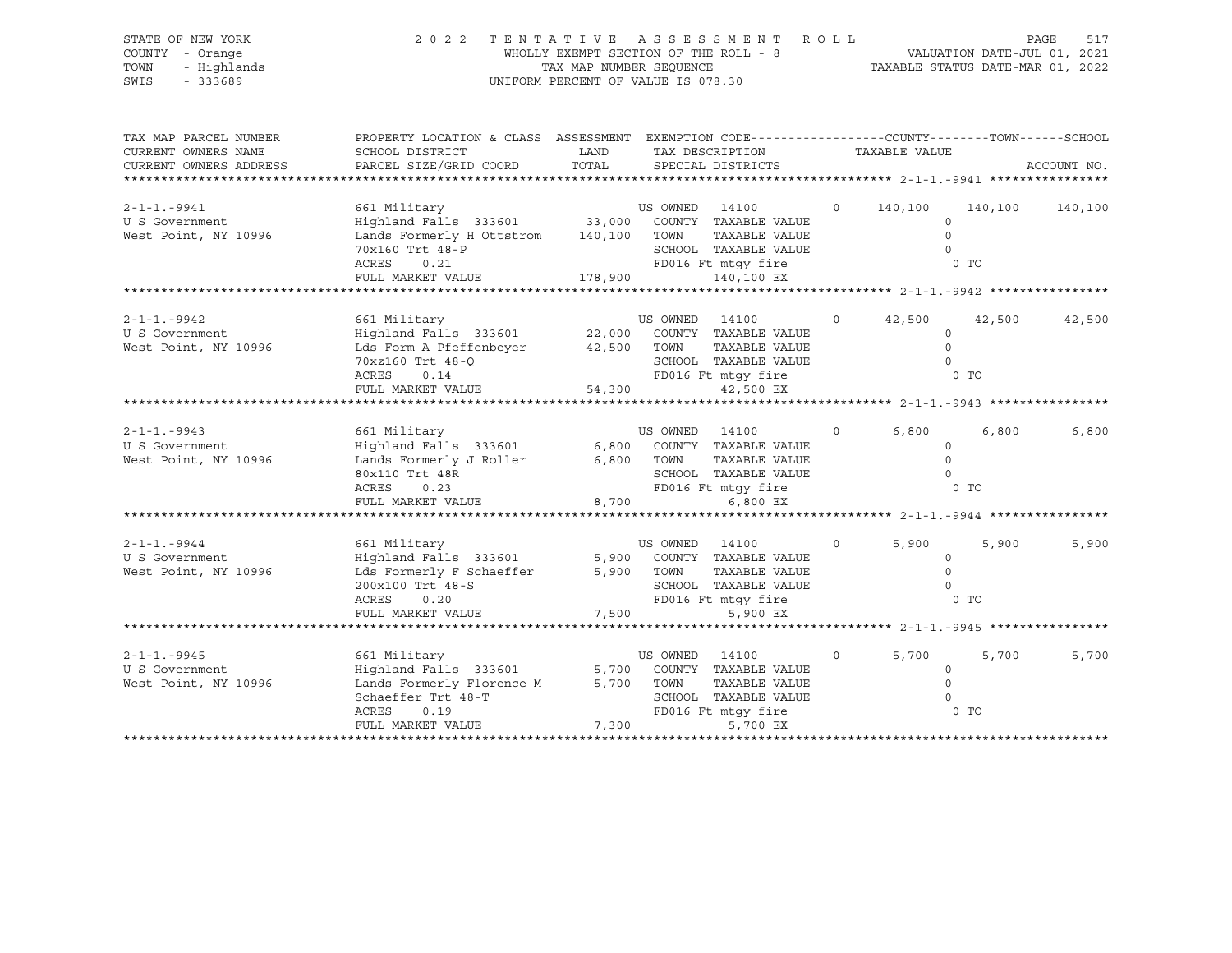| STATE OF NEW YORK<br>COUNTY - Orange<br>TOWN<br>- Highlands<br>SWIS<br>$-333689$                    | 2 0 2 2                                                                                                                                                                                    | TENTATIVE ASSESSMENT<br>WHOLLY EXEMPT SECTION OF THE ROLL - 8<br>TAX MAP NUMBER SEQUENCE<br>UNIFORM PERCENT OF VALUE IS 078.30 |                               |                                                                                                                                 | R O L L |                           | VALUATION DATE-JUL 01, 2021<br>TAXABLE STATUS DATE-MAR 01, 2022 | PAGE<br>517 |
|-----------------------------------------------------------------------------------------------------|--------------------------------------------------------------------------------------------------------------------------------------------------------------------------------------------|--------------------------------------------------------------------------------------------------------------------------------|-------------------------------|---------------------------------------------------------------------------------------------------------------------------------|---------|---------------------------|-----------------------------------------------------------------|-------------|
| TAX MAP PARCEL NUMBER<br>CURRENT OWNERS NAME<br>CURRENT OWNERS ADDRESS<br>************************* | PROPERTY LOCATION & CLASS ASSESSMENT EXEMPTION CODE----------------COUNTY-------TOWN-----SCHOOL<br>SCHOOL DISTRICT<br>PARCEL SIZE/GRID COORD                                               | LAND<br>TOTAL                                                                                                                  |                               | TAX DESCRIPTION<br>SPECIAL DISTRICTS                                                                                            |         | TAXABLE VALUE             |                                                                 | ACCOUNT NO. |
| $2 - 1 - 1 - 9941$<br>U S Government<br>West Point, NY 10996                                        | 661 Military<br>Highland Falls 333601 33,000 COUNTY TAXABLE VALUE<br>Lands Formerly H Ottstrom 140,100 TOWN TAXABLE VALUE<br>70x160 Trt 48-P<br>ACRES<br>0.21<br>FULL MARKET VALUE 178,900 |                                                                                                                                | US OWNED 14100                | SCHOOL TAXABLE VALUE<br>FD016 Ft mtqy fire<br>140,100 EX                                                                        | $\circ$ | 140,100<br>$\circ$        | 140,100<br>$\Omega$<br>$\Omega$<br>$0$ TO                       | 140,100     |
|                                                                                                     |                                                                                                                                                                                            |                                                                                                                                |                               |                                                                                                                                 |         |                           |                                                                 |             |
| $2 - 1 - 1 - 9942$<br>U S Government<br>West Point, NY 10996                                        | 661 Military<br>Highland Falls 333601<br>Lds Form A Pfeffenbeyer<br>70xz160 Trt 48-Q<br>ACRES<br>0.14<br>FULL MARKET VALUE                                                                 | 54,300                                                                                                                         | US OWNED 14100<br>42,500 TOWN | 22,000 COUNTY TAXABLE VALUE<br>TAXABLE VALUE<br>SCHOOL TAXABLE VALUE<br>SCHOOL IAXABLE VALUE<br>FD016 Ft mtgy fire<br>42,500 EX | $\circ$ | 42,500<br>$\Omega$        | 42,500<br>$\Omega$<br>$\Omega$<br>0 <sub>T</sub>                | 42,500      |
|                                                                                                     |                                                                                                                                                                                            |                                                                                                                                |                               |                                                                                                                                 |         |                           |                                                                 |             |
| $2 - 1 - 1 - 9943$<br>U S Government<br>West Point, NY 10996                                        | 661 Military<br>Highland Falls 333601<br>Lands Formerly J Roller<br>80x110 Trt 48R<br>ACRES<br>0.23<br>FULL MARKET VALUE                                                                   | 6,800<br>8,700                                                                                                                 | US OWNED 14100<br>6,800 TOWN  | COUNTY TAXABLE VALUE<br>TAXABLE VALUE<br>SCHOOL TAXABLE VALUE<br>FD016 Ft mtqy fire<br>6,800 EX                                 | $\circ$ | 6,800<br>$\Omega$         | 6,800<br>$\circ$<br>$\circ$<br>0 <sub>T</sub>                   | 6,800       |
|                                                                                                     |                                                                                                                                                                                            |                                                                                                                                |                               |                                                                                                                                 |         |                           |                                                                 |             |
| $2 - 1 - 1 - 9944$<br>U S Government<br>West Point, NY 10996                                        | 661 Military<br>Highland Falls 333601<br>Lds Formerly F Schaeffer<br>200x100 Trt 48-S<br>ACRES<br>0.20<br>FULL MARKET VALUE                                                                | 7,500                                                                                                                          | US OWNED 14100<br>5,900 TOWN  | 5,900 COUNTY TAXABLE VALUE<br>TAXABLE VALUE<br>SCHOOL TAXABLE VALUE<br>FD016 Ft mtqy fire<br>5,900 EX                           | $\circ$ | 5,900                     | 5,900<br>$\circ$<br>$\Omega$<br>$\Omega$<br>$0$ TO              | 5,900       |
|                                                                                                     |                                                                                                                                                                                            |                                                                                                                                |                               |                                                                                                                                 |         |                           |                                                                 |             |
| $2 - 1 - 1 - 9945$<br>U S Government<br>West Point, NY 10996                                        | 661 Military<br>Highland Falls 333601<br>Lands Formerly Florence M<br>Schaeffer Trt 48-T<br>ACRES<br>0.19<br>FULL MARKET VALUE                                                             | 5,700<br>5,700<br>7,300                                                                                                        | US OWNED 14100<br>TOWN        | COUNTY TAXABLE VALUE<br>TAXABLE VALUE<br>SCHOOL TAXABLE VALUE<br>FD016 Ft mtqy fire<br>5,700 EX                                 | $\circ$ | 5,700<br>$\Omega$<br>0 TO | 5,700<br>$\circ$<br>$\Omega$                                    | 5,700       |
|                                                                                                     |                                                                                                                                                                                            |                                                                                                                                |                               |                                                                                                                                 |         |                           |                                                                 |             |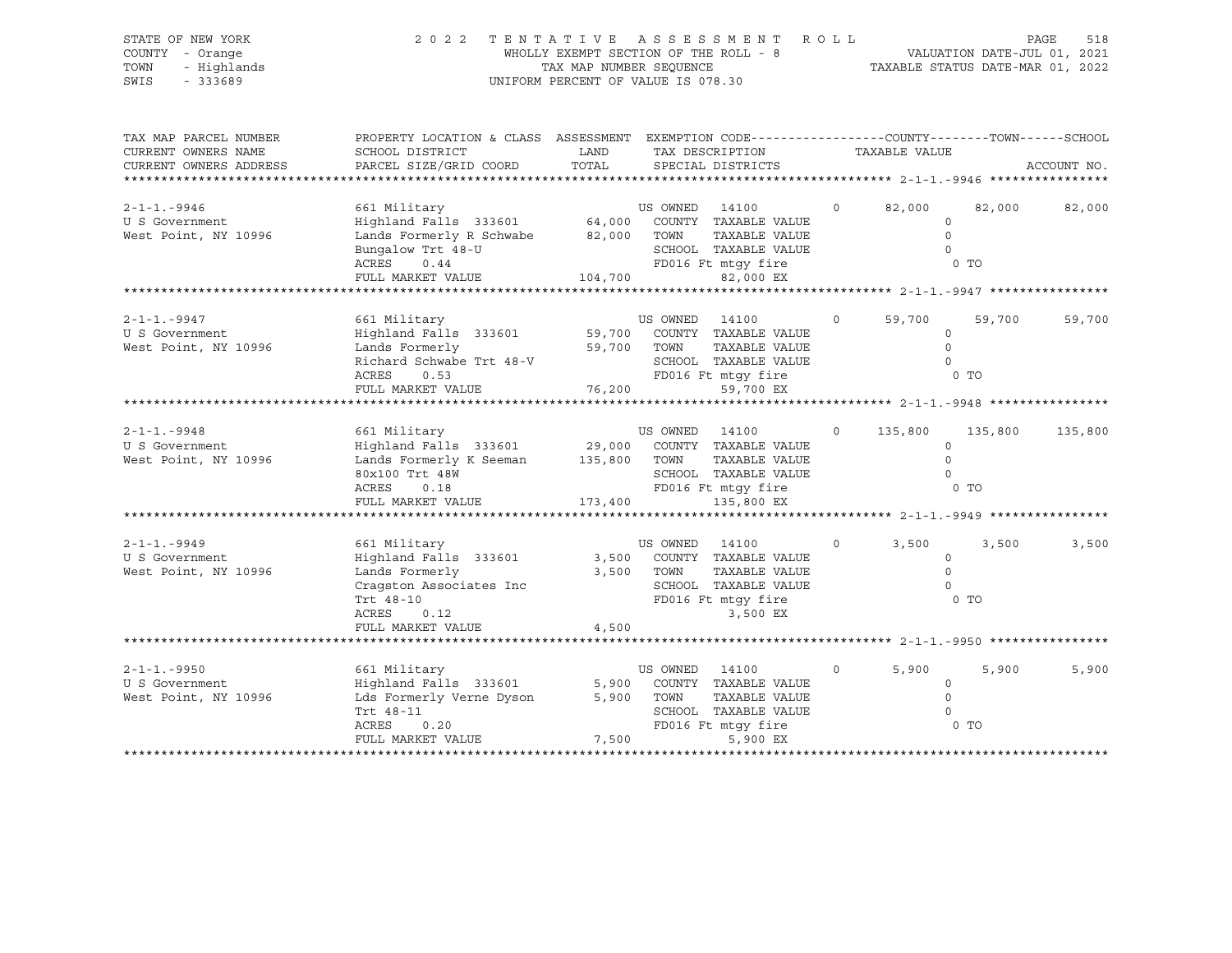| STATE OF NEW YORK<br>COUNTY - Orange<br>TOWN<br>- Highlands<br>SWIS<br>$-333689$ | 2022                                                                                                                                                            | WHOLLY EXEMPT SECTION OF THE ROLL - 8<br>TAX MAP NUMBER SEOUENCE<br>UNIFORM PERCENT OF VALUE IS 078.30 |                        | TENTATIVE ASSESSMENT                                                                                     |          | PAGE 518<br>VALUATION DATE-JUL 01, 2021<br>TAXABLE STATIE DATE ULL |                          |             |
|----------------------------------------------------------------------------------|-----------------------------------------------------------------------------------------------------------------------------------------------------------------|--------------------------------------------------------------------------------------------------------|------------------------|----------------------------------------------------------------------------------------------------------|----------|--------------------------------------------------------------------|--------------------------|-------------|
| TAX MAP PARCEL NUMBER<br>CURRENT OWNERS NAME<br>CURRENT OWNERS ADDRESS           | PROPERTY LOCATION & CLASS ASSESSMENT EXEMPTION CODE----------------COUNTY-------TOWN------SCHOOL<br>SCHOOL DISTRICT<br>PARCEL SIZE/GRID COORD                   | LAND<br>TOTAL                                                                                          |                        | TAX DESCRIPTION<br>SPECIAL DISTRICTS                                                                     |          | TAXABLE VALUE                                                      |                          | ACCOUNT NO. |
| $2 - 1 - 1 - 9946$<br>U S Government<br>West Point, NY 10996                     | 661 Military<br>Highland Falls 333601 64,000 COUNTY TAXABLE VALUE<br>Lands Formerly R Schwabe 82,000<br>Bungalow Trt 48-U<br>ACRES<br>0.44<br>FULL MARKET VALUE | 104,700                                                                                                | US OWNED 14100<br>TOWN | TAXABLE VALUE<br>SCHOOL TAXABLE VALUE<br>FD016 Ft mtqy fire<br>82,000 EX                                 | $\circ$  | 82,000<br>$\circ$<br>$\Omega$<br>$\Omega$                          | 82,000<br>0 <sub>T</sub> | 82,000      |
|                                                                                  |                                                                                                                                                                 |                                                                                                        |                        |                                                                                                          |          |                                                                    |                          |             |
| $2 - 1 - 1 - 9947$<br>U S Government<br>West Point, NY 10996                     | 661 Military<br>Highland Falls 333601<br>Lands Formerly<br>Richard Schwabe Trt 48-V<br>0.53<br>ACRES                                                            | 59,700<br>59,700                                                                                       | US OWNED<br>TOWN       | 14100<br>COUNTY TAXABLE VALUE<br>TAXABLE VALUE<br>SCHOOL TAXABLE VALUE<br>FD016 Ft mtgy fire             | $\circ$  | 59,700<br>$\circ$<br>$\circ$<br>$\Omega$                           | 59,700<br>0 TO           | 59,700      |
|                                                                                  | FULL MARKET VALUE                                                                                                                                               | 76,200                                                                                                 |                        | 59,700 EX                                                                                                |          |                                                                    |                          |             |
| $2 - 1 - 1 - 9948$<br>U S Government<br>West Point, NY 10996                     | 661 Military<br>Highland Falls 333601<br>Lands Formerly K Seeman 135,800<br>80x100 Trt 48W<br>ACRES<br>0.18<br>FULL MARKET VALUE                                | 29,000<br>173,400                                                                                      | US OWNED 14100<br>TOWN | COUNTY TAXABLE VALUE<br>TAXABLE VALUE<br>SCHOOL TAXABLE VALUE<br>FD016 Ft mtqy fire<br>135,800 EX        | $\Omega$ | 135,800<br>$\Omega$<br>$\Omega$<br>$\Omega$                        | 135,800<br>0 TO          | 135,800     |
|                                                                                  |                                                                                                                                                                 |                                                                                                        |                        |                                                                                                          |          |                                                                    |                          |             |
| $2 - 1 - 1 - 9949$<br>U S Government<br>West Point, NY 10996                     | 661 Military<br>Highland Falls 333601<br>Lands Formerly<br>Cragston Associates Inc<br>Trt 48-10<br>ACRES<br>0.12<br>FULL MARKET VALUE                           | 3,500<br>3,500<br>4,500                                                                                | US OWNED 14100<br>TOWN | COUNTY TAXABLE VALUE<br>TAXABLE VALUE<br>SCHOOL TAXABLE VALUE<br>FD016 Ft mtgy fire<br>3,500 EX          | $\circ$  | 3,500<br>$\circ$<br>$\Omega$<br>$\cap$                             | 3,500<br>$0$ TO          | 3,500       |
|                                                                                  |                                                                                                                                                                 |                                                                                                        |                        |                                                                                                          |          |                                                                    |                          |             |
| $2 - 1 - 1 - 9950$<br>U S Government<br>West Point, NY 10996                     | 661 Military<br>Highland Falls 333601<br>Lds Formerly Verne Dyson<br>Trt 48-11<br>ACRES<br>0.20<br>FULL MARKET VALUE                                            | 5,900<br>5,900<br>7,500                                                                                | US OWNED<br>TOWN       | 14100<br>COUNTY TAXABLE VALUE<br>TAXABLE VALUE<br>SCHOOL TAXABLE VALUE<br>FD016 Ft mtqy fire<br>5,900 EX | $\circ$  | 5,900<br>$\circ$<br>$\Omega$<br>$\Omega$                           | 5,900<br>0 <sub>T</sub>  | 5,900       |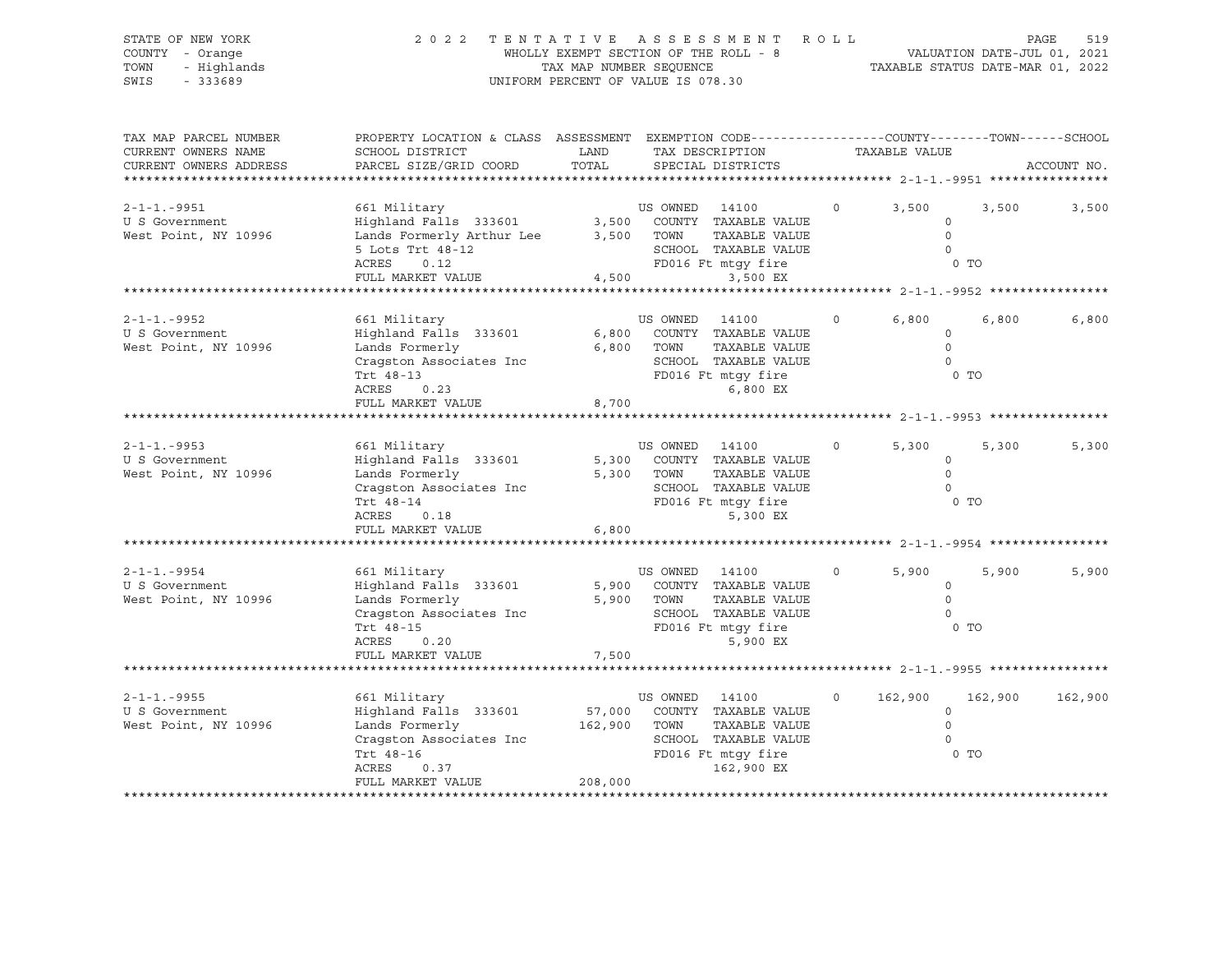| STATE OF NEW YORK<br>COUNTY<br>- Orange<br>- Highlands<br>TOWN<br>$-333689$<br>SWIS | 2 0 2 2                                                                                                                                      | TENTATIVE<br>WHOLLY EXEMPT SECTION OF THE ROLL - 8<br>TAX MAP NUMBER SEQUENCE<br>UNIFORM PERCENT OF VALUE IS 078.30 |                  | A S S E S S M E N T                                                                                                                                              | ROLL    |                                                  | VALUATION DATE-JUL 01, 2021<br>TAXABLE STATUS DATE-MAR 01, 2022     | PAGE<br>519 |
|-------------------------------------------------------------------------------------|----------------------------------------------------------------------------------------------------------------------------------------------|---------------------------------------------------------------------------------------------------------------------|------------------|------------------------------------------------------------------------------------------------------------------------------------------------------------------|---------|--------------------------------------------------|---------------------------------------------------------------------|-------------|
| TAX MAP PARCEL NUMBER<br>CURRENT OWNERS NAME<br>CURRENT OWNERS ADDRESS              | PROPERTY LOCATION & CLASS ASSESSMENT EXEMPTION CODE----------------COUNTY-------TOWN-----SCHOOL<br>SCHOOL DISTRICT<br>PARCEL SIZE/GRID COORD | LAND<br>TOTAL                                                                                                       |                  | TAX DESCRIPTION<br>SPECIAL DISTRICTS                                                                                                                             |         | TAXABLE VALUE                                    |                                                                     | ACCOUNT NO. |
| $2 - 1 - 1 - 9951$<br>U S Government<br>West Point, NY 10996                        | 661 Military<br>Highland Falls 333601<br>Lands Formerly Arthur Lee<br>5 Lots Trt 48-12<br>ACRES<br>0.12<br>FULL MARKET VALUE                 | 3,500<br>3,500<br>4,500                                                                                             | US OWNED<br>TOWN | 14100<br>COUNTY TAXABLE VALUE<br>TAXABLE VALUE<br>SCHOOL TAXABLE VALUE<br>FD016 Ft mtgy fire<br>3,500 EX                                                         |         | 3,500<br>$\circ$<br>$\Omega$<br>$\Omega$         | 3,500<br>$0$ TO<br>****************** 2-1-1.-9952 ***************** | 3,500       |
| $2 - 1 - 1 - 9952$<br>U S Government<br>West Point, NY 10996                        | 661 Military<br>Highland Falls 333601<br>Lands Formerly<br>Cragston Associates Inc<br>Trt 48-13<br>ACRES<br>0.23<br>FULL MARKET VALUE        | 6,800<br>6,800<br>8,700                                                                                             | US OWNED<br>TOWN | 14100<br>COUNTY TAXABLE VALUE<br>TAXABLE VALUE<br>SCHOOL TAXABLE VALUE<br>FD016 Ft mtqy fire<br>6,800 EX<br>*********************** 2-1-1.-9953 **************** | $\circ$ | 6,800<br>0<br>$\mathbf{0}$<br>$\Omega$           | 6,800<br>0 TO                                                       | 6,800       |
| $2 - 1 - 1 - 9953$<br>U S Government<br>West Point, NY 10996                        | 661 Military<br>Highland Falls 333601<br>Lands Formerly<br>Cragston Associates Inc<br>Trt 48-14<br>ACRES<br>0.18<br>FULL MARKET VALUE        | 5,300<br>5,300<br>6,800                                                                                             | US OWNED<br>TOWN | 14100<br>COUNTY TAXABLE VALUE<br>TAXABLE VALUE<br>SCHOOL TAXABLE VALUE<br>FD016 Ft mtgy fire<br>5,300 EX                                                         | $\circ$ | 5,300<br>$\mathbf 0$<br>$\mathbf{0}$<br>$\Omega$ | 5,300<br>0 <sub>T</sub>                                             | 5,300       |
| $2 - 1 - 1 - 9954$<br>U S Government<br>West Point, NY 10996                        | 661 Military<br>Highland Falls 333601<br>Lands Formerly<br>Cragston Associates Inc<br>Trt 48-15<br>ACRES<br>0.20<br>FULL MARKET VALUE        | 5,900<br>5,900<br>7,500                                                                                             | US OWNED<br>TOWN | 14100<br>COUNTY TAXABLE VALUE<br>TAXABLE VALUE<br>SCHOOL TAXABLE VALUE<br>FD016 Ft mtqy fire<br>5,900 EX                                                         |         | 5,900<br>$\circ$<br>$\mathbf{0}$<br>$\Omega$     | 5,900<br>0 TO                                                       | 5,900       |
| $2 - 1 - 1 - 9955$<br>U S Government<br>West Point, NY 10996                        | 661 Military<br>Highland Falls 333601<br>Lands Formerly<br>Cragston Associates Inc<br>Trt 48-16<br>ACRES<br>0.37<br>FULL MARKET VALUE        | 57,000<br>162,900<br>208,000                                                                                        | US OWNED<br>TOWN | 14100<br>COUNTY TAXABLE VALUE<br>TAXABLE VALUE<br>SCHOOL TAXABLE VALUE<br>FD016 Ft mtgy fire<br>162,900 EX                                                       |         | 162,900<br>$\circ$<br>$\mathbf 0$<br>$\Omega$    | 162,900<br>0 <sub>T</sub>                                           | 162,900     |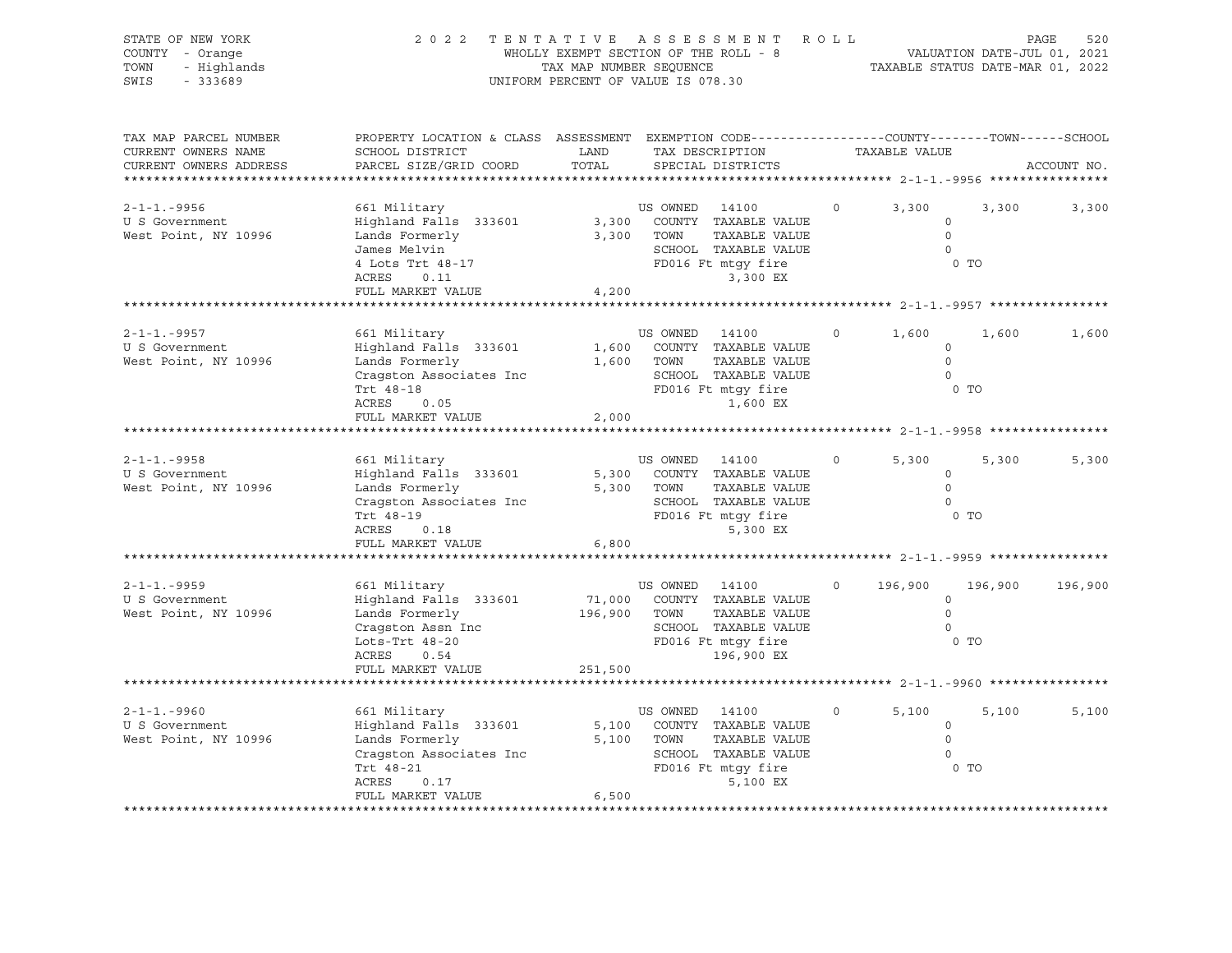| STATE OF NEW YORK<br>COUNTY - Orange<br>- Highlands<br>TOWN<br>SWIS<br>$-333689$ | 2 0 2 2                                                                                                                                     | TAX MAP NUMBER SEQUENCE           | TENTATIVE ASSESSMENT ROLL<br>WHOLLY EXEMPT SECTION OF THE ROLL - 8<br>UNIFORM PERCENT OF VALUE IS 078.30                                                                              |          | VALUATION DATE-JUL 01, 2021<br>TAXABLE STATUS DATE-MAR 01, 2022 |         | PAGE<br>520 |
|----------------------------------------------------------------------------------|---------------------------------------------------------------------------------------------------------------------------------------------|-----------------------------------|---------------------------------------------------------------------------------------------------------------------------------------------------------------------------------------|----------|-----------------------------------------------------------------|---------|-------------|
| TAX MAP PARCEL NUMBER<br>CURRENT OWNERS NAME<br>CURRENT OWNERS ADDRESS           | PROPERTY LOCATION & CLASS ASSESSMENT EXEMPTION CODE---------------COUNTY-------TOWN-----SCHOOL<br>SCHOOL DISTRICT<br>PARCEL SIZE/GRID COORD | LAND<br>TOTAL                     | TAX DESCRIPTION<br>SPECIAL DISTRICTS                                                                                                                                                  |          | TAXABLE VALUE                                                   |         | ACCOUNT NO. |
| $2 - 1 - 1 - 9956$<br>U S Government<br>West Point, NY 10996                     | 661 Military<br>Highland Falls 333601<br>Lands Formerly<br>James Melvin<br>4 Lots Trt 48-17<br>ACRES<br>0.11<br>FULL MARKET VALUE           | 4,200                             | US OWNED 14100<br>3,300 COUNTY TAXABLE VALUE<br>3,300 TOWN<br>TAXABLE VALUE<br>SCHOOL TAXABLE VALUE<br>FD016 Ft mtqy fire<br>3,300 EX                                                 | $\circ$  | 3,300<br>$\circ$<br>$\circ$<br>$\circ$<br>0 <sub>T</sub>        | 3,300   | 3,300       |
| $2 - 1 - 1 - 9957$<br>U S Government<br>West Point, NY 10996                     | 661 Military<br>Highland Falls 333601<br>Lands Formerly<br>Cragston Associates Inc<br>Trt 48-18<br>ACRES<br>0.05<br>FULL MARKET VALUE       | 2,000                             | US OWNED 14100<br>1,600 COUNTY TAXABLE VALUE<br>TAXABLE VALUE<br>1,600 TOWN<br>SCHOOL TAXABLE VALUE<br>FD016 Ft mtgy fire<br>1,600 EX                                                 | $\circ$  | 1,600<br>$\circ$<br>$\circ$<br>$\bigcirc$<br>$0$ TO             | 1,600   | 1,600       |
| $2 - 1 - 1 - 9958$<br>U S Government<br>West Point, NY 10996                     | 661 Military<br>Highland Falls 333601<br>Lands Formerly<br>Cragston Associates Inc<br>Trt 48-19<br>ACRES<br>0.18<br>FULL MARKET VALUE       | 6,800                             | US OWNED 14100<br>5,300 COUNTY TAXABLE VALUE<br>5,300 TOWN<br>TAXABLE VALUE<br>SCHOOL TAXABLE VALUE<br>FD016 Ft mtgy fire<br>5,300 EX                                                 | $\circ$  | 5,300<br>$\circ$<br>$\overline{0}$<br>$\overline{0}$<br>$0$ TO  | 5,300   | 5,300       |
| $2 - 1 - 1 - 9959$<br>U S Government<br>West Point, NY 10996                     | 661 Military<br>Highland Falls 333601<br>Lands Formerly<br>Lots-Trt 48-20<br>ACRES<br>0.54<br>FULL MARKET VALUE                             | 71,000<br>196,900 TOWN<br>251,500 | US OWNED 14100<br>COUNTY TAXABLE VALUE<br>TAXABLE VALUE<br>SCHOOL TAXABLE VALUE<br>FD016 Ft mtgy fire<br>196,900 EX                                                                   | $\Omega$ | 196,900<br>$\circ$<br>$\circ$<br>$\Omega$<br>$0$ TO             | 196,900 | 196,900     |
| $2 - 1 - 1 - 9960$<br>U S Government<br>West Point, NY 10996                     | 661 Military<br>Highland Falls 333601<br>Lands Formerly<br>Cragston Associates Inc<br>Trt 48-21<br>ACRES<br>0.17<br>FULL MARKET VALUE       | 5,100<br>6,500                    | *********************************** 2-1-1.-9960 **<br>US OWNED 14100<br>COUNTY TAXABLE VALUE<br>5,100 TOWN<br>TAXABLE VALUE<br>SCHOOL TAXABLE VALUE<br>FD016 Ft mtgy fire<br>5,100 EX | $\Omega$ | 5,100<br>$\circ$<br>$\Omega$<br>$\Omega$<br>0 <sub>T</sub>      | 5,100   | 5,100       |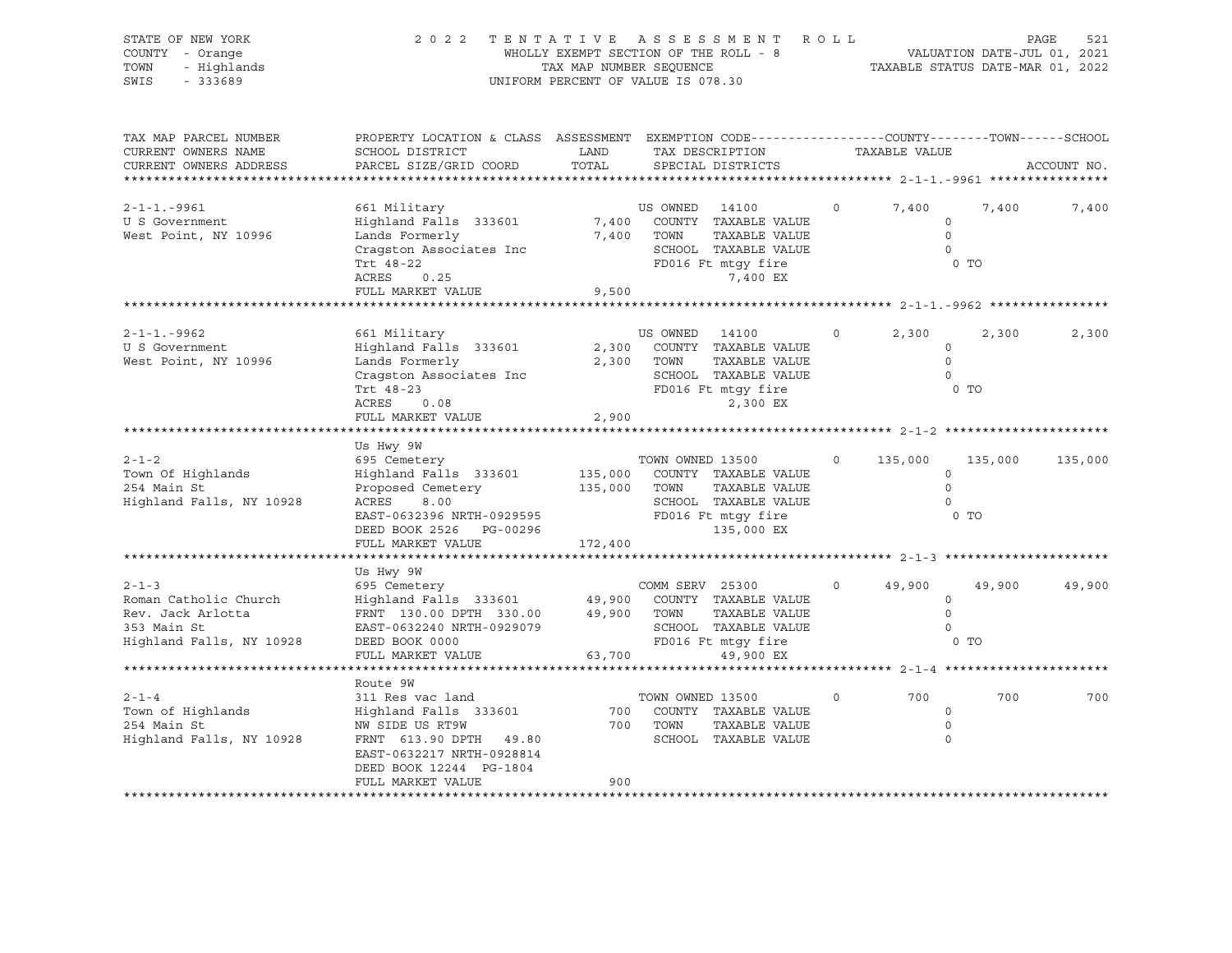| STATE OF NEW YORK<br>COUNTY - Orange<br>- Highlands<br>TOWN<br>SWIS<br>$-333689$                     | 2022 TENTATIVE ASSESSMENT ROLL                                                                                                                                                                           | WHOLLY EXEMPT SECTION OF THE ROLL - 8<br>TAX MAP NUMBER SEQUENCE<br>UNIFORM PERCENT OF VALUE IS 078.30 |                              |                                                                                                                  |          |                         | VALUATION DATE-JUL 01, 2021<br>TAXABLE STATUS DATE-MAR 01, 2022 | PAGE<br>521 |
|------------------------------------------------------------------------------------------------------|----------------------------------------------------------------------------------------------------------------------------------------------------------------------------------------------------------|--------------------------------------------------------------------------------------------------------|------------------------------|------------------------------------------------------------------------------------------------------------------|----------|-------------------------|-----------------------------------------------------------------|-------------|
| TAX MAP PARCEL NUMBER<br>CURRENT OWNERS NAME<br>CURRENT OWNERS ADDRESS                               | PROPERTY LOCATION & CLASS ASSESSMENT EXEMPTION CODE---------------COUNTY-------TOWN-----SCHOOL<br>SCHOOL DISTRICT<br>PARCEL SIZE/GRID COORD                                                              | LAND<br>TOTAL                                                                                          |                              | TAX DESCRIPTION TAXABLE VALUE<br>SPECIAL DISTRICTS                                                               |          |                         |                                                                 | ACCOUNT NO. |
| $2 - 1 - 1 - 9961$<br>U S Government<br>West Point, NY 10996                                         | 661 Military<br>Highland Falls 333601<br>Lands Formerly<br>Cragston Associates Inc<br>Trt 48-22<br>ACRES<br>0.25<br>FULL MARKET VALUE 9,500                                                              |                                                                                                        | US OWNED 14100<br>7,400 TOWN | 7,400 COUNTY TAXABLE VALUE<br>TAXABLE VALUE<br>SCHOOL TAXABLE VALUE<br>FD016 Ft mtgy fire<br>7,400 EX            | $\Omega$ | 7,400<br>$\overline{0}$ | 7,400<br>$\circ$<br>$\overline{0}$<br>0 <sub>T</sub>            | 7,400       |
|                                                                                                      |                                                                                                                                                                                                          |                                                                                                        |                              |                                                                                                                  |          |                         |                                                                 |             |
| $2 - 1 - 1 - 9962$<br>U S Government<br>West Point, NY 10996                                         | 661 Military<br>Highland Falls 333601<br>Lands Formerly<br>Cragston Associates Inc<br>Trt 48-23<br>ACRES 0.08<br>FULL MARKET VALUE                                                                       | 2,900                                                                                                  | US OWNED 14100               | 2,300 COUNTY TAXABLE VALUE<br>2,300 TOWN TAXABLE VALUE<br>SCHOOL TAXABLE VALUE<br>FD016 Ft mtgy fire<br>2,300 EX | $\circ$  | 2,300                   | 2,300<br>$\circ$<br>$\Omega$<br>$\Omega$<br>0 <sub>T</sub>      | 2,300       |
|                                                                                                      |                                                                                                                                                                                                          |                                                                                                        |                              |                                                                                                                  |          |                         |                                                                 |             |
| $2 - 1 - 2$<br>Town Of Highlands<br>254 Main St<br>Highland Falls, NY 10928                          | Us Hwy 9W<br>695 Cemetery<br>Highland Falls 333601<br>Proposed Cemetery<br>ACRES<br>8.00<br>EAST-0632396 NRTH-0929595<br>DERD BOOK 2526 PG-00296 PSED BOOK 2526 PG-00296 135,000 EX<br>FULL MARKET VALUE | 135,000 TOWN<br>172,400                                                                                | TOWN OWNED 13500             | 135,000 COUNTY TAXABLE VALUE<br>TAXABLE VALUE<br>SCHOOL TAXABLE VALUE                                            |          | $0 \t 135,000$          | 135,000<br>$\circ$<br>$\circ$<br>$\circ$<br>0 <sub>T</sub>      | 135,000     |
|                                                                                                      |                                                                                                                                                                                                          |                                                                                                        |                              |                                                                                                                  |          |                         |                                                                 |             |
| $2 - 1 - 3$<br>Roman Catholic Church<br>Rev. Jack Arlotta<br>353 Main St<br>Highland Falls, NY 10928 | Us Hwy 9W<br>695 Cemetery<br>EAST-0632240 NRTH-0929079<br>DEED BOOK 0000<br>FULL MARKET VALUE                                                                                                            |                                                                                                        | 63,700                       | TAXABLE VALUE<br>SCHOOL TAXABLE VALUE<br>FD016 Ft mtgy fire<br>49,900 EX                                         | $\circ$  | 49,900<br>0 TO          | 49,900<br>$\circ$<br>$\overline{0}$<br>$\overline{0}$           | 49,900      |
|                                                                                                      |                                                                                                                                                                                                          |                                                                                                        |                              |                                                                                                                  |          |                         |                                                                 |             |
| $2 - 1 - 4$<br>Town of Highlands<br>254 Main St<br>254 Main St<br>Highland Falls, NY 10928           | Route 9W<br>311 Res vac land<br>Highland Falls 333601<br>NW SIDE US RT9W<br>FRNT 613.90 DPTH 49.80<br>EAST-0632217 NRTH-0928814<br>DEED BOOK 12244 PG-1804<br>FULL MARKET VALUE                          | 900                                                                                                    | TOWN OWNED 13500<br>700 TOWN | 700 COUNTY TAXABLE VALUE<br>TAXABLE VALUE<br>SCHOOL TAXABLE VALUE                                                | $\circ$  | 700                     | 700<br>$\circ$<br>$\Omega$<br>$\Omega$                          | 700         |
|                                                                                                      |                                                                                                                                                                                                          |                                                                                                        |                              |                                                                                                                  |          |                         |                                                                 |             |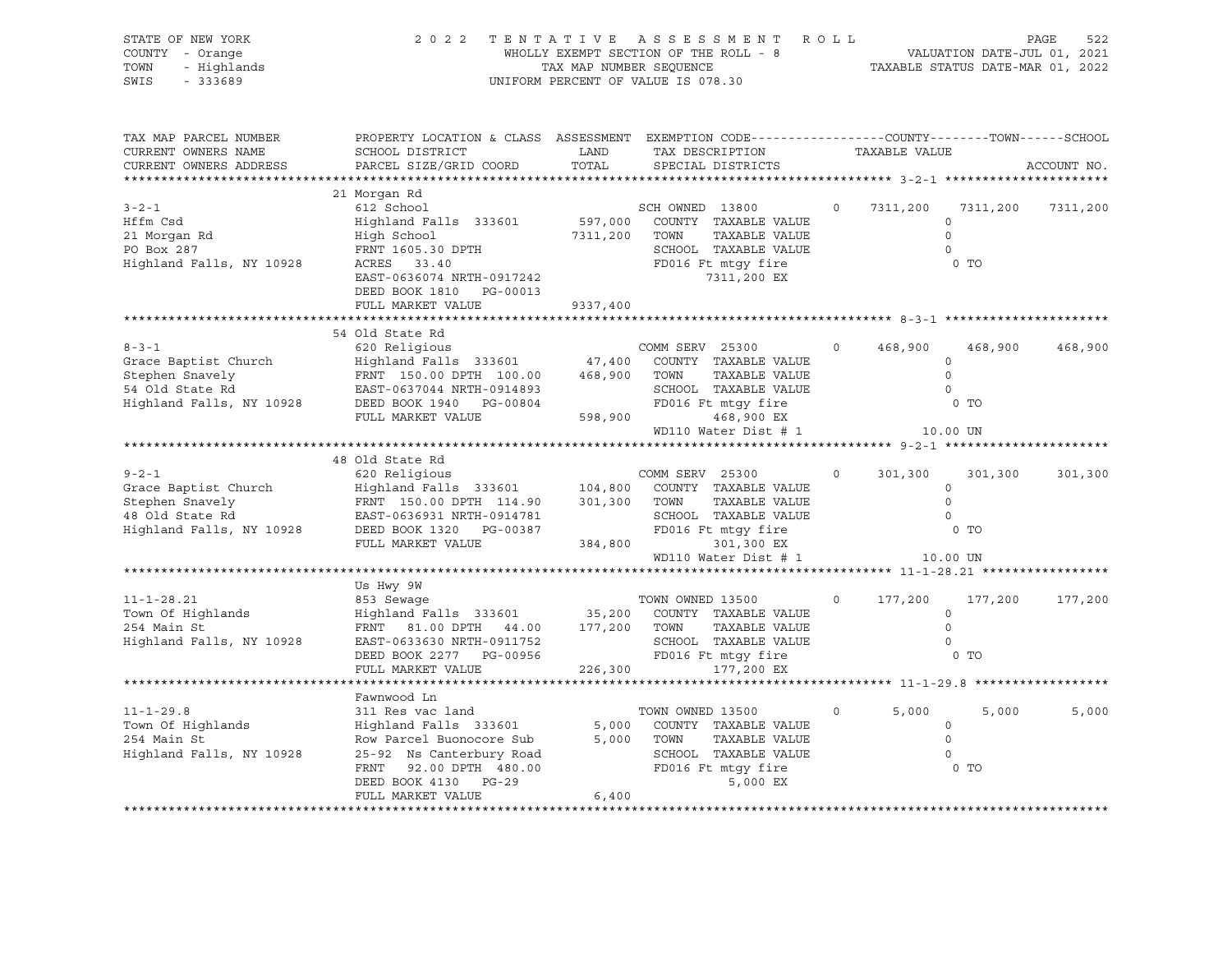| STATE OF NEW YORK<br>COUNTY - Orange<br>- Highlands<br>TOWN<br>SWIS<br>$-333689$                      |                                                                                                                                                                                            | TAX MAP NUMBER SEQUENCE       | 2022 TENTATIVE ASSESSMENT<br>WHOLLY EXEMPT SECTION OF THE ROLL - 8<br>UNIFORM PERCENT OF VALUE IS 078.30                      | ROLL    | TAXABLE STATUS DATE-MAR 01, 2022                       | VALUATION DATE-JUL 01, 2021 | PAGE<br>522 |
|-------------------------------------------------------------------------------------------------------|--------------------------------------------------------------------------------------------------------------------------------------------------------------------------------------------|-------------------------------|-------------------------------------------------------------------------------------------------------------------------------|---------|--------------------------------------------------------|-----------------------------|-------------|
| TAX MAP PARCEL NUMBER<br>CURRENT OWNERS NAME<br>CURRENT OWNERS ADDRESS<br>*******************         | PROPERTY LOCATION & CLASS ASSESSMENT EXEMPTION CODE----------------COUNTY-------TOWN-----SCHOOL<br>SCHOOL DISTRICT<br>PARCEL SIZE/GRID COORD                                               | LAND<br>TOTAL                 | TAX DESCRIPTION<br>SPECIAL DISTRICTS                                                                                          |         | TAXABLE VALUE<br>****************** 3-2-1 ************ |                             | ACCOUNT NO. |
|                                                                                                       | 21 Morgan Rd                                                                                                                                                                               |                               |                                                                                                                               |         |                                                        |                             |             |
| $3 - 2 - 1$<br>Hffm Csd<br>21 Morgan Rd<br>PO Box 287<br>Highland Falls, NY 10928                     | 612 School<br>Highland Falls 333601<br>High School<br>FRNT 1605.30 DPTH<br>ACRES 33.40<br>EAST-0636074 NRTH-0917242<br>DEED BOOK 1810 PG-00013                                             | 597,000<br>7311,200           | SCH OWNED 13800<br>COUNTY TAXABLE VALUE<br>TAXABLE VALUE<br>TOWN<br>SCHOOL TAXABLE VALUE<br>FD016 Ft mtgy fire<br>7311,200 EX |         | 7311,200<br>$\circ$<br>$\Omega$<br>$\mathbf 0$         | 7311,200<br>0 TO            | 7311,200    |
|                                                                                                       | FULL MARKET VALUE                                                                                                                                                                          | 9337,400                      |                                                                                                                               |         |                                                        |                             |             |
|                                                                                                       |                                                                                                                                                                                            |                               |                                                                                                                               |         |                                                        |                             |             |
| $8 - 3 - 1$<br>Grace Baptist Church<br>Stephen Snavely<br>54 Old State Rd<br>Highland Falls, NY 10928 | 54 Old State Rd<br>FRNT 150.00 DPTH 100.00<br>EAST-0637044 NRTH-0914893<br>DEED BOOK 1940 PG-00804                                                                                         | 468,900                       | COMM SERV 25300<br>COUNTY TAXABLE VALUE<br>TAXABLE VALUE<br>TOWN<br>SCHOOL TAXABLE VALUE<br>FD016 Ft mtgy fire                | $\circ$ | 468,900<br>$\circ$<br>$\Omega$<br>$\Omega$             | 468,900<br>$0$ TO           | 468,900     |
|                                                                                                       | FULL MARKET VALUE                                                                                                                                                                          | 598,900                       | 468,900 EX                                                                                                                    |         |                                                        |                             |             |
|                                                                                                       |                                                                                                                                                                                            |                               | WD110 Water Dist # 1                                                                                                          |         | 10.00 UN                                               |                             |             |
|                                                                                                       |                                                                                                                                                                                            |                               |                                                                                                                               |         |                                                        |                             |             |
| $9 - 2 - 1$<br>Grace Baptist Church<br>Stephen Snavely<br>48 Old State Rd<br>Highland Falls, NY 10928 | 48 Old State Rd<br>620 Religious<br>Highland Falls 333601<br>FRNT 150.00 DPTH 114.90<br>EAST-0636931 NRTH-0914781<br>DEED BOOK 1320 PG-00387<br>FULL MARKET VALUE                          | 104,800<br>301,300<br>384,800 | COMM SERV 25300<br>COUNTY TAXABLE VALUE<br>TOWN<br>TAXABLE VALUE<br>SCHOOL TAXABLE VALUE<br>FD016 Ft mtgy fire<br>301,300 EX  | $\circ$ | 301,300<br>$\Omega$<br>$\Omega$<br>$\mathbf 0$         | 301,300<br>$0$ TO           | 301,300     |
|                                                                                                       |                                                                                                                                                                                            |                               | WD110 Water Dist # 1                                                                                                          |         | 10.00 UN                                               |                             |             |
|                                                                                                       | Us Hwy 9W                                                                                                                                                                                  |                               |                                                                                                                               |         |                                                        |                             |             |
| $11 - 1 - 28.21$<br>Town Of Highlands<br>254 Main St<br>Highland Falls, NY 10928                      | 853 Sewage<br>Highland Falls 333601<br>FRNT 81.00 DPTH 44.00<br>EAST-0633630 NRTH-0911752<br>DEED BOOK 2277 PG-00956<br>FULL MARKET VALUE                                                  | 35,200<br>177,200<br>226,300  | TOWN OWNED 13500<br>COUNTY TAXABLE VALUE<br>TOWN<br>TAXABLE VALUE<br>SCHOOL TAXABLE VALUE<br>FD016 Ft mtqy fire<br>177,200 EX | $\circ$ | 177,200<br>$\mathbf 0$<br>$\mathbf 0$<br>$\Omega$      | 177,200<br>$0$ TO           | 177,200     |
|                                                                                                       |                                                                                                                                                                                            |                               |                                                                                                                               |         |                                                        |                             |             |
| $11 - 1 - 29.8$<br>Town Of Highlands<br>254 Main St<br>Highland Falls, NY 10928                       | Fawnwood Ln<br>311 Res vac land<br>Highland Falls 333601<br>Row Parcel Buonocore Sub<br>25-92 Ns Canterbury Road<br>92.00 DPTH 480.00<br>FRNT<br>DEED BOOK 4130 PG-29<br>FULL MARKET VALUE | 5,000<br>5,000<br>6,400       | TOWN OWNED 13500<br>COUNTY TAXABLE VALUE<br>TOWN<br>TAXABLE VALUE<br>SCHOOL TAXABLE VALUE<br>FD016 Ft mtgy fire<br>5,000 EX   | $\circ$ | 5,000<br>$\circ$<br>$\circ$<br>$\circ$<br>$0$ TO       | 5,000                       | 5,000       |
|                                                                                                       |                                                                                                                                                                                            |                               |                                                                                                                               |         |                                                        |                             |             |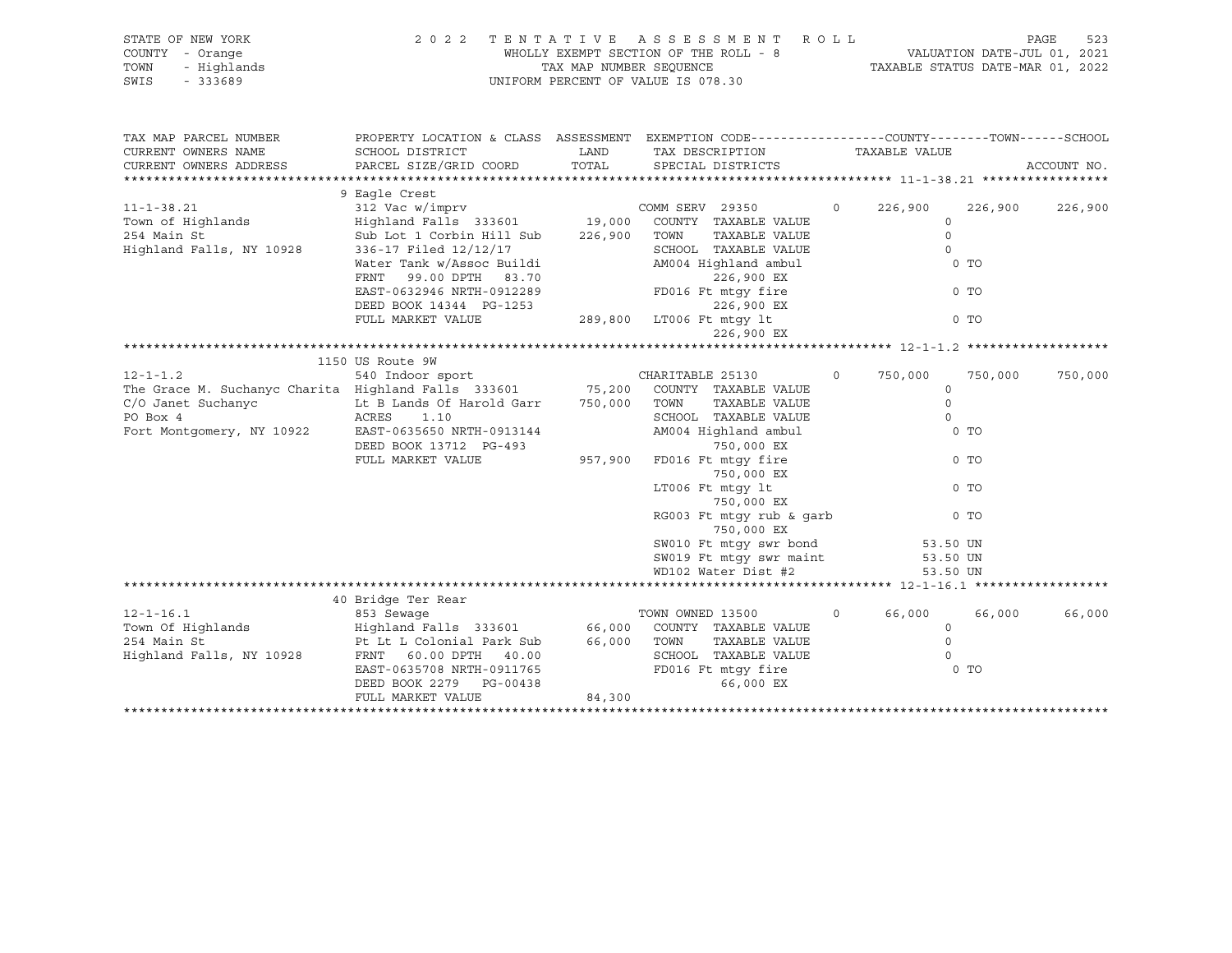| STATE OF NEW YORK<br>COUNTY - Orange<br>TOWN<br>- Highlands<br>$-333689$<br>SWIS                                                                                                                         |                                                                                                                                                                                                                                                                                   | TAX MAP NUMBER SEOUENCE | 2022 TENTATIVE ASSESSMENT ROLL<br>WHOLLY EXEMPT SECTION OF THE ROLL - 8 VALUATION DATE-JUL 01, 2021<br>UNIFORM PERCENT OF VALUE IS 078.30                                                                                                                                                                                                                                                                                                                                                                                                                                                                                                 |          | TAXABLE STATUS DATE-MAR 01, 2022                                                                                                                |         | PAGE<br>523 |
|----------------------------------------------------------------------------------------------------------------------------------------------------------------------------------------------------------|-----------------------------------------------------------------------------------------------------------------------------------------------------------------------------------------------------------------------------------------------------------------------------------|-------------------------|-------------------------------------------------------------------------------------------------------------------------------------------------------------------------------------------------------------------------------------------------------------------------------------------------------------------------------------------------------------------------------------------------------------------------------------------------------------------------------------------------------------------------------------------------------------------------------------------------------------------------------------------|----------|-------------------------------------------------------------------------------------------------------------------------------------------------|---------|-------------|
| TAX MAP PARCEL NUMBER<br>CURRENT OWNERS NAME<br>CURRENT OWNERS ADDRESS                                                                                                                                   | PROPERTY LOCATION & CLASS ASSESSMENT EXEMPTION CODE---------------COUNTY-------TOWN------SCHOOL<br>SCHOOL DISTRICT<br>PARCEL SIZE/GRID COORD                                                                                                                                      | LAND<br>TOTAL           | TAX DESCRIPTION<br>SPECIAL DISTRICTS                                                                                                                                                                                                                                                                                                                                                                                                                                                                                                                                                                                                      |          | TAXABLE VALUE                                                                                                                                   |         | ACCOUNT NO. |
| $11 - 1 - 38.21$<br>Town of Highlands<br>254 Main St<br>Highland Falls, NY 10928                                                                                                                         | 9 Eagle Crest<br>312 Vac w/imprv<br>Highland Falls 333601 19,000 COUNTY TAXABLE VALUE<br>Sub Lot 1 Corbin Hill Sub<br>336-17 Filed 12/12/17<br>Water Tank w/Assoc Buildi<br>99.00 DPTH 83.70<br>FRNT<br>EAST-0632946 NRTH-0912289<br>DEED BOOK 14344 PG-1253<br>FULL MARKET VALUE | 226,900                 | COMM SERV 29350<br>TOWN<br>TAXABLE VALUE<br>SCHOOL TAXABLE VALUE<br>AM004 Highland ambul<br>226,900 EX<br>FD016 Ft mtqy fire<br>226,900 EX<br>$\frac{1}{2}$ -1253 $\frac{289}{1000}$ , 1289, 289, 280 LT006 Ft mtgy lt<br>226,900 EX                                                                                                                                                                                                                                                                                                                                                                                                      | $\Omega$ | 226,900<br>$\Omega$<br>$\circ$<br>$\Omega$<br>0 <sub>T</sub><br>0 <sub>T</sub><br>0 <sub>T</sub>                                                | 226,900 | 226,900     |
|                                                                                                                                                                                                          | 1150 US Route 9W                                                                                                                                                                                                                                                                  |                         |                                                                                                                                                                                                                                                                                                                                                                                                                                                                                                                                                                                                                                           |          |                                                                                                                                                 |         |             |
| $12 - 1 - 1.2$<br>The Grace M. Suchanyc Charita Highland Falls 333601 75,200 COUNTY TAXABLE VALUE<br>C/O Janet Suchanyc<br>ACRES 1.10<br>PO Box 4<br>Fort Montgomery, NY 10922 EAST-0635650 NRTH-0913144 | 540 Indoor sport<br>Lt B Lands Of Harold Garr 750,000<br>DEED BOOK 13712 PG-493<br>FULL MARKET VALUE                                                                                                                                                                              | 957,900                 | CHARITABLE 25130<br>$\overline{0}$ and $\overline{0}$ and $\overline{0}$ and $\overline{0}$ and $\overline{0}$ and $\overline{0}$ and $\overline{0}$ and $\overline{0}$ and $\overline{0}$ and $\overline{0}$ and $\overline{0}$ and $\overline{0}$ and $\overline{0}$ and $\overline{0}$ and $\overline{0}$ and $\overline{0}$ and $\overline{0}$ and<br>TOWN<br>TAXABLE VALUE<br>SCHOOL TAXABLE VALUE<br>AM004 Highland ambul<br>750,000 EX<br>FD016 Ft mtqy fire<br>750,000 EX<br>LT006 Ft mtqy lt<br>750,000 EX<br>RG003 Ft mtgy rub & garb<br>750,000 EX<br>SW010 Ft mtgy swr bond<br>SW019 Ft mtgy swr maint<br>WD102 Water Dist #2 |          | 750,000<br>$\Omega$<br>$\Omega$<br>$\Omega$<br>0 <sub>T</sub><br>$0$ TO<br>0 <sub>T</sub><br>0 <sub>T</sub><br>53.50 UN<br>53.50 UN<br>53.50 UN | 750,000 | 750,000     |
|                                                                                                                                                                                                          | 40 Bridge Ter Rear                                                                                                                                                                                                                                                                |                         |                                                                                                                                                                                                                                                                                                                                                                                                                                                                                                                                                                                                                                           |          |                                                                                                                                                 |         |             |

| $12 - 1 - 16.1$          | 853 Sewage                |        | TOWN OWNED 13500 |                    | 66,000 | 66,000 | 66,000 |
|--------------------------|---------------------------|--------|------------------|--------------------|--------|--------|--------|
| Town Of Highlands        | Highland Falls 333601     | 66,000 | COUNTY           | TAXABLE VALUE      |        |        |        |
| 254 Main St              | Pt Lt L Colonial Park Sub | 66,000 | TOWN             | TAXABLE VALUE      |        |        |        |
| Highland Falls, NY 10928 | 40.00<br>FRNT 60.00 DPTH  |        | SCHOOL           | TAXABLE VALUE      |        |        |        |
|                          | EAST-0635708 NRTH-0911765 |        |                  | FD016 Ft mtqy fire |        | $0$ TO |        |
|                          | DEED BOOK 2279 PG-00438   |        |                  | 66,000 EX          |        |        |        |
|                          | FULL MARKET VALUE         | 84,300 |                  |                    |        |        |        |
|                          |                           |        |                  |                    |        |        |        |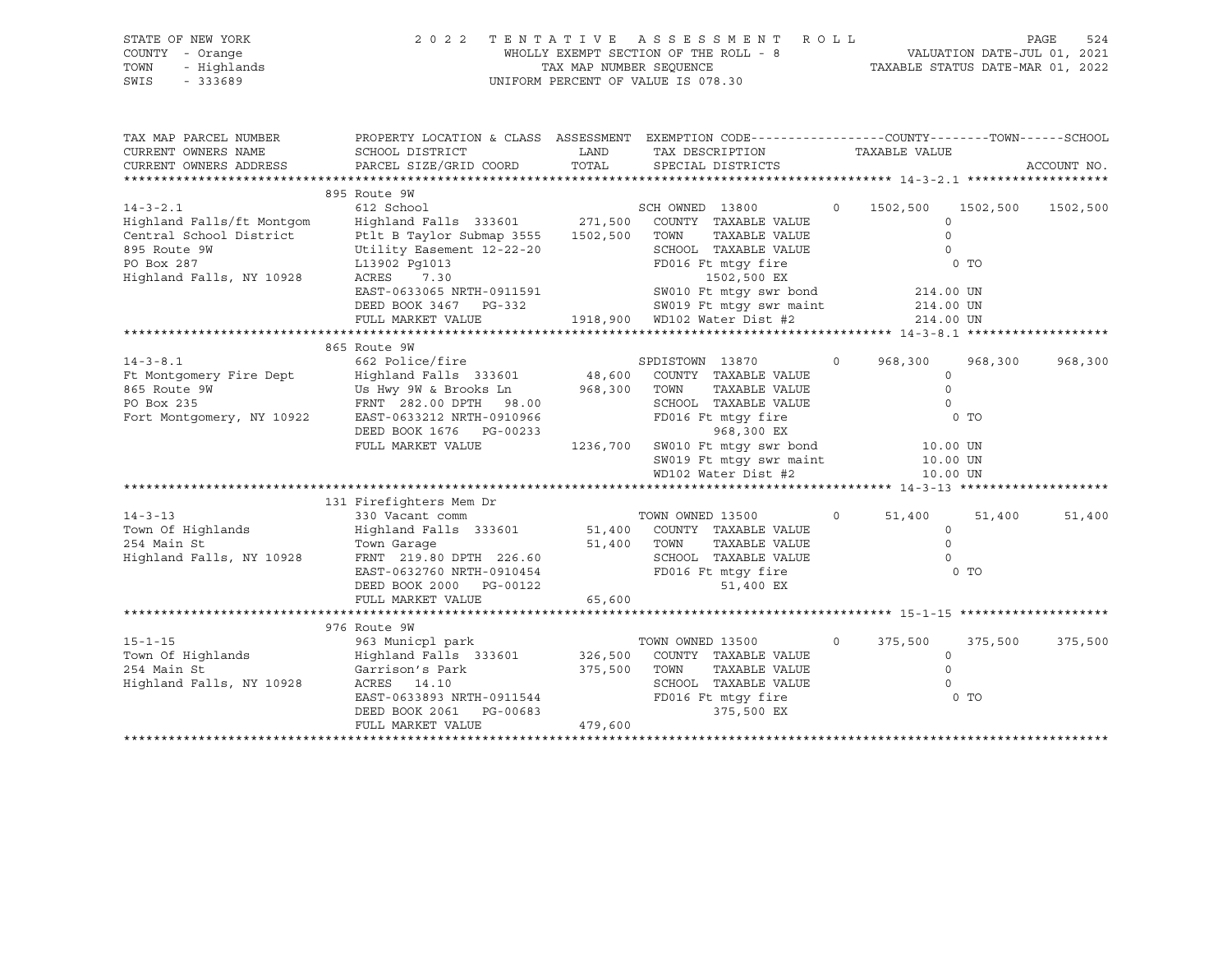| STATE OF NEW YORK<br>COUNTY<br>- Orange<br>- Highlands<br>TOWN<br>SWIS<br>$-333689$ | 2 0 2 2                                                                | WHOLLY EXEMPT SECTION OF THE ROLL - 8<br>TAX MAP NUMBER SEOUENCE<br>UNIFORM PERCENT OF VALUE IS 078.30 | TENTATIVE ASSESSMENT ROLL                                                                            |          | TAXABLE STATUS DATE-MAR 01, 2022 | PAGE<br>524<br>VALUATION DATE-JUL 01, 2021 |
|-------------------------------------------------------------------------------------|------------------------------------------------------------------------|--------------------------------------------------------------------------------------------------------|------------------------------------------------------------------------------------------------------|----------|----------------------------------|--------------------------------------------|
| TAX MAP PARCEL NUMBER<br>CURRENT OWNERS NAME<br>CURRENT OWNERS ADDRESS              | PROPERTY LOCATION & CLASS<br>SCHOOL DISTRICT<br>PARCEL SIZE/GRID COORD | ASSESSMENT<br>LAND<br>TOTAL                                                                            | EXEMPTION CODE-----------------COUNTY-------TOWN------SCHOOL<br>TAX DESCRIPTION<br>SPECIAL DISTRICTS |          | TAXABLE VALUE                    | ACCOUNT NO.                                |
|                                                                                     | 895 Route 9W                                                           |                                                                                                        |                                                                                                      |          |                                  |                                            |
| $14 - 3 - 2.1$                                                                      | 612 School                                                             | SCH OWNED                                                                                              | 13800                                                                                                | $\Omega$ | 1502,500<br>1502,500             | 1502,500                                   |
| Highland Falls/ft Montgom                                                           | Highland Falls 333601 271,500                                          |                                                                                                        | COUNTY<br>TAXABLE VALUE                                                                              |          | $\Omega$                         |                                            |
| Central School District                                                             | Ptlt B Taylor Submap 3555                                              | 1502,500<br>TOWN                                                                                       | TAXABLE VALUE                                                                                        |          |                                  |                                            |
| 895 Route 9W                                                                        | Utility Easement 12-22-20                                              |                                                                                                        | SCHOOL<br>TAXABLE VALUE                                                                              |          |                                  |                                            |
| PO Box 287                                                                          | L13902 Pg1013                                                          |                                                                                                        | FD016 Ft mtqy fire                                                                                   |          | $0$ TO                           |                                            |

\*\*\*\*\*\*\*\*\*\*\*\*\*\*\*\*\*\*\*\*\*\*\*\*\*\*\*\*\*\*\*\*\*\*\*\*\*\*\*\*\*\*\*\*\*\*\*\*\*\*\*\*\*\*\*\*\*\*\*\*\*\*\*\*\*\*\*\*\*\*\*\*\*\*\*\*\*\*\*\*\*\*\*\*\*\*\*\*\*\*\*\*\*\*\*\*\*\*\*\*\*\*\* 14-3-8.1 \*\*\*\*\*\*\*\*\*\*\*\*\*\*\*\*\*\*\*

14-3-8.1 662 Police/fire SPDISTOWN 13870 0 968,300 968,300 968,300

\*\*\*\*\*\*\*\*\*\*\*\*\*\*\*\*\*\*\*\*\*\*\*\*\*\*\*\*\*\*\*\*\*\*\*\*\*\*\*\*\*\*\*\*\*\*\*\*\*\*\*\*\*\*\*\*\*\*\*\*\*\*\*\*\*\*\*\*\*\*\*\*\*\*\*\*\*\*\*\*\*\*\*\*\*\*\*\*\*\*\*\*\*\*\*\*\*\*\*\*\*\*\* 14-3-13 \*\*\*\*\*\*\*\*\*\*\*\*\*\*\*\*\*\*\*\*

14-3-13 330 Vacant comm TOWN OWNED 13500 0 51,400 51,400 51,400

\*\*\*\*\*\*\*\*\*\*\*\*\*\*\*\*\*\*\*\*\*\*\*\*\*\*\*\*\*\*\*\*\*\*\*\*\*\*\*\*\*\*\*\*\*\*\*\*\*\*\*\*\*\*\*\*\*\*\*\*\*\*\*\*\*\*\*\*\*\*\*\*\*\*\*\*\*\*\*\*\*\*\*\*\*\*\*\*\*\*\*\*\*\*\*\*\*\*\*\*\*\*\* 15-1-15 \*\*\*\*\*\*\*\*\*\*\*\*\*\*\*\*\*\*\*\*

15-1-15 963 Municpl park TOWN OWNED 13500 0 375,500 375,500 375,500

\*\*\*\*\*\*\*\*\*\*\*\*\*\*\*\*\*\*\*\*\*\*\*\*\*\*\*\*\*\*\*\*\*\*\*\*\*\*\*\*\*\*\*\*\*\*\*\*\*\*\*\*\*\*\*\*\*\*\*\*\*\*\*\*\*\*\*\*\*\*\*\*\*\*\*\*\*\*\*\*\*\*\*\*\*\*\*\*\*\*\*\*\*\*\*\*\*\*\*\*\*\*\*\*\*\*\*\*\*\*\*\*\*\*\*\*\*\*\*\*\*\*\*\*\*\*\*\*\*\*\*\*

FULL MARKET VALUE 1918,900 WD102 Water Dist #2 214.00 UN

FULL MARKET VALUE 1236,700 SW010 Ft mtgy swr bond 10.00 UN

EAST-0633893 NRTH-0911544 FD016 Ft mtgy fire 0 TO

SW019 Ft mtqy swr maint 10.00 UN WD102 Water Dist #2 10.00 UN

 EAST-0633065 NRTH-0911591 SW010 Ft mtgy swr bond 214.00 UN DEED BOOK 3467 PG-332 SW019 Ft mtgy swr maint 214.00 UN

Ft Montgomery Fire Dept Highland Falls 333601 48,600 COUNTY TAXABLE VALUE 0 865 Route 9W Us Hwy 9W & Brooks Ln 968,300 TOWN TAXABLE VALUE 0 - PO Box 235 FRNT 282.00 DPTH 98.00<br>PO Box 235 FRNT 282.00 DPTH 98.00 SCHOOL TAXABLE VALUE 0<br>PO Box 235 FRNT 282.00 DPTH 98.00 SCHOOL TAXABLE VALUE 0<br>Fort Montgomery, NY 10922 EAST-0633212 NRTH-0910966 FD016 Ft mtgy fire 0 Fort Montgomery, NY 10922 EAST-0633212 NRTH-0910966 FD016 Ft mtgy fire 0 TO DEED BOOK 1676 PG-00233 968,300 EX

Town Of Highlands Highland Falls 333601 51,400 COUNTY TAXABLE VALUE 0 254 Main St Town Garage 51,400 TOWN TAXABLE VALUE 0 Highland Falls, NY 10928 FRNT 219.80 DPTH 226.60 SCHOOL TAXABLE VALUE 0 EAST-0632760 NRTH-0910454 FD016 Ft mtgy fire 0 TO

Town Of Highlands Highland Falls 333601 326,500 COUNTY TAXABLE VALUE 0 254 Main St<br>
254 Main St Garrison's Park 375,500 TOWN TAXABLE VALUE 0<br>
375,500 TOWN TAXABLE VALUE 0 Highland Falls, NY 10928 ACRES 14.10 SCHOOL TAXABLE VALUE 0

DEED BOOK 2061 PG-00683 375,500 EX

Highland Falls, NY 10928 ACRES 7.30 1502,500 EX

131 Firefighters Mem Dr

DEED BOOK 2000 PG-00122 51,400 EX

FULL MARKET VALUE 65,600

FULL MARKET VALUE 479,600

865 Route 9W

976 Route 9W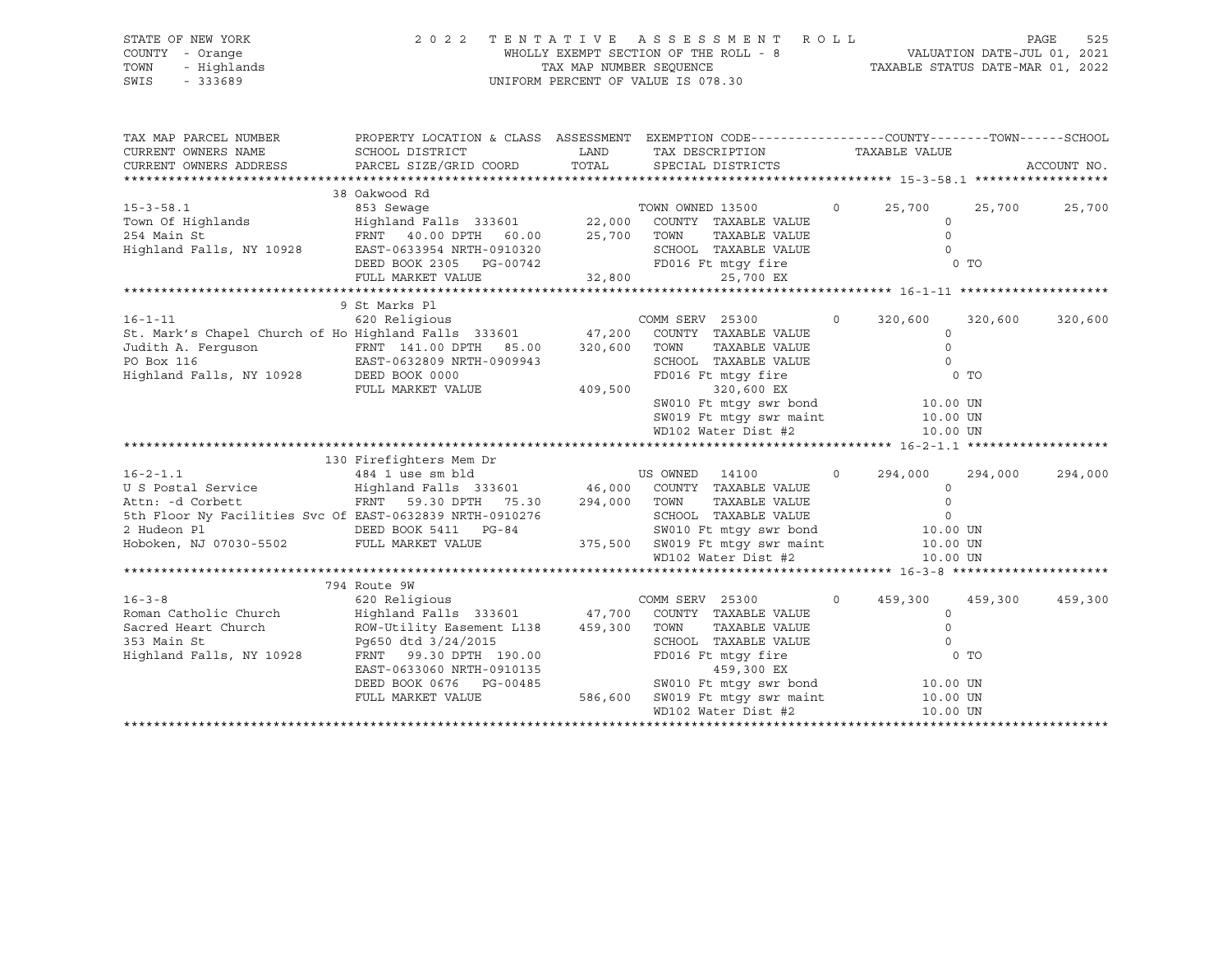#### STATE OF NEW YORK 2 0 2 2 T E N T A T I V E A S S E S S M E N T R O L L PAGE 525 COUNTY - Orange WHOLLY EXEMPT SECTION OF THE ROLL - 8 VALUATION DATE-JUL 01, 2021 TOWN - Highlands TAX MAP NUMBER SEQUENCE TAXABLE STATUS DATE-MAR 01, 2022 SWIS - 333689 UNIFORM PERCENT OF VALUE IS 078.30

| TAX MAP PARCEL NUMBER<br>CURRENT OWNERS NAME                                                                                                                                                                                           | PROPERTY LOCATION & CLASS ASSESSMENT EXEMPTION CODE---------------COUNTY-------TOWN------SCHOOL<br>SCHOOL DISTRICT | LAND | LAND TAX DESCRIPTION<br>TOTAL SPECIAL DISTRICTS                                  |         |                                   |         | ACCOUNT NO. |
|----------------------------------------------------------------------------------------------------------------------------------------------------------------------------------------------------------------------------------------|--------------------------------------------------------------------------------------------------------------------|------|----------------------------------------------------------------------------------|---------|-----------------------------------|---------|-------------|
|                                                                                                                                                                                                                                        | 38 Oakwood Rd                                                                                                      |      |                                                                                  |         |                                   |         |             |
|                                                                                                                                                                                                                                        |                                                                                                                    |      |                                                                                  | $\circ$ | 25,700                            | 25,700  | 25,700      |
|                                                                                                                                                                                                                                        |                                                                                                                    |      |                                                                                  |         | $\Omega$                          |         |             |
|                                                                                                                                                                                                                                        |                                                                                                                    |      | TAXABLE VALUE                                                                    |         | $\Omega$                          |         |             |
|                                                                                                                                                                                                                                        |                                                                                                                    |      |                                                                                  |         | $\overline{0}$                    |         |             |
|                                                                                                                                                                                                                                        |                                                                                                                    |      |                                                                                  |         | 0 <sub>T</sub>                    |         |             |
| 15-3-58.1 as a sewage common of Highlands<br>22,000 COUNTY TAXABLE VALUE<br>254 Main St FRNT 40.00 DPTH 60.00 25,700 TOWN TAXABLE VALUE<br>254 Main St FRNT 40.00 DPTH 60.00 25,700 TOWN TAXABLE VALUE<br>25,700 EXEST-0633954 NRTH-09 |                                                                                                                    |      |                                                                                  |         |                                   |         |             |
|                                                                                                                                                                                                                                        |                                                                                                                    |      |                                                                                  |         |                                   |         |             |
|                                                                                                                                                                                                                                        | 9 St Marks Pl                                                                                                      |      |                                                                                  |         |                                   |         |             |
|                                                                                                                                                                                                                                        |                                                                                                                    |      |                                                                                  | $\circ$ | 320,600                           | 320,600 | 320,600     |
|                                                                                                                                                                                                                                        |                                                                                                                    |      |                                                                                  |         | $\circ$                           |         |             |
|                                                                                                                                                                                                                                        |                                                                                                                    |      | TOWN<br>TAXABLE VALUE                                                            |         | $\Omega$                          |         |             |
|                                                                                                                                                                                                                                        |                                                                                                                    |      | SCHOOL TAXABLE VALUE                                                             |         | $\overline{0}$                    |         |             |
| Judith A. Ferguson<br>PO Box 116<br>Highland Falls, NY 10928<br>PO BOX 116<br>ERST-0632809 NRTH-0909943<br>DEED BOOK 0000<br>PUIL MARKET VALUE                                                                                         |                                                                                                                    |      | FD016 Ft mtqy fire                                                               |         |                                   | $0$ TO  |             |
|                                                                                                                                                                                                                                        | FULL MARKET VALUE 409,500                                                                                          |      | 320,600 EX                                                                       |         |                                   |         |             |
|                                                                                                                                                                                                                                        |                                                                                                                    |      | SW010 Ft mtgy swr bond 10.00 UN                                                  |         |                                   |         |             |
|                                                                                                                                                                                                                                        |                                                                                                                    |      |                                                                                  |         | 10.00 UN                          |         |             |
|                                                                                                                                                                                                                                        |                                                                                                                    |      | SW019 Ft mtgy swr maint<br>WD102 Water Dist #2                                   |         | 10.00 UN                          |         |             |
|                                                                                                                                                                                                                                        |                                                                                                                    |      |                                                                                  |         |                                   |         |             |
|                                                                                                                                                                                                                                        | 130 Firefighters Mem Dr                                                                                            |      |                                                                                  |         |                                   |         |             |
|                                                                                                                                                                                                                                        |                                                                                                                    |      |                                                                                  |         | 294,000                           | 294,000 | 294,000     |
|                                                                                                                                                                                                                                        |                                                                                                                    |      |                                                                                  |         | $\circ$                           |         |             |
| Attn: -d Corbett <b>ERNT</b> 59.30 DPTH 75.30 294,000 TOWN                                                                                                                                                                             |                                                                                                                    |      | TAXABLE VALUE                                                                    |         | $\Omega$                          |         |             |
|                                                                                                                                                                                                                                        |                                                                                                                    |      |                                                                                  |         |                                   |         |             |
|                                                                                                                                                                                                                                        |                                                                                                                    |      |                                                                                  |         |                                   |         |             |
|                                                                                                                                                                                                                                        |                                                                                                                    |      |                                                                                  |         |                                   |         |             |
|                                                                                                                                                                                                                                        |                                                                                                                    |      | WD102 Water Dist #2                                                              |         | 10.00 UN                          |         |             |
|                                                                                                                                                                                                                                        |                                                                                                                    |      |                                                                                  |         |                                   |         |             |
|                                                                                                                                                                                                                                        |                                                                                                                    |      |                                                                                  |         |                                   |         |             |
|                                                                                                                                                                                                                                        | 794 Route 9W                                                                                                       |      | <b>COMM SERV 25300</b>                                                           |         |                                   |         |             |
| $16 - 3 - 8$                                                                                                                                                                                                                           | 620 Religious                                                                                                      |      |                                                                                  |         | $0 \qquad 459,300 \qquad 459,300$ |         | 459,300     |
| Roman Catholic Church                                                                                                                                                                                                                  | Highland Falls 333601 47,700 COUNTY TAXABLE VALUE                                                                  |      |                                                                                  |         | $\Omega$                          |         |             |
| Sacred Heart Church $ROW-Utility$ Easement L138 459,300<br>353 Main St $Pq650$ dtd $3/24/2015$                                                                                                                                         |                                                                                                                    |      | TOWN<br>TOWN      TAXABLE VALUE<br>SCHOOL   TAXABLE VALUE                        |         | $\circ$                           |         |             |
|                                                                                                                                                                                                                                        | Pq650 dtd 3/24/2015<br>FRNT 99.30 DPTH 190.00                                                                      |      |                                                                                  |         | $\Omega$                          |         |             |
| Highland Falls, NY 10928                                                                                                                                                                                                               |                                                                                                                    |      | FD016 Ft mtqy fire                                                               |         | $0$ TO                            |         |             |
|                                                                                                                                                                                                                                        | EAST-0633060 NRTH-0910135                                                                                          |      | 459,300 EX                                                                       |         |                                   |         |             |
|                                                                                                                                                                                                                                        | DEED BOOK 0676 PG-00485                                                                                            |      | 0485 SW010 Ft mtgy swr bond 10.00 UN<br>586,600 SW019 Ft mtgy swr maint 10.00 UN |         |                                   |         |             |
|                                                                                                                                                                                                                                        | FULL MARKET VALUE                                                                                                  |      |                                                                                  |         |                                   |         |             |
|                                                                                                                                                                                                                                        |                                                                                                                    |      | WD102 Water Dist #2                                                              |         | 10.00 UN                          |         |             |
|                                                                                                                                                                                                                                        |                                                                                                                    |      |                                                                                  |         |                                   |         |             |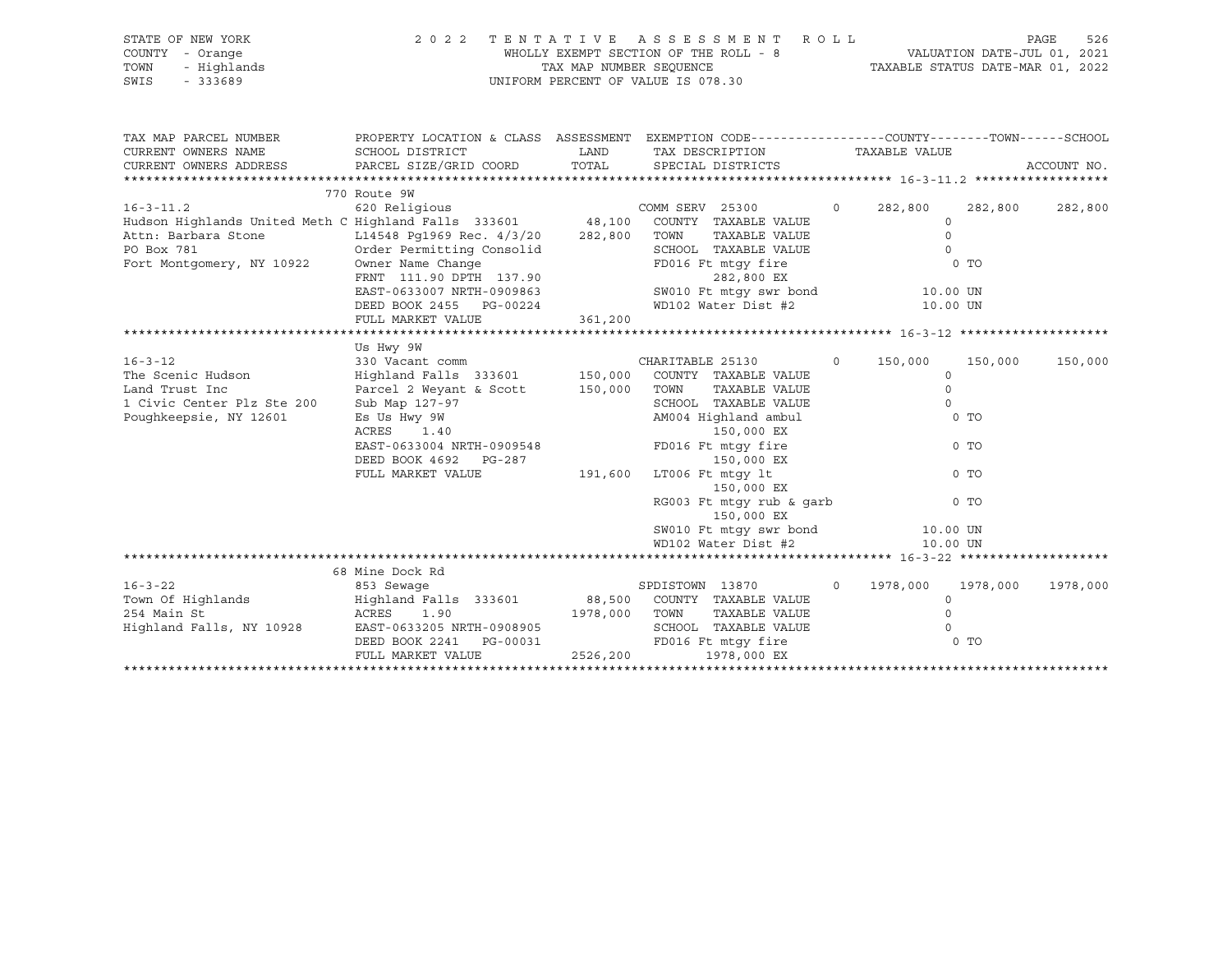| STATE OF NEW YORK | 2022 TENTATIVE ASSESSMENT ROLL        | PAGE                             | 526 |
|-------------------|---------------------------------------|----------------------------------|-----|
| COUNTY - Orange   | WHOLLY EXEMPT SECTION OF THE ROLL - 8 | VALUATION DATE-JUL 01, 2021      |     |
| TOWN - Highlands  | TAX MAP NUMBER SEOUENCE               | TAXABLE STATUS DATE-MAR 01, 2022 |     |
| SWIS - 333689     | UNIFORM PERCENT OF VALUE IS 078.30    |                                  |     |

| CURRENT OWNERS NAME SCHOOL DISTRICT THE LAND TAX DESCRIPTION TAXABLE VALUE<br>CURRENT OWNERS ADDRESS PARCEL SIZE/GRID COORD TOTAL SPECIAL DISTRICTS<br>ACCOUNT NO.<br>770 Route 9W<br>620 Religious COMM SERV 25300 0 282,800<br>$16 - 3 - 11.2$<br>282,800 282,800<br>Hudson Highlands United Meth C Highland Falls 333601 48,100 COUNTY TAXABLE VALUE<br>$\Omega$<br>L14548 Pg1969 Rec. 4/3/20 282,800 TOWN<br>TAXABLE VALUE<br>Attn: Barbara Stone<br>$\Omega$<br>Order Permitting Consolid<br>SCHOOL TAXABLE VALUE<br>PO Box 781<br>$\Omega$<br>Fort Montgomery, NY 10922<br>0 Where Name Change (137.90 FD016 Ft mtgy fire the property of TO<br>FRNT 111.90 DPTH 137.90 282,800 EX<br>EAST-0633007 NRTH-0909863 SW010 Ft mtgy swr bond 10.00 UN<br>TRISLEY SW010 Ft mtgy swr bond 10.00 UN<br>DEED BOOK 2455 PG-00224<br>WD102 Water Dist #2<br>10.00 UN<br>361,200<br>FULL MARKET VALUE<br>Us Hwy 9W<br>16-3-12<br>330 Vacant comm<br>330 Vacant comm<br>Highland Falls 333601 150,000 COUNTY TAXABLE VALUE 150,000 COUNTY ARABLE VALUE<br>150,000<br>150,000<br>TAXABLE VALUE<br>Parcel 2 Weyant & Scott 150,000<br>TOWN<br>Land Trust Inc<br>$\circ$<br>SCHOOL TAXABLE VALUE<br>AM004 Highland ambul<br>1 Civic Center Plz Ste 200 Sub Map 127-97<br>$\Omega$<br>Poughkeepsie, NY 12601<br>Es Us Hwy 9W<br>0 TO<br>ACRES 1.40<br>EAST-0633004 NRTH-0909548<br>ACRES<br>150,000 EX<br>FD016 Ft mtgy fire<br>0 <sub>T</sub><br>DEED BOOK 4692 PG-287<br>FULL MARKET VALUE 191,600<br>150,000 EX<br>LT006 Ft mtqy lt<br>$0$ TO<br>150,000 EX<br>RG003 Ft mtgy rub & garb<br>0 <sub>T</sub><br>150,000 EX<br>SW010 Ft mtgy swr bond 10.00 UN<br>WD102 Water Dist #2 10.00 UN<br>68 Mine Dock Rd<br>$16 - 3 - 22$<br>853 Sewage<br>SPDISTOWN 13870<br>$0\qquad 1978,000\qquad 1978,000$<br>1978,000<br>$\circ$<br>ACRES 1.90<br>1978,000 TOWN TAXABLE VALUE<br>254 Main St<br>$\Omega$<br>Highland Falls, NY 10928 EAST-0633205 NRTH-0908905<br>SCHOOL TAXABLE VALUE<br>$\Omega$<br>FD016 Ft mtgy fire<br>DEED BOOK 2241 PG-00031<br>0 <sub>T</sub><br>2526,200 1978,000 EX<br>FULL MARKET VALUE | TAX MAP PARCEL NUMBER | PROPERTY LOCATION & CLASS ASSESSMENT EXEMPTION CODE----------------COUNTY-------TOWN------SCHOOL |  |  |  |
|------------------------------------------------------------------------------------------------------------------------------------------------------------------------------------------------------------------------------------------------------------------------------------------------------------------------------------------------------------------------------------------------------------------------------------------------------------------------------------------------------------------------------------------------------------------------------------------------------------------------------------------------------------------------------------------------------------------------------------------------------------------------------------------------------------------------------------------------------------------------------------------------------------------------------------------------------------------------------------------------------------------------------------------------------------------------------------------------------------------------------------------------------------------------------------------------------------------------------------------------------------------------------------------------------------------------------------------------------------------------------------------------------------------------------------------------------------------------------------------------------------------------------------------------------------------------------------------------------------------------------------------------------------------------------------------------------------------------------------------------------------------------------------------------------------------------------------------------------------------------------------------------------------------------------------------------------------------------------------------------------------------------------------------------------------------------------------------------------|-----------------------|--------------------------------------------------------------------------------------------------|--|--|--|
|                                                                                                                                                                                                                                                                                                                                                                                                                                                                                                                                                                                                                                                                                                                                                                                                                                                                                                                                                                                                                                                                                                                                                                                                                                                                                                                                                                                                                                                                                                                                                                                                                                                                                                                                                                                                                                                                                                                                                                                                                                                                                                      |                       |                                                                                                  |  |  |  |
|                                                                                                                                                                                                                                                                                                                                                                                                                                                                                                                                                                                                                                                                                                                                                                                                                                                                                                                                                                                                                                                                                                                                                                                                                                                                                                                                                                                                                                                                                                                                                                                                                                                                                                                                                                                                                                                                                                                                                                                                                                                                                                      |                       |                                                                                                  |  |  |  |
|                                                                                                                                                                                                                                                                                                                                                                                                                                                                                                                                                                                                                                                                                                                                                                                                                                                                                                                                                                                                                                                                                                                                                                                                                                                                                                                                                                                                                                                                                                                                                                                                                                                                                                                                                                                                                                                                                                                                                                                                                                                                                                      |                       |                                                                                                  |  |  |  |
|                                                                                                                                                                                                                                                                                                                                                                                                                                                                                                                                                                                                                                                                                                                                                                                                                                                                                                                                                                                                                                                                                                                                                                                                                                                                                                                                                                                                                                                                                                                                                                                                                                                                                                                                                                                                                                                                                                                                                                                                                                                                                                      |                       |                                                                                                  |  |  |  |
|                                                                                                                                                                                                                                                                                                                                                                                                                                                                                                                                                                                                                                                                                                                                                                                                                                                                                                                                                                                                                                                                                                                                                                                                                                                                                                                                                                                                                                                                                                                                                                                                                                                                                                                                                                                                                                                                                                                                                                                                                                                                                                      |                       |                                                                                                  |  |  |  |
|                                                                                                                                                                                                                                                                                                                                                                                                                                                                                                                                                                                                                                                                                                                                                                                                                                                                                                                                                                                                                                                                                                                                                                                                                                                                                                                                                                                                                                                                                                                                                                                                                                                                                                                                                                                                                                                                                                                                                                                                                                                                                                      |                       |                                                                                                  |  |  |  |
|                                                                                                                                                                                                                                                                                                                                                                                                                                                                                                                                                                                                                                                                                                                                                                                                                                                                                                                                                                                                                                                                                                                                                                                                                                                                                                                                                                                                                                                                                                                                                                                                                                                                                                                                                                                                                                                                                                                                                                                                                                                                                                      |                       |                                                                                                  |  |  |  |
|                                                                                                                                                                                                                                                                                                                                                                                                                                                                                                                                                                                                                                                                                                                                                                                                                                                                                                                                                                                                                                                                                                                                                                                                                                                                                                                                                                                                                                                                                                                                                                                                                                                                                                                                                                                                                                                                                                                                                                                                                                                                                                      |                       |                                                                                                  |  |  |  |
|                                                                                                                                                                                                                                                                                                                                                                                                                                                                                                                                                                                                                                                                                                                                                                                                                                                                                                                                                                                                                                                                                                                                                                                                                                                                                                                                                                                                                                                                                                                                                                                                                                                                                                                                                                                                                                                                                                                                                                                                                                                                                                      |                       |                                                                                                  |  |  |  |
|                                                                                                                                                                                                                                                                                                                                                                                                                                                                                                                                                                                                                                                                                                                                                                                                                                                                                                                                                                                                                                                                                                                                                                                                                                                                                                                                                                                                                                                                                                                                                                                                                                                                                                                                                                                                                                                                                                                                                                                                                                                                                                      |                       |                                                                                                  |  |  |  |
|                                                                                                                                                                                                                                                                                                                                                                                                                                                                                                                                                                                                                                                                                                                                                                                                                                                                                                                                                                                                                                                                                                                                                                                                                                                                                                                                                                                                                                                                                                                                                                                                                                                                                                                                                                                                                                                                                                                                                                                                                                                                                                      |                       |                                                                                                  |  |  |  |
|                                                                                                                                                                                                                                                                                                                                                                                                                                                                                                                                                                                                                                                                                                                                                                                                                                                                                                                                                                                                                                                                                                                                                                                                                                                                                                                                                                                                                                                                                                                                                                                                                                                                                                                                                                                                                                                                                                                                                                                                                                                                                                      |                       |                                                                                                  |  |  |  |
|                                                                                                                                                                                                                                                                                                                                                                                                                                                                                                                                                                                                                                                                                                                                                                                                                                                                                                                                                                                                                                                                                                                                                                                                                                                                                                                                                                                                                                                                                                                                                                                                                                                                                                                                                                                                                                                                                                                                                                                                                                                                                                      |                       |                                                                                                  |  |  |  |
|                                                                                                                                                                                                                                                                                                                                                                                                                                                                                                                                                                                                                                                                                                                                                                                                                                                                                                                                                                                                                                                                                                                                                                                                                                                                                                                                                                                                                                                                                                                                                                                                                                                                                                                                                                                                                                                                                                                                                                                                                                                                                                      |                       |                                                                                                  |  |  |  |
|                                                                                                                                                                                                                                                                                                                                                                                                                                                                                                                                                                                                                                                                                                                                                                                                                                                                                                                                                                                                                                                                                                                                                                                                                                                                                                                                                                                                                                                                                                                                                                                                                                                                                                                                                                                                                                                                                                                                                                                                                                                                                                      |                       |                                                                                                  |  |  |  |
|                                                                                                                                                                                                                                                                                                                                                                                                                                                                                                                                                                                                                                                                                                                                                                                                                                                                                                                                                                                                                                                                                                                                                                                                                                                                                                                                                                                                                                                                                                                                                                                                                                                                                                                                                                                                                                                                                                                                                                                                                                                                                                      |                       |                                                                                                  |  |  |  |
|                                                                                                                                                                                                                                                                                                                                                                                                                                                                                                                                                                                                                                                                                                                                                                                                                                                                                                                                                                                                                                                                                                                                                                                                                                                                                                                                                                                                                                                                                                                                                                                                                                                                                                                                                                                                                                                                                                                                                                                                                                                                                                      |                       |                                                                                                  |  |  |  |
|                                                                                                                                                                                                                                                                                                                                                                                                                                                                                                                                                                                                                                                                                                                                                                                                                                                                                                                                                                                                                                                                                                                                                                                                                                                                                                                                                                                                                                                                                                                                                                                                                                                                                                                                                                                                                                                                                                                                                                                                                                                                                                      |                       |                                                                                                  |  |  |  |
|                                                                                                                                                                                                                                                                                                                                                                                                                                                                                                                                                                                                                                                                                                                                                                                                                                                                                                                                                                                                                                                                                                                                                                                                                                                                                                                                                                                                                                                                                                                                                                                                                                                                                                                                                                                                                                                                                                                                                                                                                                                                                                      |                       |                                                                                                  |  |  |  |
|                                                                                                                                                                                                                                                                                                                                                                                                                                                                                                                                                                                                                                                                                                                                                                                                                                                                                                                                                                                                                                                                                                                                                                                                                                                                                                                                                                                                                                                                                                                                                                                                                                                                                                                                                                                                                                                                                                                                                                                                                                                                                                      |                       |                                                                                                  |  |  |  |
|                                                                                                                                                                                                                                                                                                                                                                                                                                                                                                                                                                                                                                                                                                                                                                                                                                                                                                                                                                                                                                                                                                                                                                                                                                                                                                                                                                                                                                                                                                                                                                                                                                                                                                                                                                                                                                                                                                                                                                                                                                                                                                      |                       |                                                                                                  |  |  |  |
|                                                                                                                                                                                                                                                                                                                                                                                                                                                                                                                                                                                                                                                                                                                                                                                                                                                                                                                                                                                                                                                                                                                                                                                                                                                                                                                                                                                                                                                                                                                                                                                                                                                                                                                                                                                                                                                                                                                                                                                                                                                                                                      |                       |                                                                                                  |  |  |  |
|                                                                                                                                                                                                                                                                                                                                                                                                                                                                                                                                                                                                                                                                                                                                                                                                                                                                                                                                                                                                                                                                                                                                                                                                                                                                                                                                                                                                                                                                                                                                                                                                                                                                                                                                                                                                                                                                                                                                                                                                                                                                                                      |                       |                                                                                                  |  |  |  |
|                                                                                                                                                                                                                                                                                                                                                                                                                                                                                                                                                                                                                                                                                                                                                                                                                                                                                                                                                                                                                                                                                                                                                                                                                                                                                                                                                                                                                                                                                                                                                                                                                                                                                                                                                                                                                                                                                                                                                                                                                                                                                                      |                       |                                                                                                  |  |  |  |
|                                                                                                                                                                                                                                                                                                                                                                                                                                                                                                                                                                                                                                                                                                                                                                                                                                                                                                                                                                                                                                                                                                                                                                                                                                                                                                                                                                                                                                                                                                                                                                                                                                                                                                                                                                                                                                                                                                                                                                                                                                                                                                      |                       |                                                                                                  |  |  |  |
|                                                                                                                                                                                                                                                                                                                                                                                                                                                                                                                                                                                                                                                                                                                                                                                                                                                                                                                                                                                                                                                                                                                                                                                                                                                                                                                                                                                                                                                                                                                                                                                                                                                                                                                                                                                                                                                                                                                                                                                                                                                                                                      |                       |                                                                                                  |  |  |  |
|                                                                                                                                                                                                                                                                                                                                                                                                                                                                                                                                                                                                                                                                                                                                                                                                                                                                                                                                                                                                                                                                                                                                                                                                                                                                                                                                                                                                                                                                                                                                                                                                                                                                                                                                                                                                                                                                                                                                                                                                                                                                                                      |                       |                                                                                                  |  |  |  |
|                                                                                                                                                                                                                                                                                                                                                                                                                                                                                                                                                                                                                                                                                                                                                                                                                                                                                                                                                                                                                                                                                                                                                                                                                                                                                                                                                                                                                                                                                                                                                                                                                                                                                                                                                                                                                                                                                                                                                                                                                                                                                                      |                       |                                                                                                  |  |  |  |
|                                                                                                                                                                                                                                                                                                                                                                                                                                                                                                                                                                                                                                                                                                                                                                                                                                                                                                                                                                                                                                                                                                                                                                                                                                                                                                                                                                                                                                                                                                                                                                                                                                                                                                                                                                                                                                                                                                                                                                                                                                                                                                      |                       |                                                                                                  |  |  |  |
|                                                                                                                                                                                                                                                                                                                                                                                                                                                                                                                                                                                                                                                                                                                                                                                                                                                                                                                                                                                                                                                                                                                                                                                                                                                                                                                                                                                                                                                                                                                                                                                                                                                                                                                                                                                                                                                                                                                                                                                                                                                                                                      |                       |                                                                                                  |  |  |  |
|                                                                                                                                                                                                                                                                                                                                                                                                                                                                                                                                                                                                                                                                                                                                                                                                                                                                                                                                                                                                                                                                                                                                                                                                                                                                                                                                                                                                                                                                                                                                                                                                                                                                                                                                                                                                                                                                                                                                                                                                                                                                                                      |                       |                                                                                                  |  |  |  |
|                                                                                                                                                                                                                                                                                                                                                                                                                                                                                                                                                                                                                                                                                                                                                                                                                                                                                                                                                                                                                                                                                                                                                                                                                                                                                                                                                                                                                                                                                                                                                                                                                                                                                                                                                                                                                                                                                                                                                                                                                                                                                                      |                       |                                                                                                  |  |  |  |
|                                                                                                                                                                                                                                                                                                                                                                                                                                                                                                                                                                                                                                                                                                                                                                                                                                                                                                                                                                                                                                                                                                                                                                                                                                                                                                                                                                                                                                                                                                                                                                                                                                                                                                                                                                                                                                                                                                                                                                                                                                                                                                      |                       |                                                                                                  |  |  |  |
|                                                                                                                                                                                                                                                                                                                                                                                                                                                                                                                                                                                                                                                                                                                                                                                                                                                                                                                                                                                                                                                                                                                                                                                                                                                                                                                                                                                                                                                                                                                                                                                                                                                                                                                                                                                                                                                                                                                                                                                                                                                                                                      |                       |                                                                                                  |  |  |  |
|                                                                                                                                                                                                                                                                                                                                                                                                                                                                                                                                                                                                                                                                                                                                                                                                                                                                                                                                                                                                                                                                                                                                                                                                                                                                                                                                                                                                                                                                                                                                                                                                                                                                                                                                                                                                                                                                                                                                                                                                                                                                                                      |                       |                                                                                                  |  |  |  |
|                                                                                                                                                                                                                                                                                                                                                                                                                                                                                                                                                                                                                                                                                                                                                                                                                                                                                                                                                                                                                                                                                                                                                                                                                                                                                                                                                                                                                                                                                                                                                                                                                                                                                                                                                                                                                                                                                                                                                                                                                                                                                                      |                       |                                                                                                  |  |  |  |
|                                                                                                                                                                                                                                                                                                                                                                                                                                                                                                                                                                                                                                                                                                                                                                                                                                                                                                                                                                                                                                                                                                                                                                                                                                                                                                                                                                                                                                                                                                                                                                                                                                                                                                                                                                                                                                                                                                                                                                                                                                                                                                      |                       |                                                                                                  |  |  |  |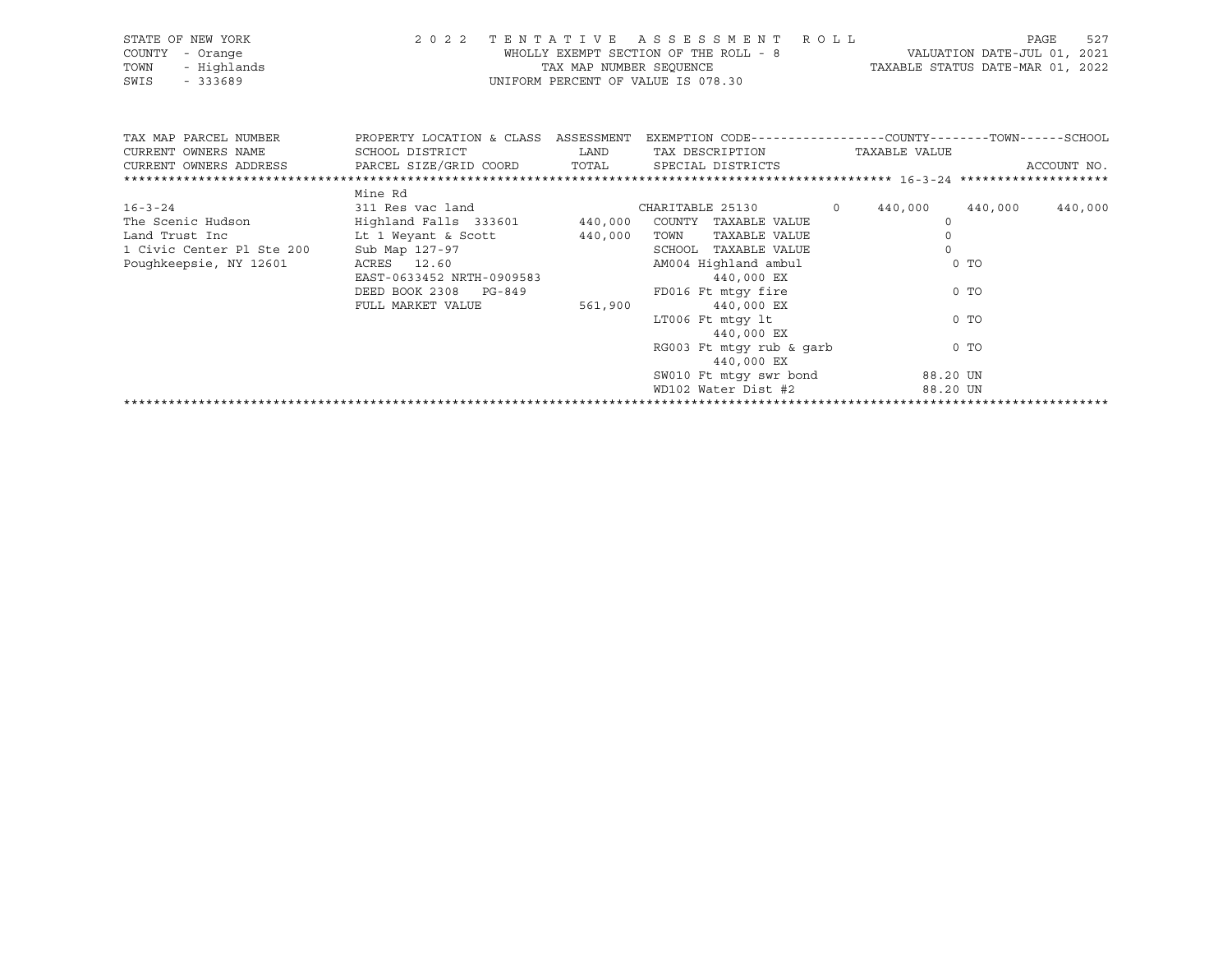|                 | STATE OF NEW YORK | 2022 TENTATIVE ASSESSMENT ROLL        |                                  | PAGE | 527 |
|-----------------|-------------------|---------------------------------------|----------------------------------|------|-----|
| COUNTY - Orange |                   | WHOLLY EXEMPT SECTION OF THE ROLL - 8 | VALUATION DATE-JUL 01, 2021      |      |     |
| TOWN            | - Highlands       | TAX MAP NUMBER SEOUENCE               | TAXABLE STATUS DATE-MAR 01, 2022 |      |     |
| SWIS            | $-333689$         | UNIFORM PERCENT OF VALUE IS 078.30    |                                  |      |     |
|                 |                   |                                       |                                  |      |     |

| TAX MAP PARCEL NUMBER<br>CURRENT OWNERS NAME                         | EXEMPTION CODE-----------------COUNTY-------TOWN------SCHOOL<br>PROPERTY LOCATION & CLASS ASSESSMENT<br>SCHOOL DISTRICT LAND<br>TAX DESCRIPTION |                                                                                   |                                 | TAXABLE VALUE |          |         |             |
|----------------------------------------------------------------------|-------------------------------------------------------------------------------------------------------------------------------------------------|-----------------------------------------------------------------------------------|---------------------------------|---------------|----------|---------|-------------|
|                                                                      |                                                                                                                                                 | CURRENT OWNERS ADDRESS     PARCEL SIZE/GRID COORD     TOTAL     SPECIAL DISTRICTS |                                 |               |          |         | ACCOUNT NO. |
|                                                                      |                                                                                                                                                 |                                                                                   |                                 |               |          |         |             |
|                                                                      | Mine Rd                                                                                                                                         |                                                                                   |                                 |               |          |         |             |
| $16 - 3 - 24$                                                        | 311 Res vac land CHARITABLE 25130 0 440,000                                                                                                     |                                                                                   |                                 |               |          | 440,000 | 440,000     |
| The Scenic Hudson Mighland Falls 333601 440,000 COUNTY TAXABLE VALUE |                                                                                                                                                 |                                                                                   |                                 |               | $\Omega$ |         |             |
| Land Trust Inc                                                       | Lt 1 Weyant & Scott $440,000$                                                                                                                   |                                                                                   | TOWN TAXABLE VALUE              |               |          |         |             |
| 1 Civic Center Pl Ste 200                                            | Sub Map 127-97                                                                                                                                  |                                                                                   | SCHOOL TAXABLE VALUE            |               |          |         |             |
| ACRES 12.60<br>Poughkeepsie, NY 12601                                |                                                                                                                                                 | AM004 Highland ambul                                                              |                                 |               |          | $0$ TO  |             |
|                                                                      | EAST-0633452 NRTH-0909583                                                                                                                       |                                                                                   | 440,000 EX                      |               |          |         |             |
|                                                                      | DEED BOOK 2308 PG-849                                                                                                                           |                                                                                   | FD016 Ft mtqy fire              |               |          | 0 TO    |             |
|                                                                      | FULL MARKET VALUE                                                                                                                               | 561,900                                                                           | 440,000 EX                      |               |          |         |             |
|                                                                      |                                                                                                                                                 |                                                                                   | LT006 Ft mtqy lt                |               |          | $0$ TO  |             |
|                                                                      |                                                                                                                                                 |                                                                                   | 440,000 EX                      |               |          |         |             |
|                                                                      |                                                                                                                                                 |                                                                                   | RG003 Ft mtqy rub & qarb        |               |          | $0$ TO  |             |
|                                                                      |                                                                                                                                                 |                                                                                   | 440,000 EX                      |               |          |         |             |
|                                                                      |                                                                                                                                                 |                                                                                   | SW010 Ft mtqy swr bond 88.20 UN |               |          |         |             |
|                                                                      |                                                                                                                                                 |                                                                                   | WD102 Water Dist #2 88.20 UN    |               |          |         |             |
|                                                                      |                                                                                                                                                 |                                                                                   |                                 |               |          |         |             |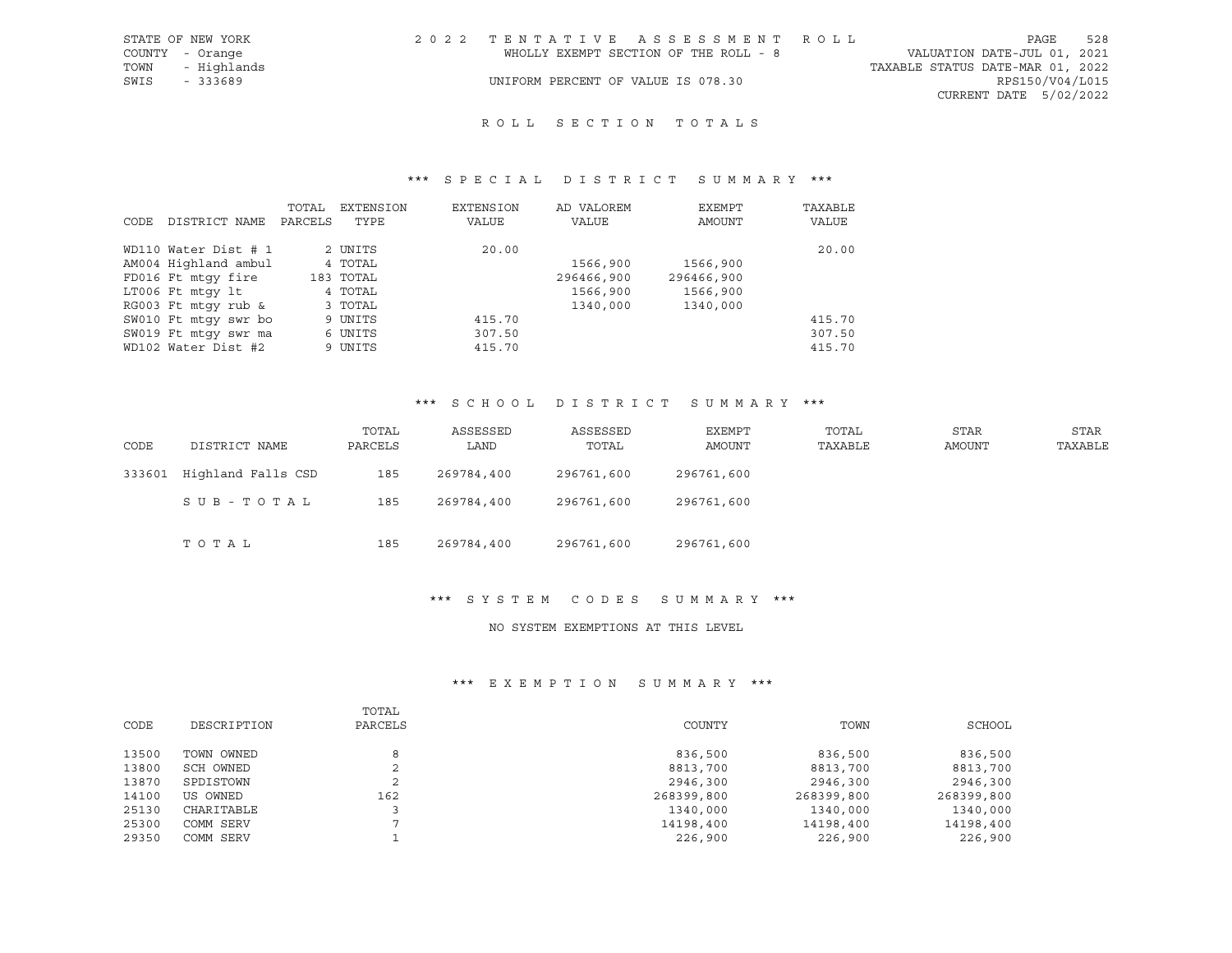|      | STATE OF NEW YORK | 2022 TENTATIVE ASSESSMENT ROLL        |  |  |                                  |                        | PAGE | 528 |
|------|-------------------|---------------------------------------|--|--|----------------------------------|------------------------|------|-----|
|      | COUNTY - Orange   | WHOLLY EXEMPT SECTION OF THE ROLL - 8 |  |  | VALUATION DATE-JUL 01, 2021      |                        |      |     |
|      | TOWN - Highlands  |                                       |  |  | TAXABLE STATUS DATE-MAR 01, 2022 |                        |      |     |
| SWIS | - 333689          | UNIFORM PERCENT OF VALUE IS 078.30    |  |  |                                  | RPS150/V04/L015        |      |     |
|      |                   |                                       |  |  |                                  | CURRENT DATE 5/02/2022 |      |     |

# ROLL SECTION TOTALS

## \*\*\* S P E C I A L D I S T R I C T S U M M A R Y \*\*\*

|      |                      | TOTAL   | EXTENSION | EXTENSION | AD VALOREM | EXEMPT     | TAXABLE |
|------|----------------------|---------|-----------|-----------|------------|------------|---------|
| CODE | DISTRICT NAME        | PARCELS | TYPE      | VALUE     | VALUE      | AMOUNT     | VALUE   |
|      |                      |         |           |           |            |            |         |
|      | WD110 Water Dist # 1 |         | 2 UNITS   | 20.00     |            |            | 20.00   |
|      | AM004 Highland ambul |         | 4 TOTAL   |           | 1566,900   | 1566,900   |         |
|      | FD016 Ft mtqy fire   |         | 183 TOTAL |           | 296466,900 | 296466,900 |         |
|      | LT006 Ft mtqy lt     |         | 4 TOTAL   |           | 1566,900   | 1566,900   |         |
|      | RG003 Ft mtqy rub &  |         | 3 TOTAL   |           | 1340,000   | 1340,000   |         |
|      | SW010 Ft mtqy swr bo |         | 9 UNITS   | 415.70    |            |            | 415.70  |
|      | SW019 Ft mtqy swr ma |         | 6 UNITS   | 307.50    |            |            | 307.50  |
|      | WD102 Water Dist #2  |         | 9 UNITS   | 415.70    |            |            | 415.70  |

#### \*\*\* S C H O O L D I S T R I C T S U M M A R Y \*\*\*

| CODE   | DISTRICT NAME      | TOTAL<br>PARCELS | ASSESSED<br>LAND | ASSESSED<br>TOTAL | EXEMPT<br>AMOUNT | TOTAL<br>TAXABLE | <b>STAR</b><br>AMOUNT | STAR<br>TAXABLE |
|--------|--------------------|------------------|------------------|-------------------|------------------|------------------|-----------------------|-----------------|
| 333601 | Highland Falls CSD | 185              | 269784,400       | 296761,600        | 296761,600       |                  |                       |                 |
|        | SUB-TOTAL          | 185              | 269784,400       | 296761,600        | 296761,600       |                  |                       |                 |
|        | TOTAL              | 185              | 269784,400       | 296761,600        | 296761,600       |                  |                       |                 |

\*\*\* S Y S T E M C O D E S S U M M A R Y \*\*\*

## NO SYSTEM EXEMPTIONS AT THIS LEVEL

|       |             | TOTAL       |            |            |            |
|-------|-------------|-------------|------------|------------|------------|
| CODE  | DESCRIPTION | PARCELS     | COUNTY     | TOWN       | SCHOOL     |
| 13500 | TOWN OWNED  |             | 836,500    | 836,500    | 836,500    |
| 13800 | SCH OWNED   | $\sim$<br>∠ | 8813,700   | 8813,700   | 8813,700   |
| 13870 | SPDISTOWN   | ∠           | 2946,300   | 2946,300   | 2946,300   |
| 14100 | US OWNED    | 162         | 268399,800 | 268399,800 | 268399,800 |
| 25130 | CHARITABLE  |             | 1340,000   | 1340,000   | 1340,000   |
| 25300 | COMM SERV   |             | 14198,400  | 14198,400  | 14198,400  |
| 29350 | COMM SERV   |             | 226,900    | 226,900    | 226,900    |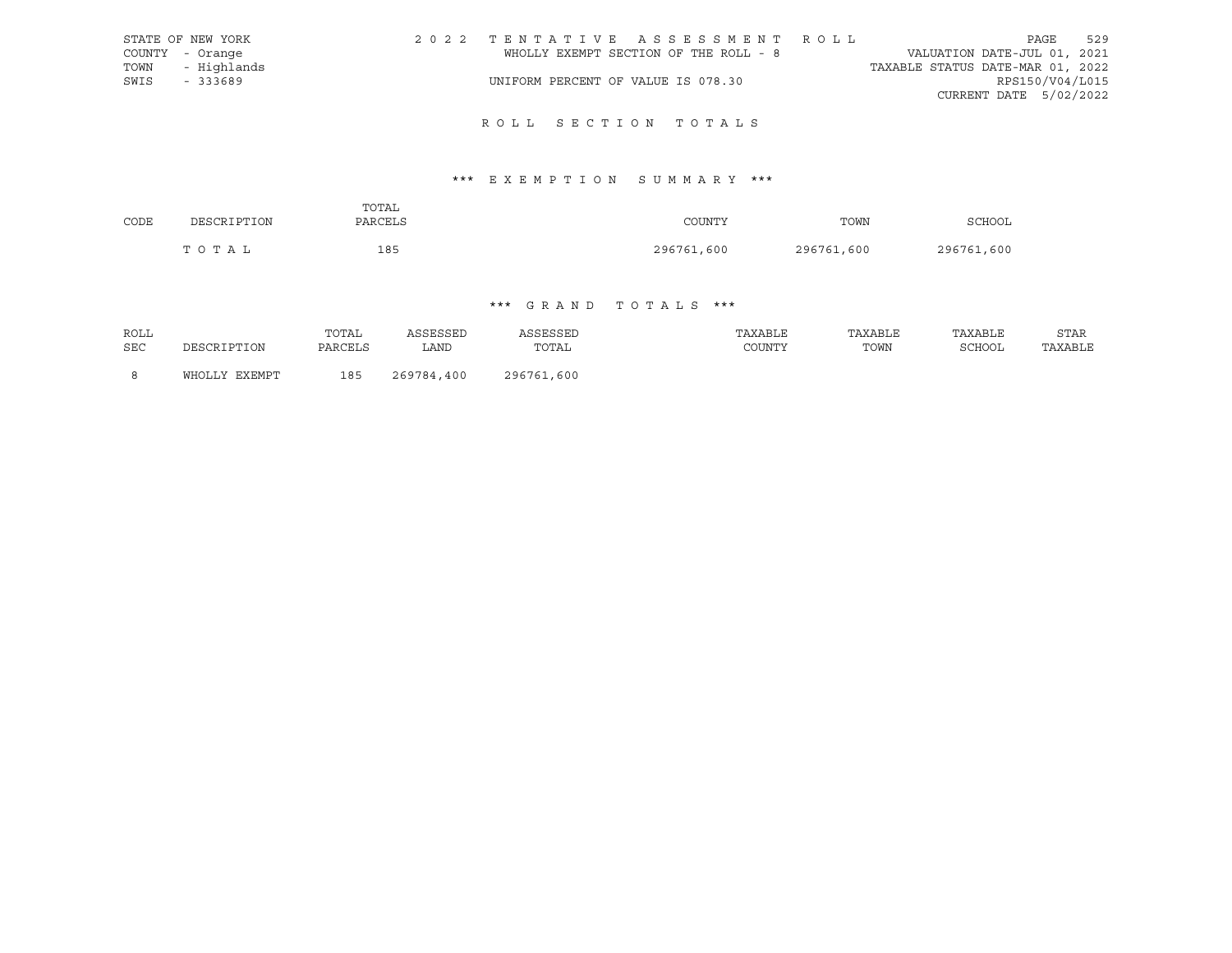|      | STATE OF NEW YORK | 2022 TENTATIVE ASSESSMENT ROLL        |  |  |                                  |                        | PAGE | 529 |
|------|-------------------|---------------------------------------|--|--|----------------------------------|------------------------|------|-----|
|      | COUNTY - Orange   | WHOLLY EXEMPT SECTION OF THE ROLL - 8 |  |  | VALUATION DATE-JUL 01, 2021      |                        |      |     |
|      | TOWN - Highlands  |                                       |  |  | TAXABLE STATUS DATE-MAR 01, 2022 |                        |      |     |
| SWIS | - 333689          | UNIFORM PERCENT OF VALUE IS 078.30    |  |  |                                  | RPS150/V04/L015        |      |     |
|      |                   |                                       |  |  |                                  | CURRENT DATE 5/02/2022 |      |     |
|      |                   |                                       |  |  |                                  |                        |      |     |

# R O L L S E C T I O N T O T A L S

# \*\*\* E X E M P T I O N S U M M A R Y \*\*\*

|      |             | TOTAL       |            |            |            |
|------|-------------|-------------|------------|------------|------------|
| CODE | DESCRIPTION | PARCELS     | COUNTY     | TOWN       | SCHOOL     |
|      | TOTAL       | 185<br>$ -$ | 296761,600 | 296761,600 | 296761,600 |

# \*\*\* G R A N D T O T A L S \*\*\*

| <b>ROLL</b> |               | TOTAL   | ASSESSED   | ASSESSED   | TAXABLE | TAXABLE | TAXABLE | STAR    |
|-------------|---------------|---------|------------|------------|---------|---------|---------|---------|
| <b>SEC</b>  | DESCRIPTION   | PARCELS | LAND       | TOTAL      | COUNTY  | TOWN    | SCHOOL  | TAXABLE |
|             |               |         |            |            |         |         |         |         |
| - 8         | WHOLLY EXEMPT | 185     | 269784,400 | 296761,600 |         |         |         |         |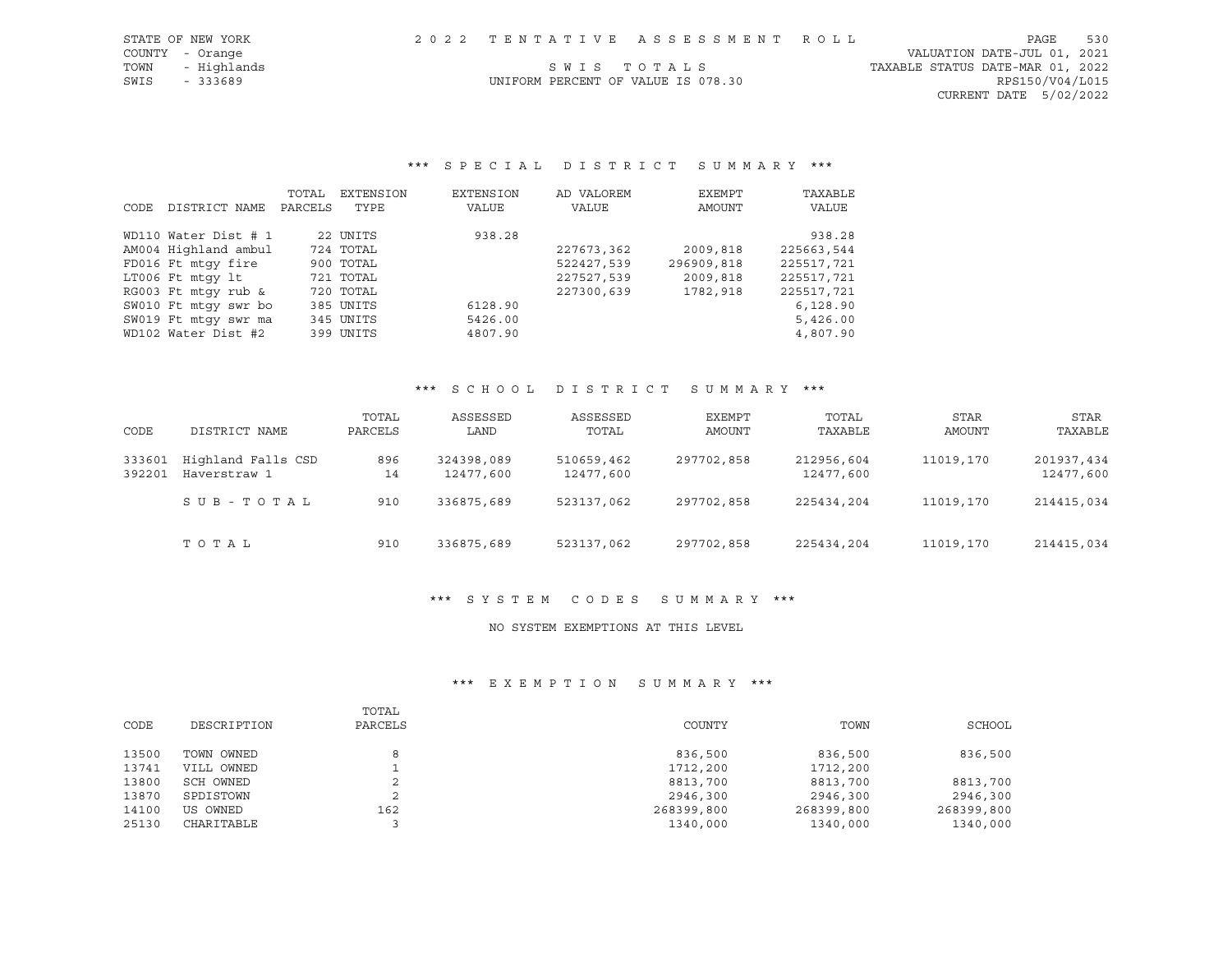|      | STATE OF NEW YORK |                                    | 2022 TENTATIVE ASSESSMENT ROLL |                                  | PAGE                        | 530 |
|------|-------------------|------------------------------------|--------------------------------|----------------------------------|-----------------------------|-----|
|      | COUNTY - Orange   |                                    |                                |                                  | VALUATION DATE-JUL 01, 2021 |     |
| TOWN | - Highlands       | SWIS TOTALS                        |                                | TAXABLE STATUS DATE-MAR 01, 2022 |                             |     |
| SWIS | - 333689          | UNIFORM PERCENT OF VALUE IS 078.30 |                                |                                  | RPS150/V04/L015             |     |
|      |                   |                                    |                                |                                  | $CURRENT$ DATE $5/02/2022$  |     |

# \*\*\* S P E C I A L D I S T R I C T S U M M A R Y \*\*\*

|      |                      | TOTAL   | EXTENSION | EXTENSION | AD VALOREM | EXEMPT     | TAXABLE    |
|------|----------------------|---------|-----------|-----------|------------|------------|------------|
| CODE | DISTRICT NAME        | PARCELS | TYPE      | VALUE     | VALUE      | AMOUNT     | VALUE      |
|      | WD110 Water Dist # 1 |         | 22 UNITS  | 938.28    |            |            | 938.28     |
|      | AM004 Highland ambul |         | 724 TOTAL |           | 227673,362 | 2009,818   | 225663,544 |
|      | FD016 Ft mtqy fire   |         | 900 TOTAL |           | 522427,539 | 296909,818 | 225517,721 |
|      | LT006 Ft mtqy lt     |         | 721 TOTAL |           | 227527,539 | 2009,818   | 225517,721 |
|      | RG003 Ft mtgy rub &  |         | 720 TOTAL |           | 227300,639 | 1782,918   | 225517,721 |
|      | SW010 Ft mtqy swr bo |         | 385 UNITS | 6128.90   |            |            | 6,128.90   |
|      | SW019 Ft mtqy swr ma |         | 345 UNITS | 5426.00   |            |            | 5,426.00   |
|      | WD102 Water Dist #2  |         | 399 UNITS | 4807.90   |            |            | 4,807.90   |

## \*\*\* S C H O O L D I S T R I C T S U M M A R Y \*\*\*

| CODE             | DISTRICT NAME                      | TOTAL<br>PARCELS | ASSESSED<br>LAND        | ASSESSED<br>TOTAL       | EXEMPT<br>AMOUNT | TOTAL<br>TAXABLE        | STAR<br>AMOUNT | STAR<br>TAXABLE         |
|------------------|------------------------------------|------------------|-------------------------|-------------------------|------------------|-------------------------|----------------|-------------------------|
| 333601<br>392201 | Highland Falls CSD<br>Haverstraw 1 | 896<br>14        | 324398,089<br>12477,600 | 510659,462<br>12477,600 | 297702,858       | 212956,604<br>12477,600 | 11019,170      | 201937,434<br>12477,600 |
|                  | SUB-TOTAL                          | 910              | 336875,689              | 523137,062              | 297702,858       | 225434,204              | 11019,170      | 214415,034              |
|                  | тотаь                              | 910              | 336875,689              | 523137,062              | 297702,858       | 225434,204              | 11019,170      | 214415,034              |

## \*\*\* S Y S T E M C O D E S S U M M A R Y \*\*\*

## NO SYSTEM EXEMPTIONS AT THIS LEVEL

|       |             | TOTAL       |            |            |            |
|-------|-------------|-------------|------------|------------|------------|
| CODE  | DESCRIPTION | PARCELS     | COUNTY     | TOWN       | SCHOOL     |
|       |             |             |            |            |            |
| 13500 | TOWN OWNED  | 8           | 836,500    | 836,500    | 836,500    |
| 13741 | VILL OWNED  |             | 1712,200   | 1712,200   |            |
| 13800 | SCH OWNED   | ∠           | 8813,700   | 8813,700   | 8813,700   |
| 13870 | SPDISTOWN   | $\sim$<br>∠ | 2946,300   | 2946,300   | 2946,300   |
| 14100 | US OWNED    | 162         | 268399,800 | 268399,800 | 268399,800 |
| 25130 | CHARITABLE  |             | 1340,000   | 1340,000   | 1340,000   |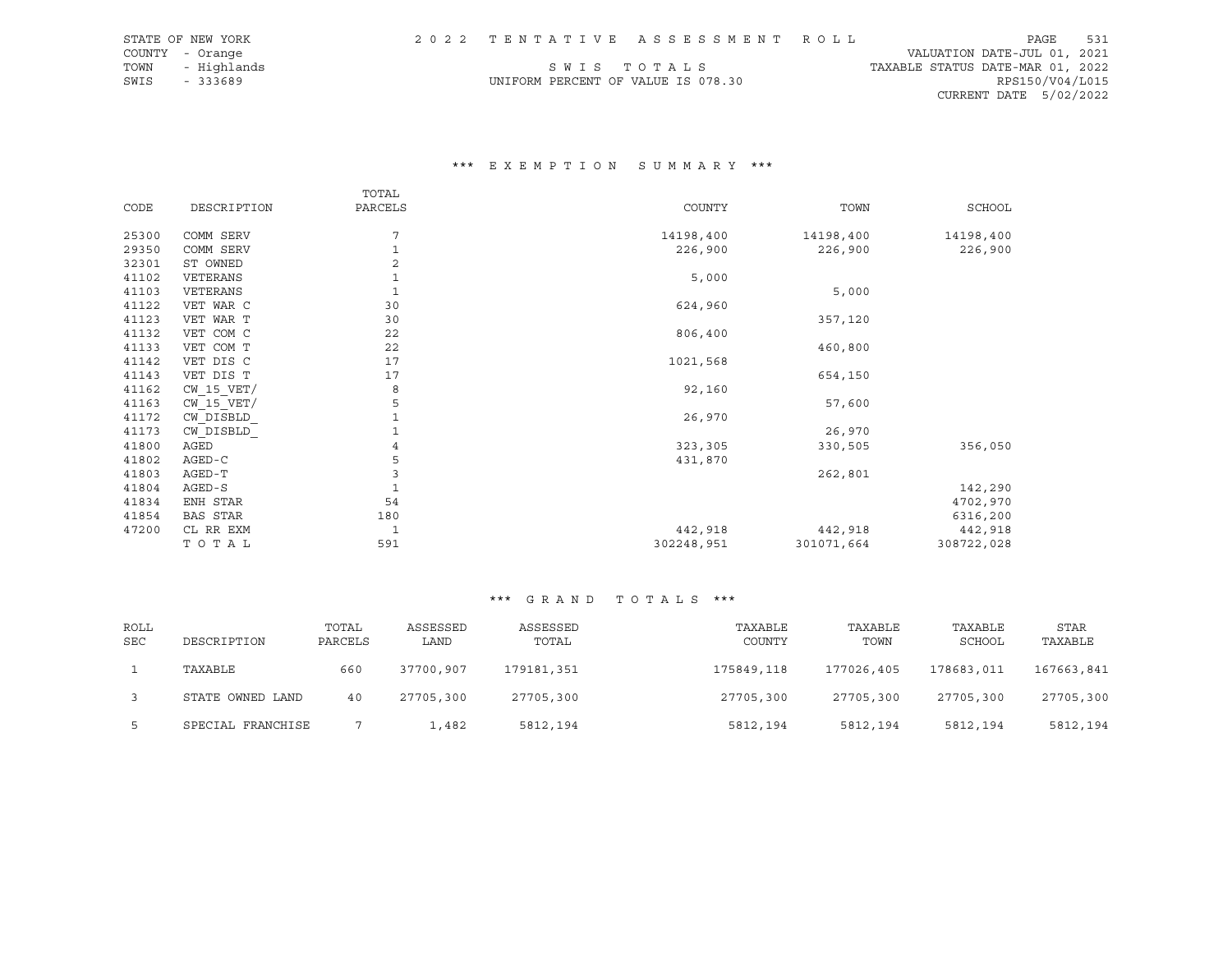|      | STATE OF NEW YORK |                                    | 2022 TENTATIVE ASSESSMENT ROLL |                                  | PAGE            | 531 |
|------|-------------------|------------------------------------|--------------------------------|----------------------------------|-----------------|-----|
|      | COUNTY - Orange   |                                    |                                | VALUATION DATE-JUL 01, 2021      |                 |     |
|      | TOWN - Highlands  |                                    | SWIS TOTALS                    | TAXABLE STATUS DATE-MAR 01, 2022 |                 |     |
| SWIS | - 333689          | UNIFORM PERCENT OF VALUE IS 078.30 |                                |                                  | RPS150/V04/L015 |     |
|      |                   |                                    |                                | CURRENT DATE 5/02/2022           |                 |     |

## \*\*\* E X E M P T I O N S U M M A R Y \*\*\*

|       |                | TOTAL          |            |            |               |
|-------|----------------|----------------|------------|------------|---------------|
| CODE  | DESCRIPTION    | PARCELS        | COUNTY     | TOWN       | <b>SCHOOL</b> |
|       |                |                |            |            |               |
| 25300 | COMM SERV      | 7              | 14198,400  | 14198,400  | 14198,400     |
| 29350 | COMM SERV      | 1              | 226,900    | 226,900    | 226,900       |
| 32301 | ST OWNED       | $\overline{c}$ |            |            |               |
| 41102 | VETERANS       | $1\,$          | 5,000      |            |               |
| 41103 | VETERANS       | $1\,$          |            | 5,000      |               |
| 41122 | VET WAR C      | 30             | 624,960    |            |               |
| 41123 | VET WAR T      | 30             |            | 357,120    |               |
| 41132 | VET COM C      | 22             | 806,400    |            |               |
| 41133 | VET COM T      | 22             |            | 460,800    |               |
| 41142 | VET DIS C      | 17             | 1021,568   |            |               |
| 41143 | VET DIS T      | 17             |            | 654,150    |               |
| 41162 | $CW$ 15 $VET/$ | 8              | 92,160     |            |               |
| 41163 | $CW$ 15 $VET/$ | 5              |            | 57,600     |               |
| 41172 | CW DISBLD      | $\mathbf 1$    | 26,970     |            |               |
| 41173 | CW DISBLD      | 1              |            | 26,970     |               |
| 41800 | AGED           | 4              | 323,305    | 330,505    | 356,050       |
| 41802 | $AGED-C$       | 5              | 431,870    |            |               |
| 41803 | AGED-T         | 3              |            | 262,801    |               |
| 41804 | AGED-S         | $\mathbf{1}$   |            |            | 142,290       |
| 41834 | ENH STAR       | 54             |            |            | 4702,970      |
| 41854 | BAS STAR       | 180            |            |            | 6316,200      |
| 47200 | CL RR EXM      | $\mathbf 1$    | 442,918    | 442,918    | 442,918       |
|       | TOTAL          | 591            | 302248,951 | 301071,664 | 308722,028    |

# \*\*\* G R A N D T O T A L S \*\*\*

| ROLL<br><b>SEC</b> | DESCRIPTION       | TOTAL<br>PARCELS | ASSESSED<br>LAND | ASSESSED<br>TOTAL | TAXABLE<br>COUNTY | TAXABLE<br>TOWN | TAXABLE<br>SCHOOL | <b>STAR</b><br>TAXABLE |
|--------------------|-------------------|------------------|------------------|-------------------|-------------------|-----------------|-------------------|------------------------|
|                    | TAXABLE           | 660              | 37700,907        | 179181,351        | 175849,118        | 177026,405      | 178683,011        | 167663,841             |
|                    | STATE OWNED LAND  | 40               | 27705,300        | 27705,300         | 27705,300         | 27705,300       | 27705,300         | 27705,300              |
|                    | SPECIAL FRANCHISE |                  | 1,482            | 5812,194          | 5812,194          | 5812,194        | 5812,194          | 5812,194               |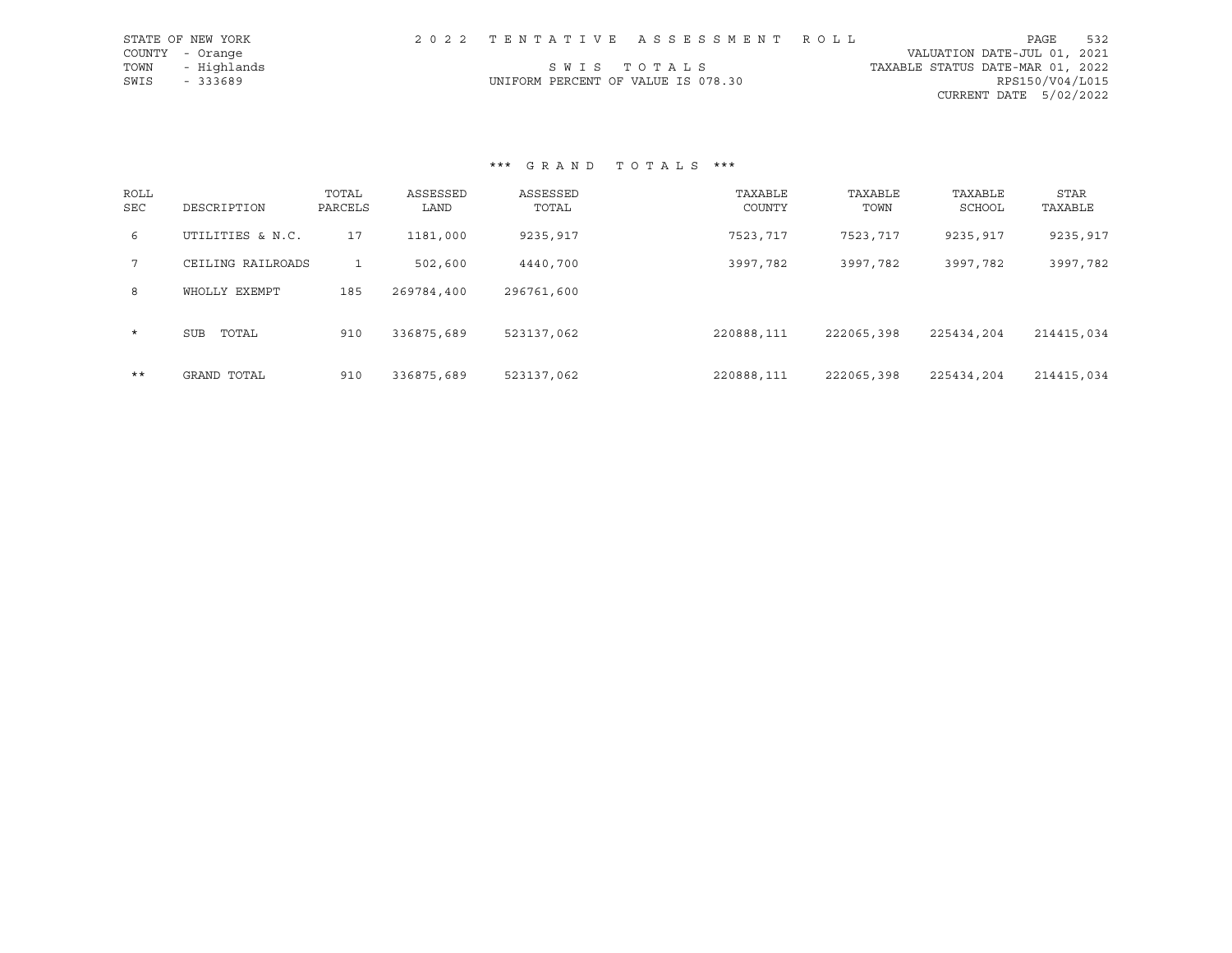| STATE OF NEW YORK |                                    | 2022 TENTATIVE ASSESSMENT ROLL |                                  | PAGE                   | 532 |
|-------------------|------------------------------------|--------------------------------|----------------------------------|------------------------|-----|
| COUNTY - Orange   |                                    |                                | VALUATION DATE-JUL 01, 2021      |                        |     |
| TOWN - Highlands  |                                    | SWIS TOTALS                    | TAXABLE STATUS DATE-MAR 01, 2022 |                        |     |
| SWIS<br>- 333689  | UNIFORM PERCENT OF VALUE IS 078.30 |                                |                                  | RPS150/V04/L015        |     |
|                   |                                    |                                |                                  | CURRENT DATE 5/02/2022 |     |

\*\*\* G R A N D T O T A L S \*\*\*

| ROLL<br><b>SEC</b> | DESCRIPTION       | TOTAL<br>PARCELS | ASSESSED<br>LAND | ASSESSED<br>TOTAL | TAXABLE<br>COUNTY | TAXABLE<br>TOWN | TAXABLE<br>SCHOOL | <b>STAR</b><br>TAXABLE |
|--------------------|-------------------|------------------|------------------|-------------------|-------------------|-----------------|-------------------|------------------------|
| 6                  | UTILITIES & N.C.  | 17               | 1181,000         | 9235,917          | 7523,717          | 7523,717        | 9235,917          | 9235,917               |
| $7\overline{ }$    | CEILING RAILROADS |                  | 502,600          | 4440,700          | 3997,782          | 3997,782        | 3997,782          | 3997,782               |
| 8                  | WHOLLY EXEMPT     | 185              | 269784,400       | 296761,600        |                   |                 |                   |                        |
| $\star$            | TOTAL<br>SUB      | 910              | 336875,689       | 523137,062        | 220888,111        | 222065,398      | 225434,204        | 214415,034             |
| $***$              | GRAND TOTAL       | 910              | 336875,689       | 523137,062        | 220888,111        | 222065,398      | 225434,204        | 214415,034             |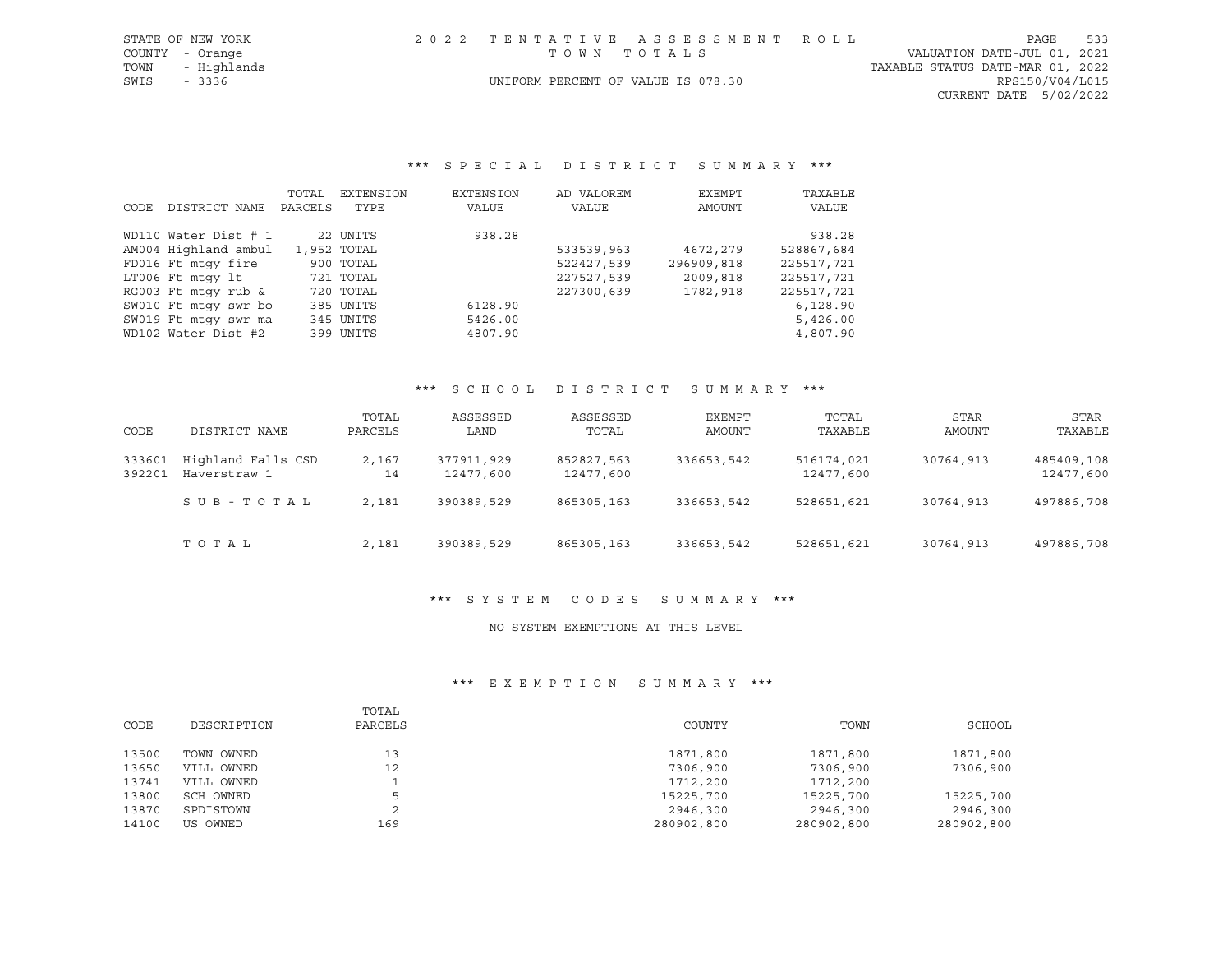| STATE OF NEW YORK | 2022 TENTATIVE ASSESSMENT ROLL     | PAGE                             | 533 |
|-------------------|------------------------------------|----------------------------------|-----|
| COUNTY - Orange   | TOWN TOTALS                        | VALUATION DATE-JUL 01, 2021      |     |
| TOWN - Highlands  |                                    | TAXABLE STATUS DATE-MAR 01, 2022 |     |
| SWIS - 3336       | UNIFORM PERCENT OF VALUE IS 078.30 | RPS150/V04/L015                  |     |
|                   |                                    | CURRENT DATE 5/02/2022           |     |

#### \*\*\* S P E C I A L D I S T R I C T S U M M A R Y \*\*\*

|      |                      | TOTAL   | EXTENSION   | EXTENSION | AD VALOREM | EXEMPT     | TAXABLE    |
|------|----------------------|---------|-------------|-----------|------------|------------|------------|
| CODE | DISTRICT NAME        | PARCELS | TYPE        | VALUE     | VALUE      | AMOUNT     | VALUE      |
|      | WD110 Water Dist # 1 |         | 22 UNITS    | 938.28    |            |            | 938.28     |
|      | AM004 Highland ambul |         | 1,952 TOTAL |           | 533539,963 | 4672,279   | 528867,684 |
|      | FD016 Ft mtqy fire   |         | 900 TOTAL   |           | 522427,539 | 296909,818 | 225517,721 |
|      | LT006 Ft mtqy lt     |         | 721 TOTAL   |           | 227527,539 | 2009,818   | 225517,721 |
|      | RG003 Ft mtqy rub &  |         | 720 TOTAL   |           | 227300,639 | 1782,918   | 225517,721 |
|      | SW010 Ft mtqy swr bo |         | 385 UNITS   | 6128.90   |            |            | 6,128.90   |
|      | SW019 Ft mtqy swr ma |         | 345 UNITS   | 5426.00   |            |            | 5,426.00   |
|      | WD102 Water Dist #2  |         | 399 UNITS   | 4807.90   |            |            | 4,807.90   |

## \*\*\* S C H O O L D I S T R I C T S U M M A R Y \*\*\*

| CODE             | DISTRICT NAME                      | TOTAL<br>PARCELS | ASSESSED<br>LAND        | ASSESSED<br>TOTAL       | EXEMPT<br>AMOUNT | TOTAL<br>TAXABLE        | STAR<br>AMOUNT | STAR<br>TAXABLE         |
|------------------|------------------------------------|------------------|-------------------------|-------------------------|------------------|-------------------------|----------------|-------------------------|
| 333601<br>392201 | Highland Falls CSD<br>Haverstraw 1 | 2,167<br>14      | 377911,929<br>12477,600 | 852827,563<br>12477,600 | 336653,542       | 516174,021<br>12477,600 | 30764,913      | 485409,108<br>12477,600 |
|                  | SUB-TOTAL                          | 2,181            | 390389,529              | 865305,163              | 336653,542       | 528651,621              | 30764,913      | 497886,708              |
|                  | TOTAL                              | 2,181            | 390389,529              | 865305,163              | 336653,542       | 528651,621              | 30764,913      | 497886,708              |

#### \*\*\* S Y S T E M C O D E S S U M M A R Y \*\*\*

## NO SYSTEM EXEMPTIONS AT THIS LEVEL

|       |             | TOTAL   |            |            |            |
|-------|-------------|---------|------------|------------|------------|
| CODE  | DESCRIPTION | PARCELS | COUNTY     | TOWN       | SCHOOL     |
|       |             |         |            |            |            |
| 13500 | TOWN OWNED  | 13      | 1871,800   | 1871,800   | 1871,800   |
| 13650 | VILL OWNED  | 12      | 7306,900   | 7306,900   | 7306,900   |
| 13741 | VILL OWNED  |         | 1712,200   | 1712,200   |            |
| 13800 | SCH OWNED   |         | 15225,700  | 15225,700  | 15225,700  |
| 13870 | SPDISTOWN   |         | 2946,300   | 2946,300   | 2946,300   |
| 14100 | US OWNED    | 169     | 280902,800 | 280902,800 | 280902,800 |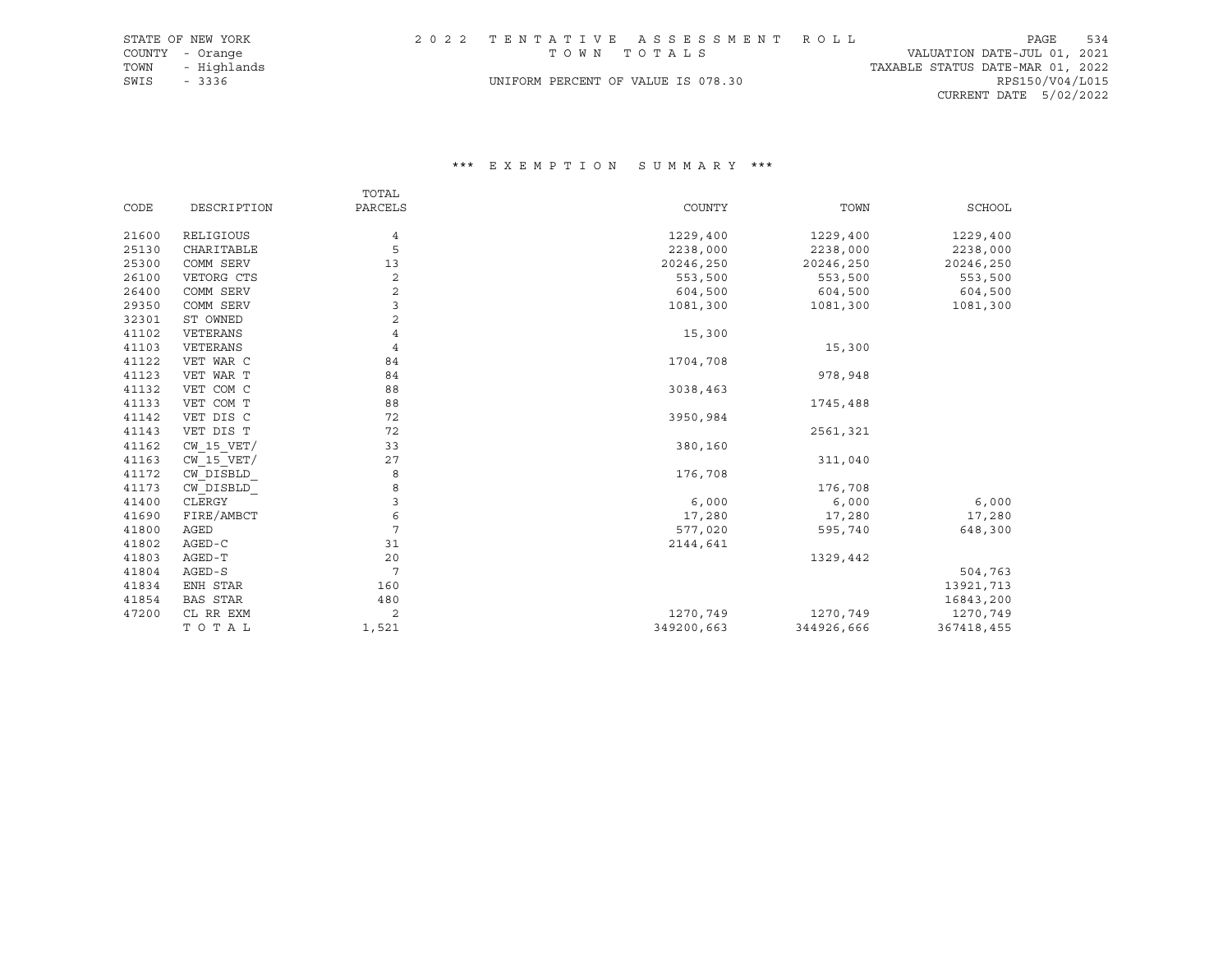|             | STATE OF NEW YORK |                                    | 2022 TENTATIVE ASSESSMENT ROLL |                                  | PAGE | 534 |
|-------------|-------------------|------------------------------------|--------------------------------|----------------------------------|------|-----|
|             | COUNTY - Orange   | TOWN TOTALS                        |                                | VALUATION DATE-JUL 01, 2021      |      |     |
|             | TOWN - Highlands  |                                    |                                | TAXABLE STATUS DATE-MAR 01, 2022 |      |     |
| SWIS - 3336 |                   | UNIFORM PERCENT OF VALUE IS 078.30 |                                | RPS150/V04/L015                  |      |     |
|             |                   |                                    |                                | CURRENT DATE 5/02/2022           |      |     |

|                |                         | TOTAL          |            |            |            |
|----------------|-------------------------|----------------|------------|------------|------------|
| CODE           | DESCRIPTION             | PARCELS        | COUNTY     | TOWN       | SCHOOL     |
|                |                         |                |            |            |            |
| 21600<br>25130 | RELIGIOUS<br>CHARITABLE | 4<br>5         | 1229,400   | 1229,400   | 1229,400   |
|                |                         |                | 2238,000   | 2238,000   | 2238,000   |
| 25300          | COMM SERV               | 13             | 20246,250  | 20246,250  | 20246,250  |
| 26100          | VETORG CTS              | $\sqrt{2}$     | 553,500    | 553,500    | 553,500    |
| 26400          | COMM SERV               | $\mathbf{2}$   | 604,500    | 604,500    | 604,500    |
| 29350          | COMM SERV               | 3              | 1081,300   | 1081,300   | 1081,300   |
| 32301          | ST OWNED                | 2              |            |            |            |
| 41102          | VETERANS                | 4              | 15,300     |            |            |
| 41103          | VETERANS                | $\overline{4}$ |            | 15,300     |            |
| 41122          | VET WAR C               | 84             | 1704,708   |            |            |
| 41123          | VET WAR T               | 84             |            | 978,948    |            |
| 41132          | VET COM C               | 88             | 3038,463   |            |            |
| 41133          | VET COM T               | 88             |            | 1745,488   |            |
| 41142          | VET DIS C               | 72             | 3950,984   |            |            |
| 41143          | VET DIS T               | 72             |            | 2561,321   |            |
| 41162          | $CW$ 15 $VET/$          | 33             | 380,160    |            |            |
| 41163          | $CW$ 15 $VET/$          | 27             |            | 311,040    |            |
| 41172          | CW DISBLD               | 8              | 176,708    |            |            |
| 41173          | CW DISBLD               | 8              |            | 176,708    |            |
| 41400          | CLERGY                  | 3              | 6,000      | 6,000      | 6,000      |
| 41690          | FIRE/AMBCT              | 6              | 17,280     | 17,280     | 17,280     |
| 41800          | AGED                    | 7              | 577,020    | 595,740    | 648,300    |
| 41802          | $AGED-C$                | 31             | 2144,641   |            |            |
| 41803          | AGED-T                  | 20             |            | 1329,442   |            |
| 41804          | AGED-S                  | 7              |            |            | 504,763    |
| 41834          | ENH STAR                | 160            |            |            | 13921,713  |
| 41854          | BAS STAR                | 480            |            |            | 16843,200  |
| 47200          | CL RR EXM               | 2              | 1270,749   | 1270,749   | 1270,749   |
|                | TOTAL                   | 1,521          | 349200,663 | 344926,666 | 367418,455 |